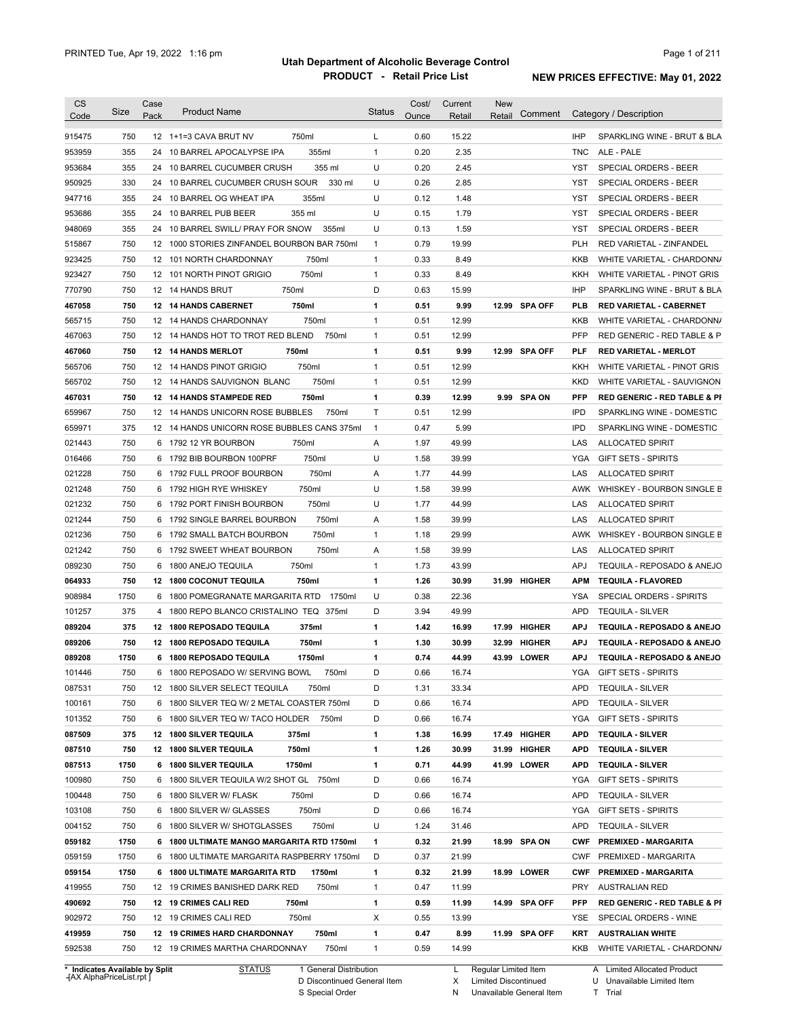| <b>CS</b><br>Code | Size       | Case<br>Pack | <b>Product Name</b>                                                              | <b>Status</b>                | Cost/<br>Ounce | Current<br>Retail | New<br>Comment<br>Retail | Category / Description                                                   |
|-------------------|------------|--------------|----------------------------------------------------------------------------------|------------------------------|----------------|-------------------|--------------------------|--------------------------------------------------------------------------|
|                   |            |              |                                                                                  |                              |                |                   |                          |                                                                          |
| 915475            | 750        |              | 750ml<br>12 1+1=3 CAVA BRUT NV                                                   | L                            | 0.60           | 15.22             |                          | <b>IHP</b><br>SPARKLING WINE - BRUT & BLA                                |
| 953959            | 355        | 24           | 355ml<br>10 BARREL APOCALYPSE IPA                                                | $\mathbf{1}$                 | 0.20           | 2.35              |                          | <b>TNC</b><br>ALE - PALE                                                 |
| 953684            | 355        |              | 355 ml<br>24 10 BARREL CUCUMBER CRUSH<br>24 10 BARREL CUCUMBER CRUSH SOUR        | U                            | 0.20           | 2.45              |                          | SPECIAL ORDERS - BEER<br>YST                                             |
| 950925            | 330        |              | 330 ml                                                                           | U                            | 0.26           | 2.85              |                          | <b>YST</b><br>SPECIAL ORDERS - BEER                                      |
| 947716            | 355        |              | 24 10 BARREL OG WHEAT IPA<br>355ml                                               | U                            | 0.12           | 1.48              |                          | <b>YST</b><br><b>SPECIAL ORDERS - BEER</b>                               |
| 953686            | 355        |              | 24 10 BARREL PUB BEER<br>355 ml<br>24 10 BARREL SWILL/ PRAY FOR SNOW             | U                            | 0.15           | 1.79              |                          | <b>YST</b><br>SPECIAL ORDERS - BEER                                      |
| 948069            | 355<br>750 |              | 355ml                                                                            | U                            | 0.13<br>0.79   | 1.59<br>19.99     |                          | <b>YST</b><br>SPECIAL ORDERS - BEER<br><b>PLH</b>                        |
| 515867            | 750        |              | 12 1000 STORIES ZINFANDEL BOURBON BAR 750ml<br>750ml                             | $\mathbf{1}$<br>$\mathbf{1}$ | 0.33           | 8.49              |                          | RED VARIETAL - ZINFANDEL<br><b>KKB</b>                                   |
| 923425            | 750        |              | 12 101 NORTH CHARDONNAY<br>12 101 NORTH PINOT GRIGIO<br>750ml                    | $\mathbf{1}$                 | 0.33           | 8.49              |                          | WHITE VARIETAL - CHARDONN/<br><b>KKH</b>                                 |
| 923427<br>770790  | 750        |              | 750ml<br>12 14 HANDS BRUT                                                        | D                            | 0.63           | 15.99             |                          | WHITE VARIETAL - PINOT GRIS<br><b>IHP</b><br>SPARKLING WINE - BRUT & BLA |
|                   |            |              |                                                                                  |                              |                |                   |                          |                                                                          |
| 467058            | 750        |              | 750ml<br>12 14 HANDS CABERNET                                                    | 1                            | 0.51           | 9.99              | 12.99 SPA OFF            | <b>PLB</b><br><b>RED VARIETAL - CABERNET</b>                             |
| 565715            | 750        | 12           | 750ml<br>14 HANDS CHARDONNAY                                                     | 1                            | 0.51           | 12.99             |                          | KKB<br>WHITE VARIETAL - CHARDONN/                                        |
| 467063            | 750        |              | 12 14 HANDS HOT TO TROT RED BLEND<br>750ml                                       | 1                            | 0.51           | 12.99             |                          | <b>PFP</b><br>RED GENERIC - RED TABLE & P                                |
| 467060            | 750        |              | 12 14 HANDS MERLOT<br>750ml                                                      | 1                            | 0.51           | 9.99              | 12.99 SPA OFF            | <b>PLF</b><br><b>RED VARIETAL - MERLOT</b>                               |
| 565706            | 750        |              | 750ml<br>12 14 HANDS PINOT GRIGIO                                                | $\mathbf{1}$                 | 0.51           | 12.99             |                          | <b>KKH</b><br>WHITE VARIETAL - PINOT GRIS                                |
| 565702            | 750        |              | 750ml<br>12 14 HANDS SAUVIGNON BLANC                                             | 1                            | 0.51           | 12.99             |                          | <b>KKD</b><br>WHITE VARIETAL - SAUVIGNON                                 |
| 467031            | 750        | 12           | 750ml<br><b>14 HANDS STAMPEDE RED</b>                                            | 1                            | 0.39           | 12.99             | 9.99 SPA ON              | <b>PFP</b><br><b>RED GENERIC - RED TABLE &amp; PI</b>                    |
| 659967            | 750        |              | 12 14 HANDS UNICORN ROSE BUBBLES<br>750ml                                        | Τ                            | 0.51           | 12.99             |                          | <b>IPD</b><br>SPARKLING WINE - DOMESTIC                                  |
| 659971            | 375        |              | 12 14 HANDS UNICORN ROSE BUBBLES CANS 375ml                                      | $\mathbf{1}$                 | 0.47           | 5.99              |                          | <b>IPD</b><br>SPARKLING WINE - DOMESTIC                                  |
| 021443            | 750        |              | 750ml<br>6 1792 12 YR BOURBON                                                    | Α                            | 1.97           | 49.99             |                          | LAS<br><b>ALLOCATED SPIRIT</b>                                           |
| 016466            | 750        | 6            | 750ml<br>1792 BIB BOURBON 100PRF                                                 | U                            | 1.58           | 39.99             |                          | YGA<br><b>GIFT SETS - SPIRITS</b>                                        |
| 021228            | 750        | 6            | 750ml<br>1792 FULL PROOF BOURBON                                                 | Α                            | 1.77           | 44.99             |                          | LAS<br><b>ALLOCATED SPIRIT</b>                                           |
| 021248            | 750        | 6            | 750ml<br>1792 HIGH RYE WHISKEY                                                   | U                            | 1.58           | 39.99             |                          | AWK<br>WHISKEY - BOURBON SINGLE B                                        |
| 021232            | 750        | 6            | 750ml<br>1792 PORT FINISH BOURBON                                                | U                            | 1.77           | 44.99             |                          | LAS<br><b>ALLOCATED SPIRIT</b>                                           |
| 021244            | 750        | 6            | 1792 SINGLE BARREL BOURBON<br>750ml                                              | Α                            | 1.58           | 39.99             |                          | LAS<br><b>ALLOCATED SPIRIT</b>                                           |
| 021236            | 750        | 6            | 750ml<br>1792 SMALL BATCH BOURBON                                                | $\mathbf{1}$                 | 1.18           | 29.99             |                          | AWK<br>WHISKEY - BOURBON SINGLE B                                        |
| 021242            | 750        | 6            | 750ml<br>1792 SWEET WHEAT BOURBON                                                | Α                            | 1.58           | 39.99             |                          | LAS<br><b>ALLOCATED SPIRIT</b>                                           |
| 089230            | 750        | 6            | 750ml<br>1800 ANEJO TEQUILA                                                      | 1                            | 1.73           | 43.99             |                          | APJ<br>TEQUILA - REPOSADO & ANEJO                                        |
| 064933            | 750        |              | <b>12 1800 COCONUT TEQUILA</b><br>750ml                                          | 1                            | 1.26           | 30.99             | 31.99 HIGHER             | <b>APM</b><br><b>TEQUILA FLAVORED</b>                                    |
| 908984            | 1750       | 6            | 1800 POMEGRANATE MARGARITA RTD<br>1750ml                                         | U                            | 0.38           | 22.36             |                          | SPECIAL ORDERS - SPIRITS<br>YSA                                          |
| 101257            | 375        | 4            | 1800 REPO BLANCO CRISTALINO TEQ 375ml                                            | D                            | 3.94           | 49.99             |                          | <b>APD</b><br><b>TEQUILA - SILVER</b>                                    |
| 089204            | 375        | 12           | 375ml<br><b>1800 REPOSADO TEQUILA</b>                                            | 1                            | 1.42           | 16.99             | 17.99 HIGHER             | TEQUILA - REPOSADO & ANEJO<br><b>APJ</b>                                 |
| 089206            | 750        |              | 750ml<br>12 1800 REPOSADO TEQUILA                                                | 1                            | 1.30           | 30.99             | 32.99<br>HIGHER          | TEQUILA - REPOSADO & ANEJO<br><b>APJ</b>                                 |
| 089208            | 1750       |              | 6 1800 REPOSADO TEQUILA<br>1750ml                                                | 1                            | 0.74           | 44.99             | 43.99 LOWER              | <b>APJ</b><br>TEQUILA - REPOSADO & ANEJO                                 |
| 101446            | 750        | 6            | 1800 REPOSADO W/ SERVING BOWL<br>750ml                                           | D                            | 0.66           | 16.74             |                          | <b>YGA</b><br><b>GIFT SETS - SPIRITS</b>                                 |
| 087531            | 750        |              | 12 1800 SILVER SELECT TEQUILA<br>750ml                                           | D                            | 1.31           | 33.34             |                          | APD<br><b>TEQUILA - SILVER</b>                                           |
| 100161            | 750        |              | 6 1800 SILVER TEQ W/ 2 METAL COASTER 750ml                                       | D                            | 0.66           | 16.74             |                          | APD<br><b>TEQUILA - SILVER</b>                                           |
| 101352            | 750        |              | 6 1800 SILVER TEQ W/ TACO HOLDER<br>750ml                                        | D                            | 0.66           | 16.74             |                          | YGA<br><b>GIFT SETS - SPIRITS</b>                                        |
| 087509            | 375        |              | 12 1800 SILVER TEQUILA<br>375ml                                                  | 1                            | 1.38           | 16.99             | 17.49 HIGHER             | APD<br><b>TEQUILA - SILVER</b>                                           |
| 087510            | 750        |              | 12 1800 SILVER TEQUILA<br>750ml                                                  | 1                            | 1.26           | 30.99             | 31.99 HIGHER             | APD<br><b>TEQUILA - SILVER</b>                                           |
| 087513            | 1750       |              | 6 1800 SILVER TEQUILA<br>1750ml                                                  | 1                            | 0.71           | 44.99             | 41.99 LOWER              | APD<br><b>TEQUILA - SILVER</b>                                           |
| 100980            | 750        |              | 6 1800 SILVER TEQUILA W/2 SHOT GL 750ml                                          | D                            | 0.66           | 16.74             |                          | YGA<br><b>GIFT SETS - SPIRITS</b>                                        |
| 100448            | 750        |              | 6 1800 SILVER W/ FLASK<br>750ml                                                  | D                            | 0.66           | 16.74             |                          | <b>APD</b><br><b>TEQUILA - SILVER</b>                                    |
| 103108            | 750        | 6            | 1800 SILVER W/ GLASSES<br>750ml                                                  | D                            | 0.66           | 16.74             |                          | YGA<br><b>GIFT SETS - SPIRITS</b>                                        |
| 004152            | 750        |              | 750ml<br>6 1800 SILVER W/ SHOTGLASSES                                            | U                            | 1.24           | 31.46             |                          | APD<br><b>TEQUILA - SILVER</b>                                           |
| 059182            | 1750       |              | 6 1800 ULTIMATE MANGO MARGARITA RTD 1750ml                                       | 1                            | 0.32           | 21.99             | 18.99 SPA ON             | <b>CWF</b><br><b>PREMIXED - MARGARITA</b>                                |
| 059159            | 1750       |              | 6 1800 ULTIMATE MARGARITA RASPBERRY 1750ml                                       | D                            | 0.37           | 21.99             |                          | <b>CWF</b><br>PREMIXED - MARGARITA                                       |
| 059154            | 1750       |              | 6 1800 ULTIMATE MARGARITA RTD<br>1750ml                                          | 1                            | 0.32           | 21.99             | 18.99 LOWER              | <b>CWF</b><br><b>PREMIXED - MARGARITA</b>                                |
| 419955            | 750        |              | 12 19 CRIMES BANISHED DARK RED<br>750ml                                          | $\mathbf{1}$                 | 0.47           | 11.99             |                          | PRY<br><b>AUSTRALIAN RED</b>                                             |
| 490692            | 750        |              | 12 19 CRIMES CALI RED<br>750ml                                                   | 1                            | 0.59           | 11.99             | 14.99 SPA OFF            | PFP<br><b>RED GENERIC - RED TABLE &amp; PI</b>                           |
|                   |            |              | 12 19 CRIMES CALI RED<br>750ml                                                   | X                            | 0.55           | 13.99             |                          | YSE<br>SPECIAL ORDERS - WINE                                             |
|                   |            |              |                                                                                  |                              |                |                   |                          |                                                                          |
| 902972            | 750        |              |                                                                                  |                              |                |                   |                          |                                                                          |
| 419959<br>592538  | 750<br>750 |              | 750ml<br>12 19 CRIMES HARD CHARDONNAY<br>12 19 CRIMES MARTHA CHARDONNAY<br>750ml | 1<br>1                       | 0.47<br>0.59   | 8.99<br>14.99     | 11.99 SPA OFF            | KRT<br><b>AUSTRALIAN WHITE</b><br>KKB<br>WHITE VARIETAL - CHARDONN/      |

**Case** [AX AlphaPriceList.rpt ]

D Discontinued General Item S Special Order

L Regular Limited Item

X N Limited Discontinued

Unavailable General Item

A Limited Allocated Product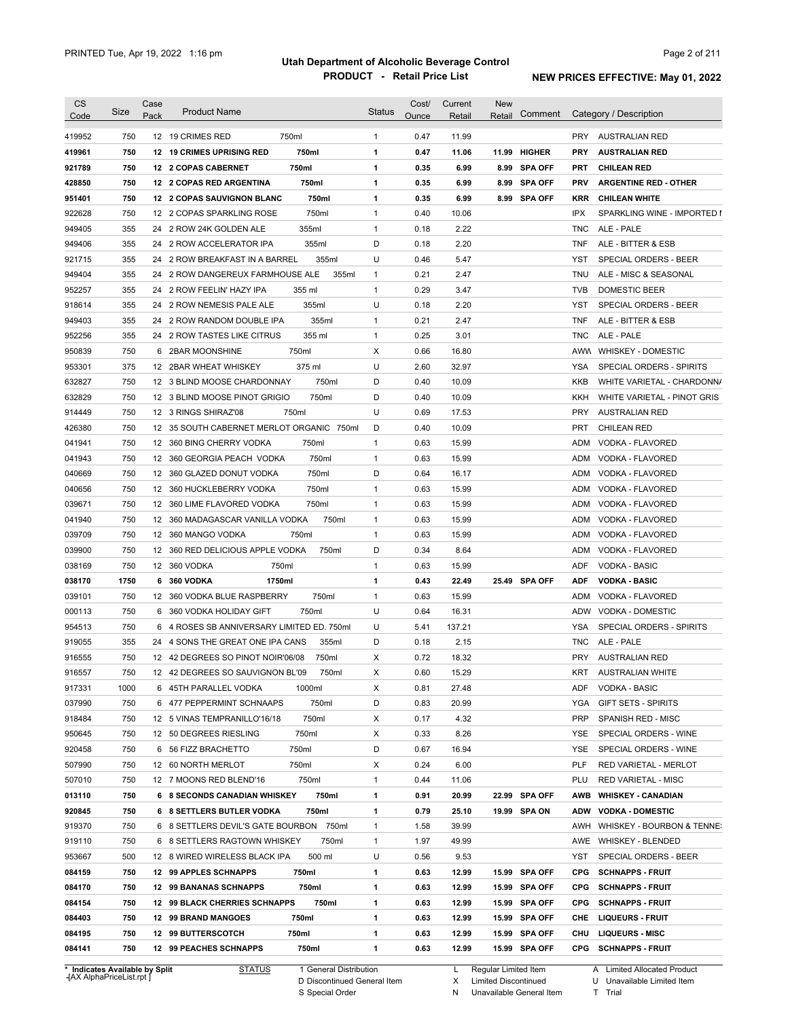| <b>CS</b><br>Code | Size | Case<br>Pack | <b>Product Name</b>                        | <b>Status</b> | Cost/<br>Ounce | Current<br>Retail | <b>New</b><br>Retail | Comment       |            | Category / Description       |
|-------------------|------|--------------|--------------------------------------------|---------------|----------------|-------------------|----------------------|---------------|------------|------------------------------|
| 419952            | 750  |              | 12 19 CRIMES RED<br>750ml                  | $\mathbf{1}$  | 0.47           | 11.99             |                      |               | <b>PRY</b> | <b>AUSTRALIAN RED</b>        |
| 419961            | 750  |              | 750ml<br>12 19 CRIMES UPRISING RED         | 1             | 0.47           | 11.06             | 11.99                | <b>HIGHER</b> | <b>PRY</b> | <b>AUSTRALIAN RED</b>        |
| 921789            | 750  |              | 750ml<br>12 2 COPAS CABERNET               | 1             | 0.35           | 6.99              |                      | 8.99 SPA OFF  | PRT        | <b>CHILEAN RED</b>           |
| 428850            | 750  |              | 750ml<br>12 2 COPAS RED ARGENTINA          | 1             | 0.35           | 6.99              |                      | 8.99 SPA OFF  | <b>PRV</b> | <b>ARGENTINE RED - OTHER</b> |
| 951401            | 750  |              | 750ml<br>12 2 COPAS SAUVIGNON BLANC        | 1             | 0.35           | 6.99              |                      | 8.99 SPA OFF  | <b>KRR</b> | <b>CHILEAN WHITE</b>         |
| 922628            | 750  |              | 750ml<br>12 2 COPAS SPARKLING ROSE         | $\mathbf{1}$  | 0.40           | 10.06             |                      |               | IPX        | SPARKLING WINE - IMPORTED I  |
| 949405            | 355  |              | 24 2 ROW 24K GOLDEN ALE<br>355ml           | $\mathbf{1}$  | 0.18           | 2.22              |                      |               | <b>TNC</b> | ALE - PALE                   |
| 949406            | 355  |              | 355ml<br>24 2 ROW ACCELERATOR IPA          | D             | 0.18           | 2.20              |                      |               | <b>TNF</b> | ALE - BITTER & ESB           |
| 921715            | 355  |              | 24 2 ROW BREAKFAST IN A BARREL<br>355ml    | U             | 0.46           | 5.47              |                      |               | YST        | <b>SPECIAL ORDERS - BEER</b> |
| 949404            | 355  |              | 24 2 ROW DANGEREUX FARMHOUSE ALE<br>355ml  | $\mathbf{1}$  | 0.21           | 2.47              |                      |               | TNU        | ALE - MISC & SEASONAL        |
| 952257            | 355  |              | 24 2 ROW FEELIN' HAZY IPA<br>355 ml        | $\mathbf{1}$  | 0.29           | 3.47              |                      |               | <b>TVB</b> | DOMESTIC BEER                |
| 918614            | 355  |              | 355ml<br>24 2 ROW NEMESIS PALE ALE         | U             | 0.18           | 2.20              |                      |               | YST        | <b>SPECIAL ORDERS - BEER</b> |
| 949403            | 355  |              | 355ml<br>24 2 ROW RANDOM DOUBLE IPA        | $\mathbf{1}$  | 0.21           | 2.47              |                      |               | <b>TNF</b> | ALE - BITTER & ESB           |
| 952256            | 355  |              | 355 ml<br>24 2 ROW TASTES LIKE CITRUS      | $\mathbf{1}$  | 0.25           | 3.01              |                      |               | <b>TNC</b> | ALE - PALE                   |
| 950839            | 750  |              | 750ml<br>6 2BAR MOONSHINE                  | Х             | 0.66           | 16.80             |                      |               |            | AWW WHISKEY - DOMESTIC       |
| 953301            | 375  |              | 12 2BAR WHEAT WHISKEY<br>375 ml            | U             | 2.60           | 32.97             |                      |               | <b>YSA</b> | SPECIAL ORDERS - SPIRITS     |
| 632827            | 750  |              | 750ml<br>12 3 BLIND MOOSE CHARDONNAY       | D             | 0.40           | 10.09             |                      |               | KKB        | WHITE VARIETAL - CHARDONN/   |
| 632829            | 750  |              | 750ml<br>12 3 BLIND MOOSE PINOT GRIGIO     | D             | 0.40           | 10.09             |                      |               | KKH        | WHITE VARIETAL - PINOT GRIS  |
| 914449            | 750  |              | 12 3 RINGS SHIRAZ'08<br>750ml              | U             | 0.69           | 17.53             |                      |               | PRY        | <b>AUSTRALIAN RED</b>        |
| 426380            | 750  |              | 12 35 SOUTH CABERNET MERLOT ORGANIC 750ml  | D             | 0.40           | 10.09             |                      |               | <b>PRT</b> | <b>CHILEAN RED</b>           |
| 041941            | 750  |              | 750ml<br>12 360 BING CHERRY VODKA          | $\mathbf{1}$  | 0.63           | 15.99             |                      |               | <b>ADM</b> | VODKA - FLAVORED             |
| 041943            | 750  |              | 750ml<br>12 360 GEORGIA PEACH VODKA        | $\mathbf{1}$  | 0.63           | 15.99             |                      |               | ADM        | VODKA - FLAVORED             |
| 040669            | 750  |              | 750ml<br>12 360 GLAZED DONUT VODKA         | D             | 0.64           | 16.17             |                      |               | ADM        | VODKA - FLAVORED             |
| 040656            | 750  |              | 750ml<br>12 360 HUCKLEBERRY VODKA          | $\mathbf{1}$  | 0.63           | 15.99             |                      |               | ADM        | VODKA - FLAVORED             |
| 039671            | 750  |              | 12 360 LIME FLAVORED VODKA<br>750ml        | $\mathbf{1}$  | 0.63           | 15.99             |                      |               | ADM        | VODKA - FLAVORED             |
| 041940            | 750  | 12           | 360 MADAGASCAR VANILLA VODKA<br>750ml      | $\mathbf{1}$  | 0.63           | 15.99             |                      |               | <b>ADM</b> | VODKA - FLAVORED             |
| 039709            | 750  | 12           | 360 MANGO VODKA<br>750ml                   | $\mathbf{1}$  | 0.63           | 15.99             |                      |               | ADM        | VODKA - FLAVORED             |
| 039900            | 750  | 12           | 360 RED DELICIOUS APPLE VODKA<br>750ml     | D             | 0.34           | 8.64              |                      |               | ADM        | VODKA - FLAVORED             |
| 038169            | 750  |              | 12 360 VODKA<br>750ml                      | $\mathbf{1}$  | 0.63           | 15.99             |                      |               | ADF        | <b>VODKA - BASIC</b>         |
| 038170            | 1750 | 6            | 360 VODKA<br>1750ml                        | 1             | 0.43           | 22.49             |                      | 25.49 SPA OFF | <b>ADF</b> | <b>VODKA - BASIC</b>         |
| 039101            | 750  |              | 12 360 VODKA BLUE RASPBERRY<br>750ml       | $\mathbf{1}$  | 0.63           | 15.99             |                      |               | ADM        | VODKA - FLAVORED             |
| 000113            | 750  | 6            | 750ml<br>360 VODKA HOLIDAY GIFT            | U             | 0.64           | 16.31             |                      |               | ADW        | <b>VODKA - DOMESTIC</b>      |
| 954513            | 750  | 6            | 4 ROSES SB ANNIVERSARY LIMITED ED. 750ml   | U             | 5.41           | 137.21            |                      |               | YSA        | SPECIAL ORDERS - SPIRITS     |
| 919055            | 355  |              | 24 4 SONS THE GREAT ONE IPA CANS<br>355ml  | D             | 0.18           | 2.15              |                      |               | <b>TNC</b> | ALE - PALE                   |
| 916555            | 750  |              | 12 42 DEGREES SO PINOT NOIR'06/08<br>750ml | X             | 0.72           | 18.32             |                      |               | <b>PRY</b> | AUSTRALIAN RED               |
| 916557            | 750  |              | 12 42 DEGREES SO SAUVIGNON BL'09<br>750ml  | Х             | 0.60           | 15.29             |                      |               |            | KRT AUSTRALIAN WHITE         |
| 917331            | 1000 |              | 6 45TH PARALLEL VODKA<br>1000ml            | Х             | 0.81           | 27.48             |                      |               | ADF        | VODKA - BASIC                |
| 037990            | 750  |              | 750ml<br>6 477 PEPPERMINT SCHNAAPS         | D             | 0.83           | 20.99             |                      |               | YGA        | <b>GIFT SETS - SPIRITS</b>   |
| 918484            | 750  |              | 12 5 VINAS TEMPRANILLO'16/18<br>750ml      | х             | 0.17           | 4.32              |                      |               | <b>PRP</b> | SPANISH RED - MISC           |
| 950645            | 750  |              | 12 50 DEGREES RIESLING<br>750ml            | х             | 0.33           | 8.26              |                      |               | YSE        | SPECIAL ORDERS - WINE        |
| 920458            | 750  |              | 6 56 FIZZ BRACHETTO<br>750ml               | D             | 0.67           | 16.94             |                      |               | YSE        | SPECIAL ORDERS - WINE        |
| 507990            | 750  |              | 750ml<br>12 60 NORTH MERLOT                | х             | 0.24           | 6.00              |                      |               | <b>PLF</b> | RED VARIETAL - MERLOT        |
| 507010            | 750  |              | 750ml<br>12 7 MOONS RED BLEND'16           | $\mathbf{1}$  | 0.44           | 11.06             |                      |               | PLU        | <b>RED VARIETAL - MISC</b>   |
| 013110            | 750  |              | 6 8 SECONDS CANADIAN WHISKEY<br>750ml      | 1             | 0.91           | 20.99             |                      | 22.99 SPA OFF | AWB        | <b>WHISKEY - CANADIAN</b>    |
| 920845            | 750  |              | 6 8 SETTLERS BUTLER VODKA<br>750ml         | 1             | 0.79           | 25.10             |                      | 19.99 SPA ON  | <b>ADW</b> | <b>VODKA - DOMESTIC</b>      |
| 919370            | 750  |              | 6 8 SETTLERS DEVIL'S GATE BOURBON 750ml    | $\mathbf{1}$  | 1.58           | 39.99             |                      |               | AWH        | WHISKEY - BOURBON & TENNE:   |
| 919110            | 750  |              | 6 8 SETTLERS RAGTOWN WHISKEY<br>750ml      | $\mathbf{1}$  | 1.97           | 49.99             |                      |               | AWE        | WHISKEY - BLENDED            |
| 953667            | 500  |              | 500 ml<br>12 8 WIRED WIRELESS BLACK IPA    | U             | 0.56           | 9.53              |                      |               | YST        | SPECIAL ORDERS - BEER        |
| 084159            | 750  |              | 750ml<br>12 99 APPLES SCHNAPPS             | 1             | 0.63           | 12.99             |                      | 15.99 SPA OFF | <b>CPG</b> | <b>SCHNAPPS - FRUIT</b>      |
| 084170            | 750  |              | <b>12 99 BANANAS SCHNAPPS</b><br>750ml     | 1             | 0.63           | 12.99             |                      | 15.99 SPA OFF | <b>CPG</b> | <b>SCHNAPPS - FRUIT</b>      |
| 084154            | 750  |              | 750ml<br>12 99 BLACK CHERRIES SCHNAPPS     | 1             | 0.63           | 12.99             |                      | 15.99 SPA OFF | <b>CPG</b> | <b>SCHNAPPS - FRUIT</b>      |
| 084403            | 750  |              | 12 99 BRAND MANGOES<br>750ml               | 1             | 0.63           | 12.99             |                      | 15.99 SPA OFF | CHE        | <b>LIQUEURS - FRUIT</b>      |
| 084195            | 750  |              | 12 99 BUTTERSCOTCH<br>750ml                | 1             | 0.63           | 12.99             |                      | 15.99 SPA OFF | CHU        | <b>LIQUEURS - MISC</b>       |
|                   |      |              |                                            |               |                |                   |                      |               |            |                              |

**\* Indicates Available by Split Case** [AX AlphaPriceList.rpt ]

STATUS 1 General Distribution

D Discontinued General Item

S Special Order

L Regular Limited Item

X Limited Discontinued

N Unavailable General Item

A Limited Allocated Product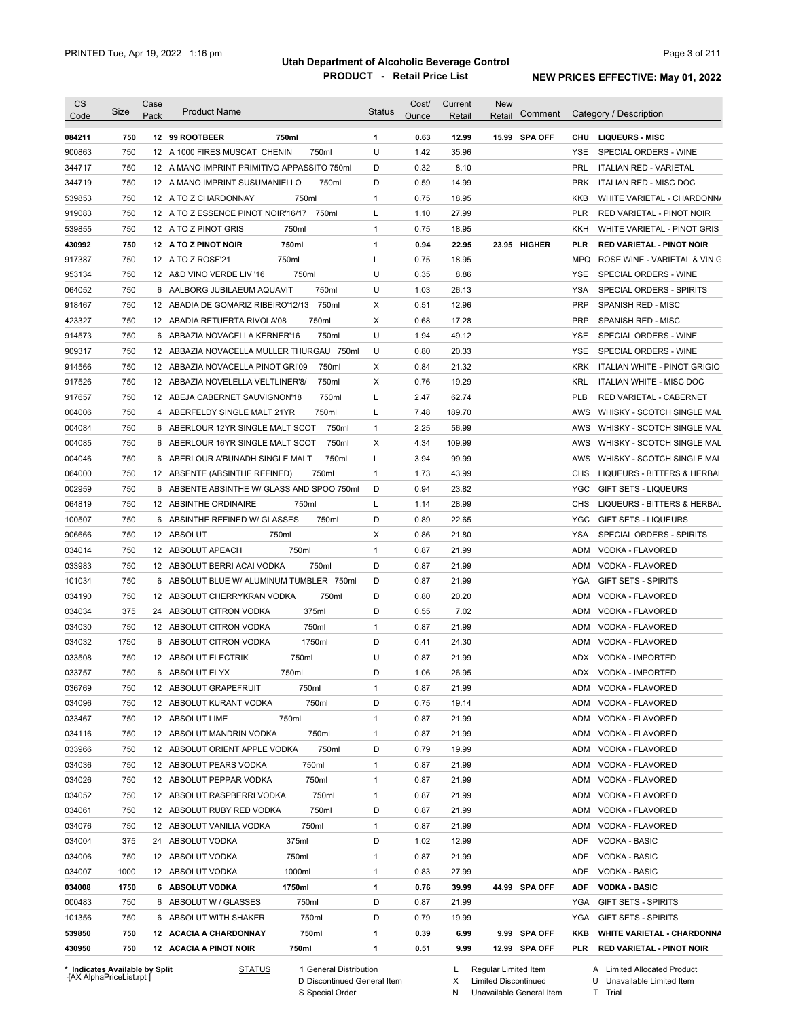| <b>CS</b><br>Code | Size                           | Case<br>Pack | <b>Product Name</b>                                              | <b>Status</b> | Cost/<br>Ounce | Current<br>Retail | <b>New</b><br>Comment<br>Retail | Category / Description                         |
|-------------------|--------------------------------|--------------|------------------------------------------------------------------|---------------|----------------|-------------------|---------------------------------|------------------------------------------------|
| 084211            | 750                            |              | 12 99 ROOTBEER<br>750ml                                          | 1             | 0.63           | 12.99             | 15.99 SPA OFF                   | <b>CHU</b><br><b>LIQUEURS - MISC</b>           |
| 900863            | 750                            |              | 12 A 1000 FIRES MUSCAT CHENIN<br>750ml                           | U             | 1.42           | 35.96             |                                 | <b>YSE</b><br>SPECIAL ORDERS - WINE            |
| 344717            | 750                            |              | 12 A MANO IMPRINT PRIMITIVO APPASSITO 750ml                      | D             | 0.32           | 8.10              |                                 | <b>PRL</b><br><b>ITALIAN RED - VARIETAL</b>    |
| 344719            | 750                            |              | 12 A MANO IMPRINT SUSUMANIELLO<br>750ml                          | D             | 0.59           | 14.99             |                                 | <b>PRK</b><br><b>ITALIAN RED - MISC DOC</b>    |
| 539853            | 750                            |              | 750ml<br>12 A TO Z CHARDONNAY                                    | 1             | 0.75           | 18.95             |                                 | <b>KKB</b><br>WHITE VARIETAL - CHARDONN/       |
| 919083            | 750                            |              | 12 A TO Z ESSENCE PINOT NOIR'16/17<br>750ml                      | Г             | 1.10           | 27.99             |                                 | <b>PLR</b><br>RED VARIETAL - PINOT NOIR        |
| 539855            | 750                            |              | 12 A TO Z PINOT GRIS<br>750ml                                    | $\mathbf{1}$  | 0.75           | 18.95             |                                 | <b>KKH</b><br>WHITE VARIETAL - PINOT GRIS      |
| 430992            | 750                            |              | 750ml<br>12 A TO Z PINOT NOIR                                    | 1             | 0.94           | 22.95             | 23.95 HIGHER                    | <b>PLR</b><br><b>RED VARIETAL - PINOT NOIR</b> |
| 917387            | 750                            |              | 750ml<br>12 A TO Z ROSE'21                                       | Г             | 0.75           | 18.95             |                                 | <b>MPQ</b><br>ROSE WINE - VARIETAL & VIN G     |
| 953134            | 750                            | 12           | 750ml<br>A&D VINO VERDE LIV '16                                  | U             | 0.35           | 8.86              |                                 | <b>YSE</b><br>SPECIAL ORDERS - WINE            |
| 064052            | 750                            | 6            | 750ml<br>AALBORG JUBILAEUM AQUAVIT                               | U             | 1.03           | 26.13             |                                 | <b>YSA</b><br>SPECIAL ORDERS - SPIRITS         |
| 918467            | 750                            | 12           | 750ml<br>ABADIA DE GOMARIZ RIBEIRO'12/13                         | X             | 0.51           | 12.96             |                                 | <b>PRP</b><br>SPANISH RED - MISC               |
| 423327            | 750                            | 12           | 750ml<br>ABADIA RETUERTA RIVOLA'08                               | X             | 0.68           | 17.28             |                                 | <b>PRP</b><br>SPANISH RED - MISC               |
| 914573            | 750                            | 6            | 750ml<br>ABBAZIA NOVACELLA KERNER'16                             | U             | 1.94           | 49.12             |                                 | <b>YSE</b><br>SPECIAL ORDERS - WINE            |
| 909317            | 750                            | 12           | ABBAZIA NOVACELLA MULLER THURGAU 750ml                           | U             | 0.80           | 20.33             |                                 | <b>YSE</b><br>SPECIAL ORDERS - WINE            |
| 914566            | 750                            | 12           | 750ml<br>ABBAZIA NOVACELLA PINOT GRI'09                          | X             | 0.84           | 21.32             |                                 | <b>KRK</b><br>ITALIAN WHITE - PINOT GRIGIO     |
| 917526            | 750                            | 12           | 750ml<br>ABBAZIA NOVELELLA VELTLINER'8/                          | X             | 0.76           | 19.29             |                                 | <b>KRL</b><br>ITALIAN WHITE - MISC DOC         |
| 917657            | 750                            |              | 12 ABEJA CABERNET SAUVIGNON'18<br>750ml                          | Г             | 2.47           | 62.74             |                                 | <b>PLB</b><br>RED VARIETAL - CABERNET          |
| 004006            | 750                            |              | 4 ABERFELDY SINGLE MALT 21YR<br>750ml                            | Г             | 7.48           | 189.70            |                                 | AWS<br>WHISKY - SCOTCH SINGLE MAL              |
| 004084            | 750                            |              | 750ml<br>6 ABERLOUR 12YR SINGLE MALT SCOT                        | 1             | 2.25           | 56.99             |                                 | AWS<br>WHISKY - SCOTCH SINGLE MAL              |
| 004085            | 750                            |              | 750ml<br>6 ABERLOUR 16YR SINGLE MALT SCOT                        | X             | 4.34           | 109.99            |                                 | AWS<br>WHISKY - SCOTCH SINGLE MAL              |
| 004046            | 750                            | 6            | 750ml<br>ABERLOUR A'BUNADH SINGLE MALT                           | L             | 3.94           | 99.99             |                                 | AWS<br>WHISKY - SCOTCH SINGLE MAL              |
| 064000            | 750                            |              | 750ml<br>12 ABSENTE (ABSINTHE REFINED)                           | $\mathbf{1}$  | 1.73           | 43.99             |                                 | CHS<br>LIQUEURS - BITTERS & HERBAL             |
| 002959            | 750                            | 6            | ABSENTE ABSINTHE W/ GLASS AND SPOO 750ml                         | D             | 0.94           | 23.82             |                                 | <b>YGC</b><br><b>GIFT SETS - LIQUEURS</b>      |
| 064819            | 750                            |              | 750ml<br>12 ABSINTHE ORDINAIRE                                   | Г             | 1.14           | 28.99             |                                 | <b>CHS</b><br>LIQUEURS - BITTERS & HERBAL      |
| 100507            | 750                            | 6            | ABSINTHE REFINED W/ GLASSES<br>750ml                             | D             | 0.89           | 22.65             |                                 | <b>YGC</b><br><b>GIFT SETS - LIQUEURS</b>      |
| 906666            | 750                            |              | 12 ABSOLUT<br>750ml                                              | X             | 0.86           | 21.80             |                                 | <b>YSA</b><br>SPECIAL ORDERS - SPIRITS         |
| 034014            | 750                            |              | 12 ABSOLUT APEACH<br>750ml                                       | $\mathbf{1}$  | 0.87           | 21.99             |                                 | <b>ADM</b><br>VODKA - FLAVORED                 |
| 033983            | 750                            |              | 750ml<br>12 ABSOLUT BERRI ACAI VODKA                             | D             | 0.87           | 21.99             |                                 | <b>ADM</b><br>VODKA - FLAVORED                 |
| 101034            | 750                            |              | 6 ABSOLUT BLUE W/ ALUMINUM TUMBLER 750ml                         | D             | 0.87           | 21.99             |                                 | <b>YGA</b><br><b>GIFT SETS - SPIRITS</b>       |
| 034190            | 750                            |              | 12 ABSOLUT CHERRYKRAN VODKA<br>750ml                             | D             | 0.80           | 20.20             |                                 | <b>ADM</b><br>VODKA - FLAVORED                 |
| 034034            | 375                            |              | 24 ABSOLUT CITRON VODKA<br>375ml                                 | D             | 0.55           | 7.02              |                                 | <b>ADM</b><br>VODKA - FLAVORED                 |
| 034030            | 750                            |              | 750ml<br>12 ABSOLUT CITRON VODKA                                 | $\mathbf{1}$  | 0.87           | 21.99             |                                 | <b>ADM</b><br>VODKA - FLAVORED                 |
| 034032            | 1750                           |              | 6 ABSOLUT CITRON VODKA<br>1750ml                                 | D             | 0.41           | 24.30             |                                 | <b>ADM</b><br>VODKA - FLAVORED                 |
| 033508            | 750                            |              | 12 ABSOLUT ELECTRIK<br>750ml                                     | U             | 0.87           | 21.99             |                                 | ADX<br>VODKA - IMPORTED                        |
| 033757            | 750                            | 6            | 750ml<br>ABSOLUT ELYX                                            | D             | 1.06           | 26.95             |                                 | ADX VODKA - IMPORTED                           |
| 036769            | 750                            |              | 12 ABSOLUT GRAPEFRUIT<br>750ml                                   | 1             | 0.87           | 21.99             |                                 | ADM<br>VODKA - FLAVORED                        |
| 034096            | 750                            |              | 750ml<br>12 ABSOLUT KURANT VODKA                                 | D             | 0.75           | 19.14             |                                 | ADM<br>VODKA - FLAVORED                        |
| 033467            | 750                            |              | 750ml<br>12 ABSOLUT LIME                                         | 1             | 0.87           | 21.99             |                                 | ADM<br>VODKA - FLAVORED                        |
| 034116            | 750                            |              | 750ml<br>12 ABSOLUT MANDRIN VODKA                                | 1             | 0.87           | 21.99             |                                 | ADM<br>VODKA - FLAVORED                        |
| 033966            | 750                            |              | 750ml<br>12 ABSOLUT ORIENT APPLE VODKA                           | D             | 0.79           | 19.99             |                                 | ADM<br>VODKA - FLAVORED                        |
| 034036            | 750                            |              | 750ml<br>12 ABSOLUT PEARS VODKA                                  | 1             | 0.87           | 21.99             |                                 | ADM<br>VODKA - FLAVORED                        |
| 034026            | 750                            |              | 12 ABSOLUT PEPPAR VODKA<br>750ml                                 | 1             | 0.87           | 21.99             |                                 | ADM<br>VODKA - FLAVORED                        |
| 034052            |                                |              | 750ml                                                            |               | 0.87           |                   |                                 | ADM                                            |
| 034061            | 750<br>750                     |              | 12 ABSOLUT RASPBERRI VODKA<br>750ml<br>12 ABSOLUT RUBY RED VODKA | 1<br>D        | 0.87           | 21.99<br>21.99    |                                 | VODKA - FLAVORED<br>ADM<br>VODKA - FLAVORED    |
| 034076            | 750                            |              | 750ml                                                            | $\mathbf{1}$  | 0.87           | 21.99             |                                 | ADM                                            |
|                   |                                |              | 12 ABSOLUT VANILIA VODKA                                         |               |                |                   |                                 | VODKA - FLAVORED                               |
| 034004<br>034006  | 375<br>750                     |              | 375ml<br>24 ABSOLUT VODKA<br>12 ABSOLUT VODKA<br>750ml           | D<br>1        | 1.02<br>0.87   | 12.99<br>21.99    |                                 | ADF<br>VODKA - BASIC<br>ADF<br>VODKA - BASIC   |
|                   |                                |              |                                                                  |               |                |                   |                                 |                                                |
| 034007            | 1000                           |              | 12 ABSOLUT VODKA<br>1000ml                                       | 1             | 0.83           | 27.99             |                                 | ADF<br>VODKA - BASIC                           |
| 034008            | 1750                           |              | 6 ABSOLUT VODKA<br>1750ml                                        | 1             | 0.76           | 39.99             | 44.99 SPA OFF                   | ADF<br><b>VODKA - BASIC</b>                    |
| 000483            | 750                            |              | 6 ABSOLUT W / GLASSES<br>750ml                                   | D             | 0.87           | 21.99             |                                 | YGA<br>GIFT SETS - SPIRITS                     |
| 101356            | 750                            |              | 6 ABSOLUT WITH SHAKER<br>750ml                                   | D             | 0.79           | 19.99             |                                 | YGA<br><b>GIFT SETS - SPIRITS</b>              |
| 539850            | 750                            |              | 12 ACACIA A CHARDONNAY<br>750ml                                  | 1             | 0.39           | 6.99              | 9.99 SPA OFF                    | KKB<br><b>WHITE VARIETAL - CHARDONNA</b>       |
| 430950            | 750                            |              | 12 ACACIA A PINOT NOIR<br>750ml                                  | 1             | 0.51           | 9.99              | 12.99 SPA OFF                   | PLR<br><b>RED VARIETAL - PINOT NOIR</b>        |
|                   | * Indicates Available by Split |              | <b>STATUS</b><br>1 General Distribution                          |               |                | L                 | Regular Limited Item            | A Limited Allocated Product                    |

**Case** [AX AlphaPriceList.rpt ]

D Discontinued General Item S Special Order

X Limited Discontinued N Unavailable General Item

U Unavailable Limited Item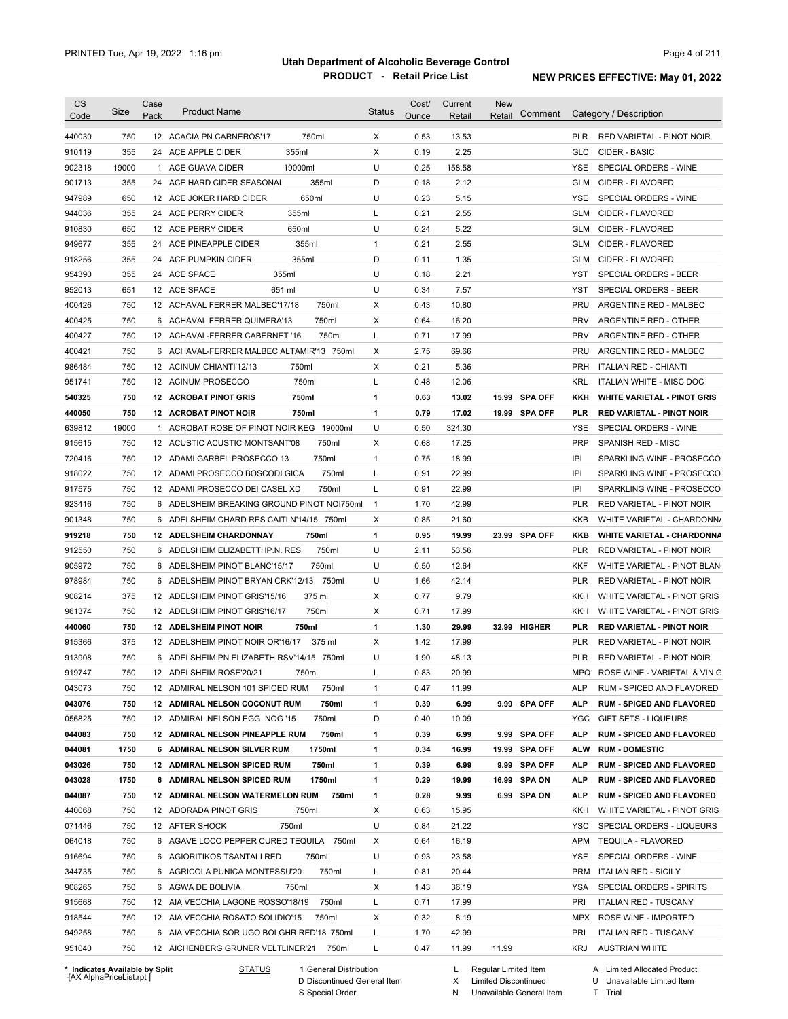| <b>CS</b><br>Code              | Size  | Case<br>Pack | <b>Product Name</b>                        | Status       | Cost/<br>Ounce | Current<br>Retail | <b>New</b><br>Retail | Comment        |            | Category / Description             |
|--------------------------------|-------|--------------|--------------------------------------------|--------------|----------------|-------------------|----------------------|----------------|------------|------------------------------------|
| 440030                         | 750   |              | 750ml<br>12 ACACIA PN CARNEROS'17          | X            | 0.53           | 13.53             |                      |                | PLR        | RED VARIETAL - PINOT NOIR          |
| 910119                         | 355   | 24           | 355ml<br>ACE APPLE CIDER                   | X            | 0.19           | 2.25              |                      |                | <b>GLC</b> | CIDER - BASIC                      |
| 902318                         | 19000 | 1            | 19000ml<br>ACE GUAVA CIDER                 | U            | 0.25           | 158.58            |                      |                | <b>YSE</b> | SPECIAL ORDERS - WINE              |
| 901713                         | 355   | 24           | 355ml<br>ACE HARD CIDER SEASONAL           | D            | 0.18           | 2.12              |                      |                | GLM        | CIDER - FLAVORED                   |
| 947989                         | 650   |              | 650ml<br>12 ACE JOKER HARD CIDER           | U            | 0.23           | 5.15              |                      |                | <b>YSE</b> | SPECIAL ORDERS - WINE              |
| 944036                         | 355   |              | 24 ACE PERRY CIDER<br>355ml                | L            | 0.21           | 2.55              |                      |                | <b>GLM</b> | CIDER - FLAVORED                   |
| 910830                         | 650   |              | 650ml<br>12 ACE PERRY CIDER                | U            | 0.24           | 5.22              |                      |                | <b>GLM</b> | CIDER - FLAVORED                   |
| 949677                         | 355   |              | 355ml<br>24 ACE PINEAPPLE CIDER            | $\mathbf{1}$ | 0.21           | 2.55              |                      |                | <b>GLM</b> | CIDER - FLAVORED                   |
| 918256                         | 355   |              | 355ml<br>24 ACE PUMPKIN CIDER              | D            | 0.11           | 1.35              |                      |                | <b>GLM</b> | CIDER - FLAVORED                   |
| 954390                         | 355   |              | 24 ACE SPACE<br>355ml                      | U            | 0.18           | 2.21              |                      |                | YST        | SPECIAL ORDERS - BEER              |
| 952013                         | 651   |              | 12 ACE SPACE<br>651 ml                     | U            | 0.34           | 7.57              |                      |                | <b>YST</b> | SPECIAL ORDERS - BEER              |
| 400426                         | 750   |              | 12 ACHAVAL FERRER MALBEC'17/18<br>750ml    | X            | 0.43           | 10.80             |                      |                | PRU        | ARGENTINE RED - MALBEC             |
| 400425                         | 750   | 6            | <b>ACHAVAL FERRER QUIMERA'13</b><br>750ml  | X            | 0.64           | 16.20             |                      |                | <b>PRV</b> | ARGENTINE RED - OTHER              |
| 400427                         | 750   | 12           | ACHAVAL-FERRER CABERNET '16<br>750ml       | Г            | 0.71           | 17.99             |                      |                | <b>PRV</b> | ARGENTINE RED - OTHER              |
| 400421                         | 750   | 6            | ACHAVAL-FERRER MALBEC ALTAMIR'13 750ml     | X            | 2.75           | 69.66             |                      |                | PRU        | ARGENTINE RED - MALBEC             |
| 986484                         | 750   | 12           | ACINUM CHIANTI'12/13<br>750ml              | X            | 0.21           | 5.36              |                      |                | <b>PRH</b> | <b>ITALIAN RED - CHIANTI</b>       |
| 951741                         | 750   | 12           | 750ml<br><b>ACINUM PROSECCO</b>            | Г            | 0.48           | 12.06             |                      |                | <b>KRL</b> | <b>ITALIAN WHITE - MISC DOC</b>    |
| 540325                         | 750   | 12           | 750ml<br><b>ACROBAT PINOT GRIS</b>         | 1            | 0.63           | 13.02             | 15.99                | <b>SPA OFF</b> | KKH        | <b>WHITE VARIETAL - PINOT GRIS</b> |
| 440050                         | 750   | 12           | ACROBAT PINOT NOIR<br>750ml                | 1            | 0.79           | 17.02             |                      | 19.99 SPA OFF  | <b>PLR</b> | <b>RED VARIETAL - PINOT NOIR</b>   |
| 639812                         | 19000 |              | 1 ACROBAT ROSE OF PINOT NOIR KEG 19000ml   | U            | 0.50           | 324.30            |                      |                | <b>YSE</b> | SPECIAL ORDERS - WINE              |
| 915615                         | 750   | 12           | 750ml<br>ACUSTIC ACUSTIC MONTSANT'08       | X            | 0.68           | 17.25             |                      |                | PRP        | SPANISH RED - MISC                 |
| 720416                         | 750   | 12           | 750ml<br>ADAMI GARBEL PROSECCO 13          | $\mathbf{1}$ | 0.75           | 18.99             |                      |                | IPI        | SPARKLING WINE - PROSECCO          |
| 918022                         | 750   | 12           | ADAMI PROSECCO BOSCODI GICA<br>750ml       | Г            | 0.91           | 22.99             |                      |                | IPI        | SPARKLING WINE - PROSECCO          |
| 917575                         | 750   | 12           | 750ml<br>ADAMI PROSECCO DEI CASEL XD       | Г            | 0.91           | 22.99             |                      |                | IPI        | SPARKLING WINE - PROSECCO          |
| 923416                         | 750   |              | 6 ADELSHEIM BREAKING GROUND PINOT NOI750ml | $\mathbf{1}$ | 1.70           | 42.99             |                      |                | <b>PLR</b> | RED VARIETAL - PINOT NOIR          |
| 901348                         | 750   | 6            | ADELSHEIM CHARD RES CAITLN'14/15 750ml     | X            | 0.85           | 21.60             |                      |                | <b>KKB</b> | WHITE VARIETAL - CHARDONN/         |
| 919218                         | 750   |              | 750ml<br>12 ADELSHEIM CHARDONNAY           | 1            | 0.95           | 19.99             |                      | 23.99 SPA OFF  | <b>KKB</b> | <b>WHITE VARIETAL - CHARDONNA</b>  |
| 912550                         | 750   | 6            | 750ml<br>ADELSHEIM ELIZABETTHP.N. RES      | U            | 2.11           | 53.56             |                      |                | <b>PLR</b> | RED VARIETAL - PINOT NOIR          |
| 905972                         | 750   |              | 750ml<br>6 ADELSHEIM PINOT BLANC'15/17     | U            | 0.50           | 12.64             |                      |                | <b>KKF</b> | WHITE VARIETAL - PINOT BLAN        |
| 978984                         | 750   | 6            | ADELSHEIM PINOT BRYAN CRK'12/13<br>750ml   | U            | 1.66           | 42.14             |                      |                | <b>PLR</b> | RED VARIETAL - PINOT NOIR          |
| 908214                         | 375   |              | 375 ml<br>12 ADELSHEIM PINOT GRIS'15/16    | X            | 0.77           | 9.79              |                      |                | KKH        | WHITE VARIETAL - PINOT GRIS        |
| 961374                         | 750   |              | 750ml<br>12 ADELSHEIM PINOT GRIS'16/17     | X            | 0.71           | 17.99             |                      |                | <b>KKH</b> | WHITE VARIETAL - PINOT GRIS        |
| 440060                         | 750   |              | 750ml<br><b>12 ADELSHEIM PINOT NOIR</b>    | 1            | 1.30           | 29.99             |                      | 32.99 HIGHER   | <b>PLR</b> | <b>RED VARIETAL - PINOT NOIR</b>   |
| 915366                         | 375   |              | 12 ADELSHEIM PINOT NOIR OR'16/17<br>375 ml | X            | 1.42           | 17.99             |                      |                | PLR        | <b>RED VARIETAL - PINOT NOIR</b>   |
| 913908                         | 750   |              | 6 ADELSHEIM PN ELIZABETH RSV'14/15 750ml   | U            | 1.90           | 48.13             |                      |                | <b>PLR</b> | <b>RED VARIETAL - PINOT NOIR</b>   |
| 919747                         | 750   |              | 12 ADELSHEIM ROSE'20/21<br>750ml           |              | 0.83           | 20.99             |                      |                | MPQ        | ROSE WINE - VARIETAL & VIN G       |
| 043073                         | 750   |              | 750ml<br>12 ADMIRAL NELSON 101 SPICED RUM  | 1            | 0.47           | 11.99             |                      |                | ALP        | RUM - SPICED AND FLAVORED          |
| 043076                         | 750   |              | 12 ADMIRAL NELSON COCONUT RUM<br>750ml     | 1            | 0.39           | 6.99              |                      | 9.99 SPA OFF   | ALP        | <b>RUM - SPICED AND FLAVORED</b>   |
| 056825                         | 750   |              | 12 ADMIRAL NELSON EGG NOG '15<br>750ml     | D            | 0.40           | 10.09             |                      |                | YGC        | <b>GIFT SETS - LIQUEURS</b>        |
| 044083                         | 750   |              | 750ml<br>12 ADMIRAL NELSON PINEAPPLE RUM   | 1            | 0.39           | 6.99              |                      | 9.99 SPA OFF   | <b>ALP</b> | <b>RUM - SPICED AND FLAVORED</b>   |
| 044081                         | 1750  |              | 1750ml<br>6 ADMIRAL NELSON SILVER RUM      | 1            | 0.34           | 16.99             |                      | 19.99 SPA OFF  | <b>ALW</b> | <b>RUM - DOMESTIC</b>              |
| 043026                         | 750   |              | 750ml<br>12 ADMIRAL NELSON SPICED RUM      | 1            | 0.39           | 6.99              |                      | 9.99 SPA OFF   | ALP        | <b>RUM - SPICED AND FLAVORED</b>   |
| 043028                         | 1750  |              | 1750ml<br>6 ADMIRAL NELSON SPICED RUM      | 1            | 0.29           | 19.99             |                      | 16.99 SPA ON   | ALP        | <b>RUM - SPICED AND FLAVORED</b>   |
| 044087                         | 750   |              | 12 ADMIRAL NELSON WATERMELON RUM<br>750ml  | 1            | 0.28           | 9.99              |                      | 6.99 SPA ON    | ALP        | <b>RUM - SPICED AND FLAVORED</b>   |
| 440068                         | 750   |              | 12 ADORADA PINOT GRIS<br>750ml             | х            | 0.63           | 15.95             |                      |                | KKH        | WHITE VARIETAL - PINOT GRIS        |
| 071446                         | 750   |              | 750ml<br>12 AFTER SHOCK                    | U            | 0.84           | 21.22             |                      |                | YSC        | SPECIAL ORDERS - LIQUEURS          |
| 064018                         | 750   |              | 6 AGAVE LOCO PEPPER CURED TEQUILA 750ml    | Х            | 0.64           | 16.19             |                      |                | APM        | <b>TEQUILA - FLAVORED</b>          |
| 916694                         | 750   |              | 6 AGIORITIKOS TSANTALI RED<br>750ml        | U            | 0.93           | 23.58             |                      |                | YSE        | SPECIAL ORDERS - WINE              |
| 344735                         | 750   |              | 6 AGRICOLA PUNICA MONTESSU'20<br>750ml     | Г            | 0.81           | 20.44             |                      |                | <b>PRM</b> | <b>ITALIAN RED - SICILY</b>        |
| 908265                         | 750   |              | 6 AGWA DE BOLIVIA<br>750ml                 | х            | 1.43           | 36.19             |                      |                | YSA        | SPECIAL ORDERS - SPIRITS           |
| 915668                         | 750   |              | 12 AIA VECCHIA LAGONE ROSSO'18/19<br>750ml | Г            | 0.71           | 17.99             |                      |                | PRI        | <b>ITALIAN RED - TUSCANY</b>       |
| 918544                         | 750   |              | 12 AIA VECCHIA ROSATO SOLIDIO'15<br>750ml  | х            | 0.32           | 8.19              |                      |                | MPX        | ROSE WINE - IMPORTED               |
| 949258                         | 750   |              | 6 AIA VECCHIA SOR UGO BOLGHR RED'18 750ml  | L            | 1.70           | 42.99             |                      |                | PRI        | <b>ITALIAN RED - TUSCANY</b>       |
| 951040                         | 750   |              | 12 AICHENBERG GRUNER VELTLINER'21<br>750ml | L            | 0.47           | 11.99             | 11.99                |                | KRJ        | <b>AUSTRIAN WHITE</b>              |
| * Indicates Available by Split |       |              | <b>STATUS</b><br>1 General Distribution    |              |                | L.                | Regular Limited Item |                |            | A Limited Allocated Product        |

**Case** [AX AlphaPriceList.rpt ]

D Discontinued General Item S Special Order

X Limited Discontinued

N Unavailable General Item

U Unavailable Limited Item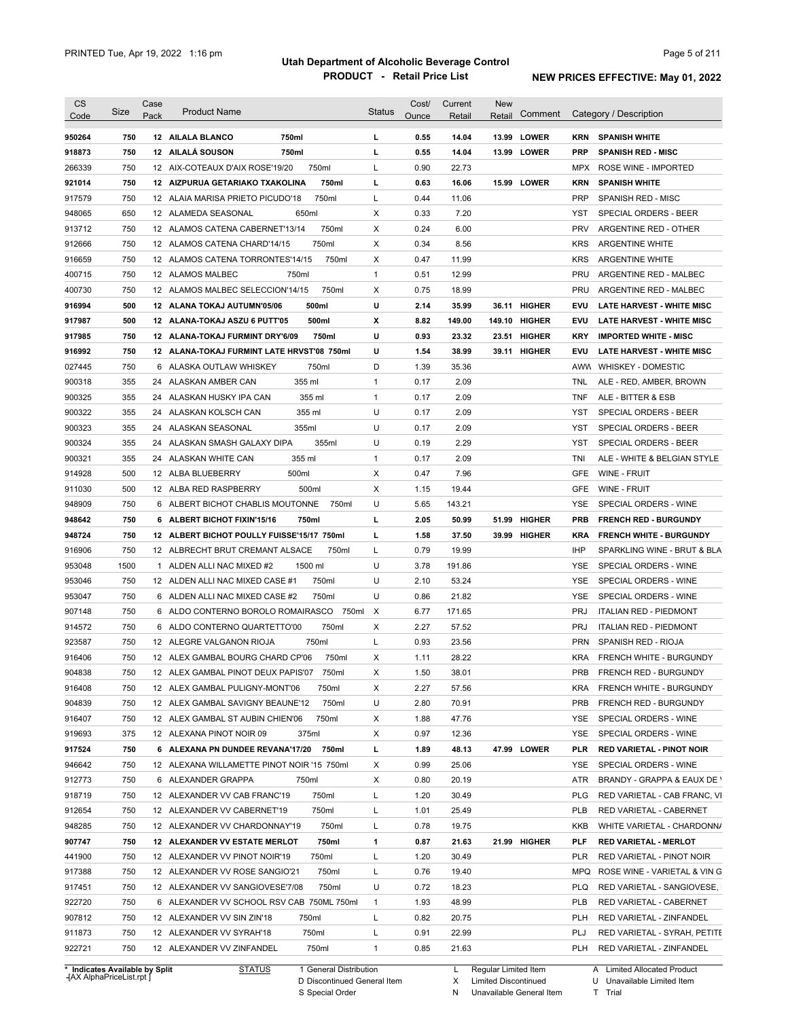| <b>CS</b><br>Code              | Size | Case<br>Pack | <b>Product Name</b>                        |                        | Status       | Cost/<br>Ounce | Current<br>Retail | <b>New</b><br>Retail | Comment       |            | Category / Description           |
|--------------------------------|------|--------------|--------------------------------------------|------------------------|--------------|----------------|-------------------|----------------------|---------------|------------|----------------------------------|
|                                |      |              |                                            |                        |              |                |                   |                      |               |            |                                  |
| 950264                         | 750  |              | 12 AILALA BLANCO<br>750ml                  |                        | L            | 0.55           | 14.04             |                      | 13.99 LOWER   | KRN        | <b>SPANISH WHITE</b>             |
| 918873                         | 750  |              | 12 AILALÁ SOUSON<br>750ml                  |                        | г            | 0.55           | 14.04             |                      | 13.99 LOWER   | <b>PRP</b> | <b>SPANISH RED - MISC</b>        |
| 266339                         | 750  |              | 12 AIX-COTEAUX D'AIX ROSE'19/20<br>750ml   |                        | L            | 0.90           | 22.73             |                      |               | <b>MPX</b> | <b>ROSE WINE - IMPORTED</b>      |
| 921014                         | 750  |              | 12 AIZPURUA GETARIAKO TXAKOLINA            | 750ml                  | г            | 0.63           | 16.06             |                      | 15.99 LOWER   | <b>KRN</b> | <b>SPANISH WHITE</b>             |
| 917579                         | 750  |              | 12 ALAIA MARISA PRIETO PICUDO'18           | 750ml                  | L            | 0.44           | 11.06             |                      |               | <b>PRP</b> | <b>SPANISH RED - MISC</b>        |
| 948065                         | 650  |              | 12 ALAMEDA SEASONAL<br>650ml               |                        | Х            | 0.33           | 7.20              |                      |               | YST        | SPECIAL ORDERS - BEER            |
| 913712                         | 750  |              | 12 ALAMOS CATENA CABERNET'13/14            | 750ml                  | Х            | 0.24           | 6.00              |                      |               | <b>PRV</b> | ARGENTINE RED - OTHER            |
| 912666                         | 750  |              | 12 ALAMOS CATENA CHARD'14/15               | 750ml                  | Х            | 0.34           | 8.56              |                      |               | <b>KRS</b> | <b>ARGENTINE WHITE</b>           |
| 916659                         | 750  |              | 12 ALAMOS CATENA TORRONTES'14/15           | 750ml                  | Х            | 0.47           | 11.99             |                      |               | <b>KRS</b> | <b>ARGENTINE WHITE</b>           |
| 400715                         | 750  |              | 12 ALAMOS MALBEC<br>750ml                  |                        | $\mathbf{1}$ | 0.51           | 12.99             |                      |               | <b>PRU</b> | ARGENTINE RED - MALBEC           |
| 400730                         | 750  |              | 12 ALAMOS MALBEC SELECCION'14/15           | 750ml                  | Х            | 0.75           | 18.99             |                      |               | PRU        | ARGENTINE RED - MALBEC           |
| 916994                         | 500  |              | 12 ALANA TOKAJ AUTUMN'05/06<br>500ml       |                        | U            | 2.14           | 35.99             |                      | 36.11 HIGHER  | <b>EVU</b> | <b>LATE HARVEST - WHITE MISC</b> |
| 917987                         | 500  |              | 500ml<br>12 ALANA-TOKAJ ASZU 6 PUTT'05     |                        | x            | 8.82           | 149.00            |                      | 149.10 HIGHER | <b>EVU</b> | <b>LATE HARVEST - WHITE MISC</b> |
| 917985                         | 750  |              | 12 ALANA-TOKAJ FURMINT DRY'6/09            | 750ml                  | U            | 0.93           | 23.32             |                      | 23.51 HIGHER  | KRY        | <b>IMPORTED WHITE - MISC</b>     |
| 916992                         | 750  |              | 12 ALANA-TOKAJ FURMINT LATE HRVST'08 750ml |                        | U            | 1.54           | 38.99             |                      | 39.11 HIGHER  | <b>EVU</b> | <b>LATE HARVEST - WHITE MISC</b> |
| 027445                         | 750  |              | 6 ALASKA OUTLAW WHISKEY<br>750ml           |                        | D            | 1.39           | 35.36             |                      |               |            | AWW WHISKEY - DOMESTIC           |
| 900318                         | 355  |              | 355 ml<br>24 ALASKAN AMBER CAN             |                        | $\mathbf{1}$ | 0.17           | 2.09              |                      |               | TNL        | ALE - RED, AMBER, BROWN          |
| 900325                         | 355  |              | 355 ml<br>24 ALASKAN HUSKY IPA CAN         |                        | $\mathbf{1}$ | 0.17           | 2.09              |                      |               | <b>TNF</b> | ALE - BITTER & ESB               |
| 900322                         | 355  |              | 355 ml<br>24 ALASKAN KOLSCH CAN            |                        | U            | 0.17           | 2.09              |                      |               | YST        | <b>SPECIAL ORDERS - BEER</b>     |
| 900323                         | 355  | 24           | ALASKAN SEASONAL<br>355ml                  |                        | U            | 0.17           | 2.09              |                      |               | YST        | <b>SPECIAL ORDERS - BEER</b>     |
| 900324                         | 355  |              | 24 ALASKAN SMASH GALAXY DIPA               | 355ml                  | U            | 0.19           | 2.29              |                      |               | YST        | SPECIAL ORDERS - BEER            |
| 900321                         | 355  |              | 355 ml<br>24 ALASKAN WHITE CAN             |                        | $\mathbf{1}$ | 0.17           | 2.09              |                      |               | TNI        | ALE - WHITE & BELGIAN STYLE      |
| 914928                         | 500  |              | 500ml<br>12 ALBA BLUEBERRY                 |                        | Х            | 0.47           | 7.96              |                      |               | <b>GFE</b> | WINE - FRUIT                     |
| 911030                         | 500  |              | 12 ALBA RED RASPBERRY<br>500ml             |                        | Х            | 1.15           | 19.44             |                      |               | <b>GFE</b> | WINE - FRUIT                     |
| 948909                         | 750  |              | 6 ALBERT BICHOT CHABLIS MOUTONNE           | 750ml                  | U            | 5.65           | 143.21            |                      |               | YSE        | SPECIAL ORDERS - WINE            |
| 948642                         | 750  |              | 6 ALBERT BICHOT FIXIN'15/16<br>750ml       |                        | г            | 2.05           | 50.99             | 51.99                | <b>HIGHER</b> | <b>PRB</b> | <b>FRENCH RED - BURGUNDY</b>     |
| 948724                         | 750  |              | 12 ALBERT BICHOT POULLY FUISSE'15/17 750ml |                        | г            | 1.58           | 37.50             |                      | 39.99 HIGHER  | <b>KRA</b> | <b>FRENCH WHITE - BURGUNDY</b>   |
| 916906                         | 750  |              | 12 ALBRECHT BRUT CREMANT ALSACE            | 750ml                  | L            | 0.79           | 19.99             |                      |               | <b>IHP</b> | SPARKLING WINE - BRUT & BLA      |
| 953048                         | 1500 |              | 1 ALDEN ALLI NAC MIXED #2<br>1500 ml       |                        | U            | 3.78           | 191.86            |                      |               | YSE        | SPECIAL ORDERS - WINE            |
| 953046                         | 750  |              | 12 ALDEN ALLI NAC MIXED CASE #1            | 750ml                  | U            | 2.10           | 53.24             |                      |               | YSE        | SPECIAL ORDERS - WINE            |
| 953047                         | 750  |              | 6 ALDEN ALLI NAC MIXED CASE #2             | 750ml                  | U            | 0.86           | 21.82             |                      |               | YSE        | SPECIAL ORDERS - WINE            |
| 907148                         | 750  |              | 6 ALDO CONTERNO BOROLO ROMAIRASCO          | 750ml                  | $\mathsf{X}$ | 6.77           | 171.65            |                      |               | <b>PRJ</b> | <b>ITALIAN RED - PIEDMONT</b>    |
| 914572                         | 750  |              | 6 ALDO CONTERNO QUARTETTO'00               | 750ml                  | Х            | 2.27           | 57.52             |                      |               | <b>PRJ</b> | <b>ITALIAN RED - PIEDMONT</b>    |
| 923587                         | 750  |              | 12 ALEGRE VALGANON RIOJA<br>750ml          |                        | Г            | 0.93           | 23.56             |                      |               | <b>PRN</b> | SPANISH RED - RIOJA              |
| 916406                         | 750  |              | 12 ALEX GAMBAL BOURG CHARD CP'06           | 750ml                  | Х            | 1.11           | 28.22             |                      |               | KRA        | FRENCH WHITE - BURGUNDY          |
| 904838                         | 750  |              | 12 ALEX GAMBAL PINOT DEUX PAPIS'07 750ml   |                        | х            | 1.50           | 38.01             |                      |               | PRB        | FRENCH RED - BURGUNDY            |
| 916408                         | 750  |              | 12 ALEX GAMBAL PULIGNY-MONT'06             | 750ml                  | X            | 2.27           | 57.56             |                      |               | <b>KRA</b> | FRENCH WHITE - BURGUNDY          |
|                                |      |              |                                            |                        |              |                |                   |                      |               |            |                                  |
| 904839                         | 750  |              | 12 ALEX GAMBAL SAVIGNY BEAUNE'12           | 750ml                  | U            | 2.80           | 70.91             |                      |               | <b>PRB</b> | FRENCH RED - BURGUNDY            |
| 916407                         | 750  |              | 12 ALEX GAMBAL ST AUBIN CHIEN'06           | 750ml                  | х            | 1.88           | 47.76             |                      |               | YSE        | SPECIAL ORDERS - WINE            |
| 919693                         | 375  |              | 375ml<br>12 ALEXANA PINOT NOIR 09          |                        | х            | 0.97           | 12.36             |                      |               | <b>YSE</b> | SPECIAL ORDERS - WINE            |
| 917524                         | 750  |              | 6 ALEXANA PN DUNDEE REVANA'17/20 750ml     |                        | L            | 1.89           | 48.13             |                      | 47.99 LOWER   | <b>PLR</b> | <b>RED VARIETAL - PINOT NOIR</b> |
| 946642                         | 750  |              | 12 ALEXANA WILLAMETTE PINOT NOIR '15 750ml |                        | Х            | 0.99           | 25.06             |                      |               | YSE        | SPECIAL ORDERS - WINE            |
| 912773                         | 750  |              | 6 ALEXANDER GRAPPA<br>750ml                |                        | Х            | 0.80           | 20.19             |                      |               | ATR        | BRANDY - GRAPPA & EAUX DE \      |
| 918719                         | 750  |              | 12 ALEXANDER VV CAB FRANC'19               | 750ml                  | L            | 1.20           | 30.49             |                      |               | <b>PLG</b> | RED VARIETAL - CAB FRANC, VI     |
| 912654                         | 750  |              | 12 ALEXANDER VV CABERNET'19                | 750ml                  | L            | 1.01           | 25.49             |                      |               | <b>PLB</b> | RED VARIETAL - CABERNET          |
| 948285                         | 750  |              | 12 ALEXANDER VV CHARDONNAY'19              | 750ml                  | L            | 0.78           | 19.75             |                      |               | KKB        | WHITE VARIETAL - CHARDONN/       |
| 907747                         | 750  |              | 12 ALEXANDER VV ESTATE MERLOT              | 750ml                  | 1            | 0.87           | 21.63             |                      | 21.99 HIGHER  | PLF        | <b>RED VARIETAL - MERLOT</b>     |
| 441900                         | 750  |              | 12 ALEXANDER VV PINOT NOIR'19              | 750ml                  | L            | 1.20           | 30.49             |                      |               | PLR        | RED VARIETAL - PINOT NOIR        |
| 917388                         | 750  |              | 12 ALEXANDER VV ROSE SANGIO'21             | 750ml                  | L            | 0.76           | 19.40             |                      |               | MPQ        | ROSE WINE - VARIETAL & VIN G     |
| 917451                         | 750  |              | 12 ALEXANDER VV SANGIOVESE'7/08            | 750ml                  | U            | 0.72           | 18.23             |                      |               | <b>PLQ</b> | RED VARIETAL - SANGIOVESE,       |
| 922720                         | 750  |              | 6 ALEXANDER VV SCHOOL RSV CAB 750ML 750ml  |                        | $\mathbf{1}$ | 1.93           | 48.99             |                      |               | <b>PLB</b> | RED VARIETAL - CABERNET          |
| 907812                         | 750  |              | 12 ALEXANDER VV SIN ZIN'18<br>750ml        |                        | L            | 0.82           | 20.75             |                      |               | <b>PLH</b> | RED VARIETAL - ZINFANDEL         |
| 911873                         | 750  |              | 750ml<br>12 ALEXANDER VV SYRAH'18          |                        | L            | 0.91           | 22.99             |                      |               | PLJ        | RED VARIETAL - SYRAH, PETITE     |
| 922721                         | 750  |              | 750ml<br>12 ALEXANDER VV ZINFANDEL         |                        | $\mathbf{1}$ | 0.85           | 21.63             |                      |               |            | PLH RED VARIETAL - ZINFANDEL     |
| * Indicates Available by Split |      |              | <b>STATUS</b>                              | 1 General Distribution |              |                | L                 | Regular Limited Item |               |            | A Limited Allocated Product      |

**Case** [AX AlphaPriceList.rpt ]

D Discontinued General Item S Special Order

X Limited Discontinued

N Unavailable General Item

U Unavailable Limited Item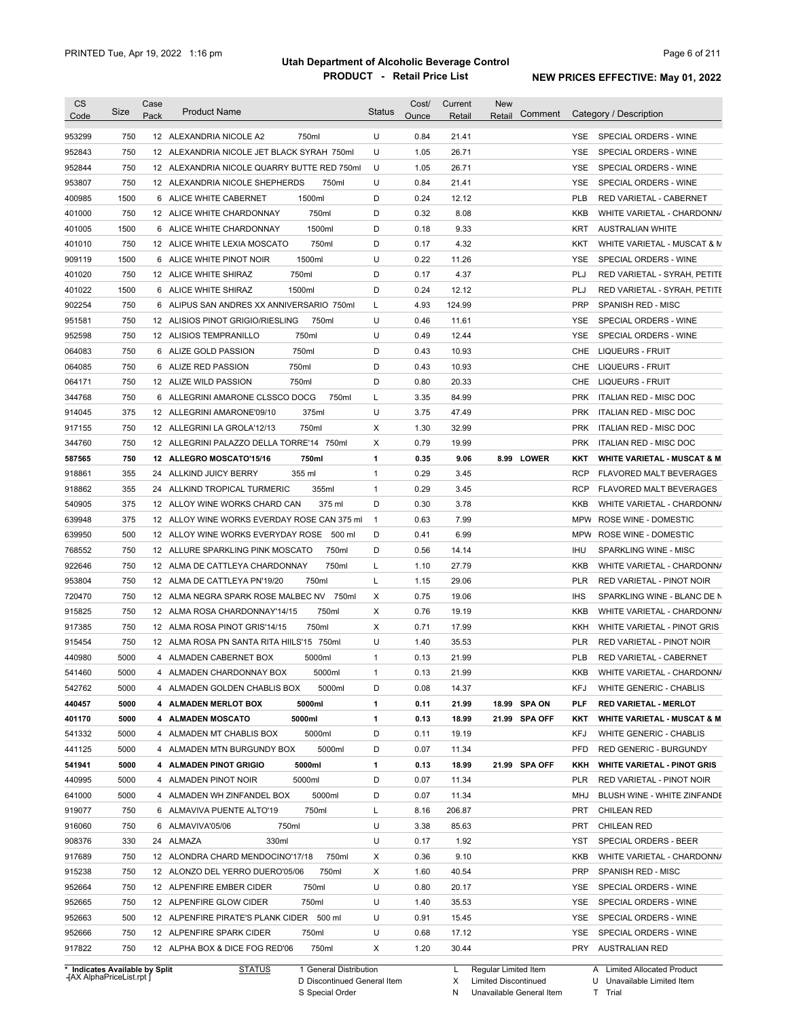| CS<br>Code                 | Size       | Case<br>Pack | <b>Product Name</b>                              | <b>Status</b>  | Cost/<br>Ounce | Current<br>Retail | <b>New</b><br>Retail | Comment       |            | Category / Description                         |
|----------------------------|------------|--------------|--------------------------------------------------|----------------|----------------|-------------------|----------------------|---------------|------------|------------------------------------------------|
| 953299                     | 750        |              | 12 ALEXANDRIA NICOLE A2<br>750ml                 | U              | 0.84           | 21.41             |                      |               | YSE.       | SPECIAL ORDERS - WINE                          |
| 952843                     | 750        |              | 12 ALEXANDRIA NICOLE JET BLACK SYRAH 750ml       | U              | 1.05           | 26.71             |                      |               | <b>YSE</b> | SPECIAL ORDERS - WINE                          |
| 952844                     | 750        |              | 12 ALEXANDRIA NICOLE QUARRY BUTTE RED 750ml      | U              | 1.05           | 26.71             |                      |               | <b>YSE</b> | SPECIAL ORDERS - WINE                          |
| 953807                     | 750        |              | 12 ALEXANDRIA NICOLE SHEPHERDS<br>750ml          | U              | 0.84           | 21.41             |                      |               | <b>YSE</b> | SPECIAL ORDERS - WINE                          |
| 400985                     | 1500       |              | 1500ml<br>6 ALICE WHITE CABERNET                 | D              | 0.24           | 12.12             |                      |               | <b>PLB</b> | RED VARIETAL - CABERNET                        |
| 401000                     | 750        |              | 750ml<br>12 ALICE WHITE CHARDONNAY               | D              | 0.32           | 8.08              |                      |               | <b>KKB</b> | WHITE VARIETAL - CHARDONN/                     |
| 401005                     | 1500       |              | 1500ml<br>6 ALICE WHITE CHARDONNAY               | D              | 0.18           | 9.33              |                      |               | KRT        | <b>AUSTRALIAN WHITE</b>                        |
| 401010                     | 750        |              | 750ml<br>12 ALICE WHITE LEXIA MOSCATO            | D              | 0.17           | 4.32              |                      |               | KKT        | WHITE VARIETAL - MUSCAT & M                    |
| 909119                     | 1500       |              | 1500ml<br>6 ALICE WHITE PINOT NOIR               | U              | 0.22           | 11.26             |                      |               | <b>YSE</b> | SPECIAL ORDERS - WINE                          |
| 401020                     | 750        |              | 750ml<br>12 ALICE WHITE SHIRAZ                   | D              | 0.17           | 4.37              |                      |               | <b>PLJ</b> | RED VARIETAL - SYRAH, PETITE                   |
| 401022                     | 1500       |              | 1500ml<br>6 ALICE WHITE SHIRAZ                   | D              | 0.24           | 12.12             |                      |               | <b>PLJ</b> | RED VARIETAL - SYRAH, PETITE                   |
| 902254                     | 750        |              | 6 ALIPUS SAN ANDRES XX ANNIVERSARIO 750ml        | L              | 4.93           | 124.99            |                      |               | <b>PRP</b> | SPANISH RED - MISC                             |
| 951581                     | 750        |              | 12 ALISIOS PINOT GRIGIO/RIESLING<br>750ml        | U              | 0.46           | 11.61             |                      |               | YSE        | SPECIAL ORDERS - WINE                          |
| 952598                     | 750        |              | 750ml<br>12 ALISIOS TEMPRANILLO                  | U              | 0.49           | 12.44             |                      |               | YSE        | SPECIAL ORDERS - WINE                          |
| 064083                     | 750        |              | 750ml<br>6 ALIZE GOLD PASSION                    | D              | 0.43           | 10.93             |                      |               | CHE        | LIQUEURS - FRUIT                               |
| 064085                     | 750        |              | 750ml<br>6 ALIZE RED PASSION                     | D              | 0.43           | 10.93             |                      |               | CHE        | LIQUEURS - FRUIT                               |
| 064171                     | 750        |              | 750ml<br>12 ALIZE WILD PASSION                   | D              | 0.80           | 20.33             |                      |               | CHE        | <b>LIQUEURS - FRUIT</b>                        |
| 344768                     | 750        | 6            | ALLEGRINI AMARONE CLSSCO DOCG<br>750ml           | L              | 3.35           | 84.99             |                      |               | <b>PRK</b> | <b>ITALIAN RED - MISC DOC</b>                  |
| 914045                     | 375        |              | 375ml<br>12 ALLEGRINI AMARONE'09/10              | U              | 3.75           | 47.49             |                      |               | <b>PRK</b> | <b>ITALIAN RED - MISC DOC</b>                  |
| 917155                     | 750        |              | 750ml<br>12 ALLEGRINI LA GROLA'12/13             | X              | 1.30           | 32.99             |                      |               | <b>PRK</b> | <b>ITALIAN RED - MISC DOC</b>                  |
| 344760                     | 750        |              | 12 ALLEGRINI PALAZZO DELLA TORRE'14 750ml        | Х              | 0.79           | 19.99             |                      |               | <b>PRK</b> | <b>ITALIAN RED - MISC DOC</b>                  |
| 587565                     | 750        |              | 12 ALLEGRO MOSCATO'15/16<br>750ml                | 1              | 0.35           | 9.06              |                      | 8.99 LOWER    | KKT        | <b>WHITE VARIETAL - MUSCAT &amp; M</b>         |
| 918861                     | 355        |              | 355 ml<br>24 ALLKIND JUICY BERRY                 | $\mathbf{1}$   | 0.29           | 3.45              |                      |               | <b>RCP</b> | FLAVORED MALT BEVERAGES                        |
| 918862                     | 355        | 24           | ALLKIND TROPICAL TURMERIC<br>355ml               | $\mathbf{1}$   | 0.29           | 3.45              |                      |               | <b>RCP</b> | FLAVORED MALT BEVERAGES                        |
| 540905                     | 375        |              | 12 ALLOY WINE WORKS CHARD CAN<br>375 ml          | D              | 0.30           | 3.78              |                      |               | KKB        | WHITE VARIETAL - CHARDONN/                     |
| 639948                     | 375        |              | 12 ALLOY WINE WORKS EVERDAY ROSE CAN 375 ml      | $\overline{1}$ | 0.63           | 7.99              |                      |               |            | MPW ROSE WINE - DOMESTIC                       |
| 639950                     | 500        |              | 12 ALLOY WINE WORKS EVERYDAY ROSE 500 ml         | D              | 0.41           | 6.99              |                      |               | MPW        | ROSE WINE - DOMESTIC                           |
|                            | 750        |              | 12 ALLURE SPARKLING PINK MOSCATO<br>750ml        | D              | 0.56           |                   |                      |               | <b>IHU</b> | SPARKLING WINE - MISC                          |
| 768552                     |            |              |                                                  |                |                | 14.14             |                      |               |            |                                                |
| 922646                     | 750        |              | 750ml<br>12 ALMA DE CATTLEYA CHARDONNAY<br>750ml | L              | 1.10           | 27.79             |                      |               | KKB        | WHITE VARIETAL - CHARDONN/                     |
| 953804                     | 750        |              | 12 ALMA DE CATTLEYA PN'19/20                     | L              | 1.15           | 29.06             |                      |               | <b>PLR</b> | RED VARIETAL - PINOT NOIR                      |
| 720470                     | 750        |              | 12 ALMA NEGRA SPARK ROSE MALBEC NV 750ml         | X              | 0.75           | 19.06             |                      |               | <b>IHS</b> | SPARKLING WINE - BLANC DE N                    |
| 915825                     | 750        |              | 750ml<br>12 ALMA ROSA CHARDONNAY'14/15           | X              | 0.76           | 19.19             |                      |               | KKB        | WHITE VARIETAL - CHARDONN/                     |
| 917385                     | 750        |              | 750ml<br>12 ALMA ROSA PINOT GRIS'14/15           | Х              | 0.71           | 17.99             |                      |               | KKH        | WHITE VARIETAL - PINOT GRIS                    |
| 915454                     | 750        |              | 12 ALMA ROSA PN SANTA RITA HIILS'15 750ml        | U              | 1.40           | 35.53             |                      |               | <b>PLR</b> | RED VARIETAL - PINOT NOIR                      |
| 440980                     | 5000       |              | 5000ml<br>4 ALMADEN CABERNET BOX                 | 1              | 0.13           | 21.99             |                      |               | <b>PLB</b> | RED VARIETAL - CABERNET                        |
| 541460                     | 5000       |              | 5000ml<br>4 ALMADEN CHARDONNAY BOX               | 1              | 0.13           | 21.99             |                      |               | KKB        | WHITE VARIETAL - CHARDONN/                     |
| 542762                     | 5000       |              | 5000ml<br>4 ALMADEN GOLDEN CHABLIS BOX           | D              | 0.08           | 14.37             |                      |               | <b>KFJ</b> | <b>WHITE GENERIC - CHABLIS</b>                 |
| 440457                     | 5000       |              | 4 ALMADEN MERLOT BOX<br>5000ml                   | 1              | 0.11           | 21.99             |                      | 18.99 SPA ON  | <b>PLF</b> | <b>RED VARIETAL - MERLOT</b>                   |
| 401170                     | 5000       |              | 5000ml<br>4 ALMADEN MOSCATO                      | 1              | 0.13           | 18.99             |                      | 21.99 SPA OFF | KKT        | <b>WHITE VARIETAL - MUSCAT &amp; M</b>         |
| 541332                     | 5000       |              | 4 ALMADEN MT CHABLIS BOX<br>5000ml               | D              | 0.11           | 19.19             |                      |               | <b>KFJ</b> | WHITE GENERIC - CHABLIS                        |
| 441125                     | 5000       |              | 4 ALMADEN MTN BURGUNDY BOX<br>5000ml             | D              | 0.07           | 11.34             |                      |               | <b>PFD</b> | RED GENERIC - BURGUNDY                         |
| 541941                     | 5000       |              | 5000ml<br>4 ALMADEN PINOT GRIGIO                 | 1              | 0.13           | 18.99             |                      | 21.99 SPA OFF | KKH        | <b>WHITE VARIETAL - PINOT GRIS</b>             |
| 440995                     | 5000       |              | 4 ALMADEN PINOT NOIR<br>5000ml                   | D              | 0.07           | 11.34             |                      |               | <b>PLR</b> | RED VARIETAL - PINOT NOIR                      |
| 641000                     | 5000       |              | 5000ml<br>4 ALMADEN WH ZINFANDEL BOX             | D              | 0.07           | 11.34             |                      |               | MHJ        | BLUSH WINE - WHITE ZINFANDE                    |
| 919077                     | 750        |              | 750ml<br>6 ALMAVIVA PUENTE ALTO'19               | L              | 8.16           | 206.87            |                      |               | PRT        | <b>CHILEAN RED</b>                             |
| 916060                     | 750        |              | 750ml<br>6 ALMAVIVA'05/06                        | U              | 3.38           | 85.63             |                      |               | PRT        | <b>CHILEAN RED</b>                             |
| 908376                     | 330        |              | 24 ALMAZA<br>330ml                               | U              | 0.17           | 1.92              |                      |               | YST        | SPECIAL ORDERS - BEER                          |
| 917689                     | 750        |              | 12 ALONDRA CHARD MENDOCINO'17/18<br>750ml        | Х              | 0.36           | 9.10              |                      |               | KKB        | WHITE VARIETAL - CHARDONN/                     |
| 915238                     | 750        |              | 12 ALONZO DEL YERRO DUERO'05/06<br>750ml         | Х              | 1.60           | 40.54             |                      |               | <b>PRP</b> | SPANISH RED - MISC                             |
| 952664                     | 750        |              | 12 ALPENFIRE EMBER CIDER<br>750ml                | U              | 0.80           | 20.17             |                      |               | YSE        | SPECIAL ORDERS - WINE                          |
| 952665                     | 750        |              | 12 ALPENFIRE GLOW CIDER<br>750ml                 | U              | 1.40           | 35.53             |                      |               | YSE        | SPECIAL ORDERS - WINE                          |
|                            | 500        |              | 12 ALPENFIRE PIRATE'S PLANK CIDER 500 ml         | U              | 0.91           | 15.45             |                      |               | <b>YSE</b> | SPECIAL ORDERS - WINE                          |
|                            |            |              |                                                  |                |                |                   |                      |               |            |                                                |
| 952663<br>952666<br>917822 | 750<br>750 |              | 750ml<br>12 ALPENFIRE SPARK CIDER<br>750ml       | U<br>X         | 0.68           | 17.12             |                      |               | <b>YSE</b> | SPECIAL ORDERS - WINE<br><b>AUSTRALIAN RED</b> |

D Discontinued General Item S Special Order

N Unavailable General Item

X Limited Discontinued

U Unavailable Limited Item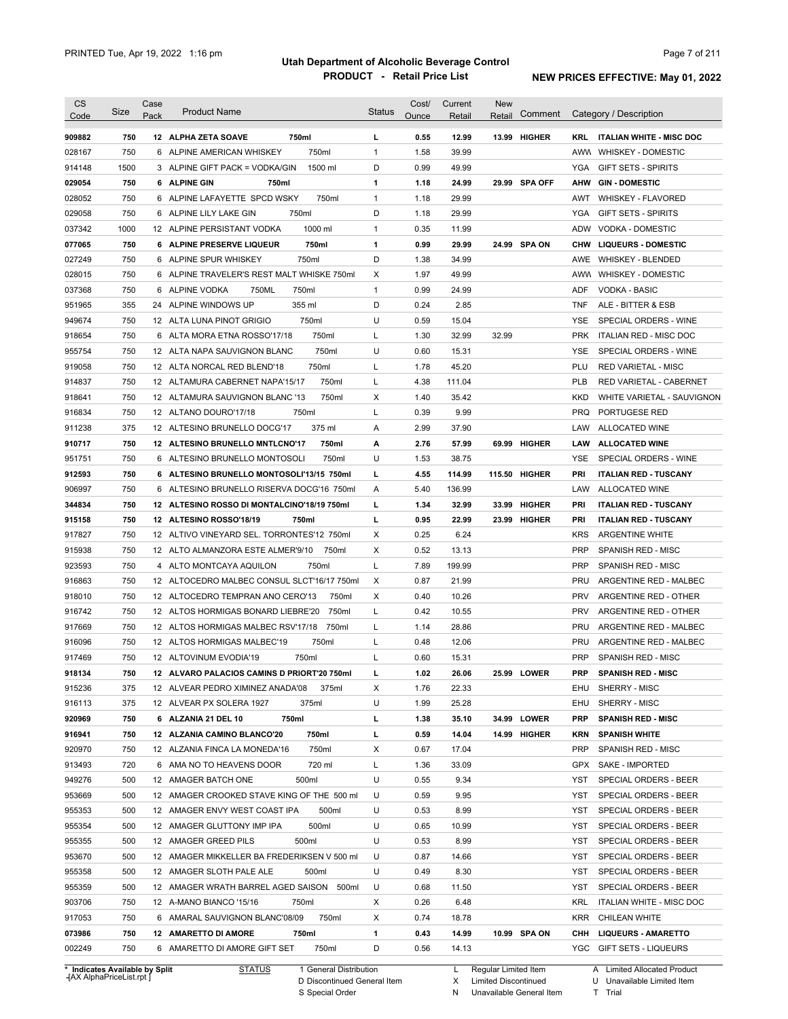| <b>CS</b><br>Code              | Size | Case<br>Pack | <b>Product Name</b>                         | <b>Status</b> | Cost/<br>Ounce | Current<br>Retail | New<br>Retail        | Comment       |            | Category / Description              |
|--------------------------------|------|--------------|---------------------------------------------|---------------|----------------|-------------------|----------------------|---------------|------------|-------------------------------------|
| 909882                         | 750  |              | 750ml<br>12 ALPHA ZETA SOAVE                | L             | 0.55           | 12.99             |                      | 13.99 HIGHER  |            | <b>KRL ITALIAN WHITE - MISC DOC</b> |
| 028167                         | 750  |              | 750ml<br>6 ALPINE AMERICAN WHISKEY          | $\mathbf{1}$  | 1.58           | 39.99             |                      |               |            | AWW WHISKEY - DOMESTIC              |
| 914148                         | 1500 |              | 1500 ml<br>3 ALPINE GIFT PACK = VODKA/GIN   | D             | 0.99           | 49.99             |                      |               |            | YGA GIFT SETS - SPIRITS             |
| 029054                         | 750  |              | 6 ALPINE GIN<br>750ml                       | 1             | 1.18           | 24.99             |                      | 29.99 SPA OFF |            | AHW GIN-DOMESTIC                    |
| 028052                         | 750  |              | 6 ALPINE LAFAYETTE SPCD WSKY<br>750ml       | $\mathbf{1}$  | 1.18           | 29.99             |                      |               | AWT        | <b>WHISKEY - FLAVORED</b>           |
| 029058                         | 750  |              | 750ml<br>6 ALPINE LILY LAKE GIN             | D             | 1.18           | 29.99             |                      |               | YGA        | <b>GIFT SETS - SPIRITS</b>          |
| 037342                         | 1000 |              | 1000 ml<br>12 ALPINE PERSISTANT VODKA       | 1             | 0.35           | 11.99             |                      |               | <b>ADW</b> | VODKA - DOMESTIC                    |
| 077065                         | 750  |              | 750ml<br>6 ALPINE PRESERVE LIQUEUR          | 1             | 0.99           | 29.99             |                      | 24.99 SPA ON  |            | CHW LIQUEURS - DOMESTIC             |
| 027249                         | 750  | 6            | 750ml<br>ALPINE SPUR WHISKEY                | D             | 1.38           | 34.99             |                      |               | <b>AWE</b> | <b>WHISKEY - BLENDED</b>            |
| 028015                         | 750  |              | 6 ALPINE TRAVELER'S REST MALT WHISKE 750ml  | Х             | 1.97           | 49.99             |                      |               |            | AWW WHISKEY - DOMESTIC              |
| 037368                         | 750  |              | 750ML<br>750ml<br>6 ALPINE VODKA            | $\mathbf{1}$  | 0.99           | 24.99             |                      |               | <b>ADF</b> | <b>VODKA - BASIC</b>                |
| 951965                         | 355  |              | 24 ALPINE WINDOWS UP<br>355 ml              | D             | 0.24           | 2.85              |                      |               | TNF        | ALE - BITTER & ESB                  |
| 949674                         | 750  |              | 750ml<br>12 ALTA LUNA PINOT GRIGIO          | U             | 0.59           | 15.04             |                      |               | <b>YSE</b> | SPECIAL ORDERS - WINE               |
| 918654                         | 750  |              | 750ml<br>6 ALTA MORA ETNA ROSSO'17/18       | L             | 1.30           | 32.99             | 32.99                |               | <b>PRK</b> | ITALIAN RED - MISC DOC              |
| 955754                         | 750  |              | 750ml<br>12 ALTA NAPA SAUVIGNON BLANC       | U             | 0.60           | 15.31             |                      |               | <b>YSE</b> | SPECIAL ORDERS - WINE               |
| 919058                         | 750  |              | 750ml<br>12 ALTA NORCAL RED BLEND'18        | L             | 1.78           | 45.20             |                      |               | PLU        | RED VARIETAL - MISC                 |
| 914837                         | 750  |              | 750ml<br>12 ALTAMURA CABERNET NAPA'15/17    | Г             | 4.38           | 111.04            |                      |               | <b>PLB</b> | RED VARIETAL - CABERNET             |
| 918641                         | 750  |              | 750ml<br>12 ALTAMURA SAUVIGNON BLANC '13    | Χ             | 1.40           | 35.42             |                      |               | KKD        | WHITE VARIETAL - SAUVIGNON          |
| 916834                         | 750  |              | 750ml<br>12 ALTANO DOURO'17/18              | Г             | 0.39           | 9.99              |                      |               | <b>PRQ</b> | PORTUGESE RED                       |
| 911238                         | 375  |              | 12 ALTESINO BRUNELLO DOCG'17<br>375 ml      | Α             | 2.99           | 37.90             |                      |               | LAW        | ALLOCATED WINE                      |
| 910717                         | 750  |              | 12 ALTESINO BRUNELLO MNTLCNO'17<br>750ml    | А             | 2.76           | 57.99             |                      | 69.99 HIGHER  | LAW        | <b>ALLOCATED WINE</b>               |
| 951751                         | 750  |              | 6 ALTESINO BRUNELLO MONTOSOLI<br>750ml      | U             | 1.53           | 38.75             |                      |               | <b>YSE</b> | SPECIAL ORDERS - WINE               |
| 912593                         | 750  |              | 6 ALTESINO BRUNELLO MONTOSOLI'13/15 750ml   | г             | 4.55           | 114.99            |                      | 115.50 HIGHER | <b>PRI</b> | <b>ITALIAN RED - TUSCANY</b>        |
| 906997                         | 750  |              | 6 ALTESINO BRUNELLO RISERVA DOCG'16 750ml   | Α             | 5.40           | 136.99            |                      |               | LAW        | <b>ALLOCATED WINE</b>               |
| 344834                         | 750  |              | 12 ALTESINO ROSSO DI MONTALCINO'18/19 750ml | г             | 1.34           | 32.99             |                      | 33.99 HIGHER  | <b>PRI</b> | <b>ITALIAN RED - TUSCANY</b>        |
| 915158                         | 750  |              | 12 ALTESINO ROSSO'18/19<br>750ml            | г             | 0.95           | 22.99             |                      | 23.99 HIGHER  | <b>PRI</b> | <b>ITALIAN RED - TUSCANY</b>        |
| 917827                         | 750  |              | 12 ALTIVO VINEYARD SEL. TORRONTES'12 750ml  | Χ             | 0.25           | 6.24              |                      |               | <b>KRS</b> | <b>ARGENTINE WHITE</b>              |
| 915938                         | 750  |              | 12 ALTO ALMANZORA ESTE ALMER'9/10<br>750ml  | X             | 0.52           | 13.13             |                      |               | PRP        | SPANISH RED - MISC                  |
| 923593                         | 750  |              | 750ml<br>4 ALTO MONTCAYA AQUILON            | L             | 7.89           | 199.99            |                      |               | <b>PRP</b> | SPANISH RED - MISC                  |
| 916863                         | 750  |              | 12 ALTOCEDRO MALBEC CONSUL SLCT'16/17 750ml | X             | 0.87           | 21.99             |                      |               | <b>PRU</b> | ARGENTINE RED - MALBEC              |
| 918010                         | 750  |              | 12 ALTOCEDRO TEMPRAN ANO CERO'13<br>750ml   | Χ             | 0.40           | 10.26             |                      |               | <b>PRV</b> | ARGENTINE RED - OTHER               |
| 916742                         | 750  |              | 12 ALTOS HORMIGAS BONARD LIEBRE'20<br>750ml | Г             | 0.42           | 10.55             |                      |               | <b>PRV</b> | ARGENTINE RED - OTHER               |
| 917669                         | 750  |              | 750ml<br>12 ALTOS HORMIGAS MALBEC RSV'17/18 | Г             | 1.14           | 28.86             |                      |               | <b>PRU</b> | ARGENTINE RED - MALBEC              |
| 916096                         | 750  |              | 12 ALTOS HORMIGAS MALBEC'19<br>750ml        | L             | 0.48           | 12.06             |                      |               | <b>PRU</b> | ARGENTINE RED - MALBEC              |
| 917469                         | 750  |              | 12 ALTOVINUM EVODIA'19<br>750ml             | L             | 0.60           | 15.31             |                      |               | <b>PRP</b> | SPANISH RED - MISC                  |
| 918134                         | 750  |              | 12 ALVARO PALACIOS CAMINS D PRIORT'20 750ml |               | 1.02           | 26.06             |                      | 25.99 LOWER   | PRP        | <b>SPANISH RED - MISC</b>           |
| 915236                         | 375  |              | 12 ALVEAR PEDRO XIMINEZ ANADA'08<br>375ml   | х             | 1.76           | 22.33             |                      |               | EHU        | SHERRY - MISC                       |
| 916113                         | 375  |              | 12 ALVEAR PX SOLERA 1927<br>375ml           | U             | 1.99           | 25.28             |                      |               | EHU        | SHERRY - MISC                       |
| 920969                         | 750  |              | 6 ALZANIA 21 DEL 10<br>750ml                | г             | 1.38           | 35.10             |                      | 34.99 LOWER   | <b>PRP</b> | <b>SPANISH RED - MISC</b>           |
| 916941                         | 750  |              | 12 ALZANIA CAMINO BLANCO'20<br>750ml        | г             | 0.59           | 14.04             |                      | 14.99 HIGHER  | KRN        | <b>SPANISH WHITE</b>                |
| 920970                         | 750  |              | 750ml<br>12 ALZANIA FINCA LA MONEDA'16      | х             | 0.67           | 17.04             |                      |               | <b>PRP</b> | SPANISH RED - MISC                  |
| 913493                         | 720  |              | 720 ml<br>6 AMA NO TO HEAVENS DOOR          | L             | 1.36           | 33.09             |                      |               | GPX        | SAKE - IMPORTED                     |
| 949276                         | 500  |              | 12 AMAGER BATCH ONE<br>500ml                | U             | 0.55           | 9.34              |                      |               | YST        | SPECIAL ORDERS - BEER               |
| 953669                         | 500  |              | 12 AMAGER CROOKED STAVE KING OF THE 500 ml  | U             | 0.59           | 9.95              |                      |               | YST        | SPECIAL ORDERS - BEER               |
| 955353                         | 500  |              | 12 AMAGER ENVY WEST COAST IPA<br>500ml      | U             | 0.53           | 8.99              |                      |               | YST        | SPECIAL ORDERS - BEER               |
| 955354                         | 500  |              | 500ml<br>12 AMAGER GLUTTONY IMP IPA         | U             | 0.65           | 10.99             |                      |               | YST        | SPECIAL ORDERS - BEER               |
| 955355                         | 500  |              | 500ml<br>12 AMAGER GREED PILS               | U             | 0.53           | 8.99              |                      |               | YST        | SPECIAL ORDERS - BEER               |
| 953670                         | 500  |              | 12 AMAGER MIKKELLER BA FREDERIKSEN V 500 ml | U             | 0.87           | 14.66             |                      |               | YST        | SPECIAL ORDERS - BEER               |
| 955358                         | 500  |              | 12 AMAGER SLOTH PALE ALE<br>500ml           | U             | 0.49           | 8.30              |                      |               | YST        | SPECIAL ORDERS - BEER               |
| 955359                         | 500  |              | 12 AMAGER WRATH BARREL AGED SAISON<br>500ml | U             | 0.68           | 11.50             |                      |               | YST        | SPECIAL ORDERS - BEER               |
| 903706                         | 750  |              | 12 A-MANO BIANCO '15/16<br>750ml            | Х             | 0.26           | 6.48              |                      |               | KRL        | ITALIAN WHITE - MISC DOC            |
| 917053                         | 750  |              | 6 AMARAL SAUVIGNON BLANC'08/09<br>750ml     | Х             | 0.74           | 18.78             |                      |               | KRR        | <b>CHILEAN WHITE</b>                |
| 073986                         | 750  |              | 12 AMARETTO DI AMORE<br>750ml               | 1             | 0.43           | 14.99             |                      | 10.99 SPA ON  |            | CHH LIQUEURS - AMARETTO             |
| 002249                         | 750  |              | 6 AMARETTO DI AMORE GIFT SET<br>750ml       | D             | 0.56           | 14.13             |                      |               |            | YGC GIFT SETS - LIQUEURS            |
| * Indicates Available by Split |      |              | <b>STATUS</b><br>1 General Distribution     |               |                | L                 | Regular Limited Item |               |            | A Limited Allocated Product         |

**Case** [AX AlphaPriceList.rpt ]

D Discontinued General Item

S Special Order

X Limited Discontinued

N Unavailable General Item

U Unavailable Limited Item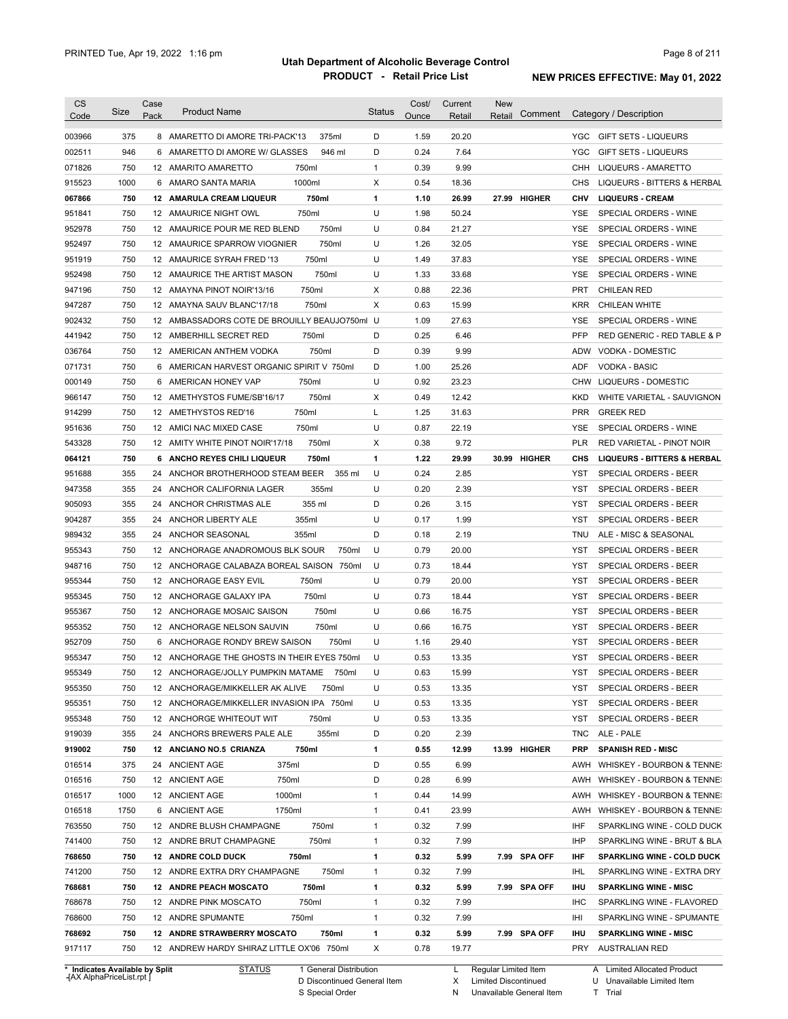| <b>CS</b> | Size | Case | <b>Product Name</b>                           | <b>Status</b> | Cost/ | Current | <b>New</b>   | Comment | Category / Description                        |
|-----------|------|------|-----------------------------------------------|---------------|-------|---------|--------------|---------|-----------------------------------------------|
| Code      |      | Pack |                                               |               | Ounce | Retail  | Retail       |         |                                               |
| 003966    | 375  |      | 8 AMARETTO DI AMORE TRI-PACK'13<br>375ml      | D             | 1.59  | 20.20   |              |         | <b>YGC</b><br><b>GIFT SETS - LIQUEURS</b>     |
| 002511    | 946  |      | 6 AMARETTO DI AMORE W/ GLASSES<br>946 ml      | D             | 0.24  | 7.64    |              |         | <b>YGC</b><br><b>GIFT SETS - LIQUEURS</b>     |
| 071826    | 750  |      | 750ml<br>12 AMARITO AMARETTO                  | $\mathbf{1}$  | 0.39  | 9.99    |              |         | CHH<br>LIQUEURS - AMARETTO                    |
| 915523    | 1000 |      | 1000ml<br>6 AMARO SANTA MARIA                 | Х             | 0.54  | 18.36   |              |         | CHS<br>LIQUEURS - BITTERS & HERBAL            |
| 067866    | 750  |      | 750ml<br>12 AMARULA CREAM LIQUEUR             | 1             | 1.10  | 26.99   | 27.99 HIGHER |         | <b>LIQUEURS - CREAM</b><br>CHV                |
| 951841    | 750  |      | 12 AMAURICE NIGHT OWL<br>750ml                | U             | 1.98  | 50.24   |              |         | SPECIAL ORDERS - WINE<br>YSE                  |
| 952978    | 750  |      | 750ml<br>12 AMAURICE POUR ME RED BLEND        | U             | 0.84  | 21.27   |              |         | SPECIAL ORDERS - WINE<br><b>YSE</b>           |
| 952497    | 750  |      | 750ml<br>12 AMAURICE SPARROW VIOGNIER         | U             | 1.26  | 32.05   |              |         | YSE<br>SPECIAL ORDERS - WINE                  |
| 951919    | 750  |      | 750ml<br>12 AMAURICE SYRAH FRED '13           | U             | 1.49  | 37.83   |              |         | SPECIAL ORDERS - WINE<br><b>YSE</b>           |
| 952498    | 750  |      | 750ml<br>12 AMAURICE THE ARTIST MASON         | U             | 1.33  | 33.68   |              |         | SPECIAL ORDERS - WINE<br><b>YSE</b>           |
| 947196    | 750  |      | 750ml<br>12 AMAYNA PINOT NOIR'13/16           | X             | 0.88  | 22.36   |              |         | <b>PRT</b><br><b>CHILEAN RED</b>              |
| 947287    | 750  |      | 750ml<br>12 AMAYNA SAUV BLANC'17/18           | X             | 0.63  | 15.99   |              |         | <b>KRR</b><br>CHILEAN WHITE                   |
| 902432    | 750  |      | 12 AMBASSADORS COTE DE BROUILLY BEAUJO750ml U |               | 1.09  | 27.63   |              |         | SPECIAL ORDERS - WINE<br>YSE                  |
| 441942    | 750  |      | 750ml<br>12 AMBERHILL SECRET RED              | D             | 0.25  | 6.46    |              |         | <b>PFP</b><br>RED GENERIC - RED TABLE & P     |
| 036764    | 750  |      | 750ml<br>12 AMERICAN ANTHEM VODKA             | D             | 0.39  | 9.99    |              |         | <b>ADW</b><br><b>VODKA - DOMESTIC</b>         |
| 071731    | 750  |      | 6 AMERICAN HARVEST ORGANIC SPIRIT V 750ml     | D             | 1.00  | 25.26   |              |         | <b>ADF</b><br><b>VODKA - BASIC</b>            |
| 000149    | 750  |      | 6 AMERICAN HONEY VAP<br>750ml                 | U             | 0.92  | 23.23   |              |         | <b>CHW</b><br>LIQUEURS - DOMESTIC             |
| 966147    | 750  |      | 750ml<br>12 AMETHYSTOS FUME/SB'16/17          | х             | 0.49  | 12.42   |              |         | KKD<br>WHITE VARIETAL - SAUVIGNON             |
| 914299    | 750  |      | 12 AMETHYSTOS RED'16<br>750ml                 | L             | 1.25  | 31.63   |              |         | <b>PRR</b><br><b>GREEK RED</b>                |
| 951636    | 750  |      | 750ml<br>12 AMICI NAC MIXED CASE              | U             | 0.87  | 22.19   |              |         | <b>YSE</b><br>SPECIAL ORDERS - WINE           |
| 543328    | 750  |      | 750ml<br>12 AMITY WHITE PINOT NOIR'17/18      | X             | 0.38  | 9.72    |              |         | <b>PLR</b><br>RED VARIETAL - PINOT NOIR       |
| 064121    | 750  |      | 6 ANCHO REYES CHILI LIQUEUR<br>750ml          | 1             | 1.22  | 29.99   | 30.99 HIGHER |         | CHS<br><b>LIQUEURS - BITTERS &amp; HERBAL</b> |
| 951688    | 355  | 24   | ANCHOR BROTHERHOOD STEAM BEER<br>355 ml       | U             | 0.24  | 2.85    |              |         | YST<br>SPECIAL ORDERS - BEER                  |
| 947358    | 355  | 24   | ANCHOR CALIFORNIA LAGER<br>355ml              | U             | 0.20  | 2.39    |              |         | YST<br>SPECIAL ORDERS - BEER                  |
| 905093    | 355  | 24   | 355 ml<br>ANCHOR CHRISTMAS ALE                | D             | 0.26  | 3.15    |              |         | SPECIAL ORDERS - BEER<br>YST                  |
| 904287    | 355  | 24   | ANCHOR LIBERTY ALE<br>355ml                   | U             | 0.17  | 1.99    |              |         | YST<br>SPECIAL ORDERS - BEER                  |
| 989432    | 355  |      | 355ml<br>24 ANCHOR SEASONAL                   | D             | 0.18  | 2.19    |              |         | TNU<br>ALE - MISC & SEASONAL                  |
| 955343    | 750  |      | 12 ANCHORAGE ANADROMOUS BLK SOUR<br>750ml     | U             | 0.79  | 20.00   |              |         | YST<br>SPECIAL ORDERS - BEER                  |
| 948716    | 750  |      | 12 ANCHORAGE CALABAZA BOREAL SAISON<br>750ml  | U             | 0.73  | 18.44   |              |         | YST<br>SPECIAL ORDERS - BEER                  |
| 955344    | 750  |      | 750ml<br>12 ANCHORAGE EASY EVIL               | U             | 0.79  | 20.00   |              |         | YST<br>SPECIAL ORDERS - BEER                  |
| 955345    | 750  |      | 750ml<br>12 ANCHORAGE GALAXY IPA              | U             | 0.73  | 18.44   |              |         | <b>YST</b><br>SPECIAL ORDERS - BEER           |
| 955367    | 750  |      | 750ml<br>12 ANCHORAGE MOSAIC SAISON           | U             | 0.66  | 16.75   |              |         | <b>YST</b><br>SPECIAL ORDERS - BEER           |
| 955352    | 750  |      | 750ml<br>12 ANCHORAGE NELSON SAUVIN           | U             | 0.66  | 16.75   |              |         | YST<br>SPECIAL ORDERS - BEER                  |
| 952709    | 750  |      | 6 ANCHORAGE RONDY BREW SAISON<br>750ml        | U             | 1.16  | 29.40   |              |         | <b>YST</b><br>SPECIAL ORDERS - BEER           |
|           |      |      |                                               |               |       |         |              |         |                                               |
| 955347    | 750  |      | 12 ANCHORAGE THE GHOSTS IN THEIR EYES 750ml   | U             | 0.53  | 13.35   |              |         | <b>YST</b><br>SPECIAL ORDERS - BEER           |
| 955349    | 750  |      | 12 ANCHORAGE/JOLLY PUMPKIN MATAME 750ml       | U             | 0.63  | 15.99   |              |         | YST<br>SPECIAL ORDERS - BEER                  |
| 955350    | 750  |      | 12 ANCHORAGE/MIKKELLER AK ALIVE<br>750ml      | U             | 0.53  | 13.35   |              |         | YST<br>SPECIAL ORDERS - BEER                  |
| 955351    | 750  |      | 12 ANCHORAGE/MIKKELLER INVASION IPA 750ml     | U             | 0.53  | 13.35   |              |         | YST<br>SPECIAL ORDERS - BEER                  |
| 955348    | 750  |      | 12 ANCHORGE WHITEOUT WIT<br>750ml             | U             | 0.53  | 13.35   |              |         | SPECIAL ORDERS - BEER<br>YST                  |
| 919039    | 355  |      | 355ml<br>24 ANCHORS BREWERS PALE ALE          | D             | 0.20  | 2.39    |              |         | <b>TNC</b><br>ALE - PALE                      |
| 919002    | 750  |      | 750ml<br>12 ANCIANO NO.5 CRIANZA              | 1             | 0.55  | 12.99   | 13.99 HIGHER |         | <b>PRP</b><br><b>SPANISH RED - MISC</b>       |
| 016514    | 375  |      | 375ml<br>24 ANCIENT AGE                       | D             | 0.55  | 6.99    |              |         | AWH<br>WHISKEY - BOURBON & TENNE:             |
| 016516    | 750  |      | 12 ANCIENT AGE<br>750ml                       | D             | 0.28  | 6.99    |              |         | AWH<br>WHISKEY - BOURBON & TENNE:             |
| 016517    | 1000 |      | 12 ANCIENT AGE<br>1000ml                      | $\mathbf{1}$  | 0.44  | 14.99   |              |         | AWH<br>WHISKEY - BOURBON & TENNE:             |
| 016518    | 1750 |      | 6 ANCIENT AGE<br>1750ml                       | $\mathbf{1}$  | 0.41  | 23.99   |              |         | WHISKEY - BOURBON & TENNE:<br>AWH             |
| 763550    | 750  |      | 750ml<br>12 ANDRE BLUSH CHAMPAGNE             | $\mathbf{1}$  | 0.32  | 7.99    |              |         | IHF<br>SPARKLING WINE - COLD DUCK             |
| 741400    | 750  |      | 750ml<br>12 ANDRE BRUT CHAMPAGNE              | $\mathbf{1}$  | 0.32  | 7.99    |              |         | <b>IHP</b><br>SPARKLING WINE - BRUT & BLA     |
| 768650    | 750  |      | 12 ANDRE COLD DUCK<br>750ml                   | 1             | 0.32  | 5.99    | 7.99 SPA OFF |         | IHF<br><b>SPARKLING WINE - COLD DUCK</b>      |
| 741200    | 750  |      | 750ml<br>12 ANDRE EXTRA DRY CHAMPAGNE         | $\mathbf{1}$  | 0.32  | 7.99    |              |         | <b>IHL</b><br>SPARKLING WINE - EXTRA DRY      |
| 768681    | 750  |      | 750ml<br><b>12 ANDRE PEACH MOSCATO</b>        | 1             | 0.32  | 5.99    | 7.99 SPA OFF |         | IHU<br><b>SPARKLING WINE - MISC</b>           |
| 768678    | 750  |      | 750ml<br>12 ANDRE PINK MOSCATO                | $\mathbf{1}$  | 0.32  | 7.99    |              |         | <b>IHC</b><br>SPARKLING WINE - FLAVORED       |
| 768600    | 750  |      | 12 ANDRE SPUMANTE<br>750ml                    | $\mathbf{1}$  | 0.32  | 7.99    |              |         | IHI<br>SPARKLING WINE - SPUMANTE              |
| 768692    | 750  |      | 12 ANDRE STRAWBERRY MOSCATO<br>750ml          | 1             | 0.32  | 5.99    | 7.99 SPA OFF |         | IHU<br><b>SPARKLING WINE - MISC</b>           |
|           |      |      |                                               |               |       |         |              |         |                                               |

**\* Indicates Available by Split Case** [AX AlphaPriceList.rpt ]

STATUS 1 General Distribution

D Discontinued General Item S Special Order

L Regular Limited Item

X Limited Discontinued

N Unavailable General Item

A Limited Allocated Product

U Unavailable Limited Item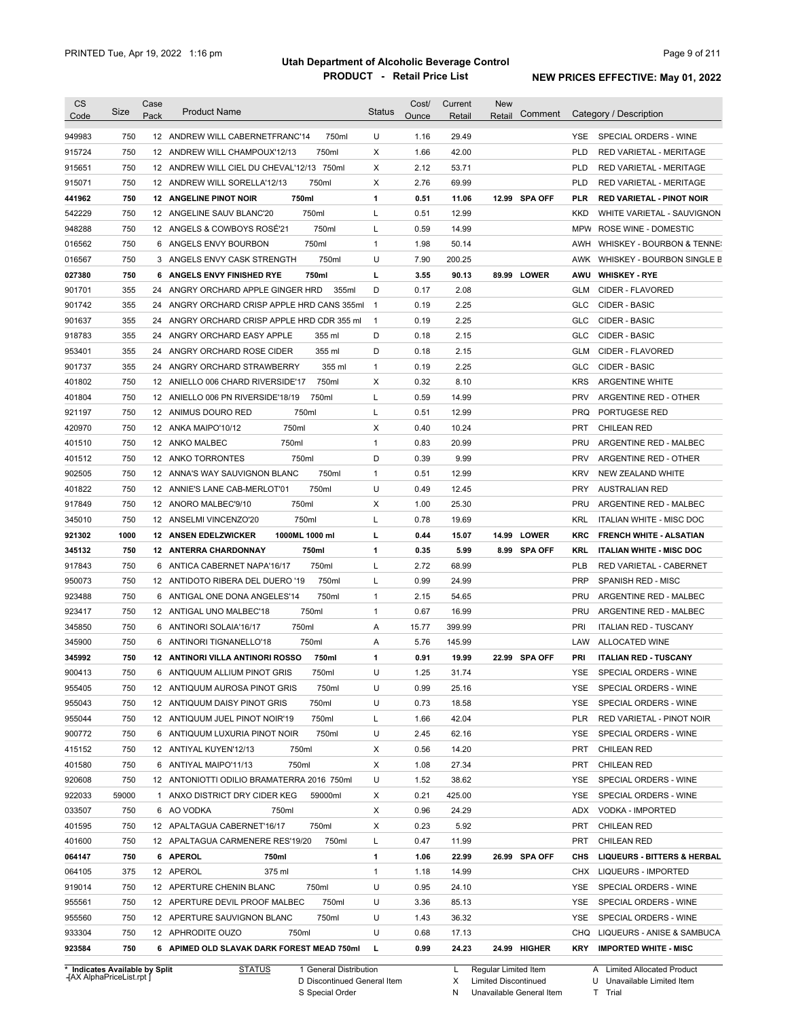| CS<br>Code                                                                                                                                         | Size  | Case<br>Pack | <b>Product Name</b>                           |         | <b>Status</b> | Cost/<br>Ounce | Current | <b>New</b><br>Retail | Comment       |            | Category / Description                                          |
|----------------------------------------------------------------------------------------------------------------------------------------------------|-------|--------------|-----------------------------------------------|---------|---------------|----------------|---------|----------------------|---------------|------------|-----------------------------------------------------------------|
|                                                                                                                                                    |       |              |                                               |         |               |                | Retail  |                      |               |            |                                                                 |
| 949983                                                                                                                                             | 750   |              | 12 ANDREW WILL CABERNETFRANC'14               | 750ml   | U             | 1.16           | 29.49   |                      |               | YSE.       | SPECIAL ORDERS - WINE                                           |
| 915724                                                                                                                                             | 750   |              | 12 ANDREW WILL CHAMPOUX'12/13                 | 750ml   | Χ             | 1.66           | 42.00   |                      |               | <b>PLD</b> | RED VARIETAL - MERITAGE                                         |
| 915651                                                                                                                                             | 750   |              | 12 ANDREW WILL CIEL DU CHEVAL'12/13 750ml     |         | Χ             | 2.12           | 53.71   |                      |               | <b>PLD</b> | RED VARIETAL - MERITAGE                                         |
| 915071                                                                                                                                             | 750   |              | 12 ANDREW WILL SORELLA'12/13                  | 750ml   | Χ             | 2.76           | 69.99   |                      |               | <b>PLD</b> | <b>RED VARIETAL - MERITAGE</b>                                  |
| 441962                                                                                                                                             | 750   |              | <b>12 ANGELINE PINOT NOIR</b><br>750ml        |         | 1             | 0.51           | 11.06   |                      | 12.99 SPA OFF | PLR        | <b>RED VARIETAL - PINOT NOIR</b>                                |
| 542229                                                                                                                                             | 750   |              | 12 ANGELINE SAUV BLANC'20                     | 750ml   | L             | 0.51           | 12.99   |                      |               | <b>KKD</b> | WHITE VARIETAL - SAUVIGNON                                      |
| 948288                                                                                                                                             | 750   |              | 12 ANGELS & COWBOYS ROSÉ'21                   | 750ml   | L             | 0.59           | 14.99   |                      |               | MPW        | ROSE WINE - DOMESTIC                                            |
| 016562                                                                                                                                             | 750   |              | 6 ANGELS ENVY BOURBON                         | 750ml   | $\mathbf{1}$  | 1.98           | 50.14   |                      |               | AWH        | WHISKEY - BOURBON & TENNE:                                      |
| 016567                                                                                                                                             | 750   |              | 3 ANGELS ENVY CASK STRENGTH                   | 750ml   | U             | 7.90           | 200.25  |                      |               |            | AWK WHISKEY - BOURBON SINGLE B                                  |
| 027380                                                                                                                                             | 750   |              | 6 ANGELS ENVY FINISHED RYE                    | 750ml   | г             | 3.55           | 90.13   |                      | 89.99 LOWER   | AWU        | <b>WHISKEY - RYE</b>                                            |
| 901701                                                                                                                                             | 355   |              | 24 ANGRY ORCHARD APPLE GINGER HRD             | 355ml   | D             | 0.17           | 2.08    |                      |               | GLM        | CIDER - FLAVORED                                                |
| 901742                                                                                                                                             | 355   |              | 24 ANGRY ORCHARD CRISP APPLE HRD CANS 355ml   |         | $\mathbf{1}$  | 0.19           | 2.25    |                      |               | <b>GLC</b> | CIDER - BASIC                                                   |
| 901637                                                                                                                                             | 355   |              | 24 ANGRY ORCHARD CRISP APPLE HRD CDR 355 ml   |         | $\mathbf{1}$  | 0.19           | 2.25    |                      |               | <b>GLC</b> | CIDER - BASIC                                                   |
| 918783                                                                                                                                             | 355   |              | 24 ANGRY ORCHARD EASY APPLE                   | 355 ml  | D             | 0.18           | 2.15    |                      |               | <b>GLC</b> | CIDER - BASIC                                                   |
| 953401                                                                                                                                             | 355   |              | 24 ANGRY ORCHARD ROSE CIDER                   | 355 ml  | D             | 0.18           | 2.15    |                      |               | GLM        | CIDER - FLAVORED                                                |
| 901737                                                                                                                                             | 355   |              | 24 ANGRY ORCHARD STRAWBERRY                   | 355 ml  | $\mathbf{1}$  | 0.19           | 2.25    |                      |               | <b>GLC</b> | CIDER - BASIC                                                   |
| 401802                                                                                                                                             | 750   |              | 12 ANIELLO 006 CHARD RIVERSIDE'17             | 750ml   | Χ             | 0.32           | 8.10    |                      |               | <b>KRS</b> | <b>ARGENTINE WHITE</b>                                          |
| 401804                                                                                                                                             | 750   |              | 12 ANIELLO 006 PN RIVERSIDE'18/19             | 750ml   | Г             | 0.59           | 14.99   |                      |               | <b>PRV</b> | ARGENTINE RED - OTHER                                           |
| 921197                                                                                                                                             | 750   |              | 750ml<br>12 ANIMUS DOURO RED                  |         | L             | 0.51           | 12.99   |                      |               | <b>PRQ</b> | PORTUGESE RED                                                   |
| 420970                                                                                                                                             | 750   |              | 750ml<br>12 ANKA MAIPO'10/12                  |         | Χ             | 0.40           | 10.24   |                      |               | <b>PRT</b> | <b>CHILEAN RED</b>                                              |
| 401510                                                                                                                                             | 750   |              | 750ml<br>12 ANKO MALBEC                       |         | $\mathbf{1}$  | 0.83           | 20.99   |                      |               | PRU        | ARGENTINE RED - MALBEC                                          |
| 401512                                                                                                                                             | 750   |              | 750ml<br>12 ANKO TORRONTES                    |         | D             | 0.39           | 9.99    |                      |               | <b>PRV</b> | ARGENTINE RED - OTHER                                           |
| 902505                                                                                                                                             | 750   |              | 12 ANNA'S WAY SAUVIGNON BLANC                 | 750ml   | $\mathbf{1}$  | 0.51           | 12.99   |                      |               | <b>KRV</b> | NEW ZEALAND WHITE                                               |
| 401822                                                                                                                                             | 750   |              | 12 ANNIE'S LANE CAB-MERLOT'01                 | 750ml   | U             | 0.49           | 12.45   |                      |               | <b>PRY</b> | <b>AUSTRALIAN RED</b>                                           |
| 917849                                                                                                                                             | 750   |              | 750ml<br>12 ANORO MALBEC'9/10                 |         | Χ             | 1.00           | 25.30   |                      |               | PRU        | ARGENTINE RED - MALBEC                                          |
| 345010                                                                                                                                             | 750   |              | 750ml<br>12 ANSELMI VINCENZO'20               |         | Г             | 0.78           | 19.69   |                      |               | <b>KRL</b> | <b>ITALIAN WHITE - MISC DOC</b>                                 |
| 921302                                                                                                                                             | 1000  |              | 1000ML 1000 ml<br><b>12 ANSEN EDELZWICKER</b> |         | г             | 0.44           | 15.07   |                      | 14.99 LOWER   | KRC        | <b>FRENCH WHITE - ALSATIAN</b>                                  |
| 345132                                                                                                                                             | 750   |              | 12 ANTERRA CHARDONNAY                         | 750ml   | 1             | 0.35           | 5.99    |                      | 8.99 SPA OFF  | KRL        | <b>ITALIAN WHITE - MISC DOC</b>                                 |
| 917843                                                                                                                                             | 750   |              | 6 ANTICA CABERNET NAPA'16/17                  | 750ml   | Г             | 2.72           | 68.99   |                      |               | <b>PLB</b> | RED VARIETAL - CABERNET                                         |
| 950073                                                                                                                                             | 750   |              | 12 ANTIDOTO RIBERA DEL DUERO '19              | 750ml   | L             | 0.99           | 24.99   |                      |               | <b>PRP</b> | SPANISH RED - MISC                                              |
| 923488                                                                                                                                             | 750   |              | 6 ANTIGAL ONE DONA ANGELES'14                 | 750ml   | $\mathbf{1}$  | 2.15           | 54.65   |                      |               | PRU        | ARGENTINE RED - MALBEC                                          |
| 923417                                                                                                                                             | 750   |              | 12 ANTIGAL UNO MALBEC'18                      | 750ml   | $\mathbf{1}$  | 0.67           | 16.99   |                      |               | PRU        | ARGENTINE RED - MALBEC                                          |
| 345850                                                                                                                                             | 750   |              | 6 ANTINORI SOLAIA'16/17<br>750ml              |         | Α             | 15.77          | 399.99  |                      |               | PRI        | <b>ITALIAN RED - TUSCANY</b>                                    |
| 345900                                                                                                                                             | 750   |              | 6 ANTINORI TIGNANELLO'18                      | 750ml   | Α             | 5.76           | 145.99  |                      |               | LAW        | ALLOCATED WINE                                                  |
| 345992                                                                                                                                             | 750   |              | <b>12 ANTINORI VILLA ANTINORI ROSSO</b>       | 750ml   | 1             | 0.91           | 19.99   |                      | 22.99 SPA OFF | PRI        | <b>ITALIAN RED - TUSCANY</b>                                    |
| 900413                                                                                                                                             | 750   |              | 6 ANTIQUUM ALLIUM PINOT GRIS                  | 750ml   | U             | 1.25           | 31.74   |                      |               | YSE        | SPECIAL ORDERS - WINE                                           |
| 955405                                                                                                                                             | 750   |              | 12 ANTIQUUM AUROSA PINOT GRIS                 | 750ml   | U             | 0.99           | 25.16   |                      |               | YSE.       | SPECIAL ORDERS - WINE                                           |
| 955043                                                                                                                                             | 750   |              | 12 ANTIQUUM DAISY PINOT GRIS                  | 750ml   | U             | 0.73           | 18.58   |                      |               | YSE        | SPECIAL ORDERS - WINE                                           |
|                                                                                                                                                    |       |              |                                               |         |               |                |         |                      |               | <b>PLR</b> | RED VARIETAL - PINOT NOIR                                       |
|                                                                                                                                                    |       |              |                                               |         |               |                |         |                      |               |            |                                                                 |
|                                                                                                                                                    | 750   |              | 12 ANTIQUUM JUEL PINOT NOIR'19                | 750ml   | Г             | 1.66           | 42.04   |                      |               |            |                                                                 |
|                                                                                                                                                    | 750   |              | 6 ANTIQUUM LUXURIA PINOT NOIR                 | 750ml   | U             | 2.45           | 62.16   |                      |               | YSE        | SPECIAL ORDERS - WINE                                           |
|                                                                                                                                                    | 750   |              | 12 ANTIYAL KUYEN'12/13<br>750ml               |         | Х             | 0.56           | 14.20   |                      |               | <b>PRT</b> | <b>CHILEAN RED</b>                                              |
|                                                                                                                                                    | 750   |              | 6 ANTIYAL MAIPO'11/13<br>750ml                |         | Χ             | 1.08           | 27.34   |                      |               | PRT        | <b>CHILEAN RED</b>                                              |
|                                                                                                                                                    | 750   |              | 12 ANTONIOTTI ODILIO BRAMATERRA 2016 750ml    |         | U             | 1.52           | 38.62   |                      |               | YSE        | SPECIAL ORDERS - WINE                                           |
|                                                                                                                                                    | 59000 |              | 1 ANXO DISTRICT DRY CIDER KEG                 | 59000ml | Х             | 0.21           | 425.00  |                      |               | YSE        | SPECIAL ORDERS - WINE                                           |
|                                                                                                                                                    | 750   |              | 6 AO VODKA<br>750ml                           |         | Х             | 0.96           | 24.29   |                      |               | ADX        | VODKA - IMPORTED                                                |
|                                                                                                                                                    | 750   |              | 12 APALTAGUA CABERNET'16/17                   | 750ml   | Х             | 0.23           | 5.92    |                      |               | PRT        | <b>CHILEAN RED</b>                                              |
|                                                                                                                                                    | 750   |              | 12 APALTAGUA CARMENERE RES'19/20              | 750ml   | Г             | 0.47           | 11.99   |                      |               | PRT        | <b>CHILEAN RED</b>                                              |
|                                                                                                                                                    | 750   |              | 6 APEROL<br>750ml                             |         | 1             | 1.06           | 22.99   |                      | 26.99 SPA OFF | CHS        |                                                                 |
|                                                                                                                                                    | 375   |              | 12 APEROL<br>375 ml                           |         | $\mathbf{1}$  | 1.18           | 14.99   |                      |               |            | CHX LIQUEURS - IMPORTED                                         |
|                                                                                                                                                    | 750   |              | 12 APERTURE CHENIN BLANC                      | 750ml   | U             | 0.95           | 24.10   |                      |               | YSE        | <b>LIQUEURS - BITTERS &amp; HERBAL</b><br>SPECIAL ORDERS - WINE |
|                                                                                                                                                    | 750   |              | 12 APERTURE DEVIL PROOF MALBEC                | 750ml   | U             | 3.36           | 85.13   |                      |               | YSE        | SPECIAL ORDERS - WINE                                           |
|                                                                                                                                                    | 750   |              | 12 APERTURE SAUVIGNON BLANC                   | 750ml   | U             | 1.43           | 36.32   |                      |               | YSE        | SPECIAL ORDERS - WINE                                           |
| 955044<br>900772<br>415152<br>401580<br>920608<br>922033<br>033507<br>401595<br>401600<br>064147<br>064105<br>919014<br>955561<br>955560<br>933304 | 750   |              | 12 APHRODITE OUZO<br>750ml                    |         | U             | 0.68           | 17.13   |                      |               |            | CHQ LIQUEURS - ANISE & SAMBUCA                                  |

**Case** [AX AlphaPriceList.rpt ]

D Discontinued General Item S Special Order

X

Limited Discontinued

N Unavailable General Item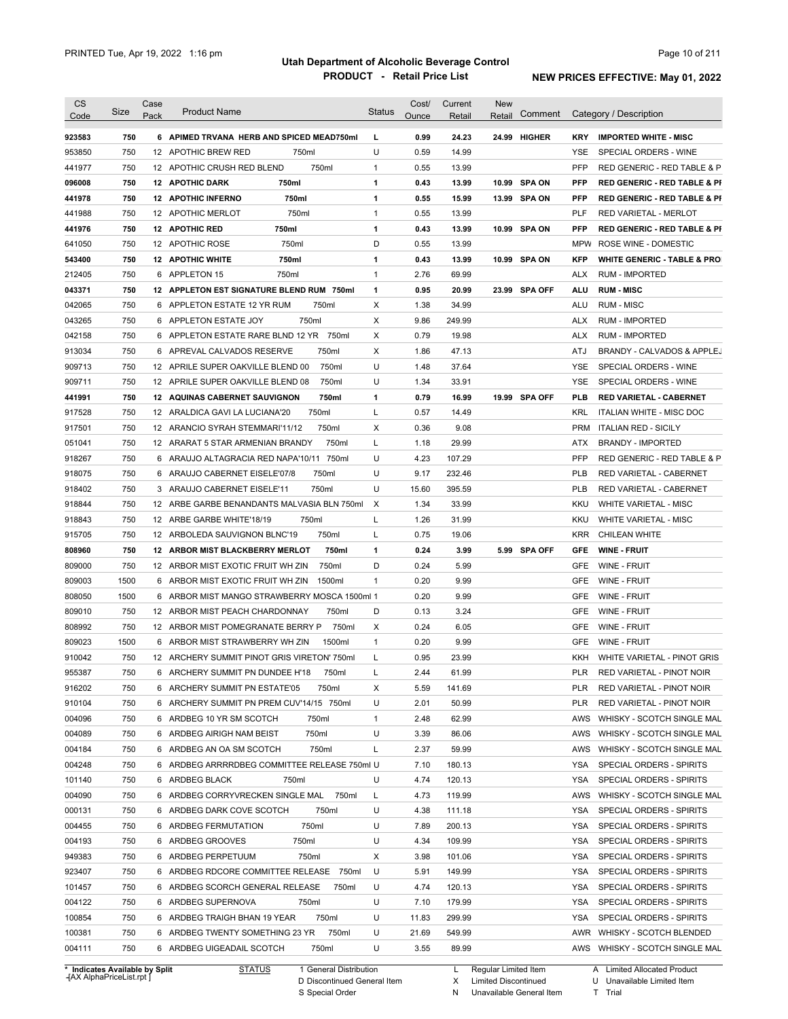| Code                                                                                                                                                                                       | Size       | Case<br>Pack | <b>Product Name</b>                                                       | <b>Status</b> | Cost/<br>Ounce | Current<br>Retail | New<br>Retail | Comment       |                   | Category / Description                                                                                                                                                          |
|--------------------------------------------------------------------------------------------------------------------------------------------------------------------------------------------|------------|--------------|---------------------------------------------------------------------------|---------------|----------------|-------------------|---------------|---------------|-------------------|---------------------------------------------------------------------------------------------------------------------------------------------------------------------------------|
|                                                                                                                                                                                            | 750        |              |                                                                           |               |                | 24.23             |               | 24.99 HIGHER  |                   | <b>IMPORTED WHITE - MISC</b>                                                                                                                                                    |
| 923583                                                                                                                                                                                     | 750        |              | 6 APIMED TRVANA HERB AND SPICED MEAD750ml<br>12 APOTHIC BREW RED<br>750ml | L<br>U        | 0.99<br>0.59   | 14.99             |               |               | <b>KRY</b><br>YSE |                                                                                                                                                                                 |
| 953850<br>441977                                                                                                                                                                           | 750        |              | 750ml<br>12 APOTHIC CRUSH RED BLEND                                       | 1             | 0.55           | 13.99             |               |               | <b>PFP</b>        | SPECIAL ORDERS - WINE<br>RED GENERIC - RED TABLE & P                                                                                                                            |
|                                                                                                                                                                                            |            |              |                                                                           |               |                |                   |               |               | <b>PFP</b>        | <b>RED GENERIC - RED TABLE &amp; PI</b>                                                                                                                                         |
| 096008                                                                                                                                                                                     | 750<br>750 |              | 750ml<br><b>12 APOTHIC DARK</b>                                           | 1<br>1        | 0.43<br>0.55   | 13.99<br>15.99    |               | 10.99 SPA ON  | <b>PFP</b>        |                                                                                                                                                                                 |
| 441978                                                                                                                                                                                     |            |              | <b>12 APOTHIC INFERNO</b><br>750ml                                        |               |                |                   |               | 13.99 SPA ON  |                   | <b>RED GENERIC - RED TABLE &amp; PI</b>                                                                                                                                         |
| 441988                                                                                                                                                                                     | 750        |              | 750ml<br>12 APOTHIC MERLOT                                                | 1             | 0.55           | 13.99             |               |               | PLF               | <b>RED VARIETAL - MERLOT</b>                                                                                                                                                    |
| 441976                                                                                                                                                                                     | 750        |              | 750ml<br>12 APOTHIC RED                                                   | 1             | 0.43           | 13.99             |               | 10.99 SPA ON  | <b>PFP</b>        | <b>RED GENERIC - RED TABLE &amp; PI</b>                                                                                                                                         |
| 641050                                                                                                                                                                                     | 750        |              | 750ml<br>12 APOTHIC ROSE                                                  | D             | 0.55           | 13.99             |               |               | <b>MPW</b>        | ROSE WINE - DOMESTIC                                                                                                                                                            |
| 543400                                                                                                                                                                                     | 750        |              | <b>12 APOTHIC WHITE</b><br>750ml                                          | 1             | 0.43           | 13.99             |               | 10.99 SPA ON  | <b>KFP</b>        | <b>WHITE GENERIC - TABLE &amp; PRO</b>                                                                                                                                          |
| 212405                                                                                                                                                                                     | 750        | 6            | 750ml<br>APPLETON 15                                                      | 1             | 2.76           | 69.99             |               |               | <b>ALX</b>        | <b>RUM - IMPORTED</b>                                                                                                                                                           |
| 043371                                                                                                                                                                                     | 750        |              | 12 APPLETON EST SIGNATURE BLEND RUM<br>750ml                              | $\mathbf{1}$  | 0.95           | 20.99             |               | 23.99 SPA OFF | ALU               | <b>RUM - MISC</b>                                                                                                                                                               |
| 042065                                                                                                                                                                                     | 750        |              | 750ml<br>6 APPLETON ESTATE 12 YR RUM                                      | X             | 1.38           | 34.99             |               |               | ALU               | <b>RUM - MISC</b>                                                                                                                                                               |
| 043265                                                                                                                                                                                     | 750        |              | 750ml<br>6 APPLETON ESTATE JOY                                            | Χ             | 9.86           | 249.99            |               |               | <b>ALX</b>        | <b>RUM - IMPORTED</b>                                                                                                                                                           |
| 042158                                                                                                                                                                                     | 750        |              | 750ml<br>6 APPLETON ESTATE RARE BLND 12 YR                                | Χ             | 0.79           | 19.98             |               |               | <b>ALX</b>        | <b>RUM - IMPORTED</b>                                                                                                                                                           |
| 913034                                                                                                                                                                                     | 750        |              | 750ml<br>6 APREVAL CALVADOS RESERVE                                       | Х             | 1.86           | 47.13             |               |               | ATJ               | BRANDY - CALVADOS & APPLEJ                                                                                                                                                      |
| 909713                                                                                                                                                                                     | 750        |              | 750ml<br>12 APRILE SUPER OAKVILLE BLEND 00                                | U             | 1.48           | 37.64             |               |               | YSE               | SPECIAL ORDERS - WINE                                                                                                                                                           |
| 909711                                                                                                                                                                                     | 750        |              | 12 APRILE SUPER OAKVILLE BLEND 08<br>750ml                                | U             | 1.34           | 33.91             |               |               | YSE               | SPECIAL ORDERS - WINE                                                                                                                                                           |
| 441991                                                                                                                                                                                     | 750        |              | 750ml<br>12 AQUINAS CABERNET SAUVIGNON                                    | 1             | 0.79           | 16.99             |               | 19.99 SPA OFF | PLB               | <b>RED VARIETAL - CABERNET</b>                                                                                                                                                  |
| 917528                                                                                                                                                                                     | 750        |              | 750ml<br>12 ARALDICA GAVI LA LUCIANA'20                                   | L             | 0.57           | 14.49             |               |               | KRL               | <b>ITALIAN WHITE - MISC DOC</b>                                                                                                                                                 |
| 917501                                                                                                                                                                                     | 750        |              | 750ml<br>12 ARANCIO SYRAH STEMMARI'11/12                                  | Χ             | 0.36           | 9.08              |               |               | PRM               | <b>ITALIAN RED - SICILY</b>                                                                                                                                                     |
| 051041                                                                                                                                                                                     | 750        |              | 750ml<br>12 ARARAT 5 STAR ARMENIAN BRANDY                                 | Г             | 1.18           | 29.99             |               |               | ATX               | <b>BRANDY - IMPORTED</b>                                                                                                                                                        |
| 918267                                                                                                                                                                                     | 750        | 6            | ARAUJO ALTAGRACIA RED NAPA'10/11 750ml                                    | U             | 4.23           | 107.29            |               |               | <b>PFP</b>        | RED GENERIC - RED TABLE & P                                                                                                                                                     |
| 918075                                                                                                                                                                                     | 750        |              | 6 ARAUJO CABERNET EISELE'07/8<br>750ml                                    | U             | 9.17           | 232.46            |               |               | <b>PLB</b>        | RED VARIETAL - CABERNET                                                                                                                                                         |
| 918402                                                                                                                                                                                     | 750        |              | 750ml<br>3 ARAUJO CABERNET EISELE'11                                      | U             | 15.60          | 395.59            |               |               | <b>PLB</b>        | RED VARIETAL - CABERNET                                                                                                                                                         |
| 918844                                                                                                                                                                                     | 750        |              | 12 ARBE GARBE BENANDANTS MALVASIA BLN 750ml                               | X             | 1.34           | 33.99             |               |               | KKU               | <b>WHITE VARIETAL - MISC</b>                                                                                                                                                    |
| 918843                                                                                                                                                                                     | 750        |              | 750ml<br>12 ARBE GARBE WHITE'18/19                                        | L             | 1.26           | 31.99             |               |               | KKU               | <b>WHITE VARIETAL - MISC</b>                                                                                                                                                    |
| 915705                                                                                                                                                                                     | 750        |              | 750ml<br>12 ARBOLEDA SAUVIGNON BLNC'19                                    | L             | 0.75           | 19.06             |               |               | <b>KRR</b>        | <b>CHILEAN WHITE</b>                                                                                                                                                            |
| 808960                                                                                                                                                                                     | 750        |              | 12 ARBOR MIST BLACKBERRY MERLOT<br>750ml                                  | 1             | 0.24           | 3.99              |               | 5.99 SPA OFF  | GFE               | <b>WINE FRUIT</b>                                                                                                                                                               |
| 809000                                                                                                                                                                                     | 750        |              | 12 ARBOR MIST EXOTIC FRUIT WH ZIN<br>750ml                                | D             | 0.24           | 5.99              |               |               | GFE               | WINE - FRUIT                                                                                                                                                                    |
| 809003                                                                                                                                                                                     | 1500       |              | 6 ARBOR MIST EXOTIC FRUIT WH ZIN<br>1500ml                                | 1             | 0.20           | 9.99              |               |               | <b>GFE</b>        | WINE - FRUIT                                                                                                                                                                    |
| 808050                                                                                                                                                                                     | 1500       |              | 6 ARBOR MIST MANGO STRAWBERRY MOSCA 1500ml 1                              |               | 0.20           | 9.99              |               |               | GFE               | WINE - FRUIT                                                                                                                                                                    |
| 809010                                                                                                                                                                                     | 750        |              | 750ml<br>12 ARBOR MIST PEACH CHARDONNAY                                   | D             | 0.13           | 3.24              |               |               | <b>GFE</b>        | <b>WINE - FRUIT</b>                                                                                                                                                             |
| 808992                                                                                                                                                                                     | 750        |              | 750ml<br>12 ARBOR MIST POMEGRANATE BERRY P                                | Χ             | 0.24           | 6.05              |               |               | GFE               | <b>WINE - FRUIT</b>                                                                                                                                                             |
| 809023                                                                                                                                                                                     |            |              |                                                                           |               |                |                   |               |               |                   |                                                                                                                                                                                 |
|                                                                                                                                                                                            |            |              |                                                                           |               |                |                   |               |               |                   |                                                                                                                                                                                 |
|                                                                                                                                                                                            | 1500       |              | 1500ml<br>6 ARBOR MIST STRAWBERRY WH ZIN                                  | 1             | 0.20           | 9.99              |               |               | GFE               | WINE - FRUIT                                                                                                                                                                    |
|                                                                                                                                                                                            | 750        |              | 12 ARCHERY SUMMIT PINOT GRIS VIRETON' 750ml                               | Г             | 0.95           | 23.99             |               |               | KKH               |                                                                                                                                                                                 |
|                                                                                                                                                                                            | 750        |              | 6 ARCHERY SUMMIT PN DUNDEE H'18<br>750ml                                  |               | 2.44           | 61.99             |               |               | PLR               | RED VARIETAL - PINOT NOIR                                                                                                                                                       |
|                                                                                                                                                                                            | 750        |              | 6 ARCHERY SUMMIT PN ESTATE'05<br>750ml                                    | X             | 5.59           | 141.69            |               |               | PLR               | RED VARIETAL - PINOT NOIR                                                                                                                                                       |
|                                                                                                                                                                                            | 750        |              | 6 ARCHERY SUMMIT PN PREM CUV'14/15 750ml                                  | U             | 2.01           | 50.99             |               |               | PLR               | RED VARIETAL - PINOT NOIR                                                                                                                                                       |
|                                                                                                                                                                                            | 750        |              | 6 ARDBEG 10 YR SM SCOTCH<br>750ml                                         | $\mathbf{1}$  | 2.48           | 62.99             |               |               | AWS               |                                                                                                                                                                                 |
|                                                                                                                                                                                            | 750        |              | 750ml<br>6 ARDBEG AIRIGH NAM BEIST                                        | U             | 3.39           | 86.06             |               |               | AWS               |                                                                                                                                                                                 |
|                                                                                                                                                                                            | 750        |              | 750ml<br>6 ARDBEG AN OA SM SCOTCH                                         | L             | 2.37           | 59.99             |               |               | AWS               |                                                                                                                                                                                 |
|                                                                                                                                                                                            | 750        |              | 6 ARDBEG ARRRRDBEG COMMITTEE RELEASE 750ml U                              |               | 7.10           | 180.13            |               |               | YSA               | SPECIAL ORDERS - SPIRITS                                                                                                                                                        |
|                                                                                                                                                                                            | 750        |              | 6 ARDBEG BLACK<br>750ml                                                   | U             | 4.74           | 120.13            |               |               | YSA               | SPECIAL ORDERS - SPIRITS                                                                                                                                                        |
|                                                                                                                                                                                            | 750        |              | 750ml<br>6 ARDBEG CORRYVRECKEN SINGLE MAL                                 | L             | 4.73           | 119.99            |               |               | AWS               |                                                                                                                                                                                 |
|                                                                                                                                                                                            | 750        |              | 6 ARDBEG DARK COVE SCOTCH<br>750ml                                        | U             | 4.38           | 111.18            |               |               | YSA               | SPECIAL ORDERS - SPIRITS                                                                                                                                                        |
|                                                                                                                                                                                            | 750        |              | 750ml<br>6 ARDBEG FERMUTATION                                             | U             | 7.89           | 200.13            |               |               | YSA               | SPECIAL ORDERS - SPIRITS                                                                                                                                                        |
|                                                                                                                                                                                            | 750        |              | 6 ARDBEG GROOVES<br>750ml                                                 | U             | 4.34           | 109.99            |               |               | YSA               | SPECIAL ORDERS - SPIRITS                                                                                                                                                        |
|                                                                                                                                                                                            | 750        |              | 6 ARDBEG PERPETUUM<br>750ml                                               | Χ             | 3.98           | 101.06            |               |               | YSA               | SPECIAL ORDERS - SPIRITS                                                                                                                                                        |
|                                                                                                                                                                                            | 750        |              | 6 ARDBEG RDCORE COMMITTEE RELEASE 750ml                                   | U             | 5.91           | 149.99            |               |               | YSA               | SPECIAL ORDERS - SPIRITS                                                                                                                                                        |
|                                                                                                                                                                                            | 750        |              | 6 ARDBEG SCORCH GENERAL RELEASE<br>750ml                                  | U             | 4.74           | 120.13            |               |               | YSA               | SPECIAL ORDERS - SPIRITS                                                                                                                                                        |
|                                                                                                                                                                                            | 750        |              | 6 ARDBEG SUPERNOVA<br>750ml                                               | U             | 7.10           | 179.99            |               |               | YSA               | WHITE VARIETAL - PINOT GRIS<br>WHISKY - SCOTCH SINGLE MAL<br>WHISKY - SCOTCH SINGLE MAL<br>WHISKY - SCOTCH SINGLE MAL<br>WHISKY - SCOTCH SINGLE MAL<br>SPECIAL ORDERS - SPIRITS |
|                                                                                                                                                                                            | 750        |              | 750ml<br>6 ARDBEG TRAIGH BHAN 19 YEAR                                     | U             | 11.83          | 299.99            |               |               | YSA               | SPECIAL ORDERS - SPIRITS                                                                                                                                                        |
| 910042<br>955387<br>916202<br>910104<br>004096<br>004089<br>004184<br>004248<br>101140<br>004090<br>000131<br>004455<br>004193<br>949383<br>923407<br>101457<br>004122<br>100854<br>100381 | 750        |              | 6 ARDBEG TWENTY SOMETHING 23 YR<br>750ml                                  | U             | 21.69          | 549.99            |               |               |                   | AWR WHISKY - SCOTCH BLENDED                                                                                                                                                     |

**Case** [AX AlphaPriceList.rpt ]

D Discontinued General Item

S Special Order

X Limited Discontinued

T Trial

N Unavailable General Item

U Unavailable Limited Item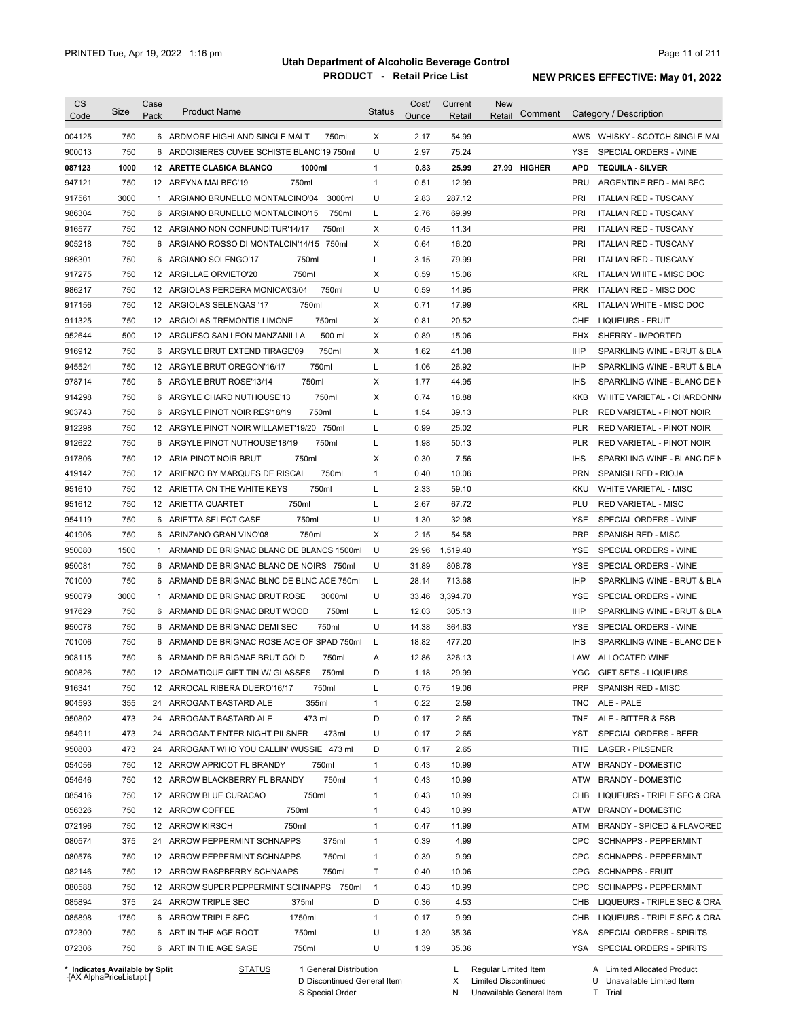| 750<br>54.99<br>AWS WHISKY - SCOTCH SINGLE MAL<br>6 ARDMORE HIGHLAND SINGLE MALT<br>750ml<br>X<br>2.17<br>750<br>U<br>6 ARDOISIERES CUVEE SCHISTE BLANC'19 750ml<br>2.97<br>75.24<br><b>YSE</b><br>SPECIAL ORDERS - WINE<br>1000<br>1000ml<br>1<br>0.83<br>25.99<br>27.99 HIGHER<br><b>APD</b><br><b>TEQUILA - SILVER</b><br>12 ARETTE CLASICA BLANCO<br>750<br>750ml<br>$\mathbf{1}$<br>0.51<br>12.99<br><b>PRU</b><br>12 AREYNA MALBEC'19<br>ARGENTINE RED - MALBEC<br>3000<br>1 ARGIANO BRUNELLO MONTALCINO'04<br>3000ml<br>U<br>2.83<br>287.12<br>PRI<br><b>ITALIAN RED - TUSCANY</b><br>750<br>6 ARGIANO BRUNELLO MONTALCINO'15<br>L<br>2.76<br>69.99<br>PRI<br><b>ITALIAN RED - TUSCANY</b><br>750ml<br>750<br>750ml<br>0.45<br>11.34<br>PRI<br>12 ARGIANO NON CONFUNDITUR'14/17<br>Х<br><b>ITALIAN RED - TUSCANY</b><br>750<br>0.64<br>16.20<br>PRI<br>6 ARGIANO ROSSO DI MONTALCIN'14/15<br>750ml<br>Х<br><b>ITALIAN RED - TUSCANY</b><br>750<br>750ml<br>Г<br>3.15<br>79.99<br>PRI<br>6<br>ARGIANO SOLENGO'17<br><b>ITALIAN RED - TUSCANY</b><br>750<br>750ml<br>0.59<br>15.06<br>12 ARGILLAE ORVIETO'20<br>Х<br>KRL<br><b>ITALIAN WHITE - MISC DOC</b><br>750<br>U<br>0.59<br>750ml<br>14.95<br><b>PRK</b><br>12 ARGIOLAS PERDERA MONICA'03/04<br>ITALIAN RED - MISC DOC<br>750<br>750ml<br>Х<br>0.71<br>17.99<br><b>KRL</b><br>12 ARGIOLAS SELENGAS '17<br>ITALIAN WHITE - MISC DOC<br>750<br>750ml<br>Х<br>0.81<br>20.52<br>CHE<br><b>LIQUEURS - FRUIT</b><br>12 ARGIOLAS TREMONTIS LIMONE<br>500<br>500 ml<br>Х<br>0.89<br>15.06<br><b>EHX</b><br>SHERRY - IMPORTED<br>12 ARGUESO SAN LEON MANZANILLA<br>750<br>750ml<br>Х<br>1.62<br>41.08<br><b>IHP</b><br>6 ARGYLE BRUT EXTEND TIRAGE'09<br>SPARKLING WINE - BRUT & BLA<br>750<br>750ml<br>Г<br>1.06<br>26.92<br><b>IHP</b><br>12 ARGYLE BRUT OREGON'16/17<br>SPARKLING WINE - BRUT & BLA<br>750<br>750ml<br>Х<br>1.77<br>44.95<br>6 ARGYLE BRUT ROSE'13/14<br><b>IHS</b><br>SPARKLING WINE - BLANC DE N<br>750<br>750ml<br>Х<br>0.74<br>18.88<br>6 ARGYLE CHARD NUTHOUSE'13<br>KKB<br>WHITE VARIETAL - CHARDONN/<br>903743<br>750<br>750ml<br>Г<br>1.54<br>39.13<br>6 ARGYLE PINOT NOIR RES'18/19<br><b>PLR</b><br>RED VARIETAL - PINOT NOIR<br>912298<br>750<br>0.99<br>25.02<br><b>PLR</b><br>12 ARGYLE PINOT NOIR WILLAMET'19/20 750ml<br>L<br>RED VARIETAL - PINOT NOIR<br>912622<br>750<br>750ml<br>1.98<br>50.13<br><b>PLR</b><br>6 ARGYLE PINOT NUTHOUSE'18/19<br>L<br>RED VARIETAL - PINOT NOIR<br>917806<br>750<br>Х<br>12 ARIA PINOT NOIR BRUT<br>750ml<br>0.30<br>7.56<br><b>IHS</b><br>SPARKLING WINE - BLANC DE N<br>750<br>750ml<br>$\mathbf{1}$<br>0.40<br>10.06<br><b>PRN</b><br>SPANISH RED - RIOJA<br>419142<br>12 ARIENZO BY MARQUES DE RISCAL<br>951610<br>750<br>750ml<br>12 ARIETTA ON THE WHITE KEYS<br>L<br>2.33<br>59.10<br><b>KKU</b><br><b>WHITE VARIETAL - MISC</b><br>951612<br>750<br>750ml<br>L<br>2.67<br>67.72<br>PLU<br>12 ARIETTA QUARTET<br><b>RED VARIETAL - MISC</b><br>U<br>954119<br>750<br>6 ARIETTA SELECT CASE<br>750ml<br>32.98<br><b>YSE</b><br>SPECIAL ORDERS - WINE<br>1.30<br>PRP<br>401906<br>750<br>750ml<br>Х<br>2.15<br>54.58<br>SPANISH RED - MISC<br>6 ARINZANO GRAN VINO'08<br>950080<br>1500<br>1 ARMAND DE BRIGNAC BLANC DE BLANCS 1500ml<br>U<br>29.96<br>1,519.40<br><b>YSE</b><br>SPECIAL ORDERS - WINE<br>950081<br>750<br>U<br>31.89<br>808.78<br><b>YSE</b><br>SPECIAL ORDERS - WINE<br>6 ARMAND DE BRIGNAC BLANC DE NOIRS 750ml<br>701000<br>750<br>L<br>28.14<br>713.68<br><b>IHP</b><br>SPARKLING WINE - BRUT & BLA<br>6 ARMAND DE BRIGNAC BLNC DE BLNC ACE 750ml<br>950079<br>3000<br>3000ml<br>U<br>33.46<br>3,394.70<br><b>YSE</b><br>SPECIAL ORDERS - WINE<br>1 ARMAND DE BRIGNAC BRUT ROSE<br>917629<br>750<br>6 ARMAND DE BRIGNAC BRUT WOOD<br>750ml<br>Г<br>12.03<br>305.13<br><b>IHP</b><br>SPARKLING WINE - BRUT & BLA<br>950078<br>750<br>750ml<br>U<br>14.38<br>364.63<br>SPECIAL ORDERS - WINE<br>6 ARMAND DE BRIGNAC DEMI SEC<br>YSE<br>701006<br>750<br>6 ARMAND DE BRIGNAC ROSE ACE OF SPAD 750ml<br>18.82<br>477.20<br>L<br><b>IHS</b><br>SPARKLING WINE - BLANC DE N<br>908115<br>750<br>6 ARMAND DE BRIGNAE BRUT GOLD<br>750ml<br>12.86<br>326.13<br>LAW ALLOCATED WINE<br>Α<br>900826<br>D<br>29.99<br>750<br>12 AROMATIQUE GIFT TIN W/ GLASSES<br>750ml<br>1.18<br>YGC GIFT SETS - LIQUEURS<br>916341<br>SPANISH RED - MISC<br>750<br>12 ARROCAL RIBERA DUERO'16/17<br>750ml<br>L<br>0.75<br>19.06<br><b>PRP</b><br>904593<br>355ml<br>2.59<br>355<br>24 ARROGANT BASTARD ALE<br>$\mathbf{1}$<br>0.22<br>TNC<br>ALE - PALE<br>950802<br>473<br>473 ml<br>D<br>2.65<br>ALE - BITTER & ESB<br>24 ARROGANT BASTARD ALE<br>0.17<br>TNF<br>954911<br>2.65<br>SPECIAL ORDERS - BEER<br>473<br>24 ARROGANT ENTER NIGHT PILSNER<br>473ml<br>U<br>0.17<br>YST<br>950803<br>24 ARROGANT WHO YOU CALLIN' WUSSIE 473 ml<br>D<br>2.65<br>473<br>0.17<br>LAGER - PILSENER<br>THE<br>054056<br>750<br>10.99<br><b>BRANDY - DOMESTIC</b><br>12 ARROW APRICOT FL BRANDY<br>750ml<br>$\mathbf{1}$<br>0.43<br>ATW<br>054646<br>750ml<br>10.99<br><b>BRANDY - DOMESTIC</b><br>750<br>12 ARROW BLACKBERRY FL BRANDY<br>$\mathbf{1}$<br>0.43<br>ATW<br>085416<br>750<br>750ml<br>1<br>10.99<br>LIQUEURS - TRIPLE SEC & ORA<br>12 ARROW BLUE CURACAO<br>0.43<br>CHB<br>056326<br>750<br>12 ARROW COFFEE<br>750ml<br>1<br>10.99<br>0.43<br>ATW<br><b>BRANDY - DOMESTIC</b><br>072196<br>750<br>1<br>11.99<br>12 ARROW KIRSCH<br>750ml<br>0.47<br>ATM<br><b>BRANDY - SPICED &amp; FLAVORED</b><br>080574<br>375<br>24 ARROW PEPPERMINT SCHNAPPS<br>1<br>4.99<br><b>CPC</b><br><b>SCHNAPPS - PEPPERMINT</b><br>375ml<br>0.39<br>$\mathbf{1}$<br>9.99<br>080576<br>750<br>12 ARROW PEPPERMINT SCHNAPPS<br>750ml<br>0.39<br><b>CPC</b><br><b>SCHNAPPS - PEPPERMINT</b><br>750ml<br>Τ<br><b>SCHNAPPS - FRUIT</b><br>082146<br>750<br>12 ARROW RASPBERRY SCHNAAPS<br>0.40<br>10.06<br>CPG<br>$\overline{1}$<br>080588<br>750<br>12 ARROW SUPER PEPPERMINT SCHNAPPS 750ml<br>0.43<br>10.99<br><b>CPC</b><br><b>SCHNAPPS - PEPPERMINT</b><br>375<br>D<br>4.53<br>085894<br>24 ARROW TRIPLE SEC<br>375ml<br>0.36<br>CHB<br>LIQUEURS - TRIPLE SEC & ORA<br>$\mathbf{1}$<br>085898<br>1750<br>6 ARROW TRIPLE SEC<br>1750ml<br>0.17<br>9.99<br>CHB LIQUEURS - TRIPLE SEC & ORA<br>750ml<br>U<br>072300<br>750<br>6 ART IN THE AGE ROOT<br>1.39<br>35.36<br>YSA<br>SPECIAL ORDERS - SPIRITS<br>750<br>750ml<br>U<br>35.36<br>072306<br>6 ART IN THE AGE SAGE<br>1.39<br>YSA<br>SPECIAL ORDERS - SPIRITS<br>* Indicates Available by Split<br>1 General Distribution<br>Regular Limited Item | <b>CS</b><br>Code | <b>Size</b> | Case<br>Pack | <b>Product Name</b> | <b>Status</b> | Cost/<br>Ounce | Current<br>Retail | <b>New</b><br>Comment<br>Retail | Category / Description      |
|---------------------------------------------------------------------------------------------------------------------------------------------------------------------------------------------------------------------------------------------------------------------------------------------------------------------------------------------------------------------------------------------------------------------------------------------------------------------------------------------------------------------------------------------------------------------------------------------------------------------------------------------------------------------------------------------------------------------------------------------------------------------------------------------------------------------------------------------------------------------------------------------------------------------------------------------------------------------------------------------------------------------------------------------------------------------------------------------------------------------------------------------------------------------------------------------------------------------------------------------------------------------------------------------------------------------------------------------------------------------------------------------------------------------------------------------------------------------------------------------------------------------------------------------------------------------------------------------------------------------------------------------------------------------------------------------------------------------------------------------------------------------------------------------------------------------------------------------------------------------------------------------------------------------------------------------------------------------------------------------------------------------------------------------------------------------------------------------------------------------------------------------------------------------------------------------------------------------------------------------------------------------------------------------------------------------------------------------------------------------------------------------------------------------------------------------------------------------------------------------------------------------------------------------------------------------------------------------------------------------------------------------------------------------------------------------------------------------------------------------------------------------------------------------------------------------------------------------------------------------------------------------------------------------------------------------------------------------------------------------------------------------------------------------------------------------------------------------------------------------------------------------------------------------------------------------------------------------------------------------------------------------------------------------------------------------------------------------------------------------------------------------------------------------------------------------------------------------------------------------------------------------------------------------------------------------------------------------------------------------------------------------------------------------------------------------------------------------------------------------------------------------------------------------------------------------------------------------------------------------------------------------------------------------------------------------------------------------------------------------------------------------------------------------------------------------------------------------------------------------------------------------------------------------------------------------------------------------------------------------------------------------------------------------------------------------------------------------------------------------------------------------------------------------------------------------------------------------------------------------------------------------------------------------------------------------------------------------------------------------------------------------------------------------------------------------------------------------------------------------------------------------------------------------------------------------------------------------------------------------------------------------------------------------------------------------------------------------------------------------------------------------------------------------------------------------------------------------------------------------------------------------------------------------------------------------------------------------------------------------------------------------------------------------------------------------------------------------------------------------------------------------------------------------------------------------------------------------------------------------------------------------------------------------------------------------------------------------------------------------------------------------------------------------------------------------------------------------------------------------------------------------------------------------------------------------------------------------------------------------------------------------------------------------------------------------------------------------------------------------------------------------------------------------------------------------------------------------------------------------------------------------------------------------------------------------------------------------------------------------------------------------------------------------------------------------------------------------------------------------------------------------------------------------------------------------------------------------------------------------------------------------------------------------------------------------------------------------------------------|-------------------|-------------|--------------|---------------------|---------------|----------------|-------------------|---------------------------------|-----------------------------|
|                                                                                                                                                                                                                                                                                                                                                                                                                                                                                                                                                                                                                                                                                                                                                                                                                                                                                                                                                                                                                                                                                                                                                                                                                                                                                                                                                                                                                                                                                                                                                                                                                                                                                                                                                                                                                                                                                                                                                                                                                                                                                                                                                                                                                                                                                                                                                                                                                                                                                                                                                                                                                                                                                                                                                                                                                                                                                                                                                                                                                                                                                                                                                                                                                                                                                                                                                                                                                                                                                                                                                                                                                                                                                                                                                                                                                                                                                                                                                                                                                                                                                                                                                                                                                                                                                                                                                                                                                                                                                                                                                                                                                                                                                                                                                                                                                                                                                                                                                                                                                                                                                                                                                                                                                                                                                                                                                                                                                                                                                                                                                                                                                                                                                                                                                                                                                                                                                                                                                                                                                                                                                                                                                                                                                                                                                                                                                                                                                                                                                                                                                                                                               | 004125            |             |              |                     |               |                |                   |                                 |                             |
|                                                                                                                                                                                                                                                                                                                                                                                                                                                                                                                                                                                                                                                                                                                                                                                                                                                                                                                                                                                                                                                                                                                                                                                                                                                                                                                                                                                                                                                                                                                                                                                                                                                                                                                                                                                                                                                                                                                                                                                                                                                                                                                                                                                                                                                                                                                                                                                                                                                                                                                                                                                                                                                                                                                                                                                                                                                                                                                                                                                                                                                                                                                                                                                                                                                                                                                                                                                                                                                                                                                                                                                                                                                                                                                                                                                                                                                                                                                                                                                                                                                                                                                                                                                                                                                                                                                                                                                                                                                                                                                                                                                                                                                                                                                                                                                                                                                                                                                                                                                                                                                                                                                                                                                                                                                                                                                                                                                                                                                                                                                                                                                                                                                                                                                                                                                                                                                                                                                                                                                                                                                                                                                                                                                                                                                                                                                                                                                                                                                                                                                                                                                                               | 900013            |             |              |                     |               |                |                   |                                 |                             |
|                                                                                                                                                                                                                                                                                                                                                                                                                                                                                                                                                                                                                                                                                                                                                                                                                                                                                                                                                                                                                                                                                                                                                                                                                                                                                                                                                                                                                                                                                                                                                                                                                                                                                                                                                                                                                                                                                                                                                                                                                                                                                                                                                                                                                                                                                                                                                                                                                                                                                                                                                                                                                                                                                                                                                                                                                                                                                                                                                                                                                                                                                                                                                                                                                                                                                                                                                                                                                                                                                                                                                                                                                                                                                                                                                                                                                                                                                                                                                                                                                                                                                                                                                                                                                                                                                                                                                                                                                                                                                                                                                                                                                                                                                                                                                                                                                                                                                                                                                                                                                                                                                                                                                                                                                                                                                                                                                                                                                                                                                                                                                                                                                                                                                                                                                                                                                                                                                                                                                                                                                                                                                                                                                                                                                                                                                                                                                                                                                                                                                                                                                                                                               | 087123            |             |              |                     |               |                |                   |                                 |                             |
|                                                                                                                                                                                                                                                                                                                                                                                                                                                                                                                                                                                                                                                                                                                                                                                                                                                                                                                                                                                                                                                                                                                                                                                                                                                                                                                                                                                                                                                                                                                                                                                                                                                                                                                                                                                                                                                                                                                                                                                                                                                                                                                                                                                                                                                                                                                                                                                                                                                                                                                                                                                                                                                                                                                                                                                                                                                                                                                                                                                                                                                                                                                                                                                                                                                                                                                                                                                                                                                                                                                                                                                                                                                                                                                                                                                                                                                                                                                                                                                                                                                                                                                                                                                                                                                                                                                                                                                                                                                                                                                                                                                                                                                                                                                                                                                                                                                                                                                                                                                                                                                                                                                                                                                                                                                                                                                                                                                                                                                                                                                                                                                                                                                                                                                                                                                                                                                                                                                                                                                                                                                                                                                                                                                                                                                                                                                                                                                                                                                                                                                                                                                                               | 947121            |             |              |                     |               |                |                   |                                 |                             |
|                                                                                                                                                                                                                                                                                                                                                                                                                                                                                                                                                                                                                                                                                                                                                                                                                                                                                                                                                                                                                                                                                                                                                                                                                                                                                                                                                                                                                                                                                                                                                                                                                                                                                                                                                                                                                                                                                                                                                                                                                                                                                                                                                                                                                                                                                                                                                                                                                                                                                                                                                                                                                                                                                                                                                                                                                                                                                                                                                                                                                                                                                                                                                                                                                                                                                                                                                                                                                                                                                                                                                                                                                                                                                                                                                                                                                                                                                                                                                                                                                                                                                                                                                                                                                                                                                                                                                                                                                                                                                                                                                                                                                                                                                                                                                                                                                                                                                                                                                                                                                                                                                                                                                                                                                                                                                                                                                                                                                                                                                                                                                                                                                                                                                                                                                                                                                                                                                                                                                                                                                                                                                                                                                                                                                                                                                                                                                                                                                                                                                                                                                                                                               | 917561            |             |              |                     |               |                |                   |                                 |                             |
|                                                                                                                                                                                                                                                                                                                                                                                                                                                                                                                                                                                                                                                                                                                                                                                                                                                                                                                                                                                                                                                                                                                                                                                                                                                                                                                                                                                                                                                                                                                                                                                                                                                                                                                                                                                                                                                                                                                                                                                                                                                                                                                                                                                                                                                                                                                                                                                                                                                                                                                                                                                                                                                                                                                                                                                                                                                                                                                                                                                                                                                                                                                                                                                                                                                                                                                                                                                                                                                                                                                                                                                                                                                                                                                                                                                                                                                                                                                                                                                                                                                                                                                                                                                                                                                                                                                                                                                                                                                                                                                                                                                                                                                                                                                                                                                                                                                                                                                                                                                                                                                                                                                                                                                                                                                                                                                                                                                                                                                                                                                                                                                                                                                                                                                                                                                                                                                                                                                                                                                                                                                                                                                                                                                                                                                                                                                                                                                                                                                                                                                                                                                                               | 986304            |             |              |                     |               |                |                   |                                 |                             |
|                                                                                                                                                                                                                                                                                                                                                                                                                                                                                                                                                                                                                                                                                                                                                                                                                                                                                                                                                                                                                                                                                                                                                                                                                                                                                                                                                                                                                                                                                                                                                                                                                                                                                                                                                                                                                                                                                                                                                                                                                                                                                                                                                                                                                                                                                                                                                                                                                                                                                                                                                                                                                                                                                                                                                                                                                                                                                                                                                                                                                                                                                                                                                                                                                                                                                                                                                                                                                                                                                                                                                                                                                                                                                                                                                                                                                                                                                                                                                                                                                                                                                                                                                                                                                                                                                                                                                                                                                                                                                                                                                                                                                                                                                                                                                                                                                                                                                                                                                                                                                                                                                                                                                                                                                                                                                                                                                                                                                                                                                                                                                                                                                                                                                                                                                                                                                                                                                                                                                                                                                                                                                                                                                                                                                                                                                                                                                                                                                                                                                                                                                                                                               | 916577            |             |              |                     |               |                |                   |                                 |                             |
|                                                                                                                                                                                                                                                                                                                                                                                                                                                                                                                                                                                                                                                                                                                                                                                                                                                                                                                                                                                                                                                                                                                                                                                                                                                                                                                                                                                                                                                                                                                                                                                                                                                                                                                                                                                                                                                                                                                                                                                                                                                                                                                                                                                                                                                                                                                                                                                                                                                                                                                                                                                                                                                                                                                                                                                                                                                                                                                                                                                                                                                                                                                                                                                                                                                                                                                                                                                                                                                                                                                                                                                                                                                                                                                                                                                                                                                                                                                                                                                                                                                                                                                                                                                                                                                                                                                                                                                                                                                                                                                                                                                                                                                                                                                                                                                                                                                                                                                                                                                                                                                                                                                                                                                                                                                                                                                                                                                                                                                                                                                                                                                                                                                                                                                                                                                                                                                                                                                                                                                                                                                                                                                                                                                                                                                                                                                                                                                                                                                                                                                                                                                                               | 905218            |             |              |                     |               |                |                   |                                 |                             |
|                                                                                                                                                                                                                                                                                                                                                                                                                                                                                                                                                                                                                                                                                                                                                                                                                                                                                                                                                                                                                                                                                                                                                                                                                                                                                                                                                                                                                                                                                                                                                                                                                                                                                                                                                                                                                                                                                                                                                                                                                                                                                                                                                                                                                                                                                                                                                                                                                                                                                                                                                                                                                                                                                                                                                                                                                                                                                                                                                                                                                                                                                                                                                                                                                                                                                                                                                                                                                                                                                                                                                                                                                                                                                                                                                                                                                                                                                                                                                                                                                                                                                                                                                                                                                                                                                                                                                                                                                                                                                                                                                                                                                                                                                                                                                                                                                                                                                                                                                                                                                                                                                                                                                                                                                                                                                                                                                                                                                                                                                                                                                                                                                                                                                                                                                                                                                                                                                                                                                                                                                                                                                                                                                                                                                                                                                                                                                                                                                                                                                                                                                                                                               | 986301            |             |              |                     |               |                |                   |                                 |                             |
|                                                                                                                                                                                                                                                                                                                                                                                                                                                                                                                                                                                                                                                                                                                                                                                                                                                                                                                                                                                                                                                                                                                                                                                                                                                                                                                                                                                                                                                                                                                                                                                                                                                                                                                                                                                                                                                                                                                                                                                                                                                                                                                                                                                                                                                                                                                                                                                                                                                                                                                                                                                                                                                                                                                                                                                                                                                                                                                                                                                                                                                                                                                                                                                                                                                                                                                                                                                                                                                                                                                                                                                                                                                                                                                                                                                                                                                                                                                                                                                                                                                                                                                                                                                                                                                                                                                                                                                                                                                                                                                                                                                                                                                                                                                                                                                                                                                                                                                                                                                                                                                                                                                                                                                                                                                                                                                                                                                                                                                                                                                                                                                                                                                                                                                                                                                                                                                                                                                                                                                                                                                                                                                                                                                                                                                                                                                                                                                                                                                                                                                                                                                                               | 917275            |             |              |                     |               |                |                   |                                 |                             |
|                                                                                                                                                                                                                                                                                                                                                                                                                                                                                                                                                                                                                                                                                                                                                                                                                                                                                                                                                                                                                                                                                                                                                                                                                                                                                                                                                                                                                                                                                                                                                                                                                                                                                                                                                                                                                                                                                                                                                                                                                                                                                                                                                                                                                                                                                                                                                                                                                                                                                                                                                                                                                                                                                                                                                                                                                                                                                                                                                                                                                                                                                                                                                                                                                                                                                                                                                                                                                                                                                                                                                                                                                                                                                                                                                                                                                                                                                                                                                                                                                                                                                                                                                                                                                                                                                                                                                                                                                                                                                                                                                                                                                                                                                                                                                                                                                                                                                                                                                                                                                                                                                                                                                                                                                                                                                                                                                                                                                                                                                                                                                                                                                                                                                                                                                                                                                                                                                                                                                                                                                                                                                                                                                                                                                                                                                                                                                                                                                                                                                                                                                                                                               | 986217            |             |              |                     |               |                |                   |                                 |                             |
|                                                                                                                                                                                                                                                                                                                                                                                                                                                                                                                                                                                                                                                                                                                                                                                                                                                                                                                                                                                                                                                                                                                                                                                                                                                                                                                                                                                                                                                                                                                                                                                                                                                                                                                                                                                                                                                                                                                                                                                                                                                                                                                                                                                                                                                                                                                                                                                                                                                                                                                                                                                                                                                                                                                                                                                                                                                                                                                                                                                                                                                                                                                                                                                                                                                                                                                                                                                                                                                                                                                                                                                                                                                                                                                                                                                                                                                                                                                                                                                                                                                                                                                                                                                                                                                                                                                                                                                                                                                                                                                                                                                                                                                                                                                                                                                                                                                                                                                                                                                                                                                                                                                                                                                                                                                                                                                                                                                                                                                                                                                                                                                                                                                                                                                                                                                                                                                                                                                                                                                                                                                                                                                                                                                                                                                                                                                                                                                                                                                                                                                                                                                                               | 917156            |             |              |                     |               |                |                   |                                 |                             |
|                                                                                                                                                                                                                                                                                                                                                                                                                                                                                                                                                                                                                                                                                                                                                                                                                                                                                                                                                                                                                                                                                                                                                                                                                                                                                                                                                                                                                                                                                                                                                                                                                                                                                                                                                                                                                                                                                                                                                                                                                                                                                                                                                                                                                                                                                                                                                                                                                                                                                                                                                                                                                                                                                                                                                                                                                                                                                                                                                                                                                                                                                                                                                                                                                                                                                                                                                                                                                                                                                                                                                                                                                                                                                                                                                                                                                                                                                                                                                                                                                                                                                                                                                                                                                                                                                                                                                                                                                                                                                                                                                                                                                                                                                                                                                                                                                                                                                                                                                                                                                                                                                                                                                                                                                                                                                                                                                                                                                                                                                                                                                                                                                                                                                                                                                                                                                                                                                                                                                                                                                                                                                                                                                                                                                                                                                                                                                                                                                                                                                                                                                                                                               | 911325            |             |              |                     |               |                |                   |                                 |                             |
|                                                                                                                                                                                                                                                                                                                                                                                                                                                                                                                                                                                                                                                                                                                                                                                                                                                                                                                                                                                                                                                                                                                                                                                                                                                                                                                                                                                                                                                                                                                                                                                                                                                                                                                                                                                                                                                                                                                                                                                                                                                                                                                                                                                                                                                                                                                                                                                                                                                                                                                                                                                                                                                                                                                                                                                                                                                                                                                                                                                                                                                                                                                                                                                                                                                                                                                                                                                                                                                                                                                                                                                                                                                                                                                                                                                                                                                                                                                                                                                                                                                                                                                                                                                                                                                                                                                                                                                                                                                                                                                                                                                                                                                                                                                                                                                                                                                                                                                                                                                                                                                                                                                                                                                                                                                                                                                                                                                                                                                                                                                                                                                                                                                                                                                                                                                                                                                                                                                                                                                                                                                                                                                                                                                                                                                                                                                                                                                                                                                                                                                                                                                                               | 952644            |             |              |                     |               |                |                   |                                 |                             |
|                                                                                                                                                                                                                                                                                                                                                                                                                                                                                                                                                                                                                                                                                                                                                                                                                                                                                                                                                                                                                                                                                                                                                                                                                                                                                                                                                                                                                                                                                                                                                                                                                                                                                                                                                                                                                                                                                                                                                                                                                                                                                                                                                                                                                                                                                                                                                                                                                                                                                                                                                                                                                                                                                                                                                                                                                                                                                                                                                                                                                                                                                                                                                                                                                                                                                                                                                                                                                                                                                                                                                                                                                                                                                                                                                                                                                                                                                                                                                                                                                                                                                                                                                                                                                                                                                                                                                                                                                                                                                                                                                                                                                                                                                                                                                                                                                                                                                                                                                                                                                                                                                                                                                                                                                                                                                                                                                                                                                                                                                                                                                                                                                                                                                                                                                                                                                                                                                                                                                                                                                                                                                                                                                                                                                                                                                                                                                                                                                                                                                                                                                                                                               | 916912            |             |              |                     |               |                |                   |                                 |                             |
|                                                                                                                                                                                                                                                                                                                                                                                                                                                                                                                                                                                                                                                                                                                                                                                                                                                                                                                                                                                                                                                                                                                                                                                                                                                                                                                                                                                                                                                                                                                                                                                                                                                                                                                                                                                                                                                                                                                                                                                                                                                                                                                                                                                                                                                                                                                                                                                                                                                                                                                                                                                                                                                                                                                                                                                                                                                                                                                                                                                                                                                                                                                                                                                                                                                                                                                                                                                                                                                                                                                                                                                                                                                                                                                                                                                                                                                                                                                                                                                                                                                                                                                                                                                                                                                                                                                                                                                                                                                                                                                                                                                                                                                                                                                                                                                                                                                                                                                                                                                                                                                                                                                                                                                                                                                                                                                                                                                                                                                                                                                                                                                                                                                                                                                                                                                                                                                                                                                                                                                                                                                                                                                                                                                                                                                                                                                                                                                                                                                                                                                                                                                                               | 945524            |             |              |                     |               |                |                   |                                 |                             |
|                                                                                                                                                                                                                                                                                                                                                                                                                                                                                                                                                                                                                                                                                                                                                                                                                                                                                                                                                                                                                                                                                                                                                                                                                                                                                                                                                                                                                                                                                                                                                                                                                                                                                                                                                                                                                                                                                                                                                                                                                                                                                                                                                                                                                                                                                                                                                                                                                                                                                                                                                                                                                                                                                                                                                                                                                                                                                                                                                                                                                                                                                                                                                                                                                                                                                                                                                                                                                                                                                                                                                                                                                                                                                                                                                                                                                                                                                                                                                                                                                                                                                                                                                                                                                                                                                                                                                                                                                                                                                                                                                                                                                                                                                                                                                                                                                                                                                                                                                                                                                                                                                                                                                                                                                                                                                                                                                                                                                                                                                                                                                                                                                                                                                                                                                                                                                                                                                                                                                                                                                                                                                                                                                                                                                                                                                                                                                                                                                                                                                                                                                                                                               | 978714            |             |              |                     |               |                |                   |                                 |                             |
|                                                                                                                                                                                                                                                                                                                                                                                                                                                                                                                                                                                                                                                                                                                                                                                                                                                                                                                                                                                                                                                                                                                                                                                                                                                                                                                                                                                                                                                                                                                                                                                                                                                                                                                                                                                                                                                                                                                                                                                                                                                                                                                                                                                                                                                                                                                                                                                                                                                                                                                                                                                                                                                                                                                                                                                                                                                                                                                                                                                                                                                                                                                                                                                                                                                                                                                                                                                                                                                                                                                                                                                                                                                                                                                                                                                                                                                                                                                                                                                                                                                                                                                                                                                                                                                                                                                                                                                                                                                                                                                                                                                                                                                                                                                                                                                                                                                                                                                                                                                                                                                                                                                                                                                                                                                                                                                                                                                                                                                                                                                                                                                                                                                                                                                                                                                                                                                                                                                                                                                                                                                                                                                                                                                                                                                                                                                                                                                                                                                                                                                                                                                                               | 914298            |             |              |                     |               |                |                   |                                 |                             |
|                                                                                                                                                                                                                                                                                                                                                                                                                                                                                                                                                                                                                                                                                                                                                                                                                                                                                                                                                                                                                                                                                                                                                                                                                                                                                                                                                                                                                                                                                                                                                                                                                                                                                                                                                                                                                                                                                                                                                                                                                                                                                                                                                                                                                                                                                                                                                                                                                                                                                                                                                                                                                                                                                                                                                                                                                                                                                                                                                                                                                                                                                                                                                                                                                                                                                                                                                                                                                                                                                                                                                                                                                                                                                                                                                                                                                                                                                                                                                                                                                                                                                                                                                                                                                                                                                                                                                                                                                                                                                                                                                                                                                                                                                                                                                                                                                                                                                                                                                                                                                                                                                                                                                                                                                                                                                                                                                                                                                                                                                                                                                                                                                                                                                                                                                                                                                                                                                                                                                                                                                                                                                                                                                                                                                                                                                                                                                                                                                                                                                                                                                                                                               |                   |             |              |                     |               |                |                   |                                 |                             |
|                                                                                                                                                                                                                                                                                                                                                                                                                                                                                                                                                                                                                                                                                                                                                                                                                                                                                                                                                                                                                                                                                                                                                                                                                                                                                                                                                                                                                                                                                                                                                                                                                                                                                                                                                                                                                                                                                                                                                                                                                                                                                                                                                                                                                                                                                                                                                                                                                                                                                                                                                                                                                                                                                                                                                                                                                                                                                                                                                                                                                                                                                                                                                                                                                                                                                                                                                                                                                                                                                                                                                                                                                                                                                                                                                                                                                                                                                                                                                                                                                                                                                                                                                                                                                                                                                                                                                                                                                                                                                                                                                                                                                                                                                                                                                                                                                                                                                                                                                                                                                                                                                                                                                                                                                                                                                                                                                                                                                                                                                                                                                                                                                                                                                                                                                                                                                                                                                                                                                                                                                                                                                                                                                                                                                                                                                                                                                                                                                                                                                                                                                                                                               |                   |             |              |                     |               |                |                   |                                 |                             |
|                                                                                                                                                                                                                                                                                                                                                                                                                                                                                                                                                                                                                                                                                                                                                                                                                                                                                                                                                                                                                                                                                                                                                                                                                                                                                                                                                                                                                                                                                                                                                                                                                                                                                                                                                                                                                                                                                                                                                                                                                                                                                                                                                                                                                                                                                                                                                                                                                                                                                                                                                                                                                                                                                                                                                                                                                                                                                                                                                                                                                                                                                                                                                                                                                                                                                                                                                                                                                                                                                                                                                                                                                                                                                                                                                                                                                                                                                                                                                                                                                                                                                                                                                                                                                                                                                                                                                                                                                                                                                                                                                                                                                                                                                                                                                                                                                                                                                                                                                                                                                                                                                                                                                                                                                                                                                                                                                                                                                                                                                                                                                                                                                                                                                                                                                                                                                                                                                                                                                                                                                                                                                                                                                                                                                                                                                                                                                                                                                                                                                                                                                                                                               |                   |             |              |                     |               |                |                   |                                 |                             |
|                                                                                                                                                                                                                                                                                                                                                                                                                                                                                                                                                                                                                                                                                                                                                                                                                                                                                                                                                                                                                                                                                                                                                                                                                                                                                                                                                                                                                                                                                                                                                                                                                                                                                                                                                                                                                                                                                                                                                                                                                                                                                                                                                                                                                                                                                                                                                                                                                                                                                                                                                                                                                                                                                                                                                                                                                                                                                                                                                                                                                                                                                                                                                                                                                                                                                                                                                                                                                                                                                                                                                                                                                                                                                                                                                                                                                                                                                                                                                                                                                                                                                                                                                                                                                                                                                                                                                                                                                                                                                                                                                                                                                                                                                                                                                                                                                                                                                                                                                                                                                                                                                                                                                                                                                                                                                                                                                                                                                                                                                                                                                                                                                                                                                                                                                                                                                                                                                                                                                                                                                                                                                                                                                                                                                                                                                                                                                                                                                                                                                                                                                                                                               |                   |             |              |                     |               |                |                   |                                 |                             |
|                                                                                                                                                                                                                                                                                                                                                                                                                                                                                                                                                                                                                                                                                                                                                                                                                                                                                                                                                                                                                                                                                                                                                                                                                                                                                                                                                                                                                                                                                                                                                                                                                                                                                                                                                                                                                                                                                                                                                                                                                                                                                                                                                                                                                                                                                                                                                                                                                                                                                                                                                                                                                                                                                                                                                                                                                                                                                                                                                                                                                                                                                                                                                                                                                                                                                                                                                                                                                                                                                                                                                                                                                                                                                                                                                                                                                                                                                                                                                                                                                                                                                                                                                                                                                                                                                                                                                                                                                                                                                                                                                                                                                                                                                                                                                                                                                                                                                                                                                                                                                                                                                                                                                                                                                                                                                                                                                                                                                                                                                                                                                                                                                                                                                                                                                                                                                                                                                                                                                                                                                                                                                                                                                                                                                                                                                                                                                                                                                                                                                                                                                                                                               |                   |             |              |                     |               |                |                   |                                 |                             |
|                                                                                                                                                                                                                                                                                                                                                                                                                                                                                                                                                                                                                                                                                                                                                                                                                                                                                                                                                                                                                                                                                                                                                                                                                                                                                                                                                                                                                                                                                                                                                                                                                                                                                                                                                                                                                                                                                                                                                                                                                                                                                                                                                                                                                                                                                                                                                                                                                                                                                                                                                                                                                                                                                                                                                                                                                                                                                                                                                                                                                                                                                                                                                                                                                                                                                                                                                                                                                                                                                                                                                                                                                                                                                                                                                                                                                                                                                                                                                                                                                                                                                                                                                                                                                                                                                                                                                                                                                                                                                                                                                                                                                                                                                                                                                                                                                                                                                                                                                                                                                                                                                                                                                                                                                                                                                                                                                                                                                                                                                                                                                                                                                                                                                                                                                                                                                                                                                                                                                                                                                                                                                                                                                                                                                                                                                                                                                                                                                                                                                                                                                                                                               |                   |             |              |                     |               |                |                   |                                 |                             |
|                                                                                                                                                                                                                                                                                                                                                                                                                                                                                                                                                                                                                                                                                                                                                                                                                                                                                                                                                                                                                                                                                                                                                                                                                                                                                                                                                                                                                                                                                                                                                                                                                                                                                                                                                                                                                                                                                                                                                                                                                                                                                                                                                                                                                                                                                                                                                                                                                                                                                                                                                                                                                                                                                                                                                                                                                                                                                                                                                                                                                                                                                                                                                                                                                                                                                                                                                                                                                                                                                                                                                                                                                                                                                                                                                                                                                                                                                                                                                                                                                                                                                                                                                                                                                                                                                                                                                                                                                                                                                                                                                                                                                                                                                                                                                                                                                                                                                                                                                                                                                                                                                                                                                                                                                                                                                                                                                                                                                                                                                                                                                                                                                                                                                                                                                                                                                                                                                                                                                                                                                                                                                                                                                                                                                                                                                                                                                                                                                                                                                                                                                                                                               |                   |             |              |                     |               |                |                   |                                 |                             |
|                                                                                                                                                                                                                                                                                                                                                                                                                                                                                                                                                                                                                                                                                                                                                                                                                                                                                                                                                                                                                                                                                                                                                                                                                                                                                                                                                                                                                                                                                                                                                                                                                                                                                                                                                                                                                                                                                                                                                                                                                                                                                                                                                                                                                                                                                                                                                                                                                                                                                                                                                                                                                                                                                                                                                                                                                                                                                                                                                                                                                                                                                                                                                                                                                                                                                                                                                                                                                                                                                                                                                                                                                                                                                                                                                                                                                                                                                                                                                                                                                                                                                                                                                                                                                                                                                                                                                                                                                                                                                                                                                                                                                                                                                                                                                                                                                                                                                                                                                                                                                                                                                                                                                                                                                                                                                                                                                                                                                                                                                                                                                                                                                                                                                                                                                                                                                                                                                                                                                                                                                                                                                                                                                                                                                                                                                                                                                                                                                                                                                                                                                                                                               |                   |             |              |                     |               |                |                   |                                 |                             |
|                                                                                                                                                                                                                                                                                                                                                                                                                                                                                                                                                                                                                                                                                                                                                                                                                                                                                                                                                                                                                                                                                                                                                                                                                                                                                                                                                                                                                                                                                                                                                                                                                                                                                                                                                                                                                                                                                                                                                                                                                                                                                                                                                                                                                                                                                                                                                                                                                                                                                                                                                                                                                                                                                                                                                                                                                                                                                                                                                                                                                                                                                                                                                                                                                                                                                                                                                                                                                                                                                                                                                                                                                                                                                                                                                                                                                                                                                                                                                                                                                                                                                                                                                                                                                                                                                                                                                                                                                                                                                                                                                                                                                                                                                                                                                                                                                                                                                                                                                                                                                                                                                                                                                                                                                                                                                                                                                                                                                                                                                                                                                                                                                                                                                                                                                                                                                                                                                                                                                                                                                                                                                                                                                                                                                                                                                                                                                                                                                                                                                                                                                                                                               |                   |             |              |                     |               |                |                   |                                 |                             |
|                                                                                                                                                                                                                                                                                                                                                                                                                                                                                                                                                                                                                                                                                                                                                                                                                                                                                                                                                                                                                                                                                                                                                                                                                                                                                                                                                                                                                                                                                                                                                                                                                                                                                                                                                                                                                                                                                                                                                                                                                                                                                                                                                                                                                                                                                                                                                                                                                                                                                                                                                                                                                                                                                                                                                                                                                                                                                                                                                                                                                                                                                                                                                                                                                                                                                                                                                                                                                                                                                                                                                                                                                                                                                                                                                                                                                                                                                                                                                                                                                                                                                                                                                                                                                                                                                                                                                                                                                                                                                                                                                                                                                                                                                                                                                                                                                                                                                                                                                                                                                                                                                                                                                                                                                                                                                                                                                                                                                                                                                                                                                                                                                                                                                                                                                                                                                                                                                                                                                                                                                                                                                                                                                                                                                                                                                                                                                                                                                                                                                                                                                                                                               |                   |             |              |                     |               |                |                   |                                 |                             |
|                                                                                                                                                                                                                                                                                                                                                                                                                                                                                                                                                                                                                                                                                                                                                                                                                                                                                                                                                                                                                                                                                                                                                                                                                                                                                                                                                                                                                                                                                                                                                                                                                                                                                                                                                                                                                                                                                                                                                                                                                                                                                                                                                                                                                                                                                                                                                                                                                                                                                                                                                                                                                                                                                                                                                                                                                                                                                                                                                                                                                                                                                                                                                                                                                                                                                                                                                                                                                                                                                                                                                                                                                                                                                                                                                                                                                                                                                                                                                                                                                                                                                                                                                                                                                                                                                                                                                                                                                                                                                                                                                                                                                                                                                                                                                                                                                                                                                                                                                                                                                                                                                                                                                                                                                                                                                                                                                                                                                                                                                                                                                                                                                                                                                                                                                                                                                                                                                                                                                                                                                                                                                                                                                                                                                                                                                                                                                                                                                                                                                                                                                                                                               |                   |             |              |                     |               |                |                   |                                 |                             |
|                                                                                                                                                                                                                                                                                                                                                                                                                                                                                                                                                                                                                                                                                                                                                                                                                                                                                                                                                                                                                                                                                                                                                                                                                                                                                                                                                                                                                                                                                                                                                                                                                                                                                                                                                                                                                                                                                                                                                                                                                                                                                                                                                                                                                                                                                                                                                                                                                                                                                                                                                                                                                                                                                                                                                                                                                                                                                                                                                                                                                                                                                                                                                                                                                                                                                                                                                                                                                                                                                                                                                                                                                                                                                                                                                                                                                                                                                                                                                                                                                                                                                                                                                                                                                                                                                                                                                                                                                                                                                                                                                                                                                                                                                                                                                                                                                                                                                                                                                                                                                                                                                                                                                                                                                                                                                                                                                                                                                                                                                                                                                                                                                                                                                                                                                                                                                                                                                                                                                                                                                                                                                                                                                                                                                                                                                                                                                                                                                                                                                                                                                                                                               |                   |             |              |                     |               |                |                   |                                 |                             |
|                                                                                                                                                                                                                                                                                                                                                                                                                                                                                                                                                                                                                                                                                                                                                                                                                                                                                                                                                                                                                                                                                                                                                                                                                                                                                                                                                                                                                                                                                                                                                                                                                                                                                                                                                                                                                                                                                                                                                                                                                                                                                                                                                                                                                                                                                                                                                                                                                                                                                                                                                                                                                                                                                                                                                                                                                                                                                                                                                                                                                                                                                                                                                                                                                                                                                                                                                                                                                                                                                                                                                                                                                                                                                                                                                                                                                                                                                                                                                                                                                                                                                                                                                                                                                                                                                                                                                                                                                                                                                                                                                                                                                                                                                                                                                                                                                                                                                                                                                                                                                                                                                                                                                                                                                                                                                                                                                                                                                                                                                                                                                                                                                                                                                                                                                                                                                                                                                                                                                                                                                                                                                                                                                                                                                                                                                                                                                                                                                                                                                                                                                                                                               |                   |             |              |                     |               |                |                   |                                 |                             |
|                                                                                                                                                                                                                                                                                                                                                                                                                                                                                                                                                                                                                                                                                                                                                                                                                                                                                                                                                                                                                                                                                                                                                                                                                                                                                                                                                                                                                                                                                                                                                                                                                                                                                                                                                                                                                                                                                                                                                                                                                                                                                                                                                                                                                                                                                                                                                                                                                                                                                                                                                                                                                                                                                                                                                                                                                                                                                                                                                                                                                                                                                                                                                                                                                                                                                                                                                                                                                                                                                                                                                                                                                                                                                                                                                                                                                                                                                                                                                                                                                                                                                                                                                                                                                                                                                                                                                                                                                                                                                                                                                                                                                                                                                                                                                                                                                                                                                                                                                                                                                                                                                                                                                                                                                                                                                                                                                                                                                                                                                                                                                                                                                                                                                                                                                                                                                                                                                                                                                                                                                                                                                                                                                                                                                                                                                                                                                                                                                                                                                                                                                                                                               |                   |             |              |                     |               |                |                   |                                 |                             |
|                                                                                                                                                                                                                                                                                                                                                                                                                                                                                                                                                                                                                                                                                                                                                                                                                                                                                                                                                                                                                                                                                                                                                                                                                                                                                                                                                                                                                                                                                                                                                                                                                                                                                                                                                                                                                                                                                                                                                                                                                                                                                                                                                                                                                                                                                                                                                                                                                                                                                                                                                                                                                                                                                                                                                                                                                                                                                                                                                                                                                                                                                                                                                                                                                                                                                                                                                                                                                                                                                                                                                                                                                                                                                                                                                                                                                                                                                                                                                                                                                                                                                                                                                                                                                                                                                                                                                                                                                                                                                                                                                                                                                                                                                                                                                                                                                                                                                                                                                                                                                                                                                                                                                                                                                                                                                                                                                                                                                                                                                                                                                                                                                                                                                                                                                                                                                                                                                                                                                                                                                                                                                                                                                                                                                                                                                                                                                                                                                                                                                                                                                                                                               |                   |             |              |                     |               |                |                   |                                 |                             |
|                                                                                                                                                                                                                                                                                                                                                                                                                                                                                                                                                                                                                                                                                                                                                                                                                                                                                                                                                                                                                                                                                                                                                                                                                                                                                                                                                                                                                                                                                                                                                                                                                                                                                                                                                                                                                                                                                                                                                                                                                                                                                                                                                                                                                                                                                                                                                                                                                                                                                                                                                                                                                                                                                                                                                                                                                                                                                                                                                                                                                                                                                                                                                                                                                                                                                                                                                                                                                                                                                                                                                                                                                                                                                                                                                                                                                                                                                                                                                                                                                                                                                                                                                                                                                                                                                                                                                                                                                                                                                                                                                                                                                                                                                                                                                                                                                                                                                                                                                                                                                                                                                                                                                                                                                                                                                                                                                                                                                                                                                                                                                                                                                                                                                                                                                                                                                                                                                                                                                                                                                                                                                                                                                                                                                                                                                                                                                                                                                                                                                                                                                                                                               |                   |             |              |                     |               |                |                   |                                 |                             |
|                                                                                                                                                                                                                                                                                                                                                                                                                                                                                                                                                                                                                                                                                                                                                                                                                                                                                                                                                                                                                                                                                                                                                                                                                                                                                                                                                                                                                                                                                                                                                                                                                                                                                                                                                                                                                                                                                                                                                                                                                                                                                                                                                                                                                                                                                                                                                                                                                                                                                                                                                                                                                                                                                                                                                                                                                                                                                                                                                                                                                                                                                                                                                                                                                                                                                                                                                                                                                                                                                                                                                                                                                                                                                                                                                                                                                                                                                                                                                                                                                                                                                                                                                                                                                                                                                                                                                                                                                                                                                                                                                                                                                                                                                                                                                                                                                                                                                                                                                                                                                                                                                                                                                                                                                                                                                                                                                                                                                                                                                                                                                                                                                                                                                                                                                                                                                                                                                                                                                                                                                                                                                                                                                                                                                                                                                                                                                                                                                                                                                                                                                                                                               |                   |             |              |                     |               |                |                   |                                 |                             |
|                                                                                                                                                                                                                                                                                                                                                                                                                                                                                                                                                                                                                                                                                                                                                                                                                                                                                                                                                                                                                                                                                                                                                                                                                                                                                                                                                                                                                                                                                                                                                                                                                                                                                                                                                                                                                                                                                                                                                                                                                                                                                                                                                                                                                                                                                                                                                                                                                                                                                                                                                                                                                                                                                                                                                                                                                                                                                                                                                                                                                                                                                                                                                                                                                                                                                                                                                                                                                                                                                                                                                                                                                                                                                                                                                                                                                                                                                                                                                                                                                                                                                                                                                                                                                                                                                                                                                                                                                                                                                                                                                                                                                                                                                                                                                                                                                                                                                                                                                                                                                                                                                                                                                                                                                                                                                                                                                                                                                                                                                                                                                                                                                                                                                                                                                                                                                                                                                                                                                                                                                                                                                                                                                                                                                                                                                                                                                                                                                                                                                                                                                                                                               |                   |             |              |                     |               |                |                   |                                 |                             |
|                                                                                                                                                                                                                                                                                                                                                                                                                                                                                                                                                                                                                                                                                                                                                                                                                                                                                                                                                                                                                                                                                                                                                                                                                                                                                                                                                                                                                                                                                                                                                                                                                                                                                                                                                                                                                                                                                                                                                                                                                                                                                                                                                                                                                                                                                                                                                                                                                                                                                                                                                                                                                                                                                                                                                                                                                                                                                                                                                                                                                                                                                                                                                                                                                                                                                                                                                                                                                                                                                                                                                                                                                                                                                                                                                                                                                                                                                                                                                                                                                                                                                                                                                                                                                                                                                                                                                                                                                                                                                                                                                                                                                                                                                                                                                                                                                                                                                                                                                                                                                                                                                                                                                                                                                                                                                                                                                                                                                                                                                                                                                                                                                                                                                                                                                                                                                                                                                                                                                                                                                                                                                                                                                                                                                                                                                                                                                                                                                                                                                                                                                                                                               |                   |             |              |                     |               |                |                   |                                 |                             |
|                                                                                                                                                                                                                                                                                                                                                                                                                                                                                                                                                                                                                                                                                                                                                                                                                                                                                                                                                                                                                                                                                                                                                                                                                                                                                                                                                                                                                                                                                                                                                                                                                                                                                                                                                                                                                                                                                                                                                                                                                                                                                                                                                                                                                                                                                                                                                                                                                                                                                                                                                                                                                                                                                                                                                                                                                                                                                                                                                                                                                                                                                                                                                                                                                                                                                                                                                                                                                                                                                                                                                                                                                                                                                                                                                                                                                                                                                                                                                                                                                                                                                                                                                                                                                                                                                                                                                                                                                                                                                                                                                                                                                                                                                                                                                                                                                                                                                                                                                                                                                                                                                                                                                                                                                                                                                                                                                                                                                                                                                                                                                                                                                                                                                                                                                                                                                                                                                                                                                                                                                                                                                                                                                                                                                                                                                                                                                                                                                                                                                                                                                                                                               |                   |             |              |                     |               |                |                   |                                 |                             |
|                                                                                                                                                                                                                                                                                                                                                                                                                                                                                                                                                                                                                                                                                                                                                                                                                                                                                                                                                                                                                                                                                                                                                                                                                                                                                                                                                                                                                                                                                                                                                                                                                                                                                                                                                                                                                                                                                                                                                                                                                                                                                                                                                                                                                                                                                                                                                                                                                                                                                                                                                                                                                                                                                                                                                                                                                                                                                                                                                                                                                                                                                                                                                                                                                                                                                                                                                                                                                                                                                                                                                                                                                                                                                                                                                                                                                                                                                                                                                                                                                                                                                                                                                                                                                                                                                                                                                                                                                                                                                                                                                                                                                                                                                                                                                                                                                                                                                                                                                                                                                                                                                                                                                                                                                                                                                                                                                                                                                                                                                                                                                                                                                                                                                                                                                                                                                                                                                                                                                                                                                                                                                                                                                                                                                                                                                                                                                                                                                                                                                                                                                                                                               |                   |             |              |                     |               |                |                   |                                 |                             |
|                                                                                                                                                                                                                                                                                                                                                                                                                                                                                                                                                                                                                                                                                                                                                                                                                                                                                                                                                                                                                                                                                                                                                                                                                                                                                                                                                                                                                                                                                                                                                                                                                                                                                                                                                                                                                                                                                                                                                                                                                                                                                                                                                                                                                                                                                                                                                                                                                                                                                                                                                                                                                                                                                                                                                                                                                                                                                                                                                                                                                                                                                                                                                                                                                                                                                                                                                                                                                                                                                                                                                                                                                                                                                                                                                                                                                                                                                                                                                                                                                                                                                                                                                                                                                                                                                                                                                                                                                                                                                                                                                                                                                                                                                                                                                                                                                                                                                                                                                                                                                                                                                                                                                                                                                                                                                                                                                                                                                                                                                                                                                                                                                                                                                                                                                                                                                                                                                                                                                                                                                                                                                                                                                                                                                                                                                                                                                                                                                                                                                                                                                                                                               |                   |             |              |                     |               |                |                   |                                 |                             |
|                                                                                                                                                                                                                                                                                                                                                                                                                                                                                                                                                                                                                                                                                                                                                                                                                                                                                                                                                                                                                                                                                                                                                                                                                                                                                                                                                                                                                                                                                                                                                                                                                                                                                                                                                                                                                                                                                                                                                                                                                                                                                                                                                                                                                                                                                                                                                                                                                                                                                                                                                                                                                                                                                                                                                                                                                                                                                                                                                                                                                                                                                                                                                                                                                                                                                                                                                                                                                                                                                                                                                                                                                                                                                                                                                                                                                                                                                                                                                                                                                                                                                                                                                                                                                                                                                                                                                                                                                                                                                                                                                                                                                                                                                                                                                                                                                                                                                                                                                                                                                                                                                                                                                                                                                                                                                                                                                                                                                                                                                                                                                                                                                                                                                                                                                                                                                                                                                                                                                                                                                                                                                                                                                                                                                                                                                                                                                                                                                                                                                                                                                                                                               |                   |             |              |                     |               |                |                   |                                 |                             |
|                                                                                                                                                                                                                                                                                                                                                                                                                                                                                                                                                                                                                                                                                                                                                                                                                                                                                                                                                                                                                                                                                                                                                                                                                                                                                                                                                                                                                                                                                                                                                                                                                                                                                                                                                                                                                                                                                                                                                                                                                                                                                                                                                                                                                                                                                                                                                                                                                                                                                                                                                                                                                                                                                                                                                                                                                                                                                                                                                                                                                                                                                                                                                                                                                                                                                                                                                                                                                                                                                                                                                                                                                                                                                                                                                                                                                                                                                                                                                                                                                                                                                                                                                                                                                                                                                                                                                                                                                                                                                                                                                                                                                                                                                                                                                                                                                                                                                                                                                                                                                                                                                                                                                                                                                                                                                                                                                                                                                                                                                                                                                                                                                                                                                                                                                                                                                                                                                                                                                                                                                                                                                                                                                                                                                                                                                                                                                                                                                                                                                                                                                                                                               |                   |             |              |                     |               |                |                   |                                 |                             |
|                                                                                                                                                                                                                                                                                                                                                                                                                                                                                                                                                                                                                                                                                                                                                                                                                                                                                                                                                                                                                                                                                                                                                                                                                                                                                                                                                                                                                                                                                                                                                                                                                                                                                                                                                                                                                                                                                                                                                                                                                                                                                                                                                                                                                                                                                                                                                                                                                                                                                                                                                                                                                                                                                                                                                                                                                                                                                                                                                                                                                                                                                                                                                                                                                                                                                                                                                                                                                                                                                                                                                                                                                                                                                                                                                                                                                                                                                                                                                                                                                                                                                                                                                                                                                                                                                                                                                                                                                                                                                                                                                                                                                                                                                                                                                                                                                                                                                                                                                                                                                                                                                                                                                                                                                                                                                                                                                                                                                                                                                                                                                                                                                                                                                                                                                                                                                                                                                                                                                                                                                                                                                                                                                                                                                                                                                                                                                                                                                                                                                                                                                                                                               |                   |             |              |                     |               |                |                   |                                 |                             |
|                                                                                                                                                                                                                                                                                                                                                                                                                                                                                                                                                                                                                                                                                                                                                                                                                                                                                                                                                                                                                                                                                                                                                                                                                                                                                                                                                                                                                                                                                                                                                                                                                                                                                                                                                                                                                                                                                                                                                                                                                                                                                                                                                                                                                                                                                                                                                                                                                                                                                                                                                                                                                                                                                                                                                                                                                                                                                                                                                                                                                                                                                                                                                                                                                                                                                                                                                                                                                                                                                                                                                                                                                                                                                                                                                                                                                                                                                                                                                                                                                                                                                                                                                                                                                                                                                                                                                                                                                                                                                                                                                                                                                                                                                                                                                                                                                                                                                                                                                                                                                                                                                                                                                                                                                                                                                                                                                                                                                                                                                                                                                                                                                                                                                                                                                                                                                                                                                                                                                                                                                                                                                                                                                                                                                                                                                                                                                                                                                                                                                                                                                                                                               |                   |             |              |                     |               |                |                   |                                 |                             |
|                                                                                                                                                                                                                                                                                                                                                                                                                                                                                                                                                                                                                                                                                                                                                                                                                                                                                                                                                                                                                                                                                                                                                                                                                                                                                                                                                                                                                                                                                                                                                                                                                                                                                                                                                                                                                                                                                                                                                                                                                                                                                                                                                                                                                                                                                                                                                                                                                                                                                                                                                                                                                                                                                                                                                                                                                                                                                                                                                                                                                                                                                                                                                                                                                                                                                                                                                                                                                                                                                                                                                                                                                                                                                                                                                                                                                                                                                                                                                                                                                                                                                                                                                                                                                                                                                                                                                                                                                                                                                                                                                                                                                                                                                                                                                                                                                                                                                                                                                                                                                                                                                                                                                                                                                                                                                                                                                                                                                                                                                                                                                                                                                                                                                                                                                                                                                                                                                                                                                                                                                                                                                                                                                                                                                                                                                                                                                                                                                                                                                                                                                                                                               |                   |             |              |                     |               |                |                   |                                 |                             |
|                                                                                                                                                                                                                                                                                                                                                                                                                                                                                                                                                                                                                                                                                                                                                                                                                                                                                                                                                                                                                                                                                                                                                                                                                                                                                                                                                                                                                                                                                                                                                                                                                                                                                                                                                                                                                                                                                                                                                                                                                                                                                                                                                                                                                                                                                                                                                                                                                                                                                                                                                                                                                                                                                                                                                                                                                                                                                                                                                                                                                                                                                                                                                                                                                                                                                                                                                                                                                                                                                                                                                                                                                                                                                                                                                                                                                                                                                                                                                                                                                                                                                                                                                                                                                                                                                                                                                                                                                                                                                                                                                                                                                                                                                                                                                                                                                                                                                                                                                                                                                                                                                                                                                                                                                                                                                                                                                                                                                                                                                                                                                                                                                                                                                                                                                                                                                                                                                                                                                                                                                                                                                                                                                                                                                                                                                                                                                                                                                                                                                                                                                                                                               |                   |             |              |                     |               |                |                   |                                 |                             |
|                                                                                                                                                                                                                                                                                                                                                                                                                                                                                                                                                                                                                                                                                                                                                                                                                                                                                                                                                                                                                                                                                                                                                                                                                                                                                                                                                                                                                                                                                                                                                                                                                                                                                                                                                                                                                                                                                                                                                                                                                                                                                                                                                                                                                                                                                                                                                                                                                                                                                                                                                                                                                                                                                                                                                                                                                                                                                                                                                                                                                                                                                                                                                                                                                                                                                                                                                                                                                                                                                                                                                                                                                                                                                                                                                                                                                                                                                                                                                                                                                                                                                                                                                                                                                                                                                                                                                                                                                                                                                                                                                                                                                                                                                                                                                                                                                                                                                                                                                                                                                                                                                                                                                                                                                                                                                                                                                                                                                                                                                                                                                                                                                                                                                                                                                                                                                                                                                                                                                                                                                                                                                                                                                                                                                                                                                                                                                                                                                                                                                                                                                                                                               |                   |             |              |                     |               |                |                   |                                 |                             |
|                                                                                                                                                                                                                                                                                                                                                                                                                                                                                                                                                                                                                                                                                                                                                                                                                                                                                                                                                                                                                                                                                                                                                                                                                                                                                                                                                                                                                                                                                                                                                                                                                                                                                                                                                                                                                                                                                                                                                                                                                                                                                                                                                                                                                                                                                                                                                                                                                                                                                                                                                                                                                                                                                                                                                                                                                                                                                                                                                                                                                                                                                                                                                                                                                                                                                                                                                                                                                                                                                                                                                                                                                                                                                                                                                                                                                                                                                                                                                                                                                                                                                                                                                                                                                                                                                                                                                                                                                                                                                                                                                                                                                                                                                                                                                                                                                                                                                                                                                                                                                                                                                                                                                                                                                                                                                                                                                                                                                                                                                                                                                                                                                                                                                                                                                                                                                                                                                                                                                                                                                                                                                                                                                                                                                                                                                                                                                                                                                                                                                                                                                                                                               |                   |             |              |                     |               |                |                   |                                 |                             |
|                                                                                                                                                                                                                                                                                                                                                                                                                                                                                                                                                                                                                                                                                                                                                                                                                                                                                                                                                                                                                                                                                                                                                                                                                                                                                                                                                                                                                                                                                                                                                                                                                                                                                                                                                                                                                                                                                                                                                                                                                                                                                                                                                                                                                                                                                                                                                                                                                                                                                                                                                                                                                                                                                                                                                                                                                                                                                                                                                                                                                                                                                                                                                                                                                                                                                                                                                                                                                                                                                                                                                                                                                                                                                                                                                                                                                                                                                                                                                                                                                                                                                                                                                                                                                                                                                                                                                                                                                                                                                                                                                                                                                                                                                                                                                                                                                                                                                                                                                                                                                                                                                                                                                                                                                                                                                                                                                                                                                                                                                                                                                                                                                                                                                                                                                                                                                                                                                                                                                                                                                                                                                                                                                                                                                                                                                                                                                                                                                                                                                                                                                                                                               |                   |             |              |                     |               |                |                   |                                 |                             |
|                                                                                                                                                                                                                                                                                                                                                                                                                                                                                                                                                                                                                                                                                                                                                                                                                                                                                                                                                                                                                                                                                                                                                                                                                                                                                                                                                                                                                                                                                                                                                                                                                                                                                                                                                                                                                                                                                                                                                                                                                                                                                                                                                                                                                                                                                                                                                                                                                                                                                                                                                                                                                                                                                                                                                                                                                                                                                                                                                                                                                                                                                                                                                                                                                                                                                                                                                                                                                                                                                                                                                                                                                                                                                                                                                                                                                                                                                                                                                                                                                                                                                                                                                                                                                                                                                                                                                                                                                                                                                                                                                                                                                                                                                                                                                                                                                                                                                                                                                                                                                                                                                                                                                                                                                                                                                                                                                                                                                                                                                                                                                                                                                                                                                                                                                                                                                                                                                                                                                                                                                                                                                                                                                                                                                                                                                                                                                                                                                                                                                                                                                                                                               |                   |             |              |                     |               |                |                   |                                 |                             |
|                                                                                                                                                                                                                                                                                                                                                                                                                                                                                                                                                                                                                                                                                                                                                                                                                                                                                                                                                                                                                                                                                                                                                                                                                                                                                                                                                                                                                                                                                                                                                                                                                                                                                                                                                                                                                                                                                                                                                                                                                                                                                                                                                                                                                                                                                                                                                                                                                                                                                                                                                                                                                                                                                                                                                                                                                                                                                                                                                                                                                                                                                                                                                                                                                                                                                                                                                                                                                                                                                                                                                                                                                                                                                                                                                                                                                                                                                                                                                                                                                                                                                                                                                                                                                                                                                                                                                                                                                                                                                                                                                                                                                                                                                                                                                                                                                                                                                                                                                                                                                                                                                                                                                                                                                                                                                                                                                                                                                                                                                                                                                                                                                                                                                                                                                                                                                                                                                                                                                                                                                                                                                                                                                                                                                                                                                                                                                                                                                                                                                                                                                                                                               |                   |             |              |                     |               |                |                   |                                 |                             |
|                                                                                                                                                                                                                                                                                                                                                                                                                                                                                                                                                                                                                                                                                                                                                                                                                                                                                                                                                                                                                                                                                                                                                                                                                                                                                                                                                                                                                                                                                                                                                                                                                                                                                                                                                                                                                                                                                                                                                                                                                                                                                                                                                                                                                                                                                                                                                                                                                                                                                                                                                                                                                                                                                                                                                                                                                                                                                                                                                                                                                                                                                                                                                                                                                                                                                                                                                                                                                                                                                                                                                                                                                                                                                                                                                                                                                                                                                                                                                                                                                                                                                                                                                                                                                                                                                                                                                                                                                                                                                                                                                                                                                                                                                                                                                                                                                                                                                                                                                                                                                                                                                                                                                                                                                                                                                                                                                                                                                                                                                                                                                                                                                                                                                                                                                                                                                                                                                                                                                                                                                                                                                                                                                                                                                                                                                                                                                                                                                                                                                                                                                                                                               |                   |             |              |                     |               |                |                   |                                 |                             |
|                                                                                                                                                                                                                                                                                                                                                                                                                                                                                                                                                                                                                                                                                                                                                                                                                                                                                                                                                                                                                                                                                                                                                                                                                                                                                                                                                                                                                                                                                                                                                                                                                                                                                                                                                                                                                                                                                                                                                                                                                                                                                                                                                                                                                                                                                                                                                                                                                                                                                                                                                                                                                                                                                                                                                                                                                                                                                                                                                                                                                                                                                                                                                                                                                                                                                                                                                                                                                                                                                                                                                                                                                                                                                                                                                                                                                                                                                                                                                                                                                                                                                                                                                                                                                                                                                                                                                                                                                                                                                                                                                                                                                                                                                                                                                                                                                                                                                                                                                                                                                                                                                                                                                                                                                                                                                                                                                                                                                                                                                                                                                                                                                                                                                                                                                                                                                                                                                                                                                                                                                                                                                                                                                                                                                                                                                                                                                                                                                                                                                                                                                                                                               |                   |             |              |                     |               |                |                   |                                 |                             |
|                                                                                                                                                                                                                                                                                                                                                                                                                                                                                                                                                                                                                                                                                                                                                                                                                                                                                                                                                                                                                                                                                                                                                                                                                                                                                                                                                                                                                                                                                                                                                                                                                                                                                                                                                                                                                                                                                                                                                                                                                                                                                                                                                                                                                                                                                                                                                                                                                                                                                                                                                                                                                                                                                                                                                                                                                                                                                                                                                                                                                                                                                                                                                                                                                                                                                                                                                                                                                                                                                                                                                                                                                                                                                                                                                                                                                                                                                                                                                                                                                                                                                                                                                                                                                                                                                                                                                                                                                                                                                                                                                                                                                                                                                                                                                                                                                                                                                                                                                                                                                                                                                                                                                                                                                                                                                                                                                                                                                                                                                                                                                                                                                                                                                                                                                                                                                                                                                                                                                                                                                                                                                                                                                                                                                                                                                                                                                                                                                                                                                                                                                                                                               |                   |             |              |                     |               |                |                   |                                 |                             |
|                                                                                                                                                                                                                                                                                                                                                                                                                                                                                                                                                                                                                                                                                                                                                                                                                                                                                                                                                                                                                                                                                                                                                                                                                                                                                                                                                                                                                                                                                                                                                                                                                                                                                                                                                                                                                                                                                                                                                                                                                                                                                                                                                                                                                                                                                                                                                                                                                                                                                                                                                                                                                                                                                                                                                                                                                                                                                                                                                                                                                                                                                                                                                                                                                                                                                                                                                                                                                                                                                                                                                                                                                                                                                                                                                                                                                                                                                                                                                                                                                                                                                                                                                                                                                                                                                                                                                                                                                                                                                                                                                                                                                                                                                                                                                                                                                                                                                                                                                                                                                                                                                                                                                                                                                                                                                                                                                                                                                                                                                                                                                                                                                                                                                                                                                                                                                                                                                                                                                                                                                                                                                                                                                                                                                                                                                                                                                                                                                                                                                                                                                                                                               |                   |             |              | <b>STATUS</b>       |               |                | L                 |                                 | A Limited Allocated Product |

**Case** [AX AlphaPriceList.rpt ]

D Discontinued General Item

S Special Order

X

N

Limited Discontinued

Unavailable General Item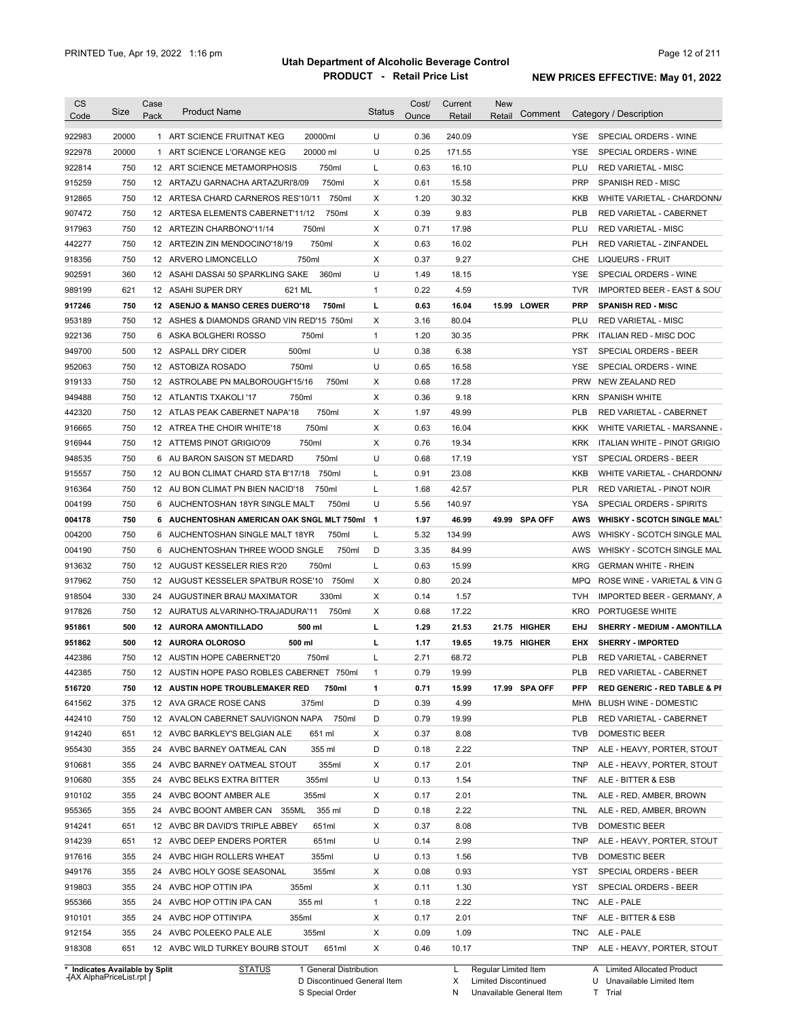| <b>CS</b><br>Code | Size  | Case<br>Pack | <b>Product Name</b>                         | <b>Status</b> | Cost/<br>Ounce | Current<br>Retail | <b>New</b><br>Retail | Comment       |                          | Category / Description                              |
|-------------------|-------|--------------|---------------------------------------------|---------------|----------------|-------------------|----------------------|---------------|--------------------------|-----------------------------------------------------|
| 922983            | 20000 |              | 20000ml<br>1 ART SCIENCE FRUITNAT KEG       | U             | 0.36           | 240.09            |                      |               | <b>YSE</b>               | SPECIAL ORDERS - WINE                               |
| 922978            | 20000 |              | 1 ART SCIENCE L'ORANGE KEG<br>20000 ml      | U             | 0.25           | 171.55            |                      |               | <b>YSE</b>               | SPECIAL ORDERS - WINE                               |
| 922814            | 750   |              | 750ml<br>12 ART SCIENCE METAMORPHOSIS       | L             | 0.63           | 16.10             |                      |               | PLU                      | <b>RED VARIETAL - MISC</b>                          |
| 915259            | 750   |              | 750ml<br>12 ARTAZU GARNACHA ARTAZURI'8/09   | Χ             | 0.61           | 15.58             |                      |               | <b>PRP</b>               | SPANISH RED - MISC                                  |
| 912865            | 750   |              | 12 ARTESA CHARD CARNEROS RES'10/11<br>750ml | Χ             | 1.20           | 30.32             |                      |               | <b>KKB</b>               | WHITE VARIETAL - CHARDONN/                          |
| 907472            | 750   |              | 12 ARTESA ELEMENTS CABERNET'11/12<br>750ml  | Χ             | 0.39           | 9.83              |                      |               | <b>PLB</b>               | RED VARIETAL - CABERNET                             |
| 917963            | 750   |              | 12 ARTEZIN CHARBONO'11/14<br>750ml          | X             | 0.71           | 17.98             |                      |               | PLU                      | <b>RED VARIETAL - MISC</b>                          |
| 442277            | 750   |              | 750ml<br>12 ARTEZIN ZIN MENDOCINO'18/19     | X             | 0.63           | 16.02             |                      |               | <b>PLH</b>               | RED VARIETAL - ZINFANDEL                            |
| 918356            | 750   |              | 750ml<br>12 ARVERO LIMONCELLO               | X             | 0.37           | 9.27              |                      |               | <b>CHE</b>               | <b>LIQUEURS - FRUIT</b>                             |
| 902591            | 360   |              | 360ml<br>12 ASAHI DASSAI 50 SPARKLING SAKE  | U             | 1.49           | 18.15             |                      |               | <b>YSE</b>               | SPECIAL ORDERS - WINE                               |
| 989199            | 621   |              | 621 ML<br>12 ASAHI SUPER DRY                | 1             | 0.22           | 4.59              |                      |               | <b>TVR</b>               | <b>IMPORTED BEER - EAST &amp; SOUT</b>              |
| 917246            | 750   |              | 750ml<br>12 ASENJO & MANSO CERES DUERO'18   | г             | 0.63           | 16.04             |                      | 15.99 LOWER   | <b>PRP</b>               | <b>SPANISH RED - MISC</b>                           |
| 953189            | 750   |              | 12 ASHES & DIAMONDS GRAND VIN RED'15 750ml  | Χ             | 3.16           | 80.04             |                      |               | PLU                      | <b>RED VARIETAL - MISC</b>                          |
| 922136            | 750   |              | 750ml<br>6 ASKA BOLGHERI ROSSO              | $\mathbf{1}$  | 1.20           | 30.35             |                      |               | <b>PRK</b>               | ITALIAN RED - MISC DOC                              |
| 949700            | 500   |              | 500ml<br>12 ASPALL DRY CIDER                | U             | 0.38           | 6.38              |                      |               | <b>YST</b>               | SPECIAL ORDERS - BEER                               |
| 952063            | 750   |              | 750ml<br>12 ASTOBIZA ROSADO                 | U             | 0.65           | 16.58             |                      |               | <b>YSE</b>               | SPECIAL ORDERS - WINE                               |
| 919133            | 750   |              | 12 ASTROLABE PN MALBOROUGH'15/16<br>750ml   | Χ             | 0.68           | 17.28             |                      |               | <b>PRW</b>               | NEW ZEALAND RED                                     |
| 949488            | 750   |              | 750ml<br>12 ATLANTIS TXAKOLI '17            | Χ             | 0.36           | 9.18              |                      |               | <b>KRN</b>               | <b>SPANISH WHITE</b>                                |
| 442320            | 750   |              | 750ml<br>12 ATLAS PEAK CABERNET NAPA'18     | Χ             | 1.97           | 49.99             |                      |               | <b>PLB</b>               | RED VARIETAL - CABERNET                             |
| 916665            | 750   |              | 750ml<br>12 ATREA THE CHOIR WHITE'18        | Χ             | 0.63           | 16.04             |                      |               | KKK                      | WHITE VARIETAL - MARSANNE                           |
| 916944            | 750   |              | 750ml<br>12 ATTEMS PINOT GRIGIO'09          | X             | 0.76           | 19.34             |                      |               | <b>KRK</b>               | ITALIAN WHITE - PINOT GRIGIO                        |
| 948535            | 750   |              | 6 AU BARON SAISON ST MEDARD<br>750ml        | U             | 0.68           | 17.19             |                      |               | YST                      | SPECIAL ORDERS - BEER                               |
| 915557            | 750   |              | 12 AU BON CLIMAT CHARD STA B'17/18<br>750ml | Г             | 0.91           | 23.08             |                      |               | KKB                      | WHITE VARIETAL - CHARDONN/                          |
| 916364            | 750   |              | 12 AU BON CLIMAT PN BIEN NACID'18<br>750ml  | L             | 1.68           | 42.57             |                      |               | <b>PLR</b>               | RED VARIETAL - PINOT NOIR                           |
| 004199            | 750   |              | 6 AUCHENTOSHAN 18YR SINGLE MALT<br>750ml    | U             | 5.56           | 140.97            |                      |               | YSA                      | SPECIAL ORDERS - SPIRITS                            |
| 004178            | 750   |              | 6 AUCHENTOSHAN AMERICAN OAK SNGL MLT 750ml  | $\mathbf{1}$  | 1.97           | 46.99             |                      | 49.99 SPA OFF | <b>AWS</b>               | <b>WHISKY - SCOTCH SINGLE MALT</b>                  |
| 004200            | 750   |              | 750ml<br>6 AUCHENTOSHAN SINGLE MALT 18YR    | Г             | 5.32           | 134.99            |                      |               | AWS                      | WHISKY - SCOTCH SINGLE MAL                          |
| 004190            | 750   |              | 6 AUCHENTOSHAN THREE WOOD SNGLE<br>750ml    | D             | 3.35           | 84.99             |                      |               | AWS                      | WHISKY - SCOTCH SINGLE MAL                          |
| 913632            | 750   |              | 750ml<br>12 AUGUST KESSELER RIES R'20       | L             | 0.63           | 15.99             |                      |               | <b>KRG</b>               | <b>GERMAN WHITE - RHEIN</b>                         |
| 917962            | 750   |              | 12 AUGUST KESSELER SPATBUR ROSE'10 750ml    | Χ             | 0.80           | 20.24             |                      |               | <b>MPQ</b>               | ROSE WINE - VARIETAL & VIN G                        |
| 918504            | 330   |              | 330ml<br>24 AUGUSTINER BRAU MAXIMATOR       | Χ             | 0.14           | 1.57              |                      |               | <b>TVH</b>               | IMPORTED BEER - GERMANY, A                          |
| 917826            | 750   |              | 12 AURATUS ALVARINHO-TRAJADURA'11<br>750ml  | Χ             | 0.68           | 17.22             |                      |               | <b>KRO</b>               | PORTUGESE WHITE                                     |
| 951861            | 500   |              | 500 ml<br><b>12 AURORA AMONTILLADO</b>      | г             | 1.29           | 21.53             |                      | 21.75 HIGHER  | EHJ                      | SHERRY - MEDIUM - AMONTILLA                         |
|                   | 500   |              | 12 AURORA OLOROSO<br>500 ml                 | г             | 1.17           |                   |                      | 19.75 HIGHER  |                          |                                                     |
| 951862            | 750   |              | 12 AUSTIN HOPE CABERNET'20                  |               | 2.71           | 19.65<br>68.72    |                      |               | <b>EHX</b><br><b>PLB</b> | <b>SHERRY - IMPORTED</b><br>RED VARIETAL - CABERNET |
| 442386            |       |              | 750ml                                       | L             |                |                   |                      |               |                          |                                                     |
| 442385            | 750   |              | 12 AUSTIN HOPE PASO ROBLES CABERNET 750ml   | 1             | 0.79           | 19.99             |                      |               | <b>PLB</b>               | RED VARIETAL - CABERNET                             |
| 516720            | 750   |              | 12 AUSTIN HOPE TROUBLEMAKER RED<br>750ml    | 1             | 0.71           | 15.99             |                      | 17.99 SPA OFF | <b>PFP</b>               | <b>RED GENERIC - RED TABLE &amp; PI</b>             |
| 641562            | 375   |              | 12 AVA GRACE ROSE CANS<br>375ml             | D             | 0.39           | 4.99              |                      |               | <b>MHW</b>               | <b>BLUSH WINE - DOMESTIC</b>                        |
| 442410            | 750   |              | 750ml<br>12 AVALON CABERNET SAUVIGNON NAPA  | D             | 0.79           | 19.99             |                      |               | <b>PLB</b>               | RED VARIETAL - CABERNET                             |
| 914240            | 651   |              | 12 AVBC BARKLEY'S BELGIAN ALE<br>651 ml     | Х             | 0.37           | 8.08              |                      |               | <b>TVB</b>               | DOMESTIC BEER                                       |
| 955430            | 355   |              | 24 AVBC BARNEY OATMEAL CAN<br>355 ml        | D             | 0.18           | 2.22              |                      |               | TNP                      | ALE - HEAVY, PORTER, STOUT                          |
| 910681            | 355   |              | 355ml<br>24 AVBC BARNEY OATMEAL STOUT       | X             | 0.17           | 2.01              |                      |               | TNP                      | ALE - HEAVY, PORTER, STOUT                          |
| 910680            | 355   |              | 355ml<br>24 AVBC BELKS EXTRA BITTER         | U             | 0.13           | 1.54              |                      |               | TNF                      | ALE - BITTER & ESB                                  |
| 910102            | 355   |              | 355ml<br>24 AVBC BOONT AMBER ALE            | X             | 0.17           | 2.01              |                      |               | TNL                      | ALE - RED, AMBER, BROWN                             |
| 955365            | 355   |              | 24 AVBC BOONT AMBER CAN 355ML<br>355 ml     | D             | 0.18           | 2.22              |                      |               | TNL                      | ALE - RED, AMBER, BROWN                             |
| 914241            | 651   |              | 12 AVBC BR DAVID'S TRIPLE ABBEY<br>651ml    | X             | 0.37           | 8.08              |                      |               | <b>TVB</b>               | DOMESTIC BEER                                       |
| 914239            | 651   |              | 651ml<br>12 AVBC DEEP ENDERS PORTER         | U             | 0.14           | 2.99              |                      |               | TNP                      | ALE - HEAVY, PORTER, STOUT                          |
| 917616            | 355   |              | 355ml<br>24 AVBC HIGH ROLLERS WHEAT         | U             | 0.13           | 1.56              |                      |               | <b>TVB</b>               | DOMESTIC BEER                                       |
| 949176            | 355   |              | 355ml<br>24 AVBC HOLY GOSE SEASONAL         | Х             | 0.08           | 0.93              |                      |               | YST                      | SPECIAL ORDERS - BEER                               |
| 919803            | 355   |              | 355ml<br>24 AVBC HOP OTTIN IPA              | Х             | 0.11           | 1.30              |                      |               | YST                      | SPECIAL ORDERS - BEER                               |
|                   | 355   |              | 355 ml<br>24 AVBC HOP OTTIN IPA CAN         | $\mathbf{1}$  | 0.18           | 2.22              |                      |               | TNC                      | ALE - PALE                                          |
| 955366            |       |              |                                             |               |                |                   |                      |               | TNF                      |                                                     |
| 910101            | 355   |              | 24 AVBC HOP OTTIN'IPA<br>355ml              | Х             | 0.17           | 2.01              |                      |               |                          | ALE - BITTER & ESB                                  |
| 912154            | 355   |              | 24 AVBC POLEEKO PALE ALE<br>355ml           | Х             | 0.09           | 1.09              |                      |               | TNC                      | ALE - PALE                                          |

**Case** [AX AlphaPriceList.rpt ]

General Distribution

Discontinued General Item S Special Order D

Regular Limited Item

X N Limited Discontinued

Unavailable General Item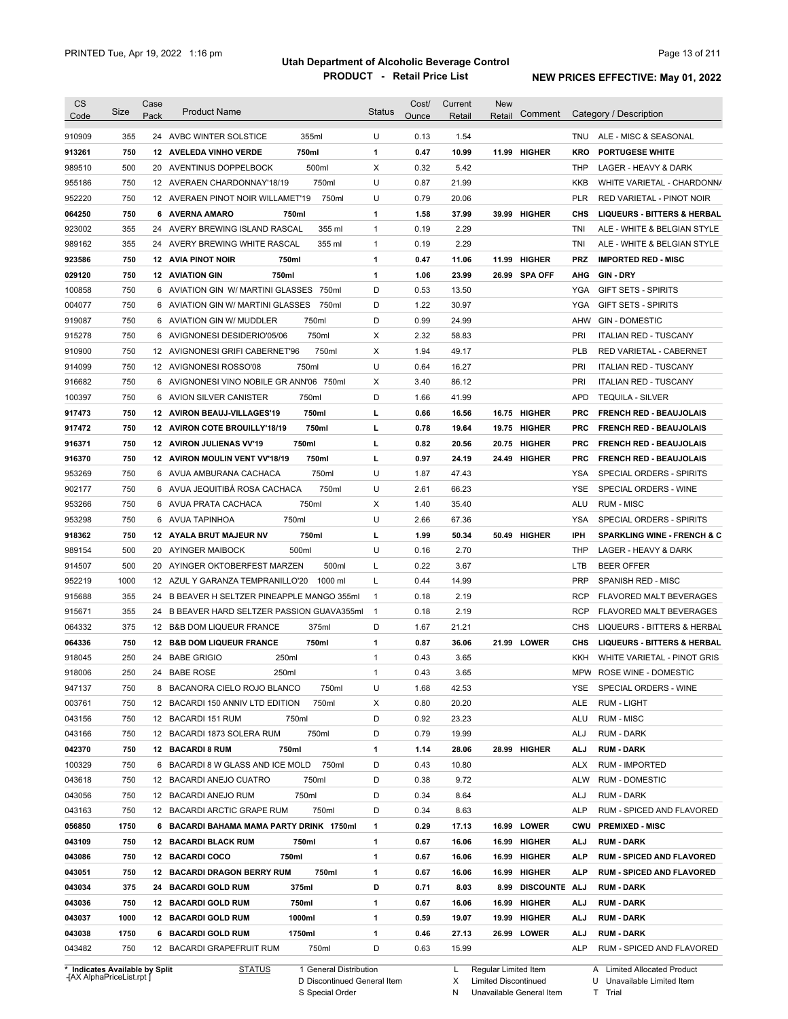| <b>CS</b>                      | Size | Case | <b>Product Name</b>                         | <b>Status</b> | Cost/ | Current | <b>New</b>           | Comment       |                   | Category / Description                  |
|--------------------------------|------|------|---------------------------------------------|---------------|-------|---------|----------------------|---------------|-------------------|-----------------------------------------|
| Code                           |      | Pack |                                             |               | Ounce | Retail  | Retail               |               |                   |                                         |
| 910909                         | 355  |      | 355ml<br>24 AVBC WINTER SOLSTICE            | U             | 0.13  | 1.54    |                      |               | TNU               | ALE - MISC & SEASONAL                   |
| 913261                         | 750  |      | 12 AVELEDA VINHO VERDE<br>750ml             | 1             | 0.47  | 10.99   | 11.99                | <b>HIGHER</b> | KRO               | <b>PORTUGESE WHITE</b>                  |
| 989510                         | 500  |      | 500ml<br>20 AVENTINUS DOPPELBOCK            | X             | 0.32  | 5.42    |                      |               | THP               | LAGER - HEAVY & DARK                    |
| 955186                         | 750  |      | 750ml<br>12 AVERAEN CHARDONNAY'18/19        | U             | 0.87  | 21.99   |                      |               | KKB               | WHITE VARIETAL - CHARDONN/              |
| 952220                         | 750  |      | 750ml<br>12 AVERAEN PINOT NOIR WILLAMET'19  | U             | 0.79  | 20.06   |                      |               | <b>PLR</b>        | RED VARIETAL - PINOT NOIR               |
| 064250                         | 750  |      | 750ml<br>6 AVERNA AMARO                     | 1             | 1.58  | 37.99   |                      | 39.99 HIGHER  | CHS               | <b>LIQUEURS - BITTERS &amp; HERBAL</b>  |
| 923002                         | 355  |      | 24 AVERY BREWING ISLAND RASCAL<br>355 ml    | 1             | 0.19  | 2.29    |                      |               | TNI               | ALE - WHITE & BELGIAN STYLE             |
| 989162                         | 355  |      | 355 ml<br>24 AVERY BREWING WHITE RASCAL     | 1             | 0.19  | 2.29    |                      |               | TNI               | ALE - WHITE & BELGIAN STYLE             |
| 923586                         | 750  |      | <b>12 AVIA PINOT NOIR</b><br>750ml          | 1             | 0.47  | 11.06   | 11.99                | <b>HIGHER</b> | PRZ               | <b>IMPORTED RED - MISC</b>              |
| 029120                         | 750  |      | 750ml<br><b>12 AVIATION GIN</b>             | 1             | 1.06  | 23.99   |                      | 26.99 SPA OFF | <b>AHG</b>        | <b>GIN - DRY</b>                        |
| 100858                         | 750  | 6    | AVIATION GIN W/ MARTINI GLASSES<br>750ml    | D             | 0.53  | 13.50   |                      |               | YGA               | <b>GIFT SETS - SPIRITS</b>              |
| 004077                         | 750  |      | 6 AVIATION GIN W/ MARTINI GLASSES<br>750ml  | D             | 1.22  | 30.97   |                      |               | YGA               | <b>GIFT SETS - SPIRITS</b>              |
| 919087                         | 750  |      | 6 AVIATION GIN W/ MUDDLER<br>750ml          | D             | 0.99  | 24.99   |                      |               | AHW               | <b>GIN - DOMESTIC</b>                   |
| 915278                         | 750  | 6    | 750ml<br>AVIGNONESI DESIDERIO'05/06         | Х             | 2.32  | 58.83   |                      |               | PRI               | <b>ITALIAN RED - TUSCANY</b>            |
| 910900                         | 750  |      | 750ml<br>12 AVIGNONESI GRIFI CABERNET'96    | Χ             | 1.94  | 49.17   |                      |               | <b>PLB</b>        | <b>RED VARIETAL - CABERNET</b>          |
| 914099                         | 750  |      | 750ml<br>12 AVIGNONESI ROSSO'08             | U             | 0.64  | 16.27   |                      |               | PRI               | <b>ITALIAN RED - TUSCANY</b>            |
| 916682                         | 750  |      | 6 AVIGNONESI VINO NOBILE GR ANN'06 750ml    | Х             | 3.40  | 86.12   |                      |               | PRI               | <b>ITALIAN RED - TUSCANY</b>            |
| 100397                         | 750  |      | 750ml<br>6 AVION SILVER CANISTER            | D             | 1.66  | 41.99   |                      |               | <b>APD</b>        | <b>TEQUILA - SILVER</b>                 |
| 917473                         | 750  |      | 750ml<br>12 AVIRON BEAUJ-VILLAGES'19        | г             | 0.66  | 16.56   | 16.75                | <b>HIGHER</b> | <b>PRC</b>        | <b>FRENCH RED - BEAUJOLAIS</b>          |
| 917472                         | 750  |      | 750ml<br>12 AVIRON COTE BROUILLY'18/19      | г             | 0.78  | 19.64   |                      | 19.75 HIGHER  | <b>PRC</b>        | <b>FRENCH RED - BEAUJOLAIS</b>          |
| 916371                         | 750  |      | 750ml<br>12 AVIRON JULIENAS VV'19           | г             | 0.82  | 20.56   |                      | 20.75 HIGHER  | PRC               | <b>FRENCH RED - BEAUJOLAIS</b>          |
| 916370                         | 750  |      | 750ml<br>12 AVIRON MOULIN VENT VV'18/19     | г             | 0.97  | 24.19   |                      | 24.49 HIGHER  | PRC               | <b>FRENCH RED - BEAUJOLAIS</b>          |
| 953269                         | 750  |      | 750ml<br>6 AVUA AMBURANA CACHACA            | U             | 1.87  | 47.43   |                      |               | YSA               | SPECIAL ORDERS - SPIRITS                |
| 902177                         | 750  |      | 6 AVUA JEQUITIBA ROSA CACHACA<br>750ml      | U             | 2.61  | 66.23   |                      |               | YSE               | SPECIAL ORDERS - WINE                   |
| 953266                         | 750  |      | 750ml<br>6 AVUA PRATA CACHACA               | Х             | 1.40  | 35.40   |                      |               | ALU               | <b>RUM - MISC</b>                       |
| 953298                         | 750  |      | 750ml<br>6 AVUA TAPINHOA                    | U             | 2.66  | 67.36   |                      |               | YSA               | SPECIAL ORDERS - SPIRITS                |
| 918362                         | 750  |      | 750ml<br>12 AYALA BRUT MAJEUR NV            | г             | 1.99  | 50.34   |                      | 50.49 HIGHER  | IPH               | <b>SPARKLING WINE - FRENCH &amp; C</b>  |
| 989154                         | 500  |      | 20 AYINGER MAIBOCK<br>500ml                 | U             | 0.16  | 2.70    |                      |               | THP               | LAGER - HEAVY & DARK                    |
| 914507                         | 500  |      | 20 AYINGER OKTOBERFEST MARZEN<br>500ml      | L             | 0.22  | 3.67    |                      |               | LTB               | <b>BEER OFFER</b>                       |
| 952219                         | 1000 |      | 12 AZUL Y GARANZA TEMPRANILLO'20<br>1000 ml | L             | 0.44  | 14.99   |                      |               | <b>PRP</b>        | SPANISH RED - MISC                      |
| 915688                         | 355  |      | 24 B BEAVER H SELTZER PINEAPPLE MANGO 355ml | $\mathbf{1}$  | 0.18  | 2.19    |                      |               | RCP               | FLAVORED MALT BEVERAGES                 |
| 915671                         | 355  |      | 24 B BEAVER HARD SELTZER PASSION GUAVA355ml | $\mathbf{1}$  | 0.18  | 2.19    |                      |               | <b>RCP</b>        | FLAVORED MALT BEVERAGES                 |
| 064332                         | 375  |      | 375ml<br>12 B&B DOM LIQUEUR FRANCE          | D             | 1.67  | 21.21   |                      |               | CHS               | LIQUEURS - BITTERS & HERBAL             |
| 064336                         | 750  |      | 750ml<br>12 B&B DOM LIQUEUR FRANCE          | 1             | 0.87  | 36.06   |                      | 21.99 LOWER   | CHS               | <b>LIQUEURS - BITTERS &amp; HERBAL</b>  |
| 918045                         | 250  |      | 24 BABE GRIGIO<br>250ml                     | 1             | 0.43  | 3.65    |                      |               | KKH               | WHITE VARIETAL - PINOT GRIS             |
| 918006                         | 250  |      | 24 BABE ROSE<br>250ml                       | 1             | 0.43  | 3.65    |                      |               |                   | MPW ROSE WINE - DOMESTIC                |
| 947137                         | 750  |      | 8 BACANORA CIELO ROJO BLANCO<br>750ml       | U             | 1.68  | 42.53   |                      |               | YSE               | SPECIAL ORDERS - WINE                   |
| 003761                         | 750  |      | 750ml<br>12 BACARDI 150 ANNIV LTD EDITION   | Х             | 0.80  | 20.20   |                      |               | ALE               | RUM - LIGHT                             |
| 043156                         | 750  |      | 12 BACARDI 151 RUM<br>750ml                 | D             | 0.92  | 23.23   |                      |               | ALU               | <b>RUM - MISC</b>                       |
| 043166                         | 750  |      | 750ml<br>12 BACARDI 1873 SOLERA RUM         | D             | 0.79  | 19.99   |                      |               | ALJ               | <b>RUM - DARK</b>                       |
| 042370                         | 750  |      | 750ml<br>12 BACARDI 8 RUM                   | 1             | 1.14  | 28.06   |                      | 28.99 HIGHER  | <b>ALJ</b>        | <b>RUM - DARK</b>                       |
| 100329                         | 750  |      | 6 BACARDI 8 W GLASS AND ICE MOLD<br>750ml   | D             | 0.43  | 10.80   |                      |               | ALX               | <b>RUM - IMPORTED</b>                   |
| 043618                         | 750  |      | 12 BACARDI ANEJO CUATRO<br>750ml            | D             | 0.38  | 9.72    |                      |               | <b>ALW</b>        | RUM - DOMESTIC                          |
| 043056                         | 750  |      | 750ml                                       | D             | 0.34  | 8.64    |                      |               |                   |                                         |
| 043163                         | 750  |      | 12 BACARDI ANEJO RUM<br>750ml               | D             | 0.34  | 8.63    |                      |               | ALJ<br><b>ALP</b> | RUM - DARK<br>RUM - SPICED AND FLAVORED |
|                                |      |      | 12 BACARDI ARCTIC GRAPE RUM                 |               |       |         |                      |               |                   |                                         |
| 056850                         | 1750 |      | 6 BACARDI BAHAMA MAMA PARTY DRINK 1750ml    | 1             | 0.29  | 17.13   |                      | 16.99 LOWER   | CWU               | <b>PREMIXED - MISC</b>                  |
| 043109                         | 750  |      | <b>12 BACARDI BLACK RUM</b><br>750ml        | 1             | 0.67  | 16.06   |                      | 16.99 HIGHER  | ALJ               | <b>RUM - DARK</b>                       |
| 043086                         | 750  |      | 12 BACARDI COCO<br>750ml                    | 1             | 0.67  | 16.06   |                      | 16.99 HIGHER  | <b>ALP</b>        | <b>RUM - SPICED AND FLAVORED</b>        |
| 043051                         | 750  |      | <b>12 BACARDI DRAGON BERRY RUM</b><br>750ml | 1             | 0.67  | 16.06   | 16.99                | <b>HIGHER</b> | ALP               | <b>RUM - SPICED AND FLAVORED</b>        |
| 043034                         | 375  |      | 24 BACARDI GOLD RUM<br>375ml                | D             | 0.71  | 8.03    | 8.99                 | DISCOUNTE ALJ |                   | <b>RUM - DARK</b>                       |
| 043036                         | 750  |      | 750ml<br>12 BACARDI GOLD RUM                | 1             | 0.67  | 16.06   | 16.99                | <b>HIGHER</b> | ALJ               | <b>RUM - DARK</b>                       |
| 043037                         | 1000 |      | 1000ml<br>12 BACARDI GOLD RUM               | 1             | 0.59  | 19.07   |                      | 19.99 HIGHER  | ALJ               | <b>RUM - DARK</b>                       |
| 043038                         | 1750 |      | 1750ml<br>6 BACARDI GOLD RUM                | 1             | 0.46  | 27.13   |                      | 26.99 LOWER   | ALJ               | <b>RUM - DARK</b>                       |
| 043482                         | 750  |      | 12 BACARDI GRAPEFRUIT RUM<br>750ml          | D             | 0.63  | 15.99   |                      |               | ALP               | RUM - SPICED AND FLAVORED               |
| * Indicates Available by Split |      |      | <b>STATUS</b><br>1 General Distribution     |               |       | L.      | Regular Limited Item |               |                   | A Limited Allocated Product             |

**Case** [AX AlphaPriceList.rpt ]

STATUS 1 General Distribution

D Discontinued General Item

S Special Order

L Regular Limited Item

X Limited Discontinued

A Limited Allocated Product

N Unavailable General Item

U Unavailable Limited Item T Trial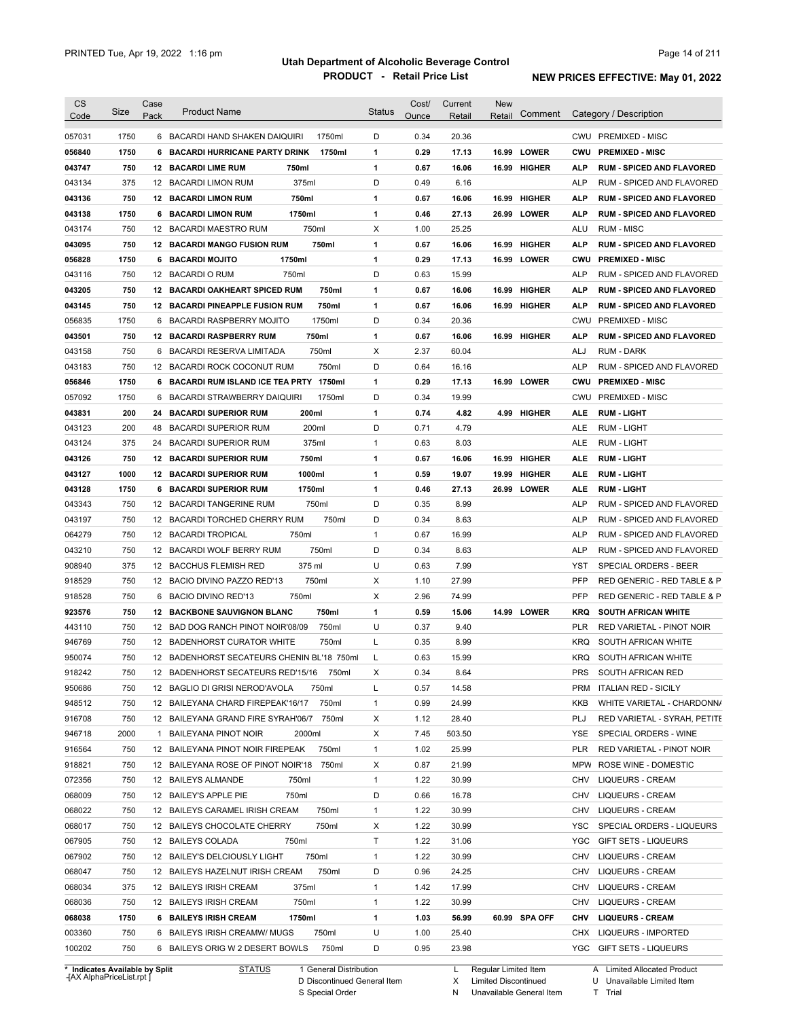| <b>CS</b>                      | Size | Case | <b>Product Name</b>                             | <b>Status</b> | Cost/        | Current | New<br>Comment         |            | Category / Description           |
|--------------------------------|------|------|-------------------------------------------------|---------------|--------------|---------|------------------------|------------|----------------------------------|
| Code                           |      | Pack |                                                 |               | Ounce        | Retail  | Retail                 |            |                                  |
| 057031                         | 1750 |      | 6 BACARDI HAND SHAKEN DAIQUIRI<br>1750ml        | D             | 0.34         | 20.36   |                        |            | CWU PREMIXED - MISC              |
| 056840                         | 1750 | 6    | <b>BACARDI HURRICANE PARTY DRINK</b><br>1750ml  | 1             | 0.29         | 17.13   | <b>LOWER</b><br>16.99  | <b>CWU</b> | <b>PREMIXED - MISC</b>           |
| 043747                         | 750  |      | <b>12 BACARDI LIME RUM</b><br>750ml             | 1             | 0.67         | 16.06   | 16.99 HIGHER           | ALP        | <b>RUM - SPICED AND FLAVORED</b> |
| 043134                         | 375  |      | 375ml<br>12 BACARDI LIMON RUM                   | D             | 0.49         | 6.16    |                        | <b>ALP</b> | RUM - SPICED AND FLAVORED        |
| 043136                         | 750  |      | 750ml<br><b>12 BACARDI LIMON RUM</b>            | 1             | 0.67         | 16.06   | <b>HIGHER</b><br>16.99 | ALP        | <b>RUM - SPICED AND FLAVORED</b> |
| 043138                         | 1750 |      | 1750ml<br><b>6 BACARDI LIMON RUM</b>            | 1             | 0.46         | 27.13   | 26.99 LOWER            | ALP        | <b>RUM - SPICED AND FLAVORED</b> |
| 043174                         | 750  |      | 750ml<br>12 BACARDI MAESTRO RUM                 | Х             | 1.00         | 25.25   |                        | ALU        | <b>RUM - MISC</b>                |
| 043095                         | 750  |      | 750ml<br><b>12 BACARDI MANGO FUSION RUM</b>     | 1             | 0.67         | 16.06   | <b>HIGHER</b><br>16.99 | ALP        | <b>RUM - SPICED AND FLAVORED</b> |
| 056828                         | 1750 |      | <b>6 BACARDI MOJITO</b><br>1750ml               | 1             | 0.29         | 17.13   | 16.99 LOWER            | <b>CWU</b> | <b>PREMIXED - MISC</b>           |
| 043116                         | 750  |      | 750ml<br>12 BACARDIO RUM                        | D             | 0.63         | 15.99   |                        | ALP        | RUM - SPICED AND FLAVORED        |
| 043205                         | 750  |      | <b>12 BACARDI OAKHEART SPICED RUM</b><br>750ml  | 1             | 0.67         | 16.06   | <b>HIGHER</b><br>16.99 | <b>ALP</b> | <b>RUM - SPICED AND FLAVORED</b> |
| 043145                         | 750  |      | 750ml<br><b>12 BACARDI PINEAPPLE FUSION RUM</b> | 1             | 0.67         | 16.06   | 16.99<br>HIGHER        | <b>ALP</b> | <b>RUM - SPICED AND FLAVORED</b> |
| 056835                         | 1750 | 6    | 1750ml<br>BACARDI RASPBERRY MOJITO              | D             | 0.34         | 20.36   |                        | CWU        | <b>PREMIXED - MISC</b>           |
| 043501                         | 750  | 12   | <b>BACARDI RASPBERRY RUM</b><br>750ml           | 1             | 0.67         | 16.06   | 16.99<br>HIGHER        | ALP        | <b>RUM - SPICED AND FLAVORED</b> |
| 043158                         | 750  | 6    | 750ml<br>BACARDI RESERVA LIMITADA               | Х             | 2.37         | 60.04   |                        | ALJ        | RUM - DARK                       |
| 043183                         | 750  | 12   | BACARDI ROCK COCONUT RUM<br>750ml               | D             | 0.64         | 16.16   |                        | ALP        | RUM - SPICED AND FLAVORED        |
| 056846                         | 1750 |      | 6 BACARDI RUM ISLAND ICE TEA PRTY 1750ml        | 1             | 0.29         | 17.13   | <b>LOWER</b><br>16.99  | CWU        | <b>PREMIXED - MISC</b>           |
| 057092                         | 1750 | 6    | 1750ml<br><b>BACARDI STRAWBERRY DAIQUIRI</b>    | D             | 0.34         | 19.99   |                        | CWU        | <b>PREMIXED - MISC</b>           |
| 043831                         | 200  | 24   | <b>BACARDI SUPERIOR RUM</b><br>200ml            | 1             | 0.74         | 4.82    | HIGHER<br>4.99         | ALE        | <b>RUM - LIGHT</b>               |
| 043123                         | 200  | 48   | 200ml<br><b>BACARDI SUPERIOR RUM</b>            | D             | 0.71         | 4.79    |                        | ALE        | <b>RUM - LIGHT</b>               |
| 043124                         | 375  | 24   | 375ml<br><b>BACARDI SUPERIOR RUM</b>            | $\mathbf{1}$  | 0.63         | 8.03    |                        | ALE        | RUM - LIGHT                      |
| 043126                         | 750  |      | 750ml<br><b>12 BACARDI SUPERIOR RUM</b>         | 1             | 0.67         | 16.06   | <b>HIGHER</b><br>16.99 | ALE        | <b>RUM - LIGHT</b>               |
| 043127                         | 1000 |      | 1000ml<br>12 BACARDI SUPERIOR RUM               | 1             | 0.59         | 19.07   | 19.99<br><b>HIGHER</b> | ALE        | <b>RUM - LIGHT</b>               |
| 043128                         | 1750 | 6    | <b>BACARDI SUPERIOR RUM</b><br>1750ml           | 1             | 0.46         | 27.13   | 26.99<br><b>LOWER</b>  | ALE        | <b>RUM - LIGHT</b>               |
| 043343                         | 750  |      | 750ml<br>12 BACARDI TANGERINE RUM               | D             | 0.35         | 8.99    |                        | ALP        | RUM - SPICED AND FLAVORED        |
| 043197                         | 750  |      | 12 BACARDI TORCHED CHERRY RUM<br>750ml          | D             | 0.34         | 8.63    |                        | ALP        | RUM - SPICED AND FLAVORED        |
| 064279                         | 750  |      | 12 BACARDI TROPICAL<br>750ml                    | $\mathbf{1}$  | 0.67         | 16.99   |                        | ALP        | RUM - SPICED AND FLAVORED        |
| 043210                         | 750  | 12   | BACARDI WOLF BERRY RUM<br>750ml                 | D             | 0.34         | 8.63    |                        | ALP        | RUM - SPICED AND FLAVORED        |
| 908940                         | 375  |      | 375 ml<br>12 BACCHUS FLEMISH RED                | U             | 0.63         | 7.99    |                        | YST        | <b>SPECIAL ORDERS - BEER</b>     |
| 918529                         | 750  |      | 12 BACIO DIVINO PAZZO RED'13<br>750ml           | Х             | 1.10         | 27.99   |                        | PFP        | RED GENERIC - RED TABLE & P      |
| 918528                         | 750  | 6    | 750ml<br><b>BACIO DIVINO RED'13</b>             | Х             | 2.96         | 74.99   |                        | <b>PFP</b> | RED GENERIC - RED TABLE & P      |
| 923576                         | 750  | 12   | 750ml<br><b>BACKBONE SAUVIGNON BLANC</b>        | 1             | 0.59         | 15.06   | 14.99 LOWER            | KRQ        | <b>SOUTH AFRICAN WHITE</b>       |
| 443110                         | 750  |      | 750ml<br>12 BAD DOG RANCH PINOT NOIR'08/09      | U             | 0.37         | 9.40    |                        | PLR        | RED VARIETAL - PINOT NOIR        |
| 946769                         | 750  |      | 12 BADENHORST CURATOR WHITE<br>750ml            | Г             | 0.35         | 8.99    |                        | KRQ        | SOUTH AFRICAN WHITE              |
| 950074                         | 750  |      | 12 BADENHORST SECATEURS CHENIN BL'18 750ml      | Г             | 0.63         | 15.99   |                        | <b>KRQ</b> | SOUTH AFRICAN WHITE              |
| 918242                         | 750  |      | 12 BADENHORST SECATEURS RED'15/16 750ml         | х             | 0.34         | 8.64    |                        | <b>PRS</b> | SOUTH AFRICAN RED                |
| 950686                         | 750  |      | 12 BAGLIO DI GRISI NEROD'AVOLA<br>750ml         | L             | 0.57         | 14.58   |                        | PRM        | <b>ITALIAN RED - SICILY</b>      |
| 948512                         | 750  |      | 750ml<br>12 BAILEYANA CHARD FIREPEAK'16/17      | $\mathbf{1}$  | 0.99         | 24.99   |                        | KKB        | WHITE VARIETAL - CHARDONN/       |
| 916708                         | 750  |      | 750ml<br>12 BAILEYANA GRAND FIRE SYRAH'06/7     | X             | 1.12         | 28.40   |                        | PLJ        | RED VARIETAL - SYRAH, PETITE     |
| 946718                         | 2000 |      | 2000ml<br>1 BAILEYANA PINOT NOIR                | Х             |              | 503.50  |                        | YSE        | SPECIAL ORDERS - WINE            |
| 916564                         | 750  |      | 12 BAILEYANA PINOT NOIR FIREPEAK<br>750ml       | 1             | 7.45<br>1.02 | 25.99   |                        | PLR        | RED VARIETAL - PINOT NOIR        |
|                                |      |      |                                                 |               |              |         |                        |            |                                  |
| 918821                         | 750  |      | 12 BAILEYANA ROSE OF PINOT NOIR'18<br>750ml     | х             | 0.87         | 21.99   |                        | MPW        | ROSE WINE - DOMESTIC             |
| 072356                         | 750  |      | 12 BAILEYS ALMANDE<br>750ml                     | 1             | 1.22         | 30.99   |                        | CHV        | <b>LIQUEURS - CREAM</b>          |
| 068009                         | 750  |      | 12 BAILEY'S APPLE PIE<br>750ml                  | D             | 0.66         | 16.78   |                        | CHV        | <b>LIQUEURS - CREAM</b>          |
| 068022                         | 750  |      | 750ml<br>12 BAILEYS CARAMEL IRISH CREAM         | $\mathbf{1}$  | 1.22         | 30.99   |                        | CHV        | LIQUEURS - CREAM                 |
| 068017                         | 750  |      | 750ml<br>12 BAILEYS CHOCOLATE CHERRY            | Х             | 1.22         | 30.99   |                        | YSC        | SPECIAL ORDERS - LIQUEURS        |
| 067905                         | 750  |      | 12 BAILEYS COLADA<br>750ml                      | T             | 1.22         | 31.06   |                        | YGC        | GIFT SETS - LIQUEURS             |
| 067902                         | 750  |      | 750ml<br>12 BAILEY'S DELCIOUSLY LIGHT           | $\mathbf{1}$  | 1.22         | 30.99   |                        | CHV        | <b>LIQUEURS - CREAM</b>          |
| 068047                         | 750  |      | 750ml<br>12 BAILEYS HAZELNUT IRISH CREAM        | D             | 0.96         | 24.25   |                        | CHV        | <b>LIQUEURS - CREAM</b>          |
| 068034                         | 375  |      | 12 BAILEYS IRISH CREAM<br>375ml                 | $\mathbf{1}$  | 1.42         | 17.99   |                        | CHV        | <b>LIQUEURS - CREAM</b>          |
| 068036                         | 750  |      | 750ml<br>12 BAILEYS IRISH CREAM                 | $\mathbf{1}$  | 1.22         | 30.99   |                        | CHV        | <b>LIQUEURS - CREAM</b>          |
| 068038                         | 1750 |      | 1750ml<br>6 BAILEYS IRISH CREAM                 | 1             | 1.03         | 56.99   | 60.99 SPA OFF          | CHV        | <b>LIQUEURS - CREAM</b>          |
| 003360                         | 750  |      | 6 BAILEYS IRISH CREAMW/ MUGS<br>750ml           | U             | 1.00         | 25.40   |                        |            | CHX LIQUEURS - IMPORTED          |
| 100202                         | 750  |      | 6 BAILEYS ORIG W 2 DESERT BOWLS<br>750ml        | D             | 0.95         | 23.98   |                        |            | YGC GIFT SETS - LIQUEURS         |
| * Indicates Available by Split |      |      | <b>STATUS</b><br>1 General Distribution         |               |              | L       | Regular Limited Item   |            | A Limited Allocated Product      |

**Case** [AX AlphaPriceList.rpt ]

D Discontinued General Item

S Special Order

L Regular Limited Item

X N Limited Discontinued

Unavailable General Item

A Limited Allocated Product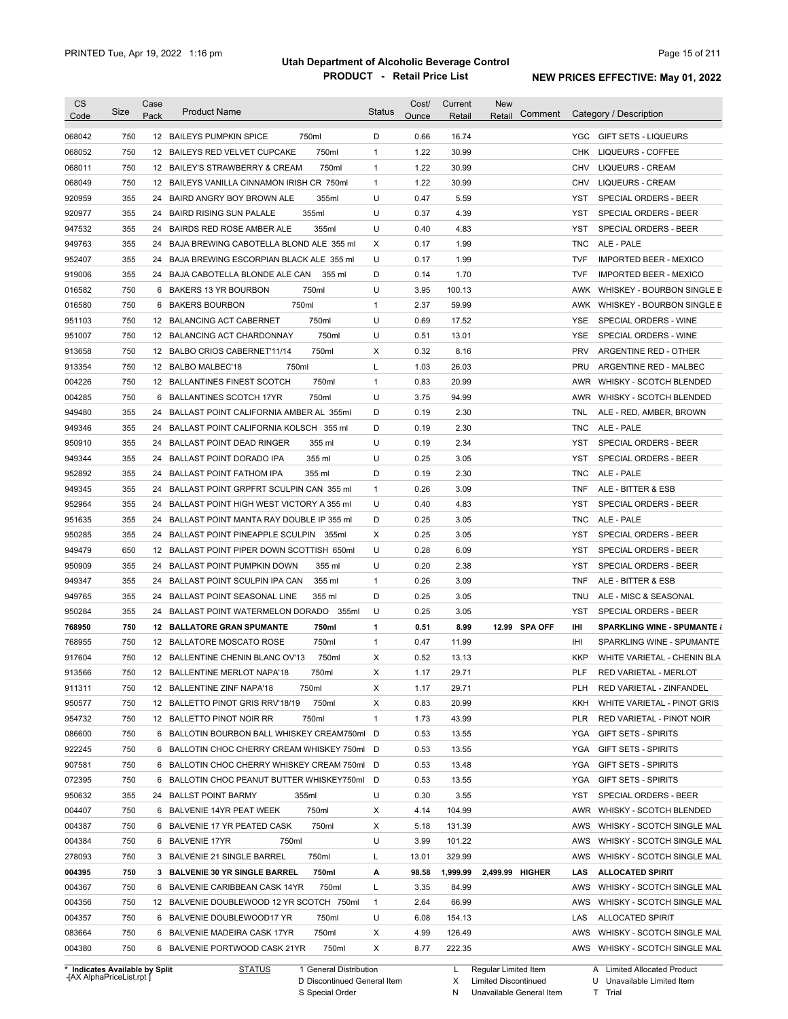| <b>CS</b><br>Code | Size       | Case<br>Pack | <b>Product Name</b>                                                             | <b>Status</b> | Cost/<br>Ounce | Current<br>Retail | New<br>Comment<br>Retail | Category / Description                                              |
|-------------------|------------|--------------|---------------------------------------------------------------------------------|---------------|----------------|-------------------|--------------------------|---------------------------------------------------------------------|
| 068042            | 750        |              | 750ml<br>12 BAILEYS PUMPKIN SPICE                                               | D             | 0.66           | 16.74             |                          | YGC.<br>GIFT SETS - LIQUEURS                                        |
| 068052            | 750        |              | 750ml<br>12 BAILEYS RED VELVET CUPCAKE                                          | $\mathbf{1}$  | 1.22           | 30.99             |                          | CHK<br>LIQUEURS - COFFEE                                            |
| 068011            | 750        |              | 750ml<br>12 BAILEY'S STRAWBERRY & CREAM                                         | 1             | 1.22           | 30.99             |                          | CHV<br><b>LIQUEURS - CREAM</b>                                      |
| 068049            | 750        |              | 12 BAILEYS VANILLA CINNAMON IRISH CR 750ml                                      | $\mathbf{1}$  | 1.22           | 30.99             |                          | CHV<br><b>LIQUEURS - CREAM</b>                                      |
| 920959            | 355        |              | 24 BAIRD ANGRY BOY BROWN ALE<br>355ml                                           | U             | 0.47           | 5.59              |                          | YST<br>SPECIAL ORDERS - BEER                                        |
| 920977            | 355        |              | 355ml<br>24 BAIRD RISING SUN PALALE                                             | U             | 0.37           | 4.39              |                          | <b>YST</b><br>SPECIAL ORDERS - BEER                                 |
| 947532            | 355        |              | 355ml<br>24 BAIRDS RED ROSE AMBER ALE                                           | U             | 0.40           | 4.83              |                          | YST<br>SPECIAL ORDERS - BEER                                        |
| 949763            | 355        |              | 24 BAJA BREWING CABOTELLA BLOND ALE 355 ml                                      | Х             | 0.17           | 1.99              |                          | ALE - PALE<br>TNC                                                   |
| 952407            | 355        |              | 24 BAJA BREWING ESCORPIAN BLACK ALE 355 ml                                      | U             | 0.17           | 1.99              |                          | <b>TVF</b><br><b>IMPORTED BEER - MEXICO</b>                         |
| 919006            | 355        |              | 24 BAJA CABOTELLA BLONDE ALE CAN<br>355 ml                                      | D             | 0.14           | 1.70              |                          | <b>TVF</b><br><b>IMPORTED BEER - MEXICO</b>                         |
| 016582            | 750        | 6            | BAKERS 13 YR BOURBON<br>750ml                                                   | U             | 3.95           | 100.13            |                          | AWK<br>WHISKEY - BOURBON SINGLE B                                   |
| 016580            | 750        | 6            | 750ml<br><b>BAKERS BOURBON</b>                                                  | 1             | 2.37           | 59.99             |                          | AWK<br>WHISKEY - BOURBON SINGLE B                                   |
|                   | 750        |              | 750ml                                                                           | U             | 0.69           | 17.52             |                          |                                                                     |
| 951103            |            |              | 12 BALANCING ACT CABERNET                                                       |               |                |                   |                          | YSE<br>SPECIAL ORDERS - WINE                                        |
| 951007            | 750        |              | 750ml<br>12 BALANCING ACT CHARDONNAY                                            | U             | 0.51           | 13.01             |                          | <b>YSE</b><br>SPECIAL ORDERS - WINE                                 |
| 913658            | 750        |              | 750ml<br>12 BALBO CRIOS CABERNET'11/14                                          | Χ             | 0.32           | 8.16              |                          | <b>PRV</b><br>ARGENTINE RED - OTHER                                 |
| 913354            | 750        |              | 750ml<br>12 BALBO MALBEC'18                                                     | Г             | 1.03           | 26.03             |                          | PRU<br>ARGENTINE RED - MALBEC                                       |
| 004226            | 750        |              | 750ml<br>12 BALLANTINES FINEST SCOTCH                                           | 1             | 0.83           | 20.99             |                          | AWR<br><b>WHISKY - SCOTCH BLENDED</b>                               |
| 004285            | 750        | 6            | 750ml<br><b>BALLANTINES SCOTCH 17YR</b>                                         | U             | 3.75           | 94.99             |                          | AWR<br>WHISKY - SCOTCH BLENDED                                      |
| 949480            | 355        | 24           | BALLAST POINT CALIFORNIA AMBER AL 355ml                                         | D             | 0.19           | 2.30              |                          | <b>TNL</b><br>ALE - RED, AMBER, BROWN                               |
| 949346            | 355        | 24           | BALLAST POINT CALIFORNIA KOLSCH 355 ml                                          | D             | 0.19           | 2.30              |                          | <b>TNC</b><br>ALE - PALE                                            |
| 950910            | 355        | 24           | <b>BALLAST POINT DEAD RINGER</b><br>355 ml                                      | U             | 0.19           | 2.34              |                          | YST<br>SPECIAL ORDERS - BEER                                        |
| 949344            | 355        | 24           | 355 ml<br>BALLAST POINT DORADO IPA                                              | U             | 0.25           | 3.05              |                          | YST<br>SPECIAL ORDERS - BEER                                        |
| 952892            | 355        | 24           | <b>BALLAST POINT FATHOM IPA</b><br>355 ml                                       | D             | 0.19           | 2.30              |                          | ALE - PALE<br>TNC                                                   |
| 949345            | 355        | 24           | BALLAST POINT GRPFRT SCULPIN CAN 355 ml                                         | $\mathbf{1}$  | 0.26           | 3.09              |                          | <b>TNF</b><br>ALE - BITTER & ESB                                    |
| 952964            | 355        | 24           | BALLAST POINT HIGH WEST VICTORY A 355 ml                                        | U             | 0.40           | 4.83              |                          | SPECIAL ORDERS - BEER<br>YST                                        |
| 951635            | 355        | 24           | BALLAST POINT MANTA RAY DOUBLE IP 355 ml                                        | D             | 0.25           | 3.05              |                          | TNC<br>ALE - PALE                                                   |
| 950285            | 355        | 24           | BALLAST POINT PINEAPPLE SCULPIN<br>355ml                                        | X             | 0.25           | 3.05              |                          | SPECIAL ORDERS - BEER<br>YST                                        |
| 949479            | 650        | 12           | BALLAST POINT PIPER DOWN SCOTTISH 650ml                                         | U             | 0.28           | 6.09              |                          | <b>YST</b><br>SPECIAL ORDERS - BEER                                 |
| 950909            | 355        | 24           | <b>BALLAST POINT PUMPKIN DOWN</b><br>355 ml                                     | U             | 0.20           | 2.38              |                          | <b>YST</b><br>SPECIAL ORDERS - BEER                                 |
| 949347            | 355        | 24           | BALLAST POINT SCULPIN IPA CAN<br>355 ml                                         | $\mathbf{1}$  | 0.26           | 3.09              |                          | <b>TNF</b><br>ALE - BITTER & ESB                                    |
| 949765            | 355        | 24           | <b>BALLAST POINT SEASONAL LINE</b><br>355 ml                                    | D             | 0.25           | 3.05              |                          | TNU<br>ALE - MISC & SEASONAL                                        |
| 950284            | 355        | 24           | BALLAST POINT WATERMELON DORADO<br>355ml                                        | U             | 0.25           | 3.05              |                          | <b>YST</b><br>SPECIAL ORDERS - BEER                                 |
| 768950            | 750        | 12           | <b>BALLATORE GRAN SPUMANTE</b><br>750ml                                         | 1             | 0.51           | 8.99              | 12.99 SPA OFF            | Ш<br><b>SPARKLING WINE - SPUMANTE &amp;</b>                         |
| 768955            | 750        |              | 750ml<br>12 BALLATORE MOSCATO ROSE                                              | $\mathbf{1}$  | 0.47           | 11.99             |                          | IHI<br>SPARKLING WINE - SPUMANTE                                    |
| 917604            | 750        |              | 750ml<br>12 BALLENTINE CHENIN BLANC OV'13                                       | X             | 0.52           | 13.13             |                          | <b>KKP</b><br>WHITE VARIETAL - CHENIN BLA                           |
| 913566            | 750        |              | 12 BALLENTINE MERLOT NAPA'18<br>750ml                                           | х             | 1.17           | 29.71             |                          | <b>PLF</b><br>RED VARIETAL - MERLOT                                 |
| 911311            | 750        |              | 12 BALLENTINE ZINF NAPA'18<br>750ml                                             | X             | 1.17           | 29.71             |                          | PLH<br>RED VARIETAL - ZINFANDEL                                     |
| 950577            | 750        |              | 750ml<br>12 BALLETTO PINOT GRIS RRV'18/19                                       | X             | 0.83           | 20.99             |                          | KKH<br>WHITE VARIETAL - PINOT GRIS                                  |
| 954732            | 750        |              | 750ml<br>12 BALLETTO PINOT NOIR RR                                              | $\mathbf{1}$  | 1.73           | 43.99             |                          | PLR<br>RED VARIETAL - PINOT NOIR                                    |
| 086600            | 750        |              | 6 BALLOTIN BOURBON BALL WHISKEY CREAM750ml                                      | D             | 0.53           | 13.55             |                          | YGA<br><b>GIFT SETS - SPIRITS</b>                                   |
| 922245            | 750        |              | 6 BALLOTIN CHOC CHERRY CREAM WHISKEY 750ml D                                    |               | 0.53           | 13.55             |                          | YGA<br><b>GIFT SETS - SPIRITS</b>                                   |
| 907581            | 750        |              | 6 BALLOTIN CHOC CHERRY WHISKEY CREAM 750ml D                                    |               | 0.53           | 13.48             |                          | YGA<br><b>GIFT SETS - SPIRITS</b>                                   |
| 072395            | 750        |              | 6 BALLOTIN CHOC PEANUT BUTTER WHISKEY750ml                                      | D             | 0.53           | 13.55             |                          | YGA<br><b>GIFT SETS - SPIRITS</b>                                   |
| 950632            | 355        |              | 24 BALLST POINT BARMY<br>355ml                                                  | U             | 0.30           | 3.55              |                          | YST<br>SPECIAL ORDERS - BEER                                        |
| 004407            | 750        |              | 6 BALVENIE 14YR PEAT WEEK<br>750ml                                              | X             | 4.14           | 104.99            |                          | AWR<br>WHISKY - SCOTCH BLENDED                                      |
| 004387            | 750        |              | 750ml<br>6 BALVENIE 17 YR PEATED CASK                                           | X             | 5.18           | 131.39            |                          | AWS<br>WHISKY - SCOTCH SINGLE MAL                                   |
| 004384            | 750        |              | 6 BALVENIE 17YR<br>750ml                                                        | U             | 3.99           | 101.22            |                          | AWS<br>WHISKY - SCOTCH SINGLE MAL                                   |
| 278093            | 750        |              | 3 BALVENIE 21 SINGLE BARREL<br>750ml                                            | L             | 13.01          | 329.99            |                          | AWS<br>WHISKY - SCOTCH SINGLE MAL                                   |
| 004395            | 750        |              | 3 BALVENIE 30 YR SINGLE BARREL<br>750ml                                         | А             | 98.58          | 1,999.99          | 2,499.99 HIGHER          | <b>ALLOCATED SPIRIT</b><br>LAS                                      |
| 004367            | 750        |              | 750ml<br>6 BALVENIE CARIBBEAN CASK 14YR                                         | L             | 3.35           | 84.99             |                          | AWS<br>WHISKY - SCOTCH SINGLE MAL                                   |
|                   |            |              | 12 BALVENIE DOUBLEWOOD 12 YR SCOTCH 750ml                                       | $\mathbf{1}$  | 2.64           | 66.99             |                          | AWS<br>WHISKY - SCOTCH SINGLE MAL                                   |
|                   |            |              |                                                                                 |               |                |                   |                          |                                                                     |
|                   | 750        |              |                                                                                 |               |                |                   |                          |                                                                     |
| 004356<br>004357  | 750        |              | 6 BALVENIE DOUBLEWOOD17 YR<br>750ml                                             | U             | 6.08           | 154.13            |                          | LAS<br>ALLOCATED SPIRIT                                             |
| 083664<br>004380  | 750<br>750 |              | 750ml<br>6 BALVENIE MADEIRA CASK 17YR<br>750ml<br>6 BALVENIE PORTWOOD CASK 21YR | X<br>X        | 4.99<br>8.77   | 126.49<br>222.35  |                          | AWS<br>WHISKY - SCOTCH SINGLE MAL<br>AWS WHISKY - SCOTCH SINGLE MAL |

**Case** [AX AlphaPriceList.rpt ]

D Discontinued General Item S Special Order

Regular Limited Item

X

Limited Discontinued

N Unavailable General Item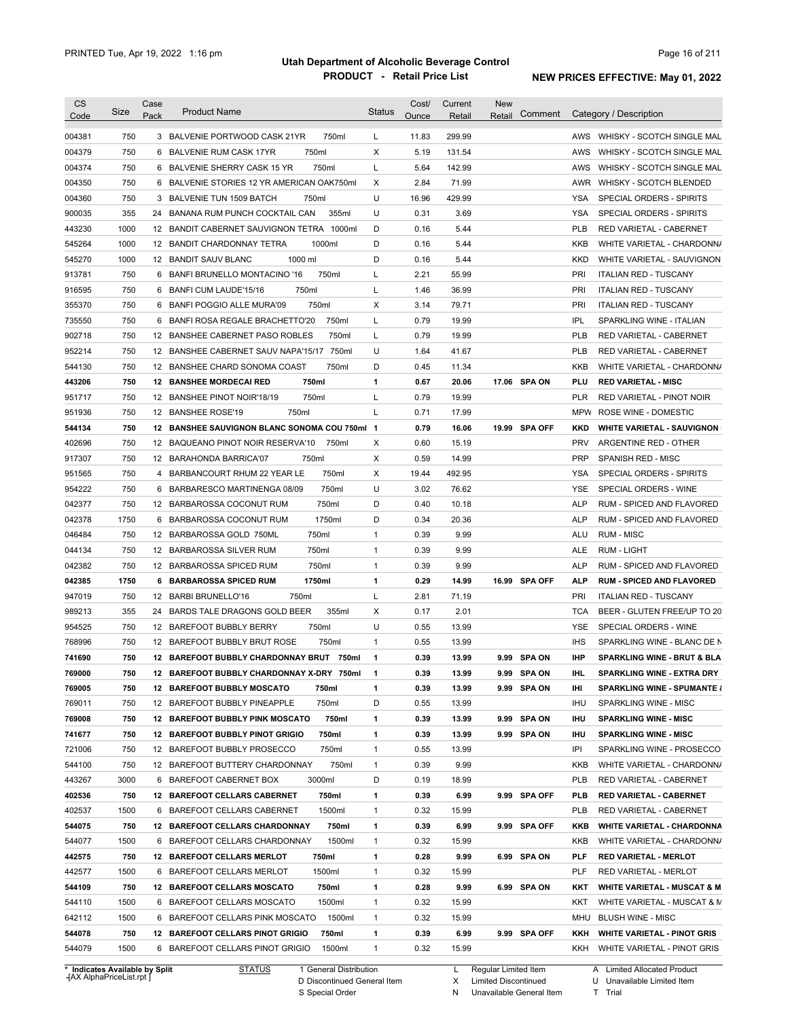| 750<br>11.83<br>299.99<br>3 BALVENIE PORTWOOD CASK 21YR<br>750ml<br>L<br>750<br>750ml<br>X<br>5.19<br>131.54<br>AWS<br>6 BALVENIE RUM CASK 17YR<br>750<br>750ml<br>L<br>5.64<br>142.99<br>6 BALVENIE SHERRY CASK 15 YR<br>AWS<br>750<br>6 BALVENIE STORIES 12 YR AMERICAN OAK750ml<br>Χ<br>2.84<br>71.99<br>AWR WHISKY - SCOTCH BLENDED<br>750<br>750ml<br>U<br>16.96<br>429.99<br>3 BALVENIE TUN 1509 BATCH<br>YSA<br>SPECIAL ORDERS - SPIRITS<br>355<br>355ml<br>U<br>0.31<br>3.69<br><b>YSA</b><br>24 BANANA RUM PUNCH COCKTAIL CAN<br>SPECIAL ORDERS - SPIRITS<br>1000<br>D<br>0.16<br>5.44<br>12 BANDIT CABERNET SAUVIGNON TETRA 1000ml<br><b>PLB</b><br>RED VARIETAL - CABERNET<br>1000<br>D<br>0.16<br>5.44<br>12 BANDIT CHARDONNAY TETRA<br>1000ml<br>KKB<br>1000<br>12 BANDIT SAUV BLANC<br>1000 ml<br>D<br>0.16<br>5.44<br><b>KKD</b><br>750<br>6 BANFI BRUNELLO MONTACINO '16<br>750ml<br>2.21<br>55.99<br>PRI<br>L<br><b>ITALIAN RED - TUSCANY</b><br>750<br>750ml<br>1.46<br>36.99<br>PRI<br>6<br>BANFI CUM LAUDE'15/16<br>L<br><b>ITALIAN RED - TUSCANY</b><br>750<br>750ml<br>3.14<br>PRI<br>6<br>BANFI POGGIO ALLE MURA'09<br>Х<br>79.71<br><b>ITALIAN RED - TUSCANY</b><br>750<br>750ml<br>0.79<br>IPL<br>BANFI ROSA REGALE BRACHETTO'20<br>L<br>19.99<br>SPARKLING WINE - ITALIAN<br>6<br>750<br>750ml<br>0.79<br>19.99<br><b>PLB</b><br>12 BANSHEE CABERNET PASO ROBLES<br>L<br>RED VARIETAL - CABERNET<br>750<br>U<br>1.64<br>41.67<br><b>PLB</b><br>12 BANSHEE CABERNET SAUV NAPA'15/17 750ml<br><b>RED VARIETAL - CABERNET</b><br>750<br>750ml<br>D<br>0.45<br>12 BANSHEE CHARD SONOMA COAST<br>11.34<br>KKB<br>750<br>750ml<br>$\mathbf{1}$<br>0.67<br>17.06 SPA ON<br>PLU<br><b>12 BANSHEE MORDECAI RED</b><br>20.06<br><b>RED VARIETAL - MISC</b><br>750<br>750ml<br>L<br>0.79<br>19.99<br><b>PLR</b><br>12 BANSHEE PINOT NOIR'18/19<br>RED VARIETAL - PINOT NOIR<br>750<br>750ml<br>L<br>0.71<br>17.99<br>12 BANSHEE ROSE'19<br>MPW<br>ROSE WINE - DOMESTIC<br>750<br>12 BANSHEE SAUVIGNON BLANC SONOMA COU 750ml 1<br>0.79<br>16.06<br>19.99 SPA OFF<br><b>KKD</b><br>750<br>Χ<br>0.60<br><b>PRV</b><br>12 BAQUEANO PINOT NOIR RESERVA'10<br>750ml<br>15.19<br>ARGENTINE RED - OTHER<br>750<br>750ml<br>Х<br>0.59<br>14.99<br><b>PRP</b><br>12 BARAHONDA BARRICA'07<br><b>SPANISH RED - MISC</b><br>750<br>Х<br>19.44<br>492.95<br>4<br>BARBANCOURT RHUM 22 YEAR LE<br>750ml<br>YSA<br>SPECIAL ORDERS - SPIRITS<br>750<br>U<br>3.02<br>76.62<br>6<br>BARBARESCO MARTINENGA 08/09<br>750ml<br>YSE<br>SPECIAL ORDERS - WINE<br>750<br>750ml<br>D<br>0.40<br>10.18<br>12 BARBAROSSA COCONUT RUM<br><b>ALP</b><br>RUM - SPICED AND FLAVORED<br>1750<br>1750ml<br>D<br>0.34<br><b>ALP</b><br>6<br>BARBAROSSA COCONUT RUM<br>20.36<br>RUM - SPICED AND FLAVORED<br>0.39<br>9.99<br><b>RUM - MISC</b><br>750<br>12 BARBAROSSA GOLD 750ML<br>750ml<br>1<br>ALU<br>750<br>750ml<br>0.39<br>9.99<br>12 BARBAROSSA SILVER RUM<br>$\mathbf{1}$<br>ALE<br>RUM - LIGHT<br>750<br>750ml<br>0.39<br>9.99<br><b>ALP</b><br>12 BARBAROSSA SPICED RUM<br>1<br>RUM - SPICED AND FLAVORED<br>1750<br>1750ml<br>0.29<br>6 BARBAROSSA SPICED RUM<br>1<br>14.99<br>16.99 SPA OFF<br><b>ALP</b><br><b>RUM - SPICED AND FLAVORED</b><br>750<br>750ml<br>L<br>PRI<br>12 BARBI BRUNELLO'16<br>2.81<br>71.19<br><b>ITALIAN RED - TUSCANY</b><br>355<br>355ml<br>Χ<br>2.01<br>24<br>BARDS TALE DRAGONS GOLD BEER<br>0.17<br><b>TCA</b><br>750<br>750ml<br>U<br>0.55<br>13.99<br>12 BAREFOOT BUBBLY BERRY<br>YSE<br>SPECIAL ORDERS - WINE<br>750<br>750ml<br>$\mathbf{1}$<br>0.55<br>13.99<br><b>IHS</b><br>12 BAREFOOT BUBBLY BRUT ROSE<br>750<br>12 BAREFOOT BUBBLY CHARDONNAY BRUT 750ml<br>0.39<br>13.99<br>9.99 SPA ON<br><b>IHP</b><br>1<br>750<br>0.39<br>13.99<br>9.99 SPA ON<br>12 BAREFOOT BUBBLY CHARDONNAY X-DRY 750ml<br>IHL<br><b>SPARKLING WINE - EXTRA DRY</b><br>1<br>750<br>12 BAREFOOT BUBBLY MOSCATO<br>750ml<br>$\mathbf{1}$<br>0.39<br>13.99<br>9.99 SPA ON<br>IHI<br>750ml<br>D<br>750<br>12 BAREFOOT BUBBLY PINEAPPLE<br>0.55<br>13.99<br>IHU<br>SPARKLING WINE - MISC<br>9.99 SPA ON<br>750<br>12 BAREFOOT BUBBLY PINK MOSCATO<br>750ml<br>0.39<br>13.99<br>IHU<br><b>SPARKLING WINE - MISC</b><br>1<br>9.99 SPA ON<br>750<br>12 BAREFOOT BUBBLY PINOT GRIGIO<br>750ml<br>$\mathbf{1}$<br>0.39<br>13.99<br>IHU<br><b>SPARKLING WINE - MISC</b><br>750<br>12 BAREFOOT BUBBLY PROSECCO<br>750ml<br>$\mathbf{1}$<br>0.55<br>13.99<br>IPI<br>750ml<br>9.99<br>750<br>12 BAREFOOT BUTTERY CHARDONNAY<br>$\mathbf{1}$<br>0.39<br>KKB<br>443267<br>3000<br>3000ml<br>D<br>6 BAREFOOT CABERNET BOX<br>0.19<br>18.99<br><b>PLB</b><br>RED VARIETAL - CABERNET<br>750<br>12 BAREFOOT CELLARS CABERNET<br>750ml<br>$\mathbf{1}$<br>0.39<br>6.99<br>9.99 SPA OFF<br><b>PLB</b><br>RED VARIETAL - CABERNET<br>402537<br>1500<br>1500ml<br>6 BAREFOOT CELLARS CABERNET<br>$\mathbf{1}$<br>0.32<br>15.99<br><b>PLB</b><br>RED VARIETAL - CABERNET<br>750ml<br>750<br>12 BAREFOOT CELLARS CHARDONNAY<br>$\mathbf{1}$<br>0.39<br>6.99<br>9.99 SPA OFF<br>KKB<br>1500<br>1500ml<br>6 BAREFOOT CELLARS CHARDONNAY<br>$\mathbf{1}$<br>0.32<br>15.99<br>KKB<br>750<br>9.99<br>6.99 SPA ON<br>12 BAREFOOT CELLARS MERLOT<br>750ml<br>1<br>0.28<br><b>PLF</b><br><b>RED VARIETAL - MERLOT</b><br>1500<br>1500ml<br>0.32<br>6 BAREFOOT CELLARS MERLOT<br>$\mathbf{1}$<br>15.99<br>PLF<br>RED VARIETAL - MERLOT<br>750<br>750ml<br>$\mathbf{1}$<br>9.99<br>6.99 SPA ON<br>12 BAREFOOT CELLARS MOSCATO<br>0.28<br>KKT<br>1500<br>1500ml<br>$\mathbf{1}$<br>6 BAREFOOT CELLARS MOSCATO<br>0.32<br>15.99<br>KKT<br>1500<br>6 BAREFOOT CELLARS PINK MOSCATO<br>1500ml<br>$\mathbf{1}$<br>0.32<br>15.99<br>MHU<br><b>BLUSH WINE - MISC</b><br>$\mathbf{1}$<br>750<br>12 BAREFOOT CELLARS PINOT GRIGIO<br>750ml<br>0.39<br>6.99<br>9.99 SPA OFF<br>KKH<br><b>WHITE VARIETAL - PINOT GRIS</b><br>1500<br>6 BAREFOOT CELLARS PINOT GRIGIO<br>1500ml<br>$\mathbf{1}$<br>0.32<br>15.99 | <b>CS</b><br>Code | Size | Case<br>Pack | <b>Product Name</b> | <b>Status</b> | Cost/<br>Ounce | Current<br>Retail | <b>New</b><br>Comment<br>Retail | Category / Description                 |
|--------------------------------------------------------------------------------------------------------------------------------------------------------------------------------------------------------------------------------------------------------------------------------------------------------------------------------------------------------------------------------------------------------------------------------------------------------------------------------------------------------------------------------------------------------------------------------------------------------------------------------------------------------------------------------------------------------------------------------------------------------------------------------------------------------------------------------------------------------------------------------------------------------------------------------------------------------------------------------------------------------------------------------------------------------------------------------------------------------------------------------------------------------------------------------------------------------------------------------------------------------------------------------------------------------------------------------------------------------------------------------------------------------------------------------------------------------------------------------------------------------------------------------------------------------------------------------------------------------------------------------------------------------------------------------------------------------------------------------------------------------------------------------------------------------------------------------------------------------------------------------------------------------------------------------------------------------------------------------------------------------------------------------------------------------------------------------------------------------------------------------------------------------------------------------------------------------------------------------------------------------------------------------------------------------------------------------------------------------------------------------------------------------------------------------------------------------------------------------------------------------------------------------------------------------------------------------------------------------------------------------------------------------------------------------------------------------------------------------------------------------------------------------------------------------------------------------------------------------------------------------------------------------------------------------------------------------------------------------------------------------------------------------------------------------------------------------------------------------------------------------------------------------------------------------------------------------------------------------------------------------------------------------------------------------------------------------------------------------------------------------------------------------------------------------------------------------------------------------------------------------------------------------------------------------------------------------------------------------------------------------------------------------------------------------------------------------------------------------------------------------------------------------------------------------------------------------------------------------------------------------------------------------------------------------------------------------------------------------------------------------------------------------------------------------------------------------------------------------------------------------------------------------------------------------------------------------------------------------------------------------------------------------------------------------------------------------------------------------------------------------------------------------------------------------------------------------------------------------------------------------------------------------------------------------------------------------------------------------------------------------------------------------------------------------------------------------------------------------------------------------------------------------------------------------------------------------------------------------------------------------------------------------------------------------------------------------------------------------------------------------------------------------------------------------------------------------------------------------------------------------------------------------------------------------------------------------------------------------------------------------------------------------------------------------------------------------------------------------------------------------------------------------------------------------------------------------------------------------------------------------------------------------------------------------------------------------------------------------------------------------------------------------------------------------------------------------------------------------------------------------------------------------------------------------------------------------------------------------------------------------------------------------------------------------------------------------------------------|-------------------|------|--------------|---------------------|---------------|----------------|-------------------|---------------------------------|----------------------------------------|
|                                                                                                                                                                                                                                                                                                                                                                                                                                                                                                                                                                                                                                                                                                                                                                                                                                                                                                                                                                                                                                                                                                                                                                                                                                                                                                                                                                                                                                                                                                                                                                                                                                                                                                                                                                                                                                                                                                                                                                                                                                                                                                                                                                                                                                                                                                                                                                                                                                                                                                                                                                                                                                                                                                                                                                                                                                                                                                                                                                                                                                                                                                                                                                                                                                                                                                                                                                                                                                                                                                                                                                                                                                                                                                                                                                                                                                                                                                                                                                                                                                                                                                                                                                                                                                                                                                                                                                                                                                                                                                                                                                                                                                                                                                                                                                                                                                                                                                                                                                                                                                                                                                                                                                                                                                                                                                                                                                                                                                                                                                                                                                                                                                                                                                                                                                                                                                                                                                                                                                          | 004381            |      |              |                     |               |                |                   |                                 | AWS WHISKY - SCOTCH SINGLE MAL         |
|                                                                                                                                                                                                                                                                                                                                                                                                                                                                                                                                                                                                                                                                                                                                                                                                                                                                                                                                                                                                                                                                                                                                                                                                                                                                                                                                                                                                                                                                                                                                                                                                                                                                                                                                                                                                                                                                                                                                                                                                                                                                                                                                                                                                                                                                                                                                                                                                                                                                                                                                                                                                                                                                                                                                                                                                                                                                                                                                                                                                                                                                                                                                                                                                                                                                                                                                                                                                                                                                                                                                                                                                                                                                                                                                                                                                                                                                                                                                                                                                                                                                                                                                                                                                                                                                                                                                                                                                                                                                                                                                                                                                                                                                                                                                                                                                                                                                                                                                                                                                                                                                                                                                                                                                                                                                                                                                                                                                                                                                                                                                                                                                                                                                                                                                                                                                                                                                                                                                                                          | 004379            |      |              |                     |               |                |                   |                                 | WHISKY - SCOTCH SINGLE MAL             |
|                                                                                                                                                                                                                                                                                                                                                                                                                                                                                                                                                                                                                                                                                                                                                                                                                                                                                                                                                                                                                                                                                                                                                                                                                                                                                                                                                                                                                                                                                                                                                                                                                                                                                                                                                                                                                                                                                                                                                                                                                                                                                                                                                                                                                                                                                                                                                                                                                                                                                                                                                                                                                                                                                                                                                                                                                                                                                                                                                                                                                                                                                                                                                                                                                                                                                                                                                                                                                                                                                                                                                                                                                                                                                                                                                                                                                                                                                                                                                                                                                                                                                                                                                                                                                                                                                                                                                                                                                                                                                                                                                                                                                                                                                                                                                                                                                                                                                                                                                                                                                                                                                                                                                                                                                                                                                                                                                                                                                                                                                                                                                                                                                                                                                                                                                                                                                                                                                                                                                                          | 004374            |      |              |                     |               |                |                   |                                 | WHISKY - SCOTCH SINGLE MAL             |
|                                                                                                                                                                                                                                                                                                                                                                                                                                                                                                                                                                                                                                                                                                                                                                                                                                                                                                                                                                                                                                                                                                                                                                                                                                                                                                                                                                                                                                                                                                                                                                                                                                                                                                                                                                                                                                                                                                                                                                                                                                                                                                                                                                                                                                                                                                                                                                                                                                                                                                                                                                                                                                                                                                                                                                                                                                                                                                                                                                                                                                                                                                                                                                                                                                                                                                                                                                                                                                                                                                                                                                                                                                                                                                                                                                                                                                                                                                                                                                                                                                                                                                                                                                                                                                                                                                                                                                                                                                                                                                                                                                                                                                                                                                                                                                                                                                                                                                                                                                                                                                                                                                                                                                                                                                                                                                                                                                                                                                                                                                                                                                                                                                                                                                                                                                                                                                                                                                                                                                          | 004350            |      |              |                     |               |                |                   |                                 |                                        |
|                                                                                                                                                                                                                                                                                                                                                                                                                                                                                                                                                                                                                                                                                                                                                                                                                                                                                                                                                                                                                                                                                                                                                                                                                                                                                                                                                                                                                                                                                                                                                                                                                                                                                                                                                                                                                                                                                                                                                                                                                                                                                                                                                                                                                                                                                                                                                                                                                                                                                                                                                                                                                                                                                                                                                                                                                                                                                                                                                                                                                                                                                                                                                                                                                                                                                                                                                                                                                                                                                                                                                                                                                                                                                                                                                                                                                                                                                                                                                                                                                                                                                                                                                                                                                                                                                                                                                                                                                                                                                                                                                                                                                                                                                                                                                                                                                                                                                                                                                                                                                                                                                                                                                                                                                                                                                                                                                                                                                                                                                                                                                                                                                                                                                                                                                                                                                                                                                                                                                                          | 004360            |      |              |                     |               |                |                   |                                 |                                        |
|                                                                                                                                                                                                                                                                                                                                                                                                                                                                                                                                                                                                                                                                                                                                                                                                                                                                                                                                                                                                                                                                                                                                                                                                                                                                                                                                                                                                                                                                                                                                                                                                                                                                                                                                                                                                                                                                                                                                                                                                                                                                                                                                                                                                                                                                                                                                                                                                                                                                                                                                                                                                                                                                                                                                                                                                                                                                                                                                                                                                                                                                                                                                                                                                                                                                                                                                                                                                                                                                                                                                                                                                                                                                                                                                                                                                                                                                                                                                                                                                                                                                                                                                                                                                                                                                                                                                                                                                                                                                                                                                                                                                                                                                                                                                                                                                                                                                                                                                                                                                                                                                                                                                                                                                                                                                                                                                                                                                                                                                                                                                                                                                                                                                                                                                                                                                                                                                                                                                                                          | 900035            |      |              |                     |               |                |                   |                                 |                                        |
|                                                                                                                                                                                                                                                                                                                                                                                                                                                                                                                                                                                                                                                                                                                                                                                                                                                                                                                                                                                                                                                                                                                                                                                                                                                                                                                                                                                                                                                                                                                                                                                                                                                                                                                                                                                                                                                                                                                                                                                                                                                                                                                                                                                                                                                                                                                                                                                                                                                                                                                                                                                                                                                                                                                                                                                                                                                                                                                                                                                                                                                                                                                                                                                                                                                                                                                                                                                                                                                                                                                                                                                                                                                                                                                                                                                                                                                                                                                                                                                                                                                                                                                                                                                                                                                                                                                                                                                                                                                                                                                                                                                                                                                                                                                                                                                                                                                                                                                                                                                                                                                                                                                                                                                                                                                                                                                                                                                                                                                                                                                                                                                                                                                                                                                                                                                                                                                                                                                                                                          | 443230            |      |              |                     |               |                |                   |                                 |                                        |
|                                                                                                                                                                                                                                                                                                                                                                                                                                                                                                                                                                                                                                                                                                                                                                                                                                                                                                                                                                                                                                                                                                                                                                                                                                                                                                                                                                                                                                                                                                                                                                                                                                                                                                                                                                                                                                                                                                                                                                                                                                                                                                                                                                                                                                                                                                                                                                                                                                                                                                                                                                                                                                                                                                                                                                                                                                                                                                                                                                                                                                                                                                                                                                                                                                                                                                                                                                                                                                                                                                                                                                                                                                                                                                                                                                                                                                                                                                                                                                                                                                                                                                                                                                                                                                                                                                                                                                                                                                                                                                                                                                                                                                                                                                                                                                                                                                                                                                                                                                                                                                                                                                                                                                                                                                                                                                                                                                                                                                                                                                                                                                                                                                                                                                                                                                                                                                                                                                                                                                          | 545264            |      |              |                     |               |                |                   |                                 | WHITE VARIETAL - CHARDONN/             |
|                                                                                                                                                                                                                                                                                                                                                                                                                                                                                                                                                                                                                                                                                                                                                                                                                                                                                                                                                                                                                                                                                                                                                                                                                                                                                                                                                                                                                                                                                                                                                                                                                                                                                                                                                                                                                                                                                                                                                                                                                                                                                                                                                                                                                                                                                                                                                                                                                                                                                                                                                                                                                                                                                                                                                                                                                                                                                                                                                                                                                                                                                                                                                                                                                                                                                                                                                                                                                                                                                                                                                                                                                                                                                                                                                                                                                                                                                                                                                                                                                                                                                                                                                                                                                                                                                                                                                                                                                                                                                                                                                                                                                                                                                                                                                                                                                                                                                                                                                                                                                                                                                                                                                                                                                                                                                                                                                                                                                                                                                                                                                                                                                                                                                                                                                                                                                                                                                                                                                                          | 545270            |      |              |                     |               |                |                   |                                 | WHITE VARIETAL - SAUVIGNON             |
|                                                                                                                                                                                                                                                                                                                                                                                                                                                                                                                                                                                                                                                                                                                                                                                                                                                                                                                                                                                                                                                                                                                                                                                                                                                                                                                                                                                                                                                                                                                                                                                                                                                                                                                                                                                                                                                                                                                                                                                                                                                                                                                                                                                                                                                                                                                                                                                                                                                                                                                                                                                                                                                                                                                                                                                                                                                                                                                                                                                                                                                                                                                                                                                                                                                                                                                                                                                                                                                                                                                                                                                                                                                                                                                                                                                                                                                                                                                                                                                                                                                                                                                                                                                                                                                                                                                                                                                                                                                                                                                                                                                                                                                                                                                                                                                                                                                                                                                                                                                                                                                                                                                                                                                                                                                                                                                                                                                                                                                                                                                                                                                                                                                                                                                                                                                                                                                                                                                                                                          | 913781            |      |              |                     |               |                |                   |                                 |                                        |
|                                                                                                                                                                                                                                                                                                                                                                                                                                                                                                                                                                                                                                                                                                                                                                                                                                                                                                                                                                                                                                                                                                                                                                                                                                                                                                                                                                                                                                                                                                                                                                                                                                                                                                                                                                                                                                                                                                                                                                                                                                                                                                                                                                                                                                                                                                                                                                                                                                                                                                                                                                                                                                                                                                                                                                                                                                                                                                                                                                                                                                                                                                                                                                                                                                                                                                                                                                                                                                                                                                                                                                                                                                                                                                                                                                                                                                                                                                                                                                                                                                                                                                                                                                                                                                                                                                                                                                                                                                                                                                                                                                                                                                                                                                                                                                                                                                                                                                                                                                                                                                                                                                                                                                                                                                                                                                                                                                                                                                                                                                                                                                                                                                                                                                                                                                                                                                                                                                                                                                          | 916595            |      |              |                     |               |                |                   |                                 |                                        |
|                                                                                                                                                                                                                                                                                                                                                                                                                                                                                                                                                                                                                                                                                                                                                                                                                                                                                                                                                                                                                                                                                                                                                                                                                                                                                                                                                                                                                                                                                                                                                                                                                                                                                                                                                                                                                                                                                                                                                                                                                                                                                                                                                                                                                                                                                                                                                                                                                                                                                                                                                                                                                                                                                                                                                                                                                                                                                                                                                                                                                                                                                                                                                                                                                                                                                                                                                                                                                                                                                                                                                                                                                                                                                                                                                                                                                                                                                                                                                                                                                                                                                                                                                                                                                                                                                                                                                                                                                                                                                                                                                                                                                                                                                                                                                                                                                                                                                                                                                                                                                                                                                                                                                                                                                                                                                                                                                                                                                                                                                                                                                                                                                                                                                                                                                                                                                                                                                                                                                                          | 355370            |      |              |                     |               |                |                   |                                 |                                        |
|                                                                                                                                                                                                                                                                                                                                                                                                                                                                                                                                                                                                                                                                                                                                                                                                                                                                                                                                                                                                                                                                                                                                                                                                                                                                                                                                                                                                                                                                                                                                                                                                                                                                                                                                                                                                                                                                                                                                                                                                                                                                                                                                                                                                                                                                                                                                                                                                                                                                                                                                                                                                                                                                                                                                                                                                                                                                                                                                                                                                                                                                                                                                                                                                                                                                                                                                                                                                                                                                                                                                                                                                                                                                                                                                                                                                                                                                                                                                                                                                                                                                                                                                                                                                                                                                                                                                                                                                                                                                                                                                                                                                                                                                                                                                                                                                                                                                                                                                                                                                                                                                                                                                                                                                                                                                                                                                                                                                                                                                                                                                                                                                                                                                                                                                                                                                                                                                                                                                                                          | 735550            |      |              |                     |               |                |                   |                                 |                                        |
|                                                                                                                                                                                                                                                                                                                                                                                                                                                                                                                                                                                                                                                                                                                                                                                                                                                                                                                                                                                                                                                                                                                                                                                                                                                                                                                                                                                                                                                                                                                                                                                                                                                                                                                                                                                                                                                                                                                                                                                                                                                                                                                                                                                                                                                                                                                                                                                                                                                                                                                                                                                                                                                                                                                                                                                                                                                                                                                                                                                                                                                                                                                                                                                                                                                                                                                                                                                                                                                                                                                                                                                                                                                                                                                                                                                                                                                                                                                                                                                                                                                                                                                                                                                                                                                                                                                                                                                                                                                                                                                                                                                                                                                                                                                                                                                                                                                                                                                                                                                                                                                                                                                                                                                                                                                                                                                                                                                                                                                                                                                                                                                                                                                                                                                                                                                                                                                                                                                                                                          | 902718            |      |              |                     |               |                |                   |                                 |                                        |
|                                                                                                                                                                                                                                                                                                                                                                                                                                                                                                                                                                                                                                                                                                                                                                                                                                                                                                                                                                                                                                                                                                                                                                                                                                                                                                                                                                                                                                                                                                                                                                                                                                                                                                                                                                                                                                                                                                                                                                                                                                                                                                                                                                                                                                                                                                                                                                                                                                                                                                                                                                                                                                                                                                                                                                                                                                                                                                                                                                                                                                                                                                                                                                                                                                                                                                                                                                                                                                                                                                                                                                                                                                                                                                                                                                                                                                                                                                                                                                                                                                                                                                                                                                                                                                                                                                                                                                                                                                                                                                                                                                                                                                                                                                                                                                                                                                                                                                                                                                                                                                                                                                                                                                                                                                                                                                                                                                                                                                                                                                                                                                                                                                                                                                                                                                                                                                                                                                                                                                          | 952214            |      |              |                     |               |                |                   |                                 |                                        |
|                                                                                                                                                                                                                                                                                                                                                                                                                                                                                                                                                                                                                                                                                                                                                                                                                                                                                                                                                                                                                                                                                                                                                                                                                                                                                                                                                                                                                                                                                                                                                                                                                                                                                                                                                                                                                                                                                                                                                                                                                                                                                                                                                                                                                                                                                                                                                                                                                                                                                                                                                                                                                                                                                                                                                                                                                                                                                                                                                                                                                                                                                                                                                                                                                                                                                                                                                                                                                                                                                                                                                                                                                                                                                                                                                                                                                                                                                                                                                                                                                                                                                                                                                                                                                                                                                                                                                                                                                                                                                                                                                                                                                                                                                                                                                                                                                                                                                                                                                                                                                                                                                                                                                                                                                                                                                                                                                                                                                                                                                                                                                                                                                                                                                                                                                                                                                                                                                                                                                                          | 544130            |      |              |                     |               |                |                   |                                 | WHITE VARIETAL - CHARDONN/             |
|                                                                                                                                                                                                                                                                                                                                                                                                                                                                                                                                                                                                                                                                                                                                                                                                                                                                                                                                                                                                                                                                                                                                                                                                                                                                                                                                                                                                                                                                                                                                                                                                                                                                                                                                                                                                                                                                                                                                                                                                                                                                                                                                                                                                                                                                                                                                                                                                                                                                                                                                                                                                                                                                                                                                                                                                                                                                                                                                                                                                                                                                                                                                                                                                                                                                                                                                                                                                                                                                                                                                                                                                                                                                                                                                                                                                                                                                                                                                                                                                                                                                                                                                                                                                                                                                                                                                                                                                                                                                                                                                                                                                                                                                                                                                                                                                                                                                                                                                                                                                                                                                                                                                                                                                                                                                                                                                                                                                                                                                                                                                                                                                                                                                                                                                                                                                                                                                                                                                                                          | 443206            |      |              |                     |               |                |                   |                                 |                                        |
|                                                                                                                                                                                                                                                                                                                                                                                                                                                                                                                                                                                                                                                                                                                                                                                                                                                                                                                                                                                                                                                                                                                                                                                                                                                                                                                                                                                                                                                                                                                                                                                                                                                                                                                                                                                                                                                                                                                                                                                                                                                                                                                                                                                                                                                                                                                                                                                                                                                                                                                                                                                                                                                                                                                                                                                                                                                                                                                                                                                                                                                                                                                                                                                                                                                                                                                                                                                                                                                                                                                                                                                                                                                                                                                                                                                                                                                                                                                                                                                                                                                                                                                                                                                                                                                                                                                                                                                                                                                                                                                                                                                                                                                                                                                                                                                                                                                                                                                                                                                                                                                                                                                                                                                                                                                                                                                                                                                                                                                                                                                                                                                                                                                                                                                                                                                                                                                                                                                                                                          | 951717            |      |              |                     |               |                |                   |                                 |                                        |
|                                                                                                                                                                                                                                                                                                                                                                                                                                                                                                                                                                                                                                                                                                                                                                                                                                                                                                                                                                                                                                                                                                                                                                                                                                                                                                                                                                                                                                                                                                                                                                                                                                                                                                                                                                                                                                                                                                                                                                                                                                                                                                                                                                                                                                                                                                                                                                                                                                                                                                                                                                                                                                                                                                                                                                                                                                                                                                                                                                                                                                                                                                                                                                                                                                                                                                                                                                                                                                                                                                                                                                                                                                                                                                                                                                                                                                                                                                                                                                                                                                                                                                                                                                                                                                                                                                                                                                                                                                                                                                                                                                                                                                                                                                                                                                                                                                                                                                                                                                                                                                                                                                                                                                                                                                                                                                                                                                                                                                                                                                                                                                                                                                                                                                                                                                                                                                                                                                                                                                          | 951936            |      |              |                     |               |                |                   |                                 |                                        |
|                                                                                                                                                                                                                                                                                                                                                                                                                                                                                                                                                                                                                                                                                                                                                                                                                                                                                                                                                                                                                                                                                                                                                                                                                                                                                                                                                                                                                                                                                                                                                                                                                                                                                                                                                                                                                                                                                                                                                                                                                                                                                                                                                                                                                                                                                                                                                                                                                                                                                                                                                                                                                                                                                                                                                                                                                                                                                                                                                                                                                                                                                                                                                                                                                                                                                                                                                                                                                                                                                                                                                                                                                                                                                                                                                                                                                                                                                                                                                                                                                                                                                                                                                                                                                                                                                                                                                                                                                                                                                                                                                                                                                                                                                                                                                                                                                                                                                                                                                                                                                                                                                                                                                                                                                                                                                                                                                                                                                                                                                                                                                                                                                                                                                                                                                                                                                                                                                                                                                                          | 544134            |      |              |                     |               |                |                   |                                 | <b>WHITE VARIETAL - SAUVIGNON</b>      |
|                                                                                                                                                                                                                                                                                                                                                                                                                                                                                                                                                                                                                                                                                                                                                                                                                                                                                                                                                                                                                                                                                                                                                                                                                                                                                                                                                                                                                                                                                                                                                                                                                                                                                                                                                                                                                                                                                                                                                                                                                                                                                                                                                                                                                                                                                                                                                                                                                                                                                                                                                                                                                                                                                                                                                                                                                                                                                                                                                                                                                                                                                                                                                                                                                                                                                                                                                                                                                                                                                                                                                                                                                                                                                                                                                                                                                                                                                                                                                                                                                                                                                                                                                                                                                                                                                                                                                                                                                                                                                                                                                                                                                                                                                                                                                                                                                                                                                                                                                                                                                                                                                                                                                                                                                                                                                                                                                                                                                                                                                                                                                                                                                                                                                                                                                                                                                                                                                                                                                                          | 402696            |      |              |                     |               |                |                   |                                 |                                        |
|                                                                                                                                                                                                                                                                                                                                                                                                                                                                                                                                                                                                                                                                                                                                                                                                                                                                                                                                                                                                                                                                                                                                                                                                                                                                                                                                                                                                                                                                                                                                                                                                                                                                                                                                                                                                                                                                                                                                                                                                                                                                                                                                                                                                                                                                                                                                                                                                                                                                                                                                                                                                                                                                                                                                                                                                                                                                                                                                                                                                                                                                                                                                                                                                                                                                                                                                                                                                                                                                                                                                                                                                                                                                                                                                                                                                                                                                                                                                                                                                                                                                                                                                                                                                                                                                                                                                                                                                                                                                                                                                                                                                                                                                                                                                                                                                                                                                                                                                                                                                                                                                                                                                                                                                                                                                                                                                                                                                                                                                                                                                                                                                                                                                                                                                                                                                                                                                                                                                                                          | 917307            |      |              |                     |               |                |                   |                                 |                                        |
|                                                                                                                                                                                                                                                                                                                                                                                                                                                                                                                                                                                                                                                                                                                                                                                                                                                                                                                                                                                                                                                                                                                                                                                                                                                                                                                                                                                                                                                                                                                                                                                                                                                                                                                                                                                                                                                                                                                                                                                                                                                                                                                                                                                                                                                                                                                                                                                                                                                                                                                                                                                                                                                                                                                                                                                                                                                                                                                                                                                                                                                                                                                                                                                                                                                                                                                                                                                                                                                                                                                                                                                                                                                                                                                                                                                                                                                                                                                                                                                                                                                                                                                                                                                                                                                                                                                                                                                                                                                                                                                                                                                                                                                                                                                                                                                                                                                                                                                                                                                                                                                                                                                                                                                                                                                                                                                                                                                                                                                                                                                                                                                                                                                                                                                                                                                                                                                                                                                                                                          | 951565            |      |              |                     |               |                |                   |                                 |                                        |
|                                                                                                                                                                                                                                                                                                                                                                                                                                                                                                                                                                                                                                                                                                                                                                                                                                                                                                                                                                                                                                                                                                                                                                                                                                                                                                                                                                                                                                                                                                                                                                                                                                                                                                                                                                                                                                                                                                                                                                                                                                                                                                                                                                                                                                                                                                                                                                                                                                                                                                                                                                                                                                                                                                                                                                                                                                                                                                                                                                                                                                                                                                                                                                                                                                                                                                                                                                                                                                                                                                                                                                                                                                                                                                                                                                                                                                                                                                                                                                                                                                                                                                                                                                                                                                                                                                                                                                                                                                                                                                                                                                                                                                                                                                                                                                                                                                                                                                                                                                                                                                                                                                                                                                                                                                                                                                                                                                                                                                                                                                                                                                                                                                                                                                                                                                                                                                                                                                                                                                          | 954222            |      |              |                     |               |                |                   |                                 |                                        |
|                                                                                                                                                                                                                                                                                                                                                                                                                                                                                                                                                                                                                                                                                                                                                                                                                                                                                                                                                                                                                                                                                                                                                                                                                                                                                                                                                                                                                                                                                                                                                                                                                                                                                                                                                                                                                                                                                                                                                                                                                                                                                                                                                                                                                                                                                                                                                                                                                                                                                                                                                                                                                                                                                                                                                                                                                                                                                                                                                                                                                                                                                                                                                                                                                                                                                                                                                                                                                                                                                                                                                                                                                                                                                                                                                                                                                                                                                                                                                                                                                                                                                                                                                                                                                                                                                                                                                                                                                                                                                                                                                                                                                                                                                                                                                                                                                                                                                                                                                                                                                                                                                                                                                                                                                                                                                                                                                                                                                                                                                                                                                                                                                                                                                                                                                                                                                                                                                                                                                                          | 042377            |      |              |                     |               |                |                   |                                 |                                        |
|                                                                                                                                                                                                                                                                                                                                                                                                                                                                                                                                                                                                                                                                                                                                                                                                                                                                                                                                                                                                                                                                                                                                                                                                                                                                                                                                                                                                                                                                                                                                                                                                                                                                                                                                                                                                                                                                                                                                                                                                                                                                                                                                                                                                                                                                                                                                                                                                                                                                                                                                                                                                                                                                                                                                                                                                                                                                                                                                                                                                                                                                                                                                                                                                                                                                                                                                                                                                                                                                                                                                                                                                                                                                                                                                                                                                                                                                                                                                                                                                                                                                                                                                                                                                                                                                                                                                                                                                                                                                                                                                                                                                                                                                                                                                                                                                                                                                                                                                                                                                                                                                                                                                                                                                                                                                                                                                                                                                                                                                                                                                                                                                                                                                                                                                                                                                                                                                                                                                                                          | 042378            |      |              |                     |               |                |                   |                                 |                                        |
|                                                                                                                                                                                                                                                                                                                                                                                                                                                                                                                                                                                                                                                                                                                                                                                                                                                                                                                                                                                                                                                                                                                                                                                                                                                                                                                                                                                                                                                                                                                                                                                                                                                                                                                                                                                                                                                                                                                                                                                                                                                                                                                                                                                                                                                                                                                                                                                                                                                                                                                                                                                                                                                                                                                                                                                                                                                                                                                                                                                                                                                                                                                                                                                                                                                                                                                                                                                                                                                                                                                                                                                                                                                                                                                                                                                                                                                                                                                                                                                                                                                                                                                                                                                                                                                                                                                                                                                                                                                                                                                                                                                                                                                                                                                                                                                                                                                                                                                                                                                                                                                                                                                                                                                                                                                                                                                                                                                                                                                                                                                                                                                                                                                                                                                                                                                                                                                                                                                                                                          | 046484            |      |              |                     |               |                |                   |                                 |                                        |
|                                                                                                                                                                                                                                                                                                                                                                                                                                                                                                                                                                                                                                                                                                                                                                                                                                                                                                                                                                                                                                                                                                                                                                                                                                                                                                                                                                                                                                                                                                                                                                                                                                                                                                                                                                                                                                                                                                                                                                                                                                                                                                                                                                                                                                                                                                                                                                                                                                                                                                                                                                                                                                                                                                                                                                                                                                                                                                                                                                                                                                                                                                                                                                                                                                                                                                                                                                                                                                                                                                                                                                                                                                                                                                                                                                                                                                                                                                                                                                                                                                                                                                                                                                                                                                                                                                                                                                                                                                                                                                                                                                                                                                                                                                                                                                                                                                                                                                                                                                                                                                                                                                                                                                                                                                                                                                                                                                                                                                                                                                                                                                                                                                                                                                                                                                                                                                                                                                                                                                          | 044134            |      |              |                     |               |                |                   |                                 |                                        |
|                                                                                                                                                                                                                                                                                                                                                                                                                                                                                                                                                                                                                                                                                                                                                                                                                                                                                                                                                                                                                                                                                                                                                                                                                                                                                                                                                                                                                                                                                                                                                                                                                                                                                                                                                                                                                                                                                                                                                                                                                                                                                                                                                                                                                                                                                                                                                                                                                                                                                                                                                                                                                                                                                                                                                                                                                                                                                                                                                                                                                                                                                                                                                                                                                                                                                                                                                                                                                                                                                                                                                                                                                                                                                                                                                                                                                                                                                                                                                                                                                                                                                                                                                                                                                                                                                                                                                                                                                                                                                                                                                                                                                                                                                                                                                                                                                                                                                                                                                                                                                                                                                                                                                                                                                                                                                                                                                                                                                                                                                                                                                                                                                                                                                                                                                                                                                                                                                                                                                                          | 042382            |      |              |                     |               |                |                   |                                 |                                        |
|                                                                                                                                                                                                                                                                                                                                                                                                                                                                                                                                                                                                                                                                                                                                                                                                                                                                                                                                                                                                                                                                                                                                                                                                                                                                                                                                                                                                                                                                                                                                                                                                                                                                                                                                                                                                                                                                                                                                                                                                                                                                                                                                                                                                                                                                                                                                                                                                                                                                                                                                                                                                                                                                                                                                                                                                                                                                                                                                                                                                                                                                                                                                                                                                                                                                                                                                                                                                                                                                                                                                                                                                                                                                                                                                                                                                                                                                                                                                                                                                                                                                                                                                                                                                                                                                                                                                                                                                                                                                                                                                                                                                                                                                                                                                                                                                                                                                                                                                                                                                                                                                                                                                                                                                                                                                                                                                                                                                                                                                                                                                                                                                                                                                                                                                                                                                                                                                                                                                                                          | 042385            |      |              |                     |               |                |                   |                                 |                                        |
|                                                                                                                                                                                                                                                                                                                                                                                                                                                                                                                                                                                                                                                                                                                                                                                                                                                                                                                                                                                                                                                                                                                                                                                                                                                                                                                                                                                                                                                                                                                                                                                                                                                                                                                                                                                                                                                                                                                                                                                                                                                                                                                                                                                                                                                                                                                                                                                                                                                                                                                                                                                                                                                                                                                                                                                                                                                                                                                                                                                                                                                                                                                                                                                                                                                                                                                                                                                                                                                                                                                                                                                                                                                                                                                                                                                                                                                                                                                                                                                                                                                                                                                                                                                                                                                                                                                                                                                                                                                                                                                                                                                                                                                                                                                                                                                                                                                                                                                                                                                                                                                                                                                                                                                                                                                                                                                                                                                                                                                                                                                                                                                                                                                                                                                                                                                                                                                                                                                                                                          | 947019            |      |              |                     |               |                |                   |                                 |                                        |
|                                                                                                                                                                                                                                                                                                                                                                                                                                                                                                                                                                                                                                                                                                                                                                                                                                                                                                                                                                                                                                                                                                                                                                                                                                                                                                                                                                                                                                                                                                                                                                                                                                                                                                                                                                                                                                                                                                                                                                                                                                                                                                                                                                                                                                                                                                                                                                                                                                                                                                                                                                                                                                                                                                                                                                                                                                                                                                                                                                                                                                                                                                                                                                                                                                                                                                                                                                                                                                                                                                                                                                                                                                                                                                                                                                                                                                                                                                                                                                                                                                                                                                                                                                                                                                                                                                                                                                                                                                                                                                                                                                                                                                                                                                                                                                                                                                                                                                                                                                                                                                                                                                                                                                                                                                                                                                                                                                                                                                                                                                                                                                                                                                                                                                                                                                                                                                                                                                                                                                          | 989213            |      |              |                     |               |                |                   |                                 | BEER - GLUTEN FREE/UP TO 20            |
|                                                                                                                                                                                                                                                                                                                                                                                                                                                                                                                                                                                                                                                                                                                                                                                                                                                                                                                                                                                                                                                                                                                                                                                                                                                                                                                                                                                                                                                                                                                                                                                                                                                                                                                                                                                                                                                                                                                                                                                                                                                                                                                                                                                                                                                                                                                                                                                                                                                                                                                                                                                                                                                                                                                                                                                                                                                                                                                                                                                                                                                                                                                                                                                                                                                                                                                                                                                                                                                                                                                                                                                                                                                                                                                                                                                                                                                                                                                                                                                                                                                                                                                                                                                                                                                                                                                                                                                                                                                                                                                                                                                                                                                                                                                                                                                                                                                                                                                                                                                                                                                                                                                                                                                                                                                                                                                                                                                                                                                                                                                                                                                                                                                                                                                                                                                                                                                                                                                                                                          | 954525            |      |              |                     |               |                |                   |                                 |                                        |
|                                                                                                                                                                                                                                                                                                                                                                                                                                                                                                                                                                                                                                                                                                                                                                                                                                                                                                                                                                                                                                                                                                                                                                                                                                                                                                                                                                                                                                                                                                                                                                                                                                                                                                                                                                                                                                                                                                                                                                                                                                                                                                                                                                                                                                                                                                                                                                                                                                                                                                                                                                                                                                                                                                                                                                                                                                                                                                                                                                                                                                                                                                                                                                                                                                                                                                                                                                                                                                                                                                                                                                                                                                                                                                                                                                                                                                                                                                                                                                                                                                                                                                                                                                                                                                                                                                                                                                                                                                                                                                                                                                                                                                                                                                                                                                                                                                                                                                                                                                                                                                                                                                                                                                                                                                                                                                                                                                                                                                                                                                                                                                                                                                                                                                                                                                                                                                                                                                                                                                          | 768996            |      |              |                     |               |                |                   |                                 | SPARKLING WINE - BLANC DE N            |
|                                                                                                                                                                                                                                                                                                                                                                                                                                                                                                                                                                                                                                                                                                                                                                                                                                                                                                                                                                                                                                                                                                                                                                                                                                                                                                                                                                                                                                                                                                                                                                                                                                                                                                                                                                                                                                                                                                                                                                                                                                                                                                                                                                                                                                                                                                                                                                                                                                                                                                                                                                                                                                                                                                                                                                                                                                                                                                                                                                                                                                                                                                                                                                                                                                                                                                                                                                                                                                                                                                                                                                                                                                                                                                                                                                                                                                                                                                                                                                                                                                                                                                                                                                                                                                                                                                                                                                                                                                                                                                                                                                                                                                                                                                                                                                                                                                                                                                                                                                                                                                                                                                                                                                                                                                                                                                                                                                                                                                                                                                                                                                                                                                                                                                                                                                                                                                                                                                                                                                          | 741690            |      |              |                     |               |                |                   |                                 | <b>SPARKLING WINE - BRUT &amp; BLA</b> |
|                                                                                                                                                                                                                                                                                                                                                                                                                                                                                                                                                                                                                                                                                                                                                                                                                                                                                                                                                                                                                                                                                                                                                                                                                                                                                                                                                                                                                                                                                                                                                                                                                                                                                                                                                                                                                                                                                                                                                                                                                                                                                                                                                                                                                                                                                                                                                                                                                                                                                                                                                                                                                                                                                                                                                                                                                                                                                                                                                                                                                                                                                                                                                                                                                                                                                                                                                                                                                                                                                                                                                                                                                                                                                                                                                                                                                                                                                                                                                                                                                                                                                                                                                                                                                                                                                                                                                                                                                                                                                                                                                                                                                                                                                                                                                                                                                                                                                                                                                                                                                                                                                                                                                                                                                                                                                                                                                                                                                                                                                                                                                                                                                                                                                                                                                                                                                                                                                                                                                                          | 769000            |      |              |                     |               |                |                   |                                 |                                        |
|                                                                                                                                                                                                                                                                                                                                                                                                                                                                                                                                                                                                                                                                                                                                                                                                                                                                                                                                                                                                                                                                                                                                                                                                                                                                                                                                                                                                                                                                                                                                                                                                                                                                                                                                                                                                                                                                                                                                                                                                                                                                                                                                                                                                                                                                                                                                                                                                                                                                                                                                                                                                                                                                                                                                                                                                                                                                                                                                                                                                                                                                                                                                                                                                                                                                                                                                                                                                                                                                                                                                                                                                                                                                                                                                                                                                                                                                                                                                                                                                                                                                                                                                                                                                                                                                                                                                                                                                                                                                                                                                                                                                                                                                                                                                                                                                                                                                                                                                                                                                                                                                                                                                                                                                                                                                                                                                                                                                                                                                                                                                                                                                                                                                                                                                                                                                                                                                                                                                                                          | 769005            |      |              |                     |               |                |                   |                                 | <b>SPARKLING WINE - SPUMANTE &amp;</b> |
|                                                                                                                                                                                                                                                                                                                                                                                                                                                                                                                                                                                                                                                                                                                                                                                                                                                                                                                                                                                                                                                                                                                                                                                                                                                                                                                                                                                                                                                                                                                                                                                                                                                                                                                                                                                                                                                                                                                                                                                                                                                                                                                                                                                                                                                                                                                                                                                                                                                                                                                                                                                                                                                                                                                                                                                                                                                                                                                                                                                                                                                                                                                                                                                                                                                                                                                                                                                                                                                                                                                                                                                                                                                                                                                                                                                                                                                                                                                                                                                                                                                                                                                                                                                                                                                                                                                                                                                                                                                                                                                                                                                                                                                                                                                                                                                                                                                                                                                                                                                                                                                                                                                                                                                                                                                                                                                                                                                                                                                                                                                                                                                                                                                                                                                                                                                                                                                                                                                                                                          | 769011            |      |              |                     |               |                |                   |                                 |                                        |
|                                                                                                                                                                                                                                                                                                                                                                                                                                                                                                                                                                                                                                                                                                                                                                                                                                                                                                                                                                                                                                                                                                                                                                                                                                                                                                                                                                                                                                                                                                                                                                                                                                                                                                                                                                                                                                                                                                                                                                                                                                                                                                                                                                                                                                                                                                                                                                                                                                                                                                                                                                                                                                                                                                                                                                                                                                                                                                                                                                                                                                                                                                                                                                                                                                                                                                                                                                                                                                                                                                                                                                                                                                                                                                                                                                                                                                                                                                                                                                                                                                                                                                                                                                                                                                                                                                                                                                                                                                                                                                                                                                                                                                                                                                                                                                                                                                                                                                                                                                                                                                                                                                                                                                                                                                                                                                                                                                                                                                                                                                                                                                                                                                                                                                                                                                                                                                                                                                                                                                          | 769008            |      |              |                     |               |                |                   |                                 |                                        |
|                                                                                                                                                                                                                                                                                                                                                                                                                                                                                                                                                                                                                                                                                                                                                                                                                                                                                                                                                                                                                                                                                                                                                                                                                                                                                                                                                                                                                                                                                                                                                                                                                                                                                                                                                                                                                                                                                                                                                                                                                                                                                                                                                                                                                                                                                                                                                                                                                                                                                                                                                                                                                                                                                                                                                                                                                                                                                                                                                                                                                                                                                                                                                                                                                                                                                                                                                                                                                                                                                                                                                                                                                                                                                                                                                                                                                                                                                                                                                                                                                                                                                                                                                                                                                                                                                                                                                                                                                                                                                                                                                                                                                                                                                                                                                                                                                                                                                                                                                                                                                                                                                                                                                                                                                                                                                                                                                                                                                                                                                                                                                                                                                                                                                                                                                                                                                                                                                                                                                                          | 741677            |      |              |                     |               |                |                   |                                 |                                        |
|                                                                                                                                                                                                                                                                                                                                                                                                                                                                                                                                                                                                                                                                                                                                                                                                                                                                                                                                                                                                                                                                                                                                                                                                                                                                                                                                                                                                                                                                                                                                                                                                                                                                                                                                                                                                                                                                                                                                                                                                                                                                                                                                                                                                                                                                                                                                                                                                                                                                                                                                                                                                                                                                                                                                                                                                                                                                                                                                                                                                                                                                                                                                                                                                                                                                                                                                                                                                                                                                                                                                                                                                                                                                                                                                                                                                                                                                                                                                                                                                                                                                                                                                                                                                                                                                                                                                                                                                                                                                                                                                                                                                                                                                                                                                                                                                                                                                                                                                                                                                                                                                                                                                                                                                                                                                                                                                                                                                                                                                                                                                                                                                                                                                                                                                                                                                                                                                                                                                                                          | 721006            |      |              |                     |               |                |                   |                                 | SPARKLING WINE - PROSECCO              |
|                                                                                                                                                                                                                                                                                                                                                                                                                                                                                                                                                                                                                                                                                                                                                                                                                                                                                                                                                                                                                                                                                                                                                                                                                                                                                                                                                                                                                                                                                                                                                                                                                                                                                                                                                                                                                                                                                                                                                                                                                                                                                                                                                                                                                                                                                                                                                                                                                                                                                                                                                                                                                                                                                                                                                                                                                                                                                                                                                                                                                                                                                                                                                                                                                                                                                                                                                                                                                                                                                                                                                                                                                                                                                                                                                                                                                                                                                                                                                                                                                                                                                                                                                                                                                                                                                                                                                                                                                                                                                                                                                                                                                                                                                                                                                                                                                                                                                                                                                                                                                                                                                                                                                                                                                                                                                                                                                                                                                                                                                                                                                                                                                                                                                                                                                                                                                                                                                                                                                                          | 544100            |      |              |                     |               |                |                   |                                 | WHITE VARIETAL - CHARDONN/             |
|                                                                                                                                                                                                                                                                                                                                                                                                                                                                                                                                                                                                                                                                                                                                                                                                                                                                                                                                                                                                                                                                                                                                                                                                                                                                                                                                                                                                                                                                                                                                                                                                                                                                                                                                                                                                                                                                                                                                                                                                                                                                                                                                                                                                                                                                                                                                                                                                                                                                                                                                                                                                                                                                                                                                                                                                                                                                                                                                                                                                                                                                                                                                                                                                                                                                                                                                                                                                                                                                                                                                                                                                                                                                                                                                                                                                                                                                                                                                                                                                                                                                                                                                                                                                                                                                                                                                                                                                                                                                                                                                                                                                                                                                                                                                                                                                                                                                                                                                                                                                                                                                                                                                                                                                                                                                                                                                                                                                                                                                                                                                                                                                                                                                                                                                                                                                                                                                                                                                                                          |                   |      |              |                     |               |                |                   |                                 |                                        |
|                                                                                                                                                                                                                                                                                                                                                                                                                                                                                                                                                                                                                                                                                                                                                                                                                                                                                                                                                                                                                                                                                                                                                                                                                                                                                                                                                                                                                                                                                                                                                                                                                                                                                                                                                                                                                                                                                                                                                                                                                                                                                                                                                                                                                                                                                                                                                                                                                                                                                                                                                                                                                                                                                                                                                                                                                                                                                                                                                                                                                                                                                                                                                                                                                                                                                                                                                                                                                                                                                                                                                                                                                                                                                                                                                                                                                                                                                                                                                                                                                                                                                                                                                                                                                                                                                                                                                                                                                                                                                                                                                                                                                                                                                                                                                                                                                                                                                                                                                                                                                                                                                                                                                                                                                                                                                                                                                                                                                                                                                                                                                                                                                                                                                                                                                                                                                                                                                                                                                                          | 402536            |      |              |                     |               |                |                   |                                 |                                        |
|                                                                                                                                                                                                                                                                                                                                                                                                                                                                                                                                                                                                                                                                                                                                                                                                                                                                                                                                                                                                                                                                                                                                                                                                                                                                                                                                                                                                                                                                                                                                                                                                                                                                                                                                                                                                                                                                                                                                                                                                                                                                                                                                                                                                                                                                                                                                                                                                                                                                                                                                                                                                                                                                                                                                                                                                                                                                                                                                                                                                                                                                                                                                                                                                                                                                                                                                                                                                                                                                                                                                                                                                                                                                                                                                                                                                                                                                                                                                                                                                                                                                                                                                                                                                                                                                                                                                                                                                                                                                                                                                                                                                                                                                                                                                                                                                                                                                                                                                                                                                                                                                                                                                                                                                                                                                                                                                                                                                                                                                                                                                                                                                                                                                                                                                                                                                                                                                                                                                                                          |                   |      |              |                     |               |                |                   |                                 |                                        |
|                                                                                                                                                                                                                                                                                                                                                                                                                                                                                                                                                                                                                                                                                                                                                                                                                                                                                                                                                                                                                                                                                                                                                                                                                                                                                                                                                                                                                                                                                                                                                                                                                                                                                                                                                                                                                                                                                                                                                                                                                                                                                                                                                                                                                                                                                                                                                                                                                                                                                                                                                                                                                                                                                                                                                                                                                                                                                                                                                                                                                                                                                                                                                                                                                                                                                                                                                                                                                                                                                                                                                                                                                                                                                                                                                                                                                                                                                                                                                                                                                                                                                                                                                                                                                                                                                                                                                                                                                                                                                                                                                                                                                                                                                                                                                                                                                                                                                                                                                                                                                                                                                                                                                                                                                                                                                                                                                                                                                                                                                                                                                                                                                                                                                                                                                                                                                                                                                                                                                                          | 544075            |      |              |                     |               |                |                   |                                 | <b>WHITE VARIETAL - CHARDONNA</b>      |
|                                                                                                                                                                                                                                                                                                                                                                                                                                                                                                                                                                                                                                                                                                                                                                                                                                                                                                                                                                                                                                                                                                                                                                                                                                                                                                                                                                                                                                                                                                                                                                                                                                                                                                                                                                                                                                                                                                                                                                                                                                                                                                                                                                                                                                                                                                                                                                                                                                                                                                                                                                                                                                                                                                                                                                                                                                                                                                                                                                                                                                                                                                                                                                                                                                                                                                                                                                                                                                                                                                                                                                                                                                                                                                                                                                                                                                                                                                                                                                                                                                                                                                                                                                                                                                                                                                                                                                                                                                                                                                                                                                                                                                                                                                                                                                                                                                                                                                                                                                                                                                                                                                                                                                                                                                                                                                                                                                                                                                                                                                                                                                                                                                                                                                                                                                                                                                                                                                                                                                          | 544077            |      |              |                     |               |                |                   |                                 | WHITE VARIETAL - CHARDONN/             |
|                                                                                                                                                                                                                                                                                                                                                                                                                                                                                                                                                                                                                                                                                                                                                                                                                                                                                                                                                                                                                                                                                                                                                                                                                                                                                                                                                                                                                                                                                                                                                                                                                                                                                                                                                                                                                                                                                                                                                                                                                                                                                                                                                                                                                                                                                                                                                                                                                                                                                                                                                                                                                                                                                                                                                                                                                                                                                                                                                                                                                                                                                                                                                                                                                                                                                                                                                                                                                                                                                                                                                                                                                                                                                                                                                                                                                                                                                                                                                                                                                                                                                                                                                                                                                                                                                                                                                                                                                                                                                                                                                                                                                                                                                                                                                                                                                                                                                                                                                                                                                                                                                                                                                                                                                                                                                                                                                                                                                                                                                                                                                                                                                                                                                                                                                                                                                                                                                                                                                                          | 442575            |      |              |                     |               |                |                   |                                 |                                        |
|                                                                                                                                                                                                                                                                                                                                                                                                                                                                                                                                                                                                                                                                                                                                                                                                                                                                                                                                                                                                                                                                                                                                                                                                                                                                                                                                                                                                                                                                                                                                                                                                                                                                                                                                                                                                                                                                                                                                                                                                                                                                                                                                                                                                                                                                                                                                                                                                                                                                                                                                                                                                                                                                                                                                                                                                                                                                                                                                                                                                                                                                                                                                                                                                                                                                                                                                                                                                                                                                                                                                                                                                                                                                                                                                                                                                                                                                                                                                                                                                                                                                                                                                                                                                                                                                                                                                                                                                                                                                                                                                                                                                                                                                                                                                                                                                                                                                                                                                                                                                                                                                                                                                                                                                                                                                                                                                                                                                                                                                                                                                                                                                                                                                                                                                                                                                                                                                                                                                                                          | 442577            |      |              |                     |               |                |                   |                                 |                                        |
|                                                                                                                                                                                                                                                                                                                                                                                                                                                                                                                                                                                                                                                                                                                                                                                                                                                                                                                                                                                                                                                                                                                                                                                                                                                                                                                                                                                                                                                                                                                                                                                                                                                                                                                                                                                                                                                                                                                                                                                                                                                                                                                                                                                                                                                                                                                                                                                                                                                                                                                                                                                                                                                                                                                                                                                                                                                                                                                                                                                                                                                                                                                                                                                                                                                                                                                                                                                                                                                                                                                                                                                                                                                                                                                                                                                                                                                                                                                                                                                                                                                                                                                                                                                                                                                                                                                                                                                                                                                                                                                                                                                                                                                                                                                                                                                                                                                                                                                                                                                                                                                                                                                                                                                                                                                                                                                                                                                                                                                                                                                                                                                                                                                                                                                                                                                                                                                                                                                                                                          | 544109            |      |              |                     |               |                |                   |                                 | <b>WHITE VARIETAL - MUSCAT &amp; M</b> |
|                                                                                                                                                                                                                                                                                                                                                                                                                                                                                                                                                                                                                                                                                                                                                                                                                                                                                                                                                                                                                                                                                                                                                                                                                                                                                                                                                                                                                                                                                                                                                                                                                                                                                                                                                                                                                                                                                                                                                                                                                                                                                                                                                                                                                                                                                                                                                                                                                                                                                                                                                                                                                                                                                                                                                                                                                                                                                                                                                                                                                                                                                                                                                                                                                                                                                                                                                                                                                                                                                                                                                                                                                                                                                                                                                                                                                                                                                                                                                                                                                                                                                                                                                                                                                                                                                                                                                                                                                                                                                                                                                                                                                                                                                                                                                                                                                                                                                                                                                                                                                                                                                                                                                                                                                                                                                                                                                                                                                                                                                                                                                                                                                                                                                                                                                                                                                                                                                                                                                                          | 544110            |      |              |                     |               |                |                   |                                 | WHITE VARIETAL - MUSCAT & M            |
|                                                                                                                                                                                                                                                                                                                                                                                                                                                                                                                                                                                                                                                                                                                                                                                                                                                                                                                                                                                                                                                                                                                                                                                                                                                                                                                                                                                                                                                                                                                                                                                                                                                                                                                                                                                                                                                                                                                                                                                                                                                                                                                                                                                                                                                                                                                                                                                                                                                                                                                                                                                                                                                                                                                                                                                                                                                                                                                                                                                                                                                                                                                                                                                                                                                                                                                                                                                                                                                                                                                                                                                                                                                                                                                                                                                                                                                                                                                                                                                                                                                                                                                                                                                                                                                                                                                                                                                                                                                                                                                                                                                                                                                                                                                                                                                                                                                                                                                                                                                                                                                                                                                                                                                                                                                                                                                                                                                                                                                                                                                                                                                                                                                                                                                                                                                                                                                                                                                                                                          | 642112            |      |              |                     |               |                |                   |                                 |                                        |
|                                                                                                                                                                                                                                                                                                                                                                                                                                                                                                                                                                                                                                                                                                                                                                                                                                                                                                                                                                                                                                                                                                                                                                                                                                                                                                                                                                                                                                                                                                                                                                                                                                                                                                                                                                                                                                                                                                                                                                                                                                                                                                                                                                                                                                                                                                                                                                                                                                                                                                                                                                                                                                                                                                                                                                                                                                                                                                                                                                                                                                                                                                                                                                                                                                                                                                                                                                                                                                                                                                                                                                                                                                                                                                                                                                                                                                                                                                                                                                                                                                                                                                                                                                                                                                                                                                                                                                                                                                                                                                                                                                                                                                                                                                                                                                                                                                                                                                                                                                                                                                                                                                                                                                                                                                                                                                                                                                                                                                                                                                                                                                                                                                                                                                                                                                                                                                                                                                                                                                          | 544078            |      |              |                     |               |                |                   |                                 |                                        |
|                                                                                                                                                                                                                                                                                                                                                                                                                                                                                                                                                                                                                                                                                                                                                                                                                                                                                                                                                                                                                                                                                                                                                                                                                                                                                                                                                                                                                                                                                                                                                                                                                                                                                                                                                                                                                                                                                                                                                                                                                                                                                                                                                                                                                                                                                                                                                                                                                                                                                                                                                                                                                                                                                                                                                                                                                                                                                                                                                                                                                                                                                                                                                                                                                                                                                                                                                                                                                                                                                                                                                                                                                                                                                                                                                                                                                                                                                                                                                                                                                                                                                                                                                                                                                                                                                                                                                                                                                                                                                                                                                                                                                                                                                                                                                                                                                                                                                                                                                                                                                                                                                                                                                                                                                                                                                                                                                                                                                                                                                                                                                                                                                                                                                                                                                                                                                                                                                                                                                                          | 544079            |      |              |                     |               |                |                   |                                 | KKH WHITE VARIETAL - PINOT GRIS        |

**Case** [AX AlphaPriceList.rpt ]

D Discontinued General Item S Special Order

Regular Limited Item

X

Limited Discontinued

N Unavailable General Item

Limited Allocated Product

U Unavailable Limited Item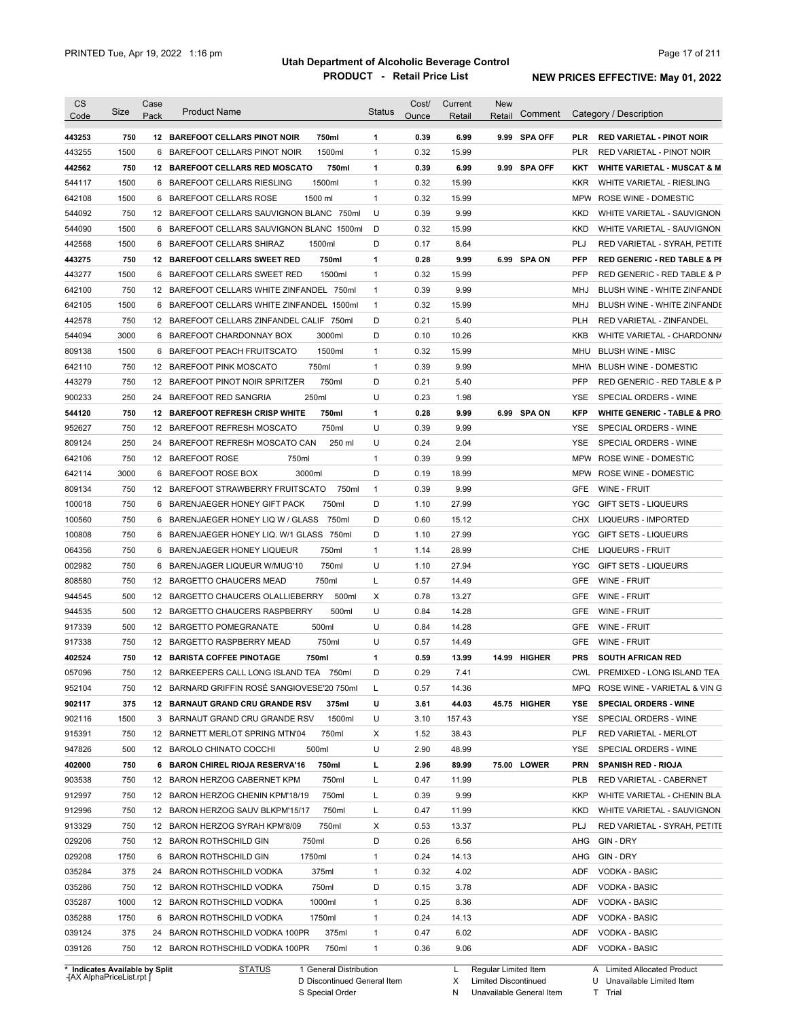| <b>CS</b><br>Code              | <b>Size</b> | Case<br>Pack | <b>Product Name</b>                                                         | <b>Status</b> | Cost/<br>Ounce | Current<br>Retail | New<br>Retail          | Comment      |            | Category / Description                      |
|--------------------------------|-------------|--------------|-----------------------------------------------------------------------------|---------------|----------------|-------------------|------------------------|--------------|------------|---------------------------------------------|
| 443253                         | 750         |              | 12 BAREFOOT CELLARS PINOT NOIR<br>750ml                                     | 1             | 0.39           | 6.99              |                        | 9.99 SPA OFF | <b>PLR</b> | <b>RED VARIETAL - PINOT NOIR</b>            |
| 443255                         | 1500        | 6            | 1500ml<br>BAREFOOT CELLARS PINOT NOIR                                       | 1             | 0.32           | 15.99             |                        |              | <b>PLR</b> | RED VARIETAL - PINOT NOIR                   |
| 442562                         | 750         |              | 750ml<br>12 BAREFOOT CELLARS RED MOSCATO                                    | 1             | 0.39           | 6.99              |                        | 9.99 SPA OFF | KKT        | <b>WHITE VARIETAL - MUSCAT &amp; M</b>      |
| 544117                         | 1500        |              | 1500ml<br>6 BAREFOOT CELLARS RIESLING                                       | $\mathbf{1}$  | 0.32           | 15.99             |                        |              | <b>KKR</b> | WHITE VARIETAL - RIESLING                   |
| 642108                         | 1500        |              | 6 BAREFOOT CELLARS ROSE<br>1500 ml                                          | $\mathbf{1}$  | 0.32           | 15.99             |                        |              | <b>MPW</b> | ROSE WINE - DOMESTIC                        |
| 544092                         | 750         |              | 12 BAREFOOT CELLARS SAUVIGNON BLANC 750ml                                   | U             | 0.39           | 9.99              |                        |              | KKD        | WHITE VARIETAL - SAUVIGNON                  |
| 544090                         | 1500        |              | 6 BAREFOOT CELLARS SAUVIGNON BLANC 1500ml                                   | D             | 0.32           | 15.99             |                        |              | <b>KKD</b> | WHITE VARIETAL - SAUVIGNON                  |
| 442568                         | 1500        |              | 6 BAREFOOT CELLARS SHIRAZ<br>1500ml                                         | D             | 0.17           | 8.64              |                        |              | PLJ        | RED VARIETAL - SYRAH, PETITE                |
| 443275                         | 750         |              | 750ml<br>12 BAREFOOT CELLARS SWEET RED                                      | 1             | 0.28           | 9.99              |                        | 6.99 SPA ON  | <b>PFP</b> | <b>RED GENERIC - RED TABLE &amp; PI</b>     |
| 443277                         | 1500        |              | 6 BAREFOOT CELLARS SWEET RED<br>1500ml                                      | $\mathbf{1}$  | 0.32           | 15.99             |                        |              | PFP        | RED GENERIC - RED TABLE & P                 |
| 642100                         | 750         | 12           | BAREFOOT CELLARS WHITE ZINFANDEL 750ml                                      | $\mathbf{1}$  | 0.39           | 9.99              |                        |              | MHJ        | BLUSH WINE - WHITE ZINFANDE                 |
| 642105                         | 1500        |              | 6 BAREFOOT CELLARS WHITE ZINFANDEL 1500ml                                   | $\mathbf{1}$  | 0.32           | 15.99             |                        |              | MHJ        | BLUSH WINE - WHITE ZINFANDE                 |
| 442578                         | 750         | 12           | BAREFOOT CELLARS ZINFANDEL CALIF 750ml                                      | D             | 0.21           | 5.40              |                        |              | PLH        | RED VARIETAL - ZINFANDEL                    |
| 544094                         | 3000        |              | 6 BAREFOOT CHARDONNAY BOX<br>3000ml                                         | D             | 0.10           | 10.26             |                        |              | <b>KKB</b> | WHITE VARIETAL - CHARDONN/                  |
| 809138                         | 1500        | 6            | 1500ml<br>BAREFOOT PEACH FRUITSCATO                                         | $\mathbf{1}$  | 0.32           | 15.99             |                        |              | MHU        | <b>BLUSH WINE - MISC</b>                    |
| 642110                         | 750         |              | 750ml<br>12 BAREFOOT PINK MOSCATO                                           | $\mathbf{1}$  | 0.39           | 9.99              |                        |              | MHW        | <b>BLUSH WINE - DOMESTIC</b>                |
| 443279                         | 750         | 12           | BAREFOOT PINOT NOIR SPRITZER<br>750ml                                       | D             | 0.21           | 5.40              |                        |              | <b>PFP</b> | RED GENERIC - RED TABLE & P                 |
| 900233                         | 250         |              | 250ml<br>24 BAREFOOT RED SANGRIA                                            | U             | 0.23           | 1.98              |                        |              | YSE        | SPECIAL ORDERS - WINE                       |
| 544120                         | 750         | 12           | <b>BAREFOOT REFRESH CRISP WHITE</b><br>750ml                                | 1             | 0.28           | 9.99              |                        | 6.99 SPA ON  | <b>KFP</b> | <b>WHITE GENERIC - TABLE &amp; PRO</b>      |
| 952627                         | 750         | 12           | 750ml<br>BAREFOOT REFRESH MOSCATO                                           | U             | 0.39           | 9.99              |                        |              | YSE        | SPECIAL ORDERS - WINE                       |
| 809124                         | 250         | 24           | 250 ml<br>BAREFOOT REFRESH MOSCATO CAN                                      | U             | 0.24           | 2.04              |                        |              | YSE        | SPECIAL ORDERS - WINE                       |
| 642106                         | 750         |              | 750ml<br>12 BAREFOOT ROSE                                                   | $\mathbf{1}$  | 0.39           | 9.99              |                        |              | MPW        | ROSE WINE - DOMESTIC                        |
| 642114                         | 3000        | 6            | 3000ml<br>BAREFOOT ROSE BOX                                                 | D             | 0.19           | 18.99             |                        |              | MPW        | ROSE WINE - DOMESTIC                        |
| 809134                         | 750         |              | 12 BAREFOOT STRAWBERRY FRUITSCATO<br>750ml                                  | $\mathbf{1}$  | 0.39           | 9.99              |                        |              | <b>GFE</b> | WINE - FRUIT                                |
| 100018                         | 750         |              | 750ml                                                                       | D             | 1.10           | 27.99             |                        |              | YGC        |                                             |
|                                | 750         |              | 6 BARENJAEGER HONEY GIFT PACK<br>6 BARENJAEGER HONEY LIQ W / GLASS<br>750ml | D             | 0.60           | 15.12             |                        |              | <b>CHX</b> | GIFT SETS - LIQUEURS<br>LIQUEURS - IMPORTED |
| 100560                         | 750         |              |                                                                             | D             |                |                   |                        |              |            |                                             |
| 100808                         |             | 6            | BARENJAEGER HONEY LIQ. W/1 GLASS 750ml                                      |               | 1.10           | 27.99             |                        |              | YGC        | <b>GIFT SETS - LIQUEURS</b>                 |
| 064356                         | 750         |              | 6 BARENJAEGER HONEY LIQUEUR<br>750ml                                        | 1             | 1.14           | 28.99             |                        |              | CHE        | LIQUEURS - FRUIT                            |
| 002982                         | 750         | 6            | BARENJAGER LIQUEUR W/MUG'10<br>750ml                                        | U             | 1.10           | 27.94             |                        |              | YGC        | <b>GIFT SETS - LIQUEURS</b>                 |
| 808580                         | 750         |              | 750ml<br>12 BARGETTO CHAUCERS MEAD                                          | Г             | 0.57           | 14.49             |                        |              | <b>GFE</b> | WINE - FRUIT                                |
| 944545                         | 500         |              | 12 BARGETTO CHAUCERS OLALLIEBERRY<br>500ml                                  | Х             | 0.78           | 13.27             |                        |              | <b>GFE</b> | WINE - FRUIT                                |
| 944535                         | 500         |              | 500ml<br>12 BARGETTO CHAUCERS RASPBERRY                                     | U             | 0.84           | 14.28             |                        |              | <b>GFE</b> | WINE - FRUIT                                |
| 917339                         | 500         |              | 500ml<br>12 BARGETTO POMEGRANATE                                            | U             | 0.84           | 14.28             |                        |              | GFE        | <b>WINE - FRUIT</b>                         |
| 917338                         | 750         |              | 12 BARGETTO RASPBERRY MEAD<br>750ml                                         | U             | 0.57           | 14.49             |                        |              | GFE        | <b>WINE - FRUIT</b>                         |
| 402524                         | 750         |              | 12 BARISTA COFFEE PINOTAGE<br>750ml                                         | 1             | 0.59           | 13.99             |                        | 14.99 HIGHER | <b>PRS</b> | <b>SOUTH AFRICAN RED</b>                    |
| 057096                         | 750         |              | 12 BARKEEPERS CALL LONG ISLAND TEA 750ml                                    | D             | 0.29           | 7.41              |                        |              | <b>CWL</b> | PREMIXED - LONG ISLAND TEA                  |
| 952104                         | 750         |              | 12 BARNARD GRIFFIN ROSE SANGIOVESE'20 750ml                                 | L             | 0.57           | 14.36             |                        |              |            | MPQ ROSE WINE - VARIETAL & VING             |
| 902117                         | 375         |              | 12 BARNAUT GRAND CRU GRANDE RSV<br>375ml                                    | U             | 3.61           | 44.03             |                        | 45.75 HIGHER | YSE        | <b>SPECIAL ORDERS - WINE</b>                |
| 902116                         | 1500        |              | 1500ml<br>3 BARNAUT GRAND CRU GRANDE RSV                                    | U             | 3.10           | 157.43            |                        |              | YSE        | SPECIAL ORDERS - WINE                       |
| 915391                         | 750         |              | 12 BARNETT MERLOT SPRING MTN'04<br>750ml                                    | х             | 1.52           | 38.43             |                        |              | <b>PLF</b> | RED VARIETAL - MERLOT                       |
| 947826                         | 500         |              | 12 BAROLO CHINATO COCCHI<br>500ml                                           | U             | 2.90           | 48.99             |                        |              | YSE        | SPECIAL ORDERS - WINE                       |
| 402000                         | 750         |              | 6 BARON CHIREL RIOJA RESERVA'16<br>750ml                                    | г             | 2.96           | 89.99             |                        | 75.00 LOWER  | <b>PRN</b> | <b>SPANISH RED - RIOJA</b>                  |
| 903538                         | 750         |              | 12 BARON HERZOG CABERNET KPM<br>750ml                                       | L             | 0.47           | 11.99             |                        |              | <b>PLB</b> | RED VARIETAL - CABERNET                     |
| 912997                         | 750         |              | 12 BARON HERZOG CHENIN KPM'18/19<br>750ml                                   | L             | 0.39           | 9.99              |                        |              | <b>KKP</b> | WHITE VARIETAL - CHENIN BLA                 |
| 912996                         | 750         |              | 12 BARON HERZOG SAUV BLKPM'15/17<br>750ml                                   | L             | 0.47           | 11.99             |                        |              | <b>KKD</b> | WHITE VARIETAL - SAUVIGNON                  |
| 913329                         | 750         |              | 12 BARON HERZOG SYRAH KPM'8/09<br>750ml                                     | Х             | 0.53           | 13.37             |                        |              | PLJ        | RED VARIETAL - SYRAH, PETITE                |
| 029206                         | 750         |              | 750ml<br>12 BARON ROTHSCHILD GIN                                            | D             | 0.26           | 6.56              |                        |              | AHG        | GIN - DRY                                   |
| 029208                         | 1750        |              | 6 BARON ROTHSCHILD GIN<br>1750ml                                            | 1             | 0.24           | 14.13             |                        |              | AHG        | GIN - DRY                                   |
| 035284                         | 375         |              | 375ml<br>24 BARON ROTHSCHILD VODKA                                          | 1             | 0.32           | 4.02              |                        |              | ADF        | <b>VODKA - BASIC</b>                        |
| 035286                         | 750         |              | 750ml<br>12 BARON ROTHSCHILD VODKA                                          | D             | 0.15           | 3.78              |                        |              | ADF        | <b>VODKA - BASIC</b>                        |
| 035287                         | 1000        |              | 1000ml<br>12 BARON ROTHSCHILD VODKA                                         | 1             | 0.25           | 8.36              |                        |              | ADF        | <b>VODKA - BASIC</b>                        |
| 035288                         | 1750        |              | 6 BARON ROTHSCHILD VODKA<br>1750ml                                          | 1             | 0.24           | 14.13             |                        |              | ADF        | <b>VODKA - BASIC</b>                        |
| 039124                         | 375         |              | 24 BARON ROTHSCHILD VODKA 100PR<br>375ml                                    | 1             | 0.47           | 6.02              |                        |              | ADF        | <b>VODKA - BASIC</b>                        |
| 039126                         | 750         |              | 12 BARON ROTHSCHILD VODKA 100PR<br>750ml                                    | 1             | 0.36           | 9.06              |                        |              | ADF        | VODKA - BASIC                               |
| * Indicates Available by Split |             |              | 1 General Distribution<br><b>STATUS</b>                                     |               |                |                   | L Regular Limited Item |              |            | A Limited Allocated Product                 |

**Case** [AX AlphaPriceList.rpt ]

D Discontinued General Item S Special Order

X N Limited Discontinued

Unavailable General Item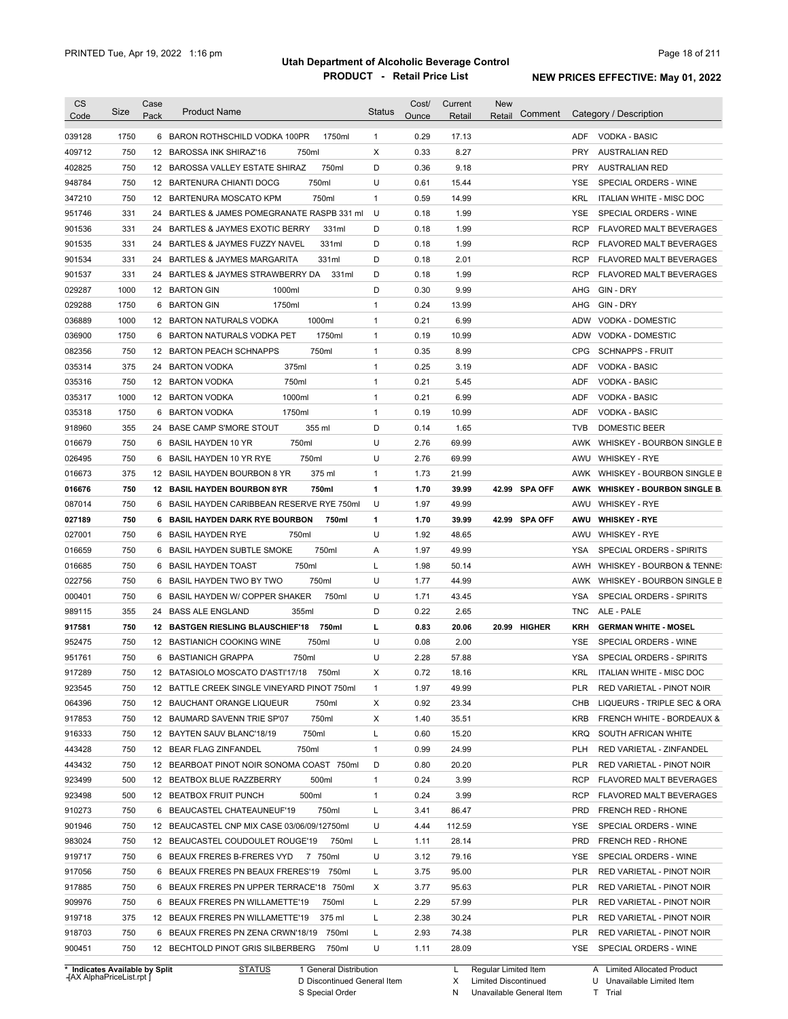| Code                                                                                                                                                                                                                                                             | Size       | Case<br>Pack | <b>Product Name</b>                                                                   | <b>Status</b> | Cost/<br>Ounce | Current<br>Retail | <b>New</b><br>Comment<br>Retail |            | Category / Description                                           |
|------------------------------------------------------------------------------------------------------------------------------------------------------------------------------------------------------------------------------------------------------------------|------------|--------------|---------------------------------------------------------------------------------------|---------------|----------------|-------------------|---------------------------------|------------|------------------------------------------------------------------|
|                                                                                                                                                                                                                                                                  | 1750       |              |                                                                                       | $\mathbf{1}$  | 0.29           | 17.13             |                                 | ADF        | <b>VODKA - BASIC</b>                                             |
| 039128<br>409712                                                                                                                                                                                                                                                 | 750        |              | 6 BARON ROTHSCHILD VODKA 100PR<br>1750ml<br>750ml<br>12 BAROSSA INK SHIRAZ'16         | Χ             | 0.33           | 8.27              |                                 | <b>PRY</b> | <b>AUSTRALIAN RED</b>                                            |
| 402825                                                                                                                                                                                                                                                           | 750        |              | 750ml<br>12 BAROSSA VALLEY ESTATE SHIRAZ                                              | D             | 0.36           | 9.18              |                                 | <b>PRY</b> | <b>AUSTRALIAN RED</b>                                            |
| 948784                                                                                                                                                                                                                                                           | 750        |              | 750ml<br>12 BARTENURA CHIANTI DOCG                                                    | U             | 0.61           | 15.44             |                                 | <b>YSE</b> | SPECIAL ORDERS - WINE                                            |
| 347210                                                                                                                                                                                                                                                           | 750        |              | 750ml<br>12 BARTENURA MOSCATO KPM                                                     | $\mathbf{1}$  | 0.59           | 14.99             |                                 | <b>KRL</b> | ITALIAN WHITE - MISC DOC                                         |
| 951746                                                                                                                                                                                                                                                           | 331        | 24           | BARTLES & JAMES POMEGRANATE RASPB 331 ml                                              | U             | 0.18           | 1.99              |                                 | <b>YSE</b> | SPECIAL ORDERS - WINE                                            |
| 901536                                                                                                                                                                                                                                                           | 331        |              | 24 BARTLES & JAYMES EXOTIC BERRY<br>331ml                                             | D             | 0.18           | 1.99              |                                 | <b>RCP</b> | <b>FLAVORED MALT BEVERAGES</b>                                   |
| 901535                                                                                                                                                                                                                                                           | 331        |              | 331ml<br>24 BARTLES & JAYMES FUZZY NAVEL                                              | D             | 0.18           | 1.99              |                                 | <b>RCP</b> | <b>FLAVORED MALT BEVERAGES</b>                                   |
|                                                                                                                                                                                                                                                                  | 331        |              | 331ml<br>24 BARTLES & JAYMES MARGARITA                                                | D             | 0.18           | 2.01              |                                 | <b>RCP</b> |                                                                  |
| 901534<br>901537                                                                                                                                                                                                                                                 | 331        |              | 24 BARTLES & JAYMES STRAWBERRY DA<br>331ml                                            | D             | 0.18           | 1.99              |                                 | <b>RCP</b> | <b>FLAVORED MALT BEVERAGES</b><br><b>FLAVORED MALT BEVERAGES</b> |
| 029287                                                                                                                                                                                                                                                           | 1000       |              | 1000ml<br>12 BARTON GIN                                                               | D             | 0.30           | 9.99              |                                 | AHG        | GIN - DRY                                                        |
| 029288                                                                                                                                                                                                                                                           | 1750       |              | 1750ml<br>6 BARTON GIN                                                                | $\mathbf{1}$  | 0.24           | 13.99             |                                 | AHG        | GIN - DRY                                                        |
|                                                                                                                                                                                                                                                                  |            |              |                                                                                       |               |                |                   |                                 | <b>ADW</b> |                                                                  |
| 036889                                                                                                                                                                                                                                                           | 1000       |              | 12 BARTON NATURALS VODKA<br>1000ml                                                    | $\mathbf{1}$  | 0.21           | 6.99              |                                 |            | VODKA - DOMESTIC                                                 |
| 036900                                                                                                                                                                                                                                                           | 1750       | 6            | BARTON NATURALS VODKA PET<br>1750ml                                                   | $\mathbf{1}$  | 0.19           | 10.99             |                                 | <b>ADW</b> | VODKA - DOMESTIC                                                 |
| 082356                                                                                                                                                                                                                                                           | 750        |              | 750ml<br>12 BARTON PEACH SCHNAPPS                                                     | $\mathbf{1}$  | 0.35           | 8.99              |                                 | <b>CPG</b> | <b>SCHNAPPS - FRUIT</b>                                          |
| 035314                                                                                                                                                                                                                                                           | 375        |              | 24 BARTON VODKA<br>375ml                                                              | $\mathbf{1}$  | 0.25           | 3.19              |                                 | ADF        | <b>VODKA - BASIC</b>                                             |
| 035316                                                                                                                                                                                                                                                           | 750        |              | 750ml<br>12 BARTON VODKA                                                              | $\mathbf{1}$  | 0.21           | 5.45              |                                 | <b>ADF</b> | VODKA - BASIC                                                    |
| 035317                                                                                                                                                                                                                                                           | 1000       |              | 1000ml<br>12 BARTON VODKA                                                             | 1             | 0.21           | 6.99              |                                 | ADF        | <b>VODKA - BASIC</b>                                             |
| 035318                                                                                                                                                                                                                                                           | 1750       | 6            | 1750ml<br><b>BARTON VODKA</b>                                                         | 1             | 0.19           | 10.99             |                                 | ADF        | <b>VODKA - BASIC</b>                                             |
| 918960                                                                                                                                                                                                                                                           | 355        | 24           | <b>BASE CAMP S'MORE STOUT</b><br>355 ml                                               | D             | 0.14           | 1.65              |                                 | <b>TVB</b> | <b>DOMESTIC BEER</b>                                             |
| 016679                                                                                                                                                                                                                                                           | 750        | 6            | 750ml<br><b>BASIL HAYDEN 10 YR</b>                                                    | U             | 2.76           | 69.99             |                                 | AWK        | WHISKEY - BOURBON SINGLE B                                       |
| 026495                                                                                                                                                                                                                                                           | 750        | 6            | 750ml<br><b>BASIL HAYDEN 10 YR RYE</b>                                                | U             | 2.76           | 69.99             |                                 | AWU        | <b>WHISKEY - RYE</b>                                             |
| 016673                                                                                                                                                                                                                                                           | 375        | 12           | 375 ml<br>BASIL HAYDEN BOURBON 8 YR                                                   | $\mathbf{1}$  | 1.73           | 21.99             |                                 | AWK        | WHISKEY - BOURBON SINGLE B                                       |
| 016676                                                                                                                                                                                                                                                           | 750        |              | 750ml<br><b>12 BASIL HAYDEN BOURBON 8YR</b>                                           | 1             | 1.70           | 39.99             | 42.99 SPA OFF                   | AWK        | <b>WHISKEY - BOURBON SINGLE B.</b>                               |
| 087014                                                                                                                                                                                                                                                           | 750        | 6            | BASIL HAYDEN CARIBBEAN RESERVE RYE 750ml                                              | U             | 1.97           | 49.99             |                                 | AWU        | <b>WHISKEY - RYE</b>                                             |
| 027189                                                                                                                                                                                                                                                           | 750        | 6            | 750ml<br><b>BASIL HAYDEN DARK RYE BOURBON</b>                                         | 1             | 1.70           | 39.99             | 42.99 SPA OFF                   | AWU        | <b>WHISKEY - RYE</b>                                             |
| 027001                                                                                                                                                                                                                                                           | 750        | 6            | 750ml<br><b>BASIL HAYDEN RYE</b>                                                      | U             | 1.92           | 48.65             |                                 | AWU        | <b>WHISKEY - RYE</b>                                             |
| 016659                                                                                                                                                                                                                                                           |            |              |                                                                                       |               | 1.97           | 49.99             |                                 |            | SPECIAL ORDERS - SPIRITS                                         |
|                                                                                                                                                                                                                                                                  | 750        | 6            | <b>BASIL HAYDEN SUBTLE SMOKE</b><br>750ml                                             | Α             |                |                   |                                 | YSA        |                                                                  |
|                                                                                                                                                                                                                                                                  | 750        | 6            | <b>BASIL HAYDEN TOAST</b><br>750ml                                                    | Г             | 1.98           | 50.14             |                                 | AWH        | WHISKEY - BOURBON & TENNE:                                       |
|                                                                                                                                                                                                                                                                  | 750        | 6            | BASIL HAYDEN TWO BY TWO<br>750ml                                                      | U             | 1.77           | 44.99             |                                 | AWK        | WHISKEY - BOURBON SINGLE B                                       |
|                                                                                                                                                                                                                                                                  | 750        | 6            | BASIL HAYDEN W/ COPPER SHAKER<br>750ml                                                | U             | 1.71           | 43.45             |                                 | YSA        | <b>SPECIAL ORDERS - SPIRITS</b>                                  |
|                                                                                                                                                                                                                                                                  | 355        | 24           | 355ml<br><b>BASS ALE ENGLAND</b>                                                      | D             | 0.22           | 2.65              |                                 | TNC.       | ALE - PALE                                                       |
|                                                                                                                                                                                                                                                                  | 750        |              | 750ml<br>12 BASTGEN RIESLING BLAUSCHIEF'18                                            | L             | 0.83           | 20.06             | 20.99 HIGHER                    | KRH        | <b>GERMAN WHITE - MOSEL</b>                                      |
|                                                                                                                                                                                                                                                                  | 750        |              | 750ml<br>12 BASTIANICH COOKING WINE                                                   | U             | 0.08           | 2.00              |                                 | <b>YSE</b> | SPECIAL ORDERS - WINE                                            |
|                                                                                                                                                                                                                                                                  | 750        |              | 6 BASTIANICH GRAPPA<br>750ml                                                          | U             | 2.28           | 57.88             |                                 | <b>YSA</b> | SPECIAL ORDERS - SPIRITS                                         |
|                                                                                                                                                                                                                                                                  | 750        |              | 12 BATASIOLO MOSCATO D'ASTI'17/18 750ml                                               | X             | 0.72           | 18.16             |                                 | <b>KRL</b> | ITALIAN WHITE - MISC DOC                                         |
|                                                                                                                                                                                                                                                                  | 750        |              | 12 BATTLE CREEK SINGLE VINEYARD PINOT 750ml                                           | 1             | 1.97           | 49.99             |                                 | PLR        | RED VARIETAL - PINOT NOIR                                        |
|                                                                                                                                                                                                                                                                  | 750        |              | 12 BAUCHANT ORANGE LIQUEUR<br>750ml                                                   | Χ             | 0.92           | 23.34             |                                 | CHB        | LIQUEURS - TRIPLE SEC & ORA                                      |
|                                                                                                                                                                                                                                                                  | 750        |              | 750ml<br>12 BAUMARD SAVENN TRIE SP'07                                                 | Х             | 1.40           | 35.51             |                                 | KRB        | FRENCH WHITE - BORDEAUX &                                        |
|                                                                                                                                                                                                                                                                  | 750        |              | 12 BAYTEN SAUV BLANC'18/19<br>750ml                                                   | Г             | 0.60           | 15.20             |                                 | KRQ        | SOUTH AFRICAN WHITE                                              |
|                                                                                                                                                                                                                                                                  | 750        |              | 12 BEAR FLAG ZINFANDEL<br>750ml                                                       | $\mathbf{1}$  | 0.99           | 24.99             |                                 | PLH        | RED VARIETAL - ZINFANDEL                                         |
|                                                                                                                                                                                                                                                                  | 750        |              | 12 BEARBOAT PINOT NOIR SONOMA COAST 750ml                                             | D             | 0.80           | 20.20             |                                 | PLR        | RED VARIETAL - PINOT NOIR                                        |
|                                                                                                                                                                                                                                                                  | 500        |              | 12 BEATBOX BLUE RAZZBERRY<br>500ml                                                    | $\mathbf{1}$  | 0.24           | 3.99              |                                 | <b>RCP</b> | <b>FLAVORED MALT BEVERAGES</b>                                   |
|                                                                                                                                                                                                                                                                  | 500        |              | 500ml<br>12 BEATBOX FRUIT PUNCH                                                       | $\mathbf{1}$  | 0.24           | 3.99              |                                 | <b>RCP</b> | <b>FLAVORED MALT BEVERAGES</b>                                   |
|                                                                                                                                                                                                                                                                  | 750        |              | 6 BEAUCASTEL CHATEAUNEUF'19<br>750ml                                                  | Г             | 3.41           | 86.47             |                                 | PRD        | FRENCH RED - RHONE                                               |
|                                                                                                                                                                                                                                                                  | 750        |              | 12 BEAUCASTEL CNP MIX CASE 03/06/09/12750ml                                           | U             | 4.44           | 112.59            |                                 | <b>YSE</b> | SPECIAL ORDERS - WINE                                            |
|                                                                                                                                                                                                                                                                  | 750        |              | 12 BEAUCASTEL COUDOULET ROUGE'19<br>750ml                                             | L             | 1.11           | 28.14             |                                 | <b>PRD</b> | FRENCH RED - RHONE                                               |
|                                                                                                                                                                                                                                                                  | 750        |              | 6 BEAUX FRERES B-FRERES VYD 7 750ml                                                   | U             | 3.12           | 79.16             |                                 | YSE        | SPECIAL ORDERS - WINE                                            |
|                                                                                                                                                                                                                                                                  | 750        |              |                                                                                       |               |                |                   |                                 | PLR        |                                                                  |
|                                                                                                                                                                                                                                                                  |            |              | 6 BEAUX FRERES PN BEAUX FRERES'19 750ml                                               | L             | 3.75           | 95.00             |                                 |            | RED VARIETAL - PINOT NOIR                                        |
|                                                                                                                                                                                                                                                                  | 750        |              | 6 BEAUX FRERES PN UPPER TERRACE'18 750ml                                              | X             | 3.77           | 95.63             |                                 | PLR        | RED VARIETAL - PINOT NOIR                                        |
|                                                                                                                                                                                                                                                                  | 750        |              | 6 BEAUX FRERES PN WILLAMETTE'19<br>750ml                                              | L             | 2.29           | 57.99             |                                 | PLR        | RED VARIETAL - PINOT NOIR                                        |
|                                                                                                                                                                                                                                                                  | 375        |              | 12 BEAUX FRERES PN WILLAMETTE'19<br>375 ml                                            | L             | 2.38           | 30.24             |                                 | PLR        | RED VARIETAL - PINOT NOIR                                        |
| 016685<br>022756<br>000401<br>989115<br>917581<br>952475<br>951761<br>917289<br>923545<br>064396<br>917853<br>916333<br>443428<br>443432<br>923499<br>923498<br>910273<br>901946<br>983024<br>919717<br>917056<br>917885<br>909976<br>919718<br>918703<br>900451 | 750<br>750 |              | 6 BEAUX FRERES PN ZENA CRWN'18/19 750ml<br>12 BECHTOLD PINOT GRIS SILBERBERG<br>750ml | L<br>U        | 2.93<br>1.11   | 74.38<br>28.09    |                                 | PLR        | RED VARIETAL - PINOT NOIR<br>YSE SPECIAL ORDERS - WINE           |

**Case** [AX AlphaPriceList.rpt ]

D Discontinued General Item S Special Order

X

N Unavailable General Item Limited Discontinued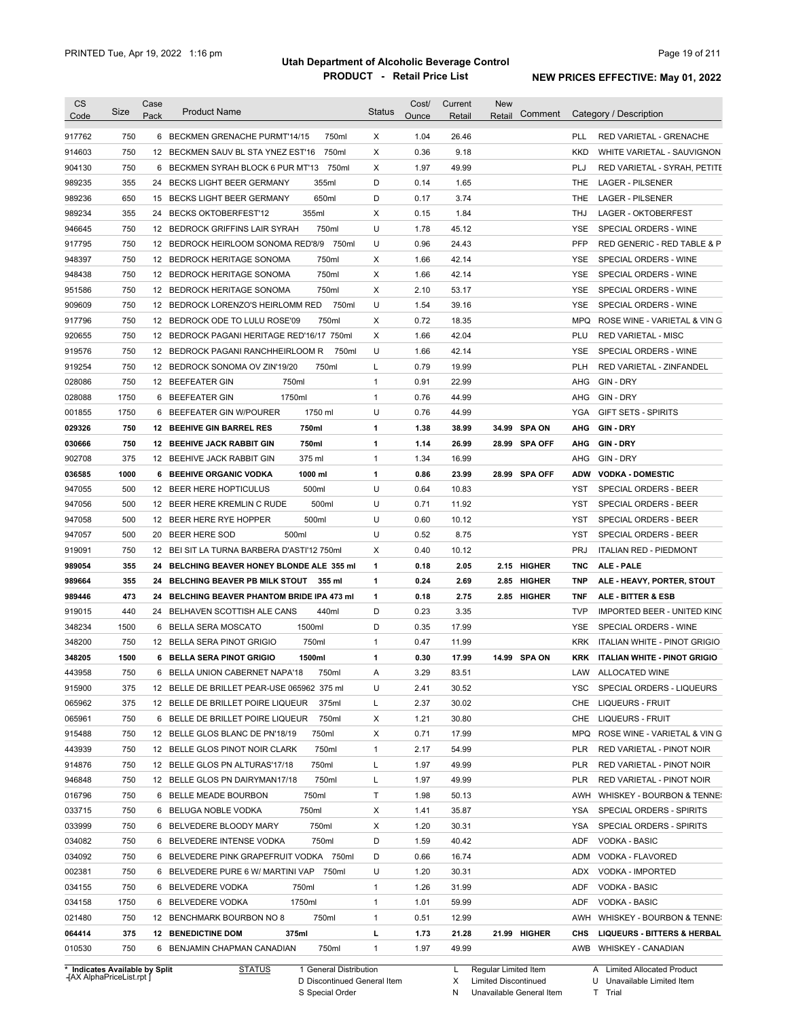| Code             | Size       | Case<br>Pack | <b>Product Name</b>                         | <b>Status</b> | Cost/<br>Ounce | Current<br>Retail | <b>New</b><br>Retail | Comment       |            | Category / Description                  |
|------------------|------------|--------------|---------------------------------------------|---------------|----------------|-------------------|----------------------|---------------|------------|-----------------------------------------|
| 917762           | 750        |              | 6 BECKMEN GRENACHE PURMT'14/15<br>750ml     | х             | 1.04           | 26.46             |                      |               | PLL        | RED VARIETAL - GRENACHE                 |
| 914603           | 750        |              | 750ml<br>12 BECKMEN SAUV BL STA YNEZ EST'16 | X             | 0.36           | 9.18              |                      |               | <b>KKD</b> | WHITE VARIETAL - SAUVIGNON              |
| 904130           | 750        |              | 6 BECKMEN SYRAH BLOCK 6 PUR MT13<br>750ml   | X             | 1.97           | 49.99             |                      |               | PLJ        | RED VARIETAL - SYRAH, PETITE            |
| 989235           | 355        |              | 24 BECKS LIGHT BEER GERMANY<br>355ml        | D             | 0.14           | 1.65              |                      |               | THE        | LAGER - PILSENER                        |
| 989236           | 650        |              | 650ml<br>15 BECKS LIGHT BEER GERMANY        | D             | 0.17           | 3.74              |                      |               | THE        | <b>LAGER - PILSENER</b>                 |
| 989234           | 355        |              | 355ml<br>24 BECKS OKTOBERFEST'12            | X             | 0.15           | 1.84              |                      |               | THJ        | LAGER - OKTOBERFEST                     |
| 946645           | 750        |              | 12 BEDROCK GRIFFINS LAIR SYRAH<br>750ml     | U             | 1.78           | 45.12             |                      |               | YSE        | SPECIAL ORDERS - WINE                   |
| 917795           | 750        |              | 12 BEDROCK HEIRLOOM SONOMA RED'8/9 750ml    | U             | 0.96           | 24.43             |                      |               | <b>PFP</b> | RED GENERIC - RED TABLE & P             |
| 948397           | 750        |              | 750ml<br>12 BEDROCK HERITAGE SONOMA         | X             | 1.66           | 42.14             |                      |               | <b>YSE</b> | SPECIAL ORDERS - WINE                   |
| 948438           | 750        |              | 750ml<br>12 BEDROCK HERITAGE SONOMA         | X             | 1.66           | 42.14             |                      |               | YSE        | SPECIAL ORDERS - WINE                   |
| 951586           | 750        |              | 750ml<br>12 BEDROCK HERITAGE SONOMA         | X             | 2.10           | 53.17             |                      |               | <b>YSE</b> | SPECIAL ORDERS - WINE                   |
| 909609           | 750        |              | 12 BEDROCK LORENZO'S HEIRLOMM RED<br>750ml  | U             | 1.54           | 39.16             |                      |               | <b>YSE</b> | SPECIAL ORDERS - WINE                   |
| 917796           | 750        |              | 750ml<br>12 BEDROCK ODE TO LULU ROSE'09     | X             | 0.72           | 18.35             |                      |               | <b>MPQ</b> | ROSE WINE - VARIETAL & VIN G            |
| 920655           | 750        |              | 12 BEDROCK PAGANI HERITAGE RED'16/17 750ml  | Х             | 1.66           | 42.04             |                      |               | PLU        | <b>RED VARIETAL - MISC</b>              |
| 919576           | 750        |              | 12 BEDROCK PAGANI RANCHHEIRLOOM R<br>750ml  | U             | 1.66           | 42.14             |                      |               | YSE        | SPECIAL ORDERS - WINE                   |
|                  |            |              |                                             |               |                |                   |                      |               |            |                                         |
| 919254           | 750<br>750 |              | 12 BEDROCK SONOMA OV ZIN'19/20<br>750ml     | L             | 0.79<br>0.91   | 19.99<br>22.99    |                      |               | <b>PLH</b> | RED VARIETAL - ZINFANDEL<br>GIN - DRY   |
| 028086           | 1750       |              | 12 BEEFEATER GIN<br>750ml<br>1750ml         | 1             | 0.76           | 44.99             |                      |               | AHG        |                                         |
| 028088           | 1750       | 6            | BEEFEATER GIN                               | 1<br>U        | 0.76           |                   |                      |               | AHG<br>YGA | GIN - DRY<br><b>GIFT SETS - SPIRITS</b> |
| 001855           |            | 6            | BEEFEATER GIN W/POURER<br>1750 ml           |               |                | 44.99             |                      |               |            |                                         |
| 029326           | 750        |              | 12 BEEHIVE GIN BARREL RES<br>750ml          | 1             | 1.38           | 38.99             |                      | 34.99 SPA ON  | AHG        | GIN DRY                                 |
| 030666           | 750        |              | <b>12 BEEHIVE JACK RABBIT GIN</b><br>750ml  | 1             | 1.14           | 26.99             |                      | 28.99 SPA OFF | AHG        | <b>GIN-DRY</b>                          |
| 902708           | 375        |              | 375 ml<br>12 BEEHIVE JACK RABBIT GIN        | 1             | 1.34           | 16.99             |                      |               | AHG        | GIN - DRY                               |
| 036585           | 1000       |              | <b>6 BEEHIVE ORGANIC VODKA</b><br>1000 ml   | 1             | 0.86           | 23.99             |                      | 28.99 SPA OFF | <b>ADW</b> | <b>VODKA - DOMESTIC</b>                 |
| 947055           | 500        |              | 500ml<br>12 BEER HERE HOPTICULUS            | U             | 0.64           | 10.83             |                      |               | YST        | SPECIAL ORDERS - BEER                   |
| 947056           | 500        |              | 500ml<br>12 BEER HERE KREMLIN C RUDE        | U             | 0.71           | 11.92             |                      |               | <b>YST</b> | SPECIAL ORDERS - BEER                   |
| 947058           | 500        |              | 500ml<br>12 BEER HERE RYE HOPPER            | U             | 0.60           | 10.12             |                      |               | <b>YST</b> | SPECIAL ORDERS - BEER                   |
| 947057           | 500        | 20           | 500ml<br>BEER HERE SOD                      | U             | 0.52           | 8.75              |                      |               | <b>YST</b> | SPECIAL ORDERS - BEER                   |
|                  |            |              |                                             |               |                |                   |                      |               |            |                                         |
| 919091           | 750        |              | 12 BEI SIT LA TURNA BARBERA D'ASTI'12 750ml | X             | 0.40           | 10.12             |                      |               | <b>PRJ</b> | <b>ITALIAN RED - PIEDMONT</b>           |
| 989054           | 355        | 24           | BELCHING BEAVER HONEY BLONDE ALE 355 ml     | 1             | 0.18           | 2.05              |                      | 2.15 HIGHER   | <b>TNC</b> | ALE - PALE                              |
| 989664           | 355        | 24           | BELCHING BEAVER PB MILK STOUT 355 ml        | 1             | 0.24           | 2.69              |                      | 2.85 HIGHER   | <b>TNP</b> | ALE - HEAVY, PORTER, STOUT              |
| 989446           | 473        | 24           | BELCHING BEAVER PHANTOM BRIDE IPA 473 ml    | 1             | 0.18           | 2.75              |                      | 2.85 HIGHER   | <b>TNF</b> | ALE BITTER & ESB                        |
| 919015           | 440        | 24           | 440ml<br>BELHAVEN SCOTTISH ALE CANS         | D             | 0.23           | 3.35              |                      |               | <b>TVP</b> | IMPORTED BEER - UNITED KING             |
| 348234           | 1500       | 6            | BELLA SERA MOSCATO<br>1500ml                | D             | 0.35           | 17.99             |                      |               | YSE        | SPECIAL ORDERS - WINE                   |
| 348200           | 750        |              | 12 BELLA SERA PINOT GRIGIO<br>750ml         | 1             | 0.47           | 11.99             |                      |               | <b>KRK</b> | ITALIAN WHITE - PINOT GRIGIO            |
| 348205           | 1500       |              | 6 BELLA SERA PINOT GRIGIO<br>1500ml         | 1             | 0.30           | 17.99             |                      | 14.99 SPA ON  | KRK        | ITALIAN WHITE - PINOT GRIGIO            |
| 443958           | 750        |              | 6 BELLA UNION CABERNET NAPA'18<br>750ml     | Α             | 3.29           | 83.51             |                      |               |            | LAW ALLOCATED WINE                      |
| 915900           | 375        |              | 12 BELLE DE BRILLET PEAR-USE 065962 375 ml  | U             | 2.41           | 30.52             |                      |               | YSC        | SPECIAL ORDERS - LIQUEURS               |
| 065962           | 375        |              | 12 BELLE DE BRILLET POIRE LIQUEUR<br>375ml  | L             | 2.37           | 30.02             |                      |               | CHE        | LIQUEURS - FRUIT                        |
| 065961           | 750        | 6            | BELLE DE BRILLET POIRE LIQUEUR<br>750ml     | х             | 1.21           | 30.80             |                      |               | CHE        | LIQUEURS - FRUIT                        |
| 915488           | 750        |              | 12 BELLE GLOS BLANC DE PN'18/19<br>750ml    | X             | 0.71           | 17.99             |                      |               | <b>MPQ</b> | ROSE WINE - VARIETAL & VIN G            |
| 443939           | 750        |              | 750ml<br>12 BELLE GLOS PINOT NOIR CLARK     | $\mathbf{1}$  | 2.17           | 54.99             |                      |               | <b>PLR</b> | RED VARIETAL - PINOT NOIR               |
|                  | 750        |              | 750ml<br>12 BELLE GLOS PN ALTURAS'17/18     | L             | 1.97           | 49.99             |                      |               | PLR        | RED VARIETAL - PINOT NOIR               |
| 946848           | 750        |              | 750ml<br>12 BELLE GLOS PN DAIRYMAN17/18     | L             | 1.97           | 49.99             |                      |               | <b>PLR</b> | RED VARIETAL - PINOT NOIR               |
| 914876<br>016796 | 750        |              | 750ml<br>6 BELLE MEADE BOURBON              | Τ             | 1.98           | 50.13             |                      |               | AWH        | WHISKEY - BOURBON & TENNE:              |
| 033715           | 750        |              | 750ml<br>6 BELUGA NOBLE VODKA               | х             | 1.41           | 35.87             |                      |               | YSA        | SPECIAL ORDERS - SPIRITS                |
| 033999           | 750        |              | 750ml<br>6 BELVEDERE BLOODY MARY            | х             | 1.20           | 30.31             |                      |               | YSA        | SPECIAL ORDERS - SPIRITS                |
| 034082           | 750        |              | 750ml<br>6 BELVEDERE INTENSE VODKA          | D             | 1.59           | 40.42             |                      |               | ADF        | VODKA - BASIC                           |
| 034092           | 750        |              | 6 BELVEDERE PINK GRAPEFRUIT VODKA 750ml     | D             | 0.66           | 16.74             |                      |               | ADM        | VODKA - FLAVORED                        |
| 002381           | 750        |              | 6 BELVEDERE PURE 6 W/ MARTINI VAP 750ml     | U             | 1.20           | 30.31             |                      |               | ADX        | VODKA - IMPORTED                        |
| 034155           | 750        |              | 6 BELVEDERE VODKA<br>750ml                  | $\mathbf{1}$  | 1.26           | 31.99             |                      |               | ADF        | VODKA - BASIC                           |
| 034158           | 1750       |              | 1750ml<br>6 BELVEDERE VODKA                 | $\mathbf{1}$  | 1.01           | 59.99             |                      |               | ADF        | VODKA - BASIC                           |
| 021480           | 750        |              | 750ml<br>12 BENCHMARK BOURBON NO 8          | 1             | 0.51           | 12.99             |                      |               | AWH        | WHISKEY - BOURBON & TENNE:              |
| 064414           | 375        |              | <b>12 BENEDICTINE DOM</b><br>375ml          | L             | 1.73           | 21.28             |                      | 21.99 HIGHER  | CHS        | <b>LIQUEURS - BITTERS &amp; HERBAL</b>  |

**Case** [AX AlphaPriceList.rpt ]

D Discontinued General Item

S Special Order

X Limited Discontinued

N Unavailable General Item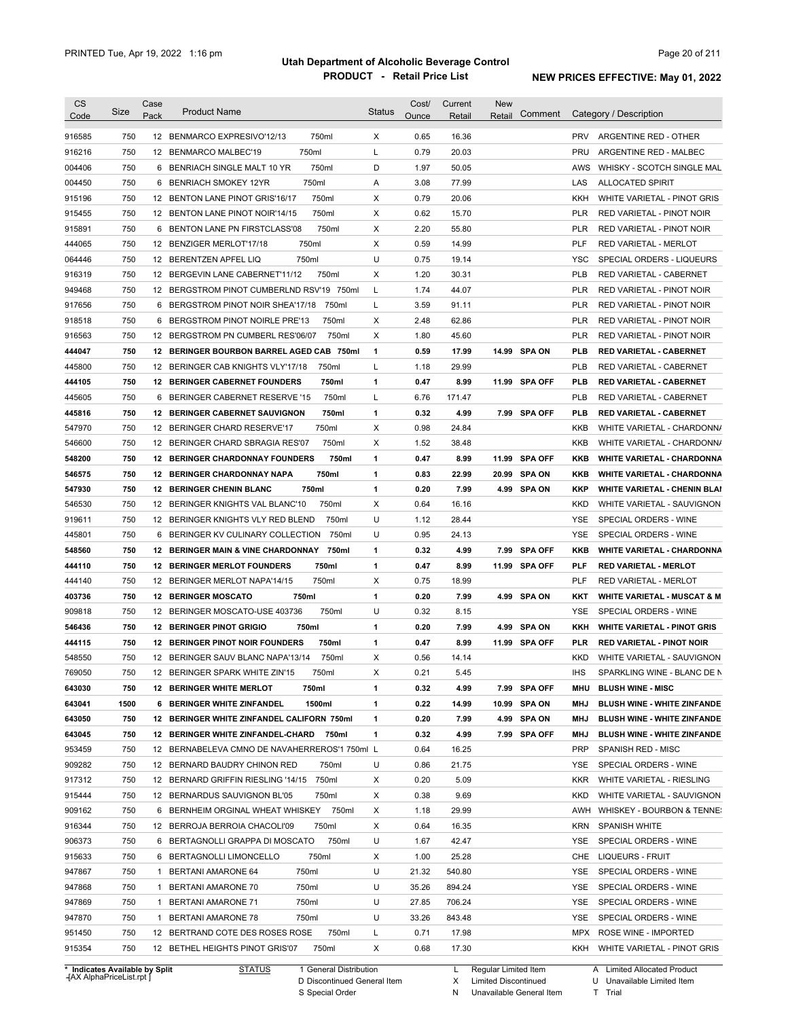| CS                                   | Size | Case | <b>Product Name</b>                             | <b>Status</b> | Cost/ | Current | <b>New</b>                              |                                                 |
|--------------------------------------|------|------|-------------------------------------------------|---------------|-------|---------|-----------------------------------------|-------------------------------------------------|
| Code                                 |      | Pack |                                                 |               | Ounce | Retail  | Comment<br>Retail                       | Category / Description                          |
| 916585                               | 750  |      | 12 BENMARCO EXPRESIVO'12/13<br>750ml            | X             | 0.65  | 16.36   |                                         | <b>PRV</b><br>ARGENTINE RED - OTHER             |
| 916216                               | 750  |      | 750ml<br>12 BENMARCO MALBEC'19                  | L             | 0.79  | 20.03   |                                         | <b>PRU</b><br>ARGENTINE RED - MALBEC            |
| 004406                               | 750  |      | 750ml<br>6 BENRIACH SINGLE MALT 10 YR           | D             | 1.97  | 50.05   |                                         | AWS<br>WHISKY - SCOTCH SINGLE MAL               |
| 004450                               | 750  |      | 750ml<br>6 BENRIACH SMOKEY 12YR                 | Α             | 3.08  | 77.99   |                                         | LAS<br><b>ALLOCATED SPIRIT</b>                  |
| 915196                               | 750  |      | 750ml<br>12 BENTON LANE PINOT GRIS'16/17        | X             | 0.79  | 20.06   |                                         | KKH<br>WHITE VARIETAL - PINOT GRIS              |
| 915455                               | 750  |      | 750ml<br>12 BENTON LANE PINOT NOIR'14/15        | х             | 0.62  | 15.70   |                                         | <b>PLR</b><br>RED VARIETAL - PINOT NOIR         |
| 915891                               | 750  |      | 750ml<br>6 BENTON LANE PN FIRSTCLASS'08         | X             | 2.20  | 55.80   |                                         | <b>PLR</b><br>RED VARIETAL - PINOT NOIR         |
| 444065                               | 750  |      | 750ml<br>12 BENZIGER MERLOT'17/18               | X             | 0.59  | 14.99   |                                         | <b>PLF</b><br>RED VARIETAL - MERLOT             |
| 064446                               | 750  |      | 750ml<br>12 BERENTZEN APFEL LIQ                 | U             | 0.75  | 19.14   |                                         | <b>YSC</b><br>SPECIAL ORDERS - LIQUEURS         |
| 916319                               | 750  |      | 750ml<br>12 BERGEVIN LANE CABERNET'11/12        | X             | 1.20  | 30.31   |                                         | <b>PLB</b><br><b>RED VARIETAL - CABERNET</b>    |
| 949468                               | 750  |      | 12 BERGSTROM PINOT CUMBERLND RSV'19 750ml       | L             | 1.74  | 44.07   |                                         | <b>PLR</b><br>RED VARIETAL - PINOT NOIR         |
| 917656                               | 750  |      | 6 BERGSTROM PINOT NOIR SHEA'17/18<br>750ml      | L             | 3.59  | 91.11   |                                         | <b>PLR</b><br>RED VARIETAL - PINOT NOIR         |
| 918518                               | 750  | 6    | 750ml<br>BERGSTROM PINOT NOIRLE PRE'13          | х             | 2.48  | 62.86   |                                         | <b>PLR</b><br>RED VARIETAL - PINOT NOIR         |
| 916563                               | 750  |      | 12 BERGSTROM PN CUMBERL RES'06/07<br>750ml      | X             | 1.80  | 45.60   |                                         | PLR<br>RED VARIETAL - PINOT NOIR                |
| 444047                               | 750  |      | 12 BERINGER BOURBON BARREL AGED CAB 750ml       | 1             | 0.59  | 17.99   | 14.99 SPA ON                            | PLB<br><b>RED VARIETAL - CABERNET</b>           |
| 445800                               | 750  |      | 12 BERINGER CAB KNIGHTS VLY'17/18<br>750ml      | Г             | 1.18  | 29.99   |                                         | <b>PLB</b><br>RED VARIETAL - CABERNET           |
| 444105                               | 750  |      | <b>12 BERINGER CABERNET FOUNDERS</b><br>750ml   | 1             | 0.47  | 8.99    | 11.99<br><b>SPA OFF</b>                 | PLB<br>RED VARIETAL - CABERNET                  |
| 445605                               | 750  |      | 6 BERINGER CABERNET RESERVE '15<br>750ml        | L             | 6.76  | 171.47  |                                         | <b>PLB</b><br>RED VARIETAL - CABERNET           |
| 445816                               | 750  |      | <b>12 BERINGER CABERNET SAUVIGNON</b><br>750ml  | 1             | 0.32  | 4.99    | 7.99<br>SPA OFF                         | <b>PLB</b><br><b>RED VARIETAL - CABERNET</b>    |
| 547970                               | 750  |      | 12 BERINGER CHARD RESERVE'17<br>750ml           | х             | 0.98  | 24.84   |                                         | KKB<br>WHITE VARIETAL - CHARDONN/               |
| 546600                               | 750  |      | 12 BERINGER CHARD SBRAGIA RES'07<br>750ml       | х             | 1.52  | 38.48   |                                         | KKB<br>WHITE VARIETAL - CHARDONN/               |
|                                      | 750  |      | <b>12 BERINGER CHARDONNAY FOUNDERS</b><br>750ml | 1             | 0.47  | 8.99    | 11.99<br><b>SPA OFF</b>                 | <b>KKB</b><br><b>WHITE VARIETAL - CHARDONNA</b> |
| 548200                               |      |      | 750ml                                           |               |       |         |                                         | <b>KKB</b>                                      |
| 546575                               | 750  |      | <b>12 BERINGER CHARDONNAY NAPA</b><br>750ml     | 1             | 0.83  | 22.99   | 20.99<br><b>SPA ON</b><br><b>SPA ON</b> | <b>WHITE VARIETAL - CHARDONNA</b>               |
| 547930                               | 750  |      | <b>12 BERINGER CHENIN BLANC</b>                 | 1             | 0.20  | 7.99    | 4.99                                    | KKP<br><b>WHITE VARIETAL - CHENIN BLAI</b>      |
| 546530                               | 750  |      | 12 BERINGER KNIGHTS VAL BLANC'10<br>750ml       | X             | 0.64  | 16.16   |                                         | <b>KKD</b><br>WHITE VARIETAL - SAUVIGNON        |
| 919611                               | 750  |      | 12 BERINGER KNIGHTS VLY RED BLEND<br>750ml      | U             | 1.12  | 28.44   |                                         | YSE<br>SPECIAL ORDERS - WINE                    |
| 445801                               | 750  |      | 6 BERINGER KV CULINARY COLLECTION<br>750ml      | U             | 0.95  | 24.13   |                                         | YSE<br>SPECIAL ORDERS - WINE                    |
| 548560                               | 750  |      | 12 BERINGER MAIN & VINE CHARDONNAY 750ml        | 1             | 0.32  | 4.99    | 7.99 SPA OFF                            | KKB<br><b>WHITE VARIETAL - CHARDONNA</b>        |
| 444110                               | 750  |      | 750ml<br><b>12 BERINGER MERLOT FOUNDERS</b>     | 1             | 0.47  | 8.99    | 11.99 SPA OFF                           | <b>PLF</b><br><b>RED VARIETAL - MERLOT</b>      |
| 444140                               | 750  |      | 12 BERINGER MERLOT NAPA'14/15<br>750ml          | х             | 0.75  | 18.99   |                                         | PLF<br>RED VARIETAL - MERLOT                    |
| 403736                               | 750  |      | 750ml<br><b>12 BERINGER MOSCATO</b>             | 1             | 0.20  | 7.99    | 4.99 SPA ON                             | KKT<br><b>WHITE VARIETAL - MUSCAT &amp; M</b>   |
| 909818                               | 750  |      | 750ml<br>12 BERINGER MOSCATO-USE 403736         | U             | 0.32  | 8.15    |                                         | YSE<br>SPECIAL ORDERS - WINE                    |
| 546436                               | 750  |      | 750ml<br><b>12 BERINGER PINOT GRIGIO</b>        | 1             | 0.20  | 7.99    | <b>SPA ON</b><br>4.99                   | KKH<br><b>WHITE VARIETAL - PINOT GRIS</b>       |
| 444115                               | 750  |      | 750ml<br><b>12 BERINGER PINOT NOIR FOUNDERS</b> | 1             | 0.47  | 8.99    | 11.99 SPA OFF                           | <b>PLR</b><br><b>RED VARIETAL - PINOT NOIR</b>  |
| 548550                               | 750  |      | 12 BERINGER SAUV BLANC NAPA'13/14<br>750ml      | X             | 0.56  | 14.14   |                                         | <b>KKD</b><br>WHITE VARIETAL - SAUVIGNON        |
| 769050                               | 750  |      | 12 BERINGER SPARK WHITE ZIN'15<br>750ml         | X             | 0.21  | 5.45    |                                         | <b>IHS</b><br>SPARKLING WINE - BLANC DE N       |
| 643030                               | 750  |      | <b>12 BERINGER WHITE MERLOT</b><br>750ml        | 1             | 0.32  | 4.99    | 7.99 SPA OFF                            | <b>BLUSH WINE - MISC</b><br>MHU                 |
| 643041                               | 1500 |      | 1500ml<br>6 BERINGER WHITE ZINFANDEL            | 1             | 0.22  | 14.99   | 10.99 SPA ON                            | MHJ<br><b>BLUSH WINE - WHITE ZINFANDE</b>       |
| 643050                               | 750  |      | 12 BERINGER WHITE ZINFANDEL CALIFORN 750ml      | 1             | 0.20  | 7.99    | 4.99 SPA ON                             | <b>BLUSH WINE - WHITE ZINFANDE</b><br>MHJ       |
| 643045                               | 750  |      | 12 BERINGER WHITE ZINFANDEL-CHARD<br>750ml      | 1             | 0.32  | 4.99    | 7.99 SPA OFF                            | <b>BLUSH WINE - WHITE ZINFANDE</b><br>MHJ       |
| 953459                               | 750  |      | 12 BERNABELEVA CMNO DE NAVAHERREROS'1 750ml L   |               | 0.64  | 16.25   |                                         | <b>PRP</b><br>SPANISH RED - MISC                |
| 909282                               | 750  |      | 12 BERNARD BAUDRY CHINON RED<br>750ml           | U             | 0.86  | 21.75   |                                         | YSE<br>SPECIAL ORDERS - WINE                    |
| 917312                               | 750  |      | 750ml<br>12 BERNARD GRIFFIN RIESLING '14/15     | х             | 0.20  | 5.09    |                                         | KKR<br>WHITE VARIETAL - RIESLING                |
| 915444                               | 750  |      | 12 BERNARDUS SAUVIGNON BL'05<br>750ml           | X             | 0.38  | 9.69    |                                         | KKD<br>WHITE VARIETAL - SAUVIGNON               |
| 909162                               | 750  |      | 6 BERNHEIM ORGINAL WHEAT WHISKEY 750ml          | х             | 1.18  | 29.99   |                                         | AWH<br>WHISKEY - BOURBON & TENNE:               |
| 916344                               | 750  |      | 750ml<br>12 BERROJA BERROIA CHACOLI'09          | х             | 0.64  | 16.35   |                                         | <b>KRN</b><br><b>SPANISH WHITE</b>              |
|                                      | 750  |      | 750ml<br>6 BERTAGNOLLI GRAPPA DI MOSCATO        | U             | 1.67  | 42.47   |                                         | YSE<br>SPECIAL ORDERS - WINE                    |
|                                      |      |      | 750ml<br>6 BERTAGNOLLI LIMONCELLO               | х             | 1.00  | 25.28   |                                         | CHE<br>LIQUEURS - FRUIT                         |
|                                      | 750  |      |                                                 | U             | 21.32 | 540.80  |                                         | YSE<br>SPECIAL ORDERS - WINE                    |
|                                      | 750  |      | 750ml<br>1 BERTANI AMARONE 64                   |               |       |         |                                         |                                                 |
| 906373<br>915633<br>947867<br>947868 | 750  |      | 750ml<br>1 BERTANI AMARONE 70                   | U             | 35.26 | 894.24  |                                         | YSE<br>SPECIAL ORDERS - WINE                    |
| 947869                               | 750  |      | 750ml<br>1 BERTANI AMARONE 71                   | U             | 27.85 | 706.24  |                                         | YSE<br>SPECIAL ORDERS - WINE                    |
| 947870                               | 750  |      | 750ml<br>1 BERTANI AMARONE 78                   | U             | 33.26 | 843.48  |                                         | YSE<br>SPECIAL ORDERS - WINE                    |
| 951450                               | 750  |      | 750ml<br>12 BERTRAND COTE DES ROSES ROSE        | L             | 0.71  | 17.98   |                                         | MPX<br>ROSE WINE - IMPORTED                     |

**Case** [AX AlphaPriceList.rpt ]

D Discontinued General Item S Special Order

X Limited Discontinued

N Unavailable General Item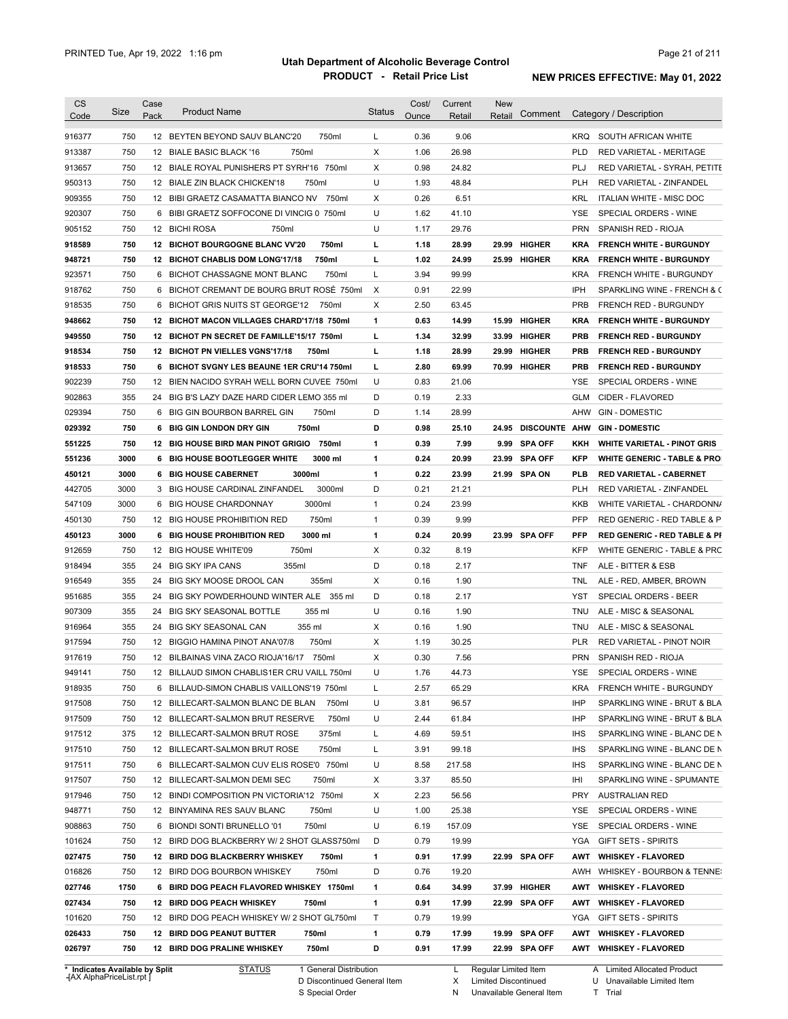| <b>CS</b>                      | Size | Case<br>Pack | <b>Product Name</b>                         | <b>Status</b> | Cost/ | Current | <b>New</b><br>Retail | Comment        |            | Category / Description                  |
|--------------------------------|------|--------------|---------------------------------------------|---------------|-------|---------|----------------------|----------------|------------|-----------------------------------------|
| Code                           |      |              |                                             |               | Ounce | Retail  |                      |                |            |                                         |
| 916377                         | 750  |              | 12 BEYTEN BEYOND SAUV BLANC'20<br>750ml     | L             | 0.36  | 9.06    |                      |                | <b>KRQ</b> | SOUTH AFRICAN WHITE                     |
| 913387                         | 750  |              | 12 BIALE BASIC BLACK '16<br>750ml           | Χ             | 1.06  | 26.98   |                      |                | PLD        | RED VARIETAL - MERITAGE                 |
| 913657                         | 750  |              | 12 BIALE ROYAL PUNISHERS PT SYRH'16 750ml   | Х             | 0.98  | 24.82   |                      |                | PLJ        | RED VARIETAL - SYRAH, PETITE            |
| 950313                         | 750  |              | 12 BIALE ZIN BLACK CHICKEN'18<br>750ml      | U             | 1.93  | 48.84   |                      |                | <b>PLH</b> | RED VARIETAL - ZINFANDEL                |
| 909355                         | 750  |              | 12 BIBI GRAETZ CASAMATTA BIANCO NV 750ml    | Х             | 0.26  | 6.51    |                      |                | <b>KRL</b> | ITALIAN WHITE - MISC DOC                |
| 920307                         | 750  |              | 6 BIBI GRAETZ SOFFOCONE DI VINCIG 0 750ml   | U             | 1.62  | 41.10   |                      |                | <b>YSE</b> | SPECIAL ORDERS - WINE                   |
| 905152                         | 750  |              | 12 BICHI ROSA<br>750ml                      | U             | 1.17  | 29.76   |                      |                | <b>PRN</b> | SPANISH RED - RIOJA                     |
| 918589                         | 750  |              | 12 BICHOT BOURGOGNE BLANC VV'20<br>750ml    | L             | 1.18  | 28.99   | 29.99                | <b>HIGHER</b>  | <b>KRA</b> | <b>FRENCH WHITE - BURGUNDY</b>          |
| 948721                         | 750  |              | 12 BICHOT CHABLIS DOM LONG'17/18<br>750ml   | L             | 1.02  | 24.99   |                      | 25.99 HIGHER   | <b>KRA</b> | <b>FRENCH WHITE - BURGUNDY</b>          |
| 923571                         | 750  |              | 6 BICHOT CHASSAGNE MONT BLANC<br>750ml      | L             | 3.94  | 99.99   |                      |                | <b>KRA</b> | FRENCH WHITE - BURGUNDY                 |
| 918762                         | 750  | 6            | BICHOT CREMANT DE BOURG BRUT ROSÉ 750ml     | Χ             | 0.91  | 22.99   |                      |                | <b>IPH</b> | SPARKLING WINE - FRENCH & C             |
| 918535                         | 750  | 6            | BICHOT GRIS NUITS ST GEORGE'12<br>750ml     | X             | 2.50  | 63.45   |                      |                | <b>PRB</b> | <b>FRENCH RED - BURGUNDY</b>            |
| 948662                         | 750  |              | 12 BICHOT MACON VILLAGES CHARD'17/18 750ml  | 1             | 0.63  | 14.99   | 15.99                | <b>HIGHER</b>  | <b>KRA</b> | <b>FRENCH WHITE - BURGUNDY</b>          |
| 949550                         | 750  |              | 12 BICHOT PN SECRET DE FAMILLE'15/17 750ml  | г             | 1.34  | 32.99   |                      | 33.99 HIGHER   | <b>PRB</b> | <b>FRENCH RED - BURGUNDY</b>            |
| 918534                         | 750  |              | 12 BICHOT PN VIELLES VGNS'17/18<br>750ml    | L             | 1.18  | 28.99   | 29.99                | <b>HIGHER</b>  | <b>PRB</b> | <b>FRENCH RED - BURGUNDY</b>            |
| 918533                         | 750  |              | 6 BICHOT SVGNY LES BEAUNE 1ER CRU'14 750ml  | L             | 2.80  | 69.99   |                      | 70.99 HIGHER   | <b>PRB</b> | <b>FRENCH RED - BURGUNDY</b>            |
| 902239                         | 750  | 12           | BIEN NACIDO SYRAH WELL BORN CUVEE 750ml     | U             | 0.83  | 21.06   |                      |                | YSE        | SPECIAL ORDERS - WINE                   |
| 902863                         | 355  | 24           | BIG B'S LAZY DAZE HARD CIDER LEMO 355 ml    | D             | 0.19  | 2.33    |                      |                | <b>GLM</b> | CIDER - FLAVORED                        |
| 029394                         | 750  | 6            | 750ml<br><b>BIG GIN BOURBON BARREL GIN</b>  | D             | 1.14  | 28.99   |                      |                | AHW        | <b>GIN - DOMESTIC</b>                   |
| 029392                         | 750  | 6            | 750ml<br><b>BIG GIN LONDON DRY GIN</b>      | D             | 0.98  | 25.10   | 24.95                | DISCOUNTE AHW  |            | <b>GIN-DOMESTIC</b>                     |
| 551225                         | 750  |              | 12 BIG HOUSE BIRD MAN PINOT GRIGIO 750ml    | 1             | 0.39  | 7.99    | 9.99                 | <b>SPA OFF</b> | KKH        | <b>WHITE VARIETAL - PINOT GRIS</b>      |
| 551236                         | 3000 |              | 3000 ml<br>6 BIG HOUSE BOOTLEGGER WHITE     | 1             | 0.24  | 20.99   | 23.99                | <b>SPA OFF</b> | KFP        | <b>WHITE GENERIC - TABLE &amp; PRO</b>  |
| 450121                         | 3000 | 6            | <b>BIG HOUSE CABERNET</b><br>3000ml         | 1             | 0.22  | 23.99   | 21.99                | <b>SPA ON</b>  | PLB        | <b>RED VARIETAL - CABERNET</b>          |
| 442705                         | 3000 | 3            | 3000ml<br>BIG HOUSE CARDINAL ZINFANDEL      | D             | 0.21  | 21.21   |                      |                | PLH        | RED VARIETAL - ZINFANDEL                |
| 547109                         | 3000 | 6            | 3000ml<br><b>BIG HOUSE CHARDONNAY</b>       | $\mathbf{1}$  | 0.24  | 23.99   |                      |                | KKB        | WHITE VARIETAL - CHARDONN/              |
| 450130                         | 750  |              | 750ml<br>12 BIG HOUSE PROHIBITION RED       | $\mathbf{1}$  | 0.39  | 9.99    |                      |                | <b>PFP</b> | RED GENERIC - RED TABLE & P             |
| 450123                         | 3000 | 6            | 3000 ml<br><b>BIG HOUSE PROHIBITION RED</b> | 1             | 0.24  | 20.99   |                      | 23.99 SPA OFF  | PFP        | <b>RED GENERIC - RED TABLE &amp; PI</b> |
| 912659                         | 750  | 12           | <b>BIG HOUSE WHITE'09</b><br>750ml          | X             | 0.32  | 8.19    |                      |                | <b>KFP</b> | WHITE GENERIC - TABLE & PRC             |
| 918494                         | 355  | 24           | 355ml<br><b>BIG SKY IPA CANS</b>            | D             | 0.18  | 2.17    |                      |                | <b>TNF</b> | ALE - BITTER & ESB                      |
| 916549                         | 355  | 24           | BIG SKY MOOSE DROOL CAN<br>355ml            | X             | 0.16  | 1.90    |                      |                | TNL        | ALE - RED, AMBER, BROWN                 |
| 951685                         | 355  | 24           | BIG SKY POWDERHOUND WINTER ALE 355 ml       | D             | 0.18  | 2.17    |                      |                | YST        | SPECIAL ORDERS - BEER                   |
| 907309                         | 355  | 24           | <b>BIG SKY SEASONAL BOTTLE</b><br>355 ml    | U             | 0.16  | 1.90    |                      |                | <b>TNU</b> | ALE - MISC & SEASONAL                   |
| 916964                         | 355  |              | 355 ml<br>24 BIG SKY SEASONAL CAN           | Х             | 0.16  | 1.90    |                      |                | TNU        | ALE - MISC & SEASONAL                   |
| 917594                         | 750  |              | 750ml<br>12 BIGGIO HAMINA PINOT ANA'07/8    | X             | 1.19  | 30.25   |                      |                | <b>PLR</b> | RED VARIETAL - PINOT NOIR               |
| 917619                         | 750  |              | 12 BILBAINAS VINA ZACO RIOJA'16/17 750ml    | X             | 0.30  | 7.56    |                      |                | <b>PRN</b> | SPANISH RED - RIOJA                     |
| 949141                         | 750  |              | 12 BILLAUD SIMON CHABLIS1ER CRU VAILL 750ml | U             | 1.76  | 44.73   |                      |                | YSE        | SPECIAL ORDERS - WINE                   |
| 918935                         | 750  |              | 6 BILLAUD-SIMON CHABLIS VAILLONS'19 750ml   | L             | 2.57  | 65.29   |                      |                | KRA        | FRENCH WHITE - BURGUNDY                 |
| 917508                         | 750  |              | 12 BILLECART-SALMON BLANC DE BLAN<br>750ml  | U             | 3.81  | 96.57   |                      |                | IHP        | SPARKLING WINE - BRUT & BLA             |
| 917509                         | 750  |              | 750ml<br>12 BILLECART-SALMON BRUT RESERVE   | U             | 2.44  | 61.84   |                      |                | IHP        | SPARKLING WINE - BRUT & BLA             |
| 917512                         | 375  |              | 12 BILLECART-SALMON BRUT ROSE<br>375ml      | L             | 4.69  | 59.51   |                      |                | <b>IHS</b> | SPARKLING WINE - BLANC DE N             |
| 917510                         | 750  |              | 12 BILLECART-SALMON BRUT ROSE<br>750ml      | L             | 3.91  | 99.18   |                      |                | <b>IHS</b> | SPARKLING WINE - BLANC DE N             |
| 917511                         | 750  |              | 6 BILLECART-SALMON CUV ELIS ROSE'0 750ml    | U             | 8.58  | 217.58  |                      |                | <b>IHS</b> | SPARKLING WINE - BLANC DE N             |
| 917507                         | 750  |              | 12 BILLECART-SALMON DEMI SEC<br>750ml       | Х             | 3.37  | 85.50   |                      |                | IHI        | SPARKLING WINE - SPUMANTE               |
| 917946                         | 750  |              | 12 BINDI COMPOSITION PN VICTORIA'12 750ml   | Х             | 2.23  | 56.56   |                      |                | PRY        | <b>AUSTRALIAN RED</b>                   |
| 948771                         | 750  |              | 750ml<br>12 BINYAMINA RES SAUV BLANC        | U             | 1.00  | 25.38   |                      |                | YSE        | SPECIAL ORDERS - WINE                   |
| 908863                         | 750  |              | 6 BIONDI SONTI BRUNELLO '01<br>750ml        | U             | 6.19  | 157.09  |                      |                | YSE        | SPECIAL ORDERS - WINE                   |
| 101624                         | 750  |              | 12 BIRD DOG BLACKBERRY W/ 2 SHOT GLASS750ml | D             | 0.79  | 19.99   |                      |                | YGA        | <b>GIFT SETS - SPIRITS</b>              |
| 027475                         | 750  |              | 12 BIRD DOG BLACKBERRY WHISKEY<br>750ml     | 1             | 0.91  | 17.99   |                      | 22.99 SPA OFF  | AWT        | <b>WHISKEY - FLAVORED</b>               |
| 016826                         | 750  |              | 750ml<br>12 BIRD DOG BOURBON WHISKEY        | D             | 0.76  | 19.20   |                      |                |            | AWH WHISKEY - BOURBON & TENNE:          |
| 027746                         | 1750 |              | 6 BIRD DOG PEACH FLAVORED WHISKEY 1750ml    | 1             | 0.64  | 34.99   |                      | 37.99 HIGHER   | AWT        | <b>WHISKEY - FLAVORED</b>               |
|                                |      |              |                                             |               |       |         |                      |                |            |                                         |
| 027434                         | 750  |              | 12 BIRD DOG PEACH WHISKEY<br>750ml          | 1             | 0.91  | 17.99   |                      | 22.99 SPA OFF  | AWT        | <b>WHISKEY - FLAVORED</b>               |
| 101620                         | 750  |              | 12 BIRD DOG PEACH WHISKEY W/ 2 SHOT GL750ml | Τ             | 0.79  | 19.99   |                      |                | YGA        | <b>GIFT SETS - SPIRITS</b>              |
| 026433                         | 750  |              | 12 BIRD DOG PEANUT BUTTER<br>750ml          | 1             | 0.79  | 17.99   |                      | 19.99 SPA OFF  | AWT        | <b>WHISKEY - FLAVORED</b>               |
| 026797                         | 750  |              | 12 BIRD DOG PRALINE WHISKEY<br>750ml        | D             | 0.91  | 17.99   |                      | 22.99 SPA OFF  |            | AWT WHISKEY FLAVORED                    |
| * Indicates Available by Split |      |              | <b>STATUS</b><br>1 General Distribution     |               |       | L.      | Regular Limited Item |                |            | A Limited Allocated Product             |

**Case** [AX AlphaPriceList.rpt ]

D Discontinued General Item S Special Order

L Regular Limited Item

X Limited Discontinued

N Unavailable General Item

U Unavailable Limited Item

A Limited Allocated Product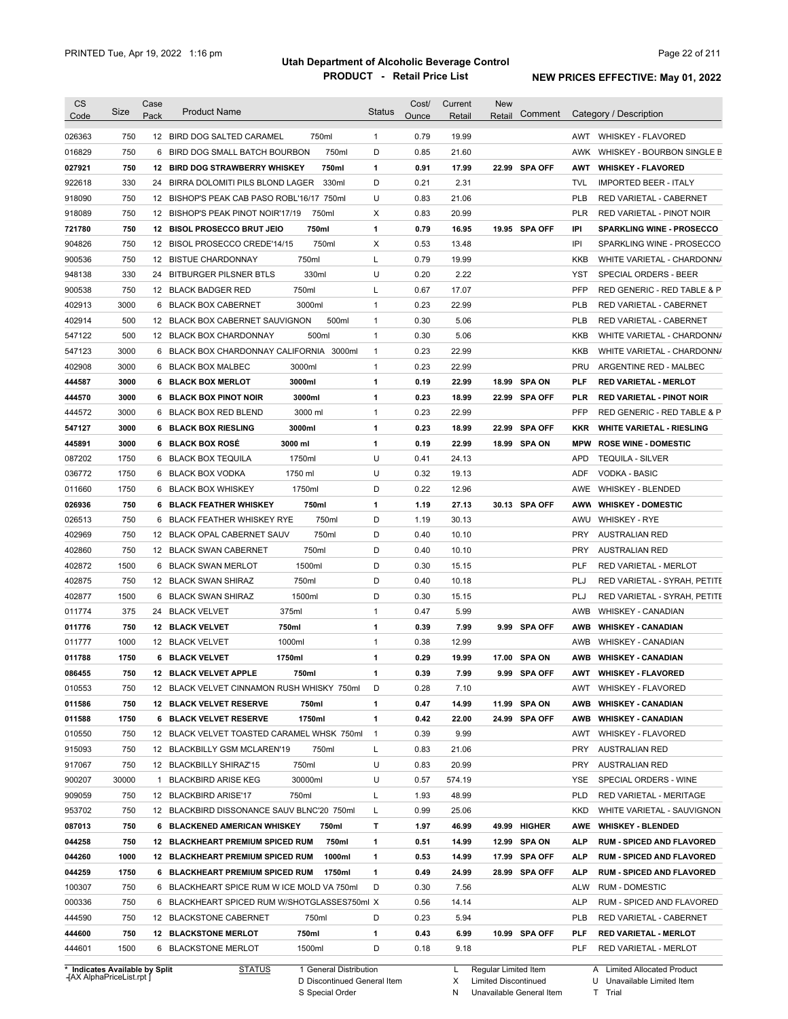|                  | Size        | Case | <b>Product Name</b>                                                   | <b>Status</b>  | Cost/        | Current      | <b>New</b> | Comment        |            | Category / Description                                |
|------------------|-------------|------|-----------------------------------------------------------------------|----------------|--------------|--------------|------------|----------------|------------|-------------------------------------------------------|
| Code             |             | Pack |                                                                       |                | Ounce        | Retail       | Retail     |                |            |                                                       |
| 026363           | 750         |      | 750ml<br>12 BIRD DOG SALTED CARAMEL                                   | $\mathbf{1}$   | 0.79         | 19.99        |            |                | AWT        | <b>WHISKEY - FLAVORED</b>                             |
| 016829           | 750         | 6    | 750ml<br>BIRD DOG SMALL BATCH BOURBON                                 | D              | 0.85         | 21.60        |            |                | AWK        | WHISKEY - BOURBON SINGLE B                            |
| 027921           | 750         |      | 12 BIRD DOG STRAWBERRY WHISKEY<br>750ml                               | 1              | 0.91         | 17.99        |            | 22.99 SPA OFF  | AWT        | <b>WHISKEY - FLAVORED</b>                             |
| 922618           | 330         |      | 330ml<br>24 BIRRA DOLOMITI PILS BLOND LAGER                           | D              | 0.21         | 2.31         |            |                | <b>TVL</b> | <b>IMPORTED BEER - ITALY</b>                          |
| 918090           | 750         |      | 12 BISHOP'S PEAK CAB PASO ROBL'16/17 750ml                            | U              | 0.83         | 21.06        |            |                | <b>PLB</b> | RED VARIETAL - CABERNET                               |
| 918089           | 750         |      | 12 BISHOP'S PEAK PINOT NOIR'17/19<br>750ml                            | Χ              | 0.83         | 20.99        |            |                | <b>PLR</b> | RED VARIETAL - PINOT NOIR                             |
| 721780           | 750         |      | 750ml<br>12 BISOL PROSECCO BRUT JEIO                                  | 1              | 0.79         | 16.95        |            | 19.95 SPA OFF  | IPI        | <b>SPARKLING WINE - PROSECCO</b>                      |
| 904826           | 750         |      | 750ml<br>12 BISOL PROSECCO CREDE'14/15                                | х              | 0.53         | 13.48        |            |                | IPI        | SPARKLING WINE - PROSECCO                             |
| 900536           | 750         |      | 750ml<br>12 BISTUE CHARDONNAY                                         | Г              | 0.79         | 19.99        |            |                | <b>KKB</b> | WHITE VARIETAL - CHARDONN/                            |
| 948138           | 330         |      | 330ml<br>24 BITBURGER PILSNER BTLS                                    | U              | 0.20         | 2.22         |            |                | <b>YST</b> | SPECIAL ORDERS - BEER                                 |
| 900538           | 750         |      | 750ml<br>12 BLACK BADGER RED                                          | L              | 0.67         | 17.07        |            |                | <b>PFP</b> | RED GENERIC - RED TABLE & P                           |
| 402913           | 3000        |      | 3000ml<br>6 BLACK BOX CABERNET                                        | 1              | 0.23         | 22.99        |            |                | <b>PLB</b> | RED VARIETAL - CABERNET                               |
| 402914           | 500         |      | 12 BLACK BOX CABERNET SAUVIGNON<br>500ml                              | 1              | 0.30         | 5.06         |            |                | PLB        | RED VARIETAL - CABERNET                               |
| 547122           | 500         |      | 500ml<br>12 BLACK BOX CHARDONNAY                                      | 1              | 0.30         | 5.06         |            |                | <b>KKB</b> | WHITE VARIETAL - CHARDONN/                            |
| 547123           | 3000        |      | 6 BLACK BOX CHARDONNAY CALIFORNIA<br>3000ml                           | 1              | 0.23         | 22.99        |            |                | <b>KKB</b> | WHITE VARIETAL - CHARDONN/                            |
| 402908           | 3000        | 6    | <b>BLACK BOX MALBEC</b><br>3000ml                                     | 1              | 0.23         | 22.99        |            |                | PRU        | ARGENTINE RED - MALBEC                                |
| 444587           | 3000        |      | 3000ml<br><b>6 BLACK BOX MERLOT</b>                                   | 1              | 0.19         | 22.99        |            | 18.99 SPA ON   | <b>PLF</b> | <b>RED VARIETAL - MERLOT</b>                          |
| 444570           | 3000        |      | <b>6 BLACK BOX PINOT NOIR</b><br>3000ml                               | 1              | 0.23         | 18.99        |            | 22.99 SPA OFF  | <b>PLR</b> | <b>RED VARIETAL - PINOT NOIR</b>                      |
| 444572           | 3000        |      | 3000 ml<br>6 BLACK BOX RED BLEND                                      | 1              | 0.23         | 22.99        |            |                | <b>PFP</b> | RED GENERIC - RED TABLE & P                           |
| 547127           | 3000        |      | 3000ml<br>6 BLACK BOX RIESLING                                        | 1              | 0.23         | 18.99        | 22.99      | <b>SPA OFF</b> | KKR        | <b>WHITE VARIETAL - RIESLING</b>                      |
| 445891           | 3000        |      | 6 BLACK BOX ROSÉ<br>3000 ml                                           | 1              | 0.19         | 22.99        |            | 18.99 SPA ON   | <b>MPW</b> | <b>ROSE WINE - DOMESTIC</b>                           |
| 087202           | 1750        | 6    | 1750ml<br><b>BLACK BOX TEQUILA</b>                                    | U              | 0.41         | 24.13        |            |                | APD        | <b>TEQUILA - SILVER</b>                               |
| 036772           | 1750        |      | 1750 ml<br>6 BLACK BOX VODKA                                          | U              | 0.32         | 19.13        |            |                | ADF        | <b>VODKA - BASIC</b>                                  |
| 011660           | 1750        |      | 1750ml<br>6 BLACK BOX WHISKEY                                         | D              | 0.22         | 12.96        |            |                | AWE        | WHISKEY - BLENDED                                     |
| 026936           | 750         |      | 750ml<br>6 BLACK FEATHER WHISKEY                                      | 1              | 1.19         | 27.13        |            | 30.13 SPA OFF  | AWW        | <b>WHISKEY - DOMESTIC</b>                             |
| 026513           | 750         | 6    | BLACK FEATHER WHISKEY RYE<br>750ml                                    | D              | 1.19         | 30.13        |            |                | AWU        | <b>WHISKEY - RYE</b>                                  |
| 402969           | 750         |      | 750ml<br>12 BLACK OPAL CABERNET SAUV                                  | D              | 0.40         | 10.10        |            |                | <b>PRY</b> | <b>AUSTRALIAN RED</b>                                 |
| 402860           | 750         |      | 750ml<br>12 BLACK SWAN CABERNET                                       | D              | 0.40         | 10.10        |            |                | <b>PRY</b> | <b>AUSTRALIAN RED</b>                                 |
| 402872           | 1500        |      | 1500ml<br>6 BLACK SWAN MERLOT                                         | D              | 0.30         | 15.15        |            |                | <b>PLF</b> | <b>RED VARIETAL - MERLOT</b>                          |
| 402875           | 750         |      | 750ml<br>12 BLACK SWAN SHIRAZ                                         | D              | 0.40         | 10.18        |            |                | PLJ        | RED VARIETAL - SYRAH, PETITE                          |
| 402877           | 1500        |      | 1500ml<br>6 BLACK SWAN SHIRAZ                                         | D              | 0.30         | 15.15        |            |                | PLJ        | RED VARIETAL - SYRAH, PETITE                          |
| 011774           | 375         | 24   | <b>BLACK VELVET</b><br>375ml                                          | 1              | 0.47         | 5.99         |            |                | AWB        | <b>WHISKEY - CANADIAN</b>                             |
| 011776           | 750         |      | 750ml<br>12 BLACK VELVET                                              | 1              | 0.39         | 7.99         |            | 9.99 SPA OFF   | AWB        | <b>WHISKEY - CANADIAN</b>                             |
| 011777           | 1000        |      | 1000ml<br>12 BLACK VELVET                                             | 1              | 0.38         | 12.99        |            |                | AWB        | <b>WHISKEY - CANADIAN</b>                             |
| 011788           | 1750        |      | 6 BLACK VELVET<br>1750ml                                              | 1              | 0.29         | 19.99        |            | 17.00 SPA ON   | <b>AWB</b> | <b>WHISKEY - CANADIAN</b>                             |
| 086455           | 750         |      | 12 BLACK VELVET APPLE<br>750ml                                        | 1              | 0.39         |              |            | 9.99 SPA OFF   |            | AWT WHISKEY - FLAVORED                                |
| 010553           | 750         |      |                                                                       |                |              | 7.99         |            |                |            |                                                       |
|                  |             |      | 12 BLACK VELVET CINNAMON RUSH WHISKY 750ml                            | D              | 0.28         | 7.10         |            |                | AWT        | WHISKEY - FLAVORED                                    |
| 011586           | 750         |      | 12 BLACK VELVET RESERVE<br>750ml                                      | 1              | 0.47         | 14.99        |            | 11.99 SPA ON   | AWB        | <b>WHISKEY - CANADIAN</b>                             |
| 011588           | 1750        |      | 6 BLACK VELVET RESERVE<br>1750ml                                      | 1              | 0.42         | 22.00        |            | 24.99 SPA OFF  | AWB        | <b>WHISKEY - CANADIAN</b>                             |
| 010550           | 750         |      | 12 BLACK VELVET TOASTED CARAMEL WHSK 750ml                            | $\overline{1}$ | 0.39         | 9.99         |            |                | AWT        | WHISKEY - FLAVORED                                    |
| 915093           | 750         |      | 750ml<br>12 BLACKBILLY GSM MCLAREN'19                                 | L              | 0.83         | 21.06        |            |                | <b>PRY</b> | <b>AUSTRALIAN RED</b>                                 |
| 917067           | 750         |      | 12 BLACKBILLY SHIRAZ'15<br>750ml                                      | U              | 0.83         | 20.99        |            |                | PRY        | <b>AUSTRALIAN RED</b>                                 |
| 900207           | 30000       |      | 30000ml<br>1 BLACKBIRD ARISE KEG                                      | U              | 0.57         | 574.19       |            |                | YSE        | SPECIAL ORDERS - WINE                                 |
| 909059           | 750         |      | 12 BLACKBIRD ARISE'17<br>750ml                                        | L              | 1.93         | 48.99        |            |                | <b>PLD</b> | RED VARIETAL - MERITAGE                               |
| 953702           | 750         |      | 12 BLACKBIRD DISSONANCE SAUV BLNC'20 750ml                            | L              | 0.99         | 25.06        |            |                | KKD        | WHITE VARIETAL - SAUVIGNON                            |
| 087013           | 750         |      | 6 BLACKENED AMERICAN WHISKEY<br>750ml                                 | т              | 1.97         | 46.99        |            | 49.99 HIGHER   | AWE        | <b>WHISKEY - BLENDED</b>                              |
| 044258           | 750         |      | <b>12 BLACKHEART PREMIUM SPICED RUM</b><br>750ml                      | 1              | 0.51         | 14.99        |            | 12.99 SPA ON   | ALP        | <b>RUM - SPICED AND FLAVORED</b>                      |
| 044260           | 1000        |      | <b>12 BLACKHEART PREMIUM SPICED RUM</b><br>1000ml                     | 1              | 0.53         | 14.99        |            | 17.99 SPA OFF  | ALP        | <b>RUM - SPICED AND FLAVORED</b>                      |
| 044259           | 1750        |      | 6 BLACKHEART PREMIUM SPICED RUM<br>1750ml                             | 1              | 0.49         | 24.99        |            | 28.99 SPA OFF  | ALP        | <b>RUM - SPICED AND FLAVORED</b>                      |
| 100307           | 750         |      | 6 BLACKHEART SPICE RUM W ICE MOLD VA 750ml                            | D              | 0.30         | 7.56         |            |                | ALW        | <b>RUM - DOMESTIC</b>                                 |
|                  |             |      |                                                                       |                |              |              |            |                |            |                                                       |
| 000336           | 750         |      | 6 BLACKHEART SPICED RUM W/SHOTGLASSES750ml X                          |                | 0.56         | 14.14        |            |                | <b>ALP</b> | RUM - SPICED AND FLAVORED                             |
| 444590           | 750         |      | 12 BLACKSTONE CABERNET<br>750ml                                       | D              | 0.23         | 5.94         |            |                | PLB        | RED VARIETAL - CABERNET                               |
| 444600<br>444601 | 750<br>1500 |      | 750ml<br><b>12 BLACKSTONE MERLOT</b><br>6 BLACKSTONE MERLOT<br>1500ml | 1<br>D         | 0.43<br>0.18 | 6.99<br>9.18 |            | 10.99 SPA OFF  | PLF<br>PLF | <b>RED VARIETAL - MERLOT</b><br>RED VARIETAL - MERLOT |

**Case** [AX AlphaPriceList.rpt ]

D Discontinued General Item

S Special Order

X Limited Discontinued

N Unavailable General Item

U Unavailable Limited Item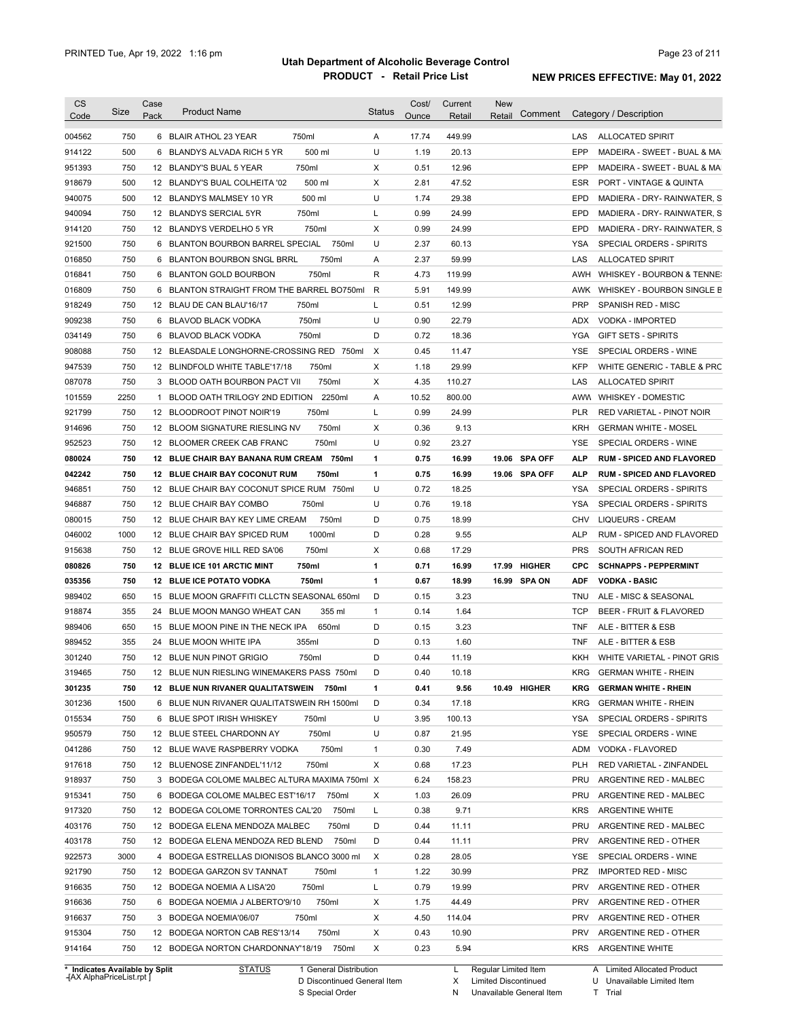| Code                                                                                                                                                                                       | Size | Case<br>Pack | <b>Product Name</b>                          |        | <b>Status</b> | Cost/ | Current | <b>New</b> | Comment       |            | Category / Description                   |
|--------------------------------------------------------------------------------------------------------------------------------------------------------------------------------------------|------|--------------|----------------------------------------------|--------|---------------|-------|---------|------------|---------------|------------|------------------------------------------|
|                                                                                                                                                                                            |      |              |                                              |        |               | Ounce | Retail  | Retail     |               |            |                                          |
| 004562                                                                                                                                                                                     | 750  |              | 6 BLAIR ATHOL 23 YEAR                        | 750ml  | A             | 17.74 | 449.99  |            |               | LAS        | <b>ALLOCATED SPIRIT</b>                  |
| 914122                                                                                                                                                                                     | 500  | 6            | BLANDYS ALVADA RICH 5 YR                     | 500 ml | U             | 1.19  | 20.13   |            |               | EPP        | MADEIRA - SWEET - BUAL & MA              |
| 951393                                                                                                                                                                                     | 750  |              | 12 BLANDY'S BUAL 5 YEAR                      | 750ml  | Χ             | 0.51  | 12.96   |            |               | EPP        | MADEIRA - SWEET - BUAL & MA              |
| 918679                                                                                                                                                                                     | 500  |              | 12 BLANDY'S BUAL COLHEITA '02                | 500 ml | Χ             | 2.81  | 47.52   |            |               | ESR        | PORT - VINTAGE & QUINTA                  |
| 940075                                                                                                                                                                                     | 500  |              | 12 BLANDYS MALMSEY 10 YR                     | 500 ml | U             | 1.74  | 29.38   |            |               | EPD        | MADIERA - DRY- RAINWATER, S              |
| 940094                                                                                                                                                                                     | 750  |              | 12 BLANDYS SERCIAL 5YR                       | 750ml  | Г             | 0.99  | 24.99   |            |               | EPD        | MADIERA - DRY- RAINWATER, S              |
| 914120                                                                                                                                                                                     | 750  |              | 12 BLANDYS VERDELHO 5 YR                     | 750ml  | Χ             | 0.99  | 24.99   |            |               | <b>EPD</b> | MADIERA - DRY- RAINWATER, S              |
| 921500                                                                                                                                                                                     | 750  |              | 6 BLANTON BOURBON BARREL SPECIAL             | 750ml  | U             | 2.37  | 60.13   |            |               | YSA        | SPECIAL ORDERS - SPIRITS                 |
| 016850                                                                                                                                                                                     | 750  |              | 6 BLANTON BOURBON SNGL BRRL                  | 750ml  | Α             | 2.37  | 59.99   |            |               | LAS        | <b>ALLOCATED SPIRIT</b>                  |
| 016841                                                                                                                                                                                     | 750  |              | 6 BLANTON GOLD BOURBON                       | 750ml  | R             | 4.73  | 119.99  |            |               | AWH        | WHISKEY - BOURBON & TENNE:               |
| 016809                                                                                                                                                                                     | 750  | 6            | BLANTON STRAIGHT FROM THE BARREL BO750ml     |        | R             | 5.91  | 149.99  |            |               | AWK        | WHISKEY - BOURBON SINGLE B               |
| 918249                                                                                                                                                                                     | 750  |              | 12 BLAU DE CAN BLAU'16/17                    | 750ml  | L             | 0.51  | 12.99   |            |               | <b>PRP</b> | SPANISH RED - MISC                       |
| 909238                                                                                                                                                                                     | 750  | 6            | BLAVOD BLACK VODKA                           | 750ml  | U             | 0.90  | 22.79   |            |               | ADX        | VODKA - IMPORTED                         |
| 034149                                                                                                                                                                                     | 750  | 6            | BLAVOD BLACK VODKA                           | 750ml  | D             | 0.72  | 18.36   |            |               | YGA        | <b>GIFT SETS - SPIRITS</b>               |
| 908088                                                                                                                                                                                     | 750  | 12           | BLEASDALE LONGHORNE-CROSSING RED             | 750ml  | X             | 0.45  | 11.47   |            |               | <b>YSE</b> | SPECIAL ORDERS - WINE                    |
| 947539                                                                                                                                                                                     | 750  |              | 12 BLINDFOLD WHITE TABLE'17/18               | 750ml  | X             | 1.18  | 29.99   |            |               | <b>KFP</b> | WHITE GENERIC - TABLE & PRC              |
| 087078                                                                                                                                                                                     | 750  | 3            | BLOOD OATH BOURBON PACT VII                  | 750ml  | Χ             | 4.35  | 110.27  |            |               | LAS        | <b>ALLOCATED SPIRIT</b>                  |
| 101559                                                                                                                                                                                     | 2250 | 1            | BLOOD OATH TRILOGY 2ND EDITION               | 2250ml | Α             | 10.52 | 800.00  |            |               | <b>AWW</b> | WHISKEY - DOMESTIC                       |
| 921799                                                                                                                                                                                     | 750  |              | 12 BLOODROOT PINOT NOIR'19                   | 750ml  | L             | 0.99  | 24.99   |            |               | <b>PLR</b> | RED VARIETAL - PINOT NOIR                |
| 914696                                                                                                                                                                                     | 750  |              | 12 BLOOM SIGNATURE RIESLING NV               | 750ml  | X             | 0.36  | 9.13    |            |               | <b>KRH</b> | <b>GERMAN WHITE - MOSEL</b>              |
| 952523                                                                                                                                                                                     | 750  |              | 12 BLOOMER CREEK CAB FRANC                   | 750ml  | U             | 0.92  | 23.27   |            |               | <b>YSE</b> | SPECIAL ORDERS - WINE                    |
| 080024                                                                                                                                                                                     | 750  |              | 12 BLUE CHAIR BAY BANANA RUM CREAM           | 750ml  | 1             | 0.75  | 16.99   |            | 19.06 SPA OFF | <b>ALP</b> | <b>RUM - SPICED AND FLAVORED</b>         |
| 042242                                                                                                                                                                                     | 750  |              | <b>12 BLUE CHAIR BAY COCONUT RUM</b>         | 750ml  | 1             | 0.75  | 16.99   |            | 19.06 SPA OFF | ALP        | <b>RUM - SPICED AND FLAVORED</b>         |
| 946851                                                                                                                                                                                     | 750  |              | 12 BLUE CHAIR BAY COCONUT SPICE RUM 750ml    |        | U             | 0.72  | 18.25   |            |               | YSA        | SPECIAL ORDERS - SPIRITS                 |
| 946887                                                                                                                                                                                     | 750  |              | 12 BLUE CHAIR BAY COMBO                      | 750ml  | U             | 0.76  | 19.18   |            |               | YSA        | SPECIAL ORDERS - SPIRITS                 |
| 080015                                                                                                                                                                                     | 750  |              | 12 BLUE CHAIR BAY KEY LIME CREAM             | 750ml  | D             | 0.75  | 18.99   |            |               | CHV        | LIQUEURS - CREAM                         |
| 046002                                                                                                                                                                                     | 1000 |              | 12 BLUE CHAIR BAY SPICED RUM                 | 1000ml | D             | 0.28  | 9.55    |            |               | <b>ALP</b> | RUM - SPICED AND FLAVORED                |
| 915638                                                                                                                                                                                     | 750  |              | 12 BLUE GROVE HILL RED SA'06                 | 750ml  | Χ             | 0.68  | 17.29   |            |               | <b>PRS</b> | SOUTH AFRICAN RED                        |
| 080826                                                                                                                                                                                     | 750  |              | 12 BLUE ICE 101 ARCTIC MINT                  | 750ml  | 1             | 0.71  | 16.99   |            | 17.99 HIGHER  | <b>CPC</b> | <b>SCHNAPPS - PEPPERMINT</b>             |
| 035356                                                                                                                                                                                     | 750  |              | 12 BLUE ICE POTATO VODKA                     | 750ml  | 1             | 0.67  | 18.99   |            | 16.99 SPA ON  | ADF        | <b>VODKA - BASIC</b>                     |
| 989402                                                                                                                                                                                     | 650  | 15           | BLUE MOON GRAFFITI CLLCTN SEASONAL 650ml     |        | D             | 0.15  | 3.23    |            |               | TNU        | ALE - MISC & SEASONAL                    |
| 918874                                                                                                                                                                                     | 355  | 24           | BLUE MOON MANGO WHEAT CAN                    | 355 ml | $\mathbf{1}$  | 0.14  | 1.64    |            |               | <b>TCP</b> | BEER - FRUIT & FLAVORED                  |
| 989406                                                                                                                                                                                     | 650  | 15           | BLUE MOON PINE IN THE NECK IPA               | 650ml  | D             | 0.15  | 3.23    |            |               | <b>TNF</b> |                                          |
|                                                                                                                                                                                            |      |              |                                              | 355ml  | D             |       |         |            |               | <b>TNF</b> | ALE - BITTER & ESB<br>ALE - BITTER & ESB |
| 989452                                                                                                                                                                                     | 355  |              |                                              |        |               |       |         |            |               |            |                                          |
|                                                                                                                                                                                            |      |              | 24 BLUE MOON WHITE IPA                       |        |               | 0.13  | 1.60    |            |               |            |                                          |
|                                                                                                                                                                                            | 750  |              | 12 BLUE NUN PINOT GRIGIO                     | 750ml  | D             | 0.44  | 11.19   |            |               | KKH        | WHITE VARIETAL - PINOT GRIS              |
|                                                                                                                                                                                            | 750  |              | 12 BLUE NUN RIESLING WINEMAKERS PASS 750ml   |        | D             | 0.40  | 10.18   |            |               | KRG        | <b>GERMAN WHITE - RHEIN</b>              |
|                                                                                                                                                                                            | 750  |              | 12 BLUE NUN RIVANER QUALITATSWEIN 750ml      |        | 1             | 0.41  | 9.56    |            | 10.49 HIGHER  | KRG        | <b>GERMAN WHITE - RHEIN</b>              |
|                                                                                                                                                                                            | 1500 |              | 6 BLUE NUN RIVANER QUALITATSWEIN RH 1500ml   |        | D             | 0.34  | 17.18   |            |               | KRG        | <b>GERMAN WHITE - RHEIN</b>              |
|                                                                                                                                                                                            | 750  |              | 6 BLUE SPOT IRISH WHISKEY                    | 750ml  | U             | 3.95  | 100.13  |            |               | YSA        | SPECIAL ORDERS - SPIRITS                 |
|                                                                                                                                                                                            | 750  |              | 12 BLUE STEEL CHARDONN AY                    | 750ml  | U             | 0.87  | 21.95   |            |               | YSE        | SPECIAL ORDERS - WINE                    |
|                                                                                                                                                                                            | 750  |              | 12 BLUE WAVE RASPBERRY VODKA                 | 750ml  | $\mathbf{1}$  | 0.30  | 7.49    |            |               | ADM        | VODKA - FLAVORED                         |
|                                                                                                                                                                                            | 750  |              | 12 BLUENOSE ZINFANDEL'11/12                  | 750ml  | Х             | 0.68  | 17.23   |            |               | <b>PLH</b> | RED VARIETAL - ZINFANDEL                 |
|                                                                                                                                                                                            | 750  |              | 3 BODEGA COLOME MALBEC ALTURA MAXIMA 750ml X |        |               | 6.24  | 158.23  |            |               | PRU        | ARGENTINE RED - MALBEC                   |
|                                                                                                                                                                                            | 750  |              | 6 BODEGA COLOME MALBEC EST'16/17             | 750ml  | Х             | 1.03  | 26.09   |            |               | PRU        | ARGENTINE RED - MALBEC                   |
|                                                                                                                                                                                            | 750  |              | 12 BODEGA COLOME TORRONTES CAL'20            | 750ml  | Г             | 0.38  | 9.71    |            |               | <b>KRS</b> | ARGENTINE WHITE                          |
|                                                                                                                                                                                            | 750  |              | 12 BODEGA ELENA MENDOZA MALBEC               | 750ml  | D             | 0.44  | 11.11   |            |               | PRU        | ARGENTINE RED - MALBEC                   |
|                                                                                                                                                                                            | 750  |              | 12 BODEGA ELENA MENDOZA RED BLEND            | 750ml  | D             | 0.44  | 11.11   |            |               | PRV        | ARGENTINE RED - OTHER                    |
|                                                                                                                                                                                            | 3000 |              | 4 BODEGA ESTRELLAS DIONISOS BLANCO 3000 ml   |        | Х             | 0.28  | 28.05   |            |               | YSE        | SPECIAL ORDERS - WINE                    |
|                                                                                                                                                                                            | 750  |              | 12 BODEGA GARZON SV TANNAT                   | 750ml  | $\mathbf{1}$  | 1.22  | 30.99   |            |               | <b>PRZ</b> | <b>IMPORTED RED - MISC</b>               |
|                                                                                                                                                                                            | 750  |              | 12 BODEGA NOEMIA A LISA'20                   | 750ml  | Г             | 0.79  | 19.99   |            |               | PRV        | ARGENTINE RED - OTHER                    |
|                                                                                                                                                                                            | 750  |              | 6 BODEGA NOEMIA J ALBERTO'9/10               | 750ml  | Х             | 1.75  | 44.49   |            |               | PRV        | ARGENTINE RED - OTHER                    |
|                                                                                                                                                                                            | 750  |              | 3 BODEGA NOEMIA'06/07                        | 750ml  | Х             | 4.50  | 114.04  |            |               | PRV        | ARGENTINE RED - OTHER                    |
| 301240<br>319465<br>301235<br>301236<br>015534<br>950579<br>041286<br>917618<br>918937<br>915341<br>917320<br>403176<br>403178<br>922573<br>921790<br>916635<br>916636<br>916637<br>915304 | 750  |              | 12 BODEGA NORTON CAB RES'13/14               | 750ml  | Х             | 0.43  | 10.90   |            |               | PRV        | ARGENTINE RED - OTHER                    |

**Case** [AX AlphaPriceList.rpt ]

D Discontinued General Item S Special Order

X Limited Discontinued

N Unavailable General Item

U Unavailable Limited Item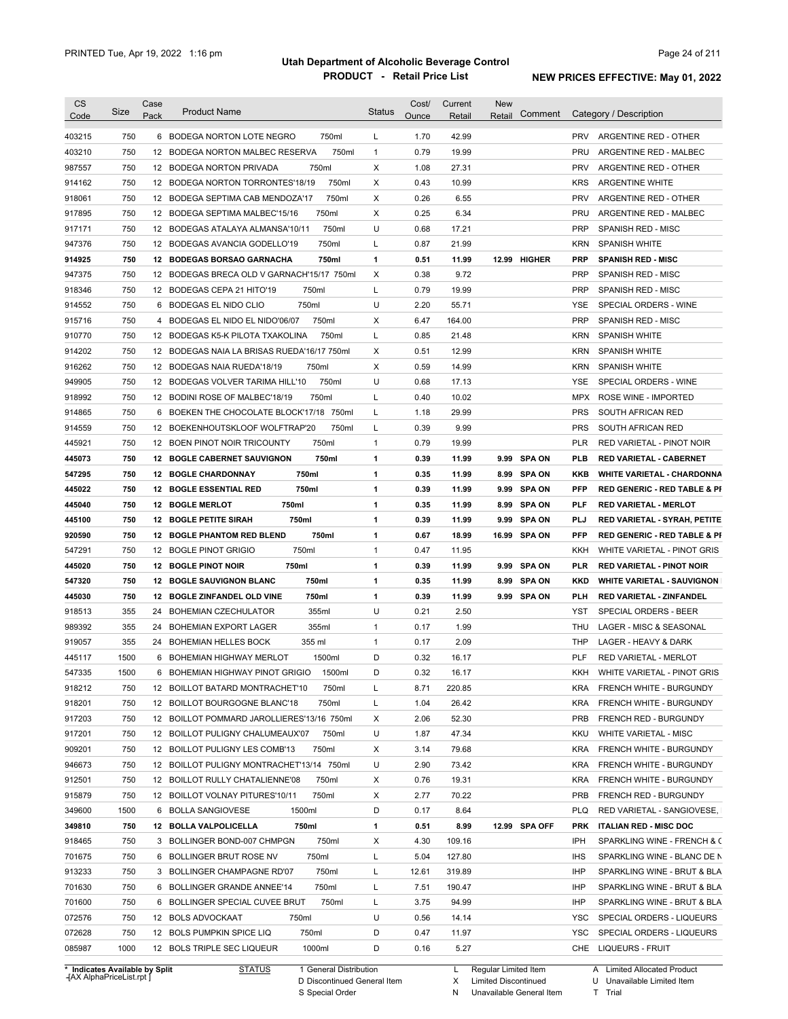| 750<br>6 BODEGA NORTON LOTE NEGRO<br>750ml<br>1.70<br>42.99<br><b>PRV</b><br>ARGENTINE RED - OTHER<br>L<br>750<br>750ml<br>$\mathbf{1}$<br>0.79<br>19.99<br>12 BODEGA NORTON MALBEC RESERVA<br>PRU<br>ARGENTINE RED - MALBEC<br>X<br>750<br>12 BODEGA NORTON PRIVADA<br>750ml<br>1.08<br>27.31<br><b>PRV</b><br>ARGENTINE RED - OTHER<br>750<br>750ml<br>X<br>12 BODEGA NORTON TORRONTES'18/19<br>0.43<br>10.99<br><b>KRS</b><br><b>ARGENTINE WHITE</b><br>750<br>750ml<br>X<br>6.55<br><b>PRV</b><br>12 BODEGA SEPTIMA CAB MENDOZA'17<br>0.26<br>ARGENTINE RED - OTHER<br>750<br>X<br>0.25<br>6.34<br>12 BODEGA SEPTIMA MALBEC'15/16<br>750ml<br>PRU<br>ARGENTINE RED - MALBEC<br>750<br>750ml<br>U<br>0.68<br><b>PRP</b><br>17.21<br>SPANISH RED - MISC<br>12 BODEGAS ATALAYA ALMANSA'10/11<br>750<br>750ml<br>Г<br>0.87<br>21.99<br><b>KRN</b><br>12 BODEGAS AVANCIA GODELLO'19<br><b>SPANISH WHITE</b><br>750<br>1<br>12 BODEGAS BORSAO GARNACHA<br>750ml<br>0.51<br>11.99<br>12.99 HIGHER<br><b>PRP</b><br><b>SPANISH RED - MISC</b><br>750<br>X<br>9.72<br>12 BODEGAS BRECA OLD V GARNACH'15/17 750ml<br>0.38<br><b>PRP</b><br>SPANISH RED - MISC<br>750<br>750ml<br>L<br>0.79<br>19.99<br><b>PRP</b><br>12 BODEGAS CEPA 21 HITO'19<br>SPANISH RED - MISC<br>750<br>750ml<br>U<br>2.20<br>6 BODEGAS EL NIDO CLIO<br>55.71<br>YSE<br>SPECIAL ORDERS - WINE<br>750<br>750ml<br>X<br>6.47<br><b>PRP</b><br>4 BODEGAS EL NIDO EL NIDO'06/07<br>164.00<br><b>SPANISH RED - MISC</b><br>750<br>L<br>0.85<br><b>KRN</b><br>12 BODEGAS K5-K PILOTA TXAKOLINA<br>750ml<br>21.48<br><b>SPANISH WHITE</b><br>750<br>х<br>0.51<br>12.99<br><b>KRN</b><br>12 BODEGAS NAIA LA BRISAS RUEDA'16/17 750ml<br><b>SPANISH WHITE</b><br>750<br>X<br>0.59<br>14.99<br><b>KRN</b><br>12 BODEGAS NAIA RUEDA'18/19<br>750ml<br><b>SPANISH WHITE</b><br>750<br>750ml<br>U<br>0.68<br>12 BODEGAS VOLVER TARIMA HILL'10<br>17.13<br><b>YSE</b><br>SPECIAL ORDERS - WINE<br>750<br>750ml<br>Г<br>0.40<br>10.02<br>12 BODINI ROSE OF MALBEC'18/19<br><b>MPX</b><br><b>ROSE WINE - IMPORTED</b><br>750<br>L<br>1.18<br>29.99<br><b>PRS</b><br>6 BOEKEN THE CHOCOLATE BLOCK'17/18 750ml<br>SOUTH AFRICAN RED<br>750<br>0.39<br>9.99<br><b>PRS</b><br>12 BOEKENHOUTSKLOOF WOLFTRAP'20<br>750ml<br>L<br>SOUTH AFRICAN RED<br>750<br>$\mathbf{1}$<br>0.79<br>12 BOEN PINOT NOIR TRICOUNTY<br>750ml<br>19.99<br><b>PLR</b><br>RED VARIETAL - PINOT NOIR<br>750<br>0.39<br><b>12 BOGLE CABERNET SAUVIGNON</b><br>750ml<br>1<br>11.99<br>9.99<br><b>SPA ON</b><br>PLB<br><b>RED VARIETAL - CABERNET</b><br>750<br>750ml<br>0.35<br>547295<br><b>12 BOGLE CHARDONNAY</b><br>1<br>11.99<br>8.99<br>SPA ON<br>KKB<br><b>WHITE VARIETAL - CHARDONNA</b><br>750<br>750ml<br>1<br>0.39<br>445022<br><b>12 BOGLE ESSENTIAL RED</b><br>11.99<br><b>SPA ON</b><br>PFP<br><b>RED GENERIC - RED TABLE &amp; PI</b><br>9.99<br>750<br>750ml<br>1<br>0.35<br>445040<br><b>12 BOGLE MERLOT</b><br>11.99<br><b>SPA ON</b><br>PLF<br><b>RED VARIETAL - MERLOT</b><br>8.99<br>750<br>1<br>0.39<br>445100<br><b>12 BOGLE PETITE SIRAH</b><br>750ml<br>11.99<br>9.99<br><b>SPA ON</b><br>PLJ<br>RED VARIETAL - SYRAH, PETITE<br>750<br>750ml<br>1<br>0.67<br>920590<br><b>12 BOGLE PHANTOM RED BLEND</b><br>18.99<br>16.99<br><b>SPA ON</b><br>PFP<br><b>RED GENERIC - RED TABLE &amp; PI</b><br>750<br>750ml<br>$\mathbf{1}$<br>0.47<br>547291<br>12 BOGLE PINOT GRIGIO<br>11.95<br>KKH<br>WHITE VARIETAL - PINOT GRIS<br>750<br>750ml<br>1<br>0.39<br><b>SPA ON</b><br>445020<br>12 BOGLE PINOT NOIR<br>11.99<br>9.99<br>PLR<br><b>RED VARIETAL - PINOT NOIR</b><br>750<br>750ml<br>1<br>0.35<br>547320<br><b>12 BOGLE SAUVIGNON BLANC</b><br>11.99<br>8.99<br><b>SPA ON</b><br>KKD<br><b>WHITE VARIETAL - SAUVIGNON</b><br>750<br>750ml<br>1<br>0.39<br>9.99 SPA ON<br>445030<br>12 BOGLE ZINFANDEL OLD VINE<br>11.99<br>PLH<br>RED VARIETAL - ZINFANDEL<br>355<br>355ml<br>U<br>0.21<br>918513<br>24<br>BOHEMIAN CZECHULATOR<br>2.50<br>YST<br>SPECIAL ORDERS - BEER<br>355ml<br>$\mathbf{1}$<br>989392<br>355<br>24 BOHEMIAN EXPORT LAGER<br>0.17<br>1.99<br>THU<br>LAGER - MISC & SEASONAL<br>$\mathbf{1}$<br>919057<br>355<br>24 BOHEMIAN HELLES BOCK<br>355 ml<br>0.17<br>2.09<br><b>THP</b><br>LAGER - HEAVY & DARK<br>1500<br>D<br>0.32<br><b>PLF</b><br>445117<br>6 BOHEMIAN HIGHWAY MERLOT<br>1500ml<br>16.17<br><b>RED VARIETAL - MERLOT</b><br>547335<br>1500<br>6 BOHEMIAN HIGHWAY PINOT GRIGIO<br>1500ml<br>D<br>0.32<br>KKH WHITE VARIETAL - PINOT GRIS<br>16.17<br>750<br>12 BOILLOT BATARD MONTRACHET'10<br>750ml<br>L<br>220.85<br>KRA<br>8.71<br>FRENCH WHITE - BURGUNDY<br>750<br>L<br>1.04<br>26.42<br><b>KRA</b><br>12 BOILLOT BOURGOGNE BLANC'18<br>750ml<br>FRENCH WHITE - BURGUNDY<br>750<br>12 BOILLOT POMMARD JAROLLIERES'13/16 750ml<br>2.06<br>52.30<br><b>PRB</b><br>х<br>FRENCH RED - BURGUNDY<br>750<br>750ml<br>U<br>47.34<br>12 BOILLOT PULIGNY CHALUMEAUX'07<br>1.87<br>KKU<br>WHITE VARIETAL - MISC<br>750<br>750ml<br>79.68<br>12 BOILLOT PULIGNY LES COMB'13<br>х<br>3.14<br><b>KRA</b><br>FRENCH WHITE - BURGUNDY<br>750<br>12 BOILLOT PULIGNY MONTRACHET'13/14 750ml<br>U<br>2.90<br>73.42<br><b>KRA</b><br>FRENCH WHITE - BURGUNDY<br>750<br>750ml<br>0.76<br>19.31<br><b>KRA</b><br>12 BOILLOT RULLY CHATALIENNE'08<br>х<br>FRENCH WHITE - BURGUNDY<br>750<br>750ml<br>х<br>70.22<br>12 BOILLOT VOLNAY PITURES'10/11<br>2.77<br><b>PRB</b><br>FRENCH RED - BURGUNDY<br>1500<br>1500ml<br>D<br>0.17<br>8.64<br>6 BOLLA SANGIOVESE<br><b>PLQ</b><br>12 BOLLA VALPOLICELLA<br>750ml<br>1<br>0.51<br>8.99<br>12.99 SPA OFF<br><b>ITALIAN RED - MISC DOC</b><br>750<br><b>PRK</b><br>750<br>750ml<br>4.30<br>109.16<br>IPH<br>3 BOLLINGER BOND-007 CHMPGN<br>х<br>750ml<br>5.04<br>127.80<br>750<br>6 BOLLINGER BRUT ROSE NV<br>Г<br><b>IHS</b><br>750ml<br>12.61<br>319.89<br><b>IHP</b><br>750<br>3 BOLLINGER CHAMPAGNE RD'07<br>Г<br>750ml<br>7.51<br>190.47<br>750<br>6 BOLLINGER GRANDE ANNEE'14<br>Г<br>IHP<br>750ml<br>3.75<br>94.99<br>750<br>6 BOLLINGER SPECIAL CUVEE BRUT<br>L<br>IHP<br>U<br>750<br>0.56<br>12 BOLS ADVOCKAAT<br>750ml<br>14.14<br>YSC<br>750<br>12 BOLS PUMPKIN SPICE LIQ<br>750ml<br>D<br>0.47<br>11.97<br>YSC<br>SPECIAL ORDERS - LIQUEURS<br>1000<br>1000ml<br>D<br>5.27<br>CHE LIQUEURS - FRUIT<br>12 BOLS TRIPLE SEC LIQUEUR<br>0.16<br>* Indicates Available by Split | <b>CS</b><br>Code | Size | Case<br>Pack | <b>Product Name</b>                     | <b>Status</b> | Cost/<br>Ounce | Current<br>Retail | <b>New</b><br>Comment<br>Retail | Category / Description      |
|-----------------------------------------------------------------------------------------------------------------------------------------------------------------------------------------------------------------------------------------------------------------------------------------------------------------------------------------------------------------------------------------------------------------------------------------------------------------------------------------------------------------------------------------------------------------------------------------------------------------------------------------------------------------------------------------------------------------------------------------------------------------------------------------------------------------------------------------------------------------------------------------------------------------------------------------------------------------------------------------------------------------------------------------------------------------------------------------------------------------------------------------------------------------------------------------------------------------------------------------------------------------------------------------------------------------------------------------------------------------------------------------------------------------------------------------------------------------------------------------------------------------------------------------------------------------------------------------------------------------------------------------------------------------------------------------------------------------------------------------------------------------------------------------------------------------------------------------------------------------------------------------------------------------------------------------------------------------------------------------------------------------------------------------------------------------------------------------------------------------------------------------------------------------------------------------------------------------------------------------------------------------------------------------------------------------------------------------------------------------------------------------------------------------------------------------------------------------------------------------------------------------------------------------------------------------------------------------------------------------------------------------------------------------------------------------------------------------------------------------------------------------------------------------------------------------------------------------------------------------------------------------------------------------------------------------------------------------------------------------------------------------------------------------------------------------------------------------------------------------------------------------------------------------------------------------------------------------------------------------------------------------------------------------------------------------------------------------------------------------------------------------------------------------------------------------------------------------------------------------------------------------------------------------------------------------------------------------------------------------------------------------------------------------------------------------------------------------------------------------------------------------------------------------------------------------------------------------------------------------------------------------------------------------------------------------------------------------------------------------------------------------------------------------------------------------------------------------------------------------------------------------------------------------------------------------------------------------------------------------------------------------------------------------------------------------------------------------------------------------------------------------------------------------------------------------------------------------------------------------------------------------------------------------------------------------------------------------------------------------------------------------------------------------------------------------------------------------------------------------------------------------------------------------------------------------------------------------------------------------------------------------------------------------------------------------------------------------------------------------------------------------------------------------------------------------------------------------------------------------------------------------------------------------------------------------------------------------------------------------------------------------------------------------------------------------------------------------------------------------------------------------------------------------------------------------------------------------------------------------------------------------------------------------------------------------------------------------------------------------------------------------------------------------------------------------------------------------------------------------------------------------------------------------------------------------------------------------------------------------------------------------------------------------------------------------------------------------------------------------------------------------------------------------------------------------------------------------------------------------------------------------------------------------------------------------------------------------------------------------------------------------------------------------------------------------------------------------------------------------------------------------------|-------------------|------|--------------|-----------------------------------------|---------------|----------------|-------------------|---------------------------------|-----------------------------|
|                                                                                                                                                                                                                                                                                                                                                                                                                                                                                                                                                                                                                                                                                                                                                                                                                                                                                                                                                                                                                                                                                                                                                                                                                                                                                                                                                                                                                                                                                                                                                                                                                                                                                                                                                                                                                                                                                                                                                                                                                                                                                                                                                                                                                                                                                                                                                                                                                                                                                                                                                                                                                                                                                                                                                                                                                                                                                                                                                                                                                                                                                                                                                                                                                                                                                                                                                                                                                                                                                                                                                                                                                                                                                                                                                                                                                                                                                                                                                                                                                                                                                                                                                                                                                                                                                                                                                                                                                                                                                                                                                                                                                                                                                                                                                                                                                                                                                                                                                                                                                                                                                                                                                                                                                                                                                                                                                                                                                                                                                                                                                                                                                                                                                                                                                                                                                                                                                                                                                                                                                                                                                                                                                                                                                                                                                                                                                                                               |                   |      |              |                                         |               |                |                   |                                 |                             |
|                                                                                                                                                                                                                                                                                                                                                                                                                                                                                                                                                                                                                                                                                                                                                                                                                                                                                                                                                                                                                                                                                                                                                                                                                                                                                                                                                                                                                                                                                                                                                                                                                                                                                                                                                                                                                                                                                                                                                                                                                                                                                                                                                                                                                                                                                                                                                                                                                                                                                                                                                                                                                                                                                                                                                                                                                                                                                                                                                                                                                                                                                                                                                                                                                                                                                                                                                                                                                                                                                                                                                                                                                                                                                                                                                                                                                                                                                                                                                                                                                                                                                                                                                                                                                                                                                                                                                                                                                                                                                                                                                                                                                                                                                                                                                                                                                                                                                                                                                                                                                                                                                                                                                                                                                                                                                                                                                                                                                                                                                                                                                                                                                                                                                                                                                                                                                                                                                                                                                                                                                                                                                                                                                                                                                                                                                                                                                                                               | 403215            |      |              |                                         |               |                |                   |                                 |                             |
|                                                                                                                                                                                                                                                                                                                                                                                                                                                                                                                                                                                                                                                                                                                                                                                                                                                                                                                                                                                                                                                                                                                                                                                                                                                                                                                                                                                                                                                                                                                                                                                                                                                                                                                                                                                                                                                                                                                                                                                                                                                                                                                                                                                                                                                                                                                                                                                                                                                                                                                                                                                                                                                                                                                                                                                                                                                                                                                                                                                                                                                                                                                                                                                                                                                                                                                                                                                                                                                                                                                                                                                                                                                                                                                                                                                                                                                                                                                                                                                                                                                                                                                                                                                                                                                                                                                                                                                                                                                                                                                                                                                                                                                                                                                                                                                                                                                                                                                                                                                                                                                                                                                                                                                                                                                                                                                                                                                                                                                                                                                                                                                                                                                                                                                                                                                                                                                                                                                                                                                                                                                                                                                                                                                                                                                                                                                                                                                               | 403210            |      |              |                                         |               |                |                   |                                 |                             |
|                                                                                                                                                                                                                                                                                                                                                                                                                                                                                                                                                                                                                                                                                                                                                                                                                                                                                                                                                                                                                                                                                                                                                                                                                                                                                                                                                                                                                                                                                                                                                                                                                                                                                                                                                                                                                                                                                                                                                                                                                                                                                                                                                                                                                                                                                                                                                                                                                                                                                                                                                                                                                                                                                                                                                                                                                                                                                                                                                                                                                                                                                                                                                                                                                                                                                                                                                                                                                                                                                                                                                                                                                                                                                                                                                                                                                                                                                                                                                                                                                                                                                                                                                                                                                                                                                                                                                                                                                                                                                                                                                                                                                                                                                                                                                                                                                                                                                                                                                                                                                                                                                                                                                                                                                                                                                                                                                                                                                                                                                                                                                                                                                                                                                                                                                                                                                                                                                                                                                                                                                                                                                                                                                                                                                                                                                                                                                                                               | 987557            |      |              |                                         |               |                |                   |                                 |                             |
|                                                                                                                                                                                                                                                                                                                                                                                                                                                                                                                                                                                                                                                                                                                                                                                                                                                                                                                                                                                                                                                                                                                                                                                                                                                                                                                                                                                                                                                                                                                                                                                                                                                                                                                                                                                                                                                                                                                                                                                                                                                                                                                                                                                                                                                                                                                                                                                                                                                                                                                                                                                                                                                                                                                                                                                                                                                                                                                                                                                                                                                                                                                                                                                                                                                                                                                                                                                                                                                                                                                                                                                                                                                                                                                                                                                                                                                                                                                                                                                                                                                                                                                                                                                                                                                                                                                                                                                                                                                                                                                                                                                                                                                                                                                                                                                                                                                                                                                                                                                                                                                                                                                                                                                                                                                                                                                                                                                                                                                                                                                                                                                                                                                                                                                                                                                                                                                                                                                                                                                                                                                                                                                                                                                                                                                                                                                                                                                               | 914162            |      |              |                                         |               |                |                   |                                 |                             |
|                                                                                                                                                                                                                                                                                                                                                                                                                                                                                                                                                                                                                                                                                                                                                                                                                                                                                                                                                                                                                                                                                                                                                                                                                                                                                                                                                                                                                                                                                                                                                                                                                                                                                                                                                                                                                                                                                                                                                                                                                                                                                                                                                                                                                                                                                                                                                                                                                                                                                                                                                                                                                                                                                                                                                                                                                                                                                                                                                                                                                                                                                                                                                                                                                                                                                                                                                                                                                                                                                                                                                                                                                                                                                                                                                                                                                                                                                                                                                                                                                                                                                                                                                                                                                                                                                                                                                                                                                                                                                                                                                                                                                                                                                                                                                                                                                                                                                                                                                                                                                                                                                                                                                                                                                                                                                                                                                                                                                                                                                                                                                                                                                                                                                                                                                                                                                                                                                                                                                                                                                                                                                                                                                                                                                                                                                                                                                                                               | 918061            |      |              |                                         |               |                |                   |                                 |                             |
|                                                                                                                                                                                                                                                                                                                                                                                                                                                                                                                                                                                                                                                                                                                                                                                                                                                                                                                                                                                                                                                                                                                                                                                                                                                                                                                                                                                                                                                                                                                                                                                                                                                                                                                                                                                                                                                                                                                                                                                                                                                                                                                                                                                                                                                                                                                                                                                                                                                                                                                                                                                                                                                                                                                                                                                                                                                                                                                                                                                                                                                                                                                                                                                                                                                                                                                                                                                                                                                                                                                                                                                                                                                                                                                                                                                                                                                                                                                                                                                                                                                                                                                                                                                                                                                                                                                                                                                                                                                                                                                                                                                                                                                                                                                                                                                                                                                                                                                                                                                                                                                                                                                                                                                                                                                                                                                                                                                                                                                                                                                                                                                                                                                                                                                                                                                                                                                                                                                                                                                                                                                                                                                                                                                                                                                                                                                                                                                               | 917895            |      |              |                                         |               |                |                   |                                 |                             |
|                                                                                                                                                                                                                                                                                                                                                                                                                                                                                                                                                                                                                                                                                                                                                                                                                                                                                                                                                                                                                                                                                                                                                                                                                                                                                                                                                                                                                                                                                                                                                                                                                                                                                                                                                                                                                                                                                                                                                                                                                                                                                                                                                                                                                                                                                                                                                                                                                                                                                                                                                                                                                                                                                                                                                                                                                                                                                                                                                                                                                                                                                                                                                                                                                                                                                                                                                                                                                                                                                                                                                                                                                                                                                                                                                                                                                                                                                                                                                                                                                                                                                                                                                                                                                                                                                                                                                                                                                                                                                                                                                                                                                                                                                                                                                                                                                                                                                                                                                                                                                                                                                                                                                                                                                                                                                                                                                                                                                                                                                                                                                                                                                                                                                                                                                                                                                                                                                                                                                                                                                                                                                                                                                                                                                                                                                                                                                                                               | 917171            |      |              |                                         |               |                |                   |                                 |                             |
|                                                                                                                                                                                                                                                                                                                                                                                                                                                                                                                                                                                                                                                                                                                                                                                                                                                                                                                                                                                                                                                                                                                                                                                                                                                                                                                                                                                                                                                                                                                                                                                                                                                                                                                                                                                                                                                                                                                                                                                                                                                                                                                                                                                                                                                                                                                                                                                                                                                                                                                                                                                                                                                                                                                                                                                                                                                                                                                                                                                                                                                                                                                                                                                                                                                                                                                                                                                                                                                                                                                                                                                                                                                                                                                                                                                                                                                                                                                                                                                                                                                                                                                                                                                                                                                                                                                                                                                                                                                                                                                                                                                                                                                                                                                                                                                                                                                                                                                                                                                                                                                                                                                                                                                                                                                                                                                                                                                                                                                                                                                                                                                                                                                                                                                                                                                                                                                                                                                                                                                                                                                                                                                                                                                                                                                                                                                                                                                               | 947376            |      |              |                                         |               |                |                   |                                 |                             |
|                                                                                                                                                                                                                                                                                                                                                                                                                                                                                                                                                                                                                                                                                                                                                                                                                                                                                                                                                                                                                                                                                                                                                                                                                                                                                                                                                                                                                                                                                                                                                                                                                                                                                                                                                                                                                                                                                                                                                                                                                                                                                                                                                                                                                                                                                                                                                                                                                                                                                                                                                                                                                                                                                                                                                                                                                                                                                                                                                                                                                                                                                                                                                                                                                                                                                                                                                                                                                                                                                                                                                                                                                                                                                                                                                                                                                                                                                                                                                                                                                                                                                                                                                                                                                                                                                                                                                                                                                                                                                                                                                                                                                                                                                                                                                                                                                                                                                                                                                                                                                                                                                                                                                                                                                                                                                                                                                                                                                                                                                                                                                                                                                                                                                                                                                                                                                                                                                                                                                                                                                                                                                                                                                                                                                                                                                                                                                                                               | 914925            |      |              |                                         |               |                |                   |                                 |                             |
|                                                                                                                                                                                                                                                                                                                                                                                                                                                                                                                                                                                                                                                                                                                                                                                                                                                                                                                                                                                                                                                                                                                                                                                                                                                                                                                                                                                                                                                                                                                                                                                                                                                                                                                                                                                                                                                                                                                                                                                                                                                                                                                                                                                                                                                                                                                                                                                                                                                                                                                                                                                                                                                                                                                                                                                                                                                                                                                                                                                                                                                                                                                                                                                                                                                                                                                                                                                                                                                                                                                                                                                                                                                                                                                                                                                                                                                                                                                                                                                                                                                                                                                                                                                                                                                                                                                                                                                                                                                                                                                                                                                                                                                                                                                                                                                                                                                                                                                                                                                                                                                                                                                                                                                                                                                                                                                                                                                                                                                                                                                                                                                                                                                                                                                                                                                                                                                                                                                                                                                                                                                                                                                                                                                                                                                                                                                                                                                               | 947375            |      |              |                                         |               |                |                   |                                 |                             |
|                                                                                                                                                                                                                                                                                                                                                                                                                                                                                                                                                                                                                                                                                                                                                                                                                                                                                                                                                                                                                                                                                                                                                                                                                                                                                                                                                                                                                                                                                                                                                                                                                                                                                                                                                                                                                                                                                                                                                                                                                                                                                                                                                                                                                                                                                                                                                                                                                                                                                                                                                                                                                                                                                                                                                                                                                                                                                                                                                                                                                                                                                                                                                                                                                                                                                                                                                                                                                                                                                                                                                                                                                                                                                                                                                                                                                                                                                                                                                                                                                                                                                                                                                                                                                                                                                                                                                                                                                                                                                                                                                                                                                                                                                                                                                                                                                                                                                                                                                                                                                                                                                                                                                                                                                                                                                                                                                                                                                                                                                                                                                                                                                                                                                                                                                                                                                                                                                                                                                                                                                                                                                                                                                                                                                                                                                                                                                                                               | 918346            |      |              |                                         |               |                |                   |                                 |                             |
|                                                                                                                                                                                                                                                                                                                                                                                                                                                                                                                                                                                                                                                                                                                                                                                                                                                                                                                                                                                                                                                                                                                                                                                                                                                                                                                                                                                                                                                                                                                                                                                                                                                                                                                                                                                                                                                                                                                                                                                                                                                                                                                                                                                                                                                                                                                                                                                                                                                                                                                                                                                                                                                                                                                                                                                                                                                                                                                                                                                                                                                                                                                                                                                                                                                                                                                                                                                                                                                                                                                                                                                                                                                                                                                                                                                                                                                                                                                                                                                                                                                                                                                                                                                                                                                                                                                                                                                                                                                                                                                                                                                                                                                                                                                                                                                                                                                                                                                                                                                                                                                                                                                                                                                                                                                                                                                                                                                                                                                                                                                                                                                                                                                                                                                                                                                                                                                                                                                                                                                                                                                                                                                                                                                                                                                                                                                                                                                               | 914552            |      |              |                                         |               |                |                   |                                 |                             |
|                                                                                                                                                                                                                                                                                                                                                                                                                                                                                                                                                                                                                                                                                                                                                                                                                                                                                                                                                                                                                                                                                                                                                                                                                                                                                                                                                                                                                                                                                                                                                                                                                                                                                                                                                                                                                                                                                                                                                                                                                                                                                                                                                                                                                                                                                                                                                                                                                                                                                                                                                                                                                                                                                                                                                                                                                                                                                                                                                                                                                                                                                                                                                                                                                                                                                                                                                                                                                                                                                                                                                                                                                                                                                                                                                                                                                                                                                                                                                                                                                                                                                                                                                                                                                                                                                                                                                                                                                                                                                                                                                                                                                                                                                                                                                                                                                                                                                                                                                                                                                                                                                                                                                                                                                                                                                                                                                                                                                                                                                                                                                                                                                                                                                                                                                                                                                                                                                                                                                                                                                                                                                                                                                                                                                                                                                                                                                                                               | 915716            |      |              |                                         |               |                |                   |                                 |                             |
|                                                                                                                                                                                                                                                                                                                                                                                                                                                                                                                                                                                                                                                                                                                                                                                                                                                                                                                                                                                                                                                                                                                                                                                                                                                                                                                                                                                                                                                                                                                                                                                                                                                                                                                                                                                                                                                                                                                                                                                                                                                                                                                                                                                                                                                                                                                                                                                                                                                                                                                                                                                                                                                                                                                                                                                                                                                                                                                                                                                                                                                                                                                                                                                                                                                                                                                                                                                                                                                                                                                                                                                                                                                                                                                                                                                                                                                                                                                                                                                                                                                                                                                                                                                                                                                                                                                                                                                                                                                                                                                                                                                                                                                                                                                                                                                                                                                                                                                                                                                                                                                                                                                                                                                                                                                                                                                                                                                                                                                                                                                                                                                                                                                                                                                                                                                                                                                                                                                                                                                                                                                                                                                                                                                                                                                                                                                                                                                               | 910770            |      |              |                                         |               |                |                   |                                 |                             |
|                                                                                                                                                                                                                                                                                                                                                                                                                                                                                                                                                                                                                                                                                                                                                                                                                                                                                                                                                                                                                                                                                                                                                                                                                                                                                                                                                                                                                                                                                                                                                                                                                                                                                                                                                                                                                                                                                                                                                                                                                                                                                                                                                                                                                                                                                                                                                                                                                                                                                                                                                                                                                                                                                                                                                                                                                                                                                                                                                                                                                                                                                                                                                                                                                                                                                                                                                                                                                                                                                                                                                                                                                                                                                                                                                                                                                                                                                                                                                                                                                                                                                                                                                                                                                                                                                                                                                                                                                                                                                                                                                                                                                                                                                                                                                                                                                                                                                                                                                                                                                                                                                                                                                                                                                                                                                                                                                                                                                                                                                                                                                                                                                                                                                                                                                                                                                                                                                                                                                                                                                                                                                                                                                                                                                                                                                                                                                                                               | 914202            |      |              |                                         |               |                |                   |                                 |                             |
|                                                                                                                                                                                                                                                                                                                                                                                                                                                                                                                                                                                                                                                                                                                                                                                                                                                                                                                                                                                                                                                                                                                                                                                                                                                                                                                                                                                                                                                                                                                                                                                                                                                                                                                                                                                                                                                                                                                                                                                                                                                                                                                                                                                                                                                                                                                                                                                                                                                                                                                                                                                                                                                                                                                                                                                                                                                                                                                                                                                                                                                                                                                                                                                                                                                                                                                                                                                                                                                                                                                                                                                                                                                                                                                                                                                                                                                                                                                                                                                                                                                                                                                                                                                                                                                                                                                                                                                                                                                                                                                                                                                                                                                                                                                                                                                                                                                                                                                                                                                                                                                                                                                                                                                                                                                                                                                                                                                                                                                                                                                                                                                                                                                                                                                                                                                                                                                                                                                                                                                                                                                                                                                                                                                                                                                                                                                                                                                               | 916262            |      |              |                                         |               |                |                   |                                 |                             |
|                                                                                                                                                                                                                                                                                                                                                                                                                                                                                                                                                                                                                                                                                                                                                                                                                                                                                                                                                                                                                                                                                                                                                                                                                                                                                                                                                                                                                                                                                                                                                                                                                                                                                                                                                                                                                                                                                                                                                                                                                                                                                                                                                                                                                                                                                                                                                                                                                                                                                                                                                                                                                                                                                                                                                                                                                                                                                                                                                                                                                                                                                                                                                                                                                                                                                                                                                                                                                                                                                                                                                                                                                                                                                                                                                                                                                                                                                                                                                                                                                                                                                                                                                                                                                                                                                                                                                                                                                                                                                                                                                                                                                                                                                                                                                                                                                                                                                                                                                                                                                                                                                                                                                                                                                                                                                                                                                                                                                                                                                                                                                                                                                                                                                                                                                                                                                                                                                                                                                                                                                                                                                                                                                                                                                                                                                                                                                                                               | 949905            |      |              |                                         |               |                |                   |                                 |                             |
|                                                                                                                                                                                                                                                                                                                                                                                                                                                                                                                                                                                                                                                                                                                                                                                                                                                                                                                                                                                                                                                                                                                                                                                                                                                                                                                                                                                                                                                                                                                                                                                                                                                                                                                                                                                                                                                                                                                                                                                                                                                                                                                                                                                                                                                                                                                                                                                                                                                                                                                                                                                                                                                                                                                                                                                                                                                                                                                                                                                                                                                                                                                                                                                                                                                                                                                                                                                                                                                                                                                                                                                                                                                                                                                                                                                                                                                                                                                                                                                                                                                                                                                                                                                                                                                                                                                                                                                                                                                                                                                                                                                                                                                                                                                                                                                                                                                                                                                                                                                                                                                                                                                                                                                                                                                                                                                                                                                                                                                                                                                                                                                                                                                                                                                                                                                                                                                                                                                                                                                                                                                                                                                                                                                                                                                                                                                                                                                               | 918992            |      |              |                                         |               |                |                   |                                 |                             |
|                                                                                                                                                                                                                                                                                                                                                                                                                                                                                                                                                                                                                                                                                                                                                                                                                                                                                                                                                                                                                                                                                                                                                                                                                                                                                                                                                                                                                                                                                                                                                                                                                                                                                                                                                                                                                                                                                                                                                                                                                                                                                                                                                                                                                                                                                                                                                                                                                                                                                                                                                                                                                                                                                                                                                                                                                                                                                                                                                                                                                                                                                                                                                                                                                                                                                                                                                                                                                                                                                                                                                                                                                                                                                                                                                                                                                                                                                                                                                                                                                                                                                                                                                                                                                                                                                                                                                                                                                                                                                                                                                                                                                                                                                                                                                                                                                                                                                                                                                                                                                                                                                                                                                                                                                                                                                                                                                                                                                                                                                                                                                                                                                                                                                                                                                                                                                                                                                                                                                                                                                                                                                                                                                                                                                                                                                                                                                                                               | 914865            |      |              |                                         |               |                |                   |                                 |                             |
|                                                                                                                                                                                                                                                                                                                                                                                                                                                                                                                                                                                                                                                                                                                                                                                                                                                                                                                                                                                                                                                                                                                                                                                                                                                                                                                                                                                                                                                                                                                                                                                                                                                                                                                                                                                                                                                                                                                                                                                                                                                                                                                                                                                                                                                                                                                                                                                                                                                                                                                                                                                                                                                                                                                                                                                                                                                                                                                                                                                                                                                                                                                                                                                                                                                                                                                                                                                                                                                                                                                                                                                                                                                                                                                                                                                                                                                                                                                                                                                                                                                                                                                                                                                                                                                                                                                                                                                                                                                                                                                                                                                                                                                                                                                                                                                                                                                                                                                                                                                                                                                                                                                                                                                                                                                                                                                                                                                                                                                                                                                                                                                                                                                                                                                                                                                                                                                                                                                                                                                                                                                                                                                                                                                                                                                                                                                                                                                               | 914559            |      |              |                                         |               |                |                   |                                 |                             |
|                                                                                                                                                                                                                                                                                                                                                                                                                                                                                                                                                                                                                                                                                                                                                                                                                                                                                                                                                                                                                                                                                                                                                                                                                                                                                                                                                                                                                                                                                                                                                                                                                                                                                                                                                                                                                                                                                                                                                                                                                                                                                                                                                                                                                                                                                                                                                                                                                                                                                                                                                                                                                                                                                                                                                                                                                                                                                                                                                                                                                                                                                                                                                                                                                                                                                                                                                                                                                                                                                                                                                                                                                                                                                                                                                                                                                                                                                                                                                                                                                                                                                                                                                                                                                                                                                                                                                                                                                                                                                                                                                                                                                                                                                                                                                                                                                                                                                                                                                                                                                                                                                                                                                                                                                                                                                                                                                                                                                                                                                                                                                                                                                                                                                                                                                                                                                                                                                                                                                                                                                                                                                                                                                                                                                                                                                                                                                                                               | 445921            |      |              |                                         |               |                |                   |                                 |                             |
|                                                                                                                                                                                                                                                                                                                                                                                                                                                                                                                                                                                                                                                                                                                                                                                                                                                                                                                                                                                                                                                                                                                                                                                                                                                                                                                                                                                                                                                                                                                                                                                                                                                                                                                                                                                                                                                                                                                                                                                                                                                                                                                                                                                                                                                                                                                                                                                                                                                                                                                                                                                                                                                                                                                                                                                                                                                                                                                                                                                                                                                                                                                                                                                                                                                                                                                                                                                                                                                                                                                                                                                                                                                                                                                                                                                                                                                                                                                                                                                                                                                                                                                                                                                                                                                                                                                                                                                                                                                                                                                                                                                                                                                                                                                                                                                                                                                                                                                                                                                                                                                                                                                                                                                                                                                                                                                                                                                                                                                                                                                                                                                                                                                                                                                                                                                                                                                                                                                                                                                                                                                                                                                                                                                                                                                                                                                                                                                               | 445073            |      |              |                                         |               |                |                   |                                 |                             |
|                                                                                                                                                                                                                                                                                                                                                                                                                                                                                                                                                                                                                                                                                                                                                                                                                                                                                                                                                                                                                                                                                                                                                                                                                                                                                                                                                                                                                                                                                                                                                                                                                                                                                                                                                                                                                                                                                                                                                                                                                                                                                                                                                                                                                                                                                                                                                                                                                                                                                                                                                                                                                                                                                                                                                                                                                                                                                                                                                                                                                                                                                                                                                                                                                                                                                                                                                                                                                                                                                                                                                                                                                                                                                                                                                                                                                                                                                                                                                                                                                                                                                                                                                                                                                                                                                                                                                                                                                                                                                                                                                                                                                                                                                                                                                                                                                                                                                                                                                                                                                                                                                                                                                                                                                                                                                                                                                                                                                                                                                                                                                                                                                                                                                                                                                                                                                                                                                                                                                                                                                                                                                                                                                                                                                                                                                                                                                                                               |                   |      |              |                                         |               |                |                   |                                 |                             |
|                                                                                                                                                                                                                                                                                                                                                                                                                                                                                                                                                                                                                                                                                                                                                                                                                                                                                                                                                                                                                                                                                                                                                                                                                                                                                                                                                                                                                                                                                                                                                                                                                                                                                                                                                                                                                                                                                                                                                                                                                                                                                                                                                                                                                                                                                                                                                                                                                                                                                                                                                                                                                                                                                                                                                                                                                                                                                                                                                                                                                                                                                                                                                                                                                                                                                                                                                                                                                                                                                                                                                                                                                                                                                                                                                                                                                                                                                                                                                                                                                                                                                                                                                                                                                                                                                                                                                                                                                                                                                                                                                                                                                                                                                                                                                                                                                                                                                                                                                                                                                                                                                                                                                                                                                                                                                                                                                                                                                                                                                                                                                                                                                                                                                                                                                                                                                                                                                                                                                                                                                                                                                                                                                                                                                                                                                                                                                                                               |                   |      |              |                                         |               |                |                   |                                 |                             |
|                                                                                                                                                                                                                                                                                                                                                                                                                                                                                                                                                                                                                                                                                                                                                                                                                                                                                                                                                                                                                                                                                                                                                                                                                                                                                                                                                                                                                                                                                                                                                                                                                                                                                                                                                                                                                                                                                                                                                                                                                                                                                                                                                                                                                                                                                                                                                                                                                                                                                                                                                                                                                                                                                                                                                                                                                                                                                                                                                                                                                                                                                                                                                                                                                                                                                                                                                                                                                                                                                                                                                                                                                                                                                                                                                                                                                                                                                                                                                                                                                                                                                                                                                                                                                                                                                                                                                                                                                                                                                                                                                                                                                                                                                                                                                                                                                                                                                                                                                                                                                                                                                                                                                                                                                                                                                                                                                                                                                                                                                                                                                                                                                                                                                                                                                                                                                                                                                                                                                                                                                                                                                                                                                                                                                                                                                                                                                                                               |                   |      |              |                                         |               |                |                   |                                 |                             |
|                                                                                                                                                                                                                                                                                                                                                                                                                                                                                                                                                                                                                                                                                                                                                                                                                                                                                                                                                                                                                                                                                                                                                                                                                                                                                                                                                                                                                                                                                                                                                                                                                                                                                                                                                                                                                                                                                                                                                                                                                                                                                                                                                                                                                                                                                                                                                                                                                                                                                                                                                                                                                                                                                                                                                                                                                                                                                                                                                                                                                                                                                                                                                                                                                                                                                                                                                                                                                                                                                                                                                                                                                                                                                                                                                                                                                                                                                                                                                                                                                                                                                                                                                                                                                                                                                                                                                                                                                                                                                                                                                                                                                                                                                                                                                                                                                                                                                                                                                                                                                                                                                                                                                                                                                                                                                                                                                                                                                                                                                                                                                                                                                                                                                                                                                                                                                                                                                                                                                                                                                                                                                                                                                                                                                                                                                                                                                                                               |                   |      |              |                                         |               |                |                   |                                 |                             |
|                                                                                                                                                                                                                                                                                                                                                                                                                                                                                                                                                                                                                                                                                                                                                                                                                                                                                                                                                                                                                                                                                                                                                                                                                                                                                                                                                                                                                                                                                                                                                                                                                                                                                                                                                                                                                                                                                                                                                                                                                                                                                                                                                                                                                                                                                                                                                                                                                                                                                                                                                                                                                                                                                                                                                                                                                                                                                                                                                                                                                                                                                                                                                                                                                                                                                                                                                                                                                                                                                                                                                                                                                                                                                                                                                                                                                                                                                                                                                                                                                                                                                                                                                                                                                                                                                                                                                                                                                                                                                                                                                                                                                                                                                                                                                                                                                                                                                                                                                                                                                                                                                                                                                                                                                                                                                                                                                                                                                                                                                                                                                                                                                                                                                                                                                                                                                                                                                                                                                                                                                                                                                                                                                                                                                                                                                                                                                                                               |                   |      |              |                                         |               |                |                   |                                 |                             |
|                                                                                                                                                                                                                                                                                                                                                                                                                                                                                                                                                                                                                                                                                                                                                                                                                                                                                                                                                                                                                                                                                                                                                                                                                                                                                                                                                                                                                                                                                                                                                                                                                                                                                                                                                                                                                                                                                                                                                                                                                                                                                                                                                                                                                                                                                                                                                                                                                                                                                                                                                                                                                                                                                                                                                                                                                                                                                                                                                                                                                                                                                                                                                                                                                                                                                                                                                                                                                                                                                                                                                                                                                                                                                                                                                                                                                                                                                                                                                                                                                                                                                                                                                                                                                                                                                                                                                                                                                                                                                                                                                                                                                                                                                                                                                                                                                                                                                                                                                                                                                                                                                                                                                                                                                                                                                                                                                                                                                                                                                                                                                                                                                                                                                                                                                                                                                                                                                                                                                                                                                                                                                                                                                                                                                                                                                                                                                                                               |                   |      |              |                                         |               |                |                   |                                 |                             |
|                                                                                                                                                                                                                                                                                                                                                                                                                                                                                                                                                                                                                                                                                                                                                                                                                                                                                                                                                                                                                                                                                                                                                                                                                                                                                                                                                                                                                                                                                                                                                                                                                                                                                                                                                                                                                                                                                                                                                                                                                                                                                                                                                                                                                                                                                                                                                                                                                                                                                                                                                                                                                                                                                                                                                                                                                                                                                                                                                                                                                                                                                                                                                                                                                                                                                                                                                                                                                                                                                                                                                                                                                                                                                                                                                                                                                                                                                                                                                                                                                                                                                                                                                                                                                                                                                                                                                                                                                                                                                                                                                                                                                                                                                                                                                                                                                                                                                                                                                                                                                                                                                                                                                                                                                                                                                                                                                                                                                                                                                                                                                                                                                                                                                                                                                                                                                                                                                                                                                                                                                                                                                                                                                                                                                                                                                                                                                                                               |                   |      |              |                                         |               |                |                   |                                 |                             |
|                                                                                                                                                                                                                                                                                                                                                                                                                                                                                                                                                                                                                                                                                                                                                                                                                                                                                                                                                                                                                                                                                                                                                                                                                                                                                                                                                                                                                                                                                                                                                                                                                                                                                                                                                                                                                                                                                                                                                                                                                                                                                                                                                                                                                                                                                                                                                                                                                                                                                                                                                                                                                                                                                                                                                                                                                                                                                                                                                                                                                                                                                                                                                                                                                                                                                                                                                                                                                                                                                                                                                                                                                                                                                                                                                                                                                                                                                                                                                                                                                                                                                                                                                                                                                                                                                                                                                                                                                                                                                                                                                                                                                                                                                                                                                                                                                                                                                                                                                                                                                                                                                                                                                                                                                                                                                                                                                                                                                                                                                                                                                                                                                                                                                                                                                                                                                                                                                                                                                                                                                                                                                                                                                                                                                                                                                                                                                                                               |                   |      |              |                                         |               |                |                   |                                 |                             |
|                                                                                                                                                                                                                                                                                                                                                                                                                                                                                                                                                                                                                                                                                                                                                                                                                                                                                                                                                                                                                                                                                                                                                                                                                                                                                                                                                                                                                                                                                                                                                                                                                                                                                                                                                                                                                                                                                                                                                                                                                                                                                                                                                                                                                                                                                                                                                                                                                                                                                                                                                                                                                                                                                                                                                                                                                                                                                                                                                                                                                                                                                                                                                                                                                                                                                                                                                                                                                                                                                                                                                                                                                                                                                                                                                                                                                                                                                                                                                                                                                                                                                                                                                                                                                                                                                                                                                                                                                                                                                                                                                                                                                                                                                                                                                                                                                                                                                                                                                                                                                                                                                                                                                                                                                                                                                                                                                                                                                                                                                                                                                                                                                                                                                                                                                                                                                                                                                                                                                                                                                                                                                                                                                                                                                                                                                                                                                                                               |                   |      |              |                                         |               |                |                   |                                 |                             |
|                                                                                                                                                                                                                                                                                                                                                                                                                                                                                                                                                                                                                                                                                                                                                                                                                                                                                                                                                                                                                                                                                                                                                                                                                                                                                                                                                                                                                                                                                                                                                                                                                                                                                                                                                                                                                                                                                                                                                                                                                                                                                                                                                                                                                                                                                                                                                                                                                                                                                                                                                                                                                                                                                                                                                                                                                                                                                                                                                                                                                                                                                                                                                                                                                                                                                                                                                                                                                                                                                                                                                                                                                                                                                                                                                                                                                                                                                                                                                                                                                                                                                                                                                                                                                                                                                                                                                                                                                                                                                                                                                                                                                                                                                                                                                                                                                                                                                                                                                                                                                                                                                                                                                                                                                                                                                                                                                                                                                                                                                                                                                                                                                                                                                                                                                                                                                                                                                                                                                                                                                                                                                                                                                                                                                                                                                                                                                                                               |                   |      |              |                                         |               |                |                   |                                 |                             |
|                                                                                                                                                                                                                                                                                                                                                                                                                                                                                                                                                                                                                                                                                                                                                                                                                                                                                                                                                                                                                                                                                                                                                                                                                                                                                                                                                                                                                                                                                                                                                                                                                                                                                                                                                                                                                                                                                                                                                                                                                                                                                                                                                                                                                                                                                                                                                                                                                                                                                                                                                                                                                                                                                                                                                                                                                                                                                                                                                                                                                                                                                                                                                                                                                                                                                                                                                                                                                                                                                                                                                                                                                                                                                                                                                                                                                                                                                                                                                                                                                                                                                                                                                                                                                                                                                                                                                                                                                                                                                                                                                                                                                                                                                                                                                                                                                                                                                                                                                                                                                                                                                                                                                                                                                                                                                                                                                                                                                                                                                                                                                                                                                                                                                                                                                                                                                                                                                                                                                                                                                                                                                                                                                                                                                                                                                                                                                                                               |                   |      |              |                                         |               |                |                   |                                 |                             |
|                                                                                                                                                                                                                                                                                                                                                                                                                                                                                                                                                                                                                                                                                                                                                                                                                                                                                                                                                                                                                                                                                                                                                                                                                                                                                                                                                                                                                                                                                                                                                                                                                                                                                                                                                                                                                                                                                                                                                                                                                                                                                                                                                                                                                                                                                                                                                                                                                                                                                                                                                                                                                                                                                                                                                                                                                                                                                                                                                                                                                                                                                                                                                                                                                                                                                                                                                                                                                                                                                                                                                                                                                                                                                                                                                                                                                                                                                                                                                                                                                                                                                                                                                                                                                                                                                                                                                                                                                                                                                                                                                                                                                                                                                                                                                                                                                                                                                                                                                                                                                                                                                                                                                                                                                                                                                                                                                                                                                                                                                                                                                                                                                                                                                                                                                                                                                                                                                                                                                                                                                                                                                                                                                                                                                                                                                                                                                                                               |                   |      |              |                                         |               |                |                   |                                 |                             |
|                                                                                                                                                                                                                                                                                                                                                                                                                                                                                                                                                                                                                                                                                                                                                                                                                                                                                                                                                                                                                                                                                                                                                                                                                                                                                                                                                                                                                                                                                                                                                                                                                                                                                                                                                                                                                                                                                                                                                                                                                                                                                                                                                                                                                                                                                                                                                                                                                                                                                                                                                                                                                                                                                                                                                                                                                                                                                                                                                                                                                                                                                                                                                                                                                                                                                                                                                                                                                                                                                                                                                                                                                                                                                                                                                                                                                                                                                                                                                                                                                                                                                                                                                                                                                                                                                                                                                                                                                                                                                                                                                                                                                                                                                                                                                                                                                                                                                                                                                                                                                                                                                                                                                                                                                                                                                                                                                                                                                                                                                                                                                                                                                                                                                                                                                                                                                                                                                                                                                                                                                                                                                                                                                                                                                                                                                                                                                                                               |                   |      |              |                                         |               |                |                   |                                 |                             |
|                                                                                                                                                                                                                                                                                                                                                                                                                                                                                                                                                                                                                                                                                                                                                                                                                                                                                                                                                                                                                                                                                                                                                                                                                                                                                                                                                                                                                                                                                                                                                                                                                                                                                                                                                                                                                                                                                                                                                                                                                                                                                                                                                                                                                                                                                                                                                                                                                                                                                                                                                                                                                                                                                                                                                                                                                                                                                                                                                                                                                                                                                                                                                                                                                                                                                                                                                                                                                                                                                                                                                                                                                                                                                                                                                                                                                                                                                                                                                                                                                                                                                                                                                                                                                                                                                                                                                                                                                                                                                                                                                                                                                                                                                                                                                                                                                                                                                                                                                                                                                                                                                                                                                                                                                                                                                                                                                                                                                                                                                                                                                                                                                                                                                                                                                                                                                                                                                                                                                                                                                                                                                                                                                                                                                                                                                                                                                                                               |                   |      |              |                                         |               |                |                   |                                 |                             |
|                                                                                                                                                                                                                                                                                                                                                                                                                                                                                                                                                                                                                                                                                                                                                                                                                                                                                                                                                                                                                                                                                                                                                                                                                                                                                                                                                                                                                                                                                                                                                                                                                                                                                                                                                                                                                                                                                                                                                                                                                                                                                                                                                                                                                                                                                                                                                                                                                                                                                                                                                                                                                                                                                                                                                                                                                                                                                                                                                                                                                                                                                                                                                                                                                                                                                                                                                                                                                                                                                                                                                                                                                                                                                                                                                                                                                                                                                                                                                                                                                                                                                                                                                                                                                                                                                                                                                                                                                                                                                                                                                                                                                                                                                                                                                                                                                                                                                                                                                                                                                                                                                                                                                                                                                                                                                                                                                                                                                                                                                                                                                                                                                                                                                                                                                                                                                                                                                                                                                                                                                                                                                                                                                                                                                                                                                                                                                                                               |                   |      |              |                                         |               |                |                   |                                 |                             |
|                                                                                                                                                                                                                                                                                                                                                                                                                                                                                                                                                                                                                                                                                                                                                                                                                                                                                                                                                                                                                                                                                                                                                                                                                                                                                                                                                                                                                                                                                                                                                                                                                                                                                                                                                                                                                                                                                                                                                                                                                                                                                                                                                                                                                                                                                                                                                                                                                                                                                                                                                                                                                                                                                                                                                                                                                                                                                                                                                                                                                                                                                                                                                                                                                                                                                                                                                                                                                                                                                                                                                                                                                                                                                                                                                                                                                                                                                                                                                                                                                                                                                                                                                                                                                                                                                                                                                                                                                                                                                                                                                                                                                                                                                                                                                                                                                                                                                                                                                                                                                                                                                                                                                                                                                                                                                                                                                                                                                                                                                                                                                                                                                                                                                                                                                                                                                                                                                                                                                                                                                                                                                                                                                                                                                                                                                                                                                                                               | 918212            |      |              |                                         |               |                |                   |                                 |                             |
|                                                                                                                                                                                                                                                                                                                                                                                                                                                                                                                                                                                                                                                                                                                                                                                                                                                                                                                                                                                                                                                                                                                                                                                                                                                                                                                                                                                                                                                                                                                                                                                                                                                                                                                                                                                                                                                                                                                                                                                                                                                                                                                                                                                                                                                                                                                                                                                                                                                                                                                                                                                                                                                                                                                                                                                                                                                                                                                                                                                                                                                                                                                                                                                                                                                                                                                                                                                                                                                                                                                                                                                                                                                                                                                                                                                                                                                                                                                                                                                                                                                                                                                                                                                                                                                                                                                                                                                                                                                                                                                                                                                                                                                                                                                                                                                                                                                                                                                                                                                                                                                                                                                                                                                                                                                                                                                                                                                                                                                                                                                                                                                                                                                                                                                                                                                                                                                                                                                                                                                                                                                                                                                                                                                                                                                                                                                                                                                               | 918201            |      |              |                                         |               |                |                   |                                 |                             |
|                                                                                                                                                                                                                                                                                                                                                                                                                                                                                                                                                                                                                                                                                                                                                                                                                                                                                                                                                                                                                                                                                                                                                                                                                                                                                                                                                                                                                                                                                                                                                                                                                                                                                                                                                                                                                                                                                                                                                                                                                                                                                                                                                                                                                                                                                                                                                                                                                                                                                                                                                                                                                                                                                                                                                                                                                                                                                                                                                                                                                                                                                                                                                                                                                                                                                                                                                                                                                                                                                                                                                                                                                                                                                                                                                                                                                                                                                                                                                                                                                                                                                                                                                                                                                                                                                                                                                                                                                                                                                                                                                                                                                                                                                                                                                                                                                                                                                                                                                                                                                                                                                                                                                                                                                                                                                                                                                                                                                                                                                                                                                                                                                                                                                                                                                                                                                                                                                                                                                                                                                                                                                                                                                                                                                                                                                                                                                                                               | 917203            |      |              |                                         |               |                |                   |                                 |                             |
|                                                                                                                                                                                                                                                                                                                                                                                                                                                                                                                                                                                                                                                                                                                                                                                                                                                                                                                                                                                                                                                                                                                                                                                                                                                                                                                                                                                                                                                                                                                                                                                                                                                                                                                                                                                                                                                                                                                                                                                                                                                                                                                                                                                                                                                                                                                                                                                                                                                                                                                                                                                                                                                                                                                                                                                                                                                                                                                                                                                                                                                                                                                                                                                                                                                                                                                                                                                                                                                                                                                                                                                                                                                                                                                                                                                                                                                                                                                                                                                                                                                                                                                                                                                                                                                                                                                                                                                                                                                                                                                                                                                                                                                                                                                                                                                                                                                                                                                                                                                                                                                                                                                                                                                                                                                                                                                                                                                                                                                                                                                                                                                                                                                                                                                                                                                                                                                                                                                                                                                                                                                                                                                                                                                                                                                                                                                                                                                               | 917201            |      |              |                                         |               |                |                   |                                 |                             |
|                                                                                                                                                                                                                                                                                                                                                                                                                                                                                                                                                                                                                                                                                                                                                                                                                                                                                                                                                                                                                                                                                                                                                                                                                                                                                                                                                                                                                                                                                                                                                                                                                                                                                                                                                                                                                                                                                                                                                                                                                                                                                                                                                                                                                                                                                                                                                                                                                                                                                                                                                                                                                                                                                                                                                                                                                                                                                                                                                                                                                                                                                                                                                                                                                                                                                                                                                                                                                                                                                                                                                                                                                                                                                                                                                                                                                                                                                                                                                                                                                                                                                                                                                                                                                                                                                                                                                                                                                                                                                                                                                                                                                                                                                                                                                                                                                                                                                                                                                                                                                                                                                                                                                                                                                                                                                                                                                                                                                                                                                                                                                                                                                                                                                                                                                                                                                                                                                                                                                                                                                                                                                                                                                                                                                                                                                                                                                                                               | 909201            |      |              |                                         |               |                |                   |                                 |                             |
|                                                                                                                                                                                                                                                                                                                                                                                                                                                                                                                                                                                                                                                                                                                                                                                                                                                                                                                                                                                                                                                                                                                                                                                                                                                                                                                                                                                                                                                                                                                                                                                                                                                                                                                                                                                                                                                                                                                                                                                                                                                                                                                                                                                                                                                                                                                                                                                                                                                                                                                                                                                                                                                                                                                                                                                                                                                                                                                                                                                                                                                                                                                                                                                                                                                                                                                                                                                                                                                                                                                                                                                                                                                                                                                                                                                                                                                                                                                                                                                                                                                                                                                                                                                                                                                                                                                                                                                                                                                                                                                                                                                                                                                                                                                                                                                                                                                                                                                                                                                                                                                                                                                                                                                                                                                                                                                                                                                                                                                                                                                                                                                                                                                                                                                                                                                                                                                                                                                                                                                                                                                                                                                                                                                                                                                                                                                                                                                               | 946673            |      |              |                                         |               |                |                   |                                 |                             |
|                                                                                                                                                                                                                                                                                                                                                                                                                                                                                                                                                                                                                                                                                                                                                                                                                                                                                                                                                                                                                                                                                                                                                                                                                                                                                                                                                                                                                                                                                                                                                                                                                                                                                                                                                                                                                                                                                                                                                                                                                                                                                                                                                                                                                                                                                                                                                                                                                                                                                                                                                                                                                                                                                                                                                                                                                                                                                                                                                                                                                                                                                                                                                                                                                                                                                                                                                                                                                                                                                                                                                                                                                                                                                                                                                                                                                                                                                                                                                                                                                                                                                                                                                                                                                                                                                                                                                                                                                                                                                                                                                                                                                                                                                                                                                                                                                                                                                                                                                                                                                                                                                                                                                                                                                                                                                                                                                                                                                                                                                                                                                                                                                                                                                                                                                                                                                                                                                                                                                                                                                                                                                                                                                                                                                                                                                                                                                                                               | 912501            |      |              |                                         |               |                |                   |                                 |                             |
|                                                                                                                                                                                                                                                                                                                                                                                                                                                                                                                                                                                                                                                                                                                                                                                                                                                                                                                                                                                                                                                                                                                                                                                                                                                                                                                                                                                                                                                                                                                                                                                                                                                                                                                                                                                                                                                                                                                                                                                                                                                                                                                                                                                                                                                                                                                                                                                                                                                                                                                                                                                                                                                                                                                                                                                                                                                                                                                                                                                                                                                                                                                                                                                                                                                                                                                                                                                                                                                                                                                                                                                                                                                                                                                                                                                                                                                                                                                                                                                                                                                                                                                                                                                                                                                                                                                                                                                                                                                                                                                                                                                                                                                                                                                                                                                                                                                                                                                                                                                                                                                                                                                                                                                                                                                                                                                                                                                                                                                                                                                                                                                                                                                                                                                                                                                                                                                                                                                                                                                                                                                                                                                                                                                                                                                                                                                                                                                               | 915879            |      |              |                                         |               |                |                   |                                 |                             |
|                                                                                                                                                                                                                                                                                                                                                                                                                                                                                                                                                                                                                                                                                                                                                                                                                                                                                                                                                                                                                                                                                                                                                                                                                                                                                                                                                                                                                                                                                                                                                                                                                                                                                                                                                                                                                                                                                                                                                                                                                                                                                                                                                                                                                                                                                                                                                                                                                                                                                                                                                                                                                                                                                                                                                                                                                                                                                                                                                                                                                                                                                                                                                                                                                                                                                                                                                                                                                                                                                                                                                                                                                                                                                                                                                                                                                                                                                                                                                                                                                                                                                                                                                                                                                                                                                                                                                                                                                                                                                                                                                                                                                                                                                                                                                                                                                                                                                                                                                                                                                                                                                                                                                                                                                                                                                                                                                                                                                                                                                                                                                                                                                                                                                                                                                                                                                                                                                                                                                                                                                                                                                                                                                                                                                                                                                                                                                                                               | 349600            |      |              |                                         |               |                |                   |                                 | RED VARIETAL - SANGIOVESE,  |
|                                                                                                                                                                                                                                                                                                                                                                                                                                                                                                                                                                                                                                                                                                                                                                                                                                                                                                                                                                                                                                                                                                                                                                                                                                                                                                                                                                                                                                                                                                                                                                                                                                                                                                                                                                                                                                                                                                                                                                                                                                                                                                                                                                                                                                                                                                                                                                                                                                                                                                                                                                                                                                                                                                                                                                                                                                                                                                                                                                                                                                                                                                                                                                                                                                                                                                                                                                                                                                                                                                                                                                                                                                                                                                                                                                                                                                                                                                                                                                                                                                                                                                                                                                                                                                                                                                                                                                                                                                                                                                                                                                                                                                                                                                                                                                                                                                                                                                                                                                                                                                                                                                                                                                                                                                                                                                                                                                                                                                                                                                                                                                                                                                                                                                                                                                                                                                                                                                                                                                                                                                                                                                                                                                                                                                                                                                                                                                                               | 349810            |      |              |                                         |               |                |                   |                                 |                             |
|                                                                                                                                                                                                                                                                                                                                                                                                                                                                                                                                                                                                                                                                                                                                                                                                                                                                                                                                                                                                                                                                                                                                                                                                                                                                                                                                                                                                                                                                                                                                                                                                                                                                                                                                                                                                                                                                                                                                                                                                                                                                                                                                                                                                                                                                                                                                                                                                                                                                                                                                                                                                                                                                                                                                                                                                                                                                                                                                                                                                                                                                                                                                                                                                                                                                                                                                                                                                                                                                                                                                                                                                                                                                                                                                                                                                                                                                                                                                                                                                                                                                                                                                                                                                                                                                                                                                                                                                                                                                                                                                                                                                                                                                                                                                                                                                                                                                                                                                                                                                                                                                                                                                                                                                                                                                                                                                                                                                                                                                                                                                                                                                                                                                                                                                                                                                                                                                                                                                                                                                                                                                                                                                                                                                                                                                                                                                                                                               | 918465            |      |              |                                         |               |                |                   |                                 | SPARKLING WINE - FRENCH & C |
|                                                                                                                                                                                                                                                                                                                                                                                                                                                                                                                                                                                                                                                                                                                                                                                                                                                                                                                                                                                                                                                                                                                                                                                                                                                                                                                                                                                                                                                                                                                                                                                                                                                                                                                                                                                                                                                                                                                                                                                                                                                                                                                                                                                                                                                                                                                                                                                                                                                                                                                                                                                                                                                                                                                                                                                                                                                                                                                                                                                                                                                                                                                                                                                                                                                                                                                                                                                                                                                                                                                                                                                                                                                                                                                                                                                                                                                                                                                                                                                                                                                                                                                                                                                                                                                                                                                                                                                                                                                                                                                                                                                                                                                                                                                                                                                                                                                                                                                                                                                                                                                                                                                                                                                                                                                                                                                                                                                                                                                                                                                                                                                                                                                                                                                                                                                                                                                                                                                                                                                                                                                                                                                                                                                                                                                                                                                                                                                               | 701675            |      |              |                                         |               |                |                   |                                 | SPARKLING WINE - BLANC DE N |
|                                                                                                                                                                                                                                                                                                                                                                                                                                                                                                                                                                                                                                                                                                                                                                                                                                                                                                                                                                                                                                                                                                                                                                                                                                                                                                                                                                                                                                                                                                                                                                                                                                                                                                                                                                                                                                                                                                                                                                                                                                                                                                                                                                                                                                                                                                                                                                                                                                                                                                                                                                                                                                                                                                                                                                                                                                                                                                                                                                                                                                                                                                                                                                                                                                                                                                                                                                                                                                                                                                                                                                                                                                                                                                                                                                                                                                                                                                                                                                                                                                                                                                                                                                                                                                                                                                                                                                                                                                                                                                                                                                                                                                                                                                                                                                                                                                                                                                                                                                                                                                                                                                                                                                                                                                                                                                                                                                                                                                                                                                                                                                                                                                                                                                                                                                                                                                                                                                                                                                                                                                                                                                                                                                                                                                                                                                                                                                                               | 913233            |      |              |                                         |               |                |                   |                                 | SPARKLING WINE - BRUT & BLA |
|                                                                                                                                                                                                                                                                                                                                                                                                                                                                                                                                                                                                                                                                                                                                                                                                                                                                                                                                                                                                                                                                                                                                                                                                                                                                                                                                                                                                                                                                                                                                                                                                                                                                                                                                                                                                                                                                                                                                                                                                                                                                                                                                                                                                                                                                                                                                                                                                                                                                                                                                                                                                                                                                                                                                                                                                                                                                                                                                                                                                                                                                                                                                                                                                                                                                                                                                                                                                                                                                                                                                                                                                                                                                                                                                                                                                                                                                                                                                                                                                                                                                                                                                                                                                                                                                                                                                                                                                                                                                                                                                                                                                                                                                                                                                                                                                                                                                                                                                                                                                                                                                                                                                                                                                                                                                                                                                                                                                                                                                                                                                                                                                                                                                                                                                                                                                                                                                                                                                                                                                                                                                                                                                                                                                                                                                                                                                                                                               | 701630            |      |              |                                         |               |                |                   |                                 | SPARKLING WINE - BRUT & BLA |
|                                                                                                                                                                                                                                                                                                                                                                                                                                                                                                                                                                                                                                                                                                                                                                                                                                                                                                                                                                                                                                                                                                                                                                                                                                                                                                                                                                                                                                                                                                                                                                                                                                                                                                                                                                                                                                                                                                                                                                                                                                                                                                                                                                                                                                                                                                                                                                                                                                                                                                                                                                                                                                                                                                                                                                                                                                                                                                                                                                                                                                                                                                                                                                                                                                                                                                                                                                                                                                                                                                                                                                                                                                                                                                                                                                                                                                                                                                                                                                                                                                                                                                                                                                                                                                                                                                                                                                                                                                                                                                                                                                                                                                                                                                                                                                                                                                                                                                                                                                                                                                                                                                                                                                                                                                                                                                                                                                                                                                                                                                                                                                                                                                                                                                                                                                                                                                                                                                                                                                                                                                                                                                                                                                                                                                                                                                                                                                                               | 701600            |      |              |                                         |               |                |                   |                                 | SPARKLING WINE - BRUT & BLA |
|                                                                                                                                                                                                                                                                                                                                                                                                                                                                                                                                                                                                                                                                                                                                                                                                                                                                                                                                                                                                                                                                                                                                                                                                                                                                                                                                                                                                                                                                                                                                                                                                                                                                                                                                                                                                                                                                                                                                                                                                                                                                                                                                                                                                                                                                                                                                                                                                                                                                                                                                                                                                                                                                                                                                                                                                                                                                                                                                                                                                                                                                                                                                                                                                                                                                                                                                                                                                                                                                                                                                                                                                                                                                                                                                                                                                                                                                                                                                                                                                                                                                                                                                                                                                                                                                                                                                                                                                                                                                                                                                                                                                                                                                                                                                                                                                                                                                                                                                                                                                                                                                                                                                                                                                                                                                                                                                                                                                                                                                                                                                                                                                                                                                                                                                                                                                                                                                                                                                                                                                                                                                                                                                                                                                                                                                                                                                                                                               | 072576            |      |              |                                         |               |                |                   |                                 | SPECIAL ORDERS - LIQUEURS   |
|                                                                                                                                                                                                                                                                                                                                                                                                                                                                                                                                                                                                                                                                                                                                                                                                                                                                                                                                                                                                                                                                                                                                                                                                                                                                                                                                                                                                                                                                                                                                                                                                                                                                                                                                                                                                                                                                                                                                                                                                                                                                                                                                                                                                                                                                                                                                                                                                                                                                                                                                                                                                                                                                                                                                                                                                                                                                                                                                                                                                                                                                                                                                                                                                                                                                                                                                                                                                                                                                                                                                                                                                                                                                                                                                                                                                                                                                                                                                                                                                                                                                                                                                                                                                                                                                                                                                                                                                                                                                                                                                                                                                                                                                                                                                                                                                                                                                                                                                                                                                                                                                                                                                                                                                                                                                                                                                                                                                                                                                                                                                                                                                                                                                                                                                                                                                                                                                                                                                                                                                                                                                                                                                                                                                                                                                                                                                                                                               | 072628            |      |              |                                         |               |                |                   |                                 |                             |
|                                                                                                                                                                                                                                                                                                                                                                                                                                                                                                                                                                                                                                                                                                                                                                                                                                                                                                                                                                                                                                                                                                                                                                                                                                                                                                                                                                                                                                                                                                                                                                                                                                                                                                                                                                                                                                                                                                                                                                                                                                                                                                                                                                                                                                                                                                                                                                                                                                                                                                                                                                                                                                                                                                                                                                                                                                                                                                                                                                                                                                                                                                                                                                                                                                                                                                                                                                                                                                                                                                                                                                                                                                                                                                                                                                                                                                                                                                                                                                                                                                                                                                                                                                                                                                                                                                                                                                                                                                                                                                                                                                                                                                                                                                                                                                                                                                                                                                                                                                                                                                                                                                                                                                                                                                                                                                                                                                                                                                                                                                                                                                                                                                                                                                                                                                                                                                                                                                                                                                                                                                                                                                                                                                                                                                                                                                                                                                                               | 085987            |      |              |                                         |               |                |                   |                                 |                             |
|                                                                                                                                                                                                                                                                                                                                                                                                                                                                                                                                                                                                                                                                                                                                                                                                                                                                                                                                                                                                                                                                                                                                                                                                                                                                                                                                                                                                                                                                                                                                                                                                                                                                                                                                                                                                                                                                                                                                                                                                                                                                                                                                                                                                                                                                                                                                                                                                                                                                                                                                                                                                                                                                                                                                                                                                                                                                                                                                                                                                                                                                                                                                                                                                                                                                                                                                                                                                                                                                                                                                                                                                                                                                                                                                                                                                                                                                                                                                                                                                                                                                                                                                                                                                                                                                                                                                                                                                                                                                                                                                                                                                                                                                                                                                                                                                                                                                                                                                                                                                                                                                                                                                                                                                                                                                                                                                                                                                                                                                                                                                                                                                                                                                                                                                                                                                                                                                                                                                                                                                                                                                                                                                                                                                                                                                                                                                                                                               |                   |      |              | <b>STATUS</b><br>1 General Distribution |               |                | L                 | Regular Limited Item            | A Limited Allocated Product |

**Case** [AX AlphaPriceList.rpt ]

D Discontinued General Item

S Special Order

X Limited Discontinued

N Unavailable General Item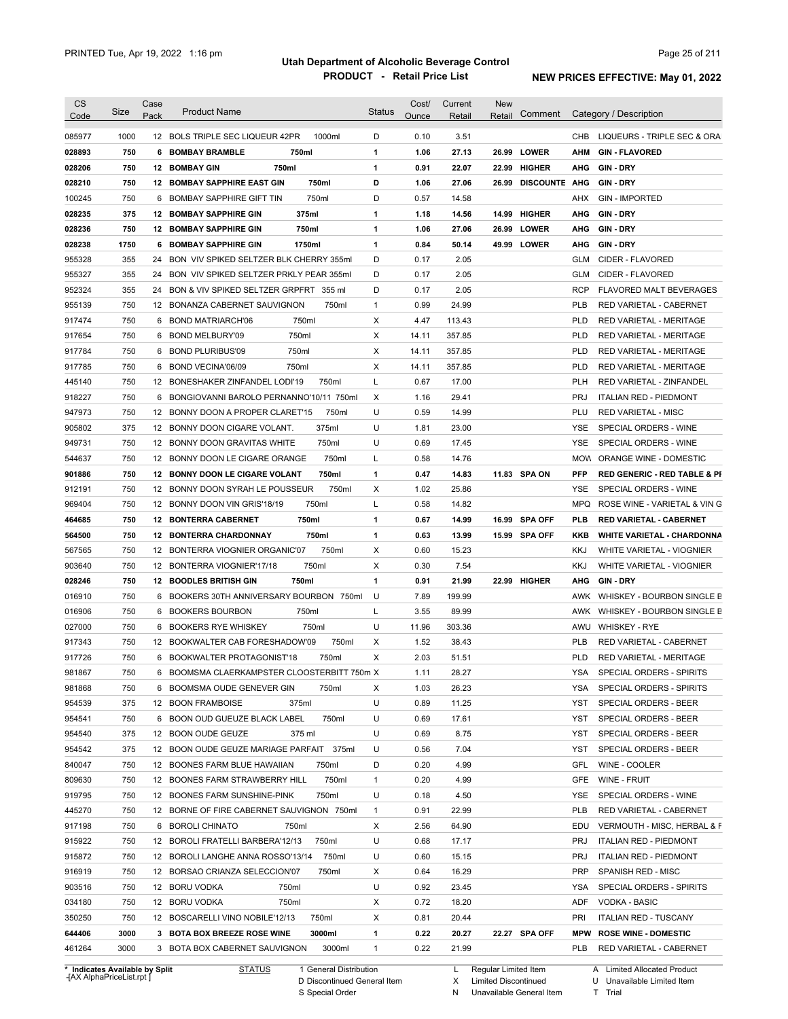| <b>CS</b>                                      | Size         | Case<br>Pack | <b>Product Name</b>                                                              | <b>Status</b> | Cost/        | Current        | <b>New</b> | Comment             |                   | Category / Description                                 |
|------------------------------------------------|--------------|--------------|----------------------------------------------------------------------------------|---------------|--------------|----------------|------------|---------------------|-------------------|--------------------------------------------------------|
| Code                                           |              |              |                                                                                  |               | Ounce        | Retail         | Retail     |                     |                   |                                                        |
| 085977                                         | 1000         |              | 12 BOLS TRIPLE SEC LIQUEUR 42PR<br>1000ml                                        | D             | 0.10         | 3.51           |            |                     | CHB               | LIQUEURS - TRIPLE SEC & ORA                            |
| 028893                                         | 750          |              | <b>6 BOMBAY BRAMBLE</b><br>750ml                                                 | 1             | 1.06         | 27.13          |            | 26.99 LOWER         | AHM               | <b>GIN-FLAVORED</b>                                    |
| 028206                                         | 750          |              | 750ml<br>12 BOMBAY GIN                                                           | 1             | 0.91         | 22.07          |            | 22.99 HIGHER        | AHG               | <b>GIN-DRY</b>                                         |
| 028210                                         | 750          |              | <b>12 BOMBAY SAPPHIRE EAST GIN</b><br>750ml                                      | D             | 1.06         | 27.06          |            | 26.99 DISCOUNTE AHG |                   | <b>GIN-DRY</b>                                         |
| 100245                                         | 750          |              | 750ml<br>6 BOMBAY SAPPHIRE GIFT TIN                                              | D             | 0.57         | 14.58          |            |                     | AHX               | <b>GIN - IMPORTED</b>                                  |
| 028235                                         | 375          |              | 375ml<br><b>12 BOMBAY SAPPHIRE GIN</b>                                           | 1             | 1.18         | 14.56          |            | 14.99 HIGHER        | AHG               | <b>GIN DRY</b>                                         |
| 028236                                         | 750          |              | 750ml<br><b>12 BOMBAY SAPPHIRE GIN</b>                                           | 1             | 1.06         | 27.06          |            | 26.99 LOWER         | AHG               | <b>GIN-DRY</b>                                         |
| 028238                                         | 1750         | 6            | <b>BOMBAY SAPPHIRE GIN</b><br>1750ml                                             | 1             | 0.84         | 50.14          |            | 49.99 LOWER         | AHG               | <b>GIN DRY</b>                                         |
| 955328                                         | 355          | 24           | BON VIV SPIKED SELTZER BLK CHERRY 355ml                                          | D             | 0.17         | 2.05           |            |                     | GLM               | CIDER - FLAVORED                                       |
| 955327                                         | 355          | 24           | BON VIV SPIKED SELTZER PRKLY PEAR 355ml                                          | D             | 0.17         | 2.05           |            |                     | GLM               | CIDER - FLAVORED                                       |
| 952324                                         | 355          |              | 24 BON & VIV SPIKED SELTZER GRPFRT 355 ml                                        | D             | 0.17         | 2.05           |            |                     | <b>RCP</b>        | FLAVORED MALT BEVERAGES                                |
| 955139                                         | 750          |              | 12 BONANZA CABERNET SAUVIGNON<br>750ml                                           | $\mathbf{1}$  | 0.99         | 24.99          |            |                     | <b>PLB</b>        | RED VARIETAL - CABERNET                                |
| 917474                                         | 750          |              | 6 BOND MATRIARCH'06<br>750ml                                                     | Χ             | 4.47         | 113.43         |            |                     | <b>PLD</b>        | RED VARIETAL - MERITAGE                                |
| 917654                                         | 750          |              | 750ml<br>6 BOND MELBURY'09                                                       | Χ             | 14.11        | 357.85         |            |                     | <b>PLD</b>        | RED VARIETAL - MERITAGE                                |
| 917784                                         | 750          | 6            | 750ml<br><b>BOND PLURIBUS'09</b>                                                 | Χ             | 14.11        | 357.85         |            |                     | <b>PLD</b>        | RED VARIETAL - MERITAGE                                |
| 917785                                         | 750          | 6            | BOND VECINA'06/09<br>750ml                                                       | Χ             | 14.11        | 357.85         |            |                     | <b>PLD</b>        | RED VARIETAL - MERITAGE                                |
| 445140                                         | 750          |              | 12 BONESHAKER ZINFANDEL LODI'19<br>750ml                                         | L             | 0.67         | 17.00          |            |                     | <b>PLH</b>        | RED VARIETAL - ZINFANDEL                               |
| 918227                                         | 750          | 6            | BONGIOVANNI BAROLO PERNANNO'10/11 750ml                                          | X             | 1.16         | 29.41          |            |                     | <b>PRJ</b>        | <b>ITALIAN RED - PIEDMONT</b>                          |
| 947973                                         | 750          |              | 750ml<br>12 BONNY DOON A PROPER CLARET'15                                        | U             | 0.59         | 14.99          |            |                     | PLU               | <b>RED VARIETAL - MISC</b>                             |
| 905802                                         | 375          |              | 375ml<br>12 BONNY DOON CIGARE VOLANT.                                            | U             | 1.81         | 23.00          |            |                     | <b>YSE</b>        | SPECIAL ORDERS - WINE                                  |
| 949731                                         | 750          |              | 750ml<br>12 BONNY DOON GRAVITAS WHITE                                            | U             | 0.69         | 17.45          |            |                     | <b>YSE</b>        | SPECIAL ORDERS - WINE                                  |
| 544637                                         | 750          |              | 12 BONNY DOON LE CIGARE ORANGE<br>750ml                                          | L             | 0.58         | 14.76          |            |                     | <b>MOW</b>        | ORANGE WINE - DOMESTIC                                 |
| 901886                                         | 750          |              | 750ml<br>12 BONNY DOON LE CIGARE VOLANT                                          | 1             | 0.47         | 14.83          |            | 11.83 SPA ON        | <b>PFP</b>        | <b>RED GENERIC - RED TABLE &amp; PI</b>                |
| 912191                                         | 750          | 12           | BONNY DOON SYRAH LE POUSSEUR<br>750ml                                            | Χ             | 1.02         | 25.86          |            |                     | <b>YSE</b>        | SPECIAL ORDERS - WINE                                  |
| 969404                                         | 750          | 12           | BONNY DOON VIN GRIS'18/19<br>750ml                                               | Г             | 0.58         | 14.82          |            |                     | <b>MPQ</b>        | ROSE WINE - VARIETAL & VIN G                           |
| 464685                                         | 750          |              | <b>12 BONTERRA CABERNET</b><br>750ml                                             | 1             | 0.67         | 14.99          |            | 16.99 SPA OFF       | <b>PLB</b>        | <b>RED VARIETAL - CABERNET</b>                         |
| 564500                                         | 750          |              | 750ml<br><b>12 BONTERRA CHARDONNAY</b>                                           | 1             | 0.63         | 13.99          |            | 15.99 SPA OFF       | KKB               | <b>WHITE VARIETAL - CHARDONNA</b>                      |
| 567565                                         | 750          |              | 750ml<br>12 BONTERRA VIOGNIER ORGANIC'07                                         | Χ             | 0.60         | 15.23          |            |                     | <b>KKJ</b>        | WHITE VARIETAL - VIOGNIER                              |
| 903640                                         | 750          | 12           | 750ml<br>BONTERRA VIOGNIER'17/18                                                 | Х             | 0.30         | 7.54           |            |                     | <b>KKJ</b>        | WHITE VARIETAL - VIOGNIER                              |
| 028246                                         | 750          |              | <b>12 BOODLES BRITISH GIN</b><br>750ml                                           | 1             | 0.91         | 21.99          |            | 22.99 HIGHER        | AHG               | <b>GIN-DRY</b>                                         |
| 016910                                         | 750          | 6            | BOOKERS 30TH ANNIVERSARY BOURBON 750ml                                           | U             | 7.89         | 199.99         |            |                     | AWK               | WHISKEY - BOURBON SINGLE B                             |
| 016906                                         | 750          | 6            | <b>BOOKERS BOURBON</b><br>750ml                                                  | L             | 3.55         | 89.99          |            |                     | AWK               | WHISKEY - BOURBON SINGLE B                             |
| 027000                                         | 750          | 6            | <b>BOOKERS RYE WHISKEY</b><br>750ml                                              | U             | 11.96        | 303.36         |            |                     | AWU               | <b>WHISKEY - RYE</b>                                   |
| 917343                                         | 750          |              | 12 BOOKWALTER CAB FORESHADOW'09<br>750ml                                         | Χ             | 1.52         | 38.43          |            |                     | <b>PLB</b>        | RED VARIETAL - CABERNET                                |
| 917726                                         | 750          |              | 6 BOOKWALTER PROTAGONIST'18<br>750ml                                             | X             | 2.03         | 51.51          |            |                     | <b>PLD</b>        | RED VARIETAL - MERITAGE                                |
| 981867                                         | 750          |              | 6 BOOMSMA CLAERKAMPSTER CLOOSTERBITT 750m X                                      |               | 1.11         | 28.27          |            |                     | <b>YSA</b>        | SPECIAL ORDERS - SPIRITS                               |
| 981868                                         | 750          |              | 6 BOOMSMA OUDE GENEVER GIN<br>750ml                                              | X             | 1.03         | 26.23          |            |                     | YSA               | SPECIAL ORDERS - SPIRITS                               |
| 954539                                         | 375          |              | 12 BOON FRAMBOISE<br>375ml                                                       | U             | 0.89         | 11.25          |            |                     | YST               | SPECIAL ORDERS - BEER                                  |
| 954541                                         | 750          |              | 6 BOON OUD GUEUZE BLACK LABEL<br>750ml                                           | U             | 0.69         | 17.61          |            |                     | YST               | SPECIAL ORDERS - BEER                                  |
| 954540                                         | 375          |              | 375 ml<br>12 BOON OUDE GEUZE                                                     | U             | 0.69         | 8.75           |            |                     | YST               | SPECIAL ORDERS - BEER                                  |
| 954542                                         | 375          |              | 12 BOON OUDE GEUZE MARIAGE PARFAIT 375ml                                         | U             | 0.56         | 7.04           |            |                     | YST               | SPECIAL ORDERS - BEER                                  |
| 840047                                         | 750          |              | 12 BOONES FARM BLUE HAWAIIAN<br>750ml                                            | D             | 0.20         | 4.99           |            |                     | GFL               | WINE - COOLER                                          |
| 809630                                         | 750          |              | 750ml<br>12 BOONES FARM STRAWBERRY HILL                                          | $\mathbf{1}$  | 0.20         | 4.99           |            |                     | GFE               | WINE - FRUIT                                           |
| 919795                                         | 750          |              | 750ml<br>12 BOONES FARM SUNSHINE-PINK                                            | U             | 0.18         | 4.50           |            |                     | YSE               | SPECIAL ORDERS - WINE                                  |
| 445270                                         | 750          |              | 12 BORNE OF FIRE CABERNET SAUVIGNON 750ml                                        | $\mathbf{1}$  | 0.91         | 22.99          |            |                     | <b>PLB</b>        | RED VARIETAL - CABERNET                                |
| 917198                                         | 750          |              | 6 BOROLI CHINATO<br>750ml                                                        | Х             | 2.56         | 64.90          |            |                     | EDU               | VERMOUTH - MISC, HERBAL & F                            |
|                                                | 750          |              | 750ml                                                                            | U             |              |                |            |                     | <b>PRJ</b>        |                                                        |
| 915922                                         | 750          |              | 12 BOROLI FRATELLI BARBERA'12/13<br>750ml                                        | U             | 0.68<br>0.60 | 17.17          |            |                     | <b>PRJ</b>        | <b>ITALIAN RED - PIEDMONT</b>                          |
| 915872<br>916919                               |              |              | 12 BOROLI LANGHE ANNA ROSSO'13/14                                                |               |              | 15.15          |            |                     |                   | <b>ITALIAN RED - PIEDMONT</b>                          |
|                                                | 750          |              | 12 BORSAO CRIANZA SELECCION'07<br>750ml                                          | Х             | 0.64         | 16.29          |            |                     | <b>PRP</b>        | SPANISH RED - MISC                                     |
|                                                |              |              | 12 BORU VODKA<br>750ml                                                           | U             | 0.92         | 23.45          |            |                     | YSA               | SPECIAL ORDERS - SPIRITS                               |
|                                                | 750          |              |                                                                                  |               |              |                |            |                     | ADF               | VODKA - BASIC                                          |
|                                                | 750          |              | 12 BORU VODKA<br>750ml                                                           | Х             | 0.72         | 18.20          |            |                     |                   |                                                        |
|                                                | 750          |              | 750ml<br>12 BOSCARELLI VINO NOBILE'12/13                                         | Х             | 0.81         | 20.44          |            |                     | PRI               | <b>ITALIAN RED - TUSCANY</b>                           |
| 903516<br>034180<br>350250<br>644406<br>461264 | 3000<br>3000 |              | 3000ml<br>3 BOTA BOX BREEZE ROSE WINE<br>3000ml<br>3 BOTA BOX CABERNET SAUVIGNON | 1<br>1        | 0.22<br>0.22 | 20.27<br>21.99 |            | 22.27 SPA OFF       | <b>MPW</b><br>PLB | <b>ROSE WINE - DOMESTIC</b><br>RED VARIETAL - CABERNET |

**Case** [AX AlphaPriceList.rpt ]

D Discontinued General Item S Special Order

X

Limited Discontinued

N Unavailable General Item

U Unavailable Limited Item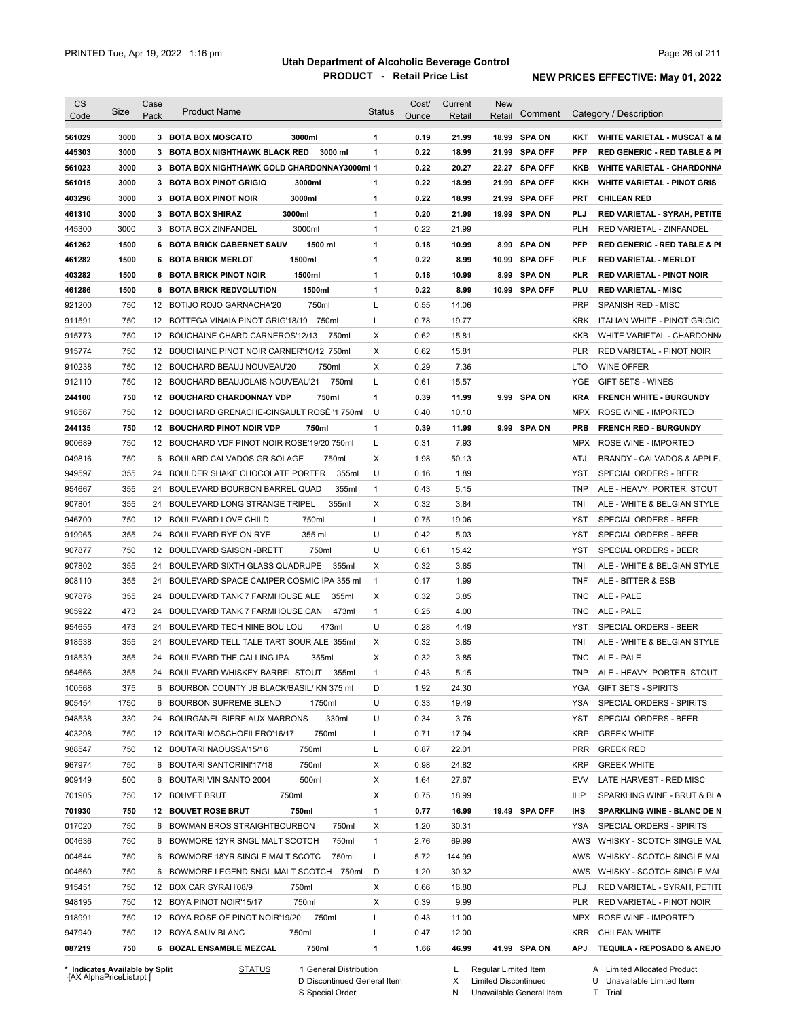| <b>CS</b><br>Code | Size | Case<br>Pack | <b>Product Name</b>                          | <b>Status</b> | Cost/<br>Ounce | Current<br>Retail | <b>New</b><br>Retail | Comment        |            | Category / Description                  |
|-------------------|------|--------------|----------------------------------------------|---------------|----------------|-------------------|----------------------|----------------|------------|-----------------------------------------|
|                   |      |              |                                              |               |                |                   |                      |                |            |                                         |
| 561029            | 3000 |              | 3000ml<br>3 BOTA BOX MOSCATO                 | $\mathbf{1}$  | 0.19           | 21.99             |                      | 18.99 SPA ON   | KKT        | <b>WHITE VARIETAL - MUSCAT &amp; M</b>  |
| 445303            | 3000 |              | 3 BOTA BOX NIGHTHAWK BLACK RED<br>3000 ml    | 1             | 0.22           | 18.99             |                      | 21.99 SPA OFF  | <b>PFP</b> | <b>RED GENERIC - RED TABLE &amp; PI</b> |
| 561023            | 3000 |              | 3 BOTA BOX NIGHTHAWK GOLD CHARDONNAY3000ml 1 |               | 0.22           | 20.27             |                      | 22.27 SPA OFF  | KKB        | <b>WHITE VARIETAL - CHARDONNA</b>       |
| 561015            | 3000 |              | 3 BOTA BOX PINOT GRIGIO<br>3000ml            | 1             | 0.22           | 18.99             |                      | 21.99 SPA OFF  | KKH        | <b>WHITE VARIETAL - PINOT GRIS</b>      |
| 403296            | 3000 |              | 3000ml<br>3 BOTA BOX PINOT NOIR              | $\mathbf{1}$  | 0.22           | 18.99             | 21.99                | <b>SPA OFF</b> | PRT        | <b>CHILEAN RED</b>                      |
| 461310            | 3000 |              | 3000ml<br>3 BOTA BOX SHIRAZ                  | 1             | 0.20           | 21.99             |                      | 19.99 SPA ON   | <b>PLJ</b> | RED VARIETAL - SYRAH, PETITE            |
| 445300            | 3000 |              | 3000ml<br>3 BOTA BOX ZINFANDEL               | 1             | 0.22           | 21.99             |                      |                | <b>PLH</b> | RED VARIETAL - ZINFANDEL                |
| 461262            | 1500 |              | 1500 ml<br>6 BOTA BRICK CABERNET SAUV        | 1             | 0.18           | 10.99             | 8.99                 | <b>SPA ON</b>  | <b>PFP</b> | <b>RED GENERIC - RED TABLE &amp; PI</b> |
| 461282            | 1500 |              | 1500ml<br><b>6 BOTA BRICK MERLOT</b>         | $\mathbf{1}$  | 0.22           | 8.99              |                      | 10.99 SPA OFF  | PLF        | <b>RED VARIETAL - MERLOT</b>            |
| 403282            | 1500 |              | 1500ml<br>6 BOTA BRICK PINOT NOIR            | $\mathbf{1}$  | 0.18           | 10.99             |                      | 8.99 SPA ON    | PLR        | <b>RED VARIETAL - PINOT NOIR</b>        |
| 461286            | 1500 |              | 1500ml<br>6 BOTA BRICK REDVOLUTION           | 1             | 0.22           | 8.99              |                      | 10.99 SPA OFF  | PLU        | <b>RED VARIETAL - MISC</b>              |
| 921200            | 750  |              | 750ml<br>12 BOTIJO ROJO GARNACHA'20          | Г             | 0.55           | 14.06             |                      |                | <b>PRP</b> | <b>SPANISH RED - MISC</b>               |
| 911591            | 750  |              | 12 BOTTEGA VINAIA PINOT GRIG'18/19<br>750ml  | Г             | 0.78           | 19.77             |                      |                | KRK        | ITALIAN WHITE - PINOT GRIGIO            |
| 915773            | 750  |              | 12 BOUCHAINE CHARD CARNEROS'12/13<br>750ml   | X             | 0.62           | 15.81             |                      |                | KKB        | WHITE VARIETAL - CHARDONN/              |
| 915774            | 750  |              | 12 BOUCHAINE PINOT NOIR CARNER'10/12 750ml   | Χ             | 0.62           | 15.81             |                      |                | <b>PLR</b> | RED VARIETAL - PINOT NOIR               |
| 910238            | 750  |              | 12 BOUCHARD BEAUJ NOUVEAU'20<br>750ml        | Χ             | 0.29           | 7.36              |                      |                | LTO        | <b>WINE OFFER</b>                       |
| 912110            | 750  |              | 750ml<br>12 BOUCHARD BEAUJOLAIS NOUVEAU'21   | L             | 0.61           | 15.57             |                      |                | YGE        | <b>GIFT SETS - WINES</b>                |
| 244100            | 750  |              | 750ml<br><b>12 BOUCHARD CHARDONNAY VDP</b>   | 1             | 0.39           | 11.99             |                      | 9.99 SPA ON    | <b>KRA</b> | <b>FRENCH WHITE - BURGUNDY</b>          |
| 918567            | 750  |              | 12 BOUCHARD GRENACHE-CINSAULT ROSÉ '1 750ml  | U             | 0.40           | 10.10             |                      |                | MPX        | ROSE WINE - IMPORTED                    |
| 244135            | 750  |              | 12 BOUCHARD PINOT NOIR VDP<br>750ml          | $\mathbf{1}$  | 0.39           | 11.99             | 9.99                 | <b>SPA ON</b>  | <b>PRB</b> | <b>FRENCH RED - BURGUNDY</b>            |
| 900689            | 750  |              | 12 BOUCHARD VDF PINOT NOIR ROSE'19/20 750ml  | L             | 0.31           | 7.93              |                      |                | MPX        | <b>ROSE WINE - IMPORTED</b>             |
| 049816            | 750  | 6            | BOULARD CALVADOS GR SOLAGE<br>750ml          | Χ             | 1.98           | 50.13             |                      |                | ATJ        | BRANDY - CALVADOS & APPLEJ              |
| 949597            | 355  |              | 24 BOULDER SHAKE CHOCOLATE PORTER<br>355ml   | U             | 0.16           | 1.89              |                      |                | YST        | SPECIAL ORDERS - BEER                   |
| 954667            | 355  |              | 355ml<br>24 BOULEVARD BOURBON BARREL QUAD    | $\mathbf{1}$  | 0.43           | 5.15              |                      |                | <b>TNP</b> | ALE - HEAVY, PORTER, STOUT              |
| 907801            | 355  |              | 355ml<br>24 BOULEVARD LONG STRANGE TRIPEL    | Χ             | 0.32           | 3.84              |                      |                | TNI        | ALE - WHITE & BELGIAN STYLE             |
| 946700            | 750  |              | 750ml<br>12 BOULEVARD LOVE CHILD             | L             | 0.75           | 19.06             |                      |                | YST        | SPECIAL ORDERS - BEER                   |
| 919965            | 355  | 24           | 355 ml<br>BOULEVARD RYE ON RYE               | U             | 0.42           | 5.03              |                      |                | YST        | SPECIAL ORDERS - BEER                   |
| 907877            | 750  |              | 12 BOULEVARD SAISON - BRETT<br>750ml         | U             | 0.61           | 15.42             |                      |                | YST        | SPECIAL ORDERS - BEER                   |
| 907802            | 355  | 24           | BOULEVARD SIXTH GLASS QUADRUPE<br>355ml      | X             | 0.32           | 3.85              |                      |                | tni        | ALE - WHITE & BELGIAN STYLE             |
| 908110            | 355  | 24           | BOULEVARD SPACE CAMPER COSMIC IPA 355 ml     | $\mathbf{1}$  | 0.17           | 1.99              |                      |                | TNF        | ALE - BITTER & ESB                      |
| 907876            | 355  |              | 24 BOULEVARD TANK 7 FARMHOUSE ALE<br>355ml   | Χ             | 0.32           | 3.85              |                      |                | TNC        | ALE - PALE                              |
| 905922            | 473  | 24           | BOULEVARD TANK 7 FARMHOUSE CAN<br>473ml      | $\mathbf{1}$  | 0.25           | 4.00              |                      |                | TNC        | ALE - PALE                              |
| 954655            | 473  | 24           | BOULEVARD TECH NINE BOU LOU<br>473ml         | U             | 0.28           | 4.49              |                      |                | YST        | SPECIAL ORDERS - BEER                   |
| 918538            | 355  |              | 24 BOULEVARD TELL TALE TART SOUR ALE 355ml   | Χ             | 0.32           | 3.85              |                      |                | TNI        | ALE - WHITE & BELGIAN STYLE             |
| 918539            | 355  |              | 24 BOULEVARD THE CALLING IPA<br>355ml        | X             | 0.32           | 3.85              |                      |                | <b>TNC</b> | ALE - PALE                              |
| 954666            | 355  |              | 24 BOULEVARD WHISKEY BARREL STOUT 355ml      | 1             | 0.43           | 5.15              |                      |                | TNP        | ALE - HEAVY, PORTER, STOUT              |
| 100568            | 375  |              | 6 BOURBON COUNTY JB BLACK/BASIL/ KN 375 ml   | D             | 1.92           | 24.30             |                      |                |            | YGA GIFT SETS - SPIRITS                 |
| 905454            | 1750 |              | 6 BOURBON SUPREME BLEND<br>1750ml            | U             | 0.33           | 19.49             |                      |                | YSA        | SPECIAL ORDERS - SPIRITS                |
| 948538            | 330  |              | 330ml<br>24 BOURGANEL BIERE AUX MARRONS      | U             | 0.34           | 3.76              |                      |                | YST        |                                         |
|                   |      |              |                                              |               |                |                   |                      |                |            | SPECIAL ORDERS - BEER                   |
| 403298            | 750  |              | 750ml<br>12 BOUTARI MOSCHOFILERO'16/17       | Г             | 0.71           | 17.94             |                      |                | <b>KRP</b> | <b>GREEK WHITE</b>                      |
| 988547            | 750  |              | 750ml<br>12 BOUTARI NAOUSSA'15/16            | L             | 0.87           | 22.01             |                      |                | <b>PRR</b> | <b>GREEK RED</b>                        |
| 967974            | 750  |              | 750ml<br>6 BOUTARI SANTORINI'17/18           | Х             | 0.98           | 24.82             |                      |                | <b>KRP</b> | <b>GREEK WHITE</b>                      |
| 909149            | 500  |              | 500ml<br>6 BOUTARI VIN SANTO 2004            | Х             | 1.64           | 27.67             |                      |                | EVV        | LATE HARVEST - RED MISC                 |
| 701905            | 750  |              | 12 BOUVET BRUT<br>750ml                      | X             | 0.75           | 18.99             |                      |                | IHP        | SPARKLING WINE - BRUT & BLA             |
| 701930            | 750  |              | <b>12 BOUVET ROSE BRUT</b><br>750ml          | 1             | 0.77           | 16.99             |                      | 19.49 SPA OFF  | IHS        | SPARKLING WINE - BLANC DE N             |
| 017020            | 750  |              | 6 BOWMAN BROS STRAIGHTBOURBON<br>750ml       | Х             | 1.20           | 30.31             |                      |                | YSA        | SPECIAL ORDERS - SPIRITS                |
| 004636            | 750  |              | 6 BOWMORE 12YR SNGL MALT SCOTCH<br>750ml     | $\mathbf{1}$  | 2.76           | 69.99             |                      |                | AWS        | WHISKY - SCOTCH SINGLE MAL              |
| 004644            | 750  |              | 6 BOWMORE 18YR SINGLE MALT SCOTC<br>750ml    | L             | 5.72           | 144.99            |                      |                | AWS        | WHISKY - SCOTCH SINGLE MAL              |
| 004660            | 750  |              | 6 BOWMORE LEGEND SNGL MALT SCOTCH 750ml      | D             | 1.20           | 30.32             |                      |                | AWS        | WHISKY - SCOTCH SINGLE MAL              |
| 915451            | 750  |              | 12 BOX CAR SYRAH'08/9<br>750ml               | Х             | 0.66           | 16.80             |                      |                | PLJ        | RED VARIETAL - SYRAH, PETITE            |
| 948195            | 750  |              | 12 BOYA PINOT NOIR'15/17<br>750ml            | Х             | 0.39           | 9.99              |                      |                | PLR        | RED VARIETAL - PINOT NOIR               |
| 918991            | 750  |              | 750ml<br>12 BOYA ROSE OF PINOT NOIR'19/20    | L             | 0.43           | 11.00             |                      |                |            | MPX ROSE WINE - IMPORTED                |
|                   |      |              |                                              |               |                |                   |                      |                | KRR        |                                         |
| 947940            | 750  |              | 12 BOYA SAUV BLANC<br>750ml                  | L             | 0.47           | 12.00             |                      |                |            | CHILEAN WHITE                           |

**Case** [AX AlphaPriceList.rpt ]

D Discontinued General Item

S Special Order

X Limited Discontinued

N Unavailable General Item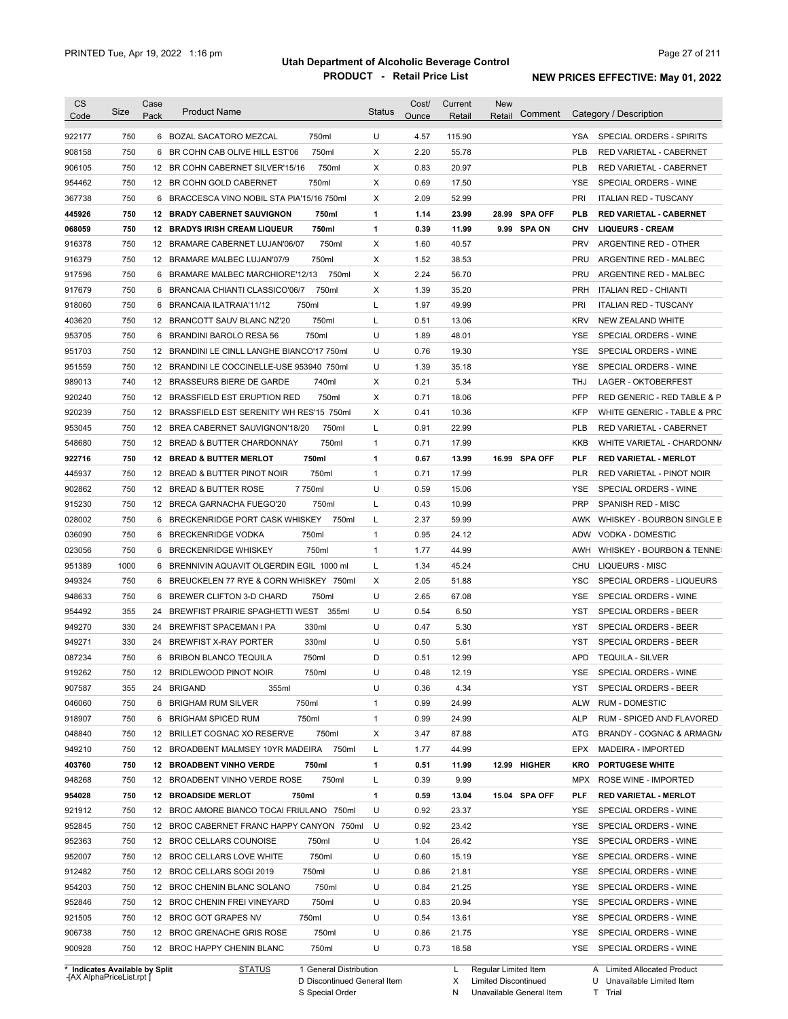| <b>CS</b><br>Code | Size                                                        | Case<br>Pack | <b>Product Name</b>                                                    | <b>Status</b> | Cost/<br>Ounce | Current<br>Retail | <b>New</b><br>Retail                                | Comment       |            | Category / Description                                              |
|-------------------|-------------------------------------------------------------|--------------|------------------------------------------------------------------------|---------------|----------------|-------------------|-----------------------------------------------------|---------------|------------|---------------------------------------------------------------------|
| 922177            | 750                                                         |              | 6 BOZAL SACATORO MEZCAL<br>750ml                                       | U             | 4.57           | 115.90            |                                                     |               | YSA        | <b>SPECIAL ORDERS - SPIRITS</b>                                     |
| 908158            | 750                                                         |              | 750ml<br>6 BR COHN CAB OLIVE HILL EST'06                               | Χ             | 2.20           | 55.78             |                                                     |               | <b>PLB</b> | RED VARIETAL - CABERNET                                             |
| 906105            | 750                                                         |              | 750ml<br>12 BR COHN CABERNET SILVER'15/16                              | Х             | 0.83           | 20.97             |                                                     |               | <b>PLB</b> | RED VARIETAL - CABERNET                                             |
| 954462            | 750                                                         |              | 750ml<br>12 BR COHN GOLD CABERNET                                      | Х             | 0.69           | 17.50             |                                                     |               | <b>YSE</b> | SPECIAL ORDERS - WINE                                               |
| 367738            | 750                                                         |              | 6 BRACCESCA VINO NOBIL STA PIA'15/16 750ml                             | Х             | 2.09           | 52.99             |                                                     |               | PRI        | <b>ITALIAN RED - TUSCANY</b>                                        |
| 445926            | 750                                                         |              | 12 BRADY CABERNET SAUVIGNON<br>750ml                                   | 1             | 1.14           | 23.99             |                                                     | 28.99 SPA OFF | PLB        | <b>RED VARIETAL - CABERNET</b>                                      |
| 068059            | 750                                                         |              | 750ml<br><b>12 BRADYS IRISH CREAM LIQUEUR</b>                          | 1             | 0.39           | 11.99             |                                                     | 9.99 SPA ON   | CHV        | <b>LIQUEURS - CREAM</b>                                             |
| 916378            | 750                                                         |              | 750ml<br>12 BRAMARE CABERNET LUJAN'06/07                               | Χ             | 1.60           | 40.57             |                                                     |               | <b>PRV</b> | ARGENTINE RED - OTHER                                               |
| 916379            | 750                                                         |              | 750ml<br>12 BRAMARE MALBEC LUJAN'07/9                                  | Χ             | 1.52           | 38.53             |                                                     |               | PRU        | ARGENTINE RED - MALBEC                                              |
| 917596            | 750                                                         |              | 750ml<br>6 BRAMARE MALBEC MARCHIORE'12/13                              | Χ             | 2.24           | 56.70             |                                                     |               | <b>PRU</b> | ARGENTINE RED - MALBEC                                              |
| 917679            | 750                                                         | 6            | 750ml<br>BRANCAIA CHIANTI CLASSICO'06/7                                | Χ             | 1.39           | 35.20             |                                                     |               | <b>PRH</b> | <b>ITALIAN RED - CHIANTI</b>                                        |
| 918060            | 750                                                         | 6            | 750ml<br>BRANCAIA ILATRAIA'11/12                                       | L             | 1.97           | 49.99             |                                                     |               | PRI        | <b>ITALIAN RED - TUSCANY</b>                                        |
| 403620            | 750                                                         |              | 750ml<br>12 BRANCOTT SAUV BLANC NZ'20                                  | L             | 0.51           | 13.06             |                                                     |               | <b>KRV</b> | NEW ZEALAND WHITE                                                   |
| 953705            | 750                                                         | 6            | 750ml<br>BRANDINI BAROLO RESA 56                                       | U             | 1.89           | 48.01             |                                                     |               | <b>YSE</b> | SPECIAL ORDERS - WINE                                               |
| 951703            | 750                                                         |              | 12 BRANDINI LE CINLL LANGHE BIANCO'17 750ml                            | U             | 0.76           | 19.30             |                                                     |               | <b>YSE</b> | SPECIAL ORDERS - WINE                                               |
| 951559            | 750                                                         |              | 12 BRANDINI LE COCCINELLE-USE 953940 750ml                             | U             | 1.39           | 35.18             |                                                     |               | <b>YSE</b> | SPECIAL ORDERS - WINE                                               |
| 989013            | 740                                                         |              | 740ml<br>12 BRASSEURS BIERE DE GARDE                                   | X             | 0.21           | 5.34              |                                                     |               | THJ        | LAGER - OKTOBERFEST                                                 |
| 920240            | 750                                                         |              | 750ml<br>12 BRASSFIELD EST ERUPTION RED                                | Χ             | 0.71           | 18.06             |                                                     |               | <b>PFP</b> | RED GENERIC - RED TABLE & P                                         |
| 920239            | 750                                                         |              | 12 BRASSFIELD EST SERENITY WH RES'15 750ml                             | Х             | 0.41           | 10.36             |                                                     |               | <b>KFP</b> | WHITE GENERIC - TABLE & PRC                                         |
| 953045            | 750                                                         |              | 750ml<br>12 BREA CABERNET SAUVIGNON'18/20                              | Г             | 0.91           | 22.99             |                                                     |               | <b>PLB</b> | RED VARIETAL - CABERNET                                             |
| 548680            | 750                                                         |              | 750ml<br>12 BREAD & BUTTER CHARDONNAY                                  | $\mathbf{1}$  | 0.71           | 17.99             |                                                     |               | <b>KKB</b> | WHITE VARIETAL - CHARDONN/                                          |
| 922716            | 750                                                         |              | 750ml<br>12 BREAD & BUTTER MERLOT                                      | 1             | 0.67           | 13.99             |                                                     | 16.99 SPA OFF | <b>PLF</b> | <b>RED VARIETAL - MERLOT</b>                                        |
| 445937            | 750                                                         |              | 750ml<br>12 BREAD & BUTTER PINOT NOIR                                  | $\mathbf{1}$  | 0.71           | 17.99             |                                                     |               | <b>PLR</b> | RED VARIETAL - PINOT NOIR                                           |
| 902862            | 750                                                         |              | 7 750ml<br>12 BREAD & BUTTER ROSE                                      | U             | 0.59           | 15.06             |                                                     |               | <b>YSE</b> | SPECIAL ORDERS - WINE                                               |
|                   | 750                                                         |              | 750ml<br>12 BRECA GARNACHA FUEGO'20                                    | L             | 0.43           | 10.99             |                                                     |               | <b>PRP</b> | SPANISH RED - MISC                                                  |
| 915230<br>028002  | 750                                                         | 6            | BRECKENRIDGE PORT CASK WHISKEY<br>750ml                                | L             | 2.37           | 59.99             |                                                     |               | AWK        | WHISKEY - BOURBON SINGLE B                                          |
| 036090            | 750                                                         | 6            | 750ml<br><b>BRECKENRIDGE VODKA</b>                                     | $\mathbf{1}$  | 0.95           | 24.12             |                                                     |               | ADW        | VODKA - DOMESTIC                                                    |
|                   |                                                             |              |                                                                        |               |                |                   |                                                     |               |            |                                                                     |
| 023056            | 750                                                         | 6            | 750ml<br><b>BRECKENRIDGE WHISKEY</b>                                   | $\mathbf{1}$  | 1.77           | 44.99             |                                                     |               | AWH        | WHISKEY - BOURBON & TENNE:                                          |
| 951389            | 1000                                                        | 6            | BRENNIVIN AQUAVIT OLGERDIN EGIL 1000 ml                                | L             | 1.34           | 45.24             |                                                     |               | <b>CHU</b> | <b>LIQUEURS - MISC</b>                                              |
| 949324            | 750                                                         | 6            | BREUCKELEN 77 RYE & CORN WHISKEY 750ml                                 | X             | 2.05           | 51.88             |                                                     |               | <b>YSC</b> | SPECIAL ORDERS - LIQUEURS                                           |
| 948633            | 750                                                         | 6            | BREWER CLIFTON 3-D CHARD<br>750ml                                      | U             | 2.65           | 67.08             |                                                     |               | <b>YSE</b> | SPECIAL ORDERS - WINE                                               |
| 954492            | 355                                                         | 24           | BREWFIST PRAIRIE SPAGHETTI WEST<br>355ml                               | U             | 0.54           | 6.50              |                                                     |               | YST        | SPECIAL ORDERS - BEER                                               |
| 949270            | 330                                                         | 24           | BREWFIST SPACEMAN I PA<br>330ml                                        | U             | 0.47           | 5.30              |                                                     |               | YST        | SPECIAL ORDERS - BEER                                               |
| 949271            | 330                                                         | 24           | 330ml<br>BREWFIST X-RAY PORTER                                         | U             | 0.50           | 5.61              |                                                     |               | YST        | SPECIAL ORDERS - BEER                                               |
| 087234            | 750                                                         |              | 750ml<br>6 BRIBON BLANCO TEQUILA                                       | D             | 0.51           | 12.99             |                                                     |               | APD        | <b>TEQUILA - SILVER</b>                                             |
| 919262            | 750                                                         |              | 12 BRIDLEWOOD PINOT NOIR<br>750ml                                      | U             | 0.48           | 12.19             |                                                     |               | YSE        | SPECIAL ORDERS - WINE                                               |
| 907587            | 355                                                         |              | 24 BRIGAND<br>355ml                                                    | U             | 0.36           | 4.34              |                                                     |               | YST        | SPECIAL ORDERS - BEER                                               |
| 046060            | 750                                                         | 6            | 750ml<br>BRIGHAM RUM SILVER                                            | $\mathbf{1}$  | 0.99           | 24.99             |                                                     |               | ALW        | <b>RUM - DOMESTIC</b>                                               |
| 918907            | 750                                                         | 6            | 750ml<br><b>BRIGHAM SPICED RUM</b>                                     | $\mathbf{1}$  | 0.99           | 24.99             |                                                     |               | <b>ALP</b> | RUM - SPICED AND FLAVORED                                           |
| 048840            | 750                                                         | 12           | BRILLET COGNAC XO RESERVE<br>750ml                                     | Χ             | 3.47           | 87.88             |                                                     |               | ATG        | BRANDY - COGNAC & ARMAGN/                                           |
| 949210            | 750                                                         | 12           | BROADBENT MALMSEY 10YR MADEIRA<br>750ml                                | L             | 1.77           | 44.99             |                                                     |               | <b>EPX</b> | MADEIRA - IMPORTED                                                  |
| 403760            | 750                                                         | 12           | <b>BROADBENT VINHO VERDE</b><br>750ml                                  | 1             | 0.51           | 11.99             |                                                     | 12.99 HIGHER  | KRO        | <b>PORTUGESE WHITE</b>                                              |
| 948268            | 750                                                         | 12           | BROADBENT VINHO VERDE ROSE<br>750ml                                    | Г             | 0.39           | 9.99              |                                                     |               | MPX        | ROSE WINE - IMPORTED                                                |
| 954028            | 750                                                         | 12           | <b>BROADSIDE MERLOT</b><br>750ml                                       | 1             | 0.59           | 13.04             |                                                     | 15.04 SPA OFF | <b>PLF</b> | RED VARIETAL - MERLOT                                               |
| 921912            | 750                                                         |              | 12 BROC AMORE BIANCO TOCAI FRIULANO 750ml                              | U             | 0.92           | 23.37             |                                                     |               | YSE        | SPECIAL ORDERS - WINE                                               |
| 952845            | 750                                                         |              | 12 BROC CABERNET FRANC HAPPY CANYON 750ml                              | U             | 0.92           | 23.42             |                                                     |               | <b>YSE</b> | SPECIAL ORDERS - WINE                                               |
| 952363            | 750                                                         |              | 12 BROC CELLARS COUNOISE<br>750ml                                      | U             | 1.04           | 26.42             |                                                     |               | <b>YSE</b> | SPECIAL ORDERS - WINE                                               |
| 952007            | 750                                                         |              | 12 BROC CELLARS LOVE WHITE<br>750ml                                    | U             | 0.60           | 15.19             |                                                     |               | YSE        | SPECIAL ORDERS - WINE                                               |
| 912482            | 750                                                         |              | 12 BROC CELLARS SOGI 2019<br>750ml                                     | U             | 0.86           | 21.81             |                                                     |               | YSE        | SPECIAL ORDERS - WINE                                               |
| 954203            | 750                                                         |              | 12 BROC CHENIN BLANC SOLANO<br>750ml                                   | U             | 0.84           | 21.25             |                                                     |               | YSE        | SPECIAL ORDERS - WINE                                               |
| 952846            | 750                                                         |              | 12 BROC CHENIN FREI VINEYARD<br>750ml                                  | U             | 0.83           | 20.94             |                                                     |               | YSE        | SPECIAL ORDERS - WINE                                               |
| 921505            | 750                                                         |              | 12 BROC GOT GRAPES NV<br>750ml                                         | U             | 0.54           | 13.61             |                                                     |               | YSE        | SPECIAL ORDERS - WINE                                               |
| 906738            | 750                                                         |              | 12 BROC GRENACHE GRIS ROSE<br>750ml                                    | U             | 0.86           | 21.75             |                                                     |               | <b>YSE</b> | SPECIAL ORDERS - WINE                                               |
| 900928            | 750                                                         |              | 12 BROC HAPPY CHENIN BLANC<br>750ml                                    | U             | 0.73           | 18.58             |                                                     |               | YSE        | SPECIAL ORDERS - WINE                                               |
|                   | * Indicates Available by Split<br>-{AX AlphaPriceList.rpt ] |              | 1 General Distribution<br><b>STATUS</b><br>D Discontinued General Item |               |                | L<br>Χ            | Regular Limited Item<br><b>Limited Discontinued</b> |               |            | <b>Limited Allocated Product</b><br>A<br>U Unavailable Limited Item |

S Special Order

X Limited Discontinued

N Unavailable General Item

U Unavailable Limited Item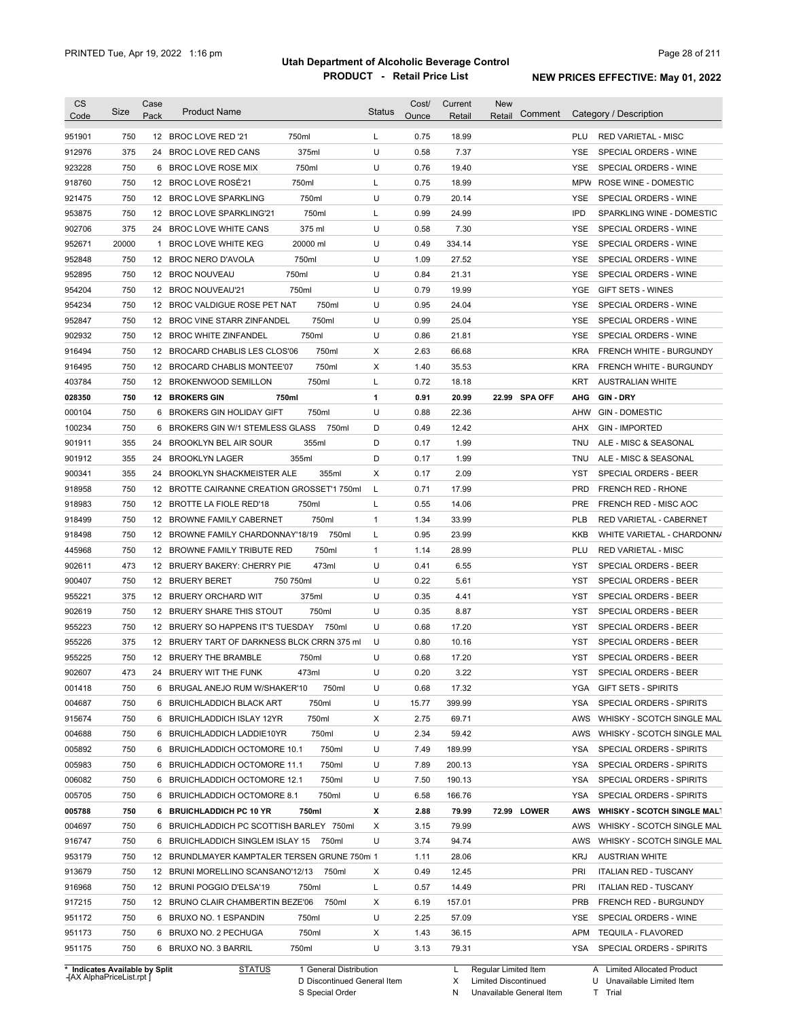| <b>CS</b><br>Code              | Size  | Case<br>Pack | <b>Product Name</b>                           |                        | Status | Cost/<br>Ounce | Current<br>Retail | <b>New</b><br>Retail   | Comment       |            | Category / Description             |
|--------------------------------|-------|--------------|-----------------------------------------------|------------------------|--------|----------------|-------------------|------------------------|---------------|------------|------------------------------------|
| 951901                         | 750   |              | 12 BROC LOVE RED '21                          | 750ml                  | L      | 0.75           | 18.99             |                        |               | PLU        | <b>RED VARIETAL - MISC</b>         |
| 912976                         | 375   | 24           | BROC LOVE RED CANS                            | 375ml                  | U      | 0.58           | 7.37              |                        |               | <b>YSE</b> | SPECIAL ORDERS - WINE              |
| 923228                         | 750   | 6            | <b>BROC LOVE ROSE MIX</b>                     | 750ml                  | U      | 0.76           | 19.40             |                        |               | <b>YSE</b> | SPECIAL ORDERS - WINE              |
| 918760                         | 750   |              | 12 BROC LOVE ROSÉ'21                          | 750ml                  | Г      | 0.75           | 18.99             |                        |               | <b>MPW</b> | ROSE WINE - DOMESTIC               |
| 921475                         | 750   |              | 12 BROC LOVE SPARKLING                        | 750ml                  | U      | 0.79           | 20.14             |                        |               | YSE        | SPECIAL ORDERS - WINE              |
| 953875                         | 750   | 12           | <b>BROC LOVE SPARKLING'21</b>                 | 750ml                  | Г      | 0.99           | 24.99             |                        |               | <b>IPD</b> | SPARKLING WINE - DOMESTIC          |
| 902706                         | 375   |              | 24 BROC LOVE WHITE CANS                       | 375 ml                 | U      | 0.58           | 7.30              |                        |               | <b>YSE</b> | SPECIAL ORDERS - WINE              |
| 952671                         | 20000 | 1            | <b>BROC LOVE WHITE KEG</b>                    | 20000 ml               | U      | 0.49           | 334.14            |                        |               | <b>YSE</b> | SPECIAL ORDERS - WINE              |
| 952848                         | 750   |              | 12 BROC NERO D'AVOLA                          | 750ml                  | U      | 1.09           | 27.52             |                        |               | <b>YSE</b> | SPECIAL ORDERS - WINE              |
| 952895                         | 750   |              | 12 BROC NOUVEAU                               | 750ml                  | U      | 0.84           | 21.31             |                        |               | <b>YSE</b> | SPECIAL ORDERS - WINE              |
| 954204                         | 750   |              | 12 BROC NOUVEAU'21                            | 750ml                  | U      | 0.79           | 19.99             |                        |               | <b>YGE</b> | <b>GIFT SETS - WINES</b>           |
| 954234                         | 750   |              | 12 BROC VALDIGUE ROSE PET NAT                 | 750ml                  | U      | 0.95           | 24.04             |                        |               | <b>YSE</b> | SPECIAL ORDERS - WINE              |
| 952847                         | 750   |              | 12 BROC VINE STARR ZINFANDEL                  | 750ml                  | U      | 0.99           | 25.04             |                        |               | <b>YSE</b> | SPECIAL ORDERS - WINE              |
| 902932                         | 750   | 12           | BROC WHITE ZINFANDEL                          | 750ml                  | U      | 0.86           | 21.81             |                        |               | <b>YSE</b> | SPECIAL ORDERS - WINE              |
| 916494                         | 750   | 12           | BROCARD CHABLIS LES CLOS'06                   | 750ml                  | X      | 2.63           | 66.68             |                        |               | <b>KRA</b> | <b>FRENCH WHITE - BURGUNDY</b>     |
| 916495                         | 750   | 12           | <b>BROCARD CHABLIS MONTEE'07</b>              | 750ml                  | X      | 1.40           | 35.53             |                        |               | <b>KRA</b> | <b>FRENCH WHITE - BURGUNDY</b>     |
| 403784                         | 750   | 12           | BROKENWOOD SEMILLON                           | 750ml                  | Г      | 0.72           | 18.18             |                        |               | KRT        | <b>AUSTRALIAN WHITE</b>            |
| 028350                         | 750   | 12           | <b>BROKERS GIN</b>                            | 750ml                  | 1      | 0.91           | 20.99             |                        | 22.99 SPA OFF | AHG        | GIN DRY                            |
| 000104                         | 750   | 6            | <b>BROKERS GIN HOLIDAY GIFT</b>               | 750ml                  | U      | 0.88           | 22.36             |                        |               | AHW        | <b>GIN - DOMESTIC</b>              |
| 100234                         | 750   | 6            | BROKERS GIN W/1 STEMLESS GLASS                | 750ml                  | D      | 0.49           | 12.42             |                        |               | <b>AHX</b> | <b>GIN - IMPORTED</b>              |
| 901911                         | 355   | 24           | <b>BROOKLYN BEL AIR SOUR</b>                  | 355ml                  | D      | 0.17           | 1.99              |                        |               | <b>TNU</b> | ALE - MISC & SEASONAL              |
| 901912                         | 355   | 24           | <b>BROOKLYN LAGER</b>                         | 355ml                  | D      | 0.17           | 1.99              |                        |               | <b>TNU</b> | ALE - MISC & SEASONAL              |
| 900341                         | 355   | 24           | <b>BROOKLYN SHACKMEISTER ALE</b>              | 355ml                  | X      | 0.17           | 2.09              |                        |               | <b>YST</b> | SPECIAL ORDERS - BEER              |
| 918958                         | 750   | 12           | BROTTE CAIRANNE CREATION GROSSET'1 750ml      |                        | L      | 0.71           | 17.99             |                        |               | <b>PRD</b> | <b>FRENCH RED - RHONE</b>          |
| 918983                         | 750   | 12           | BROTTE LA FIOLE RED'18                        | 750ml                  | L      | 0.55           | 14.06             |                        |               | <b>PRE</b> | FRENCH RED - MISC AOC              |
| 918499                         | 750   | 12           | <b>BROWNE FAMILY CABERNET</b>                 | 750ml                  | 1      | 1.34           | 33.99             |                        |               | <b>PLB</b> | RED VARIETAL - CABERNET            |
| 918498                         | 750   | 12           | BROWNE FAMILY CHARDONNAY'18/19                | 750ml                  | Г      | 0.95           | 23.99             |                        |               | <b>KKB</b> | WHITE VARIETAL - CHARDONN/         |
| 445968                         | 750   | 12           | BROWNE FAMILY TRIBUTE RED                     | 750ml                  | 1      | 1.14           | 28.99             |                        |               | PLU        | <b>RED VARIETAL - MISC</b>         |
| 902611                         | 473   | 12           | BRUERY BAKERY: CHERRY PIE                     | 473ml                  | U      | 0.41           | 6.55              |                        |               | YST        | SPECIAL ORDERS - BEER              |
| 900407                         | 750   | 12           | <b>BRUERY BERET</b>                           | 750 750ml              | U      | 0.22           | 5.61              |                        |               | YST        | SPECIAL ORDERS - BEER              |
| 955221                         | 375   | 12           | <b>BRUERY ORCHARD WIT</b>                     | 375ml                  | U      | 0.35           | 4.41              |                        |               | <b>YST</b> | SPECIAL ORDERS - BEER              |
| 902619                         | 750   | 12           | BRUERY SHARE THIS STOUT                       | 750ml                  | U      | 0.35           | 8.87              |                        |               | <b>YST</b> | SPECIAL ORDERS - BEER              |
| 955223                         | 750   | 12           | BRUERY SO HAPPENS IT'S TUESDAY                | 750ml                  | U      | 0.68           | 17.20             |                        |               | <b>YST</b> | SPECIAL ORDERS - BEER              |
| 955226                         | 375   | 12           | BRUERY TART OF DARKNESS BLCK CRRN 375 ml      |                        | U      | 0.80           | 10.16             |                        |               | <b>YST</b> | <b>SPECIAL ORDERS - BEER</b>       |
| 955225                         | 750   |              | 12 BRUERY THE BRAMBLE                         | 750ml                  | U      | 0.68           | 17.20             |                        |               | YST        | SPECIAL ORDERS - BEER              |
| 902607                         | 473   | 24           | BRUERY WIT THE FUNK                           | 473ml                  | U      | 0.20           | 3.22              |                        |               | YST        | SPECIAL ORDERS - BEER              |
| 001418                         | 750   |              | 6 BRUGAL ANEJO RUM W/SHAKER'10                | 750ml                  | U      | 0.68           | 17.32             |                        |               |            | YGA GIFT SETS - SPIRITS            |
| 004687                         | 750   |              | 6 BRUICHLADDICH BLACK ART                     | 750ml                  | U      | 15.77          | 399.99            |                        |               | YSA        | SPECIAL ORDERS - SPIRITS           |
| 915674                         | 750   |              | 6 BRUICHLADDICH ISLAY 12YR                    | 750ml                  | Х      | 2.75           | 69.71             |                        |               | AWS        | WHISKY - SCOTCH SINGLE MAL         |
| 004688                         | 750   |              | 6 BRUICHLADDICH LADDIE10YR                    | 750ml                  | U      | 2.34           | 59.42             |                        |               | AWS        | WHISKY - SCOTCH SINGLE MAL         |
| 005892                         | 750   |              | 6 BRUICHLADDICH OCTOMORE 10.1                 | 750ml                  | U      | 7.49           | 189.99            |                        |               | YSA        | SPECIAL ORDERS - SPIRITS           |
| 005983                         | 750   |              | 6 BRUICHLADDICH OCTOMORE 11.1                 | 750ml                  | U      | 7.89           | 200.13            |                        |               | YSA        | SPECIAL ORDERS - SPIRITS           |
| 006082                         | 750   |              | 6 BRUICHLADDICH OCTOMORE 12.1                 | 750ml                  | U      | 7.50           | 190.13            |                        |               | YSA        | SPECIAL ORDERS - SPIRITS           |
| 005705                         | 750   |              | 6 BRUICHLADDICH OCTOMORE 8.1                  | 750ml                  | U      | 6.58           | 166.76            |                        |               | YSA        | SPECIAL ORDERS - SPIRITS           |
| 005788                         | 750   |              | 6 BRUICHLADDICH PC 10 YR                      | 750ml                  | х      | 2.88           | 79.99             |                        | 72.99 LOWER   | AWS        | <b>WHISKY - SCOTCH SINGLE MALT</b> |
| 004697                         | 750   |              | 6 BRUICHLADDICH PC SCOTTISH BARLEY 750ml      |                        | Х      | 3.15           | 79.99             |                        |               | AWS        | WHISKY - SCOTCH SINGLE MAL         |
| 916747                         | 750   |              | 6 BRUICHLADDICH SINGLEM ISLAY 15 750ml        |                        | U      | 3.74           | 94.74             |                        |               | AWS        | WHISKY - SCOTCH SINGLE MAL         |
| 953179                         | 750   |              | 12 BRUNDLMAYER KAMPTALER TERSEN GRUNE 750ml 1 |                        |        | 1.11           | 28.06             |                        |               | KRJ        | <b>AUSTRIAN WHITE</b>              |
| 913679                         | 750   |              | 12 BRUNI MORELLINO SCANSANO'12/13 750ml       |                        | Х      | 0.49           | 12.45             |                        |               | PRI        | <b>ITALIAN RED - TUSCANY</b>       |
| 916968                         | 750   |              | 12 BRUNI POGGIO D'ELSA'19                     | 750ml                  | L      | 0.57           | 14.49             |                        |               | PRI        | <b>ITALIAN RED - TUSCANY</b>       |
| 917215                         | 750   |              | 12 BRUNO CLAIR CHAMBERTIN BEZE'06             | 750ml                  | х      | 6.19           | 157.01            |                        |               | PRB        | FRENCH RED - BURGUNDY              |
| 951172                         | 750   |              | 6 BRUXO NO. 1 ESPANDIN                        | 750ml                  | U      | 2.25           | 57.09             |                        |               | YSE        | SPECIAL ORDERS - WINE              |
| 951173                         | 750   |              | 6 BRUXO NO. 2 PECHUGA                         | 750ml                  | Х      | 1.43           | 36.15             |                        |               | APM        | TEQUILA - FLAVORED                 |
| 951175                         | 750   |              | 6 BRUXO NO. 3 BARRIL                          | 750ml                  | U      | 3.13           | 79.31             |                        |               |            | YSA SPECIAL ORDERS - SPIRITS       |
| * Indicates Available by Split |       |              | <b>STATUS</b>                                 | 1 General Distribution |        |                |                   | L Regular Limited Item |               |            | A Limited Allocated Product        |

**Case** [AX AlphaPriceList.rpt ]

D Discontinued General Item S Special Order

X Limited Discontinued

N Unavailable General Item

U Unavailable Limited Item

T Trial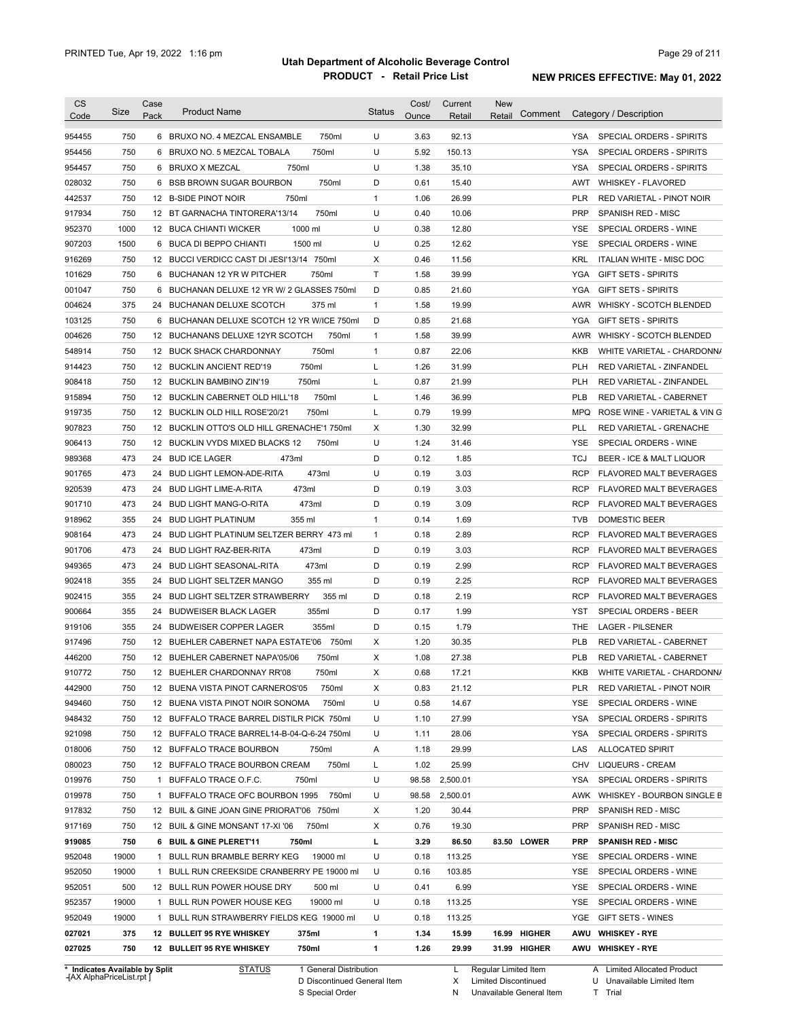| <b>CS</b><br>Code | Size         | Case<br>Pack | <b>Product Name</b>                                                                  | <b>Status</b> | Cost/<br>Ounce | Current<br>Retail | <b>New</b><br>Comment<br>Retail |                          | Category / Description                              |
|-------------------|--------------|--------------|--------------------------------------------------------------------------------------|---------------|----------------|-------------------|---------------------------------|--------------------------|-----------------------------------------------------|
| 954455            | 750          |              | 6 BRUXO NO. 4 MEZCAL ENSAMBLE<br>750ml                                               | U             | 3.63           | 92.13             |                                 | YSA                      | SPECIAL ORDERS - SPIRITS                            |
| 954456            | 750          |              | 750ml<br>6 BRUXO NO. 5 MEZCAL TOBALA                                                 | U             | 5.92           | 150.13            |                                 | <b>YSA</b>               | SPECIAL ORDERS - SPIRITS                            |
| 954457            | 750          |              | 750ml<br>6 BRUXO X MEZCAL                                                            | U             | 1.38           | 35.10             |                                 | <b>YSA</b>               | <b>SPECIAL ORDERS - SPIRITS</b>                     |
| 028032            | 750          | 6            | <b>BSB BROWN SUGAR BOURBON</b><br>750ml                                              | D             | 0.61           | 15.40             |                                 | AWT                      | WHISKEY - FLAVORED                                  |
| 442537            | 750          |              | 12 B-SIDE PINOT NOIR<br>750ml                                                        | $\mathbf{1}$  | 1.06           | 26.99             |                                 | <b>PLR</b>               | RED VARIETAL - PINOT NOIR                           |
| 917934            | 750          |              | 750ml<br>12 BT GARNACHA TINTORERA'13/14                                              | U             | 0.40           | 10.06             |                                 | <b>PRP</b>               | SPANISH RED - MISC                                  |
| 952370            | 1000         |              | 12 BUCA CHIANTI WICKER<br>1000 ml                                                    | U             | 0.38           | 12.80             |                                 | <b>YSE</b>               | SPECIAL ORDERS - WINE                               |
| 907203            | 1500         |              | 6 BUCA DI BEPPO CHIANTI<br>1500 ml                                                   | U             | 0.25           | 12.62             |                                 | <b>YSE</b>               | SPECIAL ORDERS - WINE                               |
| 916269            | 750          |              | 12 BUCCI VERDICC CAST DI JESI'13/14 750ml                                            | X             | 0.46           | 11.56             |                                 | <b>KRL</b>               | ITALIAN WHITE - MISC DOC                            |
| 101629            | 750          |              | 750ml<br>6 BUCHANAN 12 YR W PITCHER                                                  | T             | 1.58           | 39.99             |                                 | <b>YGA</b>               | <b>GIFT SETS - SPIRITS</b>                          |
| 001047            | 750          | 6            | BUCHANAN DELUXE 12 YR W/ 2 GLASSES 750ml                                             | D             | 0.85           | 21.60             |                                 | YGA                      | <b>GIFT SETS - SPIRITS</b>                          |
| 004624            | 375          |              | 24 BUCHANAN DELUXE SCOTCH<br>375 ml                                                  | $\mathbf{1}$  | 1.58           | 19.99             |                                 |                          | AWR WHISKY - SCOTCH BLENDED                         |
| 103125            | 750          |              | 6 BUCHANAN DELUXE SCOTCH 12 YR W/ICE 750ml                                           | D             | 0.85           | 21.68             |                                 | YGA                      | <b>GIFT SETS - SPIRITS</b>                          |
| 004626            | 750          |              | 12 BUCHANANS DELUXE 12YR SCOTCH<br>750ml                                             | $\mathbf{1}$  | 1.58           | 39.99             |                                 |                          | AWR WHISKY - SCOTCH BLENDED                         |
| 548914            | 750          |              | 12 BUCK SHACK CHARDONNAY<br>750ml                                                    | $\mathbf{1}$  | 0.87           | 22.06             |                                 | KKB                      | WHITE VARIETAL - CHARDONN/                          |
| 914423            | 750          |              | 750ml<br>12 BUCKLIN ANCIENT RED'19                                                   | L             | 1.26           | 31.99             |                                 | <b>PLH</b>               | RED VARIETAL - ZINFANDEL                            |
| 908418            | 750          |              | 12 BUCKLIN BAMBINO ZIN'19<br>750ml                                                   | L             | 0.87           | 21.99             |                                 | <b>PLH</b>               | <b>RED VARIETAL - ZINFANDEL</b>                     |
| 915894            | 750          |              | 750ml<br>12 BUCKLIN CABERNET OLD HILL'18                                             | L             | 1.46           | 36.99             |                                 | <b>PLB</b>               | RED VARIETAL - CABERNET                             |
| 919735            | 750          |              | 750ml<br>12 BUCKLIN OLD HILL ROSE'20/21                                              | L             | 0.79           | 19.99             |                                 | <b>MPQ</b>               | ROSE WINE - VARIETAL & VIN G                        |
| 907823            | 750          |              | 12 BUCKLIN OTTO'S OLD HILL GRENACHE'1 750ml                                          | Χ             | 1.30           | 32.99             |                                 | <b>PLL</b>               | <b>RED VARIETAL - GRENACHE</b>                      |
| 906413            | 750          |              | 12 BUCKLIN VYDS MIXED BLACKS 12<br>750ml                                             | U             | 1.24           | 31.46             |                                 | <b>YSE</b>               | SPECIAL ORDERS - WINE                               |
| 989368            | 473          |              | 24 BUD ICE LAGER<br>473ml                                                            | D             | 0.12           | 1.85              |                                 | <b>TCJ</b>               | BEER - ICE & MALT LIQUOR                            |
| 901765            | 473          |              | 24 BUD LIGHT LEMON-ADE-RITA<br>473ml                                                 | U             | 0.19           | 3.03              |                                 | <b>RCP</b>               | <b>FLAVORED MALT BEVERAGES</b>                      |
| 920539            | 473          |              | 473ml<br>24 BUD LIGHT LIME-A-RITA                                                    | D             | 0.19           | 3.03              |                                 | <b>RCP</b>               | <b>FLAVORED MALT BEVERAGES</b>                      |
| 901710            | 473          |              | 473ml<br>24 BUD LIGHT MANG-O-RITA                                                    | D             | 0.19           | 3.09              |                                 | <b>RCP</b>               | <b>FLAVORED MALT BEVERAGES</b>                      |
| 918962            | 355          |              | 355 ml<br>24 BUD LIGHT PLATINUM                                                      | $\mathbf{1}$  | 0.14           | 1.69              |                                 | <b>TVB</b>               | DOMESTIC BEER                                       |
| 908164            | 473          |              | 24 BUD LIGHT PLATINUM SELTZER BERRY 473 ml                                           | $\mathbf{1}$  | 0.18           | 2.89              |                                 | <b>RCP</b>               | <b>FLAVORED MALT BEVERAGES</b>                      |
| 901706            | 473          |              | 473ml<br>24 BUD LIGHT RAZ-BER-RITA                                                   | D             | 0.19           | 3.03              |                                 | <b>RCP</b>               | <b>FLAVORED MALT BEVERAGES</b>                      |
| 949365            | 473          |              | 24 BUD LIGHT SEASONAL-RITA<br>473ml                                                  | D             | 0.19           | 2.99              |                                 | <b>RCP</b>               | <b>FLAVORED MALT BEVERAGES</b>                      |
| 902418            | 355          | 24           | 355 ml<br><b>BUD LIGHT SELTZER MANGO</b>                                             | D             | 0.19           | 2.25              |                                 | RCP                      | <b>FLAVORED MALT BEVERAGES</b>                      |
| 902415            | 355          | 24           | <b>BUD LIGHT SELTZER STRAWBERRY</b><br>355 ml                                        | D             | 0.18           | 2.19              |                                 | RCP                      | <b>FLAVORED MALT BEVERAGES</b>                      |
| 900664            | 355          | 24           | 355ml<br><b>BUDWEISER BLACK LAGER</b>                                                | D             | 0.17           | 1.99              |                                 | <b>YST</b>               | SPECIAL ORDERS - BEER                               |
| 919106            | 355          | 24           | <b>BUDWEISER COPPER LAGER</b><br>355ml                                               | D             | 0.15           | 1.79              |                                 | <b>THE</b>               | <b>LAGER - PILSENER</b>                             |
| 917496            | 750          |              | 750ml<br>12 BUEHLER CABERNET NAPA ESTATE'06                                          | X             | 1.20           | 30.35             |                                 | <b>PLB</b>               | RED VARIETAL - CABERNET                             |
| 446200            | 750          |              | 12 BUEHLER CABERNET NAPA'05/06<br>750ml                                              | X             | 1.08           | 27.38             |                                 | <b>PLB</b>               | RED VARIETAL - CABERNET                             |
| 910772            | 750          |              | 12 BUEHLER CHARDONNAY RR'08<br>750ml                                                 | X             | 0.68           | 17.21             |                                 | <b>KKB</b>               | WHITE VARIETAL - CHARDONN/                          |
| 442900            | 750          |              | 12 BUENA VISTA PINOT CARNEROS'05<br>750ml                                            | X             | 0.83           | 21.12             |                                 | PLR                      | RED VARIETAL - PINOT NOIR                           |
|                   | 750          |              |                                                                                      | U             | 0.58           |                   |                                 | YSE                      |                                                     |
| 949460<br>948432  | 750          | 12<br>12     | BUENA VISTA PINOT NOIR SONOMA<br>750ml<br>BUFFALO TRACE BARREL DISTILR PICK 750ml    | U             | 1.10           | 14.67<br>27.99    |                                 | <b>YSA</b>               | SPECIAL ORDERS - WINE<br>SPECIAL ORDERS - SPIRITS   |
|                   |              |              |                                                                                      |               |                |                   |                                 |                          |                                                     |
| 921098<br>018006  | 750<br>750   | 12           | BUFFALO TRACE BARREL14-B-04-Q-6-24 750ml<br>750ml                                    | U             | 1.11<br>1.18   | 28.06<br>29.99    |                                 | <b>YSA</b><br>LAS        | SPECIAL ORDERS - SPIRITS<br><b>ALLOCATED SPIRIT</b> |
|                   |              |              | 12 BUFFALO TRACE BOURBON<br>BUFFALO TRACE BOURBON CREAM                              | Α             |                | 25.99             |                                 |                          |                                                     |
| 080023            | 750          | 12           | 750ml                                                                                | L             | 1.02           |                   |                                 | CHV                      | <b>LIQUEURS - CREAM</b>                             |
| 019976            | 750          | 1            | BUFFALO TRACE O.F.C.<br>750ml                                                        | U             | 98.58          | 2,500.01          |                                 | YSA                      | SPECIAL ORDERS - SPIRITS                            |
| 019978            | 750<br>750   | 1            | BUFFALO TRACE OFC BOURBON 1995<br>750ml<br>12 BUIL & GINE JOAN GINE PRIORAT'06 750ml | U<br>X        | 98.58<br>1.20  | 2,500.01<br>30.44 |                                 | AWK<br><b>PRP</b>        | WHISKEY - BOURBON SINGLE B                          |
| 917832            |              |              | 750ml                                                                                |               |                |                   |                                 |                          | SPANISH RED - MISC                                  |
| 917169            | 750          |              | 12 BUIL & GINE MONSANT 17-XI '06                                                     | X             | 0.76           | 19.30             |                                 | PRP                      | SPANISH RED - MISC                                  |
| 919085            | 750<br>19000 | 6            | <b>BUIL &amp; GINE PLERET'11</b><br>750ml<br>19000 ml                                | г<br>U        | 3.29<br>0.18   | 86.50<br>113.25   | 83.50 LOWER                     | <b>PRP</b><br><b>YSE</b> | <b>SPANISH RED - MISC</b>                           |
| 952048            |              | 1            | BULL RUN BRAMBLE BERRY KEG                                                           |               |                |                   |                                 |                          | SPECIAL ORDERS - WINE                               |
| 952050            | 19000        | 1            | BULL RUN CREEKSIDE CRANBERRY PE 19000 ml                                             | U             | 0.16           | 103.85            |                                 | <b>YSE</b>               | SPECIAL ORDERS - WINE                               |
| 952051            | 500          |              | 12 BULL RUN POWER HOUSE DRY<br>500 ml                                                | U             | 0.41           | 6.99              |                                 | <b>YSE</b>               | SPECIAL ORDERS - WINE                               |
| 952357            | 19000        | 1            | 19000 ml<br>BULL RUN POWER HOUSE KEG                                                 | U             | 0.18           | 113.25            |                                 | YSE                      | SPECIAL ORDERS - WINE                               |
| 952049            | 19000        | 1            | BULL RUN STRAWBERRY FIELDS KEG 19000 ml                                              | U             | 0.18           | 113.25            |                                 | YGE                      | GIFT SETS - WINES                                   |
| 027021            | 375          |              | 375ml<br>12 BULLEIT 95 RYE WHISKEY                                                   | 1             | 1.34           | 15.99             | 16.99 HIGHER                    | AWU                      | <b>WHISKEY - RYE</b>                                |
| 027025            | 750          |              | 12 BULLEIT 95 RYE WHISKEY<br>750ml                                                   | 1             | 1.26           | 29.99             | 31.99 HIGHER                    |                          | AWU WHISKEY - RYE                                   |

D Discontinued General Item

S Special Order

X Limited Discontinued

N Unavailable General Item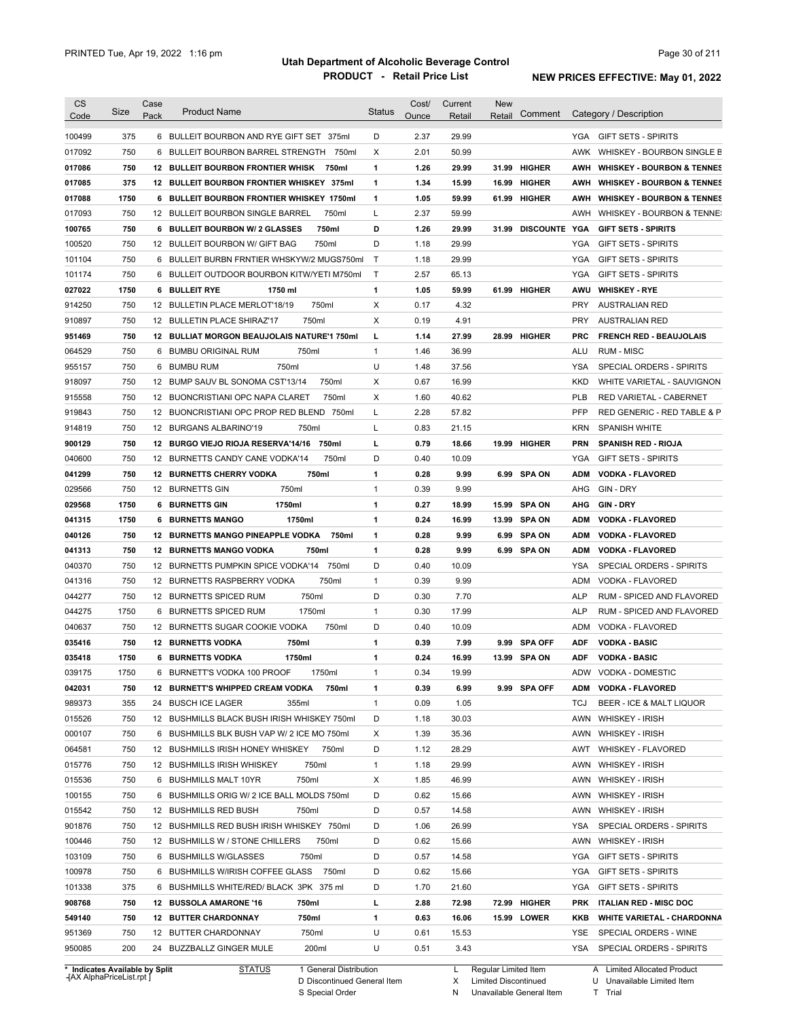| Code                                                                                                                                                                                                                     | Size       | Case | <b>Product Name</b>                                                | <b>Status</b> | Cost/        | Current       | <b>New</b> |                 |            | Category / Description                            |
|--------------------------------------------------------------------------------------------------------------------------------------------------------------------------------------------------------------------------|------------|------|--------------------------------------------------------------------|---------------|--------------|---------------|------------|-----------------|------------|---------------------------------------------------|
|                                                                                                                                                                                                                          |            | Pack |                                                                    |               | Ounce        | Retail        | Retail     | Comment         |            |                                                   |
| 100499                                                                                                                                                                                                                   | 375        |      | 6 BULLEIT BOURBON AND RYE GIFT SET 375ml                           | D             | 2.37         | 29.99         |            |                 |            | YGA GIFT SETS - SPIRITS                           |
| 017092                                                                                                                                                                                                                   | 750        | 6    | BULLEIT BOURBON BARREL STRENGTH<br>750ml                           | Χ             | 2.01         | 50.99         |            |                 | AWK        | WHISKEY - BOURBON SINGLE B                        |
| 017086                                                                                                                                                                                                                   | 750        |      | <b>12 BULLEIT BOURBON FRONTIER WHISK</b><br>750ml                  | 1             | 1.26         | 29.99         |            | 31.99 HIGHER    | AWH        | <b>WHISKEY - BOURBON &amp; TENNES</b>             |
| 017085                                                                                                                                                                                                                   | 375        |      | 12 BULLEIT BOURBON FRONTIER WHISKEY 375ml                          | 1             | 1.34         | 15.99         |            | 16.99 HIGHER    | AWH        | <b>WHISKEY - BOURBON &amp; TENNES</b>             |
| 017088                                                                                                                                                                                                                   | 1750       |      | 6 BULLEIT BOURBON FRONTIER WHISKEY 1750ml                          | 1             | 1.05         | 59.99         |            | 61.99 HIGHER    | AWH        | <b>WHISKEY - BOURBON &amp; TENNES</b>             |
| 017093                                                                                                                                                                                                                   | 750        |      | 12 BULLEIT BOURBON SINGLE BARREL<br>750ml                          | L             | 2.37         | 59.99         |            |                 | AWH        | WHISKEY - BOURBON & TENNE:                        |
| 100765                                                                                                                                                                                                                   | 750        |      | 750ml<br>6 BULLEIT BOURBON W/ 2 GLASSES                            | D             | 1.26         | 29.99         |            | 31.99 DISCOUNTE | YGA        | <b>GIFT SETS - SPIRITS</b>                        |
| 100520                                                                                                                                                                                                                   | 750        |      | 750ml<br>12 BULLEIT BOURBON W/ GIFT BAG                            | D             | 1.18         | 29.99         |            |                 | <b>YGA</b> | <b>GIFT SETS - SPIRITS</b>                        |
| 101104                                                                                                                                                                                                                   | 750        |      | 6 BULLEIT BURBN FRNTIER WHSKYW/2 MUGS750ml                         | Т             | 1.18         | 29.99         |            |                 | <b>YGA</b> | <b>GIFT SETS - SPIRITS</b>                        |
| 101174                                                                                                                                                                                                                   | 750        |      | 6 BULLEIT OUTDOOR BOURBON KITW/YETI M750ml                         | $\mathsf{T}$  | 2.57         | 65.13         |            |                 | <b>YGA</b> | <b>GIFT SETS - SPIRITS</b>                        |
| 027022                                                                                                                                                                                                                   | 1750       |      | 6 BULLEIT RYE<br>1750 ml                                           | 1             | 1.05         | 59.99         |            | 61.99 HIGHER    | AWU        | <b>WHISKEY - RYE</b>                              |
| 914250                                                                                                                                                                                                                   | 750        |      | 12 BULLETIN PLACE MERLOT'18/19<br>750ml                            | Χ             | 0.17         | 4.32          |            |                 | <b>PRY</b> | <b>AUSTRALIAN RED</b>                             |
| 910897                                                                                                                                                                                                                   | 750        |      | 12 BULLETIN PLACE SHIRAZ'17<br>750ml                               | Х             | 0.19         | 4.91          |            |                 | <b>PRY</b> | <b>AUSTRALIAN RED</b>                             |
| 951469                                                                                                                                                                                                                   | 750        |      | 12 BULLIAT MORGON BEAUJOLAIS NATURE'1 750ml                        | г             | 1.14         | 27.99         |            | 28.99 HIGHER    | <b>PRC</b> | <b>FRENCH RED - BEAUJOLAIS</b>                    |
| 064529                                                                                                                                                                                                                   | 750        | 6    | 750ml<br>BUMBU ORIGINAL RUM                                        | $\mathbf{1}$  | 1.46         | 36.99         |            |                 | ALU        | <b>RUM - MISC</b>                                 |
| 955157                                                                                                                                                                                                                   | 750        | 6    | 750ml<br>BUMBU RUM                                                 | U             | 1.48         | 37.56         |            |                 | <b>YSA</b> | SPECIAL ORDERS - SPIRITS                          |
| 918097                                                                                                                                                                                                                   | 750        |      | 12 BUMP SAUV BL SONOMA CST'13/14<br>750ml                          | Χ             | 0.67         | 16.99         |            |                 | <b>KKD</b> | WHITE VARIETAL - SAUVIGNON                        |
| 915558                                                                                                                                                                                                                   | 750        | 12   | 750ml<br>BUONCRISTIANI OPC NAPA CLARET                             | Χ             | 1.60         | 40.62         |            |                 | PLB        | RED VARIETAL - CABERNET                           |
| 919843                                                                                                                                                                                                                   | 750        | 12   | BUONCRISTIANI OPC PROP RED BLEND 750ml                             | L             | 2.28         | 57.82         |            |                 | PFP        | RED GENERIC - RED TABLE & P                       |
| 914819                                                                                                                                                                                                                   | 750        |      | 750ml<br>12 BURGANS ALBARINO'19                                    | L             | 0.83         | 21.15         |            |                 | <b>KRN</b> | <b>SPANISH WHITE</b>                              |
| 900129                                                                                                                                                                                                                   | 750        |      | 750ml<br>12 BURGO VIEJO RIOJA RESERVA'14/16                        | L             | 0.79         | 18.66         |            | 19.99 HIGHER    | <b>PRN</b> | <b>SPANISH RED - RIOJA</b>                        |
| 040600                                                                                                                                                                                                                   | 750        |      | 750ml<br>12 BURNETTS CANDY CANE VODKA'14                           | D             | 0.40         | 10.09         |            |                 | <b>YGA</b> | <b>GIFT SETS - SPIRITS</b>                        |
| 041299                                                                                                                                                                                                                   | 750        |      | 12 BURNETTS CHERRY VODKA<br>750ml                                  | 1             | 0.28         | 9.99          |            | 6.99 SPA ON     | ADM        | <b>VODKA - FLAVORED</b>                           |
| 029566                                                                                                                                                                                                                   | 750        |      | 750ml<br>12 BURNETTS GIN                                           | $\mathbf{1}$  | 0.39         | 9.99          |            |                 | AHG        | GIN - DRY                                         |
| 029568                                                                                                                                                                                                                   | 1750       |      | 1750ml<br>6 BURNETTS GIN                                           | 1             | 0.27         | 18.99         | 15.99      | <b>SPA ON</b>   | AHG        | <b>GIN-DRY</b>                                    |
| 041315                                                                                                                                                                                                                   | 1750       | 6    | 1750ml<br><b>BURNETTS MANGO</b>                                    | 1             | 0.24         | 16.99         |            | 13.99 SPA ON    | ADM        | <b>VODKA - FLAVORED</b>                           |
| 040126                                                                                                                                                                                                                   | 750        |      | 12 BURNETTS MANGO PINEAPPLE VODKA<br>750ml                         | 1             | 0.28         | 9.99          |            | 6.99 SPA ON     | <b>ADM</b> | <b>VODKA - FLAVORED</b>                           |
| 041313                                                                                                                                                                                                                   | 750        |      | <b>12 BURNETTS MANGO VODKA</b><br>750ml                            | 1             | 0.28         | 9.99          |            | 6.99 SPA ON     | ADM        | <b>VODKA - FLAVORED</b>                           |
| 040370                                                                                                                                                                                                                   |            |      |                                                                    |               |              |               |            |                 | YSA        | SPECIAL ORDERS - SPIRITS                          |
|                                                                                                                                                                                                                          | 750        | 12   | BURNETTS PUMPKIN SPICE VODKA'14<br>750ml                           | D             | 0.40         | 10.09         |            |                 |            |                                                   |
|                                                                                                                                                                                                                          | 750        |      | 750ml<br>12 BURNETTS RASPBERRY VODKA                               | $\mathbf{1}$  | 0.39         | 9.99          |            |                 | ADM        | VODKA - FLAVORED                                  |
|                                                                                                                                                                                                                          | 750        |      | 750ml<br>12 BURNETTS SPICED RUM                                    | D             | 0.30         | 7.70          |            |                 | <b>ALP</b> | RUM - SPICED AND FLAVORED                         |
|                                                                                                                                                                                                                          |            | 6    | 1750ml                                                             | $\mathbf{1}$  |              |               |            |                 | <b>ALP</b> |                                                   |
|                                                                                                                                                                                                                          | 1750       |      | <b>BURNETTS SPICED RUM</b>                                         |               | 0.30         | 17.99         |            |                 |            | RUM - SPICED AND FLAVORED<br>VODKA - FLAVORED     |
|                                                                                                                                                                                                                          | 750        |      | 12 BURNETTS SUGAR COOKIE VODKA<br>750ml                            | D             | 0.40         | 10.09         |            |                 | ADM        |                                                   |
|                                                                                                                                                                                                                          | 750        |      | <b>12 BURNETTS VODKA</b><br>750ml                                  | $\mathbf{1}$  | 0.39         | 7.99          |            | 9.99 SPA OFF    | <b>ADF</b> | <b>VODKA - BASIC</b>                              |
|                                                                                                                                                                                                                          | 1750       |      | 1750ml<br><b>6 BURNETTS VODKA</b>                                  | 1             | 0.24         | 16.99         |            | 13.99 SPA ON    | <b>ADF</b> | <b>VODKA - BASIC</b>                              |
|                                                                                                                                                                                                                          | 1750       |      | 6 BURNETT'S VODKA 100 PROOF<br>1750ml                              | 1             | 0.34         | 19.99         |            |                 |            | ADW VODKA - DOMESTIC                              |
|                                                                                                                                                                                                                          | 750        |      | 12 BURNETT'S WHIPPED CREAM VODKA<br>750ml                          | 1             | 0.39         | 6.99          |            | 9.99 SPA OFF    |            | ADM VODKA - FLAVORED                              |
|                                                                                                                                                                                                                          | 355        |      | 24 BUSCH ICE LAGER<br>355ml                                        | $\mathbf{1}$  | 0.09         | 1.05          |            |                 | TCJ        | BEER - ICE & MALT LIQUOR                          |
|                                                                                                                                                                                                                          | 750        |      | 12 BUSHMILLS BLACK BUSH IRISH WHISKEY 750ml                        | D             | 1.18         | 30.03         |            |                 |            | AWN WHISKEY - IRISH                               |
|                                                                                                                                                                                                                          | 750        |      | 6 BUSHMILLS BLK BUSH VAP W/ 2 ICE MO 750ml                         | Х             | 1.39         | 35.36         |            |                 | AWN        | <b>WHISKEY - IRISH</b>                            |
|                                                                                                                                                                                                                          | 750        |      | 12 BUSHMILLS IRISH HONEY WHISKEY<br>750ml                          | D             | 1.12         | 28.29         |            |                 | AWT        | WHISKEY - FLAVORED                                |
|                                                                                                                                                                                                                          | 750        |      | 12 BUSHMILLS IRISH WHISKEY<br>750ml                                | $\mathbf{1}$  | 1.18         | 29.99         |            |                 | AWN        | <b>WHISKEY - IRISH</b>                            |
|                                                                                                                                                                                                                          | 750        |      | 750ml<br>6 BUSHMILLS MALT 10YR                                     | Х             | 1.85         | 46.99         |            |                 | AWN        | <b>WHISKEY - IRISH</b>                            |
|                                                                                                                                                                                                                          | 750        |      | 6 BUSHMILLS ORIG W/ 2 ICE BALL MOLDS 750ml                         | D             | 0.62         | 15.66         |            |                 | AWN        | <b>WHISKEY - IRISH</b>                            |
|                                                                                                                                                                                                                          | 750        |      | 12 BUSHMILLS RED BUSH<br>750ml                                     | D             | 0.57         | 14.58         |            |                 | AWN        | <b>WHISKEY - IRISH</b>                            |
|                                                                                                                                                                                                                          | 750        |      | 12 BUSHMILLS RED BUSH IRISH WHISKEY 750ml                          | D             | 1.06         | 26.99         |            |                 | YSA        | SPECIAL ORDERS - SPIRITS                          |
|                                                                                                                                                                                                                          | 750        |      | 12 BUSHMILLS W / STONE CHILLERS<br>750ml                           | D             | 0.62         | 15.66         |            |                 | AWN        | <b>WHISKEY - IRISH</b>                            |
|                                                                                                                                                                                                                          | 750        |      | 750ml<br>6 BUSHMILLS W/GLASSES                                     | D             | 0.57         | 14.58         |            |                 | YGA        | <b>GIFT SETS - SPIRITS</b>                        |
| 103109                                                                                                                                                                                                                   | 750        |      | 6 BUSHMILLS W/IRISH COFFEE GLASS 750ml                             | D             | 0.62         | 15.66         |            |                 | YGA        | <b>GIFT SETS - SPIRITS</b>                        |
|                                                                                                                                                                                                                          | 375        |      | 6 BUSHMILLS WHITE/RED/ BLACK 3PK 375 ml                            | D             | 1.70         | 21.60         |            |                 | YGA        | <b>GIFT SETS - SPIRITS</b>                        |
|                                                                                                                                                                                                                          | 750        |      | 12 BUSSOLA AMARONE '16<br>750ml                                    | L             | 2.88         | 72.98         |            | 72.99 HIGHER    | <b>PRK</b> | <b>ITALIAN RED - MISC DOC</b>                     |
| 041316<br>044277<br>044275<br>040637<br>035416<br>035418<br>039175<br>042031<br>989373<br>015526<br>000107<br>064581<br>015776<br>015536<br>100155<br>015542<br>901876<br>100446<br>100978<br>101338<br>908768<br>549140 | 750        |      | <b>12 BUTTER CHARDONNAY</b><br>750ml                               | 1             | 0.63         | 16.06         |            | 15.99 LOWER     | KKB        | <b>WHITE VARIETAL - CHARDONNA</b>                 |
| 951369<br>950085                                                                                                                                                                                                         | 750<br>200 |      | 12 BUTTER CHARDONNAY<br>750ml<br>200ml<br>24 BUZZBALLZ GINGER MULE | U<br>U        | 0.61<br>0.51 | 15.53<br>3.43 |            |                 | YSE<br>YSA | SPECIAL ORDERS - WINE<br>SPECIAL ORDERS - SPIRITS |

**Case** [AX AlphaPriceList.rpt ]

D Discontinued General Item

S Special Order

X Limited Discontinued

N Unavailable General Item

U Unavailable Limited Item T Trial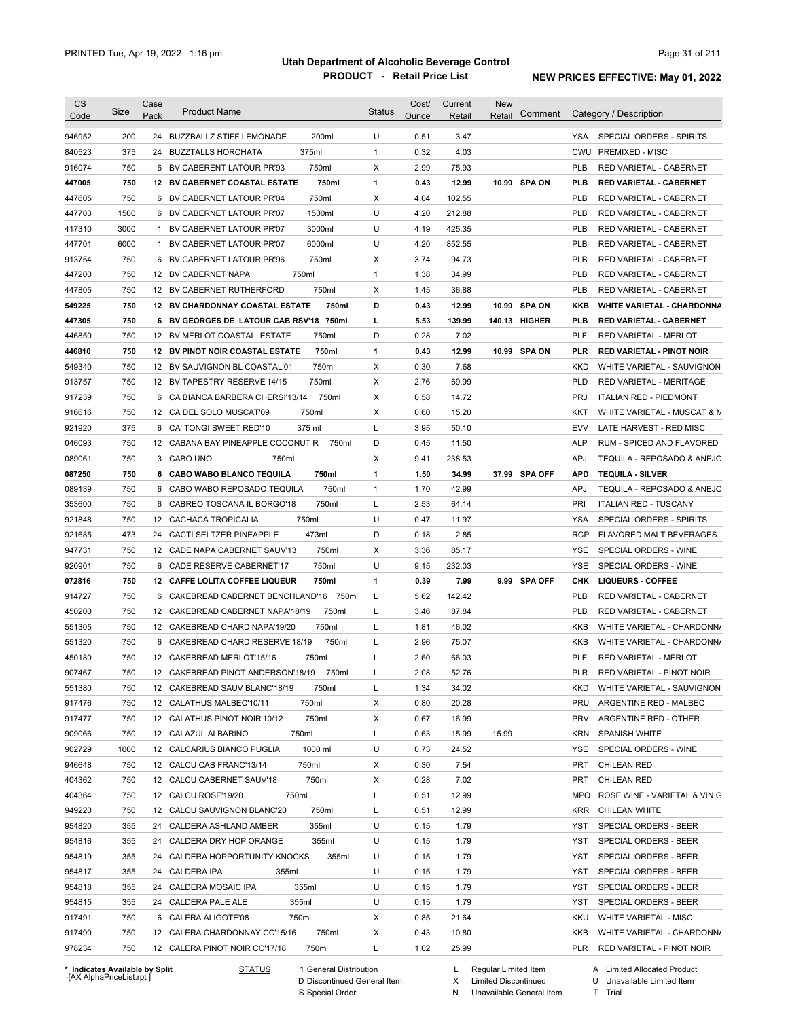| <b>CS</b>        | Size       | Case | <b>Product Name</b>                                                              | <b>Status</b> | Cost/        | Current        | <b>New</b><br>Comment | Category / Description                                                |
|------------------|------------|------|----------------------------------------------------------------------------------|---------------|--------------|----------------|-----------------------|-----------------------------------------------------------------------|
| Code             |            | Pack |                                                                                  |               | Ounce        | Retail         | Retail                |                                                                       |
| 946952           | 200        |      | 200ml<br>24 BUZZBALLZ STIFF LEMONADE                                             | U             | 0.51         | 3.47           |                       | YSA<br>SPECIAL ORDERS - SPIRITS                                       |
| 840523           | 375        |      | 375ml<br>24 BUZZTALLS HORCHATA                                                   | $\mathbf{1}$  | 0.32         | 4.03           |                       | CWU<br><b>PREMIXED - MISC</b>                                         |
| 916074           | 750        |      | 750ml<br>6 BV CABERENT LATOUR PR'93                                              | Χ             | 2.99         | 75.93          |                       | <b>PLB</b><br>RED VARIETAL - CABERNET                                 |
| 447005           | 750        |      | 750ml<br><b>12 BV CABERNET COASTAL ESTATE</b>                                    | $\mathbf{1}$  | 0.43         | 12.99          | 10.99 SPA ON          | <b>PLB</b><br><b>RED VARIETAL - CABERNET</b>                          |
| 447605           | 750        |      | 750ml<br>6 BV CABERNET LATOUR PR'04                                              | Χ             | 4.04         | 102.55         |                       | <b>PLB</b><br>RED VARIETAL - CABERNET                                 |
| 447703           | 1500       |      | 1500ml<br>6 BV CABERNET LATOUR PR'07                                             | U             | 4.20         | 212.88         |                       | <b>PLB</b><br>RED VARIETAL - CABERNET                                 |
| 417310           | 3000       |      | 3000ml<br>1 BV CABERNET LATOUR PR'07                                             | U             | 4.19         | 425.35         |                       | <b>PLB</b><br>RED VARIETAL - CABERNET                                 |
| 447701           | 6000       | 1    | 6000ml<br>BV CABERNET LATOUR PR'07                                               | U             | 4.20         | 852.55         |                       | <b>PLB</b><br>RED VARIETAL - CABERNET                                 |
| 913754           | 750        |      | 750ml<br>6 BV CABERNET LATOUR PR'96                                              | Х             | 3.74         | 94.73          |                       | <b>PLB</b><br><b>RED VARIETAL - CABERNET</b>                          |
| 447200           | 750        |      | 750ml<br>12 BV CABERNET NAPA                                                     | $\mathbf{1}$  | 1.38         | 34.99          |                       | <b>PLB</b><br><b>RED VARIETAL - CABERNET</b>                          |
| 447805           | 750        |      | 12 BV CABERNET RUTHERFORD<br>750ml                                               | Х             | 1.45         | 36.88          |                       | <b>PLB</b><br>RED VARIETAL - CABERNET                                 |
| 549225           | 750        |      | <b>12 BV CHARDONNAY COASTAL ESTATE</b><br>750ml                                  | D             | 0.43         | 12.99          | 10.99 SPA ON          | KKB<br><b>WHITE VARIETAL - CHARDONNA</b>                              |
| 447305           | 750        |      | 6 BV GEORGES DE LATOUR CAB RSV'18<br>750ml                                       | L             | 5.53         | 139.99         | 140.13 HIGHER         | <b>PLB</b><br><b>RED VARIETAL - CABERNET</b>                          |
| 446850           | 750        |      | 12 BV MERLOT COASTAL ESTATE<br>750ml                                             | D             | 0.28         | 7.02           |                       | <b>PLF</b><br><b>RED VARIETAL - MERLOT</b>                            |
| 446810           | 750        |      | <b>12 BV PINOT NOIR COASTAL ESTATE</b><br>750ml                                  | 1             | 0.43         | 12.99          | 10.99 SPA ON          | <b>PLR</b><br><b>RED VARIETAL - PINOT NOIR</b>                        |
| 549340           | 750        |      | 750ml<br>12 BV SAUVIGNON BL COASTAL'01                                           | Χ             | 0.30         | 7.68           |                       | <b>KKD</b><br>WHITE VARIETAL - SAUVIGNON                              |
| 913757           | 750        |      | 750ml<br>12 BV TAPESTRY RESERVE'14/15                                            | X             | 2.76         | 69.99          |                       | <b>PLD</b><br><b>RED VARIETAL - MERITAGE</b>                          |
| 917239           | 750        |      | 750ml<br>6 CA BIANCA BARBERA CHERSI'13/14                                        | Х             | 0.58         | 14.72          |                       | <b>PRJ</b><br><b>ITALIAN RED - PIEDMONT</b>                           |
| 916616           | 750        |      | 750ml<br>12 CA DEL SOLO MUSCAT'09                                                | Х             | 0.60         | 15.20          |                       | KKT<br>WHITE VARIETAL - MUSCAT & M                                    |
| 921920           | 375        |      | 375 ml<br>6 CA' TONGI SWEET RED'10                                               | L             | 3.95         | 50.10          |                       | <b>EVV</b><br>LATE HARVEST - RED MISC                                 |
| 046093           | 750        |      | 12 CABANA BAY PINEAPPLE COCONUT R<br>750ml                                       | D             | 0.45         | 11.50          |                       | <b>ALP</b><br>RUM - SPICED AND FLAVORED                               |
| 089061           | 750        |      | 3 CABO UNO<br>750ml                                                              | Χ             | 9.41         | 238.53         |                       | <b>APJ</b><br>TEQUILA - REPOSADO & ANEJO                              |
| 087250           | 750        |      | 750ml<br>6 CABO WABO BLANCO TEQUILA                                              | 1             | 1.50         | 34.99          | 37.99 SPA OFF         | <b>APD</b><br><b>TEQUILA - SILVER</b>                                 |
| 089139           | 750        | 6    | CABO WABO REPOSADO TEQUILA<br>750ml                                              | 1             | 1.70         | 42.99          |                       | <b>APJ</b><br>TEQUILA - REPOSADO & ANEJO                              |
| 353600           | 750        | 6    | 750ml<br>CABREO TOSCANA IL BORGO'18                                              | L             | 2.53         | 64.14          |                       | PRI<br><b>ITALIAN RED - TUSCANY</b>                                   |
| 921848           | 750        | 12   | CACHACA TROPICALIA<br>750ml                                                      | U             | 0.47         | 11.97          |                       | YSA<br>SPECIAL ORDERS - SPIRITS                                       |
| 921685           | 473        | 24   | CACTI SELTZER PINEAPPLE<br>473ml                                                 | D             | 0.18         | 2.85           |                       | <b>RCP</b><br>FLAVORED MALT BEVERAGES                                 |
| 947731           | 750        |      | 12 CADE NAPA CABERNET SAUV'13<br>750ml                                           | Х             | 3.36         | 85.17          |                       | YSE<br>SPECIAL ORDERS - WINE                                          |
| 920901           | 750        | 6    | 750ml<br>CADE RESERVE CABERNET'17                                                | U             | 9.15         | 232.03         |                       | <b>YSE</b><br>SPECIAL ORDERS - WINE                                   |
| 072816           | 750        |      | 12 CAFFE LOLITA COFFEE LIQUEUR<br>750ml                                          | $\mathbf{1}$  | 0.39         | 7.99           | 9.99 SPA OFF          | <b>CHK</b><br><b>LIQUEURS - COFFEE</b>                                |
| 914727           | 750        |      | 6 CAKEBREAD CABERNET BENCHLAND'16 750ml                                          | L             | 5.62         | 142.42         |                       | <b>PLB</b><br>RED VARIETAL - CABERNET                                 |
| 450200           | 750        |      | 750ml<br>12 CAKEBREAD CABERNET NAPA'18/19                                        | L             | 3.46         | 87.84          |                       | <b>PLB</b><br>RED VARIETAL - CABERNET                                 |
| 551305           | 750        |      | 750ml<br>12 CAKEBREAD CHARD NAPA'19/20                                           | L             | 1.81         | 46.02          |                       | KKB<br>WHITE VARIETAL - CHARDONN/                                     |
| 551320           | 750        |      | 750ml<br>6 CAKEBREAD CHARD RESERVE'18/19                                         | Г             | 2.96         | 75.07          |                       | KKB<br>WHITE VARIETAL - CHARDONN/                                     |
| 450180           | 750        |      | 12 CAKEBREAD MERLOT'15/16<br>750ml                                               | Г             | 2.60         | 66.03          |                       | <b>PLF</b><br><b>RED VARIETAL - MERLOT</b>                            |
| 907467           | 750        |      | 12 CAKEBREAD PINOT ANDERSON'18/19<br>750ml                                       |               | 2.08         | 52.76          |                       | PLR<br>RED VARIETAL - PINOT NOIR                                      |
| 551380           | 750        |      | 12 CAKEBREAD SAUV BLANC'18/19<br>750ml                                           | Г             | 1.34         | 34.02          |                       | KKD<br>WHITE VARIETAL - SAUVIGNON                                     |
| 917476           | 750        |      | 12 CALATHUS MALBEC'10/11<br>750ml                                                | Х             | 0.80         | 20.28          |                       | PRU<br>ARGENTINE RED - MALBEC                                         |
| 917477           | 750        |      | 750ml<br>12 CALATHUS PINOT NOIR'10/12                                            | X             | 0.67         | 16.99          |                       | <b>PRV</b><br>ARGENTINE RED - OTHER                                   |
| 909066           | 750        |      | 12 CALAZUL ALBARINO<br>750ml                                                     | L             | 0.63         | 15.99          | 15.99                 | <b>KRN</b><br><b>SPANISH WHITE</b>                                    |
| 902729           | 1000       |      | 1000 ml<br>12 CALCARIUS BIANCO PUGLIA                                            | U             | 0.73         | 24.52          |                       | YSE<br>SPECIAL ORDERS - WINE                                          |
| 946648           | 750        |      | 750ml<br>12 CALCU CAB FRANC'13/14                                                | X             | 0.30         | 7.54           |                       | PRT<br><b>CHILEAN RED</b>                                             |
| 404362           | 750        |      | 750ml<br>12 CALCU CABERNET SAUV'18                                               | X             | 0.28         | 7.02           |                       | PRT<br><b>CHILEAN RED</b>                                             |
| 404364           | 750        |      | 750ml<br>12 CALCU ROSE'19/20                                                     | L             | 0.51         | 12.99          |                       | <b>MPQ</b><br>ROSE WINE - VARIETAL & VIN G                            |
| 949220           | 750        |      | 750ml<br>12 CALCU SAUVIGNON BLANC'20                                             | L             | 0.51         | 12.99          |                       | <b>KRR</b><br>CHILEAN WHITE                                           |
| 954820           | 355        |      | 355ml<br>24 CALDERA ASHLAND AMBER                                                | U             | 0.15         | 1.79           |                       | YST<br>SPECIAL ORDERS - BEER                                          |
| 954816           | 355        |      | 355ml<br>24 CALDERA DRY HOP ORANGE                                               | U             | 0.15         | 1.79           |                       | SPECIAL ORDERS - BEER<br>YST                                          |
| 954819           | 355        |      | 24 CALDERA HOPPORTUNITY KNOCKS<br>355ml                                          | U             | 0.15         | 1.79           |                       | YST<br>SPECIAL ORDERS - BEER                                          |
| 954817           | 355        |      | 24 CALDERA IPA<br>355ml                                                          | U             | 0.15         | 1.79           |                       | YST<br>SPECIAL ORDERS - BEER                                          |
| 954818           |            |      |                                                                                  | U             |              | 1.79           |                       | YST                                                                   |
| 954815           | 355        |      | 24 CALDERA MOSAIC IPA<br>355ml                                                   |               | 0.15         |                |                       | SPECIAL ORDERS - BEER                                                 |
|                  | 355        |      | 355ml<br>24 CALDERA PALE ALE                                                     | U             | 0.15         | 1.79           |                       | YST<br>SPECIAL ORDERS - BEER<br>KKU<br>WHITE VARIETAL - MISC          |
|                  |            |      |                                                                                  |               |              |                |                       |                                                                       |
| 917491           | 750        |      | 6 CALERA ALIGOTE'08<br>750ml                                                     | Х             | 0.85         | 21.64          |                       |                                                                       |
| 917490<br>978234 | 750<br>750 |      | 12 CALERA CHARDONNAY CC'15/16<br>750ml<br>12 CALERA PINOT NOIR CC'17/18<br>750ml | Х<br>L        | 0.43<br>1.02 | 10.80<br>25.99 |                       | KKB<br>WHITE VARIETAL - CHARDONN/<br>PLR<br>RED VARIETAL - PINOT NOIR |

**Case** [AX AlphaPriceList.rpt ]

D Discontinued General Item

S Special Order

X

N

Limited Discontinued

Unavailable General Item

U Unavailable Limited Item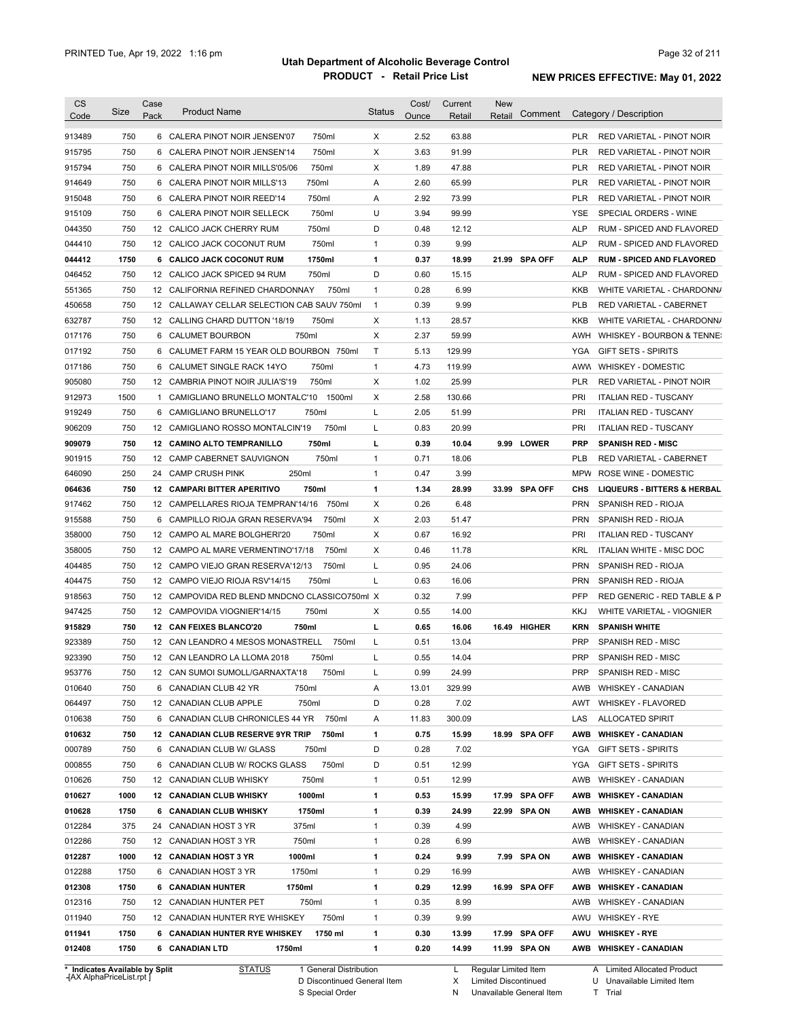| 913489<br>915795<br>915794<br>914649<br>915048<br>915109<br>044350 | 750<br>750<br>750 |    | 6 CALERA PINOT NOIR JENSEN'07<br>6 CALERA PINOT NOIR JENSEN'14 | 750ml   | X            | 2.52  |        |               |            |                                        |
|--------------------------------------------------------------------|-------------------|----|----------------------------------------------------------------|---------|--------------|-------|--------|---------------|------------|----------------------------------------|
|                                                                    |                   |    |                                                                |         |              |       | 63.88  |               | <b>PLR</b> | RED VARIETAL - PINOT NOIR              |
|                                                                    |                   |    |                                                                | 750ml   | X            | 3.63  | 91.99  |               | PLR        | RED VARIETAL - PINOT NOIR              |
|                                                                    |                   |    | 6 CALERA PINOT NOIR MILLS'05/06                                | 750ml   | X            | 1.89  | 47.88  |               | PLR        | RED VARIETAL - PINOT NOIR              |
|                                                                    | 750               |    | 6 CALERA PINOT NOIR MILLS'13                                   | 750ml   | Α            | 2.60  | 65.99  |               | PLR        | RED VARIETAL - PINOT NOIR              |
|                                                                    | 750               |    | 6 CALERA PINOT NOIR REED'14                                    | 750ml   | Α            | 2.92  | 73.99  |               | PLR        | RED VARIETAL - PINOT NOIR              |
|                                                                    | 750               |    | 6 CALERA PINOT NOIR SELLECK                                    | 750ml   | U            | 3.94  | 99.99  |               | <b>YSE</b> | SPECIAL ORDERS - WINE                  |
|                                                                    | 750               |    | 12 CALICO JACK CHERRY RUM                                      | 750ml   | D            | 0.48  | 12.12  |               | <b>ALP</b> | RUM - SPICED AND FLAVORED              |
| 044410                                                             | 750               |    | 12 CALICO JACK COCONUT RUM                                     | 750ml   | $\mathbf{1}$ | 0.39  | 9.99   |               | <b>ALP</b> | RUM - SPICED AND FLAVORED              |
| 044412                                                             | 1750              |    | 6 CALICO JACK COCONUT RUM                                      | 1750ml  | 1            | 0.37  | 18.99  | 21.99 SPA OFF | <b>ALP</b> | <b>RUM - SPICED AND FLAVORED</b>       |
| 046452                                                             | 750               |    | 12 CALICO JACK SPICED 94 RUM                                   | 750ml   | D            | 0.60  | 15.15  |               | <b>ALP</b> | RUM - SPICED AND FLAVORED              |
| 551365                                                             | 750               |    | 12 CALIFORNIA REFINED CHARDONNAY                               | 750ml   | $\mathbf{1}$ | 0.28  | 6.99   |               | KKB        | WHITE VARIETAL - CHARDONN/             |
| 450658                                                             | 750               |    | 12 CALLAWAY CELLAR SELECTION CAB SAUV 750ml                    |         | $\mathbf{1}$ | 0.39  | 9.99   |               | PLB        | RED VARIETAL - CABERNET                |
| 632787                                                             | 750               |    | 12 CALLING CHARD DUTTON '18/19                                 | 750ml   | Х            | 1.13  | 28.57  |               | KKB        | WHITE VARIETAL - CHARDONN/             |
| 017176                                                             | 750               |    | 6 CALUMET BOURBON                                              | 750ml   | Х            | 2.37  | 59.99  |               | AWH        | WHISKEY - BOURBON & TENNE:             |
| 017192                                                             | 750               |    | 6 CALUMET FARM 15 YEAR OLD BOURBON 750ml                       |         | Τ            | 5.13  | 129.99 |               | YGA        | <b>GIFT SETS - SPIRITS</b>             |
| 017186                                                             | 750               |    | 6 CALUMET SINGLE RACK 14YO                                     | 750ml   | $\mathbf{1}$ | 4.73  | 119.99 |               |            | AWW WHISKEY - DOMESTIC                 |
| 905080                                                             | 750               |    | 12 CAMBRIA PINOT NOIR JULIA'S'19                               | 750ml   | х            | 1.02  | 25.99  |               | <b>PLR</b> | RED VARIETAL - PINOT NOIR              |
| 912973                                                             | 1500              | 1  | CAMIGLIANO BRUNELLO MONTALC'10                                 | 1500ml  | Х            | 2.58  | 130.66 |               | PRI        | <b>ITALIAN RED - TUSCANY</b>           |
| 919249                                                             | 750               |    | 6 CAMIGLIANO BRUNELLO'17                                       | 750ml   | L            | 2.05  | 51.99  |               | PRI        | <b>ITALIAN RED - TUSCANY</b>           |
| 906209                                                             | 750               |    | 12 CAMIGLIANO ROSSO MONTALCIN'19                               | 750ml   | L            | 0.83  | 20.99  |               | PRI        | <b>ITALIAN RED - TUSCANY</b>           |
| 909079                                                             | 750               |    | 12 CAMINO ALTO TEMPRANILLO                                     | 750ml   | г            | 0.39  | 10.04  | 9.99 LOWER    | <b>PRP</b> | <b>SPANISH RED - MISC</b>              |
| 901915                                                             | 750               |    | 12 CAMP CABERNET SAUVIGNON                                     | 750ml   | $\mathbf{1}$ | 0.71  | 18.06  |               | <b>PLB</b> | RED VARIETAL - CABERNET                |
| 646090                                                             | 250               | 24 | 250ml<br><b>CAMP CRUSH PINK</b>                                |         | $\mathbf{1}$ | 0.47  | 3.99   |               | <b>MPW</b> | ROSE WINE - DOMESTIC                   |
| 064636                                                             | 750               |    | 12 CAMPARI BITTER APERITIVO                                    | 750ml   | 1            | 1.34  | 28.99  | 33.99 SPA OFF | CHS        | <b>LIQUEURS - BITTERS &amp; HERBAL</b> |
| 917462                                                             | 750               |    | 12 CAMPELLARES RIOJA TEMPRAN'14/16                             | 750ml   | X            | 0.26  | 6.48   |               | <b>PRN</b> | SPANISH RED - RIOJA                    |
| 915588                                                             | 750               |    | 6 CAMPILLO RIOJA GRAN RESERVA'94                               | 750ml   | Х            | 2.03  | 51.47  |               | <b>PRN</b> | SPANISH RED - RIOJA                    |
| 358000                                                             | 750               |    | 12 CAMPO AL MARE BOLGHERI'20                                   | 750ml   | Х            | 0.67  | 16.92  |               | PRI        | <b>ITALIAN RED - TUSCANY</b>           |
| 358005                                                             | 750               |    | 12 CAMPO AL MARE VERMENTINO'17/18                              | 750ml   | Х            | 0.46  | 11.78  |               | <b>KRL</b> | <b>ITALIAN WHITE - MISC DOC</b>        |
| 404485                                                             | 750               |    | 12 CAMPO VIEJO GRAN RESERVA'12/13                              | 750ml   | L            | 0.95  | 24.06  |               | <b>PRN</b> | SPANISH RED - RIOJA                    |
| 404475                                                             | 750               |    | 12 CAMPO VIEJO RIOJA RSV'14/15                                 | 750ml   | L            | 0.63  | 16.06  |               | <b>PRN</b> | SPANISH RED - RIOJA                    |
| 918563                                                             | 750               |    | 12 CAMPOVIDA RED BLEND MNDCNO CLASSICO750ml X                  |         |              | 0.32  | 7.99   |               | PFP        | RED GENERIC - RED TABLE & P            |
| 947425                                                             | 750               |    | 12 CAMPOVIDA VIOGNIER'14/15                                    | 750ml   | Х            | 0.55  | 14.00  |               | KKJ        | WHITE VARIETAL - VIOGNIER              |
| 915829                                                             | 750               |    | 12 CAN FEIXES BLANCO'20                                        | 750ml   | г            | 0.65  | 16.06  | 16.49 HIGHER  | <b>KRN</b> | <b>SPANISH WHITE</b>                   |
| 923389                                                             | 750               |    | 12 CAN LEANDRO 4 MESOS MONASTRELL                              | 750ml   | L            | 0.51  | 13.04  |               | <b>PRP</b> | <b>SPANISH RED - MISC</b>              |
| 923390                                                             | 750               |    | 12 CAN LEANDRO LA LLOMA 2018                                   | 750ml   | L            | 0.55  | 14.04  |               | <b>PRP</b> | <b>SPANISH RED - MISC</b>              |
| 953776                                                             | 750               |    | 12 CAN SUMOI SUMOLL/GARNAXTA'18                                | 750ml   |              | 0.99  | 24.99  |               | <b>PRP</b> | SPANISH RED - MISC                     |
| 010640                                                             | 750               |    | 6 CANADIAN CLUB 42 YR                                          | 750ml   | A            | 13.01 | 329.99 |               | AWB        | <b>WHISKEY - CANADIAN</b>              |
| 064497                                                             | 750               |    | 12 CANADIAN CLUB APPLE                                         | 750ml   | D            | 0.28  | 7.02   |               | AWT        | WHISKEY - FLAVORED                     |
| 010638                                                             | 750               | 6  | CANADIAN CLUB CHRONICLES 44 YR                                 | 750ml   | Α            | 11.83 | 300.09 |               | LAS        | <b>ALLOCATED SPIRIT</b>                |
| 010632                                                             | 750               |    | 12 CANADIAN CLUB RESERVE 9YR TRIP                              | 750ml   | 1            | 0.75  | 15.99  | 18.99 SPA OFF | AWB        | <b>WHISKEY - CANADIAN</b>              |
| 000789                                                             | 750               |    | 6 CANADIAN CLUB W/ GLASS                                       | 750ml   | D            | 0.28  | 7.02   |               | YGA        | GIFT SETS - SPIRITS                    |
| 000855                                                             | 750               |    | 6 CANADIAN CLUB W/ ROCKS GLASS                                 | 750ml   | D            | 0.51  | 12.99  |               | YGA        | GIFT SETS - SPIRITS                    |
| 010626                                                             | 750               |    | 12 CANADIAN CLUB WHISKY                                        | 750ml   | $\mathbf{1}$ | 0.51  | 12.99  |               | AWB        | <b>WHISKEY - CANADIAN</b>              |
| 010627                                                             | 1000              |    | <b>12 CANADIAN CLUB WHISKY</b>                                 | 1000ml  | 1            | 0.53  | 15.99  | 17.99 SPA OFF | AWB        | <b>WHISKEY - CANADIAN</b>              |
| 010628                                                             | 1750              |    | 6 CANADIAN CLUB WHISKY                                         | 1750ml  | 1            | 0.39  | 24.99  | 22.99 SPA ON  | AWB        | <b>WHISKEY - CANADIAN</b>              |
| 012284                                                             | 375               |    | 24 CANADIAN HOST 3 YR<br>375ml                                 |         | $\mathbf{1}$ | 0.39  | 4.99   |               | AWB        | <b>WHISKEY - CANADIAN</b>              |
| 012286                                                             | 750               |    | 12 CANADIAN HOST 3 YR<br>750ml                                 |         | $\mathbf{1}$ | 0.28  | 6.99   |               | AWB        | <b>WHISKEY - CANADIAN</b>              |
| 012287                                                             | 1000              |    | 1000ml<br>12 CANADIAN HOST 3 YR                                |         | 1            | 0.24  | 9.99   | 7.99 SPA ON   | AWB        | <b>WHISKEY - CANADIAN</b>              |
| 012288                                                             | 1750              |    | 1750ml<br>6 CANADIAN HOST 3 YR                                 |         | $\mathbf{1}$ | 0.29  | 16.99  |               | AWB        | <b>WHISKEY - CANADIAN</b>              |
| 012308                                                             | 1750              |    | 6 CANADIAN HUNTER<br>1750ml                                    |         | 1            | 0.29  | 12.99  | 16.99 SPA OFF | AWB        | <b>WHISKEY - CANADIAN</b>              |
| 012316                                                             | 750               |    | 12 CANADIAN HUNTER PET                                         | 750ml   | $\mathbf{1}$ | 0.35  | 8.99   |               | AWB        | <b>WHISKEY - CANADIAN</b>              |
| 011940                                                             | 750               |    | 12 CANADIAN HUNTER RYE WHISKEY                                 | 750ml   | $\mathbf{1}$ | 0.39  | 9.99   |               | AWU        | <b>WHISKEY - RYE</b>                   |
|                                                                    | 1750              |    | 6 CANADIAN HUNTER RYE WHISKEY                                  | 1750 ml | 1            | 0.30  | 13.99  | 17.99 SPA OFF | AWU        | <b>WHISKEY - RYE</b>                   |
| 011941                                                             |                   |    | 6 CANADIAN LTD<br>1750ml                                       |         | 1            | 0.20  | 14.99  | 11.99 SPA ON  |            | AWB WHISKEY - CANADIAN                 |

**Case** [AX AlphaPriceList.rpt ]

D Discontinued General Item S Special Order

Regular Limited Item

X

Limited Discontinued

N Unavailable General Item

A Limited Allocated Product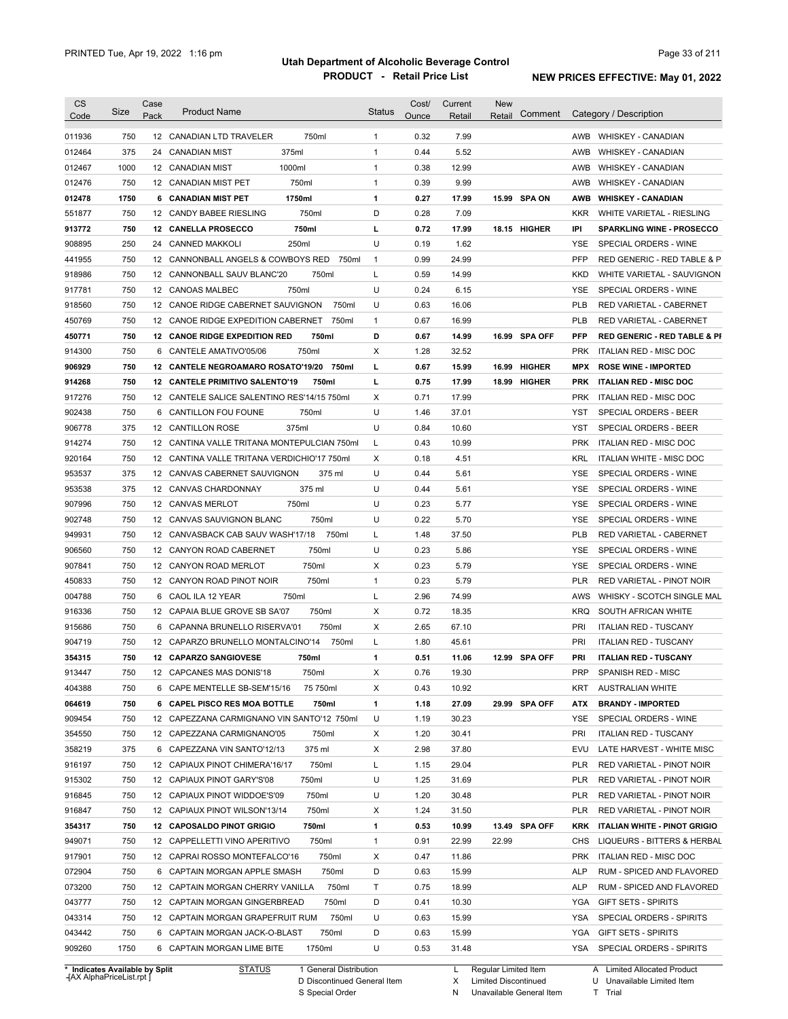| <b>CS</b>                      | Size | Case | <b>Product Name</b>                         |                        | Status       | Cost/ | Current | New                  | Comment       |            | Category / Description                  |
|--------------------------------|------|------|---------------------------------------------|------------------------|--------------|-------|---------|----------------------|---------------|------------|-----------------------------------------|
| Code                           |      | Pack |                                             |                        |              | Ounce | Retail  | Retail               |               |            |                                         |
| 011936                         | 750  |      | 12 CANADIAN LTD TRAVELER                    | 750ml                  | $\mathbf{1}$ | 0.32  | 7.99    |                      |               | AWB        | <b>WHISKEY - CANADIAN</b>               |
| 012464                         | 375  | 24   | 375ml<br><b>CANADIAN MIST</b>               |                        | 1            | 0.44  | 5.52    |                      |               | AWB        | <b>WHISKEY - CANADIAN</b>               |
| 012467                         | 1000 |      | 1000ml<br>12 CANADIAN MIST                  |                        | 1            | 0.38  | 12.99   |                      |               | AWB        | <b>WHISKEY - CANADIAN</b>               |
| 012476                         | 750  |      | 12 CANADIAN MIST PET                        | 750ml                  | $\mathbf{1}$ | 0.39  | 9.99    |                      |               | AWB        | <b>WHISKEY - CANADIAN</b>               |
| 012478                         | 1750 | 6    | <b>CANADIAN MIST PET</b>                    | 1750ml                 | 1            | 0.27  | 17.99   |                      | 15.99 SPA ON  | <b>AWB</b> | <b>WHISKEY - CANADIAN</b>               |
| 551877                         | 750  |      | 12 CANDY BABEE RIESLING                     | 750ml                  | D            | 0.28  | 7.09    |                      |               | <b>KKR</b> | WHITE VARIETAL - RIESLING               |
| 913772                         | 750  |      | 12 CANELLA PROSECCO                         | 750ml                  | г            | 0.72  | 17.99   |                      | 18.15 HIGHER  | IPI        | <b>SPARKLING WINE - PROSECCO</b>        |
| 908895                         | 250  | 24   | <b>CANNED MAKKOLI</b>                       | 250ml                  | U            | 0.19  | 1.62    |                      |               | YSE        | SPECIAL ORDERS - WINE                   |
| 441955                         | 750  |      | 12 CANNONBALL ANGELS & COWBOYS RED          | 750ml                  | $\mathbf{1}$ | 0.99  | 24.99   |                      |               | PFP        | RED GENERIC - RED TABLE & P             |
| 918986                         | 750  |      | 12 CANNONBALL SAUV BLANC'20                 | 750ml                  | Г            | 0.59  | 14.99   |                      |               | KKD        | WHITE VARIETAL - SAUVIGNON              |
| 917781                         | 750  |      | 12 CANOAS MALBEC                            | 750ml                  | U            | 0.24  | 6.15    |                      |               | <b>YSE</b> | SPECIAL ORDERS - WINE                   |
| 918560                         | 750  |      | 12 CANOE RIDGE CABERNET SAUVIGNON           | 750ml                  | U            | 0.63  | 16.06   |                      |               | <b>PLB</b> | RED VARIETAL - CABERNET                 |
| 450769                         | 750  |      | 12 CANOE RIDGE EXPEDITION CABERNET          | 750ml                  | $\mathbf{1}$ | 0.67  | 16.99   |                      |               | <b>PLB</b> | RED VARIETAL - CABERNET                 |
| 450771                         | 750  |      | <b>12 CANOE RIDGE EXPEDITION RED</b>        | 750ml                  | D            | 0.67  | 14.99   |                      | 16.99 SPA OFF | <b>PFP</b> | <b>RED GENERIC - RED TABLE &amp; PI</b> |
| 914300                         | 750  | 6    | CANTELE AMATIVO'05/06                       | 750ml                  | X            | 1.28  | 32.52   |                      |               | <b>PRK</b> | <b>ITALIAN RED - MISC DOC</b>           |
| 906929                         | 750  |      | 12 CANTELE NEGROAMARO ROSATO'19/20          | 750ml                  | г            | 0.67  | 15.99   |                      | 16.99 HIGHER  | <b>MPX</b> | <b>ROSE WINE - IMPORTED</b>             |
| 914268                         | 750  |      | 12 CANTELE PRIMITIVO SALENTO'19             | 750ml                  | г            | 0.75  | 17.99   |                      | 18.99 HIGHER  | <b>PRK</b> | <b>ITALIAN RED - MISC DOC</b>           |
| 917276                         | 750  |      | 12 CANTELE SALICE SALENTINO RES'14/15 750ml |                        | х            | 0.71  | 17.99   |                      |               | <b>PRK</b> | <b>ITALIAN RED - MISC DOC</b>           |
| 902438                         | 750  | 6    | <b>CANTILLON FOU FOUNE</b>                  | 750ml                  | U            | 1.46  | 37.01   |                      |               | YST        | <b>SPECIAL ORDERS - BEER</b>            |
| 906778                         | 375  | 12   | <b>CANTILLON ROSE</b>                       | 375ml                  | U            | 0.84  | 10.60   |                      |               | YST        | <b>SPECIAL ORDERS - BEER</b>            |
| 914274                         | 750  | 12   | CANTINA VALLE TRITANA MONTEPULCIAN 750ml    |                        | L            | 0.43  | 10.99   |                      |               | <b>PRK</b> | ITALIAN RED - MISC DOC                  |
| 920164                         | 750  |      | 12 CANTINA VALLE TRITANA VERDICHIO'17 750ml |                        | X            | 0.18  | 4.51    |                      |               | <b>KRL</b> | <b>ITALIAN WHITE - MISC DOC</b>         |
| 953537                         | 375  | 12   | CANVAS CABERNET SAUVIGNON                   | 375 ml                 | U            | 0.44  | 5.61    |                      |               | YSE        | SPECIAL ORDERS - WINE                   |
| 953538                         | 375  |      | 12 CANVAS CHARDONNAY                        | 375 ml                 | U            | 0.44  | 5.61    |                      |               | <b>YSE</b> | SPECIAL ORDERS - WINE                   |
| 907996                         | 750  |      | 12 CANVAS MERLOT                            | 750ml                  | U            | 0.23  | 5.77    |                      |               | YSE        | SPECIAL ORDERS - WINE                   |
| 902748                         | 750  |      | 12 CANVAS SAUVIGNON BLANC                   | 750ml                  | U            | 0.22  | 5.70    |                      |               | <b>YSE</b> | SPECIAL ORDERS - WINE                   |
| 949931                         | 750  |      | 12 CANVASBACK CAB SAUV WASH'17/18           | 750ml                  | Г            | 1.48  | 37.50   |                      |               | <b>PLB</b> | RED VARIETAL - CABERNET                 |
| 906560                         | 750  | 12   | CANYON ROAD CABERNET                        | 750ml                  | U            | 0.23  | 5.86    |                      |               | YSE        | SPECIAL ORDERS - WINE                   |
| 907841                         | 750  |      | 12 CANYON ROAD MERLOT                       | 750ml                  | Х            | 0.23  | 5.79    |                      |               | <b>YSE</b> | SPECIAL ORDERS - WINE                   |
| 450833                         | 750  |      | 12 CANYON ROAD PINOT NOIR                   | 750ml                  | $\mathbf{1}$ | 0.23  | 5.79    |                      |               | <b>PLR</b> | RED VARIETAL - PINOT NOIR               |
| 004788                         | 750  | 6    | 750ml<br>CAOL ILA 12 YEAR                   |                        | Г            | 2.96  | 74.99   |                      |               | AWS        | WHISKY - SCOTCH SINGLE MAL              |
| 916336                         | 750  |      | 12 CAPAIA BLUE GROVE SB SA'07               | 750ml                  | X            | 0.72  | 18.35   |                      |               | <b>KRQ</b> | SOUTH AFRICAN WHITE                     |
| 915686                         | 750  | 6    | CAPANNA BRUNELLO RISERVA'01                 | 750ml                  | X            | 2.65  | 67.10   |                      |               | PRI        | <b>ITALIAN RED - TUSCANY</b>            |
| 904719                         | 750  |      | 12 CAPARZO BRUNELLO MONTALCINO'14           | 750ml                  | L            | 1.80  | 45.61   |                      |               | PRI        | <b>ITALIAN RED - TUSCANY</b>            |
| 354315                         | 750  |      | 12 CAPARZO SANGIOVESE                       | 750ml                  | 1            | 0.51  | 11.06   |                      | 12.99 SPA OFF | <b>PRI</b> | <b>ITALIAN RED - TUSCANY</b>            |
| 913447                         | 750  |      | 12 CAPCANES MAS DONIS'18                    | 750ml                  | Χ            | 0.76  | 19.30   |                      |               | <b>PRP</b> | SPANISH RED - MISC                      |
| 404388                         | 750  |      | 6 CAPE MENTELLE SB-SEM'15/16                | 75 750ml               | х            | 0.43  | 10.92   |                      |               | KRT        | <b>AUSTRALIAN WHITE</b>                 |
| 064619                         | 750  |      | 6 CAPEL PISCO RES MOA BOTTLE                | 750ml                  | 1            | 1.18  | 27.09   |                      | 29.99 SPA OFF | ATX        | <b>BRANDY - IMPORTED</b>                |
| 909454                         | 750  |      | 12 CAPEZZANA CARMIGNANO VIN SANTO'12 750ml  |                        | U            | 1.19  | 30.23   |                      |               | YSE        | SPECIAL ORDERS - WINE                   |
| 354550                         | 750  |      | 12 CAPEZZANA CARMIGNANO'05                  | 750ml                  | Х            | 1.20  | 30.41   |                      |               | PRI        | <b>ITALIAN RED - TUSCANY</b>            |
| 358219                         | 375  |      | 6 CAPEZZANA VIN SANTO'12/13                 | 375 ml                 | Х            | 2.98  | 37.80   |                      |               | EVU        | LATE HARVEST - WHITE MISC               |
| 916197                         | 750  |      | 12 CAPIAUX PINOT CHIMERA'16/17              | 750ml                  | L            | 1.15  | 29.04   |                      |               | <b>PLR</b> | RED VARIETAL - PINOT NOIR               |
| 915302                         | 750  |      | 12 CAPIAUX PINOT GARY'S'08                  | 750ml                  | U            | 1.25  | 31.69   |                      |               | <b>PLR</b> | RED VARIETAL - PINOT NOIR               |
| 916845                         | 750  |      | 12 CAPIAUX PINOT WIDDOE'S'09                | 750ml                  | U            | 1.20  | 30.48   |                      |               | PLR        | RED VARIETAL - PINOT NOIR               |
| 916847                         | 750  |      | 12 CAPIAUX PINOT WILSON'13/14               | 750ml                  | Х            | 1.24  | 31.50   |                      |               | <b>PLR</b> | RED VARIETAL - PINOT NOIR               |
| 354317                         | 750  |      | 12 CAPOSALDO PINOT GRIGIO                   | 750ml                  | 1            | 0.53  | 10.99   |                      | 13.49 SPA OFF | <b>KRK</b> | <b>ITALIAN WHITE - PINOT GRIGIO</b>     |
| 949071                         | 750  |      | 12 CAPPELLETTI VINO APERITIVO               | 750ml                  | 1            | 0.91  | 22.99   | 22.99                |               | CHS        | LIQUEURS - BITTERS & HERBAL             |
| 917901                         | 750  |      | 12 CAPRAI ROSSO MONTEFALCO'16               | 750ml                  | Х            | 0.47  | 11.86   |                      |               | <b>PRK</b> | ITALIAN RED - MISC DOC                  |
|                                | 750  |      |                                             | 750ml                  | D            |       | 15.99   |                      |               |            |                                         |
| 072904                         |      |      | 6 CAPTAIN MORGAN APPLE SMASH                |                        |              | 0.63  |         |                      |               | <b>ALP</b> | RUM - SPICED AND FLAVORED               |
| 073200                         | 750  |      | 12 CAPTAIN MORGAN CHERRY VANILLA            | 750ml                  | Т            | 0.75  | 18.99   |                      |               | <b>ALP</b> | RUM - SPICED AND FLAVORED               |
| 043777                         | 750  |      | 12 CAPTAIN MORGAN GINGERBREAD               | 750ml                  | D            | 0.41  | 10.30   |                      |               | YGA        | <b>GIFT SETS - SPIRITS</b>              |
| 043314                         | 750  |      | 12 CAPTAIN MORGAN GRAPEFRUIT RUM            | 750ml                  | U            | 0.63  | 15.99   |                      |               | YSA        | SPECIAL ORDERS - SPIRITS                |
| 043442                         | 750  |      | 6 CAPTAIN MORGAN JACK-O-BLAST               | 750ml                  | D            | 0.63  | 15.99   |                      |               | YGA        | <b>GIFT SETS - SPIRITS</b>              |
| 909260                         | 1750 |      | 6 CAPTAIN MORGAN LIME BITE                  | 1750ml                 | U            | 0.53  | 31.48   |                      |               |            | YSA SPECIAL ORDERS - SPIRITS            |
| * Indicates Available by Split |      |      | <b>STATUS</b>                               | 1 General Distribution |              |       | L       | Regular Limited Item |               |            | A Limited Allocated Product             |

**Case** [AX AlphaPriceList.rpt ]

D Discontinued General Item

S Special Order

X Limited Discontinued

N Unavailable General Item

U Unavailable Limited Item

T Trial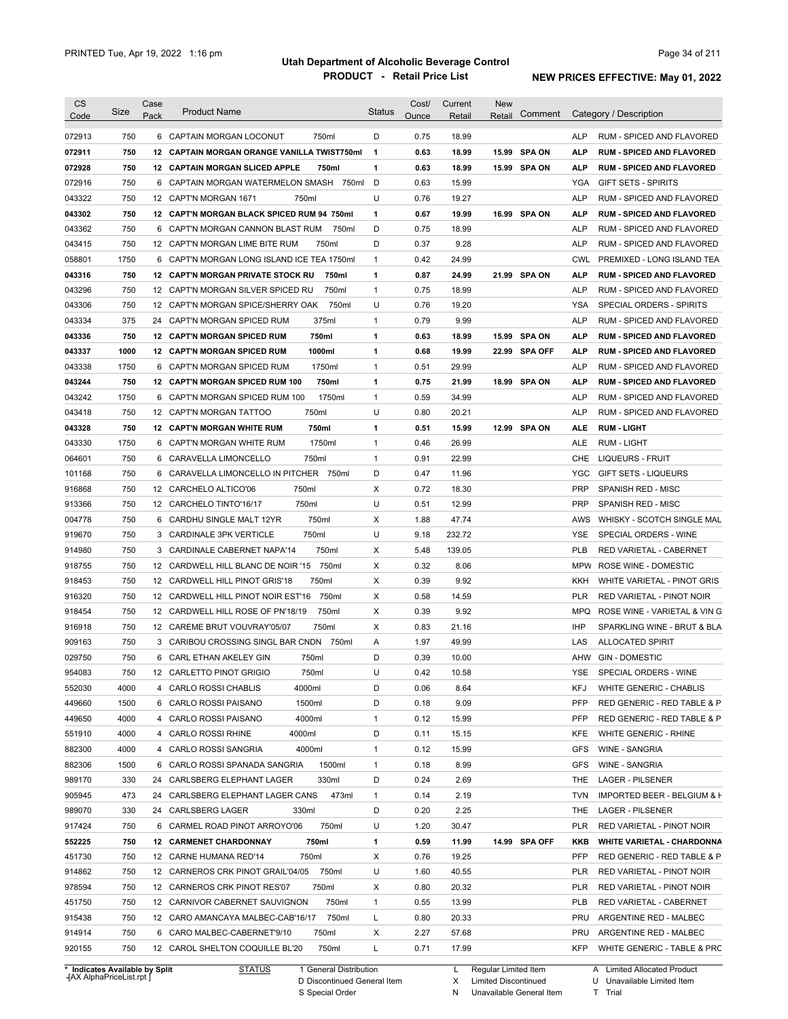| Category / Description<br>Pack<br>Code<br>Ounce<br>Retail<br>Retail<br>750<br>18.99<br>6 CAPTAIN MORGAN LOCONUT<br>750ml<br>D<br>0.75<br><b>ALP</b><br>RUM - SPICED AND FLAVORED<br>072911<br>750<br>12 CAPTAIN MORGAN ORANGE VANILLA TWIST750ml<br>$\mathbf 1$<br>0.63<br>18.99<br>15.99<br><b>SPA ON</b><br><b>ALP</b><br><b>RUM - SPICED AND FLAVORED</b><br>$\mathbf{1}$<br>072928<br>750<br>12 CAPTAIN MORGAN SLICED APPLE<br>750ml<br>0.63<br>18.99<br>15.99 SPA ON<br><b>ALP</b><br><b>RUM - SPICED AND FLAVORED</b><br>750<br>6 CAPTAIN MORGAN WATERMELON SMASH 750ml<br>D<br>15.99<br>072916<br>0.63<br>YGA<br><b>GIFT SETS - SPIRITS</b><br>U<br>750<br>19.27<br><b>ALP</b><br>043322<br>12 CAPT'N MORGAN 1671<br>750ml<br>0.76<br>RUM - SPICED AND FLAVORED<br>750<br>043302<br>12 CAPT'N MORGAN BLACK SPICED RUM 94 750ml<br>1<br>0.67<br>19.99<br>16.99 SPA ON<br>ALP<br><b>RUM - SPICED AND FLAVORED</b><br>750<br>D<br>0.75<br>18.99<br><b>ALP</b><br>043362<br>6 CAPT'N MORGAN CANNON BLAST RUM<br>RUM - SPICED AND FLAVORED<br>750ml<br>750<br>D<br>0.37<br>9.28<br><b>ALP</b><br>043415<br>12 CAPT'N MORGAN LIME BITE RUM<br>750ml<br>RUM - SPICED AND FLAVORED<br>1750<br>0.42<br>24.99<br>058801<br>6 CAPT'N MORGAN LONG ISLAND ICE TEA 1750ml<br>1<br><b>CWL</b><br>PREMIXED - LONG ISLAND TEA<br>750<br>0.87<br>21.99 SPA ON<br>043316<br>12 CAPT'N MORGAN PRIVATE STOCK RU<br>750ml<br>1<br>24.99<br>ALP<br><b>RUM - SPICED AND FLAVORED</b><br>750<br>750ml<br>0.75<br>18.99<br>043296<br>12 CAPT'N MORGAN SILVER SPICED RU<br>1<br><b>ALP</b><br>RUM - SPICED AND FLAVORED<br>750<br>U<br>0.76<br>19.20<br>043306<br>12 CAPT'N MORGAN SPICE/SHERRY OAK<br>750ml<br>YSA<br>SPECIAL ORDERS - SPIRITS<br>375<br>375ml<br>0.79<br>9.99<br><b>ALP</b><br>043334<br>24 CAPT'N MORGAN SPICED RUM<br>1<br>RUM - SPICED AND FLAVORED<br>750<br>750ml<br>0.63<br><b>SPA ON</b><br>043336<br>12 CAPT'N MORGAN SPICED RUM<br>1<br>18.99<br>15.99<br><b>ALP</b><br><b>RUM - SPICED AND FLAVORED</b><br>1000<br>1000ml<br>0.68<br>19.99<br>12 CAPT'N MORGAN SPICED RUM<br>1<br>22.99 SPA OFF<br><b>ALP</b><br><b>RUM - SPICED AND FLAVORED</b><br>1750<br>CAPT'N MORGAN SPICED RUM<br>1750ml<br>1<br>0.51<br>29.99<br><b>ALP</b><br>RUM - SPICED AND FLAVORED<br>6<br>750<br>0.75<br>12 CAPT'N MORGAN SPICED RUM 100<br>750ml<br>1<br>21.99<br>18.99<br><b>SPA ON</b><br><b>ALP</b><br><b>RUM - SPICED AND FLAVORED</b><br>1750<br>1750ml<br>0.59<br>34.99<br>6 CAPT'N MORGAN SPICED RUM 100<br>1<br><b>ALP</b><br>U<br>750<br>750ml<br>0.80<br>12 CAPT'N MORGAN TATTOO<br>20.21<br><b>ALP</b><br>750<br><b>SPA ON</b><br><b>12 CAPT'N MORGAN WHITE RUM</b><br>750ml<br>1<br>0.51<br>15.99<br>12.99<br><b>RUM LIGHT</b><br>ALE<br>1750<br>1750ml<br>0.46<br>26.99<br>6 CAPT'N MORGAN WHITE RUM<br>1<br>ALE<br><b>RUM - LIGHT</b><br>750<br>750ml<br>1<br>0.91<br>22.99<br><b>CHE</b><br>6 CARAVELLA LIMONCELLO<br>LIQUEURS - FRUIT<br>750<br>D<br>0.47<br>11.96<br>CARAVELLA LIMONCELLO IN PITCHER<br>750ml<br><b>YGC</b><br><b>GIFT SETS - LIQUEURS</b><br>6<br>750<br>Х<br>0.72<br>18.30<br><b>PRP</b><br>12 CARCHELO ALTICO'06<br>750ml<br><b>SPANISH RED - MISC</b><br>750<br>750ml<br>U<br>0.51<br>12.99<br><b>PRP</b><br>12 CARCHELO TINTO'16/17<br><b>SPANISH RED - MISC</b><br>750<br>750ml<br>Χ<br>47.74<br>6<br>CARDHU SINGLE MALT 12YR<br>1.88<br>AWS<br>750<br>750ml<br>U<br>9.18<br>3 CARDINALE 3PK VERTICLE<br>232.72<br>YSE<br>SPECIAL ORDERS - WINE<br>750<br>750ml<br>Х<br>5.48<br>139.05<br><b>PLB</b><br>3 CARDINALE CABERNET NAPA'14<br>RED VARIETAL - CABERNET<br>750<br>Χ<br>0.32<br>8.06<br>12 CARDWELL HILL BLANC DE NOIR '15<br>750ml<br>MPW<br>ROSE WINE - DOMESTIC<br>750<br>Χ<br>9.92<br>12 <sup>2</sup><br>CARDWELL HILL PINOT GRIS'18<br>750ml<br>0.39<br>KKH<br>750<br>Χ<br>12 CARDWELL HILL PINOT NOIR EST'16<br>750ml<br>0.58<br>14.59<br><b>PLR</b><br>RED VARIETAL - PINOT NOIR<br>Χ<br>918454<br>750<br>12 <sup>12</sup><br>CARDWELL HILL ROSE OF PN'18/19<br>750ml<br>0.39<br>9.92<br>MPQ<br>ROSE WINE - VARIETAL & VIN G<br>750<br>750ml<br>Χ<br>IHP<br>916918<br>12 CAREME BRUT VOUVRAY'05/07<br>0.83<br>21.16<br>SPARKLING WINE - BRUT & BLA<br>750<br>3 CARIBOU CROSSING SINGL BAR CNDN<br>49.99<br>909163<br>750ml<br>Α<br>1.97<br>LAS<br><b>ALLOCATED SPIRIT</b><br>029750<br>750<br>750ml<br>D<br>0.39<br>10.00<br>AHW<br><b>GIN - DOMESTIC</b><br>6 CARL ETHAN AKELEY GIN<br>954083<br>750<br>750ml<br>U<br>0.42<br>10.58<br>YSE<br>SPECIAL ORDERS - WINE<br>12 CARLETTO PINOT GRIGIO<br>552030<br>4000<br>4 CARLO ROSSI CHABLIS<br>4000ml<br>D<br>0.06<br>8.64<br>KFJ<br>WHITE GENERIC - CHABLIS<br>449660<br>1500<br>1500ml<br>9.09<br><b>PFP</b><br>RED GENERIC - RED TABLE & P<br>6 CARLO ROSSI PAISANO<br>D<br>0.18<br>449650<br>4000<br>4000ml<br>15.99<br>RED GENERIC - RED TABLE & P<br>4 CARLO ROSSI PAISANO<br>1<br>0.12<br>PFP<br>551910<br>4000<br>4 CARLO ROSSI RHINE<br>4000ml<br>15.15<br>WHITE GENERIC - RHINE<br>D<br>0.11<br>KFE<br>882300<br>4000<br>4000ml<br>15.99<br>4 CARLO ROSSI SANGRIA<br>1<br>0.12<br><b>GFS</b><br><b>WINE - SANGRIA</b><br>882306<br>8.99<br>WINE - SANGRIA<br>1500<br>6 CARLO ROSSI SPANADA SANGRIA<br>1500ml<br>0.18<br><b>GFS</b><br>$\mathbf{1}$<br>330<br>330ml<br>D<br>0.24<br>2.69<br>LAGER - PILSENER<br>24 CARLSBERG ELEPHANT LAGER<br>THE<br>473<br>473ml<br>2.19<br>24 CARLSBERG ELEPHANT LAGER CANS<br>0.14<br><b>TVN</b><br>1<br>D<br>2.25<br>330<br>24 CARLSBERG LAGER<br>330ml<br>0.20<br>THE<br>LAGER - PILSENER<br>U<br>30.47<br>750<br>6 CARMEL ROAD PINOT ARROYO'06<br>750ml<br>1.20<br>PLR<br>RED VARIETAL - PINOT NOIR<br>750<br>12 CARMENET CHARDONNAY<br>750ml<br>1<br>0.59<br>11.99<br>14.99 SPA OFF<br>KKB<br>750<br>0.76<br>19.25<br><b>PFP</b><br>12 CARNE HUMANA RED'14<br>750ml<br>Х<br>12 CARNEROS CRK PINOT GRAIL'04/05 750ml<br>U<br>40.55<br>750<br>1.60<br>PLR<br>RED VARIETAL - PINOT NOIR<br>750<br>0.80<br>20.32<br>12 CARNEROS CRK PINOT RES'07<br>750ml<br>Х<br>PLR<br>RED VARIETAL - PINOT NOIR<br>750<br>750ml<br>13.99<br>12 CARNIVOR CABERNET SAUVIGNON<br>0.55<br>PLB<br>RED VARIETAL - CABERNET<br>1<br>750<br>12 CARO AMANCAYA MALBEC-CAB'16/17 750ml<br>20.33<br>L<br>0.80<br>PRU<br>ARGENTINE RED - MALBEC<br>750<br>Х<br>2.27<br>57.68<br>6 CARO MALBEC-CABERNET'9/10<br>750ml<br>PRU<br>ARGENTINE RED - MALBEC<br>750<br>750ml<br>L<br>17.99<br>12 CAROL SHELTON COQUILLE BL'20<br>0.71<br>KFP<br>* Indicates Available by Split<br>1 General Distribution<br>L Regular Limited Item | <b>CS</b> |      | Case |                     |        | Cost/ | Current | <b>New</b> |                                   |
|---------------------------------------------------------------------------------------------------------------------------------------------------------------------------------------------------------------------------------------------------------------------------------------------------------------------------------------------------------------------------------------------------------------------------------------------------------------------------------------------------------------------------------------------------------------------------------------------------------------------------------------------------------------------------------------------------------------------------------------------------------------------------------------------------------------------------------------------------------------------------------------------------------------------------------------------------------------------------------------------------------------------------------------------------------------------------------------------------------------------------------------------------------------------------------------------------------------------------------------------------------------------------------------------------------------------------------------------------------------------------------------------------------------------------------------------------------------------------------------------------------------------------------------------------------------------------------------------------------------------------------------------------------------------------------------------------------------------------------------------------------------------------------------------------------------------------------------------------------------------------------------------------------------------------------------------------------------------------------------------------------------------------------------------------------------------------------------------------------------------------------------------------------------------------------------------------------------------------------------------------------------------------------------------------------------------------------------------------------------------------------------------------------------------------------------------------------------------------------------------------------------------------------------------------------------------------------------------------------------------------------------------------------------------------------------------------------------------------------------------------------------------------------------------------------------------------------------------------------------------------------------------------------------------------------------------------------------------------------------------------------------------------------------------------------------------------------------------------------------------------------------------------------------------------------------------------------------------------------------------------------------------------------------------------------------------------------------------------------------------------------------------------------------------------------------------------------------------------------------------------------------------------------------------------------------------------------------------------------------------------------------------------------------------------------------------------------------------------------------------------------------------------------------------------------------------------------------------------------------------------------------------------------------------------------------------------------------------------------------------------------------------------------------------------------------------------------------------------------------------------------------------------------------------------------------------------------------------------------------------------------------------------------------------------------------------------------------------------------------------------------------------------------------------------------------------------------------------------------------------------------------------------------------------------------------------------------------------------------------------------------------------------------------------------------------------------------------------------------------------------------------------------------------------------------------------------------------------------------------------------------------------------------------------------------------------------------------------------------------------------------------------------------------------------------------------------------------------------------------------------------------------------------------------------------------------------------------------------------------------------------------------------------------------------------------------------------------------------------------------------------------------------------------------------------------------------------------------------------------------------------------------------------------------------------------------------------------------------------------------------------------------------------------------------------------------------------------------------------------------------------------------------------------------------------------------------------------------------------------------------------------------------------------------------------------------------------------------------------------------------------------------------------------------------------------------------------------------------------------------------------------------------------------------------------------------------------------------------------------------------------------------------------------------------------------------------------------------------------------------------------------------------------------------------------------------------------------------------------------------------------------------------------------------|-----------|------|------|---------------------|--------|-------|---------|------------|-----------------------------------|
|                                                                                                                                                                                                                                                                                                                                                                                                                                                                                                                                                                                                                                                                                                                                                                                                                                                                                                                                                                                                                                                                                                                                                                                                                                                                                                                                                                                                                                                                                                                                                                                                                                                                                                                                                                                                                                                                                                                                                                                                                                                                                                                                                                                                                                                                                                                                                                                                                                                                                                                                                                                                                                                                                                                                                                                                                                                                                                                                                                                                                                                                                                                                                                                                                                                                                                                                                                                                                                                                                                                                                                                                                                                                                                                                                                                                                                                                                                                                                                                                                                                                                                                                                                                                                                                                                                                                                                                                                                                                                                                                                                                                                                                                                                                                                                                                                                                                                                                                                                                                                                                                                                                                                                                                                                                                                                                                                                                                                                                                                                                                                                                                                                                                                                                                                                                                                                                                                                                                                                                                                                                                                                                                                                                                                                                                                                                                                                                                                                                                                                                                             |           | Size |      | <b>Product Name</b> | Status |       |         | Comment    |                                   |
|                                                                                                                                                                                                                                                                                                                                                                                                                                                                                                                                                                                                                                                                                                                                                                                                                                                                                                                                                                                                                                                                                                                                                                                                                                                                                                                                                                                                                                                                                                                                                                                                                                                                                                                                                                                                                                                                                                                                                                                                                                                                                                                                                                                                                                                                                                                                                                                                                                                                                                                                                                                                                                                                                                                                                                                                                                                                                                                                                                                                                                                                                                                                                                                                                                                                                                                                                                                                                                                                                                                                                                                                                                                                                                                                                                                                                                                                                                                                                                                                                                                                                                                                                                                                                                                                                                                                                                                                                                                                                                                                                                                                                                                                                                                                                                                                                                                                                                                                                                                                                                                                                                                                                                                                                                                                                                                                                                                                                                                                                                                                                                                                                                                                                                                                                                                                                                                                                                                                                                                                                                                                                                                                                                                                                                                                                                                                                                                                                                                                                                                                             | 072913    |      |      |                     |        |       |         |            |                                   |
|                                                                                                                                                                                                                                                                                                                                                                                                                                                                                                                                                                                                                                                                                                                                                                                                                                                                                                                                                                                                                                                                                                                                                                                                                                                                                                                                                                                                                                                                                                                                                                                                                                                                                                                                                                                                                                                                                                                                                                                                                                                                                                                                                                                                                                                                                                                                                                                                                                                                                                                                                                                                                                                                                                                                                                                                                                                                                                                                                                                                                                                                                                                                                                                                                                                                                                                                                                                                                                                                                                                                                                                                                                                                                                                                                                                                                                                                                                                                                                                                                                                                                                                                                                                                                                                                                                                                                                                                                                                                                                                                                                                                                                                                                                                                                                                                                                                                                                                                                                                                                                                                                                                                                                                                                                                                                                                                                                                                                                                                                                                                                                                                                                                                                                                                                                                                                                                                                                                                                                                                                                                                                                                                                                                                                                                                                                                                                                                                                                                                                                                                             |           |      |      |                     |        |       |         |            |                                   |
|                                                                                                                                                                                                                                                                                                                                                                                                                                                                                                                                                                                                                                                                                                                                                                                                                                                                                                                                                                                                                                                                                                                                                                                                                                                                                                                                                                                                                                                                                                                                                                                                                                                                                                                                                                                                                                                                                                                                                                                                                                                                                                                                                                                                                                                                                                                                                                                                                                                                                                                                                                                                                                                                                                                                                                                                                                                                                                                                                                                                                                                                                                                                                                                                                                                                                                                                                                                                                                                                                                                                                                                                                                                                                                                                                                                                                                                                                                                                                                                                                                                                                                                                                                                                                                                                                                                                                                                                                                                                                                                                                                                                                                                                                                                                                                                                                                                                                                                                                                                                                                                                                                                                                                                                                                                                                                                                                                                                                                                                                                                                                                                                                                                                                                                                                                                                                                                                                                                                                                                                                                                                                                                                                                                                                                                                                                                                                                                                                                                                                                                                             |           |      |      |                     |        |       |         |            |                                   |
|                                                                                                                                                                                                                                                                                                                                                                                                                                                                                                                                                                                                                                                                                                                                                                                                                                                                                                                                                                                                                                                                                                                                                                                                                                                                                                                                                                                                                                                                                                                                                                                                                                                                                                                                                                                                                                                                                                                                                                                                                                                                                                                                                                                                                                                                                                                                                                                                                                                                                                                                                                                                                                                                                                                                                                                                                                                                                                                                                                                                                                                                                                                                                                                                                                                                                                                                                                                                                                                                                                                                                                                                                                                                                                                                                                                                                                                                                                                                                                                                                                                                                                                                                                                                                                                                                                                                                                                                                                                                                                                                                                                                                                                                                                                                                                                                                                                                                                                                                                                                                                                                                                                                                                                                                                                                                                                                                                                                                                                                                                                                                                                                                                                                                                                                                                                                                                                                                                                                                                                                                                                                                                                                                                                                                                                                                                                                                                                                                                                                                                                                             |           |      |      |                     |        |       |         |            |                                   |
|                                                                                                                                                                                                                                                                                                                                                                                                                                                                                                                                                                                                                                                                                                                                                                                                                                                                                                                                                                                                                                                                                                                                                                                                                                                                                                                                                                                                                                                                                                                                                                                                                                                                                                                                                                                                                                                                                                                                                                                                                                                                                                                                                                                                                                                                                                                                                                                                                                                                                                                                                                                                                                                                                                                                                                                                                                                                                                                                                                                                                                                                                                                                                                                                                                                                                                                                                                                                                                                                                                                                                                                                                                                                                                                                                                                                                                                                                                                                                                                                                                                                                                                                                                                                                                                                                                                                                                                                                                                                                                                                                                                                                                                                                                                                                                                                                                                                                                                                                                                                                                                                                                                                                                                                                                                                                                                                                                                                                                                                                                                                                                                                                                                                                                                                                                                                                                                                                                                                                                                                                                                                                                                                                                                                                                                                                                                                                                                                                                                                                                                                             |           |      |      |                     |        |       |         |            |                                   |
|                                                                                                                                                                                                                                                                                                                                                                                                                                                                                                                                                                                                                                                                                                                                                                                                                                                                                                                                                                                                                                                                                                                                                                                                                                                                                                                                                                                                                                                                                                                                                                                                                                                                                                                                                                                                                                                                                                                                                                                                                                                                                                                                                                                                                                                                                                                                                                                                                                                                                                                                                                                                                                                                                                                                                                                                                                                                                                                                                                                                                                                                                                                                                                                                                                                                                                                                                                                                                                                                                                                                                                                                                                                                                                                                                                                                                                                                                                                                                                                                                                                                                                                                                                                                                                                                                                                                                                                                                                                                                                                                                                                                                                                                                                                                                                                                                                                                                                                                                                                                                                                                                                                                                                                                                                                                                                                                                                                                                                                                                                                                                                                                                                                                                                                                                                                                                                                                                                                                                                                                                                                                                                                                                                                                                                                                                                                                                                                                                                                                                                                                             |           |      |      |                     |        |       |         |            |                                   |
|                                                                                                                                                                                                                                                                                                                                                                                                                                                                                                                                                                                                                                                                                                                                                                                                                                                                                                                                                                                                                                                                                                                                                                                                                                                                                                                                                                                                                                                                                                                                                                                                                                                                                                                                                                                                                                                                                                                                                                                                                                                                                                                                                                                                                                                                                                                                                                                                                                                                                                                                                                                                                                                                                                                                                                                                                                                                                                                                                                                                                                                                                                                                                                                                                                                                                                                                                                                                                                                                                                                                                                                                                                                                                                                                                                                                                                                                                                                                                                                                                                                                                                                                                                                                                                                                                                                                                                                                                                                                                                                                                                                                                                                                                                                                                                                                                                                                                                                                                                                                                                                                                                                                                                                                                                                                                                                                                                                                                                                                                                                                                                                                                                                                                                                                                                                                                                                                                                                                                                                                                                                                                                                                                                                                                                                                                                                                                                                                                                                                                                                                             |           |      |      |                     |        |       |         |            |                                   |
|                                                                                                                                                                                                                                                                                                                                                                                                                                                                                                                                                                                                                                                                                                                                                                                                                                                                                                                                                                                                                                                                                                                                                                                                                                                                                                                                                                                                                                                                                                                                                                                                                                                                                                                                                                                                                                                                                                                                                                                                                                                                                                                                                                                                                                                                                                                                                                                                                                                                                                                                                                                                                                                                                                                                                                                                                                                                                                                                                                                                                                                                                                                                                                                                                                                                                                                                                                                                                                                                                                                                                                                                                                                                                                                                                                                                                                                                                                                                                                                                                                                                                                                                                                                                                                                                                                                                                                                                                                                                                                                                                                                                                                                                                                                                                                                                                                                                                                                                                                                                                                                                                                                                                                                                                                                                                                                                                                                                                                                                                                                                                                                                                                                                                                                                                                                                                                                                                                                                                                                                                                                                                                                                                                                                                                                                                                                                                                                                                                                                                                                                             |           |      |      |                     |        |       |         |            |                                   |
|                                                                                                                                                                                                                                                                                                                                                                                                                                                                                                                                                                                                                                                                                                                                                                                                                                                                                                                                                                                                                                                                                                                                                                                                                                                                                                                                                                                                                                                                                                                                                                                                                                                                                                                                                                                                                                                                                                                                                                                                                                                                                                                                                                                                                                                                                                                                                                                                                                                                                                                                                                                                                                                                                                                                                                                                                                                                                                                                                                                                                                                                                                                                                                                                                                                                                                                                                                                                                                                                                                                                                                                                                                                                                                                                                                                                                                                                                                                                                                                                                                                                                                                                                                                                                                                                                                                                                                                                                                                                                                                                                                                                                                                                                                                                                                                                                                                                                                                                                                                                                                                                                                                                                                                                                                                                                                                                                                                                                                                                                                                                                                                                                                                                                                                                                                                                                                                                                                                                                                                                                                                                                                                                                                                                                                                                                                                                                                                                                                                                                                                                             |           |      |      |                     |        |       |         |            |                                   |
|                                                                                                                                                                                                                                                                                                                                                                                                                                                                                                                                                                                                                                                                                                                                                                                                                                                                                                                                                                                                                                                                                                                                                                                                                                                                                                                                                                                                                                                                                                                                                                                                                                                                                                                                                                                                                                                                                                                                                                                                                                                                                                                                                                                                                                                                                                                                                                                                                                                                                                                                                                                                                                                                                                                                                                                                                                                                                                                                                                                                                                                                                                                                                                                                                                                                                                                                                                                                                                                                                                                                                                                                                                                                                                                                                                                                                                                                                                                                                                                                                                                                                                                                                                                                                                                                                                                                                                                                                                                                                                                                                                                                                                                                                                                                                                                                                                                                                                                                                                                                                                                                                                                                                                                                                                                                                                                                                                                                                                                                                                                                                                                                                                                                                                                                                                                                                                                                                                                                                                                                                                                                                                                                                                                                                                                                                                                                                                                                                                                                                                                                             |           |      |      |                     |        |       |         |            |                                   |
|                                                                                                                                                                                                                                                                                                                                                                                                                                                                                                                                                                                                                                                                                                                                                                                                                                                                                                                                                                                                                                                                                                                                                                                                                                                                                                                                                                                                                                                                                                                                                                                                                                                                                                                                                                                                                                                                                                                                                                                                                                                                                                                                                                                                                                                                                                                                                                                                                                                                                                                                                                                                                                                                                                                                                                                                                                                                                                                                                                                                                                                                                                                                                                                                                                                                                                                                                                                                                                                                                                                                                                                                                                                                                                                                                                                                                                                                                                                                                                                                                                                                                                                                                                                                                                                                                                                                                                                                                                                                                                                                                                                                                                                                                                                                                                                                                                                                                                                                                                                                                                                                                                                                                                                                                                                                                                                                                                                                                                                                                                                                                                                                                                                                                                                                                                                                                                                                                                                                                                                                                                                                                                                                                                                                                                                                                                                                                                                                                                                                                                                                             |           |      |      |                     |        |       |         |            |                                   |
|                                                                                                                                                                                                                                                                                                                                                                                                                                                                                                                                                                                                                                                                                                                                                                                                                                                                                                                                                                                                                                                                                                                                                                                                                                                                                                                                                                                                                                                                                                                                                                                                                                                                                                                                                                                                                                                                                                                                                                                                                                                                                                                                                                                                                                                                                                                                                                                                                                                                                                                                                                                                                                                                                                                                                                                                                                                                                                                                                                                                                                                                                                                                                                                                                                                                                                                                                                                                                                                                                                                                                                                                                                                                                                                                                                                                                                                                                                                                                                                                                                                                                                                                                                                                                                                                                                                                                                                                                                                                                                                                                                                                                                                                                                                                                                                                                                                                                                                                                                                                                                                                                                                                                                                                                                                                                                                                                                                                                                                                                                                                                                                                                                                                                                                                                                                                                                                                                                                                                                                                                                                                                                                                                                                                                                                                                                                                                                                                                                                                                                                                             |           |      |      |                     |        |       |         |            |                                   |
|                                                                                                                                                                                                                                                                                                                                                                                                                                                                                                                                                                                                                                                                                                                                                                                                                                                                                                                                                                                                                                                                                                                                                                                                                                                                                                                                                                                                                                                                                                                                                                                                                                                                                                                                                                                                                                                                                                                                                                                                                                                                                                                                                                                                                                                                                                                                                                                                                                                                                                                                                                                                                                                                                                                                                                                                                                                                                                                                                                                                                                                                                                                                                                                                                                                                                                                                                                                                                                                                                                                                                                                                                                                                                                                                                                                                                                                                                                                                                                                                                                                                                                                                                                                                                                                                                                                                                                                                                                                                                                                                                                                                                                                                                                                                                                                                                                                                                                                                                                                                                                                                                                                                                                                                                                                                                                                                                                                                                                                                                                                                                                                                                                                                                                                                                                                                                                                                                                                                                                                                                                                                                                                                                                                                                                                                                                                                                                                                                                                                                                                                             |           |      |      |                     |        |       |         |            |                                   |
|                                                                                                                                                                                                                                                                                                                                                                                                                                                                                                                                                                                                                                                                                                                                                                                                                                                                                                                                                                                                                                                                                                                                                                                                                                                                                                                                                                                                                                                                                                                                                                                                                                                                                                                                                                                                                                                                                                                                                                                                                                                                                                                                                                                                                                                                                                                                                                                                                                                                                                                                                                                                                                                                                                                                                                                                                                                                                                                                                                                                                                                                                                                                                                                                                                                                                                                                                                                                                                                                                                                                                                                                                                                                                                                                                                                                                                                                                                                                                                                                                                                                                                                                                                                                                                                                                                                                                                                                                                                                                                                                                                                                                                                                                                                                                                                                                                                                                                                                                                                                                                                                                                                                                                                                                                                                                                                                                                                                                                                                                                                                                                                                                                                                                                                                                                                                                                                                                                                                                                                                                                                                                                                                                                                                                                                                                                                                                                                                                                                                                                                                             |           |      |      |                     |        |       |         |            |                                   |
|                                                                                                                                                                                                                                                                                                                                                                                                                                                                                                                                                                                                                                                                                                                                                                                                                                                                                                                                                                                                                                                                                                                                                                                                                                                                                                                                                                                                                                                                                                                                                                                                                                                                                                                                                                                                                                                                                                                                                                                                                                                                                                                                                                                                                                                                                                                                                                                                                                                                                                                                                                                                                                                                                                                                                                                                                                                                                                                                                                                                                                                                                                                                                                                                                                                                                                                                                                                                                                                                                                                                                                                                                                                                                                                                                                                                                                                                                                                                                                                                                                                                                                                                                                                                                                                                                                                                                                                                                                                                                                                                                                                                                                                                                                                                                                                                                                                                                                                                                                                                                                                                                                                                                                                                                                                                                                                                                                                                                                                                                                                                                                                                                                                                                                                                                                                                                                                                                                                                                                                                                                                                                                                                                                                                                                                                                                                                                                                                                                                                                                                                             |           |      |      |                     |        |       |         |            |                                   |
|                                                                                                                                                                                                                                                                                                                                                                                                                                                                                                                                                                                                                                                                                                                                                                                                                                                                                                                                                                                                                                                                                                                                                                                                                                                                                                                                                                                                                                                                                                                                                                                                                                                                                                                                                                                                                                                                                                                                                                                                                                                                                                                                                                                                                                                                                                                                                                                                                                                                                                                                                                                                                                                                                                                                                                                                                                                                                                                                                                                                                                                                                                                                                                                                                                                                                                                                                                                                                                                                                                                                                                                                                                                                                                                                                                                                                                                                                                                                                                                                                                                                                                                                                                                                                                                                                                                                                                                                                                                                                                                                                                                                                                                                                                                                                                                                                                                                                                                                                                                                                                                                                                                                                                                                                                                                                                                                                                                                                                                                                                                                                                                                                                                                                                                                                                                                                                                                                                                                                                                                                                                                                                                                                                                                                                                                                                                                                                                                                                                                                                                                             | 043337    |      |      |                     |        |       |         |            |                                   |
|                                                                                                                                                                                                                                                                                                                                                                                                                                                                                                                                                                                                                                                                                                                                                                                                                                                                                                                                                                                                                                                                                                                                                                                                                                                                                                                                                                                                                                                                                                                                                                                                                                                                                                                                                                                                                                                                                                                                                                                                                                                                                                                                                                                                                                                                                                                                                                                                                                                                                                                                                                                                                                                                                                                                                                                                                                                                                                                                                                                                                                                                                                                                                                                                                                                                                                                                                                                                                                                                                                                                                                                                                                                                                                                                                                                                                                                                                                                                                                                                                                                                                                                                                                                                                                                                                                                                                                                                                                                                                                                                                                                                                                                                                                                                                                                                                                                                                                                                                                                                                                                                                                                                                                                                                                                                                                                                                                                                                                                                                                                                                                                                                                                                                                                                                                                                                                                                                                                                                                                                                                                                                                                                                                                                                                                                                                                                                                                                                                                                                                                                             | 043338    |      |      |                     |        |       |         |            |                                   |
|                                                                                                                                                                                                                                                                                                                                                                                                                                                                                                                                                                                                                                                                                                                                                                                                                                                                                                                                                                                                                                                                                                                                                                                                                                                                                                                                                                                                                                                                                                                                                                                                                                                                                                                                                                                                                                                                                                                                                                                                                                                                                                                                                                                                                                                                                                                                                                                                                                                                                                                                                                                                                                                                                                                                                                                                                                                                                                                                                                                                                                                                                                                                                                                                                                                                                                                                                                                                                                                                                                                                                                                                                                                                                                                                                                                                                                                                                                                                                                                                                                                                                                                                                                                                                                                                                                                                                                                                                                                                                                                                                                                                                                                                                                                                                                                                                                                                                                                                                                                                                                                                                                                                                                                                                                                                                                                                                                                                                                                                                                                                                                                                                                                                                                                                                                                                                                                                                                                                                                                                                                                                                                                                                                                                                                                                                                                                                                                                                                                                                                                                             | 043244    |      |      |                     |        |       |         |            |                                   |
|                                                                                                                                                                                                                                                                                                                                                                                                                                                                                                                                                                                                                                                                                                                                                                                                                                                                                                                                                                                                                                                                                                                                                                                                                                                                                                                                                                                                                                                                                                                                                                                                                                                                                                                                                                                                                                                                                                                                                                                                                                                                                                                                                                                                                                                                                                                                                                                                                                                                                                                                                                                                                                                                                                                                                                                                                                                                                                                                                                                                                                                                                                                                                                                                                                                                                                                                                                                                                                                                                                                                                                                                                                                                                                                                                                                                                                                                                                                                                                                                                                                                                                                                                                                                                                                                                                                                                                                                                                                                                                                                                                                                                                                                                                                                                                                                                                                                                                                                                                                                                                                                                                                                                                                                                                                                                                                                                                                                                                                                                                                                                                                                                                                                                                                                                                                                                                                                                                                                                                                                                                                                                                                                                                                                                                                                                                                                                                                                                                                                                                                                             | 043242    |      |      |                     |        |       |         |            | RUM - SPICED AND FLAVORED         |
|                                                                                                                                                                                                                                                                                                                                                                                                                                                                                                                                                                                                                                                                                                                                                                                                                                                                                                                                                                                                                                                                                                                                                                                                                                                                                                                                                                                                                                                                                                                                                                                                                                                                                                                                                                                                                                                                                                                                                                                                                                                                                                                                                                                                                                                                                                                                                                                                                                                                                                                                                                                                                                                                                                                                                                                                                                                                                                                                                                                                                                                                                                                                                                                                                                                                                                                                                                                                                                                                                                                                                                                                                                                                                                                                                                                                                                                                                                                                                                                                                                                                                                                                                                                                                                                                                                                                                                                                                                                                                                                                                                                                                                                                                                                                                                                                                                                                                                                                                                                                                                                                                                                                                                                                                                                                                                                                                                                                                                                                                                                                                                                                                                                                                                                                                                                                                                                                                                                                                                                                                                                                                                                                                                                                                                                                                                                                                                                                                                                                                                                                             | 043418    |      |      |                     |        |       |         |            | RUM - SPICED AND FLAVORED         |
|                                                                                                                                                                                                                                                                                                                                                                                                                                                                                                                                                                                                                                                                                                                                                                                                                                                                                                                                                                                                                                                                                                                                                                                                                                                                                                                                                                                                                                                                                                                                                                                                                                                                                                                                                                                                                                                                                                                                                                                                                                                                                                                                                                                                                                                                                                                                                                                                                                                                                                                                                                                                                                                                                                                                                                                                                                                                                                                                                                                                                                                                                                                                                                                                                                                                                                                                                                                                                                                                                                                                                                                                                                                                                                                                                                                                                                                                                                                                                                                                                                                                                                                                                                                                                                                                                                                                                                                                                                                                                                                                                                                                                                                                                                                                                                                                                                                                                                                                                                                                                                                                                                                                                                                                                                                                                                                                                                                                                                                                                                                                                                                                                                                                                                                                                                                                                                                                                                                                                                                                                                                                                                                                                                                                                                                                                                                                                                                                                                                                                                                                             | 043328    |      |      |                     |        |       |         |            |                                   |
|                                                                                                                                                                                                                                                                                                                                                                                                                                                                                                                                                                                                                                                                                                                                                                                                                                                                                                                                                                                                                                                                                                                                                                                                                                                                                                                                                                                                                                                                                                                                                                                                                                                                                                                                                                                                                                                                                                                                                                                                                                                                                                                                                                                                                                                                                                                                                                                                                                                                                                                                                                                                                                                                                                                                                                                                                                                                                                                                                                                                                                                                                                                                                                                                                                                                                                                                                                                                                                                                                                                                                                                                                                                                                                                                                                                                                                                                                                                                                                                                                                                                                                                                                                                                                                                                                                                                                                                                                                                                                                                                                                                                                                                                                                                                                                                                                                                                                                                                                                                                                                                                                                                                                                                                                                                                                                                                                                                                                                                                                                                                                                                                                                                                                                                                                                                                                                                                                                                                                                                                                                                                                                                                                                                                                                                                                                                                                                                                                                                                                                                                             | 043330    |      |      |                     |        |       |         |            |                                   |
|                                                                                                                                                                                                                                                                                                                                                                                                                                                                                                                                                                                                                                                                                                                                                                                                                                                                                                                                                                                                                                                                                                                                                                                                                                                                                                                                                                                                                                                                                                                                                                                                                                                                                                                                                                                                                                                                                                                                                                                                                                                                                                                                                                                                                                                                                                                                                                                                                                                                                                                                                                                                                                                                                                                                                                                                                                                                                                                                                                                                                                                                                                                                                                                                                                                                                                                                                                                                                                                                                                                                                                                                                                                                                                                                                                                                                                                                                                                                                                                                                                                                                                                                                                                                                                                                                                                                                                                                                                                                                                                                                                                                                                                                                                                                                                                                                                                                                                                                                                                                                                                                                                                                                                                                                                                                                                                                                                                                                                                                                                                                                                                                                                                                                                                                                                                                                                                                                                                                                                                                                                                                                                                                                                                                                                                                                                                                                                                                                                                                                                                                             | 064601    |      |      |                     |        |       |         |            |                                   |
|                                                                                                                                                                                                                                                                                                                                                                                                                                                                                                                                                                                                                                                                                                                                                                                                                                                                                                                                                                                                                                                                                                                                                                                                                                                                                                                                                                                                                                                                                                                                                                                                                                                                                                                                                                                                                                                                                                                                                                                                                                                                                                                                                                                                                                                                                                                                                                                                                                                                                                                                                                                                                                                                                                                                                                                                                                                                                                                                                                                                                                                                                                                                                                                                                                                                                                                                                                                                                                                                                                                                                                                                                                                                                                                                                                                                                                                                                                                                                                                                                                                                                                                                                                                                                                                                                                                                                                                                                                                                                                                                                                                                                                                                                                                                                                                                                                                                                                                                                                                                                                                                                                                                                                                                                                                                                                                                                                                                                                                                                                                                                                                                                                                                                                                                                                                                                                                                                                                                                                                                                                                                                                                                                                                                                                                                                                                                                                                                                                                                                                                                             | 101168    |      |      |                     |        |       |         |            |                                   |
|                                                                                                                                                                                                                                                                                                                                                                                                                                                                                                                                                                                                                                                                                                                                                                                                                                                                                                                                                                                                                                                                                                                                                                                                                                                                                                                                                                                                                                                                                                                                                                                                                                                                                                                                                                                                                                                                                                                                                                                                                                                                                                                                                                                                                                                                                                                                                                                                                                                                                                                                                                                                                                                                                                                                                                                                                                                                                                                                                                                                                                                                                                                                                                                                                                                                                                                                                                                                                                                                                                                                                                                                                                                                                                                                                                                                                                                                                                                                                                                                                                                                                                                                                                                                                                                                                                                                                                                                                                                                                                                                                                                                                                                                                                                                                                                                                                                                                                                                                                                                                                                                                                                                                                                                                                                                                                                                                                                                                                                                                                                                                                                                                                                                                                                                                                                                                                                                                                                                                                                                                                                                                                                                                                                                                                                                                                                                                                                                                                                                                                                                             | 916868    |      |      |                     |        |       |         |            |                                   |
|                                                                                                                                                                                                                                                                                                                                                                                                                                                                                                                                                                                                                                                                                                                                                                                                                                                                                                                                                                                                                                                                                                                                                                                                                                                                                                                                                                                                                                                                                                                                                                                                                                                                                                                                                                                                                                                                                                                                                                                                                                                                                                                                                                                                                                                                                                                                                                                                                                                                                                                                                                                                                                                                                                                                                                                                                                                                                                                                                                                                                                                                                                                                                                                                                                                                                                                                                                                                                                                                                                                                                                                                                                                                                                                                                                                                                                                                                                                                                                                                                                                                                                                                                                                                                                                                                                                                                                                                                                                                                                                                                                                                                                                                                                                                                                                                                                                                                                                                                                                                                                                                                                                                                                                                                                                                                                                                                                                                                                                                                                                                                                                                                                                                                                                                                                                                                                                                                                                                                                                                                                                                                                                                                                                                                                                                                                                                                                                                                                                                                                                                             | 913366    |      |      |                     |        |       |         |            |                                   |
|                                                                                                                                                                                                                                                                                                                                                                                                                                                                                                                                                                                                                                                                                                                                                                                                                                                                                                                                                                                                                                                                                                                                                                                                                                                                                                                                                                                                                                                                                                                                                                                                                                                                                                                                                                                                                                                                                                                                                                                                                                                                                                                                                                                                                                                                                                                                                                                                                                                                                                                                                                                                                                                                                                                                                                                                                                                                                                                                                                                                                                                                                                                                                                                                                                                                                                                                                                                                                                                                                                                                                                                                                                                                                                                                                                                                                                                                                                                                                                                                                                                                                                                                                                                                                                                                                                                                                                                                                                                                                                                                                                                                                                                                                                                                                                                                                                                                                                                                                                                                                                                                                                                                                                                                                                                                                                                                                                                                                                                                                                                                                                                                                                                                                                                                                                                                                                                                                                                                                                                                                                                                                                                                                                                                                                                                                                                                                                                                                                                                                                                                             | 004778    |      |      |                     |        |       |         |            | WHISKY - SCOTCH SINGLE MAL        |
|                                                                                                                                                                                                                                                                                                                                                                                                                                                                                                                                                                                                                                                                                                                                                                                                                                                                                                                                                                                                                                                                                                                                                                                                                                                                                                                                                                                                                                                                                                                                                                                                                                                                                                                                                                                                                                                                                                                                                                                                                                                                                                                                                                                                                                                                                                                                                                                                                                                                                                                                                                                                                                                                                                                                                                                                                                                                                                                                                                                                                                                                                                                                                                                                                                                                                                                                                                                                                                                                                                                                                                                                                                                                                                                                                                                                                                                                                                                                                                                                                                                                                                                                                                                                                                                                                                                                                                                                                                                                                                                                                                                                                                                                                                                                                                                                                                                                                                                                                                                                                                                                                                                                                                                                                                                                                                                                                                                                                                                                                                                                                                                                                                                                                                                                                                                                                                                                                                                                                                                                                                                                                                                                                                                                                                                                                                                                                                                                                                                                                                                                             | 919670    |      |      |                     |        |       |         |            |                                   |
|                                                                                                                                                                                                                                                                                                                                                                                                                                                                                                                                                                                                                                                                                                                                                                                                                                                                                                                                                                                                                                                                                                                                                                                                                                                                                                                                                                                                                                                                                                                                                                                                                                                                                                                                                                                                                                                                                                                                                                                                                                                                                                                                                                                                                                                                                                                                                                                                                                                                                                                                                                                                                                                                                                                                                                                                                                                                                                                                                                                                                                                                                                                                                                                                                                                                                                                                                                                                                                                                                                                                                                                                                                                                                                                                                                                                                                                                                                                                                                                                                                                                                                                                                                                                                                                                                                                                                                                                                                                                                                                                                                                                                                                                                                                                                                                                                                                                                                                                                                                                                                                                                                                                                                                                                                                                                                                                                                                                                                                                                                                                                                                                                                                                                                                                                                                                                                                                                                                                                                                                                                                                                                                                                                                                                                                                                                                                                                                                                                                                                                                                             | 914980    |      |      |                     |        |       |         |            |                                   |
|                                                                                                                                                                                                                                                                                                                                                                                                                                                                                                                                                                                                                                                                                                                                                                                                                                                                                                                                                                                                                                                                                                                                                                                                                                                                                                                                                                                                                                                                                                                                                                                                                                                                                                                                                                                                                                                                                                                                                                                                                                                                                                                                                                                                                                                                                                                                                                                                                                                                                                                                                                                                                                                                                                                                                                                                                                                                                                                                                                                                                                                                                                                                                                                                                                                                                                                                                                                                                                                                                                                                                                                                                                                                                                                                                                                                                                                                                                                                                                                                                                                                                                                                                                                                                                                                                                                                                                                                                                                                                                                                                                                                                                                                                                                                                                                                                                                                                                                                                                                                                                                                                                                                                                                                                                                                                                                                                                                                                                                                                                                                                                                                                                                                                                                                                                                                                                                                                                                                                                                                                                                                                                                                                                                                                                                                                                                                                                                                                                                                                                                                             | 918755    |      |      |                     |        |       |         |            |                                   |
|                                                                                                                                                                                                                                                                                                                                                                                                                                                                                                                                                                                                                                                                                                                                                                                                                                                                                                                                                                                                                                                                                                                                                                                                                                                                                                                                                                                                                                                                                                                                                                                                                                                                                                                                                                                                                                                                                                                                                                                                                                                                                                                                                                                                                                                                                                                                                                                                                                                                                                                                                                                                                                                                                                                                                                                                                                                                                                                                                                                                                                                                                                                                                                                                                                                                                                                                                                                                                                                                                                                                                                                                                                                                                                                                                                                                                                                                                                                                                                                                                                                                                                                                                                                                                                                                                                                                                                                                                                                                                                                                                                                                                                                                                                                                                                                                                                                                                                                                                                                                                                                                                                                                                                                                                                                                                                                                                                                                                                                                                                                                                                                                                                                                                                                                                                                                                                                                                                                                                                                                                                                                                                                                                                                                                                                                                                                                                                                                                                                                                                                                             | 918453    |      |      |                     |        |       |         |            | WHITE VARIETAL - PINOT GRIS       |
|                                                                                                                                                                                                                                                                                                                                                                                                                                                                                                                                                                                                                                                                                                                                                                                                                                                                                                                                                                                                                                                                                                                                                                                                                                                                                                                                                                                                                                                                                                                                                                                                                                                                                                                                                                                                                                                                                                                                                                                                                                                                                                                                                                                                                                                                                                                                                                                                                                                                                                                                                                                                                                                                                                                                                                                                                                                                                                                                                                                                                                                                                                                                                                                                                                                                                                                                                                                                                                                                                                                                                                                                                                                                                                                                                                                                                                                                                                                                                                                                                                                                                                                                                                                                                                                                                                                                                                                                                                                                                                                                                                                                                                                                                                                                                                                                                                                                                                                                                                                                                                                                                                                                                                                                                                                                                                                                                                                                                                                                                                                                                                                                                                                                                                                                                                                                                                                                                                                                                                                                                                                                                                                                                                                                                                                                                                                                                                                                                                                                                                                                             | 916320    |      |      |                     |        |       |         |            |                                   |
|                                                                                                                                                                                                                                                                                                                                                                                                                                                                                                                                                                                                                                                                                                                                                                                                                                                                                                                                                                                                                                                                                                                                                                                                                                                                                                                                                                                                                                                                                                                                                                                                                                                                                                                                                                                                                                                                                                                                                                                                                                                                                                                                                                                                                                                                                                                                                                                                                                                                                                                                                                                                                                                                                                                                                                                                                                                                                                                                                                                                                                                                                                                                                                                                                                                                                                                                                                                                                                                                                                                                                                                                                                                                                                                                                                                                                                                                                                                                                                                                                                                                                                                                                                                                                                                                                                                                                                                                                                                                                                                                                                                                                                                                                                                                                                                                                                                                                                                                                                                                                                                                                                                                                                                                                                                                                                                                                                                                                                                                                                                                                                                                                                                                                                                                                                                                                                                                                                                                                                                                                                                                                                                                                                                                                                                                                                                                                                                                                                                                                                                                             |           |      |      |                     |        |       |         |            |                                   |
|                                                                                                                                                                                                                                                                                                                                                                                                                                                                                                                                                                                                                                                                                                                                                                                                                                                                                                                                                                                                                                                                                                                                                                                                                                                                                                                                                                                                                                                                                                                                                                                                                                                                                                                                                                                                                                                                                                                                                                                                                                                                                                                                                                                                                                                                                                                                                                                                                                                                                                                                                                                                                                                                                                                                                                                                                                                                                                                                                                                                                                                                                                                                                                                                                                                                                                                                                                                                                                                                                                                                                                                                                                                                                                                                                                                                                                                                                                                                                                                                                                                                                                                                                                                                                                                                                                                                                                                                                                                                                                                                                                                                                                                                                                                                                                                                                                                                                                                                                                                                                                                                                                                                                                                                                                                                                                                                                                                                                                                                                                                                                                                                                                                                                                                                                                                                                                                                                                                                                                                                                                                                                                                                                                                                                                                                                                                                                                                                                                                                                                                                             |           |      |      |                     |        |       |         |            |                                   |
|                                                                                                                                                                                                                                                                                                                                                                                                                                                                                                                                                                                                                                                                                                                                                                                                                                                                                                                                                                                                                                                                                                                                                                                                                                                                                                                                                                                                                                                                                                                                                                                                                                                                                                                                                                                                                                                                                                                                                                                                                                                                                                                                                                                                                                                                                                                                                                                                                                                                                                                                                                                                                                                                                                                                                                                                                                                                                                                                                                                                                                                                                                                                                                                                                                                                                                                                                                                                                                                                                                                                                                                                                                                                                                                                                                                                                                                                                                                                                                                                                                                                                                                                                                                                                                                                                                                                                                                                                                                                                                                                                                                                                                                                                                                                                                                                                                                                                                                                                                                                                                                                                                                                                                                                                                                                                                                                                                                                                                                                                                                                                                                                                                                                                                                                                                                                                                                                                                                                                                                                                                                                                                                                                                                                                                                                                                                                                                                                                                                                                                                                             |           |      |      |                     |        |       |         |            |                                   |
|                                                                                                                                                                                                                                                                                                                                                                                                                                                                                                                                                                                                                                                                                                                                                                                                                                                                                                                                                                                                                                                                                                                                                                                                                                                                                                                                                                                                                                                                                                                                                                                                                                                                                                                                                                                                                                                                                                                                                                                                                                                                                                                                                                                                                                                                                                                                                                                                                                                                                                                                                                                                                                                                                                                                                                                                                                                                                                                                                                                                                                                                                                                                                                                                                                                                                                                                                                                                                                                                                                                                                                                                                                                                                                                                                                                                                                                                                                                                                                                                                                                                                                                                                                                                                                                                                                                                                                                                                                                                                                                                                                                                                                                                                                                                                                                                                                                                                                                                                                                                                                                                                                                                                                                                                                                                                                                                                                                                                                                                                                                                                                                                                                                                                                                                                                                                                                                                                                                                                                                                                                                                                                                                                                                                                                                                                                                                                                                                                                                                                                                                             |           |      |      |                     |        |       |         |            |                                   |
|                                                                                                                                                                                                                                                                                                                                                                                                                                                                                                                                                                                                                                                                                                                                                                                                                                                                                                                                                                                                                                                                                                                                                                                                                                                                                                                                                                                                                                                                                                                                                                                                                                                                                                                                                                                                                                                                                                                                                                                                                                                                                                                                                                                                                                                                                                                                                                                                                                                                                                                                                                                                                                                                                                                                                                                                                                                                                                                                                                                                                                                                                                                                                                                                                                                                                                                                                                                                                                                                                                                                                                                                                                                                                                                                                                                                                                                                                                                                                                                                                                                                                                                                                                                                                                                                                                                                                                                                                                                                                                                                                                                                                                                                                                                                                                                                                                                                                                                                                                                                                                                                                                                                                                                                                                                                                                                                                                                                                                                                                                                                                                                                                                                                                                                                                                                                                                                                                                                                                                                                                                                                                                                                                                                                                                                                                                                                                                                                                                                                                                                                             |           |      |      |                     |        |       |         |            |                                   |
|                                                                                                                                                                                                                                                                                                                                                                                                                                                                                                                                                                                                                                                                                                                                                                                                                                                                                                                                                                                                                                                                                                                                                                                                                                                                                                                                                                                                                                                                                                                                                                                                                                                                                                                                                                                                                                                                                                                                                                                                                                                                                                                                                                                                                                                                                                                                                                                                                                                                                                                                                                                                                                                                                                                                                                                                                                                                                                                                                                                                                                                                                                                                                                                                                                                                                                                                                                                                                                                                                                                                                                                                                                                                                                                                                                                                                                                                                                                                                                                                                                                                                                                                                                                                                                                                                                                                                                                                                                                                                                                                                                                                                                                                                                                                                                                                                                                                                                                                                                                                                                                                                                                                                                                                                                                                                                                                                                                                                                                                                                                                                                                                                                                                                                                                                                                                                                                                                                                                                                                                                                                                                                                                                                                                                                                                                                                                                                                                                                                                                                                                             |           |      |      |                     |        |       |         |            |                                   |
|                                                                                                                                                                                                                                                                                                                                                                                                                                                                                                                                                                                                                                                                                                                                                                                                                                                                                                                                                                                                                                                                                                                                                                                                                                                                                                                                                                                                                                                                                                                                                                                                                                                                                                                                                                                                                                                                                                                                                                                                                                                                                                                                                                                                                                                                                                                                                                                                                                                                                                                                                                                                                                                                                                                                                                                                                                                                                                                                                                                                                                                                                                                                                                                                                                                                                                                                                                                                                                                                                                                                                                                                                                                                                                                                                                                                                                                                                                                                                                                                                                                                                                                                                                                                                                                                                                                                                                                                                                                                                                                                                                                                                                                                                                                                                                                                                                                                                                                                                                                                                                                                                                                                                                                                                                                                                                                                                                                                                                                                                                                                                                                                                                                                                                                                                                                                                                                                                                                                                                                                                                                                                                                                                                                                                                                                                                                                                                                                                                                                                                                                             |           |      |      |                     |        |       |         |            |                                   |
|                                                                                                                                                                                                                                                                                                                                                                                                                                                                                                                                                                                                                                                                                                                                                                                                                                                                                                                                                                                                                                                                                                                                                                                                                                                                                                                                                                                                                                                                                                                                                                                                                                                                                                                                                                                                                                                                                                                                                                                                                                                                                                                                                                                                                                                                                                                                                                                                                                                                                                                                                                                                                                                                                                                                                                                                                                                                                                                                                                                                                                                                                                                                                                                                                                                                                                                                                                                                                                                                                                                                                                                                                                                                                                                                                                                                                                                                                                                                                                                                                                                                                                                                                                                                                                                                                                                                                                                                                                                                                                                                                                                                                                                                                                                                                                                                                                                                                                                                                                                                                                                                                                                                                                                                                                                                                                                                                                                                                                                                                                                                                                                                                                                                                                                                                                                                                                                                                                                                                                                                                                                                                                                                                                                                                                                                                                                                                                                                                                                                                                                                             |           |      |      |                     |        |       |         |            |                                   |
|                                                                                                                                                                                                                                                                                                                                                                                                                                                                                                                                                                                                                                                                                                                                                                                                                                                                                                                                                                                                                                                                                                                                                                                                                                                                                                                                                                                                                                                                                                                                                                                                                                                                                                                                                                                                                                                                                                                                                                                                                                                                                                                                                                                                                                                                                                                                                                                                                                                                                                                                                                                                                                                                                                                                                                                                                                                                                                                                                                                                                                                                                                                                                                                                                                                                                                                                                                                                                                                                                                                                                                                                                                                                                                                                                                                                                                                                                                                                                                                                                                                                                                                                                                                                                                                                                                                                                                                                                                                                                                                                                                                                                                                                                                                                                                                                                                                                                                                                                                                                                                                                                                                                                                                                                                                                                                                                                                                                                                                                                                                                                                                                                                                                                                                                                                                                                                                                                                                                                                                                                                                                                                                                                                                                                                                                                                                                                                                                                                                                                                                                             |           |      |      |                     |        |       |         |            |                                   |
|                                                                                                                                                                                                                                                                                                                                                                                                                                                                                                                                                                                                                                                                                                                                                                                                                                                                                                                                                                                                                                                                                                                                                                                                                                                                                                                                                                                                                                                                                                                                                                                                                                                                                                                                                                                                                                                                                                                                                                                                                                                                                                                                                                                                                                                                                                                                                                                                                                                                                                                                                                                                                                                                                                                                                                                                                                                                                                                                                                                                                                                                                                                                                                                                                                                                                                                                                                                                                                                                                                                                                                                                                                                                                                                                                                                                                                                                                                                                                                                                                                                                                                                                                                                                                                                                                                                                                                                                                                                                                                                                                                                                                                                                                                                                                                                                                                                                                                                                                                                                                                                                                                                                                                                                                                                                                                                                                                                                                                                                                                                                                                                                                                                                                                                                                                                                                                                                                                                                                                                                                                                                                                                                                                                                                                                                                                                                                                                                                                                                                                                                             |           |      |      |                     |        |       |         |            |                                   |
|                                                                                                                                                                                                                                                                                                                                                                                                                                                                                                                                                                                                                                                                                                                                                                                                                                                                                                                                                                                                                                                                                                                                                                                                                                                                                                                                                                                                                                                                                                                                                                                                                                                                                                                                                                                                                                                                                                                                                                                                                                                                                                                                                                                                                                                                                                                                                                                                                                                                                                                                                                                                                                                                                                                                                                                                                                                                                                                                                                                                                                                                                                                                                                                                                                                                                                                                                                                                                                                                                                                                                                                                                                                                                                                                                                                                                                                                                                                                                                                                                                                                                                                                                                                                                                                                                                                                                                                                                                                                                                                                                                                                                                                                                                                                                                                                                                                                                                                                                                                                                                                                                                                                                                                                                                                                                                                                                                                                                                                                                                                                                                                                                                                                                                                                                                                                                                                                                                                                                                                                                                                                                                                                                                                                                                                                                                                                                                                                                                                                                                                                             |           |      |      |                     |        |       |         |            |                                   |
|                                                                                                                                                                                                                                                                                                                                                                                                                                                                                                                                                                                                                                                                                                                                                                                                                                                                                                                                                                                                                                                                                                                                                                                                                                                                                                                                                                                                                                                                                                                                                                                                                                                                                                                                                                                                                                                                                                                                                                                                                                                                                                                                                                                                                                                                                                                                                                                                                                                                                                                                                                                                                                                                                                                                                                                                                                                                                                                                                                                                                                                                                                                                                                                                                                                                                                                                                                                                                                                                                                                                                                                                                                                                                                                                                                                                                                                                                                                                                                                                                                                                                                                                                                                                                                                                                                                                                                                                                                                                                                                                                                                                                                                                                                                                                                                                                                                                                                                                                                                                                                                                                                                                                                                                                                                                                                                                                                                                                                                                                                                                                                                                                                                                                                                                                                                                                                                                                                                                                                                                                                                                                                                                                                                                                                                                                                                                                                                                                                                                                                                                             |           |      |      |                     |        |       |         |            |                                   |
|                                                                                                                                                                                                                                                                                                                                                                                                                                                                                                                                                                                                                                                                                                                                                                                                                                                                                                                                                                                                                                                                                                                                                                                                                                                                                                                                                                                                                                                                                                                                                                                                                                                                                                                                                                                                                                                                                                                                                                                                                                                                                                                                                                                                                                                                                                                                                                                                                                                                                                                                                                                                                                                                                                                                                                                                                                                                                                                                                                                                                                                                                                                                                                                                                                                                                                                                                                                                                                                                                                                                                                                                                                                                                                                                                                                                                                                                                                                                                                                                                                                                                                                                                                                                                                                                                                                                                                                                                                                                                                                                                                                                                                                                                                                                                                                                                                                                                                                                                                                                                                                                                                                                                                                                                                                                                                                                                                                                                                                                                                                                                                                                                                                                                                                                                                                                                                                                                                                                                                                                                                                                                                                                                                                                                                                                                                                                                                                                                                                                                                                                             | 989170    |      |      |                     |        |       |         |            |                                   |
|                                                                                                                                                                                                                                                                                                                                                                                                                                                                                                                                                                                                                                                                                                                                                                                                                                                                                                                                                                                                                                                                                                                                                                                                                                                                                                                                                                                                                                                                                                                                                                                                                                                                                                                                                                                                                                                                                                                                                                                                                                                                                                                                                                                                                                                                                                                                                                                                                                                                                                                                                                                                                                                                                                                                                                                                                                                                                                                                                                                                                                                                                                                                                                                                                                                                                                                                                                                                                                                                                                                                                                                                                                                                                                                                                                                                                                                                                                                                                                                                                                                                                                                                                                                                                                                                                                                                                                                                                                                                                                                                                                                                                                                                                                                                                                                                                                                                                                                                                                                                                                                                                                                                                                                                                                                                                                                                                                                                                                                                                                                                                                                                                                                                                                                                                                                                                                                                                                                                                                                                                                                                                                                                                                                                                                                                                                                                                                                                                                                                                                                                             | 905945    |      |      |                     |        |       |         |            | IMPORTED BEER - BELGIUM & H       |
|                                                                                                                                                                                                                                                                                                                                                                                                                                                                                                                                                                                                                                                                                                                                                                                                                                                                                                                                                                                                                                                                                                                                                                                                                                                                                                                                                                                                                                                                                                                                                                                                                                                                                                                                                                                                                                                                                                                                                                                                                                                                                                                                                                                                                                                                                                                                                                                                                                                                                                                                                                                                                                                                                                                                                                                                                                                                                                                                                                                                                                                                                                                                                                                                                                                                                                                                                                                                                                                                                                                                                                                                                                                                                                                                                                                                                                                                                                                                                                                                                                                                                                                                                                                                                                                                                                                                                                                                                                                                                                                                                                                                                                                                                                                                                                                                                                                                                                                                                                                                                                                                                                                                                                                                                                                                                                                                                                                                                                                                                                                                                                                                                                                                                                                                                                                                                                                                                                                                                                                                                                                                                                                                                                                                                                                                                                                                                                                                                                                                                                                                             | 989070    |      |      |                     |        |       |         |            |                                   |
|                                                                                                                                                                                                                                                                                                                                                                                                                                                                                                                                                                                                                                                                                                                                                                                                                                                                                                                                                                                                                                                                                                                                                                                                                                                                                                                                                                                                                                                                                                                                                                                                                                                                                                                                                                                                                                                                                                                                                                                                                                                                                                                                                                                                                                                                                                                                                                                                                                                                                                                                                                                                                                                                                                                                                                                                                                                                                                                                                                                                                                                                                                                                                                                                                                                                                                                                                                                                                                                                                                                                                                                                                                                                                                                                                                                                                                                                                                                                                                                                                                                                                                                                                                                                                                                                                                                                                                                                                                                                                                                                                                                                                                                                                                                                                                                                                                                                                                                                                                                                                                                                                                                                                                                                                                                                                                                                                                                                                                                                                                                                                                                                                                                                                                                                                                                                                                                                                                                                                                                                                                                                                                                                                                                                                                                                                                                                                                                                                                                                                                                                             | 917424    |      |      |                     |        |       |         |            |                                   |
|                                                                                                                                                                                                                                                                                                                                                                                                                                                                                                                                                                                                                                                                                                                                                                                                                                                                                                                                                                                                                                                                                                                                                                                                                                                                                                                                                                                                                                                                                                                                                                                                                                                                                                                                                                                                                                                                                                                                                                                                                                                                                                                                                                                                                                                                                                                                                                                                                                                                                                                                                                                                                                                                                                                                                                                                                                                                                                                                                                                                                                                                                                                                                                                                                                                                                                                                                                                                                                                                                                                                                                                                                                                                                                                                                                                                                                                                                                                                                                                                                                                                                                                                                                                                                                                                                                                                                                                                                                                                                                                                                                                                                                                                                                                                                                                                                                                                                                                                                                                                                                                                                                                                                                                                                                                                                                                                                                                                                                                                                                                                                                                                                                                                                                                                                                                                                                                                                                                                                                                                                                                                                                                                                                                                                                                                                                                                                                                                                                                                                                                                             | 552225    |      |      |                     |        |       |         |            | <b>WHITE VARIETAL - CHARDONNA</b> |
|                                                                                                                                                                                                                                                                                                                                                                                                                                                                                                                                                                                                                                                                                                                                                                                                                                                                                                                                                                                                                                                                                                                                                                                                                                                                                                                                                                                                                                                                                                                                                                                                                                                                                                                                                                                                                                                                                                                                                                                                                                                                                                                                                                                                                                                                                                                                                                                                                                                                                                                                                                                                                                                                                                                                                                                                                                                                                                                                                                                                                                                                                                                                                                                                                                                                                                                                                                                                                                                                                                                                                                                                                                                                                                                                                                                                                                                                                                                                                                                                                                                                                                                                                                                                                                                                                                                                                                                                                                                                                                                                                                                                                                                                                                                                                                                                                                                                                                                                                                                                                                                                                                                                                                                                                                                                                                                                                                                                                                                                                                                                                                                                                                                                                                                                                                                                                                                                                                                                                                                                                                                                                                                                                                                                                                                                                                                                                                                                                                                                                                                                             | 451730    |      |      |                     |        |       |         |            | RED GENERIC - RED TABLE & P       |
|                                                                                                                                                                                                                                                                                                                                                                                                                                                                                                                                                                                                                                                                                                                                                                                                                                                                                                                                                                                                                                                                                                                                                                                                                                                                                                                                                                                                                                                                                                                                                                                                                                                                                                                                                                                                                                                                                                                                                                                                                                                                                                                                                                                                                                                                                                                                                                                                                                                                                                                                                                                                                                                                                                                                                                                                                                                                                                                                                                                                                                                                                                                                                                                                                                                                                                                                                                                                                                                                                                                                                                                                                                                                                                                                                                                                                                                                                                                                                                                                                                                                                                                                                                                                                                                                                                                                                                                                                                                                                                                                                                                                                                                                                                                                                                                                                                                                                                                                                                                                                                                                                                                                                                                                                                                                                                                                                                                                                                                                                                                                                                                                                                                                                                                                                                                                                                                                                                                                                                                                                                                                                                                                                                                                                                                                                                                                                                                                                                                                                                                                             | 914862    |      |      |                     |        |       |         |            |                                   |
|                                                                                                                                                                                                                                                                                                                                                                                                                                                                                                                                                                                                                                                                                                                                                                                                                                                                                                                                                                                                                                                                                                                                                                                                                                                                                                                                                                                                                                                                                                                                                                                                                                                                                                                                                                                                                                                                                                                                                                                                                                                                                                                                                                                                                                                                                                                                                                                                                                                                                                                                                                                                                                                                                                                                                                                                                                                                                                                                                                                                                                                                                                                                                                                                                                                                                                                                                                                                                                                                                                                                                                                                                                                                                                                                                                                                                                                                                                                                                                                                                                                                                                                                                                                                                                                                                                                                                                                                                                                                                                                                                                                                                                                                                                                                                                                                                                                                                                                                                                                                                                                                                                                                                                                                                                                                                                                                                                                                                                                                                                                                                                                                                                                                                                                                                                                                                                                                                                                                                                                                                                                                                                                                                                                                                                                                                                                                                                                                                                                                                                                                             | 978594    |      |      |                     |        |       |         |            |                                   |
|                                                                                                                                                                                                                                                                                                                                                                                                                                                                                                                                                                                                                                                                                                                                                                                                                                                                                                                                                                                                                                                                                                                                                                                                                                                                                                                                                                                                                                                                                                                                                                                                                                                                                                                                                                                                                                                                                                                                                                                                                                                                                                                                                                                                                                                                                                                                                                                                                                                                                                                                                                                                                                                                                                                                                                                                                                                                                                                                                                                                                                                                                                                                                                                                                                                                                                                                                                                                                                                                                                                                                                                                                                                                                                                                                                                                                                                                                                                                                                                                                                                                                                                                                                                                                                                                                                                                                                                                                                                                                                                                                                                                                                                                                                                                                                                                                                                                                                                                                                                                                                                                                                                                                                                                                                                                                                                                                                                                                                                                                                                                                                                                                                                                                                                                                                                                                                                                                                                                                                                                                                                                                                                                                                                                                                                                                                                                                                                                                                                                                                                                             | 451750    |      |      |                     |        |       |         |            |                                   |
|                                                                                                                                                                                                                                                                                                                                                                                                                                                                                                                                                                                                                                                                                                                                                                                                                                                                                                                                                                                                                                                                                                                                                                                                                                                                                                                                                                                                                                                                                                                                                                                                                                                                                                                                                                                                                                                                                                                                                                                                                                                                                                                                                                                                                                                                                                                                                                                                                                                                                                                                                                                                                                                                                                                                                                                                                                                                                                                                                                                                                                                                                                                                                                                                                                                                                                                                                                                                                                                                                                                                                                                                                                                                                                                                                                                                                                                                                                                                                                                                                                                                                                                                                                                                                                                                                                                                                                                                                                                                                                                                                                                                                                                                                                                                                                                                                                                                                                                                                                                                                                                                                                                                                                                                                                                                                                                                                                                                                                                                                                                                                                                                                                                                                                                                                                                                                                                                                                                                                                                                                                                                                                                                                                                                                                                                                                                                                                                                                                                                                                                                             | 915438    |      |      |                     |        |       |         |            |                                   |
|                                                                                                                                                                                                                                                                                                                                                                                                                                                                                                                                                                                                                                                                                                                                                                                                                                                                                                                                                                                                                                                                                                                                                                                                                                                                                                                                                                                                                                                                                                                                                                                                                                                                                                                                                                                                                                                                                                                                                                                                                                                                                                                                                                                                                                                                                                                                                                                                                                                                                                                                                                                                                                                                                                                                                                                                                                                                                                                                                                                                                                                                                                                                                                                                                                                                                                                                                                                                                                                                                                                                                                                                                                                                                                                                                                                                                                                                                                                                                                                                                                                                                                                                                                                                                                                                                                                                                                                                                                                                                                                                                                                                                                                                                                                                                                                                                                                                                                                                                                                                                                                                                                                                                                                                                                                                                                                                                                                                                                                                                                                                                                                                                                                                                                                                                                                                                                                                                                                                                                                                                                                                                                                                                                                                                                                                                                                                                                                                                                                                                                                                             | 914914    |      |      |                     |        |       |         |            |                                   |
|                                                                                                                                                                                                                                                                                                                                                                                                                                                                                                                                                                                                                                                                                                                                                                                                                                                                                                                                                                                                                                                                                                                                                                                                                                                                                                                                                                                                                                                                                                                                                                                                                                                                                                                                                                                                                                                                                                                                                                                                                                                                                                                                                                                                                                                                                                                                                                                                                                                                                                                                                                                                                                                                                                                                                                                                                                                                                                                                                                                                                                                                                                                                                                                                                                                                                                                                                                                                                                                                                                                                                                                                                                                                                                                                                                                                                                                                                                                                                                                                                                                                                                                                                                                                                                                                                                                                                                                                                                                                                                                                                                                                                                                                                                                                                                                                                                                                                                                                                                                                                                                                                                                                                                                                                                                                                                                                                                                                                                                                                                                                                                                                                                                                                                                                                                                                                                                                                                                                                                                                                                                                                                                                                                                                                                                                                                                                                                                                                                                                                                                                             | 920155    |      |      |                     |        |       |         |            | WHITE GENERIC - TABLE & PRC       |
|                                                                                                                                                                                                                                                                                                                                                                                                                                                                                                                                                                                                                                                                                                                                                                                                                                                                                                                                                                                                                                                                                                                                                                                                                                                                                                                                                                                                                                                                                                                                                                                                                                                                                                                                                                                                                                                                                                                                                                                                                                                                                                                                                                                                                                                                                                                                                                                                                                                                                                                                                                                                                                                                                                                                                                                                                                                                                                                                                                                                                                                                                                                                                                                                                                                                                                                                                                                                                                                                                                                                                                                                                                                                                                                                                                                                                                                                                                                                                                                                                                                                                                                                                                                                                                                                                                                                                                                                                                                                                                                                                                                                                                                                                                                                                                                                                                                                                                                                                                                                                                                                                                                                                                                                                                                                                                                                                                                                                                                                                                                                                                                                                                                                                                                                                                                                                                                                                                                                                                                                                                                                                                                                                                                                                                                                                                                                                                                                                                                                                                                                             |           |      |      | <u>STATUS</u>       |        |       |         |            | A Limited Allocated Product       |

**Case** [AX AlphaPriceList.rpt ]

General Distribution 

Discontinued General Item D

S Special Order

Regular Limited Item

X N Limited Discontinued U

Unavailable General Item

Unavailable Limited Item

T Trial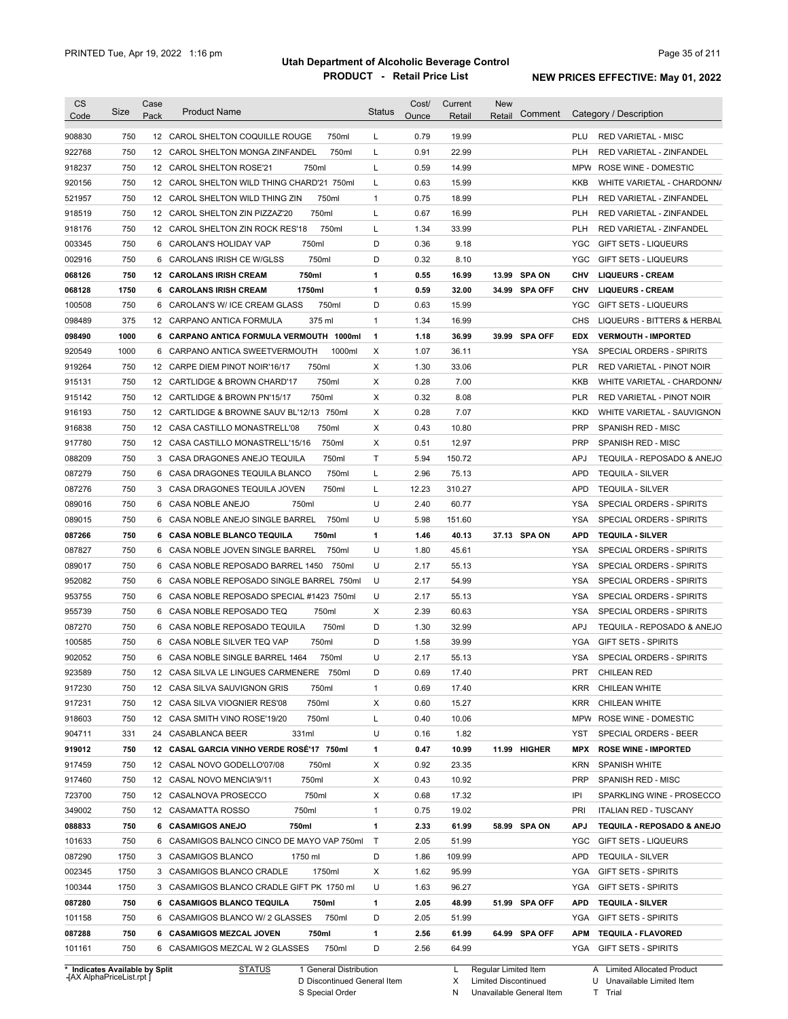| <b>CS</b><br>Code              | Size | Case<br>Pack | <b>Product Name</b>                         | <b>Status</b> | Cost/<br>Ounce | Current<br>Retail | <b>New</b><br>Comment<br>Retail | Category / Description                         |
|--------------------------------|------|--------------|---------------------------------------------|---------------|----------------|-------------------|---------------------------------|------------------------------------------------|
| 908830                         | 750  |              | 12 CAROL SHELTON COQUILLE ROUGE<br>750ml    | L             | 0.79           | 19.99             |                                 | PLU<br><b>RED VARIETAL - MISC</b>              |
| 922768                         | 750  | 12           | CAROL SHELTON MONGA ZINFANDEL<br>750ml      | Г             | 0.91           | 22.99             |                                 | PLH<br>RED VARIETAL - ZINFANDEL                |
| 918237                         | 750  |              | 12 CAROL SHELTON ROSE'21<br>750ml           | L             | 0.59           | 14.99             |                                 | <b>MPW</b><br>ROSE WINE - DOMESTIC             |
| 920156                         | 750  |              | 12 CAROL SHELTON WILD THING CHARD'21 750ml  | Г             | 0.63           | 15.99             |                                 | KKB<br>WHITE VARIETAL - CHARDONN/              |
| 521957                         | 750  |              | 12 CAROL SHELTON WILD THING ZIN<br>750ml    | $\mathbf{1}$  | 0.75           | 18.99             |                                 | <b>PLH</b><br>RED VARIETAL - ZINFANDEL         |
| 918519                         | 750  |              | 750ml<br>12 CAROL SHELTON ZIN PIZZAZ'20     | L             | 0.67           | 16.99             |                                 | <b>PLH</b><br>RED VARIETAL - ZINFANDEL         |
| 918176                         | 750  |              | 750ml<br>12 CAROL SHELTON ZIN ROCK RES'18   | L             | 1.34           | 33.99             |                                 | <b>PLH</b><br>RED VARIETAL - ZINFANDEL         |
| 003345                         | 750  |              | 750ml<br>6 CAROLAN'S HOLIDAY VAP            | D             | 0.36           | 9.18              |                                 | YGC<br><b>GIFT SETS - LIQUEURS</b>             |
| 002916                         | 750  | 6            | 750ml<br>CAROLANS IRISH CE W/GLSS           | D             | 0.32           | 8.10              |                                 | YGC<br><b>GIFT SETS - LIQUEURS</b>             |
| 068126                         | 750  |              | 750ml<br><b>12 CAROLANS IRISH CREAM</b>     | 1             | 0.55           | 16.99             | 13.99 SPA ON                    | <b>CHV</b><br><b>LIQUEURS - CREAM</b>          |
| 068128                         | 1750 | 6            | 1750ml<br><b>CAROLANS IRISH CREAM</b>       | 1             | 0.59           | 32.00             | 34.99 SPA OFF                   | <b>CHV</b><br><b>LIQUEURS - CREAM</b>          |
| 100508                         | 750  | 6            | CAROLAN'S W/ ICE CREAM GLASS<br>750ml       | D             | 0.63           | 15.99             |                                 | <b>YGC</b><br><b>GIFT SETS - LIQUEURS</b>      |
| 098489                         | 375  | 12           | CARPANO ANTICA FORMULA<br>375 ml            | $\mathbf{1}$  | 1.34           | 16.99             |                                 | <b>CHS</b><br>LIQUEURS - BITTERS & HERBAL      |
| 098490                         | 1000 |              | 6 CARPANO ANTICA FORMULA VERMOUTH 1000ml    | 1             | 1.18           | 36.99             | 39.99 SPA OFF                   | <b>EDX</b><br><b>VERMOUTH - IMPORTED</b>       |
| 920549                         | 1000 | 6            | CARPANO ANTICA SWEETVERMOUTH<br>1000ml      | Х             | 1.07           | 36.11             |                                 | YSA<br>SPECIAL ORDERS - SPIRITS                |
| 919264                         | 750  |              | 750ml<br>12 CARPE DIEM PINOT NOIR'16/17     | Х             | 1.30           | 33.06             |                                 | <b>PLR</b><br><b>RED VARIETAL - PINOT NOIR</b> |
| 915131                         | 750  |              | 750ml<br>12 CARTLIDGE & BROWN CHARD'17      | Х             | 0.28           | 7.00              |                                 | KKB<br>WHITE VARIETAL - CHARDONN/              |
| 915142                         | 750  |              | 750ml<br>12 CARTLIDGE & BROWN PN'15/17      | Х             | 0.32           | 8.08              |                                 | <b>PLR</b><br>RED VARIETAL - PINOT NOIR        |
| 916193                         | 750  |              | 12 CARTLIDGE & BROWNE SAUV BL'12/13 750ml   | Х             | 0.28           | 7.07              |                                 | <b>KKD</b><br>WHITE VARIETAL - SAUVIGNON       |
| 916838                         | 750  |              | 750ml<br>12 CASA CASTILLO MONASTRELL'08     | Х             | 0.43           | 10.80             |                                 | <b>PRP</b><br><b>SPANISH RED - MISC</b>        |
| 917780                         | 750  |              | 750ml<br>12 CASA CASTILLO MONASTRELL'15/16  | Х             | 0.51           | 12.97             |                                 | <b>PRP</b><br><b>SPANISH RED - MISC</b>        |
| 088209                         | 750  |              | 3 CASA DRAGONES ANEJO TEQUILA<br>750ml      | Τ             | 5.94           | 150.72            |                                 | APJ<br>TEQUILA - REPOSADO & ANEJO              |
| 087279                         | 750  |              | 6 CASA DRAGONES TEQUILA BLANCO<br>750ml     | L             | 2.96           | 75.13             |                                 | APD<br><b>TEQUILA - SILVER</b>                 |
| 087276                         | 750  |              | 3 CASA DRAGONES TEQUILA JOVEN<br>750ml      | L             | 12.23          | 310.27            |                                 | APD<br><b>TEQUILA - SILVER</b>                 |
| 089016                         | 750  | 6            | CASA NOBLE ANEJO<br>750ml                   | U             | 2.40           | 60.77             |                                 | YSA<br>SPECIAL ORDERS - SPIRITS                |
| 089015                         | 750  |              | 6 CASA NOBLE ANEJO SINGLE BARREL<br>750ml   | U             | 5.98           | 151.60            |                                 | YSA<br>SPECIAL ORDERS - SPIRITS                |
| 087266                         | 750  |              | 750ml<br>6 CASA NOBLE BLANCO TEQUILA        | 1             | 1.46           | 40.13             | 37.13 SPA ON                    | <b>APD</b><br><b>TEQUILA - SILVER</b>          |
| 087827                         | 750  | 6            | CASA NOBLE JOVEN SINGLE BARREL<br>750ml     | U             | 1.80           | 45.61             |                                 | YSA<br>SPECIAL ORDERS - SPIRITS                |
| 089017                         | 750  | 6            | CASA NOBLE REPOSADO BARREL 1450<br>750ml    | U             | 2.17           | 55.13             |                                 | <b>YSA</b><br>SPECIAL ORDERS - SPIRITS         |
| 952082                         | 750  | 6            | CASA NOBLE REPOSADO SINGLE BARREL 750ml     | U             | 2.17           | 54.99             |                                 | <b>YSA</b><br>SPECIAL ORDERS - SPIRITS         |
| 953755                         | 750  |              | 6 CASA NOBLE REPOSADO SPECIAL #1423 750ml   | U             | 2.17           | 55.13             |                                 | <b>YSA</b><br>SPECIAL ORDERS - SPIRITS         |
| 955739                         | 750  | 6            | 750ml<br>CASA NOBLE REPOSADO TEQ            | Х             | 2.39           | 60.63             |                                 | <b>YSA</b><br>SPECIAL ORDERS - SPIRITS         |
| 087270                         | 750  |              | 750ml<br>6 CASA NOBLE REPOSADO TEQUILA      | D             | 1.30           | 32.99             |                                 | <b>APJ</b><br>TEQUILA - REPOSADO & ANEJO       |
| 100585                         | 750  |              | 750ml<br>6 CASA NOBLE SILVER TEQ VAP        | D             | 1.58           | 39.99             |                                 | <b>YGA</b><br><b>GIFT SETS - SPIRITS</b>       |
| 902052                         | 750  |              | 6 CASA NOBLE SINGLE BARREL 1464<br>750ml    | U             | 2.17           | 55.13             |                                 | <b>YSA</b><br>SPECIAL ORDERS - SPIRITS         |
| 923589                         | 750  |              | 12 CASA SILVA LE LINGUES CARMENERE<br>750ml | D             | 0.69           | 17.40             |                                 | PRT<br><b>CHILEAN RED</b>                      |
| 917230                         | 750  |              | 750ml                                       | $\mathbf{1}$  | 0.69           |                   |                                 | <b>CHILEAN WHITE</b><br>KRR                    |
|                                |      |              | 12 CASA SILVA SAUVIGNON GRIS                |               |                | 17.40             |                                 |                                                |
| 917231                         | 750  |              | 750ml<br>12 CASA SILVA VIOGNIER RES'08      | Х             | 0.60           | 15.27             |                                 | CHILEAN WHITE<br>KRR                           |
| 918603                         | 750  |              | 750ml<br>12 CASA SMITH VINO ROSE'19/20      | Г             | 0.40           | 10.06             |                                 | ROSE WINE - DOMESTIC<br>MPW                    |
| 904711                         | 331  |              | 24 CASABLANCA BEER<br>331ml                 | U             | 0.16           | 1.82              |                                 | SPECIAL ORDERS - BEER<br>YST                   |
| 919012                         | 750  |              | 12 CASAL GARCIA VINHO VERDE ROSÉ'17 750ml   | 1             | 0.47           | 10.99             | 11.99 HIGHER                    | MPX<br><b>ROSE WINE - IMPORTED</b>             |
| 917459                         | 750  |              | 12 CASAL NOVO GODELLO'07/08<br>750ml        | х             | 0.92           | 23.35             |                                 | <b>KRN</b><br><b>SPANISH WHITE</b>             |
| 917460                         | 750  |              | 12 CASAL NOVO MENCIA'9/11<br>750ml          | Х             | 0.43           | 10.92             |                                 | SPANISH RED - MISC<br><b>PRP</b>               |
| 723700                         | 750  |              | 750ml<br>12 CASALNOVA PROSECCO              | х             | 0.68           | 17.32             |                                 | IPI<br>SPARKLING WINE - PROSECCO               |
| 349002                         | 750  |              | 750ml<br>12 CASAMATTA ROSSO                 | $\mathbf{1}$  | 0.75           | 19.02             |                                 | PRI<br><b>ITALIAN RED - TUSCANY</b>            |
| 088833                         | 750  |              | 6 CASAMIGOS ANEJO<br>750ml                  | 1             | 2.33           | 61.99             | 58.99 SPA ON                    | <b>APJ</b><br>TEQUILA - REPOSADO & ANEJO       |
| 101633                         | 750  |              | 6 CASAMIGOS BALNCO CINCO DE MAYO VAP 750ml  | $\top$        | 2.05           | 51.99             |                                 | YGC<br><b>GIFT SETS - LIQUEURS</b>             |
| 087290                         | 1750 |              | 3 CASAMIGOS BLANCO<br>1750 ml               | D             | 1.86           | 109.99            |                                 | APD<br><b>TEQUILA - SILVER</b>                 |
| 002345                         | 1750 |              | 1750ml<br>3 CASAMIGOS BLANCO CRADLE         | х             | 1.62           | 95.99             |                                 | YGA<br><b>GIFT SETS - SPIRITS</b>              |
| 100344                         | 1750 |              | 3 CASAMIGOS BLANCO CRADLE GIFT PK 1750 ml   | U             | 1.63           | 96.27             |                                 | YGA<br><b>GIFT SETS - SPIRITS</b>              |
| 087280                         | 750  |              | 6 CASAMIGOS BLANCO TEQUILA<br>750ml         | 1             | 2.05           | 48.99             | 51.99 SPA OFF                   | <b>APD</b><br><b>TEQUILA - SILVER</b>          |
| 101158                         | 750  |              | 750ml<br>6 CASAMIGOS BLANCO W/ 2 GLASSES    | D             | 2.05           | 51.99             |                                 | YGA GIFT SETS - SPIRITS                        |
| 087288                         | 750  |              | 750ml<br>6 CASAMIGOS MEZCAL JOVEN           | 1             | 2.56           | 61.99             | 64.99 SPA OFF                   | APM<br><b>TEQUILA - FLAVORED</b>               |
| 101161                         | 750  |              | 750ml<br>6 CASAMIGOS MEZCAL W 2 GLASSES     | D             | 2.56           | 64.99             |                                 | YGA GIFT SETS - SPIRITS                        |
| * Indicates Available by Split |      |              | <b>STATUS</b><br>1 General Distribution     |               |                | L                 | Regular Limited Item            | A Limited Allocated Product                    |

**Case** [AX AlphaPriceList.rpt ]

General Distribution 

Discontinued General Item S Special Order D

X Regular Limited Item

N

Limited Discontinued

Unavailable General Item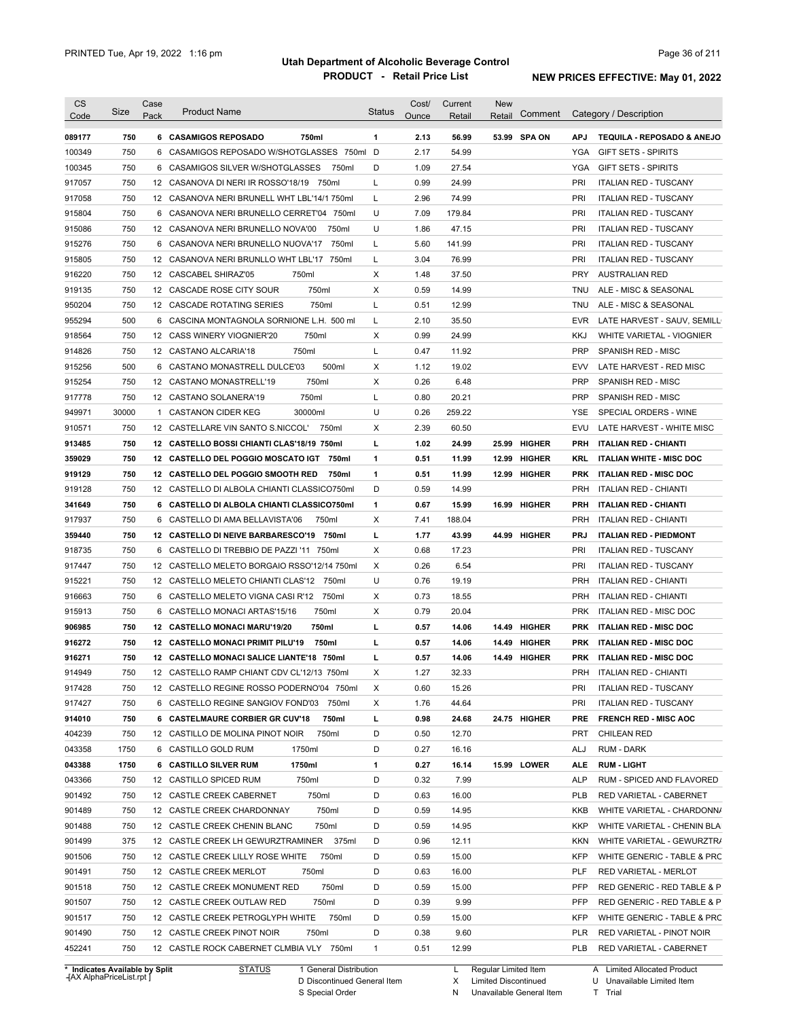| <b>CS</b><br>Code                    | Size       | Case<br>Pack | <b>Product Name</b>                                                             | <b>Status</b>     | Cost/        | Current       | New<br>Retail | Comment      |                   | Category / Description                               |
|--------------------------------------|------------|--------------|---------------------------------------------------------------------------------|-------------------|--------------|---------------|---------------|--------------|-------------------|------------------------------------------------------|
|                                      |            |              |                                                                                 |                   | Ounce        | Retail        |               |              |                   |                                                      |
| 089177                               | 750        |              | 750ml<br>6 CASAMIGOS REPOSADO                                                   | 1                 | 2.13         | 56.99         |               | 53.99 SPA ON | <b>APJ</b>        | <b>TEQUILA - REPOSADO &amp; ANEJO</b>                |
| 100349                               | 750        | 6            | CASAMIGOS REPOSADO W/SHOTGLASSES 750ml D                                        |                   | 2.17         | 54.99         |               |              | YGA               | <b>GIFT SETS - SPIRITS</b>                           |
| 100345                               | 750        | 6            | CASAMIGOS SILVER W/SHOTGLASSES<br>750ml                                         | D                 | 1.09         | 27.54         |               |              | YGA               | <b>GIFT SETS - SPIRITS</b>                           |
| 917057                               | 750        |              | 12 CASANOVA DI NERI IR ROSSO'18/19 750ml                                        | L                 | 0.99         | 24.99         |               |              | PRI               | <b>ITALIAN RED - TUSCANY</b>                         |
| 917058                               | 750        |              | 12 CASANOVA NERI BRUNELL WHT LBL'14/1 750ml                                     | L                 | 2.96         | 74.99         |               |              | PRI               | <b>ITALIAN RED - TUSCANY</b>                         |
| 915804                               | 750        |              | 6 CASANOVA NERI BRUNELLO CERRET'04 750ml                                        | U                 | 7.09         | 179.84        |               |              | PRI               | <b>ITALIAN RED - TUSCANY</b>                         |
| 915086                               | 750        |              | 12 CASANOVA NERI BRUNELLO NOVA'00<br>750ml                                      | U                 | 1.86         | 47.15         |               |              | PRI               | <b>ITALIAN RED - TUSCANY</b>                         |
| 915276                               | 750        |              | 6 CASANOVA NERI BRUNELLO NUOVA'17 750ml                                         | L                 | 5.60         | 141.99        |               |              | PRI               | <b>ITALIAN RED - TUSCANY</b>                         |
| 915805                               | 750        |              | 12 CASANOVA NERI BRUNLLO WHT LBL'17 750ml                                       | Г                 | 3.04         | 76.99         |               |              | PRI               | <b>ITALIAN RED - TUSCANY</b>                         |
| 916220                               | 750        |              | 12 CASCABEL SHIRAZ'05<br>750ml                                                  | X                 | 1.48         | 37.50         |               |              | <b>PRY</b>        | <b>AUSTRALIAN RED</b>                                |
| 919135                               | 750        |              | 750ml<br>12 CASCADE ROSE CITY SOUR                                              | Х                 | 0.59         | 14.99         |               |              | <b>TNU</b>        | ALE - MISC & SEASONAL                                |
| 950204                               | 750        |              | 750ml<br>12 CASCADE ROTATING SERIES                                             | Г                 | 0.51         | 12.99         |               |              | TNU               | ALE - MISC & SEASONAL                                |
| 955294                               | 500        |              | 6 CASCINA MONTAGNOLA SORNIONE L.H. 500 ml                                       | L                 | 2.10         | 35.50         |               |              | <b>EVR</b>        | LATE HARVEST - SAUV, SEMILL                          |
| 918564                               | 750        |              | 12 CASS WINERY VIOGNIER'20<br>750ml                                             | Χ                 | 0.99         | 24.99         |               |              | <b>KKJ</b>        | WHITE VARIETAL - VIOGNIER                            |
| 914826                               | 750        |              | 750ml<br>12 CASTANO ALCARIA'18                                                  | L                 | 0.47         | 11.92         |               |              | <b>PRP</b>        | SPANISH RED - MISC                                   |
| 915256                               | 500        | 6            | 500ml<br>CASTANO MONASTRELL DULCE'03                                            | Х                 | 1.12         | 19.02         |               |              | <b>EVV</b>        | LATE HARVEST - RED MISC                              |
| 915254                               | 750        |              | 750ml<br>12 CASTANO MONASTRELL'19                                               | Х                 | 0.26         | 6.48          |               |              | <b>PRP</b>        | SPANISH RED - MISC                                   |
| 917778                               | 750        |              | 750ml<br>12 CASTANO SOLANERA'19                                                 | L                 | 0.80         | 20.21         |               |              | <b>PRP</b>        | <b>SPANISH RED - MISC</b>                            |
| 949971                               | 30000      | 1            | <b>CASTANON CIDER KEG</b><br>30000ml                                            | U                 | 0.26         | 259.22        |               |              | YSE               | SPECIAL ORDERS - WINE                                |
| 910571                               | 750        |              | 12 CASTELLARE VIN SANTO S.NICCOL'<br>750ml                                      | Х                 | 2.39         | 60.50         |               |              | EVU               | LATE HARVEST - WHITE MISC                            |
| 913485                               | 750        |              | 12 CASTELLO BOSSI CHIANTI CLAS'18/19 750ml                                      | г                 | 1.02         | 24.99         |               | 25.99 HIGHER | PRH               | <b>ITALIAN RED - CHIANTI</b>                         |
| 359029                               | 750        |              | 12 CASTELLO DEL POGGIO MOSCATO IGT<br>750ml                                     | 1                 | 0.51         | 11.99         |               | 12.99 HIGHER | <b>KRL</b>        | <b>ITALIAN WHITE - MISC DOC</b>                      |
| 919129                               | 750        |              | 12 CASTELLO DEL POGGIO SMOOTH RED<br>750ml                                      | 1                 | 0.51         | 11.99         |               | 12.99 HIGHER | <b>PRK</b>        | <b>ITALIAN RED - MISC DOC</b>                        |
| 919128                               | 750        |              | 12 CASTELLO DI ALBOLA CHIANTI CLASSICO750ml                                     | D                 | 0.59         | 14.99         |               |              | <b>PRH</b>        | <b>ITALIAN RED - CHIANTI</b>                         |
| 341649                               | 750        |              | 6 CASTELLO DI ALBOLA CHIANTI CLASSICO750ml                                      | 1                 | 0.67         | 15.99         |               | 16.99 HIGHER | <b>PRH</b>        | <b>ITALIAN RED - CHIANTI</b>                         |
| 917937                               | 750        |              | 6 CASTELLO DI AMA BELLAVISTA'06<br>750ml                                        | Х                 | 7.41         | 188.04        |               |              | <b>PRH</b>        | <b>ITALIAN RED - CHIANTI</b>                         |
| 359440                               | 750        |              | 12 CASTELLO DI NEIVE BARBARESCO'19 750ml                                        | г                 | 1.77         | 43.99         |               | 44.99 HIGHER | <b>PRJ</b>        | <b>ITALIAN RED - PIEDMONT</b>                        |
| 918735                               | 750        |              | 6 CASTELLO DI TREBBIO DE PAZZI '11 750ml                                        | Χ                 | 0.68         | 17.23         |               |              | PRI               | <b>ITALIAN RED - TUSCANY</b>                         |
|                                      | 750        |              |                                                                                 | Χ                 | 0.26         |               |               |              | PRI               |                                                      |
| 917447                               |            |              | 12 CASTELLO MELETO BORGAIO RSSO'12/14 750ml                                     |                   |              | 6.54          |               |              |                   | <b>ITALIAN RED - TUSCANY</b>                         |
| 915221                               | 750        |              | 12 CASTELLO MELETO CHIANTI CLAS'12 750ml                                        | U                 | 0.76         | 19.19         |               |              | <b>PRH</b>        | <b>ITALIAN RED - CHIANTI</b>                         |
| 916663                               | 750        |              | 6 CASTELLO MELETO VIGNA CASI R'12 750ml                                         | Х                 | 0.73         | 18.55         |               |              | <b>PRH</b>        | <b>ITALIAN RED - CHIANTI</b>                         |
| 915913                               | 750        |              | 750ml<br>6 CASTELLO MONACI ARTAS'15/16                                          | Х                 | 0.79         | 20.04         |               |              | <b>PRK</b>        | <b>ITALIAN RED - MISC DOC</b>                        |
| 906985                               | 750        |              | 12 CASTELLO MONACI MARU'19/20<br>750ml                                          | г                 | 0.57         | 14.06         |               | 14.49 HIGHER | <b>PRK</b>        | <b>ITALIAN RED - MISC DOC</b>                        |
| 916272                               | 750        |              | 12 CASTELLO MONACI PRIMIT PILU'19<br>750ml                                      | L                 | 0.57         | 14.06         |               | 14.49 HIGHER | <b>PRK</b>        | <b>ITALIAN RED - MISC DOC</b>                        |
| 916271                               | 750        |              | 12 CASTELLO MONACI SALICE LIANTE'18 750ml                                       | L                 | 0.57         | 14.06         |               | 14.49 HIGHER | <b>PRK</b>        | <b>ITALIAN RED - MISC DOC</b>                        |
| 914949                               | 750        |              | 12 CASTELLO RAMP CHIANT CDV CL'12/13 750ml                                      | х                 | 1.27         | 32.33         |               |              | <b>PRH</b>        | <b>ITALIAN RED - CHIANTI</b>                         |
| 917428                               | 750        |              | 12 CASTELLO REGINE ROSSO PODERNO'04 750ml                                       | Х                 | 0.60         | 15.26         |               |              | PRI               | <b>ITALIAN RED - TUSCANY</b>                         |
| 917427                               | 750        |              | 6 CASTELLO REGINE SANGIOV FOND'03 750ml                                         | х                 | 1.76         | 44.64         |               |              | PRI               | <b>ITALIAN RED - TUSCANY</b>                         |
| 914010                               | 750        |              | 6 CASTELMAURE CORBIER GR CUV'18<br>750ml                                        | L                 | 0.98         | 24.68         |               | 24.75 HIGHER | <b>PRE</b>        | <b>FRENCH RED - MISC AOC</b>                         |
| 404239                               | 750        |              | 12 CASTILLO DE MOLINA PINOT NOIR<br>750ml                                       | D                 | 0.50         | 12.70         |               |              | <b>PRT</b>        | <b>CHILEAN RED</b>                                   |
| 043358                               | 1750       |              | 6 CASTILLO GOLD RUM<br>1750ml                                                   | D                 | 0.27         | 16.16         |               |              | ALJ               | RUM - DARK                                           |
| 043388                               | 1750       |              | 1750ml<br>6 CASTILLO SILVER RUM                                                 | 1                 | 0.27         | 16.14         |               | 15.99 LOWER  | ALE               | <b>RUM - LIGHT</b>                                   |
| 043366                               | 750        |              | 12 CASTILLO SPICED RUM<br>750ml                                                 | D                 | 0.32         | 7.99          |               |              | <b>ALP</b>        | RUM - SPICED AND FLAVORED                            |
| 901492                               | 750        |              | 750ml<br>12 CASTLE CREEK CABERNET                                               | D                 | 0.63         | 16.00         |               |              | <b>PLB</b>        | RED VARIETAL - CABERNET                              |
| 901489                               | 750        |              | 750ml<br>12 CASTLE CREEK CHARDONNAY                                             | D                 | 0.59         | 14.95         |               |              | KKB               | WHITE VARIETAL - CHARDONN/                           |
| 901488                               | 750        |              | 750ml<br>12 CASTLE CREEK CHENIN BLANC                                           | D                 | 0.59         | 14.95         |               |              | KKP               | WHITE VARIETAL - CHENIN BLA                          |
| 901499                               | 375        |              | 12 CASTLE CREEK LH GEWURZTRAMINER 375ml                                         | D                 | 0.96         | 12.11         |               |              | <b>KKN</b>        | WHITE VARIETAL - GEWURZTR/                           |
| 901506                               | 750        |              | 12 CASTLE CREEK LILLY ROSE WHITE<br>750ml                                       | D                 | 0.59         | 15.00         |               |              | <b>KFP</b>        | WHITE GENERIC - TABLE & PRC                          |
|                                      | 750        |              | 12 CASTLE CREEK MERLOT<br>750ml                                                 | D                 | 0.63         | 16.00         |               |              | PLF               | RED VARIETAL - MERLOT                                |
|                                      |            |              | 750ml<br>12 CASTLE CREEK MONUMENT RED                                           | D                 | 0.59         | 15.00         |               |              | PFP               | RED GENERIC - RED TABLE & P                          |
|                                      | 750        |              |                                                                                 |                   |              |               |               |              | PFP               |                                                      |
|                                      |            |              |                                                                                 |                   |              |               |               |              |                   |                                                      |
|                                      | 750        |              | 12 CASTLE CREEK OUTLAW RED<br>750ml                                             | D                 | 0.39         | 9.99          |               |              |                   | RED GENERIC - RED TABLE & P                          |
| 901491<br>901518<br>901507<br>901517 | 750        |              | 750ml<br>12 CASTLE CREEK PETROGLYPH WHITE                                       | D                 | 0.59         | 15.00         |               |              | <b>KFP</b>        | WHITE GENERIC - TABLE & PRC                          |
| 901490<br>452241                     | 750<br>750 |              | 12 CASTLE CREEK PINOT NOIR<br>750ml<br>12 CASTLE ROCK CABERNET CLMBIA VLY 750ml | D<br>$\mathbf{1}$ | 0.38<br>0.51 | 9.60<br>12.99 |               |              | PLR<br><b>PLB</b> | RED VARIETAL - PINOT NOIR<br>RED VARIETAL - CABERNET |

**Case** [AX AlphaPriceList.rpt ]

D Discontinued General Item

S Special Order

X

Limited Discontinued

N Unavailable General Item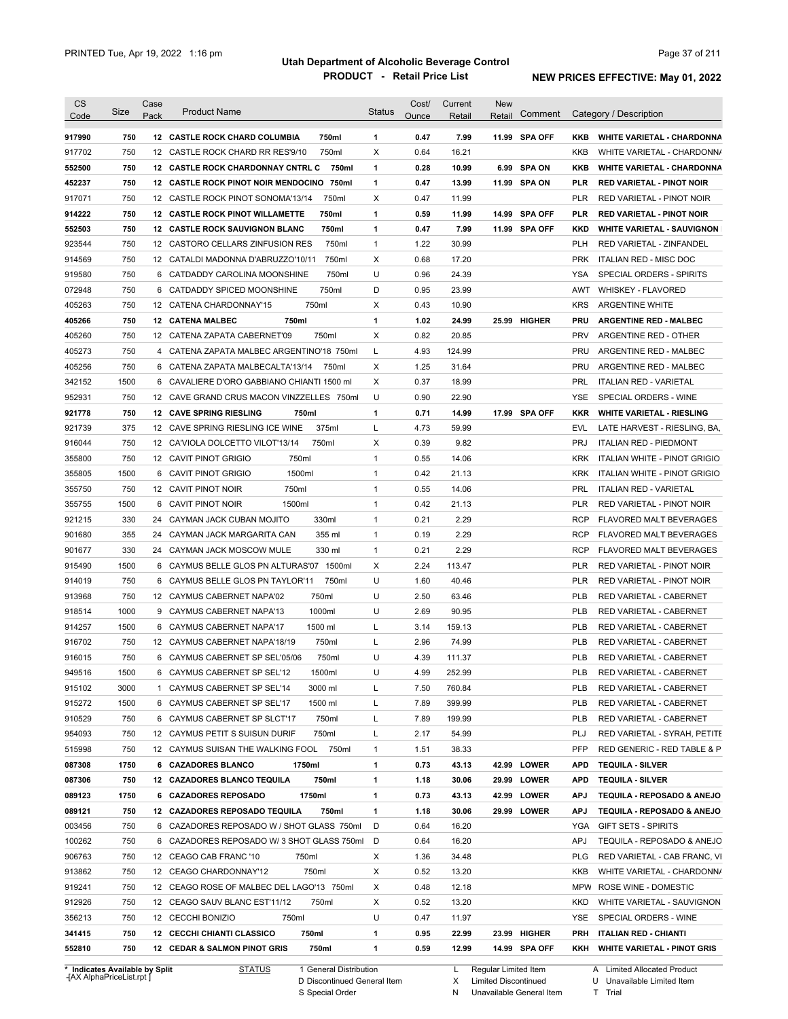| <b>CS</b><br>Code              | Size | Case<br>Pack | <b>Product Name</b>                             | <b>Status</b> | Cost/<br>Ounce | Current | New                  | Comment    | Category / Description             |
|--------------------------------|------|--------------|-------------------------------------------------|---------------|----------------|---------|----------------------|------------|------------------------------------|
|                                |      |              |                                                 |               |                | Retail  | Retail               |            |                                    |
| 917990                         | 750  |              | 750ml<br><b>12 CASTLE ROCK CHARD COLUMBIA</b>   | 1             | 0.47           | 7.99    | 11.99 SPA OFF        | KKB        | WHITE VARIETAL - CHARDONNA         |
| 917702                         | 750  |              | 12 CASTLE ROCK CHARD RR RES'9/10<br>750ml       | X             | 0.64           | 16.21   |                      | <b>KKB</b> | WHITE VARIETAL - CHARDONNA         |
| 552500                         | 750  |              | 12 CASTLE ROCK CHARDONNAY CNTRL C<br>750ml      | 1             | 0.28           | 10.99   | 6.99 SPA ON          | KKB        | <b>WHITE VARIETAL - CHARDONNA</b>  |
| 452237                         | 750  |              | 12 CASTLE ROCK PINOT NOIR MENDOCINO 750ml       | 1             | 0.47           | 13.99   | 11.99 SPA ON         | PLR        | <b>RED VARIETAL - PINOT NOIR</b>   |
| 917071                         | 750  |              | 12 CASTLE ROCK PINOT SONOMA'13/14<br>750ml      | Х             | 0.47           | 11.99   |                      | <b>PLR</b> | RED VARIETAL - PINOT NOIR          |
| 914222                         | 750  |              | <b>12 CASTLE ROCK PINOT WILLAMETTE</b><br>750ml | 1             | 0.59           | 11.99   | 14.99 SPA OFF        | <b>PLR</b> | <b>RED VARIETAL - PINOT NOIR</b>   |
| 552503                         | 750  |              | <b>12 CASTLE ROCK SAUVIGNON BLANC</b><br>750ml  | 1             | 0.47           | 7.99    | 11.99 SPA OFF        | <b>KKD</b> | <b>WHITE VARIETAL - SAUVIGNON</b>  |
| 923544                         | 750  |              | 12 CASTORO CELLARS ZINFUSION RES<br>750ml       | $\mathbf{1}$  | 1.22           | 30.99   |                      | PLH        | RED VARIETAL - ZINFANDEL           |
| 914569                         | 750  |              | 12 CATALDI MADONNA D'ABRUZZO'10/11<br>750ml     | Х             | 0.68           | 17.20   |                      | <b>PRK</b> | ITALIAN RED - MISC DOC             |
| 919580                         | 750  |              | 750ml<br>6 CATDADDY CAROLINA MOONSHINE          | U             | 0.96           | 24.39   |                      | <b>YSA</b> | <b>SPECIAL ORDERS - SPIRITS</b>    |
| 072948                         | 750  |              | 750ml<br>6 CATDADDY SPICED MOONSHINE            | D             | 0.95           | 23.99   |                      | AWT        | <b>WHISKEY - FLAVORED</b>          |
| 405263                         | 750  |              | 750ml<br>12 CATENA CHARDONNAY'15                | Х             | 0.43           | 10.90   |                      | <b>KRS</b> | <b>ARGENTINE WHITE</b>             |
| 405266                         | 750  |              | 750ml<br>12 CATENA MALBEC                       | 1             | 1.02           | 24.99   | 25.99 HIGHER         | PRU        | <b>ARGENTINE RED - MALBEC</b>      |
| 405260                         | 750  |              | 12 CATENA ZAPATA CABERNET'09<br>750ml           | Χ             | 0.82           | 20.85   |                      | <b>PRV</b> | ARGENTINE RED - OTHER              |
| 405273                         | 750  |              | 4 CATENA ZAPATA MALBEC ARGENTINO'18 750ml       | L             | 4.93           | 124.99  |                      | <b>PRU</b> | ARGENTINE RED - MALBEC             |
| 405256                         | 750  |              | 6 CATENA ZAPATA MALBECALTA'13/14<br>750ml       | Χ             | 1.25           | 31.64   |                      | PRU        | ARGENTINE RED - MALBEC             |
| 342152                         | 1500 |              | 6 CAVALIERE D'ORO GABBIANO CHIANTI 1500 mI      | Χ             | 0.37           | 18.99   |                      | <b>PRL</b> | <b>ITALIAN RED - VARIETAL</b>      |
| 952931                         | 750  |              | 12 CAVE GRAND CRUS MACON VINZZELLES 750ml       | U             | 0.90           | 22.90   |                      | <b>YSE</b> | SPECIAL ORDERS - WINE              |
| 921778                         | 750  |              | <b>12 CAVE SPRING RIESLING</b><br>750ml         | 1             | 0.71           | 14.99   | 17.99 SPA OFF        | KKR        | <b>WHITE VARIETAL - RIESLING</b>   |
| 921739                         | 375  |              | 12 CAVE SPRING RIESLING ICE WINE<br>375ml       | L             | 4.73           | 59.99   |                      | EVL        | LATE HARVEST - RIESLING, BA.       |
| 916044                         | 750  |              | 750ml<br>12 CA'VIOLA DOLCETTO VILOT'13/14       | Х             | 0.39           | 9.82    |                      | <b>PRJ</b> | <b>ITALIAN RED - PIEDMONT</b>      |
| 355800                         | 750  |              | 750ml<br>12 CAVIT PINOT GRIGIO                  | $\mathbf{1}$  | 0.55           | 14.06   |                      | <b>KRK</b> | ITALIAN WHITE - PINOT GRIGIO       |
| 355805                         | 1500 |              | 1500ml<br>6 CAVIT PINOT GRIGIO                  | $\mathbf{1}$  | 0.42           | 21.13   |                      | <b>KRK</b> | ITALIAN WHITE - PINOT GRIGIO       |
| 355750                         | 750  |              | 750ml<br>12 CAVIT PINOT NOIR                    | $\mathbf{1}$  | 0.55           | 14.06   |                      | <b>PRL</b> | <b>ITALIAN RED - VARIETAL</b>      |
| 355755                         | 1500 |              | 6 CAVIT PINOT NOIR<br>1500ml                    | $\mathbf{1}$  | 0.42           | 21.13   |                      | <b>PLR</b> | RED VARIETAL - PINOT NOIR          |
| 921215                         | 330  | 24           | 330ml<br>CAYMAN JACK CUBAN MOJITO               | $\mathbf{1}$  | 0.21           | 2.29    |                      | <b>RCP</b> | FLAVORED MALT BEVERAGES            |
| 901680                         | 355  |              | 355 ml<br>24 CAYMAN JACK MARGARITA CAN          | $\mathbf{1}$  | 0.19           | 2.29    |                      | RCP        | FLAVORED MALT BEVERAGES            |
| 901677                         | 330  |              | 330 ml<br>24 CAYMAN JACK MOSCOW MULE            | $\mathbf{1}$  | 0.21           | 2.29    |                      | RCP        | FLAVORED MALT BEVERAGES            |
| 915490                         | 1500 |              | 6 CAYMUS BELLE GLOS PN ALTURAS'07 1500ml        | Х             | 2.24           | 113.47  |                      | <b>PLR</b> | RED VARIETAL - PINOT NOIR          |
| 914019                         | 750  | 6            | 750ml<br>CAYMUS BELLE GLOS PN TAYLOR'11         | U             | 1.60           | 40.46   |                      | <b>PLR</b> | RED VARIETAL - PINOT NOIR          |
| 913968                         | 750  |              | 750ml<br>12 CAYMUS CABERNET NAPA'02             | U             | 2.50           | 63.46   |                      | PLB        | RED VARIETAL - CABERNET            |
| 918514                         | 1000 |              | 1000ml<br>9 CAYMUS CABERNET NAPA'13             | U             | 2.69           | 90.95   |                      | PLB        | <b>RED VARIETAL - CABERNET</b>     |
| 914257                         | 1500 | 6            | CAYMUS CABERNET NAPA'17<br>1500 ml              | Г             | 3.14           | 159.13  |                      | PLB        | RED VARIETAL - CABERNET            |
| 916702                         | 750  |              | 750ml<br>12 CAYMUS CABERNET NAPA'18/19          | Г             | 2.96           | 74.99   |                      | <b>PLB</b> | <b>RED VARIETAL - CABERNET</b>     |
| 916015                         | 750  |              | 6 CAYMUS CABERNET SP SEL'05/06<br>750ml         | U             | 4.39           | 111.37  |                      | <b>PLB</b> | <b>RED VARIETAL - CABERNET</b>     |
| 949516                         | 1500 |              | 6 CAYMUS CABERNET SP SEL'12<br>1500ml           | U             | 4.99           | 252.99  |                      | PLB        | RED VARIETAL - CABERNET            |
| 915102                         | 3000 |              | 1 CAYMUS CABERNET SP SEL'14<br>3000 ml          | L             | 7.50           | 760.84  |                      | PLB        | RED VARIETAL - CABERNET            |
| 915272                         | 1500 |              | 6 CAYMUS CABERNET SP SEL'17<br>1500 ml          | L             | 7.89           | 399.99  |                      | PLB        | RED VARIETAL - CABERNET            |
| 910529                         | 750  |              | 6 CAYMUS CABERNET SP SLCT'17<br>750ml           | L             | 7.89           | 199.99  |                      | PLB        | RED VARIETAL - CABERNET            |
| 954093                         | 750  |              | 12 CAYMUS PETIT S SUISUN DURIF<br>750ml         | L             | 2.17           | 54.99   |                      | PLJ        | RED VARIETAL - SYRAH, PETITE       |
| 515998                         | 750  |              | 12 CAYMUS SUISAN THE WALKING FOOL 750ml         | $\mathbf{1}$  | 1.51           | 38.33   |                      | PFP        | RED GENERIC - RED TABLE & P        |
| 087308                         | 1750 |              | 6 CAZADORES BLANCO<br>1750ml                    | 1             | 0.73           | 43.13   | 42.99 LOWER          | APD        | <b>TEQUILA - SILVER</b>            |
| 087306                         | 750  |              | 12 CAZADORES BLANCO TEQUILA<br>750ml            | 1             | 1.18           | 30.06   | 29.99 LOWER          | APD        | <b>TEQUILA - SILVER</b>            |
| 089123                         | 1750 |              | 1750ml<br>6 CAZADORES REPOSADO                  | 1             | 0.73           | 43.13   | 42.99 LOWER          | <b>APJ</b> | TEQUILA - REPOSADO & ANEJO         |
| 089121                         | 750  |              | 750ml<br>12 CAZADORES REPOSADO TEQUILA          | 1             | 1.18           | 30.06   | 29.99 LOWER          | <b>APJ</b> | TEQUILA - REPOSADO & ANEJO         |
| 003456                         | 750  |              | 6 CAZADORES REPOSADO W / SHOT GLASS 750ml       | D             | 0.64           | 16.20   |                      | YGA        | <b>GIFT SETS - SPIRITS</b>         |
| 100262                         | 750  |              | 6 CAZADORES REPOSADO W/3 SHOT GLASS 750ml       | D             | 0.64           | 16.20   |                      | APJ        | TEQUILA - REPOSADO & ANEJO         |
| 906763                         | 750  |              | 12 CEAGO CAB FRANC '10<br>750ml                 | х             | 1.36           | 34.48   |                      | PLG        | RED VARIETAL - CAB FRANC, VI       |
| 913862                         | 750  |              | 12 CEAGO CHARDONNAY'12<br>750ml                 | Х             | 0.52           | 13.20   |                      | KKB        | WHITE VARIETAL - CHARDONN/         |
| 919241                         | 750  |              | 12 CEAGO ROSE OF MALBEC DEL LAGO'13 750ml       | х             | 0.48           | 12.18   |                      | MPW        | ROSE WINE - DOMESTIC               |
| 912926                         | 750  |              | 12 CEAGO SAUV BLANC EST'11/12<br>750ml          | Х             | 0.52           | 13.20   |                      | KKD        | WHITE VARIETAL - SAUVIGNON         |
| 356213                         | 750  |              | 12 CECCHI BONIZIO<br>750ml                      | U             | 0.47           | 11.97   |                      | YSE        | SPECIAL ORDERS - WINE              |
|                                |      |              |                                                 |               |                |         |                      |            |                                    |
| 341415                         | 750  |              | 12 CECCHI CHIANTI CLASSICO<br>750ml             | 1             | 0.95           | 22.99   | 23.99 HIGHER         | PRH        | <b>ITALIAN RED - CHIANTI</b>       |
| 552810                         | 750  |              | 750ml<br>12 CEDAR & SALMON PINOT GRIS           | 1             | 0.59           | 12.99   | 14.99 SPA OFF        | KKH        | <b>WHITE VARIETAL - PINOT GRIS</b> |
| * Indicates Available by Split |      |              | <b>STATUS</b><br>1 General Distribution         |               |                | L.      | Regular Limited Item |            | A Limited Allocated Product        |

**Case** [AX AlphaPriceList.rpt ]

D Discontinued General Item

S Special Order

X

Limited Discontinued

N Unavailable General Item

U Unavailable Limited Item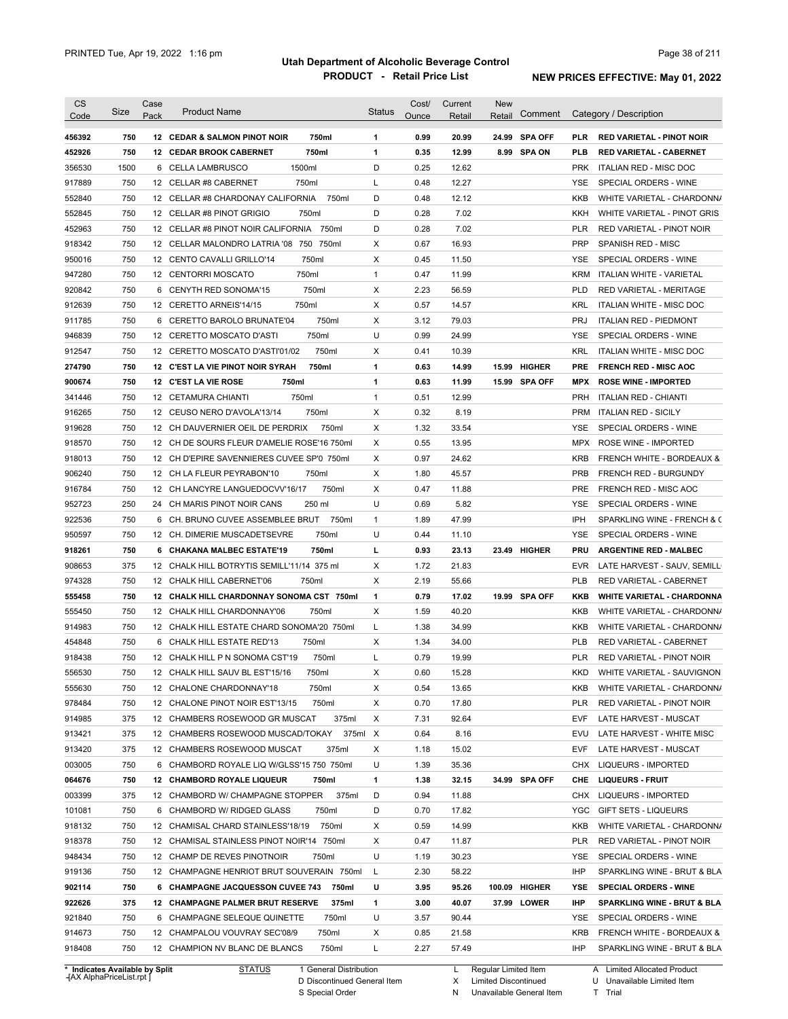| <b>CS</b>                                      | Size | Case | <b>Product Name</b>                         | <b>Status</b> | Cost/ | Current | <b>New</b> |               |            |                                   |
|------------------------------------------------|------|------|---------------------------------------------|---------------|-------|---------|------------|---------------|------------|-----------------------------------|
| Code                                           |      | Pack |                                             |               | Ounce | Retail  | Retail     | Comment       |            | Category / Description            |
| 456392                                         | 750  |      | 750ml<br>12 CEDAR & SALMON PINOT NOIR       | 1             | 0.99  | 20.99   |            | 24.99 SPA OFF | <b>PLR</b> | <b>RED VARIETAL - PINOT NOIR</b>  |
| 452926                                         | 750  |      | 12 CEDAR BROOK CABERNET<br>750ml            | 1             | 0.35  | 12.99   |            | 8.99 SPA ON   | <b>PLB</b> | <b>RED VARIETAL - CABERNET</b>    |
| 356530                                         | 1500 |      | 1500ml<br>6 CELLA LAMBRUSCO                 | D             | 0.25  | 12.62   |            |               | <b>PRK</b> | ITALIAN RED - MISC DOC            |
| 917889                                         | 750  |      | 750ml<br>12 CELLAR #8 CABERNET              | L             | 0.48  | 12.27   |            |               | <b>YSE</b> | SPECIAL ORDERS - WINE             |
| 552840                                         | 750  |      | 750ml<br>12 CELLAR #8 CHARDONAY CALIFORNIA  | D             | 0.48  | 12.12   |            |               | KKB        | WHITE VARIETAL - CHARDONN/        |
| 552845                                         | 750  |      | 12 CELLAR #8 PINOT GRIGIO<br>750ml          | D             | 0.28  | 7.02    |            |               | KKH        | WHITE VARIETAL - PINOT GRIS       |
| 452963                                         | 750  |      | 12 CELLAR #8 PINOT NOIR CALIFORNIA 750ml    | D             | 0.28  | 7.02    |            |               | PLR        | RED VARIETAL - PINOT NOIR         |
| 918342                                         | 750  |      | 12 CELLAR MALONDRO LATRIA '08 750 750ml     | х             | 0.67  | 16.93   |            |               | <b>PRP</b> | SPANISH RED - MISC                |
| 950016                                         | 750  |      | 750ml<br>12 CENTO CAVALLI GRILLO'14         | Х             | 0.45  | 11.50   |            |               | <b>YSE</b> | SPECIAL ORDERS - WINE             |
| 947280                                         | 750  |      | 750ml<br>12 CENTORRI MOSCATO                | $\mathbf{1}$  | 0.47  | 11.99   |            |               | <b>KRM</b> | ITALIAN WHITE - VARIETAL          |
| 920842                                         | 750  |      | 750ml<br>6 CENYTH RED SONOMA'15             | х             | 2.23  | 56.59   |            |               | <b>PLD</b> | RED VARIETAL - MERITAGE           |
| 912639                                         | 750  |      | 750ml<br>12 CERETTO ARNEIS'14/15            | Х             | 0.57  | 14.57   |            |               | <b>KRL</b> | ITALIAN WHITE - MISC DOC          |
| 911785                                         | 750  |      | 750ml<br>6 CERETTO BAROLO BRUNATE'04        | х             | 3.12  | 79.03   |            |               | <b>PRJ</b> | <b>ITALIAN RED - PIEDMONT</b>     |
| 946839                                         | 750  |      | 750ml<br>12 CERETTO MOSCATO D'ASTI          | U             | 0.99  | 24.99   |            |               | YSE        | SPECIAL ORDERS - WINE             |
| 912547                                         | 750  |      | 750ml<br>12 CERETTO MOSCATO D'ASTI'01/02    | Х             | 0.41  | 10.39   |            |               | KRL        | <b>ITALIAN WHITE - MISC DOC</b>   |
| 274790                                         | 750  |      | 750ml<br>12 C'EST LA VIE PINOT NOIR SYRAH   | 1             | 0.63  | 14.99   |            | 15.99 HIGHER  | <b>PRE</b> | <b>FRENCH RED - MISC AOC</b>      |
| 900674                                         | 750  |      | 12 C'EST LA VIE ROSE<br>750ml               | 1             | 0.63  | 11.99   |            | 15.99 SPA OFF | <b>MPX</b> | <b>ROSE WINE - IMPORTED</b>       |
| 341446                                         | 750  |      | 750ml<br>12 CETAMURA CHIANTI                | $\mathbf{1}$  | 0.51  | 12.99   |            |               | <b>PRH</b> | <b>ITALIAN RED - CHIANTI</b>      |
| 916265                                         | 750  |      | 750ml<br>12 CEUSO NERO D'AVOLA'13/14        | X             | 0.32  | 8.19    |            |               | <b>PRM</b> | <b>ITALIAN RED - SICILY</b>       |
| 919628                                         | 750  |      | 12 CH DAUVERNIER OEIL DE PERDRIX<br>750ml   | X             | 1.32  | 33.54   |            |               | <b>YSE</b> | SPECIAL ORDERS - WINE             |
| 918570                                         | 750  |      | 12 CH DE SOURS FLEUR D'AMELIE ROSE'16 750ml | Х             | 0.55  | 13.95   |            |               | <b>MPX</b> | ROSE WINE - IMPORTED              |
| 918013                                         | 750  |      | 12 CH D'EPIRE SAVENNIERES CUVEE SP'0 750ml  | Х             | 0.97  | 24.62   |            |               | <b>KRB</b> | FRENCH WHITE - BORDEAUX &         |
| 906240                                         | 750  |      | 750ml<br>12 CH LA FLEUR PEYRABON'10         | х             | 1.80  | 45.57   |            |               | <b>PRB</b> | FRENCH RED - BURGUNDY             |
| 916784                                         | 750  |      | 750ml<br>12 CH LANCYRE LANGUEDOCVV'16/17    | х             | 0.47  | 11.88   |            |               | <b>PRE</b> | FRENCH RED - MISC AOC             |
| 952723                                         | 250  |      | 250 ml<br>24 CH MARIS PINOT NOIR CANS       | U             | 0.69  | 5.82    |            |               | <b>YSE</b> | SPECIAL ORDERS - WINE             |
| 922536                                         | 750  | 6    | CH. BRUNO CUVEE ASSEMBLEE BRUT<br>750ml     | $\mathbf{1}$  | 1.89  | 47.99   |            |               | IPH        | SPARKLING WINE - FRENCH & C       |
| 950597                                         | 750  |      | 750ml<br>12 CH. DIMERIE MUSCADETSEVRE       | U             | 0.44  | 11.10   |            |               | YSE        | SPECIAL ORDERS - WINE             |
| 918261                                         | 750  |      | 750ml<br>6 CHAKANA MALBEC ESTATE'19         | г             | 0.93  | 23.13   |            | 23.49 HIGHER  | PRU        | <b>ARGENTINE RED - MALBEC</b>     |
| 908653                                         | 375  |      | 12 CHALK HILL BOTRYTIS SEMILL'11/14 375 ml  | Х             | 1.72  | 21.83   |            |               | <b>EVR</b> | LATE HARVEST - SAUV, SEMILL       |
| 974328                                         | 750  |      | 12 CHALK HILL CABERNET'06<br>750ml          | Х             | 2.19  | 55.66   |            |               | <b>PLB</b> | RED VARIETAL - CABERNET           |
| 555458                                         | 750  |      | 12 CHALK HILL CHARDONNAY SONOMA CST 750ml   | 1             | 0.79  | 17.02   |            | 19.99 SPA OFF | KKB        | <b>WHITE VARIETAL - CHARDONNA</b> |
| 555450                                         | 750  |      | 750ml<br>12 CHALK HILL CHARDONNAY'06        | Х             | 1.59  | 40.20   |            |               | KKB        | WHITE VARIETAL - CHARDONN/        |
| 914983                                         | 750  |      | 12 CHALK HILL ESTATE CHARD SONOMA'20 750ml  | L             | 1.38  | 34.99   |            |               | KKB        | WHITE VARIETAL - CHARDONN/        |
| 454848                                         | 750  |      | 750ml<br>6 CHALK HILL ESTATE RED'13         | Х             | 1.34  | 34.00   |            |               | <b>PLB</b> | RED VARIETAL - CABERNET           |
| 918438                                         | 750  |      | 12 CHALK HILL P N SONOMA CST'19<br>750ml    | L             | 0.79  | 19.99   |            |               | <b>PLR</b> | RED VARIETAL - PINOT NOIR         |
| 556530                                         | 750  |      | 12 CHALK HILL SAUV BL EST'15/16<br>750ml    | X             | 0.60  | 15.28   |            |               | KKD        | WHITE VARIETAL - SAUVIGNON        |
| 555630                                         | 750  |      | 12 CHALONE CHARDONNAY'18<br>750ml           | X             | 0.54  | 13.65   |            |               | KKB        | WHITE VARIETAL - CHARDONN/        |
| 978484                                         | 750  |      | 750ml<br>12 CHALONE PINOT NOIR EST'13/15    | х             | 0.70  | 17.80   |            |               | PLR        | RED VARIETAL - PINOT NOIR         |
| 914985                                         | 375  |      | 375ml<br>12 CHAMBERS ROSEWOOD GR MUSCAT     | Х             | 7.31  | 92.64   |            |               | EVF        | LATE HARVEST - MUSCAT             |
| 913421                                         | 375  |      | 12 CHAMBERS ROSEWOOD MUSCAD/TOKAY           | 375ml X       | 0.64  | 8.16    |            |               | EVU        | LATE HARVEST - WHITE MISC         |
| 913420                                         | 375  |      | 12 CHAMBERS ROSEWOOD MUSCAT<br>375ml        | х             | 1.18  | 15.02   |            |               | EVF        | LATE HARVEST - MUSCAT             |
| 003005                                         | 750  |      | 6 CHAMBORD ROYALE LIQ W/GLSS'15 750 750ml   | U             | 1.39  | 35.36   |            |               | <b>CHX</b> | LIQUEURS - IMPORTED               |
| 064676                                         | 750  |      | 12 CHAMBORD ROYALE LIQUEUR<br>750ml         | 1             | 1.38  | 32.15   |            | 34.99 SPA OFF | CHE        | <b>LIQUEURS - FRUIT</b>           |
|                                                |      |      |                                             |               |       |         |            |               | CHX        | LIQUEURS - IMPORTED               |
|                                                | 375  |      | 12 CHAMBORD W/ CHAMPAGNE STOPPER 375ml      | D             | 0.94  | 11.88   |            |               |            |                                   |
|                                                | 750  |      | 6 CHAMBORD W/ RIDGED GLASS<br>750ml         | D             | 0.70  | 17.82   |            |               | YGC        | <b>GIFT SETS - LIQUEURS</b>       |
|                                                | 750  |      | 12 CHAMISAL CHARD STAINLESS'18/19<br>750ml  | х             | 0.59  | 14.99   |            |               | KKB        | WHITE VARIETAL - CHARDONN/        |
|                                                | 750  |      | 12 CHAMISAL STAINLESS PINOT NOIR'14 750ml   | х             | 0.47  | 11.87   |            |               | PLR        | RED VARIETAL - PINOT NOIR         |
|                                                | 750  |      | 12 CHAMP DE REVES PINOTNOIR<br>750ml        | U             | 1.19  | 30.23   |            |               | YSE        | SPECIAL ORDERS - WINE             |
|                                                | 750  |      | 12 CHAMPAGNE HENRIOT BRUT SOUVERAIN 750ml   | L             | 2.30  | 58.22   |            |               | IHP        | SPARKLING WINE - BRUT & BLA       |
|                                                | 750  |      | 6 CHAMPAGNE JACQUESSON CUVEE 743<br>750ml   | U             | 3.95  | 95.26   |            | 100.09 HIGHER | YSE        | <b>SPECIAL ORDERS - WINE</b>      |
|                                                | 375  |      | 12 CHAMPAGNE PALMER BRUT RESERVE<br>375ml   | 1             | 3.00  | 40.07   |            | 37.99 LOWER   | IHP        | SPARKLING WINE - BRUT & BLA       |
| 101081<br>948434<br>919136<br>902114<br>922626 | 750  |      | 6 CHAMPAGNE SELEQUE QUINETTE<br>750ml       | U             | 3.57  | 90.44   |            |               | YSE        | SPECIAL ORDERS - WINE             |
| 003399<br>918132<br>918378<br>921840<br>914673 | 750  |      | 12 CHAMPALOU VOUVRAY SEC'08/9<br>750ml      | Х             | 0.85  | 21.58   |            |               | <b>KRB</b> | FRENCH WHITE - BORDEAUX &         |
| 918408                                         | 750  |      | 750ml<br>12 CHAMPION NV BLANC DE BLANCS     | L             | 2.27  | 57.49   |            |               | IHP        | SPARKLING WINE - BRUT & BLA       |

**Case** [AX AlphaPriceList.rpt ]

D Discontinued General Item S Special Order

L Regular Limited Item

X N Limited Discontinued

Unavailable General Item

A Limited Allocated Product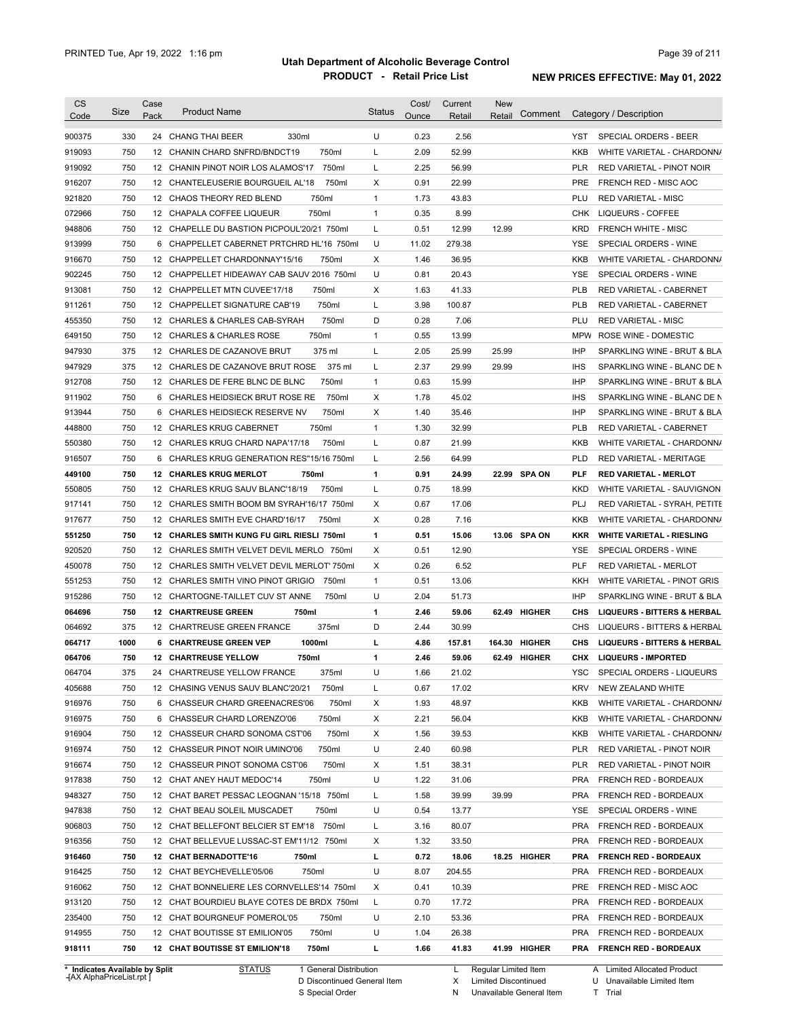| 900375<br>330<br>24 CHANG THAI BEER<br>330ml<br>U<br>0.23<br>2.56<br>SPECIAL ORDERS - BEER<br>YST<br>52.99<br>919093<br>750<br>12 CHANIN CHARD SNFRD/BNDCT19<br>750ml<br>Г<br>2.09<br><b>KKB</b><br>WHITE VARIETAL - CHARDONN/<br>750<br>750ml<br>2.25<br>56.99<br><b>PLR</b><br>919092<br>12 CHANIN PINOT NOIR LOS ALAMOS'17<br>L<br>RED VARIETAL - PINOT NOIR<br>750<br>750ml<br>X<br>0.91<br>22.99<br><b>PRE</b><br>916207<br>12 CHANTELEUSERIE BOURGUEIL AL'18<br><b>FRENCH RED - MISC AOC</b><br>750<br>750ml<br>$\mathbf{1}$<br>1.73<br>43.83<br>PLU<br><b>RED VARIETAL - MISC</b><br>921820<br>12 CHAOS THEORY RED BLEND<br>750<br>12 CHAPALA COFFEE LIQUEUR<br>750ml<br>$\mathbf{1}$<br>0.35<br>8.99<br><b>LIQUEURS - COFFEE</b><br>072966<br>CHK<br>750<br>L<br>0.51<br>12.99<br>12.99<br>948806<br>12 CHAPELLE DU BASTION PICPOUL'20/21 750ml<br><b>KRD</b><br><b>FRENCH WHITE - MISC</b><br>750<br>U<br>CHAPPELLET CABERNET PRTCHRD HL'16 750ml<br>11.02<br>279.38<br>913999<br><b>YSE</b><br>SPECIAL ORDERS - WINE<br>6<br>750<br>X<br>1.46<br>36.95<br>916670<br>12 CHAPPELLET CHARDONNAY'15/16<br>750ml<br><b>KKB</b><br>WHITE VARIETAL - CHARDONN/<br>750<br>U<br>0.81<br>20.43<br>12 CHAPPELLET HIDEAWAY CAB SAUV 2016 750ml<br><b>YSE</b><br>SPECIAL ORDERS - WINE<br>750<br>750ml<br>Х<br>1.63<br>41.33<br><b>PLB</b><br>12 CHAPPELLET MTN CUVEE'17/18<br>RED VARIETAL - CABERNET<br>750<br>3.98<br>750ml<br>L<br>100.87<br><b>PLB</b><br>12 CHAPPELLET SIGNATURE CAB'19<br>RED VARIETAL - CABERNET<br>750<br>D<br>0.28<br>750ml<br>7.06<br>PLU<br><b>RED VARIETAL - MISC</b><br>12 CHARLES & CHARLES CAB-SYRAH<br>750<br>750ml<br>$\mathbf{1}$<br>0.55<br>13.99<br><b>MPW</b><br>12 CHARLES & CHARLES ROSE<br>ROSE WINE - DOMESTIC<br>375<br>Г<br>2.05<br>25.99<br>25.99<br><b>IHP</b><br>12 CHARLES DE CAZANOVE BRUT<br>375 ml<br>375<br>375 ml<br>Г<br>2.37<br>29.99<br>29.99<br><b>IHS</b><br>12 CHARLES DE CAZANOVE BRUT ROSE<br>750<br>750ml<br>$\mathbf{1}$<br>0.63<br>15.99<br><b>IHP</b><br>12 CHARLES DE FERE BLNC DE BLNC<br>750<br>750ml<br>X<br>1.78<br>45.02<br>6 CHARLES HEIDSIECK BRUT ROSE RE<br><b>IHS</b><br>750<br>750ml<br>X<br>1.40<br>35.46<br><b>IHP</b><br>6<br>CHARLES HEIDSIECK RESERVE NV<br>750<br>750ml<br>$\mathbf{1}$<br>1.30<br>32.99<br><b>PLB</b><br>12 CHARLES KRUG CABERNET<br>RED VARIETAL - CABERNET<br>750<br>Г<br>0.87<br>21.99<br>12 CHARLES KRUG CHARD NAPA'17/18<br>750ml<br>KKB<br>750<br>6<br>CHARLES KRUG GENERATION RES"15/16 750ml<br>L<br>2.56<br>64.99<br><b>PLD</b><br><b>RED VARIETAL - MERITAGE</b><br>750<br>750ml<br>1<br>0.91<br>24.99<br>22.99 SPA ON<br><b>12 CHARLES KRUG MERLOT</b><br><b>PLF</b><br><b>RED VARIETAL - MERLOT</b><br>750<br>L<br>18.99<br>12 <sup>2</sup><br>CHARLES KRUG SAUV BLANC'18/19<br>750ml<br>0.75<br><b>KKD</b><br>750<br>12 CHARLES SMITH BOOM BM SYRAH'16/17 750ml<br>X<br>0.67<br>17.06<br>PLJ<br>750<br>X<br>0.28<br>12 CHARLES SMITH EVE CHARD'16/17<br>750ml<br>7.16<br>KKB<br>750<br>1<br>12 CHARLES SMITH KUNG FU GIRL RIESLI 750ml<br>0.51<br>15.06<br>13.06 SPA ON<br><b>KKR</b><br><b>WHITE VARIETAL - RIESLING</b><br>920520<br>750<br>X<br>0.51<br>12.90<br><b>YSE</b><br>12 CHARLES SMITH VELVET DEVIL MERLO 750ml<br>SPECIAL ORDERS - WINE<br>450078<br>750<br>X<br>0.26<br>6.52<br><b>PLF</b><br>12 CHARLES SMITH VELVET DEVIL MERLOT' 750ml<br><b>RED VARIETAL - MERLOT</b><br>551253<br>750<br>$\mathbf{1}$<br>0.51<br>13.06<br><b>KKH</b><br>12 CHARLES SMITH VINO PINOT GRIGIO<br>750ml<br>WHITE VARIETAL - PINOT GRIS<br>915286<br>750<br>750ml<br>U<br>2.04<br>51.73<br><b>IHP</b><br>12 CHARTOGNE-TAILLET CUV ST ANNE<br>SPARKLING WINE - BRUT & BLA<br>064696<br>750<br>750ml<br>1<br>2.46<br>59.06<br>62.49 HIGHER<br>CHS<br><b>12 CHARTREUSE GREEN</b><br><b>LIQUEURS - BITTERS &amp; HERBAL</b><br>375<br>375ml<br>D<br>2.44<br>30.99<br>064692<br>12 CHARTREUSE GREEN FRANCE<br><b>CHS</b><br>LIQUEURS - BITTERS & HERBAL<br>064717<br>1000<br>1000ml<br>г<br>4.86<br>164.30 HIGHER<br>CHS<br>6 CHARTREUSE GREEN VEP<br>157.81<br><b>LIQUEURS - BITTERS &amp; HERBAL</b><br>064706<br>750<br>12 CHARTREUSE YELLOW<br>750ml<br>2.46<br>59.06<br>62.49 HIGHER<br><b>LIQUEURS - IMPORTED</b><br>1<br>CHX<br>064704<br>375<br>24 CHARTREUSE YELLOW FRANCE<br>375ml<br>U<br>1.66<br>SPECIAL ORDERS - LIQUEURS<br>21.02<br>YSC<br>17.02<br><b>KRV</b><br>405688<br>750<br>12 CHASING VENUS SAUV BLANC'20/21<br>750ml<br>L<br>0.67<br>NEW ZEALAND WHITE<br>916976<br>750<br>750ml<br>48.97<br>6 CHASSEUR CHARD GREENACRES'06<br>Х<br>1.93<br>KKB<br>WHITE VARIETAL - CHARDONN/<br>916975<br>750<br>750ml<br>56.04<br>6 CHASSEUR CHARD LORENZO'06<br>Х<br>2.21<br>KKB<br>WHITE VARIETAL - CHARDONN/<br>12 CHASSEUR CHARD SONOMA CST'06<br>750ml<br>39.53<br>750<br>Х<br>1.56<br>KKB<br>U<br>750<br>750ml<br>60.98<br><b>PLR</b><br>12 CHASSEUR PINOT NOIR UMINO'06<br>2.40<br>RED VARIETAL - PINOT NOIR<br>750<br>750ml<br>38.31<br>12 CHASSEUR PINOT SONOMA CST'06<br>Х<br>1.51<br>PLR<br>RED VARIETAL - PINOT NOIR<br>750<br>U<br>1.22<br>12 CHAT ANEY HAUT MEDOC'14<br>750ml<br>31.06<br><b>PRA</b><br>FRENCH RED - BORDEAUX<br>750<br>12 CHAT BARET PESSAC LEOGNAN '15/18 750ml<br>39.99<br>39.99<br><b>PRA</b><br>FRENCH RED - BORDEAUX<br>L<br>1.58<br>750<br>U<br>13.77<br>12 CHAT BEAU SOLEIL MUSCADET<br>750ml<br>0.54<br>YSE<br>SPECIAL ORDERS - WINE<br>750<br>12 CHAT BELLEFONT BELCIER ST EM'18 750ml<br>80.07<br><b>PRA</b><br>L<br>3.16<br>FRENCH RED - BORDEAUX<br>33.50<br>750<br>12 CHAT BELLEVUE LUSSAC-ST EM'11/12 750ml<br>Х<br>1.32<br><b>PRA</b><br>FRENCH RED - BORDEAUX<br>L<br>18.06<br>750<br>12 CHAT BERNADOTTE'16<br>750ml<br>0.72<br>18.25 HIGHER<br><b>PRA</b><br><b>FRENCH RED - BORDEAUX</b><br>750ml<br>U<br>750<br>12 CHAT BEYCHEVELLE'05/06<br>8.07<br>204.55<br>PRA<br>FRENCH RED - BORDEAUX<br>Χ<br>10.39<br>750<br>12 CHAT BONNELIERE LES CORNVELLES'14 750ml<br>0.41<br>PRE<br>FRENCH RED - MISC AOC<br>17.72<br>750<br>12 CHAT BOURDIEU BLAYE COTES DE BRDX 750ml<br>L<br>0.70<br>PRA<br>FRENCH RED - BORDEAUX<br>U<br>750<br>12 CHAT BOURGNEUF POMEROL'05<br>750ml<br>2.10<br>53.36<br>PRA<br><b>FRENCH RED - BORDEAUX</b><br>750ml<br>U<br>26.38<br>750<br>12 CHAT BOUTISSE ST EMILION'05<br>1.04<br>PRA<br>FRENCH RED - BORDEAUX<br>750<br>12 CHAT BOUTISSE ST EMILION'18<br>750ml<br>L<br>1.66<br>41.83<br>41.99 HIGHER<br>PRA FRENCH RED - BORDEAUX<br>* Indicates Available by Split<br>1 General Distribution | <b>CS</b><br>Code | Size | Case<br>Pack | <b>Product Name</b> | <b>Status</b> | Cost/<br>Ounce | Current<br>Retail | New<br>Comment<br>Retail | Category / Description       |
|--------------------------------------------------------------------------------------------------------------------------------------------------------------------------------------------------------------------------------------------------------------------------------------------------------------------------------------------------------------------------------------------------------------------------------------------------------------------------------------------------------------------------------------------------------------------------------------------------------------------------------------------------------------------------------------------------------------------------------------------------------------------------------------------------------------------------------------------------------------------------------------------------------------------------------------------------------------------------------------------------------------------------------------------------------------------------------------------------------------------------------------------------------------------------------------------------------------------------------------------------------------------------------------------------------------------------------------------------------------------------------------------------------------------------------------------------------------------------------------------------------------------------------------------------------------------------------------------------------------------------------------------------------------------------------------------------------------------------------------------------------------------------------------------------------------------------------------------------------------------------------------------------------------------------------------------------------------------------------------------------------------------------------------------------------------------------------------------------------------------------------------------------------------------------------------------------------------------------------------------------------------------------------------------------------------------------------------------------------------------------------------------------------------------------------------------------------------------------------------------------------------------------------------------------------------------------------------------------------------------------------------------------------------------------------------------------------------------------------------------------------------------------------------------------------------------------------------------------------------------------------------------------------------------------------------------------------------------------------------------------------------------------------------------------------------------------------------------------------------------------------------------------------------------------------------------------------------------------------------------------------------------------------------------------------------------------------------------------------------------------------------------------------------------------------------------------------------------------------------------------------------------------------------------------------------------------------------------------------------------------------------------------------------------------------------------------------------------------------------------------------------------------------------------------------------------------------------------------------------------------------------------------------------------------------------------------------------------------------------------------------------------------------------------------------------------------------------------------------------------------------------------------------------------------------------------------------------------------------------------------------------------------------------------------------------------------------------------------------------------------------------------------------------------------------------------------------------------------------------------------------------------------------------------------------------------------------------------------------------------------------------------------------------------------------------------------------------------------------------------------------------------------------------------------------------------------------------------------------------------------------------------------------------------------------------------------------------------------------------------------------------------------------------------------------------------------------------------------------------------------------------------------------------------------------------------------------------------------------------------------------------------------------------------------------------------------------------------------------------------------------------------------------------------------------------------------------------------------------------------------------------------------------------------------------------------------------------------------------------------------------------------------------------------------------------------------------------------------------------------------------------------------------------------------------------------------------------------------------------------------------------------------------------------------------------------------------------------------------------------------------------------------------------------------------------------------------------------------------------------------------------------------------------------------------------------------------------------------------------------------------------------------------------------------------------------------------------------------------------------------------------------------------------------------------------------------------------------------------------------|-------------------|------|--------------|---------------------|---------------|----------------|-------------------|--------------------------|------------------------------|
|                                                                                                                                                                                                                                                                                                                                                                                                                                                                                                                                                                                                                                                                                                                                                                                                                                                                                                                                                                                                                                                                                                                                                                                                                                                                                                                                                                                                                                                                                                                                                                                                                                                                                                                                                                                                                                                                                                                                                                                                                                                                                                                                                                                                                                                                                                                                                                                                                                                                                                                                                                                                                                                                                                                                                                                                                                                                                                                                                                                                                                                                                                                                                                                                                                                                                                                                                                                                                                                                                                                                                                                                                                                                                                                                                                                                                                                                                                                                                                                                                                                                                                                                                                                                                                                                                                                                                                                                                                                                                                                                                                                                                                                                                                                                                                                                                                                                                                                                                                                                                                                                                                                                                                                                                                                                                                                                                                                                                                                                                                                                                                                                                                                                                                                                                                                                                                                                                                                                                                                                                                                                                                                                                                                                                                                                                                                                                                                                                                                                                            |                   |      |              |                     |               |                |                   |                          |                              |
|                                                                                                                                                                                                                                                                                                                                                                                                                                                                                                                                                                                                                                                                                                                                                                                                                                                                                                                                                                                                                                                                                                                                                                                                                                                                                                                                                                                                                                                                                                                                                                                                                                                                                                                                                                                                                                                                                                                                                                                                                                                                                                                                                                                                                                                                                                                                                                                                                                                                                                                                                                                                                                                                                                                                                                                                                                                                                                                                                                                                                                                                                                                                                                                                                                                                                                                                                                                                                                                                                                                                                                                                                                                                                                                                                                                                                                                                                                                                                                                                                                                                                                                                                                                                                                                                                                                                                                                                                                                                                                                                                                                                                                                                                                                                                                                                                                                                                                                                                                                                                                                                                                                                                                                                                                                                                                                                                                                                                                                                                                                                                                                                                                                                                                                                                                                                                                                                                                                                                                                                                                                                                                                                                                                                                                                                                                                                                                                                                                                                                            |                   |      |              |                     |               |                |                   |                          |                              |
|                                                                                                                                                                                                                                                                                                                                                                                                                                                                                                                                                                                                                                                                                                                                                                                                                                                                                                                                                                                                                                                                                                                                                                                                                                                                                                                                                                                                                                                                                                                                                                                                                                                                                                                                                                                                                                                                                                                                                                                                                                                                                                                                                                                                                                                                                                                                                                                                                                                                                                                                                                                                                                                                                                                                                                                                                                                                                                                                                                                                                                                                                                                                                                                                                                                                                                                                                                                                                                                                                                                                                                                                                                                                                                                                                                                                                                                                                                                                                                                                                                                                                                                                                                                                                                                                                                                                                                                                                                                                                                                                                                                                                                                                                                                                                                                                                                                                                                                                                                                                                                                                                                                                                                                                                                                                                                                                                                                                                                                                                                                                                                                                                                                                                                                                                                                                                                                                                                                                                                                                                                                                                                                                                                                                                                                                                                                                                                                                                                                                                            |                   |      |              |                     |               |                |                   |                          |                              |
|                                                                                                                                                                                                                                                                                                                                                                                                                                                                                                                                                                                                                                                                                                                                                                                                                                                                                                                                                                                                                                                                                                                                                                                                                                                                                                                                                                                                                                                                                                                                                                                                                                                                                                                                                                                                                                                                                                                                                                                                                                                                                                                                                                                                                                                                                                                                                                                                                                                                                                                                                                                                                                                                                                                                                                                                                                                                                                                                                                                                                                                                                                                                                                                                                                                                                                                                                                                                                                                                                                                                                                                                                                                                                                                                                                                                                                                                                                                                                                                                                                                                                                                                                                                                                                                                                                                                                                                                                                                                                                                                                                                                                                                                                                                                                                                                                                                                                                                                                                                                                                                                                                                                                                                                                                                                                                                                                                                                                                                                                                                                                                                                                                                                                                                                                                                                                                                                                                                                                                                                                                                                                                                                                                                                                                                                                                                                                                                                                                                                                            |                   |      |              |                     |               |                |                   |                          |                              |
|                                                                                                                                                                                                                                                                                                                                                                                                                                                                                                                                                                                                                                                                                                                                                                                                                                                                                                                                                                                                                                                                                                                                                                                                                                                                                                                                                                                                                                                                                                                                                                                                                                                                                                                                                                                                                                                                                                                                                                                                                                                                                                                                                                                                                                                                                                                                                                                                                                                                                                                                                                                                                                                                                                                                                                                                                                                                                                                                                                                                                                                                                                                                                                                                                                                                                                                                                                                                                                                                                                                                                                                                                                                                                                                                                                                                                                                                                                                                                                                                                                                                                                                                                                                                                                                                                                                                                                                                                                                                                                                                                                                                                                                                                                                                                                                                                                                                                                                                                                                                                                                                                                                                                                                                                                                                                                                                                                                                                                                                                                                                                                                                                                                                                                                                                                                                                                                                                                                                                                                                                                                                                                                                                                                                                                                                                                                                                                                                                                                                                            |                   |      |              |                     |               |                |                   |                          |                              |
|                                                                                                                                                                                                                                                                                                                                                                                                                                                                                                                                                                                                                                                                                                                                                                                                                                                                                                                                                                                                                                                                                                                                                                                                                                                                                                                                                                                                                                                                                                                                                                                                                                                                                                                                                                                                                                                                                                                                                                                                                                                                                                                                                                                                                                                                                                                                                                                                                                                                                                                                                                                                                                                                                                                                                                                                                                                                                                                                                                                                                                                                                                                                                                                                                                                                                                                                                                                                                                                                                                                                                                                                                                                                                                                                                                                                                                                                                                                                                                                                                                                                                                                                                                                                                                                                                                                                                                                                                                                                                                                                                                                                                                                                                                                                                                                                                                                                                                                                                                                                                                                                                                                                                                                                                                                                                                                                                                                                                                                                                                                                                                                                                                                                                                                                                                                                                                                                                                                                                                                                                                                                                                                                                                                                                                                                                                                                                                                                                                                                                            |                   |      |              |                     |               |                |                   |                          |                              |
|                                                                                                                                                                                                                                                                                                                                                                                                                                                                                                                                                                                                                                                                                                                                                                                                                                                                                                                                                                                                                                                                                                                                                                                                                                                                                                                                                                                                                                                                                                                                                                                                                                                                                                                                                                                                                                                                                                                                                                                                                                                                                                                                                                                                                                                                                                                                                                                                                                                                                                                                                                                                                                                                                                                                                                                                                                                                                                                                                                                                                                                                                                                                                                                                                                                                                                                                                                                                                                                                                                                                                                                                                                                                                                                                                                                                                                                                                                                                                                                                                                                                                                                                                                                                                                                                                                                                                                                                                                                                                                                                                                                                                                                                                                                                                                                                                                                                                                                                                                                                                                                                                                                                                                                                                                                                                                                                                                                                                                                                                                                                                                                                                                                                                                                                                                                                                                                                                                                                                                                                                                                                                                                                                                                                                                                                                                                                                                                                                                                                                            |                   |      |              |                     |               |                |                   |                          |                              |
|                                                                                                                                                                                                                                                                                                                                                                                                                                                                                                                                                                                                                                                                                                                                                                                                                                                                                                                                                                                                                                                                                                                                                                                                                                                                                                                                                                                                                                                                                                                                                                                                                                                                                                                                                                                                                                                                                                                                                                                                                                                                                                                                                                                                                                                                                                                                                                                                                                                                                                                                                                                                                                                                                                                                                                                                                                                                                                                                                                                                                                                                                                                                                                                                                                                                                                                                                                                                                                                                                                                                                                                                                                                                                                                                                                                                                                                                                                                                                                                                                                                                                                                                                                                                                                                                                                                                                                                                                                                                                                                                                                                                                                                                                                                                                                                                                                                                                                                                                                                                                                                                                                                                                                                                                                                                                                                                                                                                                                                                                                                                                                                                                                                                                                                                                                                                                                                                                                                                                                                                                                                                                                                                                                                                                                                                                                                                                                                                                                                                                            |                   |      |              |                     |               |                |                   |                          |                              |
|                                                                                                                                                                                                                                                                                                                                                                                                                                                                                                                                                                                                                                                                                                                                                                                                                                                                                                                                                                                                                                                                                                                                                                                                                                                                                                                                                                                                                                                                                                                                                                                                                                                                                                                                                                                                                                                                                                                                                                                                                                                                                                                                                                                                                                                                                                                                                                                                                                                                                                                                                                                                                                                                                                                                                                                                                                                                                                                                                                                                                                                                                                                                                                                                                                                                                                                                                                                                                                                                                                                                                                                                                                                                                                                                                                                                                                                                                                                                                                                                                                                                                                                                                                                                                                                                                                                                                                                                                                                                                                                                                                                                                                                                                                                                                                                                                                                                                                                                                                                                                                                                                                                                                                                                                                                                                                                                                                                                                                                                                                                                                                                                                                                                                                                                                                                                                                                                                                                                                                                                                                                                                                                                                                                                                                                                                                                                                                                                                                                                                            |                   |      |              |                     |               |                |                   |                          |                              |
|                                                                                                                                                                                                                                                                                                                                                                                                                                                                                                                                                                                                                                                                                                                                                                                                                                                                                                                                                                                                                                                                                                                                                                                                                                                                                                                                                                                                                                                                                                                                                                                                                                                                                                                                                                                                                                                                                                                                                                                                                                                                                                                                                                                                                                                                                                                                                                                                                                                                                                                                                                                                                                                                                                                                                                                                                                                                                                                                                                                                                                                                                                                                                                                                                                                                                                                                                                                                                                                                                                                                                                                                                                                                                                                                                                                                                                                                                                                                                                                                                                                                                                                                                                                                                                                                                                                                                                                                                                                                                                                                                                                                                                                                                                                                                                                                                                                                                                                                                                                                                                                                                                                                                                                                                                                                                                                                                                                                                                                                                                                                                                                                                                                                                                                                                                                                                                                                                                                                                                                                                                                                                                                                                                                                                                                                                                                                                                                                                                                                                            |                   |      |              |                     |               |                |                   |                          |                              |
|                                                                                                                                                                                                                                                                                                                                                                                                                                                                                                                                                                                                                                                                                                                                                                                                                                                                                                                                                                                                                                                                                                                                                                                                                                                                                                                                                                                                                                                                                                                                                                                                                                                                                                                                                                                                                                                                                                                                                                                                                                                                                                                                                                                                                                                                                                                                                                                                                                                                                                                                                                                                                                                                                                                                                                                                                                                                                                                                                                                                                                                                                                                                                                                                                                                                                                                                                                                                                                                                                                                                                                                                                                                                                                                                                                                                                                                                                                                                                                                                                                                                                                                                                                                                                                                                                                                                                                                                                                                                                                                                                                                                                                                                                                                                                                                                                                                                                                                                                                                                                                                                                                                                                                                                                                                                                                                                                                                                                                                                                                                                                                                                                                                                                                                                                                                                                                                                                                                                                                                                                                                                                                                                                                                                                                                                                                                                                                                                                                                                                            | 902245            |      |              |                     |               |                |                   |                          |                              |
|                                                                                                                                                                                                                                                                                                                                                                                                                                                                                                                                                                                                                                                                                                                                                                                                                                                                                                                                                                                                                                                                                                                                                                                                                                                                                                                                                                                                                                                                                                                                                                                                                                                                                                                                                                                                                                                                                                                                                                                                                                                                                                                                                                                                                                                                                                                                                                                                                                                                                                                                                                                                                                                                                                                                                                                                                                                                                                                                                                                                                                                                                                                                                                                                                                                                                                                                                                                                                                                                                                                                                                                                                                                                                                                                                                                                                                                                                                                                                                                                                                                                                                                                                                                                                                                                                                                                                                                                                                                                                                                                                                                                                                                                                                                                                                                                                                                                                                                                                                                                                                                                                                                                                                                                                                                                                                                                                                                                                                                                                                                                                                                                                                                                                                                                                                                                                                                                                                                                                                                                                                                                                                                                                                                                                                                                                                                                                                                                                                                                                            | 913081            |      |              |                     |               |                |                   |                          |                              |
|                                                                                                                                                                                                                                                                                                                                                                                                                                                                                                                                                                                                                                                                                                                                                                                                                                                                                                                                                                                                                                                                                                                                                                                                                                                                                                                                                                                                                                                                                                                                                                                                                                                                                                                                                                                                                                                                                                                                                                                                                                                                                                                                                                                                                                                                                                                                                                                                                                                                                                                                                                                                                                                                                                                                                                                                                                                                                                                                                                                                                                                                                                                                                                                                                                                                                                                                                                                                                                                                                                                                                                                                                                                                                                                                                                                                                                                                                                                                                                                                                                                                                                                                                                                                                                                                                                                                                                                                                                                                                                                                                                                                                                                                                                                                                                                                                                                                                                                                                                                                                                                                                                                                                                                                                                                                                                                                                                                                                                                                                                                                                                                                                                                                                                                                                                                                                                                                                                                                                                                                                                                                                                                                                                                                                                                                                                                                                                                                                                                                                            | 911261            |      |              |                     |               |                |                   |                          |                              |
|                                                                                                                                                                                                                                                                                                                                                                                                                                                                                                                                                                                                                                                                                                                                                                                                                                                                                                                                                                                                                                                                                                                                                                                                                                                                                                                                                                                                                                                                                                                                                                                                                                                                                                                                                                                                                                                                                                                                                                                                                                                                                                                                                                                                                                                                                                                                                                                                                                                                                                                                                                                                                                                                                                                                                                                                                                                                                                                                                                                                                                                                                                                                                                                                                                                                                                                                                                                                                                                                                                                                                                                                                                                                                                                                                                                                                                                                                                                                                                                                                                                                                                                                                                                                                                                                                                                                                                                                                                                                                                                                                                                                                                                                                                                                                                                                                                                                                                                                                                                                                                                                                                                                                                                                                                                                                                                                                                                                                                                                                                                                                                                                                                                                                                                                                                                                                                                                                                                                                                                                                                                                                                                                                                                                                                                                                                                                                                                                                                                                                            | 455350            |      |              |                     |               |                |                   |                          |                              |
|                                                                                                                                                                                                                                                                                                                                                                                                                                                                                                                                                                                                                                                                                                                                                                                                                                                                                                                                                                                                                                                                                                                                                                                                                                                                                                                                                                                                                                                                                                                                                                                                                                                                                                                                                                                                                                                                                                                                                                                                                                                                                                                                                                                                                                                                                                                                                                                                                                                                                                                                                                                                                                                                                                                                                                                                                                                                                                                                                                                                                                                                                                                                                                                                                                                                                                                                                                                                                                                                                                                                                                                                                                                                                                                                                                                                                                                                                                                                                                                                                                                                                                                                                                                                                                                                                                                                                                                                                                                                                                                                                                                                                                                                                                                                                                                                                                                                                                                                                                                                                                                                                                                                                                                                                                                                                                                                                                                                                                                                                                                                                                                                                                                                                                                                                                                                                                                                                                                                                                                                                                                                                                                                                                                                                                                                                                                                                                                                                                                                                            | 649150            |      |              |                     |               |                |                   |                          |                              |
|                                                                                                                                                                                                                                                                                                                                                                                                                                                                                                                                                                                                                                                                                                                                                                                                                                                                                                                                                                                                                                                                                                                                                                                                                                                                                                                                                                                                                                                                                                                                                                                                                                                                                                                                                                                                                                                                                                                                                                                                                                                                                                                                                                                                                                                                                                                                                                                                                                                                                                                                                                                                                                                                                                                                                                                                                                                                                                                                                                                                                                                                                                                                                                                                                                                                                                                                                                                                                                                                                                                                                                                                                                                                                                                                                                                                                                                                                                                                                                                                                                                                                                                                                                                                                                                                                                                                                                                                                                                                                                                                                                                                                                                                                                                                                                                                                                                                                                                                                                                                                                                                                                                                                                                                                                                                                                                                                                                                                                                                                                                                                                                                                                                                                                                                                                                                                                                                                                                                                                                                                                                                                                                                                                                                                                                                                                                                                                                                                                                                                            | 947930            |      |              |                     |               |                |                   |                          | SPARKLING WINE - BRUT & BLA  |
|                                                                                                                                                                                                                                                                                                                                                                                                                                                                                                                                                                                                                                                                                                                                                                                                                                                                                                                                                                                                                                                                                                                                                                                                                                                                                                                                                                                                                                                                                                                                                                                                                                                                                                                                                                                                                                                                                                                                                                                                                                                                                                                                                                                                                                                                                                                                                                                                                                                                                                                                                                                                                                                                                                                                                                                                                                                                                                                                                                                                                                                                                                                                                                                                                                                                                                                                                                                                                                                                                                                                                                                                                                                                                                                                                                                                                                                                                                                                                                                                                                                                                                                                                                                                                                                                                                                                                                                                                                                                                                                                                                                                                                                                                                                                                                                                                                                                                                                                                                                                                                                                                                                                                                                                                                                                                                                                                                                                                                                                                                                                                                                                                                                                                                                                                                                                                                                                                                                                                                                                                                                                                                                                                                                                                                                                                                                                                                                                                                                                                            | 947929            |      |              |                     |               |                |                   |                          | SPARKLING WINE - BLANC DE N  |
|                                                                                                                                                                                                                                                                                                                                                                                                                                                                                                                                                                                                                                                                                                                                                                                                                                                                                                                                                                                                                                                                                                                                                                                                                                                                                                                                                                                                                                                                                                                                                                                                                                                                                                                                                                                                                                                                                                                                                                                                                                                                                                                                                                                                                                                                                                                                                                                                                                                                                                                                                                                                                                                                                                                                                                                                                                                                                                                                                                                                                                                                                                                                                                                                                                                                                                                                                                                                                                                                                                                                                                                                                                                                                                                                                                                                                                                                                                                                                                                                                                                                                                                                                                                                                                                                                                                                                                                                                                                                                                                                                                                                                                                                                                                                                                                                                                                                                                                                                                                                                                                                                                                                                                                                                                                                                                                                                                                                                                                                                                                                                                                                                                                                                                                                                                                                                                                                                                                                                                                                                                                                                                                                                                                                                                                                                                                                                                                                                                                                                            | 912708            |      |              |                     |               |                |                   |                          | SPARKLING WINE - BRUT & BLA  |
|                                                                                                                                                                                                                                                                                                                                                                                                                                                                                                                                                                                                                                                                                                                                                                                                                                                                                                                                                                                                                                                                                                                                                                                                                                                                                                                                                                                                                                                                                                                                                                                                                                                                                                                                                                                                                                                                                                                                                                                                                                                                                                                                                                                                                                                                                                                                                                                                                                                                                                                                                                                                                                                                                                                                                                                                                                                                                                                                                                                                                                                                                                                                                                                                                                                                                                                                                                                                                                                                                                                                                                                                                                                                                                                                                                                                                                                                                                                                                                                                                                                                                                                                                                                                                                                                                                                                                                                                                                                                                                                                                                                                                                                                                                                                                                                                                                                                                                                                                                                                                                                                                                                                                                                                                                                                                                                                                                                                                                                                                                                                                                                                                                                                                                                                                                                                                                                                                                                                                                                                                                                                                                                                                                                                                                                                                                                                                                                                                                                                                            | 911902            |      |              |                     |               |                |                   |                          | SPARKLING WINE - BLANC DE N  |
|                                                                                                                                                                                                                                                                                                                                                                                                                                                                                                                                                                                                                                                                                                                                                                                                                                                                                                                                                                                                                                                                                                                                                                                                                                                                                                                                                                                                                                                                                                                                                                                                                                                                                                                                                                                                                                                                                                                                                                                                                                                                                                                                                                                                                                                                                                                                                                                                                                                                                                                                                                                                                                                                                                                                                                                                                                                                                                                                                                                                                                                                                                                                                                                                                                                                                                                                                                                                                                                                                                                                                                                                                                                                                                                                                                                                                                                                                                                                                                                                                                                                                                                                                                                                                                                                                                                                                                                                                                                                                                                                                                                                                                                                                                                                                                                                                                                                                                                                                                                                                                                                                                                                                                                                                                                                                                                                                                                                                                                                                                                                                                                                                                                                                                                                                                                                                                                                                                                                                                                                                                                                                                                                                                                                                                                                                                                                                                                                                                                                                            | 913944            |      |              |                     |               |                |                   |                          | SPARKLING WINE - BRUT & BLA  |
|                                                                                                                                                                                                                                                                                                                                                                                                                                                                                                                                                                                                                                                                                                                                                                                                                                                                                                                                                                                                                                                                                                                                                                                                                                                                                                                                                                                                                                                                                                                                                                                                                                                                                                                                                                                                                                                                                                                                                                                                                                                                                                                                                                                                                                                                                                                                                                                                                                                                                                                                                                                                                                                                                                                                                                                                                                                                                                                                                                                                                                                                                                                                                                                                                                                                                                                                                                                                                                                                                                                                                                                                                                                                                                                                                                                                                                                                                                                                                                                                                                                                                                                                                                                                                                                                                                                                                                                                                                                                                                                                                                                                                                                                                                                                                                                                                                                                                                                                                                                                                                                                                                                                                                                                                                                                                                                                                                                                                                                                                                                                                                                                                                                                                                                                                                                                                                                                                                                                                                                                                                                                                                                                                                                                                                                                                                                                                                                                                                                                                            | 448800            |      |              |                     |               |                |                   |                          |                              |
|                                                                                                                                                                                                                                                                                                                                                                                                                                                                                                                                                                                                                                                                                                                                                                                                                                                                                                                                                                                                                                                                                                                                                                                                                                                                                                                                                                                                                                                                                                                                                                                                                                                                                                                                                                                                                                                                                                                                                                                                                                                                                                                                                                                                                                                                                                                                                                                                                                                                                                                                                                                                                                                                                                                                                                                                                                                                                                                                                                                                                                                                                                                                                                                                                                                                                                                                                                                                                                                                                                                                                                                                                                                                                                                                                                                                                                                                                                                                                                                                                                                                                                                                                                                                                                                                                                                                                                                                                                                                                                                                                                                                                                                                                                                                                                                                                                                                                                                                                                                                                                                                                                                                                                                                                                                                                                                                                                                                                                                                                                                                                                                                                                                                                                                                                                                                                                                                                                                                                                                                                                                                                                                                                                                                                                                                                                                                                                                                                                                                                            | 550380            |      |              |                     |               |                |                   |                          | WHITE VARIETAL - CHARDONN/   |
|                                                                                                                                                                                                                                                                                                                                                                                                                                                                                                                                                                                                                                                                                                                                                                                                                                                                                                                                                                                                                                                                                                                                                                                                                                                                                                                                                                                                                                                                                                                                                                                                                                                                                                                                                                                                                                                                                                                                                                                                                                                                                                                                                                                                                                                                                                                                                                                                                                                                                                                                                                                                                                                                                                                                                                                                                                                                                                                                                                                                                                                                                                                                                                                                                                                                                                                                                                                                                                                                                                                                                                                                                                                                                                                                                                                                                                                                                                                                                                                                                                                                                                                                                                                                                                                                                                                                                                                                                                                                                                                                                                                                                                                                                                                                                                                                                                                                                                                                                                                                                                                                                                                                                                                                                                                                                                                                                                                                                                                                                                                                                                                                                                                                                                                                                                                                                                                                                                                                                                                                                                                                                                                                                                                                                                                                                                                                                                                                                                                                                            | 916507            |      |              |                     |               |                |                   |                          |                              |
|                                                                                                                                                                                                                                                                                                                                                                                                                                                                                                                                                                                                                                                                                                                                                                                                                                                                                                                                                                                                                                                                                                                                                                                                                                                                                                                                                                                                                                                                                                                                                                                                                                                                                                                                                                                                                                                                                                                                                                                                                                                                                                                                                                                                                                                                                                                                                                                                                                                                                                                                                                                                                                                                                                                                                                                                                                                                                                                                                                                                                                                                                                                                                                                                                                                                                                                                                                                                                                                                                                                                                                                                                                                                                                                                                                                                                                                                                                                                                                                                                                                                                                                                                                                                                                                                                                                                                                                                                                                                                                                                                                                                                                                                                                                                                                                                                                                                                                                                                                                                                                                                                                                                                                                                                                                                                                                                                                                                                                                                                                                                                                                                                                                                                                                                                                                                                                                                                                                                                                                                                                                                                                                                                                                                                                                                                                                                                                                                                                                                                            | 449100            |      |              |                     |               |                |                   |                          |                              |
|                                                                                                                                                                                                                                                                                                                                                                                                                                                                                                                                                                                                                                                                                                                                                                                                                                                                                                                                                                                                                                                                                                                                                                                                                                                                                                                                                                                                                                                                                                                                                                                                                                                                                                                                                                                                                                                                                                                                                                                                                                                                                                                                                                                                                                                                                                                                                                                                                                                                                                                                                                                                                                                                                                                                                                                                                                                                                                                                                                                                                                                                                                                                                                                                                                                                                                                                                                                                                                                                                                                                                                                                                                                                                                                                                                                                                                                                                                                                                                                                                                                                                                                                                                                                                                                                                                                                                                                                                                                                                                                                                                                                                                                                                                                                                                                                                                                                                                                                                                                                                                                                                                                                                                                                                                                                                                                                                                                                                                                                                                                                                                                                                                                                                                                                                                                                                                                                                                                                                                                                                                                                                                                                                                                                                                                                                                                                                                                                                                                                                            | 550805            |      |              |                     |               |                |                   |                          | WHITE VARIETAL - SAUVIGNON   |
|                                                                                                                                                                                                                                                                                                                                                                                                                                                                                                                                                                                                                                                                                                                                                                                                                                                                                                                                                                                                                                                                                                                                                                                                                                                                                                                                                                                                                                                                                                                                                                                                                                                                                                                                                                                                                                                                                                                                                                                                                                                                                                                                                                                                                                                                                                                                                                                                                                                                                                                                                                                                                                                                                                                                                                                                                                                                                                                                                                                                                                                                                                                                                                                                                                                                                                                                                                                                                                                                                                                                                                                                                                                                                                                                                                                                                                                                                                                                                                                                                                                                                                                                                                                                                                                                                                                                                                                                                                                                                                                                                                                                                                                                                                                                                                                                                                                                                                                                                                                                                                                                                                                                                                                                                                                                                                                                                                                                                                                                                                                                                                                                                                                                                                                                                                                                                                                                                                                                                                                                                                                                                                                                                                                                                                                                                                                                                                                                                                                                                            | 917141            |      |              |                     |               |                |                   |                          | RED VARIETAL - SYRAH, PETITE |
|                                                                                                                                                                                                                                                                                                                                                                                                                                                                                                                                                                                                                                                                                                                                                                                                                                                                                                                                                                                                                                                                                                                                                                                                                                                                                                                                                                                                                                                                                                                                                                                                                                                                                                                                                                                                                                                                                                                                                                                                                                                                                                                                                                                                                                                                                                                                                                                                                                                                                                                                                                                                                                                                                                                                                                                                                                                                                                                                                                                                                                                                                                                                                                                                                                                                                                                                                                                                                                                                                                                                                                                                                                                                                                                                                                                                                                                                                                                                                                                                                                                                                                                                                                                                                                                                                                                                                                                                                                                                                                                                                                                                                                                                                                                                                                                                                                                                                                                                                                                                                                                                                                                                                                                                                                                                                                                                                                                                                                                                                                                                                                                                                                                                                                                                                                                                                                                                                                                                                                                                                                                                                                                                                                                                                                                                                                                                                                                                                                                                                            | 917677            |      |              |                     |               |                |                   |                          | WHITE VARIETAL - CHARDONN/   |
|                                                                                                                                                                                                                                                                                                                                                                                                                                                                                                                                                                                                                                                                                                                                                                                                                                                                                                                                                                                                                                                                                                                                                                                                                                                                                                                                                                                                                                                                                                                                                                                                                                                                                                                                                                                                                                                                                                                                                                                                                                                                                                                                                                                                                                                                                                                                                                                                                                                                                                                                                                                                                                                                                                                                                                                                                                                                                                                                                                                                                                                                                                                                                                                                                                                                                                                                                                                                                                                                                                                                                                                                                                                                                                                                                                                                                                                                                                                                                                                                                                                                                                                                                                                                                                                                                                                                                                                                                                                                                                                                                                                                                                                                                                                                                                                                                                                                                                                                                                                                                                                                                                                                                                                                                                                                                                                                                                                                                                                                                                                                                                                                                                                                                                                                                                                                                                                                                                                                                                                                                                                                                                                                                                                                                                                                                                                                                                                                                                                                                            | 551250            |      |              |                     |               |                |                   |                          |                              |
|                                                                                                                                                                                                                                                                                                                                                                                                                                                                                                                                                                                                                                                                                                                                                                                                                                                                                                                                                                                                                                                                                                                                                                                                                                                                                                                                                                                                                                                                                                                                                                                                                                                                                                                                                                                                                                                                                                                                                                                                                                                                                                                                                                                                                                                                                                                                                                                                                                                                                                                                                                                                                                                                                                                                                                                                                                                                                                                                                                                                                                                                                                                                                                                                                                                                                                                                                                                                                                                                                                                                                                                                                                                                                                                                                                                                                                                                                                                                                                                                                                                                                                                                                                                                                                                                                                                                                                                                                                                                                                                                                                                                                                                                                                                                                                                                                                                                                                                                                                                                                                                                                                                                                                                                                                                                                                                                                                                                                                                                                                                                                                                                                                                                                                                                                                                                                                                                                                                                                                                                                                                                                                                                                                                                                                                                                                                                                                                                                                                                                            |                   |      |              |                     |               |                |                   |                          |                              |
|                                                                                                                                                                                                                                                                                                                                                                                                                                                                                                                                                                                                                                                                                                                                                                                                                                                                                                                                                                                                                                                                                                                                                                                                                                                                                                                                                                                                                                                                                                                                                                                                                                                                                                                                                                                                                                                                                                                                                                                                                                                                                                                                                                                                                                                                                                                                                                                                                                                                                                                                                                                                                                                                                                                                                                                                                                                                                                                                                                                                                                                                                                                                                                                                                                                                                                                                                                                                                                                                                                                                                                                                                                                                                                                                                                                                                                                                                                                                                                                                                                                                                                                                                                                                                                                                                                                                                                                                                                                                                                                                                                                                                                                                                                                                                                                                                                                                                                                                                                                                                                                                                                                                                                                                                                                                                                                                                                                                                                                                                                                                                                                                                                                                                                                                                                                                                                                                                                                                                                                                                                                                                                                                                                                                                                                                                                                                                                                                                                                                                            |                   |      |              |                     |               |                |                   |                          |                              |
|                                                                                                                                                                                                                                                                                                                                                                                                                                                                                                                                                                                                                                                                                                                                                                                                                                                                                                                                                                                                                                                                                                                                                                                                                                                                                                                                                                                                                                                                                                                                                                                                                                                                                                                                                                                                                                                                                                                                                                                                                                                                                                                                                                                                                                                                                                                                                                                                                                                                                                                                                                                                                                                                                                                                                                                                                                                                                                                                                                                                                                                                                                                                                                                                                                                                                                                                                                                                                                                                                                                                                                                                                                                                                                                                                                                                                                                                                                                                                                                                                                                                                                                                                                                                                                                                                                                                                                                                                                                                                                                                                                                                                                                                                                                                                                                                                                                                                                                                                                                                                                                                                                                                                                                                                                                                                                                                                                                                                                                                                                                                                                                                                                                                                                                                                                                                                                                                                                                                                                                                                                                                                                                                                                                                                                                                                                                                                                                                                                                                                            |                   |      |              |                     |               |                |                   |                          |                              |
|                                                                                                                                                                                                                                                                                                                                                                                                                                                                                                                                                                                                                                                                                                                                                                                                                                                                                                                                                                                                                                                                                                                                                                                                                                                                                                                                                                                                                                                                                                                                                                                                                                                                                                                                                                                                                                                                                                                                                                                                                                                                                                                                                                                                                                                                                                                                                                                                                                                                                                                                                                                                                                                                                                                                                                                                                                                                                                                                                                                                                                                                                                                                                                                                                                                                                                                                                                                                                                                                                                                                                                                                                                                                                                                                                                                                                                                                                                                                                                                                                                                                                                                                                                                                                                                                                                                                                                                                                                                                                                                                                                                                                                                                                                                                                                                                                                                                                                                                                                                                                                                                                                                                                                                                                                                                                                                                                                                                                                                                                                                                                                                                                                                                                                                                                                                                                                                                                                                                                                                                                                                                                                                                                                                                                                                                                                                                                                                                                                                                                            |                   |      |              |                     |               |                |                   |                          |                              |
|                                                                                                                                                                                                                                                                                                                                                                                                                                                                                                                                                                                                                                                                                                                                                                                                                                                                                                                                                                                                                                                                                                                                                                                                                                                                                                                                                                                                                                                                                                                                                                                                                                                                                                                                                                                                                                                                                                                                                                                                                                                                                                                                                                                                                                                                                                                                                                                                                                                                                                                                                                                                                                                                                                                                                                                                                                                                                                                                                                                                                                                                                                                                                                                                                                                                                                                                                                                                                                                                                                                                                                                                                                                                                                                                                                                                                                                                                                                                                                                                                                                                                                                                                                                                                                                                                                                                                                                                                                                                                                                                                                                                                                                                                                                                                                                                                                                                                                                                                                                                                                                                                                                                                                                                                                                                                                                                                                                                                                                                                                                                                                                                                                                                                                                                                                                                                                                                                                                                                                                                                                                                                                                                                                                                                                                                                                                                                                                                                                                                                            |                   |      |              |                     |               |                |                   |                          |                              |
|                                                                                                                                                                                                                                                                                                                                                                                                                                                                                                                                                                                                                                                                                                                                                                                                                                                                                                                                                                                                                                                                                                                                                                                                                                                                                                                                                                                                                                                                                                                                                                                                                                                                                                                                                                                                                                                                                                                                                                                                                                                                                                                                                                                                                                                                                                                                                                                                                                                                                                                                                                                                                                                                                                                                                                                                                                                                                                                                                                                                                                                                                                                                                                                                                                                                                                                                                                                                                                                                                                                                                                                                                                                                                                                                                                                                                                                                                                                                                                                                                                                                                                                                                                                                                                                                                                                                                                                                                                                                                                                                                                                                                                                                                                                                                                                                                                                                                                                                                                                                                                                                                                                                                                                                                                                                                                                                                                                                                                                                                                                                                                                                                                                                                                                                                                                                                                                                                                                                                                                                                                                                                                                                                                                                                                                                                                                                                                                                                                                                                            |                   |      |              |                     |               |                |                   |                          |                              |
|                                                                                                                                                                                                                                                                                                                                                                                                                                                                                                                                                                                                                                                                                                                                                                                                                                                                                                                                                                                                                                                                                                                                                                                                                                                                                                                                                                                                                                                                                                                                                                                                                                                                                                                                                                                                                                                                                                                                                                                                                                                                                                                                                                                                                                                                                                                                                                                                                                                                                                                                                                                                                                                                                                                                                                                                                                                                                                                                                                                                                                                                                                                                                                                                                                                                                                                                                                                                                                                                                                                                                                                                                                                                                                                                                                                                                                                                                                                                                                                                                                                                                                                                                                                                                                                                                                                                                                                                                                                                                                                                                                                                                                                                                                                                                                                                                                                                                                                                                                                                                                                                                                                                                                                                                                                                                                                                                                                                                                                                                                                                                                                                                                                                                                                                                                                                                                                                                                                                                                                                                                                                                                                                                                                                                                                                                                                                                                                                                                                                                            |                   |      |              |                     |               |                |                   |                          |                              |
|                                                                                                                                                                                                                                                                                                                                                                                                                                                                                                                                                                                                                                                                                                                                                                                                                                                                                                                                                                                                                                                                                                                                                                                                                                                                                                                                                                                                                                                                                                                                                                                                                                                                                                                                                                                                                                                                                                                                                                                                                                                                                                                                                                                                                                                                                                                                                                                                                                                                                                                                                                                                                                                                                                                                                                                                                                                                                                                                                                                                                                                                                                                                                                                                                                                                                                                                                                                                                                                                                                                                                                                                                                                                                                                                                                                                                                                                                                                                                                                                                                                                                                                                                                                                                                                                                                                                                                                                                                                                                                                                                                                                                                                                                                                                                                                                                                                                                                                                                                                                                                                                                                                                                                                                                                                                                                                                                                                                                                                                                                                                                                                                                                                                                                                                                                                                                                                                                                                                                                                                                                                                                                                                                                                                                                                                                                                                                                                                                                                                                            |                   |      |              |                     |               |                |                   |                          |                              |
|                                                                                                                                                                                                                                                                                                                                                                                                                                                                                                                                                                                                                                                                                                                                                                                                                                                                                                                                                                                                                                                                                                                                                                                                                                                                                                                                                                                                                                                                                                                                                                                                                                                                                                                                                                                                                                                                                                                                                                                                                                                                                                                                                                                                                                                                                                                                                                                                                                                                                                                                                                                                                                                                                                                                                                                                                                                                                                                                                                                                                                                                                                                                                                                                                                                                                                                                                                                                                                                                                                                                                                                                                                                                                                                                                                                                                                                                                                                                                                                                                                                                                                                                                                                                                                                                                                                                                                                                                                                                                                                                                                                                                                                                                                                                                                                                                                                                                                                                                                                                                                                                                                                                                                                                                                                                                                                                                                                                                                                                                                                                                                                                                                                                                                                                                                                                                                                                                                                                                                                                                                                                                                                                                                                                                                                                                                                                                                                                                                                                                            |                   |      |              |                     |               |                |                   |                          |                              |
|                                                                                                                                                                                                                                                                                                                                                                                                                                                                                                                                                                                                                                                                                                                                                                                                                                                                                                                                                                                                                                                                                                                                                                                                                                                                                                                                                                                                                                                                                                                                                                                                                                                                                                                                                                                                                                                                                                                                                                                                                                                                                                                                                                                                                                                                                                                                                                                                                                                                                                                                                                                                                                                                                                                                                                                                                                                                                                                                                                                                                                                                                                                                                                                                                                                                                                                                                                                                                                                                                                                                                                                                                                                                                                                                                                                                                                                                                                                                                                                                                                                                                                                                                                                                                                                                                                                                                                                                                                                                                                                                                                                                                                                                                                                                                                                                                                                                                                                                                                                                                                                                                                                                                                                                                                                                                                                                                                                                                                                                                                                                                                                                                                                                                                                                                                                                                                                                                                                                                                                                                                                                                                                                                                                                                                                                                                                                                                                                                                                                                            |                   |      |              |                     |               |                |                   |                          |                              |
|                                                                                                                                                                                                                                                                                                                                                                                                                                                                                                                                                                                                                                                                                                                                                                                                                                                                                                                                                                                                                                                                                                                                                                                                                                                                                                                                                                                                                                                                                                                                                                                                                                                                                                                                                                                                                                                                                                                                                                                                                                                                                                                                                                                                                                                                                                                                                                                                                                                                                                                                                                                                                                                                                                                                                                                                                                                                                                                                                                                                                                                                                                                                                                                                                                                                                                                                                                                                                                                                                                                                                                                                                                                                                                                                                                                                                                                                                                                                                                                                                                                                                                                                                                                                                                                                                                                                                                                                                                                                                                                                                                                                                                                                                                                                                                                                                                                                                                                                                                                                                                                                                                                                                                                                                                                                                                                                                                                                                                                                                                                                                                                                                                                                                                                                                                                                                                                                                                                                                                                                                                                                                                                                                                                                                                                                                                                                                                                                                                                                                            |                   |      |              |                     |               |                |                   |                          |                              |
|                                                                                                                                                                                                                                                                                                                                                                                                                                                                                                                                                                                                                                                                                                                                                                                                                                                                                                                                                                                                                                                                                                                                                                                                                                                                                                                                                                                                                                                                                                                                                                                                                                                                                                                                                                                                                                                                                                                                                                                                                                                                                                                                                                                                                                                                                                                                                                                                                                                                                                                                                                                                                                                                                                                                                                                                                                                                                                                                                                                                                                                                                                                                                                                                                                                                                                                                                                                                                                                                                                                                                                                                                                                                                                                                                                                                                                                                                                                                                                                                                                                                                                                                                                                                                                                                                                                                                                                                                                                                                                                                                                                                                                                                                                                                                                                                                                                                                                                                                                                                                                                                                                                                                                                                                                                                                                                                                                                                                                                                                                                                                                                                                                                                                                                                                                                                                                                                                                                                                                                                                                                                                                                                                                                                                                                                                                                                                                                                                                                                                            |                   |      |              |                     |               |                |                   |                          |                              |
|                                                                                                                                                                                                                                                                                                                                                                                                                                                                                                                                                                                                                                                                                                                                                                                                                                                                                                                                                                                                                                                                                                                                                                                                                                                                                                                                                                                                                                                                                                                                                                                                                                                                                                                                                                                                                                                                                                                                                                                                                                                                                                                                                                                                                                                                                                                                                                                                                                                                                                                                                                                                                                                                                                                                                                                                                                                                                                                                                                                                                                                                                                                                                                                                                                                                                                                                                                                                                                                                                                                                                                                                                                                                                                                                                                                                                                                                                                                                                                                                                                                                                                                                                                                                                                                                                                                                                                                                                                                                                                                                                                                                                                                                                                                                                                                                                                                                                                                                                                                                                                                                                                                                                                                                                                                                                                                                                                                                                                                                                                                                                                                                                                                                                                                                                                                                                                                                                                                                                                                                                                                                                                                                                                                                                                                                                                                                                                                                                                                                                            |                   |      |              |                     |               |                |                   |                          |                              |
|                                                                                                                                                                                                                                                                                                                                                                                                                                                                                                                                                                                                                                                                                                                                                                                                                                                                                                                                                                                                                                                                                                                                                                                                                                                                                                                                                                                                                                                                                                                                                                                                                                                                                                                                                                                                                                                                                                                                                                                                                                                                                                                                                                                                                                                                                                                                                                                                                                                                                                                                                                                                                                                                                                                                                                                                                                                                                                                                                                                                                                                                                                                                                                                                                                                                                                                                                                                                                                                                                                                                                                                                                                                                                                                                                                                                                                                                                                                                                                                                                                                                                                                                                                                                                                                                                                                                                                                                                                                                                                                                                                                                                                                                                                                                                                                                                                                                                                                                                                                                                                                                                                                                                                                                                                                                                                                                                                                                                                                                                                                                                                                                                                                                                                                                                                                                                                                                                                                                                                                                                                                                                                                                                                                                                                                                                                                                                                                                                                                                                            | 916904            |      |              |                     |               |                |                   |                          | WHITE VARIETAL - CHARDONN/   |
|                                                                                                                                                                                                                                                                                                                                                                                                                                                                                                                                                                                                                                                                                                                                                                                                                                                                                                                                                                                                                                                                                                                                                                                                                                                                                                                                                                                                                                                                                                                                                                                                                                                                                                                                                                                                                                                                                                                                                                                                                                                                                                                                                                                                                                                                                                                                                                                                                                                                                                                                                                                                                                                                                                                                                                                                                                                                                                                                                                                                                                                                                                                                                                                                                                                                                                                                                                                                                                                                                                                                                                                                                                                                                                                                                                                                                                                                                                                                                                                                                                                                                                                                                                                                                                                                                                                                                                                                                                                                                                                                                                                                                                                                                                                                                                                                                                                                                                                                                                                                                                                                                                                                                                                                                                                                                                                                                                                                                                                                                                                                                                                                                                                                                                                                                                                                                                                                                                                                                                                                                                                                                                                                                                                                                                                                                                                                                                                                                                                                                            | 916974            |      |              |                     |               |                |                   |                          |                              |
|                                                                                                                                                                                                                                                                                                                                                                                                                                                                                                                                                                                                                                                                                                                                                                                                                                                                                                                                                                                                                                                                                                                                                                                                                                                                                                                                                                                                                                                                                                                                                                                                                                                                                                                                                                                                                                                                                                                                                                                                                                                                                                                                                                                                                                                                                                                                                                                                                                                                                                                                                                                                                                                                                                                                                                                                                                                                                                                                                                                                                                                                                                                                                                                                                                                                                                                                                                                                                                                                                                                                                                                                                                                                                                                                                                                                                                                                                                                                                                                                                                                                                                                                                                                                                                                                                                                                                                                                                                                                                                                                                                                                                                                                                                                                                                                                                                                                                                                                                                                                                                                                                                                                                                                                                                                                                                                                                                                                                                                                                                                                                                                                                                                                                                                                                                                                                                                                                                                                                                                                                                                                                                                                                                                                                                                                                                                                                                                                                                                                                            | 916674            |      |              |                     |               |                |                   |                          |                              |
|                                                                                                                                                                                                                                                                                                                                                                                                                                                                                                                                                                                                                                                                                                                                                                                                                                                                                                                                                                                                                                                                                                                                                                                                                                                                                                                                                                                                                                                                                                                                                                                                                                                                                                                                                                                                                                                                                                                                                                                                                                                                                                                                                                                                                                                                                                                                                                                                                                                                                                                                                                                                                                                                                                                                                                                                                                                                                                                                                                                                                                                                                                                                                                                                                                                                                                                                                                                                                                                                                                                                                                                                                                                                                                                                                                                                                                                                                                                                                                                                                                                                                                                                                                                                                                                                                                                                                                                                                                                                                                                                                                                                                                                                                                                                                                                                                                                                                                                                                                                                                                                                                                                                                                                                                                                                                                                                                                                                                                                                                                                                                                                                                                                                                                                                                                                                                                                                                                                                                                                                                                                                                                                                                                                                                                                                                                                                                                                                                                                                                            | 917838            |      |              |                     |               |                |                   |                          |                              |
|                                                                                                                                                                                                                                                                                                                                                                                                                                                                                                                                                                                                                                                                                                                                                                                                                                                                                                                                                                                                                                                                                                                                                                                                                                                                                                                                                                                                                                                                                                                                                                                                                                                                                                                                                                                                                                                                                                                                                                                                                                                                                                                                                                                                                                                                                                                                                                                                                                                                                                                                                                                                                                                                                                                                                                                                                                                                                                                                                                                                                                                                                                                                                                                                                                                                                                                                                                                                                                                                                                                                                                                                                                                                                                                                                                                                                                                                                                                                                                                                                                                                                                                                                                                                                                                                                                                                                                                                                                                                                                                                                                                                                                                                                                                                                                                                                                                                                                                                                                                                                                                                                                                                                                                                                                                                                                                                                                                                                                                                                                                                                                                                                                                                                                                                                                                                                                                                                                                                                                                                                                                                                                                                                                                                                                                                                                                                                                                                                                                                                            | 948327            |      |              |                     |               |                |                   |                          |                              |
|                                                                                                                                                                                                                                                                                                                                                                                                                                                                                                                                                                                                                                                                                                                                                                                                                                                                                                                                                                                                                                                                                                                                                                                                                                                                                                                                                                                                                                                                                                                                                                                                                                                                                                                                                                                                                                                                                                                                                                                                                                                                                                                                                                                                                                                                                                                                                                                                                                                                                                                                                                                                                                                                                                                                                                                                                                                                                                                                                                                                                                                                                                                                                                                                                                                                                                                                                                                                                                                                                                                                                                                                                                                                                                                                                                                                                                                                                                                                                                                                                                                                                                                                                                                                                                                                                                                                                                                                                                                                                                                                                                                                                                                                                                                                                                                                                                                                                                                                                                                                                                                                                                                                                                                                                                                                                                                                                                                                                                                                                                                                                                                                                                                                                                                                                                                                                                                                                                                                                                                                                                                                                                                                                                                                                                                                                                                                                                                                                                                                                            | 947838            |      |              |                     |               |                |                   |                          |                              |
|                                                                                                                                                                                                                                                                                                                                                                                                                                                                                                                                                                                                                                                                                                                                                                                                                                                                                                                                                                                                                                                                                                                                                                                                                                                                                                                                                                                                                                                                                                                                                                                                                                                                                                                                                                                                                                                                                                                                                                                                                                                                                                                                                                                                                                                                                                                                                                                                                                                                                                                                                                                                                                                                                                                                                                                                                                                                                                                                                                                                                                                                                                                                                                                                                                                                                                                                                                                                                                                                                                                                                                                                                                                                                                                                                                                                                                                                                                                                                                                                                                                                                                                                                                                                                                                                                                                                                                                                                                                                                                                                                                                                                                                                                                                                                                                                                                                                                                                                                                                                                                                                                                                                                                                                                                                                                                                                                                                                                                                                                                                                                                                                                                                                                                                                                                                                                                                                                                                                                                                                                                                                                                                                                                                                                                                                                                                                                                                                                                                                                            | 906803            |      |              |                     |               |                |                   |                          |                              |
|                                                                                                                                                                                                                                                                                                                                                                                                                                                                                                                                                                                                                                                                                                                                                                                                                                                                                                                                                                                                                                                                                                                                                                                                                                                                                                                                                                                                                                                                                                                                                                                                                                                                                                                                                                                                                                                                                                                                                                                                                                                                                                                                                                                                                                                                                                                                                                                                                                                                                                                                                                                                                                                                                                                                                                                                                                                                                                                                                                                                                                                                                                                                                                                                                                                                                                                                                                                                                                                                                                                                                                                                                                                                                                                                                                                                                                                                                                                                                                                                                                                                                                                                                                                                                                                                                                                                                                                                                                                                                                                                                                                                                                                                                                                                                                                                                                                                                                                                                                                                                                                                                                                                                                                                                                                                                                                                                                                                                                                                                                                                                                                                                                                                                                                                                                                                                                                                                                                                                                                                                                                                                                                                                                                                                                                                                                                                                                                                                                                                                            | 916356            |      |              |                     |               |                |                   |                          |                              |
|                                                                                                                                                                                                                                                                                                                                                                                                                                                                                                                                                                                                                                                                                                                                                                                                                                                                                                                                                                                                                                                                                                                                                                                                                                                                                                                                                                                                                                                                                                                                                                                                                                                                                                                                                                                                                                                                                                                                                                                                                                                                                                                                                                                                                                                                                                                                                                                                                                                                                                                                                                                                                                                                                                                                                                                                                                                                                                                                                                                                                                                                                                                                                                                                                                                                                                                                                                                                                                                                                                                                                                                                                                                                                                                                                                                                                                                                                                                                                                                                                                                                                                                                                                                                                                                                                                                                                                                                                                                                                                                                                                                                                                                                                                                                                                                                                                                                                                                                                                                                                                                                                                                                                                                                                                                                                                                                                                                                                                                                                                                                                                                                                                                                                                                                                                                                                                                                                                                                                                                                                                                                                                                                                                                                                                                                                                                                                                                                                                                                                            | 916460            |      |              |                     |               |                |                   |                          |                              |
|                                                                                                                                                                                                                                                                                                                                                                                                                                                                                                                                                                                                                                                                                                                                                                                                                                                                                                                                                                                                                                                                                                                                                                                                                                                                                                                                                                                                                                                                                                                                                                                                                                                                                                                                                                                                                                                                                                                                                                                                                                                                                                                                                                                                                                                                                                                                                                                                                                                                                                                                                                                                                                                                                                                                                                                                                                                                                                                                                                                                                                                                                                                                                                                                                                                                                                                                                                                                                                                                                                                                                                                                                                                                                                                                                                                                                                                                                                                                                                                                                                                                                                                                                                                                                                                                                                                                                                                                                                                                                                                                                                                                                                                                                                                                                                                                                                                                                                                                                                                                                                                                                                                                                                                                                                                                                                                                                                                                                                                                                                                                                                                                                                                                                                                                                                                                                                                                                                                                                                                                                                                                                                                                                                                                                                                                                                                                                                                                                                                                                            | 916425            |      |              |                     |               |                |                   |                          |                              |
|                                                                                                                                                                                                                                                                                                                                                                                                                                                                                                                                                                                                                                                                                                                                                                                                                                                                                                                                                                                                                                                                                                                                                                                                                                                                                                                                                                                                                                                                                                                                                                                                                                                                                                                                                                                                                                                                                                                                                                                                                                                                                                                                                                                                                                                                                                                                                                                                                                                                                                                                                                                                                                                                                                                                                                                                                                                                                                                                                                                                                                                                                                                                                                                                                                                                                                                                                                                                                                                                                                                                                                                                                                                                                                                                                                                                                                                                                                                                                                                                                                                                                                                                                                                                                                                                                                                                                                                                                                                                                                                                                                                                                                                                                                                                                                                                                                                                                                                                                                                                                                                                                                                                                                                                                                                                                                                                                                                                                                                                                                                                                                                                                                                                                                                                                                                                                                                                                                                                                                                                                                                                                                                                                                                                                                                                                                                                                                                                                                                                                            | 916062            |      |              |                     |               |                |                   |                          |                              |
|                                                                                                                                                                                                                                                                                                                                                                                                                                                                                                                                                                                                                                                                                                                                                                                                                                                                                                                                                                                                                                                                                                                                                                                                                                                                                                                                                                                                                                                                                                                                                                                                                                                                                                                                                                                                                                                                                                                                                                                                                                                                                                                                                                                                                                                                                                                                                                                                                                                                                                                                                                                                                                                                                                                                                                                                                                                                                                                                                                                                                                                                                                                                                                                                                                                                                                                                                                                                                                                                                                                                                                                                                                                                                                                                                                                                                                                                                                                                                                                                                                                                                                                                                                                                                                                                                                                                                                                                                                                                                                                                                                                                                                                                                                                                                                                                                                                                                                                                                                                                                                                                                                                                                                                                                                                                                                                                                                                                                                                                                                                                                                                                                                                                                                                                                                                                                                                                                                                                                                                                                                                                                                                                                                                                                                                                                                                                                                                                                                                                                            | 913120            |      |              |                     |               |                |                   |                          |                              |
|                                                                                                                                                                                                                                                                                                                                                                                                                                                                                                                                                                                                                                                                                                                                                                                                                                                                                                                                                                                                                                                                                                                                                                                                                                                                                                                                                                                                                                                                                                                                                                                                                                                                                                                                                                                                                                                                                                                                                                                                                                                                                                                                                                                                                                                                                                                                                                                                                                                                                                                                                                                                                                                                                                                                                                                                                                                                                                                                                                                                                                                                                                                                                                                                                                                                                                                                                                                                                                                                                                                                                                                                                                                                                                                                                                                                                                                                                                                                                                                                                                                                                                                                                                                                                                                                                                                                                                                                                                                                                                                                                                                                                                                                                                                                                                                                                                                                                                                                                                                                                                                                                                                                                                                                                                                                                                                                                                                                                                                                                                                                                                                                                                                                                                                                                                                                                                                                                                                                                                                                                                                                                                                                                                                                                                                                                                                                                                                                                                                                                            | 235400            |      |              |                     |               |                |                   |                          |                              |
|                                                                                                                                                                                                                                                                                                                                                                                                                                                                                                                                                                                                                                                                                                                                                                                                                                                                                                                                                                                                                                                                                                                                                                                                                                                                                                                                                                                                                                                                                                                                                                                                                                                                                                                                                                                                                                                                                                                                                                                                                                                                                                                                                                                                                                                                                                                                                                                                                                                                                                                                                                                                                                                                                                                                                                                                                                                                                                                                                                                                                                                                                                                                                                                                                                                                                                                                                                                                                                                                                                                                                                                                                                                                                                                                                                                                                                                                                                                                                                                                                                                                                                                                                                                                                                                                                                                                                                                                                                                                                                                                                                                                                                                                                                                                                                                                                                                                                                                                                                                                                                                                                                                                                                                                                                                                                                                                                                                                                                                                                                                                                                                                                                                                                                                                                                                                                                                                                                                                                                                                                                                                                                                                                                                                                                                                                                                                                                                                                                                                                            | 914955            |      |              |                     |               |                |                   |                          |                              |
|                                                                                                                                                                                                                                                                                                                                                                                                                                                                                                                                                                                                                                                                                                                                                                                                                                                                                                                                                                                                                                                                                                                                                                                                                                                                                                                                                                                                                                                                                                                                                                                                                                                                                                                                                                                                                                                                                                                                                                                                                                                                                                                                                                                                                                                                                                                                                                                                                                                                                                                                                                                                                                                                                                                                                                                                                                                                                                                                                                                                                                                                                                                                                                                                                                                                                                                                                                                                                                                                                                                                                                                                                                                                                                                                                                                                                                                                                                                                                                                                                                                                                                                                                                                                                                                                                                                                                                                                                                                                                                                                                                                                                                                                                                                                                                                                                                                                                                                                                                                                                                                                                                                                                                                                                                                                                                                                                                                                                                                                                                                                                                                                                                                                                                                                                                                                                                                                                                                                                                                                                                                                                                                                                                                                                                                                                                                                                                                                                                                                                            | 918111            |      |              |                     |               |                |                   |                          |                              |
|                                                                                                                                                                                                                                                                                                                                                                                                                                                                                                                                                                                                                                                                                                                                                                                                                                                                                                                                                                                                                                                                                                                                                                                                                                                                                                                                                                                                                                                                                                                                                                                                                                                                                                                                                                                                                                                                                                                                                                                                                                                                                                                                                                                                                                                                                                                                                                                                                                                                                                                                                                                                                                                                                                                                                                                                                                                                                                                                                                                                                                                                                                                                                                                                                                                                                                                                                                                                                                                                                                                                                                                                                                                                                                                                                                                                                                                                                                                                                                                                                                                                                                                                                                                                                                                                                                                                                                                                                                                                                                                                                                                                                                                                                                                                                                                                                                                                                                                                                                                                                                                                                                                                                                                                                                                                                                                                                                                                                                                                                                                                                                                                                                                                                                                                                                                                                                                                                                                                                                                                                                                                                                                                                                                                                                                                                                                                                                                                                                                                                            |                   |      |              | <b>STATUS</b>       |               |                | L                 | Regular Limited Item     | A Limited Allocated Product  |

**Case** [AX AlphaPriceList.rpt ]

Discontinued General Item S Special Order D

Regular Limited Item

X N Limited Discontinued

Unavailable General Item

A Limited Allocated Product

U Unavailable Limited Item

T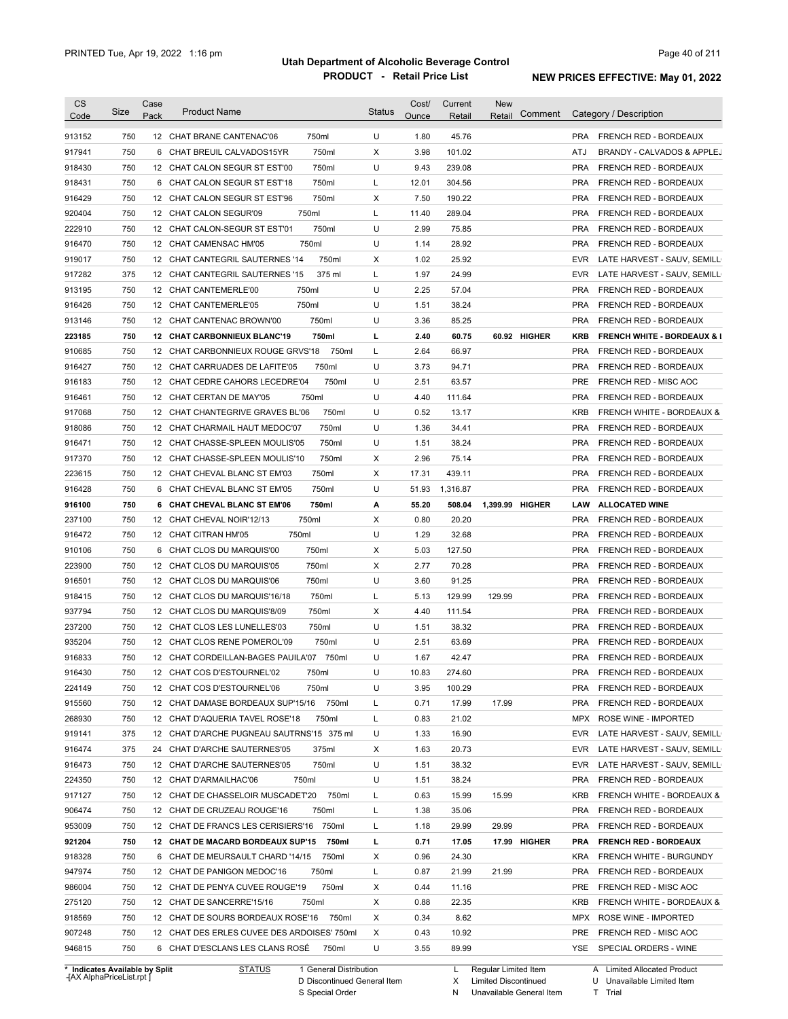| <b>CS</b> |      | Case |                                             |        |               | Cost/ | Current  | <b>New</b>      |              |            |                                        |
|-----------|------|------|---------------------------------------------|--------|---------------|-------|----------|-----------------|--------------|------------|----------------------------------------|
| Code      | Size | Pack | <b>Product Name</b>                         |        | <b>Status</b> | Ounce | Retail   | Retail          | Comment      |            | Category / Description                 |
| 913152    | 750  |      | 12 CHAT BRANE CANTENAC'06                   | 750ml  | U             | 1.80  | 45.76    |                 |              | <b>PRA</b> | FRENCH RED - BORDEAUX                  |
| 917941    | 750  |      | 6 CHAT BREUIL CALVADOS15YR                  | 750ml  | Х             | 3.98  | 101.02   |                 |              | ATJ        | BRANDY - CALVADOS & APPLEJ             |
| 918430    | 750  |      | 12 CHAT CALON SEGUR ST EST'00               | 750ml  | U             | 9.43  | 239.08   |                 |              | <b>PRA</b> | FRENCH RED - BORDEAUX                  |
| 918431    | 750  |      | 6 CHAT CALON SEGUR ST EST'18                | 750ml  | L             | 12.01 | 304.56   |                 |              | <b>PRA</b> | FRENCH RED - BORDEAUX                  |
| 916429    | 750  |      | 12 CHAT CALON SEGUR ST EST'96               | 750ml  | Х             | 7.50  | 190.22   |                 |              | <b>PRA</b> | FRENCH RED - BORDEAUX                  |
| 920404    | 750  |      | 12 CHAT CALON SEGUR'09                      | 750ml  | L             | 11.40 | 289.04   |                 |              | <b>PRA</b> | FRENCH RED - BORDEAUX                  |
| 222910    | 750  |      | 12 CHAT CALON-SEGUR ST EST'01               | 750ml  | U             | 2.99  | 75.85    |                 |              | <b>PRA</b> | FRENCH RED - BORDEAUX                  |
| 916470    | 750  |      | 12 CHAT CAMENSAC HM'05                      | 750ml  | U             | 1.14  | 28.92    |                 |              | <b>PRA</b> | FRENCH RED - BORDEAUX                  |
| 919017    | 750  |      | 12 CHAT CANTEGRIL SAUTERNES '14             | 750ml  | х             | 1.02  | 25.92    |                 |              | <b>EVR</b> | LATE HARVEST - SAUV, SEMILL            |
| 917282    | 375  |      | 12 CHAT CANTEGRIL SAUTERNES '15             | 375 ml | L             | 1.97  | 24.99    |                 |              | <b>EVR</b> | LATE HARVEST - SAUV, SEMILL            |
| 913195    | 750  |      | 12 CHAT CANTEMERLE'00                       | 750ml  | U             | 2.25  | 57.04    |                 |              | <b>PRA</b> | FRENCH RED - BORDEAUX                  |
| 916426    | 750  |      | 12 CHAT CANTEMERLE'05                       | 750ml  | U             | 1.51  | 38.24    |                 |              | <b>PRA</b> | FRENCH RED - BORDEAUX                  |
| 913146    | 750  |      | 12 CHAT CANTENAC BROWN'00                   | 750ml  | U             | 3.36  | 85.25    |                 |              | <b>PRA</b> | FRENCH RED - BORDEAUX                  |
| 223185    | 750  |      | 12 CHAT CARBONNIEUX BLANC'19                | 750ml  | L             | 2.40  | 60.75    |                 | 60.92 HIGHER | KRB        | <b>FRENCH WHITE - BORDEAUX &amp; I</b> |
| 910685    | 750  |      | 12 CHAT CARBONNIEUX ROUGE GRVS'18           | 750ml  | L             | 2.64  | 66.97    |                 |              | <b>PRA</b> | FRENCH RED - BORDEAUX                  |
| 916427    | 750  |      | 12 CHAT CARRUADES DE LAFITE'05              | 750ml  | U             | 3.73  | 94.71    |                 |              | <b>PRA</b> | FRENCH RED - BORDEAUX                  |
| 916183    | 750  |      | 12 CHAT CEDRE CAHORS LECEDRE'04             | 750ml  | U             | 2.51  | 63.57    |                 |              | <b>PRE</b> | FRENCH RED - MISC AOC                  |
| 916461    | 750  |      | 12 CHAT CERTAN DE MAY'05                    | 750ml  | U             | 4.40  | 111.64   |                 |              | <b>PRA</b> | FRENCH RED - BORDEAUX                  |
| 917068    | 750  |      | 12 CHAT CHANTEGRIVE GRAVES BL'06            | 750ml  | U             | 0.52  | 13.17    |                 |              | <b>KRB</b> | FRENCH WHITE - BORDEAUX &              |
| 918086    | 750  |      | 12 CHAT CHARMAIL HAUT MEDOC'07              | 750ml  | U             | 1.36  | 34.41    |                 |              | <b>PRA</b> | FRENCH RED - BORDEAUX                  |
| 916471    | 750  |      | 12 CHAT CHASSE-SPLEEN MOULIS'05             | 750ml  | U             | 1.51  | 38.24    |                 |              | <b>PRA</b> | FRENCH RED - BORDEAUX                  |
| 917370    | 750  |      | 12 CHAT CHASSE-SPLEEN MOULIS'10             | 750ml  | х             | 2.96  | 75.14    |                 |              | <b>PRA</b> | FRENCH RED - BORDEAUX                  |
| 223615    | 750  |      | 12 CHAT CHEVAL BLANC ST EM'03               | 750ml  | х             | 17.31 | 439.11   |                 |              | <b>PRA</b> | FRENCH RED - BORDEAUX                  |
| 916428    | 750  |      | 6 CHAT CHEVAL BLANC ST EM'05                | 750ml  | U             | 51.93 | 1,316.87 |                 |              | <b>PRA</b> | FRENCH RED - BORDEAUX                  |
| 916100    | 750  |      | 6 CHAT CHEVAL BLANC ST EM'06                | 750ml  | А             | 55.20 | 508.04   | 1,399.99 HIGHER |              | LAW        | <b>ALLOCATED WINE</b>                  |
| 237100    | 750  |      | 12 CHAT CHEVAL NOIR'12/13                   | 750ml  | х             | 0.80  | 20.20    |                 |              | <b>PRA</b> | FRENCH RED - BORDEAUX                  |
| 916472    | 750  |      | 12 CHAT CITRAN HM'05                        | 750ml  | U             | 1.29  | 32.68    |                 |              | <b>PRA</b> | FRENCH RED - BORDEAUX                  |
| 910106    | 750  | 6    | CHAT CLOS DU MARQUIS'00                     | 750ml  | Х             | 5.03  | 127.50   |                 |              | <b>PRA</b> | FRENCH RED - BORDEAUX                  |
| 223900    | 750  |      | 12 CHAT CLOS DU MARQUIS'05                  | 750ml  | х             | 2.77  | 70.28    |                 |              | <b>PRA</b> | FRENCH RED - BORDEAUX                  |
| 916501    | 750  |      | 12 CHAT CLOS DU MARQUIS'06                  | 750ml  | U             | 3.60  | 91.25    |                 |              | <b>PRA</b> | FRENCH RED - BORDEAUX                  |
| 918415    | 750  |      | 12 CHAT CLOS DU MARQUIS'16/18               | 750ml  | L             | 5.13  | 129.99   | 129.99          |              | <b>PRA</b> | FRENCH RED - BORDEAUX                  |
| 937794    | 750  |      | 12 CHAT CLOS DU MARQUIS'8/09                | 750ml  | Х             | 4.40  | 111.54   |                 |              | <b>PRA</b> | FRENCH RED - BORDEAUX                  |
| 237200    | 750  |      | 12 CHAT CLOS LES LUNELLES'03                | 750ml  | U             | 1.51  | 38.32    |                 |              | <b>PRA</b> | FRENCH RED - BORDEAUX                  |
| 935204    | 750  |      | 12 CHAT CLOS RENE POMEROL'09                | 750ml  | U             | 2.51  | 63.69    |                 |              | <b>PRA</b> | FRENCH RED - BORDEAUX                  |
| 916833    | 750  |      | 12 CHAT CORDEILLAN-BAGES PAUILA'07 750ml    |        | U             | 1.67  | 42.47    |                 |              | <b>PRA</b> | FRENCH RED - BORDEAUX                  |
| 916430    | 750  |      | 12 CHAT COS D'ESTOURNEL'02                  | 750ml  | U             | 10.83 | 274.60   |                 |              | <b>PRA</b> | FRENCH RED - BORDEAUX                  |
| 224149    | 750  |      | 12 CHAT COS D'ESTOURNEL'06                  | 750ml  | U             | 3.95  | 100.29   |                 |              | PRA        | FRENCH RED - BORDEAUX                  |
| 915560    | 750  |      | 12 CHAT DAMASE BORDEAUX SUP'15/16 750ml     |        | L             | 0.71  | 17.99    | 17.99           |              | <b>PRA</b> | FRENCH RED - BORDEAUX                  |
| 268930    | 750  |      | 12 CHAT D'AQUERIA TAVEL ROSE'18             | 750ml  | L             | 0.83  | 21.02    |                 |              |            | MPX ROSE WINE - IMPORTED               |
| 919141    | 375  |      | 12 CHAT D'ARCHE PUGNEAU SAUTRNS'15 375 ml   |        | U             | 1.33  | 16.90    |                 |              | <b>EVR</b> | LATE HARVEST - SAUV, SEMILL            |
| 916474    | 375  |      | 24 CHAT D'ARCHE SAUTERNES'05                | 375ml  | Х             | 1.63  | 20.73    |                 |              | EVR.       | LATE HARVEST - SAUV, SEMILL            |
| 916473    | 750  |      | 12 CHAT D'ARCHE SAUTERNES'05                | 750ml  | U             | 1.51  | 38.32    |                 |              | EVR.       | LATE HARVEST - SAUV, SEMILL            |
| 224350    | 750  |      | 12 CHAT D'ARMAILHAC'06                      | 750ml  | U             | 1.51  | 38.24    |                 |              | <b>PRA</b> | FRENCH RED - BORDEAUX                  |
| 917127    | 750  |      | 12 CHAT DE CHASSELOIR MUSCADET'20 750ml     |        | L             | 0.63  | 15.99    | 15.99           |              | KRB        | FRENCH WHITE - BORDEAUX &              |
| 906474    | 750  |      | 12 CHAT DE CRUZEAU ROUGE'16                 | 750ml  | L             | 1.38  | 35.06    |                 |              | <b>PRA</b> | FRENCH RED - BORDEAUX                  |
| 953009    |      |      |                                             |        |               |       | 29.99    | 29.99           |              | <b>PRA</b> | FRENCH RED - BORDEAUX                  |
| 921204    |      |      |                                             |        |               |       |          |                 |              |            |                                        |
|           | 750  |      | 12 CHAT DE FRANCS LES CERISIERS'16 750ml    |        | L             | 1.18  |          |                 |              |            |                                        |
|           | 750  |      | 12 CHAT DE MACARD BORDEAUX SUP'15           | 750ml  | L             | 0.71  | 17.05    |                 | 17.99 HIGHER | <b>PRA</b> | <b>FRENCH RED - BORDEAUX</b>           |
| 918328    | 750  |      | 6 CHAT DE MEURSAULT CHARD '14/15            | 750ml  | X             | 0.96  | 24.30    |                 |              | <b>KRA</b> | FRENCH WHITE - BURGUNDY                |
| 947974    | 750  |      | 12 CHAT DE PANIGON MEDOC'16                 | 750ml  | L             | 0.87  | 21.99    | 21.99           |              | <b>PRA</b> | FRENCH RED - BORDEAUX                  |
| 986004    | 750  |      | 12 CHAT DE PENYA CUVEE ROUGE'19             | 750ml  | Х             | 0.44  | 11.16    |                 |              | PRE        | FRENCH RED - MISC AOC                  |
| 275120    | 750  |      | 12 CHAT DE SANCERRE'15/16                   | 750ml  | Х             | 0.88  | 22.35    |                 |              | KRB        | FRENCH WHITE - BORDEAUX &              |
| 918569    | 750  |      | 12 CHAT DE SOURS BORDEAUX ROSE'16 750ml     |        | Х             | 0.34  | 8.62     |                 |              |            | MPX ROSE WINE - IMPORTED               |
| 907248    | 750  |      | 12 CHAT DES ERLES CUVEE DES ARDOISES' 750ml |        | Х             | 0.43  | 10.92    |                 |              | PRE        | FRENCH RED - MISC AOC                  |
| 946815    | 750  |      | 6 CHAT D'ESCLANS LES CLANS ROSE             | 750ml  | U             | 3.55  | 89.99    |                 |              |            | YSE SPECIAL ORDERS - WINE              |

**Case** [AX AlphaPriceList.rpt ]

D Discontinued General Item S Special Order

X

Limited Discontinued

N Unavailable General Item

A Limited Allocated Product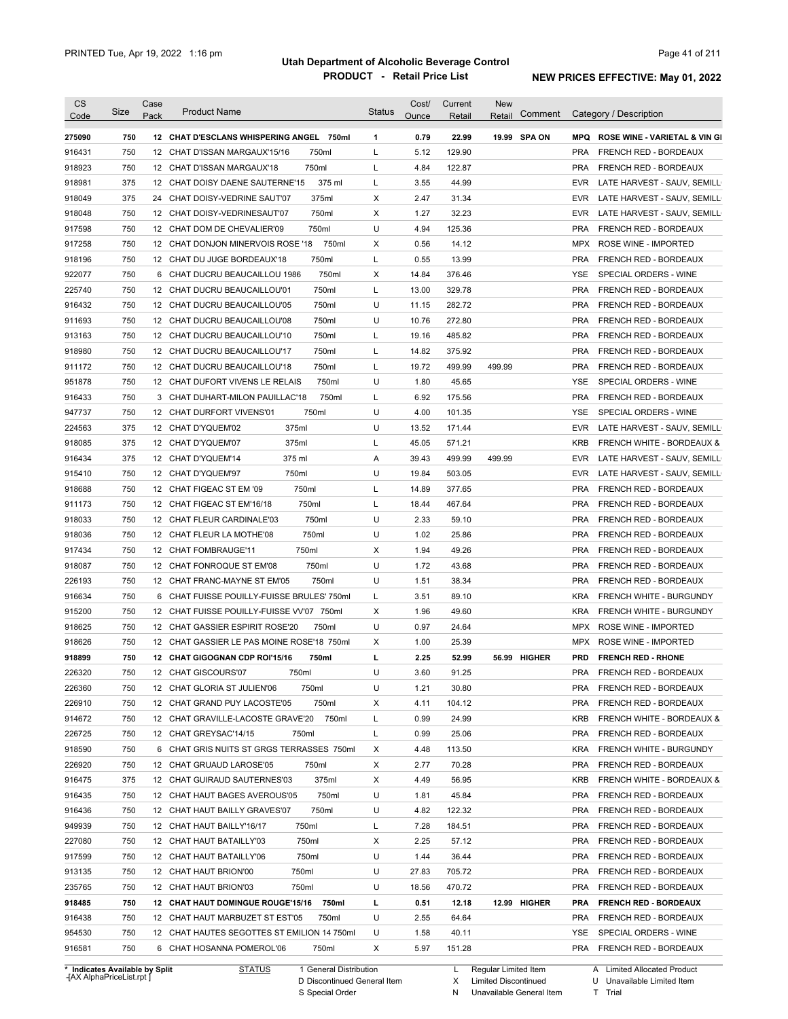| <b>CS</b><br>Code              | Size | Case<br>Pack | <b>Product Name</b>                         | <b>Status</b> | Cost/<br>Ounce | Current<br>Retail | <b>New</b><br>Comment<br>Retail |            | Category / Description                   |
|--------------------------------|------|--------------|---------------------------------------------|---------------|----------------|-------------------|---------------------------------|------------|------------------------------------------|
| 275090                         | 750  |              | 12 CHAT D'ESCLANS WHISPERING ANGEL 750ml    | 1             | 0.79           | 22.99             | 19.99 SPA ON                    | <b>MPQ</b> | <b>ROSE WINE - VARIETAL &amp; VIN GI</b> |
| 916431                         | 750  |              | 750ml<br>12 CHAT D'ISSAN MARGAUX'15/16      | L             | 5.12           | 129.90            |                                 | <b>PRA</b> | FRENCH RED - BORDEAUX                    |
| 918923                         | 750  |              | 750ml<br>12 CHAT D'ISSAN MARGAUX'18         | L             | 4.84           | 122.87            |                                 | <b>PRA</b> | FRENCH RED - BORDEAUX                    |
| 918981                         | 375  |              | 375 ml<br>12 CHAT DOISY DAENE SAUTERNE'15   | L             | 3.55           | 44.99             |                                 | <b>EVR</b> | LATE HARVEST - SAUV, SEMILL              |
| 918049                         | 375  |              | 375ml<br>24 CHAT DOISY-VEDRINE SAUT'07      | Х             | 2.47           | 31.34             |                                 | <b>EVR</b> | LATE HARVEST - SAUV, SEMILL              |
| 918048                         | 750  |              | 750ml<br>12 CHAT DOISY-VEDRINESAUT'07       | Х             | 1.27           | 32.23             |                                 | <b>EVR</b> | LATE HARVEST - SAUV, SEMILL              |
| 917598                         | 750  |              | 750ml<br>12 CHAT DOM DE CHEVALIER'09        | U             | 4.94           | 125.36            |                                 | <b>PRA</b> | FRENCH RED - BORDEAUX                    |
| 917258                         | 750  |              | 750ml<br>12 CHAT DONJON MINERVOIS ROSE '18  | х             | 0.56           | 14.12             |                                 |            | MPX ROSE WINE - IMPORTED                 |
| 918196                         | 750  |              | 750ml<br>12 CHAT DU JUGE BORDEAUX'18        | L             | 0.55           | 13.99             |                                 | <b>PRA</b> | FRENCH RED - BORDEAUX                    |
| 922077                         | 750  |              | 750ml<br>6 CHAT DUCRU BEAUCAILLOU 1986      | х             | 14.84          | 376.46            |                                 | YSE        | SPECIAL ORDERS - WINE                    |
| 225740                         | 750  |              | 750ml<br>12 CHAT DUCRU BEAUCAILLOU'01       | L             | 13.00          | 329.78            |                                 | <b>PRA</b> | FRENCH RED - BORDEAUX                    |
| 916432                         | 750  |              | 750ml<br>12 CHAT DUCRU BEAUCAILLOU'05       | U             | 11.15          | 282.72            |                                 | <b>PRA</b> | FRENCH RED - BORDEAUX                    |
| 911693                         | 750  |              | 750ml<br>12 CHAT DUCRU BEAUCAILLOU'08       | U             | 10.76          | 272.80            |                                 | <b>PRA</b> | FRENCH RED - BORDEAUX                    |
| 913163                         | 750  |              | 750ml<br>12 CHAT DUCRU BEAUCAILLOU'10       | L             | 19.16          | 485.82            |                                 | <b>PRA</b> | FRENCH RED - BORDEAUX                    |
| 918980                         | 750  |              | 750ml<br>12 CHAT DUCRU BEAUCAILLOU'17       | L             | 14.82          | 375.92            |                                 | <b>PRA</b> | FRENCH RED - BORDEAUX                    |
| 911172                         | 750  |              | 750ml<br>12 CHAT DUCRU BEAUCAILLOU'18       | L             | 19.72          | 499.99            | 499.99                          | <b>PRA</b> | FRENCH RED - BORDEAUX                    |
| 951878                         | 750  |              | 750ml<br>12 CHAT DUFORT VIVENS LE RELAIS    | U             | 1.80           | 45.65             |                                 | YSE        | SPECIAL ORDERS - WINE                    |
| 916433                         | 750  |              | 750ml<br>3 CHAT DUHART-MILON PAUILLAC'18    | L             | 6.92           | 175.56            |                                 | <b>PRA</b> | FRENCH RED - BORDEAUX                    |
| 947737                         | 750  |              | 12 CHAT DURFORT VIVENS'01<br>750ml          | U             | 4.00           | 101.35            |                                 | YSE        | SPECIAL ORDERS - WINE                    |
| 224563                         | 375  |              | 12 CHAT D'YQUEM'02<br>375ml                 | U             | 13.52          | 171.44            |                                 | <b>EVR</b> | LATE HARVEST - SAUV, SEMILL              |
| 918085                         | 375  |              | 12 CHAT D'YQUEM'07<br>375ml                 | L             | 45.05          | 571.21            |                                 | <b>KRB</b> | FRENCH WHITE - BORDEAUX &                |
| 916434                         | 375  |              | 12 CHAT D'YQUEM'14<br>375 ml                | Α             | 39.43          | 499.99            | 499.99                          | <b>EVR</b> | LATE HARVEST - SAUV, SEMILL              |
| 915410                         | 750  |              | 12 CHAT D'YQUEM'97<br>750ml                 | U             | 19.84          | 503.05            |                                 | <b>EVR</b> | LATE HARVEST - SAUV, SEMILL              |
|                                | 750  |              | 750ml                                       | L             | 14.89          | 377.65            |                                 | <b>PRA</b> |                                          |
| 918688                         |      |              | 12 CHAT FIGEAC ST EM '09                    |               |                |                   |                                 |            | FRENCH RED - BORDEAUX                    |
| 911173                         | 750  |              | 750ml<br>12 CHAT FIGEAC ST EM'16/18         | L<br>U        | 18.44          | 467.64            |                                 | <b>PRA</b> | FRENCH RED - BORDEAUX                    |
| 918033                         | 750  |              | 12 CHAT FLEUR CARDINALE'03<br>750ml         | U             | 2.33           | 59.10             |                                 | <b>PRA</b> | FRENCH RED - BORDEAUX                    |
| 918036                         | 750  |              | 750ml<br>12 CHAT FLEUR LA MOTHE'08          |               | 1.02           | 25.86             |                                 | <b>PRA</b> | FRENCH RED - BORDEAUX                    |
| 917434                         | 750  |              | 750ml<br>12 CHAT FOMBRAUGE'11               | Х             | 1.94           | 49.26             |                                 | <b>PRA</b> | FRENCH RED - BORDEAUX                    |
| 918087                         | 750  |              | 750ml<br>12 CHAT FONROQUE ST EM'08          | U             | 1.72           | 43.68             |                                 | <b>PRA</b> | FRENCH RED - BORDEAUX                    |
| 226193                         | 750  |              | 12 CHAT FRANC-MAYNE ST EM'05<br>750ml       | U             | 1.51           | 38.34             |                                 | <b>PRA</b> | FRENCH RED - BORDEAUX                    |
| 916634                         | 750  |              | 6 CHAT FUISSE POUILLY-FUISSE BRULES' 750ml  | L             | 3.51           | 89.10             |                                 | <b>KRA</b> | FRENCH WHITE - BURGUNDY                  |
| 915200                         | 750  |              | 12 CHAT FUISSE POUILLY-FUISSE VV'07 750ml   | Х             | 1.96           | 49.60             |                                 | <b>KRA</b> | <b>FRENCH WHITE - BURGUNDY</b>           |
| 918625                         | 750  |              | 12 CHAT GASSIER ESPIRIT ROSE'20<br>750ml    | U             | 0.97           | 24.64             |                                 | MPX        | ROSE WINE - IMPORTED                     |
| 918626                         | 750  |              | 12 CHAT GASSIER LE PAS MOINE ROSE'18 750ml  | Х             | 1.00           | 25.39             |                                 | MPX        | ROSE WINE - IMPORTED                     |
| 918899                         | 750  |              | 12 CHAT GIGOGNAN CDP ROI'15/16<br>750ml     | г             | 2.25           | 52.99             | 56.99 HIGHER                    | <b>PRD</b> | <b>FRENCH RED - RHONE</b>                |
| 226320                         | 750  |              | 12 CHAT GISCOURS'07<br>750ml                | U             | 3.60           | 91.25             |                                 | <b>PRA</b> | <b>FRENCH RED - BORDEAUX</b>             |
| 226360                         | 750  |              | 12 CHAT GLORIA ST JULIEN'06<br>750ml        | U             | 1.21           | 30.80             |                                 | <b>PRA</b> | FRENCH RED - BORDEAUX                    |
| 226910                         | 750  |              | 750ml<br>12 CHAT GRAND PUY LACOSTE'05       | х             | 4.11           | 104.12            |                                 | <b>PRA</b> | FRENCH RED - BORDEAUX                    |
| 914672                         | 750  |              | 12 CHAT GRAVILLE-LACOSTE GRAVE'20<br>750ml  | L             | 0.99           | 24.99             |                                 | <b>KRB</b> | FRENCH WHITE - BORDEAUX &                |
| 226725                         | 750  |              | 12 CHAT GREYSAC'14/15<br>750ml              | L             | 0.99           | 25.06             |                                 | <b>PRA</b> | FRENCH RED - BORDEAUX                    |
| 918590                         | 750  |              | 6 CHAT GRIS NUITS ST GRGS TERRASSES 750ml   | х             | 4.48           | 113.50            |                                 | <b>KRA</b> | FRENCH WHITE - BURGUNDY                  |
| 226920                         | 750  |              | 12 CHAT GRUAUD LAROSE'05<br>750ml           | Х             | 2.77           | 70.28             |                                 | <b>PRA</b> | FRENCH RED - BORDEAUX                    |
| 916475                         | 375  |              | 12 CHAT GUIRAUD SAUTERNES'03<br>375ml       | Х             | 4.49           | 56.95             |                                 | <b>KRB</b> | FRENCH WHITE - BORDEAUX &                |
| 916435                         | 750  |              | 750ml<br>12 CHAT HAUT BAGES AVEROUS'05      | U             | 1.81           | 45.84             |                                 | <b>PRA</b> | FRENCH RED - BORDEAUX                    |
| 916436                         | 750  |              | 750ml<br>12 CHAT HAUT BAILLY GRAVES'07      | U             | 4.82           | 122.32            |                                 | <b>PRA</b> | FRENCH RED - BORDEAUX                    |
| 949939                         | 750  |              | 750ml<br>12 CHAT HAUT BAILLY'16/17          | L             | 7.28           | 184.51            |                                 | <b>PRA</b> | FRENCH RED - BORDEAUX                    |
| 227080                         | 750  |              | 750ml<br>12 CHAT HAUT BATAILLY'03           | Х             | 2.25           | 57.12             |                                 | <b>PRA</b> | FRENCH RED - BORDEAUX                    |
| 917599                         | 750  |              | 750ml<br>12 CHAT HAUT BATAILLY'06           | U             | 1.44           | 36.44             |                                 | <b>PRA</b> | FRENCH RED - BORDEAUX                    |
| 913135                         | 750  |              | 750ml<br>12 CHAT HAUT BRION'00              | U             | 27.83          | 705.72            |                                 | <b>PRA</b> | FRENCH RED - BORDEAUX                    |
| 235765                         | 750  |              | 750ml<br>12 CHAT HAUT BRION'03              | U             | 18.56          | 470.72            |                                 | <b>PRA</b> | FRENCH RED - BORDEAUX                    |
| 918485                         | 750  |              | 12 CHAT HAUT DOMINGUE ROUGE'15/16<br>750ml  | L             | 0.51           | 12.18             | 12.99 HIGHER                    | <b>PRA</b> | <b>FRENCH RED - BORDEAUX</b>             |
| 916438                         | 750  |              | 12 CHAT HAUT MARBUZET ST EST'05<br>750ml    | U             | 2.55           | 64.64             |                                 | <b>PRA</b> | FRENCH RED - BORDEAUX                    |
| 954530                         | 750  |              | 12 CHAT HAUTES SEGOTTES ST EMILION 14 750ml | U             | 1.58           | 40.11             |                                 | YSE        | SPECIAL ORDERS - WINE                    |
| 916581                         | 750  |              | 6 CHAT HOSANNA POMEROL'06<br>750ml          | Х             | 5.97           | 151.28            |                                 |            | PRA FRENCH RED - BORDEAUX                |
| * Indicates Available by Split |      |              | <b>STATUS</b><br>1 General Distribution     |               |                | L                 | Regular Limited Item            |            | A Limited Allocated Product              |

**Case** [AX AlphaPriceList.rpt ]

D Discontinued General Item

S Special Order

X Limited Discontinued

N Unavailable General Item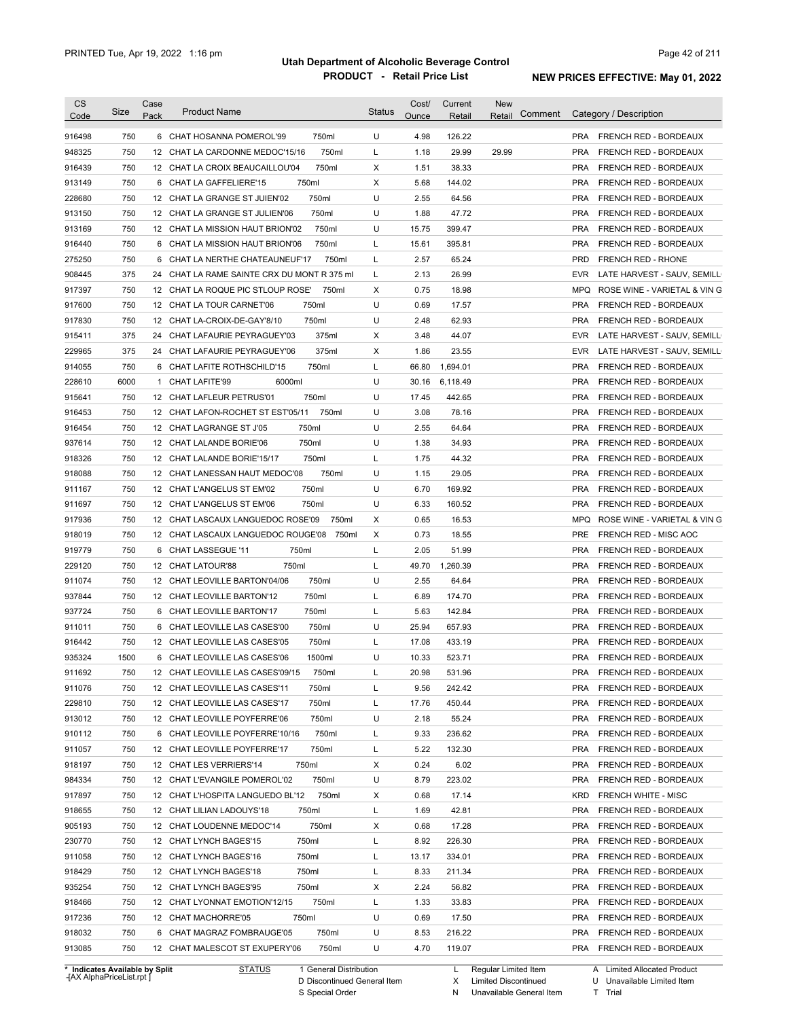| <b>CS</b><br>Code | <b>Size</b>                    | Case<br>Pack | <b>Product Name</b>                         | <b>Status</b> | Cost/<br>Ounce | Current<br>Retail | <b>New</b><br>Comment<br>Retail |                   | Category / Description       |
|-------------------|--------------------------------|--------------|---------------------------------------------|---------------|----------------|-------------------|---------------------------------|-------------------|------------------------------|
| 916498            | 750                            |              | 6 CHAT HOSANNA POMEROL'99<br>750ml          | U             | 4.98           | 126.22            |                                 |                   | PRA FRENCH RED - BORDEAUX    |
| 948325            | 750                            |              | 750ml<br>12 CHAT LA CARDONNE MEDOC'15/16    | L             | 1.18           | 29.99             | 29.99                           | <b>PRA</b>        | FRENCH RED - BORDEAUX        |
| 916439            | 750                            |              | 750ml<br>12 CHAT LA CROIX BEAUCAILLOU'04    | X             | 1.51           | 38.33             |                                 | <b>PRA</b>        | FRENCH RED - BORDEAUX        |
| 913149            | 750                            |              | 750ml<br>6 CHAT LA GAFFELIERE'15            | X             | 5.68           | 144.02            |                                 | <b>PRA</b>        | <b>FRENCH RED - BORDEAUX</b> |
| 228680            | 750                            |              | 750ml<br>12 CHAT LA GRANGE ST JUIEN'02      | U             | 2.55           | 64.56             |                                 | <b>PRA</b>        | FRENCH RED - BORDEAUX        |
| 913150            | 750                            |              | 750ml<br>12 CHAT LA GRANGE ST JULIEN'06     | U             | 1.88           | 47.72             |                                 | <b>PRA</b>        | FRENCH RED - BORDEAUX        |
| 913169            | 750                            |              | 750ml<br>12 CHAT LA MISSION HAUT BRION'02   | U             | 15.75          | 399.47            |                                 | <b>PRA</b>        | FRENCH RED - BORDEAUX        |
| 916440            | 750                            | 6            | 750ml<br>CHAT LA MISSION HAUT BRION'06      | L             | 15.61          | 395.81            |                                 | <b>PRA</b>        | FRENCH RED - BORDEAUX        |
| 275250            | 750                            | 6            | 750ml<br>CHAT LA NERTHE CHATEAUNEUF'17      | L             | 2.57           | 65.24             |                                 | <b>PRD</b>        | <b>FRENCH RED - RHONE</b>    |
| 908445            | 375                            | 24           | CHAT LA RAME SAINTE CRX DU MONT R 375 ml    | L             | 2.13           | 26.99             |                                 | <b>EVR</b>        | LATE HARVEST - SAUV, SEMILL  |
| 917397            | 750                            |              | 750ml<br>12 CHAT LA ROQUE PIC STLOUP ROSE'  | X             | 0.75           | 18.98             |                                 | <b>MPQ</b>        | ROSE WINE - VARIETAL & VIN G |
| 917600            | 750                            |              | 750ml<br>12 CHAT LA TOUR CARNET'06          | U             | 0.69           | 17.57             |                                 | <b>PRA</b>        | FRENCH RED - BORDEAUX        |
| 917830            | 750                            |              | 750ml<br>12 CHAT LA-CROIX-DE-GAY'8/10       | U             | 2.48           | 62.93             |                                 | <b>PRA</b>        | FRENCH RED - BORDEAUX        |
| 915411            | 375                            | 24           | 375ml<br>CHAT LAFAURIE PEYRAGUEY'03         | X             | 3.48           | 44.07             |                                 | <b>EVR</b>        | LATE HARVEST - SAUV, SEMILL  |
| 229965            | 375                            | 24           | 375ml<br>CHAT LAFAURIE PEYRAGUEY'06         | X             | 1.86           | 23.55             |                                 | <b>EVR</b>        | LATE HARVEST - SAUV, SEMILL  |
| 914055            | 750                            |              | 750ml<br>6 CHAT LAFITE ROTHSCHILD'15        | L             | 66.80          | 1,694.01          |                                 | <b>PRA</b>        | FRENCH RED - BORDEAUX        |
| 228610            | 6000                           | 1            | 6000ml<br>CHAT LAFITE'99                    | U             | 30.16          | 6,118.49          |                                 | <b>PRA</b>        | FRENCH RED - BORDEAUX        |
| 915641            | 750                            |              | 750ml<br>12 CHAT LAFLEUR PETRUS'01          | U             | 17.45          | 442.65            |                                 | <b>PRA</b>        | FRENCH RED - BORDEAUX        |
| 916453            | 750                            |              | 750ml<br>12 CHAT LAFON-ROCHET ST EST'05/11  | U             | 3.08           | 78.16             |                                 | <b>PRA</b>        | FRENCH RED - BORDEAUX        |
| 916454            | 750                            |              | 750ml<br>12 CHAT LAGRANGE ST J'05           | U             | 2.55           | 64.64             |                                 | <b>PRA</b>        | FRENCH RED - BORDEAUX        |
| 937614            | 750                            |              | 750ml<br>12 CHAT LALANDE BORIE'06           | U             | 1.38           | 34.93             |                                 | <b>PRA</b>        | <b>FRENCH RED - BORDEAUX</b> |
| 918326            | 750                            |              | 12 CHAT LALANDE BORIE'15/17<br>750ml        | L             | 1.75           | 44.32             |                                 | <b>PRA</b>        | FRENCH RED - BORDEAUX        |
| 918088            | 750                            |              | 750ml<br>12 CHAT LANESSAN HAUT MEDOC'08     | U             | 1.15           | 29.05             |                                 | <b>PRA</b>        | FRENCH RED - BORDEAUX        |
| 911167            | 750                            |              | 750ml<br>12 CHAT L'ANGELUS ST EM'02         | U             | 6.70           | 169.92            |                                 | <b>PRA</b>        | FRENCH RED - BORDEAUX        |
| 911697            | 750                            |              | 750ml<br>12 CHAT L'ANGELUS ST EM'06         | U             | 6.33           | 160.52            |                                 | <b>PRA</b>        | FRENCH RED - BORDEAUX        |
| 917936            | 750                            | 12           | 750ml<br>CHAT LASCAUX LANGUEDOC ROSE'09     | X             | 0.65           | 16.53             |                                 | <b>MPQ</b>        | ROSE WINE - VARIETAL & VIN G |
| 918019            | 750                            |              | 12 CHAT LASCAUX LANGUEDOC ROUGE'08<br>750ml | X             | 0.73           | 18.55             |                                 | <b>PRE</b>        | FRENCH RED - MISC AOC        |
| 919779            | 750                            | 6            | CHAT LASSEGUE '11<br>750ml                  | L             | 2.05           | 51.99             |                                 | <b>PRA</b>        | FRENCH RED - BORDEAUX        |
|                   | 750                            |              | 750ml<br>12 CHAT LATOUR'88                  | L             | 49.70          | 1,260.39          |                                 | <b>PRA</b>        | FRENCH RED - BORDEAUX        |
| 229120<br>911074  | 750                            |              | 750ml<br>12 CHAT LEOVILLE BARTON'04/06      | U             | 2.55           | 64.64             |                                 | <b>PRA</b>        | FRENCH RED - BORDEAUX        |
| 937844            | 750                            |              | 750ml<br>12 CHAT LEOVILLE BARTON'12         | L             | 6.89           | 174.70            |                                 | <b>PRA</b>        | FRENCH RED - BORDEAUX        |
| 937724            | 750                            |              | 750ml<br>6 CHAT LEOVILLE BARTON'17          | L             | 5.63           | 142.84            |                                 | <b>PRA</b>        | FRENCH RED - BORDEAUX        |
| 911011            | 750                            |              | 750ml<br>6 CHAT LEOVILLE LAS CASES'00       | U             | 25.94          | 657.93            |                                 | <b>PRA</b>        | FRENCH RED - BORDEAUX        |
| 916442            | 750                            |              | 750ml<br>12 CHAT LEOVILLE LAS CASES'05      | L             | 17.08          | 433.19            |                                 | <b>PRA</b>        | FRENCH RED - BORDEAUX        |
|                   | 1500                           |              | 6 CHAT LEOVILLE LAS CASES'06<br>1500ml      | U             | 10.33          | 523.71            |                                 | <b>PRA</b>        | FRENCH RED - BORDEAUX        |
| 935324            |                                |              |                                             |               |                |                   |                                 |                   |                              |
| 911692            | 750                            |              | 750ml<br>12 CHAT LEOVILLE LAS CASES'09/15   |               | 20.98          | 531.96<br>242.42  |                                 | PRA<br><b>PRA</b> | FRENCH RED - BORDEAUX        |
| 911076            | 750                            |              | 12 CHAT LEOVILLE LAS CASES'11<br>750ml      | L             | 9.56           |                   |                                 |                   | FRENCH RED - BORDEAUX        |
| 229810            | 750                            |              | 750ml<br>12 CHAT LEOVILLE LAS CASES'17      | L             | 17.76          | 450.44            |                                 | <b>PRA</b>        | FRENCH RED - BORDEAUX        |
| 913012            | 750                            |              | 750ml<br>12 CHAT LEOVILLE POYFERRE'06       | U             | 2.18           | 55.24             |                                 | <b>PRA</b>        | FRENCH RED - BORDEAUX        |
| 910112            | 750                            |              | 750ml<br>6 CHAT LEOVILLE POYFERRE'10/16     | L             | 9.33           | 236.62            |                                 | <b>PRA</b>        | FRENCH RED - BORDEAUX        |
| 911057            | 750                            |              | 750ml<br>12 CHAT LEOVILLE POYFERRE'17       | L             | 5.22           | 132.30            |                                 | <b>PRA</b>        | FRENCH RED - BORDEAUX        |
| 918197            | 750                            |              | 750ml<br>12 CHAT LES VERRIERS'14            | Х             | 0.24           | 6.02              |                                 | <b>PRA</b>        | FRENCH RED - BORDEAUX        |
| 984334            | 750                            |              | 750ml<br>12 CHAT L'EVANGILE POMEROL'02      | U             | 8.79           | 223.02            |                                 | <b>PRA</b>        | FRENCH RED - BORDEAUX        |
| 917897            | 750                            |              | 12 CHAT L'HOSPITA LANGUEDO BL'12<br>750ml   | Х             | 0.68           | 17.14             |                                 | <b>KRD</b>        | FRENCH WHITE - MISC          |
| 918655            | 750                            |              | 750ml<br>12 CHAT LILIAN LADOUYS'18          | L             | 1.69           | 42.81             |                                 | <b>PRA</b>        | FRENCH RED - BORDEAUX        |
| 905193            | 750                            |              | 750ml<br>12 CHAT LOUDENNE MEDOC'14          | Х             | 0.68           | 17.28             |                                 | <b>PRA</b>        | FRENCH RED - BORDEAUX        |
| 230770            | 750                            |              | 750ml<br>12 CHAT LYNCH BAGES'15             | L             | 8.92           | 226.30            |                                 | <b>PRA</b>        | FRENCH RED - BORDEAUX        |
| 911058            | 750                            |              | 750ml<br>12 CHAT LYNCH BAGES'16             | L             | 13.17          | 334.01            |                                 | PRA               | FRENCH RED - BORDEAUX        |
| 918429            | 750                            |              | 750ml<br>12 CHAT LYNCH BAGES'18             | L             | 8.33           | 211.34            |                                 | PRA               | FRENCH RED - BORDEAUX        |
| 935254            | 750                            |              | 750ml<br>12 CHAT LYNCH BAGES'95             | Х             | 2.24           | 56.82             |                                 | PRA               | FRENCH RED - BORDEAUX        |
| 918466            | 750                            |              | 750ml<br>12 CHAT LYONNAT EMOTION'12/15      | L             | 1.33           | 33.83             |                                 | PRA               | FRENCH RED - BORDEAUX        |
| 917236            | 750                            |              | 750ml<br>12 CHAT MACHORRE'05                | U             | 0.69           | 17.50             |                                 | PRA               | FRENCH RED - BORDEAUX        |
| 918032            | 750                            |              | 750ml<br>6 CHAT MAGRAZ FOMBRAUGE'05         | U             | 8.53           | 216.22            |                                 | PRA               | FRENCH RED - BORDEAUX        |
| 913085            | 750                            |              | 12 CHAT MALESCOT ST EXUPERY'06<br>750ml     | U             | 4.70           | 119.07            |                                 | PRA               | FRENCH RED - BORDEAUX        |
|                   | * Indicates Available by Split |              | <b>STATUS</b><br>1 General Distribution     |               |                | L.                | Regular Limited Item            |                   | A Limited Allocated Product  |

**Case** [AX AlphaPriceList.rpt ]

General Distribution 

Discontinued General Item D

S Special Order

Regular Limited Item

X N Limited Discontinued U T

Unavailable General Item

Unavailable Limited Item

Trial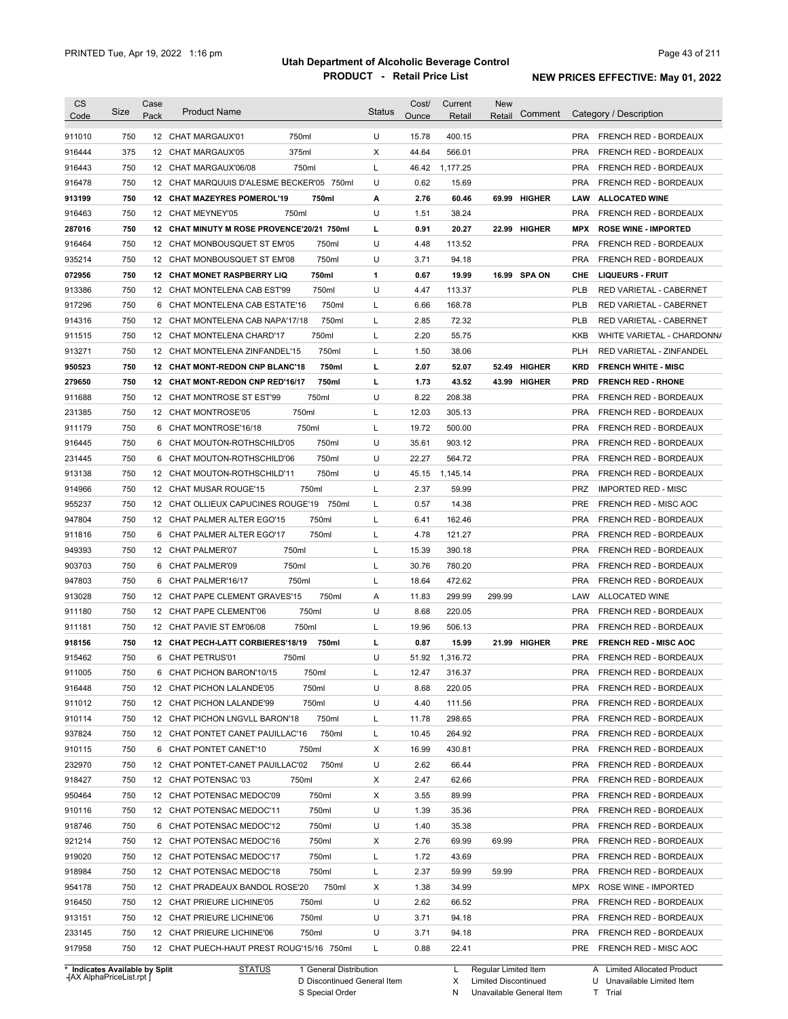| CS<br>Code                     | Size       | Case<br>Pack | <b>Product Name</b>                        |                        | <b>Status</b> | Cost/<br>Ounce | Current<br>Retail | <b>New</b><br>Retail   | Comment       |            | Category / Description                         |
|--------------------------------|------------|--------------|--------------------------------------------|------------------------|---------------|----------------|-------------------|------------------------|---------------|------------|------------------------------------------------|
| 911010                         | 750        |              | 12 CHAT MARGAUX'01                         | 750ml                  | U             | 15.78          | 400.15            |                        |               | PRA        | FRENCH RED - BORDEAUX                          |
| 916444                         | 375        | 12           | CHAT MARGAUX'05                            | 375ml                  | X             | 44.64          | 566.01            |                        |               | <b>PRA</b> | FRENCH RED - BORDEAUX                          |
| 916443                         | 750        |              | 12 CHAT MARGAUX'06/08                      | 750ml                  | L             | 46.42          | 1,177.25          |                        |               | <b>PRA</b> | FRENCH RED - BORDEAUX                          |
| 916478                         | 750        |              | 12 CHAT MARQUUIS D'ALESME BECKER'05 750ml  |                        | U             | 0.62           | 15.69             |                        |               | <b>PRA</b> | <b>FRENCH RED - BORDEAUX</b>                   |
| 913199                         | 750        |              | 12 CHAT MAZEYRES POMEROL'19                | 750ml                  | А             | 2.76           | 60.46             | 69.99                  | <b>HIGHER</b> | LAW        | <b>ALLOCATED WINE</b>                          |
| 916463                         | 750        |              | 12 CHAT MEYNEY'05                          | 750ml                  | U             | 1.51           | 38.24             |                        |               | <b>PRA</b> | FRENCH RED - BORDEAUX                          |
| 287016                         | 750        |              | 12 CHAT MINUTY M ROSE PROVENCE'20/21 750ml |                        | L             | 0.91           | 20.27             | 22.99                  | <b>HIGHER</b> | <b>MPX</b> | <b>ROSE WINE - IMPORTED</b>                    |
| 916464                         | 750        |              | 12 CHAT MONBOUSQUET ST EM'05               | 750ml                  | U             | 4.48           | 113.52            |                        |               | <b>PRA</b> | FRENCH RED - BORDEAUX                          |
| 935214                         | 750        |              | 12 CHAT MONBOUSQUET ST EM'08               | 750ml                  | U             | 3.71           | 94.18             |                        |               | <b>PRA</b> | FRENCH RED - BORDEAUX                          |
| 072956                         | 750        |              | <b>12 CHAT MONET RASPBERRY LIQ</b>         | 750ml                  | 1             | 0.67           | 19.99             |                        | 16.99 SPA ON  | CHE        | <b>LIQUEURS - FRUIT</b>                        |
| 913386                         | 750        | 12           | CHAT MONTELENA CAB EST'99                  | 750ml                  | U             | 4.47           | 113.37            |                        |               | <b>PLB</b> | RED VARIETAL - CABERNET                        |
| 917296                         | 750        | 6            | CHAT MONTELENA CAB ESTATE'16               | 750ml                  | L             | 6.66           | 168.78            |                        |               | <b>PLB</b> | RED VARIETAL - CABERNET                        |
| 914316                         | 750        | 12           | CHAT MONTELENA CAB NAPA'17/18              | 750ml                  | Г             | 2.85           | 72.32             |                        |               | <b>PLB</b> | RED VARIETAL - CABERNET                        |
| 911515                         | 750        | 12           | CHAT MONTELENA CHARD'17                    | 750ml                  | Г             | 2.20           | 55.75             |                        |               | <b>KKB</b> | WHITE VARIETAL - CHARDONN/                     |
| 913271                         | 750        | 12           | CHAT MONTELENA ZINFANDEL'15                | 750ml                  | L             | 1.50           | 38.06             |                        |               | PLH        | <b>RED VARIETAL - ZINFANDEL</b>                |
| 950523                         | 750        | 12           | <b>CHAT MONT-REDON CNP BLANC'18</b>        | 750ml                  | L             | 2.07           | 52.07             | 52.49                  | <b>HIGHER</b> | <b>KRD</b> | <b>FRENCH WHITE - MISC</b>                     |
| 279650                         | 750        | 12           | <b>CHAT MONT-REDON CNP RED'16/17</b>       | 750ml                  | L             | 1.73           | 43.52             | 43.99                  | <b>HIGHER</b> | <b>PRD</b> | <b>FRENCH RED - RHONE</b>                      |
| 911688                         | 750        | 12           | <b>CHAT MONTROSE ST EST'99</b>             | 750ml                  | U             | 8.22           | 208.38            |                        |               | <b>PRA</b> | FRENCH RED - BORDEAUX                          |
| 231385                         | 750        | 12           | <b>CHAT MONTROSE'05</b>                    | 750ml                  | Г             | 12.03          | 305.13            |                        |               | <b>PRA</b> | FRENCH RED - BORDEAUX                          |
| 911179                         | 750        | 6            | CHAT MONTROSE'16/18                        | 750ml                  | L             | 19.72          | 500.00            |                        |               | <b>PRA</b> | FRENCH RED - BORDEAUX                          |
| 916445                         | 750        | 6            | CHAT MOUTON-ROTHSCHILD'05                  | 750ml                  | U             | 35.61          | 903.12            |                        |               | <b>PRA</b> | FRENCH RED - BORDEAUX                          |
| 231445                         | 750        | 6            | CHAT MOUTON-ROTHSCHILD'06                  | 750ml                  | U             | 22.27          | 564.72            |                        |               | <b>PRA</b> | FRENCH RED - BORDEAUX                          |
| 913138                         | 750        | 12           | CHAT MOUTON-ROTHSCHILD'11                  | 750ml                  | U             | 45.15          | 1,145.14          |                        |               | <b>PRA</b> | FRENCH RED - BORDEAUX                          |
| 914966                         | 750        | 12           | CHAT MUSAR ROUGE'15                        | 750ml                  | Г             | 2.37           | 59.99             |                        |               | <b>PRZ</b> | <b>IMPORTED RED - MISC</b>                     |
|                                | 750        | 12           | CHAT OLLIEUX CAPUCINES ROUGE'19            | 750ml                  | Г             | 0.57           | 14.38             |                        |               | <b>PRE</b> |                                                |
| 955237<br>947804               | 750        |              | 12 CHAT PALMER ALTER EGO'15                | 750ml                  | Г             | 6.41           | 162.46            |                        |               | <b>PRA</b> | FRENCH RED - MISC AOC<br>FRENCH RED - BORDEAUX |
|                                | 750        | 6            | CHAT PALMER ALTER EGO'17                   | 750ml                  | Г             | 4.78           | 121.27            |                        |               | <b>PRA</b> |                                                |
| 911816<br>949393               | 750        |              | 12 CHAT PALMER'07                          | 750ml                  | Г             | 15.39          | 390.18            |                        |               | <b>PRA</b> | FRENCH RED - BORDEAUX                          |
| 903703                         | 750        | 6            | CHAT PALMER'09                             | 750ml                  | L             | 30.76          | 780.20            |                        |               | <b>PRA</b> | FRENCH RED - BORDEAUX<br>FRENCH RED - BORDEAUX |
| 947803                         | 750        | 6            | CHAT PALMER'16/17                          | 750ml                  | L             | 18.64          | 472.62            |                        |               | <b>PRA</b> | FRENCH RED - BORDEAUX                          |
| 913028                         | 750        |              | 12 CHAT PAPE CLEMENT GRAVES'15             | 750ml                  | A             | 11.83          | 299.99            | 299.99                 |               | LAW        | ALLOCATED WINE                                 |
| 911180                         | 750        | 12           | CHAT PAPE CLEMENT'06                       | 750ml                  | U             | 8.68           | 220.05            |                        |               | <b>PRA</b> | FRENCH RED - BORDEAUX                          |
| 911181                         | 750        |              | 12 CHAT PAVIE ST EM'06/08                  | 750ml                  | Г             | 19.96          | 506.13            |                        |               | <b>PRA</b> | FRENCH RED - BORDEAUX                          |
|                                | 750        |              | 12 CHAT PECH-LATT CORBIERES'18/19          | 750ml                  | L             | 0.87           | 15.99             |                        | 21.99 HIGHER  | <b>PRE</b> | <b>FRENCH RED - MISC AOC</b>                   |
| 918156<br>915462               | 750        |              | 6 CHAT PETRUS'01                           | 750ml                  | U             | 51.92          | 1,316.72          |                        |               | <b>PRA</b> | FRENCH RED - BORDEAUX                          |
|                                |            | 6            | CHAT PICHON BARON'10/15                    |                        |               | 12.47          |                   |                        |               | <b>PRA</b> |                                                |
| 911005<br>916448               | 750<br>750 |              | 12 CHAT PICHON LALANDE'05                  | 750ml<br>750ml         | U             | 8.68           | 316.37<br>220.05  |                        |               | PRA        | FRENCH RED - BORDEAUX<br>FRENCH RED - BORDEAUX |
| 911012                         |            |              |                                            | 750ml                  | U             | 4.40           | 111.56            |                        |               | <b>PRA</b> | FRENCH RED - BORDEAUX                          |
|                                | 750        |              | 12 CHAT PICHON LALANDE'99                  | 750ml                  |               |                |                   |                        |               | <b>PRA</b> | FRENCH RED - BORDEAUX                          |
| 910114                         | 750        |              | 12 CHAT PICHON LNGVLL BARON'18             | 750ml                  | L             | 11.78          | 298.65            |                        |               | <b>PRA</b> | FRENCH RED - BORDEAUX                          |
| 937824<br>910115               | 750        |              | 12 CHAT PONTET CANET PAUILLAC'16           | 750ml                  | L<br>Х        | 10.45<br>16.99 | 264.92<br>430.81  |                        |               | PRA        |                                                |
|                                | 750        |              | 6 CHAT PONTET CANET'10                     |                        |               |                |                   |                        |               |            | FRENCH RED - BORDEAUX                          |
| 232970                         | 750        |              | 12 CHAT PONTET-CANET PAUILLAC'02           | 750ml                  | U             | 2.62           | 66.44             |                        |               | PRA        | FRENCH RED - BORDEAUX                          |
| 918427                         | 750        |              | 12 CHAT POTENSAC '03                       | 750ml                  | х             | 2.47           | 62.66             |                        |               | PRA        | FRENCH RED - BORDEAUX                          |
| 950464                         | 750        |              | 12 CHAT POTENSAC MEDOC'09                  | 750ml                  | Х             | 3.55           | 89.99             |                        |               | PRA        | FRENCH RED - BORDEAUX                          |
| 910116                         | 750        |              | 12 CHAT POTENSAC MEDOC'11                  | 750ml                  | U             | 1.39           | 35.36             |                        |               | PRA        | FRENCH RED - BORDEAUX                          |
| 918746                         | 750        |              | 6 CHAT POTENSAC MEDOC'12                   | 750ml                  | U             | 1.40           | 35.38             |                        |               | PRA        | FRENCH RED - BORDEAUX                          |
| 921214                         | 750        |              | 12 CHAT POTENSAC MEDOC'16                  | 750ml                  | х             | 2.76           | 69.99             | 69.99                  |               | PRA        | FRENCH RED - BORDEAUX                          |
| 919020                         | 750        |              | 12 CHAT POTENSAC MEDOC'17                  | 750ml                  | L             | 1.72           | 43.69             |                        |               | PRA        | FRENCH RED - BORDEAUX                          |
| 918984                         | 750        |              | 12 CHAT POTENSAC MEDOC'18                  | 750ml                  | L             | 2.37           | 59.99             | 59.99                  |               | PRA        | FRENCH RED - BORDEAUX                          |
| 954178                         | 750        |              | 12 CHAT PRADEAUX BANDOL ROSE'20            | 750ml                  | х             | 1.38           | 34.99             |                        |               |            | MPX ROSE WINE - IMPORTED                       |
| 916450                         | 750        |              | 12 CHAT PRIEURE LICHINE'05                 | 750ml                  | U             | 2.62           | 66.52             |                        |               | PRA        | FRENCH RED - BORDEAUX                          |
| 913151                         | 750        |              | 12 CHAT PRIEURE LICHINE'06                 | 750ml                  | U             | 3.71           | 94.18             |                        |               | PRA        | FRENCH RED - BORDEAUX                          |
| 233145                         | 750        |              | 12 CHAT PRIEURE LICHINE'06                 | 750ml                  | U             | 3.71           | 94.18             |                        |               | PRA        | FRENCH RED - BORDEAUX                          |
| 917958                         | 750        |              | 12 CHAT PUECH-HAUT PREST ROUG'15/16 750ml  |                        | L             | 0.88           | 22.41             |                        |               |            | PRE FRENCH RED - MISC AOC                      |
| * Indicates Available by Split |            |              | <b>STATUS</b>                              | 1 General Distribution |               |                |                   | L Regular Limited Item |               |            | A Limited Allocated Product                    |

**Case** [AX AlphaPriceList.rpt ]

D Discontinued General Item S Special Order

Regular Limited Item

X

Limited Discontinued

N Unavailable General Item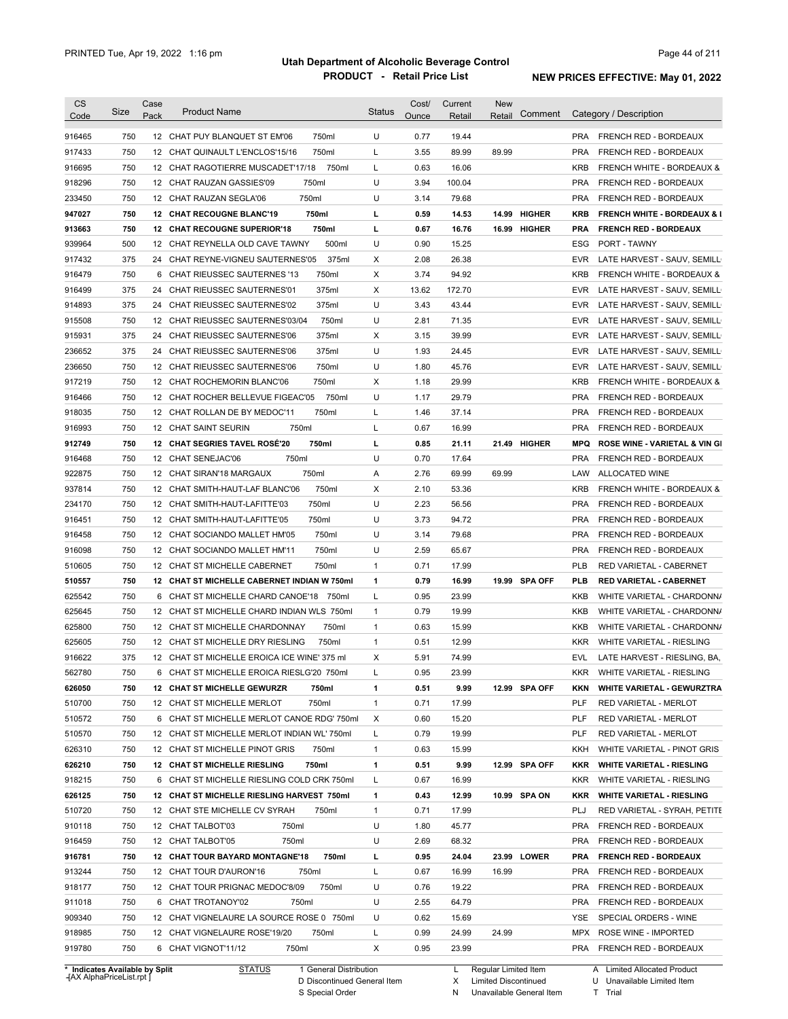| CS                         |            | Case |                                                                         |               | Cost/        | Current        | New    |               |            |                                                            |
|----------------------------|------------|------|-------------------------------------------------------------------------|---------------|--------------|----------------|--------|---------------|------------|------------------------------------------------------------|
| Code                       | Size       | Pack | <b>Product Name</b>                                                     | <b>Status</b> | Ounce        | Retail         | Retail | Comment       |            | Category / Description                                     |
| 916465                     | 750        |      | 12 CHAT PUY BLANQUET ST EM'06<br>750ml                                  | U             | 0.77         | 19.44          |        |               | <b>PRA</b> | FRENCH RED - BORDEAUX                                      |
| 917433                     | 750        |      | 750ml<br>12 CHAT QUINAULT L'ENCLOS'15/16                                | L             | 3.55         | 89.99          | 89.99  |               | <b>PRA</b> | FRENCH RED - BORDEAUX                                      |
| 916695                     | 750        |      | 12 CHAT RAGOTIERRE MUSCADET'17/18<br>750ml                              | L             | 0.63         | 16.06          |        |               | <b>KRB</b> | <b>FRENCH WHITE - BORDEAUX &amp;</b>                       |
| 918296                     | 750        |      | 12 CHAT RAUZAN GASSIES'09<br>750ml                                      | U             | 3.94         | 100.04         |        |               | <b>PRA</b> | FRENCH RED - BORDEAUX                                      |
| 233450                     | 750        |      | 750ml<br>12 CHAT RAUZAN SEGLA'06                                        | U             | 3.14         | 79.68          |        |               | <b>PRA</b> | FRENCH RED - BORDEAUX                                      |
| 947027                     | 750        |      | 12 CHAT RECOUGNE BLANC'19<br>750ml                                      | L             | 0.59         | 14.53          |        | 14.99 HIGHER  | <b>KRB</b> | <b>FRENCH WHITE - BORDEAUX &amp; I</b>                     |
| 913663                     | 750        |      | 12 CHAT RECOUGNE SUPERIOR'18<br>750ml                                   | L             | 0.67         | 16.76          |        | 16.99 HIGHER  | <b>PRA</b> | <b>FRENCH RED - BORDEAUX</b>                               |
| 939964                     | 500        |      | 12 CHAT REYNELLA OLD CAVE TAWNY<br>500ml                                | U             | 0.90         | 15.25          |        |               | ESG        | PORT - TAWNY                                               |
| 917432                     | 375        |      | 24 CHAT REYNE-VIGNEU SAUTERNES'05<br>375ml                              | Х             | 2.08         | 26.38          |        |               | <b>EVR</b> | LATE HARVEST - SAUV, SEMILL                                |
| 916479                     | 750        |      | 6 CHAT RIEUSSEC SAUTERNES '13<br>750ml                                  | Х             | 3.74         | 94.92          |        |               | <b>KRB</b> | <b>FRENCH WHITE - BORDEAUX &amp;</b>                       |
| 916499                     | 375        |      | 375ml<br>24 CHAT RIEUSSEC SAUTERNES'01                                  | х             | 13.62        | 172.70         |        |               | <b>EVR</b> | LATE HARVEST - SAUV, SEMILL                                |
| 914893                     | 375        |      | 375ml<br>24 CHAT RIEUSSEC SAUTERNES'02                                  | U             | 3.43         | 43.44          |        |               | <b>EVR</b> | LATE HARVEST - SAUV, SEMILL                                |
| 915508                     | 750        |      | 12 CHAT RIEUSSEC SAUTERNES'03/04<br>750ml                               | U             | 2.81         | 71.35          |        |               | <b>EVR</b> | LATE HARVEST - SAUV, SEMILL                                |
|                            | 375        |      | 375ml                                                                   | х             | 3.15         | 39.99          |        |               | <b>EVR</b> |                                                            |
| 915931<br>236652           | 375        |      | 24 CHAT RIEUSSEC SAUTERNES'06<br>375ml<br>24 CHAT RIEUSSEC SAUTERNES'06 | U             | 1.93         |                |        |               | <b>EVR</b> | LATE HARVEST - SAUV, SEMILL<br>LATE HARVEST - SAUV, SEMILL |
|                            |            |      |                                                                         |               |              | 24.45          |        |               |            |                                                            |
| 236650                     | 750        |      | 12 CHAT RIEUSSEC SAUTERNES'06<br>750ml                                  | U             | 1.80         | 45.76          |        |               | <b>EVR</b> | LATE HARVEST - SAUV, SEMILL                                |
| 917219                     | 750        |      | 750ml<br>12 CHAT ROCHEMORIN BLANC'06                                    | Х             | 1.18         | 29.99          |        |               | KRB        | FRENCH WHITE - BORDEAUX &                                  |
| 916466                     | 750        |      | 12 CHAT ROCHER BELLEVUE FIGEAC'05<br>750ml                              | U             | 1.17         | 29.79          |        |               | <b>PRA</b> | FRENCH RED - BORDEAUX                                      |
| 918035                     | 750        |      | 12 CHAT ROLLAN DE BY MEDOC'11<br>750ml                                  | L             | 1.46         | 37.14          |        |               | <b>PRA</b> | FRENCH RED - BORDEAUX                                      |
| 916993                     | 750        |      | 750ml<br>12 CHAT SAINT SEURIN                                           | L             | 0.67         | 16.99          |        |               | <b>PRA</b> | FRENCH RED - BORDEAUX                                      |
| 912749                     | 750        |      | 12 CHAT SEGRIES TAVEL ROSÉ'20<br>750ml                                  | L             | 0.85         | 21.11          |        | 21.49 HIGHER  | <b>MPQ</b> | <b>ROSE WINE - VARIETAL &amp; VIN GI</b>                   |
| 916468                     | 750        |      | 750ml<br>12 CHAT SENEJAC'06                                             | U             | 0.70         | 17.64          |        |               | <b>PRA</b> | FRENCH RED - BORDEAUX                                      |
| 922875                     | 750        |      | 750ml<br>12 CHAT SIRAN'18 MARGAUX                                       | Α             | 2.76         | 69.99          | 69.99  |               | LAW        | ALLOCATED WINE                                             |
| 937814                     | 750        |      | 750ml<br>12 CHAT SMITH-HAUT-LAF BLANC'06                                | Х             | 2.10         | 53.36          |        |               | <b>KRB</b> | <b>FRENCH WHITE - BORDEAUX &amp;</b>                       |
| 234170                     | 750        |      | 750ml<br>12 CHAT SMITH-HAUT-LAFITTE'03                                  | U             | 2.23         | 56.56          |        |               | <b>PRA</b> | FRENCH RED - BORDEAUX                                      |
| 916451                     | 750        |      | 750ml<br>12 CHAT SMITH-HAUT-LAFITTE'05                                  | U             | 3.73         | 94.72          |        |               | <b>PRA</b> | FRENCH RED - BORDEAUX                                      |
| 916458                     | 750        |      | 12 CHAT SOCIANDO MALLET HM'05<br>750ml                                  | U             | 3.14         | 79.68          |        |               | <b>PRA</b> | FRENCH RED - BORDEAUX                                      |
| 916098                     | 750        |      | 750ml<br>12 CHAT SOCIANDO MALLET HM'11                                  | U             | 2.59         | 65.67          |        |               | <b>PRA</b> | FRENCH RED - BORDEAUX                                      |
| 510605                     | 750        |      | 12 CHAT ST MICHELLE CABERNET<br>750ml                                   | 1             | 0.71         | 17.99          |        |               | <b>PLB</b> | RED VARIETAL - CABERNET                                    |
| 510557                     | 750        |      | 12 CHAT ST MICHELLE CABERNET INDIAN W 750ml                             | 1             | 0.79         | 16.99          |        | 19.99 SPA OFF | <b>PLB</b> | <b>RED VARIETAL - CABERNET</b>                             |
| 625542                     | 750        |      | 6 CHAT ST MICHELLE CHARD CANOE'18 750ml                                 | L             | 0.95         | 23.99          |        |               | KKB        | WHITE VARIETAL - CHARDONN/                                 |
| 625645                     | 750        |      | 12 CHAT ST MICHELLE CHARD INDIAN WLS 750ml                              | 1             | 0.79         | 19.99          |        |               | KKB        | WHITE VARIETAL - CHARDONN/                                 |
| 625800                     | 750        |      | 12 CHAT ST MICHELLE CHARDONNAY<br>750ml                                 | 1             | 0.63         | 15.99          |        |               | KKB        | WHITE VARIETAL - CHARDONN/                                 |
| 625605                     | 750        |      | 12 CHAT ST MICHELLE DRY RIESLING<br>750ml                               | 1             | 0.51         | 12.99          |        |               | <b>KKR</b> | WHITE VARIETAL - RIESLING                                  |
| 916622                     | 375        |      | 12 CHAT ST MICHELLE EROICA ICE WINE' 375 ml                             | Х             | 5.91         | 74.99          |        |               | EVL        | LATE HARVEST - RIESLING, BA,                               |
| 562780                     | 750        |      | 6 CHAT ST MICHELLE EROICA RIESLG'20 750ml                               | L             | 0.95         | 23.99          |        |               |            | KKR WHITE VARIETAL - RIESLING                              |
| 626050                     | 750        |      | 12 CHAT ST MICHELLE GEWURZR<br>750ml                                    | 1             | 0.51         | 9.99           |        | 12.99 SPA OFF | KKN        | <b>WHITE VARIETAL - GEWURZTRA</b>                          |
| 510700                     | 750        |      | 750ml<br>12 CHAT ST MICHELLE MERLOT                                     | 1             | 0.71         | 17.99          |        |               | PLF        | RED VARIETAL - MERLOT                                      |
| 510572                     | 750        |      | 6 CHAT ST MICHELLE MERLOT CANOE RDG' 750ml                              | Х             | 0.60         | 15.20          |        |               | PLF        | RED VARIETAL - MERLOT                                      |
| 510570                     | 750        |      | 12 CHAT ST MICHELLE MERLOT INDIAN WL'750ml                              | L             | 0.79         | 19.99          |        |               | <b>PLF</b> | RED VARIETAL - MERLOT                                      |
| 626310                     | 750        |      | 12 CHAT ST MICHELLE PINOT GRIS<br>750ml                                 | $\mathbf{1}$  | 0.63         | 15.99          |        |               | KKH        | WHITE VARIETAL - PINOT GRIS                                |
| 626210                     | 750        |      | 12 CHAT ST MICHELLE RIESLING<br>750ml                                   | 1             | 0.51         | 9.99           |        | 12.99 SPA OFF | <b>KKR</b> | <b>WHITE VARIETAL - RIESLING</b>                           |
| 918215                     | 750        |      | 6 CHAT ST MICHELLE RIESLING COLD CRK 750ml                              | L             | 0.67         | 16.99          |        |               | <b>KKR</b> | WHITE VARIETAL - RIESLING                                  |
| 626125                     | 750        |      | 12 CHAT ST MICHELLE RIESLING HARVEST 750ml                              | 1             | 0.43         | 12.99          |        | 10.99 SPA ON  | KKR        | <b>WHITE VARIETAL - RIESLING</b>                           |
| 510720                     | 750        |      | 12 CHAT STE MICHELLE CV SYRAH<br>750ml                                  | $\mathbf{1}$  | 0.71         | 17.99          |        |               | <b>PLJ</b> | RED VARIETAL - SYRAH, PETITE                               |
| 910118                     | 750        |      | 12 CHAT TALBOT'03<br>750ml                                              | U             | 1.80         | 45.77          |        |               | <b>PRA</b> | FRENCH RED - BORDEAUX                                      |
| 916459                     | 750        |      | 750ml<br>12 CHAT TALBOT'05                                              | U             | 2.69         | 68.32          |        |               | <b>PRA</b> | FRENCH RED - BORDEAUX                                      |
|                            |            |      |                                                                         |               |              |                |        |               |            |                                                            |
| 916781                     | 750        |      | 12 CHAT TOUR BAYARD MONTAGNE'18<br>750ml                                | L             | 0.95         | 24.04          |        | 23.99 LOWER   | <b>PRA</b> | <b>FRENCH RED - BORDEAUX</b>                               |
| 913244                     | 750        |      | 12 CHAT TOUR D'AURON'16<br>750ml                                        | L             | 0.67         | 16.99          | 16.99  |               | <b>PRA</b> | FRENCH RED - BORDEAUX                                      |
| 918177                     | 750        |      | 750ml<br>12 CHAT TOUR PRIGNAC MEDOC'8/09                                | U             | 0.76         | 19.22          |        |               | <b>PRA</b> | FRENCH RED - BORDEAUX                                      |
| 911018                     | 750        |      | 6 CHAT TROTANOY'02<br>750ml                                             | U             | 2.55         | 64.79          |        |               | <b>PRA</b> | FRENCH RED - BORDEAUX                                      |
|                            | 750        |      | 12 CHAT VIGNELAURE LA SOURCE ROSE 0 750ml                               | U             | 0.62         | 15.69          |        |               | YSE        | SPECIAL ORDERS - WINE                                      |
|                            |            |      |                                                                         |               |              |                |        |               |            |                                                            |
| 909340<br>918985<br>919780 | 750<br>750 |      | 12 CHAT VIGNELAURE ROSE'19/20<br>750ml<br>6 CHAT VIGNOT'11/12<br>750ml  | L<br>Х        | 0.99<br>0.95 | 24.99<br>23.99 | 24.99  |               | MPX<br>PRA | ROSE WINE - IMPORTED<br>FRENCH RED - BORDEAUX              |

**Case** [AX AlphaPriceList.rpt ]

D Discontinued General Item S Special Order

X Limited Discontinued

N Unavailable General Item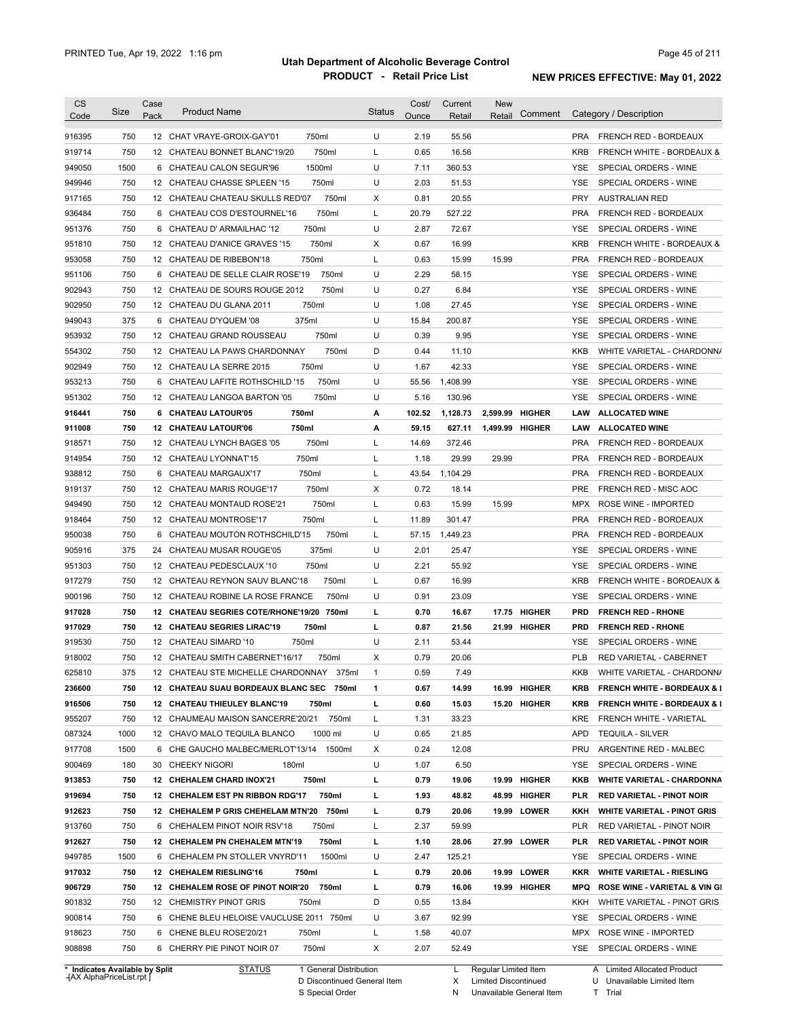| <b>CS</b><br>Code                        | Size | Case<br>Pack | <b>Product Name</b>                                                            | <b>Status</b> | Cost/<br>Ounce | Current<br>Retail | <b>New</b><br>Retail | Comment    | Category / Description                               |
|------------------------------------------|------|--------------|--------------------------------------------------------------------------------|---------------|----------------|-------------------|----------------------|------------|------------------------------------------------------|
| 916395                                   | 750  |              | 750ml<br>12 CHAT VRAYE-GROIX-GAY'01                                            | U             | 2.19           | 55.56             |                      | <b>PRA</b> | <b>FRENCH RED - BORDEAUX</b>                         |
| 919714                                   | 750  |              | 750ml<br>12 CHATEAU BONNET BLANC'19/20                                         | L             | 0.65           | 16.56             |                      | <b>KRB</b> | <b>FRENCH WHITE - BORDEAUX &amp;</b>                 |
| 949050                                   | 1500 |              | 1500ml<br>6 CHATEAU CALON SEGUR'96                                             | U             | 7.11           | 360.53            |                      | YSE        | SPECIAL ORDERS - WINE                                |
| 949946                                   | 750  |              | 750ml<br>12 CHATEAU CHASSE SPLEEN '15                                          | U             | 2.03           | 51.53             |                      | YSE        | SPECIAL ORDERS - WINE                                |
| 917165                                   | 750  |              | 750ml<br>12 CHATEAU CHATEAU SKULLS RED'07                                      | Х             | 0.81           | 20.55             |                      | <b>PRY</b> | <b>AUSTRALIAN RED</b>                                |
| 936484                                   | 750  |              | 750ml<br>6 CHATEAU COS D'ESTOURNEL'16                                          | L             | 20.79          | 527.22            |                      | <b>PRA</b> | FRENCH RED - BORDEAUX                                |
| 951376                                   | 750  |              | 750ml<br>6 CHATEAU D' ARMAILHAC '12                                            | U             | 2.87           | 72.67             |                      | YSE        | SPECIAL ORDERS - WINE                                |
| 951810                                   | 750  |              | 750ml<br>12 CHATEAU D'ANICE GRAVES '15                                         | х             | 0.67           | 16.99             |                      | <b>KRB</b> | FRENCH WHITE - BORDEAUX &                            |
| 953058                                   | 750  |              | 750ml<br>12 CHATEAU DE RIBEBON'18                                              | L             | 0.63           | 15.99             | 15.99                | <b>PRA</b> | FRENCH RED - BORDEAUX                                |
| 951106                                   | 750  |              | 750ml<br>6 CHATEAU DE SELLE CLAIR ROSE'19                                      | U             | 2.29           | 58.15             |                      | YSE        | SPECIAL ORDERS - WINE                                |
| 902943                                   | 750  |              | 750ml<br>12 CHATEAU DE SOURS ROUGE 2012                                        | U             | 0.27           | 6.84              |                      | <b>YSE</b> | SPECIAL ORDERS - WINE                                |
| 902950                                   | 750  |              | 750ml<br>12 CHATEAU DU GLANA 2011                                              | U             | 1.08           | 27.45             |                      | YSE        | SPECIAL ORDERS - WINE                                |
|                                          | 375  | 6            | 375ml<br>CHATEAU D'YQUEM '08                                                   | U             | 15.84          | 200.87            |                      | <b>YSE</b> | SPECIAL ORDERS - WINE                                |
| 949043                                   | 750  |              |                                                                                | U             |                |                   |                      |            |                                                      |
| 953932                                   |      |              | 750ml<br>12 CHATEAU GRAND ROUSSEAU                                             |               | 0.39           | 9.95              |                      | YSE        | SPECIAL ORDERS - WINE                                |
| 554302                                   | 750  |              | 12 CHATEAU LA PAWS CHARDONNAY<br>750ml                                         | D             | 0.44           | 11.10             |                      | KKB        | WHITE VARIETAL - CHARDONN/                           |
| 902949                                   | 750  |              | 750ml<br>12 CHATEAU LA SERRE 2015                                              | U             | 1.67           | 42.33             |                      | <b>YSE</b> | SPECIAL ORDERS - WINE                                |
| 953213                                   | 750  | 6            | 750ml<br>CHATEAU LAFITE ROTHSCHILD '15                                         | U             | 55.56          | 1,408.99          |                      | <b>YSE</b> | SPECIAL ORDERS - WINE                                |
| 951302                                   | 750  |              | 750ml<br>12 CHATEAU LANGOA BARTON '05                                          | U             | 5.16           | 130.96            |                      | YSE        | SPECIAL ORDERS - WINE                                |
| 916441                                   | 750  |              | 6 CHATEAU LATOUR'05<br>750ml                                                   | А             | 102.52         | 1,128.73          | 2,599.99 HIGHER      | LAW        | <b>ALLOCATED WINE</b>                                |
| 911008                                   | 750  |              | 750ml<br>12 CHATEAU LATOUR'06                                                  | A             | 59.15          | 627.11            | 1,499.99 HIGHER      | LAW        | <b>ALLOCATED WINE</b>                                |
| 918571                                   | 750  |              | 750ml<br>12 CHATEAU LYNCH BAGES '05                                            | L             | 14.69          | 372.46            |                      | <b>PRA</b> | FRENCH RED - BORDEAUX                                |
| 914954                                   | 750  |              | 750ml<br>12 CHATEAU LYONNAT'15                                                 | Г             | 1.18           | 29.99             | 29.99                | <b>PRA</b> | FRENCH RED - BORDEAUX                                |
| 938812                                   | 750  | 6            | 750ml<br>CHATEAU MARGAUX'17                                                    | L             | 43.54          | 1,104.29          |                      | <b>PRA</b> | FRENCH RED - BORDEAUX                                |
| 919137                                   | 750  |              | 750ml<br>12 CHATEAU MARIS ROUGE'17                                             | Х             | 0.72           | 18.14             |                      | PRE        | FRENCH RED - MISC AOC                                |
| 949490                                   | 750  |              | 750ml<br>12 CHATEAU MONTAUD ROSE'21                                            | L             | 0.63           | 15.99             | 15.99                |            | MPX<br>ROSE WINE - IMPORTED                          |
| 918464                                   | 750  |              | 750ml<br>12 CHATEAU MONTROSE'17                                                | L             | 11.89          | 301.47            |                      | <b>PRA</b> | FRENCH RED - BORDEAUX                                |
| 950038                                   | 750  | 6            | CHATEAU MOUTON ROTHSCHILD'15<br>750ml                                          | L             | 57.15          | 1,449.23          |                      | <b>PRA</b> | FRENCH RED - BORDEAUX                                |
| 905916                                   | 375  | 24           | 375ml<br>CHATEAU MUSAR ROUGE'05                                                | U             | 2.01           | 25.47             |                      | YSE        | SPECIAL ORDERS - WINE                                |
| 951303                                   | 750  |              | 12 CHATEAU PEDESCLAUX '10<br>750ml                                             | U             | 2.21           | 55.92             |                      | YSE        | SPECIAL ORDERS - WINE                                |
| 917279                                   | 750  |              | 12 CHATEAU REYNON SAUV BLANC'18<br>750ml                                       | L             | 0.67           | 16.99             |                      | <b>KRB</b> | <b>FRENCH WHITE - BORDEAUX &amp;</b>                 |
| 900196                                   | 750  |              | 12 CHATEAU ROBINE LA ROSE FRANCE<br>750ml                                      | U             | 0.91           | 23.09             |                      | YSE        | SPECIAL ORDERS - WINE                                |
| 917028                                   | 750  |              | 12 CHATEAU SEGRIES COTE/RHONE'19/20 750ml                                      | г             | 0.70           | 16.67             | 17.75 HIGHER         | <b>PRD</b> | <b>FRENCH RED - RHONE</b>                            |
| 917029                                   | 750  |              | 12 CHATEAU SEGRIES LIRAC'19<br>750ml                                           | г             | 0.87           | 21.56             | 21.99 HIGHER         | <b>PRD</b> | <b>FRENCH RED - RHONE</b>                            |
| 919530                                   | 750  |              | 750ml<br>12 CHATEAU SIMARD '10                                                 | U             | 2.11           | 53.44             |                      | YSE        | SPECIAL ORDERS - WINE                                |
| 918002                                   | 750  |              | 12 CHATEAU SMITH CABERNET'16/17<br>750ml                                       | X             | 0.79           | 20.06             |                      | <b>PLB</b> | RED VARIETAL - CABERNET                              |
| 625810                                   | 375  |              | 12 CHATEAU STE MICHELLE CHARDONNAY<br>375ml                                    | 1             | 0.59           | 7.49              |                      | KKB        | WHITE VARIETAL - CHARDONN/                           |
| 236600                                   | 750  |              | 12 CHATEAU SUAU BORDEAUX BLANC SEC 750ml                                       | 1             | 0.67           | 14.99             | 16.99 HIGHER         | <b>KRB</b> | <b>FRENCH WHITE - BORDEAUX &amp; I</b>               |
| 916506                                   | 750  |              | 12 CHATEAU THIEULEY BLANC'19<br>750ml                                          | L             | 0.60           | 15.03             | 15.20 HIGHER         | <b>KRB</b> | <b>FRENCH WHITE - BORDEAUX &amp; I</b>               |
| 955207                                   | 750  |              | 750ml<br>12 CHAUMEAU MAISON SANCERRE'20/21                                     | L             | 1.31           | 33.23             |                      | KRE        | FRENCH WHITE - VARIETAL                              |
| 087324                                   | 1000 |              | 1000 ml<br>12 CHAVO MALO TEQUILA BLANCO                                        | U             | 0.65           | 21.85             |                      | <b>APD</b> | <b>TEQUILA - SILVER</b>                              |
| 917708                                   | 1500 |              | 6 CHE GAUCHO MALBEC/MERLOT'13/14<br>1500ml                                     | х             | 0.24           | 12.08             |                      | <b>PRU</b> | ARGENTINE RED - MALBEC                               |
| 900469                                   | 180  |              | 30 CHEEKY NIGORI<br>180ml                                                      | U             | 1.07           | 6.50              |                      | YSE        | SPECIAL ORDERS - WINE                                |
| 913853                                   | 750  |              | 12 CHEHALEM CHARD INOX'21<br>750ml                                             | L             | 0.79           | 19.06             | 19.99 HIGHER         | KKB        | <b>WHITE VARIETAL - CHARDONNA</b>                    |
| 919694                                   | 750  |              | 12 CHEHALEM EST PN RIBBON RDG'17<br>750ml                                      | L             | 1.93           | 48.82             | 48.99 HIGHER         | <b>PLR</b> | <b>RED VARIETAL - PINOT NOIR</b>                     |
| 912623                                   | 750  |              | 12 CHEHALEM P GRIS CHEHELAM MTN'20<br>750ml                                    | L             | 0.79           | 20.06             | 19.99 LOWER          | KKH        | <b>WHITE VARIETAL - PINOT GRIS</b>                   |
| 913760                                   | 750  |              | 6 CHEHALEM PINOT NOIR RSV'18<br>750ml                                          | L             | 2.37           | 59.99             |                      | PLR        | RED VARIETAL - PINOT NOIR                            |
| 912627                                   | 750  |              | 12 CHEHALEM PN CHEHALEM MTN'19<br>750ml                                        | L             | 1.10           | 28.06             | 27.99 LOWER          | <b>PLR</b> | <b>RED VARIETAL - PINOT NOIR</b>                     |
| 949785                                   | 1500 |              | 1500ml<br>6 CHEHALEM PN STOLLER VNYRD'11                                       | U             | 2.47           | 125.21            |                      | YSE        | SPECIAL ORDERS - WINE                                |
| 917032                                   | 750  |              | 12 CHEHALEM RIESLING'16<br>750ml                                               | L             | 0.79           | 20.06             | 19.99 LOWER          | <b>KKR</b> | <b>WHITE VARIETAL - RIESLING</b>                     |
| 906729                                   | 750  |              | 750ml<br><b>12 CHEHALEM ROSE OF PINOT NOIR'20</b>                              | L             | 0.79           | 16.06             | 19.99 HIGHER         | <b>MPQ</b> | ROSE WINE - VARIETAL & VIN GI                        |
| 901832                                   | 750  |              | 12 CHEMISTRY PINOT GRIS<br>750ml                                               | D             | 0.55           | 13.84             |                      | KKH        | WHITE VARIETAL - PINOT GRIS                          |
| 900814                                   | 750  |              | 6 CHENE BLEU HELOISE VAUCLUSE 2011 750ml                                       | U             | 3.67           | 92.99             |                      | YSE        | SPECIAL ORDERS - WINE                                |
| 918623                                   | 750  |              | 6 CHENE BLEU ROSE'20/21<br>750ml                                               | Г             | 1.58           | 40.07             |                      |            | MPX<br><b>ROSE WINE - IMPORTED</b>                   |
|                                          |      |              |                                                                                |               |                |                   |                      |            |                                                      |
| 908898<br>* Indicates Available by Split | 750  |              | 6 CHERRY PIE PINOT NOIR 07<br>750ml<br><b>STATUS</b><br>1 General Distribution | Х             | 2.07           | 52.49<br>L        | Regular Limited Item | YSE        | SPECIAL ORDERS - WINE<br>A Limited Allocated Product |

**Case** [AX AlphaPriceList.rpt ]

D Discontinued General Item

S Special Order

X Limited Discontinued

N Unavailable General Item

U Unavailable Limited Item

T Trial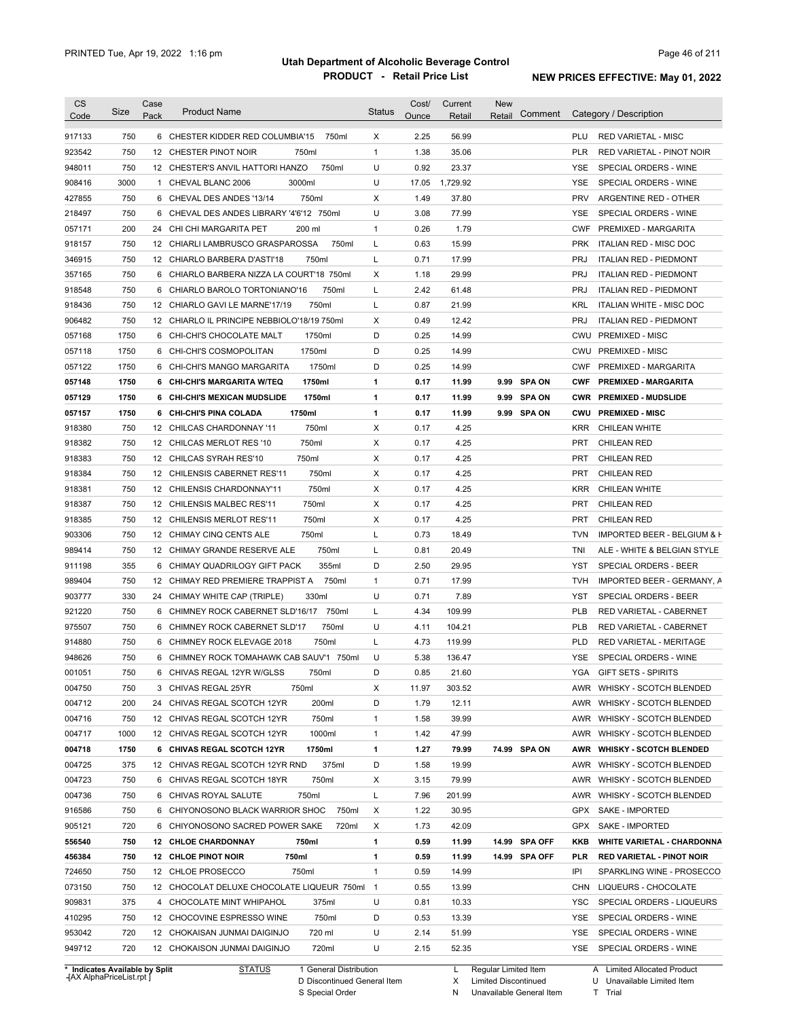| CS<br>Code                 | Size | Case<br>Pack | <b>Product Name</b>                         | <b>Status</b>  | Cost/<br>Ounce | Current<br>Retail | <b>New</b><br>Retail | Comment       |            | Category / Description            |
|----------------------------|------|--------------|---------------------------------------------|----------------|----------------|-------------------|----------------------|---------------|------------|-----------------------------------|
| 917133                     | 750  |              | 6 CHESTER KIDDER RED COLUMBIA'15<br>750ml   | Χ              | 2.25           | 56.99             |                      |               | PLU        | <b>RED VARIETAL - MISC</b>        |
| 923542                     | 750  |              | 12 CHESTER PINOT NOIR<br>750ml              | 1              | 1.38           | 35.06             |                      |               | <b>PLR</b> | RED VARIETAL - PINOT NOIR         |
| 948011                     | 750  |              | 750ml<br>12 CHESTER'S ANVIL HATTORI HANZO   | U              | 0.92           | 23.37             |                      |               | YSE        | SPECIAL ORDERS - WINE             |
| 908416                     | 3000 |              | 1 CHEVAL BLANC 2006<br>3000ml               | U              | 17.05          | 1,729.92          |                      |               | YSE        | SPECIAL ORDERS - WINE             |
| 427855                     | 750  |              | 750ml<br>6 CHEVAL DES ANDES '13/14          | х              | 1.49           | 37.80             |                      |               | <b>PRV</b> | ARGENTINE RED - OTHER             |
| 218497                     | 750  |              | 6 CHEVAL DES ANDES LIBRARY '4'6'12 750ml    | U              | 3.08           | 77.99             |                      |               | <b>YSE</b> | SPECIAL ORDERS - WINE             |
| 057171                     | 200  |              | 24 CHI CHI MARGARITA PET<br>200 ml          | 1              | 0.26           | 1.79              |                      |               | <b>CWF</b> | PREMIXED - MARGARITA              |
| 918157                     | 750  |              | 750ml<br>12 CHIARLI LAMBRUSCO GRASPAROSSA   | L              | 0.63           | 15.99             |                      |               | <b>PRK</b> | <b>ITALIAN RED - MISC DOC</b>     |
| 346915                     | 750  |              | 12 CHIARLO BARBERA D'ASTI'18<br>750ml       | L              | 0.71           | 17.99             |                      |               | <b>PRJ</b> | <b>ITALIAN RED - PIEDMONT</b>     |
| 357165                     | 750  |              | 6 CHIARLO BARBERA NIZZA LA COURT'18 750ml   | X              | 1.18           | 29.99             |                      |               | <b>PRJ</b> | <b>ITALIAN RED - PIEDMONT</b>     |
| 918548                     | 750  |              | 750ml<br>6 CHIARLO BAROLO TORTONIANO'16     | L              | 2.42           | 61.48             |                      |               | <b>PRJ</b> | <b>ITALIAN RED - PIEDMONT</b>     |
| 918436                     | 750  |              | 750ml<br>12 CHIARLO GAVI LE MARNE'17/19     | L              | 0.87           | 21.99             |                      |               | <b>KRL</b> | ITALIAN WHITE - MISC DOC          |
| 906482                     | 750  |              | 12 CHIARLO IL PRINCIPE NEBBIOLO'18/19 750ml | Χ              | 0.49           | 12.42             |                      |               | <b>PRJ</b> | <b>ITALIAN RED - PIEDMONT</b>     |
| 057168                     | 1750 |              | 6 CHI-CHI'S CHOCOLATE MALT<br>1750ml        | D              | 0.25           | 14.99             |                      |               | <b>CWU</b> | <b>PREMIXED - MISC</b>            |
| 057118                     | 1750 |              | 6 CHI-CHI'S COSMOPOLITAN<br>1750ml          | D              | 0.25           | 14.99             |                      |               | <b>CWU</b> | <b>PREMIXED - MISC</b>            |
| 057122                     | 1750 |              | 1750ml<br>6 CHI-CHI'S MANGO MARGARITA       | D              | 0.25           | 14.99             |                      |               | <b>CWF</b> | PREMIXED - MARGARITA              |
| 057148                     | 1750 |              | 1750ml<br>6 CHI-CHI'S MARGARITA W/TEQ       | 1              | 0.17           | 11.99             |                      | 9.99 SPA ON   | <b>CWF</b> | <b>PREMIXED - MARGARITA</b>       |
| 057129                     | 1750 |              | 1750ml<br>6 CHI-CHI'S MEXICAN MUDSLIDE      | 1              | 0.17           | 11.99             |                      | 9.99 SPA ON   | <b>CWR</b> | <b>PREMIXED - MUDSLIDE</b>        |
|                            | 1750 |              | 1750ml                                      | 1              | 0.17           |                   |                      | 9.99 SPA ON   |            | <b>PREMIXED - MISC</b>            |
| 057157                     | 750  |              | 6 CHI-CHI'S PINA COLADA<br>750ml            | Χ              | 0.17           | 11.99<br>4.25     |                      |               | <b>CWU</b> |                                   |
| 918380                     |      |              | 12 CHILCAS CHARDONNAY '11                   |                |                |                   |                      |               | <b>KRR</b> | CHILEAN WHITE                     |
| 918382                     | 750  |              | 750ml<br>12 CHILCAS MERLOT RES '10          | X              | 0.17           | 4.25              |                      |               | <b>PRT</b> | <b>CHILEAN RED</b>                |
| 918383                     | 750  |              | 12 CHILCAS SYRAH RES'10<br>750ml            | X              | 0.17           | 4.25              |                      |               | <b>PRT</b> | <b>CHILEAN RED</b>                |
| 918384                     | 750  |              | 12 CHILENSIS CABERNET RES'11<br>750ml       | X              | 0.17           | 4.25              |                      |               | <b>PRT</b> | <b>CHILEAN RED</b>                |
| 918381                     | 750  |              | 750ml<br>12 CHILENSIS CHARDONNAY'11         | Χ              | 0.17           | 4.25              |                      |               | <b>KRR</b> | CHILEAN WHITE                     |
| 918387                     | 750  |              | 750ml<br>12 CHILENSIS MALBEC RES'11         | Χ              | 0.17           | 4.25              |                      |               | <b>PRT</b> | <b>CHILEAN RED</b>                |
| 918385                     | 750  |              | 750ml<br>12 CHILENSIS MERLOT RES'11         | X              | 0.17           | 4.25              |                      |               | <b>PRT</b> | <b>CHILEAN RED</b>                |
| 903306                     | 750  |              | 750ml<br>12 CHIMAY CINQ CENTS ALE           | Г              | 0.73           | 18.49             |                      |               | <b>TVN</b> | IMPORTED BEER - BELGIUM & F       |
| 989414                     | 750  |              | 750ml<br>12 CHIMAY GRANDE RESERVE ALE       | Г              | 0.81           | 20.49             |                      |               | TNI        | ALE - WHITE & BELGIAN STYLE       |
| 911198                     | 355  |              | 355ml<br>6 CHIMAY QUADRILOGY GIFT PACK      | D              | 2.50           | 29.95             |                      |               | <b>YST</b> | SPECIAL ORDERS - BEER             |
| 989404                     | 750  |              | 750ml<br>12 CHIMAY RED PREMIERE TRAPPIST A  | 1              | 0.71           | 17.99             |                      |               | <b>TVH</b> | IMPORTED BEER - GERMANY, A        |
| 903777                     | 330  |              | 330ml<br>24 CHIMAY WHITE CAP (TRIPLE)       | U              | 0.71           | 7.89              |                      |               | YST        | SPECIAL ORDERS - BEER             |
| 921220                     | 750  |              | 6 CHIMNEY ROCK CABERNET SLD'16/17<br>750ml  | Г              | 4.34           | 109.99            |                      |               | <b>PLB</b> | RED VARIETAL - CABERNET           |
| 975507                     | 750  |              | 750ml<br>6 CHIMNEY ROCK CABERNET SLD'17     | U              | 4.11           | 104.21            |                      |               | <b>PLB</b> | RED VARIETAL - CABERNET           |
| 914880                     | 750  |              | 750ml<br>6 CHIMNEY ROCK ELEVAGE 2018        | L              | 4.73           | 119.99            |                      |               | <b>PLD</b> | RED VARIETAL - MERITAGE           |
| 948626                     | 750  |              | 6 CHIMNEY ROCK TOMAHAWK CAB SAUV'1 750ml    | U              | 5.38           | 136.47            |                      |               | YSE        | SPECIAL ORDERS - WINE             |
| 001051                     | 750  |              | 6 CHIVAS REGAL 12YR W/GLSS<br>750ml         | D              | 0.85           | 21.60             |                      |               |            | YGA GIFT SETS - SPIRITS           |
| 004750                     | 750  |              | 750ml<br>3 CHIVAS REGAL 25YR                | Х              | 11.97          | 303.52            |                      |               | AWR        | WHISKY - SCOTCH BLENDED           |
| 004712                     | 200  |              | 200ml<br>24 CHIVAS REGAL SCOTCH 12YR        | D              | 1.79           | 12.11             |                      |               | AWR        | WHISKY - SCOTCH BLENDED           |
| 004716                     | 750  |              | 750ml<br>12 CHIVAS REGAL SCOTCH 12YR        | 1              | 1.58           | 39.99             |                      |               | AWR        | WHISKY - SCOTCH BLENDED           |
| 004717                     | 1000 |              | 1000ml<br>12 CHIVAS REGAL SCOTCH 12YR       | 1              | 1.42           | 47.99             |                      |               | AWR        | WHISKY - SCOTCH BLENDED           |
| 004718                     | 1750 |              | 1750ml<br>6 CHIVAS REGAL SCOTCH 12YR        | 1              | 1.27           | 79.99             |                      | 74.99 SPA ON  | AWR        | <b>WHISKY - SCOTCH BLENDED</b>    |
| 004725                     | 375  |              | 375ml<br>12 CHIVAS REGAL SCOTCH 12YR RND    | D              | 1.58           | 19.99             |                      |               | AWR        | WHISKY - SCOTCH BLENDED           |
| 004723                     | 750  |              | 750ml<br>6 CHIVAS REGAL SCOTCH 18YR         | Х              | 3.15           | 79.99             |                      |               | AWR        | WHISKY - SCOTCH BLENDED           |
| 004736                     | 750  |              | 6 CHIVAS ROYAL SALUTE<br>750ml              | Г              | 7.96           | 201.99            |                      |               | AWR        | WHISKY - SCOTCH BLENDED           |
| 916586                     | 750  |              | 750ml<br>6 CHIYONOSONO BLACK WARRIOR SHOC   | X              | 1.22           | 30.95             |                      |               | GPX        | <b>SAKE - IMPORTED</b>            |
| 905121                     | 720  |              | 6 CHIYONOSONO SACRED POWER SAKE<br>720ml    | X              | 1.73           | 42.09             |                      |               | GPX        | SAKE - IMPORTED                   |
| 556540                     | 750  |              | 12 CHLOE CHARDONNAY<br>750ml                | 1              | 0.59           | 11.99             |                      | 14.99 SPA OFF | KKB        | <b>WHITE VARIETAL - CHARDONNA</b> |
| 456384                     | 750  |              | 750ml<br>12 CHLOE PINOT NOIR                | 1              | 0.59           | 11.99             |                      | 14.99 SPA OFF | <b>PLR</b> | <b>RED VARIETAL - PINOT NOIR</b>  |
| 724650                     | 750  |              | 750ml<br>12 CHLOE PROSECCO                  | 1              | 0.59           | 14.99             |                      |               | IPI        | SPARKLING WINE - PROSECCO         |
| 073150                     | 750  |              | 12 CHOCOLAT DELUXE CHOCOLATE LIQUEUR 750ml  | $\overline{1}$ | 0.55           | 13.99             |                      |               | CHN        | LIQUEURS - CHOCOLATE              |
|                            | 375  |              | 4 CHOCOLATE MINT WHIPAHOL<br>375ml          | U              | 0.81           | 10.33             |                      |               | YSC        | SPECIAL ORDERS - LIQUEURS         |
|                            |      |              | 750ml<br>12 CHOCOVINE ESPRESSO WINE         | D              | 0.53           | 13.39             |                      |               | YSE        | SPECIAL ORDERS - WINE             |
|                            | 750  |              |                                             |                |                |                   |                      |               |            |                                   |
| 909831<br>410295<br>953042 | 720  |              | 720 ml<br>12 CHOKAISAN JUNMAI DAIGINJO      | U              | 2.14           | 51.99             |                      |               | YSE        | SPECIAL ORDERS - WINE             |

**Case** [AX AlphaPriceList.rpt ]

D Discontinued General Item

S Special Order

X Limited Discontinued

N Unavailable General Item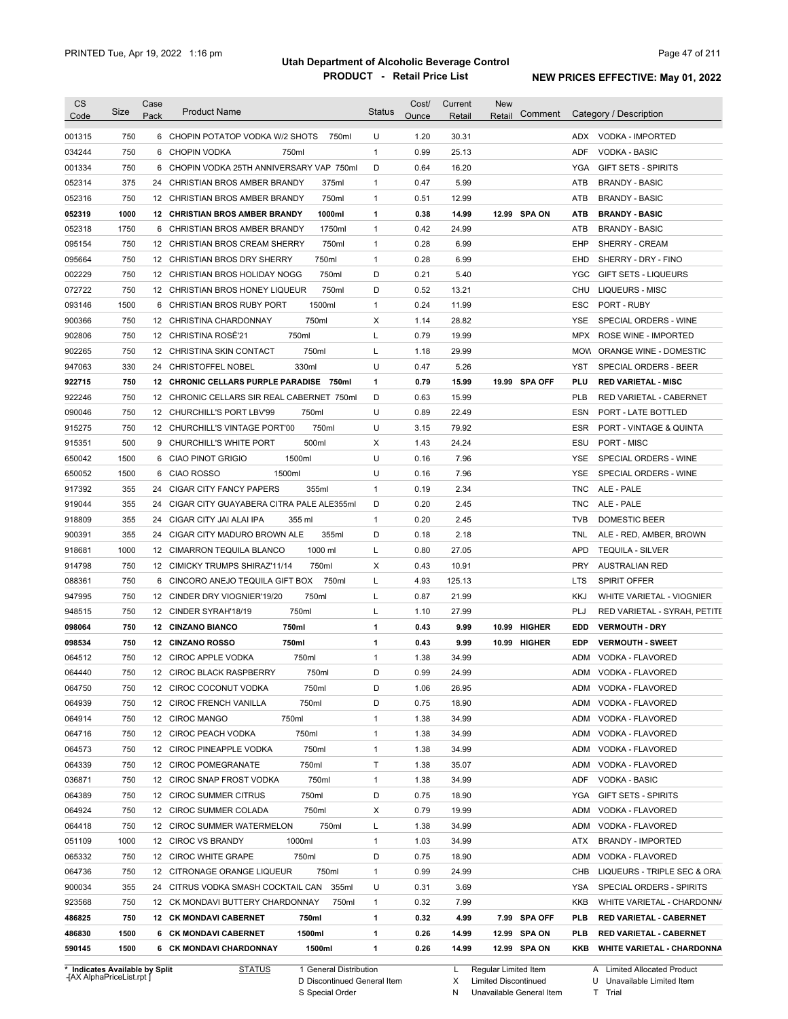| <b>CS</b><br>Code              | Size | Case<br>Pack    | <b>Product Name</b>                         | <b>Status</b> | Cost/<br>Ounce | Current<br>Retail | New<br>Comment<br>Retail |            | Category / Description         |
|--------------------------------|------|-----------------|---------------------------------------------|---------------|----------------|-------------------|--------------------------|------------|--------------------------------|
| 001315                         | 750  |                 | 6 CHOPIN POTATOP VODKA W/2 SHOTS<br>750ml   | U             | 1.20           | 30.31             |                          |            | ADX VODKA - IMPORTED           |
| 034244                         | 750  | 6               | CHOPIN VODKA<br>750ml                       | $\mathbf{1}$  | 0.99           | 25.13             |                          | <b>ADF</b> | <b>VODKA - BASIC</b>           |
| 001334                         | 750  |                 | 6 CHOPIN VODKA 25TH ANNIVERSARY VAP 750ml   | D             | 0.64           | 16.20             |                          | YGA        | <b>GIFT SETS - SPIRITS</b>     |
| 052314                         | 375  |                 | 24 CHRISTIAN BROS AMBER BRANDY<br>375ml     | $\mathbf{1}$  | 0.47           | 5.99              |                          | ATB        | <b>BRANDY - BASIC</b>          |
| 052316                         | 750  |                 | 750ml<br>12 CHRISTIAN BROS AMBER BRANDY     | $\mathbf{1}$  | 0.51           | 12.99             |                          | ATB        | <b>BRANDY - BASIC</b>          |
| 052319                         | 1000 |                 | 1000ml<br>12 CHRISTIAN BROS AMBER BRANDY    | 1             | 0.38           | 14.99             | 12.99 SPA ON             | <b>ATB</b> | <b>BRANDY - BASIC</b>          |
| 052318                         | 1750 |                 | 6 CHRISTIAN BROS AMBER BRANDY<br>1750ml     | $\mathbf{1}$  | 0.42           | 24.99             |                          | <b>ATB</b> | <b>BRANDY - BASIC</b>          |
| 095154                         | 750  |                 | 12 CHRISTIAN BROS CREAM SHERRY<br>750ml     | $\mathbf{1}$  | 0.28           | 6.99              |                          | EHP        | SHERRY - CREAM                 |
| 095664                         | 750  |                 | 750ml<br>12 CHRISTIAN BROS DRY SHERRY       | $\mathbf{1}$  | 0.28           | 6.99              |                          | EHD        | SHERRY - DRY - FINO            |
| 002229                         | 750  |                 | 12 CHRISTIAN BROS HOLIDAY NOGG<br>750ml     | D             | 0.21           | 5.40              |                          | <b>YGC</b> | <b>GIFT SETS - LIQUEURS</b>    |
| 072722                         | 750  |                 | 12 CHRISTIAN BROS HONEY LIQUEUR<br>750ml    | D             | 0.52           | 13.21             |                          | CHU        | LIQUEURS - MISC                |
| 093146                         | 1500 |                 | 1500ml<br>6 CHRISTIAN BROS RUBY PORT        | 1             | 0.24           | 11.99             |                          | ESC        | PORT - RUBY                    |
| 900366                         | 750  |                 | 750ml<br>12 CHRISTINA CHARDONNAY            | х             | 1.14           | 28.82             |                          | YSE        | SPECIAL ORDERS - WINE          |
| 902806                         | 750  |                 | 12 CHRISTINA ROSÉ'21<br>750ml               | L             | 0.79           | 19.99             |                          | <b>MPX</b> | ROSE WINE - IMPORTED           |
| 902265                         | 750  |                 | 750ml<br>12 CHRISTINA SKIN CONTACT          | Г             | 1.18           | 29.99             |                          | <b>MOW</b> | ORANGE WINE - DOMESTIC         |
| 947063                         | 330  |                 | 24 CHRISTOFFEL NOBEL<br>330ml               | U             | 0.47           | 5.26              |                          | YST        | SPECIAL ORDERS - BEER          |
| 922715                         | 750  |                 | 12 CHRONIC CELLARS PURPLE PARADISE<br>750ml | 1             | 0.79           | 15.99             | 19.99 SPA OFF            | PLU        | <b>RED VARIETAL - MISC</b>     |
| 922246                         | 750  |                 | 12 CHRONIC CELLARS SIR REAL CABERNET 750ml  | D             | 0.63           | 15.99             |                          | <b>PLB</b> | RED VARIETAL - CABERNET        |
| 090046                         | 750  |                 | 12 CHURCHILL'S PORT LBV'99<br>750ml         | U             | 0.89           | 22.49             |                          | ESN        | PORT - LATE BOTTLED            |
| 915275                         | 750  |                 | 750ml<br>12 CHURCHILL'S VINTAGE PORT'00     | U             | 3.15           | 79.92             |                          | ESR        | PORT - VINTAGE & QUINTA        |
| 915351                         | 500  |                 | 500ml<br>9 CHURCHILL'S WHITE PORT           | Х             | 1.43           | 24.24             |                          | ESU        | PORT - MISC                    |
| 650042                         | 1500 | 6               | 1500ml<br>CIAO PINOT GRIGIO                 | U             | 0.16           | 7.96              |                          | YSE        | SPECIAL ORDERS - WINE          |
| 650052                         | 1500 | 6               | <b>CIAO ROSSO</b><br>1500ml                 | U             | 0.16           | 7.96              |                          | YSE        | SPECIAL ORDERS - WINE          |
| 917392                         | 355  | 24              | 355ml<br>CIGAR CITY FANCY PAPERS            | $\mathbf{1}$  | 0.19           | 2.34              |                          | <b>TNC</b> | ALE - PALE                     |
| 919044                         | 355  | 24              | CIGAR CITY GUAYABERA CITRA PALE ALE355ml    | D             | 0.20           | 2.45              |                          | <b>TNC</b> | ALE - PALE                     |
| 918809                         | 355  | 24              | CIGAR CITY JAI ALAI IPA<br>355 ml           | 1             | 0.20           | 2.45              |                          | <b>TVB</b> | <b>DOMESTIC BEER</b>           |
| 900391                         | 355  | 24              | CIGAR CITY MADURO BROWN ALE<br>355ml        | D             | 0.18           | 2.18              |                          | TNL        | ALE - RED, AMBER, BROWN        |
| 918681                         | 1000 | 12 <sup>2</sup> | 1000 ml<br>CIMARRON TEQUILA BLANCO          | L             | 0.80           | 27.05             |                          | <b>APD</b> | <b>TEQUILA - SILVER</b>        |
| 914798                         | 750  |                 | 12 CIMICKY TRUMPS SHIRAZ'11/14<br>750ml     | X             | 0.43           | 10.91             |                          | <b>PRY</b> | AUSTRALIAN RED                 |
| 088361                         | 750  | 6               | CINCORO ANEJO TEQUILA GIFT BOX<br>750ml     | L             | 4.93           | 125.13            |                          | <b>LTS</b> | <b>SPIRIT OFFER</b>            |
| 947995                         | 750  |                 | 750ml<br>12 CINDER DRY VIOGNIER'19/20       | Г             | 0.87           | 21.99             |                          | <b>KKJ</b> | WHITE VARIETAL - VIOGNIER      |
| 948515                         | 750  |                 | 750ml<br>12 CINDER SYRAH'18/19              | Г             | 1.10           | 27.99             |                          | PLJ        | RED VARIETAL - SYRAH, PETITE   |
| 098064                         | 750  |                 | 750ml<br>12 CINZANO BIANCO                  | 1             | 0.43           | 9.99              | 10.99 HIGHER             | EDD        | <b>VERMOUTH - DRY</b>          |
| 098534                         | 750  |                 | 750ml<br><b>12 CINZANO ROSSO</b>            | 1             | 0.43           | 9.99              | 10.99 HIGHER             | <b>EDP</b> | <b>VERMOUTH - SWEET</b>        |
| 064512                         | 750  |                 | 12 CIROC APPLE VODKA<br>750ml               | 1             | 1.38           | 34.99             |                          | ADM        | VODKA - FLAVORED               |
| 064440                         | 750  |                 | 12 CIROC BLACK RASPBERRY<br>750ml           | D             | 0.99           | 24.99             |                          |            | ADM VODKA - FLAVORED           |
| 064750                         | 750  |                 | 12 CIROC COCONUT VODKA<br>750ml             | D             | 1.06           | 26.95             |                          |            | ADM VODKA - FLAVORED           |
| 064939                         | 750  |                 | 750ml<br>12 CIROC FRENCH VANILLA            | D             | 0.75           | 18.90             |                          | ADM        | VODKA - FLAVORED               |
| 064914                         | 750  |                 | 750ml<br>12 CIROC MANGO                     | 1             | 1.38           | 34.99             |                          | ADM        | VODKA - FLAVORED               |
| 064716                         | 750  |                 | 12 CIROC PEACH VODKA<br>750ml               | 1             | 1.38           | 34.99             |                          | ADM        | VODKA - FLAVORED               |
| 064573                         | 750  |                 | 750ml<br>12 CIROC PINEAPPLE VODKA           | 1             | 1.38           | 34.99             |                          | ADM        | VODKA - FLAVORED               |
| 064339                         | 750  |                 | 12 CIROC POMEGRANATE<br>750ml               | Τ             | 1.38           | 35.07             |                          | ADM        | VODKA - FLAVORED               |
| 036871                         | 750  |                 | 750ml<br>12 CIROC SNAP FROST VODKA          | 1             | 1.38           | 34.99             |                          | ADF        | <b>VODKA - BASIC</b>           |
| 064389                         | 750  |                 | 12 CIROC SUMMER CITRUS<br>750ml             | D             | 0.75           | 18.90             |                          | YGA        | <b>GIFT SETS - SPIRITS</b>     |
| 064924                         | 750  |                 | 750ml<br>12 CIROC SUMMER COLADA             | х             | 0.79           | 19.99             |                          | ADM        | VODKA - FLAVORED               |
| 064418                         | 750  |                 | 750ml<br>12 CIROC SUMMER WATERMELON         | L             | 1.38           | 34.99             |                          | ADM        | VODKA - FLAVORED               |
| 051109                         | 1000 |                 | 1000ml<br>12 CIROC VS BRANDY                | 1             | 1.03           | 34.99             |                          | ATX        | <b>BRANDY - IMPORTED</b>       |
| 065332                         | 750  |                 | 750ml<br>12 CIROC WHITE GRAPE               | D             | 0.75           | 18.90             |                          | ADM        | VODKA - FLAVORED               |
| 064736                         | 750  |                 | 750ml<br>12 CITRONAGE ORANGE LIQUEUR        | $\mathbf{1}$  | 0.99           | 24.99             |                          | CHB        | LIQUEURS - TRIPLE SEC & ORA    |
| 900034                         | 355  |                 | 355ml<br>24 CITRUS VODKA SMASH COCKTAIL CAN | U             | 0.31           | 3.69              |                          | YSA        | SPECIAL ORDERS - SPIRITS       |
| 923568                         | 750  |                 | 12 CK MONDAVI BUTTERY CHARDONNAY<br>750ml   | 1             | 0.32           | 7.99              |                          | KKB        | WHITE VARIETAL - CHARDONN/     |
| 486825                         | 750  |                 | 12 CK MONDAVI CABERNET<br>750ml             | 1             | 0.32           | 4.99              | 7.99 SPA OFF             | <b>PLB</b> | <b>RED VARIETAL - CABERNET</b> |
| 486830                         | 1500 |                 | 1500ml<br>6 CK MONDAVI CABERNET             | 1             | 0.26           | 14.99             | 12.99 SPA ON             | <b>PLB</b> | <b>RED VARIETAL CABERNET</b>   |
| 590145                         | 1500 |                 | 6 CK MONDAVI CHARDONNAY<br>1500ml           | 1             | 0.26           | 14.99             | 12.99 SPA ON             |            | KKB WHITE VARIETAL - CHARDONNA |
| * Indicates Available by Split |      |                 | 1 General Distribution<br><b>STATUS</b>     |               |                | L.                | Regular Limited Item     |            | A Limited Allocated Product    |

**Case** [AX AlphaPriceList.rpt ]

D Discontinued General Item

S Special Order

L Regular Limited Item

X N Limited Discontinued

Unavailable General Item

A Limited Allocated Product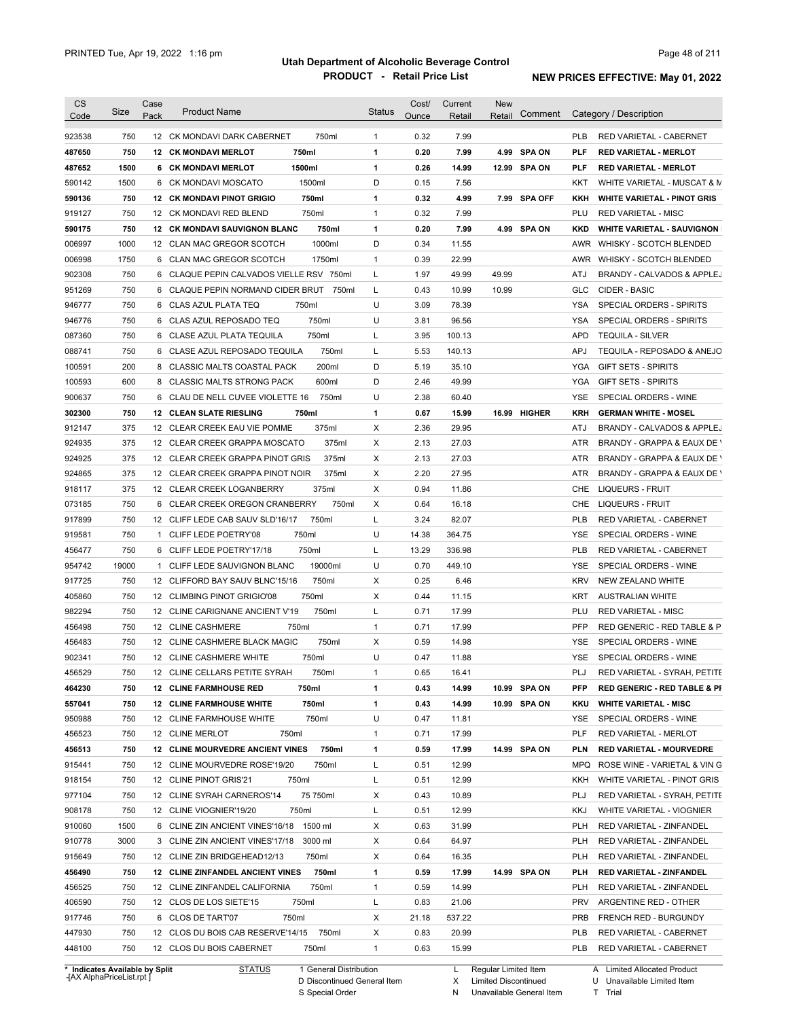| <b>CS</b>                      | Size  | Case            | <b>Product Name</b>                     |                        | Status       | Cost/ | Current | <b>New</b>           |                |            |                                         |
|--------------------------------|-------|-----------------|-----------------------------------------|------------------------|--------------|-------|---------|----------------------|----------------|------------|-----------------------------------------|
| Code                           |       | Pack            |                                         |                        |              | Ounce | Retail  | Retail               | Comment        |            | Category / Description                  |
| 923538                         | 750   |                 | 12 CK MONDAVI DARK CABERNET             | 750ml                  | $\mathbf{1}$ | 0.32  | 7.99    |                      |                | <b>PLB</b> | RED VARIETAL - CABERNET                 |
| 487650                         | 750   |                 | <b>12 CK MONDAVI MERLOT</b>             | 750ml                  | $\mathbf{1}$ | 0.20  | 7.99    | 4.99                 | <b>SPA ON</b>  | <b>PLF</b> | <b>RED VARIETAL - MERLOT</b>            |
| 487652                         | 1500  |                 | <b>6 CK MONDAVI MERLOT</b>              | 1500ml                 | 1            | 0.26  | 14.99   |                      | 12.99 SPA ON   | <b>PLF</b> | <b>RED VARIETAL - MERLOT</b>            |
| 590142                         | 1500  | 6               | <b>CK MONDAVI MOSCATO</b>               | 1500ml                 | D            | 0.15  | 7.56    |                      |                | KKT        | WHITE VARIETAL - MUSCAT & M             |
| 590136                         | 750   |                 | <b>12 CK MONDAVI PINOT GRIGIO</b>       | 750ml                  | 1            | 0.32  | 4.99    | 7.99                 | <b>SPA OFF</b> | KKH        | <b>WHITE VARIETAL - PINOT GRIS</b>      |
| 919127                         | 750   |                 | 12 CK MONDAVI RED BLEND                 | 750ml                  | $\mathbf{1}$ | 0.32  | 7.99    |                      |                | PLU        | <b>RED VARIETAL - MISC</b>              |
| 590175                         | 750   |                 | <b>12 CK MONDAVI SAUVIGNON BLANC</b>    | 750ml                  | 1            | 0.20  | 7.99    | 4.99                 | <b>SPA ON</b>  | <b>KKD</b> | <b>WHITE VARIETAL - SAUVIGNON</b>       |
| 006997                         | 1000  |                 | 12 CLAN MAC GREGOR SCOTCH               | 1000ml                 | D            | 0.34  | 11.55   |                      |                |            | AWR WHISKY - SCOTCH BLENDED             |
| 006998                         | 1750  |                 | 6 CLAN MAC GREGOR SCOTCH                | 1750ml                 | $\mathbf{1}$ | 0.39  | 22.99   |                      |                |            | AWR WHISKY - SCOTCH BLENDED             |
| 902308                         | 750   | 6               | CLAQUE PEPIN CALVADOS VIELLE RSV 750ml  |                        | L            | 1.97  | 49.99   | 49.99                |                | ATJ        | BRANDY - CALVADOS & APPLEJ              |
| 951269                         | 750   |                 | 6 CLAQUE PEPIN NORMAND CIDER BRUT       | 750ml                  | L            | 0.43  | 10.99   | 10.99                |                | GLC        | CIDER - BASIC                           |
| 946777                         | 750   |                 | 6 CLAS AZUL PLATA TEQ                   | 750ml                  | U            | 3.09  | 78.39   |                      |                | YSA        | SPECIAL ORDERS - SPIRITS                |
| 946776                         | 750   |                 | 6 CLAS AZUL REPOSADO TEQ                | 750ml                  | U            | 3.81  | 96.56   |                      |                | YSA        | SPECIAL ORDERS - SPIRITS                |
| 087360                         | 750   | 6               | CLASE AZUL PLATA TEQUILA                | 750ml                  | L            | 3.95  | 100.13  |                      |                | <b>APD</b> | <b>TEQUILA - SILVER</b>                 |
| 088741                         | 750   | 6               | CLASE AZUL REPOSADO TEQUILA             | 750ml                  | L            | 5.53  | 140.13  |                      |                | <b>APJ</b> | TEQUILA - REPOSADO & ANEJO              |
| 100591                         | 200   | 8               | <b>CLASSIC MALTS COASTAL PACK</b>       | 200ml                  | D            | 5.19  | 35.10   |                      |                | YGA        | <b>GIFT SETS - SPIRITS</b>              |
| 100593                         | 600   | 8               | <b>CLASSIC MALTS STRONG PACK</b>        | 600ml                  | D            | 2.46  | 49.99   |                      |                | YGA        | <b>GIFT SETS - SPIRITS</b>              |
| 900637                         | 750   | 6               | CLAU DE NELL CUVEE VIOLETTE 16          | 750ml                  | U            | 2.38  | 60.40   |                      |                | YSE        | SPECIAL ORDERS - WINE                   |
| 302300                         | 750   | 12              | <b>CLEAN SLATE RIESLING</b>             | 750ml                  | 1            | 0.67  | 15.99   |                      | 16.99 HIGHER   | <b>KRH</b> | <b>GERMAN WHITE - MOSEL</b>             |
| 912147                         | 375   |                 | 12 CLEAR CREEK EAU VIE POMME            | 375ml                  | Χ            | 2.36  | 29.95   |                      |                | ATJ        | BRANDY - CALVADOS & APPLEJ              |
| 924935                         | 375   |                 | 12 CLEAR CREEK GRAPPA MOSCATO           | 375ml                  | Χ            | 2.13  | 27.03   |                      |                | ATR        | BRANDY - GRAPPA & EAUX DE \             |
| 924925                         | 375   |                 | 12 CLEAR CREEK GRAPPA PINOT GRIS        | 375ml                  | Χ            | 2.13  | 27.03   |                      |                | ATR        | BRANDY - GRAPPA & EAUX DE \             |
| 924865                         | 375   |                 | 12 CLEAR CREEK GRAPPA PINOT NOIR        | 375ml                  | Χ            | 2.20  | 27.95   |                      |                | ATR        | BRANDY - GRAPPA & EAUX DE \             |
| 918117                         | 375   |                 | 12 CLEAR CREEK LOGANBERRY               | 375ml                  | Χ            | 0.94  | 11.86   |                      |                | CHE        | LIQUEURS - FRUIT                        |
| 073185                         | 750   |                 | 6 CLEAR CREEK OREGON CRANBERRY          | 750ml                  | Χ            | 0.64  | 16.18   |                      |                | CHE        | LIQUEURS - FRUIT                        |
| 917899                         | 750   |                 | 12 CLIFF LEDE CAB SAUV SLD'16/17        | 750ml                  | L            | 3.24  | 82.07   |                      |                | <b>PLB</b> | RED VARIETAL - CABERNET                 |
| 919581                         | 750   |                 | 1 CLIFF LEDE POETRY'08                  | 750ml                  | U            | 14.38 | 364.75  |                      |                | YSE        | SPECIAL ORDERS - WINE                   |
| 456477                         | 750   | 6               | CLIFF LEDE POETRY'17/18                 | 750ml                  | L            | 13.29 | 336.98  |                      |                | <b>PLB</b> | RED VARIETAL - CABERNET                 |
| 954742                         | 19000 | 1               | CLIFF LEDE SAUVIGNON BLANC              | 19000ml                | U            | 0.70  | 449.10  |                      |                | YSE        | SPECIAL ORDERS - WINE                   |
| 917725                         | 750   |                 | 12 CLIFFORD BAY SAUV BLNC'15/16         | 750ml                  | Х            | 0.25  | 6.46    |                      |                | <b>KRV</b> | NEW ZEALAND WHITE                       |
| 405860                         | 750   |                 | 12 CLIMBING PINOT GRIGIO'08             | 750ml                  | Х            | 0.44  | 11.15   |                      |                | KRT        | <b>AUSTRALIAN WHITE</b>                 |
| 982294                         | 750   | 12 <sup>2</sup> | CLINE CARIGNANE ANCIENT V'19            | 750ml                  | L            | 0.71  | 17.99   |                      |                | PLU        | <b>RED VARIETAL - MISC</b>              |
| 456498                         | 750   |                 | 12 CLINE CASHMERE                       | 750ml                  | $\mathbf{1}$ | 0.71  | 17.99   |                      |                | <b>PFP</b> | RED GENERIC - RED TABLE & P             |
| 456483                         | 750   |                 | 12 CLINE CASHMERE BLACK MAGIC           | 750ml                  | Х            | 0.59  | 14.98   |                      |                | YSE        | SPECIAL ORDERS - WINE                   |
| 902341                         | 750   |                 | 12 CLINE CASHMERE WHITE                 | 750ml                  | U            | 0.47  | 11.88   |                      |                | <b>YSE</b> | SPECIAL ORDERS - WINE                   |
| 456529                         | 750   |                 | 12 CLINE CELLARS PETITE SYRAH           | 750ml                  | 1            | 0.65  | 16.41   |                      |                | PLJ        | RED VARIETAL - SYRAH, PETITE            |
| 464230                         | 750   |                 | <b>12 CLINE FARMHOUSE RED</b>           | 750ml                  | 1            | 0.43  | 14.99   |                      | 10.99 SPA ON   | PFP        | <b>RED GENERIC - RED TABLE &amp; PI</b> |
| 557041                         | 750   |                 | <b>12 CLINE FARMHOUSE WHITE</b>         | 750ml                  | 1            | 0.43  | 14.99   |                      | 10.99 SPA ON   | KKU        | <b>WHITE VARIETAL - MISC</b>            |
| 950988                         | 750   |                 | 12 CLINE FARMHOUSE WHITE                | 750ml                  | U            | 0.47  | 11.81   |                      |                | YSE        | SPECIAL ORDERS - WINE                   |
| 456523                         | 750   |                 | 750ml<br>12 CLINE MERLOT                |                        | 1            | 0.71  | 17.99   |                      |                | PLF        | RED VARIETAL - MERLOT                   |
| 456513                         | 750   |                 | 12 CLINE MOURVEDRE ANCIENT VINES        | 750ml                  | 1            | 0.59  | 17.99   |                      | 14.99 SPA ON   | <b>PLN</b> | RED VARIETAL - MOURVEDRE                |
| 915441                         | 750   |                 | 12 CLINE MOURVEDRE ROSE'19/20           | 750ml                  | Г            | 0.51  | 12.99   |                      |                | <b>MPQ</b> | ROSE WINE - VARIETAL & VIN G            |
| 918154                         | 750   |                 | 12 CLINE PINOT GRIS'21                  | 750ml                  | L            | 0.51  | 12.99   |                      |                | KKH        | WHITE VARIETAL - PINOT GRIS             |
| 977104                         | 750   |                 | 12 CLINE SYRAH CARNEROS'14              | 75 750ml               | X            | 0.43  | 10.89   |                      |                | PLJ        | RED VARIETAL - SYRAH, PETITE            |
| 908178                         | 750   |                 | 12 CLINE VIOGNIER'19/20                 | 750ml                  | L            | 0.51  | 12.99   |                      |                | <b>KKJ</b> | WHITE VARIETAL - VIOGNIER               |
| 910060                         | 1500  |                 | 6 CLINE ZIN ANCIENT VINES'16/18         | 1500 ml                | X            | 0.63  | 31.99   |                      |                | <b>PLH</b> | RED VARIETAL - ZINFANDEL                |
| 910778                         | 3000  |                 | 3 CLINE ZIN ANCIENT VINES'17/18         | 3000 ml                | Х            | 0.64  | 64.97   |                      |                | <b>PLH</b> | RED VARIETAL - ZINFANDEL                |
| 915649                         | 750   |                 | 12 CLINE ZIN BRIDGEHEAD12/13            | 750ml                  | X            | 0.64  | 16.35   |                      |                | <b>PLH</b> | RED VARIETAL - ZINFANDEL                |
| 456490                         | 750   |                 | 12 CLINE ZINFANDEL ANCIENT VINES        | 750ml                  | 1            | 0.59  | 17.99   |                      | 14.99 SPA ON   | PLH        | RED VARIETAL - ZINFANDEL                |
| 456525                         | 750   |                 | 12 CLINE ZINFANDEL CALIFORNIA           | 750ml                  | $\mathbf{1}$ | 0.59  | 14.99   |                      |                | <b>PLH</b> | RED VARIETAL - ZINFANDEL                |
| 406590                         | 750   |                 | 12 CLOS DE LOS SIETE'15                 | 750ml                  | Г            | 0.83  | 21.06   |                      |                | <b>PRV</b> | ARGENTINE RED - OTHER                   |
| 917746                         | 750   |                 | 6 CLOS DE TART'07                       | 750ml                  | Х            | 21.18 | 537.22  |                      |                | <b>PRB</b> | FRENCH RED - BURGUNDY                   |
| 447930                         | 750   |                 |                                         |                        | Х            | 0.83  | 20.99   |                      |                | <b>PLB</b> |                                         |
|                                |       |                 | 12 CLOS DU BOIS CAB RESERVE'14/15 750ml |                        |              |       |         |                      |                |            | RED VARIETAL - CABERNET                 |
| 448100                         | 750   |                 | 12 CLOS DU BOIS CABERNET                | 750ml                  | $\mathbf{1}$ | 0.63  | 15.99   |                      |                | <b>PLB</b> | RED VARIETAL - CABERNET                 |
| * Indicates Available by Split |       |                 | <b>STATUS</b>                           | 1 General Distribution |              |       | L.      | Regular Limited Item |                |            | A Limited Allocated Product             |

**Case** [AX AlphaPriceList.rpt ]

D Discontinued General Item S Special Order

X

N Unavailable General Item

Limited Discontinued

A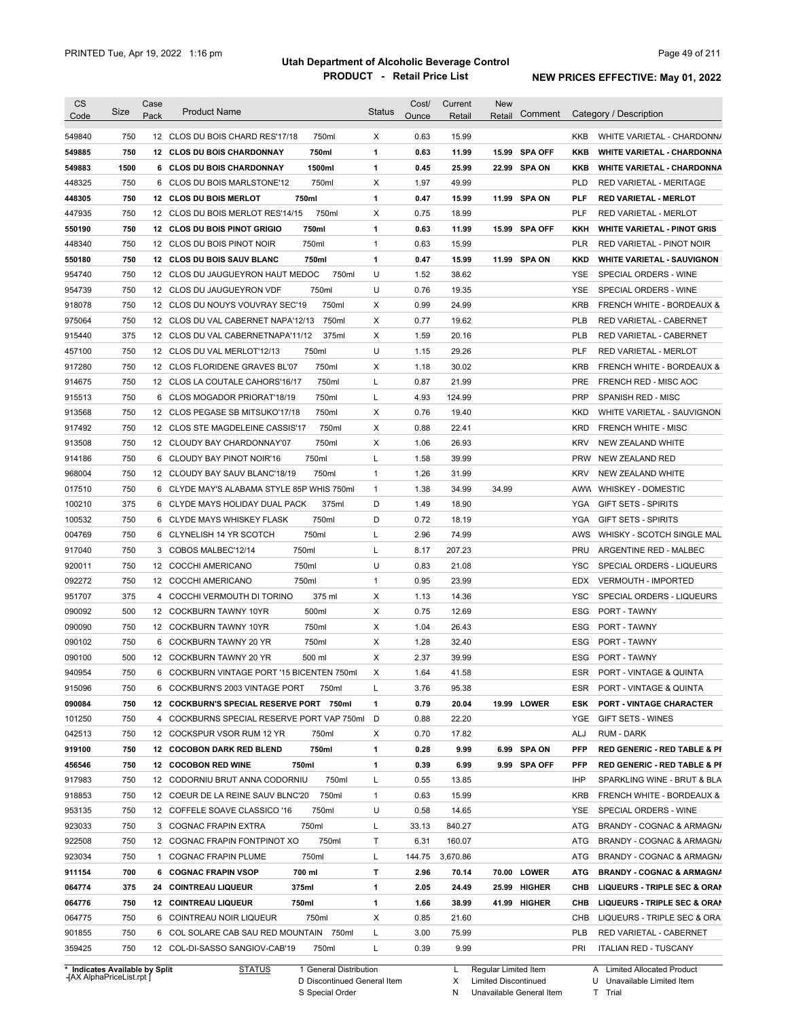| <b>CS</b>                  | Size       | Case | <b>Product Name</b>                                                       |        | <b>Status</b> | Cost/        | Current       | <b>New</b> |               |                          |                                                         |
|----------------------------|------------|------|---------------------------------------------------------------------------|--------|---------------|--------------|---------------|------------|---------------|--------------------------|---------------------------------------------------------|
| Code                       |            | Pack |                                                                           |        |               | Ounce        | Retail        | Retail     | Comment       |                          | Category / Description                                  |
| 549840                     | 750        |      | 12 CLOS DU BOIS CHARD RES'17/18                                           | 750ml  | Χ             | 0.63         | 15.99         |            |               | KKB                      | WHITE VARIETAL - CHARDONN/                              |
| 549885                     | 750        |      | 12 CLOS DU BOIS CHARDONNAY                                                | 750ml  | $\mathbf{1}$  | 0.63         | 11.99         |            | 15.99 SPA OFF | <b>KKB</b>               | <b>WHITE VARIETAL - CHARDONNA</b>                       |
| 549883                     | 1500       |      | 6 CLOS DU BOIS CHARDONNAY                                                 | 1500ml | $\mathbf{1}$  | 0.45         | 25.99         |            | 22.99 SPA ON  | <b>KKB</b>               | <b>WHITE VARIETAL - CHARDONNA</b>                       |
| 448325                     | 750        |      | 6 CLOS DU BOIS MARLSTONE'12                                               | 750ml  | Х             | 1.97         | 49.99         |            |               | <b>PLD</b>               | RED VARIETAL - MERITAGE                                 |
| 448305                     | 750        |      | 12 CLOS DU BOIS MERLOT                                                    | 750ml  | $\mathbf{1}$  | 0.47         | 15.99         |            | 11.99 SPA ON  | PLF                      | RED VARIETAL - MERLOT                                   |
| 447935                     | 750        |      | 12 CLOS DU BOIS MERLOT RES'14/15                                          | 750ml  | X             | 0.75         | 18.99         |            |               | <b>PLF</b>               | RED VARIETAL - MERLOT                                   |
| 550190                     | 750        |      | 12 CLOS DU BOIS PINOT GRIGIO                                              | 750ml  | $\mathbf{1}$  | 0.63         | 11.99         |            | 15.99 SPA OFF | KKH                      | <b>WHITE VARIETAL - PINOT GRIS</b>                      |
| 448340                     | 750        |      | 12 CLOS DU BOIS PINOT NOIR                                                | 750ml  | $\mathbf{1}$  | 0.63         | 15.99         |            |               | PLR                      | RED VARIETAL - PINOT NOIR                               |
| 550180                     | 750        |      | 12 CLOS DU BOIS SAUV BLANC                                                | 750ml  | $\mathbf{1}$  | 0.47         | 15.99         |            | 11.99 SPA ON  | <b>KKD</b>               | <b>WHITE VARIETAL - SAUVIGNON</b>                       |
| 954740                     | 750        |      | 12 CLOS DU JAUGUEYRON HAUT MEDOC                                          | 750ml  | U             | 1.52         | 38.62         |            |               | YSE                      | SPECIAL ORDERS - WINE                                   |
| 954739                     | 750        |      | 12 CLOS DU JAUGUEYRON VDF                                                 | 750ml  | U             | 0.76         | 19.35         |            |               | YSE                      | SPECIAL ORDERS - WINE                                   |
| 918078                     | 750        |      | 12 CLOS DU NOUYS VOUVRAY SEC'19                                           | 750ml  | Х             | 0.99         | 24.99         |            |               | <b>KRB</b>               | FRENCH WHITE - BORDEAUX &                               |
| 975064                     | 750        |      | 12 CLOS DU VAL CABERNET NAPA'12/13                                        | 750ml  | Х             | 0.77         | 19.62         |            |               | <b>PLB</b>               | RED VARIETAL - CABERNET                                 |
| 915440                     | 375        |      | 12 CLOS DU VAL CABERNETNAPA'11/12                                         | 375ml  | Х             | 1.59         | 20.16         |            |               | <b>PLB</b>               | RED VARIETAL - CABERNET                                 |
| 457100                     | 750        |      | 12 CLOS DU VAL MERLOT'12/13                                               | 750ml  | U             | 1.15         | 29.26         |            |               | PLF                      | <b>RED VARIETAL - MERLOT</b>                            |
| 917280                     | 750        |      | 12 CLOS FLORIDENE GRAVES BL'07                                            | 750ml  | Х             | 1.18         | 30.02         |            |               | <b>KRB</b>               | <b>FRENCH WHITE - BORDEAUX &amp;</b>                    |
| 914675                     | 750        |      | 12 CLOS LA COUTALE CAHORS'16/17                                           | 750ml  | L             | 0.87         | 21.99         |            |               | <b>PRE</b>               | FRENCH RED - MISC AOC                                   |
| 915513                     | 750        |      | 6 CLOS MOGADOR PRIORAT'18/19                                              | 750ml  | L             | 4.93         | 124.99        |            |               | <b>PRP</b>               | <b>SPANISH RED - MISC</b>                               |
| 913568                     | 750        |      | 12 CLOS PEGASE SB MITSUKO'17/18                                           | 750ml  | Х             | 0.76         | 19.40         |            |               | <b>KKD</b>               | WHITE VARIETAL - SAUVIGNON                              |
| 917492                     | 750        |      | 12 CLOS STE MAGDELEINE CASSIS'17                                          | 750ml  | X             | 0.88         | 22.41         |            |               | <b>KRD</b>               | <b>FRENCH WHITE - MISC</b>                              |
| 913508                     | 750        |      | 12 CLOUDY BAY CHARDONNAY'07                                               | 750ml  | Х             | 1.06         | 26.93         |            |               | <b>KRV</b>               | NEW ZEALAND WHITE                                       |
| 914186                     | 750        |      | 6 CLOUDY BAY PINOT NOIR'16                                                | 750ml  | L             | 1.58         | 39.99         |            |               | <b>PRW</b>               | NEW ZEALAND RED                                         |
| 968004                     | 750        |      | 12 CLOUDY BAY SAUV BLANC'18/19                                            | 750ml  | $\mathbf{1}$  | 1.26         | 31.99         |            |               | <b>KRV</b>               | NEW ZEALAND WHITE                                       |
| 017510                     | 750        |      | 6 CLYDE MAY'S ALABAMA STYLE 85P WHIS 750ml                                |        | $\mathbf{1}$  | 1.38         | 34.99         | 34.99      |               | AWW                      | <b>WHISKEY - DOMESTIC</b>                               |
| 100210                     | 375        |      | 6 CLYDE MAYS HOLIDAY DUAL PACK                                            | 375ml  | D             | 1.49         | 18.90         |            |               | YGA                      | <b>GIFT SETS - SPIRITS</b>                              |
| 100532                     | 750        |      | 6 CLYDE MAYS WHISKEY FLASK                                                | 750ml  | D             | 0.72         | 18.19         |            |               | YGA                      | <b>GIFT SETS - SPIRITS</b>                              |
| 004769                     | 750        |      | 6 CLYNELISH 14 YR SCOTCH                                                  | 750ml  | L             | 2.96         | 74.99         |            |               | AWS                      | WHISKY - SCOTCH SINGLE MAL                              |
| 917040                     | 750        | 3    | COBOS MALBEC'12/14                                                        | 750ml  | L             | 8.17         | 207.23        |            |               | PRU                      | ARGENTINE RED - MALBEC                                  |
| 920011                     | 750        |      | 12 COCCHI AMERICANO                                                       | 750ml  | U             | 0.83         | 21.08         |            |               | YSC                      | SPECIAL ORDERS - LIQUEURS                               |
| 092272                     | 750        |      | 12 COCCHI AMERICANO                                                       | 750ml  | $\mathbf{1}$  | 0.95         | 23.99         |            |               | <b>EDX</b>               | <b>VERMOUTH - IMPORTED</b>                              |
| 951707                     | 375        | 4    | COCCHI VERMOUTH DI TORINO                                                 | 375 ml | Х             | 1.13         | 14.36         |            |               | YSC                      | SPECIAL ORDERS - LIQUEURS                               |
| 090092                     | 500        |      | 12 COCKBURN TAWNY 10YR                                                    | 500ml  | Х             | 0.75         | 12.69         |            |               | ESG                      | <b>PORT - TAWNY</b>                                     |
| 090090                     | 750        |      | 12 COCKBURN TAWNY 10YR                                                    | 750ml  | Χ             | 1.04         | 26.43         |            |               | ESG                      | <b>PORT - TAWNY</b>                                     |
| 090102                     | 750        |      | 6 COCKBURN TAWNY 20 YR                                                    | 750ml  | Χ             | 1.28         | 32.40         |            |               | ESG                      | PORT - TAWNY                                            |
| 090100                     | 500        |      | 12 COCKBURN TAWNY 20 YR                                                   | 500 ml | X             | 2.37         | 39.99         |            |               | <b>ESG</b>               | PORT - TAWNY                                            |
|                            |            |      | 6 COCKBURN VINTAGE PORT '15 BICENTEN 750ml                                |        | X             |              |               |            |               | ESR                      |                                                         |
| 940954                     | 750        |      |                                                                           |        |               | 1.64         | 41.58         |            |               |                          | PORT - VINTAGE & QUINTA                                 |
| 915096                     | 750        |      | 6 COCKBURN'S 2003 VINTAGE PORT                                            | 750ml  | L             | 3.76         | 95.38         |            |               | ESR.                     | PORT - VINTAGE & QUINTA                                 |
| 090084                     | 750        |      | 12 COCKBURN'S SPECIAL RESERVE PORT 750ml                                  |        | 1             | 0.79         | 20.04         |            | 19.99 LOWER   | <b>ESK</b>               | <b>PORT - VINTAGE CHARACTER</b>                         |
| 101250                     | 750        |      | 4 COCKBURNS SPECIAL RESERVE PORT VAP 750ml                                |        | D             | 0.88         | 22.20         |            |               | YGE                      | GIFT SETS - WINES                                       |
| 042513                     | 750        |      | 12 COCKSPUR VSOR RUM 12 YR                                                | 750ml  | Х             | 0.70         | 17.82         |            |               | ALJ                      | RUM - DARK                                              |
| 919100                     | 750        |      | 12 COCOBON DARK RED BLEND                                                 | 750ml  | 1             | 0.28         | 9.99          |            | 6.99 SPA ON   | <b>PFP</b>               | <b>RED GENERIC - RED TABLE &amp; PI</b>                 |
| 456546                     | 750        |      | 12 COCOBON RED WINE<br>750ml                                              |        | 1             | 0.39         | 6.99          |            | 9.99 SPA OFF  | <b>PFP</b>               | <b>RED GENERIC - RED TABLE &amp; PI</b>                 |
| 917983                     | 750        |      | 12 CODORNIU BRUT ANNA CODORNIU                                            | 750ml  | L             | 0.55         | 13.85         |            |               | IHP                      | SPARKLING WINE - BRUT & BLA                             |
| 918853                     | 750        |      | 12 COEUR DE LA REINE SAUV BLNC'20                                         | 750ml  | $\mathbf{1}$  | 0.63         | 15.99         |            |               | <b>KRB</b>               | FRENCH WHITE - BORDEAUX &                               |
| 953135                     | 750        |      | 12 COFFELE SOAVE CLASSICO '16                                             | 750ml  | U             | 0.58         | 14.65         |            |               | YSE                      | SPECIAL ORDERS - WINE                                   |
| 923033                     | 750        |      | 3 COGNAC FRAPIN EXTRA                                                     | 750ml  | L             | 33.13        | 840.27        |            |               | ATG                      | BRANDY - COGNAC & ARMAGN/                               |
| 922508                     | 750        |      | 12 COGNAC FRAPIN FONTPINOT XO                                             | 750ml  | Т             | 6.31         | 160.07        |            |               | ATG                      | BRANDY - COGNAC & ARMAGN/                               |
| 923034                     | 750        |      | 1 COGNAC FRAPIN PLUME                                                     | 750ml  | Г             | 144.75       | 3,670.86      |            |               | ATG                      | BRANDY - COGNAC & ARMAGN/                               |
| 911154                     | 700        |      | 6 COGNAC FRAPIN VSOP                                                      | 700 ml | т             | 2.96         | 70.14         |            | 70.00 LOWER   | <b>ATG</b>               | <b>BRANDY - COGNAC &amp; ARMAGNA</b>                    |
|                            | 375        |      | 375ml<br>24 COINTREAU LIQUEUR                                             |        | $\mathbf{1}$  | 2.05         | 24.49         |            | 25.99 HIGHER  | CHB                      | LIQUEURS - TRIPLE SEC & ORAN                            |
|                            |            |      | <b>12 COINTREAU LIQUEUR</b>                                               | 750ml  | 1             | 1.66         | 38.99         |            | 41.99 HIGHER  | CHB                      | LIQUEURS - TRIPLE SEC & ORAN                            |
|                            | 750        |      |                                                                           |        |               |              |               |            |               |                          |                                                         |
| 064774<br>064776<br>064775 | 750        |      | 6 COINTREAU NOIR LIQUEUR                                                  | 750ml  | Х             | 0.85         | 21.60         |            |               | CHB                      | LIQUEURS - TRIPLE SEC & ORA                             |
| 901855<br>359425           | 750<br>750 |      | 6 COL SOLARE CAB SAU RED MOUNTAIN 750ml<br>12 COL-DI-SASSO SANGIOV-CAB'19 | 750ml  | L<br>L        | 3.00<br>0.39 | 75.99<br>9.99 |            |               | <b>PLB</b><br><b>PRI</b> | RED VARIETAL - CABERNET<br><b>ITALIAN RED - TUSCANY</b> |

**Case** [AX AlphaPriceList.rpt ]

D Discontinued General Item S Special Order

X Limited Discontinued

N Unavailable General Item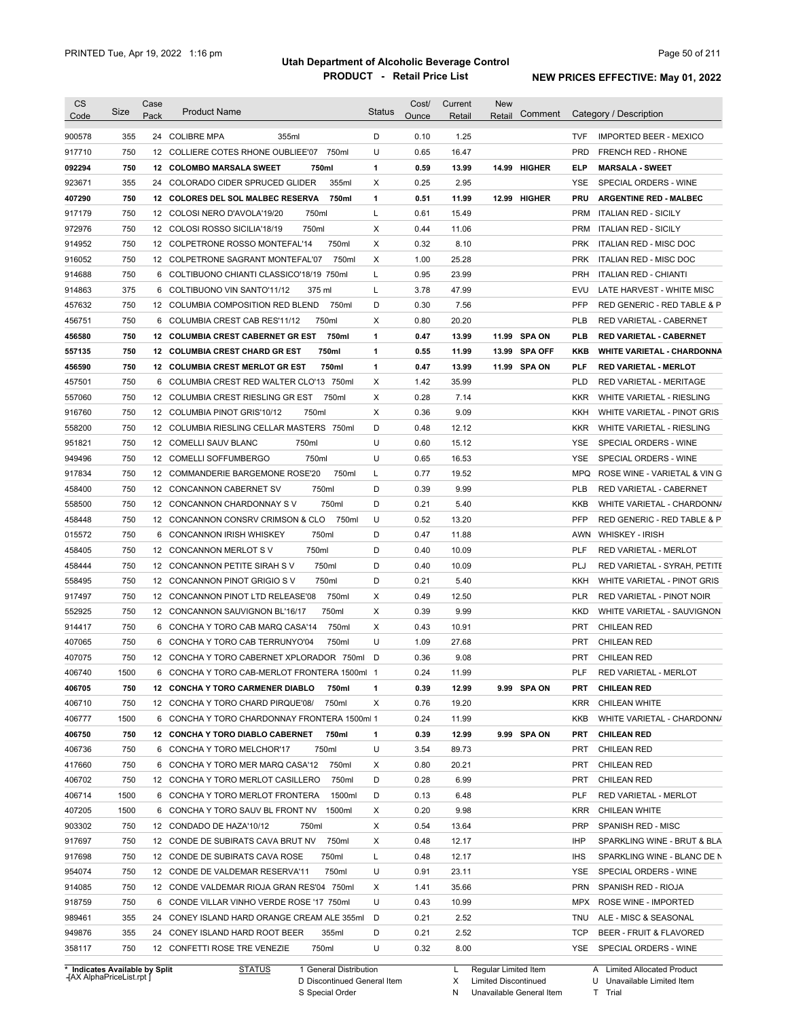| <b>CS</b>                      | Size | Case | <b>Product Name</b>                              | <b>Status</b> | Cost/ | Current | <b>New</b>           |               |            |                                  |
|--------------------------------|------|------|--------------------------------------------------|---------------|-------|---------|----------------------|---------------|------------|----------------------------------|
| Code                           |      | Pack |                                                  |               | Ounce | Retail  | Retail               | Comment       |            | Category / Description           |
| 900578                         | 355  |      | 24 COLIBRE MPA<br>355ml                          | D             | 0.10  | 1.25    |                      |               | <b>TVF</b> | <b>IMPORTED BEER - MEXICO</b>    |
| 917710                         | 750  |      | 750ml<br>12 COLLIERE COTES RHONE OUBLIEE'07      | U             | 0.65  | 16.47   |                      |               | <b>PRD</b> | <b>FRENCH RED - RHONE</b>        |
| 092294                         | 750  | 12   | <b>COLOMBO MARSALA SWEET</b><br>750ml            | 1             | 0.59  | 13.99   |                      | 14.99 HIGHER  | <b>ELP</b> | <b>MARSALA - SWEET</b>           |
| 923671                         | 355  | 24   | 355ml<br>COLORADO CIDER SPRUCED GLIDER           | X             | 0.25  | 2.95    |                      |               | YSE        | SPECIAL ORDERS - WINE            |
| 407290                         | 750  | 12   | <b>COLORES DEL SOL MALBEC RESERVA</b><br>750ml   | 1             | 0.51  | 11.99   | 12.99                | <b>HIGHER</b> | <b>PRU</b> | <b>ARGENTINE RED - MALBEC</b>    |
| 917179                         | 750  |      | 12 COLOSI NERO D'AVOLA'19/20<br>750ml            | Г             | 0.61  | 15.49   |                      |               | <b>PRM</b> | <b>ITALIAN RED - SICILY</b>      |
| 972976                         | 750  |      | 750ml<br>12 COLOSI ROSSO SICILIA'18/19           | X             | 0.44  | 11.06   |                      |               | <b>PRM</b> | <b>ITALIAN RED - SICILY</b>      |
| 914952                         | 750  |      | 750ml<br>12 COLPETRONE ROSSO MONTEFAL'14         | X             | 0.32  | 8.10    |                      |               | <b>PRK</b> | <b>ITALIAN RED - MISC DOC</b>    |
| 916052                         | 750  |      | 12 COLPETRONE SAGRANT MONTEFAL'07<br>750ml       | X             | 1.00  | 25.28   |                      |               | <b>PRK</b> | ITALIAN RED - MISC DOC           |
| 914688                         | 750  |      | 6 COLTIBUONO CHIANTI CLASSICO'18/19 750ml        | Г             | 0.95  | 23.99   |                      |               | <b>PRH</b> | <b>ITALIAN RED - CHIANTI</b>     |
| 914863                         | 375  |      | 6 COLTIBUONO VIN SANTO'11/12<br>375 ml           | L             | 3.78  | 47.99   |                      |               | EVU        | LATE HARVEST - WHITE MISC        |
| 457632                         | 750  |      | 12 COLUMBIA COMPOSITION RED BLEND<br>750ml       | D             | 0.30  | 7.56    |                      |               | PFP        | RED GENERIC - RED TABLE & P      |
| 456751                         | 750  |      | 6 COLUMBIA CREST CAB RES'11/12<br>750ml          | X             | 0.80  | 20.20   |                      |               | <b>PLB</b> | RED VARIETAL - CABERNET          |
| 456580                         | 750  | 12   | 750ml<br><b>COLUMBIA CREST CABERNET GR EST</b>   | 1             | 0.47  | 13.99   |                      | 11.99 SPA ON  | <b>PLB</b> | <b>RED VARIETAL - CABERNET</b>   |
| 557135                         | 750  | 12   | <b>COLUMBIA CREST CHARD GR EST</b><br>750ml      | 1             | 0.55  | 11.99   |                      | 13.99 SPA OFF | <b>KKB</b> | WHITE VARIETAL - CHARDONNA       |
| 456590                         | 750  | 12   | <b>COLUMBIA CREST MERLOT GR EST</b><br>750ml     | 1             | 0.47  | 13.99   |                      | 11.99 SPA ON  | <b>PLF</b> | <b>RED VARIETAL - MERLOT</b>     |
| 457501                         | 750  | 6    | COLUMBIA CREST RED WALTER CLO'13 750ml           | X             | 1.42  | 35.99   |                      |               | <b>PLD</b> | RED VARIETAL - MERITAGE          |
| 557060                         | 750  | 12   | 750ml<br>COLUMBIA CREST RIESLING GR EST          | X             | 0.28  | 7.14    |                      |               | <b>KKR</b> | WHITE VARIETAL - RIESLING        |
|                                | 750  |      | <b>COLUMBIA PINOT GRIS'10/12</b>                 |               |       |         |                      |               |            |                                  |
| 916760                         |      | 12   | 750ml                                            | Х             | 0.36  | 9.09    |                      |               | KKH        | WHITE VARIETAL - PINOT GRIS      |
| 558200                         | 750  | 12   | COLUMBIA RIESLING CELLAR MASTERS<br>750ml        | D             | 0.48  | 12.12   |                      |               | <b>KKR</b> | WHITE VARIETAL - RIESLING        |
| 951821                         | 750  |      | 750ml<br>12 COMELLI SAUV BLANC                   | U             | 0.60  | 15.12   |                      |               | <b>YSE</b> | SPECIAL ORDERS - WINE            |
| 949496                         | 750  |      | 750ml<br>12 COMELLI SOFFUMBERGO                  | U             | 0.65  | 16.53   |                      |               | YSE        | SPECIAL ORDERS - WINE            |
| 917834                         | 750  | 12   | 750ml<br>COMMANDERIE BARGEMONE ROSE'20           | L             | 0.77  | 19.52   |                      |               | <b>MPQ</b> | ROSE WINE - VARIETAL & VIN G     |
| 458400                         | 750  | 12   | 750ml<br><b>CONCANNON CABERNET SV</b>            | D             | 0.39  | 9.99    |                      |               | <b>PLB</b> | RED VARIETAL - CABERNET          |
| 558500                         | 750  | 12   | 750ml<br>CONCANNON CHARDONNAY SV                 | D             | 0.21  | 5.40    |                      |               | KKB        | WHITE VARIETAL - CHARDONN/       |
| 458448                         | 750  |      | 750ml<br>12 CONCANNON CONSRV CRIMSON & CLO       | U             | 0.52  | 13.20   |                      |               | <b>PFP</b> | RED GENERIC - RED TABLE & P      |
| 015572                         | 750  | 6    | 750ml<br><b>CONCANNON IRISH WHISKEY</b>          | D             | 0.47  | 11.88   |                      |               | AWN        | WHISKEY - IRISH                  |
| 458405                         | 750  | 12   | 750ml<br>CONCANNON MERLOT SV                     | D             | 0.40  | 10.09   |                      |               | <b>PLF</b> | RED VARIETAL - MERLOT            |
| 458444                         | 750  |      | 750ml<br>12 CONCANNON PETITE SIRAH SV            | D             | 0.40  | 10.09   |                      |               | PLJ        | RED VARIETAL - SYRAH, PETITE     |
| 558495                         | 750  | 12   | 750ml<br>CONCANNON PINOT GRIGIO S V              | D             | 0.21  | 5.40    |                      |               | KKH        | WHITE VARIETAL - PINOT GRIS      |
| 917497                         | 750  |      | 12 CONCANNON PINOT LTD RELEASE'08<br>750ml       | X             | 0.49  | 12.50   |                      |               | <b>PLR</b> | <b>RED VARIETAL - PINOT NOIR</b> |
| 552925                         | 750  |      | 12 CONCANNON SAUVIGNON BL'16/17<br>750ml         | X             | 0.39  | 9.99    |                      |               | KKD        | WHITE VARIETAL - SAUVIGNON       |
| 914417                         | 750  | 6    | CONCHA Y TORO CAB MARQ CASA'14<br>750ml          | X             | 0.43  | 10.91   |                      |               | <b>PRT</b> | <b>CHILEAN RED</b>               |
| 407065                         | 750  |      | 750ml<br>6 CONCHA Y TORO CAB TERRUNYO'04         | U             | 1.09  | 27.68   |                      |               | <b>PRT</b> | <b>CHILEAN RED</b>               |
| 407075                         | 750  |      | 12 CONCHA Y TORO CABERNET XPLORADOR 750ml        | D             | 0.36  | 9.08    |                      |               | <b>PRT</b> | CHILEAN RED                      |
| 406740                         | 1500 |      | 6 CONCHA Y TORO CAB-MERLOT FRONTERA 1500ml 1     |               | 0.24  | 11.99   |                      |               | <b>PLF</b> | RED VARIETAL - MERLOT            |
| 406705                         | 750  |      | <b>12 CONCHA Y TORO CARMENER DIABLO</b><br>750ml | 1             | 0.39  | 12.99   |                      | 9.99 SPA ON   | PRT        | <b>CHILEAN RED</b>               |
| 406710                         | 750  |      | 12 CONCHA Y TORO CHARD PIRQUE'08/<br>750ml       | Х             | 0.76  | 19.20   |                      |               | <b>KRR</b> | CHILEAN WHITE                    |
| 406777                         | 1500 |      | 6 CONCHA Y TORO CHARDONNAY FRONTERA 1500ml 1     |               | 0.24  | 11.99   |                      |               | KKB        | WHITE VARIETAL - CHARDONN/       |
| 406750                         | 750  |      | 12 CONCHA Y TORO DIABLO CABERNET<br>750ml        | 1             | 0.39  | 12.99   |                      | 9.99 SPA ON   | <b>PRT</b> | <b>CHILEAN RED</b>               |
| 406736                         | 750  |      | 6 CONCHA Y TORO MELCHOR'17<br>750ml              | U             | 3.54  | 89.73   |                      |               | PRT        | <b>CHILEAN RED</b>               |
| 417660                         | 750  |      | 6 CONCHA Y TORO MER MARQ CASA'12<br>750ml        | х             | 0.80  | 20.21   |                      |               | PRT        | <b>CHILEAN RED</b>               |
| 406702                         | 750  |      | 12 CONCHA Y TORO MERLOT CASILLERO<br>750ml       | D             | 0.28  | 6.99    |                      |               | PRT        | <b>CHILEAN RED</b>               |
| 406714                         | 1500 |      | 6 CONCHA Y TORO MERLOT FRONTERA<br>1500ml        | D             | 0.13  | 6.48    |                      |               | PLF        | RED VARIETAL - MERLOT            |
| 407205                         | 1500 |      | 6 CONCHA Y TORO SAUV BL FRONT NV<br>1500ml       | х             | 0.20  | 9.98    |                      |               | <b>KRR</b> | CHILEAN WHITE                    |
|                                |      |      |                                                  |               |       |         |                      |               |            |                                  |
| 903302                         | 750  |      | 12 CONDADO DE HAZA'10/12<br>750ml                | Х             | 0.54  | 13.64   |                      |               | <b>PRP</b> | SPANISH RED - MISC               |
| 917697                         | 750  |      | 12 CONDE DE SUBIRATS CAVA BRUT NV<br>750ml       | х             | 0.48  | 12.17   |                      |               | IHP        | SPARKLING WINE - BRUT & BLA      |
| 917698                         | 750  |      | 12 CONDE DE SUBIRATS CAVA ROSE<br>750ml          | Г             | 0.48  | 12.17   |                      |               | <b>IHS</b> | SPARKLING WINE - BLANC DE N      |
| 954074                         | 750  |      | 12 CONDE DE VALDEMAR RESERVA'11<br>750ml         | U             | 0.91  | 23.11   |                      |               | YSE        | SPECIAL ORDERS - WINE            |
| 914085                         | 750  |      | 12 CONDE VALDEMAR RIOJA GRAN RES'04 750ml        | Х             | 1.41  | 35.66   |                      |               | <b>PRN</b> | SPANISH RED - RIOJA              |
| 918759                         | 750  |      | 6 CONDE VILLAR VINHO VERDE ROSE '17 750ml        | U             | 0.43  | 10.99   |                      |               | MPX        | ROSE WINE - IMPORTED             |
| 989461                         | 355  |      | 24 CONEY ISLAND HARD ORANGE CREAM ALE 355ml D    |               | 0.21  | 2.52    |                      |               | TNU        | ALE - MISC & SEASONAL            |
| 949876                         | 355  |      | 24 CONEY ISLAND HARD ROOT BEER<br>355ml          | D             | 0.21  | 2.52    |                      |               | TCP        | BEER - FRUIT & FLAVORED          |
| 358117                         | 750  |      | 12 CONFETTI ROSE TRE VENEZIE<br>750ml            | U             | 0.32  | 8.00    |                      |               |            | YSE SPECIAL ORDERS - WINE        |
| * Indicates Available by Split |      |      | <b>STATUS</b><br>1 General Distribution          |               |       | L.      | Regular Limited Item |               |            | A Limited Allocated Product      |

**Case** [AX AlphaPriceList.rpt ]

D Discontinued General Item

S Special Order

X Limited Discontinued

N Unavailable General Item

U Unavailable Limited Item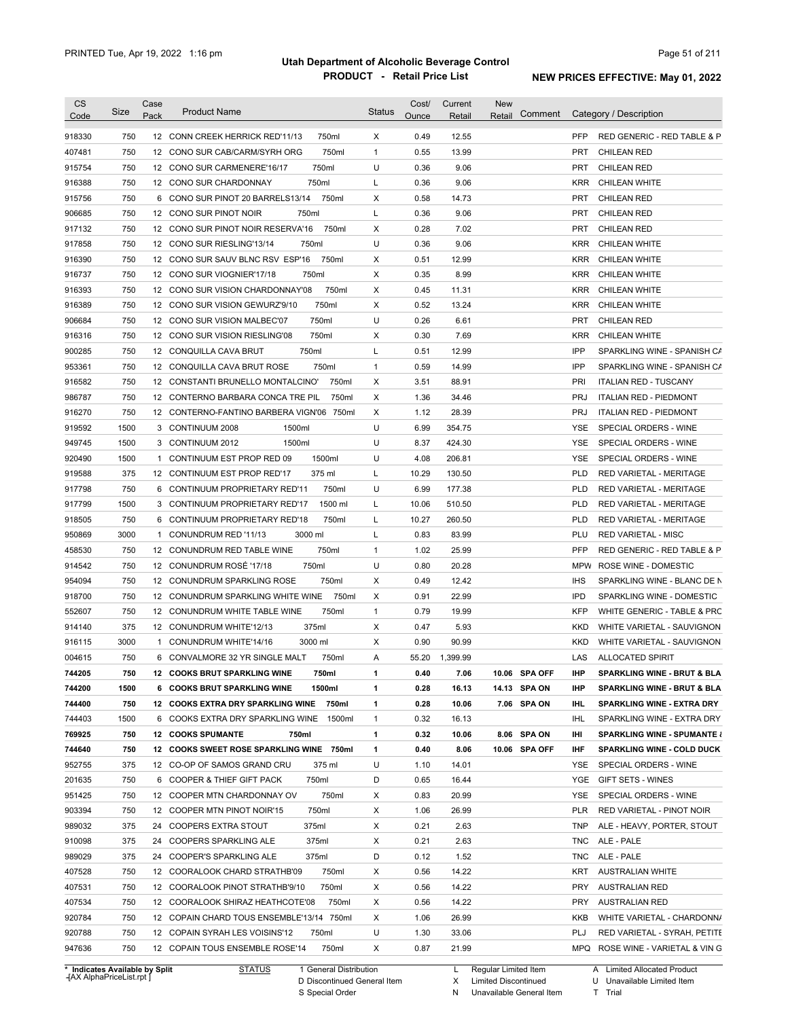| <b>CS</b><br>Code              | Size | Case<br>Pack | <b>Product Name</b>                          | <b>Status</b> | Cost/<br>Ounce | Current<br>Retail | <b>New</b><br>Comment<br>Retail | Category / Description                        |
|--------------------------------|------|--------------|----------------------------------------------|---------------|----------------|-------------------|---------------------------------|-----------------------------------------------|
| 918330                         | 750  |              | 750ml<br>12 CONN CREEK HERRICK RED'11/13     | Χ             | 0.49           | 12.55             |                                 | <b>PFP</b><br>RED GENERIC - RED TABLE & P     |
| 407481                         | 750  |              | 750ml<br>12 CONO SUR CAB/CARM/SYRH ORG       | $\mathbf{1}$  | 0.55           | 13.99             |                                 | <b>CHILEAN RED</b><br>PRT                     |
| 915754                         | 750  |              | 750ml<br>12 CONO SUR CARMENERE'16/17         | U             | 0.36           | 9.06              |                                 | PRT<br><b>CHILEAN RED</b>                     |
| 916388                         | 750  |              | 750ml<br>12 CONO SUR CHARDONNAY              | Г             | 0.36           | 9.06              |                                 | <b>KRR</b><br>CHILEAN WHITE                   |
| 915756                         | 750  | 6            | 750ml<br>CONO SUR PINOT 20 BARRELS13/14      | Х             | 0.58           | 14.73             |                                 | PRT<br><b>CHILEAN RED</b>                     |
| 906685                         | 750  |              | 750ml<br>12 CONO SUR PINOT NOIR              | L             | 0.36           | 9.06              |                                 | PRT<br><b>CHILEAN RED</b>                     |
| 917132                         | 750  |              | 12 CONO SUR PINOT NOIR RESERVA'16<br>750ml   | Χ             | 0.28           | 7.02              |                                 | <b>PRT</b><br><b>CHILEAN RED</b>              |
| 917858                         | 750  |              | 750ml<br>12 CONO SUR RIESLING'13/14          | U             | 0.36           | 9.06              |                                 | <b>KRR</b><br>CHILEAN WHITE                   |
| 916390                         | 750  |              | 12 CONO SUR SAUV BLNC RSV ESP'16<br>750ml    | Х             | 0.51           | 12.99             |                                 | <b>KRR</b><br>CHILEAN WHITE                   |
| 916737                         | 750  |              | 750ml<br>12 CONO SUR VIOGNIER'17/18          | X             | 0.35           | 8.99              |                                 | <b>KRR</b><br><b>CHILEAN WHITE</b>            |
| 916393                         | 750  |              | 750ml<br>12 CONO SUR VISION CHARDONNAY'08    | Х             | 0.45           | 11.31             |                                 | <b>KRR</b><br>CHILEAN WHITE                   |
| 916389                         | 750  |              | 750ml<br>12 CONO SUR VISION GEWURZ'9/10      | Х             | 0.52           | 13.24             |                                 | <b>KRR</b><br>CHILEAN WHITE                   |
| 906684                         | 750  |              | 750ml<br>12 CONO SUR VISION MALBEC'07        | U             | 0.26           | 6.61              |                                 | <b>PRT</b><br><b>CHILEAN RED</b>              |
| 916316                         | 750  |              | 750ml<br>12 CONO SUR VISION RIESLING'08      | Х             | 0.30           | 7.69              |                                 | <b>KRR</b><br>CHILEAN WHITE                   |
| 900285                         | 750  |              | 750ml<br>12 CONQUILLA CAVA BRUT              | Г             | 0.51           | 12.99             |                                 | IPP<br>SPARKLING WINE - SPANISH CA            |
| 953361                         | 750  |              | 750ml<br>12 CONQUILLA CAVA BRUT ROSE         | $\mathbf{1}$  | 0.59           | 14.99             |                                 | IPP<br>SPARKLING WINE - SPANISH CA            |
| 916582                         | 750  |              | 750ml<br>12 CONSTANTI BRUNELLO MONTALCINO'   | Х             | 3.51           | 88.91             |                                 | <b>PRI</b><br><b>ITALIAN RED - TUSCANY</b>    |
| 986787                         | 750  |              | 750ml<br>12 CONTERNO BARBARA CONCA TRE PIL   | Х             | 1.36           | 34.46             |                                 | <b>PRJ</b><br><b>ITALIAN RED - PIEDMONT</b>   |
| 916270                         | 750  |              | 12 CONTERNO-FANTINO BARBERA VIGN'06<br>750ml | Χ             | 1.12           | 28.39             |                                 | <b>PRJ</b><br><b>ITALIAN RED - PIEDMONT</b>   |
| 919592                         | 1500 |              | 3 CONTINUUM 2008<br>1500ml                   | U             | 6.99           | 354.75            |                                 | SPECIAL ORDERS - WINE<br>YSE                  |
| 949745                         | 1500 |              | 3 CONTINUUM 2012<br>1500ml                   | U             | 8.37           | 424.30            |                                 | YSE<br>SPECIAL ORDERS - WINE                  |
| 920490                         | 1500 | 1            | CONTINUUM EST PROP RED 09<br>1500ml          | U             | 4.08           | 206.81            |                                 | <b>YSE</b><br>SPECIAL ORDERS - WINE           |
| 919588                         | 375  |              | 12 CONTINUUM EST PROP RED'17<br>375 ml       | Г             | 10.29          | 130.50            |                                 | <b>PLD</b><br>RED VARIETAL - MERITAGE         |
| 917798                         | 750  |              | 6 CONTINUUM PROPRIETARY RED'11<br>750ml      | U             | 6.99           | 177.38            |                                 | <b>PLD</b><br>RED VARIETAL - MERITAGE         |
| 917799                         | 1500 |              | 1500 ml<br>3 CONTINUUM PROPRIETARY RED'17    | Г             | 10.06          | 510.50            |                                 | <b>PLD</b><br>RED VARIETAL - MERITAGE         |
| 918505                         | 750  | 6            | CONTINUUM PROPRIETARY RED'18<br>750ml        | L             | 10.27          | 260.50            |                                 | <b>PLD</b><br>RED VARIETAL - MERITAGE         |
| 950869                         | 3000 | $\mathbf{1}$ | 3000 ml<br>CONUNDRUM RED '11/13              | Г             | 0.83           | 83.99             |                                 | PLU<br><b>RED VARIETAL - MISC</b>             |
|                                | 750  |              | 750ml<br>12 CONUNDRUM RED TABLE WINE         | $\mathbf{1}$  | 1.02           | 25.99             |                                 | <b>PFP</b><br>RED GENERIC - RED TABLE & P     |
| 458530<br>914542               | 750  |              | 12 CONUNDRUM ROSÉ '17/18<br>750ml            | U             | 0.80           | 20.28             |                                 | <b>MPW</b><br>ROSE WINE - DOMESTIC            |
| 954094                         | 750  |              | 750ml<br>12 CONUNDRUM SPARKLING ROSE         | Χ             | 0.49           | 12.42             |                                 | IHS<br>SPARKLING WINE - BLANC DE N            |
| 918700                         | 750  |              | 750ml<br>12 CONUNDRUM SPARKLING WHITE WINE   | Х             | 0.91           | 22.99             |                                 | <b>IPD</b><br>SPARKLING WINE - DOMESTIC       |
| 552607                         | 750  |              | 750ml<br>12 CONUNDRUM WHITE TABLE WINE       | $\mathbf{1}$  | 0.79           | 19.99             |                                 | KFP<br>WHITE GENERIC - TABLE & PRC            |
| 914140                         | 375  | 12           | 375ml<br>CONUNDRUM WHITE'12/13               | Х             | 0.47           | 5.93              |                                 | KKD<br>WHITE VARIETAL - SAUVIGNON             |
|                                | 3000 | $\mathbf{1}$ | 3000 ml                                      | Х             | 0.90           | 90.99             |                                 | <b>KKD</b>                                    |
| 916115                         |      |              | CONUNDRUM WHITE'14/16                        |               |                |                   |                                 | WHITE VARIETAL - SAUVIGNON                    |
| 004615                         | 750  |              | 6 CONVALMORE 32 YR SINGLE MALT<br>750ml      | Α             | 55.20          | 1,399.99          |                                 | LAS<br><b>ALLOCATED SPIRIT</b>                |
| 744205                         | 750  |              | 12 COOKS BRUT SPARKLING WINE<br>750ml        | 1             | 0.40           | 7.06              | 10.06 SPA OFF                   | IHP<br><b>SPARKLING WINE - BRUT &amp; BLA</b> |
| 744200                         | 1500 |              | 6 COOKS BRUT SPARKLING WINE<br>1500ml        | 1             | 0.28           | 16.13             | 14.13 SPA ON                    | SPARKLING WINE - BRUT & BLA<br>IHP            |
| 744400                         | 750  |              | 12 COOKS EXTRA DRY SPARKLING WINE<br>750ml   | 1             | 0.28           | 10.06             | 7.06 SPA ON                     | IHL.<br>SPARKLING WINE - EXTRA DRY            |
| 744403                         | 1500 |              | 6 COOKS EXTRA DRY SPARKLING WINE<br>1500ml   | $\mathbf{1}$  | 0.32           | 16.13             |                                 | SPARKLING WINE - EXTRA DRY<br>IHL             |
| 769925                         | 750  |              | <b>12 COOKS SPUMANTE</b><br>750ml            | 1             | 0.32           | 10.06             | 8.06 SPA ON                     | Ш<br><b>SPARKLING WINE - SPUMANTE &amp;</b>   |
| 744640                         | 750  |              | 12 COOKS SWEET ROSE SPARKLING WINE 750ml     | 1             | 0.40           | 8.06              | 10.06 SPA OFF                   | IHF<br>SPARKLING WINE - COLD DUCK             |
| 952755                         | 375  |              | 12 CO-OP OF SAMOS GRAND CRU<br>375 ml        | U             | 1.10           | 14.01             |                                 | YSE<br>SPECIAL ORDERS - WINE                  |
| 201635                         | 750  |              | 750ml<br>6 COOPER & THIEF GIFT PACK          | D             | 0.65           | 16.44             |                                 | YGE<br>GIFT SETS - WINES                      |
| 951425                         | 750  |              | 750ml<br>12 COOPER MTN CHARDONNAY OV         | х             | 0.83           | 20.99             |                                 | YSE<br>SPECIAL ORDERS - WINE                  |
| 903394                         | 750  |              | 750ml<br>12 COOPER MTN PINOT NOIR'15         | Х             | 1.06           | 26.99             |                                 | PLR<br>RED VARIETAL - PINOT NOIR              |
| 989032                         | 375  |              | 375ml<br>24 COOPERS EXTRA STOUT              | Х             | 0.21           | 2.63              |                                 | ALE - HEAVY, PORTER, STOUT<br>TNP             |
| 910098                         | 375  |              | 24 COOPERS SPARKLING ALE<br>375ml            | Х             | 0.21           | 2.63              |                                 | TNC<br>ALE - PALE                             |
| 989029                         | 375  |              | 375ml<br>24 COOPER'S SPARKLING ALE           | D             | 0.12           | 1.52              |                                 | TNC<br>ALE - PALE                             |
| 407528                         | 750  |              | 12 COORALOOK CHARD STRATHB'09<br>750ml       | х             | 0.56           | 14.22             |                                 | KRT<br><b>AUSTRALIAN WHITE</b>                |
| 407531                         | 750  |              | 12 COORALOOK PINOT STRATHB'9/10<br>750ml     | х             | 0.56           | 14.22             |                                 | PRY<br><b>AUSTRALIAN RED</b>                  |
| 407534                         | 750  |              | 750ml<br>12 COORALOOK SHIRAZ HEATHCOTE'08    | Х             | 0.56           | 14.22             |                                 | PRY<br><b>AUSTRALIAN RED</b>                  |
| 920784                         | 750  |              | 12 COPAIN CHARD TOUS ENSEMBLE'13/14 750ml    | х             | 1.06           | 26.99             |                                 | KKB<br>WHITE VARIETAL - CHARDONN/             |
| 920788                         | 750  |              | 12 COPAIN SYRAH LES VOISINS'12<br>750ml      | U             | 1.30           | 33.06             |                                 | PLJ<br>RED VARIETAL - SYRAH, PETITE           |
| 947636                         | 750  |              | 12 COPAIN TOUS ENSEMBLE ROSE'14<br>750ml     | Х             | 0.87           | 21.99             |                                 | MPQ ROSE WINE - VARIETAL & VING               |
| * Indicates Available by Split |      |              | <b>STATUS</b><br>1 General Distribution      |               |                | L                 | Regular Limited Item            | A Limited Allocated Product                   |

**Case** [AX AlphaPriceList.rpt ]

D Discontinued General Item S Special Order

L Regular Limited Item

X N Limited Discontinued

Unavailable General Item

A Limited Allocated Product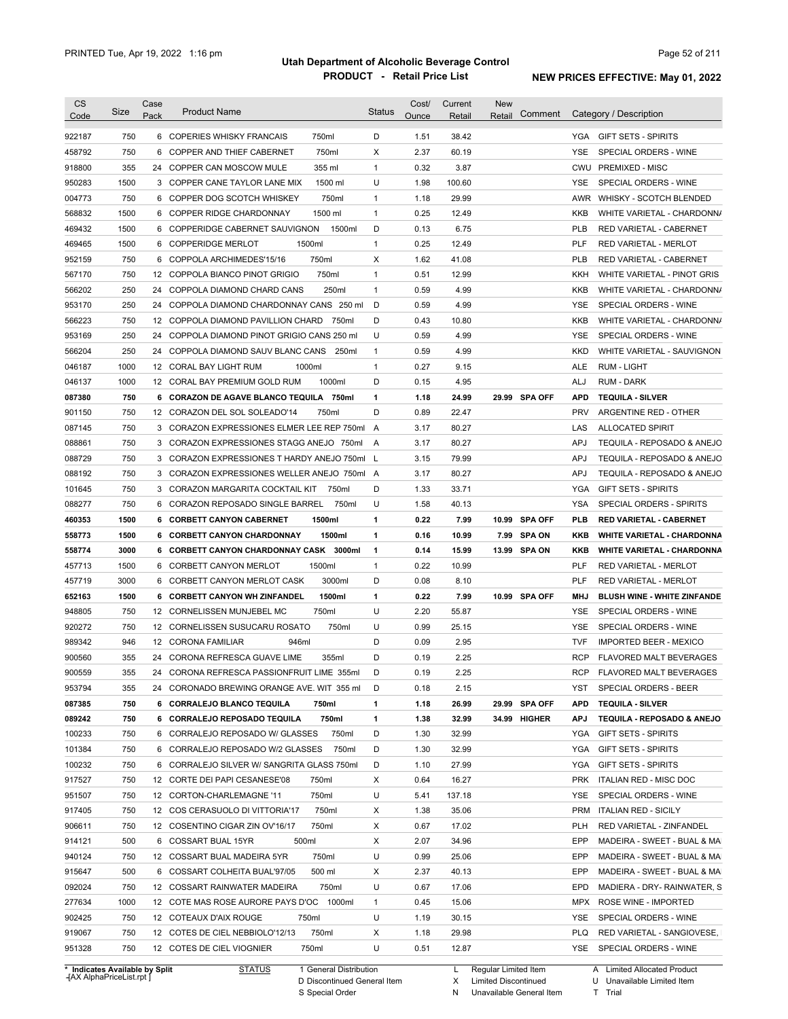| Category / Description<br>750<br>D<br>38.42<br>6 COPERIES WHISKY FRANCAIS<br>750ml<br>1.51<br>YGA GIFT SETS - SPIRITS<br>750<br>750ml<br>Χ<br>6<br>COPPER AND THIEF CABERNET<br>2.37<br>60.19<br><b>YSE</b><br>SPECIAL ORDERS - WINE<br>355<br>355 ml<br>3.87<br>24 COPPER CAN MOSCOW MULE<br>$\mathbf{1}$<br>0.32<br>CWU PREMIXED - MISC<br>1500<br>1500 ml<br>U<br>1.98<br>100.60<br>YSE<br>SPECIAL ORDERS - WINE<br>3 COPPER CANE TAYLOR LANE MIX<br>750<br>750ml<br>29.99<br>6 COPPER DOG SCOTCH WHISKEY<br>1<br>1.18<br>AWR WHISKY - SCOTCH BLENDED<br>1500<br>1500 ml<br>$\mathbf{1}$<br>0.25<br>12.49<br>6 COPPER RIDGE CHARDONNAY<br>KKB<br>1500<br>1500ml<br>D<br>0.13<br>6.75<br>6 COPPERIDGE CABERNET SAUVIGNON<br><b>PLB</b><br>RED VARIETAL - CABERNET<br>1500<br>1500ml<br>1<br>0.25<br>12.49<br>PLF<br>6 COPPERIDGE MERLOT<br>RED VARIETAL - MERLOT<br>750<br>750ml<br>X<br>1.62<br>41.08<br>6 COPPOLA ARCHIMEDES'15/16<br><b>PLB</b><br>RED VARIETAL - CABERNET<br>750<br>750ml<br>0.51<br>12.99<br>12 COPPOLA BIANCO PINOT GRIGIO<br>1<br>KKH<br>WHITE VARIETAL - PINOT GRIS<br>250<br>250ml<br>0.59<br>4.99<br>24 COPPOLA DIAMOND CHARD CANS<br>1<br>KKB<br>250<br>D<br>0.59<br>4.99<br>953170<br>24 COPPOLA DIAMOND CHARDONNAY CANS 250 ml<br>YSE<br>SPECIAL ORDERS - WINE<br>750<br>D<br>0.43<br>10.80<br>566223<br>12 COPPOLA DIAMOND PAVILLION CHARD<br>750ml<br>KKB<br>WHITE VARIETAL - CHARDONN/<br>250<br>U<br>0.59<br>4.99<br>SPECIAL ORDERS - WINE<br>953169<br>24 COPPOLA DIAMOND PINOT GRIGIO CANS 250 ml<br><b>YSE</b><br>250<br>0.59<br>4.99<br>566204<br>24 COPPOLA DIAMOND SAUV BLANC CANS<br>250ml<br>$\mathbf{1}$<br><b>KKD</b><br>WHITE VARIETAL - SAUVIGNON<br>1000<br>0.27<br>9.15<br>046187<br>12 CORAL BAY LIGHT RUM<br>1000ml<br>$\mathbf{1}$<br><b>ALE</b><br><b>RUM - LIGHT</b><br>1000<br>D<br>046137<br>12 CORAL BAY PREMIUM GOLD RUM<br>1000ml<br>0.15<br>4.95<br>ALJ<br><b>RUM - DARK</b><br>750<br>087380<br>6 CORAZON DE AGAVE BLANCO TEQUILA 750ml<br>1<br>1.18<br>24.99<br>29.99 SPA OFF<br><b>APD</b><br><b>TEQUILA - SILVER</b><br>D<br>750<br>0.89<br>22.47<br><b>PRV</b><br>901150<br>12 CORAZON DEL SOL SOLEADO'14<br>750ml<br>ARGENTINE RED - OTHER<br>750<br>3.17<br>80.27<br>087145<br>3 CORAZON EXPRESSIONES ELMER LEE REP 750ml<br>A<br>LAS<br><b>ALLOCATED SPIRIT</b><br>750<br>3.17<br>80.27<br><b>APJ</b><br>088861<br>3 CORAZON EXPRESSIONES STAGG ANEJO 750ml<br>TEQUILA - REPOSADO & ANEJO<br>A<br>750<br>3.15<br>79.99<br><b>APJ</b><br>088729<br>3 CORAZON EXPRESSIONES T HARDY ANEJO 750ml L<br>TEQUILA - REPOSADO & ANEJO<br>088192<br>750<br>3.17<br>80.27<br><b>APJ</b><br>TEQUILA - REPOSADO & ANEJO<br>3 CORAZON EXPRESSIONES WELLER ANEJO 750ml A<br>750<br>D<br>1.33<br>33.71<br>101645<br>3 CORAZON MARGARITA COCKTAIL KIT<br>750ml<br>YGA<br><b>GIFT SETS - SPIRITS</b><br>088277<br>750<br>U<br>1.58<br>40.13<br><b>YSA</b><br>6 CORAZON REPOSADO SINGLE BARREL<br>750ml<br>SPECIAL ORDERS - SPIRITS<br>1500<br>1<br>0.22<br>7.99<br><b>SPA OFF</b><br>6 CORBETT CANYON CABERNET<br>1500ml<br>10.99<br>PLB<br><b>RED VARIETAL - CABERNET</b><br>1500<br>1500ml<br>1<br>0.16<br>10.99<br><b>SPA ON</b><br>6 CORBETT CANYON CHARDONNAY<br>7.99<br>KKB<br><b>WHITE VARIETAL - CHARDONNA</b><br>3000<br>6 CORBETT CANYON CHARDONNAY CASK 3000ml<br>1<br>0.14<br>15.99<br>13.99<br><b>SPA ON</b><br>KKB<br><b>WHITE VARIETAL - CHARDONNA</b><br>1500<br>1500ml<br>0.22<br>10.99<br>6 CORBETT CANYON MERLOT<br>1<br>PLF<br>RED VARIETAL - MERLOT<br>D<br>PLF<br>3000<br>6 CORBETT CANYON MERLOT CASK<br>3000ml<br>0.08<br>8.10<br><b>RED VARIETAL - MERLOT</b><br>1500<br>1500ml<br>0.22<br>7.99<br>6 CORBETT CANYON WH ZINFANDEL<br>1<br>10.99 SPA OFF<br>MHJ<br>U<br>750<br>12 CORNELISSEN MUNJEBEL MC<br>750ml<br>2.20<br>55.87<br>YSE<br>SPECIAL ORDERS - WINE<br>750<br>750ml<br>U<br>0.99<br>25.15<br>12 CORNELISSEN SUSUCARU ROSATO<br>YSE<br>SPECIAL ORDERS - WINE<br>D<br>0.09<br>2.95<br><b>TVF</b><br>946<br>12 CORONA FAMILIAR<br>946ml<br><b>IMPORTED BEER - MEXICO</b><br>355<br>24 CORONA REFRESCA GUAVE LIME<br>D<br>0.19<br>2.25<br><b>RCP</b><br><b>FLAVORED MALT BEVERAGES</b><br>355ml<br>355<br>2.25<br>24 CORONA REFRESCA PASSIONFRUIT LIME 355ml<br>0.19<br><b>RCP</b><br>FLAVORED MALT BEVERAGES<br>D<br>355<br>24 CORONADO BREWING ORANGE AVE. WIT 355 ml<br>0.18<br>2.15<br>SPECIAL ORDERS - BEER<br>D<br>YST<br>26.99<br>29.99 SPA OFF<br>750<br>6 CORRALEJO BLANCO TEQUILA<br>750ml<br>1.18<br>APD<br><b>TEQUILA - SILVER</b><br>1<br>750<br>750ml<br>32.99<br>6 CORRALEJO REPOSADO TEQUILA<br>1<br>1.38<br>34.99 HIGHER<br><b>APJ</b><br>750<br>750ml<br>32.99<br>6 CORRALEJO REPOSADO W/ GLASSES<br>D<br>1.30<br>YGA<br><b>GIFT SETS - SPIRITS</b><br>D<br>32.99<br>750<br>6 CORRALEJO REPOSADO W/2 GLASSES<br>750ml<br>1.30<br>YGA<br><b>GIFT SETS - SPIRITS</b><br>27.99<br>750<br>6 CORRALEJO SILVER W/ SANGRITA GLASS 750ml<br>D<br>1.10<br>YGA<br><b>GIFT SETS - SPIRITS</b><br>16.27<br>ITALIAN RED - MISC DOC<br>750<br>12 CORTE DEI PAPI CESANESE'08<br>750ml<br>Х<br>0.64<br><b>PRK</b><br>750ml<br>U<br>137.18<br>SPECIAL ORDERS - WINE<br>750<br>12 CORTON-CHARLEMAGNE '11<br>5.41<br>YSE<br>750ml<br>35.06<br>750<br>12 COS CERASUOLO DI VITTORIA'17<br>Х<br>1.38<br>PRM ITALIAN RED - SICILY<br>750ml<br>17.02<br>750<br>12 COSENTINO CIGAR ZIN OV'16/17<br>X<br>0.67<br>PLH<br>RED VARIETAL - ZINFANDEL<br>34.96<br>500<br>6 COSSART BUAL 15YR<br>500ml<br>X<br>2.07<br>EPP<br>750<br>750ml<br>U<br>0.99<br>25.06<br>EPP<br>12 COSSART BUAL MADEIRA 5YR<br>500 ml<br>40.13<br>500<br>6 COSSART COLHEITA BUAL'97/05<br>Х<br>2.37<br>EPP<br>750<br>750ml<br>U<br>17.06<br>EPD<br>12 COSSART RAINWATER MADEIRA<br>0.67<br>1000<br>12 COTE MAS ROSE AURORE PAYS D'OC 1000ml<br>15.06<br>0.45<br>MPX<br>ROSE WINE - IMPORTED<br>1<br>750<br>U<br>30.15<br>12 COTEAUX D'AIX ROUGE<br>750ml<br>1.19<br>YSE<br>SPECIAL ORDERS - WINE<br>750ml<br>Х<br>29.98<br>750<br>12 COTES DE CIEL NEBBIOLO'12/13<br>1.18<br>PLQ.<br>RED VARIETAL - SANGIOVESE,<br>750ml<br>U<br>12.87<br>750<br>12 COTES DE CIEL VIOGNIER<br>0.51<br>YSE SPECIAL ORDERS - WINE<br>* Indicates Available by Split<br>1 General Distribution<br>Regular Limited Item | <b>CS</b> | Size | Case | <b>Product Name</b> | <b>Status</b> | Cost/ | Current | <b>New</b> |         |                                    |
|-------------------------------------------------------------------------------------------------------------------------------------------------------------------------------------------------------------------------------------------------------------------------------------------------------------------------------------------------------------------------------------------------------------------------------------------------------------------------------------------------------------------------------------------------------------------------------------------------------------------------------------------------------------------------------------------------------------------------------------------------------------------------------------------------------------------------------------------------------------------------------------------------------------------------------------------------------------------------------------------------------------------------------------------------------------------------------------------------------------------------------------------------------------------------------------------------------------------------------------------------------------------------------------------------------------------------------------------------------------------------------------------------------------------------------------------------------------------------------------------------------------------------------------------------------------------------------------------------------------------------------------------------------------------------------------------------------------------------------------------------------------------------------------------------------------------------------------------------------------------------------------------------------------------------------------------------------------------------------------------------------------------------------------------------------------------------------------------------------------------------------------------------------------------------------------------------------------------------------------------------------------------------------------------------------------------------------------------------------------------------------------------------------------------------------------------------------------------------------------------------------------------------------------------------------------------------------------------------------------------------------------------------------------------------------------------------------------------------------------------------------------------------------------------------------------------------------------------------------------------------------------------------------------------------------------------------------------------------------------------------------------------------------------------------------------------------------------------------------------------------------------------------------------------------------------------------------------------------------------------------------------------------------------------------------------------------------------------------------------------------------------------------------------------------------------------------------------------------------------------------------------------------------------------------------------------------------------------------------------------------------------------------------------------------------------------------------------------------------------------------------------------------------------------------------------------------------------------------------------------------------------------------------------------------------------------------------------------------------------------------------------------------------------------------------------------------------------------------------------------------------------------------------------------------------------------------------------------------------------------------------------------------------------------------------------------------------------------------------------------------------------------------------------------------------------------------------------------------------------------------------------------------------------------------------------------------------------------------------------------------------------------------------------------------------------------------------------------------------------------------------------------------------------------------------------------------------------------------------------------------------------------------------------------------------------------------------------------------------------------------------------------------------------------------------------------------------------------------------------------------------------------------------------------------------------------------------------------------------------------------------------------------------------------------------------------------------------------------------------------------------------------------------------------------------------------------------------------------------------------------------------------------------------------------------------------------------------------------------------------------------------------------------------------------------------------------------------------------------------------------------------------------------------------------------------------------------------------------------------------------------------------------------------------------------------------------------------------------------------------------------------------------------------------------------------------------------------------------------------------------------------------------------------------------------------------------------------------------------------------------------|-----------|------|------|---------------------|---------------|-------|---------|------------|---------|------------------------------------|
|                                                                                                                                                                                                                                                                                                                                                                                                                                                                                                                                                                                                                                                                                                                                                                                                                                                                                                                                                                                                                                                                                                                                                                                                                                                                                                                                                                                                                                                                                                                                                                                                                                                                                                                                                                                                                                                                                                                                                                                                                                                                                                                                                                                                                                                                                                                                                                                                                                                                                                                                                                                                                                                                                                                                                                                                                                                                                                                                                                                                                                                                                                                                                                                                                                                                                                                                                                                                                                                                                                                                                                                                                                                                                                                                                                                                                                                                                                                                                                                                                                                                                                                                                                                                                                                                                                                                                                                                                                                                                                                                                                                                                                                                                                                                                                                                                                                                                                                                                                                                                                                                                                                                                                                                                                                                                                                                                                                                                                                                                                                                                                                                                                                                                                                                                                                                                                                                                                                                                                                                                                                                                                                                                                                                                                                       | Code      |      | Pack |                     |               | Ounce | Retail  | Retail     | Comment |                                    |
|                                                                                                                                                                                                                                                                                                                                                                                                                                                                                                                                                                                                                                                                                                                                                                                                                                                                                                                                                                                                                                                                                                                                                                                                                                                                                                                                                                                                                                                                                                                                                                                                                                                                                                                                                                                                                                                                                                                                                                                                                                                                                                                                                                                                                                                                                                                                                                                                                                                                                                                                                                                                                                                                                                                                                                                                                                                                                                                                                                                                                                                                                                                                                                                                                                                                                                                                                                                                                                                                                                                                                                                                                                                                                                                                                                                                                                                                                                                                                                                                                                                                                                                                                                                                                                                                                                                                                                                                                                                                                                                                                                                                                                                                                                                                                                                                                                                                                                                                                                                                                                                                                                                                                                                                                                                                                                                                                                                                                                                                                                                                                                                                                                                                                                                                                                                                                                                                                                                                                                                                                                                                                                                                                                                                                                                       | 922187    |      |      |                     |               |       |         |            |         |                                    |
|                                                                                                                                                                                                                                                                                                                                                                                                                                                                                                                                                                                                                                                                                                                                                                                                                                                                                                                                                                                                                                                                                                                                                                                                                                                                                                                                                                                                                                                                                                                                                                                                                                                                                                                                                                                                                                                                                                                                                                                                                                                                                                                                                                                                                                                                                                                                                                                                                                                                                                                                                                                                                                                                                                                                                                                                                                                                                                                                                                                                                                                                                                                                                                                                                                                                                                                                                                                                                                                                                                                                                                                                                                                                                                                                                                                                                                                                                                                                                                                                                                                                                                                                                                                                                                                                                                                                                                                                                                                                                                                                                                                                                                                                                                                                                                                                                                                                                                                                                                                                                                                                                                                                                                                                                                                                                                                                                                                                                                                                                                                                                                                                                                                                                                                                                                                                                                                                                                                                                                                                                                                                                                                                                                                                                                                       | 458792    |      |      |                     |               |       |         |            |         |                                    |
|                                                                                                                                                                                                                                                                                                                                                                                                                                                                                                                                                                                                                                                                                                                                                                                                                                                                                                                                                                                                                                                                                                                                                                                                                                                                                                                                                                                                                                                                                                                                                                                                                                                                                                                                                                                                                                                                                                                                                                                                                                                                                                                                                                                                                                                                                                                                                                                                                                                                                                                                                                                                                                                                                                                                                                                                                                                                                                                                                                                                                                                                                                                                                                                                                                                                                                                                                                                                                                                                                                                                                                                                                                                                                                                                                                                                                                                                                                                                                                                                                                                                                                                                                                                                                                                                                                                                                                                                                                                                                                                                                                                                                                                                                                                                                                                                                                                                                                                                                                                                                                                                                                                                                                                                                                                                                                                                                                                                                                                                                                                                                                                                                                                                                                                                                                                                                                                                                                                                                                                                                                                                                                                                                                                                                                                       | 918800    |      |      |                     |               |       |         |            |         |                                    |
|                                                                                                                                                                                                                                                                                                                                                                                                                                                                                                                                                                                                                                                                                                                                                                                                                                                                                                                                                                                                                                                                                                                                                                                                                                                                                                                                                                                                                                                                                                                                                                                                                                                                                                                                                                                                                                                                                                                                                                                                                                                                                                                                                                                                                                                                                                                                                                                                                                                                                                                                                                                                                                                                                                                                                                                                                                                                                                                                                                                                                                                                                                                                                                                                                                                                                                                                                                                                                                                                                                                                                                                                                                                                                                                                                                                                                                                                                                                                                                                                                                                                                                                                                                                                                                                                                                                                                                                                                                                                                                                                                                                                                                                                                                                                                                                                                                                                                                                                                                                                                                                                                                                                                                                                                                                                                                                                                                                                                                                                                                                                                                                                                                                                                                                                                                                                                                                                                                                                                                                                                                                                                                                                                                                                                                                       | 950283    |      |      |                     |               |       |         |            |         |                                    |
|                                                                                                                                                                                                                                                                                                                                                                                                                                                                                                                                                                                                                                                                                                                                                                                                                                                                                                                                                                                                                                                                                                                                                                                                                                                                                                                                                                                                                                                                                                                                                                                                                                                                                                                                                                                                                                                                                                                                                                                                                                                                                                                                                                                                                                                                                                                                                                                                                                                                                                                                                                                                                                                                                                                                                                                                                                                                                                                                                                                                                                                                                                                                                                                                                                                                                                                                                                                                                                                                                                                                                                                                                                                                                                                                                                                                                                                                                                                                                                                                                                                                                                                                                                                                                                                                                                                                                                                                                                                                                                                                                                                                                                                                                                                                                                                                                                                                                                                                                                                                                                                                                                                                                                                                                                                                                                                                                                                                                                                                                                                                                                                                                                                                                                                                                                                                                                                                                                                                                                                                                                                                                                                                                                                                                                                       | 004773    |      |      |                     |               |       |         |            |         |                                    |
|                                                                                                                                                                                                                                                                                                                                                                                                                                                                                                                                                                                                                                                                                                                                                                                                                                                                                                                                                                                                                                                                                                                                                                                                                                                                                                                                                                                                                                                                                                                                                                                                                                                                                                                                                                                                                                                                                                                                                                                                                                                                                                                                                                                                                                                                                                                                                                                                                                                                                                                                                                                                                                                                                                                                                                                                                                                                                                                                                                                                                                                                                                                                                                                                                                                                                                                                                                                                                                                                                                                                                                                                                                                                                                                                                                                                                                                                                                                                                                                                                                                                                                                                                                                                                                                                                                                                                                                                                                                                                                                                                                                                                                                                                                                                                                                                                                                                                                                                                                                                                                                                                                                                                                                                                                                                                                                                                                                                                                                                                                                                                                                                                                                                                                                                                                                                                                                                                                                                                                                                                                                                                                                                                                                                                                                       | 568832    |      |      |                     |               |       |         |            |         | WHITE VARIETAL - CHARDONN/         |
|                                                                                                                                                                                                                                                                                                                                                                                                                                                                                                                                                                                                                                                                                                                                                                                                                                                                                                                                                                                                                                                                                                                                                                                                                                                                                                                                                                                                                                                                                                                                                                                                                                                                                                                                                                                                                                                                                                                                                                                                                                                                                                                                                                                                                                                                                                                                                                                                                                                                                                                                                                                                                                                                                                                                                                                                                                                                                                                                                                                                                                                                                                                                                                                                                                                                                                                                                                                                                                                                                                                                                                                                                                                                                                                                                                                                                                                                                                                                                                                                                                                                                                                                                                                                                                                                                                                                                                                                                                                                                                                                                                                                                                                                                                                                                                                                                                                                                                                                                                                                                                                                                                                                                                                                                                                                                                                                                                                                                                                                                                                                                                                                                                                                                                                                                                                                                                                                                                                                                                                                                                                                                                                                                                                                                                                       | 469432    |      |      |                     |               |       |         |            |         |                                    |
|                                                                                                                                                                                                                                                                                                                                                                                                                                                                                                                                                                                                                                                                                                                                                                                                                                                                                                                                                                                                                                                                                                                                                                                                                                                                                                                                                                                                                                                                                                                                                                                                                                                                                                                                                                                                                                                                                                                                                                                                                                                                                                                                                                                                                                                                                                                                                                                                                                                                                                                                                                                                                                                                                                                                                                                                                                                                                                                                                                                                                                                                                                                                                                                                                                                                                                                                                                                                                                                                                                                                                                                                                                                                                                                                                                                                                                                                                                                                                                                                                                                                                                                                                                                                                                                                                                                                                                                                                                                                                                                                                                                                                                                                                                                                                                                                                                                                                                                                                                                                                                                                                                                                                                                                                                                                                                                                                                                                                                                                                                                                                                                                                                                                                                                                                                                                                                                                                                                                                                                                                                                                                                                                                                                                                                                       | 469465    |      |      |                     |               |       |         |            |         |                                    |
|                                                                                                                                                                                                                                                                                                                                                                                                                                                                                                                                                                                                                                                                                                                                                                                                                                                                                                                                                                                                                                                                                                                                                                                                                                                                                                                                                                                                                                                                                                                                                                                                                                                                                                                                                                                                                                                                                                                                                                                                                                                                                                                                                                                                                                                                                                                                                                                                                                                                                                                                                                                                                                                                                                                                                                                                                                                                                                                                                                                                                                                                                                                                                                                                                                                                                                                                                                                                                                                                                                                                                                                                                                                                                                                                                                                                                                                                                                                                                                                                                                                                                                                                                                                                                                                                                                                                                                                                                                                                                                                                                                                                                                                                                                                                                                                                                                                                                                                                                                                                                                                                                                                                                                                                                                                                                                                                                                                                                                                                                                                                                                                                                                                                                                                                                                                                                                                                                                                                                                                                                                                                                                                                                                                                                                                       | 952159    |      |      |                     |               |       |         |            |         |                                    |
|                                                                                                                                                                                                                                                                                                                                                                                                                                                                                                                                                                                                                                                                                                                                                                                                                                                                                                                                                                                                                                                                                                                                                                                                                                                                                                                                                                                                                                                                                                                                                                                                                                                                                                                                                                                                                                                                                                                                                                                                                                                                                                                                                                                                                                                                                                                                                                                                                                                                                                                                                                                                                                                                                                                                                                                                                                                                                                                                                                                                                                                                                                                                                                                                                                                                                                                                                                                                                                                                                                                                                                                                                                                                                                                                                                                                                                                                                                                                                                                                                                                                                                                                                                                                                                                                                                                                                                                                                                                                                                                                                                                                                                                                                                                                                                                                                                                                                                                                                                                                                                                                                                                                                                                                                                                                                                                                                                                                                                                                                                                                                                                                                                                                                                                                                                                                                                                                                                                                                                                                                                                                                                                                                                                                                                                       | 567170    |      |      |                     |               |       |         |            |         |                                    |
|                                                                                                                                                                                                                                                                                                                                                                                                                                                                                                                                                                                                                                                                                                                                                                                                                                                                                                                                                                                                                                                                                                                                                                                                                                                                                                                                                                                                                                                                                                                                                                                                                                                                                                                                                                                                                                                                                                                                                                                                                                                                                                                                                                                                                                                                                                                                                                                                                                                                                                                                                                                                                                                                                                                                                                                                                                                                                                                                                                                                                                                                                                                                                                                                                                                                                                                                                                                                                                                                                                                                                                                                                                                                                                                                                                                                                                                                                                                                                                                                                                                                                                                                                                                                                                                                                                                                                                                                                                                                                                                                                                                                                                                                                                                                                                                                                                                                                                                                                                                                                                                                                                                                                                                                                                                                                                                                                                                                                                                                                                                                                                                                                                                                                                                                                                                                                                                                                                                                                                                                                                                                                                                                                                                                                                                       | 566202    |      |      |                     |               |       |         |            |         | WHITE VARIETAL - CHARDONN/         |
|                                                                                                                                                                                                                                                                                                                                                                                                                                                                                                                                                                                                                                                                                                                                                                                                                                                                                                                                                                                                                                                                                                                                                                                                                                                                                                                                                                                                                                                                                                                                                                                                                                                                                                                                                                                                                                                                                                                                                                                                                                                                                                                                                                                                                                                                                                                                                                                                                                                                                                                                                                                                                                                                                                                                                                                                                                                                                                                                                                                                                                                                                                                                                                                                                                                                                                                                                                                                                                                                                                                                                                                                                                                                                                                                                                                                                                                                                                                                                                                                                                                                                                                                                                                                                                                                                                                                                                                                                                                                                                                                                                                                                                                                                                                                                                                                                                                                                                                                                                                                                                                                                                                                                                                                                                                                                                                                                                                                                                                                                                                                                                                                                                                                                                                                                                                                                                                                                                                                                                                                                                                                                                                                                                                                                                                       |           |      |      |                     |               |       |         |            |         |                                    |
|                                                                                                                                                                                                                                                                                                                                                                                                                                                                                                                                                                                                                                                                                                                                                                                                                                                                                                                                                                                                                                                                                                                                                                                                                                                                                                                                                                                                                                                                                                                                                                                                                                                                                                                                                                                                                                                                                                                                                                                                                                                                                                                                                                                                                                                                                                                                                                                                                                                                                                                                                                                                                                                                                                                                                                                                                                                                                                                                                                                                                                                                                                                                                                                                                                                                                                                                                                                                                                                                                                                                                                                                                                                                                                                                                                                                                                                                                                                                                                                                                                                                                                                                                                                                                                                                                                                                                                                                                                                                                                                                                                                                                                                                                                                                                                                                                                                                                                                                                                                                                                                                                                                                                                                                                                                                                                                                                                                                                                                                                                                                                                                                                                                                                                                                                                                                                                                                                                                                                                                                                                                                                                                                                                                                                                                       |           |      |      |                     |               |       |         |            |         |                                    |
|                                                                                                                                                                                                                                                                                                                                                                                                                                                                                                                                                                                                                                                                                                                                                                                                                                                                                                                                                                                                                                                                                                                                                                                                                                                                                                                                                                                                                                                                                                                                                                                                                                                                                                                                                                                                                                                                                                                                                                                                                                                                                                                                                                                                                                                                                                                                                                                                                                                                                                                                                                                                                                                                                                                                                                                                                                                                                                                                                                                                                                                                                                                                                                                                                                                                                                                                                                                                                                                                                                                                                                                                                                                                                                                                                                                                                                                                                                                                                                                                                                                                                                                                                                                                                                                                                                                                                                                                                                                                                                                                                                                                                                                                                                                                                                                                                                                                                                                                                                                                                                                                                                                                                                                                                                                                                                                                                                                                                                                                                                                                                                                                                                                                                                                                                                                                                                                                                                                                                                                                                                                                                                                                                                                                                                                       |           |      |      |                     |               |       |         |            |         |                                    |
|                                                                                                                                                                                                                                                                                                                                                                                                                                                                                                                                                                                                                                                                                                                                                                                                                                                                                                                                                                                                                                                                                                                                                                                                                                                                                                                                                                                                                                                                                                                                                                                                                                                                                                                                                                                                                                                                                                                                                                                                                                                                                                                                                                                                                                                                                                                                                                                                                                                                                                                                                                                                                                                                                                                                                                                                                                                                                                                                                                                                                                                                                                                                                                                                                                                                                                                                                                                                                                                                                                                                                                                                                                                                                                                                                                                                                                                                                                                                                                                                                                                                                                                                                                                                                                                                                                                                                                                                                                                                                                                                                                                                                                                                                                                                                                                                                                                                                                                                                                                                                                                                                                                                                                                                                                                                                                                                                                                                                                                                                                                                                                                                                                                                                                                                                                                                                                                                                                                                                                                                                                                                                                                                                                                                                                                       |           |      |      |                     |               |       |         |            |         |                                    |
|                                                                                                                                                                                                                                                                                                                                                                                                                                                                                                                                                                                                                                                                                                                                                                                                                                                                                                                                                                                                                                                                                                                                                                                                                                                                                                                                                                                                                                                                                                                                                                                                                                                                                                                                                                                                                                                                                                                                                                                                                                                                                                                                                                                                                                                                                                                                                                                                                                                                                                                                                                                                                                                                                                                                                                                                                                                                                                                                                                                                                                                                                                                                                                                                                                                                                                                                                                                                                                                                                                                                                                                                                                                                                                                                                                                                                                                                                                                                                                                                                                                                                                                                                                                                                                                                                                                                                                                                                                                                                                                                                                                                                                                                                                                                                                                                                                                                                                                                                                                                                                                                                                                                                                                                                                                                                                                                                                                                                                                                                                                                                                                                                                                                                                                                                                                                                                                                                                                                                                                                                                                                                                                                                                                                                                                       |           |      |      |                     |               |       |         |            |         |                                    |
|                                                                                                                                                                                                                                                                                                                                                                                                                                                                                                                                                                                                                                                                                                                                                                                                                                                                                                                                                                                                                                                                                                                                                                                                                                                                                                                                                                                                                                                                                                                                                                                                                                                                                                                                                                                                                                                                                                                                                                                                                                                                                                                                                                                                                                                                                                                                                                                                                                                                                                                                                                                                                                                                                                                                                                                                                                                                                                                                                                                                                                                                                                                                                                                                                                                                                                                                                                                                                                                                                                                                                                                                                                                                                                                                                                                                                                                                                                                                                                                                                                                                                                                                                                                                                                                                                                                                                                                                                                                                                                                                                                                                                                                                                                                                                                                                                                                                                                                                                                                                                                                                                                                                                                                                                                                                                                                                                                                                                                                                                                                                                                                                                                                                                                                                                                                                                                                                                                                                                                                                                                                                                                                                                                                                                                                       |           |      |      |                     |               |       |         |            |         |                                    |
|                                                                                                                                                                                                                                                                                                                                                                                                                                                                                                                                                                                                                                                                                                                                                                                                                                                                                                                                                                                                                                                                                                                                                                                                                                                                                                                                                                                                                                                                                                                                                                                                                                                                                                                                                                                                                                                                                                                                                                                                                                                                                                                                                                                                                                                                                                                                                                                                                                                                                                                                                                                                                                                                                                                                                                                                                                                                                                                                                                                                                                                                                                                                                                                                                                                                                                                                                                                                                                                                                                                                                                                                                                                                                                                                                                                                                                                                                                                                                                                                                                                                                                                                                                                                                                                                                                                                                                                                                                                                                                                                                                                                                                                                                                                                                                                                                                                                                                                                                                                                                                                                                                                                                                                                                                                                                                                                                                                                                                                                                                                                                                                                                                                                                                                                                                                                                                                                                                                                                                                                                                                                                                                                                                                                                                                       |           |      |      |                     |               |       |         |            |         |                                    |
|                                                                                                                                                                                                                                                                                                                                                                                                                                                                                                                                                                                                                                                                                                                                                                                                                                                                                                                                                                                                                                                                                                                                                                                                                                                                                                                                                                                                                                                                                                                                                                                                                                                                                                                                                                                                                                                                                                                                                                                                                                                                                                                                                                                                                                                                                                                                                                                                                                                                                                                                                                                                                                                                                                                                                                                                                                                                                                                                                                                                                                                                                                                                                                                                                                                                                                                                                                                                                                                                                                                                                                                                                                                                                                                                                                                                                                                                                                                                                                                                                                                                                                                                                                                                                                                                                                                                                                                                                                                                                                                                                                                                                                                                                                                                                                                                                                                                                                                                                                                                                                                                                                                                                                                                                                                                                                                                                                                                                                                                                                                                                                                                                                                                                                                                                                                                                                                                                                                                                                                                                                                                                                                                                                                                                                                       |           |      |      |                     |               |       |         |            |         |                                    |
|                                                                                                                                                                                                                                                                                                                                                                                                                                                                                                                                                                                                                                                                                                                                                                                                                                                                                                                                                                                                                                                                                                                                                                                                                                                                                                                                                                                                                                                                                                                                                                                                                                                                                                                                                                                                                                                                                                                                                                                                                                                                                                                                                                                                                                                                                                                                                                                                                                                                                                                                                                                                                                                                                                                                                                                                                                                                                                                                                                                                                                                                                                                                                                                                                                                                                                                                                                                                                                                                                                                                                                                                                                                                                                                                                                                                                                                                                                                                                                                                                                                                                                                                                                                                                                                                                                                                                                                                                                                                                                                                                                                                                                                                                                                                                                                                                                                                                                                                                                                                                                                                                                                                                                                                                                                                                                                                                                                                                                                                                                                                                                                                                                                                                                                                                                                                                                                                                                                                                                                                                                                                                                                                                                                                                                                       |           |      |      |                     |               |       |         |            |         |                                    |
|                                                                                                                                                                                                                                                                                                                                                                                                                                                                                                                                                                                                                                                                                                                                                                                                                                                                                                                                                                                                                                                                                                                                                                                                                                                                                                                                                                                                                                                                                                                                                                                                                                                                                                                                                                                                                                                                                                                                                                                                                                                                                                                                                                                                                                                                                                                                                                                                                                                                                                                                                                                                                                                                                                                                                                                                                                                                                                                                                                                                                                                                                                                                                                                                                                                                                                                                                                                                                                                                                                                                                                                                                                                                                                                                                                                                                                                                                                                                                                                                                                                                                                                                                                                                                                                                                                                                                                                                                                                                                                                                                                                                                                                                                                                                                                                                                                                                                                                                                                                                                                                                                                                                                                                                                                                                                                                                                                                                                                                                                                                                                                                                                                                                                                                                                                                                                                                                                                                                                                                                                                                                                                                                                                                                                                                       |           |      |      |                     |               |       |         |            |         |                                    |
|                                                                                                                                                                                                                                                                                                                                                                                                                                                                                                                                                                                                                                                                                                                                                                                                                                                                                                                                                                                                                                                                                                                                                                                                                                                                                                                                                                                                                                                                                                                                                                                                                                                                                                                                                                                                                                                                                                                                                                                                                                                                                                                                                                                                                                                                                                                                                                                                                                                                                                                                                                                                                                                                                                                                                                                                                                                                                                                                                                                                                                                                                                                                                                                                                                                                                                                                                                                                                                                                                                                                                                                                                                                                                                                                                                                                                                                                                                                                                                                                                                                                                                                                                                                                                                                                                                                                                                                                                                                                                                                                                                                                                                                                                                                                                                                                                                                                                                                                                                                                                                                                                                                                                                                                                                                                                                                                                                                                                                                                                                                                                                                                                                                                                                                                                                                                                                                                                                                                                                                                                                                                                                                                                                                                                                                       |           |      |      |                     |               |       |         |            |         |                                    |
|                                                                                                                                                                                                                                                                                                                                                                                                                                                                                                                                                                                                                                                                                                                                                                                                                                                                                                                                                                                                                                                                                                                                                                                                                                                                                                                                                                                                                                                                                                                                                                                                                                                                                                                                                                                                                                                                                                                                                                                                                                                                                                                                                                                                                                                                                                                                                                                                                                                                                                                                                                                                                                                                                                                                                                                                                                                                                                                                                                                                                                                                                                                                                                                                                                                                                                                                                                                                                                                                                                                                                                                                                                                                                                                                                                                                                                                                                                                                                                                                                                                                                                                                                                                                                                                                                                                                                                                                                                                                                                                                                                                                                                                                                                                                                                                                                                                                                                                                                                                                                                                                                                                                                                                                                                                                                                                                                                                                                                                                                                                                                                                                                                                                                                                                                                                                                                                                                                                                                                                                                                                                                                                                                                                                                                                       |           |      |      |                     |               |       |         |            |         |                                    |
|                                                                                                                                                                                                                                                                                                                                                                                                                                                                                                                                                                                                                                                                                                                                                                                                                                                                                                                                                                                                                                                                                                                                                                                                                                                                                                                                                                                                                                                                                                                                                                                                                                                                                                                                                                                                                                                                                                                                                                                                                                                                                                                                                                                                                                                                                                                                                                                                                                                                                                                                                                                                                                                                                                                                                                                                                                                                                                                                                                                                                                                                                                                                                                                                                                                                                                                                                                                                                                                                                                                                                                                                                                                                                                                                                                                                                                                                                                                                                                                                                                                                                                                                                                                                                                                                                                                                                                                                                                                                                                                                                                                                                                                                                                                                                                                                                                                                                                                                                                                                                                                                                                                                                                                                                                                                                                                                                                                                                                                                                                                                                                                                                                                                                                                                                                                                                                                                                                                                                                                                                                                                                                                                                                                                                                                       |           |      |      |                     |               |       |         |            |         |                                    |
|                                                                                                                                                                                                                                                                                                                                                                                                                                                                                                                                                                                                                                                                                                                                                                                                                                                                                                                                                                                                                                                                                                                                                                                                                                                                                                                                                                                                                                                                                                                                                                                                                                                                                                                                                                                                                                                                                                                                                                                                                                                                                                                                                                                                                                                                                                                                                                                                                                                                                                                                                                                                                                                                                                                                                                                                                                                                                                                                                                                                                                                                                                                                                                                                                                                                                                                                                                                                                                                                                                                                                                                                                                                                                                                                                                                                                                                                                                                                                                                                                                                                                                                                                                                                                                                                                                                                                                                                                                                                                                                                                                                                                                                                                                                                                                                                                                                                                                                                                                                                                                                                                                                                                                                                                                                                                                                                                                                                                                                                                                                                                                                                                                                                                                                                                                                                                                                                                                                                                                                                                                                                                                                                                                                                                                                       |           |      |      |                     |               |       |         |            |         |                                    |
|                                                                                                                                                                                                                                                                                                                                                                                                                                                                                                                                                                                                                                                                                                                                                                                                                                                                                                                                                                                                                                                                                                                                                                                                                                                                                                                                                                                                                                                                                                                                                                                                                                                                                                                                                                                                                                                                                                                                                                                                                                                                                                                                                                                                                                                                                                                                                                                                                                                                                                                                                                                                                                                                                                                                                                                                                                                                                                                                                                                                                                                                                                                                                                                                                                                                                                                                                                                                                                                                                                                                                                                                                                                                                                                                                                                                                                                                                                                                                                                                                                                                                                                                                                                                                                                                                                                                                                                                                                                                                                                                                                                                                                                                                                                                                                                                                                                                                                                                                                                                                                                                                                                                                                                                                                                                                                                                                                                                                                                                                                                                                                                                                                                                                                                                                                                                                                                                                                                                                                                                                                                                                                                                                                                                                                                       |           |      |      |                     |               |       |         |            |         |                                    |
|                                                                                                                                                                                                                                                                                                                                                                                                                                                                                                                                                                                                                                                                                                                                                                                                                                                                                                                                                                                                                                                                                                                                                                                                                                                                                                                                                                                                                                                                                                                                                                                                                                                                                                                                                                                                                                                                                                                                                                                                                                                                                                                                                                                                                                                                                                                                                                                                                                                                                                                                                                                                                                                                                                                                                                                                                                                                                                                                                                                                                                                                                                                                                                                                                                                                                                                                                                                                                                                                                                                                                                                                                                                                                                                                                                                                                                                                                                                                                                                                                                                                                                                                                                                                                                                                                                                                                                                                                                                                                                                                                                                                                                                                                                                                                                                                                                                                                                                                                                                                                                                                                                                                                                                                                                                                                                                                                                                                                                                                                                                                                                                                                                                                                                                                                                                                                                                                                                                                                                                                                                                                                                                                                                                                                                                       | 460353    |      |      |                     |               |       |         |            |         |                                    |
|                                                                                                                                                                                                                                                                                                                                                                                                                                                                                                                                                                                                                                                                                                                                                                                                                                                                                                                                                                                                                                                                                                                                                                                                                                                                                                                                                                                                                                                                                                                                                                                                                                                                                                                                                                                                                                                                                                                                                                                                                                                                                                                                                                                                                                                                                                                                                                                                                                                                                                                                                                                                                                                                                                                                                                                                                                                                                                                                                                                                                                                                                                                                                                                                                                                                                                                                                                                                                                                                                                                                                                                                                                                                                                                                                                                                                                                                                                                                                                                                                                                                                                                                                                                                                                                                                                                                                                                                                                                                                                                                                                                                                                                                                                                                                                                                                                                                                                                                                                                                                                                                                                                                                                                                                                                                                                                                                                                                                                                                                                                                                                                                                                                                                                                                                                                                                                                                                                                                                                                                                                                                                                                                                                                                                                                       | 558773    |      |      |                     |               |       |         |            |         |                                    |
|                                                                                                                                                                                                                                                                                                                                                                                                                                                                                                                                                                                                                                                                                                                                                                                                                                                                                                                                                                                                                                                                                                                                                                                                                                                                                                                                                                                                                                                                                                                                                                                                                                                                                                                                                                                                                                                                                                                                                                                                                                                                                                                                                                                                                                                                                                                                                                                                                                                                                                                                                                                                                                                                                                                                                                                                                                                                                                                                                                                                                                                                                                                                                                                                                                                                                                                                                                                                                                                                                                                                                                                                                                                                                                                                                                                                                                                                                                                                                                                                                                                                                                                                                                                                                                                                                                                                                                                                                                                                                                                                                                                                                                                                                                                                                                                                                                                                                                                                                                                                                                                                                                                                                                                                                                                                                                                                                                                                                                                                                                                                                                                                                                                                                                                                                                                                                                                                                                                                                                                                                                                                                                                                                                                                                                                       | 558774    |      |      |                     |               |       |         |            |         |                                    |
|                                                                                                                                                                                                                                                                                                                                                                                                                                                                                                                                                                                                                                                                                                                                                                                                                                                                                                                                                                                                                                                                                                                                                                                                                                                                                                                                                                                                                                                                                                                                                                                                                                                                                                                                                                                                                                                                                                                                                                                                                                                                                                                                                                                                                                                                                                                                                                                                                                                                                                                                                                                                                                                                                                                                                                                                                                                                                                                                                                                                                                                                                                                                                                                                                                                                                                                                                                                                                                                                                                                                                                                                                                                                                                                                                                                                                                                                                                                                                                                                                                                                                                                                                                                                                                                                                                                                                                                                                                                                                                                                                                                                                                                                                                                                                                                                                                                                                                                                                                                                                                                                                                                                                                                                                                                                                                                                                                                                                                                                                                                                                                                                                                                                                                                                                                                                                                                                                                                                                                                                                                                                                                                                                                                                                                                       | 457713    |      |      |                     |               |       |         |            |         |                                    |
|                                                                                                                                                                                                                                                                                                                                                                                                                                                                                                                                                                                                                                                                                                                                                                                                                                                                                                                                                                                                                                                                                                                                                                                                                                                                                                                                                                                                                                                                                                                                                                                                                                                                                                                                                                                                                                                                                                                                                                                                                                                                                                                                                                                                                                                                                                                                                                                                                                                                                                                                                                                                                                                                                                                                                                                                                                                                                                                                                                                                                                                                                                                                                                                                                                                                                                                                                                                                                                                                                                                                                                                                                                                                                                                                                                                                                                                                                                                                                                                                                                                                                                                                                                                                                                                                                                                                                                                                                                                                                                                                                                                                                                                                                                                                                                                                                                                                                                                                                                                                                                                                                                                                                                                                                                                                                                                                                                                                                                                                                                                                                                                                                                                                                                                                                                                                                                                                                                                                                                                                                                                                                                                                                                                                                                                       | 457719    |      |      |                     |               |       |         |            |         |                                    |
|                                                                                                                                                                                                                                                                                                                                                                                                                                                                                                                                                                                                                                                                                                                                                                                                                                                                                                                                                                                                                                                                                                                                                                                                                                                                                                                                                                                                                                                                                                                                                                                                                                                                                                                                                                                                                                                                                                                                                                                                                                                                                                                                                                                                                                                                                                                                                                                                                                                                                                                                                                                                                                                                                                                                                                                                                                                                                                                                                                                                                                                                                                                                                                                                                                                                                                                                                                                                                                                                                                                                                                                                                                                                                                                                                                                                                                                                                                                                                                                                                                                                                                                                                                                                                                                                                                                                                                                                                                                                                                                                                                                                                                                                                                                                                                                                                                                                                                                                                                                                                                                                                                                                                                                                                                                                                                                                                                                                                                                                                                                                                                                                                                                                                                                                                                                                                                                                                                                                                                                                                                                                                                                                                                                                                                                       | 652163    |      |      |                     |               |       |         |            |         | <b>BLUSH WINE - WHITE ZINFANDE</b> |
|                                                                                                                                                                                                                                                                                                                                                                                                                                                                                                                                                                                                                                                                                                                                                                                                                                                                                                                                                                                                                                                                                                                                                                                                                                                                                                                                                                                                                                                                                                                                                                                                                                                                                                                                                                                                                                                                                                                                                                                                                                                                                                                                                                                                                                                                                                                                                                                                                                                                                                                                                                                                                                                                                                                                                                                                                                                                                                                                                                                                                                                                                                                                                                                                                                                                                                                                                                                                                                                                                                                                                                                                                                                                                                                                                                                                                                                                                                                                                                                                                                                                                                                                                                                                                                                                                                                                                                                                                                                                                                                                                                                                                                                                                                                                                                                                                                                                                                                                                                                                                                                                                                                                                                                                                                                                                                                                                                                                                                                                                                                                                                                                                                                                                                                                                                                                                                                                                                                                                                                                                                                                                                                                                                                                                                                       | 948805    |      |      |                     |               |       |         |            |         |                                    |
|                                                                                                                                                                                                                                                                                                                                                                                                                                                                                                                                                                                                                                                                                                                                                                                                                                                                                                                                                                                                                                                                                                                                                                                                                                                                                                                                                                                                                                                                                                                                                                                                                                                                                                                                                                                                                                                                                                                                                                                                                                                                                                                                                                                                                                                                                                                                                                                                                                                                                                                                                                                                                                                                                                                                                                                                                                                                                                                                                                                                                                                                                                                                                                                                                                                                                                                                                                                                                                                                                                                                                                                                                                                                                                                                                                                                                                                                                                                                                                                                                                                                                                                                                                                                                                                                                                                                                                                                                                                                                                                                                                                                                                                                                                                                                                                                                                                                                                                                                                                                                                                                                                                                                                                                                                                                                                                                                                                                                                                                                                                                                                                                                                                                                                                                                                                                                                                                                                                                                                                                                                                                                                                                                                                                                                                       | 920272    |      |      |                     |               |       |         |            |         |                                    |
|                                                                                                                                                                                                                                                                                                                                                                                                                                                                                                                                                                                                                                                                                                                                                                                                                                                                                                                                                                                                                                                                                                                                                                                                                                                                                                                                                                                                                                                                                                                                                                                                                                                                                                                                                                                                                                                                                                                                                                                                                                                                                                                                                                                                                                                                                                                                                                                                                                                                                                                                                                                                                                                                                                                                                                                                                                                                                                                                                                                                                                                                                                                                                                                                                                                                                                                                                                                                                                                                                                                                                                                                                                                                                                                                                                                                                                                                                                                                                                                                                                                                                                                                                                                                                                                                                                                                                                                                                                                                                                                                                                                                                                                                                                                                                                                                                                                                                                                                                                                                                                                                                                                                                                                                                                                                                                                                                                                                                                                                                                                                                                                                                                                                                                                                                                                                                                                                                                                                                                                                                                                                                                                                                                                                                                                       | 989342    |      |      |                     |               |       |         |            |         |                                    |
|                                                                                                                                                                                                                                                                                                                                                                                                                                                                                                                                                                                                                                                                                                                                                                                                                                                                                                                                                                                                                                                                                                                                                                                                                                                                                                                                                                                                                                                                                                                                                                                                                                                                                                                                                                                                                                                                                                                                                                                                                                                                                                                                                                                                                                                                                                                                                                                                                                                                                                                                                                                                                                                                                                                                                                                                                                                                                                                                                                                                                                                                                                                                                                                                                                                                                                                                                                                                                                                                                                                                                                                                                                                                                                                                                                                                                                                                                                                                                                                                                                                                                                                                                                                                                                                                                                                                                                                                                                                                                                                                                                                                                                                                                                                                                                                                                                                                                                                                                                                                                                                                                                                                                                                                                                                                                                                                                                                                                                                                                                                                                                                                                                                                                                                                                                                                                                                                                                                                                                                                                                                                                                                                                                                                                                                       | 900560    |      |      |                     |               |       |         |            |         |                                    |
|                                                                                                                                                                                                                                                                                                                                                                                                                                                                                                                                                                                                                                                                                                                                                                                                                                                                                                                                                                                                                                                                                                                                                                                                                                                                                                                                                                                                                                                                                                                                                                                                                                                                                                                                                                                                                                                                                                                                                                                                                                                                                                                                                                                                                                                                                                                                                                                                                                                                                                                                                                                                                                                                                                                                                                                                                                                                                                                                                                                                                                                                                                                                                                                                                                                                                                                                                                                                                                                                                                                                                                                                                                                                                                                                                                                                                                                                                                                                                                                                                                                                                                                                                                                                                                                                                                                                                                                                                                                                                                                                                                                                                                                                                                                                                                                                                                                                                                                                                                                                                                                                                                                                                                                                                                                                                                                                                                                                                                                                                                                                                                                                                                                                                                                                                                                                                                                                                                                                                                                                                                                                                                                                                                                                                                                       | 900559    |      |      |                     |               |       |         |            |         |                                    |
|                                                                                                                                                                                                                                                                                                                                                                                                                                                                                                                                                                                                                                                                                                                                                                                                                                                                                                                                                                                                                                                                                                                                                                                                                                                                                                                                                                                                                                                                                                                                                                                                                                                                                                                                                                                                                                                                                                                                                                                                                                                                                                                                                                                                                                                                                                                                                                                                                                                                                                                                                                                                                                                                                                                                                                                                                                                                                                                                                                                                                                                                                                                                                                                                                                                                                                                                                                                                                                                                                                                                                                                                                                                                                                                                                                                                                                                                                                                                                                                                                                                                                                                                                                                                                                                                                                                                                                                                                                                                                                                                                                                                                                                                                                                                                                                                                                                                                                                                                                                                                                                                                                                                                                                                                                                                                                                                                                                                                                                                                                                                                                                                                                                                                                                                                                                                                                                                                                                                                                                                                                                                                                                                                                                                                                                       | 953794    |      |      |                     |               |       |         |            |         |                                    |
|                                                                                                                                                                                                                                                                                                                                                                                                                                                                                                                                                                                                                                                                                                                                                                                                                                                                                                                                                                                                                                                                                                                                                                                                                                                                                                                                                                                                                                                                                                                                                                                                                                                                                                                                                                                                                                                                                                                                                                                                                                                                                                                                                                                                                                                                                                                                                                                                                                                                                                                                                                                                                                                                                                                                                                                                                                                                                                                                                                                                                                                                                                                                                                                                                                                                                                                                                                                                                                                                                                                                                                                                                                                                                                                                                                                                                                                                                                                                                                                                                                                                                                                                                                                                                                                                                                                                                                                                                                                                                                                                                                                                                                                                                                                                                                                                                                                                                                                                                                                                                                                                                                                                                                                                                                                                                                                                                                                                                                                                                                                                                                                                                                                                                                                                                                                                                                                                                                                                                                                                                                                                                                                                                                                                                                                       | 087385    |      |      |                     |               |       |         |            |         |                                    |
|                                                                                                                                                                                                                                                                                                                                                                                                                                                                                                                                                                                                                                                                                                                                                                                                                                                                                                                                                                                                                                                                                                                                                                                                                                                                                                                                                                                                                                                                                                                                                                                                                                                                                                                                                                                                                                                                                                                                                                                                                                                                                                                                                                                                                                                                                                                                                                                                                                                                                                                                                                                                                                                                                                                                                                                                                                                                                                                                                                                                                                                                                                                                                                                                                                                                                                                                                                                                                                                                                                                                                                                                                                                                                                                                                                                                                                                                                                                                                                                                                                                                                                                                                                                                                                                                                                                                                                                                                                                                                                                                                                                                                                                                                                                                                                                                                                                                                                                                                                                                                                                                                                                                                                                                                                                                                                                                                                                                                                                                                                                                                                                                                                                                                                                                                                                                                                                                                                                                                                                                                                                                                                                                                                                                                                                       | 089242    |      |      |                     |               |       |         |            |         | TEQUILA - REPOSADO & ANEJO         |
|                                                                                                                                                                                                                                                                                                                                                                                                                                                                                                                                                                                                                                                                                                                                                                                                                                                                                                                                                                                                                                                                                                                                                                                                                                                                                                                                                                                                                                                                                                                                                                                                                                                                                                                                                                                                                                                                                                                                                                                                                                                                                                                                                                                                                                                                                                                                                                                                                                                                                                                                                                                                                                                                                                                                                                                                                                                                                                                                                                                                                                                                                                                                                                                                                                                                                                                                                                                                                                                                                                                                                                                                                                                                                                                                                                                                                                                                                                                                                                                                                                                                                                                                                                                                                                                                                                                                                                                                                                                                                                                                                                                                                                                                                                                                                                                                                                                                                                                                                                                                                                                                                                                                                                                                                                                                                                                                                                                                                                                                                                                                                                                                                                                                                                                                                                                                                                                                                                                                                                                                                                                                                                                                                                                                                                                       | 100233    |      |      |                     |               |       |         |            |         |                                    |
|                                                                                                                                                                                                                                                                                                                                                                                                                                                                                                                                                                                                                                                                                                                                                                                                                                                                                                                                                                                                                                                                                                                                                                                                                                                                                                                                                                                                                                                                                                                                                                                                                                                                                                                                                                                                                                                                                                                                                                                                                                                                                                                                                                                                                                                                                                                                                                                                                                                                                                                                                                                                                                                                                                                                                                                                                                                                                                                                                                                                                                                                                                                                                                                                                                                                                                                                                                                                                                                                                                                                                                                                                                                                                                                                                                                                                                                                                                                                                                                                                                                                                                                                                                                                                                                                                                                                                                                                                                                                                                                                                                                                                                                                                                                                                                                                                                                                                                                                                                                                                                                                                                                                                                                                                                                                                                                                                                                                                                                                                                                                                                                                                                                                                                                                                                                                                                                                                                                                                                                                                                                                                                                                                                                                                                                       | 101384    |      |      |                     |               |       |         |            |         |                                    |
|                                                                                                                                                                                                                                                                                                                                                                                                                                                                                                                                                                                                                                                                                                                                                                                                                                                                                                                                                                                                                                                                                                                                                                                                                                                                                                                                                                                                                                                                                                                                                                                                                                                                                                                                                                                                                                                                                                                                                                                                                                                                                                                                                                                                                                                                                                                                                                                                                                                                                                                                                                                                                                                                                                                                                                                                                                                                                                                                                                                                                                                                                                                                                                                                                                                                                                                                                                                                                                                                                                                                                                                                                                                                                                                                                                                                                                                                                                                                                                                                                                                                                                                                                                                                                                                                                                                                                                                                                                                                                                                                                                                                                                                                                                                                                                                                                                                                                                                                                                                                                                                                                                                                                                                                                                                                                                                                                                                                                                                                                                                                                                                                                                                                                                                                                                                                                                                                                                                                                                                                                                                                                                                                                                                                                                                       | 100232    |      |      |                     |               |       |         |            |         |                                    |
|                                                                                                                                                                                                                                                                                                                                                                                                                                                                                                                                                                                                                                                                                                                                                                                                                                                                                                                                                                                                                                                                                                                                                                                                                                                                                                                                                                                                                                                                                                                                                                                                                                                                                                                                                                                                                                                                                                                                                                                                                                                                                                                                                                                                                                                                                                                                                                                                                                                                                                                                                                                                                                                                                                                                                                                                                                                                                                                                                                                                                                                                                                                                                                                                                                                                                                                                                                                                                                                                                                                                                                                                                                                                                                                                                                                                                                                                                                                                                                                                                                                                                                                                                                                                                                                                                                                                                                                                                                                                                                                                                                                                                                                                                                                                                                                                                                                                                                                                                                                                                                                                                                                                                                                                                                                                                                                                                                                                                                                                                                                                                                                                                                                                                                                                                                                                                                                                                                                                                                                                                                                                                                                                                                                                                                                       | 917527    |      |      |                     |               |       |         |            |         |                                    |
|                                                                                                                                                                                                                                                                                                                                                                                                                                                                                                                                                                                                                                                                                                                                                                                                                                                                                                                                                                                                                                                                                                                                                                                                                                                                                                                                                                                                                                                                                                                                                                                                                                                                                                                                                                                                                                                                                                                                                                                                                                                                                                                                                                                                                                                                                                                                                                                                                                                                                                                                                                                                                                                                                                                                                                                                                                                                                                                                                                                                                                                                                                                                                                                                                                                                                                                                                                                                                                                                                                                                                                                                                                                                                                                                                                                                                                                                                                                                                                                                                                                                                                                                                                                                                                                                                                                                                                                                                                                                                                                                                                                                                                                                                                                                                                                                                                                                                                                                                                                                                                                                                                                                                                                                                                                                                                                                                                                                                                                                                                                                                                                                                                                                                                                                                                                                                                                                                                                                                                                                                                                                                                                                                                                                                                                       | 951507    |      |      |                     |               |       |         |            |         |                                    |
|                                                                                                                                                                                                                                                                                                                                                                                                                                                                                                                                                                                                                                                                                                                                                                                                                                                                                                                                                                                                                                                                                                                                                                                                                                                                                                                                                                                                                                                                                                                                                                                                                                                                                                                                                                                                                                                                                                                                                                                                                                                                                                                                                                                                                                                                                                                                                                                                                                                                                                                                                                                                                                                                                                                                                                                                                                                                                                                                                                                                                                                                                                                                                                                                                                                                                                                                                                                                                                                                                                                                                                                                                                                                                                                                                                                                                                                                                                                                                                                                                                                                                                                                                                                                                                                                                                                                                                                                                                                                                                                                                                                                                                                                                                                                                                                                                                                                                                                                                                                                                                                                                                                                                                                                                                                                                                                                                                                                                                                                                                                                                                                                                                                                                                                                                                                                                                                                                                                                                                                                                                                                                                                                                                                                                                                       | 917405    |      |      |                     |               |       |         |            |         |                                    |
|                                                                                                                                                                                                                                                                                                                                                                                                                                                                                                                                                                                                                                                                                                                                                                                                                                                                                                                                                                                                                                                                                                                                                                                                                                                                                                                                                                                                                                                                                                                                                                                                                                                                                                                                                                                                                                                                                                                                                                                                                                                                                                                                                                                                                                                                                                                                                                                                                                                                                                                                                                                                                                                                                                                                                                                                                                                                                                                                                                                                                                                                                                                                                                                                                                                                                                                                                                                                                                                                                                                                                                                                                                                                                                                                                                                                                                                                                                                                                                                                                                                                                                                                                                                                                                                                                                                                                                                                                                                                                                                                                                                                                                                                                                                                                                                                                                                                                                                                                                                                                                                                                                                                                                                                                                                                                                                                                                                                                                                                                                                                                                                                                                                                                                                                                                                                                                                                                                                                                                                                                                                                                                                                                                                                                                                       | 906611    |      |      |                     |               |       |         |            |         |                                    |
|                                                                                                                                                                                                                                                                                                                                                                                                                                                                                                                                                                                                                                                                                                                                                                                                                                                                                                                                                                                                                                                                                                                                                                                                                                                                                                                                                                                                                                                                                                                                                                                                                                                                                                                                                                                                                                                                                                                                                                                                                                                                                                                                                                                                                                                                                                                                                                                                                                                                                                                                                                                                                                                                                                                                                                                                                                                                                                                                                                                                                                                                                                                                                                                                                                                                                                                                                                                                                                                                                                                                                                                                                                                                                                                                                                                                                                                                                                                                                                                                                                                                                                                                                                                                                                                                                                                                                                                                                                                                                                                                                                                                                                                                                                                                                                                                                                                                                                                                                                                                                                                                                                                                                                                                                                                                                                                                                                                                                                                                                                                                                                                                                                                                                                                                                                                                                                                                                                                                                                                                                                                                                                                                                                                                                                                       | 914121    |      |      |                     |               |       |         |            |         | MADEIRA - SWEET - BUAL & MA        |
|                                                                                                                                                                                                                                                                                                                                                                                                                                                                                                                                                                                                                                                                                                                                                                                                                                                                                                                                                                                                                                                                                                                                                                                                                                                                                                                                                                                                                                                                                                                                                                                                                                                                                                                                                                                                                                                                                                                                                                                                                                                                                                                                                                                                                                                                                                                                                                                                                                                                                                                                                                                                                                                                                                                                                                                                                                                                                                                                                                                                                                                                                                                                                                                                                                                                                                                                                                                                                                                                                                                                                                                                                                                                                                                                                                                                                                                                                                                                                                                                                                                                                                                                                                                                                                                                                                                                                                                                                                                                                                                                                                                                                                                                                                                                                                                                                                                                                                                                                                                                                                                                                                                                                                                                                                                                                                                                                                                                                                                                                                                                                                                                                                                                                                                                                                                                                                                                                                                                                                                                                                                                                                                                                                                                                                                       | 940124    |      |      |                     |               |       |         |            |         | MADEIRA - SWEET - BUAL & MA        |
|                                                                                                                                                                                                                                                                                                                                                                                                                                                                                                                                                                                                                                                                                                                                                                                                                                                                                                                                                                                                                                                                                                                                                                                                                                                                                                                                                                                                                                                                                                                                                                                                                                                                                                                                                                                                                                                                                                                                                                                                                                                                                                                                                                                                                                                                                                                                                                                                                                                                                                                                                                                                                                                                                                                                                                                                                                                                                                                                                                                                                                                                                                                                                                                                                                                                                                                                                                                                                                                                                                                                                                                                                                                                                                                                                                                                                                                                                                                                                                                                                                                                                                                                                                                                                                                                                                                                                                                                                                                                                                                                                                                                                                                                                                                                                                                                                                                                                                                                                                                                                                                                                                                                                                                                                                                                                                                                                                                                                                                                                                                                                                                                                                                                                                                                                                                                                                                                                                                                                                                                                                                                                                                                                                                                                                                       | 915647    |      |      |                     |               |       |         |            |         | MADEIRA - SWEET - BUAL & MA        |
|                                                                                                                                                                                                                                                                                                                                                                                                                                                                                                                                                                                                                                                                                                                                                                                                                                                                                                                                                                                                                                                                                                                                                                                                                                                                                                                                                                                                                                                                                                                                                                                                                                                                                                                                                                                                                                                                                                                                                                                                                                                                                                                                                                                                                                                                                                                                                                                                                                                                                                                                                                                                                                                                                                                                                                                                                                                                                                                                                                                                                                                                                                                                                                                                                                                                                                                                                                                                                                                                                                                                                                                                                                                                                                                                                                                                                                                                                                                                                                                                                                                                                                                                                                                                                                                                                                                                                                                                                                                                                                                                                                                                                                                                                                                                                                                                                                                                                                                                                                                                                                                                                                                                                                                                                                                                                                                                                                                                                                                                                                                                                                                                                                                                                                                                                                                                                                                                                                                                                                                                                                                                                                                                                                                                                                                       | 092024    |      |      |                     |               |       |         |            |         | MADIERA - DRY- RAINWATER, S        |
|                                                                                                                                                                                                                                                                                                                                                                                                                                                                                                                                                                                                                                                                                                                                                                                                                                                                                                                                                                                                                                                                                                                                                                                                                                                                                                                                                                                                                                                                                                                                                                                                                                                                                                                                                                                                                                                                                                                                                                                                                                                                                                                                                                                                                                                                                                                                                                                                                                                                                                                                                                                                                                                                                                                                                                                                                                                                                                                                                                                                                                                                                                                                                                                                                                                                                                                                                                                                                                                                                                                                                                                                                                                                                                                                                                                                                                                                                                                                                                                                                                                                                                                                                                                                                                                                                                                                                                                                                                                                                                                                                                                                                                                                                                                                                                                                                                                                                                                                                                                                                                                                                                                                                                                                                                                                                                                                                                                                                                                                                                                                                                                                                                                                                                                                                                                                                                                                                                                                                                                                                                                                                                                                                                                                                                                       | 277634    |      |      |                     |               |       |         |            |         |                                    |
|                                                                                                                                                                                                                                                                                                                                                                                                                                                                                                                                                                                                                                                                                                                                                                                                                                                                                                                                                                                                                                                                                                                                                                                                                                                                                                                                                                                                                                                                                                                                                                                                                                                                                                                                                                                                                                                                                                                                                                                                                                                                                                                                                                                                                                                                                                                                                                                                                                                                                                                                                                                                                                                                                                                                                                                                                                                                                                                                                                                                                                                                                                                                                                                                                                                                                                                                                                                                                                                                                                                                                                                                                                                                                                                                                                                                                                                                                                                                                                                                                                                                                                                                                                                                                                                                                                                                                                                                                                                                                                                                                                                                                                                                                                                                                                                                                                                                                                                                                                                                                                                                                                                                                                                                                                                                                                                                                                                                                                                                                                                                                                                                                                                                                                                                                                                                                                                                                                                                                                                                                                                                                                                                                                                                                                                       | 902425    |      |      |                     |               |       |         |            |         |                                    |
|                                                                                                                                                                                                                                                                                                                                                                                                                                                                                                                                                                                                                                                                                                                                                                                                                                                                                                                                                                                                                                                                                                                                                                                                                                                                                                                                                                                                                                                                                                                                                                                                                                                                                                                                                                                                                                                                                                                                                                                                                                                                                                                                                                                                                                                                                                                                                                                                                                                                                                                                                                                                                                                                                                                                                                                                                                                                                                                                                                                                                                                                                                                                                                                                                                                                                                                                                                                                                                                                                                                                                                                                                                                                                                                                                                                                                                                                                                                                                                                                                                                                                                                                                                                                                                                                                                                                                                                                                                                                                                                                                                                                                                                                                                                                                                                                                                                                                                                                                                                                                                                                                                                                                                                                                                                                                                                                                                                                                                                                                                                                                                                                                                                                                                                                                                                                                                                                                                                                                                                                                                                                                                                                                                                                                                                       | 919067    |      |      |                     |               |       |         |            |         |                                    |
|                                                                                                                                                                                                                                                                                                                                                                                                                                                                                                                                                                                                                                                                                                                                                                                                                                                                                                                                                                                                                                                                                                                                                                                                                                                                                                                                                                                                                                                                                                                                                                                                                                                                                                                                                                                                                                                                                                                                                                                                                                                                                                                                                                                                                                                                                                                                                                                                                                                                                                                                                                                                                                                                                                                                                                                                                                                                                                                                                                                                                                                                                                                                                                                                                                                                                                                                                                                                                                                                                                                                                                                                                                                                                                                                                                                                                                                                                                                                                                                                                                                                                                                                                                                                                                                                                                                                                                                                                                                                                                                                                                                                                                                                                                                                                                                                                                                                                                                                                                                                                                                                                                                                                                                                                                                                                                                                                                                                                                                                                                                                                                                                                                                                                                                                                                                                                                                                                                                                                                                                                                                                                                                                                                                                                                                       | 951328    |      |      |                     |               |       |         |            |         |                                    |
|                                                                                                                                                                                                                                                                                                                                                                                                                                                                                                                                                                                                                                                                                                                                                                                                                                                                                                                                                                                                                                                                                                                                                                                                                                                                                                                                                                                                                                                                                                                                                                                                                                                                                                                                                                                                                                                                                                                                                                                                                                                                                                                                                                                                                                                                                                                                                                                                                                                                                                                                                                                                                                                                                                                                                                                                                                                                                                                                                                                                                                                                                                                                                                                                                                                                                                                                                                                                                                                                                                                                                                                                                                                                                                                                                                                                                                                                                                                                                                                                                                                                                                                                                                                                                                                                                                                                                                                                                                                                                                                                                                                                                                                                                                                                                                                                                                                                                                                                                                                                                                                                                                                                                                                                                                                                                                                                                                                                                                                                                                                                                                                                                                                                                                                                                                                                                                                                                                                                                                                                                                                                                                                                                                                                                                                       |           |      |      | <b>STATUS</b>       |               |       | L.      |            |         | A Limited Allocated Product        |

**Case** [AX AlphaPriceList.rpt ]

D Discontinued General Item S Special Order

X Limited Discontinued

N Unavailable General Item

U Unavailable Limited Item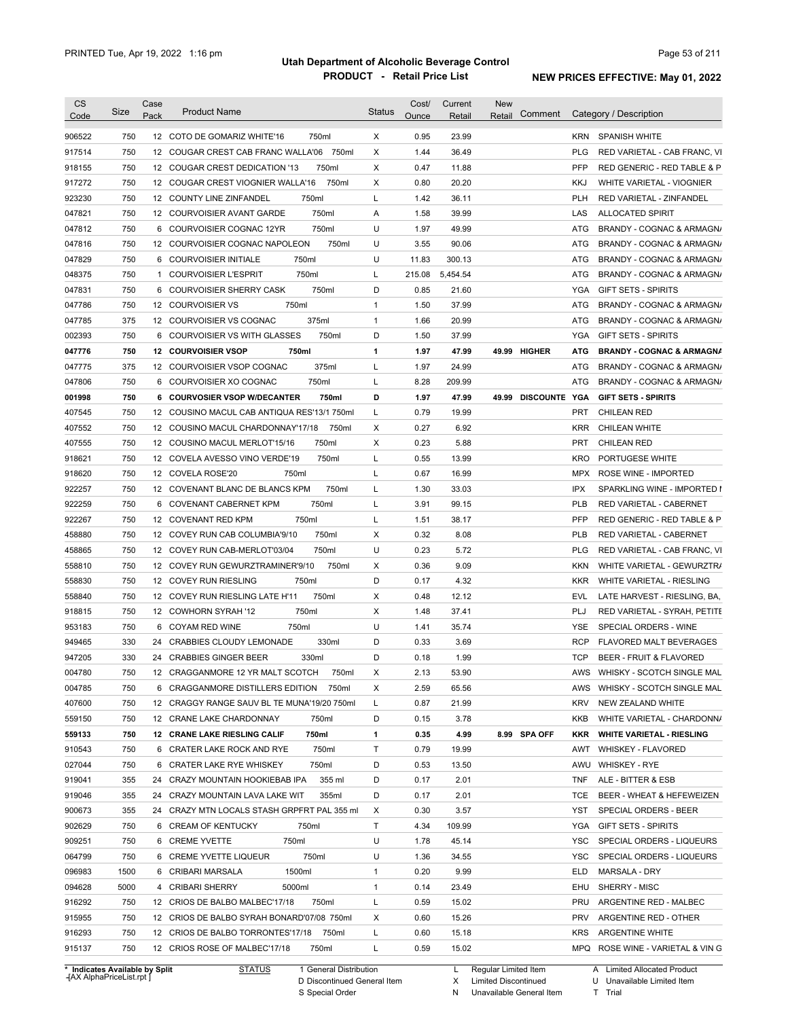| <b>CS</b><br>Code | Size | Case<br>Pack | <b>Product Name</b>                         | <b>Status</b> | Cost/<br>Ounce | Current<br>Retail | <b>New</b><br>Retail | Comment         |            | Category / Description               |
|-------------------|------|--------------|---------------------------------------------|---------------|----------------|-------------------|----------------------|-----------------|------------|--------------------------------------|
| 906522            | 750  |              | 12 COTO DE GOMARIZ WHITE'16<br>750ml        | X             | 0.95           | 23.99             |                      |                 | <b>KRN</b> | <b>SPANISH WHITE</b>                 |
| 917514            | 750  |              | 750ml<br>12 COUGAR CREST CAB FRANC WALLA'06 | Χ             | 1.44           | 36.49             |                      |                 | <b>PLG</b> | RED VARIETAL - CAB FRANC, VI         |
| 918155            | 750  |              | 12 COUGAR CREST DEDICATION '13<br>750ml     | Χ             | 0.47           | 11.88             |                      |                 | PFP        | RED GENERIC - RED TABLE & P          |
| 917272            | 750  |              | 750ml<br>12 COUGAR CREST VIOGNIER WALLA'16  | Χ             | 0.80           | 20.20             |                      |                 | <b>KKJ</b> | WHITE VARIETAL - VIOGNIER            |
| 923230            | 750  |              | 750ml<br>12 COUNTY LINE ZINFANDEL           | L             | 1.42           | 36.11             |                      |                 | <b>PLH</b> | RED VARIETAL - ZINFANDEL             |
| 047821            | 750  |              | 750ml<br>12 COURVOISIER AVANT GARDE         | Α             | 1.58           | 39.99             |                      |                 | LAS        | <b>ALLOCATED SPIRIT</b>              |
| 047812            | 750  |              | 750ml<br>6 COURVOISIER COGNAC 12YR          | U             | 1.97           | 49.99             |                      |                 | ATG        | BRANDY - COGNAC & ARMAGN/            |
| 047816            | 750  |              | 750ml<br>12 COURVOISIER COGNAC NAPOLEON     | U             | 3.55           | 90.06             |                      |                 | ATG        | BRANDY - COGNAC & ARMAGN/            |
| 047829            | 750  |              | 750ml<br>6 COURVOISIER INITIALE             | U             | 11.83          | 300.13            |                      |                 | ATG        | BRANDY - COGNAC & ARMAGN/            |
| 048375            | 750  |              | 750ml<br>1 COURVOISIER L'ESPRIT             | L             | 215.08         | 5,454.54          |                      |                 | ATG        | BRANDY - COGNAC & ARMAGN/            |
| 047831            | 750  |              | 750ml<br>6 COURVOISIER SHERRY CASK          | D             | 0.85           | 21.60             |                      |                 | YGA        | <b>GIFT SETS - SPIRITS</b>           |
| 047786            | 750  |              | 750ml<br>12 COURVOISIER VS                  | 1             | 1.50           | 37.99             |                      |                 | <b>ATG</b> | BRANDY - COGNAC & ARMAGN/            |
| 047785            | 375  |              | 375ml<br>12 COURVOISIER VS COGNAC           | 1             | 1.66           | 20.99             |                      |                 | <b>ATG</b> | BRANDY - COGNAC & ARMAGN/            |
| 002393            | 750  |              | 750ml<br>6 COURVOISIER VS WITH GLASSES      | D             | 1.50           | 37.99             |                      |                 | YGA        | <b>GIFT SETS - SPIRITS</b>           |
| 047776            | 750  |              | <b>12 COURVOISIER VSOP</b><br>750ml         | 1             | 1.97           | 47.99             |                      | 49.99 HIGHER    | <b>ATG</b> | <b>BRANDY - COGNAC &amp; ARMAGNA</b> |
| 047775            | 375  |              | 375ml<br>12 COURVOISIER VSOP COGNAC         | L             | 1.97           | 24.99             |                      |                 | ATG        | BRANDY - COGNAC & ARMAGN/            |
| 047806            | 750  |              | 750ml<br>6 COURVOISIER XO COGNAC            | L             | 8.28           | 209.99            |                      |                 | ATG        | BRANDY - COGNAC & ARMAGN/            |
| 001998            | 750  |              | 6 COURVOSIER VSOP W/DECANTER<br>750ml       | D             | 1.97           | 47.99             |                      | 49.99 DISCOUNTE | YGA        | <b>GIFT SETS - SPIRITS</b>           |
| 407545            | 750  |              | 12 COUSINO MACUL CAB ANTIQUA RES'13/1 750ml | L             | 0.79           | 19.99             |                      |                 | <b>PRT</b> | <b>CHILEAN RED</b>                   |
| 407552            | 750  |              | 12 COUSINO MACUL CHARDONNAY'17/18<br>750ml  | Χ             | 0.27           | 6.92              |                      |                 | <b>KRR</b> | CHILEAN WHITE                        |
| 407555            | 750  |              | 750ml<br>12 COUSINO MACUL MERLOT'15/16      | X             | 0.23           | 5.88              |                      |                 | <b>PRT</b> | <b>CHILEAN RED</b>                   |
| 918621            | 750  |              | 750ml<br>12 COVELA AVESSO VINO VERDE'19     | L             | 0.55           | 13.99             |                      |                 | KRO        | PORTUGESE WHITE                      |
| 918620            | 750  |              | 12 COVELA ROSE'20<br>750ml                  | Г             | 0.67           | 16.99             |                      |                 | MPX        | ROSE WINE - IMPORTED                 |
| 922257            | 750  |              | 750ml<br>12 COVENANT BLANC DE BLANCS KPM    | L             | 1.30           | 33.03             |                      |                 | <b>IPX</b> | SPARKLING WINE - IMPORTED I          |
|                   | 750  |              | 750ml                                       | L             | 3.91           | 99.15             |                      |                 | <b>PLB</b> |                                      |
| 922259            |      |              | 6 COVENANT CABERNET KPM<br>750ml            | L             |                |                   |                      |                 | <b>PFP</b> | RED VARIETAL - CABERNET              |
| 922267            | 750  |              | 12 COVENANT RED KPM                         |               | 1.51           | 38.17             |                      |                 |            | RED GENERIC - RED TABLE & P          |
| 458880            | 750  |              | 750ml<br>12 COVEY RUN CAB COLUMBIA'9/10     | X<br>U        | 0.32           | 8.08              |                      |                 | <b>PLB</b> | RED VARIETAL - CABERNET              |
| 458865            | 750  |              | 12 COVEY RUN CAB-MERLOT'03/04<br>750ml      |               | 0.23           | 5.72              |                      |                 | <b>PLG</b> | RED VARIETAL - CAB FRANC, VI         |
| 558810            | 750  |              | 12 COVEY RUN GEWURZTRAMINER'9/10<br>750ml   | Χ<br>D        | 0.36           | 9.09              |                      |                 | <b>KKN</b> | WHITE VARIETAL - GEWURZTR/           |
| 558830            | 750  |              | 12 COVEY RUN RIESLING<br>750ml              |               | 0.17           | 4.32              |                      |                 | <b>KKR</b> | WHITE VARIETAL - RIESLING            |
| 558840            | 750  |              | 750ml<br>12 COVEY RUN RIESLING LATE H'11    | X             | 0.48           | 12.12             |                      |                 | EVL        | LATE HARVEST - RIESLING, BA,         |
| 918815            | 750  |              | 750ml<br>12 COWHORN SYRAH '12               | X             | 1.48           | 37.41             |                      |                 | PLJ        | RED VARIETAL - SYRAH, PETITE         |
| 953183            | 750  |              | 750ml<br>6 COYAM RED WINE                   | U             | 1.41           | 35.74             |                      |                 | YSE        | SPECIAL ORDERS - WINE                |
| 949465            | 330  |              | 24 CRABBIES CLOUDY LEMONADE<br>330ml        | D             | 0.33           | 3.69              |                      |                 | <b>RCP</b> | <b>FLAVORED MALT BEVERAGES</b>       |
| 947205            | 330  |              | 24 CRABBIES GINGER BEER<br>330ml            | D             | 0.18           | 1.99              |                      |                 | <b>TCP</b> | BEER - FRUIT & FLAVORED              |
| 004780            | 750  |              | 12 CRAGGANMORE 12 YR MALT SCOTCH<br>750ml   | х             | 2.13           | 53.90             |                      |                 | AWS        | WHISKY - SCOTCH SINGLE MAL           |
| 004785            | 750  |              | 6 CRAGGANMORE DISTILLERS EDITION 750ml      | Х             | 2.59           | 65.56             |                      |                 | AWS        | WHISKY - SCOTCH SINGLE MAL           |
| 407600            | 750  |              | 12 CRAGGY RANGE SAUV BL TE MUNA'19/20 750ml | L             | 0.87           | 21.99             |                      |                 | <b>KRV</b> | NEW ZEALAND WHITE                    |
| 559150            | 750  |              | 12 CRANE LAKE CHARDONNAY<br>750ml           | D             | 0.15           | 3.78              |                      |                 | KKB        | WHITE VARIETAL - CHARDONN/           |
| 559133            | 750  |              | 12 CRANE LAKE RIESLING CALIF<br>750ml       | 1             | 0.35           | 4.99              |                      | 8.99 SPA OFF    | <b>KKR</b> | <b>WHITE VARIETAL - RIESLING</b>     |
| 910543            | 750  |              | 750ml<br>6 CRATER LAKE ROCK AND RYE         | Τ             | 0.79           | 19.99             |                      |                 | AWT        | WHISKEY - FLAVORED                   |
| 027044            | 750  |              | 750ml<br>6 CRATER LAKE RYE WHISKEY          | D             | 0.53           | 13.50             |                      |                 | AWU        | <b>WHISKEY - RYE</b>                 |
| 919041            | 355  |              | 355 ml<br>24 CRAZY MOUNTAIN HOOKIEBAB IPA   | D             | 0.17           | 2.01              |                      |                 | <b>TNF</b> | ALE - BITTER & ESB                   |
| 919046            | 355  |              | 24 CRAZY MOUNTAIN LAVA LAKE WIT<br>355ml    | D             | 0.17           | 2.01              |                      |                 | <b>TCE</b> | BEER - WHEAT & HEFEWEIZEN            |
| 900673            | 355  |              | 24 CRAZY MTN LOCALS STASH GRPFRT PAL 355 ml | X             | 0.30           | 3.57              |                      |                 | YST        | SPECIAL ORDERS - BEER                |
| 902629            | 750  |              | 6 CREAM OF KENTUCKY<br>750ml                | Τ             | 4.34           | 109.99            |                      |                 | YGA        | <b>GIFT SETS - SPIRITS</b>           |
| 909251            | 750  |              | 6 CREME YVETTE<br>750ml                     | U             | 1.78           | 45.14             |                      |                 | YSC        | SPECIAL ORDERS - LIQUEURS            |
| 064799            | 750  |              | 750ml<br>6 CREME YVETTE LIQUEUR             | U             | 1.36           | 34.55             |                      |                 | YSC        | SPECIAL ORDERS - LIQUEURS            |
| 096983            | 1500 |              | 1500ml<br>6 CRIBARI MARSALA                 | 1             | 0.20           | 9.99              |                      |                 | ELD        | MARSALA - DRY                        |
| 094628            | 5000 |              | 5000ml<br>4 CRIBARI SHERRY                  | 1             | 0.14           | 23.49             |                      |                 | EHU        | SHERRY - MISC                        |
| 916292            | 750  |              | 750ml<br>12 CRIOS DE BALBO MALBEC'17/18     | L             | 0.59           | 15.02             |                      |                 | PRU        | ARGENTINE RED - MALBEC               |
|                   |      |              | 12 CRIOS DE BALBO SYRAH BONARD'07/08 750ml  | Х             | 0.60           | 15.26             |                      |                 | PRV        | ARGENTINE RED - OTHER                |
| 915955            | 750  |              |                                             |               |                |                   |                      |                 |            |                                      |
| 916293            | 750  |              | 12 CRIOS DE BALBO TORRONTES'17/18<br>750ml  | Г             | 0.60           | 15.18             |                      |                 | KRS        | <b>ARGENTINE WHITE</b>               |

**Case** [AX AlphaPriceList.rpt ]

D Discontinued General Item S Special Order

X

Limited Discontinued

N Unavailable General Item

U Unavailable Limited Item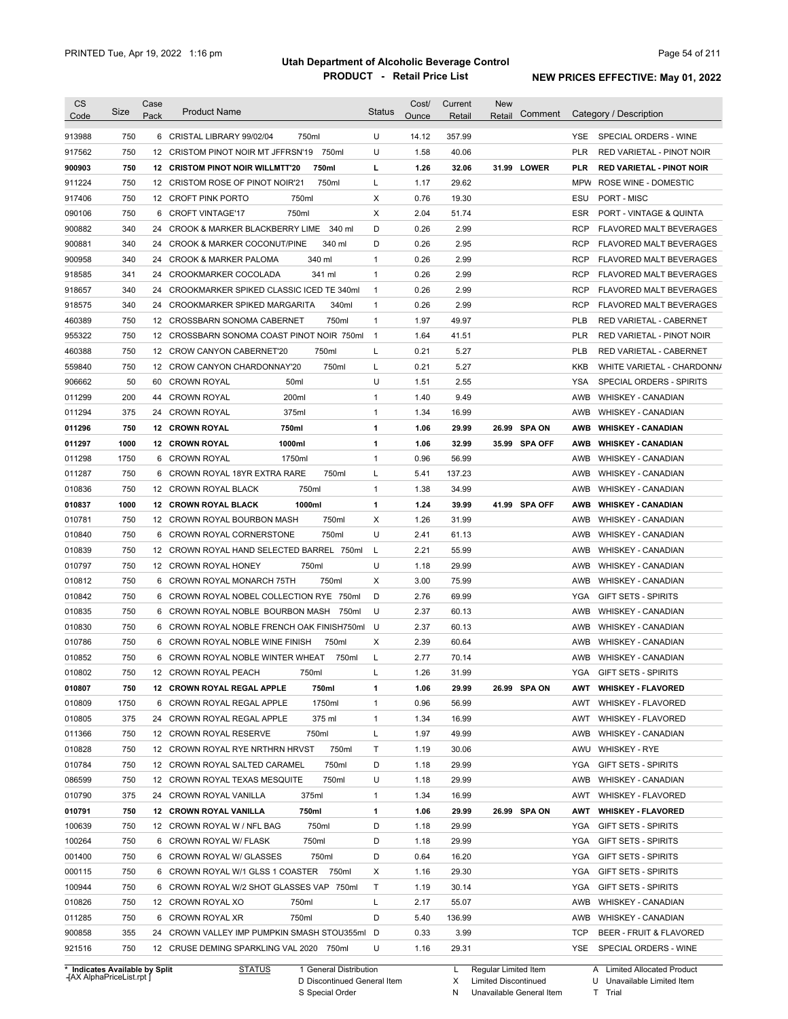| CS<br>Code                     | Size | Case<br>Pack | <b>Product Name</b>                              | <b>Status</b>  | Cost/<br>Ounce | Current<br>Retail | <b>New</b><br>Retail | Comment       | Category / Description                       |
|--------------------------------|------|--------------|--------------------------------------------------|----------------|----------------|-------------------|----------------------|---------------|----------------------------------------------|
| 913988                         | 750  |              | 6 CRISTAL LIBRARY 99/02/04<br>750ml              | U              | 14.12          | 357.99            |                      |               | YSE.<br>SPECIAL ORDERS - WINE                |
| 917562                         | 750  | 12           | 750ml<br>CRISTOM PINOT NOIR MT JFFRSN'19         | U              | 1.58           | 40.06             |                      |               | <b>PLR</b><br>RED VARIETAL - PINOT NOIR      |
| 900903                         | 750  |              | 750ml<br><b>12 CRISTOM PINOT NOIR WILLMTT'20</b> | г              | 1.26           | 32.06             |                      | 31.99 LOWER   | PLR<br><b>RED VARIETAL - PINOT NOIR</b>      |
| 911224                         | 750  |              | 12 CRISTOM ROSE OF PINOT NOIR'21<br>750ml        | Г              | 1.17           | 29.62             |                      |               | MPW ROSE WINE - DOMESTIC                     |
| 917406                         | 750  |              | 750ml<br>12 CROFT PINK PORTO                     | Х              | 0.76           | 19.30             |                      |               | ESU<br>PORT - MISC                           |
| 090106                         | 750  | 6            | <b>CROFT VINTAGE'17</b><br>750ml                 | Х              | 2.04           | 51.74             |                      |               | <b>ESR</b><br>PORT - VINTAGE & QUINTA        |
| 900882                         | 340  | 24           | CROOK & MARKER BLACKBERRY LIME<br>340 ml         | D              | 0.26           | 2.99              |                      |               | <b>RCP</b><br><b>FLAVORED MALT BEVERAGES</b> |
| 900881                         | 340  | 24           | <b>CROOK &amp; MARKER COCONUT/PINE</b><br>340 ml | D              | 0.26           | 2.95              |                      |               | <b>RCP</b><br><b>FLAVORED MALT BEVERAGES</b> |
| 900958                         | 340  | 24           | 340 ml<br><b>CROOK &amp; MARKER PALOMA</b>       | 1              | 0.26           | 2.99              |                      |               | <b>RCP</b><br><b>FLAVORED MALT BEVERAGES</b> |
| 918585                         | 341  | 24           | 341 ml<br>CROOKMARKER COCOLADA                   | $\mathbf{1}$   | 0.26           | 2.99              |                      |               | <b>RCP</b><br><b>FLAVORED MALT BEVERAGES</b> |
| 918657                         | 340  | 24           | CROOKMARKER SPIKED CLASSIC ICED TE 340ml         | $\mathbf{1}$   | 0.26           | 2.99              |                      |               | <b>RCP</b><br><b>FLAVORED MALT BEVERAGES</b> |
| 918575                         | 340  | 24           | 340ml<br>CROOKMARKER SPIKED MARGARITA            | 1              | 0.26           | 2.99              |                      |               | <b>RCP</b><br><b>FLAVORED MALT BEVERAGES</b> |
| 460389                         | 750  | 12           | 750ml<br><b>CROSSBARN SONOMA CABERNET</b>        | 1              | 1.97           | 49.97             |                      |               | <b>PLB</b><br>RED VARIETAL - CABERNET        |
| 955322                         | 750  | 12           | CROSSBARN SONOMA COAST PINOT NOIR 750ml          | $\overline{1}$ | 1.64           | 41.51             |                      |               | <b>PLR</b><br>RED VARIETAL - PINOT NOIR      |
| 460388                         | 750  | 12           | 750ml<br><b>CROW CANYON CABERNET'20</b>          | Г              | 0.21           | 5.27              |                      |               | <b>PLB</b><br><b>RED VARIETAL - CABERNET</b> |
| 559840                         | 750  | 12           | 750ml<br>CROW CANYON CHARDONNAY'20               | L              | 0.21           | 5.27              |                      |               | <b>KKB</b><br>WHITE VARIETAL - CHARDONN/     |
| 906662                         | 50   | 60           | <b>CROWN ROYAL</b><br>50 <sub>ml</sub>           | U              | 1.51           | 2.55              |                      |               | <b>YSA</b><br>SPECIAL ORDERS - SPIRITS       |
| 011299                         | 200  | 44           | 200ml<br><b>CROWN ROYAL</b>                      | 1              | 1.40           | 9.49              |                      |               | <b>AWB</b><br><b>WHISKEY - CANADIAN</b>      |
| 011294                         | 375  | 24           | 375ml<br><b>CROWN ROYAL</b>                      | 1              | 1.34           | 16.99             |                      |               | AWB<br><b>WHISKEY - CANADIAN</b>             |
| 011296                         | 750  |              | 750ml<br><b>12 CROWN ROYAL</b>                   | 1              | 1.06           | 29.99             | 26.99                | <b>SPA ON</b> | AWB<br><b>WHISKEY - CANADIAN</b>             |
| 011297                         | 1000 |              | 1000ml<br><b>12 CROWN ROYAL</b>                  | 1              | 1.06           | 32.99             | 35.99                | SPA OFF       | AWB<br><b>WHISKEY - CANADIAN</b>             |
| 011298                         | 1750 | 6            | <b>CROWN ROYAL</b><br>1750ml                     | 1              | 0.96           | 56.99             |                      |               | AWB<br><b>WHISKEY - CANADIAN</b>             |
| 011287                         | 750  | 6            | CROWN ROYAL 18YR EXTRA RARE<br>750ml             | Г              | 5.41           | 137.23            |                      |               | AWB<br><b>WHISKEY - CANADIAN</b>             |
| 010836                         | 750  |              | 750ml<br>12 CROWN ROYAL BLACK                    | 1              | 1.38           | 34.99             |                      |               | AWB<br><b>WHISKEY - CANADIAN</b>             |
| 010837                         | 1000 |              | 1000ml<br>12 CROWN ROYAL BLACK                   | 1              | 1.24           | 39.99             |                      | 41.99 SPA OFF | <b>AWB</b><br><b>WHISKEY - CANADIAN</b>      |
| 010781                         | 750  | 12           | CROWN ROYAL BOURBON MASH<br>750ml                | X              | 1.26           | 31.99             |                      |               | AWB<br><b>WHISKEY - CANADIAN</b>             |
| 010840                         | 750  | 6            | 750ml<br>CROWN ROYAL CORNERSTONE                 | U              | 2.41           | 61.13             |                      |               | AWB<br><b>WHISKEY - CANADIAN</b>             |
| 010839                         | 750  | 12           | CROWN ROYAL HAND SELECTED BARREL 750ml           | L              | 2.21           | 55.99             |                      |               | AWB<br><b>WHISKEY - CANADIAN</b>             |
| 010797                         | 750  | 12           | 750ml<br>CROWN ROYAL HONEY                       | U              | 1.18           | 29.99             |                      |               | AWB<br><b>WHISKEY - CANADIAN</b>             |
| 010812                         | 750  | 6            | 750ml<br>CROWN ROYAL MONARCH 75TH                | Х              | 3.00           | 75.99             |                      |               | AWB<br><b>WHISKEY - CANADIAN</b>             |
| 010842                         | 750  | 6            | CROWN ROYAL NOBEL COLLECTION RYE 750ml           | D              | 2.76           | 69.99             |                      |               | <b>YGA</b><br><b>GIFT SETS - SPIRITS</b>     |
| 010835                         | 750  | 6            | CROWN ROYAL NOBLE BOURBON MASH<br>750ml          | U              | 2.37           | 60.13             |                      |               | AWB<br><b>WHISKEY - CANADIAN</b>             |
| 010830                         | 750  |              | 6 CROWN ROYAL NOBLE FRENCH OAK FINISH750ml       | U              | 2.37           | 60.13             |                      |               | <b>AWB</b><br><b>WHISKEY - CANADIAN</b>      |
| 010786                         | 750  |              | 6 CROWN ROYAL NOBLE WINE FINISH<br>750ml         | X              | 2.39           | 60.64             |                      |               | <b>AWB</b><br><b>WHISKEY - CANADIAN</b>      |
| 010852                         | 750  |              | 6 CROWN ROYAL NOBLE WINTER WHEAT<br>750ml        | Г              | 2.77           | 70.14             |                      |               | AWB<br><b>WHISKEY - CANADIAN</b>             |
| 010802                         | 750  |              | 12 CROWN ROYAL PEACH                             |                | 1.26           | 31.99             |                      |               | YGA<br><b>GIFT SETS - SPIRITS</b>            |
|                                |      |              | 750ml                                            | L              |                |                   |                      |               |                                              |
| 010807                         | 750  |              | 750ml<br>12 CROWN ROYAL REGAL APPLE              | 1              | 1.06           | 29.99             |                      | 26.99 SPA ON  | AWT<br><b>WHISKEY - FLAVORED</b>             |
| 010809                         | 1750 |              | 1750ml<br>6 CROWN ROYAL REGAL APPLE              | 1              | 0.96           | 56.99             |                      |               | AWT<br>WHISKEY - FLAVORED                    |
| 010805                         | 375  |              | 375 ml<br>24 CROWN ROYAL REGAL APPLE             | 1              | 1.34           | 16.99             |                      |               | AWT<br><b>WHISKEY - FLAVORED</b>             |
| 011366                         | 750  |              | 12 CROWN ROYAL RESERVE<br>750ml                  | L              | 1.97           | 49.99             |                      |               | <b>WHISKEY - CANADIAN</b><br>AWB             |
| 010828                         | 750  |              | 750ml<br>12 CROWN ROYAL RYE NRTHRN HRVST         | т              | 1.19           | 30.06             |                      |               | AWU<br><b>WHISKEY - RYE</b>                  |
| 010784                         | 750  |              | 750ml<br>12 CROWN ROYAL SALTED CARAMEL           | D              | 1.18           | 29.99             |                      |               | YGA<br>GIFT SETS - SPIRITS                   |
| 086599                         | 750  |              | 750ml<br>12 CROWN ROYAL TEXAS MESQUITE           | U              | 1.18           | 29.99             |                      |               | AWB<br><b>WHISKEY - CANADIAN</b>             |
| 010790                         | 375  |              | 24 CROWN ROYAL VANILLA<br>375ml                  | 1              | 1.34           | 16.99             |                      |               | AWT<br><b>WHISKEY - FLAVORED</b>             |
| 010791                         | 750  |              | 12 CROWN ROYAL VANILLA<br>750ml                  | 1              | 1.06           | 29.99             |                      | 26.99 SPA ON  | AWT<br><b>WHISKEY - FLAVORED</b>             |
| 100639                         | 750  |              | 750ml<br>12 CROWN ROYAL W / NFL BAG              | D              | 1.18           | 29.99             |                      |               | YGA<br>GIFT SETS - SPIRITS                   |
| 100264                         | 750  |              | 750ml<br>6 CROWN ROYAL W/ FLASK                  | D              | 1.18           | 29.99             |                      |               | YGA<br><b>GIFT SETS - SPIRITS</b>            |
| 001400                         | 750  |              | 750ml<br>6 CROWN ROYAL W/ GLASSES                | D              | 0.64           | 16.20             |                      |               | YGA<br><b>GIFT SETS - SPIRITS</b>            |
| 000115                         | 750  |              | 6 CROWN ROYAL W/1 GLSS 1 COASTER 750ml           | Х              | 1.16           | 29.30             |                      |               | YGA<br><b>GIFT SETS - SPIRITS</b>            |
| 100944                         | 750  |              | 6 CROWN ROYAL W/2 SHOT GLASSES VAP 750ml         | Τ              | 1.19           | 30.14             |                      |               | <b>YGA</b><br><b>GIFT SETS - SPIRITS</b>     |
| 010826                         | 750  |              | 12 CROWN ROYAL XO<br>750ml                       | L              | 2.17           | 55.07             |                      |               | AWB<br><b>WHISKEY - CANADIAN</b>             |
| 011285                         | 750  | 6            | CROWN ROYAL XR<br>750ml                          | D              | 5.40           | 136.99            |                      |               | AWB<br><b>WHISKEY - CANADIAN</b>             |
| 900858                         | 355  |              | 24 CROWN VALLEY IMP PUMPKIN SMASH STOU355ml D    |                | 0.33           | 3.99              |                      |               | TCP<br>BEER - FRUIT & FLAVORED               |
| 921516                         | 750  |              | 12 CRUSE DEMING SPARKLING VAL 2020 750ml         | U              | 1.16           | 29.31             |                      |               | YSE<br>SPECIAL ORDERS - WINE                 |
| * Indicates Available by Split |      |              | 1 General Distribution<br><b>STATUS</b>          |                |                | L.                | Regular Limited Item |               | A Limited Allocated Product                  |

**Case** [AX AlphaPriceList.rpt ]

D Discontinued General Item

S Special Order

X Limited Discontinued

N Unavailable General Item

U Unavailable Limited Item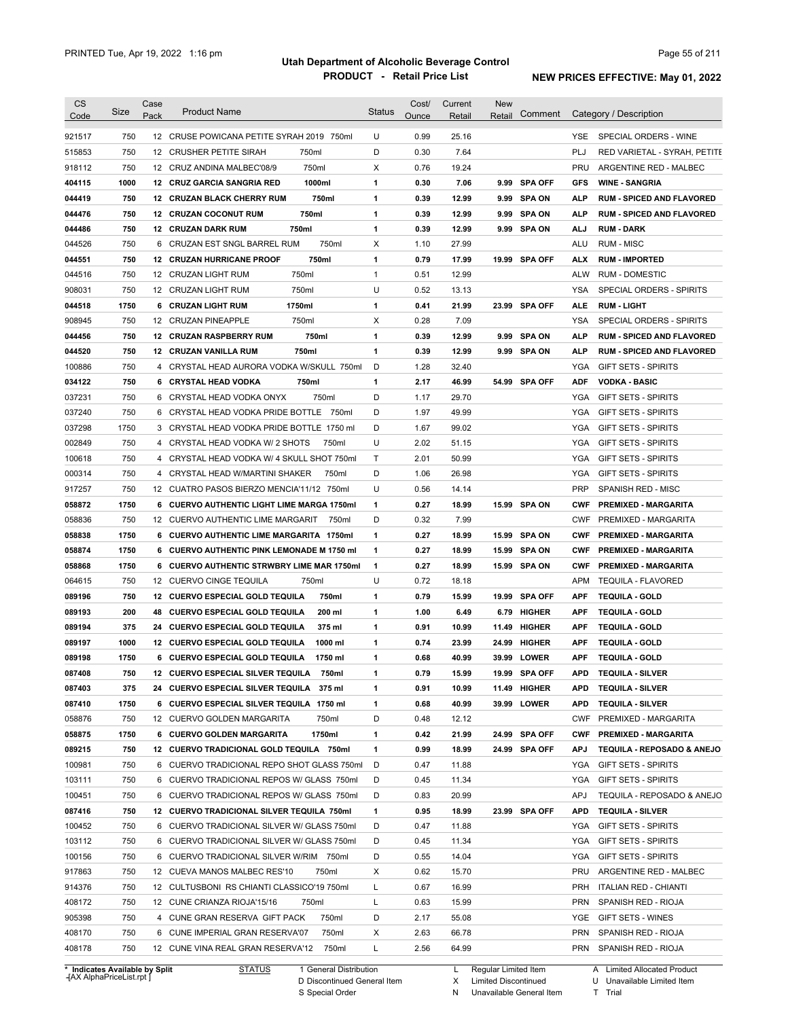| CS<br>Code | Size                           | Case<br>Pack | <b>Product Name</b>                             | <b>Status</b> | Cost/<br>Ounce | Current<br>Retail | <b>New</b><br>Retail | Comment        |            | Category / Description           |
|------------|--------------------------------|--------------|-------------------------------------------------|---------------|----------------|-------------------|----------------------|----------------|------------|----------------------------------|
|            |                                |              |                                                 |               |                |                   |                      |                |            |                                  |
| 921517     | 750                            |              | 12 CRUSE POWICANA PETITE SYRAH 2019 750ml       | U             | 0.99           | 25.16             |                      |                | <b>YSE</b> | SPECIAL ORDERS - WINE            |
| 515853     | 750                            |              | 750ml<br>12 CRUSHER PETITE SIRAH                | D             | 0.30           | 7.64              |                      |                | <b>PLJ</b> | RED VARIETAL - SYRAH, PETITE     |
| 918112     | 750                            |              | 750ml<br>12 CRUZ ANDINA MALBEC'08/9             | Χ             | 0.76           | 19.24             |                      |                | <b>PRU</b> | ARGENTINE RED - MALBEC           |
| 404115     | 1000                           |              | 1000ml<br>12 CRUZ GARCIA SANGRIA RED            | 1             | 0.30           | 7.06              |                      | 9.99 SPA OFF   | <b>GFS</b> | <b>WINE - SANGRIA</b>            |
| 044419     | 750                            |              | 750ml<br>12 CRUZAN BLACK CHERRY RUM             | 1             | 0.39           | 12.99             |                      | 9.99 SPA ON    | <b>ALP</b> | <b>RUM - SPICED AND FLAVORED</b> |
| 044476     | 750                            |              | 750ml<br><b>12 CRUZAN COCONUT RUM</b>           | 1             | 0.39           | 12.99             |                      | 9.99 SPA ON    | <b>ALP</b> | <b>RUM - SPICED AND FLAVORED</b> |
| 044486     | 750                            |              | 750ml<br><b>12 CRUZAN DARK RUM</b>              | 1             | 0.39           | 12.99             |                      | 9.99 SPA ON    | <b>ALJ</b> | <b>RUM - DARK</b>                |
| 044526     | 750                            | 6            | CRUZAN EST SNGL BARREL RUM<br>750ml             | X             | 1.10           | 27.99             |                      |                | <b>ALU</b> | <b>RUM - MISC</b>                |
| 044551     | 750                            | 12           | 750ml<br><b>CRUZAN HURRICANE PROOF</b>          | 1             | 0.79           | 17.99             |                      | 19.99 SPA OFF  | <b>ALX</b> | <b>RUM - IMPORTED</b>            |
| 044516     | 750                            | 12           | 750ml<br><b>CRUZAN LIGHT RUM</b>                | $\mathbf{1}$  | 0.51           | 12.99             |                      |                | <b>ALW</b> | <b>RUM - DOMESTIC</b>            |
| 908031     | 750                            | 12           | 750ml<br>CRUZAN LIGHT RUM                       | U             | 0.52           | 13.13             |                      |                | <b>YSA</b> | SPECIAL ORDERS - SPIRITS         |
| 044518     | 1750                           |              | 6 CRUZAN LIGHT RUM<br>1750ml                    | 1             | 0.41           | 21.99             |                      | 23.99 SPA OFF  | <b>ALE</b> | <b>RUM LIGHT</b>                 |
| 908945     | 750                            | 12           | <b>CRUZAN PINEAPPLE</b><br>750ml                | X             | 0.28           | 7.09              |                      |                | <b>YSA</b> | SPECIAL ORDERS - SPIRITS         |
| 044456     | 750                            | 12           | <b>CRUZAN RASPBERRY RUM</b><br>750ml            | 1             | 0.39           | 12.99             | 9.99                 | <b>SPA ON</b>  | <b>ALP</b> | <b>RUM - SPICED AND FLAVORED</b> |
| 044520     | 750                            | 12           | 750ml<br>CRUZAN VANILLA RUM                     | 1             | 0.39           | 12.99             |                      | 9.99 SPA ON    | <b>ALP</b> | <b>RUM - SPICED AND FLAVORED</b> |
| 100886     | 750                            |              | 4 CRYSTAL HEAD AURORA VODKA W/SKULL 750ml       | D             | 1.28           | 32.40             |                      |                | YGA        | GIFT SETS - SPIRITS              |
| 034122     | 750                            |              | 750ml<br>6 CRYSTAL HEAD VODKA                   | 1             | 2.17           | 46.99             |                      | 54.99 SPA OFF  | <b>ADF</b> | <b>VODKA - BASIC</b>             |
| 037231     | 750                            |              | 750ml<br>6 CRYSTAL HEAD VODKA ONYX              | D             | 1.17           | 29.70             |                      |                | YGA        | GIFT SETS - SPIRITS              |
| 037240     | 750                            |              | 6 CRYSTAL HEAD VODKA PRIDE BOTTLE<br>750ml      | D             | 1.97           | 49.99             |                      |                | YGA        | <b>GIFT SETS - SPIRITS</b>       |
| 037298     | 1750                           |              | 3 CRYSTAL HEAD VODKA PRIDE BOTTLE 1750 ml       | D             | 1.67           | 99.02             |                      |                | <b>YGA</b> | <b>GIFT SETS - SPIRITS</b>       |
| 002849     | 750                            |              | 4 CRYSTAL HEAD VODKA W/ 2 SHOTS<br>750ml        | U             | 2.02           | 51.15             |                      |                | <b>YGA</b> | <b>GIFT SETS - SPIRITS</b>       |
| 100618     | 750                            |              | 4 CRYSTAL HEAD VODKA W/ 4 SKULL SHOT 750ml      | Τ             | 2.01           | 50.99             |                      |                | <b>YGA</b> | <b>GIFT SETS - SPIRITS</b>       |
| 000314     | 750                            |              | 4 CRYSTAL HEAD W/MARTINI SHAKER<br>750ml        | D             | 1.06           | 26.98             |                      |                | YGA        | <b>GIFT SETS - SPIRITS</b>       |
| 917257     | 750                            |              | 12 CUATRO PASOS BIERZO MENCIA'11/12 750ml       | U             | 0.56           | 14.14             |                      |                | PRP        | SPANISH RED - MISC               |
| 058872     | 1750                           |              | 6 CUERVO AUTHENTIC LIGHT LIME MARGA 1750ml      | 1             | 0.27           | 18.99             |                      | 15.99 SPA ON   | <b>CWF</b> | <b>PREMIXED - MARGARITA</b>      |
| 058836     | 750                            |              | 12 CUERVO AUTHENTIC LIME MARGARIT<br>750ml      | D             | 0.32           | 7.99              |                      |                | <b>CWF</b> | PREMIXED - MARGARITA             |
| 058838     | 1750                           |              | 6 CUERVO AUTHENTIC LIME MARGARITA 1750ml        | 1             | 0.27           | 18.99             | 15.99                | <b>SPA ON</b>  | <b>CWF</b> | <b>PREMIXED - MARGARITA</b>      |
| 058874     | 1750                           | 6            | <b>CUERVO AUTHENTIC PINK LEMONADE M 1750 ml</b> | 1             | 0.27           | 18.99             | 15.99                | <b>SPA ON</b>  | <b>CWF</b> | <b>PREMIXED - MARGARITA</b>      |
| 058868     | 1750                           | 6            | <b>CUERVO AUTHENTIC STRWBRY LIME MAR 1750ml</b> | 1             | 0.27           | 18.99             |                      | 15.99 SPA ON   | <b>CWF</b> | <b>PREMIXED - MARGARITA</b>      |
| 064615     | 750                            |              | 12 CUERVO CINGE TEQUILA<br>750ml                | U             | 0.72           | 18.18             |                      |                | <b>APM</b> | <b>TEQUILA - FLAVORED</b>        |
| 089196     | 750                            |              | 12 CUERVO ESPECIAL GOLD TEQUILA<br>750ml        | 1             | 0.79           | 15.99             | 19.99                | <b>SPA OFF</b> | <b>APF</b> | <b>TEQUILA - GOLD</b>            |
| 089193     | 200                            | 48           | <b>CUERVO ESPECIAL GOLD TEQUILA</b><br>200 ml   | 1             | 1.00           | 6.49              |                      | 6.79 HIGHER    | <b>APF</b> | <b>TEQUILA - GOLD</b>            |
| 089194     | 375                            |              | 24 CUERVO ESPECIAL GOLD TEQUILA<br>375 ml       | 1             | 0.91           | 10.99             |                      | 11.49 HIGHER   | <b>APF</b> | <b>TEQUILA - GOLD</b>            |
| 089197     | 1000                           |              | 12 CUERVO ESPECIAL GOLD TEQUILA<br>1000 ml      | 1             | 0.74           | 23.99             |                      | 24.99 HIGHER   | <b>APF</b> | <b>TEQUILA - GOLD</b>            |
| 089198     | 1750                           |              | 6 CUERVO ESPECIAL GOLD TEQUILA<br>1750 ml       | 1             | 0.68           | 40.99             |                      | 39.99 LOWER    | APF        | <b>TEQUILA - GOLD</b>            |
| 087408     | 750                            |              | 12 CUERVO ESPECIAL SILVER TEQUILA<br>750ml      | 1             | 0.79           | 15.99             |                      | 19.99 SPA OFF  | APD        | <b>TEQUILA - SILVER</b>          |
| 087403     | 375                            |              | 24 CUERVO ESPECIAL SILVER TEQUILA 375 ml        | 1             | 0.91           | 10.99             |                      | 11.49 HIGHER   | APD        | <b>TEQUILA - SILVER</b>          |
| 087410     | 1750                           |              | 6 CUERVO ESPECIAL SILVER TEQUILA 1750 ml        | 1             | 0.68           | 40.99             |                      | 39.99 LOWER    | APD        | <b>TEQUILA - SILVER</b>          |
| 058876     | 750                            |              | 12 CUERVO GOLDEN MARGARITA<br>750ml             | D             | 0.48           | 12.12             |                      |                | <b>CWF</b> | PREMIXED - MARGARITA             |
| 058875     | 1750                           |              | 6 CUERVO GOLDEN MARGARITA<br>1750ml             | 1             | 0.42           | 21.99             |                      | 24.99 SPA OFF  | <b>CWF</b> | <b>PREMIXED - MARGARITA</b>      |
| 089215     | 750                            |              | 12 CUERVO TRADICIONAL GOLD TEQUILA 750ml        | 1             | 0.99           | 18.99             |                      | 24.99 SPA OFF  | <b>APJ</b> | TEQUILA - REPOSADO & ANEJO       |
| 100981     | 750                            |              | 6 CUERVO TRADICIONAL REPO SHOT GLASS 750ml      | D             | 0.47           | 11.88             |                      |                | YGA        | GIFT SETS - SPIRITS              |
| 103111     | 750                            |              | 6 CUERVO TRADICIONAL REPOS W/ GLASS 750ml       | D             | 0.45           | 11.34             |                      |                | YGA        | <b>GIFT SETS - SPIRITS</b>       |
| 100451     | 750                            |              | 6 CUERVO TRADICIONAL REPOS W/ GLASS 750ml       | D             | 0.83           | 20.99             |                      |                | <b>APJ</b> | TEQUILA - REPOSADO & ANEJO       |
| 087416     | 750                            |              | 12 CUERVO TRADICIONAL SILVER TEQUILA 750ml      | 1             | 0.95           | 18.99             |                      | 23.99 SPA OFF  | <b>APD</b> | <b>TEQUILA - SILVER</b>          |
| 100452     | 750                            |              | 6 CUERVO TRADICIONAL SILVER W/ GLASS 750ml      | D             | 0.47           | 11.88             |                      |                | YGA        | <b>GIFT SETS - SPIRITS</b>       |
| 103112     | 750                            |              | 6 CUERVO TRADICIONAL SILVER W/ GLASS 750ml      | D             | 0.45           | 11.34             |                      |                | YGA        | GIFT SETS - SPIRITS              |
| 100156     | 750                            |              | 6 CUERVO TRADICIONAL SILVER W/RIM 750ml         | D             | 0.55           | 14.04             |                      |                | YGA        | GIFT SETS - SPIRITS              |
| 917863     | 750                            |              | 12 CUEVA MANOS MALBEC RES'10<br>750ml           | Х             | 0.62           | 15.70             |                      |                | PRU        | ARGENTINE RED - MALBEC           |
| 914376     | 750                            |              | 12 CULTUSBONI RS CHIANTI CLASSICO'19 750ml      | L             | 0.67           | 16.99             |                      |                | PRH        | <b>ITALIAN RED - CHIANTI</b>     |
| 408172     | 750                            |              | 12 CUNE CRIANZA RIOJA'15/16<br>750ml            | Г             | 0.63           | 15.99             |                      |                | <b>PRN</b> | SPANISH RED - RIOJA              |
| 905398     | 750                            |              | 4 CUNE GRAN RESERVA GIFT PACK<br>750ml          | D             | 2.17           | 55.08             |                      |                | YGE        | GIFT SETS - WINES                |
| 408170     | 750                            |              | 750ml<br>6 CUNE IMPERIAL GRAN RESERVA'07        | х             | 2.63           | 66.78             |                      |                | <b>PRN</b> | SPANISH RED - RIOJA              |
| 408178     | 750                            |              | 750ml<br>12 CUNE VINA REAL GRAN RESERVA'12      | L             | 2.56           | 64.99             |                      |                | PRN        | SPANISH RED - RIOJA              |
|            |                                |              |                                                 |               |                |                   |                      |                |            |                                  |
|            | * Indicates Available by Split |              | <b>STATUS</b><br>1 General Distribution         |               |                | L.                | Regular Limited Item |                |            | A Limited Allocated Product      |

**Case** [AX AlphaPriceList.rpt ]

D Discontinued General Item

S Special Order

X Limited Discontinued

U Unavailable Limited Item

N Unavailable General Item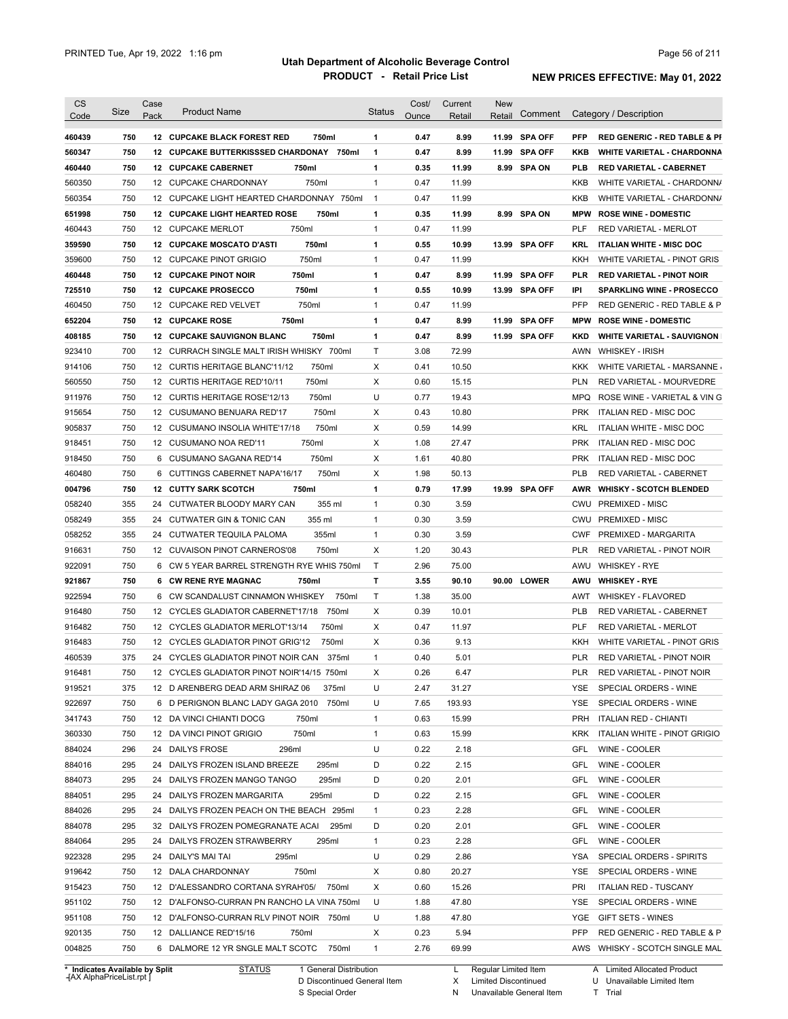| <b>CS</b><br>Code              | Size | Case<br>Pack | <b>Product Name</b>                           | <b>Status</b>  | Cost/<br>Ounce | Current<br>Retail | <b>New</b><br>Retail | Comment        |            | Category / Description                  |
|--------------------------------|------|--------------|-----------------------------------------------|----------------|----------------|-------------------|----------------------|----------------|------------|-----------------------------------------|
|                                |      |              |                                               |                |                |                   |                      |                |            |                                         |
| 460439                         | 750  |              | <b>12 CUPCAKE BLACK FOREST RED</b><br>750ml   | 1              | 0.47           | 8.99              |                      | 11.99 SPA OFF  | <b>PFP</b> | <b>RED GENERIC - RED TABLE &amp; PI</b> |
| 560347                         | 750  |              | 12 CUPCAKE BUTTERKISSSED CHARDONAY 750ml      | $\mathbf{1}$   | 0.47           | 8.99              |                      | 11.99 SPA OFF  | KKB        | WHITE VARIETAL - CHARDONNA              |
| 460440                         | 750  |              | 12 CUPCAKE CABERNET<br>750ml                  | 1              | 0.35           | 11.99             |                      | 8.99 SPA ON    | <b>PLB</b> | <b>RED VARIETAL - CABERNET</b>          |
| 560350                         | 750  |              | 750ml<br>12 CUPCAKE CHARDONNAY                | $\mathbf{1}$   | 0.47           | 11.99             |                      |                | KKB        | WHITE VARIETAL - CHARDONN/              |
| 560354                         | 750  |              | 12 CUPCAKE LIGHT HEARTED CHARDONNAY 750ml     | $\overline{1}$ | 0.47           | 11.99             |                      |                | KKB        | WHITE VARIETAL - CHARDONN/              |
| 651998                         | 750  |              | <b>12 CUPCAKE LIGHT HEARTED ROSE</b><br>750ml | 1              | 0.35           | 11.99             |                      | 8.99 SPA ON    | <b>MPW</b> | <b>ROSE WINE - DOMESTIC</b>             |
| 460443                         | 750  |              | 12 CUPCAKE MERLOT<br>750ml                    | $\mathbf{1}$   | 0.47           | 11.99             |                      |                | <b>PLF</b> | <b>RED VARIETAL - MERLOT</b>            |
| 359590                         | 750  |              | 750ml<br><b>12 CUPCAKE MOSCATO D'ASTI</b>     | 1              | 0.55           | 10.99             |                      | 13.99 SPA OFF  | KRL        | <b>ITALIAN WHITE - MISC DOC</b>         |
| 359600                         | 750  |              | 750ml<br>12 CUPCAKE PINOT GRIGIO              | $\mathbf{1}$   | 0.47           | 11.99             |                      |                | KKH        | WHITE VARIETAL - PINOT GRIS             |
| 460448                         | 750  |              | 750ml<br><b>12 CUPCAKE PINOT NOIR</b>         | 1              | 0.47           | 8.99              | 11.99                | <b>SPA OFF</b> | <b>PLR</b> | <b>RED VARIETAL - PINOT NOIR</b>        |
| 725510                         | 750  |              | 12 CUPCAKE PROSECCO<br>750ml                  | 1              | 0.55           | 10.99             |                      | 13.99 SPA OFF  | IPI        | <b>SPARKLING WINE - PROSECCO</b>        |
| 460450                         | 750  |              | 750ml<br>12 CUPCAKE RED VELVET                | $\mathbf{1}$   | 0.47           | 11.99             |                      |                | PFP        | RED GENERIC - RED TABLE & P             |
| 652204                         | 750  |              | 750ml<br><b>12 CUPCAKE ROSE</b>               | 1              | 0.47           | 8.99              | 11.99                | <b>SPA OFF</b> | <b>MPW</b> | <b>ROSE WINE - DOMESTIC</b>             |
| 408185                         | 750  |              | 750ml<br><b>12 CUPCAKE SAUVIGNON BLANC</b>    | 1              | 0.47           | 8.99              |                      | 11.99 SPA OFF  | <b>KKD</b> | <b>WHITE VARIETAL - SAUVIGNON</b>       |
| 923410                         | 700  |              | 12 CURRACH SINGLE MALT IRISH WHISKY 700ml     | Τ              | 3.08           | 72.99             |                      |                | AWN        | <b>WHISKEY - IRISH</b>                  |
| 914106                         | 750  |              | 12 CURTIS HERITAGE BLANC'11/12<br>750ml       | Х              | 0.41           | 10.50             |                      |                | <b>KKK</b> | WHITE VARIETAL - MARSANNE               |
| 560550                         | 750  |              | 750ml<br>12 CURTIS HERITAGE RED'10/11         | Χ              | 0.60           | 15.15             |                      |                | <b>PLN</b> | RED VARIETAL - MOURVEDRE                |
| 911976                         | 750  |              | 750ml<br>12 CURTIS HERITAGE ROSE'12/13        | U              | 0.77           | 19.43             |                      |                | MPQ        | ROSE WINE - VARIETAL & VIN G            |
| 915654                         | 750  |              | 750ml<br>12 CUSUMANO BENUARA RED'17           | Х              | 0.43           | 10.80             |                      |                | PRK        | ITALIAN RED - MISC DOC                  |
| 905837                         | 750  |              | 750ml<br>12 CUSUMANO INSOLIA WHITE'17/18      | X              | 0.59           | 14.99             |                      |                | KRL        | ITALIAN WHITE - MISC DOC                |
| 918451                         | 750  |              | 750ml<br>12 CUSUMANO NOA RED'11               | Х              | 1.08           | 27.47             |                      |                | <b>PRK</b> | ITALIAN RED - MISC DOC                  |
| 918450                         | 750  |              | 6 CUSUMANO SAGANA RED'14<br>750ml             | Χ              | 1.61           | 40.80             |                      |                | <b>PRK</b> | ITALIAN RED - MISC DOC                  |
| 460480                         | 750  |              | 750ml<br>6 CUTTINGS CABERNET NAPA'16/17       | X              | 1.98           | 50.13             |                      |                | <b>PLB</b> | RED VARIETAL - CABERNET                 |
|                                |      |              |                                               |                |                |                   |                      |                |            |                                         |
| 004796                         | 750  |              | <b>12 CUTTY SARK SCOTCH</b><br>750ml          | 1              | 0.79           | 17.99             |                      | 19.99 SPA OFF  |            | AWR WHISKY - SCOTCH BLENDED             |
| 058240                         | 355  |              | 24 CUTWATER BLOODY MARY CAN<br>355 ml         | $\mathbf{1}$   | 0.30           | 3.59              |                      |                |            | CWU PREMIXED - MISC                     |
| 058249                         | 355  |              | 355 ml<br>24 CUTWATER GIN & TONIC CAN         | $\mathbf{1}$   | 0.30           | 3.59              |                      |                | CWU        | <b>PREMIXED - MISC</b>                  |
| 058252                         | 355  |              | 24 CUTWATER TEQUILA PALOMA<br>355ml           | $\mathbf{1}$   | 0.30           | 3.59              |                      |                | <b>CWF</b> | PREMIXED - MARGARITA                    |
| 916631                         | 750  |              | 12 CUVAISON PINOT CARNEROS'08<br>750ml        | X              | 1.20           | 30.43             |                      |                | <b>PLR</b> | RED VARIETAL - PINOT NOIR               |
| 922091                         | 750  |              | 6 CW 5 YEAR BARREL STRENGTH RYE WHIS 750ml    | Τ              | 2.96           | 75.00             |                      |                | AWU        | <b>WHISKEY - RYE</b>                    |
| 921867                         | 750  |              | 6 CW RENE RYE MAGNAC<br>750ml                 | Т              | 3.55           | 90.10             |                      | 90.00 LOWER    | AWU        | <b>WHISKEY - RYE</b>                    |
| 922594                         | 750  |              | 6 CW SCANDALUST CINNAMON WHISKEY<br>750ml     | Τ              | 1.38           | 35.00             |                      |                | AWT        | <b>WHISKEY - FLAVORED</b>               |
| 916480                         | 750  |              | 12 CYCLES GLADIATOR CABERNET'17/18 750ml      | Χ              | 0.39           | 10.01             |                      |                | <b>PLB</b> | <b>RED VARIETAL - CABERNET</b>          |
| 916482                         | 750  |              | 12 CYCLES GLADIATOR MERLOT'13/14<br>750ml     | X              | 0.47           | 11.97             |                      |                | PLF        | <b>RED VARIETAL - MERLOT</b>            |
| 916483                         | 750  |              | 12 CYCLES GLADIATOR PINOT GRIG'12<br>750ml    | Х              | 0.36           | 9.13              |                      |                | KKH        | WHITE VARIETAL - PINOT GRIS             |
| 460539                         | 375  |              | 24 CYCLES GLADIATOR PINOT NOIR CAN<br>375ml   | $\mathbf{1}$   | 0.40           | 5.01              |                      |                | <b>PLR</b> | RED VARIETAL - PINOT NOIR               |
| 916481                         | 750  |              | 12 CYCLES GLADIATOR PINOT NOIR'14/15 750ml    | х              | 0.26           | 6.47              |                      |                | PLR        | RED VARIETAL - PINOT NOIR               |
| 919521                         | 375  |              | 12 D ARENBERG DEAD ARM SHIRAZ 06<br>375ml     | U              | 2.47           | 31.27             |                      |                | YSE        | SPECIAL ORDERS - WINE                   |
| 922697                         | 750  |              | 6 D PERIGNON BLANC LADY GAGA 2010<br>750ml    | U              | 7.65           | 193.93            |                      |                | YSE        | SPECIAL ORDERS - WINE                   |
| 341743                         | 750  |              | 12 DA VINCI CHIANTI DOCG<br>750ml             | $\mathbf{1}$   | 0.63           | 15.99             |                      |                | <b>PRH</b> | ITALIAN RED - CHIANTI                   |
| 360330                         | 750  |              | 750ml<br>12 DA VINCI PINOT GRIGIO             | $\mathbf{1}$   | 0.63           | 15.99             |                      |                | <b>KRK</b> | ITALIAN WHITE - PINOT GRIGIO            |
| 884024                         | 296  |              | 24 DAILYS FROSE<br>296ml                      | U              | 0.22           | 2.18              |                      |                | GFL        | WINE - COOLER                           |
| 884016                         | 295  |              | 24 DAILYS FROZEN ISLAND BREEZE<br>295ml       | D              | 0.22           | 2.15              |                      |                | GFL        | WINE - COOLER                           |
|                                |      |              |                                               |                |                |                   |                      |                |            |                                         |
| 884073                         | 295  |              | 295ml<br>24 DAILYS FROZEN MANGO TANGO         | D              | 0.20           | 2.01              |                      |                | GFL        | WINE - COOLER                           |
| 884051                         | 295  |              | 24 DAILYS FROZEN MARGARITA<br>295ml           | D              | 0.22           | 2.15              |                      |                | GFL        | WINE - COOLER                           |
| 884026                         | 295  |              | 24 DAILYS FROZEN PEACH ON THE BEACH 295ml     | $\mathbf{1}$   | 0.23           | 2.28              |                      |                | GFL        | WINE - COOLER                           |
| 884078                         | 295  |              | 32 DAILYS FROZEN POMEGRANATE ACAI<br>295ml    | D              | 0.20           | 2.01              |                      |                | GFL        | WINE - COOLER                           |
| 884064                         | 295  |              | 24 DAILYS FROZEN STRAWBERRY<br>295ml          | $\mathbf{1}$   | 0.23           | 2.28              |                      |                | GFL        | WINE - COOLER                           |
| 922328                         | 295  |              | 24 DAILY'S MAI TAI<br>295ml                   | U              | 0.29           | 2.86              |                      |                | YSA        | SPECIAL ORDERS - SPIRITS                |
| 919642                         | 750  |              | 12 DALA CHARDONNAY<br>750ml                   | Х              | 0.80           | 20.27             |                      |                | YSE        | SPECIAL ORDERS - WINE                   |
| 915423                         | 750  |              | 12 D'ALESSANDRO CORTANA SYRAH'05/<br>750ml    | Х              | 0.60           | 15.26             |                      |                | PRI        | <b>ITALIAN RED - TUSCANY</b>            |
| 951102                         | 750  |              | 12 D'ALFONSO-CURRAN PN RANCHO LA VINA 750ml   | U              | 1.88           | 47.80             |                      |                | YSE        | SPECIAL ORDERS - WINE                   |
| 951108                         | 750  |              | 12 D'ALFONSO-CURRAN RLV PINOT NOIR 750ml      | U              | 1.88           | 47.80             |                      |                | YGE        | GIFT SETS - WINES                       |
| 920135                         | 750  |              | 12 DALLIANCE RED'15/16<br>750ml               | Х              | 0.23           | 5.94              |                      |                | <b>PFP</b> | RED GENERIC - RED TABLE & P             |
| 004825                         | 750  |              | 6 DALMORE 12 YR SNGLE MALT SCOTC<br>750ml     | $\mathbf{1}$   | 2.76           | 69.99             |                      |                |            | AWS WHISKY - SCOTCH SINGLE MAL          |
| * Indicates Available by Split |      |              | <b>STATUS</b><br>1 General Distribution       |                |                | L                 | Regular Limited Item |                |            | A Limited Allocated Product             |

**Case** [AX AlphaPriceList.rpt ]

D Discontinued General Item S Special Order

L X Regular Limited Item

Limited Discontinued

N Unavailable General Item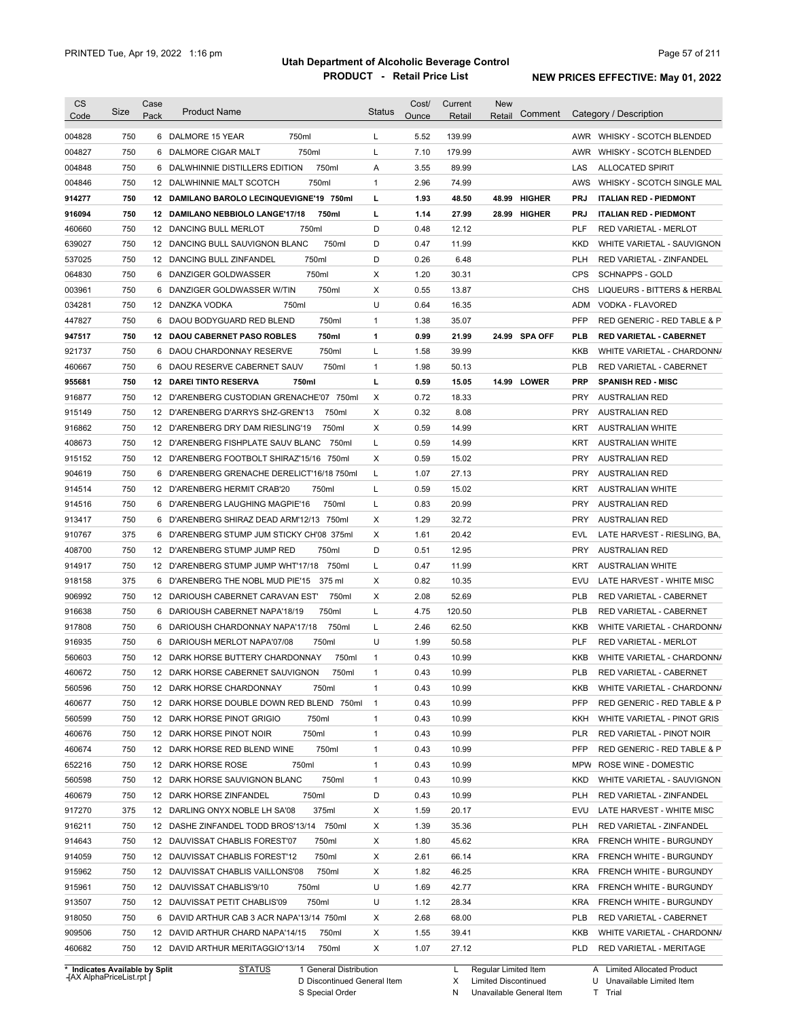| <b>CS</b><br>Code              | <b>Size</b> | Case<br>Pack | <b>Product Name</b>                          | <b>Status</b>  | Cost/<br>Ounce | Current<br>Retail | New<br>Retail        | Comment |            | Category / Description         |
|--------------------------------|-------------|--------------|----------------------------------------------|----------------|----------------|-------------------|----------------------|---------|------------|--------------------------------|
| 004828                         | 750         |              | 750ml<br>6 DALMORE 15 YEAR                   | L              | 5.52           | 139.99            |                      |         |            | AWR WHISKY - SCOTCH BLENDED    |
| 004827                         | 750         | 6            | 750ml<br>DALMORE CIGAR MALT                  | Г              | 7.10           | 179.99            |                      |         | AWR        | <b>WHISKY - SCOTCH BLENDED</b> |
| 004848                         | 750         |              | 750ml<br>6 DALWHINNIE DISTILLERS EDITION     | Α              | 3.55           | 89.99             |                      |         | LAS        | <b>ALLOCATED SPIRIT</b>        |
| 004846                         | 750         |              | 750ml<br>12 DALWHINNIE MALT SCOTCH           | $\mathbf{1}$   | 2.96           | 74.99             |                      |         | AWS        | WHISKY - SCOTCH SINGLE MAL     |
| 914277                         | 750         |              | 12 DAMILANO BAROLO LECINQUEVIGNE'19 750ml    | г              | 1.93           | 48.50             | 48.99 HIGHER         |         | <b>PRJ</b> | <b>ITALIAN RED - PIEDMONT</b>  |
| 916094                         | 750         |              | 12 DAMILANO NEBBIOLO LANGE'17/18<br>750ml    | г              | 1.14           | 27.99             | 28.99 HIGHER         |         | <b>PRJ</b> | <b>ITALIAN RED - PIEDMONT</b>  |
| 460660                         | 750         |              | 750ml<br>12 DANCING BULL MERLOT              | D              | 0.48           | 12.12             |                      |         | <b>PLF</b> | RED VARIETAL - MERLOT          |
| 639027                         | 750         |              | 750ml<br>12 DANCING BULL SAUVIGNON BLANC     | D              | 0.47           | 11.99             |                      |         | <b>KKD</b> | WHITE VARIETAL - SAUVIGNON     |
| 537025                         | 750         |              | 750ml<br>12 DANCING BULL ZINFANDEL           | D              | 0.26           | 6.48              |                      |         | <b>PLH</b> | RED VARIETAL - ZINFANDEL       |
| 064830                         | 750         |              | 6 DANZIGER GOLDWASSER<br>750ml               | х              | 1.20           | 30.31             |                      |         | <b>CPS</b> | <b>SCHNAPPS - GOLD</b>         |
| 003961                         | 750         | 6            | DANZIGER GOLDWASSER W/TIN<br>750ml           | х              | 0.55           | 13.87             |                      |         | <b>CHS</b> | LIQUEURS - BITTERS & HERBAL    |
| 034281                         | 750         |              | 12 DANZKA VODKA<br>750ml                     | U              | 0.64           | 16.35             |                      |         | ADM        | VODKA - FLAVORED               |
| 447827                         | 750         |              | 6 DAOU BODYGUARD RED BLEND<br>750ml          | 1              | 1.38           | 35.07             |                      |         | PFP        | RED GENERIC - RED TABLE & P    |
| 947517                         | 750         | 12           | DAOU CABERNET PASO ROBLES<br>750ml           | 1              | 0.99           | 21.99             | 24.99 SPA OFF        |         | <b>PLB</b> | <b>RED VARIETAL - CABERNET</b> |
| 921737                         | 750         |              | 750ml<br>6 DAOU CHARDONNAY RESERVE           | Г              | 1.58           | 39.99             |                      |         | KKB        | WHITE VARIETAL - CHARDONN/     |
| 460667                         | 750         |              | 6 DAOU RESERVE CABERNET SAUV<br>750ml        | 1              | 1.98           | 50.13             |                      |         | <b>PLB</b> | RED VARIETAL - CABERNET        |
| 955681                         | 750         | 12           | <b>DAREI TINTO RESERVA</b><br>750ml          | Г              | 0.59           | 15.05             | 14.99 LOWER          |         | <b>PRP</b> | <b>SPANISH RED - MISC</b>      |
| 916877                         | 750         |              | 12 D'ARENBERG CUSTODIAN GRENACHE'07<br>750ml | Χ              | 0.72           | 18.33             |                      |         | <b>PRY</b> | AUSTRALIAN RED                 |
| 915149                         | 750         |              | 12 D'ARENBERG D'ARRYS SHZ-GREN'13<br>750ml   | X              | 0.32           | 8.08              |                      |         | <b>PRY</b> | AUSTRALIAN RED                 |
| 916862                         | 750         |              | 750ml<br>12 D'ARENBERG DRY DAM RIESLING'19   | X              | 0.59           | 14.99             |                      |         | KRT        | <b>AUSTRALIAN WHITE</b>        |
| 408673                         | 750         |              | 12 D'ARENBERG FISHPLATE SAUV BLANC<br>750ml  | L              | 0.59           | 14.99             |                      |         | KRT        | <b>AUSTRALIAN WHITE</b>        |
| 915152                         | 750         |              | 12 D'ARENBERG FOOTBOLT SHIRAZ'15/16<br>750ml | Х              | 0.59           | 15.02             |                      |         | <b>PRY</b> | <b>AUSTRALIAN RED</b>          |
| 904619                         | 750         |              | 6 D'ARENBERG GRENACHE DERELICT'16/18 750ml   | L              | 1.07           | 27.13             |                      |         | PRY        | AUSTRALIAN RED                 |
| 914514                         | 750         |              | 12 D'ARENBERG HERMIT CRAB'20<br>750ml        | L              | 0.59           | 15.02             |                      |         | KRT        | <b>AUSTRALIAN WHITE</b>        |
| 914516                         | 750         |              | 750ml<br>6 D'ARENBERG LAUGHING MAGPIE'16     | Г              | 0.83           | 20.99             |                      |         | <b>PRY</b> | <b>AUSTRALIAN RED</b>          |
| 913417                         | 750         |              | 6 D'ARENBERG SHIRAZ DEAD ARM'12/13 750ml     | Х              | 1.29           | 32.72             |                      |         | <b>PRY</b> | <b>AUSTRALIAN RED</b>          |
| 910767                         | 375         | 6            | D'ARENBERG STUMP JUM STICKY CH'08 375ml      | X              | 1.61           | 20.42             |                      |         | EVL        | LATE HARVEST - RIESLING, BA,   |
| 408700                         | 750         |              | 12 D'ARENBERG STUMP JUMP RED<br>750ml        | D              | 0.51           | 12.95             |                      |         | <b>PRY</b> | <b>AUSTRALIAN RED</b>          |
| 914917                         | 750         |              | 12 D'ARENBERG STUMP JUMP WHT'17/18<br>750ml  | L              | 0.47           | 11.99             |                      |         | KRT        | <b>AUSTRALIAN WHITE</b>        |
| 918158                         | 375         | 6            | D'ARENBERG THE NOBL MUD PIE'15<br>375 ml     | X              | 0.82           | 10.35             |                      |         | <b>EVU</b> | LATE HARVEST - WHITE MISC      |
| 906992                         | 750         |              | 750ml<br>12 DARIOUSH CABERNET CARAVAN EST'   | X              | 2.08           | 52.69             |                      |         | <b>PLB</b> | <b>RED VARIETAL - CABERNET</b> |
| 916638                         | 750         |              | 750ml<br>6 DARIOUSH CABERNET NAPA'18/19      | Г              | 4.75           | 120.50            |                      |         | <b>PLB</b> | RED VARIETAL - CABERNET        |
| 917808                         | 750         |              | 750ml<br>6 DARIOUSH CHARDONNAY NAPA'17/18    | Г              | 2.46           | 62.50             |                      |         | KKB        | WHITE VARIETAL - CHARDONN/     |
| 916935                         | 750         |              | 750ml<br>6 DARIOUSH MERLOT NAPA'07/08        | U              | 1.99           | 50.58             |                      |         | <b>PLF</b> | <b>RED VARIETAL - MERLOT</b>   |
| 560603                         | 750         |              | 12 DARK HORSE BUTTERY CHARDONNAY<br>750ml    | $\mathbf{1}$   | 0.43           | 10.99             |                      |         | <b>KKB</b> | WHITE VARIETAL - CHARDONN/     |
| 460672                         | 750         |              | 12 DARK HORSE CABERNET SAUVIGNON<br>750ml    | 1              | 0.43           | 10.99             |                      |         | <b>PLB</b> | RED VARIETAL - CABERNET        |
| 560596                         | 750         |              | 12 DARK HORSE CHARDONNAY<br>750ml            | 1              | 0.43           | 10.99             |                      |         | KKB        | WHITE VARIETAL - CHARDONNA     |
| 460677                         | 750         |              | 12 DARK HORSE DOUBLE DOWN RED BLEND 750ml    | $\overline{1}$ | 0.43           | 10.99             |                      |         | <b>PFP</b> | RED GENERIC - RED TABLE & P    |
| 560599                         | 750         |              | 12 DARK HORSE PINOT GRIGIO<br>750ml          | 1              | 0.43           | 10.99             |                      |         | KKH        | WHITE VARIETAL - PINOT GRIS    |
| 460676                         | 750         |              | 12 DARK HORSE PINOT NOIR<br>750ml            | 1              | 0.43           | 10.99             |                      |         | <b>PLR</b> | RED VARIETAL - PINOT NOIR      |
| 460674                         | 750         |              | 750ml<br>12 DARK HORSE RED BLEND WINE        | 1              | 0.43           | 10.99             |                      |         | PFP        | RED GENERIC - RED TABLE & P    |
| 652216                         | 750         |              | 750ml<br>12 DARK HORSE ROSE                  | 1              | 0.43           | 10.99             |                      |         | <b>MPW</b> | ROSE WINE - DOMESTIC           |
| 560598                         | 750         |              | 750ml<br>12 DARK HORSE SAUVIGNON BLANC       | 1              | 0.43           | 10.99             |                      |         | <b>KKD</b> | WHITE VARIETAL - SAUVIGNON     |
| 460679                         | 750         |              | 750ml<br>12 DARK HORSE ZINFANDEL             | D              | 0.43           | 10.99             |                      |         | <b>PLH</b> | RED VARIETAL - ZINFANDEL       |
| 917270                         | 375         |              | 12 DARLING ONYX NOBLE LH SA'08<br>375ml      | х              | 1.59           | 20.17             |                      |         | EVU        | LATE HARVEST - WHITE MISC      |
| 916211                         | 750         |              | 12 DASHE ZINFANDEL TODD BROS'13/14 750ml     | х              | 1.39           | 35.36             |                      |         | <b>PLH</b> | RED VARIETAL - ZINFANDEL       |
| 914643                         | 750         |              | 12 DAUVISSAT CHABLIS FOREST'07<br>750ml      | Х              | 1.80           | 45.62             |                      |         | <b>KRA</b> | FRENCH WHITE - BURGUNDY        |
| 914059                         | 750         |              | 12 DAUVISSAT CHABLIS FOREST'12<br>750ml      | Х              | 2.61           | 66.14             |                      |         | <b>KRA</b> | FRENCH WHITE - BURGUNDY        |
| 915962                         | 750         |              | 750ml<br>12 DAUVISSAT CHABLIS VAILLONS'08    | Х              | 1.82           | 46.25             |                      |         | <b>KRA</b> | FRENCH WHITE - BURGUNDY        |
| 915961                         | 750         |              | 12 DAUVISSAT CHABLIS'9/10<br>750ml           | U              | 1.69           | 42.77             |                      |         | <b>KRA</b> | FRENCH WHITE - BURGUNDY        |
| 913507                         | 750         |              | 750ml<br>12 DAUVISSAT PETIT CHABLIS'09       | U              | 1.12           | 28.34             |                      |         | <b>KRA</b> | FRENCH WHITE - BURGUNDY        |
| 918050                         | 750         |              | 6 DAVID ARTHUR CAB 3 ACR NAPA'13/14 750ml    | Х              | 2.68           | 68.00             |                      |         | <b>PLB</b> | RED VARIETAL - CABERNET        |
| 909506                         | 750         |              | 12 DAVID ARTHUR CHARD NAPA'14/15<br>750ml    | Х              | 1.55           | 39.41             |                      |         | KKB        | WHITE VARIETAL - CHARDONNA     |
| 460682                         | 750         |              | 12 DAVID ARTHUR MERITAGGIO'13/14<br>750ml    | Χ              | 1.07           | 27.12             |                      |         | <b>PLD</b> | RED VARIETAL - MERITAGE        |
| * Indicates Available by Split |             |              | 1 General Distribution<br><b>STATUS</b>      |                |                | L.                | Regular Limited Item |         |            | A Limited Allocated Product    |

**Case** [AX AlphaPriceList.rpt ]

D Discontinued General Item S Special Order

Regular Limited Item

X

Limited Discontinued

N Unavailable General Item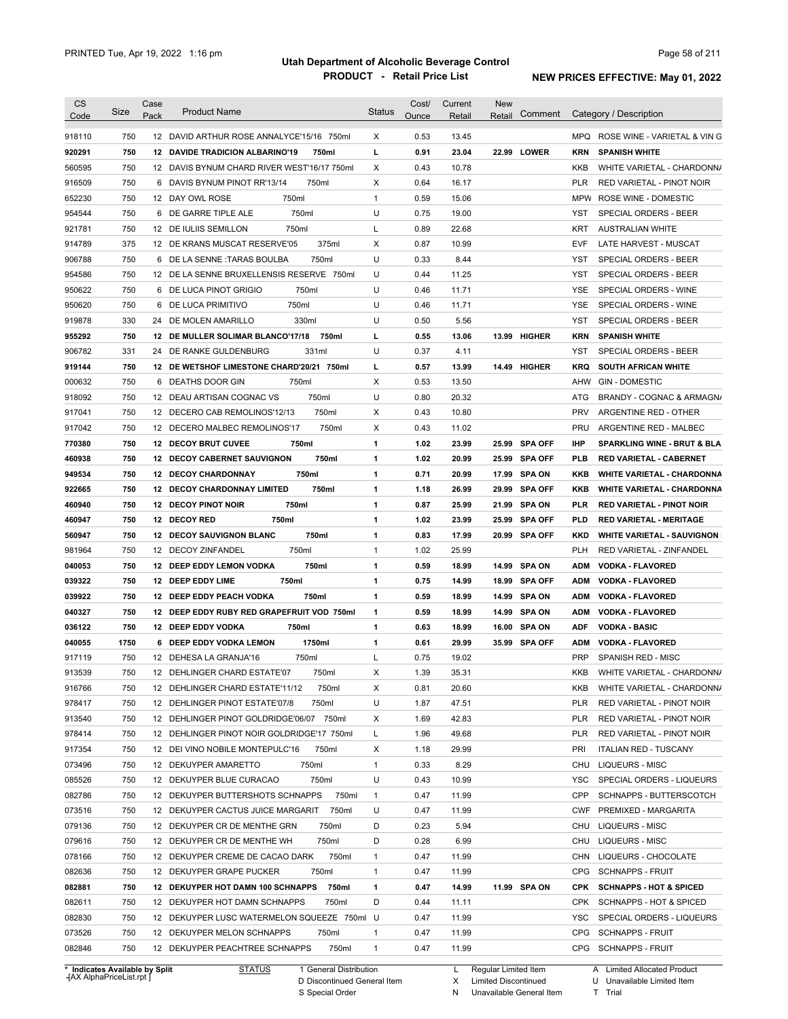| CS<br>Code                     | <b>Size</b> | Case<br>Pack | <b>Product Name</b>                          | <b>Status</b> | Cost/<br>Ounce | Current<br>Retail | New<br>Retail        | Comment        |            | Category / Description             |
|--------------------------------|-------------|--------------|----------------------------------------------|---------------|----------------|-------------------|----------------------|----------------|------------|------------------------------------|
| 918110                         | 750         |              | 12 DAVID ARTHUR ROSE ANNALYCE'15/16 750ml    | Χ             | 0.53           | 13.45             |                      |                |            | MPQ ROSE WINE - VARIETAL & VING    |
| 920291                         | 750         | 12           | <b>DAVIDE TRADICION ALBARINO'19</b><br>750ml | L             | 0.91           | 23.04             | 22.99                | <b>LOWER</b>   | <b>KRN</b> | <b>SPANISH WHITE</b>               |
| 560595                         | 750         |              | 12 DAVIS BYNUM CHARD RIVER WEST'16/17 750ml  | Χ             | 0.43           | 10.78             |                      |                | KKB        | WHITE VARIETAL - CHARDONN/         |
| 916509                         | 750         | 6            | DAVIS BYNUM PINOT RR'13/14<br>750ml          | Χ             | 0.64           | 16.17             |                      |                | <b>PLR</b> | RED VARIETAL - PINOT NOIR          |
| 652230                         | 750         |              | 750ml<br>12 DAY OWL ROSE                     | $\mathbf{1}$  | 0.59           | 15.06             |                      |                | <b>MPW</b> | ROSE WINE - DOMESTIC               |
| 954544                         | 750         | 6            | 750ml<br>DE GARRE TIPLE ALE                  | U             | 0.75           | 19.00             |                      |                | <b>YST</b> | <b>SPECIAL ORDERS - BEER</b>       |
| 921781                         | 750         | 12           | 750ml<br>DE IULIIS SEMILLON                  | L             | 0.89           | 22.68             |                      |                | KRT        | <b>AUSTRALIAN WHITE</b>            |
| 914789                         | 375         | 12           | 375ml<br>DE KRANS MUSCAT RESERVE'05          | Х             | 0.87           | 10.99             |                      |                | EVF        | LATE HARVEST - MUSCAT              |
| 906788                         | 750         | 6            | 750ml<br>DE LA SENNE :TARAS BOULBA           | U             | 0.33           | 8.44              |                      |                | YST        | <b>SPECIAL ORDERS - BEER</b>       |
| 954586                         | 750         | 12           | DE LA SENNE BRUXELLENSIS RESERVE 750ml       | U             | 0.44           | 11.25             |                      |                | YST        | <b>SPECIAL ORDERS - BEER</b>       |
| 950622                         | 750         | 6            | DE LUCA PINOT GRIGIO<br>750ml                | U             | 0.46           | 11.71             |                      |                | YSE        | SPECIAL ORDERS - WINE              |
| 950620                         | 750         | 6            | DE LUCA PRIMITIVO<br>750ml                   | U             | 0.46           | 11.71             |                      |                | <b>YSE</b> | SPECIAL ORDERS - WINE              |
| 919878                         | 330         | 24           | DE MOLEN AMARILLO<br>330ml                   | U             | 0.50           | 5.56              |                      |                | YST        | <b>SPECIAL ORDERS - BEER</b>       |
| 955292                         | 750         | 12           | DE MULLER SOLIMAR BLANCO'17/18<br>750ml      | L             | 0.55           | 13.06             |                      | 13.99 HIGHER   | KRN        | <b>SPANISH WHITE</b>               |
| 906782                         | 331         | 24           | 331ml<br>DE RANKE GULDENBURG                 | U             | 0.37           | 4.11              |                      |                | <b>YST</b> | <b>SPECIAL ORDERS - BEER</b>       |
| 919144                         | 750         | 12           | DE WETSHOF LIMESTONE CHARD'20/21<br>750ml    | L             | 0.57           | 13.99             | 14.49                | <b>HIGHER</b>  | KRQ        | <b>SOUTH AFRICAN WHITE</b>         |
| 000632                         | 750         | 6            | 750ml<br>DEATHS DOOR GIN                     | Χ             | 0.53           | 13.50             |                      |                | AHW        | <b>GIN - DOMESTIC</b>              |
| 918092                         | 750         | 12           | 750ml<br>DEAU ARTISAN COGNAC VS              | U             | 0.80           | 20.32             |                      |                | <b>ATG</b> | BRANDY - COGNAC & ARMAGN/          |
| 917041                         | 750         | 12           | 750ml<br>DECERO CAB REMOLINOS'12/13          | Х             | 0.43           | 10.80             |                      |                | <b>PRV</b> | ARGENTINE RED - OTHER              |
| 917042                         | 750         | 12           | 750ml<br>DECERO MALBEC REMOLINOS'17          | Х             | 0.43           | 11.02             |                      |                | <b>PRU</b> | ARGENTINE RED - MALBEC             |
| 770380                         | 750         |              | 750ml<br>12 DECOY BRUT CUVEE                 | 1             | 1.02           | 23.99             | 25.99                | <b>SPA OFF</b> | <b>IHP</b> | SPARKLING WINE - BRUT & BLA        |
| 460938                         | 750         |              | 750ml<br>12 DECOY CABERNET SAUVIGNON         | 1             | 1.02           | 20.99             | 25.99                | <b>SPA OFF</b> | <b>PLB</b> | <b>RED VARIETAL - CABERNET</b>     |
| 949534                         | 750         |              | 750ml<br>12 DECOY CHARDONNAY                 | 1             | 0.71           | 20.99             | 17.99                | <b>SPA ON</b>  | KKB        | <b>WHITE VARIETAL - CHARDONNA</b>  |
| 922665                         | 750         | 12           | 750ml<br><b>DECOY CHARDONNAY LIMITED</b>     | 1             | 1.18           | 26.99             | 29.99                | <b>SPA OFF</b> | KKB        | <b>WHITE VARIETAL - CHARDONNA</b>  |
| 460940                         | 750         | 12           | <b>DECOY PINOT NOIR</b><br>750ml             | 1             | 0.87           | 25.99             | 21.99                | <b>SPA ON</b>  | PLR        | <b>RED VARIETAL - PINOT NOIR</b>   |
| 460947                         | 750         |              | 750ml<br>12 DECOY RED                        | $\mathbf{1}$  | 1.02           | 23.99             | 25.99                | <b>SPA OFF</b> | PLD        | <b>RED VARIETAL - MERITAGE</b>     |
| 560947                         | 750         | 12           | <b>DECOY SAUVIGNON BLANC</b><br>750ml        | 1             | 0.83           | 17.99             | 20.99                | <b>SPA OFF</b> | <b>KKD</b> | <b>WHITE VARIETAL - SAUVIGNON</b>  |
| 981964                         | 750         |              | 750ml<br>12 DECOY ZINFANDEL                  | $\mathbf{1}$  | 1.02           | 25.99             |                      |                | <b>PLH</b> | RED VARIETAL - ZINFANDEL           |
| 040053                         | 750         |              | 12 DEEP EDDY LEMON VODKA<br>750ml            | 1             | 0.59           | 18.99             | 14.99                | <b>SPA ON</b>  | <b>ADM</b> | <b>VODKA - FLAVORED</b>            |
| 039322                         | 750         |              | 750ml<br>12 DEEP EDDY LIME                   | $\mathbf{1}$  | 0.75           | 14.99             | 18.99                | <b>SPA OFF</b> | <b>ADM</b> | <b>VODKA - FLAVORED</b>            |
| 039922                         | 750         | 12           | <b>DEEP EDDY PEACH VODKA</b><br>750ml        | $\mathbf{1}$  | 0.59           | 18.99             | 14.99                | <b>SPA ON</b>  | <b>ADM</b> | <b>VODKA - FLAVORED</b>            |
| 040327                         | 750         |              | 12 DEEP EDDY RUBY RED GRAPEFRUIT VOD 750ml   | 1             | 0.59           | 18.99             | 14.99                | <b>SPA ON</b>  | <b>ADM</b> | <b>VODKA - FLAVORED</b>            |
| 036122                         | 750         |              | 12 DEEP EDDY VODKA<br>750ml                  | 1             | 0.63           | 18.99             | 16.00                | <b>SPA ON</b>  | ADF        | <b>VODKA - BASIC</b>               |
| 040055                         | 1750        |              | 1750ml<br>6 DEEP EDDY VODKA LEMON            | $\mathbf{1}$  | 0.61           | 29.99             | 35.99                | <b>SPA OFF</b> | <b>ADM</b> | <b>VODKA - FLAVORED</b>            |
| 917119                         | 750         |              | 12 DEHESA LA GRANJA'16<br>750ml              | L             | 0.75           | 19.02             |                      |                | <b>PRP</b> | SPANISH RED - MISC                 |
| 913539                         | 750         |              | 12 DEHLINGER CHARD ESTATE'07<br>750ml        | х             | 1.39           | 35.31             |                      |                | KKB        | WHITE VARIETAL - CHARDONN/         |
| 916766                         | 750         |              | 12 DEHLINGER CHARD ESTATE'11/12<br>750ml     | Х             | 0.81           | 20.60             |                      |                | KKB        | WHITE VARIETAL - CHARDONN/         |
| 978417                         | 750         |              | 750ml<br>12 DEHLINGER PINOT ESTATE'07/8      | U             | 1.87           | 47.51             |                      |                | <b>PLR</b> | RED VARIETAL - PINOT NOIR          |
| 913540                         | 750         |              | 12 DEHLINGER PINOT GOLDRIDGE'06/07 750ml     | х             | 1.69           | 42.83             |                      |                | <b>PLR</b> | RED VARIETAL - PINOT NOIR          |
| 978414                         | 750         |              | 12 DEHLINGER PINOT NOIR GOLDRIDGE'17 750ml   | L             | 1.96           | 49.68             |                      |                | <b>PLR</b> | RED VARIETAL - PINOT NOIR          |
| 917354                         | 750         |              | 12 DEI VINO NOBILE MONTEPULC'16<br>750ml     | Х             | 1.18           | 29.99             |                      |                | PRI        | <b>ITALIAN RED - TUSCANY</b>       |
| 073496                         | 750         |              | 12 DEKUYPER AMARETTO<br>750ml                | $\mathbf{1}$  | 0.33           | 8.29              |                      |                | CHU        | <b>LIQUEURS - MISC</b>             |
| 085526                         | 750         |              | 750ml<br>12 DEKUYPER BLUE CURACAO            | U             | 0.43           | 10.99             |                      |                | YSC        | SPECIAL ORDERS - LIQUEURS          |
| 082786                         | 750         |              | 12 DEKUYPER BUTTERSHOTS SCHNAPPS<br>750ml    | $\mathbf{1}$  | 0.47           | 11.99             |                      |                | <b>CPP</b> | SCHNAPPS - BUTTERSCOTCH            |
| 073516                         | 750         |              | 750ml<br>12 DEKUYPER CACTUS JUICE MARGARIT   | U             | 0.47           | 11.99             |                      |                | <b>CWF</b> | PREMIXED - MARGARITA               |
| 079136                         | 750         |              | 12 DEKUYPER CR DE MENTHE GRN<br>750ml        | D             | 0.23           | 5.94              |                      |                | CHU        | <b>LIQUEURS - MISC</b>             |
| 079616                         | 750         |              | 750ml<br>12 DEKUYPER CR DE MENTHE WH         | D             | 0.28           | 6.99              |                      |                | CHU        | <b>LIQUEURS - MISC</b>             |
| 078166                         | 750         |              | 750ml<br>12 DEKUYPER CREME DE CACAO DARK     | $\mathbf{1}$  | 0.47           | 11.99             |                      |                | CHN        | LIQUEURS - CHOCOLATE               |
| 082636                         | 750         |              | 750ml<br>12 DEKUYPER GRAPE PUCKER            | $\mathbf{1}$  | 0.47           | 11.99             |                      |                | <b>CPG</b> | <b>SCHNAPPS - FRUIT</b>            |
| 082881                         | 750         |              | 750ml<br>12 DEKUYPER HOT DAMN 100 SCHNAPPS   | 1             | 0.47           | 14.99             |                      | 11.99 SPA ON   | <b>CPK</b> | <b>SCHNAPPS - HOT &amp; SPICED</b> |
| 082611                         | 750         |              | 750ml<br>12 DEKUYPER HOT DAMN SCHNAPPS       | D             | 0.44           | 11.11             |                      |                | <b>CPK</b> | <b>SCHNAPPS - HOT &amp; SPICED</b> |
| 082830                         | 750         |              | 12 DEKUYPER LUSC WATERMELON SQUEEZE 750ml U  |               | 0.47           | 11.99             |                      |                | YSC.       | SPECIAL ORDERS - LIQUEURS          |
| 073526                         | 750         |              | 12 DEKUYPER MELON SCHNAPPS<br>750ml          | $\mathbf{1}$  | 0.47           | 11.99             |                      |                | CPG        | <b>SCHNAPPS - FRUIT</b>            |
| 082846                         | 750         |              | 750ml<br>12 DEKUYPER PEACHTREE SCHNAPPS      | $\mathbf{1}$  | 0.47           | 11.99             |                      |                |            | CPG SCHNAPPS - FRUIT               |
| * Indicates Available by Split |             |              | <b>STATUS</b><br>1 General Distribution      |               |                | L                 | Regular Limited Item |                |            | A Limited Allocated Product        |

**Case** [AX AlphaPriceList.rpt ]

D Discontinued General Item

S Special Order

X N Limited Discontinued

Unavailable General Item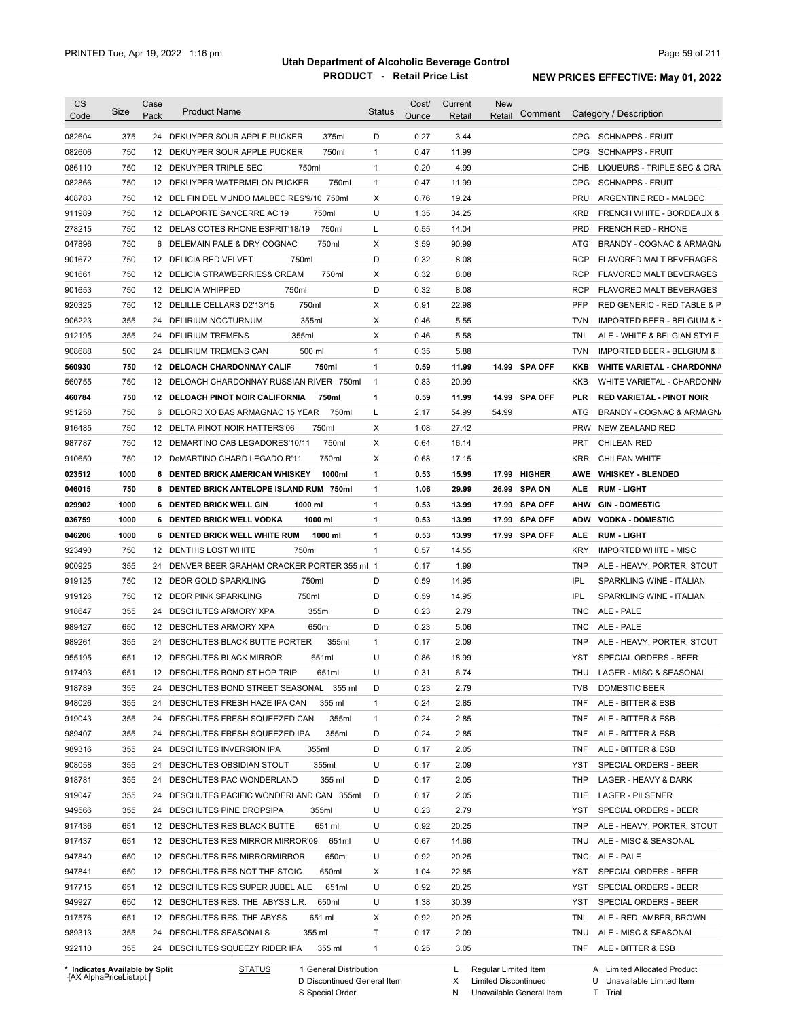| <b>CS</b><br>Code                                                                                                                                                                                              | Size       | Case<br>Pack | <b>Product Name</b>                             | <b>Status</b> | Cost/<br>Ounce | Current<br>Retail | <b>New</b><br>Retail | Comment        |                   | Category / Description                                 |
|----------------------------------------------------------------------------------------------------------------------------------------------------------------------------------------------------------------|------------|--------------|-------------------------------------------------|---------------|----------------|-------------------|----------------------|----------------|-------------------|--------------------------------------------------------|
|                                                                                                                                                                                                                | 375        |              | 24 DEKUYPER SOUR APPLE PUCKER                   | D             | 0.27           | 3.44              |                      |                |                   | CPG SCHNAPPS - FRUIT                                   |
| 082604                                                                                                                                                                                                         |            |              | 375ml                                           |               |                |                   |                      |                | <b>CPG</b>        |                                                        |
| 082606                                                                                                                                                                                                         | 750<br>750 |              | 750ml<br>12 DEKUYPER SOUR APPLE PUCKER<br>750ml | $\mathbf{1}$  | 0.47<br>0.20   | 11.99<br>4.99     |                      |                |                   | <b>SCHNAPPS - FRUIT</b><br>LIQUEURS - TRIPLE SEC & ORA |
| 086110                                                                                                                                                                                                         |            |              | 12 DEKUYPER TRIPLE SEC                          | $\mathbf{1}$  |                |                   |                      |                | CHB<br><b>CPG</b> |                                                        |
| 082866                                                                                                                                                                                                         | 750        |              | 12 DEKUYPER WATERMELON PUCKER<br>750ml          | $\mathbf{1}$  | 0.47           | 11.99             |                      |                |                   | <b>SCHNAPPS - FRUIT</b>                                |
| 408783                                                                                                                                                                                                         | 750        |              | 12 DEL FIN DEL MUNDO MALBEC RES'9/10 750ml      | Χ             | 0.76           | 19.24             |                      |                | <b>PRU</b>        | ARGENTINE RED - MALBEC                                 |
| 911989                                                                                                                                                                                                         | 750        |              | 750ml<br>12 DELAPORTE SANCERRE AC'19            | U             | 1.35           | 34.25             |                      |                | <b>KRB</b>        | FRENCH WHITE - BORDEAUX &                              |
| 278215                                                                                                                                                                                                         | 750        |              | 750ml<br>12 DELAS COTES RHONE ESPRIT'18/19      | L             | 0.55           | 14.04             |                      |                | <b>PRD</b>        | <b>FRENCH RED - RHONE</b>                              |
| 047896                                                                                                                                                                                                         | 750        |              | 750ml<br>6 DELEMAIN PALE & DRY COGNAC           | Х             | 3.59           | 90.99             |                      |                | ATG               | BRANDY - COGNAC & ARMAGN/                              |
| 901672                                                                                                                                                                                                         | 750        |              | 12 DELICIA RED VELVET<br>750ml                  | D             | 0.32           | 8.08              |                      |                | <b>RCP</b>        | FLAVORED MALT BEVERAGES                                |
| 901661                                                                                                                                                                                                         | 750        |              | 12 DELICIA STRAWBERRIES& CREAM<br>750ml         | Х             | 0.32           | 8.08              |                      |                | <b>RCP</b>        | FLAVORED MALT BEVERAGES                                |
| 901653                                                                                                                                                                                                         | 750        |              | 750ml<br>12 DELICIA WHIPPED                     | D             | 0.32           | 8.08              |                      |                | <b>RCP</b>        | FLAVORED MALT BEVERAGES                                |
| 920325                                                                                                                                                                                                         | 750        | 12           | 750ml<br>DELILLE CELLARS D2'13/15               | X             | 0.91           | 22.98             |                      |                | <b>PFP</b>        | RED GENERIC - RED TABLE & P                            |
| 906223                                                                                                                                                                                                         | 355        | 24           | 355ml<br>DELIRIUM NOCTURNUM                     | Х             | 0.46           | 5.55              |                      |                | <b>TVN</b>        | IMPORTED BEER - BELGIUM & F                            |
| 912195                                                                                                                                                                                                         | 355        | 24           | 355ml<br>DELIRIUM TREMENS                       | Χ             | 0.46           | 5.58              |                      |                | TNI               | ALE - WHITE & BELGIAN STYLE                            |
| 908688                                                                                                                                                                                                         | 500        |              | 500 ml<br>24 DELIRIUM TREMENS CAN               | $\mathbf{1}$  | 0.35           | 5.88              |                      |                | <b>TVN</b>        | IMPORTED BEER - BELGIUM & H                            |
| 560930                                                                                                                                                                                                         | 750        |              | 12 DELOACH CHARDONNAY CALIF<br>750ml            | $\mathbf{1}$  | 0.59           | 11.99             |                      | 14.99 SPA OFF  | KKB               | <b>WHITE VARIETAL - CHARDONNA</b>                      |
| 560755                                                                                                                                                                                                         | 750        |              | 12 DELOACH CHARDONNAY RUSSIAN RIVER 750ml       | $\mathbf{1}$  | 0.83           | 20.99             |                      |                | KKB               | WHITE VARIETAL - CHARDONN/                             |
| 460784                                                                                                                                                                                                         | 750        |              | 750ml<br>12 DELOACH PINOT NOIR CALIFORNIA       | $\mathbf{1}$  | 0.59           | 11.99             |                      | 14.99 SPA OFF  | <b>PLR</b>        | <b>RED VARIETAL - PINOT NOIR</b>                       |
| 951258                                                                                                                                                                                                         | 750        | 6            | DELORD XO BAS ARMAGNAC 15 YEAR<br>750ml         | L             | 2.17           | 54.99             | 54.99                |                | ATG               | BRANDY - COGNAC & ARMAGN/                              |
| 916485                                                                                                                                                                                                         | 750        |              | 750ml<br>12 DELTA PINOT NOIR HATTERS'06         | Χ             | 1.08           | 27.42             |                      |                | <b>PRW</b>        | NEW ZEALAND RED                                        |
| 987787                                                                                                                                                                                                         | 750        |              | 12 DEMARTINO CAB LEGADORES'10/11<br>750ml       | Χ             | 0.64           | 16.14             |                      |                | <b>PRT</b>        | CHILEAN RED                                            |
| 910650                                                                                                                                                                                                         | 750        |              | 12 DeMARTINO CHARD LEGADO R'11<br>750ml         | Х             | 0.68           | 17.15             |                      |                | <b>KRR</b>        | <b>CHILEAN WHITE</b>                                   |
| 023512                                                                                                                                                                                                         | 1000       |              | 6 DENTED BRICK AMERICAN WHISKEY<br>1000ml       | 1             | 0.53           | 15.99             | 17.99                | <b>HIGHER</b>  | AWE               | <b>WHISKEY - BLENDED</b>                               |
| 046015                                                                                                                                                                                                         | 750        |              | 6 DENTED BRICK ANTELOPE ISLAND RUM 750ml        | 1             | 1.06           | 29.99             | 26.99                | <b>SPA ON</b>  | <b>ALE</b>        | <b>RUM LIGHT</b>                                       |
| 029902                                                                                                                                                                                                         | 1000       |              | 6 DENTED BRICK WELL GIN<br>1000 ml              | 1             | 0.53           | 13.99             | 17.99                | <b>SPA OFF</b> | <b>AHW</b>        | <b>GIN-DOMESTIC</b>                                    |
| 036759                                                                                                                                                                                                         | 1000       |              | <b>6 DENTED BRICK WELL VODKA</b><br>1000 ml     | 1             | 0.53           | 13.99             | 17.99                | <b>SPA OFF</b> | <b>ADW</b>        | <b>VODKA - DOMESTIC</b>                                |
| 046206                                                                                                                                                                                                         | 1000       | 6            | DENTED BRICK WELL WHITE RUM<br>1000 ml          | 1             | 0.53           | 13.99             | 17.99                | <b>SPA OFF</b> | <b>ALE</b>        | <b>RUM LIGHT</b>                                       |
| 923490                                                                                                                                                                                                         | 750        | 12           | 750ml<br>DENTHIS LOST WHITE                     | $\mathbf{1}$  | 0.57           | 14.55             |                      |                | <b>KRY</b>        | <b>IMPORTED WHITE - MISC</b>                           |
| 900925                                                                                                                                                                                                         | 355        | 24           | DENVER BEER GRAHAM CRACKER PORTER 355 ml 1      |               | 0.17           | 1.99              |                      |                | <b>TNP</b>        | ALE - HEAVY, PORTER, STOUT                             |
| 919125                                                                                                                                                                                                         |            |              | 750ml<br>12 DEOR GOLD SPARKLING                 | D             | 0.59           | 14.95             |                      |                | <b>IPL</b>        | SPARKLING WINE - ITALIAN                               |
|                                                                                                                                                                                                                |            |              |                                                 |               | 0.59           | 14.95             |                      |                | <b>IPL</b>        | SPARKLING WINE - ITALIAN                               |
|                                                                                                                                                                                                                | 750        |              |                                                 |               |                |                   |                      |                |                   | ALE - PALE                                             |
| 919126                                                                                                                                                                                                         | 750        |              | 12 DEOR PINK SPARKLING<br>750ml                 | D             |                |                   |                      |                |                   |                                                        |
|                                                                                                                                                                                                                | 355        |              | 355ml<br>24 DESCHUTES ARMORY XPA                | D             | 0.23           | 2.79              |                      |                | <b>TNC</b>        |                                                        |
|                                                                                                                                                                                                                | 650        |              | 650ml<br>12 DESCHUTES ARMORY XPA                | D             | 0.23           | 5.06              |                      |                | <b>TNC</b>        | ALE - PALE                                             |
|                                                                                                                                                                                                                | 355        |              | 355ml<br>24 DESCHUTES BLACK BUTTE PORTER        | $\mathbf{1}$  | 0.17           | 2.09              |                      |                | <b>TNP</b>        | ALE - HEAVY, PORTER, STOUT                             |
|                                                                                                                                                                                                                | 651        |              | 12 DESCHUTES BLACK MIRROR<br>651ml              | U             | 0.86           | 18.99             |                      |                | <b>YST</b>        | SPECIAL ORDERS - BEER                                  |
|                                                                                                                                                                                                                | 651        |              | 651ml<br>12 DESCHUTES BOND ST HOP TRIP          | U             | 0.31           | 6.74              |                      |                |                   | THU LAGER - MISC & SEASONAL                            |
|                                                                                                                                                                                                                | 355        |              | 24 DESCHUTES BOND STREET SEASONAL 355 ml        | D             | 0.23           | 2.79              |                      |                | <b>TVB</b>        | <b>DOMESTIC BEER</b>                                   |
|                                                                                                                                                                                                                | 355        |              | 24 DESCHUTES FRESH HAZE IPA CAN<br>355 ml       | $\mathbf{1}$  | 0.24           | 2.85              |                      |                | <b>TNF</b>        | ALE - BITTER & ESB                                     |
|                                                                                                                                                                                                                | 355        |              | 24 DESCHUTES FRESH SQUEEZED CAN<br>355ml        | $\mathbf{1}$  | 0.24           | 2.85              |                      |                | <b>TNF</b>        | ALE - BITTER & ESB                                     |
|                                                                                                                                                                                                                | 355        |              | 24 DESCHUTES FRESH SQUEEZED IPA<br>355ml        | D             | 0.24           | 2.85              |                      |                | <b>TNF</b>        | ALE - BITTER & ESB                                     |
|                                                                                                                                                                                                                | 355        |              | 24 DESCHUTES INVERSION IPA<br>355ml             | D             | 0.17           | 2.05              |                      |                | <b>TNF</b>        | ALE - BITTER & ESB                                     |
|                                                                                                                                                                                                                | 355        |              | 24 DESCHUTES OBSIDIAN STOUT<br>355ml            | U             | 0.17           | 2.09              |                      |                | YST               | SPECIAL ORDERS - BEER                                  |
|                                                                                                                                                                                                                | 355        |              | 24 DESCHUTES PAC WONDERLAND<br>355 ml           | D             | 0.17           | 2.05              |                      |                | THP               | LAGER - HEAVY & DARK                                   |
|                                                                                                                                                                                                                | 355        |              | 24 DESCHUTES PACIFIC WONDERLAND CAN 355ml       | D             | 0.17           | 2.05              |                      |                | THE               | LAGER - PILSENER                                       |
|                                                                                                                                                                                                                | 355        |              | 24 DESCHUTES PINE DROPSIPA<br>355ml             | U             | 0.23           | 2.79              |                      |                | YST               | SPECIAL ORDERS - BEER                                  |
|                                                                                                                                                                                                                | 651        |              | 12 DESCHUTES RES BLACK BUTTE<br>651 ml          | U             | 0.92           | 20.25             |                      |                | <b>TNP</b>        | ALE - HEAVY, PORTER, STOUT                             |
|                                                                                                                                                                                                                | 651        |              | 651ml<br>12 DESCHUTES RES MIRROR MIRROR'09      | U             | 0.67           | 14.66             |                      |                | TNU               | ALE - MISC & SEASONAL                                  |
|                                                                                                                                                                                                                | 650        |              | 12 DESCHUTES RES MIRRORMIRROR<br>650ml          | U             | 0.92           | 20.25             |                      |                | <b>TNC</b>        | ALE - PALE                                             |
|                                                                                                                                                                                                                |            |              |                                                 |               |                |                   |                      |                |                   |                                                        |
|                                                                                                                                                                                                                | 650        |              | 12 DESCHUTES RES NOT THE STOIC<br>650ml         | Х             | 1.04           | 22.85             |                      |                | YST               | SPECIAL ORDERS - BEER                                  |
|                                                                                                                                                                                                                | 651        |              | 12 DESCHUTES RES SUPER JUBEL ALE<br>651ml       | U             | 0.92           | 20.25             |                      |                | YST               | SPECIAL ORDERS - BEER                                  |
|                                                                                                                                                                                                                | 650        |              | 650ml<br>12 DESCHUTES RES. THE ABYSS L.R.       | U             | 1.38           | 30.39             |                      |                | YST               | SPECIAL ORDERS - BEER                                  |
| 918647<br>989427<br>989261<br>955195<br>917493<br>918789<br>948026<br>919043<br>989407<br>989316<br>908058<br>918781<br>919047<br>949566<br>917436<br>917437<br>947840<br>947841<br>917715<br>949927<br>917576 | 651        |              | 12 DESCHUTES RES. THE ABYSS<br>651 ml           | Х             | 0.92           | 20.25             |                      |                | <b>TNL</b>        | ALE - RED, AMBER, BROWN                                |
| 989313                                                                                                                                                                                                         | 355        |              | 24 DESCHUTES SEASONALS<br>355 ml                | Τ             | 0.17           | 2.09              |                      |                | <b>TNU</b>        | ALE - MISC & SEASONAL                                  |
| 922110                                                                                                                                                                                                         | 355        |              | 24 DESCHUTES SQUEEZY RIDER IPA<br>355 ml        | $\mathbf{1}$  | 0.25           | 3.05              |                      |                | <b>TNF</b>        | ALE - BITTER & ESB                                     |

**Case** [AX AlphaPriceList.rpt ]

D Discontinued General Item

S Special Order

X Limited Discontinued N Unavailable General Item

U Unavailable Limited Item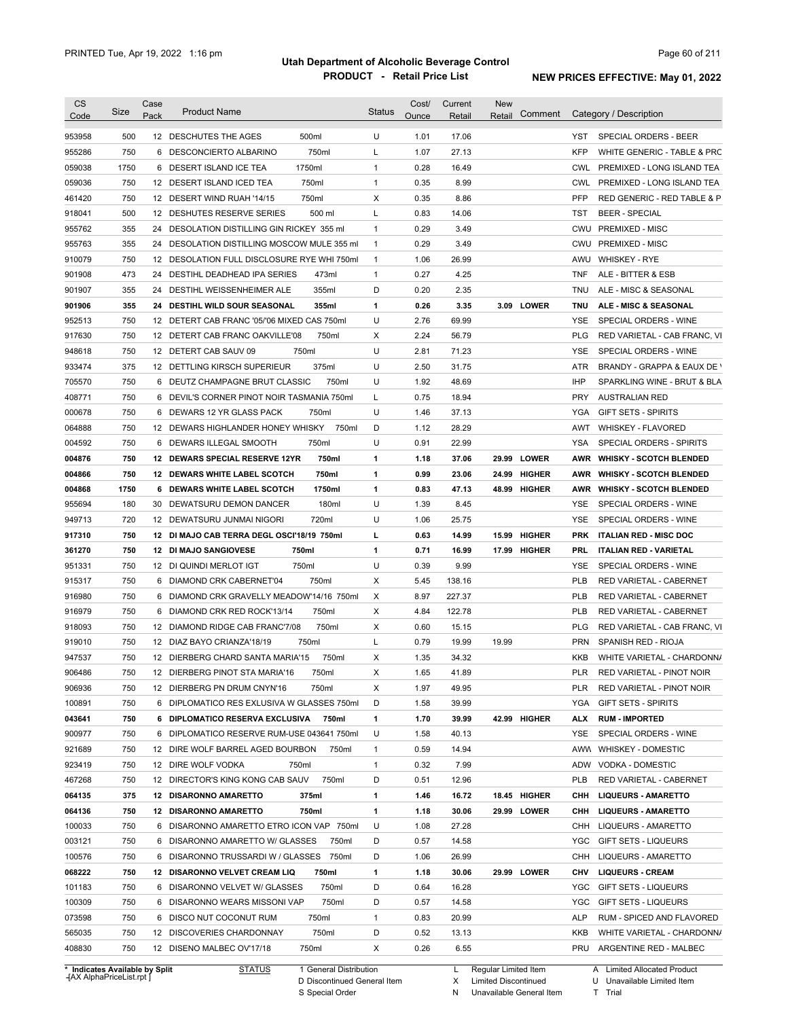|                                                                                                                                                                                                                          | Size       | Case<br>Pack | <b>Product Name</b>                         | <b>Status</b> | Cost/<br>Ounce | Current<br>Retail | <b>New</b><br>Retail | Comment       |            | Category / Description                                  |
|--------------------------------------------------------------------------------------------------------------------------------------------------------------------------------------------------------------------------|------------|--------------|---------------------------------------------|---------------|----------------|-------------------|----------------------|---------------|------------|---------------------------------------------------------|
| 953958                                                                                                                                                                                                                   | 500        |              | 500ml<br>12 DESCHUTES THE AGES              | U             | 1.01           | 17.06             |                      |               | YST        | SPECIAL ORDERS - BEER                                   |
| 955286                                                                                                                                                                                                                   | 750        |              | 750ml<br>6 DESCONCIERTO ALBARINO            | L             | 1.07           | 27.13             |                      |               | <b>KFP</b> | WHITE GENERIC - TABLE & PRC                             |
| 059038                                                                                                                                                                                                                   | 1750       |              | 1750ml<br>6 DESERT ISLAND ICE TEA           | 1             | 0.28           | 16.49             |                      |               |            | CWL PREMIXED - LONG ISLAND TEA                          |
| 059036                                                                                                                                                                                                                   | 750        |              | 750ml<br>12 DESERT ISLAND ICED TEA          | 1             | 0.35           | 8.99              |                      |               |            | CWL PREMIXED - LONG ISLAND TEA                          |
| 461420                                                                                                                                                                                                                   | 750        |              | 750ml<br>12 DESERT WIND RUAH '14/15         | Χ             | 0.35           | 8.86              |                      |               | <b>PFP</b> | RED GENERIC - RED TABLE & P                             |
| 918041                                                                                                                                                                                                                   | 500        |              | 12 DESHUTES RESERVE SERIES<br>500 ml        | Г             | 0.83           | 14.06             |                      |               | TST        | <b>BEER - SPECIAL</b>                                   |
| 955762                                                                                                                                                                                                                   | 355        |              | 24 DESOLATION DISTILLING GIN RICKEY 355 ml  | $\mathbf{1}$  | 0.29           | 3.49              |                      |               | CWU        | <b>PREMIXED - MISC</b>                                  |
| 955763                                                                                                                                                                                                                   | 355        |              | 24 DESOLATION DISTILLING MOSCOW MULE 355 ml | $\mathbf{1}$  | 0.29           | 3.49              |                      |               | CWU        | PREMIXED - MISC                                         |
| 910079                                                                                                                                                                                                                   | 750        |              | 12 DESOLATION FULL DISCLOSURE RYE WHI 750ml | $\mathbf{1}$  | 1.06           | 26.99             |                      |               | AWU        | <b>WHISKEY - RYE</b>                                    |
| 901908                                                                                                                                                                                                                   | 473        |              | 24 DESTIHL DEADHEAD IPA SERIES<br>473ml     | $\mathbf{1}$  | 0.27           | 4.25              |                      |               | TNF        | ALE - BITTER & ESB                                      |
| 901907                                                                                                                                                                                                                   | 355        |              | 355ml<br>24 DESTIHL WEISSENHEIMER ALE       | D             | 0.20           | 2.35              |                      |               | TNU        | ALE - MISC & SEASONAL                                   |
| 901906                                                                                                                                                                                                                   | 355        |              | 24 DESTIHL WILD SOUR SEASONAL<br>355ml      | 1             | 0.26           | 3.35              |                      | 3.09 LOWER    | <b>TNU</b> | ALE - MISC & SEASONAL                                   |
| 952513                                                                                                                                                                                                                   | 750        |              | 12 DETERT CAB FRANC '05/'06 MIXED CAS 750ml | U             | 2.76           | 69.99             |                      |               | YSE        | SPECIAL ORDERS - WINE                                   |
| 917630                                                                                                                                                                                                                   | 750        |              | 12 DETERT CAB FRANC OAKVILLE'08<br>750ml    | Χ             | 2.24           | 56.79             |                      |               | <b>PLG</b> | RED VARIETAL - CAB FRANC, VI                            |
| 948618                                                                                                                                                                                                                   | 750        |              | 750ml<br>12 DETERT CAB SAUV 09              | U             | 2.81           | 71.23             |                      |               | YSE        | SPECIAL ORDERS - WINE                                   |
| 933474                                                                                                                                                                                                                   | 375        |              | 375ml<br>12 DETTLING KIRSCH SUPERIEUR       | U             | 2.50           | 31.75             |                      |               | ATR        | BRANDY - GRAPPA & EAUX DE \                             |
| 705570                                                                                                                                                                                                                   | 750        |              | 6 DEUTZ CHAMPAGNE BRUT CLASSIC<br>750ml     | U             | 1.92           | 48.69             |                      |               | <b>IHP</b> | SPARKLING WINE - BRUT & BLA                             |
| 408771                                                                                                                                                                                                                   | 750        |              | 6 DEVIL'S CORNER PINOT NOIR TASMANIA 750ml  | L             | 0.75           | 18.94             |                      |               | PRY        | <b>AUSTRALIAN RED</b>                                   |
| 000678                                                                                                                                                                                                                   | 750        | 6            | DEWARS 12 YR GLASS PACK<br>750ml            | U             | 1.46           | 37.13             |                      |               | YGA        | <b>GIFT SETS - SPIRITS</b>                              |
| 064888                                                                                                                                                                                                                   | 750        |              | 12 DEWARS HIGHLANDER HONEY WHISKY<br>750ml  | D             | 1.12           | 28.29             |                      |               | AWT        | WHISKEY - FLAVORED                                      |
| 004592                                                                                                                                                                                                                   | 750        |              | 750ml<br>6 DEWARS ILLEGAL SMOOTH            | U             | 0.91           | 22.99             |                      |               | YSA        | SPECIAL ORDERS - SPIRITS                                |
| 004876                                                                                                                                                                                                                   | 750        |              | 12 DEWARS SPECIAL RESERVE 12YR<br>750ml     | 1             | 1.18           | 37.06             | 29.99                | <b>LOWER</b>  | AWR        | <b>WHISKY - SCOTCH BLENDED</b>                          |
| 004866                                                                                                                                                                                                                   | 750        |              | 750ml<br>12 DEWARS WHITE LABEL SCOTCH       | 1             | 0.99           | 23.06             | 24.99                | <b>HIGHER</b> | AWR        | <b>WHISKY - SCOTCH BLENDED</b>                          |
| 004868                                                                                                                                                                                                                   | 1750       |              | 6 DEWARS WHITE LABEL SCOTCH<br>1750ml       | 1             | 0.83           | 47.13             | 48.99                | HIGHER        | AWR        | <b>WHISKY - SCOTCH BLENDED</b>                          |
|                                                                                                                                                                                                                          | 180        |              | 30 DEWATSURU DEMON DANCER<br>180ml          | U             | 1.39           | 8.45              |                      |               | YSE        | SPECIAL ORDERS - WINE                                   |
| 955694<br>949713                                                                                                                                                                                                         | 720        |              | 720ml<br>12 DEWATSURU JUNMAI NIGORI         | U             | 1.06           | 25.75             |                      |               | <b>YSE</b> | SPECIAL ORDERS - WINE                                   |
|                                                                                                                                                                                                                          |            |              |                                             |               |                |                   |                      |               |            |                                                         |
| 917310                                                                                                                                                                                                                   | 750        |              | 12 DI MAJO CAB TERRA DEGL OSCI'18/19 750ml  | L             | 0.63           | 14.99             | 15.99                | <b>HIGHER</b> | <b>PRK</b> | <b>ITALIAN RED - MISC DOC</b>                           |
| 361270                                                                                                                                                                                                                   | 750        |              | 12 DI MAJO SANGIOVESE<br>750ml              | 1<br>U        | 0.71           | 16.99             | 17.99                | <b>HIGHER</b> | PRL        | <b>ITALIAN RED - VARIETAL</b>                           |
| 951331                                                                                                                                                                                                                   | 750        |              | 750ml<br>12 DI QUINDI MERLOT IGT            |               | 0.39           | 9.99              |                      |               | YSE        | SPECIAL ORDERS - WINE                                   |
| 915317                                                                                                                                                                                                                   | 750<br>750 |              | 750ml<br>6 DIAMOND CRK CABERNET'04          | Χ             | 5.45           | 138.16            |                      |               | <b>PLB</b> | RED VARIETAL - CABERNET                                 |
| 916980                                                                                                                                                                                                                   |            |              | 6 DIAMOND CRK GRAVELLY MEADOW'14/16 750ml   | X             | 8.97           | 227.37            |                      |               | <b>PLB</b> | RED VARIETAL - CABERNET                                 |
|                                                                                                                                                                                                                          |            |              |                                             | Χ             | 4.84           | 122.78            |                      |               | PLB        | <b>RED VARIETAL - CABERNET</b>                          |
|                                                                                                                                                                                                                          | 750        |              | 6 DIAMOND CRK RED ROCK'13/14<br>750ml       |               |                |                   |                      |               |            | RED VARIETAL - CAB FRANC, VI                            |
|                                                                                                                                                                                                                          | 750        |              | 750ml<br>12 DIAMOND RIDGE CAB FRANC'7/08    | Χ             | 0.60           | 15.15             |                      |               | PLG        |                                                         |
|                                                                                                                                                                                                                          | 750        |              | 750ml<br>12 DIAZ BAYO CRIANZA'18/19         | L             | 0.79           | 19.99             | 19.99                |               | <b>PRN</b> | SPANISH RED - RIOJA                                     |
|                                                                                                                                                                                                                          | 750        |              | 12 DIERBERG CHARD SANTA MARIA'15<br>750ml   | Х             | 1.35           | 34.32             |                      |               | <b>KKB</b> |                                                         |
|                                                                                                                                                                                                                          | 750        |              | 12 DIERBERG PINOT STA MARIA'16<br>750ml     | х             | 1.65           | 41.89             |                      |               | PLR        | RED VARIETAL - PINOT NOIR                               |
|                                                                                                                                                                                                                          | 750        |              | 750ml<br>12 DIERBERG PN DRUM CNYN'16        | Х             | 1.97           | 49.95             |                      |               | PLR        | WHITE VARIETAL - CHARDONN/<br>RED VARIETAL - PINOT NOIR |
|                                                                                                                                                                                                                          | 750        |              | 6 DIPLOMATICO RES EXLUSIVA W GLASSES 750ml  | D             | 1.58           | 39.99             |                      |               | YGA        | <b>GIFT SETS - SPIRITS</b>                              |
|                                                                                                                                                                                                                          | 750        |              | 6 DIPLOMATICO RESERVA EXCLUSIVA<br>750ml    | 1             | 1.70           | 39.99             |                      | 42.99 HIGHER  | ALX        | <b>RUM - IMPORTED</b>                                   |
|                                                                                                                                                                                                                          | 750        |              | 6 DIPLOMATICO RESERVE RUM-USE 043641 750ml  | U             | 1.58           | 40.13             |                      |               | YSE        | SPECIAL ORDERS - WINE                                   |
|                                                                                                                                                                                                                          | 750        |              | 12 DIRE WOLF BARREL AGED BOURBON<br>750ml   | 1             | 0.59           | 14.94             |                      |               |            | AWW WHISKEY - DOMESTIC                                  |
|                                                                                                                                                                                                                          | 750        |              | 12 DIRE WOLF VODKA<br>750ml                 | $\mathbf{1}$  | 0.32           | 7.99              |                      |               |            | ADW VODKA - DOMESTIC                                    |
|                                                                                                                                                                                                                          | 750        |              | 12 DIRECTOR'S KING KONG CAB SAUV<br>750ml   | D             | 0.51           | 12.96             |                      |               | PLB        | RED VARIETAL - CABERNET                                 |
|                                                                                                                                                                                                                          | 375        |              | 12 DISARONNO AMARETTO<br>375ml              | 1             | 1.46           | 16.72             |                      | 18.45 HIGHER  | снн        | <b>LIQUEURS - AMARETTO</b>                              |
|                                                                                                                                                                                                                          | 750        |              | 12 DISARONNO AMARETTO<br>750ml              | 1             | 1.18           | 30.06             |                      | 29.99 LOWER   | снн        | <b>LIQUEURS - AMARETTO</b>                              |
|                                                                                                                                                                                                                          | 750        |              | 6 DISARONNO AMARETTO ETRO ICON VAP 750ml    | U             | 1.08           | 27.28             |                      |               |            | CHH LIQUEURS - AMARETTO                                 |
|                                                                                                                                                                                                                          | 750        |              | 6 DISARONNO AMARETTO W/ GLASSES<br>750ml    | D             | 0.57           | 14.58             |                      |               |            | YGC GIFT SETS - LIQUEURS                                |
|                                                                                                                                                                                                                          | 750        |              | 750ml<br>6 DISARONNO TRUSSARDI W / GLASSES  | D             | 1.06           | 26.99             |                      |               |            | CHH LIQUEURS - AMARETTO                                 |
|                                                                                                                                                                                                                          | 750        |              | 12 DISARONNO VELVET CREAM LIQ<br>750ml      | 1             | 1.18           | 30.06             |                      | 29.99 LOWER   | CHV        | <b>LIQUEURS - CREAM</b>                                 |
|                                                                                                                                                                                                                          | 750        |              | 750ml<br>6 DISARONNO VELVET W/ GLASSES      | D             | 0.64           | 16.28             |                      |               | YGC        | GIFT SETS - LIQUEURS                                    |
|                                                                                                                                                                                                                          | 750        |              | 750ml<br>6 DISARONNO WEARS MISSONI VAP      | D             | 0.57           | 14.58             |                      |               |            | YGC GIFT SETS - LIQUEURS                                |
|                                                                                                                                                                                                                          | 750        |              | 750ml<br>6 DISCO NUT COCONUT RUM            | $\mathbf{1}$  | 0.83           | 20.99             |                      |               | ALP        |                                                         |
| 916979<br>918093<br>919010<br>947537<br>906486<br>906936<br>100891<br>043641<br>900977<br>921689<br>923419<br>467268<br>064135<br>064136<br>100033<br>003121<br>100576<br>068222<br>101183<br>100309<br>073598<br>565035 | 750        |              | 750ml<br>12 DISCOVERIES CHARDONNAY          | D             | 0.52           | 13.13             |                      |               | KKB        | RUM - SPICED AND FLAVORED<br>WHITE VARIETAL - CHARDONN/ |

**Case** [AX AlphaPriceList.rpt ]

D Discontinued General Item S Special Order

X Limited Discontinued N Unavailable General Item

U Unavailable Limited Item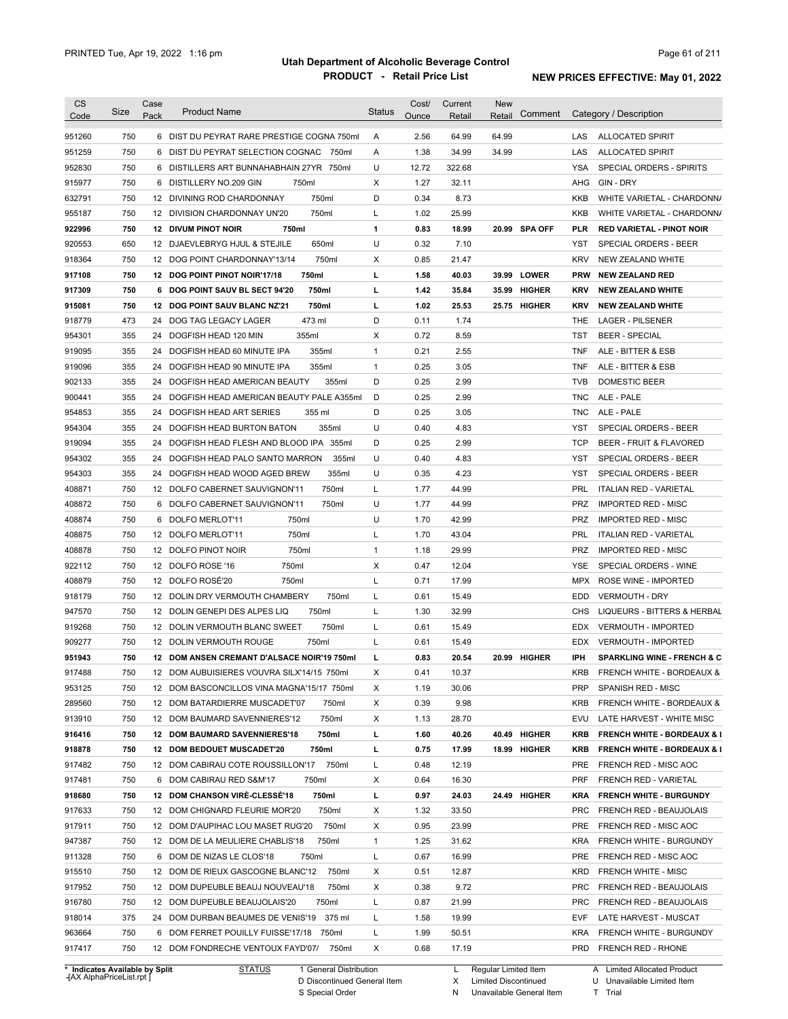| <b>CS</b>                  | Size       | Case | <b>Product Name</b>                                                                   | <b>Status</b> | Cost/        | Current        | <b>New</b> |               |            |                                                   |
|----------------------------|------------|------|---------------------------------------------------------------------------------------|---------------|--------------|----------------|------------|---------------|------------|---------------------------------------------------|
| Code                       |            | Pack |                                                                                       |               | Ounce        | Retail         | Retail     | Comment       |            | Category / Description                            |
| 951260                     | 750        |      | 6 DIST DU PEYRAT RARE PRESTIGE COGNA 750ml                                            | Α             | 2.56         | 64.99          | 64.99      |               | LAS        | <b>ALLOCATED SPIRIT</b>                           |
| 951259                     | 750        |      | 6 DIST DU PEYRAT SELECTION COGNAC 750ml                                               | Α             | 1.38         | 34.99          | 34.99      |               | LAS        | <b>ALLOCATED SPIRIT</b>                           |
| 952830                     | 750        |      | 6 DISTILLERS ART BUNNAHABHAIN 27YR 750ml                                              | U             | 12.72        | 322.68         |            |               | YSA        | SPECIAL ORDERS - SPIRITS                          |
| 915977                     | 750        |      | 6 DISTILLERY NO.209 GIN<br>750ml                                                      | Χ             | 1.27         | 32.11          |            |               | AHG        | GIN - DRY                                         |
| 632791                     | 750        |      | 750ml<br>12 DIVINING ROD CHARDONNAY                                                   | D             | 0.34         | 8.73           |            |               | KKB        | WHITE VARIETAL - CHARDONN/                        |
| 955187                     | 750        |      | 750ml<br>12 DIVISION CHARDONNAY UN'20                                                 | L             | 1.02         | 25.99          |            |               | KKB        | WHITE VARIETAL - CHARDONN/                        |
| 922996                     | 750        |      | <b>12 DIVUM PINOT NOIR</b><br>750ml                                                   | $\mathbf{1}$  | 0.83         | 18.99          |            | 20.99 SPA OFF | <b>PLR</b> | <b>RED VARIETAL - PINOT NOIR</b>                  |
| 920553                     | 650        |      | 650ml<br>12 DJAEVLEBRYG HJUL & STEJILE                                                | U             | 0.32         | 7.10           |            |               | YST        | SPECIAL ORDERS - BEER                             |
| 918364                     | 750        |      | 750ml<br>12 DOG POINT CHARDONNAY'13/14                                                | Х             | 0.85         | 21.47          |            |               | <b>KRV</b> | NEW ZEALAND WHITE                                 |
| 917108                     | 750        |      | 750ml<br>12 DOG POINT PINOT NOIR'17/18                                                | г             | 1.58         | 40.03          |            | 39.99 LOWER   | <b>PRW</b> | <b>NEW ZEALAND RED</b>                            |
| 917309                     | 750        |      | 750ml<br>6 DOG POINT SAUV BL SECT 94'20                                               | г             | 1.42         | 35.84          |            | 35.99 HIGHER  | <b>KRV</b> | <b>NEW ZEALAND WHITE</b>                          |
| 915081                     | 750        |      | 750ml<br>12 DOG POINT SAUV BLANC NZ'21                                                | г             | 1.02         | 25.53          |            | 25.75 HIGHER  | <b>KRV</b> | <b>NEW ZEALAND WHITE</b>                          |
| 918779                     | 473        |      | 473 ml<br>24 DOG TAG LEGACY LAGER                                                     | D             | 0.11         | 1.74           |            |               | THE        | LAGER - PILSENER                                  |
| 954301                     | 355        |      | 24 DOGFISH HEAD 120 MIN<br>355ml                                                      | Х             | 0.72         | 8.59           |            |               | TST        | <b>BEER - SPECIAL</b>                             |
| 919095                     | 355        |      | 355ml<br>24 DOGFISH HEAD 60 MINUTE IPA                                                | $\mathbf{1}$  | 0.21         | 2.55           |            |               | <b>TNF</b> | ALE - BITTER & ESB                                |
| 919096                     | 355        | 24   | 355ml<br>DOGFISH HEAD 90 MINUTE IPA                                                   | $\mathbf{1}$  | 0.25         | 3.05           |            |               | <b>TNF</b> | ALE - BITTER & ESB                                |
| 902133                     | 355        | 24   | DOGFISH HEAD AMERICAN BEAUTY<br>355ml                                                 | D             | 0.25         | 2.99           |            |               | <b>TVB</b> | <b>DOMESTIC BEER</b>                              |
| 900441                     | 355        | 24   | DOGFISH HEAD AMERICAN BEAUTY PALE A355ml                                              | D             | 0.25         | 2.99           |            |               | TNC        | ALE - PALE                                        |
| 954853                     | 355        | 24   | 355 ml<br>DOGFISH HEAD ART SERIES                                                     | D             | 0.25         | 3.05           |            |               | TNC        | ALE - PALE                                        |
| 954304                     | 355        | 24   | 355ml<br>DOGFISH HEAD BURTON BATON                                                    | U             | 0.40         | 4.83           |            |               | <b>YST</b> | SPECIAL ORDERS - BEER                             |
| 919094                     | 355        | 24   | DOGFISH HEAD FLESH AND BLOOD IPA 355ml                                                | D             | 0.25         | 2.99           |            |               | <b>TCP</b> | <b>BEER - FRUIT &amp; FLAVORED</b>                |
| 954302                     | 355        | 24   | 355ml<br>DOGFISH HEAD PALO SANTO MARRON                                               | U             | 0.40         | 4.83           |            |               | <b>YST</b> | SPECIAL ORDERS - BEER                             |
| 954303                     | 355        | 24   | 355ml<br>DOGFISH HEAD WOOD AGED BREW                                                  | U             | 0.35         | 4.23           |            |               | <b>YST</b> | SPECIAL ORDERS - BEER                             |
| 408871                     | 750        |      | 750ml<br>12 DOLFO CABERNET SAUVIGNON'11                                               | L             | 1.77         | 44.99          |            |               | PRL        | <b>ITALIAN RED - VARIETAL</b>                     |
| 408872                     | 750        |      | 750ml<br>6 DOLFO CABERNET SAUVIGNON'11                                                | U             | 1.77         | 44.99          |            |               | <b>PRZ</b> | <b>IMPORTED RED - MISC</b>                        |
| 408874                     | 750        | 6    | DOLFO MERLOT'11<br>750ml                                                              | U             | 1.70         | 42.99          |            |               | PRZ        | <b>IMPORTED RED - MISC</b>                        |
| 408875                     | 750        |      | 750ml<br>12 DOLFO MERLOT'11                                                           | L             | 1.70         | 43.04          |            |               | PRL        | <b>ITALIAN RED - VARIETAL</b>                     |
| 408878                     | 750        |      | 750ml<br>12 DOLFO PINOT NOIR                                                          | $\mathbf{1}$  | 1.18         | 29.99          |            |               | PRZ        | <b>IMPORTED RED - MISC</b>                        |
| 922112                     | 750        |      | 12 DOLFO ROSE '16<br>750ml                                                            | Х             | 0.47         | 12.04          |            |               | YSE        | SPECIAL ORDERS - WINE                             |
| 408879                     | 750        |      | 12 DOLFO ROSÉ'20<br>750ml                                                             | L             | 0.71         | 17.99          |            |               | <b>MPX</b> | ROSE WINE - IMPORTED                              |
| 918179                     | 750        |      | 12 DOLIN DRY VERMOUTH CHAMBERY<br>750ml                                               | L             | 0.61         | 15.49          |            |               | EDD        | <b>VERMOUTH - DRY</b>                             |
| 947570                     | 750        |      | 750ml<br>12 DOLIN GENEPI DES ALPES LIQ                                                | L             | 1.30         | 32.99          |            |               | CHS        | LIQUEURS - BITTERS & HERBAL                       |
| 919268                     | 750        |      | 12 DOLIN VERMOUTH BLANC SWEET<br>750ml                                                | L             | 0.61         | 15.49          |            |               | <b>EDX</b> | <b>VERMOUTH - IMPORTED</b>                        |
| 909277                     | 750        |      | 750ml<br>12 DOLIN VERMOUTH ROUGE                                                      | L             | 0.61         | 15.49          |            |               | <b>EDX</b> | <b>VERMOUTH - IMPORTED</b>                        |
| 951943                     | 750        |      | 12 DOM ANSEN CREMANT D'ALSACE NOIR'19 750ml                                           | г             | 0.83         | 20.54          |            | 20.99 HIGHER  | IPH        | <b>SPARKLING WINE - FRENCH &amp; C</b>            |
| 917488                     | 750        |      | 12 DOM AUBUISIERES VOUVRA SILX'14/15 750ml                                            | х             |              | 10.37          |            |               | <b>KRB</b> |                                                   |
| 953125                     | 750        |      | 12 DOM BASCONCILLOS VINA MAGNA'15/17 750ml                                            | X             | 0.41<br>1.19 | 30.06          |            |               | <b>PRP</b> | FRENCH WHITE - BORDEAUX &<br>SPANISH RED - MISC   |
| 289560                     |            |      | 750ml                                                                                 |               | 0.39         | 9.98           |            |               | <b>KRB</b> | FRENCH WHITE - BORDEAUX &                         |
|                            | 750        |      | 12 DOM BATARDIERRE MUSCADET'07                                                        | Х             |              |                |            |               |            |                                                   |
| 913910                     | 750        |      | 12 DOM BAUMARD SAVENNIERES'12<br>750ml                                                | х             | 1.13         | 28.70          |            |               | EVU        | LATE HARVEST - WHITE MISC                         |
| 916416                     | 750        |      | 750ml<br>12 DOM BAUMARD SAVENNIERES'18                                                | L             | 1.60         | 40.26          |            | 40.49 HIGHER  | <b>KRB</b> | <b>FRENCH WHITE - BORDEAUX &amp; I</b>            |
| 918878                     | 750        |      | 12 DOM BEDOUET MUSCADET'20<br>750ml                                                   | г             | 0.75         | 17.99          |            | 18.99 HIGHER  | <b>KRB</b> | <b>FRENCH WHITE - BORDEAUX &amp; I</b>            |
| 917482                     | 750        |      | 12 DOM CABIRAU COTE ROUSSILLON'17 750ml                                               | L             | 0.48         | 12.19          |            |               | PRE        | FRENCH RED - MISC AOC                             |
| 917481                     | 750        |      | 6 DOM CABIRAU RED S&M'17<br>750ml                                                     | Х             | 0.64         | 16.30          |            |               | <b>PRF</b> | FRENCH RED - VARIETAL                             |
| 918680                     | 750        |      | 12 DOM CHANSON VIRE-CLESSE'18<br>750ml                                                | L             | 0.97         | 24.03          |            | 24.49 HIGHER  | <b>KRA</b> | <b>FRENCH WHITE - BURGUNDY</b>                    |
| 917633                     | 750        |      | 750ml<br>12 DOM CHIGNARD FLEURIE MOR'20                                               | х             | 1.32         | 33.50          |            |               | <b>PRC</b> | FRENCH RED - BEAUJOLAIS                           |
| 917911                     | 750        |      | 750ml<br>12 DOM D'AUPIHAC LOU MASET RUG'20                                            | Х             | 0.95         | 23.99          |            |               | PRE        | FRENCH RED - MISC AOC                             |
| 947387                     | 750        |      | 12 DOM DE LA MEULIERE CHABLIS'18<br>750ml                                             | $\mathbf{1}$  | 1.25         | 31.62          |            |               | <b>KRA</b> | FRENCH WHITE - BURGUNDY                           |
| 911328                     | 750        |      | 6 DOM DE NIZAS LE CLOS'18<br>750ml                                                    | Г             | 0.67         | 16.99          |            |               | PRE        | FRENCH RED - MISC AOC                             |
| 915510                     | 750        |      | 750ml<br>12 DOM DE RIEUX GASCOGNE BLANC'12                                            | Х             | 0.51         | 12.87          |            |               | <b>KRD</b> | <b>FRENCH WHITE - MISC</b>                        |
| 917952                     | 750        |      | 750ml<br>12 DOM DUPEUBLE BEAUJ NOUVEAU'18                                             | Х             | 0.38         | 9.72           |            |               | <b>PRC</b> | FRENCH RED - BEAUJOLAIS                           |
| 916780                     | 750        |      | 12 DOM DUPEUBLE BEAUJOLAIS'20<br>750ml                                                | Г             | 0.87         | 21.99          |            |               | <b>PRC</b> | FRENCH RED - BEAUJOLAIS                           |
|                            |            |      | 24 DOM DURBAN BEAUMES DE VENIS'19 375 ml                                              | L             | 1.58         | 19.99          |            |               | EVF        | LATE HARVEST - MUSCAT                             |
|                            | 375        |      |                                                                                       |               |              |                |            |               |            |                                                   |
| 918014<br>963664<br>917417 | 750<br>750 |      | 6 DOM FERRET POUILLY FUISSE'17/18 750ml<br>12 DOM FONDRECHE VENTOUX FAYD'07/<br>750ml | L<br>Х        | 1.99<br>0.68 | 50.51<br>17.19 |            |               | <b>KRA</b> | FRENCH WHITE - BURGUNDY<br>PRD FRENCH RED - RHONE |

**Case** [AX AlphaPriceList.rpt ]

D Discontinued General Item S Special Order

X Limited Discontinued

N Unavailable General Item

U Unavailable Limited Item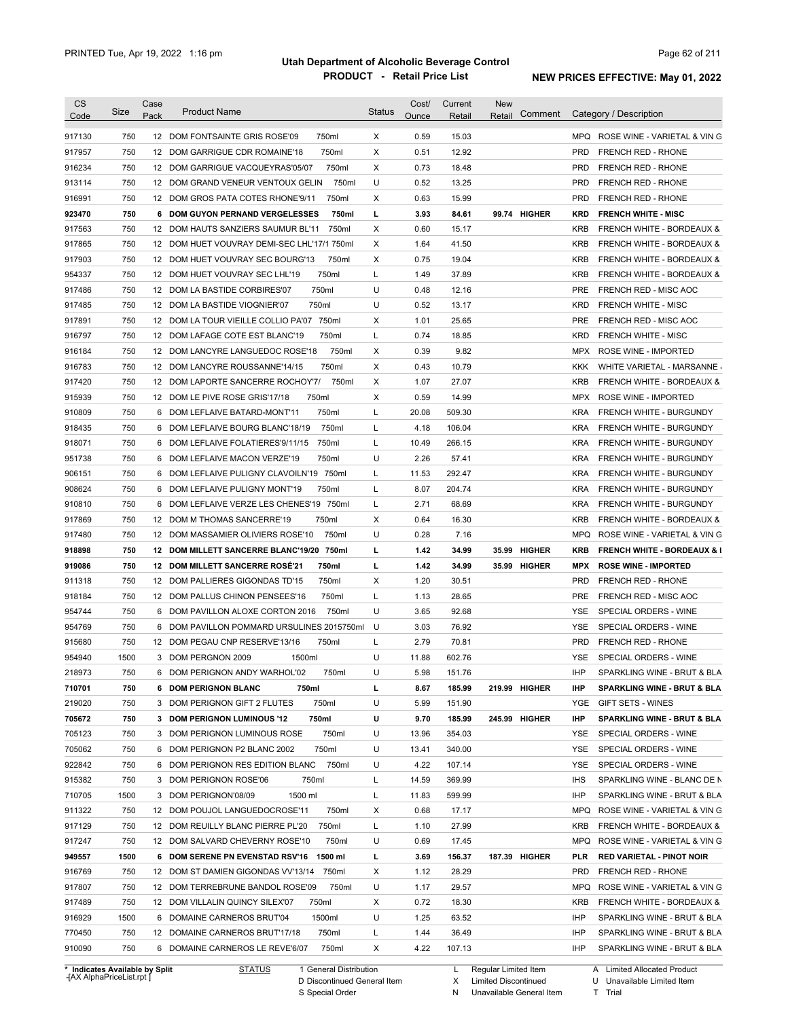| <b>CS</b><br>Code              | Size | Case<br>Pack | <b>Product Name</b>                             | <b>Status</b> | Cost/<br>Ounce | Current<br>Retail | <b>New</b><br>Comment<br>Retail |            | Category / Description                 |
|--------------------------------|------|--------------|-------------------------------------------------|---------------|----------------|-------------------|---------------------------------|------------|----------------------------------------|
| 917130                         | 750  |              | 750ml<br>12 DOM FONTSAINTE GRIS ROSE'09         | X             | 0.59           | 15.03             |                                 |            | MPQ ROSE WINE - VARIETAL & VING        |
| 917957                         | 750  |              | 12 DOM GARRIGUE CDR ROMAINE'18<br>750ml         | Χ             | 0.51           | 12.92             |                                 | <b>PRD</b> | <b>FRENCH RED - RHONE</b>              |
| 916234                         | 750  |              | 750ml<br>12 DOM GARRIGUE VACQUEYRAS'05/07       | Х             | 0.73           | 18.48             |                                 | <b>PRD</b> | <b>FRENCH RED - RHONE</b>              |
| 913114                         | 750  |              | 12 DOM GRAND VENEUR VENTOUX GELIN<br>750ml      | U             | 0.52           | 13.25             |                                 | <b>PRD</b> | <b>FRENCH RED - RHONE</b>              |
| 916991                         | 750  |              | 750ml<br>12 DOM GROS PATA COTES RHONE'9/11      | Х             | 0.63           | 15.99             |                                 | <b>PRD</b> | <b>FRENCH RED - RHONE</b>              |
| 923470                         | 750  |              | 750ml<br><b>6 DOM GUYON PERNAND VERGELESSES</b> | г             | 3.93           | 84.61             | 99.74 HIGHER                    | <b>KRD</b> | <b>FRENCH WHITE - MISC</b>             |
| 917563                         | 750  |              | 12 DOM HAUTS SANZIERS SAUMUR BL'11<br>750ml     | Х             | 0.60           | 15.17             |                                 | <b>KRB</b> | <b>FRENCH WHITE - BORDEAUX &amp;</b>   |
| 917865                         | 750  |              | 12 DOM HUET VOUVRAY DEMI-SEC LHL'17/1 750ml     | Х             | 1.64           | 41.50             |                                 | <b>KRB</b> | <b>FRENCH WHITE - BORDEAUX &amp;</b>   |
| 917903                         | 750  |              | 12 DOM HUET VOUVRAY SEC BOURG'13<br>750ml       | Х             | 0.75           | 19.04             |                                 | <b>KRB</b> | <b>FRENCH WHITE - BORDEAUX &amp;</b>   |
| 954337                         | 750  |              | 12 DOM HUET VOUVRAY SEC LHL'19<br>750ml         | L             | 1.49           | 37.89             |                                 | <b>KRB</b> | <b>FRENCH WHITE - BORDEAUX &amp;</b>   |
| 917486                         | 750  |              | 750ml<br>12 DOM LA BASTIDE CORBIRES'07          | U             | 0.48           | 12.16             |                                 | <b>PRE</b> | FRENCH RED - MISC AOC                  |
| 917485                         | 750  |              | 750ml<br>12 DOM LA BASTIDE VIOGNIER'07          | U             | 0.52           | 13.17             |                                 | <b>KRD</b> | <b>FRENCH WHITE - MISC</b>             |
| 917891                         | 750  |              | 750ml<br>12 DOM LA TOUR VIEILLE COLLIO PA'07    | х             | 1.01           | 25.65             |                                 | <b>PRE</b> | FRENCH RED - MISC AOC                  |
| 916797                         | 750  |              | 750ml<br>12 DOM LAFAGE COTE EST BLANC'19        | L             | 0.74           | 18.85             |                                 | <b>KRD</b> | <b>FRENCH WHITE - MISC</b>             |
| 916184                         | 750  |              | 750ml<br>12 DOM LANCYRE LANGUEDOC ROSE'18       | Х             | 0.39           | 9.82              |                                 | <b>MPX</b> | ROSE WINE - IMPORTED                   |
| 916783                         | 750  |              | 750ml<br>12 DOM LANCYRE ROUSSANNE'14/15         | X             | 0.43           | 10.79             |                                 | KKK        | WHITE VARIETAL - MARSANNE              |
| 917420                         | 750  |              | 750ml<br>12 DOM LAPORTE SANCERRE ROCHOY'7/      | Х             | 1.07           | 27.07             |                                 | <b>KRB</b> | <b>FRENCH WHITE - BORDEAUX &amp;</b>   |
| 915939                         | 750  |              | 750ml<br>12 DOM LE PIVE ROSE GRIS'17/18         | Х             | 0.59           | 14.99             |                                 | MPX        | ROSE WINE - IMPORTED                   |
| 910809                         | 750  | 6            | 750ml<br>DOM LEFLAIVE BATARD-MONT'11            | L             | 20.08          | 509.30            |                                 | <b>KRA</b> | FRENCH WHITE - BURGUNDY                |
| 918435                         | 750  |              | 750ml<br>6 DOM LEFLAIVE BOURG BLANC'18/19       | L             | 4.18           | 106.04            |                                 | <b>KRA</b> | FRENCH WHITE - BURGUNDY                |
| 918071                         | 750  | 6            | 750ml<br>DOM LEFLAIVE FOLATIERES'9/11/15        | L             | 10.49          | 266.15            |                                 | <b>KRA</b> | FRENCH WHITE - BURGUNDY                |
| 951738                         | 750  | 6            | 750ml<br>DOM LEFLAIVE MACON VERZE'19            | U             | 2.26           | 57.41             |                                 | <b>KRA</b> | FRENCH WHITE - BURGUNDY                |
| 906151                         | 750  | 6            | DOM LEFLAIVE PULIGNY CLAVOILN'19 750ml          | L             | 11.53          | 292.47            |                                 | <b>KRA</b> | FRENCH WHITE - BURGUNDY                |
| 908624                         | 750  | 6            | 750ml<br>DOM LEFLAIVE PULIGNY MONT'19           | L             | 8.07           | 204.74            |                                 | <b>KRA</b> | FRENCH WHITE - BURGUNDY                |
| 910810                         | 750  | 6            | DOM LEFLAIVE VERZE LES CHENES'19 750ml          | L             | 2.71           | 68.69             |                                 | <b>KRA</b> | FRENCH WHITE - BURGUNDY                |
| 917869                         | 750  |              | 12 DOM M THOMAS SANCERRE'19<br>750ml            | Х             | 0.64           | 16.30             |                                 | <b>KRB</b> | <b>FRENCH WHITE - BORDEAUX &amp;</b>   |
| 917480                         | 750  |              | 12 DOM MASSAMIER OLIVIERS ROSE'10<br>750ml      | U             | 0.28           | 7.16              |                                 | <b>MPQ</b> | ROSE WINE - VARIETAL & VIN G           |
| 918898                         | 750  |              | 12 DOM MILLETT SANCERRE BLANC'19/20 750ml       | L             | 1.42           | 34.99             | <b>HIGHER</b><br>35.99          | <b>KRB</b> | <b>FRENCH WHITE - BORDEAUX &amp; I</b> |
| 919086                         | 750  |              | 12 DOM MILLETT SANCERRE ROSE'21<br>750ml        | L             | 1.42           | 34.99             | 35.99 HIGHER                    | <b>MPX</b> | <b>ROSE WINE - IMPORTED</b>            |
| 911318                         | 750  |              | 12 DOM PALLIERES GIGONDAS TD'15<br>750ml        | Х             | 1.20           | 30.51             |                                 | <b>PRD</b> | <b>FRENCH RED - RHONE</b>              |
| 918184                         | 750  |              | 12 DOM PALLUS CHINON PENSEES'16<br>750ml        | L             | 1.13           | 28.65             |                                 | <b>PRE</b> | FRENCH RED - MISC AOC                  |
| 954744                         | 750  |              | 6 DOM PAVILLON ALOXE CORTON 2016<br>750ml       | U             | 3.65           | 92.68             |                                 | YSE        | SPECIAL ORDERS - WINE                  |
| 954769                         | 750  |              | 6 DOM PAVILLON POMMARD URSULINES 2015750ml      | U             | 3.03           | 76.92             |                                 | YSE        | SPECIAL ORDERS - WINE                  |
| 915680                         | 750  |              | 12 DOM PEGAU CNP RESERVE'13/16<br>750ml         | L             | 2.79           | 70.81             |                                 | <b>PRD</b> | <b>FRENCH RED - RHONE</b>              |
| 954940                         | 1500 |              | 3 DOM PERGNON 2009<br>1500ml                    | U             | 11.88          | 602.76            |                                 | <b>YSE</b> | SPECIAL ORDERS - WINE                  |
| 218973                         | 750  |              | 6 DOM PERIGNON ANDY WARHOL'02<br>750ml          | U             | 5.98           | 151.76            |                                 | <b>IHP</b> | SPARKLING WINE - BRUT & BLA            |
| 710701                         | 750  |              | 750ml<br>6 DOM PERIGNON BLANC                   | L             | 8.67           | 185.99            | 219.99 HIGHER                   | <b>IHP</b> | SPARKLING WINE - BRUT & BLA            |
| 219020                         | 750  |              | 750ml<br>3 DOM PERIGNON GIFT 2 FLUTES           | U             | 5.99           | 151.90            |                                 | YGE        | GIFT SETS - WINES                      |
| 705672                         | 750  |              | 750ml<br>3 DOM PERIGNON LUMINOUS '12            | U             | 9.70           | 185.99            | 245.99 HIGHER                   | <b>IHP</b> | <b>SPARKLING WINE - BRUT &amp; BLA</b> |
| 705123                         | 750  |              | 750ml<br>3 DOM PERIGNON LUMINOUS ROSE           | U             | 13.96          | 354.03            |                                 | YSE        | SPECIAL ORDERS - WINE                  |
| 705062                         | 750  |              | 6 DOM PERIGNON P2 BLANC 2002<br>750ml           | U             | 13.41          | 340.00            |                                 | YSE        | SPECIAL ORDERS - WINE                  |
| 922842                         | 750  |              | 6 DOM PERIGNON RES EDITION BLANC<br>750ml       | U             | 4.22           | 107.14            |                                 | YSE        | SPECIAL ORDERS - WINE                  |
| 915382                         | 750  |              | 3 DOM PERIGNON ROSE'06<br>750ml                 | L             | 14.59          | 369.99            |                                 | <b>IHS</b> | SPARKLING WINE - BLANC DE N            |
| 710705                         | 1500 |              | 3 DOM PERIGNON'08/09<br>1500 ml                 | L             | 11.83          | 599.99            |                                 | IHP        | SPARKLING WINE - BRUT & BLA            |
| 911322                         | 750  |              | 12 DOM POUJOL LANGUEDOCROSE'11<br>750ml         | х             | 0.68           | 17.17             |                                 | <b>MPQ</b> | ROSE WINE - VARIETAL & VIN G           |
| 917129                         | 750  |              | 12 DOM REUILLY BLANC PIERRE PL'20<br>750ml      | L             | 1.10           | 27.99             |                                 | <b>KRB</b> | FRENCH WHITE - BORDEAUX &              |
| 917247                         | 750  |              | 12 DOM SALVARD CHEVERNY ROSE'10<br>750ml        | U             | 0.69           | 17.45             |                                 | <b>MPQ</b> | ROSE WINE - VARIETAL & VIN G           |
| 949557                         | 1500 |              | 6 DOM SERENE PN EVENSTAD RSV'16<br>1500 ml      | L             | 3.69           | 156.37            | 187.39 HIGHER                   | <b>PLR</b> | <b>RED VARIETAL - PINOT NOIR</b>       |
| 916769                         | 750  |              | 12 DOM ST DAMIEN GIGONDAS VV'13/14<br>750ml     | х             | 1.12           | 28.29             |                                 | <b>PRD</b> | FRENCH RED - RHONE                     |
| 917807                         | 750  |              | 750ml<br>12 DOM TERREBRUNE BANDOL ROSE'09       | U             | 1.17           | 29.57             |                                 | <b>MPQ</b> | ROSE WINE - VARIETAL & VIN G           |
| 917489                         | 750  |              | 12 DOM VILLALIN QUINCY SILEX'07<br>750ml        | Х             | 0.72           | 18.30             |                                 | <b>KRB</b> | FRENCH WHITE - BORDEAUX &              |
| 916929                         | 1500 |              | 6 DOMAINE CARNEROS BRUT'04<br>1500ml            | U             | 1.25           | 63.52             |                                 | IHP        | SPARKLING WINE - BRUT & BLA            |
| 770450                         | 750  |              | 12 DOMAINE CARNEROS BRUT'17/18<br>750ml         | L             | 1.44           | 36.49             |                                 | IHP        | SPARKLING WINE - BRUT & BLA            |
| 910090                         | 750  |              | 6 DOMAINE CARNEROS LE REVE'6/07<br>750ml        | Х             | 4.22           | 107.13            |                                 | IHP        | SPARKLING WINE - BRUT & BLA            |
| * Indicates Available by Split |      |              | <b>STATUS</b><br>1 General Distribution         |               |                | L.                | Regular Limited Item            |            | A Limited Allocated Product            |

**\* Indicates Available by Split Case** [AX AlphaPriceList.rpt ]

STATUS 1 General Distribution

D Discontinued General Item S Special Order

X Limited Discontinued N Unavailable General Item A Limited Allocated Product

U Unavailable Limited Item

T Trial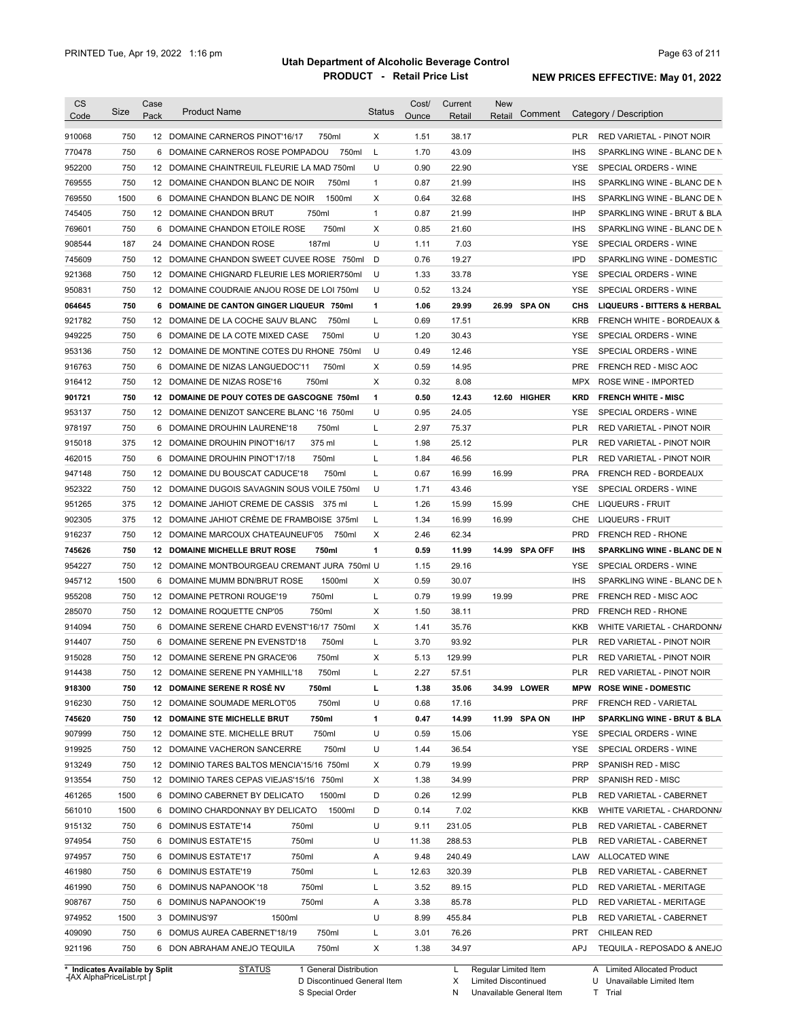| <b>CS</b>        | Size       | Case | <b>Product Name</b>                                                           | <b>Status</b> | Cost/        | Current        | <b>New</b>        |            |                                                                 |
|------------------|------------|------|-------------------------------------------------------------------------------|---------------|--------------|----------------|-------------------|------------|-----------------------------------------------------------------|
| Code             |            | Pack |                                                                               |               | Ounce        | Retail         | Comment<br>Retail |            | Category / Description                                          |
| 910068           | 750        |      | 12 DOMAINE CARNEROS PINOT'16/17<br>750ml                                      | Χ             | 1.51         | 38.17          |                   | <b>PLR</b> | RED VARIETAL - PINOT NOIR                                       |
| 770478           | 750        |      | 750ml<br>6 DOMAINE CARNEROS ROSE POMPADOU                                     | L             | 1.70         | 43.09          |                   | <b>IHS</b> | SPARKLING WINE - BLANC DE N                                     |
| 952200           | 750        |      | 12 DOMAINE CHAINTREUIL FLEURIE LA MAD 750ml                                   | U             | 0.90         | 22.90          |                   | <b>YSE</b> | SPECIAL ORDERS - WINE                                           |
| 769555           | 750        |      | 12 DOMAINE CHANDON BLANC DE NOIR<br>750ml                                     | $\mathbf{1}$  | 0.87         | 21.99          |                   | <b>IHS</b> | SPARKLING WINE - BLANC DE N                                     |
| 769550           | 1500       |      | 1500ml<br>6 DOMAINE CHANDON BLANC DE NOIR                                     | Х             | 0.64         | 32.68          |                   | <b>IHS</b> | SPARKLING WINE - BLANC DE N                                     |
| 745405           | 750        |      | 12 DOMAINE CHANDON BRUT<br>750ml                                              | $\mathbf{1}$  | 0.87         | 21.99          |                   | IHP        | SPARKLING WINE - BRUT & BLA                                     |
| 769601           | 750        |      | 750ml<br>6 DOMAINE CHANDON ETOILE ROSE                                        | Х             | 0.85         | 21.60          |                   | <b>IHS</b> | SPARKLING WINE - BLANC DE N                                     |
| 908544           | 187        |      | 187ml<br>24 DOMAINE CHANDON ROSE                                              | U             | 1.11         | 7.03           |                   | YSE        | SPECIAL ORDERS - WINE                                           |
| 745609           | 750        |      | 12 DOMAINE CHANDON SWEET CUVEE ROSE 750ml                                     | D             | 0.76         | 19.27          |                   | <b>IPD</b> | SPARKLING WINE - DOMESTIC                                       |
| 921368           | 750        |      | 12 DOMAINE CHIGNARD FLEURIE LES MORIER750ml                                   | U             | 1.33         | 33.78          |                   | <b>YSE</b> | SPECIAL ORDERS - WINE                                           |
| 950831           | 750        |      | 12 DOMAINE COUDRAIE ANJOU ROSE DE LOI 750ml                                   | U             | 0.52         | 13.24          |                   | YSE        | SPECIAL ORDERS - WINE                                           |
| 064645           | 750        |      | 6 DOMAINE DE CANTON GINGER LIQUEUR 750ml                                      | 1             | 1.06         | 29.99          | 26.99 SPA ON      | CHS        | <b>LIQUEURS - BITTERS &amp; HERBAL</b>                          |
| 921782           | 750        |      | 12 DOMAINE DE LA COCHE SAUV BLANC<br>750ml                                    | L             | 0.69         | 17.51          |                   | <b>KRB</b> | <b>FRENCH WHITE - BORDEAUX &amp;</b>                            |
| 949225           | 750        |      | 6 DOMAINE DE LA COTE MIXED CASE<br>750ml                                      | U             | 1.20         | 30.43          |                   | YSE        | SPECIAL ORDERS - WINE                                           |
| 953136           | 750        |      | 12 DOMAINE DE MONTINE COTES DU RHONE 750ml                                    | U             | 0.49         | 12.46          |                   | <b>YSE</b> | SPECIAL ORDERS - WINE                                           |
| 916763           | 750        |      | 750ml<br>6 DOMAINE DE NIZAS LANGUEDOC'11                                      | Х             | 0.59         | 14.95          |                   | <b>PRE</b> | <b>FRENCH RED - MISC AOC</b>                                    |
| 916412           | 750        |      | 12 DOMAINE DE NIZAS ROSE'16<br>750ml                                          | Х             | 0.32         | 8.08           |                   | <b>MPX</b> | ROSE WINE - IMPORTED                                            |
| 901721           | 750        |      | 12 DOMAINE DE POUY COTES DE GASCOGNE 750ml                                    | 1             | 0.50         | 12.43          | 12.60 HIGHER      | <b>KRD</b> | <b>FRENCH WHITE - MISC</b>                                      |
| 953137           | 750        |      | 12 DOMAINE DENIZOT SANCERE BLANC '16 750ml                                    | U             | 0.95         | 24.05          |                   | YSE        | SPECIAL ORDERS - WINE                                           |
| 978197           | 750        | 6    | 750ml<br>DOMAINE DROUHIN LAURENE'18                                           | L             | 2.97         | 75.37          |                   | <b>PLR</b> | RED VARIETAL - PINOT NOIR                                       |
| 915018           | 375        |      | 375 ml<br>12 DOMAINE DROUHIN PINOT'16/17                                      | L             | 1.98         | 25.12          |                   | <b>PLR</b> | RED VARIETAL - PINOT NOIR                                       |
| 462015           | 750        |      | 6 DOMAINE DROUHIN PINOT'17/18<br>750ml                                        | L             | 1.84         | 46.56          |                   | <b>PLR</b> | RED VARIETAL - PINOT NOIR                                       |
| 947148           | 750        |      | 12 DOMAINE DU BOUSCAT CADUCE'18<br>750ml                                      | L             | 0.67         | 16.99          | 16.99             | <b>PRA</b> | FRENCH RED - BORDEAUX                                           |
| 952322           | 750        |      | 12 DOMAINE DUGOIS SAVAGNIN SOUS VOILE 750ml                                   | U             | 1.71         | 43.46          |                   | YSE        | SPECIAL ORDERS - WINE                                           |
| 951265           | 375        |      | 12 DOMAINE JAHIOT CREME DE CASSIS 375 ml                                      | L             | 1.26         | 15.99          | 15.99             | CHE        | LIQUEURS - FRUIT                                                |
| 902305           | 375        |      | 12 DOMAINE JAHIOT CRÈME DE FRAMBOISE 375ml                                    | L             | 1.34         | 16.99          | 16.99             | CHE        | LIQUEURS - FRUIT                                                |
| 916237           | 750        |      | 12 DOMAINE MARCOUX CHATEAUNEUF'05<br>750ml                                    | Х             | 2.46         | 62.34          |                   | PRD        | FRENCH RED - RHONE                                              |
| 745626           | 750        |      | <b>12 DOMAINE MICHELLE BRUT ROSE</b><br>750ml                                 | 1             | 0.59         | 11.99          | 14.99 SPA OFF     | IHS        | SPARKLING WINE - BLANC DE N                                     |
| 954227           | 750        |      | 12 DOMAINE MONTBOURGEAU CREMANT JURA 750ml U                                  |               | 1.15         | 29.16          |                   | YSE        | SPECIAL ORDERS - WINE                                           |
| 945712           | 1500       |      | 6 DOMAINE MUMM BDN/BRUT ROSE<br>1500ml                                        | Х             | 0.59         | 30.07          |                   | <b>IHS</b> | SPARKLING WINE - BLANC DE N                                     |
| 955208           | 750        |      | 750ml<br>12 DOMAINE PETRONI ROUGE'19                                          | L             | 0.79         | 19.99          | 19.99             | PRE        | FRENCH RED - MISC AOC                                           |
| 285070           | 750        |      | 12 DOMAINE ROQUETTE CNP'05<br>750ml                                           | Х             | 1.50         | 38.11          |                   | PRD        | <b>FRENCH RED - RHONE</b>                                       |
| 914094           | 750        |      | 6 DOMAINE SERENE CHARD EVENST'16/17 750ml                                     | Х             | 1.41         | 35.76          |                   | KKB        | WHITE VARIETAL - CHARDONN/                                      |
| 914407           | 750        |      | 750ml<br>6 DOMAINE SERENE PN EVENSTD'18                                       | L             | 3.70         | 93.92          |                   | PLR        | RED VARIETAL - PINOT NOIR                                       |
| 915028           | 750        |      | 12 DOMAINE SERENE PN GRACE'06<br>750ml                                        | Х             | 5.13         | 129.99         |                   | <b>PLR</b> | RED VARIETAL - PINOT NOIR                                       |
| 914438           | 750        |      | 750ml<br>12 DOMAINE SERENE PN YAMHILL'18                                      |               | 2.27         | 57.51          |                   | <b>PLR</b> | RED VARIETAL - PINOT NOIR                                       |
| 918300           | 750        |      | <b>12 DOMAINE SERENE R ROSÉ NV</b><br>750ml                                   | L             | 1.38         | 35.06          | 34.99 LOWER       | MPW        |                                                                 |
| 916230           | 750        |      | 750ml                                                                         | U             | 0.68         |                |                   | PRF        | <b>ROSE WINE - DOMESTIC</b>                                     |
| 745620           | 750        |      | 12 DOMAINE SOUMADE MERLOT'05<br>750ml<br>12 DOMAINE STE MICHELLE BRUT         | 1             | 0.47         | 17.16<br>14.99 | 11.99 SPA ON      | <b>IHP</b> | FRENCH RED - VARIETAL<br><b>SPARKLING WINE - BRUT &amp; BLA</b> |
| 907999           | 750        |      | 750ml<br>12 DOMAINE STE. MICHELLE BRUT                                        | U             | 0.59         | 15.06          |                   | YSE        | SPECIAL ORDERS - WINE                                           |
| 919925           | 750        |      | 12 DOMAINE VACHERON SANCERRE<br>750ml                                         | U             | 1.44         | 36.54          |                   | YSE        | SPECIAL ORDERS - WINE                                           |
| 913249           | 750        |      |                                                                               |               | 0.79         | 19.99          |                   | <b>PRP</b> | SPANISH RED - MISC                                              |
|                  |            |      | 12 DOMINIO TARES BALTOS MENCIA'15/16 750ml                                    | х             |              |                |                   |            |                                                                 |
| 913554           | 750        |      | 12 DOMINIO TARES CEPAS VIEJAS'15/16 750ml                                     | х             | 1.38         | 34.99          |                   | <b>PRP</b> | SPANISH RED - MISC                                              |
| 461265           | 1500       |      | 6 DOMINO CABERNET BY DELICATO<br>1500ml                                       | D             | 0.26         | 12.99          |                   | <b>PLB</b> | RED VARIETAL - CABERNET                                         |
| 561010           | 1500       |      | 6 DOMINO CHARDONNAY BY DELICATO<br>1500ml                                     | D             | 0.14         | 7.02           |                   | KKB        | WHITE VARIETAL - CHARDONN/                                      |
| 915132           | 750        |      | 6 DOMINUS ESTATE'14<br>750ml                                                  | U             | 9.11         | 231.05         |                   | <b>PLB</b> | RED VARIETAL - CABERNET                                         |
|                  | 750        |      | 750ml<br>6 DOMINUS ESTATE'15                                                  | U             | 11.38        | 288.53         |                   | <b>PLB</b> | RED VARIETAL - CABERNET                                         |
| 974954           |            |      | 750ml<br>6 DOMINUS ESTATE'17                                                  | A             | 9.48         | 240.49         |                   | LAW        | ALLOCATED WINE                                                  |
| 974957           | 750        |      |                                                                               |               | 12.63        | 320.39         |                   | <b>PLB</b> | RED VARIETAL - CABERNET                                         |
| 461980           | 750        |      | 750ml<br>6 DOMINUS ESTATE'19                                                  | L             |              |                |                   |            |                                                                 |
| 461990           | 750        |      | 750ml<br>6 DOMINUS NAPANOOK '18                                               | L             | 3.52         | 89.15          |                   | <b>PLD</b> | RED VARIETAL - MERITAGE                                         |
| 908767           | 750        |      | 750ml<br>6 DOMINUS NAPANOOK'19                                                | A             | 3.38         | 85.78          |                   | <b>PLD</b> | RED VARIETAL - MERITAGE                                         |
| 974952           | 1500       |      | 3 DOMINUS'97<br>1500ml                                                        | U             | 8.99         | 455.84         |                   | <b>PLB</b> | RED VARIETAL - CABERNET                                         |
| 409090<br>921196 | 750<br>750 |      | 6 DOMUS AUREA CABERNET'18/19<br>750ml<br>750ml<br>6 DON ABRAHAM ANEJO TEQUILA | L<br>Х        | 3.01<br>1.38 | 76.26<br>34.97 |                   | PRT<br>APJ | <b>CHILEAN RED</b><br>TEQUILA - REPOSADO & ANEJO                |

**Case** [AX AlphaPriceList.rpt ]

General Distribution 

Discontinued General Item D

S Special Order

Regular Limited Item Limited Discontinued

Unavailable General Item

X N U Unavailable Limited Item

T

Trial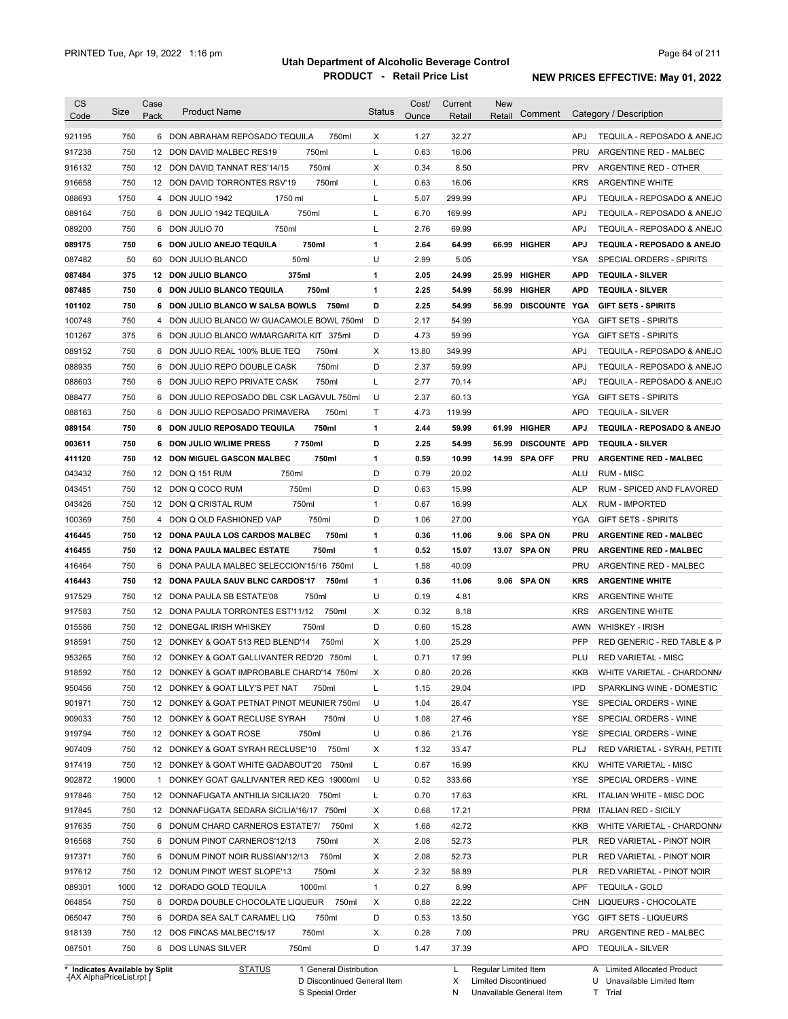| <b>CS</b><br>Code | Size  | Case<br>Pack | <b>Product Name</b>                                                        | <b>Status</b> | Cost/<br>Ounce | Current<br>Retail | <b>New</b><br>Retail | Comment              |            | Category / Description        |
|-------------------|-------|--------------|----------------------------------------------------------------------------|---------------|----------------|-------------------|----------------------|----------------------|------------|-------------------------------|
| 921195            | 750   |              | 6 DON ABRAHAM REPOSADO TEQUILA<br>750ml                                    | Χ             | 1.27           | 32.27             |                      |                      | APJ        | TEQUILA - REPOSADO & ANEJO    |
| 917238            | 750   |              | 750ml<br>12 DON DAVID MALBEC RES19                                         | L             | 0.63           | 16.06             |                      |                      | <b>PRU</b> | ARGENTINE RED - MALBEC        |
| 916132            | 750   |              | 750ml<br>12 DON DAVID TANNAT RES'14/15                                     | X             | 0.34           | 8.50              |                      |                      | <b>PRV</b> | ARGENTINE RED - OTHER         |
| 916658            | 750   |              | 750ml<br>12 DON DAVID TORRONTES RSV'19                                     | Г             | 0.63           | 16.06             |                      |                      | <b>KRS</b> | <b>ARGENTINE WHITE</b>        |
| 088693            | 1750  |              | 4 DON JULIO 1942<br>1750 ml                                                | L             | 5.07           | 299.99            |                      |                      | <b>APJ</b> | TEQUILA - REPOSADO & ANEJO    |
| 089164            | 750   |              | 6 DON JULIO 1942 TEQUILA<br>750ml                                          | Г             | 6.70           | 169.99            |                      |                      | <b>APJ</b> | TEQUILA - REPOSADO & ANEJO    |
| 089200            | 750   |              | 750ml<br>6 DON JULIO 70                                                    | L             | 2.76           | 69.99             |                      |                      | APJ        | TEQUILA - REPOSADO & ANEJO    |
|                   | 750   |              | 6 DON JULIO ANEJO TEQUILA<br>750ml                                         |               | 2.64           | 64.99             | 66.99                | <b>HIGHER</b>        | <b>APJ</b> | TEQUILA - REPOSADO & ANEJO    |
| 089175<br>087482  | 50    |              | 50 <sub>ml</sub><br>60 DON JULIO BLANCO                                    | 1<br>U        | 2.99           | 5.05              |                      |                      | YSA        | SPECIAL ORDERS - SPIRITS      |
| 087484            | 375   |              | 12 DON JULIO BLANCO<br>375ml                                               | 1             | 2.05           | 24.99             | 25.99                | <b>HIGHER</b>        | <b>APD</b> | <b>TEQUILA - SILVER</b>       |
| 087485            | 750   |              | 6 DON JULIO BLANCO TEQUILA<br>750ml                                        | 1             | 2.25           | 54.99             | 56.99                | <b>HIGHER</b>        | <b>APD</b> | <b>TEQUILA - SILVER</b>       |
| 101102            | 750   |              | 6 DON JULIO BLANCO W SALSA BOWLS<br>750ml                                  | D             | 2.25           | 54.99             | 56.99                | DISCOUNTE YGA        |            | <b>GIFT SETS - SPIRITS</b>    |
| 100748            | 750   |              | 4 DON JULIO BLANCO W/ GUACAMOLE BOWL 750ml                                 | D             | 2.17           | 54.99             |                      |                      | YGA        | <b>GIFT SETS - SPIRITS</b>    |
|                   | 375   |              |                                                                            | D             | 4.73           | 59.99             |                      |                      |            |                               |
| 101267<br>089152  | 750   |              | 6 DON JULIO BLANCO W/MARGARITA KIT 375ml<br>6 DON JULIO REAL 100% BLUE TEQ |               | 13.80          |                   |                      |                      | YGA<br>APJ | <b>GIFT SETS - SPIRITS</b>    |
|                   |       |              | 750ml                                                                      | Χ             |                | 349.99            |                      |                      |            | TEQUILA - REPOSADO & ANEJO    |
| 088935            | 750   |              | 750ml<br>6 DON JULIO REPO DOUBLE CASK                                      | D             | 2.37           | 59.99             |                      |                      | APJ        | TEQUILA - REPOSADO & ANEJO    |
| 088603            | 750   |              | 6 DON JULIO REPO PRIVATE CASK<br>750ml                                     | L             | 2.77           | 70.14             |                      |                      | APJ        | TEQUILA - REPOSADO & ANEJO    |
| 088477            | 750   |              | 6 DON JULIO REPOSADO DBL CSK LAGAVUL 750ml                                 | U             | 2.37           | 60.13             |                      |                      | YGA        | <b>GIFT SETS - SPIRITS</b>    |
| 088163            | 750   |              | 750ml<br>6 DON JULIO REPOSADO PRIMAVERA                                    | Τ             | 4.73           | 119.99            |                      |                      | APD        | <b>TEQUILA - SILVER</b>       |
| 089154            | 750   |              | 750ml<br>6 DON JULIO REPOSADO TEQUILA                                      | 1             | 2.44           | 59.99             | 61.99                | <b>HIGHER</b>        | <b>APJ</b> | TEQUILA - REPOSADO & ANEJO    |
| 003611            | 750   |              | 7750ml<br>6 DON JULIO W/LIME PRESS                                         | D             | 2.25           | 54.99             | 56.99                | <b>DISCOUNTE APD</b> |            | <b>TEQUILA - SILVER</b>       |
| 411120            | 750   |              | 750ml<br><b>12 DON MIGUEL GASCON MALBEC</b>                                | 1             | 0.59           | 10.99             | 14.99                | <b>SPA OFF</b>       | PRU        | <b>ARGENTINE RED - MALBEC</b> |
| 043432            | 750   |              | 12 DON Q 151 RUM<br>750ml                                                  | D             | 0.79           | 20.02             |                      |                      | ALU        | RUM - MISC                    |
| 043451            | 750   |              | 750ml<br>12 DON Q COCO RUM                                                 | D             | 0.63           | 15.99             |                      |                      | ALP        | RUM - SPICED AND FLAVORED     |
| 043426            | 750   |              | 750ml<br>12 DON Q CRISTAL RUM                                              | 1             | 0.67           | 16.99             |                      |                      | ALX        | <b>RUM - IMPORTED</b>         |
| 100369            | 750   |              | 4 DON Q OLD FASHIONED VAP<br>750ml                                         | D             | 1.06           | 27.00             |                      |                      | YGA        | <b>GIFT SETS - SPIRITS</b>    |
| 416445            | 750   |              | 12 DONA PAULA LOS CARDOS MALBEC<br>750ml                                   | 1             | 0.36           | 11.06             | 9.06                 | <b>SPA ON</b>        | <b>PRU</b> | <b>ARGENTINE RED - MALBEC</b> |
| 416455            | 750   |              | 750ml<br><b>12 DONA PAULA MALBEC ESTATE</b>                                | 1             | 0.52           | 15.07             | 13.07                | <b>SPA ON</b>        | <b>PRU</b> | <b>ARGENTINE RED - MALBEC</b> |
| 416464            | 750   |              | 6 DONA PAULA MALBEC SELECCION'15/16 750ml                                  | L             | 1.58           | 40.09             |                      |                      | <b>PRU</b> | ARGENTINE RED - MALBEC        |
| 416443            | 750   |              | 12 DONA PAULA SAUV BLNC CARDOS'17<br>750ml                                 | 1             | 0.36           | 11.06             |                      | 9.06 SPA ON          | <b>KRS</b> | <b>ARGENTINE WHITE</b>        |
| 917529            | 750   |              | 12 DONA PAULA SB ESTATE'08<br>750ml                                        | U             | 0.19           | 4.81              |                      |                      | <b>KRS</b> | <b>ARGENTINE WHITE</b>        |
| 917583            | 750   |              | 12 DONA PAULA TORRONTES EST'11/12<br>750ml                                 | Χ             | 0.32           | 8.18              |                      |                      | <b>KRS</b> | <b>ARGENTINE WHITE</b>        |
| 015586            | 750   |              | 12 DONEGAL IRISH WHISKEY<br>750ml                                          | D             | 0.60           | 15.28             |                      |                      | AWN        | <b>WHISKEY - IRISH</b>        |
| 918591            | 750   |              | 12 DONKEY & GOAT 513 RED BLEND'14<br>750ml                                 | X             | 1.00           | 25.29             |                      |                      | <b>PFP</b> | RED GENERIC - RED TABLE & P   |
| 953265            | 750   |              | 12 DONKEY & GOAT GALLIVANTER RED'20 750ml                                  | Г             | 0.71           | 17.99             |                      |                      | PLU        | <b>RED VARIETAL - MISC</b>    |
| 918592            | 750   |              | 12 DONKEY & GOAT IMPROBABLE CHARD'14 750ml                                 | х             | 0.80           | 20.26             |                      |                      | KKB        | WHITE VARIETAL - CHARDONN/    |
| 950456            | 750   |              | 12 DONKEY & GOAT LILY'S PET NAT<br>750ml                                   | L             | 1.15           | 29.04             |                      |                      | <b>IPD</b> | SPARKLING WINE - DOMESTIC     |
| 901971            | 750   |              | 12 DONKEY & GOAT PETNAT PINOT MEUNIER 750ml                                | U             | 1.04           | 26.47             |                      |                      | YSE        | SPECIAL ORDERS - WINE         |
| 909033            | 750   |              | 12 DONKEY & GOAT RECLUSE SYRAH<br>750ml                                    | U             | 1.08           | 27.46             |                      |                      | YSE        | SPECIAL ORDERS - WINE         |
| 919794            | 750   |              | 12 DONKEY & GOAT ROSE<br>750ml                                             | U             | 0.86           | 21.76             |                      |                      | YSE        | SPECIAL ORDERS - WINE         |
| 907409            | 750   |              | 12 DONKEY & GOAT SYRAH RECLUSE'10<br>750ml                                 | Х             | 1.32           | 33.47             |                      |                      | PLJ        | RED VARIETAL - SYRAH, PETITE  |
| 917419            | 750   |              | 12 DONKEY & GOAT WHITE GADABOUT'20<br>750ml                                | L             | 0.67           | 16.99             |                      |                      | KKU        | <b>WHITE VARIETAL - MISC</b>  |
| 902872            | 19000 |              | 1 DONKEY GOAT GALLIVANTER RED KEG 19000ml                                  | U             | 0.52           | 333.66            |                      |                      | YSE        | SPECIAL ORDERS - WINE         |
|                   | 750   |              | 12 DONNAFUGATA ANTHILIA SICILIA'20 750ml                                   | L             | 0.70           | 17.63             |                      |                      | KRL        | ITALIAN WHITE - MISC DOC      |
| 917846            |       |              |                                                                            |               |                | 17.21             |                      |                      | PRM        | <b>ITALIAN RED - SICILY</b>   |
| 917845            | 750   |              | 12 DONNAFUGATA SEDARA SICILIA'16/17 750ml                                  | Х             | 0.68           |                   |                      |                      |            |                               |
| 917635            | 750   |              | 6 DONUM CHARD CARNEROS ESTATE'7/<br>750ml                                  | Χ             | 1.68           | 42.72             |                      |                      | KKB        | WHITE VARIETAL - CHARDONN/    |
| 916568            | 750   |              | 6 DONUM PINOT CARNEROS'12/13<br>750ml                                      | Χ             | 2.08           | 52.73             |                      |                      | <b>PLR</b> | RED VARIETAL - PINOT NOIR     |
| 917371            | 750   |              | 750ml<br>6 DONUM PINOT NOIR RUSSIAN'12/13                                  | Χ             | 2.08           | 52.73             |                      |                      | PLR        | RED VARIETAL - PINOT NOIR     |
| 917612            | 750   |              | 750ml<br>12 DONUM PINOT WEST SLOPE'13                                      | Χ             | 2.32           | 58.89             |                      |                      | <b>PLR</b> | RED VARIETAL - PINOT NOIR     |
| 089301            | 1000  |              | 12 DORADO GOLD TEQUILA<br>1000ml                                           | $\mathbf{1}$  | 0.27           | 8.99              |                      |                      | APF        | <b>TEQUILA - GOLD</b>         |
| 064854            | 750   |              | 750ml<br>6 DORDA DOUBLE CHOCOLATE LIQUEUR                                  | Χ             | 0.88           | 22.22             |                      |                      |            | CHN LIQUEURS - CHOCOLATE      |
| 065047            | 750   |              | 6 DORDA SEA SALT CARAMEL LIQ<br>750ml                                      | D             | 0.53           | 13.50             |                      |                      |            | YGC GIFT SETS - LIQUEURS      |
| 918139            | 750   |              | 750ml<br>12 DOS FINCAS MALBEC'15/17                                        | Χ             | 0.28           | 7.09              |                      |                      | PRU        | ARGENTINE RED - MALBEC        |

**Case** [AX AlphaPriceList.rpt ]

D Discontinued General Item S Special Order

Regular Limited Item

X

Limited Discontinued

N Unavailable General Item

A

U Unavailable Limited Item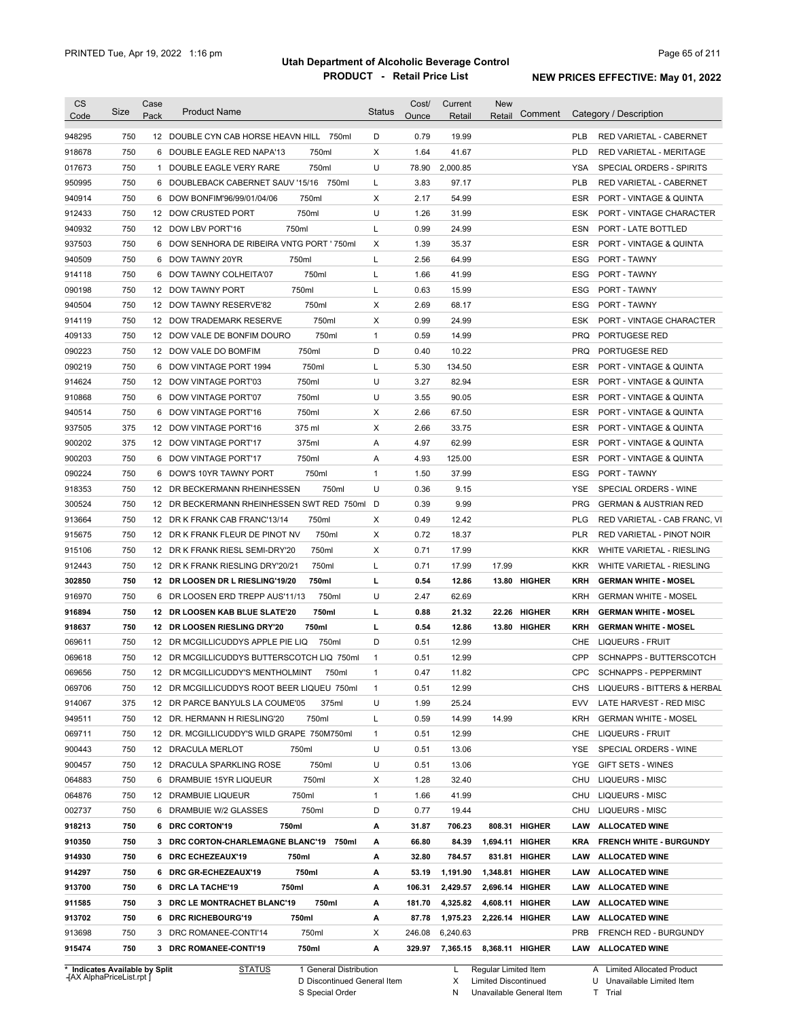| <b>CS</b><br>Code              | Size       | Case<br>Pack | <b>Product Name</b>                                                      | <b>Status</b>     | Cost/<br>Ounce | Current<br>Retail | <b>New</b><br>Retail | Comment       |            | Category / Description                                 |
|--------------------------------|------------|--------------|--------------------------------------------------------------------------|-------------------|----------------|-------------------|----------------------|---------------|------------|--------------------------------------------------------|
| 948295                         | 750        |              | 12 DOUBLE CYN CAB HORSE HEAVN HILL 750ml                                 | D                 | 0.79           | 19.99             |                      |               | <b>PLB</b> | RED VARIETAL - CABERNET                                |
| 918678                         | 750        | 6            | 750ml<br>DOUBLE EAGLE RED NAPA'13                                        | X                 | 1.64           | 41.67             |                      |               | <b>PLD</b> | <b>RED VARIETAL - MERITAGE</b>                         |
| 017673                         | 750        |              | 750ml<br>1 DOUBLE EAGLE VERY RARE                                        | U                 | 78.90          | 2,000.85          |                      |               | <b>YSA</b> | SPECIAL ORDERS - SPIRITS                               |
| 950995                         | 750        |              | 6 DOUBLEBACK CABERNET SAUV '15/16 750ml                                  | L                 | 3.83           | 97.17             |                      |               | <b>PLB</b> | RED VARIETAL - CABERNET                                |
| 940914                         | 750        |              | 750ml<br>6 DOW BONFIM'96/99/01/04/06                                     | Х                 | 2.17           | 54.99             |                      |               | ESR        | PORT - VINTAGE & QUINTA                                |
| 912433                         | 750        |              | 12 DOW CRUSTED PORT<br>750ml                                             | U                 | 1.26           | 31.99             |                      |               | <b>ESK</b> | PORT - VINTAGE CHARACTER                               |
| 940932                         | 750        |              | 750ml<br>12 DOW LBV PORT'16                                              | L                 | 0.99           | 24.99             |                      |               | ESN        | PORT - LATE BOTTLED                                    |
| 937503                         | 750        |              | 6 DOW SENHORA DE RIBEIRA VNTG PORT ' 750ml                               | Х                 | 1.39           | 35.37             |                      |               | ESR        | PORT - VINTAGE & QUINTA                                |
| 940509                         | 750        |              | 750ml<br>6 DOW TAWNY 20YR                                                | L                 | 2.56           | 64.99             |                      |               | ESG        | PORT - TAWNY                                           |
| 914118                         | 750        |              | 6 DOW TAWNY COLHEITA'07<br>750ml                                         | L                 | 1.66           | 41.99             |                      |               | ESG        | PORT - TAWNY                                           |
| 090198                         | 750        |              | 750ml<br>12 DOW TAWNY PORT                                               | L                 | 0.63           | 15.99             |                      |               | ESG        | <b>PORT - TAWNY</b>                                    |
| 940504                         | 750        |              | 12 DOW TAWNY RESERVE'82<br>750ml                                         | Х                 | 2.69           | 68.17             |                      |               | <b>ESG</b> | PORT - TAWNY                                           |
| 914119                         | 750        |              | 750ml<br>12 DOW TRADEMARK RESERVE                                        | Х                 | 0.99           | 24.99             |                      |               | ESK        | PORT - VINTAGE CHARACTER                               |
| 409133                         | 750        |              | 750ml<br>12 DOW VALE DE BONFIM DOURO                                     | $\mathbf{1}$      | 0.59           | 14.99             |                      |               | <b>PRQ</b> | PORTUGESE RED                                          |
| 090223                         | 750        |              | 750ml<br>12 DOW VALE DO BOMFIM                                           | D                 | 0.40           | 10.22             |                      |               | <b>PRQ</b> | PORTUGESE RED                                          |
| 090219                         | 750        |              | 750ml<br>6 DOW VINTAGE PORT 1994                                         | L                 | 5.30           | 134.50            |                      |               | ESR        | PORT - VINTAGE & QUINTA                                |
| 914624                         | 750        |              | 750ml<br>12 DOW VINTAGE PORT'03                                          | U                 | 3.27           | 82.94             |                      |               | <b>ESR</b> | PORT - VINTAGE & QUINTA                                |
| 910868                         | 750        |              | 750ml<br>6 DOW VINTAGE PORT'07                                           | U                 | 3.55           | 90.05             |                      |               | <b>ESR</b> | PORT - VINTAGE & QUINTA                                |
| 940514                         | 750        | 6            | 750ml<br>DOW VINTAGE PORT'16                                             | х                 | 2.66           | 67.50             |                      |               | ESR        | PORT - VINTAGE & QUINTA                                |
| 937505                         | 375        |              | 375 ml<br>12 DOW VINTAGE PORT'16                                         | Х                 | 2.66           | 33.75             |                      |               | ESR        | PORT - VINTAGE & QUINTA                                |
| 900202                         | 375        |              | 375ml<br>12 DOW VINTAGE PORT'17                                          | Α                 | 4.97           | 62.99             |                      |               | <b>ESR</b> | PORT - VINTAGE & QUINTA                                |
| 900203                         | 750        |              | 750ml<br>6 DOW VINTAGE PORT'17                                           | Α                 | 4.93           | 125.00            |                      |               | ESR        | PORT - VINTAGE & QUINTA                                |
| 090224                         | 750        | 6            | 750ml<br>DOW'S 10YR TAWNY PORT                                           | $\mathbf{1}$      | 1.50           | 37.99             |                      |               | ESG        | PORT - TAWNY                                           |
| 918353                         | 750        |              | 750ml<br>12 DR BECKERMANN RHEINHESSEN                                    | U                 | 0.36           | 9.15              |                      |               | <b>YSE</b> | SPECIAL ORDERS - WINE                                  |
| 300524                         | 750        |              | 12 DR BECKERMANN RHEINHESSEN SWT RED 750ml                               | D                 | 0.39           | 9.99              |                      |               | <b>PRG</b> | <b>GERMAN &amp; AUSTRIAN RED</b>                       |
| 913664                         | 750        |              | 12 DR K FRANK CAB FRANC'13/14<br>750ml                                   | Χ                 | 0.49           | 12.42             |                      |               | <b>PLG</b> | RED VARIETAL - CAB FRANC, VI                           |
| 915675                         | 750        |              | 750ml<br>12 DR K FRANK FLEUR DE PINOT NV                                 | Х                 | 0.72           | 18.37             |                      |               | <b>PLR</b> | RED VARIETAL - PINOT NOIR                              |
| 915106                         | 750        |              | 750ml<br>12 DR K FRANK RIESL SEMI-DRY'20                                 | Х                 | 0.71           | 17.99             |                      |               | <b>KKR</b> | WHITE VARIETAL - RIESLING                              |
| 912443                         | 750        |              | 750ml<br>12 DR K FRANK RIESLING DRY'20/21                                | L                 | 0.71           | 17.99             | 17.99                |               | <b>KKR</b> | WHITE VARIETAL - RIESLING                              |
| 302850                         | 750        |              | 12 DR LOOSEN DR L RIESLING'19/20<br>750ml                                | L                 | 0.54           | 12.86             |                      | 13.80 HIGHER  | <b>KRH</b> | <b>GERMAN WHITE - MOSEL</b>                            |
| 916970                         | 750        | 6            | DR LOOSEN ERD TREPP AUS'11/13<br>750ml                                   | U                 | 2.47           | 62.69             |                      |               | <b>KRH</b> | <b>GERMAN WHITE - MOSEL</b>                            |
| 916894                         | 750        |              | 750ml<br>12 DR LOOSEN KAB BLUE SLATE'20                                  | г                 | 0.88           | 21.32             | 22.26                | <b>HIGHER</b> | <b>KRH</b> | <b>GERMAN WHITE - MOSEL</b>                            |
| 918637                         | 750        |              | 12 DR LOOSEN RIESLING DRY'20<br>750ml                                    | г                 | 0.54           | 12.86             |                      | 13.80 HIGHER  | KRH        | <b>GERMAN WHITE - MOSEL</b>                            |
| 069611                         | 750        |              | 12 DR MCGILLICUDDYS APPLE PIE LIQ<br>750ml                               | D                 | 0.51           | 12.99             |                      |               | CHE        | <b>LIQUEURS - FRUIT</b>                                |
| 069618                         | 750        |              | 12 DR MCGILLICUDDYS BUTTERSCOTCH LIQ 750ml                               | $\mathbf{1}$      | 0.51           | 12.99             |                      |               | CPP        | SCHNAPPS - BUTTERSCOTCH                                |
| 069656                         | 750        |              | 12 DR MCGILLICUDDY'S MENTHOLMINT 750ml                                   | 1                 | 0.47           | 11.82             |                      |               | <b>CPC</b> | <b>SCHNAPPS - PEPPERMINT</b>                           |
| 069706                         | 750        |              | 12 DR MCGILLICUDDYS ROOT BEER LIQUEU 750ml                               | $\mathbf{1}$      | 0.51           | 12.99             |                      |               |            | CHS LIQUEURS - BITTERS & HERBAL                        |
| 914067                         | 375        |              | 375ml                                                                    | U                 | 1.99           | 25.24             |                      |               | EVV        |                                                        |
| 949511                         | 750        |              | 12 DR PARCE BANYULS LA COUME'05<br>12 DR. HERMANN H RIESLING'20<br>750ml | L                 | 0.59           | 14.99             | 14.99                |               | KRH        | LATE HARVEST - RED MISC<br><b>GERMAN WHITE - MOSEL</b> |
| 069711                         | 750        |              |                                                                          |                   | 0.51           | 12.99             |                      |               | CHE        | <b>LIQUEURS - FRUIT</b>                                |
| 900443                         | 750        |              | 12 DR. MCGILLICUDDY'S WILD GRAPE 750M750ml<br>12 DRACULA MERLOT<br>750ml | $\mathbf{1}$<br>U | 0.51           | 13.06             |                      |               | YSE        | SPECIAL ORDERS - WINE                                  |
|                                |            |              |                                                                          |                   |                |                   |                      |               |            |                                                        |
| 900457<br>064883               | 750<br>750 |              | 12 DRACULA SPARKLING ROSE<br>750ml<br>750ml                              | U                 | 0.51           | 13.06<br>32.40    |                      |               | YGE<br>CHU | GIFT SETS - WINES<br>LIQUEURS - MISC                   |
|                                |            |              | 6 DRAMBUIE 15YR LIQUEUR                                                  | Х                 | 1.28           |                   |                      |               |            |                                                        |
| 064876                         | 750<br>750 |              | 12 DRAMBUIE LIQUEUR<br>750ml                                             | 1                 | 1.66           | 41.99             |                      |               | CHU        | <b>LIQUEURS - MISC</b>                                 |
| 002737                         |            |              | 750ml<br>6 DRAMBUIE W/2 GLASSES                                          | D                 | 0.77           | 19.44             |                      |               |            | CHU LIQUEURS - MISC                                    |
| 918213                         | 750        |              | 6 DRC CORTON'19<br>750ml                                                 | А                 | 31.87          | 706.23            |                      | 808.31 HIGHER |            | LAW ALLOCATED WINE                                     |
| 910350                         | 750        |              | 3 DRC CORTON-CHARLEMAGNE BLANC'19 750ml                                  | А                 | 66.80          | 84.39             | 1,694.11 HIGHER      |               | KRA        | <b>FRENCH WHITE - BURGUNDY</b>                         |
| 914930                         | 750        |              | 6 DRC ECHEZEAUX'19<br>750ml                                              | А                 | 32.80          | 784.57            |                      | 831.81 HIGHER |            | LAW ALLOCATED WINE                                     |
| 914297                         | 750        |              | 6 DRC GR-ECHEZEAUX'19<br>750ml                                           | А                 | 53.19          | 1,191.90          | 1,348.81             | <b>HIGHER</b> | LAW        | <b>ALLOCATED WINE</b>                                  |
| 913700                         | 750        |              | 6 DRC LA TACHE'19<br>750ml                                               | А                 | 106.31         | 2,429.57          | 2,696.14 HIGHER      |               |            | LAW ALLOCATED WINE                                     |
| 911585                         | 750        |              | 3 DRC LE MONTRACHET BLANC'19<br>750ml                                    | А                 | 181.70         | 4,325.82          | 4,608.11 HIGHER      |               |            | LAW ALLOCATED WINE                                     |
| 913702                         | 750        |              | 6 DRC RICHEBOURG'19<br>750ml                                             | А                 | 87.78          | 1,975.23          | 2,226.14 HIGHER      |               |            | LAW ALLOCATED WINE                                     |
| 913698                         | 750        |              | 750ml<br>3 DRC ROMANEE-CONTI'14                                          | Х                 | 246.08         | 6,240.63          |                      |               | PRB        | FRENCH RED - BURGUNDY                                  |
| 915474                         | 750        |              | 3 DRC ROMANEE-CONTI'19<br>750ml                                          | А                 | 329.97         | 7,365.15          | 8,368.11 HIGHER      |               |            | LAW ALLOCATED WINE                                     |
| * Indicates Available by Split |            |              | 1 General Distribution<br><b>STATUS</b>                                  |                   |                | L,                | Regular Limited Item |               |            | A Limited Allocated Product                            |

**Case** [AX AlphaPriceList.rpt ]

D Discontinued General Item

S Special Order

X

Limited Discontinued

N Unavailable General Item

U Unavailable Limited Item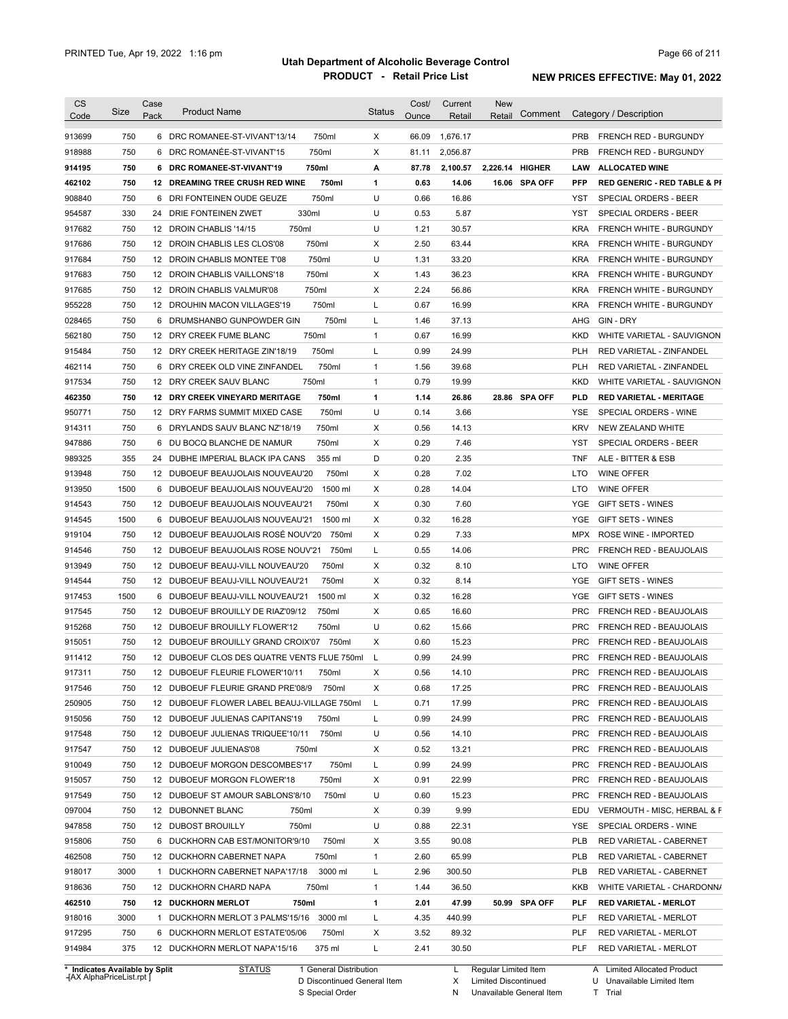| CS     | Size                           | Case | <b>Product Name</b>                             | <b>Status</b>          | Cost/ | Current  | New                  | Comment       |            | Category / Description                  |
|--------|--------------------------------|------|-------------------------------------------------|------------------------|-------|----------|----------------------|---------------|------------|-----------------------------------------|
| Code   |                                | Pack |                                                 |                        | Ounce | Retail   | Retail               |               |            |                                         |
| 913699 | 750                            |      | 750ml<br>6 DRC ROMANEE-ST-VIVANT'13/14          | X                      | 66.09 | 1,676.17 |                      |               | <b>PRB</b> | FRENCH RED - BURGUNDY                   |
| 918988 | 750                            |      | 6 DRC ROMANÉE-ST-VIVANT'15<br>750ml             | Χ                      | 81.11 | 2,056.87 |                      |               | <b>PRB</b> | FRENCH RED - BURGUNDY                   |
| 914195 | 750                            |      | 750ml<br>6 DRC ROMANEE-ST-VIVANT'19             | А                      | 87.78 | 2,100.57 | 2,226.14 HIGHER      |               | LAW        | <b>ALLOCATED WINE</b>                   |
| 462102 | 750                            |      | 750ml<br><b>12 DREAMING TREE CRUSH RED WINE</b> | 1                      | 0.63  | 14.06    |                      | 16.06 SPA OFF | <b>PFP</b> | <b>RED GENERIC - RED TABLE &amp; PI</b> |
| 908840 | 750                            |      | 750ml<br>6 DRI FONTEINEN OUDE GEUZE             | U                      | 0.66  | 16.86    |                      |               | YST        | SPECIAL ORDERS - BEER                   |
| 954587 | 330                            |      | 330ml<br>24 DRIE FONTEINEN ZWET                 | U                      | 0.53  | 5.87     |                      |               | YST        | <b>SPECIAL ORDERS - BEER</b>            |
| 917682 | 750                            |      | 750ml<br>12 DROIN CHABLIS '14/15                | U                      | 1.21  | 30.57    |                      |               | <b>KRA</b> | <b>FRENCH WHITE - BURGUNDY</b>          |
| 917686 | 750                            |      | 12 DROIN CHABLIS LES CLOS'08<br>750ml           | Χ                      | 2.50  | 63.44    |                      |               | <b>KRA</b> | <b>FRENCH WHITE - BURGUNDY</b>          |
| 917684 | 750                            |      | 750ml<br>12 DROIN CHABLIS MONTEE T'08           | U                      | 1.31  | 33.20    |                      |               | <b>KRA</b> | <b>FRENCH WHITE - BURGUNDY</b>          |
| 917683 | 750                            |      | 750ml<br>12 DROIN CHABLIS VAILLONS'18           | Х                      | 1.43  | 36.23    |                      |               | <b>KRA</b> | <b>FRENCH WHITE - BURGUNDY</b>          |
| 917685 | 750                            |      | 12 DROIN CHABLIS VALMUR'08<br>750ml             | Х                      | 2.24  | 56.86    |                      |               | KRA        | FRENCH WHITE - BURGUNDY                 |
| 955228 | 750                            |      | 12 DROUHIN MACON VILLAGES'19<br>750ml           | Г                      | 0.67  | 16.99    |                      |               | KRA        | FRENCH WHITE - BURGUNDY                 |
| 028465 | 750                            |      | 750ml<br>6 DRUMSHANBO GUNPOWDER GIN             | Г                      | 1.46  | 37.13    |                      |               | AHG        | GIN - DRY                               |
| 562180 | 750                            |      | 750ml<br>12 DRY CREEK FUME BLANC                | $\mathbf{1}$           | 0.67  | 16.99    |                      |               | KKD        | WHITE VARIETAL - SAUVIGNON              |
| 915484 | 750                            |      | 12 DRY CREEK HERITAGE ZIN'18/19<br>750ml        | Г                      | 0.99  | 24.99    |                      |               | <b>PLH</b> | RED VARIETAL - ZINFANDEL                |
| 462114 | 750                            |      | 6 DRY CREEK OLD VINE ZINFANDEL<br>750ml         | $\mathbf{1}$           | 1.56  | 39.68    |                      |               | <b>PLH</b> | RED VARIETAL - ZINFANDEL                |
| 917534 | 750                            |      | 750ml<br>12 DRY CREEK SAUV BLANC                | $\mathbf{1}$           | 0.79  | 19.99    |                      |               | KKD        | WHITE VARIETAL - SAUVIGNON              |
| 462350 | 750                            |      | 12 DRY CREEK VINEYARD MERITAGE<br>750ml         | 1                      | 1.14  | 26.86    |                      | 28.86 SPA OFF | <b>PLD</b> | <b>RED VARIETAL - MERITAGE</b>          |
| 950771 | 750                            |      | 12 DRY FARMS SUMMIT MIXED CASE<br>750ml         | U                      | 0.14  | 3.66     |                      |               | YSE        | SPECIAL ORDERS - WINE                   |
| 914311 | 750                            |      | 6 DRYLANDS SAUV BLANC NZ'18/19<br>750ml         | X                      | 0.56  | 14.13    |                      |               | <b>KRV</b> | <b>NEW ZEALAND WHITE</b>                |
| 947886 | 750                            |      | 750ml<br>6 DU BOCQ BLANCHE DE NAMUR             | X                      | 0.29  | 7.46     |                      |               | YST        | <b>SPECIAL ORDERS - BEER</b>            |
| 989325 | 355                            |      | 24 DUBHE IMPERIAL BLACK IPA CANS<br>355 ml      | D                      | 0.20  | 2.35     |                      |               | TNF        | ALE - BITTER & ESB                      |
| 913948 | 750                            |      | 12 DUBOEUF BEAUJOLAIS NOUVEAU'20                | 750ml<br>Х             | 0.28  | 7.02     |                      |               | LTO        | <b>WINE OFFER</b>                       |
| 913950 | 1500                           |      | 6 DUBOEUF BEAUJOLAIS NOUVEAU'20                 | Х<br>1500 ml           | 0.28  | 14.04    |                      |               | LTO        | <b>WINE OFFER</b>                       |
| 914543 | 750                            |      | 12 DUBOEUF BEAUJOLAIS NOUVEAU'21                | Х<br>750ml             | 0.30  | 7.60     |                      |               | YGE        | <b>GIFT SETS - WINES</b>                |
| 914545 | 1500                           |      | 6 DUBOEUF BEAUJOLAIS NOUVEAU'21                 | Х<br>1500 ml           | 0.32  | 16.28    |                      |               | YGE        | <b>GIFT SETS - WINES</b>                |
| 919104 | 750                            |      | 12 DUBOEUF BEAUJOLAIS ROSÉ NOUV'20              | 750ml<br>Х             | 0.29  | 7.33     |                      |               | <b>MPX</b> | ROSE WINE - IMPORTED                    |
| 914546 | 750                            |      | 12 DUBOEUF BEAUJOLAIS ROSE NOUV'21              | 750ml<br>Г             | 0.55  | 14.06    |                      |               | <b>PRC</b> | FRENCH RED - BEAUJOLAIS                 |
|        | 750                            |      | 750ml                                           | Х                      | 0.32  |          |                      |               |            | <b>WINE OFFER</b>                       |
| 913949 | 750                            |      | 12 DUBOEUF BEAUJ-VILL NOUVEAU'20                |                        |       | 8.10     |                      |               | LTO        | <b>GIFT SETS - WINES</b>                |
| 914544 |                                |      | 12 DUBOEUF BEAUJ-VILL NOUVEAU'21<br>750ml       | х                      | 0.32  | 8.14     |                      |               | YGE        |                                         |
| 917453 | 1500                           |      | 6 DUBOEUF BEAUJ-VILL NOUVEAU'21<br>1500 ml      | Χ                      | 0.32  | 16.28    |                      |               | YGE        | <b>GIFT SETS - WINES</b>                |
| 917545 | 750                            |      | 12 DUBOEUF BROUILLY DE RIAZ'09/12<br>750ml      | Х                      | 0.65  | 16.60    |                      |               | <b>PRC</b> | <b>FRENCH RED - BEAUJOLAIS</b>          |
| 915268 | 750                            |      | 12 DUBOEUF BROUILLY FLOWER'12<br>750ml          | U                      | 0.62  | 15.66    |                      |               | <b>PRC</b> | <b>FRENCH RED - BEAUJOLAIS</b>          |
| 915051 | 750                            |      | 12 DUBOEUF BROUILLY GRAND CROIX'07 750ml        | Х                      | 0.60  | 15.23    |                      |               | <b>PRC</b> | <b>FRENCH RED - BEAUJOLAIS</b>          |
| 911412 | 750                            |      | 12 DUBOEUF CLOS DES QUATRE VENTS FLUE 750ml     | L                      | 0.99  | 24.99    |                      |               | <b>PRC</b> | <b>FRENCH RED - BEAUJOLAIS</b>          |
| 917311 | 750                            |      | 12 DUBOEUF FLEURIE FLOWER'10/11<br>750ml        | х                      | 0.56  | 14.10    |                      |               | PRC        | FRENCH RED - BEAUJOLAIS                 |
| 917546 | 750                            |      | 12 DUBOEUF FLEURIE GRAND PRE'08/9<br>750ml      | X                      | 0.68  | 17.25    |                      |               | <b>PRC</b> | FRENCH RED - BEAUJOLAIS                 |
| 250905 | 750                            |      | 12 DUBOEUF FLOWER LABEL BEAUJ-VILLAGE 750ml     | L                      | 0.71  | 17.99    |                      |               | <b>PRC</b> | FRENCH RED - BEAUJOLAIS                 |
| 915056 | 750                            |      | 12 DUBOEUF JULIENAS CAPITANS'19<br>750ml        | L                      | 0.99  | 24.99    |                      |               | <b>PRC</b> | FRENCH RED - BEAUJOLAIS                 |
| 917548 | 750                            |      | 12 DUBOEUF JULIENAS TRIQUEE'10/11<br>750ml      | U                      | 0.56  | 14.10    |                      |               | <b>PRC</b> | <b>FRENCH RED - BEAUJOLAIS</b>          |
| 917547 | 750                            |      | 12 DUBOEUF JULIENAS'08<br>750ml                 | Х                      | 0.52  | 13.21    |                      |               | <b>PRC</b> | <b>FRENCH RED - BEAUJOLAIS</b>          |
| 910049 | 750                            |      | 12 DUBOEUF MORGON DESCOMBES'17                  | 750ml<br>L             | 0.99  | 24.99    |                      |               | <b>PRC</b> | <b>FRENCH RED - BEAUJOLAIS</b>          |
| 915057 | 750                            |      | 12 DUBOEUF MORGON FLOWER'18<br>750ml            | Х                      | 0.91  | 22.99    |                      |               | <b>PRC</b> | <b>FRENCH RED - BEAUJOLAIS</b>          |
| 917549 | 750                            |      | 12 DUBOEUF ST AMOUR SABLONS'8/10<br>750ml       | U                      | 0.60  | 15.23    |                      |               | <b>PRC</b> | <b>FRENCH RED - BEAUJOLAIS</b>          |
| 097004 | 750                            |      | 12 DUBONNET BLANC<br>750ml                      | Х                      | 0.39  | 9.99     |                      |               | EDU        | VERMOUTH - MISC, HERBAL & F             |
| 947858 | 750                            |      | 12 DUBOST BROUILLY<br>750ml                     | U                      | 0.88  | 22.31    |                      |               | YSE        | SPECIAL ORDERS - WINE                   |
| 915806 | 750                            |      | 6 DUCKHORN CAB EST/MONITOR'9/10<br>750ml        | Х                      | 3.55  | 90.08    |                      |               | <b>PLB</b> | RED VARIETAL - CABERNET                 |
| 462508 | 750                            |      | 12 DUCKHORN CABERNET NAPA<br>750ml              | $\mathbf{1}$           | 2.60  | 65.99    |                      |               | <b>PLB</b> | RED VARIETAL - CABERNET                 |
| 918017 | 3000                           |      | 1 DUCKHORN CABERNET NAPA'17/18<br>3000 ml       | L                      | 2.96  | 300.50   |                      |               | <b>PLB</b> | RED VARIETAL - CABERNET                 |
| 918636 | 750                            |      | 12 DUCKHORN CHARD NAPA<br>750ml                 | $\mathbf{1}$           | 1.44  | 36.50    |                      |               | KKB        | WHITE VARIETAL - CHARDONN/              |
| 462510 | 750                            |      | <b>12 DUCKHORN MERLOT</b><br>750ml              | 1                      | 2.01  | 47.99    |                      | 50.99 SPA OFF | PLF        | <b>RED VARIETAL - MERLOT</b>            |
| 918016 | 3000                           |      | 1 DUCKHORN MERLOT 3 PALMS'15/16<br>3000 ml      | L                      | 4.35  | 440.99   |                      |               | PLF        | RED VARIETAL - MERLOT                   |
| 917295 | 750                            |      | 6 DUCKHORN MERLOT ESTATE'05/06<br>750ml         | Х                      | 3.52  | 89.32    |                      |               | PLF        | RED VARIETAL - MERLOT                   |
| 914984 | 375                            |      | 12 DUCKHORN MERLOT NAPA'15/16<br>375 ml         | Г                      | 2.41  | 30.50    |                      |               | PLF        | RED VARIETAL - MERLOT                   |
|        | * Indicates Available by Split |      | <b>STATUS</b>                                   | 1 General Distribution |       | L        | Regular Limited Item |               |            | A Limited Allocated Product             |

**Case** [AX AlphaPriceList.rpt ]

D Discontinued General Item S Special Order

X N Limited Discontinued

Unavailable General Item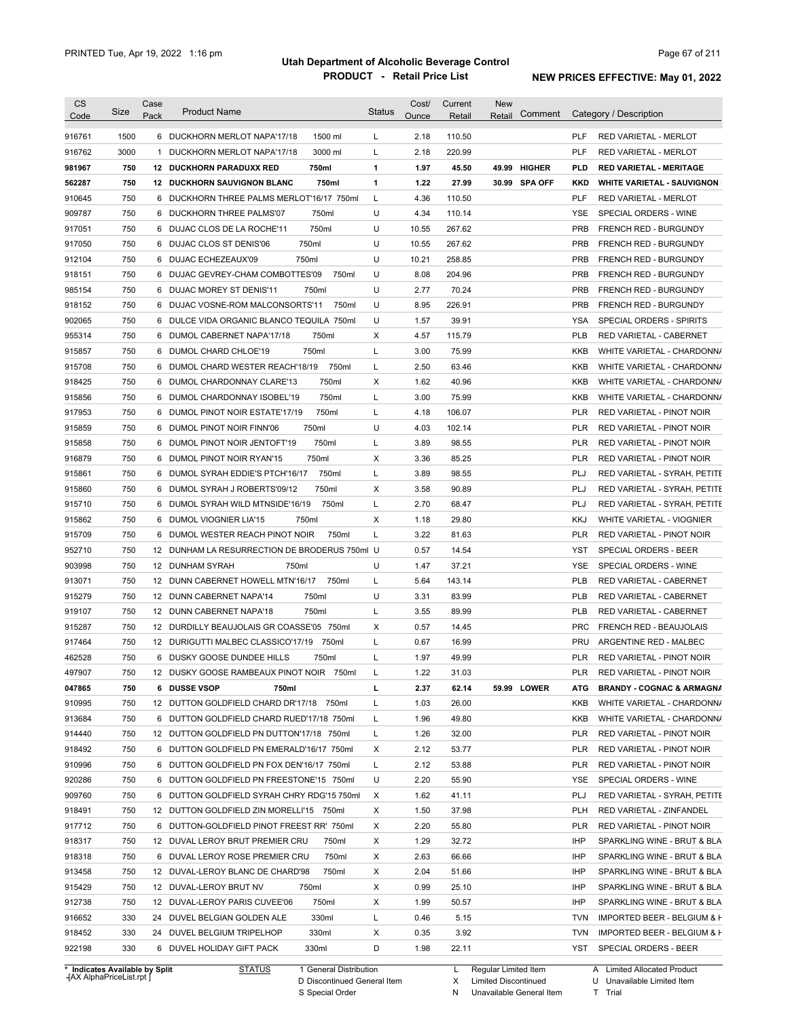| <b>CS</b><br>Code              | Size       | Case<br>Pack | <b>Product Name</b>                           | <b>Status</b> | Cost/<br>Ounce | Current<br>Retail | New<br>Comment<br>Retail |            | Category / Description               |
|--------------------------------|------------|--------------|-----------------------------------------------|---------------|----------------|-------------------|--------------------------|------------|--------------------------------------|
| 916761                         | 1500       |              | 6 DUCKHORN MERLOT NAPA'17/18<br>1500 ml       | L             | 2.18           | 110.50            |                          | <b>PLF</b> | RED VARIETAL - MERLOT                |
| 916762                         | 3000       |              | 3000 ml<br>1 DUCKHORN MERLOT NAPA'17/18       | L             | 2.18           | 220.99            |                          | <b>PLF</b> | <b>RED VARIETAL - MERLOT</b>         |
|                                | 750        |              | 750ml                                         | 1             | 1.97           | 45.50             | 49.99 HIGHER             | PLD        |                                      |
| 981967                         |            |              | 12 DUCKHORN PARADUXX RED                      |               |                |                   |                          |            | <b>RED VARIETAL - MERITAGE</b>       |
| 562287                         | 750<br>750 |              | 750ml<br><b>12 DUCKHORN SAUVIGNON BLANC</b>   | 1<br>L        | 1.22           | 27.99             | 30.99 SPA OFF            | KKD<br>PLF | <b>WHITE VARIETAL - SAUVIGNON</b>    |
| 910645                         |            |              | 6 DUCKHORN THREE PALMS MERLOT'16/17 750ml     |               | 4.36           | 110.50            |                          |            | <b>RED VARIETAL - MERLOT</b>         |
| 909787                         | 750        |              | 750ml<br>6 DUCKHORN THREE PALMS'07            | U             | 4.34           | 110.14            |                          | YSE        | SPECIAL ORDERS - WINE                |
| 917051                         | 750        |              | 750ml<br>6 DUJAC CLOS DE LA ROCHE'11          | U             | 10.55          | 267.62            |                          | <b>PRB</b> | <b>FRENCH RED - BURGUNDY</b>         |
| 917050                         | 750        |              | 750ml<br>6 DUJAC CLOS ST DENIS'06             | U             | 10.55          | 267.62            |                          | <b>PRB</b> | <b>FRENCH RED - BURGUNDY</b>         |
| 912104                         | 750        |              | 6 DUJAC ECHEZEAUX'09<br>750ml                 | U             | 10.21          | 258.85            |                          | <b>PRB</b> | FRENCH RED - BURGUNDY                |
| 918151                         | 750        |              | 6 DUJAC GEVREY-CHAM COMBOTTES'09<br>750ml     | U             | 8.08           | 204.96            |                          | <b>PRB</b> | <b>FRENCH RED - BURGUNDY</b>         |
| 985154                         | 750        |              | 6 DUJAC MOREY ST DENIS'11<br>750ml            | U             | 2.77           | 70.24             |                          | <b>PRB</b> | FRENCH RED - BURGUNDY                |
| 918152                         | 750        |              | 6 DUJAC VOSNE-ROM MALCONSORTS'11<br>750ml     | U             | 8.95           | 226.91            |                          | <b>PRB</b> | FRENCH RED - BURGUNDY                |
| 902065                         | 750        |              | 6 DULCE VIDA ORGANIC BLANCO TEQUILA 750ml     | U             | 1.57           | 39.91             |                          | <b>YSA</b> | SPECIAL ORDERS - SPIRITS             |
| 955314                         | 750        |              | 750ml<br>6 DUMOL CABERNET NAPA'17/18          | Χ             | 4.57           | 115.79            |                          | <b>PLB</b> | RED VARIETAL - CABERNET              |
| 915857                         | 750        |              | 750ml<br>6 DUMOL CHARD CHLOE'19               | L             | 3.00           | 75.99             |                          | KKB        | WHITE VARIETAL - CHARDONN/           |
| 915708                         | 750        |              | 750ml<br>6 DUMOL CHARD WESTER REACH'18/19     | Г             | 2.50           | 63.46             |                          | KKB        | WHITE VARIETAL - CHARDONN/           |
| 918425                         | 750        |              | 750ml<br>6 DUMOL CHARDONNAY CLARE'13          | Χ             | 1.62           | 40.96             |                          | KKB        | WHITE VARIETAL - CHARDONN/           |
| 915856                         | 750        | 6            | 750ml<br>DUMOL CHARDONNAY ISOBEL'19           | L             | 3.00           | 75.99             |                          | KKB        | WHITE VARIETAL - CHARDONN/           |
| 917953                         | 750        | 6            | 750ml<br>DUMOL PINOT NOIR ESTATE'17/19        | L             | 4.18           | 106.07            |                          | <b>PLR</b> | RED VARIETAL - PINOT NOIR            |
| 915859                         | 750        | 6            | 750ml<br>DUMOL PINOT NOIR FINN'06             | U             | 4.03           | 102.14            |                          | <b>PLR</b> | RED VARIETAL - PINOT NOIR            |
| 915858                         | 750        | 6            | 750ml<br>DUMOL PINOT NOIR JENTOFT'19          | L             | 3.89           | 98.55             |                          | <b>PLR</b> | RED VARIETAL - PINOT NOIR            |
| 916879                         | 750        | 6            | 750ml<br>DUMOL PINOT NOIR RYAN'15             | Χ             | 3.36           | 85.25             |                          | <b>PLR</b> | RED VARIETAL - PINOT NOIR            |
| 915861                         | 750        | 6            | 750ml<br>DUMOL SYRAH EDDIE'S PTCH'16/17       | L             | 3.89           | 98.55             |                          | PLJ        | RED VARIETAL - SYRAH, PETITE         |
| 915860                         | 750        |              | 750ml<br>6 DUMOL SYRAH J ROBERTS'09/12        | Χ             | 3.58           | 90.89             |                          | PLJ        | RED VARIETAL - SYRAH, PETITE         |
| 915710                         | 750        | 6            | 750ml<br>DUMOL SYRAH WILD MTNSIDE'16/19       | L             | 2.70           | 68.47             |                          | PLJ        | RED VARIETAL - SYRAH, PETITE         |
| 915862                         | 750        | 6            | DUMOL VIOGNIER LIA'15<br>750ml                | Χ             | 1.18           | 29.80             |                          | <b>KKJ</b> | WHITE VARIETAL - VIOGNIER            |
| 915709                         | 750        |              | 750ml<br>6 DUMOL WESTER REACH PINOT NOIR      | L             | 3.22           | 81.63             |                          | PLR        | RED VARIETAL - PINOT NOIR            |
| 952710                         | 750        |              | 12 DUNHAM LA RESURRECTION DE BRODERUS 750ml U |               | 0.57           | 14.54             |                          | YST        | SPECIAL ORDERS - BEER                |
| 903998                         | 750        |              | 12 DUNHAM SYRAH<br>750ml                      | U             | 1.47           | 37.21             |                          | <b>YSE</b> | SPECIAL ORDERS - WINE                |
| 913071                         | 750        |              | 12 DUNN CABERNET HOWELL MTN'16/17<br>750ml    | L             | 5.64           | 143.14            |                          | <b>PLB</b> | RED VARIETAL - CABERNET              |
| 915279                         | 750        |              | 750ml<br>12 DUNN CABERNET NAPA'14             | U             | 3.31           | 83.99             |                          | <b>PLB</b> | RED VARIETAL - CABERNET              |
| 919107                         | 750        |              | 750ml<br>12 DUNN CABERNET NAPA'18             | L             | 3.55           | 89.99             |                          | <b>PLB</b> | RED VARIETAL - CABERNET              |
|                                | 750        |              | 12 DURDILLY BEAUJOLAIS GR COASSE'05 750ml     | Χ             | 0.57           | 14.45             |                          | <b>PRC</b> |                                      |
| 915287                         |            |              |                                               |               |                |                   |                          |            | FRENCH RED - BEAUJOLAIS              |
| 917464                         | 750        |              | 12 DURIGUTTI MALBEC CLASSICO'17/19<br>750ml   | L             | 0.67           | 16.99             |                          | <b>PRU</b> | ARGENTINE RED - MALBEC               |
| 462528                         | 750        |              | 6 DUSKY GOOSE DUNDEE HILLS<br>750ml           | L             | 1.97           | 49.99             |                          | <b>PLR</b> | RED VARIETAL - PINOT NOIR            |
| 497907                         | 750        |              | 12 DUSKY GOOSE RAMBEAUX PINOT NOIR 750ml      |               | 1.22           | 31.03             |                          | <b>PLR</b> | RED VARIETAL - PINOT NOIR            |
| 047865                         | 750        |              | 6 DUSSE VSOP<br>750ml                         | L             | 2.37           | 62.14             | 59.99 LOWER              | ATG.       | <b>BRANDY - COGNAC &amp; ARMAGNA</b> |
| 910995                         | 750        |              | 12 DUTTON GOLDFIELD CHARD DR'17/18 750ml      | L             | 1.03           | 26.00             |                          | KKB        | WHITE VARIETAL - CHARDONN/           |
| 913684                         | 750        |              | 6 DUTTON GOLDFIELD CHARD RUED'17/18 750ml     | L             | 1.96           | 49.80             |                          | KKB        | WHITE VARIETAL - CHARDONN/           |
| 914440                         | 750        |              | 12 DUTTON GOLDFIELD PN DUTTON'17/18 750ml     | L             | 1.26           | 32.00             |                          | PLR        | RED VARIETAL - PINOT NOIR            |
| 918492                         | 750        |              | 6 DUTTON GOLDFIELD PN EMERALD'16/17 750ml     | Х             | 2.12           | 53.77             |                          | PLR        | RED VARIETAL - PINOT NOIR            |
| 910996                         | 750        |              | 6 DUTTON GOLDFIELD PN FOX DEN'16/17 750ml     | L             | 2.12           | 53.88             |                          | PLR        | RED VARIETAL - PINOT NOIR            |
| 920286                         | 750        |              | 6 DUTTON GOLDFIELD PN FREESTONE'15 750ml      | U             | 2.20           | 55.90             |                          | YSE        | SPECIAL ORDERS - WINE                |
| 909760                         | 750        |              | 6 DUTTON GOLDFIELD SYRAH CHRY RDG'15 750ml    | X             | 1.62           | 41.11             |                          | PLJ        | RED VARIETAL - SYRAH, PETITE         |
| 918491                         | 750        |              | 12 DUTTON GOLDFIELD ZIN MORELLI'15 750ml      | Х             | 1.50           | 37.98             |                          | <b>PLH</b> | RED VARIETAL - ZINFANDEL             |
| 917712                         | 750        |              | 6 DUTTON-GOLDFIELD PINOT FREEST RR' 750ml     | Х             | 2.20           | 55.80             |                          | PLR        | RED VARIETAL - PINOT NOIR            |
| 918317                         | 750        |              | 12 DUVAL LEROY BRUT PREMIER CRU<br>750ml      | Χ             | 1.29           | 32.72             |                          | IHP        | SPARKLING WINE - BRUT & BLA          |
| 918318                         | 750        |              | 750ml<br>6 DUVAL LEROY ROSE PREMIER CRU       | X             | 2.63           | 66.66             |                          | IHP        | SPARKLING WINE - BRUT & BLA          |
| 913458                         | 750        |              | 12 DUVAL-LEROY BLANC DE CHARD'98<br>750ml     | Χ             | 2.04           | 51.66             |                          | IHP        | SPARKLING WINE - BRUT & BLA          |
| 915429                         | 750        |              | 12 DUVAL-LEROY BRUT NV<br>750ml               | Χ             | 0.99           | 25.10             |                          | IHP        | SPARKLING WINE - BRUT & BLA          |
| 912738                         | 750        |              | 750ml<br>12 DUVAL-LEROY PARIS CUVEE'06        | X             | 1.99           | 50.57             |                          | IHP        | SPARKLING WINE - BRUT & BLA          |
| 916652                         | 330        |              | 330ml<br>24 DUVEL BELGIAN GOLDEN ALE          | L             | 0.46           | 5.15              |                          | <b>TVN</b> | IMPORTED BEER - BELGIUM & H          |
| 918452                         | 330        |              | 330ml<br>24 DUVEL BELGIUM TRIPELHOP           | Х             | 0.35           | 3.92              |                          | <b>TVN</b> | IMPORTED BEER - BELGIUM & H          |
| 922198                         | 330        |              | 330ml<br>6 DUVEL HOLIDAY GIFT PACK            | D             | 1.98           | 22.11             |                          |            | YST SPECIAL ORDERS - BEER            |
|                                |            |              |                                               |               |                |                   |                          |            |                                      |
| * Indicates Available by Split |            |              | <b>STATUS</b><br>1 General Distribution       |               |                | L.                | Regular Limited Item     |            | A Limited Allocated Product          |

**Case** [AX AlphaPriceList.rpt ]

D Discontinued General Item S Special Order

X N Limited Discontinued

Unavailable General Item

U Unavailable Limited Item

A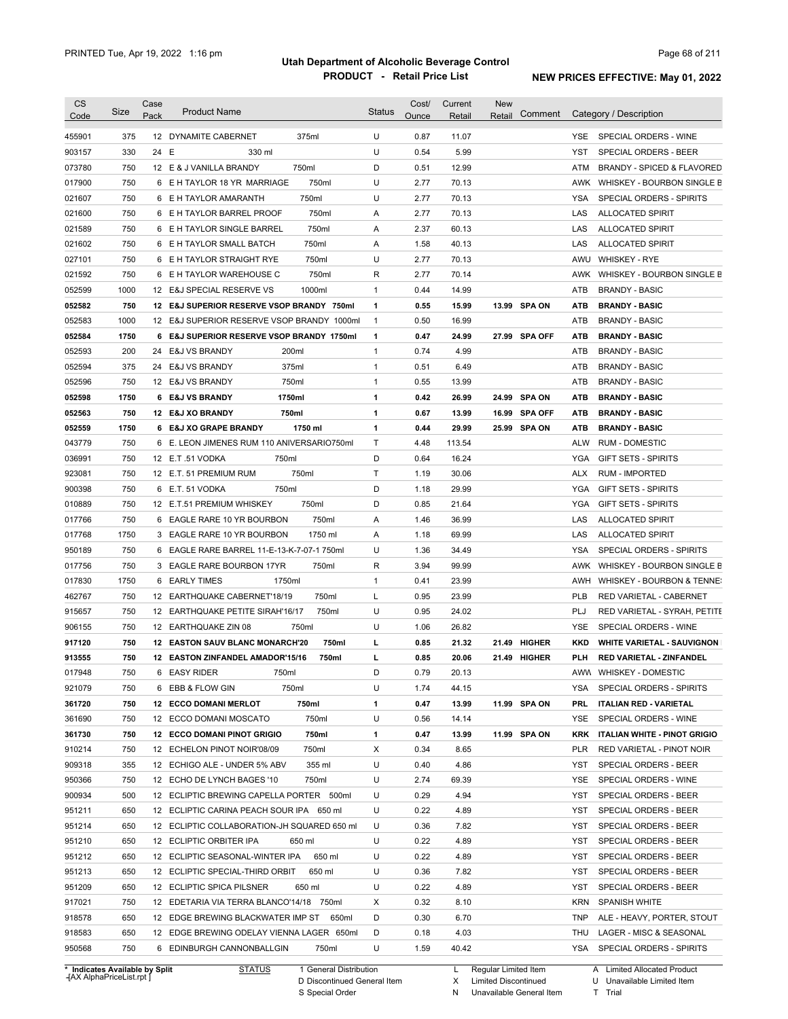| <b>CS</b><br>Code              | Size | Case<br>Pack | <b>Product Name</b>                         |                        | <b>Status</b> | Cost/<br>Ounce | Current<br>Retail | <b>New</b><br>Retail   | Comment       |            | Category / Description              |
|--------------------------------|------|--------------|---------------------------------------------|------------------------|---------------|----------------|-------------------|------------------------|---------------|------------|-------------------------------------|
| 455901                         | 375  |              | 12 DYNAMITE CABERNET                        | 375ml                  | U             | 0.87           | 11.07             |                        |               | YSE.       | SPECIAL ORDERS - WINE               |
| 903157                         | 330  | 24 E         | 330 ml                                      |                        | U             | 0.54           | 5.99              |                        |               | YST        | <b>SPECIAL ORDERS - BEER</b>        |
| 073780                         | 750  |              | 12 E & J VANILLA BRANDY                     | 750ml                  | D             | 0.51           | 12.99             |                        |               | ATM        | BRANDY - SPICED & FLAVORED          |
| 017900                         | 750  |              | 6 E H TAYLOR 18 YR MARRIAGE                 | 750ml                  | U             | 2.77           | 70.13             |                        |               |            | AWK WHISKEY - BOURBON SINGLE B      |
| 021607                         | 750  |              | 6 E H TAYLOR AMARANTH                       | 750ml                  | U             | 2.77           | 70.13             |                        |               | <b>YSA</b> | SPECIAL ORDERS - SPIRITS            |
| 021600                         | 750  |              | 6 E H TAYLOR BARREL PROOF                   | 750ml                  | Α             | 2.77           | 70.13             |                        |               | LAS        | <b>ALLOCATED SPIRIT</b>             |
| 021589                         | 750  |              | 6 E H TAYLOR SINGLE BARREL                  | 750ml                  | Α             | 2.37           | 60.13             |                        |               | LAS        | <b>ALLOCATED SPIRIT</b>             |
| 021602                         | 750  |              | 6 E H TAYLOR SMALL BATCH                    | 750ml                  | Α             | 1.58           | 40.13             |                        |               | LAS        | <b>ALLOCATED SPIRIT</b>             |
| 027101                         | 750  |              | 6 E H TAYLOR STRAIGHT RYE                   | 750ml                  | U             | 2.77           | 70.13             |                        |               | AWU        | <b>WHISKEY - RYE</b>                |
| 021592                         | 750  |              | 6 E H TAYLOR WAREHOUSE C                    | 750ml                  | R             | 2.77           | 70.14             |                        |               | AWK        | WHISKEY - BOURBON SINGLE B          |
| 052599                         | 1000 |              | 12 E&J SPECIAL RESERVE VS                   | 1000ml                 | $\mathbf{1}$  | 0.44           | 14.99             |                        |               | ATB        | <b>BRANDY - BASIC</b>               |
| 052582                         | 750  |              | 12 E&J SUPERIOR RESERVE VSOP BRANDY 750ml   |                        | 1             | 0.55           | 15.99             |                        | 13.99 SPA ON  | ATB        | <b>BRANDY - BASIC</b>               |
| 052583                         | 1000 |              | 12 E&J SUPERIOR RESERVE VSOP BRANDY 1000ml  |                        | $\mathbf{1}$  | 0.50           | 16.99             |                        |               | <b>ATB</b> | <b>BRANDY - BASIC</b>               |
|                                | 1750 |              |                                             |                        |               | 0.47           |                   |                        | 27.99 SPA OFF |            |                                     |
| 052584                         |      |              | 6 E&J SUPERIOR RESERVE VSOP BRANDY 1750ml   |                        | 1             |                | 24.99             |                        |               | ATB        | <b>BRANDY - BASIC</b>               |
| 052593                         | 200  | 24           | <b>E&amp;J VS BRANDY</b><br>200ml           |                        | $\mathbf{1}$  | 0.74           | 4.99              |                        |               | ATB        | <b>BRANDY - BASIC</b>               |
| 052594                         | 375  | 24           | <b>E&amp;J VS BRANDY</b>                    | 375ml                  | $\mathbf{1}$  | 0.51           | 6.49              |                        |               | <b>ATB</b> | <b>BRANDY - BASIC</b>               |
| 052596                         | 750  |              | 12 E&J VS BRANDY                            | 750ml                  | 1             | 0.55           | 13.99             |                        |               | <b>ATB</b> | <b>BRANDY - BASIC</b>               |
| 052598                         | 1750 |              | 6 E&J VS BRANDY<br>1750ml                   |                        | 1             | 0.42           | 26.99             |                        | 24.99 SPA ON  | <b>ATB</b> | <b>BRANDY - BASIC</b>               |
| 052563                         | 750  |              | 750ml<br>12 E&J XO BRANDY                   |                        | 1             | 0.67           | 13.99             |                        | 16.99 SPA OFF | ATB        | <b>BRANDY - BASIC</b>               |
| 052559                         | 1750 |              | 6 E&J XO GRAPE BRANDY                       | 1750 ml                | 1             | 0.44           | 29.99             |                        | 25.99 SPA ON  | ATB        | <b>BRANDY - BASIC</b>               |
| 043779                         | 750  |              | 6 E. LEON JIMENES RUM 110 ANIVERSARIO750ml  |                        | Τ             | 4.48           | 113.54            |                        |               | <b>ALW</b> | <b>RUM - DOMESTIC</b>               |
| 036991                         | 750  |              | 750ml<br>12 E.T.51 VODKA                    |                        | D             | 0.64           | 16.24             |                        |               | YGA        | <b>GIFT SETS - SPIRITS</b>          |
| 923081                         | 750  |              | 12 E.T. 51 PREMIUM RUM                      | 750ml                  | T             | 1.19           | 30.06             |                        |               | <b>ALX</b> | <b>RUM - IMPORTED</b>               |
| 900398                         | 750  | 6            | 750ml<br>E.T. 51 VODKA                      |                        | D             | 1.18           | 29.99             |                        |               | <b>YGA</b> | <b>GIFT SETS - SPIRITS</b>          |
| 010889                         | 750  |              | 12 E.T.51 PREMIUM WHISKEY                   | 750ml                  | D             | 0.85           | 21.64             |                        |               | <b>YGA</b> | <b>GIFT SETS - SPIRITS</b>          |
| 017766                         | 750  | 6            | EAGLE RARE 10 YR BOURBON                    | 750ml                  | Α             | 1.46           | 36.99             |                        |               | LAS        | ALLOCATED SPIRIT                    |
| 017768                         | 1750 | 3            | EAGLE RARE 10 YR BOURBON                    | 1750 ml                | Α             | 1.18           | 69.99             |                        |               | LAS        | <b>ALLOCATED SPIRIT</b>             |
| 950189                         | 750  | 6            | EAGLE RARE BARREL 11-E-13-K-7-07-1 750ml    |                        | U             | 1.36           | 34.49             |                        |               | <b>YSA</b> | SPECIAL ORDERS - SPIRITS            |
| 017756                         | 750  | 3            | EAGLE RARE BOURBON 17YR                     | 750ml                  | R             | 3.94           | 99.99             |                        |               | AWK        | WHISKEY - BOURBON SINGLE B          |
| 017830                         | 1750 | 6            | 1750ml<br><b>EARLY TIMES</b>                |                        | $\mathbf{1}$  | 0.41           | 23.99             |                        |               | AWH        | WHISKEY - BOURBON & TENNE:          |
| 462767                         | 750  |              | 12 EARTHQUAKE CABERNET'18/19                | 750ml                  | Г             | 0.95           | 23.99             |                        |               | <b>PLB</b> | RED VARIETAL - CABERNET             |
| 915657                         | 750  | 12           | <b>EARTHQUAKE PETITE SIRAH'16/17</b>        | 750ml                  | U             | 0.95           | 24.02             |                        |               | PLJ        | RED VARIETAL - SYRAH, PETITE        |
| 906155                         | 750  |              | 12 EARTHQUAKE ZIN 08                        | 750ml                  | U             | 1.06           | 26.82             |                        |               | YSE        | SPECIAL ORDERS - WINE               |
|                                |      |              |                                             |                        |               | 0.85           |                   |                        | 21.49 HIGHER  |            | <b>WHITE VARIETAL - SAUVIGNON</b>   |
| 917120<br>913555               | 750  |              | <b>12 EASTON SAUV BLANC MONARCH'20</b>      | 750ml                  | г             |                | 21.32             |                        |               | KKD        | <b>RED VARIETAL - ZINFANDEL</b>     |
|                                | 750  |              | 12 EASTON ZINFANDEL AMADOR'15/16            | 750ml                  | г             | 0.85           | 20.06             |                        | 21.49 HIGHER  | PLH        |                                     |
| 017948                         | 750  |              | 6 EASY RIDER<br>750ml                       |                        | D             | 0.79           | 20.13             |                        |               |            | AWW WHISKEY - DOMESTIC              |
| 921079                         | 750  |              | 6 EBB & FLOW GIN                            | 750ml                  | U             | 1.74           | 44.15             |                        |               | YSA        | SPECIAL ORDERS - SPIRITS            |
| 361720                         | 750  |              | <b>12 ECCO DOMANI MERLOT</b>                | 750ml                  | 1             | 0.47           | 13.99             |                        | 11.99 SPA ON  | PRL.       | <b>ITALIAN RED - VARIETAL</b>       |
| 361690                         | 750  |              | 12 ECCO DOMANI MOSCATO                      | 750ml                  | U             | 0.56           | 14.14             |                        |               | YSE        | SPECIAL ORDERS - WINE               |
| 361730                         | 750  |              | <b>12 ECCO DOMANI PINOT GRIGIO</b>          | 750ml                  | 1             | 0.47           | 13.99             |                        | 11.99 SPA ON  | KRK        | <b>ITALIAN WHITE - PINOT GRIGIO</b> |
| 910214                         | 750  |              | 12 ECHELON PINOT NOIR'08/09                 | 750ml                  | Х             | 0.34           | 8.65              |                        |               | PLR        | RED VARIETAL - PINOT NOIR           |
| 909318                         | 355  |              | 12 ECHIGO ALE - UNDER 5% ABV                | 355 ml                 | U             | 0.40           | 4.86              |                        |               | YST        | SPECIAL ORDERS - BEER               |
| 950366                         | 750  |              | 12 ECHO DE LYNCH BAGES '10                  | 750ml                  | U             | 2.74           | 69.39             |                        |               | YSE        | SPECIAL ORDERS - WINE               |
| 900934                         | 500  |              | 12 ECLIPTIC BREWING CAPELLA PORTER 500ml    |                        | U             | 0.29           | 4.94              |                        |               | YST        | SPECIAL ORDERS - BEER               |
| 951211                         | 650  |              | 12 ECLIPTIC CARINA PEACH SOUR IPA 650 ml    |                        | U             | 0.22           | 4.89              |                        |               | YST        | SPECIAL ORDERS - BEER               |
| 951214                         | 650  |              | 12 ECLIPTIC COLLABORATION-JH SQUARED 650 ml |                        | U             | 0.36           | 7.82              |                        |               | YST        | SPECIAL ORDERS - BEER               |
| 951210                         | 650  |              | 12 ECLIPTIC ORBITER IPA                     | 650 ml                 | U             | 0.22           | 4.89              |                        |               | YST        | SPECIAL ORDERS - BEER               |
| 951212                         | 650  |              | 12 ECLIPTIC SEASONAL-WINTER IPA             | 650 ml                 | U             | 0.22           | 4.89              |                        |               | YST        | SPECIAL ORDERS - BEER               |
| 951213                         | 650  |              | 12 ECLIPTIC SPECIAL-THIRD ORBIT             | 650 ml                 | U             | 0.36           | 7.82              |                        |               | YST        | SPECIAL ORDERS - BEER               |
| 951209                         | 650  |              | 12 ECLIPTIC SPICA PILSNER                   | 650 ml                 | U             | 0.22           | 4.89              |                        |               | YST        | SPECIAL ORDERS - BEER               |
| 917021                         | 750  |              | 12 EDETARIA VIA TERRA BLANCO'14/18 750ml    |                        | Х             | 0.32           | 8.10              |                        |               | KRN        | <b>SPANISH WHITE</b>                |
| 918578                         | 650  |              | 12 EDGE BREWING BLACKWATER IMP ST 650ml     |                        | D             | 0.30           | 6.70              |                        |               | TNP        | ALE - HEAVY, PORTER, STOUT          |
| 918583                         | 650  |              | 12 EDGE BREWING ODELAY VIENNA LAGER 650ml   |                        | D             | 0.18           | 4.03              |                        |               | THU        | LAGER - MISC & SEASONAL             |
| 950568                         | 750  |              | 6 EDINBURGH CANNONBALLGIN                   | 750ml                  | U             | 1.59           | 40.42             |                        |               | YSA        | SPECIAL ORDERS - SPIRITS            |
| * Indicates Available by Split |      |              | <b>STATUS</b>                               | 1 General Distribution |               |                |                   | L Regular Limited Item |               |            | A Limited Allocated Product         |

**Case** [AX AlphaPriceList.rpt ]

D Discontinued General Item

S Special Order

X

N

Limited Discontinued

Unavailable General Item

U Unavailable Limited Item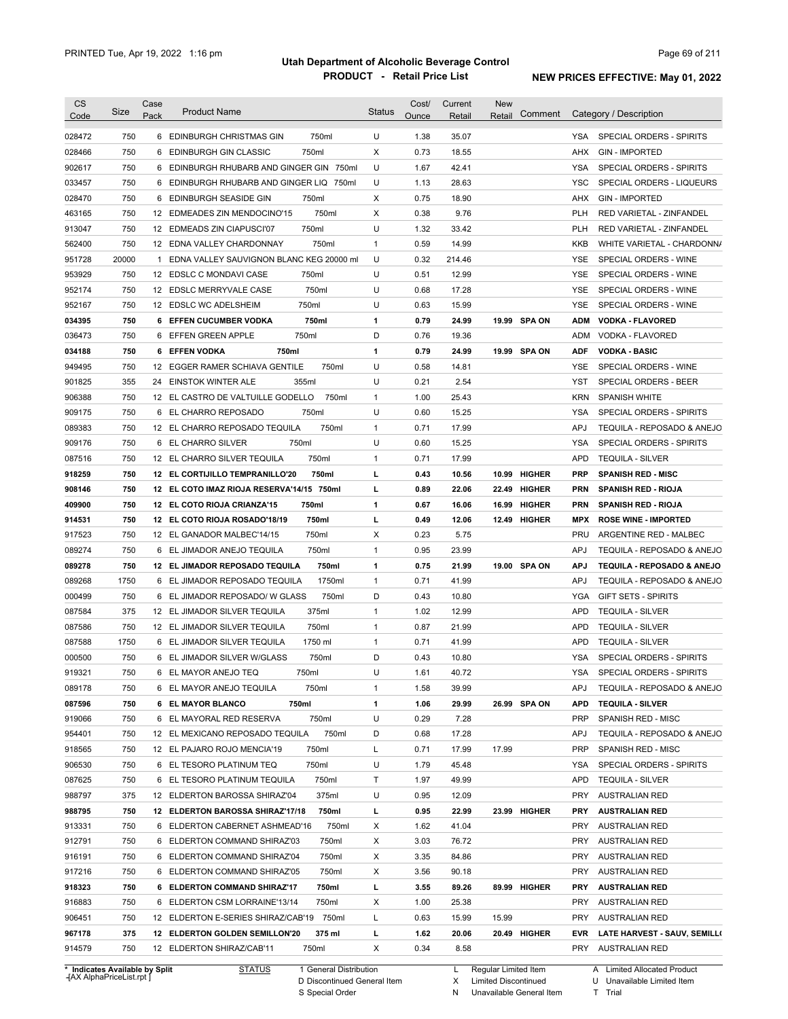| <b>CS</b><br>Code              | Size  | Case<br>Pack | <b>Product Name</b>                        | <b>Status</b> | Cost/<br>Ounce | Current<br>Retail | <b>New</b><br>Retail | Comment       |            | Category / Description       |
|--------------------------------|-------|--------------|--------------------------------------------|---------------|----------------|-------------------|----------------------|---------------|------------|------------------------------|
| 028472                         | 750   |              | 750ml<br>6 EDINBURGH CHRISTMAS GIN         | U             | 1.38           | 35.07             |                      |               | YSA        | SPECIAL ORDERS - SPIRITS     |
| 028466                         | 750   |              | 750ml<br>6 EDINBURGH GIN CLASSIC           | X             | 0.73           | 18.55             |                      |               | <b>AHX</b> | <b>GIN - IMPORTED</b>        |
| 902617                         | 750   |              | 6 EDINBURGH RHUBARB AND GINGER GIN 750ml   | U             | 1.67           | 42.41             |                      |               | <b>YSA</b> | SPECIAL ORDERS - SPIRITS     |
| 033457                         | 750   |              | 6 EDINBURGH RHUBARB AND GINGER LIQ 750ml   | U             | 1.13           | 28.63             |                      |               | <b>YSC</b> | SPECIAL ORDERS - LIQUEURS    |
| 028470                         | 750   |              | 6 EDINBURGH SEASIDE GIN<br>750ml           | X             | 0.75           | 18.90             |                      |               | AHX        | <b>GIN - IMPORTED</b>        |
| 463165                         | 750   |              | 750ml<br>12 EDMEADES ZIN MENDOCINO'15      | X             | 0.38           | 9.76              |                      |               | <b>PLH</b> | RED VARIETAL - ZINFANDEL     |
| 913047                         | 750   |              | 750ml<br>12 EDMEADS ZIN CIAPUSCI'07        | U             | 1.32           | 33.42             |                      |               | <b>PLH</b> | RED VARIETAL - ZINFANDEL     |
| 562400                         | 750   |              | 12 EDNA VALLEY CHARDONNAY<br>750ml         | $\mathbf{1}$  | 0.59           | 14.99             |                      |               | <b>KKB</b> | WHITE VARIETAL - CHARDONN/   |
| 951728                         | 20000 |              | 1 EDNA VALLEY SAUVIGNON BLANC KEG 20000 ml | U             | 0.32           | 214.46            |                      |               | <b>YSE</b> | SPECIAL ORDERS - WINE        |
| 953929                         | 750   |              | 12 EDSLC C MONDAVI CASE<br>750ml           | U             | 0.51           | 12.99             |                      |               | <b>YSE</b> | SPECIAL ORDERS - WINE        |
| 952174                         | 750   |              | 750ml<br>12 EDSLC MERRYVALE CASE           | U             | 0.68           | 17.28             |                      |               | <b>YSE</b> | SPECIAL ORDERS - WINE        |
| 952167                         | 750   |              | 750ml<br>12 EDSLC WC ADELSHEIM             | U             | 0.63           | 15.99             |                      |               | <b>YSE</b> | SPECIAL ORDERS - WINE        |
| 034395                         | 750   |              | 750ml<br>6 EFFEN CUCUMBER VODKA            | 1             | 0.79           | 24.99             |                      | 19.99 SPA ON  | ADM        | <b>VODKA - FLAVORED</b>      |
| 036473                         | 750   |              | 750ml<br>6 EFFEN GREEN APPLE               | D             | 0.76           | 19.36             |                      |               | <b>ADM</b> | VODKA - FLAVORED             |
| 034188                         | 750   |              | 750ml<br>6 EFFEN VODKA                     | 1             | 0.79           | 24.99             |                      | 19.99 SPA ON  | <b>ADF</b> | <b>VODKA - BASIC</b>         |
| 949495                         | 750   |              | 12 EGGER RAMER SCHIAVA GENTILE<br>750ml    | U             | 0.58           | 14.81             |                      |               | <b>YSE</b> | SPECIAL ORDERS - WINE        |
| 901825                         | 355   |              | 24 EINSTOK WINTER ALE<br>355ml             | U             | 0.21           | 2.54              |                      |               | YST        | SPECIAL ORDERS - BEER        |
| 906388                         | 750   | 12           | EL CASTRO DE VALTUILLE GODELLO<br>750ml    | $\mathbf{1}$  | 1.00           | 25.43             |                      |               | <b>KRN</b> | <b>SPANISH WHITE</b>         |
| 909175                         | 750   | 6            | EL CHARRO REPOSADO<br>750ml                | U             | 0.60           | 15.25             |                      |               | <b>YSA</b> | SPECIAL ORDERS - SPIRITS     |
| 089383                         | 750   | 12           | EL CHARRO REPOSADO TEQUILA<br>750ml        | 1             | 0.71           | 17.99             |                      |               | <b>APJ</b> | TEQUILA - REPOSADO & ANEJO   |
| 909176                         | 750   |              | 6 EL CHARRO SILVER<br>750ml                | U             | 0.60           | 15.25             |                      |               | <b>YSA</b> | SPECIAL ORDERS - SPIRITS     |
| 087516                         | 750   | 12           | 750ml<br>EL CHARRO SILVER TEQUILA          | 1             | 0.71           | 17.99             |                      |               | <b>APD</b> | <b>TEQUILA - SILVER</b>      |
| 918259                         | 750   |              | 12 EL CORTIJILLO TEMPRANILLO'20<br>750ml   | г             | 0.43           | 10.56             | 10.99                | <b>HIGHER</b> | <b>PRP</b> | <b>SPANISH RED - MISC</b>    |
| 908146                         | 750   |              | 12 EL COTO IMAZ RIOJA RESERVA'14/15 750ml  | г             | 0.89           | 22.06             | 22.49                | <b>HIGHER</b> | <b>PRN</b> | <b>SPANISH RED - RIOJA</b>   |
| 409900                         | 750   |              | 12 EL COTO RIOJA CRIANZA'15<br>750ml       | 1             | 0.67           | 16.06             | 16.99                | <b>HIGHER</b> | <b>PRN</b> | <b>SPANISH RED - RIOJA</b>   |
| 914531                         | 750   |              | 750ml<br>12 EL COTO RIOJA ROSADO'18/19     | г             | 0.49           | 12.06             |                      | 12.49 HIGHER  | <b>MPX</b> | <b>ROSE WINE - IMPORTED</b>  |
| 917523                         | 750   |              | 750ml<br>12 EL GANADOR MALBEC'14/15        | X             | 0.23           | 5.75              |                      |               | PRU        | ARGENTINE RED - MALBEC       |
| 089274                         | 750   | 6            | 750ml<br>EL JIMADOR ANEJO TEQUILA          | 1             | 0.95           | 23.99             |                      |               | <b>APJ</b> | TEQUILA - REPOSADO & ANEJO   |
| 089278                         | 750   |              | 750ml<br>12 EL JIMADOR REPOSADO TEQUILA    | 1             | 0.75           | 21.99             |                      | 19.00 SPA ON  | <b>APJ</b> | TEQUILA - REPOSADO & ANEJO   |
| 089268                         | 1750  |              | 1750ml<br>6 EL JIMADOR REPOSADO TEQUILA    | $\mathbf{1}$  | 0.71           | 41.99             |                      |               | <b>APJ</b> | TEQUILA - REPOSADO & ANEJO   |
| 000499                         | 750   | 6            | 750ml<br>EL JIMADOR REPOSADO/ W GLASS      | D             | 0.43           | 10.80             |                      |               | <b>YGA</b> | <b>GIFT SETS - SPIRITS</b>   |
| 087584                         | 375   |              | 375ml<br>12 EL JIMADOR SILVER TEQUILA      | $\mathbf{1}$  | 1.02           | 12.99             |                      |               | <b>APD</b> | <b>TEQUILA - SILVER</b>      |
| 087586                         | 750   |              | 12 EL JIMADOR SILVER TEQUILA<br>750ml      | $\mathbf{1}$  | 0.87           | 21.99             |                      |               | <b>APD</b> | <b>TEQUILA - SILVER</b>      |
| 087588                         | 1750  | 6            | EL JIMADOR SILVER TEQUILA<br>1750 ml       | $\mathbf{1}$  | 0.71           | 41.99             |                      |               | <b>APD</b> | <b>TEQUILA - SILVER</b>      |
| 000500                         | 750   |              | 6 EL JIMADOR SILVER W/GLASS<br>750ml       | D             | 0.43           | 10.80             |                      |               | <b>YSA</b> | SPECIAL ORDERS - SPIRITS     |
| 919321                         | 750   |              | 750ml<br>EL MAYOR ANEJO TEQ                | U             | 1.61           | 40.72             |                      |               | YSA        | SPECIAL ORDERS - SPIRITS     |
| 089178                         | 750   |              | 6 EL MAYOR ANEJO TEQUILA<br>750ml          | 1             | 1.58           | 39.99             |                      |               | APJ        | TEQUILA - REPOSADO & ANEJO   |
| 087596                         | 750   |              | 750ml<br>6 EL MAYOR BLANCO                 | 1             | 1.06           | 29.99             |                      | 26.99 SPA ON  | APD        | <b>TEQUILA - SILVER</b>      |
| 919066                         | 750   |              | 750ml<br>6 EL MAYORAL RED RESERVA          | U             | 0.29           | 7.28              |                      |               | PRP        | SPANISH RED - MISC           |
| 954401                         | 750   |              | 750ml<br>12 EL MEXICANO REPOSADO TEQUILA   | D             | 0.68           | 17.28             |                      |               | APJ        | TEQUILA - REPOSADO & ANEJO   |
| 918565                         | 750   |              | 750ml<br>12 EL PAJARO ROJO MENCIA'19       | L             | 0.71           | 17.99             | 17.99                |               | PRP        | SPANISH RED - MISC           |
| 906530                         | 750   |              | 750ml<br>6 EL TESORO PLATINUM TEQ          | U             | 1.79           | 45.48             |                      |               | YSA        | SPECIAL ORDERS - SPIRITS     |
| 087625                         | 750   |              | 750ml<br>6 EL TESORO PLATINUM TEQUILA      | т             | 1.97           | 49.99             |                      |               | <b>APD</b> | <b>TEQUILA - SILVER</b>      |
| 988797                         | 375   |              | 375ml<br>12 ELDERTON BAROSSA SHIRAZ'04     | U             | 0.95           | 12.09             |                      |               | PRY        | <b>AUSTRALIAN RED</b>        |
| 988795                         | 750   |              | 12 ELDERTON BAROSSA SHIRAZ'17/18<br>750ml  | L             | 0.95           | 22.99             |                      | 23.99 HIGHER  | PRY        | <b>AUSTRALIAN RED</b>        |
| 913331                         | 750   |              | 750ml<br>6 ELDERTON CABERNET ASHMEAD'16    | х             | 1.62           | 41.04             |                      |               | PRY        | <b>AUSTRALIAN RED</b>        |
| 912791                         | 750   |              | 750ml<br>6 ELDERTON COMMAND SHIRAZ'03      | х             | 3.03           | 76.72             |                      |               | PRY        | <b>AUSTRALIAN RED</b>        |
| 916191                         | 750   |              | 6 ELDERTON COMMAND SHIRAZ'04<br>750ml      | х             | 3.35           | 84.86             |                      |               | PRY        | <b>AUSTRALIAN RED</b>        |
| 917216                         | 750   |              | 750ml<br>6 ELDERTON COMMAND SHIRAZ'05      | х             | 3.56           | 90.18             |                      |               | PRY        | <b>AUSTRALIAN RED</b>        |
| 918323                         | 750   |              | 6 ELDERTON COMMAND SHIRAZ'17<br>750ml      | L             | 3.55           | 89.26             |                      | 89.99 HIGHER  | PRY        | <b>AUSTRALIAN RED</b>        |
| 916883                         | 750   |              | 6 ELDERTON CSM LORRAINE'13/14<br>750ml     | х             | 1.00           | 25.38             |                      |               | PRY        | <b>AUSTRALIAN RED</b>        |
| 906451                         | 750   |              | 12 ELDERTON E-SERIES SHIRAZ/CAB'19 750ml   | L             | 0.63           | 15.99             | 15.99                |               | PRY        | <b>AUSTRALIAN RED</b>        |
| 967178                         | 375   |              | 12 ELDERTON GOLDEN SEMILLON'20<br>375 ml   | L             | 1.62           | 20.06             |                      | 20.49 HIGHER  | EVR        | LATE HARVEST - SAUV, SEMILL( |
| 914579                         | 750   |              | 12 ELDERTON SHIRAZ/CAB'11<br>750ml         | X             | 0.34           | 8.58              |                      |               | PRY        | <b>AUSTRALIAN RED</b>        |
| * Indicates Available by Split |       |              | <b>STATUS</b><br>1 General Distribution    |               |                | L.                | Regular Limited Item |               |            | A Limited Allocated Product  |

**Case** [AX AlphaPriceList.rpt ]

D Discontinued General Item

S Special Order

X

N

Limited Discontinued Unavailable General Item

U Unavailable Limited Item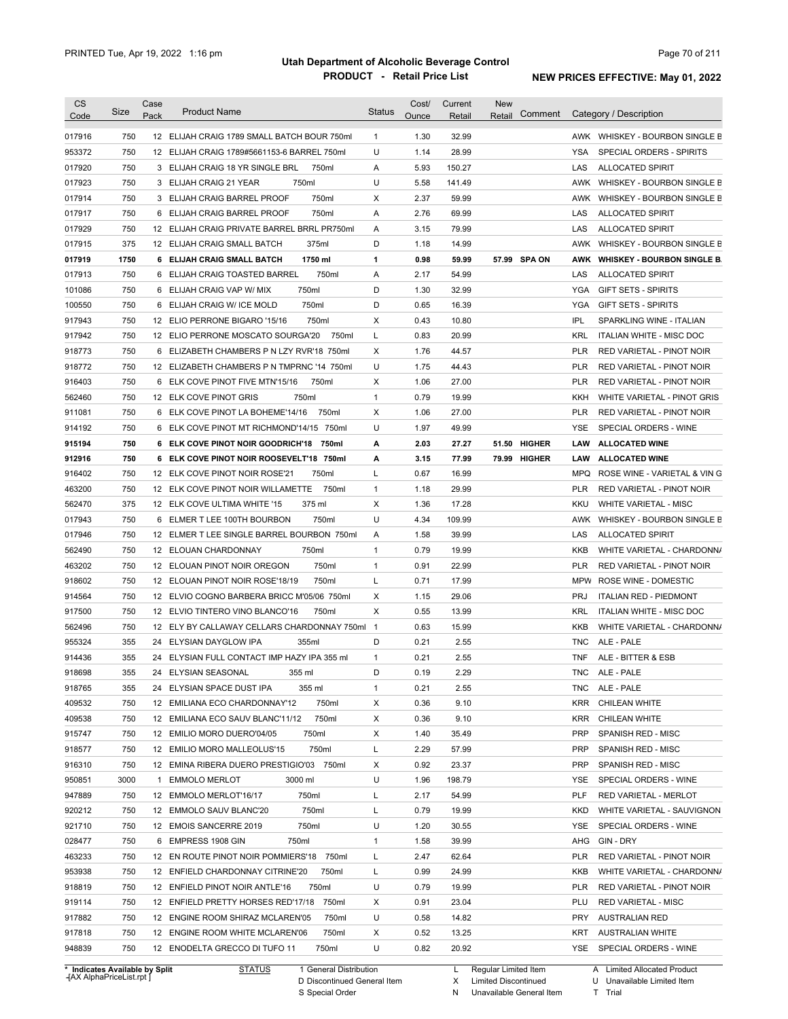| CS<br>Code       | Size | Case<br>Pack | <b>Product Name</b>                         | <b>Status</b>  | Cost/<br>Ounce | Current<br>Retail | <b>New</b><br>Retail | Comment      |            | Category / Description             |
|------------------|------|--------------|---------------------------------------------|----------------|----------------|-------------------|----------------------|--------------|------------|------------------------------------|
| 017916           | 750  |              | 12 ELIJAH CRAIG 1789 SMALL BATCH BOUR 750ml | $\mathbf{1}$   | 1.30           | 32.99             |                      |              |            | AWK WHISKEY - BOURBON SINGLE B     |
| 953372           | 750  |              | 12 ELIJAH CRAIG 1789#5661153-6 BARREL 750ml | U              | 1.14           | 28.99             |                      |              | <b>YSA</b> | SPECIAL ORDERS - SPIRITS           |
| 017920           | 750  |              | 3 ELIJAH CRAIG 18 YR SINGLE BRL<br>750ml    | A              | 5.93           | 150.27            |                      |              | LAS        | <b>ALLOCATED SPIRIT</b>            |
| 017923           | 750  |              | 750ml<br>3 ELIJAH CRAIG 21 YEAR             | U              | 5.58           | 141.49            |                      |              |            | AWK WHISKEY - BOURBON SINGLE B     |
| 017914           | 750  |              | 750ml<br>3 ELIJAH CRAIG BARREL PROOF        | Χ              | 2.37           | 59.99             |                      |              |            | AWK WHISKEY - BOURBON SINGLE B     |
| 017917           | 750  | 6            | ELIJAH CRAIG BARREL PROOF<br>750ml          | Α              | 2.76           | 69.99             |                      |              | LAS        | <b>ALLOCATED SPIRIT</b>            |
| 017929           | 750  |              | 12 ELIJAH CRAIG PRIVATE BARREL BRRL PR750ml | Α              | 3.15           | 79.99             |                      |              | LAS        | <b>ALLOCATED SPIRIT</b>            |
| 017915           | 375  |              | 12 ELIJAH CRAIG SMALL BATCH<br>375ml        | D              | 1.18           | 14.99             |                      |              | AWK        | WHISKEY - BOURBON SINGLE B         |
| 017919           | 1750 |              | 6 ELIJAH CRAIG SMALL BATCH<br>1750 ml       | 1              | 0.98           | 59.99             |                      | 57.99 SPA ON | AWK        | <b>WHISKEY - BOURBON SINGLE B.</b> |
| 017913           | 750  | 6            | ELIJAH CRAIG TOASTED BARREL<br>750ml        | Α              | 2.17           | 54.99             |                      |              | LAS        | <b>ALLOCATED SPIRIT</b>            |
| 101086           | 750  | 6            | 750ml<br>ELIJAH CRAIG VAP W/ MIX            | D              | 1.30           | 32.99             |                      |              | <b>YGA</b> | <b>GIFT SETS - SPIRITS</b>         |
| 100550           | 750  | 6            | 750ml<br>ELIJAH CRAIG W/ ICE MOLD           | D              | 0.65           | 16.39             |                      |              | <b>YGA</b> | <b>GIFT SETS - SPIRITS</b>         |
| 917943           | 750  |              | 750ml<br>12 ELIO PERRONE BIGARO '15/16      | Χ              | 0.43           | 10.80             |                      |              | <b>IPL</b> | SPARKLING WINE - ITALIAN           |
| 917942           | 750  |              | 12 ELIO PERRONE MOSCATO SOURGA'20<br>750ml  | L              | 0.83           | 20.99             |                      |              | <b>KRL</b> | ITALIAN WHITE - MISC DOC           |
| 918773           | 750  | 6            | ELIZABETH CHAMBERS P N LZY RVR'18 750ml     | X              | 1.76           | 44.57             |                      |              | <b>PLR</b> | RED VARIETAL - PINOT NOIR          |
| 918772           | 750  |              | 12 ELIZABETH CHAMBERS P N TMPRNC '14 750ml  | U              | 1.75           | 44.43             |                      |              | <b>PLR</b> | RED VARIETAL - PINOT NOIR          |
| 916403           | 750  | 6            | ELK COVE PINOT FIVE MTN'15/16<br>750ml      | X              | 1.06           | 27.00             |                      |              | <b>PLR</b> | RED VARIETAL - PINOT NOIR          |
| 562460           | 750  |              | 750ml<br>12 ELK COVE PINOT GRIS             | $\mathbf{1}$   | 0.79           | 19.99             |                      |              | KKH        | WHITE VARIETAL - PINOT GRIS        |
| 911081           | 750  |              | 6 ELK COVE PINOT LA BOHEME'14/16<br>750ml   | Χ              | 1.06           | 27.00             |                      |              | PLR        | RED VARIETAL - PINOT NOIR          |
| 914192           | 750  |              | 6 ELK COVE PINOT MT RICHMOND'14/15 750ml    | U              | 1.97           | 49.99             |                      |              | YSE        | SPECIAL ORDERS - WINE              |
| 915194           | 750  |              | 6 ELK COVE PINOT NOIR GOODRICH'18 750ml     | А              | 2.03           | 27.27             |                      | 51.50 HIGHER | LAW        | <b>ALLOCATED WINE</b>              |
| 912916           | 750  | 6            | ELK COVE PINOT NOIR ROOSEVELT'18 750ml      | А              | 3.15           | 77.99             |                      | 79.99 HIGHER | LAW        | <b>ALLOCATED WINE</b>              |
| 916402           | 750  |              | 12 ELK COVE PINOT NOIR ROSE'21<br>750ml     | L              | 0.67           | 16.99             |                      |              | MPQ        | ROSE WINE - VARIETAL & VIN G       |
| 463200           | 750  |              | 12 ELK COVE PINOT NOIR WILLAMETTE<br>750ml  | $\mathbf{1}$   | 1.18           | 29.99             |                      |              | PLR        | RED VARIETAL - PINOT NOIR          |
| 562470           | 375  |              | 12 ELK COVE ULTIMA WHITE '15<br>375 ml      | Χ              | 1.36           | 17.28             |                      |              | KKU        | <b>WHITE VARIETAL - MISC</b>       |
| 017943           | 750  | 6            | 750ml<br>ELMER T LEE 100TH BOURBON          | U              | 4.34           | 109.99            |                      |              | AWK        | WHISKEY - BOURBON SINGLE B         |
| 017946           | 750  |              | 12 ELMER T LEE SINGLE BARREL BOURBON 750ml  | Α              | 1.58           | 39.99             |                      |              | LAS        | <b>ALLOCATED SPIRIT</b>            |
| 562490           | 750  | 12           | 750ml<br>ELOUAN CHARDONNAY                  | $\mathbf{1}$   | 0.79           | 19.99             |                      |              | <b>KKB</b> | WHITE VARIETAL - CHARDONN/         |
| 463202           | 750  |              | 750ml<br>12 ELOUAN PINOT NOIR OREGON        | $\mathbf{1}$   | 0.91           | 22.99             |                      |              | <b>PLR</b> | RED VARIETAL - PINOT NOIR          |
| 918602           | 750  |              | 750ml<br>12 ELOUAN PINOT NOIR ROSE'18/19    | Г              | 0.71           | 17.99             |                      |              | <b>MPW</b> | ROSE WINE - DOMESTIC               |
| 914564           | 750  |              | 12 ELVIO COGNO BARBERA BRICC M'05/06 750ml  | X              | 1.15           | 29.06             |                      |              | <b>PRJ</b> | <b>ITALIAN RED - PIEDMONT</b>      |
| 917500           | 750  |              | 750ml<br>12 ELVIO TINTERO VINO BLANCO'16    | X              | 0.55           | 13.99             |                      |              | <b>KRL</b> | <b>ITALIAN WHITE - MISC DOC</b>    |
| 562496           | 750  |              | 12 ELY BY CALLAWAY CELLARS CHARDONNAY 750ml | $\overline{1}$ | 0.63           | 15.99             |                      |              | KKB        | WHITE VARIETAL - CHARDONN/         |
|                  | 355  |              | 24 ELYSIAN DAYGLOW IPA                      | D              | 0.21           | 2.55              |                      |              |            | ALE - PALE                         |
| 955324           |      |              | 355ml                                       |                |                |                   |                      |              | TNC        |                                    |
| 914436           | 355  |              | 24 ELYSIAN FULL CONTACT IMP HAZY IPA 355 ml | 1              | 0.21           | 2.55              |                      |              | TNF        | ALE - BITTER & ESB                 |
| 918698           | 355  |              | 24 ELYSIAN SEASONAL<br>355 ml               | D              | 0.19           | 2.29              |                      |              |            | TNC ALE - PALE                     |
| 918765           | 355  |              | 24 ELYSIAN SPACE DUST IPA<br>355 ml         | $\mathbf{1}$   | 0.21           | 2.55              |                      |              | TNC        | ALE - PALE                         |
| 409532           | 750  |              | 12 EMILIANA ECO CHARDONNAY'12<br>750ml      | Х              | 0.36           | 9.10              |                      |              | KRR        | CHILEAN WHITE                      |
| 409538           | 750  |              | 750ml<br>12 EMILIANA ECO SAUV BLANC'11/12   | Х              | 0.36           | 9.10              |                      |              | KRR        | CHILEAN WHITE                      |
| 915747           | 750  |              | 750ml<br>12 EMILIO MORO DUERO'04/05         | Х              | 1.40           | 35.49             |                      |              | <b>PRP</b> | SPANISH RED - MISC                 |
| 918577           | 750  |              | 750ml<br>12 EMILIO MORO MALLEOLUS'15        | L              | 2.29           | 57.99             |                      |              | PRP        | SPANISH RED - MISC                 |
| 916310           | 750  |              | 12 EMINA RIBERA DUERO PRESTIGIO'03 750ml    | Х              | 0.92           | 23.37             |                      |              | <b>PRP</b> | SPANISH RED - MISC                 |
| 950851           | 3000 | 1            | <b>EMMOLO MERLOT</b><br>3000 ml             | U              | 1.96           | 198.79            |                      |              | YSE        | SPECIAL ORDERS - WINE              |
| 947889           | 750  |              | 12 EMMOLO MERLOT'16/17<br>750ml             | L              | 2.17           | 54.99             |                      |              | <b>PLF</b> | RED VARIETAL - MERLOT              |
| 920212           | 750  |              | 750ml<br>12 EMMOLO SAUV BLANC'20            | Г              | 0.79           | 19.99             |                      |              | KKD        | WHITE VARIETAL - SAUVIGNON         |
| 921710           | 750  |              | 750ml<br>12 EMOIS SANCERRE 2019             | U              | 1.20           | 30.55             |                      |              | YSE        | SPECIAL ORDERS - WINE              |
| 028477           | 750  |              | 750ml<br>6 EMPRESS 1908 GIN                 | $\mathbf{1}$   | 1.58           | 39.99             |                      |              | AHG        | GIN - DRY                          |
| 463233           | 750  |              | 12 EN ROUTE PINOT NOIR POMMIERS'18 750ml    | L              | 2.47           | 62.64             |                      |              | PLR        | RED VARIETAL - PINOT NOIR          |
| 953938           | 750  |              | 12 ENFIELD CHARDONNAY CITRINE'20<br>750ml   | L              | 0.99           | 24.99             |                      |              | KKB        | WHITE VARIETAL - CHARDONN/         |
| 918819           | 750  |              | 750ml<br>12 ENFIELD PINOT NOIR ANTLE'16     | U              | 0.79           | 19.99             |                      |              | PLR        | RED VARIETAL - PINOT NOIR          |
|                  | 750  |              | 12 ENFIELD PRETTY HORSES RED'17/18<br>750ml | Х              | 0.91           | 23.04             |                      |              | PLU        | <b>RED VARIETAL - MISC</b>         |
|                  |      |              |                                             |                |                |                   |                      |              |            | <b>AUSTRALIAN RED</b>              |
| 919114<br>917882 | 750  |              | 12 ENGINE ROOM SHIRAZ MCLAREN'05<br>750ml   | U              | 0.58           | 14.82             |                      |              | PRY        |                                    |
| 917818           | 750  |              | 12 ENGINE ROOM WHITE MCLAREN'06<br>750ml    | Х              | 0.52           | 13.25             |                      |              | KRT        | <b>AUSTRALIAN WHITE</b>            |

**Case** [AX AlphaPriceList.rpt ]

D Discontinued General Item S Special Order

X N Limited Discontinued

Unavailable General Item

U Unavailable Limited Item

T Trial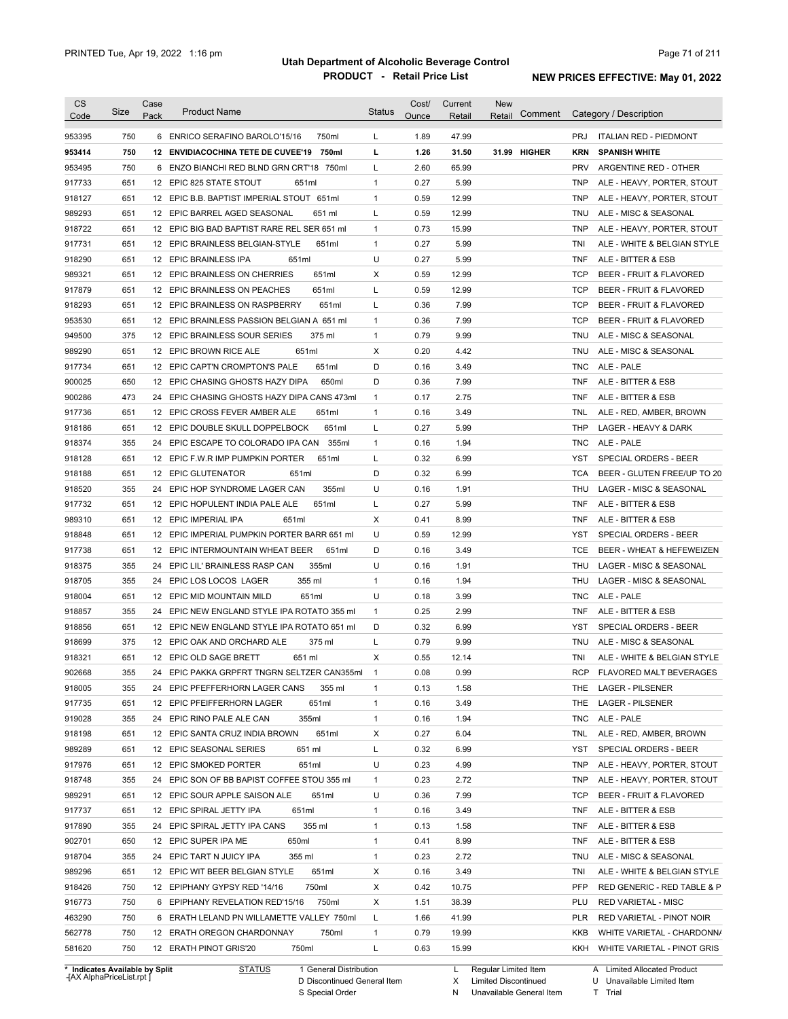| CS     | <b>Size</b>                    | Case | <b>Product Name</b>                         | <b>Status</b> | Cost/ | Current | <b>New</b><br>Comment  |            | Category / Description        |
|--------|--------------------------------|------|---------------------------------------------|---------------|-------|---------|------------------------|------------|-------------------------------|
| Code   |                                | Pack |                                             |               | Ounce | Retail  | Retail                 |            |                               |
| 953395 | 750                            |      | 6 ENRICO SERAFINO BAROLO'15/16<br>750ml     | L             | 1.89  | 47.99   |                        | <b>PRJ</b> | <b>ITALIAN RED - PIEDMONT</b> |
| 953414 | 750                            |      | 12 ENVIDIACOCHINA TETE DE CUVEE'19<br>750ml | г             | 1.26  | 31.50   | 31.99<br><b>HIGHER</b> | KRN        | <b>SPANISH WHITE</b>          |
| 953495 | 750                            |      | 6 ENZO BIANCHI RED BLND GRN CRT'18<br>750ml | L             | 2.60  | 65.99   |                        | <b>PRV</b> | ARGENTINE RED - OTHER         |
| 917733 | 651                            |      | 12 EPIC 825 STATE STOUT<br>651ml            | $\mathbf{1}$  | 0.27  | 5.99    |                        | TNP        | ALE - HEAVY, PORTER, STOUT    |
| 918127 | 651                            |      | 12 EPIC B.B. BAPTIST IMPERIAL STOUT 651ml   | $\mathbf{1}$  | 0.59  | 12.99   |                        | <b>TNP</b> | ALE - HEAVY, PORTER, STOUT    |
| 989293 | 651                            |      | 12 EPIC BARREL AGED SEASONAL<br>651 ml      | L             | 0.59  | 12.99   |                        | TNU        | ALE - MISC & SEASONAL         |
| 918722 | 651                            |      | 12 EPIC BIG BAD BAPTIST RARE REL SER 651 ml | $\mathbf{1}$  | 0.73  | 15.99   |                        | <b>TNP</b> | ALE - HEAVY, PORTER, STOUT    |
| 917731 | 651                            |      | 12 EPIC BRAINLESS BELGIAN-STYLE<br>651ml    | $\mathbf{1}$  | 0.27  | 5.99    |                        | TNI        | ALE - WHITE & BELGIAN STYLE   |
| 918290 | 651                            |      | 12 EPIC BRAINLESS IPA<br>651ml              | U             | 0.27  | 5.99    |                        | TNF        | ALE - BITTER & ESB            |
| 989321 | 651                            |      | 12 EPIC BRAINLESS ON CHERRIES<br>651ml      | Х             | 0.59  | 12.99   |                        | <b>TCP</b> | BEER - FRUIT & FLAVORED       |
| 917879 | 651                            |      | 651ml<br>12 EPIC BRAINLESS ON PEACHES       | Г             | 0.59  | 12.99   |                        | <b>TCP</b> | BEER - FRUIT & FLAVORED       |
| 918293 | 651                            |      | 12 EPIC BRAINLESS ON RASPBERRY<br>651ml     | Г             | 0.36  | 7.99    |                        | <b>TCP</b> | BEER - FRUIT & FLAVORED       |
| 953530 | 651                            |      | 12 EPIC BRAINLESS PASSION BELGIAN A 651 ml  | $\mathbf{1}$  | 0.36  | 7.99    |                        | <b>TCP</b> | BEER - FRUIT & FLAVORED       |
| 949500 | 375                            |      | 12 EPIC BRAINLESS SOUR SERIES<br>375 ml     | $\mathbf{1}$  | 0.79  | 9.99    |                        | TNU        | ALE - MISC & SEASONAL         |
| 989290 | 651                            |      | 651ml<br>12 EPIC BROWN RICE ALE             | Χ             | 0.20  | 4.42    |                        | TNU        | ALE - MISC & SEASONAL         |
| 917734 | 651                            |      | 651ml<br>12 EPIC CAPT'N CROMPTON'S PALE     | D             | 0.16  | 3.49    |                        | TNC        | ALE - PALE                    |
| 900025 | 650                            |      | 12 EPIC CHASING GHOSTS HAZY DIPA<br>650ml   | D             | 0.36  | 7.99    |                        | TNF        | ALE - BITTER & ESB            |
| 900286 | 473                            |      | 24 EPIC CHASING GHOSTS HAZY DIPA CANS 473ml | $\mathbf{1}$  | 0.17  | 2.75    |                        | TNF        | ALE - BITTER & ESB            |
| 917736 | 651                            |      | 12 EPIC CROSS FEVER AMBER ALE<br>651ml      | $\mathbf{1}$  | 0.16  | 3.49    |                        | TNL        | ALE - RED, AMBER, BROWN       |
| 918186 | 651                            |      | 12 EPIC DOUBLE SKULL DOPPELBOCK<br>651ml    | L             | 0.27  | 5.99    |                        | THP        | LAGER - HEAVY & DARK          |
| 918374 | 355                            |      | 24 EPIC ESCAPE TO COLORADO IPA CAN<br>355ml | $\mathbf{1}$  | 0.16  | 1.94    |                        | TNC.       | ALE - PALE                    |
| 918128 | 651                            |      | 12 EPIC F.W.R IMP PUMPKIN PORTER<br>651ml   | Г             | 0.32  | 6.99    |                        | YST        | SPECIAL ORDERS - BEER         |
|        | 651                            |      |                                             | D             | 0.32  | 6.99    |                        |            |                               |
| 918188 |                                |      | 12 EPIC GLUTENATOR<br>651ml                 |               |       |         |                        | TCA        | BEER - GLUTEN FREE/UP TO 20   |
| 918520 | 355                            |      | 24 EPIC HOP SYNDROME LAGER CAN<br>355ml     | U             | 0.16  | 1.91    |                        | THU        | LAGER - MISC & SEASONAL       |
| 917732 | 651                            |      | 12 EPIC HOPULENT INDIA PALE ALE<br>651ml    | Г             | 0.27  | 5.99    |                        | TNF        | ALE - BITTER & ESB            |
| 989310 | 651                            |      | 12 EPIC IMPERIAL IPA<br>651ml               | Χ             | 0.41  | 8.99    |                        | TNF        | ALE - BITTER & ESB            |
| 918848 | 651                            |      | 12 EPIC IMPERIAL PUMPKIN PORTER BARR 651 ml | U             | 0.59  | 12.99   |                        | YST        | SPECIAL ORDERS - BEER         |
| 917738 | 651                            |      | 12 EPIC INTERMOUNTAIN WHEAT BEER<br>651ml   | D             | 0.16  | 3.49    |                        | TCE        | BEER - WHEAT & HEFEWEIZEN     |
| 918375 | 355                            |      | 24 EPIC LIL' BRAINLESS RASP CAN<br>355ml    | U             | 0.16  | 1.91    |                        | THU        | LAGER - MISC & SEASONAL       |
| 918705 | 355                            |      | 24 EPIC LOS LOCOS LAGER<br>355 ml           | $\mathbf{1}$  | 0.16  | 1.94    |                        | THU        | LAGER - MISC & SEASONAL       |
| 918004 | 651                            |      | 651ml<br>12 EPIC MID MOUNTAIN MILD          | U             | 0.18  | 3.99    |                        | TNC        | ALE - PALE                    |
| 918857 | 355                            |      | 24 EPIC NEW ENGLAND STYLE IPA ROTATO 355 ml | $\mathbf{1}$  | 0.25  | 2.99    |                        | TNF        | ALE - BITTER & ESB            |
| 918856 | 651                            |      | 12 EPIC NEW ENGLAND STYLE IPA ROTATO 651 ml | D             | 0.32  | 6.99    |                        | YST        | SPECIAL ORDERS - BEER         |
| 918699 | 375                            |      | 12 EPIC OAK AND ORCHARD ALE<br>375 ml       | Г             | 0.79  | 9.99    |                        | TNU        | ALE - MISC & SEASONAL         |
| 918321 | 651                            |      | 12 EPIC OLD SAGE BRETT<br>651 ml            | X             | 0.55  | 12.14   |                        | TNI        | ALE - WHITE & BELGIAN STYLE   |
| 902668 | 355                            |      | 24 EPIC PAKKA GRPFRT TNGRN SELTZER CAN355ml | 1             | 0.08  | 0.99    |                        | <b>RCP</b> | FLAVORED MALT BEVERAGES       |
| 918005 | 355                            |      | 24 EPIC PFEFFERHORN LAGER CANS<br>355 ml    | $\mathbf{1}$  | 0.13  | 1.58    |                        | THE.       | LAGER - PILSENER              |
| 917735 | 651                            |      | 12 EPIC PFEIFFERHORN LAGER<br>651ml         | 1             | 0.16  | 3.49    |                        | THE        | <b>LAGER - PILSENER</b>       |
| 919028 | 355                            |      | 24 EPIC RINO PALE ALE CAN<br>355ml          | 1             | 0.16  | 1.94    |                        | TNC        | ALE - PALE                    |
| 918198 | 651                            |      | 12 EPIC SANTA CRUZ INDIA BROWN<br>651ml     | х             | 0.27  | 6.04    |                        | TNL        | ALE - RED, AMBER, BROWN       |
| 989289 | 651                            |      | 12 EPIC SEASONAL SERIES<br>651 ml           | L             | 0.32  | 6.99    |                        | YST        | SPECIAL ORDERS - BEER         |
| 917976 | 651                            |      | 12 EPIC SMOKED PORTER<br>651ml              | U             | 0.23  | 4.99    |                        | <b>TNP</b> | ALE - HEAVY, PORTER, STOUT    |
| 918748 | 355                            |      | 24 EPIC SON OF BB BAPIST COFFEE STOU 355 ml | $\mathbf{1}$  | 0.23  | 2.72    |                        | <b>TNP</b> | ALE - HEAVY, PORTER, STOUT    |
| 989291 | 651                            |      | 12 EPIC SOUR APPLE SAISON ALE<br>651ml      | U             | 0.36  | 7.99    |                        | <b>TCP</b> | BEER - FRUIT & FLAVORED       |
| 917737 | 651                            |      | 12 EPIC SPIRAL JETTY IPA<br>651ml           | $\mathbf{1}$  | 0.16  | 3.49    |                        | TNF        | ALE - BITTER & ESB            |
| 917890 | 355                            |      | 355 ml<br>24 EPIC SPIRAL JETTY IPA CANS     | 1             | 0.13  | 1.58    |                        | TNF        | ALE - BITTER & ESB            |
| 902701 | 650                            |      | 12 EPIC SUPER IPA ME<br>650ml               | 1             | 0.41  | 8.99    |                        | TNF        | ALE - BITTER & ESB            |
| 918704 | 355                            |      | 24 EPIC TART N JUICY IPA<br>355 ml          | $\mathbf{1}$  | 0.23  | 2.72    |                        | TNU        | ALE - MISC & SEASONAL         |
| 989296 | 651                            |      | 12 EPIC WIT BEER BELGIAN STYLE<br>651ml     | Х             | 0.16  | 3.49    |                        | TNI        | ALE - WHITE & BELGIAN STYLE   |
| 918426 | 750                            |      |                                             | Х             |       |         |                        | PFP        |                               |
|        |                                |      | 12 EPIPHANY GYPSY RED '14/16<br>750ml       |               | 0.42  | 10.75   |                        |            | RED GENERIC - RED TABLE & P   |
| 916773 | 750                            |      | 6 EPIPHANY REVELATION RED'15/16<br>750ml    | Х             | 1.51  | 38.39   |                        | PLU        | <b>RED VARIETAL - MISC</b>    |
| 463290 | 750                            |      | 6 ERATH LELAND PN WILLAMETTE VALLEY 750ml   | L             | 1.66  | 41.99   |                        | PLR        | RED VARIETAL - PINOT NOIR     |
| 562778 | 750                            |      | 12 ERATH OREGON CHARDONNAY<br>750ml         | $\mathbf{1}$  | 0.79  | 19.99   |                        | KKB        | WHITE VARIETAL - CHARDONN/    |
| 581620 | 750                            |      | 750ml<br>12 ERATH PINOT GRIS'20             | Г             | 0.63  | 15.99   |                        | <b>KKH</b> | WHITE VARIETAL - PINOT GRIS   |
|        | * Indicates Available by Split |      | <b>STATUS</b><br>1 General Distribution     |               |       | L       | Regular Limited Item   |            | A Limited Allocated Product   |

**Case** [AX AlphaPriceList.rpt ]

D Discontinued General Item

S Special Order

X N Limited Discontinued

Unavailable General Item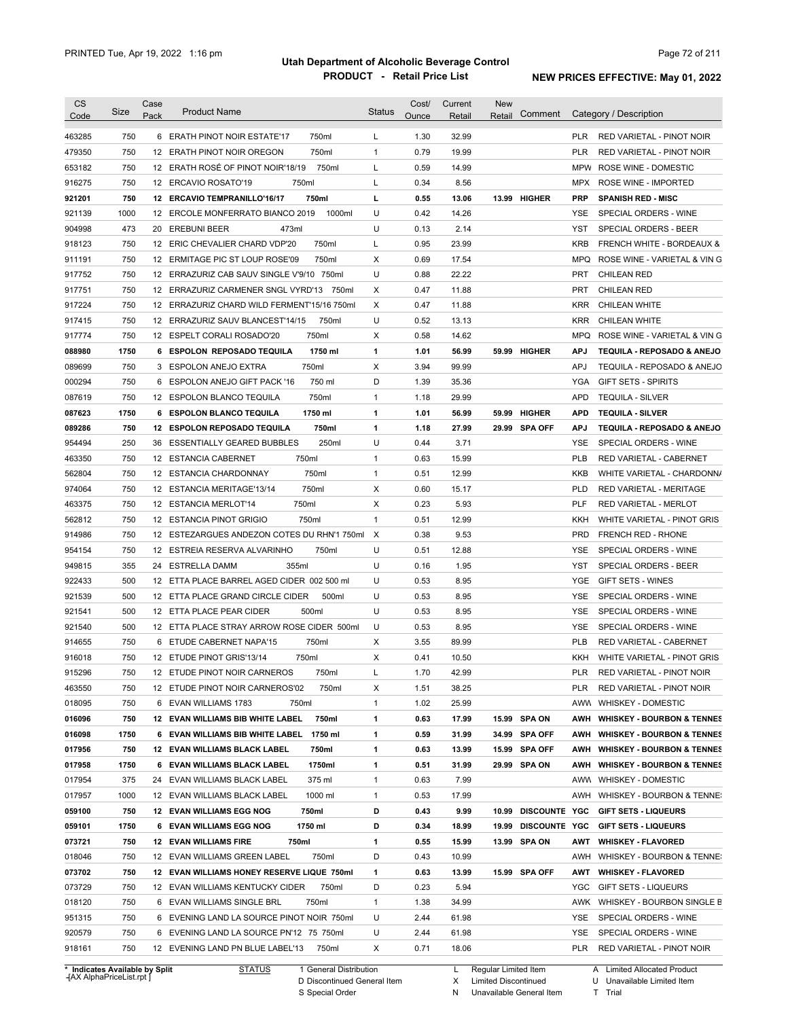| <b>CS</b>                            | Size | Case | <b>Product Name</b>                          | <b>Status</b> | Cost/ | Current | <b>New</b> |                     |            |                                |
|--------------------------------------|------|------|----------------------------------------------|---------------|-------|---------|------------|---------------------|------------|--------------------------------|
| Code                                 |      | Pack |                                              |               | Ounce | Retail  | Retail     | Comment             |            | Category / Description         |
| 463285                               | 750  |      | 750ml<br>6 ERATH PINOT NOIR ESTATE'17        | L             | 1.30  | 32.99   |            |                     | <b>PLR</b> | RED VARIETAL - PINOT NOIR      |
| 479350                               | 750  |      | 750ml<br>12 ERATH PINOT NOIR OREGON          | $\mathbf{1}$  | 0.79  | 19.99   |            |                     | <b>PLR</b> | RED VARIETAL - PINOT NOIR      |
| 653182                               | 750  |      | 12 ERATH ROSÉ OF PINOT NOIR'18/19<br>750ml   | Г             | 0.59  | 14.99   |            |                     | MPW        | ROSE WINE - DOMESTIC           |
| 916275                               | 750  |      | 750ml<br>12 ERCAVIO ROSATO'19                | L             | 0.34  | 8.56    |            |                     | MPX        | <b>ROSE WINE - IMPORTED</b>    |
| 921201                               | 750  |      | 750ml<br>12 ERCAVIO TEMPRANILLO'16/17        | г             | 0.55  | 13.06   |            | 13.99 HIGHER        | <b>PRP</b> | <b>SPANISH RED - MISC</b>      |
| 921139                               | 1000 |      | 1000ml<br>12 ERCOLE MONFERRATO BIANCO 2019   | U             | 0.42  | 14.26   |            |                     | <b>YSE</b> | SPECIAL ORDERS - WINE          |
| 904998                               | 473  |      | 473ml<br>20 EREBUNI BEER                     | U             | 0.13  | 2.14    |            |                     | YST        | SPECIAL ORDERS - BEER          |
| 918123                               | 750  |      | 12 ERIC CHEVALIER CHARD VDP'20<br>750ml      | Г             | 0.95  | 23.99   |            |                     | <b>KRB</b> | FRENCH WHITE - BORDEAUX &      |
| 911191                               | 750  |      | 750ml<br>12 ERMITAGE PIC ST LOUP ROSE'09     | Χ             | 0.69  | 17.54   |            |                     | <b>MPQ</b> | ROSE WINE - VARIETAL & VIN G   |
| 917752                               | 750  |      | 12 ERRAZURIZ CAB SAUV SINGLE V'9/10 750ml    | U             | 0.88  | 22.22   |            |                     | <b>PRT</b> | <b>CHILEAN RED</b>             |
| 917751                               | 750  |      | 12 ERRAZURIZ CARMENER SNGL VYRD'13<br>750ml  | Χ             | 0.47  | 11.88   |            |                     | <b>PRT</b> | <b>CHILEAN RED</b>             |
| 917224                               | 750  |      | 12 ERRAZURIZ CHARD WILD FERMENT'15/16 750ml  | Χ             | 0.47  | 11.88   |            |                     | <b>KRR</b> | <b>CHILEAN WHITE</b>           |
| 917415                               | 750  |      | 12 ERRAZURIZ SAUV BLANCEST'14/15<br>750ml    | U             | 0.52  | 13.13   |            |                     | <b>KRR</b> | CHILEAN WHITE                  |
| 917774                               | 750  |      | 750ml<br>12 ESPELT CORALI ROSADO'20          | Χ             | 0.58  | 14.62   |            |                     | <b>MPQ</b> | ROSE WINE - VARIETAL & VIN G   |
| 088980                               | 1750 |      | 6 ESPOLON REPOSADO TEQUILA<br>1750 ml        | 1             | 1.01  | 56.99   |            | 59.99 HIGHER        | <b>APJ</b> | TEQUILA - REPOSADO & ANEJO     |
| 089699                               | 750  | 3    | 750ml<br><b>ESPOLON ANEJO EXTRA</b>          | Χ             | 3.94  | 99.99   |            |                     | <b>APJ</b> | TEQUILA - REPOSADO & ANEJO     |
| 000294                               | 750  | 6    | 750 ml<br><b>ESPOLON ANEJO GIFT PACK '16</b> | D             | 1.39  | 35.36   |            |                     | YGA        | <b>GIFT SETS - SPIRITS</b>     |
| 087619                               | 750  | 12   | 750ml<br><b>ESPOLON BLANCO TEQUILA</b>       | $\mathbf{1}$  | 1.18  | 29.99   |            |                     | <b>APD</b> | <b>TEQUILA - SILVER</b>        |
| 087623                               | 1750 |      | 6 ESPOLON BLANCO TEQUILA<br>1750 ml          | 1             | 1.01  | 56.99   |            | 59.99 HIGHER        | <b>APD</b> | <b>TEQUILA - SILVER</b>        |
| 089286                               | 750  |      | 750ml<br>12 ESPOLON REPOSADO TEQUILA         | 1             | 1.18  | 27.99   |            | 29.99 SPA OFF       | <b>APJ</b> | TEQUILA - REPOSADO & ANEJO     |
| 954494                               | 250  | 36   | 250ml<br><b>ESSENTIALLY GEARED BUBBLES</b>   | U             | 0.44  | 3.71    |            |                     | <b>YSE</b> | SPECIAL ORDERS - WINE          |
| 463350                               | 750  |      | 750ml<br>12 ESTANCIA CABERNET                | $\mathbf{1}$  | 0.63  | 15.99   |            |                     | <b>PLB</b> | RED VARIETAL - CABERNET        |
| 562804                               | 750  | 12   | 750ml<br>ESTANCIA CHARDONNAY                 | $\mathbf{1}$  | 0.51  | 12.99   |            |                     | <b>KKB</b> | WHITE VARIETAL - CHARDONN/     |
| 974064                               | 750  | 12   | 750ml<br><b>ESTANCIA MERITAGE'13/14</b>      | Х             | 0.60  | 15.17   |            |                     | <b>PLD</b> | RED VARIETAL - MERITAGE        |
| 463375                               | 750  |      | 750ml<br>12 ESTANCIA MERLOT'14               | Х             | 0.23  | 5.93    |            |                     | <b>PLF</b> | RED VARIETAL - MERLOT          |
| 562812                               | 750  |      | 750ml<br>12 ESTANCIA PINOT GRIGIO            | $\mathbf{1}$  | 0.51  | 12.99   |            |                     | KKH        | WHITE VARIETAL - PINOT GRIS    |
| 914986                               | 750  |      | 12 ESTEZARGUES ANDEZON COTES DU RHN'1 750ml  | X             | 0.38  | 9.53    |            |                     | <b>PRD</b> | <b>FRENCH RED - RHONE</b>      |
| 954154                               | 750  |      | 750ml<br>12 ESTREIA RESERVA ALVARINHO        | U             | 0.51  | 12.88   |            |                     | <b>YSE</b> | SPECIAL ORDERS - WINE          |
| 949815                               | 355  | 24   | 355ml<br><b>ESTRELLA DAMM</b>                | U             | 0.16  | 1.95    |            |                     | YST        | SPECIAL ORDERS - BEER          |
| 922433                               | 500  |      | 12 ETTA PLACE BARREL AGED CIDER 002 500 ml   | U             | 0.53  | 8.95    |            |                     | YGE        | <b>GIFT SETS - WINES</b>       |
| 921539                               | 500  |      | 12 ETTA PLACE GRAND CIRCLE CIDER<br>500ml    | U             | 0.53  | 8.95    |            |                     | YSE        | SPECIAL ORDERS - WINE          |
| 921541                               | 500  |      | 500ml<br>12 ETTA PLACE PEAR CIDER            | U             | 0.53  | 8.95    |            |                     | <b>YSE</b> | SPECIAL ORDERS - WINE          |
| 921540                               | 500  |      | 12 ETTA PLACE STRAY ARROW ROSE CIDER 500ml   | U             | 0.53  | 8.95    |            |                     | <b>YSE</b> | SPECIAL ORDERS - WINE          |
| 914655                               | 750  | 6    | ETUDE CABERNET NAPA'15<br>750ml              | X             | 3.55  | 89.99   |            |                     | <b>PLB</b> | RED VARIETAL - CABERNET        |
| 916018                               | 750  |      | 12 ETUDE PINOT GRIS'13/14<br>750ml           | X             | 0.41  | 10.50   |            |                     | KKH        | WHITE VARIETAL - PINOT GRIS    |
|                                      |      |      |                                              |               |       |         |            |                     |            |                                |
| 915296                               | 750  |      | 12 ETUDE PINOT NOIR CARNEROS<br>750ml        |               | 1.70  | 42.99   |            |                     | <b>PLR</b> | RED VARIETAL - PINOT NOIR      |
| 463550                               | 750  |      | 12 ETUDE PINOT NOIR CARNEROS'02<br>750ml     | X             | 1.51  | 38.25   |            |                     | PLR        | RED VARIETAL - PINOT NOIR      |
| 018095                               | 750  |      | 6 EVAN WILLIAMS 1783<br>750ml                | 1             | 1.02  | 25.99   |            |                     |            | AWW WHISKEY - DOMESTIC         |
| 016096                               | 750  |      | 750ml<br>12 EVAN WILLIAMS BIB WHITE LABEL    | 1             | 0.63  | 17.99   |            | 15.99 SPA ON        |            | AWH WHISKEY - BOURBON & TENNES |
| 016098                               | 1750 |      | 6 EVAN WILLIAMS BIB WHITE LABEL 1750 ml      | 1             | 0.59  | 31.99   |            | 34.99 SPA OFF       |            | AWH WHISKEY - BOURBON & TENNES |
| 017956                               | 750  |      | <b>12 EVAN WILLIAMS BLACK LABEL</b><br>750ml | 1             | 0.63  | 13.99   |            | 15.99 SPA OFF       |            | AWH WHISKEY - BOURBON & TENNES |
| 017958                               | 1750 |      | 1750ml<br>6 EVAN WILLIAMS BLACK LABEL        | 1             | 0.51  | 31.99   |            | 29.99 SPA ON        |            | AWH WHISKEY - BOURBON & TENNES |
| 017954                               | 375  |      | 375 ml<br>24 EVAN WILLIAMS BLACK LABEL       | 1             | 0.63  | 7.99    |            |                     |            | AWW WHISKEY - DOMESTIC         |
| 017957                               | 1000 |      | 1000 ml<br>12 EVAN WILLIAMS BLACK LABEL      | 1             | 0.53  | 17.99   |            |                     | AWH        | WHISKEY - BOURBON & TENNE:     |
| 059100                               | 750  |      | 12 EVAN WILLIAMS EGG NOG<br>750ml            | D             | 0.43  | 9.99    |            | 10.99 DISCOUNTE YGC |            | <b>GIFT SETS - LIQUEURS</b>    |
| 059101                               | 1750 |      | 6 EVAN WILLIAMS EGG NOG<br>1750 ml           | D             | 0.34  | 18.99   |            | 19.99 DISCOUNTE YGC |            | <b>GIFT SETS - LIQUEURS</b>    |
| 073721                               | 750  |      | <b>12 EVAN WILLIAMS FIRE</b><br>750ml        | 1             | 0.55  | 15.99   |            | 13.99 SPA ON        | AWT        | <b>WHISKEY - FLAVORED</b>      |
| 018046                               | 750  |      | 12 EVAN WILLIAMS GREEN LABEL<br>750ml        | D             | 0.43  | 10.99   |            |                     | AWH        | WHISKEY - BOURBON & TENNE:     |
| 073702                               | 750  |      | 12 EVAN WILLIAMS HONEY RESERVE LIQUE 750ml   | 1             | 0.63  | 13.99   |            | 15.99 SPA OFF       | AWT        | <b>WHISKEY - FLAVORED</b>      |
|                                      | 750  |      | 12 EVAN WILLIAMS KENTUCKY CIDER<br>750ml     | D             | 0.23  | 5.94    |            |                     | <b>YGC</b> | <b>GIFT SETS - LIQUEURS</b>    |
|                                      |      |      |                                              | $\mathbf{1}$  | 1.38  | 34.99   |            |                     |            | AWK WHISKEY - BOURBON SINGLE B |
|                                      | 750  |      | 6 EVAN WILLIAMS SINGLE BRL<br>750ml          |               |       |         |            |                     |            |                                |
|                                      | 750  |      | 6 EVENING LAND LA SOURCE PINOT NOIR 750ml    | U             | 2.44  | 61.98   |            |                     | YSE        | SPECIAL ORDERS - WINE          |
| 073729<br>018120<br>951315<br>920579 | 750  |      | 6 EVENING LAND LA SOURCE PN'12 75 750ml      | U             | 2.44  | 61.98   |            |                     | YSE        | SPECIAL ORDERS - WINE          |

**Case** [AX AlphaPriceList.rpt ]

D Discontinued General Item S Special Order

Regular Limited Item

X

Limited Discontinued

N Unavailable General Item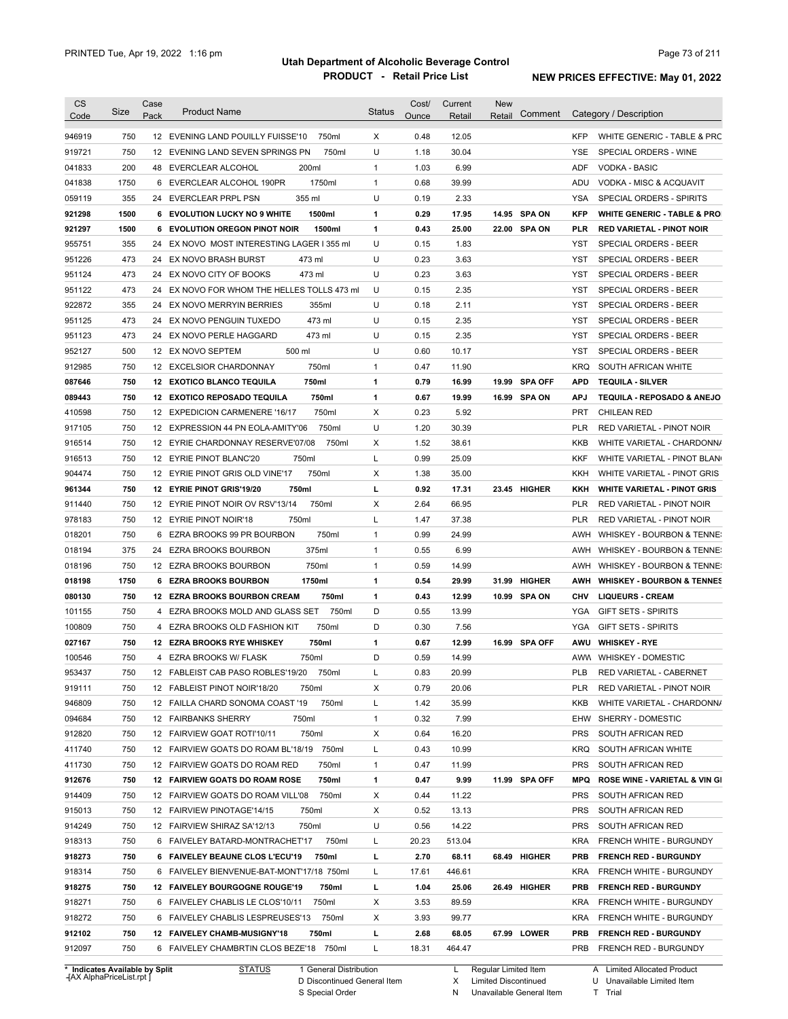| Code                                                                                                                                                                                                                     | Size       | Case | <b>Product Name</b>                                                              | <b>Status</b> | Cost/         | Current         | <b>New</b> | Comment        |                   | Category / Description                                |
|--------------------------------------------------------------------------------------------------------------------------------------------------------------------------------------------------------------------------|------------|------|----------------------------------------------------------------------------------|---------------|---------------|-----------------|------------|----------------|-------------------|-------------------------------------------------------|
|                                                                                                                                                                                                                          |            | Pack |                                                                                  |               | Ounce         | Retail          | Retail     |                |                   |                                                       |
| 946919                                                                                                                                                                                                                   | 750        |      | 12 EVENING LAND POUILLY FUISSE'10<br>750ml                                       | X             | 0.48          | 12.05           |            |                | <b>KFP</b>        | WHITE GENERIC - TABLE & PRC                           |
| 919721                                                                                                                                                                                                                   | 750        |      | 12 EVENING LAND SEVEN SPRINGS PN<br>750ml                                        | U             | 1.18          | 30.04           |            |                | YSE               | SPECIAL ORDERS - WINE                                 |
| 041833                                                                                                                                                                                                                   | 200        |      | 200ml<br>48 EVERCLEAR ALCOHOL                                                    | $\mathbf{1}$  | 1.03          | 6.99            |            |                | <b>ADF</b>        | <b>VODKA - BASIC</b>                                  |
| 041838                                                                                                                                                                                                                   | 1750       |      | 1750ml<br>6 EVERCLEAR ALCOHOL 190PR                                              | $\mathbf{1}$  | 0.68          | 39.99           |            |                | ADU               | VODKA - MISC & ACQUAVIT                               |
| 059119                                                                                                                                                                                                                   | 355        |      | 355 ml<br>24 EVERCLEAR PRPL PSN                                                  | U             | 0.19          | 2.33            |            |                | <b>YSA</b>        | SPECIAL ORDERS - SPIRITS                              |
| 921298                                                                                                                                                                                                                   | 1500       |      | 1500ml<br>6 EVOLUTION LUCKY NO 9 WHITE                                           | 1             | 0.29          | 17.95           |            | 14.95 SPA ON   | <b>KFP</b>        | <b>WHITE GENERIC - TABLE &amp; PRO</b>                |
| 921297                                                                                                                                                                                                                   | 1500       |      | 1500ml<br>6 EVOLUTION OREGON PINOT NOIR                                          | 1             | 0.43          | 25.00           |            | 22.00 SPA ON   | PLR               | <b>RED VARIETAL - PINOT NOIR</b>                      |
| 955751                                                                                                                                                                                                                   | 355        |      | 24 EX NOVO MOST INTERESTING LAGER I 355 ml                                       | U             | 0.15          | 1.83            |            |                | YST               | SPECIAL ORDERS - BEER                                 |
| 951226                                                                                                                                                                                                                   | 473        |      | 24 EX NOVO BRASH BURST<br>473 ml                                                 | U             | 0.23          | 3.63            |            |                | YST               | SPECIAL ORDERS - BEER                                 |
| 951124                                                                                                                                                                                                                   | 473        |      | 473 ml<br>24 EX NOVO CITY OF BOOKS                                               | U             | 0.23          | 3.63            |            |                | YST               | SPECIAL ORDERS - BEER                                 |
| 951122                                                                                                                                                                                                                   | 473        |      | 24 EX NOVO FOR WHOM THE HELLES TOLLS 473 ml                                      | U             | 0.15          | 2.35            |            |                | <b>YST</b>        | SPECIAL ORDERS - BEER                                 |
| 922872                                                                                                                                                                                                                   | 355        |      | 24 EX NOVO MERRYIN BERRIES<br>355ml                                              | U             | 0.18          | 2.11            |            |                | <b>YST</b>        | SPECIAL ORDERS - BEER                                 |
| 951125                                                                                                                                                                                                                   | 473        |      | 473 ml<br>24 EX NOVO PENGUIN TUXEDO                                              | U             | 0.15          | 2.35            |            |                | <b>YST</b>        | SPECIAL ORDERS - BEER                                 |
| 951123                                                                                                                                                                                                                   | 473        | 24   | EX NOVO PERLE HAGGARD<br>473 ml                                                  | U             | 0.15          | 2.35            |            |                | <b>YST</b>        | SPECIAL ORDERS - BEER                                 |
| 952127                                                                                                                                                                                                                   | 500        |      | 500 ml<br>12 EX NOVO SEPTEM                                                      | U             | 0.60          | 10.17           |            |                | <b>YST</b>        | SPECIAL ORDERS - BEER                                 |
| 912985                                                                                                                                                                                                                   | 750        |      | 750ml<br>12 EXCELSIOR CHARDONNAY                                                 | $\mathbf{1}$  | 0.47          | 11.90           |            |                | <b>KRQ</b>        | SOUTH AFRICAN WHITE                                   |
| 087646                                                                                                                                                                                                                   | 750        |      | 750ml<br><b>12 EXOTICO BLANCO TEQUILA</b>                                        | 1             | 0.79          | 16.99           | 19.99      | <b>SPA OFF</b> | <b>APD</b>        | <b>TEQUILA - SILVER</b>                               |
| 089443                                                                                                                                                                                                                   | 750        |      | 750ml<br>12 EXOTICO REPOSADO TEQUILA                                             | 1             | 0.67          | 19.99           |            | 16.99 SPA ON   | <b>APJ</b>        | TEQUILA - REPOSADO & ANEJO                            |
| 410598                                                                                                                                                                                                                   | 750        |      | 750ml<br>12 EXPEDICION CARMENERE '16/17                                          | X             | 0.23          | 5.92            |            |                | <b>PRT</b>        | <b>CHILEAN RED</b>                                    |
| 917105                                                                                                                                                                                                                   | 750        |      | 750ml<br>12 EXPRESSION 44 PN EOLA-AMITY'06                                       | U             | 1.20          | 30.39           |            |                | <b>PLR</b>        | RED VARIETAL - PINOT NOIR                             |
| 916514                                                                                                                                                                                                                   | 750        |      | 12 EYRIE CHARDONNAY RESERVE'07/08<br>750ml                                       | х             | 1.52          | 38.61           |            |                | <b>KKB</b>        | WHITE VARIETAL - CHARDONN/                            |
| 916513                                                                                                                                                                                                                   | 750        |      | 750ml<br>12 EYRIE PINOT BLANC'20                                                 | Г             | 0.99          | 25.09           |            |                | KKF               | WHITE VARIETAL - PINOT BLAN                           |
| 904474                                                                                                                                                                                                                   | 750        |      | 750ml<br>12 EYRIE PINOT GRIS OLD VINE'17                                         | х             | 1.38          | 35.00           |            |                | KKH               | WHITE VARIETAL - PINOT GRIS                           |
| 961344                                                                                                                                                                                                                   | 750        |      | 12 EYRIE PINOT GRIS'19/20<br>750ml                                               | г             | 0.92          | 17.31           |            | 23.45 HIGHER   | KKH               | <b>WHITE VARIETAL - PINOT GRIS</b>                    |
| 911440                                                                                                                                                                                                                   | 750        |      | 750ml<br>12 EYRIE PINOT NOIR OV RSV'13/14                                        | х             | 2.64          | 66.95           |            |                | PLR               | RED VARIETAL - PINOT NOIR                             |
| 978183                                                                                                                                                                                                                   | 750        |      | 12 EYRIE PINOT NOIR'18<br>750ml                                                  | L             | 1.47          | 37.38           |            |                | PLR               | RED VARIETAL - PINOT NOIR                             |
| 018201                                                                                                                                                                                                                   | 750        | 6    | 750ml<br>EZRA BROOKS 99 PR BOURBON                                               | $\mathbf{1}$  | 0.99          | 24.99           |            |                | AWH               | WHISKEY - BOURBON & TENNE:                            |
| 018194                                                                                                                                                                                                                   | 375        | 24   | 375ml<br>EZRA BROOKS BOURBON                                                     | $\mathbf{1}$  | 0.55          | 6.99            |            |                | AWH               | WHISKEY - BOURBON & TENNE:                            |
| 018196                                                                                                                                                                                                                   | 750        |      | 750ml<br>12 EZRA BROOKS BOURBON                                                  | $\mathbf{1}$  | 0.59          | 14.99           |            |                | AWH               | WHISKEY - BOURBON & TENNE:                            |
| 018198                                                                                                                                                                                                                   | 1750       |      | 1750ml<br>6 EZRA BROOKS BOURBON                                                  | 1             | 0.54          | 29.99           | 31.99      | HIGHER         | AWH               | <b>WHISKEY - BOURBON &amp; TENNES</b>                 |
|                                                                                                                                                                                                                          |            |      |                                                                                  | 1             | 0.43          | 12.99           | 10.99      | SPA ON         | CHV               | <b>LIQUEURS - CREAM</b>                               |
|                                                                                                                                                                                                                          | 750        |      | 12 EZRA BROOKS BOURBON CREAM<br>750ml                                            |               |               |                 |            |                |                   | <b>GIFT SETS - SPIRITS</b>                            |
|                                                                                                                                                                                                                          | 750        | 4    | EZRA BROOKS MOLD AND GLASS SET<br>750ml                                          | D             | 0.55          | 13.99           |            |                | YGA               |                                                       |
|                                                                                                                                                                                                                          | 750        |      | 750ml<br>4 EZRA BROOKS OLD FASHION KIT                                           | D             | 0.30          | 7.56            |            |                | YGA               | <b>GIFT SETS - SPIRITS</b>                            |
|                                                                                                                                                                                                                          | 750        |      | 12 EZRA BROOKS RYE WHISKEY<br>750ml                                              | 1             | 0.67          | 12.99           |            | 16.99 SPA OFF  | AWU               | <b>WHISKEY - RYE</b>                                  |
|                                                                                                                                                                                                                          | 750        |      | 4 EZRA BROOKS W/ FLASK<br>750ml                                                  | D             | 0.59          | 14.99           |            |                |                   | AWW WHISKEY - DOMESTIC                                |
|                                                                                                                                                                                                                          | 750        |      | 12 FABLEIST CAB PASO ROBLES'19/20<br>750ml                                       |               | 0.83          | 20.99           |            |                | <b>PLB</b>        | RED VARIETAL - CABERNET                               |
|                                                                                                                                                                                                                          | 750        |      | 12 FABLEIST PINOT NOIR'18/20<br>750ml                                            | х             | 0.79          | 20.06           |            |                | PLR               | RED VARIETAL - PINOT NOIR                             |
|                                                                                                                                                                                                                          | 750        |      | 750ml<br>12 FAILLA CHARD SONOMA COAST '19                                        | Г             | 1.42          | 35.99           |            |                | KKB               | WHITE VARIETAL - CHARDONN/                            |
|                                                                                                                                                                                                                          | 750        |      | 12 FAIRBANKS SHERRY<br>750ml                                                     | $\mathbf{1}$  | 0.32          | 7.99            |            |                | EHW               | SHERRY - DOMESTIC                                     |
|                                                                                                                                                                                                                          | 750        |      | 750ml<br>12 FAIRVIEW GOAT ROTI'10/11                                             | х             | 0.64          | 16.20           |            |                | <b>PRS</b>        | SOUTH AFRICAN RED                                     |
|                                                                                                                                                                                                                          | 750        |      | 12 FAIRVIEW GOATS DO ROAM BL'18/19 750ml                                         |               | 0.43          | 10.99           |            |                | KRQ               |                                                       |
|                                                                                                                                                                                                                          | 750        |      | 12 FAIRVIEW GOATS DO ROAM RED<br>750ml                                           | Г<br>1        | 0.47          | 11.99           |            |                | <b>PRS</b>        | SOUTH AFRICAN WHITE<br>SOUTH AFRICAN RED              |
|                                                                                                                                                                                                                          | 750        |      | 12 FAIRVIEW GOATS DO ROAM ROSE<br>750ml                                          | 1             | 0.47          | 9.99            |            | 11.99 SPA OFF  | <b>MPQ</b>        | ROSE WINE - VARIETAL & VIN GI                         |
|                                                                                                                                                                                                                          | 750        |      | 12 FAIRVIEW GOATS DO ROAM VILL'08<br>750ml                                       | х             | 0.44          | 11.22           |            |                | <b>PRS</b>        | SOUTH AFRICAN RED                                     |
|                                                                                                                                                                                                                          | 750        |      | 12 FAIRVIEW PINOTAGE'14/15<br>750ml                                              | х             | 0.52          | 13.13           |            |                | <b>PRS</b>        | SOUTH AFRICAN RED                                     |
|                                                                                                                                                                                                                          | 750        |      | 12 FAIRVIEW SHIRAZ SA'12/13<br>750ml                                             | U             | 0.56          | 14.22           |            |                | <b>PRS</b>        | SOUTH AFRICAN RED                                     |
|                                                                                                                                                                                                                          | 750        |      | 6 FAIVELEY BATARD-MONTRACHET'17<br>750ml                                         | L             | 20.23         | 513.04          |            |                | <b>KRA</b>        | FRENCH WHITE - BURGUNDY                               |
|                                                                                                                                                                                                                          | 750        |      | 750ml                                                                            |               |               |                 |            |                | <b>PRB</b>        |                                                       |
|                                                                                                                                                                                                                          |            |      | 6 FAIVELEY BEAUNE CLOS L'ECU'19                                                  | L             | 2.70          | 68.11           |            | 68.49 HIGHER   | <b>KRA</b>        | <b>FRENCH RED - BURGUNDY</b>                          |
|                                                                                                                                                                                                                          | 750        |      | 6 FAIVELEY BIENVENUE-BAT-MONT'17/18 750ml                                        | L             | 17.61         | 446.61          |            |                |                   | FRENCH WHITE - BURGUNDY                               |
|                                                                                                                                                                                                                          | 750        |      | 750ml<br>12 FAIVELEY BOURGOGNE ROUGE'19                                          | L             | 1.04          | 25.06           |            | 26.49 HIGHER   | <b>PRB</b>        | <b>FRENCH RED - BURGUNDY</b>                          |
|                                                                                                                                                                                                                          | 750        |      | 6 FAIVELEY CHABLIS LE CLOS'10/11<br>750ml                                        | х             | 3.53          | 89.59           |            |                | <b>KRA</b>        | FRENCH WHITE - BURGUNDY                               |
| 080130<br>101155<br>100809<br>027167<br>100546<br>953437<br>919111<br>946809<br>094684<br>912820<br>411740<br>411730<br>912676<br>914409<br>915013<br>914249<br>918313<br>918273<br>918314<br>918275<br>918271<br>918272 | 750        |      | 6 FAIVELEY CHABLIS LESPREUSES'13<br>750ml                                        | х             | 3.93          | 99.77           |            |                | KRA               | FRENCH WHITE - BURGUNDY                               |
| 912102<br>912097                                                                                                                                                                                                         | 750<br>750 |      | 12 FAIVELEY CHAMB-MUSIGNY'18<br>750ml<br>6 FAIVELEY CHAMBRTIN CLOS BEZE'18 750ml | L<br>L        | 2.68<br>18.31 | 68.05<br>464.47 |            | 67.99 LOWER    | PRB<br><b>PRB</b> | <b>FRENCH RED - BURGUNDY</b><br>FRENCH RED - BURGUNDY |

**Case** [AX AlphaPriceList.rpt ]

D Discontinued General Item S Special Order

Regular Limited Item

X

Limited Discontinued

N Unavailable General Item

A Limited Allocated Product

U Unavailable Limited Item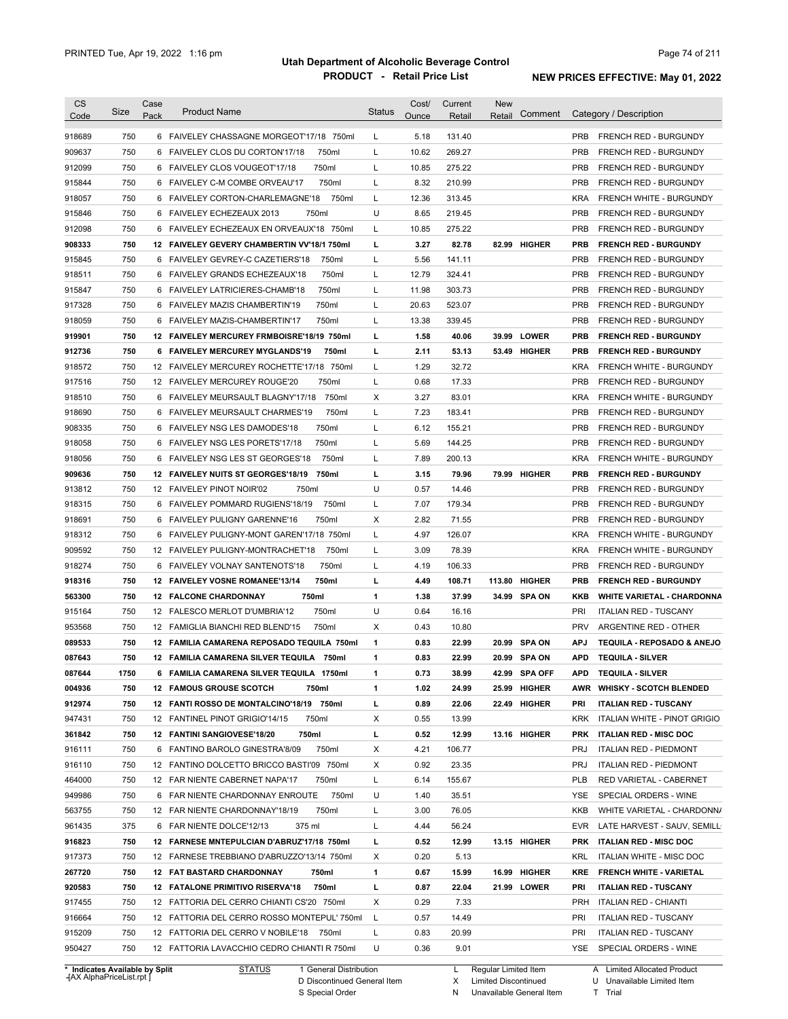| <b>CS</b><br>Code              | Size | Case<br>Pack | <b>Product Name</b>                             | <b>Status</b> | Cost/<br>Ounce | Current<br>Retail | <b>New</b><br>Retail   | Comment       |            | Category / Description             |
|--------------------------------|------|--------------|-------------------------------------------------|---------------|----------------|-------------------|------------------------|---------------|------------|------------------------------------|
| 918689                         | 750  |              | 6 FAIVELEY CHASSAGNE MORGEOT'17/18 750ml        | L             | 5.18           | 131.40            |                        |               | <b>PRB</b> | <b>FRENCH RED - BURGUNDY</b>       |
| 909637                         | 750  |              | 750ml<br>6 FAIVELEY CLOS DU CORTON'17/18        | L             | 10.62          | 269.27            |                        |               | <b>PRB</b> | <b>FRENCH RED - BURGUNDY</b>       |
| 912099                         | 750  |              | 750ml<br>6 FAIVELEY CLOS VOUGEOT'17/18          | L             | 10.85          | 275.22            |                        |               | <b>PRB</b> | <b>FRENCH RED - BURGUNDY</b>       |
| 915844                         | 750  |              | 750ml<br>6 FAIVELEY C-M COMBE ORVEAU'17         | L             | 8.32           | 210.99            |                        |               | <b>PRB</b> | <b>FRENCH RED - BURGUNDY</b>       |
| 918057                         | 750  | 6            | FAIVELEY CORTON-CHARLEMAGNE'18<br>750ml         | L             | 12.36          | 313.45            |                        |               | <b>KRA</b> | FRENCH WHITE - BURGUNDY            |
| 915846                         | 750  |              | 750ml<br>6 FAIVELEY ECHEZEAUX 2013              | U             | 8.65           | 219.45            |                        |               | <b>PRB</b> | <b>FRENCH RED - BURGUNDY</b>       |
| 912098                         | 750  |              | 6 FAIVELEY ECHEZEAUX EN ORVEAUX'18 750ml        | L             | 10.85          | 275.22            |                        |               | <b>PRB</b> | FRENCH RED - BURGUNDY              |
| 908333                         | 750  |              | 12 FAIVELEY GEVERY CHAMBERTIN VV'18/1 750ml     | L             | 3.27           | 82.78             |                        | 82.99 HIGHER  | <b>PRB</b> | <b>FRENCH RED - BURGUNDY</b>       |
| 915845                         | 750  |              | 750ml<br>6 FAIVELEY GEVREY-C CAZETIERS'18       | L             | 5.56           | 141.11            |                        |               | <b>PRB</b> | <b>FRENCH RED - BURGUNDY</b>       |
| 918511                         | 750  |              | 750ml<br>6 FAIVELEY GRANDS ECHEZEAUX'18         | L             | 12.79          | 324.41            |                        |               | <b>PRB</b> | <b>FRENCH RED - BURGUNDY</b>       |
| 915847                         | 750  |              | 750ml<br>6 FAIVELEY LATRICIERES-CHAMB'18        | L             | 11.98          | 303.73            |                        |               | <b>PRB</b> | <b>FRENCH RED - BURGUNDY</b>       |
| 917328                         | 750  |              | 6 FAIVELEY MAZIS CHAMBERTIN'19<br>750ml         | L             | 20.63          | 523.07            |                        |               | <b>PRB</b> | <b>FRENCH RED - BURGUNDY</b>       |
| 918059                         | 750  | 6            | FAIVELEY MAZIS-CHAMBERTIN'17<br>750ml           | L             | 13.38          | 339.45            |                        |               | <b>PRB</b> | FRENCH RED - BURGUNDY              |
| 919901                         | 750  | 12           | <b>FAIVELEY MERCUREY FRMBOISRE'18/19 750ml</b>  | L             | 1.58           | 40.06             | 39.99                  | <b>LOWER</b>  | <b>PRB</b> | <b>FRENCH RED - BURGUNDY</b>       |
| 912736                         | 750  |              | 750ml<br>6 FAIVELEY MERCUREY MYGLANDS'19        | L             | 2.11           | 53.13             | 53.49                  | HIGHER        | <b>PRB</b> | <b>FRENCH RED - BURGUNDY</b>       |
| 918572                         | 750  | 12           | FAIVELEY MERCUREY ROCHETTE'17/18<br>750ml       | L             | 1.29           | 32.72             |                        |               | <b>KRA</b> | <b>FRENCH WHITE - BURGUNDY</b>     |
|                                | 750  |              | 750ml<br>12 FAIVELEY MERCUREY ROUGE'20          | L             | 0.68           | 17.33             |                        |               | <b>PRB</b> | <b>FRENCH RED - BURGUNDY</b>       |
| 917516                         | 750  |              | 750ml<br>6 FAIVELEY MEURSAULT BLAGNY'17/18      | Χ             | 3.27           | 83.01             |                        |               | <b>KRA</b> | <b>FRENCH WHITE - BURGUNDY</b>     |
| 918510                         | 750  |              |                                                 |               |                |                   |                        |               | <b>PRB</b> |                                    |
| 918690                         |      | 6            | 750ml<br>FAIVELEY MEURSAULT CHARMES'19          | L             | 7.23           | 183.41            |                        |               |            | <b>FRENCH RED - BURGUNDY</b>       |
| 908335                         | 750  |              | 750ml<br>6 FAIVELEY NSG LES DAMODES'18          | L             | 6.12           | 155.21            |                        |               | <b>PRB</b> | <b>FRENCH RED - BURGUNDY</b>       |
| 918058                         | 750  | 6            | FAIVELEY NSG LES PORETS'17/18<br>750ml          | L             | 5.69           | 144.25            |                        |               | <b>PRB</b> | <b>FRENCH RED - BURGUNDY</b>       |
| 918056                         | 750  |              | 750ml<br>6 FAIVELEY NSG LES ST GEORGES'18       | L             | 7.89           | 200.13            |                        |               | <b>KRA</b> | <b>FRENCH WHITE - BURGUNDY</b>     |
| 909636                         | 750  | 12           | 750ml<br><b>FAIVELEY NUITS ST GEORGES'18/19</b> | L             | 3.15           | 79.96             | 79.99                  | <b>HIGHER</b> | <b>PRB</b> | <b>FRENCH RED - BURGUNDY</b>       |
| 913812                         | 750  |              | 750ml<br>12 FAIVELEY PINOT NOIR'02              | U             | 0.57           | 14.46             |                        |               | <b>PRB</b> | <b>FRENCH RED - BURGUNDY</b>       |
| 918315                         | 750  |              | 6 FAIVELEY POMMARD RUGIENS'18/19<br>750ml       | L             | 7.07           | 179.34            |                        |               | <b>PRB</b> | FRENCH RED - BURGUNDY              |
| 918691                         | 750  |              | 750ml<br>6 FAIVELEY PULIGNY GARENNE'16          | X             | 2.82           | 71.55             |                        |               | <b>PRB</b> | <b>FRENCH RED - BURGUNDY</b>       |
| 918312                         | 750  |              | 6 FAIVELEY PULIGNY-MONT GAREN'17/18 750ml       | L             | 4.97           | 126.07            |                        |               | <b>KRA</b> | FRENCH WHITE - BURGUNDY            |
| 909592                         | 750  |              | 12 FAIVELEY PULIGNY-MONTRACHET'18<br>750ml      | L             | 3.09           | 78.39             |                        |               | <b>KRA</b> | FRENCH WHITE - BURGUNDY            |
| 918274                         | 750  |              | 750ml<br>6 FAIVELEY VOLNAY SANTENOTS'18         | L             | 4.19           | 106.33            |                        |               | <b>PRB</b> | <b>FRENCH RED - BURGUNDY</b>       |
| 918316                         | 750  |              | 750ml<br>12 FAIVELEY VOSNE ROMANEE'13/14        | L             | 4.49           | 108.71            | 113.80                 | <b>HIGHER</b> | <b>PRB</b> | <b>FRENCH RED - BURGUNDY</b>       |
| 563300                         | 750  |              | 750ml<br><b>12 FALCONE CHARDONNAY</b>           | $\mathbf{1}$  | 1.38           | 37.99             | 34.99                  | <b>SPA ON</b> | <b>KKB</b> | <b>WHITE VARIETAL - CHARDONNA</b>  |
| 915164                         | 750  | 12           | 750ml<br><b>FALESCO MERLOT D'UMBRIA'12</b>      | U             | 0.64           | 16.16             |                        |               | PRI        | <b>ITALIAN RED - TUSCANY</b>       |
| 953568                         | 750  |              | 12 FAMIGLIA BIANCHI RED BLEND'15<br>750ml       | X             | 0.43           | 10.80             |                        |               | <b>PRV</b> | ARGENTINE RED - OTHER              |
| 089533                         | 750  |              | 12 FAMILIA CAMARENA REPOSADO TEQUILA 750ml      | $\mathbf{1}$  | 0.83           | 22.99             | 20.99                  | <b>SPA ON</b> | <b>APJ</b> | TEQUILA - REPOSADO & ANEJO         |
| 087643                         | 750  |              | 12 FAMILIA CAMARENA SILVER TEQUILA 750ml        | $\mathbf{1}$  | 0.83           | 22.99             | 20.99                  | <b>SPA ON</b> | APD        | <b>TEQUILA - SILVER</b>            |
| 087644                         | 1750 |              | 6 FAMILIA CAMARENA SILVER TEQUILA 1750ml        | 1             | 0.73           | 38.99             |                        | 42.99 SPA OFF | <b>APD</b> | <b>TEQUILA - SILVER</b>            |
| 004936                         | 750  |              | <b>12 FAMOUS GROUSE SCOTCH</b><br>750ml         | 1             | 1.02           | 24.99             |                        | 25.99 HIGHER  |            | AWR WHISKY - SCOTCH BLENDED        |
| 912974                         | 750  |              | 12 FANTI ROSSO DE MONTALCINO'18/19 750ml        | L             | 0.89           | 22.06             |                        | 22.49 HIGHER  | PRI        | <b>ITALIAN RED - TUSCANY</b>       |
| 947431                         | 750  |              | 12 FANTINEL PINOT GRIGIO'14/15<br>750ml         | Х             | 0.55           | 13.99             |                        |               |            | KRK ITALIAN WHITE - PINOT GRIGIO   |
| 361842                         | 750  |              | 750ml<br>12 FANTINI SANGIOVESE'18/20            | L             | 0.52           | 12.99             |                        | 13.16 HIGHER  |            | PRK ITALIAN RED - MISC DOC         |
| 916111                         | 750  |              | 750ml<br>6 FANTINO BAROLO GINESTRA'8/09         | Х             | 4.21           | 106.77            |                        |               | PRJ        | <b>ITALIAN RED - PIEDMONT</b>      |
| 916110                         | 750  |              | 12 FANTINO DOLCETTO BRICCO BASTI'09 750ml       | Х             | 0.92           | 23.35             |                        |               | PRJ        | <b>ITALIAN RED - PIEDMONT</b>      |
| 464000                         | 750  |              | 750ml<br>12 FAR NIENTE CABERNET NAPA'17         | L             | 6.14           | 155.67            |                        |               | PLB        | RED VARIETAL - CABERNET            |
| 949986                         | 750  |              | 750ml<br>6 FAR NIENTE CHARDONNAY ENROUTE        | U             | 1.40           | 35.51             |                        |               | YSE        | SPECIAL ORDERS - WINE              |
| 563755                         | 750  |              | 12 FAR NIENTE CHARDONNAY'18/19<br>750ml         | L             | 3.00           | 76.05             |                        |               | KKB        | WHITE VARIETAL - CHARDONN/         |
| 961435                         | 375  |              | 6 FAR NIENTE DOLCE'12/13<br>375 ml              | L             | 4.44           | 56.24             |                        |               |            | EVR LATE HARVEST - SAUV, SEMILL    |
| 916823                         | 750  |              | 12 FARNESE MNTEPULCIAN D'ABRUZ'17/18 750ml      | L             | 0.52           | 12.99             |                        | 13.15 HIGHER  |            | PRK ITALIAN RED - MISC DOC         |
| 917373                         | 750  |              | 12 FARNESE TREBBIANO D'ABRUZZO'13/14 750ml      | Х             | 0.20           | 5.13              |                        |               | KRL        | ITALIAN WHITE - MISC DOC           |
| 267720                         | 750  |              | <b>12 FAT BASTARD CHARDONNAY</b><br>750ml       | 1             | 0.67           | 15.99             |                        | 16.99 HIGHER  |            | <b>KRE FRENCH WHITE - VARIETAL</b> |
| 920583                         | 750  |              | 12 FATALONE PRIMITIVO RISERVA'18<br>750ml       | L             | 0.87           | 22.04             |                        | 21.99 LOWER   | PRI        | <b>ITALIAN RED - TUSCANY</b>       |
| 917455                         | 750  |              | 12 FATTORIA DEL CERRO CHIANTI CS'20 750ml       | X             | 0.29           | 7.33              |                        |               | PRH        | <b>ITALIAN RED - CHIANTI</b>       |
| 916664                         | 750  |              | 12 FATTORIA DEL CERRO ROSSO MONTEPUL' 750ml     | L             | 0.57           | 14.49             |                        |               | <b>PRI</b> | <b>ITALIAN RED - TUSCANY</b>       |
| 915209                         | 750  |              | 12 FATTORIA DEL CERRO V NOBILE'18 750ml         | L             | 0.83           | 20.99             |                        |               | PRI        | <b>ITALIAN RED - TUSCANY</b>       |
| 950427                         | 750  |              | 12 FATTORIA LAVACCHIO CEDRO CHIANTI R 750ml     | U             | 0.36           | 9.01              |                        |               |            | YSE SPECIAL ORDERS - WINE          |
| * Indicates Available by Split |      |              | <b>STATUS</b><br>1 General Distribution         |               |                |                   | L Regular Limited Item |               |            | A Limited Allocated Product        |

**Case** [AX AlphaPriceList.rpt ]

D Discontinued General Item

S Special Order

L Regular Limited Item X

N

Limited Discontinued

Unavailable General Item

A Limited Allocated Product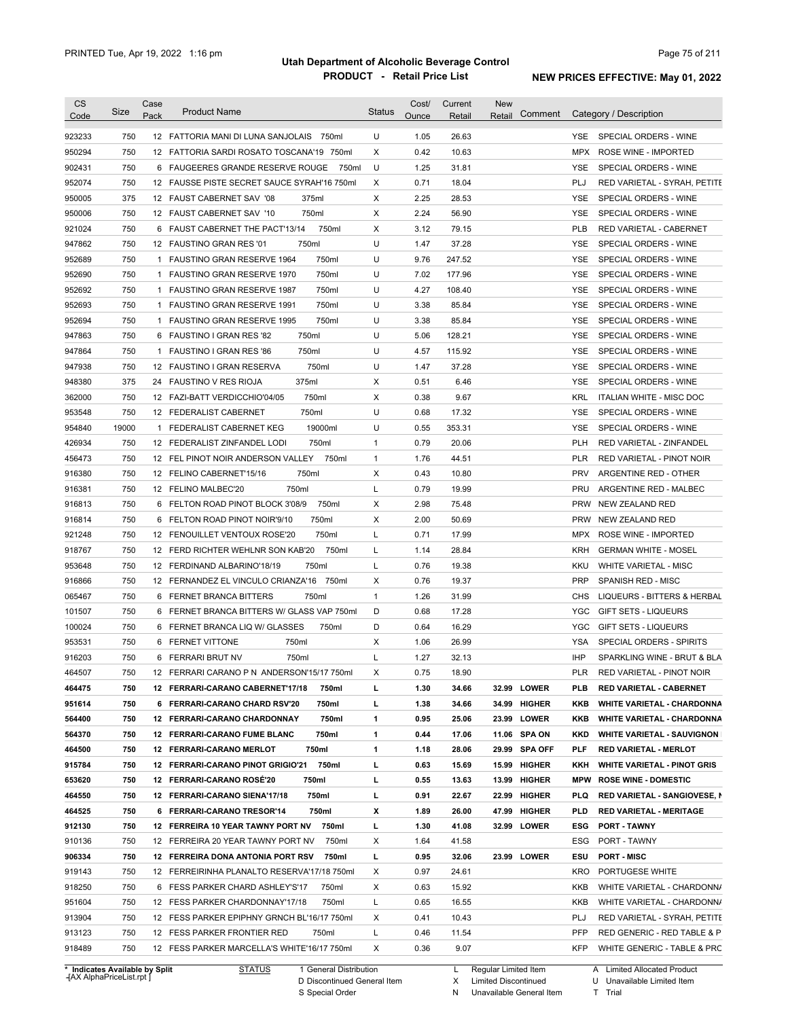| <b>CS</b><br>Code              | Size       | Case<br>Pack | <b>Product Name</b>                         | <b>Status</b> | Cost/<br>Ounce | Current<br>Retail | New<br>Comment<br>Retail | Category / Description                        |
|--------------------------------|------------|--------------|---------------------------------------------|---------------|----------------|-------------------|--------------------------|-----------------------------------------------|
| 923233                         | 750        |              | 12 FATTORIA MANI DI LUNA SANJOLAIS 750ml    | U             | 1.05           | 26.63             |                          | SPECIAL ORDERS - WINE<br>YSE.                 |
| 950294                         | 750        |              | 12 FATTORIA SARDI ROSATO TOSCANA'19 750ml   | Χ             | 0.42           | 10.63             |                          | MPX<br>ROSE WINE - IMPORTED                   |
| 902431                         | 750        |              | 6 FAUGEERES GRANDE RESERVE ROUGE<br>750ml   | U             | 1.25           | 31.81             |                          | <b>YSE</b><br>SPECIAL ORDERS - WINE           |
| 952074                         | 750        |              | 12 FAUSSE PISTE SECRET SAUCE SYRAH'16 750ml | Χ             | 0.71           | 18.04             |                          | PLJ<br>RED VARIETAL - SYRAH, PETITE           |
| 950005                         | 375        |              | 12 FAUST CABERNET SAV '08<br>375ml          | Χ             | 2.25           | 28.53             |                          | YSE<br>SPECIAL ORDERS - WINE                  |
| 950006                         | 750        |              | 12 FAUST CABERNET SAV '10<br>750ml          | Χ             | 2.24           | 56.90             |                          | <b>YSE</b><br>SPECIAL ORDERS - WINE           |
| 921024                         | 750        |              | 750ml<br>6 FAUST CABERNET THE PACT'13/14    | Х             | 3.12           | 79.15             |                          | <b>PLB</b><br>RED VARIETAL - CABERNET         |
| 947862                         | 750        |              | 750ml<br>12 FAUSTINO GRAN RES '01           | U             | 1.47           | 37.28             |                          | YSE<br>SPECIAL ORDERS - WINE                  |
| 952689                         | 750        |              | 750ml<br>1 FAUSTINO GRAN RESERVE 1964       | U             | 9.76           | 247.52            |                          | YSE<br>SPECIAL ORDERS - WINE                  |
| 952690                         | 750        | 1            | 750ml<br><b>FAUSTINO GRAN RESERVE 1970</b>  | U             | 7.02           | 177.96            |                          | <b>YSE</b><br>SPECIAL ORDERS - WINE           |
| 952692                         | 750        |              | 750ml<br>1 FAUSTINO GRAN RESERVE 1987       | U             | 4.27           | 108.40            |                          | YSE<br>SPECIAL ORDERS - WINE                  |
| 952693                         | 750        |              | 750ml<br>1 FAUSTINO GRAN RESERVE 1991       | U             | 3.38           | 85.84             |                          | YSE<br>SPECIAL ORDERS - WINE                  |
| 952694                         | 750        |              | 750ml<br>1 FAUSTINO GRAN RESERVE 1995       | U             | 3.38           | 85.84             |                          | SPECIAL ORDERS - WINE<br>YSE                  |
| 947863                         | 750        |              | 750ml<br>6 FAUSTINO I GRAN RES '82          | U             | 5.06           | 128.21            |                          | YSE<br>SPECIAL ORDERS - WINE                  |
| 947864                         | 750        |              | 750ml<br>1 FAUSTINO I GRAN RES '86          | U             | 4.57           | 115.92            |                          | YSE<br>SPECIAL ORDERS - WINE                  |
| 947938                         | 750        |              | 750ml<br>12 FAUSTINO I GRAN RESERVA         | U             | 1.47           | 37.28             |                          | YSE<br>SPECIAL ORDERS - WINE                  |
| 948380                         | 375        |              | 375ml<br>24 FAUSTINO V RES RIOJA            | Х             | 0.51           | 6.46              |                          | SPECIAL ORDERS - WINE<br><b>YSE</b>           |
| 362000                         | 750        |              | 750ml<br>12 FAZI-BATT VERDICCHIO'04/05      | Х             | 0.38           | 9.67              |                          | KRL<br><b>ITALIAN WHITE - MISC DOC</b>        |
| 953548                         | 750        |              | 750ml<br>12 FEDERALIST CABERNET             | U             | 0.68           | 17.32             |                          | SPECIAL ORDERS - WINE<br>YSE                  |
|                                | 19000      |              | 19000ml                                     | U             | 0.55           | 353.31            |                          | YSE                                           |
| 954840                         |            |              | 1 FEDERALIST CABERNET KEG                   |               |                |                   |                          | SPECIAL ORDERS - WINE                         |
| 426934                         | 750<br>750 |              | 12 FEDERALIST ZINFANDEL LODI<br>750ml       | $\mathbf{1}$  | 0.79           | 20.06             |                          | <b>PLH</b><br><b>RED VARIETAL - ZINFANDEL</b> |
| 456473                         |            |              | 750ml<br>12 FEL PINOT NOIR ANDERSON VALLEY  | $\mathbf{1}$  | 1.76           | 44.51             |                          | <b>PLR</b><br>RED VARIETAL - PINOT NOIR       |
| 916380                         | 750        |              | 750ml<br>12 FELINO CABERNET'15/16           | Х             | 0.43           | 10.80             |                          | <b>PRV</b><br>ARGENTINE RED - OTHER           |
| 916381                         | 750        |              | 750ml<br>12 FELINO MALBEC'20                | L             | 0.79           | 19.99             |                          | PRU<br>ARGENTINE RED - MALBEC                 |
| 916813                         | 750        |              | 750ml<br>6 FELTON ROAD PINOT BLOCK 3'08/9   | Х             | 2.98           | 75.48             |                          | <b>PRW</b><br>NEW ZEALAND RED                 |
| 916814                         | 750        | 6            | FELTON ROAD PINOT NOIR'9/10<br>750ml        | Х             | 2.00           | 50.69             |                          | <b>PRW</b><br>NEW ZEALAND RED                 |
| 921248                         | 750        |              | 750ml<br>12 FENOUILLET VENTOUX ROSE'20      | Г             | 0.71           | 17.99             |                          | MPX<br>ROSE WINE - IMPORTED                   |
| 918767                         | 750        |              | 750ml<br>12 FERD RICHTER WEHLNR SON KAB'20  | Г             | 1.14           | 28.84             |                          | KRH<br><b>GERMAN WHITE - MOSEL</b>            |
| 953648                         | 750        |              | 750ml<br>12 FERDINAND ALBARINO'18/19        | Г             | 0.76           | 19.38             |                          | <b>KKU</b><br><b>WHITE VARIETAL - MISC</b>    |
| 916866                         | 750        |              | 12 FERNANDEZ EL VINCULO CRIANZA'16<br>750ml | Χ             | 0.76           | 19.37             |                          | PRP<br><b>SPANISH RED - MISC</b>              |
| 065467                         | 750        |              | 6 FERNET BRANCA BITTERS<br>750ml            | $\mathbf{1}$  | 1.26           | 31.99             |                          | CHS<br>LIQUEURS - BITTERS & HERBAL            |
| 101507                         | 750        |              | 6 FERNET BRANCA BITTERS W/ GLASS VAP 750ml  | D             | 0.68           | 17.28             |                          | YGC<br><b>GIFT SETS - LIQUEURS</b>            |
| 100024                         | 750        |              | 6 FERNET BRANCA LIQ W/ GLASSES<br>750ml     | D             | 0.64           | 16.29             |                          | <b>YGC</b><br><b>GIFT SETS - LIQUEURS</b>     |
| 953531                         | 750        |              | 750ml<br>6 FERNET VITTONE                   | Х             | 1.06           | 26.99             |                          | <b>YSA</b><br>SPECIAL ORDERS - SPIRITS        |
| 916203                         | 750        |              | 6 FERRARI BRUT NV<br>750ml                  | L             | 1.27           | 32.13             |                          | <b>IHP</b><br>SPARKLING WINE - BRUT & BLA     |
| 464507                         | 750        |              | 12 FERRARI CARANO P N ANDERSON'15/17 750ml  | Χ             | 0.75           | 18.90             |                          | <b>PLR</b><br>RED VARIETAL - PINOT NOIR       |
| 464475                         | 750        |              | 750ml<br>12 FERRARI-CARANO CABERNET'17/18   | L             | 1.30           | 34.66             | 32.99 LOWER              | <b>RED VARIETAL - CABERNET</b><br>PLB         |
| 951614                         | 750        |              | 6 FERRARI-CARANO CHARD RSV'20<br>750ml      | г             | 1.38           | 34.66             | 34.99 HIGHER             | <b>WHITE VARIETAL - CHARDONNA</b><br>KKB      |
| 564400                         | 750        |              | 750ml<br>12 FERRARI-CARANO CHARDONNAY       | 1             | 0.95           | 25.06             | 23.99 LOWER              | KKB<br><b>WHITE VARIETAL - CHARDONNA</b>      |
| 564370                         | 750        |              | 750ml<br>12 FERRARI-CARANO FUME BLANC       | 1             | 0.44           | 17.06             | 11.06 SPA ON             | KKD<br><b>WHITE VARIETAL - SAUVIGNON</b>      |
| 464500                         | 750        |              | 750ml<br>12 FERRARI-CARANO MERLOT           | 1             | 1.18           | 28.06             | 29.99<br><b>SPA OFF</b>  | PLF<br><b>RED VARIETAL - MERLOT</b>           |
| 915784                         | 750        |              | 12 FERRARI-CARANO PINOT GRIGIO'21<br>750ml  | г             | 0.63           | 15.69             | 15.99<br><b>HIGHER</b>   | <b>WHITE VARIETAL - PINOT GRIS</b><br>KKH     |
| 653620                         | 750        |              | 12 FERRARI-CARANO ROSÉ'20<br>750ml          | г             | 0.55           | 13.63             | 13.99 HIGHER             | MPW<br><b>ROSE WINE - DOMESTIC</b>            |
| 464550                         | 750        |              | 750ml<br>12 FERRARI-CARANO SIENA'17/18      | г             | 0.91           | 22.67             | 22.99<br>HIGHER          | RED VARIETAL - SANGIOVESE, I<br>PLQ           |
| 464525                         | 750        |              | 750ml<br>6 FERRARI-CARANO TRESOR'14         | x             | 1.89           | 26.00             | 47.99 HIGHER             | PLD<br><b>RED VARIETAL - MERITAGE</b>         |
| 912130                         | 750        |              | 12 FERREIRA 10 YEAR TAWNY PORT NV<br>750ml  | L             | 1.30           | 41.08             | 32.99 LOWER              | ESG<br><b>PORT - TAWNY</b>                    |
| 910136                         | 750        |              | 12 FERREIRA 20 YEAR TAWNY PORT NV<br>750ml  | х             | 1.64           | 41.58             |                          | ESG<br>PORT - TAWNY                           |
| 906334                         | 750        |              | 12 FERREIRA DONA ANTONIA PORT RSV<br>750ml  | г             | 0.95           | 32.06             | 23.99 LOWER              | <b>PORT - MISC</b><br>ESU                     |
| 919143                         | 750        |              | 12 FERREIRINHA PLANALTO RESERVA'17/18 750ml | х             | 0.97           | 24.61             |                          | KRO<br>PORTUGESE WHITE                        |
| 918250                         | 750        |              | 6 FESS PARKER CHARD ASHLEY'S'17<br>750ml    | х             | 0.63           | 15.92             |                          | KKB<br>WHITE VARIETAL - CHARDONN/             |
| 951604                         | 750        |              | 12 FESS PARKER CHARDONNAY'17/18<br>750ml    | L             | 0.65           | 16.55             |                          | KKB<br>WHITE VARIETAL - CHARDONN/             |
| 913904                         | 750        |              | 12 FESS PARKER EPIPHNY GRNCH BL'16/17 750ml | х             | 0.41           | 10.43             |                          | PLJ<br>RED VARIETAL - SYRAH, PETITE           |
| 913123                         | 750        |              | 12 FESS PARKER FRONTIER RED<br>750ml        | L             | 0.46           | 11.54             |                          | PFP<br>RED GENERIC - RED TABLE & P            |
| 918489                         | 750        |              | 12 FESS PARKER MARCELLA'S WHITE'16/17 750ml | Х             | 0.36           | 9.07              |                          | KFP<br>WHITE GENERIC - TABLE & PRC            |
| * Indicates Available by Split |            |              | <b>STATUS</b><br>1 General Distribution     |               |                | L                 | Regular Limited Item     | A Limited Allocated Product                   |

**Case** [AX AlphaPriceList.rpt ]

D Discontinued General Item S Special Order

L Regular Limited Item

X N Limited Discontinued

Unavailable General Item

A Limited Allocated Product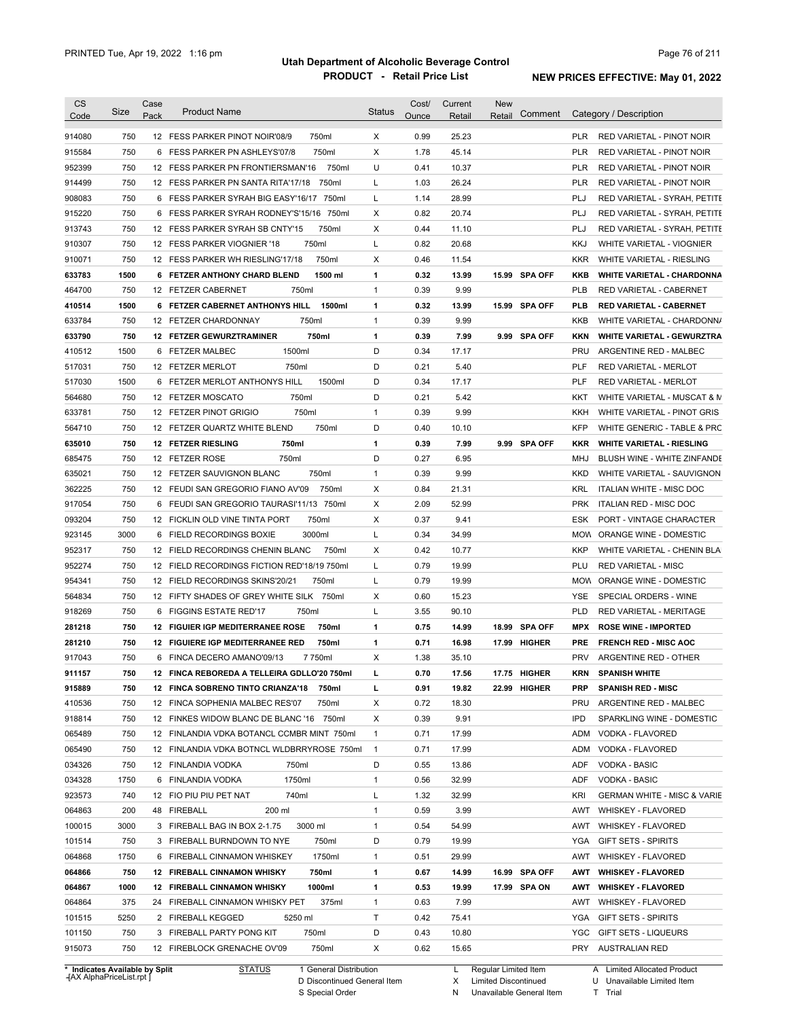| Code                           | Size | Case<br>Pack | <b>Product Name</b>                          | <b>Status</b> | Cost/<br>Ounce | Current<br>Retail | New<br>Retail        | Comment       |            | Category / Description                 |
|--------------------------------|------|--------------|----------------------------------------------|---------------|----------------|-------------------|----------------------|---------------|------------|----------------------------------------|
| 914080                         | 750  |              | 750ml<br>12 FESS PARKER PINOT NOIR'08/9      | X             | 0.99           | 25.23             |                      |               | PLR        | RED VARIETAL - PINOT NOIR              |
| 915584                         | 750  |              | 750ml<br>6 FESS PARKER PN ASHLEYS'07/8       | Х             | 1.78           | 45.14             |                      |               | <b>PLR</b> | RED VARIETAL - PINOT NOIR              |
| 952399                         | 750  |              | 12 FESS PARKER PN FRONTIERSMAN'16<br>750ml   | U             | 0.41           | 10.37             |                      |               | <b>PLR</b> | RED VARIETAL - PINOT NOIR              |
| 914499                         | 750  |              | 750ml<br>12 FESS PARKER PN SANTA RITA'17/18  | L             | 1.03           | 26.24             |                      |               | <b>PLR</b> | RED VARIETAL - PINOT NOIR              |
| 908083                         | 750  |              | 6 FESS PARKER SYRAH BIG EASY'16/17 750ml     | L             | 1.14           | 28.99             |                      |               | <b>PLJ</b> | RED VARIETAL - SYRAH, PETITE           |
| 915220                         | 750  |              | 6 FESS PARKER SYRAH RODNEY'S'15/16 750ml     | Х             | 0.82           | 20.74             |                      |               | <b>PLJ</b> | RED VARIETAL - SYRAH, PETITE           |
| 913743                         | 750  |              | 750ml<br>12 FESS PARKER SYRAH SB CNTY'15     | Х             | 0.44           | 11.10             |                      |               | <b>PLJ</b> | RED VARIETAL - SYRAH, PETITE           |
| 910307                         | 750  |              | 750ml<br>12 FESS PARKER VIOGNIER '18         | L             | 0.82           | 20.68             |                      |               | <b>KKJ</b> | WHITE VARIETAL - VIOGNIER              |
| 910071                         | 750  |              | 750ml<br>12 FESS PARKER WH RIESLING'17/18    | Х             | 0.46           | 11.54             |                      |               | <b>KKR</b> | WHITE VARIETAL - RIESLING              |
| 633783                         | 1500 |              | 1500 ml<br>6 FETZER ANTHONY CHARD BLEND      | 1             | 0.32           | 13.99             |                      | 15.99 SPA OFF | KKB        | <b>WHITE VARIETAL - CHARDONNA</b>      |
| 464700                         | 750  |              | 12 FETZER CABERNET<br>750ml                  | $\mathbf{1}$  | 0.39           | 9.99              |                      |               | <b>PLB</b> | RED VARIETAL - CABERNET                |
| 410514                         | 1500 |              | 1500ml<br>6 FETZER CABERNET ANTHONYS HILL    | 1             | 0.32           | 13.99             |                      | 15.99 SPA OFF | <b>PLB</b> | <b>RED VARIETAL - CABERNET</b>         |
| 633784                         | 750  |              | 750ml<br>12 FETZER CHARDONNAY                | $\mathbf{1}$  | 0.39           | 9.99              |                      |               | KKB        | WHITE VARIETAL - CHARDONN/             |
| 633790                         | 750  |              | 750ml<br>12 FETZER GEWURZTRAMINER            | 1             | 0.39           | 7.99              |                      | 9.99 SPA OFF  | <b>KKN</b> | <b>WHITE VARIETAL - GEWURZTRA</b>      |
| 410512                         | 1500 |              | 1500ml<br>6 FETZER MALBEC                    | D             | 0.34           | 17.17             |                      |               | <b>PRU</b> | ARGENTINE RED - MALBEC                 |
|                                | 750  |              | 750ml                                        | D             | 0.21           | 5.40              |                      |               | <b>PLF</b> | RED VARIETAL - MERLOT                  |
| 517031                         |      |              | 12 FETZER MERLOT                             |               |                |                   |                      |               |            |                                        |
| 517030                         | 1500 |              | 6 FETZER MERLOT ANTHONYS HILL<br>1500ml      | D             | 0.34           | 17.17             |                      |               | <b>PLF</b> | <b>RED VARIETAL - MERLOT</b>           |
| 564680                         | 750  |              | 750ml<br>12 FETZER MOSCATO                   | D             | 0.21           | 5.42              |                      |               | KKT        | WHITE VARIETAL - MUSCAT & M            |
| 633781                         | 750  |              | 750ml<br>12 FETZER PINOT GRIGIO              | $\mathbf{1}$  | 0.39           | 9.99              |                      |               | KKH        | WHITE VARIETAL - PINOT GRIS            |
| 564710                         | 750  |              | 750ml<br>12 FETZER QUARTZ WHITE BLEND        | D             | 0.40           | 10.10             |                      |               | <b>KFP</b> | WHITE GENERIC - TABLE & PRC            |
| 635010                         | 750  |              | 750ml<br><b>12 FETZER RIESLING</b>           | 1             | 0.39           | 7.99              |                      | 9.99 SPA OFF  | <b>KKR</b> | <b>WHITE VARIETAL - RIESLING</b>       |
| 685475                         | 750  |              | 12 FETZER ROSE<br>750ml                      | D             | 0.27           | 6.95              |                      |               | MHJ        | BLUSH WINE - WHITE ZINFANDE            |
| 635021                         | 750  |              | 750ml<br>12 FETZER SAUVIGNON BLANC           | $\mathbf{1}$  | 0.39           | 9.99              |                      |               | <b>KKD</b> | WHITE VARIETAL - SAUVIGNON             |
| 362225                         | 750  |              | 12 FEUDI SAN GREGORIO FIANO AV'09<br>750ml   | Х             | 0.84           | 21.31             |                      |               | KRL        | ITALIAN WHITE - MISC DOC               |
| 917054                         | 750  |              | 6 FEUDI SAN GREGORIO TAURASI'11/13 750ml     | Х             | 2.09           | 52.99             |                      |               | <b>PRK</b> | ITALIAN RED - MISC DOC                 |
| 093204                         | 750  |              | 750ml<br>12 FICKLIN OLD VINE TINTA PORT      | Х             | 0.37           | 9.41              |                      |               | ESK        | PORT - VINTAGE CHARACTER               |
| 923145                         | 3000 |              | 3000ml<br>6 FIELD RECORDINGS BOXIE           | L             | 0.34           | 34.99             |                      |               | <b>MOW</b> | ORANGE WINE - DOMESTIC                 |
| 952317                         | 750  |              | 12 FIELD RECORDINGS CHENIN BLANC<br>750ml    | Х             | 0.42           | 10.77             |                      |               | <b>KKP</b> | WHITE VARIETAL - CHENIN BLA            |
| 952274                         | 750  |              | 12 FIELD RECORDINGS FICTION RED'18/19 750ml  | L             | 0.79           | 19.99             |                      |               | PLU        | <b>RED VARIETAL - MISC</b>             |
| 954341                         | 750  |              | 750ml<br>12 FIELD RECORDINGS SKINS'20/21     | L             | 0.79           | 19.99             |                      |               | <b>MOW</b> | ORANGE WINE - DOMESTIC                 |
| 564834                         | 750  |              | 12 FIFTY SHADES OF GREY WHITE SILK 750ml     | Х             | 0.60           | 15.23             |                      |               | YSE        | SPECIAL ORDERS - WINE                  |
| 918269                         | 750  |              | 750ml<br>6 FIGGINS ESTATE RED'17             | L             | 3.55           | 90.10             |                      |               | <b>PLD</b> | <b>RED VARIETAL - MERITAGE</b>         |
| 281218                         | 750  |              | 750ml<br>12 FIGUIER IGP MEDITERRANEE ROSE    | 1             | 0.75           | 14.99             |                      | 18.99 SPA OFF | <b>MPX</b> | <b>ROSE WINE - IMPORTED</b>            |
| 281210                         | 750  |              | 750ml<br>12 FIGUIERE IGP MEDITERRANEE RED    | 1             | 0.71           | 16.98             |                      | 17.99 HIGHER  | <b>PRE</b> | <b>FRENCH RED - MISC AOC</b>           |
| 917043                         | 750  |              | 6 FINCA DECERO AMANO'09/13<br>7 750ml        | Х             | 1.38           | 35.10             |                      |               | <b>PRV</b> | ARGENTINE RED - OTHER                  |
| 911157                         | 750  |              | 12 FINCA REBOREDA A TELLEIRA GDLLO'20 750ml  | L             | 0.70           | 17.56             |                      | 17.75 HIGHER  | KRN        | <b>SPANISH WHITE</b>                   |
| 915889                         | 750  |              | 12 FINCA SOBRENO TINTO CRIANZA'18<br>750ml   | ш             | 0.91           | 19.82             |                      | 22.99 HIGHER  | <b>PRP</b> | <b>SPANISH RED - MISC</b>              |
| 410536                         | 750  |              | 12 FINCA SOPHENIA MALBEC RES'07<br>750ml     | х             | 0.72           | 18.30             |                      |               | <b>PRU</b> | ARGENTINE RED - MALBEC                 |
| 918814                         | 750  |              | 12 FINKES WIDOW BLANC DE BLANC '16 750ml     | х             | 0.39           | 9.91              |                      |               | <b>IPD</b> | SPARKLING WINE - DOMESTIC              |
| 065489                         | 750  |              | 12 FINLANDIA VDKA BOTANCL CCMBR MINT 750ml   | 1             | 0.71           | 17.99             |                      |               | <b>ADM</b> | VODKA - FLAVORED                       |
| 065490                         | 750  |              | 12 FINLANDIA VDKA BOTNCL WLDBRRYROSE 750ml   | $\mathbf{1}$  | 0.71           | 17.99             |                      |               | <b>ADM</b> | VODKA - FLAVORED                       |
| 034326                         | 750  |              | 12 FINLANDIA VODKA<br>750ml                  | D             | 0.55           | 13.86             |                      |               | ADF        | <b>VODKA - BASIC</b>                   |
| 034328                         | 1750 |              | 6 FINLANDIA VODKA<br>1750ml                  | $\mathbf{1}$  | 0.56           | 32.99             |                      |               | ADF        | VODKA - BASIC                          |
| 923573                         | 740  |              | 740ml<br>12 FIO PIU PIU PET NAT              | L             | 1.32           | 32.99             |                      |               | <b>KRI</b> | <b>GERMAN WHITE - MISC &amp; VARIE</b> |
| 064863                         | 200  |              | 48 FIREBALL<br>200 ml                        | $\mathbf{1}$  | 0.59           | 3.99              |                      |               | AWT        | WHISKEY - FLAVORED                     |
| 100015                         | 3000 |              | 3000 ml<br>3 FIREBALL BAG IN BOX 2-1.75      | $\mathbf{1}$  | 0.54           | 54.99             |                      |               | AWT        | WHISKEY - FLAVORED                     |
| 101514                         | 750  |              | 750ml<br>3 FIREBALL BURNDOWN TO NYE          | D             | 0.79           | 19.99             |                      |               | YGA        | <b>GIFT SETS - SPIRITS</b>             |
| 064868                         | 1750 |              | 6 FIREBALL CINNAMON WHISKEY<br>1750ml        | $\mathbf{1}$  | 0.51           | 29.99             |                      |               | AWT        | WHISKEY - FLAVORED                     |
| 064866                         | 750  |              | 750ml<br><b>12 FIREBALL CINNAMON WHISKY</b>  | 1             | 0.67           | 14.99             |                      | 16.99 SPA OFF | AWT        | <b>WHISKEY - FLAVORED</b>              |
| 064867                         | 1000 |              | <b>12 FIREBALL CINNAMON WHISKY</b><br>1000ml | 1             | 0.53           | 19.99             |                      | 17.99 SPA ON  | AWT        | <b>WHISKEY - FLAVORED</b>              |
| 064864                         | 375  |              | 24 FIREBALL CINNAMON WHISKY PET<br>375ml     | $\mathbf{1}$  | 0.63           | 7.99              |                      |               | AWT        | WHISKEY - FLAVORED                     |
| 101515                         | 5250 |              | 2 FIREBALL KEGGED<br>5250 ml                 | Τ             | 0.42           | 75.41             |                      |               | YGA        | <b>GIFT SETS - SPIRITS</b>             |
| 101150                         | 750  |              | 3 FIREBALL PARTY PONG KIT<br>750ml           | D             | 0.43           | 10.80             |                      |               | YGC        | GIFT SETS - LIQUEURS                   |
| 915073                         | 750  |              | 750ml<br>12 FIREBLOCK GRENACHE OV'09         | Х             | 0.62           | 15.65             |                      |               | PRY        | <b>AUSTRALIAN RED</b>                  |
| * Indicates Available by Split |      |              | <b>STATUS</b><br>1 General Distribution      |               |                | L                 | Regular Limited Item |               |            | A Limited Allocated Product            |

**Case** [AX AlphaPriceList.rpt ]

D Discontinued General Item S Special Order

Regular Limited Item

X

Limited Discontinued

N Unavailable General Item

U Unavailable Limited Item T Trial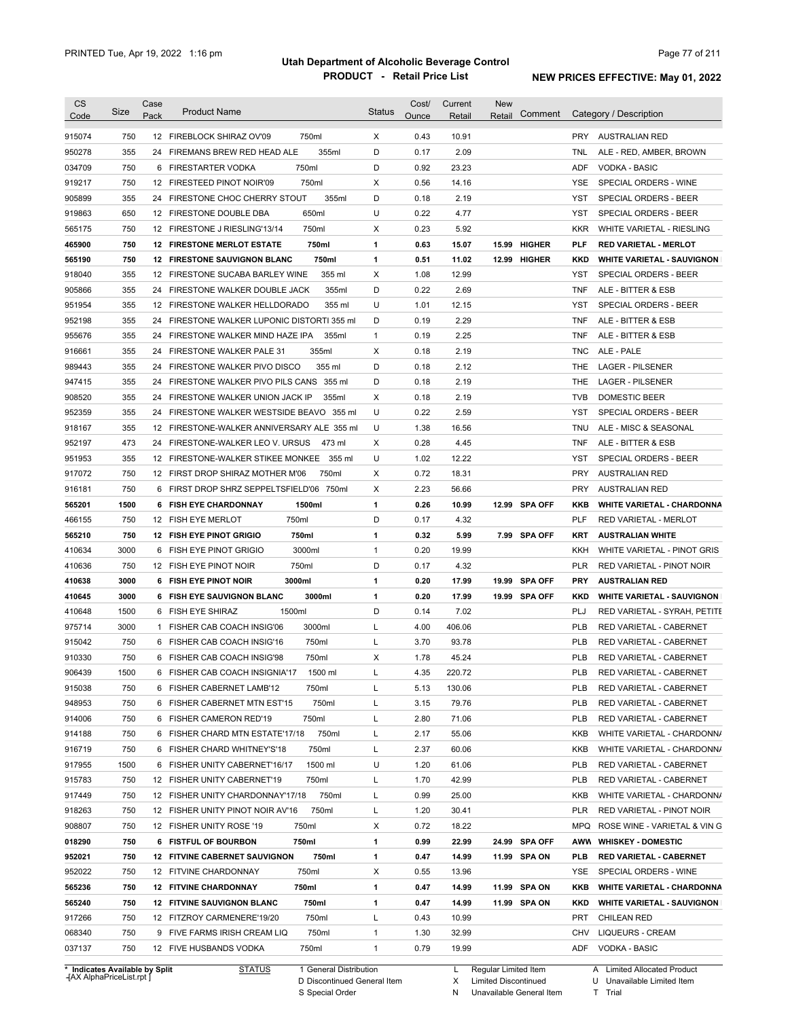| <b>CS</b><br>Code              | Size | Case<br>Pack | <b>Product Name</b>                         |                        | Status       | Cost/<br>Ounce | Current<br>Retail | <b>New</b><br>Retail | Comment       |            | Category / Description            |
|--------------------------------|------|--------------|---------------------------------------------|------------------------|--------------|----------------|-------------------|----------------------|---------------|------------|-----------------------------------|
| 915074                         | 750  |              | 12 FIREBLOCK SHIRAZ OV'09                   | 750ml                  | Χ            | 0.43           | 10.91             |                      |               |            | PRY AUSTRALIAN RED                |
| 950278                         | 355  |              | 24 FIREMANS BREW RED HEAD ALE               | 355ml                  | D            | 0.17           | 2.09              |                      |               | TNL        | ALE - RED, AMBER, BROWN           |
| 034709                         | 750  |              | 6 FIRESTARTER VODKA                         | 750ml                  | D            | 0.92           | 23.23             |                      |               | <b>ADF</b> | <b>VODKA - BASIC</b>              |
| 919217                         | 750  |              | 12 FIRESTEED PINOT NOIR'09                  | 750ml                  | Χ            | 0.56           | 14.16             |                      |               | YSE        | SPECIAL ORDERS - WINE             |
| 905899                         | 355  |              | 24 FIRESTONE CHOC CHERRY STOUT              | 355ml                  | D            | 0.18           | 2.19              |                      |               | YST        | SPECIAL ORDERS - BEER             |
| 919863                         | 650  |              | 12 FIRESTONE DOUBLE DBA                     | 650ml                  | U            | 0.22           | 4.77              |                      |               | YST        | SPECIAL ORDERS - BEER             |
| 565175                         | 750  |              | 12 FIRESTONE J RIESLING'13/14               | 750ml                  | х            | 0.23           | 5.92              |                      |               | <b>KKR</b> | WHITE VARIETAL - RIESLING         |
| 465900                         | 750  |              | <b>12 FIRESTONE MERLOT ESTATE</b>           | 750ml                  | 1            | 0.63           | 15.07             | 15.99                | <b>HIGHER</b> | <b>PLF</b> | <b>RED VARIETAL - MERLOT</b>      |
| 565190                         | 750  |              | <b>12 FIRESTONE SAUVIGNON BLANC</b>         | 750ml                  | 1            | 0.51           | 11.02             |                      | 12.99 HIGHER  | <b>KKD</b> | <b>WHITE VARIETAL - SAUVIGNON</b> |
| 918040                         | 355  |              | 12 FIRESTONE SUCABA BARLEY WINE             | 355 ml                 | Х            | 1.08           | 12.99             |                      |               | YST        | <b>SPECIAL ORDERS - BEER</b>      |
| 905866                         | 355  |              | 24 FIRESTONE WALKER DOUBLE JACK             | 355ml                  | D            | 0.22           | 2.69              |                      |               | <b>TNF</b> | ALE - BITTER & ESB                |
| 951954                         | 355  |              | 12 FIRESTONE WALKER HELLDORADO              | 355 ml                 | U            | 1.01           | 12.15             |                      |               | YST        | SPECIAL ORDERS - BEER             |
| 952198                         | 355  |              | 24 FIRESTONE WALKER LUPONIC DISTORTI 355 ml |                        | D            | 0.19           | 2.29              |                      |               | <b>TNF</b> | ALE - BITTER & ESB                |
|                                | 355  |              | 24 FIRESTONE WALKER MIND HAZE IPA           | 355ml                  | $\mathbf{1}$ | 0.19           | 2.25              |                      |               | <b>TNF</b> | ALE - BITTER & ESB                |
| 955676<br>916661               | 355  |              | 24 FIRESTONE WALKER PALE 31                 | 355ml                  | Х            | 0.18           | 2.19              |                      |               | TNC        | ALE - PALE                        |
|                                |      |              |                                             |                        |              |                |                   |                      |               |            |                                   |
| 989443                         | 355  |              | 24 FIRESTONE WALKER PIVO DISCO              | 355 ml                 | D            | 0.18           | 2.12              |                      |               | THE        | <b>LAGER - PILSENER</b>           |
| 947415                         | 355  |              | 24 FIRESTONE WALKER PIVO PILS CANS 355 ml   |                        | D            | 0.18           | 2.19              |                      |               | THE        | <b>LAGER - PILSENER</b>           |
| 908520                         | 355  |              | 24 FIRESTONE WALKER UNION JACK IP           | 355ml                  | Х            | 0.18           | 2.19              |                      |               | <b>TVB</b> | DOMESTIC BEER                     |
| 952359                         | 355  |              | 24 FIRESTONE WALKER WESTSIDE BEAVO 355 ml   |                        | U            | 0.22           | 2.59              |                      |               | YST        | SPECIAL ORDERS - BEER             |
| 918167                         | 355  |              | 12 FIRESTONE-WALKER ANNIVERSARY ALE 355 ml  |                        | U            | 1.38           | 16.56             |                      |               | <b>TNU</b> | ALE - MISC & SEASONAL             |
| 952197                         | 473  |              | 24 FIRESTONE-WALKER LEO V. URSUS            | 473 ml                 | X            | 0.28           | 4.45              |                      |               | <b>TNF</b> | ALE - BITTER & ESB                |
| 951953                         | 355  |              | 12 FIRESTONE-WALKER STIKEE MONKEE           | 355 ml                 | U            | 1.02           | 12.22             |                      |               | YST        | SPECIAL ORDERS - BEER             |
| 917072                         | 750  |              | 12 FIRST DROP SHIRAZ MOTHER M'06            | 750ml                  | х            | 0.72           | 18.31             |                      |               | <b>PRY</b> | <b>AUSTRALIAN RED</b>             |
| 916181                         | 750  |              | 6 FIRST DROP SHRZ SEPPELTSFIELD'06 750ml    |                        | X            | 2.23           | 56.66             |                      |               | <b>PRY</b> | <b>AUSTRALIAN RED</b>             |
| 565201                         | 1500 |              | 6 FISH EYE CHARDONNAY                       | 1500ml                 | 1            | 0.26           | 10.99             |                      | 12.99 SPA OFF | KKB        | <b>WHITE VARIETAL - CHARDONNA</b> |
| 466155                         | 750  |              | 750ml<br>12 FISH EYE MERLOT                 |                        | D            | 0.17           | 4.32              |                      |               | <b>PLF</b> | RED VARIETAL - MERLOT             |
| 565210                         | 750  |              | <b>12 FISH EYE PINOT GRIGIO</b>             | 750ml                  | 1            | 0.32           | 5.99              |                      | 7.99 SPA OFF  | <b>KRT</b> | <b>AUSTRALIAN WHITE</b>           |
| 410634                         | 3000 |              | 6 FISH EYE PINOT GRIGIO                     | 3000ml                 | $\mathbf{1}$ | 0.20           | 19.99             |                      |               | KKH        | WHITE VARIETAL - PINOT GRIS       |
| 410636                         | 750  |              | 12 FISH EYE PINOT NOIR                      | 750ml                  | D            | 0.17           | 4.32              |                      |               | <b>PLR</b> | RED VARIETAL - PINOT NOIR         |
| 410638                         | 3000 |              | 3000ml<br>6 FISH EYE PINOT NOIR             |                        | 1            | 0.20           | 17.99             |                      | 19.99 SPA OFF | <b>PRY</b> | <b>AUSTRALIAN RED</b>             |
| 410645                         | 3000 |              | 6 FISH EYE SAUVIGNON BLANC                  | 3000ml                 | 1            | 0.20           | 17.99             |                      | 19.99 SPA OFF | <b>KKD</b> | <b>WHITE VARIETAL - SAUVIGNON</b> |
| 410648                         | 1500 |              | 1500ml<br>6 FISH EYE SHIRAZ                 |                        | D            | 0.14           | 7.02              |                      |               | <b>PLJ</b> | RED VARIETAL - SYRAH, PETITE      |
| 975714                         | 3000 |              | 1 FISHER CAB COACH INSIG'06                 | 3000ml                 | L            | 4.00           | 406.06            |                      |               | <b>PLB</b> | RED VARIETAL - CABERNET           |
| 915042                         | 750  |              | 6 FISHER CAB COACH INSIG'16                 | 750ml                  | L            | 3.70           | 93.78             |                      |               | <b>PLB</b> | <b>RED VARIETAL - CABERNET</b>    |
| 910330                         | 750  |              | 6 FISHER CAB COACH INSIG'98                 | 750ml                  | Χ            | 1.78           | 45.24             |                      |               | <b>PLB</b> | RED VARIETAL - CABERNET           |
| 906439                         | 1500 |              | 6 FISHER CAB COACH INSIGNIA'17              | 1500 ml                |              | 4.35           | 220.72            |                      |               | PLB        | RED VARIETAL - CABERNET           |
| 915038                         | 750  |              | 6 FISHER CABERNET LAMB'12                   | 750ml                  | L            | 5.13           | 130.06            |                      |               | <b>PLB</b> | RED VARIETAL - CABERNET           |
| 948953                         | 750  |              | 6 FISHER CABERNET MTN EST'15                | 750ml                  | L            | 3.15           | 79.76             |                      |               | <b>PLB</b> | RED VARIETAL - CABERNET           |
| 914006                         | 750  |              | 6 FISHER CAMERON RED'19                     | 750ml                  | Г            | 2.80           | 71.06             |                      |               | <b>PLB</b> | RED VARIETAL - CABERNET           |
| 914188                         | 750  |              | 6 FISHER CHARD MTN ESTATE'17/18             | 750ml                  | L            | 2.17           | 55.06             |                      |               | KKB        | WHITE VARIETAL - CHARDONN/        |
| 916719                         | 750  |              | 6 FISHER CHARD WHITNEY'S'18                 | 750ml                  | L            | 2.37           | 60.06             |                      |               | KKB        | WHITE VARIETAL - CHARDONN/        |
| 917955                         | 1500 |              | 6 FISHER UNITY CABERNET'16/17               | 1500 ml                | U            | 1.20           | 61.06             |                      |               | <b>PLB</b> | RED VARIETAL - CABERNET           |
| 915783                         | 750  |              | 12 FISHER UNITY CABERNET'19                 | 750ml                  | Г            | 1.70           | 42.99             |                      |               | <b>PLB</b> | RED VARIETAL - CABERNET           |
| 917449                         | 750  |              | 12 FISHER UNITY CHARDONNAY'17/18            | 750ml                  | L            | 0.99           | 25.00             |                      |               | KKB        | WHITE VARIETAL - CHARDONN/        |
| 918263                         | 750  |              | 12 FISHER UNITY PINOT NOIR AV'16            | 750ml                  | Г            | 1.20           | 30.41             |                      |               | <b>PLR</b> | RED VARIETAL - PINOT NOIR         |
| 908807                         | 750  |              | 12 FISHER UNITY ROSE '19                    | 750ml                  | х            | 0.72           | 18.22             |                      |               |            | MPQ ROSE WINE - VARIETAL & VIN G  |
| 018290                         | 750  |              | 6 FISTFUL OF BOURBON                        | 750ml                  | 1            | 0.99           | 22.99             |                      | 24.99 SPA OFF |            | AWW WHISKEY - DOMESTIC            |
| 952021                         | 750  |              | <b>12 FITVINE CABERNET SAUVIGNON</b>        | 750ml                  | 1            | 0.47           | 14.99             |                      | 11.99 SPA ON  | PLB        | <b>RED VARIETAL - CABERNET</b>    |
| 952022                         | 750  |              | 12 FITVINE CHARDONNAY                       | 750ml                  | Х            | 0.55           | 13.96             |                      |               | YSE        | SPECIAL ORDERS - WINE             |
| 565236                         | 750  |              | <b>12 FITVINE CHARDONNAY</b>                | 750ml                  | 1            | 0.47           | 14.99             |                      | 11.99 SPA ON  | KKB        | <b>WHITE VARIETAL - CHARDONNA</b> |
| 565240                         | 750  |              | <b>12 FITVINE SAUVIGNON BLANC</b>           | 750ml                  | 1            | 0.47           | 14.99             |                      | 11.99 SPA ON  | KKD        | <b>WHITE VARIETAL - SAUVIGNON</b> |
| 917266                         | 750  |              | 12 FITZROY CARMENERE'19/20                  | 750ml                  | L            | 0.43           | 10.99             |                      |               | PRT        | <b>CHILEAN RED</b>                |
| 068340                         | 750  |              | 9 FIVE FARMS IRISH CREAM LIQ                | 750ml                  | 1            | 1.30           | 32.99             |                      |               | CHV        | <b>LIQUEURS - CREAM</b>           |
| 037137                         | 750  |              | 12 FIVE HUSBANDS VODKA                      | 750ml                  | $\mathbf{1}$ | 0.79           | 19.99             |                      |               | <b>ADF</b> | <b>VODKA - BASIC</b>              |
|                                |      |              |                                             |                        |              |                |                   |                      |               |            |                                   |
| * Indicates Available by Split |      |              | <b>STATUS</b>                               | 1 General Distribution |              |                | L                 | Regular Limited Item |               |            | A Limited Allocated Product       |

**Case** [AX AlphaPriceList.rpt ]

D Discontinued General Item S Special Order

X Limited Discontinued

N Unavailable General Item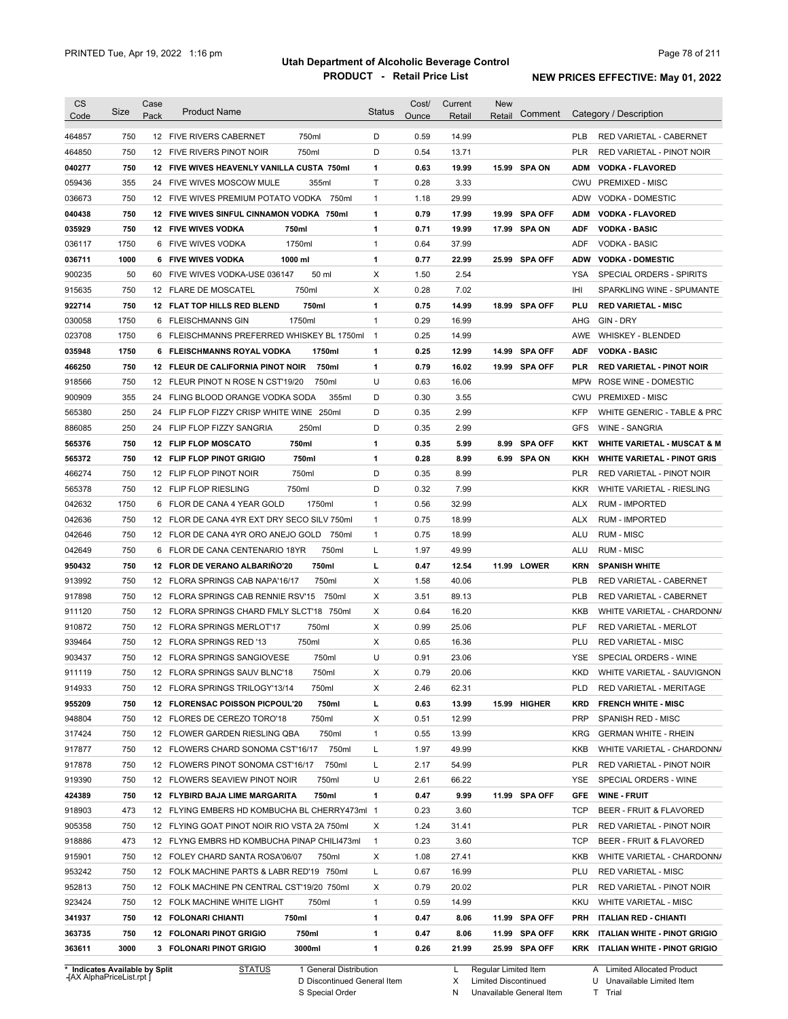| Code             | Size        | Case | <b>Product Name</b>                           | <b>Status</b>  | Cost/ | Current | <b>New</b> |                |                   |                                         |
|------------------|-------------|------|-----------------------------------------------|----------------|-------|---------|------------|----------------|-------------------|-----------------------------------------|
|                  |             | Pack |                                               |                | Ounce | Retail  | Retail     | Comment        |                   | Category / Description                  |
| 464857           | 750         |      | 750ml<br>12 FIVE RIVERS CABERNET              | D              | 0.59  | 14.99   |            |                | <b>PLB</b>        | <b>RED VARIETAL - CABERNET</b>          |
| 464850           | 750         |      | 750ml<br>12 FIVE RIVERS PINOT NOIR            | D              | 0.54  | 13.71   |            |                | <b>PLR</b>        | RED VARIETAL - PINOT NOIR               |
| 040277           | 750         |      | 12 FIVE WIVES HEAVENLY VANILLA CUSTA 750ml    | 1              | 0.63  | 19.99   |            | 15.99 SPA ON   | <b>ADM</b>        | <b>VODKA - FLAVORED</b>                 |
| 059436           | 355         |      | 24 FIVE WIVES MOSCOW MULE<br>355ml            | $\mathsf{T}$   | 0.28  | 3.33    |            |                |                   | CWU PREMIXED - MISC                     |
| 036673           | 750         |      | 12 FIVE WIVES PREMIUM POTATO VODKA 750ml      | $\mathbf{1}$   | 1.18  | 29.99   |            |                | ADW               | VODKA - DOMESTIC                        |
| 040438           | 750         |      | 12 FIVE WIVES SINFUL CINNAMON VODKA 750ml     | 1              | 0.79  | 17.99   | 19.99      | <b>SPA OFF</b> | <b>ADM</b>        | <b>VODKA - FLAVORED</b>                 |
| 035929           | 750         |      | <b>12 FIVE WIVES VODKA</b><br>750ml           | 1              | 0.71  | 19.99   |            | 17.99 SPA ON   | <b>ADF</b>        | <b>VODKA - BASIC</b>                    |
| 036117           | 1750        |      | 1750ml<br>6 FIVE WIVES VODKA                  | $\mathbf{1}$   | 0.64  | 37.99   |            |                | ADF               | <b>VODKA - BASIC</b>                    |
| 036711           | 1000        |      | 1000 ml<br>6 FIVE WIVES VODKA                 | 1              | 0.77  | 22.99   |            | 25.99 SPA OFF  | <b>ADW</b>        | <b>VODKA - DOMESTIC</b>                 |
| 900235           | 50          | 60   | FIVE WIVES VODKA-USE 036147<br>50 ml          | Х              | 1.50  | 2.54    |            |                | YSA               | SPECIAL ORDERS - SPIRITS                |
| 915635           | 750         |      | 750ml<br>12 FLARE DE MOSCATEL                 | Х              | 0.28  | 7.02    |            |                | IHI               | SPARKLING WINE - SPUMANTE               |
| 922714           | 750         |      | 750ml<br>12 FLAT TOP HILLS RED BLEND          | 1              | 0.75  | 14.99   |            | 18.99 SPA OFF  | PLU               | <b>RED VARIETAL - MISC</b>              |
| 030058           | 1750        | 6    | 1750ml<br><b>FLEISCHMANNS GIN</b>             | $\mathbf{1}$   | 0.29  | 16.99   |            |                | AHG               | GIN - DRY                               |
| 023708           | 1750        | 6    | FLEISCHMANNS PREFERRED WHISKEY BL 1750ml      | $\overline{1}$ | 0.25  | 14.99   |            |                | AWE               | <b>WHISKEY - BLENDED</b>                |
| 035948           | 1750        |      | 6 FLEISCHMANNS ROYAL VODKA<br>1750ml          | 1              | 0.25  | 12.99   | 14.99      | <b>SPA OFF</b> | <b>ADF</b>        | <b>VODKA - BASIC</b>                    |
| 466250           | 750         |      | 750ml<br>12 FLEUR DE CALIFORNIA PINOT NOIR    | 1              | 0.79  | 16.02   |            | 19.99 SPA OFF  | <b>PLR</b>        | <b>RED VARIETAL - PINOT NOIR</b>        |
| 918566           | 750         |      | 750ml<br>12 FLEUR PINOT N ROSE N CST'19/20    | U              | 0.63  | 16.06   |            |                | MPW               | ROSE WINE - DOMESTIC                    |
| 900909           | 355         |      | 24 FLING BLOOD ORANGE VODKA SODA<br>355ml     | D              | 0.30  | 3.55    |            |                | CWU               | <b>PREMIXED - MISC</b>                  |
| 565380           | 250         | 24   | FLIP FLOP FIZZY CRISP WHITE WINE 250ml        | D              | 0.35  | 2.99    |            |                | <b>KFP</b>        | WHITE GENERIC - TABLE & PRC             |
| 886085           | 250         | 24   | 250ml<br>FLIP FLOP FIZZY SANGRIA              | D              | 0.35  | 2.99    |            |                | <b>GFS</b>        | <b>WINE - SANGRIA</b>                   |
| 565376           | 750         |      | 750ml<br><b>12 FLIP FLOP MOSCATO</b>          | 1              | 0.35  | 5.99    | 8.99       | <b>SPA OFF</b> | KKT               | <b>WHITE VARIETAL MUSCAT &amp; M</b>    |
| 565372           | 750         |      | 750ml<br>12 FLIP FLOP PINOT GRIGIO            | 1              | 0.28  | 8.99    |            | 6.99 SPA ON    | KKH               | <b>WHITE VARIETAL - PINOT GRIS</b>      |
| 466274           | 750         |      | 12 FLIP FLOP PINOT NOIR<br>750ml              | D              | 0.35  | 8.99    |            |                | <b>PLR</b>        | RED VARIETAL - PINOT NOIR               |
| 565378           | 750         |      | 12 FLIP FLOP RIESLING<br>750ml                | D              | 0.32  | 7.99    |            |                | <b>KKR</b>        | WHITE VARIETAL - RIESLING               |
| 042632           | 1750        |      | 1750ml<br>6 FLOR DE CANA 4 YEAR GOLD          | $\mathbf{1}$   | 0.56  | 32.99   |            |                | <b>ALX</b>        | <b>RUM - IMPORTED</b>                   |
| 042636           | 750         |      | 12 FLOR DE CANA 4YR EXT DRY SECO SILV 750ml   | $\mathbf{1}$   | 0.75  | 18.99   |            |                | <b>ALX</b>        | <b>RUM - IMPORTED</b>                   |
| 042646           | 750         |      | 12 FLOR DE CANA 4YR ORO ANEJO GOLD<br>750ml   | $\mathbf{1}$   | 0.75  | 18.99   |            |                | ALU               | <b>RUM - MISC</b>                       |
| 042649           | 750         | 6    | 750ml<br>FLOR DE CANA CENTENARIO 18YR         | L              | 1.97  | 49.99   |            |                | ALU               | <b>RUM - MISC</b>                       |
| 950432           | 750         |      | 750ml<br>12 FLOR DE VERANO ALBARIÑO'20        | г              | 0.47  | 12.54   |            | 11.99 LOWER    | <b>KRN</b>        | <b>SPANISH WHITE</b>                    |
| 913992           | 750         |      | 12 FLORA SPRINGS CAB NAPA'16/17<br>750ml      | Х              | 1.58  | 40.06   |            |                | <b>PLB</b>        | RED VARIETAL - CABERNET                 |
| 917898           | 750         |      | 12 FLORA SPRINGS CAB RENNIE RSV'15<br>750ml   | Х              | 3.51  | 89.13   |            |                | <b>PLB</b>        | RED VARIETAL - CABERNET                 |
| 911120           | 750         |      | 12 FLORA SPRINGS CHARD FMLY SLCT'18 750ml     | Х              | 0.64  | 16.20   |            |                | KKB               | WHITE VARIETAL - CHARDONN/              |
| 910872           | 750         |      | 750ml<br>12 FLORA SPRINGS MERLOT'17           | X              | 0.99  | 25.06   |            |                | PLF               | <b>RED VARIETAL - MERLOT</b>            |
| 939464           | 750         |      | 12 FLORA SPRINGS RED '13<br>750ml             | Χ              | 0.65  | 16.36   |            |                | PLU               | <b>RED VARIETAL - MISC</b>              |
| 903437           | 750         |      | 12 FLORA SPRINGS SANGIOVESE<br>750ml          | U              | 0.91  | 23.06   |            |                | <b>YSE</b>        | SPECIAL ORDERS - WINE                   |
| 911119           | 750         |      | 12 FLORA SPRINGS SAUV BLNC'18<br>750ml        | X              | 0.79  | 20.06   |            |                |                   | KKD WHITE VARIETAL - SAUVIGNON          |
| 914933           | 750         |      | 12 FLORA SPRINGS TRILOGY'13/14<br>750ml       | Х              | 2.46  | 62.31   |            |                | <b>PLD</b>        | RED VARIETAL - MERITAGE                 |
| 955209           | 750         |      | 12 FLORENSAC POISSON PICPOUL'20<br>750ml      | L              | 0.63  | 13.99   |            |                |                   | <b>FRENCH WHITE - MISC</b>              |
| 948804           | 750         |      | 750ml<br>12 FLORES DE CEREZO TORO'18          | X              | 0.51  | 12.99   |            | 15.99 HIGHER   | KRD<br><b>PRP</b> | SPANISH RED - MISC                      |
| 317424           | 750         |      | 750ml<br>12 FLOWER GARDEN RIESLING QBA        | 1              | 0.55  | 13.99   |            |                | <b>KRG</b>        | <b>GERMAN WHITE - RHEIN</b>             |
| 917877           | 750         |      | 750ml<br>12 FLOWERS CHARD SONOMA CST'16/17    | L              | 1.97  | 49.99   |            |                | KKB               | WHITE VARIETAL - CHARDONN/              |
|                  |             |      |                                               |                |       |         |            |                |                   |                                         |
| 917878           | 750         |      | 12 FLOWERS PINOT SONOMA CST'16/17<br>750ml    | L              | 2.17  | 54.99   |            |                | <b>PLR</b>        | RED VARIETAL - PINOT NOIR               |
| 919390           | 750         |      | 12 FLOWERS SEAVIEW PINOT NOIR<br>750ml        | U              | 2.61  | 66.22   |            |                | YSE               | SPECIAL ORDERS - WINE                   |
| 424389           | 750         |      | 12 FLYBIRD BAJA LIME MARGARITA<br>750ml       | 1              | 0.47  | 9.99    |            | 11.99 SPA OFF  | <b>GFE</b>        | WINE FRUIT                              |
| 918903           | 473         |      | 12 FLYING EMBERS HD KOMBUCHA BL CHERRY473ml 1 |                | 0.23  | 3.60    |            |                | <b>TCP</b>        | BEER - FRUIT & FLAVORED                 |
| 905358           | 750         |      | 12 FLYING GOAT PINOT NOIR RIO VSTA 2A 750ml   | X              | 1.24  | 31.41   |            |                | <b>PLR</b>        | RED VARIETAL - PINOT NOIR               |
| 918886           | 473         |      | 12 FLYNG EMBRS HD KOMBUCHA PINAP CHILI473ml   | $\overline{1}$ | 0.23  | 3.60    |            |                | <b>TCP</b>        | BEER - FRUIT & FLAVORED                 |
| 915901           | 750         |      | 12 FOLEY CHARD SANTA ROSA'06/07<br>750ml      | X              | 1.08  | 27.41   |            |                | KKB               | WHITE VARIETAL - CHARDONN/              |
| 953242           | 750         |      | 12 FOLK MACHINE PARTS & LABR RED'19 750ml     | L              | 0.67  | 16.99   |            |                | PLU               | <b>RED VARIETAL - MISC</b>              |
| 952813           | 750         |      | 12 FOLK MACHINE PN CENTRAL CST'19/20 750ml    | X              | 0.79  | 20.02   |            |                | <b>PLR</b>        | RED VARIETAL - PINOT NOIR               |
| 923424           | 750         |      | 12 FOLK MACHINE WHITE LIGHT<br>750ml          | $\mathbf{1}$   | 0.59  | 14.99   |            |                | KKU               | <b>WHITE VARIETAL - MISC</b>            |
| 341937           | 750         |      | <b>12 FOLONARI CHIANTI</b><br>750ml           | 1              | 0.47  | 8.06    |            | 11.99 SPA OFF  | PRH               | <b>ITALIAN RED - CHIANTI</b>            |
|                  |             |      | 12 FOLONARI PINOT GRIGIO<br>750ml             | 1              | 0.47  | 8.06    |            | 11.99 SPA OFF  |                   | KRK ITALIAN WHITE - PINOT GRIGIO        |
| 363735<br>363611 | 750<br>3000 |      | 3 FOLONARI PINOT GRIGIO<br>3000ml             | 1              | 0.26  | 21.99   |            | 25.99 SPA OFF  |                   | <b>KRK ITALIAN WHITE - PINOT GRIGIO</b> |

**Case** [AX AlphaPriceList.rpt ]

D Discontinued General Item S Special Order

L Regular Limited Item

X Limited Discontinued N Unavailable General Item

A Limited Allocated Product

U Unavailable Limited Item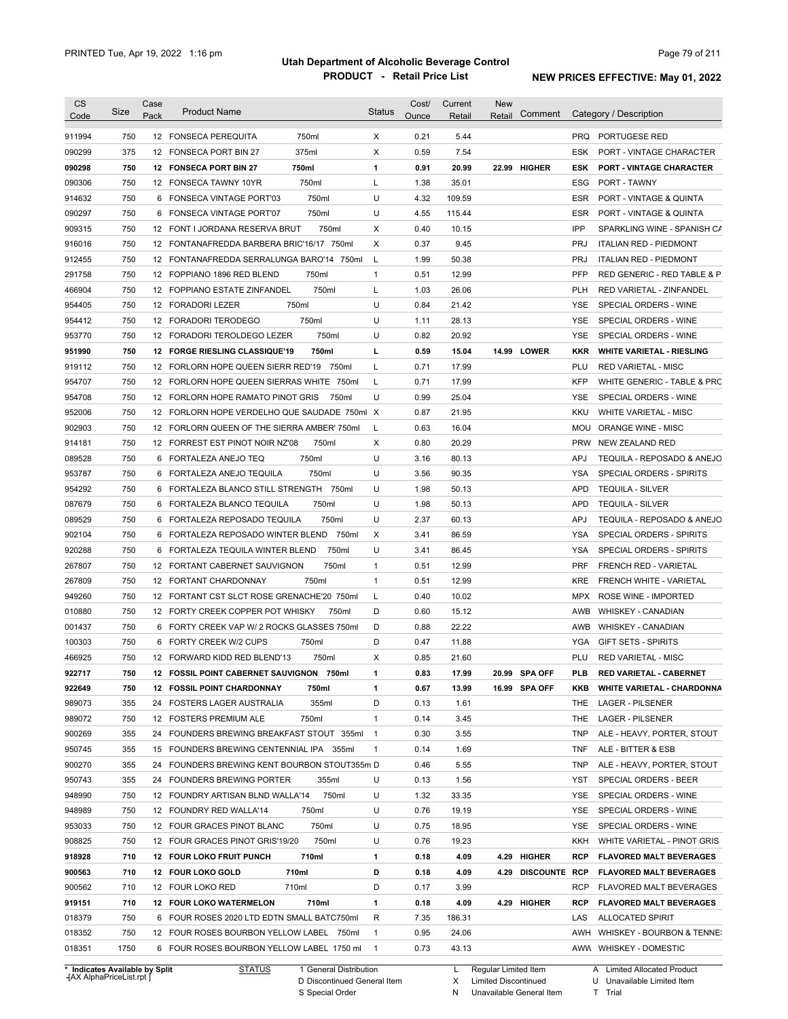| <b>CS</b><br>Code              | Size | Case<br>Pack | <b>Product Name</b>                          |                        | <b>Status</b>  | Cost/<br>Ounce | Current<br>Retail | New<br>Retail        | Comment                   |                   | Category / Description            |
|--------------------------------|------|--------------|----------------------------------------------|------------------------|----------------|----------------|-------------------|----------------------|---------------------------|-------------------|-----------------------------------|
| 911994                         | 750  |              | 12 FONSECA PEREQUITA                         | 750ml                  | X              | 0.21           | 5.44              |                      |                           | <b>PRQ</b>        | PORTUGESE RED                     |
| 090299                         | 375  |              | 12 FONSECA PORT BIN 27                       | 375ml                  | X              | 0.59           | 7.54              |                      |                           | ESK               | PORT - VINTAGE CHARACTER          |
| 090298                         | 750  |              | 12 FONSECA PORT BIN 27                       | 750ml                  | 1              | 0.91           | 20.99             |                      | 22.99 HIGHER              | <b>ESK</b>        | <b>PORT - VINTAGE CHARACTER</b>   |
| 090306                         | 750  |              | 12 FONSECA TAWNY 10YR                        | 750ml                  | L              | 1.38           | 35.01             |                      |                           | ESG               | PORT - TAWNY                      |
| 914632                         | 750  |              | 6 FONSECA VINTAGE PORT'03                    | 750ml                  | U              | 4.32           | 109.59            |                      |                           | ESR               | PORT - VINTAGE & QUINTA           |
| 090297                         | 750  |              | 6 FONSECA VINTAGE PORT'07                    | 750ml                  | U              | 4.55           | 115.44            |                      |                           | ESR               | PORT - VINTAGE & QUINTA           |
| 909315                         | 750  |              | 12 FONT I JORDANA RESERVA BRUT               | 750ml                  | Х              | 0.40           | 10.15             |                      |                           | IPP               | SPARKLING WINE - SPANISH CA       |
| 916016                         | 750  |              | 12 FONTANAFREDDA BARBERA BRIC'16/17 750ml    |                        | Х              | 0.37           | 9.45              |                      |                           | <b>PRJ</b>        | <b>ITALIAN RED - PIEDMONT</b>     |
| 912455                         | 750  |              | 12 FONTANAFREDDA SERRALUNGA BARO'14 750ml    |                        | L              | 1.99           | 50.38             |                      |                           | <b>PRJ</b>        | <b>ITALIAN RED - PIEDMONT</b>     |
| 291758                         | 750  |              | 12 FOPPIANO 1896 RED BLEND                   | 750ml                  | $\mathbf{1}$   | 0.51           | 12.99             |                      |                           | <b>PFP</b>        | RED GENERIC - RED TABLE & P       |
| 466904                         | 750  |              | 12 FOPPIANO ESTATE ZINFANDEL                 | 750ml                  | L              | 1.03           | 26.06             |                      |                           | <b>PLH</b>        | RED VARIETAL - ZINFANDEL          |
| 954405                         | 750  |              | 12 FORADORI LEZER                            | 750ml                  | U              | 0.84           | 21.42             |                      |                           | <b>YSE</b>        | SPECIAL ORDERS - WINE             |
| 954412                         | 750  |              | 12 FORADORI TERODEGO                         | 750ml                  | U              | 1.11           | 28.13             |                      |                           | <b>YSE</b>        | SPECIAL ORDERS - WINE             |
| 953770                         | 750  |              | 12 FORADORI TEROLDEGO LEZER                  | 750ml                  | U              | 0.82           | 20.92             |                      |                           | YSE               | SPECIAL ORDERS - WINE             |
| 951990                         | 750  |              | 12 FORGE RIESLING CLASSIQUE'19               | 750ml                  | L              | 0.59           | 15.04             |                      | 14.99 LOWER               | KKR               | <b>WHITE VARIETAL - RIESLING</b>  |
| 919112                         | 750  |              | 12 FORLORN HOPE QUEEN SIERR RED'19           | 750ml                  | L              | 0.71           | 17.99             |                      |                           | PLU               | <b>RED VARIETAL - MISC</b>        |
| 954707                         | 750  |              | 12 FORLORN HOPE QUEEN SIERRAS WHITE 750ml    |                        | L              | 0.71           | 17.99             |                      |                           | <b>KFP</b>        | WHITE GENERIC - TABLE & PRC       |
| 954708                         | 750  |              | 12 FORLORN HOPE RAMATO PINOT GRIS            | 750ml                  | U              | 0.99           | 25.04             |                      |                           | YSE               |                                   |
|                                |      |              |                                              |                        |                |                |                   |                      |                           |                   | SPECIAL ORDERS - WINE             |
| 952006                         | 750  |              | 12 FORLORN HOPE VERDELHO QUE SAUDADE 750ml X |                        |                | 0.87           | 21.95             |                      |                           | <b>KKU</b>        | WHITE VARIETAL - MISC             |
| 902903                         | 750  |              | 12 FORLORN QUEEN OF THE SIERRA AMBER' 750ml  |                        | L              | 0.63           | 16.04             |                      |                           | MOU               | ORANGE WINE - MISC                |
| 914181                         | 750  |              | 12 FORREST EST PINOT NOIR NZ'08              | 750ml                  | Х              | 0.80           | 20.29             |                      |                           | <b>PRW</b>        | <b>NEW ZEALAND RED</b>            |
| 089528                         | 750  | 6            | FORTALEZA ANEJO TEQ                          | 750ml                  | U              | 3.16           | 80.13             |                      |                           | APJ               | TEQUILA - REPOSADO & ANEJO        |
| 953787                         | 750  | 6            | FORTALEZA ANEJO TEQUILA                      | 750ml                  | U              | 3.56           | 90.35             |                      |                           | YSA               | SPECIAL ORDERS - SPIRITS          |
| 954292                         | 750  | 6            | FORTALEZA BLANCO STILL STRENGTH              | 750ml                  | U              | 1.98           | 50.13             |                      |                           | <b>APD</b>        | <b>TEQUILA - SILVER</b>           |
| 087679                         | 750  | 6            | FORTALEZA BLANCO TEQUILA                     | 750ml                  | U              | 1.98           | 50.13             |                      |                           | <b>APD</b>        | <b>TEQUILA - SILVER</b>           |
| 089529                         | 750  | 6            | FORTALEZA REPOSADO TEQUILA                   | 750ml                  | U              | 2.37           | 60.13             |                      |                           | <b>APJ</b>        | TEQUILA - REPOSADO & ANEJO        |
| 902104                         | 750  |              | 6 FORTALEZA REPOSADO WINTER BLEND            | 750ml                  | Х              | 3.41           | 86.59             |                      |                           | YSA               | SPECIAL ORDERS - SPIRITS          |
| 920288                         | 750  | 6            | FORTALEZA TEQUILA WINTER BLEND               | 750ml                  | U              | 3.41           | 86.45             |                      |                           | YSA               | SPECIAL ORDERS - SPIRITS          |
| 267807                         | 750  |              | 12 FORTANT CABERNET SAUVIGNON                | 750ml                  | $\mathbf{1}$   | 0.51           | 12.99             |                      |                           | <b>PRF</b>        | FRENCH RED - VARIETAL             |
| 267809                         | 750  |              | 12 FORTANT CHARDONNAY                        | 750ml                  | $\mathbf{1}$   | 0.51           | 12.99             |                      |                           | <b>KRE</b>        | <b>FRENCH WHITE - VARIETAL</b>    |
| 949260                         | 750  |              | 12 FORTANT CST SLCT ROSE GRENACHE'20 750ml   |                        | L              | 0.40           | 10.02             |                      |                           | <b>MPX</b>        | <b>ROSE WINE - IMPORTED</b>       |
| 010880                         | 750  |              | 12 FORTY CREEK COPPER POT WHISKY             | 750ml                  | D              | 0.60           | 15.12             |                      |                           | AWB               | <b>WHISKEY - CANADIAN</b>         |
| 001437                         | 750  |              | 6 FORTY CREEK VAP W/ 2 ROCKS GLASSES 750ml   |                        | D              | 0.88           | 22.22             |                      |                           | AWB               | <b>WHISKEY - CANADIAN</b>         |
| 100303                         | 750  |              | 6 FORTY CREEK W/2 CUPS                       | 750ml                  | D              | 0.47           | 11.88             |                      |                           | <b>YGA</b>        | <b>GIFT SETS - SPIRITS</b>        |
| 466925                         | 750  |              | 12 FORWARD KIDD RED BLEND'13                 | 750ml                  | Х              | 0.85           | 21.60             |                      |                           | PLU               | <b>RED VARIETAL - MISC</b>        |
| 922717                         | 750  |              | 12 FOSSIL POINT CABERNET SAUVIGNON 750ml     |                        | 1              | 0.83           | 17.99             | 20.99                | <b>SPA OFF</b>            | PLB               | <b>RED VARIETAL - CABERNET</b>    |
| 922649                         | 750  |              | 12 FOSSIL POINT CHARDONNAY                   | 750ml                  | 1              | 0.67           | 13.99             |                      | 16.99 SPA OFF             | KKB               | <b>WHITE VARIETAL - CHARDONNA</b> |
| 989073                         | 355  |              | 24 FOSTERS LAGER AUSTRALIA                   | 355ml                  | D              | 0.13           | 1.61              |                      |                           | THE               | LAGER - PILSENER                  |
| 989072                         | 750  |              | 12 FOSTERS PREMIUM ALE                       | 750ml                  | $\mathbf{1}$   | 0.14           | 3.45              |                      |                           | THE               | LAGER - PILSENER                  |
| 900269                         | 355  |              | 24 FOUNDERS BREWING BREAKFAST STOUT 355ml    |                        | $\overline{1}$ | 0.30           | 3.55              |                      |                           | TNP               | ALE - HEAVY, PORTER, STOUT        |
| 950745                         | 355  |              | 15 FOUNDERS BREWING CENTENNIAL IPA 355ml     |                        | 1              | 0.14           | 1.69              |                      |                           | TNF               | ALE - BITTER & ESB                |
| 900270                         | 355  |              | 24 FOUNDERS BREWING KENT BOURBON STOUT355m D |                        |                | 0.46           | 5.55              |                      |                           | TNP               | ALE - HEAVY, PORTER, STOUT        |
| 950743                         | 355  |              | 24 FOUNDERS BREWING PORTER                   | 355ml                  | U              | 0.13           | 1.56              |                      |                           | YST               | SPECIAL ORDERS - BEER             |
| 948990                         | 750  |              | 12 FOUNDRY ARTISAN BLND WALLA'14             | 750ml                  | U              | 1.32           | 33.35             |                      |                           | YSE               | SPECIAL ORDERS - WINE             |
| 948989                         | 750  |              | 12 FOUNDRY RED WALLA'14                      | 750ml                  | U              | 0.76           | 19.19             |                      |                           | YSE               | SPECIAL ORDERS - WINE             |
| 953033                         | 750  |              | 12 FOUR GRACES PINOT BLANC                   | 750ml                  | U              | 0.75           | 18.95             |                      |                           | YSE               | SPECIAL ORDERS - WINE             |
| 908825                         | 750  |              | 12 FOUR GRACES PINOT GRIS'19/20              | 750ml                  | U              | 0.76           | 19.23             |                      |                           | KKH               | WHITE VARIETAL - PINOT GRIS       |
| 918928                         | 710  |              | 12 FOUR LOKO FRUIT PUNCH                     | 710ml                  | 1              | 0.18           | 4.09              |                      | 4.29 HIGHER               | <b>RCP</b>        | <b>FLAVORED MALT BEVERAGES</b>    |
| 900563                         | 710  |              | 12 FOUR LOKO GOLD                            | 710ml                  | D              | 0.18           | 4.09              |                      | <b>4.29 DISCOUNTE RCP</b> |                   | <b>FLAVORED MALT BEVERAGES</b>    |
| 900562                         | 710  |              | 12 FOUR LOKO RED                             | 710ml                  | D              | 0.17           | 3.99              |                      |                           | RCP               | <b>FLAVORED MALT BEVERAGES</b>    |
|                                | 710  |              |                                              | 710ml                  | 1              |                | 4.09              |                      | 4.29 HIGHER               |                   |                                   |
| 919151                         |      |              | 12 FOUR LOKO WATERMELON                      |                        | R              | 0.18           |                   |                      |                           | <b>RCP</b><br>LAS | <b>FLAVORED MALT BEVERAGES</b>    |
| 018379                         | 750  |              | 6 FOUR ROSES 2020 LTD EDTN SMALL BATC750ml   |                        |                | 7.35           | 186.31            |                      |                           |                   | <b>ALLOCATED SPIRIT</b>           |
| 018352                         | 750  |              | 12 FOUR ROSES BOURBON YELLOW LABEL 750ml     |                        | $\mathbf{1}$   | 0.95           | 24.06             |                      |                           | AWH               | WHISKEY - BOURBON & TENNE:        |
| 018351                         | 1750 |              | 6 FOUR ROSES BOURBON YELLOW LABEL 1750 ml    |                        | $\mathbf{1}$   | 0.73           | 43.13             |                      |                           |                   | AWW WHISKEY - DOMESTIC            |
| * Indicates Available by Split |      |              | <b>STATUS</b>                                | 1 General Distribution |                |                | L                 | Regular Limited Item |                           |                   | A Limited Allocated Product       |

**Case** [AX AlphaPriceList.rpt ]

D Discontinued General Item S Special Order

X Limited Discontinued

N Unavailable General Item

U Unavailable Limited Item T Trial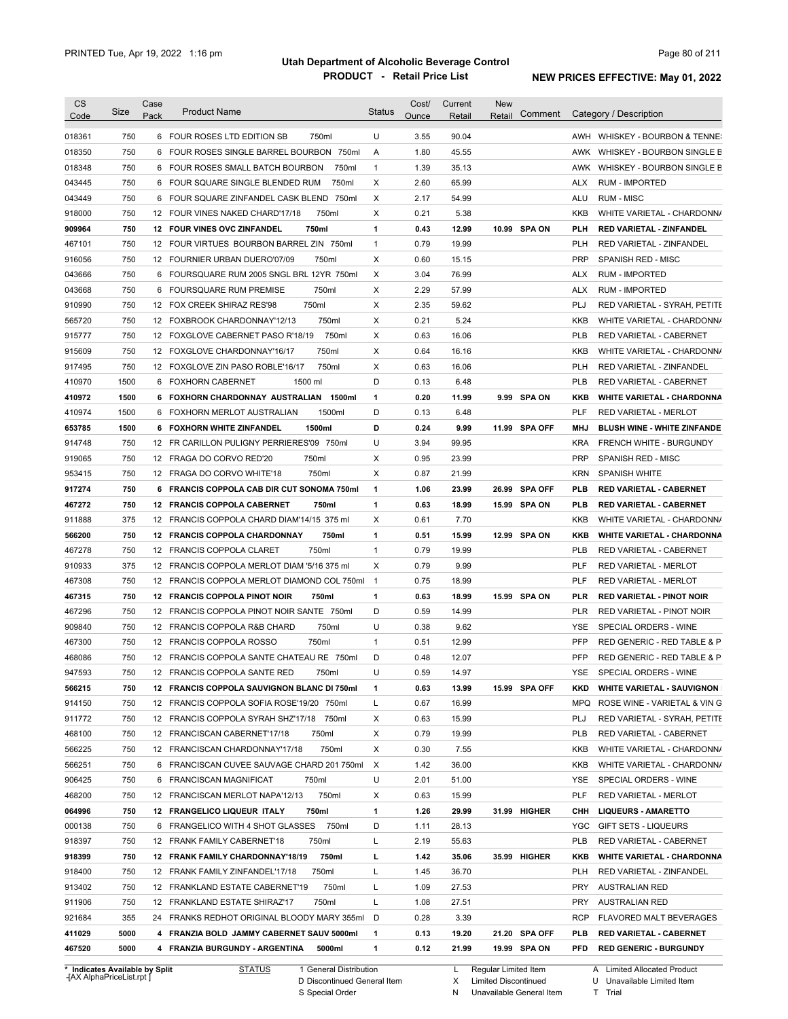| Code                                                               | Size | Case | <b>Product Name</b>                         | <b>Status</b> | Cost/ | Current | <b>New</b> |               |            |                                    |
|--------------------------------------------------------------------|------|------|---------------------------------------------|---------------|-------|---------|------------|---------------|------------|------------------------------------|
|                                                                    |      | Pack |                                             |               | Ounce | Retail  | Retail     | Comment       |            | Category / Description             |
| 018361                                                             | 750  |      | 6 FOUR ROSES LTD EDITION SB<br>750ml        | U             | 3.55  | 90.04   |            |               |            | AWH WHISKEY - BOURBON & TENNE:     |
| 018350                                                             | 750  |      | 6 FOUR ROSES SINGLE BARREL BOURBON 750ml    | Α             | 1.80  | 45.55   |            |               |            | AWK WHISKEY - BOURBON SINGLE B     |
| 018348                                                             | 750  |      | 6 FOUR ROSES SMALL BATCH BOURBON<br>750ml   | $\mathbf{1}$  | 1.39  | 35.13   |            |               | AWK        | WHISKEY - BOURBON SINGLE B         |
| 043445                                                             | 750  |      | 6 FOUR SQUARE SINGLE BLENDED RUM<br>750ml   | X             | 2.60  | 65.99   |            |               | ALX        | <b>RUM - IMPORTED</b>              |
| 043449                                                             | 750  |      | 6 FOUR SQUARE ZINFANDEL CASK BLEND 750ml    | X             | 2.17  | 54.99   |            |               | ALU        | <b>RUM - MISC</b>                  |
| 918000                                                             | 750  |      | 12 FOUR VINES NAKED CHARD'17/18<br>750ml    | X             | 0.21  | 5.38    |            |               | KKB        | WHITE VARIETAL - CHARDONN/         |
| 909964                                                             | 750  |      | 750ml<br>12 FOUR VINES OVC ZINFANDEL        | 1             | 0.43  | 12.99   |            | 10.99 SPA ON  | <b>PLH</b> | <b>RED VARIETAL - ZINFANDEL</b>    |
| 467101                                                             | 750  |      | 12 FOUR VIRTUES BOURBON BARREL ZIN 750ml    | $\mathbf{1}$  | 0.79  | 19.99   |            |               | <b>PLH</b> | RED VARIETAL - ZINFANDEL           |
| 916056                                                             | 750  |      | 750ml<br>12 FOURNIER URBAN DUERO'07/09      | X             | 0.60  | 15.15   |            |               | <b>PRP</b> | SPANISH RED - MISC                 |
| 043666                                                             | 750  |      | 6 FOURSQUARE RUM 2005 SNGL BRL 12YR 750ml   | X             | 3.04  | 76.99   |            |               | <b>ALX</b> | <b>RUM - IMPORTED</b>              |
| 043668                                                             | 750  |      | 750ml<br>6 FOURSQUARE RUM PREMISE           | Χ             | 2.29  | 57.99   |            |               | <b>ALX</b> | <b>RUM - IMPORTED</b>              |
| 910990                                                             | 750  |      | 750ml<br>12 FOX CREEK SHIRAZ RES'98         | Χ             | 2.35  | 59.62   |            |               | PLJ        | RED VARIETAL - SYRAH, PETITE       |
| 565720                                                             | 750  |      | 750ml<br>12 FOXBROOK CHARDONNAY'12/13       | Χ             | 0.21  | 5.24    |            |               | <b>KKB</b> | WHITE VARIETAL - CHARDONN/         |
| 915777                                                             | 750  |      | 750ml<br>12 FOXGLOVE CABERNET PASO R'18/19  | Χ             | 0.63  | 16.06   |            |               | <b>PLB</b> | RED VARIETAL - CABERNET            |
| 915609                                                             | 750  |      | 750ml<br>12 FOXGLOVE CHARDONNAY'16/17       | Χ             | 0.64  | 16.16   |            |               | <b>KKB</b> | WHITE VARIETAL - CHARDONN/         |
| 917495                                                             | 750  |      | 750ml<br>12 FOXGLOVE ZIN PASO ROBLE'16/17   | Χ             | 0.63  | 16.06   |            |               | <b>PLH</b> | <b>RED VARIETAL - ZINFANDEL</b>    |
| 410970                                                             | 1500 |      | 6 FOXHORN CABERNET<br>1500 ml               | D             | 0.13  | 6.48    |            |               | PLB        | RED VARIETAL - CABERNET            |
| 410972                                                             | 1500 |      | 6 FOXHORN CHARDONNAY AUSTRALIAN<br>1500ml   | 1             | 0.20  | 11.99   |            | 9.99 SPA ON   | <b>KKB</b> | <b>WHITE VARIETAL - CHARDONNA</b>  |
| 410974                                                             | 1500 | 6    | 1500ml<br>FOXHORN MERLOT AUSTRALIAN         | D             | 0.13  | 6.48    |            |               | PLF        | <b>RED VARIETAL - MERLOT</b>       |
| 653785                                                             | 1500 |      | 1500ml<br>6 FOXHORN WHITE ZINFANDEL         | D             | 0.24  | 9.99    |            | 11.99 SPA OFF | <b>MHJ</b> | <b>BLUSH WINE - WHITE ZINFANDE</b> |
| 914748                                                             | 750  |      | 12 FR CARILLON PULIGNY PERRIERES'09 750ml   | U             | 3.94  | 99.95   |            |               | <b>KRA</b> | <b>FRENCH WHITE - BURGUNDY</b>     |
| 919065                                                             | 750  |      | 12 FRAGA DO CORVO RED'20<br>750ml           | Χ             | 0.95  | 23.99   |            |               | <b>PRP</b> | SPANISH RED - MISC                 |
| 953415                                                             | 750  |      | 750ml<br>12 FRAGA DO CORVO WHITE'18         | X             | 0.87  | 21.99   |            |               | <b>KRN</b> | SPANISH WHITE                      |
| 917274                                                             | 750  |      | 6 FRANCIS COPPOLA CAB DIR CUT SONOMA 750ml  | 1             | 1.06  | 23.99   |            | 26.99 SPA OFF | <b>PLB</b> | <b>RED VARIETAL - CABERNET</b>     |
| 467272                                                             | 750  |      | 750ml<br>12 FRANCIS COPPOLA CABERNET        | 1             | 0.63  | 18.99   |            | 15.99 SPA ON  | <b>PLB</b> | <b>RED VARIETAL - CABERNET</b>     |
| 911888                                                             | 375  |      | 12 FRANCIS COPPOLA CHARD DIAM'14/15 375 ml  | Χ             | 0.61  | 7.70    |            |               | <b>KKB</b> | WHITE VARIETAL - CHARDONN/         |
| 566200                                                             | 750  |      | 750ml<br>12 FRANCIS COPPOLA CHARDONNAY      | 1             | 0.51  | 15.99   |            | 12.99 SPA ON  | <b>KKB</b> | <b>WHITE VARIETAL - CHARDONNA</b>  |
| 467278                                                             | 750  |      | 750ml<br>12 FRANCIS COPPOLA CLARET          | $\mathbf{1}$  | 0.79  | 19.99   |            |               | <b>PLB</b> | RED VARIETAL - CABERNET            |
| 910933                                                             | 375  |      | 12 FRANCIS COPPOLA MERLOT DIAM '5/16 375 ml | Χ             | 0.79  | 9.99    |            |               | <b>PLF</b> | RED VARIETAL - MERLOT              |
| 467308                                                             | 750  |      | 12 FRANCIS COPPOLA MERLOT DIAMOND COL 750ml | $\mathbf{1}$  | 0.75  | 18.99   |            |               | <b>PLF</b> | RED VARIETAL - MERLOT              |
| 467315                                                             | 750  |      | 750ml<br>12 FRANCIS COPPOLA PINOT NOIR      | $\mathbf{1}$  | 0.63  | 18.99   |            | 15.99 SPA ON  | PLR        | <b>RED VARIETAL - PINOT NOIR</b>   |
| 467296                                                             | 750  |      | 12 FRANCIS COPPOLA PINOT NOIR SANTE 750ml   | D             | 0.59  | 14.99   |            |               | PLR        | RED VARIETAL - PINOT NOIR          |
| 909840                                                             | 750  |      | 750ml<br>12 FRANCIS COPPOLA R&B CHARD       | U             | 0.38  | 9.62    |            |               | <b>YSE</b> | SPECIAL ORDERS - WINE              |
| 467300                                                             | 750  |      | 12 FRANCIS COPPOLA ROSSO<br>750ml           | $\mathbf{1}$  | 0.51  | 12.99   |            |               | PFP        | RED GENERIC - RED TABLE & P        |
| 468086                                                             | 750  |      | 12 FRANCIS COPPOLA SANTE CHATEAU RE 750ml   | D             | 0.48  | 12.07   |            |               | PFP        | RED GENERIC - RED TABLE & P        |
| 947593                                                             | 750  |      | 12 FRANCIS COPPOLA SANTE RED<br>750ml       | U             | 0.59  | 14.97   |            |               | YSE        | SPECIAL ORDERS - WINE              |
| 566215                                                             | 750  |      | 12 FRANCIS COPPOLA SAUVIGNON BLANC DI 750ml | 1             | 0.63  | 13.99   |            | 15.99 SPA OFF | <b>KKD</b> | <b>WHITE VARIETAL - SAUVIGNON</b>  |
| 914150                                                             | 750  |      | 12 FRANCIS COPPOLA SOFIA ROSE'19/20 750ml   | L             | 0.67  | 16.99   |            |               | MPQ        | ROSE WINE - VARIETAL & VIN G       |
| 911772                                                             | 750  |      | 12 FRANCIS COPPOLA SYRAH SHZ'17/18 750ml    | Х             | 0.63  | 15.99   |            |               | PLJ        | RED VARIETAL - SYRAH, PETITE       |
| 468100                                                             | 750  |      | 12 FRANCISCAN CABERNET'17/18<br>750ml       | х             | 0.79  | 19.99   |            |               | <b>PLB</b> | RED VARIETAL - CABERNET            |
| 566225                                                             | 750  |      | 12 FRANCISCAN CHARDONNAY'17/18<br>750ml     | Х             | 0.30  | 7.55    |            |               | KKB        | WHITE VARIETAL - CHARDONN/         |
| 566251                                                             | 750  |      | 6 FRANCISCAN CUVEE SAUVAGE CHARD 201 750ml  | X             | 1.42  | 36.00   |            |               | KKB        | WHITE VARIETAL - CHARDONN/         |
| 906425                                                             | 750  |      | 6 FRANCISCAN MAGNIFICAT<br>750ml            | U             | 2.01  | 51.00   |            |               | YSE        | SPECIAL ORDERS - WINE              |
| 468200                                                             | 750  |      | 12 FRANCISCAN MERLOT NAPA'12/13<br>750ml    | х             | 0.63  | 15.99   |            |               | PLF        | RED VARIETAL - MERLOT              |
| 064996                                                             | 750  |      | 12 FRANGELICO LIQUEUR ITALY<br>750ml        | 1             | 1.26  | 29.99   |            | 31.99 HIGHER  | снн        | <b>LIQUEURS - AMARETTO</b>         |
| 000138                                                             | 750  |      | 6 FRANGELICO WITH 4 SHOT GLASSES 750ml      | D             | 1.11  | 28.13   |            |               | <b>YGC</b> | GIFT SETS - LIQUEURS               |
|                                                                    | 750  |      | 12 FRANK FAMILY CABERNET'18<br>750ml        | Г             | 2.19  | 55.63   |            |               | <b>PLB</b> | RED VARIETAL - CABERNET            |
|                                                                    | 750  |      | 12 FRANK FAMILY CHARDONNAY'18/19<br>750ml   | L             | 1.42  | 35.06   |            | 35.99 HIGHER  | KKB        | <b>WHITE VARIETAL - CHARDONNA</b>  |
|                                                                    |      |      | 12 FRANK FAMILY ZINFANDEL'17/18<br>750ml    | Г             | 1.45  | 36.70   |            |               | PLH        | RED VARIETAL - ZINFANDEL           |
|                                                                    | 750  |      |                                             |               | 1.09  | 27.53   |            |               | PRY        | <b>AUSTRALIAN RED</b>              |
|                                                                    | 750  |      | 12 FRANKLAND ESTATE CABERNET'19<br>750ml    | L             |       |         |            |               |            |                                    |
|                                                                    | 750  |      | 12 FRANKLAND ESTATE SHIRAZ'17<br>750ml      | L             | 1.08  | 27.51   |            |               | PRY        | <b>AUSTRALIAN RED</b>              |
|                                                                    | 355  |      | 24 FRANKS REDHOT ORIGINAL BLOODY MARY 355ml | D             | 0.28  | 3.39    |            |               | RCP        | <b>FLAVORED MALT BEVERAGES</b>     |
| 918397<br>918399<br>918400<br>913402<br>911906<br>921684<br>411029 | 5000 |      | 4 FRANZIA BOLD JAMMY CABERNET SAUV 5000ml   | 1             | 0.13  | 19.20   |            | 21.20 SPA OFF | PLB        | <b>RED VARIETAL - CABERNET</b>     |

**Case** [AX AlphaPriceList.rpt ]

D Discontinued General Item

S Special Order

Regular Limited Item

X

Limited Discontinued

N Unavailable General Item

U Unavailable Limited Item

A Limited Allocated Product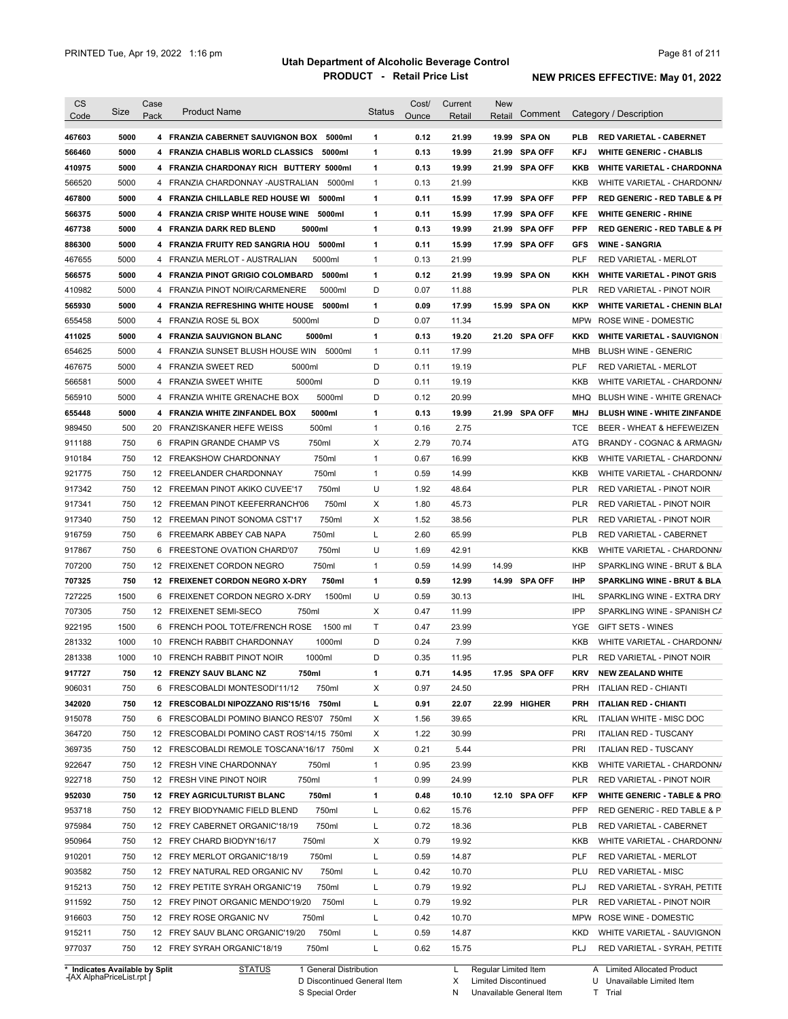| <b>CS</b><br>Code | Size                           | Case<br>Pack | <b>Product Name</b>                        | <b>Status</b> | Cost/<br>Ounce | Current<br>Retail | New<br>Retail        | Comment        |            | Category / Description                                       |
|-------------------|--------------------------------|--------------|--------------------------------------------|---------------|----------------|-------------------|----------------------|----------------|------------|--------------------------------------------------------------|
| 467603            | 5000                           |              | 4 FRANZIA CABERNET SAUVIGNON BOX 5000ml    | 1             | 0.12           | 21.99             |                      | 19.99 SPA ON   | <b>PLB</b> | <b>RED VARIETAL - CABERNET</b>                               |
| 566460            | 5000                           |              | 4 FRANZIA CHABLIS WORLD CLASSICS<br>5000ml | 1             | 0.13           | 19.99             | 21.99                | <b>SPA OFF</b> | <b>KFJ</b> | <b>WHITE GENERIC - CHABLIS</b>                               |
| 410975            | 5000                           |              | 4 FRANZIA CHARDONAY RICH BUTTERY 5000ml    | 1             | 0.13           | 19.99             |                      | 21.99 SPA OFF  | KKB        | <b>WHITE VARIETAL - CHARDONNA</b>                            |
| 566520            | 5000                           |              | 4 FRANZIA CHARDONNAY -AUSTRALIAN<br>5000ml | $\mathbf{1}$  | 0.13           | 21.99             |                      |                | KKB        | WHITE VARIETAL - CHARDONN/                                   |
| 467800            | 5000                           |              | 4 FRANZIA CHILLABLE RED HOUSE WI 5000ml    | 1             | 0.11           | 15.99             |                      | 17.99 SPA OFF  | <b>PFP</b> | <b>RED GENERIC - RED TABLE &amp; PI</b>                      |
| 566375            | 5000                           |              | 4 FRANZIA CRISP WHITE HOUSE WINE 5000ml    | 1             | 0.11           | 15.99             | 17.99                | <b>SPA OFF</b> | KFE        | <b>WHITE GENERIC - RHINE</b>                                 |
| 467738            | 5000                           |              | 4 FRANZIA DARK RED BLEND<br>5000ml         | 1             | 0.13           | 19.99             |                      | 21.99 SPA OFF  | <b>PFP</b> | <b>RED GENERIC - RED TABLE &amp; PI</b>                      |
| 886300            | 5000                           |              | 4 FRANZIA FRUITY RED SANGRIA HOU 5000ml    | 1             | 0.11           | 15.99             |                      | 17.99 SPA OFF  | <b>GFS</b> | <b>WINE - SANGRIA</b>                                        |
| 467655            | 5000                           |              | 4 FRANZIA MERLOT - AUSTRALIAN<br>5000ml    | $\mathbf{1}$  | 0.13           | 21.99             |                      |                | PLF        | <b>RED VARIETAL - MERLOT</b>                                 |
| 566575            | 5000                           |              | 4 FRANZIA PINOT GRIGIO COLOMBARD<br>5000ml | 1             | 0.12           | 21.99             |                      | 19.99 SPA ON   | KKH        | <b>WHITE VARIETAL - PINOT GRIS</b>                           |
| 410982            | 5000                           |              | 4 FRANZIA PINOT NOIR/CARMENERE<br>5000ml   | D             | 0.07           | 11.88             |                      |                | <b>PLR</b> | RED VARIETAL - PINOT NOIR                                    |
| 565930            | 5000                           |              | 4 FRANZIA REFRESHING WHITE HOUSE<br>5000ml | 1             | 0.09           | 17.99             |                      | 15.99 SPA ON   | KKP        | <b>WHITE VARIETAL - CHENIN BLAI</b>                          |
| 655458            | 5000                           |              | 4 FRANZIA ROSE 5L BOX<br>5000ml            | D             | 0.07           | 11.34             |                      |                | <b>MPW</b> | ROSE WINE - DOMESTIC                                         |
| 411025            | 5000                           |              | 4 FRANZIA SAUVIGNON BLANC<br>5000ml        | 1             | 0.13           | 19.20             |                      | 21.20 SPA OFF  | <b>KKD</b> | <b>WHITE VARIETAL - SAUVIGNON</b>                            |
| 654625            | 5000                           |              | 4 FRANZIA SUNSET BLUSH HOUSE WIN<br>5000ml | 1             | 0.11           | 17.99             |                      |                | MHB        | <b>BLUSH WINE - GENERIC</b>                                  |
|                   |                                |              |                                            |               |                |                   |                      |                |            |                                                              |
| 467675            | 5000                           |              | 4 FRANZIA SWEET RED<br>5000ml              | D             | 0.11           | 19.19             |                      |                | PLF        | <b>RED VARIETAL - MERLOT</b>                                 |
| 566581            | 5000                           |              | 5000ml<br>4 FRANZIA SWEET WHITE            | D             | 0.11           | 19.19             |                      |                | KKB        | WHITE VARIETAL - CHARDONN/<br>MHQ BLUSH WINE - WHITE GRENACH |
| 565910            | 5000                           |              | 5000ml<br>4 FRANZIA WHITE GRENACHE BOX     | D             | 0.12           | 20.99             |                      |                |            |                                                              |
| 655448            | 5000                           |              | 5000ml<br>4 FRANZIA WHITE ZINFANDEL BOX    | 1             | 0.13           | 19.99             |                      | 21.99 SPA OFF  | MHJ        | <b>BLUSH WINE - WHITE ZINFANDE</b>                           |
| 989450            | 500                            |              | 500ml<br>20 FRANZISKANER HEFE WEISS        | $\mathbf{1}$  | 0.16           | 2.75              |                      |                | TCE        | BEER - WHEAT & HEFEWEIZEN                                    |
| 911188            | 750                            |              | 750ml<br>6 FRAPIN GRANDE CHAMP VS          | Χ             | 2.79           | 70.74             |                      |                | ATG        | BRANDY - COGNAC & ARMAGN/                                    |
| 910184            | 750                            |              | 750ml<br>12 FREAKSHOW CHARDONNAY           | 1             | 0.67           | 16.99             |                      |                | KKB        | WHITE VARIETAL - CHARDONN/                                   |
| 921775            | 750                            |              | 750ml<br>12 FREELANDER CHARDONNAY          | $\mathbf{1}$  | 0.59           | 14.99             |                      |                | <b>KKB</b> | WHITE VARIETAL - CHARDONN/                                   |
| 917342            | 750                            |              | 750ml<br>12 FREEMAN PINOT AKIKO CUVEE'17   | U             | 1.92           | 48.64             |                      |                | <b>PLR</b> | RED VARIETAL - PINOT NOIR                                    |
| 917341            | 750                            |              | 12 FREEMAN PINOT KEEFERRANCH'06<br>750ml   | Х             | 1.80           | 45.73             |                      |                | <b>PLR</b> | RED VARIETAL - PINOT NOIR                                    |
| 917340            | 750                            |              | 750ml<br>12 FREEMAN PINOT SONOMA CST'17    | Х             | 1.52           | 38.56             |                      |                | <b>PLR</b> | RED VARIETAL - PINOT NOIR                                    |
| 916759            | 750                            | 6            | 750ml<br>FREEMARK ABBEY CAB NAPA           | Г             | 2.60           | 65.99             |                      |                | <b>PLB</b> | RED VARIETAL - CABERNET                                      |
| 917867            | 750                            | 6            | 750ml<br>FREESTONE OVATION CHARD'07        | U             | 1.69           | 42.91             |                      |                | KKB        | WHITE VARIETAL - CHARDONN/                                   |
| 707200            | 750                            |              | 750ml<br>12 FREIXENET CORDON NEGRO         | $\mathbf{1}$  | 0.59           | 14.99             | 14.99                |                | <b>IHP</b> | SPARKLING WINE - BRUT & BLA                                  |
| 707325            | 750                            |              | 12 FREIXENET CORDON NEGRO X-DRY<br>750ml   | 1             | 0.59           | 12.99             |                      | 14.99 SPA OFF  | <b>IHP</b> | <b>SPARKLING WINE - BRUT &amp; BLA</b>                       |
| 727225            | 1500                           |              | 1500ml<br>6 FREIXENET CORDON NEGRO X-DRY   | U             | 0.59           | 30.13             |                      |                | IHL        | SPARKLING WINE - EXTRA DRY                                   |
| 707305            | 750                            |              | 12 FREIXENET SEMI-SECO<br>750ml            | Χ             | 0.47           | 11.99             |                      |                | IPP        | SPARKLING WINE - SPANISH CA                                  |
| 922195            | 1500                           |              | 6 FRENCH POOL TOTE/FRENCH ROSE<br>1500 ml  | Τ             | 0.47           | 23.99             |                      |                | YGE        | <b>GIFT SETS - WINES</b>                                     |
| 281332            | 1000                           | 10           | 1000ml<br>FRENCH RABBIT CHARDONNAY         | D             | 0.24           | 7.99              |                      |                | <b>KKB</b> | WHITE VARIETAL - CHARDONN/                                   |
| 281338            | 1000                           |              | 1000ml<br>10 FRENCH RABBIT PINOT NOIR      | D             | 0.35           | 11.95             |                      |                | <b>PLR</b> | RED VARIETAL - PINOT NOIR                                    |
| 917727            | 750                            |              | 12 FRENZY SAUV BLANC NZ<br>750ml           |               | 0.71           | 14.95             |                      | 17.95 SPA OFF  |            | KRV NEW ZEALAND WHITE                                        |
| 906031            | 750                            |              | 6 FRESCOBALDI MONTESODI'11/12<br>750ml     | х             | 0.97           | 24.50             |                      |                | PRH        | ITALIAN RED - CHIANTI                                        |
| 342020            | 750                            |              | 12 FRESCOBALDI NIPOZZANO RIS'15/16 750ml   | г             | 0.91           | 22.07             |                      | 22.99 HIGHER   | <b>PRH</b> | <b>ITALIAN RED - CHIANTI</b>                                 |
| 915078            | 750                            |              | 6 FRESCOBALDI POMINO BIANCO RES'07 750ml   | Х             | 1.56           | 39.65             |                      |                | KRL        | ITALIAN WHITE - MISC DOC                                     |
| 364720            | 750                            |              | 12 FRESCOBALDI POMINO CAST ROS'14/15 750ml | Х             | 1.22           | 30.99             |                      |                | PRI        | <b>ITALIAN RED - TUSCANY</b>                                 |
| 369735            | 750                            |              | 12 FRESCOBALDI REMOLE TOSCANA'16/17 750ml  | х             | 0.21           | 5.44              |                      |                | PRI        | <b>ITALIAN RED - TUSCANY</b>                                 |
| 922647            | 750                            |              | 12 FRESH VINE CHARDONNAY<br>750ml          | 1             | 0.95           | 23.99             |                      |                | KKB        | WHITE VARIETAL - CHARDONN/                                   |
| 922718            | 750                            |              | 12 FRESH VINE PINOT NOIR<br>750ml          | $\mathbf{1}$  | 0.99           | 24.99             |                      |                | PLR        | RED VARIETAL - PINOT NOIR                                    |
| 952030            | 750                            |              | 12 FREY AGRICULTURIST BLANC<br>750ml       | 1             | 0.48           | 10.10             |                      | 12.10 SPA OFF  | KFP        | <b>WHITE GENERIC - TABLE &amp; PRO</b>                       |
| 953718            | 750                            |              | 750ml<br>12 FREY BIODYNAMIC FIELD BLEND    | L             | 0.62           | 15.76             |                      |                | <b>PFP</b> | RED GENERIC - RED TABLE & P                                  |
| 975984            | 750                            |              | 750ml<br>12 FREY CABERNET ORGANIC'18/19    | L             | 0.72           | 18.36             |                      |                | PLB        | RED VARIETAL - CABERNET                                      |
| 950964            | 750                            |              | 750ml<br>12 FREY CHARD BIODYN'16/17        | х             | 0.79           | 19.92             |                      |                | KKB        | WHITE VARIETAL - CHARDONN/                                   |
| 910201            | 750                            |              | 750ml<br>12 FREY MERLOT ORGANIC'18/19      | Г             | 0.59           | 14.87             |                      |                | PLF        | RED VARIETAL - MERLOT                                        |
| 903582            | 750                            |              | 12 FREY NATURAL RED ORGANIC NV<br>750ml    | Г             | 0.42           | 10.70             |                      |                | PLU        | <b>RED VARIETAL - MISC</b>                                   |
| 915213            | 750                            |              | 750ml<br>12 FREY PETITE SYRAH ORGANIC'19   | Г             | 0.79           | 19.92             |                      |                | PLJ        | RED VARIETAL - SYRAH, PETITE                                 |
| 911592            | 750                            |              | 750ml<br>12 FREY PINOT ORGANIC MENDO'19/20 | Г             | 0.79           | 19.92             |                      |                | <b>PLR</b> | RED VARIETAL - PINOT NOIR                                    |
| 916603            | 750                            |              | 750ml<br>12 FREY ROSE ORGANIC NV           | Г             | 0.42           | 10.70             |                      |                |            | MPW ROSE WINE - DOMESTIC                                     |
| 915211            | 750                            |              | 750ml<br>12 FREY SAUV BLANC ORGANIC'19/20  | L             | 0.59           | 14.87             |                      |                | KKD        | WHITE VARIETAL - SAUVIGNON                                   |
| 977037            | 750                            |              | 750ml<br>12 FREY SYRAH ORGANIC'18/19       | L             | 0.62           | 15.75             |                      |                | PLJ        | RED VARIETAL - SYRAH, PETITE                                 |
|                   | * Indicates Available by Split |              | 1 General Distribution<br><b>STATUS</b>    |               |                | L.                | Regular Limited Item |                |            | A Limited Allocated Product                                  |

**Case** [AX AlphaPriceList.rpt ]

D Discontinued General Item S Special Order

X Limited Discontinued

N Unavailable General Item

U Unavailable Limited Item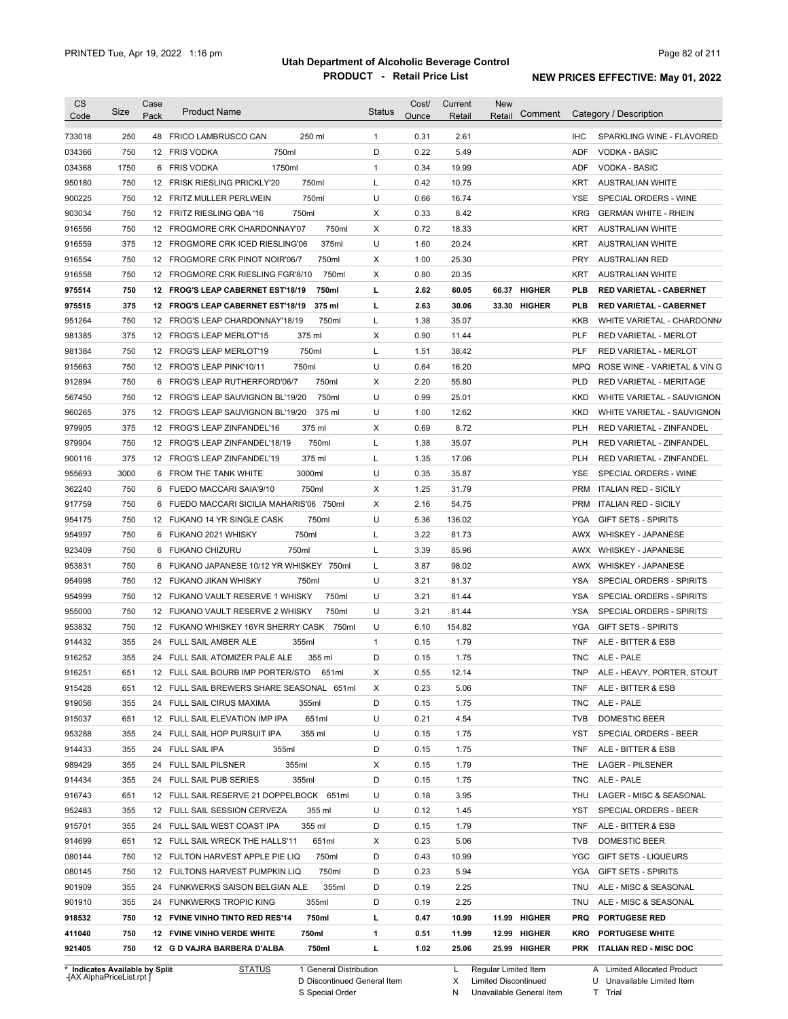| <b>CS</b> | Size | Case | <b>Product Name</b>                         | <b>Status</b> | Cost/ | Current | <b>New</b>             |            |                                |
|-----------|------|------|---------------------------------------------|---------------|-------|---------|------------------------|------------|--------------------------------|
| Code      |      | Pack |                                             |               | Ounce | Retail  | Comment<br>Retail      |            | Category / Description         |
| 733018    | 250  |      | 48 FRICO LAMBRUSCO CAN<br>250 ml            | 1             | 0.31  | 2.61    |                        | <b>IHC</b> | SPARKLING WINE - FLAVORED      |
| 034366    | 750  |      | 750ml<br>12 FRIS VODKA                      | D             | 0.22  | 5.49    |                        | <b>ADF</b> | <b>VODKA - BASIC</b>           |
| 034368    | 1750 |      | 1750ml<br>6 FRIS VODKA                      | $\mathbf{1}$  | 0.34  | 19.99   |                        | ADF        | <b>VODKA - BASIC</b>           |
| 950180    | 750  |      | 750ml<br>12 FRISK RIESLING PRICKLY'20       | Г             | 0.42  | 10.75   |                        | KRT        | <b>AUSTRALIAN WHITE</b>        |
| 900225    | 750  |      | 750ml<br>12 FRITZ MULLER PERLWEIN           | U             | 0.66  | 16.74   |                        | YSE        | SPECIAL ORDERS - WINE          |
| 903034    | 750  |      | 750ml<br>12 FRITZ RIESLING QBA '16          | X             | 0.33  | 8.42    |                        | <b>KRG</b> | <b>GERMAN WHITE - RHEIN</b>    |
| 916556    | 750  |      | 750ml<br>12 FROGMORE CRK CHARDONNAY'07      | X             | 0.72  | 18.33   |                        | KRT        | <b>AUSTRALIAN WHITE</b>        |
| 916559    | 375  |      | 375ml<br>12 FROGMORE CRK ICED RIESLING'06   | U             | 1.60  | 20.24   |                        | KRT        | <b>AUSTRALIAN WHITE</b>        |
| 916554    | 750  |      | 750ml<br>12 FROGMORE CRK PINOT NOIR'06/7    | X             | 1.00  | 25.30   |                        | <b>PRY</b> | AUSTRALIAN RED                 |
| 916558    | 750  |      | 750ml<br>12 FROGMORE CRK RIESLING FGR'8/10  | X             | 0.80  | 20.35   |                        | KRT        | <b>AUSTRALIAN WHITE</b>        |
| 975514    | 750  |      | 750ml<br>12 FROG'S LEAP CABERNET EST'18/19  | г             | 2.62  | 60.05   | <b>HIGHER</b><br>66.37 | <b>PLB</b> | <b>RED VARIETAL - CABERNET</b> |
| 975515    | 375  |      | 375 ml<br>12 FROG'S LEAP CABERNET EST'18/19 | г             | 2.63  | 30.06   | 33.30 HIGHER           | <b>PLB</b> | <b>RED VARIETAL - CABERNET</b> |
| 951264    | 750  |      | 750ml<br>12 FROG'S LEAP CHARDONNAY'18/19    | Г             | 1.38  | 35.07   |                        | KKB        | WHITE VARIETAL - CHARDONN/     |
| 981385    | 375  |      | 375 ml<br>12 FROG'S LEAP MERLOT'15          | Х             | 0.90  | 11.44   |                        | <b>PLF</b> | <b>RED VARIETAL - MERLOT</b>   |
| 981384    | 750  |      | 750ml<br>12 FROG'S LEAP MERLOT'19           | Г             | 1.51  | 38.42   |                        | <b>PLF</b> | <b>RED VARIETAL - MERLOT</b>   |
| 915663    | 750  |      | 750ml<br>12 FROG'S LEAP PINK'10/11          | U             | 0.64  | 16.20   |                        | <b>MPQ</b> | ROSE WINE - VARIETAL & VIN G   |
| 912894    | 750  | 6    | 750ml<br>FROG'S LEAP RUTHERFORD'06/7        | х             | 2.20  | 55.80   |                        | <b>PLD</b> | <b>RED VARIETAL - MERITAGE</b> |
| 567450    | 750  | 12   | 750ml<br>FROG'S LEAP SAUVIGNON BL'19/20     | U             | 0.99  | 25.01   |                        | <b>KKD</b> | WHITE VARIETAL - SAUVIGNON     |
| 960265    | 375  |      | 375 ml<br>12 FROG'S LEAP SAUVIGNON BL'19/20 | U             | 1.00  | 12.62   |                        | <b>KKD</b> | WHITE VARIETAL - SAUVIGNON     |
| 979905    | 375  | 12   | 375 ml<br>FROG'S LEAP ZINFANDEL'16          | X             | 0.69  | 8.72    |                        | <b>PLH</b> | RED VARIETAL - ZINFANDEL       |
| 979904    | 750  |      | 750ml<br>12 FROG'S LEAP ZINFANDEL'18/19     | Г             | 1.38  | 35.07   |                        | <b>PLH</b> | RED VARIETAL - ZINFANDEL       |
| 900116    | 375  |      | 12 FROG'S LEAP ZINFANDEL'19<br>375 ml       | Г             | 1.35  | 17.06   |                        | <b>PLH</b> | RED VARIETAL - ZINFANDEL       |
| 955693    | 3000 |      | 3000ml<br>6 FROM THE TANK WHITE             | U             | 0.35  | 35.87   |                        | <b>YSE</b> | SPECIAL ORDERS - WINE          |
| 362240    | 750  | 6    | 750ml<br>FUEDO MACCARI SAIA'9/10            | х             | 1.25  | 31.79   |                        | <b>PRM</b> | <b>ITALIAN RED - SICILY</b>    |
| 917759    | 750  | 6    | FUEDO MACCARI SICILIA MAHARIS'06 750ml      | Х             | 2.16  | 54.75   |                        | <b>PRM</b> | <b>ITALIAN RED - SICILY</b>    |
| 954175    | 750  |      | 750ml<br>12 FUKANO 14 YR SINGLE CASK        | U             | 5.36  | 136.02  |                        | YGA        | <b>GIFT SETS - SPIRITS</b>     |
| 954997    | 750  | 6    | 750ml<br>FUKANO 2021 WHISKY                 | Г             | 3.22  | 81.73   |                        | AWX        | <b>WHISKEY - JAPANESE</b>      |
| 923409    | 750  | 6    | 750ml<br><b>FUKANO CHIZURU</b>              | Г             | 3.39  | 85.96   |                        | AWX        | <b>WHISKEY - JAPANESE</b>      |
| 953831    | 750  | 6    | FUKANO JAPANESE 10/12 YR WHISKEY 750ml      | Г             | 3.87  | 98.02   |                        | AWX        | <b>WHISKEY - JAPANESE</b>      |
| 954998    | 750  |      | 12 FUKANO JIKAN WHISKY<br>750ml             | U             | 3.21  | 81.37   |                        | YSA        | SPECIAL ORDERS - SPIRITS       |
| 954999    | 750  |      | 12 FUKANO VAULT RESERVE 1 WHISKY<br>750ml   | U             | 3.21  | 81.44   |                        | <b>YSA</b> | SPECIAL ORDERS - SPIRITS       |
| 955000    | 750  |      | 12 FUKANO VAULT RESERVE 2 WHISKY<br>750ml   | U             | 3.21  | 81.44   |                        | <b>YSA</b> | SPECIAL ORDERS - SPIRITS       |
| 953832    | 750  |      | 12 FUKANO WHISKEY 16YR SHERRY CASK 750ml    | U             | 6.10  | 154.82  |                        | <b>YGA</b> | <b>GIFT SETS - SPIRITS</b>     |
| 914432    | 355  |      | 355ml<br>24 FULL SAIL AMBER ALE             | $\mathbf{1}$  | 0.15  | 1.79    |                        | <b>TNF</b> | ALE - BITTER & ESB             |
| 916252    | 355  |      | 24 FULL SAIL ATOMIZER PALE ALE<br>355 ml    | D             | 0.15  | 1.75    |                        | <b>TNC</b> | ALE - PALE                     |
| 916251    | 651  |      | 12 FULL SAIL BOURB IMP PORTER/STO<br>651ml  | х             | 0.55  | 12.14   |                        |            | TNP ALE - HEAVY, PORTER, STOUT |
| 915428    | 651  |      | 12 FULL SAIL BREWERS SHARE SEASONAL 651ml   | X             | 0.23  | 5.06    |                        |            | TNF ALE - BITTER & ESB         |
| 919056    | 355  |      | 24 FULL SAIL CIRUS MAXIMA<br>355ml          | D             | 0.15  | 1.75    |                        |            | TNC ALE - PALE                 |
| 915037    | 651  |      | 12 FULL SAIL ELEVATION IMP IPA<br>651ml     | U             | 0.21  | 4.54    |                        | TVB        | DOMESTIC BEER                  |
| 953288    | 355  |      | 24 FULL SAIL HOP PURSUIT IPA<br>355 ml      | U             | 0.15  | 1.75    |                        | YST        | SPECIAL ORDERS - BEER          |
| 914433    | 355  |      | 24 FULL SAIL IPA<br>355ml                   | D             | 0.15  | 1.75    |                        | TNF        | ALE - BITTER & ESB             |
| 989429    | 355  |      | 24 FULL SAIL PILSNER<br>355ml               | Х             | 0.15  | 1.79    |                        | THE        | LAGER - PILSENER               |
| 914434    | 355  |      | 24 FULL SAIL PUB SERIES<br>355ml            | D             | 0.15  | 1.75    |                        |            | TNC ALE - PALE                 |
| 916743    | 651  |      | 12 FULL SAIL RESERVE 21 DOPPELBOCK 651ml    | U             | 0.18  | 3.95    |                        |            | THU LAGER - MISC & SEASONAL    |
| 952483    | 355  |      | 12 FULL SAIL SESSION CERVEZA<br>355 ml      | U             | 0.12  | 1.45    |                        | YST        | SPECIAL ORDERS - BEER          |
| 915701    | 355  |      | 24 FULL SAIL WEST COAST IPA<br>355 ml       | D             | 0.15  | 1.79    |                        | TNF        | ALE - BITTER & ESB             |
| 914699    | 651  |      | 12 FULL SAIL WRECK THE HALLS'11<br>651ml    | Х             | 0.23  | 5.06    |                        | <b>TVB</b> | DOMESTIC BEER                  |
| 080144    | 750  |      | 12 FULTON HARVEST APPLE PIE LIQ<br>750ml    | D             | 0.43  | 10.99   |                        |            | YGC GIFT SETS - LIQUEURS       |
| 080145    | 750  |      | 750ml<br>12 FULTONS HARVEST PUMPKIN LIQ     | D             | 0.23  | 5.94    |                        |            | YGA GIFT SETS - SPIRITS        |
| 901909    | 355  |      | 355ml<br>24 FUNKWERKS SAISON BELGIAN ALE    | D             | 0.19  | 2.25    |                        |            | TNU ALE - MISC & SEASONAL      |
| 901910    | 355  |      | 24 FUNKWERKS TROPIC KING<br>355ml           | D             | 0.19  | 2.25    |                        |            | TNU ALE - MISC & SEASONAL      |
|           | 750  |      | 12 FVINE VINHO TINTO RED RES'14<br>750ml    | L             | 0.47  | 10.99   | 11.99 HIGHER           |            | <b>PRQ PORTUGESE RED</b>       |
| 918532    |      |      |                                             |               |       |         |                        |            |                                |
| 411040    | 750  |      | 12 FVINE VINHO VERDE WHITE<br>750ml         | 1             | 0.51  | 11.99   | 12.99 HIGHER           |            | <b>KRO PORTUGESE WHITE</b>     |

**\* Indicates Available by Split Case** [AX AlphaPriceList.rpt ]

STATUS 1 General Distribution

D Discontinued General Item

S Special Order

L Regular Limited Item

X Limited Discontinued

N Unavailable General Item

A Limited Allocated Product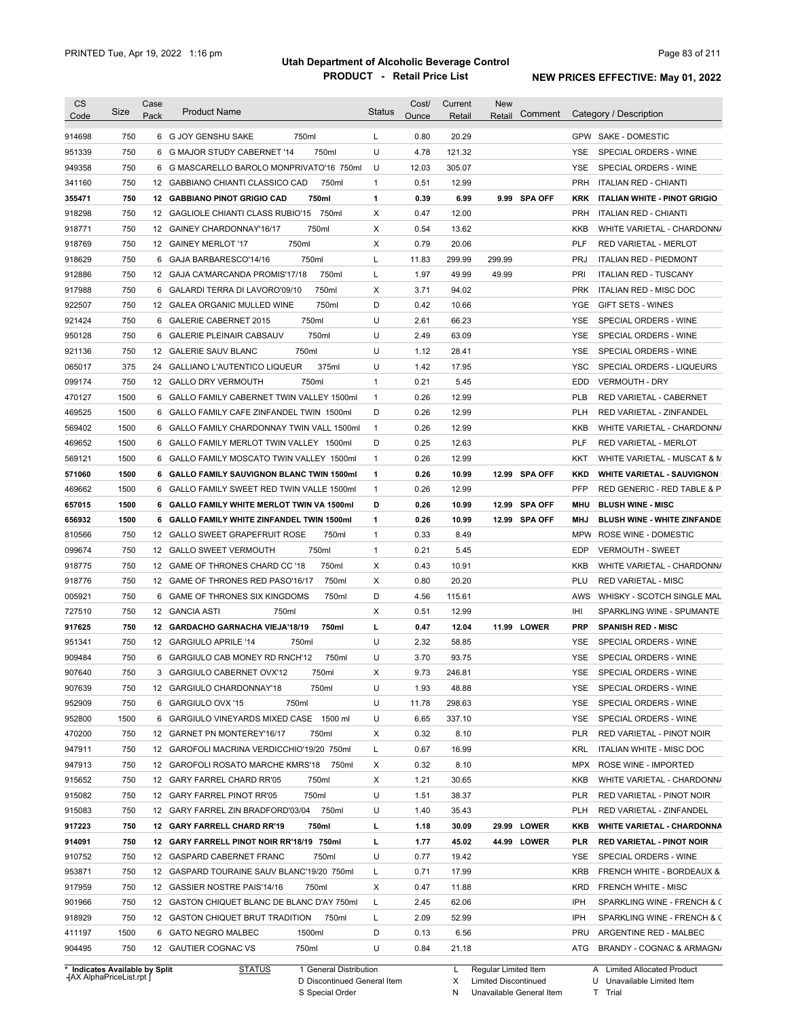| <b>CS</b><br>Code              | Size       | Case<br>Pack | <b>Product Name</b>                                                                | <b>Status</b> | Cost/<br>Ounce | Current<br>Retail | <b>New</b><br>Retail | Comment        |                   | Category / Description                                     |
|--------------------------------|------------|--------------|------------------------------------------------------------------------------------|---------------|----------------|-------------------|----------------------|----------------|-------------------|------------------------------------------------------------|
|                                |            |              |                                                                                    |               |                |                   |                      |                |                   |                                                            |
| 914698                         | 750        |              | 750ml<br>6 G JOY GENSHU SAKE                                                       | L             | 0.80           | 20.29             |                      |                |                   | GPW SAKE - DOMESTIC                                        |
| 951339                         | 750        |              | 750ml<br>6 G MAJOR STUDY CABERNET '14                                              | U             | 4.78           | 121.32            |                      |                | YSE.              | SPECIAL ORDERS - WINE                                      |
| 949358                         | 750        |              | 6 G MASCARELLO BAROLO MONPRIVATO'16 750ml                                          | U             | 12.03          | 305.07            |                      |                | YSE               | SPECIAL ORDERS - WINE<br><b>ITALIAN RED - CHIANTI</b>      |
| 341160                         | 750<br>750 |              | 12 GABBIANO CHIANTI CLASSICO CAD<br>750ml<br>750ml                                 | 1<br>1        | 0.51<br>0.39   | 12.99<br>6.99     |                      | 9.99 SPA OFF   | <b>PRH</b>        |                                                            |
| 355471                         |            |              | 12 GABBIANO PINOT GRIGIO CAD                                                       |               |                |                   |                      |                | KRK               | <b>ITALIAN WHITE - PINOT GRIGIO</b>                        |
| 918298                         | 750<br>750 |              | 12 GAGLIOLE CHIANTI CLASS RUBIO'15<br>750ml<br>750ml<br>12 GAINEY CHARDONNAY'16/17 | Х<br>Х        | 0.47<br>0.54   | 12.00<br>13.62    |                      |                | <b>PRH</b><br>KKB | <b>ITALIAN RED - CHIANTI</b><br>WHITE VARIETAL - CHARDONN/ |
| 918771<br>918769               | 750        |              | 750ml<br>12 GAINEY MERLOT '17                                                      | Х             | 0.79           | 20.06             |                      |                | <b>PLF</b>        | <b>RED VARIETAL - MERLOT</b>                               |
| 918629                         | 750        | 6            | GAJA BARBARESCO'14/16<br>750ml                                                     | L             | 11.83          | 299.99            | 299.99               |                | <b>PRJ</b>        | <b>ITALIAN RED - PIEDMONT</b>                              |
| 912886                         | 750        | 12           | GAJA CA'MARCANDA PROMIS'17/18<br>750ml                                             | L             | 1.97           | 49.99             | 49.99                |                | PRI               | <b>ITALIAN RED - TUSCANY</b>                               |
| 917988                         | 750        |              | 750ml<br>6 GALARDI TERRA DI LAVORO'09/10                                           | Х             | 3.71           | 94.02             |                      |                | <b>PRK</b>        | ITALIAN RED - MISC DOC                                     |
| 922507                         | 750        |              | 750ml<br>12 GALEA ORGANIC MULLED WINE                                              | D             | 0.42           | 10.66             |                      |                | <b>YGE</b>        | GIFT SETS - WINES                                          |
| 921424                         | 750        |              | 750ml<br>6 GALERIE CABERNET 2015                                                   | U             | 2.61           | 66.23             |                      |                | YSE               | SPECIAL ORDERS - WINE                                      |
| 950128                         | 750        | 6            | 750ml<br><b>GALERIE PLEINAIR CABSAUV</b>                                           | U             | 2.49           | 63.09             |                      |                | <b>YSE</b>        | SPECIAL ORDERS - WINE                                      |
| 921136                         | 750        |              | 750ml<br>12 GALERIE SAUV BLANC                                                     | U             | 1.12           | 28.41             |                      |                | <b>YSE</b>        | SPECIAL ORDERS - WINE                                      |
| 065017                         | 375        |              | 375ml<br>24 GALLIANO L'AUTENTICO LIQUEUR                                           | U             | 1.42           | 17.95             |                      |                | <b>YSC</b>        | SPECIAL ORDERS - LIQUEURS                                  |
| 099174                         | 750        |              | 750ml<br>12 GALLO DRY VERMOUTH                                                     | $\mathbf{1}$  | 0.21           | 5.45              |                      |                | EDD               | <b>VERMOUTH - DRY</b>                                      |
| 470127                         | 1500       | 6            | GALLO FAMILY CABERNET TWIN VALLEY 1500ml                                           | $\mathbf{1}$  | 0.26           | 12.99             |                      |                | <b>PLB</b>        | RED VARIETAL - CABERNET                                    |
| 469525                         | 1500       |              | 6 GALLO FAMILY CAFE ZINFANDEL TWIN 1500ml                                          | D             | 0.26           | 12.99             |                      |                | <b>PLH</b>        | RED VARIETAL - ZINFANDEL                                   |
| 569402                         | 1500       |              | 6 GALLO FAMILY CHARDONNAY TWIN VALL 1500ml                                         | $\mathbf{1}$  | 0.26           | 12.99             |                      |                | <b>KKB</b>        | WHITE VARIETAL - CHARDONN/                                 |
| 469652                         | 1500       |              | 6 GALLO FAMILY MERLOT TWIN VALLEY 1500ml                                           | D             | 0.25           | 12.63             |                      |                | <b>PLF</b>        | RED VARIETAL - MERLOT                                      |
| 569121                         | 1500       |              | 6 GALLO FAMILY MOSCATO TWIN VALLEY 1500ml                                          | $\mathbf{1}$  | 0.26           | 12.99             |                      |                | KKT               | WHITE VARIETAL - MUSCAT & M                                |
| 571060                         | 1500       |              | 6 GALLO FAMILY SAUVIGNON BLANC TWIN 1500ml                                         | 1             | 0.26           | 10.99             |                      | 12.99 SPA OFF  | <b>KKD</b>        | <b>WHITE VARIETAL - SAUVIGNON</b>                          |
| 469662                         | 1500       |              | 6 GALLO FAMILY SWEET RED TWIN VALLE 1500ml                                         | 1             | 0.26           | 12.99             |                      |                | <b>PFP</b>        | RED GENERIC - RED TABLE & P                                |
| 657015                         | 1500       |              | 6 GALLO FAMILY WHITE MERLOT TWIN VA 1500ml                                         | D             | 0.26           | 10.99             | 12.99                | <b>SPA OFF</b> | MHU               | <b>BLUSH WINE - MISC</b>                                   |
| 656932                         | 1500       | 6            | GALLO FAMILY WHITE ZINFANDEL TWIN 1500ml                                           | 1             | 0.26           | 10.99             | 12.99                | SPA OFF        | <b>MHJ</b>        | <b>BLUSH WINE - WHITE ZINFANDE</b>                         |
| 810566                         | 750        |              | 12 GALLO SWEET GRAPEFRUIT ROSE<br>750ml                                            | $\mathbf{1}$  | 0.33           | 8.49              |                      |                | <b>MPW</b>        | ROSE WINE - DOMESTIC                                       |
| 099674                         | 750        |              | 750ml<br>12 GALLO SWEET VERMOUTH                                                   | $\mathbf{1}$  | 0.21           | 5.45              |                      |                | EDP               | <b>VERMOUTH - SWEET</b>                                    |
| 918775                         | 750        |              | 12 GAME OF THRONES CHARD CC '18<br>750ml                                           | Х             | 0.43           | 10.91             |                      |                | <b>KKB</b>        | WHITE VARIETAL - CHARDONN/                                 |
| 918776                         | 750        |              | 12 GAME OF THRONES RED PASO'16/17<br>750ml                                         | х             | 0.80           | 20.20             |                      |                | PLU               | <b>RED VARIETAL - MISC</b>                                 |
| 005921                         | 750        |              | 6 GAME OF THRONES SIX KINGDOMS<br>750ml                                            | D             | 4.56           | 115.61            |                      |                | AWS               | WHISKY - SCOTCH SINGLE MAL                                 |
| 727510                         | 750        |              | 12 GANCIA ASTI<br>750ml                                                            | Х             | 0.51           | 12.99             |                      |                | IHI               | SPARKLING WINE - SPUMANTE                                  |
| 917625                         | 750        |              | 12 GARDACHO GARNACHA VIEJA'18/19<br>750ml                                          | г             | 0.47           | 12.04             |                      | 11.99 LOWER    | <b>PRP</b>        | <b>SPANISH RED - MISC</b>                                  |
| 951341                         | 750        |              | 12 GARGIULO APRILE '14<br>750ml                                                    | U             | 2.32           | 58.85             |                      |                | YSE               | SPECIAL ORDERS - WINE                                      |
| 909484                         | 750        |              | 6 GARGIULO CAB MONEY RD RNCH'12<br>750ml                                           | U             | 3.70           | 93.75             |                      |                | YSE               | SPECIAL ORDERS - WINE                                      |
| 907640                         | 750        |              | 3 GARGIULO CABERNET OVX'12<br>750ml                                                | х             | 9.73           | 246.81            |                      |                | YSE               | SPECIAL ORDERS - WINE                                      |
| 907639                         | 750        |              | 12 GARGIULO CHARDONNAY'18<br>750ml                                                 | U             | 1.93           | 48.88             |                      |                | YSE               | SPECIAL ORDERS - WINE                                      |
| 952909                         | 750        |              | 750ml<br>6 GARGIULO OVX '15                                                        | U             | 11.78          | 298.63            |                      |                | YSE               | SPECIAL ORDERS - WINE                                      |
| 952800                         | 1500       |              | 6 GARGIULO VINEYARDS MIXED CASE 1500 ml                                            | U             | 6.65           | 337.10            |                      |                | YSE               | SPECIAL ORDERS - WINE                                      |
| 470200                         | 750        |              | 12 GARNET PN MONTEREY'16/17<br>750ml                                               | х             | 0.32           | 8.10              |                      |                | <b>PLR</b>        | RED VARIETAL - PINOT NOIR                                  |
| 947911                         | 750        |              | 12 GAROFOLI MACRINA VERDICCHIO'19/20 750ml                                         | L             | 0.67           | 16.99             |                      |                | KRL               | ITALIAN WHITE - MISC DOC                                   |
| 947913                         | 750        |              | 12 GAROFOLI ROSATO MARCHE KMRS'18<br>750ml                                         | х             | 0.32           | 8.10              |                      |                | <b>MPX</b>        | ROSE WINE - IMPORTED                                       |
| 915652                         | 750        |              | 12 GARY FARREL CHARD RR'05<br>750ml                                                | Х             | 1.21           | 30.65             |                      |                | KKB               | WHITE VARIETAL - CHARDONN/                                 |
| 915082                         | 750        |              | 12 GARY FARREL PINOT RR'05<br>750ml                                                | U             | 1.51           | 38.37             |                      |                | PLR               | RED VARIETAL - PINOT NOIR                                  |
| 915083                         | 750        |              | 12 GARY FARREL ZIN BRADFORD'03/04 750ml                                            | U             | 1.40           | 35.43             |                      |                | <b>PLH</b>        | RED VARIETAL - ZINFANDEL                                   |
| 917223                         | 750        |              | 12 GARY FARRELL CHARD RR'19<br>750ml                                               | L             | 1.18           | 30.09             |                      | 29.99 LOWER    | KKB               | <b>WHITE VARIETAL - CHARDONNA</b>                          |
| 914091                         | 750        |              | 12 GARY FARRELL PINOT NOIR RR'18/19 750ml                                          | L             | 1.77           | 45.02             |                      | 44.99 LOWER    | PLR               | <b>RED VARIETAL - PINOT NOIR</b>                           |
| 910752                         | 750        |              | 12 GASPARD CABERNET FRANC<br>750ml                                                 | U             | 0.77           | 19.42             |                      |                | YSE               | SPECIAL ORDERS - WINE                                      |
| 953871                         | 750        |              | 12 GASPARD TOURAINE SAUV BLANC'19/20 750ml                                         | L             | 0.71           | 17.99             |                      |                | <b>KRB</b>        | FRENCH WHITE - BORDEAUX &                                  |
| 917959                         | 750        |              | 12 GASSIER NOSTRE PAIS'14/16<br>750ml                                              | Х             | 0.47           | 11.88             |                      |                | <b>KRD</b>        | FRENCH WHITE - MISC                                        |
| 901966                         | 750        |              | 12 GASTON CHIQUET BLANC DE BLANC D'AY 750ml                                        | L             | 2.45           | 62.06             |                      |                | IPH               | SPARKLING WINE - FRENCH & C                                |
| 918929                         | 750        |              | 12 GASTON CHIQUET BRUT TRADITION<br>750ml                                          | L             | 2.09           | 52.99             |                      |                | IPH               | SPARKLING WINE - FRENCH & C                                |
| 411197                         | 1500       |              | 6 GATO NEGRO MALBEC<br>1500ml                                                      | D             | 0.13           | 6.56              |                      |                | PRU               | ARGENTINE RED - MALBEC                                     |
| 904495                         | 750        |              | 12 GAUTIER COGNAC VS<br>750ml                                                      | U             | 0.84           | 21.18             |                      |                | ATG               | BRANDY - COGNAC & ARMAGN/                                  |
| * Indicates Available by Split |            |              | <b>STATUS</b><br>1 General Distribution                                            |               |                | L                 | Regular Limited Item |                |                   | A Limited Allocated Product                                |

**Case** [AX AlphaPriceList.rpt ]

D Discontinued General Item

S Special Order

Regular Limited Item Limited Discontinued

X

U Unavailable Limited Item

N Unavailable General Item T Trial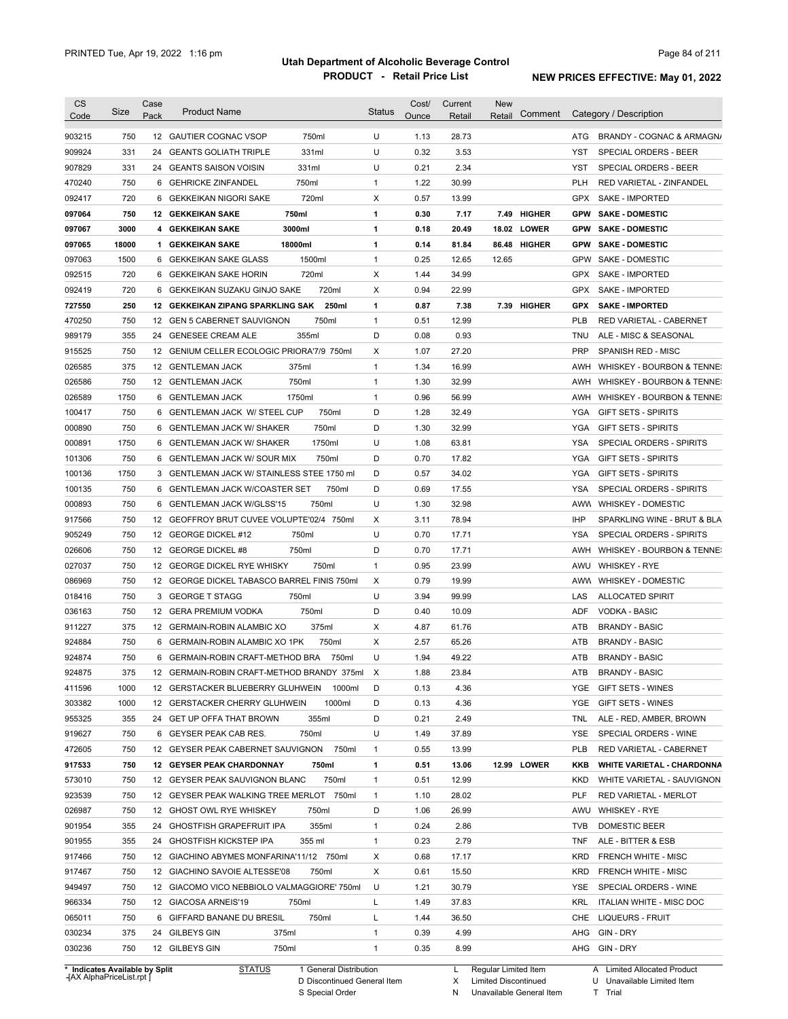| <b>CS</b><br>Code | Size  | Case<br>Pack | <b>Product Name</b>                         | <b>Status</b> | Cost/<br>Ounce | Current<br>Retail | <b>New</b><br>Retail | Comment       |            | Category / Description            |
|-------------------|-------|--------------|---------------------------------------------|---------------|----------------|-------------------|----------------------|---------------|------------|-----------------------------------|
|                   |       |              |                                             |               |                |                   |                      |               |            |                                   |
| 903215            | 750   |              | 750ml<br>12 GAUTIER COGNAC VSOP             | U             | 1.13           | 28.73             |                      |               | ATG        | BRANDY - COGNAC & ARMAGN/         |
| 909924            | 331   |              | 331ml<br>24 GEANTS GOLIATH TRIPLE           | U             | 0.32           | 3.53              |                      |               | YST        | SPECIAL ORDERS - BEER             |
| 907829            | 331   | 24           | 331ml<br><b>GEANTS SAISON VOISIN</b>        | U             | 0.21           | 2.34              |                      |               | YST        | SPECIAL ORDERS - BEER             |
| 470240            | 750   |              | 750ml<br>6 GEHRICKE ZINFANDEL               | 1             | 1.22           | 30.99             |                      |               | <b>PLH</b> | RED VARIETAL - ZINFANDEL          |
| 092417            | 720   | 6            | 720ml<br>GEKKEIKAN NIGORI SAKE              | х             | 0.57           | 13.99             |                      |               | <b>GPX</b> | SAKE - IMPORTED                   |
| 097064            | 750   |              | 750ml<br><b>12 GEKKEIKAN SAKE</b>           | 1             | 0.30           | 7.17              | 7.49                 | <b>HIGHER</b> | <b>GPW</b> | <b>SAKE - DOMESTIC</b>            |
| 097067            | 3000  |              | 3000ml<br>4 GEKKEIKAN SAKE                  | 1             | 0.18           | 20.49             |                      | 18.02 LOWER   | <b>GPW</b> | <b>SAKE - DOMESTIC</b>            |
| 097065            | 18000 |              | 18000ml<br>1 GEKKEIKAN SAKE                 | 1             | 0.14           | 81.84             |                      | 86.48 HIGHER  | <b>GPW</b> | <b>SAKE - DOMESTIC</b>            |
| 097063            | 1500  | 6            | GEKKEIKAN SAKE GLASS<br>1500ml              | $\mathbf{1}$  | 0.25           | 12.65             | 12.65                |               | GPW        | SAKE - DOMESTIC                   |
| 092515            | 720   | 6            | 720ml<br><b>GEKKEIKAN SAKE HORIN</b>        | х             | 1.44           | 34.99             |                      |               | GPX        | SAKE - IMPORTED                   |
| 092419            | 720   | 6            | 720ml<br>GEKKEIKAN SUZAKU GINJO SAKE        | X             | 0.94           | 22.99             |                      |               | <b>GPX</b> | SAKE - IMPORTED                   |
| 727550            | 250   | 12           | GEKKEIKAN ZIPANG SPARKLING SAK<br>250ml     | 1             | 0.87           | 7.38              |                      | 7.39 HIGHER   | <b>GPX</b> | <b>SAKE - IMPORTED</b>            |
| 470250            | 750   |              | 750ml<br>12 GEN 5 CABERNET SAUVIGNON        | 1             | 0.51           | 12.99             |                      |               | <b>PLB</b> | RED VARIETAL - CABERNET           |
| 989179            | 355   | 24           | 355ml<br><b>GENESEE CREAM ALE</b>           | D             | 0.08           | 0.93              |                      |               | <b>TNU</b> | ALE - MISC & SEASONAL             |
| 915525            | 750   |              | 12 GENIUM CELLER ECOLOGIC PRIORA'7/9 750ml  | X             | 1.07           | 27.20             |                      |               | <b>PRP</b> | SPANISH RED - MISC                |
| 026585            | 375   |              | 12 GENTLEMAN JACK<br>375ml                  | $\mathbf{1}$  | 1.34           | 16.99             |                      |               | AWH        | WHISKEY - BOURBON & TENNE:        |
| 026586            | 750   |              | 750ml<br>12 GENTLEMAN JACK                  | $\mathbf{1}$  | 1.30           | 32.99             |                      |               | AWH        | WHISKEY - BOURBON & TENNE:        |
| 026589            | 1750  | 6            | <b>GENTLEMAN JACK</b><br>1750ml             | $\mathbf{1}$  | 0.96           | 56.99             |                      |               | AWH        | WHISKEY - BOURBON & TENNE:        |
| 100417            | 750   | 6            | 750ml<br><b>GENTLEMAN JACK W/ STEEL CUP</b> | D             | 1.28           | 32.49             |                      |               | YGA        | <b>GIFT SETS - SPIRITS</b>        |
| 000890            | 750   | 6            | 750ml<br><b>GENTLEMAN JACK W/ SHAKER</b>    | D             | 1.30           | 32.99             |                      |               | YGA        | <b>GIFT SETS - SPIRITS</b>        |
| 000891            | 1750  | 6            | 1750ml<br><b>GENTLEMAN JACK W/ SHAKER</b>   | U             | 1.08           | 63.81             |                      |               | YSA        | SPECIAL ORDERS - SPIRITS          |
| 101306            | 750   |              | 6 GENTLEMAN JACK W/ SOUR MIX<br>750ml       | D             | 0.70           | 17.82             |                      |               | YGA        | <b>GIFT SETS - SPIRITS</b>        |
| 100136            | 1750  |              | 3 GENTLEMAN JACK W/ STAINLESS STEE 1750 ml  | D             | 0.57           | 34.02             |                      |               | YGA        | <b>GIFT SETS - SPIRITS</b>        |
| 100135            | 750   |              | 6 GENTLEMAN JACK W/COASTER SET<br>750ml     | D             | 0.69           | 17.55             |                      |               | YSA        | SPECIAL ORDERS - SPIRITS          |
| 000893            | 750   |              | 6 GENTLEMAN JACK W/GLSS'15<br>750ml         | U             | 1.30           | 32.98             |                      |               | AWW        | <b>WHISKEY - DOMESTIC</b>         |
| 917566            | 750   |              | 12 GEOFFROY BRUT CUVEE VOLUPTE'02/4 750ml   | х             | 3.11           | 78.94             |                      |               | <b>IHP</b> | SPARKLING WINE - BRUT & BLA       |
| 905249            | 750   |              | 12 GEORGE DICKEL #12<br>750ml               | U             | 0.70           | 17.71             |                      |               | YSA        | SPECIAL ORDERS - SPIRITS          |
| 026606            | 750   |              | 12 GEORGE DICKEL #8<br>750ml                | D             | 0.70           | 17.71             |                      |               | AWH        | WHISKEY - BOURBON & TENNE:        |
| 027037            | 750   |              | 750ml<br>12 GEORGE DICKEL RYE WHISKY        | $\mathbf{1}$  | 0.95           | 23.99             |                      |               | AWU        | <b>WHISKEY - RYE</b>              |
| 086969            | 750   |              | 12 GEORGE DICKEL TABASCO BARREL FINIS 750ml | х             | 0.79           | 19.99             |                      |               |            | AWW WHISKEY - DOMESTIC            |
| 018416            | 750   |              | 3 GEORGE T STAGG<br>750ml                   | U             | 3.94           | 99.99             |                      |               | LAS        | <b>ALLOCATED SPIRIT</b>           |
| 036163            | 750   |              | 750ml<br>12 GERA PREMIUM VODKA              | D             | 0.40           | 10.09             |                      |               | <b>ADF</b> | <b>VODKA - BASIC</b>              |
| 911227            | 375   |              | 375ml<br>12 GERMAIN-ROBIN ALAMBIC XO        | х             | 4.87           | 61.76             |                      |               | ATB        | <b>BRANDY - BASIC</b>             |
| 924884            | 750   |              | 750ml<br>6 GERMAIN-ROBIN ALAMBIC XO 1PK     | х             | 2.57           | 65.26             |                      |               | ATB        | <b>BRANDY - BASIC</b>             |
| 924874            | 750   |              | 6 GERMAIN-ROBIN CRAFT-METHOD BRA<br>750ml   | U             | 1.94           | 49.22             |                      |               | ATB        | <b>BRANDY - BASIC</b>             |
| 924875            | 375   |              | 12 GERMAIN-ROBIN CRAFT-METHOD BRANDY 375ml  |               | 1.88           | 23.84             |                      |               |            | <b>BRANDY - BASIC</b>             |
|                   |       |              |                                             | Х             |                |                   |                      |               | ATB        |                                   |
| 411596            | 1000  |              | 12 GERSTACKER BLUEBERRY GLUHWEIN<br>1000ml  | D             | 0.13           | 4.36              |                      |               | YGE        | GIFT SETS - WINES                 |
| 303382            | 1000  |              | 12 GERSTACKER CHERRY GLUHWEIN<br>1000ml     | D             | 0.13           | 4.36              |                      |               | YGE        | GIFT SETS - WINES                 |
| 955325            | 355   |              | 24 GET UP OFFA THAT BROWN<br>355ml          | D             | 0.21           | 2.49              |                      |               | TNL        | ALE - RED, AMBER, BROWN           |
| 919627            | 750   |              | 750ml<br>6 GEYSER PEAK CAB RES.             | U             | 1.49           | 37.89             |                      |               | YSE        | SPECIAL ORDERS - WINE             |
| 472605            | 750   |              | 750ml<br>12 GEYSER PEAK CABERNET SAUVIGNON  | $\mathbf{1}$  | 0.55           | 13.99             |                      |               | PLB        | RED VARIETAL - CABERNET           |
| 917533            | 750   |              | 12 GEYSER PEAK CHARDONNAY<br>750ml          | 1             | 0.51           | 13.06             |                      | 12.99 LOWER   | KKB        | <b>WHITE VARIETAL - CHARDONNA</b> |
| 573010            | 750   |              | 750ml<br>12 GEYSER PEAK SAUVIGNON BLANC     | $\mathbf{1}$  | 0.51           | 12.99             |                      |               | <b>KKD</b> | WHITE VARIETAL - SAUVIGNON        |
| 923539            | 750   |              | 12 GEYSER PEAK WALKING TREE MERLOT 750ml    | $\mathbf{1}$  | 1.10           | 28.02             |                      |               | PLF        | RED VARIETAL - MERLOT             |
| 026987            | 750   |              | 12 GHOST OWL RYE WHISKEY<br>750ml           | D             | 1.06           | 26.99             |                      |               | AWU        | WHISKEY - RYE                     |
| 901954            | 355   |              | 355ml<br>24 GHOSTFISH GRAPEFRUIT IPA        | $\mathbf{1}$  | 0.24           | 2.86              |                      |               | <b>TVB</b> | <b>DOMESTIC BEER</b>              |
| 901955            | 355   |              | 355 ml<br>24 GHOSTFISH KICKSTEP IPA         | $\mathbf{1}$  | 0.23           | 2.79              |                      |               | <b>TNF</b> | ALE - BITTER & ESB                |
| 917466            | 750   |              | 12 GIACHINO ABYMES MONFARINA'11/12 750ml    | х             | 0.68           | 17.17             |                      |               | KRD        | FRENCH WHITE - MISC               |
| 917467            | 750   |              | 12 GIACHINO SAVOIE ALTESSE'08<br>750ml      | X             | 0.61           | 15.50             |                      |               | KRD        | FRENCH WHITE - MISC               |
| 949497            | 750   |              | 12 GIACOMO VICO NEBBIOLO VALMAGGIORE' 750ml | U             | 1.21           | 30.79             |                      |               | YSE        | SPECIAL ORDERS - WINE             |
| 966334            | 750   |              | 12 GIACOSA ARNEIS'19<br>750ml               | Г             | 1.49           | 37.83             |                      |               | KRL        | ITALIAN WHITE - MISC DOC          |
| 065011            | 750   |              | 750ml<br>6 GIFFARD BANANE DU BRESIL         | L             | 1.44           | 36.50             |                      |               | CHE        | LIQUEURS - FRUIT                  |
| 030234            | 375   |              | 24 GILBEYS GIN<br>375ml                     | $\mathbf{1}$  | 0.39           | 4.99              |                      |               | AHG        | GIN - DRY                         |
|                   |       |              |                                             |               |                |                   |                      |               |            |                                   |

**Case** [AX AlphaPriceList.rpt ]

D Discontinued General Item S Special Order

X

N

Limited Discontinued

Unavailable General Item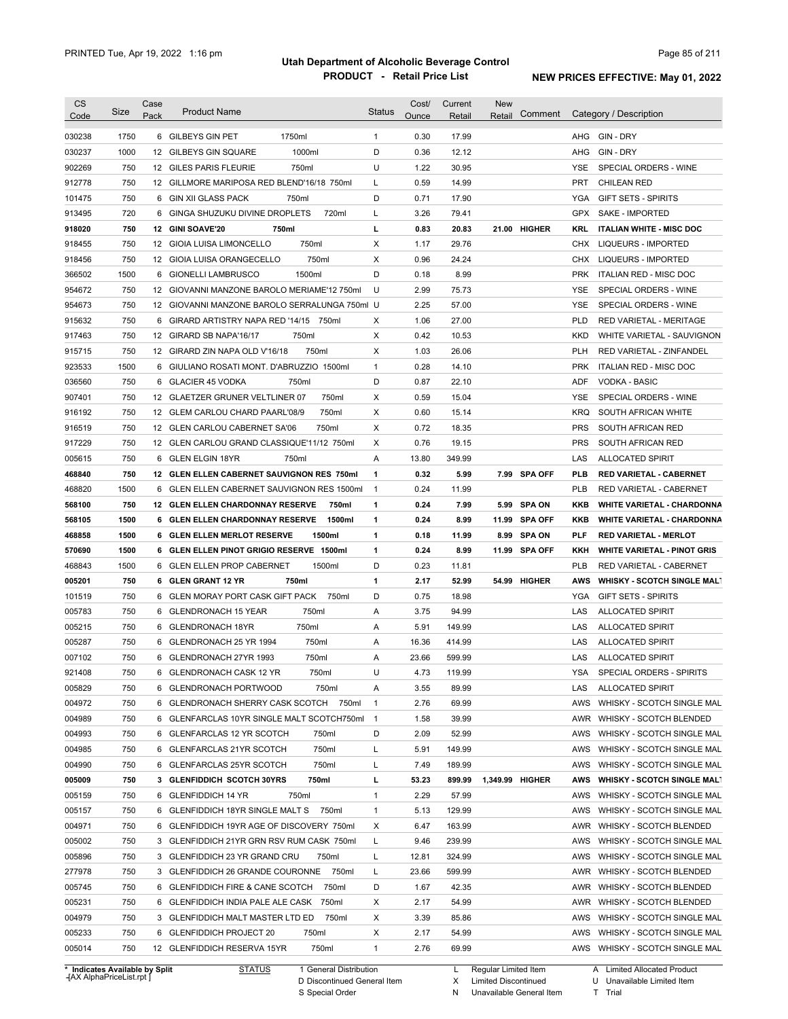| 030238<br>1750<br>6 GILBEYS GIN PET<br>1750ml<br>$\mathbf{1}$<br>0.30<br>17.99<br>AHG GIN-DRY<br>030237<br>1000<br>1000ml<br>D<br>0.36<br>12.12<br>GIN - DRY<br>12 GILBEYS GIN SQUARE<br>AHG<br>U<br>750<br>750ml<br>1.22<br>30.95<br>902269<br>12 GILES PARIS FLEURIE<br><b>YSE</b><br>SPECIAL ORDERS - WINE<br>750<br>14.99<br>912778<br>12 GILLMORE MARIPOSA RED BLEND'16/18 750ml<br>L<br>0.59<br><b>PRT</b><br><b>CHILEAN RED</b><br>D<br>750<br>0.71<br>17.90<br>101475<br>6<br>GIN XII GLASS PACK<br>750ml<br>YGA<br><b>GIFT SETS - SPIRITS</b><br>720<br>GINGA SHUZUKU DIVINE DROPLETS<br>720ml<br>913495<br>6<br>L<br>3.26<br>79.41<br>GPX<br>SAKE - IMPORTED<br>750<br>г<br>918020<br>12 GINI SOAVE'20<br>750ml<br>0.83<br>20.83<br>21.00 HIGHER<br>KRL<br><b>ITALIAN WHITE - MISC DOC</b><br>750<br>12 GIOIA LUISA LIMONCELLO<br>750ml<br>Х<br>29.76<br>918455<br>1.17<br>CHX<br>LIQUEURS - IMPORTED<br>750<br>750ml<br>Х<br>0.96<br>24.24<br>918456<br>12 GIOIA LUISA ORANGECELLO<br>CHX LIQUEURS - IMPORTED<br>D<br>1500<br>1500ml<br>0.18<br>8.99<br><b>PRK</b><br>366502<br>6 GIONELLI LAMBRUSCO<br>ITALIAN RED - MISC DOC<br>750<br>U<br>2.99<br><b>YSE</b><br>954672<br>12 GIOVANNI MANZONE BAROLO MERIAME'12 750ml<br>75.73<br>SPECIAL ORDERS - WINE<br>750<br>2.25<br>57.00<br><b>YSE</b><br>954673<br>12 GIOVANNI MANZONE BAROLO SERRALUNGA 750ml U<br>SPECIAL ORDERS - WINE<br>750<br>1.06<br>27.00<br><b>PLD</b><br>915632<br>6 GIRARD ARTISTRY NAPA RED '14/15 750ml<br>X<br>RED VARIETAL - MERITAGE<br>750<br>Х<br>0.42<br>10.53<br>917463<br>12 GIRARD SB NAPA'16/17<br>750ml<br>KKD<br>WHITE VARIETAL - SAUVIGNON<br>750<br>750ml<br>Х<br>1.03<br>26.06<br><b>PLH</b><br>915715<br>12 GIRARD ZIN NAPA OLD V'16/18<br>RED VARIETAL - ZINFANDEL<br>1500<br>0.28<br>14.10<br>923533<br>6 GIULIANO ROSATI MONT. D'ABRUZZIO 1500ml<br>1<br><b>PRK</b><br>ITALIAN RED - MISC DOC<br>D<br>036560<br>750<br><b>GLACIER 45 VODKA</b><br>0.87<br>22.10<br><b>ADF</b><br><b>VODKA - BASIC</b><br>750ml<br>6<br>750<br>750ml<br>0.59<br>907401<br>12 GLAETZER GRUNER VELTLINER 07<br>Х<br>15.04<br><b>YSE</b><br>SPECIAL ORDERS - WINE<br>750<br>X<br>0.60<br><b>KRQ</b><br>916192<br>12<br>GLEM CARLOU CHARD PAARL'08/9<br>750ml<br>15.14<br>SOUTH AFRICAN WHITE<br>750<br>X<br>0.72<br>18.35<br><b>PRS</b><br>916519<br>12 GLEN CARLOU CABERNET SA'06<br>750ml<br>SOUTH AFRICAN RED<br>750<br>0.76<br><b>PRS</b><br>917229<br>12<br>GLEN CARLOU GRAND CLASSIQUE'11/12 750ml<br>Х<br>19.15<br>SOUTH AFRICAN RED<br>750<br>Α<br>13.80<br>349.99<br>005615<br>6 GLEN ELGIN 18YR<br>750ml<br>LAS<br><b>ALLOCATED SPIRIT</b><br>750<br>0.32<br>468840<br><b>GLEN ELLEN CABERNET SAUVIGNON RES 750ml</b><br>1<br>5.99<br>7.99 SPA OFF<br><b>PLB</b><br><b>RED VARIETAL - CABERNET</b><br>12<br>1500<br>0.24<br>11.99<br><b>PLB</b><br>468820<br>6 GLEN ELLEN CABERNET SAUVIGNON RES 1500ml<br>$\overline{1}$<br>RED VARIETAL - CABERNET<br>750<br>1<br>0.24<br><b>SPA ON</b><br>568100<br><b>12 GLEN ELLEN CHARDONNAY RESERVE</b><br>750ml<br>7.99<br>KKB<br><b>WHITE VARIETAL - CHARDONNA</b><br>5.99<br>1500<br>1<br>0.24<br>8.99<br>568105<br>6 GLEN ELLEN CHARDONNAY RESERVE<br>1500ml<br><b>SPA OFF</b><br>KKB<br><b>WHITE VARIETAL - CHARDONNA</b><br>11.99<br>1500<br>1<br><b>SPA ON</b><br>468858<br>6 GLEN ELLEN MERLOT RESERVE<br>1500ml<br>0.18<br>11.99<br>8.99<br>PLF<br><b>RED VARIETAL - MERLOT</b><br>1500<br>1<br>0.24<br>8.99<br>570690<br>6 GLEN ELLEN PINOT GRIGIO RESERVE 1500ml<br>11.99 SPA OFF<br>KKH<br><b>WHITE VARIETAL - PINOT GRIS</b><br>1500<br>6 GLEN ELLEN PROP CABERNET<br>1500ml<br>D<br>0.23<br><b>PLB</b><br>468843<br>11.81<br>RED VARIETAL - CABERNET<br>750<br>1<br>2.17<br>52.99<br>005201<br>6 GLEN GRANT 12 YR<br>750ml<br>54.99 HIGHER<br>AWS<br><b>WHISKY - SCOTCH SINGLE MALT</b><br>750<br>6 GLEN MORAY PORT CASK GIFT PACK<br>D<br>0.75<br>18.98<br>101519<br>750ml<br>YGA<br><b>GIFT SETS - SPIRITS</b><br>005783<br>750<br>94.99<br>6 GLENDRONACH 15 YEAR<br>750ml<br>Α<br>3.75<br>LAS<br><b>ALLOCATED SPIRIT</b><br>750<br>750ml<br>149.99<br>005215<br>6 GLENDRONACH 18YR<br>Α<br>5.91<br>LAS<br><b>ALLOCATED SPIRIT</b><br>750<br>005287<br>6 GLENDRONACH 25 YR 1994<br>750ml<br>Α<br>16.36<br>414.99<br>LAS<br><b>ALLOCATED SPIRIT</b><br>007102<br>750<br>750ml<br>23.66<br>LAS<br>6 GLENDRONACH 27YR 1993<br>A<br>599.99<br><b>ALLOCATED SPIRIT</b><br><b>YSA</b><br>750<br>750ml<br>4.73<br>119.99<br>SPECIAL ORDERS - SPIRITS<br>6 GLENDRONACH CASK 12 YR<br>U<br>750<br>6 GLENDRONACH PORTWOOD<br>750ml<br>3.55<br>89.99<br><b>ALLOCATED SPIRIT</b><br>A<br>LAS<br>69.99<br>AWS<br>750<br>6 GLENDRONACH SHERRY CASK SCOTCH<br>750ml<br>$\mathbf{1}$<br>2.76<br>WHISKY - SCOTCH SINGLE MAL<br>39.99<br>750<br>6 GLENFARCLAS 10YR SINGLE MALT SCOTCH750ml<br>$\overline{1}$<br>1.58<br>AWR<br>WHISKY - SCOTCH BLENDED<br>D<br>52.99<br>750<br><b>GLENFARCLAS 12 YR SCOTCH</b><br>750ml<br>2.09<br>AWS<br>WHISKY - SCOTCH SINGLE MAL<br>6<br>750ml<br>Г<br>149.99<br>750<br>6 GLENFARCLAS 21YR SCOTCH<br>5.91<br>AWS<br>750ml<br>189.99<br>750<br>6 GLENFARCLAS 25YR SCOTCH<br>L<br>7.49<br>AWS<br>WHISKY - SCOTCH SINGLE MAL<br>750ml<br>899.99<br><b>WHISKY - SCOTCH SINGLE MALT</b><br>750<br>3 GLENFIDDICH SCOTCH 30YRS<br>L<br>53.23<br>1,349.99 HIGHER<br>AWS<br>750<br>750ml<br>57.99<br>6 GLENFIDDICH 14 YR<br>$\mathbf{1}$<br>2.29<br>AWS<br>750<br>6 GLENFIDDICH 18YR SINGLE MALT S<br>129.99<br>750ml<br>$\mathbf{1}$<br>5.13<br>AWS<br>WHISKY - SCOTCH SINGLE MAL<br>163.99<br>750<br>6 GLENFIDDICH 19YR AGE OF DISCOVERY 750ml<br>х<br>6.47<br>AWR<br>WHISKY - SCOTCH BLENDED<br>750<br>239.99<br>WHISKY - SCOTCH SINGLE MAL<br>3 GLENFIDDICH 21YR GRN RSV RUM CASK 750ml<br>L<br>9.46<br>AWS<br>324.99<br>750<br>3 GLENFIDDICH 23 YR GRAND CRU<br>750ml<br>L<br>12.81<br>AWS<br>599.99<br>750<br>3 GLENFIDDICH 26 GRANDE COURONNE<br>750ml<br>L<br>23.66<br>AWR<br>WHISKY - SCOTCH BLENDED<br>750<br>D<br>42.35<br>WHISKY - SCOTCH BLENDED<br>6 GLENFIDDICH FIRE & CANE SCOTCH<br>750ml<br>1.67<br>AWR<br>54.99<br>750<br>6 GLENFIDDICH INDIA PALE ALE CASK<br>750ml<br>Х<br>2.17<br>AWR<br>WHISKY - SCOTCH BLENDED<br>750<br>750ml<br>85.86<br>3 GLENFIDDICH MALT MASTER LTD ED<br>х<br>3.39<br>AWS<br>750<br>54.99<br>6 GLENFIDDICH PROJECT 20<br>750ml<br>Х<br>2.17<br>AWS<br>750<br>750ml<br>69.99<br>12 GLENFIDDICH RESERVA 15YR<br>$\mathbf{1}$<br>2.76<br>AWS<br>WHISKY - SCOTCH SINGLE MAL<br>* Indicates Available by Split<br><b>STATUS</b><br>1 General Distribution<br>Regular Limited Item<br>A Limited Allocated Product<br>L | <b>CS</b><br>Code | Size | Case<br>Pack | <b>Product Name</b> | Status | Cost/<br>Ounce | Current<br>Retail | <b>New</b><br>Retail | Comment | Category / Description     |
|-----------------------------------------------------------------------------------------------------------------------------------------------------------------------------------------------------------------------------------------------------------------------------------------------------------------------------------------------------------------------------------------------------------------------------------------------------------------------------------------------------------------------------------------------------------------------------------------------------------------------------------------------------------------------------------------------------------------------------------------------------------------------------------------------------------------------------------------------------------------------------------------------------------------------------------------------------------------------------------------------------------------------------------------------------------------------------------------------------------------------------------------------------------------------------------------------------------------------------------------------------------------------------------------------------------------------------------------------------------------------------------------------------------------------------------------------------------------------------------------------------------------------------------------------------------------------------------------------------------------------------------------------------------------------------------------------------------------------------------------------------------------------------------------------------------------------------------------------------------------------------------------------------------------------------------------------------------------------------------------------------------------------------------------------------------------------------------------------------------------------------------------------------------------------------------------------------------------------------------------------------------------------------------------------------------------------------------------------------------------------------------------------------------------------------------------------------------------------------------------------------------------------------------------------------------------------------------------------------------------------------------------------------------------------------------------------------------------------------------------------------------------------------------------------------------------------------------------------------------------------------------------------------------------------------------------------------------------------------------------------------------------------------------------------------------------------------------------------------------------------------------------------------------------------------------------------------------------------------------------------------------------------------------------------------------------------------------------------------------------------------------------------------------------------------------------------------------------------------------------------------------------------------------------------------------------------------------------------------------------------------------------------------------------------------------------------------------------------------------------------------------------------------------------------------------------------------------------------------------------------------------------------------------------------------------------------------------------------------------------------------------------------------------------------------------------------------------------------------------------------------------------------------------------------------------------------------------------------------------------------------------------------------------------------------------------------------------------------------------------------------------------------------------------------------------------------------------------------------------------------------------------------------------------------------------------------------------------------------------------------------------------------------------------------------------------------------------------------------------------------------------------------------------------------------------------------------------------------------------------------------------------------------------------------------------------------------------------------------------------------------------------------------------------------------------------------------------------------------------------------------------------------------------------------------------------------------------------------------------------------------------------------------------------------------------------------------------------------------------------------------------------------------------------------------------------------------------------------------------------------------------------------------------------------------------------------------------------------------------------------------------------------------------------------------------------------------------------------------------------------------------------------------------------------------------------------------------------------------------------------------------------------------------------------------------------------------------------------------------------------------------------------------------------------------------------------------------------------------------------------------------------------------------------------------------------------------------------------------------------------------------------------------------------------------------------------------------------------------------------------------------------------------------------------------------------------------------------------------------------------------------------------------------------------------------------------------------------------------------------------------|-------------------|------|--------------|---------------------|--------|----------------|-------------------|----------------------|---------|----------------------------|
|                                                                                                                                                                                                                                                                                                                                                                                                                                                                                                                                                                                                                                                                                                                                                                                                                                                                                                                                                                                                                                                                                                                                                                                                                                                                                                                                                                                                                                                                                                                                                                                                                                                                                                                                                                                                                                                                                                                                                                                                                                                                                                                                                                                                                                                                                                                                                                                                                                                                                                                                                                                                                                                                                                                                                                                                                                                                                                                                                                                                                                                                                                                                                                                                                                                                                                                                                                                                                                                                                                                                                                                                                                                                                                                                                                                                                                                                                                                                                                                                                                                                                                                                                                                                                                                                                                                                                                                                                                                                                                                                                                                                                                                                                                                                                                                                                                                                                                                                                                                                                                                                                                                                                                                                                                                                                                                                                                                                                                                                                                                                                                                                                                                                                                                                                                                                                                                                                                                                                                                                                                                                                                                                                                                                                                                                                                                                                                                                                                                                                                                                                                                                                             |                   |      |              |                     |        |                |                   |                      |         |                            |
|                                                                                                                                                                                                                                                                                                                                                                                                                                                                                                                                                                                                                                                                                                                                                                                                                                                                                                                                                                                                                                                                                                                                                                                                                                                                                                                                                                                                                                                                                                                                                                                                                                                                                                                                                                                                                                                                                                                                                                                                                                                                                                                                                                                                                                                                                                                                                                                                                                                                                                                                                                                                                                                                                                                                                                                                                                                                                                                                                                                                                                                                                                                                                                                                                                                                                                                                                                                                                                                                                                                                                                                                                                                                                                                                                                                                                                                                                                                                                                                                                                                                                                                                                                                                                                                                                                                                                                                                                                                                                                                                                                                                                                                                                                                                                                                                                                                                                                                                                                                                                                                                                                                                                                                                                                                                                                                                                                                                                                                                                                                                                                                                                                                                                                                                                                                                                                                                                                                                                                                                                                                                                                                                                                                                                                                                                                                                                                                                                                                                                                                                                                                                                             |                   |      |              |                     |        |                |                   |                      |         |                            |
|                                                                                                                                                                                                                                                                                                                                                                                                                                                                                                                                                                                                                                                                                                                                                                                                                                                                                                                                                                                                                                                                                                                                                                                                                                                                                                                                                                                                                                                                                                                                                                                                                                                                                                                                                                                                                                                                                                                                                                                                                                                                                                                                                                                                                                                                                                                                                                                                                                                                                                                                                                                                                                                                                                                                                                                                                                                                                                                                                                                                                                                                                                                                                                                                                                                                                                                                                                                                                                                                                                                                                                                                                                                                                                                                                                                                                                                                                                                                                                                                                                                                                                                                                                                                                                                                                                                                                                                                                                                                                                                                                                                                                                                                                                                                                                                                                                                                                                                                                                                                                                                                                                                                                                                                                                                                                                                                                                                                                                                                                                                                                                                                                                                                                                                                                                                                                                                                                                                                                                                                                                                                                                                                                                                                                                                                                                                                                                                                                                                                                                                                                                                                                             |                   |      |              |                     |        |                |                   |                      |         |                            |
|                                                                                                                                                                                                                                                                                                                                                                                                                                                                                                                                                                                                                                                                                                                                                                                                                                                                                                                                                                                                                                                                                                                                                                                                                                                                                                                                                                                                                                                                                                                                                                                                                                                                                                                                                                                                                                                                                                                                                                                                                                                                                                                                                                                                                                                                                                                                                                                                                                                                                                                                                                                                                                                                                                                                                                                                                                                                                                                                                                                                                                                                                                                                                                                                                                                                                                                                                                                                                                                                                                                                                                                                                                                                                                                                                                                                                                                                                                                                                                                                                                                                                                                                                                                                                                                                                                                                                                                                                                                                                                                                                                                                                                                                                                                                                                                                                                                                                                                                                                                                                                                                                                                                                                                                                                                                                                                                                                                                                                                                                                                                                                                                                                                                                                                                                                                                                                                                                                                                                                                                                                                                                                                                                                                                                                                                                                                                                                                                                                                                                                                                                                                                                             |                   |      |              |                     |        |                |                   |                      |         |                            |
|                                                                                                                                                                                                                                                                                                                                                                                                                                                                                                                                                                                                                                                                                                                                                                                                                                                                                                                                                                                                                                                                                                                                                                                                                                                                                                                                                                                                                                                                                                                                                                                                                                                                                                                                                                                                                                                                                                                                                                                                                                                                                                                                                                                                                                                                                                                                                                                                                                                                                                                                                                                                                                                                                                                                                                                                                                                                                                                                                                                                                                                                                                                                                                                                                                                                                                                                                                                                                                                                                                                                                                                                                                                                                                                                                                                                                                                                                                                                                                                                                                                                                                                                                                                                                                                                                                                                                                                                                                                                                                                                                                                                                                                                                                                                                                                                                                                                                                                                                                                                                                                                                                                                                                                                                                                                                                                                                                                                                                                                                                                                                                                                                                                                                                                                                                                                                                                                                                                                                                                                                                                                                                                                                                                                                                                                                                                                                                                                                                                                                                                                                                                                                             |                   |      |              |                     |        |                |                   |                      |         |                            |
|                                                                                                                                                                                                                                                                                                                                                                                                                                                                                                                                                                                                                                                                                                                                                                                                                                                                                                                                                                                                                                                                                                                                                                                                                                                                                                                                                                                                                                                                                                                                                                                                                                                                                                                                                                                                                                                                                                                                                                                                                                                                                                                                                                                                                                                                                                                                                                                                                                                                                                                                                                                                                                                                                                                                                                                                                                                                                                                                                                                                                                                                                                                                                                                                                                                                                                                                                                                                                                                                                                                                                                                                                                                                                                                                                                                                                                                                                                                                                                                                                                                                                                                                                                                                                                                                                                                                                                                                                                                                                                                                                                                                                                                                                                                                                                                                                                                                                                                                                                                                                                                                                                                                                                                                                                                                                                                                                                                                                                                                                                                                                                                                                                                                                                                                                                                                                                                                                                                                                                                                                                                                                                                                                                                                                                                                                                                                                                                                                                                                                                                                                                                                                             |                   |      |              |                     |        |                |                   |                      |         |                            |
|                                                                                                                                                                                                                                                                                                                                                                                                                                                                                                                                                                                                                                                                                                                                                                                                                                                                                                                                                                                                                                                                                                                                                                                                                                                                                                                                                                                                                                                                                                                                                                                                                                                                                                                                                                                                                                                                                                                                                                                                                                                                                                                                                                                                                                                                                                                                                                                                                                                                                                                                                                                                                                                                                                                                                                                                                                                                                                                                                                                                                                                                                                                                                                                                                                                                                                                                                                                                                                                                                                                                                                                                                                                                                                                                                                                                                                                                                                                                                                                                                                                                                                                                                                                                                                                                                                                                                                                                                                                                                                                                                                                                                                                                                                                                                                                                                                                                                                                                                                                                                                                                                                                                                                                                                                                                                                                                                                                                                                                                                                                                                                                                                                                                                                                                                                                                                                                                                                                                                                                                                                                                                                                                                                                                                                                                                                                                                                                                                                                                                                                                                                                                                             |                   |      |              |                     |        |                |                   |                      |         |                            |
|                                                                                                                                                                                                                                                                                                                                                                                                                                                                                                                                                                                                                                                                                                                                                                                                                                                                                                                                                                                                                                                                                                                                                                                                                                                                                                                                                                                                                                                                                                                                                                                                                                                                                                                                                                                                                                                                                                                                                                                                                                                                                                                                                                                                                                                                                                                                                                                                                                                                                                                                                                                                                                                                                                                                                                                                                                                                                                                                                                                                                                                                                                                                                                                                                                                                                                                                                                                                                                                                                                                                                                                                                                                                                                                                                                                                                                                                                                                                                                                                                                                                                                                                                                                                                                                                                                                                                                                                                                                                                                                                                                                                                                                                                                                                                                                                                                                                                                                                                                                                                                                                                                                                                                                                                                                                                                                                                                                                                                                                                                                                                                                                                                                                                                                                                                                                                                                                                                                                                                                                                                                                                                                                                                                                                                                                                                                                                                                                                                                                                                                                                                                                                             |                   |      |              |                     |        |                |                   |                      |         |                            |
|                                                                                                                                                                                                                                                                                                                                                                                                                                                                                                                                                                                                                                                                                                                                                                                                                                                                                                                                                                                                                                                                                                                                                                                                                                                                                                                                                                                                                                                                                                                                                                                                                                                                                                                                                                                                                                                                                                                                                                                                                                                                                                                                                                                                                                                                                                                                                                                                                                                                                                                                                                                                                                                                                                                                                                                                                                                                                                                                                                                                                                                                                                                                                                                                                                                                                                                                                                                                                                                                                                                                                                                                                                                                                                                                                                                                                                                                                                                                                                                                                                                                                                                                                                                                                                                                                                                                                                                                                                                                                                                                                                                                                                                                                                                                                                                                                                                                                                                                                                                                                                                                                                                                                                                                                                                                                                                                                                                                                                                                                                                                                                                                                                                                                                                                                                                                                                                                                                                                                                                                                                                                                                                                                                                                                                                                                                                                                                                                                                                                                                                                                                                                                             |                   |      |              |                     |        |                |                   |                      |         |                            |
|                                                                                                                                                                                                                                                                                                                                                                                                                                                                                                                                                                                                                                                                                                                                                                                                                                                                                                                                                                                                                                                                                                                                                                                                                                                                                                                                                                                                                                                                                                                                                                                                                                                                                                                                                                                                                                                                                                                                                                                                                                                                                                                                                                                                                                                                                                                                                                                                                                                                                                                                                                                                                                                                                                                                                                                                                                                                                                                                                                                                                                                                                                                                                                                                                                                                                                                                                                                                                                                                                                                                                                                                                                                                                                                                                                                                                                                                                                                                                                                                                                                                                                                                                                                                                                                                                                                                                                                                                                                                                                                                                                                                                                                                                                                                                                                                                                                                                                                                                                                                                                                                                                                                                                                                                                                                                                                                                                                                                                                                                                                                                                                                                                                                                                                                                                                                                                                                                                                                                                                                                                                                                                                                                                                                                                                                                                                                                                                                                                                                                                                                                                                                                             |                   |      |              |                     |        |                |                   |                      |         |                            |
|                                                                                                                                                                                                                                                                                                                                                                                                                                                                                                                                                                                                                                                                                                                                                                                                                                                                                                                                                                                                                                                                                                                                                                                                                                                                                                                                                                                                                                                                                                                                                                                                                                                                                                                                                                                                                                                                                                                                                                                                                                                                                                                                                                                                                                                                                                                                                                                                                                                                                                                                                                                                                                                                                                                                                                                                                                                                                                                                                                                                                                                                                                                                                                                                                                                                                                                                                                                                                                                                                                                                                                                                                                                                                                                                                                                                                                                                                                                                                                                                                                                                                                                                                                                                                                                                                                                                                                                                                                                                                                                                                                                                                                                                                                                                                                                                                                                                                                                                                                                                                                                                                                                                                                                                                                                                                                                                                                                                                                                                                                                                                                                                                                                                                                                                                                                                                                                                                                                                                                                                                                                                                                                                                                                                                                                                                                                                                                                                                                                                                                                                                                                                                             |                   |      |              |                     |        |                |                   |                      |         |                            |
|                                                                                                                                                                                                                                                                                                                                                                                                                                                                                                                                                                                                                                                                                                                                                                                                                                                                                                                                                                                                                                                                                                                                                                                                                                                                                                                                                                                                                                                                                                                                                                                                                                                                                                                                                                                                                                                                                                                                                                                                                                                                                                                                                                                                                                                                                                                                                                                                                                                                                                                                                                                                                                                                                                                                                                                                                                                                                                                                                                                                                                                                                                                                                                                                                                                                                                                                                                                                                                                                                                                                                                                                                                                                                                                                                                                                                                                                                                                                                                                                                                                                                                                                                                                                                                                                                                                                                                                                                                                                                                                                                                                                                                                                                                                                                                                                                                                                                                                                                                                                                                                                                                                                                                                                                                                                                                                                                                                                                                                                                                                                                                                                                                                                                                                                                                                                                                                                                                                                                                                                                                                                                                                                                                                                                                                                                                                                                                                                                                                                                                                                                                                                                             |                   |      |              |                     |        |                |                   |                      |         |                            |
|                                                                                                                                                                                                                                                                                                                                                                                                                                                                                                                                                                                                                                                                                                                                                                                                                                                                                                                                                                                                                                                                                                                                                                                                                                                                                                                                                                                                                                                                                                                                                                                                                                                                                                                                                                                                                                                                                                                                                                                                                                                                                                                                                                                                                                                                                                                                                                                                                                                                                                                                                                                                                                                                                                                                                                                                                                                                                                                                                                                                                                                                                                                                                                                                                                                                                                                                                                                                                                                                                                                                                                                                                                                                                                                                                                                                                                                                                                                                                                                                                                                                                                                                                                                                                                                                                                                                                                                                                                                                                                                                                                                                                                                                                                                                                                                                                                                                                                                                                                                                                                                                                                                                                                                                                                                                                                                                                                                                                                                                                                                                                                                                                                                                                                                                                                                                                                                                                                                                                                                                                                                                                                                                                                                                                                                                                                                                                                                                                                                                                                                                                                                                                             |                   |      |              |                     |        |                |                   |                      |         |                            |
|                                                                                                                                                                                                                                                                                                                                                                                                                                                                                                                                                                                                                                                                                                                                                                                                                                                                                                                                                                                                                                                                                                                                                                                                                                                                                                                                                                                                                                                                                                                                                                                                                                                                                                                                                                                                                                                                                                                                                                                                                                                                                                                                                                                                                                                                                                                                                                                                                                                                                                                                                                                                                                                                                                                                                                                                                                                                                                                                                                                                                                                                                                                                                                                                                                                                                                                                                                                                                                                                                                                                                                                                                                                                                                                                                                                                                                                                                                                                                                                                                                                                                                                                                                                                                                                                                                                                                                                                                                                                                                                                                                                                                                                                                                                                                                                                                                                                                                                                                                                                                                                                                                                                                                                                                                                                                                                                                                                                                                                                                                                                                                                                                                                                                                                                                                                                                                                                                                                                                                                                                                                                                                                                                                                                                                                                                                                                                                                                                                                                                                                                                                                                                             |                   |      |              |                     |        |                |                   |                      |         |                            |
|                                                                                                                                                                                                                                                                                                                                                                                                                                                                                                                                                                                                                                                                                                                                                                                                                                                                                                                                                                                                                                                                                                                                                                                                                                                                                                                                                                                                                                                                                                                                                                                                                                                                                                                                                                                                                                                                                                                                                                                                                                                                                                                                                                                                                                                                                                                                                                                                                                                                                                                                                                                                                                                                                                                                                                                                                                                                                                                                                                                                                                                                                                                                                                                                                                                                                                                                                                                                                                                                                                                                                                                                                                                                                                                                                                                                                                                                                                                                                                                                                                                                                                                                                                                                                                                                                                                                                                                                                                                                                                                                                                                                                                                                                                                                                                                                                                                                                                                                                                                                                                                                                                                                                                                                                                                                                                                                                                                                                                                                                                                                                                                                                                                                                                                                                                                                                                                                                                                                                                                                                                                                                                                                                                                                                                                                                                                                                                                                                                                                                                                                                                                                                             |                   |      |              |                     |        |                |                   |                      |         |                            |
|                                                                                                                                                                                                                                                                                                                                                                                                                                                                                                                                                                                                                                                                                                                                                                                                                                                                                                                                                                                                                                                                                                                                                                                                                                                                                                                                                                                                                                                                                                                                                                                                                                                                                                                                                                                                                                                                                                                                                                                                                                                                                                                                                                                                                                                                                                                                                                                                                                                                                                                                                                                                                                                                                                                                                                                                                                                                                                                                                                                                                                                                                                                                                                                                                                                                                                                                                                                                                                                                                                                                                                                                                                                                                                                                                                                                                                                                                                                                                                                                                                                                                                                                                                                                                                                                                                                                                                                                                                                                                                                                                                                                                                                                                                                                                                                                                                                                                                                                                                                                                                                                                                                                                                                                                                                                                                                                                                                                                                                                                                                                                                                                                                                                                                                                                                                                                                                                                                                                                                                                                                                                                                                                                                                                                                                                                                                                                                                                                                                                                                                                                                                                                             |                   |      |              |                     |        |                |                   |                      |         |                            |
|                                                                                                                                                                                                                                                                                                                                                                                                                                                                                                                                                                                                                                                                                                                                                                                                                                                                                                                                                                                                                                                                                                                                                                                                                                                                                                                                                                                                                                                                                                                                                                                                                                                                                                                                                                                                                                                                                                                                                                                                                                                                                                                                                                                                                                                                                                                                                                                                                                                                                                                                                                                                                                                                                                                                                                                                                                                                                                                                                                                                                                                                                                                                                                                                                                                                                                                                                                                                                                                                                                                                                                                                                                                                                                                                                                                                                                                                                                                                                                                                                                                                                                                                                                                                                                                                                                                                                                                                                                                                                                                                                                                                                                                                                                                                                                                                                                                                                                                                                                                                                                                                                                                                                                                                                                                                                                                                                                                                                                                                                                                                                                                                                                                                                                                                                                                                                                                                                                                                                                                                                                                                                                                                                                                                                                                                                                                                                                                                                                                                                                                                                                                                                             |                   |      |              |                     |        |                |                   |                      |         |                            |
|                                                                                                                                                                                                                                                                                                                                                                                                                                                                                                                                                                                                                                                                                                                                                                                                                                                                                                                                                                                                                                                                                                                                                                                                                                                                                                                                                                                                                                                                                                                                                                                                                                                                                                                                                                                                                                                                                                                                                                                                                                                                                                                                                                                                                                                                                                                                                                                                                                                                                                                                                                                                                                                                                                                                                                                                                                                                                                                                                                                                                                                                                                                                                                                                                                                                                                                                                                                                                                                                                                                                                                                                                                                                                                                                                                                                                                                                                                                                                                                                                                                                                                                                                                                                                                                                                                                                                                                                                                                                                                                                                                                                                                                                                                                                                                                                                                                                                                                                                                                                                                                                                                                                                                                                                                                                                                                                                                                                                                                                                                                                                                                                                                                                                                                                                                                                                                                                                                                                                                                                                                                                                                                                                                                                                                                                                                                                                                                                                                                                                                                                                                                                                             |                   |      |              |                     |        |                |                   |                      |         |                            |
|                                                                                                                                                                                                                                                                                                                                                                                                                                                                                                                                                                                                                                                                                                                                                                                                                                                                                                                                                                                                                                                                                                                                                                                                                                                                                                                                                                                                                                                                                                                                                                                                                                                                                                                                                                                                                                                                                                                                                                                                                                                                                                                                                                                                                                                                                                                                                                                                                                                                                                                                                                                                                                                                                                                                                                                                                                                                                                                                                                                                                                                                                                                                                                                                                                                                                                                                                                                                                                                                                                                                                                                                                                                                                                                                                                                                                                                                                                                                                                                                                                                                                                                                                                                                                                                                                                                                                                                                                                                                                                                                                                                                                                                                                                                                                                                                                                                                                                                                                                                                                                                                                                                                                                                                                                                                                                                                                                                                                                                                                                                                                                                                                                                                                                                                                                                                                                                                                                                                                                                                                                                                                                                                                                                                                                                                                                                                                                                                                                                                                                                                                                                                                             |                   |      |              |                     |        |                |                   |                      |         |                            |
|                                                                                                                                                                                                                                                                                                                                                                                                                                                                                                                                                                                                                                                                                                                                                                                                                                                                                                                                                                                                                                                                                                                                                                                                                                                                                                                                                                                                                                                                                                                                                                                                                                                                                                                                                                                                                                                                                                                                                                                                                                                                                                                                                                                                                                                                                                                                                                                                                                                                                                                                                                                                                                                                                                                                                                                                                                                                                                                                                                                                                                                                                                                                                                                                                                                                                                                                                                                                                                                                                                                                                                                                                                                                                                                                                                                                                                                                                                                                                                                                                                                                                                                                                                                                                                                                                                                                                                                                                                                                                                                                                                                                                                                                                                                                                                                                                                                                                                                                                                                                                                                                                                                                                                                                                                                                                                                                                                                                                                                                                                                                                                                                                                                                                                                                                                                                                                                                                                                                                                                                                                                                                                                                                                                                                                                                                                                                                                                                                                                                                                                                                                                                                             |                   |      |              |                     |        |                |                   |                      |         |                            |
|                                                                                                                                                                                                                                                                                                                                                                                                                                                                                                                                                                                                                                                                                                                                                                                                                                                                                                                                                                                                                                                                                                                                                                                                                                                                                                                                                                                                                                                                                                                                                                                                                                                                                                                                                                                                                                                                                                                                                                                                                                                                                                                                                                                                                                                                                                                                                                                                                                                                                                                                                                                                                                                                                                                                                                                                                                                                                                                                                                                                                                                                                                                                                                                                                                                                                                                                                                                                                                                                                                                                                                                                                                                                                                                                                                                                                                                                                                                                                                                                                                                                                                                                                                                                                                                                                                                                                                                                                                                                                                                                                                                                                                                                                                                                                                                                                                                                                                                                                                                                                                                                                                                                                                                                                                                                                                                                                                                                                                                                                                                                                                                                                                                                                                                                                                                                                                                                                                                                                                                                                                                                                                                                                                                                                                                                                                                                                                                                                                                                                                                                                                                                                             |                   |      |              |                     |        |                |                   |                      |         |                            |
|                                                                                                                                                                                                                                                                                                                                                                                                                                                                                                                                                                                                                                                                                                                                                                                                                                                                                                                                                                                                                                                                                                                                                                                                                                                                                                                                                                                                                                                                                                                                                                                                                                                                                                                                                                                                                                                                                                                                                                                                                                                                                                                                                                                                                                                                                                                                                                                                                                                                                                                                                                                                                                                                                                                                                                                                                                                                                                                                                                                                                                                                                                                                                                                                                                                                                                                                                                                                                                                                                                                                                                                                                                                                                                                                                                                                                                                                                                                                                                                                                                                                                                                                                                                                                                                                                                                                                                                                                                                                                                                                                                                                                                                                                                                                                                                                                                                                                                                                                                                                                                                                                                                                                                                                                                                                                                                                                                                                                                                                                                                                                                                                                                                                                                                                                                                                                                                                                                                                                                                                                                                                                                                                                                                                                                                                                                                                                                                                                                                                                                                                                                                                                             |                   |      |              |                     |        |                |                   |                      |         |                            |
|                                                                                                                                                                                                                                                                                                                                                                                                                                                                                                                                                                                                                                                                                                                                                                                                                                                                                                                                                                                                                                                                                                                                                                                                                                                                                                                                                                                                                                                                                                                                                                                                                                                                                                                                                                                                                                                                                                                                                                                                                                                                                                                                                                                                                                                                                                                                                                                                                                                                                                                                                                                                                                                                                                                                                                                                                                                                                                                                                                                                                                                                                                                                                                                                                                                                                                                                                                                                                                                                                                                                                                                                                                                                                                                                                                                                                                                                                                                                                                                                                                                                                                                                                                                                                                                                                                                                                                                                                                                                                                                                                                                                                                                                                                                                                                                                                                                                                                                                                                                                                                                                                                                                                                                                                                                                                                                                                                                                                                                                                                                                                                                                                                                                                                                                                                                                                                                                                                                                                                                                                                                                                                                                                                                                                                                                                                                                                                                                                                                                                                                                                                                                                             |                   |      |              |                     |        |                |                   |                      |         |                            |
|                                                                                                                                                                                                                                                                                                                                                                                                                                                                                                                                                                                                                                                                                                                                                                                                                                                                                                                                                                                                                                                                                                                                                                                                                                                                                                                                                                                                                                                                                                                                                                                                                                                                                                                                                                                                                                                                                                                                                                                                                                                                                                                                                                                                                                                                                                                                                                                                                                                                                                                                                                                                                                                                                                                                                                                                                                                                                                                                                                                                                                                                                                                                                                                                                                                                                                                                                                                                                                                                                                                                                                                                                                                                                                                                                                                                                                                                                                                                                                                                                                                                                                                                                                                                                                                                                                                                                                                                                                                                                                                                                                                                                                                                                                                                                                                                                                                                                                                                                                                                                                                                                                                                                                                                                                                                                                                                                                                                                                                                                                                                                                                                                                                                                                                                                                                                                                                                                                                                                                                                                                                                                                                                                                                                                                                                                                                                                                                                                                                                                                                                                                                                                             |                   |      |              |                     |        |                |                   |                      |         |                            |
|                                                                                                                                                                                                                                                                                                                                                                                                                                                                                                                                                                                                                                                                                                                                                                                                                                                                                                                                                                                                                                                                                                                                                                                                                                                                                                                                                                                                                                                                                                                                                                                                                                                                                                                                                                                                                                                                                                                                                                                                                                                                                                                                                                                                                                                                                                                                                                                                                                                                                                                                                                                                                                                                                                                                                                                                                                                                                                                                                                                                                                                                                                                                                                                                                                                                                                                                                                                                                                                                                                                                                                                                                                                                                                                                                                                                                                                                                                                                                                                                                                                                                                                                                                                                                                                                                                                                                                                                                                                                                                                                                                                                                                                                                                                                                                                                                                                                                                                                                                                                                                                                                                                                                                                                                                                                                                                                                                                                                                                                                                                                                                                                                                                                                                                                                                                                                                                                                                                                                                                                                                                                                                                                                                                                                                                                                                                                                                                                                                                                                                                                                                                                                             |                   |      |              |                     |        |                |                   |                      |         |                            |
|                                                                                                                                                                                                                                                                                                                                                                                                                                                                                                                                                                                                                                                                                                                                                                                                                                                                                                                                                                                                                                                                                                                                                                                                                                                                                                                                                                                                                                                                                                                                                                                                                                                                                                                                                                                                                                                                                                                                                                                                                                                                                                                                                                                                                                                                                                                                                                                                                                                                                                                                                                                                                                                                                                                                                                                                                                                                                                                                                                                                                                                                                                                                                                                                                                                                                                                                                                                                                                                                                                                                                                                                                                                                                                                                                                                                                                                                                                                                                                                                                                                                                                                                                                                                                                                                                                                                                                                                                                                                                                                                                                                                                                                                                                                                                                                                                                                                                                                                                                                                                                                                                                                                                                                                                                                                                                                                                                                                                                                                                                                                                                                                                                                                                                                                                                                                                                                                                                                                                                                                                                                                                                                                                                                                                                                                                                                                                                                                                                                                                                                                                                                                                             |                   |      |              |                     |        |                |                   |                      |         |                            |
|                                                                                                                                                                                                                                                                                                                                                                                                                                                                                                                                                                                                                                                                                                                                                                                                                                                                                                                                                                                                                                                                                                                                                                                                                                                                                                                                                                                                                                                                                                                                                                                                                                                                                                                                                                                                                                                                                                                                                                                                                                                                                                                                                                                                                                                                                                                                                                                                                                                                                                                                                                                                                                                                                                                                                                                                                                                                                                                                                                                                                                                                                                                                                                                                                                                                                                                                                                                                                                                                                                                                                                                                                                                                                                                                                                                                                                                                                                                                                                                                                                                                                                                                                                                                                                                                                                                                                                                                                                                                                                                                                                                                                                                                                                                                                                                                                                                                                                                                                                                                                                                                                                                                                                                                                                                                                                                                                                                                                                                                                                                                                                                                                                                                                                                                                                                                                                                                                                                                                                                                                                                                                                                                                                                                                                                                                                                                                                                                                                                                                                                                                                                                                             |                   |      |              |                     |        |                |                   |                      |         |                            |
|                                                                                                                                                                                                                                                                                                                                                                                                                                                                                                                                                                                                                                                                                                                                                                                                                                                                                                                                                                                                                                                                                                                                                                                                                                                                                                                                                                                                                                                                                                                                                                                                                                                                                                                                                                                                                                                                                                                                                                                                                                                                                                                                                                                                                                                                                                                                                                                                                                                                                                                                                                                                                                                                                                                                                                                                                                                                                                                                                                                                                                                                                                                                                                                                                                                                                                                                                                                                                                                                                                                                                                                                                                                                                                                                                                                                                                                                                                                                                                                                                                                                                                                                                                                                                                                                                                                                                                                                                                                                                                                                                                                                                                                                                                                                                                                                                                                                                                                                                                                                                                                                                                                                                                                                                                                                                                                                                                                                                                                                                                                                                                                                                                                                                                                                                                                                                                                                                                                                                                                                                                                                                                                                                                                                                                                                                                                                                                                                                                                                                                                                                                                                                             |                   |      |              |                     |        |                |                   |                      |         |                            |
|                                                                                                                                                                                                                                                                                                                                                                                                                                                                                                                                                                                                                                                                                                                                                                                                                                                                                                                                                                                                                                                                                                                                                                                                                                                                                                                                                                                                                                                                                                                                                                                                                                                                                                                                                                                                                                                                                                                                                                                                                                                                                                                                                                                                                                                                                                                                                                                                                                                                                                                                                                                                                                                                                                                                                                                                                                                                                                                                                                                                                                                                                                                                                                                                                                                                                                                                                                                                                                                                                                                                                                                                                                                                                                                                                                                                                                                                                                                                                                                                                                                                                                                                                                                                                                                                                                                                                                                                                                                                                                                                                                                                                                                                                                                                                                                                                                                                                                                                                                                                                                                                                                                                                                                                                                                                                                                                                                                                                                                                                                                                                                                                                                                                                                                                                                                                                                                                                                                                                                                                                                                                                                                                                                                                                                                                                                                                                                                                                                                                                                                                                                                                                             |                   |      |              |                     |        |                |                   |                      |         |                            |
|                                                                                                                                                                                                                                                                                                                                                                                                                                                                                                                                                                                                                                                                                                                                                                                                                                                                                                                                                                                                                                                                                                                                                                                                                                                                                                                                                                                                                                                                                                                                                                                                                                                                                                                                                                                                                                                                                                                                                                                                                                                                                                                                                                                                                                                                                                                                                                                                                                                                                                                                                                                                                                                                                                                                                                                                                                                                                                                                                                                                                                                                                                                                                                                                                                                                                                                                                                                                                                                                                                                                                                                                                                                                                                                                                                                                                                                                                                                                                                                                                                                                                                                                                                                                                                                                                                                                                                                                                                                                                                                                                                                                                                                                                                                                                                                                                                                                                                                                                                                                                                                                                                                                                                                                                                                                                                                                                                                                                                                                                                                                                                                                                                                                                                                                                                                                                                                                                                                                                                                                                                                                                                                                                                                                                                                                                                                                                                                                                                                                                                                                                                                                                             |                   |      |              |                     |        |                |                   |                      |         |                            |
|                                                                                                                                                                                                                                                                                                                                                                                                                                                                                                                                                                                                                                                                                                                                                                                                                                                                                                                                                                                                                                                                                                                                                                                                                                                                                                                                                                                                                                                                                                                                                                                                                                                                                                                                                                                                                                                                                                                                                                                                                                                                                                                                                                                                                                                                                                                                                                                                                                                                                                                                                                                                                                                                                                                                                                                                                                                                                                                                                                                                                                                                                                                                                                                                                                                                                                                                                                                                                                                                                                                                                                                                                                                                                                                                                                                                                                                                                                                                                                                                                                                                                                                                                                                                                                                                                                                                                                                                                                                                                                                                                                                                                                                                                                                                                                                                                                                                                                                                                                                                                                                                                                                                                                                                                                                                                                                                                                                                                                                                                                                                                                                                                                                                                                                                                                                                                                                                                                                                                                                                                                                                                                                                                                                                                                                                                                                                                                                                                                                                                                                                                                                                                             |                   |      |              |                     |        |                |                   |                      |         |                            |
|                                                                                                                                                                                                                                                                                                                                                                                                                                                                                                                                                                                                                                                                                                                                                                                                                                                                                                                                                                                                                                                                                                                                                                                                                                                                                                                                                                                                                                                                                                                                                                                                                                                                                                                                                                                                                                                                                                                                                                                                                                                                                                                                                                                                                                                                                                                                                                                                                                                                                                                                                                                                                                                                                                                                                                                                                                                                                                                                                                                                                                                                                                                                                                                                                                                                                                                                                                                                                                                                                                                                                                                                                                                                                                                                                                                                                                                                                                                                                                                                                                                                                                                                                                                                                                                                                                                                                                                                                                                                                                                                                                                                                                                                                                                                                                                                                                                                                                                                                                                                                                                                                                                                                                                                                                                                                                                                                                                                                                                                                                                                                                                                                                                                                                                                                                                                                                                                                                                                                                                                                                                                                                                                                                                                                                                                                                                                                                                                                                                                                                                                                                                                                             |                   |      |              |                     |        |                |                   |                      |         |                            |
|                                                                                                                                                                                                                                                                                                                                                                                                                                                                                                                                                                                                                                                                                                                                                                                                                                                                                                                                                                                                                                                                                                                                                                                                                                                                                                                                                                                                                                                                                                                                                                                                                                                                                                                                                                                                                                                                                                                                                                                                                                                                                                                                                                                                                                                                                                                                                                                                                                                                                                                                                                                                                                                                                                                                                                                                                                                                                                                                                                                                                                                                                                                                                                                                                                                                                                                                                                                                                                                                                                                                                                                                                                                                                                                                                                                                                                                                                                                                                                                                                                                                                                                                                                                                                                                                                                                                                                                                                                                                                                                                                                                                                                                                                                                                                                                                                                                                                                                                                                                                                                                                                                                                                                                                                                                                                                                                                                                                                                                                                                                                                                                                                                                                                                                                                                                                                                                                                                                                                                                                                                                                                                                                                                                                                                                                                                                                                                                                                                                                                                                                                                                                                             |                   |      |              |                     |        |                |                   |                      |         |                            |
|                                                                                                                                                                                                                                                                                                                                                                                                                                                                                                                                                                                                                                                                                                                                                                                                                                                                                                                                                                                                                                                                                                                                                                                                                                                                                                                                                                                                                                                                                                                                                                                                                                                                                                                                                                                                                                                                                                                                                                                                                                                                                                                                                                                                                                                                                                                                                                                                                                                                                                                                                                                                                                                                                                                                                                                                                                                                                                                                                                                                                                                                                                                                                                                                                                                                                                                                                                                                                                                                                                                                                                                                                                                                                                                                                                                                                                                                                                                                                                                                                                                                                                                                                                                                                                                                                                                                                                                                                                                                                                                                                                                                                                                                                                                                                                                                                                                                                                                                                                                                                                                                                                                                                                                                                                                                                                                                                                                                                                                                                                                                                                                                                                                                                                                                                                                                                                                                                                                                                                                                                                                                                                                                                                                                                                                                                                                                                                                                                                                                                                                                                                                                                             |                   |      |              |                     |        |                |                   |                      |         |                            |
|                                                                                                                                                                                                                                                                                                                                                                                                                                                                                                                                                                                                                                                                                                                                                                                                                                                                                                                                                                                                                                                                                                                                                                                                                                                                                                                                                                                                                                                                                                                                                                                                                                                                                                                                                                                                                                                                                                                                                                                                                                                                                                                                                                                                                                                                                                                                                                                                                                                                                                                                                                                                                                                                                                                                                                                                                                                                                                                                                                                                                                                                                                                                                                                                                                                                                                                                                                                                                                                                                                                                                                                                                                                                                                                                                                                                                                                                                                                                                                                                                                                                                                                                                                                                                                                                                                                                                                                                                                                                                                                                                                                                                                                                                                                                                                                                                                                                                                                                                                                                                                                                                                                                                                                                                                                                                                                                                                                                                                                                                                                                                                                                                                                                                                                                                                                                                                                                                                                                                                                                                                                                                                                                                                                                                                                                                                                                                                                                                                                                                                                                                                                                                             |                   |      |              |                     |        |                |                   |                      |         |                            |
|                                                                                                                                                                                                                                                                                                                                                                                                                                                                                                                                                                                                                                                                                                                                                                                                                                                                                                                                                                                                                                                                                                                                                                                                                                                                                                                                                                                                                                                                                                                                                                                                                                                                                                                                                                                                                                                                                                                                                                                                                                                                                                                                                                                                                                                                                                                                                                                                                                                                                                                                                                                                                                                                                                                                                                                                                                                                                                                                                                                                                                                                                                                                                                                                                                                                                                                                                                                                                                                                                                                                                                                                                                                                                                                                                                                                                                                                                                                                                                                                                                                                                                                                                                                                                                                                                                                                                                                                                                                                                                                                                                                                                                                                                                                                                                                                                                                                                                                                                                                                                                                                                                                                                                                                                                                                                                                                                                                                                                                                                                                                                                                                                                                                                                                                                                                                                                                                                                                                                                                                                                                                                                                                                                                                                                                                                                                                                                                                                                                                                                                                                                                                                             |                   |      |              |                     |        |                |                   |                      |         |                            |
|                                                                                                                                                                                                                                                                                                                                                                                                                                                                                                                                                                                                                                                                                                                                                                                                                                                                                                                                                                                                                                                                                                                                                                                                                                                                                                                                                                                                                                                                                                                                                                                                                                                                                                                                                                                                                                                                                                                                                                                                                                                                                                                                                                                                                                                                                                                                                                                                                                                                                                                                                                                                                                                                                                                                                                                                                                                                                                                                                                                                                                                                                                                                                                                                                                                                                                                                                                                                                                                                                                                                                                                                                                                                                                                                                                                                                                                                                                                                                                                                                                                                                                                                                                                                                                                                                                                                                                                                                                                                                                                                                                                                                                                                                                                                                                                                                                                                                                                                                                                                                                                                                                                                                                                                                                                                                                                                                                                                                                                                                                                                                                                                                                                                                                                                                                                                                                                                                                                                                                                                                                                                                                                                                                                                                                                                                                                                                                                                                                                                                                                                                                                                                             | 921408            |      |              |                     |        |                |                   |                      |         |                            |
|                                                                                                                                                                                                                                                                                                                                                                                                                                                                                                                                                                                                                                                                                                                                                                                                                                                                                                                                                                                                                                                                                                                                                                                                                                                                                                                                                                                                                                                                                                                                                                                                                                                                                                                                                                                                                                                                                                                                                                                                                                                                                                                                                                                                                                                                                                                                                                                                                                                                                                                                                                                                                                                                                                                                                                                                                                                                                                                                                                                                                                                                                                                                                                                                                                                                                                                                                                                                                                                                                                                                                                                                                                                                                                                                                                                                                                                                                                                                                                                                                                                                                                                                                                                                                                                                                                                                                                                                                                                                                                                                                                                                                                                                                                                                                                                                                                                                                                                                                                                                                                                                                                                                                                                                                                                                                                                                                                                                                                                                                                                                                                                                                                                                                                                                                                                                                                                                                                                                                                                                                                                                                                                                                                                                                                                                                                                                                                                                                                                                                                                                                                                                                             | 005829            |      |              |                     |        |                |                   |                      |         |                            |
|                                                                                                                                                                                                                                                                                                                                                                                                                                                                                                                                                                                                                                                                                                                                                                                                                                                                                                                                                                                                                                                                                                                                                                                                                                                                                                                                                                                                                                                                                                                                                                                                                                                                                                                                                                                                                                                                                                                                                                                                                                                                                                                                                                                                                                                                                                                                                                                                                                                                                                                                                                                                                                                                                                                                                                                                                                                                                                                                                                                                                                                                                                                                                                                                                                                                                                                                                                                                                                                                                                                                                                                                                                                                                                                                                                                                                                                                                                                                                                                                                                                                                                                                                                                                                                                                                                                                                                                                                                                                                                                                                                                                                                                                                                                                                                                                                                                                                                                                                                                                                                                                                                                                                                                                                                                                                                                                                                                                                                                                                                                                                                                                                                                                                                                                                                                                                                                                                                                                                                                                                                                                                                                                                                                                                                                                                                                                                                                                                                                                                                                                                                                                                             | 004972            |      |              |                     |        |                |                   |                      |         |                            |
|                                                                                                                                                                                                                                                                                                                                                                                                                                                                                                                                                                                                                                                                                                                                                                                                                                                                                                                                                                                                                                                                                                                                                                                                                                                                                                                                                                                                                                                                                                                                                                                                                                                                                                                                                                                                                                                                                                                                                                                                                                                                                                                                                                                                                                                                                                                                                                                                                                                                                                                                                                                                                                                                                                                                                                                                                                                                                                                                                                                                                                                                                                                                                                                                                                                                                                                                                                                                                                                                                                                                                                                                                                                                                                                                                                                                                                                                                                                                                                                                                                                                                                                                                                                                                                                                                                                                                                                                                                                                                                                                                                                                                                                                                                                                                                                                                                                                                                                                                                                                                                                                                                                                                                                                                                                                                                                                                                                                                                                                                                                                                                                                                                                                                                                                                                                                                                                                                                                                                                                                                                                                                                                                                                                                                                                                                                                                                                                                                                                                                                                                                                                                                             | 004989            |      |              |                     |        |                |                   |                      |         |                            |
|                                                                                                                                                                                                                                                                                                                                                                                                                                                                                                                                                                                                                                                                                                                                                                                                                                                                                                                                                                                                                                                                                                                                                                                                                                                                                                                                                                                                                                                                                                                                                                                                                                                                                                                                                                                                                                                                                                                                                                                                                                                                                                                                                                                                                                                                                                                                                                                                                                                                                                                                                                                                                                                                                                                                                                                                                                                                                                                                                                                                                                                                                                                                                                                                                                                                                                                                                                                                                                                                                                                                                                                                                                                                                                                                                                                                                                                                                                                                                                                                                                                                                                                                                                                                                                                                                                                                                                                                                                                                                                                                                                                                                                                                                                                                                                                                                                                                                                                                                                                                                                                                                                                                                                                                                                                                                                                                                                                                                                                                                                                                                                                                                                                                                                                                                                                                                                                                                                                                                                                                                                                                                                                                                                                                                                                                                                                                                                                                                                                                                                                                                                                                                             | 004993            |      |              |                     |        |                |                   |                      |         |                            |
|                                                                                                                                                                                                                                                                                                                                                                                                                                                                                                                                                                                                                                                                                                                                                                                                                                                                                                                                                                                                                                                                                                                                                                                                                                                                                                                                                                                                                                                                                                                                                                                                                                                                                                                                                                                                                                                                                                                                                                                                                                                                                                                                                                                                                                                                                                                                                                                                                                                                                                                                                                                                                                                                                                                                                                                                                                                                                                                                                                                                                                                                                                                                                                                                                                                                                                                                                                                                                                                                                                                                                                                                                                                                                                                                                                                                                                                                                                                                                                                                                                                                                                                                                                                                                                                                                                                                                                                                                                                                                                                                                                                                                                                                                                                                                                                                                                                                                                                                                                                                                                                                                                                                                                                                                                                                                                                                                                                                                                                                                                                                                                                                                                                                                                                                                                                                                                                                                                                                                                                                                                                                                                                                                                                                                                                                                                                                                                                                                                                                                                                                                                                                                             | 004985            |      |              |                     |        |                |                   |                      |         | WHISKY - SCOTCH SINGLE MAL |
|                                                                                                                                                                                                                                                                                                                                                                                                                                                                                                                                                                                                                                                                                                                                                                                                                                                                                                                                                                                                                                                                                                                                                                                                                                                                                                                                                                                                                                                                                                                                                                                                                                                                                                                                                                                                                                                                                                                                                                                                                                                                                                                                                                                                                                                                                                                                                                                                                                                                                                                                                                                                                                                                                                                                                                                                                                                                                                                                                                                                                                                                                                                                                                                                                                                                                                                                                                                                                                                                                                                                                                                                                                                                                                                                                                                                                                                                                                                                                                                                                                                                                                                                                                                                                                                                                                                                                                                                                                                                                                                                                                                                                                                                                                                                                                                                                                                                                                                                                                                                                                                                                                                                                                                                                                                                                                                                                                                                                                                                                                                                                                                                                                                                                                                                                                                                                                                                                                                                                                                                                                                                                                                                                                                                                                                                                                                                                                                                                                                                                                                                                                                                                             | 004990            |      |              |                     |        |                |                   |                      |         |                            |
|                                                                                                                                                                                                                                                                                                                                                                                                                                                                                                                                                                                                                                                                                                                                                                                                                                                                                                                                                                                                                                                                                                                                                                                                                                                                                                                                                                                                                                                                                                                                                                                                                                                                                                                                                                                                                                                                                                                                                                                                                                                                                                                                                                                                                                                                                                                                                                                                                                                                                                                                                                                                                                                                                                                                                                                                                                                                                                                                                                                                                                                                                                                                                                                                                                                                                                                                                                                                                                                                                                                                                                                                                                                                                                                                                                                                                                                                                                                                                                                                                                                                                                                                                                                                                                                                                                                                                                                                                                                                                                                                                                                                                                                                                                                                                                                                                                                                                                                                                                                                                                                                                                                                                                                                                                                                                                                                                                                                                                                                                                                                                                                                                                                                                                                                                                                                                                                                                                                                                                                                                                                                                                                                                                                                                                                                                                                                                                                                                                                                                                                                                                                                                             | 005009            |      |              |                     |        |                |                   |                      |         |                            |
|                                                                                                                                                                                                                                                                                                                                                                                                                                                                                                                                                                                                                                                                                                                                                                                                                                                                                                                                                                                                                                                                                                                                                                                                                                                                                                                                                                                                                                                                                                                                                                                                                                                                                                                                                                                                                                                                                                                                                                                                                                                                                                                                                                                                                                                                                                                                                                                                                                                                                                                                                                                                                                                                                                                                                                                                                                                                                                                                                                                                                                                                                                                                                                                                                                                                                                                                                                                                                                                                                                                                                                                                                                                                                                                                                                                                                                                                                                                                                                                                                                                                                                                                                                                                                                                                                                                                                                                                                                                                                                                                                                                                                                                                                                                                                                                                                                                                                                                                                                                                                                                                                                                                                                                                                                                                                                                                                                                                                                                                                                                                                                                                                                                                                                                                                                                                                                                                                                                                                                                                                                                                                                                                                                                                                                                                                                                                                                                                                                                                                                                                                                                                                             | 005159            |      |              |                     |        |                |                   |                      |         | WHISKY - SCOTCH SINGLE MAL |
|                                                                                                                                                                                                                                                                                                                                                                                                                                                                                                                                                                                                                                                                                                                                                                                                                                                                                                                                                                                                                                                                                                                                                                                                                                                                                                                                                                                                                                                                                                                                                                                                                                                                                                                                                                                                                                                                                                                                                                                                                                                                                                                                                                                                                                                                                                                                                                                                                                                                                                                                                                                                                                                                                                                                                                                                                                                                                                                                                                                                                                                                                                                                                                                                                                                                                                                                                                                                                                                                                                                                                                                                                                                                                                                                                                                                                                                                                                                                                                                                                                                                                                                                                                                                                                                                                                                                                                                                                                                                                                                                                                                                                                                                                                                                                                                                                                                                                                                                                                                                                                                                                                                                                                                                                                                                                                                                                                                                                                                                                                                                                                                                                                                                                                                                                                                                                                                                                                                                                                                                                                                                                                                                                                                                                                                                                                                                                                                                                                                                                                                                                                                                                             | 005157            |      |              |                     |        |                |                   |                      |         |                            |
|                                                                                                                                                                                                                                                                                                                                                                                                                                                                                                                                                                                                                                                                                                                                                                                                                                                                                                                                                                                                                                                                                                                                                                                                                                                                                                                                                                                                                                                                                                                                                                                                                                                                                                                                                                                                                                                                                                                                                                                                                                                                                                                                                                                                                                                                                                                                                                                                                                                                                                                                                                                                                                                                                                                                                                                                                                                                                                                                                                                                                                                                                                                                                                                                                                                                                                                                                                                                                                                                                                                                                                                                                                                                                                                                                                                                                                                                                                                                                                                                                                                                                                                                                                                                                                                                                                                                                                                                                                                                                                                                                                                                                                                                                                                                                                                                                                                                                                                                                                                                                                                                                                                                                                                                                                                                                                                                                                                                                                                                                                                                                                                                                                                                                                                                                                                                                                                                                                                                                                                                                                                                                                                                                                                                                                                                                                                                                                                                                                                                                                                                                                                                                             |                   |      |              |                     |        |                |                   |                      |         |                            |
|                                                                                                                                                                                                                                                                                                                                                                                                                                                                                                                                                                                                                                                                                                                                                                                                                                                                                                                                                                                                                                                                                                                                                                                                                                                                                                                                                                                                                                                                                                                                                                                                                                                                                                                                                                                                                                                                                                                                                                                                                                                                                                                                                                                                                                                                                                                                                                                                                                                                                                                                                                                                                                                                                                                                                                                                                                                                                                                                                                                                                                                                                                                                                                                                                                                                                                                                                                                                                                                                                                                                                                                                                                                                                                                                                                                                                                                                                                                                                                                                                                                                                                                                                                                                                                                                                                                                                                                                                                                                                                                                                                                                                                                                                                                                                                                                                                                                                                                                                                                                                                                                                                                                                                                                                                                                                                                                                                                                                                                                                                                                                                                                                                                                                                                                                                                                                                                                                                                                                                                                                                                                                                                                                                                                                                                                                                                                                                                                                                                                                                                                                                                                                             | 004971            |      |              |                     |        |                |                   |                      |         |                            |
|                                                                                                                                                                                                                                                                                                                                                                                                                                                                                                                                                                                                                                                                                                                                                                                                                                                                                                                                                                                                                                                                                                                                                                                                                                                                                                                                                                                                                                                                                                                                                                                                                                                                                                                                                                                                                                                                                                                                                                                                                                                                                                                                                                                                                                                                                                                                                                                                                                                                                                                                                                                                                                                                                                                                                                                                                                                                                                                                                                                                                                                                                                                                                                                                                                                                                                                                                                                                                                                                                                                                                                                                                                                                                                                                                                                                                                                                                                                                                                                                                                                                                                                                                                                                                                                                                                                                                                                                                                                                                                                                                                                                                                                                                                                                                                                                                                                                                                                                                                                                                                                                                                                                                                                                                                                                                                                                                                                                                                                                                                                                                                                                                                                                                                                                                                                                                                                                                                                                                                                                                                                                                                                                                                                                                                                                                                                                                                                                                                                                                                                                                                                                                             | 005002            |      |              |                     |        |                |                   |                      |         |                            |
|                                                                                                                                                                                                                                                                                                                                                                                                                                                                                                                                                                                                                                                                                                                                                                                                                                                                                                                                                                                                                                                                                                                                                                                                                                                                                                                                                                                                                                                                                                                                                                                                                                                                                                                                                                                                                                                                                                                                                                                                                                                                                                                                                                                                                                                                                                                                                                                                                                                                                                                                                                                                                                                                                                                                                                                                                                                                                                                                                                                                                                                                                                                                                                                                                                                                                                                                                                                                                                                                                                                                                                                                                                                                                                                                                                                                                                                                                                                                                                                                                                                                                                                                                                                                                                                                                                                                                                                                                                                                                                                                                                                                                                                                                                                                                                                                                                                                                                                                                                                                                                                                                                                                                                                                                                                                                                                                                                                                                                                                                                                                                                                                                                                                                                                                                                                                                                                                                                                                                                                                                                                                                                                                                                                                                                                                                                                                                                                                                                                                                                                                                                                                                             | 005896            |      |              |                     |        |                |                   |                      |         | WHISKY - SCOTCH SINGLE MAL |
|                                                                                                                                                                                                                                                                                                                                                                                                                                                                                                                                                                                                                                                                                                                                                                                                                                                                                                                                                                                                                                                                                                                                                                                                                                                                                                                                                                                                                                                                                                                                                                                                                                                                                                                                                                                                                                                                                                                                                                                                                                                                                                                                                                                                                                                                                                                                                                                                                                                                                                                                                                                                                                                                                                                                                                                                                                                                                                                                                                                                                                                                                                                                                                                                                                                                                                                                                                                                                                                                                                                                                                                                                                                                                                                                                                                                                                                                                                                                                                                                                                                                                                                                                                                                                                                                                                                                                                                                                                                                                                                                                                                                                                                                                                                                                                                                                                                                                                                                                                                                                                                                                                                                                                                                                                                                                                                                                                                                                                                                                                                                                                                                                                                                                                                                                                                                                                                                                                                                                                                                                                                                                                                                                                                                                                                                                                                                                                                                                                                                                                                                                                                                                             | 277978            |      |              |                     |        |                |                   |                      |         |                            |
|                                                                                                                                                                                                                                                                                                                                                                                                                                                                                                                                                                                                                                                                                                                                                                                                                                                                                                                                                                                                                                                                                                                                                                                                                                                                                                                                                                                                                                                                                                                                                                                                                                                                                                                                                                                                                                                                                                                                                                                                                                                                                                                                                                                                                                                                                                                                                                                                                                                                                                                                                                                                                                                                                                                                                                                                                                                                                                                                                                                                                                                                                                                                                                                                                                                                                                                                                                                                                                                                                                                                                                                                                                                                                                                                                                                                                                                                                                                                                                                                                                                                                                                                                                                                                                                                                                                                                                                                                                                                                                                                                                                                                                                                                                                                                                                                                                                                                                                                                                                                                                                                                                                                                                                                                                                                                                                                                                                                                                                                                                                                                                                                                                                                                                                                                                                                                                                                                                                                                                                                                                                                                                                                                                                                                                                                                                                                                                                                                                                                                                                                                                                                                             | 005745            |      |              |                     |        |                |                   |                      |         |                            |
|                                                                                                                                                                                                                                                                                                                                                                                                                                                                                                                                                                                                                                                                                                                                                                                                                                                                                                                                                                                                                                                                                                                                                                                                                                                                                                                                                                                                                                                                                                                                                                                                                                                                                                                                                                                                                                                                                                                                                                                                                                                                                                                                                                                                                                                                                                                                                                                                                                                                                                                                                                                                                                                                                                                                                                                                                                                                                                                                                                                                                                                                                                                                                                                                                                                                                                                                                                                                                                                                                                                                                                                                                                                                                                                                                                                                                                                                                                                                                                                                                                                                                                                                                                                                                                                                                                                                                                                                                                                                                                                                                                                                                                                                                                                                                                                                                                                                                                                                                                                                                                                                                                                                                                                                                                                                                                                                                                                                                                                                                                                                                                                                                                                                                                                                                                                                                                                                                                                                                                                                                                                                                                                                                                                                                                                                                                                                                                                                                                                                                                                                                                                                                             | 005231            |      |              |                     |        |                |                   |                      |         |                            |
|                                                                                                                                                                                                                                                                                                                                                                                                                                                                                                                                                                                                                                                                                                                                                                                                                                                                                                                                                                                                                                                                                                                                                                                                                                                                                                                                                                                                                                                                                                                                                                                                                                                                                                                                                                                                                                                                                                                                                                                                                                                                                                                                                                                                                                                                                                                                                                                                                                                                                                                                                                                                                                                                                                                                                                                                                                                                                                                                                                                                                                                                                                                                                                                                                                                                                                                                                                                                                                                                                                                                                                                                                                                                                                                                                                                                                                                                                                                                                                                                                                                                                                                                                                                                                                                                                                                                                                                                                                                                                                                                                                                                                                                                                                                                                                                                                                                                                                                                                                                                                                                                                                                                                                                                                                                                                                                                                                                                                                                                                                                                                                                                                                                                                                                                                                                                                                                                                                                                                                                                                                                                                                                                                                                                                                                                                                                                                                                                                                                                                                                                                                                                                             | 004979            |      |              |                     |        |                |                   |                      |         | WHISKY - SCOTCH SINGLE MAL |
|                                                                                                                                                                                                                                                                                                                                                                                                                                                                                                                                                                                                                                                                                                                                                                                                                                                                                                                                                                                                                                                                                                                                                                                                                                                                                                                                                                                                                                                                                                                                                                                                                                                                                                                                                                                                                                                                                                                                                                                                                                                                                                                                                                                                                                                                                                                                                                                                                                                                                                                                                                                                                                                                                                                                                                                                                                                                                                                                                                                                                                                                                                                                                                                                                                                                                                                                                                                                                                                                                                                                                                                                                                                                                                                                                                                                                                                                                                                                                                                                                                                                                                                                                                                                                                                                                                                                                                                                                                                                                                                                                                                                                                                                                                                                                                                                                                                                                                                                                                                                                                                                                                                                                                                                                                                                                                                                                                                                                                                                                                                                                                                                                                                                                                                                                                                                                                                                                                                                                                                                                                                                                                                                                                                                                                                                                                                                                                                                                                                                                                                                                                                                                             | 005233            |      |              |                     |        |                |                   |                      |         | WHISKY - SCOTCH SINGLE MAL |
|                                                                                                                                                                                                                                                                                                                                                                                                                                                                                                                                                                                                                                                                                                                                                                                                                                                                                                                                                                                                                                                                                                                                                                                                                                                                                                                                                                                                                                                                                                                                                                                                                                                                                                                                                                                                                                                                                                                                                                                                                                                                                                                                                                                                                                                                                                                                                                                                                                                                                                                                                                                                                                                                                                                                                                                                                                                                                                                                                                                                                                                                                                                                                                                                                                                                                                                                                                                                                                                                                                                                                                                                                                                                                                                                                                                                                                                                                                                                                                                                                                                                                                                                                                                                                                                                                                                                                                                                                                                                                                                                                                                                                                                                                                                                                                                                                                                                                                                                                                                                                                                                                                                                                                                                                                                                                                                                                                                                                                                                                                                                                                                                                                                                                                                                                                                                                                                                                                                                                                                                                                                                                                                                                                                                                                                                                                                                                                                                                                                                                                                                                                                                                             | 005014            |      |              |                     |        |                |                   |                      |         |                            |

**Case** [AX AlphaPriceList.rpt ]

D Discontinued General Item

S Special Order

X

Limited Discontinued

N Unavailable General Item

U Unavailable Limited Item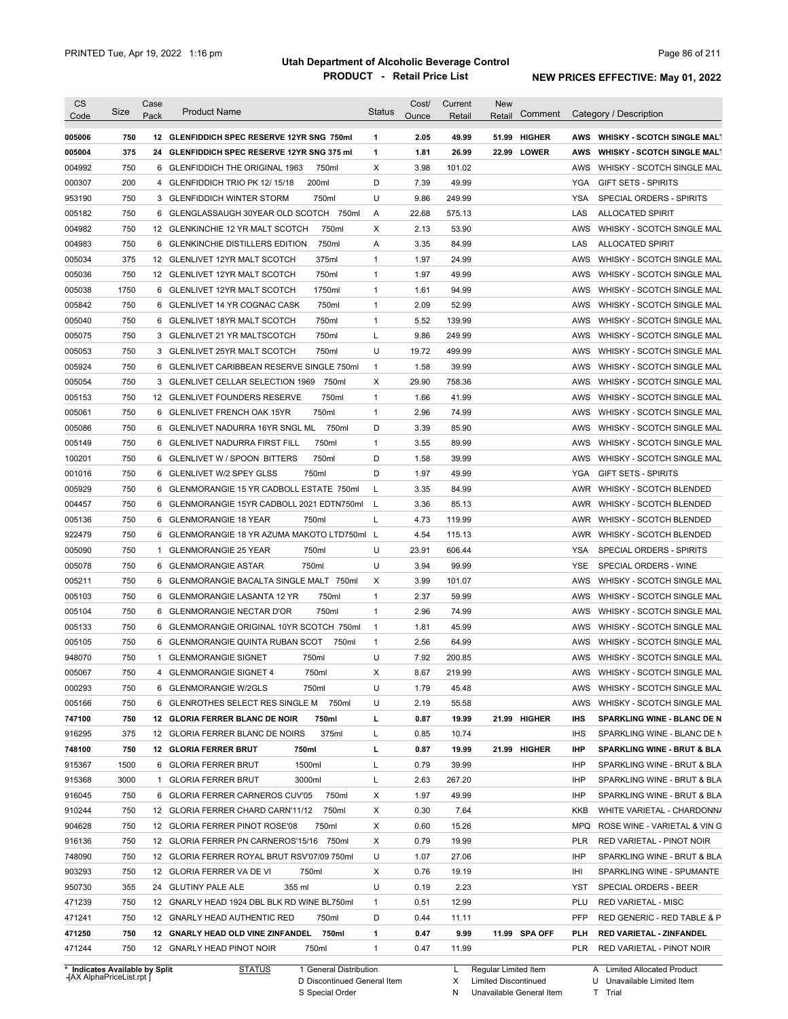| <b>CS</b><br>Code              | Size        | Case<br>Pack | <b>Product Name</b>                                                                    | <b>Status</b> | Cost/<br>Ounce | Current<br>Retail | <b>New</b><br>Comment<br>Retail | Category / Description                                            |
|--------------------------------|-------------|--------------|----------------------------------------------------------------------------------------|---------------|----------------|-------------------|---------------------------------|-------------------------------------------------------------------|
| 005006                         | 750         |              | 12 GLENFIDDICH SPEC RESERVE 12YR SNG 750ml                                             | 1             | 2.05           | 49.99             | <b>HIGHER</b><br>51.99          | <b>WHISKY - SCOTCH SINGLE MALT</b><br>AWS                         |
| 005004                         | 375         |              | 24 GLENFIDDICH SPEC RESERVE 12YR SNG 375 ml                                            | $\mathbf{1}$  | 1.81           | 26.99             | <b>LOWER</b><br>22.99           | <b>WHISKY - SCOTCH SINGLE MALT</b><br>AWS                         |
| 004992                         | 750         |              | 6 GLENFIDDICH THE ORIGINAL 1963<br>750ml                                               | Χ             | 3.98           | 101.02            |                                 | AWS<br>WHISKY - SCOTCH SINGLE MAL                                 |
| 000307                         | 200         |              | 200ml<br>4 GLENFIDDICH TRIO PK 12/15/18                                                | D             | 7.39           | 49.99             |                                 | <b>YGA</b><br><b>GIFT SETS - SPIRITS</b>                          |
| 953190                         | 750         |              | 750ml<br>3 GLENFIDDICH WINTER STORM                                                    | U             | 9.86           | 249.99            |                                 | <b>YSA</b><br><b>SPECIAL ORDERS - SPIRITS</b>                     |
| 005182                         | 750         |              | 6 GLENGLASSAUGH 30YEAR OLD SCOTCH 750ml                                                | A             | 22.68          | 575.13            |                                 | LAS<br><b>ALLOCATED SPIRIT</b>                                    |
| 004982                         | 750         |              | 12 GLENKINCHIE 12 YR MALT SCOTCH<br>750ml                                              | X             | 2.13           | 53.90             |                                 | WHISKY - SCOTCH SINGLE MAL<br>AWS                                 |
| 004983                         | 750         |              | 750ml<br>6 GLENKINCHIE DISTILLERS EDITION                                              | A             | 3.35           | 84.99             |                                 | LAS<br><b>ALLOCATED SPIRIT</b>                                    |
| 005034                         | 375         |              | 375ml<br>12 GLENLIVET 12YR MALT SCOTCH                                                 | $\mathbf{1}$  | 1.97           | 24.99             |                                 | AWS<br>WHISKY - SCOTCH SINGLE MAL                                 |
| 005036                         | 750         |              | 750ml<br>12 GLENLIVET 12YR MALT SCOTCH                                                 | $\mathbf{1}$  | 1.97           | 49.99             |                                 | AWS<br>WHISKY - SCOTCH SINGLE MAL                                 |
| 005038                         | 1750        |              | 6 GLENLIVET 12YR MALT SCOTCH<br>1750ml                                                 | $\mathbf{1}$  | 1.61           | 94.99             |                                 | AWS<br>WHISKY - SCOTCH SINGLE MAL                                 |
| 005842                         | 750         |              | 750ml<br>6 GLENLIVET 14 YR COGNAC CASK                                                 | $\mathbf{1}$  | 2.09           | 52.99             |                                 | AWS<br>WHISKY - SCOTCH SINGLE MAL                                 |
| 005040                         | 750         |              | 750ml<br>6 GLENLIVET 18YR MALT SCOTCH                                                  | $\mathbf{1}$  | 5.52           | 139.99            |                                 | AWS<br>WHISKY - SCOTCH SINGLE MAL                                 |
| 005075                         | 750         |              | 750ml<br>3 GLENLIVET 21 YR MALTSCOTCH                                                  | L             | 9.86           | 249.99            |                                 | AWS<br>WHISKY - SCOTCH SINGLE MAL                                 |
| 005053                         | 750         |              | 750ml<br>3 GLENLIVET 25YR MALT SCOTCH                                                  | U             | 19.72          | 499.99            |                                 | AWS<br>WHISKY - SCOTCH SINGLE MAL                                 |
| 005924                         | 750         |              | 6 GLENLIVET CARIBBEAN RESERVE SINGLE 750ml                                             | $\mathbf{1}$  | 1.58           | 39.99             |                                 | AWS<br>WHISKY - SCOTCH SINGLE MAL                                 |
| 005054                         | 750         |              | 3 GLENLIVET CELLAR SELECTION 1969<br>750ml                                             | Χ             | 29.90          | 758.36            |                                 | AWS<br>WHISKY - SCOTCH SINGLE MAL                                 |
| 005153                         | 750         |              | 750ml<br>12 GLENLIVET FOUNDERS RESERVE                                                 | $\mathbf{1}$  | 1.66           | 41.99             |                                 | AWS<br>WHISKY - SCOTCH SINGLE MAL                                 |
| 005061                         | 750         |              | 750ml<br>6 GLENLIVET FRENCH OAK 15YR                                                   | $\mathbf{1}$  | 2.96           | 74.99             |                                 | AWS<br>WHISKY - SCOTCH SINGLE MAL                                 |
| 005086                         | 750         | 6            | <b>GLENLIVET NADURRA 16YR SNGL ML</b><br>750ml                                         | D             | 3.39           | 85.90             |                                 | AWS<br>WHISKY - SCOTCH SINGLE MAL                                 |
| 005149                         | 750         | 6            | <b>GLENLIVET NADURRA FIRST FILL</b><br>750ml                                           | $\mathbf{1}$  | 3.55           | 89.99             |                                 | AWS<br>WHISKY - SCOTCH SINGLE MAL                                 |
| 100201                         | 750         |              | 750ml<br>6 GLENLIVET W / SPOON BITTERS                                                 | D             | 1.58           | 39.99             |                                 | AWS<br>WHISKY - SCOTCH SINGLE MAL                                 |
| 001016                         | 750         |              | 750ml<br>6 GLENLIVET W/2 SPEY GLSS                                                     | D             | 1.97           | 49.99             |                                 | YGA<br><b>GIFT SETS - SPIRITS</b>                                 |
| 005929                         | 750         |              | 6 GLENMORANGIE 15 YR CADBOLL ESTATE 750ml                                              | L             | 3.35           | 84.99             |                                 | AWR<br><b>WHISKY - SCOTCH BLENDED</b>                             |
| 004457                         | 750         |              | 6 GLENMORANGIE 15YR CADBOLL 2021 EDTN750ml                                             | L             | 3.36           | 85.13             |                                 | AWR<br>WHISKY - SCOTCH BLENDED                                    |
| 005136                         | 750         |              | 750ml<br>6 GLENMORANGIE 18 YEAR                                                        | L             | 4.73           | 119.99            |                                 | AWR WHISKY - SCOTCH BLENDED                                       |
| 922479                         | 750         |              | 6 GLENMORANGIE 18 YR AZUMA MAKOTO LTD750ml L                                           |               | 4.54           | 115.13            |                                 | AWR WHISKY - SCOTCH BLENDED                                       |
| 005090                         | 750         |              | 750ml<br>1 GLENMORANGIE 25 YEAR                                                        | U             | 23.91          | 606.44            |                                 | YSA<br>SPECIAL ORDERS - SPIRITS                                   |
| 005078                         | 750         |              | 750ml<br>6 GLENMORANGIE ASTAR                                                          | U             | 3.94           | 99.99             |                                 | <b>YSE</b><br>SPECIAL ORDERS - WINE                               |
| 005211                         | 750         |              | 6 GLENMORANGIE BACALTA SINGLE MALT 750ml                                               | Х             | 3.99           | 101.07            |                                 | AWS<br>WHISKY - SCOTCH SINGLE MAL                                 |
| 005103                         | 750         |              | 750ml<br>6 GLENMORANGIE LASANTA 12 YR                                                  | $\mathbf{1}$  | 2.37           | 59.99             |                                 | AWS<br>WHISKY - SCOTCH SINGLE MAL                                 |
| 005104                         | 750         |              | 750ml<br>6 GLENMORANGIE NECTAR D'OR                                                    | $\mathbf{1}$  | 2.96           | 74.99             |                                 | AWS<br>WHISKY - SCOTCH SINGLE MAL                                 |
| 005133                         | 750         |              | 6 GLENMORANGIE ORIGINAL 10YR SCOTCH 750ml                                              | $\mathbf{1}$  | 1.81           | 45.99             |                                 | AWS<br>WHISKY - SCOTCH SINGLE MAL                                 |
| 005105                         | 750         |              | 6 GLENMORANGIE QUINTA RUBAN SCOT<br>750ml                                              | $\mathbf{1}$  | 2.56           | 64.99             |                                 | AWS<br>WHISKY - SCOTCH SINGLE MAL                                 |
| 948070                         | 750         |              | 750ml<br>1 GLENMORANGIE SIGNET                                                         | U             | 7.92           | 200.85            |                                 | AWS<br>WHISKY - SCOTCH SINGLE MAL                                 |
| 005067                         | 750         |              | 750ml<br>4 GLENMORANGIE SIGNET 4                                                       | Χ             | 8.67           | 219.99            |                                 | AWS WHISKY - SCOTCH SINGLE MAL                                    |
| 000293                         | 750         |              | 6 GLENMORANGIE W/2GLS<br>750ml                                                         | U             | 1.79           | 45.48             |                                 | WHISKY - SCOTCH SINGLE MAL<br>AWS                                 |
| 005166                         | 750         |              | 6 GLENROTHES SELECT RES SINGLE M 750ml                                                 | U             | 2.19           | 55.58             |                                 | AWS<br>WHISKY - SCOTCH SINGLE MAL                                 |
| 747100                         | 750         |              | 12 GLORIA FERRER BLANC DE NOIR<br>750ml                                                | L             | 0.87           | 19.99             | 21.99 HIGHER                    | IHS<br>SPARKLING WINE - BLANC DE N                                |
| 916295                         | 375         |              | 375ml<br>12 GLORIA FERRER BLANC DE NOIRS                                               | L             | 0.85           | 10.74             |                                 | IHS<br>SPARKLING WINE - BLANC DE N                                |
| 748100                         | 750         |              | 12 GLORIA FERRER BRUT<br>750ml                                                         | L             | 0.87           | 19.99             | 21.99 HIGHER                    | IHP<br><b>SPARKLING WINE - BRUT &amp; BLA</b>                     |
| 915367                         | 1500        |              | 1500ml<br>6 GLORIA FERRER BRUT                                                         | L             | 0.79           | 39.99             |                                 | IHP<br>SPARKLING WINE - BRUT & BLA                                |
|                                |             |              | 3000ml<br>1 GLORIA FERRER BRUT                                                         | L             |                |                   |                                 | SPARKLING WINE - BRUT & BLA                                       |
| 915368                         | 3000<br>750 |              |                                                                                        |               | 2.63<br>1.97   | 267.20<br>49.99   |                                 | IHP<br><b>IHP</b>                                                 |
| 916045<br>910244               | 750         |              | 6 GLORIA FERRER CARNEROS CUV'05<br>750ml<br>12 GLORIA FERRER CHARD CARN'11/12<br>750ml | Х<br>Х        | 0.30           | 7.64              |                                 | SPARKLING WINE - BRUT & BLA<br>KKB                                |
| 904628                         | 750         |              | 750ml                                                                                  | Х             | 0.60           | 15.26             |                                 | WHITE VARIETAL - CHARDONN/<br>MPQ<br>ROSE WINE - VARIETAL & VIN G |
|                                |             |              | 12 GLORIA FERRER PINOT ROSE'08                                                         |               | 0.79           |                   |                                 |                                                                   |
| 916136<br>748090               | 750<br>750  |              | 12 GLORIA FERRER PN CARNEROS'15/16 750ml                                               | Х<br>U        | 1.07           | 19.99<br>27.06    |                                 | RED VARIETAL - PINOT NOIR<br><b>PLR</b><br>IHP                    |
|                                |             |              | 12 GLORIA FERRER ROYAL BRUT RSV'07/09 750ml                                            |               |                |                   |                                 | SPARKLING WINE - BRUT & BLA                                       |
| 903293                         | 750         |              | 12 GLORIA FERRER VA DE VI<br>750ml                                                     | Х             | 0.76           | 19.19             |                                 | IHI<br>SPARKLING WINE - SPUMANTE                                  |
| 950730                         | 355         |              | 24 GLUTINY PALE ALE<br>355 ml                                                          | U             | 0.19           | 2.23              |                                 | YST<br>SPECIAL ORDERS - BEER                                      |
| 471239                         | 750         |              | 12 GNARLY HEAD 1924 DBL BLK RD WINE BL750ml                                            | $\mathbf{1}$  | 0.51           | 12.99             |                                 | PLU<br><b>RED VARIETAL - MISC</b>                                 |
| 471241                         | 750         |              | 12 GNARLY HEAD AUTHENTIC RED<br>750ml                                                  | D             | 0.44           | 11.11             |                                 | <b>PFP</b><br>RED GENERIC - RED TABLE & P                         |
| 471250                         | 750         |              | 12 GNARLY HEAD OLD VINE ZINFANDEL 750ml                                                | 1             | 0.47           | 9.99              | 11.99 SPA OFF                   | PLH<br>RED VARIETAL - ZINFANDEL                                   |
| 471244                         | 750         |              | 12 GNARLY HEAD PINOT NOIR<br>750ml                                                     | $\mathbf{1}$  | 0.47           | 11.99             |                                 | <b>PLR</b><br>RED VARIETAL - PINOT NOIR                           |
| * Indicates Available by Split |             |              | <b>STATUS</b><br>1 General Distribution                                                |               |                | L.                | Regular Limited Item            | A Limited Allocated Product                                       |

**Case** [AX AlphaPriceList.rpt ]

D Discontinued General Item

S Special Order

X Limited Discontinued

N Unavailable General Item

U Unavailable Limited Item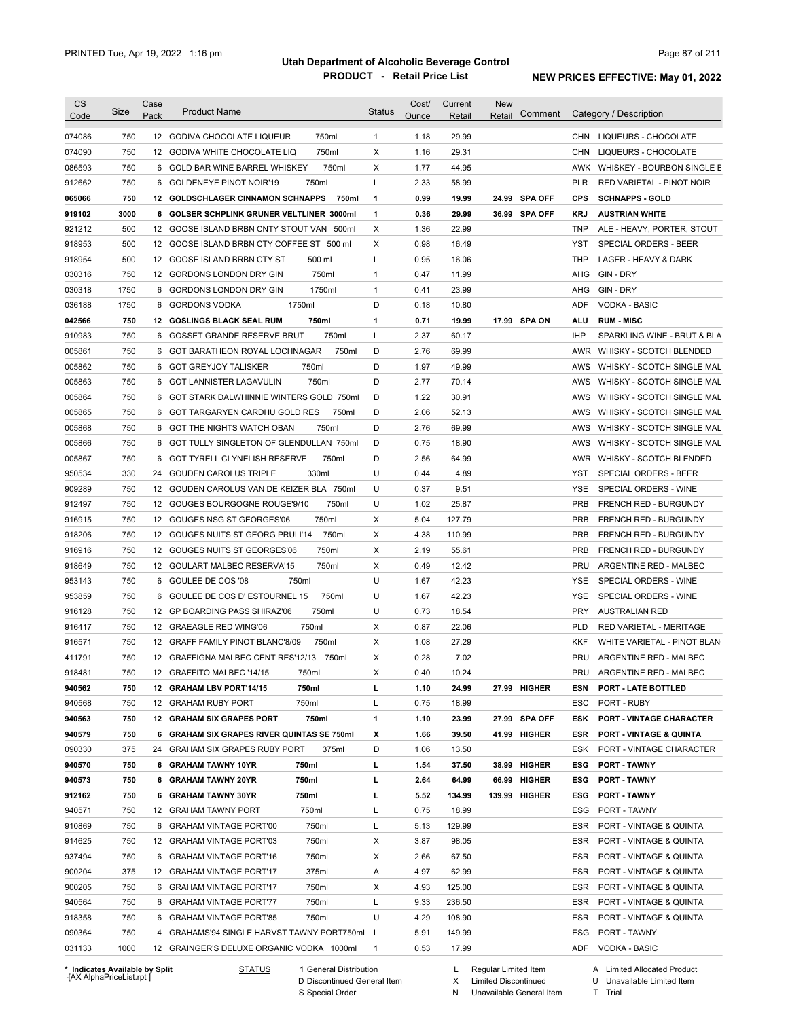| <b>CS</b><br>Code | Size | Case<br>Pack | <b>Product Name</b>                        |        | <b>Status</b> | Cost/<br>Ounce | Current<br>Retail | <b>New</b><br>Retail | Comment       |            | Category / Description             |
|-------------------|------|--------------|--------------------------------------------|--------|---------------|----------------|-------------------|----------------------|---------------|------------|------------------------------------|
| 074086            | 750  |              | 12 GODIVA CHOCOLATE LIQUEUR                | 750ml  | $\mathbf{1}$  | 1.18           | 29.99             |                      |               | <b>CHN</b> | LIQUEURS - CHOCOLATE               |
| 074090            | 750  |              | 12 GODIVA WHITE CHOCOLATE LIQ              | 750ml  | Χ             | 1.16           | 29.31             |                      |               | CHN        | LIQUEURS - CHOCOLATE               |
| 086593            | 750  |              | 6 GOLD BAR WINE BARREL WHISKEY             | 750ml  | X             | 1.77           | 44.95             |                      |               | AWK        | WHISKEY - BOURBON SINGLE B         |
| 912662            | 750  |              | 6 GOLDENEYE PINOT NOIR'19                  | 750ml  | L             | 2.33           | 58.99             |                      |               | PLR        | RED VARIETAL - PINOT NOIR          |
| 065066            | 750  |              | 12 GOLDSCHLAGER CINNAMON SCHNAPPS          | 750ml  | 1             | 0.99           | 19.99             |                      | 24.99 SPA OFF | <b>CPS</b> | <b>SCHNAPPS - GOLD</b>             |
| 919102            | 3000 |              | 6 GOLSER SCHPLINK GRUNER VELTLINER 3000ml  |        | 1             | 0.36           | 29.99             |                      | 36.99 SPA OFF | <b>KRJ</b> | <b>AUSTRIAN WHITE</b>              |
| 921212            | 500  |              | 12 GOOSE ISLAND BRBN CNTY STOUT VAN 500ml  |        | X             | 1.36           | 22.99             |                      |               | <b>TNP</b> | ALE - HEAVY, PORTER, STOUT         |
| 918953            | 500  |              | 12 GOOSE ISLAND BRBN CTY COFFEE ST 500 ml  |        | X             | 0.98           | 16.49             |                      |               | <b>YST</b> | <b>SPECIAL ORDERS - BEER</b>       |
| 918954            | 500  |              | 12 GOOSE ISLAND BRBN CTY ST                | 500 ml | L             | 0.95           | 16.06             |                      |               | <b>THP</b> | LAGER - HEAVY & DARK               |
| 030316            | 750  |              | 12 GORDONS LONDON DRY GIN                  | 750ml  | 1             | 0.47           | 11.99             |                      |               | AHG        | GIN - DRY                          |
| 030318            | 1750 | 6            | GORDONS LONDON DRY GIN                     | 1750ml | $\mathbf{1}$  | 0.41           | 23.99             |                      |               | AHG        | GIN - DRY                          |
| 036188            | 1750 | 6            | 1750ml<br><b>GORDONS VODKA</b>             |        | D             | 0.18           | 10.80             |                      |               | ADF        | <b>VODKA - BASIC</b>               |
| 042566            | 750  |              | <b>12 GOSLINGS BLACK SEAL RUM</b>          | 750ml  | 1             | 0.71           | 19.99             |                      | 17.99 SPA ON  | ALU        | <b>RUM - MISC</b>                  |
| 910983            | 750  | 6            | <b>GOSSET GRANDE RESERVE BRUT</b>          | 750ml  | L             | 2.37           | 60.17             |                      |               | <b>IHP</b> | SPARKLING WINE - BRUT & BLA        |
| 005861            | 750  | 6            | GOT BARATHEON ROYAL LOCHNAGAR              | 750ml  | D             | 2.76           | 69.99             |                      |               | <b>AWR</b> | WHISKY - SCOTCH BLENDED            |
| 005862            | 750  | 6            | <b>GOT GREYJOY TALISKER</b>                | 750ml  | D             | 1.97           | 49.99             |                      |               | AWS        | WHISKY - SCOTCH SINGLE MAL         |
| 005863            | 750  | 6            | <b>GOT LANNISTER LAGAVULIN</b>             | 750ml  | D             | 2.77           | 70.14             |                      |               | AWS        | WHISKY - SCOTCH SINGLE MAL         |
| 005864            | 750  | 6            | GOT STARK DALWHINNIE WINTERS GOLD 750ml    |        | D             | 1.22           | 30.91             |                      |               | AWS        | WHISKY - SCOTCH SINGLE MAL         |
| 005865            | 750  | 6            | GOT TARGARYEN CARDHU GOLD RES              | 750ml  | D             | 2.06           | 52.13             |                      |               | AWS        | WHISKY - SCOTCH SINGLE MAL         |
| 005868            | 750  | 6            | GOT THE NIGHTS WATCH OBAN                  | 750ml  | D             | 2.76           | 69.99             |                      |               | AWS        | WHISKY - SCOTCH SINGLE MAL         |
| 005866            | 750  | 6            | GOT TULLY SINGLETON OF GLENDULLAN 750ml    |        | D             | 0.75           | 18.90             |                      |               | AWS        | WHISKY - SCOTCH SINGLE MAL         |
| 005867            | 750  | 6            | <b>GOT TYRELL CLYNELISH RESERVE</b>        | 750ml  | D             | 2.56           | 64.99             |                      |               | AWR        | WHISKY - SCOTCH BLENDED            |
| 950534            | 330  | 24           | <b>GOUDEN CAROLUS TRIPLE</b>               | 330ml  | U             | 0.44           | 4.89              |                      |               | YST        | SPECIAL ORDERS - BEER              |
| 909289            | 750  |              | 12 GOUDEN CAROLUS VAN DE KEIZER BLA 750ml  |        | U             | 0.37           | 9.51              |                      |               | YSE        | SPECIAL ORDERS - WINE              |
| 912497            | 750  |              | 12 GOUGES BOURGOGNE ROUGE'9/10             | 750ml  | U             | 1.02           | 25.87             |                      |               | <b>PRB</b> | <b>FRENCH RED - BURGUNDY</b>       |
| 916915            | 750  |              | 12 GOUGES NSG ST GEORGES'06                | 750ml  | Χ             | 5.04           | 127.79            |                      |               | <b>PRB</b> | <b>FRENCH RED - BURGUNDY</b>       |
| 918206            | 750  |              | 12 GOUGES NUITS ST GEORG PRULI'14          | 750ml  | Χ             | 4.38           | 110.99            |                      |               | <b>PRB</b> | <b>FRENCH RED - BURGUNDY</b>       |
| 916916            | 750  |              | 12 GOUGES NUITS ST GEORGES'06              | 750ml  | Χ             | 2.19           | 55.61             |                      |               | <b>PRB</b> | <b>FRENCH RED - BURGUNDY</b>       |
| 918649            | 750  |              | 12 GOULART MALBEC RESERVA'15               | 750ml  | Χ             | 0.49           | 12.42             |                      |               | PRU        | ARGENTINE RED - MALBEC             |
| 953143            | 750  |              | 6 GOULEE DE COS '08<br>750ml               |        | U             | 1.67           | 42.23             |                      |               | YSE        | SPECIAL ORDERS - WINE              |
| 953859            | 750  |              | 6 GOULEE DE COS D'ESTOURNEL 15             | 750ml  | U             | 1.67           | 42.23             |                      |               | <b>YSE</b> | SPECIAL ORDERS - WINE              |
|                   | 750  |              | 12 GP BOARDING PASS SHIRAZ'06              | 750ml  | U             | 0.73           | 18.54             |                      |               | <b>PRY</b> | <b>AUSTRALIAN RED</b>              |
| 916128            | 750  |              | 12 GRAEAGLE RED WING'06                    | 750ml  | Χ             | 0.87           | 22.06             |                      |               | <b>PLD</b> | RED VARIETAL - MERITAGE            |
| 916417            |      |              |                                            | 750ml  |               |                |                   |                      |               |            |                                    |
| 916571            | 750  |              | 12 GRAFF FAMILY PINOT BLANC'8/09           |        | X             | 1.08           | 27.29             |                      |               | KKF        | WHITE VARIETAL - PINOT BLAN        |
| 411791            | 750  |              | 12 GRAFFIGNA MALBEC CENT RES'12/13 750ml   |        | X             | 0.28           | 7.02              |                      |               | PRU        | ARGENTINE RED - MALBEC             |
| 918481            | 750  |              | 12 GRAFFITO MALBEC '14/15                  | 750ml  | х             | 0.40           | 10.24             |                      |               | PRU        | ARGENTINE RED - MALBEC             |
| 940562            | 750  |              | 12 GRAHAM LBV PORT'14/15                   | 750ml  | г             | 1.10           | 24.99             |                      | 27.99 HIGHER  | ESN        | <b>PORT - LATE BOTTLED</b>         |
| 940568            | 750  |              | 12 GRAHAM RUBY PORT                        | 750ml  | L             | 0.75           | 18.99             |                      |               | ESC        | PORT - RUBY                        |
| 940563            | 750  |              | 12 GRAHAM SIX GRAPES PORT                  | 750ml  | 1             | 1.10           | 23.99             |                      | 27.99 SPA OFF | ESK        | <b>PORT - VINTAGE CHARACTER</b>    |
| 940579            | 750  |              | 6 GRAHAM SIX GRAPES RIVER QUINTAS SE 750ml |        | х             | 1.66           | 39.50             |                      | 41.99 HIGHER  | <b>ESR</b> | <b>PORT - VINTAGE &amp; QUINTA</b> |
| 090330            | 375  |              | 24 GRAHAM SIX GRAPES RUBY PORT             | 375ml  | D             | 1.06           | 13.50             |                      |               | ESK        | PORT - VINTAGE CHARACTER           |
| 940570            | 750  |              | 6 GRAHAM TAWNY 10YR                        | 750ml  | L             | 1.54           | 37.50             |                      | 38.99 HIGHER  | ESG        | <b>PORT - TAWNY</b>                |
| 940573            | 750  |              | 6 GRAHAM TAWNY 20YR                        | 750ml  | г             | 2.64           | 64.99             |                      | 66.99 HIGHER  | <b>ESG</b> | <b>PORT - TAWNY</b>                |
| 912162            | 750  |              | 6 GRAHAM TAWNY 30YR                        | 750ml  | г             | 5.52           | 134.99            |                      | 139.99 HIGHER | <b>ESG</b> | <b>PORT - TAWNY</b>                |
| 940571            | 750  |              | 12 GRAHAM TAWNY PORT                       | 750ml  | Г             | 0.75           | 18.99             |                      |               | ESG        | PORT - TAWNY                       |
| 910869            | 750  |              | 6 GRAHAM VINTAGE PORT'00                   | 750ml  | Г             | 5.13           | 129.99            |                      |               | ESR        | PORT - VINTAGE & QUINTA            |
| 914625            | 750  |              | 12 GRAHAM VINTAGE PORT'03                  | 750ml  | Х             | 3.87           | 98.05             |                      |               | ESR        | PORT - VINTAGE & QUINTA            |
| 937494            | 750  |              | 6 GRAHAM VINTAGE PORT'16                   | 750ml  | Х             | 2.66           | 67.50             |                      |               | ESR        | PORT - VINTAGE & QUINTA            |
| 900204            | 375  |              | 12 GRAHAM VINTAGE PORT'17                  | 375ml  | Α             | 4.97           | 62.99             |                      |               | ESR        | PORT - VINTAGE & QUINTA            |
| 900205            | 750  |              | 6 GRAHAM VINTAGE PORT'17                   | 750ml  | Х             | 4.93           | 125.00            |                      |               | ESR        | PORT - VINTAGE & QUINTA            |
| 940564            | 750  |              | 6 GRAHAM VINTAGE PORT'77                   | 750ml  | L             | 9.33           | 236.50            |                      |               | ESR        | PORT - VINTAGE & QUINTA            |
| 918358            | 750  |              | 6 GRAHAM VINTAGE PORT'85                   | 750ml  | U             | 4.29           | 108.90            |                      |               | ESR        | PORT - VINTAGE & QUINTA            |
|                   | 750  |              | 4 GRAHAMS'94 SINGLE HARVST TAWNY PORT750ml |        | L             | 5.91           | 149.99            |                      |               | ESG        | PORT - TAWNY                       |
| 090364            |      |              |                                            |        |               |                |                   |                      |               |            |                                    |

**Case** [AX AlphaPriceList.rpt ]

D Discontinued General Item S Special Order

Regular Limited Item

X

Limited Discontinued

N Unavailable General Item

U Unavailable Limited Item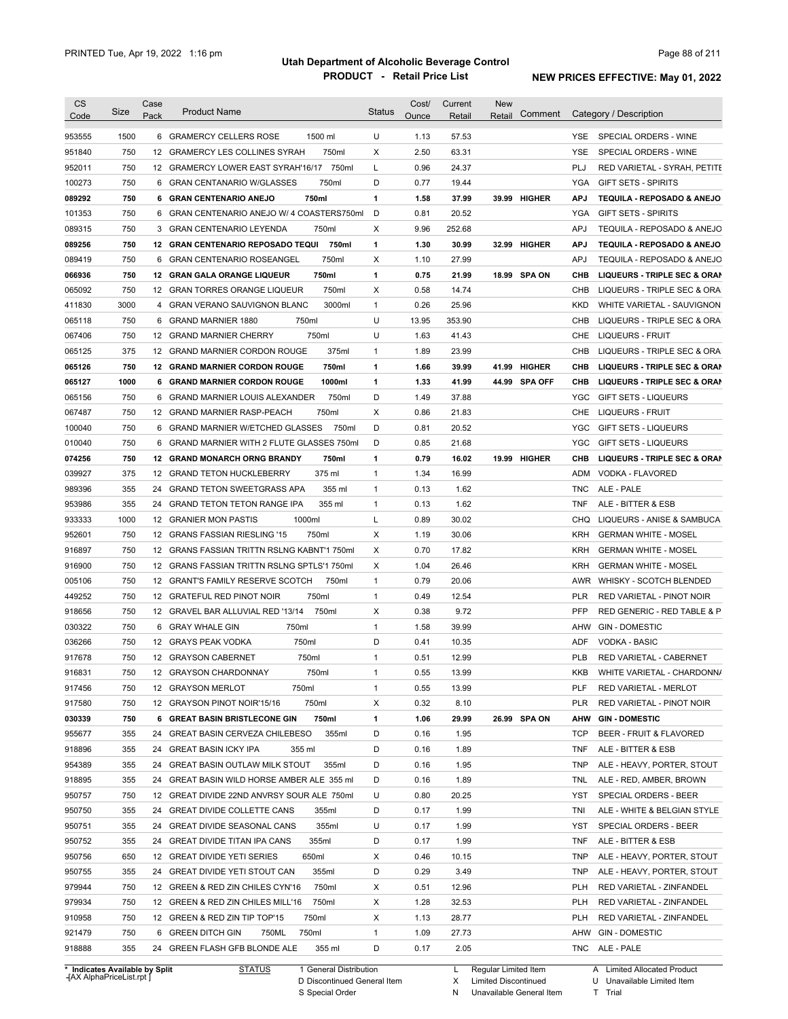| <b>CS</b><br>Code | Size | Case<br>Pack | <b>Product Name</b>                                 | <b>Status</b> | Cost/<br>Ounce | Current<br>Retail | <b>New</b><br>Comment<br>Retail | Category / Description                                 |
|-------------------|------|--------------|-----------------------------------------------------|---------------|----------------|-------------------|---------------------------------|--------------------------------------------------------|
| 953555            | 1500 |              | 6 GRAMERCY CELLERS ROSE<br>1500 ml                  | U             | 1.13           | 57.53             |                                 | SPECIAL ORDERS - WINE<br>YSE.                          |
| 951840            | 750  |              | 12 GRAMERCY LES COLLINES SYRAH<br>750ml             | X             | 2.50           | 63.31             |                                 | YSE<br>SPECIAL ORDERS - WINE                           |
| 952011            | 750  |              | 12 GRAMERCY LOWER EAST SYRAH'16/17 750ml            | L             | 0.96           | 24.37             |                                 | PLJ<br>RED VARIETAL - SYRAH, PETITE                    |
| 100273            | 750  | 6            | <b>GRAN CENTANARIO W/GLASSES</b><br>750ml           | D             | 0.77           | 19.44             |                                 | YGA<br><b>GIFT SETS - SPIRITS</b>                      |
| 089292            | 750  |              | 6 GRAN CENTENARIO ANEJO<br>750ml                    | 1             | 1.58           | 37.99             | 39.99 HIGHER                    | <b>APJ</b><br>TEQUILA - REPOSADO & ANEJO               |
|                   | 750  | 6            | GRAN CENTENARIO ANEJO W/ 4 COASTERS750ml            | D             | 0.81           | 20.52             |                                 | YGA<br><b>GIFT SETS - SPIRITS</b>                      |
| 101353<br>089315  | 750  | 3            | GRAN CENTENARIO LEYENDA<br>750ml                    | Х             | 9.96           | 252.68            |                                 | <b>APJ</b><br>TEQUILA - REPOSADO & ANEJO               |
|                   | 750  |              |                                                     |               |                |                   |                                 |                                                        |
| 089256            | 750  |              | 12 GRAN CENTENARIO REPOSADO TEQUI<br>750ml<br>750ml | 1<br>X        | 1.30<br>1.10   | 30.99             | <b>HIGHER</b><br>32.99          | TEQUILA - REPOSADO & ANEJO<br><b>APJ</b><br><b>APJ</b> |
| 089419            | 750  | 6            | <b>GRAN CENTENARIO ROSEANGEL</b>                    |               |                | 27.99             |                                 | TEQUILA - REPOSADO & ANEJO                             |
| 066936            | 750  |              | 12 GRAN GALA ORANGE LIQUEUR<br>750ml                | 1<br>Х        | 0.75<br>0.58   | 21.99             | 18.99<br>SPA ON                 | CHB<br>LIQUEURS - TRIPLE SEC & ORAN                    |
| 065092            |      |              | 12 GRAN TORRES ORANGE LIQUEUR<br>750ml              |               |                | 14.74             |                                 | CHB<br>LIQUEURS - TRIPLE SEC & ORA                     |
| 411830            | 3000 |              | 3000ml<br>4 GRAN VERANO SAUVIGNON BLANC             | $\mathbf{1}$  | 0.26           | 25.96             |                                 | KKD<br>WHITE VARIETAL - SAUVIGNON                      |
| 065118            | 750  | 6            | <b>GRAND MARNIER 1880</b><br>750ml                  | U             | 13.95          | 353.90            |                                 | CHB<br>LIQUEURS - TRIPLE SEC & ORA                     |
| 067406            | 750  | 12           | 750ml<br><b>GRAND MARNIER CHERRY</b>                | U             | 1.63           | 41.43             |                                 | <b>CHE</b><br>LIQUEURS - FRUIT                         |
| 065125            | 375  |              | 12 GRAND MARNIER CORDON ROUGE<br>375ml              | $\mathbf{1}$  | 1.89           | 23.99             |                                 | CHB<br>LIQUEURS - TRIPLE SEC & ORA                     |
| 065126            | 750  |              | <b>12 GRAND MARNIER CORDON ROUGE</b><br>750ml       | 1             | 1.66           | 39.99             | <b>HIGHER</b><br>41.99          | CHB<br>LIQUEURS - TRIPLE SEC & ORAN                    |
| 065127            | 1000 |              | 6 GRAND MARNIER CORDON ROUGE<br>1000ml              | 1             | 1.33           | 41.99             | 44.99 SPA OFF                   | CHB<br>LIQUEURS - TRIPLE SEC & ORAN                    |
| 065156            | 750  | 6            | <b>GRAND MARNIER LOUIS ALEXANDER</b><br>750ml       | D             | 1.49           | 37.88             |                                 | YGC<br><b>GIFT SETS - LIQUEURS</b>                     |
| 067487            | 750  |              | 750ml<br>12 GRAND MARNIER RASP-PEACH                | Χ             | 0.86           | 21.83             |                                 | CHE<br>LIQUEURS - FRUIT                                |
| 100040            | 750  | 6            | <b>GRAND MARNIER W/ETCHED GLASSES</b><br>750ml      | D             | 0.81           | 20.52             |                                 | YGC<br><b>GIFT SETS - LIQUEURS</b>                     |
| 010040            | 750  | 6            | GRAND MARNIER WITH 2 FLUTE GLASSES 750ml            | D             | 0.85           | 21.68             |                                 | YGC<br>GIFT SETS - LIQUEURS                            |
| 074256            | 750  |              | <b>12 GRAND MONARCH ORNG BRANDY</b><br>750ml        | 1             | 0.79           | 16.02             | 19.99 HIGHER                    | CHB<br>LIQUEURS - TRIPLE SEC & ORAN                    |
| 039927            | 375  | 12           | <b>GRAND TETON HUCKLEBERRY</b><br>375 ml            | $\mathbf{1}$  | 1.34           | 16.99             |                                 | ADM<br>VODKA - FLAVORED                                |
| 989396            | 355  | 24           | <b>GRAND TETON SWEETGRASS APA</b><br>355 ml         | $\mathbf{1}$  | 0.13           | 1.62              |                                 | TNC<br>ALE - PALE                                      |
| 953986            | 355  | 24           | <b>GRAND TETON TETON RANGE IPA</b><br>355 ml        | $\mathbf{1}$  | 0.13           | 1.62              |                                 | TNF<br>ALE - BITTER & ESB                              |
| 933333            | 1000 |              | 1000ml<br>12 GRANIER MON PASTIS                     | Г             | 0.89           | 30.02             |                                 | CHQ<br>LIQUEURS - ANISE & SAMBUCA                      |
| 952601            | 750  |              | 750ml<br>12 GRANS FASSIAN RIESLING '15              | Х             | 1.19           | 30.06             |                                 | <b>KRH</b><br><b>GERMAN WHITE - MOSEL</b>              |
| 916897            | 750  |              | 12 GRANS FASSIAN TRITTN RSLNG KABNT'1 750ml         | Х             | 0.70           | 17.82             |                                 | <b>KRH</b><br><b>GERMAN WHITE - MOSEL</b>              |
| 916900            | 750  |              | 12 GRANS FASSIAN TRITTN RSLNG SPTLS'1 750ml         | Х             | 1.04           | 26.46             |                                 | <b>KRH</b><br><b>GERMAN WHITE - MOSEL</b>              |
| 005106            | 750  |              | 12 GRANT'S FAMILY RESERVE SCOTCH<br>750ml           | $\mathbf{1}$  | 0.79           | 20.06             |                                 | AWR<br>WHISKY - SCOTCH BLENDED                         |
| 449252            | 750  |              | 750ml<br>12 GRATEFUL RED PINOT NOIR                 | $\mathbf{1}$  | 0.49           | 12.54             |                                 | PLR<br>RED VARIETAL - PINOT NOIR                       |
| 918656            | 750  |              | 12 GRAVEL BAR ALLUVIAL RED '13/14<br>750ml          | X             | 0.38           | 9.72              |                                 | <b>PFP</b><br>RED GENERIC - RED TABLE & P              |
| 030322            | 750  |              | 750ml<br>6 GRAY WHALE GIN                           | $\mathbf{1}$  | 1.58           | 39.99             |                                 | <b>GIN - DOMESTIC</b><br>AHW                           |
| 036266            | 750  |              | 750ml<br>12 GRAYS PEAK VODKA                        | D             | 0.41           | 10.35             |                                 | ADF<br><b>VODKA - BASIC</b>                            |
| 917678            | 750  |              | 12 GRAYSON CABERNET<br>750ml                        | 1             | 0.51           | 12.99             |                                 | <b>PLB</b><br>RED VARIETAL - CABERNET                  |
| 916831            | 750  |              | 12 GRAYSON CHARDONNAY<br>750ml                      | 1             | 0.55           | 13.99             |                                 | KKB<br>WHITE VARIETAL - CHARDONN/                      |
| 917456            | 750  |              | 750ml<br>12 GRAYSON MERLOT                          | $\mathbf{1}$  | 0.55           | 13.99             |                                 | PLF<br>RED VARIETAL - MERLOT                           |
| 917580            | 750  |              | 750ml<br>12 GRAYSON PINOT NOIR'15/16                | Х             | 0.32           | 8.10              |                                 | PLR<br>RED VARIETAL - PINOT NOIR                       |
| 030339            | 750  |              | 6 GREAT BASIN BRISTLECONE GIN<br>750ml              | 1             | 1.06           | 29.99             | 26.99 SPA ON                    | AHW<br><b>GIN - DOMESTIC</b>                           |
| 955677            | 355  |              | 24 GREAT BASIN CERVEZA CHILEBESO<br>355ml           | D             | 0.16           | 1.95              |                                 | BEER - FRUIT & FLAVORED<br>TCP                         |
| 918896            | 355  |              | 24 GREAT BASIN ICKY IPA<br>355 ml                   | D             | 0.16           | 1.89              |                                 | TNF<br>ALE - BITTER & ESB                              |
| 954389            | 355  |              | 24 GREAT BASIN OUTLAW MILK STOUT<br>355ml           | D             | 0.16           | 1.95              |                                 | TNP<br>ALE - HEAVY, PORTER, STOUT                      |
| 918895            | 355  |              | 24 GREAT BASIN WILD HORSE AMBER ALE 355 ml          | D             | 0.16           | 1.89              |                                 | TNL<br>ALE - RED, AMBER, BROWN                         |
| 950757            | 750  |              | 12 GREAT DIVIDE 22ND ANVRSY SOUR ALE 750ml          | U             | 0.80           | 20.25             |                                 | SPECIAL ORDERS - BEER<br>YST                           |
| 950750            | 355  |              | 24 GREAT DIVIDE COLLETTE CANS<br>355ml              | D             | 0.17           | 1.99              |                                 | TNI<br>ALE - WHITE & BELGIAN STYLE                     |
| 950751            | 355  |              | 24 GREAT DIVIDE SEASONAL CANS<br>355ml              | U             | 0.17           | 1.99              |                                 | YST<br>SPECIAL ORDERS - BEER                           |
| 950752            | 355  |              | 355ml<br>24 GREAT DIVIDE TITAN IPA CANS             | D             | 0.17           | 1.99              |                                 | ALE - BITTER & ESB<br>TNF                              |
| 950756            | 650  |              | 650ml<br>12 GREAT DIVIDE YETI SERIES                | Х             | 0.46           | 10.15             |                                 | TNP<br>ALE - HEAVY, PORTER, STOUT                      |
| 950755            | 355  |              | 355ml<br>24 GREAT DIVIDE YETI STOUT CAN             | D             | 0.29           | 3.49              |                                 | TNP<br>ALE - HEAVY, PORTER, STOUT                      |
| 979944            | 750  |              | 750ml<br>12 GREEN & RED ZIN CHILES CYN'16           | Х             | 0.51           | 12.96             |                                 | <b>PLH</b><br>RED VARIETAL - ZINFANDEL                 |
|                   |      |              |                                                     |               |                |                   |                                 |                                                        |
| 979934            | 750  |              | 750ml<br>12 GREEN & RED ZIN CHILES MILL'16          | Х             | 1.28           | 32.53             |                                 | PLH<br>RED VARIETAL - ZINFANDEL                        |
| 910958            | 750  |              | 12 GREEN & RED ZIN TIP TOP'15<br>750ml              | Х             | 1.13           | 28.77             |                                 | PLH<br>RED VARIETAL - ZINFANDEL                        |
|                   | 750  |              | 6 GREEN DITCH GIN<br>750ML<br>750ml                 | 1             | 1.09           | 27.73             |                                 | AHW GIN - DOMESTIC                                     |
| 921479<br>918888  | 355  |              | 355 ml<br>24 GREEN FLASH GFB BLONDE ALE             | D             | 0.17           | 2.05              |                                 | TNC ALE - PALE                                         |

**Case** [AX AlphaPriceList.rpt ]

D Discontinued General Item S Special Order

X N Limited Discontinued

Unavailable General Item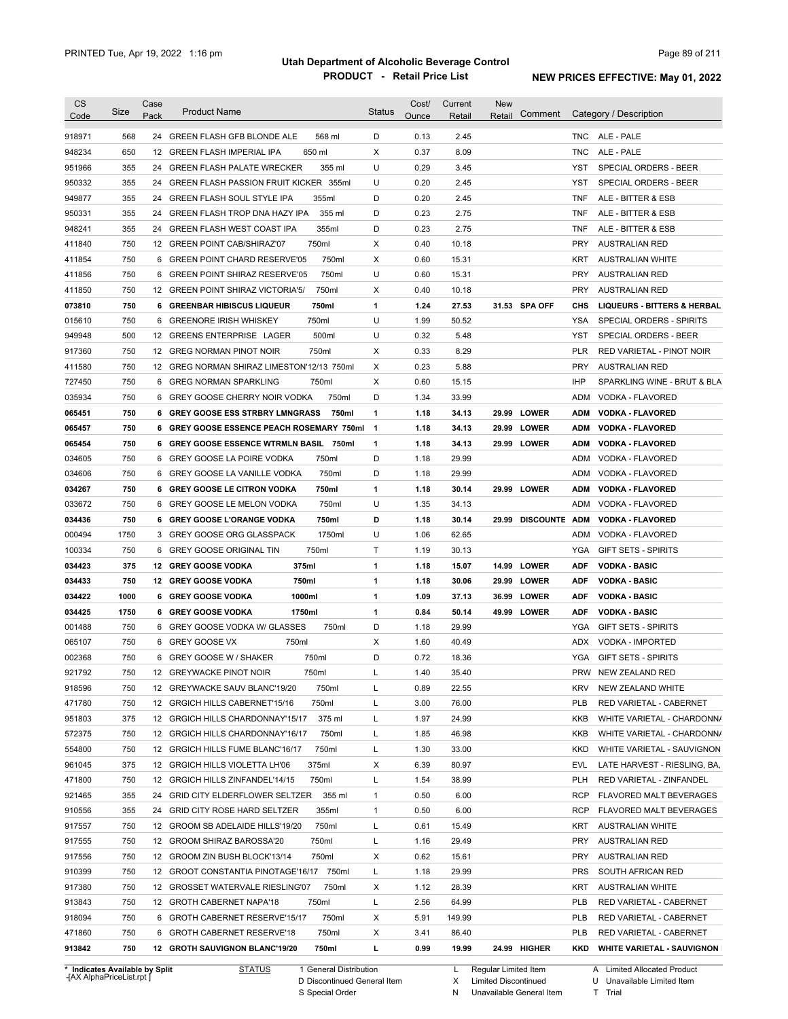| <b>CS</b><br>Code              | Size       | Case<br>Pack | <b>Product Name</b>                              | <b>Status</b>           | Cost/<br>Ounce | Current<br>Retail | New<br>Comment<br>Retail  |                   | Category / Description                                |
|--------------------------------|------------|--------------|--------------------------------------------------|-------------------------|----------------|-------------------|---------------------------|-------------------|-------------------------------------------------------|
| 918971                         | 568        | 24           | GREEN FLASH GFB BLONDE ALE<br>568 ml             | D                       | 0.13           | 2.45              |                           |                   | TNC ALE - PALE                                        |
| 948234                         | 650        | 12           | <b>GREEN FLASH IMPERIAL IPA</b><br>650 ml        | X                       | 0.37           | 8.09              |                           | <b>TNC</b>        | ALE - PALE                                            |
| 951966                         | 355        |              | 355 ml<br>24 GREEN FLASH PALATE WRECKER          | U                       | 0.29           | 3.45              |                           | YST               | SPECIAL ORDERS - BEER                                 |
| 950332                         | 355        | 24           | GREEN FLASH PASSION FRUIT KICKER 355ml           | U                       | 0.20           | 2.45              |                           | YST               | SPECIAL ORDERS - BEER                                 |
| 949877                         | 355        |              | 24 GREEN FLASH SOUL STYLE IPA<br>355ml           | D                       | 0.20           | 2.45              |                           | TNF               | ALE - BITTER & ESB                                    |
| 950331                         | 355        | 24           | GREEN FLASH TROP DNA HAZY IPA<br>355 ml          | D                       | 0.23           | 2.75              |                           | TNF               | ALE - BITTER & ESB                                    |
| 948241                         | 355        |              | 355ml<br>24 GREEN FLASH WEST COAST IPA           | D                       | 0.23           | 2.75              |                           | <b>TNF</b>        | ALE - BITTER & ESB                                    |
| 411840                         | 750        |              | 750ml<br>12 GREEN POINT CAB/SHIRAZ'07            | х                       | 0.40           | 10.18             |                           | <b>PRY</b>        | <b>AUSTRALIAN RED</b>                                 |
| 411854                         | 750        | 6            | 750ml<br><b>GREEN POINT CHARD RESERVE'05</b>     | X                       | 0.60           | 15.31             |                           | <b>KRT</b>        | <b>AUSTRALIAN WHITE</b>                               |
| 411856                         | 750        | 6            | 750ml<br><b>GREEN POINT SHIRAZ RESERVE'05</b>    | U                       | 0.60           | 15.31             |                           | <b>PRY</b>        | <b>AUSTRALIAN RED</b>                                 |
| 411850                         | 750        | 12           | <b>GREEN POINT SHIRAZ VICTORIA'5/</b><br>750ml   | X                       | 0.40           | 10.18             |                           | <b>PRY</b>        | AUSTRALIAN RED                                        |
| 073810                         | 750        |              | 750ml<br><b>6 GREENBAR HIBISCUS LIQUEUR</b>      | 1                       | 1.24           | 27.53             | 31.53 SPA OFF             | CHS               | <b>LIQUEURS - BITTERS &amp; HERBAL</b>                |
| 015610                         | 750        | 6            | 750ml<br><b>GREENORE IRISH WHISKEY</b>           | U                       | 1.99           | 50.52             |                           | <b>YSA</b>        | SPECIAL ORDERS - SPIRITS                              |
| 949948                         | 500        | 12           | 500ml<br><b>GREENS ENTERPRISE LAGER</b>          | U                       | 0.32           | 5.48              |                           | YST               | SPECIAL ORDERS - BEER                                 |
| 917360                         | 750        |              | 750ml<br>12 GREG NORMAN PINOT NOIR               | X                       | 0.33           | 8.29              |                           | <b>PLR</b>        | RED VARIETAL - PINOT NOIR                             |
| 411580                         | 750        |              | 12 GREG NORMAN SHIRAZ LIMESTON'12/13 750ml       | Х                       | 0.23           | 5.88              |                           | <b>PRY</b>        | AUSTRALIAN RED                                        |
| 727450                         | 750        | 6            | <b>GREG NORMAN SPARKLING</b><br>750ml            | Х                       | 0.60           | 15.15             |                           | <b>IHP</b>        | SPARKLING WINE - BRUT & BLA                           |
| 035934                         | 750        |              | 750ml<br>6 GREY GOOSE CHERRY NOIR VODKA          | D                       | 1.34           | 33.99             |                           | ADM               | VODKA - FLAVORED                                      |
|                                | 750        |              | 6 GREY GOOSE ESS STRBRY LMNGRASS                 | 1                       |                |                   | 29.99 LOWER               |                   |                                                       |
| 065451                         | 750        |              | 750ml                                            |                         | 1.18<br>1.18   | 34.13             |                           | <b>ADM</b>        | <b>VODKA - FLAVORED</b><br><b>VODKA - FLAVORED</b>    |
| 065457                         |            |              | 6 GREY GOOSE ESSENCE PEACH ROSEMARY 750ml        | $\overline{\mathbf{1}}$ |                | 34.13             | 29.99 LOWER               | <b>ADM</b>        |                                                       |
| 065454                         | 750<br>750 |              | 6 GREY GOOSE ESSENCE WTRMLN BASIL 750ml<br>750ml | 1<br>D                  | 1.18<br>1.18   | 34.13<br>29.99    | 29.99 LOWER               | <b>ADM</b><br>ADM | <b>VODKA - FLAVORED</b>                               |
| 034605                         | 750        |              | 6 GREY GOOSE LA POIRE VODKA<br>750ml             | D                       | 1.18           | 29.99             |                           | ADM               | VODKA - FLAVORED                                      |
| 034606                         | 750        |              | 6 GREY GOOSE LA VANILLE VODKA                    |                         |                |                   | 29.99 LOWER               |                   | VODKA - FLAVORED                                      |
| 034267                         |            |              | 6 GREY GOOSE LE CITRON VODKA<br>750ml            | 1                       | 1.18           | 30.14             |                           | <b>ADM</b>        | <b>VODKA - FLAVORED</b>                               |
| 033672                         | 750        |              | 6 GREY GOOSE LE MELON VODKA<br>750ml             | U                       | 1.35           | 34.13             |                           | <b>ADM</b>        | VODKA - FLAVORED                                      |
| 034436                         | 750        |              | 6 GREY GOOSE L'ORANGE VODKA<br>750ml             | D<br>U                  | 1.18           | 30.14             | <b>DISCOUNTE</b><br>29.99 | ADM               | <b>VODKA - FLAVORED</b>                               |
| 000494                         | 1750       |              | 3 GREY GOOSE ORG GLASSPACK<br>1750ml             |                         | 1.06           | 62.65             |                           | ADM               | VODKA - FLAVORED                                      |
| 100334                         | 750        | 6            | GREY GOOSE ORIGINAL TIN<br>750ml                 | Т                       | 1.19           | 30.13             |                           | YGA               | <b>GIFT SETS - SPIRITS</b>                            |
| 034423                         | 375        |              | 375ml<br>12 GREY GOOSE VODKA                     | 1                       | 1.18           | 15.07             | 14.99 LOWER               | <b>ADF</b>        | <b>VODKA - BASIC</b>                                  |
| 034433                         | 750        |              | 750ml<br>12 GREY GOOSE VODKA                     | 1                       | 1.18           | 30.06             | 29.99<br><b>LOWER</b>     | <b>ADF</b>        | <b>VODKA - BASIC</b>                                  |
| 034422                         | 1000       | 6            | 1000ml<br><b>GREY GOOSE VODKA</b>                | 1                       | 1.09           | 37.13             | 36.99<br><b>LOWER</b>     | <b>ADF</b>        | <b>VODKA - BASIC</b>                                  |
| 034425                         | 1750       |              | 6 GREY GOOSE VODKA<br>1750ml                     | 1                       | 0.84           | 50.14             | 49.99 LOWER               | <b>ADF</b>        | <b>VODKA - BASIC</b>                                  |
| 001488                         | 750        |              | 6 GREY GOOSE VODKA W/ GLASSES<br>750ml           | D                       | 1.18           | 29.99             |                           | YGA               | <b>GIFT SETS - SPIRITS</b><br><b>VODKA - IMPORTED</b> |
| 065107                         | 750        |              | 6 GREY GOOSE VX<br>750ml                         | X                       | 1.60           | 40.49             |                           | ADX               |                                                       |
| 002368                         | 750        |              | 6 GREY GOOSE W / SHAKER<br>750ml                 | D                       | 0.72           | 18.36             |                           | YGA               | <b>GIFT SETS - SPIRITS</b>                            |
| 921792                         | 750        |              | 12 GREYWACKE PINOT NOIR<br>750ml                 |                         | 1.40           | 35.40             |                           |                   | PRW NEW ZEALAND RED                                   |
| 918596                         | 750        |              | 12 GREYWACKE SAUV BLANC'19/20<br>750ml           | L                       | 0.89           | 22.55             |                           | <b>KRV</b>        | NEW ZEALAND WHITE                                     |
| 471780                         | 750        |              | 12 GRGICH HILLS CABERNET'15/16<br>750ml          | L                       | 3.00           | 76.00             |                           | <b>PLB</b>        | RED VARIETAL - CABERNET                               |
| 951803                         | 375        |              | 375 ml<br>12 GRGICH HILLS CHARDONNAY'15/17       | Г                       | 1.97           | 24.99             |                           | KKB               | WHITE VARIETAL - CHARDONN/                            |
| 572375                         | 750        |              | 12 GRGICH HILLS CHARDONNAY'16/17<br>750ml        | L                       | 1.85           | 46.98             |                           | KKB               | WHITE VARIETAL - CHARDONN/                            |
| 554800                         | 750        |              | 12 GRGICH HILLS FUME BLANC'16/17<br>750ml        | L                       | 1.30           | 33.00             |                           | <b>KKD</b>        | WHITE VARIETAL - SAUVIGNON                            |
| 961045                         | 375        |              | 12 GRGICH HILLS VIOLETTA LH'06<br>375ml          | Х                       | 6.39           | 80.97             |                           | EVL               | LATE HARVEST - RIESLING, BA,                          |
| 471800                         | 750        |              | 12 GRGICH HILLS ZINFANDEL'14/15<br>750ml         | L                       | 1.54           | 38.99             |                           | <b>PLH</b>        | RED VARIETAL - ZINFANDEL                              |
| 921465                         | 355        |              | 24 GRID CITY ELDERFLOWER SELTZER<br>355 ml       | $\mathbf{1}$            | 0.50           | 6.00              |                           | <b>RCP</b>        | FLAVORED MALT BEVERAGES                               |
| 910556                         | 355        |              | 24 GRID CITY ROSE HARD SELTZER<br>355ml          | 1                       | 0.50           | 6.00              |                           | <b>RCP</b>        | <b>FLAVORED MALT BEVERAGES</b>                        |
| 917557                         | 750        |              | 12 GROOM SB ADELAIDE HILLS'19/20<br>750ml        | L                       | 0.61           | 15.49             |                           | <b>KRT</b>        | <b>AUSTRALIAN WHITE</b>                               |
| 917555                         | 750        |              | 12 GROOM SHIRAZ BAROSSA'20<br>750ml              | L                       | 1.16           | 29.49             |                           | <b>PRY</b>        | <b>AUSTRALIAN RED</b>                                 |
| 917556                         | 750        |              | 750ml<br>12 GROOM ZIN BUSH BLOCK'13/14           | Х                       | 0.62           | 15.61             |                           | <b>PRY</b>        | AUSTRALIAN RED                                        |
| 910399                         | 750        |              | 12 GROOT CONSTANTIA PINOTAGE'16/17 750ml         | L                       | 1.18           | 29.99             |                           | <b>PRS</b>        | SOUTH AFRICAN RED                                     |
| 917380                         | 750        |              | 750ml<br>12 GROSSET WATERVALE RIESLING'07        | Х                       | 1.12           | 28.39             |                           | KRT               | <b>AUSTRALIAN WHITE</b>                               |
| 913843                         | 750        |              | 12 GROTH CABERNET NAPA'18<br>750ml               | L                       | 2.56           | 64.99             |                           | <b>PLB</b>        | RED VARIETAL - CABERNET                               |
| 918094                         | 750        |              | 6 GROTH CABERNET RESERVE'15/17<br>750ml          | Х                       | 5.91           | 149.99            |                           | <b>PLB</b>        | RED VARIETAL - CABERNET                               |
| 471860                         | 750        |              | 6 GROTH CABERNET RESERVE'18<br>750ml             | Х                       | 3.41           | 86.40             |                           | <b>PLB</b>        | RED VARIETAL - CABERNET                               |
| 913842                         | 750        |              | 12 GROTH SAUVIGNON BLANC'19/20<br>750ml          | г                       | 0.99           | 19.99             | 24.99 HIGHER              | KKD               | <b>WHITE VARIETAL - SAUVIGNON</b>                     |
| * Indicates Available by Split |            |              | 1 General Distribution<br><b>STATUS</b>          |                         |                | L.                | Regular Limited Item      |                   | A Limited Allocated Product                           |

**Case** [AX AlphaPriceList.rpt ]

D Discontinued General Item S Special Order

L Regular Limited Item Limited Discontinued

Unavailable General Item

X N A Limited Allocated Product

U Unavailable Limited Item

Trial

T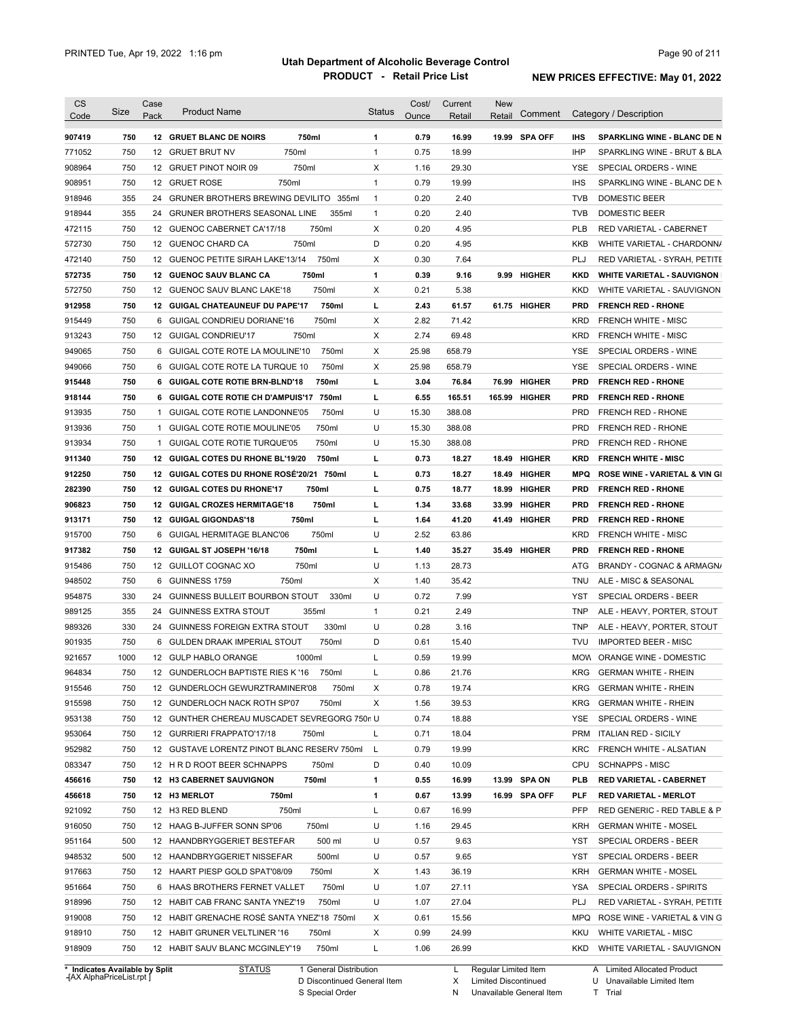| CS<br>Code | Size | Case<br>Pack | <b>Product Name</b>                           | Status                | Cost/<br>Ounce | Current<br>Retail | New<br>Comment<br>Retail |            | Category / Description                   |
|------------|------|--------------|-----------------------------------------------|-----------------------|----------------|-------------------|--------------------------|------------|------------------------------------------|
|            |      |              |                                               |                       |                |                   |                          |            |                                          |
| 907419     | 750  |              | 750ml<br>12 GRUET BLANC DE NOIRS              | 1                     | 0.79           | 16.99             | 19.99 SPA OFF            | <b>IHS</b> | <b>SPARKLING WINE - BLANC DE N</b>       |
| 771052     | 750  | 12           | 750ml<br><b>GRUET BRUT NV</b>                 | 1                     | 0.75           | 18.99             |                          | <b>IHP</b> | SPARKLING WINE - BRUT & BLA              |
| 908964     | 750  |              | 750ml<br>12 GRUET PINOT NOIR 09               | X                     | 1.16           | 29.30             |                          | <b>YSE</b> | SPECIAL ORDERS - WINE                    |
| 908951     | 750  | 12           | 750ml<br><b>GRUET ROSE</b>                    | 1                     | 0.79           | 19.99             |                          | <b>IHS</b> | SPARKLING WINE - BLANC DE N              |
| 918946     | 355  | 24           | <b>GRUNER BROTHERS BREWING DEVILITO</b>       | 355ml<br>$\mathbf{1}$ | 0.20           | 2.40              |                          | <b>TVB</b> | DOMESTIC BEER                            |
| 918944     | 355  | 24           | <b>GRUNER BROTHERS SEASONAL LINE</b>          | 355ml<br>1            | 0.20           | 2.40              |                          | <b>TVB</b> | DOMESTIC BEER                            |
| 472115     | 750  | 12           | 750ml<br>GUENOC CABERNET CA'17/18             | X                     | 0.20           | 4.95              |                          | <b>PLB</b> | RED VARIETAL - CABERNET                  |
| 572730     | 750  | 12           | 750ml<br>GUENOC CHARD CA                      | D                     | 0.20           | 4.95              |                          | KKB        | WHITE VARIETAL - CHARDONN/               |
| 472140     | 750  | 12           | GUENOC PETITE SIRAH LAKE'13/14<br>750ml       | X                     | 0.30           | 7.64              |                          | PLJ        | RED VARIETAL - SYRAH, PETITE             |
| 572735     | 750  | 12           | 750ml<br><b>GUENOC SAUV BLANC CA</b>          | 1                     | 0.39           | 9.16              | 9.99 HIGHER              | <b>KKD</b> | <b>WHITE VARIETAL - SAUVIGNON</b>        |
| 572750     | 750  | 12           | 750ml<br>GUENOC SAUV BLANC LAKE'18            | X                     | 0.21           | 5.38              |                          | KKD        | WHITE VARIETAL - SAUVIGNON               |
| 912958     | 750  | 12           | <b>GUIGAL CHATEAUNEUF DU PAPE'17</b>          | г<br>750ml            | 2.43           | 61.57             | 61.75 HIGHER             | <b>PRD</b> | <b>FRENCH RED - RHONE</b>                |
| 915449     | 750  | 6            | 750ml<br><b>GUIGAL CONDRIEU DORIANE'16</b>    | X                     | 2.82           | 71.42             |                          | <b>KRD</b> | <b>FRENCH WHITE - MISC</b>               |
| 913243     | 750  | 12           | 750ml<br><b>GUIGAL CONDRIEU'17</b>            | х                     | 2.74           | 69.48             |                          | <b>KRD</b> | <b>FRENCH WHITE - MISC</b>               |
| 949065     | 750  |              | 6 GUIGAL COTE ROTE LA MOULINE'10              | 750ml<br>X            | 25.98          | 658.79            |                          | YSE        | SPECIAL ORDERS - WINE                    |
| 949066     | 750  | 6            | GUIGAL COTE ROTE LA TURQUE 10                 | 750ml<br>X            | 25.98          | 658.79            |                          | YSE        | SPECIAL ORDERS - WINE                    |
| 915448     | 750  | 6            | <b>GUIGAL COTE ROTIE BRN-BLND'18</b><br>750ml | г                     | 3.04           | 76.84             | <b>HIGHER</b><br>76.99   | <b>PRD</b> | <b>FRENCH RED - RHONE</b>                |
| 918144     | 750  | 6            | GUIGAL COTE ROTIE CH D'AMPUIS'17 750ml        | г                     | 6.55           | 165.51            | 165.99 HIGHER            | <b>PRD</b> | <b>FRENCH RED - RHONE</b>                |
| 913935     | 750  | $\mathbf{1}$ | GUIGAL COTE ROTIE LANDONNE'05                 | U<br>750ml            | 15.30          | 388.08            |                          | <b>PRD</b> | <b>FRENCH RED - RHONE</b>                |
| 913936     | 750  | $\mathbf{1}$ | GUIGAL COTE ROTIE MOULINE'05<br>750ml         | U                     | 15.30          | 388.08            |                          | <b>PRD</b> | <b>FRENCH RED - RHONE</b>                |
| 913934     | 750  | $\mathbf{1}$ | GUIGAL COTE ROTIE TURQUE'05<br>750ml          | U                     | 15.30          | 388.08            |                          | <b>PRD</b> | <b>FRENCH RED - RHONE</b>                |
| 911340     | 750  | 12           | GUIGAL COTES DU RHONE BL'19/20<br>750ml       | г                     | 0.73           | 18.27             | 18.49<br><b>HIGHER</b>   | <b>KRD</b> | <b>FRENCH WHITE - MISC</b>               |
| 912250     | 750  | 12           | GUIGAL COTES DU RHONE ROSE'20/21 750ml        | г                     | 0.73           | 18.27             | 18.49<br><b>HIGHER</b>   | <b>MPQ</b> | <b>ROSE WINE - VARIETAL &amp; VIN GI</b> |
| 282390     | 750  | 12           | <b>GUIGAL COTES DU RHONE'17</b><br>750ml      | г                     | 0.75           | 18.77             | 18.99<br><b>HIGHER</b>   | <b>PRD</b> | <b>FRENCH RED - RHONE</b>                |
| 906823     | 750  |              | 750ml<br>12 GUIGAL CROZES HERMITAGE'18        | г                     | 1.34           | 33.68             | 33.99<br><b>HIGHER</b>   | <b>PRD</b> | <b>FRENCH RED - RHONE</b>                |
| 913171     | 750  |              | 750ml<br>12 GUIGAL GIGONDAS'18                | г                     | 1.64           | 41.20             | 41.49<br><b>HIGHER</b>   | <b>PRD</b> | <b>FRENCH RED - RHONE</b>                |
| 915700     | 750  | 6            | 750ml<br>GUIGAL HERMITAGE BLANC'06            | U                     | 2.52           | 63.86             |                          | <b>KRD</b> | <b>FRENCH WHITE - MISC</b>               |
| 917382     | 750  |              | 750ml<br>12 GUIGAL ST JOSEPH '16/18           | г                     | 1.40           | 35.27             | 35.49 HIGHER             | <b>PRD</b> | <b>FRENCH RED - RHONE</b>                |
| 915486     | 750  |              | 12 GUILLOT COGNAC XO<br>750ml                 | U                     | 1.13           | 28.73             |                          | ATG        | BRANDY - COGNAC & ARMAGN/                |
| 948502     | 750  | 6            | GUINNESS 1759<br>750ml                        | X                     | 1.40           | 35.42             |                          | <b>TNU</b> | ALE - MISC & SEASONAL                    |
| 954875     | 330  | 24           | <b>GUINNESS BULLEIT BOURBON STOUT</b>         | U<br>330ml            | 0.72           | 7.99              |                          | YST        | SPECIAL ORDERS - BEER                    |
| 989125     | 355  | 24           | 355ml<br><b>GUINNESS EXTRA STOUT</b>          | $\mathbf{1}$          | 0.21           | 2.49              |                          | <b>TNP</b> | ALE - HEAVY, PORTER, STOUT               |
| 989326     | 330  | 24           | <b>GUINNESS FOREIGN EXTRA STOUT</b>           | U<br>330ml            | 0.28           | 3.16              |                          | <b>TNP</b> | ALE - HEAVY, PORTER, STOUT               |
| 901935     | 750  | 6            | <b>GULDEN DRAAK IMPERIAL STOUT</b><br>750ml   | D                     | 0.61           | 15.40             |                          | <b>TVU</b> | <b>IMPORTED BEER - MISC</b>              |
|            | 1000 |              | 12 GULP HABLO ORANGE<br>1000ml                |                       |                | 19.99             |                          |            | ORANGE WINE - DOMESTIC                   |
| 921657     |      |              |                                               | L                     | 0.59           |                   |                          | <b>MOW</b> |                                          |
| 964834     | 750  |              | 12 GUNDERLOCH BAPTISTE RIES K '16<br>750ml    | L                     | 0.86           | 21.76             |                          | KRG        | <b>GERMAN WHITE - RHEIN</b>              |
| 915546     | 750  |              | 12 GUNDERLOCH GEWURZTRAMINER'08               | 750ml<br>х            | 0.78           | 19.74             |                          | <b>KRG</b> | <b>GERMAN WHITE - RHEIN</b>              |
| 915598     | 750  |              | 12 GUNDERLOCH NACK ROTH SP'07<br>750ml        | Х                     | 1.56           | 39.53             |                          | <b>KRG</b> | <b>GERMAN WHITE - RHEIN</b>              |
| 953138     | 750  |              | 12 GUNTHER CHEREAU MUSCADET SEVREGORG 750n U  |                       | 0.74           | 18.88             |                          | YSE        | SPECIAL ORDERS - WINE                    |
| 953064     | 750  |              | 12 GURRIERI FRAPPATO'17/18<br>750ml           | L                     | 0.71           | 18.04             |                          | <b>PRM</b> | <b>ITALIAN RED - SICILY</b>              |
| 952982     | 750  |              | 12 GUSTAVE LORENTZ PINOT BLANC RESERV 750ml   | L,                    | 0.79           | 19.99             |                          | KRC        | FRENCH WHITE - ALSATIAN                  |
| 083347     | 750  |              | 12 H R D ROOT BEER SCHNAPPS<br>750ml          | D                     | 0.40           | 10.09             |                          | <b>CPU</b> | <b>SCHNAPPS - MISC</b>                   |
| 456616     | 750  |              | 750ml<br>12 H3 CABERNET SAUVIGNON             | 1                     | 0.55           | 16.99             | 13.99 SPA ON             | <b>PLB</b> | <b>RED VARIETAL - CABERNET</b>           |
| 456618     | 750  |              | 750ml<br>12 H3 MERLOT                         | 1                     | 0.67           | 13.99             | 16.99 SPA OFF            | PLF        | <b>RED VARIETAL - MERLOT</b>             |
| 921092     | 750  |              | 750ml<br>12 H3 RED BLEND                      | L                     | 0.67           | 16.99             |                          | PFP        | RED GENERIC - RED TABLE & P              |
| 916050     | 750  |              | 12 HAAG B-JUFFER SONN SP'06<br>750ml          | U                     | 1.16           | 29.45             |                          | KRH        | <b>GERMAN WHITE - MOSEL</b>              |
| 951164     | 500  |              | 12 HAANDBRYGGERIET BESTEFAR<br>500 ml         | U                     | 0.57           | 9.63              |                          | YST        | SPECIAL ORDERS - BEER                    |
| 948532     | 500  |              | 12 HAANDBRYGGERIET NISSEFAR<br>500ml          | U                     | 0.57           | 9.65              |                          | YST        | SPECIAL ORDERS - BEER                    |
| 917663     | 750  |              | 12 HAART PIESP GOLD SPAT'08/09<br>750ml       | X                     | 1.43           | 36.19             |                          | KRH        | <b>GERMAN WHITE - MOSEL</b>              |
| 951664     | 750  |              | 6 HAAS BROTHERS FERNET VALLET                 | U<br>750ml            | 1.07           | 27.11             |                          | YSA        | SPECIAL ORDERS - SPIRITS                 |
|            | 750  |              | 12 HABIT CAB FRANC SANTA YNEZ'19<br>750ml     | U                     | 1.07           | 27.04             |                          | <b>PLJ</b> | RED VARIETAL - SYRAH, PETITE             |
| 918996     |      |              |                                               | х                     | 0.61           | 15.56             |                          | MPQ        | ROSE WINE - VARIETAL & VIN G             |
| 919008     | 750  |              | 12 HABIT GRENACHE ROSÉ SANTA YNEZ'18 750ml    |                       |                |                   |                          |            |                                          |
| 918910     | 750  |              | 12 HABIT GRUNER VELTLINER '16<br>750ml        | Х                     | 0.99           | 24.99             |                          | KKU        | <b>WHITE VARIETAL - MISC</b>             |

**Case** [AX AlphaPriceList.rpt ]

D Discontinued General Item S Special Order

X N Limited Discontinued

Unavailable General Item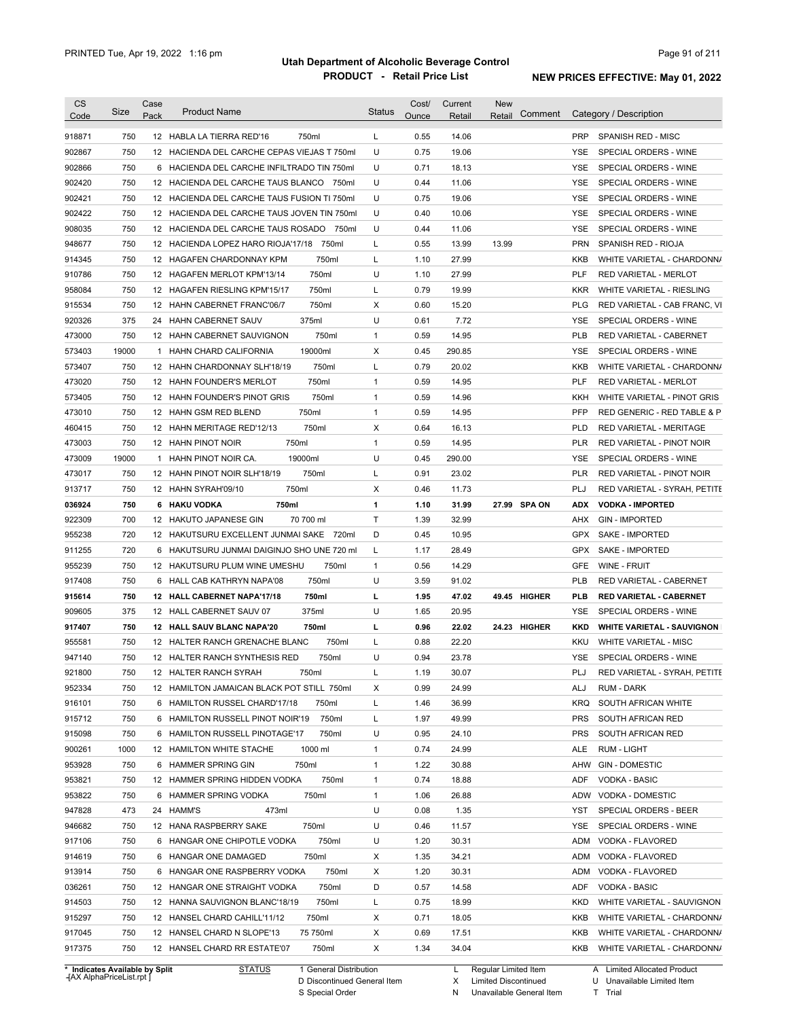| <b>CS</b><br>Code                        | Size  | Case<br>Pack | <b>Product Name</b>                                                              | <b>Status</b> | Cost/<br>Ounce | Current<br>Retail | <b>New</b><br>Comment<br>Retail | Category / Description                                           |
|------------------------------------------|-------|--------------|----------------------------------------------------------------------------------|---------------|----------------|-------------------|---------------------------------|------------------------------------------------------------------|
| 918871                                   | 750   |              | 750ml<br>12 HABLA LA TIERRA RED'16                                               | L             | 0.55           | 14.06             |                                 | <b>PRP</b><br><b>SPANISH RED - MISC</b>                          |
| 902867                                   | 750   |              | 12 HACIENDA DEL CARCHE CEPAS VIEJAS T 750ml                                      | U             | 0.75           | 19.06             |                                 | SPECIAL ORDERS - WINE<br>YSE                                     |
| 902866                                   | 750   |              | 6 HACIENDA DEL CARCHE INFILTRADO TIN 750ml                                       | U             | 0.71           | 18.13             |                                 | YSE<br>SPECIAL ORDERS - WINE                                     |
| 902420                                   | 750   |              | 12 HACIENDA DEL CARCHE TAUS BLANCO 750ml                                         | U             | 0.44           | 11.06             |                                 | YSE<br>SPECIAL ORDERS - WINE                                     |
| 902421                                   | 750   |              | 12 HACIENDA DEL CARCHE TAUS FUSION TI 750ml                                      | U             | 0.75           | 19.06             |                                 | SPECIAL ORDERS - WINE<br>YSE                                     |
| 902422                                   | 750   |              | 12 HACIENDA DEL CARCHE TAUS JOVEN TIN 750ml                                      | U             | 0.40           | 10.06             |                                 | SPECIAL ORDERS - WINE<br>YSE                                     |
| 908035                                   | 750   |              | 12 HACIENDA DEL CARCHE TAUS ROSADO<br>750ml                                      | U             | 0.44           | 11.06             |                                 | <b>YSE</b><br>SPECIAL ORDERS - WINE                              |
| 948677                                   | 750   |              | 12 HACIENDA LOPEZ HARO RIOJA'17/18<br>750ml                                      | L             | 0.55           | 13.99             | 13.99                           | <b>PRN</b><br>SPANISH RED - RIOJA                                |
| 914345                                   | 750   |              | 12 HAGAFEN CHARDONNAY KPM<br>750ml                                               | Г             | 1.10           | 27.99             |                                 | <b>KKB</b><br>WHITE VARIETAL - CHARDONN/                         |
| 910786                                   | 750   |              | 750ml<br>12 HAGAFEN MERLOT KPM'13/14                                             | U             | 1.10           | 27.99             |                                 | <b>PLF</b><br><b>RED VARIETAL - MERLOT</b>                       |
| 958084                                   | 750   |              | 750ml<br>12 HAGAFEN RIESLING KPM'15/17                                           | Г             | 0.79           | 19.99             |                                 | <b>KKR</b><br>WHITE VARIETAL - RIESLING                          |
| 915534                                   | 750   |              | 750ml<br>12 HAHN CABERNET FRANC'06/7                                             | Χ             | 0.60           | 15.20             |                                 | <b>PLG</b><br>RED VARIETAL - CAB FRANC, VI                       |
| 920326                                   | 375   |              | 375ml<br>24 HAHN CABERNET SAUV                                                   | U             | 0.61           | 7.72              |                                 | YSE<br>SPECIAL ORDERS - WINE                                     |
| 473000                                   | 750   |              | 750ml<br>12 HAHN CABERNET SAUVIGNON                                              | $\mathbf{1}$  | 0.59           | 14.95             |                                 | <b>PLB</b><br>RED VARIETAL - CABERNET                            |
| 573403                                   | 19000 |              | 19000ml<br>1 HAHN CHARD CALIFORNIA                                               | Х             | 0.45           | 290.85            |                                 | YSE<br>SPECIAL ORDERS - WINE                                     |
| 573407                                   | 750   |              | 750ml<br>12 HAHN CHARDONNAY SLH'18/19                                            | Г             | 0.79           | 20.02             |                                 | <b>KKB</b><br>WHITE VARIETAL - CHARDONN/                         |
| 473020                                   | 750   |              | 750ml<br>12 HAHN FOUNDER'S MERLOT                                                | $\mathbf{1}$  | 0.59           | 14.95             |                                 | PLF<br>RED VARIETAL - MERLOT                                     |
| 573405                                   | 750   |              | 750ml<br>12 HAHN FOUNDER'S PINOT GRIS                                            | $\mathbf{1}$  | 0.59           | 14.96             |                                 | KKH<br>WHITE VARIETAL - PINOT GRIS                               |
|                                          | 750   |              | 750ml                                                                            | $\mathbf{1}$  | 0.59           | 14.95             |                                 | PFP                                                              |
| 473010                                   |       |              | 12 HAHN GSM RED BLEND                                                            |               |                |                   |                                 | RED GENERIC - RED TABLE & P                                      |
| 460415                                   | 750   |              | 750ml<br>12 HAHN MERITAGE RED'12/13                                              | Х             | 0.64           | 16.13             |                                 | <b>PLD</b><br>RED VARIETAL - MERITAGE                            |
| 473003                                   | 750   |              | 750ml<br>12 HAHN PINOT NOIR                                                      | $\mathbf{1}$  | 0.59           | 14.95             |                                 | PLR<br>RED VARIETAL - PINOT NOIR                                 |
| 473009                                   | 19000 | 1            | HAHN PINOT NOIR CA.<br>19000ml                                                   | U             | 0.45           | 290.00            |                                 | YSE<br>SPECIAL ORDERS - WINE                                     |
| 473017                                   | 750   |              | 750ml<br>12 HAHN PINOT NOIR SLH'18/19                                            | Г             | 0.91           | 23.02             |                                 | PLR<br>RED VARIETAL - PINOT NOIR                                 |
| 913717                                   | 750   |              | 750ml<br>12 HAHN SYRAH'09/10                                                     | Х             | 0.46           | 11.73             |                                 | PLJ<br>RED VARIETAL - SYRAH, PETITE                              |
| 036924                                   | 750   |              | 750ml<br>6 HAKU VODKA                                                            | 1             | 1.10           | 31.99             | 27.99 SPA ON                    | ADX<br><b>VODKA - IMPORTED</b>                                   |
| 922309                                   | 700   |              | 70 700 ml<br>12 HAKUTO JAPANESE GIN                                              | Т             | 1.39           | 32.99             |                                 | AHX<br><b>GIN - IMPORTED</b>                                     |
| 955238                                   | 720   |              | 12 HAKUTSURU EXCELLENT JUNMAI SAKE 720ml                                         | D             | 0.45           | 10.95             |                                 | <b>GPX</b><br>SAKE - IMPORTED                                    |
| 911255                                   | 720   |              | 6 HAKUTSURU JUNMAI DAIGINJO SHO UNE 720 ml                                       | Г             | 1.17           | 28.49             |                                 | <b>GPX</b><br>SAKE - IMPORTED                                    |
| 955239                                   | 750   |              | 12 HAKUTSURU PLUM WINE UMESHU<br>750ml                                           | $\mathbf{1}$  | 0.56           | 14.29             |                                 | <b>GFE</b><br><b>WINE - FRUIT</b>                                |
| 917408                                   | 750   |              | 750ml<br>6 HALL CAB KATHRYN NAPA'08                                              | U             | 3.59           | 91.02             |                                 | <b>PLB</b><br>RED VARIETAL - CABERNET                            |
| 915614                                   | 750   |              | 12 HALL CABERNET NAPA'17/18<br>750ml                                             | г             | 1.95           | 47.02             | 49.45 HIGHER                    | <b>PLB</b><br><b>RED VARIETAL - CABERNET</b>                     |
| 909605                                   | 375   |              | 375ml<br>12 HALL CABERNET SAUV 07                                                | U             | 1.65           | 20.95             |                                 | SPECIAL ORDERS - WINE<br>YSE                                     |
| 917407                                   | 750   |              | 12 HALL SAUV BLANC NAPA'20<br>750ml                                              | г             | 0.96           | 22.02             | 24.23 HIGHER                    | KKD<br><b>WHITE VARIETAL - SAUVIGNON</b>                         |
| 955581                                   | 750   |              | 750ml<br>12 HALTER RANCH GRENACHE BLANC                                          | L             | 0.88           | 22.20             |                                 | KKU<br>WHITE VARIETAL - MISC                                     |
| 947140                                   | 750   |              | 750ml<br>12 HALTER RANCH SYNTHESIS RED                                           | U             | 0.94           | 23.78             |                                 | SPECIAL ORDERS - WINE<br>YSE                                     |
| 921800                                   | 750   |              | 750ml<br>12 HALTER RANCH SYRAH                                                   | L             | 1.19           | 30.07             |                                 | PLJ<br>RED VARIETAL - SYRAH, PETITE                              |
| 952334                                   | 750   |              | 12 HAMILTON JAMAICAN BLACK POT STILL 750ml                                       | х             | 0.99           | 24.99             |                                 | RUM - DARK<br>ALJ                                                |
| 916101                                   | 750   |              | 6 HAMILTON RUSSEL CHARD'17/18<br>750ml                                           | Г             | 1.46           | 36.99             |                                 | SOUTH AFRICAN WHITE<br><b>KRQ</b>                                |
| 915712                                   | 750   |              | 750ml<br>6 HAMILTON RUSSELL PINOT NOIR'19                                        | L             | 1.97           | 49.99             |                                 | <b>PRS</b><br>SOUTH AFRICAN RED                                  |
| 915098                                   | 750   |              | 750ml<br>6 HAMILTON RUSSELL PINOTAGE'17                                          | U             | 0.95           | 24.10             |                                 | SOUTH AFRICAN RED<br><b>PRS</b>                                  |
| 900261                                   | 1000  |              | 1000 ml<br>12 HAMILTON WHITE STACHE                                              | $\mathbf{1}$  | 0.74           | 24.99             |                                 | ALE<br>RUM - LIGHT                                               |
| 953928                                   | 750   |              | 6 HAMMER SPRING GIN<br>750ml                                                     | $\mathbf{1}$  | 1.22           | 30.88             |                                 | AHW<br><b>GIN - DOMESTIC</b>                                     |
| 953821                                   | 750   |              | 750ml<br>12 HAMMER SPRING HIDDEN VODKA                                           | 1             | 0.74           | 18.88             |                                 | ADF<br><b>VODKA - BASIC</b>                                      |
| 953822                                   | 750   |              | 750ml<br>6 HAMMER SPRING VODKA                                                   | $\mathbf{1}$  | 1.06           | 26.88             |                                 | ADW<br><b>VODKA - DOMESTIC</b>                                   |
| 947828                                   | 473   |              | 24 HAMM'S<br>473ml                                                               | U             | 0.08           | 1.35              |                                 | YST<br>SPECIAL ORDERS - BEER                                     |
| 946682                                   | 750   |              | 12 HANA RASPBERRY SAKE<br>750ml                                                  | U             | 0.46           | 11.57             |                                 | YSE<br>SPECIAL ORDERS - WINE                                     |
| 917106                                   | 750   |              | 750ml<br>6 HANGAR ONE CHIPOTLE VODKA                                             | U             | 1.20           | 30.31             |                                 | ADM<br>VODKA - FLAVORED                                          |
| 914619                                   | 750   |              | 750ml<br>6 HANGAR ONE DAMAGED                                                    | Х             | 1.35           | 34.21             |                                 | ADM<br>VODKA - FLAVORED                                          |
| 913914                                   | 750   |              | 750ml<br>6 HANGAR ONE RASPBERRY VODKA                                            | Х             | 1.20           | 30.31             |                                 | ADM<br>VODKA - FLAVORED                                          |
| 036261                                   | 750   |              | 750ml<br>12 HANGAR ONE STRAIGHT VODKA                                            | D             | 0.57           | 14.58             |                                 | ADF<br><b>VODKA - BASIC</b>                                      |
| 914503                                   | 750   |              | 750ml<br>12 HANNA SAUVIGNON BLANC'18/19                                          | L             | 0.75           | 18.99             |                                 | KKD<br>WHITE VARIETAL - SAUVIGNON                                |
| 915297                                   | 750   |              | 12 HANSEL CHARD CAHILL'11/12<br>750ml                                            | Х             | 0.71           | 18.05             |                                 | KKB<br>WHITE VARIETAL - CHARDONN/                                |
| 917045                                   | 750   |              | 75 750ml<br>12 HANSEL CHARD N SLOPE'13                                           | Х             | 0.69           | 17.51             |                                 | KKB<br>WHITE VARIETAL - CHARDONN/                                |
|                                          |       |              |                                                                                  |               |                |                   |                                 |                                                                  |
| 917375<br>* Indicates Available by Split | 750   |              | 750ml<br>12 HANSEL CHARD RR ESTATE'07<br><b>STATUS</b><br>1 General Distribution | Х             | 1.34           | 34.04<br>L        | Regular Limited Item            | KKB<br>WHITE VARIETAL - CHARDONN/<br>A Limited Allocated Product |

**Case** [AX AlphaPriceList.rpt ]

General Distribution

Discontinued General Item D

S Special Order

Regular Limited Item Limited Discontinued

Unavailable General Item

X N U Unavailable Limited Item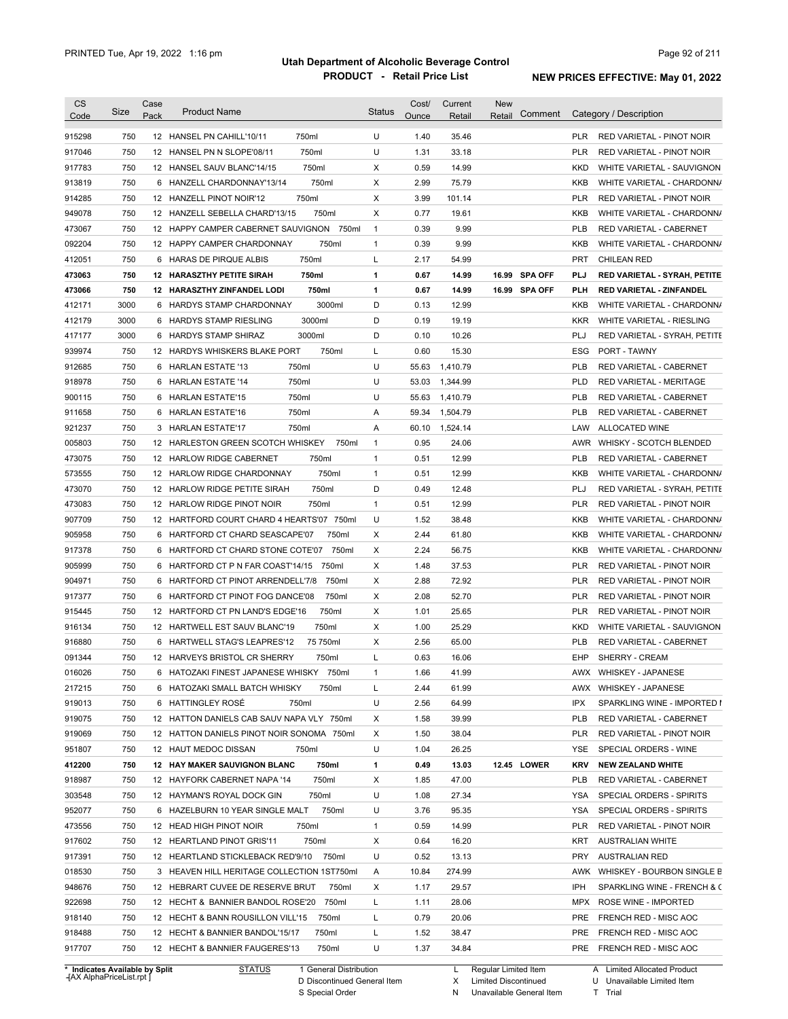| <b>CS</b><br>Code | Size | Case<br>Pack | <b>Product Name</b>                          | <b>Status</b>         | Cost/<br>Ounce | Current<br>Retail | <b>New</b><br>Retail | Comment       |            | Category / Description                       |
|-------------------|------|--------------|----------------------------------------------|-----------------------|----------------|-------------------|----------------------|---------------|------------|----------------------------------------------|
| 915298            | 750  |              | 750ml<br>12 HANSEL PN CAHILL'10/11           | U                     | 1.40           | 35.46             |                      |               | <b>PLR</b> | RED VARIETAL - PINOT NOIR                    |
| 917046            | 750  |              | 750ml<br>12 HANSEL PN N SLOPE'08/11          | U                     | 1.31           | 33.18             |                      |               | <b>PLR</b> | RED VARIETAL - PINOT NOIR                    |
| 917783            | 750  |              | 750ml<br>12 HANSEL SAUV BLANC'14/15          | Χ                     | 0.59           | 14.99             |                      |               | KKD        | WHITE VARIETAL - SAUVIGNON                   |
| 913819            | 750  |              | 750ml<br>6 HANZELL CHARDONNAY'13/14          | Χ                     | 2.99           | 75.79             |                      |               | <b>KKB</b> | WHITE VARIETAL - CHARDONN/                   |
| 914285            | 750  |              | 750ml<br>12 HANZELL PINOT NOIR'12            | Χ                     | 3.99           | 101.14            |                      |               | <b>PLR</b> | RED VARIETAL - PINOT NOIR                    |
| 949078            | 750  |              | 12 HANZELL SEBELLA CHARD'13/15<br>750ml      | X                     | 0.77           | 19.61             |                      |               | <b>KKB</b> | WHITE VARIETAL - CHARDONN/                   |
| 473067            | 750  |              | 12 HAPPY CAMPER CABERNET SAUVIGNON 750ml     | $\mathbf{1}$          | 0.39           | 9.99              |                      |               | <b>PLB</b> | RED VARIETAL - CABERNET                      |
| 092204            | 750  |              | 750ml<br>12 HAPPY CAMPER CHARDONNAY          | $\mathbf{1}$          | 0.39           | 9.99              |                      |               | <b>KKB</b> | WHITE VARIETAL - CHARDONN/                   |
| 412051            | 750  |              | 750ml<br>6 HARAS DE PIRQUE ALBIS             | L                     | 2.17           | 54.99             |                      |               | <b>PRT</b> | <b>CHILEAN RED</b>                           |
| 473063            | 750  |              | 750ml<br><b>12 HARASZTHY PETITE SIRAH</b>    | 1                     | 0.67           | 14.99             |                      | 16.99 SPA OFF | PLJ        | RED VARIETAL - SYRAH, PETITE                 |
| 473066            | 750  |              | 750ml<br>12 HARASZTHY ZINFANDEL LODI         | 1                     | 0.67           | 14.99             |                      | 16.99 SPA OFF | <b>PLH</b> | RED VARIETAL - ZINFANDEL                     |
| 412171            | 3000 | 6            | 3000ml<br>HARDYS STAMP CHARDONNAY            | D                     | 0.13           | 12.99             |                      |               | <b>KKB</b> | WHITE VARIETAL - CHARDONN/                   |
| 412179            | 3000 |              | 3000ml<br>6 HARDYS STAMP RIESLING            | D                     | 0.19           | 19.19             |                      |               | <b>KKR</b> | WHITE VARIETAL - RIESLING                    |
|                   | 3000 |              | 6 HARDYS STAMP SHIRAZ<br>3000ml              | D                     | 0.10           | 10.26             |                      |               | PLJ        |                                              |
| 417177            | 750  |              | 750ml<br>12 HARDYS WHISKERS BLAKE PORT       | L                     | 0.60           | 15.30             |                      |               | ESG        | RED VARIETAL - SYRAH, PETITE<br>PORT - TAWNY |
| 939974            |      |              |                                              |                       |                |                   |                      |               |            |                                              |
| 912685            | 750  | 6            | 750ml<br><b>HARLAN ESTATE '13</b>            | U                     | 55.63          | 1,410.79          |                      |               | <b>PLB</b> | RED VARIETAL - CABERNET                      |
| 918978            | 750  | 6            | 750ml<br><b>HARLAN ESTATE '14</b>            | U                     | 53.03          | 1,344.99          |                      |               | PLD        | RED VARIETAL - MERITAGE                      |
| 900115            | 750  | 6            | 750ml<br><b>HARLAN ESTATE'15</b>             | U                     | 55.63          | 1,410.79          |                      |               | <b>PLB</b> | RED VARIETAL - CABERNET                      |
| 911658            | 750  | 6            | 750ml<br><b>HARLAN ESTATE'16</b>             | Α                     | 59.34          | 1,504.79          |                      |               | <b>PLB</b> | RED VARIETAL - CABERNET                      |
| 921237            | 750  |              | 750ml<br>3 HARLAN ESTATE'17                  | Α                     | 60.10          | 1,524.14          |                      |               | LAW        | ALLOCATED WINE                               |
| 005803            | 750  |              | 12 HARLESTON GREEN SCOTCH WHISKEY            | 750ml<br>$\mathbf{1}$ | 0.95           | 24.06             |                      |               | AWR        | WHISKY - SCOTCH BLENDED                      |
| 473075            | 750  |              | 750ml<br>12 HARLOW RIDGE CABERNET            | $\mathbf{1}$          | 0.51           | 12.99             |                      |               | <b>PLB</b> | RED VARIETAL - CABERNET                      |
| 573555            | 750  |              | 750ml<br>12 HARLOW RIDGE CHARDONNAY          | $\mathbf{1}$          | 0.51           | 12.99             |                      |               | <b>KKB</b> | WHITE VARIETAL - CHARDONN/                   |
| 473070            | 750  |              | 750ml<br>12 HARLOW RIDGE PETITE SIRAH        | D                     | 0.49           | 12.48             |                      |               | PLJ        | RED VARIETAL - SYRAH, PETITE                 |
| 473083            | 750  |              | 750ml<br>12 HARLOW RIDGE PINOT NOIR          | $\mathbf{1}$          | 0.51           | 12.99             |                      |               | <b>PLR</b> | RED VARIETAL - PINOT NOIR                    |
| 907709            | 750  |              | 12 HARTFORD COURT CHARD 4 HEARTS'07 750ml    | U                     | 1.52           | 38.48             |                      |               | KKB        | WHITE VARIETAL - CHARDONN/                   |
| 905958            | 750  |              | 6 HARTFORD CT CHARD SEASCAPE'07<br>750ml     | Χ                     | 2.44           | 61.80             |                      |               | KKB        | WHITE VARIETAL - CHARDONN/                   |
| 917378            | 750  |              | 6 HARTFORD CT CHARD STONE COTE'07            | Χ<br>750ml            | 2.24           | 56.75             |                      |               | <b>KKB</b> | WHITE VARIETAL - CHARDONN/                   |
| 905999            | 750  | 6            | HARTFORD CT P N FAR COAST'14/15<br>750ml     | Χ                     | 1.48           | 37.53             |                      |               | <b>PLR</b> | RED VARIETAL - PINOT NOIR                    |
| 904971            | 750  |              | 6 HARTFORD CT PINOT ARRENDELL'7/8<br>750ml   | Χ                     | 2.88           | 72.92             |                      |               | <b>PLR</b> | RED VARIETAL - PINOT NOIR                    |
| 917377            | 750  |              | 6 HARTFORD CT PINOT FOG DANCE'08<br>750ml    | Χ                     | 2.08           | 52.70             |                      |               | <b>PLR</b> | RED VARIETAL - PINOT NOIR                    |
| 915445            | 750  |              | 750ml<br>12 HARTFORD CT PN LAND'S EDGE'16    | Χ                     | 1.01           | 25.65             |                      |               | <b>PLR</b> | <b>RED VARIETAL - PINOT NOIR</b>             |
| 916134            | 750  |              | 750ml<br>12 HARTWELL EST SAUV BLANC'19       | Χ                     | 1.00           | 25.29             |                      |               | KKD        | WHITE VARIETAL - SAUVIGNON                   |
| 916880            | 750  |              | 75 750ml<br>6 HARTWELL STAG'S LEAPRES'12     | Χ                     | 2.56           | 65.00             |                      |               | <b>PLB</b> | RED VARIETAL - CABERNET                      |
| 091344            | 750  |              | 12 HARVEYS BRISTOL CR SHERRY<br>750ml        | Г                     | 0.63           | 16.06             |                      |               | EHP        | <b>SHERRY - CREAM</b>                        |
| 016026            | 750  |              | 6 HATOZAKI FINEST JAPANESE WHISKY 750ml      | 1                     | 1.66           | 41.99             |                      |               | AWX        | WHISKEY - JAPANESE                           |
| 217215            | 750  |              | 6 HATOZAKI SMALL BATCH WHISKY<br>750ml       | L                     | 2.44           | 61.99             |                      |               |            | AWX WHISKEY - JAPANESE                       |
| 919013            | 750  |              | 6 HATTINGLEY ROSÉ<br>750ml                   | U                     | 2.56           | 64.99             |                      |               | IPX        | SPARKLING WINE - IMPORTED I                  |
| 919075            | 750  |              | 12 HATTON DANIELS CAB SAUV NAPA VLY 750ml    | Х                     | 1.58           | 39.99             |                      |               | PLB        | RED VARIETAL - CABERNET                      |
| 919069            | 750  |              | 12 HATTON DANIELS PINOT NOIR SONOMA 750ml    | Х                     | 1.50           | 38.04             |                      |               | PLR        | RED VARIETAL - PINOT NOIR                    |
| 951807            | 750  |              | 12 HAUT MEDOC DISSAN<br>750ml                | U                     | 1.04           | 26.25             |                      |               | YSE        | SPECIAL ORDERS - WINE                        |
| 412200            | 750  |              | <b>12 HAY MAKER SAUVIGNON BLANC</b><br>750ml | 1                     | 0.49           | 13.03             |                      | 12.45 LOWER   | KRV        | <b>NEW ZEALAND WHITE</b>                     |
| 918987            | 750  |              | 750ml<br>12 HAYFORK CABERNET NAPA '14        | Х                     | 1.85           | 47.00             |                      |               | PLB        | RED VARIETAL - CABERNET                      |
| 303548            | 750  |              | 12 HAYMAN'S ROYAL DOCK GIN<br>750ml          | U                     | 1.08           | 27.34             |                      |               | YSA        | SPECIAL ORDERS - SPIRITS                     |
| 952077            | 750  |              | 750ml<br>6 HAZELBURN 10 YEAR SINGLE MALT     | U                     | 3.76           | 95.35             |                      |               | YSA        | SPECIAL ORDERS - SPIRITS                     |
| 473556            | 750  |              | 12 HEAD HIGH PINOT NOIR<br>750ml             | $\mathbf{1}$          | 0.59           | 14.99             |                      |               | PLR        | RED VARIETAL - PINOT NOIR                    |
| 917602            | 750  |              | 750ml<br>12 HEARTLAND PINOT GRIS'11          | X                     | 0.64           | 16.20             |                      |               | KRT        | <b>AUSTRALIAN WHITE</b>                      |
| 917391            | 750  |              | 12 HEARTLAND STICKLEBACK RED'9/10 750ml      | U                     | 0.52           | 13.13             |                      |               | PRY        | <b>AUSTRALIAN RED</b>                        |
|                   |      |              |                                              |                       |                |                   |                      |               |            |                                              |
| 018530            | 750  |              | 3 HEAVEN HILL HERITAGE COLLECTION 1ST750ml   | Α                     | 10.84          | 274.99            |                      |               |            | AWK WHISKEY - BOURBON SINGLE B               |
| 948676            | 750  |              | 12 HEBRART CUVEE DE RESERVE BRUT             | 750ml<br>Х            | 1.17           | 29.57             |                      |               | IPH        | SPARKLING WINE - FRENCH & C                  |
| 922698            | 750  |              | 750ml<br>12 HECHT & BANNIER BANDOL ROSE'20   | Г                     | 1.11           | 28.06             |                      |               | MPX        | ROSE WINE - IMPORTED                         |
| 918140            | 750  |              | 12 HECHT & BANN ROUSILLON VILL'15<br>750ml   | L                     | 0.79           | 20.06             |                      |               | PRE        | FRENCH RED - MISC AOC                        |
| 918488            | 750  |              | 12 HECHT & BANNIER BANDOL'15/17<br>750ml     | L                     | 1.52           | 38.47             |                      |               | PRE        | FRENCH RED - MISC AOC                        |
|                   | 750  |              | 12 HECHT & BANNIER FAUGERES'13<br>750ml      | U                     |                | 34.84             |                      |               | PRE        | FRENCH RED - MISC AOC                        |

**Case** [AX AlphaPriceList.rpt ]

D Discontinued General Item S Special Order

X N

Unavailable General Item

Limited Discontinued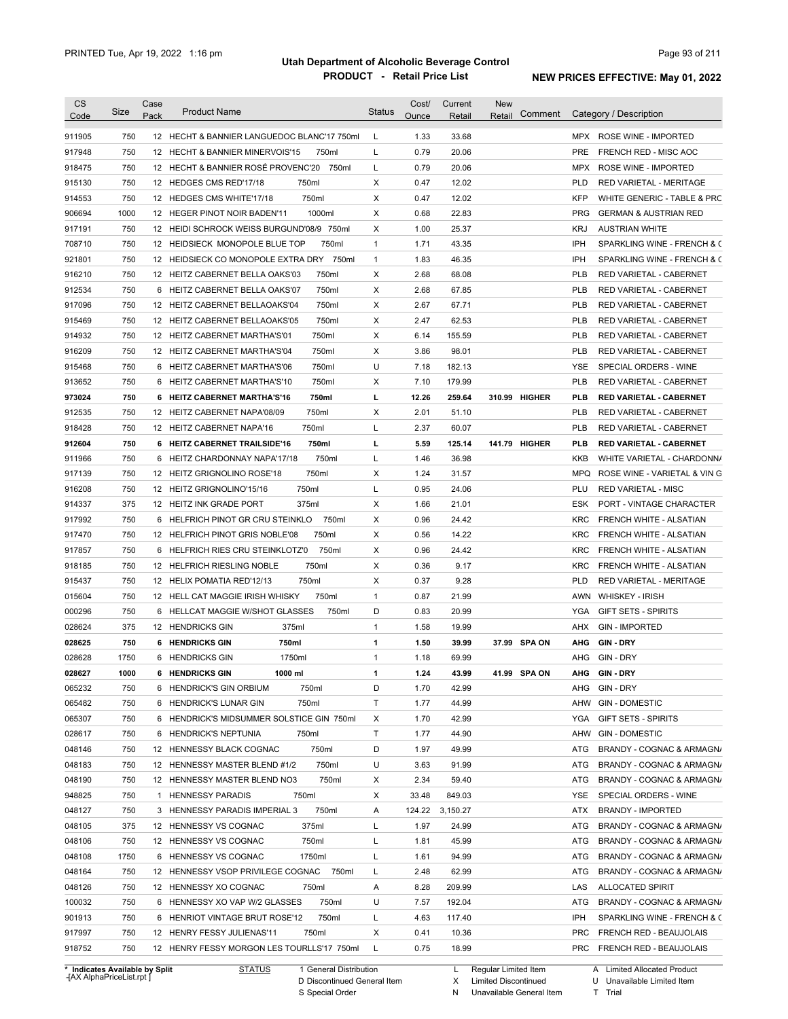| <b>CS</b>                                                                                        | Size | Case | <b>Product Name</b>                         | <b>Status</b> | Cost/ | Current         | <b>New</b> |               |            |                                                                                                                                               |
|--------------------------------------------------------------------------------------------------|------|------|---------------------------------------------|---------------|-------|-----------------|------------|---------------|------------|-----------------------------------------------------------------------------------------------------------------------------------------------|
| Code                                                                                             |      | Pack |                                             |               | Ounce | Retail          | Retail     | Comment       |            | Category / Description                                                                                                                        |
| 911905                                                                                           | 750  |      | 12 HECHT & BANNIER LANGUEDOC BLANC'17 750ml | L             | 1.33  | 33.68           |            |               | MPX        | <b>ROSE WINE - IMPORTED</b>                                                                                                                   |
| 917948                                                                                           | 750  |      | 12 HECHT & BANNIER MINERVOIS'15<br>750ml    | L             | 0.79  | 20.06           |            |               | <b>PRE</b> | FRENCH RED - MISC AOC                                                                                                                         |
| 918475                                                                                           | 750  |      | 12 HECHT & BANNIER ROSÉ PROVENC'20<br>750ml | L             | 0.79  | 20.06           |            |               | MPX        | ROSE WINE - IMPORTED                                                                                                                          |
| 915130                                                                                           | 750  |      | 750ml<br>12 HEDGES CMS RED'17/18            | X             | 0.47  | 12.02           |            |               | <b>PLD</b> | RED VARIETAL - MERITAGE                                                                                                                       |
| 914553                                                                                           | 750  |      | 750ml<br>12 HEDGES CMS WHITE'17/18          | X             | 0.47  | 12.02           |            |               | <b>KFP</b> | WHITE GENERIC - TABLE & PRC                                                                                                                   |
| 906694                                                                                           | 1000 |      | 1000ml<br>12 HEGER PINOT NOIR BADEN'11      | X             | 0.68  | 22.83           |            |               | <b>PRG</b> | <b>GERMAN &amp; AUSTRIAN RED</b>                                                                                                              |
| 917191                                                                                           | 750  |      | 12 HEIDI SCHROCK WEISS BURGUND'08/9 750ml   | X             | 1.00  | 25.37           |            |               | <b>KRJ</b> | <b>AUSTRIAN WHITE</b>                                                                                                                         |
| 708710                                                                                           | 750  |      | 750ml<br>12 HEIDSIECK MONOPOLE BLUE TOP     | $\mathbf{1}$  | 1.71  | 43.35           |            |               | IPH        | SPARKLING WINE - FRENCH & C                                                                                                                   |
| 921801                                                                                           | 750  |      | 12 HEIDSIECK CO MONOPOLE EXTRA DRY 750ml    | $\mathbf{1}$  | 1.83  | 46.35           |            |               | <b>IPH</b> | SPARKLING WINE - FRENCH & C                                                                                                                   |
| 916210                                                                                           | 750  |      | 750ml<br>12 HEITZ CABERNET BELLA OAKS'03    | X             | 2.68  | 68.08           |            |               | <b>PLB</b> | RED VARIETAL - CABERNET                                                                                                                       |
| 912534                                                                                           | 750  |      | 750ml<br>6 HEITZ CABERNET BELLA OAKS'07     | X             | 2.68  | 67.85           |            |               | <b>PLB</b> | RED VARIETAL - CABERNET                                                                                                                       |
| 917096                                                                                           | 750  |      | 750ml<br>12 HEITZ CABERNET BELLAOAKS'04     | X             | 2.67  | 67.71           |            |               | <b>PLB</b> | RED VARIETAL - CABERNET                                                                                                                       |
| 915469                                                                                           | 750  |      | 750ml<br>12 HEITZ CABERNET BELLAOAKS'05     | X             | 2.47  | 62.53           |            |               | <b>PLB</b> | RED VARIETAL - CABERNET                                                                                                                       |
| 914932                                                                                           | 750  |      | 750ml<br>12 HEITZ CABERNET MARTHA'S'01      | х             | 6.14  | 155.59          |            |               | <b>PLB</b> | RED VARIETAL - CABERNET                                                                                                                       |
| 916209                                                                                           | 750  |      | 750ml<br>12 HEITZ CABERNET MARTHA'S'04      | X             | 3.86  | 98.01           |            |               | <b>PLB</b> | RED VARIETAL - CABERNET                                                                                                                       |
| 915468                                                                                           | 750  |      | 750ml<br>6 HEITZ CABERNET MARTHA'S'06       | U             | 7.18  | 182.13          |            |               | <b>YSE</b> | SPECIAL ORDERS - WINE                                                                                                                         |
| 913652                                                                                           | 750  |      | 750ml<br>6 HEITZ CABERNET MARTHA'S'10       | X             | 7.10  | 179.99          |            |               | <b>PLB</b> | RED VARIETAL - CABERNET                                                                                                                       |
| 973024                                                                                           | 750  |      | 750ml<br>6 HEITZ CABERNET MARTHA'S'16       | г             | 12.26 | 259.64          |            | 310.99 HIGHER | PLB        | <b>RED VARIETAL - CABERNET</b>                                                                                                                |
| 912535                                                                                           | 750  |      | 750ml<br>12 HEITZ CABERNET NAPA'08/09       | X             | 2.01  | 51.10           |            |               | <b>PLB</b> | RED VARIETAL - CABERNET                                                                                                                       |
| 918428                                                                                           | 750  |      | 750ml<br>12 HEITZ CABERNET NAPA'16          | Г             | 2.37  | 60.07           |            |               | <b>PLB</b> | RED VARIETAL - CABERNET                                                                                                                       |
| 912604                                                                                           | 750  |      | 750ml<br>6 HEITZ CABERNET TRAILSIDE'16      | г             | 5.59  | 125.14          |            | 141.79 HIGHER | <b>PLB</b> | <b>RED VARIETAL - CABERNET</b>                                                                                                                |
| 911966                                                                                           | 750  |      | 750ml<br>6 HEITZ CHARDONNAY NAPA'17/18      | Г             | 1.46  | 36.98           |            |               | <b>KKB</b> | WHITE VARIETAL - CHARDONN/                                                                                                                    |
| 917139                                                                                           | 750  |      | 750ml<br>12 HEITZ GRIGNOLINO ROSE'18        | X             | 1.24  | 31.57           |            |               | MPQ        | ROSE WINE - VARIETAL & VIN G                                                                                                                  |
| 916208                                                                                           | 750  |      | 750ml<br>12 HEITZ GRIGNOLINO'15/16          | Г             | 0.95  | 24.06           |            |               | PLU        | <b>RED VARIETAL - MISC</b>                                                                                                                    |
| 914337                                                                                           | 375  |      | 375ml<br>12 HEITZ INK GRADE PORT            | х             | 1.66  | 21.01           |            |               | <b>ESK</b> | PORT - VINTAGE CHARACTER                                                                                                                      |
| 917992                                                                                           | 750  |      | 750ml<br>6 HELFRICH PINOT GR CRU STEINKLO   | X             | 0.96  | 24.42           |            |               | KRC        | FRENCH WHITE - ALSATIAN                                                                                                                       |
| 917470                                                                                           | 750  |      | 750ml<br>12 HELFRICH PINOT GRIS NOBLE'08    | X             | 0.56  | 14.22           |            |               | KRC        | FRENCH WHITE - ALSATIAN                                                                                                                       |
| 917857                                                                                           | 750  | 6    | 750ml<br>HELFRICH RIES CRU STEINKLOTZ'0     | х             | 0.96  | 24.42           |            |               | <b>KRC</b> | FRENCH WHITE - ALSATIAN                                                                                                                       |
|                                                                                                  | 750  |      | 750ml<br>12 HELFRICH RIESLING NOBLE         | х             | 0.36  | 9.17            |            |               | KRC        |                                                                                                                                               |
| 918185<br>915437                                                                                 | 750  |      | 750ml<br>12 HELIX POMATIA RED'12/13         | X             | 0.37  | 9.28            |            |               | <b>PLD</b> | FRENCH WHITE - ALSATIAN<br>RED VARIETAL - MERITAGE                                                                                            |
| 015604                                                                                           | 750  |      | 12 HELL CAT MAGGIE IRISH WHISKY<br>750ml    | $\mathbf{1}$  | 0.87  | 21.99           |            |               | AWN        | <b>WHISKEY - IRISH</b>                                                                                                                        |
| 000296                                                                                           | 750  |      | 6 HELLCAT MAGGIE W/SHOT GLASSES<br>750ml    | D             | 0.83  | 20.99           |            |               | YGA        | <b>GIFT SETS - SPIRITS</b>                                                                                                                    |
| 028624                                                                                           | 375  |      | 375ml<br>12 HENDRICKS GIN                   | $\mathbf{1}$  | 1.58  | 19.99           |            |               | AHX        | <b>GIN - IMPORTED</b>                                                                                                                         |
|                                                                                                  |      |      |                                             |               |       |                 |            |               |            |                                                                                                                                               |
| 028625                                                                                           | 750  |      | 750ml<br><b>6 HENDRICKS GIN</b>             | 1             | 1.50  | 39.99           |            | 37.99 SPA ON  | AHG        | GIN DRY<br>GIN - DRY                                                                                                                          |
| 028628                                                                                           | 1750 |      | 6 HENDRICKS GIN<br>1750ml                   | $\mathbf{1}$  | 1.18  | 69.99           |            |               | AHG        |                                                                                                                                               |
| 028627                                                                                           | 1000 |      | 6 HENDRICKS GIN<br>1000 ml                  | 1             | 1.24  | 43.99           | 41.99      | <b>SPA ON</b> |            | AHG GIN-DRY                                                                                                                                   |
| 065232                                                                                           | 750  |      | 6 HENDRICK'S GIN ORBIUM<br>750ml            | D             | 1.70  | 42.99           |            |               | AHG        | GIN - DRY                                                                                                                                     |
| 065482                                                                                           | 750  |      | 750ml<br>6 HENDRICK'S LUNAR GIN             | Τ             | 1.77  | 44.99           |            |               | AHW        | <b>GIN - DOMESTIC</b>                                                                                                                         |
| 065307                                                                                           | 750  |      | 6 HENDRICK'S MIDSUMMER SOLSTICE GIN 750ml   | х             | 1.70  | 42.99           |            |               | <b>YGA</b> | <b>GIFT SETS - SPIRITS</b>                                                                                                                    |
| 028617                                                                                           | 750  |      | 6 HENDRICK'S NEPTUNIA<br>750ml              | Τ             | 1.77  | 44.90           |            |               | AHW        | <b>GIN - DOMESTIC</b>                                                                                                                         |
| 048146                                                                                           | 750  |      | 12 HENNESSY BLACK COGNAC<br>750ml           | D             | 1.97  | 49.99           |            |               | ATG        | BRANDY - COGNAC & ARMAGN/                                                                                                                     |
| 048183                                                                                           | 750  |      | 750ml<br>12 HENNESSY MASTER BLEND #1/2      | U             | 3.63  | 91.99           |            |               | ATG        | BRANDY - COGNAC & ARMAGN/                                                                                                                     |
| 048190                                                                                           | 750  |      | 750ml<br>12 HENNESSY MASTER BLEND NO3       | х             | 2.34  | 59.40           |            |               | ATG        | BRANDY - COGNAC & ARMAGN/                                                                                                                     |
|                                                                                                  |      |      |                                             | X             | 33.48 | 849.03          |            |               | YSE        | SPECIAL ORDERS - WINE                                                                                                                         |
|                                                                                                  | 750  |      | 1 HENNESSY PARADIS<br>750ml                 |               |       |                 |            |               | ATX        | <b>BRANDY - IMPORTED</b>                                                                                                                      |
|                                                                                                  | 750  |      | 750ml<br>3 HENNESSY PARADIS IMPERIAL 3      | Α             |       | 124.22 3,150.27 |            |               |            |                                                                                                                                               |
|                                                                                                  | 375  |      | 375ml<br>12 HENNESSY VS COGNAC              | L             | 1.97  | 24.99           |            |               | ATG        |                                                                                                                                               |
|                                                                                                  | 750  |      | 750ml<br>12 HENNESSY VS COGNAC              | Г             | 1.81  | 45.99           |            |               | ATG        |                                                                                                                                               |
|                                                                                                  | 1750 |      | 1750ml<br>6 HENNESSY VS COGNAC              | L             | 1.61  | 94.99           |            |               | ATG        |                                                                                                                                               |
|                                                                                                  | 750  |      | 12 HENNESSY VSOP PRIVILEGE COGNAC<br>750ml  | L             | 2.48  | 62.99           |            |               | ATG        |                                                                                                                                               |
|                                                                                                  | 750  |      | 12 HENNESSY XO COGNAC<br>750ml              | Α             | 8.28  | 209.99          |            |               | LAS        | <b>ALLOCATED SPIRIT</b>                                                                                                                       |
|                                                                                                  | 750  |      | 750ml<br>6 HENNESSY XO VAP W/2 GLASSES      | U             | 7.57  | 192.04          |            |               | ATG        | BRANDY - COGNAC & ARMAGN/<br>BRANDY - COGNAC & ARMAGN/<br>BRANDY - COGNAC & ARMAGN/<br>BRANDY - COGNAC & ARMAGN/<br>BRANDY - COGNAC & ARMAGN/ |
|                                                                                                  | 750  |      | 750ml<br>6 HENRIOT VINTAGE BRUT ROSE'12     | L             | 4.63  | 117.40          |            |               | IPH        | SPARKLING WINE - FRENCH & C                                                                                                                   |
| 948825<br>048127<br>048105<br>048106<br>048108<br>048164<br>048126<br>100032<br>901913<br>917997 | 750  |      | 12 HENRY FESSY JULIENAS'11<br>750ml         | Х             | 0.41  | 10.36           |            |               | <b>PRC</b> | FRENCH RED - BEAUJOLAIS                                                                                                                       |

**Case** [AX AlphaPriceList.rpt ]

D Discontinued General Item S Special Order

X Limited Discontinued

N Unavailable General Item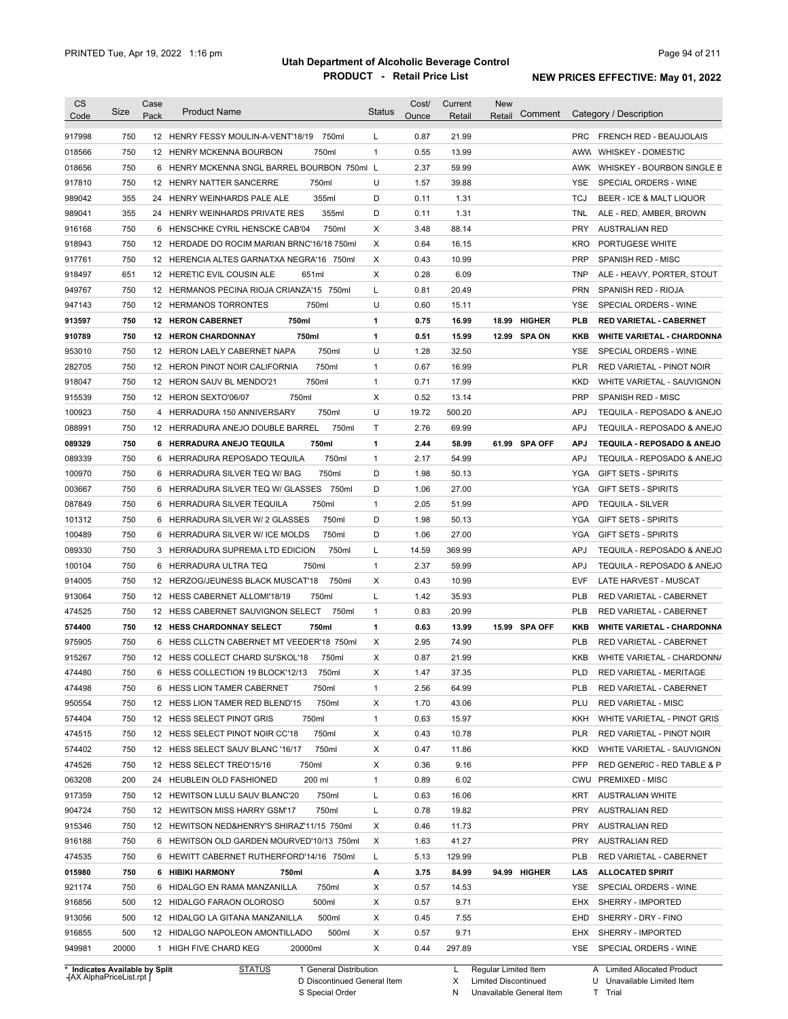| <b>CS</b><br>Code | Size         | Case<br>Pack | <b>Product Name</b>                                                          | <b>Status</b> | Cost/<br>Ounce | Current<br>Retail | New<br>Comment<br>Retail | Category / Description                                |
|-------------------|--------------|--------------|------------------------------------------------------------------------------|---------------|----------------|-------------------|--------------------------|-------------------------------------------------------|
|                   |              |              |                                                                              |               |                |                   |                          |                                                       |
| 917998            | 750          |              | 12 HENRY FESSY MOULIN-A-VENT'18/19<br>750ml                                  | L             | 0.87           | 21.99             |                          | <b>PRC</b><br><b>FRENCH RED - BEAUJOLAIS</b>          |
| 018566            | 750          |              | 750ml<br>12 HENRY MCKENNA BOURBON                                            | $\mathbf{1}$  | 0.55           | 13.99             |                          | AWW WHISKEY - DOMESTIC                                |
| 018656            | 750          |              | 6 HENRY MCKENNA SNGL BARREL BOURBON 750ml L                                  |               | 2.37           | 59.99             |                          | AWK WHISKEY - BOURBON SINGLE B                        |
| 917810            | 750          |              | 750ml<br>12 HENRY NATTER SANCERRE                                            | U             | 1.57           | 39.88             |                          | YSE<br>SPECIAL ORDERS - WINE                          |
| 989042            | 355          |              | 355ml<br>24 HENRY WEINHARDS PALE ALE                                         | D             | 0.11           | 1.31              |                          | <b>TCJ</b><br>BEER - ICE & MALT LIQUOR                |
| 989041            | 355          |              | 355ml<br>24 HENRY WEINHARDS PRIVATE RES                                      | D             | 0.11           | 1.31              |                          | <b>TNL</b><br>ALE - RED, AMBER, BROWN                 |
| 916168            | 750          |              | 750ml<br>6 HENSCHKE CYRIL HENSCKE CAB'04                                     | Х             | 3.48           | 88.14             |                          | <b>PRY</b><br><b>AUSTRALIAN RED</b>                   |
| 918943            | 750          |              | 12 HERDADE DO ROCIM MARIAN BRNC'16/18 750ml                                  | Х             | 0.64           | 16.15             |                          | <b>KRO</b><br>PORTUGESE WHITE                         |
| 917761            | 750          |              | 12 HERENCIA ALTES GARNATXA NEGRA'16 750ml                                    | Χ             | 0.43           | 10.99             |                          | <b>PRP</b><br>SPANISH RED - MISC                      |
| 918497            | 651          |              | 12 HERETIC EVIL COUSIN ALE<br>651ml                                          | X             | 0.28           | 6.09              |                          | <b>TNP</b><br>ALE - HEAVY, PORTER, STOUT              |
| 949767            | 750          |              | 12 HERMANOS PECINA RIOJA CRIANZA'15 750ml                                    | L<br>U        | 0.81           | 20.49             |                          | <b>PRN</b><br>SPANISH RED - RIOJA                     |
| 947143            | 750          |              | 12 HERMANOS TORRONTES<br>750ml                                               |               | 0.60           | 15.11             |                          | <b>YSE</b><br>SPECIAL ORDERS - WINE                   |
| 913597            | 750          |              | 750ml<br><b>12 HERON CABERNET</b>                                            | 1             | 0.75           | 16.99             | 18.99 HIGHER             | <b>PLB</b><br><b>RED VARIETAL - CABERNET</b>          |
| 910789            | 750          |              | 750ml<br><b>12 HERON CHARDONNAY</b>                                          | 1             | 0.51           | 15.99             | 12.99 SPA ON             | KKB<br><b>WHITE VARIETAL - CHARDONNA</b>              |
| 953010            | 750          |              | 750ml<br>12 HERON LAELY CABERNET NAPA                                        | U             | 1.28           | 32.50             |                          | <b>YSE</b><br>SPECIAL ORDERS - WINE                   |
| 282705            | 750          |              | 750ml<br>12 HERON PINOT NOIR CALIFORNIA                                      | $\mathbf{1}$  | 0.67           | 16.99             |                          | <b>PLR</b><br>RED VARIETAL - PINOT NOIR               |
| 918047            | 750          |              | 750ml<br>12 HERON SAUV BL MENDO'21                                           | $\mathbf{1}$  | 0.71           | 17.99             |                          | <b>KKD</b><br>WHITE VARIETAL - SAUVIGNON              |
| 915539            | 750          |              | 750ml<br>12 HERON SEXTO'06/07                                                | Χ             | 0.52           | 13.14             |                          | <b>PRP</b><br>SPANISH RED - MISC                      |
| 100923            | 750          |              | 750ml<br>4 HERRADURA 150 ANNIVERSARY                                         | U             | 19.72          | 500.20            |                          | <b>APJ</b><br>TEQUILA - REPOSADO & ANEJO              |
| 088991            | 750          |              | 750ml<br>12 HERRADURA ANEJO DOUBLE BARREL                                    | Τ             | 2.76           | 69.99             |                          | <b>APJ</b><br>TEQUILA - REPOSADO & ANEJO              |
| 089329            | 750          |              | 750ml<br>6 HERRADURA ANEJO TEQUILA                                           | 1             | 2.44           | 58.99             | 61.99 SPA OFF            | <b>APJ</b><br>TEQUILA - REPOSADO & ANEJO              |
| 089339            | 750          | 6            | HERRADURA REPOSADO TEQUILA<br>750ml                                          | $\mathbf{1}$  | 2.17           | 54.99             |                          | <b>APJ</b><br>TEQUILA - REPOSADO & ANEJO              |
| 100970            | 750          | 6            | 750ml<br>HERRADURA SILVER TEQ W/ BAG                                         | D             | 1.98           | 50.13             |                          | YGA<br><b>GIFT SETS - SPIRITS</b>                     |
| 003667            | 750          | 6            | 750ml<br>HERRADURA SILVER TEQ W/ GLASSES                                     | D             | 1.06           | 27.00             |                          | <b>YGA</b><br><b>GIFT SETS - SPIRITS</b>              |
| 087849            | 750          | 6            | 750ml<br>HERRADURA SILVER TEQUILA                                            | $\mathbf{1}$  | 2.05           | 51.99             |                          | <b>APD</b><br><b>TEQUILA - SILVER</b>                 |
| 101312            | 750          | 6            | HERRADURA SILVER W/ 2 GLASSES<br>750ml                                       | D             | 1.98           | 50.13             |                          | YGA<br><b>GIFT SETS - SPIRITS</b>                     |
| 100489            | 750          | 6            | HERRADURA SILVER W/ ICE MOLDS<br>750ml                                       | D             | 1.06           | 27.00             |                          | YGA<br><b>GIFT SETS - SPIRITS</b>                     |
| 089330            | 750          |              | 3 HERRADURA SUPREMA LTD EDICION<br>750ml                                     | L             | 14.59          | 369.99            |                          | <b>APJ</b><br>TEQUILA - REPOSADO & ANEJO              |
| 100104            | 750          | 6            | HERRADURA ULTRA TEQ<br>750ml                                                 | $\mathbf{1}$  | 2.37           | 59.99             |                          | <b>APJ</b><br>TEQUILA - REPOSADO & ANEJO              |
| 914005            | 750          |              | 12 HERZOG/JEUNESS BLACK MUSCAT'18<br>750ml                                   | Χ             | 0.43           | 10.99             |                          | <b>EVF</b><br>LATE HARVEST - MUSCAT                   |
| 913064            | 750          |              | 750ml<br>12 HESS CABERNET ALLOMI'18/19                                       | L             | 1.42           | 35.93             |                          | <b>PLB</b><br>RED VARIETAL - CABERNET                 |
| 474525            | 750          |              | 750ml<br>12 HESS CABERNET SAUVIGNON SELECT                                   | $\mathbf{1}$  | 0.83           | 20.99             |                          | <b>PLB</b><br>RED VARIETAL - CABERNET                 |
| 574400            | 750          |              | <b>12 HESS CHARDONNAY SELECT</b><br>750ml                                    | 1             | 0.63           | 13.99             | 15.99 SPA OFF            | KKB<br><b>WHITE VARIETAL - CHARDONNA</b>              |
| 975905            | 750          |              | 6 HESS CLLCTN CABERNET MT VEEDER'18 750ml                                    | Χ             | 2.95           | 74.90             |                          | <b>PLB</b><br><b>RED VARIETAL - CABERNET</b>          |
| 915267            | 750          |              | 12 HESS COLLECT CHARD SU'SKOL'18<br>750ml                                    | X             | 0.87           | 21.99             |                          | <b>KKB</b><br>WHITE VARIETAL - CHARDONN/              |
| 474480            | 750          |              | 6 HESS COLLECTION 19 BLOCK'12/13<br>750ml                                    | х             | 1.47           | 37.35             |                          | <b>PLD</b><br>RED VARIETAL - MERITAGE                 |
| 474498            | 750          |              | 6 HESS LION TAMER CABERNET<br>750ml                                          | $\mathbf{1}$  | 2.56           | 64.99             |                          | PLB<br>RED VARIETAL - CABERNET                        |
| 950554            | 750          |              | 750ml<br>12 HESS LION TAMER RED BLEND'15                                     | X             | 1.70           | 43.06             |                          | PLU<br><b>RED VARIETAL - MISC</b>                     |
| 574404            | 750          |              | 750ml<br>12 HESS SELECT PINOT GRIS                                           | $\mathbf{1}$  | 0.63           | 15.97             |                          | KKH<br>WHITE VARIETAL - PINOT GRIS                    |
| 474515            | 750          |              | 750ml<br>12 HESS SELECT PINOT NOIR CC'18                                     | X             | 0.43           | 10.78             |                          | PLR<br>RED VARIETAL - PINOT NOIR                      |
| 574402            | 750          |              | 750ml<br>12 HESS SELECT SAUV BLANC '16/17                                    | X             | 0.47           | 11.86             |                          | KKD<br>WHITE VARIETAL - SAUVIGNON                     |
| 474526            | 750          |              | 12 HESS SELECT TREO'15/16<br>750ml                                           | X             | 0.36           | 9.16              |                          | PFP<br>RED GENERIC - RED TABLE & P                    |
| 063208            | 200          |              | 200 ml<br>24 HEUBLEIN OLD FASHIONED                                          | $\mathbf{1}$  | 0.89           | 6.02              |                          | CWU<br>PREMIXED - MISC                                |
| 917359            | 750          |              | 12 HEWITSON LULU SAUV BLANC'20<br>750ml                                      | Г             | 0.63           | 16.06             |                          | KRT<br><b>AUSTRALIAN WHITE</b>                        |
| 904724            | 750          |              | 750ml<br>12 HEWITSON MISS HARRY GSM'17                                       | L             | 0.78           | 19.82             |                          | PRY<br><b>AUSTRALIAN RED</b>                          |
| 915346            | 750          |              | 12 HEWITSON NED&HENRY'S SHIRAZ'11/15 750ml                                   | X             | 0.46           | 11.73             |                          | PRY<br><b>AUSTRALIAN RED</b>                          |
| 916188            | 750          |              | 6 HEWITSON OLD GARDEN MOURVED'10/13 750ml                                    | X             | 1.63           | 41.27             |                          | PRY<br><b>AUSTRALIAN RED</b>                          |
| 474535            | 750          |              | 6 HEWITT CABERNET RUTHERFORD'14/16 750ml                                     | L             | 5.13           | 129.99            |                          | PLB<br>RED VARIETAL - CABERNET                        |
| 015980            | 750          |              | 6 HIBIKI HARMONY<br>750ml                                                    | А             | 3.75           | 84.99             | 94.99 HIGHER             | <b>ALLOCATED SPIRIT</b><br>LAS                        |
| 921174            | 750          |              | 750ml<br>6 HIDALGO EN RAMA MANZANILLA                                        | X             | 0.57           | 14.53             |                          | YSE<br>SPECIAL ORDERS - WINE                          |
| 916856            | 500          |              | 12 HIDALGO FARAON OLOROSO<br>500ml                                           | X             | 0.57           | 9.71              |                          | EHX<br>SHERRY - IMPORTED                              |
| 913056            | 500          |              | 500ml<br>12 HIDALGO LA GITANA MANZANILLA                                     | X             | 0.45           | 7.55              |                          | EHD<br>SHERRY - DRY - FINO                            |
|                   |              |              |                                                                              | X             |                |                   |                          |                                                       |
| 916855<br>949981  | 500<br>20000 |              | 12 HIDALGO NAPOLEON AMONTILLADO<br>500ml<br>1 HIGH FIVE CHARD KEG<br>20000ml | X             | 0.57<br>0.44   | 9.71<br>297.89    |                          | EHX<br>SHERRY - IMPORTED<br>YSE SPECIAL ORDERS - WINE |

**Case** [AX AlphaPriceList.rpt ]

D Discontinued General Item

S Special Order

X

Limited Discontinued T Trial

N Unavailable General Item

U Unavailable Limited Item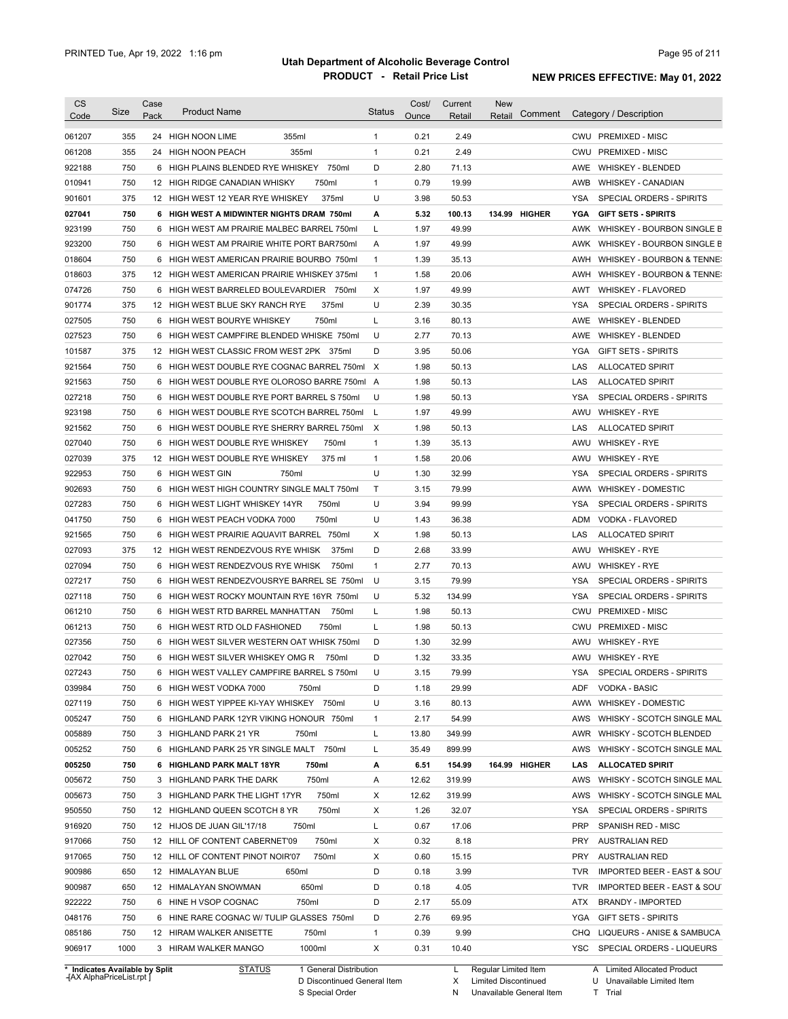| <b>CS</b>                  | Size        | Case | <b>Product Name</b>                              |                 |        | <b>Status</b>     | Cost/        | Current       | <b>New</b> | Comment       |             | Category / Description                                  |
|----------------------------|-------------|------|--------------------------------------------------|-----------------|--------|-------------------|--------------|---------------|------------|---------------|-------------|---------------------------------------------------------|
| Code                       |             | Pack |                                                  |                 |        |                   | Ounce        | Retail        | Retail     |               |             |                                                         |
| 061207                     | 355         |      | 24 HIGH NOON LIME                                | 355ml           |        | $\mathbf{1}$      | 0.21         | 2.49          |            |               |             | CWU PREMIXED - MISC                                     |
| 061208                     | 355         |      | 24 HIGH NOON PEACH                               | 355ml           |        | $\mathbf{1}$      | 0.21         | 2.49          |            |               |             | CWU PREMIXED - MISC                                     |
| 922188                     | 750         |      | 6 HIGH PLAINS BLENDED RYE WHISKEY                |                 | 750ml  | D                 | 2.80         | 71.13         |            |               |             | AWE WHISKEY - BLENDED                                   |
| 010941                     | 750         |      | 12 HIGH RIDGE CANADIAN WHISKY                    |                 | 750ml  | 1                 | 0.79         | 19.99         |            |               | AWB         | <b>WHISKEY - CANADIAN</b>                               |
| 901601                     | 375         |      | 12 HIGH WEST 12 YEAR RYE WHISKEY                 |                 | 375ml  | U                 | 3.98         | 50.53         |            |               | YSA         | SPECIAL ORDERS - SPIRITS                                |
| 027041                     | 750         |      | 6 HIGH WEST A MIDWINTER NIGHTS DRAM 750ml        |                 |        | А                 | 5.32         | 100.13        |            | 134.99 HIGHER | YGA         | <b>GIFT SETS - SPIRITS</b>                              |
| 923199                     | 750         | 6    | HIGH WEST AM PRAIRIE MALBEC BARREL 750ml         |                 |        | L                 | 1.97         | 49.99         |            |               | AWK         | WHISKEY - BOURBON SINGLE B                              |
| 923200                     | 750         |      | 6 HIGH WEST AM PRAIRIE WHITE PORT BAR750ml       |                 |        | A                 | 1.97         | 49.99         |            |               | AWK         | WHISKEY - BOURBON SINGLE B                              |
| 018604                     | 750         |      | 6 HIGH WEST AMERICAN PRAIRIE BOURBO 750ml        |                 |        | $\mathbf{1}$      | 1.39         | 35.13         |            |               | AWH         | WHISKEY - BOURBON & TENNE:                              |
| 018603                     | 375         |      | 12 HIGH WEST AMERICAN PRAIRIE WHISKEY 375ml      |                 |        | $\mathbf{1}$      | 1.58         | 20.06         |            |               | AWH         | WHISKEY - BOURBON & TENNE:                              |
| 074726                     | 750         | 6    | HIGH WEST BARRELED BOULEVARDIER 750ml            |                 |        | Χ                 | 1.97         | 49.99         |            |               | AWT         | <b>WHISKEY - FLAVORED</b>                               |
| 901774                     | 375         |      | 12 HIGH WEST BLUE SKY RANCH RYE                  |                 | 375ml  | U                 | 2.39         | 30.35         |            |               | <b>YSA</b>  | SPECIAL ORDERS - SPIRITS                                |
| 027505                     | 750         |      | 6 HIGH WEST BOURYE WHISKEY                       |                 | 750ml  | L                 | 3.16         | 80.13         |            |               | AWE         | <b>WHISKEY - BLENDED</b>                                |
| 027523                     | 750         | 6    | HIGH WEST CAMPFIRE BLENDED WHISKE 750ml          |                 |        | U                 | 2.77         | 70.13         |            |               | AWE         | <b>WHISKEY - BLENDED</b>                                |
| 101587                     | 375         |      | 12 HIGH WEST CLASSIC FROM WEST 2PK 375ml         |                 |        | D                 | 3.95         | 50.06         |            |               | <b>YGA</b>  | <b>GIFT SETS - SPIRITS</b>                              |
| 921564                     | 750         | 6    | HIGH WEST DOUBLE RYE COGNAC BARREL 750ml         |                 |        | X                 | 1.98         | 50.13         |            |               | LAS         | <b>ALLOCATED SPIRIT</b>                                 |
| 921563                     | 750         | 6    | HIGH WEST DOUBLE RYE OLOROSO BARRE 750ml         |                 |        | A                 | 1.98         | 50.13         |            |               | LAS         | <b>ALLOCATED SPIRIT</b>                                 |
| 027218                     | 750         | 6    | HIGH WEST DOUBLE RYE PORT BARREL S 750ml         |                 |        | U                 | 1.98         | 50.13         |            |               | YSA         | SPECIAL ORDERS - SPIRITS                                |
| 923198                     | 750         |      | 6 HIGH WEST DOUBLE RYE SCOTCH BARREL 750ml       |                 |        | L                 | 1.97         | 49.99         |            |               | AWU         | <b>WHISKEY - RYE</b>                                    |
| 921562                     | 750         | 6    | HIGH WEST DOUBLE RYE SHERRY BARREL 750ml         |                 |        | $\times$          | 1.98         | 50.13         |            |               | LAS         | <b>ALLOCATED SPIRIT</b>                                 |
| 027040                     | 750         | 6    | HIGH WEST DOUBLE RYE WHISKEY                     |                 | 750ml  | $\mathbf{1}$      | 1.39         | 35.13         |            |               | AWU         | <b>WHISKEY - RYE</b>                                    |
| 027039                     | 375         |      | 12 HIGH WEST DOUBLE RYE WHISKEY                  |                 | 375 ml | $\mathbf{1}$      | 1.58         | 20.06         |            |               | AWU         | <b>WHISKEY - RYE</b>                                    |
| 922953                     | 750         |      | 6 HIGH WEST GIN                                  | 750ml           |        | U                 | 1.30         | 32.99         |            |               | YSA         | SPECIAL ORDERS - SPIRITS                                |
| 902693                     | 750         |      | 6 HIGH WEST HIGH COUNTRY SINGLE MALT 750ml       |                 |        | Τ                 | 3.15         | 79.99         |            |               | AWW         | <b>WHISKEY - DOMESTIC</b>                               |
| 027283                     | 750         |      | 6 HIGH WEST LIGHT WHISKEY 14YR                   |                 | 750ml  | U                 | 3.94         | 99.99         |            |               | YSA         | SPECIAL ORDERS - SPIRITS                                |
| 041750                     | 750         | 6    | HIGH WEST PEACH VODKA 7000                       |                 | 750ml  | U                 | 1.43         | 36.38         |            |               | ADM         | VODKA - FLAVORED                                        |
| 921565                     | 750         | 6    | HIGH WEST PRAIRIE AQUAVIT BARREL 750ml           |                 |        | Χ                 | 1.98         | 50.13         |            |               | LAS         | <b>ALLOCATED SPIRIT</b>                                 |
| 027093                     | 375         |      | 12 HIGH WEST RENDEZVOUS RYE WHISK                |                 | 375ml  | D                 | 2.68         | 33.99         |            |               | AWU         | <b>WHISKEY - RYE</b>                                    |
| 027094                     | 750         |      | 6 HIGH WEST RENDEZVOUS RYE WHISK                 |                 | 750ml  | $\mathbf{1}$      | 2.77         | 70.13         |            |               | AWU         | <b>WHISKEY - RYE</b>                                    |
| 027217                     | 750         |      | 6 HIGH WEST RENDEZVOUSRYE BARREL SE 750ml        |                 |        | U                 | 3.15         | 79.99         |            |               | YSA         | SPECIAL ORDERS - SPIRITS                                |
| 027118                     | 750         |      | 6 HIGH WEST ROCKY MOUNTAIN RYE 16YR 750ml        |                 |        | U                 | 5.32         | 134.99        |            |               | <b>YSA</b>  | SPECIAL ORDERS - SPIRITS                                |
| 061210                     | 750         |      | 6 HIGH WEST RTD BARREL MANHATTAN                 |                 | 750ml  | Г                 | 1.98         | 50.13         |            |               | <b>CWU</b>  | <b>PREMIXED - MISC</b>                                  |
| 061213                     | 750         |      | 6 HIGH WEST RTD OLD FASHIONED                    |                 | 750ml  | L                 | 1.98         | 50.13         |            |               | CWU         | <b>PREMIXED - MISC</b>                                  |
| 027356                     | 750         |      | 6 HIGH WEST SILVER WESTERN OAT WHISK 750ml       |                 |        | D                 | 1.30         | 32.99         |            |               | AWU         | <b>WHISKEY - RYE</b>                                    |
| 027042                     | 750         |      | 6 HIGH WEST SILVER WHISKEY OMG R                 |                 | 750ml  | D                 | 1.32         | 33.35         |            |               |             | AWU WHISKEY - RYE                                       |
| 027243                     | 750         |      | 6 HIGH WEST VALLEY CAMPFIRE BARREL S 750ml       |                 |        | U                 | 3.15         | 79.99         |            |               | YSA         | SPECIAL ORDERS - SPIRITS                                |
| 039984                     | 750         |      | 6 HIGH WEST VODKA 7000                           | 750ml           |        | D                 | 1.18         | 29.99         |            |               | ADF         | VODKA - BASIC                                           |
| 027119                     | 750         |      | 6 HIGH WEST YIPPEE KI-YAY WHISKEY 750ml          |                 |        | U                 | 3.16         | 80.13         |            |               | AWW         | WHISKEY - DOMESTIC                                      |
| 005247                     | 750         |      | 6 HIGHLAND PARK 12YR VIKING HONOUR 750ml         |                 |        | $\mathbf{1}$      | 2.17         | 54.99         |            |               | AWS         | WHISKY - SCOTCH SINGLE MAL                              |
| 005889                     | 750         |      | 3 HIGHLAND PARK 21 YR                            | 750ml           |        | L                 | 13.80        | 349.99        |            |               | AWR         | WHISKY - SCOTCH BLENDED                                 |
| 005252                     | 750         |      | 6 HIGHLAND PARK 25 YR SINGLE MALT 750ml          |                 |        | L                 | 35.49        | 899.99        |            |               | AWS         | WHISKY - SCOTCH SINGLE MAL                              |
| 005250                     | 750         |      | 6 HIGHLAND PARK MALT 18YR                        | 750ml           |        | А                 | 6.51         | 154.99        |            | 164.99 HIGHER | LAS         | <b>ALLOCATED SPIRIT</b>                                 |
| 005672                     | 750         |      | 3 HIGHLAND PARK THE DARK                         | 750ml           |        | A                 | 12.62        | 319.99        |            |               | AWS         | WHISKY - SCOTCH SINGLE MAL                              |
| 005673                     | 750         |      | 3 HIGHLAND PARK THE LIGHT 17YR                   |                 | 750ml  | X                 | 12.62        | 319.99        |            |               | AWS         | WHISKY - SCOTCH SINGLE MAL                              |
| 950550                     | 750         |      | 12 HIGHLAND QUEEN SCOTCH 8 YR                    |                 | 750ml  | Х                 | 1.26         | 32.07         |            |               | YSA         | SPECIAL ORDERS - SPIRITS                                |
| 916920                     | 750         |      | 12 HIJOS DE JUAN GIL'17/18                       | 750ml           |        | L                 | 0.67         | 17.06         |            |               | PRP         | SPANISH RED - MISC                                      |
| 917066                     | 750         |      | 12 HILL OF CONTENT CABERNET'09                   |                 | 750ml  | Х                 | 0.32         | 8.18          |            |               | <b>PRY</b>  | <b>AUSTRALIAN RED</b>                                   |
| 917065                     | 750         |      | 12 HILL OF CONTENT PINOT NOIR'07                 |                 | 750ml  | Х                 | 0.60         | 15.15         |            |               | <b>PRY</b>  | <b>AUSTRALIAN RED</b>                                   |
| 900986                     | 650         |      | 12 HIMALAYAN BLUE                                | 650ml           |        | D                 | 0.18         | 3.99          |            |               | TVR         | IMPORTED BEER - EAST & SOUT                             |
| 900987                     | 650         |      | 12 HIMALAYAN SNOWMAN                             | 650ml           |        | D                 | 0.18         | 4.05          |            |               | <b>TVR</b>  | IMPORTED BEER - EAST & SOUT                             |
| 922222                     | 750         |      | 6 HINE H VSOP COGNAC                             | 750ml           |        | D                 | 2.17         | 55.09         |            |               | ATX         | <b>BRANDY - IMPORTED</b>                                |
|                            | 750         |      | 6 HINE RARE COGNAC W/ TULIP GLASSES 750ml        |                 |        | D                 | 2.76         | 69.95         |            |               | YGA         | <b>GIFT SETS - SPIRITS</b>                              |
|                            |             |      |                                                  |                 |        |                   |              |               |            |               |             |                                                         |
|                            |             |      |                                                  |                 |        |                   |              |               |            |               |             |                                                         |
| 048176<br>085186<br>906917 | 750<br>1000 |      | 12 HIRAM WALKER ANISETTE<br>3 HIRAM WALKER MANGO | 750ml<br>1000ml |        | $\mathbf{1}$<br>Χ | 0.39<br>0.31 | 9.99<br>10.40 |            |               | CHQ<br>YSC. | LIQUEURS - ANISE & SAMBUCA<br>SPECIAL ORDERS - LIQUEURS |

**Case** [AX AlphaPriceList.rpt ]

D Discontinued General Item

S Special Order

X Limited Discontinued

N

Unavailable General Item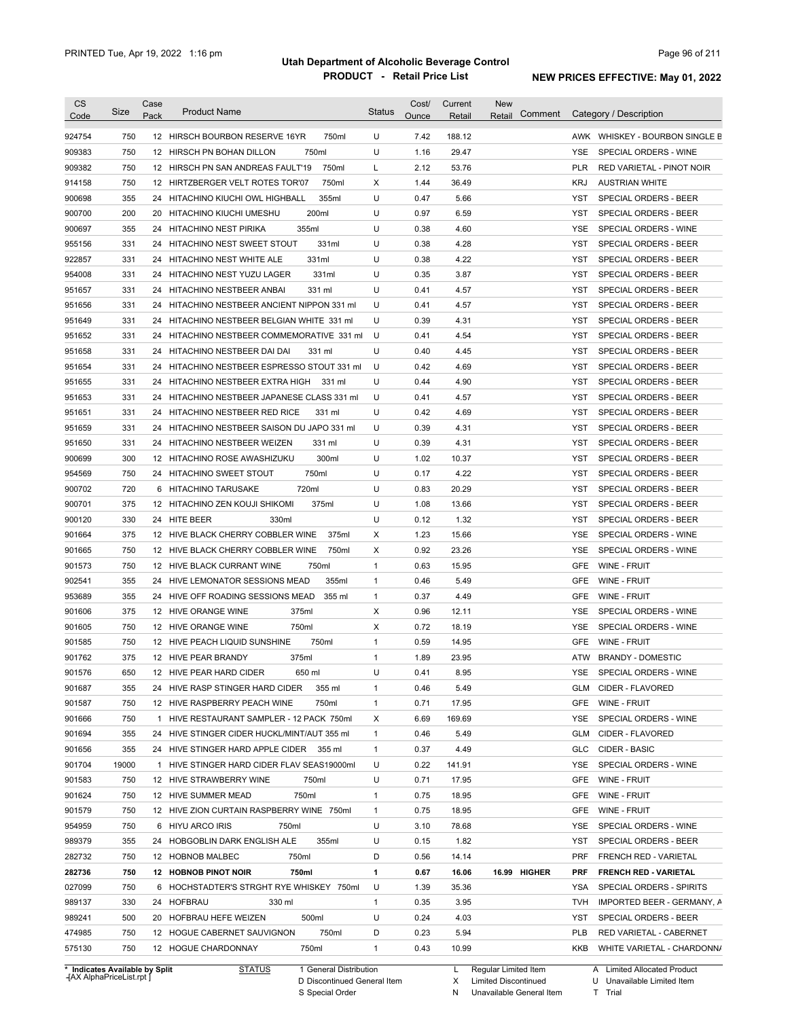| <b>CS</b><br>Code | Size       | Case<br>Pack | <b>Product Name</b>                                                           | <b>Status</b>                | Cost/<br>Ounce | Current<br>Retail | New<br>Comment<br>Retail | Category / Description                                   |
|-------------------|------------|--------------|-------------------------------------------------------------------------------|------------------------------|----------------|-------------------|--------------------------|----------------------------------------------------------|
| 924754            | 750        |              | 750ml<br>12 HIRSCH BOURBON RESERVE 16YR                                       | U                            | 7.42           | 188.12            |                          | AWK WHISKEY - BOURBON SINGLE B                           |
| 909383            | 750        |              | 750ml<br>12 HIRSCH PN BOHAN DILLON                                            | U                            | 1.16           | 29.47             |                          | <b>YSE</b><br>SPECIAL ORDERS - WINE                      |
| 909382            | 750        |              | 750ml<br>12 HIRSCH PN SAN ANDREAS FAULT'19                                    | L                            | 2.12           | 53.76             |                          | PLR<br>RED VARIETAL - PINOT NOIR                         |
| 914158            | 750        |              | 750ml<br>12 HIRTZBERGER VELT ROTES TOR'07                                     | X                            | 1.44           | 36.49             |                          | <b>KRJ</b><br><b>AUSTRIAN WHITE</b>                      |
| 900698            | 355        |              | 355ml<br>24 HITACHINO KIUCHI OWL HIGHBALL                                     | U                            | 0.47           | 5.66              |                          | YST<br>SPECIAL ORDERS - BEER                             |
| 900700            | 200        |              | 200ml<br>20 HITACHINO KIUCHI UMESHU                                           | U                            | 0.97           | 6.59              |                          | SPECIAL ORDERS - BEER<br>YST                             |
| 900697            | 355        |              | 355ml<br>24 HITACHINO NEST PIRIKA                                             | U                            | 0.38           | 4.60              |                          | YSE<br>SPECIAL ORDERS - WINE                             |
| 955156            | 331        |              | 24 HITACHINO NEST SWEET STOUT<br>331ml                                        | U                            | 0.38           | 4.28              |                          | YST<br>SPECIAL ORDERS - BEER                             |
| 922857            | 331        |              | 331ml<br>24 HITACHINO NEST WHITE ALE                                          | U                            | 0.38           | 4.22              |                          | <b>YST</b><br><b>SPECIAL ORDERS - BEER</b>               |
| 954008            | 331        |              | 331ml<br>24 HITACHINO NEST YUZU LAGER                                         | U                            | 0.35           | 3.87              |                          | <b>YST</b><br>SPECIAL ORDERS - BEER                      |
| 951657            | 331        |              | 24 HITACHINO NESTBEER ANBAI<br>331 ml                                         | U                            | 0.41           | 4.57              |                          | <b>YST</b><br>SPECIAL ORDERS - BEER                      |
| 951656            | 331        |              | 24 HITACHINO NESTBEER ANCIENT NIPPON 331 ml                                   | U                            | 0.41           | 4.57              |                          | <b>YST</b><br>SPECIAL ORDERS - BEER                      |
| 951649            | 331        |              | 24 HITACHINO NESTBEER BELGIAN WHITE 331 ml                                    | U                            | 0.39           | 4.31              |                          | <b>YST</b><br>SPECIAL ORDERS - BEER                      |
| 951652            | 331        |              | 24 HITACHINO NESTBEER COMMEMORATIVE 331 ml                                    | U                            | 0.41           | 4.54              |                          | <b>YST</b><br>SPECIAL ORDERS - BEER                      |
| 951658            | 331        |              | 24 HITACHINO NESTBEER DAI DAI<br>331 ml                                       | U                            | 0.40           | 4.45              |                          | <b>YST</b><br>SPECIAL ORDERS - BEER                      |
| 951654            | 331        |              | 24 HITACHINO NESTBEER ESPRESSO STOUT 331 ml                                   | U                            | 0.42           | 4.69              |                          | <b>YST</b><br>SPECIAL ORDERS - BEER                      |
| 951655            | 331        |              | 24 HITACHINO NESTBEER EXTRA HIGH<br>331 ml                                    | U                            | 0.44           | 4.90              |                          | <b>YST</b><br>SPECIAL ORDERS - BEER                      |
| 951653            | 331        |              | 24 HITACHINO NESTBEER JAPANESE CLASS 331 ml                                   | U                            | 0.41           | 4.57              |                          | YST<br>SPECIAL ORDERS - BEER                             |
| 951651            | 331        |              | 24 HITACHINO NESTBEER RED RICE<br>331 ml                                      | U                            | 0.42           | 4.69              |                          | SPECIAL ORDERS - BEER<br>YST                             |
| 951659            | 331        |              | 24 HITACHINO NESTBEER SAISON DU JAPO 331 ml                                   | U                            | 0.39           | 4.31              |                          | <b>YST</b><br>SPECIAL ORDERS - BEER                      |
| 951650            | 331        |              | 24 HITACHINO NESTBEER WEIZEN<br>331 ml                                        | U                            | 0.39           | 4.31              |                          | <b>YST</b><br>SPECIAL ORDERS - BEER                      |
| 900699            | 300        |              | 300ml<br>12 HITACHINO ROSE AWASHIZUKU                                         | U                            | 1.02           | 10.37             |                          | <b>YST</b><br>SPECIAL ORDERS - BEER                      |
| 954569            | 750        |              | 750ml<br>24 HITACHINO SWEET STOUT                                             | U                            | 0.17           | 4.22              |                          | <b>YST</b><br>SPECIAL ORDERS - BEER                      |
| 900702            | 720        |              | 6 HITACHINO TARUSAKE<br>720ml                                                 | U                            | 0.83           | 20.29             |                          | <b>YST</b><br>SPECIAL ORDERS - BEER                      |
|                   | 375        |              | 375ml                                                                         | U                            | 1.08           |                   |                          | <b>YST</b><br>SPECIAL ORDERS - BEER                      |
| 900701            | 330        |              | 12 HITACHINO ZEN KOUJI SHIKOMI<br>24 HITE BEER<br>330ml                       | U                            | 0.12           | 13.66<br>1.32     |                          | <b>YST</b>                                               |
| 900120            | 375        |              | 12 HIVE BLACK CHERRY COBBLER WINE<br>375ml                                    | X                            | 1.23           | 15.66             |                          | SPECIAL ORDERS - BEER<br><b>YSE</b>                      |
| 901664            |            |              |                                                                               |                              | 0.92           |                   |                          | SPECIAL ORDERS - WINE                                    |
| 901665            | 750        |              | 750ml<br>12 HIVE BLACK CHERRY COBBLER WINE                                    | Χ                            |                | 23.26             |                          | <b>YSE</b><br>SPECIAL ORDERS - WINE                      |
| 901573            | 750        |              | 12 HIVE BLACK CURRANT WINE<br>750ml                                           | $\mathbf{1}$<br>$\mathbf{1}$ | 0.63<br>0.46   | 15.95<br>5.49     |                          | <b>GFE</b><br>WINE - FRUIT<br><b>GFE</b><br>WINE - FRUIT |
| 902541            | 355<br>355 |              | 24 HIVE LEMONATOR SESSIONS MEAD<br>355ml<br>24 HIVE OFF ROADING SESSIONS MEAD | $\mathbf{1}$                 | 0.37           | 4.49              |                          | <b>GFE</b><br>WINE - FRUIT                               |
| 953689            | 375        |              | 355 ml<br>375ml                                                               |                              | 0.96           |                   |                          | <b>YSE</b>                                               |
| 901606            | 750        |              | 12 HIVE ORANGE WINE<br>750ml                                                  | Х                            | 0.72           | 12.11<br>18.19    |                          | SPECIAL ORDERS - WINE                                    |
| 901605            |            |              | 12 HIVE ORANGE WINE                                                           | X                            |                |                   |                          | YSE<br>SPECIAL ORDERS - WINE                             |
| 901585            | 750        |              | 750ml<br>12 HIVE PEACH LIQUID SUNSHINE                                        | $\mathbf{1}$                 | 0.59           | 14.95             |                          | GFE<br>WINE - FRUIT                                      |
| 901762            | 375        |              | 375ml<br>12 HIVE PEAR BRANDY                                                  | $\mathbf{1}$                 | 1.89           | 23.95             |                          | <b>BRANDY - DOMESTIC</b><br>ATW                          |
| 901576            | 650        |              | 12 HIVE PEAR HARD CIDER<br>650 ml                                             | U                            | 0.41           | 8.95              |                          | YSE<br>SPECIAL ORDERS - WINE                             |
| 901687            | 355        |              | 24 HIVE RASP STINGER HARD CIDER<br>355 ml                                     | 1                            | 0.46           | 5.49              |                          | CIDER - FLAVORED<br>GLM                                  |
| 901587            | 750        |              | 12 HIVE RASPBERRY PEACH WINE<br>750ml                                         | $\mathbf{1}$                 | 0.71           | 17.95             |                          | GFE<br>WINE - FRUIT                                      |
| 901666            | 750        |              | 1 HIVE RESTAURANT SAMPLER - 12 PACK 750ml                                     | X                            | 6.69           | 169.69            |                          | YSE<br>SPECIAL ORDERS - WINE                             |
| 901694            | 355        |              | 24 HIVE STINGER CIDER HUCKL/MINT/AUT 355 ml                                   | 1                            | 0.46           | 5.49              |                          | GLM<br>CIDER - FLAVORED                                  |
| 901656            | 355        |              | 24 HIVE STINGER HARD APPLE CIDER 355 ml                                       | $\mathbf{1}$                 | 0.37           | 4.49              |                          | CIDER - BASIC<br>GLC                                     |
| 901704            | 19000      |              | 1 HIVE STINGER HARD CIDER FLAV SEAS19000ml                                    | U                            | 0.22           | 141.91            |                          | SPECIAL ORDERS - WINE<br>YSE                             |
| 901583            | 750        |              | 12 HIVE STRAWBERRY WINE<br>750ml                                              | U                            | 0.71           | 17.95             |                          | <b>GFE</b><br>WINE - FRUIT                               |
| 901624            | 750        |              | 12 HIVE SUMMER MEAD<br>750ml                                                  | $\mathbf{1}$                 | 0.75           | 18.95             |                          | GFE<br>WINE - FRUIT                                      |
| 901579            | 750        |              | 12 HIVE ZION CURTAIN RASPBERRY WINE 750ml                                     | $\mathbf{1}$                 | 0.75           | 18.95             |                          | GFE<br>WINE - FRUIT                                      |
| 954959            | 750        |              | 6 HIYU ARCO IRIS<br>750ml                                                     | U                            | 3.10           | 78.68             |                          | <b>YSE</b><br>SPECIAL ORDERS - WINE                      |
| 989379            | 355        |              | 24 HOBGOBLIN DARK ENGLISH ALE<br>355ml                                        | U                            | 0.15           | 1.82              |                          | YST<br>SPECIAL ORDERS - BEER                             |
| 282732            | 750        |              | 12 HOBNOB MALBEC<br>750ml                                                     | D                            | 0.56           | 14.14             |                          | <b>PRF</b><br>FRENCH RED - VARIETAL                      |
| 282736            | 750        |              | 12 HOBNOB PINOT NOIR<br>750ml                                                 | 1                            | 0.67           | 16.06             | 16.99 HIGHER             | <b>PRF</b><br><b>FRENCH RED - VARIETAL</b>               |
| 027099            | 750        |              | 6 HOCHSTADTER'S STRGHT RYE WHISKEY 750ml                                      | U                            | 1.39           | 35.36             |                          | SPECIAL ORDERS - SPIRITS<br>YSA                          |
| 989137            | 330        |              | 24 HOFBRAU<br>330 ml                                                          | $\mathbf{1}$                 | 0.35           | 3.95              |                          | IMPORTED BEER - GERMANY, A<br>TVH                        |
| 989241            | 500        |              | 20 HOFBRAU HEFE WEIZEN<br>500ml                                               | U                            | 0.24           | 4.03              |                          | YST<br>SPECIAL ORDERS - BEER                             |
| 474985            | 750        |              | 12 HOGUE CABERNET SAUVIGNON<br>750ml                                          | D                            | 0.23           | 5.94              |                          | PLB<br>RED VARIETAL - CABERNET                           |
| 575130            | 750        |              | 12 HOGUE CHARDONNAY<br>750ml                                                  | $\mathbf{1}$                 | 0.43           | 10.99             |                          | KKB<br>WHITE VARIETAL - CHARDONN/                        |

**Case** [AX AlphaPriceList.rpt ]

D Discontinued General Item

S Special Order

X Limited Discontinued

N Unavailable General Item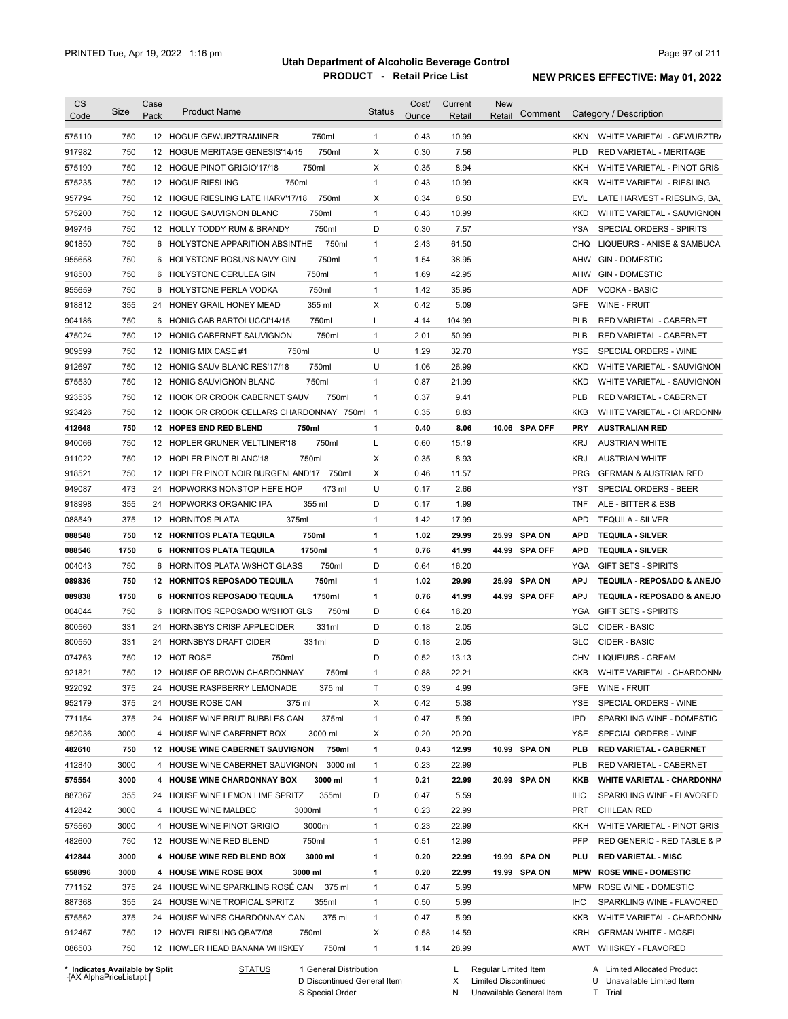|                                                                                                                                                                                                                                              | Size       | Case<br>Pack | <b>Product Name</b>                              | <b>Status</b>  | Cost/<br>Ounce | Current        | <b>New</b> | Comment       |            | Category / Description                                     |
|----------------------------------------------------------------------------------------------------------------------------------------------------------------------------------------------------------------------------------------------|------------|--------------|--------------------------------------------------|----------------|----------------|----------------|------------|---------------|------------|------------------------------------------------------------|
| Code                                                                                                                                                                                                                                         |            |              |                                                  |                |                | Retail         | Retail     |               |            |                                                            |
| 575110                                                                                                                                                                                                                                       | 750        |              | 750ml<br>12 HOGUE GEWURZTRAMINER                 | $\mathbf{1}$   | 0.43           | 10.99          |            |               | <b>KKN</b> | WHITE VARIETAL - GEWURZTR/                                 |
| 917982                                                                                                                                                                                                                                       | 750        |              | 750ml<br>12 HOGUE MERITAGE GENESIS'14/15         | Χ              | 0.30           | 7.56           |            |               | <b>PLD</b> | RED VARIETAL - MERITAGE                                    |
| 575190                                                                                                                                                                                                                                       | 750        |              | 750ml<br>12 HOGUE PINOT GRIGIO'17/18             | Χ              | 0.35           | 8.94           |            |               | KKH        | WHITE VARIETAL - PINOT GRIS                                |
| 575235                                                                                                                                                                                                                                       | 750        |              | 750ml<br>12 HOGUE RIESLING                       | $\mathbf{1}$   | 0.43           | 10.99          |            |               | <b>KKR</b> | WHITE VARIETAL - RIESLING                                  |
| 957794                                                                                                                                                                                                                                       | 750        |              | 750ml<br>12 HOGUE RIESLING LATE HARV'17/18       | X              | 0.34           | 8.50           |            |               | <b>EVL</b> | LATE HARVEST - RIESLING, BA,                               |
| 575200                                                                                                                                                                                                                                       | 750        |              | 750ml<br>12 HOGUE SAUVIGNON BLANC                | $\mathbf{1}$   | 0.43           | 10.99          |            |               | <b>KKD</b> | WHITE VARIETAL - SAUVIGNON                                 |
| 949746                                                                                                                                                                                                                                       | 750        |              | 750ml<br>12 HOLLY TODDY RUM & BRANDY             | D              | 0.30           | 7.57           |            |               | <b>YSA</b> | SPECIAL ORDERS - SPIRITS                                   |
| 901850                                                                                                                                                                                                                                       | 750        |              | 750ml<br>6 HOLYSTONE APPARITION ABSINTHE         | $\mathbf{1}$   | 2.43           | 61.50          |            |               | CHQ        | LIQUEURS - ANISE & SAMBUCA                                 |
| 955658                                                                                                                                                                                                                                       | 750        |              | 750ml<br>6 HOLYSTONE BOSUNS NAVY GIN             | $\mathbf{1}$   | 1.54           | 38.95          |            |               | AHW        | <b>GIN - DOMESTIC</b>                                      |
| 918500                                                                                                                                                                                                                                       | 750        |              | 750ml<br>6 HOLYSTONE CERULEA GIN                 | $\mathbf{1}$   | 1.69           | 42.95          |            |               | AHW        | <b>GIN - DOMESTIC</b>                                      |
| 955659                                                                                                                                                                                                                                       | 750        | 6            | 750ml<br>HOLYSTONE PERLA VODKA                   | $\mathbf{1}$   | 1.42           | 35.95          |            |               | <b>ADF</b> | <b>VODKA - BASIC</b>                                       |
| 918812                                                                                                                                                                                                                                       | 355        |              | 355 ml<br>24 HONEY GRAIL HONEY MEAD              | Х              | 0.42           | 5.09           |            |               | <b>GFE</b> | WINE - FRUIT                                               |
| 904186                                                                                                                                                                                                                                       | 750        | 6            | 750ml<br>HONIG CAB BARTOLUCCI'14/15              | Г              | 4.14           | 104.99         |            |               | <b>PLB</b> | RED VARIETAL - CABERNET                                    |
| 475024                                                                                                                                                                                                                                       | 750        |              | 750ml<br>12 HONIG CABERNET SAUVIGNON             | $\mathbf{1}$   | 2.01           | 50.99          |            |               | <b>PLB</b> | RED VARIETAL - CABERNET                                    |
| 909599                                                                                                                                                                                                                                       | 750        |              | 750ml<br>12 HONIG MIX CASE #1                    | U              | 1.29           | 32.70          |            |               | <b>YSE</b> | SPECIAL ORDERS - WINE                                      |
| 912697                                                                                                                                                                                                                                       | 750        |              | 12 HONIG SAUV BLANC RES'17/18<br>750ml           | U              | 1.06           | 26.99          |            |               | <b>KKD</b> | WHITE VARIETAL - SAUVIGNON                                 |
| 575530                                                                                                                                                                                                                                       | 750        |              | 750ml<br>12 HONIG SAUVIGNON BLANC                | $\mathbf{1}$   | 0.87           | 21.99          |            |               | <b>KKD</b> | WHITE VARIETAL - SAUVIGNON                                 |
| 923535                                                                                                                                                                                                                                       | 750        |              | 750ml<br>12 HOOK OR CROOK CABERNET SAUV          | $\mathbf{1}$   | 0.37           | 9.41           |            |               | <b>PLB</b> | RED VARIETAL - CABERNET                                    |
| 923426                                                                                                                                                                                                                                       | 750        |              | 12 HOOK OR CROOK CELLARS CHARDONNAY<br>750ml     | $\overline{1}$ | 0.35           | 8.83           |            |               | <b>KKB</b> | WHITE VARIETAL - CHARDONN/                                 |
| 412648                                                                                                                                                                                                                                       | 750        |              | 12 HOPES END RED BLEND<br>750ml                  | 1              | 0.40           | 8.06           |            | 10.06 SPA OFF | <b>PRY</b> | <b>AUSTRALIAN RED</b>                                      |
| 940066                                                                                                                                                                                                                                       | 750        |              | 750ml<br>12 HOPLER GRUNER VELTLINER'18           | Г              | 0.60           | 15.19          |            |               | <b>KRJ</b> | <b>AUSTRIAN WHITE</b>                                      |
| 911022                                                                                                                                                                                                                                       | 750        |              | 750ml<br>12 HOPLER PINOT BLANC'18                | X              | 0.35           | 8.93           |            |               | <b>KRJ</b> | <b>AUSTRIAN WHITE</b>                                      |
| 918521                                                                                                                                                                                                                                       | 750        |              | 12 HOPLER PINOT NOIR BURGENLAND'17 750ml         | X              | 0.46           | 11.57          |            |               | <b>PRG</b> | <b>GERMAN &amp; AUSTRIAN RED</b>                           |
| 949087                                                                                                                                                                                                                                       | 473        |              | 24 HOPWORKS NONSTOP HEFE HOP<br>473 ml           | U              | 0.17           | 2.66           |            |               | <b>YST</b> | SPECIAL ORDERS - BEER                                      |
| 918998                                                                                                                                                                                                                                       | 355        |              | 355 ml<br>24 HOPWORKS ORGANIC IPA                | D              | 0.17           | 1.99           |            |               | <b>TNF</b> | ALE - BITTER & ESB                                         |
| 088549                                                                                                                                                                                                                                       | 375        |              | 375ml<br>12 HORNITOS PLATA                       | $\mathbf{1}$   | 1.42           | 17.99          |            |               | <b>APD</b> | <b>TEQUILA - SILVER</b>                                    |
| 088548                                                                                                                                                                                                                                       | 750        |              | 750ml<br>12 HORNITOS PLATA TEQUILA               | 1              | 1.02           | 29.99          |            | 25.99 SPA ON  | <b>APD</b> | <b>TEQUILA - SILVER</b>                                    |
| 088546                                                                                                                                                                                                                                       | 1750       | 6            | <b>HORNITOS PLATA TEQUILA</b><br>1750ml          | 1              | 0.76           | 41.99          |            | 44.99 SPA OFF | <b>APD</b> | <b>TEQUILA - SILVER</b>                                    |
|                                                                                                                                                                                                                                              |            |              |                                                  |                |                |                |            |               |            | <b>GIFT SETS - SPIRITS</b>                                 |
|                                                                                                                                                                                                                                              | 750        | 6            | 750ml<br>HORNITOS PLATA W/SHOT GLASS             | D              | 0.64           | 16.20          |            |               | YGA        |                                                            |
|                                                                                                                                                                                                                                              | 750        |              | 750ml<br><b>12 HORNITOS REPOSADO TEQUILA</b>     | 1              | 1.02           | 29.99          |            | 25.99 SPA ON  | <b>APJ</b> | TEQUILA - REPOSADO & ANEJO                                 |
|                                                                                                                                                                                                                                              | 1750       | 6            | 1750ml<br><b>HORNITOS REPOSADO TEQUILA</b>       | 1              | 0.76           | 41.99          |            | 44.99 SPA OFF | <b>APJ</b> | TEQUILA - REPOSADO & ANEJO                                 |
|                                                                                                                                                                                                                                              | 750        | 6            | 750ml<br><b>HORNITOS REPOSADO W/SHOT GLS</b>     | D              | 0.64           | 16.20          |            |               | YGA        | <b>GIFT SETS - SPIRITS</b>                                 |
|                                                                                                                                                                                                                                              | 331        |              | 331ml<br>24 HORNSBYS CRISP APPLECIDER            | D              | 0.18           | 2.05           |            |               | <b>GLC</b> | <b>CIDER - BASIC</b>                                       |
|                                                                                                                                                                                                                                              | 331        |              | 331ml<br>24 HORNSBYS DRAFT CIDER                 | D              | 0.18           | 2.05           |            |               | <b>GLC</b> | CIDER - BASIC                                              |
|                                                                                                                                                                                                                                              |            |              |                                                  | D              |                |                |            |               |            |                                                            |
|                                                                                                                                                                                                                                              | 750        |              | 12 HOT ROSE<br>750ml                             | 1              | 0.52           | 13.13          |            |               | <b>CHV</b> | <b>LIQUEURS - CREAM</b>                                    |
|                                                                                                                                                                                                                                              | 750        |              | 12 HOUSE OF BROWN CHARDONNAY<br>750ml            |                | 0.88           | 22.21          |            |               | KKB        | WHITE VARIETAL - CHARDONN/                                 |
|                                                                                                                                                                                                                                              | 375        |              | 24 HOUSE RASPBERRY LEMONADE<br>375 ml            | Τ              | 0.39           | 4.99           |            |               | <b>GFE</b> | WINE - FRUIT                                               |
|                                                                                                                                                                                                                                              | 375        |              | 24 HOUSE ROSE CAN<br>375 ml                      | Х              | 0.42           | 5.38           |            |               | YSE        | SPECIAL ORDERS - WINE                                      |
|                                                                                                                                                                                                                                              | 375        |              | 24 HOUSE WINE BRUT BUBBLES CAN<br>375ml          | $\mathbf{1}$   | 0.47           | 5.99           |            |               | <b>IPD</b> | SPARKLING WINE - DOMESTIC                                  |
|                                                                                                                                                                                                                                              | 3000       |              | 3000 ml<br>4 HOUSE WINE CABERNET BOX             | Х              | 0.20           | 20.20          |            |               | YSE        | SPECIAL ORDERS - WINE                                      |
|                                                                                                                                                                                                                                              | 750        |              | 750ml<br><b>12 HOUSE WINE CABERNET SAUVIGNON</b> | 1              | 0.43           | 12.99          |            | 10.99 SPA ON  | <b>PLB</b> | <b>RED VARIETAL - CABERNET</b>                             |
|                                                                                                                                                                                                                                              | 3000       |              | 3000 ml<br>4 HOUSE WINE CABERNET SAUVIGNON       | 1              | 0.23           | 22.99          |            |               | <b>PLB</b> | RED VARIETAL - CABERNET                                    |
|                                                                                                                                                                                                                                              | 3000       |              | 4 HOUSE WINE CHARDONNAY BOX<br>3000 ml           | 1              | 0.21           | 22.99          |            | 20.99 SPA ON  | KKB        | <b>WHITE VARIETAL - CHARDONNA</b>                          |
|                                                                                                                                                                                                                                              | 355        |              | 355ml<br>24 HOUSE WINE LEMON LIME SPRITZ         | D              | 0.47           | 5.59           |            |               | <b>IHC</b> | SPARKLING WINE - FLAVORED                                  |
|                                                                                                                                                                                                                                              | 3000       |              | 4 HOUSE WINE MALBEC<br>3000ml                    | 1              | 0.23           | 22.99          |            |               | <b>PRT</b> | <b>CHILEAN RED</b>                                         |
|                                                                                                                                                                                                                                              | 3000       |              | 3000ml<br>4 HOUSE WINE PINOT GRIGIO              | 1              | 0.23           | 22.99          |            |               | KKH        | WHITE VARIETAL - PINOT GRIS                                |
|                                                                                                                                                                                                                                              | 750        |              | 12 HOUSE WINE RED BLEND<br>750ml                 | 1              | 0.51           | 12.99          |            |               | <b>PFP</b> |                                                            |
|                                                                                                                                                                                                                                              | 3000       |              | 4 HOUSE WINE RED BLEND BOX<br>3000 ml            | 1              | 0.20           | 22.99          |            | 19.99 SPA ON  | PLU        | <b>RED VARIETAL - MISC</b>                                 |
|                                                                                                                                                                                                                                              | 3000       |              | 4 HOUSE WINE ROSE BOX<br>3000 ml                 | 1              | 0.20           | 22.99          |            | 19.99 SPA ON  | <b>MPW</b> | RED GENERIC - RED TABLE & P<br><b>ROSE WINE - DOMESTIC</b> |
|                                                                                                                                                                                                                                              | 375        |              | 24 HOUSE WINE SPARKLING ROSÉ CAN<br>375 ml       | 1              | 0.47           | 5.99           |            |               | <b>MPW</b> | ROSE WINE - DOMESTIC                                       |
|                                                                                                                                                                                                                                              | 355        |              | 24 HOUSE WINE TROPICAL SPRITZ<br>355ml           | $\mathbf{1}$   | 0.50           | 5.99           |            |               | <b>IHC</b> | SPARKLING WINE - FLAVORED                                  |
| 004043<br>089836<br>089838<br>004044<br>800560<br>800550<br>074763<br>921821<br>922092<br>952179<br>771154<br>952036<br>482610<br>412840<br>575554<br>887367<br>412842<br>575560<br>482600<br>412844<br>658896<br>771152<br>887368<br>575562 | 375        |              | 375 ml<br>24 HOUSE WINES CHARDONNAY CAN          | $\mathbf{1}$   | 0.47           | 5.99           |            |               | KKB        | WHITE VARIETAL - CHARDONN/                                 |
| 912467<br>086503                                                                                                                                                                                                                             | 750<br>750 |              | 12 HOVEL RIESLING QBA'7/08<br>750ml<br>750ml     | Х              | 0.58           | 14.59<br>28.99 |            |               | <b>KRH</b> | <b>GERMAN WHITE - MOSEL</b>                                |

**Case** [AX AlphaPriceList.rpt ]

D Discontinued General Item

S Special Order

X Limited Discontinued

N Unavailable General Item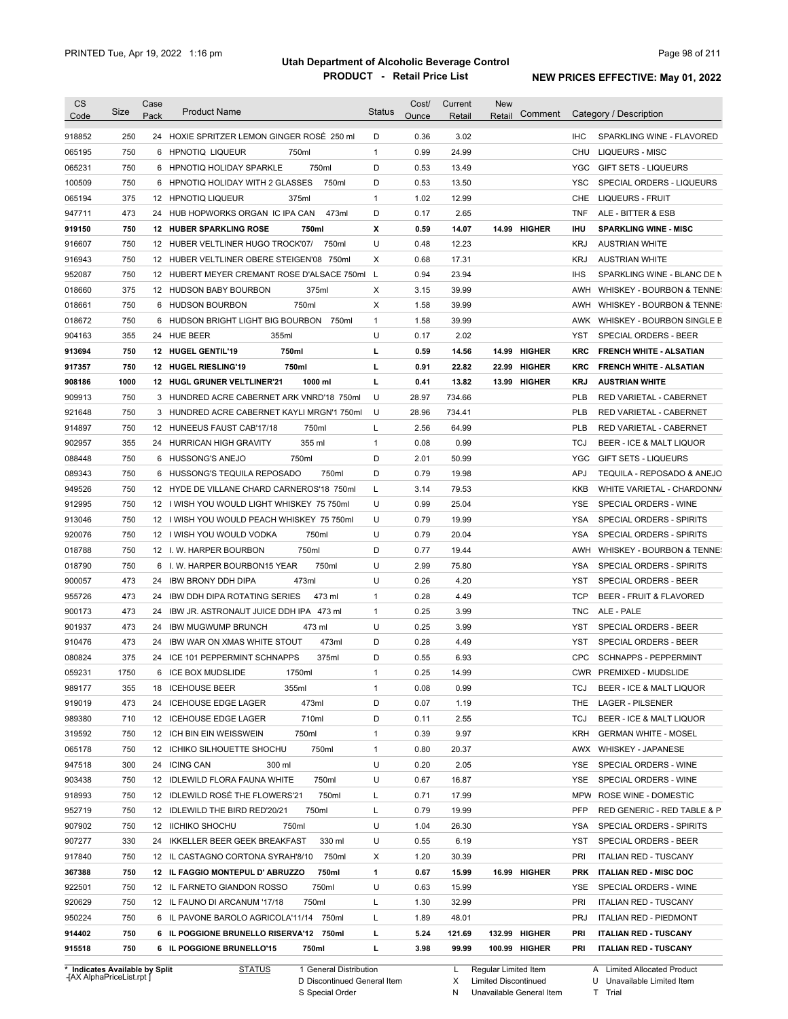| <b>CS</b><br>Code              | Size | Case<br>Pack | <b>Product Name</b>                           | <b>Status</b> | Cost/<br>Ounce | Current<br>Retail | <b>New</b><br>Retail | Comment       |            | Category / Description         |
|--------------------------------|------|--------------|-----------------------------------------------|---------------|----------------|-------------------|----------------------|---------------|------------|--------------------------------|
|                                |      |              |                                               |               |                |                   |                      |               |            |                                |
| 918852                         | 250  |              | 24 HOXIE SPRITZER LEMON GINGER ROSÉ 250 ml    | D             | 0.36           | 3.02              |                      |               | <b>IHC</b> | SPARKLING WINE - FLAVORED      |
| 065195                         | 750  |              | 6 HPNOTIQ LIQUEUR<br>750ml                    | $\mathbf{1}$  | 0.99           | 24.99             |                      |               | CHU        | LIQUEURS - MISC                |
| 065231                         | 750  |              | 750ml<br>6 HPNOTIQ HOLIDAY SPARKLE            | D             | 0.53           | 13.49             |                      |               | YGC        | <b>GIFT SETS - LIQUEURS</b>    |
| 100509                         | 750  |              | 6 HPNOTIQ HOLIDAY WITH 2 GLASSES<br>750ml     | D             | 0.53           | 13.50             |                      |               | YSC        | SPECIAL ORDERS - LIQUEURS      |
| 065194                         | 375  |              | 12 HPNOTIQ LIQUEUR<br>375ml                   | $\mathbf{1}$  | 1.02           | 12.99             |                      |               | CHE        | <b>LIQUEURS - FRUIT</b>        |
| 947711                         | 473  |              | 473ml<br>24 HUB HOPWORKS ORGAN IC IPA CAN     | D             | 0.17           | 2.65              |                      |               | <b>TNF</b> | ALE - BITTER & ESB             |
| 919150                         | 750  |              | <b>12 HUBER SPARKLING ROSE</b><br>750ml       | Х             | 0.59           | 14.07             |                      | 14.99 HIGHER  | <b>IHU</b> | <b>SPARKLING WINE - MISC</b>   |
| 916607                         | 750  |              | 750ml<br>12 HUBER VELTLINER HUGO TROCK'07/    | U             | 0.48           | 12.23             |                      |               | <b>KRJ</b> | <b>AUSTRIAN WHITE</b>          |
| 916943                         | 750  |              | 12 HUBER VELTLINER OBERE STEIGEN'08 750ml     | Χ             | 0.68           | 17.31             |                      |               | <b>KRJ</b> | <b>AUSTRIAN WHITE</b>          |
| 952087                         | 750  |              | 12 HUBERT MEYER CREMANT ROSE D'ALSACE 750ml   | L             | 0.94           | 23.94             |                      |               | <b>IHS</b> | SPARKLING WINE - BLANC DE N    |
| 018660                         | 375  |              | 12 HUDSON BABY BOURBON<br>375ml               | Χ             | 3.15           | 39.99             |                      |               | AWH        | WHISKEY - BOURBON & TENNE:     |
| 018661                         | 750  |              | 750ml<br>6 HUDSON BOURBON                     | Χ             | 1.58           | 39.99             |                      |               | AWH        | WHISKEY - BOURBON & TENNE:     |
| 018672                         | 750  |              | 6 HUDSON BRIGHT LIGHT BIG BOURBON 750ml       | $\mathbf{1}$  | 1.58           | 39.99             |                      |               |            | AWK WHISKEY - BOURBON SINGLE B |
| 904163                         | 355  |              | 24 HUE BEER<br>355ml                          | U             | 0.17           | 2.02              |                      |               | YST        | SPECIAL ORDERS - BEER          |
| 913694                         | 750  |              | 750ml<br>12 HUGEL GENTIL'19                   | г             | 0.59           | 14.56             |                      | 14.99 HIGHER  | KRC        | <b>FRENCH WHITE - ALSATIAN</b> |
| 917357                         | 750  |              | 750ml<br>12 HUGEL RIESLING'19                 | г             | 0.91           | 22.82             |                      | 22.99 HIGHER  | KRC        | <b>FRENCH WHITE - ALSATIAN</b> |
| 908186                         | 1000 |              | 1000 ml<br>12 HUGL GRUNER VELTLINER'21        | г             | 0.41           | 13.82             |                      | 13.99 HIGHER  | KRJ        | <b>AUSTRIAN WHITE</b>          |
| 909913                         | 750  |              | 3 HUNDRED ACRE CABERNET ARK VNRD'18 750ml     | U             | 28.97          | 734.66            |                      |               | <b>PLB</b> | RED VARIETAL - CABERNET        |
| 921648                         | 750  |              | 3 HUNDRED ACRE CABERNET KAYLI MRGN'1 750ml    | U             | 28.96          | 734.41            |                      |               | PLB        | RED VARIETAL - CABERNET        |
| 914897                         | 750  |              | 12 HUNEEUS FAUST CAB'17/18<br>750ml           | L             | 2.56           | 64.99             |                      |               | PLB        | RED VARIETAL - CABERNET        |
| 902957                         | 355  |              | 355 ml<br>24 HURRICAN HIGH GRAVITY            | 1             | 0.08           | 0.99              |                      |               | <b>TCJ</b> | BEER - ICE & MALT LIQUOR       |
| 088448                         | 750  | 6            | <b>HUSSONG'S ANEJO</b><br>750ml               | D             | 2.01           | 50.99             |                      |               | <b>YGC</b> | <b>GIFT SETS - LIQUEURS</b>    |
| 089343                         | 750  | 6            | HUSSONG'S TEQUILA REPOSADO<br>750ml           | D             | 0.79           | 19.98             |                      |               | APJ        | TEQUILA - REPOSADO & ANEJO     |
| 949526                         | 750  |              | 12 HYDE DE VILLANE CHARD CARNEROS'18 750ml    | L             | 3.14           | 79.53             |                      |               | <b>KKB</b> | WHITE VARIETAL - CHARDONN/     |
| 912995                         | 750  |              | 12 I WISH YOU WOULD LIGHT WHISKEY 75 750ml    | U             | 0.99           | 25.04             |                      |               | <b>YSE</b> | SPECIAL ORDERS - WINE          |
| 913046                         | 750  |              | 12 I WISH YOU WOULD PEACH WHISKEY 75 750ml    | U             | 0.79           | 19.99             |                      |               | <b>YSA</b> | SPECIAL ORDERS - SPIRITS       |
| 920076                         | 750  |              | 750ml<br>12 I WISH YOU WOULD VODKA            | U             | 0.79           | 20.04             |                      |               | <b>YSA</b> | SPECIAL ORDERS - SPIRITS       |
| 018788                         | 750  |              | 750ml<br>12 I.W. HARPER BOURBON               | D             | 0.77           | 19.44             |                      |               | AWH        | WHISKEY - BOURBON & TENNE:     |
| 018790                         | 750  |              | 750ml<br>6 I.W. HARPER BOURBON15 YEAR         | U             | 2.99           | 75.80             |                      |               | <b>YSA</b> | SPECIAL ORDERS - SPIRITS       |
| 900057                         | 473  | 24           | 473ml<br>IBW BRONY DDH DIPA                   | U             | 0.26           | 4.20              |                      |               | YST        | SPECIAL ORDERS - BEER          |
| 955726                         | 473  | 24           | <b>IBW DDH DIPA ROTATING SERIES</b><br>473 ml | 1             | 0.28           | 4.49              |                      |               | <b>TCP</b> | BEER - FRUIT & FLAVORED        |
| 900173                         | 473  | 24           | IBW JR. ASTRONAUT JUICE DDH IPA 473 mI        | 1             | 0.25           | 3.99              |                      |               | <b>TNC</b> | ALE - PALE                     |
| 901937                         | 473  | 24           | <b>IBW MUGWUMP BRUNCH</b><br>473 ml           | U             | 0.25           | 3.99              |                      |               | YST        | SPECIAL ORDERS - BEER          |
| 910476                         | 473  | 24           | <b>IBW WAR ON XMAS WHITE STOUT</b><br>473ml   | D             | 0.28           | 4.49              |                      |               | YST        | <b>SPECIAL ORDERS - BEER</b>   |
| 080824                         | 375  |              | 24 ICE 101 PEPPERMINT SCHNAPPS<br>375ml       | D             | 0.55           | 6.93              |                      |               | <b>CPC</b> | <b>SCHNAPPS - PEPPERMINT</b>   |
| 059231                         | 1750 |              | 6 ICE BOX MUDSLIDE<br>1750ml                  | 1             | 0.25           | 14.99             |                      |               |            | CWR PREMIXED - MUDSLIDE        |
| 989177                         | 355  |              | 18 ICEHOUSE BEER<br>355ml                     | 1             | 0.08           | 0.99              |                      |               | TCJ        | BEER - ICE & MALT LIQUOR       |
| 919019                         | 473  |              | 473ml<br>24 ICEHOUSE EDGE LAGER               | D             | 0.07           | 1.19              |                      |               | THE        | <b>LAGER - PILSENER</b>        |
| 989380                         | 710  |              | 710ml<br>12 ICEHOUSE EDGE LAGER               | D             | 0.11           | 2.55              |                      |               | TCJ        | BEER - ICE & MALT LIQUOR       |
| 319592                         | 750  |              | 750ml<br>12 ICH BIN EIN WEISSWEIN             | 1             | 0.39           | 9.97              |                      |               | <b>KRH</b> | <b>GERMAN WHITE - MOSEL</b>    |
| 065178                         | 750  |              | 750ml<br>12 ICHIKO SILHOUETTE SHOCHU          | 1             | 0.80           | 20.37             |                      |               | AWX        | <b>WHISKEY - JAPANESE</b>      |
| 947518                         | 300  |              | 24 ICING CAN<br>300 ml                        | U             | 0.20           | 2.05              |                      |               | YSE        | SPECIAL ORDERS - WINE          |
| 903438                         | 750  |              | 12 IDLEWILD FLORA FAUNA WHITE<br>750ml        | U             | 0.67           | 16.87             |                      |               | YSE        | SPECIAL ORDERS - WINE          |
| 918993                         | 750  |              | 12 IDLEWILD ROSÉ THE FLOWERS'21<br>750ml      | Г             | 0.71           | 17.99             |                      |               | MPW        | ROSE WINE - DOMESTIC           |
| 952719                         | 750  |              | 750ml<br>12 IDLEWILD THE BIRD RED'20/21       | Г             | 0.79           | 19.99             |                      |               | PFP        | RED GENERIC - RED TABLE & P    |
| 907902                         | 750  |              | 12 IICHIKO SHOCHU<br>750ml                    | U             | 1.04           | 26.30             |                      |               | YSA        | SPECIAL ORDERS - SPIRITS       |
| 907277                         | 330  |              | 330 ml<br>24 IKKELLER BEER GEEK BREAKFAST     | U             | 0.55           | 6.19              |                      |               | YST        | SPECIAL ORDERS - BEER          |
| 917840                         | 750  |              | 750ml<br>12 IL CASTAGNO CORTONA SYRAH'8/10    | х             | 1.20           | 30.39             |                      |               | PRI        | <b>ITALIAN RED - TUSCANY</b>   |
| 367388                         | 750  |              | 12 IL FAGGIO MONTEPUL D' ABRUZZO<br>750ml     | 1             | 0.67           | 15.99             |                      | 16.99 HIGHER  | <b>PRK</b> | <b>ITALIAN RED - MISC DOC</b>  |
| 922501                         | 750  |              | 12 IL FARNETO GIANDON ROSSO<br>750ml          | U             | 0.63           | 15.99             |                      |               | YSE        | SPECIAL ORDERS - WINE          |
| 920629                         | 750  |              | 12 IL FAUNO DI ARCANUM '17/18<br>750ml        | Г             | 1.30           | 32.99             |                      |               | PRI        | <b>ITALIAN RED - TUSCANY</b>   |
| 950224                         | 750  |              | 6 IL PAVONE BAROLO AGRICOLA'11/14 750ml       | L             | 1.89           | 48.01             |                      |               | <b>PRJ</b> | <b>ITALIAN RED - PIEDMONT</b>  |
| 914402                         | 750  |              | 6 IL POGGIONE BRUNELLO RISERVA'12 750ml       | г             | 5.24           | 121.69            |                      | 132.99 HIGHER | PRI        | <b>ITALIAN RED - TUSCANY</b>   |
| 915518                         | 750  |              | 6 IL POGGIONE BRUNELLO'15<br>750ml            | г             | 3.98           | 99.99             |                      | 100.99 HIGHER | PRI        | <b>ITALIAN RED - TUSCANY</b>   |
| * Indicates Available by Split |      |              | <b>STATUS</b><br>1 General Distribution       |               |                | L.                | Regular Limited Item |               |            | A Limited Allocated Product    |

**Case** [AX AlphaPriceList.rpt ]

D Discontinued General Item

S Special Order

X N Limited Discontinued

Unavailable General Item

U Unavailable Limited Item

A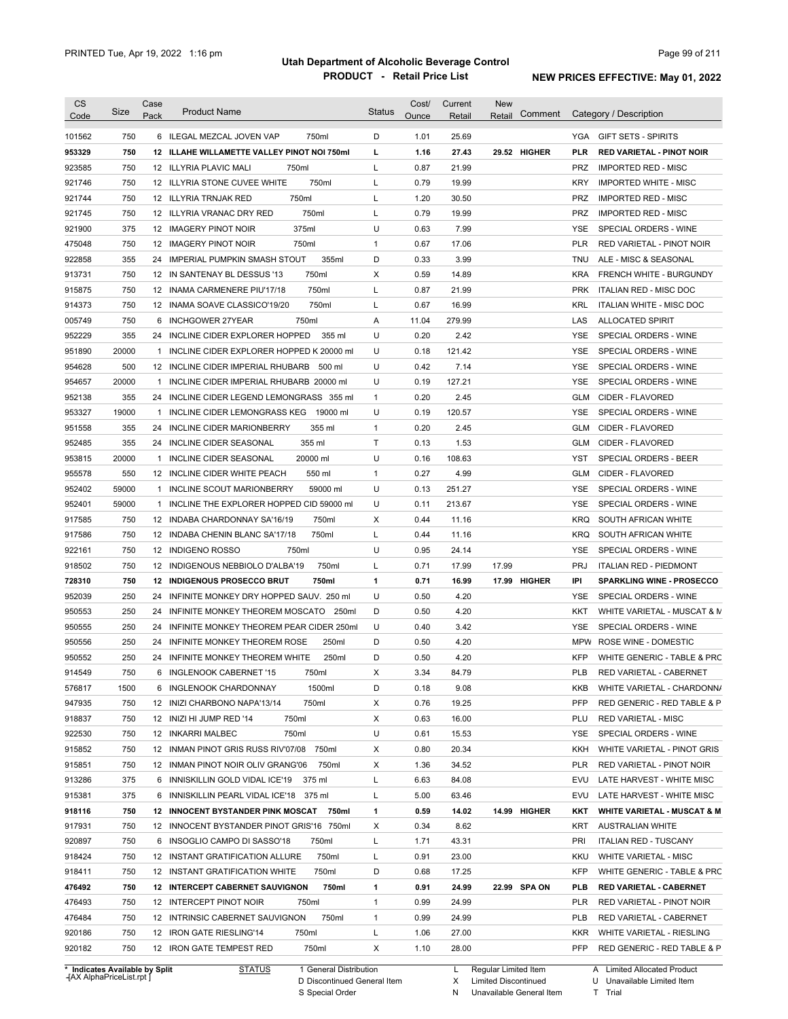| <b>CS</b><br>Code              | Size  | Case<br>Pack | <b>Product Name</b>                         | <b>Status</b> | Cost/<br>Ounce | Current<br>Retail | <b>New</b><br>Comment<br>Retail | Category / Description                         |
|--------------------------------|-------|--------------|---------------------------------------------|---------------|----------------|-------------------|---------------------------------|------------------------------------------------|
|                                |       |              |                                             |               |                |                   |                                 |                                                |
| 101562                         | 750   |              | 6 ILEGAL MEZCAL JOVEN VAP<br>750ml          | D             | 1.01           | 25.69             |                                 | YGA GIFT SETS - SPIRITS                        |
| 953329                         | 750   |              | 12 ILLAHE WILLAMETTE VALLEY PINOT NOI 750ml | L             | 1.16           | 27.43             | 29.52 HIGHER                    | <b>PLR</b><br><b>RED VARIETAL - PINOT NOIR</b> |
| 923585                         | 750   |              | 12 ILLYRIA PLAVIC MALI<br>750ml             | L             | 0.87           | 21.99             |                                 | PRZ<br><b>IMPORTED RED - MISC</b>              |
| 921746                         | 750   |              | 750ml<br>12 ILLYRIA STONE CUVEE WHITE       | L             | 0.79           | 19.99             |                                 | <b>KRY</b><br><b>IMPORTED WHITE - MISC</b>     |
| 921744                         | 750   |              | 750ml<br>12 ILLYRIA TRNJAK RED              | L             | 1.20           | 30.50             |                                 | <b>PRZ</b><br><b>IMPORTED RED - MISC</b>       |
| 921745                         | 750   |              | 750ml<br>12 ILLYRIA VRANAC DRY RED          | L             | 0.79           | 19.99             |                                 | <b>PRZ</b><br><b>IMPORTED RED - MISC</b>       |
| 921900                         | 375   |              | 375ml<br>12 IMAGERY PINOT NOIR              | U             | 0.63           | 7.99              |                                 | YSE<br>SPECIAL ORDERS - WINE                   |
| 475048                         | 750   |              | 12 IMAGERY PINOT NOIR<br>750ml              | $\mathbf{1}$  | 0.67           | 17.06             |                                 | <b>PLR</b><br>RED VARIETAL - PINOT NOIR        |
| 922858                         | 355   |              | 355ml<br>24 IMPERIAL PUMPKIN SMASH STOUT    | D             | 0.33           | 3.99              |                                 | ALE - MISC & SEASONAL<br>TNU                   |
| 913731                         | 750   |              | 750ml<br>12 IN SANTENAY BL DESSUS '13       | Х             | 0.59           | 14.89             |                                 | <b>KRA</b><br><b>FRENCH WHITE - BURGUNDY</b>   |
| 915875                         | 750   |              | 750ml<br>12 INAMA CARMENERE PIU'17/18       | L             | 0.87           | 21.99             |                                 | <b>PRK</b><br>ITALIAN RED - MISC DOC           |
| 914373                         | 750   |              | 750ml<br>12 INAMA SOAVE CLASSICO'19/20      | L             | 0.67           | 16.99             |                                 | KRL<br>ITALIAN WHITE - MISC DOC                |
| 005749                         | 750   |              | 750ml<br>6 INCHGOWER 27YEAR                 | Α             | 11.04          | 279.99            |                                 | LAS<br><b>ALLOCATED SPIRIT</b>                 |
| 952229                         | 355   |              | 24 INCLINE CIDER EXPLORER HOPPED<br>355 ml  | U             | 0.20           | 2.42              |                                 | YSE<br>SPECIAL ORDERS - WINE                   |
| 951890                         | 20000 | 1            | INCLINE CIDER EXPLORER HOPPED K 20000 ml    | U             | 0.18           | 121.42            |                                 | <b>YSE</b><br>SPECIAL ORDERS - WINE            |
| 954628                         | 500   |              | 12 INCLINE CIDER IMPERIAL RHUBARB<br>500 ml | U             | 0.42           | 7.14              |                                 | YSE<br>SPECIAL ORDERS - WINE                   |
| 954657                         | 20000 | 1            | INCLINE CIDER IMPERIAL RHUBARB 20000 ml     | U             | 0.19           | 127.21            |                                 | <b>YSE</b><br>SPECIAL ORDERS - WINE            |
| 952138                         | 355   |              | 24 INCLINE CIDER LEGEND LEMONGRASS 355 ml   | $\mathbf{1}$  | 0.20           | 2.45              |                                 | <b>GLM</b><br>CIDER - FLAVORED                 |
| 953327                         | 19000 |              | 1 INCLINE CIDER LEMONGRASS KEG 19000 ml     | U             | 0.19           | 120.57            |                                 | YSE<br>SPECIAL ORDERS - WINE                   |
| 951558                         | 355   | 24           | <b>INCLINE CIDER MARIONBERRY</b><br>355 ml  | $\mathbf{1}$  | 0.20           | 2.45              |                                 | <b>GLM</b><br>CIDER - FLAVORED                 |
| 952485                         | 355   |              | 355 ml<br>24 INCLINE CIDER SEASONAL         | Τ             | 0.13           | 1.53              |                                 | <b>GLM</b><br>CIDER - FLAVORED                 |
| 953815                         | 20000 |              | 1 INCLINE CIDER SEASONAL<br>20000 ml        | U             | 0.16           | 108.63            |                                 | YST<br>SPECIAL ORDERS - BEER                   |
| 955578                         | 550   |              | 12 INCLINE CIDER WHITE PEACH<br>550 ml      | $\mathbf{1}$  | 0.27           | 4.99              |                                 | <b>GLM</b><br>CIDER - FLAVORED                 |
| 952402                         | 59000 |              | 1 INCLINE SCOUT MARIONBERRY<br>59000 ml     | U             | 0.13           | 251.27            |                                 | YSE<br>SPECIAL ORDERS - WINE                   |
| 952401                         | 59000 |              | 1 INCLINE THE EXPLORER HOPPED CID 59000 ml  | U             | 0.11           | 213.67            |                                 | YSE<br>SPECIAL ORDERS - WINE                   |
| 917585                         | 750   |              | 12 INDABA CHARDONNAY SA'16/19<br>750ml      | X             | 0.44           | 11.16             |                                 | <b>KRQ</b><br>SOUTH AFRICAN WHITE              |
| 917586                         | 750   |              | 750ml<br>12 INDABA CHENIN BLANC SA'17/18    | L             | 0.44           | 11.16             |                                 | <b>KRQ</b><br>SOUTH AFRICAN WHITE              |
| 922161                         | 750   |              | 12 INDIGENO ROSSO<br>750ml                  | U             | 0.95           | 24.14             |                                 | YSE<br>SPECIAL ORDERS - WINE                   |
| 918502                         | 750   |              | 750ml<br>12 INDIGENOUS NEBBIOLO D'ALBA'19   | L             | 0.71           | 17.99             | 17.99                           | <b>PRJ</b><br><b>ITALIAN RED - PIEDMONT</b>    |
| 728310                         | 750   |              | <b>12 INDIGENOUS PROSECCO BRUT</b><br>750ml | 1             | 0.71           | 16.99             | 17.99 HIGHER                    | IPI<br><b>SPARKLING WINE - PROSECCO</b>        |
| 952039                         | 250   |              | 24 INFINITE MONKEY DRY HOPPED SAUV. 250 ml  | U             | 0.50           | 4.20              |                                 | YSE<br>SPECIAL ORDERS - WINE                   |
| 950553                         | 250   | 24           | INFINITE MONKEY THEOREM MOSCATO 250ml       | D             | 0.50           | 4.20              |                                 | KKT<br>WHITE VARIETAL - MUSCAT & M             |
| 950555                         | 250   |              | 24 INFINITE MONKEY THEOREM PEAR CIDER 250ml | U             | 0.40           | 3.42              |                                 | YSE<br>SPECIAL ORDERS - WINE                   |
| 950556                         | 250   |              | 24 INFINITE MONKEY THEOREM ROSE<br>250ml    | D             | 0.50           | 4.20              |                                 | MPW ROSE WINE - DOMESTIC                       |
| 950552                         | 250   |              | 24 INFINITE MONKEY THEOREM WHITE<br>250ml   | D             | 0.50           | 4.20              |                                 | <b>KFP</b><br>WHITE GENERIC - TABLE & PRC      |
| 914549                         | 750   |              | 6 INGLENOOK CABERNET '15<br>750ml           | х             | 3.34           | 84.79             |                                 | PLB<br>RED VARIETAL - CABERNET                 |
| 576817                         | 1500  |              | 6 INGLENOOK CHARDONNAY<br>1500ml            | D             | 0.18           | 9.08              |                                 | KKB<br>WHITE VARIETAL - CHARDONN/              |
| 947935                         | 750   |              | 12 INIZI CHARBONO NAPA'13/14<br>750ml       | Х             | 0.76           | 19.25             |                                 | <b>PFP</b><br>RED GENERIC - RED TABLE & P      |
| 918837                         | 750   |              | 12 INIZI HI JUMP RED '14<br>750ml           | X             | 0.63           | 16.00             |                                 | RED VARIETAL - MISC<br>PLU                     |
| 922530                         | 750   |              | 12 INKARRI MALBEC<br>750ml                  | U             | 0.61           | 15.53             |                                 | SPECIAL ORDERS - WINE<br>YSE                   |
| 915852                         | 750   |              | 12 INMAN PINOT GRIS RUSS RIV'07/08<br>750ml | Х             | 0.80           | 20.34             |                                 | WHITE VARIETAL - PINOT GRIS<br>KKH             |
| 915851                         | 750   |              | 12 INMAN PINOT NOIR OLIV GRANG'06<br>750ml  | Х             | 1.36           | 34.52             |                                 | <b>PLR</b><br>RED VARIETAL - PINOT NOIR        |
| 913286                         | 375   |              | 6 INNISKILLIN GOLD VIDAL ICE'19<br>375 ml   | L             | 6.63           | 84.08             |                                 | EVU<br>LATE HARVEST - WHITE MISC               |
|                                | 375   |              |                                             |               | 5.00           |                   |                                 | EVU                                            |
| 915381                         |       |              | 6 INNISKILLIN PEARL VIDAL ICE'18 375 ml     | L             |                | 63.46             |                                 | LATE HARVEST - WHITE MISC                      |
| 918116                         | 750   |              | 12 INNOCENT BYSTANDER PINK MOSCAT 750ml     | 1             | 0.59           | 14.02             | 14.99 HIGHER                    | <b>WHITE VARIETAL - MUSCAT &amp; M</b><br>KKT  |
| 917931                         | 750   |              | 12 INNOCENT BYSTANDER PINOT GRIS'16 750ml   | Х             | 0.34           | 8.62              |                                 | KRT<br><b>AUSTRALIAN WHITE</b>                 |
| 920897                         | 750   |              | 6 INSOGLIO CAMPO DI SASSO'18<br>750ml       | L             | 1.71           | 43.31             |                                 | PRI<br><b>ITALIAN RED - TUSCANY</b>            |
| 918424                         | 750   |              | 750ml<br>12 INSTANT GRATIFICATION ALLURE    | L             | 0.91           | 23.00             |                                 | <b>KKU</b><br><b>WHITE VARIETAL - MISC</b>     |
| 918411                         | 750   |              | 12 INSTANT GRATIFICATION WHITE<br>750ml     | D             | 0.68           | 17.25             |                                 | <b>KFP</b><br>WHITE GENERIC - TABLE & PRC      |
| 476492                         | 750   |              | 750ml<br>12 INTERCEPT CABERNET SAUVIGNON    | 1             | 0.91           | 24.99             | 22.99 SPA ON                    | <b>PLB</b><br><b>RED VARIETAL - CABERNET</b>   |
| 476493                         | 750   |              | 12 INTERCEPT PINOT NOIR<br>750ml            | $\mathbf{1}$  | 0.99           | 24.99             |                                 | <b>PLR</b><br>RED VARIETAL - PINOT NOIR        |
| 476484                         | 750   |              | 750ml<br>12 INTRINSIC CABERNET SAUVIGNON    | $\mathbf{1}$  | 0.99           | 24.99             |                                 | <b>PLB</b><br>RED VARIETAL - CABERNET          |
| 920186                         | 750   |              | 12 IRON GATE RIESLING'14<br>750ml           | L             | 1.06           | 27.00             |                                 | <b>KKR</b><br>WHITE VARIETAL - RIESLING        |
| 920182                         | 750   |              | 750ml<br>12 IRON GATE TEMPEST RED           | Х             | 1.10           | 28.00             |                                 | PFP<br>RED GENERIC - RED TABLE & P             |
| * Indicates Available by Split |       |              | 1 General Distribution<br><b>STATUS</b>     |               |                | L.                | Regular Limited Item            | A Limited Allocated Product                    |

**Case** [AX AlphaPriceList.rpt ]

D Discontinued General Item S Special Order

X Limited Discontinued

N Unavailable General Item

U Unavailable Limited Item

Limited Allocated Product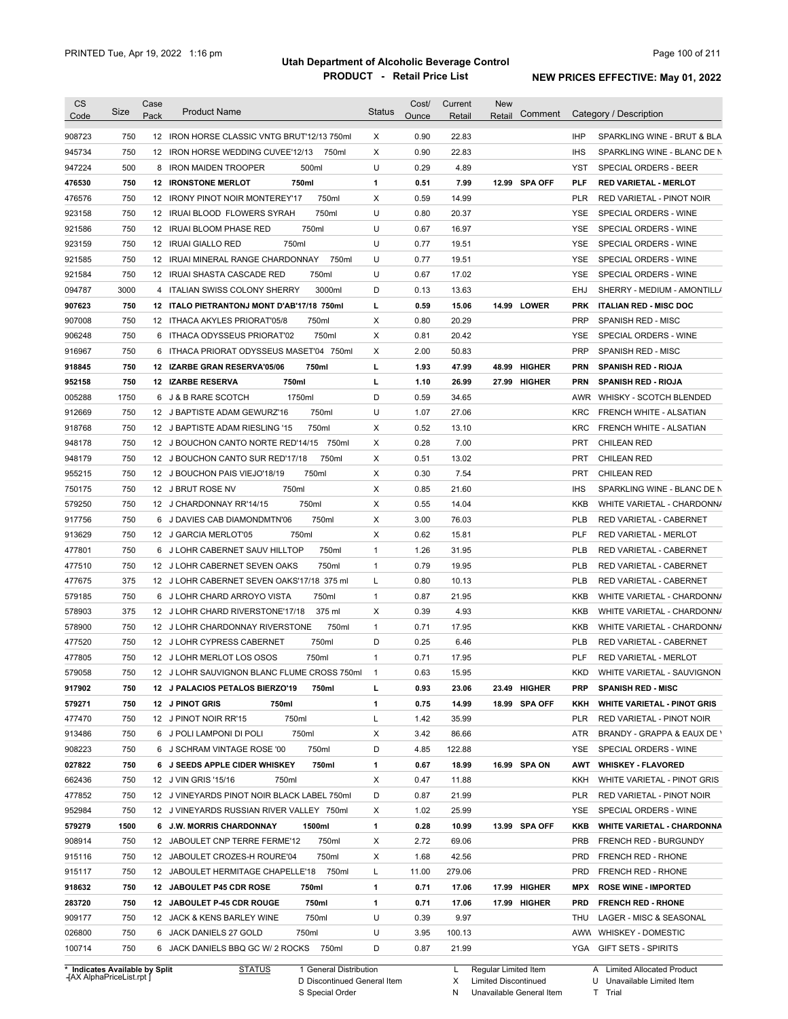| <b>CS</b>                      | Size | Case<br>Pack | <b>Product Name</b>                         | <b>Status</b> | Cost/<br>Ounce | Current<br>Retail | New<br>Comment<br>Retail |            | Category / Description             |
|--------------------------------|------|--------------|---------------------------------------------|---------------|----------------|-------------------|--------------------------|------------|------------------------------------|
| Code                           |      |              |                                             |               |                |                   |                          |            |                                    |
| 908723                         | 750  |              | 12 IRON HORSE CLASSIC VNTG BRUT'12/13 750ml | X             | 0.90           | 22.83             |                          | <b>IHP</b> | SPARKLING WINE - BRUT & BLA        |
| 945734                         | 750  |              | 12 IRON HORSE WEDDING CUVEE'12/13<br>750ml  | X             | 0.90           | 22.83             |                          | <b>IHS</b> | SPARKLING WINE - BLANC DE N        |
| 947224                         | 500  |              | 500ml<br>8 IRON MAIDEN TROOPER              | U             | 0.29           | 4.89              |                          | YST        | SPECIAL ORDERS - BEER              |
| 476530                         | 750  |              | <b>12 IRONSTONE MERLOT</b><br>750ml         | 1             | 0.51           | 7.99              | 12.99 SPA OFF            | <b>PLF</b> | <b>RED VARIETAL - MERLOT</b>       |
| 476576                         | 750  |              | 750ml<br>12 IRONY PINOT NOIR MONTEREY'17    | Χ             | 0.59           | 14.99             |                          | <b>PLR</b> | RED VARIETAL - PINOT NOIR          |
| 923158                         | 750  |              | 750ml<br>12 IRUAI BLOOD FLOWERS SYRAH       | U             | 0.80           | 20.37             |                          | <b>YSE</b> | SPECIAL ORDERS - WINE              |
| 921586                         | 750  |              | 750ml<br>12 IRUAI BLOOM PHASE RED           | U             | 0.67           | 16.97             |                          | YSE        | SPECIAL ORDERS - WINE              |
| 923159                         | 750  |              | 750ml<br>12 IRUAI GIALLO RED                | U             | 0.77           | 19.51             |                          | YSE        | SPECIAL ORDERS - WINE              |
| 921585                         | 750  |              | 12 IRUAI MINERAL RANGE CHARDONNAY<br>750ml  | U             | 0.77           | 19.51             |                          | YSE        | SPECIAL ORDERS - WINE              |
| 921584                         | 750  |              | 750ml<br>12 IRUAI SHASTA CASCADE RED        | U             | 0.67           | 17.02             |                          | YSE        | SPECIAL ORDERS - WINE              |
| 094787                         | 3000 |              | 3000ml<br>4 ITALIAN SWISS COLONY SHERRY     | D             | 0.13           | 13.63             |                          | EHJ        | SHERRY - MEDIUM - AMONTILL/        |
| 907623                         | 750  |              | 12 ITALO PIETRANTONJ MONT D'AB'17/18 750ml  | г             | 0.59           | 15.06             | 14.99 LOWER              | <b>PRK</b> | <b>ITALIAN RED - MISC DOC</b>      |
| 907008                         | 750  |              | 12 ITHACA AKYLES PRIORAT'05/8<br>750ml      | Х             | 0.80           | 20.29             |                          | <b>PRP</b> | <b>SPANISH RED - MISC</b>          |
| 906248                         | 750  |              | 750ml<br>6 ITHACA ODYSSEUS PRIORAT'02       | Χ             | 0.81           | 20.42             |                          | YSE        | SPECIAL ORDERS - WINE              |
| 916967                         | 750  |              | 6 ITHACA PRIORAT ODYSSEUS MASET'04 750ml    | Χ             | 2.00           | 50.83             |                          | <b>PRP</b> | <b>SPANISH RED - MISC</b>          |
| 918845                         | 750  |              | 12 IZARBE GRAN RESERVA'05/06<br>750ml       | г             | 1.93           | 47.99             | <b>HIGHER</b><br>48.99   | <b>PRN</b> | <b>SPANISH RED - RIOJA</b>         |
| 952158                         | 750  |              | 750ml<br>12 IZARBE RESERVA                  | L             | 1.10           | 26.99             | 27.99 HIGHER             | PRN        | <b>SPANISH RED - RIOJA</b>         |
| 005288                         | 1750 |              | 1750ml<br>6 J & B RARE SCOTCH               | D             | 0.59           | 34.65             |                          |            | AWR WHISKY - SCOTCH BLENDED        |
| 912669                         | 750  |              | 750ml<br>12 J BAPTISTE ADAM GEWURZ'16       | U             | 1.07           | 27.06             |                          | KRC        | FRENCH WHITE - ALSATIAN            |
| 918768                         | 750  |              | 750ml<br>12 J BAPTISTE ADAM RIESLING '15    | Χ             | 0.52           | 13.10             |                          | KRC        | FRENCH WHITE - ALSATIAN            |
| 948178                         | 750  |              | 12 J BOUCHON CANTO NORTE RED'14/15 750ml    | Х             | 0.28           | 7.00              |                          | <b>PRT</b> | <b>CHILEAN RED</b>                 |
| 948179                         | 750  |              | 750ml<br>12 J BOUCHON CANTO SUR RED'17/18   | Х             | 0.51           | 13.02             |                          | PRT        | <b>CHILEAN RED</b>                 |
| 955215                         | 750  |              | 750ml<br>12 J BOUCHON PAIS VIEJO'18/19      | Х             | 0.30           | 7.54              |                          | <b>PRT</b> | <b>CHILEAN RED</b>                 |
| 750175                         | 750  |              | 750ml<br>12 J BRUT ROSE NV                  | Х             | 0.85           | 21.60             |                          | <b>IHS</b> | SPARKLING WINE - BLANC DE N        |
| 579250                         | 750  |              | 750ml<br>12 J CHARDONNAY RR'14/15           | X             | 0.55           | 14.04             |                          | KKB        | WHITE VARIETAL - CHARDONN/         |
| 917756                         | 750  |              | 750ml<br>6 J DAVIES CAB DIAMONDMTN'06       | Χ             | 3.00           | 76.03             |                          | <b>PLB</b> | RED VARIETAL - CABERNET            |
| 913629                         | 750  |              | 750ml<br>12 J GARCIA MERLOT'05              | Х             | 0.62           | 15.81             |                          | PLF        | RED VARIETAL - MERLOT              |
| 477801                         | 750  |              | 750ml<br>6 J LOHR CABERNET SAUV HILLTOP     | $\mathbf{1}$  | 1.26           | 31.95             |                          | <b>PLB</b> | RED VARIETAL - CABERNET            |
| 477510                         | 750  |              | 12 J LOHR CABERNET SEVEN OAKS<br>750ml      | $\mathbf{1}$  | 0.79           | 19.95             |                          | <b>PLB</b> | RED VARIETAL - CABERNET            |
| 477675                         | 375  |              | 12 J LOHR CABERNET SEVEN OAKS'17/18 375 ml  | Г             | 0.80           | 10.13             |                          | <b>PLB</b> | RED VARIETAL - CABERNET            |
| 579185                         | 750  |              | 6 J LOHR CHARD ARROYO VISTA<br>750ml        | $\mathbf{1}$  | 0.87           | 21.95             |                          | KKB        | WHITE VARIETAL - CHARDONN/         |
| 578903                         | 375  |              | 375 ml<br>12 J LOHR CHARD RIVERSTONE'17/18  | Х             | 0.39           | 4.93              |                          | KKB        | WHITE VARIETAL - CHARDONN/         |
| 578900                         | 750  |              | 750ml<br>12 J LOHR CHARDONNAY RIVERSTONE    | $\mathbf{1}$  | 0.71           | 17.95             |                          | <b>KKB</b> | WHITE VARIETAL - CHARDONN/         |
| 477520                         | 750  |              | 750ml<br>12 J LOHR CYPRESS CABERNET         | D             | 0.25           | 6.46              |                          | <b>PLB</b> | <b>RED VARIETAL - CABERNET</b>     |
| 477805                         | 750  |              | 12 J LOHR MERLOT LOS OSOS<br>750ml          | $\mathbf{1}$  | 0.71           | 17.95             |                          | <b>PLF</b> | <b>RED VARIETAL - MERLOT</b>       |
| 579058                         | 750  |              | 12 J LOHR SAUVIGNON BLANC FLUME CROSS 750ml | 1             | 0.63           | 15.95             |                          | KKD        | WHITE VARIETAL - SAUVIGNON         |
| 917902                         | 750  |              | 12 J PALACIOS PETALOS BIERZO'19<br>750ml    | L             | 0.93           | 23.06             | 23.49 HIGHER             | <b>PRP</b> | <b>SPANISH RED - MISC</b>          |
| 579271                         | 750  |              | 12 J PINOT GRIS<br>750ml                    | 1             | 0.75           | 14.99             | 18.99 SPA OFF            | KKH        | <b>WHITE VARIETAL - PINOT GRIS</b> |
| 477470                         | 750  |              | 750ml<br>12 J PINOT NOIR RR'15              | L             | 1.42           | 35.99             |                          | <b>PLR</b> | RED VARIETAL - PINOT NOIR          |
| 913486                         | 750  |              | 750ml<br>6 J POLI LAMPONI DI POLI           | Х             | 3.42           | 86.66             |                          | ATR        | BRANDY - GRAPPA & EAUX DE Y        |
| 908223                         | 750  |              | 750ml<br>6 J SCHRAM VINTAGE ROSE '00        | D             | 4.85           | 122.88            |                          | YSE        | SPECIAL ORDERS - WINE              |
| 027822                         | 750  |              | 750ml<br>6 J SEEDS APPLE CIDER WHISKEY      | 1             | 0.67           | 18.99             | 16.99 SPA ON             | AWT        | <b>WHISKEY - FLAVORED</b>          |
| 662436                         | 750  |              | 12 J VIN GRIS '15/16<br>750ml               | Х             | 0.47           | 11.88             |                          | KKH        | WHITE VARIETAL - PINOT GRIS        |
| 477852                         | 750  |              | 12 J VINEYARDS PINOT NOIR BLACK LABEL 750ml | D             | 0.87           | 21.99             |                          | <b>PLR</b> | RED VARIETAL - PINOT NOIR          |
| 952984                         | 750  |              | 12 J VINEYARDS RUSSIAN RIVER VALLEY 750ml   | х             | 1.02           | 25.99             |                          | YSE        | SPECIAL ORDERS - WINE              |
| 579279                         | 1500 |              | 6 J.W. MORRIS CHARDONNAY<br>1500ml          | 1             | 0.28           | 10.99             | 13.99 SPA OFF            | KKB        | <b>WHITE VARIETAL - CHARDONNA</b>  |
| 908914                         | 750  |              | 750ml<br>12 JABOULET CNP TERRE FERME'12     | Х             | 2.72           | 69.06             |                          | <b>PRB</b> | FRENCH RED - BURGUNDY              |
| 915116                         | 750  |              | 750ml<br>12 JABOULET CROZES-H ROURE'04      | Х             | 1.68           | 42.56             |                          | <b>PRD</b> | FRENCH RED - RHONE                 |
| 915117                         | 750  |              | 750ml<br>12 JABOULET HERMITAGE CHAPELLE'18  | L             | 11.00          | 279.06            |                          | PRD        | FRENCH RED - RHONE                 |
| 918632                         | 750  |              | 12 JABOULET P45 CDR ROSE<br>750ml           | 1             | 0.71           | 17.06             | 17.99 HIGHER             | MPX        | <b>ROSE WINE - IMPORTED</b>        |
| 283720                         | 750  |              | 750ml<br>12 JABOULET P-45 CDR ROUGE         | 1             | 0.71           | 17.06             | 17.99 HIGHER             | PRD        | <b>FRENCH RED - RHONE</b>          |
| 909177                         | 750  |              | 750ml<br>12 JACK & KENS BARLEY WINE         | U             | 0.39           | 9.97              |                          | THU        | LAGER - MISC & SEASONAL            |
| 026800                         | 750  |              | 6 JACK DANIELS 27 GOLD<br>750ml             | U             | 3.95           | 100.13            |                          |            | AWW WHISKEY - DOMESTIC             |
| 100714                         | 750  |              | 6 JACK DANIELS BBQ GC W/ 2 ROCKS 750ml      | D             | 0.87           | 21.99             |                          |            | YGA GIFT SETS - SPIRITS            |
|                                |      |              |                                             |               |                |                   |                          |            |                                    |
| * Indicates Available by Split |      |              | <b>STATUS</b><br>1 General Distribution     |               |                | L.                | Regular Limited Item     |            | A Limited Allocated Product        |

**Case** [AX AlphaPriceList.rpt ]

D Discontinued General Item S Special Order

X Limited Discontinued

N Unavailable General Item

U Unavailable Limited Item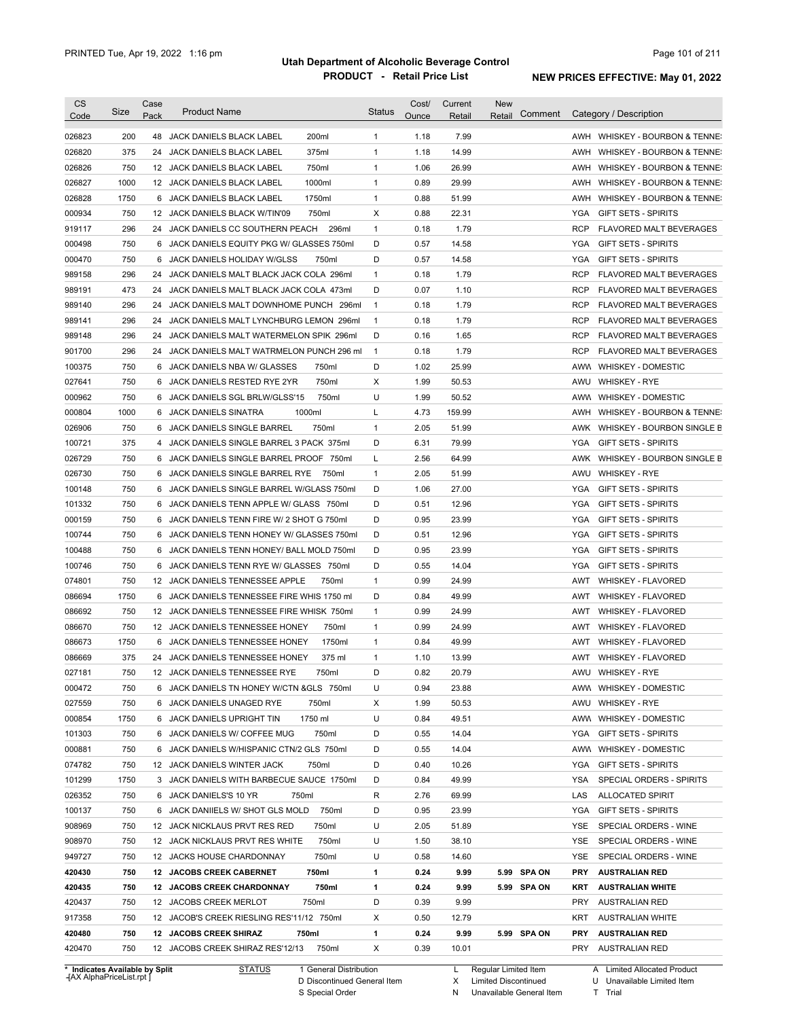| <b>CS</b><br>Code | Size       | Case<br>Pack | <b>Product Name</b>                                                       | <b>Status</b> | Cost/<br>Ounce | Current<br>Retail | <b>New</b><br>Comment<br>Retail |                   | Category / Description         |
|-------------------|------------|--------------|---------------------------------------------------------------------------|---------------|----------------|-------------------|---------------------------------|-------------------|--------------------------------|
| 026823            | 200        | 48           | JACK DANIELS BLACK LABEL<br>200ml                                         | $\mathbf{1}$  | 1.18           | 7.99              |                                 |                   | AWH WHISKEY - BOURBON & TENNE: |
| 026820            | 375        | 24           | 375ml<br>JACK DANIELS BLACK LABEL                                         | $\mathbf{1}$  | 1.18           | 14.99             |                                 | AWH               | WHISKEY - BOURBON & TENNE:     |
| 026826            | 750        |              | 750ml<br>12 JACK DANIELS BLACK LABEL                                      | 1             | 1.06           | 26.99             |                                 | AWH               | WHISKEY - BOURBON & TENNE:     |
| 026827            | 1000       |              | 1000ml<br>12 JACK DANIELS BLACK LABEL                                     | $\mathbf{1}$  | 0.89           | 29.99             |                                 | AWH               | WHISKEY - BOURBON & TENNE:     |
| 026828            | 1750       |              | 1750ml<br>6 JACK DANIELS BLACK LABEL                                      | $\mathbf{1}$  | 0.88           | 51.99             |                                 | AWH               | WHISKEY - BOURBON & TENNE:     |
| 000934            | 750        |              | 750ml<br>12 JACK DANIELS BLACK W/TIN'09                                   | Х             | 0.88           | 22.31             |                                 | YGA               | <b>GIFT SETS - SPIRITS</b>     |
| 919117            | 296        |              | 24 JACK DANIELS CC SOUTHERN PEACH<br>296ml                                | $\mathbf{1}$  | 0.18           | 1.79              |                                 | <b>RCP</b>        | <b>FLAVORED MALT BEVERAGES</b> |
| 000498            | 750        |              | 6 JACK DANIELS EQUITY PKG W/ GLASSES 750ml                                | D             | 0.57           | 14.58             |                                 | YGA               | <b>GIFT SETS - SPIRITS</b>     |
| 000470            | 750        |              | 6 JACK DANIELS HOLIDAY W/GLSS<br>750ml                                    | D             | 0.57           | 14.58             |                                 | YGA               | <b>GIFT SETS - SPIRITS</b>     |
| 989158            | 296        | 24           | JACK DANIELS MALT BLACK JACK COLA 296ml                                   | $\mathbf{1}$  | 0.18           | 1.79              |                                 | RCP               | <b>FLAVORED MALT BEVERAGES</b> |
| 989191            | 473        | 24           | JACK DANIELS MALT BLACK JACK COLA 473ml                                   | D             | 0.07           | 1.10              |                                 | RCP               | <b>FLAVORED MALT BEVERAGES</b> |
| 989140            | 296        | 24           | JACK DANIELS MALT DOWNHOME PUNCH 296ml                                    | $\mathbf{1}$  | 0.18           | 1.79              |                                 | RCP               | FLAVORED MALT BEVERAGES        |
| 989141            | 296        | 24           | JACK DANIELS MALT LYNCHBURG LEMON 296ml                                   | $\mathbf{1}$  | 0.18           | 1.79              |                                 | <b>RCP</b>        | FLAVORED MALT BEVERAGES        |
| 989148            | 296        | 24           | JACK DANIELS MALT WATERMELON SPIK 296ml                                   | D             | 0.16           | 1.65              |                                 | <b>RCP</b>        | FLAVORED MALT BEVERAGES        |
| 901700            | 296        |              | 24 JACK DANIELS MALT WATRMELON PUNCH 296 ml                               | $\mathbf{1}$  | 0.18           | 1.79              |                                 | <b>RCP</b>        | <b>FLAVORED MALT BEVERAGES</b> |
| 100375            | 750        |              | 6 JACK DANIELS NBA W/ GLASSES<br>750ml                                    | D             | 1.02           | 25.99             |                                 |                   | AWW WHISKEY - DOMESTIC         |
| 027641            | 750        |              | 750ml<br>6 JACK DANIELS RESTED RYE 2YR                                    | X             | 1.99           | 50.53             |                                 |                   | AWU WHISKEY - RYE              |
| 000962            | 750        |              | 750ml<br>6 JACK DANIELS SGL BRLW/GLSS'15                                  | U             | 1.99           | 50.52             |                                 |                   | AWW WHISKEY - DOMESTIC         |
| 000804            | 1000       |              | 1000ml<br>6 JACK DANIELS SINATRA                                          | L             | 4.73           | 159.99            |                                 |                   | AWH WHISKEY - BOURBON & TENNE: |
| 026906            | 750        |              | 6 JACK DANIELS SINGLE BARREL<br>750ml                                     | $\mathbf{1}$  | 2.05           | 51.99             |                                 |                   | AWK WHISKEY - BOURBON SINGLE B |
| 100721            | 375        |              | 4 JACK DANIELS SINGLE BARREL 3 PACK 375ml                                 | D             | 6.31           | 79.99             |                                 | YGA               | <b>GIFT SETS - SPIRITS</b>     |
| 026729            | 750        | 6            | JACK DANIELS SINGLE BARREL PROOF<br>750ml                                 | L             | 2.56           | 64.99             |                                 | AWK               | WHISKEY - BOURBON SINGLE B     |
| 026730            | 750        | 6            | JACK DANIELS SINGLE BARREL RYE<br>750ml                                   | $\mathbf{1}$  | 2.05           | 51.99             |                                 | AWU               | <b>WHISKEY - RYE</b>           |
| 100148            | 750        | 6            | JACK DANIELS SINGLE BARREL W/GLASS 750ml                                  | D             | 1.06           | 27.00             |                                 | YGA               | <b>GIFT SETS - SPIRITS</b>     |
| 101332            | 750        | 6            | JACK DANIELS TENN APPLE W/ GLASS 750ml                                    | D             | 0.51           | 12.96             |                                 | YGA               | <b>GIFT SETS - SPIRITS</b>     |
| 000159            | 750        | 6            | JACK DANIELS TENN FIRE W/ 2 SHOT G 750ml                                  | D             | 0.95           | 23.99             |                                 | <b>YGA</b>        | <b>GIFT SETS - SPIRITS</b>     |
| 100744            | 750        | 6            | JACK DANIELS TENN HONEY W/ GLASSES 750ml                                  | D             | 0.51           | 12.96             |                                 | <b>YGA</b>        | <b>GIFT SETS - SPIRITS</b>     |
| 100488            | 750        | 6            | JACK DANIELS TENN HONEY/ BALL MOLD 750ml                                  | D             | 0.95           | 23.99             |                                 | <b>YGA</b>        | <b>GIFT SETS - SPIRITS</b>     |
| 100746            | 750        | 6            | JACK DANIELS TENN RYE W/ GLASSES 750ml                                    | D             | 0.55           | 14.04             |                                 | <b>YGA</b>        | <b>GIFT SETS - SPIRITS</b>     |
| 074801            | 750        |              | 12 JACK DANIELS TENNESSEE APPLE<br>750ml                                  | $\mathbf{1}$  | 0.99           | 24.99             |                                 | AWT               | <b>WHISKEY - FLAVORED</b>      |
| 086694            | 1750       | 6            | JACK DANIELS TENNESSEE FIRE WHIS 1750 ml                                  | D             | 0.84           | 49.99             |                                 | AWT               | <b>WHISKEY - FLAVORED</b>      |
| 086692            | 750        | 12           | JACK DANIELS TENNESSEE FIRE WHISK 750ml                                   | $\mathbf{1}$  | 0.99           | 24.99             |                                 | AWT               | <b>WHISKEY - FLAVORED</b>      |
| 086670            | 750        |              | 12 JACK DANIELS TENNESSEE HONEY<br>750ml                                  | $\mathbf{1}$  | 0.99           | 24.99             |                                 | AWT               | WHISKEY - FLAVORED             |
| 086673            | 1750       | 6            | JACK DANIELS TENNESSEE HONEY<br>1750ml                                    | $\mathbf{1}$  | 0.84           | 49.99             |                                 | AWT               | <b>WHISKEY - FLAVORED</b>      |
| 086669            | 375        |              | 24 JACK DANIELS TENNESSEE HONEY<br>375 ml                                 | 1             | 1.10           | 13.99             |                                 | AWT               | <b>WHISKEY - FLAVORED</b>      |
| 027181            | 750        |              | 12 JACK DANIELS TENNESSEE RYE<br>750ml                                    | D             | 0.82           | 20.79             |                                 | AWU               | WHISKEY - RYE                  |
| 000472            | 750        |              | 6 JACK DANIELS TN HONEY W/CTN & GLS 750ml                                 | U             | 0.94           | 23.88             |                                 |                   | AWW WHISKEY - DOMESTIC         |
| 027559            | 750        |              | 6 JACK DANIELS UNAGED RYE<br>750ml                                        | Х             | 1.99           | 50.53             |                                 | AWU               | <b>WHISKEY - RYE</b>           |
| 000854            | 1750       |              | 6 JACK DANIELS UPRIGHT TIN<br>1750 ml                                     | U             | 0.84           | 49.51             |                                 |                   | AWW WHISKEY - DOMESTIC         |
|                   |            |              | 750ml                                                                     | D             |                | 14.04             |                                 |                   | <b>GIFT SETS - SPIRITS</b>     |
| 101303<br>000881  | 750<br>750 |              | 6 JACK DANIELS W/ COFFEE MUG<br>6 JACK DANIELS W/HISPANIC CTN/2 GLS 750ml | D             | 0.55<br>0.55   | 14.04             |                                 | YGA<br>AWW        |                                |
|                   |            |              |                                                                           |               |                |                   |                                 |                   | <b>WHISKEY - DOMESTIC</b>      |
| 074782            | 750        |              | 750ml<br>12 JACK DANIELS WINTER JACK                                      | D             | 0.40           | 10.26             |                                 | YGA               | <b>GIFT SETS - SPIRITS</b>     |
| 101299            | 1750       |              | 3 JACK DANIELS WITH BARBECUE SAUCE 1750ml                                 | D             | 0.84           | 49.99             |                                 | YSA               | SPECIAL ORDERS - SPIRITS       |
| 026352            | 750<br>750 |              | 750ml<br>6 JACK DANIELS'S 10 YR                                           | R<br>D        | 2.76           | 69.99             |                                 | LAS<br><b>YGA</b> | <b>ALLOCATED SPIRIT</b>        |
| 100137            |            |              | 750ml<br>6 JACK DANIIELS W/ SHOT GLS MOLD                                 |               | 0.95           | 23.99             |                                 |                   | <b>GIFT SETS - SPIRITS</b>     |
| 908969            | 750        |              | 750ml<br>12 JACK NICKLAUS PRVT RES RED                                    | U             | 2.05           | 51.89             |                                 | YSE               | SPECIAL ORDERS - WINE          |
| 908970            | 750        |              | 12 JACK NICKLAUS PRVT RES WHITE<br>750ml                                  | U             | 1.50           | 38.10             |                                 | YSE               | SPECIAL ORDERS - WINE          |
| 949727            | 750        |              | 750ml<br>12 JACKS HOUSE CHARDONNAY                                        | U             | 0.58           | 14.60             |                                 | YSE               | SPECIAL ORDERS - WINE          |
| 420430            | 750        |              | 750ml<br>12 JACOBS CREEK CABERNET                                         | 1             | 0.24           | 9.99              | 5.99 SPA ON                     | <b>PRY</b>        | <b>AUSTRALIAN RED</b>          |
| 420435            | 750        |              | 750ml<br>12 JACOBS CREEK CHARDONNAY                                       | 1             | 0.24           | 9.99              | 5.99 SPA ON                     | KRT               | <b>AUSTRALIAN WHITE</b>        |
| 420437            | 750        |              | 12 JACOBS CREEK MERLOT<br>750ml                                           | D             | 0.39           | 9.99              |                                 | PRY               | <b>AUSTRALIAN RED</b>          |
| 917358            | 750        |              | 12 JACOB'S CREEK RIESLING RES'11/12 750ml                                 | Х             | 0.50           | 12.79             |                                 | <b>KRT</b>        | <b>AUSTRALIAN WHITE</b>        |
| 420480            | 750        |              | 12 JACOBS CREEK SHIRAZ<br>750ml                                           | 1             | 0.24           | 9.99              | 5.99 SPA ON                     | <b>PRY</b>        | <b>AUSTRALIAN RED</b>          |
| 420470            | 750        |              | 750ml<br>12 JACOBS CREEK SHIRAZ RES'12/13                                 | X             | 0.39           | 10.01             |                                 | PRY               | AUSTRALIAN RED                 |

**Case** [AX AlphaPriceList.rpt ]

Discontinued General Item S Special Order D

Regular Limited Item

X N Limited Discontinued

A Limited Allocated Product

Unavailable General Item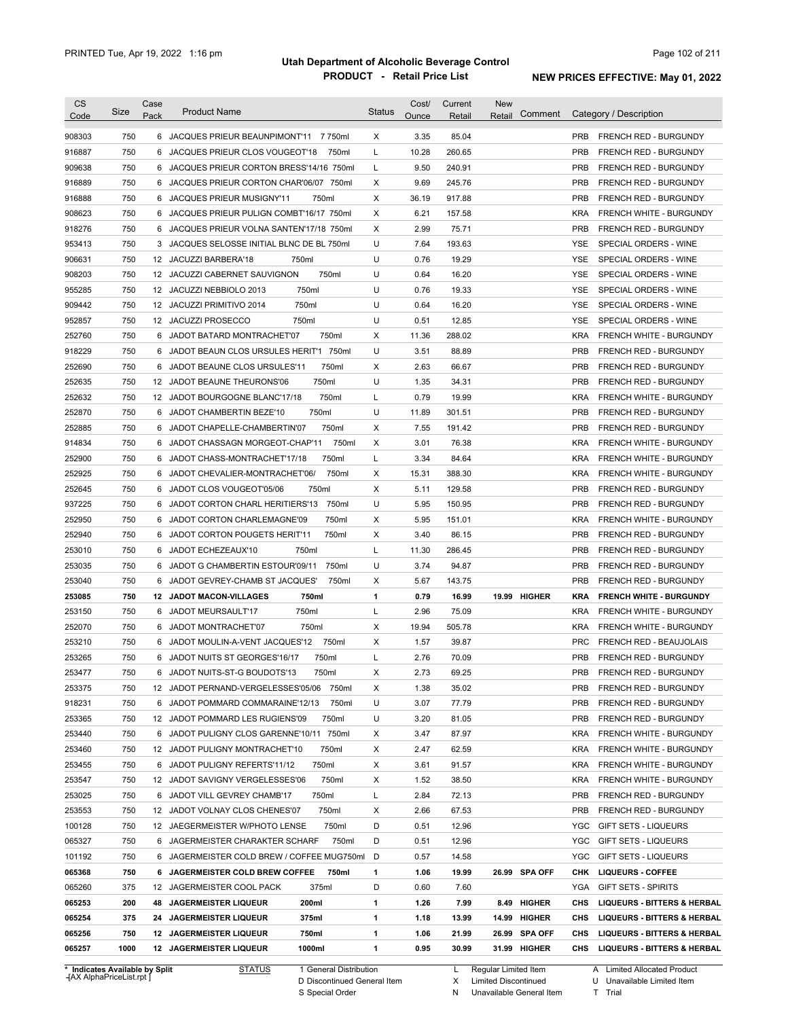| <b>CS</b><br>Code              | Size | Case<br>Pack    | <b>Product Name</b>                         | <b>Status</b> | Cost/<br>Ounce | Current<br>Retail | New<br>Comment<br>Retail | Category / Description                        |
|--------------------------------|------|-----------------|---------------------------------------------|---------------|----------------|-------------------|--------------------------|-----------------------------------------------|
| 908303                         | 750  |                 | 6 JACQUES PRIEUR BEAUNPIMONT'11 7750ml      | Χ             | 3.35           | 85.04             |                          | <b>PRB</b><br>FRENCH RED - BURGUNDY           |
| 916887                         | 750  | 6               | 750ml<br>JACQUES PRIEUR CLOS VOUGEOT'18     | L             | 10.28          | 260.65            |                          | <b>PRB</b><br><b>FRENCH RED - BURGUNDY</b>    |
| 909638                         | 750  |                 | 6 JACQUES PRIEUR CORTON BRESS'14/16 750ml   | L             | 9.50           | 240.91            |                          | <b>PRB</b><br><b>FRENCH RED - BURGUNDY</b>    |
| 916889                         | 750  |                 | 6 JACQUES PRIEUR CORTON CHAR'06/07 750ml    | X             | 9.69           | 245.76            |                          | <b>PRB</b><br><b>FRENCH RED - BURGUNDY</b>    |
| 916888                         | 750  |                 | 750ml<br>6 JACQUES PRIEUR MUSIGNY'11        | X             | 36.19          | 917.88            |                          | <b>PRB</b><br>FRENCH RED - BURGUNDY           |
| 908623                         | 750  |                 | 6 JACQUES PRIEUR PULIGN COMBT'16/17 750ml   | Χ             | 6.21           | 157.58            |                          | <b>KRA</b><br><b>FRENCH WHITE - BURGUNDY</b>  |
| 918276                         | 750  | 6               | JACQUES PRIEUR VOLNA SANTEN'17/18 750ml     | Χ             | 2.99           | 75.71             |                          | <b>PRB</b><br>FRENCH RED - BURGUNDY           |
| 953413                         | 750  | 3               | JACQUES SELOSSE INITIAL BLNC DE BL 750ml    | U             | 7.64           | 193.63            |                          | YSE<br>SPECIAL ORDERS - WINE                  |
| 906631                         | 750  |                 | 12 JACUZZI BARBERA'18<br>750ml              | U             | 0.76           | 19.29             |                          | <b>YSE</b><br>SPECIAL ORDERS - WINE           |
| 908203                         | 750  |                 | 750ml<br>12 JACUZZI CABERNET SAUVIGNON      | U             | 0.64           | 16.20             |                          | YSE<br>SPECIAL ORDERS - WINE                  |
| 955285                         | 750  | 12 <sup>°</sup> | 750ml<br>JACUZZI NEBBIOLO 2013              | U             | 0.76           | 19.33             |                          | YSE<br>SPECIAL ORDERS - WINE                  |
| 909442                         | 750  | 12              | 750ml<br>JACUZZI PRIMITIVO 2014             | U             | 0.64           | 16.20             |                          | YSE<br>SPECIAL ORDERS - WINE                  |
| 952857                         | 750  | 12              | JACUZZI PROSECCO<br>750ml                   | U             | 0.51           | 12.85             |                          | YSE<br>SPECIAL ORDERS - WINE                  |
| 252760                         | 750  | 6               | JADOT BATARD MONTRACHET'07<br>750ml         | Χ             | 11.36          | 288.02            |                          | <b>KRA</b><br>FRENCH WHITE - BURGUNDY         |
| 918229                         | 750  | 6               | 750ml<br>JADOT BEAUN CLOS URSULES HERIT'1   | U             | 3.51           | 88.89             |                          | <b>PRB</b><br><b>FRENCH RED - BURGUNDY</b>    |
| 252690                         | 750  | 6               | JADOT BEAUNE CLOS URSULES'11<br>750ml       | Χ             | 2.63           | 66.67             |                          | <b>PRB</b><br>FRENCH RED - BURGUNDY           |
| 252635                         | 750  | 12              | JADOT BEAUNE THEURONS'06<br>750ml           | U             | 1.35           | 34.31             |                          | <b>PRB</b><br><b>FRENCH RED - BURGUNDY</b>    |
| 252632                         | 750  |                 | 750ml<br>12 JADOT BOURGOGNE BLANC'17/18     | L             | 0.79           | 19.99             |                          | <b>KRA</b><br><b>FRENCH WHITE - BURGUNDY</b>  |
| 252870                         | 750  | 6               | 750ml<br>JADOT CHAMBERTIN BEZE'10           | U             | 11.89          | 301.51            |                          | <b>PRB</b><br><b>FRENCH RED - BURGUNDY</b>    |
| 252885                         | 750  | 6               | 750ml<br>JADOT CHAPELLE-CHAMBERTIN'07       | X             | 7.55           | 191.42            |                          | <b>PRB</b><br><b>FRENCH RED - BURGUNDY</b>    |
| 914834                         | 750  | 6               | JADOT CHASSAGN MORGEOT-CHAP'11<br>750ml     | X             | 3.01           | 76.38             |                          | <b>KRA</b><br><b>FRENCH WHITE - BURGUNDY</b>  |
| 252900                         | 750  | 6               | 750ml<br>JADOT CHASS-MONTRACHET'17/18       | L             | 3.34           | 84.64             |                          | <b>KRA</b><br><b>FRENCH WHITE - BURGUNDY</b>  |
| 252925                         | 750  | 6               | 750ml<br>JADOT CHEVALIER-MONTRACHET'06/     | Χ             | 15.31          | 388.30            |                          | <b>KRA</b><br><b>FRENCH WHITE - BURGUNDY</b>  |
| 252645                         | 750  | 6               | JADOT CLOS VOUGEOT'05/06<br>750ml           | Χ             | 5.11           | 129.58            |                          | <b>PRB</b><br><b>FRENCH RED - BURGUNDY</b>    |
| 937225                         | 750  | 6               | 750ml<br>JADOT CORTON CHARL HERITIERS'13    | U             | 5.95           | 150.95            |                          | <b>PRB</b><br><b>FRENCH RED - BURGUNDY</b>    |
| 252950                         | 750  | 6               | 750ml<br>JADOT CORTON CHARLEMAGNE'09        | X             | 5.95           | 151.01            |                          | <b>KRA</b><br><b>FRENCH WHITE - BURGUNDY</b>  |
| 252940                         | 750  | 6               | JADOT CORTON POUGETS HERIT'11<br>750ml      | Х             | 3.40           | 86.15             |                          | PRB<br><b>FRENCH RED - BURGUNDY</b>           |
| 253010                         | 750  | 6               | JADOT ECHEZEAUX'10<br>750ml                 | L             | 11.30          | 286.45            |                          | PRB<br><b>FRENCH RED - BURGUNDY</b>           |
| 253035                         | 750  | 6               | 750ml<br>JADOT G CHAMBERTIN ESTOUR'09/11    | U             | 3.74           | 94.87             |                          | PRB<br><b>FRENCH RED - BURGUNDY</b>           |
| 253040                         | 750  | 6               | 750ml<br>JADOT GEVREY-CHAMB ST JACQUES'     | Χ             | 5.67           | 143.75            |                          | PRB<br><b>FRENCH RED - BURGUNDY</b>           |
| 253085                         | 750  | 12              | <b>JADOT MACON-VILLAGES</b><br>750ml        | $\mathbf{1}$  | 0.79           | 16.99             | 19.99 HIGHER             | <b>KRA</b><br><b>FRENCH WHITE - BURGUNDY</b>  |
| 253150                         | 750  | 6               | 750ml<br>JADOT MEURSAULT'17                 | L             | 2.96           | 75.09             |                          | <b>KRA</b><br><b>FRENCH WHITE - BURGUNDY</b>  |
| 252070                         | 750  | 6               | 750ml<br>JADOT MONTRACHET'07                | Χ             | 19.94          | 505.78            |                          | <b>KRA</b><br>FRENCH WHITE - BURGUNDY         |
| 253210                         | 750  | 6               | 750ml<br>JADOT MOULIN-A-VENT JACQUES'12     | Х             | 1.57           | 39.87             |                          | <b>PRC</b><br><b>FRENCH RED - BEAUJOLAIS</b>  |
| 253265                         | 750  |                 | 750ml<br>6 JADOT NUITS ST GEORGES'16/17     | Г             | 2.76           | 70.09             |                          | <b>PRB</b><br><b>FRENCH RED - BURGUNDY</b>    |
| 253477                         | 750  |                 | JADOT NUITS-ST-G BOUDOTS'13<br>750ml        | X             | 2.73           | 69.25             |                          | PRB<br>FRENCH RED - BURGUNDY                  |
| 253375                         | 750  |                 | 12 JADOT PERNAND-VERGELESSES'05/06<br>750ml | Х             | 1.38           | 35.02             |                          | <b>PRB</b><br>FRENCH RED - BURGUNDY           |
| 918231                         | 750  | 6               | JADOT POMMARD COMMARAINE'12/13<br>750ml     | U             | 3.07           | 77.79             |                          | <b>PRB</b><br>FRENCH RED - BURGUNDY           |
| 253365                         | 750  |                 | 12 JADOT POMMARD LES RUGIENS'09<br>750ml    | U             | 3.20           | 81.05             |                          | PRB<br>FRENCH RED - BURGUNDY                  |
| 253440                         | 750  | 6               | JADOT PULIGNY CLOS GARENNE'10/11 750ml      | Х             | 3.47           | 87.97             |                          | KRA<br>FRENCH WHITE - BURGUNDY                |
| 253460                         | 750  |                 | 750ml<br>12 JADOT PULIGNY MONTRACHET'10     | Х             | 2.47           | 62.59             |                          | KRA<br>FRENCH WHITE - BURGUNDY                |
| 253455                         | 750  |                 | 6 JADOT PULIGNY REFERTS'11/12<br>750ml      | Х             | 3.61           | 91.57             |                          | KRA<br>FRENCH WHITE - BURGUNDY                |
| 253547                         | 750  |                 | 12 JADOT SAVIGNY VERGELESSES'06<br>750ml    | Х             | 1.52           | 38.50             |                          | KRA<br>FRENCH WHITE - BURGUNDY                |
| 253025                         | 750  | 6               | JADOT VILL GEVREY CHAMB'17<br>750ml         | Г             | 2.84           | 72.13             |                          | PRB<br>FRENCH RED - BURGUNDY                  |
| 253553                         | 750  |                 | 12 JADOT VOLNAY CLOS CHENES'07<br>750ml     | X             | 2.66           | 67.53             |                          | <b>PRB</b><br>FRENCH RED - BURGUNDY           |
| 100128                         | 750  |                 | 750ml<br>12 JAEGERMEISTER W/PHOTO LENSE     | D             | 0.51           | 12.96             |                          | <b>YGC</b><br><b>GIFT SETS - LIQUEURS</b>     |
| 065327                         | 750  | 6               | 750ml<br>JAGERMEISTER CHARAKTER SCHARF      | D             | 0.51           | 12.96             |                          | <b>YGC</b><br><b>GIFT SETS - LIQUEURS</b>     |
| 101192                         | 750  |                 | 6 JAGERMEISTER COLD BREW / COFFEE MUG750ml  | D             | 0.57           | 14.58             |                          | YGC<br>GIFT SETS - LIQUEURS                   |
| 065368                         | 750  | 6               | JAGERMEISTER COLD BREW COFFEE<br>750ml      | 1             | 1.06           | 19.99             | 26.99 SPA OFF            | СНК<br><b>LIQUEURS - COFFEE</b>               |
| 065260                         | 375  |                 | 12 JAGERMEISTER COOL PACK<br>375ml          | D             | 0.60           | 7.60              |                          | YGA<br>GIFT SETS - SPIRITS                    |
| 065253                         | 200  | 48              | <b>JAGERMEISTER LIQUEUR</b><br>200ml        | 1             | 1.26           | 7.99              | 8.49 HIGHER              | CHS<br><b>LIQUEURS - BITTERS &amp; HERBAL</b> |
| 065254                         | 375  |                 | 24 JAGERMEISTER LIQUEUR<br>375ml            | 1             | 1.18           | 13.99             | 14.99 HIGHER             | CHS<br><b>LIQUEURS - BITTERS &amp; HERBAL</b> |
| 065256                         | 750  |                 | 750ml<br>12 JAGERMEISTER LIQUEUR            | 1             | 1.06           | 21.99             | 26.99 SPA OFF            | CHS<br><b>LIQUEURS - BITTERS &amp; HERBAL</b> |
| 065257                         | 1000 |                 | 1000ml<br>12 JAGERMEISTER LIQUEUR           | 1             | 0.95           | 30.99             | 31.99 HIGHER             | CHS<br><b>LIQUEURS - BITTERS &amp; HERBAL</b> |
| * Indicates Available by Split |      |                 | 1 General Distribution<br><b>STATUS</b>     |               |                | L.                | Regular Limited Item     | A Limited Allocated Product                   |

**Case** [AX AlphaPriceList.rpt ]

STATUS 1 General Distribution

D Discontinued General Item

S Special Order

L Regular Limited Item

X N Limited Discontinued

Unavailable General Item

A Limited Allocated Product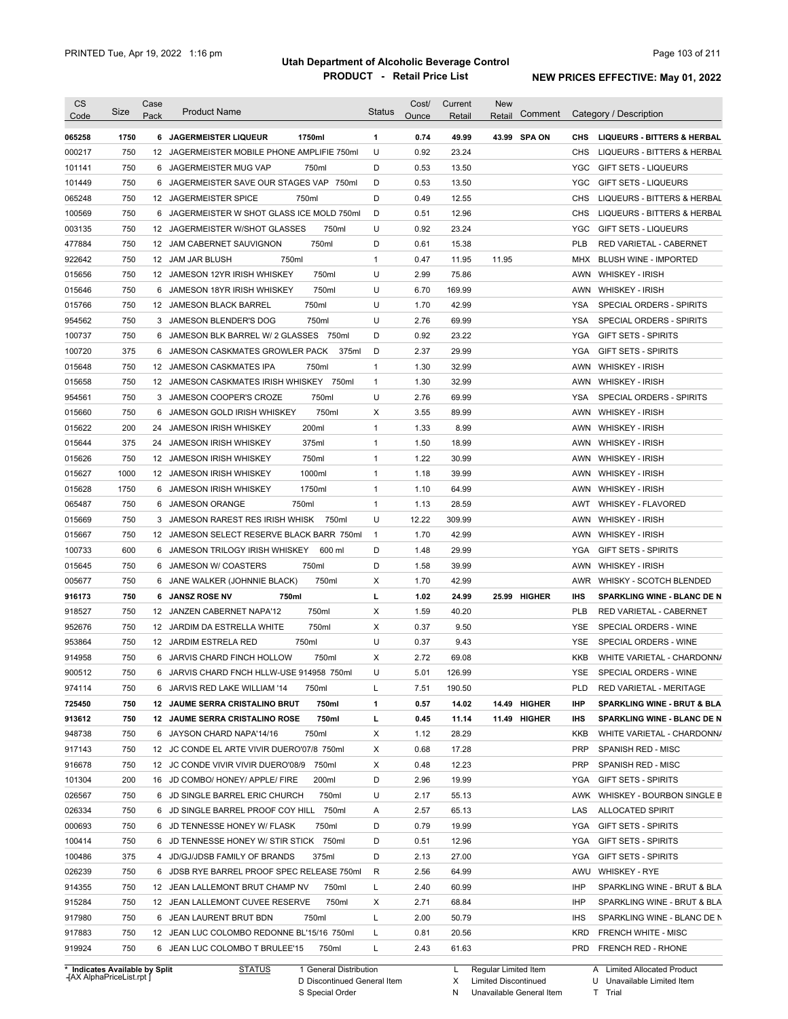| <b>CS</b><br>Code                                                                                                    | Size       | Case<br>Pack | <b>Product Name</b>                                                                   | <b>Status</b> | Cost/<br>Ounce | Current<br>Retail | <b>New</b><br>Retail | Comment      |            | Category / Description                                                                                                  |
|----------------------------------------------------------------------------------------------------------------------|------------|--------------|---------------------------------------------------------------------------------------|---------------|----------------|-------------------|----------------------|--------------|------------|-------------------------------------------------------------------------------------------------------------------------|
| 065258                                                                                                               | 1750       |              | <b>6 JAGERMEISTER LIQUEUR</b><br>1750ml                                               | 1             | 0.74           | 49.99             |                      | 43.99 SPA ON | <b>CHS</b> | <b>LIQUEURS - BITTERS &amp; HERBAL</b>                                                                                  |
| 000217                                                                                                               | 750        |              | 12 JAGERMEISTER MOBILE PHONE AMPLIFIE 750ml                                           | U             | 0.92           | 23.24             |                      |              | CHS        | LIQUEURS - BITTERS & HERBAL                                                                                             |
| 101141                                                                                                               | 750        |              | 6 JAGERMEISTER MUG VAP<br>750ml                                                       | D             | 0.53           | 13.50             |                      |              | YGC        | <b>GIFT SETS - LIQUEURS</b>                                                                                             |
| 101449                                                                                                               | 750        |              | 6 JAGERMEISTER SAVE OUR STAGES VAP 750ml                                              | D             | 0.53           | 13.50             |                      |              | YGC        | <b>GIFT SETS - LIQUEURS</b>                                                                                             |
| 065248                                                                                                               | 750        |              | 12 JAGERMEISTER SPICE<br>750ml                                                        | D             | 0.49           | 12.55             |                      |              | <b>CHS</b> | LIQUEURS - BITTERS & HERBAL                                                                                             |
| 100569                                                                                                               | 750        |              | 6 JAGERMEISTER W SHOT GLASS ICE MOLD 750ml                                            | D             | 0.51           | 12.96             |                      |              | <b>CHS</b> | LIQUEURS - BITTERS & HERBAL                                                                                             |
| 003135                                                                                                               | 750        |              | 12 JAGERMEISTER W/SHOT GLASSES<br>750ml                                               | U             | 0.92           | 23.24             |                      |              | YGC        | <b>GIFT SETS - LIQUEURS</b>                                                                                             |
| 477884                                                                                                               | 750        |              | 750ml<br>12 JAM CABERNET SAUVIGNON                                                    | D             | 0.61           | 15.38             |                      |              | <b>PLB</b> | RED VARIETAL - CABERNET                                                                                                 |
| 922642                                                                                                               | 750        |              | 750ml<br>12 JAM JAR BLUSH                                                             | $\mathbf{1}$  | 0.47           | 11.95             | 11.95                |              | MHX        | <b>BLUSH WINE - IMPORTED</b>                                                                                            |
| 015656                                                                                                               | 750        |              | 750ml<br>12 JAMESON 12YR IRISH WHISKEY                                                | U             | 2.99           | 75.86             |                      |              | AWN        | <b>WHISKEY - IRISH</b>                                                                                                  |
| 015646                                                                                                               | 750        | 6            | 750ml<br>JAMESON 18YR IRISH WHISKEY                                                   | U             | 6.70           | 169.99            |                      |              | AWN        | <b>WHISKEY - IRISH</b>                                                                                                  |
| 015766                                                                                                               | 750        | 12           | 750ml<br><b>JAMESON BLACK BARREL</b>                                                  | U             | 1.70           | 42.99             |                      |              | <b>YSA</b> | SPECIAL ORDERS - SPIRITS                                                                                                |
| 954562                                                                                                               | 750        |              | 750ml<br>3 JAMESON BLENDER'S DOG                                                      | U             | 2.76           | 69.99             |                      |              | <b>YSA</b> | SPECIAL ORDERS - SPIRITS                                                                                                |
| 100737                                                                                                               | 750        | 6            | JAMESON BLK BARREL W/ 2 GLASSES 750ml                                                 | D             | 0.92           | 23.22             |                      |              | <b>YGA</b> | <b>GIFT SETS - SPIRITS</b>                                                                                              |
| 100720                                                                                                               | 375        | 6            | JAMESON CASKMATES GROWLER PACK<br>375ml                                               | D             | 2.37           | 29.99             |                      |              | <b>YGA</b> | <b>GIFT SETS - SPIRITS</b>                                                                                              |
| 015648                                                                                                               | 750        |              | 750ml<br>12 JAMESON CASKMATES IPA                                                     | $\mathbf{1}$  | 1.30           | 32.99             |                      |              | AWN        | <b>WHISKEY - IRISH</b>                                                                                                  |
| 015658                                                                                                               | 750        | 12           | JAMESON CASKMATES IRISH WHISKEY<br>750ml                                              | $\mathbf{1}$  | 1.30           | 32.99             |                      |              | AWN        | <b>WHISKEY - IRISH</b>                                                                                                  |
| 954561                                                                                                               | 750        | 3            | 750ml<br>JAMESON COOPER'S CROZE                                                       | U             | 2.76           | 69.99             |                      |              | YSA        | SPECIAL ORDERS - SPIRITS                                                                                                |
| 015660                                                                                                               | 750        | 6            | 750ml<br>JAMESON GOLD IRISH WHISKEY                                                   | Χ             | 3.55           | 89.99             |                      |              | AWN        | <b>WHISKEY - IRISH</b>                                                                                                  |
|                                                                                                                      |            |              |                                                                                       |               |                |                   |                      |              |            | <b>WHISKEY - IRISH</b>                                                                                                  |
| 015622                                                                                                               | 200        | 24           | 200ml<br><b>JAMESON IRISH WHISKEY</b>                                                 | $\mathbf{1}$  | 1.33           | 8.99              |                      |              | AWN        |                                                                                                                         |
| 015644                                                                                                               | 375        | 24           | JAMESON IRISH WHISKEY<br>375ml                                                        | $\mathbf{1}$  | 1.50           | 18.99             |                      |              | AWN        | <b>WHISKEY - IRISH</b>                                                                                                  |
| 015626                                                                                                               | 750        | 12           | 750ml<br><b>JAMESON IRISH WHISKEY</b>                                                 | $\mathbf{1}$  | 1.22           | 30.99             |                      |              | AWN        | <b>WHISKEY - IRISH</b>                                                                                                  |
| 015627                                                                                                               | 1000       |              | 1000ml<br>12 JAMESON IRISH WHISKEY                                                    | $\mathbf{1}$  | 1.18           | 39.99             |                      |              | AWN        | <b>WHISKEY - IRISH</b>                                                                                                  |
| 015628                                                                                                               | 1750       | 6            | 1750ml<br>JAMESON IRISH WHISKEY                                                       | $\mathbf{1}$  | 1.10           | 64.99             |                      |              | AWN        | <b>WHISKEY - IRISH</b>                                                                                                  |
| 065487                                                                                                               | 750        | 6            | 750ml<br>JAMESON ORANGE                                                               | $\mathbf{1}$  | 1.13           | 28.59             |                      |              | AWT        | <b>WHISKEY - FLAVORED</b>                                                                                               |
| 015669                                                                                                               | 750        | 3            | JAMESON RAREST RES IRISH WHISK<br>750ml                                               | U             | 12.22          | 309.99            |                      |              | AWN        | <b>WHISKEY - IRISH</b>                                                                                                  |
| 015667                                                                                                               | 750        |              | 12 JAMESON SELECT RESERVE BLACK BARR 750ml                                            | $\mathbf{1}$  | 1.70           | 42.99             |                      |              | AWN        | <b>WHISKEY - IRISH</b>                                                                                                  |
| 100733                                                                                                               | 600        | 6            | JAMESON TRILOGY IRISH WHISKEY<br>600 ml                                               | D             | 1.48           | 29.99             |                      |              | <b>YGA</b> | <b>GIFT SETS - SPIRITS</b>                                                                                              |
| 015645                                                                                                               | 750        | 6            | 750ml<br><b>JAMESON W/ COASTERS</b>                                                   | D             | 1.58           | 39.99             |                      |              | <b>AWN</b> | <b>WHISKEY - IRISH</b>                                                                                                  |
| 005677                                                                                                               | 750        |              | 750ml<br>6 JANE WALKER (JOHNNIE BLACK)                                                | Χ             | 1.70           | 42.99             |                      |              | AWR        | WHISKY - SCOTCH BLENDED                                                                                                 |
| 916173                                                                                                               | 750        | 6            | <b>JANSZ ROSE NV</b><br>750ml                                                         | г             | 1.02           | 24.99             |                      | 25.99 HIGHER | IHS        | <b>SPARKLING WINE - BLANC DE N</b>                                                                                      |
| 918527                                                                                                               | 750        |              | 750ml<br>12 JANZEN CABERNET NAPA'12                                                   | Χ             | 1.59           | 40.20             |                      |              | <b>PLB</b> | RED VARIETAL - CABERNET                                                                                                 |
| 952676                                                                                                               | 750        |              | 750ml<br>12 JARDIM DA ESTRELLA WHITE                                                  | Х             | 0.37           | 9.50              |                      |              | YSE        | SPECIAL ORDERS - WINE                                                                                                   |
| 953864                                                                                                               | 750        |              | 750ml<br>12 JARDIM ESTRELA RED                                                        | U             | 0.37           | 9.43              |                      |              | YSE        | SPECIAL ORDERS - WINE                                                                                                   |
| 914958                                                                                                               | 750        |              | 6 JARVIS CHARD FINCH HOLLOW<br>750ml                                                  | Χ             | 2.72           | 69.08             |                      |              | KKB        | WHITE VARIETAL - CHARDONN/                                                                                              |
| 900512                                                                                                               | 750        | 6            | JARVIS CHARD FNCH HLLW-USE 914958 750ml                                               | U             | 5.01           | 126.99            |                      |              | YSE        | SPECIAL ORDERS - WINE                                                                                                   |
| 974114                                                                                                               | 750        |              | 6 JARVIS RED LAKE WILLIAM '14<br>750ml                                                | L             | 7.51           | 190.50            |                      |              | <b>PLD</b> | RED VARIETAL - MERITAGE                                                                                                 |
| 725450                                                                                                               | 750        |              | 12 JAUME SERRA CRISTALINO BRUT<br>750ml                                               | 1             | 0.57           | 14.02             |                      | 14.49 HIGHER | IHP        | SPARKLING WINE - BRUT & BLA                                                                                             |
| 913612                                                                                                               | 750        |              | 12 JAUME SERRA CRISTALINO ROSE<br>750ml                                               | L             | 0.45           | 11.14             |                      | 11.49 HIGHER | IHS        | SPARKLING WINE - BLANC DE N                                                                                             |
| 948738                                                                                                               |            |              | 6 JAYSON CHARD NAPA'14/16<br>750ml                                                    | Х             | 1.12           | 28.29             |                      |              | KKB        | WHITE VARIETAL - CHARDONN/                                                                                              |
|                                                                                                                      | 750        |              |                                                                                       |               |                |                   |                      |              | <b>PRP</b> | SPANISH RED - MISC                                                                                                      |
|                                                                                                                      | 750        |              | 12 JC CONDE EL ARTE VIVIR DUERO'07/8 750ml                                            | X             | 0.68           | 17.28             |                      |              |            |                                                                                                                         |
|                                                                                                                      | 750        |              | 12 JC CONDE VIVIR VIVIR DUERO'08/9<br>750ml                                           | Х             | 0.48           | 12.23             |                      |              | PRP        | SPANISH RED - MISC                                                                                                      |
|                                                                                                                      | 200        |              | 16 JD COMBO/ HONEY/ APPLE/ FIRE<br>200ml                                              | D             | 2.96           | 19.99             |                      |              | YGA        | <b>GIFT SETS - SPIRITS</b>                                                                                              |
|                                                                                                                      | 750        |              | 750ml<br>6 JD SINGLE BARREL ERIC CHURCH                                               | U             | 2.17           | 55.13             |                      |              | AWK        |                                                                                                                         |
|                                                                                                                      | 750        |              | 6 JD SINGLE BARREL PROOF COY HILL 750ml                                               | Α             | 2.57           | 65.13             |                      |              | LAS        | <b>ALLOCATED SPIRIT</b>                                                                                                 |
|                                                                                                                      | 750        |              | 6 JD TENNESSE HONEY W/ FLASK<br>750ml                                                 | D             | 0.79           | 19.99             |                      |              | YGA        | <b>GIFT SETS - SPIRITS</b>                                                                                              |
|                                                                                                                      |            |              |                                                                                       |               |                |                   |                      |              |            |                                                                                                                         |
|                                                                                                                      | 750        |              | 6 JD TENNESSE HONEY W/ STIR STICK 750ml                                               | D             | 0.51           | 12.96             |                      |              | YGA        | <b>GIFT SETS - SPIRITS</b>                                                                                              |
|                                                                                                                      | 375        |              | 4 JD/GJ/JDSB FAMILY OF BRANDS<br>375ml                                                | D             | 2.13           | 27.00             |                      |              | YGA        | GIFT SETS - SPIRITS                                                                                                     |
|                                                                                                                      | 750        |              | 6 JDSB RYE BARREL PROOF SPEC RELEASE 750ml                                            | R             | 2.56           | 64.99             |                      |              | AWU        | WHISKEY - RYE                                                                                                           |
|                                                                                                                      | 750        |              | 12 JEAN LALLEMONT BRUT CHAMP NV<br>750ml                                              | L             | 2.40           | 60.99             |                      |              | IHP        |                                                                                                                         |
|                                                                                                                      | 750        |              | 750ml<br>12 JEAN LALLEMONT CUVEE RESERVE                                              | Х             | 2.71           | 68.84             |                      |              | IHP        |                                                                                                                         |
| 917143<br>916678<br>101304<br>026567<br>026334<br>000693<br>100414<br>100486<br>026239<br>914355<br>915284<br>917980 | 750        |              | 6 JEAN LAURENT BRUT BDN<br>750ml                                                      | L             | 2.00           | 50.79             |                      |              | <b>IHS</b> | WHISKEY - BOURBON SINGLE B<br>SPARKLING WINE - BRUT & BLA<br>SPARKLING WINE - BRUT & BLA<br>SPARKLING WINE - BLANC DE N |
| 917883<br>919924                                                                                                     | 750<br>750 |              | 12 JEAN LUC COLOMBO REDONNE BL'15/16 750ml<br>6 JEAN LUC COLOMBO T BRULEE'15<br>750ml | L<br>L        | 0.81<br>2.43   | 20.56<br>61.63    |                      |              | KRD<br>PRD | FRENCH WHITE - MISC<br>FRENCH RED - RHONE                                                                               |

**Case** [AX AlphaPriceList.rpt ]

D Discontinued General Item S Special Order

X

Limited Discontinued

N Unavailable General Item

U Unavailable Limited Item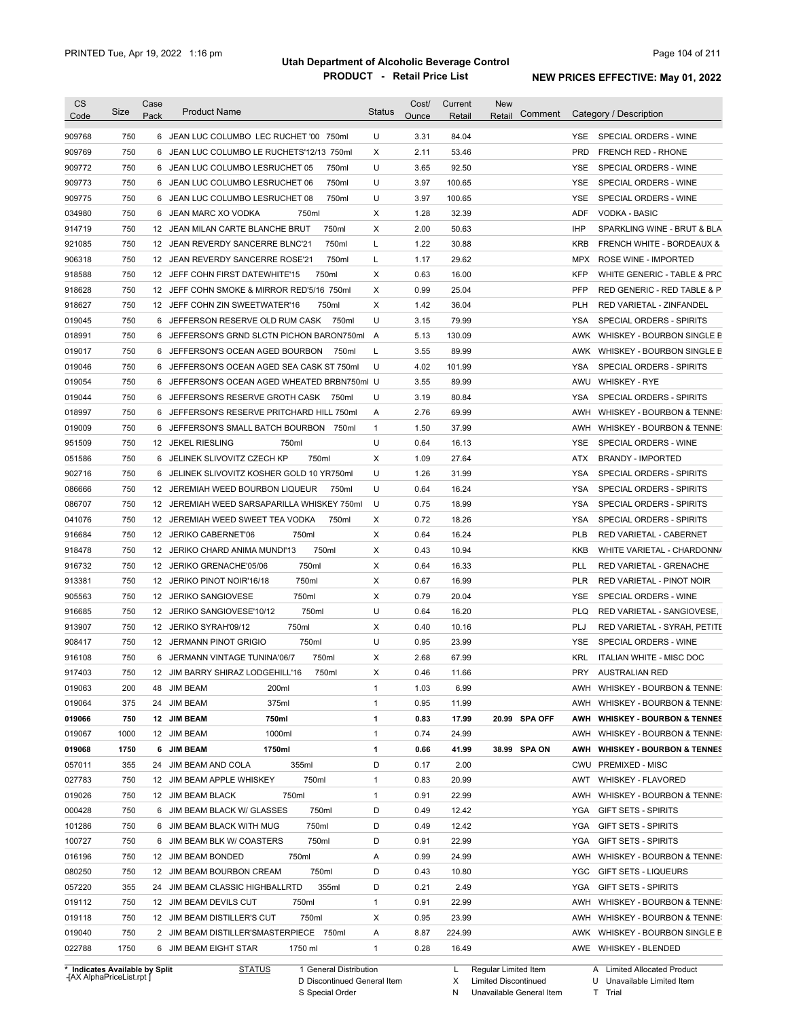| <b>CS</b><br>Code          | Size        | Case<br>Pack    | <b>Product Name</b>                                                         | <b>Status</b> | Cost/<br><u>Ounce</u> | Current<br>Retail | <b>New</b><br>Comment<br>Retail | Category / Description                                                        |
|----------------------------|-------------|-----------------|-----------------------------------------------------------------------------|---------------|-----------------------|-------------------|---------------------------------|-------------------------------------------------------------------------------|
| 909768                     | 750         |                 | 6 JEAN LUC COLUMBO LEC RUCHET '00 750ml                                     | U             | 3.31                  | 84.04             |                                 | SPECIAL ORDERS - WINE<br>YSE.                                                 |
| 909769                     | 750         |                 | 6 JEAN LUC COLUMBO LE RUCHETS'12/13 750ml                                   | Χ             | 2.11                  | 53.46             |                                 | PRD<br>FRENCH RED - RHONE                                                     |
| 909772                     | 750         |                 | 750ml<br>6 JEAN LUC COLUMBO LESRUCHET 05                                    | U             | 3.65                  | 92.50             |                                 | SPECIAL ORDERS - WINE<br>YSE                                                  |
| 909773                     | 750         |                 | 750ml<br>6 JEAN LUC COLUMBO LESRUCHET 06                                    | U             | 3.97                  | 100.65            |                                 | SPECIAL ORDERS - WINE<br>YSE                                                  |
| 909775                     | 750         |                 | 6 JEAN LUC COLUMBO LESRUCHET 08<br>750ml                                    | U             | 3.97                  | 100.65            |                                 | <b>YSE</b><br>SPECIAL ORDERS - WINE                                           |
| 034980                     | 750         |                 | 6 JEAN MARC XO VODKA<br>750ml                                               | Χ             | 1.28                  | 32.39             |                                 | <b>ADF</b><br>VODKA - BASIC                                                   |
| 914719                     | 750         |                 | 750ml<br>12 JEAN MILAN CARTE BLANCHE BRUT                                   | Χ             | 2.00                  | 50.63             |                                 | <b>IHP</b><br>SPARKLING WINE - BRUT & BLA                                     |
| 921085                     | 750         |                 | 12 JEAN REVERDY SANCERRE BLNC'21<br>750ml                                   | L             | 1.22                  | 30.88             |                                 | <b>KRB</b><br>FRENCH WHITE - BORDEAUX &                                       |
| 906318                     | 750         |                 | 750ml<br>12 JEAN REVERDY SANCERRE ROSE'21                                   | L             | 1.17                  | 29.62             |                                 | MPX<br>ROSE WINE - IMPORTED                                                   |
| 918588                     | 750         |                 | 750ml<br>12 JEFF COHN FIRST DATEWHITE'15                                    | Χ             | 0.63                  | 16.00             |                                 | <b>KFP</b><br>WHITE GENERIC - TABLE & PRC                                     |
| 918628                     | 750         |                 | 12 JEFF COHN SMOKE & MIRROR RED'5/16 750ml                                  | Χ             | 0.99                  | 25.04             |                                 | <b>PFP</b><br>RED GENERIC - RED TABLE & P                                     |
| 918627                     | 750         |                 | 12 JEFF COHN ZIN SWEETWATER'16<br>750ml                                     | X             | 1.42                  | 36.04             |                                 | <b>PLH</b><br>RED VARIETAL - ZINFANDEL                                        |
| 019045                     | 750         |                 | 6 JEFFERSON RESERVE OLD RUM CASK<br>750ml                                   | U             | 3.15                  | 79.99             |                                 | <b>YSA</b><br>SPECIAL ORDERS - SPIRITS                                        |
| 018991                     | 750         |                 | 6 JEFFERSON'S GRND SLCTN PICHON BARON750ml                                  | A             | 5.13                  | 130.09            |                                 | AWK<br>WHISKEY - BOURBON SINGLE B                                             |
| 019017                     | 750         |                 | 6 JEFFERSON'S OCEAN AGED BOURBON<br>750ml                                   | L             | 3.55                  | 89.99             |                                 | AWK WHISKEY - BOURBON SINGLE B                                                |
| 019046                     | 750         |                 | 6 JEFFERSON'S OCEAN AGED SEA CASK ST 750ml                                  | U             | 4.02                  | 101.99            |                                 | <b>YSA</b><br><b>SPECIAL ORDERS - SPIRITS</b>                                 |
| 019054                     | 750         |                 | 6 JEFFERSON'S OCEAN AGED WHEATED BRBN750ml U                                |               | 3.55                  | 89.99             |                                 | AWU<br><b>WHISKEY - RYE</b>                                                   |
| 019044                     | 750         |                 | 6 JEFFERSON'S RESERVE GROTH CASK<br>750ml                                   | U             | 3.19                  | 80.84             |                                 | <b>YSA</b><br>SPECIAL ORDERS - SPIRITS                                        |
| 018997                     | 750         |                 | 6 JEFFERSON'S RESERVE PRITCHARD HILL 750ml                                  | Α             | 2.76                  | 69.99             |                                 | AWH<br>WHISKEY - BOURBON & TENNE:                                             |
| 019009                     | 750         |                 | 6 JEFFERSON'S SMALL BATCH BOURBON<br>750ml                                  | $\mathbf{1}$  | 1.50                  | 37.99             |                                 | AWH<br><b>WHISKEY - BOURBON &amp; TENNE:</b>                                  |
| 951509                     | 750         |                 | 12 JEKEL RIESLING<br>750ml                                                  | U             | 0.64                  | 16.13             |                                 | SPECIAL ORDERS - WINE<br>YSE                                                  |
| 051586                     | 750         |                 | 6 JELINEK SLIVOVITZ CZECH KP<br>750ml                                       | Χ             | 1.09                  | 27.64             |                                 | ATX<br><b>BRANDY - IMPORTED</b>                                               |
| 902716                     | 750         | 6               | JELINEK SLIVOVITZ KOSHER GOLD 10 YR750ml                                    | U             | 1.26                  | 31.99             |                                 | <b>YSA</b><br>SPECIAL ORDERS - SPIRITS                                        |
| 086666                     | 750         |                 | 12 JEREMIAH WEED BOURBON LIQUEUR<br>750ml                                   | U             | 0.64                  | 16.24             |                                 | <b>YSA</b><br>SPECIAL ORDERS - SPIRITS                                        |
| 086707                     | 750         |                 | 12 JEREMIAH WEED SARSAPARILLA WHISKEY 750ml                                 | U             | 0.75                  | 18.99             |                                 | <b>YSA</b><br>SPECIAL ORDERS - SPIRITS                                        |
| 041076                     | 750         |                 | 12 JEREMIAH WEED SWEET TEA VODKA<br>750ml                                   | Χ             | 0.72                  | 18.26             |                                 | <b>YSA</b><br>SPECIAL ORDERS - SPIRITS                                        |
| 916684                     | 750         |                 | 12 JERIKO CABERNET'06<br>750ml                                              | Χ             | 0.64                  | 16.24             |                                 | <b>PLB</b><br>RED VARIETAL - CABERNET                                         |
| 918478                     | 750         |                 | 750ml<br>12 JERIKO CHARD ANIMA MUNDI'13                                     | X             | 0.43                  | 10.94             |                                 | <b>KKB</b><br>WHITE VARIETAL - CHARDONN/                                      |
| 916732                     | 750         | 12              | 750ml<br>JERIKO GRENACHE'05/06                                              | Χ             | 0.64                  | 16.33             |                                 | PLL<br><b>RED VARIETAL - GRENACHE</b>                                         |
| 913381                     | 750         | 12              | 750ml<br>JERIKO PINOT NOIR'16/18                                            | X             | 0.67                  | 16.99             |                                 | <b>PLR</b><br>RED VARIETAL - PINOT NOIR                                       |
| 905563                     | 750         | 12              | 750ml<br><b>JERIKO SANGIOVESE</b>                                           | X             | 0.79                  | 20.04             |                                 | <b>YSE</b><br>SPECIAL ORDERS - WINE                                           |
| 916685                     | 750         | 12              | 750ml<br>JERIKO SANGIOVESE'10/12                                            | U             | 0.64                  | 16.20             |                                 | <b>PLQ</b><br>RED VARIETAL - SANGIOVESE,                                      |
| 913907                     | 750         |                 | 12 JERIKO SYRAH'09/12<br>750ml                                              | Χ             | 0.40                  | 10.16             |                                 | PLJ<br>RED VARIETAL - SYRAH, PETITE                                           |
| 908417                     | 750         |                 | 750ml<br>12 JERMANN PINOT GRIGIO                                            | U             | 0.95                  | 23.99             |                                 | <b>YSE</b><br>SPECIAL ORDERS - WINE                                           |
| 916108                     | 750         |                 | 750ml<br>6 JERMANN VINTAGE TUNINA'06/7                                      | Χ             | 2.68                  | 67.99             |                                 | <b>KRL</b><br>ITALIAN WHITE - MISC DOC                                        |
| 917403                     | 750         | 12 <sup>2</sup> | JIM BARRY SHIRAZ LODGEHILL'16<br>750ml                                      | X             | 0.46                  | 11.66             |                                 | <b>PRY</b><br><b>AUSTRALIAN RED</b>                                           |
| 019063                     | 200         |                 | 48 JIM BEAM<br>200ml                                                        | 1             | 1.03                  | 6.99              |                                 | WHISKEY - BOURBON & TENNE:<br>AWH                                             |
| 019064                     | 375         |                 | 375ml<br>24 JIM BEAM                                                        | 1             | 0.95                  | 11.99             |                                 | AWH<br>WHISKEY - BOURBON & TENNE:                                             |
| 019066                     |             |                 |                                                                             | 1             | 0.83                  |                   |                                 | AWH                                                                           |
| 019067                     | 750<br>1000 |                 | 12 JIM BEAM<br>750ml<br>1000ml<br>12 JIM BEAM                               | 1             | 0.74                  | 17.99<br>24.99    | 20.99 SPA OFF                   | <b>WHISKEY - BOURBON &amp; TENNES</b><br>AWH<br>WHISKEY - BOURBON & TENNE:    |
|                            |             |                 |                                                                             |               |                       |                   |                                 |                                                                               |
| 019068<br>057011           | 1750<br>355 |                 | 6 JIM BEAM<br>1750ml<br>355ml<br>24 JIM BEAM AND COLA                       | 1<br>D        | 0.66<br>0.17          | 41.99<br>2.00     | 38.99 SPA ON                    | AWH<br><b>WHISKEY - BOURBON &amp; TENNES</b><br>CWU<br><b>PREMIXED - MISC</b> |
|                            |             |                 | 750ml                                                                       | 1             | 0.83                  |                   |                                 | AWT                                                                           |
| 027783<br>019026           | 750         |                 | 12 JIM BEAM APPLE WHISKEY<br>750ml                                          |               |                       | 20.99             |                                 | <b>WHISKEY - FLAVORED</b>                                                     |
| 000428                     | 750<br>750  |                 | 12 JIM BEAM BLACK<br>6 JIM BEAM BLACK W/ GLASSES<br>750ml                   | 1<br>D        | 0.91<br>0.49          | 22.99<br>12.42    |                                 | AWH<br>WHISKEY - BOURBON & TENNE:<br>YGA<br><b>GIFT SETS - SPIRITS</b>        |
|                            |             |                 | 750ml                                                                       | D             |                       |                   |                                 | <b>GIFT SETS - SPIRITS</b>                                                    |
| 101286                     | 750         |                 | 6 JIM BEAM BLACK WITH MUG                                                   |               | 0.49                  | 12.42             |                                 | YGA                                                                           |
| 100727                     | 750         |                 | 750ml<br>6 JIM BEAM BLK W/ COASTERS<br>750ml                                | D             | 0.91                  | 22.99             |                                 | YGA<br><b>GIFT SETS - SPIRITS</b>                                             |
| 016196                     | 750         |                 | 12 JIM BEAM BONDED                                                          | Α             | 0.99                  | 24.99             |                                 | AWH<br>WHISKEY - BOURBON & TENNE:                                             |
| 080250                     | 750         |                 | 750ml<br>12 JIM BEAM BOURBON CREAM                                          | D             | 0.43                  | 10.80             |                                 | YGC<br><b>GIFT SETS - LIQUEURS</b>                                            |
|                            | 355         |                 | 355ml<br>24 JIM BEAM CLASSIC HIGHBALLRTD                                    | D             | 0.21                  | 2.49              |                                 | YGA<br><b>GIFT SETS - SPIRITS</b>                                             |
|                            |             |                 | 750ml<br>12 JIM BEAM DEVILS CUT                                             | 1             | 0.91                  | 22.99             |                                 | AWH<br>WHISKEY - BOURBON & TENNE:                                             |
|                            | 750         |                 |                                                                             |               |                       |                   |                                 |                                                                               |
| 057220<br>019112<br>019118 | 750         |                 | 750ml<br>12 JIM BEAM DISTILLER'S CUT                                        | X             | 0.95                  | 23.99             |                                 | AWH<br>WHISKEY - BOURBON & TENNE:                                             |
| 019040<br>022788           | 750<br>1750 |                 | 2 JIM BEAM DISTILLER'SMASTERPIECE 750ml<br>6 JIM BEAM EIGHT STAR<br>1750 ml | Α<br>1        | 8.87<br>0.28          | 224.99<br>16.49   |                                 | AWK<br>WHISKEY - BOURBON SINGLE B<br>AWE WHISKEY - BLENDED                    |

**Case** [AX AlphaPriceList.rpt ]

D Discontinued General Item S Special Order

X Limited Discontinued

N Unavailable General Item

U Unavailable Limited Item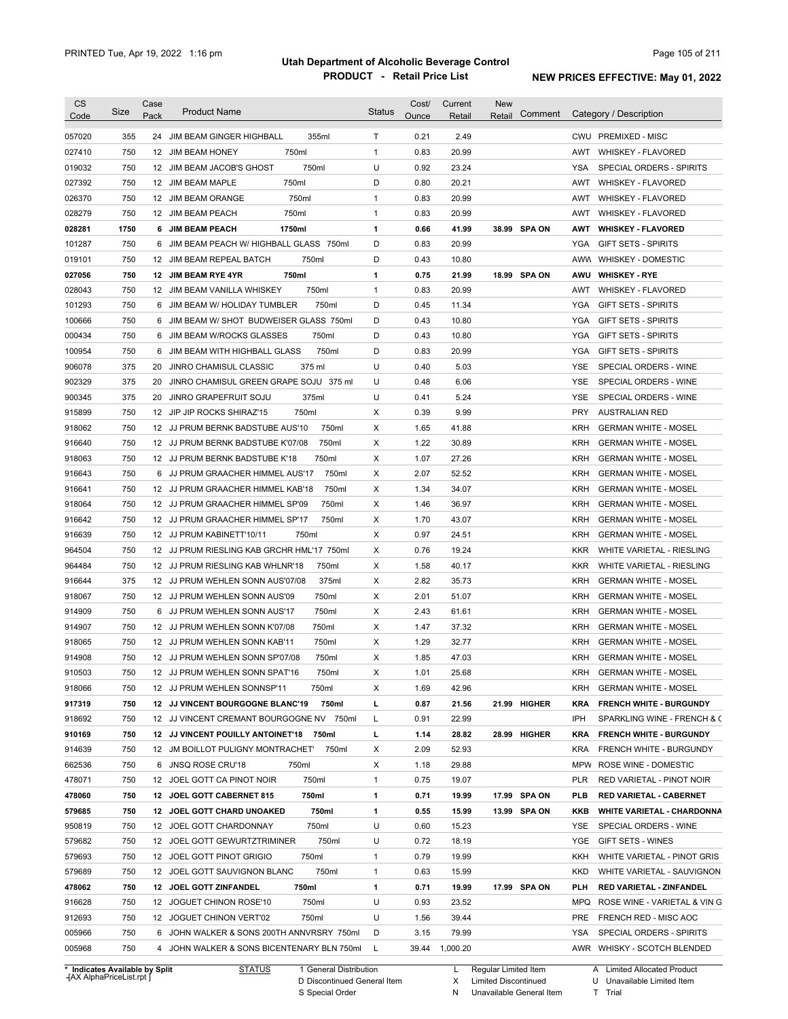| <b>CS</b><br>Code              | Size       | Case<br>Pack | <b>Product Name</b>                                                          | <b>Status</b> | Cost/<br>Ounce | Current<br>Retail | <b>New</b><br>Retail | Comment      |                          | Category / Description                                     |
|--------------------------------|------------|--------------|------------------------------------------------------------------------------|---------------|----------------|-------------------|----------------------|--------------|--------------------------|------------------------------------------------------------|
| 057020                         | 355        | 24           | JIM BEAM GINGER HIGHBALL<br>355ml                                            | Τ             | 0.21           | 2.49              |                      |              |                          | CWU PREMIXED - MISC                                        |
| 027410                         | 750        |              | 750ml                                                                        | $\mathbf{1}$  | 0.83           | 20.99             |                      |              | AWT                      |                                                            |
| 019032                         | 750        |              | 12 JIM BEAM HONEY<br>750ml<br>12 JIM BEAM JACOB'S GHOST                      | U             | 0.92           | 23.24             |                      |              | YSA                      | <b>WHISKEY - FLAVORED</b><br>SPECIAL ORDERS - SPIRITS      |
| 027392                         | 750        |              | 750ml<br>12 JIM BEAM MAPLE                                                   | D             | 0.80           | 20.21             |                      |              | AWT                      | WHISKEY - FLAVORED                                         |
| 026370                         | 750        |              | 750ml<br>12 JIM BEAM ORANGE                                                  | $\mathbf{1}$  | 0.83           | 20.99             |                      |              | AWT                      | <b>WHISKEY - FLAVORED</b>                                  |
| 028279                         | 750        |              | 750ml<br>12 JIM BEAM PEACH                                                   | $\mathbf{1}$  | 0.83           | 20.99             |                      |              | AWT                      | <b>WHISKEY - FLAVORED</b>                                  |
| 028281                         | 1750       |              | 6 JIM BEAM PEACH<br>1750ml                                                   | 1             | 0.66           | 41.99             |                      | 38.99 SPA ON | AWT                      | <b>WHISKEY - FLAVORED</b>                                  |
| 101287                         | 750        |              | 6 JIM BEAM PEACH W/ HIGHBALL GLASS 750ml                                     | D             | 0.83           | 20.99             |                      |              | YGA                      | <b>GIFT SETS - SPIRITS</b>                                 |
| 019101                         | 750        |              | 12 JIM BEAM REPEAL BATCH<br>750ml                                            | D             | 0.43           | 10.80             |                      |              |                          | AWW WHISKEY - DOMESTIC                                     |
| 027056                         | 750        |              | 12 JIM BEAM RYE 4YR<br>750ml                                                 | 1             | 0.75           | 21.99             |                      | 18.99 SPA ON | AWU                      | <b>WHISKEY - RYE</b>                                       |
| 028043                         | 750        |              | 750ml<br>12 JIM BEAM VANILLA WHISKEY                                         | $\mathbf{1}$  | 0.83           | 20.99             |                      |              | AWT                      | <b>WHISKEY - FLAVORED</b>                                  |
| 101293                         | 750        |              | 6 JIM BEAM W/ HOLIDAY TUMBLER<br>750ml                                       | D             | 0.45           | 11.34             |                      |              | <b>YGA</b>               | <b>GIFT SETS - SPIRITS</b>                                 |
| 100666                         | 750        |              | 6 JIM BEAM W/ SHOT BUDWEISER GLASS 750ml                                     | D             | 0.43           | 10.80             |                      |              | <b>YGA</b>               | <b>GIFT SETS - SPIRITS</b>                                 |
| 000434                         | 750        |              | 750ml<br>6 JIM BEAM W/ROCKS GLASSES                                          | D             | 0.43           | 10.80             |                      |              | <b>YGA</b>               | <b>GIFT SETS - SPIRITS</b>                                 |
| 100954                         | 750        |              | 750ml<br>6 JIM BEAM WITH HIGHBALL GLASS                                      | D             | 0.83           | 20.99             |                      |              | <b>YGA</b>               | <b>GIFT SETS - SPIRITS</b>                                 |
| 906078                         | 375        |              | 375 ml<br>20 JINRO CHAMISUL CLASSIC                                          | U             | 0.40           | 5.03              |                      |              | YSE                      | SPECIAL ORDERS - WINE                                      |
| 902329                         | 375        | 20           | JINRO CHAMISUL GREEN GRAPE SOJU 375 ml                                       | U             | 0.48           | 6.06              |                      |              | YSE                      | SPECIAL ORDERS - WINE                                      |
| 900345                         | 375        | 20           | 375ml<br>JINRO GRAPEFRUIT SOJU                                               | U             | 0.41           | 5.24              |                      |              | <b>YSE</b>               | SPECIAL ORDERS - WINE                                      |
| 915899                         | 750        |              | 12 JIP JIP ROCKS SHIRAZ'15<br>750ml                                          | X             | 0.39           | 9.99              |                      |              | <b>PRY</b>               | <b>AUSTRALIAN RED</b>                                      |
|                                |            |              |                                                                              |               |                |                   |                      |              |                          |                                                            |
| 918062                         | 750        |              | 750ml<br>12 JJ PRUM BERNK BADSTUBE AUS'10                                    | X             | 1.65           | 41.88             |                      |              | KRH                      | <b>GERMAN WHITE - MOSEL</b>                                |
| 916640                         | 750        |              | 750ml<br>12 JJ PRUM BERNK BADSTUBE K'07/08<br>12 JJ PRUM BERNK BADSTUBE K'18 | X             | 1.22           | 30.89             |                      |              | KRH                      | <b>GERMAN WHITE - MOSEL</b>                                |
| 918063                         | 750<br>750 |              | 750ml<br>6 JJ PRUM GRAACHER HIMMEL AUS'17<br>750ml                           | X<br>X        | 1.07<br>2.07   | 27.26<br>52.52    |                      |              | <b>KRH</b><br><b>KRH</b> | <b>GERMAN WHITE - MOSEL</b><br><b>GERMAN WHITE - MOSEL</b> |
| 916643                         |            |              |                                                                              |               |                |                   |                      |              |                          |                                                            |
| 916641                         | 750        |              | 750ml<br>12 JJ PRUM GRAACHER HIMMEL KAB'18                                   | X             | 1.34           | 34.07             |                      |              | <b>KRH</b>               | <b>GERMAN WHITE - MOSEL</b>                                |
| 918064                         | 750        |              | 750ml<br>12 JJ PRUM GRAACHER HIMMEL SP'09                                    | X             | 1.46           | 36.97             |                      |              | <b>KRH</b>               | <b>GERMAN WHITE - MOSEL</b>                                |
| 916642                         | 750        |              | 750ml<br>12 JJ PRUM GRAACHER HIMMEL SP'17                                    | х             | 1.70           | 43.07             |                      |              | <b>KRH</b>               | <b>GERMAN WHITE - MOSEL</b>                                |
| 916639                         | 750        |              | 750ml<br>12 JJ PRUM KABINETT'10/11                                           | X             | 0.97           | 24.51             |                      |              | <b>KRH</b>               | <b>GERMAN WHITE - MOSEL</b>                                |
| 964504                         | 750        |              | 12 JJ PRUM RIESLING KAB GRCHR HML'17 750ml                                   | х             | 0.76           | 19.24             |                      |              | KKR                      | WHITE VARIETAL - RIESLING                                  |
| 964484                         | 750        |              | 750ml<br>12 JJ PRUM RIESLING KAB WHLNR'18                                    | х             | 1.58           | 40.17             |                      |              | KKR                      | WHITE VARIETAL - RIESLING                                  |
| 916644                         | 375        |              | 375ml<br>12 JJ PRUM WEHLEN SONN AUS'07/08                                    | X             | 2.82           | 35.73             |                      |              | KRH                      | <b>GERMAN WHITE - MOSEL</b>                                |
| 918067                         | 750        |              | 750ml<br>12 JJ PRUM WEHLEN SONN AUS'09                                       | х             | 2.01           | 51.07             |                      |              | KRH                      | <b>GERMAN WHITE - MOSEL</b>                                |
| 914909                         | 750        |              | 750ml<br>6 JJ PRUM WEHLEN SONN AUS'17                                        | х             | 2.43           | 61.61             |                      |              | <b>KRH</b>               | <b>GERMAN WHITE - MOSEL</b>                                |
| 914907                         | 750        |              | 12 JJ PRUM WEHLEN SONN K'07/08<br>750ml                                      | X             | 1.47           | 37.32             |                      |              | KRH                      | <b>GERMAN WHITE - MOSEL</b>                                |
| 918065                         | 750        |              | 12 JJ PRUM WEHLEN SONN KAB'11<br>750ml                                       | X             | 1.29           | 32.77             |                      |              | <b>KRH</b>               | <b>GERMAN WHITE - MOSEL</b>                                |
| 914908                         | 750        |              | 12 JJ PRUM WEHLEN SONN SP'07/08<br>750ml                                     | X             | 1.85           | 47.03             |                      |              | KRH                      | <b>GERMAN WHITE - MOSEL</b>                                |
| 910503                         | 750        |              | 750ml<br>12 JJ PRUM WEHLEN SONN SPAT'16                                      | Χ             | 1.01           | 25.68             |                      |              | KRH                      | <b>GERMAN WHITE - MOSEL</b>                                |
| 918066                         | 750        |              | 12 JJ PRUM WEHLEN SONNSP'11<br>750ml                                         | X             | 1.69           | 42.96             |                      |              | KRH                      | <b>GERMAN WHITE - MOSEL</b>                                |
| 917319                         | 750        |              | 12 JJ VINCENT BOURGOGNE BLANC'19<br>750ml                                    | г             | 0.87           | 21.56             |                      | 21.99 HIGHER | <b>KRA</b>               | <b>FRENCH WHITE - BURGUNDY</b>                             |
| 918692                         | 750        |              | 12 JJ VINCENT CREMANT BOURGOGNE NV 750ml                                     | Г             | 0.91           | 22.99             |                      |              | IPH                      | SPARKLING WINE - FRENCH & C                                |
| 910169                         | 750        |              | 12 JJ VINCENT POUILLY ANTOINET'18<br>750ml                                   | г             | 1.14           | 28.82             |                      | 28.99 HIGHER | KRA                      | <b>FRENCH WHITE - BURGUNDY</b>                             |
| 914639                         | 750        |              | 12 JM BOILLOT PULIGNY MONTRACHET'<br>750ml                                   | х             | 2.09           | 52.93             |                      |              | <b>KRA</b>               | FRENCH WHITE - BURGUNDY                                    |
| 662536                         | 750        |              | 6 JNSQ ROSE CRU'18<br>750ml                                                  | х             | 1.18           | 29.88             |                      |              | MPW                      | ROSE WINE - DOMESTIC                                       |
| 478071                         | 750        |              | 750ml<br>12 JOEL GOTT CA PINOT NOIR                                          | $\mathbf{1}$  | 0.75           | 19.07             |                      |              | PLR                      | RED VARIETAL - PINOT NOIR                                  |
| 478060                         | 750        |              | 750ml<br>12 JOEL GOTT CABERNET 815                                           | 1             | 0.71           | 19.99             |                      | 17.99 SPA ON | PLB                      | RED VARIETAL - CABERNET                                    |
| 579685                         | 750        |              | 750ml<br>12 JOEL GOTT CHARD UNOAKED                                          | 1             | 0.55           | 15.99             |                      | 13.99 SPA ON | KKB                      | <b>WHITE VARIETAL - CHARDONNA</b>                          |
| 950819                         | 750        |              | 750ml<br>12 JOEL GOTT CHARDONNAY                                             | U             | 0.60           | 15.23             |                      |              | YSE                      | SPECIAL ORDERS - WINE                                      |
| 579682                         | 750        |              | 750ml<br>12 JOEL GOTT GEWURTZTRIMINER                                        | U             | 0.72           | 18.19             |                      |              | YGE                      | GIFT SETS - WINES                                          |
| 579693                         | 750        |              | 750ml<br>12 JOEL GOTT PINOT GRIGIO                                           | 1             | 0.79           | 19.99             |                      |              | KKH                      | WHITE VARIETAL - PINOT GRIS                                |
| 579689                         | 750        |              | 750ml<br>12 JOEL GOTT SAUVIGNON BLANC                                        | 1             | 0.63           | 15.99             |                      |              | <b>KKD</b>               | WHITE VARIETAL - SAUVIGNON                                 |
| 478062                         | 750        |              | 750ml<br>12 JOEL GOTT ZINFANDEL                                              | 1             | 0.71           | 19.99             |                      | 17.99 SPA ON | PLH                      | RED VARIETAL - ZINFANDEL                                   |
| 916628                         | 750        |              | 750ml<br>12 JOGUET CHINON ROSE'10                                            | U             | 0.93           | 23.52             |                      |              | MPQ                      | ROSE WINE - VARIETAL & VIN G                               |
| 912693                         | 750        |              | 750ml<br>12 JOGUET CHINON VERT'02                                            | U             | 1.56           | 39.44             |                      |              | PRE                      | FRENCH RED - MISC AOC                                      |
| 005966                         | 750        |              | 6 JOHN WALKER & SONS 200TH ANNVRSRY 750ml                                    | D             | 3.15           | 79.99             |                      |              | YSA                      | SPECIAL ORDERS - SPIRITS                                   |
| 005968                         | 750        |              | 4 JOHN WALKER & SONS BICENTENARY BLN 750ml                                   | L             |                | 39.44 1,000.20    |                      |              |                          | AWR WHISKY - SCOTCH BLENDED                                |
| * Indicates Available by Split |            |              | <b>STATUS</b><br>1 General Distribution                                      |               |                | L                 | Regular Limited Item |              |                          | A Limited Allocated Product                                |

**Case** [AX AlphaPriceList.rpt ]

D Discontinued General Item S Special Order

L Regular Limited Item

X N Limited Discontinued

Unavailable General Item

Unavailable Limited Item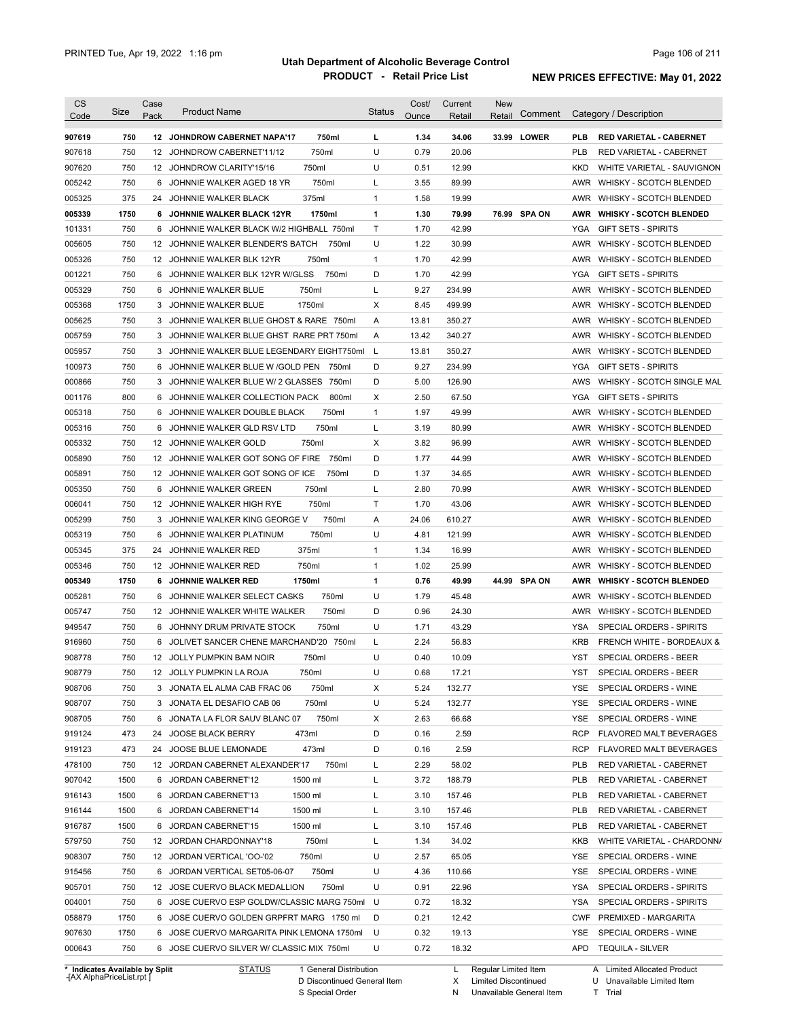| 750ml<br>12 JOHNDROW CABERNET NAPA'17<br>750ml<br>12 JOHNDROW CABERNET'11/12<br>750ml<br>12 JOHNDROW CLARITY'15/16<br>750ml<br>JOHNNIE WALKER AGED 18 YR<br>375ml<br>JOHNNIE WALKER BLACK 12YR<br>1750ml<br>JOHNNIE WALKER BLACK W/2 HIGHBALL 750ml<br>JOHNNIE WALKER BLENDER'S BATCH<br>750ml<br>750ml<br>12 JOHNNIE WALKER BLK 12YR<br>JOHNNIE WALKER BLK 12YR W/GLSS<br>750ml<br>750ml<br>1750ml<br>JOHNNIE WALKER BLUE GHOST & RARE 750ml<br>JOHNNIE WALKER BLUE GHST RARE PRT 750ml<br>3 JOHNNIE WALKER BLUE LEGENDARY EIGHT750ml<br>JOHNNIE WALKER BLUE W /GOLD PEN<br>750ml<br>JOHNNIE WALKER BLUE W/ 2 GLASSES 750ml<br>JOHNNIE WALKER COLLECTION PACK<br>800ml<br>750ml<br>JOHNNIE WALKER DOUBLE BLACK<br>JOHNNIE WALKER GLD RSV LTD<br>750ml<br>750ml<br>JOHNNIE WALKER GOT SONG OF FIRE<br>750ml<br>750ml<br>JOHNNIE WALKER GOT SONG OF ICE<br>750ml<br>JOHNNIE WALKER GREEN<br>750ml<br>JOHNNIE WALKER HIGH RYE<br>750ml<br>JOHNNIE WALKER KING GEORGE V<br>750ml<br>JOHNNIE WALKER PLATINUM<br>375ml | L<br>U<br>U<br>L<br>$\mathbf{1}$<br>$\mathbf{1}$<br>$\mathsf T$<br>U<br>$\mathbf{1}$<br>D<br>L<br>Χ<br>A<br>A<br>L<br>D<br>D<br>Х<br>$\mathbf{1}$<br>L<br>Х<br>D<br>D<br>L<br>Τ<br>A<br>U<br>$\mathbf{1}$ | 1.34<br>0.79<br>0.51<br>3.55<br>1.58<br>1.30<br>1.70<br>1.22<br>1.70<br>1.70<br>9.27<br>8.45<br>13.81<br>13.42<br>13.81<br>9.27<br>5.00<br>2.50<br>1.97<br>3.19<br>3.82<br>1.77<br>1.37<br>2.80<br>1.70<br>24.06<br>4.81 | 34.06<br>20.06<br>12.99<br>89.99<br>19.99<br>79.99<br>42.99<br>30.99<br>42.99<br>42.99<br>234.99<br>499.99<br>350.27<br>340.27<br>350.27<br>234.99<br>126.90<br>67.50<br>49.99<br>80.99<br>96.99<br>44.99<br>34.65<br>70.99<br>43.06<br>610.27 | 33.99<br>76.99 SPA ON | <b>LOWER</b> | <b>PLB</b><br><b>PLB</b><br><b>KKD</b><br>AWR<br>YGA<br>AWR<br>YGA<br>YGA<br>AWS<br>YGA<br>AWR<br>AWR<br>AWR<br>AWR<br>AWR<br>AWR<br>AWR<br>AWR | <b>RED VARIETAL - CABERNET</b><br>RED VARIETAL - CABERNET<br>WHITE VARIETAL - SAUVIGNON<br><b>WHISKY - SCOTCH BLENDED</b><br>AWR WHISKY - SCOTCH BLENDED<br>AWR WHISKY - SCOTCH BLENDED<br><b>GIFT SETS - SPIRITS</b><br>WHISKY - SCOTCH BLENDED<br>AWR WHISKY - SCOTCH BLENDED<br><b>GIFT SETS - SPIRITS</b><br>AWR WHISKY - SCOTCH BLENDED<br>AWR WHISKY - SCOTCH BLENDED<br>AWR WHISKY - SCOTCH BLENDED<br>AWR WHISKY - SCOTCH BLENDED<br>AWR WHISKY - SCOTCH BLENDED<br><b>GIFT SETS - SPIRITS</b><br>WHISKY - SCOTCH SINGLE MAL<br><b>GIFT SETS - SPIRITS</b><br><b>WHISKY - SCOTCH BLENDED</b><br><b>WHISKY - SCOTCH BLENDED</b><br><b>WHISKY - SCOTCH BLENDED</b><br><b>WHISKY - SCOTCH BLENDED</b><br><b>WHISKY - SCOTCH BLENDED</b><br><b>WHISKY - SCOTCH BLENDED</b> |
|-------------------------------------------------------------------------------------------------------------------------------------------------------------------------------------------------------------------------------------------------------------------------------------------------------------------------------------------------------------------------------------------------------------------------------------------------------------------------------------------------------------------------------------------------------------------------------------------------------------------------------------------------------------------------------------------------------------------------------------------------------------------------------------------------------------------------------------------------------------------------------------------------------------------------------------------------------------------------------------------------------------------|-----------------------------------------------------------------------------------------------------------------------------------------------------------------------------------------------------------|--------------------------------------------------------------------------------------------------------------------------------------------------------------------------------------------------------------------------|------------------------------------------------------------------------------------------------------------------------------------------------------------------------------------------------------------------------------------------------|-----------------------|--------------|-------------------------------------------------------------------------------------------------------------------------------------------------|--------------------------------------------------------------------------------------------------------------------------------------------------------------------------------------------------------------------------------------------------------------------------------------------------------------------------------------------------------------------------------------------------------------------------------------------------------------------------------------------------------------------------------------------------------------------------------------------------------------------------------------------------------------------------------------------------------------------------------------------------------------------------------|
|                                                                                                                                                                                                                                                                                                                                                                                                                                                                                                                                                                                                                                                                                                                                                                                                                                                                                                                                                                                                                   |                                                                                                                                                                                                           |                                                                                                                                                                                                                          |                                                                                                                                                                                                                                                |                       |              |                                                                                                                                                 |                                                                                                                                                                                                                                                                                                                                                                                                                                                                                                                                                                                                                                                                                                                                                                                |
|                                                                                                                                                                                                                                                                                                                                                                                                                                                                                                                                                                                                                                                                                                                                                                                                                                                                                                                                                                                                                   |                                                                                                                                                                                                           |                                                                                                                                                                                                                          |                                                                                                                                                                                                                                                |                       |              |                                                                                                                                                 |                                                                                                                                                                                                                                                                                                                                                                                                                                                                                                                                                                                                                                                                                                                                                                                |
|                                                                                                                                                                                                                                                                                                                                                                                                                                                                                                                                                                                                                                                                                                                                                                                                                                                                                                                                                                                                                   |                                                                                                                                                                                                           |                                                                                                                                                                                                                          |                                                                                                                                                                                                                                                |                       |              |                                                                                                                                                 |                                                                                                                                                                                                                                                                                                                                                                                                                                                                                                                                                                                                                                                                                                                                                                                |
|                                                                                                                                                                                                                                                                                                                                                                                                                                                                                                                                                                                                                                                                                                                                                                                                                                                                                                                                                                                                                   |                                                                                                                                                                                                           |                                                                                                                                                                                                                          |                                                                                                                                                                                                                                                |                       |              |                                                                                                                                                 |                                                                                                                                                                                                                                                                                                                                                                                                                                                                                                                                                                                                                                                                                                                                                                                |
|                                                                                                                                                                                                                                                                                                                                                                                                                                                                                                                                                                                                                                                                                                                                                                                                                                                                                                                                                                                                                   |                                                                                                                                                                                                           |                                                                                                                                                                                                                          |                                                                                                                                                                                                                                                |                       |              |                                                                                                                                                 |                                                                                                                                                                                                                                                                                                                                                                                                                                                                                                                                                                                                                                                                                                                                                                                |
|                                                                                                                                                                                                                                                                                                                                                                                                                                                                                                                                                                                                                                                                                                                                                                                                                                                                                                                                                                                                                   |                                                                                                                                                                                                           |                                                                                                                                                                                                                          |                                                                                                                                                                                                                                                |                       |              |                                                                                                                                                 |                                                                                                                                                                                                                                                                                                                                                                                                                                                                                                                                                                                                                                                                                                                                                                                |
|                                                                                                                                                                                                                                                                                                                                                                                                                                                                                                                                                                                                                                                                                                                                                                                                                                                                                                                                                                                                                   |                                                                                                                                                                                                           |                                                                                                                                                                                                                          |                                                                                                                                                                                                                                                |                       |              |                                                                                                                                                 |                                                                                                                                                                                                                                                                                                                                                                                                                                                                                                                                                                                                                                                                                                                                                                                |
|                                                                                                                                                                                                                                                                                                                                                                                                                                                                                                                                                                                                                                                                                                                                                                                                                                                                                                                                                                                                                   |                                                                                                                                                                                                           |                                                                                                                                                                                                                          |                                                                                                                                                                                                                                                |                       |              |                                                                                                                                                 |                                                                                                                                                                                                                                                                                                                                                                                                                                                                                                                                                                                                                                                                                                                                                                                |
|                                                                                                                                                                                                                                                                                                                                                                                                                                                                                                                                                                                                                                                                                                                                                                                                                                                                                                                                                                                                                   |                                                                                                                                                                                                           |                                                                                                                                                                                                                          |                                                                                                                                                                                                                                                |                       |              |                                                                                                                                                 |                                                                                                                                                                                                                                                                                                                                                                                                                                                                                                                                                                                                                                                                                                                                                                                |
|                                                                                                                                                                                                                                                                                                                                                                                                                                                                                                                                                                                                                                                                                                                                                                                                                                                                                                                                                                                                                   |                                                                                                                                                                                                           |                                                                                                                                                                                                                          |                                                                                                                                                                                                                                                |                       |              |                                                                                                                                                 |                                                                                                                                                                                                                                                                                                                                                                                                                                                                                                                                                                                                                                                                                                                                                                                |
|                                                                                                                                                                                                                                                                                                                                                                                                                                                                                                                                                                                                                                                                                                                                                                                                                                                                                                                                                                                                                   |                                                                                                                                                                                                           |                                                                                                                                                                                                                          |                                                                                                                                                                                                                                                |                       |              |                                                                                                                                                 |                                                                                                                                                                                                                                                                                                                                                                                                                                                                                                                                                                                                                                                                                                                                                                                |
|                                                                                                                                                                                                                                                                                                                                                                                                                                                                                                                                                                                                                                                                                                                                                                                                                                                                                                                                                                                                                   |                                                                                                                                                                                                           |                                                                                                                                                                                                                          |                                                                                                                                                                                                                                                |                       |              |                                                                                                                                                 |                                                                                                                                                                                                                                                                                                                                                                                                                                                                                                                                                                                                                                                                                                                                                                                |
|                                                                                                                                                                                                                                                                                                                                                                                                                                                                                                                                                                                                                                                                                                                                                                                                                                                                                                                                                                                                                   |                                                                                                                                                                                                           |                                                                                                                                                                                                                          |                                                                                                                                                                                                                                                |                       |              |                                                                                                                                                 |                                                                                                                                                                                                                                                                                                                                                                                                                                                                                                                                                                                                                                                                                                                                                                                |
|                                                                                                                                                                                                                                                                                                                                                                                                                                                                                                                                                                                                                                                                                                                                                                                                                                                                                                                                                                                                                   |                                                                                                                                                                                                           |                                                                                                                                                                                                                          |                                                                                                                                                                                                                                                |                       |              |                                                                                                                                                 |                                                                                                                                                                                                                                                                                                                                                                                                                                                                                                                                                                                                                                                                                                                                                                                |
|                                                                                                                                                                                                                                                                                                                                                                                                                                                                                                                                                                                                                                                                                                                                                                                                                                                                                                                                                                                                                   |                                                                                                                                                                                                           |                                                                                                                                                                                                                          |                                                                                                                                                                                                                                                |                       |              |                                                                                                                                                 |                                                                                                                                                                                                                                                                                                                                                                                                                                                                                                                                                                                                                                                                                                                                                                                |
|                                                                                                                                                                                                                                                                                                                                                                                                                                                                                                                                                                                                                                                                                                                                                                                                                                                                                                                                                                                                                   |                                                                                                                                                                                                           |                                                                                                                                                                                                                          |                                                                                                                                                                                                                                                |                       |              |                                                                                                                                                 |                                                                                                                                                                                                                                                                                                                                                                                                                                                                                                                                                                                                                                                                                                                                                                                |
|                                                                                                                                                                                                                                                                                                                                                                                                                                                                                                                                                                                                                                                                                                                                                                                                                                                                                                                                                                                                                   |                                                                                                                                                                                                           |                                                                                                                                                                                                                          |                                                                                                                                                                                                                                                |                       |              |                                                                                                                                                 |                                                                                                                                                                                                                                                                                                                                                                                                                                                                                                                                                                                                                                                                                                                                                                                |
|                                                                                                                                                                                                                                                                                                                                                                                                                                                                                                                                                                                                                                                                                                                                                                                                                                                                                                                                                                                                                   |                                                                                                                                                                                                           |                                                                                                                                                                                                                          |                                                                                                                                                                                                                                                |                       |              |                                                                                                                                                 |                                                                                                                                                                                                                                                                                                                                                                                                                                                                                                                                                                                                                                                                                                                                                                                |
|                                                                                                                                                                                                                                                                                                                                                                                                                                                                                                                                                                                                                                                                                                                                                                                                                                                                                                                                                                                                                   |                                                                                                                                                                                                           |                                                                                                                                                                                                                          |                                                                                                                                                                                                                                                |                       |              |                                                                                                                                                 |                                                                                                                                                                                                                                                                                                                                                                                                                                                                                                                                                                                                                                                                                                                                                                                |
|                                                                                                                                                                                                                                                                                                                                                                                                                                                                                                                                                                                                                                                                                                                                                                                                                                                                                                                                                                                                                   |                                                                                                                                                                                                           |                                                                                                                                                                                                                          |                                                                                                                                                                                                                                                |                       |              |                                                                                                                                                 |                                                                                                                                                                                                                                                                                                                                                                                                                                                                                                                                                                                                                                                                                                                                                                                |
|                                                                                                                                                                                                                                                                                                                                                                                                                                                                                                                                                                                                                                                                                                                                                                                                                                                                                                                                                                                                                   |                                                                                                                                                                                                           |                                                                                                                                                                                                                          |                                                                                                                                                                                                                                                |                       |              |                                                                                                                                                 |                                                                                                                                                                                                                                                                                                                                                                                                                                                                                                                                                                                                                                                                                                                                                                                |
|                                                                                                                                                                                                                                                                                                                                                                                                                                                                                                                                                                                                                                                                                                                                                                                                                                                                                                                                                                                                                   |                                                                                                                                                                                                           |                                                                                                                                                                                                                          |                                                                                                                                                                                                                                                |                       |              |                                                                                                                                                 |                                                                                                                                                                                                                                                                                                                                                                                                                                                                                                                                                                                                                                                                                                                                                                                |
|                                                                                                                                                                                                                                                                                                                                                                                                                                                                                                                                                                                                                                                                                                                                                                                                                                                                                                                                                                                                                   |                                                                                                                                                                                                           |                                                                                                                                                                                                                          |                                                                                                                                                                                                                                                |                       |              |                                                                                                                                                 |                                                                                                                                                                                                                                                                                                                                                                                                                                                                                                                                                                                                                                                                                                                                                                                |
|                                                                                                                                                                                                                                                                                                                                                                                                                                                                                                                                                                                                                                                                                                                                                                                                                                                                                                                                                                                                                   |                                                                                                                                                                                                           |                                                                                                                                                                                                                          |                                                                                                                                                                                                                                                |                       |              |                                                                                                                                                 |                                                                                                                                                                                                                                                                                                                                                                                                                                                                                                                                                                                                                                                                                                                                                                                |
|                                                                                                                                                                                                                                                                                                                                                                                                                                                                                                                                                                                                                                                                                                                                                                                                                                                                                                                                                                                                                   |                                                                                                                                                                                                           |                                                                                                                                                                                                                          |                                                                                                                                                                                                                                                |                       |              |                                                                                                                                                 |                                                                                                                                                                                                                                                                                                                                                                                                                                                                                                                                                                                                                                                                                                                                                                                |
|                                                                                                                                                                                                                                                                                                                                                                                                                                                                                                                                                                                                                                                                                                                                                                                                                                                                                                                                                                                                                   |                                                                                                                                                                                                           |                                                                                                                                                                                                                          |                                                                                                                                                                                                                                                |                       |              |                                                                                                                                                 | <b>WHISKY - SCOTCH BLENDED</b>                                                                                                                                                                                                                                                                                                                                                                                                                                                                                                                                                                                                                                                                                                                                                 |
|                                                                                                                                                                                                                                                                                                                                                                                                                                                                                                                                                                                                                                                                                                                                                                                                                                                                                                                                                                                                                   |                                                                                                                                                                                                           |                                                                                                                                                                                                                          |                                                                                                                                                                                                                                                |                       |              |                                                                                                                                                 | WHISKY - SCOTCH BLENDED                                                                                                                                                                                                                                                                                                                                                                                                                                                                                                                                                                                                                                                                                                                                                        |
|                                                                                                                                                                                                                                                                                                                                                                                                                                                                                                                                                                                                                                                                                                                                                                                                                                                                                                                                                                                                                   |                                                                                                                                                                                                           |                                                                                                                                                                                                                          | 121.99                                                                                                                                                                                                                                         |                       |              | AWR                                                                                                                                             | WHISKY - SCOTCH BLENDED                                                                                                                                                                                                                                                                                                                                                                                                                                                                                                                                                                                                                                                                                                                                                        |
|                                                                                                                                                                                                                                                                                                                                                                                                                                                                                                                                                                                                                                                                                                                                                                                                                                                                                                                                                                                                                   |                                                                                                                                                                                                           | 1.34                                                                                                                                                                                                                     | 16.99                                                                                                                                                                                                                                          |                       |              | AWR                                                                                                                                             | WHISKY - SCOTCH BLENDED                                                                                                                                                                                                                                                                                                                                                                                                                                                                                                                                                                                                                                                                                                                                                        |
| 750ml                                                                                                                                                                                                                                                                                                                                                                                                                                                                                                                                                                                                                                                                                                                                                                                                                                                                                                                                                                                                             | $\mathbf{1}$                                                                                                                                                                                              | 1.02                                                                                                                                                                                                                     | 25.99                                                                                                                                                                                                                                          |                       |              | AWR                                                                                                                                             | WHISKY - SCOTCH BLENDED                                                                                                                                                                                                                                                                                                                                                                                                                                                                                                                                                                                                                                                                                                                                                        |
| 1750ml                                                                                                                                                                                                                                                                                                                                                                                                                                                                                                                                                                                                                                                                                                                                                                                                                                                                                                                                                                                                            | $\mathbf{1}$                                                                                                                                                                                              | 0.76                                                                                                                                                                                                                     | 49.99                                                                                                                                                                                                                                          | 44.99 SPA ON          |              |                                                                                                                                                 | AWR WHISKY - SCOTCH BLENDED                                                                                                                                                                                                                                                                                                                                                                                                                                                                                                                                                                                                                                                                                                                                                    |
| JOHNNIE WALKER SELECT CASKS<br>750ml                                                                                                                                                                                                                                                                                                                                                                                                                                                                                                                                                                                                                                                                                                                                                                                                                                                                                                                                                                              | U                                                                                                                                                                                                         | 1.79                                                                                                                                                                                                                     | 45.48                                                                                                                                                                                                                                          |                       |              |                                                                                                                                                 | AWR WHISKY - SCOTCH BLENDED                                                                                                                                                                                                                                                                                                                                                                                                                                                                                                                                                                                                                                                                                                                                                    |
| 750ml<br>JOHNNIE WALKER WHITE WALKER                                                                                                                                                                                                                                                                                                                                                                                                                                                                                                                                                                                                                                                                                                                                                                                                                                                                                                                                                                              | D                                                                                                                                                                                                         | 0.96                                                                                                                                                                                                                     | 24.30                                                                                                                                                                                                                                          |                       |              | AWR                                                                                                                                             | WHISKY - SCOTCH BLENDED                                                                                                                                                                                                                                                                                                                                                                                                                                                                                                                                                                                                                                                                                                                                                        |
| JOHNNY DRUM PRIVATE STOCK<br>750ml                                                                                                                                                                                                                                                                                                                                                                                                                                                                                                                                                                                                                                                                                                                                                                                                                                                                                                                                                                                | U                                                                                                                                                                                                         | 1.71                                                                                                                                                                                                                     | 43.29                                                                                                                                                                                                                                          |                       |              | YSA                                                                                                                                             | <b>SPECIAL ORDERS - SPIRITS</b>                                                                                                                                                                                                                                                                                                                                                                                                                                                                                                                                                                                                                                                                                                                                                |
| JOLIVET SANCER CHENE MARCHAND'20<br>750ml                                                                                                                                                                                                                                                                                                                                                                                                                                                                                                                                                                                                                                                                                                                                                                                                                                                                                                                                                                         | L                                                                                                                                                                                                         | 2.24                                                                                                                                                                                                                     | 56.83                                                                                                                                                                                                                                          |                       |              | <b>KRB</b>                                                                                                                                      | <b>FRENCH WHITE - BORDEAUX &amp;</b>                                                                                                                                                                                                                                                                                                                                                                                                                                                                                                                                                                                                                                                                                                                                           |
| 12 JOLLY PUMPKIN BAM NOIR<br>750ml                                                                                                                                                                                                                                                                                                                                                                                                                                                                                                                                                                                                                                                                                                                                                                                                                                                                                                                                                                                | U                                                                                                                                                                                                         | 0.40                                                                                                                                                                                                                     | 10.09                                                                                                                                                                                                                                          |                       |              | YST                                                                                                                                             | <b>SPECIAL ORDERS - BEER</b>                                                                                                                                                                                                                                                                                                                                                                                                                                                                                                                                                                                                                                                                                                                                                   |
| 750ml                                                                                                                                                                                                                                                                                                                                                                                                                                                                                                                                                                                                                                                                                                                                                                                                                                                                                                                                                                                                             | U                                                                                                                                                                                                         | 0.68                                                                                                                                                                                                                     | 17.21                                                                                                                                                                                                                                          |                       |              | YST                                                                                                                                             | SPECIAL ORDERS - BEER                                                                                                                                                                                                                                                                                                                                                                                                                                                                                                                                                                                                                                                                                                                                                          |
| 750ml<br>3 JONATA EL ALMA CAB FRAC 06                                                                                                                                                                                                                                                                                                                                                                                                                                                                                                                                                                                                                                                                                                                                                                                                                                                                                                                                                                             | X                                                                                                                                                                                                         | 5.24                                                                                                                                                                                                                     | 132.77                                                                                                                                                                                                                                         |                       |              | YSE                                                                                                                                             | SPECIAL ORDERS - WINE                                                                                                                                                                                                                                                                                                                                                                                                                                                                                                                                                                                                                                                                                                                                                          |
| 750ml<br>3 JONATA EL DESAFIO CAB 06                                                                                                                                                                                                                                                                                                                                                                                                                                                                                                                                                                                                                                                                                                                                                                                                                                                                                                                                                                               | U                                                                                                                                                                                                         | 5.24                                                                                                                                                                                                                     | 132.77                                                                                                                                                                                                                                         |                       |              | YSE                                                                                                                                             | SPECIAL ORDERS - WINE                                                                                                                                                                                                                                                                                                                                                                                                                                                                                                                                                                                                                                                                                                                                                          |
| 750ml<br>6 JONATA LA FLOR SAUV BLANC 07                                                                                                                                                                                                                                                                                                                                                                                                                                                                                                                                                                                                                                                                                                                                                                                                                                                                                                                                                                           | Х                                                                                                                                                                                                         | 2.63                                                                                                                                                                                                                     | 66.68                                                                                                                                                                                                                                          |                       |              | YSE                                                                                                                                             | SPECIAL ORDERS - WINE                                                                                                                                                                                                                                                                                                                                                                                                                                                                                                                                                                                                                                                                                                                                                          |
| 473ml                                                                                                                                                                                                                                                                                                                                                                                                                                                                                                                                                                                                                                                                                                                                                                                                                                                                                                                                                                                                             | D                                                                                                                                                                                                         | 0.16                                                                                                                                                                                                                     | 2.59                                                                                                                                                                                                                                           |                       |              | <b>RCP</b>                                                                                                                                      | <b>FLAVORED MALT BEVERAGES</b>                                                                                                                                                                                                                                                                                                                                                                                                                                                                                                                                                                                                                                                                                                                                                 |
| 473ml                                                                                                                                                                                                                                                                                                                                                                                                                                                                                                                                                                                                                                                                                                                                                                                                                                                                                                                                                                                                             | D                                                                                                                                                                                                         | 0.16                                                                                                                                                                                                                     | 2.59                                                                                                                                                                                                                                           |                       |              | <b>RCP</b>                                                                                                                                      | FLAVORED MALT BEVERAGES                                                                                                                                                                                                                                                                                                                                                                                                                                                                                                                                                                                                                                                                                                                                                        |
| 750ml<br>12 JORDAN CABERNET ALEXANDER'17                                                                                                                                                                                                                                                                                                                                                                                                                                                                                                                                                                                                                                                                                                                                                                                                                                                                                                                                                                          | L                                                                                                                                                                                                         | 2.29                                                                                                                                                                                                                     | 58.02                                                                                                                                                                                                                                          |                       |              |                                                                                                                                                 | RED VARIETAL - CABERNET                                                                                                                                                                                                                                                                                                                                                                                                                                                                                                                                                                                                                                                                                                                                                        |
| 1500 ml                                                                                                                                                                                                                                                                                                                                                                                                                                                                                                                                                                                                                                                                                                                                                                                                                                                                                                                                                                                                           | L                                                                                                                                                                                                         | 3.72                                                                                                                                                                                                                     | 188.79                                                                                                                                                                                                                                         |                       |              |                                                                                                                                                 | RED VARIETAL - CABERNET                                                                                                                                                                                                                                                                                                                                                                                                                                                                                                                                                                                                                                                                                                                                                        |
| 1500 ml                                                                                                                                                                                                                                                                                                                                                                                                                                                                                                                                                                                                                                                                                                                                                                                                                                                                                                                                                                                                           | L                                                                                                                                                                                                         | 3.10                                                                                                                                                                                                                     | 157.46                                                                                                                                                                                                                                         |                       |              |                                                                                                                                                 | RED VARIETAL - CABERNET                                                                                                                                                                                                                                                                                                                                                                                                                                                                                                                                                                                                                                                                                                                                                        |
| 1500 ml                                                                                                                                                                                                                                                                                                                                                                                                                                                                                                                                                                                                                                                                                                                                                                                                                                                                                                                                                                                                           | L                                                                                                                                                                                                         | 3.10                                                                                                                                                                                                                     | 157.46                                                                                                                                                                                                                                         |                       |              |                                                                                                                                                 | RED VARIETAL - CABERNET                                                                                                                                                                                                                                                                                                                                                                                                                                                                                                                                                                                                                                                                                                                                                        |
| 1500 ml                                                                                                                                                                                                                                                                                                                                                                                                                                                                                                                                                                                                                                                                                                                                                                                                                                                                                                                                                                                                           | L                                                                                                                                                                                                         | 3.10                                                                                                                                                                                                                     | 157.46                                                                                                                                                                                                                                         |                       |              |                                                                                                                                                 | RED VARIETAL - CABERNET                                                                                                                                                                                                                                                                                                                                                                                                                                                                                                                                                                                                                                                                                                                                                        |
|                                                                                                                                                                                                                                                                                                                                                                                                                                                                                                                                                                                                                                                                                                                                                                                                                                                                                                                                                                                                                   | L                                                                                                                                                                                                         | 1.34                                                                                                                                                                                                                     | 34.02                                                                                                                                                                                                                                          |                       |              |                                                                                                                                                 | WHITE VARIETAL - CHARDONN/                                                                                                                                                                                                                                                                                                                                                                                                                                                                                                                                                                                                                                                                                                                                                     |
|                                                                                                                                                                                                                                                                                                                                                                                                                                                                                                                                                                                                                                                                                                                                                                                                                                                                                                                                                                                                                   | U                                                                                                                                                                                                         | 2.57                                                                                                                                                                                                                     | 65.05                                                                                                                                                                                                                                          |                       |              |                                                                                                                                                 | SPECIAL ORDERS - WINE                                                                                                                                                                                                                                                                                                                                                                                                                                                                                                                                                                                                                                                                                                                                                          |
| 750ml                                                                                                                                                                                                                                                                                                                                                                                                                                                                                                                                                                                                                                                                                                                                                                                                                                                                                                                                                                                                             | U                                                                                                                                                                                                         | 4.36                                                                                                                                                                                                                     | 110.66                                                                                                                                                                                                                                         |                       |              |                                                                                                                                                 | SPECIAL ORDERS - WINE                                                                                                                                                                                                                                                                                                                                                                                                                                                                                                                                                                                                                                                                                                                                                          |
| 750ml                                                                                                                                                                                                                                                                                                                                                                                                                                                                                                                                                                                                                                                                                                                                                                                                                                                                                                                                                                                                             |                                                                                                                                                                                                           | 0.91                                                                                                                                                                                                                     | 22.96                                                                                                                                                                                                                                          |                       |              |                                                                                                                                                 | SPECIAL ORDERS - SPIRITS                                                                                                                                                                                                                                                                                                                                                                                                                                                                                                                                                                                                                                                                                                                                                       |
| 750ml                                                                                                                                                                                                                                                                                                                                                                                                                                                                                                                                                                                                                                                                                                                                                                                                                                                                                                                                                                                                             | U                                                                                                                                                                                                         |                                                                                                                                                                                                                          | 18.32                                                                                                                                                                                                                                          |                       |              |                                                                                                                                                 | SPECIAL ORDERS - SPIRITS                                                                                                                                                                                                                                                                                                                                                                                                                                                                                                                                                                                                                                                                                                                                                       |
|                                                                                                                                                                                                                                                                                                                                                                                                                                                                                                                                                                                                                                                                                                                                                                                                                                                                                                                                                                                                                   | U                                                                                                                                                                                                         |                                                                                                                                                                                                                          | 12.42                                                                                                                                                                                                                                          |                       |              |                                                                                                                                                 | PREMIXED - MARGARITA                                                                                                                                                                                                                                                                                                                                                                                                                                                                                                                                                                                                                                                                                                                                                           |
|                                                                                                                                                                                                                                                                                                                                                                                                                                                                                                                                                                                                                                                                                                                                                                                                                                                                                                                                                                                                                   | D                                                                                                                                                                                                         | 0.21                                                                                                                                                                                                                     |                                                                                                                                                                                                                                                |                       |              |                                                                                                                                                 | SPECIAL ORDERS - WINE                                                                                                                                                                                                                                                                                                                                                                                                                                                                                                                                                                                                                                                                                                                                                          |
|                                                                                                                                                                                                                                                                                                                                                                                                                                                                                                                                                                                                                                                                                                                                                                                                                                                                                                                                                                                                                   | U                                                                                                                                                                                                         | 0.32                                                                                                                                                                                                                     | 19.13                                                                                                                                                                                                                                          |                       |              |                                                                                                                                                 | <b>TEQUILA - SILVER</b>                                                                                                                                                                                                                                                                                                                                                                                                                                                                                                                                                                                                                                                                                                                                                        |
|                                                                                                                                                                                                                                                                                                                                                                                                                                                                                                                                                                                                                                                                                                                                                                                                                                                                                                                                                                                                                   | 750ml<br>12 JORDAN CHARDONNAY'18<br>12 JORDAN VERTICAL 'OO-'02<br>6 JORDAN VERTICAL SET05-06-07                                                                                                           | 12 JOSE CUERVO BLACK MEDALLION                                                                                                                                                                                           | 6 JOSE CUERVO ESP GOLDW/CLASSIC MARG 750ml<br>0.72<br>6 JOSE CUERVO GOLDEN GRPFRT MARG 1750 ml                                                                                                                                                 |                       |              | 6 JOSE CUERVO MARGARITA PINK LEMONA 1750ml                                                                                                      | <b>PLB</b><br><b>PLB</b><br><b>PLB</b><br><b>PLB</b><br><b>PLB</b><br>KKB<br>YSE<br>YSE<br>YSA<br>YSA<br><b>CWF</b><br>YSE<br>U<br>0.72<br>18.32<br>6 JOSE CUERVO SILVER W/ CLASSIC MIX 750ml<br><b>APD</b>                                                                                                                                                                                                                                                                                                                                                                                                                                                                                                                                                                    |

**Case** [AX AlphaPriceList.rpt ]

D Discontinued General Item

S Special Order

X Limited Discontinued

N Unavailable General Item

U Unavailable Limited Item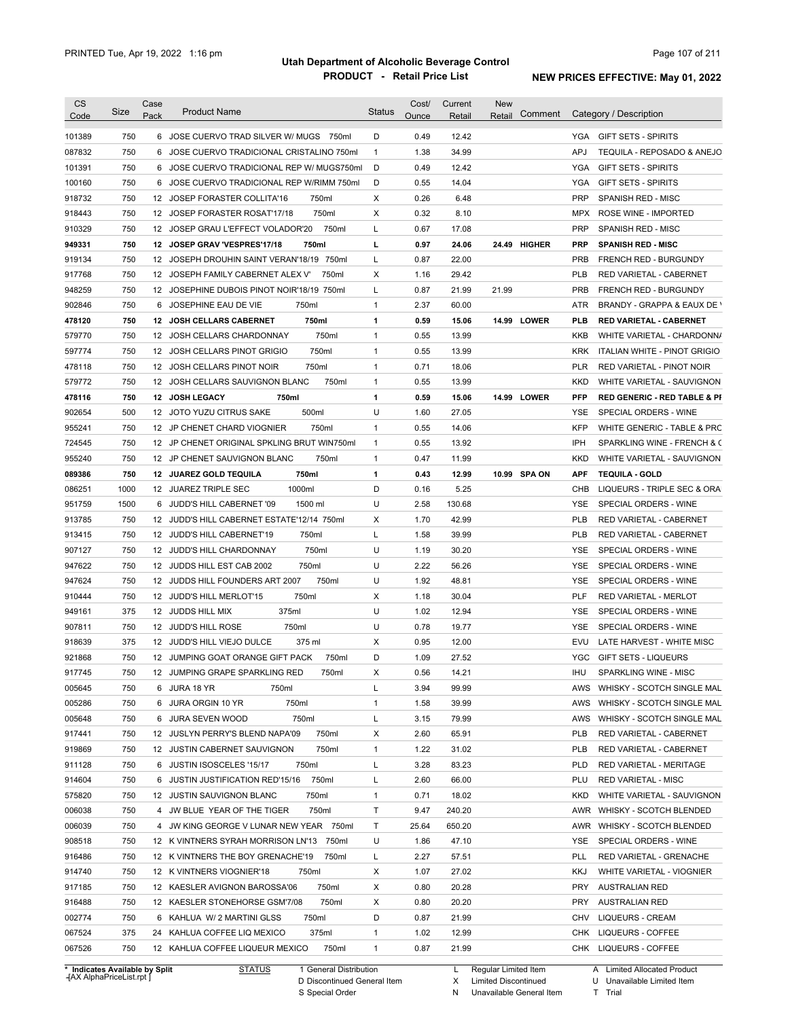| <b>CS</b><br>Code | Size | Case<br>Pack | <b>Product Name</b>                               | <b>Status</b> | Cost/<br>Ounce | Current<br>Retail | <b>New</b><br>Retail | Comment | Category / Description                         |
|-------------------|------|--------------|---------------------------------------------------|---------------|----------------|-------------------|----------------------|---------|------------------------------------------------|
| 101389            | 750  |              | 6 JOSE CUERVO TRAD SILVER W/ MUGS 750ml           | D             | 0.49           | 12.42             |                      |         | YGA GIFT SETS - SPIRITS                        |
| 087832            | 750  |              | 6 JOSE CUERVO TRADICIONAL CRISTALINO 750ml        | $\mathbf{1}$  | 1.38           | 34.99             |                      |         | <b>APJ</b><br>TEQUILA - REPOSADO & ANEJO       |
| 101391            | 750  |              | 6 JOSE CUERVO TRADICIONAL REP W/ MUGS750ml        | D             | 0.49           | 12.42             |                      |         | <b>YGA</b><br><b>GIFT SETS - SPIRITS</b>       |
| 100160            | 750  |              | 6 JOSE CUERVO TRADICIONAL REP W/RIMM 750ml        | D             | 0.55           | 14.04             |                      |         | YGA<br><b>GIFT SETS - SPIRITS</b>              |
| 918732            | 750  |              | 12 JOSEP FORASTER COLLITA'16<br>750ml             | х             | 0.26           | 6.48              |                      |         | <b>PRP</b><br>SPANISH RED - MISC               |
| 918443            | 750  |              | 750ml<br>12 JOSEP FORASTER ROSAT'17/18            | X             | 0.32           | 8.10              |                      |         | ROSE WINE - IMPORTED<br><b>MPX</b>             |
| 910329            | 750  |              | 750ml<br>12 JOSEP GRAU L'EFFECT VOLADOR'20        | L             | 0.67           | 17.08             |                      |         | <b>PRP</b><br>SPANISH RED - MISC               |
| 949331            | 750  |              | 750ml<br>12 JOSEP GRAV 'VESPRES'17/18             | г             | 0.97           | 24.06             | 24.49 HIGHER         |         | <b>PRP</b><br><b>SPANISH RED - MISC</b>        |
| 919134            | 750  |              | 750ml<br>12 JOSEPH DROUHIN SAINT VERAN'18/19      | L             | 0.87           | 22.00             |                      |         | <b>PRB</b><br><b>FRENCH RED - BURGUNDY</b>     |
| 917768            | 750  |              | 12 JOSEPH FAMILY CABERNET ALEX V'<br>750ml        | х             | 1.16           | 29.42             |                      |         | <b>PLB</b><br>RED VARIETAL - CABERNET          |
| 948259            | 750  |              | 12 JOSEPHINE DUBOIS PINOT NOIR'18/19 750ml        | Г             | 0.87           | 21.99             | 21.99                |         | <b>PRB</b><br><b>FRENCH RED - BURGUNDY</b>     |
| 902846            | 750  | 6            | 750ml<br>JOSEPHINE EAU DE VIE                     | $\mathbf{1}$  | 2.37           | 60.00             |                      |         | ATR<br>BRANDY - GRAPPA & EAUX DE \             |
| 478120            | 750  |              | 12 JOSH CELLARS CABERNET<br>750ml                 | 1             | 0.59           | 15.06             | 14.99 LOWER          |         | PLB<br><b>RED VARIETAL - CABERNET</b>          |
|                   | 750  |              |                                                   |               | 0.55           |                   |                      |         |                                                |
| 579770            |      |              | 750ml<br>12 JOSH CELLARS CHARDONNAY               | $\mathbf{1}$  |                | 13.99             |                      |         | <b>KKB</b><br>WHITE VARIETAL - CHARDONN/       |
| 597774            | 750  |              | 750ml<br>12 JOSH CELLARS PINOT GRIGIO             | $\mathbf{1}$  | 0.55           | 13.99             |                      |         | <b>KRK</b><br>ITALIAN WHITE - PINOT GRIGIO     |
| 478118            | 750  |              | 750ml<br>12 JOSH CELLARS PINOT NOIR               | $\mathbf{1}$  | 0.71           | 18.06             |                      |         | <b>PLR</b><br>RED VARIETAL - PINOT NOIR        |
| 579772            | 750  |              | 750ml<br>12 JOSH CELLARS SAUVIGNON BLANC          | $\mathbf{1}$  | 0.55           | 13.99             |                      |         | <b>KKD</b><br>WHITE VARIETAL - SAUVIGNON       |
| 478116            | 750  |              | 12 JOSH LEGACY<br>750ml                           | 1             | 0.59           | 15.06             | 14.99 LOWER          |         | PFP<br><b>RED GENERIC - RED TABLE &amp; PI</b> |
| 902654            | 500  |              | 500ml<br>12 JOTO YUZU CITRUS SAKE                 | U             | 1.60           | 27.05             |                      |         | YSE<br>SPECIAL ORDERS - WINE                   |
| 955241            | 750  |              | 750ml<br>12 JP CHENET CHARD VIOGNIER              | $\mathbf{1}$  | 0.55           | 14.06             |                      |         | <b>KFP</b><br>WHITE GENERIC - TABLE & PRC      |
| 724545            | 750  |              | 12 JP CHENET ORIGINAL SPKLING BRUT WIN750ml       | $\mathbf{1}$  | 0.55           | 13.92             |                      |         | IPH<br>SPARKLING WINE - FRENCH & C             |
| 955240            | 750  |              | 750ml<br>12 JP CHENET SAUVIGNON BLANC             | $\mathbf{1}$  | 0.47           | 11.99             |                      |         | <b>KKD</b><br>WHITE VARIETAL - SAUVIGNON       |
| 089386            | 750  |              | 750ml<br>12 JUAREZ GOLD TEQUILA                   | 1             | 0.43           | 12.99             | 10.99 SPA ON         |         | <b>TEQUILA - GOLD</b><br>APF                   |
| 086251            | 1000 |              | 12 JUAREZ TRIPLE SEC<br>1000ml                    | D             | 0.16           | 5.25              |                      |         | CHB<br>LIQUEURS - TRIPLE SEC & ORA             |
| 951759            | 1500 | 6            | JUDD'S HILL CABERNET '09<br>1500 ml               | U             | 2.58           | 130.68            |                      |         | YSE<br>SPECIAL ORDERS - WINE                   |
| 913785            | 750  |              | 12 JUDD'S HILL CABERNET ESTATE'12/14 750ml        | Χ             | 1.70           | 42.99             |                      |         | <b>PLB</b><br>RED VARIETAL - CABERNET          |
| 913415            | 750  |              | 750ml<br>12 JUDD'S HILL CABERNET'19               | Г             | 1.58           | 39.99             |                      |         | <b>PLB</b><br>RED VARIETAL - CABERNET          |
| 907127            | 750  |              | 750ml<br>12 JUDD'S HILL CHARDONNAY                | U             | 1.19           | 30.20             |                      |         | SPECIAL ORDERS - WINE<br>YSE                   |
| 947622            | 750  |              | 750ml<br>12 JUDDS HILL EST CAB 2002               | U             | 2.22           | 56.26             |                      |         | YSE<br>SPECIAL ORDERS - WINE                   |
| 947624            | 750  |              | 750ml<br>12 JUDDS HILL FOUNDERS ART 2007          | U             | 1.92           | 48.81             |                      |         | <b>YSE</b><br>SPECIAL ORDERS - WINE            |
| 910444            | 750  |              | 12 JUDD'S HILL MERLOT'15<br>750ml                 | х             | 1.18           | 30.04             |                      |         | PLF<br>RED VARIETAL - MERLOT                   |
| 949161            | 375  |              | 12 JUDDS HILL MIX<br>375ml                        | U             | 1.02           | 12.94             |                      |         | SPECIAL ORDERS - WINE<br>YSE                   |
| 907811            | 750  |              | 750ml<br>12 JUDD'S HILL ROSE                      | U             | 0.78           | 19.77             |                      |         | SPECIAL ORDERS - WINE<br>YSE                   |
| 918639            | 375  |              | 12 JUDD'S HILL VIEJO DULCE<br>375 ml              | х             | 0.95           | 12.00             |                      |         | LATE HARVEST - WHITE MISC<br>EVU               |
| 921868            | 750  |              | 12 JUMPING GOAT ORANGE GIFT PACK<br>750ml         | D             | 1.09           | 27.52             |                      |         | <b>YGC</b><br><b>GIFT SETS - LIQUEURS</b>      |
| 917745            | 750  |              | 12 JUMPING GRAPE SPARKLING RED<br>750ml           | х             | 0.56           | 14.21             |                      |         | ihu<br>SPARKLING WINE - MISC                   |
| 005645            | 750  |              | 6 JURA 18 YR<br>750ml                             | L             | 3.94           | 99.99             |                      |         | AWS<br>WHISKY - SCOTCH SINGLE MAL              |
| 005286            | 750  |              | 6 JURA ORGIN 10 YR<br>750ml                       | 1             | 1.58           | 39.99             |                      |         | AWS<br>WHISKY - SCOTCH SINGLE MAL              |
| 005648            | 750  |              | 750ml<br>6 JURA SEVEN WOOD                        | Г             | 3.15           | 79.99             |                      |         | AWS<br>WHISKY - SCOTCH SINGLE MAL              |
| 917441            | 750  |              | 750ml<br>12 JUSLYN PERRY'S BLEND NAPA'09          | х             | 2.60           | 65.91             |                      |         | <b>PLB</b><br>RED VARIETAL - CABERNET          |
| 919869            | 750  |              | 750ml<br>12 JUSTIN CABERNET SAUVIGNON             | $\mathbf{1}$  | 1.22           | 31.02             |                      |         | <b>PLB</b><br>RED VARIETAL - CABERNET          |
| 911128            | 750  |              | 750ml<br>6 JUSTIN ISOSCELES '15/17                | L             | 3.28           | 83.23             |                      |         | <b>PLD</b><br>RED VARIETAL - MERITAGE          |
| 914604            | 750  |              | 750ml<br>6 JUSTIN JUSTIFICATION RED'15/16         | L             | 2.60           | 66.00             |                      |         | PLU<br><b>RED VARIETAL - MISC</b>              |
| 575820            | 750  |              | 750ml<br>12 JUSTIN SAUVIGNON BLANC                | $\mathbf{1}$  | 0.71           | 18.02             |                      |         | <b>KKD</b><br>WHITE VARIETAL - SAUVIGNON       |
| 006038            | 750  |              | 750ml<br>4 JW BLUE YEAR OF THE TIGER              | Τ             | 9.47           | 240.20            |                      |         | AWR<br>WHISKY - SCOTCH BLENDED                 |
| 006039            | 750  |              | 4 JW KING GEORGE V LUNAR NEW YEAR 750ml           | Τ             | 25.64          | 650.20            |                      |         | AWR<br>WHISKY - SCOTCH BLENDED                 |
| 908518            | 750  |              |                                                   | U             | 1.86           | 47.10             |                      |         | YSE                                            |
|                   |      |              | 12 K VINTNERS SYRAH MORRISON LN'13 750ml<br>750ml |               |                |                   |                      |         | SPECIAL ORDERS - WINE<br>PLL                   |
| 916486            | 750  |              | 12 K VINTNERS THE BOY GRENACHE'19                 | L             | 2.27           | 57.51             |                      |         | RED VARIETAL - GRENACHE                        |
| 914740            | 750  |              | 12 K VINTNERS VIOGNIER'18<br>750ml                | х             | 1.07           | 27.02             |                      |         | KKJ<br>WHITE VARIETAL - VIOGNIER               |
| 917185            | 750  |              | 750ml<br>12 KAESLER AVIGNON BAROSSA'06            | х             | 0.80           | 20.28             |                      |         | <b>PRY</b><br><b>AUSTRALIAN RED</b>            |
| 916488            | 750  |              | 750ml<br>12 KAESLER STONEHORSE GSM'7/08           | х             | 0.80           | 20.20             |                      |         | <b>PRY</b><br><b>AUSTRALIAN RED</b>            |
| 002774            | 750  |              | 6 KAHLUA W/ 2 MARTINI GLSS<br>750ml               | D             | 0.87           | 21.99             |                      |         | CHV<br>LIQUEURS - CREAM                        |
|                   | 375  |              | 375ml<br>24 KAHLUA COFFEE LIQ MEXICO              | $\mathbf{1}$  | 1.02           | 12.99             |                      |         | CHK<br>LIQUEURS - COFFEE                       |
| 067524<br>067526  | 750  |              | 12 KAHLUA COFFEE LIQUEUR MEXICO<br>750ml          | 1             | 0.87           | 21.99             |                      |         | CHK LIQUEURS - COFFEE                          |

**Case** [AX AlphaPriceList.rpt ]

D Discontinued General Item S Special Order

Regular Limited Item

X

Limited Discontinued

N Unavailable General Item

U Unavailable Limited Item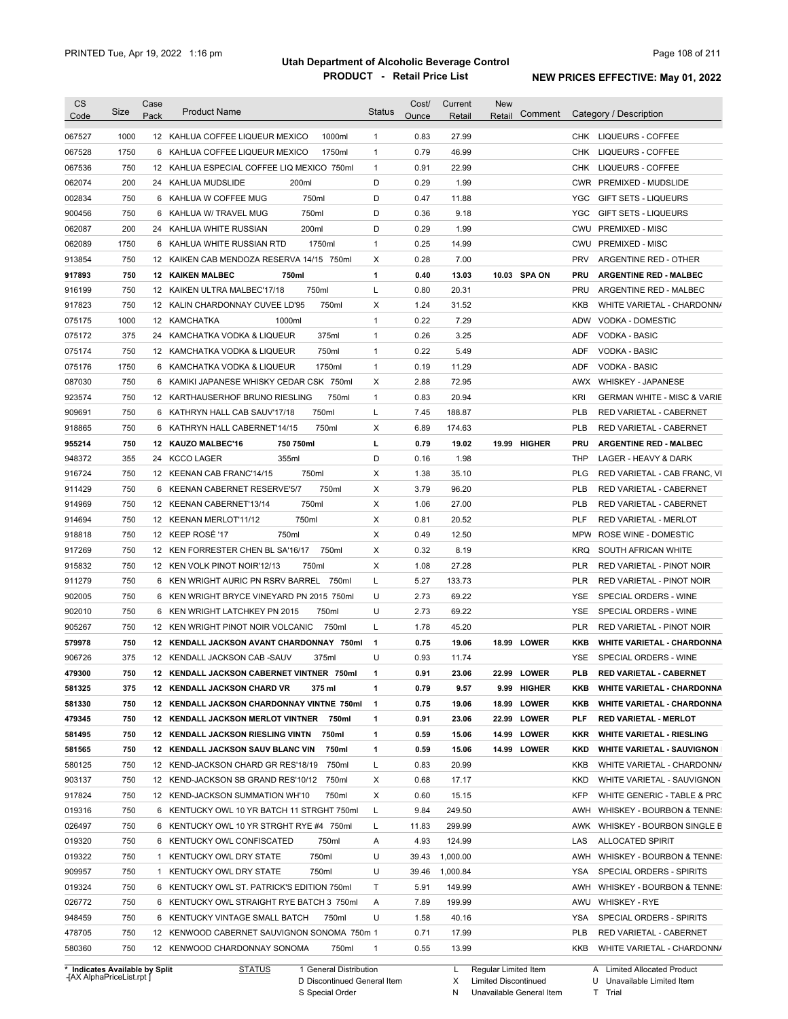| <b>CS</b><br>Code                              | Size       | Case<br>Pack | <b>Product Name</b>                                                                    | <b>Status</b> | Cost/<br>Ounce | Current<br>Retail | <b>New</b><br>Retail | Comment      |            | Category / Description                                |
|------------------------------------------------|------------|--------------|----------------------------------------------------------------------------------------|---------------|----------------|-------------------|----------------------|--------------|------------|-------------------------------------------------------|
| 067527                                         | 1000       |              | 1000ml<br>12 KAHLUA COFFEE LIQUEUR MEXICO                                              | $\mathbf{1}$  | 0.83           | 27.99             |                      |              |            | CHK LIQUEURS - COFFEE                                 |
| 067528                                         | 1750       |              | 6 KAHLUA COFFEE LIQUEUR MEXICO<br>1750ml                                               | $\mathbf{1}$  | 0.79           | 46.99             |                      |              | CHK        | LIQUEURS - COFFEE                                     |
| 067536                                         | 750        |              | 12 KAHLUA ESPECIAL COFFEE LIQ MEXICO 750ml                                             | $\mathbf{1}$  | 0.91           | 22.99             |                      |              | CHK        | LIQUEURS - COFFEE                                     |
| 062074                                         | 200        |              | 24 KAHLUA MUDSLIDE<br>200ml                                                            | D             | 0.29           | 1.99              |                      |              |            | CWR PREMIXED - MUDSLIDE                               |
| 002834                                         | 750        |              | 6 KAHLUA W COFFEE MUG<br>750ml                                                         | D             | 0.47           | 11.88             |                      |              | <b>YGC</b> | GIFT SETS - LIQUEURS                                  |
| 900456                                         | 750        |              | 750ml<br>6 KAHLUA W/ TRAVEL MUG                                                        | D             | 0.36           | 9.18              |                      |              | <b>YGC</b> | GIFT SETS - LIQUEURS                                  |
| 062087                                         | 200        |              | 200ml<br>24 KAHLUA WHITE RUSSIAN                                                       | D             | 0.29           | 1.99              |                      |              | CWU        | PREMIXED - MISC                                       |
| 062089                                         | 1750       |              | 1750ml<br>6 KAHLUA WHITE RUSSIAN RTD                                                   | $\mathbf{1}$  | 0.25           | 14.99             |                      |              | CWU        | PREMIXED - MISC                                       |
| 913854                                         | 750        |              | 12 KAIKEN CAB MENDOZA RESERVA 14/15 750ml                                              | Х             | 0.28           | 7.00              |                      |              | <b>PRV</b> | ARGENTINE RED - OTHER                                 |
| 917893                                         | 750        |              | <b>12 KAIKEN MALBEC</b><br>750ml                                                       | 1             | 0.40           | 13.03             |                      | 10.03 SPA ON | PRU        | <b>ARGENTINE RED - MALBEC</b>                         |
| 916199                                         | 750        |              | 750ml<br>12 KAIKEN ULTRA MALBEC'17/18                                                  | L             | 0.80           | 20.31             |                      |              | PRU        | ARGENTINE RED - MALBEC                                |
| 917823                                         | 750        |              | 12 KALIN CHARDONNAY CUVEE LD'95<br>750ml                                               | Χ             | 1.24           | 31.52             |                      |              | KKB        | WHITE VARIETAL - CHARDONN/                            |
| 075175                                         | 1000       |              | 12 KAMCHATKA<br>1000ml                                                                 | $\mathbf{1}$  | 0.22           | 7.29              |                      |              | ADW        | <b>VODKA - DOMESTIC</b>                               |
| 075172                                         | 375        |              | 375ml<br>24 KAMCHATKA VODKA & LIQUEUR                                                  | $\mathbf{1}$  | 0.26           | 3.25              |                      |              | ADF        | <b>VODKA - BASIC</b>                                  |
| 075174                                         | 750        |              | 750ml<br>12 KAMCHATKA VODKA & LIQUEUR                                                  | $\mathbf{1}$  | 0.22           | 5.49              |                      |              | ADF        | <b>VODKA - BASIC</b>                                  |
| 075176                                         | 1750       |              | 1750ml<br>6 KAMCHATKA VODKA & LIQUEUR                                                  | $\mathbf{1}$  | 0.19           | 11.29             |                      |              | ADF        | <b>VODKA - BASIC</b>                                  |
| 087030                                         | 750        |              | 6 KAMIKI JAPANESE WHISKY CEDAR CSK 750ml                                               | Χ             | 2.88           | 72.95             |                      |              | AWX        | <b>WHISKEY - JAPANESE</b>                             |
| 923574                                         | 750        |              | 750ml<br>12 KARTHAUSERHOF BRUNO RIESLING                                               | $\mathbf{1}$  | 0.83           | 20.94             |                      |              | <b>KRI</b> | <b>GERMAN WHITE - MISC &amp; VARIE</b>                |
| 909691                                         | 750        |              | 750ml<br>6 KATHRYN HALL CAB SAUV'17/18                                                 | L             | 7.45           | 188.87            |                      |              | <b>PLB</b> | RED VARIETAL - CABERNET                               |
| 918865                                         | 750        |              | 6 KATHRYN HALL CABERNET'14/15<br>750ml                                                 | Χ             | 6.89           | 174.63            |                      |              | <b>PLB</b> | RED VARIETAL - CABERNET                               |
| 955214                                         | 750        |              | 12 KAUZO MALBEC'16<br>750 750ml                                                        | г             | 0.79           | 19.02             |                      | 19.99 HIGHER | <b>PRU</b> | <b>ARGENTINE RED - MALBEC</b>                         |
| 948372                                         | 355        |              | 355ml<br>24 KCCO LAGER                                                                 | D             | 0.16           | 1.98              |                      |              | THP        | LAGER - HEAVY & DARK                                  |
| 916724                                         | 750        |              | 12 KEENAN CAB FRANC'14/15<br>750ml                                                     | Χ             | 1.38           | 35.10             |                      |              | <b>PLG</b> | RED VARIETAL - CAB FRANC, VI                          |
| 911429                                         | 750        |              | 6 KEENAN CABERNET RESERVE'5/7<br>750ml                                                 | Χ             | 3.79           | 96.20             |                      |              | <b>PLB</b> | RED VARIETAL - CABERNET                               |
| 914969                                         | 750        |              | 12 KEENAN CABERNET'13/14<br>750ml                                                      | Χ             | 1.06           | 27.00             |                      |              | <b>PLB</b> | RED VARIETAL - CABERNET                               |
| 914694                                         | 750        |              | 750ml<br>12 KEENAN MERLOT'11/12                                                        | Χ             | 0.81           | 20.52             |                      |              | PLF        | RED VARIETAL - MERLOT                                 |
| 918818                                         | 750        |              | 12 KEEP ROSÉ '17<br>750ml                                                              | Χ             | 0.49           | 12.50             |                      |              | <b>MPW</b> | ROSE WINE - DOMESTIC                                  |
| 917269                                         | 750        |              | 12 KEN FORRESTER CHEN BL SA'16/17<br>750ml                                             | Χ             | 0.32           | 8.19              |                      |              | <b>KRQ</b> | SOUTH AFRICAN WHITE                                   |
| 915832                                         | 750        |              | 12 KEN VOLK PINOT NOIR'12/13<br>750ml                                                  | Χ             | 1.08           | 27.28             |                      |              | <b>PLR</b> | RED VARIETAL - PINOT NOIR                             |
| 911279                                         | 750        | 6            | KEN WRIGHT AURIC PN RSRV BARREL<br>750ml                                               | L             | 5.27           | 133.73            |                      |              | <b>PLR</b> | RED VARIETAL - PINOT NOIR                             |
| 902005                                         | 750        | 6            | KEN WRIGHT BRYCE VINEYARD PN 2015 750ml                                                | U             | 2.73           | 69.22             |                      |              | <b>YSE</b> | SPECIAL ORDERS - WINE                                 |
| 902010                                         | 750        | 6            | 750ml<br>KEN WRIGHT LATCHKEY PN 2015                                                   | U             | 2.73           | 69.22             |                      |              | <b>YSE</b> | SPECIAL ORDERS - WINE                                 |
| 905267                                         | 750        |              | 750ml<br>12 KEN WRIGHT PINOT NOIR VOLCANIC                                             | L             | 1.78           | 45.20             |                      |              | <b>PLR</b> | RED VARIETAL - PINOT NOIR                             |
| 579978                                         | 750        |              | 12 KENDALL JACKSON AVANT CHARDONNAY 750ml                                              | $\mathbf{1}$  | 0.75           | 19.06             |                      | 18.99 LOWER  | KKB        | <b>WHITE VARIETAL - CHARDONNA</b>                     |
| 906726                                         | 375        |              | 12 KENDALL JACKSON CAB -SAUV<br>375ml                                                  | U             | 0.93           | 11.74             |                      |              | <b>YSE</b> | SPECIAL ORDERS - WINE                                 |
| 479300                                         | 750        |              | 12 KENDALL JACKSON CABERNET VINTNER 750ml                                              |               | 0.91           | 23.06             |                      | 22.99 LOWER  | <b>PLB</b> | RED VARIETAL - CABERNET                               |
| 581325                                         | 375        |              | 12 KENDALL JACKSON CHARD VR<br>375 ml                                                  | 1             | 0.79           | 9.57              |                      | 9.99 HIGHER  | KKB        | <b>WHITE VARIETAL - CHARDONNA</b>                     |
| 581330                                         | 750        |              | 12 KENDALL JACKSON CHARDONNAY VINTNE 750ml                                             | $\mathbf{1}$  | 0.75           | 19.06             |                      | 18.99 LOWER  | KKB        | <b>WHITE VARIETAL - CHARDONNA</b>                     |
| 479345                                         | 750        |              | 12 KENDALL JACKSON MERLOT VINTNER 750ml                                                | 1             | 0.91           | 23.06             |                      | 22.99 LOWER  | PLF        | <b>RED VARIETAL - MERLOT</b>                          |
| 581495                                         | 750        |              | <b>12 KENDALL JACKSON RIESLING VINTN</b><br>750ml                                      | 1             | 0.59           | 15.06             |                      | 14.99 LOWER  | KKR        | <b>WHITE VARIETAL - RIESLING</b>                      |
| 581565                                         | 750        |              | 12 KENDALL JACKSON SAUV BLANC VIN<br>750ml                                             | 1             | 0.59           | 15.06             |                      | 14.99 LOWER  | KKD        | <b>WHITE VARIETAL - SAUVIGNON</b>                     |
| 580125                                         | 750        |              | 12 KEND-JACKSON CHARD GR RES'18/19<br>750ml                                            | L             | 0.83           | 20.99             |                      |              | KKB        | WHITE VARIETAL - CHARDONN/                            |
|                                                | 750        |              | 750ml                                                                                  |               | 0.68           |                   |                      |              | KKD        |                                                       |
| 903137                                         |            |              | 12 KEND-JACKSON SB GRAND RES'10/12                                                     | Х             |                | 17.17             |                      |              | <b>KFP</b> | WHITE VARIETAL - SAUVIGNON                            |
| 917824<br>019316                               | 750<br>750 |              | 12 KEND-JACKSON SUMMATION WH'10<br>750ml<br>6 KENTUCKY OWL 10 YR BATCH 11 STRGHT 750ml | X<br>L        | 0.60<br>9.84   | 15.15<br>249.50   |                      |              | AWH        | WHITE GENERIC - TABLE & PRC                           |
|                                                | 750        |              |                                                                                        |               |                |                   |                      |              |            | WHISKEY - BOURBON & TENNE:                            |
| 026497                                         | 750        |              | 6 KENTUCKY OWL 10 YR STRGHT RYE #4 750ml                                               | L             | 11.83          | 299.99            |                      |              | AWK        | WHISKEY - BOURBON SINGLE B                            |
|                                                |            | 6            | KENTUCKY OWL CONFISCATED<br>750ml                                                      | Α<br>U        | 4.93           | 124.99            |                      |              | LAS        | <b>ALLOCATED SPIRIT</b>                               |
|                                                |            |              |                                                                                        |               | 39.43          | 1,000.00          |                      |              | AWH<br>YSA | WHISKEY - BOURBON & TENNE:                            |
|                                                | 750        |              | 750ml<br>1 KENTUCKY OWL DRY STATE                                                      |               |                |                   |                      |              |            |                                                       |
|                                                | 750        |              | 750ml<br>1 KENTUCKY OWL DRY STATE                                                      | U             | 39.46          | 1,000.84          |                      |              |            | SPECIAL ORDERS - SPIRITS                              |
|                                                | 750        |              | 6 KENTUCKY OWL ST. PATRICK'S EDITION 750ml                                             | Τ             | 5.91           | 149.99            |                      |              | AWH        | WHISKEY - BOURBON & TENNE:                            |
| 019320<br>019322<br>909957<br>019324<br>026772 | 750        |              | 6 KENTUCKY OWL STRAIGHT RYE BATCH 3 750ml                                              | Α             | 7.89           | 199.99            |                      |              | AWU        | <b>WHISKEY - RYE</b>                                  |
| 948459                                         | 750        |              | 6 KENTUCKY VINTAGE SMALL BATCH<br>750ml                                                | U             | 1.58           | 40.16             |                      |              | YSA        | SPECIAL ORDERS - SPIRITS                              |
| 478705<br>580360                               | 750<br>750 |              | 12 KENWOOD CABERNET SAUVIGNON SONOMA 750m 1<br>12 KENWOOD CHARDONNAY SONOMA<br>750ml   | $\mathbf{1}$  | 0.71<br>0.55   | 17.99<br>13.99    |                      |              | PLB<br>KKB | RED VARIETAL - CABERNET<br>WHITE VARIETAL - CHARDONN/ |

**Case** [AX AlphaPriceList.rpt ]

D Discontinued General Item

S Special Order

X Limited Discontinued N Unavailable General Item

U Unavailable Limited Item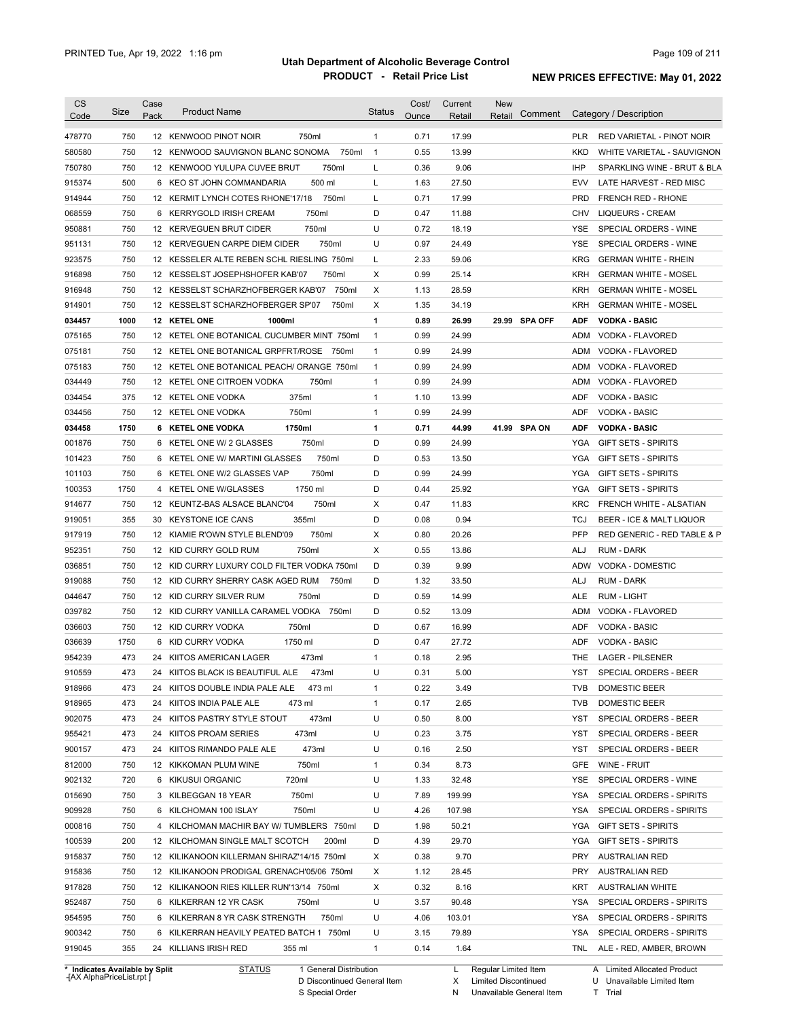| <b>CS</b><br>Code              | Size | Case<br>Pack | <b>Product Name</b>                         | <b>Status</b>  | Cost/<br>Ounce | Current<br>Retail | <b>New</b><br>Retail | Comment       |            | Category / Description           |
|--------------------------------|------|--------------|---------------------------------------------|----------------|----------------|-------------------|----------------------|---------------|------------|----------------------------------|
| 478770                         | 750  |              | 750ml<br>12 KENWOOD PINOT NOIR              | $\mathbf{1}$   | 0.71           | 17.99             |                      |               | <b>PLR</b> | <b>RED VARIETAL - PINOT NOIR</b> |
| 580580                         | 750  |              | 750ml<br>12 KENWOOD SAUVIGNON BLANC SONOMA  | $\overline{1}$ | 0.55           | 13.99             |                      |               | KKD        | WHITE VARIETAL - SAUVIGNON       |
| 750780                         | 750  |              | 750ml<br>12 KENWOOD YULUPA CUVEE BRUT       | L              | 0.36           | 9.06              |                      |               | IHP        | SPARKLING WINE - BRUT & BLA      |
| 915374                         | 500  |              | 500 ml<br>6 KEO ST JOHN COMMANDARIA         | L              | 1.63           | 27.50             |                      |               | EVV        | LATE HARVEST - RED MISC          |
| 914944                         | 750  |              | 750ml<br>12 KERMIT LYNCH COTES RHONE'17/18  | L              | 0.71           | 17.99             |                      |               | <b>PRD</b> | <b>FRENCH RED - RHONE</b>        |
| 068559                         | 750  |              | 750ml<br>6 KERRYGOLD IRISH CREAM            | D              | 0.47           | 11.88             |                      |               | CHV        | <b>LIQUEURS - CREAM</b>          |
| 950881                         | 750  |              | 750ml<br>12 KERVEGUEN BRUT CIDER            | U              | 0.72           | 18.19             |                      |               | YSE        | SPECIAL ORDERS - WINE            |
| 951131                         | 750  |              | 750ml<br>12 KERVEGUEN CARPE DIEM CIDER      | U              | 0.97           | 24.49             |                      |               | YSE        | SPECIAL ORDERS - WINE            |
| 923575                         | 750  |              | 12 KESSELER ALTE REBEN SCHL RIESLING 750ml  | L              | 2.33           | 59.06             |                      |               | <b>KRG</b> | <b>GERMAN WHITE - RHEIN</b>      |
| 916898                         | 750  |              | 12 KESSELST JOSEPHSHOFER KAB'07<br>750ml    | X              | 0.99           | 25.14             |                      |               | KRH        | <b>GERMAN WHITE - MOSEL</b>      |
| 916948                         | 750  |              | 12 KESSELST SCHARZHOFBERGER KAB'07<br>750ml | Χ              | 1.13           | 28.59             |                      |               | <b>KRH</b> | <b>GERMAN WHITE - MOSEL</b>      |
| 914901                         | 750  |              | 12 KESSELST SCHARZHOFBERGER SP'07<br>750ml  | Χ              | 1.35           | 34.19             |                      |               | <b>KRH</b> | <b>GERMAN WHITE - MOSEL</b>      |
| 034457                         | 1000 |              | 12 KETEL ONE<br>1000ml                      | $\mathbf{1}$   | 0.89           | 26.99             |                      | 29.99 SPA OFF | <b>ADF</b> | <b>VODKA - BASIC</b>             |
| 075165                         | 750  |              | 12 KETEL ONE BOTANICAL CUCUMBER MINT 750ml  | $\mathbf{1}$   | 0.99           | 24.99             |                      |               | ADM        | VODKA - FLAVORED                 |
| 075181                         | 750  |              | 12 KETEL ONE BOTANICAL GRPFRT/ROSE 750ml    | $\mathbf{1}$   | 0.99           | 24.99             |                      |               | ADM        | VODKA - FLAVORED                 |
| 075183                         | 750  |              | 12 KETEL ONE BOTANICAL PEACH/ ORANGE 750ml  | $\mathbf{1}$   | 0.99           | 24.99             |                      |               | ADM        | VODKA - FLAVORED                 |
| 034449                         | 750  |              | 12 KETEL ONE CITROEN VODKA<br>750ml         | 1              | 0.99           | 24.99             |                      |               | ADM        | VODKA - FLAVORED                 |
| 034454                         | 375  |              | 375ml<br>12 KETEL ONE VODKA                 | 1              | 1.10           | 13.99             |                      |               | ADF        | VODKA - BASIC                    |
| 034456                         | 750  |              | 750ml<br>12 KETEL ONE VODKA                 | 1              | 0.99           | 24.99             |                      |               | ADF        | <b>VODKA - BASIC</b>             |
| 034458                         | 1750 |              | 1750ml<br>6 KETEL ONE VODKA                 | $\mathbf{1}$   | 0.71           | 44.99             |                      | 41.99 SPA ON  | ADF        | <b>VODKA - BASIC</b>             |
| 001876                         | 750  |              | 750ml<br>6 KETEL ONE W/ 2 GLASSES           | D              | 0.99           | 24.99             |                      |               | YGA        | <b>GIFT SETS - SPIRITS</b>       |
| 101423                         | 750  |              | 750ml<br>6 KETEL ONE W/ MARTINI GLASSES     | D              | 0.53           | 13.50             |                      |               | YGA        | <b>GIFT SETS - SPIRITS</b>       |
| 101103                         | 750  |              | 750ml<br>6 KETEL ONE W/2 GLASSES VAP        | D              | 0.99           | 24.99             |                      |               | YGA        | <b>GIFT SETS - SPIRITS</b>       |
| 100353                         | 1750 |              | 4 KETEL ONE W/GLASSES<br>1750 ml            | D              | 0.44           | 25.92             |                      |               | YGA        | <b>GIFT SETS - SPIRITS</b>       |
| 914677                         | 750  |              | 750ml<br>12 KEUNTZ-BAS ALSACE BLANC'04      | Χ              | 0.47           | 11.83             |                      |               | <b>KRC</b> | FRENCH WHITE - ALSATIAN          |
| 919051                         | 355  |              | 355ml<br>30 KEYSTONE ICE CANS               | D              | 0.08           | 0.94              |                      |               | <b>TCJ</b> | BEER - ICE & MALT LIQUOR         |
| 917919                         | 750  |              | 750ml<br>12 KIAMIE R'OWN STYLE BLEND'09     | Χ              | 0.80           | 20.26             |                      |               | <b>PFP</b> | RED GENERIC - RED TABLE & P      |
| 952351                         | 750  |              | 750ml<br>12 KID CURRY GOLD RUM              | Χ              | 0.55           | 13.86             |                      |               | ALJ        | RUM - DARK                       |
| 036851                         | 750  |              | 12 KID CURRY LUXURY COLD FILTER VODKA 750ml | D              | 0.39           | 9.99              |                      |               | ADW        | <b>VODKA - DOMESTIC</b>          |
| 919088                         | 750  |              | 12 KID CURRY SHERRY CASK AGED RUM<br>750ml  | D              | 1.32           | 33.50             |                      |               | ALJ        | RUM - DARK                       |
| 044647                         | 750  |              | 750ml<br>12 KID CURRY SILVER RUM            | D              | 0.59           | 14.99             |                      |               | <b>ALE</b> | <b>RUM - LIGHT</b>               |
| 039782                         | 750  |              | 12 KID CURRY VANILLA CARAMEL VODKA<br>750ml | D              | 0.52           | 13.09             |                      |               | ADM        | VODKA - FLAVORED                 |
| 036603                         | 750  |              | 12 KID CURRY VODKA<br>750ml                 | D              | 0.67           | 16.99             |                      |               | ADF        | <b>VODKA - BASIC</b>             |
| 036639                         | 1750 |              | 6 KID CURRY VODKA<br>1750 ml                | D              | 0.47           | 27.72             |                      |               | ADF        | <b>VODKA - BASIC</b>             |
| 954239                         | 473  |              | 24 KIITOS AMERICAN LAGER<br>473ml           | 1              | 0.18           | 2.95              |                      |               | <b>THE</b> | <b>LAGER - PILSENER</b>          |
|                                |      |              |                                             |                |                |                   |                      |               |            |                                  |
| 910559                         | 473  |              | 24 KIITOS BLACK IS BEAUTIFUL ALE<br>473ml   | U              | 0.31           | 5.00              |                      |               |            | YST SPECIAL ORDERS - BEER        |
| 918966                         | 473  |              | 24 KIITOS DOUBLE INDIA PALE ALE<br>473 ml   | 1              | 0.22           | 3.49              |                      |               | TVB        | DOMESTIC BEER                    |
| 918965                         | 473  |              | 24 KIITOS INDIA PALE ALE<br>473 ml          | 1              | 0.17           | 2.65              |                      |               | TVB        | DOMESTIC BEER                    |
| 902075                         | 473  |              | 24 KIITOS PASTRY STYLE STOUT<br>473ml       | U              | 0.50           | 8.00              |                      |               | YST        | SPECIAL ORDERS - BEER            |
| 955421                         | 473  |              | 24 KIITOS PROAM SERIES<br>473ml             | U              | 0.23           | 3.75              |                      |               | YST        | SPECIAL ORDERS - BEER            |
| 900157                         | 473  |              | 473ml<br>24 KIITOS RIMANDO PALE ALE         | U              | 0.16           | 2.50              |                      |               | YST        | SPECIAL ORDERS - BEER            |
| 812000                         | 750  |              | 750ml<br>12 KIKKOMAN PLUM WINE              | 1              | 0.34           | 8.73              |                      |               | GFE        | WINE - FRUIT                     |
| 902132                         | 720  |              | 6 KIKUSUI ORGANIC<br>720ml                  | U              | 1.33           | 32.48             |                      |               | YSE        | SPECIAL ORDERS - WINE            |
| 015690                         | 750  |              | 750ml<br>3 KILBEGGAN 18 YEAR                | U              | 7.89           | 199.99            |                      |               | YSA        | SPECIAL ORDERS - SPIRITS         |
| 909928                         | 750  |              | 750ml<br>6 KILCHOMAN 100 ISLAY              | U              | 4.26           | 107.98            |                      |               | YSA        | SPECIAL ORDERS - SPIRITS         |
| 000816                         | 750  |              | 4 KILCHOMAN MACHIR BAY W/ TUMBLERS 750ml    | D              | 1.98           | 50.21             |                      |               | YGA        | <b>GIFT SETS - SPIRITS</b>       |
| 100539                         | 200  |              | 12 KILCHOMAN SINGLE MALT SCOTCH<br>200ml    | D              | 4.39           | 29.70             |                      |               | YGA        | <b>GIFT SETS - SPIRITS</b>       |
| 915837                         | 750  |              | 12 KILIKANOON KILLERMAN SHIRAZ'14/15 750ml  | Х              | 0.38           | 9.70              |                      |               |            | PRY AUSTRALIAN RED               |
| 915836                         | 750  |              | 12 KILIKANOON PRODIGAL GRENACH'05/06 750ml  | Χ              | 1.12           | 28.45             |                      |               |            | PRY AUSTRALIAN RED               |
| 917828                         | 750  |              | 12 KILIKANOON RIES KILLER RUN'13/14 750ml   | Χ              | 0.32           | 8.16              |                      |               | KRT        | <b>AUSTRALIAN WHITE</b>          |
| 952487                         | 750  |              | 6 KILKERRAN 12 YR CASK<br>750ml             | U              | 3.57           | 90.48             |                      |               | YSA        | SPECIAL ORDERS - SPIRITS         |
| 954595                         | 750  |              | 6 KILKERRAN 8 YR CASK STRENGTH<br>750ml     | U              | 4.06           | 103.01            |                      |               | YSA        | SPECIAL ORDERS - SPIRITS         |
| 900342                         | 750  |              | 6 KILKERRAN HEAVILY PEATED BATCH 1 750ml    | U              | 3.15           | 79.89             |                      |               | YSA        | SPECIAL ORDERS - SPIRITS         |
| 919045                         | 355  |              | 24 KILLIANS IRISH RED<br>355 ml             | 1              | 0.14           | 1.64              |                      |               |            | TNL ALE - RED, AMBER, BROWN      |
| * Indicates Available by Split |      |              | <b>STATUS</b><br>1 General Distribution     |                |                | L.                | Regular Limited Item |               |            | A Limited Allocated Product      |

**Case** [AX AlphaPriceList.rpt ]

S Special Order

X Limited Discontinued

N Unavailable General Item

U Unavailable Limited Item

D Discontinued General Item

T Trial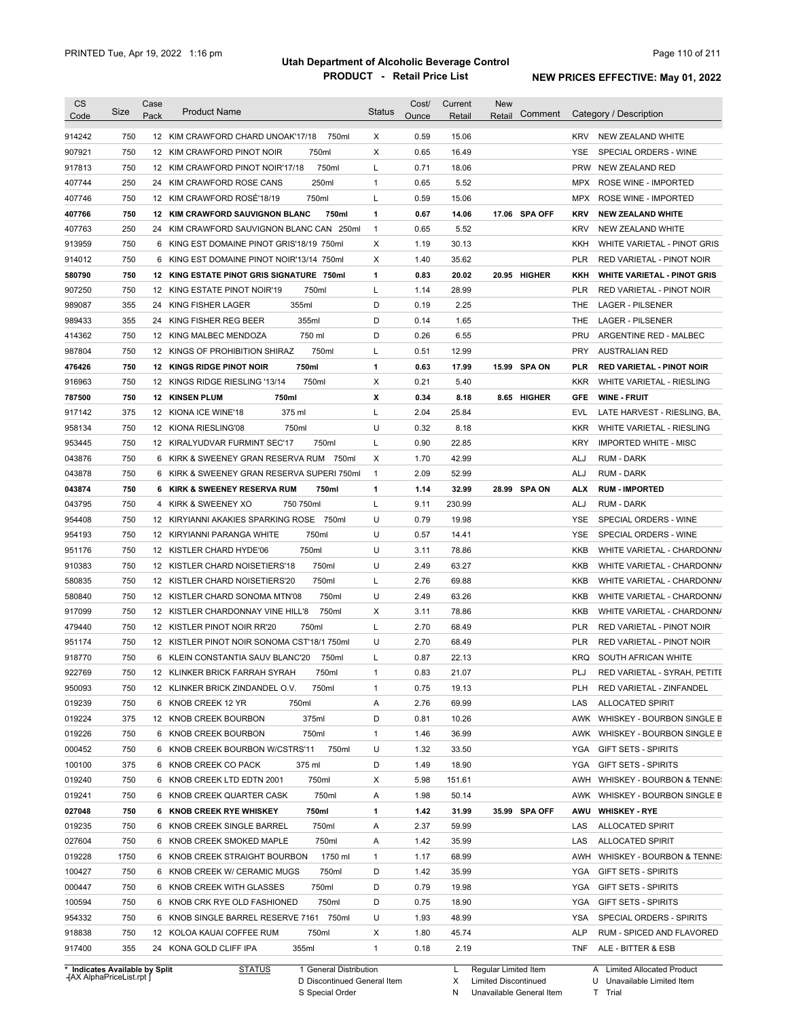| <b>CS</b><br>Code              | <b>Size</b> | Case<br>Pack   | <b>Product Name</b>                         | <b>Status</b> | Cost/<br>Ounce | Current<br>Retail | <b>New</b><br>Retail | Comment       |            | Category / Description             |
|--------------------------------|-------------|----------------|---------------------------------------------|---------------|----------------|-------------------|----------------------|---------------|------------|------------------------------------|
|                                |             |                |                                             |               |                |                   |                      |               |            |                                    |
| 914242                         | 750         |                | 12 KIM CRAWFORD CHARD UNOAK'17/18<br>750ml  | X             | 0.59           | 15.06             |                      |               | <b>KRV</b> | NEW ZEALAND WHITE                  |
| 907921                         | 750         |                | 750ml<br>12 KIM CRAWFORD PINOT NOIR         | Χ             | 0.65           | 16.49             |                      |               | YSE        | SPECIAL ORDERS - WINE              |
| 917813                         | 750         |                | 750ml<br>12 KIM CRAWFORD PINOT NOIR'17/18   | L             | 0.71           | 18.06             |                      |               | <b>PRW</b> | NEW ZEALAND RED                    |
| 407744                         | 250         |                | 250ml<br>24 KIM CRAWFORD ROSE CANS          | 1             | 0.65           | 5.52              |                      |               | MPX        | ROSE WINE - IMPORTED               |
| 407746                         | 750         |                | 12 KIM CRAWFORD ROSÉ'18/19<br>750ml         | L             | 0.59           | 15.06             |                      |               | MPX        | ROSE WINE - IMPORTED               |
| 407766                         | 750         |                | 12 KIM CRAWFORD SAUVIGNON BLANC<br>750ml    | 1             | 0.67           | 14.06             |                      | 17.06 SPA OFF | <b>KRV</b> | <b>NEW ZEALAND WHITE</b>           |
| 407763                         | 250         | 24             | KIM CRAWFORD SAUVIGNON BLANC CAN 250ml      | 1             | 0.65           | 5.52              |                      |               | <b>KRV</b> | NEW ZEALAND WHITE                  |
| 913959                         | 750         | 6              | KING EST DOMAINE PINOT GRIS'18/19 750ml     | Χ             | 1.19           | 30.13             |                      |               | KKH        | WHITE VARIETAL - PINOT GRIS        |
| 914012                         | 750         | 6              | KING EST DOMAINE PINOT NOIR'13/14 750ml     | X             | 1.40           | 35.62             |                      |               | <b>PLR</b> | RED VARIETAL - PINOT NOIR          |
| 580790                         | 750         |                | 12 KING ESTATE PINOT GRIS SIGNATURE 750ml   | 1             | 0.83           | 20.02             |                      | 20.95 HIGHER  | KKH        | <b>WHITE VARIETAL - PINOT GRIS</b> |
| 907250                         | 750         |                | 12 KING ESTATE PINOT NOIR'19<br>750ml       | L             | 1.14           | 28.99             |                      |               | <b>PLR</b> | RED VARIETAL - PINOT NOIR          |
| 989087                         | 355         | 24             | 355ml<br>KING FISHER LAGER                  | D             | 0.19           | 2.25              |                      |               | THE        | <b>LAGER - PILSENER</b>            |
| 989433                         | 355         | 24             | 355ml<br>KING FISHER REG BEER               | D             | 0.14           | 1.65              |                      |               | THE        | <b>LAGER - PILSENER</b>            |
| 414362                         | 750         |                | 750 ml<br>12 KING MALBEC MENDOZA            | D             | 0.26           | 6.55              |                      |               | PRU        | ARGENTINE RED - MALBEC             |
| 987804                         | 750         |                | 750ml<br>12 KINGS OF PROHIBITION SHIRAZ     | Г             | 0.51           | 12.99             |                      |               | <b>PRY</b> | <b>AUSTRALIAN RED</b>              |
| 476426                         | 750         |                | 750ml<br><b>12 KINGS RIDGE PINOT NOIR</b>   | 1             | 0.63           | 17.99             |                      | 15.99 SPA ON  | <b>PLR</b> | <b>RED VARIETAL - PINOT NOIR</b>   |
| 916963                         | 750         |                | 12 KINGS RIDGE RIESLING '13/14<br>750ml     | Χ             | 0.21           | 5.40              |                      |               | <b>KKR</b> | WHITE VARIETAL - RIESLING          |
| 787500                         | 750         |                | 750ml<br><b>12 KINSEN PLUM</b>              | Х             | 0.34           | 8.18              |                      | 8.65 HIGHER   | <b>GFE</b> | <b>WINE FRUIT</b>                  |
| 917142                         | 375         |                | 375 ml<br>12 KIONA ICE WINE'18              | Г             | 2.04           | 25.84             |                      |               | <b>EVL</b> | LATE HARVEST - RIESLING, BA,       |
| 958134                         | 750         |                | 750ml<br>12 KIONA RIESLING'08               | U             | 0.32           | 8.18              |                      |               | <b>KKR</b> | WHITE VARIETAL - RIESLING          |
| 953445                         | 750         |                | 12 KIRALYUDVAR FURMINT SEC'17<br>750ml      | Г             | 0.90           | 22.85             |                      |               | <b>KRY</b> | <b>IMPORTED WHITE - MISC</b>       |
| 043876                         | 750         |                | 6 KIRK & SWEENEY GRAN RESERVA RUM 750ml     | Χ             | 1.70           | 42.99             |                      |               | ALJ        | <b>RUM - DARK</b>                  |
| 043878                         | 750         |                | 6 KIRK & SWEENEY GRAN RESERVA SUPERI 750ml  | 1             | 2.09           | 52.99             |                      |               | ALJ        | <b>RUM - DARK</b>                  |
| 043874                         | 750         |                | 6 KIRK & SWEENEY RESERVA RUM<br>750ml       | 1             | 1.14           | 32.99             |                      | 28.99 SPA ON  | ALX        | <b>RUM - IMPORTED</b>              |
| 043795                         | 750         | $\overline{4}$ | KIRK & SWEENEY XO<br>750 750ml              | L             | 9.11           | 230.99            |                      |               | ALJ        | <b>RUM - DARK</b>                  |
|                                | 750         |                | 12 KIRYIANNI AKAKIES SPARKING ROSE 750ml    | U             | 0.79           | 19.98             |                      |               | <b>YSE</b> | SPECIAL ORDERS - WINE              |
| 954408                         |             |                |                                             |               |                |                   |                      |               |            |                                    |
| 954193                         | 750         |                | 750ml<br>12 KIRYIANNI PARANGA WHITE         | U             | 0.57           | 14.41             |                      |               | <b>YSE</b> | SPECIAL ORDERS - WINE              |
| 951176                         | 750         |                | 750ml<br>12 KISTLER CHARD HYDE'06           | U             | 3.11           | 78.86             |                      |               | <b>KKB</b> | WHITE VARIETAL - CHARDONN/         |
| 910383                         | 750         |                | 750ml<br>12 KISTLER CHARD NOISETIERS'18     | U             | 2.49           | 63.27             |                      |               | <b>KKB</b> | WHITE VARIETAL - CHARDONN/         |
| 580835                         | 750         |                | 750ml<br>12 KISTLER CHARD NOISETIERS'20     | Г             | 2.76           | 69.88             |                      |               | <b>KKB</b> | WHITE VARIETAL - CHARDONN/         |
| 580840                         | 750         |                | 12 KISTLER CHARD SONOMA MTN'08<br>750ml     | U             | 2.49           | 63.26             |                      |               | <b>KKB</b> | WHITE VARIETAL - CHARDONN/         |
| 917099                         | 750         |                | 12 KISTLER CHARDONNAY VINE HILL'8<br>750ml  | Χ             | 3.11           | 78.86             |                      |               | <b>KKB</b> | WHITE VARIETAL - CHARDONN/         |
| 479440                         | 750         |                | 750ml<br>12 KISTLER PINOT NOIR RR'20        | L             | 2.70           | 68.49             |                      |               | <b>PLR</b> | RED VARIETAL - PINOT NOIR          |
| 951174                         | 750         |                | 12 KISTLER PINOT NOIR SONOMA CST'18/1 750ml | U             | 2.70           | 68.49             |                      |               | <b>PLR</b> | <b>RED VARIETAL - PINOT NOIR</b>   |
| 918770                         | 750         |                | 6 KLEIN CONSTANTIA SAUV BLANC'20<br>750ml   | L             | 0.87           | 22.13             |                      |               | <b>KRQ</b> | SOUTH AFRICAN WHITE                |
| 922769                         | 750         |                | 12 KLINKER BRICK FARRAH SYRAH<br>750ml      | 1             | 0.83           | 21.07             |                      |               | PLJ        | RED VARIETAL - SYRAH, PETITE       |
| 950093                         | 750         |                | 12 KLINKER BRICK ZINDANDEL O.V.<br>750ml    | 1             | 0.75           | 19.13             |                      |               | <b>PLH</b> | RED VARIETAL - ZINFANDEL           |
| 019239                         | 750         |                | 6 KNOB CREEK 12 YR<br>750ml                 | Α             | 2.76           | 69.99             |                      |               | LAS        | <b>ALLOCATED SPIRIT</b>            |
| 019224                         | 375         |                | 12 KNOB CREEK BOURBON<br>375ml              | D             | 0.81           | 10.26             |                      |               | AWK        | WHISKEY - BOURBON SINGLE B         |
| 019226                         | 750         |                | 6 KNOB CREEK BOURBON<br>750ml               | 1             | 1.46           | 36.99             |                      |               | AWK        | WHISKEY - BOURBON SINGLE B         |
| 000452                         | 750         |                | 6 KNOB CREEK BOURBON W/CSTRS'11<br>750ml    | U             | 1.32           | 33.50             |                      |               | YGA        | <b>GIFT SETS - SPIRITS</b>         |
| 100100                         | 375         |                | 6 KNOB CREEK CO PACK<br>375 ml              | D             | 1.49           | 18.90             |                      |               | YGA        | <b>GIFT SETS - SPIRITS</b>         |
| 019240                         | 750         |                | 750ml<br>6 KNOB CREEK LTD EDTN 2001         | Χ             | 5.98           | 151.61            |                      |               | AWH        | WHISKEY - BOURBON & TENNE:         |
| 019241                         | 750         |                | 750ml<br>6 KNOB CREEK QUARTER CASK          | Α             | 1.98           | 50.14             |                      |               | AWK        | WHISKEY - BOURBON SINGLE B         |
| 027048                         | 750         |                | 750ml<br>6 KNOB CREEK RYE WHISKEY           | 1             | 1.42           | 31.99             |                      | 35.99 SPA OFF | AWU        | <b>WHISKEY - RYE</b>               |
| 019235                         | 750         |                | 750ml<br>6 KNOB CREEK SINGLE BARREL         | Α             | 2.37           | 59.99             |                      |               | LAS        | <b>ALLOCATED SPIRIT</b>            |
|                                |             |                |                                             |               |                |                   |                      |               |            |                                    |
| 027604                         | 750         |                | 750ml<br>6 KNOB CREEK SMOKED MAPLE          | Α             | 1.42           | 35.99             |                      |               | LAS        | <b>ALLOCATED SPIRIT</b>            |
| 019228                         | 1750        |                | 1750 ml<br>6 KNOB CREEK STRAIGHT BOURBON    | $\mathbf{1}$  | 1.17           | 68.99             |                      |               | AWH        | WHISKEY - BOURBON & TENNE:         |
| 100427                         | 750         |                | 750ml<br>6 KNOB CREEK W/ CERAMIC MUGS       | D             | 1.42           | 35.99             |                      |               | YGA        | <b>GIFT SETS - SPIRITS</b>         |
| 000447                         | 750         |                | 750ml<br>6 KNOB CREEK WITH GLASSES          | D             | 0.79           | 19.98             |                      |               | YGA        | <b>GIFT SETS - SPIRITS</b>         |
| 100594                         | 750         |                | 750ml<br>6 KNOB CRK RYE OLD FASHIONED       | D             | 0.75           | 18.90             |                      |               | YGA        | <b>GIFT SETS - SPIRITS</b>         |
| 954332                         | 750         |                | 6 KNOB SINGLE BARREL RESERVE 7161 750ml     | U             | 1.93           | 48.99             |                      |               | YSA        | SPECIAL ORDERS - SPIRITS           |
| 918838                         | 750         |                | 12 KOLOA KAUAI COFFEE RUM<br>750ml          | Х             | 1.80           | 45.74             |                      |               | ALP        | RUM - SPICED AND FLAVORED          |
| 917400                         | 355         |                | 355ml<br>24 KONA GOLD CLIFF IPA             | 1             | 0.18           | 2.19              |                      |               | TNF        | ALE - BITTER & ESB                 |
| * Indicates Available by Split |             |                | <b>STATUS</b><br>1 General Distribution     |               |                | L                 | Regular Limited Item |               |            | A Limited Allocated Product        |

**Case** [AX AlphaPriceList.rpt ]

D Discontinued General Item

S Special Order

X Limited Discontinued

N Unavailable General Item

U Unavailable Limited Item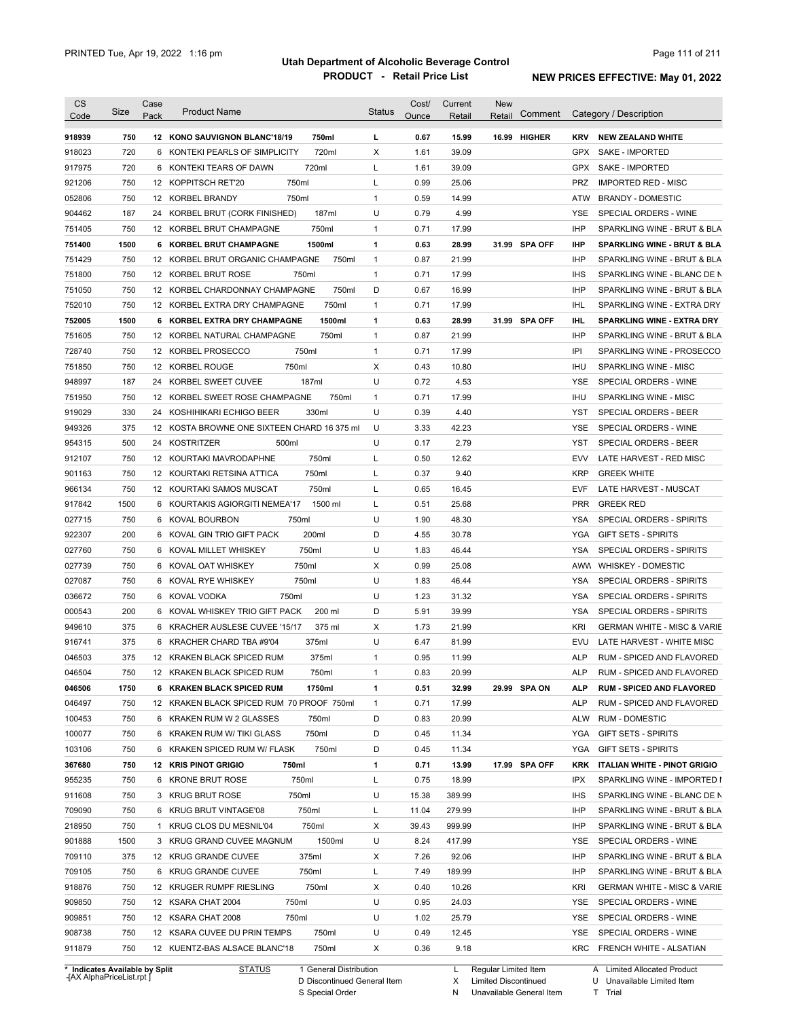| <b>CS</b>                      | Size       | Case | <b>Product Name</b>                                              |                        | <b>Status</b> | Cost/        | Current        | <b>New</b>             |               |            |                                        |
|--------------------------------|------------|------|------------------------------------------------------------------|------------------------|---------------|--------------|----------------|------------------------|---------------|------------|----------------------------------------|
| Code                           |            | Pack |                                                                  |                        |               | Ounce        | Retail         | Retail                 | Comment       |            | Category / Description                 |
| 918939                         | 750        |      | 12 KONO SAUVIGNON BLANC'18/19                                    | 750ml                  | L             | 0.67         | 15.99          |                        | 16.99 HIGHER  | <b>KRV</b> | <b>NEW ZEALAND WHITE</b>               |
| 918023                         | 720        |      | 6 KONTEKI PEARLS OF SIMPLICITY                                   | 720ml                  | X             | 1.61         | 39.09          |                        |               | GPX        | SAKE - IMPORTED                        |
| 917975                         | 720        |      | 6 KONTEKI TEARS OF DAWN                                          | 720ml                  | L             | 1.61         | 39.09          |                        |               | <b>GPX</b> | SAKE - IMPORTED                        |
| 921206                         | 750        |      | 750ml<br>12 KOPPITSCH RET'20                                     |                        | L             | 0.99         | 25.06          |                        |               | PRZ        | <b>IMPORTED RED - MISC</b>             |
| 052806                         | 750        |      | 12 KORBEL BRANDY<br>750ml                                        |                        | $\mathbf{1}$  | 0.59         | 14.99          |                        |               | ATW        | <b>BRANDY - DOMESTIC</b>               |
| 904462                         | 187        |      | 24 KORBEL BRUT (CORK FINISHED)                                   | 187ml                  | U             | 0.79         | 4.99           |                        |               | <b>YSE</b> | SPECIAL ORDERS - WINE                  |
| 751405                         | 750        |      | 12 KORBEL BRUT CHAMPAGNE                                         | 750ml                  | $\mathbf{1}$  | 0.71         | 17.99          |                        |               | <b>IHP</b> | SPARKLING WINE - BRUT & BLA            |
| 751400                         | 1500       |      | 6 KORBEL BRUT CHAMPAGNE                                          | 1500ml                 | 1             | 0.63         | 28.99          |                        | 31.99 SPA OFF | <b>IHP</b> | <b>SPARKLING WINE - BRUT &amp; BLA</b> |
| 751429                         | 750        |      | 12 KORBEL BRUT ORGANIC CHAMPAGNE                                 | 750ml                  | $\mathbf{1}$  | 0.87         | 21.99          |                        |               | <b>IHP</b> | SPARKLING WINE - BRUT & BLA            |
| 751800                         | 750        |      | 12 KORBEL BRUT ROSE<br>750ml                                     |                        | $\mathbf{1}$  | 0.71         | 17.99          |                        |               | <b>IHS</b> | SPARKLING WINE - BLANC DE N            |
| 751050                         | 750        |      | 12 KORBEL CHARDONNAY CHAMPAGNE                                   | 750ml                  | D             | 0.67         | 16.99          |                        |               | <b>IHP</b> | SPARKLING WINE - BRUT & BLA            |
| 752010                         | 750        |      | 12 KORBEL EXTRA DRY CHAMPAGNE                                    | 750ml                  | 1             | 0.71         | 17.99          |                        |               | IHL        | SPARKLING WINE - EXTRA DRY             |
| 752005                         | 1500       |      | 6 KORBEL EXTRA DRY CHAMPAGNE                                     | 1500ml                 | 1             | 0.63         | 28.99          |                        | 31.99 SPA OFF | IHL.       | <b>SPARKLING WINE - EXTRA DRY</b>      |
| 751605                         | 750        |      | 12 KORBEL NATURAL CHAMPAGNE                                      | 750ml                  | $\mathbf{1}$  | 0.87         | 21.99          |                        |               | <b>IHP</b> | SPARKLING WINE - BRUT & BLA            |
| 728740                         | 750        |      | 750ml<br>12 KORBEL PROSECCO                                      |                        | $\mathbf{1}$  | 0.71         | 17.99          |                        |               | IPI        | SPARKLING WINE - PROSECCO              |
| 751850                         | 750        |      | 12 KORBEL ROUGE<br>750ml                                         |                        | Χ             | 0.43         | 10.80          |                        |               | <b>IHU</b> | SPARKLING WINE - MISC                  |
| 948997                         | 187        |      | 24 KORBEL SWEET CUVEE                                            | 187ml                  | U             | 0.72         | 4.53           |                        |               | YSE        | SPECIAL ORDERS - WINE                  |
| 751950                         | 750        |      | 12 KORBEL SWEET ROSE CHAMPAGNE                                   | 750ml                  | $\mathbf{1}$  | 0.71         | 17.99          |                        |               | <b>IHU</b> | SPARKLING WINE - MISC                  |
| 919029                         | 330        |      | 24 KOSHIHIKARI ECHIGO BEER                                       | 330ml                  | U             | 0.39         | 4.40           |                        |               | YST        | SPECIAL ORDERS - BEER                  |
| 949326                         | 375        |      | 12 KOSTA BROWNE ONE SIXTEEN CHARD 16 375 ml                      |                        | U             | 3.33         | 42.23          |                        |               | <b>YSE</b> | SPECIAL ORDERS - WINE                  |
| 954315                         | 500        |      | 24 KOSTRITZER<br>500ml                                           |                        | U             | 0.17         | 2.79           |                        |               | <b>YST</b> | SPECIAL ORDERS - BEER                  |
| 912107                         | 750        |      | 12 KOURTAKI MAVRODAPHNE                                          | 750ml                  | L             | 0.50         | 12.62          |                        |               | <b>EVV</b> | LATE HARVEST - RED MISC                |
| 901163                         | 750        |      | 12 KOURTAKI RETSINA ATTICA                                       | 750ml                  | L             | 0.37         | 9.40           |                        |               | <b>KRP</b> | <b>GREEK WHITE</b>                     |
| 966134                         | 750        |      | 12 KOURTAKI SAMOS MUSCAT                                         | 750ml                  | L             | 0.65         | 16.45          |                        |               | <b>EVF</b> | LATE HARVEST - MUSCAT                  |
| 917842                         | 1500       |      | 6 KOURTAKIS AGIORGITI NEMEA'17                                   | 1500 ml                | L             | 0.51         | 25.68          |                        |               | <b>PRR</b> | <b>GREEK RED</b>                       |
| 027715                         | 750        |      | 750ml<br>6 KOVAL BOURBON                                         |                        | U             | 1.90         | 48.30          |                        |               | YSA        | SPECIAL ORDERS - SPIRITS               |
| 922307                         | 200        |      | 6 KOVAL GIN TRIO GIFT PACK                                       | 200ml                  | D             | 4.55         | 30.78          |                        |               | YGA        | <b>GIFT SETS - SPIRITS</b>             |
| 027760                         | 750        |      | 750ml                                                            |                        | U             | 1.83         | 46.44          |                        |               | YSA        | SPECIAL ORDERS - SPIRITS               |
|                                |            |      | 6 KOVAL MILLET WHISKEY                                           |                        |               |              |                |                        |               |            |                                        |
| 027739                         | 750<br>750 |      | 750ml<br>6 KOVAL OAT WHISKEY<br>750ml                            |                        | X<br>U        | 0.99         | 25.08<br>46.44 |                        |               | <b>YSA</b> | AWW WHISKEY - DOMESTIC                 |
| 027087                         | 750        |      | 6 KOVAL RYE WHISKEY<br>750ml                                     |                        | U             | 1.83<br>1.23 |                |                        |               | <b>YSA</b> | SPECIAL ORDERS - SPIRITS               |
| 036672                         |            |      | 6 KOVAL VODKA                                                    |                        | D             |              | 31.32          |                        |               |            | SPECIAL ORDERS - SPIRITS               |
| 000543                         | 200        |      | 6 KOVAL WHISKEY TRIO GIFT PACK<br>6 KRACHER AUSLESE CUVEE '15/17 | 200 ml                 |               | 5.91         | 39.99          |                        |               | <b>YSA</b> | SPECIAL ORDERS - SPIRITS               |
| 949610                         | 375        |      |                                                                  | 375 ml                 | X<br>U        | 1.73         | 21.99          |                        |               | KRI        | <b>GERMAN WHITE - MISC &amp; VARIE</b> |
| 916741                         | 375        |      | 6 KRACHER CHARD TBA #9'04                                        | 375ml                  |               | 6.47         | 81.99          |                        |               | EVU        | LATE HARVEST - WHITE MISC              |
| 046503                         | 375        |      | 12 KRAKEN BLACK SPICED RUM                                       | 375ml                  | 1             | 0.95         | 11.99          |                        |               | <b>ALP</b> | RUM - SPICED AND FLAVORED              |
| 046504                         | 750        |      | 12 KRAKEN BLACK SPICED RUM                                       | 750ml                  | 1             | 0.83         | 20.99          |                        |               | <b>ALP</b> | RUM - SPICED AND FLAVORED              |
| 046506                         | 1750       |      | 6 KRAKEN BLACK SPICED RUM                                        | 1750ml                 | 1             | 0.51         | 32.99          |                        | 29.99 SPA ON  | <b>ALP</b> | <b>RUM - SPICED AND FLAVORED</b>       |
| 046497                         | 750        |      | 12 KRAKEN BLACK SPICED RUM 70 PROOF 750ml                        |                        | 1             | 0.71         | 17.99          |                        |               | ALP        | RUM - SPICED AND FLAVORED              |
| 100453                         | 750        |      | 6 KRAKEN RUM W 2 GLASSES                                         | 750ml                  | D             | 0.83         | 20.99          |                        |               | ALW        | <b>RUM - DOMESTIC</b>                  |
| 100077                         | 750        |      | 6 KRAKEN RUM W/ TIKI GLASS                                       | 750ml                  | D             | 0.45         | 11.34          |                        |               | YGA        | <b>GIFT SETS - SPIRITS</b>             |
| 103106                         | 750        |      | 6 KRAKEN SPICED RUM W/ FLASK                                     | 750ml                  | D             | 0.45         | 11.34          |                        |               | YGA        | <b>GIFT SETS - SPIRITS</b>             |
| 367680                         | 750        |      | 12 KRIS PINOT GRIGIO<br>750ml                                    |                        | 1             | 0.71         | 13.99          |                        | 17.99 SPA OFF | <b>KRK</b> | ITALIAN WHITE - PINOT GRIGIO           |
| 955235                         | 750        |      | 6 KRONE BRUT ROSE<br>750ml                                       |                        | L             | 0.75         | 18.99          |                        |               | IPX        | SPARKLING WINE - IMPORTED I            |
| 911608                         | 750        |      | 750ml<br>3 KRUG BRUT ROSE                                        |                        | U             | 15.38        | 389.99         |                        |               | <b>IHS</b> | SPARKLING WINE - BLANC DE N            |
| 709090                         | 750        |      | 6 KRUG BRUT VINTAGE'08<br>750ml                                  |                        | L             | 11.04        | 279.99         |                        |               | IHP        | SPARKLING WINE - BRUT & BLA            |
| 218950                         | 750        |      | 1 KRUG CLOS DU MESNIL'04                                         | 750ml                  | X             | 39.43        | 999.99         |                        |               | IHP        | SPARKLING WINE - BRUT & BLA            |
| 901888                         | 1500       |      | 3 KRUG GRAND CUVEE MAGNUM                                        | 1500ml                 | U             | 8.24         | 417.99         |                        |               | <b>YSE</b> | SPECIAL ORDERS - WINE                  |
| 709110                         | 375        |      | 375ml<br>12 KRUG GRANDE CUVEE                                    |                        | X             | 7.26         | 92.06          |                        |               | IHP        | SPARKLING WINE - BRUT & BLA            |
| 709105                         | 750        |      | 750ml<br>6 KRUG GRANDE CUVEE                                     |                        | L             | 7.49         | 189.99         |                        |               | IHP        | SPARKLING WINE - BRUT & BLA            |
| 918876                         | 750        |      | 12 KRUGER RUMPF RIESLING                                         | 750ml                  | X             | 0.40         | 10.26          |                        |               | KRI        | <b>GERMAN WHITE - MISC &amp; VARIE</b> |
| 909850                         | 750        |      | 750ml<br>12 KSARA CHAT 2004                                      |                        | U             | 0.95         | 24.03          |                        |               | <b>YSE</b> | SPECIAL ORDERS - WINE                  |
| 909851                         | 750        |      | 12 KSARA CHAT 2008<br>750ml                                      |                        | U             | 1.02         | 25.79          |                        |               | YSE        | SPECIAL ORDERS - WINE                  |
| 908738                         | 750        |      | 12 KSARA CUVEE DU PRIN TEMPS                                     | 750ml                  | U             | 0.49         | 12.45          |                        |               | YSE        | SPECIAL ORDERS - WINE                  |
| 911879                         | 750        |      | 12 KUENTZ-BAS ALSACE BLANC'18                                    | 750ml                  | X             | 0.36         | 9.18           |                        |               |            | KRC FRENCH WHITE - ALSATIAN            |
| * Indicates Available by Split |            |      | <b>STATUS</b>                                                    | 1 General Distribution |               |              |                | L Regular Limited Item |               |            | A Limited Allocated Product            |

**Case** [AX AlphaPriceList.rpt ]

D Discontinued General Item

S Special Order

X Limited Discontinued

N Unavailable General Item

U Unavailable Limited Item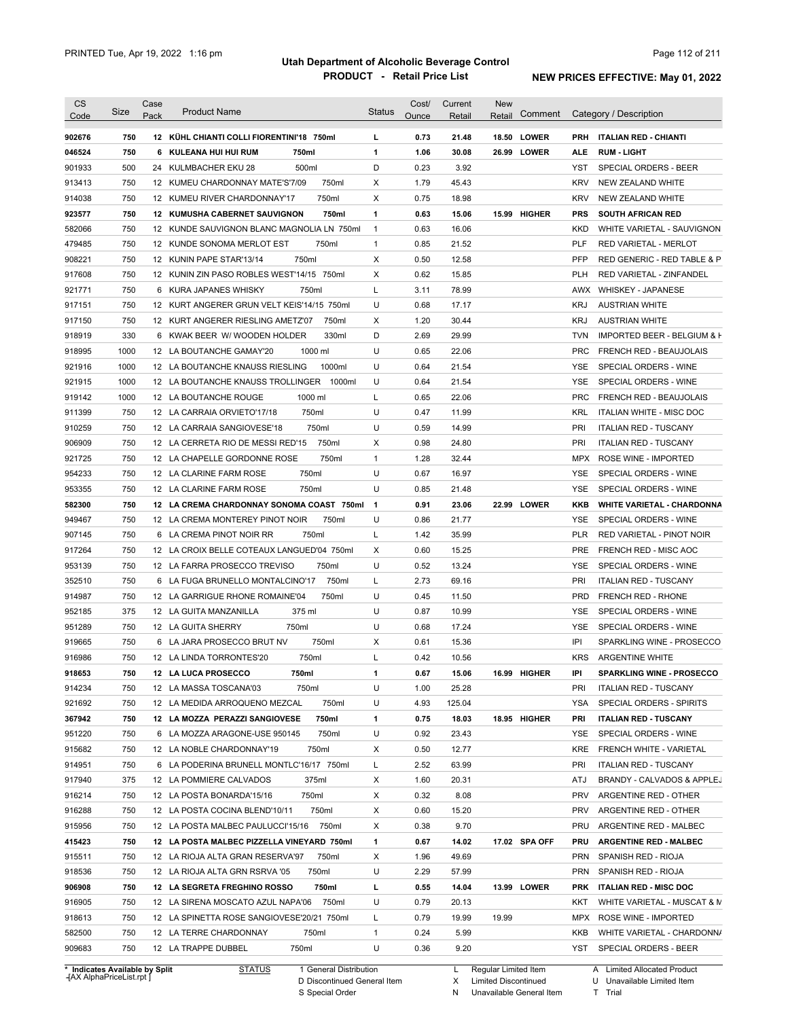| <b>CS</b>        |            | Case |                                                                 |                   | Cost/        | Current      | <b>New</b>             |            |                                                         |
|------------------|------------|------|-----------------------------------------------------------------|-------------------|--------------|--------------|------------------------|------------|---------------------------------------------------------|
| Code             | Size       | Pack | <b>Product Name</b>                                             | <b>Status</b>     | Ounce        | Retail       | Comment<br>Retail      |            | Category / Description                                  |
| 902676           | 750        |      | 12 KÜHL CHIANTI COLLI FIORENTINI'18 750ml                       | L                 | 0.73         | 21.48        | <b>LOWER</b><br>18.50  | <b>PRH</b> | <b>ITALIAN RED - CHIANTI</b>                            |
| 046524           | 750        |      | 6 KULEANA HUI HUI RUM<br>750ml                                  | $\mathbf{1}$      | 1.06         | 30.08        | 26.99 LOWER            | <b>ALE</b> | <b>RUM LIGHT</b>                                        |
| 901933           | 500        |      | 500ml<br>24 KULMBACHER EKU 28                                   | D                 | 0.23         | 3.92         |                        | YST        | <b>SPECIAL ORDERS - BEER</b>                            |
| 913413           | 750        |      | 750ml<br>12 KUMEU CHARDONNAY MATE'S'7/09                        | Χ                 | 1.79         | 45.43        |                        | <b>KRV</b> | <b>NEW ZEALAND WHITE</b>                                |
| 914038           | 750        |      | 750ml<br>12 KUMEU RIVER CHARDONNAY'17                           | X                 | 0.75         | 18.98        |                        | <b>KRV</b> | NEW ZEALAND WHITE                                       |
| 923577           | 750        |      | <b>12 KUMUSHA CABERNET SAUVIGNON</b><br>750ml                   | $\mathbf{1}$      | 0.63         | 15.06        | <b>HIGHER</b><br>15.99 | <b>PRS</b> | <b>SOUTH AFRICAN RED</b>                                |
| 582066           | 750        |      | 12 KUNDE SAUVIGNON BLANC MAGNOLIA LN 750ml                      | $\mathbf{1}$      | 0.63         | 16.06        |                        | <b>KKD</b> | WHITE VARIETAL - SAUVIGNON                              |
| 479485           | 750        |      | 12 KUNDE SONOMA MERLOT EST<br>750ml                             | $\mathbf{1}$      | 0.85         | 21.52        |                        | <b>PLF</b> | RED VARIETAL - MERLOT                                   |
| 908221           | 750        |      | 750ml<br>12 KUNIN PAPE STAR'13/14                               | Χ                 | 0.50         | 12.58        |                        | <b>PFP</b> | RED GENERIC - RED TABLE & P                             |
| 917608           | 750        |      | 12 KUNIN ZIN PASO ROBLES WEST'14/15 750ml                       | Χ                 | 0.62         | 15.85        |                        | <b>PLH</b> | RED VARIETAL - ZINFANDEL                                |
| 921771           | 750        |      | 6 KURA JAPANES WHISKY<br>750ml                                  | L                 | 3.11         | 78.99        |                        |            | AWX WHISKEY - JAPANESE                                  |
| 917151           | 750        |      | 12 KURT ANGERER GRUN VELT KEIS'14/15 750ml                      | U                 | 0.68         | 17.17        |                        | <b>KRJ</b> | <b>AUSTRIAN WHITE</b>                                   |
| 917150           | 750        |      | 12 KURT ANGERER RIESLING AMETZ'07<br>750ml                      | Χ                 | 1.20         | 30.44        |                        | <b>KRJ</b> | <b>AUSTRIAN WHITE</b>                                   |
| 918919           | 330        |      | 330ml<br>6 KWAK BEER W/WOODEN HOLDER                            | D                 | 2.69         | 29.99        |                        | <b>TVN</b> | IMPORTED BEER - BELGIUM & F                             |
| 918995           | 1000       |      | 12 LA BOUTANCHE GAMAY'20<br>1000 ml                             | U                 | 0.65         | 22.06        |                        | <b>PRC</b> | FRENCH RED - BEAUJOLAIS                                 |
| 921916           | 1000       |      | 12 LA BOUTANCHE KNAUSS RIESLING<br>1000ml                       | U                 | 0.64         | 21.54        |                        | <b>YSE</b> | SPECIAL ORDERS - WINE                                   |
| 921915           | 1000       |      | 12 LA BOUTANCHE KNAUSS TROLLINGER<br>1000ml                     | U                 | 0.64         | 21.54        |                        | <b>YSE</b> | SPECIAL ORDERS - WINE                                   |
| 919142           | 1000       |      | 1000 ml<br>12 LA BOUTANCHE ROUGE                                | L                 | 0.65         | 22.06        |                        | <b>PRC</b> | FRENCH RED - BEAUJOLAIS                                 |
| 911399           | 750        |      | 750ml<br>12 LA CARRAIA ORVIETO'17/18                            | U                 | 0.47         | 11.99        |                        | <b>KRL</b> | ITALIAN WHITE - MISC DOC                                |
| 910259           | 750        |      | 750ml<br>12 LA CARRAIA SANGIOVESE'18                            | U                 | 0.59         | 14.99        |                        | PRI        | <b>ITALIAN RED - TUSCANY</b>                            |
| 906909           | 750        |      | 750ml<br>12 LA CERRETA RIO DE MESSI RED'15                      | Х                 | 0.98         | 24.80        |                        | PRI        | <b>ITALIAN RED - TUSCANY</b>                            |
| 921725           | 750        |      | 750ml<br>12 LA CHAPELLE GORDONNE ROSE                           | $\mathbf{1}$      | 1.28         | 32.44        |                        | <b>MPX</b> | ROSE WINE - IMPORTED                                    |
| 954233           | 750        |      | 750ml<br>12 LA CLARINE FARM ROSE                                | U                 | 0.67         | 16.97        |                        | YSE        | SPECIAL ORDERS - WINE                                   |
| 953355           | 750        |      | 750ml<br>12 LA CLARINE FARM ROSE                                | U                 | 0.85         | 21.48        |                        | <b>YSE</b> | SPECIAL ORDERS - WINE                                   |
| 582300           | 750        |      | 12 LA CREMA CHARDONNAY SONOMA COAST 750ml                       | $\overline{1}$    | 0.91         | 23.06        | 22.99 LOWER            | KKB        | <b>WHITE VARIETAL - CHARDONNA</b>                       |
| 949467           | 750        |      | 750ml<br>12 LA CREMA MONTEREY PINOT NOIR                        | U                 | 0.86         | 21.77        |                        | YSE        | SPECIAL ORDERS - WINE                                   |
| 907145           | 750        |      | 750ml<br>6 LA CREMA PINOT NOIR RR                               | L                 | 1.42         | 35.99        |                        | <b>PLR</b> | RED VARIETAL - PINOT NOIR                               |
| 917264           | 750        |      | 12 LA CROIX BELLE COTEAUX LANGUED'04 750ml                      | Χ                 | 0.60         | 15.25        |                        | PRE        | FRENCH RED - MISC AOC                                   |
| 953139           | 750        |      | 750ml<br>12 LA FARRA PROSECCO TREVISO                           | U                 | 0.52         | 13.24        |                        | YSE        | SPECIAL ORDERS - WINE                                   |
| 352510           | 750        |      | 6 LA FUGA BRUNELLO MONTALCINO'17<br>750ml                       | L                 | 2.73         | 69.16        |                        | PRI        | <b>ITALIAN RED - TUSCANY</b>                            |
| 914987           | 750        |      | 12 LA GARRIGUE RHONE ROMAINE'04<br>750ml                        | U                 | 0.45         | 11.50        |                        | <b>PRD</b> | FRENCH RED - RHONE                                      |
| 952185           | 375        |      | 375 ml<br>12 LA GUITA MANZANILLA                                | U                 | 0.87         | 10.99        |                        | YSE        | SPECIAL ORDERS - WINE                                   |
| 951289           | 750        |      | 750ml<br>12 LA GUITA SHERRY                                     | U                 | 0.68         | 17.24        |                        | <b>YSE</b> | SPECIAL ORDERS - WINE                                   |
| 919665           | 750        |      | 750ml<br>6 LA JARA PROSECCO BRUT NV                             | Χ                 | 0.61         | 15.36        |                        | IPI        | SPARKLING WINE - PROSECCO                               |
| 916986           | 750        |      | 12 LA LINDA TORRONTES'20<br>750ml                               | Г                 | 0.42         | 10.56        |                        | <b>KRS</b> | <b>ARGENTINE WHITE</b>                                  |
|                  |            |      | 750ml                                                           | 1                 |              |              | 16.99 HIGHER           | IPI        | SPARKLING WINE - PROSECCO                               |
| 918653<br>914234 | 750<br>750 |      | 12 LA LUCA PROSECCO<br>750ml                                    | U                 | 0.67<br>1.00 | 15.06        |                        | PRI        | <b>ITALIAN RED - TUSCANY</b>                            |
|                  |            |      | 12 LA MASSA TOSCANA'03                                          |                   |              | 25.28        |                        |            |                                                         |
| 921692           | 750        |      | 12 LA MEDIDA ARROQUENO MEZCAL<br>750ml<br>750ml                 | U                 | 4.93<br>0.75 | 125.04       |                        | YSA        | SPECIAL ORDERS - SPIRITS                                |
| 367942           | 750        |      | 12 LA MOZZA PERAZZI SANGIOVESE                                  | 1                 |              | 18.03        | 18.95 HIGHER           | PRI        | <b>ITALIAN RED - TUSCANY</b>                            |
| 951220           | 750        |      | 750ml<br>6 LA MOZZA ARAGONE-USE 950145<br>750ml                 | U                 | 0.92<br>0.50 | 23.43        |                        | YSE        | SPECIAL ORDERS - WINE                                   |
| 915682           | 750        |      | 12 LA NOBLE CHARDONNAY'19                                       | X                 |              | 12.77        |                        | KRE        | FRENCH WHITE - VARIETAL                                 |
| 914951           | 750        |      | 6 LA PODERINA BRUNELL MONTLC'16/17 750ml                        | L                 | 2.52         | 63.99        |                        | PRI        | <b>ITALIAN RED - TUSCANY</b>                            |
|                  |            |      |                                                                 | X                 | 1.60         | 20.31        |                        | ATJ        | BRANDY - CALVADOS & APPLEJ                              |
| 917940           | 375        |      | 12 LA POMMIERE CALVADOS<br>375ml                                |                   |              |              |                        |            |                                                         |
| 916214           | 750        |      | 12 LA POSTA BONARDA'15/16<br>750ml                              | Х                 | 0.32         | 8.08         |                        | <b>PRV</b> | ARGENTINE RED - OTHER                                   |
| 916288           | 750        |      | 750ml<br>12 LA POSTA COCINA BLEND'10/11                         | X                 | 0.60         | 15.20        |                        | <b>PRV</b> | ARGENTINE RED - OTHER                                   |
| 915956           | 750        |      | 12 LA POSTA MALBEC PAULUCCI'15/16 750ml                         | X                 | 0.38         | 9.70         |                        | PRU        | ARGENTINE RED - MALBEC                                  |
| 415423           | 750        |      | 12 LA POSTA MALBEC PIZZELLA VINEYARD 750ml                      | 1                 | 0.67         | 14.02        | 17.02 SPA OFF          | PRU        | <b>ARGENTINE RED - MALBEC</b>                           |
| 915511           | 750        |      | 750ml<br>12 LA RIOJA ALTA GRAN RESERVA'97                       | X                 | 1.96         | 49.69        |                        | <b>PRN</b> | SPANISH RED - RIOJA                                     |
| 918536           | 750        |      | 12 LA RIOJA ALTA GRN RSRVA '05<br>750ml                         | U                 | 2.29         | 57.99        |                        | <b>PRN</b> | SPANISH RED - RIOJA                                     |
| 906908           | 750        |      | 12 LA SEGRETA FREGHINO ROSSO<br>750ml                           | L                 | 0.55         | 14.04        | 13.99 LOWER            | <b>PRK</b> | ITALIAN RED - MISC DOC                                  |
| 916905           | 750        |      | 12 LA SIRENA MOSCATO AZUL NAPA'06 750ml                         | U                 | 0.79         | 20.13        |                        | KKT        | WHITE VARIETAL - MUSCAT & M                             |
| 918613           | 750        |      | 12 LA SPINETTA ROSE SANGIOVESE'20/21 750ml                      | L                 | 0.79         | 19.99        | 19.99                  |            | MPX ROSE WINE - IMPORTED                                |
| 582500<br>909683 | 750<br>750 |      | 12 LA TERRE CHARDONNAY<br>750ml<br>12 LA TRAPPE DUBBEL<br>750ml | $\mathbf{1}$<br>U | 0.24<br>0.36 | 5.99<br>9.20 |                        | KKB        | WHITE VARIETAL - CHARDONN/<br>YST SPECIAL ORDERS - BEER |

**Case** [AX AlphaPriceList.rpt ]

D Discontinued General Item

S Special Order

X

Limited Discontinued

N Unavailable General Item

- 
- T Trial

U Unavailable Limited Item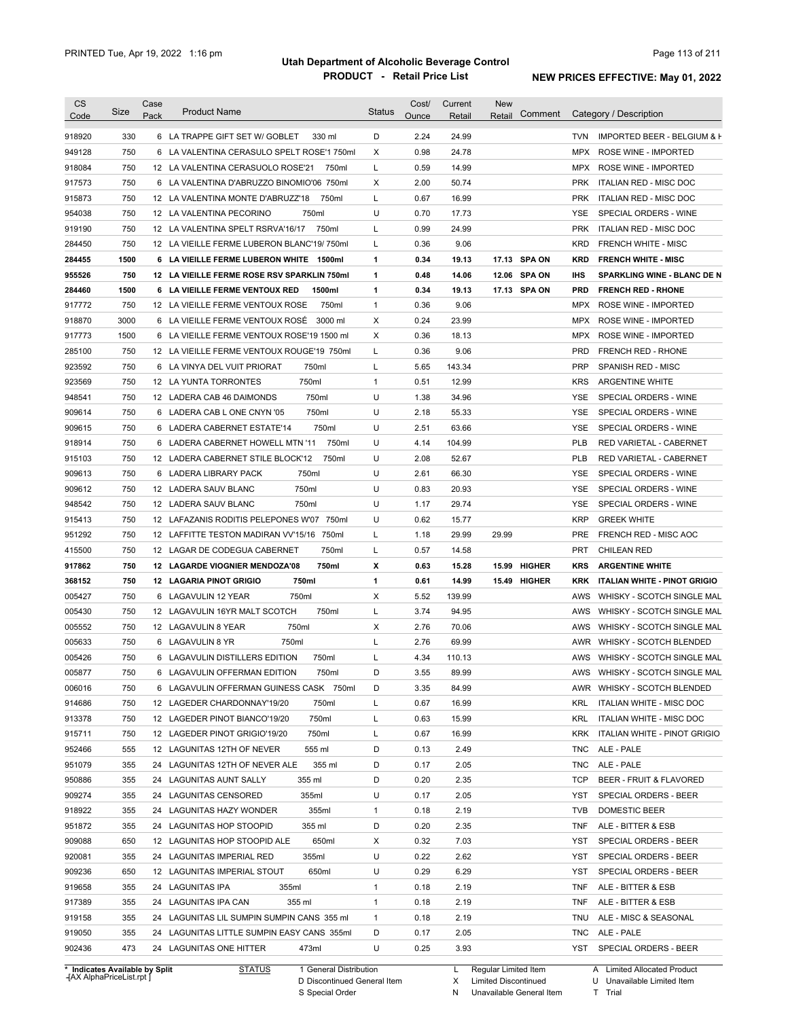| <b>CS</b><br>Code              | Size | Case<br>Pack | <b>Product Name</b>                         | <b>Status</b> | Cost/<br>Ounce | Current<br>Retail | New<br>Comment<br>Retail |            | Category / Description              |
|--------------------------------|------|--------------|---------------------------------------------|---------------|----------------|-------------------|--------------------------|------------|-------------------------------------|
|                                |      |              |                                             |               |                |                   |                          |            |                                     |
| 918920                         | 330  |              | 6 LA TRAPPE GIFT SET W/ GOBLET<br>330 ml    | D             | 2.24           | 24.99             |                          | <b>TVN</b> | IMPORTED BEER - BELGIUM & F         |
| 949128                         | 750  |              | 6 LA VALENTINA CERASULO SPELT ROSE'1 750ml  | Χ             | 0.98           | 24.78             |                          |            | MPX ROSE WINE - IMPORTED            |
| 918084                         | 750  |              | 12 LA VALENTINA CERASUOLO ROSE'21<br>750ml  | L             | 0.59           | 14.99             |                          |            | MPX ROSE WINE - IMPORTED            |
| 917573                         | 750  |              | 6 LA VALENTINA D'ABRUZZO BINOMIO'06 750ml   | Χ             | 2.00           | 50.74             |                          |            | PRK ITALIAN RED - MISC DOC          |
| 915873                         | 750  |              | 12 LA VALENTINA MONTE D'ABRUZZ'18<br>750ml  | L             | 0.67           | 16.99             |                          | <b>PRK</b> | ITALIAN RED - MISC DOC              |
| 954038                         | 750  |              | 12 LA VALENTINA PECORINO<br>750ml           | U             | 0.70           | 17.73             |                          | <b>YSE</b> | SPECIAL ORDERS - WINE               |
| 919190                         | 750  |              | 750ml<br>12 LA VALENTINA SPELT RSRVA'16/17  | L             | 0.99           | 24.99             |                          | <b>PRK</b> | ITALIAN RED - MISC DOC              |
| 284450                         | 750  |              | 12 LA VIEILLE FERME LUBERON BLANC'19/750ml  | L             | 0.36           | 9.06              |                          | KRD        | <b>FRENCH WHITE - MISC</b>          |
| 284455                         | 1500 |              | 6 LA VIEILLE FERME LUBERON WHITE 1500ml     | 1             | 0.34           | 19.13             | 17.13 SPA ON             | <b>KRD</b> | <b>FRENCH WHITE - MISC</b>          |
| 955526                         | 750  |              | 12 LA VIEILLE FERME ROSE RSV SPARKLIN 750ml | 1             | 0.48           | 14.06             | 12.06 SPA ON             | IHS        | <b>SPARKLING WINE - BLANC DE N</b>  |
| 284460                         | 1500 |              | 6 LA VIEILLE FERME VENTOUX RED<br>1500ml    | $\mathbf{1}$  | 0.34           | 19.13             | 17.13 SPA ON             | <b>PRD</b> | <b>FRENCH RED - RHONE</b>           |
| 917772                         | 750  |              | 12 LA VIEILLE FERME VENTOUX ROSE<br>750ml   | $\mathbf{1}$  | 0.36           | 9.06              |                          |            | MPX ROSE WINE - IMPORTED            |
| 918870                         | 3000 |              | 6 LA VIEILLE FERME VENTOUX ROSE 3000 ml     | Х             | 0.24           | 23.99             |                          |            | MPX ROSE WINE - IMPORTED            |
| 917773                         | 1500 |              | 6 LA VIEILLE FERME VENTOUX ROSE'19 1500 ml  | Χ             | 0.36           | 18.13             |                          |            | MPX ROSE WINE - IMPORTED            |
| 285100                         | 750  |              | 12 LA VIEILLE FERME VENTOUX ROUGE'19 750ml  | Г             | 0.36           | 9.06              |                          | PRD        | <b>FRENCH RED - RHONE</b>           |
| 923592                         | 750  |              | 6 LA VINYA DEL VUIT PRIORAT<br>750ml        | L             | 5.65           | 143.34            |                          | <b>PRP</b> | <b>SPANISH RED - MISC</b>           |
| 923569                         | 750  |              | 12 LA YUNTA TORRONTES<br>750ml              | $\mathbf{1}$  | 0.51           | 12.99             |                          | <b>KRS</b> | <b>ARGENTINE WHITE</b>              |
| 948541                         | 750  |              | 750ml<br>12 LADERA CAB 46 DAIMONDS          | U             | 1.38           | 34.96             |                          | <b>YSE</b> | SPECIAL ORDERS - WINE               |
| 909614                         | 750  |              | 750ml<br>6 LADERA CAB L ONE CNYN '05        | U             | 2.18           | 55.33             |                          | <b>YSE</b> | SPECIAL ORDERS - WINE               |
| 909615                         | 750  |              | 6 LADERA CABERNET ESTATE'14<br>750ml        | U             | 2.51           | 63.66             |                          | <b>YSE</b> | SPECIAL ORDERS - WINE               |
| 918914                         | 750  |              | 750ml<br>6 LADERA CABERNET HOWELL MTN '11   | U             | 4.14           | 104.99            |                          | <b>PLB</b> | RED VARIETAL - CABERNET             |
| 915103                         | 750  |              | 750ml<br>12 LADERA CABERNET STILE BLOCK'12  | U             | 2.08           | 52.67             |                          | <b>PLB</b> | RED VARIETAL - CABERNET             |
| 909613                         | 750  |              | 750ml<br>6 LADERA LIBRARY PACK              | U             | 2.61           | 66.30             |                          | YSE        | SPECIAL ORDERS - WINE               |
| 909612                         | 750  |              | 750ml<br>12 LADERA SAUV BLANC               | U             | 0.83           | 20.93             |                          | YSE        | SPECIAL ORDERS - WINE               |
| 948542                         | 750  |              | 12 LADERA SAUV BLANC<br>750ml               | U             | 1.17           | 29.74             |                          | YSE        | SPECIAL ORDERS - WINE               |
| 915413                         | 750  |              | 12 LAFAZANIS RODITIS PELEPONES W'07 750ml   | U             | 0.62           | 15.77             |                          | <b>KRP</b> | <b>GREEK WHITE</b>                  |
| 951292                         | 750  |              | 12 LAFFITTE TESTON MADIRAN VV'15/16 750ml   | L             | 1.18           | 29.99             | 29.99                    | PRE        | FRENCH RED - MISC AOC               |
| 415500                         | 750  |              | 12 LAGAR DE CODEGUA CABERNET<br>750ml       | L             | 0.57           | 14.58             |                          | <b>PRT</b> | <b>CHILEAN RED</b>                  |
| 917862                         | 750  |              | 750ml<br>12 LAGARDE VIOGNIER MENDOZA'08     | x             | 0.63           | 15.28             | <b>HIGHER</b><br>15.99   | <b>KRS</b> | <b>ARGENTINE WHITE</b>              |
| 368152                         | 750  |              | <b>12 LAGARIA PINOT GRIGIO</b><br>750ml     | 1             | 0.61           | 14.99             | 15.49 HIGHER             | KRK        | <b>ITALIAN WHITE - PINOT GRIGIO</b> |
| 005427                         | 750  |              | 750ml<br>6 LAGAVULIN 12 YEAR                | Х             | 5.52           | 139.99            |                          | AWS        | WHISKY - SCOTCH SINGLE MAL          |
| 005430                         | 750  |              | 750ml<br>12 LAGAVULIN 16YR MALT SCOTCH      | L             | 3.74           | 94.95             |                          | AWS        | WHISKY - SCOTCH SINGLE MAL          |
| 005552                         | 750  |              | 12 LAGAVULIN 8 YEAR<br>750ml                | Χ             | 2.76           | 70.06             |                          | AWS        | WHISKY - SCOTCH SINGLE MAL          |
| 005633                         | 750  |              | 750ml<br>6 LAGAVULIN 8 YR                   | L             | 2.76           | 69.99             |                          | AWR        | <b>WHISKY - SCOTCH BLENDED</b>      |
| 005426                         | 750  |              | 6 LAGAVULIN DISTILLERS EDITION<br>750ml     | Г             | 4.34           | 110.13            |                          |            | AWS WHISKY - SCOTCH SINGLE MAL      |
| 005877                         | 750  |              | 6 LAGAVULIN OFFERMAN EDITION<br>750ml       | D             | 3.55           | 89.99             |                          |            | AWS WHISKY - SCOTCH SINGLE MAL      |
| 006016                         | 750  |              | 6 LAGAVULIN OFFERMAN GUINESS CASK 750ml     | D             | 3.35           | 84.99             |                          |            | AWR WHISKY - SCOTCH BLENDED         |
| 914686                         | 750  |              | 12 LAGEDER CHARDONNAY'19/20<br>750ml        | Г             | 0.67           | 16.99             |                          | <b>KRL</b> | <b>ITALIAN WHITE - MISC DOC</b>     |
| 913378                         | 750  |              | 750ml<br>12 LAGEDER PINOT BIANCO'19/20      | L             | 0.63           | 15.99             |                          | <b>KRL</b> | <b>ITALIAN WHITE - MISC DOC</b>     |
| 915711                         | 750  |              | 750ml<br>12 LAGEDER PINOT GRIGIO'19/20      | Г             | 0.67           | 16.99             |                          | <b>KRK</b> | ITALIAN WHITE - PINOT GRIGIO        |
| 952466                         | 555  |              | 555 ml<br>12 LAGUNITAS 12TH OF NEVER        | D             | 0.13           | 2.49              |                          | <b>TNC</b> | ALE - PALE                          |
| 951079                         | 355  |              | 24 LAGUNITAS 12TH OF NEVER ALE<br>355 ml    | D             | 0.17           | 2.05              |                          | <b>TNC</b> | ALE - PALE                          |
| 950886                         | 355  |              | 355 ml<br>24 LAGUNITAS AUNT SALLY           | D             | 0.20           | 2.35              |                          | <b>TCP</b> | BEER - FRUIT & FLAVORED             |
|                                |      |              |                                             |               |                |                   |                          |            |                                     |
| 909274                         | 355  |              | 24 LAGUNITAS CENSORED<br>355ml              | U             | 0.17           | 2.05              |                          | YST        | SPECIAL ORDERS - BEER               |
| 918922                         | 355  |              | 355ml<br>24 LAGUNITAS HAZY WONDER           | 1             | 0.18           | 2.19              |                          | TVB        | DOMESTIC BEER                       |
| 951872                         | 355  |              | 24 LAGUNITAS HOP STOOPID<br>355 ml          | D             | 0.20           | 2.35              |                          | TNF        | ALE - BITTER & ESB                  |
| 909088                         | 650  |              | 12 LAGUNITAS HOP STOOPID ALE<br>650ml       | Х             | 0.32           | 7.03              |                          | YST        | SPECIAL ORDERS - BEER               |
| 920081                         | 355  |              | 24 LAGUNITAS IMPERIAL RED<br>355ml          | U             | 0.22           | 2.62              |                          | YST        | SPECIAL ORDERS - BEER               |
| 909236                         | 650  |              | 650ml<br>12 LAGUNITAS IMPERIAL STOUT        | U             | 0.29           | 6.29              |                          | YST        | SPECIAL ORDERS - BEER               |
| 919658                         | 355  |              | 24 LAGUNITAS IPA<br>355ml                   | 1             | 0.18           | 2.19              |                          | <b>TNF</b> | ALE - BITTER & ESB                  |
| 917389                         | 355  |              | 24 LAGUNITAS IPA CAN<br>355 ml              | 1             | 0.18           | 2.19              |                          | TNF        | ALE - BITTER & ESB                  |
| 919158                         | 355  |              | 24 LAGUNITAS LIL SUMPIN SUMPIN CANS 355 ml  | 1             | 0.18           | 2.19              |                          | TNU        | ALE - MISC & SEASONAL               |
| 919050                         | 355  |              | 24 LAGUNITAS LITTLE SUMPIN EASY CANS 355ml  | D             | 0.17           | 2.05              |                          | TNC        | ALE - PALE                          |
| 902436                         | 473  |              | 24 LAGUNITAS ONE HITTER<br>473ml            | U             | 0.25           | 3.93              |                          |            | YST SPECIAL ORDERS - BEER           |
| * Indicates Available by Split |      |              | 1 General Distribution<br><b>STATUS</b>     |               |                | L.                | Regular Limited Item     |            | A Limited Allocated Product         |

**Case** [AX AlphaPriceList.rpt ]

D Discontinued General Item S Special Order

X Limited Discontinued

N Unavailable General Item

U Unavailable Limited Item

T Trial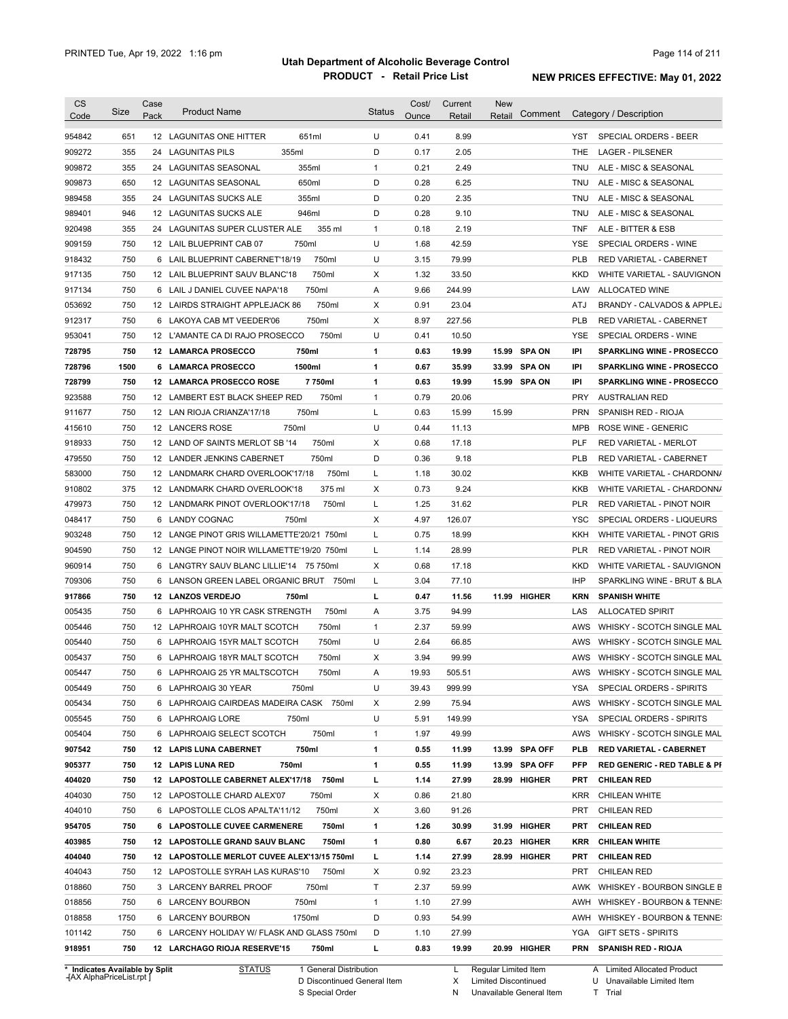| <b>CS</b>        | Size       | Case | <b>Product Name</b>                                                                 | <b>Status</b>     | Cost/        | Current        | <b>New</b> |               |            |                                                          |
|------------------|------------|------|-------------------------------------------------------------------------------------|-------------------|--------------|----------------|------------|---------------|------------|----------------------------------------------------------|
| Code             |            | Pack |                                                                                     |                   | Ounce        | Retail         | Retail     | Comment       |            | Category / Description                                   |
| 954842           | 651        |      | 12 LAGUNITAS ONE HITTER<br>651ml                                                    | U                 | 0.41         | 8.99           |            |               | YST        | SPECIAL ORDERS - BEER                                    |
| 909272           | 355        |      | 355ml<br>24 LAGUNITAS PILS                                                          | D                 | 0.17         | 2.05           |            |               | THE        | <b>LAGER - PILSENER</b>                                  |
| 909872           | 355        |      | 355ml<br>24 LAGUNITAS SEASONAL                                                      | $\mathbf{1}$      | 0.21         | 2.49           |            |               | TNU        | ALE - MISC & SEASONAL                                    |
| 909873           | 650        |      | 650ml<br>12 LAGUNITAS SEASONAL                                                      | D                 | 0.28         | 6.25           |            |               | TNU        | ALE - MISC & SEASONAL                                    |
| 989458           | 355        |      | 355ml<br>24 LAGUNITAS SUCKS ALE                                                     | D                 | 0.20         | 2.35           |            |               | TNU        | ALE - MISC & SEASONAL                                    |
| 989401           | 946        |      | 946ml<br>12 LAGUNITAS SUCKS ALE                                                     | D                 | 0.28         | 9.10           |            |               | TNU        | ALE - MISC & SEASONAL                                    |
| 920498           | 355        |      | 355 ml<br>24 LAGUNITAS SUPER CLUSTER ALE                                            | $\mathbf{1}$      | 0.18         | 2.19           |            |               | <b>TNF</b> | ALE - BITTER & ESB                                       |
| 909159           | 750        |      | 12 LAIL BLUEPRINT CAB 07<br>750ml                                                   | U                 | 1.68         | 42.59          |            |               | <b>YSE</b> | SPECIAL ORDERS - WINE                                    |
| 918432           | 750        |      | 750ml<br>6 LAIL BLUEPRINT CABERNET'18/19                                            | U                 | 3.15         | 79.99          |            |               | <b>PLB</b> | RED VARIETAL - CABERNET                                  |
| 917135           | 750        |      | 750ml<br>12 LAIL BLUEPRINT SAUV BLANC'18                                            | Χ                 | 1.32         | 33.50          |            |               | KKD        | WHITE VARIETAL - SAUVIGNON                               |
| 917134           | 750        |      | 750ml<br>6 LAIL J DANIEL CUVEE NAPA'18                                              | Α                 | 9.66         | 244.99         |            |               | LAW        | ALLOCATED WINE                                           |
| 053692           | 750        |      | 750ml<br>12 LAIRDS STRAIGHT APPLEJACK 86                                            | Х                 | 0.91         | 23.04          |            |               | ATJ        | BRANDY - CALVADOS & APPLEJ                               |
| 912317           | 750        |      | 750ml<br>6 LAKOYA CAB MT VEEDER'06                                                  | Х                 | 8.97         | 227.56         |            |               | <b>PLB</b> | RED VARIETAL - CABERNET                                  |
| 953041           | 750        |      | 12 L'AMANTE CA DI RAJO PROSECCO<br>750ml                                            | U                 | 0.41         | 10.50          |            |               | <b>YSE</b> | SPECIAL ORDERS - WINE                                    |
| 728795           | 750        |      | 750ml<br>12 LAMARCA PROSECCO                                                        | 1                 | 0.63         | 19.99          |            | 15.99 SPA ON  | IPI        | <b>SPARKLING WINE - PROSECCO</b>                         |
| 728796           | 1500       |      | 6 LAMARCA PROSECCO<br>1500ml                                                        | 1                 | 0.67         | 35.99          |            | 33.99 SPA ON  | IPI        | <b>SPARKLING WINE - PROSECCO</b>                         |
| 728799           | 750        |      | 12 LAMARCA PROSECCO ROSE<br>7 750ml                                                 | 1                 | 0.63         | 19.99          |            | 15.99 SPA ON  | IPI        | <b>SPARKLING WINE - PROSECCO</b>                         |
| 923588           | 750        |      | 12 LAMBERT EST BLACK SHEEP RED<br>750ml                                             | $\mathbf{1}$      | 0.79         | 20.06          |            |               | <b>PRY</b> | <b>AUSTRALIAN RED</b>                                    |
| 911677           | 750        |      | 750ml<br>12 LAN RIOJA CRIANZA'17/18                                                 | Г                 | 0.63         | 15.99          | 15.99      |               | <b>PRN</b> | SPANISH RED - RIOJA                                      |
| 415610           | 750        |      | 12 LANCERS ROSE<br>750ml                                                            | U                 | 0.44         | 11.13          |            |               | <b>MPB</b> | <b>ROSE WINE - GENERIC</b>                               |
| 918933           | 750        |      | 12 LAND OF SAINTS MERLOT SB '14<br>750ml                                            | Χ                 | 0.68         | 17.18          |            |               | <b>PLF</b> | <b>RED VARIETAL - MERLOT</b>                             |
| 479550           | 750        |      | 750ml<br>12 LANDER JENKINS CABERNET                                                 | D                 | 0.36         | 9.18           |            |               | <b>PLB</b> | RED VARIETAL - CABERNET                                  |
| 583000           | 750        |      | 750ml<br>12 LANDMARK CHARD OVERLOOK'17/18                                           | Г                 | 1.18         | 30.02          |            |               | <b>KKB</b> | WHITE VARIETAL - CHARDONN/                               |
| 910802           | 375        |      | 375 ml<br>12 LANDMARK CHARD OVERLOOK'18                                             | Χ                 | 0.73         | 9.24           |            |               | <b>KKB</b> | WHITE VARIETAL - CHARDONN/                               |
| 479973           | 750        |      | 750ml<br>12 LANDMARK PINOT OVERLOOK'17/18                                           | Г                 | 1.25         | 31.62          |            |               | <b>PLR</b> | RED VARIETAL - PINOT NOIR                                |
| 048417           | 750        | 6    | 750ml<br><b>LANDY COGNAC</b>                                                        | X                 | 4.97         | 126.07         |            |               | YSC        | SPECIAL ORDERS - LIQUEURS                                |
| 903248           | 750        |      | 12 LANGE PINOT GRIS WILLAMETTE'20/21 750ml                                          | L                 | 0.75         | 18.99          |            |               | KKH        | WHITE VARIETAL - PINOT GRIS                              |
| 904590           | 750        |      | 12 LANGE PINOT NOIR WILLAMETTE'19/20 750ml                                          | L                 | 1.14         | 28.99          |            |               | <b>PLR</b> | RED VARIETAL - PINOT NOIR                                |
| 960914           | 750        | 6    | LANGTRY SAUV BLANC LILLIE'14 75 750ml                                               | Χ                 | 0.68         | 17.18          |            |               | <b>KKD</b> | WHITE VARIETAL - SAUVIGNON                               |
| 709306           | 750        | 6    | LANSON GREEN LABEL ORGANIC BRUT 750ml                                               | L                 | 3.04         | 77.10          |            |               | <b>IHP</b> | SPARKLING WINE - BRUT & BLA                              |
| 917866           | 750        |      | 12 LANZOS VERDEJO<br>750ml                                                          | L                 | 0.47         | 11.56          |            | 11.99 HIGHER  | KRN        | <b>SPANISH WHITE</b>                                     |
| 005435           | 750        | 6    | 750ml<br>LAPHROAIG 10 YR CASK STRENGTH                                              | Α                 | 3.75         | 94.99          |            |               | LAS        | <b>ALLOCATED SPIRIT</b>                                  |
| 005446           | 750        |      | 750ml<br>12 LAPHROAIG 10YR MALT SCOTCH                                              | $\mathbf{1}$      | 2.37         | 59.99          |            |               | <b>AWS</b> | WHISKY - SCOTCH SINGLE MAL                               |
| 005440           | 750        |      | 750ml<br>6 LAPHROAIG 15YR MALT SCOTCH                                               | U                 | 2.64         | 66.85          |            |               | <b>AWS</b> | WHISKY - SCOTCH SINGLE MAL                               |
| 005437           | 750        |      | 750ml<br>6 LAPHROAIG 18YR MALT SCOTCH                                               | X                 | 3.94         | 99.99          |            |               | AWS        | WHISKY - SCOTCH SINGLE MAL                               |
| 005447           | 750        |      | 6 LAPHROAIG 25 YR MALTSCOTCH<br>750ml                                               | Α                 | 19.93        | 505.51         |            |               |            | AWS WHISKY - SCOTCH SINGLE MAL                           |
| 005449           | 750        |      | 6 LAPHROAIG 30 YEAR<br>750ml                                                        | U                 | 39.43        | 999.99         |            |               | YSA        | SPECIAL ORDERS - SPIRITS                                 |
| 005434           | 750        |      | 6 LAPHROAIG CAIRDEAS MADEIRA CASK 750ml                                             | х                 | 2.99         | 75.94          |            |               | AWS        | WHISKY - SCOTCH SINGLE MAL                               |
| 005545           | 750        |      | 750ml<br>6 LAPHROAIG LORE                                                           | U                 | 5.91         | 149.99         |            |               | YSA        | SPECIAL ORDERS - SPIRITS                                 |
| 005404           | 750        |      | 750ml<br>6 LAPHROAIG SELECT SCOTCH                                                  | $\mathbf{1}$      | 1.97         | 49.99          |            |               | AWS        | WHISKY - SCOTCH SINGLE MAL                               |
| 907542           | 750        |      | 750ml<br>12 LAPIS LUNA CABERNET                                                     | 1                 | 0.55         | 11.99          |            | 13.99 SPA OFF | PLB        | <b>RED VARIETAL - CABERNET</b>                           |
| 905377           | 750        |      | 750ml<br>12 LAPIS LUNA RED                                                          | 1                 | 0.55         | 11.99          |            | 13.99 SPA OFF | PFP        | <b>RED GENERIC - RED TABLE &amp; PI</b>                  |
| 404020           | 750        |      | 12 LAPOSTOLLE CABERNET ALEX'17/18 750ml                                             | г                 | 1.14         | 27.99          |            | 28.99 HIGHER  | PRT        | <b>CHILEAN RED</b>                                       |
| 404030           | 750        |      | 12 LAPOSTOLLE CHARD ALEX'07<br>750ml                                                | X                 | 0.86         | 21.80          |            |               | <b>KRR</b> | CHILEAN WHITE                                            |
| 404010           | 750        |      | 6 LAPOSTOLLE CLOS APALTA'11/12<br>750ml                                             | X                 | 3.60         | 91.26          |            |               | <b>PRT</b> | <b>CHILEAN RED</b>                                       |
| 954705           | 750        |      | 6 LAPOSTOLLE CUVEE CARMENERE<br>750ml                                               | 1                 | 1.26         | 30.99          |            | 31.99 HIGHER  | PRT        | <b>CHILEAN RED</b>                                       |
| 403985           | 750        |      | 12 LAPOSTOLLE GRAND SAUV BLANC<br>750ml                                             | 1                 | 0.80         | 6.67           |            | 20.23 HIGHER  | KRR        | <b>CHILEAN WHITE</b>                                     |
| 404040           | 750        |      | 12 LAPOSTOLLE MERLOT CUVEE ALEX'13/15 750ml                                         | L                 | 1.14         | 27.99          |            | 28.99 HIGHER  | PRT        | <b>CHILEAN RED</b>                                       |
| 404043           | 750        |      | 12 LAPOSTOLLE SYRAH LAS KURAS'10<br>750ml                                           | X                 | 0.92         | 23.23          |            |               | <b>PRT</b> | <b>CHILEAN RED</b>                                       |
| 018860           |            |      | 750ml                                                                               | Τ                 | 2.37         | 59.99          |            |               | AWK        |                                                          |
|                  | 750        |      | 3 LARCENY BARREL PROOF                                                              |                   |              |                |            |               |            | WHISKEY - BOURBON SINGLE B                               |
|                  | 750        |      | 6 LARCENY BOURBON<br>750ml                                                          | $\mathbf{1}$<br>D | 1.10         | 27.99          |            |               | AWH        | WHISKEY - BOURBON & TENNE:                               |
| 018856           |            |      |                                                                                     |                   | 0.93         | 54.99          |            |               |            | AWH WHISKEY - BOURBON & TENNE:                           |
| 018858           | 1750       |      | 6 LARCENY BOURBON<br>1750ml                                                         |                   |              |                |            |               |            |                                                          |
| 101142<br>918951 | 750<br>750 |      | 6 LARCENY HOLIDAY W/ FLASK AND GLASS 750ml<br>750ml<br>12 LARCHAGO RIOJA RESERVE'15 | D<br>L            | 1.10<br>0.83 | 27.99<br>19.99 |            | 20.99 HIGHER  | YGA<br>PRN | <b>GIFT SETS - SPIRITS</b><br><b>SPANISH RED - RIOJA</b> |

**Case** [AX AlphaPriceList.rpt ]

D Discontinued General Item S Special Order

X Limited Discontinued N Unavailable General Item

U Unavailable Limited Item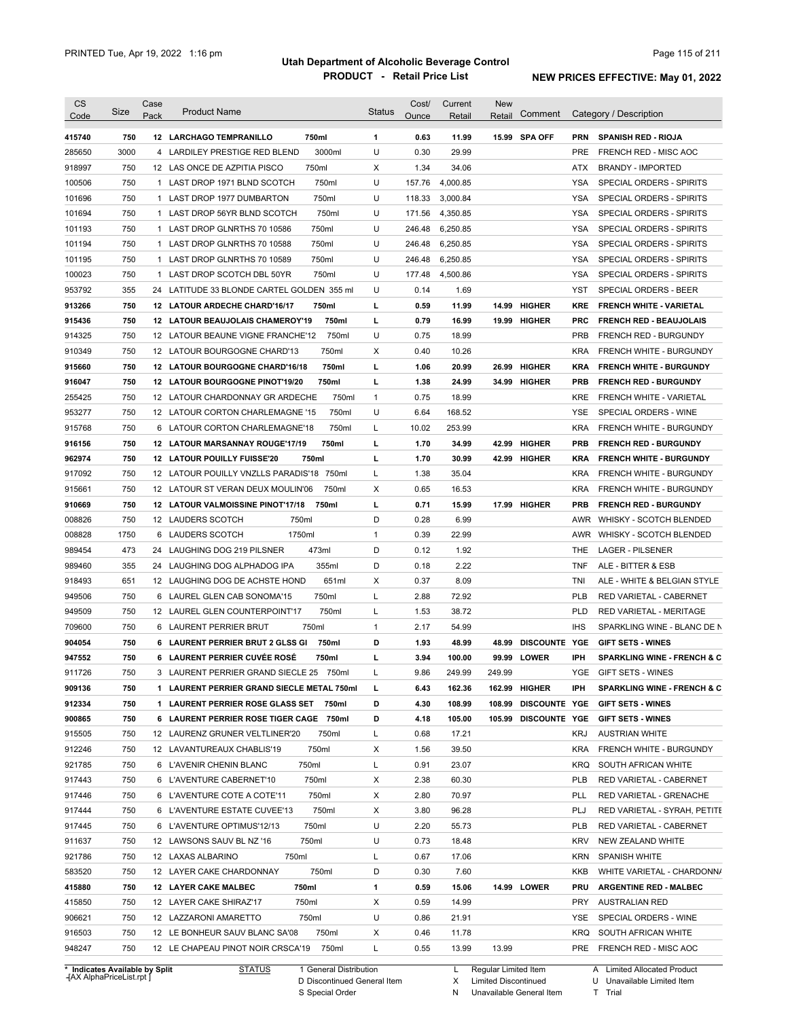| 15.99 SPA OFF<br>750<br>12 LARCHAGO TEMPRANILLO<br>750ml<br>1<br>0.63<br>11.99<br>PRN<br><b>SPANISH RED - RIOJA</b><br>U<br>3000<br>3000ml<br>0.30<br>29.99<br>4 LARDILEY PRESTIGE RED BLEND<br>PRE<br>FRENCH RED - MISC AOC<br>750<br>750ml<br>X<br>1.34<br>34.06<br>12 LAS ONCE DE AZPITIA PISCO<br><b>BRANDY - IMPORTED</b><br>ATX<br>750<br>750ml<br>U<br>4,000.85<br>100506<br>1 LAST DROP 1971 BLND SCOTCH<br>157.76<br>YSA<br>SPECIAL ORDERS - SPIRITS<br>750<br>750ml<br>U<br>118.33<br>3,000.84<br><b>YSA</b><br>1 LAST DROP 1977 DUMBARTON<br>SPECIAL ORDERS - SPIRITS<br>750<br>750ml<br>U<br><b>YSA</b><br>1 LAST DROP 56YR BLND SCOTCH<br>171.56<br>4,350.85<br>SPECIAL ORDERS - SPIRITS<br>750<br>750ml<br>U<br>246.48<br>6,250.85<br>101193<br>1 LAST DROP GLNRTHS 70 10586<br>YSA<br>SPECIAL ORDERS - SPIRITS<br>750<br>750ml<br>U<br>246.48<br>1 LAST DROP GLNRTHS 70 10588<br>6,250.85<br>YSA<br>SPECIAL ORDERS - SPIRITS<br>750<br>750ml<br>U<br>246.48<br>6,250.85<br>1 LAST DROP GLNRTHS 70 10589<br>YSA<br>SPECIAL ORDERS - SPIRITS<br>100023<br>750<br>750ml<br>U<br>4,500.86<br>1 LAST DROP SCOTCH DBL 50YR<br>177.48<br>YSA<br>SPECIAL ORDERS - SPIRITS<br>355<br>U<br>0.14<br>953792<br>24 LATITUDE 33 BLONDE CARTEL GOLDEN 355 ml<br>1.69<br>YST<br>SPECIAL ORDERS - BEER<br>750<br><b>HIGHER</b><br>12 LATOUR ARDECHE CHARD'16/17<br>750ml<br>L<br>0.59<br>11.99<br>14.99<br>KRE<br><b>FRENCH WHITE - VARIETAL</b><br>750<br>12 LATOUR BEAUJOLAIS CHAMEROY'19<br>750ml<br>L<br>0.79<br>16.99<br>19.99 HIGHER<br><b>PRC</b><br><b>FRENCH RED - BEAUJOLAIS</b><br>750<br>750ml<br>U<br>0.75<br>18.99<br>PRB<br>12 LATOUR BEAUNE VIGNE FRANCHE'12<br><b>FRENCH RED - BURGUNDY</b><br>750<br>750ml<br>Х<br>0.40<br><b>KRA</b><br>12 LATOUR BOURGOGNE CHARD'13<br>10.26<br><b>FRENCH WHITE - BURGUNDY</b><br>750<br><b>HIGHER</b><br>12 LATOUR BOURGOGNE CHARD'16/18<br>750ml<br>L<br>1.06<br>20.99<br>26.99<br><b>KRA</b><br><b>FRENCH WHITE - BURGUNDY</b><br>750<br>г<br>1.38<br>12 LATOUR BOURGOGNE PINOT'19/20<br>750ml<br>24.99<br>34.99<br><b>HIGHER</b><br><b>PRB</b><br><b>FRENCH RED - BURGUNDY</b><br>750<br>750ml<br>$\mathbf{1}$<br>0.75<br>18.99<br>12 LATOUR CHARDONNAY GR ARDECHE<br><b>KRE</b><br>FRENCH WHITE - VARIETAL<br>750<br>750ml<br>U<br>6.64<br>168.52<br><b>YSE</b><br>12 LATOUR CORTON CHARLEMAGNE '15<br>SPECIAL ORDERS - WINE<br>750<br>750ml<br>L<br>10.02<br>253.99<br>6 LATOUR CORTON CHARLEMAGNE'18<br><b>KRA</b><br><b>FRENCH WHITE - BURGUNDY</b><br>750<br>750ml<br>г<br>1.70<br><b>HIGHER</b><br>12 LATOUR MARSANNAY ROUGE'17/19<br>34.99<br>42.99<br>PRB<br><b>FRENCH RED - BURGUNDY</b><br>750<br>г<br>1.70<br>30.99<br>12 LATOUR POUILLY FUISSE'20<br>750ml<br>42.99<br><b>HIGHER</b><br><b>KRA</b><br><b>FRENCH WHITE - BURGUNDY</b><br>750<br>1.38<br>35.04<br>12 LATOUR POUILLY VNZLLS PARADIS'18<br>750ml<br>L<br><b>KRA</b><br>FRENCH WHITE - BURGUNDY<br>750<br>Х<br>0.65<br>12 LATOUR ST VERAN DEUX MOULIN'06<br>750ml<br>16.53<br><b>KRA</b><br>FRENCH WHITE - BURGUNDY<br>750<br>г<br>0.71<br>12 LATOUR VALMOISSINE PINOT'17/18<br>750ml<br>15.99<br>17.99<br><b>HIGHER</b><br><b>PRB</b><br><b>FRENCH RED - BURGUNDY</b><br>750<br>750ml<br>D<br>12 LAUDERS SCOTCH<br>0.28<br>6.99<br>AWR<br>WHISKY - SCOTCH BLENDED<br>1750ml<br>1750<br>6 LAUDERS SCOTCH<br>$\mathbf{1}$<br>0.39<br>22.99<br>AWR<br><b>WHISKY - SCOTCH BLENDED</b><br>473<br>D<br>24<br>LAUGHING DOG 219 PILSNER<br>473ml<br>0.12<br>1.92<br>THE<br><b>LAGER - PILSENER</b><br>D<br>355<br>24 LAUGHING DOG ALPHADOG IPA<br>355ml<br>0.18<br>2.22<br><b>TNF</b><br>ALE - BITTER & ESB<br>651<br>Χ<br>8.09<br>12 LAUGHING DOG DE ACHSTE HOND<br>651ml<br>0.37<br>TNI<br>750<br>750ml<br>L<br>72.92<br><b>PLB</b><br>6 LAUREL GLEN CAB SONOMA'15<br>2.88<br>RED VARIETAL - CABERNET<br>750<br>L<br>12 LAUREL GLEN COUNTERPOINT'17<br>750ml<br>1.53<br>38.72<br><b>PLD</b><br>RED VARIETAL - MERITAGE<br>750<br>750ml<br>$\mathbf{1}$<br>2.17<br>54.99<br>6 LAURENT PERRIER BRUT<br><b>IHS</b><br>D<br>DISCOUNTE YGE<br>750<br>6 LAURENT PERRIER BRUT 2 GLSS GI<br>750ml<br>1.93<br>48.99<br>48.99<br><b>GIFT SETS - WINES</b><br>750<br>6 LAURENT PERRIER CUVÉE ROSÉ<br>750ml<br>г<br>3.94<br>100.00<br>99.99 LOWER<br>IPH<br>3 LAURENT PERRIER GRAND SIECLE 25 750ml<br>9.86<br>249.99<br>249.99<br>750<br>YGE<br><b>GIFT SETS - WINES</b><br>750<br>1 LAURENT PERRIER GRAND SIECLE METAL 750ml<br>L<br>6.43<br>162.36<br>162.99 HIGHER<br>IPH<br>108.99<br>108.99 DISCOUNTE YGE<br>750<br>1 LAURENT PERRIER ROSE GLASS SET 750ml<br>D<br>4.30<br><b>GIFT SETS - WINES</b><br>105.00<br>750<br>6 LAURENT PERRIER ROSE TIGER CAGE 750ml<br>D<br>4.18<br>105.99 DISCOUNTE YGE<br><b>GIFT SETS - WINES</b><br>750<br>12 LAURENZ GRUNER VELTLINER'20<br>750ml<br>L<br>0.68<br>17.21<br>KRJ<br><b>AUSTRIAN WHITE</b><br>39.50<br>750<br>12 LAVANTUREAUX CHABLIS'19<br>750ml<br>Х<br>1.56<br><b>KRA</b><br>FRENCH WHITE - BURGUNDY<br>23.07<br>750<br>6 L'AVENIR CHENIN BLANC<br>750ml<br>L<br>0.91<br><b>KRQ</b><br>SOUTH AFRICAN WHITE<br>750ml<br>60.30<br>750<br>6 L'AVENTURE CABERNET'10<br>Х<br>2.38<br><b>PLB</b><br>RED VARIETAL - CABERNET<br>750ml<br>70.97<br>750<br>6 L'AVENTURE COTE A COTE'11<br>Х<br>2.80<br>PLL<br>RED VARIETAL - GRENACHE<br>750<br>750ml<br>Х<br>96.28<br>6 L'AVENTURE ESTATE CUVEE'13<br>3.80<br>PLJ<br>750ml<br>U<br>2.20<br>55.73<br>750<br>6 L'AVENTURE OPTIMUS'12/13<br><b>PLB</b><br>RED VARIETAL - CABERNET<br>750<br>750ml<br>U<br>0.73<br>18.48<br><b>KRV</b><br>12 LAWSONS SAUV BL NZ '16<br>NEW ZEALAND WHITE<br>L<br>17.06<br>750<br>12 LAXAS ALBARINO<br>750ml<br>0.67<br><b>KRN</b><br><b>SPANISH WHITE</b><br>750<br>750ml<br>D<br>0.30<br>7.60<br>12 LAYER CAKE CHARDONNAY<br>KKB<br>750ml<br>1<br>15.06<br>14.99 LOWER<br>750<br>12 LAYER CAKE MALBEC<br>0.59<br>PRU<br><b>ARGENTINE RED - MALBEC</b><br>750<br>750ml<br>Х<br>14.99<br>12 LAYER CAKE SHIRAZ'17<br>0.59<br><b>PRY</b><br><b>AUSTRALIAN RED</b><br>750<br>750ml<br>U<br>12 LAZZARONI AMARETTO<br>0.86<br>21.91<br>YSE<br>SPECIAL ORDERS - WINE<br>750<br>750ml<br>Х<br>12 LE BONHEUR SAUV BLANC SA'08<br>0.46<br>11.78<br><b>KRQ</b><br>SOUTH AFRICAN WHITE<br>750<br>750ml<br>L<br>13.99<br>13.99<br>12 LE CHAPEAU PINOT NOIR CRSCA'19<br>0.55<br>PRE<br>FRENCH RED - MISC AOC | <b>CS</b> | <b>Size</b> | Case<br>Pack | <b>Product Name</b> | Status | Cost/<br>Ounce | Current<br>Retail | <b>New</b><br>Retail | Comment | Category / Description                 |
|---------------------------------------------------------------------------------------------------------------------------------------------------------------------------------------------------------------------------------------------------------------------------------------------------------------------------------------------------------------------------------------------------------------------------------------------------------------------------------------------------------------------------------------------------------------------------------------------------------------------------------------------------------------------------------------------------------------------------------------------------------------------------------------------------------------------------------------------------------------------------------------------------------------------------------------------------------------------------------------------------------------------------------------------------------------------------------------------------------------------------------------------------------------------------------------------------------------------------------------------------------------------------------------------------------------------------------------------------------------------------------------------------------------------------------------------------------------------------------------------------------------------------------------------------------------------------------------------------------------------------------------------------------------------------------------------------------------------------------------------------------------------------------------------------------------------------------------------------------------------------------------------------------------------------------------------------------------------------------------------------------------------------------------------------------------------------------------------------------------------------------------------------------------------------------------------------------------------------------------------------------------------------------------------------------------------------------------------------------------------------------------------------------------------------------------------------------------------------------------------------------------------------------------------------------------------------------------------------------------------------------------------------------------------------------------------------------------------------------------------------------------------------------------------------------------------------------------------------------------------------------------------------------------------------------------------------------------------------------------------------------------------------------------------------------------------------------------------------------------------------------------------------------------------------------------------------------------------------------------------------------------------------------------------------------------------------------------------------------------------------------------------------------------------------------------------------------------------------------------------------------------------------------------------------------------------------------------------------------------------------------------------------------------------------------------------------------------------------------------------------------------------------------------------------------------------------------------------------------------------------------------------------------------------------------------------------------------------------------------------------------------------------------------------------------------------------------------------------------------------------------------------------------------------------------------------------------------------------------------------------------------------------------------------------------------------------------------------------------------------------------------------------------------------------------------------------------------------------------------------------------------------------------------------------------------------------------------------------------------------------------------------------------------------------------------------------------------------------------------------------------------------------------------------------------------------------------------------------------------------------------------------------------------------------------------------------------------------------------------------------------------------------------------------------------------------------------------------------------------------------------------------------------------------------------------------------------------------------------------------------------------------------------------------------------------------------------------------------------------------------------------------------------------------------------------------------------------------------------------------------------------------------------------------------------------------------------------------------------------------------------------------------------------------------------------------------------------------------------------------------------------------------------------------------------------------------------------------------------------------------------------------------------------------------------------------------------------------------------------------------------------------------------------------------------------------------------------------------------------------------------------------------------------------------------------------------------------------------------------------------------------------------------------------------------------------------------------|-----------|-------------|--------------|---------------------|--------|----------------|-------------------|----------------------|---------|----------------------------------------|
|                                                                                                                                                                                                                                                                                                                                                                                                                                                                                                                                                                                                                                                                                                                                                                                                                                                                                                                                                                                                                                                                                                                                                                                                                                                                                                                                                                                                                                                                                                                                                                                                                                                                                                                                                                                                                                                                                                                                                                                                                                                                                                                                                                                                                                                                                                                                                                                                                                                                                                                                                                                                                                                                                                                                                                                                                                                                                                                                                                                                                                                                                                                                                                                                                                                                                                                                                                                                                                                                                                                                                                                                                                                                                                                                                                                                                                                                                                                                                                                                                                                                                                                                                                                                                                                                                                                                                                                                                                                                                                                                                                                                                                                                                                                                                                                                                                                                                                                                                                                                                                                                                                                                                                                                                                                                                                                                                                                                                                                                                                                                                                                                                                                                                                                                                                                                                                                                                                                                                                                                                                                                                                                                                                                                                                                                                                                                       | Code      |             |              |                     |        |                |                   |                      |         |                                        |
|                                                                                                                                                                                                                                                                                                                                                                                                                                                                                                                                                                                                                                                                                                                                                                                                                                                                                                                                                                                                                                                                                                                                                                                                                                                                                                                                                                                                                                                                                                                                                                                                                                                                                                                                                                                                                                                                                                                                                                                                                                                                                                                                                                                                                                                                                                                                                                                                                                                                                                                                                                                                                                                                                                                                                                                                                                                                                                                                                                                                                                                                                                                                                                                                                                                                                                                                                                                                                                                                                                                                                                                                                                                                                                                                                                                                                                                                                                                                                                                                                                                                                                                                                                                                                                                                                                                                                                                                                                                                                                                                                                                                                                                                                                                                                                                                                                                                                                                                                                                                                                                                                                                                                                                                                                                                                                                                                                                                                                                                                                                                                                                                                                                                                                                                                                                                                                                                                                                                                                                                                                                                                                                                                                                                                                                                                                                                       | 415740    |             |              |                     |        |                |                   |                      |         |                                        |
|                                                                                                                                                                                                                                                                                                                                                                                                                                                                                                                                                                                                                                                                                                                                                                                                                                                                                                                                                                                                                                                                                                                                                                                                                                                                                                                                                                                                                                                                                                                                                                                                                                                                                                                                                                                                                                                                                                                                                                                                                                                                                                                                                                                                                                                                                                                                                                                                                                                                                                                                                                                                                                                                                                                                                                                                                                                                                                                                                                                                                                                                                                                                                                                                                                                                                                                                                                                                                                                                                                                                                                                                                                                                                                                                                                                                                                                                                                                                                                                                                                                                                                                                                                                                                                                                                                                                                                                                                                                                                                                                                                                                                                                                                                                                                                                                                                                                                                                                                                                                                                                                                                                                                                                                                                                                                                                                                                                                                                                                                                                                                                                                                                                                                                                                                                                                                                                                                                                                                                                                                                                                                                                                                                                                                                                                                                                                       | 285650    |             |              |                     |        |                |                   |                      |         |                                        |
|                                                                                                                                                                                                                                                                                                                                                                                                                                                                                                                                                                                                                                                                                                                                                                                                                                                                                                                                                                                                                                                                                                                                                                                                                                                                                                                                                                                                                                                                                                                                                                                                                                                                                                                                                                                                                                                                                                                                                                                                                                                                                                                                                                                                                                                                                                                                                                                                                                                                                                                                                                                                                                                                                                                                                                                                                                                                                                                                                                                                                                                                                                                                                                                                                                                                                                                                                                                                                                                                                                                                                                                                                                                                                                                                                                                                                                                                                                                                                                                                                                                                                                                                                                                                                                                                                                                                                                                                                                                                                                                                                                                                                                                                                                                                                                                                                                                                                                                                                                                                                                                                                                                                                                                                                                                                                                                                                                                                                                                                                                                                                                                                                                                                                                                                                                                                                                                                                                                                                                                                                                                                                                                                                                                                                                                                                                                                       | 918997    |             |              |                     |        |                |                   |                      |         |                                        |
|                                                                                                                                                                                                                                                                                                                                                                                                                                                                                                                                                                                                                                                                                                                                                                                                                                                                                                                                                                                                                                                                                                                                                                                                                                                                                                                                                                                                                                                                                                                                                                                                                                                                                                                                                                                                                                                                                                                                                                                                                                                                                                                                                                                                                                                                                                                                                                                                                                                                                                                                                                                                                                                                                                                                                                                                                                                                                                                                                                                                                                                                                                                                                                                                                                                                                                                                                                                                                                                                                                                                                                                                                                                                                                                                                                                                                                                                                                                                                                                                                                                                                                                                                                                                                                                                                                                                                                                                                                                                                                                                                                                                                                                                                                                                                                                                                                                                                                                                                                                                                                                                                                                                                                                                                                                                                                                                                                                                                                                                                                                                                                                                                                                                                                                                                                                                                                                                                                                                                                                                                                                                                                                                                                                                                                                                                                                                       |           |             |              |                     |        |                |                   |                      |         |                                        |
|                                                                                                                                                                                                                                                                                                                                                                                                                                                                                                                                                                                                                                                                                                                                                                                                                                                                                                                                                                                                                                                                                                                                                                                                                                                                                                                                                                                                                                                                                                                                                                                                                                                                                                                                                                                                                                                                                                                                                                                                                                                                                                                                                                                                                                                                                                                                                                                                                                                                                                                                                                                                                                                                                                                                                                                                                                                                                                                                                                                                                                                                                                                                                                                                                                                                                                                                                                                                                                                                                                                                                                                                                                                                                                                                                                                                                                                                                                                                                                                                                                                                                                                                                                                                                                                                                                                                                                                                                                                                                                                                                                                                                                                                                                                                                                                                                                                                                                                                                                                                                                                                                                                                                                                                                                                                                                                                                                                                                                                                                                                                                                                                                                                                                                                                                                                                                                                                                                                                                                                                                                                                                                                                                                                                                                                                                                                                       | 101696    |             |              |                     |        |                |                   |                      |         |                                        |
|                                                                                                                                                                                                                                                                                                                                                                                                                                                                                                                                                                                                                                                                                                                                                                                                                                                                                                                                                                                                                                                                                                                                                                                                                                                                                                                                                                                                                                                                                                                                                                                                                                                                                                                                                                                                                                                                                                                                                                                                                                                                                                                                                                                                                                                                                                                                                                                                                                                                                                                                                                                                                                                                                                                                                                                                                                                                                                                                                                                                                                                                                                                                                                                                                                                                                                                                                                                                                                                                                                                                                                                                                                                                                                                                                                                                                                                                                                                                                                                                                                                                                                                                                                                                                                                                                                                                                                                                                                                                                                                                                                                                                                                                                                                                                                                                                                                                                                                                                                                                                                                                                                                                                                                                                                                                                                                                                                                                                                                                                                                                                                                                                                                                                                                                                                                                                                                                                                                                                                                                                                                                                                                                                                                                                                                                                                                                       | 101694    |             |              |                     |        |                |                   |                      |         |                                        |
|                                                                                                                                                                                                                                                                                                                                                                                                                                                                                                                                                                                                                                                                                                                                                                                                                                                                                                                                                                                                                                                                                                                                                                                                                                                                                                                                                                                                                                                                                                                                                                                                                                                                                                                                                                                                                                                                                                                                                                                                                                                                                                                                                                                                                                                                                                                                                                                                                                                                                                                                                                                                                                                                                                                                                                                                                                                                                                                                                                                                                                                                                                                                                                                                                                                                                                                                                                                                                                                                                                                                                                                                                                                                                                                                                                                                                                                                                                                                                                                                                                                                                                                                                                                                                                                                                                                                                                                                                                                                                                                                                                                                                                                                                                                                                                                                                                                                                                                                                                                                                                                                                                                                                                                                                                                                                                                                                                                                                                                                                                                                                                                                                                                                                                                                                                                                                                                                                                                                                                                                                                                                                                                                                                                                                                                                                                                                       |           |             |              |                     |        |                |                   |                      |         |                                        |
|                                                                                                                                                                                                                                                                                                                                                                                                                                                                                                                                                                                                                                                                                                                                                                                                                                                                                                                                                                                                                                                                                                                                                                                                                                                                                                                                                                                                                                                                                                                                                                                                                                                                                                                                                                                                                                                                                                                                                                                                                                                                                                                                                                                                                                                                                                                                                                                                                                                                                                                                                                                                                                                                                                                                                                                                                                                                                                                                                                                                                                                                                                                                                                                                                                                                                                                                                                                                                                                                                                                                                                                                                                                                                                                                                                                                                                                                                                                                                                                                                                                                                                                                                                                                                                                                                                                                                                                                                                                                                                                                                                                                                                                                                                                                                                                                                                                                                                                                                                                                                                                                                                                                                                                                                                                                                                                                                                                                                                                                                                                                                                                                                                                                                                                                                                                                                                                                                                                                                                                                                                                                                                                                                                                                                                                                                                                                       | 101194    |             |              |                     |        |                |                   |                      |         |                                        |
|                                                                                                                                                                                                                                                                                                                                                                                                                                                                                                                                                                                                                                                                                                                                                                                                                                                                                                                                                                                                                                                                                                                                                                                                                                                                                                                                                                                                                                                                                                                                                                                                                                                                                                                                                                                                                                                                                                                                                                                                                                                                                                                                                                                                                                                                                                                                                                                                                                                                                                                                                                                                                                                                                                                                                                                                                                                                                                                                                                                                                                                                                                                                                                                                                                                                                                                                                                                                                                                                                                                                                                                                                                                                                                                                                                                                                                                                                                                                                                                                                                                                                                                                                                                                                                                                                                                                                                                                                                                                                                                                                                                                                                                                                                                                                                                                                                                                                                                                                                                                                                                                                                                                                                                                                                                                                                                                                                                                                                                                                                                                                                                                                                                                                                                                                                                                                                                                                                                                                                                                                                                                                                                                                                                                                                                                                                                                       | 101195    |             |              |                     |        |                |                   |                      |         |                                        |
|                                                                                                                                                                                                                                                                                                                                                                                                                                                                                                                                                                                                                                                                                                                                                                                                                                                                                                                                                                                                                                                                                                                                                                                                                                                                                                                                                                                                                                                                                                                                                                                                                                                                                                                                                                                                                                                                                                                                                                                                                                                                                                                                                                                                                                                                                                                                                                                                                                                                                                                                                                                                                                                                                                                                                                                                                                                                                                                                                                                                                                                                                                                                                                                                                                                                                                                                                                                                                                                                                                                                                                                                                                                                                                                                                                                                                                                                                                                                                                                                                                                                                                                                                                                                                                                                                                                                                                                                                                                                                                                                                                                                                                                                                                                                                                                                                                                                                                                                                                                                                                                                                                                                                                                                                                                                                                                                                                                                                                                                                                                                                                                                                                                                                                                                                                                                                                                                                                                                                                                                                                                                                                                                                                                                                                                                                                                                       |           |             |              |                     |        |                |                   |                      |         |                                        |
|                                                                                                                                                                                                                                                                                                                                                                                                                                                                                                                                                                                                                                                                                                                                                                                                                                                                                                                                                                                                                                                                                                                                                                                                                                                                                                                                                                                                                                                                                                                                                                                                                                                                                                                                                                                                                                                                                                                                                                                                                                                                                                                                                                                                                                                                                                                                                                                                                                                                                                                                                                                                                                                                                                                                                                                                                                                                                                                                                                                                                                                                                                                                                                                                                                                                                                                                                                                                                                                                                                                                                                                                                                                                                                                                                                                                                                                                                                                                                                                                                                                                                                                                                                                                                                                                                                                                                                                                                                                                                                                                                                                                                                                                                                                                                                                                                                                                                                                                                                                                                                                                                                                                                                                                                                                                                                                                                                                                                                                                                                                                                                                                                                                                                                                                                                                                                                                                                                                                                                                                                                                                                                                                                                                                                                                                                                                                       |           |             |              |                     |        |                |                   |                      |         |                                        |
|                                                                                                                                                                                                                                                                                                                                                                                                                                                                                                                                                                                                                                                                                                                                                                                                                                                                                                                                                                                                                                                                                                                                                                                                                                                                                                                                                                                                                                                                                                                                                                                                                                                                                                                                                                                                                                                                                                                                                                                                                                                                                                                                                                                                                                                                                                                                                                                                                                                                                                                                                                                                                                                                                                                                                                                                                                                                                                                                                                                                                                                                                                                                                                                                                                                                                                                                                                                                                                                                                                                                                                                                                                                                                                                                                                                                                                                                                                                                                                                                                                                                                                                                                                                                                                                                                                                                                                                                                                                                                                                                                                                                                                                                                                                                                                                                                                                                                                                                                                                                                                                                                                                                                                                                                                                                                                                                                                                                                                                                                                                                                                                                                                                                                                                                                                                                                                                                                                                                                                                                                                                                                                                                                                                                                                                                                                                                       | 913266    |             |              |                     |        |                |                   |                      |         |                                        |
|                                                                                                                                                                                                                                                                                                                                                                                                                                                                                                                                                                                                                                                                                                                                                                                                                                                                                                                                                                                                                                                                                                                                                                                                                                                                                                                                                                                                                                                                                                                                                                                                                                                                                                                                                                                                                                                                                                                                                                                                                                                                                                                                                                                                                                                                                                                                                                                                                                                                                                                                                                                                                                                                                                                                                                                                                                                                                                                                                                                                                                                                                                                                                                                                                                                                                                                                                                                                                                                                                                                                                                                                                                                                                                                                                                                                                                                                                                                                                                                                                                                                                                                                                                                                                                                                                                                                                                                                                                                                                                                                                                                                                                                                                                                                                                                                                                                                                                                                                                                                                                                                                                                                                                                                                                                                                                                                                                                                                                                                                                                                                                                                                                                                                                                                                                                                                                                                                                                                                                                                                                                                                                                                                                                                                                                                                                                                       | 915436    |             |              |                     |        |                |                   |                      |         |                                        |
|                                                                                                                                                                                                                                                                                                                                                                                                                                                                                                                                                                                                                                                                                                                                                                                                                                                                                                                                                                                                                                                                                                                                                                                                                                                                                                                                                                                                                                                                                                                                                                                                                                                                                                                                                                                                                                                                                                                                                                                                                                                                                                                                                                                                                                                                                                                                                                                                                                                                                                                                                                                                                                                                                                                                                                                                                                                                                                                                                                                                                                                                                                                                                                                                                                                                                                                                                                                                                                                                                                                                                                                                                                                                                                                                                                                                                                                                                                                                                                                                                                                                                                                                                                                                                                                                                                                                                                                                                                                                                                                                                                                                                                                                                                                                                                                                                                                                                                                                                                                                                                                                                                                                                                                                                                                                                                                                                                                                                                                                                                                                                                                                                                                                                                                                                                                                                                                                                                                                                                                                                                                                                                                                                                                                                                                                                                                                       | 914325    |             |              |                     |        |                |                   |                      |         |                                        |
|                                                                                                                                                                                                                                                                                                                                                                                                                                                                                                                                                                                                                                                                                                                                                                                                                                                                                                                                                                                                                                                                                                                                                                                                                                                                                                                                                                                                                                                                                                                                                                                                                                                                                                                                                                                                                                                                                                                                                                                                                                                                                                                                                                                                                                                                                                                                                                                                                                                                                                                                                                                                                                                                                                                                                                                                                                                                                                                                                                                                                                                                                                                                                                                                                                                                                                                                                                                                                                                                                                                                                                                                                                                                                                                                                                                                                                                                                                                                                                                                                                                                                                                                                                                                                                                                                                                                                                                                                                                                                                                                                                                                                                                                                                                                                                                                                                                                                                                                                                                                                                                                                                                                                                                                                                                                                                                                                                                                                                                                                                                                                                                                                                                                                                                                                                                                                                                                                                                                                                                                                                                                                                                                                                                                                                                                                                                                       | 910349    |             |              |                     |        |                |                   |                      |         |                                        |
|                                                                                                                                                                                                                                                                                                                                                                                                                                                                                                                                                                                                                                                                                                                                                                                                                                                                                                                                                                                                                                                                                                                                                                                                                                                                                                                                                                                                                                                                                                                                                                                                                                                                                                                                                                                                                                                                                                                                                                                                                                                                                                                                                                                                                                                                                                                                                                                                                                                                                                                                                                                                                                                                                                                                                                                                                                                                                                                                                                                                                                                                                                                                                                                                                                                                                                                                                                                                                                                                                                                                                                                                                                                                                                                                                                                                                                                                                                                                                                                                                                                                                                                                                                                                                                                                                                                                                                                                                                                                                                                                                                                                                                                                                                                                                                                                                                                                                                                                                                                                                                                                                                                                                                                                                                                                                                                                                                                                                                                                                                                                                                                                                                                                                                                                                                                                                                                                                                                                                                                                                                                                                                                                                                                                                                                                                                                                       | 915660    |             |              |                     |        |                |                   |                      |         |                                        |
|                                                                                                                                                                                                                                                                                                                                                                                                                                                                                                                                                                                                                                                                                                                                                                                                                                                                                                                                                                                                                                                                                                                                                                                                                                                                                                                                                                                                                                                                                                                                                                                                                                                                                                                                                                                                                                                                                                                                                                                                                                                                                                                                                                                                                                                                                                                                                                                                                                                                                                                                                                                                                                                                                                                                                                                                                                                                                                                                                                                                                                                                                                                                                                                                                                                                                                                                                                                                                                                                                                                                                                                                                                                                                                                                                                                                                                                                                                                                                                                                                                                                                                                                                                                                                                                                                                                                                                                                                                                                                                                                                                                                                                                                                                                                                                                                                                                                                                                                                                                                                                                                                                                                                                                                                                                                                                                                                                                                                                                                                                                                                                                                                                                                                                                                                                                                                                                                                                                                                                                                                                                                                                                                                                                                                                                                                                                                       | 916047    |             |              |                     |        |                |                   |                      |         |                                        |
|                                                                                                                                                                                                                                                                                                                                                                                                                                                                                                                                                                                                                                                                                                                                                                                                                                                                                                                                                                                                                                                                                                                                                                                                                                                                                                                                                                                                                                                                                                                                                                                                                                                                                                                                                                                                                                                                                                                                                                                                                                                                                                                                                                                                                                                                                                                                                                                                                                                                                                                                                                                                                                                                                                                                                                                                                                                                                                                                                                                                                                                                                                                                                                                                                                                                                                                                                                                                                                                                                                                                                                                                                                                                                                                                                                                                                                                                                                                                                                                                                                                                                                                                                                                                                                                                                                                                                                                                                                                                                                                                                                                                                                                                                                                                                                                                                                                                                                                                                                                                                                                                                                                                                                                                                                                                                                                                                                                                                                                                                                                                                                                                                                                                                                                                                                                                                                                                                                                                                                                                                                                                                                                                                                                                                                                                                                                                       | 255425    |             |              |                     |        |                |                   |                      |         |                                        |
|                                                                                                                                                                                                                                                                                                                                                                                                                                                                                                                                                                                                                                                                                                                                                                                                                                                                                                                                                                                                                                                                                                                                                                                                                                                                                                                                                                                                                                                                                                                                                                                                                                                                                                                                                                                                                                                                                                                                                                                                                                                                                                                                                                                                                                                                                                                                                                                                                                                                                                                                                                                                                                                                                                                                                                                                                                                                                                                                                                                                                                                                                                                                                                                                                                                                                                                                                                                                                                                                                                                                                                                                                                                                                                                                                                                                                                                                                                                                                                                                                                                                                                                                                                                                                                                                                                                                                                                                                                                                                                                                                                                                                                                                                                                                                                                                                                                                                                                                                                                                                                                                                                                                                                                                                                                                                                                                                                                                                                                                                                                                                                                                                                                                                                                                                                                                                                                                                                                                                                                                                                                                                                                                                                                                                                                                                                                                       | 953277    |             |              |                     |        |                |                   |                      |         |                                        |
|                                                                                                                                                                                                                                                                                                                                                                                                                                                                                                                                                                                                                                                                                                                                                                                                                                                                                                                                                                                                                                                                                                                                                                                                                                                                                                                                                                                                                                                                                                                                                                                                                                                                                                                                                                                                                                                                                                                                                                                                                                                                                                                                                                                                                                                                                                                                                                                                                                                                                                                                                                                                                                                                                                                                                                                                                                                                                                                                                                                                                                                                                                                                                                                                                                                                                                                                                                                                                                                                                                                                                                                                                                                                                                                                                                                                                                                                                                                                                                                                                                                                                                                                                                                                                                                                                                                                                                                                                                                                                                                                                                                                                                                                                                                                                                                                                                                                                                                                                                                                                                                                                                                                                                                                                                                                                                                                                                                                                                                                                                                                                                                                                                                                                                                                                                                                                                                                                                                                                                                                                                                                                                                                                                                                                                                                                                                                       | 915768    |             |              |                     |        |                |                   |                      |         |                                        |
|                                                                                                                                                                                                                                                                                                                                                                                                                                                                                                                                                                                                                                                                                                                                                                                                                                                                                                                                                                                                                                                                                                                                                                                                                                                                                                                                                                                                                                                                                                                                                                                                                                                                                                                                                                                                                                                                                                                                                                                                                                                                                                                                                                                                                                                                                                                                                                                                                                                                                                                                                                                                                                                                                                                                                                                                                                                                                                                                                                                                                                                                                                                                                                                                                                                                                                                                                                                                                                                                                                                                                                                                                                                                                                                                                                                                                                                                                                                                                                                                                                                                                                                                                                                                                                                                                                                                                                                                                                                                                                                                                                                                                                                                                                                                                                                                                                                                                                                                                                                                                                                                                                                                                                                                                                                                                                                                                                                                                                                                                                                                                                                                                                                                                                                                                                                                                                                                                                                                                                                                                                                                                                                                                                                                                                                                                                                                       | 916156    |             |              |                     |        |                |                   |                      |         |                                        |
|                                                                                                                                                                                                                                                                                                                                                                                                                                                                                                                                                                                                                                                                                                                                                                                                                                                                                                                                                                                                                                                                                                                                                                                                                                                                                                                                                                                                                                                                                                                                                                                                                                                                                                                                                                                                                                                                                                                                                                                                                                                                                                                                                                                                                                                                                                                                                                                                                                                                                                                                                                                                                                                                                                                                                                                                                                                                                                                                                                                                                                                                                                                                                                                                                                                                                                                                                                                                                                                                                                                                                                                                                                                                                                                                                                                                                                                                                                                                                                                                                                                                                                                                                                                                                                                                                                                                                                                                                                                                                                                                                                                                                                                                                                                                                                                                                                                                                                                                                                                                                                                                                                                                                                                                                                                                                                                                                                                                                                                                                                                                                                                                                                                                                                                                                                                                                                                                                                                                                                                                                                                                                                                                                                                                                                                                                                                                       | 962974    |             |              |                     |        |                |                   |                      |         |                                        |
|                                                                                                                                                                                                                                                                                                                                                                                                                                                                                                                                                                                                                                                                                                                                                                                                                                                                                                                                                                                                                                                                                                                                                                                                                                                                                                                                                                                                                                                                                                                                                                                                                                                                                                                                                                                                                                                                                                                                                                                                                                                                                                                                                                                                                                                                                                                                                                                                                                                                                                                                                                                                                                                                                                                                                                                                                                                                                                                                                                                                                                                                                                                                                                                                                                                                                                                                                                                                                                                                                                                                                                                                                                                                                                                                                                                                                                                                                                                                                                                                                                                                                                                                                                                                                                                                                                                                                                                                                                                                                                                                                                                                                                                                                                                                                                                                                                                                                                                                                                                                                                                                                                                                                                                                                                                                                                                                                                                                                                                                                                                                                                                                                                                                                                                                                                                                                                                                                                                                                                                                                                                                                                                                                                                                                                                                                                                                       | 917092    |             |              |                     |        |                |                   |                      |         |                                        |
|                                                                                                                                                                                                                                                                                                                                                                                                                                                                                                                                                                                                                                                                                                                                                                                                                                                                                                                                                                                                                                                                                                                                                                                                                                                                                                                                                                                                                                                                                                                                                                                                                                                                                                                                                                                                                                                                                                                                                                                                                                                                                                                                                                                                                                                                                                                                                                                                                                                                                                                                                                                                                                                                                                                                                                                                                                                                                                                                                                                                                                                                                                                                                                                                                                                                                                                                                                                                                                                                                                                                                                                                                                                                                                                                                                                                                                                                                                                                                                                                                                                                                                                                                                                                                                                                                                                                                                                                                                                                                                                                                                                                                                                                                                                                                                                                                                                                                                                                                                                                                                                                                                                                                                                                                                                                                                                                                                                                                                                                                                                                                                                                                                                                                                                                                                                                                                                                                                                                                                                                                                                                                                                                                                                                                                                                                                                                       | 915661    |             |              |                     |        |                |                   |                      |         |                                        |
|                                                                                                                                                                                                                                                                                                                                                                                                                                                                                                                                                                                                                                                                                                                                                                                                                                                                                                                                                                                                                                                                                                                                                                                                                                                                                                                                                                                                                                                                                                                                                                                                                                                                                                                                                                                                                                                                                                                                                                                                                                                                                                                                                                                                                                                                                                                                                                                                                                                                                                                                                                                                                                                                                                                                                                                                                                                                                                                                                                                                                                                                                                                                                                                                                                                                                                                                                                                                                                                                                                                                                                                                                                                                                                                                                                                                                                                                                                                                                                                                                                                                                                                                                                                                                                                                                                                                                                                                                                                                                                                                                                                                                                                                                                                                                                                                                                                                                                                                                                                                                                                                                                                                                                                                                                                                                                                                                                                                                                                                                                                                                                                                                                                                                                                                                                                                                                                                                                                                                                                                                                                                                                                                                                                                                                                                                                                                       | 910669    |             |              |                     |        |                |                   |                      |         |                                        |
|                                                                                                                                                                                                                                                                                                                                                                                                                                                                                                                                                                                                                                                                                                                                                                                                                                                                                                                                                                                                                                                                                                                                                                                                                                                                                                                                                                                                                                                                                                                                                                                                                                                                                                                                                                                                                                                                                                                                                                                                                                                                                                                                                                                                                                                                                                                                                                                                                                                                                                                                                                                                                                                                                                                                                                                                                                                                                                                                                                                                                                                                                                                                                                                                                                                                                                                                                                                                                                                                                                                                                                                                                                                                                                                                                                                                                                                                                                                                                                                                                                                                                                                                                                                                                                                                                                                                                                                                                                                                                                                                                                                                                                                                                                                                                                                                                                                                                                                                                                                                                                                                                                                                                                                                                                                                                                                                                                                                                                                                                                                                                                                                                                                                                                                                                                                                                                                                                                                                                                                                                                                                                                                                                                                                                                                                                                                                       | 008826    |             |              |                     |        |                |                   |                      |         |                                        |
|                                                                                                                                                                                                                                                                                                                                                                                                                                                                                                                                                                                                                                                                                                                                                                                                                                                                                                                                                                                                                                                                                                                                                                                                                                                                                                                                                                                                                                                                                                                                                                                                                                                                                                                                                                                                                                                                                                                                                                                                                                                                                                                                                                                                                                                                                                                                                                                                                                                                                                                                                                                                                                                                                                                                                                                                                                                                                                                                                                                                                                                                                                                                                                                                                                                                                                                                                                                                                                                                                                                                                                                                                                                                                                                                                                                                                                                                                                                                                                                                                                                                                                                                                                                                                                                                                                                                                                                                                                                                                                                                                                                                                                                                                                                                                                                                                                                                                                                                                                                                                                                                                                                                                                                                                                                                                                                                                                                                                                                                                                                                                                                                                                                                                                                                                                                                                                                                                                                                                                                                                                                                                                                                                                                                                                                                                                                                       | 008828    |             |              |                     |        |                |                   |                      |         |                                        |
|                                                                                                                                                                                                                                                                                                                                                                                                                                                                                                                                                                                                                                                                                                                                                                                                                                                                                                                                                                                                                                                                                                                                                                                                                                                                                                                                                                                                                                                                                                                                                                                                                                                                                                                                                                                                                                                                                                                                                                                                                                                                                                                                                                                                                                                                                                                                                                                                                                                                                                                                                                                                                                                                                                                                                                                                                                                                                                                                                                                                                                                                                                                                                                                                                                                                                                                                                                                                                                                                                                                                                                                                                                                                                                                                                                                                                                                                                                                                                                                                                                                                                                                                                                                                                                                                                                                                                                                                                                                                                                                                                                                                                                                                                                                                                                                                                                                                                                                                                                                                                                                                                                                                                                                                                                                                                                                                                                                                                                                                                                                                                                                                                                                                                                                                                                                                                                                                                                                                                                                                                                                                                                                                                                                                                                                                                                                                       | 989454    |             |              |                     |        |                |                   |                      |         |                                        |
|                                                                                                                                                                                                                                                                                                                                                                                                                                                                                                                                                                                                                                                                                                                                                                                                                                                                                                                                                                                                                                                                                                                                                                                                                                                                                                                                                                                                                                                                                                                                                                                                                                                                                                                                                                                                                                                                                                                                                                                                                                                                                                                                                                                                                                                                                                                                                                                                                                                                                                                                                                                                                                                                                                                                                                                                                                                                                                                                                                                                                                                                                                                                                                                                                                                                                                                                                                                                                                                                                                                                                                                                                                                                                                                                                                                                                                                                                                                                                                                                                                                                                                                                                                                                                                                                                                                                                                                                                                                                                                                                                                                                                                                                                                                                                                                                                                                                                                                                                                                                                                                                                                                                                                                                                                                                                                                                                                                                                                                                                                                                                                                                                                                                                                                                                                                                                                                                                                                                                                                                                                                                                                                                                                                                                                                                                                                                       | 989460    |             |              |                     |        |                |                   |                      |         |                                        |
|                                                                                                                                                                                                                                                                                                                                                                                                                                                                                                                                                                                                                                                                                                                                                                                                                                                                                                                                                                                                                                                                                                                                                                                                                                                                                                                                                                                                                                                                                                                                                                                                                                                                                                                                                                                                                                                                                                                                                                                                                                                                                                                                                                                                                                                                                                                                                                                                                                                                                                                                                                                                                                                                                                                                                                                                                                                                                                                                                                                                                                                                                                                                                                                                                                                                                                                                                                                                                                                                                                                                                                                                                                                                                                                                                                                                                                                                                                                                                                                                                                                                                                                                                                                                                                                                                                                                                                                                                                                                                                                                                                                                                                                                                                                                                                                                                                                                                                                                                                                                                                                                                                                                                                                                                                                                                                                                                                                                                                                                                                                                                                                                                                                                                                                                                                                                                                                                                                                                                                                                                                                                                                                                                                                                                                                                                                                                       | 918493    |             |              |                     |        |                |                   |                      |         | ALE - WHITE & BELGIAN STYLE            |
|                                                                                                                                                                                                                                                                                                                                                                                                                                                                                                                                                                                                                                                                                                                                                                                                                                                                                                                                                                                                                                                                                                                                                                                                                                                                                                                                                                                                                                                                                                                                                                                                                                                                                                                                                                                                                                                                                                                                                                                                                                                                                                                                                                                                                                                                                                                                                                                                                                                                                                                                                                                                                                                                                                                                                                                                                                                                                                                                                                                                                                                                                                                                                                                                                                                                                                                                                                                                                                                                                                                                                                                                                                                                                                                                                                                                                                                                                                                                                                                                                                                                                                                                                                                                                                                                                                                                                                                                                                                                                                                                                                                                                                                                                                                                                                                                                                                                                                                                                                                                                                                                                                                                                                                                                                                                                                                                                                                                                                                                                                                                                                                                                                                                                                                                                                                                                                                                                                                                                                                                                                                                                                                                                                                                                                                                                                                                       | 949506    |             |              |                     |        |                |                   |                      |         |                                        |
|                                                                                                                                                                                                                                                                                                                                                                                                                                                                                                                                                                                                                                                                                                                                                                                                                                                                                                                                                                                                                                                                                                                                                                                                                                                                                                                                                                                                                                                                                                                                                                                                                                                                                                                                                                                                                                                                                                                                                                                                                                                                                                                                                                                                                                                                                                                                                                                                                                                                                                                                                                                                                                                                                                                                                                                                                                                                                                                                                                                                                                                                                                                                                                                                                                                                                                                                                                                                                                                                                                                                                                                                                                                                                                                                                                                                                                                                                                                                                                                                                                                                                                                                                                                                                                                                                                                                                                                                                                                                                                                                                                                                                                                                                                                                                                                                                                                                                                                                                                                                                                                                                                                                                                                                                                                                                                                                                                                                                                                                                                                                                                                                                                                                                                                                                                                                                                                                                                                                                                                                                                                                                                                                                                                                                                                                                                                                       | 949509    |             |              |                     |        |                |                   |                      |         |                                        |
|                                                                                                                                                                                                                                                                                                                                                                                                                                                                                                                                                                                                                                                                                                                                                                                                                                                                                                                                                                                                                                                                                                                                                                                                                                                                                                                                                                                                                                                                                                                                                                                                                                                                                                                                                                                                                                                                                                                                                                                                                                                                                                                                                                                                                                                                                                                                                                                                                                                                                                                                                                                                                                                                                                                                                                                                                                                                                                                                                                                                                                                                                                                                                                                                                                                                                                                                                                                                                                                                                                                                                                                                                                                                                                                                                                                                                                                                                                                                                                                                                                                                                                                                                                                                                                                                                                                                                                                                                                                                                                                                                                                                                                                                                                                                                                                                                                                                                                                                                                                                                                                                                                                                                                                                                                                                                                                                                                                                                                                                                                                                                                                                                                                                                                                                                                                                                                                                                                                                                                                                                                                                                                                                                                                                                                                                                                                                       | 709600    |             |              |                     |        |                |                   |                      |         | SPARKLING WINE - BLANC DE N            |
|                                                                                                                                                                                                                                                                                                                                                                                                                                                                                                                                                                                                                                                                                                                                                                                                                                                                                                                                                                                                                                                                                                                                                                                                                                                                                                                                                                                                                                                                                                                                                                                                                                                                                                                                                                                                                                                                                                                                                                                                                                                                                                                                                                                                                                                                                                                                                                                                                                                                                                                                                                                                                                                                                                                                                                                                                                                                                                                                                                                                                                                                                                                                                                                                                                                                                                                                                                                                                                                                                                                                                                                                                                                                                                                                                                                                                                                                                                                                                                                                                                                                                                                                                                                                                                                                                                                                                                                                                                                                                                                                                                                                                                                                                                                                                                                                                                                                                                                                                                                                                                                                                                                                                                                                                                                                                                                                                                                                                                                                                                                                                                                                                                                                                                                                                                                                                                                                                                                                                                                                                                                                                                                                                                                                                                                                                                                                       | 904054    |             |              |                     |        |                |                   |                      |         |                                        |
|                                                                                                                                                                                                                                                                                                                                                                                                                                                                                                                                                                                                                                                                                                                                                                                                                                                                                                                                                                                                                                                                                                                                                                                                                                                                                                                                                                                                                                                                                                                                                                                                                                                                                                                                                                                                                                                                                                                                                                                                                                                                                                                                                                                                                                                                                                                                                                                                                                                                                                                                                                                                                                                                                                                                                                                                                                                                                                                                                                                                                                                                                                                                                                                                                                                                                                                                                                                                                                                                                                                                                                                                                                                                                                                                                                                                                                                                                                                                                                                                                                                                                                                                                                                                                                                                                                                                                                                                                                                                                                                                                                                                                                                                                                                                                                                                                                                                                                                                                                                                                                                                                                                                                                                                                                                                                                                                                                                                                                                                                                                                                                                                                                                                                                                                                                                                                                                                                                                                                                                                                                                                                                                                                                                                                                                                                                                                       | 947552    |             |              |                     |        |                |                   |                      |         | <b>SPARKLING WINE - FRENCH &amp; C</b> |
|                                                                                                                                                                                                                                                                                                                                                                                                                                                                                                                                                                                                                                                                                                                                                                                                                                                                                                                                                                                                                                                                                                                                                                                                                                                                                                                                                                                                                                                                                                                                                                                                                                                                                                                                                                                                                                                                                                                                                                                                                                                                                                                                                                                                                                                                                                                                                                                                                                                                                                                                                                                                                                                                                                                                                                                                                                                                                                                                                                                                                                                                                                                                                                                                                                                                                                                                                                                                                                                                                                                                                                                                                                                                                                                                                                                                                                                                                                                                                                                                                                                                                                                                                                                                                                                                                                                                                                                                                                                                                                                                                                                                                                                                                                                                                                                                                                                                                                                                                                                                                                                                                                                                                                                                                                                                                                                                                                                                                                                                                                                                                                                                                                                                                                                                                                                                                                                                                                                                                                                                                                                                                                                                                                                                                                                                                                                                       | 911726    |             |              |                     |        |                |                   |                      |         |                                        |
|                                                                                                                                                                                                                                                                                                                                                                                                                                                                                                                                                                                                                                                                                                                                                                                                                                                                                                                                                                                                                                                                                                                                                                                                                                                                                                                                                                                                                                                                                                                                                                                                                                                                                                                                                                                                                                                                                                                                                                                                                                                                                                                                                                                                                                                                                                                                                                                                                                                                                                                                                                                                                                                                                                                                                                                                                                                                                                                                                                                                                                                                                                                                                                                                                                                                                                                                                                                                                                                                                                                                                                                                                                                                                                                                                                                                                                                                                                                                                                                                                                                                                                                                                                                                                                                                                                                                                                                                                                                                                                                                                                                                                                                                                                                                                                                                                                                                                                                                                                                                                                                                                                                                                                                                                                                                                                                                                                                                                                                                                                                                                                                                                                                                                                                                                                                                                                                                                                                                                                                                                                                                                                                                                                                                                                                                                                                                       | 909136    |             |              |                     |        |                |                   |                      |         | <b>SPARKLING WINE - FRENCH &amp; C</b> |
|                                                                                                                                                                                                                                                                                                                                                                                                                                                                                                                                                                                                                                                                                                                                                                                                                                                                                                                                                                                                                                                                                                                                                                                                                                                                                                                                                                                                                                                                                                                                                                                                                                                                                                                                                                                                                                                                                                                                                                                                                                                                                                                                                                                                                                                                                                                                                                                                                                                                                                                                                                                                                                                                                                                                                                                                                                                                                                                                                                                                                                                                                                                                                                                                                                                                                                                                                                                                                                                                                                                                                                                                                                                                                                                                                                                                                                                                                                                                                                                                                                                                                                                                                                                                                                                                                                                                                                                                                                                                                                                                                                                                                                                                                                                                                                                                                                                                                                                                                                                                                                                                                                                                                                                                                                                                                                                                                                                                                                                                                                                                                                                                                                                                                                                                                                                                                                                                                                                                                                                                                                                                                                                                                                                                                                                                                                                                       | 912334    |             |              |                     |        |                |                   |                      |         |                                        |
|                                                                                                                                                                                                                                                                                                                                                                                                                                                                                                                                                                                                                                                                                                                                                                                                                                                                                                                                                                                                                                                                                                                                                                                                                                                                                                                                                                                                                                                                                                                                                                                                                                                                                                                                                                                                                                                                                                                                                                                                                                                                                                                                                                                                                                                                                                                                                                                                                                                                                                                                                                                                                                                                                                                                                                                                                                                                                                                                                                                                                                                                                                                                                                                                                                                                                                                                                                                                                                                                                                                                                                                                                                                                                                                                                                                                                                                                                                                                                                                                                                                                                                                                                                                                                                                                                                                                                                                                                                                                                                                                                                                                                                                                                                                                                                                                                                                                                                                                                                                                                                                                                                                                                                                                                                                                                                                                                                                                                                                                                                                                                                                                                                                                                                                                                                                                                                                                                                                                                                                                                                                                                                                                                                                                                                                                                                                                       | 900865    |             |              |                     |        |                |                   |                      |         |                                        |
|                                                                                                                                                                                                                                                                                                                                                                                                                                                                                                                                                                                                                                                                                                                                                                                                                                                                                                                                                                                                                                                                                                                                                                                                                                                                                                                                                                                                                                                                                                                                                                                                                                                                                                                                                                                                                                                                                                                                                                                                                                                                                                                                                                                                                                                                                                                                                                                                                                                                                                                                                                                                                                                                                                                                                                                                                                                                                                                                                                                                                                                                                                                                                                                                                                                                                                                                                                                                                                                                                                                                                                                                                                                                                                                                                                                                                                                                                                                                                                                                                                                                                                                                                                                                                                                                                                                                                                                                                                                                                                                                                                                                                                                                                                                                                                                                                                                                                                                                                                                                                                                                                                                                                                                                                                                                                                                                                                                                                                                                                                                                                                                                                                                                                                                                                                                                                                                                                                                                                                                                                                                                                                                                                                                                                                                                                                                                       | 915505    |             |              |                     |        |                |                   |                      |         |                                        |
|                                                                                                                                                                                                                                                                                                                                                                                                                                                                                                                                                                                                                                                                                                                                                                                                                                                                                                                                                                                                                                                                                                                                                                                                                                                                                                                                                                                                                                                                                                                                                                                                                                                                                                                                                                                                                                                                                                                                                                                                                                                                                                                                                                                                                                                                                                                                                                                                                                                                                                                                                                                                                                                                                                                                                                                                                                                                                                                                                                                                                                                                                                                                                                                                                                                                                                                                                                                                                                                                                                                                                                                                                                                                                                                                                                                                                                                                                                                                                                                                                                                                                                                                                                                                                                                                                                                                                                                                                                                                                                                                                                                                                                                                                                                                                                                                                                                                                                                                                                                                                                                                                                                                                                                                                                                                                                                                                                                                                                                                                                                                                                                                                                                                                                                                                                                                                                                                                                                                                                                                                                                                                                                                                                                                                                                                                                                                       | 912246    |             |              |                     |        |                |                   |                      |         |                                        |
|                                                                                                                                                                                                                                                                                                                                                                                                                                                                                                                                                                                                                                                                                                                                                                                                                                                                                                                                                                                                                                                                                                                                                                                                                                                                                                                                                                                                                                                                                                                                                                                                                                                                                                                                                                                                                                                                                                                                                                                                                                                                                                                                                                                                                                                                                                                                                                                                                                                                                                                                                                                                                                                                                                                                                                                                                                                                                                                                                                                                                                                                                                                                                                                                                                                                                                                                                                                                                                                                                                                                                                                                                                                                                                                                                                                                                                                                                                                                                                                                                                                                                                                                                                                                                                                                                                                                                                                                                                                                                                                                                                                                                                                                                                                                                                                                                                                                                                                                                                                                                                                                                                                                                                                                                                                                                                                                                                                                                                                                                                                                                                                                                                                                                                                                                                                                                                                                                                                                                                                                                                                                                                                                                                                                                                                                                                                                       | 921785    |             |              |                     |        |                |                   |                      |         |                                        |
|                                                                                                                                                                                                                                                                                                                                                                                                                                                                                                                                                                                                                                                                                                                                                                                                                                                                                                                                                                                                                                                                                                                                                                                                                                                                                                                                                                                                                                                                                                                                                                                                                                                                                                                                                                                                                                                                                                                                                                                                                                                                                                                                                                                                                                                                                                                                                                                                                                                                                                                                                                                                                                                                                                                                                                                                                                                                                                                                                                                                                                                                                                                                                                                                                                                                                                                                                                                                                                                                                                                                                                                                                                                                                                                                                                                                                                                                                                                                                                                                                                                                                                                                                                                                                                                                                                                                                                                                                                                                                                                                                                                                                                                                                                                                                                                                                                                                                                                                                                                                                                                                                                                                                                                                                                                                                                                                                                                                                                                                                                                                                                                                                                                                                                                                                                                                                                                                                                                                                                                                                                                                                                                                                                                                                                                                                                                                       | 917443    |             |              |                     |        |                |                   |                      |         |                                        |
|                                                                                                                                                                                                                                                                                                                                                                                                                                                                                                                                                                                                                                                                                                                                                                                                                                                                                                                                                                                                                                                                                                                                                                                                                                                                                                                                                                                                                                                                                                                                                                                                                                                                                                                                                                                                                                                                                                                                                                                                                                                                                                                                                                                                                                                                                                                                                                                                                                                                                                                                                                                                                                                                                                                                                                                                                                                                                                                                                                                                                                                                                                                                                                                                                                                                                                                                                                                                                                                                                                                                                                                                                                                                                                                                                                                                                                                                                                                                                                                                                                                                                                                                                                                                                                                                                                                                                                                                                                                                                                                                                                                                                                                                                                                                                                                                                                                                                                                                                                                                                                                                                                                                                                                                                                                                                                                                                                                                                                                                                                                                                                                                                                                                                                                                                                                                                                                                                                                                                                                                                                                                                                                                                                                                                                                                                                                                       | 917446    |             |              |                     |        |                |                   |                      |         |                                        |
|                                                                                                                                                                                                                                                                                                                                                                                                                                                                                                                                                                                                                                                                                                                                                                                                                                                                                                                                                                                                                                                                                                                                                                                                                                                                                                                                                                                                                                                                                                                                                                                                                                                                                                                                                                                                                                                                                                                                                                                                                                                                                                                                                                                                                                                                                                                                                                                                                                                                                                                                                                                                                                                                                                                                                                                                                                                                                                                                                                                                                                                                                                                                                                                                                                                                                                                                                                                                                                                                                                                                                                                                                                                                                                                                                                                                                                                                                                                                                                                                                                                                                                                                                                                                                                                                                                                                                                                                                                                                                                                                                                                                                                                                                                                                                                                                                                                                                                                                                                                                                                                                                                                                                                                                                                                                                                                                                                                                                                                                                                                                                                                                                                                                                                                                                                                                                                                                                                                                                                                                                                                                                                                                                                                                                                                                                                                                       | 917444    |             |              |                     |        |                |                   |                      |         | RED VARIETAL - SYRAH, PETITE           |
|                                                                                                                                                                                                                                                                                                                                                                                                                                                                                                                                                                                                                                                                                                                                                                                                                                                                                                                                                                                                                                                                                                                                                                                                                                                                                                                                                                                                                                                                                                                                                                                                                                                                                                                                                                                                                                                                                                                                                                                                                                                                                                                                                                                                                                                                                                                                                                                                                                                                                                                                                                                                                                                                                                                                                                                                                                                                                                                                                                                                                                                                                                                                                                                                                                                                                                                                                                                                                                                                                                                                                                                                                                                                                                                                                                                                                                                                                                                                                                                                                                                                                                                                                                                                                                                                                                                                                                                                                                                                                                                                                                                                                                                                                                                                                                                                                                                                                                                                                                                                                                                                                                                                                                                                                                                                                                                                                                                                                                                                                                                                                                                                                                                                                                                                                                                                                                                                                                                                                                                                                                                                                                                                                                                                                                                                                                                                       | 917445    |             |              |                     |        |                |                   |                      |         |                                        |
|                                                                                                                                                                                                                                                                                                                                                                                                                                                                                                                                                                                                                                                                                                                                                                                                                                                                                                                                                                                                                                                                                                                                                                                                                                                                                                                                                                                                                                                                                                                                                                                                                                                                                                                                                                                                                                                                                                                                                                                                                                                                                                                                                                                                                                                                                                                                                                                                                                                                                                                                                                                                                                                                                                                                                                                                                                                                                                                                                                                                                                                                                                                                                                                                                                                                                                                                                                                                                                                                                                                                                                                                                                                                                                                                                                                                                                                                                                                                                                                                                                                                                                                                                                                                                                                                                                                                                                                                                                                                                                                                                                                                                                                                                                                                                                                                                                                                                                                                                                                                                                                                                                                                                                                                                                                                                                                                                                                                                                                                                                                                                                                                                                                                                                                                                                                                                                                                                                                                                                                                                                                                                                                                                                                                                                                                                                                                       | 911637    |             |              |                     |        |                |                   |                      |         |                                        |
|                                                                                                                                                                                                                                                                                                                                                                                                                                                                                                                                                                                                                                                                                                                                                                                                                                                                                                                                                                                                                                                                                                                                                                                                                                                                                                                                                                                                                                                                                                                                                                                                                                                                                                                                                                                                                                                                                                                                                                                                                                                                                                                                                                                                                                                                                                                                                                                                                                                                                                                                                                                                                                                                                                                                                                                                                                                                                                                                                                                                                                                                                                                                                                                                                                                                                                                                                                                                                                                                                                                                                                                                                                                                                                                                                                                                                                                                                                                                                                                                                                                                                                                                                                                                                                                                                                                                                                                                                                                                                                                                                                                                                                                                                                                                                                                                                                                                                                                                                                                                                                                                                                                                                                                                                                                                                                                                                                                                                                                                                                                                                                                                                                                                                                                                                                                                                                                                                                                                                                                                                                                                                                                                                                                                                                                                                                                                       | 921786    |             |              |                     |        |                |                   |                      |         |                                        |
|                                                                                                                                                                                                                                                                                                                                                                                                                                                                                                                                                                                                                                                                                                                                                                                                                                                                                                                                                                                                                                                                                                                                                                                                                                                                                                                                                                                                                                                                                                                                                                                                                                                                                                                                                                                                                                                                                                                                                                                                                                                                                                                                                                                                                                                                                                                                                                                                                                                                                                                                                                                                                                                                                                                                                                                                                                                                                                                                                                                                                                                                                                                                                                                                                                                                                                                                                                                                                                                                                                                                                                                                                                                                                                                                                                                                                                                                                                                                                                                                                                                                                                                                                                                                                                                                                                                                                                                                                                                                                                                                                                                                                                                                                                                                                                                                                                                                                                                                                                                                                                                                                                                                                                                                                                                                                                                                                                                                                                                                                                                                                                                                                                                                                                                                                                                                                                                                                                                                                                                                                                                                                                                                                                                                                                                                                                                                       | 583520    |             |              |                     |        |                |                   |                      |         | WHITE VARIETAL - CHARDONN/             |
|                                                                                                                                                                                                                                                                                                                                                                                                                                                                                                                                                                                                                                                                                                                                                                                                                                                                                                                                                                                                                                                                                                                                                                                                                                                                                                                                                                                                                                                                                                                                                                                                                                                                                                                                                                                                                                                                                                                                                                                                                                                                                                                                                                                                                                                                                                                                                                                                                                                                                                                                                                                                                                                                                                                                                                                                                                                                                                                                                                                                                                                                                                                                                                                                                                                                                                                                                                                                                                                                                                                                                                                                                                                                                                                                                                                                                                                                                                                                                                                                                                                                                                                                                                                                                                                                                                                                                                                                                                                                                                                                                                                                                                                                                                                                                                                                                                                                                                                                                                                                                                                                                                                                                                                                                                                                                                                                                                                                                                                                                                                                                                                                                                                                                                                                                                                                                                                                                                                                                                                                                                                                                                                                                                                                                                                                                                                                       | 415880    |             |              |                     |        |                |                   |                      |         |                                        |
|                                                                                                                                                                                                                                                                                                                                                                                                                                                                                                                                                                                                                                                                                                                                                                                                                                                                                                                                                                                                                                                                                                                                                                                                                                                                                                                                                                                                                                                                                                                                                                                                                                                                                                                                                                                                                                                                                                                                                                                                                                                                                                                                                                                                                                                                                                                                                                                                                                                                                                                                                                                                                                                                                                                                                                                                                                                                                                                                                                                                                                                                                                                                                                                                                                                                                                                                                                                                                                                                                                                                                                                                                                                                                                                                                                                                                                                                                                                                                                                                                                                                                                                                                                                                                                                                                                                                                                                                                                                                                                                                                                                                                                                                                                                                                                                                                                                                                                                                                                                                                                                                                                                                                                                                                                                                                                                                                                                                                                                                                                                                                                                                                                                                                                                                                                                                                                                                                                                                                                                                                                                                                                                                                                                                                                                                                                                                       | 415850    |             |              |                     |        |                |                   |                      |         |                                        |
|                                                                                                                                                                                                                                                                                                                                                                                                                                                                                                                                                                                                                                                                                                                                                                                                                                                                                                                                                                                                                                                                                                                                                                                                                                                                                                                                                                                                                                                                                                                                                                                                                                                                                                                                                                                                                                                                                                                                                                                                                                                                                                                                                                                                                                                                                                                                                                                                                                                                                                                                                                                                                                                                                                                                                                                                                                                                                                                                                                                                                                                                                                                                                                                                                                                                                                                                                                                                                                                                                                                                                                                                                                                                                                                                                                                                                                                                                                                                                                                                                                                                                                                                                                                                                                                                                                                                                                                                                                                                                                                                                                                                                                                                                                                                                                                                                                                                                                                                                                                                                                                                                                                                                                                                                                                                                                                                                                                                                                                                                                                                                                                                                                                                                                                                                                                                                                                                                                                                                                                                                                                                                                                                                                                                                                                                                                                                       | 906621    |             |              |                     |        |                |                   |                      |         |                                        |
|                                                                                                                                                                                                                                                                                                                                                                                                                                                                                                                                                                                                                                                                                                                                                                                                                                                                                                                                                                                                                                                                                                                                                                                                                                                                                                                                                                                                                                                                                                                                                                                                                                                                                                                                                                                                                                                                                                                                                                                                                                                                                                                                                                                                                                                                                                                                                                                                                                                                                                                                                                                                                                                                                                                                                                                                                                                                                                                                                                                                                                                                                                                                                                                                                                                                                                                                                                                                                                                                                                                                                                                                                                                                                                                                                                                                                                                                                                                                                                                                                                                                                                                                                                                                                                                                                                                                                                                                                                                                                                                                                                                                                                                                                                                                                                                                                                                                                                                                                                                                                                                                                                                                                                                                                                                                                                                                                                                                                                                                                                                                                                                                                                                                                                                                                                                                                                                                                                                                                                                                                                                                                                                                                                                                                                                                                                                                       | 916503    |             |              |                     |        |                |                   |                      |         |                                        |
|                                                                                                                                                                                                                                                                                                                                                                                                                                                                                                                                                                                                                                                                                                                                                                                                                                                                                                                                                                                                                                                                                                                                                                                                                                                                                                                                                                                                                                                                                                                                                                                                                                                                                                                                                                                                                                                                                                                                                                                                                                                                                                                                                                                                                                                                                                                                                                                                                                                                                                                                                                                                                                                                                                                                                                                                                                                                                                                                                                                                                                                                                                                                                                                                                                                                                                                                                                                                                                                                                                                                                                                                                                                                                                                                                                                                                                                                                                                                                                                                                                                                                                                                                                                                                                                                                                                                                                                                                                                                                                                                                                                                                                                                                                                                                                                                                                                                                                                                                                                                                                                                                                                                                                                                                                                                                                                                                                                                                                                                                                                                                                                                                                                                                                                                                                                                                                                                                                                                                                                                                                                                                                                                                                                                                                                                                                                                       | 948247    |             |              |                     |        |                |                   |                      |         |                                        |
| * Indicates Available by Split<br>1 General Distribution<br>Regular Limited Item<br>A Limited Allocated Product<br>L.                                                                                                                                                                                                                                                                                                                                                                                                                                                                                                                                                                                                                                                                                                                                                                                                                                                                                                                                                                                                                                                                                                                                                                                                                                                                                                                                                                                                                                                                                                                                                                                                                                                                                                                                                                                                                                                                                                                                                                                                                                                                                                                                                                                                                                                                                                                                                                                                                                                                                                                                                                                                                                                                                                                                                                                                                                                                                                                                                                                                                                                                                                                                                                                                                                                                                                                                                                                                                                                                                                                                                                                                                                                                                                                                                                                                                                                                                                                                                                                                                                                                                                                                                                                                                                                                                                                                                                                                                                                                                                                                                                                                                                                                                                                                                                                                                                                                                                                                                                                                                                                                                                                                                                                                                                                                                                                                                                                                                                                                                                                                                                                                                                                                                                                                                                                                                                                                                                                                                                                                                                                                                                                                                                                                                 |           |             |              | <b>STATUS</b>       |        |                |                   |                      |         |                                        |

**Case** [AX AlphaPriceList.rpt ]

STATUS 1 General Distribution

D Discontinued General Item

S Special Order

L Regular Limited Item

X N Limited Discontinued

U Unavailable Limited Item

Trial

T

Unavailable General Item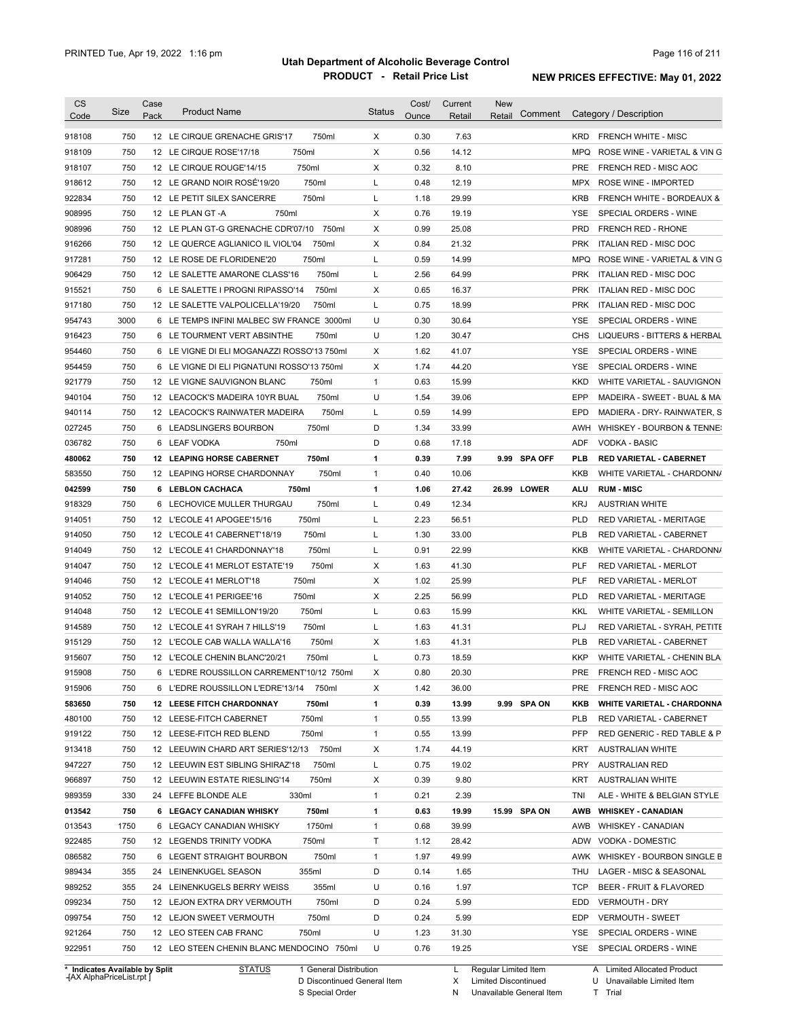| <b>CS</b><br>Code                        | <b>Size</b> | Case<br>Pack | <b>Product Name</b>                                                                  | <b>Status</b> | Cost/<br>Ounce | Current<br>Retail | New<br>Comment<br>Retail | Category / Description                                   |
|------------------------------------------|-------------|--------------|--------------------------------------------------------------------------------------|---------------|----------------|-------------------|--------------------------|----------------------------------------------------------|
| 918108                                   | 750         |              | 750ml<br>12 LE CIRQUE GRENACHE GRIS'17                                               | X             | 0.30           | 7.63              |                          | <b>KRD</b><br><b>FRENCH WHITE - MISC</b>                 |
| 918109                                   | 750         |              | 750ml<br>12 LE CIRQUE ROSE'17/18                                                     | X             | 0.56           | 14.12             |                          | MPQ<br>ROSE WINE - VARIETAL & VIN G                      |
| 918107                                   | 750         |              | 750ml<br>12 LE CIRQUE ROUGE'14/15                                                    | Χ             | 0.32           | 8.10              |                          | PRE<br>FRENCH RED - MISC AOC                             |
| 918612                                   | 750         |              | 12 LE GRAND NOIR ROSÉ'19/20<br>750ml                                                 | L             | 0.48           | 12.19             |                          | MPX<br>ROSE WINE - IMPORTED                              |
| 922834                                   | 750         |              | 750ml<br>12 LE PETIT SILEX SANCERRE                                                  | L             | 1.18           | 29.99             |                          | <b>KRB</b><br><b>FRENCH WHITE - BORDEAUX &amp;</b>       |
| 908995                                   | 750         |              | 750ml<br>12 LE PLAN GT-A                                                             | Χ             | 0.76           | 19.19             |                          | <b>YSE</b><br>SPECIAL ORDERS - WINE                      |
| 908996                                   | 750         |              | 12 LE PLAN GT-G GRENACHE CDR'07/10<br>750ml                                          | Х             | 0.99           | 25.08             |                          | <b>PRD</b><br>FRENCH RED - RHONE                         |
| 916266                                   | 750         |              | 12 LE QUERCE AGLIANICO IL VIOL'04<br>750ml                                           | Х             | 0.84           | 21.32             |                          | <b>PRK</b><br><b>ITALIAN RED - MISC DOC</b>              |
| 917281                                   | 750         |              | 750ml<br>12 LE ROSE DE FLORIDENE'20                                                  | L             | 0.59           | 14.99             |                          | <b>MPQ</b><br>ROSE WINE - VARIETAL & VIN G               |
| 906429                                   | 750         |              | 750ml<br>12 LE SALETTE AMARONE CLASS'16                                              | L             | 2.56           | 64.99             |                          | <b>PRK</b><br>ITALIAN RED - MISC DOC                     |
| 915521                                   | 750         |              | 750ml<br>6 LE SALETTE I PROGNI RIPASSO'14                                            | X             | 0.65           | 16.37             |                          | <b>PRK</b><br>ITALIAN RED - MISC DOC                     |
| 917180                                   | 750         |              | 750ml<br>12 LE SALETTE VALPOLICELLA'19/20                                            | L             | 0.75           | 18.99             |                          | <b>PRK</b><br>ITALIAN RED - MISC DOC                     |
| 954743                                   | 3000        |              | 6 LE TEMPS INFINI MALBEC SW FRANCE 3000ml                                            | U             | 0.30           | 30.64             |                          | <b>YSE</b><br>SPECIAL ORDERS - WINE                      |
| 916423                                   | 750         |              | 6 LE TOURMENT VERT ABSINTHE<br>750ml                                                 | U             | 1.20           | 30.47             |                          | <b>CHS</b><br>LIQUEURS - BITTERS & HERBAL                |
| 954460                                   | 750         |              | 6 LE VIGNE DI ELI MOGANAZZI ROSSO'13 750ml                                           | X             | 1.62           | 41.07             |                          | <b>YSE</b><br>SPECIAL ORDERS - WINE                      |
| 954459                                   | 750         | 6            | LE VIGNE DI ELI PIGNATUNI ROSSO'13 750ml                                             | Χ             | 1.74           | 44.20             |                          | <b>YSE</b><br>SPECIAL ORDERS - WINE                      |
| 921779                                   | 750         |              | 750ml<br>12 LE VIGNE SAUVIGNON BLANC                                                 | $\mathbf{1}$  | 0.63           | 15.99             |                          | <b>KKD</b><br>WHITE VARIETAL - SAUVIGNON                 |
| 940104                                   | 750         |              | 750ml<br>12 LEACOCK'S MADEIRA 10YR BUAL                                              | U             | 1.54           | 39.06             |                          | EPP<br>MADEIRA - SWEET - BUAL & MA                       |
| 940114                                   | 750         |              | 750ml<br>12 LEACOCK'S RAINWATER MADEIRA                                              | L             | 0.59           | 14.99             |                          | EPD<br>MADIERA - DRY- RAINWATER, S                       |
| 027245                                   | 750         |              | 750ml<br>6 LEADSLINGERS BOURBON                                                      | D             | 1.34           | 33.99             |                          | <b>AWH</b><br>WHISKEY - BOURBON & TENNE:                 |
| 036782                                   | 750         |              | 6 LEAF VODKA<br>750ml                                                                | D             | 0.68           | 17.18             |                          | <b>ADF</b><br><b>VODKA - BASIC</b>                       |
|                                          | 750         |              | 750ml<br><b>12 LEAPING HORSE CABERNET</b>                                            | 1             | 0.39           | 7.99              | 9.99 SPA OFF             | <b>PLB</b><br><b>RED VARIETAL - CABERNET</b>             |
| 480062<br>583550                         | 750         |              | 750ml<br>12 LEAPING HORSE CHARDONNAY                                                 | $\mathbf{1}$  | 0.40           | 10.06             |                          | KKB                                                      |
|                                          |             |              |                                                                                      |               |                |                   |                          | WHITE VARIETAL - CHARDONN/                               |
| 042599                                   | 750         |              | 6 LEBLON CACHACA<br>750ml                                                            | 1             | 1.06           | 27.42             | 26.99 LOWER              | ALU<br><b>RUM - MISC</b>                                 |
| 918329                                   | 750         | 6            | 750ml<br>LECHOVICE MULLER THURGAU                                                    | L             | 0.49           | 12.34             |                          | <b>KRJ</b><br><b>AUSTRIAN WHITE</b>                      |
| 914051                                   | 750         |              | 750ml<br>12 L'ECOLE 41 APOGEE'15/16                                                  | L             | 2.23           | 56.51             |                          | <b>PLD</b><br>RED VARIETAL - MERITAGE                    |
| 914050                                   | 750         |              | 750ml<br>12 L'ECOLE 41 CABERNET'18/19                                                | L             | 1.30           | 33.00             |                          | <b>PLB</b><br>RED VARIETAL - CABERNET                    |
| 914049                                   | 750         |              | 750ml<br>12 L'ECOLE 41 CHARDONNAY'18                                                 | L             | 0.91           | 22.99             |                          | KKB<br>WHITE VARIETAL - CHARDONN/                        |
| 914047                                   | 750         |              | 750ml<br>12 L'ECOLE 41 MERLOT ESTATE'19                                              | Χ             | 1.63           | 41.30             |                          | <b>PLF</b><br>RED VARIETAL - MERLOT                      |
| 914046                                   | 750         |              | 750ml<br>12 L'ECOLE 41 MERLOT'18                                                     | X             | 1.02           | 25.99             |                          | <b>PLF</b><br><b>RED VARIETAL - MERLOT</b>               |
| 914052                                   | 750         |              | 750ml<br>12 L'ECOLE 41 PERIGEE'16                                                    | X             | 2.25           | 56.99             |                          | <b>PLD</b><br>RED VARIETAL - MERITAGE                    |
| 914048                                   | 750         |              | 750ml<br>12 L'ECOLE 41 SEMILLON'19/20                                                | L             | 0.63           | 15.99             |                          | <b>KKL</b><br>WHITE VARIETAL - SEMILLON                  |
| 914589                                   | 750         |              | 750ml<br>12 L'ECOLE 41 SYRAH 7 HILLS'19                                              | Г             | 1.63           | 41.31             |                          | PLJ<br>RED VARIETAL - SYRAH, PETITE                      |
| 915129                                   | 750         |              | 750ml<br>12 L'ECOLE CAB WALLA WALLA'16                                               | Χ             | 1.63           | 41.31             |                          | <b>PLB</b><br>RED VARIETAL - CABERNET                    |
| 915607                                   | 750         |              | 12 L'ECOLE CHENIN BLANC'20/21<br>750ml                                               | Г             | 0.73           | 18.59             |                          | <b>KKP</b><br>WHITE VARIETAL - CHENIN BLA                |
| 915908                                   | 750         |              | 6 L'EDRE ROUSSILLON CARREMENT'10/12 750ml                                            | х             | 0.80           | 20.30             |                          | <b>PRE</b><br>FRENCH RED - MISC AOC                      |
| 915906                                   | 750         |              | 6 L'EDRE ROUSSILLON L'EDRE'13/14 750ml                                               | X             | 1.42           | 36.00             |                          | PRE<br>FRENCH RED - MISC AOC                             |
| 583650                                   | 750         |              | 750ml<br><b>12 LEESE FITCH CHARDONNAY</b>                                            | 1             | 0.39           | 13.99             | 9.99 SPA ON              | WHITE VARIETAL - CHARDONNA<br>KKB                        |
| 480100                                   | 750         |              | 750ml<br>12 LEESE-FITCH CABERNET                                                     | $\mathbf{1}$  | 0.55           | 13.99             |                          | PLB<br>RED VARIETAL - CABERNET                           |
| 919122                                   | 750         |              | 750ml<br>12 LEESE-FITCH RED BLEND                                                    | $\mathbf{1}$  | 0.55           | 13.99             |                          | <b>PFP</b><br>RED GENERIC - RED TABLE & P                |
| 913418                                   | 750         |              | 12 LEEUWIN CHARD ART SERIES'12/13 750ml                                              | X             | 1.74           | 44.19             |                          | KRT<br><b>AUSTRALIAN WHITE</b>                           |
| 947227                                   | 750         |              | 750ml<br>12 LEEUWIN EST SIBLING SHIRAZ'18                                            | L             | 0.75           | 19.02             |                          | PRY<br><b>AUSTRALIAN RED</b>                             |
| 966897                                   | 750         |              | 750ml<br>12 LEEUWIN ESTATE RIESLING'14                                               | X             | 0.39           | 9.80              |                          | KRT<br><b>AUSTRALIAN WHITE</b>                           |
| 989359                                   | 330         |              | 24 LEFFE BLONDE ALE<br>330ml                                                         | $\mathbf{1}$  | 0.21           | 2.39              |                          | tni<br>ALE - WHITE & BELGIAN STYLE                       |
| 013542                                   | 750         |              | 6 LEGACY CANADIAN WHISKY<br>750ml                                                    | 1             | 0.63           | 19.99             | 15.99 SPA ON             | AWB<br><b>WHISKEY - CANADIAN</b>                         |
| 013543                                   | 1750        |              | 1750ml<br>6 LEGACY CANADIAN WHISKY                                                   | $\mathbf{1}$  | 0.68           | 39.99             |                          | AWB<br><b>WHISKEY - CANADIAN</b>                         |
| 922485                                   | 750         |              | 750ml<br>12 LEGENDS TRINITY VODKA                                                    | T             | 1.12           | 28.42             |                          | ADW<br>VODKA - DOMESTIC                                  |
| 086582                                   | 750         |              | 750ml<br>6 LEGENT STRAIGHT BOURBON                                                   | $\mathbf{1}$  | 1.97           | 49.99             |                          | AWK<br>WHISKEY - BOURBON SINGLE B                        |
| 989434                                   | 355         |              | 355ml<br>24 LEINENKUGEL SEASON                                                       | D             | 0.14           | 1.65              |                          | THU<br>LAGER - MISC & SEASONAL                           |
| 989252                                   | 355         |              | 355ml<br>24 LEINENKUGELS BERRY WEISS                                                 | U             | 0.16           | 1.97              |                          | <b>TCP</b><br>BEER - FRUIT & FLAVORED                    |
| 099234                                   | 750         |              | 750ml<br>12 LEJON EXTRA DRY VERMOUTH                                                 | D             | 0.24           | 5.99              |                          | EDD<br><b>VERMOUTH - DRY</b>                             |
| 099754                                   | 750         |              | 750ml<br>12 LEJON SWEET VERMOUTH                                                     | D             | 0.24           | 5.99              |                          | EDP<br><b>VERMOUTH - SWEET</b>                           |
| 921264                                   | 750         |              | 750ml<br>12 LEO STEEN CAB FRANC                                                      | U             | 1.23           | 31.30             |                          | YSE<br>SPECIAL ORDERS - WINE                             |
|                                          |             |              |                                                                                      |               |                |                   |                          |                                                          |
| 922951<br>* Indicates Available by Split | 750         |              | 12 LEO STEEN CHENIN BLANC MENDOCINO 750ml<br><b>STATUS</b><br>1 General Distribution | U             | 0.76           | 19.25<br>L,       | Regular Limited Item     | YSE SPECIAL ORDERS - WINE<br>A Limited Allocated Product |

**Case** [AX AlphaPriceList.rpt ]

D Discontinued General Item

S Special Order

X Limited Discontinued

N Unavailable General Item

U Unavailable Limited Item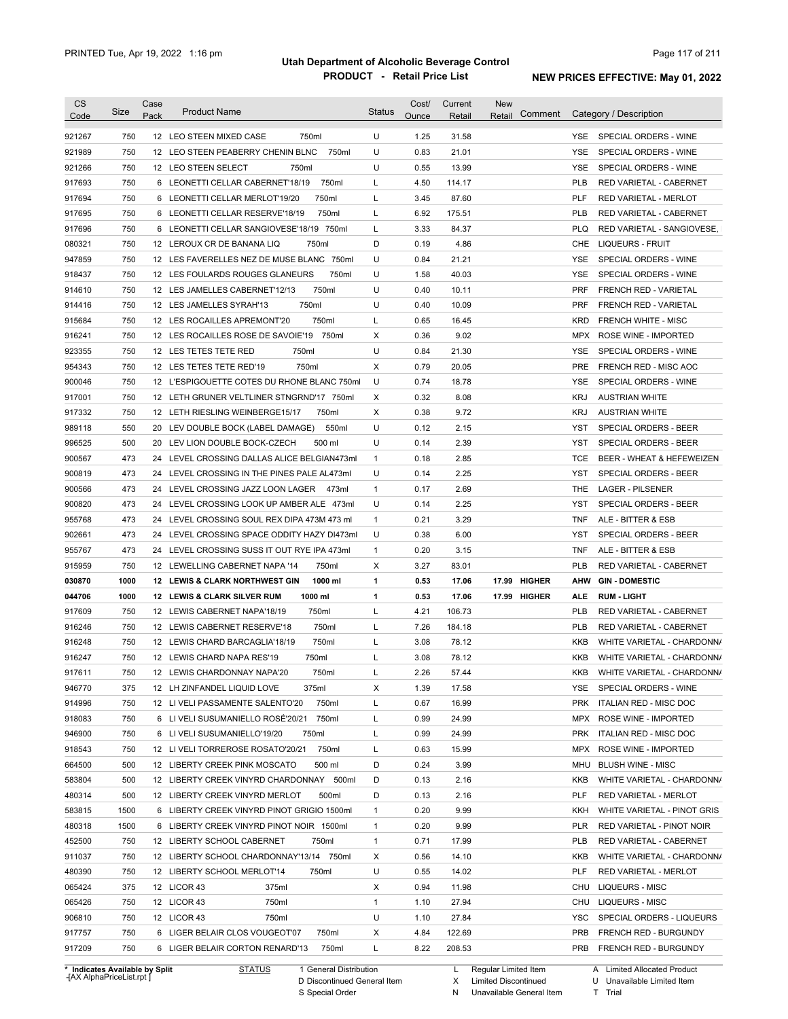| <b>CS</b><br>Code | Size | Case<br>Pack | <b>Product Name</b>                                                      | Status       | Cost/<br>Ounce | Current<br>Retail | <b>New</b><br>Comment<br>Retail |            | Category / Description                           |
|-------------------|------|--------------|--------------------------------------------------------------------------|--------------|----------------|-------------------|---------------------------------|------------|--------------------------------------------------|
| 921267            | 750  |              | 12 LEO STEEN MIXED CASE<br>750ml                                         | U            | 1.25           | 31.58             |                                 |            | YSE SPECIAL ORDERS - WINE                        |
| 921989            | 750  |              | 750ml<br>12 LEO STEEN PEABERRY CHENIN BLNC                               | U            | 0.83           | 21.01             |                                 | YSE        | SPECIAL ORDERS - WINE                            |
| 921266            | 750  |              | 12 LEO STEEN SELECT<br>750ml                                             | U            | 0.55           | 13.99             |                                 | <b>YSE</b> | SPECIAL ORDERS - WINE                            |
| 917693            | 750  |              | 6 LEONETTI CELLAR CABERNET'18/19<br>750ml                                | Г            | 4.50           | 114.17            |                                 | <b>PLB</b> | RED VARIETAL - CABERNET                          |
| 917694            | 750  |              | 6 LEONETTI CELLAR MERLOT'19/20<br>750ml                                  | L            | 3.45           | 87.60             |                                 | <b>PLF</b> | <b>RED VARIETAL - MERLOT</b>                     |
| 917695            | 750  |              | 6 LEONETTI CELLAR RESERVE'18/19<br>750ml                                 | L            | 6.92           | 175.51            |                                 | <b>PLB</b> | RED VARIETAL - CABERNET                          |
| 917696            | 750  |              | 6 LEONETTI CELLAR SANGIOVESE'18/19 750ml                                 | L            | 3.33           | 84.37             |                                 | <b>PLQ</b> | RED VARIETAL - SANGIOVESE,                       |
| 080321            | 750  |              | 750ml<br>12 LEROUX CR DE BANANA LIQ                                      | D            | 0.19           | 4.86              |                                 | CHE        | <b>LIQUEURS - FRUIT</b>                          |
| 947859            | 750  |              | 12 LES FAVERELLES NEZ DE MUSE BLANC 750ml                                | U            | 0.84           | 21.21             |                                 | <b>YSE</b> | SPECIAL ORDERS - WINE                            |
| 918437            | 750  |              | 12 LES FOULARDS ROUGES GLANEURS<br>750ml                                 | U            | 1.58           | 40.03             |                                 | <b>YSE</b> | SPECIAL ORDERS - WINE                            |
| 914610            | 750  |              | 750ml<br>12 LES JAMELLES CABERNET'12/13                                  | U            | 0.40           | 10.11             |                                 | <b>PRF</b> | FRENCH RED - VARIETAL                            |
| 914416            | 750  |              | 750ml<br>12 LES JAMELLES SYRAH'13                                        | U            | 0.40           | 10.09             |                                 | <b>PRF</b> | FRENCH RED - VARIETAL                            |
| 915684            | 750  |              | 750ml<br>12 LES ROCAILLES APREMONT'20                                    | L            | 0.65           | 16.45             |                                 | <b>KRD</b> | <b>FRENCH WHITE - MISC</b>                       |
| 916241            | 750  |              | 12 LES ROCAILLES ROSE DE SAVOIE'19<br>750ml                              | X            | 0.36           | 9.02              |                                 |            | MPX ROSE WINE - IMPORTED                         |
| 923355            | 750  |              | 750ml<br>12 LES TETES TETE RED                                           | U            | 0.84           | 21.30             |                                 | <b>YSE</b> | SPECIAL ORDERS - WINE                            |
| 954343            | 750  |              | 750ml<br>12 LES TETES TETE RED'19                                        | X            | 0.79           | 20.05             |                                 | <b>PRE</b> | FRENCH RED - MISC AOC                            |
| 900046            | 750  |              | 12 L'ESPIGOUETTE COTES DU RHONE BLANC 750ml                              | U            | 0.74           | 18.78             |                                 | <b>YSE</b> | SPECIAL ORDERS - WINE                            |
| 917001            | 750  |              | 12 LETH GRUNER VELTLINER STNGRND'17 750ml                                | Χ            | 0.32           | 8.08              |                                 | <b>KRJ</b> | <b>AUSTRIAN WHITE</b>                            |
| 917332            | 750  |              | 12 LETH RIESLING WEINBERGE15/17<br>750ml                                 | X            | 0.38           | 9.72              |                                 | <b>KRJ</b> | <b>AUSTRIAN WHITE</b>                            |
| 989118            | 550  |              | 20 LEV DOUBLE BOCK (LABEL DAMAGE)<br>550ml                               | U            | 0.12           | 2.15              |                                 | YST        | SPECIAL ORDERS - BEER                            |
| 996525            | 500  |              | 20 LEV LION DOUBLE BOCK-CZECH<br>500 ml                                  | U            | 0.14           | 2.39              |                                 | YST        | <b>SPECIAL ORDERS - BEER</b>                     |
| 900567            | 473  |              | 24 LEVEL CROSSING DALLAS ALICE BELGIAN473ml                              | $\mathbf{1}$ | 0.18           | 2.85              |                                 | <b>TCE</b> | BEER - WHEAT & HEFEWEIZEN                        |
| 900819            | 473  |              | 24 LEVEL CROSSING IN THE PINES PALE AL473ml                              | U            | 0.14           | 2.25              |                                 | <b>YST</b> | <b>SPECIAL ORDERS - BEER</b>                     |
| 900566            | 473  |              | 24 LEVEL CROSSING JAZZ LOON LAGER<br>473ml                               | $\mathbf{1}$ | 0.17           | 2.69              |                                 | <b>THE</b> | <b>LAGER - PILSENER</b>                          |
| 900820            | 473  |              | 24 LEVEL CROSSING LOOK UP AMBER ALE 473ml                                | U            | 0.14           | 2.25              |                                 | <b>YST</b> | SPECIAL ORDERS - BEER                            |
| 955768            | 473  |              | 24 LEVEL CROSSING SOUL REX DIPA 473M 473 ml                              | $\mathbf{1}$ | 0.21           | 3.29              |                                 | TNF        | ALE - BITTER & ESB                               |
| 902661            | 473  |              | 24 LEVEL CROSSING SPACE ODDITY HAZY DI473ml                              | U            | 0.38           | 6.00              |                                 | YST        | SPECIAL ORDERS - BEER                            |
|                   | 473  |              |                                                                          | $\mathbf{1}$ | 0.20           | 3.15              |                                 | TNF        |                                                  |
| 955767            | 750  |              | 24 LEVEL CROSSING SUSS IT OUT RYE IPA 473ml<br>750ml                     | Х            | 3.27           |                   |                                 | <b>PLB</b> | ALE - BITTER & ESB                               |
| 915959            | 1000 |              | 12 LEWELLING CABERNET NAPA '14<br>1000 ml                                | 1            | 0.53           | 83.01             | 17.99 HIGHER                    | AHW        | RED VARIETAL - CABERNET<br><b>GIN - DOMESTIC</b> |
| 030870<br>044706  | 1000 |              | 12 LEWIS & CLARK NORTHWEST GIN<br>1000 ml<br>12 LEWIS & CLARK SILVER RUM | 1            | 0.53           | 17.06<br>17.06    | 17.99 HIGHER                    | <b>ALE</b> | <b>RUM - LIGHT</b>                               |
| 917609            | 750  |              | 750ml<br>12 LEWIS CABERNET NAPA'18/19                                    | Г            | 4.21           | 106.73            |                                 | <b>PLB</b> | RED VARIETAL - CABERNET                          |
| 916246            | 750  |              | 12 LEWIS CABERNET RESERVE'18<br>750ml                                    | L            | 7.26           | 184.18            |                                 | <b>PLB</b> | <b>RED VARIETAL - CABERNET</b>                   |
|                   | 750  |              | 750ml<br>12 LEWIS CHARD BARCAGLIA'18/19                                  | Г            | 3.08           | 78.12             |                                 | KKB        | WHITE VARIETAL - CHARDONN/                       |
| 916248            | 750  |              | 750ml                                                                    |              | 3.08           | 78.12             |                                 | KKB        |                                                  |
| 916247            |      |              | 12 LEWIS CHARD NAPA RES'19                                               | L            |                |                   |                                 |            | WHITE VARIETAL - CHARDONN/                       |
| 917611<br>946770  | 750  |              | 750ml<br>12 LEWIS CHARDONNAY NAPA'20                                     |              | 2.26           | 57.44             |                                 | KKB        | WHITE VARIETAL - CHARDONN/                       |
|                   | 375  |              | 12 LH ZINFANDEL LIQUID LOVE<br>375ml                                     | x            | 1.39           | 17.58             |                                 | YSE        | SPECIAL ORDERS - WINE                            |
| 914996            | 750  |              | 750ml<br>12 LI VELI PASSAMENTE SALENTO'20                                | Г            | 0.67           | 16.99             |                                 | <b>PRK</b> | ITALIAN RED - MISC DOC                           |
| 918083            | 750  |              | 750ml<br>6 LI VELI SUSUMANIELLO ROSE'20/21                               | L            | 0.99           | 24.99             |                                 | <b>MPX</b> | ROSE WINE - IMPORTED                             |
| 946900            | 750  |              | 750ml<br>6 LI VELI SUSUMANIELLO'19/20                                    | Г            | 0.99           | 24.99             |                                 | <b>PRK</b> | ITALIAN RED - MISC DOC                           |
| 918543            | 750  |              | 750ml<br>12 LIVELI TORREROSE ROSATO'20/21                                | L            | 0.63           | 15.99             |                                 | MPX        | ROSE WINE - IMPORTED                             |
| 664500            | 500  |              | 500 ml<br>12 LIBERTY CREEK PINK MOSCATO                                  | D            | 0.24           | 3.99              |                                 | MHU        | <b>BLUSH WINE - MISC</b>                         |
| 583804            | 500  |              | 12 LIBERTY CREEK VINYRD CHARDONNAY 500ml                                 | D            | 0.13           | 2.16              |                                 | KKB        | WHITE VARIETAL - CHARDONN/                       |
| 480314            | 500  |              | 500ml<br>12 LIBERTY CREEK VINYRD MERLOT                                  | D            | 0.13           | 2.16              |                                 | PLF        | RED VARIETAL - MERLOT                            |
| 583815            | 1500 |              | 6 LIBERTY CREEK VINYRD PINOT GRIGIO 1500ml                               | $\mathbf{1}$ | 0.20           | 9.99              |                                 | KKH        | WHITE VARIETAL - PINOT GRIS                      |
| 480318            | 1500 |              | 6 LIBERTY CREEK VINYRD PINOT NOIR 1500ml                                 | 1            | 0.20           | 9.99              |                                 | <b>PLR</b> | RED VARIETAL - PINOT NOIR                        |
| 452500            | 750  |              | 12 LIBERTY SCHOOL CABERNET<br>750ml                                      | $\mathbf{1}$ | 0.71           | 17.99             |                                 | <b>PLB</b> | RED VARIETAL - CABERNET                          |
| 911037            | 750  |              | 12 LIBERTY SCHOOL CHARDONNAY'13/14 750ml                                 | х            | 0.56           | 14.10             |                                 | KKB        | WHITE VARIETAL - CHARDONN/                       |
| 480390            | 750  |              | 12 LIBERTY SCHOOL MERLOT'14<br>750ml                                     | U            | 0.55           | 14.02             |                                 | PLF        | RED VARIETAL - MERLOT                            |
| 065424            | 375  |              | 12 LICOR 43<br>375ml                                                     | х            | 0.94           | 11.98             |                                 | CHU        | LIQUEURS - MISC                                  |
| 065426            | 750  |              | 12 LICOR 43<br>750ml                                                     | $\mathbf{1}$ | 1.10           | 27.94             |                                 | CHU        | <b>LIQUEURS - MISC</b>                           |
|                   |      |              |                                                                          |              |                |                   |                                 |            |                                                  |
| 906810            | 750  |              | 12 LICOR 43<br>750ml                                                     | U            | 1.10           | 27.84             |                                 | <b>YSC</b> | SPECIAL ORDERS - LIQUEURS                        |
| 917757            | 750  |              | 6 LIGER BELAIR CLOS VOUGEOT'07<br>750ml                                  | х            | 4.84           | 122.69            |                                 | <b>PRB</b> | FRENCH RED - BURGUNDY                            |
| 917209            | 750  |              | 750ml<br>6 LIGER BELAIR CORTON RENARD'13                                 | L            | 8.22           | 208.53            |                                 | <b>PRB</b> | FRENCH RED - BURGUNDY                            |

**Case** [AX AlphaPriceList.rpt ]

D Discontinued General Item

S Special Order

X Limited Discontinued

N Unavailable General Item

U Unavailable Limited Item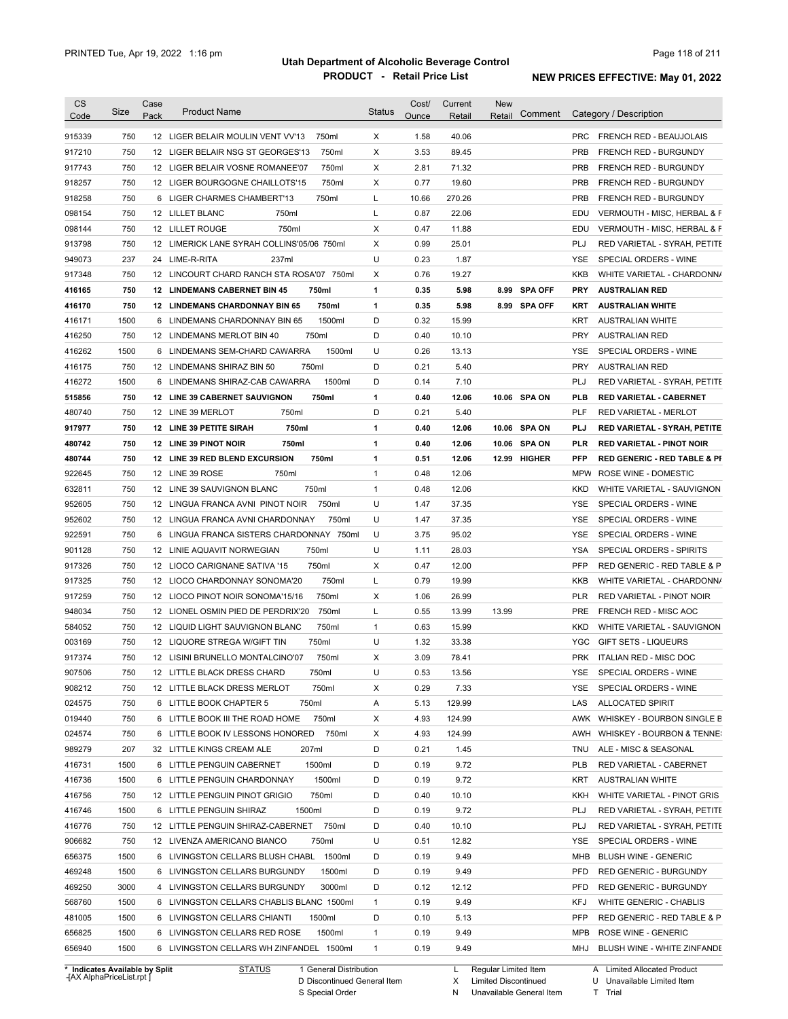| <b>CS</b><br>Code              | Size | Case<br>Pack | <b>Product Name</b>                                                   |                        | <b>Status</b>     | Cost/<br>Ounce | Current<br>Retail | <b>New</b><br>Retail   | Comment      |            | Category / Description                  |
|--------------------------------|------|--------------|-----------------------------------------------------------------------|------------------------|-------------------|----------------|-------------------|------------------------|--------------|------------|-----------------------------------------|
|                                |      |              |                                                                       |                        |                   |                |                   |                        |              |            |                                         |
| 915339                         | 750  |              | 12 LIGER BELAIR MOULIN VENT VV'13                                     | 750ml                  | Χ                 | 1.58           | 40.06             |                        |              | <b>PRC</b> | <b>FRENCH RED - BEAUJOLAIS</b>          |
| 917210                         | 750  |              | 12 LIGER BELAIR NSG ST GEORGES'13                                     | 750ml                  | Χ                 | 3.53           | 89.45             |                        |              | <b>PRB</b> | <b>FRENCH RED - BURGUNDY</b>            |
| 917743                         | 750  |              | 12 LIGER BELAIR VOSNE ROMANEE'07                                      | 750ml                  | Χ                 | 2.81           | 71.32             |                        |              | <b>PRB</b> | FRENCH RED - BURGUNDY                   |
| 918257                         | 750  |              | 12 LIGER BOURGOGNE CHAILLOTS'15                                       | 750ml                  | Χ                 | 0.77           | 19.60             |                        |              | <b>PRB</b> | <b>FRENCH RED - BURGUNDY</b>            |
| 918258                         | 750  |              | 6 LIGER CHARMES CHAMBERT'13                                           | 750ml                  | L                 | 10.66          | 270.26            |                        |              | <b>PRB</b> | FRENCH RED - BURGUNDY                   |
| 098154                         | 750  |              | 750ml<br>12 LILLET BLANC                                              |                        | L                 | 0.87           | 22.06             |                        |              | EDU        | VERMOUTH - MISC, HERBAL & F             |
| 098144                         | 750  |              | 750ml<br>12 LILLET ROUGE                                              |                        | Χ                 | 0.47           | 11.88             |                        |              | EDU        | VERMOUTH - MISC, HERBAL & F             |
| 913798                         | 750  |              | 12 LIMERICK LANE SYRAH COLLINS'05/06 750ml                            |                        | Χ                 | 0.99           | 25.01             |                        |              | PLJ        | RED VARIETAL - SYRAH, PETITE            |
| 949073                         | 237  |              | 24 LIME-R-RITA<br>237ml                                               |                        | U                 | 0.23           | 1.87              |                        |              | <b>YSE</b> | SPECIAL ORDERS - WINE                   |
| 917348                         | 750  |              | 12 LINCOURT CHARD RANCH STA ROSA'07 750ml                             |                        | X                 | 0.76           | 19.27             |                        |              | <b>KKB</b> | WHITE VARIETAL - CHARDONN/              |
| 416165                         | 750  |              | <b>12 LINDEMANS CABERNET BIN 45</b>                                   | 750ml                  | 1                 | 0.35           | 5.98              |                        | 8.99 SPA OFF | <b>PRY</b> | <b>AUSTRALIAN RED</b>                   |
| 416170                         | 750  |              | <b>12 LINDEMANS CHARDONNAY BIN 65</b>                                 | 750ml                  | 1                 | 0.35           | 5.98              |                        | 8.99 SPA OFF | KRT        | <b>AUSTRALIAN WHITE</b>                 |
| 416171                         | 1500 |              | 6 LINDEMANS CHARDONNAY BIN 65                                         | 1500ml                 | D                 | 0.32           | 15.99             |                        |              | <b>KRT</b> | <b>AUSTRALIAN WHITE</b>                 |
| 416250                         | 750  |              | 12 LINDEMANS MERLOT BIN 40                                            | 750ml                  | D                 | 0.40           | 10.10             |                        |              | <b>PRY</b> | <b>AUSTRALIAN RED</b>                   |
| 416262                         | 1500 |              | 6 LINDEMANS SEM-CHARD CAWARRA                                         | 1500ml                 | U                 | 0.26           | 13.13             |                        |              | <b>YSE</b> | SPECIAL ORDERS - WINE                   |
| 416175                         | 750  |              | 12 LINDEMANS SHIRAZ BIN 50<br>750ml                                   |                        | D                 | 0.21           | 5.40              |                        |              | <b>PRY</b> | <b>AUSTRALIAN RED</b>                   |
| 416272                         | 1500 |              | 6 LINDEMANS SHIRAZ-CAB CAWARRA                                        | 1500ml                 | D                 | 0.14           | 7.10              |                        |              | PLJ        | RED VARIETAL - SYRAH, PETITE            |
| 515856                         | 750  |              | 12 LINE 39 CABERNET SAUVIGNON                                         | 750ml                  | 1                 | 0.40           | 12.06             |                        | 10.06 SPA ON | <b>PLB</b> | <b>RED VARIETAL - CABERNET</b>          |
| 480740                         | 750  |              | 750ml<br>12 LINE 39 MERLOT                                            |                        | D                 | 0.21           | 5.40              |                        |              | PLF        | <b>RED VARIETAL - MERLOT</b>            |
| 917977                         | 750  |              | 750ml<br>12 LINE 39 PETITE SIRAH                                      |                        | 1                 | 0.40           | 12.06             |                        | 10.06 SPA ON | PLJ        | RED VARIETAL - SYRAH, PETITE            |
| 480742                         | 750  |              | 12 LINE 39 PINOT NOIR<br>750ml                                        |                        | 1                 | 0.40           | 12.06             |                        | 10.06 SPA ON | PLR        | <b>RED VARIETAL - PINOT NOIR</b>        |
| 480744                         | 750  |              | 12 LINE 39 RED BLEND EXCURSION                                        | 750ml                  | 1                 | 0.51           | 12.06             |                        | 12.99 HIGHER | <b>PFP</b> | <b>RED GENERIC - RED TABLE &amp; PI</b> |
| 922645                         | 750  |              | 750ml<br>12 LINE 39 ROSE                                              |                        | $\mathbf{1}$      | 0.48           | 12.06             |                        |              | <b>MPW</b> | ROSE WINE - DOMESTIC                    |
| 632811                         | 750  |              | 750ml<br>12 LINE 39 SAUVIGNON BLANC                                   |                        | $\mathbf{1}$      | 0.48           | 12.06             |                        |              | <b>KKD</b> | WHITE VARIETAL - SAUVIGNON              |
| 952605                         | 750  |              | 12 LINGUA FRANCA AVNI PINOT NOIR                                      | 750ml                  | U                 | 1.47           | 37.35             |                        |              | <b>YSE</b> | SPECIAL ORDERS - WINE                   |
| 952602                         | 750  |              | 12 LINGUA FRANCA AVNI CHARDONNAY                                      | 750ml                  | U                 | 1.47           | 37.35             |                        |              | YSE        | SPECIAL ORDERS - WINE                   |
| 922591                         | 750  |              | 6 LINGUA FRANCA SISTERS CHARDONNAY 750ml                              |                        | U                 | 3.75           | 95.02             |                        |              | YSE        | SPECIAL ORDERS - WINE                   |
| 901128                         | 750  |              | 12 LINIE AQUAVIT NORWEGIAN                                            | 750ml                  | U                 | 1.11           | 28.03             |                        |              | YSA        | SPECIAL ORDERS - SPIRITS                |
| 917326                         | 750  |              | 12 LIOCO CARIGNANE SATIVA '15                                         | 750ml                  | Χ                 | 0.47           | 12.00             |                        |              | <b>PFP</b> | RED GENERIC - RED TABLE & P             |
| 917325                         | 750  |              | 12 LIOCO CHARDONNAY SONOMA'20                                         | 750ml                  | L                 | 0.79           | 19.99             |                        |              | KKB        | WHITE VARIETAL - CHARDONN/              |
| 917259                         | 750  |              | 12 LIOCO PINOT NOIR SONOMA'15/16                                      | 750ml                  | Χ                 | 1.06           | 26.99             |                        |              | PLR        | RED VARIETAL - PINOT NOIR               |
| 948034                         |      |              |                                                                       |                        |                   | 0.55           |                   |                        |              | <b>PRE</b> | <b>FRENCH RED - MISC AOC</b>            |
|                                | 750  |              | 12 LIONEL OSMIN PIED DE PERDRIX'20<br>12 LIQUID LIGHT SAUVIGNON BLANC | 750ml                  | L<br>$\mathbf{1}$ |                | 13.99             | 13.99                  |              |            |                                         |
| 584052                         | 750  |              |                                                                       | 750ml                  |                   | 0.63           | 15.99             |                        |              | <b>KKD</b> | WHITE VARIETAL - SAUVIGNON              |
| 003169                         | 750  |              | 12 LIQUORE STREGA W/GIFT TIN                                          | 750ml                  | U                 | 1.32           | 33.38             |                        |              | <b>YGC</b> | <b>GIFT SETS - LIQUEURS</b>             |
| 917374                         | 750  |              | 12 LISINI BRUNELLO MONTALCINO'07                                      | 750ml                  | X                 | 3.09           | 78.41             |                        |              | <b>PRK</b> | <b>ITALIAN RED - MISC DOC</b>           |
| 907506                         | 750  |              | 12 LITTLE BLACK DRESS CHARD                                           | 750ml                  | U                 | 0.53           | 13.56             |                        |              |            | YSE SPECIAL ORDERS - WINE               |
| 908212                         | 750  |              | 12 LITTLE BLACK DRESS MERLOT                                          | 750ml                  | X                 | 0.29           | 7.33              |                        |              |            | YSE SPECIAL ORDERS - WINE               |
| 024575                         | 750  |              | 750ml<br>6 LITTLE BOOK CHAPTER 5                                      |                        | Α                 | 5.13           | 129.99            |                        |              | LAS        | <b>ALLOCATED SPIRIT</b>                 |
| 019440                         | 750  |              | 6 LITTLE BOOK III THE ROAD HOME                                       | 750ml                  | Χ                 | 4.93           | 124.99            |                        |              |            | AWK WHISKEY - BOURBON SINGLE B          |
| 024574                         | 750  |              | 6 LITTLE BOOK IV LESSONS HONORED 750ml                                |                        | Х                 | 4.93           | 124.99            |                        |              | AWH        | WHISKEY - BOURBON & TENNE:              |
| 989279                         | 207  |              | 32 LITTLE KINGS CREAM ALE<br>207ml                                    |                        | D                 | 0.21           | 1.45              |                        |              | TNU        | ALE - MISC & SEASONAL                   |
| 416731                         | 1500 |              | 6 LITTLE PENGUIN CABERNET                                             | 1500ml                 | D                 | 0.19           | 9.72              |                        |              | PLB        | RED VARIETAL - CABERNET                 |
| 416736                         | 1500 |              | 6 LITTLE PENGUIN CHARDONNAY                                           | 1500ml                 | D                 | 0.19           | 9.72              |                        |              | KRT        | AUSTRALIAN WHITE                        |
| 416756                         | 750  |              | 12 LITTLE PENGUIN PINOT GRIGIO                                        | 750ml                  | D                 | 0.40           | 10.10             |                        |              | KKH        | WHITE VARIETAL - PINOT GRIS             |
| 416746                         | 1500 |              | 6 LITTLE PENGUIN SHIRAZ<br>1500ml                                     |                        | D                 | 0.19           | 9.72              |                        |              | PLJ        | RED VARIETAL - SYRAH, PETITE            |
| 416776                         | 750  |              | 12 LITTLE PENGUIN SHIRAZ-CABERNET 750ml                               |                        | D                 | 0.40           | 10.10             |                        |              | PLJ        | RED VARIETAL - SYRAH, PETITE            |
| 906682                         | 750  |              | 12 LIVENZA AMERICANO BIANCO                                           | 750ml                  | U                 | 0.51           | 12.82             |                        |              | YSE        | SPECIAL ORDERS - WINE                   |
| 656375                         | 1500 |              | 6 LIVINGSTON CELLARS BLUSH CHABL 1500ml                               |                        | D                 | 0.19           | 9.49              |                        |              | MHB        | <b>BLUSH WINE - GENERIC</b>             |
| 469248                         | 1500 |              | 6 LIVINGSTON CELLARS BURGUNDY                                         | 1500ml                 | D                 | 0.19           | 9.49              |                        |              | PFD        | RED GENERIC - BURGUNDY                  |
| 469250                         | 3000 |              | 4 LIVINGSTON CELLARS BURGUNDY                                         | 3000ml                 | D                 | 0.12           | 12.12             |                        |              | <b>PFD</b> | RED GENERIC - BURGUNDY                  |
| 568760                         | 1500 |              | 6 LIVINGSTON CELLARS CHABLIS BLANC 1500ml                             |                        | $\mathbf{1}$      | 0.19           | 9.49              |                        |              | KFJ        | WHITE GENERIC - CHABLIS                 |
| 481005                         | 1500 |              | 6 LIVINGSTON CELLARS CHIANTI                                          | 1500ml                 | D                 | 0.10           | 5.13              |                        |              | PFP        | RED GENERIC - RED TABLE & P             |
| 656825                         | 1500 |              | 6 LIVINGSTON CELLARS RED ROSE                                         | 1500ml                 | $\mathbf{1}$      | 0.19           | 9.49              |                        |              | MPB        | ROSE WINE - GENERIC                     |
| 656940                         | 1500 |              | 6 LIVINGSTON CELLARS WH ZINFANDEL 1500ml                              |                        | $\mathbf{1}$      | 0.19           | 9.49              |                        |              | MHJ        | BLUSH WINE - WHITE ZINFANDE             |
| * Indicates Available by Split |      |              | <b>STATUS</b>                                                         | 1 General Distribution |                   |                |                   | L Regular Limited Item |              |            | A Limited Allocated Product             |

**Case** [AX AlphaPriceList.rpt ]

D Discontinued General Item S Special Order

X

Limited Discontinued

N Unavailable General Item

U Unavailable Limited Item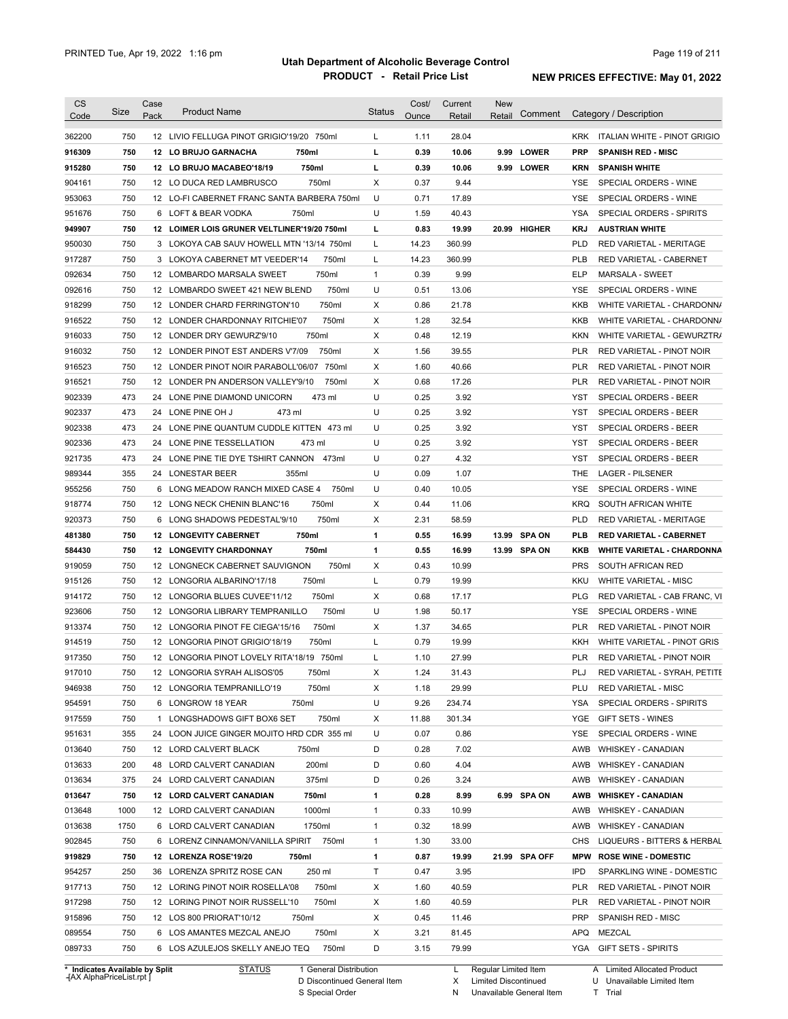|                                                                                                            | Size | Case | <b>Product Name</b>                          | <b>Status</b> | Cost/ | Current | <b>New</b> | Comment       |            | Category / Description              |
|------------------------------------------------------------------------------------------------------------|------|------|----------------------------------------------|---------------|-------|---------|------------|---------------|------------|-------------------------------------|
| Code                                                                                                       |      | Pack |                                              |               | Ounce | Retail  | Retail     |               |            |                                     |
| 362200                                                                                                     | 750  |      | 12 LIVIO FELLUGA PINOT GRIGIO'19/20 750ml    | L             | 1.11  | 28.04   |            |               | <b>KRK</b> | <b>ITALIAN WHITE - PINOT GRIGIO</b> |
| 916309                                                                                                     | 750  |      | 12 LO BRUJO GARNACHA<br>750ml                | L             | 0.39  | 10.06   |            | 9.99 LOWER    | <b>PRP</b> | <b>SPANISH RED - MISC</b>           |
| 915280                                                                                                     | 750  |      | 750ml<br>12 LO BRUJO MACABEO'18/19           | L             | 0.39  | 10.06   |            | 9.99 LOWER    | <b>KRN</b> | <b>SPANISH WHITE</b>                |
| 904161                                                                                                     | 750  |      | 750ml<br>12 LO DUCA RED LAMBRUSCO            | X             | 0.37  | 9.44    |            |               | YSE        | SPECIAL ORDERS - WINE               |
| 953063                                                                                                     | 750  |      | 12 LO-FI CABERNET FRANC SANTA BARBERA 750ml  | U             | 0.71  | 17.89   |            |               | <b>YSE</b> | SPECIAL ORDERS - WINE               |
| 951676                                                                                                     | 750  |      | 6 LOFT & BEAR VODKA<br>750ml                 | U             | 1.59  | 40.43   |            |               | <b>YSA</b> | SPECIAL ORDERS - SPIRITS            |
| 949907                                                                                                     | 750  |      | 12 LOIMER LOIS GRUNER VELTLINER'19/20 750ml  | г             | 0.83  | 19.99   |            | 20.99 HIGHER  | <b>KRJ</b> | <b>AUSTRIAN WHITE</b>               |
| 950030                                                                                                     | 750  |      | 3 LOKOYA CAB SAUV HOWELL MTN '13/14 750ml    | L             | 14.23 | 360.99  |            |               | <b>PLD</b> | RED VARIETAL - MERITAGE             |
| 917287                                                                                                     | 750  |      | 750ml<br>3 LOKOYA CABERNET MT VEEDER'14      | L             | 14.23 | 360.99  |            |               | <b>PLB</b> | RED VARIETAL - CABERNET             |
| 092634                                                                                                     | 750  |      | 750ml<br>12 LOMBARDO MARSALA SWEET           | $\mathbf{1}$  | 0.39  | 9.99    |            |               | <b>ELP</b> | MARSALA - SWEET                     |
| 092616                                                                                                     | 750  |      | 750ml<br>12 LOMBARDO SWEET 421 NEW BLEND     | U             | 0.51  | 13.06   |            |               | <b>YSE</b> | SPECIAL ORDERS - WINE               |
| 918299                                                                                                     | 750  |      | 750ml<br>12 LONDER CHARD FERRINGTON'10       | Χ             | 0.86  | 21.78   |            |               | <b>KKB</b> | WHITE VARIETAL - CHARDONN/          |
| 916522                                                                                                     | 750  |      | 750ml<br>12 LONDER CHARDONNAY RITCHIE'07     | Χ             | 1.28  | 32.54   |            |               | <b>KKB</b> | WHITE VARIETAL - CHARDONN/          |
| 916033                                                                                                     | 750  |      | 750ml<br>12 LONDER DRY GEWURZ'9/10           | Χ             | 0.48  | 12.19   |            |               | <b>KKN</b> | WHITE VARIETAL - GEWURZTR/          |
| 916032                                                                                                     | 750  |      | 750ml<br>12 LONDER PINOT EST ANDERS V'7/09   | Χ             | 1.56  | 39.55   |            |               | <b>PLR</b> | RED VARIETAL - PINOT NOIR           |
| 916523                                                                                                     | 750  |      | 12 LONDER PINOT NOIR PARABOLL'06/07<br>750ml | Χ             | 1.60  | 40.66   |            |               | <b>PLR</b> | RED VARIETAL - PINOT NOIR           |
| 916521                                                                                                     | 750  |      | 750ml<br>12 LONDER PN ANDERSON VALLEY'9/10   | Χ             | 0.68  | 17.26   |            |               | <b>PLR</b> | <b>RED VARIETAL - PINOT NOIR</b>    |
| 902339                                                                                                     | 473  |      | 24 LONE PINE DIAMOND UNICORN<br>473 ml       | U             | 0.25  | 3.92    |            |               | <b>YST</b> | SPECIAL ORDERS - BEER               |
| 902337                                                                                                     | 473  | 24   | LONE PINE OH J<br>473 ml                     | U             | 0.25  | 3.92    |            |               | <b>YST</b> | SPECIAL ORDERS - BEER               |
| 902338                                                                                                     | 473  | 24   | LONE PINE QUANTUM CUDDLE KITTEN 473 ml       | U             | 0.25  | 3.92    |            |               | <b>YST</b> | SPECIAL ORDERS - BEER               |
| 902336                                                                                                     | 473  | 24   | LONE PINE TESSELLATION<br>473 ml             | U             | 0.25  | 3.92    |            |               | <b>YST</b> | SPECIAL ORDERS - BEER               |
| 921735                                                                                                     | 473  |      | 473ml<br>24 LONE PINE TIE DYE TSHIRT CANNON  | U             | 0.27  | 4.32    |            |               | <b>YST</b> | SPECIAL ORDERS - BEER               |
| 989344                                                                                                     | 355  |      | 355ml<br>24 LONESTAR BEER                    | U             | 0.09  | 1.07    |            |               | <b>THE</b> | <b>LAGER - PILSENER</b>             |
| 955256                                                                                                     | 750  |      | 6 LONG MEADOW RANCH MIXED CASE 4<br>750ml    | U             | 0.40  | 10.05   |            |               | <b>YSE</b> | SPECIAL ORDERS - WINE               |
| 918774                                                                                                     | 750  |      | 750ml<br>12 LONG NECK CHENIN BLANC'16        | X             | 0.44  | 11.06   |            |               | <b>KRQ</b> | SOUTH AFRICAN WHITE                 |
| 920373                                                                                                     | 750  | 6    | 750ml<br>LONG SHADOWS PEDESTAL'9/10          | Χ             | 2.31  | 58.59   |            |               | <b>PLD</b> | RED VARIETAL - MERITAGE             |
| 481380                                                                                                     | 750  |      | 750ml<br>12 LONGEVITY CABERNET               | 1             | 0.55  | 16.99   |            | 13.99 SPA ON  | <b>PLB</b> | <b>RED VARIETAL - CABERNET</b>      |
| 584430                                                                                                     | 750  |      | 750ml<br><b>12 LONGEVITY CHARDONNAY</b>      | 1             | 0.55  | 16.99   |            | 13.99 SPA ON  | KKB        | <b>WHITE VARIETAL - CHARDONNA</b>   |
| 919059                                                                                                     |      |      |                                              | Χ             | 0.43  | 10.99   |            |               | <b>PRS</b> | SOUTH AFRICAN RED                   |
|                                                                                                            | 750  |      | 12 LONGNECK CABERNET SAUVIGNON<br>750ml      |               |       |         |            |               |            |                                     |
|                                                                                                            | 750  |      | 12 LONGORIA ALBARINO'17/18<br>750ml          | L             | 0.79  | 19.99   |            |               | KKU        | <b>WHITE VARIETAL - MISC</b>        |
|                                                                                                            | 750  |      | 12 LONGORIA BLUES CUVEE'11/12<br>750ml       | Χ             | 0.68  | 17.17   |            |               | <b>PLG</b> | RED VARIETAL - CAB FRANC, VI        |
|                                                                                                            | 750  |      | 12 LONGORIA LIBRARY TEMPRANILLO<br>750ml     | U             | 1.98  | 50.17   |            |               | YSE        | SPECIAL ORDERS - WINE               |
|                                                                                                            | 750  |      | 750ml<br>12 LONGORIA PINOT FE CIEGA'15/16    | Χ             | 1.37  | 34.65   |            |               | <b>PLR</b> | RED VARIETAL - PINOT NOIR           |
|                                                                                                            | 750  |      | 750ml<br>12 LONGORIA PINOT GRIGIO'18/19      | L             | 0.79  | 19.99   |            |               | <b>KKH</b> | WHITE VARIETAL - PINOT GRIS         |
|                                                                                                            | 750  |      | 12 LONGORIA PINOT LOVELY RITA'18/19 750ml    | L             | 1.10  | 27.99   |            |               | <b>PLR</b> | <b>RED VARIETAL - PINOT NOIR</b>    |
|                                                                                                            | 750  |      | 12 LONGORIA SYRAH ALISOS'05<br>750ml         | X             | 1.24  | 31.43   |            |               | PLJ        | RED VARIETAL - SYRAH, PETITE        |
|                                                                                                            | 750  |      | 750ml<br>12 LONGORIA TEMPRANILLO'19          | X             | 1.18  | 29.99   |            |               | PLU        | RED VARIETAL - MISC                 |
| 915126<br>914172<br>923606<br>913374<br>914519<br>917350<br>946938                                         | 750  |      | 750ml<br>6 LONGROW 18 YEAR                   | U             | 9.26  | 234.74  |            |               | YSA        | SPECIAL ORDERS - SPIRITS            |
|                                                                                                            | 750  |      | 750ml<br>1 LONGSHADOWS GIFT BOX6 SET         | Х             | 11.88 | 301.34  |            |               | YGE        | GIFT SETS - WINES                   |
|                                                                                                            | 355  |      | 24 LOON JUICE GINGER MOJITO HRD CDR 355 ml   | U             | 0.07  | 0.86    |            |               | YSE        | SPECIAL ORDERS - WINE               |
| 951631<br>013640                                                                                           | 750  |      | 12 LORD CALVERT BLACK<br>750ml               | D             | 0.28  | 7.02    |            |               | AWB        | <b>WHISKEY - CANADIAN</b>           |
| 013633                                                                                                     | 200  |      | 200ml<br>48 LORD CALVERT CANADIAN            | D             | 0.60  | 4.04    |            |               | AWB        | <b>WHISKEY - CANADIAN</b>           |
|                                                                                                            | 375  |      | 375ml<br>24 LORD CALVERT CANADIAN            | D             | 0.26  | 3.24    |            |               | AWB        | <b>WHISKEY - CANADIAN</b>           |
|                                                                                                            | 750  |      | 12 LORD CALVERT CANADIAN<br>750ml            | 1             | 0.28  | 8.99    |            | 6.99 SPA ON   | AWB        | <b>WHISKEY - CANADIAN</b>           |
|                                                                                                            | 1000 |      | 12 LORD CALVERT CANADIAN<br>1000ml           | 1             | 0.33  | 10.99   |            |               | AWB        | <b>WHISKEY - CANADIAN</b>           |
|                                                                                                            | 1750 |      | 6 LORD CALVERT CANADIAN<br>1750ml            | 1             | 0.32  | 18.99   |            |               | AWB        | <b>WHISKEY - CANADIAN</b>           |
|                                                                                                            | 750  |      | 6 LORENZ CINNAMON/VANILLA SPIRIT 750ml       | 1             | 1.30  | 33.00   |            |               | CHS        | LIQUEURS - BITTERS & HERBAL         |
|                                                                                                            | 750  |      | 12 LORENZA ROSE'19/20<br>750ml               | 1             | 0.87  | 19.99   |            | 21.99 SPA OFF | <b>MPW</b> | <b>ROSE WINE - DOMESTIC</b>         |
|                                                                                                            | 250  |      | 36 LORENZA SPRITZ ROSE CAN<br>250 ml         | Τ             | 0.47  | 3.95    |            |               | <b>IPD</b> | SPARKLING WINE - DOMESTIC           |
| 917010<br>954591<br>917559<br>013634<br>013647<br>013648<br>013638<br>902845<br>919829<br>954257<br>917713 | 750  |      | 750ml<br>12 LORING PINOT NOIR ROSELLA'08     | х             | 1.60  | 40.59   |            |               | <b>PLR</b> | RED VARIETAL - PINOT NOIR           |
| 917298                                                                                                     | 750  |      | 750ml<br>12 LORING PINOT NOIR RUSSELL'10     | х             | 1.60  | 40.59   |            |               | <b>PLR</b> | RED VARIETAL - PINOT NOIR           |
| 915896                                                                                                     | 750  |      | 12 LOS 800 PRIORAT'10/12<br>750ml            | X             | 0.45  | 11.46   |            |               | PRP        | SPANISH RED - MISC                  |
| 089554                                                                                                     | 750  |      | 750ml<br>6 LOS AMANTES MEZCAL ANEJO          | Х             | 3.21  | 81.45   |            |               | APQ        | MEZCAL                              |
| 089733                                                                                                     | 750  |      | 750ml<br>6 LOS AZULEJOS SKELLY ANEJO TEQ     | D             | 3.15  | 79.99   |            |               |            | YGA GIFT SETS - SPIRITS             |

**Case** [AX AlphaPriceList.rpt ]

D Discontinued General Item S Special Order

X

N Unavailable General Item

Limited Discontinued

U Unavailable Limited Item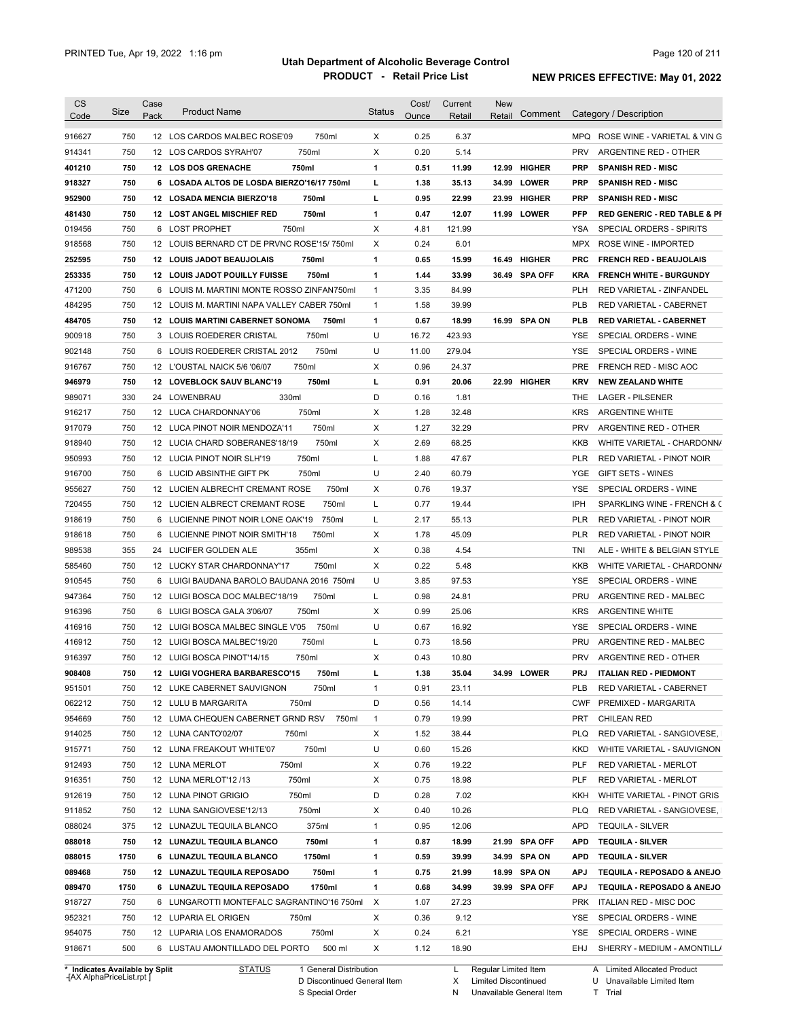| <b>CS</b><br>Code                    | <b>Size</b> | Case<br>Pack | <b>Product Name</b>                                                               | <b>Status</b> | Cost/<br>Ounce | Current<br>Retail | <b>New</b><br>Retail | Comment       |            | Category / Description                                   |
|--------------------------------------|-------------|--------------|-----------------------------------------------------------------------------------|---------------|----------------|-------------------|----------------------|---------------|------------|----------------------------------------------------------|
| 916627                               | 750         |              | 750ml<br>12 LOS CARDOS MALBEC ROSE'09                                             | Χ             | 0.25           | 6.37              |                      |               | MPQ        | ROSE WINE - VARIETAL & VIN G                             |
| 914341                               | 750         |              | 750ml<br>12 LOS CARDOS SYRAH'07                                                   | Х             | 0.20           | 5.14              |                      |               | <b>PRV</b> | ARGENTINE RED - OTHER                                    |
|                                      | 750         |              | 750ml<br>12 LOS DOS GRENACHE                                                      | 1             | 0.51           | 11.99             | 12.99                | <b>HIGHER</b> | <b>PRP</b> | <b>SPANISH RED - MISC</b>                                |
| 401210                               | 750         |              |                                                                                   | L             | 1.38           | 35.13             |                      | 34.99 LOWER   | <b>PRP</b> |                                                          |
| 918327<br>952900                     | 750         |              | 6 LOSADA ALTOS DE LOSDA BIERZO'16/17 750ml<br>12 LOSADA MENCIA BIERZO'18<br>750ml | L             | 0.95           | 22.99             |                      | 23.99 HIGHER  | <b>PRP</b> | <b>SPANISH RED - MISC</b><br><b>SPANISH RED - MISC</b>   |
| 481430                               | 750         |              | 750ml<br><b>12 LOST ANGEL MISCHIEF RED</b>                                        | 1             | 0.47           | 12.07             | 11.99                | <b>LOWER</b>  | <b>PFP</b> | <b>RED GENERIC - RED TABLE &amp; PI</b>                  |
| 019456                               | 750         |              | 750ml<br>6 LOST PROPHET                                                           | X             | 4.81           | 121.99            |                      |               | <b>YSA</b> | SPECIAL ORDERS - SPIRITS                                 |
|                                      | 750         |              | 12 LOUIS BERNARD CT DE PRVNC ROSE'15/750ml                                        | X             | 0.24           | 6.01              |                      |               | <b>MPX</b> | ROSE WINE - IMPORTED                                     |
| 918568                               | 750         |              | 12 LOUIS JADOT BEAUJOLAIS<br>750ml                                                | 1             | 0.65           | 15.99             | 16.49                | <b>HIGHER</b> | <b>PRC</b> | <b>FRENCH RED - BEAUJOLAIS</b>                           |
| 252595<br>253335                     | 750         |              | 750ml<br><b>12 LOUIS JADOT POUILLY FUISSE</b>                                     | 1             | 1.44           | 33.99             |                      | 36.49 SPA OFF | <b>KRA</b> | <b>FRENCH WHITE - BURGUNDY</b>                           |
| 471200                               | 750         |              | 6 LOUIS M. MARTINI MONTE ROSSO ZINFAN750ml                                        | $\mathbf{1}$  | 3.35           | 84.99             |                      |               | <b>PLH</b> | RED VARIETAL - ZINFANDEL                                 |
| 484295                               | 750         |              | 12 LOUIS M. MARTINI NAPA VALLEY CABER 750ml                                       | $\mathbf{1}$  | 1.58           | 39.99             |                      |               | <b>PLB</b> | RED VARIETAL - CABERNET                                  |
|                                      |             |              |                                                                                   |               |                |                   |                      |               |            |                                                          |
| 484705                               | 750         |              | <b>12 LOUIS MARTINI CABERNET SONOMA</b><br>750ml                                  | 1             | 0.67           | 18.99             | 16.99                | <b>SPA ON</b> | PLB        | <b>RED VARIETAL CABERNET</b>                             |
| 900918                               | 750         |              | 750ml<br>3 LOUIS ROEDERER CRISTAL                                                 | U             | 16.72          | 423.93            |                      |               | YSE        | SPECIAL ORDERS - WINE                                    |
| 902148                               | 750         | 6            | LOUIS ROEDERER CRISTAL 2012<br>750ml                                              | U             | 11.00          | 279.04            |                      |               | <b>YSE</b> | SPECIAL ORDERS - WINE                                    |
| 916767                               | 750         |              | 750ml<br>12 L'OUSTAL NAICK 5/6 '06/07                                             | Х             | 0.96           | 24.37             |                      |               | <b>PRE</b> | FRENCH RED - MISC AOC                                    |
| 946979                               | 750         |              | 750ml<br>12 LOVEBLOCK SAUV BLANC'19                                               | г             | 0.91           | 20.06             |                      | 22.99 HIGHER  | <b>KRV</b> | <b>NEW ZEALAND WHITE</b>                                 |
| 989071                               | 330         |              | 330ml<br>24 LOWENBRAU                                                             | D             | 0.16           | 1.81              |                      |               | THE        | LAGER - PILSENER                                         |
| 916217                               | 750         |              | 750ml<br>12 LUCA CHARDONNAY'06                                                    | х             | 1.28           | 32.48             |                      |               | <b>KRS</b> | <b>ARGENTINE WHITE</b>                                   |
| 917079                               | 750         |              | 750ml<br>12 LUCA PINOT NOIR MENDOZA'11                                            | X             | 1.27           | 32.29             |                      |               | <b>PRV</b> | ARGENTINE RED - OTHER                                    |
| 918940                               | 750         |              | 750ml<br>12 LUCIA CHARD SOBERANES'18/19                                           | X             | 2.69           | 68.25             |                      |               | KKB        | WHITE VARIETAL - CHARDONN/                               |
| 950993                               | 750         |              | 12 LUCIA PINOT NOIR SLH'19<br>750ml                                               | Г             | 1.88           | 47.67             |                      |               | PLR        | RED VARIETAL - PINOT NOIR                                |
| 916700                               | 750         |              | 6 LUCID ABSINTHE GIFT PK<br>750ml                                                 | U             | 2.40           | 60.79             |                      |               | YGE        | GIFT SETS - WINES                                        |
| 955627                               | 750         |              | 12 LUCIEN ALBRECHT CREMANT ROSE<br>750ml                                          | Х             | 0.76           | 19.37             |                      |               | <b>YSE</b> | SPECIAL ORDERS - WINE                                    |
| 720455                               | 750         |              | 12 LUCIEN ALBRECT CREMANT ROSE<br>750ml                                           | L             | 0.77           | 19.44             |                      |               | IPH        | SPARKLING WINE - FRENCH & C                              |
| 918619                               | 750         |              | 6 LUCIENNE PINOT NOIR LONE OAK'19<br>750ml                                        | L             | 2.17           | 55.13             |                      |               | <b>PLR</b> | RED VARIETAL - PINOT NOIR                                |
| 918618                               | 750         | 6            | 750ml<br>LUCIENNE PINOT NOIR SMITH'18                                             | X             | 1.78           | 45.09             |                      |               | <b>PLR</b> | RED VARIETAL - PINOT NOIR                                |
| 989538                               | 355         | 24           | 355ml<br>LUCIFER GOLDEN ALE                                                       | X             | 0.38           | 4.54              |                      |               | TNI        | ALE - WHITE & BELGIAN STYLE                              |
| 585460                               | 750         |              | 750ml<br>12 LUCKY STAR CHARDONNAY'17                                              | X             | 0.22           | 5.48              |                      |               | KKB        | WHITE VARIETAL - CHARDONN/                               |
| 910545                               | 750         |              | 6 LUIGI BAUDANA BAROLO BAUDANA 2016 750ml                                         | U             | 3.85           | 97.53             |                      |               | YSE        | SPECIAL ORDERS - WINE                                    |
| 947364                               | 750         |              | 750ml<br>12 LUIGI BOSCA DOC MALBEC'18/19                                          | L             | 0.98           | 24.81             |                      |               | <b>PRU</b> | ARGENTINE RED - MALBEC                                   |
| 916396                               | 750         |              | 750ml<br>6 LUIGI BOSCA GALA 3'06/07                                               | Х             | 0.99           | 25.06             |                      |               | <b>KRS</b> | <b>ARGENTINE WHITE</b>                                   |
| 416916                               | 750         |              | 750ml<br>12 LUIGI BOSCA MALBEC SINGLE V'05                                        | U             | 0.67           | 16.92             |                      |               | YSE        | SPECIAL ORDERS - WINE                                    |
| 416912                               | 750         |              | 750ml<br>12 LUIGI BOSCA MALBEC'19/20                                              | L             | 0.73           | 18.56             |                      |               | <b>PRU</b> | ARGENTINE RED - MALBEC                                   |
| 916397                               | 750         |              | 12 LUIGI BOSCA PINOT'14/15<br>750ml                                               | X             | 0.43           | 10.80             |                      |               | <b>PRV</b> | ARGENTINE RED - OTHER                                    |
| 908408                               | 750         |              | 12 LUIGI VOGHERA BARBARESCO'15<br>750ml                                           | L             | 1.38           | 35.04             | 34.99                | <b>LOWER</b>  | <b>PRJ</b> | <b>ITALIAN RED - PIEDMONT</b>                            |
| 951501                               | 750         |              | 750ml<br>12 LUKE CABERNET SAUVIGNON                                               | $\mathbf{1}$  | 0.91           | 23.11             |                      |               | <b>PLB</b> | RED VARIETAL - CABERNET                                  |
| 062212                               | 750         |              | 12 LULU B MARGARITA<br>750ml                                                      | D             | 0.56           | 14.14             |                      |               | <b>CWF</b> | PREMIXED - MARGARITA                                     |
| 954669                               | 750         |              | 12 LUMA CHEQUEN CABERNET GRND RSV<br>750ml                                        | $\mathbf{1}$  | 0.79           | 19.99             |                      |               | PRT        | <b>CHILEAN RED</b>                                       |
| 914025                               | 750         |              | 12 LUNA CANTO'02/07<br>750ml                                                      | Х             | 1.52           |                   |                      |               | <b>PLQ</b> |                                                          |
|                                      |             |              |                                                                                   | U             |                | 38.44             |                      |               |            | RED VARIETAL - SANGIOVESE,<br>WHITE VARIETAL - SAUVIGNON |
| 915771                               | 750         |              | 750ml<br>12 LUNA FREAKOUT WHITE'07                                                |               | 0.60           | 15.26             |                      |               | <b>KKD</b> |                                                          |
| 912493                               | 750         |              | 750ml<br>12 LUNA MERLOT                                                           | х             | 0.76           | 19.22             |                      |               | PLF        | RED VARIETAL - MERLOT                                    |
| 916351                               | 750         |              | 750ml<br>12 LUNA MERLOT'12 /13                                                    | х             | 0.75           | 18.98             |                      |               | PLF        | RED VARIETAL - MERLOT                                    |
| 912619                               | 750         |              | 12 LUNA PINOT GRIGIO<br>750ml                                                     | D             | 0.28           | 7.02              |                      |               | KKH        | WHITE VARIETAL - PINOT GRIS                              |
| 911852                               | 750         |              | 12 LUNA SANGIOVESE'12/13<br>750ml                                                 | Х             | 0.40           | 10.26             |                      |               | <b>PLQ</b> | RED VARIETAL - SANGIOVESE,                               |
| 088024                               | 375         |              | 375ml<br>12 LUNAZUL TEQUILA BLANCO                                                | $\mathbf{1}$  | 0.95           | 12.06             |                      |               | <b>APD</b> | <b>TEQUILA - SILVER</b>                                  |
| 088018                               | 750         |              | 12 LUNAZUL TEQUILA BLANCO<br>750ml                                                | 1             | 0.87           | 18.99             |                      | 21.99 SPA OFF | <b>APD</b> | <b>TEQUILA - SILVER</b>                                  |
| 088015                               | 1750        |              | 6 LUNAZUL TEQUILA BLANCO<br>1750ml                                                | 1             | 0.59           | 39.99             |                      | 34.99 SPA ON  | <b>APD</b> | <b>TEQUILA - SILVER</b>                                  |
| 089468                               | 750         |              | 750ml<br>12 LUNAZUL TEQUILA REPOSADO                                              | 1             | 0.75           | 21.99             |                      | 18.99 SPA ON  | <b>APJ</b> | TEQUILA - REPOSADO & ANEJO                               |
|                                      | 1750        |              | 6 LUNAZUL TEQUILA REPOSADO<br>1750ml                                              | 1             | 0.68           | 34.99             |                      | 39.99 SPA OFF | <b>APJ</b> | TEQUILA - REPOSADO & ANEJO                               |
|                                      |             |              | 6 LUNGAROTTI MONTEFALC SAGRANTINO'16 750ml                                        | $\times$      | 1.07           | 27.23             |                      |               | <b>PRK</b> | ITALIAN RED - MISC DOC                                   |
|                                      | 750         |              |                                                                                   |               |                |                   |                      |               |            |                                                          |
|                                      | 750         |              | 12 LUPARIA EL ORIGEN<br>750ml                                                     | х             | 0.36           | 9.12              |                      |               | YSE        | SPECIAL ORDERS - WINE                                    |
| 089470<br>918727<br>952321<br>954075 | 750         |              | 750ml<br>12 LUPARIA LOS ENAMORADOS                                                | х             | 0.24           | 6.21              |                      |               | YSE        | SPECIAL ORDERS - WINE                                    |

**Case** [AX AlphaPriceList.rpt ]

D Discontinued General Item

S Special Order

L Regular Limited Item

X N Limited Discontinued

Unavailable General Item

U T Unavailable Limited Item Trial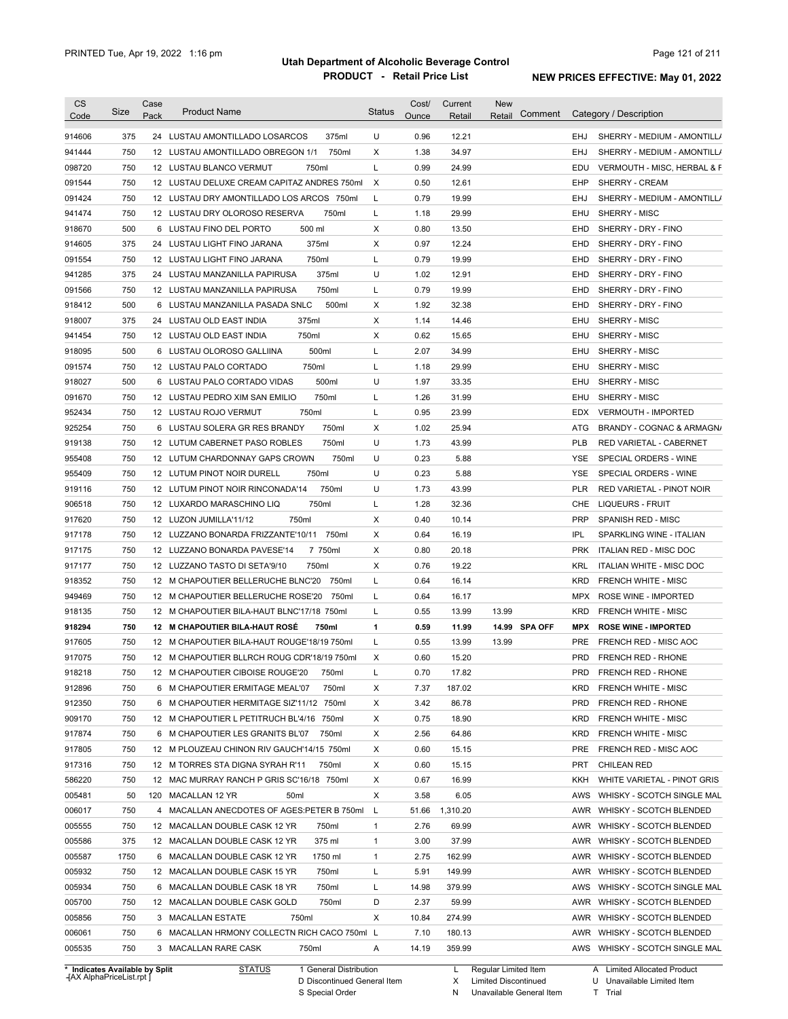| <b>CS</b>                      |      | Case |                                              |               | Cost/ | Current  | <b>New</b>             |                                              |
|--------------------------------|------|------|----------------------------------------------|---------------|-------|----------|------------------------|----------------------------------------------|
| Code                           | Size | Pack | <b>Product Name</b>                          | <b>Status</b> | Ounce | Retail   | Comment<br>Retail      | Category / Description                       |
| 914606                         | 375  |      | 375ml<br>24 LUSTAU AMONTILLADO LOSARCOS      | U             | 0.96  | 12.21    |                        | EHJ<br>SHERRY - MEDIUM - AMONTILL/           |
| 941444                         | 750  |      | 750ml<br>12 LUSTAU AMONTILLADO OBREGON 1/1   | X             | 1.38  | 34.97    |                        | EHJ<br>SHERRY - MEDIUM - AMONTILL/           |
| 098720                         | 750  |      | 12 LUSTAU BLANCO VERMUT<br>750ml             | L             | 0.99  | 24.99    |                        | EDU<br>VERMOUTH - MISC, HERBAL & F           |
| 091544                         | 750  |      | 12 LUSTAU DELUXE CREAM CAPITAZ ANDRES 750ml  | $\times$      | 0.50  | 12.61    |                        | SHERRY - CREAM<br>EHP                        |
| 091424                         | 750  |      | 12 LUSTAU DRY AMONTILLADO LOS ARCOS 750ml    | L             | 0.79  | 19.99    |                        | SHERRY - MEDIUM - AMONTILL/<br>EHJ           |
|                                | 750  |      | 12 LUSTAU DRY OLOROSO RESERVA<br>750ml       | L             | 1.18  | 29.99    |                        | SHERRY - MISC<br>EHU                         |
| 941474<br>918670               | 500  |      | 500 ml<br>6 LUSTAU FINO DEL PORTO            | Χ             | 0.80  | 13.50    |                        | EHD<br>SHERRY - DRY - FINO                   |
|                                | 375  |      | 375ml                                        | Χ             | 0.97  | 12.24    |                        |                                              |
| 914605                         |      |      | 24 LUSTAU LIGHT FINO JARANA                  |               |       |          |                        | EHD<br>SHERRY - DRY - FINO                   |
| 091554                         | 750  |      | 750ml<br>12 LUSTAU LIGHT FINO JARANA         | Г             | 0.79  | 19.99    |                        | SHERRY - DRY - FINO<br>EHD                   |
| 941285                         | 375  |      | 375ml<br>24 LUSTAU MANZANILLA PAPIRUSA       | U             | 1.02  | 12.91    |                        | EHD<br>SHERRY - DRY - FINO                   |
| 091566                         | 750  |      | 750ml<br>12 LUSTAU MANZANILLA PAPIRUSA       | Г             | 0.79  | 19.99    |                        | EHD<br>SHERRY - DRY - FINO                   |
| 918412                         | 500  |      | 500ml<br>6 LUSTAU MANZANILLA PASADA SNLC     | X             | 1.92  | 32.38    |                        | EHD<br>SHERRY - DRY - FINO                   |
| 918007                         | 375  |      | 24 LUSTAU OLD EAST INDIA<br>375ml            | X             | 1.14  | 14.46    |                        | SHERRY - MISC<br>EHU                         |
| 941454                         | 750  |      | 12 LUSTAU OLD EAST INDIA<br>750ml            | X             | 0.62  | 15.65    |                        | SHERRY - MISC<br>EHU                         |
| 918095                         | 500  |      | 500ml<br>6 LUSTAU OLOROSO GALLIINA           | Г             | 2.07  | 34.99    |                        | EHU<br><b>SHERRY - MISC</b>                  |
| 091574                         | 750  |      | 750ml<br>12 LUSTAU PALO CORTADO              | L             | 1.18  | 29.99    |                        | SHERRY - MISC<br>EHU                         |
| 918027                         | 500  |      | 500ml<br>6 LUSTAU PALO CORTADO VIDAS         | U             | 1.97  | 33.35    |                        | EHU<br><b>SHERRY - MISC</b>                  |
| 091670                         | 750  |      | 750ml<br>12 LUSTAU PEDRO XIM SAN EMILIO      | Г             | 1.26  | 31.99    |                        | EHU<br>SHERRY - MISC                         |
| 952434                         | 750  |      | 750ml<br>12 LUSTAU ROJO VERMUT               | L             | 0.95  | 23.99    |                        | <b>EDX</b><br><b>VERMOUTH - IMPORTED</b>     |
| 925254                         | 750  |      | 6 LUSTAU SOLERA GR RES BRANDY<br>750ml       | Х             | 1.02  | 25.94    |                        | <b>ATG</b><br>BRANDY - COGNAC & ARMAGN/      |
| 919138                         | 750  |      | 750ml<br>12 LUTUM CABERNET PASO ROBLES       | U             | 1.73  | 43.99    |                        | <b>PLB</b><br><b>RED VARIETAL - CABERNET</b> |
| 955408                         | 750  |      | 12 LUTUM CHARDONNAY GAPS CROWN<br>750ml      | U             | 0.23  | 5.88     |                        | <b>YSE</b><br>SPECIAL ORDERS - WINE          |
| 955409                         | 750  |      | 12 LUTUM PINOT NOIR DURELL<br>750ml          | U             | 0.23  | 5.88     |                        | <b>YSE</b><br>SPECIAL ORDERS - WINE          |
| 919116                         | 750  |      | 12 LUTUM PINOT NOIR RINCONADA'14<br>750ml    | U             | 1.73  | 43.99    |                        | <b>PLR</b><br>RED VARIETAL - PINOT NOIR      |
| 906518                         | 750  |      | 750ml<br>12 LUXARDO MARASCHINO LIQ           | L             | 1.28  | 32.36    |                        | <b>CHE</b><br>LIQUEURS - FRUIT               |
| 917620                         | 750  |      | 750ml<br>12 LUZON JUMILLA'11/12              | Х             | 0.40  | 10.14    |                        | <b>PRP</b><br>SPANISH RED - MISC             |
| 917178                         | 750  |      | 12 LUZZANO BONARDA FRIZZANTE'10/11<br>750ml  | Χ             | 0.64  | 16.19    |                        | <b>IPL</b><br>SPARKLING WINE - ITALIAN       |
| 917175                         | 750  |      | 12 LUZZANO BONARDA PAVESE'14<br>7 750ml      | Χ             | 0.80  | 20.18    |                        | ITALIAN RED - MISC DOC<br><b>PRK</b>         |
| 917177                         | 750  |      | 750ml<br>12 LUZZANO TASTO DI SETA'9/10       | Х             | 0.76  | 19.22    |                        | <b>KRL</b><br>ITALIAN WHITE - MISC DOC       |
| 918352                         | 750  |      | 12 M CHAPOUTIER BELLERUCHE BLNC'20<br>750ml  | L             | 0.64  | 16.14    |                        | <b>KRD</b><br><b>FRENCH WHITE - MISC</b>     |
| 949469                         | 750  |      | 12 M CHAPOUTIER BELLERUCHE ROSE'20<br>750ml  | L             | 0.64  | 16.17    |                        | <b>ROSE WINE - IMPORTED</b><br>MPX           |
| 918135                         | 750  |      | 12 M CHAPOUTIER BILA-HAUT BLNC'17/18 750ml   | L             | 0.55  | 13.99    | 13.99                  | <b>KRD</b><br><b>FRENCH WHITE - MISC</b>     |
|                                | 750  |      | 12 M CHAPOUTIER BILA-HAUT ROSE<br>750ml      | 1             | 0.59  | 11.99    | 14.99 SPA OFF          | MPX<br><b>ROSE WINE - IMPORTED</b>           |
| 918294                         | 750  |      | 12 M CHAPOUTIER BILA-HAUT ROUGE'18/19 750ml  | Г             | 0.55  | 13.99    | 13.99                  | <b>PRE</b><br>FRENCH RED - MISC AOC          |
| 917605                         |      |      |                                              |               |       |          |                        | <b>PRD</b>                                   |
| 917075                         | 750  |      | 12 M CHAPOUTIER BLLRCH ROUG CDR'18/19 750ml  | Χ             | 0.60  | 15.20    |                        | FRENCH RED - RHONE                           |
| 918218                         | 750  |      | 12 M CHAPOUTIER CIBOISE ROUGE'20 750ml       |               | 0.70  | 17.82    |                        | PRD<br>FRENCH RED - RHONE                    |
| 912896                         | 750  |      | 6 M CHAPOUTIER ERMITAGE MEAL'07<br>750ml     | X             | 7.37  | 187.02   |                        | KRD<br><b>FRENCH WHITE - MISC</b>            |
| 912350                         | 750  |      | 6 M CHAPOUTIER HERMITAGE SIZ'11/12 750ml     | Х             | 3.42  | 86.78    |                        | <b>PRD</b><br>FRENCH RED - RHONE             |
| 909170                         | 750  |      | 12 M CHAPOUTIER L PETITRUCH BL'4/16 750ml    | X             | 0.75  | 18.90    |                        | FRENCH WHITE - MISC<br>KRD                   |
| 917874                         | 750  |      | 6 M CHAPOUTIER LES GRANITS BL'07<br>750ml    | X             | 2.56  | 64.86    |                        | <b>KRD</b><br>FRENCH WHITE - MISC            |
| 917805                         | 750  |      | 12 M PLOUZEAU CHINON RIV GAUCH'14/15 750ml   | X             | 0.60  | 15.15    |                        | PRE<br>FRENCH RED - MISC AOC                 |
| 917316                         | 750  |      | 12 M TORRES STA DIGNA SYRAH R'11<br>750ml    | X             | 0.60  | 15.15    |                        | <b>PRT</b><br><b>CHILEAN RED</b>             |
| 586220                         | 750  |      | 12 MAC MURRAY RANCH P GRIS SC'16/18 750ml    | X             | 0.67  | 16.99    |                        | WHITE VARIETAL - PINOT GRIS<br>KKH           |
| 005481                         | 50   |      | 120 MACALLAN 12 YR<br>50 <sub>ml</sub>       | X             | 3.58  | 6.05     |                        | WHISKY - SCOTCH SINGLE MAL<br>AWS            |
| 006017                         | 750  |      | 4 MACALLAN ANECDOTES OF AGES:PETER B 750ml   | - L           | 51.66 | 1,310.20 |                        | AWR WHISKY - SCOTCH BLENDED                  |
| 005555                         | 750  |      | 12 MACALLAN DOUBLE CASK 12 YR<br>750ml       | 1             | 2.76  | 69.99    |                        | AWR WHISKY - SCOTCH BLENDED                  |
| 005586                         | 375  |      | 375 ml<br>12 MACALLAN DOUBLE CASK 12 YR      | $\mathbf{1}$  | 3.00  | 37.99    |                        | AWR WHISKY - SCOTCH BLENDED                  |
| 005587                         | 1750 |      | 1750 ml<br>6 MACALLAN DOUBLE CASK 12 YR      | $\mathbf{1}$  | 2.75  | 162.99   |                        | AWR<br>WHISKY - SCOTCH BLENDED               |
| 005932                         | 750  |      | 750ml<br>12 MACALLAN DOUBLE CASK 15 YR       | L             | 5.91  | 149.99   |                        | AWR<br>WHISKY - SCOTCH BLENDED               |
| 005934                         | 750  |      | 750ml<br>6 MACALLAN DOUBLE CASK 18 YR        | L             | 14.98 | 379.99   |                        | AWS<br>WHISKY - SCOTCH SINGLE MAL            |
| 005700                         | 750  |      | 750ml<br>12 MACALLAN DOUBLE CASK GOLD        | D             | 2.37  | 59.99    |                        | WHISKY - SCOTCH BLENDED<br>AWR               |
| 005856                         | 750  |      | 3 MACALLAN ESTATE<br>750ml                   | X             | 10.84 | 274.99   |                        | AWR WHISKY - SCOTCH BLENDED                  |
| 006061                         | 750  |      | 6 MACALLAN HRMONY COLLECTN RICH CACO 750ml L |               | 7.10  | 180.13   |                        | AWR WHISKY - SCOTCH BLENDED                  |
| 005535                         | 750  |      | 3 MACALLAN RARE CASK<br>750ml                | Α             | 14.19 | 359.99   |                        | AWS WHISKY - SCOTCH SINGLE MAL               |
|                                |      |      |                                              |               |       |          |                        |                                              |
| * Indicates Available by Split |      |      | <b>STATUS</b><br>1 General Distribution      |               |       |          | L Regular Limited Item | A Limited Allocated Product                  |

**Case** [AX AlphaPriceList.rpt ]

D Discontinued General Item S Special Order

X Limited Discontinued

N Unavailable General Item

U Unavailable Limited Item T Trial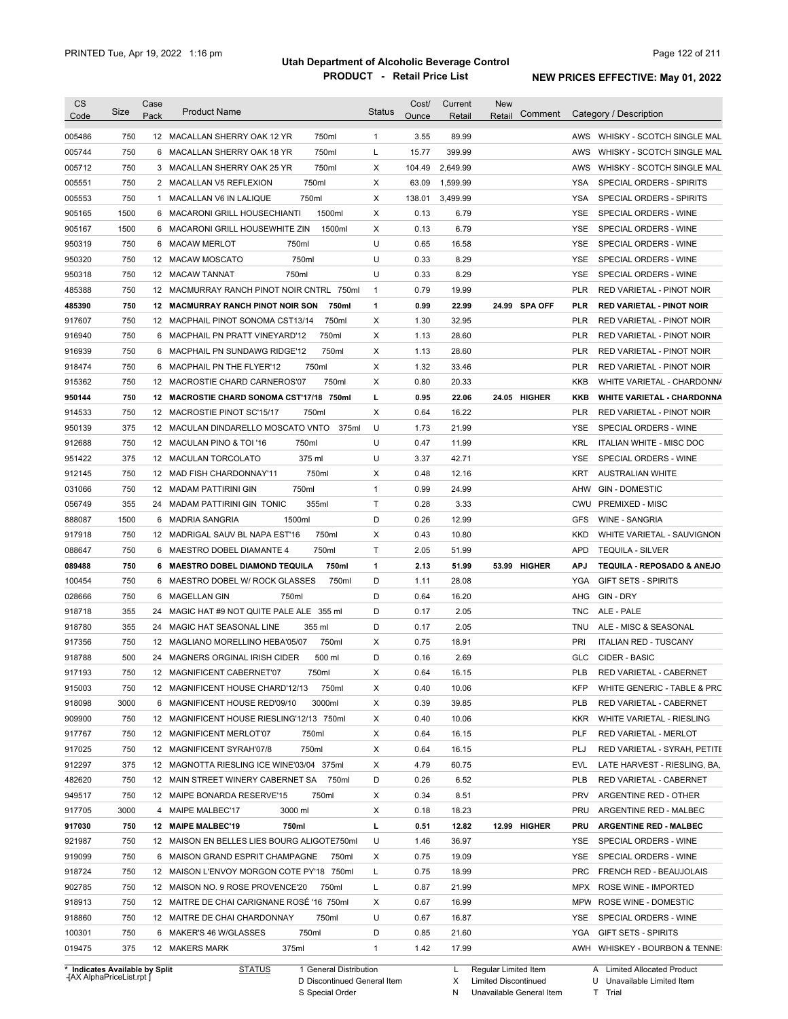| <b>CS</b><br>Code | Size       | Case<br>Pack | <b>Product Name</b>                                        | <b>Status</b> | Cost/<br><b>Ounce</b> | Current<br>Retail | <b>New</b><br>Retail | Comment       |            | Category / Description                                       |
|-------------------|------------|--------------|------------------------------------------------------------|---------------|-----------------------|-------------------|----------------------|---------------|------------|--------------------------------------------------------------|
| 005486            | 750        |              | 750ml<br>12 MACALLAN SHERRY OAK 12 YR                      | $\mathbf{1}$  | 3.55                  | 89.99             |                      |               | AWS        | WHISKY - SCOTCH SINGLE MAL                                   |
| 005744            | 750        |              | 750ml<br>6 MACALLAN SHERRY OAK 18 YR                       | L             | 15.77                 | 399.99            |                      |               | AWS        | WHISKY - SCOTCH SINGLE MAL                                   |
| 005712            | 750        |              | 750ml<br>3 MACALLAN SHERRY OAK 25 YR                       | х             | 104.49                | 2,649.99          |                      |               | AWS        | WHISKY - SCOTCH SINGLE MAL                                   |
| 005551            | 750        |              | 750ml<br>2 MACALLAN V5 REFLEXION                           | X             | 63.09                 | 1,599.99          |                      |               | YSA        | SPECIAL ORDERS - SPIRITS                                     |
| 005553            | 750        |              | 1 MACALLAN V6 IN LALIQUE<br>750ml                          | х             | 138.01                | 3,499.99          |                      |               | YSA        | SPECIAL ORDERS - SPIRITS                                     |
| 905165            | 1500       |              | 1500ml<br>6 MACARONI GRILL HOUSECHIANTI                    | х             | 0.13                  | 6.79              |                      |               | YSE        | SPECIAL ORDERS - WINE                                        |
| 905167            | 1500       |              | 6 MACARONI GRILL HOUSEWHITE ZIN<br>1500ml                  | х             | 0.13                  | 6.79              |                      |               | YSE        | SPECIAL ORDERS - WINE                                        |
| 950319            | 750        |              | 750ml<br>6 MACAW MERLOT                                    | U             | 0.65                  | 16.58             |                      |               | YSE        | SPECIAL ORDERS - WINE                                        |
| 950320            | 750        |              | 750ml<br>12 MACAW MOSCATO                                  | U             | 0.33                  | 8.29              |                      |               | YSE        | SPECIAL ORDERS - WINE                                        |
| 950318            | 750        |              | 750ml<br>12 MACAW TANNAT                                   | U             | 0.33                  | 8.29              |                      |               | YSE        | SPECIAL ORDERS - WINE                                        |
| 485388            | 750        |              | 12 MACMURRAY RANCH PINOT NOIR CNTRL 750ml                  | 1             | 0.79                  | 19.99             |                      |               | PLR        | RED VARIETAL - PINOT NOIR                                    |
| 485390            | 750        |              | <b>12 MACMURRAY RANCH PINOT NOIR SON</b><br>750ml          | 1             | 0.99                  | 22.99             |                      | 24.99 SPA OFF | PLR        | <b>RED VARIETAL - PINOT NOIR</b>                             |
| 917607            | 750        |              | 750ml<br>12 MACPHAIL PINOT SONOMA CST13/14                 | X             | 1.30                  | 32.95             |                      |               | PLR        | RED VARIETAL - PINOT NOIR                                    |
| 916940            | 750        |              | 6 MACPHAIL PN PRATT VINEYARD'12<br>750ml                   | X             | 1.13                  | 28.60             |                      |               | PLR        | RED VARIETAL - PINOT NOIR                                    |
| 916939            | 750        |              | 6 MACPHAIL PN SUNDAWG RIDGE'12<br>750ml                    | X             | 1.13                  | 28.60             |                      |               | PLR        | RED VARIETAL - PINOT NOIR                                    |
| 918474            | 750        |              | 750ml<br>6 MACPHAIL PN THE FLYER'12                        | X             | 1.32                  | 33.46             |                      |               | <b>PLR</b> | RED VARIETAL - PINOT NOIR                                    |
| 915362            | 750        |              | 12 MACROSTIE CHARD CARNEROS'07<br>750ml                    | X             | 0.80                  | 20.33             |                      |               | KKB        | WHITE VARIETAL - CHARDONN/                                   |
| 950144            | 750        |              | 12 MACROSTIE CHARD SONOMA CST'17/18 750ml                  | г             | 0.95                  | 22.06             |                      | 24.05 HIGHER  | KKB        | <b>WHITE VARIETAL - CHARDONNA</b>                            |
| 914533            | 750        |              | 750ml<br>12 MACROSTIE PINOT SC'15/17                       | X             | 0.64                  | 16.22             |                      |               | <b>PLR</b> | RED VARIETAL - PINOT NOIR                                    |
| 950139            | 375        |              | 12 MACULAN DINDARELLO MOSCATO VNTO<br>375ml                | U             | 1.73                  | 21.99             |                      |               | <b>YSE</b> | SPECIAL ORDERS - WINE                                        |
| 912688            | 750        |              | 750ml<br>12 MACULAN PINO & TOI '16                         | U             | 0.47                  | 11.99             |                      |               | <b>KRL</b> | <b>ITALIAN WHITE - MISC DOC</b>                              |
| 951422            | 375        |              | 375 ml<br>12 MACULAN TORCOLATO                             | U             | 3.37                  | 42.71             |                      |               | YSE        | SPECIAL ORDERS - WINE                                        |
| 912145            | 750        |              | 750ml<br>12 MAD FISH CHARDONNAY'11                         | х             | 0.48                  | 12.16             |                      |               | KRT        | <b>AUSTRALIAN WHITE</b>                                      |
| 031066            | 750        |              | 750ml<br>12 MADAM PATTIRINI GIN                            | $\mathbf{1}$  | 0.99                  | 24.99             |                      |               | AHW        | <b>GIN - DOMESTIC</b>                                        |
| 056749            | 355        |              | 355ml<br>24 MADAM PATTIRINI GIN TONIC                      | Т             | 0.28                  | 3.33              |                      |               | CWU        | <b>PREMIXED - MISC</b>                                       |
| 888087            | 1500       |              | 6 MADRIA SANGRIA<br>1500ml                                 | D             | 0.26                  | 12.99             |                      |               | GFS        | <b>WINE - SANGRIA</b>                                        |
| 917918            | 750        |              | 750ml<br>12 MADRIGAL SAUV BL NAPA EST'16                   | X             | 0.43                  | 10.80             |                      |               | <b>KKD</b> | WHITE VARIETAL - SAUVIGNON                                   |
| 088647            | 750        |              | 750ml<br>6 MAESTRO DOBEL DIAMANTE 4                        | Τ             | 2.05                  | 51.99             |                      |               | <b>APD</b> | <b>TEQUILA - SILVER</b>                                      |
| 089488            | 750        |              | 6 MAESTRO DOBEL DIAMOND TEQUILA<br>750ml                   | 1             | 2.13                  | 51.99             |                      | 53.99 HIGHER  | <b>APJ</b> | TEQUILA - REPOSADO & ANEJO                                   |
| 100454            | 750        |              | 6 MAESTRO DOBEL W/ ROCK GLASSES<br>750ml                   | D             | 1.11                  | 28.08             |                      |               | YGA        | <b>GIFT SETS - SPIRITS</b>                                   |
| 028666            | 750        | 6            | 750ml<br>MAGELLAN GIN                                      | D             | 0.64                  | 16.20             |                      |               | AHG        | GIN - DRY                                                    |
| 918718            | 355        | 24           | MAGIC HAT #9 NOT QUITE PALE ALE 355 ml                     | D             | 0.17                  | 2.05              |                      |               | TNC        | ALE - PALE                                                   |
| 918780            | 355        | 24           | MAGIC HAT SEASONAL LINE<br>355 ml                          | D             | 0.17                  | 2.05              |                      |               | TNU        | ALE - MISC & SEASONAL                                        |
| 917356            | 750        |              | 750ml<br>12 MAGLIANO MORELLINO HEBA'05/07                  | х             | 0.75                  | 18.91             |                      |               | PRI        | <b>ITALIAN RED - TUSCANY</b>                                 |
| 918788            | 500        |              | 500 ml<br>24 MAGNERS ORGINAL IRISH CIDER                   | D             | 0.16                  | 2.69              |                      |               | <b>GLC</b> | CIDER - BASIC                                                |
| 917193            | 750        |              | 12 MAGNIFICENT CABERNET'07<br>750ml                        | х             | 0.64                  | 16.15             |                      |               | PLB        | RED VARIETAL - CABERNET                                      |
| 915003            | 750        |              | 12 MAGNIFICENT HOUSE CHARD'12/13<br>750ml                  | х             | 0.40                  | 10.06             |                      |               | KFP        | WHITE GENERIC - TABLE & PRC                                  |
| 918098            | 3000       |              | 3000ml<br>6 MAGNIFICENT HOUSE RED'09/10                    | х             | 0.39                  | 39.85             |                      |               | PLB        | RED VARIETAL - CABERNET                                      |
| 909900            | 750        |              | 12 MAGNIFICENT HOUSE RIESLING'12/13 750ml                  | х             | 0.40                  | 10.06             |                      |               | <b>KKR</b> | WHITE VARIETAL - RIESLING                                    |
| 917767            | 750        |              | 12 MAGNIFICENT MERLOT'07<br>750ml                          | х             | 0.64                  | 16.15             |                      |               | <b>PLF</b> | RED VARIETAL - MERLOT                                        |
| 917025            | 750        |              | 750ml<br>12 MAGNIFICENT SYRAH'07/8                         | X             | 0.64                  | 16.15             |                      |               | PLJ        | RED VARIETAL - SYRAH, PETITE                                 |
|                   | 375        |              |                                                            | х             | 4.79                  |                   |                      |               | EVL        |                                                              |
|                   |            |              | 12 MAGNOTTA RIESLING ICE WINE'03/04 375ml                  |               |                       | 60.75             |                      |               |            | LATE HARVEST - RIESLING, BA,<br>RED VARIETAL - CABERNET      |
| 912297            |            |              |                                                            |               |                       |                   |                      |               |            |                                                              |
| 482620            | 750        |              | 12 MAIN STREET WINERY CABERNET SA<br>750ml                 | D             | 0.26                  | 6.52              |                      |               | PLB        |                                                              |
| 949517            | 750        |              | 12 MAIPE BONARDA RESERVE'15<br>750ml                       | х             | 0.34                  | 8.51              |                      |               | <b>PRV</b> | ARGENTINE RED - OTHER                                        |
| 917705            | 3000       |              | 3000 ml<br>4 MAIPE MALBEC'17                               | Χ             | 0.18                  | 18.23             |                      |               | PRU        | ARGENTINE RED - MALBEC                                       |
| 917030            | 750        |              | 750ml<br>12 MAIPE MALBEC'19                                | г             | 0.51                  | 12.82             |                      | 12.99 HIGHER  | PRU        | <b>ARGENTINE RED - MALBEC</b>                                |
| 921987            | 750        |              | 12 MAISON EN BELLES LIES BOURG ALIGOTE750ml                | U             | 1.46                  | 36.97             |                      |               | YSE        | SPECIAL ORDERS - WINE                                        |
| 919099            | 750        |              | 6 MAISON GRAND ESPRIT CHAMPAGNE<br>750ml                   | х             | 0.75                  | 19.09             |                      |               | YSE        | SPECIAL ORDERS - WINE                                        |
| 918724            | 750        |              | 12 MAISON L'ENVOY MORGON COTE PY'18 750ml                  | L             | 0.75                  | 18.99             |                      |               | <b>PRC</b> | FRENCH RED - BEAUJOLAIS                                      |
| 902785            | 750        |              | 12 MAISON NO. 9 ROSE PROVENCE'20<br>750ml                  | Г             | 0.87                  | 21.99             |                      |               | <b>MPX</b> | ROSE WINE - IMPORTED                                         |
| 918913            | 750        |              | 12 MAITRE DE CHAI CARIGNANE ROSÉ '16 750ml                 | х             | 0.67                  | 16.99             |                      |               | <b>MPW</b> | ROSE WINE - DOMESTIC                                         |
| 918860            | 750        |              | 750ml<br>12 MAITRE DE CHAI CHARDONNAY                      | U             | 0.67                  | 16.87             |                      |               | YSE        | SPECIAL ORDERS - WINE                                        |
| 100301<br>019475  | 750<br>375 |              | 750ml<br>6 MAKER'S 46 W/GLASSES<br>12 MAKERS MARK<br>375ml | D<br>1        | 0.85<br>1.42          | 21.60<br>17.99    |                      |               | YGA        | <b>GIFT SETS - SPIRITS</b><br>AWH WHISKEY - BOURBON & TENNE: |

**Case** [AX AlphaPriceList.rpt ]

D Discontinued General Item

S Special Order

X Limited Discontinued

N Unavailable General Item

U Unavailable Limited Item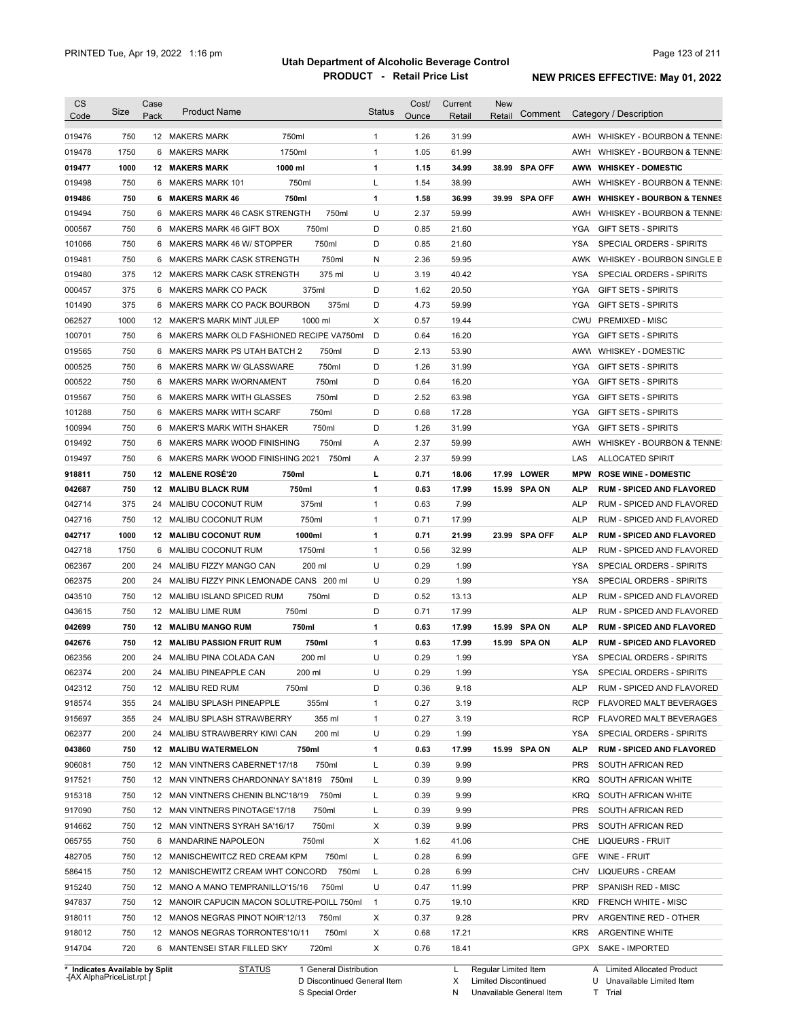| Code                                                                                                                                                                                                 | Size       | Case<br>Pack | <b>Product Name</b>                                            |                | <b>Status</b> | Cost/<br>Ounce | Current        | <b>New</b> | Comment       |            | Category / Description                        |
|------------------------------------------------------------------------------------------------------------------------------------------------------------------------------------------------------|------------|--------------|----------------------------------------------------------------|----------------|---------------|----------------|----------------|------------|---------------|------------|-----------------------------------------------|
|                                                                                                                                                                                                      |            |              |                                                                |                |               |                | Retail         | Retail     |               |            |                                               |
| 019476                                                                                                                                                                                               | 750        |              | 12 MAKERS MARK                                                 | 750ml          | $\mathbf{1}$  | 1.26           | 31.99          |            |               |            | AWH WHISKEY - BOURBON & TENNE:                |
| 019478                                                                                                                                                                                               | 1750       |              | 6 MAKERS MARK                                                  | 1750ml         | 1             | 1.05           | 61.99          |            |               | AWH        | WHISKEY - BOURBON & TENNE:                    |
| 019477                                                                                                                                                                                               | 1000       |              | <b>12 MAKERS MARK</b>                                          | 1000 ml        | 1             | 1.15           | 34.99          |            | 38.99 SPA OFF |            | AWW WHISKEY DOMESTIC                          |
| 019498                                                                                                                                                                                               | 750        |              | 6 MAKERS MARK 101                                              | 750ml          | L             | 1.54           | 38.99          |            |               | AWH        | WHISKEY - BOURBON & TENNE:                    |
| 019486                                                                                                                                                                                               | 750        |              | 6 MAKERS MARK 46                                               | 750ml          | 1             | 1.58           | 36.99          |            | 39.99 SPA OFF | AWH        | <b>WHISKEY - BOURBON &amp; TENNES</b>         |
| 019494                                                                                                                                                                                               | 750        |              | 6 MAKERS MARK 46 CASK STRENGTH                                 | 750ml          | U             | 2.37           | 59.99          |            |               | AWH        | WHISKEY - BOURBON & TENNE:                    |
| 000567                                                                                                                                                                                               | 750        |              | 6 MAKERS MARK 46 GIFT BOX                                      | 750ml          | D             | 0.85           | 21.60          |            |               | <b>YGA</b> | <b>GIFT SETS - SPIRITS</b>                    |
| 101066                                                                                                                                                                                               | 750        |              | 6 MAKERS MARK 46 W/ STOPPER                                    | 750ml          | D             | 0.85           | 21.60          |            |               | <b>YSA</b> | SPECIAL ORDERS - SPIRITS                      |
| 019481                                                                                                                                                                                               | 750        |              | 6 MAKERS MARK CASK STRENGTH                                    | 750ml          | N             | 2.36           | 59.95          |            |               |            | AWK WHISKEY - BOURBON SINGLE B                |
| 019480                                                                                                                                                                                               | 375        |              | 12 MAKERS MARK CASK STRENGTH                                   | 375 ml         | U             | 3.19           | 40.42          |            |               | <b>YSA</b> | SPECIAL ORDERS - SPIRITS                      |
| 000457                                                                                                                                                                                               | 375        | 6            | MAKERS MARK CO PACK                                            | 375ml          | D             | 1.62           | 20.50          |            |               | YGA        | <b>GIFT SETS - SPIRITS</b>                    |
| 101490                                                                                                                                                                                               | 375        | 6            | MAKERS MARK CO PACK BOURBON                                    | 375ml          | D             | 4.73           | 59.99          |            |               | YGA        | <b>GIFT SETS - SPIRITS</b>                    |
| 062527                                                                                                                                                                                               | 1000       |              | 12 MAKER'S MARK MINT JULEP                                     | 1000 ml        | Χ             | 0.57           | 19.44          |            |               | CWU        | <b>PREMIXED - MISC</b>                        |
| 100701                                                                                                                                                                                               | 750        | 6            | MAKERS MARK OLD FASHIONED RECIPE VA750ml                       |                | D             | 0.64           | 16.20          |            |               | YGA        | <b>GIFT SETS - SPIRITS</b>                    |
| 019565                                                                                                                                                                                               | 750        | 6            | <b>MAKERS MARK PS UTAH BATCH 2</b>                             | 750ml          | D             | 2.13           | 53.90          |            |               | <b>AWW</b> | <b>WHISKEY - DOMESTIC</b>                     |
| 000525                                                                                                                                                                                               | 750        | 6            | MAKERS MARK W/ GLASSWARE                                       | 750ml          | D             | 1.26           | 31.99          |            |               | YGA        | <b>GIFT SETS - SPIRITS</b>                    |
| 000522                                                                                                                                                                                               | 750        | 6            | MAKERS MARK W/ORNAMENT                                         | 750ml          | D             | 0.64           | 16.20          |            |               | YGA        | <b>GIFT SETS - SPIRITS</b>                    |
| 019567                                                                                                                                                                                               | 750        | 6            | MAKERS MARK WITH GLASSES                                       | 750ml          | D             | 2.52           | 63.98          |            |               | <b>YGA</b> | <b>GIFT SETS - SPIRITS</b>                    |
| 101288                                                                                                                                                                                               | 750        | 6            | MAKERS MARK WITH SCARF                                         | 750ml          | D             | 0.68           | 17.28          |            |               | <b>YGA</b> | <b>GIFT SETS - SPIRITS</b>                    |
| 100994                                                                                                                                                                                               | 750        | 6            | MAKER'S MARK WITH SHAKER                                       | 750ml          | D             | 1.26           | 31.99          |            |               | <b>YGA</b> | <b>GIFT SETS - SPIRITS</b>                    |
| 019492                                                                                                                                                                                               | 750        | 6            | MAKERS MARK WOOD FINISHING                                     | 750ml          | Α             | 2.37           | 59.99          |            |               | AWH        | WHISKEY - BOURBON & TENNE:                    |
| 019497                                                                                                                                                                                               | 750        | 6            | MAKERS MARK WOOD FINISHING 2021                                | 750ml          | Α             | 2.37           | 59.99          |            |               | LAS        | <b>ALLOCATED SPIRIT</b>                       |
| 918811                                                                                                                                                                                               | 750        | 12           | <b>MALENE ROSÉ'20</b>                                          | 750ml          | г             | 0.71           | 18.06          |            | 17.99 LOWER   | <b>MPW</b> | <b>ROSE WINE - DOMESTIC</b>                   |
| 042687                                                                                                                                                                                               | 750        |              | 12 MALIBU BLACK RUM                                            | 750ml          | 1             | 0.63           | 17.99          |            | 15.99 SPA ON  | ALP        | <b>RUM - SPICED AND FLAVORED</b>              |
| 042714                                                                                                                                                                                               | 375        | 24           | MALIBU COCONUT RUM                                             | 375ml          | 1             | 0.63           | 7.99           |            |               | <b>ALP</b> | RUM - SPICED AND FLAVORED                     |
| 042716                                                                                                                                                                                               | 750        |              | 12 MALIBU COCONUT RUM                                          | 750ml          | 1             | 0.71           | 17.99          |            |               | <b>ALP</b> | RUM - SPICED AND FLAVORED                     |
| 042717                                                                                                                                                                                               | 1000       |              | 12 MALIBU COCONUT RUM                                          | 1000ml         | 1             | 0.71           | 21.99          |            | 23.99 SPA OFF | <b>ALP</b> | <b>RUM - SPICED AND FLAVORED</b>              |
| 042718                                                                                                                                                                                               | 1750       | 6            | <b>MALIBU COCONUT RUM</b>                                      | 1750ml         | 1             | 0.56           | 32.99          |            |               | <b>ALP</b> | RUM - SPICED AND FLAVORED                     |
| 062367                                                                                                                                                                                               | 200        | 24           | MALIBU FIZZY MANGO CAN                                         | 200 ml         | U             | 0.29           | 1.99           |            |               | YSA        | SPECIAL ORDERS - SPIRITS                      |
| 062375                                                                                                                                                                                               | 200        | 24           | MALIBU FIZZY PINK LEMONADE CANS 200 ml                         |                | U             | 0.29           | 1.99           |            |               | YSA        | SPECIAL ORDERS - SPIRITS                      |
| 043510                                                                                                                                                                                               |            |              | 12 MALIBU ISLAND SPICED RUM                                    | 750ml          | D             | 0.52           | 13.13          |            |               | <b>ALP</b> | RUM - SPICED AND FLAVORED                     |
|                                                                                                                                                                                                      | 750        |              |                                                                |                |               |                |                |            |               |            | RUM - SPICED AND FLAVORED                     |
|                                                                                                                                                                                                      | 750        |              | 12 MALIBU LIME RUM                                             | 750ml          | D             | 0.71           | 17.99          |            |               | <b>ALP</b> |                                               |
|                                                                                                                                                                                                      | 750        |              | <b>12 MALIBU MANGO RUM</b>                                     | 750ml          | 1             | 0.63           | 17.99          |            | 15.99 SPA ON  | ALP        | <b>RUM - SPICED AND FLAVORED</b>              |
|                                                                                                                                                                                                      | 750        | 12           | <b>MALIBU PASSION FRUIT RUM</b>                                | 750ml          | 1             | 0.63           | 17.99          |            | 15.99 SPA ON  | <b>ALP</b> | <b>RUM - SPICED AND FLAVORED</b>              |
|                                                                                                                                                                                                      | 200        |              | 24 MALIBU PINA COLADA CAN                                      | 200 ml         | U             | 0.29           | 1.99           |            |               | <b>YSA</b> | <b>SPECIAL ORDERS - SPIRITS</b>               |
|                                                                                                                                                                                                      | 200        |              | 24 MALIBU PINEAPPLE CAN                                        | 200 ml         | U             | 0.29           | 1.99           |            |               | <b>YSA</b> | SPECIAL ORDERS - SPIRITS                      |
|                                                                                                                                                                                                      | 750        |              | 12 MALIBU RED RUM                                              | 750ml          | D             | 0.36           | 9.18           |            |               | ALP        | RUM - SPICED AND FLAVORED                     |
|                                                                                                                                                                                                      | 355        |              | 24 MALIBU SPLASH PINEAPPLE                                     | 355ml          | 1             | 0.27           | 3.19           |            |               | <b>RCP</b> | FLAVORED MALT BEVERAGES                       |
|                                                                                                                                                                                                      | 355        |              | 24 MALIBU SPLASH STRAWBERRY                                    | 355 ml         | 1             | 0.27           | 3.19           |            |               | <b>RCP</b> | <b>FLAVORED MALT BEVERAGES</b>                |
|                                                                                                                                                                                                      | 200        |              | 24 MALIBU STRAWBERRY KIWI CAN                                  | 200 ml         | U             | 0.29           | 1.99           |            |               | YSA        | SPECIAL ORDERS - SPIRITS                      |
|                                                                                                                                                                                                      | 750        |              | 12 MALIBU WATERMELON                                           | 750ml          | 1             | 0.63           | 17.99          |            | 15.99 SPA ON  | <b>ALP</b> | <b>RUM - SPICED AND FLAVORED</b>              |
|                                                                                                                                                                                                      | 750        |              | 12 MAN VINTNERS CABERNET'17/18                                 | 750ml          | L             | 0.39           | 9.99           |            |               | <b>PRS</b> | SOUTH AFRICAN RED                             |
|                                                                                                                                                                                                      | 750        |              | 12 MAN VINTNERS CHARDONNAY SA'1819 750ml                       |                | L             | 0.39           | 9.99           |            |               | KRQ        | SOUTH AFRICAN WHITE                           |
|                                                                                                                                                                                                      | 750        |              | 12 MAN VINTNERS CHENIN BLNC'18/19                              | 750ml          | L             | 0.39           | 9.99           |            |               | KRQ        | SOUTH AFRICAN WHITE                           |
|                                                                                                                                                                                                      | 750        |              | 12 MAN VINTNERS PINOTAGE'17/18                                 | 750ml          | L             | 0.39           | 9.99           |            |               | <b>PRS</b> | SOUTH AFRICAN RED                             |
|                                                                                                                                                                                                      | 750        |              | 12 MAN VINTNERS SYRAH SA'16/17                                 | 750ml          | X             | 0.39           | 9.99           |            |               | <b>PRS</b> | SOUTH AFRICAN RED                             |
|                                                                                                                                                                                                      | 750        |              | 6 MANDARINE NAPOLEON                                           | 750ml          | х             | 1.62           | 41.06          |            |               | CHE        | LIQUEURS - FRUIT                              |
|                                                                                                                                                                                                      | 750        |              | 12 MANISCHEWITCZ RED CREAM KPM                                 | 750ml          | L             | 0.28           | 6.99           |            |               | GFE        | WINE - FRUIT                                  |
|                                                                                                                                                                                                      | 750        |              |                                                                |                |               |                |                |            |               | CHV        |                                               |
|                                                                                                                                                                                                      |            |              | 12 MANISCHEWITZ CREAM WHT CONCORD 750ml                        |                | L             | 0.28           | 6.99           |            |               |            | LIQUEURS - CREAM                              |
|                                                                                                                                                                                                      | 750        |              | 12 MANO A MANO TEMPRANILLO'15/16                               | 750ml          | U             | 0.47           | 11.99          |            |               | <b>PRP</b> | SPANISH RED - MISC                            |
| 043615<br>042699<br>042676<br>062356<br>062374<br>042312<br>918574<br>915697<br>062377<br>043860<br>906081<br>917521<br>915318<br>917090<br>914662<br>065755<br>482705<br>586415<br>915240<br>947837 | 750        |              | 12 MANOIR CAPUCIN MACON SOLUTRE-POILL 750ml                    |                | $\mathbf{1}$  | 0.75           | 19.10          |            |               | KRD        | FRENCH WHITE - MISC                           |
| 918011                                                                                                                                                                                               | 750        |              | 12 MANOS NEGRAS PINOT NOIR'12/13                               | 750ml          | Х             | 0.37           | 9.28           |            |               | PRV        | ARGENTINE RED - OTHER                         |
| 918012<br>914704                                                                                                                                                                                     | 750<br>720 |              | 12 MANOS NEGRAS TORRONTES'10/11<br>6 MANTENSEI STAR FILLED SKY | 750ml<br>720ml | Х<br>Х        | 0.68<br>0.76   | 17.21<br>18.41 |            |               | KRS        | <b>ARGENTINE WHITE</b><br>GPX SAKE - IMPORTED |

**Case** [AX AlphaPriceList.rpt ]

D Discontinued General Item S Special Order

X Limited Discontinued

N Unavailable General Item

U Unavailable Limited Item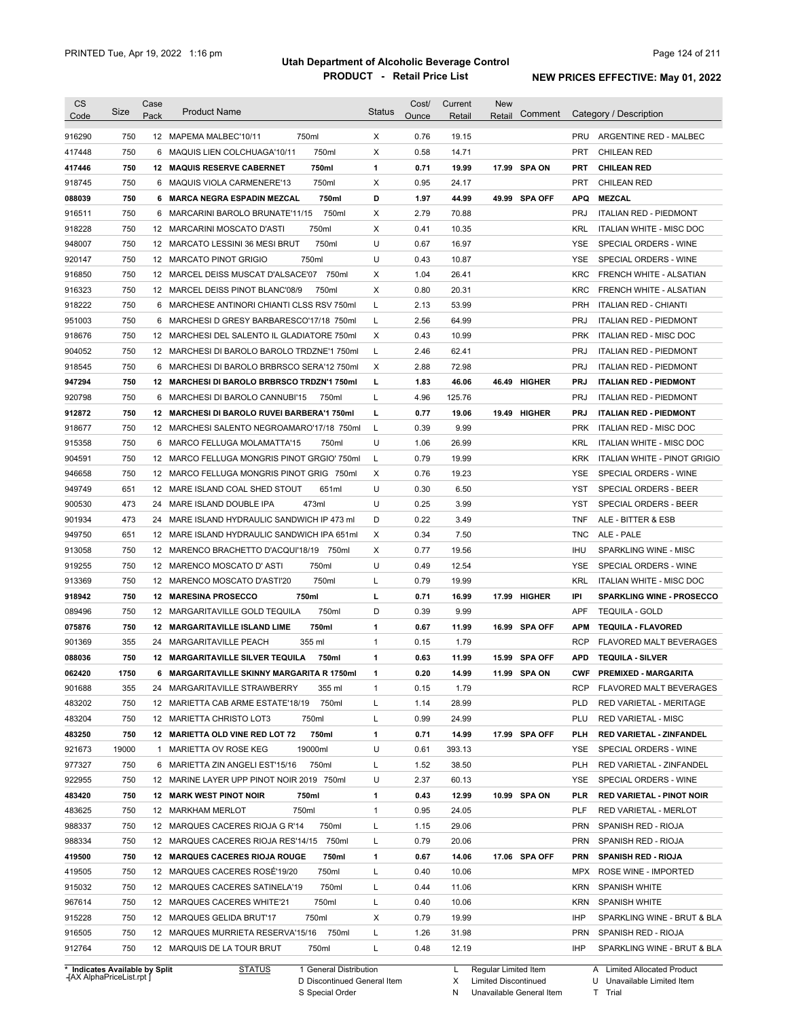| <b>CS</b><br>Code              | Size       | Case<br>Pack | <b>Product Name</b>                                                           | <b>Status</b> | Cost/<br>Ounce | Current<br>Retail | <b>New</b><br>Retail | Comment       |                          | Category / Description                   |
|--------------------------------|------------|--------------|-------------------------------------------------------------------------------|---------------|----------------|-------------------|----------------------|---------------|--------------------------|------------------------------------------|
|                                |            |              |                                                                               |               |                |                   |                      |               |                          | ARGENTINE RED - MALBEC                   |
| 916290                         | 750        |              | 750ml<br>12 MAPEMA MALBEC'10/11                                               | X             | 0.76           | 19.15             |                      |               | <b>PRU</b><br><b>PRT</b> |                                          |
| 417448                         | 750<br>750 |              | 750ml<br>6 MAQUIS LIEN COLCHUAGA'10/11<br>750ml<br>12 MAQUIS RESERVE CABERNET | Χ<br>1        | 0.58           | 14.71             |                      | 17.99 SPA ON  |                          | <b>CHILEAN RED</b><br><b>CHILEAN RED</b> |
| 417446<br>918745               | 750        |              | 750ml<br>6 MAQUIS VIOLA CARMENERE'13                                          | X             | 0.71<br>0.95   | 19.99<br>24.17    |                      |               | PRT<br><b>PRT</b>        | <b>CHILEAN RED</b>                       |
| 088039                         | 750        |              | 6 MARCA NEGRA ESPADIN MEZCAL<br>750ml                                         | D             | 1.97           | 44.99             |                      | 49.99 SPA OFF | <b>APQ</b>               | <b>MEZCAL</b>                            |
|                                | 750        |              | 750ml<br>6 MARCARINI BAROLO BRUNATE'11/15                                     | X             | 2.79           | 70.88             |                      |               | <b>PRJ</b>               | <b>ITALIAN RED - PIEDMONT</b>            |
| 916511<br>918228               | 750        |              | 750ml<br>12 MARCARINI MOSCATO D'ASTI                                          | X             | 0.41           | 10.35             |                      |               | <b>KRL</b>               | <b>ITALIAN WHITE - MISC DOC</b>          |
| 948007                         | 750        |              | 750ml<br>12 MARCATO LESSINI 36 MESI BRUT                                      | U             | 0.67           | 16.97             |                      |               | <b>YSE</b>               | SPECIAL ORDERS - WINE                    |
| 920147                         | 750        |              | 12 MARCATO PINOT GRIGIO<br>750ml                                              | U             | 0.43           | 10.87             |                      |               | <b>YSE</b>               | SPECIAL ORDERS - WINE                    |
| 916850                         | 750        |              | 12 MARCEL DEISS MUSCAT D'ALSACE'07<br>750ml                                   | Χ             | 1.04           | 26.41             |                      |               | <b>KRC</b>               | FRENCH WHITE - ALSATIAN                  |
| 916323                         | 750        |              | 12 MARCEL DEISS PINOT BLANC'08/9<br>750ml                                     | X             | 0.80           | 20.31             |                      |               | <b>KRC</b>               | FRENCH WHITE - ALSATIAN                  |
| 918222                         | 750        |              | 6 MARCHESE ANTINORI CHIANTI CLSS RSV 750ml                                    | L             | 2.13           | 53.99             |                      |               | <b>PRH</b>               | <b>ITALIAN RED - CHIANTI</b>             |
| 951003                         | 750        |              | 6 MARCHESI D GRESY BARBARESCO'17/18 750ml                                     | L             | 2.56           | 64.99             |                      |               | <b>PRJ</b>               | <b>ITALIAN RED - PIEDMONT</b>            |
| 918676                         | 750        |              | 12 MARCHESI DEL SALENTO IL GLADIATORE 750ml                                   | X             | 0.43           | 10.99             |                      |               | <b>PRK</b>               | ITALIAN RED - MISC DOC                   |
| 904052                         | 750        |              | 12 MARCHESI DI BAROLO BAROLO TRDZNE'1 750ml                                   | L             | 2.46           | 62.41             |                      |               | <b>PRJ</b>               | <b>ITALIAN RED - PIEDMONT</b>            |
| 918545                         | 750        |              | 6 MARCHESI DI BAROLO BRBRSCO SERA'12 750ml                                    | X             | 2.88           | 72.98             |                      |               | <b>PRJ</b>               | <b>ITALIAN RED - PIEDMONT</b>            |
| 947294                         | 750        |              | 12 MARCHESI DI BAROLO BRBRSCO TRDZN'1 750ml                                   | L             | 1.83           | 46.06             |                      | 46.49 HIGHER  | <b>PRJ</b>               | <b>ITALIAN RED - PIEDMONT</b>            |
| 920798                         | 750        |              | 6 MARCHESI DI BAROLO CANNUBI'15<br>750ml                                      | L             | 4.96           | 125.76            |                      |               | <b>PRJ</b>               | <b>ITALIAN RED - PIEDMONT</b>            |
| 912872                         | 750        |              | 12 MARCHESI DI BAROLO RUVEI BARBERA'1 750ml                                   | L             | 0.77           | 19.06             |                      | 19.49 HIGHER  | <b>PRJ</b>               | <b>ITALIAN RED - PIEDMONT</b>            |
| 918677                         | 750        |              | 12 MARCHESI SALENTO NEGROAMARO'17/18 750ml                                    | L             | 0.39           | 9.99              |                      |               | <b>PRK</b>               | ITALIAN RED - MISC DOC                   |
| 915358                         | 750        |              | 6 MARCO FELLUGA MOLAMATTA'15<br>750ml                                         | U             | 1.06           | 26.99             |                      |               | <b>KRL</b>               | <b>ITALIAN WHITE - MISC DOC</b>          |
| 904591                         | 750        |              | 12 MARCO FELLUGA MONGRIS PINOT GRGIO' 750ml                                   | L             | 0.79           | 19.99             |                      |               | <b>KRK</b>               | <b>ITALIAN WHITE - PINOT GRIGIO</b>      |
| 946658                         | 750        |              | 12 MARCO FELLUGA MONGRIS PINOT GRIG 750ml                                     | Χ             | 0.76           | 19.23             |                      |               | <b>YSE</b>               | SPECIAL ORDERS - WINE                    |
| 949749                         | 651        |              | 12 MARE ISLAND COAL SHED STOUT<br>651ml                                       | U             | 0.30           | 6.50              |                      |               | YST                      | <b>SPECIAL ORDERS - BEER</b>             |
| 900530                         | 473        | 24           | MARE ISLAND DOUBLE IPA<br>473ml                                               | U             | 0.25           | 3.99              |                      |               | <b>YST</b>               | <b>SPECIAL ORDERS - BEER</b>             |
| 901934                         | 473        |              | 24 MARE ISLAND HYDRAULIC SANDWICH IP 473 ml                                   | D             | 0.22           | 3.49              |                      |               | <b>TNF</b>               | ALE - BITTER & ESB                       |
| 949750                         | 651        |              | 12 MARE ISLAND HYDRAULIC SANDWICH IPA 651ml                                   | Χ             | 0.34           | 7.50              |                      |               | <b>TNC</b>               | ALE - PALE                               |
| 913058                         | 750        |              | 12 MARENCO BRACHETTO D'ACQUI'18/19 750ml                                      | Χ             | 0.77           | 19.56             |                      |               | <b>IHU</b>               | SPARKLING WINE - MISC                    |
| 919255                         | 750        |              | 750ml<br>12 MARENCO MOSCATO D'ASTI                                            | U             | 0.49           | 12.54             |                      |               | <b>YSE</b>               | SPECIAL ORDERS - WINE                    |
| 913369                         | 750        |              | 750ml<br>12 MARENCO MOSCATO D'ASTI'20                                         | Г             | 0.79           | 19.99             |                      |               | <b>KRL</b>               | <b>ITALIAN WHITE - MISC DOC</b>          |
| 918942                         | 750        |              | 750ml<br>12 MARESINA PROSECCO                                                 | г             | 0.71           | 16.99             |                      | 17.99 HIGHER  | IPI                      | <b>SPARKLING WINE - PROSECCO</b>         |
| 089496                         | 750        |              | 750ml<br>12 MARGARITAVILLE GOLD TEQUILA                                       | D             | 0.39           | 9.99              |                      |               | <b>APF</b>               | <b>TEQUILA - GOLD</b>                    |
| 075876                         | 750        | 12           | 750ml<br><b>MARGARITAVILLE ISLAND LIME</b>                                    | 1             | 0.67           | 11.99             |                      | 16.99 SPA OFF | APM                      | <b>TEQUILA - FLAVORED</b>                |
| 901369                         | 355        | 24           | MARGARITAVILLE PEACH<br>355 ml                                                | $\mathbf{1}$  | 0.15           | 1.79              |                      |               | <b>RCP</b>               | <b>FLAVORED MALT BEVERAGES</b>           |
| 088036                         | 750        |              | 12 MARGARITAVILLE SILVER TEQUILA<br>750ml                                     | 1             | 0.63           | 11.99             |                      | 15.99 SPA OFF | <b>APD</b>               | <b>TEQUILA - SILVER</b>                  |
| 062420                         | 1750       | 6            | <b>MARGARITAVILLE SKINNY MARGARITA R 1750ml</b>                               |               | 0.20           | 14.99             |                      | 11.99 SPA ON  | CWF                      | <b>PREMIXED - MARGARITA</b>              |
| 901688                         | 355        |              | 355 ml<br>24 MARGARITAVILLE STRAWBERRY                                        | 1             | 0.15           | 1.79              |                      |               | <b>RCP</b>               | <b>FLAVORED MALT BEVERAGES</b>           |
| 483202                         | 750        |              | 750ml<br>12 MARIETTA CAB ARME ESTATE'18/19                                    | L             | 1.14           | 28.99             |                      |               | <b>PLD</b>               | RED VARIETAL - MERITAGE                  |
| 483204                         | 750        |              | 12 MARIETTA CHRISTO LOT3<br>750ml                                             | L             | 0.99           | 24.99             |                      |               | PLU                      | <b>RED VARIETAL - MISC</b>               |
| 483250                         | 750        |              | 12 MARIETTA OLD VINE RED LOT 72<br>750ml                                      | 1             | 0.71           | 14.99             |                      | 17.99 SPA OFF | PLH                      | RED VARIETAL - ZINFANDEL                 |
| 921673                         | 19000      |              | 19000ml<br>1 MARIETTA OV ROSE KEG                                             | U             | 0.61           | 393.13            |                      |               | YSE                      | SPECIAL ORDERS - WINE                    |
| 977327                         | 750        |              | 750ml<br>6 MARIETTA ZIN ANGELI EST'15/16                                      | L             | 1.52           | 38.50             |                      |               | <b>PLH</b>               | RED VARIETAL - ZINFANDEL                 |
| 922955                         | 750        |              | 12 MARINE LAYER UPP PINOT NOIR 2019 750ml                                     | U             | 2.37           | 60.13             |                      |               | YSE                      | SPECIAL ORDERS - WINE                    |
| 483420                         | 750        |              | 750ml<br><b>12 MARK WEST PINOT NOIR</b>                                       | 1             | 0.43           | 12.99             |                      | 10.99 SPA ON  | PLR                      | <b>RED VARIETAL - PINOT NOIR</b>         |
| 483625                         | 750        |              | 750ml<br>12 MARKHAM MERLOT                                                    | 1             | 0.95           | 24.05             |                      |               | <b>PLF</b>               | RED VARIETAL - MERLOT                    |
| 988337                         | 750        |              | 12 MARQUES CACERES RIOJA G R'14<br>750ml                                      | Г             | 1.15           | 29.06             |                      |               | PRN                      | SPANISH RED - RIOJA                      |
| 988334                         | 750        |              | 750ml<br>12 MARQUES CACERES RIOJA RES'14/15                                   | L             | 0.79           | 20.06             |                      |               | PRN                      | SPANISH RED - RIOJA                      |
| 419500                         | 750        |              | 12 MARQUES CACERES RIOJA ROUGE<br>750ml                                       | 1             | 0.67           | 14.06             |                      | 17.06 SPA OFF | PRN                      | <b>SPANISH RED - RIOJA</b>               |
| 419505                         | 750        |              | 12 MARQUES CACERES ROSE'19/20<br>750ml                                        | L             | 0.40           | 10.06             |                      |               | MPX                      | ROSE WINE - IMPORTED                     |
| 915032                         | 750        |              | 750ml<br>12 MARQUES CACERES SATINELA'19                                       | L             | 0.44           | 11.06             |                      |               | KRN                      | <b>SPANISH WHITE</b>                     |
| 967614                         | 750        |              | 12 MARQUES CACERES WHITE'21<br>750ml                                          | L             | 0.40           | 10.06             |                      |               | KRN                      | <b>SPANISH WHITE</b>                     |
| 915228                         | 750        |              | 12 MARQUES GELIDA BRUT'17<br>750ml                                            | х             | 0.79           | 19.99             |                      |               | IHP                      | SPARKLING WINE - BRUT & BLA              |
| 916505                         | 750        |              | 12 MARQUES MURRIETA RESERVA'15/16 750ml                                       | L             | 1.26           | 31.98             |                      |               | PRN                      | SPANISH RED - RIOJA                      |
| 912764                         | 750        |              | 12 MARQUIS DE LA TOUR BRUT<br>750ml                                           | L             | 0.48           | 12.19             |                      |               | IHP                      | SPARKLING WINE - BRUT & BLA              |
| * Indicates Available by Split |            |              | <b>STATUS</b><br>1 General Distribution                                       |               |                | L.                | Regular Limited Item |               |                          | A Limited Allocated Product              |

**Case** [AX AlphaPriceList.rpt ]

D Discontinued General Item

S Special Order

X

Limited Discontinued

N Unavailable General Item

U Unavailable Limited Item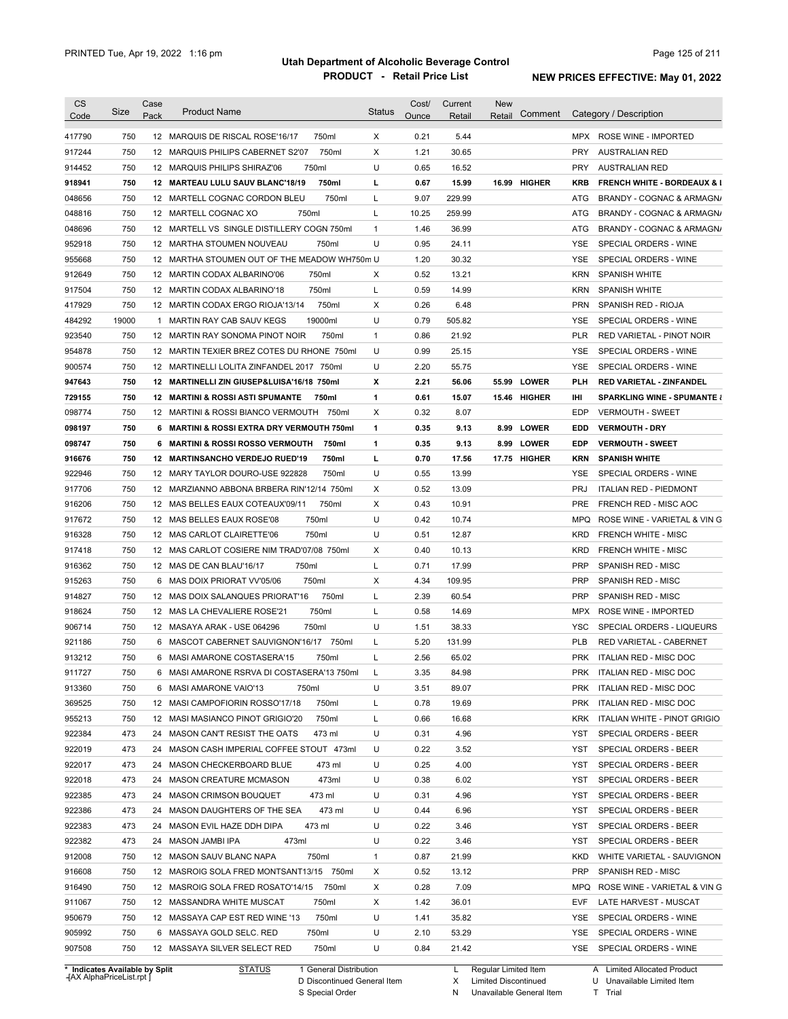| <b>CS</b><br>Code              | Size  | Case<br>Pack | <b>Product Name</b>                                | <b>Status</b> | Cost/<br>Ounce | Current<br>Retail | <b>New</b><br>Retail | Comment             |            | Category / Description                 |
|--------------------------------|-------|--------------|----------------------------------------------------|---------------|----------------|-------------------|----------------------|---------------------|------------|----------------------------------------|
| 417790                         | 750   |              | 12 MARQUIS DE RISCAL ROSE'16/17<br>750ml           | Х             | 0.21           | 5.44              |                      |                     |            | MPX ROSE WINE - IMPORTED               |
| 917244                         | 750   |              | 750ml<br>12 MARQUIS PHILIPS CABERNET S2'07         | Х             | 1.21           | 30.65             |                      |                     | <b>PRY</b> | AUSTRALIAN RED                         |
| 914452                         | 750   |              | 750ml<br>12 MARQUIS PHILIPS SHIRAZ'06              | U             | 0.65           | 16.52             |                      |                     | <b>PRY</b> | <b>AUSTRALIAN RED</b>                  |
| 918941                         | 750   |              | 750ml<br>12 MARTEAU LULU SAUV BLANC'18/19          | г             | 0.67           | 15.99             |                      | 16.99 HIGHER        | KRB        | <b>FRENCH WHITE - BORDEAUX &amp; I</b> |
| 048656                         | 750   |              | 750ml<br>12 MARTELL COGNAC CORDON BLEU             | Г             | 9.07           | 229.99            |                      |                     | ATG        | BRANDY - COGNAC & ARMAGN/              |
| 048816                         | 750   |              | 750ml<br>12 MARTELL COGNAC XO                      | Г             | 10.25          | 259.99            |                      |                     | ATG        | BRANDY - COGNAC & ARMAGN/              |
| 048696                         | 750   |              | 12 MARTELL VS SINGLE DISTILLERY COGN 750ml         | $\mathbf{1}$  | 1.46           | 36.99             |                      |                     | ATG        | BRANDY - COGNAC & ARMAGN/              |
| 952918                         | 750   |              | 12 MARTHA STOUMEN NOUVEAU<br>750ml                 | U             | 0.95           | 24.11             |                      |                     | YSE        | SPECIAL ORDERS - WINE                  |
| 955668                         | 750   |              | 12 MARTHA STOUMEN OUT OF THE MEADOW WH750m U       |               | 1.20           | 30.32             |                      |                     | YSE        | SPECIAL ORDERS - WINE                  |
| 912649                         | 750   |              | 12 MARTIN CODAX ALBARINO'06<br>750ml               | Х             | 0.52           | 13.21             |                      |                     | <b>KRN</b> | <b>SPANISH WHITE</b>                   |
| 917504                         | 750   |              | 750ml<br>12 MARTIN CODAX ALBARINO'18               | L             | 0.59           | 14.99             |                      |                     | <b>KRN</b> | <b>SPANISH WHITE</b>                   |
| 417929                         | 750   |              | 750ml<br>12 MARTIN CODAX ERGO RIOJA'13/14          | Х             | 0.26           | 6.48              |                      |                     | <b>PRN</b> | SPANISH RED - RIOJA                    |
| 484292                         | 19000 |              | 19000ml<br>1 MARTIN RAY CAB SAUV KEGS              | U             | 0.79           | 505.82            |                      |                     | <b>YSE</b> | SPECIAL ORDERS - WINE                  |
| 923540                         | 750   | 12           | MARTIN RAY SONOMA PINOT NOIR<br>750ml              | $\mathbf{1}$  | 0.86           | 21.92             |                      |                     | <b>PLR</b> | RED VARIETAL - PINOT NOIR              |
| 954878                         | 750   |              | 12 MARTIN TEXIER BREZ COTES DU RHONE 750ml         | U             | 0.99           | 25.15             |                      |                     | <b>YSE</b> | SPECIAL ORDERS - WINE                  |
| 900574                         | 750   |              | 12 MARTINELLI LOLITA ZINFANDEL 2017 750ml          | U             | 2.20           | 55.75             |                      |                     | <b>YSE</b> | SPECIAL ORDERS - WINE                  |
| 947643                         | 750   | 12           | <b>MARTINELLI ZIN GIUSEP&amp;LUISA'16/18 750ml</b> | x             | 2.21           | 56.06             | 55.99                | <b>LOWER</b>        | PLH        | <b>RED VARIETAL - ZINFANDEL</b>        |
| 729155                         | 750   | 12           | <b>MARTINI &amp; ROSSI ASTI SPUMANTE</b><br>750ml  | 1             | 0.61           | 15.07             |                      | 15.46 HIGHER        | Ш          | <b>SPARKLING WINE - SPUMANTE &amp;</b> |
| 098774                         | 750   |              | 12 MARTINI & ROSSI BIANCO VERMOUTH 750ml           | Х             | 0.32           | 8.07              |                      |                     | EDP        | <b>VERMOUTH - SWEET</b>                |
| 098197                         | 750   |              | 6 MARTINI & ROSSI EXTRA DRY VERMOUTH 750ml         | 1             | 0.35           | 9.13              | 8.99                 | <b>LOWER</b>        | EDD        | <b>VERMOUTH - DRY</b>                  |
| 098747                         | 750   | 6            | <b>MARTINI &amp; ROSSI ROSSO VERMOUTH</b><br>750ml | 1             | 0.35           | 9.13              |                      | 8.99 LOWER          | EDP        | <b>VERMOUTH - SWEET</b>                |
| 916676                         | 750   |              | 12 MARTINSANCHO VERDEJO RUED'19<br>750ml           | г             | 0.70           | 17.56             |                      | <b>17.75 HIGHER</b> | <b>KRN</b> | <b>SPANISH WHITE</b>                   |
| 922946                         | 750   |              | 12 MARY TAYLOR DOURO-USE 922828<br>750ml           | U             | 0.55           | 13.99             |                      |                     | YSE        | SPECIAL ORDERS - WINE                  |
| 917706                         | 750   |              | 12 MARZIANNO ABBONA BRBERA RIN'12/14 750ml         | Х             | 0.52           | 13.09             |                      |                     | <b>PRJ</b> | <b>ITALIAN RED - PIEDMONT</b>          |
| 916206                         | 750   |              | 750ml<br>12 MAS BELLES EAUX COTEAUX'09/11          | Х             | 0.43           | 10.91             |                      |                     | <b>PRE</b> | FRENCH RED - MISC AOC                  |
| 917672                         | 750   |              | 750ml<br>12 MAS BELLES EAUX ROSE'08                | U             | 0.42           | 10.74             |                      |                     | <b>MPQ</b> | ROSE WINE - VARIETAL & VIN G           |
| 916328                         | 750   |              | 12 MAS CARLOT CLAIRETTE'06<br>750ml                | U             | 0.51           | 12.87             |                      |                     | <b>KRD</b> | <b>FRENCH WHITE - MISC</b>             |
| 917418                         | 750   |              | 12 MAS CARLOT COSIERE NIM TRAD'07/08 750ml         | Х             | 0.40           | 10.13             |                      |                     | <b>KRD</b> | <b>FRENCH WHITE - MISC</b>             |
| 916362                         | 750   |              | 12 MAS DE CAN BLAU'16/17<br>750ml                  | L             | 0.71           | 17.99             |                      |                     | <b>PRP</b> | SPANISH RED - MISC                     |
| 915263                         | 750   | 6            | MAS DOIX PRIORAT VV'05/06<br>750ml                 | Х             | 4.34           | 109.95            |                      |                     | <b>PRP</b> | SPANISH RED - MISC                     |
| 914827                         | 750   |              | 750ml<br>12 MAS DOIX SALANQUES PRIORAT'16          | Г             | 2.39           | 60.54             |                      |                     | <b>PRP</b> | SPANISH RED - MISC                     |
| 918624                         | 750   |              | 750ml<br>12 MAS LA CHEVALIERE ROSE'21              | Г             | 0.58           | 14.69             |                      |                     | <b>MPX</b> | ROSE WINE - IMPORTED                   |
| 906714                         | 750   |              | 750ml<br>12 MASAYA ARAK - USE 064296               | U             | 1.51           | 38.33             |                      |                     | <b>YSC</b> | SPECIAL ORDERS - LIQUEURS              |
| 921186                         | 750   |              | 6 MASCOT CABERNET SAUVIGNON'16/17 750ml            | Г             | 5.20           | 131.99            |                      |                     | <b>PLB</b> | RED VARIETAL - CABERNET                |
| 913212                         | 750   |              | 6 MASI AMARONE COSTASERA'15<br>750ml               | Г             | 2.56           | 65.02             |                      |                     | <b>PRK</b> | <b>ITALIAN RED - MISC DOC</b>          |
|                                |       |              |                                                    |               |                |                   |                      |                     |            |                                        |
| 911727                         | 750   |              | 6 MASI AMARONE RSRVA DI COSTASERA'13 750ml         |               | 3.35           | 84.98             |                      |                     | <b>PRK</b> | ITALIAN RED - MISC DOC                 |
| 913360                         | 750   |              | 750ml<br>6 MASI AMARONE VAIO'13                    | U             | 3.51           | 89.07             |                      |                     |            | PRK ITALIAN RED - MISC DOC             |
| 369525                         | 750   |              | 750ml<br>12 MASI CAMPOFIORIN ROSSO'17/18           | L             | 0.78           | 19.69             |                      |                     | <b>PRK</b> | ITALIAN RED - MISC DOC                 |
| 955213                         | 750   |              | 750ml<br>12 MASI MASIANCO PINOT GRIGIO'20          | L             | 0.66           | 16.68             |                      |                     | <b>KRK</b> | ITALIAN WHITE - PINOT GRIGIO           |
| 922384                         | 473   |              | 24 MASON CAN'T RESIST THE OATS<br>473 ml           | U             | 0.31           | 4.96              |                      |                     | YST        | SPECIAL ORDERS - BEER                  |
| 922019                         | 473   |              | 24 MASON CASH IMPERIAL COFFEE STOUT 473ml          | U             | 0.22           | 3.52              |                      |                     | YST        | SPECIAL ORDERS - BEER                  |
| 922017                         | 473   |              | 24 MASON CHECKERBOARD BLUE<br>473 ml               | U             | 0.25           | 4.00              |                      |                     | YST        | SPECIAL ORDERS - BEER                  |
| 922018                         | 473   |              | 473ml<br>24 MASON CREATURE MCMASON                 | U             | 0.38           | 6.02              |                      |                     | YST        | SPECIAL ORDERS - BEER                  |
| 922385                         | 473   |              | 473 ml<br>24 MASON CRIMSON BOUQUET                 | U             | 0.31           | 4.96              |                      |                     | YST        | SPECIAL ORDERS - BEER                  |
| 922386                         | 473   |              | 473 ml<br>24 MASON DAUGHTERS OF THE SEA            | U             | 0.44           | 6.96              |                      |                     | YST        | SPECIAL ORDERS - BEER                  |
| 922383                         | 473   |              | 473 ml<br>24 MASON EVIL HAZE DDH DIPA              | U             | 0.22           | 3.46              |                      |                     | YST        | SPECIAL ORDERS - BEER                  |
| 922382                         | 473   |              | 473ml<br>24 MASON JAMBI IPA                        | U             | 0.22           | 3.46              |                      |                     | <b>YST</b> | SPECIAL ORDERS - BEER                  |
| 912008                         | 750   |              | 750ml<br>12 MASON SAUV BLANC NAPA                  | $\mathbf{1}$  | 0.87           | 21.99             |                      |                     | KKD        | WHITE VARIETAL - SAUVIGNON             |
| 916608                         | 750   |              | 12 MASROIG SOLA FRED MONTSANT13/15 750ml           | х             | 0.52           | 13.12             |                      |                     | <b>PRP</b> | SPANISH RED - MISC                     |
| 916490                         | 750   |              | 12 MASROIG SOLA FRED ROSATO'14/15 750ml            | Х             | 0.28           | 7.09              |                      |                     | MPQ        | ROSE WINE - VARIETAL & VIN G           |
| 911067                         | 750   |              | 12 MASSANDRA WHITE MUSCAT<br>750ml                 | х             | 1.42           | 36.01             |                      |                     | <b>EVF</b> | LATE HARVEST - MUSCAT                  |
| 950679                         | 750   |              | 750ml<br>12 MASSAYA CAP EST RED WINE '13           | U             | 1.41           | 35.82             |                      |                     | YSE        | SPECIAL ORDERS - WINE                  |
| 905992                         | 750   |              | 6 MASSAYA GOLD SELC. RED<br>750ml                  | U             | 2.10           | 53.29             |                      |                     | YSE        | SPECIAL ORDERS - WINE                  |
| 907508                         | 750   |              | 750ml<br>12 MASSAYA SILVER SELECT RED              | U             | 0.84           | 21.42             |                      |                     | YSE        | SPECIAL ORDERS - WINE                  |
| * Indicates Available by Split |       |              | <b>STATUS</b><br>1 General Distribution            |               |                | L                 | Regular Limited Item |                     |            | A Limited Allocated Product            |

**Case** [AX AlphaPriceList.rpt ]

D Discontinued General Item

S Special Order

X Limited Discontinued

N Unavailable General Item

U Unavailable Limited Item

T Trial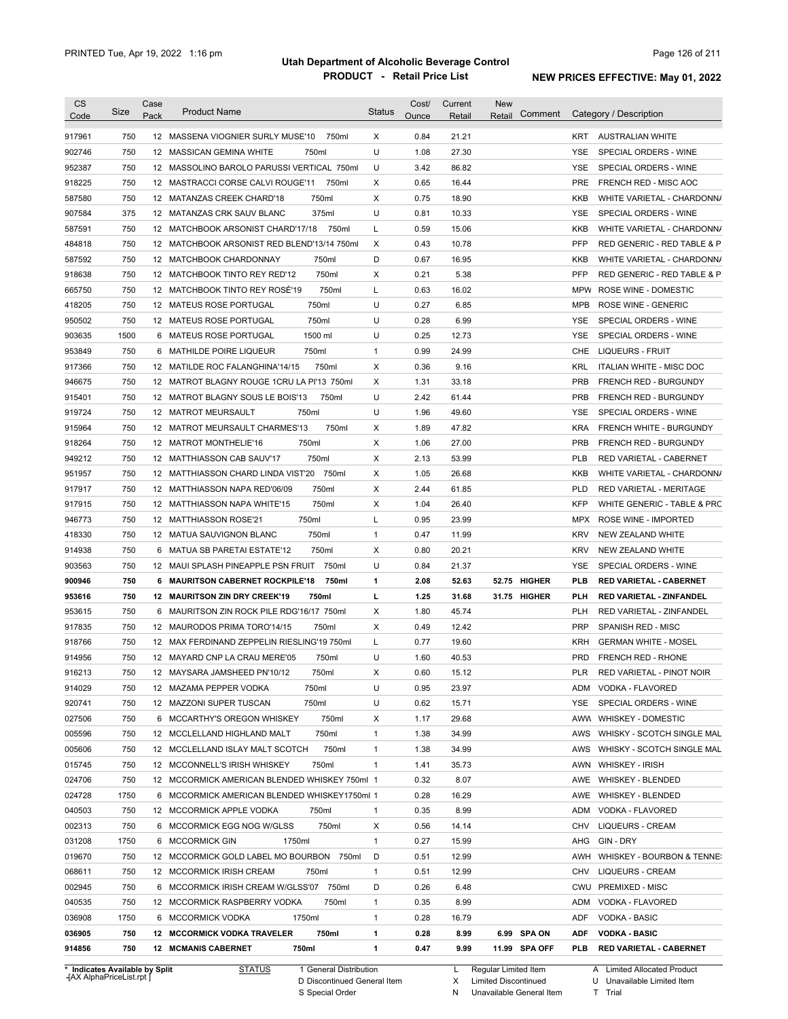| Code                                                                                                                                                                                                                                         | Size | Case<br>Pack | <b>Product Name</b>                           | <b>Status</b> | Cost/<br>Ounce | Current<br>Retail | <b>New</b><br>Comment<br>Retail | Category / Description                                                                                                |
|----------------------------------------------------------------------------------------------------------------------------------------------------------------------------------------------------------------------------------------------|------|--------------|-----------------------------------------------|---------------|----------------|-------------------|---------------------------------|-----------------------------------------------------------------------------------------------------------------------|
| 917961                                                                                                                                                                                                                                       | 750  |              | 12 MASSENA VIOGNIER SURLY MUSE'10<br>750ml    | Χ             | 0.84           | 21.21             |                                 | KRT<br><b>AUSTRALIAN WHITE</b>                                                                                        |
| 902746                                                                                                                                                                                                                                       | 750  |              | 12 MASSICAN GEMINA WHITE<br>750ml             | U             | 1.08           | 27.30             |                                 | <b>YSE</b><br>SPECIAL ORDERS - WINE                                                                                   |
| 952387                                                                                                                                                                                                                                       | 750  |              | 12 MASSOLINO BAROLO PARUSSI VERTICAL 750ml    | U             | 3.42           | 86.82             |                                 | <b>YSE</b><br>SPECIAL ORDERS - WINE                                                                                   |
| 918225                                                                                                                                                                                                                                       | 750  |              | 12 MASTRACCI CORSE CALVI ROUGE'11<br>750ml    | х             | 0.65           | 16.44             |                                 | <b>PRE</b><br>FRENCH RED - MISC AOC                                                                                   |
| 587580                                                                                                                                                                                                                                       | 750  |              | 750ml<br>12 MATANZAS CREEK CHARD'18           | X             | 0.75           | 18.90             |                                 | KKB<br>WHITE VARIETAL - CHARDONN/                                                                                     |
| 907584                                                                                                                                                                                                                                       | 375  |              | 12 MATANZAS CRK SAUV BLANC<br>375ml           | U             | 0.81           | 10.33             |                                 | YSE<br>SPECIAL ORDERS - WINE                                                                                          |
| 587591                                                                                                                                                                                                                                       | 750  |              | 12 MATCHBOOK ARSONIST CHARD'17/18<br>750ml    | L             | 0.59           | 15.06             |                                 | KKB<br>WHITE VARIETAL - CHARDONN/                                                                                     |
| 484818                                                                                                                                                                                                                                       | 750  |              | 12 MATCHBOOK ARSONIST RED BLEND'13/14 750ml   | х             | 0.43           | 10.78             |                                 | <b>PFP</b><br>RED GENERIC - RED TABLE & P                                                                             |
| 587592                                                                                                                                                                                                                                       | 750  |              | 750ml<br>12 MATCHBOOK CHARDONNAY              | D             | 0.67           | 16.95             |                                 | KKB<br>WHITE VARIETAL - CHARDONN/                                                                                     |
| 918638                                                                                                                                                                                                                                       | 750  |              | 750ml<br>12 MATCHBOOK TINTO REY RED'12        | х             | 0.21           | 5.38              |                                 | <b>PFP</b><br>RED GENERIC - RED TABLE & P                                                                             |
| 665750                                                                                                                                                                                                                                       | 750  |              | 750ml<br>12 MATCHBOOK TINTO REY ROSE'19       | L             | 0.63           | 16.02             |                                 | <b>MPW</b><br>ROSE WINE - DOMESTIC                                                                                    |
| 418205                                                                                                                                                                                                                                       | 750  |              | 750ml<br>12 MATEUS ROSE PORTUGAL              | U             | 0.27           | 6.85              |                                 | <b>MPB</b><br><b>ROSE WINE - GENERIC</b>                                                                              |
| 950502                                                                                                                                                                                                                                       | 750  |              | 750ml<br>12 MATEUS ROSE PORTUGAL              | U             | 0.28           | 6.99              |                                 | YSE<br>SPECIAL ORDERS - WINE                                                                                          |
| 903635                                                                                                                                                                                                                                       | 1500 |              | 1500 ml<br>6 MATEUS ROSE PORTUGAL             | U             | 0.25           | 12.73             |                                 | <b>YSE</b><br>SPECIAL ORDERS - WINE                                                                                   |
| 953849                                                                                                                                                                                                                                       | 750  |              | 750ml<br>6 MATHILDE POIRE LIQUEUR             | $\mathbf{1}$  | 0.99           | 24.99             |                                 | <b>LIQUEURS - FRUIT</b><br>CHE                                                                                        |
| 917366                                                                                                                                                                                                                                       | 750  |              | 750ml<br>12 MATILDE ROC FALANGHINA'14/15      | X             | 0.36           | 9.16              |                                 | <b>KRL</b><br>ITALIAN WHITE - MISC DOC                                                                                |
| 946675                                                                                                                                                                                                                                       | 750  |              | 12 MATROT BLAGNY ROUGE 1CRU LA PI'13 750ml    | X             | 1.31           | 33.18             |                                 | <b>PRB</b><br><b>FRENCH RED - BURGUNDY</b>                                                                            |
| 915401                                                                                                                                                                                                                                       | 750  |              | 750ml<br>12 MATROT BLAGNY SOUS LE BOIS'13     | U             | 2.42           | 61.44             |                                 | <b>PRB</b><br>FRENCH RED - BURGUNDY                                                                                   |
| 919724                                                                                                                                                                                                                                       | 750  |              | 750ml<br>12 MATROT MEURSAULT                  | U             | 1.96           | 49.60             |                                 | YSE<br>SPECIAL ORDERS - WINE                                                                                          |
| 915964                                                                                                                                                                                                                                       | 750  |              | 750ml<br>12 MATROT MEURSAULT CHARMES'13       | х             | 1.89           | 47.82             |                                 | <b>KRA</b><br>FRENCH WHITE - BURGUNDY                                                                                 |
| 918264                                                                                                                                                                                                                                       | 750  |              | 750ml<br>12 MATROT MONTHELIE'16               | х             | 1.06           | 27.00             |                                 | <b>PRB</b><br>FRENCH RED - BURGUNDY                                                                                   |
| 949212                                                                                                                                                                                                                                       | 750  |              | 750ml<br>12 MATTHIASSON CAB SAUV'17           | X             | 2.13           | 53.99             |                                 | PLB<br>RED VARIETAL - CABERNET                                                                                        |
| 951957                                                                                                                                                                                                                                       | 750  |              | 12 MATTHIASSON CHARD LINDA VIST'20<br>750ml   | х             | 1.05           | 26.68             |                                 | <b>KKB</b><br>WHITE VARIETAL - CHARDONN/                                                                              |
| 917917                                                                                                                                                                                                                                       | 750  |              | 750ml<br>12 MATTHIASSON NAPA RED'06/09        | х             | 2.44           | 61.85             |                                 | <b>PLD</b><br>RED VARIETAL - MERITAGE                                                                                 |
| 917915                                                                                                                                                                                                                                       | 750  |              | 750ml<br>12 MATTHIASSON NAPA WHITE'15         | х             | 1.04           | 26.40             |                                 | <b>KFP</b><br>WHITE GENERIC - TABLE & PRC                                                                             |
| 946773                                                                                                                                                                                                                                       | 750  |              | 750ml<br>12 MATTHIASSON ROSE'21               | L             | 0.95           | 23.99             |                                 | <b>MPX</b><br>ROSE WINE - IMPORTED                                                                                    |
| 418330                                                                                                                                                                                                                                       | 750  |              | 750ml<br>12 MATUA SAUVIGNON BLANC             | $\mathbf{1}$  | 0.47           | 11.99             |                                 | <b>KRV</b><br>NEW ZEALAND WHITE                                                                                       |
| 914938                                                                                                                                                                                                                                       | 750  |              | 6 MATUA SB PARETAI ESTATE'12<br>750ml         | X             | 0.80           | 20.21             |                                 | <b>KRV</b><br>NEW ZEALAND WHITE                                                                                       |
|                                                                                                                                                                                                                                              |      |              |                                               |               | 0.84           |                   |                                 | YSE<br>SPECIAL ORDERS - WINE                                                                                          |
|                                                                                                                                                                                                                                              |      |              |                                               |               |                |                   |                                 |                                                                                                                       |
|                                                                                                                                                                                                                                              | 750  |              | 12 MAUI SPLASH PINEAPPLE PSN FRUIT<br>750ml   | U             |                | 21.37             |                                 |                                                                                                                       |
|                                                                                                                                                                                                                                              | 750  |              | 6 MAURITSON CABERNET ROCKPILE'18<br>750ml     | 1             | 2.08           | 52.63             | 52.75 HIGHER                    | <b>PLB</b><br><b>RED VARIETAL - CABERNET</b>                                                                          |
|                                                                                                                                                                                                                                              | 750  |              | 12 MAURITSON ZIN DRY CREEK'19<br>750ml        | г             | 1.25           | 31.68             | 31.75 HIGHER                    | PLH<br><b>RED VARIETAL - ZINFANDEL</b>                                                                                |
|                                                                                                                                                                                                                                              | 750  |              | 6 MAURITSON ZIN ROCK PILE RDG'16/17 750ml     | X             | 1.80           | 45.74             |                                 | <b>PLH</b><br>RED VARIETAL - ZINFANDEL                                                                                |
|                                                                                                                                                                                                                                              | 750  |              | 750ml<br>12 MAURODOS PRIMA TORO'14/15         | X             | 0.49           | 12.42             |                                 | <b>PRP</b><br>SPANISH RED - MISC                                                                                      |
|                                                                                                                                                                                                                                              | 750  |              | 12 MAX FERDINAND ZEPPELIN RIESLING'19 750ml   | L             | 0.77           | 19.60             |                                 | <b>KRH</b><br><b>GERMAN WHITE - MOSEL</b>                                                                             |
|                                                                                                                                                                                                                                              | 750  |              | 12 MAYARD CNP LA CRAU MERE'05<br>750ml        | U             | 1.60           | 40.53             |                                 | PRD<br>FRENCH RED - RHONE                                                                                             |
|                                                                                                                                                                                                                                              | 750  |              | 12 MAYSARA JAMSHEED PN'10/12<br>750ml         | х             | 0.60           | 15.12             |                                 | <b>PLR</b><br>RED VARIETAL - PINOT NOIR                                                                               |
|                                                                                                                                                                                                                                              | 750  |              | 12 MAZAMA PEPPER VODKA<br>750ml               | U             | 0.95           | 23.97             |                                 | ADM VODKA - FLAVORED                                                                                                  |
|                                                                                                                                                                                                                                              | 750  |              | 750ml<br>12 MAZZONI SUPER TUSCAN              | U             | 0.62           | 15.71             |                                 | SPECIAL ORDERS - WINE<br>YSE                                                                                          |
|                                                                                                                                                                                                                                              | 750  |              | 750ml<br>6 MCCARTHY'S OREGON WHISKEY          | х             | 1.17           | 29.68             |                                 | AWW WHISKEY - DOMESTIC                                                                                                |
|                                                                                                                                                                                                                                              | 750  |              | 750ml<br>12 MCCLELLAND HIGHLAND MALT          | 1             | 1.38           | 34.99             |                                 | AWS                                                                                                                   |
|                                                                                                                                                                                                                                              | 750  |              | 750ml<br>12 MCCLELLAND ISLAY MALT SCOTCH      | 1             | 1.38           | 34.99             |                                 | AWS                                                                                                                   |
|                                                                                                                                                                                                                                              | 750  |              | 750ml<br>12 MCCONNELL'S IRISH WHISKEY         | 1             | 1.41           | 35.73             |                                 | AWN<br><b>WHISKEY - IRISH</b>                                                                                         |
|                                                                                                                                                                                                                                              | 750  |              | 12 MCCORMICK AMERICAN BLENDED WHISKEY 750ml 1 |               | 0.32           | 8.07              |                                 | AWE<br>WHISKEY - BLENDED                                                                                              |
|                                                                                                                                                                                                                                              | 1750 |              | 6 MCCORMICK AMERICAN BLENDED WHISKEY1750ml 1  |               | 0.28           | 16.29             |                                 | AWE<br>WHISKEY - BLENDED                                                                                              |
|                                                                                                                                                                                                                                              | 750  |              | 12 MCCORMICK APPLE VODKA<br>750ml             | 1             | 0.35           | 8.99              |                                 | ADM<br>VODKA - FLAVORED                                                                                               |
|                                                                                                                                                                                                                                              | 750  |              | 750ml<br>6 MCCORMICK EGG NOG W/GLSS           | х             | 0.56           | 14.14             |                                 | <b>LIQUEURS - CREAM</b><br>CHV                                                                                        |
|                                                                                                                                                                                                                                              | 1750 |              | 6 MCCORMICK GIN<br>1750ml                     | $\mathbf{1}$  | 0.27           | 15.99             |                                 | GIN - DRY<br>AHG                                                                                                      |
|                                                                                                                                                                                                                                              | 750  |              | 12 MCCORMICK GOLD LABEL MO BOURBON 750ml      | D             | 0.51           | 12.99             |                                 | AWH                                                                                                                   |
|                                                                                                                                                                                                                                              | 750  |              | 12 MCCORMICK IRISH CREAM<br>750ml             | $\mathbf{1}$  | 0.51           | 12.99             |                                 | CHV<br><b>LIQUEURS - CREAM</b>                                                                                        |
|                                                                                                                                                                                                                                              | 750  |              | 6 MCCORMICK IRISH CREAM W/GLSS'07 750ml       | D             | 0.26           | 6.48              |                                 | <b>PREMIXED - MISC</b><br>CWU                                                                                         |
|                                                                                                                                                                                                                                              | 750  |              | 12 MCCORMICK RASPBERRY VODKA<br>750ml         | 1             | 0.35           | 8.99              |                                 | ADM<br>VODKA - FLAVORED                                                                                               |
| 903563<br>900946<br>953616<br>953615<br>917835<br>918766<br>914956<br>916213<br>914029<br>920741<br>027506<br>005596<br>005606<br>015745<br>024706<br>024728<br>040503<br>002313<br>031208<br>019670<br>068611<br>002945<br>040535<br>036908 | 1750 |              | 6 MCCORMICK VODKA<br>1750ml                   | $\mathbf{1}$  | 0.28           | 16.79             |                                 | ADF<br>VODKA - BASIC                                                                                                  |
| 036905                                                                                                                                                                                                                                       | 750  |              | 750ml<br><b>12 MCCORMICK VODKA TRAVELER</b>   | 1             | 0.28           | 8.99              | 6.99 SPA ON                     | WHISKY - SCOTCH SINGLE MAL<br>WHISKY - SCOTCH SINGLE MAL<br>WHISKEY - BOURBON & TENNE:<br>ADF<br><b>VODKA - BASIC</b> |

**Case** [AX AlphaPriceList.rpt ]

D Discontinued General Item

S Special Order

X Limited Discontinued N Unavailable General Item

U Unavailable Limited Item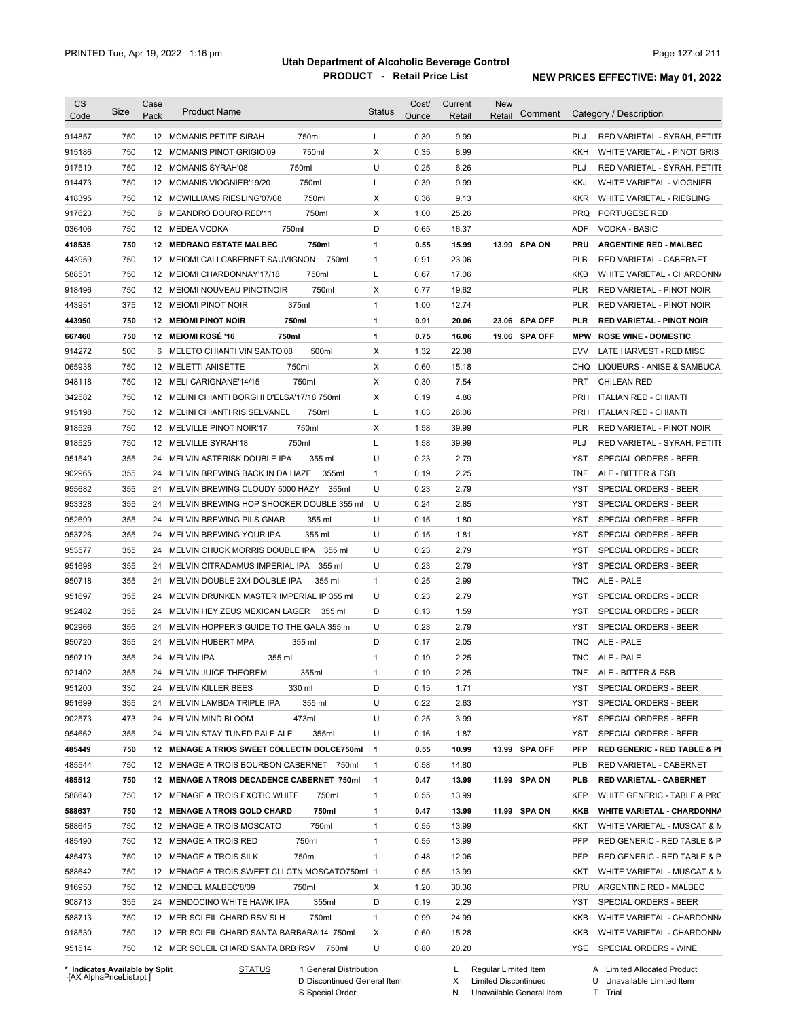| <b>CS</b><br>Code | <b>Size</b> | Case<br>Pack | <b>Product Name</b>                           |        | <b>Status</b> | Cost/<br>Ounce | Current<br>Retail | <b>New</b><br>Retail | Comment       |            | Category / Description                  |
|-------------------|-------------|--------------|-----------------------------------------------|--------|---------------|----------------|-------------------|----------------------|---------------|------------|-----------------------------------------|
| 914857            | 750         |              | 12 MCMANIS PETITE SIRAH                       | 750ml  | L             | 0.39           | 9.99              |                      |               | PLJ        | RED VARIETAL - SYRAH, PETITE            |
| 915186            | 750         |              | 12 MCMANIS PINOT GRIGIO'09                    | 750ml  | Χ             | 0.35           | 8.99              |                      |               | <b>KKH</b> | WHITE VARIETAL - PINOT GRIS             |
| 917519            | 750         |              | 750ml<br>12 MCMANIS SYRAH'08                  |        | U             | 0.25           | 6.26              |                      |               | <b>PLJ</b> | RED VARIETAL - SYRAH, PETITE            |
| 914473            | 750         |              | 12 MCMANIS VIOGNIER'19/20                     | 750ml  | L             | 0.39           | 9.99              |                      |               | KKJ        | WHITE VARIETAL - VIOGNIER               |
| 418395            | 750         |              | 12 MCWILLIAMS RIESLING'07/08                  | 750ml  | Х             | 0.36           | 9.13              |                      |               | <b>KKR</b> | WHITE VARIETAL - RIESLING               |
| 917623            | 750         |              | 6 MEANDRO DOURO RED'11                        | 750ml  | Х             | 1.00           | 25.26             |                      |               | <b>PRQ</b> | PORTUGESE RED                           |
| 036406            | 750         |              | 750ml<br>12 MEDEA VODKA                       |        | D             | 0.65           | 16.37             |                      |               | <b>ADF</b> | <b>VODKA - BASIC</b>                    |
| 418535            | 750         |              | 12 MEDRANO ESTATE MALBEC                      | 750ml  | 1             | 0.55           | 15.99             |                      | 13.99 SPA ON  | <b>PRU</b> | <b>ARGENTINE RED - MALBEC</b>           |
| 443959            | 750         |              | 12 MEIOMI CALI CABERNET SAUVIGNON             | 750ml  | $\mathbf{1}$  | 0.91           | 23.06             |                      |               | <b>PLB</b> | <b>RED VARIETAL - CABERNET</b>          |
| 588531            | 750         |              | 12 MEIOMI CHARDONNAY'17/18                    | 750ml  | L             | 0.67           | 17.06             |                      |               | KKB        | WHITE VARIETAL - CHARDONN/              |
| 918496            | 750         |              | 12 MEIOMI NOUVEAU PINOTNOIR                   | 750ml  | Χ             | 0.77           | 19.62             |                      |               | <b>PLR</b> | RED VARIETAL - PINOT NOIR               |
| 443951            | 375         |              | 375ml<br>12 MEIOMI PINOT NOIR                 |        | $\mathbf{1}$  | 1.00           | 12.74             |                      |               | <b>PLR</b> | RED VARIETAL - PINOT NOIR               |
| 443950            | 750         |              | 750ml<br><b>12 MEIOMI PINOT NOIR</b>          |        | $\mathbf{1}$  | 0.91           | 20.06             |                      | 23.06 SPA OFF | <b>PLR</b> | <b>RED VARIETAL - PINOT NOIR</b>        |
| 667460            | 750         |              | 12 MEIOMI ROSÉ '16<br>750ml                   |        | $\mathbf{1}$  | 0.75           | 16.06             |                      | 19.06 SPA OFF | <b>MPW</b> | <b>ROSE WINE - DOMESTIC</b>             |
| 914272            | 500         |              | 6 MELETO CHIANTI VIN SANTO'08                 | 500ml  | Х             | 1.32           | 22.38             |                      |               | EVV        | LATE HARVEST - RED MISC                 |
| 065938            | 750         |              | 750ml<br>12 MELETTI ANISETTE                  |        | Х             | 0.60           | 15.18             |                      |               | CHQ        | LIQUEURS - ANISE & SAMBUCA              |
| 948118            | 750         |              | 750ml<br>12 MELI CARIGNANE'14/15              |        | Х             | 0.30           |                   |                      |               | <b>PRT</b> |                                         |
|                   |             |              |                                               |        |               |                | 7.54              |                      |               |            | <b>CHILEAN RED</b>                      |
| 342582            | 750         |              | 12 MELINI CHIANTI BORGHI D'ELSA'17/18 750ml   |        | Х             | 0.19           | 4.86              |                      |               | <b>PRH</b> | ITALIAN RED - CHIANTI                   |
| 915198            | 750         |              | 12 MELINI CHIANTI RIS SELVANEL                | 750ml  | L             | 1.03           | 26.06             |                      |               | <b>PRH</b> | <b>ITALIAN RED - CHIANTI</b>            |
| 918526            | 750         |              | 12 MELVILLE PINOT NOIR'17                     | 750ml  | Х             | 1.58           | 39.99             |                      |               | <b>PLR</b> | RED VARIETAL - PINOT NOIR               |
| 918525            | 750         |              | 750ml<br>12 MELVILLE SYRAH'18                 |        | L             | 1.58           | 39.99             |                      |               | <b>PLJ</b> | RED VARIETAL - SYRAH, PETITE            |
| 951549            | 355         | 24           | MELVIN ASTERISK DOUBLE IPA                    | 355 ml | U             | 0.23           | 2.79              |                      |               | YST        | <b>SPECIAL ORDERS - BEER</b>            |
| 902965            | 355         | 24           | MELVIN BREWING BACK IN DA HAZE                | 355ml  | $\mathbf{1}$  | 0.19           | 2.25              |                      |               | <b>TNF</b> | ALE - BITTER & ESB                      |
| 955682            | 355         |              | 24 MELVIN BREWING CLOUDY 5000 HAZY            | 355ml  | U             | 0.23           | 2.79              |                      |               | YST        | SPECIAL ORDERS - BEER                   |
| 953328            | 355         | 24           | MELVIN BREWING HOP SHOCKER DOUBLE 355 ml      |        | U             | 0.24           | 2.85              |                      |               | YST        | SPECIAL ORDERS - BEER                   |
| 952699            | 355         | 24           | MELVIN BREWING PILS GNAR                      | 355 ml | U             | 0.15           | 1.80              |                      |               | <b>YST</b> | SPECIAL ORDERS - BEER                   |
| 953726            | 355         | 24           | MELVIN BREWING YOUR IPA                       | 355 ml | U             | 0.15           | 1.81              |                      |               | YST        | SPECIAL ORDERS - BEER                   |
| 953577            | 355         | 24           | MELVIN CHUCK MORRIS DOUBLE IPA 355 ml         |        | U             | 0.23           | 2.79              |                      |               | <b>YST</b> | SPECIAL ORDERS - BEER                   |
| 951698            | 355         | 24           | MELVIN CITRADAMUS IMPERIAL IPA                | 355 ml | U             | 0.23           | 2.79              |                      |               | <b>YST</b> | SPECIAL ORDERS - BEER                   |
| 950718            | 355         |              | 24 MELVIN DOUBLE 2X4 DOUBLE IPA               | 355 ml | $\mathbf{1}$  | 0.25           | 2.99              |                      |               | <b>TNC</b> | ALE - PALE                              |
| 951697            | 355         |              | 24 MELVIN DRUNKEN MASTER IMPERIAL IP 355 ml   |        | U             | 0.23           | 2.79              |                      |               | <b>YST</b> | SPECIAL ORDERS - BEER                   |
| 952482            | 355         |              | 24 MELVIN HEY ZEUS MEXICAN LAGER              | 355 ml | D             | 0.13           | 1.59              |                      |               | <b>YST</b> | SPECIAL ORDERS - BEER                   |
| 902966            | 355         |              | 24 MELVIN HOPPER'S GUIDE TO THE GALA 355 ml   |        | U             | 0.23           | 2.79              |                      |               | YST        | SPECIAL ORDERS - BEER                   |
| 950720            | 355         |              | 24 MELVIN HUBERT MPA<br>355 ml                |        | D             | 0.17           | 2.05              |                      |               | <b>TNC</b> | ALE - PALE                              |
| 950719            | 355         |              | 24 MELVIN IPA<br>355 ml                       |        | 1             | 0.19           | 2.25              |                      |               | <b>TNC</b> | ALE - PALE                              |
| 921402            | 355         |              | 24 MELVIN JUICE THEOREM                       | 355ml  | 1             | 0.19           | 2.25              |                      |               |            | TNF ALE - BITTER & ESB                  |
| 951200            | 330         |              | 24 MELVIN KILLER BEES<br>330 ml               |        | D             | 0.15           | 1.71              |                      |               | YST        | SPECIAL ORDERS - BEER                   |
| 951699            | 355         |              | 24 MELVIN LAMBDA TRIPLE IPA                   | 355 ml | U             | 0.22           | 2.63              |                      |               | YST        | SPECIAL ORDERS - BEER                   |
| 902573            | 473         |              | 473ml<br>24 MELVIN MIND BLOOM                 |        | U             | 0.25           | 3.99              |                      |               | YST        | SPECIAL ORDERS - BEER                   |
| 954662            | 355         |              | 24 MELVIN STAY TUNED PALE ALE                 | 355ml  | U             | 0.16           | 1.87              |                      |               | YST        | SPECIAL ORDERS - BEER                   |
| 485449            | 750         |              | 12 MENAGE A TRIOS SWEET COLLECTN DOLCE750ml   |        | $\mathbf{1}$  | 0.55           | 10.99             |                      | 13.99 SPA OFF | <b>PFP</b> | <b>RED GENERIC - RED TABLE &amp; PI</b> |
| 485544            | 750         |              | 12 MENAGE A TROIS BOURBON CABERNET 750ml      |        | $\mathbf{1}$  | 0.58           | 14.80             |                      |               | <b>PLB</b> | RED VARIETAL - CABERNET                 |
| 485512            | 750         |              | 12 MENAGE A TROIS DECADENCE CABERNET 750ml    |        | 1             | 0.47           | 13.99             |                      | 11.99 SPA ON  | PLB        | RED VARIETAL - CABERNET                 |
| 588640            | 750         |              | 12 MENAGE A TROIS EXOTIC WHITE                | 750ml  | $\mathbf{1}$  | 0.55           | 13.99             |                      |               | <b>KFP</b> | WHITE GENERIC - TABLE & PRC             |
| 588637            | 750         |              | 12 MENAGE A TROIS GOLD CHARD                  | 750ml  | $\mathbf{1}$  | 0.47           | 13.99             |                      | 11.99 SPA ON  | KKB        | <b>WHITE VARIETAL - CHARDONNA</b>       |
| 588645            | 750         |              | 12 MENAGE A TROIS MOSCATO                     | 750ml  | 1             | 0.55           | 13.99             |                      |               | KKT        | WHITE VARIETAL - MUSCAT & M             |
| 485490            | 750         |              | 12 MENAGE A TROIS RED                         | 750ml  | 1             | 0.55           | 13.99             |                      |               | <b>PFP</b> | RED GENERIC - RED TABLE & P             |
|                   | 750         |              | 12 MENAGE A TROIS SILK<br>750ml               |        | $\mathbf{1}$  | 0.48           | 12.06             |                      |               | <b>PFP</b> |                                         |
| 485473            |             |              |                                               |        |               |                |                   |                      |               |            | RED GENERIC - RED TABLE & P             |
| 588642            | 750         |              | 12 MENAGE A TROIS SWEET CLLCTN MOSCATO750ml 1 |        |               | 0.55           | 13.99             |                      |               | KKT        | WHITE VARIETAL - MUSCAT & M             |
| 916950            | 750         |              | 12 MENDEL MALBEC'8/09<br>750ml                |        | Х             | 1.20           | 30.36             |                      |               | PRU        | ARGENTINE RED - MALBEC                  |
| 908713            | 355         |              | 24 MENDOCINO WHITE HAWK IPA                   | 355ml  | D             | 0.19           | 2.29              |                      |               | YST        | SPECIAL ORDERS - BEER                   |
| 588713            | 750         |              | 12 MER SOLEIL CHARD RSV SLH                   | 750ml  | $\mathbf{1}$  | 0.99           | 24.99             |                      |               | KKB        | WHITE VARIETAL - CHARDONN/              |
|                   |             |              | 12 MER SOLEIL CHARD SANTA BARBARA'14 750ml    |        | Х             | 0.60           | 15.28             |                      |               | KKB        | WHITE VARIETAL - CHARDONN/              |
| 918530<br>951514  | 750<br>750  |              | 12 MER SOLEIL CHARD SANTA BRB RSV             | 750ml  | U             | 0.80           | 20.20             |                      |               | YSE        | SPECIAL ORDERS - WINE                   |

**Case** [AX AlphaPriceList.rpt ]

D Discontinued General Item

S Special Order

X Limited Discontinued

N Unavailable General Item

U Unavailable Limited Item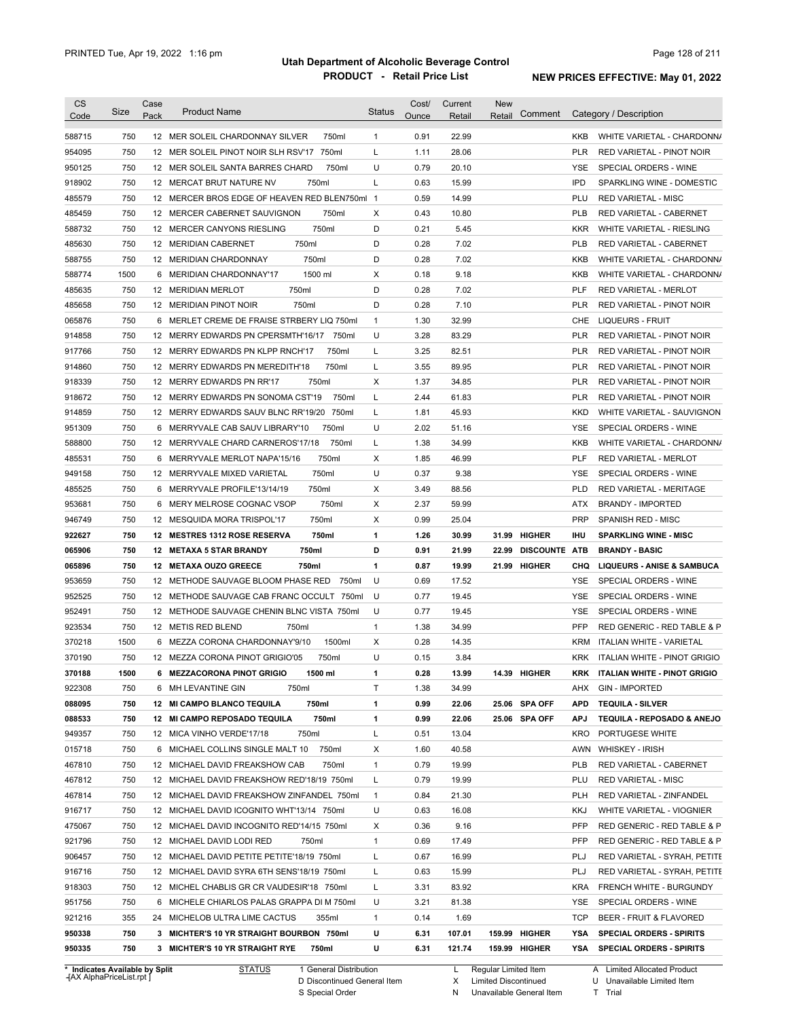| Category / Description<br>Pack<br>Code<br>Ounce<br>Retail<br>Retail<br>750<br>$\mathbf{1}$<br>22.99<br>588715<br>12 MER SOLEIL CHARDONNAY SILVER<br>750ml<br>0.91<br>KKB<br>954095<br>750<br>L<br>28.06<br>12 MER SOLEIL PINOT NOIR SLH RSV'17<br>750ml<br>1.11<br><b>PLR</b><br>U<br>750<br>750ml<br>0.79<br>20.10<br>950125<br>12 MER SOLEIL SANTA BARRES CHARD<br>YSE<br>L<br>750<br>750ml<br>0.63<br>15.99<br><b>IPD</b><br>918902<br>12 MERCAT BRUT NATURE NV<br>750<br>12 MERCER BROS EDGE OF HEAVEN RED BLEN750ml 1<br>0.59<br>14.99<br>PLU<br>485579<br>750<br>Χ<br>0.43<br>10.80<br>485459<br>12 MERCER CABERNET SAUVIGNON<br>750ml<br>PLB<br>D<br>588732<br>750<br>750ml<br>0.21<br>5.45<br>12 MERCER CANYONS RIESLING<br><b>KKR</b><br>750ml<br>750<br>D<br>0.28<br>7.02<br><b>PLB</b><br>485630<br>12 MERIDIAN CABERNET<br>750<br>750ml<br>D<br>0.28<br>7.02<br>588755<br>12 MERIDIAN CHARDONNAY<br>KKB<br>1500<br>6 MERIDIAN CHARDONNAY'17<br>1500 ml<br>Х<br>0.18<br>9.18<br><b>KKB</b><br>588774<br>750<br>750ml<br>D<br>0.28<br>7.02<br><b>PLF</b><br>485635<br>12 MERIDIAN MERLOT<br>750<br>12 MERIDIAN PINOT NOIR<br>750ml<br>D<br>0.28<br>7.10<br><b>PLR</b><br>485658<br>750<br>6 MERLET CREME DE FRAISE STRBERY LIQ 750ml<br>$\mathbf{1}$<br>1.30<br>32.99<br><b>LIQUEURS - FRUIT</b><br>065876<br>CHE<br>U<br>750<br>12 MERRY EDWARDS PN CPERSMTH'16/17 750ml<br>3.28<br>83.29<br><b>PLR</b><br>914858<br>750<br>750ml<br>Г<br>3.25<br>82.51<br><b>PLR</b><br>917766<br>12 MERRY EDWARDS PN KLPP RNCH'17<br>750<br>750ml<br>Г<br>3.55<br>89.95<br><b>PLR</b><br>914860<br>12 MERRY EDWARDS PN MEREDITH'18<br>750<br>750ml<br>Х<br>1.37<br>34.85<br><b>PLR</b><br>918339<br>12 MERRY EDWARDS PN RR'17<br>750<br>750ml<br>Г<br>2.44<br>61.83<br><b>PLR</b><br>918672<br>12 MERRY EDWARDS PN SONOMA CST'19<br>750<br>Г<br>1.81<br>45.93<br><b>KKD</b><br>914859<br>12 MERRY EDWARDS SAUV BLNC RR'19/20<br>750ml<br>750<br>U<br>2.02<br>750ml<br>951309<br>6 MERRYVALE CAB SAUV LIBRARY'10<br>51.16<br>YSE<br>750<br>1.38<br>588800<br>750ml<br>Г<br>34.99<br><b>KKB</b><br>12 MERRYVALE CHARD CARNEROS'17/18<br>750<br>750ml<br>Χ<br>1.85<br>46.99<br>PLF<br>485531<br>6 MERRYVALE MERLOT NAPA'15/16<br>RED VARIETAL - MERLOT<br>U<br>750<br>750ml<br>0.37<br>9.38<br>SPECIAL ORDERS - WINE<br>949158<br>12 MERRYVALE MIXED VARIETAL<br>YSE<br>750<br>750ml<br>Χ<br>3.49<br>88.56<br><b>PLD</b><br>485525<br>6 MERRYVALE PROFILE'13/14/19<br>750<br>750ml<br>Χ<br>2.37<br>59.99<br>953681<br>MERY MELROSE COGNAC VSOP<br>ATX<br><b>BRANDY - IMPORTED</b><br>6<br>750<br>750ml<br>Х<br>0.99<br>25.04<br><b>PRP</b><br>946749<br>12 MESQUIDA MORA TRISPOL'17<br><b>SPANISH RED - MISC</b><br>750<br>750ml<br>1<br>1.26<br>30.99<br><b>HIGHER</b><br>922627<br>12 MESTRES 1312 ROSE RESERVA<br>31.99<br>ihu<br><b>SPARKLING WINE - MISC</b><br>750<br>750ml<br>D<br>0.91<br>065906<br>12 METAXA 5 STAR BRANDY<br>21.99<br>22.99<br><b>DISCOUNTE</b><br>ATB<br><b>BRANDY - BASIC</b><br>750<br>750ml<br>$\mathbf{1}$<br>0.87<br>19.99<br>065896<br>12 METAXA OUZO GREECE<br>21.99<br>HIGHER<br>CHQ<br>750<br>750ml<br>U<br>17.52<br>953659<br>12 METHODE SAUVAGE BLOOM PHASE RED<br>0.69<br>YSE<br>952525<br>750<br>U<br>0.77<br><b>YSE</b><br>12 METHODE SAUVAGE CAB FRANC OCCULT<br>750ml<br>19.45<br>952491<br>750<br>U<br><b>YSE</b><br>12 METHODE SAUVAGE CHENIN BLNC VISTA 750ml<br>0.77<br>19.45<br>PFP<br>923534<br>750<br>$\mathbf{1}$<br>1.38<br>34.99<br>12 METIS RED BLEND<br>750ml<br>370218<br>1500<br>1500ml<br>Х<br>0.28<br>14.35<br><b>KRM</b><br>6 MEZZA CORONA CHARDONNAY'9/10<br>U<br>370190<br>750<br>12 MEZZA CORONA PINOT GRIGIO'05<br>750ml<br>0.15<br>3.84<br><b>KRK</b><br>0.28<br>370188<br>1500<br>13.99<br>14.39 HIGHER<br>KRK<br>6 MEZZACORONA PINOT GRIGIO<br>1500 ml<br>1<br>922308<br>750<br>6 MH LEVANTINE GIN<br>750ml<br>Τ<br>1.38<br>34.99<br><b>GIN - IMPORTED</b><br>AHX<br>088095<br>750ml<br>0.99<br>25.06 SPA OFF<br>750<br>12 MI CAMPO BLANCO TEQUILA<br>1<br>22.06<br>APD<br><b>TEQUILA - SILVER</b><br>088533<br>750<br>750ml<br>0.99<br>22.06<br>12 MI CAMPO REPOSADO TEQUILA<br>1<br>25.06 SPA OFF<br>APJ<br>949357<br>750ml<br>Г<br>13.04<br>750<br>12 MICA VINHO VERDE'17/18<br>0.51<br>KRO<br>PORTUGESE WHITE<br>015718<br>40.58<br>750<br>6 MICHAEL COLLINS SINGLE MALT 10 750ml<br>X<br>1.60<br>AWN WHISKEY - IRISH<br>467810<br>19.99<br>750<br>12 MICHAEL DAVID FREAKSHOW CAB<br>750ml<br>1<br>0.79<br>PLB<br>467812<br>19.99<br>750<br>12 MICHAEL DAVID FREAKSHOW RED'18/19 750ml<br>L<br>0.79<br>PLU<br>467814<br>21.30<br>750<br>12 MICHAEL DAVID FREAKSHOW ZINFANDEL 750ml<br>$\overline{1}$<br>0.84<br><b>PLH</b><br>916717<br>U<br>16.08<br>750<br>12 MICHAEL DAVID ICOGNITO WHT'13/14 750ml<br>0.63<br>KKJ<br>475067<br>750<br>12 MICHAEL DAVID INCOGNITO RED'14/15 750ml<br>X<br>0.36<br>9.16<br>PFP<br>921796<br>17.49<br><b>PFP</b><br>750<br>12 MICHAEL DAVID LODI RED<br>750ml<br>1<br>0.69<br>750<br>L<br>16.99<br>906457<br>12 MICHAEL DAVID PETITE PETITE'18/19 750ml<br>0.67<br>PLJ<br>750<br>15.99<br>916716<br>12 MICHAEL DAVID SYRA 6TH SENS'18/19 750ml<br>L<br>0.63<br>PLJ<br>918303<br>750<br>83.92<br>12 MICHEL CHABLIS GR CR VAUDESIR'18 750ml<br>L<br>3.31<br>KRA<br>951756<br>750<br>U<br>81.38<br>6 MICHELE CHIARLOS PALAS GRAPPA DI M 750ml<br>3.21<br>YSE<br>921216<br>$\mathbf{1}$<br>1.69<br>355<br>24 MICHELOB ULTRA LIME CACTUS<br>0.14<br>TCP<br>355ml<br>950338<br>U<br>107.01<br>750<br>3 MICHTER'S 10 YR STRAIGHT BOURBON 750ml<br>6.31<br>159.99 HIGHER<br>YSA<br>750ml<br>159.99 HIGHER | <b>CS</b> |      | Case |                                |               | Cost/ | Current | New |         |                                       |
|-----------------------------------------------------------------------------------------------------------------------------------------------------------------------------------------------------------------------------------------------------------------------------------------------------------------------------------------------------------------------------------------------------------------------------------------------------------------------------------------------------------------------------------------------------------------------------------------------------------------------------------------------------------------------------------------------------------------------------------------------------------------------------------------------------------------------------------------------------------------------------------------------------------------------------------------------------------------------------------------------------------------------------------------------------------------------------------------------------------------------------------------------------------------------------------------------------------------------------------------------------------------------------------------------------------------------------------------------------------------------------------------------------------------------------------------------------------------------------------------------------------------------------------------------------------------------------------------------------------------------------------------------------------------------------------------------------------------------------------------------------------------------------------------------------------------------------------------------------------------------------------------------------------------------------------------------------------------------------------------------------------------------------------------------------------------------------------------------------------------------------------------------------------------------------------------------------------------------------------------------------------------------------------------------------------------------------------------------------------------------------------------------------------------------------------------------------------------------------------------------------------------------------------------------------------------------------------------------------------------------------------------------------------------------------------------------------------------------------------------------------------------------------------------------------------------------------------------------------------------------------------------------------------------------------------------------------------------------------------------------------------------------------------------------------------------------------------------------------------------------------------------------------------------------------------------------------------------------------------------------------------------------------------------------------------------------------------------------------------------------------------------------------------------------------------------------------------------------------------------------------------------------------------------------------------------------------------------------------------------------------------------------------------------------------------------------------------------------------------------------------------------------------------------------------------------------------------------------------------------------------------------------------------------------------------------------------------------------------------------------------------------------------------------------------------------------------------------------------------------------------------------------------------------------------------------------------------------------------------------------------------------------------------------------------------------------------------------------------------------------------------------------------------------------------------------------------------------------------------------------------------------------------------------------------------------------------------------------------------------------------------------------------------------------------------------------------------------------------------------------------------------------------------------------------------------------------------------------------------------------------------------------------------------------------------------------------------------------------------------------------------------------------------------------------------------------------------------------------------------------------------------------------------------------------------------------------------------------------------------------------------------------------------------------------------------------------------------------------------------------------------------------------------------------------------------------------------------------------------------------------------------------------------------------------------------------------------------------------|-----------|------|------|--------------------------------|---------------|-------|---------|-----|---------|---------------------------------------|
|                                                                                                                                                                                                                                                                                                                                                                                                                                                                                                                                                                                                                                                                                                                                                                                                                                                                                                                                                                                                                                                                                                                                                                                                                                                                                                                                                                                                                                                                                                                                                                                                                                                                                                                                                                                                                                                                                                                                                                                                                                                                                                                                                                                                                                                                                                                                                                                                                                                                                                                                                                                                                                                                                                                                                                                                                                                                                                                                                                                                                                                                                                                                                                                                                                                                                                                                                                                                                                                                                                                                                                                                                                                                                                                                                                                                                                                                                                                                                                                                                                                                                                                                                                                                                                                                                                                                                                                                                                                                                                                                                                                                                                                                                                                                                                                                                                                                                                                                                                                                                                                                                                                                                                                                                                                                                                                                                                                                                                                                                                                                                                                                     |           | Size |      | <b>Product Name</b>            | <b>Status</b> |       |         |     | Comment |                                       |
|                                                                                                                                                                                                                                                                                                                                                                                                                                                                                                                                                                                                                                                                                                                                                                                                                                                                                                                                                                                                                                                                                                                                                                                                                                                                                                                                                                                                                                                                                                                                                                                                                                                                                                                                                                                                                                                                                                                                                                                                                                                                                                                                                                                                                                                                                                                                                                                                                                                                                                                                                                                                                                                                                                                                                                                                                                                                                                                                                                                                                                                                                                                                                                                                                                                                                                                                                                                                                                                                                                                                                                                                                                                                                                                                                                                                                                                                                                                                                                                                                                                                                                                                                                                                                                                                                                                                                                                                                                                                                                                                                                                                                                                                                                                                                                                                                                                                                                                                                                                                                                                                                                                                                                                                                                                                                                                                                                                                                                                                                                                                                                                                     |           |      |      |                                |               |       |         |     |         | WHITE VARIETAL - CHARDONN/            |
|                                                                                                                                                                                                                                                                                                                                                                                                                                                                                                                                                                                                                                                                                                                                                                                                                                                                                                                                                                                                                                                                                                                                                                                                                                                                                                                                                                                                                                                                                                                                                                                                                                                                                                                                                                                                                                                                                                                                                                                                                                                                                                                                                                                                                                                                                                                                                                                                                                                                                                                                                                                                                                                                                                                                                                                                                                                                                                                                                                                                                                                                                                                                                                                                                                                                                                                                                                                                                                                                                                                                                                                                                                                                                                                                                                                                                                                                                                                                                                                                                                                                                                                                                                                                                                                                                                                                                                                                                                                                                                                                                                                                                                                                                                                                                                                                                                                                                                                                                                                                                                                                                                                                                                                                                                                                                                                                                                                                                                                                                                                                                                                                     |           |      |      |                                |               |       |         |     |         | RED VARIETAL - PINOT NOIR             |
|                                                                                                                                                                                                                                                                                                                                                                                                                                                                                                                                                                                                                                                                                                                                                                                                                                                                                                                                                                                                                                                                                                                                                                                                                                                                                                                                                                                                                                                                                                                                                                                                                                                                                                                                                                                                                                                                                                                                                                                                                                                                                                                                                                                                                                                                                                                                                                                                                                                                                                                                                                                                                                                                                                                                                                                                                                                                                                                                                                                                                                                                                                                                                                                                                                                                                                                                                                                                                                                                                                                                                                                                                                                                                                                                                                                                                                                                                                                                                                                                                                                                                                                                                                                                                                                                                                                                                                                                                                                                                                                                                                                                                                                                                                                                                                                                                                                                                                                                                                                                                                                                                                                                                                                                                                                                                                                                                                                                                                                                                                                                                                                                     |           |      |      |                                |               |       |         |     |         | SPECIAL ORDERS - WINE                 |
|                                                                                                                                                                                                                                                                                                                                                                                                                                                                                                                                                                                                                                                                                                                                                                                                                                                                                                                                                                                                                                                                                                                                                                                                                                                                                                                                                                                                                                                                                                                                                                                                                                                                                                                                                                                                                                                                                                                                                                                                                                                                                                                                                                                                                                                                                                                                                                                                                                                                                                                                                                                                                                                                                                                                                                                                                                                                                                                                                                                                                                                                                                                                                                                                                                                                                                                                                                                                                                                                                                                                                                                                                                                                                                                                                                                                                                                                                                                                                                                                                                                                                                                                                                                                                                                                                                                                                                                                                                                                                                                                                                                                                                                                                                                                                                                                                                                                                                                                                                                                                                                                                                                                                                                                                                                                                                                                                                                                                                                                                                                                                                                                     |           |      |      |                                |               |       |         |     |         | SPARKLING WINE - DOMESTIC             |
|                                                                                                                                                                                                                                                                                                                                                                                                                                                                                                                                                                                                                                                                                                                                                                                                                                                                                                                                                                                                                                                                                                                                                                                                                                                                                                                                                                                                                                                                                                                                                                                                                                                                                                                                                                                                                                                                                                                                                                                                                                                                                                                                                                                                                                                                                                                                                                                                                                                                                                                                                                                                                                                                                                                                                                                                                                                                                                                                                                                                                                                                                                                                                                                                                                                                                                                                                                                                                                                                                                                                                                                                                                                                                                                                                                                                                                                                                                                                                                                                                                                                                                                                                                                                                                                                                                                                                                                                                                                                                                                                                                                                                                                                                                                                                                                                                                                                                                                                                                                                                                                                                                                                                                                                                                                                                                                                                                                                                                                                                                                                                                                                     |           |      |      |                                |               |       |         |     |         | <b>RED VARIETAL - MISC</b>            |
|                                                                                                                                                                                                                                                                                                                                                                                                                                                                                                                                                                                                                                                                                                                                                                                                                                                                                                                                                                                                                                                                                                                                                                                                                                                                                                                                                                                                                                                                                                                                                                                                                                                                                                                                                                                                                                                                                                                                                                                                                                                                                                                                                                                                                                                                                                                                                                                                                                                                                                                                                                                                                                                                                                                                                                                                                                                                                                                                                                                                                                                                                                                                                                                                                                                                                                                                                                                                                                                                                                                                                                                                                                                                                                                                                                                                                                                                                                                                                                                                                                                                                                                                                                                                                                                                                                                                                                                                                                                                                                                                                                                                                                                                                                                                                                                                                                                                                                                                                                                                                                                                                                                                                                                                                                                                                                                                                                                                                                                                                                                                                                                                     |           |      |      |                                |               |       |         |     |         | RED VARIETAL - CABERNET               |
|                                                                                                                                                                                                                                                                                                                                                                                                                                                                                                                                                                                                                                                                                                                                                                                                                                                                                                                                                                                                                                                                                                                                                                                                                                                                                                                                                                                                                                                                                                                                                                                                                                                                                                                                                                                                                                                                                                                                                                                                                                                                                                                                                                                                                                                                                                                                                                                                                                                                                                                                                                                                                                                                                                                                                                                                                                                                                                                                                                                                                                                                                                                                                                                                                                                                                                                                                                                                                                                                                                                                                                                                                                                                                                                                                                                                                                                                                                                                                                                                                                                                                                                                                                                                                                                                                                                                                                                                                                                                                                                                                                                                                                                                                                                                                                                                                                                                                                                                                                                                                                                                                                                                                                                                                                                                                                                                                                                                                                                                                                                                                                                                     |           |      |      |                                |               |       |         |     |         | WHITE VARIETAL - RIESLING             |
|                                                                                                                                                                                                                                                                                                                                                                                                                                                                                                                                                                                                                                                                                                                                                                                                                                                                                                                                                                                                                                                                                                                                                                                                                                                                                                                                                                                                                                                                                                                                                                                                                                                                                                                                                                                                                                                                                                                                                                                                                                                                                                                                                                                                                                                                                                                                                                                                                                                                                                                                                                                                                                                                                                                                                                                                                                                                                                                                                                                                                                                                                                                                                                                                                                                                                                                                                                                                                                                                                                                                                                                                                                                                                                                                                                                                                                                                                                                                                                                                                                                                                                                                                                                                                                                                                                                                                                                                                                                                                                                                                                                                                                                                                                                                                                                                                                                                                                                                                                                                                                                                                                                                                                                                                                                                                                                                                                                                                                                                                                                                                                                                     |           |      |      |                                |               |       |         |     |         | RED VARIETAL - CABERNET               |
|                                                                                                                                                                                                                                                                                                                                                                                                                                                                                                                                                                                                                                                                                                                                                                                                                                                                                                                                                                                                                                                                                                                                                                                                                                                                                                                                                                                                                                                                                                                                                                                                                                                                                                                                                                                                                                                                                                                                                                                                                                                                                                                                                                                                                                                                                                                                                                                                                                                                                                                                                                                                                                                                                                                                                                                                                                                                                                                                                                                                                                                                                                                                                                                                                                                                                                                                                                                                                                                                                                                                                                                                                                                                                                                                                                                                                                                                                                                                                                                                                                                                                                                                                                                                                                                                                                                                                                                                                                                                                                                                                                                                                                                                                                                                                                                                                                                                                                                                                                                                                                                                                                                                                                                                                                                                                                                                                                                                                                                                                                                                                                                                     |           |      |      |                                |               |       |         |     |         | WHITE VARIETAL - CHARDONN/            |
|                                                                                                                                                                                                                                                                                                                                                                                                                                                                                                                                                                                                                                                                                                                                                                                                                                                                                                                                                                                                                                                                                                                                                                                                                                                                                                                                                                                                                                                                                                                                                                                                                                                                                                                                                                                                                                                                                                                                                                                                                                                                                                                                                                                                                                                                                                                                                                                                                                                                                                                                                                                                                                                                                                                                                                                                                                                                                                                                                                                                                                                                                                                                                                                                                                                                                                                                                                                                                                                                                                                                                                                                                                                                                                                                                                                                                                                                                                                                                                                                                                                                                                                                                                                                                                                                                                                                                                                                                                                                                                                                                                                                                                                                                                                                                                                                                                                                                                                                                                                                                                                                                                                                                                                                                                                                                                                                                                                                                                                                                                                                                                                                     |           |      |      |                                |               |       |         |     |         | WHITE VARIETAL - CHARDONN/            |
|                                                                                                                                                                                                                                                                                                                                                                                                                                                                                                                                                                                                                                                                                                                                                                                                                                                                                                                                                                                                                                                                                                                                                                                                                                                                                                                                                                                                                                                                                                                                                                                                                                                                                                                                                                                                                                                                                                                                                                                                                                                                                                                                                                                                                                                                                                                                                                                                                                                                                                                                                                                                                                                                                                                                                                                                                                                                                                                                                                                                                                                                                                                                                                                                                                                                                                                                                                                                                                                                                                                                                                                                                                                                                                                                                                                                                                                                                                                                                                                                                                                                                                                                                                                                                                                                                                                                                                                                                                                                                                                                                                                                                                                                                                                                                                                                                                                                                                                                                                                                                                                                                                                                                                                                                                                                                                                                                                                                                                                                                                                                                                                                     |           |      |      |                                |               |       |         |     |         | RED VARIETAL - MERLOT                 |
|                                                                                                                                                                                                                                                                                                                                                                                                                                                                                                                                                                                                                                                                                                                                                                                                                                                                                                                                                                                                                                                                                                                                                                                                                                                                                                                                                                                                                                                                                                                                                                                                                                                                                                                                                                                                                                                                                                                                                                                                                                                                                                                                                                                                                                                                                                                                                                                                                                                                                                                                                                                                                                                                                                                                                                                                                                                                                                                                                                                                                                                                                                                                                                                                                                                                                                                                                                                                                                                                                                                                                                                                                                                                                                                                                                                                                                                                                                                                                                                                                                                                                                                                                                                                                                                                                                                                                                                                                                                                                                                                                                                                                                                                                                                                                                                                                                                                                                                                                                                                                                                                                                                                                                                                                                                                                                                                                                                                                                                                                                                                                                                                     |           |      |      |                                |               |       |         |     |         | RED VARIETAL - PINOT NOIR             |
|                                                                                                                                                                                                                                                                                                                                                                                                                                                                                                                                                                                                                                                                                                                                                                                                                                                                                                                                                                                                                                                                                                                                                                                                                                                                                                                                                                                                                                                                                                                                                                                                                                                                                                                                                                                                                                                                                                                                                                                                                                                                                                                                                                                                                                                                                                                                                                                                                                                                                                                                                                                                                                                                                                                                                                                                                                                                                                                                                                                                                                                                                                                                                                                                                                                                                                                                                                                                                                                                                                                                                                                                                                                                                                                                                                                                                                                                                                                                                                                                                                                                                                                                                                                                                                                                                                                                                                                                                                                                                                                                                                                                                                                                                                                                                                                                                                                                                                                                                                                                                                                                                                                                                                                                                                                                                                                                                                                                                                                                                                                                                                                                     |           |      |      |                                |               |       |         |     |         |                                       |
|                                                                                                                                                                                                                                                                                                                                                                                                                                                                                                                                                                                                                                                                                                                                                                                                                                                                                                                                                                                                                                                                                                                                                                                                                                                                                                                                                                                                                                                                                                                                                                                                                                                                                                                                                                                                                                                                                                                                                                                                                                                                                                                                                                                                                                                                                                                                                                                                                                                                                                                                                                                                                                                                                                                                                                                                                                                                                                                                                                                                                                                                                                                                                                                                                                                                                                                                                                                                                                                                                                                                                                                                                                                                                                                                                                                                                                                                                                                                                                                                                                                                                                                                                                                                                                                                                                                                                                                                                                                                                                                                                                                                                                                                                                                                                                                                                                                                                                                                                                                                                                                                                                                                                                                                                                                                                                                                                                                                                                                                                                                                                                                                     |           |      |      |                                |               |       |         |     |         | RED VARIETAL - PINOT NOIR             |
|                                                                                                                                                                                                                                                                                                                                                                                                                                                                                                                                                                                                                                                                                                                                                                                                                                                                                                                                                                                                                                                                                                                                                                                                                                                                                                                                                                                                                                                                                                                                                                                                                                                                                                                                                                                                                                                                                                                                                                                                                                                                                                                                                                                                                                                                                                                                                                                                                                                                                                                                                                                                                                                                                                                                                                                                                                                                                                                                                                                                                                                                                                                                                                                                                                                                                                                                                                                                                                                                                                                                                                                                                                                                                                                                                                                                                                                                                                                                                                                                                                                                                                                                                                                                                                                                                                                                                                                                                                                                                                                                                                                                                                                                                                                                                                                                                                                                                                                                                                                                                                                                                                                                                                                                                                                                                                                                                                                                                                                                                                                                                                                                     |           |      |      |                                |               |       |         |     |         | RED VARIETAL - PINOT NOIR             |
|                                                                                                                                                                                                                                                                                                                                                                                                                                                                                                                                                                                                                                                                                                                                                                                                                                                                                                                                                                                                                                                                                                                                                                                                                                                                                                                                                                                                                                                                                                                                                                                                                                                                                                                                                                                                                                                                                                                                                                                                                                                                                                                                                                                                                                                                                                                                                                                                                                                                                                                                                                                                                                                                                                                                                                                                                                                                                                                                                                                                                                                                                                                                                                                                                                                                                                                                                                                                                                                                                                                                                                                                                                                                                                                                                                                                                                                                                                                                                                                                                                                                                                                                                                                                                                                                                                                                                                                                                                                                                                                                                                                                                                                                                                                                                                                                                                                                                                                                                                                                                                                                                                                                                                                                                                                                                                                                                                                                                                                                                                                                                                                                     |           |      |      |                                |               |       |         |     |         | RED VARIETAL - PINOT NOIR             |
|                                                                                                                                                                                                                                                                                                                                                                                                                                                                                                                                                                                                                                                                                                                                                                                                                                                                                                                                                                                                                                                                                                                                                                                                                                                                                                                                                                                                                                                                                                                                                                                                                                                                                                                                                                                                                                                                                                                                                                                                                                                                                                                                                                                                                                                                                                                                                                                                                                                                                                                                                                                                                                                                                                                                                                                                                                                                                                                                                                                                                                                                                                                                                                                                                                                                                                                                                                                                                                                                                                                                                                                                                                                                                                                                                                                                                                                                                                                                                                                                                                                                                                                                                                                                                                                                                                                                                                                                                                                                                                                                                                                                                                                                                                                                                                                                                                                                                                                                                                                                                                                                                                                                                                                                                                                                                                                                                                                                                                                                                                                                                                                                     |           |      |      |                                |               |       |         |     |         | RED VARIETAL - PINOT NOIR             |
|                                                                                                                                                                                                                                                                                                                                                                                                                                                                                                                                                                                                                                                                                                                                                                                                                                                                                                                                                                                                                                                                                                                                                                                                                                                                                                                                                                                                                                                                                                                                                                                                                                                                                                                                                                                                                                                                                                                                                                                                                                                                                                                                                                                                                                                                                                                                                                                                                                                                                                                                                                                                                                                                                                                                                                                                                                                                                                                                                                                                                                                                                                                                                                                                                                                                                                                                                                                                                                                                                                                                                                                                                                                                                                                                                                                                                                                                                                                                                                                                                                                                                                                                                                                                                                                                                                                                                                                                                                                                                                                                                                                                                                                                                                                                                                                                                                                                                                                                                                                                                                                                                                                                                                                                                                                                                                                                                                                                                                                                                                                                                                                                     |           |      |      |                                |               |       |         |     |         | RED VARIETAL - PINOT NOIR             |
|                                                                                                                                                                                                                                                                                                                                                                                                                                                                                                                                                                                                                                                                                                                                                                                                                                                                                                                                                                                                                                                                                                                                                                                                                                                                                                                                                                                                                                                                                                                                                                                                                                                                                                                                                                                                                                                                                                                                                                                                                                                                                                                                                                                                                                                                                                                                                                                                                                                                                                                                                                                                                                                                                                                                                                                                                                                                                                                                                                                                                                                                                                                                                                                                                                                                                                                                                                                                                                                                                                                                                                                                                                                                                                                                                                                                                                                                                                                                                                                                                                                                                                                                                                                                                                                                                                                                                                                                                                                                                                                                                                                                                                                                                                                                                                                                                                                                                                                                                                                                                                                                                                                                                                                                                                                                                                                                                                                                                                                                                                                                                                                                     |           |      |      |                                |               |       |         |     |         | WHITE VARIETAL - SAUVIGNON            |
|                                                                                                                                                                                                                                                                                                                                                                                                                                                                                                                                                                                                                                                                                                                                                                                                                                                                                                                                                                                                                                                                                                                                                                                                                                                                                                                                                                                                                                                                                                                                                                                                                                                                                                                                                                                                                                                                                                                                                                                                                                                                                                                                                                                                                                                                                                                                                                                                                                                                                                                                                                                                                                                                                                                                                                                                                                                                                                                                                                                                                                                                                                                                                                                                                                                                                                                                                                                                                                                                                                                                                                                                                                                                                                                                                                                                                                                                                                                                                                                                                                                                                                                                                                                                                                                                                                                                                                                                                                                                                                                                                                                                                                                                                                                                                                                                                                                                                                                                                                                                                                                                                                                                                                                                                                                                                                                                                                                                                                                                                                                                                                                                     |           |      |      |                                |               |       |         |     |         | SPECIAL ORDERS - WINE                 |
|                                                                                                                                                                                                                                                                                                                                                                                                                                                                                                                                                                                                                                                                                                                                                                                                                                                                                                                                                                                                                                                                                                                                                                                                                                                                                                                                                                                                                                                                                                                                                                                                                                                                                                                                                                                                                                                                                                                                                                                                                                                                                                                                                                                                                                                                                                                                                                                                                                                                                                                                                                                                                                                                                                                                                                                                                                                                                                                                                                                                                                                                                                                                                                                                                                                                                                                                                                                                                                                                                                                                                                                                                                                                                                                                                                                                                                                                                                                                                                                                                                                                                                                                                                                                                                                                                                                                                                                                                                                                                                                                                                                                                                                                                                                                                                                                                                                                                                                                                                                                                                                                                                                                                                                                                                                                                                                                                                                                                                                                                                                                                                                                     |           |      |      |                                |               |       |         |     |         | WHITE VARIETAL - CHARDONN/            |
|                                                                                                                                                                                                                                                                                                                                                                                                                                                                                                                                                                                                                                                                                                                                                                                                                                                                                                                                                                                                                                                                                                                                                                                                                                                                                                                                                                                                                                                                                                                                                                                                                                                                                                                                                                                                                                                                                                                                                                                                                                                                                                                                                                                                                                                                                                                                                                                                                                                                                                                                                                                                                                                                                                                                                                                                                                                                                                                                                                                                                                                                                                                                                                                                                                                                                                                                                                                                                                                                                                                                                                                                                                                                                                                                                                                                                                                                                                                                                                                                                                                                                                                                                                                                                                                                                                                                                                                                                                                                                                                                                                                                                                                                                                                                                                                                                                                                                                                                                                                                                                                                                                                                                                                                                                                                                                                                                                                                                                                                                                                                                                                                     |           |      |      |                                |               |       |         |     |         |                                       |
|                                                                                                                                                                                                                                                                                                                                                                                                                                                                                                                                                                                                                                                                                                                                                                                                                                                                                                                                                                                                                                                                                                                                                                                                                                                                                                                                                                                                                                                                                                                                                                                                                                                                                                                                                                                                                                                                                                                                                                                                                                                                                                                                                                                                                                                                                                                                                                                                                                                                                                                                                                                                                                                                                                                                                                                                                                                                                                                                                                                                                                                                                                                                                                                                                                                                                                                                                                                                                                                                                                                                                                                                                                                                                                                                                                                                                                                                                                                                                                                                                                                                                                                                                                                                                                                                                                                                                                                                                                                                                                                                                                                                                                                                                                                                                                                                                                                                                                                                                                                                                                                                                                                                                                                                                                                                                                                                                                                                                                                                                                                                                                                                     |           |      |      |                                |               |       |         |     |         |                                       |
|                                                                                                                                                                                                                                                                                                                                                                                                                                                                                                                                                                                                                                                                                                                                                                                                                                                                                                                                                                                                                                                                                                                                                                                                                                                                                                                                                                                                                                                                                                                                                                                                                                                                                                                                                                                                                                                                                                                                                                                                                                                                                                                                                                                                                                                                                                                                                                                                                                                                                                                                                                                                                                                                                                                                                                                                                                                                                                                                                                                                                                                                                                                                                                                                                                                                                                                                                                                                                                                                                                                                                                                                                                                                                                                                                                                                                                                                                                                                                                                                                                                                                                                                                                                                                                                                                                                                                                                                                                                                                                                                                                                                                                                                                                                                                                                                                                                                                                                                                                                                                                                                                                                                                                                                                                                                                                                                                                                                                                                                                                                                                                                                     |           |      |      |                                |               |       |         |     |         | RED VARIETAL - MERITAGE               |
|                                                                                                                                                                                                                                                                                                                                                                                                                                                                                                                                                                                                                                                                                                                                                                                                                                                                                                                                                                                                                                                                                                                                                                                                                                                                                                                                                                                                                                                                                                                                                                                                                                                                                                                                                                                                                                                                                                                                                                                                                                                                                                                                                                                                                                                                                                                                                                                                                                                                                                                                                                                                                                                                                                                                                                                                                                                                                                                                                                                                                                                                                                                                                                                                                                                                                                                                                                                                                                                                                                                                                                                                                                                                                                                                                                                                                                                                                                                                                                                                                                                                                                                                                                                                                                                                                                                                                                                                                                                                                                                                                                                                                                                                                                                                                                                                                                                                                                                                                                                                                                                                                                                                                                                                                                                                                                                                                                                                                                                                                                                                                                                                     |           |      |      |                                |               |       |         |     |         |                                       |
|                                                                                                                                                                                                                                                                                                                                                                                                                                                                                                                                                                                                                                                                                                                                                                                                                                                                                                                                                                                                                                                                                                                                                                                                                                                                                                                                                                                                                                                                                                                                                                                                                                                                                                                                                                                                                                                                                                                                                                                                                                                                                                                                                                                                                                                                                                                                                                                                                                                                                                                                                                                                                                                                                                                                                                                                                                                                                                                                                                                                                                                                                                                                                                                                                                                                                                                                                                                                                                                                                                                                                                                                                                                                                                                                                                                                                                                                                                                                                                                                                                                                                                                                                                                                                                                                                                                                                                                                                                                                                                                                                                                                                                                                                                                                                                                                                                                                                                                                                                                                                                                                                                                                                                                                                                                                                                                                                                                                                                                                                                                                                                                                     |           |      |      |                                |               |       |         |     |         |                                       |
|                                                                                                                                                                                                                                                                                                                                                                                                                                                                                                                                                                                                                                                                                                                                                                                                                                                                                                                                                                                                                                                                                                                                                                                                                                                                                                                                                                                                                                                                                                                                                                                                                                                                                                                                                                                                                                                                                                                                                                                                                                                                                                                                                                                                                                                                                                                                                                                                                                                                                                                                                                                                                                                                                                                                                                                                                                                                                                                                                                                                                                                                                                                                                                                                                                                                                                                                                                                                                                                                                                                                                                                                                                                                                                                                                                                                                                                                                                                                                                                                                                                                                                                                                                                                                                                                                                                                                                                                                                                                                                                                                                                                                                                                                                                                                                                                                                                                                                                                                                                                                                                                                                                                                                                                                                                                                                                                                                                                                                                                                                                                                                                                     |           |      |      |                                |               |       |         |     |         |                                       |
|                                                                                                                                                                                                                                                                                                                                                                                                                                                                                                                                                                                                                                                                                                                                                                                                                                                                                                                                                                                                                                                                                                                                                                                                                                                                                                                                                                                                                                                                                                                                                                                                                                                                                                                                                                                                                                                                                                                                                                                                                                                                                                                                                                                                                                                                                                                                                                                                                                                                                                                                                                                                                                                                                                                                                                                                                                                                                                                                                                                                                                                                                                                                                                                                                                                                                                                                                                                                                                                                                                                                                                                                                                                                                                                                                                                                                                                                                                                                                                                                                                                                                                                                                                                                                                                                                                                                                                                                                                                                                                                                                                                                                                                                                                                                                                                                                                                                                                                                                                                                                                                                                                                                                                                                                                                                                                                                                                                                                                                                                                                                                                                                     |           |      |      |                                |               |       |         |     |         |                                       |
|                                                                                                                                                                                                                                                                                                                                                                                                                                                                                                                                                                                                                                                                                                                                                                                                                                                                                                                                                                                                                                                                                                                                                                                                                                                                                                                                                                                                                                                                                                                                                                                                                                                                                                                                                                                                                                                                                                                                                                                                                                                                                                                                                                                                                                                                                                                                                                                                                                                                                                                                                                                                                                                                                                                                                                                                                                                                                                                                                                                                                                                                                                                                                                                                                                                                                                                                                                                                                                                                                                                                                                                                                                                                                                                                                                                                                                                                                                                                                                                                                                                                                                                                                                                                                                                                                                                                                                                                                                                                                                                                                                                                                                                                                                                                                                                                                                                                                                                                                                                                                                                                                                                                                                                                                                                                                                                                                                                                                                                                                                                                                                                                     |           |      |      |                                |               |       |         |     |         | <b>LIQUEURS - ANISE &amp; SAMBUCA</b> |
|                                                                                                                                                                                                                                                                                                                                                                                                                                                                                                                                                                                                                                                                                                                                                                                                                                                                                                                                                                                                                                                                                                                                                                                                                                                                                                                                                                                                                                                                                                                                                                                                                                                                                                                                                                                                                                                                                                                                                                                                                                                                                                                                                                                                                                                                                                                                                                                                                                                                                                                                                                                                                                                                                                                                                                                                                                                                                                                                                                                                                                                                                                                                                                                                                                                                                                                                                                                                                                                                                                                                                                                                                                                                                                                                                                                                                                                                                                                                                                                                                                                                                                                                                                                                                                                                                                                                                                                                                                                                                                                                                                                                                                                                                                                                                                                                                                                                                                                                                                                                                                                                                                                                                                                                                                                                                                                                                                                                                                                                                                                                                                                                     |           |      |      |                                |               |       |         |     |         | SPECIAL ORDERS - WINE                 |
|                                                                                                                                                                                                                                                                                                                                                                                                                                                                                                                                                                                                                                                                                                                                                                                                                                                                                                                                                                                                                                                                                                                                                                                                                                                                                                                                                                                                                                                                                                                                                                                                                                                                                                                                                                                                                                                                                                                                                                                                                                                                                                                                                                                                                                                                                                                                                                                                                                                                                                                                                                                                                                                                                                                                                                                                                                                                                                                                                                                                                                                                                                                                                                                                                                                                                                                                                                                                                                                                                                                                                                                                                                                                                                                                                                                                                                                                                                                                                                                                                                                                                                                                                                                                                                                                                                                                                                                                                                                                                                                                                                                                                                                                                                                                                                                                                                                                                                                                                                                                                                                                                                                                                                                                                                                                                                                                                                                                                                                                                                                                                                                                     |           |      |      |                                |               |       |         |     |         | SPECIAL ORDERS - WINE                 |
|                                                                                                                                                                                                                                                                                                                                                                                                                                                                                                                                                                                                                                                                                                                                                                                                                                                                                                                                                                                                                                                                                                                                                                                                                                                                                                                                                                                                                                                                                                                                                                                                                                                                                                                                                                                                                                                                                                                                                                                                                                                                                                                                                                                                                                                                                                                                                                                                                                                                                                                                                                                                                                                                                                                                                                                                                                                                                                                                                                                                                                                                                                                                                                                                                                                                                                                                                                                                                                                                                                                                                                                                                                                                                                                                                                                                                                                                                                                                                                                                                                                                                                                                                                                                                                                                                                                                                                                                                                                                                                                                                                                                                                                                                                                                                                                                                                                                                                                                                                                                                                                                                                                                                                                                                                                                                                                                                                                                                                                                                                                                                                                                     |           |      |      |                                |               |       |         |     |         | SPECIAL ORDERS - WINE                 |
|                                                                                                                                                                                                                                                                                                                                                                                                                                                                                                                                                                                                                                                                                                                                                                                                                                                                                                                                                                                                                                                                                                                                                                                                                                                                                                                                                                                                                                                                                                                                                                                                                                                                                                                                                                                                                                                                                                                                                                                                                                                                                                                                                                                                                                                                                                                                                                                                                                                                                                                                                                                                                                                                                                                                                                                                                                                                                                                                                                                                                                                                                                                                                                                                                                                                                                                                                                                                                                                                                                                                                                                                                                                                                                                                                                                                                                                                                                                                                                                                                                                                                                                                                                                                                                                                                                                                                                                                                                                                                                                                                                                                                                                                                                                                                                                                                                                                                                                                                                                                                                                                                                                                                                                                                                                                                                                                                                                                                                                                                                                                                                                                     |           |      |      |                                |               |       |         |     |         | RED GENERIC - RED TABLE & P           |
|                                                                                                                                                                                                                                                                                                                                                                                                                                                                                                                                                                                                                                                                                                                                                                                                                                                                                                                                                                                                                                                                                                                                                                                                                                                                                                                                                                                                                                                                                                                                                                                                                                                                                                                                                                                                                                                                                                                                                                                                                                                                                                                                                                                                                                                                                                                                                                                                                                                                                                                                                                                                                                                                                                                                                                                                                                                                                                                                                                                                                                                                                                                                                                                                                                                                                                                                                                                                                                                                                                                                                                                                                                                                                                                                                                                                                                                                                                                                                                                                                                                                                                                                                                                                                                                                                                                                                                                                                                                                                                                                                                                                                                                                                                                                                                                                                                                                                                                                                                                                                                                                                                                                                                                                                                                                                                                                                                                                                                                                                                                                                                                                     |           |      |      |                                |               |       |         |     |         | ITALIAN WHITE - VARIETAL              |
|                                                                                                                                                                                                                                                                                                                                                                                                                                                                                                                                                                                                                                                                                                                                                                                                                                                                                                                                                                                                                                                                                                                                                                                                                                                                                                                                                                                                                                                                                                                                                                                                                                                                                                                                                                                                                                                                                                                                                                                                                                                                                                                                                                                                                                                                                                                                                                                                                                                                                                                                                                                                                                                                                                                                                                                                                                                                                                                                                                                                                                                                                                                                                                                                                                                                                                                                                                                                                                                                                                                                                                                                                                                                                                                                                                                                                                                                                                                                                                                                                                                                                                                                                                                                                                                                                                                                                                                                                                                                                                                                                                                                                                                                                                                                                                                                                                                                                                                                                                                                                                                                                                                                                                                                                                                                                                                                                                                                                                                                                                                                                                                                     |           |      |      |                                |               |       |         |     |         | ITALIAN WHITE - PINOT GRIGIO          |
|                                                                                                                                                                                                                                                                                                                                                                                                                                                                                                                                                                                                                                                                                                                                                                                                                                                                                                                                                                                                                                                                                                                                                                                                                                                                                                                                                                                                                                                                                                                                                                                                                                                                                                                                                                                                                                                                                                                                                                                                                                                                                                                                                                                                                                                                                                                                                                                                                                                                                                                                                                                                                                                                                                                                                                                                                                                                                                                                                                                                                                                                                                                                                                                                                                                                                                                                                                                                                                                                                                                                                                                                                                                                                                                                                                                                                                                                                                                                                                                                                                                                                                                                                                                                                                                                                                                                                                                                                                                                                                                                                                                                                                                                                                                                                                                                                                                                                                                                                                                                                                                                                                                                                                                                                                                                                                                                                                                                                                                                                                                                                                                                     |           |      |      |                                |               |       |         |     |         | <b>ITALIAN WHITE - PINOT GRIGIO</b>   |
|                                                                                                                                                                                                                                                                                                                                                                                                                                                                                                                                                                                                                                                                                                                                                                                                                                                                                                                                                                                                                                                                                                                                                                                                                                                                                                                                                                                                                                                                                                                                                                                                                                                                                                                                                                                                                                                                                                                                                                                                                                                                                                                                                                                                                                                                                                                                                                                                                                                                                                                                                                                                                                                                                                                                                                                                                                                                                                                                                                                                                                                                                                                                                                                                                                                                                                                                                                                                                                                                                                                                                                                                                                                                                                                                                                                                                                                                                                                                                                                                                                                                                                                                                                                                                                                                                                                                                                                                                                                                                                                                                                                                                                                                                                                                                                                                                                                                                                                                                                                                                                                                                                                                                                                                                                                                                                                                                                                                                                                                                                                                                                                                     |           |      |      |                                |               |       |         |     |         |                                       |
|                                                                                                                                                                                                                                                                                                                                                                                                                                                                                                                                                                                                                                                                                                                                                                                                                                                                                                                                                                                                                                                                                                                                                                                                                                                                                                                                                                                                                                                                                                                                                                                                                                                                                                                                                                                                                                                                                                                                                                                                                                                                                                                                                                                                                                                                                                                                                                                                                                                                                                                                                                                                                                                                                                                                                                                                                                                                                                                                                                                                                                                                                                                                                                                                                                                                                                                                                                                                                                                                                                                                                                                                                                                                                                                                                                                                                                                                                                                                                                                                                                                                                                                                                                                                                                                                                                                                                                                                                                                                                                                                                                                                                                                                                                                                                                                                                                                                                                                                                                                                                                                                                                                                                                                                                                                                                                                                                                                                                                                                                                                                                                                                     |           |      |      |                                |               |       |         |     |         |                                       |
|                                                                                                                                                                                                                                                                                                                                                                                                                                                                                                                                                                                                                                                                                                                                                                                                                                                                                                                                                                                                                                                                                                                                                                                                                                                                                                                                                                                                                                                                                                                                                                                                                                                                                                                                                                                                                                                                                                                                                                                                                                                                                                                                                                                                                                                                                                                                                                                                                                                                                                                                                                                                                                                                                                                                                                                                                                                                                                                                                                                                                                                                                                                                                                                                                                                                                                                                                                                                                                                                                                                                                                                                                                                                                                                                                                                                                                                                                                                                                                                                                                                                                                                                                                                                                                                                                                                                                                                                                                                                                                                                                                                                                                                                                                                                                                                                                                                                                                                                                                                                                                                                                                                                                                                                                                                                                                                                                                                                                                                                                                                                                                                                     |           |      |      |                                |               |       |         |     |         | TEQUILA - REPOSADO & ANEJO            |
|                                                                                                                                                                                                                                                                                                                                                                                                                                                                                                                                                                                                                                                                                                                                                                                                                                                                                                                                                                                                                                                                                                                                                                                                                                                                                                                                                                                                                                                                                                                                                                                                                                                                                                                                                                                                                                                                                                                                                                                                                                                                                                                                                                                                                                                                                                                                                                                                                                                                                                                                                                                                                                                                                                                                                                                                                                                                                                                                                                                                                                                                                                                                                                                                                                                                                                                                                                                                                                                                                                                                                                                                                                                                                                                                                                                                                                                                                                                                                                                                                                                                                                                                                                                                                                                                                                                                                                                                                                                                                                                                                                                                                                                                                                                                                                                                                                                                                                                                                                                                                                                                                                                                                                                                                                                                                                                                                                                                                                                                                                                                                                                                     |           |      |      |                                |               |       |         |     |         |                                       |
|                                                                                                                                                                                                                                                                                                                                                                                                                                                                                                                                                                                                                                                                                                                                                                                                                                                                                                                                                                                                                                                                                                                                                                                                                                                                                                                                                                                                                                                                                                                                                                                                                                                                                                                                                                                                                                                                                                                                                                                                                                                                                                                                                                                                                                                                                                                                                                                                                                                                                                                                                                                                                                                                                                                                                                                                                                                                                                                                                                                                                                                                                                                                                                                                                                                                                                                                                                                                                                                                                                                                                                                                                                                                                                                                                                                                                                                                                                                                                                                                                                                                                                                                                                                                                                                                                                                                                                                                                                                                                                                                                                                                                                                                                                                                                                                                                                                                                                                                                                                                                                                                                                                                                                                                                                                                                                                                                                                                                                                                                                                                                                                                     |           |      |      |                                |               |       |         |     |         |                                       |
|                                                                                                                                                                                                                                                                                                                                                                                                                                                                                                                                                                                                                                                                                                                                                                                                                                                                                                                                                                                                                                                                                                                                                                                                                                                                                                                                                                                                                                                                                                                                                                                                                                                                                                                                                                                                                                                                                                                                                                                                                                                                                                                                                                                                                                                                                                                                                                                                                                                                                                                                                                                                                                                                                                                                                                                                                                                                                                                                                                                                                                                                                                                                                                                                                                                                                                                                                                                                                                                                                                                                                                                                                                                                                                                                                                                                                                                                                                                                                                                                                                                                                                                                                                                                                                                                                                                                                                                                                                                                                                                                                                                                                                                                                                                                                                                                                                                                                                                                                                                                                                                                                                                                                                                                                                                                                                                                                                                                                                                                                                                                                                                                     |           |      |      |                                |               |       |         |     |         | RED VARIETAL - CABERNET               |
|                                                                                                                                                                                                                                                                                                                                                                                                                                                                                                                                                                                                                                                                                                                                                                                                                                                                                                                                                                                                                                                                                                                                                                                                                                                                                                                                                                                                                                                                                                                                                                                                                                                                                                                                                                                                                                                                                                                                                                                                                                                                                                                                                                                                                                                                                                                                                                                                                                                                                                                                                                                                                                                                                                                                                                                                                                                                                                                                                                                                                                                                                                                                                                                                                                                                                                                                                                                                                                                                                                                                                                                                                                                                                                                                                                                                                                                                                                                                                                                                                                                                                                                                                                                                                                                                                                                                                                                                                                                                                                                                                                                                                                                                                                                                                                                                                                                                                                                                                                                                                                                                                                                                                                                                                                                                                                                                                                                                                                                                                                                                                                                                     |           |      |      |                                |               |       |         |     |         | <b>RED VARIETAL - MISC</b>            |
|                                                                                                                                                                                                                                                                                                                                                                                                                                                                                                                                                                                                                                                                                                                                                                                                                                                                                                                                                                                                                                                                                                                                                                                                                                                                                                                                                                                                                                                                                                                                                                                                                                                                                                                                                                                                                                                                                                                                                                                                                                                                                                                                                                                                                                                                                                                                                                                                                                                                                                                                                                                                                                                                                                                                                                                                                                                                                                                                                                                                                                                                                                                                                                                                                                                                                                                                                                                                                                                                                                                                                                                                                                                                                                                                                                                                                                                                                                                                                                                                                                                                                                                                                                                                                                                                                                                                                                                                                                                                                                                                                                                                                                                                                                                                                                                                                                                                                                                                                                                                                                                                                                                                                                                                                                                                                                                                                                                                                                                                                                                                                                                                     |           |      |      |                                |               |       |         |     |         | RED VARIETAL - ZINFANDEL              |
|                                                                                                                                                                                                                                                                                                                                                                                                                                                                                                                                                                                                                                                                                                                                                                                                                                                                                                                                                                                                                                                                                                                                                                                                                                                                                                                                                                                                                                                                                                                                                                                                                                                                                                                                                                                                                                                                                                                                                                                                                                                                                                                                                                                                                                                                                                                                                                                                                                                                                                                                                                                                                                                                                                                                                                                                                                                                                                                                                                                                                                                                                                                                                                                                                                                                                                                                                                                                                                                                                                                                                                                                                                                                                                                                                                                                                                                                                                                                                                                                                                                                                                                                                                                                                                                                                                                                                                                                                                                                                                                                                                                                                                                                                                                                                                                                                                                                                                                                                                                                                                                                                                                                                                                                                                                                                                                                                                                                                                                                                                                                                                                                     |           |      |      |                                |               |       |         |     |         | WHITE VARIETAL - VIOGNIER             |
|                                                                                                                                                                                                                                                                                                                                                                                                                                                                                                                                                                                                                                                                                                                                                                                                                                                                                                                                                                                                                                                                                                                                                                                                                                                                                                                                                                                                                                                                                                                                                                                                                                                                                                                                                                                                                                                                                                                                                                                                                                                                                                                                                                                                                                                                                                                                                                                                                                                                                                                                                                                                                                                                                                                                                                                                                                                                                                                                                                                                                                                                                                                                                                                                                                                                                                                                                                                                                                                                                                                                                                                                                                                                                                                                                                                                                                                                                                                                                                                                                                                                                                                                                                                                                                                                                                                                                                                                                                                                                                                                                                                                                                                                                                                                                                                                                                                                                                                                                                                                                                                                                                                                                                                                                                                                                                                                                                                                                                                                                                                                                                                                     |           |      |      |                                |               |       |         |     |         | RED GENERIC - RED TABLE & P           |
|                                                                                                                                                                                                                                                                                                                                                                                                                                                                                                                                                                                                                                                                                                                                                                                                                                                                                                                                                                                                                                                                                                                                                                                                                                                                                                                                                                                                                                                                                                                                                                                                                                                                                                                                                                                                                                                                                                                                                                                                                                                                                                                                                                                                                                                                                                                                                                                                                                                                                                                                                                                                                                                                                                                                                                                                                                                                                                                                                                                                                                                                                                                                                                                                                                                                                                                                                                                                                                                                                                                                                                                                                                                                                                                                                                                                                                                                                                                                                                                                                                                                                                                                                                                                                                                                                                                                                                                                                                                                                                                                                                                                                                                                                                                                                                                                                                                                                                                                                                                                                                                                                                                                                                                                                                                                                                                                                                                                                                                                                                                                                                                                     |           |      |      |                                |               |       |         |     |         | RED GENERIC - RED TABLE & P           |
|                                                                                                                                                                                                                                                                                                                                                                                                                                                                                                                                                                                                                                                                                                                                                                                                                                                                                                                                                                                                                                                                                                                                                                                                                                                                                                                                                                                                                                                                                                                                                                                                                                                                                                                                                                                                                                                                                                                                                                                                                                                                                                                                                                                                                                                                                                                                                                                                                                                                                                                                                                                                                                                                                                                                                                                                                                                                                                                                                                                                                                                                                                                                                                                                                                                                                                                                                                                                                                                                                                                                                                                                                                                                                                                                                                                                                                                                                                                                                                                                                                                                                                                                                                                                                                                                                                                                                                                                                                                                                                                                                                                                                                                                                                                                                                                                                                                                                                                                                                                                                                                                                                                                                                                                                                                                                                                                                                                                                                                                                                                                                                                                     |           |      |      |                                |               |       |         |     |         | RED VARIETAL - SYRAH, PETITE          |
|                                                                                                                                                                                                                                                                                                                                                                                                                                                                                                                                                                                                                                                                                                                                                                                                                                                                                                                                                                                                                                                                                                                                                                                                                                                                                                                                                                                                                                                                                                                                                                                                                                                                                                                                                                                                                                                                                                                                                                                                                                                                                                                                                                                                                                                                                                                                                                                                                                                                                                                                                                                                                                                                                                                                                                                                                                                                                                                                                                                                                                                                                                                                                                                                                                                                                                                                                                                                                                                                                                                                                                                                                                                                                                                                                                                                                                                                                                                                                                                                                                                                                                                                                                                                                                                                                                                                                                                                                                                                                                                                                                                                                                                                                                                                                                                                                                                                                                                                                                                                                                                                                                                                                                                                                                                                                                                                                                                                                                                                                                                                                                                                     |           |      |      |                                |               |       |         |     |         | RED VARIETAL - SYRAH, PETITE          |
|                                                                                                                                                                                                                                                                                                                                                                                                                                                                                                                                                                                                                                                                                                                                                                                                                                                                                                                                                                                                                                                                                                                                                                                                                                                                                                                                                                                                                                                                                                                                                                                                                                                                                                                                                                                                                                                                                                                                                                                                                                                                                                                                                                                                                                                                                                                                                                                                                                                                                                                                                                                                                                                                                                                                                                                                                                                                                                                                                                                                                                                                                                                                                                                                                                                                                                                                                                                                                                                                                                                                                                                                                                                                                                                                                                                                                                                                                                                                                                                                                                                                                                                                                                                                                                                                                                                                                                                                                                                                                                                                                                                                                                                                                                                                                                                                                                                                                                                                                                                                                                                                                                                                                                                                                                                                                                                                                                                                                                                                                                                                                                                                     |           |      |      |                                |               |       |         |     |         | FRENCH WHITE - BURGUNDY               |
|                                                                                                                                                                                                                                                                                                                                                                                                                                                                                                                                                                                                                                                                                                                                                                                                                                                                                                                                                                                                                                                                                                                                                                                                                                                                                                                                                                                                                                                                                                                                                                                                                                                                                                                                                                                                                                                                                                                                                                                                                                                                                                                                                                                                                                                                                                                                                                                                                                                                                                                                                                                                                                                                                                                                                                                                                                                                                                                                                                                                                                                                                                                                                                                                                                                                                                                                                                                                                                                                                                                                                                                                                                                                                                                                                                                                                                                                                                                                                                                                                                                                                                                                                                                                                                                                                                                                                                                                                                                                                                                                                                                                                                                                                                                                                                                                                                                                                                                                                                                                                                                                                                                                                                                                                                                                                                                                                                                                                                                                                                                                                                                                     |           |      |      |                                |               |       |         |     |         |                                       |
|                                                                                                                                                                                                                                                                                                                                                                                                                                                                                                                                                                                                                                                                                                                                                                                                                                                                                                                                                                                                                                                                                                                                                                                                                                                                                                                                                                                                                                                                                                                                                                                                                                                                                                                                                                                                                                                                                                                                                                                                                                                                                                                                                                                                                                                                                                                                                                                                                                                                                                                                                                                                                                                                                                                                                                                                                                                                                                                                                                                                                                                                                                                                                                                                                                                                                                                                                                                                                                                                                                                                                                                                                                                                                                                                                                                                                                                                                                                                                                                                                                                                                                                                                                                                                                                                                                                                                                                                                                                                                                                                                                                                                                                                                                                                                                                                                                                                                                                                                                                                                                                                                                                                                                                                                                                                                                                                                                                                                                                                                                                                                                                                     |           |      |      |                                |               |       |         |     |         | SPECIAL ORDERS - WINE                 |
|                                                                                                                                                                                                                                                                                                                                                                                                                                                                                                                                                                                                                                                                                                                                                                                                                                                                                                                                                                                                                                                                                                                                                                                                                                                                                                                                                                                                                                                                                                                                                                                                                                                                                                                                                                                                                                                                                                                                                                                                                                                                                                                                                                                                                                                                                                                                                                                                                                                                                                                                                                                                                                                                                                                                                                                                                                                                                                                                                                                                                                                                                                                                                                                                                                                                                                                                                                                                                                                                                                                                                                                                                                                                                                                                                                                                                                                                                                                                                                                                                                                                                                                                                                                                                                                                                                                                                                                                                                                                                                                                                                                                                                                                                                                                                                                                                                                                                                                                                                                                                                                                                                                                                                                                                                                                                                                                                                                                                                                                                                                                                                                                     |           |      |      |                                |               |       |         |     |         | BEER - FRUIT & FLAVORED               |
|                                                                                                                                                                                                                                                                                                                                                                                                                                                                                                                                                                                                                                                                                                                                                                                                                                                                                                                                                                                                                                                                                                                                                                                                                                                                                                                                                                                                                                                                                                                                                                                                                                                                                                                                                                                                                                                                                                                                                                                                                                                                                                                                                                                                                                                                                                                                                                                                                                                                                                                                                                                                                                                                                                                                                                                                                                                                                                                                                                                                                                                                                                                                                                                                                                                                                                                                                                                                                                                                                                                                                                                                                                                                                                                                                                                                                                                                                                                                                                                                                                                                                                                                                                                                                                                                                                                                                                                                                                                                                                                                                                                                                                                                                                                                                                                                                                                                                                                                                                                                                                                                                                                                                                                                                                                                                                                                                                                                                                                                                                                                                                                                     |           |      |      |                                |               |       |         |     |         | <b>SPECIAL ORDERS - SPIRITS</b>       |
| * Indicates Available by Split<br><b>STATUS</b><br>1 General Distribution<br>Regular Limited Item<br>A Limited Allocated Product<br>L.                                                                                                                                                                                                                                                                                                                                                                                                                                                                                                                                                                                                                                                                                                                                                                                                                                                                                                                                                                                                                                                                                                                                                                                                                                                                                                                                                                                                                                                                                                                                                                                                                                                                                                                                                                                                                                                                                                                                                                                                                                                                                                                                                                                                                                                                                                                                                                                                                                                                                                                                                                                                                                                                                                                                                                                                                                                                                                                                                                                                                                                                                                                                                                                                                                                                                                                                                                                                                                                                                                                                                                                                                                                                                                                                                                                                                                                                                                                                                                                                                                                                                                                                                                                                                                                                                                                                                                                                                                                                                                                                                                                                                                                                                                                                                                                                                                                                                                                                                                                                                                                                                                                                                                                                                                                                                                                                                                                                                                                              | 950335    | 750  |      | 3 MICHTER'S 10 YR STRAIGHT RYE | U             | 6.31  | 121.74  |     |         | YSA SPECIAL ORDERS - SPIRITS          |

**Case** [AX AlphaPriceList.rpt ]

D Discontinued General Item

S Special Order

L Regular Limited Item

X N Limited Discontinued

Unavailable General Item

A Limited Allocated Product

U T Unavailable Limited Item Trial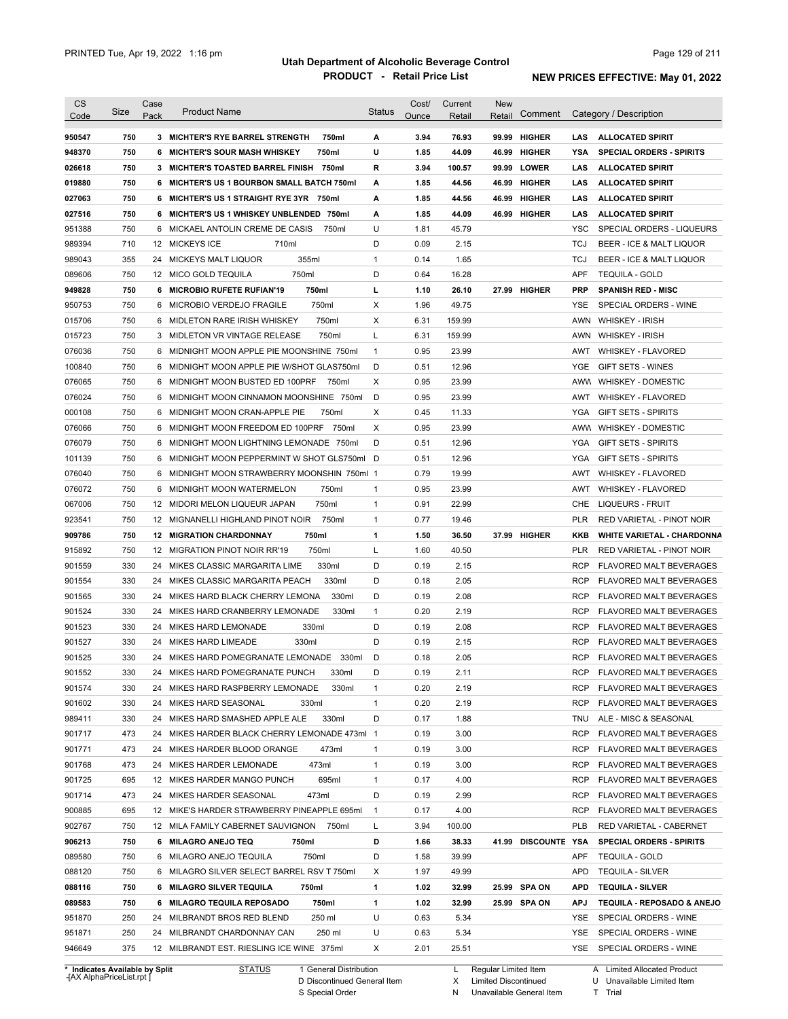| <b>CS</b><br>Code              | Size | Case<br>Pack | <b>Product Name</b>                             | <b>Status</b> | Cost/<br>Ounce | Current<br>Retail | <b>New</b><br>Retail | Comment             |            | Category / Description            |
|--------------------------------|------|--------------|-------------------------------------------------|---------------|----------------|-------------------|----------------------|---------------------|------------|-----------------------------------|
|                                |      |              |                                                 |               |                |                   |                      |                     |            |                                   |
| 950547                         | 750  |              | 3 MICHTER'S RYE BARREL STRENGTH<br>750ml        | А             | 3.94           | 76.93             |                      | 99.99 HIGHER        | <b>LAS</b> | <b>ALLOCATED SPIRIT</b>           |
| 948370                         | 750  | 6            | <b>MICHTER'S SOUR MASH WHISKEY</b><br>750ml     | U             | 1.85           | 44.09             |                      | 46.99 HIGHER        | YSA        | <b>SPECIAL ORDERS - SPIRITS</b>   |
| 026618                         | 750  |              | 3 MICHTER'S TOASTED BARREL FINISH 750ml         | R             | 3.94           | 100.57            |                      | 99.99 LOWER         | LAS        | <b>ALLOCATED SPIRIT</b>           |
| 019880                         | 750  | 6            | <b>MICHTER'S US 1 BOURBON SMALL BATCH 750ml</b> | A             | 1.85           | 44.56             |                      | 46.99 HIGHER        | LAS        | <b>ALLOCATED SPIRIT</b>           |
| 027063                         | 750  | 6            | MICHTER'S US 1 STRAIGHT RYE 3YR 750ml           | A             | 1.85           | 44.56             | 46.99                | <b>HIGHER</b>       | LAS        | <b>ALLOCATED SPIRIT</b>           |
| 027516                         | 750  | 6            | MICHTER'S US 1 WHISKEY UNBLENDED 750ml          | А             | 1.85           | 44.09             |                      | 46.99 HIGHER        | LAS        | <b>ALLOCATED SPIRIT</b>           |
| 951388                         | 750  | 6            | MICKAEL ANTOLIN CREME DE CASIS<br>750ml         | U             | 1.81           | 45.79             |                      |                     | <b>YSC</b> | SPECIAL ORDERS - LIQUEURS         |
| 989394                         | 710  |              | 12 MICKEYS ICE<br>710ml                         | D             | 0.09           | 2.15              |                      |                     | <b>TCJ</b> | BEER - ICE & MALT LIQUOR          |
| 989043                         | 355  |              | 355ml<br>24 MICKEYS MALT LIQUOR                 | $\mathbf{1}$  | 0.14           | 1.65              |                      |                     | <b>TCJ</b> | BEER - ICE & MALT LIQUOR          |
| 089606                         | 750  |              | 750ml<br>12 MICO GOLD TEQUILA                   | D             | 0.64           | 16.28             |                      |                     | <b>APF</b> | <b>TEQUILA - GOLD</b>             |
| 949828                         | 750  | 6            | 750ml<br><b>MICROBIO RUFETE RUFIAN'19</b>       | г             | 1.10           | 26.10             |                      | 27.99 HIGHER        | <b>PRP</b> | <b>SPANISH RED - MISC</b>         |
| 950753                         | 750  | 6            | 750ml<br>MICROBIO VERDEJO FRAGILE               | X             | 1.96           | 49.75             |                      |                     | YSE        | SPECIAL ORDERS - WINE             |
| 015706                         | 750  | 6            | 750ml<br>MIDLETON RARE IRISH WHISKEY            | X             | 6.31           | 159.99            |                      |                     |            | AWN WHISKEY - IRISH               |
| 015723                         | 750  |              | 3 MIDLETON VR VINTAGE RELEASE<br>750ml          | Г             | 6.31           | 159.99            |                      |                     |            | AWN WHISKEY - IRISH               |
| 076036                         | 750  | 6            | MIDNIGHT MOON APPLE PIE MOONSHINE 750ml         | $\mathbf{1}$  | 0.95           | 23.99             |                      |                     | AWT        | <b>WHISKEY - FLAVORED</b>         |
| 100840                         | 750  | 6            | MIDNIGHT MOON APPLE PIE W/SHOT GLAS750ml        | D             | 0.51           | 12.96             |                      |                     | YGE.       | <b>GIFT SETS - WINES</b>          |
| 076065                         | 750  | 6            | MIDNIGHT MOON BUSTED ED 100PRF<br>750ml         | X             | 0.95           | 23.99             |                      |                     | AWW        | <b>WHISKEY - DOMESTIC</b>         |
| 076024                         | 750  | 6            | MIDNIGHT MOON CINNAMON MOONSHINE 750ml          | D             | 0.95           | 23.99             |                      |                     | AWT        | <b>WHISKEY - FLAVORED</b>         |
| 000108                         | 750  | 6            | 750ml<br>MIDNIGHT MOON CRAN-APPLE PIE           | X             | 0.45           | 11.33             |                      |                     | YGA        | <b>GIFT SETS - SPIRITS</b>        |
| 076066                         | 750  | 6            | MIDNIGHT MOON FREEDOM ED 100PRF<br>750ml        | X             | 0.95           | 23.99             |                      |                     | AWW        | <b>WHISKEY - DOMESTIC</b>         |
| 076079                         | 750  | 6            | MIDNIGHT MOON LIGHTNING LEMONADE 750ml          | D             | 0.51           | 12.96             |                      |                     | YGA        | <b>GIFT SETS - SPIRITS</b>        |
| 101139                         | 750  | 6            | MIDNIGHT MOON PEPPERMINT W SHOT GLS750ml        | D             | 0.51           | 12.96             |                      |                     | YGA        | <b>GIFT SETS - SPIRITS</b>        |
| 076040                         | 750  | 6            | MIDNIGHT MOON STRAWBERRY MOONSHIN 750ml 1       |               | 0.79           | 19.99             |                      |                     | AWT        | <b>WHISKEY - FLAVORED</b>         |
| 076072                         | 750  | 6            | 750ml<br>MIDNIGHT MOON WATERMELON               | $\mathbf{1}$  | 0.95           | 23.99             |                      |                     | AWT        | <b>WHISKEY - FLAVORED</b>         |
| 067006                         | 750  | 12           | 750ml<br>MIDORI MELON LIQUEUR JAPAN             | $\mathbf{1}$  | 0.91           | 22.99             |                      |                     | <b>CHE</b> | LIQUEURS - FRUIT                  |
| 923541                         | 750  |              | 750ml<br>12 MIGNANELLI HIGHLAND PINOT NOIR      | $\mathbf{1}$  | 0.77           | 19.46             |                      |                     | <b>PLR</b> | RED VARIETAL - PINOT NOIR         |
| 909786                         | 750  | 12           | 750ml<br><b>MIGRATION CHARDONNAY</b>            | 1             | 1.50           | 36.50             |                      | 37.99 HIGHER        | KKB        | <b>WHITE VARIETAL - CHARDONNA</b> |
| 915892                         | 750  | 12           | 750ml<br>MIGRATION PINOT NOIR RR'19             | Г             | 1.60           | 40.50             |                      |                     | PLR        | RED VARIETAL - PINOT NOIR         |
| 901559                         | 330  | 24           | 330ml<br>MIKES CLASSIC MARGARITA LIME           | D             | 0.19           | 2.15              |                      |                     | <b>RCP</b> | FLAVORED MALT BEVERAGES           |
| 901554                         | 330  | 24           | MIKES CLASSIC MARGARITA PEACH<br>330ml          | D             | 0.18           | 2.05              |                      |                     | <b>RCP</b> | FLAVORED MALT BEVERAGES           |
| 901565                         | 330  | 24           | MIKES HARD BLACK CHERRY LEMONA<br>330ml         | D             | 0.19           | 2.08              |                      |                     | <b>RCP</b> | FLAVORED MALT BEVERAGES           |
| 901524                         | 330  | 24           | MIKES HARD CRANBERRY LEMONADE<br>330ml          | 1             | 0.20           | 2.19              |                      |                     | <b>RCP</b> | <b>FLAVORED MALT BEVERAGES</b>    |
| 901523                         | 330  | 24           | 330ml<br>MIKES HARD LEMONADE                    | D             | 0.19           | 2.08              |                      |                     | <b>RCP</b> | FLAVORED MALT BEVERAGES           |
| 901527                         | 330  | 24           | 330ml<br>MIKES HARD LIMEADE                     | D             | 0.19           | 2.15              |                      |                     | <b>RCP</b> | FLAVORED MALT BEVERAGES           |
| 901525                         | 330  |              | 24 MIKES HARD POMEGRANATE LEMONADE<br>330ml     | D             | 0.18           | 2.05              |                      |                     | <b>RCP</b> | <b>FLAVORED MALT BEVERAGES</b>    |
| 901552                         | 330  | 24           | MIKES HARD POMEGRANATE PUNCH<br>330ml           | D             | 0.19           | 2.11              |                      |                     | <b>RCP</b> | FLAVORED MALT BEVERAGES           |
| 901574                         | 330  |              | 24 MIKES HARD RASPBERRY LEMONADE<br>330ml       | 1             | 0.20           | 2.19              |                      |                     | RCP        | <b>FLAVORED MALT BEVERAGES</b>    |
| 901602                         | 330  |              | 24 MIKES HARD SEASONAL<br>330ml                 | 1             | 0.20           | 2.19              |                      |                     | <b>RCP</b> | <b>FLAVORED MALT BEVERAGES</b>    |
| 989411                         | 330  |              | 330ml<br>24 MIKES HARD SMASHED APPLE ALE        | D             | 0.17           | 1.88              |                      |                     | TNU        | ALE - MISC & SEASONAL             |
| 901717                         | 473  |              | 24 MIKES HARDER BLACK CHERRY LEMONADE 473ml 1   |               | 0.19           | 3.00              |                      |                     | <b>RCP</b> | FLAVORED MALT BEVERAGES           |
| 901771                         | 473  |              | 24 MIKES HARDER BLOOD ORANGE<br>473ml           | $\mathbf{1}$  | 0.19           | 3.00              |                      |                     | <b>RCP</b> | FLAVORED MALT BEVERAGES           |
| 901768                         | 473  |              | 24 MIKES HARDER LEMONADE<br>473ml               | $\mathbf{1}$  | 0.19           | 3.00              |                      |                     | <b>RCP</b> | FLAVORED MALT BEVERAGES           |
| 901725                         | 695  |              | 695ml<br>12 MIKES HARDER MANGO PUNCH            | $\mathbf{1}$  | 0.17           | 4.00              |                      |                     | <b>RCP</b> | FLAVORED MALT BEVERAGES           |
| 901714                         | 473  |              | 24 MIKES HARDER SEASONAL<br>473ml               | D             | 0.19           | 2.99              |                      |                     | <b>RCP</b> | FLAVORED MALT BEVERAGES           |
| 900885                         | 695  |              | 12 MIKE'S HARDER STRAWBERRY PINEAPPLE 695ml     | 1             | 0.17           | 4.00              |                      |                     | <b>RCP</b> | FLAVORED MALT BEVERAGES           |
| 902767                         | 750  |              | 12 MILA FAMILY CABERNET SAUVIGNON 750ml         | L             | 3.94           | 100.00            |                      |                     | PLB        | RED VARIETAL - CABERNET           |
| 906213                         | 750  |              | 6 MILAGRO ANEJO TEQ<br>750ml                    | D             | 1.66           | 38.33             |                      | 41.99 DISCOUNTE YSA |            | <b>SPECIAL ORDERS - SPIRITS</b>   |
| 089580                         | 750  |              | 6 MILAGRO ANEJO TEQUILA<br>750ml                | D             | 1.58           | 39.99             |                      |                     | <b>APF</b> | <b>TEQUILA - GOLD</b>             |
| 088120                         | 750  |              | 6 MILAGRO SILVER SELECT BARREL RSV T 750ml      | X             | 1.97           | 49.99             |                      |                     | <b>APD</b> | <b>TEQUILA - SILVER</b>           |
| 088116                         | 750  |              | 6 MILAGRO SILVER TEQUILA<br>750ml               | 1             | 1.02           | 32.99             |                      | 25.99 SPA ON        | <b>APD</b> | <b>TEQUILA - SILVER</b>           |
| 089583                         | 750  |              | 6 MILAGRO TEQUILA REPOSADO<br>750ml             | 1             | 1.02           | 32.99             |                      | 25.99 SPA ON        | <b>APJ</b> | TEQUILA - REPOSADO & ANEJO        |
| 951870                         | 250  |              | 250 ml<br>24 MILBRANDT BROS RED BLEND           | U             | 0.63           | 5.34              |                      |                     | YSE        | SPECIAL ORDERS - WINE             |
| 951871                         | 250  |              | 24 MILBRANDT CHARDONNAY CAN<br>250 ml           | U             | 0.63           | 5.34              |                      |                     |            | YSE SPECIAL ORDERS - WINE         |
| 946649                         | 375  |              | 12 MILBRANDT EST. RIESLING ICE WINE 375ml       | X             | 2.01           | 25.51             |                      |                     |            | YSE SPECIAL ORDERS - WINE         |
| * Indicates Available by Split |      |              | <b>STATUS</b><br>1 General Distribution         |               |                | L,                | Regular Limited Item |                     |            | A Limited Allocated Product       |

**Case** [AX AlphaPriceList.rpt ]

D Discontinued General Item

S Special Order

L Regular Limited Item

X N Limited Discontinued

Unavailable General Item

A Limited Allocated Product Unavailable Limited Item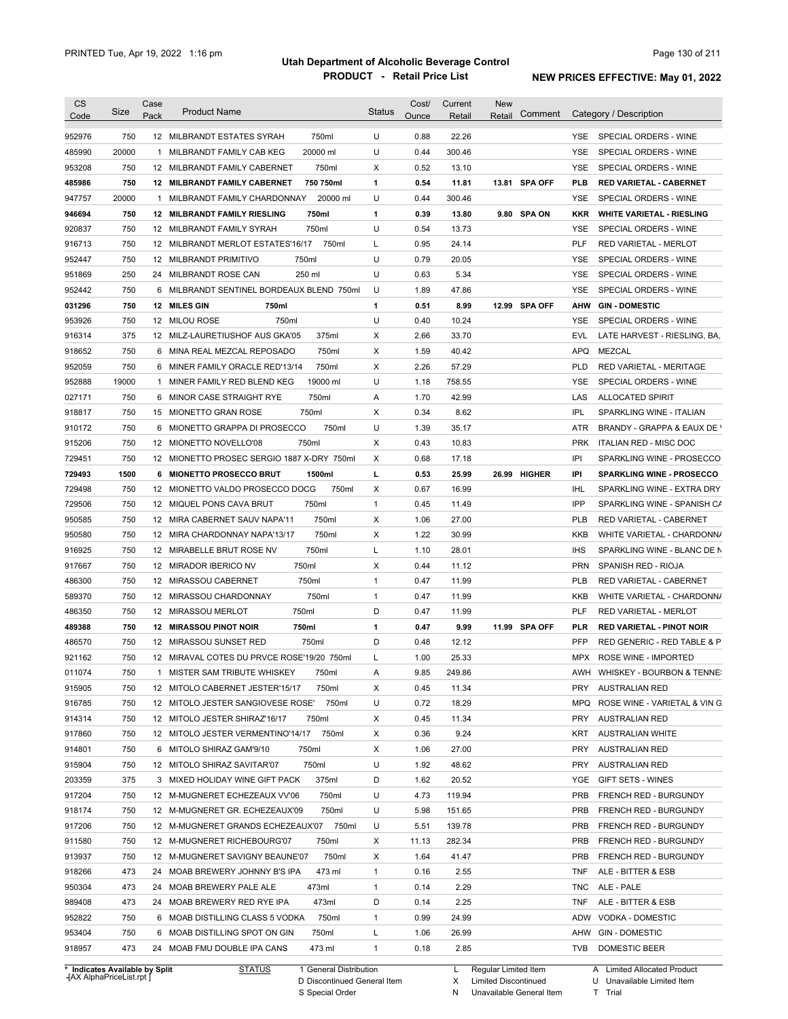|                                                                                                                      | Size  | Case | <b>Product Name</b>                        |           | <b>Status</b> | Cost/ | Current | <b>New</b> | Comment       |            | Category / Description           |
|----------------------------------------------------------------------------------------------------------------------|-------|------|--------------------------------------------|-----------|---------------|-------|---------|------------|---------------|------------|----------------------------------|
| Code                                                                                                                 |       | Pack |                                            |           |               | Ounce | Retail  | Retail     |               |            |                                  |
| 952976                                                                                                               | 750   |      | 12 MILBRANDT ESTATES SYRAH                 | 750ml     | U             | 0.88  | 22.26   |            |               | YSE.       | SPECIAL ORDERS - WINE            |
| 485990                                                                                                               | 20000 |      | 1 MILBRANDT FAMILY CAB KEG                 | 20000 ml  | U             | 0.44  | 300.46  |            |               | YSE        | SPECIAL ORDERS - WINE            |
| 953208                                                                                                               | 750   |      | 12 MILBRANDT FAMILY CABERNET               | 750ml     | Х             | 0.52  | 13.10   |            |               | <b>YSE</b> | SPECIAL ORDERS - WINE            |
| 485986                                                                                                               | 750   |      | 12 MILBRANDT FAMILY CABERNET               | 750 750ml | 1             | 0.54  | 11.81   |            | 13.81 SPA OFF | PLB        | <b>RED VARIETAL - CABERNET</b>   |
| 947757                                                                                                               | 20000 | 1    | MILBRANDT FAMILY CHARDONNAY                | 20000 ml  | U             | 0.44  | 300.46  |            |               | <b>YSE</b> | SPECIAL ORDERS - WINE            |
| 946694                                                                                                               | 750   |      | <b>12 MILBRANDT FAMILY RIESLING</b>        | 750ml     | 1             | 0.39  | 13.80   |            | 9.80 SPA ON   | <b>KKR</b> | <b>WHITE VARIETAL - RIESLING</b> |
| 920837                                                                                                               | 750   |      | 12 MILBRANDT FAMILY SYRAH                  | 750ml     | U             | 0.54  | 13.73   |            |               | YSE        | SPECIAL ORDERS - WINE            |
| 916713                                                                                                               | 750   |      | 12 MILBRANDT MERLOT ESTATES'16/17          | 750ml     | L             | 0.95  | 24.14   |            |               | PLF        | RED VARIETAL - MERLOT            |
| 952447                                                                                                               | 750   |      | 12 MILBRANDT PRIMITIVO<br>750ml            |           | U             | 0.79  | 20.05   |            |               | YSE        | SPECIAL ORDERS - WINE            |
| 951869                                                                                                               | 250   |      | 24 MILBRANDT ROSE CAN                      | 250 ml    | U             | 0.63  | 5.34    |            |               | <b>YSE</b> | SPECIAL ORDERS - WINE            |
| 952442                                                                                                               | 750   |      | 6 MILBRANDT SENTINEL BORDEAUX BLEND 750ml  |           | U             | 1.89  | 47.86   |            |               | <b>YSE</b> | SPECIAL ORDERS - WINE            |
| 031296                                                                                                               | 750   |      | 12 MILES GIN<br>750ml                      |           | 1             | 0.51  | 8.99    |            | 12.99 SPA OFF | AHW        | <b>GIN-DOMESTIC</b>              |
| 953926                                                                                                               | 750   |      | 750ml<br>12 MILOU ROSE                     |           | U             | 0.40  | 10.24   |            |               | YSE        | SPECIAL ORDERS - WINE            |
| 916314                                                                                                               | 375   |      | 12 MILZ-LAURETIUSHOF AUS GKA'05            | 375ml     | Х             | 2.66  | 33.70   |            |               | EVL        | LATE HARVEST - RIESLING, BA,     |
| 918652                                                                                                               | 750   |      | 6 MINA REAL MEZCAL REPOSADO                | 750ml     | Χ             | 1.59  | 40.42   |            |               | <b>APQ</b> | MEZCAL                           |
| 952059                                                                                                               | 750   |      | 6 MINER FAMILY ORACLE RED'13/14            | 750ml     | Х             | 2.26  | 57.29   |            |               | <b>PLD</b> | RED VARIETAL - MERITAGE          |
| 952888                                                                                                               | 19000 | 1    | MINER FAMILY RED BLEND KEG                 | 19000 ml  | U             | 1.18  | 758.55  |            |               | <b>YSE</b> | SPECIAL ORDERS - WINE            |
| 027171                                                                                                               | 750   | 6    | MINOR CASE STRAIGHT RYE                    | 750ml     | A             | 1.70  | 42.99   |            |               | LAS        | <b>ALLOCATED SPIRIT</b>          |
| 918817                                                                                                               | 750   |      | 15 MIONETTO GRAN ROSE                      | 750ml     | X             | 0.34  | 8.62    |            |               | <b>IPL</b> | SPARKLING WINE - ITALIAN         |
| 910172                                                                                                               | 750   | 6    | MIONETTO GRAPPA DI PROSECCO                | 750ml     | U             | 1.39  | 35.17   |            |               | ATR        | BRANDY - GRAPPA & EAUX DE \      |
| 915206                                                                                                               | 750   |      | 12 MIONETTO NOVELLO'08                     | 750ml     | X             | 0.43  | 10.83   |            |               | <b>PRK</b> | ITALIAN RED - MISC DOC           |
| 729451                                                                                                               | 750   |      | 12 MIONETTO PROSEC SERGIO 1887 X-DRY 750ml |           | Х             | 0.68  | 17.18   |            |               | IPI        | SPARKLING WINE - PROSECCO        |
| 729493                                                                                                               | 1500  |      | 6 MIONETTO PROSECCO BRUT                   | 1500ml    | г             | 0.53  | 25.99   |            | 26.99 HIGHER  | IPI        | <b>SPARKLING WINE - PROSECCO</b> |
| 729498                                                                                                               | 750   |      | 12 MIONETTO VALDO PROSECCO DOCG            | 750ml     | X             | 0.67  | 16.99   |            |               | <b>IHL</b> | SPARKLING WINE - EXTRA DRY       |
| 729506                                                                                                               | 750   |      | 12 MIQUEL PONS CAVA BRUT                   | 750ml     | $\mathbf{1}$  | 0.45  | 11.49   |            |               | IPP        | SPARKLING WINE - SPANISH CA      |
| 950585                                                                                                               | 750   |      | 12 MIRA CABERNET SAUV NAPA'11              | 750ml     | х             | 1.06  | 27.00   |            |               | <b>PLB</b> | RED VARIETAL - CABERNET          |
| 950580                                                                                                               | 750   |      | 12 MIRA CHARDONNAY NAPA'13/17              | 750ml     | Х             | 1.22  | 30.99   |            |               | <b>KKB</b> | WHITE VARIETAL - CHARDONN/       |
| 916925                                                                                                               | 750   |      | 12 MIRABELLE BRUT ROSE NV                  | 750ml     | L             | 1.10  | 28.01   |            |               | <b>IHS</b> | SPARKLING WINE - BLANC DE N      |
| 917667                                                                                                               | 750   |      | 750ml<br>12 MIRADOR IBERICO NV             |           | х             | 0.44  | 11.12   |            |               | <b>PRN</b> | SPANISH RED - RIOJA              |
| 486300                                                                                                               | 750   |      | 12 MIRASSOU CABERNET                       | 750ml     | $\mathbf{1}$  | 0.47  | 11.99   |            |               | PLB        | RED VARIETAL - CABERNET          |
| 589370                                                                                                               | 750   |      | 12 MIRASSOU CHARDONNAY                     | 750ml     | $\mathbf{1}$  | 0.47  | 11.99   |            |               | KKB        | WHITE VARIETAL - CHARDONN/       |
| 486350                                                                                                               | 750   |      | 750ml<br>12 MIRASSOU MERLOT                |           | D             | 0.47  | 11.99   |            |               | PLF        | RED VARIETAL - MERLOT            |
| 489388                                                                                                               | 750   |      | <b>12 MIRASSOU PINOT NOIR</b><br>750ml     |           | 1             | 0.47  | 9.99    |            | 11.99 SPA OFF | <b>PLR</b> | <b>RED VARIETAL - PINOT NOIR</b> |
| 486570                                                                                                               | 750   |      | 12 MIRASSOU SUNSET RED                     | 750ml     | D             | 0.48  | 12.12   |            |               | <b>PFP</b> | RED GENERIC - RED TABLE & P      |
| 921162                                                                                                               | 750   |      | 12 MIRAVAL COTES DU PRVCE ROSE'19/20 750ml |           | L             | 1.00  | 25.33   |            |               | MPX        | ROSE WINE - IMPORTED             |
| 011074                                                                                                               | 750   |      | 1 MISTER SAM TRIBUTE WHISKEY               | 750ml     |               |       |         |            |               |            |                                  |
| 915905                                                                                                               |       |      |                                            |           |               |       |         |            |               |            |                                  |
|                                                                                                                      |       |      |                                            |           | А             | 9.85  | 249.86  |            |               |            | AWH WHISKEY - BOURBON & TENNE:   |
|                                                                                                                      | 750   |      | 12 MITOLO CABERNET JESTER'15/17            | 750ml     | x             | 0.45  | 11.34   |            |               | PRY        | <b>AUSTRALIAN RED</b>            |
|                                                                                                                      | 750   |      | 12 MITOLO JESTER SANGIOVESE ROSE'          | 750ml     | U             | 0.72  | 18.29   |            |               | <b>MPQ</b> | ROSE WINE - VARIETAL & VIN G     |
|                                                                                                                      | 750   |      | 12 MITOLO JESTER SHIRAZ'16/17              | 750ml     | х             | 0.45  | 11.34   |            |               | <b>PRY</b> | <b>AUSTRALIAN RED</b>            |
|                                                                                                                      | 750   |      | 12 MITOLO JESTER VERMENTINO'14/17 750ml    |           | Х             | 0.36  | 9.24    |            |               | KRT        | <b>AUSTRALIAN WHITE</b>          |
|                                                                                                                      | 750   |      | 6 MITOLO SHIRAZ GAM'9/10                   | 750ml     | х             | 1.06  | 27.00   |            |               | PRY        | <b>AUSTRALIAN RED</b>            |
|                                                                                                                      | 750   |      | 12 MITOLO SHIRAZ SAVITAR'07                | 750ml     | U             | 1.92  | 48.62   |            |               | PRY        | <b>AUSTRALIAN RED</b>            |
|                                                                                                                      | 375   |      | 3 MIXED HOLIDAY WINE GIFT PACK             | 375ml     | D             | 1.62  | 20.52   |            |               | YGE        | GIFT SETS - WINES                |
|                                                                                                                      | 750   |      | 12 M-MUGNERET ECHEZEAUX VV'06              | 750ml     | U             | 4.73  | 119.94  |            |               | <b>PRB</b> | FRENCH RED - BURGUNDY            |
|                                                                                                                      | 750   |      | 12 M-MUGNERET GR. ECHEZEAUX'09             | 750ml     | U             | 5.98  | 151.65  |            |               | <b>PRB</b> | FRENCH RED - BURGUNDY            |
|                                                                                                                      | 750   |      | 12 M-MUGNERET GRANDS ECHEZEAUX'07 750ml    |           | U             | 5.51  | 139.78  |            |               | <b>PRB</b> | FRENCH RED - BURGUNDY            |
|                                                                                                                      | 750   |      | 12 M-MUGNERET RICHEBOURG'07                | 750ml     | х             | 11.13 | 282.34  |            |               | <b>PRB</b> | FRENCH RED - BURGUNDY            |
|                                                                                                                      | 750   |      | 12 M-MUGNERET SAVIGNY BEAUNE'07            | 750ml     | х             | 1.64  | 41.47   |            |               | <b>PRB</b> | FRENCH RED - BURGUNDY            |
|                                                                                                                      | 473   |      | 24 MOAB BREWERY JOHNNY B'S IPA             | 473 ml    | $\mathbf{1}$  | 0.16  | 2.55    |            |               | <b>TNF</b> | ALE - BITTER & ESB               |
| 916785<br>914314<br>917860<br>915904<br>203359<br>917204<br>918174<br>917206<br>911580<br>913937<br>918266<br>950304 | 473   |      | 24 MOAB BREWERY PALE ALE                   | 473ml     | $\mathbf{1}$  | 0.14  | 2.29    |            |               | <b>TNC</b> | ALE - PALE                       |
|                                                                                                                      | 473   |      | 24 MOAB BREWERY RED RYE IPA                | 473ml     | D             | 0.14  | 2.25    |            |               | <b>TNF</b> | ALE - BITTER & ESB               |
| 914801<br>989408<br>952822                                                                                           | 750   |      | 6 MOAB DISTILLING CLASS 5 VODKA            | 750ml     | $\mathbf{1}$  | 0.99  | 24.99   |            |               | ADW        | VODKA - DOMESTIC                 |
| 953404                                                                                                               | 750   |      | 6 MOAB DISTILLING SPOT ON GIN              | 750ml     | L             | 1.06  | 26.99   |            |               | AHW        | <b>GIN - DOMESTIC</b>            |

**Case** [AX AlphaPriceList.rpt ]

D Discontinued General Item S Special Order

Regular Limited Item

X

Limited Discontinued

T Trial

N Unavailable General Item

U Unavailable Limited Item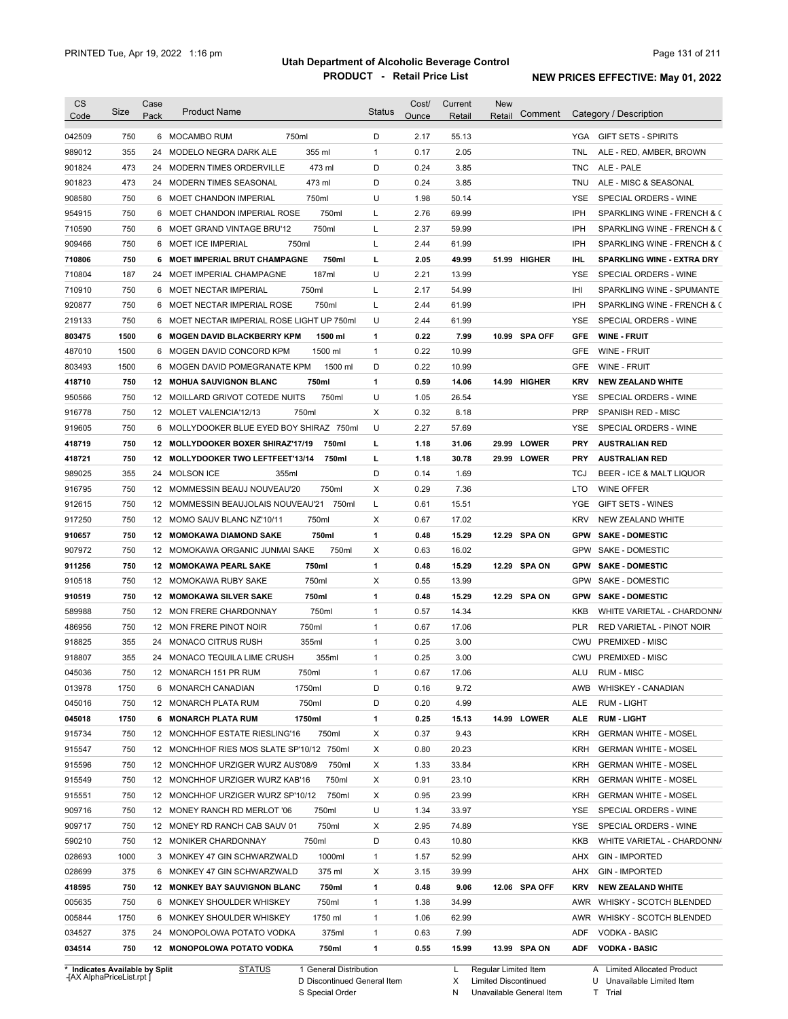| <b>CS</b><br>Code | Size       | Case<br>Pack | <b>Product Name</b>                         | <b>Status</b> | Cost/<br>Ounce | Current<br>Retail | <b>New</b><br>Retail | Comment       |            | Category / Description            |
|-------------------|------------|--------------|---------------------------------------------|---------------|----------------|-------------------|----------------------|---------------|------------|-----------------------------------|
|                   |            |              |                                             |               |                |                   |                      |               |            |                                   |
| 042509            | 750        |              | 6 MOCAMBO RUM<br>750ml                      | D             | 2.17           | 55.13             |                      |               |            | YGA GIFT SETS - SPIRITS           |
| 989012            | 355        |              | 355 ml<br>24 MODELO NEGRA DARK ALE          | $\mathbf{1}$  | 0.17           | 2.05              |                      |               | TNL        | ALE - RED, AMBER, BROWN           |
| 901824            | 473        |              | 473 ml<br>24 MODERN TIMES ORDERVILLE        | D             | 0.24           | 3.85              |                      |               | TNC        | ALE - PALE                        |
| 901823            | 473        |              | 24 MODERN TIMES SEASONAL<br>473 ml          | D             | 0.24           | 3.85              |                      |               | TNU        | ALE - MISC & SEASONAL             |
| 908580            | 750        |              | 750ml<br>6 MOET CHANDON IMPERIAL            | U             | 1.98           | 50.14             |                      |               | YSE        | SPECIAL ORDERS - WINE             |
| 954915            | 750        |              | 750ml<br>6 MOET CHANDON IMPERIAL ROSE       | Г             | 2.76           | 69.99             |                      |               | IPH        | SPARKLING WINE - FRENCH & C       |
| 710590            | 750        |              | 750ml<br>6 MOET GRAND VINTAGE BRU'12        | L             | 2.37           | 59.99             |                      |               | IPH        | SPARKLING WINE - FRENCH & C       |
| 909466            | 750        |              | 6 MOET ICE IMPERIAL<br>750ml                | L             | 2.44           | 61.99             |                      |               | <b>IPH</b> | SPARKLING WINE - FRENCH & C       |
| 710806            | 750        |              | 6 MOET IMPERIAL BRUT CHAMPAGNE<br>750ml     | г             | 2.05           | 49.99             |                      | 51.99 HIGHER  | IHL.       | <b>SPARKLING WINE - EXTRA DRY</b> |
| 710804            | 187        | 24           | 187ml<br>MOET IMPERIAL CHAMPAGNE            | U             | 2.21           | 13.99             |                      |               | YSE        | SPECIAL ORDERS - WINE             |
| 710910            | 750        |              | 750ml<br>6 MOET NECTAR IMPERIAL             | Г             | 2.17           | 54.99             |                      |               | IHI        | SPARKLING WINE - SPUMANTE         |
| 920877            | 750        |              | 750ml<br>6 MOET NECTAR IMPERIAL ROSE        | L             | 2.44           | 61.99             |                      |               | IPH        | SPARKLING WINE - FRENCH & C       |
| 219133            | 750        |              | 6 MOET NECTAR IMPERIAL ROSE LIGHT UP 750ml  | U             | 2.44           | 61.99             |                      |               | YSE        | SPECIAL ORDERS - WINE             |
| 803475            | 1500       |              | 6 MOGEN DAVID BLACKBERRY KPM<br>1500 ml     | 1             | 0.22           | 7.99              |                      | 10.99 SPA OFF | <b>GFE</b> | <b>WINE FRUIT</b>                 |
| 487010            | 1500       |              | 1500 ml<br>6 MOGEN DAVID CONCORD KPM        | $\mathbf{1}$  | 0.22           | 10.99             |                      |               | GFE        | WINE - FRUIT                      |
| 803493            | 1500       | 6            | MOGEN DAVID POMEGRANATE KPM<br>1500 ml      | D             | 0.22           | 10.99             |                      |               | GFE        | WINE - FRUIT                      |
| 418710            | 750        |              | 750ml<br><b>12 MOHUA SAUVIGNON BLANC</b>    | 1             | 0.59           | 14.06             |                      | 14.99 HIGHER  | <b>KRV</b> | <b>NEW ZEALAND WHITE</b>          |
| 950566            | 750        |              | 750ml<br>12 MOILLARD GRIVOT COTEDE NUITS    | U             | 1.05           | 26.54             |                      |               | YSE        | SPECIAL ORDERS - WINE             |
| 916778            | 750        |              | 12 MOLET VALENCIA'12/13<br>750ml            | X             | 0.32           | 8.18              |                      |               | <b>PRP</b> | SPANISH RED - MISC                |
| 919605            | 750        | 6            | MOLLYDOOKER BLUE EYED BOY SHIRAZ 750ml      | U             | 2.27           | 57.69             |                      |               | YSE        | SPECIAL ORDERS - WINE             |
| 418719            | 750        |              | 12 MOLLYDOOKER BOXER SHIRAZ'17/19<br>750ml  | г             | 1.18           | 31.06             | 29.99                | <b>LOWER</b>  | <b>PRY</b> | <b>AUSTRALIAN RED</b>             |
| 418721            | 750        |              | 12 MOLLYDOOKER TWO LEFTFEET'13/14<br>750ml  | г             | 1.18           | 30.78             |                      | 29.99 LOWER   | <b>PRY</b> | <b>AUSTRALIAN RED</b>             |
| 989025            | 355        |              | 355ml<br>24 MOLSON ICE                      | D             | 0.14           | 1.69              |                      |               | TCJ        | BEER - ICE & MALT LIQUOR          |
| 916795            | 750        |              | 750ml<br>12 MOMMESSIN BEAUJ NOUVEAU'20      | X             | 0.29           | 7.36              |                      |               | LTO        | <b>WINE OFFER</b>                 |
| 912615            | 750        |              | 12 MOMMESSIN BEAUJOLAIS NOUVEAU'21<br>750ml | L             | 0.61           | 15.51             |                      |               | YGE        | GIFT SETS - WINES                 |
| 917250            | 750        |              | 750ml<br>12 MOMO SAUV BLANC NZ'10/11        | X             | 0.67           | 17.02             |                      |               | <b>KRV</b> | NEW ZEALAND WHITE                 |
|                   |            |              | 750ml                                       |               | 0.48           |                   |                      |               | <b>GPW</b> |                                   |
| 910657            | 750<br>750 |              | <b>12 MOMOKAWA DIAMOND SAKE</b><br>750ml    | 1<br>X        | 0.63           | 15.29<br>16.02    | 12.29                | SPA ON        | <b>GPW</b> | <b>SAKE - DOMESTIC</b>            |
| 907972            |            |              | 12 MOMOKAWA ORGANIC JUNMAI SAKE             |               |                |                   |                      |               |            | SAKE - DOMESTIC                   |
| 911256            | 750        |              | <b>12 MOMOKAWA PEARL SAKE</b><br>750ml      | 1             | 0.48           | 15.29             | 12.29                | <b>SPA ON</b> | <b>GPW</b> | <b>SAKE - DOMESTIC</b>            |
| 910518            | 750        |              | 750ml<br>12 MOMOKAWA RUBY SAKE              | х             | 0.55           | 13.99             |                      |               | <b>GPW</b> | SAKE - DOMESTIC                   |
| 910519            | 750        |              | <b>12 MOMOKAWA SILVER SAKE</b><br>750ml     | 1             | 0.48           | 15.29             | 12.29                | <b>SPA ON</b> | <b>GPW</b> | <b>SAKE - DOMESTIC</b>            |
| 589988            | 750        |              | 750ml<br>12 MON FRERE CHARDONNAY            | $\mathbf{1}$  | 0.57           | 14.34             |                      |               | KKB        | WHITE VARIETAL - CHARDONN/        |
| 486956            | 750        |              | 750ml<br>12 MON FRERE PINOT NOIR            | 1             | 0.67           | 17.06             |                      |               | PLR        | RED VARIETAL - PINOT NOIR         |
| 918825            | 355        |              | 355ml<br>24 MONACO CITRUS RUSH              | 1             | 0.25           | 3.00              |                      |               | CWU        | PREMIXED - MISC                   |
| 918807            | 355        |              | 24 MONACO TEQUILA LIME CRUSH<br>355ml       | 1             | 0.25           | 3.00              |                      |               |            | CWU PREMIXED - MISC               |
| 045036            | 750        |              | 750ml<br>12 MONARCH 151 PR RUM              | 1             | 0.67           | 17.06             |                      |               | ALU        | <b>RUM - MISC</b>                 |
| 013978            | 1750       |              | 1750ml<br>6 MONARCH CANADIAN                | D             | 0.16           | 9.72              |                      |               | AWB        | <b>WHISKEY - CANADIAN</b>         |
| 045016            | 750        |              | 750ml<br>12 MONARCH PLATA RUM               | D             | 0.20           | 4.99              |                      |               | ALE        | <b>RUM - LIGHT</b>                |
| 045018            | 1750       |              | 1750ml<br>6 MONARCH PLATA RUM               | 1             | 0.25           | 15.13             |                      | 14.99 LOWER   | ALE        | <b>RUM - LIGHT</b>                |
| 915734            | 750        |              | 750ml<br>12 MONCHHOF ESTATE RIESLING'16     | х             | 0.37           | 9.43              |                      |               | KRH        | <b>GERMAN WHITE - MOSEL</b>       |
| 915547            | 750        |              | 12 MONCHHOF RIES MOS SLATE SP'10/12 750ml   | х             | 0.80           | 20.23             |                      |               | <b>KRH</b> | <b>GERMAN WHITE - MOSEL</b>       |
| 915596            | 750        |              | 750ml<br>12 MONCHHOF URZIGER WURZ AUS'08/9  | х             | 1.33           | 33.84             |                      |               | KRH        | <b>GERMAN WHITE - MOSEL</b>       |
| 915549            | 750        |              | 750ml<br>12 MONCHHOF URZIGER WURZ KAB'16    | х             | 0.91           | 23.10             |                      |               | <b>KRH</b> | <b>GERMAN WHITE - MOSEL</b>       |
| 915551            | 750        |              | 12 MONCHHOF URZIGER WURZ SP'10/12<br>750ml  | х             | 0.95           | 23.99             |                      |               | <b>KRH</b> | <b>GERMAN WHITE - MOSEL</b>       |
| 909716            | 750        |              | 12 MONEY RANCH RD MERLOT '06<br>750ml       | U             | 1.34           | 33.97             |                      |               | YSE        | SPECIAL ORDERS - WINE             |
| 909717            | 750        |              | 750ml<br>12 MONEY RD RANCH CAB SAUV 01      | х             | 2.95           | 74.89             |                      |               | YSE        | SPECIAL ORDERS - WINE             |
| 590210            | 750        |              | 750ml<br>12 MONIKER CHARDONNAY              | D             | 0.43           | 10.80             |                      |               | KKB        | WHITE VARIETAL - CHARDONN/        |
| 028693            | 1000       |              | 1000ml<br>3 MONKEY 47 GIN SCHWARZWALD       | $\mathbf{1}$  | 1.57           | 52.99             |                      |               | AHX        | <b>GIN - IMPORTED</b>             |
| 028699            | 375        |              | 375 ml<br>6 MONKEY 47 GIN SCHWARZWALD       | х             | 3.15           | 39.99             |                      |               | AHX        | <b>GIN - IMPORTED</b>             |
|                   |            |              | 750ml                                       | 1             |                | 9.06              |                      | 12.06 SPA OFF | <b>KRV</b> |                                   |
| 418595            | 750        |              | <b>12 MONKEY BAY SAUVIGNON BLANC</b>        |               | 0.48           |                   |                      |               |            | <b>NEW ZEALAND WHITE</b>          |
| 005635            | 750        |              | 750ml<br>6 MONKEY SHOULDER WHISKEY          | $\mathbf{1}$  | 1.38           | 34.99             |                      |               | AWR        | WHISKY - SCOTCH BLENDED           |
| 005844            | 1750       |              | 6 MONKEY SHOULDER WHISKEY<br>1750 ml        | $\mathbf{1}$  | 1.06           | 62.99             |                      |               | AWR        | WHISKY - SCOTCH BLENDED           |
| 034527            | 375        |              | 375ml<br>24 MONOPOLOWA POTATO VODKA         | $\mathbf{1}$  | 0.63           | 7.99              |                      |               | ADF        | VODKA - BASIC                     |
| 034514            | 750        |              | 12 MONOPOLOWA POTATO VODKA<br>750ml         | 1             | 0.55           | 15.99             |                      | 13.99 SPA ON  | ADF        | <b>VODKA - BASIC</b>              |

**Case** [AX AlphaPriceList.rpt ]

D Discontinued General Item S Special Order

X Limited Discontinued

N Unavailable General Item

U Unavailable Limited Item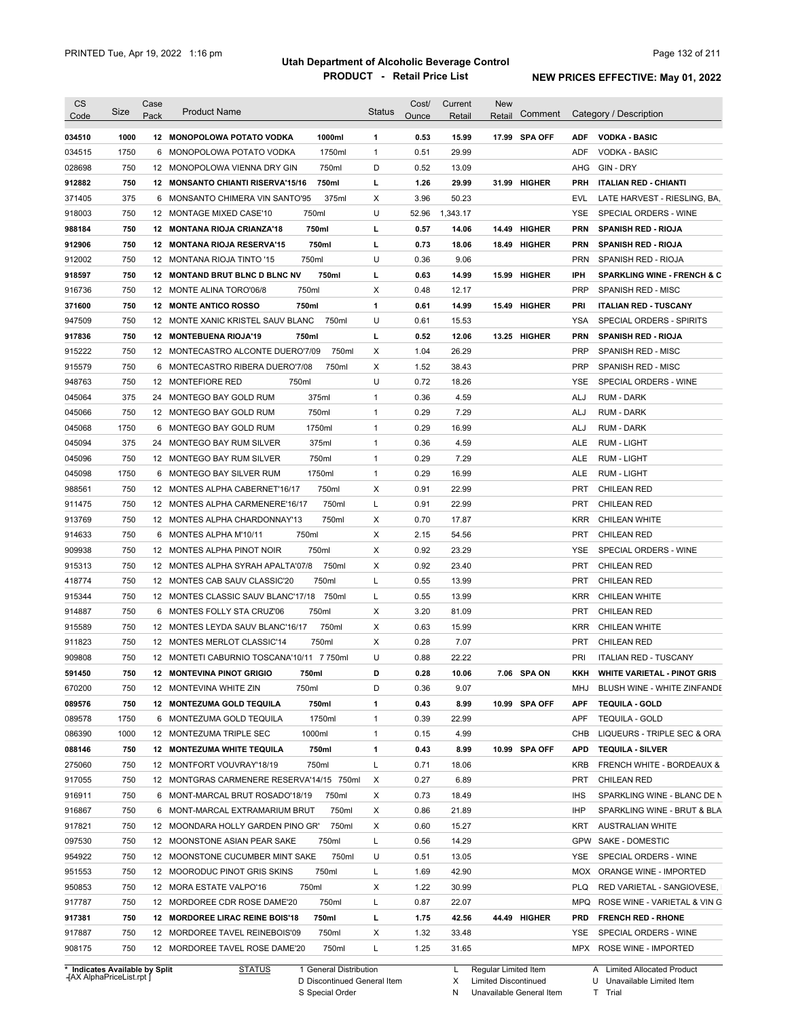| 034510<br>1000<br>1000ml<br>$\mathbf{1}$<br>0.53<br>15.99<br>17.99 SPA OFF<br><b>VODKA - BASIC</b><br>12 MONOPOLOWA POTATO VODKA<br><b>ADF</b><br>1750<br>1750ml<br>$\mathbf{1}$<br>0.51<br>29.99<br>VODKA - BASIC<br>034515<br>6 MONOPOLOWA POTATO VODKA<br>ADF<br>750<br>D<br>028698<br>12 MONOPOLOWA VIENNA DRY GIN<br>750ml<br>0.52<br>13.09<br>AHG<br>GIN - DRY<br>750<br>750ml<br>г<br>1.26<br>29.99<br>912882<br>12 MONSANTO CHIANTI RISERVA'15/16<br>31.99 HIGHER<br><b>PRH</b><br><b>ITALIAN RED - CHIANTI</b><br>375<br>Х<br>3.96<br>371405<br>6 MONSANTO CHIMERA VIN SANTO'95<br>375ml<br>50.23<br>EVL<br>LATE HARVEST - RIESLING, BA,<br>750<br>U<br>918003<br>12 MONTAGE MIXED CASE'10<br>750ml<br>52.96<br>1,343.17<br>YSE<br>SPECIAL ORDERS - WINE<br>750ml<br>988184<br>750<br>12 MONTANA RIOJA CRIANZA'18<br>L<br>0.57<br>14.06<br>14.49 HIGHER<br><b>PRN</b><br><b>SPANISH RED - RIOJA</b><br>750ml<br>912906<br>750<br>12 MONTANA RIOJA RESERVA'15<br>L<br>0.73<br>18.06<br>18.49 HIGHER<br><b>PRN</b><br><b>SPANISH RED - RIOJA</b><br>750<br>U<br>0.36<br>9.06<br>912002<br>12 MONTANA RIOJA TINTO '15<br>750ml<br><b>PRN</b><br>SPANISH RED - RIOJA<br>750<br>750ml<br>г<br>15.99 HIGHER<br>IPH<br>12 MONTAND BRUT BLNC D BLNC NV<br>0.63<br>14.99<br><b>SPARKLING WINE - FRENCH &amp; C</b><br>750<br>750ml<br>Х<br>0.48<br><b>PRP</b><br>916736<br>12 MONTE ALINA TORO'06/8<br>12.17<br>SPANISH RED - MISC<br>750<br>$\mathbf{1}$<br>15.49 HIGHER<br><b>12 MONTE ANTICO ROSSO</b><br>750ml<br>0.61<br>14.99<br>PRI<br><b>ITALIAN RED - TUSCANY</b><br>750<br>750ml<br>U<br>0.61<br>15.53<br><b>YSA</b><br>12 MONTE XANIC KRISTEL SAUV BLANC<br>SPECIAL ORDERS - SPIRITS<br>750<br>г<br>0.52<br>12.06<br>13.25 HIGHER<br><b>PRN</b><br>12 MONTEBUENA RIOJA'19<br>750ml<br><b>SPANISH RED - RIOJA</b><br>750<br>12 MONTECASTRO ALCONTE DUERO'7/09<br>750ml<br>Х<br>1.04<br>26.29<br><b>PRP</b><br>SPANISH RED - MISC<br>750<br>Х<br>1.52<br>38.43<br><b>PRP</b><br>6 MONTECASTRO RIBERA DUERO'7/08<br>750ml<br>SPANISH RED - MISC<br>U<br>750<br>12 MONTEFIORE RED<br>750ml<br>0.72<br>18.26<br>SPECIAL ORDERS - WINE<br>YSE<br>375<br>375ml<br>0.36<br>4.59<br>24 MONTEGO BAY GOLD RUM<br>$\mathbf{1}$<br>ALJ<br><b>RUM - DARK</b><br>750<br>750ml<br>$\mathbf{1}$<br>0.29<br>7.29<br>12 MONTEGO BAY GOLD RUM<br>ALJ<br><b>RUM - DARK</b><br>1750<br>1750ml<br>$\mathbf{1}$<br>0.29<br>16.99<br><b>RUM - DARK</b><br>6 MONTEGO BAY GOLD RUM<br>ALJ<br>375<br>375ml<br>$\mathbf{1}$<br>0.36<br>4.59<br>24 MONTEGO BAY RUM SILVER<br>ALE<br><b>RUM - LIGHT</b><br>750<br>0.29<br>7.29<br>750ml<br>$\mathbf{1}$<br>12 MONTEGO BAY RUM SILVER<br>ALE<br><b>RUM - LIGHT</b><br>0.29<br>045098<br>1750<br>1750ml<br>$\mathbf{1}$<br>16.99<br>MONTEGO BAY SILVER RUM<br>ALE<br>RUM - LIGHT<br>6<br>750<br>750ml<br>Х<br>0.91<br>22.99<br><b>PRT</b><br>988561<br>12 MONTES ALPHA CABERNET'16/17<br><b>CHILEAN RED</b><br>750<br>750ml<br>L<br>0.91<br>22.99<br><b>PRT</b><br>911475<br>12 MONTES ALPHA CARMENERE'16/17<br><b>CHILEAN RED</b><br>913769<br>750<br>750ml<br>х<br>0.70<br>17.87<br><b>KRR</b><br>12 MONTES ALPHA CHARDONNAY'13<br>CHILEAN WHITE<br>914633<br>750<br>750ml<br>Х<br>2.15<br>54.56<br><b>PRT</b><br>6<br>MONTES ALPHA M'10/11<br><b>CHILEAN RED</b><br>909938<br>750<br>750ml<br>Х<br>0.92<br>23.29<br>SPECIAL ORDERS - WINE<br>12 MONTES ALPHA PINOT NOIR<br>YSE<br>750<br>750ml<br>х<br>0.92<br>23.40<br><b>PRT</b><br>915313<br>12 MONTES ALPHA SYRAH APALTA'07/8<br><b>CHILEAN RED</b><br>750<br>750ml<br>L<br>0.55<br>13.99<br>418774<br>12 MONTES CAB SAUV CLASSIC'20<br>PRT<br><b>CHILEAN RED</b><br>750<br>L<br>0.55<br>13.99<br>915344<br>12 MONTES CLASSIC SAUV BLANC'17/18<br>750ml<br><b>KRR</b><br>CHILEAN WHITE<br>914887<br>750<br>750ml<br>Х<br>3.20<br>81.09<br><b>PRT</b><br>6<br>MONTES FOLLY STA CRUZ'06<br><b>CHILEAN RED</b><br>Х<br>915589<br>750<br>12 MONTES LEYDA SAUV BLANC'16/17<br>750ml<br>0.63<br>15.99<br><b>KRR</b><br>CHILEAN WHITE<br>Х<br>750<br>12 MONTES MERLOT CLASSIC'14<br>750ml<br>0.28<br>7.07<br><b>PRT</b><br><b>CHILEAN RED</b><br>750<br>12 MONTETI CABURNIO TOSCANA'10/11 7 750ml<br>U<br>0.88<br>22.22<br>PRI<br><b>ITALIAN RED - TUSCANY</b><br>750<br>0.28<br>10.06<br>7.06 SPA ON<br>12 MONTEVINA PINOT GRIGIO<br>750ml<br>D<br>KKH WHITE VARIETAL - PINOT GRIS<br>750ml<br>D<br>9.07<br>750<br>12 MONTEVINA WHITE ZIN<br>0.36<br>MHJ<br>750<br>12 MONTEZUMA GOLD TEQUILA<br>750ml<br>1<br>0.43<br>8.99<br>10.99 SPA OFF<br><b>APF</b><br><b>TEQUILA - GOLD</b><br>1750<br>1750ml<br>0.39<br>22.99<br>6 MONTEZUMA GOLD TEQUILA<br>$\mathbf{1}$<br>APF<br><b>TEQUILA - GOLD</b><br>1000ml<br>1000<br>12 MONTEZUMA TRIPLE SEC<br>$\mathbf{1}$<br>0.15<br>4.99<br>CHB<br>750ml<br>10.99 SPA OFF<br>750<br>12 MONTEZUMA WHITE TEQUILA<br>1<br>0.43<br>8.99<br><b>APD</b><br><b>TEQUILA - SILVER</b><br>750ml<br>L<br>750<br>12 MONTFORT VOUVRAY'18/19<br>0.71<br>18.06<br><b>KRB</b><br>6.89<br>750<br>12 MONTGRAS CARMENERE RESERVA'14/15 750ml<br>Х<br>0.27<br>PRT<br><b>CHILEAN RED</b><br>750<br>6 MONT-MARCAL BRUT ROSADO'18/19<br>750ml<br>х<br>0.73<br>18.49<br><b>IHS</b><br>750<br>21.89<br>6 MONT-MARCAL EXTRAMARIUM BRUT<br>750ml<br>х<br>0.86<br>IHP<br>750ml<br>15.27<br>750<br>12 MOONDARA HOLLY GARDEN PINO GR'<br>х<br>0.60<br>KRT<br><b>AUSTRALIAN WHITE</b><br>14.29<br>GPW SAKE - DOMESTIC<br>750<br>12 MOONSTONE ASIAN PEAR SAKE<br>750ml<br>L<br>0.56<br>750ml<br>13.05<br>750<br>12 MOONSTONE CUCUMBER MINT SAKE<br>U<br>0.51<br>YSE<br>SPECIAL ORDERS - WINE<br>750ml<br>42.90<br>951553<br>750<br>12 MOORODUC PINOT GRIS SKINS<br>L<br>1.69<br>MOX ORANGE WINE - IMPORTED<br>750ml<br>950853<br>750<br>12 MORA ESTATE VALPO'16<br>Х<br>1.22<br>30.99<br><b>PLQ</b><br>RED VARIETAL - SANGIOVESE,<br>917787<br>22.07<br>750<br>12 MORDOREE CDR ROSE DAME'20<br>750ml<br>L<br>0.87<br><b>MPQ</b><br>ROSE WINE - VARIETAL & VIN G<br>917381<br>750<br>12 MORDOREE LIRAC REINE BOIS'18<br>750ml<br>L<br>1.75<br>42.56<br>44.49 HIGHER<br><b>PRD</b><br><b>FRENCH RED - RHONE</b><br>917887<br>750<br>12 MORDOREE TAVEL REINEBOIS'09<br>750ml<br>Х<br>1.32<br>33.48<br>YSE<br>SPECIAL ORDERS - WINE<br>750<br>750ml<br>1.25<br>908175<br>12 MORDOREE TAVEL ROSE DAME'20<br>L<br>31.65<br>MPX ROSE WINE - IMPORTED | <b>CS</b><br>Code | Size | Case<br>Pack | <b>Product Name</b> | <b>Status</b> | Cost/<br>Ounce | Current<br>Retail | <b>New</b><br>Retail | Comment | Category / Description      |
|--------------------------------------------------------------------------------------------------------------------------------------------------------------------------------------------------------------------------------------------------------------------------------------------------------------------------------------------------------------------------------------------------------------------------------------------------------------------------------------------------------------------------------------------------------------------------------------------------------------------------------------------------------------------------------------------------------------------------------------------------------------------------------------------------------------------------------------------------------------------------------------------------------------------------------------------------------------------------------------------------------------------------------------------------------------------------------------------------------------------------------------------------------------------------------------------------------------------------------------------------------------------------------------------------------------------------------------------------------------------------------------------------------------------------------------------------------------------------------------------------------------------------------------------------------------------------------------------------------------------------------------------------------------------------------------------------------------------------------------------------------------------------------------------------------------------------------------------------------------------------------------------------------------------------------------------------------------------------------------------------------------------------------------------------------------------------------------------------------------------------------------------------------------------------------------------------------------------------------------------------------------------------------------------------------------------------------------------------------------------------------------------------------------------------------------------------------------------------------------------------------------------------------------------------------------------------------------------------------------------------------------------------------------------------------------------------------------------------------------------------------------------------------------------------------------------------------------------------------------------------------------------------------------------------------------------------------------------------------------------------------------------------------------------------------------------------------------------------------------------------------------------------------------------------------------------------------------------------------------------------------------------------------------------------------------------------------------------------------------------------------------------------------------------------------------------------------------------------------------------------------------------------------------------------------------------------------------------------------------------------------------------------------------------------------------------------------------------------------------------------------------------------------------------------------------------------------------------------------------------------------------------------------------------------------------------------------------------------------------------------------------------------------------------------------------------------------------------------------------------------------------------------------------------------------------------------------------------------------------------------------------------------------------------------------------------------------------------------------------------------------------------------------------------------------------------------------------------------------------------------------------------------------------------------------------------------------------------------------------------------------------------------------------------------------------------------------------------------------------------------------------------------------------------------------------------------------------------------------------------------------------------------------------------------------------------------------------------------------------------------------------------------------------------------------------------------------------------------------------------------------------------------------------------------------------------------------------------------------------------------------------------------------------------------------------------------------------------------------------------------------------------------------------------------------------------------------------------------------------------------------------------------------------------------------------------------------------------------------------------------------------------------------------------------------------------------------------------------------------------------------------------------------------------------------------------------------------------------------------------------------------------------------------------------------------------------------------------------------------------------------------------------------------------------------------------------------------------------------------------------------------------------------------------------------------------------------------------------------------------------------------------------------------------------------------------------------|-------------------|------|--------------|---------------------|---------------|----------------|-------------------|----------------------|---------|-----------------------------|
|                                                                                                                                                                                                                                                                                                                                                                                                                                                                                                                                                                                                                                                                                                                                                                                                                                                                                                                                                                                                                                                                                                                                                                                                                                                                                                                                                                                                                                                                                                                                                                                                                                                                                                                                                                                                                                                                                                                                                                                                                                                                                                                                                                                                                                                                                                                                                                                                                                                                                                                                                                                                                                                                                                                                                                                                                                                                                                                                                                                                                                                                                                                                                                                                                                                                                                                                                                                                                                                                                                                                                                                                                                                                                                                                                                                                                                                                                                                                                                                                                                                                                                                                                                                                                                                                                                                                                                                                                                                                                                                                                                                                                                                                                                                                                                                                                                                                                                                                                                                                                                                                                                                                                                                                                                                                                                                                                                                                                                                                                                                                                                                                                                                                                                                                                                                                                                                                                                                                                                                                                                                                                                                                                                                                                                                                                                                                |                   |      |              |                     |               |                |                   |                      |         |                             |
|                                                                                                                                                                                                                                                                                                                                                                                                                                                                                                                                                                                                                                                                                                                                                                                                                                                                                                                                                                                                                                                                                                                                                                                                                                                                                                                                                                                                                                                                                                                                                                                                                                                                                                                                                                                                                                                                                                                                                                                                                                                                                                                                                                                                                                                                                                                                                                                                                                                                                                                                                                                                                                                                                                                                                                                                                                                                                                                                                                                                                                                                                                                                                                                                                                                                                                                                                                                                                                                                                                                                                                                                                                                                                                                                                                                                                                                                                                                                                                                                                                                                                                                                                                                                                                                                                                                                                                                                                                                                                                                                                                                                                                                                                                                                                                                                                                                                                                                                                                                                                                                                                                                                                                                                                                                                                                                                                                                                                                                                                                                                                                                                                                                                                                                                                                                                                                                                                                                                                                                                                                                                                                                                                                                                                                                                                                                                |                   |      |              |                     |               |                |                   |                      |         |                             |
|                                                                                                                                                                                                                                                                                                                                                                                                                                                                                                                                                                                                                                                                                                                                                                                                                                                                                                                                                                                                                                                                                                                                                                                                                                                                                                                                                                                                                                                                                                                                                                                                                                                                                                                                                                                                                                                                                                                                                                                                                                                                                                                                                                                                                                                                                                                                                                                                                                                                                                                                                                                                                                                                                                                                                                                                                                                                                                                                                                                                                                                                                                                                                                                                                                                                                                                                                                                                                                                                                                                                                                                                                                                                                                                                                                                                                                                                                                                                                                                                                                                                                                                                                                                                                                                                                                                                                                                                                                                                                                                                                                                                                                                                                                                                                                                                                                                                                                                                                                                                                                                                                                                                                                                                                                                                                                                                                                                                                                                                                                                                                                                                                                                                                                                                                                                                                                                                                                                                                                                                                                                                                                                                                                                                                                                                                                                                |                   |      |              |                     |               |                |                   |                      |         |                             |
|                                                                                                                                                                                                                                                                                                                                                                                                                                                                                                                                                                                                                                                                                                                                                                                                                                                                                                                                                                                                                                                                                                                                                                                                                                                                                                                                                                                                                                                                                                                                                                                                                                                                                                                                                                                                                                                                                                                                                                                                                                                                                                                                                                                                                                                                                                                                                                                                                                                                                                                                                                                                                                                                                                                                                                                                                                                                                                                                                                                                                                                                                                                                                                                                                                                                                                                                                                                                                                                                                                                                                                                                                                                                                                                                                                                                                                                                                                                                                                                                                                                                                                                                                                                                                                                                                                                                                                                                                                                                                                                                                                                                                                                                                                                                                                                                                                                                                                                                                                                                                                                                                                                                                                                                                                                                                                                                                                                                                                                                                                                                                                                                                                                                                                                                                                                                                                                                                                                                                                                                                                                                                                                                                                                                                                                                                                                                |                   |      |              |                     |               |                |                   |                      |         |                             |
|                                                                                                                                                                                                                                                                                                                                                                                                                                                                                                                                                                                                                                                                                                                                                                                                                                                                                                                                                                                                                                                                                                                                                                                                                                                                                                                                                                                                                                                                                                                                                                                                                                                                                                                                                                                                                                                                                                                                                                                                                                                                                                                                                                                                                                                                                                                                                                                                                                                                                                                                                                                                                                                                                                                                                                                                                                                                                                                                                                                                                                                                                                                                                                                                                                                                                                                                                                                                                                                                                                                                                                                                                                                                                                                                                                                                                                                                                                                                                                                                                                                                                                                                                                                                                                                                                                                                                                                                                                                                                                                                                                                                                                                                                                                                                                                                                                                                                                                                                                                                                                                                                                                                                                                                                                                                                                                                                                                                                                                                                                                                                                                                                                                                                                                                                                                                                                                                                                                                                                                                                                                                                                                                                                                                                                                                                                                                |                   |      |              |                     |               |                |                   |                      |         |                             |
|                                                                                                                                                                                                                                                                                                                                                                                                                                                                                                                                                                                                                                                                                                                                                                                                                                                                                                                                                                                                                                                                                                                                                                                                                                                                                                                                                                                                                                                                                                                                                                                                                                                                                                                                                                                                                                                                                                                                                                                                                                                                                                                                                                                                                                                                                                                                                                                                                                                                                                                                                                                                                                                                                                                                                                                                                                                                                                                                                                                                                                                                                                                                                                                                                                                                                                                                                                                                                                                                                                                                                                                                                                                                                                                                                                                                                                                                                                                                                                                                                                                                                                                                                                                                                                                                                                                                                                                                                                                                                                                                                                                                                                                                                                                                                                                                                                                                                                                                                                                                                                                                                                                                                                                                                                                                                                                                                                                                                                                                                                                                                                                                                                                                                                                                                                                                                                                                                                                                                                                                                                                                                                                                                                                                                                                                                                                                |                   |      |              |                     |               |                |                   |                      |         |                             |
|                                                                                                                                                                                                                                                                                                                                                                                                                                                                                                                                                                                                                                                                                                                                                                                                                                                                                                                                                                                                                                                                                                                                                                                                                                                                                                                                                                                                                                                                                                                                                                                                                                                                                                                                                                                                                                                                                                                                                                                                                                                                                                                                                                                                                                                                                                                                                                                                                                                                                                                                                                                                                                                                                                                                                                                                                                                                                                                                                                                                                                                                                                                                                                                                                                                                                                                                                                                                                                                                                                                                                                                                                                                                                                                                                                                                                                                                                                                                                                                                                                                                                                                                                                                                                                                                                                                                                                                                                                                                                                                                                                                                                                                                                                                                                                                                                                                                                                                                                                                                                                                                                                                                                                                                                                                                                                                                                                                                                                                                                                                                                                                                                                                                                                                                                                                                                                                                                                                                                                                                                                                                                                                                                                                                                                                                                                                                |                   |      |              |                     |               |                |                   |                      |         |                             |
|                                                                                                                                                                                                                                                                                                                                                                                                                                                                                                                                                                                                                                                                                                                                                                                                                                                                                                                                                                                                                                                                                                                                                                                                                                                                                                                                                                                                                                                                                                                                                                                                                                                                                                                                                                                                                                                                                                                                                                                                                                                                                                                                                                                                                                                                                                                                                                                                                                                                                                                                                                                                                                                                                                                                                                                                                                                                                                                                                                                                                                                                                                                                                                                                                                                                                                                                                                                                                                                                                                                                                                                                                                                                                                                                                                                                                                                                                                                                                                                                                                                                                                                                                                                                                                                                                                                                                                                                                                                                                                                                                                                                                                                                                                                                                                                                                                                                                                                                                                                                                                                                                                                                                                                                                                                                                                                                                                                                                                                                                                                                                                                                                                                                                                                                                                                                                                                                                                                                                                                                                                                                                                                                                                                                                                                                                                                                |                   |      |              |                     |               |                |                   |                      |         |                             |
|                                                                                                                                                                                                                                                                                                                                                                                                                                                                                                                                                                                                                                                                                                                                                                                                                                                                                                                                                                                                                                                                                                                                                                                                                                                                                                                                                                                                                                                                                                                                                                                                                                                                                                                                                                                                                                                                                                                                                                                                                                                                                                                                                                                                                                                                                                                                                                                                                                                                                                                                                                                                                                                                                                                                                                                                                                                                                                                                                                                                                                                                                                                                                                                                                                                                                                                                                                                                                                                                                                                                                                                                                                                                                                                                                                                                                                                                                                                                                                                                                                                                                                                                                                                                                                                                                                                                                                                                                                                                                                                                                                                                                                                                                                                                                                                                                                                                                                                                                                                                                                                                                                                                                                                                                                                                                                                                                                                                                                                                                                                                                                                                                                                                                                                                                                                                                                                                                                                                                                                                                                                                                                                                                                                                                                                                                                                                |                   |      |              |                     |               |                |                   |                      |         |                             |
|                                                                                                                                                                                                                                                                                                                                                                                                                                                                                                                                                                                                                                                                                                                                                                                                                                                                                                                                                                                                                                                                                                                                                                                                                                                                                                                                                                                                                                                                                                                                                                                                                                                                                                                                                                                                                                                                                                                                                                                                                                                                                                                                                                                                                                                                                                                                                                                                                                                                                                                                                                                                                                                                                                                                                                                                                                                                                                                                                                                                                                                                                                                                                                                                                                                                                                                                                                                                                                                                                                                                                                                                                                                                                                                                                                                                                                                                                                                                                                                                                                                                                                                                                                                                                                                                                                                                                                                                                                                                                                                                                                                                                                                                                                                                                                                                                                                                                                                                                                                                                                                                                                                                                                                                                                                                                                                                                                                                                                                                                                                                                                                                                                                                                                                                                                                                                                                                                                                                                                                                                                                                                                                                                                                                                                                                                                                                |                   |      |              |                     |               |                |                   |                      |         |                             |
|                                                                                                                                                                                                                                                                                                                                                                                                                                                                                                                                                                                                                                                                                                                                                                                                                                                                                                                                                                                                                                                                                                                                                                                                                                                                                                                                                                                                                                                                                                                                                                                                                                                                                                                                                                                                                                                                                                                                                                                                                                                                                                                                                                                                                                                                                                                                                                                                                                                                                                                                                                                                                                                                                                                                                                                                                                                                                                                                                                                                                                                                                                                                                                                                                                                                                                                                                                                                                                                                                                                                                                                                                                                                                                                                                                                                                                                                                                                                                                                                                                                                                                                                                                                                                                                                                                                                                                                                                                                                                                                                                                                                                                                                                                                                                                                                                                                                                                                                                                                                                                                                                                                                                                                                                                                                                                                                                                                                                                                                                                                                                                                                                                                                                                                                                                                                                                                                                                                                                                                                                                                                                                                                                                                                                                                                                                                                | 918597            |      |              |                     |               |                |                   |                      |         |                             |
|                                                                                                                                                                                                                                                                                                                                                                                                                                                                                                                                                                                                                                                                                                                                                                                                                                                                                                                                                                                                                                                                                                                                                                                                                                                                                                                                                                                                                                                                                                                                                                                                                                                                                                                                                                                                                                                                                                                                                                                                                                                                                                                                                                                                                                                                                                                                                                                                                                                                                                                                                                                                                                                                                                                                                                                                                                                                                                                                                                                                                                                                                                                                                                                                                                                                                                                                                                                                                                                                                                                                                                                                                                                                                                                                                                                                                                                                                                                                                                                                                                                                                                                                                                                                                                                                                                                                                                                                                                                                                                                                                                                                                                                                                                                                                                                                                                                                                                                                                                                                                                                                                                                                                                                                                                                                                                                                                                                                                                                                                                                                                                                                                                                                                                                                                                                                                                                                                                                                                                                                                                                                                                                                                                                                                                                                                                                                |                   |      |              |                     |               |                |                   |                      |         |                             |
|                                                                                                                                                                                                                                                                                                                                                                                                                                                                                                                                                                                                                                                                                                                                                                                                                                                                                                                                                                                                                                                                                                                                                                                                                                                                                                                                                                                                                                                                                                                                                                                                                                                                                                                                                                                                                                                                                                                                                                                                                                                                                                                                                                                                                                                                                                                                                                                                                                                                                                                                                                                                                                                                                                                                                                                                                                                                                                                                                                                                                                                                                                                                                                                                                                                                                                                                                                                                                                                                                                                                                                                                                                                                                                                                                                                                                                                                                                                                                                                                                                                                                                                                                                                                                                                                                                                                                                                                                                                                                                                                                                                                                                                                                                                                                                                                                                                                                                                                                                                                                                                                                                                                                                                                                                                                                                                                                                                                                                                                                                                                                                                                                                                                                                                                                                                                                                                                                                                                                                                                                                                                                                                                                                                                                                                                                                                                | 371600            |      |              |                     |               |                |                   |                      |         |                             |
|                                                                                                                                                                                                                                                                                                                                                                                                                                                                                                                                                                                                                                                                                                                                                                                                                                                                                                                                                                                                                                                                                                                                                                                                                                                                                                                                                                                                                                                                                                                                                                                                                                                                                                                                                                                                                                                                                                                                                                                                                                                                                                                                                                                                                                                                                                                                                                                                                                                                                                                                                                                                                                                                                                                                                                                                                                                                                                                                                                                                                                                                                                                                                                                                                                                                                                                                                                                                                                                                                                                                                                                                                                                                                                                                                                                                                                                                                                                                                                                                                                                                                                                                                                                                                                                                                                                                                                                                                                                                                                                                                                                                                                                                                                                                                                                                                                                                                                                                                                                                                                                                                                                                                                                                                                                                                                                                                                                                                                                                                                                                                                                                                                                                                                                                                                                                                                                                                                                                                                                                                                                                                                                                                                                                                                                                                                                                | 947509            |      |              |                     |               |                |                   |                      |         |                             |
|                                                                                                                                                                                                                                                                                                                                                                                                                                                                                                                                                                                                                                                                                                                                                                                                                                                                                                                                                                                                                                                                                                                                                                                                                                                                                                                                                                                                                                                                                                                                                                                                                                                                                                                                                                                                                                                                                                                                                                                                                                                                                                                                                                                                                                                                                                                                                                                                                                                                                                                                                                                                                                                                                                                                                                                                                                                                                                                                                                                                                                                                                                                                                                                                                                                                                                                                                                                                                                                                                                                                                                                                                                                                                                                                                                                                                                                                                                                                                                                                                                                                                                                                                                                                                                                                                                                                                                                                                                                                                                                                                                                                                                                                                                                                                                                                                                                                                                                                                                                                                                                                                                                                                                                                                                                                                                                                                                                                                                                                                                                                                                                                                                                                                                                                                                                                                                                                                                                                                                                                                                                                                                                                                                                                                                                                                                                                | 917836            |      |              |                     |               |                |                   |                      |         |                             |
|                                                                                                                                                                                                                                                                                                                                                                                                                                                                                                                                                                                                                                                                                                                                                                                                                                                                                                                                                                                                                                                                                                                                                                                                                                                                                                                                                                                                                                                                                                                                                                                                                                                                                                                                                                                                                                                                                                                                                                                                                                                                                                                                                                                                                                                                                                                                                                                                                                                                                                                                                                                                                                                                                                                                                                                                                                                                                                                                                                                                                                                                                                                                                                                                                                                                                                                                                                                                                                                                                                                                                                                                                                                                                                                                                                                                                                                                                                                                                                                                                                                                                                                                                                                                                                                                                                                                                                                                                                                                                                                                                                                                                                                                                                                                                                                                                                                                                                                                                                                                                                                                                                                                                                                                                                                                                                                                                                                                                                                                                                                                                                                                                                                                                                                                                                                                                                                                                                                                                                                                                                                                                                                                                                                                                                                                                                                                | 915222            |      |              |                     |               |                |                   |                      |         |                             |
|                                                                                                                                                                                                                                                                                                                                                                                                                                                                                                                                                                                                                                                                                                                                                                                                                                                                                                                                                                                                                                                                                                                                                                                                                                                                                                                                                                                                                                                                                                                                                                                                                                                                                                                                                                                                                                                                                                                                                                                                                                                                                                                                                                                                                                                                                                                                                                                                                                                                                                                                                                                                                                                                                                                                                                                                                                                                                                                                                                                                                                                                                                                                                                                                                                                                                                                                                                                                                                                                                                                                                                                                                                                                                                                                                                                                                                                                                                                                                                                                                                                                                                                                                                                                                                                                                                                                                                                                                                                                                                                                                                                                                                                                                                                                                                                                                                                                                                                                                                                                                                                                                                                                                                                                                                                                                                                                                                                                                                                                                                                                                                                                                                                                                                                                                                                                                                                                                                                                                                                                                                                                                                                                                                                                                                                                                                                                | 915579            |      |              |                     |               |                |                   |                      |         |                             |
|                                                                                                                                                                                                                                                                                                                                                                                                                                                                                                                                                                                                                                                                                                                                                                                                                                                                                                                                                                                                                                                                                                                                                                                                                                                                                                                                                                                                                                                                                                                                                                                                                                                                                                                                                                                                                                                                                                                                                                                                                                                                                                                                                                                                                                                                                                                                                                                                                                                                                                                                                                                                                                                                                                                                                                                                                                                                                                                                                                                                                                                                                                                                                                                                                                                                                                                                                                                                                                                                                                                                                                                                                                                                                                                                                                                                                                                                                                                                                                                                                                                                                                                                                                                                                                                                                                                                                                                                                                                                                                                                                                                                                                                                                                                                                                                                                                                                                                                                                                                                                                                                                                                                                                                                                                                                                                                                                                                                                                                                                                                                                                                                                                                                                                                                                                                                                                                                                                                                                                                                                                                                                                                                                                                                                                                                                                                                | 948763            |      |              |                     |               |                |                   |                      |         |                             |
|                                                                                                                                                                                                                                                                                                                                                                                                                                                                                                                                                                                                                                                                                                                                                                                                                                                                                                                                                                                                                                                                                                                                                                                                                                                                                                                                                                                                                                                                                                                                                                                                                                                                                                                                                                                                                                                                                                                                                                                                                                                                                                                                                                                                                                                                                                                                                                                                                                                                                                                                                                                                                                                                                                                                                                                                                                                                                                                                                                                                                                                                                                                                                                                                                                                                                                                                                                                                                                                                                                                                                                                                                                                                                                                                                                                                                                                                                                                                                                                                                                                                                                                                                                                                                                                                                                                                                                                                                                                                                                                                                                                                                                                                                                                                                                                                                                                                                                                                                                                                                                                                                                                                                                                                                                                                                                                                                                                                                                                                                                                                                                                                                                                                                                                                                                                                                                                                                                                                                                                                                                                                                                                                                                                                                                                                                                                                | 045064            |      |              |                     |               |                |                   |                      |         |                             |
|                                                                                                                                                                                                                                                                                                                                                                                                                                                                                                                                                                                                                                                                                                                                                                                                                                                                                                                                                                                                                                                                                                                                                                                                                                                                                                                                                                                                                                                                                                                                                                                                                                                                                                                                                                                                                                                                                                                                                                                                                                                                                                                                                                                                                                                                                                                                                                                                                                                                                                                                                                                                                                                                                                                                                                                                                                                                                                                                                                                                                                                                                                                                                                                                                                                                                                                                                                                                                                                                                                                                                                                                                                                                                                                                                                                                                                                                                                                                                                                                                                                                                                                                                                                                                                                                                                                                                                                                                                                                                                                                                                                                                                                                                                                                                                                                                                                                                                                                                                                                                                                                                                                                                                                                                                                                                                                                                                                                                                                                                                                                                                                                                                                                                                                                                                                                                                                                                                                                                                                                                                                                                                                                                                                                                                                                                                                                | 045066            |      |              |                     |               |                |                   |                      |         |                             |
|                                                                                                                                                                                                                                                                                                                                                                                                                                                                                                                                                                                                                                                                                                                                                                                                                                                                                                                                                                                                                                                                                                                                                                                                                                                                                                                                                                                                                                                                                                                                                                                                                                                                                                                                                                                                                                                                                                                                                                                                                                                                                                                                                                                                                                                                                                                                                                                                                                                                                                                                                                                                                                                                                                                                                                                                                                                                                                                                                                                                                                                                                                                                                                                                                                                                                                                                                                                                                                                                                                                                                                                                                                                                                                                                                                                                                                                                                                                                                                                                                                                                                                                                                                                                                                                                                                                                                                                                                                                                                                                                                                                                                                                                                                                                                                                                                                                                                                                                                                                                                                                                                                                                                                                                                                                                                                                                                                                                                                                                                                                                                                                                                                                                                                                                                                                                                                                                                                                                                                                                                                                                                                                                                                                                                                                                                                                                | 045068            |      |              |                     |               |                |                   |                      |         |                             |
|                                                                                                                                                                                                                                                                                                                                                                                                                                                                                                                                                                                                                                                                                                                                                                                                                                                                                                                                                                                                                                                                                                                                                                                                                                                                                                                                                                                                                                                                                                                                                                                                                                                                                                                                                                                                                                                                                                                                                                                                                                                                                                                                                                                                                                                                                                                                                                                                                                                                                                                                                                                                                                                                                                                                                                                                                                                                                                                                                                                                                                                                                                                                                                                                                                                                                                                                                                                                                                                                                                                                                                                                                                                                                                                                                                                                                                                                                                                                                                                                                                                                                                                                                                                                                                                                                                                                                                                                                                                                                                                                                                                                                                                                                                                                                                                                                                                                                                                                                                                                                                                                                                                                                                                                                                                                                                                                                                                                                                                                                                                                                                                                                                                                                                                                                                                                                                                                                                                                                                                                                                                                                                                                                                                                                                                                                                                                | 045094            |      |              |                     |               |                |                   |                      |         |                             |
|                                                                                                                                                                                                                                                                                                                                                                                                                                                                                                                                                                                                                                                                                                                                                                                                                                                                                                                                                                                                                                                                                                                                                                                                                                                                                                                                                                                                                                                                                                                                                                                                                                                                                                                                                                                                                                                                                                                                                                                                                                                                                                                                                                                                                                                                                                                                                                                                                                                                                                                                                                                                                                                                                                                                                                                                                                                                                                                                                                                                                                                                                                                                                                                                                                                                                                                                                                                                                                                                                                                                                                                                                                                                                                                                                                                                                                                                                                                                                                                                                                                                                                                                                                                                                                                                                                                                                                                                                                                                                                                                                                                                                                                                                                                                                                                                                                                                                                                                                                                                                                                                                                                                                                                                                                                                                                                                                                                                                                                                                                                                                                                                                                                                                                                                                                                                                                                                                                                                                                                                                                                                                                                                                                                                                                                                                                                                | 045096            |      |              |                     |               |                |                   |                      |         |                             |
|                                                                                                                                                                                                                                                                                                                                                                                                                                                                                                                                                                                                                                                                                                                                                                                                                                                                                                                                                                                                                                                                                                                                                                                                                                                                                                                                                                                                                                                                                                                                                                                                                                                                                                                                                                                                                                                                                                                                                                                                                                                                                                                                                                                                                                                                                                                                                                                                                                                                                                                                                                                                                                                                                                                                                                                                                                                                                                                                                                                                                                                                                                                                                                                                                                                                                                                                                                                                                                                                                                                                                                                                                                                                                                                                                                                                                                                                                                                                                                                                                                                                                                                                                                                                                                                                                                                                                                                                                                                                                                                                                                                                                                                                                                                                                                                                                                                                                                                                                                                                                                                                                                                                                                                                                                                                                                                                                                                                                                                                                                                                                                                                                                                                                                                                                                                                                                                                                                                                                                                                                                                                                                                                                                                                                                                                                                                                |                   |      |              |                     |               |                |                   |                      |         |                             |
|                                                                                                                                                                                                                                                                                                                                                                                                                                                                                                                                                                                                                                                                                                                                                                                                                                                                                                                                                                                                                                                                                                                                                                                                                                                                                                                                                                                                                                                                                                                                                                                                                                                                                                                                                                                                                                                                                                                                                                                                                                                                                                                                                                                                                                                                                                                                                                                                                                                                                                                                                                                                                                                                                                                                                                                                                                                                                                                                                                                                                                                                                                                                                                                                                                                                                                                                                                                                                                                                                                                                                                                                                                                                                                                                                                                                                                                                                                                                                                                                                                                                                                                                                                                                                                                                                                                                                                                                                                                                                                                                                                                                                                                                                                                                                                                                                                                                                                                                                                                                                                                                                                                                                                                                                                                                                                                                                                                                                                                                                                                                                                                                                                                                                                                                                                                                                                                                                                                                                                                                                                                                                                                                                                                                                                                                                                                                |                   |      |              |                     |               |                |                   |                      |         |                             |
|                                                                                                                                                                                                                                                                                                                                                                                                                                                                                                                                                                                                                                                                                                                                                                                                                                                                                                                                                                                                                                                                                                                                                                                                                                                                                                                                                                                                                                                                                                                                                                                                                                                                                                                                                                                                                                                                                                                                                                                                                                                                                                                                                                                                                                                                                                                                                                                                                                                                                                                                                                                                                                                                                                                                                                                                                                                                                                                                                                                                                                                                                                                                                                                                                                                                                                                                                                                                                                                                                                                                                                                                                                                                                                                                                                                                                                                                                                                                                                                                                                                                                                                                                                                                                                                                                                                                                                                                                                                                                                                                                                                                                                                                                                                                                                                                                                                                                                                                                                                                                                                                                                                                                                                                                                                                                                                                                                                                                                                                                                                                                                                                                                                                                                                                                                                                                                                                                                                                                                                                                                                                                                                                                                                                                                                                                                                                |                   |      |              |                     |               |                |                   |                      |         |                             |
|                                                                                                                                                                                                                                                                                                                                                                                                                                                                                                                                                                                                                                                                                                                                                                                                                                                                                                                                                                                                                                                                                                                                                                                                                                                                                                                                                                                                                                                                                                                                                                                                                                                                                                                                                                                                                                                                                                                                                                                                                                                                                                                                                                                                                                                                                                                                                                                                                                                                                                                                                                                                                                                                                                                                                                                                                                                                                                                                                                                                                                                                                                                                                                                                                                                                                                                                                                                                                                                                                                                                                                                                                                                                                                                                                                                                                                                                                                                                                                                                                                                                                                                                                                                                                                                                                                                                                                                                                                                                                                                                                                                                                                                                                                                                                                                                                                                                                                                                                                                                                                                                                                                                                                                                                                                                                                                                                                                                                                                                                                                                                                                                                                                                                                                                                                                                                                                                                                                                                                                                                                                                                                                                                                                                                                                                                                                                |                   |      |              |                     |               |                |                   |                      |         |                             |
|                                                                                                                                                                                                                                                                                                                                                                                                                                                                                                                                                                                                                                                                                                                                                                                                                                                                                                                                                                                                                                                                                                                                                                                                                                                                                                                                                                                                                                                                                                                                                                                                                                                                                                                                                                                                                                                                                                                                                                                                                                                                                                                                                                                                                                                                                                                                                                                                                                                                                                                                                                                                                                                                                                                                                                                                                                                                                                                                                                                                                                                                                                                                                                                                                                                                                                                                                                                                                                                                                                                                                                                                                                                                                                                                                                                                                                                                                                                                                                                                                                                                                                                                                                                                                                                                                                                                                                                                                                                                                                                                                                                                                                                                                                                                                                                                                                                                                                                                                                                                                                                                                                                                                                                                                                                                                                                                                                                                                                                                                                                                                                                                                                                                                                                                                                                                                                                                                                                                                                                                                                                                                                                                                                                                                                                                                                                                |                   |      |              |                     |               |                |                   |                      |         |                             |
|                                                                                                                                                                                                                                                                                                                                                                                                                                                                                                                                                                                                                                                                                                                                                                                                                                                                                                                                                                                                                                                                                                                                                                                                                                                                                                                                                                                                                                                                                                                                                                                                                                                                                                                                                                                                                                                                                                                                                                                                                                                                                                                                                                                                                                                                                                                                                                                                                                                                                                                                                                                                                                                                                                                                                                                                                                                                                                                                                                                                                                                                                                                                                                                                                                                                                                                                                                                                                                                                                                                                                                                                                                                                                                                                                                                                                                                                                                                                                                                                                                                                                                                                                                                                                                                                                                                                                                                                                                                                                                                                                                                                                                                                                                                                                                                                                                                                                                                                                                                                                                                                                                                                                                                                                                                                                                                                                                                                                                                                                                                                                                                                                                                                                                                                                                                                                                                                                                                                                                                                                                                                                                                                                                                                                                                                                                                                |                   |      |              |                     |               |                |                   |                      |         |                             |
|                                                                                                                                                                                                                                                                                                                                                                                                                                                                                                                                                                                                                                                                                                                                                                                                                                                                                                                                                                                                                                                                                                                                                                                                                                                                                                                                                                                                                                                                                                                                                                                                                                                                                                                                                                                                                                                                                                                                                                                                                                                                                                                                                                                                                                                                                                                                                                                                                                                                                                                                                                                                                                                                                                                                                                                                                                                                                                                                                                                                                                                                                                                                                                                                                                                                                                                                                                                                                                                                                                                                                                                                                                                                                                                                                                                                                                                                                                                                                                                                                                                                                                                                                                                                                                                                                                                                                                                                                                                                                                                                                                                                                                                                                                                                                                                                                                                                                                                                                                                                                                                                                                                                                                                                                                                                                                                                                                                                                                                                                                                                                                                                                                                                                                                                                                                                                                                                                                                                                                                                                                                                                                                                                                                                                                                                                                                                |                   |      |              |                     |               |                |                   |                      |         |                             |
|                                                                                                                                                                                                                                                                                                                                                                                                                                                                                                                                                                                                                                                                                                                                                                                                                                                                                                                                                                                                                                                                                                                                                                                                                                                                                                                                                                                                                                                                                                                                                                                                                                                                                                                                                                                                                                                                                                                                                                                                                                                                                                                                                                                                                                                                                                                                                                                                                                                                                                                                                                                                                                                                                                                                                                                                                                                                                                                                                                                                                                                                                                                                                                                                                                                                                                                                                                                                                                                                                                                                                                                                                                                                                                                                                                                                                                                                                                                                                                                                                                                                                                                                                                                                                                                                                                                                                                                                                                                                                                                                                                                                                                                                                                                                                                                                                                                                                                                                                                                                                                                                                                                                                                                                                                                                                                                                                                                                                                                                                                                                                                                                                                                                                                                                                                                                                                                                                                                                                                                                                                                                                                                                                                                                                                                                                                                                |                   |      |              |                     |               |                |                   |                      |         |                             |
|                                                                                                                                                                                                                                                                                                                                                                                                                                                                                                                                                                                                                                                                                                                                                                                                                                                                                                                                                                                                                                                                                                                                                                                                                                                                                                                                                                                                                                                                                                                                                                                                                                                                                                                                                                                                                                                                                                                                                                                                                                                                                                                                                                                                                                                                                                                                                                                                                                                                                                                                                                                                                                                                                                                                                                                                                                                                                                                                                                                                                                                                                                                                                                                                                                                                                                                                                                                                                                                                                                                                                                                                                                                                                                                                                                                                                                                                                                                                                                                                                                                                                                                                                                                                                                                                                                                                                                                                                                                                                                                                                                                                                                                                                                                                                                                                                                                                                                                                                                                                                                                                                                                                                                                                                                                                                                                                                                                                                                                                                                                                                                                                                                                                                                                                                                                                                                                                                                                                                                                                                                                                                                                                                                                                                                                                                                                                |                   |      |              |                     |               |                |                   |                      |         |                             |
|                                                                                                                                                                                                                                                                                                                                                                                                                                                                                                                                                                                                                                                                                                                                                                                                                                                                                                                                                                                                                                                                                                                                                                                                                                                                                                                                                                                                                                                                                                                                                                                                                                                                                                                                                                                                                                                                                                                                                                                                                                                                                                                                                                                                                                                                                                                                                                                                                                                                                                                                                                                                                                                                                                                                                                                                                                                                                                                                                                                                                                                                                                                                                                                                                                                                                                                                                                                                                                                                                                                                                                                                                                                                                                                                                                                                                                                                                                                                                                                                                                                                                                                                                                                                                                                                                                                                                                                                                                                                                                                                                                                                                                                                                                                                                                                                                                                                                                                                                                                                                                                                                                                                                                                                                                                                                                                                                                                                                                                                                                                                                                                                                                                                                                                                                                                                                                                                                                                                                                                                                                                                                                                                                                                                                                                                                                                                |                   |      |              |                     |               |                |                   |                      |         |                             |
|                                                                                                                                                                                                                                                                                                                                                                                                                                                                                                                                                                                                                                                                                                                                                                                                                                                                                                                                                                                                                                                                                                                                                                                                                                                                                                                                                                                                                                                                                                                                                                                                                                                                                                                                                                                                                                                                                                                                                                                                                                                                                                                                                                                                                                                                                                                                                                                                                                                                                                                                                                                                                                                                                                                                                                                                                                                                                                                                                                                                                                                                                                                                                                                                                                                                                                                                                                                                                                                                                                                                                                                                                                                                                                                                                                                                                                                                                                                                                                                                                                                                                                                                                                                                                                                                                                                                                                                                                                                                                                                                                                                                                                                                                                                                                                                                                                                                                                                                                                                                                                                                                                                                                                                                                                                                                                                                                                                                                                                                                                                                                                                                                                                                                                                                                                                                                                                                                                                                                                                                                                                                                                                                                                                                                                                                                                                                |                   |      |              |                     |               |                |                   |                      |         |                             |
|                                                                                                                                                                                                                                                                                                                                                                                                                                                                                                                                                                                                                                                                                                                                                                                                                                                                                                                                                                                                                                                                                                                                                                                                                                                                                                                                                                                                                                                                                                                                                                                                                                                                                                                                                                                                                                                                                                                                                                                                                                                                                                                                                                                                                                                                                                                                                                                                                                                                                                                                                                                                                                                                                                                                                                                                                                                                                                                                                                                                                                                                                                                                                                                                                                                                                                                                                                                                                                                                                                                                                                                                                                                                                                                                                                                                                                                                                                                                                                                                                                                                                                                                                                                                                                                                                                                                                                                                                                                                                                                                                                                                                                                                                                                                                                                                                                                                                                                                                                                                                                                                                                                                                                                                                                                                                                                                                                                                                                                                                                                                                                                                                                                                                                                                                                                                                                                                                                                                                                                                                                                                                                                                                                                                                                                                                                                                |                   |      |              |                     |               |                |                   |                      |         |                             |
|                                                                                                                                                                                                                                                                                                                                                                                                                                                                                                                                                                                                                                                                                                                                                                                                                                                                                                                                                                                                                                                                                                                                                                                                                                                                                                                                                                                                                                                                                                                                                                                                                                                                                                                                                                                                                                                                                                                                                                                                                                                                                                                                                                                                                                                                                                                                                                                                                                                                                                                                                                                                                                                                                                                                                                                                                                                                                                                                                                                                                                                                                                                                                                                                                                                                                                                                                                                                                                                                                                                                                                                                                                                                                                                                                                                                                                                                                                                                                                                                                                                                                                                                                                                                                                                                                                                                                                                                                                                                                                                                                                                                                                                                                                                                                                                                                                                                                                                                                                                                                                                                                                                                                                                                                                                                                                                                                                                                                                                                                                                                                                                                                                                                                                                                                                                                                                                                                                                                                                                                                                                                                                                                                                                                                                                                                                                                | 911823            |      |              |                     |               |                |                   |                      |         |                             |
|                                                                                                                                                                                                                                                                                                                                                                                                                                                                                                                                                                                                                                                                                                                                                                                                                                                                                                                                                                                                                                                                                                                                                                                                                                                                                                                                                                                                                                                                                                                                                                                                                                                                                                                                                                                                                                                                                                                                                                                                                                                                                                                                                                                                                                                                                                                                                                                                                                                                                                                                                                                                                                                                                                                                                                                                                                                                                                                                                                                                                                                                                                                                                                                                                                                                                                                                                                                                                                                                                                                                                                                                                                                                                                                                                                                                                                                                                                                                                                                                                                                                                                                                                                                                                                                                                                                                                                                                                                                                                                                                                                                                                                                                                                                                                                                                                                                                                                                                                                                                                                                                                                                                                                                                                                                                                                                                                                                                                                                                                                                                                                                                                                                                                                                                                                                                                                                                                                                                                                                                                                                                                                                                                                                                                                                                                                                                | 909808            |      |              |                     |               |                |                   |                      |         |                             |
|                                                                                                                                                                                                                                                                                                                                                                                                                                                                                                                                                                                                                                                                                                                                                                                                                                                                                                                                                                                                                                                                                                                                                                                                                                                                                                                                                                                                                                                                                                                                                                                                                                                                                                                                                                                                                                                                                                                                                                                                                                                                                                                                                                                                                                                                                                                                                                                                                                                                                                                                                                                                                                                                                                                                                                                                                                                                                                                                                                                                                                                                                                                                                                                                                                                                                                                                                                                                                                                                                                                                                                                                                                                                                                                                                                                                                                                                                                                                                                                                                                                                                                                                                                                                                                                                                                                                                                                                                                                                                                                                                                                                                                                                                                                                                                                                                                                                                                                                                                                                                                                                                                                                                                                                                                                                                                                                                                                                                                                                                                                                                                                                                                                                                                                                                                                                                                                                                                                                                                                                                                                                                                                                                                                                                                                                                                                                | 591450            |      |              |                     |               |                |                   |                      |         |                             |
|                                                                                                                                                                                                                                                                                                                                                                                                                                                                                                                                                                                                                                                                                                                                                                                                                                                                                                                                                                                                                                                                                                                                                                                                                                                                                                                                                                                                                                                                                                                                                                                                                                                                                                                                                                                                                                                                                                                                                                                                                                                                                                                                                                                                                                                                                                                                                                                                                                                                                                                                                                                                                                                                                                                                                                                                                                                                                                                                                                                                                                                                                                                                                                                                                                                                                                                                                                                                                                                                                                                                                                                                                                                                                                                                                                                                                                                                                                                                                                                                                                                                                                                                                                                                                                                                                                                                                                                                                                                                                                                                                                                                                                                                                                                                                                                                                                                                                                                                                                                                                                                                                                                                                                                                                                                                                                                                                                                                                                                                                                                                                                                                                                                                                                                                                                                                                                                                                                                                                                                                                                                                                                                                                                                                                                                                                                                                | 670200            |      |              |                     |               |                |                   |                      |         | BLUSH WINE - WHITE ZINFANDE |
|                                                                                                                                                                                                                                                                                                                                                                                                                                                                                                                                                                                                                                                                                                                                                                                                                                                                                                                                                                                                                                                                                                                                                                                                                                                                                                                                                                                                                                                                                                                                                                                                                                                                                                                                                                                                                                                                                                                                                                                                                                                                                                                                                                                                                                                                                                                                                                                                                                                                                                                                                                                                                                                                                                                                                                                                                                                                                                                                                                                                                                                                                                                                                                                                                                                                                                                                                                                                                                                                                                                                                                                                                                                                                                                                                                                                                                                                                                                                                                                                                                                                                                                                                                                                                                                                                                                                                                                                                                                                                                                                                                                                                                                                                                                                                                                                                                                                                                                                                                                                                                                                                                                                                                                                                                                                                                                                                                                                                                                                                                                                                                                                                                                                                                                                                                                                                                                                                                                                                                                                                                                                                                                                                                                                                                                                                                                                | 089576            |      |              |                     |               |                |                   |                      |         |                             |
|                                                                                                                                                                                                                                                                                                                                                                                                                                                                                                                                                                                                                                                                                                                                                                                                                                                                                                                                                                                                                                                                                                                                                                                                                                                                                                                                                                                                                                                                                                                                                                                                                                                                                                                                                                                                                                                                                                                                                                                                                                                                                                                                                                                                                                                                                                                                                                                                                                                                                                                                                                                                                                                                                                                                                                                                                                                                                                                                                                                                                                                                                                                                                                                                                                                                                                                                                                                                                                                                                                                                                                                                                                                                                                                                                                                                                                                                                                                                                                                                                                                                                                                                                                                                                                                                                                                                                                                                                                                                                                                                                                                                                                                                                                                                                                                                                                                                                                                                                                                                                                                                                                                                                                                                                                                                                                                                                                                                                                                                                                                                                                                                                                                                                                                                                                                                                                                                                                                                                                                                                                                                                                                                                                                                                                                                                                                                | 089578            |      |              |                     |               |                |                   |                      |         |                             |
|                                                                                                                                                                                                                                                                                                                                                                                                                                                                                                                                                                                                                                                                                                                                                                                                                                                                                                                                                                                                                                                                                                                                                                                                                                                                                                                                                                                                                                                                                                                                                                                                                                                                                                                                                                                                                                                                                                                                                                                                                                                                                                                                                                                                                                                                                                                                                                                                                                                                                                                                                                                                                                                                                                                                                                                                                                                                                                                                                                                                                                                                                                                                                                                                                                                                                                                                                                                                                                                                                                                                                                                                                                                                                                                                                                                                                                                                                                                                                                                                                                                                                                                                                                                                                                                                                                                                                                                                                                                                                                                                                                                                                                                                                                                                                                                                                                                                                                                                                                                                                                                                                                                                                                                                                                                                                                                                                                                                                                                                                                                                                                                                                                                                                                                                                                                                                                                                                                                                                                                                                                                                                                                                                                                                                                                                                                                                | 086390            |      |              |                     |               |                |                   |                      |         | LIQUEURS - TRIPLE SEC & ORA |
|                                                                                                                                                                                                                                                                                                                                                                                                                                                                                                                                                                                                                                                                                                                                                                                                                                                                                                                                                                                                                                                                                                                                                                                                                                                                                                                                                                                                                                                                                                                                                                                                                                                                                                                                                                                                                                                                                                                                                                                                                                                                                                                                                                                                                                                                                                                                                                                                                                                                                                                                                                                                                                                                                                                                                                                                                                                                                                                                                                                                                                                                                                                                                                                                                                                                                                                                                                                                                                                                                                                                                                                                                                                                                                                                                                                                                                                                                                                                                                                                                                                                                                                                                                                                                                                                                                                                                                                                                                                                                                                                                                                                                                                                                                                                                                                                                                                                                                                                                                                                                                                                                                                                                                                                                                                                                                                                                                                                                                                                                                                                                                                                                                                                                                                                                                                                                                                                                                                                                                                                                                                                                                                                                                                                                                                                                                                                | 088146            |      |              |                     |               |                |                   |                      |         |                             |
|                                                                                                                                                                                                                                                                                                                                                                                                                                                                                                                                                                                                                                                                                                                                                                                                                                                                                                                                                                                                                                                                                                                                                                                                                                                                                                                                                                                                                                                                                                                                                                                                                                                                                                                                                                                                                                                                                                                                                                                                                                                                                                                                                                                                                                                                                                                                                                                                                                                                                                                                                                                                                                                                                                                                                                                                                                                                                                                                                                                                                                                                                                                                                                                                                                                                                                                                                                                                                                                                                                                                                                                                                                                                                                                                                                                                                                                                                                                                                                                                                                                                                                                                                                                                                                                                                                                                                                                                                                                                                                                                                                                                                                                                                                                                                                                                                                                                                                                                                                                                                                                                                                                                                                                                                                                                                                                                                                                                                                                                                                                                                                                                                                                                                                                                                                                                                                                                                                                                                                                                                                                                                                                                                                                                                                                                                                                                | 275060            |      |              |                     |               |                |                   |                      |         | FRENCH WHITE - BORDEAUX &   |
|                                                                                                                                                                                                                                                                                                                                                                                                                                                                                                                                                                                                                                                                                                                                                                                                                                                                                                                                                                                                                                                                                                                                                                                                                                                                                                                                                                                                                                                                                                                                                                                                                                                                                                                                                                                                                                                                                                                                                                                                                                                                                                                                                                                                                                                                                                                                                                                                                                                                                                                                                                                                                                                                                                                                                                                                                                                                                                                                                                                                                                                                                                                                                                                                                                                                                                                                                                                                                                                                                                                                                                                                                                                                                                                                                                                                                                                                                                                                                                                                                                                                                                                                                                                                                                                                                                                                                                                                                                                                                                                                                                                                                                                                                                                                                                                                                                                                                                                                                                                                                                                                                                                                                                                                                                                                                                                                                                                                                                                                                                                                                                                                                                                                                                                                                                                                                                                                                                                                                                                                                                                                                                                                                                                                                                                                                                                                | 917055            |      |              |                     |               |                |                   |                      |         |                             |
|                                                                                                                                                                                                                                                                                                                                                                                                                                                                                                                                                                                                                                                                                                                                                                                                                                                                                                                                                                                                                                                                                                                                                                                                                                                                                                                                                                                                                                                                                                                                                                                                                                                                                                                                                                                                                                                                                                                                                                                                                                                                                                                                                                                                                                                                                                                                                                                                                                                                                                                                                                                                                                                                                                                                                                                                                                                                                                                                                                                                                                                                                                                                                                                                                                                                                                                                                                                                                                                                                                                                                                                                                                                                                                                                                                                                                                                                                                                                                                                                                                                                                                                                                                                                                                                                                                                                                                                                                                                                                                                                                                                                                                                                                                                                                                                                                                                                                                                                                                                                                                                                                                                                                                                                                                                                                                                                                                                                                                                                                                                                                                                                                                                                                                                                                                                                                                                                                                                                                                                                                                                                                                                                                                                                                                                                                                                                | 916911            |      |              |                     |               |                |                   |                      |         | SPARKLING WINE - BLANC DE N |
|                                                                                                                                                                                                                                                                                                                                                                                                                                                                                                                                                                                                                                                                                                                                                                                                                                                                                                                                                                                                                                                                                                                                                                                                                                                                                                                                                                                                                                                                                                                                                                                                                                                                                                                                                                                                                                                                                                                                                                                                                                                                                                                                                                                                                                                                                                                                                                                                                                                                                                                                                                                                                                                                                                                                                                                                                                                                                                                                                                                                                                                                                                                                                                                                                                                                                                                                                                                                                                                                                                                                                                                                                                                                                                                                                                                                                                                                                                                                                                                                                                                                                                                                                                                                                                                                                                                                                                                                                                                                                                                                                                                                                                                                                                                                                                                                                                                                                                                                                                                                                                                                                                                                                                                                                                                                                                                                                                                                                                                                                                                                                                                                                                                                                                                                                                                                                                                                                                                                                                                                                                                                                                                                                                                                                                                                                                                                | 916867            |      |              |                     |               |                |                   |                      |         | SPARKLING WINE - BRUT & BLA |
|                                                                                                                                                                                                                                                                                                                                                                                                                                                                                                                                                                                                                                                                                                                                                                                                                                                                                                                                                                                                                                                                                                                                                                                                                                                                                                                                                                                                                                                                                                                                                                                                                                                                                                                                                                                                                                                                                                                                                                                                                                                                                                                                                                                                                                                                                                                                                                                                                                                                                                                                                                                                                                                                                                                                                                                                                                                                                                                                                                                                                                                                                                                                                                                                                                                                                                                                                                                                                                                                                                                                                                                                                                                                                                                                                                                                                                                                                                                                                                                                                                                                                                                                                                                                                                                                                                                                                                                                                                                                                                                                                                                                                                                                                                                                                                                                                                                                                                                                                                                                                                                                                                                                                                                                                                                                                                                                                                                                                                                                                                                                                                                                                                                                                                                                                                                                                                                                                                                                                                                                                                                                                                                                                                                                                                                                                                                                | 917821            |      |              |                     |               |                |                   |                      |         |                             |
|                                                                                                                                                                                                                                                                                                                                                                                                                                                                                                                                                                                                                                                                                                                                                                                                                                                                                                                                                                                                                                                                                                                                                                                                                                                                                                                                                                                                                                                                                                                                                                                                                                                                                                                                                                                                                                                                                                                                                                                                                                                                                                                                                                                                                                                                                                                                                                                                                                                                                                                                                                                                                                                                                                                                                                                                                                                                                                                                                                                                                                                                                                                                                                                                                                                                                                                                                                                                                                                                                                                                                                                                                                                                                                                                                                                                                                                                                                                                                                                                                                                                                                                                                                                                                                                                                                                                                                                                                                                                                                                                                                                                                                                                                                                                                                                                                                                                                                                                                                                                                                                                                                                                                                                                                                                                                                                                                                                                                                                                                                                                                                                                                                                                                                                                                                                                                                                                                                                                                                                                                                                                                                                                                                                                                                                                                                                                | 097530            |      |              |                     |               |                |                   |                      |         |                             |
|                                                                                                                                                                                                                                                                                                                                                                                                                                                                                                                                                                                                                                                                                                                                                                                                                                                                                                                                                                                                                                                                                                                                                                                                                                                                                                                                                                                                                                                                                                                                                                                                                                                                                                                                                                                                                                                                                                                                                                                                                                                                                                                                                                                                                                                                                                                                                                                                                                                                                                                                                                                                                                                                                                                                                                                                                                                                                                                                                                                                                                                                                                                                                                                                                                                                                                                                                                                                                                                                                                                                                                                                                                                                                                                                                                                                                                                                                                                                                                                                                                                                                                                                                                                                                                                                                                                                                                                                                                                                                                                                                                                                                                                                                                                                                                                                                                                                                                                                                                                                                                                                                                                                                                                                                                                                                                                                                                                                                                                                                                                                                                                                                                                                                                                                                                                                                                                                                                                                                                                                                                                                                                                                                                                                                                                                                                                                | 954922            |      |              |                     |               |                |                   |                      |         |                             |
|                                                                                                                                                                                                                                                                                                                                                                                                                                                                                                                                                                                                                                                                                                                                                                                                                                                                                                                                                                                                                                                                                                                                                                                                                                                                                                                                                                                                                                                                                                                                                                                                                                                                                                                                                                                                                                                                                                                                                                                                                                                                                                                                                                                                                                                                                                                                                                                                                                                                                                                                                                                                                                                                                                                                                                                                                                                                                                                                                                                                                                                                                                                                                                                                                                                                                                                                                                                                                                                                                                                                                                                                                                                                                                                                                                                                                                                                                                                                                                                                                                                                                                                                                                                                                                                                                                                                                                                                                                                                                                                                                                                                                                                                                                                                                                                                                                                                                                                                                                                                                                                                                                                                                                                                                                                                                                                                                                                                                                                                                                                                                                                                                                                                                                                                                                                                                                                                                                                                                                                                                                                                                                                                                                                                                                                                                                                                |                   |      |              |                     |               |                |                   |                      |         |                             |
|                                                                                                                                                                                                                                                                                                                                                                                                                                                                                                                                                                                                                                                                                                                                                                                                                                                                                                                                                                                                                                                                                                                                                                                                                                                                                                                                                                                                                                                                                                                                                                                                                                                                                                                                                                                                                                                                                                                                                                                                                                                                                                                                                                                                                                                                                                                                                                                                                                                                                                                                                                                                                                                                                                                                                                                                                                                                                                                                                                                                                                                                                                                                                                                                                                                                                                                                                                                                                                                                                                                                                                                                                                                                                                                                                                                                                                                                                                                                                                                                                                                                                                                                                                                                                                                                                                                                                                                                                                                                                                                                                                                                                                                                                                                                                                                                                                                                                                                                                                                                                                                                                                                                                                                                                                                                                                                                                                                                                                                                                                                                                                                                                                                                                                                                                                                                                                                                                                                                                                                                                                                                                                                                                                                                                                                                                                                                |                   |      |              |                     |               |                |                   |                      |         |                             |
|                                                                                                                                                                                                                                                                                                                                                                                                                                                                                                                                                                                                                                                                                                                                                                                                                                                                                                                                                                                                                                                                                                                                                                                                                                                                                                                                                                                                                                                                                                                                                                                                                                                                                                                                                                                                                                                                                                                                                                                                                                                                                                                                                                                                                                                                                                                                                                                                                                                                                                                                                                                                                                                                                                                                                                                                                                                                                                                                                                                                                                                                                                                                                                                                                                                                                                                                                                                                                                                                                                                                                                                                                                                                                                                                                                                                                                                                                                                                                                                                                                                                                                                                                                                                                                                                                                                                                                                                                                                                                                                                                                                                                                                                                                                                                                                                                                                                                                                                                                                                                                                                                                                                                                                                                                                                                                                                                                                                                                                                                                                                                                                                                                                                                                                                                                                                                                                                                                                                                                                                                                                                                                                                                                                                                                                                                                                                |                   |      |              |                     |               |                |                   |                      |         |                             |
|                                                                                                                                                                                                                                                                                                                                                                                                                                                                                                                                                                                                                                                                                                                                                                                                                                                                                                                                                                                                                                                                                                                                                                                                                                                                                                                                                                                                                                                                                                                                                                                                                                                                                                                                                                                                                                                                                                                                                                                                                                                                                                                                                                                                                                                                                                                                                                                                                                                                                                                                                                                                                                                                                                                                                                                                                                                                                                                                                                                                                                                                                                                                                                                                                                                                                                                                                                                                                                                                                                                                                                                                                                                                                                                                                                                                                                                                                                                                                                                                                                                                                                                                                                                                                                                                                                                                                                                                                                                                                                                                                                                                                                                                                                                                                                                                                                                                                                                                                                                                                                                                                                                                                                                                                                                                                                                                                                                                                                                                                                                                                                                                                                                                                                                                                                                                                                                                                                                                                                                                                                                                                                                                                                                                                                                                                                                                |                   |      |              |                     |               |                |                   |                      |         |                             |
|                                                                                                                                                                                                                                                                                                                                                                                                                                                                                                                                                                                                                                                                                                                                                                                                                                                                                                                                                                                                                                                                                                                                                                                                                                                                                                                                                                                                                                                                                                                                                                                                                                                                                                                                                                                                                                                                                                                                                                                                                                                                                                                                                                                                                                                                                                                                                                                                                                                                                                                                                                                                                                                                                                                                                                                                                                                                                                                                                                                                                                                                                                                                                                                                                                                                                                                                                                                                                                                                                                                                                                                                                                                                                                                                                                                                                                                                                                                                                                                                                                                                                                                                                                                                                                                                                                                                                                                                                                                                                                                                                                                                                                                                                                                                                                                                                                                                                                                                                                                                                                                                                                                                                                                                                                                                                                                                                                                                                                                                                                                                                                                                                                                                                                                                                                                                                                                                                                                                                                                                                                                                                                                                                                                                                                                                                                                                |                   |      |              |                     |               |                |                   |                      |         |                             |
|                                                                                                                                                                                                                                                                                                                                                                                                                                                                                                                                                                                                                                                                                                                                                                                                                                                                                                                                                                                                                                                                                                                                                                                                                                                                                                                                                                                                                                                                                                                                                                                                                                                                                                                                                                                                                                                                                                                                                                                                                                                                                                                                                                                                                                                                                                                                                                                                                                                                                                                                                                                                                                                                                                                                                                                                                                                                                                                                                                                                                                                                                                                                                                                                                                                                                                                                                                                                                                                                                                                                                                                                                                                                                                                                                                                                                                                                                                                                                                                                                                                                                                                                                                                                                                                                                                                                                                                                                                                                                                                                                                                                                                                                                                                                                                                                                                                                                                                                                                                                                                                                                                                                                                                                                                                                                                                                                                                                                                                                                                                                                                                                                                                                                                                                                                                                                                                                                                                                                                                                                                                                                                                                                                                                                                                                                                                                |                   |      |              |                     |               |                |                   |                      |         |                             |
|                                                                                                                                                                                                                                                                                                                                                                                                                                                                                                                                                                                                                                                                                                                                                                                                                                                                                                                                                                                                                                                                                                                                                                                                                                                                                                                                                                                                                                                                                                                                                                                                                                                                                                                                                                                                                                                                                                                                                                                                                                                                                                                                                                                                                                                                                                                                                                                                                                                                                                                                                                                                                                                                                                                                                                                                                                                                                                                                                                                                                                                                                                                                                                                                                                                                                                                                                                                                                                                                                                                                                                                                                                                                                                                                                                                                                                                                                                                                                                                                                                                                                                                                                                                                                                                                                                                                                                                                                                                                                                                                                                                                                                                                                                                                                                                                                                                                                                                                                                                                                                                                                                                                                                                                                                                                                                                                                                                                                                                                                                                                                                                                                                                                                                                                                                                                                                                                                                                                                                                                                                                                                                                                                                                                                                                                                                                                |                   |      |              |                     |               |                |                   |                      |         |                             |

**Case** [AX AlphaPriceList.rpt ]

D Discontinued General Item

S Special Order

L Regular Limited Item

X N Limited Discontinued

Unavailable General Item

Trial

T

U Unavailable Limited Item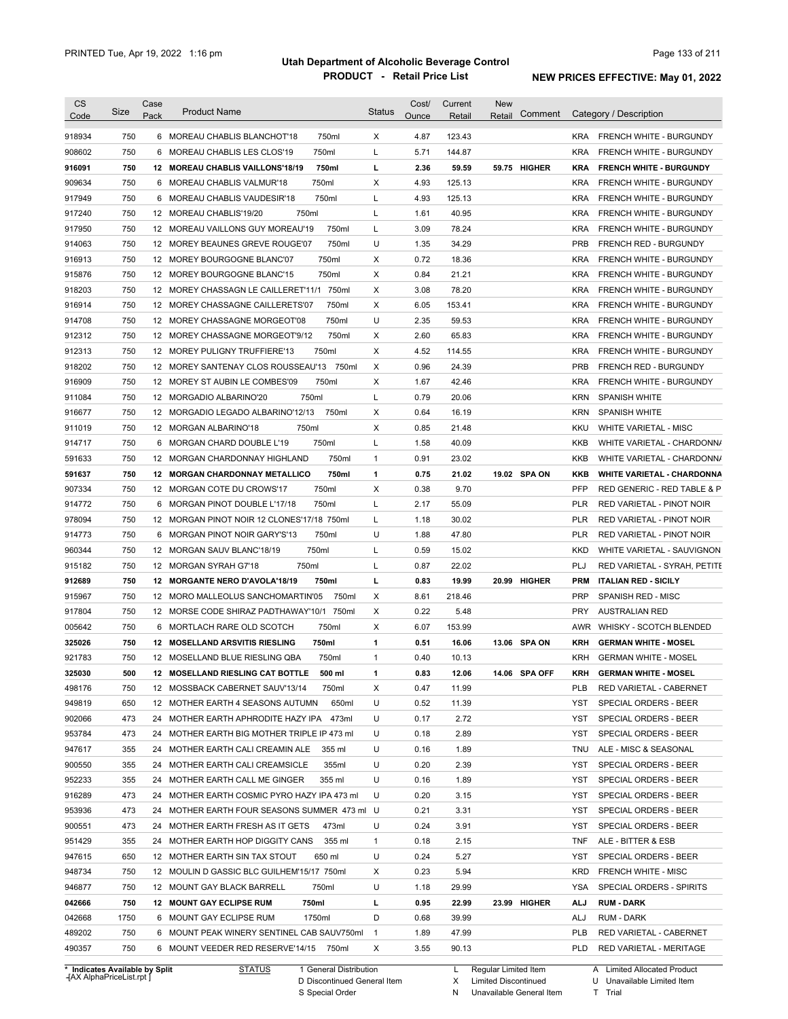| 918934<br>750<br>750ml<br>4.87<br>123.43<br>6 MOREAU CHABLIS BLANCHOT'18<br>X<br>KRA FRENCH WHITE - BURGUNDY<br>908602<br>750<br>750ml<br>Г<br>5.71<br>144.87<br><b>KRA</b><br>6 MOREAU CHABLIS LES CLOS'19<br><b>FRENCH WHITE - BURGUNDY</b><br>750<br>750ml<br>г<br>2.36<br>59.59<br>59.75 HIGHER<br>916091<br>12 MOREAU CHABLIS VAILLONS'18/19<br>KRA<br><b>FRENCH WHITE - BURGUNDY</b><br>750<br>750ml<br>Х<br>4.93<br>125.13<br>909634<br>6 MOREAU CHABLIS VALMUR'18<br><b>KRA</b><br>FRENCH WHITE - BURGUNDY<br>750<br>750ml<br>Г<br>4.93<br>125.13<br>917949<br>6 MOREAU CHABLIS VAUDESIR'18<br><b>KRA</b><br>FRENCH WHITE - BURGUNDY<br>750<br>750ml<br>Г<br>1.61<br>40.95<br>917240<br>12 MOREAU CHABLIS'19/20<br><b>KRA</b><br>FRENCH WHITE - BURGUNDY<br>750<br>12 MOREAU VAILLONS GUY MOREAU'19<br>750ml<br>3.09<br>78.24<br>917950<br>L<br><b>KRA</b><br><b>FRENCH WHITE - BURGUNDY</b><br>750<br>U<br>1.35<br>34.29<br><b>PRB</b><br>914063<br>12 MOREY BEAUNES GREVE ROUGE'07<br>750ml<br><b>FRENCH RED - BURGUNDY</b><br>750<br>750ml<br>Х<br>0.72<br>18.36<br><b>KRA</b><br>916913<br>12 MOREY BOURGOGNE BLANC'07<br>FRENCH WHITE - BURGUNDY<br>750<br>750ml<br>Х<br>0.84<br>21.21<br>915876<br>12 MOREY BOURGOGNE BLANC'15<br><b>KRA</b><br><b>FRENCH WHITE - BURGUNDY</b><br>750<br>Х<br>3.08<br>78.20<br><b>KRA</b><br>918203<br>12 MOREY CHASSAGN LE CAILLERET'11/1 750ml<br>FRENCH WHITE - BURGUNDY<br>750<br>Х<br>6.05<br>153.41<br><b>KRA</b><br>916914<br>12 MOREY CHASSAGNE CAILLERETS'07<br>750ml<br>FRENCH WHITE - BURGUNDY<br>750<br>U<br>750ml<br>2.35<br>59.53<br><b>KRA</b><br>914708<br>12 MOREY CHASSAGNE MORGEOT'08<br>FRENCH WHITE - BURGUNDY<br>750<br>750ml<br>Х<br>2.60<br>65.83<br><b>KRA</b><br>12 MOREY CHASSAGNE MORGEOT'9/12<br>750<br>750ml<br>Χ<br>4.52<br>114.55<br>12 MOREY PULIGNY TRUFFIERE'13<br>KRA<br>750<br>Х<br>0.96<br>24.39<br><b>PRB</b><br>12 MOREY SANTENAY CLOS ROUSSEAU'13<br>750ml<br>FRENCH RED - BURGUNDY<br>750<br>750ml<br>Χ<br>1.67<br>42.46<br>12 MOREY ST AUBIN LE COMBES'09<br>KRA<br>750<br>750ml<br>Г<br>0.79<br>20.06<br>12 MORGADIO ALBARINO'20<br>KRN<br><b>SPANISH WHITE</b><br>750<br>12 MORGADIO LEGADO ALBARINO'12/13<br>750ml<br>Χ<br>0.64<br>16.19<br><b>SPANISH WHITE</b><br>KRN<br>750<br>750ml<br>Х<br>0.85<br>21.48<br>12 MORGAN ALBARINO'18<br>KKU<br><b>WHITE VARIETAL - MISC</b><br>750<br>750ml<br>Г<br>1.58<br>40.09<br>6<br>MORGAN CHARD DOUBLE L'19<br>KKB<br>750<br>12 MORGAN CHARDONNAY HIGHLAND<br>750ml<br>$\mathbf{1}$<br>0.91<br>23.02<br>KKB<br>750<br>750ml<br>1<br>0.75<br>21.02<br>19.02 SPA ON<br>12 MORGAN CHARDONNAY METALLICO<br>KKB<br>750ml<br>Х<br>907334<br>750<br>12 MORGAN COTE DU CROWS'17<br>0.38<br>9.70<br><b>PFP</b><br>750<br>Г<br>55.09<br>914772<br>6<br>MORGAN PINOT DOUBLE L'17/18<br>750ml<br>2.17<br>PLR<br>978094<br>750<br>Г<br>30.02<br>12 MORGAN PINOT NOIR 12 CLONES'17/18 750ml<br>1.18<br>PLR<br>U<br>750<br>750ml<br>1.88<br>47.80<br><b>PLR</b><br>914773<br>6<br>MORGAN PINOT NOIR GARY'S'13<br>RED VARIETAL - PINOT NOIR<br>960344<br>750<br>750ml<br>Г<br>0.59<br>15.02<br>12 MORGAN SAUV BLANC'18/19<br><b>KKD</b><br>WHITE VARIETAL - SAUVIGNON<br>915182<br>750<br>750ml<br>Г<br>0.87<br>22.02<br>PLJ<br>12 MORGAN SYRAH G7'18<br>RED VARIETAL - SYRAH, PETITE<br>912689<br>750<br>750ml<br>г<br>0.83<br>19.99<br>12 MORGANTE NERO D'AVOLA'18/19<br>20.99 HIGHER<br><b>PRM</b><br><b>ITALIAN RED - SICILY</b><br>915967<br>750<br>750ml<br>Х<br>8.61<br>218.46<br><b>PRP</b><br>12 MORO MALLEOLUS SANCHOMARTIN'05<br><b>SPANISH RED - MISC</b><br>917804<br>750<br>Х<br>0.22<br>5.48<br><b>PRY</b><br><b>AUSTRALIAN RED</b><br>12 MORSE CODE SHIRAZ PADTHAWAY'10/1 750ml<br>750<br>750ml<br>Χ<br>6.07<br>153.99<br>WHISKY - SCOTCH BLENDED<br>005642<br>6 MORTLACH RARE OLD SCOTCH<br>AWR<br>325026<br>750<br>750ml<br>1<br>0.51<br>16.06<br>13.06 SPA ON<br><b>KRH</b><br>12 MOSELLAND ARSVITIS RIESLING<br><b>GERMAN WHITE - MOSEL</b><br>921783<br>750<br>12 MOSELLAND BLUE RIESLING QBA<br>750ml<br>0.40<br>10.13<br><b>KRH</b><br><b>GERMAN WHITE - MOSEL</b><br>$\mathbf{1}$<br>325030<br>500<br>0.83<br>12.06<br>14.06 SPA OFF<br>12 MOSELLAND RIESLING CAT BOTTLE<br>500 ml<br>KRH<br><b>GERMAN WHITE - MOSEL</b><br>1<br>498176<br>750<br>12 MOSSBACK CABERNET SAUV'13/14<br>750ml<br>х<br>0.47<br>11.99<br>PLB<br>RED VARIETAL - CABERNET<br>949819<br>U<br>650<br>12 MOTHER EARTH 4 SEASONS AUTUMN<br>650ml<br>0.52<br>11.39<br>YST<br>SPECIAL ORDERS - BEER<br>902066<br>473<br>U<br>2.72<br>24 MOTHER EARTH APHRODITE HAZY IPA<br>473ml<br>0.17<br>YST<br>SPECIAL ORDERS - BEER<br>953784<br>2.89<br>SPECIAL ORDERS - BEER<br>473<br>24 MOTHER EARTH BIG MOTHER TRIPLE IP 473 ml<br>U<br>0.18<br>YST<br>1.89<br>355<br>24 MOTHER EARTH CALI CREAMIN ALE<br>355 ml<br>U<br>0.16<br>ALE - MISC & SEASONAL<br>TNU<br>355<br>U<br>0.20<br>2.39<br>SPECIAL ORDERS - BEER<br>24 MOTHER EARTH CALI CREAMSICLE<br>355ml<br>YST<br>U<br>355<br>24 MOTHER EARTH CALL ME GINGER<br>355 ml<br>0.16<br>1.89<br>YST<br>SPECIAL ORDERS - BEER<br>473<br>U<br>0.20<br>3.15<br>SPECIAL ORDERS - BEER<br>24 MOTHER EARTH COSMIC PYRO HAZY IPA 473 ml<br>YST<br>3.31<br>473<br>24 MOTHER EARTH FOUR SEASONS SUMMER 473 ml U<br>0.21<br>YST<br>SPECIAL ORDERS - BEER<br>473<br>U<br>3.91<br>24 MOTHER EARTH FRESH AS IT GETS<br>473ml<br>0.24<br>YST<br>SPECIAL ORDERS - BEER<br>2.15<br>355<br>24 MOTHER EARTH HOP DIGGITY CANS<br>355 ml<br>$\mathbf{1}$<br>0.18<br>TNF<br>ALE - BITTER & ESB<br>U<br>5.27<br>650<br>12 MOTHER EARTH SIN TAX STOUT<br>650 ml<br>0.24<br>YST<br>SPECIAL ORDERS - BEER<br>Х<br>5.94<br>750<br>12 MOULIN D GASSIC BLC GUILHEM'15/17 750ml<br>0.23<br>KRD<br>FRENCH WHITE - MISC<br>U<br>750<br>12 MOUNT GAY BLACK BARRELL<br>750ml<br>1.18<br>29.99<br>YSA<br>SPECIAL ORDERS - SPIRITS<br>750ml<br>750<br><b>12 MOUNT GAY ECLIPSE RUM</b><br>г<br>0.95<br>22.99<br>23.99 HIGHER<br>ALJ<br><b>RUM - DARK</b><br>1750<br>6 MOUNT GAY ECLIPSE RUM<br>1750ml<br>D<br>0.68<br>39.99<br>ALJ<br>RUM - DARK<br>47.99<br>750<br>6 MOUNT PEAK WINERY SENTINEL CAB SAUV750ml<br>$\overline{1}$<br>1.89<br>PLB<br>RED VARIETAL - CABERNET | <b>CS</b><br>Code | Size | Case<br>Pack | <b>Product Name</b>                    | <b>Status</b> | Cost/<br>Ounce | Current<br>Retail | <b>New</b><br>Comment<br>Retail | Category / Description            |
|---------------------------------------------------------------------------------------------------------------------------------------------------------------------------------------------------------------------------------------------------------------------------------------------------------------------------------------------------------------------------------------------------------------------------------------------------------------------------------------------------------------------------------------------------------------------------------------------------------------------------------------------------------------------------------------------------------------------------------------------------------------------------------------------------------------------------------------------------------------------------------------------------------------------------------------------------------------------------------------------------------------------------------------------------------------------------------------------------------------------------------------------------------------------------------------------------------------------------------------------------------------------------------------------------------------------------------------------------------------------------------------------------------------------------------------------------------------------------------------------------------------------------------------------------------------------------------------------------------------------------------------------------------------------------------------------------------------------------------------------------------------------------------------------------------------------------------------------------------------------------------------------------------------------------------------------------------------------------------------------------------------------------------------------------------------------------------------------------------------------------------------------------------------------------------------------------------------------------------------------------------------------------------------------------------------------------------------------------------------------------------------------------------------------------------------------------------------------------------------------------------------------------------------------------------------------------------------------------------------------------------------------------------------------------------------------------------------------------------------------------------------------------------------------------------------------------------------------------------------------------------------------------------------------------------------------------------------------------------------------------------------------------------------------------------------------------------------------------------------------------------------------------------------------------------------------------------------------------------------------------------------------------------------------------------------------------------------------------------------------------------------------------------------------------------------------------------------------------------------------------------------------------------------------------------------------------------------------------------------------------------------------------------------------------------------------------------------------------------------------------------------------------------------------------------------------------------------------------------------------------------------------------------------------------------------------------------------------------------------------------------------------------------------------------------------------------------------------------------------------------------------------------------------------------------------------------------------------------------------------------------------------------------------------------------------------------------------------------------------------------------------------------------------------------------------------------------------------------------------------------------------------------------------------------------------------------------------------------------------------------------------------------------------------------------------------------------------------------------------------------------------------------------------------------------------------------------------------------------------------------------------------------------------------------------------------------------------------------------------------------------------------------------------------------------------------------------------------------------------------------------------------------------------------------------------------------------------------------------------------------------------------------------------------------------------------------------------------------------------------------------------------------------------------------------------------------------------------------------------------------------------------------------------------------------------------------------------------------------------------------------------------------------------------------------------------------------------------------------------------------------------------------------------------------------------------------------------------------------------------------------------------------------------------------------------------------------------------------------------------------------------------------------------------------------------------------------------------------------------------------------------------------------------------------------------------------|-------------------|------|--------------|----------------------------------------|---------------|----------------|-------------------|---------------------------------|-----------------------------------|
|                                                                                                                                                                                                                                                                                                                                                                                                                                                                                                                                                                                                                                                                                                                                                                                                                                                                                                                                                                                                                                                                                                                                                                                                                                                                                                                                                                                                                                                                                                                                                                                                                                                                                                                                                                                                                                                                                                                                                                                                                                                                                                                                                                                                                                                                                                                                                                                                                                                                                                                                                                                                                                                                                                                                                                                                                                                                                                                                                                                                                                                                                                                                                                                                                                                                                                                                                                                                                                                                                                                                                                                                                                                                                                                                                                                                                                                                                                                                                                                                                                                                                                                                                                                                                                                                                                                                                                                                                                                                                                                                                                                                                                                                                                                                                                                                                                                                                                                                                                                                                                                                                                                                                                                                                                                                                                                                                                                                                                                                                                                                                                                                                                                                                                                                                                                                                                                                                                                                                                                                                                                                                                                                                                                                   |                   |      |              |                                        |               |                |                   |                                 |                                   |
|                                                                                                                                                                                                                                                                                                                                                                                                                                                                                                                                                                                                                                                                                                                                                                                                                                                                                                                                                                                                                                                                                                                                                                                                                                                                                                                                                                                                                                                                                                                                                                                                                                                                                                                                                                                                                                                                                                                                                                                                                                                                                                                                                                                                                                                                                                                                                                                                                                                                                                                                                                                                                                                                                                                                                                                                                                                                                                                                                                                                                                                                                                                                                                                                                                                                                                                                                                                                                                                                                                                                                                                                                                                                                                                                                                                                                                                                                                                                                                                                                                                                                                                                                                                                                                                                                                                                                                                                                                                                                                                                                                                                                                                                                                                                                                                                                                                                                                                                                                                                                                                                                                                                                                                                                                                                                                                                                                                                                                                                                                                                                                                                                                                                                                                                                                                                                                                                                                                                                                                                                                                                                                                                                                                                   |                   |      |              |                                        |               |                |                   |                                 |                                   |
|                                                                                                                                                                                                                                                                                                                                                                                                                                                                                                                                                                                                                                                                                                                                                                                                                                                                                                                                                                                                                                                                                                                                                                                                                                                                                                                                                                                                                                                                                                                                                                                                                                                                                                                                                                                                                                                                                                                                                                                                                                                                                                                                                                                                                                                                                                                                                                                                                                                                                                                                                                                                                                                                                                                                                                                                                                                                                                                                                                                                                                                                                                                                                                                                                                                                                                                                                                                                                                                                                                                                                                                                                                                                                                                                                                                                                                                                                                                                                                                                                                                                                                                                                                                                                                                                                                                                                                                                                                                                                                                                                                                                                                                                                                                                                                                                                                                                                                                                                                                                                                                                                                                                                                                                                                                                                                                                                                                                                                                                                                                                                                                                                                                                                                                                                                                                                                                                                                                                                                                                                                                                                                                                                                                                   |                   |      |              |                                        |               |                |                   |                                 |                                   |
|                                                                                                                                                                                                                                                                                                                                                                                                                                                                                                                                                                                                                                                                                                                                                                                                                                                                                                                                                                                                                                                                                                                                                                                                                                                                                                                                                                                                                                                                                                                                                                                                                                                                                                                                                                                                                                                                                                                                                                                                                                                                                                                                                                                                                                                                                                                                                                                                                                                                                                                                                                                                                                                                                                                                                                                                                                                                                                                                                                                                                                                                                                                                                                                                                                                                                                                                                                                                                                                                                                                                                                                                                                                                                                                                                                                                                                                                                                                                                                                                                                                                                                                                                                                                                                                                                                                                                                                                                                                                                                                                                                                                                                                                                                                                                                                                                                                                                                                                                                                                                                                                                                                                                                                                                                                                                                                                                                                                                                                                                                                                                                                                                                                                                                                                                                                                                                                                                                                                                                                                                                                                                                                                                                                                   |                   |      |              |                                        |               |                |                   |                                 |                                   |
|                                                                                                                                                                                                                                                                                                                                                                                                                                                                                                                                                                                                                                                                                                                                                                                                                                                                                                                                                                                                                                                                                                                                                                                                                                                                                                                                                                                                                                                                                                                                                                                                                                                                                                                                                                                                                                                                                                                                                                                                                                                                                                                                                                                                                                                                                                                                                                                                                                                                                                                                                                                                                                                                                                                                                                                                                                                                                                                                                                                                                                                                                                                                                                                                                                                                                                                                                                                                                                                                                                                                                                                                                                                                                                                                                                                                                                                                                                                                                                                                                                                                                                                                                                                                                                                                                                                                                                                                                                                                                                                                                                                                                                                                                                                                                                                                                                                                                                                                                                                                                                                                                                                                                                                                                                                                                                                                                                                                                                                                                                                                                                                                                                                                                                                                                                                                                                                                                                                                                                                                                                                                                                                                                                                                   |                   |      |              |                                        |               |                |                   |                                 |                                   |
|                                                                                                                                                                                                                                                                                                                                                                                                                                                                                                                                                                                                                                                                                                                                                                                                                                                                                                                                                                                                                                                                                                                                                                                                                                                                                                                                                                                                                                                                                                                                                                                                                                                                                                                                                                                                                                                                                                                                                                                                                                                                                                                                                                                                                                                                                                                                                                                                                                                                                                                                                                                                                                                                                                                                                                                                                                                                                                                                                                                                                                                                                                                                                                                                                                                                                                                                                                                                                                                                                                                                                                                                                                                                                                                                                                                                                                                                                                                                                                                                                                                                                                                                                                                                                                                                                                                                                                                                                                                                                                                                                                                                                                                                                                                                                                                                                                                                                                                                                                                                                                                                                                                                                                                                                                                                                                                                                                                                                                                                                                                                                                                                                                                                                                                                                                                                                                                                                                                                                                                                                                                                                                                                                                                                   |                   |      |              |                                        |               |                |                   |                                 |                                   |
|                                                                                                                                                                                                                                                                                                                                                                                                                                                                                                                                                                                                                                                                                                                                                                                                                                                                                                                                                                                                                                                                                                                                                                                                                                                                                                                                                                                                                                                                                                                                                                                                                                                                                                                                                                                                                                                                                                                                                                                                                                                                                                                                                                                                                                                                                                                                                                                                                                                                                                                                                                                                                                                                                                                                                                                                                                                                                                                                                                                                                                                                                                                                                                                                                                                                                                                                                                                                                                                                                                                                                                                                                                                                                                                                                                                                                                                                                                                                                                                                                                                                                                                                                                                                                                                                                                                                                                                                                                                                                                                                                                                                                                                                                                                                                                                                                                                                                                                                                                                                                                                                                                                                                                                                                                                                                                                                                                                                                                                                                                                                                                                                                                                                                                                                                                                                                                                                                                                                                                                                                                                                                                                                                                                                   |                   |      |              |                                        |               |                |                   |                                 |                                   |
|                                                                                                                                                                                                                                                                                                                                                                                                                                                                                                                                                                                                                                                                                                                                                                                                                                                                                                                                                                                                                                                                                                                                                                                                                                                                                                                                                                                                                                                                                                                                                                                                                                                                                                                                                                                                                                                                                                                                                                                                                                                                                                                                                                                                                                                                                                                                                                                                                                                                                                                                                                                                                                                                                                                                                                                                                                                                                                                                                                                                                                                                                                                                                                                                                                                                                                                                                                                                                                                                                                                                                                                                                                                                                                                                                                                                                                                                                                                                                                                                                                                                                                                                                                                                                                                                                                                                                                                                                                                                                                                                                                                                                                                                                                                                                                                                                                                                                                                                                                                                                                                                                                                                                                                                                                                                                                                                                                                                                                                                                                                                                                                                                                                                                                                                                                                                                                                                                                                                                                                                                                                                                                                                                                                                   |                   |      |              |                                        |               |                |                   |                                 |                                   |
|                                                                                                                                                                                                                                                                                                                                                                                                                                                                                                                                                                                                                                                                                                                                                                                                                                                                                                                                                                                                                                                                                                                                                                                                                                                                                                                                                                                                                                                                                                                                                                                                                                                                                                                                                                                                                                                                                                                                                                                                                                                                                                                                                                                                                                                                                                                                                                                                                                                                                                                                                                                                                                                                                                                                                                                                                                                                                                                                                                                                                                                                                                                                                                                                                                                                                                                                                                                                                                                                                                                                                                                                                                                                                                                                                                                                                                                                                                                                                                                                                                                                                                                                                                                                                                                                                                                                                                                                                                                                                                                                                                                                                                                                                                                                                                                                                                                                                                                                                                                                                                                                                                                                                                                                                                                                                                                                                                                                                                                                                                                                                                                                                                                                                                                                                                                                                                                                                                                                                                                                                                                                                                                                                                                                   |                   |      |              |                                        |               |                |                   |                                 |                                   |
|                                                                                                                                                                                                                                                                                                                                                                                                                                                                                                                                                                                                                                                                                                                                                                                                                                                                                                                                                                                                                                                                                                                                                                                                                                                                                                                                                                                                                                                                                                                                                                                                                                                                                                                                                                                                                                                                                                                                                                                                                                                                                                                                                                                                                                                                                                                                                                                                                                                                                                                                                                                                                                                                                                                                                                                                                                                                                                                                                                                                                                                                                                                                                                                                                                                                                                                                                                                                                                                                                                                                                                                                                                                                                                                                                                                                                                                                                                                                                                                                                                                                                                                                                                                                                                                                                                                                                                                                                                                                                                                                                                                                                                                                                                                                                                                                                                                                                                                                                                                                                                                                                                                                                                                                                                                                                                                                                                                                                                                                                                                                                                                                                                                                                                                                                                                                                                                                                                                                                                                                                                                                                                                                                                                                   |                   |      |              |                                        |               |                |                   |                                 |                                   |
|                                                                                                                                                                                                                                                                                                                                                                                                                                                                                                                                                                                                                                                                                                                                                                                                                                                                                                                                                                                                                                                                                                                                                                                                                                                                                                                                                                                                                                                                                                                                                                                                                                                                                                                                                                                                                                                                                                                                                                                                                                                                                                                                                                                                                                                                                                                                                                                                                                                                                                                                                                                                                                                                                                                                                                                                                                                                                                                                                                                                                                                                                                                                                                                                                                                                                                                                                                                                                                                                                                                                                                                                                                                                                                                                                                                                                                                                                                                                                                                                                                                                                                                                                                                                                                                                                                                                                                                                                                                                                                                                                                                                                                                                                                                                                                                                                                                                                                                                                                                                                                                                                                                                                                                                                                                                                                                                                                                                                                                                                                                                                                                                                                                                                                                                                                                                                                                                                                                                                                                                                                                                                                                                                                                                   |                   |      |              |                                        |               |                |                   |                                 |                                   |
|                                                                                                                                                                                                                                                                                                                                                                                                                                                                                                                                                                                                                                                                                                                                                                                                                                                                                                                                                                                                                                                                                                                                                                                                                                                                                                                                                                                                                                                                                                                                                                                                                                                                                                                                                                                                                                                                                                                                                                                                                                                                                                                                                                                                                                                                                                                                                                                                                                                                                                                                                                                                                                                                                                                                                                                                                                                                                                                                                                                                                                                                                                                                                                                                                                                                                                                                                                                                                                                                                                                                                                                                                                                                                                                                                                                                                                                                                                                                                                                                                                                                                                                                                                                                                                                                                                                                                                                                                                                                                                                                                                                                                                                                                                                                                                                                                                                                                                                                                                                                                                                                                                                                                                                                                                                                                                                                                                                                                                                                                                                                                                                                                                                                                                                                                                                                                                                                                                                                                                                                                                                                                                                                                                                                   |                   |      |              |                                        |               |                |                   |                                 |                                   |
|                                                                                                                                                                                                                                                                                                                                                                                                                                                                                                                                                                                                                                                                                                                                                                                                                                                                                                                                                                                                                                                                                                                                                                                                                                                                                                                                                                                                                                                                                                                                                                                                                                                                                                                                                                                                                                                                                                                                                                                                                                                                                                                                                                                                                                                                                                                                                                                                                                                                                                                                                                                                                                                                                                                                                                                                                                                                                                                                                                                                                                                                                                                                                                                                                                                                                                                                                                                                                                                                                                                                                                                                                                                                                                                                                                                                                                                                                                                                                                                                                                                                                                                                                                                                                                                                                                                                                                                                                                                                                                                                                                                                                                                                                                                                                                                                                                                                                                                                                                                                                                                                                                                                                                                                                                                                                                                                                                                                                                                                                                                                                                                                                                                                                                                                                                                                                                                                                                                                                                                                                                                                                                                                                                                                   |                   |      |              |                                        |               |                |                   |                                 |                                   |
|                                                                                                                                                                                                                                                                                                                                                                                                                                                                                                                                                                                                                                                                                                                                                                                                                                                                                                                                                                                                                                                                                                                                                                                                                                                                                                                                                                                                                                                                                                                                                                                                                                                                                                                                                                                                                                                                                                                                                                                                                                                                                                                                                                                                                                                                                                                                                                                                                                                                                                                                                                                                                                                                                                                                                                                                                                                                                                                                                                                                                                                                                                                                                                                                                                                                                                                                                                                                                                                                                                                                                                                                                                                                                                                                                                                                                                                                                                                                                                                                                                                                                                                                                                                                                                                                                                                                                                                                                                                                                                                                                                                                                                                                                                                                                                                                                                                                                                                                                                                                                                                                                                                                                                                                                                                                                                                                                                                                                                                                                                                                                                                                                                                                                                                                                                                                                                                                                                                                                                                                                                                                                                                                                                                                   |                   |      |              |                                        |               |                |                   |                                 |                                   |
|                                                                                                                                                                                                                                                                                                                                                                                                                                                                                                                                                                                                                                                                                                                                                                                                                                                                                                                                                                                                                                                                                                                                                                                                                                                                                                                                                                                                                                                                                                                                                                                                                                                                                                                                                                                                                                                                                                                                                                                                                                                                                                                                                                                                                                                                                                                                                                                                                                                                                                                                                                                                                                                                                                                                                                                                                                                                                                                                                                                                                                                                                                                                                                                                                                                                                                                                                                                                                                                                                                                                                                                                                                                                                                                                                                                                                                                                                                                                                                                                                                                                                                                                                                                                                                                                                                                                                                                                                                                                                                                                                                                                                                                                                                                                                                                                                                                                                                                                                                                                                                                                                                                                                                                                                                                                                                                                                                                                                                                                                                                                                                                                                                                                                                                                                                                                                                                                                                                                                                                                                                                                                                                                                                                                   | 912312            |      |              |                                        |               |                |                   |                                 | FRENCH WHITE - BURGUNDY           |
|                                                                                                                                                                                                                                                                                                                                                                                                                                                                                                                                                                                                                                                                                                                                                                                                                                                                                                                                                                                                                                                                                                                                                                                                                                                                                                                                                                                                                                                                                                                                                                                                                                                                                                                                                                                                                                                                                                                                                                                                                                                                                                                                                                                                                                                                                                                                                                                                                                                                                                                                                                                                                                                                                                                                                                                                                                                                                                                                                                                                                                                                                                                                                                                                                                                                                                                                                                                                                                                                                                                                                                                                                                                                                                                                                                                                                                                                                                                                                                                                                                                                                                                                                                                                                                                                                                                                                                                                                                                                                                                                                                                                                                                                                                                                                                                                                                                                                                                                                                                                                                                                                                                                                                                                                                                                                                                                                                                                                                                                                                                                                                                                                                                                                                                                                                                                                                                                                                                                                                                                                                                                                                                                                                                                   | 912313            |      |              |                                        |               |                |                   |                                 | FRENCH WHITE - BURGUNDY           |
|                                                                                                                                                                                                                                                                                                                                                                                                                                                                                                                                                                                                                                                                                                                                                                                                                                                                                                                                                                                                                                                                                                                                                                                                                                                                                                                                                                                                                                                                                                                                                                                                                                                                                                                                                                                                                                                                                                                                                                                                                                                                                                                                                                                                                                                                                                                                                                                                                                                                                                                                                                                                                                                                                                                                                                                                                                                                                                                                                                                                                                                                                                                                                                                                                                                                                                                                                                                                                                                                                                                                                                                                                                                                                                                                                                                                                                                                                                                                                                                                                                                                                                                                                                                                                                                                                                                                                                                                                                                                                                                                                                                                                                                                                                                                                                                                                                                                                                                                                                                                                                                                                                                                                                                                                                                                                                                                                                                                                                                                                                                                                                                                                                                                                                                                                                                                                                                                                                                                                                                                                                                                                                                                                                                                   | 918202            |      |              |                                        |               |                |                   |                                 |                                   |
|                                                                                                                                                                                                                                                                                                                                                                                                                                                                                                                                                                                                                                                                                                                                                                                                                                                                                                                                                                                                                                                                                                                                                                                                                                                                                                                                                                                                                                                                                                                                                                                                                                                                                                                                                                                                                                                                                                                                                                                                                                                                                                                                                                                                                                                                                                                                                                                                                                                                                                                                                                                                                                                                                                                                                                                                                                                                                                                                                                                                                                                                                                                                                                                                                                                                                                                                                                                                                                                                                                                                                                                                                                                                                                                                                                                                                                                                                                                                                                                                                                                                                                                                                                                                                                                                                                                                                                                                                                                                                                                                                                                                                                                                                                                                                                                                                                                                                                                                                                                                                                                                                                                                                                                                                                                                                                                                                                                                                                                                                                                                                                                                                                                                                                                                                                                                                                                                                                                                                                                                                                                                                                                                                                                                   | 916909            |      |              |                                        |               |                |                   |                                 | FRENCH WHITE - BURGUNDY           |
|                                                                                                                                                                                                                                                                                                                                                                                                                                                                                                                                                                                                                                                                                                                                                                                                                                                                                                                                                                                                                                                                                                                                                                                                                                                                                                                                                                                                                                                                                                                                                                                                                                                                                                                                                                                                                                                                                                                                                                                                                                                                                                                                                                                                                                                                                                                                                                                                                                                                                                                                                                                                                                                                                                                                                                                                                                                                                                                                                                                                                                                                                                                                                                                                                                                                                                                                                                                                                                                                                                                                                                                                                                                                                                                                                                                                                                                                                                                                                                                                                                                                                                                                                                                                                                                                                                                                                                                                                                                                                                                                                                                                                                                                                                                                                                                                                                                                                                                                                                                                                                                                                                                                                                                                                                                                                                                                                                                                                                                                                                                                                                                                                                                                                                                                                                                                                                                                                                                                                                                                                                                                                                                                                                                                   | 911084            |      |              |                                        |               |                |                   |                                 |                                   |
|                                                                                                                                                                                                                                                                                                                                                                                                                                                                                                                                                                                                                                                                                                                                                                                                                                                                                                                                                                                                                                                                                                                                                                                                                                                                                                                                                                                                                                                                                                                                                                                                                                                                                                                                                                                                                                                                                                                                                                                                                                                                                                                                                                                                                                                                                                                                                                                                                                                                                                                                                                                                                                                                                                                                                                                                                                                                                                                                                                                                                                                                                                                                                                                                                                                                                                                                                                                                                                                                                                                                                                                                                                                                                                                                                                                                                                                                                                                                                                                                                                                                                                                                                                                                                                                                                                                                                                                                                                                                                                                                                                                                                                                                                                                                                                                                                                                                                                                                                                                                                                                                                                                                                                                                                                                                                                                                                                                                                                                                                                                                                                                                                                                                                                                                                                                                                                                                                                                                                                                                                                                                                                                                                                                                   | 916677            |      |              |                                        |               |                |                   |                                 |                                   |
|                                                                                                                                                                                                                                                                                                                                                                                                                                                                                                                                                                                                                                                                                                                                                                                                                                                                                                                                                                                                                                                                                                                                                                                                                                                                                                                                                                                                                                                                                                                                                                                                                                                                                                                                                                                                                                                                                                                                                                                                                                                                                                                                                                                                                                                                                                                                                                                                                                                                                                                                                                                                                                                                                                                                                                                                                                                                                                                                                                                                                                                                                                                                                                                                                                                                                                                                                                                                                                                                                                                                                                                                                                                                                                                                                                                                                                                                                                                                                                                                                                                                                                                                                                                                                                                                                                                                                                                                                                                                                                                                                                                                                                                                                                                                                                                                                                                                                                                                                                                                                                                                                                                                                                                                                                                                                                                                                                                                                                                                                                                                                                                                                                                                                                                                                                                                                                                                                                                                                                                                                                                                                                                                                                                                   | 911019            |      |              |                                        |               |                |                   |                                 |                                   |
|                                                                                                                                                                                                                                                                                                                                                                                                                                                                                                                                                                                                                                                                                                                                                                                                                                                                                                                                                                                                                                                                                                                                                                                                                                                                                                                                                                                                                                                                                                                                                                                                                                                                                                                                                                                                                                                                                                                                                                                                                                                                                                                                                                                                                                                                                                                                                                                                                                                                                                                                                                                                                                                                                                                                                                                                                                                                                                                                                                                                                                                                                                                                                                                                                                                                                                                                                                                                                                                                                                                                                                                                                                                                                                                                                                                                                                                                                                                                                                                                                                                                                                                                                                                                                                                                                                                                                                                                                                                                                                                                                                                                                                                                                                                                                                                                                                                                                                                                                                                                                                                                                                                                                                                                                                                                                                                                                                                                                                                                                                                                                                                                                                                                                                                                                                                                                                                                                                                                                                                                                                                                                                                                                                                                   | 914717            |      |              |                                        |               |                |                   |                                 | WHITE VARIETAL - CHARDONN/        |
|                                                                                                                                                                                                                                                                                                                                                                                                                                                                                                                                                                                                                                                                                                                                                                                                                                                                                                                                                                                                                                                                                                                                                                                                                                                                                                                                                                                                                                                                                                                                                                                                                                                                                                                                                                                                                                                                                                                                                                                                                                                                                                                                                                                                                                                                                                                                                                                                                                                                                                                                                                                                                                                                                                                                                                                                                                                                                                                                                                                                                                                                                                                                                                                                                                                                                                                                                                                                                                                                                                                                                                                                                                                                                                                                                                                                                                                                                                                                                                                                                                                                                                                                                                                                                                                                                                                                                                                                                                                                                                                                                                                                                                                                                                                                                                                                                                                                                                                                                                                                                                                                                                                                                                                                                                                                                                                                                                                                                                                                                                                                                                                                                                                                                                                                                                                                                                                                                                                                                                                                                                                                                                                                                                                                   | 591633            |      |              |                                        |               |                |                   |                                 | WHITE VARIETAL - CHARDONN/        |
|                                                                                                                                                                                                                                                                                                                                                                                                                                                                                                                                                                                                                                                                                                                                                                                                                                                                                                                                                                                                                                                                                                                                                                                                                                                                                                                                                                                                                                                                                                                                                                                                                                                                                                                                                                                                                                                                                                                                                                                                                                                                                                                                                                                                                                                                                                                                                                                                                                                                                                                                                                                                                                                                                                                                                                                                                                                                                                                                                                                                                                                                                                                                                                                                                                                                                                                                                                                                                                                                                                                                                                                                                                                                                                                                                                                                                                                                                                                                                                                                                                                                                                                                                                                                                                                                                                                                                                                                                                                                                                                                                                                                                                                                                                                                                                                                                                                                                                                                                                                                                                                                                                                                                                                                                                                                                                                                                                                                                                                                                                                                                                                                                                                                                                                                                                                                                                                                                                                                                                                                                                                                                                                                                                                                   | 591637            |      |              |                                        |               |                |                   |                                 | <b>WHITE VARIETAL - CHARDONNA</b> |
|                                                                                                                                                                                                                                                                                                                                                                                                                                                                                                                                                                                                                                                                                                                                                                                                                                                                                                                                                                                                                                                                                                                                                                                                                                                                                                                                                                                                                                                                                                                                                                                                                                                                                                                                                                                                                                                                                                                                                                                                                                                                                                                                                                                                                                                                                                                                                                                                                                                                                                                                                                                                                                                                                                                                                                                                                                                                                                                                                                                                                                                                                                                                                                                                                                                                                                                                                                                                                                                                                                                                                                                                                                                                                                                                                                                                                                                                                                                                                                                                                                                                                                                                                                                                                                                                                                                                                                                                                                                                                                                                                                                                                                                                                                                                                                                                                                                                                                                                                                                                                                                                                                                                                                                                                                                                                                                                                                                                                                                                                                                                                                                                                                                                                                                                                                                                                                                                                                                                                                                                                                                                                                                                                                                                   |                   |      |              |                                        |               |                |                   |                                 | RED GENERIC - RED TABLE & P       |
|                                                                                                                                                                                                                                                                                                                                                                                                                                                                                                                                                                                                                                                                                                                                                                                                                                                                                                                                                                                                                                                                                                                                                                                                                                                                                                                                                                                                                                                                                                                                                                                                                                                                                                                                                                                                                                                                                                                                                                                                                                                                                                                                                                                                                                                                                                                                                                                                                                                                                                                                                                                                                                                                                                                                                                                                                                                                                                                                                                                                                                                                                                                                                                                                                                                                                                                                                                                                                                                                                                                                                                                                                                                                                                                                                                                                                                                                                                                                                                                                                                                                                                                                                                                                                                                                                                                                                                                                                                                                                                                                                                                                                                                                                                                                                                                                                                                                                                                                                                                                                                                                                                                                                                                                                                                                                                                                                                                                                                                                                                                                                                                                                                                                                                                                                                                                                                                                                                                                                                                                                                                                                                                                                                                                   |                   |      |              |                                        |               |                |                   |                                 | RED VARIETAL - PINOT NOIR         |
|                                                                                                                                                                                                                                                                                                                                                                                                                                                                                                                                                                                                                                                                                                                                                                                                                                                                                                                                                                                                                                                                                                                                                                                                                                                                                                                                                                                                                                                                                                                                                                                                                                                                                                                                                                                                                                                                                                                                                                                                                                                                                                                                                                                                                                                                                                                                                                                                                                                                                                                                                                                                                                                                                                                                                                                                                                                                                                                                                                                                                                                                                                                                                                                                                                                                                                                                                                                                                                                                                                                                                                                                                                                                                                                                                                                                                                                                                                                                                                                                                                                                                                                                                                                                                                                                                                                                                                                                                                                                                                                                                                                                                                                                                                                                                                                                                                                                                                                                                                                                                                                                                                                                                                                                                                                                                                                                                                                                                                                                                                                                                                                                                                                                                                                                                                                                                                                                                                                                                                                                                                                                                                                                                                                                   |                   |      |              |                                        |               |                |                   |                                 | RED VARIETAL - PINOT NOIR         |
|                                                                                                                                                                                                                                                                                                                                                                                                                                                                                                                                                                                                                                                                                                                                                                                                                                                                                                                                                                                                                                                                                                                                                                                                                                                                                                                                                                                                                                                                                                                                                                                                                                                                                                                                                                                                                                                                                                                                                                                                                                                                                                                                                                                                                                                                                                                                                                                                                                                                                                                                                                                                                                                                                                                                                                                                                                                                                                                                                                                                                                                                                                                                                                                                                                                                                                                                                                                                                                                                                                                                                                                                                                                                                                                                                                                                                                                                                                                                                                                                                                                                                                                                                                                                                                                                                                                                                                                                                                                                                                                                                                                                                                                                                                                                                                                                                                                                                                                                                                                                                                                                                                                                                                                                                                                                                                                                                                                                                                                                                                                                                                                                                                                                                                                                                                                                                                                                                                                                                                                                                                                                                                                                                                                                   |                   |      |              |                                        |               |                |                   |                                 |                                   |
|                                                                                                                                                                                                                                                                                                                                                                                                                                                                                                                                                                                                                                                                                                                                                                                                                                                                                                                                                                                                                                                                                                                                                                                                                                                                                                                                                                                                                                                                                                                                                                                                                                                                                                                                                                                                                                                                                                                                                                                                                                                                                                                                                                                                                                                                                                                                                                                                                                                                                                                                                                                                                                                                                                                                                                                                                                                                                                                                                                                                                                                                                                                                                                                                                                                                                                                                                                                                                                                                                                                                                                                                                                                                                                                                                                                                                                                                                                                                                                                                                                                                                                                                                                                                                                                                                                                                                                                                                                                                                                                                                                                                                                                                                                                                                                                                                                                                                                                                                                                                                                                                                                                                                                                                                                                                                                                                                                                                                                                                                                                                                                                                                                                                                                                                                                                                                                                                                                                                                                                                                                                                                                                                                                                                   |                   |      |              |                                        |               |                |                   |                                 |                                   |
|                                                                                                                                                                                                                                                                                                                                                                                                                                                                                                                                                                                                                                                                                                                                                                                                                                                                                                                                                                                                                                                                                                                                                                                                                                                                                                                                                                                                                                                                                                                                                                                                                                                                                                                                                                                                                                                                                                                                                                                                                                                                                                                                                                                                                                                                                                                                                                                                                                                                                                                                                                                                                                                                                                                                                                                                                                                                                                                                                                                                                                                                                                                                                                                                                                                                                                                                                                                                                                                                                                                                                                                                                                                                                                                                                                                                                                                                                                                                                                                                                                                                                                                                                                                                                                                                                                                                                                                                                                                                                                                                                                                                                                                                                                                                                                                                                                                                                                                                                                                                                                                                                                                                                                                                                                                                                                                                                                                                                                                                                                                                                                                                                                                                                                                                                                                                                                                                                                                                                                                                                                                                                                                                                                                                   |                   |      |              |                                        |               |                |                   |                                 |                                   |
|                                                                                                                                                                                                                                                                                                                                                                                                                                                                                                                                                                                                                                                                                                                                                                                                                                                                                                                                                                                                                                                                                                                                                                                                                                                                                                                                                                                                                                                                                                                                                                                                                                                                                                                                                                                                                                                                                                                                                                                                                                                                                                                                                                                                                                                                                                                                                                                                                                                                                                                                                                                                                                                                                                                                                                                                                                                                                                                                                                                                                                                                                                                                                                                                                                                                                                                                                                                                                                                                                                                                                                                                                                                                                                                                                                                                                                                                                                                                                                                                                                                                                                                                                                                                                                                                                                                                                                                                                                                                                                                                                                                                                                                                                                                                                                                                                                                                                                                                                                                                                                                                                                                                                                                                                                                                                                                                                                                                                                                                                                                                                                                                                                                                                                                                                                                                                                                                                                                                                                                                                                                                                                                                                                                                   |                   |      |              |                                        |               |                |                   |                                 |                                   |
|                                                                                                                                                                                                                                                                                                                                                                                                                                                                                                                                                                                                                                                                                                                                                                                                                                                                                                                                                                                                                                                                                                                                                                                                                                                                                                                                                                                                                                                                                                                                                                                                                                                                                                                                                                                                                                                                                                                                                                                                                                                                                                                                                                                                                                                                                                                                                                                                                                                                                                                                                                                                                                                                                                                                                                                                                                                                                                                                                                                                                                                                                                                                                                                                                                                                                                                                                                                                                                                                                                                                                                                                                                                                                                                                                                                                                                                                                                                                                                                                                                                                                                                                                                                                                                                                                                                                                                                                                                                                                                                                                                                                                                                                                                                                                                                                                                                                                                                                                                                                                                                                                                                                                                                                                                                                                                                                                                                                                                                                                                                                                                                                                                                                                                                                                                                                                                                                                                                                                                                                                                                                                                                                                                                                   |                   |      |              |                                        |               |                |                   |                                 |                                   |
|                                                                                                                                                                                                                                                                                                                                                                                                                                                                                                                                                                                                                                                                                                                                                                                                                                                                                                                                                                                                                                                                                                                                                                                                                                                                                                                                                                                                                                                                                                                                                                                                                                                                                                                                                                                                                                                                                                                                                                                                                                                                                                                                                                                                                                                                                                                                                                                                                                                                                                                                                                                                                                                                                                                                                                                                                                                                                                                                                                                                                                                                                                                                                                                                                                                                                                                                                                                                                                                                                                                                                                                                                                                                                                                                                                                                                                                                                                                                                                                                                                                                                                                                                                                                                                                                                                                                                                                                                                                                                                                                                                                                                                                                                                                                                                                                                                                                                                                                                                                                                                                                                                                                                                                                                                                                                                                                                                                                                                                                                                                                                                                                                                                                                                                                                                                                                                                                                                                                                                                                                                                                                                                                                                                                   |                   |      |              |                                        |               |                |                   |                                 |                                   |
|                                                                                                                                                                                                                                                                                                                                                                                                                                                                                                                                                                                                                                                                                                                                                                                                                                                                                                                                                                                                                                                                                                                                                                                                                                                                                                                                                                                                                                                                                                                                                                                                                                                                                                                                                                                                                                                                                                                                                                                                                                                                                                                                                                                                                                                                                                                                                                                                                                                                                                                                                                                                                                                                                                                                                                                                                                                                                                                                                                                                                                                                                                                                                                                                                                                                                                                                                                                                                                                                                                                                                                                                                                                                                                                                                                                                                                                                                                                                                                                                                                                                                                                                                                                                                                                                                                                                                                                                                                                                                                                                                                                                                                                                                                                                                                                                                                                                                                                                                                                                                                                                                                                                                                                                                                                                                                                                                                                                                                                                                                                                                                                                                                                                                                                                                                                                                                                                                                                                                                                                                                                                                                                                                                                                   |                   |      |              |                                        |               |                |                   |                                 |                                   |
|                                                                                                                                                                                                                                                                                                                                                                                                                                                                                                                                                                                                                                                                                                                                                                                                                                                                                                                                                                                                                                                                                                                                                                                                                                                                                                                                                                                                                                                                                                                                                                                                                                                                                                                                                                                                                                                                                                                                                                                                                                                                                                                                                                                                                                                                                                                                                                                                                                                                                                                                                                                                                                                                                                                                                                                                                                                                                                                                                                                                                                                                                                                                                                                                                                                                                                                                                                                                                                                                                                                                                                                                                                                                                                                                                                                                                                                                                                                                                                                                                                                                                                                                                                                                                                                                                                                                                                                                                                                                                                                                                                                                                                                                                                                                                                                                                                                                                                                                                                                                                                                                                                                                                                                                                                                                                                                                                                                                                                                                                                                                                                                                                                                                                                                                                                                                                                                                                                                                                                                                                                                                                                                                                                                                   |                   |      |              |                                        |               |                |                   |                                 |                                   |
|                                                                                                                                                                                                                                                                                                                                                                                                                                                                                                                                                                                                                                                                                                                                                                                                                                                                                                                                                                                                                                                                                                                                                                                                                                                                                                                                                                                                                                                                                                                                                                                                                                                                                                                                                                                                                                                                                                                                                                                                                                                                                                                                                                                                                                                                                                                                                                                                                                                                                                                                                                                                                                                                                                                                                                                                                                                                                                                                                                                                                                                                                                                                                                                                                                                                                                                                                                                                                                                                                                                                                                                                                                                                                                                                                                                                                                                                                                                                                                                                                                                                                                                                                                                                                                                                                                                                                                                                                                                                                                                                                                                                                                                                                                                                                                                                                                                                                                                                                                                                                                                                                                                                                                                                                                                                                                                                                                                                                                                                                                                                                                                                                                                                                                                                                                                                                                                                                                                                                                                                                                                                                                                                                                                                   |                   |      |              |                                        |               |                |                   |                                 |                                   |
|                                                                                                                                                                                                                                                                                                                                                                                                                                                                                                                                                                                                                                                                                                                                                                                                                                                                                                                                                                                                                                                                                                                                                                                                                                                                                                                                                                                                                                                                                                                                                                                                                                                                                                                                                                                                                                                                                                                                                                                                                                                                                                                                                                                                                                                                                                                                                                                                                                                                                                                                                                                                                                                                                                                                                                                                                                                                                                                                                                                                                                                                                                                                                                                                                                                                                                                                                                                                                                                                                                                                                                                                                                                                                                                                                                                                                                                                                                                                                                                                                                                                                                                                                                                                                                                                                                                                                                                                                                                                                                                                                                                                                                                                                                                                                                                                                                                                                                                                                                                                                                                                                                                                                                                                                                                                                                                                                                                                                                                                                                                                                                                                                                                                                                                                                                                                                                                                                                                                                                                                                                                                                                                                                                                                   |                   |      |              |                                        |               |                |                   |                                 |                                   |
|                                                                                                                                                                                                                                                                                                                                                                                                                                                                                                                                                                                                                                                                                                                                                                                                                                                                                                                                                                                                                                                                                                                                                                                                                                                                                                                                                                                                                                                                                                                                                                                                                                                                                                                                                                                                                                                                                                                                                                                                                                                                                                                                                                                                                                                                                                                                                                                                                                                                                                                                                                                                                                                                                                                                                                                                                                                                                                                                                                                                                                                                                                                                                                                                                                                                                                                                                                                                                                                                                                                                                                                                                                                                                                                                                                                                                                                                                                                                                                                                                                                                                                                                                                                                                                                                                                                                                                                                                                                                                                                                                                                                                                                                                                                                                                                                                                                                                                                                                                                                                                                                                                                                                                                                                                                                                                                                                                                                                                                                                                                                                                                                                                                                                                                                                                                                                                                                                                                                                                                                                                                                                                                                                                                                   |                   |      |              |                                        |               |                |                   |                                 |                                   |
|                                                                                                                                                                                                                                                                                                                                                                                                                                                                                                                                                                                                                                                                                                                                                                                                                                                                                                                                                                                                                                                                                                                                                                                                                                                                                                                                                                                                                                                                                                                                                                                                                                                                                                                                                                                                                                                                                                                                                                                                                                                                                                                                                                                                                                                                                                                                                                                                                                                                                                                                                                                                                                                                                                                                                                                                                                                                                                                                                                                                                                                                                                                                                                                                                                                                                                                                                                                                                                                                                                                                                                                                                                                                                                                                                                                                                                                                                                                                                                                                                                                                                                                                                                                                                                                                                                                                                                                                                                                                                                                                                                                                                                                                                                                                                                                                                                                                                                                                                                                                                                                                                                                                                                                                                                                                                                                                                                                                                                                                                                                                                                                                                                                                                                                                                                                                                                                                                                                                                                                                                                                                                                                                                                                                   |                   |      |              |                                        |               |                |                   |                                 |                                   |
|                                                                                                                                                                                                                                                                                                                                                                                                                                                                                                                                                                                                                                                                                                                                                                                                                                                                                                                                                                                                                                                                                                                                                                                                                                                                                                                                                                                                                                                                                                                                                                                                                                                                                                                                                                                                                                                                                                                                                                                                                                                                                                                                                                                                                                                                                                                                                                                                                                                                                                                                                                                                                                                                                                                                                                                                                                                                                                                                                                                                                                                                                                                                                                                                                                                                                                                                                                                                                                                                                                                                                                                                                                                                                                                                                                                                                                                                                                                                                                                                                                                                                                                                                                                                                                                                                                                                                                                                                                                                                                                                                                                                                                                                                                                                                                                                                                                                                                                                                                                                                                                                                                                                                                                                                                                                                                                                                                                                                                                                                                                                                                                                                                                                                                                                                                                                                                                                                                                                                                                                                                                                                                                                                                                                   |                   |      |              |                                        |               |                |                   |                                 |                                   |
|                                                                                                                                                                                                                                                                                                                                                                                                                                                                                                                                                                                                                                                                                                                                                                                                                                                                                                                                                                                                                                                                                                                                                                                                                                                                                                                                                                                                                                                                                                                                                                                                                                                                                                                                                                                                                                                                                                                                                                                                                                                                                                                                                                                                                                                                                                                                                                                                                                                                                                                                                                                                                                                                                                                                                                                                                                                                                                                                                                                                                                                                                                                                                                                                                                                                                                                                                                                                                                                                                                                                                                                                                                                                                                                                                                                                                                                                                                                                                                                                                                                                                                                                                                                                                                                                                                                                                                                                                                                                                                                                                                                                                                                                                                                                                                                                                                                                                                                                                                                                                                                                                                                                                                                                                                                                                                                                                                                                                                                                                                                                                                                                                                                                                                                                                                                                                                                                                                                                                                                                                                                                                                                                                                                                   |                   |      |              |                                        |               |                |                   |                                 |                                   |
|                                                                                                                                                                                                                                                                                                                                                                                                                                                                                                                                                                                                                                                                                                                                                                                                                                                                                                                                                                                                                                                                                                                                                                                                                                                                                                                                                                                                                                                                                                                                                                                                                                                                                                                                                                                                                                                                                                                                                                                                                                                                                                                                                                                                                                                                                                                                                                                                                                                                                                                                                                                                                                                                                                                                                                                                                                                                                                                                                                                                                                                                                                                                                                                                                                                                                                                                                                                                                                                                                                                                                                                                                                                                                                                                                                                                                                                                                                                                                                                                                                                                                                                                                                                                                                                                                                                                                                                                                                                                                                                                                                                                                                                                                                                                                                                                                                                                                                                                                                                                                                                                                                                                                                                                                                                                                                                                                                                                                                                                                                                                                                                                                                                                                                                                                                                                                                                                                                                                                                                                                                                                                                                                                                                                   |                   |      |              |                                        |               |                |                   |                                 |                                   |
|                                                                                                                                                                                                                                                                                                                                                                                                                                                                                                                                                                                                                                                                                                                                                                                                                                                                                                                                                                                                                                                                                                                                                                                                                                                                                                                                                                                                                                                                                                                                                                                                                                                                                                                                                                                                                                                                                                                                                                                                                                                                                                                                                                                                                                                                                                                                                                                                                                                                                                                                                                                                                                                                                                                                                                                                                                                                                                                                                                                                                                                                                                                                                                                                                                                                                                                                                                                                                                                                                                                                                                                                                                                                                                                                                                                                                                                                                                                                                                                                                                                                                                                                                                                                                                                                                                                                                                                                                                                                                                                                                                                                                                                                                                                                                                                                                                                                                                                                                                                                                                                                                                                                                                                                                                                                                                                                                                                                                                                                                                                                                                                                                                                                                                                                                                                                                                                                                                                                                                                                                                                                                                                                                                                                   | 947617            |      |              |                                        |               |                |                   |                                 |                                   |
|                                                                                                                                                                                                                                                                                                                                                                                                                                                                                                                                                                                                                                                                                                                                                                                                                                                                                                                                                                                                                                                                                                                                                                                                                                                                                                                                                                                                                                                                                                                                                                                                                                                                                                                                                                                                                                                                                                                                                                                                                                                                                                                                                                                                                                                                                                                                                                                                                                                                                                                                                                                                                                                                                                                                                                                                                                                                                                                                                                                                                                                                                                                                                                                                                                                                                                                                                                                                                                                                                                                                                                                                                                                                                                                                                                                                                                                                                                                                                                                                                                                                                                                                                                                                                                                                                                                                                                                                                                                                                                                                                                                                                                                                                                                                                                                                                                                                                                                                                                                                                                                                                                                                                                                                                                                                                                                                                                                                                                                                                                                                                                                                                                                                                                                                                                                                                                                                                                                                                                                                                                                                                                                                                                                                   | 900550            |      |              |                                        |               |                |                   |                                 |                                   |
|                                                                                                                                                                                                                                                                                                                                                                                                                                                                                                                                                                                                                                                                                                                                                                                                                                                                                                                                                                                                                                                                                                                                                                                                                                                                                                                                                                                                                                                                                                                                                                                                                                                                                                                                                                                                                                                                                                                                                                                                                                                                                                                                                                                                                                                                                                                                                                                                                                                                                                                                                                                                                                                                                                                                                                                                                                                                                                                                                                                                                                                                                                                                                                                                                                                                                                                                                                                                                                                                                                                                                                                                                                                                                                                                                                                                                                                                                                                                                                                                                                                                                                                                                                                                                                                                                                                                                                                                                                                                                                                                                                                                                                                                                                                                                                                                                                                                                                                                                                                                                                                                                                                                                                                                                                                                                                                                                                                                                                                                                                                                                                                                                                                                                                                                                                                                                                                                                                                                                                                                                                                                                                                                                                                                   | 952233            |      |              |                                        |               |                |                   |                                 |                                   |
|                                                                                                                                                                                                                                                                                                                                                                                                                                                                                                                                                                                                                                                                                                                                                                                                                                                                                                                                                                                                                                                                                                                                                                                                                                                                                                                                                                                                                                                                                                                                                                                                                                                                                                                                                                                                                                                                                                                                                                                                                                                                                                                                                                                                                                                                                                                                                                                                                                                                                                                                                                                                                                                                                                                                                                                                                                                                                                                                                                                                                                                                                                                                                                                                                                                                                                                                                                                                                                                                                                                                                                                                                                                                                                                                                                                                                                                                                                                                                                                                                                                                                                                                                                                                                                                                                                                                                                                                                                                                                                                                                                                                                                                                                                                                                                                                                                                                                                                                                                                                                                                                                                                                                                                                                                                                                                                                                                                                                                                                                                                                                                                                                                                                                                                                                                                                                                                                                                                                                                                                                                                                                                                                                                                                   | 916289            |      |              |                                        |               |                |                   |                                 |                                   |
|                                                                                                                                                                                                                                                                                                                                                                                                                                                                                                                                                                                                                                                                                                                                                                                                                                                                                                                                                                                                                                                                                                                                                                                                                                                                                                                                                                                                                                                                                                                                                                                                                                                                                                                                                                                                                                                                                                                                                                                                                                                                                                                                                                                                                                                                                                                                                                                                                                                                                                                                                                                                                                                                                                                                                                                                                                                                                                                                                                                                                                                                                                                                                                                                                                                                                                                                                                                                                                                                                                                                                                                                                                                                                                                                                                                                                                                                                                                                                                                                                                                                                                                                                                                                                                                                                                                                                                                                                                                                                                                                                                                                                                                                                                                                                                                                                                                                                                                                                                                                                                                                                                                                                                                                                                                                                                                                                                                                                                                                                                                                                                                                                                                                                                                                                                                                                                                                                                                                                                                                                                                                                                                                                                                                   | 953936            |      |              |                                        |               |                |                   |                                 |                                   |
|                                                                                                                                                                                                                                                                                                                                                                                                                                                                                                                                                                                                                                                                                                                                                                                                                                                                                                                                                                                                                                                                                                                                                                                                                                                                                                                                                                                                                                                                                                                                                                                                                                                                                                                                                                                                                                                                                                                                                                                                                                                                                                                                                                                                                                                                                                                                                                                                                                                                                                                                                                                                                                                                                                                                                                                                                                                                                                                                                                                                                                                                                                                                                                                                                                                                                                                                                                                                                                                                                                                                                                                                                                                                                                                                                                                                                                                                                                                                                                                                                                                                                                                                                                                                                                                                                                                                                                                                                                                                                                                                                                                                                                                                                                                                                                                                                                                                                                                                                                                                                                                                                                                                                                                                                                                                                                                                                                                                                                                                                                                                                                                                                                                                                                                                                                                                                                                                                                                                                                                                                                                                                                                                                                                                   | 900551            |      |              |                                        |               |                |                   |                                 |                                   |
|                                                                                                                                                                                                                                                                                                                                                                                                                                                                                                                                                                                                                                                                                                                                                                                                                                                                                                                                                                                                                                                                                                                                                                                                                                                                                                                                                                                                                                                                                                                                                                                                                                                                                                                                                                                                                                                                                                                                                                                                                                                                                                                                                                                                                                                                                                                                                                                                                                                                                                                                                                                                                                                                                                                                                                                                                                                                                                                                                                                                                                                                                                                                                                                                                                                                                                                                                                                                                                                                                                                                                                                                                                                                                                                                                                                                                                                                                                                                                                                                                                                                                                                                                                                                                                                                                                                                                                                                                                                                                                                                                                                                                                                                                                                                                                                                                                                                                                                                                                                                                                                                                                                                                                                                                                                                                                                                                                                                                                                                                                                                                                                                                                                                                                                                                                                                                                                                                                                                                                                                                                                                                                                                                                                                   | 951429            |      |              |                                        |               |                |                   |                                 |                                   |
|                                                                                                                                                                                                                                                                                                                                                                                                                                                                                                                                                                                                                                                                                                                                                                                                                                                                                                                                                                                                                                                                                                                                                                                                                                                                                                                                                                                                                                                                                                                                                                                                                                                                                                                                                                                                                                                                                                                                                                                                                                                                                                                                                                                                                                                                                                                                                                                                                                                                                                                                                                                                                                                                                                                                                                                                                                                                                                                                                                                                                                                                                                                                                                                                                                                                                                                                                                                                                                                                                                                                                                                                                                                                                                                                                                                                                                                                                                                                                                                                                                                                                                                                                                                                                                                                                                                                                                                                                                                                                                                                                                                                                                                                                                                                                                                                                                                                                                                                                                                                                                                                                                                                                                                                                                                                                                                                                                                                                                                                                                                                                                                                                                                                                                                                                                                                                                                                                                                                                                                                                                                                                                                                                                                                   | 947615            |      |              |                                        |               |                |                   |                                 |                                   |
|                                                                                                                                                                                                                                                                                                                                                                                                                                                                                                                                                                                                                                                                                                                                                                                                                                                                                                                                                                                                                                                                                                                                                                                                                                                                                                                                                                                                                                                                                                                                                                                                                                                                                                                                                                                                                                                                                                                                                                                                                                                                                                                                                                                                                                                                                                                                                                                                                                                                                                                                                                                                                                                                                                                                                                                                                                                                                                                                                                                                                                                                                                                                                                                                                                                                                                                                                                                                                                                                                                                                                                                                                                                                                                                                                                                                                                                                                                                                                                                                                                                                                                                                                                                                                                                                                                                                                                                                                                                                                                                                                                                                                                                                                                                                                                                                                                                                                                                                                                                                                                                                                                                                                                                                                                                                                                                                                                                                                                                                                                                                                                                                                                                                                                                                                                                                                                                                                                                                                                                                                                                                                                                                                                                                   | 948734            |      |              |                                        |               |                |                   |                                 |                                   |
|                                                                                                                                                                                                                                                                                                                                                                                                                                                                                                                                                                                                                                                                                                                                                                                                                                                                                                                                                                                                                                                                                                                                                                                                                                                                                                                                                                                                                                                                                                                                                                                                                                                                                                                                                                                                                                                                                                                                                                                                                                                                                                                                                                                                                                                                                                                                                                                                                                                                                                                                                                                                                                                                                                                                                                                                                                                                                                                                                                                                                                                                                                                                                                                                                                                                                                                                                                                                                                                                                                                                                                                                                                                                                                                                                                                                                                                                                                                                                                                                                                                                                                                                                                                                                                                                                                                                                                                                                                                                                                                                                                                                                                                                                                                                                                                                                                                                                                                                                                                                                                                                                                                                                                                                                                                                                                                                                                                                                                                                                                                                                                                                                                                                                                                                                                                                                                                                                                                                                                                                                                                                                                                                                                                                   | 946877            |      |              |                                        |               |                |                   |                                 |                                   |
|                                                                                                                                                                                                                                                                                                                                                                                                                                                                                                                                                                                                                                                                                                                                                                                                                                                                                                                                                                                                                                                                                                                                                                                                                                                                                                                                                                                                                                                                                                                                                                                                                                                                                                                                                                                                                                                                                                                                                                                                                                                                                                                                                                                                                                                                                                                                                                                                                                                                                                                                                                                                                                                                                                                                                                                                                                                                                                                                                                                                                                                                                                                                                                                                                                                                                                                                                                                                                                                                                                                                                                                                                                                                                                                                                                                                                                                                                                                                                                                                                                                                                                                                                                                                                                                                                                                                                                                                                                                                                                                                                                                                                                                                                                                                                                                                                                                                                                                                                                                                                                                                                                                                                                                                                                                                                                                                                                                                                                                                                                                                                                                                                                                                                                                                                                                                                                                                                                                                                                                                                                                                                                                                                                                                   | 042666            |      |              |                                        |               |                |                   |                                 |                                   |
|                                                                                                                                                                                                                                                                                                                                                                                                                                                                                                                                                                                                                                                                                                                                                                                                                                                                                                                                                                                                                                                                                                                                                                                                                                                                                                                                                                                                                                                                                                                                                                                                                                                                                                                                                                                                                                                                                                                                                                                                                                                                                                                                                                                                                                                                                                                                                                                                                                                                                                                                                                                                                                                                                                                                                                                                                                                                                                                                                                                                                                                                                                                                                                                                                                                                                                                                                                                                                                                                                                                                                                                                                                                                                                                                                                                                                                                                                                                                                                                                                                                                                                                                                                                                                                                                                                                                                                                                                                                                                                                                                                                                                                                                                                                                                                                                                                                                                                                                                                                                                                                                                                                                                                                                                                                                                                                                                                                                                                                                                                                                                                                                                                                                                                                                                                                                                                                                                                                                                                                                                                                                                                                                                                                                   | 042668            |      |              |                                        |               |                |                   |                                 |                                   |
|                                                                                                                                                                                                                                                                                                                                                                                                                                                                                                                                                                                                                                                                                                                                                                                                                                                                                                                                                                                                                                                                                                                                                                                                                                                                                                                                                                                                                                                                                                                                                                                                                                                                                                                                                                                                                                                                                                                                                                                                                                                                                                                                                                                                                                                                                                                                                                                                                                                                                                                                                                                                                                                                                                                                                                                                                                                                                                                                                                                                                                                                                                                                                                                                                                                                                                                                                                                                                                                                                                                                                                                                                                                                                                                                                                                                                                                                                                                                                                                                                                                                                                                                                                                                                                                                                                                                                                                                                                                                                                                                                                                                                                                                                                                                                                                                                                                                                                                                                                                                                                                                                                                                                                                                                                                                                                                                                                                                                                                                                                                                                                                                                                                                                                                                                                                                                                                                                                                                                                                                                                                                                                                                                                                                   | 489202            |      |              |                                        |               |                |                   |                                 |                                   |
|                                                                                                                                                                                                                                                                                                                                                                                                                                                                                                                                                                                                                                                                                                                                                                                                                                                                                                                                                                                                                                                                                                                                                                                                                                                                                                                                                                                                                                                                                                                                                                                                                                                                                                                                                                                                                                                                                                                                                                                                                                                                                                                                                                                                                                                                                                                                                                                                                                                                                                                                                                                                                                                                                                                                                                                                                                                                                                                                                                                                                                                                                                                                                                                                                                                                                                                                                                                                                                                                                                                                                                                                                                                                                                                                                                                                                                                                                                                                                                                                                                                                                                                                                                                                                                                                                                                                                                                                                                                                                                                                                                                                                                                                                                                                                                                                                                                                                                                                                                                                                                                                                                                                                                                                                                                                                                                                                                                                                                                                                                                                                                                                                                                                                                                                                                                                                                                                                                                                                                                                                                                                                                                                                                                                   | 490357            | 750  |              | 6 MOUNT VEEDER RED RESERVE'14/15 750ml | Х             | 3.55           | 90.13             |                                 | PLD<br>RED VARIETAL - MERITAGE    |
| * Indicates Available by Split<br><b>STATUS</b><br>1 General Distribution<br>Regular Limited Item<br>A Limited Allocated Product<br>L                                                                                                                                                                                                                                                                                                                                                                                                                                                                                                                                                                                                                                                                                                                                                                                                                                                                                                                                                                                                                                                                                                                                                                                                                                                                                                                                                                                                                                                                                                                                                                                                                                                                                                                                                                                                                                                                                                                                                                                                                                                                                                                                                                                                                                                                                                                                                                                                                                                                                                                                                                                                                                                                                                                                                                                                                                                                                                                                                                                                                                                                                                                                                                                                                                                                                                                                                                                                                                                                                                                                                                                                                                                                                                                                                                                                                                                                                                                                                                                                                                                                                                                                                                                                                                                                                                                                                                                                                                                                                                                                                                                                                                                                                                                                                                                                                                                                                                                                                                                                                                                                                                                                                                                                                                                                                                                                                                                                                                                                                                                                                                                                                                                                                                                                                                                                                                                                                                                                                                                                                                                             |                   |      |              |                                        |               |                |                   |                                 |                                   |

**Case** [AX AlphaPriceList.rpt ]

D Discontinued General Item S Special Order

X Limited Discontinued

N Unavailable General Item

U Unavailable Limited Item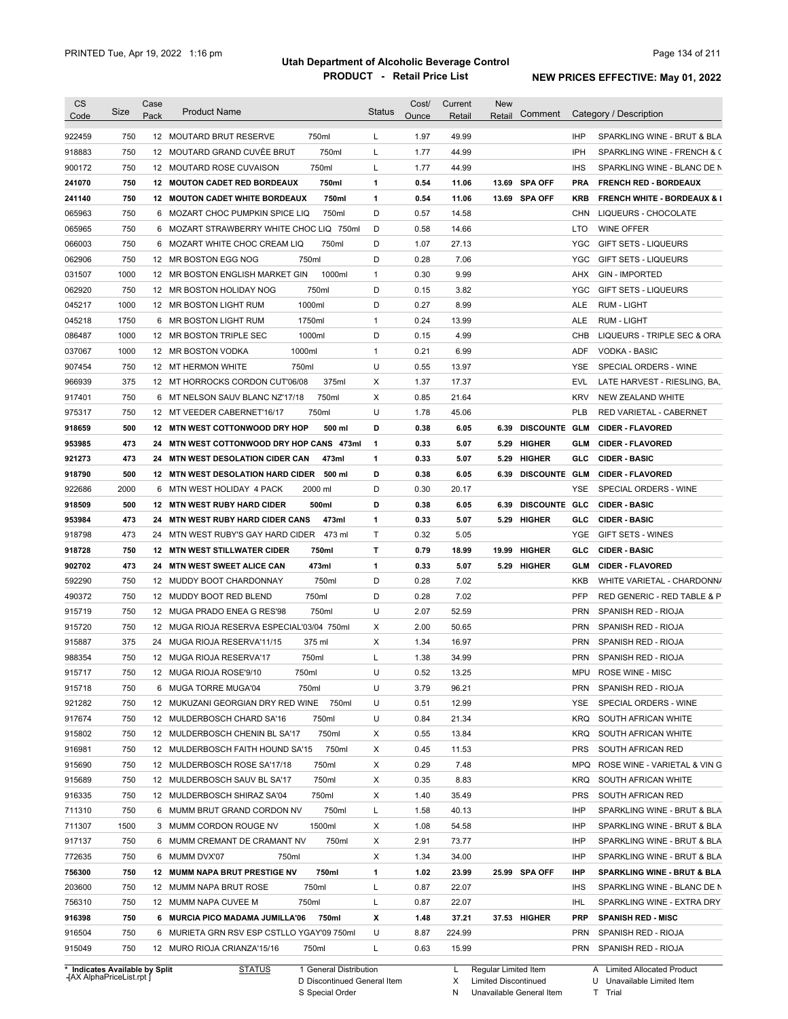| Code                                                                                                                                                                                                                                                   | Size       | Case | <b>Product Name</b>                                                                | <b>Status</b> | Cost/        | Current         | <b>New</b> | Comment              |            | Category / Description                         |
|--------------------------------------------------------------------------------------------------------------------------------------------------------------------------------------------------------------------------------------------------------|------------|------|------------------------------------------------------------------------------------|---------------|--------------|-----------------|------------|----------------------|------------|------------------------------------------------|
|                                                                                                                                                                                                                                                        |            | Pack |                                                                                    |               | Ounce        | Retail          | Retail     |                      |            |                                                |
| 922459                                                                                                                                                                                                                                                 | 750        |      | 750ml<br>12 MOUTARD BRUT RESERVE                                                   | L             | 1.97         | 49.99           |            |                      | <b>IHP</b> | SPARKLING WINE - BRUT & BLA                    |
| 918883                                                                                                                                                                                                                                                 | 750        |      | 12 MOUTARD GRAND CUVÈE BRUT<br>750ml                                               | L             | 1.77         | 44.99           |            |                      | <b>IPH</b> | SPARKLING WINE - FRENCH & C                    |
| 900172                                                                                                                                                                                                                                                 | 750        |      | 750ml<br>12 MOUTARD ROSE CUVAISON                                                  | L             | 1.77         | 44.99           |            |                      | <b>IHS</b> | SPARKLING WINE - BLANC DE N                    |
| 241070                                                                                                                                                                                                                                                 | 750        |      | 12 MOUTON CADET RED BORDEAUX<br>750ml                                              | 1             | 0.54         | 11.06           |            | 13.69 SPA OFF        | <b>PRA</b> | <b>FRENCH RED - BORDEAUX</b>                   |
| 241140                                                                                                                                                                                                                                                 | 750        |      | <b>12 MOUTON CADET WHITE BORDEAUX</b><br>750ml                                     | 1             | 0.54         | 11.06           |            | 13.69 SPA OFF        | <b>KRB</b> | <b>FRENCH WHITE - BORDEAUX &amp; I</b>         |
| 065963                                                                                                                                                                                                                                                 | 750        |      | 6 MOZART CHOC PUMPKIN SPICE LIQ<br>750ml                                           | D             | 0.57         | 14.58           |            |                      | <b>CHN</b> | LIQUEURS - CHOCOLATE                           |
| 065965                                                                                                                                                                                                                                                 | 750        |      | 6 MOZART STRAWBERRY WHITE CHOC LIQ 750ml                                           | D             | 0.58         | 14.66           |            |                      | LTO        | <b>WINE OFFER</b>                              |
| 066003                                                                                                                                                                                                                                                 | 750        |      | 750ml<br>6 MOZART WHITE CHOC CREAM LIQ                                             | D             | 1.07         | 27.13           |            |                      | <b>YGC</b> | GIFT SETS - LIQUEURS                           |
| 062906                                                                                                                                                                                                                                                 | 750        |      | 12 MR BOSTON EGG NOG<br>750ml                                                      | D             | 0.28         | 7.06            |            |                      | <b>YGC</b> | <b>GIFT SETS - LIQUEURS</b>                    |
| 031507                                                                                                                                                                                                                                                 | 1000       |      | 12 MR BOSTON ENGLISH MARKET GIN<br>1000ml                                          | 1             | 0.30         | 9.99            |            |                      | AHX        | <b>GIN - IMPORTED</b>                          |
| 062920                                                                                                                                                                                                                                                 | 750        |      | 750ml<br>12 MR BOSTON HOLIDAY NOG                                                  | D             | 0.15         | 3.82            |            |                      | <b>YGC</b> | <b>GIFT SETS - LIQUEURS</b>                    |
| 045217                                                                                                                                                                                                                                                 | 1000       |      | 1000ml<br>12 MR BOSTON LIGHT RUM                                                   | D             | 0.27         | 8.99            |            |                      | ALE        | <b>RUM - LIGHT</b>                             |
| 045218                                                                                                                                                                                                                                                 | 1750       |      | 1750ml<br>6 MR BOSTON LIGHT RUM                                                    | 1             | 0.24         | 13.99           |            |                      | ALE        | <b>RUM - LIGHT</b>                             |
| 086487                                                                                                                                                                                                                                                 | 1000       |      | 12 MR BOSTON TRIPLE SEC<br>1000ml                                                  | D             | 0.15         | 4.99            |            |                      | CHB        | LIQUEURS - TRIPLE SEC & ORA                    |
| 037067                                                                                                                                                                                                                                                 | 1000       |      | 1000ml<br>12 MR BOSTON VODKA                                                       | $\mathbf{1}$  | 0.21         | 6.99            |            |                      | ADF        | <b>VODKA - BASIC</b>                           |
| 907454                                                                                                                                                                                                                                                 | 750        |      | 750ml<br>12 MT HERMON WHITE                                                        | U             | 0.55         | 13.97           |            |                      | YSE        | SPECIAL ORDERS - WINE                          |
| 966939                                                                                                                                                                                                                                                 | 375        |      | 12 MT HORROCKS CORDON CUT'06/08<br>375ml                                           | X             | 1.37         | 17.37           |            |                      | EVL        | LATE HARVEST - RIESLING, BA,                   |
| 917401                                                                                                                                                                                                                                                 | 750        |      | 750ml<br>6 MT NELSON SAUV BLANC NZ'17/18                                           | X             | 0.85         | 21.64           |            |                      | <b>KRV</b> | <b>NEW ZEALAND WHITE</b>                       |
| 975317                                                                                                                                                                                                                                                 | 750        |      | 750ml<br>12 MT VEEDER CABERNET'16/17                                               | U             | 1.78         | 45.06           |            |                      | <b>PLB</b> | <b>RED VARIETAL - CABERNET</b>                 |
| 918659                                                                                                                                                                                                                                                 | 500        |      | 12 MTN WEST COTTONWOOD DRY HOP<br>500 ml                                           | D             | 0.38         | 6.05            | 6.39       | <b>DISCOUNTE GLM</b> |            | <b>CIDER FLAVORED</b>                          |
| 953985                                                                                                                                                                                                                                                 | 473        | 24   | MTN WEST COTTONWOOD DRY HOP CANS 473ml                                             | 1             | 0.33         | 5.07            | 5.29       | <b>HIGHER</b>        | <b>GLM</b> | <b>CIDER FLAVORED</b>                          |
| 921273                                                                                                                                                                                                                                                 | 473        | 24   | <b>MTN WEST DESOLATION CIDER CAN</b><br>473ml                                      | 1             | 0.33         | 5.07            | 5.29       | <b>HIGHER</b>        | GLC        | <b>CIDER BASIC</b>                             |
| 918790                                                                                                                                                                                                                                                 | 500        |      | 500 ml<br>12 MTN WEST DESOLATION HARD CIDER                                        | D             | 0.38         | 6.05            | 6.39       | <b>DISCOUNTE GLM</b> |            | <b>CIDER FLAVORED</b>                          |
| 922686                                                                                                                                                                                                                                                 | 2000       |      | 2000 ml<br>6 MTN WEST HOLIDAY 4 PACK                                               | D             | 0.30         | 20.17           |            |                      | YSE        | SPECIAL ORDERS - WINE                          |
| 918509                                                                                                                                                                                                                                                 | 500        |      | 500ml<br>12 MTN WEST RUBY HARD CIDER                                               | D             | 0.38         | 6.05            | 6.39       | DISCOUNTE GLC        |            | <b>CIDER BASIC</b>                             |
| 953984                                                                                                                                                                                                                                                 | 473        | 24   | <b>MTN WEST RUBY HARD CIDER CANS</b><br>473ml                                      | 1             | 0.33         | 5.07            | 5.29       | <b>HIGHER</b>        | GLC        | <b>CIDER BASIC</b>                             |
| 918798                                                                                                                                                                                                                                                 | 473        | 24   | MTN WEST RUBY'S GAY HARD CIDER<br>473 ml                                           | Т             | 0.32         | 5.05            |            |                      | YGE        | GIFT SETS - WINES                              |
|                                                                                                                                                                                                                                                        |            |      |                                                                                    |               |              |                 |            |                      |            | <b>CIDER - BASIC</b>                           |
|                                                                                                                                                                                                                                                        | 750        |      | <b>12 MTN WEST STILLWATER CIDER</b><br>750ml                                       | т             | 0.79         | 18.99           | 19.99      | <b>HIGHER</b>        | GLC        |                                                |
|                                                                                                                                                                                                                                                        | 473        | 24   | 473ml<br><b>MTN WEST SWEET ALICE CAN</b>                                           | 1             | 0.33         | 5.07            | 5.29       | HIGHER               | <b>GLM</b> | <b>CIDER - FLAVORED</b>                        |
|                                                                                                                                                                                                                                                        | 750        |      | 750ml<br>12 MUDDY BOOT CHARDONNAY                                                  | D             | 0.28         | 7.02            |            |                      | <b>KKB</b> | WHITE VARIETAL - CHARDONN/                     |
|                                                                                                                                                                                                                                                        | 750        |      | 750ml<br>12 MUDDY BOOT RED BLEND                                                   | D             | 0.28         | 7.02            |            |                      | <b>PFP</b> | RED GENERIC - RED TABLE & P                    |
|                                                                                                                                                                                                                                                        | 750        |      | 12 MUGA PRADO ENEA G RES'98<br>750ml                                               | U             | 2.07         | 52.59           |            |                      | <b>PRN</b> | SPANISH RED - RIOJA                            |
|                                                                                                                                                                                                                                                        | 750        |      | 12 MUGA RIOJA RESERVA ESPECIAL'03/04 750ml                                         | X             | 2.00         | 50.65           |            |                      | <b>PRN</b> | SPANISH RED - RIOJA                            |
|                                                                                                                                                                                                                                                        | 375        |      | 375 ml<br>24 MUGA RIOJA RESERVA'11/15                                              | X             | 1.34         | 16.97           |            |                      | <b>PRN</b> | SPANISH RED - RIOJA                            |
|                                                                                                                                                                                                                                                        | 750        |      | 12 MUGA RIOJA RESERVA'17<br>750ml                                                  | Г             | 1.38         | 34.99           |            |                      | <b>PRN</b> | SPANISH RED - RIOJA                            |
|                                                                                                                                                                                                                                                        | 750        |      | 12 MUGA RIOJA ROSE'9/10<br>750ml                                                   | U             | 0.52         | 13.25           |            |                      |            | MPU ROSE WINE - MISC                           |
|                                                                                                                                                                                                                                                        | 750        |      | 6 MUGA TORRE MUGA'04<br>750ml                                                      | U             | 3.79         | 96.21           |            |                      | PRN        | SPANISH RED - RIOJA                            |
|                                                                                                                                                                                                                                                        | 750        |      | 12 MUKUZANI GEORGIAN DRY RED WINE 750ml                                            | U             | 0.51         | 12.99           |            |                      | YSE        | SPECIAL ORDERS - WINE                          |
|                                                                                                                                                                                                                                                        | 750        |      | 12 MULDERBOSCH CHARD SA'16<br>750ml                                                | U             | 0.84         | 21.34           |            |                      | <b>KRQ</b> | SOUTH AFRICAN WHITE                            |
|                                                                                                                                                                                                                                                        | 750        |      | 750ml<br>12 MULDERBOSCH CHENIN BL SA'17                                            | х             | 0.55         | 13.84           |            |                      | KRQ        | SOUTH AFRICAN WHITE                            |
|                                                                                                                                                                                                                                                        | 750        |      | 750ml<br>12 MULDERBOSCH FAITH HOUND SA'15                                          | X             | 0.45         | 11.53           |            |                      | <b>PRS</b> | SOUTH AFRICAN RED                              |
|                                                                                                                                                                                                                                                        | 750        |      | 12 MULDERBOSCH ROSE SA'17/18<br>750ml                                              | X             | 0.29         | 7.48            |            |                      | MPQ        | ROSE WINE - VARIETAL & VIN G                   |
|                                                                                                                                                                                                                                                        | 750        |      | 750ml<br>12 MULDERBOSCH SAUV BL SA'17                                              | X             | 0.35         | 8.83            |            |                      | KRQ        | SOUTH AFRICAN WHITE                            |
|                                                                                                                                                                                                                                                        | 750        |      | 750ml<br>12 MULDERBOSCH SHIRAZ SA'04                                               | X             | 1.40         | 35.49           |            |                      | <b>PRS</b> | SOUTH AFRICAN RED                              |
|                                                                                                                                                                                                                                                        | 750        |      | 6 MUMM BRUT GRAND CORDON NV<br>750ml                                               | L             | 1.58         | 40.13           |            |                      | IHP        | SPARKLING WINE - BRUT & BLA                    |
|                                                                                                                                                                                                                                                        | 1500       |      | 3 MUMM CORDON ROUGE NV<br>1500ml                                                   | X             | 1.08         | 54.58           |            |                      | IHP        | SPARKLING WINE - BRUT & BLA                    |
|                                                                                                                                                                                                                                                        | 750        |      | 6 MUMM CREMANT DE CRAMANT NV<br>750ml                                              | х             | 2.91         | 73.77           |            |                      | IHP        | SPARKLING WINE - BRUT & BLA                    |
|                                                                                                                                                                                                                                                        | 750        |      | 6 MUMM DVX'07<br>750ml                                                             | X             | 1.34         | 34.00           |            |                      | IHP        | SPARKLING WINE - BRUT & BLA                    |
|                                                                                                                                                                                                                                                        |            |      |                                                                                    |               | 1.02         | 23.99           |            |                      | IHP        |                                                |
|                                                                                                                                                                                                                                                        | 750        |      | 12 MUMM NAPA BRUT PRESTIGE NV<br>750ml<br>750ml                                    | 1             | 0.87         | 22.07           |            | 25.99 SPA OFF        | <b>IHS</b> | SPARKLING WINE - BRUT & BLA                    |
|                                                                                                                                                                                                                                                        | 750        |      | 12 MUMM NAPA BRUT ROSE                                                             | L             |              |                 |            |                      |            | SPARKLING WINE - BLANC DE N                    |
|                                                                                                                                                                                                                                                        | 750        |      | 12 MUMM NAPA CUVEE M<br>750ml                                                      | L             | 0.87         | 22.07           |            |                      | IHL        | SPARKLING WINE - EXTRA DRY                     |
| 918728<br>902702<br>592290<br>490372<br>915719<br>915720<br>915887<br>988354<br>915717<br>915718<br>921282<br>917674<br>915802<br>916981<br>915690<br>915689<br>916335<br>711310<br>711307<br>917137<br>772635<br>756300<br>203600<br>756310<br>916398 | 750        |      | 6 MURCIA PICO MADAMA JUMILLA'06 750ml                                              | х             | 1.48         | 37.21           |            | 37.53 HIGHER         | <b>PRP</b> | <b>SPANISH RED - MISC</b>                      |
| 916504<br>915049                                                                                                                                                                                                                                       | 750<br>750 |      | 6 MURIETA GRN RSV ESP CSTLLO YGAY'09 750ml<br>750ml<br>12 MURO RIOJA CRIANZA'15/16 | U<br>L        | 8.87<br>0.63 | 224.99<br>15.99 |            |                      | PRN        | SPANISH RED - RIOJA<br>PRN SPANISH RED - RIOJA |

**Case** [AX AlphaPriceList.rpt ]

D Discontinued General Item

S Special Order

X Limited Discontinued

U Unavailable Limited Item T Trial

N Unavailable General Item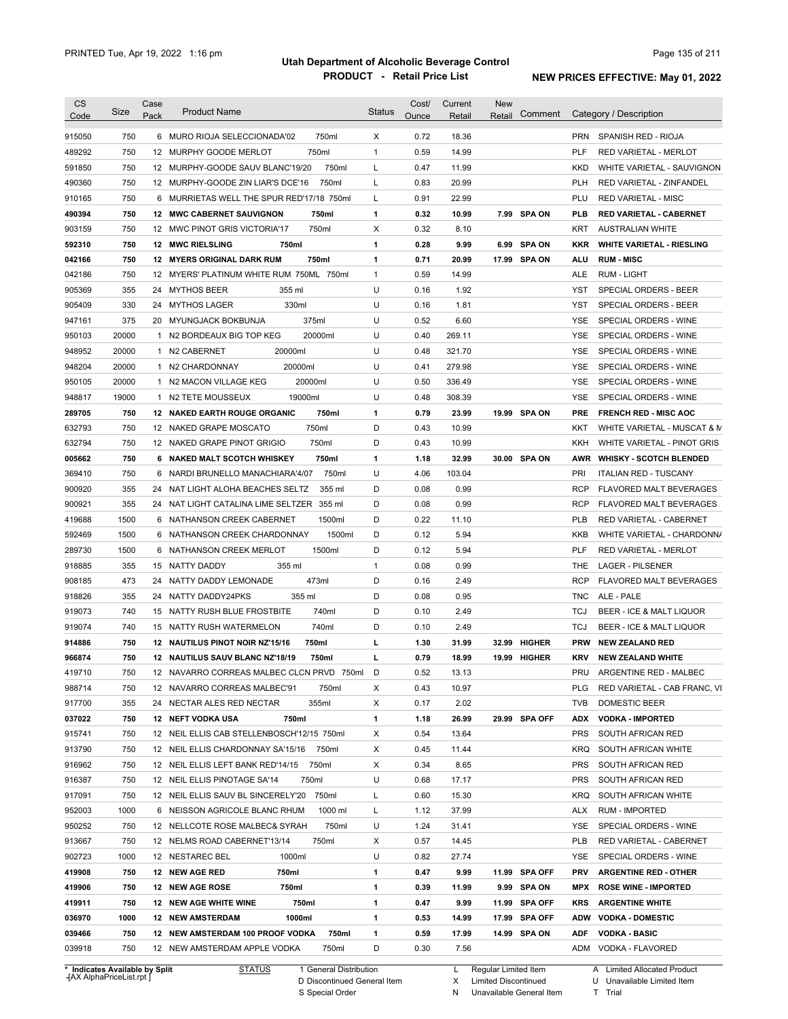| <b>CS</b>                  | Size        | Case | <b>Product Name</b>                                                                | <b>Status</b>     | Cost/        | Current       | <b>New</b> |               |            |                                              |
|----------------------------|-------------|------|------------------------------------------------------------------------------------|-------------------|--------------|---------------|------------|---------------|------------|----------------------------------------------|
| Code                       |             | Pack |                                                                                    |                   | Ounce        | Retail        | Retail     | Comment       |            | Category / Description                       |
| 915050                     | 750         |      | 6 MURO RIOJA SELECCIONADA'02<br>750ml                                              | Χ                 | 0.72         | 18.36         |            |               | <b>PRN</b> | SPANISH RED - RIOJA                          |
| 489292                     | 750         |      | 12 MURPHY GOODE MERLOT<br>750ml                                                    | $\mathbf{1}$      | 0.59         | 14.99         |            |               | PLF        | RED VARIETAL - MERLOT                        |
| 591850                     | 750         |      | 12 MURPHY-GOODE SAUV BLANC'19/20<br>750ml                                          | L                 | 0.47         | 11.99         |            |               | <b>KKD</b> | WHITE VARIETAL - SAUVIGNON                   |
| 490360                     | 750         |      | 750ml<br>12 MURPHY-GOODE ZIN LIAR'S DCE'16                                         | L                 | 0.83         | 20.99         |            |               | <b>PLH</b> | <b>RED VARIETAL - ZINFANDEL</b>              |
| 910165                     | 750         |      | 6 MURRIETAS WELL THE SPUR RED'17/18 750ml                                          | L                 | 0.91         | 22.99         |            |               | PLU        | <b>RED VARIETAL - MISC</b>                   |
| 490394                     | 750         |      | 750ml<br>12 MWC CABERNET SAUVIGNON                                                 | $\mathbf{1}$      | 0.32         | 10.99         |            | 7.99 SPA ON   | <b>PLB</b> | <b>RED VARIETAL - CABERNET</b>               |
| 903159                     | 750         |      | 750ml<br>12 MWC PINOT GRIS VICTORIA'17                                             | Χ                 | 0.32         | 8.10          |            |               | KRT        | <b>AUSTRALIAN WHITE</b>                      |
| 592310                     | 750         |      | <b>12 MWC RIELSLING</b><br>750ml                                                   | $\mathbf{1}$      | 0.28         | 9.99          | 6.99       | <b>SPA ON</b> | KKR        | <b>WHITE VARIETAL - RIESLING</b>             |
| 042166                     | 750         |      | 750ml<br><b>12 MYERS ORIGINAL DARK RUM</b>                                         | $\mathbf{1}$      | 0.71         | 20.99         |            | 17.99 SPA ON  | ALU        | <b>RUM - MISC</b>                            |
| 042186                     | 750         |      | 12 MYERS' PLATINUM WHITE RUM 750ML 750ml                                           | $\mathbf{1}$      | 0.59         | 14.99         |            |               | ALE        | <b>RUM - LIGHT</b>                           |
| 905369                     | 355         |      | 24 MYTHOS BEER<br>355 ml                                                           | U                 | 0.16         | 1.92          |            |               | YST        | SPECIAL ORDERS - BEER                        |
| 905409                     | 330         |      | 330ml<br>24 MYTHOS LAGER                                                           | U                 | 0.16         | 1.81          |            |               | YST        | SPECIAL ORDERS - BEER                        |
| 947161                     | 375         |      | 375ml<br>20 MYUNGJACK BOKBUNJA                                                     | U                 | 0.52         | 6.60          |            |               | YSE        | SPECIAL ORDERS - WINE                        |
| 950103                     | 20000       |      | 1 N2 BORDEAUX BIG TOP KEG<br>20000ml                                               | U                 | 0.40         | 269.11        |            |               | YSE        | SPECIAL ORDERS - WINE                        |
| 948952                     | 20000       |      | 20000ml<br>1 N2 CABERNET                                                           | U                 | 0.48         | 321.70        |            |               | <b>YSE</b> | SPECIAL ORDERS - WINE                        |
| 948204                     | 20000       |      | 20000ml<br>1 N2 CHARDONNAY                                                         | U                 | 0.41         | 279.98        |            |               | <b>YSE</b> | SPECIAL ORDERS - WINE                        |
| 950105                     | 20000       |      | 20000ml<br>1 N2 MACON VILLAGE KEG                                                  | U                 | 0.50         | 336.49        |            |               | YSE        | SPECIAL ORDERS - WINE                        |
| 948817                     | 19000       | 1    | 19000ml<br>N2 TETE MOUSSEUX                                                        | U                 | 0.48         | 308.39        |            |               | <b>YSE</b> | SPECIAL ORDERS - WINE                        |
| 289705                     | 750         |      | 750ml<br><b>12 NAKED EARTH ROUGE ORGANIC</b>                                       | $\mathbf{1}$      | 0.79         | 23.99         |            | 19.99 SPA ON  | <b>PRE</b> | <b>FRENCH RED - MISC AOC</b>                 |
| 632793                     | 750         |      | 750ml<br>12 NAKED GRAPE MOSCATO                                                    | D                 | 0.43         | 10.99         |            |               | KKT        | WHITE VARIETAL - MUSCAT & M                  |
| 632794                     | 750         |      | 750ml<br>12 NAKED GRAPE PINOT GRIGIO                                               | D                 | 0.43         | 10.99         |            |               | KKH        | WHITE VARIETAL - PINOT GRIS                  |
| 005662                     | 750         |      | 6 NAKED MALT SCOTCH WHISKEY<br>750ml                                               | $\mathbf{1}$      | 1.18         | 32.99         |            | 30.00 SPA ON  | AWR        | <b>WHISKY - SCOTCH BLENDED</b>               |
| 369410                     | 750         | 6    | 750ml<br>NARDI BRUNELLO MANACHIARA'4/07                                            | U                 | 4.06         | 103.04        |            |               | PRI        | <b>ITALIAN RED - TUSCANY</b>                 |
| 900920                     | 355         |      | 24 NAT LIGHT ALOHA BEACHES SELTZ<br>355 ml                                         | D                 | 0.08         | 0.99          |            |               | <b>RCP</b> | FLAVORED MALT BEVERAGES                      |
| 900921                     | 355         |      | 24 NAT LIGHT CATALINA LIME SELTZER 355 ml                                          | D                 | 0.08         | 0.99          |            |               | <b>RCP</b> | FLAVORED MALT BEVERAGES                      |
| 419688                     | 1500        | 6    | NATHANSON CREEK CABERNET<br>1500ml                                                 | D                 | 0.22         | 11.10         |            |               | <b>PLB</b> | RED VARIETAL - CABERNET                      |
| 592469                     | 1500        | 6    | 1500ml<br>NATHANSON CREEK CHARDONNAY                                               | D                 | 0.12         | 5.94          |            |               | KKB        | WHITE VARIETAL - CHARDONN/                   |
| 289730                     | 1500        | 6    | 1500ml<br>NATHANSON CREEK MERLOT                                                   | D                 | 0.12         | 5.94          |            |               | PLF        | RED VARIETAL - MERLOT                        |
| 918885                     | 355         |      | 355 ml<br>15 NATTY DADDY                                                           | $\mathbf{1}$      | 0.08         | 0.99          |            |               | THE        | <b>LAGER - PILSENER</b>                      |
| 908185                     | 473         |      | 473ml<br>24 NATTY DADDY LEMONADE                                                   | D                 | 0.16         | 2.49          |            |               | <b>RCP</b> | FLAVORED MALT BEVERAGES                      |
| 918826                     | 355         |      | 355 ml<br>24 NATTY DADDY24PKS                                                      | D                 | 0.08         | 0.95          |            |               | <b>TNC</b> | ALE - PALE                                   |
| 919073                     | 740         |      | 740ml<br>15 NATTY RUSH BLUE FROSTBITE                                              | D                 | 0.10         | 2.49          |            |               | TCJ        | BEER - ICE & MALT LIQUOR                     |
| 919074                     | 740         |      | 740ml<br>15 NATTY RUSH WATERMELON                                                  | D                 | 0.10         | 2.49          |            |               | TCJ        | BEER - ICE & MALT LIQUOR                     |
| 914886                     | 750         |      | 12 NAUTILUS PINOT NOIR NZ'15/16<br>750ml                                           | г                 | 1.30         | 31.99         | 32.99      | <b>HIGHER</b> | <b>PRW</b> | <b>NEW ZEALAND RED</b>                       |
| 966874                     | 750         |      | 12 NAUTILUS SAUV BLANC NZ'18/19<br>750ml                                           | г                 | 0.79         | 18.99         | 19.99      | <b>HIGHER</b> | KRV        | <b>NEW ZEALAND WHITE</b>                     |
| 419710                     | 750         |      | 12 NAVARRO CORREAS MALBEC CLCN PRVD 750ml                                          | D                 | 0.52         | 13.13         |            |               | PRU        | ARGENTINE RED - MALBEC                       |
| 988714                     | 750         |      | 12 NAVARRO CORREAS MALBEC'91<br>750ml                                              | Х                 | 0.43         | 10.97         |            |               | <b>PLG</b> | RED VARIETAL - CAB FRANC, VI                 |
| 917700                     | 355         |      | 355ml<br>24 NECTAR ALES RED NECTAR                                                 | X                 | 0.17         | 2.02          |            |               | <b>TVB</b> | DOMESTIC BEER                                |
| 037022                     | 750         |      | 750ml<br>12 NEFT VODKA USA                                                         | 1                 | 1.18         | 26.99         |            | 29.99 SPA OFF | <b>ADX</b> | <b>VODKA - IMPORTED</b>                      |
| 915741                     | 750         |      | 12 NEIL ELLIS CAB STELLENBOSCH'12/15 750ml                                         | Х                 | 0.54         | 13.64         |            |               | <b>PRS</b> | SOUTH AFRICAN RED                            |
| 913790                     | 750         |      | 12 NEIL ELLIS CHARDONNAY SA'15/16 750ml                                            | Х                 | 0.45         | 11.44         |            |               | <b>KRQ</b> | SOUTH AFRICAN WHITE                          |
| 916962                     | 750         |      | 12 NEIL ELLIS LEFT BANK RED'14/15 750ml                                            | Х                 | 0.34         | 8.65          |            |               | <b>PRS</b> | SOUTH AFRICAN RED                            |
| 916387                     | 750         |      | 12 NEIL ELLIS PINOTAGE SA'14<br>750ml                                              | U                 | 0.68         | 17.17         |            |               | <b>PRS</b> | SOUTH AFRICAN RED                            |
| 917091                     |             |      | 750ml                                                                              |                   | 0.60         | 15.30         |            |               | <b>KRQ</b> | SOUTH AFRICAN WHITE                          |
| 952003                     | 750<br>1000 |      | 12 NEIL ELLIS SAUV BL SINCERELY'20<br>6 NEISSON AGRICOLE BLANC RHUM<br>1000 ml     | L<br>L            | 1.12         | 37.99         |            |               | <b>ALX</b> | <b>RUM - IMPORTED</b>                        |
| 950252                     | 750         |      | 750ml                                                                              | U                 | 1.24         | 31.41         |            |               | YSE        | SPECIAL ORDERS - WINE                        |
|                            |             |      | 12 NELLCOTE ROSE MALBEC& SYRAH                                                     |                   |              |               |            |               |            |                                              |
|                            |             |      | 12 NELMS ROAD CABERNET'13/14<br>750ml                                              | Х                 | 0.57         | 14.45         |            |               | <b>PLB</b> | RED VARIETAL - CABERNET                      |
|                            | 750         |      |                                                                                    |                   | 0.82         | 27.74         |            |               | YSE        | SPECIAL ORDERS - WINE                        |
|                            | 1000        |      | 12 NESTAREC BEL<br>1000ml                                                          | U                 |              |               |            |               |            |                                              |
| 913667<br>902723<br>419908 | 750         |      | 12 NEW AGE RED<br>750ml                                                            | 1                 | 0.47         | 9.99          |            | 11.99 SPA OFF | <b>PRV</b> | <b>ARGENTINE RED - OTHER</b>                 |
| 419906                     | 750         |      | 12 NEW AGE ROSE<br>750ml                                                           | $\mathbf{1}$      | 0.39         | 11.99         |            | 9.99 SPA ON   | MPX        | <b>ROSE WINE - IMPORTED</b>                  |
| 419911                     | 750         |      | 750ml<br>12 NEW AGE WHITE WINE                                                     | $\mathbf{1}$      | 0.47         | 9.99          |            | 11.99 SPA OFF | KRS        | <b>ARGENTINE WHITE</b>                       |
| 036970                     | 1000        |      | <b>12 NEW AMSTERDAM</b><br>1000ml                                                  | $\mathbf{1}$      | 0.53         | 14.99         |            | 17.99 SPA OFF |            | ADW VODKA - DOMESTIC                         |
| 039466<br>039918           | 750<br>750  |      | 12 NEW AMSTERDAM 100 PROOF VODKA<br>750ml<br>12 NEW AMSTERDAM APPLE VODKA<br>750ml | $\mathbf{1}$<br>D | 0.59<br>0.30 | 17.99<br>7.56 |            | 14.99 SPA ON  | <b>ADF</b> | <b>VODKA - BASIC</b><br>ADM VODKA - FLAVORED |

**\* Indicates Available by Split Case** [AX AlphaPriceList.rpt ]

STATUS 1 General Distribution

D Discontinued General Item

S Special Order

L Regular Limited Item

X Limited Discontinued T Trial

N Unavailable General Item

U Unavailable Limited Item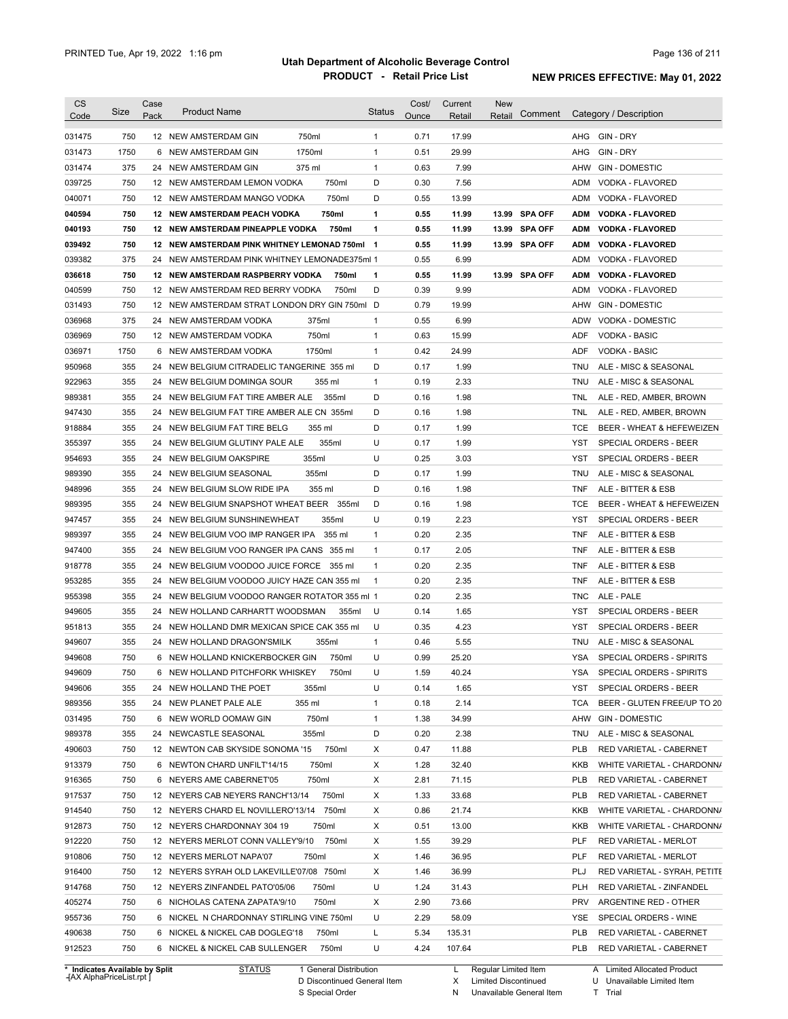| <b>CS</b><br>Code              | Size | Case<br>Pack | <b>Product Name</b>                           | <b>Status</b>  | Cost/<br>Ounce | Current<br>Retail | New<br>Comment<br>Retail |            | Category / Description       |
|--------------------------------|------|--------------|-----------------------------------------------|----------------|----------------|-------------------|--------------------------|------------|------------------------------|
| 031475                         | 750  |              | 750ml<br>12 NEW AMSTERDAM GIN                 | $\mathbf{1}$   | 0.71           | 17.99             |                          | AHG        | GIN - DRY                    |
| 031473                         | 1750 |              | 1750ml<br>6 NEW AMSTERDAM GIN                 | $\mathbf{1}$   | 0.51           | 29.99             |                          | AHG        | GIN - DRY                    |
| 031474                         | 375  |              | 375 ml<br>24 NEW AMSTERDAM GIN                | $\mathbf{1}$   | 0.63           | 7.99              |                          | AHW        | <b>GIN - DOMESTIC</b>        |
| 039725                         | 750  |              | 750ml<br>12 NEW AMSTERDAM LEMON VODKA         | D              | 0.30           | 7.56              |                          | ADM        | VODKA - FLAVORED             |
| 040071                         | 750  |              | 750ml<br>12 NEW AMSTERDAM MANGO VODKA         | D              | 0.55           | 13.99             |                          | ADM        | VODKA - FLAVORED             |
| 040594                         | 750  |              | 12 NEW AMSTERDAM PEACH VODKA<br>750ml         | 1              | 0.55           | 11.99             | 13.99 SPA OFF            | ADM        | <b>VODKA - FLAVORED</b>      |
| 040193                         | 750  |              | 12 NEW AMSTERDAM PINEAPPLE VODKA<br>750ml     | 1              | 0.55           | 11.99             | 13.99 SPA OFF            | ADM        | <b>VODKA - FLAVORED</b>      |
| 039492                         | 750  |              | 12 NEW AMSTERDAM PINK WHITNEY LEMONAD 750ml 1 |                | 0.55           | 11.99             | 13.99 SPA OFF            | ADM        | <b>VODKA - FLAVORED</b>      |
| 039382                         | 375  |              | 24 NEW AMSTERDAM PINK WHITNEY LEMONADE375ml 1 |                | 0.55           | 6.99              |                          | ADM        | VODKA - FLAVORED             |
| 036618                         | 750  |              | 12 NEW AMSTERDAM RASPBERRY VODKA<br>750ml     | 1              | 0.55           | 11.99             | 13.99 SPA OFF            | ADM        | <b>VODKA - FLAVORED</b>      |
| 040599                         | 750  |              | 750ml<br>12 NEW AMSTERDAM RED BERRY VODKA     | D              | 0.39           | 9.99              |                          | ADM        | VODKA - FLAVORED             |
| 031493                         | 750  |              | 12 NEW AMSTERDAM STRAT LONDON DRY GIN 750ml D |                | 0.79           | 19.99             |                          | AHW        | <b>GIN - DOMESTIC</b>        |
| 036968                         | 375  |              | 24 NEW AMSTERDAM VODKA<br>375ml               | $\mathbf{1}$   | 0.55           | 6.99              |                          | ADW        | <b>VODKA - DOMESTIC</b>      |
| 036969                         | 750  |              | 750ml<br>12 NEW AMSTERDAM VODKA               | $\mathbf{1}$   | 0.63           | 15.99             |                          | ADF        | <b>VODKA - BASIC</b>         |
| 036971                         | 1750 |              | 6 NEW AMSTERDAM VODKA<br>1750ml               | $\mathbf{1}$   | 0.42           | 24.99             |                          | ADF        | <b>VODKA - BASIC</b>         |
| 950968                         | 355  | 24           | NEW BELGIUM CITRADELIC TANGERINE 355 ml       | D              | 0.17           | 1.99              |                          | TNU        | ALE - MISC & SEASONAL        |
| 922963                         | 355  | 24           | NEW BELGIUM DOMINGA SOUR<br>355 ml            | $\mathbf{1}$   | 0.19           | 2.33              |                          | TNU        | ALE - MISC & SEASONAL        |
| 989381                         | 355  | 24           | NEW BELGIUM FAT TIRE AMBER ALE<br>355ml       | D              | 0.16           | 1.98              |                          | TNL        | ALE - RED, AMBER, BROWN      |
|                                | 355  | 24           | NEW BELGIUM FAT TIRE AMBER ALE CN 355ml       | D              | 0.16           | 1.98              |                          | TNL        |                              |
| 947430                         |      |              |                                               |                |                |                   |                          |            | ALE - RED, AMBER, BROWN      |
| 918884                         | 355  |              | 24 NEW BELGIUM FAT TIRE BELG<br>355 ml        | D              | 0.17           | 1.99              |                          | TCE        | BEER - WHEAT & HEFEWEIZEN    |
| 355397                         | 355  | 24           | 355ml<br>NEW BELGIUM GLUTINY PALE ALE         | U              | 0.17           | 1.99              |                          | YST        | SPECIAL ORDERS - BEER        |
| 954693                         | 355  | 24           | 355ml<br>NEW BELGIUM OAKSPIRE                 | U              | 0.25           | 3.03              |                          | YST        | SPECIAL ORDERS - BEER        |
| 989390                         | 355  | 24           | 355ml<br>NEW BELGIUM SEASONAL                 | D              | 0.17           | 1.99              |                          | TNU        | ALE - MISC & SEASONAL        |
| 948996                         | 355  | 24           | NEW BELGIUM SLOW RIDE IPA<br>355 ml           | D              | 0.16           | 1.98              |                          | TNF        | ALE - BITTER & ESB           |
| 989395                         | 355  | 24           | NEW BELGIUM SNAPSHOT WHEAT BEER 355ml         | D              | 0.16           | 1.98              |                          | TCE        | BEER - WHEAT & HEFEWEIZEN    |
| 947457                         | 355  | 24           | NEW BELGIUM SUNSHINEWHEAT<br>355ml            | U              | 0.19           | 2.23              |                          | YST        | SPECIAL ORDERS - BEER        |
| 989397                         | 355  | 24           | NEW BELGIUM VOO IMP RANGER IPA<br>355 ml      | $\mathbf{1}$   | 0.20           | 2.35              |                          | TNF        | ALE - BITTER & ESB           |
| 947400                         | 355  | 24           | NEW BELGIUM VOO RANGER IPA CANS 355 ml        | $\mathbf{1}$   | 0.17           | 2.05              |                          | TNF        | ALE - BITTER & ESB           |
| 918778                         | 355  | 24           | NEW BELGIUM VOODOO JUICE FORCE<br>355 ml      | $\mathbf{1}$   | 0.20           | 2.35              |                          | TNF        | ALE - BITTER & ESB           |
| 953285                         | 355  | 24           | NEW BELGIUM VOODOO JUICY HAZE CAN 355 ml      | $\overline{1}$ | 0.20           | 2.35              |                          | TNF        | ALE - BITTER & ESB           |
| 955398                         | 355  | 24           | NEW BELGIUM VOODOO RANGER ROTATOR 355 ml 1    |                | 0.20           | 2.35              |                          | TNC        | ALE - PALE                   |
| 949605                         | 355  | 24           | NEW HOLLAND CARHARTT WOODSMAN<br>355ml        | U              | 0.14           | 1.65              |                          | <b>YST</b> | SPECIAL ORDERS - BEER        |
| 951813                         | 355  | 24           | NEW HOLLAND DMR MEXICAN SPICE CAK 355 ml      | U              | 0.35           | 4.23              |                          | YST        | SPECIAL ORDERS - BEER        |
| 949607                         | 355  |              | 24 NEW HOLLAND DRAGON'SMILK<br>355ml          | $\mathbf{1}$   | 0.46           | 5.55              |                          | <b>TNU</b> | ALE - MISC & SEASONAL        |
| 949608                         | 750  |              | 6 NEW HOLLAND KNICKERBOCKER GIN<br>750ml      | U              | 0.99           | 25.20             |                          | <b>YSA</b> | SPECIAL ORDERS - SPIRITS     |
| 949609                         | 750  | 6            | NEW HOLLAND PITCHFORK WHISKEY<br>750ml        |                | 1.59           | 40.24             |                          | YSA        | SPECIAL ORDERS - SPIRITS     |
| 949606                         | 355  |              | 24 NEW HOLLAND THE POET<br>355ml              | U              | 0.14           | 1.65              |                          | YST        | SPECIAL ORDERS - BEER        |
| 989356                         | 355  |              | 24 NEW PLANET PALE ALE<br>355 ml              | $\mathbf{1}$   | 0.18           | 2.14              |                          | TCA        | BEER - GLUTEN FREE/UP TO 20  |
| 031495                         | 750  | 6            | NEW WORLD OOMAW GIN<br>750ml                  | $\mathbf{1}$   | 1.38           | 34.99             |                          | AHW        | <b>GIN - DOMESTIC</b>        |
| 989378                         | 355  |              | 355ml<br>24 NEWCASTLE SEASONAL                | D              | 0.20           | 2.38              |                          | TNU        | ALE - MISC & SEASONAL        |
| 490603                         | 750  |              | 12 NEWTON CAB SKYSIDE SONOMA '15<br>750ml     | х              | 0.47           | 11.88             |                          | PLB        | RED VARIETAL - CABERNET      |
| 913379                         | 750  |              | 6 NEWTON CHARD UNFILT'14/15<br>750ml          | Х              | 1.28           | 32.40             |                          | KKB        | WHITE VARIETAL - CHARDONN/   |
| 916365                         | 750  |              | 6 NEYERS AME CABERNET'05<br>750ml             | Х              | 2.81           | 71.15             |                          | PLB        | RED VARIETAL - CABERNET      |
| 917537                         | 750  |              | 12 NEYERS CAB NEYERS RANCH'13/14<br>750ml     | х              | 1.33           | 33.68             |                          | <b>PLB</b> | RED VARIETAL - CABERNET      |
| 914540                         | 750  |              | 750ml<br>12 NEYERS CHARD EL NOVILLERO'13/14   | х              | 0.86           | 21.74             |                          | KKB        | WHITE VARIETAL - CHARDONN/   |
| 912873                         | 750  |              | 750ml<br>12 NEYERS CHARDONNAY 304 19          | х              | 0.51           | 13.00             |                          | KKB        | WHITE VARIETAL - CHARDONN/   |
| 912220                         | 750  |              | 750ml<br>12 NEYERS MERLOT CONN VALLEY'9/10    | х              | 1.55           | 39.29             |                          | PLF        | RED VARIETAL - MERLOT        |
| 910806                         | 750  |              | 750ml<br>12 NEYERS MERLOT NAPA'07             | Х              | 1.46           | 36.95             |                          | PLF        | RED VARIETAL - MERLOT        |
| 916400                         | 750  |              | 12 NEYERS SYRAH OLD LAKEVILLE'07/08 750ml     | Х              | 1.46           | 36.99             |                          | PLJ        | RED VARIETAL - SYRAH, PETITE |
| 914768                         | 750  |              | 12 NEYERS ZINFANDEL PATO'05/06<br>750ml       | U              | 1.24           | 31.43             |                          | <b>PLH</b> | RED VARIETAL - ZINFANDEL     |
| 405274                         | 750  |              | 6 NICHOLAS CATENA ZAPATA'9/10<br>750ml        | х              | 2.90           | 73.66             |                          | <b>PRV</b> | ARGENTINE RED - OTHER        |
| 955736                         | 750  |              | 6 NICKEL N CHARDONNAY STIRLING VINE 750ml     | U              | 2.29           | 58.09             |                          | YSE        | SPECIAL ORDERS - WINE        |
| 490638                         | 750  |              | 6 NICKEL & NICKEL CAB DOGLEG'18<br>750ml      | L              | 5.34           | 135.31            |                          | PLB        | RED VARIETAL - CABERNET      |
| 912523                         | 750  |              | 6 NICKEL & NICKEL CAB SULLENGER<br>750ml      | U              | 4.24           | 107.64            |                          | PLB        | RED VARIETAL - CABERNET      |
| * Indicates Available by Split |      |              | <b>STATUS</b><br>1 General Distribution       |                |                | L.                | Regular Limited Item     |            | A Limited Allocated Product  |

**Case** [AX AlphaPriceList.rpt ]

D Discontinued General Item

S Special Order

X Regular Limited Item

Limited Discontinued

N Unavailable General Item

U Unavailable Limited Item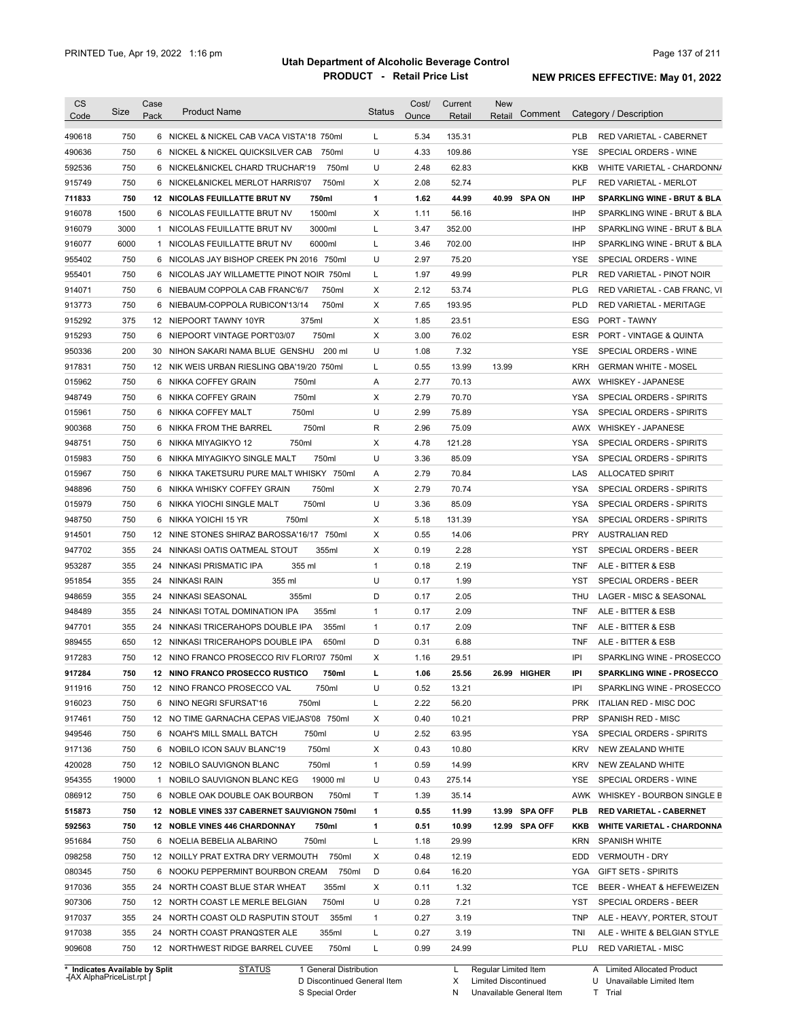| CS               | Size         | Case | <b>Product Name</b>                                                               | <b>Status</b>     | Cost/        | Current         | <b>New</b><br>Comment |                   | Category / Description                                    |
|------------------|--------------|------|-----------------------------------------------------------------------------------|-------------------|--------------|-----------------|-----------------------|-------------------|-----------------------------------------------------------|
| Code             |              | Pack |                                                                                   |                   | Ounce        | Retail          | Retail                |                   |                                                           |
| 490618           | 750          |      | 6 NICKEL & NICKEL CAB VACA VISTA'18 750ml                                         | L                 | 5.34         | 135.31          |                       | <b>PLB</b>        | RED VARIETAL - CABERNET                                   |
| 490636           | 750          |      | 750ml<br>6 NICKEL & NICKEL QUICKSILVER CAB                                        | U                 | 4.33         | 109.86          |                       | <b>YSE</b>        | SPECIAL ORDERS - WINE                                     |
| 592536           | 750          |      | 750ml<br>6 NICKEL&NICKEL CHARD TRUCHAR'19                                         | U                 | 2.48         | 62.83           |                       | <b>KKB</b>        | WHITE VARIETAL - CHARDONN/                                |
| 915749           | 750          |      | 750ml<br>6 NICKEL&NICKEL MERLOT HARRIS'07                                         | X                 | 2.08         | 52.74           |                       | <b>PLF</b>        | RED VARIETAL - MERLOT                                     |
| 711833           | 750          |      | 750ml<br>12 NICOLAS FEUILLATTE BRUT NV                                            | 1                 | 1.62         | 44.99           | 40.99 SPA ON          | <b>IHP</b>        | <b>SPARKLING WINE - BRUT &amp; BLA</b>                    |
| 916078           | 1500         |      | 1500ml<br>6 NICOLAS FEUILLATTE BRUT NV                                            | X                 | 1.11         | 56.16           |                       | <b>IHP</b>        | SPARKLING WINE - BRUT & BLA                               |
| 916079           | 3000         |      | 3000ml<br>1 NICOLAS FEUILLATTE BRUT NV                                            | L                 | 3.47         | 352.00          |                       | <b>IHP</b>        | SPARKLING WINE - BRUT & BLA                               |
| 916077           | 6000         |      | 6000ml<br>1 NICOLAS FEUILLATTE BRUT NV                                            | L                 | 3.46         | 702.00          |                       | <b>IHP</b>        | SPARKLING WINE - BRUT & BLA                               |
| 955402           | 750          |      | 6 NICOLAS JAY BISHOP CREEK PN 2016 750ml                                          | U                 | 2.97         | 75.20           |                       | <b>YSE</b>        | SPECIAL ORDERS - WINE                                     |
| 955401           | 750          |      | 6 NICOLAS JAY WILLAMETTE PINOT NOIR 750ml                                         | L                 | 1.97         | 49.99           |                       | <b>PLR</b>        | RED VARIETAL - PINOT NOIR                                 |
| 914071           | 750          |      | 750ml<br>6 NIEBAUM COPPOLA CAB FRANC'6/7                                          | Χ                 | 2.12         | 53.74           |                       | <b>PLG</b>        | RED VARIETAL - CAB FRANC, VI                              |
| 913773           | 750          |      | 6 NIEBAUM-COPPOLA RUBICON'13/14<br>750ml                                          | Χ                 | 7.65         | 193.95          |                       | <b>PLD</b>        | RED VARIETAL - MERITAGE                                   |
| 915292           | 375          |      | 12 NIEPOORT TAWNY 10YR<br>375ml                                                   | Χ                 | 1.85         | 23.51           |                       | ESG               | PORT - TAWNY                                              |
| 915293           | 750          |      | 6 NIEPOORT VINTAGE PORT'03/07<br>750ml                                            | Χ                 | 3.00         | 76.02           |                       | <b>ESR</b>        | PORT - VINTAGE & QUINTA                                   |
| 950336           | 200          | 30   | NIHON SAKARI NAMA BLUE GENSHU<br>200 ml                                           | U                 | 1.08         | 7.32            |                       | <b>YSE</b>        | SPECIAL ORDERS - WINE                                     |
| 917831           | 750          |      | 12 NIK WEIS URBAN RIESLING QBA'19/20 750ml                                        | L                 | 0.55         | 13.99           | 13.99                 | <b>KRH</b>        | <b>GERMAN WHITE - MOSEL</b>                               |
| 015962           | 750          |      | 750ml<br>6 NIKKA COFFEY GRAIN                                                     | Α                 | 2.77         | 70.13           |                       | <b>AWX</b>        | <b>WHISKEY - JAPANESE</b>                                 |
| 948749           | 750          |      | 750ml<br>6 NIKKA COFFEY GRAIN                                                     | X                 | 2.79         | 70.70           |                       | <b>YSA</b>        | SPECIAL ORDERS - SPIRITS                                  |
| 015961           | 750          |      | 750ml<br>6 NIKKA COFFEY MALT                                                      | U                 | 2.99         | 75.89           |                       | <b>YSA</b>        | SPECIAL ORDERS - SPIRITS                                  |
| 900368           | 750          | 6    | 750ml<br>NIKKA FROM THE BARREL                                                    | R                 | 2.96         | 75.09           |                       | <b>AWX</b>        | <b>WHISKEY - JAPANESE</b>                                 |
| 948751           | 750          | 6    | 750ml<br>NIKKA MIYAGIKYO 12                                                       | X                 | 4.78         | 121.28          |                       | <b>YSA</b>        | SPECIAL ORDERS - SPIRITS                                  |
| 015983           | 750          |      | 6 NIKKA MIYAGIKYO SINGLE MALT<br>750ml                                            | U                 | 3.36         | 85.09           |                       | <b>YSA</b>        | SPECIAL ORDERS - SPIRITS                                  |
| 015967           | 750          |      | 6 NIKKA TAKETSURU PURE MALT WHISKY 750ml                                          | Α                 | 2.79         | 70.84           |                       | LAS               | <b>ALLOCATED SPIRIT</b>                                   |
| 948896           | 750          |      | 6 NIKKA WHISKY COFFEY GRAIN<br>750ml                                              | X                 | 2.79         | 70.74           |                       | <b>YSA</b>        | SPECIAL ORDERS - SPIRITS                                  |
| 015979           | 750          |      | 750ml<br>6 NIKKA YIOCHI SINGLE MALT                                               | U                 | 3.36         | 85.09           |                       | <b>YSA</b>        | SPECIAL ORDERS - SPIRITS                                  |
| 948750           | 750          | 6    | 750ml<br>NIKKA YOICHI 15 YR                                                       | Χ                 | 5.18         | 131.39          |                       | <b>YSA</b>        | SPECIAL ORDERS - SPIRITS                                  |
| 914501           | 750          |      | 12 NINE STONES SHIRAZ BAROSSA'16/17 750ml                                         | Χ                 | 0.55         | 14.06           |                       | <b>PRY</b>        | <b>AUSTRALIAN RED</b>                                     |
| 947702           | 355          | 24   | NINKASI OATIS OATMEAL STOUT<br>355ml                                              | X                 | 0.19         | 2.28            |                       | <b>YST</b>        | SPECIAL ORDERS - BEER                                     |
| 953287           | 355          | 24   | NINKASI PRISMATIC IPA<br>355 ml                                                   | 1                 | 0.18         | 2.19            |                       | <b>TNF</b>        | ALE - BITTER & ESB                                        |
| 951854           | 355          | 24   | NINKASI RAIN<br>355 ml                                                            | U                 | 0.17         | 1.99            |                       | YST               | SPECIAL ORDERS - BEER                                     |
| 948659           | 355          | 24   | NINKASI SEASONAL<br>355ml                                                         | D                 | 0.17         | 2.05            |                       | THU               | LAGER - MISC & SEASONAL                                   |
| 948489           | 355          | 24   | 355ml<br>NINKASI TOTAL DOMINATION IPA                                             | 1                 | 0.17         | 2.09            |                       | <b>TNF</b>        | ALE - BITTER & ESB                                        |
| 947701           | 355          | 24   | NINKASI TRICERAHOPS DOUBLE IPA<br>355ml                                           | 1                 | 0.17         | 2.09            |                       | <b>TNF</b>        | ALE - BITTER & ESB                                        |
| 989455           | 650          |      | 12 NINKASI TRICERAHOPS DOUBLE IPA<br>650ml                                        | D                 | 0.31         | 6.88            |                       | <b>TNF</b>        | ALE - BITTER & ESB                                        |
| 917283           | 750          |      | 12 NINO FRANCO PROSECCO RIV FLORI'07 750ml                                        | X                 | 1.16         | 29.51           |                       | IPI               | SPARKLING WINE - PROSECCO                                 |
| 917284           | 750          |      | 12 NINO FRANCO PROSECCO RUSTICO<br>750ml                                          | L                 | 1.06         | 25.56           | 26.99 HIGHER          | IPI               | <b>SPARKLING WINE - PROSECCO</b>                          |
| 911916           | 750          |      | 12 NINO FRANCO PROSECCO VAL<br>750ml                                              | U                 | 0.52         | 13.21           |                       | IPI               | SPARKLING WINE - PROSECCO                                 |
| 916023           | 750          |      | 750ml                                                                             | Г                 | 2.22         | 56.20           |                       | <b>PRK</b>        |                                                           |
| 917461           | 750          |      | 6 NINO NEGRI SFURSAT'16<br>12 NO TIME GARNACHA CEPAS VIEJAS'08 750ml              | Х                 | 0.40         | 10.21           |                       | <b>PRP</b>        | <b>ITALIAN RED - MISC DOC</b><br>SPANISH RED - MISC       |
|                  | 750          |      |                                                                                   | U                 | 2.52         |                 |                       |                   | SPECIAL ORDERS - SPIRITS                                  |
| 949546<br>917136 | 750          |      | 6 NOAH'S MILL SMALL BATCH<br>750ml<br>6 NOBILO ICON SAUV BLANC'19<br>750ml        | Х                 | 0.43         | 63.95<br>10.80  |                       | YSA<br><b>KRV</b> | NEW ZEALAND WHITE                                         |
|                  |              |      |                                                                                   |                   |              |                 |                       |                   |                                                           |
| 420028<br>954355 | 750<br>19000 |      | 750ml<br>12 NOBILO SAUVIGNON BLANC<br>19000 ml<br>1 NOBILO SAUVIGNON BLANC KEG    | $\mathbf{1}$<br>U | 0.59<br>0.43 | 14.99<br>275.14 |                       | <b>KRV</b><br>YSE | NEW ZEALAND WHITE                                         |
|                  |              |      |                                                                                   |                   |              |                 |                       |                   | SPECIAL ORDERS - WINE                                     |
| 086912           | 750          |      | 6 NOBLE OAK DOUBLE OAK BOURBON<br>750ml                                           | Τ                 | 1.39         | 35.14           |                       | AWK               | WHISKEY - BOURBON SINGLE B                                |
| 515873           | 750          |      | 12 NOBLE VINES 337 CABERNET SAUVIGNON 750ml                                       | 1                 | 0.55         | 11.99           | 13.99 SPA OFF         | PLB               | <b>RED VARIETAL - CABERNET</b>                            |
| 592563           | 750          |      | 12 NOBLE VINES 446 CHARDONNAY<br>750ml                                            | 1                 | 0.51         | 10.99           | 12.99 SPA OFF         | KKB               | <b>WHITE VARIETAL - CHARDONNA</b>                         |
| 951684           | 750          |      | 6 NOELIA BEBELIA ALBARINO<br>750ml                                                | L                 | 1.18         | 29.99           |                       | KRN               | <b>SPANISH WHITE</b>                                      |
| 098258           | 750          |      | 12 NOILLY PRAT EXTRA DRY VERMOUTH 750ml                                           | X                 | 0.48         | 12.19           |                       | EDD               | <b>VERMOUTH - DRY</b>                                     |
| 080345           | 750          |      | 6 NOOKU PEPPERMINT BOURBON CREAM<br>750ml                                         | D                 | 0.64         | 16.20           |                       | YGA               | <b>GIFT SETS - SPIRITS</b>                                |
| 917036           | 355          |      | 24 NORTH COAST BLUE STAR WHEAT<br>355ml                                           | Х                 | 0.11         | 1.32            |                       | TCE               | BEER - WHEAT & HEFEWEIZEN                                 |
| 907306           | 750          |      | 12 NORTH COAST LE MERLE BELGIAN<br>750ml                                          | U                 | 0.28         | 7.21            |                       | YST               | SPECIAL ORDERS - BEER                                     |
|                  | 355          |      | 355ml<br>24 NORTH COAST OLD RASPUTIN STOUT                                        | 1                 | 0.27         | 3.19            |                       | TNP               | ALE - HEAVY, PORTER, STOUT                                |
| 917037           |              |      |                                                                                   |                   |              |                 |                       |                   |                                                           |
| 917038<br>909608 | 355<br>750   |      | 24 NORTH COAST PRANQSTER ALE<br>355ml<br>750ml<br>12 NORTHWEST RIDGE BARREL CUVEE | L<br>L            | 0.27<br>0.99 | 3.19<br>24.99   |                       | TNI<br>PLU        | ALE - WHITE & BELGIAN STYLE<br><b>RED VARIETAL - MISC</b> |

**Case** [AX AlphaPriceList.rpt ]

General Distribution

Discontinued General Item S Special Order D

Regular Limited Item

X N Limited Discontinued

Unavailable General Item

A Limited Allocated Product

U T Unavailable Limited Item Trial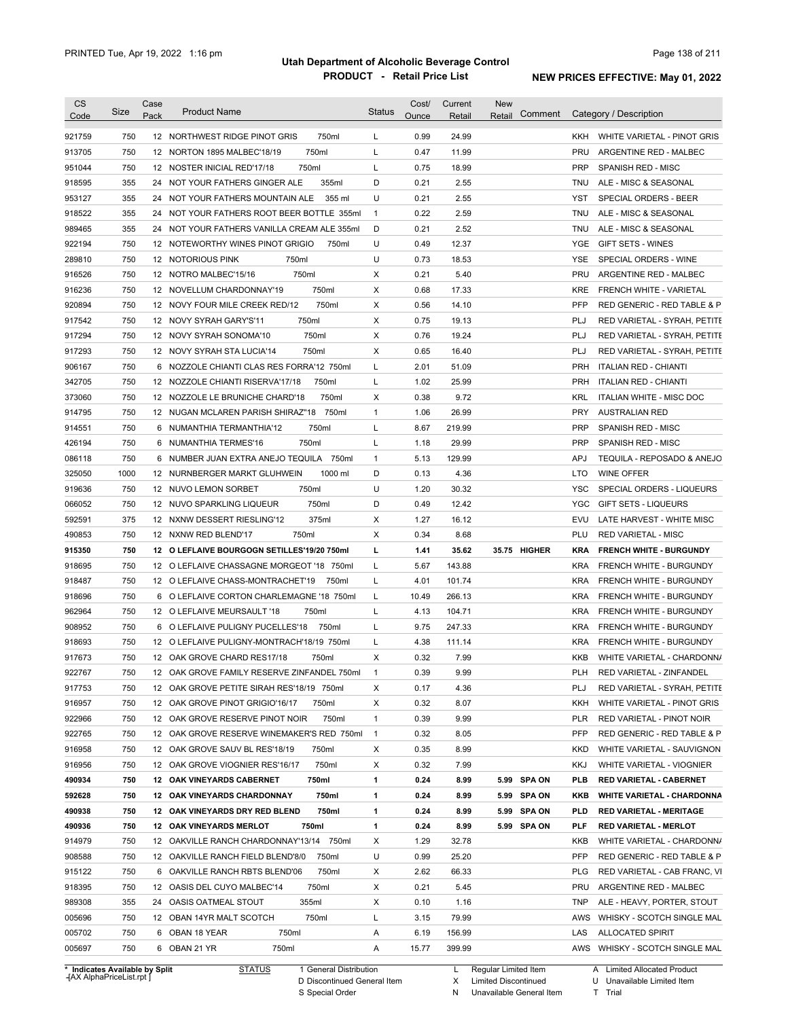| <b>CS</b><br>Code              | Size | Case<br>Pack | <b>Product Name</b>                         | <b>Status</b>  | Cost/<br>Ounce | Current<br>Retail | New<br>Comment<br>Retail |            | Category / Description            |
|--------------------------------|------|--------------|---------------------------------------------|----------------|----------------|-------------------|--------------------------|------------|-----------------------------------|
| 921759                         | 750  |              | 750ml<br>12 NORTHWEST RIDGE PINOT GRIS      | L              | 0.99           | 24.99             |                          | KKH        | WHITE VARIETAL - PINOT GRIS       |
| 913705                         | 750  |              | 12 NORTON 1895 MALBEC'18/19<br>750ml        | Г              | 0.47           | 11.99             |                          | <b>PRU</b> | ARGENTINE RED - MALBEC            |
| 951044                         | 750  |              | 750ml<br>12 NOSTER INICIAL RED'17/18        | Г              | 0.75           | 18.99             |                          | <b>PRP</b> | SPANISH RED - MISC                |
| 918595                         | 355  |              | 355ml<br>24 NOT YOUR FATHERS GINGER ALE     | D              | 0.21           | 2.55              |                          | TNU        | ALE - MISC & SEASONAL             |
| 953127                         | 355  |              | 24 NOT YOUR FATHERS MOUNTAIN ALE<br>355 ml  | U              | 0.21           | 2.55              |                          | YST        | SPECIAL ORDERS - BEER             |
| 918522                         | 355  |              | 24 NOT YOUR FATHERS ROOT BEER BOTTLE 355ml  | $\overline{1}$ | 0.22           | 2.59              |                          | TNU        | ALE - MISC & SEASONAL             |
| 989465                         | 355  | 24           | NOT YOUR FATHERS VANILLA CREAM ALE 355ml    | D              | 0.21           | 2.52              |                          | <b>TNU</b> | ALE - MISC & SEASONAL             |
| 922194                         | 750  |              | 12 NOTEWORTHY WINES PINOT GRIGIO<br>750ml   | U              | 0.49           | 12.37             |                          | YGE        | <b>GIFT SETS - WINES</b>          |
| 289810                         | 750  |              | 750ml<br>12 NOTORIOUS PINK                  | U              | 0.73           | 18.53             |                          | YSE        | SPECIAL ORDERS - WINE             |
| 916526                         | 750  |              | 750ml<br>12 NOTRO MALBEC'15/16              | X              | 0.21           | 5.40              |                          | <b>PRU</b> | ARGENTINE RED - MALBEC            |
| 916236                         | 750  |              | 750ml<br>12 NOVELLUM CHARDONNAY'19          | X              | 0.68           | 17.33             |                          | <b>KRE</b> | FRENCH WHITE - VARIETAL           |
| 920894                         | 750  |              | 750ml<br>12 NOVY FOUR MILE CREEK RED/12     | X              | 0.56           | 14.10             |                          | PFP        | RED GENERIC - RED TABLE & P       |
| 917542                         | 750  |              | 750ml<br>12 NOVY SYRAH GARY'S'11            | X              | 0.75           | 19.13             |                          | PLJ        | RED VARIETAL - SYRAH, PETITE      |
| 917294                         | 750  |              | 750ml<br>12 NOVY SYRAH SONOMA'10            | X              | 0.76           | 19.24             |                          | PLJ        | RED VARIETAL - SYRAH, PETITE      |
| 917293                         | 750  |              | 750ml<br>12 NOVY SYRAH STA LUCIA'14         | X              | 0.65           | 16.40             |                          | PLJ        | RED VARIETAL - SYRAH, PETITE      |
| 906167                         | 750  |              | 6 NOZZOLE CHIANTI CLAS RES FORRA'12 750ml   | L              | 2.01           | 51.09             |                          | <b>PRH</b> | <b>ITALIAN RED - CHIANTI</b>      |
| 342705                         | 750  |              | 750ml<br>12 NOZZOLE CHIANTI RISERVA'17/18   | Г              | 1.02           | 25.99             |                          | <b>PRH</b> | <b>ITALIAN RED - CHIANTI</b>      |
| 373060                         | 750  |              | 750ml<br>12 NOZZOLE LE BRUNICHE CHARD'18    | Х              | 0.38           | 9.72              |                          | <b>KRL</b> | ITALIAN WHITE - MISC DOC          |
| 914795                         | 750  |              | 12 NUGAN MCLAREN PARISH SHIRAZ"18<br>750ml  | $\mathbf{1}$   | 1.06           | 26.99             |                          | <b>PRY</b> | <b>AUSTRALIAN RED</b>             |
| 914551                         | 750  |              | 6 NUMANTHIA TERMANTHIA'12<br>750ml          | Г              | 8.67           | 219.99            |                          | <b>PRP</b> | <b>SPANISH RED - MISC</b>         |
| 426194                         | 750  |              | 750ml<br>6 NUMANTHIA TERMES'16              | L              | 1.18           | 29.99             |                          | <b>PRP</b> | <b>SPANISH RED - MISC</b>         |
| 086118                         | 750  |              | 6 NUMBER JUAN EXTRA ANEJO TEQUILA<br>750ml  | $\mathbf{1}$   | 5.13           | 129.99            |                          | <b>APJ</b> | TEQUILA - REPOSADO & ANEJO        |
| 325050                         | 1000 |              | 1000 ml<br>12 NURNBERGER MARKT GLUHWEIN     | D              | 0.13           | 4.36              |                          | LTO        | <b>WINE OFFER</b>                 |
| 919636                         | 750  |              | 750ml<br>12 NUVO LEMON SORBET               | U              | 1.20           | 30.32             |                          | YSC        | SPECIAL ORDERS - LIQUEURS         |
| 066052                         | 750  |              | 750ml<br>12 NUVO SPARKLING LIQUEUR          | D              | 0.49           | 12.42             |                          | <b>YGC</b> | GIFT SETS - LIQUEURS              |
| 592591                         | 375  |              | 375ml<br>12 NXNW DESSERT RIESLING'12        | X              | 1.27           | 16.12             |                          | EVU        | LATE HARVEST - WHITE MISC         |
| 490853                         | 750  |              | 750ml<br>12 NXNW RED BLEND'17               | X              | 0.34           | 8.68              |                          | PLU        | <b>RED VARIETAL - MISC</b>        |
| 915350                         | 750  |              | 12 O LEFLAIVE BOURGOGN SETILLES'19/20 750ml | г              | 1.41           | 35.62             | 35.75 HIGHER             | <b>KRA</b> | <b>FRENCH WHITE - BURGUNDY</b>    |
| 918695                         | 750  |              | 12 O LEFLAIVE CHASSAGNE MORGEOT '18 750ml   | L              | 5.67           | 143.88            |                          | <b>KRA</b> | <b>FRENCH WHITE - BURGUNDY</b>    |
| 918487                         | 750  |              | 12 O LEFLAIVE CHASS-MONTRACHET'19<br>750ml  | Г              | 4.01           | 101.74            |                          | <b>KRA</b> | FRENCH WHITE - BURGUNDY           |
| 918696                         | 750  |              | 6 O LEFLAIVE CORTON CHARLEMAGNE '18 750ml   | L              | 10.49          | 266.13            |                          | <b>KRA</b> | <b>FRENCH WHITE - BURGUNDY</b>    |
| 962964                         | 750  |              | 750ml<br>12 O LEFLAIVE MEURSAULT '18        | Г              | 4.13           | 104.71            |                          | <b>KRA</b> | <b>FRENCH WHITE - BURGUNDY</b>    |
| 908952                         | 750  |              | 6 O LEFLAIVE PULIGNY PUCELLES'18<br>750ml   | Г              | 9.75           | 247.33            |                          | <b>KRA</b> | FRENCH WHITE - BURGUNDY           |
| 918693                         | 750  |              | 12 O LEFLAIVE PULIGNY-MONTRACH'18/19 750ml  | Г              | 4.38           | 111.14            |                          | <b>KRA</b> | <b>FRENCH WHITE - BURGUNDY</b>    |
| 917673                         | 750  |              | 12 OAK GROVE CHARD RES17/18<br>750ml        | X              | 0.32           | 7.99              |                          | <b>KKB</b> | WHITE VARIETAL - CHARDONN/        |
| 922767                         | 750  |              | 12 OAK GROVE FAMILY RESERVE ZINFANDEL 750ml | 1              | 0.39           | 9.99              |                          | <b>PLH</b> | RED VARIETAL - ZINFANDEL          |
| 917753                         | 750  |              | 12 OAK GROVE PETITE SIRAH RES'18/19 750ml   | х              | 0.17           | 4.36              |                          | PLJ        | RED VARIETAL - SYRAH, PETITE      |
| 916957                         | 750  |              | 12 OAK GROVE PINOT GRIGIO'16/17<br>750ml    | X              | 0.32           | 8.07              |                          | KKH        | WHITE VARIETAL - PINOT GRIS       |
| 922966                         | 750  |              | 750ml<br>12 OAK GROVE RESERVE PINOT NOIR    | 1              | 0.39           | 9.99              |                          | <b>PLR</b> | RED VARIETAL - PINOT NOIR         |
| 922765                         | 750  |              | 12 OAK GROVE RESERVE WINEMAKER'S RED 750ml  | $\overline{1}$ | 0.32           | 8.05              |                          | <b>PFP</b> | RED GENERIC - RED TABLE & P       |
| 916958                         | 750  |              | 12 OAK GROVE SAUV BL RES'18/19<br>750ml     | х              | 0.35           | 8.99              |                          | <b>KKD</b> | WHITE VARIETAL - SAUVIGNON        |
| 916956                         | 750  |              | 12 OAK GROVE VIOGNIER RES'16/17<br>750ml    | х              | 0.32           | 7.99              |                          | KKJ        | WHITE VARIETAL - VIOGNIER         |
| 490934                         | 750  |              | 12 OAK VINEYARDS CABERNET<br>750ml          | 1              | 0.24           | 8.99              | 5.99 SPA ON              | <b>PLB</b> | <b>RED VARIETAL - CABERNET</b>    |
| 592628                         | 750  |              | 12 OAK VINEYARDS CHARDONNAY<br>750ml        | 1              | 0.24           | 8.99              | 5.99 SPA ON              | KKB        | <b>WHITE VARIETAL - CHARDONNA</b> |
| 490938                         | 750  |              | 12 OAK VINEYARDS DRY RED BLEND<br>750ml     | 1              | 0.24           | 8.99              | 5.99 SPA ON              | <b>PLD</b> | <b>RED VARIETAL - MERITAGE</b>    |
| 490936                         | 750  |              | 12 OAK VINEYARDS MERLOT<br>750ml            | 1              | 0.24           | 8.99              | 5.99 SPA ON              | PLF        | <b>RED VARIETAL - MERLOT</b>      |
| 914979                         | 750  |              | 12 OAKVILLE RANCH CHARDONNAY'13/14 750ml    | х              | 1.29           | 32.78             |                          | KKB        | WHITE VARIETAL - CHARDONN/        |
| 908588                         | 750  |              | 12 OAKVILLE RANCH FIELD BLEND'8/0<br>750ml  | U              | 0.99           | 25.20             |                          | <b>PFP</b> | RED GENERIC - RED TABLE & P       |
| 915122                         | 750  |              | 6 OAKVILLE RANCH RBTS BLEND'06<br>750ml     | х              | 2.62           | 66.33             |                          | <b>PLG</b> | RED VARIETAL - CAB FRANC, VI      |
| 918395                         | 750  |              | 750ml<br>12 OASIS DEL CUYO MALBEC'14        | x              | 0.21           | 5.45              |                          | PRU        | ARGENTINE RED - MALBEC            |
| 989308                         | 355  |              | 24 OASIS OATMEAL STOUT<br>355ml             | х              | 0.10           | 1.16              |                          | <b>TNP</b> | ALE - HEAVY, PORTER, STOUT        |
| 005696                         | 750  |              | 750ml<br>12 OBAN 14YR MALT SCOTCH           | L              | 3.15           | 79.99             |                          | AWS        | WHISKY - SCOTCH SINGLE MAL        |
|                                |      |              | 750ml                                       |                |                |                   |                          |            |                                   |
| 005702                         | 750  |              | 6 OBAN 18 YEAR                              | Α              | 6.19           | 156.99            |                          | LAS        | ALLOCATED SPIRIT                  |
| 005697                         | 750  |              | 6 OBAN 21 YR<br>750ml                       | Α              | 15.77          | 399.99            |                          | AWS        | WHISKY - SCOTCH SINGLE MAL        |
| * Indicates Available by Split |      |              | <b>STATUS</b><br>1 General Distribution     |                |                | L.                | Regular Limited Item     |            | A Limited Allocated Product       |

**Case** [AX AlphaPriceList.rpt ]

D Discontinued General Item

S Special Order

X

Limited Discontinued T Trial

N Unavailable General Item

U Unavailable Limited Item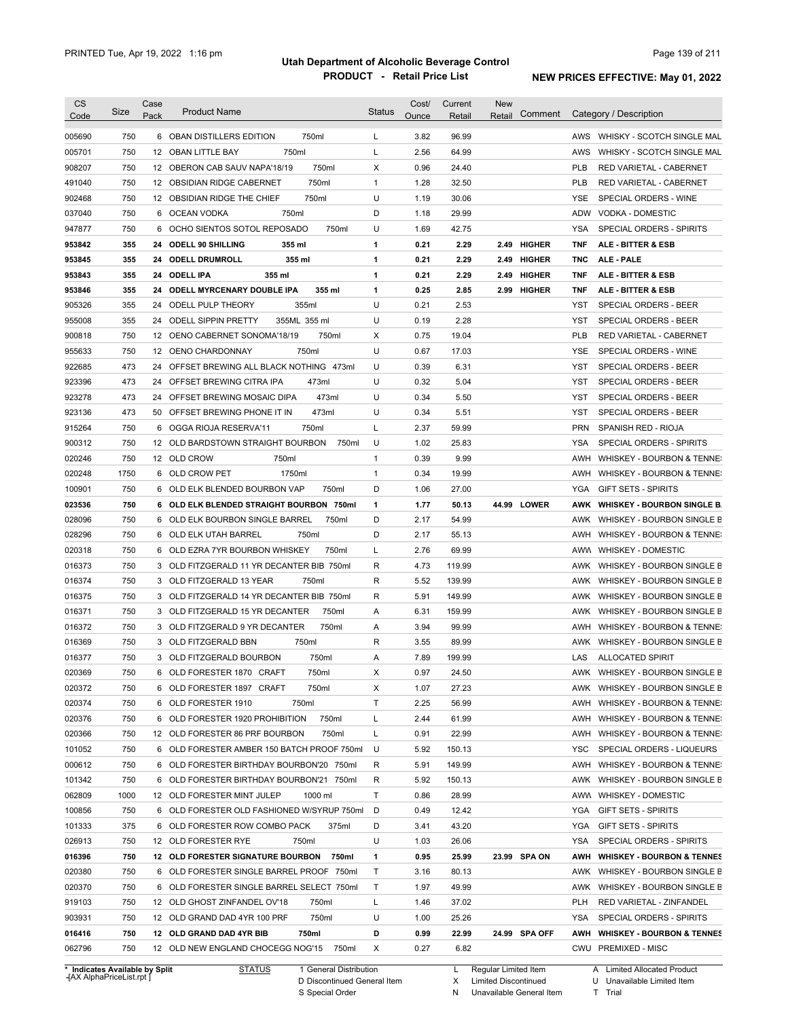| <b>CS</b><br>Code                                                            | Size | Case<br>Pack | <b>Product Name</b>                        | <b>Status</b> | Cost/<br>Ounce | Current<br>Retail | <b>New</b><br>Retail | Comment       |            | Category / Description                |
|------------------------------------------------------------------------------|------|--------------|--------------------------------------------|---------------|----------------|-------------------|----------------------|---------------|------------|---------------------------------------|
|                                                                              |      |              |                                            |               |                |                   |                      |               |            |                                       |
| 005690                                                                       | 750  |              | 750ml<br>6 OBAN DISTILLERS EDITION         | L             | 3.82           | 96.99             |                      |               |            | AWS WHISKY - SCOTCH SINGLE MAL        |
| 005701                                                                       | 750  |              | 750ml<br>12 OBAN LITTLE BAY                | L             | 2.56           | 64.99             |                      |               | AWS        | WHISKY - SCOTCH SINGLE MAL            |
| 908207                                                                       | 750  |              | 12 OBERON CAB SAUV NAPA'18/19<br>750ml     | Χ             | 0.96           | 24.40             |                      |               | <b>PLB</b> | <b>RED VARIETAL - CABERNET</b>        |
| 491040                                                                       | 750  |              | 750ml<br>12 OBSIDIAN RIDGE CABERNET        | $\mathbf{1}$  | 1.28           | 32.50             |                      |               | <b>PLB</b> | RED VARIETAL - CABERNET               |
| 902468                                                                       | 750  |              | 750ml<br>12 OBSIDIAN RIDGE THE CHIEF       | U             | 1.19           | 30.06             |                      |               | <b>YSE</b> | SPECIAL ORDERS - WINE                 |
| 037040                                                                       | 750  |              | 750ml<br>6 OCEAN VODKA                     | D             | 1.18           | 29.99             |                      |               | ADW        | VODKA - DOMESTIC                      |
| 947877                                                                       | 750  |              | 6 OCHO SIENTOS SOTOL REPOSADO<br>750ml     | U             | 1.69           | 42.75             |                      |               | <b>YSA</b> | SPECIAL ORDERS - SPIRITS              |
| 953842                                                                       | 355  |              | 24 ODELL 90 SHILLING<br>355 ml             | 1             | 0.21           | 2.29              |                      | 2.49 HIGHER   | <b>TNF</b> | ALE - BITTER & ESB                    |
| 953845                                                                       | 355  |              | 24 ODELL DRUMROLL<br>355 ml                | 1             | 0.21           | 2.29              |                      | 2.49 HIGHER   | <b>TNC</b> | ALE - PALE                            |
| 953843                                                                       | 355  |              | 355 ml<br>24 ODELL IPA                     | 1             | 0.21           | 2.29              |                      | 2.49 HIGHER   | TNF        | ALE - BITTER & ESB                    |
| 953846                                                                       | 355  |              | 24 ODELL MYRCENARY DOUBLE IPA<br>355 ml    | 1             | 0.25           | 2.85              |                      | 2.99 HIGHER   | <b>TNF</b> | ALE - BITTER & ESB                    |
| 905326                                                                       | 355  |              | 24 ODELL PULP THEORY<br>355ml              | U             | 0.21           | 2.53              |                      |               | YST        | SPECIAL ORDERS - BEER                 |
| 955008                                                                       | 355  |              | 24 ODELL SIPPIN PRETTY<br>355ML 355 ml     | U             | 0.19           | 2.28              |                      |               | <b>YST</b> | SPECIAL ORDERS - BEER                 |
| 900818                                                                       | 750  |              | 12 OENO CABERNET SONOMA'18/19<br>750ml     | Х             | 0.75           | 19.04             |                      |               | <b>PLB</b> | RED VARIETAL - CABERNET               |
| 955633                                                                       | 750  |              | 750ml<br>12 OENO CHARDONNAY                | U             | 0.67           | 17.03             |                      |               | <b>YSE</b> | SPECIAL ORDERS - WINE                 |
| 922685                                                                       | 473  |              | 24 OFFSET BREWING ALL BLACK NOTHING 473ml  | U             | 0.39           | 6.31              |                      |               | <b>YST</b> | SPECIAL ORDERS - BEER                 |
| 923396                                                                       | 473  | 24           | 473ml<br>OFFSET BREWING CITRA IPA          | U             | 0.32           | 5.04              |                      |               | <b>YST</b> | SPECIAL ORDERS - BEER                 |
| 923278                                                                       | 473  | 24           | 473ml<br>OFFSET BREWING MOSAIC DIPA        | U             | 0.34           | 5.50              |                      |               | <b>YST</b> | <b>SPECIAL ORDERS - BEER</b>          |
| 923136                                                                       | 473  | 50           | 473ml<br>OFFSET BREWING PHONE IT IN        | U             | 0.34           | 5.51              |                      |               | <b>YST</b> | SPECIAL ORDERS - BEER                 |
| 915264                                                                       | 750  | 6            | 750ml<br>OGGA RIOJA RESERVA'11             | L             | 2.37           | 59.99             |                      |               | <b>PRN</b> | SPANISH RED - RIOJA                   |
| 900312                                                                       | 750  |              | 12 OLD BARDSTOWN STRAIGHT BOURBON<br>750ml | U             | 1.02           | 25.83             |                      |               | <b>YSA</b> | SPECIAL ORDERS - SPIRITS              |
| 020246                                                                       | 750  |              | 12 OLD CROW<br>750ml                       | $\mathbf{1}$  | 0.39           | 9.99              |                      |               | AWH        | WHISKEY - BOURBON & TENNE:            |
| 020248                                                                       | 1750 | 6            | 1750ml<br>OLD CROW PET                     | $\mathbf{1}$  | 0.34           | 19.99             |                      |               | AWH        | WHISKEY - BOURBON & TENNE:            |
| 100901                                                                       | 750  | 6            | OLD ELK BLENDED BOURBON VAP<br>750ml       | D             | 1.06           | 27.00             |                      |               | <b>YGA</b> | <b>GIFT SETS - SPIRITS</b>            |
| 023536                                                                       | 750  |              | 6 OLD ELK BLENDED STRAIGHT BOURBON 750ml   | 1             | 1.77           | 50.13             |                      | 44.99 LOWER   | AWK        | <b>WHISKEY - BOURBON SINGLE B.</b>    |
| 028096                                                                       | 750  |              | 750ml<br>6 OLD ELK BOURBON SINGLE BARREL   | D             | 2.17           | 54.99             |                      |               | AWK        | WHISKEY - BOURBON SINGLE B            |
| 028296                                                                       | 750  |              | 750ml<br>6 OLD ELK UTAH BARREL             | D             | 2.17           | 55.13             |                      |               | AWH        | WHISKEY - BOURBON & TENNE:            |
| 020318                                                                       | 750  |              | 6 OLD EZRA 7YR BOURBON WHISKEY<br>750ml    | L             | 2.76           | 69.99             |                      |               | AWW        | <b>WHISKEY - DOMESTIC</b>             |
| 016373                                                                       | 750  |              | 3 OLD FITZGERALD 11 YR DECANTER BIB 750ml  | R             | 4.73           | 119.99            |                      |               | AWK        | WHISKEY - BOURBON SINGLE B            |
| 016374                                                                       | 750  |              | 3 OLD FITZGERALD 13 YEAR<br>750ml          | R             | 5.52           | 139.99            |                      |               |            | AWK WHISKEY - BOURBON SINGLE B        |
| 016375                                                                       | 750  |              | 3 OLD FITZGERALD 14 YR DECANTER BIB 750ml  | R             | 5.91           | 149.99            |                      |               |            | AWK WHISKEY - BOURBON SINGLE B        |
| 016371                                                                       | 750  |              | 3 OLD FITZGERALD 15 YR DECANTER<br>750ml   | Α             | 6.31           | 159.99            |                      |               |            | AWK WHISKEY - BOURBON SINGLE B        |
| 016372                                                                       | 750  |              | 750ml<br>3 OLD FITZGERALD 9 YR DECANTER    | Α             | 3.94           | 99.99             |                      |               | AWH        | WHISKEY - BOURBON & TENNE:            |
| 016369                                                                       | 750  |              | 750ml<br>3 OLD FITZGERALD BBN              | R             | 3.55           | 89.99             |                      |               | AWK        | WHISKEY - BOURBON SINGLE B            |
|                                                                              |      |              |                                            |               |                |                   |                      |               |            |                                       |
| 016377                                                                       | 750  |              | 3 OLD FITZGERALD BOURBON<br>750ml          | Α             | 7.89           | 199.99            |                      |               | LAS        | <b>ALLOCATED SPIRIT</b>               |
| 020369                                                                       | 750  |              | 6 OLD FORESTER 1870 CRAFT<br>750ml         | X             | 0.97           | 24.50             |                      |               |            | AWK WHISKEY - BOURBON SINGLE B        |
| 020372                                                                       | 750  |              | 6 OLD FORESTER 1897 CRAFT<br>750ml         | X             | 1.07           | 27.23             |                      |               |            | AWK WHISKEY - BOURBON SINGLE B        |
| 020374                                                                       | 750  |              | 750ml<br>6 OLD FORESTER 1910               | Τ             | 2.25           | 56.99             |                      |               | AWH        | WHISKEY - BOURBON & TENNE:            |
| 020376                                                                       | 750  |              | 6 OLD FORESTER 1920 PROHIBITION<br>750ml   | L             | 2.44           | 61.99             |                      |               |            | AWH WHISKEY - BOURBON & TENNE:        |
| 020366                                                                       | 750  |              | 12 OLD FORESTER 86 PRF BOURBON<br>750ml    | Г             | 0.91           | 22.99             |                      |               |            | AWH WHISKEY - BOURBON & TENNE:        |
| 101052                                                                       | 750  |              | 6 OLD FORESTER AMBER 150 BATCH PROOF 750ml | U             | 5.92           | 150.13            |                      |               | YSC        | SPECIAL ORDERS - LIQUEURS             |
| 000612                                                                       | 750  |              | 6 OLD FORESTER BIRTHDAY BOURBON'20 750ml   | R             | 5.91           | 149.99            |                      |               |            | AWH WHISKEY - BOURBON & TENNE:        |
| 101342                                                                       | 750  |              | 6 OLD FORESTER BIRTHDAY BOURBON'21 750ml   | R             | 5.92           | 150.13            |                      |               |            | AWK WHISKEY - BOURBON SINGLE B        |
| 062809                                                                       | 1000 |              | 12 OLD FORESTER MINT JULEP<br>1000 ml      | T             | 0.86           | 28.99             |                      |               |            | AWW WHISKEY - DOMESTIC                |
|                                                                              | 750  |              | 6 OLD FORESTER OLD FASHIONED W/SYRUP 750ml | D             | 0.49           | 12.42             |                      |               | YGA        | <b>GIFT SETS - SPIRITS</b>            |
|                                                                              |      |              | 6 OLD FORESTER ROW COMBO PACK<br>375ml     | D             | 3.41           | 43.20             |                      |               | YGA        | <b>GIFT SETS - SPIRITS</b>            |
|                                                                              | 375  |              |                                            |               |                | 26.06             |                      |               | YSA        | SPECIAL ORDERS - SPIRITS              |
|                                                                              | 750  |              | 12 OLD FORESTER RYE<br>750ml               | U             | 1.03           |                   |                      |               |            |                                       |
|                                                                              | 750  |              | 12 OLD FORESTER SIGNATURE BOURBON<br>750ml | 1             | 0.95           | 25.99             |                      | 23.99 SPA ON  | AWH        | <b>WHISKEY - BOURBON &amp; TENNES</b> |
|                                                                              | 750  |              | 6 OLD FORESTER SINGLE BARREL PROOF 750ml   | Τ             | 3.16           | 80.13             |                      |               | AWK        | WHISKEY - BOURBON SINGLE B            |
|                                                                              | 750  |              | 6 OLD FORESTER SINGLE BARREL SELECT 750ml  | Τ             | 1.97           | 49.99             |                      |               | AWK        | WHISKEY - BOURBON SINGLE B            |
|                                                                              | 750  |              | 12 OLD GHOST ZINFANDEL OV'18<br>750ml      | Г             | 1.46           | 37.02             |                      |               | PLH        | RED VARIETAL - ZINFANDEL              |
| 100856<br>101333<br>026913<br>016396<br>020380<br>020370<br>919103<br>903931 | 750  |              | 750ml<br>12 OLD GRAND DAD 4YR 100 PRF      | U             | 1.00           | 25.26             |                      |               | YSA        | SPECIAL ORDERS - SPIRITS              |
| 016416                                                                       | 750  |              | 12 OLD GRAND DAD 4YR BIB<br>750ml          | D             | 0.99           | 22.99             |                      | 24.99 SPA OFF | AWH        | <b>WHISKEY - BOURBON &amp; TENNES</b> |

**Case** [AX AlphaPriceList.rpt ]

D Discontinued General Item

S Special Order

X Limited Discontinued

N Unavailable General Item

U Unavailable Limited Item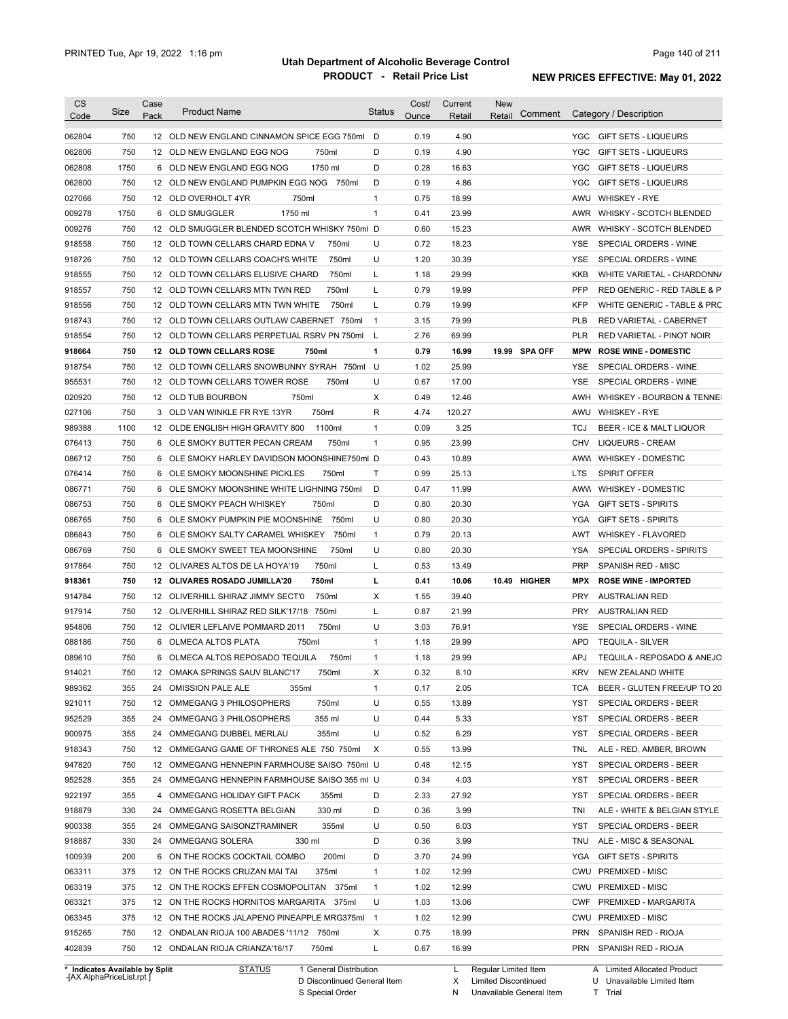| <b>CS</b><br>Code | Size | Case<br>Pack | <b>Product Name</b>                           | <b>Status</b>  | Cost/<br>Ounce | Current<br>Retail | <b>New</b><br>Retail |               |            | Comment Category / Description      |
|-------------------|------|--------------|-----------------------------------------------|----------------|----------------|-------------------|----------------------|---------------|------------|-------------------------------------|
| 062804            | 750  |              | 12 OLD NEW ENGLAND CINNAMON SPICE EGG 750ml   | D              | 0.19           | 4.90              |                      |               | YGC        | GIFT SETS - LIQUEURS                |
| 062806            | 750  |              | 12 OLD NEW ENGLAND EGG NOG<br>750ml           | D              | 0.19           | 4.90              |                      |               | YGC        | <b>GIFT SETS - LIQUEURS</b>         |
| 062808            | 1750 |              | 1750 ml<br>6 OLD NEW ENGLAND EGG NOG          | D              | 0.28           | 16.63             |                      |               | YGC        | <b>GIFT SETS - LIQUEURS</b>         |
| 062800            | 750  |              | 12 OLD NEW ENGLAND PUMPKIN EGG NOG 750ml      | D              | 0.19           | 4.86              |                      |               | YGC        | <b>GIFT SETS - LIQUEURS</b>         |
| 027066            | 750  |              | 12 OLD OVERHOLT 4YR<br>750ml                  | $\mathbf{1}$   | 0.75           | 18.99             |                      |               | AWU        | <b>WHISKEY - RYE</b>                |
| 009278            | 1750 |              | 6 OLD SMUGGLER<br>1750 ml                     | $\mathbf{1}$   | 0.41           | 23.99             |                      |               | AWR        | WHISKY - SCOTCH BLENDED             |
| 009276            | 750  |              | 12 OLD SMUGGLER BLENDED SCOTCH WHISKY 750ml D |                | 0.60           | 15.23             |                      |               | AWR        | WHISKY - SCOTCH BLENDED             |
| 918558            | 750  |              | 12 OLD TOWN CELLARS CHARD EDNA V<br>750ml     | U              | 0.72           | 18.23             |                      |               | YSE        | SPECIAL ORDERS - WINE               |
| 918726            | 750  |              | 12 OLD TOWN CELLARS COACH'S WHITE<br>750ml    | U              | 1.20           | 30.39             |                      |               | YSE        | SPECIAL ORDERS - WINE               |
| 918555            | 750  |              | 12 OLD TOWN CELLARS ELUSIVE CHARD<br>750ml    | L              | 1.18           | 29.99             |                      |               | <b>KKB</b> | WHITE VARIETAL - CHARDONN/          |
| 918557            | 750  |              | 12 OLD TOWN CELLARS MTN TWN RED<br>750ml      | L              | 0.79           | 19.99             |                      |               | PFP        | RED GENERIC - RED TABLE & P         |
| 918556            | 750  |              | 12 OLD TOWN CELLARS MTN TWN WHITE<br>750ml    | Г              | 0.79           | 19.99             |                      |               | KFP        | WHITE GENERIC - TABLE & PRC         |
| 918743            | 750  |              | 12 OLD TOWN CELLARS OUTLAW CABERNET 750ml     | $\overline{1}$ | 3.15           | 79.99             |                      |               | PLB        | RED VARIETAL - CABERNET             |
| 918554            | 750  |              | 12 OLD TOWN CELLARS PERPETUAL RSRV PN 750ml   | L              | 2.76           | 69.99             |                      |               | PLR        | RED VARIETAL - PINOT NOIR           |
| 918664            | 750  |              | 12 OLD TOWN CELLARS ROSE<br>750ml             | 1              | 0.79           | 16.99             |                      | 19.99 SPA OFF | <b>MPW</b> | <b>ROSE WINE - DOMESTIC</b>         |
| 918754            | 750  |              | 12 OLD TOWN CELLARS SNOWBUNNY SYRAH 750ml U   |                | 1.02           | 25.99             |                      |               | <b>YSE</b> | SPECIAL ORDERS - WINE               |
| 955531            | 750  |              | 12 OLD TOWN CELLARS TOWER ROSE<br>750ml       | U              | 0.67           | 17.00             |                      |               | <b>YSE</b> | SPECIAL ORDERS - WINE               |
| 020920            | 750  |              | 12 OLD TUB BOURBON<br>750ml                   | X              | 0.49           | 12.46             |                      |               | AWH        | WHISKEY - BOURBON & TENNE:          |
| 027106            | 750  |              | 750ml<br>3 OLD VAN WINKLE FR RYE 13YR         | R              | 4.74           | 120.27            |                      |               | AWU        | <b>WHISKEY - RYE</b>                |
| 989388            | 1100 |              | 12 OLDE ENGLISH HIGH GRAVITY 800<br>1100ml    | $\mathbf{1}$   | 0.09           | 3.25              |                      |               | <b>TCJ</b> | <b>BEER - ICE &amp; MALT LIQUOR</b> |
| 076413            | 750  |              | 6 OLE SMOKY BUTTER PECAN CREAM<br>750ml       | $\mathbf{1}$   | 0.95           | 23.99             |                      |               | CHV        | <b>LIQUEURS - CREAM</b>             |
| 086712            | 750  |              | 6 OLE SMOKY HARLEY DAVIDSON MOONSHINE750ml D  |                | 0.43           | 10.89             |                      |               |            | AWW WHISKEY - DOMESTIC              |
| 076414            | 750  |              | 6 OLE SMOKY MOONSHINE PICKLES<br>750ml        | Τ              | 0.99           | 25.13             |                      |               | LTS        | <b>SPIRIT OFFER</b>                 |
| 086771            | 750  |              | 6 OLE SMOKY MOONSHINE WHITE LIGHNING 750ml    | D              | 0.47           | 11.99             |                      |               |            | AWW WHISKEY - DOMESTIC              |
| 086753            | 750  |              | 750ml<br>6 OLE SMOKY PEACH WHISKEY            | D              | 0.80           | 20.30             |                      |               | <b>YGA</b> | <b>GIFT SETS - SPIRITS</b>          |
| 086765            | 750  |              | 6 OLE SMOKY PUMPKIN PIE MOONSHINE 750ml       | U              | 0.80           | 20.30             |                      |               | YGA        | <b>GIFT SETS - SPIRITS</b>          |
| 086843            | 750  |              | 6 OLE SMOKY SALTY CARAMEL WHISKEY<br>750ml    | $\mathbf{1}$   | 0.79           | 20.13             |                      |               | AWT        | <b>WHISKEY - FLAVORED</b>           |
| 086769            | 750  |              | 750ml<br>6 OLE SMOKY SWEET TEA MOONSHINE      | U              | 0.80           | 20.30             |                      |               | YSA        | SPECIAL ORDERS - SPIRITS            |
| 917864            | 750  |              | 750ml<br>12 OLIVARES ALTOS DE LA HOYA'19      | L              | 0.53           | 13.49             |                      |               | <b>PRP</b> | SPANISH RED - MISC                  |
|                   | 750  |              | 750ml<br>12 OLIVARES ROSADO JUMILLA'20        | г              | 0.41           | 10.06             |                      | 10.49 HIGHER  | <b>MPX</b> | <b>ROSE WINE - IMPORTED</b>         |
| 918361<br>914784  | 750  |              | 12 OLIVERHILL SHIRAZ JIMMY SECT'O<br>750ml    | х              | 1.55           | 39.40             |                      |               | <b>PRY</b> | <b>AUSTRALIAN RED</b>               |
|                   | 750  |              | 12 OLIVERHILL SHIRAZ RED SILK'17/18<br>750ml  | Г              | 0.87           | 21.99             |                      |               | <b>PRY</b> | <b>AUSTRALIAN RED</b>               |
| 917914<br>954806  | 750  |              | 750ml<br>12 OLIVIER LEFLAIVE POMMARD 2011     | U              | 3.03           | 76.91             |                      |               | <b>YSE</b> | SPECIAL ORDERS - WINE               |
|                   | 750  |              | 750ml                                         | $\mathbf{1}$   | 1.18           | 29.99             |                      |               | <b>APD</b> | <b>TEQUILA - SILVER</b>             |
| 088186            |      |              | 6 OLMECA ALTOS PLATA                          |                |                |                   |                      |               |            |                                     |
| 089610            | 750  |              | 6 OLMECA ALTOS REPOSADO TEQUILA<br>750ml      | 1              | 1.18           | 29.99             |                      |               | <b>APJ</b> | TEQUILA - REPOSADO & ANEJO          |
| 914021            | 750  |              | 12 OMAKA SPRINGS SAUV BLANC'17<br>750ml       | X              | 0.32           | 8.10              |                      |               | KRV        | NEW ZEALAND WHITE                   |
| 989362            | 355  |              | 24 OMISSION PALE ALE<br>355ml                 | 1              | 0.17           | 2.05              |                      |               | TCA        | BEER - GLUTEN FREE/UP TO 20         |
| 921011            | 750  |              | 750ml<br>12 OMMEGANG 3 PHILOSOPHERS           | U              | 0.55           | 13.89             |                      |               | YST        | SPECIAL ORDERS - BEER               |
| 952529            | 355  | 24           | 355 ml<br>OMMEGANG 3 PHILOSOPHERS             | U              | 0.44           | 5.33              |                      |               | YST        | SPECIAL ORDERS - BEER               |
| 900975            | 355  | 24           | 355ml<br>OMMEGANG DUBBEL MERLAU               | U              | 0.52           | 6.29              |                      |               | YST        | SPECIAL ORDERS - BEER               |
| 918343            | 750  |              | 12 OMMEGANG GAME OF THRONES ALE 750 750ml     | Х              | 0.55           | 13.99             |                      |               | TNL        | ALE - RED, AMBER, BROWN             |
| 947820            | 750  |              | 12 OMMEGANG HENNEPIN FARMHOUSE SAISO 750ml U  |                | 0.48           | 12.15             |                      |               | YST        | SPECIAL ORDERS - BEER               |
| 952528            | 355  |              | 24 OMMEGANG HENNEPIN FARMHOUSE SAISO 355 ml U |                | 0.34           | 4.03              |                      |               | YST        | SPECIAL ORDERS - BEER               |
| 922197            | 355  | 4            | OMMEGANG HOLIDAY GIFT PACK<br>355ml           | D              | 2.33           | 27.92             |                      |               | YST        | SPECIAL ORDERS - BEER               |
| 918879            | 330  |              | 24 OMMEGANG ROSETTA BELGIAN<br>330 ml         | D              | 0.36           | 3.99              |                      |               | tni        | ALE - WHITE & BELGIAN STYLE         |
| 900338            | 355  |              | 24 OMMEGANG SAISONZTRAMINER<br>355ml          | U              | 0.50           | 6.03              |                      |               | YST        | SPECIAL ORDERS - BEER               |
| 918887            | 330  |              | 24 OMMEGANG SOLERA<br>330 ml                  | D              | 0.36           | 3.99              |                      |               | TNU        | ALE - MISC & SEASONAL               |
| 100939            | 200  |              | 200ml<br>6 ON THE ROCKS COCKTAIL COMBO        | D              | 3.70           | 24.99             |                      |               | YGA        | <b>GIFT SETS - SPIRITS</b>          |
| 063311            | 375  |              | 375ml<br>12 ON THE ROCKS CRUZAN MAI TAI       | $\mathbf{1}$   | 1.02           | 12.99             |                      |               |            | CWU PREMIXED - MISC                 |
| 063319            | 375  |              | 12 ON THE ROCKS EFFEN COSMOPOLITAN 375ml      | $\mathbf{1}$   | 1.02           | 12.99             |                      |               | CWU        | <b>PREMIXED - MISC</b>              |
| 063321            | 375  |              | 12 ON THE ROCKS HORNITOS MARGARITA 375ml      | U              | 1.03           | 13.06             |                      |               | <b>CWF</b> | PREMIXED - MARGARITA                |
| 063345            | 375  |              | 12 ON THE ROCKS JALAPENO PINEAPPLE MRG375ml   | $\overline{1}$ | 1.02           | 12.99             |                      |               |            | CWU PREMIXED - MISC                 |
| 915265            | 750  |              | 12 ONDALAN RIOJA 100 ABADES '11/12 750ml      | х              | 0.75           | 18.99             |                      |               | PRN        | SPANISH RED - RIOJA                 |
|                   |      |              |                                               |                |                |                   |                      |               |            |                                     |

**Case** [AX AlphaPriceList.rpt ]

D Discontinued General Item

S Special Order

X Limited Discontinued

N Unavailable General Item

U Unavailable Limited Item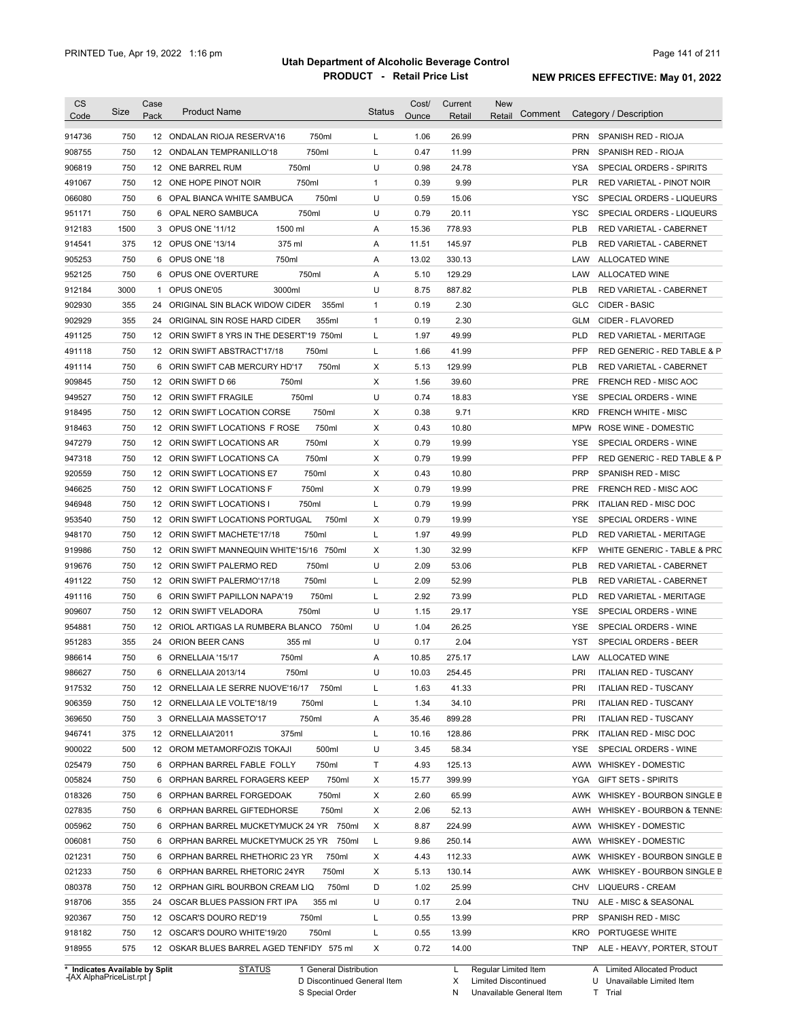| <b>CS</b><br>Code | Size | Case<br>Pack | <b>Product Name</b>                        | <b>Status</b> | Cost/<br>Ounce | Current<br>Retail | <b>New</b><br>Comment<br>Retail | Category / Description                        |
|-------------------|------|--------------|--------------------------------------------|---------------|----------------|-------------------|---------------------------------|-----------------------------------------------|
|                   |      |              |                                            |               |                |                   |                                 |                                               |
| 914736            | 750  |              | 750ml<br>12 ONDALAN RIOJA RESERVA'16       | L             | 1.06           | 26.99             |                                 | <b>PRN</b><br>SPANISH RED - RIOJA             |
| 908755            | 750  |              | 12 ONDALAN TEMPRANILLO'18<br>750ml         | L             | 0.47           | 11.99             |                                 | <b>PRN</b><br>SPANISH RED - RIOJA             |
| 906819            | 750  |              | 750ml<br>12 ONE BARREL RUM                 | U             | 0.98           | 24.78             |                                 | <b>YSA</b><br><b>SPECIAL ORDERS - SPIRITS</b> |
| 491067            | 750  |              | 750ml<br>12 ONE HOPE PINOT NOIR            | $\mathbf{1}$  | 0.39           | 9.99              |                                 | <b>PLR</b><br>RED VARIETAL - PINOT NOIR       |
| 066080            | 750  |              | 750ml<br>6 OPAL BIANCA WHITE SAMBUCA       | U             | 0.59           | 15.06             |                                 | <b>YSC</b><br>SPECIAL ORDERS - LIQUEURS       |
| 951171            | 750  |              | 750ml<br>6 OPAL NERO SAMBUCA               | U             | 0.79           | 20.11             |                                 | <b>YSC</b><br>SPECIAL ORDERS - LIQUEURS       |
| 912183            | 1500 |              | 1500 ml<br>3 OPUS ONE '11/12               | Α             | 15.36          | 778.93            |                                 | <b>PLB</b><br>RED VARIETAL - CABERNET         |
| 914541            | 375  |              | 375 ml<br>12 OPUS ONE '13/14               | Α             | 11.51          | 145.97            |                                 | <b>PLB</b><br>RED VARIETAL - CABERNET         |
| 905253            | 750  | 6            | OPUS ONE '18<br>750ml                      | Α             | 13.02          | 330.13            |                                 | LAW<br>ALLOCATED WINE                         |
| 952125            | 750  | 6            | OPUS ONE OVERTURE<br>750ml                 | Α             | 5.10           | 129.29            |                                 | LAW<br>ALLOCATED WINE                         |
| 912184            | 3000 | $\mathbf{1}$ | OPUS ONE'05<br>3000ml                      | U             | 8.75           | 887.82            |                                 | <b>PLB</b><br>RED VARIETAL - CABERNET         |
| 902930            | 355  |              | 24 ORIGINAL SIN BLACK WIDOW CIDER<br>355ml | $\mathbf{1}$  | 0.19           | 2.30              |                                 | <b>GLC</b><br>CIDER - BASIC                   |
| 902929            | 355  |              | 24 ORIGINAL SIN ROSE HARD CIDER<br>355ml   | $\mathbf{1}$  | 0.19           | 2.30              |                                 | GLM<br>CIDER - FLAVORED                       |
| 491125            | 750  |              | 12 ORIN SWIFT 8 YRS IN THE DESERT'19 750ml | L             | 1.97           | 49.99             |                                 | <b>PLD</b><br>RED VARIETAL - MERITAGE         |
| 491118            | 750  |              | 12 ORIN SWIFT ABSTRACT'17/18<br>750ml      | L             | 1.66           | 41.99             |                                 | PFP<br>RED GENERIC - RED TABLE & P            |
| 491114            | 750  |              | 6 ORIN SWIFT CAB MERCURY HD'17<br>750ml    | Χ             | 5.13           | 129.99            |                                 | <b>PLB</b><br>RED VARIETAL - CABERNET         |
| 909845            | 750  |              | 750ml<br>12 ORIN SWIFT D 66                | Χ             | 1.56           | 39.60             |                                 | <b>PRE</b><br>FRENCH RED - MISC AOC           |
| 949527            | 750  |              | 750ml<br>12 ORIN SWIFT FRAGILE             | U             | 0.74           | 18.83             |                                 | <b>YSE</b><br>SPECIAL ORDERS - WINE           |
| 918495            | 750  |              | 750ml<br>12 ORIN SWIFT LOCATION CORSE      | Χ             | 0.38           | 9.71              |                                 | <b>KRD</b><br><b>FRENCH WHITE - MISC</b>      |
| 918463            | 750  |              | 750ml<br>12 ORIN SWIFT LOCATIONS F ROSE    | Χ             | 0.43           | 10.80             |                                 | <b>MPW</b><br>ROSE WINE - DOMESTIC            |
| 947279            | 750  |              | 750ml<br>12 ORIN SWIFT LOCATIONS AR        | Χ             | 0.79           | 19.99             |                                 | <b>YSE</b><br>SPECIAL ORDERS - WINE           |
| 947318            | 750  |              | 750ml<br>12 ORIN SWIFT LOCATIONS CA        | Χ             | 0.79           | 19.99             |                                 | <b>PFP</b><br>RED GENERIC - RED TABLE & P     |
| 920559            | 750  |              | 750ml<br>12 ORIN SWIFT LOCATIONS E7        | X             | 0.43           | 10.80             |                                 | <b>PRP</b><br>SPANISH RED - MISC              |
| 946625            | 750  |              | 750ml<br>12 ORIN SWIFT LOCATIONS F         | X             | 0.79           | 19.99             |                                 | <b>PRE</b><br>FRENCH RED - MISC AOC           |
| 946948            | 750  |              | 12 ORIN SWIFT LOCATIONS I<br>750ml         | Г             | 0.79           | 19.99             |                                 | <b>PRK</b><br><b>ITALIAN RED - MISC DOC</b>   |
| 953540            | 750  |              | 750ml<br>12 ORIN SWIFT LOCATIONS PORTUGAL  | Х             | 0.79           | 19.99             |                                 | SPECIAL ORDERS - WINE<br>YSE                  |
| 948170            | 750  |              | 750ml<br>12 ORIN SWIFT MACHETE'17/18       | L             | 1.97           | 49.99             |                                 | <b>PLD</b><br><b>RED VARIETAL - MERITAGE</b>  |
| 919986            | 750  |              | 12 ORIN SWIFT MANNEQUIN WHITE'15/16 750ml  | X             | 1.30           | 32.99             |                                 | <b>KFP</b><br>WHITE GENERIC - TABLE & PRC     |
| 919676            | 750  |              | 750ml<br>12 ORIN SWIFT PALERMO RED         | U             | 2.09           | 53.06             |                                 | <b>PLB</b><br>RED VARIETAL - CABERNET         |
| 491122            | 750  |              | 750ml<br>12 ORIN SWIFT PALERMO'17/18       | L             | 2.09           | 52.99             |                                 | <b>PLB</b><br>RED VARIETAL - CABERNET         |
| 491116            | 750  |              | 750ml<br>6 ORIN SWIFT PAPILLON NAPA'19     | L             | 2.92           | 73.99             |                                 | <b>PLD</b><br>RED VARIETAL - MERITAGE         |
| 909607            | 750  |              | 12 ORIN SWIFT VELADORA<br>750ml            | U             | 1.15           | 29.17             |                                 | <b>YSE</b><br>SPECIAL ORDERS - WINE           |
| 954881            | 750  |              | 12 ORIOL ARTIGAS LA RUMBERA BLANCO 750ml   | U             | 1.04           | 26.25             |                                 | <b>YSE</b><br>SPECIAL ORDERS - WINE           |
| 951283            | 355  |              | 24 ORION BEER CANS<br>355 ml               | U             | 0.17           | 2.04              |                                 | <b>YST</b><br>SPECIAL ORDERS - BEER           |
| 986614            | 750  |              | 6 ORNELLAIA '15/17<br>750ml                | Α             | 10.85          | 275.17            |                                 | LAW<br><b>ALLOCATED WINE</b>                  |
| 986627            | 750  |              | 6 ORNELLAIA 2013/14<br>750ml               | U             | 10.03          | 254.45            |                                 | PRI<br><b>ITALIAN RED - TUSCANY</b>           |
| 917532            | 750  |              | 750ml<br>12 ORNELLAIA LE SERRE NUOVE'16/17 | L             | 1.63           | 41.33             |                                 | PRI<br><b>ITALIAN RED - TUSCANY</b>           |
| 906359            | 750  |              | 12 ORNELLAIA LE VOLTE'18/19<br>750ml       | L             | 1.34           | 34.10             |                                 | PRI<br><b>ITALIAN RED - TUSCANY</b>           |
| 369650            | 750  |              | 750ml<br>3 ORNELLAIA MASSETO'17            | Α             | 35.46          | 899.28            |                                 | PRI<br><b>ITALIAN RED - TUSCANY</b>           |
| 946741            | 375  |              | 375ml<br>12 ORNELLAIA'2011                 | L             | 10.16          | 128.86            |                                 | ITALIAN RED - MISC DOC<br><b>PRK</b>          |
| 900022            | 500  |              | 500ml<br>12 OROM METAMORFOZIS TOKAJI       | U             | 3.45           | 58.34             |                                 | YSE<br>SPECIAL ORDERS - WINE                  |
|                   |      |              |                                            |               |                |                   |                                 |                                               |
| 025479            | 750  |              | 750ml<br>6 ORPHAN BARREL FABLE FOLLY       | Τ             | 4.93           | 125.13            |                                 | AWW WHISKEY - DOMESTIC                        |
| 005824            | 750  |              | 750ml<br>6 ORPHAN BARREL FORAGERS KEEP     | Х             | 15.77          | 399.99            |                                 | YGA<br><b>GIFT SETS - SPIRITS</b>             |
| 018326            | 750  |              | 750ml<br>6 ORPHAN BARREL FORGEDOAK         | Х             | 2.60           | 65.99             |                                 | AWK WHISKEY - BOURBON SINGLE B                |
| 027835            | 750  |              | 6 ORPHAN BARREL GIFTEDHORSE<br>750ml       | Х             | 2.06           | 52.13             |                                 | AWH<br>WHISKEY - BOURBON & TENNE:             |
| 005962            | 750  |              | 6 ORPHAN BARREL MUCKETYMUCK 24 YR 750ml    | Х             | 8.87           | 224.99            |                                 | AWW WHISKEY - DOMESTIC                        |
| 006081            | 750  |              | 750ml<br>6 ORPHAN BARREL MUCKETYMUCK 25 YR | Г             | 9.86           | 250.14            |                                 | AWW WHISKEY - DOMESTIC                        |
| 021231            | 750  |              | 750ml<br>6 ORPHAN BARREL RHETHORIC 23 YR   | Х             | 4.43           | 112.33            |                                 | AWK WHISKEY - BOURBON SINGLE B                |
| 021233            | 750  |              | 750ml<br>6 ORPHAN BARREL RHETORIC 24YR     | Х             | 5.13           | 130.14            |                                 | AWK WHISKEY - BOURBON SINGLE B                |
| 080378            | 750  |              | 750ml<br>12 ORPHAN GIRL BOURBON CREAM LIQ  | D             | 1.02           | 25.99             |                                 | CHV<br>LIQUEURS - CREAM                       |
| 918706            | 355  |              | 355 ml<br>24 OSCAR BLUES PASSION FRT IPA   | U             | 0.17           | 2.04              |                                 | TNU<br>ALE - MISC & SEASONAL                  |
| 920367            | 750  |              | 750ml<br>12 OSCAR'S DOURO RED'19           | L             | 0.55           | 13.99             |                                 | <b>PRP</b><br>SPANISH RED - MISC              |
| 918182            | 750  |              | 750ml<br>12 OSCAR'S DOURO WHITE'19/20      | Г             | 0.55           | 13.99             |                                 | KRO<br>PORTUGESE WHITE                        |
| 918955            | 575  |              | 12 OSKAR BLUES BARREL AGED TENFIDY 575 ml  | X             | 0.72           | 14.00             |                                 | TNP<br>ALE - HEAVY, PORTER, STOUT             |

**Case** [AX AlphaPriceList.rpt ]

D Discontinued General Item S Special Order

X Limited Discontinued N Unavailable General Item

U Unavailable Limited Item T Trial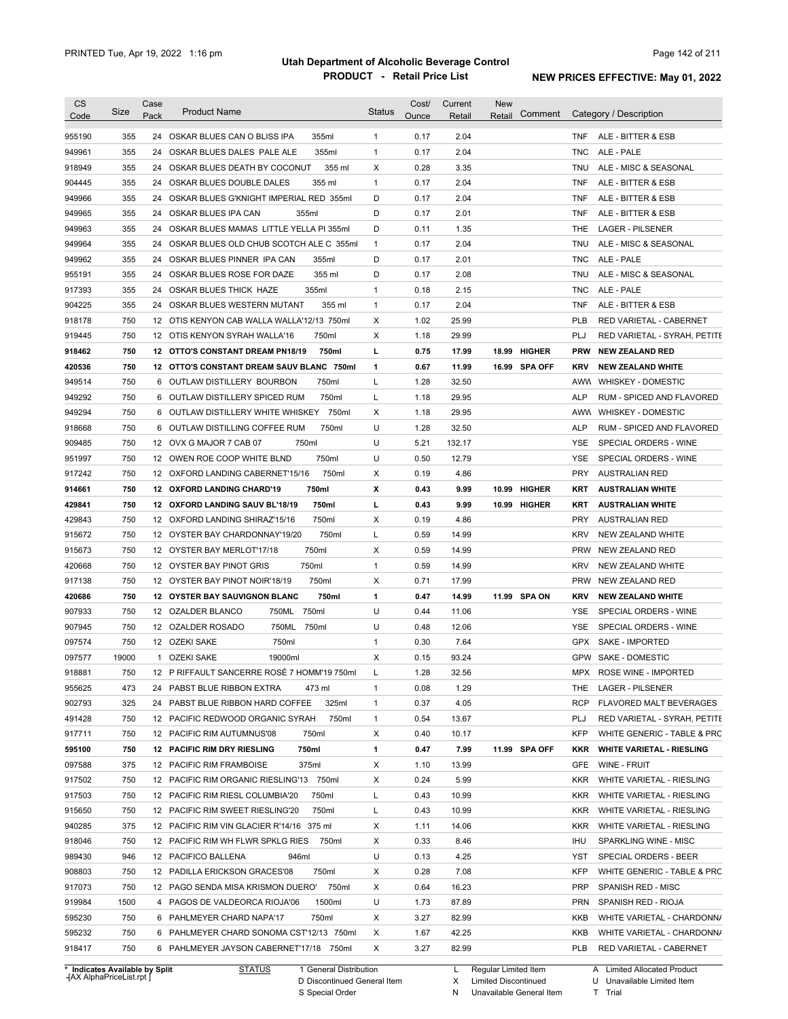| <b>CS</b><br>Code              | Size  | Case<br>Pack | <b>Product Name</b>                                         | <b>Status</b> | Cost/<br>Ounce | Current<br>Retail | New<br>Comment<br>Retail |                   | Category / Description                          |
|--------------------------------|-------|--------------|-------------------------------------------------------------|---------------|----------------|-------------------|--------------------------|-------------------|-------------------------------------------------|
| 955190                         | 355   | 24           | OSKAR BLUES CAN O BLISS IPA<br>355ml                        | $\mathbf{1}$  | 0.17           | 2.04              |                          | TNF               | ALE - BITTER & ESB                              |
| 949961                         | 355   | 24           | OSKAR BLUES DALES PALE ALE<br>355ml                         | $\mathbf{1}$  | 0.17           | 2.04              |                          | <b>TNC</b>        | ALE - PALE                                      |
| 918949                         | 355   | 24           | 355 ml<br>OSKAR BLUES DEATH BY COCONUT                      | Χ             | 0.28           | 3.35              |                          | TNU               | ALE - MISC & SEASONAL                           |
| 904445                         | 355   | 24           | 355 ml<br>OSKAR BLUES DOUBLE DALES                          | $\mathbf{1}$  | 0.17           | 2.04              |                          | TNF               | ALE - BITTER & ESB                              |
| 949966                         | 355   | 24           | OSKAR BLUES G'KNIGHT IMPERIAL RED 355ml                     | D             | 0.17           | 2.04              |                          | TNF               | ALE - BITTER & ESB                              |
| 949965                         | 355   | 24           | OSKAR BLUES IPA CAN<br>355ml                                | D             | 0.17           | 2.01              |                          | TNF               | ALE - BITTER & ESB                              |
| 949963                         | 355   | 24           | OSKAR BLUES MAMAS LITTLE YELLA PI 355ml                     | D             | 0.11           | 1.35              |                          | THE.              | <b>LAGER - PILSENER</b>                         |
| 949964                         | 355   | 24           | OSKAR BLUES OLD CHUB SCOTCH ALE C 355ml                     | $\mathbf{1}$  | 0.17           | 2.04              |                          | TNU               | ALE - MISC & SEASONAL                           |
| 949962                         | 355   | 24           | OSKAR BLUES PINNER IPA CAN<br>355ml                         | D             | 0.17           | 2.01              |                          | TNC.              | ALE - PALE                                      |
| 955191                         | 355   | 24           | 355 ml<br>OSKAR BLUES ROSE FOR DAZE                         | D             | 0.17           | 2.08              |                          | TNU               | ALE - MISC & SEASONAL                           |
| 917393                         | 355   | 24           | 355ml<br>OSKAR BLUES THICK HAZE                             | $\mathbf{1}$  | 0.18           | 2.15              |                          | <b>TNC</b>        | ALE - PALE                                      |
| 904225                         | 355   | 24           | OSKAR BLUES WESTERN MUTANT<br>355 ml                        | $\mathbf{1}$  | 0.17           | 2.04              |                          | <b>TNF</b>        | ALE - BITTER & ESB                              |
| 918178                         | 750   | 12           | OTIS KENYON CAB WALLA WALLA'12/13 750ml                     | Χ             | 1.02           | 25.99             |                          | <b>PLB</b>        | RED VARIETAL - CABERNET                         |
| 919445                         | 750   | 12           | OTIS KENYON SYRAH WALLA'16<br>750ml                         | Χ             | 1.18           | 29.99             |                          | PLJ               | RED VARIETAL - SYRAH, PETITE                    |
| 918462                         | 750   |              | 12 OTTO'S CONSTANT DREAM PN18/19<br>750ml                   | L             | 0.75           | 17.99             | <b>HIGHER</b><br>18.99   | <b>PRW</b>        | <b>NEW ZEALAND RED</b>                          |
| 420536                         | 750   |              | 12 OTTO'S CONSTANT DREAM SAUV BLANC 750ml                   | $\mathbf{1}$  | 0.67           | 11.99             | 16.99 SPA OFF            | <b>KRV</b>        | <b>NEW ZEALAND WHITE</b>                        |
| 949514                         | 750   |              | 750ml<br>6 OUTLAW DISTILLERY BOURBON                        | L             | 1.28           | 32.50             |                          |                   | AWW WHISKEY - DOMESTIC                          |
| 949292                         | 750   | 6            | 750ml<br>OUTLAW DISTILLERY SPICED RUM                       | L             | 1.18           | 29.95             |                          | <b>ALP</b>        | RUM - SPICED AND FLAVORED                       |
| 949294                         | 750   | 6            | OUTLAW DISTILLERY WHITE WHISKEY 750ml                       | Χ             | 1.18           | 29.95             |                          |                   | AWN WHISKEY - DOMESTIC                          |
| 918668                         | 750   | 6            | 750ml<br>OUTLAW DISTILLING COFFEE RUM                       | U             | 1.28           | 32.50             |                          | <b>ALP</b>        | RUM - SPICED AND FLAVORED                       |
| 909485                         | 750   | 12           | 750ml<br>OVX G MAJOR 7 CAB 07                               | U             | 5.21           | 132.17            |                          | <b>YSE</b>        | SPECIAL ORDERS - WINE                           |
| 951997                         | 750   | 12           | 750ml<br>OWEN ROE COOP WHITE BLND                           | U             | 0.50           | 12.79             |                          | <b>YSE</b>        | SPECIAL ORDERS - WINE                           |
| 917242                         | 750   | 12           | 750ml<br>OXFORD LANDING CABERNET'15/16                      | X             | 0.19           | 4.86              |                          | <b>PRY</b>        | <b>AUSTRALIAN RED</b>                           |
| 914661                         | 750   | 12           | <b>OXFORD LANDING CHARD'19</b><br>750ml                     | Х             | 0.43           | 9.99              | <b>HIGHER</b><br>10.99   | <b>KRT</b>        | <b>AUSTRALIAN WHITE</b>                         |
| 429841                         | 750   | 12           | <b>OXFORD LANDING SAUV BL'18/19</b><br>750ml                | L             | 0.43           | 9.99              | 10.99 HIGHER             | <b>KRT</b>        | <b>AUSTRALIAN WHITE</b>                         |
| 429843                         | 750   | 12           | 750ml<br>OXFORD LANDING SHIRAZ'15/16                        | Χ             | 0.19           | 4.86              |                          | <b>PRY</b>        | <b>AUSTRALIAN RED</b>                           |
| 915672                         | 750   | 12           | 750ml<br>OYSTER BAY CHARDONNAY'19/20                        | L             | 0.59           | 14.99             |                          | <b>KRV</b>        | NEW ZEALAND WHITE                               |
| 915673                         | 750   | 12           | 750ml<br>OYSTER BAY MERLOT'17/18                            | Χ             | 0.59           | 14.99             |                          | <b>PRW</b>        | NEW ZEALAND RED                                 |
| 420668                         | 750   | 12           | 750ml<br>OYSTER BAY PINOT GRIS                              | $\mathbf{1}$  | 0.59           | 14.99             |                          | <b>KRV</b>        | NEW ZEALAND WHITE                               |
| 917138                         | 750   | 12           | 750ml<br>OYSTER BAY PINOT NOIR'18/19                        | Χ             | 0.71           | 17.99             |                          | <b>PRW</b>        | NEW ZEALAND RED                                 |
| 420686                         | 750   | 12           | 750ml<br><b>OYSTER BAY SAUVIGNON BLANC</b>                  | $\mathbf{1}$  | 0.47           | 14.99             | 11.99 SPA ON             | <b>KRV</b>        | <b>NEW ZEALAND WHITE</b>                        |
| 907933                         | 750   | 12           | 750ml<br>OZALDER BLANCO<br>750ML                            | U             | 0.44           | 11.06             |                          | <b>YSE</b>        | SPECIAL ORDERS - WINE                           |
| 907945                         | 750   | 12           | OZALDER ROSADO<br>750ML<br>750ml                            | U             | 0.48           | 12.06             |                          | YSE               | SPECIAL ORDERS - WINE                           |
| 097574                         | 750   | 12           | OZEKI SAKE<br>750ml                                         | $\mathbf{1}$  | 0.30           | 7.64              |                          | <b>GPX</b>        | <b>SAKE - IMPORTED</b>                          |
| 097577                         | 19000 |              | 19000ml<br>1 OZEKI SAKE                                     | Χ             | 0.15           | 93.24             |                          | <b>GPW</b>        | SAKE - DOMESTIC                                 |
|                                | 750   |              | 12 P RIFFAULT SANCERRE ROSÉ 7 HOMM'19 750ml                 |               | 1.28           | 32.56             |                          | MPX               |                                                 |
| 918881                         | 473   |              | 473 ml                                                      | $\mathbf{1}$  | 0.08           | 1.29              |                          |                   | ROSE WINE - IMPORTED<br><b>LAGER - PILSENER</b> |
| 955625                         |       |              | 24 PABST BLUE RIBBON EXTRA<br>PABST BLUE RIBBON HARD COFFEE |               |                |                   |                          | THE<br><b>RCP</b> |                                                 |
| 902793                         | 325   | 24           | 325ml                                                       | $\mathbf{1}$  | 0.37           | 4.05              |                          |                   | FLAVORED MALT BEVERAGES                         |
| 491428                         | 750   |              | 12 PACIFIC REDWOOD ORGANIC SYRAH<br>750ml                   | $\mathbf{1}$  | 0.54           | 13.67             |                          | PLJ               | RED VARIETAL - SYRAH, PETITE                    |
| 917711                         | 750   |              | 12 PACIFIC RIM AUTUMNUS'08<br>750ml                         | Х             | 0.40           | 10.17             |                          | <b>KFP</b>        | WHITE GENERIC - TABLE & PRC                     |
| 595100                         | 750   |              | 12 PACIFIC RIM DRY RIESLING<br>750ml                        | $\mathbf{1}$  | 0.47           | 7.99              | 11.99 SPA OFF            | KKR               | <b>WHITE VARIETAL - RIESLING</b>                |
| 097588                         | 375   |              | 375ml<br>12 PACIFIC RIM FRAMBOISE                           | Х             | 1.10           | 13.99             |                          | <b>GFE</b>        | WINE - FRUIT                                    |
| 917502                         | 750   |              | 12 PACIFIC RIM ORGANIC RIESLING'13 750ml                    | X             | 0.24           | 5.99              |                          | <b>KKR</b>        | WHITE VARIETAL - RIESLING                       |
| 917503                         | 750   |              | 12 PACIFIC RIM RIESL COLUMBIA'20<br>750ml                   | L             | 0.43           | 10.99             |                          | <b>KKR</b>        | WHITE VARIETAL - RIESLING                       |
| 915650                         | 750   |              | 12 PACIFIC RIM SWEET RIESLING'20<br>750ml                   | L             | 0.43           | 10.99             |                          | KKR               | WHITE VARIETAL - RIESLING                       |
| 940285                         | 375   |              | 12 PACIFIC RIM VIN GLACIER R'14/16 375 ml                   | Х             | 1.11           | 14.06             |                          | <b>KKR</b>        | WHITE VARIETAL - RIESLING                       |
| 918046                         | 750   |              | 12 PACIFIC RIM WH FLWR SPKLG RIES<br>750ml                  | X             | 0.33           | 8.46              |                          | <b>IHU</b>        | SPARKLING WINE - MISC                           |
| 989430                         | 946   |              | 12 PACIFICO BALLENA<br>946ml                                | U             | 0.13           | 4.25              |                          | YST               | SPECIAL ORDERS - BEER                           |
| 908803                         | 750   |              | 750ml<br>12 PADILLA ERICKSON GRACES'08                      | X             | 0.28           | 7.08              |                          | KFP               | WHITE GENERIC - TABLE & PRC                     |
| 917073                         | 750   |              | 750ml<br>12 PAGO SENDA MISA KRISMON DUERO'                  | Х             | 0.64           | 16.23             |                          | <b>PRP</b>        | SPANISH RED - MISC                              |
| 919984                         | 1500  |              | 1500ml<br>4 PAGOS DE VALDEORCA RIOJA'06                     | U             | 1.73           | 87.89             |                          | PRN               | SPANISH RED - RIOJA                             |
| 595230                         | 750   |              | 750ml<br>6 PAHLMEYER CHARD NAPA'17                          | X             | 3.27           | 82.99             |                          | KKB               | WHITE VARIETAL - CHARDONN/                      |
| 595232                         | 750   |              | 6 PAHLMEYER CHARD SONOMA CST'12/13 750ml                    | X             | 1.67           | 42.25             |                          | KKB               | WHITE VARIETAL - CHARDONN/                      |
| 918417                         | 750   |              | 6 PAHLMEYER JAYSON CABERNET'17/18 750ml                     | X             | 3.27           | 82.99             |                          | PLB               | RED VARIETAL - CABERNET                         |
| * Indicates Available by Split |       |              | <b>STATUS</b><br>1 General Distribution                     |               |                | L                 | Regular Limited Item     |                   | A Limited Allocated Product                     |

**Case** [AX AlphaPriceList.rpt ]

D Discontinued General Item

S Special Order

X Regular Limited Item

Limited Discontinued

N Unavailable General Item

U Unavailable Limited Item T Trial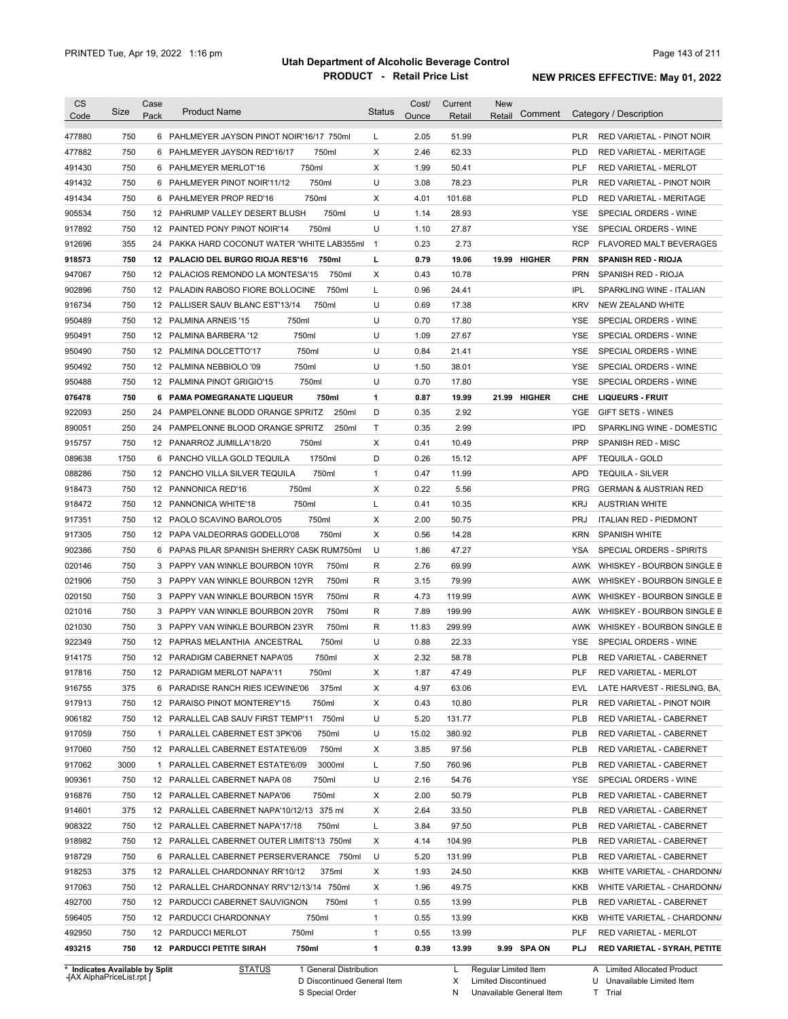| <b>CS</b> | Size | Case<br>Pack | <b>Product Name</b>                         | <b>Status</b>  | Cost/<br>Ounce | Current<br>Retail | <b>New</b><br>Comment<br>Retail | Category / Description                         |
|-----------|------|--------------|---------------------------------------------|----------------|----------------|-------------------|---------------------------------|------------------------------------------------|
| Code      |      |              |                                             |                |                |                   |                                 |                                                |
| 477880    | 750  |              | 6 PAHLMEYER JAYSON PINOT NOIR'16/17 750ml   | L              | 2.05           | 51.99             |                                 | <b>PLR</b><br>RED VARIETAL - PINOT NOIR        |
| 477882    | 750  | 6            | 750ml<br>PAHLMEYER JAYSON RED'16/17         | X              | 2.46           | 62.33             |                                 | <b>PLD</b><br>RED VARIETAL - MERITAGE          |
| 491430    | 750  |              | 750ml<br>6 PAHLMEYER MERLOT'16              | Χ              | 1.99           | 50.41             |                                 | <b>PLF</b><br>RED VARIETAL - MERLOT            |
| 491432    | 750  |              | 750ml<br>6 PAHLMEYER PINOT NOIR'11/12       | U              | 3.08           | 78.23             |                                 | <b>PLR</b><br>RED VARIETAL - PINOT NOIR        |
| 491434    | 750  |              | 750ml<br>6 PAHLMEYER PROP RED'16            | Χ              | 4.01           | 101.68            |                                 | <b>PLD</b><br><b>RED VARIETAL - MERITAGE</b>   |
| 905534    | 750  |              | 12 PAHRUMP VALLEY DESERT BLUSH<br>750ml     | U              | 1.14           | 28.93             |                                 | <b>YSE</b><br>SPECIAL ORDERS - WINE            |
| 917892    | 750  |              | 12 PAINTED PONY PINOT NOIR'14<br>750ml      | U              | 1.10           | 27.87             |                                 | YSE<br>SPECIAL ORDERS - WINE                   |
| 912696    | 355  |              | 24 PAKKA HARD COCONUT WATER 'WHITE LAB355ml | $\overline{1}$ | 0.23           | 2.73              |                                 | <b>RCP</b><br>FLAVORED MALT BEVERAGES          |
| 918573    | 750  |              | 12 PALACIO DEL BURGO RIOJA RES'16<br>750ml  | г              | 0.79           | 19.06             | 19.99 HIGHER                    | <b>PRN</b><br><b>SPANISH RED - RIOJA</b>       |
| 947067    | 750  |              | 750ml<br>12 PALACIOS REMONDO LA MONTESA'15  | Χ              | 0.43           | 10.78             |                                 | <b>PRN</b><br>SPANISH RED - RIOJA              |
| 902896    | 750  |              | 750ml<br>12 PALADIN RABOSO FIORE BOLLOCINE  | L              | 0.96           | 24.41             |                                 | <b>IPL</b><br>SPARKLING WINE - ITALIAN         |
| 916734    | 750  |              | 750ml<br>12 PALLISER SAUV BLANC EST'13/14   | U              | 0.69           | 17.38             |                                 | <b>KRV</b><br>NEW ZEALAND WHITE                |
| 950489    | 750  |              | 750ml<br>12 PALMINA ARNEIS '15              | U              | 0.70           | 17.80             |                                 | <b>YSE</b><br>SPECIAL ORDERS - WINE            |
| 950491    | 750  |              | 750ml<br>12 PALMINA BARBERA '12             | U              | 1.09           | 27.67             |                                 | <b>YSE</b><br>SPECIAL ORDERS - WINE            |
| 950490    | 750  |              | 750ml<br>12 PALMINA DOLCETTO'17             | U              | 0.84           | 21.41             |                                 | <b>YSE</b><br>SPECIAL ORDERS - WINE            |
| 950492    | 750  |              | 750ml<br>12 PALMINA NEBBIOLO '09            | U              | 1.50           | 38.01             |                                 | <b>YSE</b><br>SPECIAL ORDERS - WINE            |
| 950488    | 750  |              | 750ml<br>12 PALMINA PINOT GRIGIO'15         | U              | 0.70           | 17.80             |                                 | <b>YSE</b><br>SPECIAL ORDERS - WINE            |
| 076478    | 750  |              | 750ml<br>6 PAMA POMEGRANATE LIQUEUR         | 1              | 0.87           | 19.99             | 21.99 HIGHER                    | CHE<br><b>LIQUEURS - FRUIT</b>                 |
| 922093    | 250  | 24           | 250ml<br>PAMPELONNE BLODD ORANGE SPRITZ     | D              | 0.35           | 2.92              |                                 | <b>YGE</b><br><b>GIFT SETS - WINES</b>         |
| 890051    | 250  | 24           | PAMPELONNE BLOOD ORANGE SPRITZ<br>250ml     | T              | 0.35           | 2.99              |                                 | <b>IPD</b><br>SPARKLING WINE - DOMESTIC        |
| 915757    | 750  |              | 750ml<br>12 PANARROZ JUMILLA'18/20          | X              | 0.41           | 10.49             |                                 | <b>PRP</b><br>SPANISH RED - MISC               |
| 089638    | 1750 | 6            | 1750ml<br>PANCHO VILLA GOLD TEQUILA         | D              | 0.26           | 15.12             |                                 | <b>APF</b><br><b>TEQUILA - GOLD</b>            |
| 088286    | 750  |              | 750ml<br>12 PANCHO VILLA SILVER TEQUILA     | 1              | 0.47           | 11.99             |                                 | <b>APD</b><br><b>TEQUILA - SILVER</b>          |
| 918473    | 750  |              | 750ml<br>12 PANNONICA RED'16                | X              | 0.22           | 5.56              |                                 | <b>PRG</b><br><b>GERMAN &amp; AUSTRIAN RED</b> |
| 918472    | 750  |              | 750ml<br>12 PANNONICA WHITE'18              | Г              | 0.41           | 10.35             |                                 | <b>KRJ</b><br><b>AUSTRIAN WHITE</b>            |
| 917351    | 750  |              | 750ml<br>12 PAOLO SCAVINO BAROLO'05         | X              | 2.00           | 50.75             |                                 | <b>PRJ</b><br><b>ITALIAN RED - PIEDMONT</b>    |
| 917305    | 750  |              | 750ml<br>12 PAPA VALDEORRAS GODELLO'08      | X              | 0.56           | 14.28             |                                 | <b>KRN</b><br><b>SPANISH WHITE</b>             |
| 902386    | 750  |              | 6 PAPAS PILAR SPANISH SHERRY CASK RUM750ml  | U              | 1.86           | 47.27             |                                 | <b>YSA</b><br>SPECIAL ORDERS - SPIRITS         |
| 020146    | 750  |              | 750ml<br>3 PAPPY VAN WINKLE BOURBON 10YR    | R              | 2.76           | 69.99             |                                 | AWK<br>WHISKEY - BOURBON SINGLE B              |
| 021906    | 750  |              | 750ml<br>3 PAPPY VAN WINKLE BOURBON 12YR    | R              | 3.15           | 79.99             |                                 | AWK<br>WHISKEY - BOURBON SINGLE B              |
| 020150    | 750  |              | 3 PAPPY VAN WINKLE BOURBON 15YR<br>750ml    | R              | 4.73           | 119.99            |                                 | WHISKEY - BOURBON SINGLE B<br>AWK              |
| 021016    | 750  |              | 3 PAPPY VAN WINKLE BOURBON 20YR<br>750ml    | R              | 7.89           | 199.99            |                                 | WHISKEY - BOURBON SINGLE B<br>AWK              |
| 021030    | 750  |              | 3 PAPPY VAN WINKLE BOURBON 23YR<br>750ml    | R              | 11.83          | 299.99            |                                 | AWK<br>WHISKEY - BOURBON SINGLE B              |
| 922349    | 750  |              | 750ml<br>12 PAPRAS MELANTHIA ANCESTRAL      | U              | 0.88           | 22.33             |                                 | SPECIAL ORDERS - WINE<br>YSE                   |
| 914175    | 750  |              | 12 PARADIGM CABERNET NAPA'05<br>750ml       | X              | 2.32           | 58.78             |                                 | <b>PLB</b><br><b>RED VARIETAL - CABERNET</b>   |
| 917816    | 750  |              | 750ml<br>12 PARADIGM MERLOT NAPA'11         | Χ              | 1.87           | 47.49             |                                 | <b>PLF</b><br>RED VARIETAL - MERLOT            |
| 916755    | 375  |              | 6 PARADISE RANCH RIES ICEWINE'06<br>375ml   | Х              | 4.97           | 63.06             |                                 | EVL<br>LATE HARVEST - RIESLING, BA,            |
| 917913    | 750  |              | 750ml<br>12 PARAISO PINOT MONTEREY'15       | х              | 0.43           | 10.80             |                                 | PLR<br>RED VARIETAL - PINOT NOIR               |
| 906182    | 750  |              | 750ml<br>12 PARALLEL CAB SAUV FIRST TEMP'11 | U              | 5.20           | 131.77            |                                 | <b>PLB</b><br>RED VARIETAL - CABERNET          |
| 917059    | 750  |              | 750ml<br>1 PARALLEL CABERNET EST 3PK'06     | U              | 15.02          | 380.92            |                                 | <b>PLB</b><br>RED VARIETAL - CABERNET          |
| 917060    | 750  |              | 12 PARALLEL CABERNET ESTATE'6/09<br>750ml   | х              | 3.85           | 97.56             |                                 | <b>PLB</b><br>RED VARIETAL - CABERNET          |
| 917062    | 3000 |              | 1 PARALLEL CABERNET ESTATE'6/09<br>3000ml   | L              | 7.50           | 760.96            |                                 | <b>PLB</b><br>RED VARIETAL - CABERNET          |
| 909361    | 750  |              | 12 PARALLEL CABERNET NAPA 08<br>750ml       | U              | 2.16           | 54.76             |                                 | YSE<br>SPECIAL ORDERS - WINE                   |
| 916876    | 750  |              | 750ml<br>12 PARALLEL CABERNET NAPA'06       | Х              | 2.00           | 50.79             |                                 | <b>PLB</b><br>RED VARIETAL - CABERNET          |
| 914601    | 375  |              | 12 PARALLEL CABERNET NAPA'10/12/13 375 ml   | х              | 2.64           | 33.50             |                                 | <b>PLB</b><br>RED VARIETAL - CABERNET          |
| 908322    | 750  |              | 12 PARALLEL CABERNET NAPA'17/18<br>750ml    | L              | 3.84           | 97.50             |                                 | PLB<br>RED VARIETAL - CABERNET                 |
| 918982    | 750  |              |                                             | Х              |                | 104.99            |                                 | PLB                                            |
|           | 750  |              | 12 PARALLEL CABERNET OUTER LIMITS'13 750ml  | U              | 4.14<br>5.20   | 131.99            |                                 | RED VARIETAL - CABERNET                        |
| 918729    |      |              | 6 PARALLEL CABERNET PERSERVERANCE 750ml     |                |                |                   |                                 | <b>PLB</b><br>RED VARIETAL - CABERNET          |
| 918253    | 375  |              | 12 PARALLEL CHARDONNAY RR'10/12<br>375ml    | Χ              | 1.93           | 24.50             |                                 | KKB<br>WHITE VARIETAL - CHARDONN/              |
| 917063    | 750  |              | 12 PARALLEL CHARDONNAY RRV'12/13/14 750ml   | Х              | 1.96           | 49.75             |                                 | KKB<br>WHITE VARIETAL - CHARDONN/              |
| 492700    | 750  |              | 12 PARDUCCI CABERNET SAUVIGNON<br>750ml     | 1              | 0.55           | 13.99             |                                 | PLB<br>RED VARIETAL - CABERNET                 |
| 596405    | 750  |              | 12 PARDUCCI CHARDONNAY<br>750ml             | $\mathbf{1}$   | 0.55           | 13.99             |                                 | KKB<br>WHITE VARIETAL - CHARDONN/              |
| 492950    | 750  |              | 750ml<br>12 PARDUCCI MERLOT                 | 1              | 0.55           | 13.99             |                                 | PLF<br>RED VARIETAL - MERLOT                   |
| 493215    | 750  |              | <b>12 PARDUCCI PETITE SIRAH</b><br>750ml    | 1              | 0.39           | 13.99             | 9.99 SPA ON                     | PLJ<br>RED VARIETAL - SYRAH, PETITE            |

**Case** [AX AlphaPriceList.rpt ]

D Discontinued General Item

S Special Order

X Limited Discontinued

N Unavailable General Item

U Unavailable Limited Item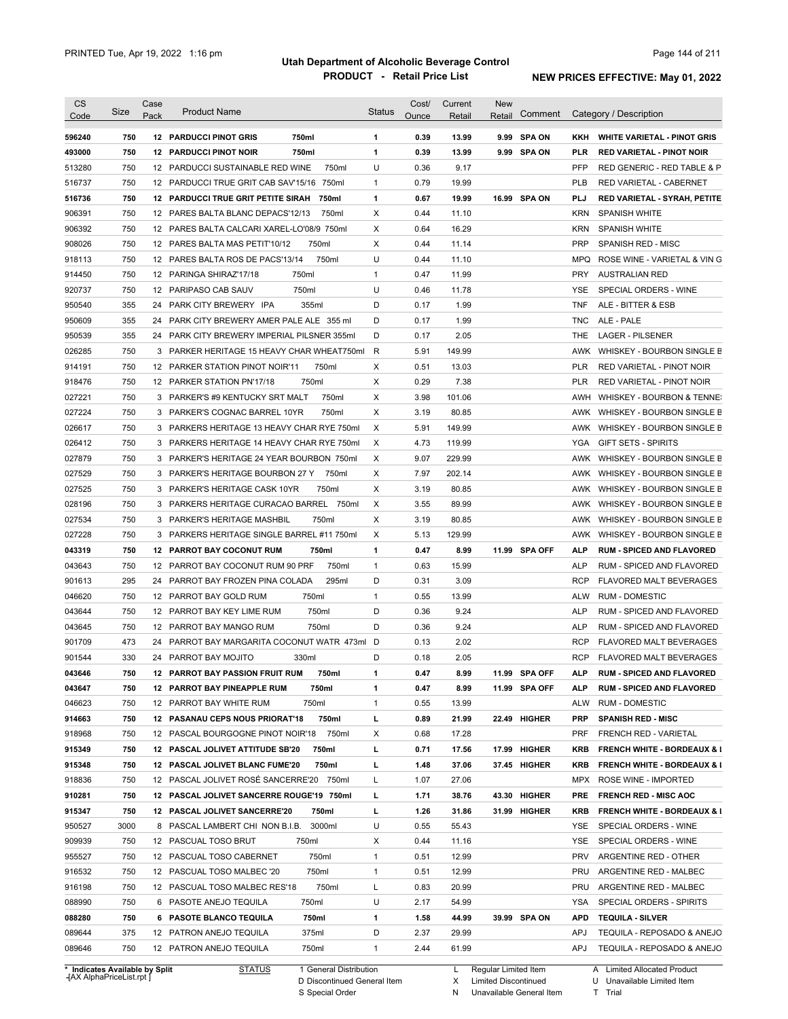| <b>CS</b><br>Code                              | Size       | Case<br>Pack | <b>Product Name</b>                         |                |        | <b>Status</b> | Cost/<br>Ounce | Current<br>Retail | <b>New</b><br>Retail | Comment                    |                   | Category / Description                                          |
|------------------------------------------------|------------|--------------|---------------------------------------------|----------------|--------|---------------|----------------|-------------------|----------------------|----------------------------|-------------------|-----------------------------------------------------------------|
|                                                |            |              | <b>12 PARDUCCI PINOT GRIS</b>               |                |        |               |                |                   |                      |                            |                   |                                                                 |
| 596240                                         | 750<br>750 |              |                                             | 750ml<br>750ml |        | 1<br>1        | 0.39<br>0.39   | 13.99<br>13.99    |                      | 9.99 SPA ON<br>9.99 SPA ON | KKH<br><b>PLR</b> | <b>WHITE VARIETAL - PINOT GRIS</b>                              |
| 493000                                         | 750        |              | <b>12 PARDUCCI PINOT NOIR</b>               |                | 750ml  | U             | 0.36           | 9.17              |                      |                            | <b>PFP</b>        | <b>RED VARIETAL - PINOT NOIR</b><br>RED GENERIC - RED TABLE & P |
| 513280                                         |            |              | 12 PARDUCCI SUSTAINABLE RED WINE            |                |        |               |                |                   |                      |                            |                   |                                                                 |
| 516737                                         | 750        |              | 12 PARDUCCI TRUE GRIT CAB SAV'15/16 750ml   |                |        | $\mathbf{1}$  | 0.79           | 19.99             |                      |                            | <b>PLB</b>        | RED VARIETAL - CABERNET                                         |
| 516736                                         | 750        |              | 12 PARDUCCI TRUE GRIT PETITE SIRAH          |                | 750ml  | 1             | 0.67           | 19.99             |                      | 16.99 SPA ON               | PLJ               | <b>RED VARIETAL - SYRAH, PETITE</b>                             |
| 906391                                         | 750        |              | 12 PARES BALTA BLANC DEPACS'12/13           |                | 750ml  | X             | 0.44           | 11.10             |                      |                            | <b>KRN</b>        | <b>SPANISH WHITE</b>                                            |
| 906392                                         | 750        |              | 12 PARES BALTA CALCARI XAREL-LO'08/9 750ml  |                |        | Χ             | 0.64           | 16.29             |                      |                            | KRN               | <b>SPANISH WHITE</b>                                            |
| 908026                                         | 750        |              | 12 PARES BALTA MAS PETIT'10/12              |                | 750ml  | X             | 0.44           | 11.14             |                      |                            | <b>PRP</b>        | <b>SPANISH RED - MISC</b>                                       |
| 918113                                         | 750        |              | 12 PARES BALTA ROS DE PACS'13/14            |                | 750ml  | U             | 0.44           | 11.10             |                      |                            | <b>MPQ</b>        | ROSE WINE - VARIETAL & VIN G                                    |
| 914450                                         | 750        |              | 12 PARINGA SHIRAZ'17/18                     | 750ml          |        | 1             | 0.47           | 11.99             |                      |                            | <b>PRY</b>        | <b>AUSTRALIAN RED</b>                                           |
| 920737                                         | 750        |              | 12 PARIPASO CAB SAUV                        | 750ml          |        | U             | 0.46           | 11.78             |                      |                            | <b>YSE</b>        | SPECIAL ORDERS - WINE                                           |
| 950540                                         | 355        |              | 24 PARK CITY BREWERY IPA                    | 355ml          |        | D             | 0.17           | 1.99              |                      |                            | <b>TNF</b>        | ALE - BITTER & ESB                                              |
| 950609                                         | 355        |              | 24 PARK CITY BREWERY AMER PALE ALE 355 ml   |                |        | D             | 0.17           | 1.99              |                      |                            | <b>TNC</b>        | ALE - PALE                                                      |
| 950539                                         | 355        |              | 24 PARK CITY BREWERY IMPERIAL PILSNER 355ml |                |        | D             | 0.17           | 2.05              |                      |                            | THE               | <b>LAGER - PILSENER</b>                                         |
| 026285                                         | 750        |              | 3 PARKER HERITAGE 15 HEAVY CHAR WHEAT750ml  |                |        | R             | 5.91           | 149.99            |                      |                            | AWK               | WHISKEY - BOURBON SINGLE B                                      |
| 914191                                         | 750        |              | 12 PARKER STATION PINOT NOIR'11             |                | 750ml  | Х             | 0.51           | 13.03             |                      |                            | <b>PLR</b>        | RED VARIETAL - PINOT NOIR                                       |
| 918476                                         | 750        |              | 12 PARKER STATION PN'17/18                  | 750ml          |        | Χ             | 0.29           | 7.38              |                      |                            | <b>PLR</b>        | <b>RED VARIETAL - PINOT NOIR</b>                                |
| 027221                                         | 750        |              | 3 PARKER'S #9 KENTUCKY SRT MALT             |                | 750ml  | X             | 3.98           | 101.06            |                      |                            | AWH               | WHISKEY - BOURBON & TENNE:                                      |
| 027224                                         | 750        |              | 3 PARKER'S COGNAC BARREL 10YR               |                | 750ml  | X             | 3.19           | 80.85             |                      |                            | AWK               | WHISKEY - BOURBON SINGLE B                                      |
| 026617                                         | 750        |              | 3 PARKERS HERITAGE 13 HEAVY CHAR RYE 750ml  |                |        | Χ             | 5.91           | 149.99            |                      |                            | AWK               | WHISKEY - BOURBON SINGLE B                                      |
| 026412                                         | 750        |              | 3 PARKERS HERITAGE 14 HEAVY CHAR RYE 750ml  |                |        | Χ             | 4.73           | 119.99            |                      |                            | YGA               | <b>GIFT SETS - SPIRITS</b>                                      |
| 027879                                         | 750        |              | 3 PARKER'S HERITAGE 24 YEAR BOURBON 750ml   |                |        | X             | 9.07           | 229.99            |                      |                            | AWK               | WHISKEY - BOURBON SINGLE B                                      |
| 027529                                         | 750        |              | 3 PARKER'S HERITAGE BOURBON 27 Y            |                | 750ml  | X             | 7.97           | 202.14            |                      |                            | AWK               | WHISKEY - BOURBON SINGLE B                                      |
| 027525                                         | 750        |              | 3 PARKER'S HERITAGE CASK 10YR               |                | 750ml  | X             | 3.19           | 80.85             |                      |                            | AWK               | WHISKEY - BOURBON SINGLE B                                      |
| 028196                                         | 750        |              | 3 PARKERS HERITAGE CURACAO BARREL           |                | 750ml  | X             | 3.55           | 89.99             |                      |                            | AWK               | WHISKEY - BOURBON SINGLE B                                      |
| 027534                                         | 750        |              | 3 PARKER'S HERITAGE MASHBIL                 |                | 750ml  | X             | 3.19           | 80.85             |                      |                            | AWK               | WHISKEY - BOURBON SINGLE B                                      |
| 027228                                         | 750        |              | 3 PARKERS HERITAGE SINGLE BARREL #11 750ml  |                |        | X             | 5.13           | 129.99            |                      |                            | AWK               | WHISKEY - BOURBON SINGLE B                                      |
| 043319                                         | 750        |              | <b>12 PARROT BAY COCONUT RUM</b>            |                | 750ml  | 1             | 0.47           | 8.99              |                      | 11.99 SPA OFF              | ALP               | <b>RUM - SPICED AND FLAVORED</b>                                |
| 043643                                         | 750        |              | 12 PARROT BAY COCONUT RUM 90 PRF            |                | 750ml  | 1             | 0.63           | 15.99             |                      |                            | <b>ALP</b>        | RUM - SPICED AND FLAVORED                                       |
| 901613                                         | 295        | 24           | PARROT BAY FROZEN PINA COLADA               |                | 295ml  | D             | 0.31           | 3.09              |                      |                            | RCP               | FLAVORED MALT BEVERAGES                                         |
| 046620                                         | 750        |              | 12 PARROT BAY GOLD RUM                      | 750ml          |        | 1             | 0.55           | 13.99             |                      |                            | ALW               | <b>RUM - DOMESTIC</b>                                           |
| 043644                                         | 750        |              | 12 PARROT BAY KEY LIME RUM                  |                | 750ml  | D             | 0.36           | 9.24              |                      |                            | <b>ALP</b>        | RUM - SPICED AND FLAVORED                                       |
| 043645                                         | 750        |              | 12 PARROT BAY MANGO RUM                     |                | 750ml  | D             | 0.36           | 9.24              |                      |                            | <b>ALP</b>        | RUM - SPICED AND FLAVORED                                       |
| 901709                                         | 473        | 24           | PARROT BAY MARGARITA COCONUT WATR 473ml     |                |        | D             | 0.13           | 2.02              |                      |                            | <b>RCP</b>        | <b>FLAVORED MALT BEVERAGES</b>                                  |
| 901544                                         | 330        |              | 24 PARROT BAY MOJITO                        | 330ml          |        | D             | 0.18           | 2.05              |                      |                            | <b>RCP</b>        | FLAVORED MALT BEVERAGES                                         |
| 043646                                         | 750        |              | 12 PARROT BAY PASSION FRUIT RUM             |                |        | 1             |                |                   |                      | 11.99 SPA OFF              |                   |                                                                 |
|                                                |            |              |                                             |                | 750ml  |               | 0.47           | 8.99              |                      |                            | ALP               | <b>RUM - SPICED AND FLAVORED</b>                                |
| 043647                                         | 750        |              | 12 PARROT BAY PINEAPPLE RUM                 |                | 750ml  | 1             | 0.47           | 8.99              |                      | 11.99 SPA OFF              | ALP               | <b>RUM - SPICED AND FLAVORED</b>                                |
| 046623                                         | 750        |              | 12 PARROT BAY WHITE RUM                     | 750ml          |        | 1             | 0.55           | 13.99             |                      |                            | ALW               | RUM - DOMESTIC                                                  |
| 914663                                         | 750        |              | 12 PASANAU CEPS NOUS PRIORAT'18             |                | 750ml  | г             | 0.89           | 21.99             |                      | 22.49 HIGHER               | <b>PRP</b>        | <b>SPANISH RED - MISC</b>                                       |
| 918968                                         | 750        |              | 12 PASCAL BOURGOGNE PINOT NOIR'18           |                | 750ml  | х             | 0.68           | 17.28             |                      |                            | <b>PRF</b>        | <b>FRENCH RED - VARIETAL</b>                                    |
| 915349                                         | 750        |              | 12 PASCAL JOLIVET ATTITUDE SB'20            |                | 750ml  | г             | 0.71           | 17.56             |                      | 17.99 HIGHER               | KRB               | <b>FRENCH WHITE - BORDEAUX &amp; I</b>                          |
| 915348                                         | 750        |              | 12 PASCAL JOLIVET BLANC FUME'20             |                | 750ml  | г             | 1.48           | 37.06             |                      | 37.45 HIGHER               | KRB               | <b>FRENCH WHITE - BORDEAUX &amp; I</b>                          |
| 918836                                         | 750        |              | 12 PASCAL JOLIVET ROSE SANCERRE'20 750ml    |                |        | L             | 1.07           | 27.06             |                      |                            | MPX               | ROSE WINE - IMPORTED                                            |
| 910281                                         | 750        |              | 12 PASCAL JOLIVET SANCERRE ROUGE'19 750ml   |                |        | г             | 1.71           | 38.76             |                      | 43.30 HIGHER               | <b>PRE</b>        | <b>FRENCH RED - MISC AOC</b>                                    |
| 915347                                         | 750        |              | 12 PASCAL JOLIVET SANCERRE'20               |                | 750ml  | г             | 1.26           | 31.86             |                      | 31.99 HIGHER               | KRB               | <b>FRENCH WHITE - BORDEAUX &amp; I</b>                          |
| 950527                                         | 3000       |              | 8 PASCAL LAMBERT CHI NON B.I.B.             |                | 3000ml | U             | 0.55           | 55.43             |                      |                            | YSE               | SPECIAL ORDERS - WINE                                           |
| 909939                                         | 750        |              | 12 PASCUAL TOSO BRUT                        | 750ml          |        | х             | 0.44           | 11.16             |                      |                            | YSE               | SPECIAL ORDERS - WINE                                           |
|                                                | 750        |              | 12 PASCUAL TOSO CABERNET                    |                | 750ml  | 1             | 0.51           | 12.99             |                      |                            | <b>PRV</b>        | ARGENTINE RED - OTHER                                           |
|                                                |            |              | 12 PASCUAL TOSO MALBEC '20                  | 750ml          |        | 1             | 0.51           | 12.99             |                      |                            | PRU               | ARGENTINE RED - MALBEC                                          |
|                                                | 750        |              |                                             |                | 750ml  | Г             | 0.83           | 20.99             |                      |                            | PRU               | ARGENTINE RED - MALBEC                                          |
|                                                | 750        |              | 12 PASCUAL TOSO MALBEC RES'18               |                |        |               |                |                   |                      |                            |                   |                                                                 |
|                                                | 750        |              | 6 PASOTE ANEJO TEQUILA                      | 750ml          |        | U             | 2.17           | 54.99             |                      |                            | YSA               | SPECIAL ORDERS - SPIRITS                                        |
| 955527<br>916532<br>916198<br>088990<br>088280 | 750        |              | 6 PASOTE BLANCO TEQUILA                     | 750ml          |        | 1             | 1.58           | 44.99             |                      | 39.99 SPA ON               | APD               | <b>TEQUILA - SILVER</b>                                         |
| 089644                                         | 375        |              | 12 PATRON ANEJO TEQUILA                     | 375ml          |        | D             | 2.37           | 29.99             |                      |                            | <b>APJ</b>        | TEQUILA - REPOSADO & ANEJO                                      |

**Case** [AX AlphaPriceList.rpt ]

D Discontinued General Item

S Special Order

X

Limited Discontinued

N Unavailable General Item

U Unavailable Limited Item T Trial

Limited Allocated Product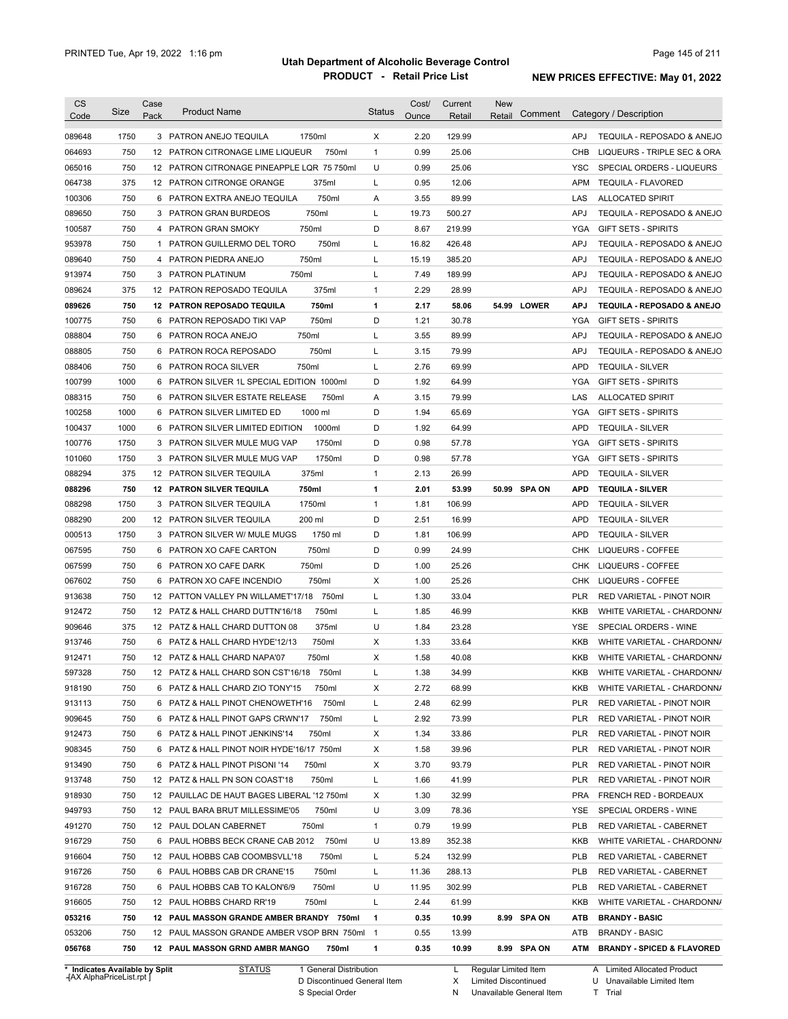| <b>CS</b><br>Code              | Size | Case<br>Pack | <b>Product Name</b>                            | <b>Status</b> | Cost/<br>Ounce | Current<br>Retail | New<br>Comment<br>Retail |            | Category / Description                |
|--------------------------------|------|--------------|------------------------------------------------|---------------|----------------|-------------------|--------------------------|------------|---------------------------------------|
| 089648                         | 1750 |              | 3 PATRON ANEJO TEQUILA<br>1750ml               | Χ             | 2.20           | 129.99            |                          | <b>APJ</b> | TEQUILA - REPOSADO & ANEJO            |
| 064693                         | 750  |              | 750ml<br>12 PATRON CITRONAGE LIME LIQUEUR      | $\mathbf{1}$  | 0.99           | 25.06             |                          | CHB        | LIQUEURS - TRIPLE SEC & ORA           |
| 065016                         | 750  |              | 12 PATRON CITRONAGE PINEAPPLE LQR 75 750ml     | U             | 0.99           | 25.06             |                          | <b>YSC</b> | SPECIAL ORDERS - LIQUEURS             |
| 064738                         | 375  |              | 12 PATRON CITRONGE ORANGE<br>375ml             | L             | 0.95           | 12.06             |                          | APM        | <b>TEQUILA - FLAVORED</b>             |
| 100306                         | 750  |              | 750ml<br>6 PATRON EXTRA ANEJO TEQUILA          | Α             | 3.55           | 89.99             |                          | LAS        | ALLOCATED SPIRIT                      |
| 089650                         | 750  |              | 750ml<br>3 PATRON GRAN BURDEOS                 | L             | 19.73          | 500.27            |                          | <b>APJ</b> | TEQUILA - REPOSADO & ANEJO            |
| 100587                         | 750  |              | 750ml<br>4 PATRON GRAN SMOKY                   | D             | 8.67           | 219.99            |                          | YGA        | <b>GIFT SETS - SPIRITS</b>            |
| 953978                         | 750  |              | 750ml<br>1 PATRON GUILLERMO DEL TORO           | L             | 16.82          | 426.48            |                          | APJ        | TEQUILA - REPOSADO & ANEJO            |
| 089640                         | 750  |              | 750ml<br>4 PATRON PIEDRA ANEJO                 | L             | 15.19          | 385.20            |                          | APJ        | TEQUILA - REPOSADO & ANEJO            |
| 913974                         | 750  |              | 750ml<br>3 PATRON PLATINUM                     | L             | 7.49           | 189.99            |                          | APJ        | TEQUILA - REPOSADO & ANEJO            |
| 089624                         | 375  |              | 12 PATRON REPOSADO TEQUILA<br>375ml            | 1             | 2.29           | 28.99             |                          | <b>APJ</b> | TEQUILA - REPOSADO & ANEJO            |
| 089626                         | 750  |              | 750ml<br>12 PATRON REPOSADO TEQUILA            | 1             | 2.17           | 58.06             | 54.99 LOWER              | <b>APJ</b> | TEQUILA - REPOSADO & ANEJO            |
| 100775                         | 750  |              | 750ml<br>6 PATRON REPOSADO TIKI VAP            | D             | 1.21           | 30.78             |                          | YGA        | <b>GIFT SETS - SPIRITS</b>            |
| 088804                         | 750  |              | 750ml<br>6 PATRON ROCA ANEJO                   | Г             | 3.55           | 89.99             |                          | <b>APJ</b> | TEQUILA - REPOSADO & ANEJO            |
| 088805                         | 750  |              | 750ml<br>6 PATRON ROCA REPOSADO                | L             | 3.15           | 79.99             |                          | <b>APJ</b> | TEQUILA - REPOSADO & ANEJO            |
| 088406                         | 750  |              | 750ml<br>6 PATRON ROCA SILVER                  | L             | 2.76           | 69.99             |                          | <b>APD</b> | <b>TEQUILA - SILVER</b>               |
| 100799                         | 1000 |              | 6 PATRON SILVER 1L SPECIAL EDITION 1000ml      | D             | 1.92           | 64.99             |                          | YGA        | <b>GIFT SETS - SPIRITS</b>            |
| 088315                         | 750  |              | 6 PATRON SILVER ESTATE RELEASE<br>750ml        | Α             | 3.15           | 79.99             |                          | LAS        | <b>ALLOCATED SPIRIT</b>               |
| 100258                         | 1000 |              | 1000 ml<br>6 PATRON SILVER LIMITED ED          | D             | 1.94           | 65.69             |                          | YGA        | <b>GIFT SETS - SPIRITS</b>            |
| 100437                         | 1000 |              | 1000ml<br>6 PATRON SILVER LIMITED EDITION      | D             | 1.92           | 64.99             |                          | <b>APD</b> | <b>TEQUILA - SILVER</b>               |
| 100776                         | 1750 |              | 1750ml<br>3 PATRON SILVER MULE MUG VAP         | D             | 0.98           | 57.78             |                          | YGA        | <b>GIFT SETS - SPIRITS</b>            |
| 101060                         | 1750 |              | 1750ml<br>3 PATRON SILVER MULE MUG VAP         | D             | 0.98           | 57.78             |                          | YGA        | <b>GIFT SETS - SPIRITS</b>            |
| 088294                         | 375  |              | 375ml<br>12 PATRON SILVER TEQUILA              | 1             | 2.13           | 26.99             |                          | <b>APD</b> | <b>TEQUILA - SILVER</b>               |
| 088296                         | 750  |              | <b>12 PATRON SILVER TEQUILA</b><br>750ml       | 1             | 2.01           | 53.99             | 50.99 SPA ON             | <b>APD</b> | <b>TEQUILA - SILVER</b>               |
| 088298                         | 1750 |              | 1750ml<br>3 PATRON SILVER TEQUILA              | 1             | 1.81           | 106.99            |                          | <b>APD</b> | <b>TEQUILA - SILVER</b>               |
| 088290                         | 200  |              | 12 PATRON SILVER TEQUILA<br>200 ml             | D             | 2.51           | 16.99             |                          | <b>APD</b> | <b>TEQUILA - SILVER</b>               |
| 000513                         | 1750 |              | 3 PATRON SILVER W/ MULE MUGS<br>1750 ml        | D             | 1.81           | 106.99            |                          | <b>APD</b> | <b>TEQUILA - SILVER</b>               |
| 067595                         | 750  | 6            | 750ml<br>PATRON XO CAFE CARTON                 | D             | 0.99           | 24.99             |                          | <b>CHK</b> | LIQUEURS - COFFEE                     |
| 067599                         | 750  | 6            | 750ml<br>PATRON XO CAFE DARK                   | D             | 1.00           | 25.26             |                          | CHK        | LIQUEURS - COFFEE                     |
| 067602                         | 750  | 6            | PATRON XO CAFE INCENDIO<br>750ml               | Х             | 1.00           | 25.26             |                          | <b>CHK</b> | LIQUEURS - COFFEE                     |
| 913638                         | 750  |              | 750ml<br>12 PATTON VALLEY PN WILLAMET'17/18    | L             | 1.30           | 33.04             |                          | <b>PLR</b> | RED VARIETAL - PINOT NOIR             |
| 912472                         | 750  |              | 750ml<br>12 PATZ & HALL CHARD DUTTN'16/18      | L             | 1.85           | 46.99             |                          | KKB        | WHITE VARIETAL - CHARDONN/            |
| 909646                         | 375  |              | 375ml<br>12 PATZ & HALL CHARD DUTTON 08        | U             | 1.84           | 23.28             |                          | <b>YSE</b> | SPECIAL ORDERS - WINE                 |
| 913746                         | 750  |              | 750ml<br>6 PATZ & HALL CHARD HYDE'12/13        | Х             | 1.33           | 33.64             |                          | <b>KKB</b> | WHITE VARIETAL - CHARDONN/            |
| 912471                         | 750  |              | 750ml<br>12 PATZ & HALL CHARD NAPA'07          | X             | 1.58           | 40.08             |                          | KKB        | WHITE VARIETAL - CHARDONN/            |
| 597328                         | 750  |              | 12 PATZ & HALL CHARD SON CST'16/18<br>750ml    |               | 1.38           | 34.99             |                          | KKB        | WHITE VARIETAL - CHARDONN/            |
| 918190                         | 750  |              | 6 PATZ & HALL CHARD ZIO TONY'15<br>750ml       | X             | 2.72           | 68.99             |                          | KKB        | WHITE VARIETAL - CHARDONN/            |
| 913113                         | 750  |              | 6 PATZ & HALL PINOT CHENOWETH'16<br>750ml      | L             | 2.48           | 62.99             |                          | <b>PLR</b> | RED VARIETAL - PINOT NOIR             |
| 909645                         | 750  |              | 6 PATZ & HALL PINOT GAPS CRWN'17<br>750ml      | Г             | 2.92           | 73.99             |                          | <b>PLR</b> | RED VARIETAL - PINOT NOIR             |
| 912473                         | 750  |              | 6 PATZ & HALL PINOT JENKINS'14<br>750ml        | Х             | 1.34           | 33.86             |                          | <b>PLR</b> | RED VARIETAL - PINOT NOIR             |
| 908345                         | 750  |              | 6 PATZ & HALL PINOT NOIR HYDE'16/17 750ml      | х             | 1.58           | 39.96             |                          | <b>PLR</b> | RED VARIETAL - PINOT NOIR             |
| 913490                         | 750  |              | 6 PATZ & HALL PINOT PISONI '14<br>750ml        | х             | 3.70           | 93.79             |                          | PLR        | RED VARIETAL - PINOT NOIR             |
| 913748                         | 750  |              | 12 PATZ & HALL PN SON COAST'18<br>750ml        | L             | 1.66           | 41.99             |                          | <b>PLR</b> | RED VARIETAL - PINOT NOIR             |
| 918930                         | 750  |              | 12 PAUILLAC DE HAUT BAGES LIBERAL '12 750ml    | Х             | 1.30           | 32.99             |                          | PRA        | FRENCH RED - BORDEAUX                 |
| 949793                         | 750  |              | 750ml<br>12 PAUL BARA BRUT MILLESSIME'05       | U             | 3.09           | 78.36             |                          | YSE        | SPECIAL ORDERS - WINE                 |
| 491270                         | 750  |              | 750ml<br>12 PAUL DOLAN CABERNET                | 1             | 0.79           | 19.99             |                          | <b>PLB</b> | RED VARIETAL - CABERNET               |
| 916729                         | 750  |              | 6 PAUL HOBBS BECK CRANE CAB 2012<br>750ml      | U             | 13.89          | 352.38            |                          | KKB        | WHITE VARIETAL - CHARDONN/            |
| 916604                         | 750  |              | 750ml<br>12 PAUL HOBBS CAB COOMBSVLL'18        | L             | 5.24           | 132.99            |                          | <b>PLB</b> | RED VARIETAL - CABERNET               |
| 916726                         | 750  |              | 750ml<br>6 PAUL HOBBS CAB DR CRANE'15          | Г             | 11.36          | 288.13            |                          | <b>PLB</b> | RED VARIETAL - CABERNET               |
| 916728                         | 750  |              | 750ml<br>6 PAUL HOBBS CAB TO KALON'6/9         | U             | 11.95          | 302.99            |                          | <b>PLB</b> | RED VARIETAL - CABERNET               |
| 916605                         | 750  |              | 12 PAUL HOBBS CHARD RR'19<br>750ml             | Г             | 2.44           | 61.99             |                          | KKB        | WHITE VARIETAL - CHARDONN/            |
| 053216                         | 750  |              | 12 PAUL MASSON GRANDE AMBER BRANDY 750ml       | $\mathbf{1}$  | 0.35           | 10.99             | 8.99 SPA ON              | <b>ATB</b> | <b>BRANDY - BASIC</b>                 |
| 053206                         | 750  |              | 12 PAUL MASSON GRANDE AMBER VSOP BRN 750ml 1   |               | 0.55           | 13.99             |                          | ATB        | <b>BRANDY - BASIC</b>                 |
| 056768                         | 750  |              | <b>12 PAUL MASSON GRND AMBR MANGO</b><br>750ml | 1             | 0.35           | 10.99             | 8.99 SPA ON              | ATM        | <b>BRANDY - SPICED &amp; FLAVORED</b> |
| * Indicates Available by Split |      |              | <b>STATUS</b><br>1 General Distribution        |               |                | L.                | Regular Limited Item     |            | A Limited Allocated Product           |

**Case** [AX AlphaPriceList.rpt ]

D Discontinued General Item S Special Order

L Regular Limited Item

X N Limited Discontinued

Unavailable General Item

A Limited Allocated Product

U Unavailable Limited Item

T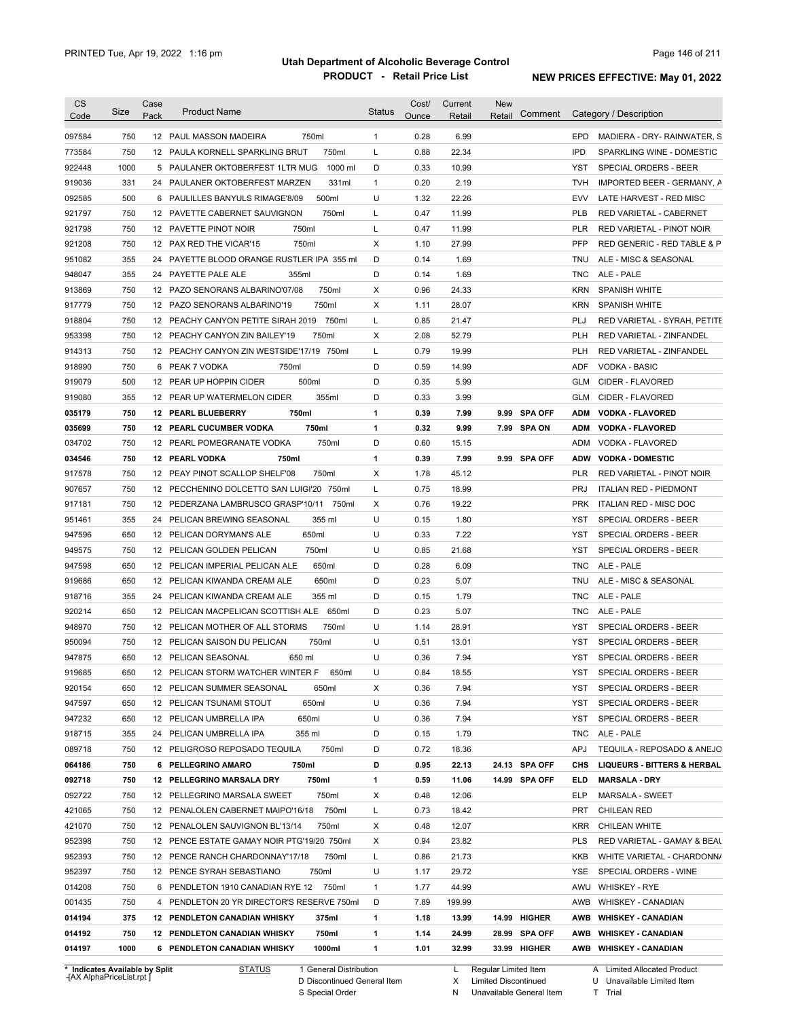| <b>CS</b><br>Code | Size       | Case<br>Pack | <b>Product Name</b>                                                                    | <b>Status</b> | Cost/<br>Ounce | Current<br>Retail | <b>New</b><br>Retail | Comment       | Category / Description                          |
|-------------------|------------|--------------|----------------------------------------------------------------------------------------|---------------|----------------|-------------------|----------------------|---------------|-------------------------------------------------|
| 097584            | 750        |              | 12 PAUL MASSON MADEIRA<br>750ml                                                        | $\mathbf{1}$  | 0.28           | 6.99              |                      |               | <b>EPD</b><br>MADIERA - DRY- RAINWATER, S       |
| 773584            | 750        |              | 750ml<br>12 PAULA KORNELL SPARKLING BRUT                                               | L             | 0.88           | 22.34             |                      |               | <b>IPD</b><br>SPARKLING WINE - DOMESTIC         |
| 922448            | 1000       |              | 1000 ml<br>5 PAULANER OKTOBERFEST 1LTR MUG                                             | D             | 0.33           | 10.99             |                      |               | YST<br>SPECIAL ORDERS - BEER                    |
| 919036            | 331        |              | 331ml<br>24 PAULANER OKTOBERFEST MARZEN                                                | 1             | 0.20           | 2.19              |                      |               | <b>TVH</b><br>IMPORTED BEER - GERMANY, A        |
| 092585            | 500        |              | 500ml<br>6 PAULILLES BANYULS RIMAGE'8/09                                               | U             | 1.32           | 22.26             |                      |               | <b>EVV</b><br>LATE HARVEST - RED MISC           |
| 921797            | 750        |              | 750ml<br>12 PAVETTE CABERNET SAUVIGNON                                                 | L             | 0.47           | 11.99             |                      |               | <b>PLB</b><br>RED VARIETAL - CABERNET           |
| 921798            | 750        |              | 12 PAVETTE PINOT NOIR<br>750ml                                                         | Г             | 0.47           | 11.99             |                      |               | <b>PLR</b><br>RED VARIETAL - PINOT NOIR         |
| 921208            | 750        |              | 750ml<br>12 PAX RED THE VICAR'15                                                       | Χ             | 1.10           | 27.99             |                      |               | PFP<br>RED GENERIC - RED TABLE & P              |
| 951082            | 355        |              | 24 PAYETTE BLOOD ORANGE RUSTLER IPA 355 ml                                             | D             | 0.14           | 1.69              |                      |               | <b>TNU</b><br>ALE - MISC & SEASONAL             |
| 948047            | 355        |              | 24 PAYETTE PALE ALE<br>355ml                                                           | D             | 0.14           | 1.69              |                      |               | ALE - PALE<br><b>TNC</b>                        |
| 913869            | 750        |              | 750ml<br>12 PAZO SENORANS ALBARINO'07/08                                               | X             | 0.96           | 24.33             |                      |               | <b>KRN</b><br><b>SPANISH WHITE</b>              |
| 917779            | 750        |              | 750ml<br>12 PAZO SENORANS ALBARINO'19                                                  | X             | 1.11           | 28.07             |                      |               | <b>KRN</b><br><b>SPANISH WHITE</b>              |
| 918804            | 750        |              | 12 PEACHY CANYON PETITE SIRAH 2019<br>750ml                                            | L             | 0.85           | 21.47             |                      |               | PLJ<br>RED VARIETAL - SYRAH, PETITE             |
| 953398            | 750        |              | 750ml<br>12 PEACHY CANYON ZIN BAILEY'19                                                | Χ             | 2.08           | 52.79             |                      |               | <b>PLH</b><br>RED VARIETAL - ZINFANDEL          |
| 914313            | 750        |              | 12 PEACHY CANYON ZIN WESTSIDE'17/19 750ml                                              | L             | 0.79           | 19.99             |                      |               | <b>PLH</b><br>RED VARIETAL - ZINFANDEL          |
| 918990            | 750        | 6            | 750ml<br>PEAK 7 VODKA                                                                  | D             | 0.59           | 14.99             |                      |               | <b>ADF</b><br>VODKA - BASIC                     |
| 919079            | 500        |              | 12 PEAR UP HOPPIN CIDER<br>500ml                                                       | D             | 0.35           | 5.99              |                      |               | <b>GLM</b><br>CIDER - FLAVORED                  |
| 919080            | 355        |              | 355ml<br>12 PEAR UP WATERMELON CIDER                                                   | D             | 0.33           | 3.99              |                      |               | <b>GLM</b><br>CIDER - FLAVORED                  |
| 035179            | 750        |              | 750ml<br>12 PEARL BLUEBERRY                                                            | 1             | 0.39           | 7.99              |                      | 9.99 SPA OFF  | <b>ADM</b><br><b>VODKA - FLAVORED</b>           |
| 035699            | 750        |              | 750ml<br><b>12 PEARL CUCUMBER VODKA</b>                                                | 1             | 0.32           | 9.99              |                      | 7.99 SPA ON   | <b>ADM</b><br><b>VODKA - FLAVORED</b>           |
| 034702            | 750        |              | 750ml<br>12 PEARL POMEGRANATE VODKA                                                    | D             | 0.60           | 15.15             |                      |               | ADM<br>VODKA - FLAVORED                         |
| 034546            | 750        |              | 12 PEARL VODKA<br>750ml                                                                | 1             | 0.39           | 7.99              |                      | 9.99 SPA OFF  | <b>ADW</b><br><b>VODKA - DOMESTIC</b>           |
| 917578            | 750        |              | 12 PEAY PINOT SCALLOP SHELF'08<br>750ml                                                | X             | 1.78           | 45.12             |                      |               | <b>PLR</b><br>RED VARIETAL - PINOT NOIR         |
| 907657            | 750        |              | 12 PECCHENINO DOLCETTO SAN LUIGI'20 750ml                                              | L             | 0.75           | 18.99             |                      |               | <b>PRJ</b><br><b>ITALIAN RED - PIEDMONT</b>     |
| 917181            | 750        |              | 12 PEDERZANA LAMBRUSCO GRASP'10/11<br>750ml                                            | Χ             | 0.76           | 19.22             |                      |               | <b>PRK</b><br>ITALIAN RED - MISC DOC            |
| 951461            | 355        | 24           | 355 ml<br>PELICAN BREWING SEASONAL                                                     | U             | 0.15           | 1.80              |                      |               | <b>YST</b><br>SPECIAL ORDERS - BEER             |
| 947596            | 650        |              | 650ml<br>12 PELICAN DORYMAN'S ALE                                                      | U             | 0.33           | 7.22              |                      |               | <b>YST</b><br>SPECIAL ORDERS - BEER             |
| 949575            | 750        | 12           | 750ml<br>PELICAN GOLDEN PELICAN                                                        | U             | 0.85           | 21.68             |                      |               | <b>YST</b><br>SPECIAL ORDERS - BEER             |
| 947598            | 650        | 12           | 650ml<br>PELICAN IMPERIAL PELICAN ALE                                                  | D             | 0.28           | 6.09              |                      |               | ALE - PALE<br><b>TNC</b>                        |
| 919686            | 650        |              | 650ml<br>12 PELICAN KIWANDA CREAM ALE                                                  | D             | 0.23           | 5.07              |                      |               | ALE - MISC & SEASONAL<br>TNU                    |
| 918716            | 355        |              | 24 PELICAN KIWANDA CREAM ALE<br>355 ml                                                 | D             | 0.15           | 1.79              |                      |               | <b>TNC</b><br>ALE - PALE                        |
| 920214            | 650        |              | 12 PELICAN MACPELICAN SCOTTISH ALE 650ml                                               | D             | 0.23           | 5.07              |                      |               | <b>TNC</b><br>ALE - PALE                        |
| 948970            | 750        |              | 750ml<br>12 PELICAN MOTHER OF ALL STORMS                                               | U             | 1.14           | 28.91             |                      |               | SPECIAL ORDERS - BEER<br>YST                    |
| 950094            | 750        |              | 750ml<br>12 PELICAN SAISON DU PELICAN                                                  | U             | 0.51           | 13.01             |                      |               | SPECIAL ORDERS - BEER<br>YST                    |
| 947875            | 650        |              | 12 PELICAN SEASONAL<br>650 ml                                                          | U             | 0.36           | 7.94              |                      |               | <b>YST</b><br>SPECIAL ORDERS - BEER             |
| 919685            | 650        |              | 12 PELICAN STORM WATCHER WINTER F<br>650ml                                             | U             | 0.84           | 18.55             |                      |               | YST<br>SPECIAL ORDERS - BEER                    |
| 920154            | 650        |              | 12 PELICAN SUMMER SEASONAL<br>650ml                                                    | X             | 0.36           | 7.94              |                      |               | YST<br>SPECIAL ORDERS - BEER                    |
|                   |            |              |                                                                                        |               |                |                   |                      |               |                                                 |
| 947597<br>947232  | 650        |              | 650ml<br>12 PELICAN TSUNAMI STOUT<br>650ml                                             | U<br>U        | 0.36<br>0.36   | 7.94<br>7.94      |                      |               | YST<br>SPECIAL ORDERS - BEER<br><b>YST</b>      |
| 918715            | 650        |              | 12 PELICAN UMBRELLA IPA<br>355 ml                                                      |               | 0.15           | 1.79              |                      |               | SPECIAL ORDERS - BEER<br><b>TNC</b>             |
| 089718            | 355<br>750 |              | 24 PELICAN UMBRELLA IPA<br>750ml<br>12 PELIGROSO REPOSADO TEQUILA                      | D<br>D        | 0.72           | 18.36             |                      |               | ALE - PALE<br>APJ<br>TEQUILA - REPOSADO & ANEJO |
|                   |            |              | 750ml                                                                                  | D             |                |                   |                      |               |                                                 |
| 064186            | 750        |              | 6 PELLEGRINO AMARO                                                                     |               | 0.95           | 22.13             |                      | 24.13 SPA OFF | CHS<br><b>LIQUEURS - BITTERS &amp; HERBAL</b>   |
| 092718            | 750        |              | 12 PELLEGRINO MARSALA DRY<br>750ml                                                     | 1             | 0.59           | 11.06             |                      | 14.99 SPA OFF | ELD<br><b>MARSALA - DRY</b>                     |
| 092722<br>421065  | 750<br>750 |              | 750ml<br>12 PELLEGRINO MARSALA SWEET<br>750ml                                          | Х             | 0.48<br>0.73   | 12.06             |                      |               | <b>ELP</b><br>MARSALA - SWEET<br>PRT            |
| 421070            |            |              | 12 PENALOLEN CABERNET MAIPO'16/18                                                      | L             |                | 18.42             |                      |               | <b>CHILEAN RED</b><br>CHILEAN WHITE             |
|                   | 750        |              | 12 PENALOLEN SAUVIGNON BL'13/14<br>750ml<br>12 PENCE ESTATE GAMAY NOIR PTG'19/20 750ml | Х             | 0.48           | 12.07             |                      |               | <b>KRR</b>                                      |
| 952398            | 750        |              |                                                                                        | Х             | 0.94           | 23.82             |                      |               | <b>PLS</b><br>RED VARIETAL - GAMAY & BEAL       |
| 952393            | 750        |              | 12 PENCE RANCH CHARDONNAY'17/18<br>750ml                                               | Г             | 0.86           | 21.73             |                      |               | KKB<br>WHITE VARIETAL - CHARDONN/               |
| 952397            | 750        |              | 12 PENCE SYRAH SEBASTIANO<br>750ml                                                     | U             | 1.17           | 29.72             |                      |               | YSE<br>SPECIAL ORDERS - WINE                    |
| 014208            | 750        |              | 6 PENDLETON 1910 CANADIAN RYE 12 750ml                                                 | $\mathbf{1}$  | 1.77           | 44.99             |                      |               | AWU<br><b>WHISKEY - RYE</b>                     |
| 001435            | 750        |              | 4 PENDLETON 20 YR DIRECTOR'S RESERVE 750ml                                             | D             | 7.89           | 199.99            |                      |               | AWB<br><b>WHISKEY - CANADIAN</b>                |
| 014194            | 375        |              | <b>12 PENDLETON CANADIAN WHISKY</b><br>375ml                                           | 1             | 1.18           | 13.99             |                      | 14.99 HIGHER  | AWB<br><b>WHISKEY - CANADIAN</b>                |
| 014192            | 750        |              | 750ml<br><b>12 PENDLETON CANADIAN WHISKY</b>                                           | 1             | 1.14           | 24.99             |                      | 28.99 SPA OFF | AWB<br><b>WHISKEY - CANADIAN</b>                |
| 014197            | 1000       |              | 6 PENDLETON CANADIAN WHISKY<br>1000ml                                                  | 1             | 1.01           | 32.99             |                      | 33.99 HIGHER  | AWB WHISKEY - CANADIAN                          |

**Case** [AX AlphaPriceList.rpt ]

D Discontinued General Item

S Special Order

L Regular Limited Item

X N Limited Discontinued

Unavailable General Item

A Limited Allocated Product

U T Unavailable Limited Item Trial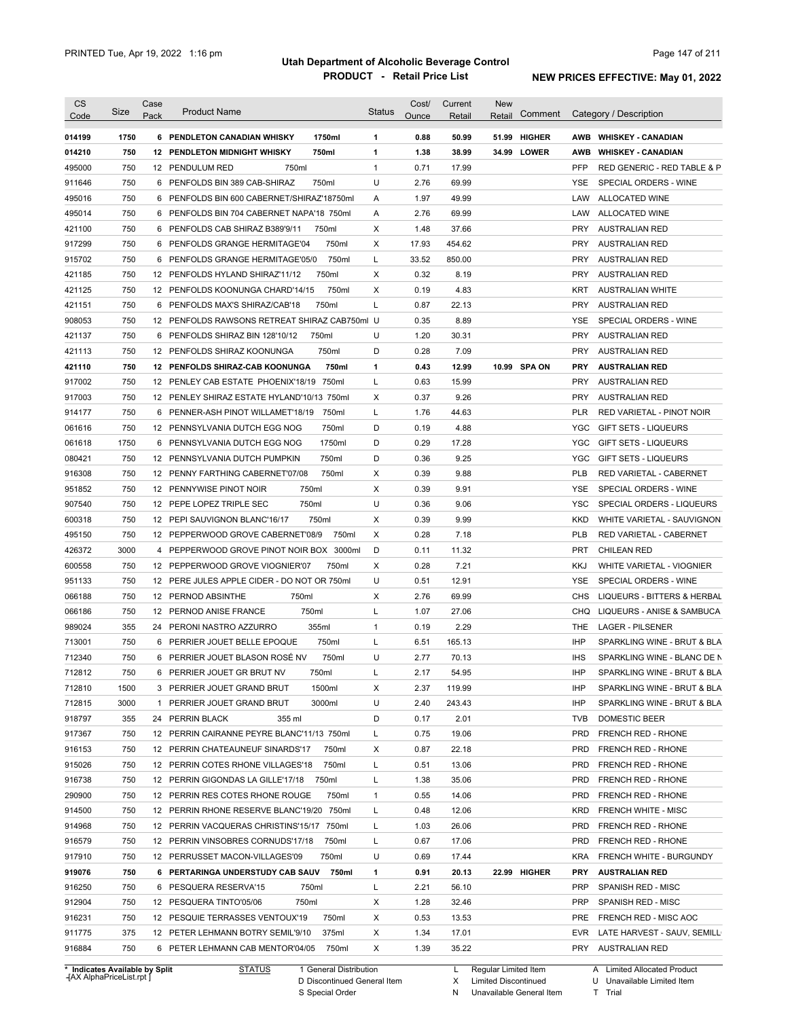| Code<br>495000<br>911646<br>495016<br>495014<br>421100<br>917299<br>421185<br>421125<br>421151<br>908053<br>421137<br>421113<br>421110 | Size<br>1750<br>750<br>750<br>750<br>750<br>750<br>750<br>750<br>750<br>750<br>750<br>750<br>750<br>750<br>750<br>750<br>750<br>750 | Pack<br>12 <sup>2</sup> | <b>Product Name</b><br>6 PENDLETON CANADIAN WHISKY<br>1750ml<br><b>12 PENDLETON MIDNIGHT WHISKY</b><br>750ml<br>12 PENDULUM RED<br>750ml<br>750ml<br>6 PENFOLDS BIN 389 CAB-SHIRAZ<br>6 PENFOLDS BIN 600 CABERNET/SHIRAZ'18750ml<br>6 PENFOLDS BIN 704 CABERNET NAPA'18 750ml<br>6 PENFOLDS CAB SHIRAZ B389'9/11<br>750ml<br>750ml<br>6 PENFOLDS GRANGE HERMITAGE'04<br>750ml<br>6 PENFOLDS GRANGE HERMITAGE'05/0<br>750ml<br>12 PENFOLDS HYLAND SHIRAZ'11/12<br>750ml<br>12 PENFOLDS KOONUNGA CHARD'14/15<br>750ml<br>6 PENFOLDS MAX'S SHIRAZ/CAB'18<br>12 PENFOLDS RAWSONS RETREAT SHIRAZ CAB750ml U<br>750ml<br>6 PENFOLDS SHIRAZ BIN 128'10/12<br>750ml<br>PENFOLDS SHIRAZ KOONUNGA | Status<br>1<br>1<br>$\mathbf{1}$<br>U<br>Α<br>Α<br>X<br>X<br>Г<br>X<br>X<br>L | Ounce<br>0.88<br>1.38<br>0.71<br>2.76<br>1.97<br>2.76<br>1.48<br>17.93<br>33.52<br>0.32<br>0.19<br>0.87<br>0.35<br>1.20 | Retail<br>50.99<br>38.99<br>17.99<br>69.99<br>49.99<br>69.99<br>37.66<br>454.62<br>850.00<br>8.19<br>4.83<br>22.13<br>8.89 | Retail<br>51.99 HIGHER<br>34.99 LOWER | Comment | AWB<br>PFP<br>YSE<br>LAW<br>LAW<br><b>PRY</b><br><b>PRY</b><br><b>PRY</b><br><b>PRY</b> | Category / Description<br>AWB WHISKEY CANADIAN<br><b>WHISKEY - CANADIAN</b><br>RED GENERIC - RED TABLE & P<br>SPECIAL ORDERS - WINE<br>ALLOCATED WINE<br>ALLOCATED WINE<br><b>AUSTRALIAN RED</b><br><b>AUSTRALIAN RED</b><br><b>AUSTRALIAN RED</b><br>AUSTRALIAN RED |
|----------------------------------------------------------------------------------------------------------------------------------------|-------------------------------------------------------------------------------------------------------------------------------------|-------------------------|-----------------------------------------------------------------------------------------------------------------------------------------------------------------------------------------------------------------------------------------------------------------------------------------------------------------------------------------------------------------------------------------------------------------------------------------------------------------------------------------------------------------------------------------------------------------------------------------------------------------------------------------------------------------------------------------|-------------------------------------------------------------------------------|-------------------------------------------------------------------------------------------------------------------------|----------------------------------------------------------------------------------------------------------------------------|---------------------------------------|---------|-----------------------------------------------------------------------------------------|----------------------------------------------------------------------------------------------------------------------------------------------------------------------------------------------------------------------------------------------------------------------|
| 014199<br>014210<br>915702                                                                                                             |                                                                                                                                     |                         |                                                                                                                                                                                                                                                                                                                                                                                                                                                                                                                                                                                                                                                                                         |                                                                               |                                                                                                                         |                                                                                                                            |                                       |         |                                                                                         |                                                                                                                                                                                                                                                                      |
|                                                                                                                                        |                                                                                                                                     |                         |                                                                                                                                                                                                                                                                                                                                                                                                                                                                                                                                                                                                                                                                                         |                                                                               |                                                                                                                         |                                                                                                                            |                                       |         |                                                                                         |                                                                                                                                                                                                                                                                      |
|                                                                                                                                        |                                                                                                                                     |                         |                                                                                                                                                                                                                                                                                                                                                                                                                                                                                                                                                                                                                                                                                         |                                                                               |                                                                                                                         |                                                                                                                            |                                       |         |                                                                                         |                                                                                                                                                                                                                                                                      |
|                                                                                                                                        |                                                                                                                                     |                         |                                                                                                                                                                                                                                                                                                                                                                                                                                                                                                                                                                                                                                                                                         |                                                                               |                                                                                                                         |                                                                                                                            |                                       |         |                                                                                         |                                                                                                                                                                                                                                                                      |
|                                                                                                                                        |                                                                                                                                     |                         |                                                                                                                                                                                                                                                                                                                                                                                                                                                                                                                                                                                                                                                                                         |                                                                               |                                                                                                                         |                                                                                                                            |                                       |         |                                                                                         |                                                                                                                                                                                                                                                                      |
|                                                                                                                                        |                                                                                                                                     |                         |                                                                                                                                                                                                                                                                                                                                                                                                                                                                                                                                                                                                                                                                                         |                                                                               |                                                                                                                         |                                                                                                                            |                                       |         |                                                                                         |                                                                                                                                                                                                                                                                      |
|                                                                                                                                        |                                                                                                                                     |                         |                                                                                                                                                                                                                                                                                                                                                                                                                                                                                                                                                                                                                                                                                         |                                                                               |                                                                                                                         |                                                                                                                            |                                       |         |                                                                                         |                                                                                                                                                                                                                                                                      |
|                                                                                                                                        |                                                                                                                                     |                         |                                                                                                                                                                                                                                                                                                                                                                                                                                                                                                                                                                                                                                                                                         |                                                                               |                                                                                                                         |                                                                                                                            |                                       |         |                                                                                         |                                                                                                                                                                                                                                                                      |
|                                                                                                                                        |                                                                                                                                     |                         |                                                                                                                                                                                                                                                                                                                                                                                                                                                                                                                                                                                                                                                                                         |                                                                               |                                                                                                                         |                                                                                                                            |                                       |         |                                                                                         |                                                                                                                                                                                                                                                                      |
|                                                                                                                                        |                                                                                                                                     |                         |                                                                                                                                                                                                                                                                                                                                                                                                                                                                                                                                                                                                                                                                                         |                                                                               |                                                                                                                         |                                                                                                                            |                                       |         |                                                                                         |                                                                                                                                                                                                                                                                      |
|                                                                                                                                        |                                                                                                                                     |                         |                                                                                                                                                                                                                                                                                                                                                                                                                                                                                                                                                                                                                                                                                         |                                                                               |                                                                                                                         |                                                                                                                            |                                       |         |                                                                                         |                                                                                                                                                                                                                                                                      |
|                                                                                                                                        |                                                                                                                                     |                         |                                                                                                                                                                                                                                                                                                                                                                                                                                                                                                                                                                                                                                                                                         |                                                                               |                                                                                                                         |                                                                                                                            |                                       |         | KRT                                                                                     | <b>AUSTRALIAN WHITE</b>                                                                                                                                                                                                                                              |
|                                                                                                                                        |                                                                                                                                     |                         |                                                                                                                                                                                                                                                                                                                                                                                                                                                                                                                                                                                                                                                                                         |                                                                               |                                                                                                                         |                                                                                                                            |                                       |         | <b>PRY</b>                                                                              | <b>AUSTRALIAN RED</b>                                                                                                                                                                                                                                                |
|                                                                                                                                        |                                                                                                                                     |                         |                                                                                                                                                                                                                                                                                                                                                                                                                                                                                                                                                                                                                                                                                         |                                                                               |                                                                                                                         |                                                                                                                            |                                       |         | YSE                                                                                     | SPECIAL ORDERS - WINE                                                                                                                                                                                                                                                |
|                                                                                                                                        |                                                                                                                                     |                         |                                                                                                                                                                                                                                                                                                                                                                                                                                                                                                                                                                                                                                                                                         | U                                                                             |                                                                                                                         | 30.31                                                                                                                      |                                       |         | <b>PRY</b>                                                                              | <b>AUSTRALIAN RED</b>                                                                                                                                                                                                                                                |
|                                                                                                                                        |                                                                                                                                     |                         |                                                                                                                                                                                                                                                                                                                                                                                                                                                                                                                                                                                                                                                                                         | D                                                                             | 0.28                                                                                                                    | 7.09                                                                                                                       |                                       |         | <b>PRY</b>                                                                              | <b>AUSTRALIAN RED</b>                                                                                                                                                                                                                                                |
|                                                                                                                                        |                                                                                                                                     |                         | 12 PENFOLDS SHIRAZ-CAB KOONUNGA<br>750ml                                                                                                                                                                                                                                                                                                                                                                                                                                                                                                                                                                                                                                                | 1                                                                             | 0.43                                                                                                                    | 12.99                                                                                                                      | 10.99 SPA ON                          |         | <b>PRY</b>                                                                              | <b>AUSTRALIAN RED</b>                                                                                                                                                                                                                                                |
| 917002                                                                                                                                 |                                                                                                                                     |                         | 12 PENLEY CAB ESTATE PHOENIX'18/19<br>750ml                                                                                                                                                                                                                                                                                                                                                                                                                                                                                                                                                                                                                                             | Г                                                                             | 0.63                                                                                                                    | 15.99                                                                                                                      |                                       |         | <b>PRY</b>                                                                              | <b>AUSTRALIAN RED</b>                                                                                                                                                                                                                                                |
| 917003                                                                                                                                 |                                                                                                                                     |                         | 12 PENLEY SHIRAZ ESTATE HYLAND'10/13 750ml                                                                                                                                                                                                                                                                                                                                                                                                                                                                                                                                                                                                                                              | X                                                                             | 0.37                                                                                                                    | 9.26                                                                                                                       |                                       |         | <b>PRY</b>                                                                              | <b>AUSTRALIAN RED</b>                                                                                                                                                                                                                                                |
| 914177                                                                                                                                 | 750                                                                                                                                 |                         | 6 PENNER-ASH PINOT WILLAMET'18/19<br>750ml                                                                                                                                                                                                                                                                                                                                                                                                                                                                                                                                                                                                                                              | L                                                                             | 1.76                                                                                                                    | 44.63                                                                                                                      |                                       |         | <b>PLR</b>                                                                              | <b>RED VARIETAL - PINOT NOIR</b>                                                                                                                                                                                                                                     |
| 061616                                                                                                                                 | 750                                                                                                                                 |                         | 750ml<br>12 PENNSYLVANIA DUTCH EGG NOG                                                                                                                                                                                                                                                                                                                                                                                                                                                                                                                                                                                                                                                  | D                                                                             | 0.19                                                                                                                    | 4.88                                                                                                                       |                                       |         | YGC                                                                                     | <b>GIFT SETS - LIQUEURS</b>                                                                                                                                                                                                                                          |
| 061618                                                                                                                                 | 1750                                                                                                                                |                         | 1750ml<br>6 PENNSYLVANIA DUTCH EGG NOG                                                                                                                                                                                                                                                                                                                                                                                                                                                                                                                                                                                                                                                  | D                                                                             | 0.29                                                                                                                    | 17.28                                                                                                                      |                                       |         | <b>YGC</b>                                                                              | <b>GIFT SETS - LIQUEURS</b>                                                                                                                                                                                                                                          |
| 080421                                                                                                                                 | 750                                                                                                                                 |                         | 750ml<br>12 PENNSYLVANIA DUTCH PUMPKIN                                                                                                                                                                                                                                                                                                                                                                                                                                                                                                                                                                                                                                                  | D                                                                             | 0.36                                                                                                                    | 9.25                                                                                                                       |                                       |         | <b>YGC</b>                                                                              | <b>GIFT SETS - LIQUEURS</b>                                                                                                                                                                                                                                          |
| 916308                                                                                                                                 | 750                                                                                                                                 |                         | 750ml<br>12 PENNY FARTHING CABERNET'07/08                                                                                                                                                                                                                                                                                                                                                                                                                                                                                                                                                                                                                                               | х                                                                             | 0.39                                                                                                                    | 9.88                                                                                                                       |                                       |         | <b>PLB</b>                                                                              | RED VARIETAL - CABERNET                                                                                                                                                                                                                                              |
|                                                                                                                                        | 750                                                                                                                                 |                         | 750ml<br>12 PENNYWISE PINOT NOIR                                                                                                                                                                                                                                                                                                                                                                                                                                                                                                                                                                                                                                                        | X                                                                             | 0.39                                                                                                                    | 9.91                                                                                                                       |                                       |         | YSE                                                                                     | SPECIAL ORDERS - WINE                                                                                                                                                                                                                                                |
| 951852                                                                                                                                 |                                                                                                                                     |                         |                                                                                                                                                                                                                                                                                                                                                                                                                                                                                                                                                                                                                                                                                         |                                                                               |                                                                                                                         |                                                                                                                            |                                       |         |                                                                                         |                                                                                                                                                                                                                                                                      |
| 907540                                                                                                                                 | 750                                                                                                                                 |                         | 750ml<br>12 PEPE LOPEZ TRIPLE SEC<br>750ml                                                                                                                                                                                                                                                                                                                                                                                                                                                                                                                                                                                                                                              | U                                                                             | 0.36                                                                                                                    | 9.06                                                                                                                       |                                       |         | <b>YSC</b>                                                                              | SPECIAL ORDERS - LIQUEURS                                                                                                                                                                                                                                            |
| 600318                                                                                                                                 | 750                                                                                                                                 |                         | 12 PEPI SAUVIGNON BLANC'16/17                                                                                                                                                                                                                                                                                                                                                                                                                                                                                                                                                                                                                                                           | Χ                                                                             | 0.39                                                                                                                    | 9.99                                                                                                                       |                                       |         | KKD                                                                                     | WHITE VARIETAL - SAUVIGNON                                                                                                                                                                                                                                           |
| 495150                                                                                                                                 | 750                                                                                                                                 |                         | 12 PEPPERWOOD GROVE CABERNET'08/9<br>750ml                                                                                                                                                                                                                                                                                                                                                                                                                                                                                                                                                                                                                                              | Х                                                                             | 0.28                                                                                                                    | 7.18                                                                                                                       |                                       |         | <b>PLB</b>                                                                              | RED VARIETAL - CABERNET                                                                                                                                                                                                                                              |
| 426372                                                                                                                                 | 3000                                                                                                                                |                         | 4 PEPPERWOOD GROVE PINOT NOIR BOX 3000ml                                                                                                                                                                                                                                                                                                                                                                                                                                                                                                                                                                                                                                                | D                                                                             | 0.11                                                                                                                    | 11.32                                                                                                                      |                                       |         | <b>PRT</b>                                                                              | <b>CHILEAN RED</b>                                                                                                                                                                                                                                                   |
| 600558                                                                                                                                 | 750                                                                                                                                 |                         | 750ml<br>12 PEPPERWOOD GROVE VIOGNIER'07                                                                                                                                                                                                                                                                                                                                                                                                                                                                                                                                                                                                                                                | Χ                                                                             | 0.28                                                                                                                    | 7.21                                                                                                                       |                                       |         | <b>KKJ</b>                                                                              | WHITE VARIETAL - VIOGNIER                                                                                                                                                                                                                                            |
| 951133                                                                                                                                 | 750                                                                                                                                 |                         | 12 PERE JULES APPLE CIDER - DO NOT OR 750ml                                                                                                                                                                                                                                                                                                                                                                                                                                                                                                                                                                                                                                             | U                                                                             | 0.51                                                                                                                    | 12.91                                                                                                                      |                                       |         | YSE                                                                                     | SPECIAL ORDERS - WINE                                                                                                                                                                                                                                                |
| 066188                                                                                                                                 | 750                                                                                                                                 |                         | 750ml<br>12 PERNOD ABSINTHE                                                                                                                                                                                                                                                                                                                                                                                                                                                                                                                                                                                                                                                             | X                                                                             | 2.76                                                                                                                    | 69.99                                                                                                                      |                                       |         | <b>CHS</b>                                                                              | LIQUEURS - BITTERS & HERBAL                                                                                                                                                                                                                                          |
| 066186                                                                                                                                 | 750                                                                                                                                 |                         | 750ml<br>12 PERNOD ANISE FRANCE                                                                                                                                                                                                                                                                                                                                                                                                                                                                                                                                                                                                                                                         | L                                                                             | 1.07                                                                                                                    | 27.06                                                                                                                      |                                       |         | CHQ                                                                                     | LIQUEURS - ANISE & SAMBUCA                                                                                                                                                                                                                                           |
| 989024                                                                                                                                 | 355                                                                                                                                 | 24                      | 355ml<br>PERONI NASTRO AZZURRO                                                                                                                                                                                                                                                                                                                                                                                                                                                                                                                                                                                                                                                          | $\mathbf{1}$                                                                  | 0.19                                                                                                                    | 2.29                                                                                                                       |                                       |         | THE                                                                                     | <b>LAGER - PILSENER</b>                                                                                                                                                                                                                                              |
| 713001                                                                                                                                 | 750                                                                                                                                 |                         | 6 PERRIER JOUET BELLE EPOQUE<br>750ml                                                                                                                                                                                                                                                                                                                                                                                                                                                                                                                                                                                                                                                   | Г                                                                             | 6.51                                                                                                                    | 165.13                                                                                                                     |                                       |         | IHP                                                                                     | SPARKLING WINE - BRUT & BLA                                                                                                                                                                                                                                          |
| 712340                                                                                                                                 | 750                                                                                                                                 |                         | 6 PERRIER JOUET BLASON ROSÉ NV<br>750ml                                                                                                                                                                                                                                                                                                                                                                                                                                                                                                                                                                                                                                                 | U                                                                             | 2.77                                                                                                                    | 70.13                                                                                                                      |                                       |         | <b>IHS</b>                                                                              | SPARKLING WINE - BLANC DE N                                                                                                                                                                                                                                          |
| 712812                                                                                                                                 | 750                                                                                                                                 | 6.                      | PERRIER JOUET GR BRUT NV<br>750ml                                                                                                                                                                                                                                                                                                                                                                                                                                                                                                                                                                                                                                                       |                                                                               | 2.17                                                                                                                    | 54.95                                                                                                                      |                                       |         | <b>IHP</b>                                                                              | SPARKLING WINE - BRUT & BLA                                                                                                                                                                                                                                          |
| 712810                                                                                                                                 | 1500                                                                                                                                |                         | 3 PERRIER JOUET GRAND BRUT<br>1500ml                                                                                                                                                                                                                                                                                                                                                                                                                                                                                                                                                                                                                                                    | Х                                                                             | 2.37                                                                                                                    | 119.99                                                                                                                     |                                       |         | IHP                                                                                     | SPARKLING WINE - BRUT & BLA                                                                                                                                                                                                                                          |
| 712815                                                                                                                                 | 3000                                                                                                                                |                         | 3000ml<br>1 PERRIER JOUET GRAND BRUT                                                                                                                                                                                                                                                                                                                                                                                                                                                                                                                                                                                                                                                    | U                                                                             | 2.40                                                                                                                    | 243.43                                                                                                                     |                                       |         | IHP                                                                                     | SPARKLING WINE - BRUT & BLA                                                                                                                                                                                                                                          |
| 918797                                                                                                                                 | 355                                                                                                                                 |                         | 24 PERRIN BLACK<br>355 ml                                                                                                                                                                                                                                                                                                                                                                                                                                                                                                                                                                                                                                                               | D                                                                             | 0.17                                                                                                                    | 2.01                                                                                                                       |                                       |         | <b>TVB</b>                                                                              | DOMESTIC BEER                                                                                                                                                                                                                                                        |
| 917367                                                                                                                                 | 750                                                                                                                                 |                         | 12 PERRIN CAIRANNE PEYRE BLANC'11/13 750ml                                                                                                                                                                                                                                                                                                                                                                                                                                                                                                                                                                                                                                              | L                                                                             | 0.75                                                                                                                    | 19.06                                                                                                                      |                                       |         | <b>PRD</b>                                                                              | FRENCH RED - RHONE                                                                                                                                                                                                                                                   |
| 916153                                                                                                                                 | 750                                                                                                                                 |                         | 12 PERRIN CHATEAUNEUF SINARDS'17<br>750ml                                                                                                                                                                                                                                                                                                                                                                                                                                                                                                                                                                                                                                               | Х                                                                             | 0.87                                                                                                                    | 22.18                                                                                                                      |                                       |         | PRD                                                                                     | FRENCH RED - RHONE                                                                                                                                                                                                                                                   |
| 915026                                                                                                                                 | 750                                                                                                                                 |                         | 12 PERRIN COTES RHONE VILLAGES'18<br>750ml                                                                                                                                                                                                                                                                                                                                                                                                                                                                                                                                                                                                                                              | Г                                                                             | 0.51                                                                                                                    | 13.06                                                                                                                      |                                       |         | PRD                                                                                     | FRENCH RED - RHONE                                                                                                                                                                                                                                                   |
| 916738                                                                                                                                 | 750                                                                                                                                 |                         | 12 PERRIN GIGONDAS LA GILLE'17/18 750ml                                                                                                                                                                                                                                                                                                                                                                                                                                                                                                                                                                                                                                                 | L                                                                             | 1.38                                                                                                                    | 35.06                                                                                                                      |                                       |         | PRD                                                                                     | FRENCH RED - RHONE                                                                                                                                                                                                                                                   |
| 290900                                                                                                                                 | 750                                                                                                                                 |                         | 12 PERRIN RES COTES RHONE ROUGE<br>750ml                                                                                                                                                                                                                                                                                                                                                                                                                                                                                                                                                                                                                                                | $\mathbf{1}$                                                                  | 0.55                                                                                                                    | 14.06                                                                                                                      |                                       |         | PRD                                                                                     | FRENCH RED - RHONE                                                                                                                                                                                                                                                   |
| 914500                                                                                                                                 | 750                                                                                                                                 |                         | 12 PERRIN RHONE RESERVE BLANC'19/20 750ml                                                                                                                                                                                                                                                                                                                                                                                                                                                                                                                                                                                                                                               | L                                                                             | 0.48                                                                                                                    | 12.06                                                                                                                      |                                       |         | <b>KRD</b>                                                                              | FRENCH WHITE - MISC                                                                                                                                                                                                                                                  |
| 914968                                                                                                                                 | 750                                                                                                                                 |                         | 12 PERRIN VACQUERAS CHRISTINS'15/17 750ml                                                                                                                                                                                                                                                                                                                                                                                                                                                                                                                                                                                                                                               | L                                                                             | 1.03                                                                                                                    | 26.06                                                                                                                      |                                       |         | PRD                                                                                     | FRENCH RED - RHONE                                                                                                                                                                                                                                                   |
| 916579                                                                                                                                 | 750                                                                                                                                 |                         | 12 PERRIN VINSOBRES CORNUDS'17/18<br>750ml                                                                                                                                                                                                                                                                                                                                                                                                                                                                                                                                                                                                                                              | L                                                                             | 0.67                                                                                                                    | 17.06                                                                                                                      |                                       |         | PRD                                                                                     | FRENCH RED - RHONE                                                                                                                                                                                                                                                   |
| 917910                                                                                                                                 | 750                                                                                                                                 |                         | 12 PERRUSSET MACON-VILLAGES'09<br>750ml                                                                                                                                                                                                                                                                                                                                                                                                                                                                                                                                                                                                                                                 | U                                                                             | 0.69                                                                                                                    | 17.44                                                                                                                      |                                       |         | <b>KRA</b>                                                                              | FRENCH WHITE - BURGUNDY                                                                                                                                                                                                                                              |
| 919076                                                                                                                                 | 750                                                                                                                                 |                         | 6 PERTARINGA UNDERSTUDY CAB SAUV<br>750ml                                                                                                                                                                                                                                                                                                                                                                                                                                                                                                                                                                                                                                               | 1                                                                             | 0.91                                                                                                                    | 20.13                                                                                                                      | 22.99 HIGHER                          |         | <b>PRY</b>                                                                              | <b>AUSTRALIAN RED</b>                                                                                                                                                                                                                                                |
| 916250                                                                                                                                 | 750                                                                                                                                 |                         | 6 PESQUERA RESERVA'15<br>750ml                                                                                                                                                                                                                                                                                                                                                                                                                                                                                                                                                                                                                                                          | L                                                                             | 2.21                                                                                                                    | 56.10                                                                                                                      |                                       |         | <b>PRP</b>                                                                              | SPANISH RED - MISC                                                                                                                                                                                                                                                   |
| 912904                                                                                                                                 | 750                                                                                                                                 |                         | 12 PESQUERA TINTO'05/06<br>750ml                                                                                                                                                                                                                                                                                                                                                                                                                                                                                                                                                                                                                                                        | Х                                                                             | 1.28                                                                                                                    | 32.46                                                                                                                      |                                       |         | <b>PRP</b>                                                                              | SPANISH RED - MISC                                                                                                                                                                                                                                                   |
| 916231                                                                                                                                 | 750                                                                                                                                 |                         | 12 PESQUIE TERRASSES VENTOUX'19<br>750ml                                                                                                                                                                                                                                                                                                                                                                                                                                                                                                                                                                                                                                                | Х                                                                             | 0.53                                                                                                                    | 13.53                                                                                                                      |                                       |         | PRE                                                                                     | FRENCH RED - MISC AOC                                                                                                                                                                                                                                                |
| 911775                                                                                                                                 | 375                                                                                                                                 |                         | 12 PETER LEHMANN BOTRY SEMIL'9/10<br>375ml                                                                                                                                                                                                                                                                                                                                                                                                                                                                                                                                                                                                                                              | х                                                                             | 1.34                                                                                                                    | 17.01                                                                                                                      |                                       |         | EVR                                                                                     | LATE HARVEST - SAUV, SEMILL                                                                                                                                                                                                                                          |
| 916884                                                                                                                                 | 750                                                                                                                                 |                         | 750ml<br>6 PETER LEHMANN CAB MENTOR'04/05                                                                                                                                                                                                                                                                                                                                                                                                                                                                                                                                                                                                                                               | X                                                                             | 1.39                                                                                                                    | 35.22                                                                                                                      |                                       |         |                                                                                         | PRY AUSTRALIAN RED                                                                                                                                                                                                                                                   |
| * Indicates Available by Split                                                                                                         |                                                                                                                                     |                         | <b>STATUS</b><br>1 General Distribution                                                                                                                                                                                                                                                                                                                                                                                                                                                                                                                                                                                                                                                 |                                                                               |                                                                                                                         | L                                                                                                                          | Regular Limited Item                  |         |                                                                                         | A Limited Allocated Product                                                                                                                                                                                                                                          |

**Case** [AX AlphaPriceList.rpt ]

General Distribution 

Discontinued General Item S Special Order D

X Limited Discontinued

N

Unavailable General Item

U Unavailable Limited Item

T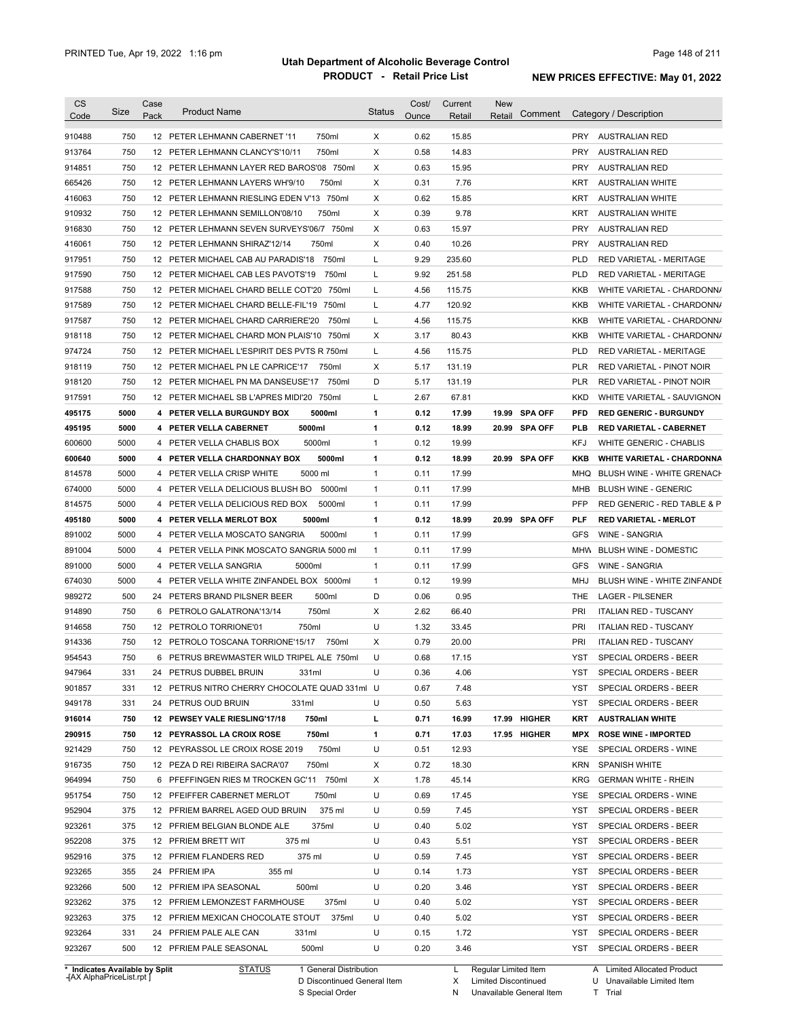| <b>CS</b><br>Code              | Size | Case<br>Pack | <b>Product Name</b>                           | <b>Status</b> | Cost/<br>Ounce | Current<br>Retail | New<br>Retail        | Comment       |            | Category / Description            |
|--------------------------------|------|--------------|-----------------------------------------------|---------------|----------------|-------------------|----------------------|---------------|------------|-----------------------------------|
|                                |      |              |                                               |               |                |                   |                      |               |            |                                   |
| 910488                         | 750  |              | 750ml<br>12 PETER LEHMANN CABERNET '11        | X             | 0.62           | 15.85             |                      |               |            | PRY AUSTRALIAN RED                |
| 913764                         | 750  |              | 750ml<br>12 PETER LEHMANN CLANCY'S'10/11      | X             | 0.58           | 14.83             |                      |               | PRY        | AUSTRALIAN RED                    |
| 914851                         | 750  |              | 12 PETER LEHMANN LAYER RED BAROS'08 750ml     | Х             | 0.63           | 15.95             |                      |               | <b>PRY</b> | AUSTRALIAN RED                    |
| 665426                         | 750  |              | 12 PETER LEHMANN LAYERS WH'9/10<br>750ml      | Χ             | 0.31           | 7.76              |                      |               | KRT        | <b>AUSTRALIAN WHITE</b>           |
| 416063                         | 750  |              | 12 PETER LEHMANN RIESLING EDEN V'13 750ml     | Х             | 0.62           | 15.85             |                      |               | KRT        | <b>AUSTRALIAN WHITE</b>           |
| 910932                         | 750  |              | 12 PETER LEHMANN SEMILLON'08/10<br>750ml      | Х             | 0.39           | 9.78              |                      |               | KRT        | <b>AUSTRALIAN WHITE</b>           |
| 916830                         | 750  |              | 12 PETER LEHMANN SEVEN SURVEYS'06/7 750ml     | Х             | 0.63           | 15.97             |                      |               | <b>PRY</b> | <b>AUSTRALIAN RED</b>             |
| 416061                         | 750  |              | 12 PETER LEHMANN SHIRAZ'12/14<br>750ml        | Х             | 0.40           | 10.26             |                      |               | <b>PRY</b> | <b>AUSTRALIAN RED</b>             |
| 917951                         | 750  |              | 12 PETER MICHAEL CAB AU PARADIS'18<br>750ml   | Г             | 9.29           | 235.60            |                      |               | <b>PLD</b> | RED VARIETAL - MERITAGE           |
| 917590                         | 750  |              | 12 PETER MICHAEL CAB LES PAVOTS'19<br>750ml   | Г             | 9.92           | 251.58            |                      |               | <b>PLD</b> | RED VARIETAL - MERITAGE           |
| 917588                         | 750  |              | 12 PETER MICHAEL CHARD BELLE COT'20 750ml     | Г             | 4.56           | 115.75            |                      |               | KKB        | WHITE VARIETAL - CHARDONN/        |
| 917589                         | 750  |              | 12 PETER MICHAEL CHARD BELLE-FIL'19 750ml     | Г             | 4.77           | 120.92            |                      |               | KKB        | WHITE VARIETAL - CHARDONN/        |
| 917587                         | 750  |              | 12 PETER MICHAEL CHARD CARRIERE'20<br>750ml   | Г             | 4.56           | 115.75            |                      |               | KKB        | WHITE VARIETAL - CHARDONN/        |
| 918118                         | 750  |              | 12 PETER MICHAEL CHARD MON PLAIS'10 750ml     | Х             | 3.17           | 80.43             |                      |               | KKB        | WHITE VARIETAL - CHARDONN/        |
| 974724                         | 750  |              | 12 PETER MICHAEL L'ESPIRIT DES PVTS R 750ml   | Г             | 4.56           | 115.75            |                      |               | <b>PLD</b> | RED VARIETAL - MERITAGE           |
| 918119                         | 750  |              | 12 PETER MICHAEL PN LE CAPRICE'17<br>750ml    | X             | 5.17           | 131.19            |                      |               | PLR        | RED VARIETAL - PINOT NOIR         |
| 918120                         | 750  |              | 12 PETER MICHAEL PN MA DANSEUSE'17<br>750ml   | D             | 5.17           | 131.19            |                      |               | <b>PLR</b> | RED VARIETAL - PINOT NOIR         |
| 917591                         | 750  |              | 12 PETER MICHAEL SB L'APRES MIDI'20 750ml     | L             | 2.67           | 67.81             |                      |               | <b>KKD</b> | WHITE VARIETAL - SAUVIGNON        |
| 495175                         | 5000 |              | 5000ml<br>4 PETER VELLA BURGUNDY BOX          | 1             | 0.12           | 17.99             |                      | 19.99 SPA OFF | <b>PFD</b> | <b>RED GENERIC - BURGUNDY</b>     |
| 495195                         | 5000 |              | 4 PETER VELLA CABERNET<br>5000ml              | 1             | 0.12           | 18.99             |                      | 20.99 SPA OFF | <b>PLB</b> | <b>RED VARIETAL - CABERNET</b>    |
| 600600                         | 5000 |              | 4 PETER VELLA CHABLIS BOX<br>5000ml           | $\mathbf{1}$  | 0.12           | 19.99             |                      |               | KFJ        | <b>WHITE GENERIC - CHABLIS</b>    |
| 600640                         | 5000 |              | 4 PETER VELLA CHARDONNAY BOX<br>5000ml        | 1             | 0.12           | 18.99             |                      | 20.99 SPA OFF | <b>KKB</b> | <b>WHITE VARIETAL - CHARDONNA</b> |
| 814578                         | 5000 |              | 5000 ml<br>4 PETER VELLA CRISP WHITE          | $\mathbf{1}$  | 0.11           | 17.99             |                      |               | MHQ        | BLUSH WINE - WHITE GRENACH        |
| 674000                         | 5000 |              | 5000ml<br>4 PETER VELLA DELICIOUS BLUSH BO    | $\mathbf{1}$  | 0.11           | 17.99             |                      |               | MHB        | <b>BLUSH WINE - GENERIC</b>       |
| 814575                         | 5000 |              | 5000ml<br>4 PETER VELLA DELICIOUS RED BOX     | $\mathbf{1}$  | 0.11           | 17.99             |                      |               | <b>PFP</b> | RED GENERIC - RED TABLE & P       |
| 495180                         | 5000 |              | 4 PETER VELLA MERLOT BOX<br>5000ml            | 1             | 0.12           | 18.99             |                      | 20.99 SPA OFF | PLF        | <b>RED VARIETAL - MERLOT</b>      |
| 891002                         | 5000 |              | 4 PETER VELLA MOSCATO SANGRIA<br>5000ml       | $\mathbf{1}$  | 0.11           | 17.99             |                      |               | <b>GFS</b> | <b>WINE - SANGRIA</b>             |
| 891004                         | 5000 |              | 4 PETER VELLA PINK MOSCATO SANGRIA 5000 ml    | $\mathbf{1}$  | 0.11           | 17.99             |                      |               | MHW        | <b>BLUSH WINE - DOMESTIC</b>      |
| 891000                         | 5000 |              | 5000ml<br>4 PETER VELLA SANGRIA               | $\mathbf{1}$  | 0.11           | 17.99             |                      |               | <b>GFS</b> | <b>WINE - SANGRIA</b>             |
| 674030                         | 5000 |              | 4 PETER VELLA WHITE ZINFANDEL BOX 5000ml      | $\mathbf{1}$  | 0.12           | 19.99             |                      |               | MHJ        | BLUSH WINE - WHITE ZINFANDE       |
|                                | 500  |              | 500ml                                         | D             | 0.06           | 0.95              |                      |               | THE        |                                   |
| 989272                         |      |              | 24 PETERS BRAND PILSNER BEER                  |               |                |                   |                      |               |            | <b>LAGER - PILSENER</b>           |
| 914890                         | 750  |              | 750ml<br>6 PETROLO GALATRONA'13/14            | Χ<br>U        | 2.62           | 66.40             |                      |               | <b>PRI</b> | <b>ITALIAN RED - TUSCANY</b>      |
| 914658                         | 750  |              | 12 PETROLO TORRIONE'01<br>750ml               |               | 1.32           | 33.45             |                      |               | <b>PRI</b> | <b>ITALIAN RED - TUSCANY</b>      |
| 914336                         | 750  |              | 12 PETROLO TOSCANA TORRIONE'15/17<br>750ml    | Χ             | 0.79           | 20.00             |                      |               | PRI        | <b>ITALIAN RED - TUSCANY</b>      |
| 954543                         | 750  |              | 6 PETRUS BREWMASTER WILD TRIPEL ALE 750ml     | U             | 0.68           | 17.15             |                      |               | YST        | <b>SPECIAL ORDERS - BEER</b>      |
| 947964                         | 331  |              | 24 PETRUS DUBBEL BRUIN<br>331ml               | U             | 0.36           | 4.06              |                      |               | YST        | SPECIAL ORDERS - BEER             |
| 901857                         | 331  |              | 12 PETRUS NITRO CHERRY CHOCOLATE QUAD 331ml U |               | 0.67           | 7.48              |                      |               | YST        | SPECIAL ORDERS - BEER             |
| 949178                         | 331  |              | 331ml<br>24 PETRUS OUD BRUIN                  | U             | 0.50           | 5.63              |                      |               | YST        | SPECIAL ORDERS - BEER             |
| 916014                         | 750  |              | 12 PEWSEY VALE RIESLING'17/18<br>750ml        | г             | 0.71           | 16.99             |                      | 17.99 HIGHER  | KRT        | <b>AUSTRALIAN WHITE</b>           |
| 290915                         | 750  |              | 750ml<br>12 PEYRASSOL LA CROIX ROSE           | 1             | 0.71           | 17.03             |                      | 17.95 HIGHER  | MPX        | <b>ROSE WINE - IMPORTED</b>       |
| 921429                         | 750  |              | 750ml<br>12 PEYRASSOL LE CROIX ROSE 2019      | U             | 0.51           | 12.93             |                      |               | YSE        | SPECIAL ORDERS - WINE             |
| 916735                         | 750  |              | 750ml<br>12 PEZA D REI RIBEIRA SACRA'07       | Х             | 0.72           | 18.30             |                      |               | KRN        | <b>SPANISH WHITE</b>              |
| 964994                         | 750  |              | 6 PFEFFINGEN RIES M TROCKEN GC'11 750ml       | Х             | 1.78           | 45.14             |                      |               | KRG        | <b>GERMAN WHITE - RHEIN</b>       |
| 951754                         | 750  |              | 750ml<br>12 PFEIFFER CABERNET MERLOT          | U             | 0.69           | 17.45             |                      |               | YSE        | SPECIAL ORDERS - WINE             |
| 952904                         | 375  |              | 375 ml<br>12 PFRIEM BARREL AGED OUD BRUIN     | U             | 0.59           | 7.45              |                      |               | YST        | SPECIAL ORDERS - BEER             |
| 923261                         | 375  |              | 375ml<br>12 PFRIEM BELGIAN BLONDE ALE         | U             | 0.40           | 5.02              |                      |               | YST        | SPECIAL ORDERS - BEER             |
| 952208                         | 375  |              | 375 ml<br>12 PFRIEM BRETT WIT                 | U             | 0.43           | 5.51              |                      |               | YST        | SPECIAL ORDERS - BEER             |
| 952916                         | 375  |              | 375 ml<br>12 PFRIEM FLANDERS RED              | U             | 0.59           | 7.45              |                      |               | YST        | SPECIAL ORDERS - BEER             |
| 923265                         | 355  |              | 24 PFRIEM IPA<br>355 ml                       | U             | 0.14           | 1.73              |                      |               | YST        | SPECIAL ORDERS - BEER             |
| 923266                         | 500  |              | 12 PFRIEM IPA SEASONAL<br>500ml               | U             | 0.20           | 3.46              |                      |               | YST        | SPECIAL ORDERS - BEER             |
| 923262                         | 375  |              | 12 PFRIEM LEMONZEST FARMHOUSE<br>375ml        | U             | 0.40           | 5.02              |                      |               | YST        | SPECIAL ORDERS - BEER             |
| 923263                         | 375  |              | 375ml<br>12 PFRIEM MEXICAN CHOCOLATE STOUT    | U             | 0.40           | 5.02              |                      |               | YST        | SPECIAL ORDERS - BEER             |
| 923264                         | 331  |              | 24 PFRIEM PALE ALE CAN<br>331ml               | U             | 0.15           | 1.72              |                      |               | YST        | SPECIAL ORDERS - BEER             |
|                                |      |              |                                               |               |                |                   |                      |               |            |                                   |
| 923267                         | 500  |              | 500ml<br>12 PFRIEM PALE SEASONAL              | U             | 0.20           | 3.46              |                      |               |            | YST SPECIAL ORDERS - BEER         |
| * Indicates Available by Split |      |              | <b>STATUS</b><br>1 General Distribution       |               |                | L                 | Regular Limited Item |               |            | A Limited Allocated Product       |

**Case** [AX AlphaPriceList.rpt ]

D Discontinued General Item

S Special Order

X Limited Discontinued N Unavailable General Item

U Unavailable Limited Item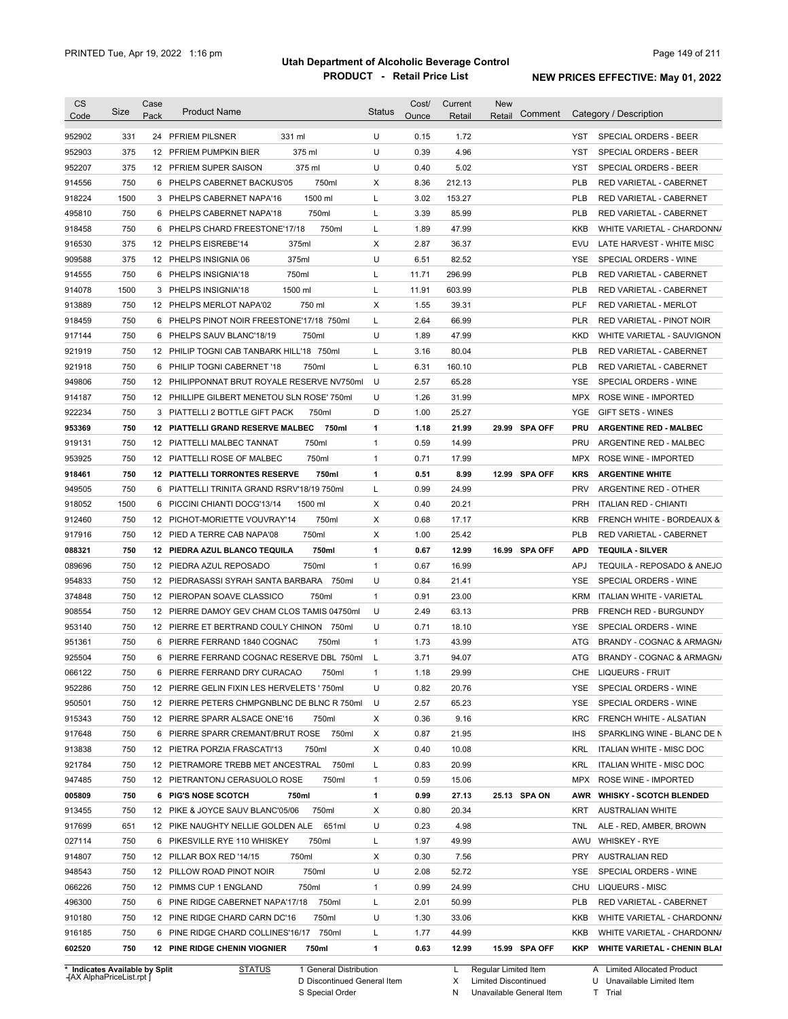| <b>CS</b><br>Code              | Size       | Case<br>Pack | <b>Product Name</b>                                                         | <b>Status</b>                | Cost/<br>Ounce | Current<br>Retail | <b>New</b><br>Comment<br>Retail |                   | Category / Description                         |
|--------------------------------|------------|--------------|-----------------------------------------------------------------------------|------------------------------|----------------|-------------------|---------------------------------|-------------------|------------------------------------------------|
| 952902                         | 331        |              | 24 PFRIEM PILSNER<br>331 ml                                                 | U                            | 0.15           | 1.72              |                                 | YST               | <b>SPECIAL ORDERS - BEER</b>                   |
| 952903                         | 375        |              | 375 ml<br>12 PFRIEM PUMPKIN BIER                                            | U                            | 0.39           | 4.96              |                                 | YST               | SPECIAL ORDERS - BEER                          |
| 952207                         | 375        |              | 12 PFRIEM SUPER SAISON<br>375 ml                                            | U                            | 0.40           | 5.02              |                                 | YST               | SPECIAL ORDERS - BEER                          |
| 914556                         | 750        |              | 750ml<br>6 PHELPS CABERNET BACKUS'05                                        | Χ                            | 8.36           | 212.13            |                                 | <b>PLB</b>        | RED VARIETAL - CABERNET                        |
| 918224                         | 1500       |              | 1500 ml<br>3 PHELPS CABERNET NAPA'16                                        | L                            | 3.02           | 153.27            |                                 | <b>PLB</b>        | RED VARIETAL - CABERNET                        |
| 495810                         | 750        |              | 750ml<br>6 PHELPS CABERNET NAPA'18                                          | L                            | 3.39           | 85.99             |                                 | <b>PLB</b>        | RED VARIETAL - CABERNET                        |
| 918458                         | 750        |              | 750ml<br>6 PHELPS CHARD FREESTONE'17/18                                     | L                            | 1.89           | 47.99             |                                 | KKB               | WHITE VARIETAL - CHARDONN/                     |
| 916530                         | 375        |              | 12 PHELPS EISREBE'14<br>375ml                                               | Χ                            | 2.87           | 36.37             |                                 | EVU               | LATE HARVEST - WHITE MISC                      |
| 909588                         | 375        |              | 375ml<br>12 PHELPS INSIGNIA 06                                              | U                            | 6.51           | 82.52             |                                 | YSE               | SPECIAL ORDERS - WINE                          |
| 914555                         | 750        |              | 750ml<br>6 PHELPS INSIGNIA'18                                               | L                            | 11.71          | 296.99            |                                 | <b>PLB</b>        | RED VARIETAL - CABERNET                        |
| 914078                         | 1500       |              | 1500 ml<br>3 PHELPS INSIGNIA'18                                             | L                            | 11.91          | 603.99            |                                 | <b>PLB</b>        | RED VARIETAL - CABERNET                        |
| 913889                         | 750        |              | 12 PHELPS MERLOT NAPA'02<br>750 ml                                          | Х                            | 1.55           | 39.31             |                                 | <b>PLF</b>        | RED VARIETAL - MERLOT                          |
| 918459                         | 750        |              | 6 PHELPS PINOT NOIR FREESTONE'17/18 750ml                                   | L                            | 2.64           | 66.99             |                                 | <b>PLR</b>        | RED VARIETAL - PINOT NOIR                      |
| 917144                         | 750        |              | 6 PHELPS SAUV BLANC'18/19<br>750ml                                          | U                            | 1.89           | 47.99             |                                 | <b>KKD</b>        | WHITE VARIETAL - SAUVIGNON                     |
| 921919                         | 750        |              | 12 PHILIP TOGNI CAB TANBARK HILL'18 750ml                                   | L                            | 3.16           | 80.04             |                                 | <b>PLB</b>        | <b>RED VARIETAL - CABERNET</b>                 |
| 921918                         | 750        |              | 6 PHILIP TOGNI CABERNET '18<br>750ml                                        | L                            | 6.31           | 160.10            |                                 | <b>PLB</b>        | <b>RED VARIETAL - CABERNET</b>                 |
|                                | 750        |              | 12 PHILIPPONNAT BRUT ROYALE RESERVE NV750ml                                 | U                            | 2.57           | 65.28             |                                 | YSE               | SPECIAL ORDERS - WINE                          |
| 949806<br>914187               | 750        |              | 12 PHILLIPE GILBERT MENETOU SLN ROSE' 750ml                                 | U                            | 1.26           | 31.99             |                                 | <b>MPX</b>        | ROSE WINE - IMPORTED                           |
|                                | 750        |              | 3 PIATTELLI 2 BOTTLE GIFT PACK<br>750ml                                     | D                            | 1.00           | 25.27             |                                 | YGE               | <b>GIFT SETS - WINES</b>                       |
| 922234<br>953369               | 750        |              | 12 PIATTELLI GRAND RESERVE MALBEC<br>750ml                                  | 1                            | 1.18           | 21.99             | 29.99 SPA OFF                   | <b>PRU</b>        | <b>ARGENTINE RED - MALBEC</b>                  |
|                                |            |              |                                                                             |                              |                |                   |                                 |                   |                                                |
| 919131<br>953925               | 750<br>750 |              | 12 PIATTELLI MALBEC TANNAT<br>750ml<br>12 PIATTELLI ROSE OF MALBEC<br>750ml | $\mathbf{1}$<br>$\mathbf{1}$ | 0.59<br>0.71   | 14.99<br>17.99    |                                 | <b>PRU</b><br>MPX | ARGENTINE RED - MALBEC<br>ROSE WINE - IMPORTED |
|                                | 750        |              | <b>12 PIATTELLI TORRONTES RESERVE</b><br>750ml                              | 1                            | 0.51           | 8.99              | 12.99 SPA OFF                   | <b>KRS</b>        | <b>ARGENTINE WHITE</b>                         |
| 918461<br>949505               | 750        |              | 6 PIATTELLI TRINITA GRAND RSRV'18/19 750ml                                  | L                            | 0.99           | 24.99             |                                 | <b>PRV</b>        | ARGENTINE RED - OTHER                          |
|                                | 1500       |              |                                                                             | Χ                            | 0.40           | 20.21             |                                 | <b>PRH</b>        |                                                |
| 918052                         | 750        | 6            | PICCINI CHIANTI DOCG'13/14<br>1500 ml<br>750ml                              |                              | 0.68           |                   |                                 |                   | <b>ITALIAN RED - CHIANTI</b>                   |
| 912460                         |            |              | 12 PICHOT-MORIETTE VOUVRAY'14                                               | Х                            |                | 17.17             |                                 | <b>KRB</b>        | FRENCH WHITE - BORDEAUX &                      |
| 917916                         | 750        |              | 750ml<br>12 PIED A TERRE CAB NAPA'08                                        | Х                            | 1.00           | 25.42             |                                 | <b>PLB</b>        | RED VARIETAL - CABERNET                        |
| 088321                         | 750        |              | 750ml<br>12 PIEDRA AZUL BLANCO TEQUILA                                      | $\mathbf{1}$                 | 0.67           | 12.99             | 16.99 SPA OFF                   | <b>APD</b>        | <b>TEQUILA - SILVER</b>                        |
| 089696                         | 750        |              | 750ml<br>12 PIEDRA AZUL REPOSADO                                            | $\mathbf{1}$                 | 0.67           | 16.99             |                                 | <b>APJ</b>        | TEQUILA - REPOSADO & ANEJO                     |
| 954833                         | 750        |              | 12 PIEDRASASSI SYRAH SANTA BARBARA 750ml                                    | U                            | 0.84           | 21.41             |                                 | YSE               | SPECIAL ORDERS - WINE                          |
| 374848                         | 750        |              | 12 PIEROPAN SOAVE CLASSICO<br>750ml                                         | $\mathbf{1}$                 | 0.91           | 23.00             |                                 | <b>KRM</b>        | ITALIAN WHITE - VARIETAL                       |
| 908554                         | 750        |              | 12 PIERRE DAMOY GEV CHAM CLOS TAMIS 04750ml                                 | U                            | 2.49           | 63.13             |                                 | <b>PRB</b>        | FRENCH RED - BURGUNDY                          |
| 953140                         | 750        |              | 12 PIERRE ET BERTRAND COULY CHINON 750ml                                    | U                            | 0.71           | 18.10             |                                 | YSE               | SPECIAL ORDERS - WINE                          |
| 951361                         | 750        |              | 6 PIERRE FERRAND 1840 COGNAC<br>750ml                                       | $\mathbf{1}$                 | 1.73           | 43.99             |                                 | ATG               | BRANDY - COGNAC & ARMAGN/                      |
| 925504                         | 750        |              | 6 PIERRE FERRAND COGNAC RESERVE DBL 750ml                                   | L                            | 3.71           | 94.07             |                                 | ATG               | BRANDY - COGNAC & ARMAGN/                      |
| 066122                         | 750        |              | 6 PIERRE FERRAND DRY CURACAO<br>750ml                                       |                              | 1.18           | 29.99             |                                 |                   | CHE LIQUEURS - FRUIT                           |
| 952286                         | 750        |              | 12 PIERRE GELIN FIXIN LES HERVELETS ' 750ml                                 | U                            | 0.82           | 20.76             |                                 | YSE               | SPECIAL ORDERS - WINE                          |
| 950501                         | 750        |              | 12 PIERRE PETERS CHMPGNBLNC DE BLNC R 750ml                                 | U                            | 2.57           | 65.23             |                                 | YSE               | SPECIAL ORDERS - WINE                          |
| 915343                         | 750        |              | 12 PIERRE SPARR ALSACE ONE'16<br>750ml                                      | Х                            | 0.36           | 9.16              |                                 | KRC               | FRENCH WHITE - ALSATIAN                        |
| 917648                         | 750        |              | 6 PIERRE SPARR CREMANT/BRUT ROSE 750ml                                      | Х                            | 0.87           | 21.95             |                                 | <b>IHS</b>        | SPARKLING WINE - BLANC DE N                    |
| 913838                         | 750        |              | 12 PIETRA PORZIA FRASCATI'13<br>750ml                                       | Х                            | 0.40           | 10.08             |                                 | KRL               | ITALIAN WHITE - MISC DOC                       |
| 921784                         | 750        |              | 12 PIETRAMORE TREBB MET ANCESTRAL 750ml                                     | L                            | 0.83           | 20.99             |                                 | KRL               | ITALIAN WHITE - MISC DOC                       |
| 947485                         | 750        |              | 12 PIETRANTONJ CERASUOLO ROSE<br>750ml                                      | 1                            | 0.59           | 15.06             |                                 |                   | MPX ROSE WINE - IMPORTED                       |
| 005809                         | 750        |              | 6 PIG'S NOSE SCOTCH<br>750ml                                                | $\mathbf{1}$                 | 0.99           | 27.13             | 25.13 SPA ON                    |                   | AWR WHISKY - SCOTCH BLENDED                    |
| 913455                         | 750        |              | 12 PIKE & JOYCE SAUV BLANC'05/06<br>750ml                                   | Х                            | 0.80           | 20.34             |                                 | KRT               | <b>AUSTRALIAN WHITE</b>                        |
| 917699                         | 651        |              | 12 PIKE NAUGHTY NELLIE GOLDEN ALE 651ml                                     | U                            | 0.23           | 4.98              |                                 | TNL               | ALE - RED, AMBER, BROWN                        |
| 027114                         | 750        |              | 6 PIKESVILLE RYE 110 WHISKEY<br>750ml                                       | L                            | 1.97           | 49.99             |                                 | AWU               | <b>WHISKEY - RYE</b>                           |
| 914807                         | 750        |              | 12 PILLAR BOX RED '14/15<br>750ml                                           | Х                            | 0.30           | 7.56              |                                 | PRY               | <b>AUSTRALIAN RED</b>                          |
| 948543                         | 750        |              | 12 PILLOW ROAD PINOT NOIR<br>750ml                                          | U                            | 2.08           | 52.72             |                                 | YSE               | SPECIAL ORDERS - WINE                          |
| 066226                         | 750        |              | 12 PIMMS CUP 1 ENGLAND<br>750ml                                             | $\mathbf{1}$                 | 0.99           | 24.99             |                                 | CHU               | LIQUEURS - MISC                                |
| 496300                         | 750        |              | 6 PINE RIDGE CABERNET NAPA'17/18<br>750ml                                   | L                            | 2.01           | 50.99             |                                 | <b>PLB</b>        | RED VARIETAL - CABERNET                        |
| 910180                         | 750        |              | 12 PINE RIDGE CHARD CARN DC'16<br>750ml                                     | U                            | 1.30           | 33.06             |                                 | KKB               | WHITE VARIETAL - CHARDONN/                     |
| 916185                         | 750        |              | 6 PINE RIDGE CHARD COLLINES'16/17 750ml                                     | L                            | 1.77           | 44.99             |                                 | KKB               | WHITE VARIETAL - CHARDONN/                     |
| 602520                         | 750        |              | 12 PINE RIDGE CHENIN VIOGNIER<br>750ml                                      | 1                            | 0.63           | 12.99             | 15.99 SPA OFF                   | KKP               | <b>WHITE VARIETAL - CHENIN BLAI</b>            |
| * Indicates Available by Split |            |              | <b>STATUS</b><br>1 General Distribution                                     |                              |                | L.                | Regular Limited Item            |                   | A Limited Allocated Product                    |

**Case** [AX AlphaPriceList.rpt ]

D Discontinued General Item

S Special Order

X Limited Discontinued

N Unavailable General Item

U Unavailable Limited Item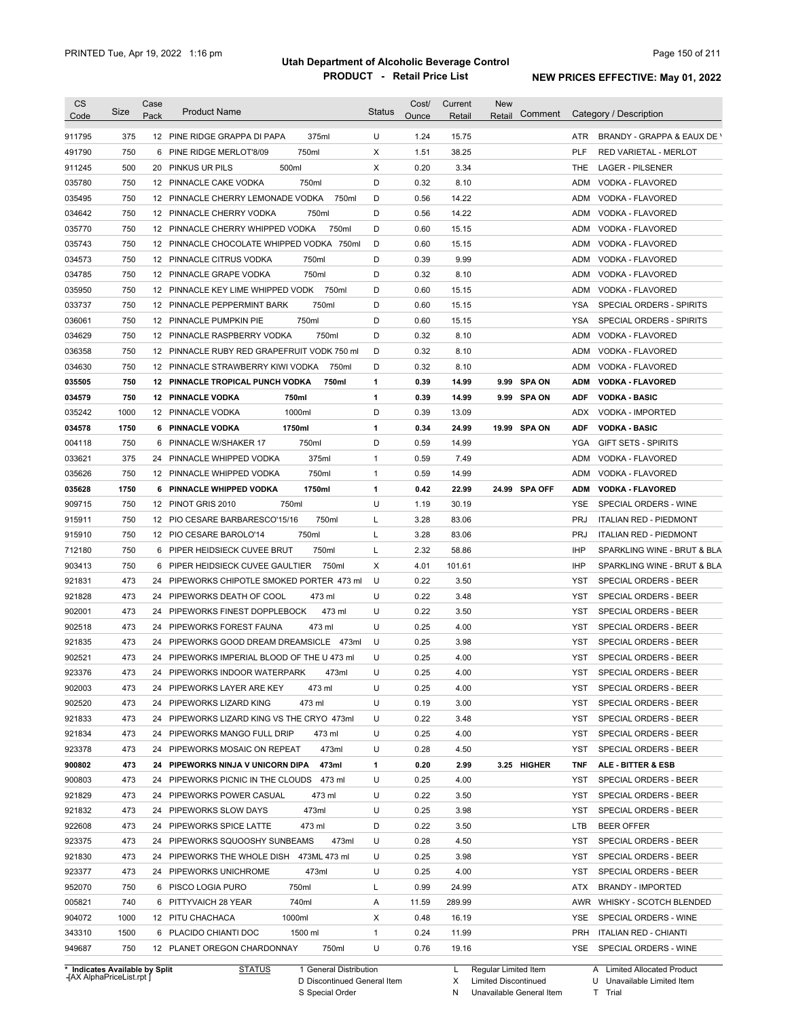| <b>CS</b><br>Code              | Size | Case<br>Pack | <b>Product Name</b>                         | Status | Cost/<br>Ounce | Current<br>Retail | <b>New</b><br>Retail   | Comment    | Category / Description        |
|--------------------------------|------|--------------|---------------------------------------------|--------|----------------|-------------------|------------------------|------------|-------------------------------|
| 911795                         | 375  |              | 12 PINE RIDGE GRAPPA DI PAPA<br>375ml       | U      | 1.24           | 15.75             |                        | ATR        | BRANDY - GRAPPA & EAUX DE \   |
| 491790                         | 750  | 6            | 750ml<br>PINE RIDGE MERLOT'8/09             | X      | 1.51           | 38.25             |                        | <b>PLF</b> | <b>RED VARIETAL - MERLOT</b>  |
| 911245                         | 500  | 20           | 500ml<br><b>PINKUS UR PILS</b>              | X      | 0.20           | 3.34              |                        | THE        | <b>LAGER - PILSENER</b>       |
| 035780                         | 750  |              | 750ml<br>12 PINNACLE CAKE VODKA             | D      | 0.32           | 8.10              |                        | <b>ADM</b> | VODKA - FLAVORED              |
| 035495                         | 750  | 12           | PINNACLE CHERRY LEMONADE VODKA<br>750ml     | D      | 0.56           | 14.22             |                        | <b>ADM</b> | VODKA - FLAVORED              |
| 034642                         | 750  | 12           | 750ml<br>PINNACLE CHERRY VODKA              | D      | 0.56           | 14.22             |                        | <b>ADM</b> | VODKA - FLAVORED              |
| 035770                         | 750  | 12           | PINNACLE CHERRY WHIPPED VODKA<br>750ml      | D      | 0.60           | 15.15             |                        | <b>ADM</b> | VODKA - FLAVORED              |
| 035743                         | 750  |              | 12 PINNACLE CHOCOLATE WHIPPED VODKA 750ml   | D      | 0.60           | 15.15             |                        | <b>ADM</b> | VODKA - FLAVORED              |
| 034573                         | 750  |              | 750ml<br>12 PINNACLE CITRUS VODKA           | D      | 0.39           | 9.99              |                        | <b>ADM</b> | VODKA - FLAVORED              |
| 034785                         | 750  |              | 750ml<br>12 PINNACLE GRAPE VODKA            | D      | 0.32           | 8.10              |                        | <b>ADM</b> | VODKA - FLAVORED              |
| 035950                         | 750  | 12           | PINNACLE KEY LIME WHIPPED VODK<br>750ml     | D      | 0.60           | 15.15             |                        | <b>ADM</b> | VODKA - FLAVORED              |
| 033737                         | 750  | 12           | PINNACLE PEPPERMINT BARK<br>750ml           | D      | 0.60           | 15.15             |                        | YSA        | SPECIAL ORDERS - SPIRITS      |
| 036061                         | 750  | 12           | PINNACLE PUMPKIN PIE<br>750ml               | D      | 0.60           | 15.15             |                        | YSA        | SPECIAL ORDERS - SPIRITS      |
| 034629                         | 750  | 12           | PINNACLE RASPBERRY VODKA<br>750ml           | D      | 0.32           | 8.10              |                        | <b>ADM</b> | VODKA - FLAVORED              |
| 036358                         | 750  | 12           | PINNACLE RUBY RED GRAPEFRUIT VODK 750 ml    | D      | 0.32           | 8.10              |                        | <b>ADM</b> | VODKA - FLAVORED              |
| 034630                         | 750  | 12           | PINNACLE STRAWBERRY KIWI VODKA<br>750ml     | D      | 0.32           | 8.10              |                        | <b>ADM</b> | VODKA - FLAVORED              |
| 035505                         | 750  | 12           | PINNACLE TROPICAL PUNCH VODKA<br>750ml      | 1      | 0.39           | 14.99             | <b>SPA ON</b><br>9.99  | ADM        | <b>VODKA - FLAVORED</b>       |
| 034579                         | 750  | 12           | <b>PINNACLE VODKA</b><br>750ml              | 1      | 0.39           | 14.99             | 9.99 SPA ON            | ADF        | <b>VODKA - BASIC</b>          |
| 035242                         | 1000 | 12           | 1000ml<br>PINNACLE VODKA                    | D      | 0.39           | 13.09             |                        | ADX        | <b>VODKA - IMPORTED</b>       |
| 034578                         | 1750 | 6            | 1750ml<br><b>PINNACLE VODKA</b>             | 1      | 0.34           | 24.99             | <b>SPA ON</b><br>19.99 | <b>ADF</b> | <b>VODKA - BASIC</b>          |
| 004118                         | 750  | 6            | 750ml<br>PINNACLE W/SHAKER 17               | D      | 0.59           | 14.99             |                        | <b>YGA</b> | <b>GIFT SETS - SPIRITS</b>    |
| 033621                         | 375  | 24           | 375ml<br>PINNACLE WHIPPED VODKA             | 1      | 0.59           | 7.49              |                        | <b>ADM</b> | VODKA - FLAVORED              |
| 035626                         | 750  | 12           | 750ml<br>PINNACLE WHIPPED VODKA             | 1      | 0.59           | 14.99             |                        | <b>ADM</b> | VODKA - FLAVORED              |
| 035628                         | 1750 | 6            | 1750ml<br>PINNACLE WHIPPED VODKA            | 1      | 0.42           | 22.99             | 24.99 SPA OFF          | ADM        | VODKA - FLAVORED              |
| 909715                         | 750  | 12           | PINOT GRIS 2010<br>750ml                    | U      | 1.19           | 30.19             |                        | <b>YSE</b> | SPECIAL ORDERS - WINE         |
| 915911                         | 750  | 12           | 750ml<br>PIO CESARE BARBARESCO'15/16        | Г      | 3.28           | 83.06             |                        | <b>PRJ</b> | <b>ITALIAN RED - PIEDMONT</b> |
| 915910                         | 750  | 12           | 750ml<br>PIO CESARE BAROLO'14               | Г      | 3.28           | 83.06             |                        | <b>PRJ</b> | <b>ITALIAN RED - PIEDMONT</b> |
| 712180                         | 750  | 6            | 750ml<br>PIPER HEIDSIECK CUVEE BRUT         | Г      | 2.32           | 58.86             |                        | <b>IHP</b> | SPARKLING WINE - BRUT & BLA   |
| 903413                         | 750  | 6            | PIPER HEIDSIECK CUVEE GAULTIER<br>750ml     | X      | 4.01           | 101.61            |                        | <b>IHP</b> | SPARKLING WINE - BRUT & BLA   |
| 921831                         | 473  | 24           | PIPEWORKS CHIPOTLE SMOKED PORTER 473 ml     | U      | 0.22           | 3.50              |                        | <b>YST</b> | SPECIAL ORDERS - BEER         |
| 921828                         | 473  | 24           | PIPEWORKS DEATH OF COOL<br>473 ml           | U      | 0.22           | 3.48              |                        | <b>YST</b> | SPECIAL ORDERS - BEER         |
| 902001                         | 473  | 24           | PIPEWORKS FINEST DOPPLEBOCK<br>473 ml       | U      | 0.22           | 3.50              |                        | <b>YST</b> | <b>SPECIAL ORDERS - BEER</b>  |
| 902518                         | 473  | 24           | 473 ml<br>PIPEWORKS FOREST FAUNA            | U      | 0.25           | 4.00              |                        | <b>YST</b> | SPECIAL ORDERS - BEER         |
| 921835                         | 473  | 24           | PIPEWORKS GOOD DREAM DREAMSICLE 473ml       | U      | 0.25           | 3.98              |                        | <b>YST</b> | SPECIAL ORDERS - BEER         |
| 902521                         | 473  |              | 24 PIPEWORKS IMPERIAL BLOOD OF THE U 473 ml | U      | 0.25           | 4.00              |                        | <b>YST</b> | <b>SPECIAL ORDERS - BEER</b>  |
| 923376                         | 473  | 24           | PIPEWORKS INDOOR WATERPARK<br>473ml         | U      | 0.25           | 4.00              |                        | YST        | SPECIAL ORDERS - BEER         |
| 902003                         | 473  |              | 24 PIPEWORKS LAYER ARE KEY<br>473 ml        | U      | 0.25           | 4.00              |                        |            | YST SPECIAL ORDERS - BEER     |
| 902520                         | 473  |              | 473 ml<br>24 PIPEWORKS LIZARD KING          | U      | 0.19           | 3.00              |                        | YST        | SPECIAL ORDERS - BEER         |
| 921833                         | 473  |              | 24 PIPEWORKS LIZARD KING VS THE CRYO 473ml  | U      | 0.22           | 3.48              |                        | <b>YST</b> | SPECIAL ORDERS - BEER         |
| 921834                         | 473  |              | 473 ml<br>24 PIPEWORKS MANGO FULL DRIP      | U      | 0.25           | 4.00              |                        | YST        | SPECIAL ORDERS - BEER         |
| 923378                         | 473  |              | 24 PIPEWORKS MOSAIC ON REPEAT<br>473ml      | U      | 0.28           | 4.50              |                        | YST        | SPECIAL ORDERS - BEER         |
| 900802                         | 473  |              | 473ml<br>24 PIPEWORKS NINJA V UNICORN DIPA  | 1      | 0.20           | 2.99              | 3.25 HIGHER            | <b>TNF</b> | ALE - BITTER & ESB            |
| 900803                         | 473  |              | 24 PIPEWORKS PICNIC IN THE CLOUDS 473 ml    | U      | 0.25           | 4.00              |                        | YST        | SPECIAL ORDERS - BEER         |
| 921829                         | 473  |              | 24 PIPEWORKS POWER CASUAL<br>473 ml         | U      | 0.22           | 3.50              |                        | YST        | SPECIAL ORDERS - BEER         |
| 921832                         | 473  |              | 24 PIPEWORKS SLOW DAYS<br>473ml             | U      | 0.25           | 3.98              |                        | YST        | SPECIAL ORDERS - BEER         |
| 922608                         | 473  |              | 24 PIPEWORKS SPICE LATTE<br>473 ml          | D      | 0.22           | 3.50              |                        | LTB        | <b>BEER OFFER</b>             |
| 923375                         | 473  |              | 24 PIPEWORKS SQUOOSHY SUNBEAMS<br>473ml     | U      | 0.28           | 4.50              |                        | YST        | SPECIAL ORDERS - BEER         |
| 921830                         | 473  |              | 24 PIPEWORKS THE WHOLE DISH 473ML 473 ml    | U      | 0.25           | 3.98              |                        | <b>YST</b> | SPECIAL ORDERS - BEER         |
| 923377                         | 473  |              | 24 PIPEWORKS UNICHROME<br>473ml             | U      | 0.25           | 4.00              |                        | YST        | SPECIAL ORDERS - BEER         |
| 952070                         | 750  |              | 6 PISCO LOGIA PURO<br>750ml                 | L      | 0.99           | 24.99             |                        | ATX        | <b>BRANDY - IMPORTED</b>      |
| 005821                         | 740  |              | 740ml<br>6 PITTYVAICH 28 YEAR               | Α      | 11.59          | 289.99            |                        |            | AWR WHISKY - SCOTCH BLENDED   |
| 904072                         | 1000 |              | 12 PITU CHACHACA<br>1000ml                  | Х      | 0.48           | 16.19             |                        |            | YSE SPECIAL ORDERS - WINE     |
| 343310                         | 1500 |              | 6 PLACIDO CHIANTI DOC<br>1500 ml            | 1      | 0.24           | 11.99             |                        |            | PRH ITALIAN RED - CHIANTI     |
| 949687                         | 750  |              | 750ml<br>12 PLANET OREGON CHARDONNAY        | U      | 0.76           | 19.16             |                        |            | YSE SPECIAL ORDERS - WINE     |
| * Indicates Available by Split |      |              | STATUS<br>1 General Distribution            |        |                |                   | L Regular Limited Item |            | A Limited Allocated Product   |

**Case** [AX AlphaPriceList.rpt ]

D Discontinued General Item S Special Order

Regular Limited Item

X

Limited Discontinued

N Unavailable General Item

U Unavailable Limited Item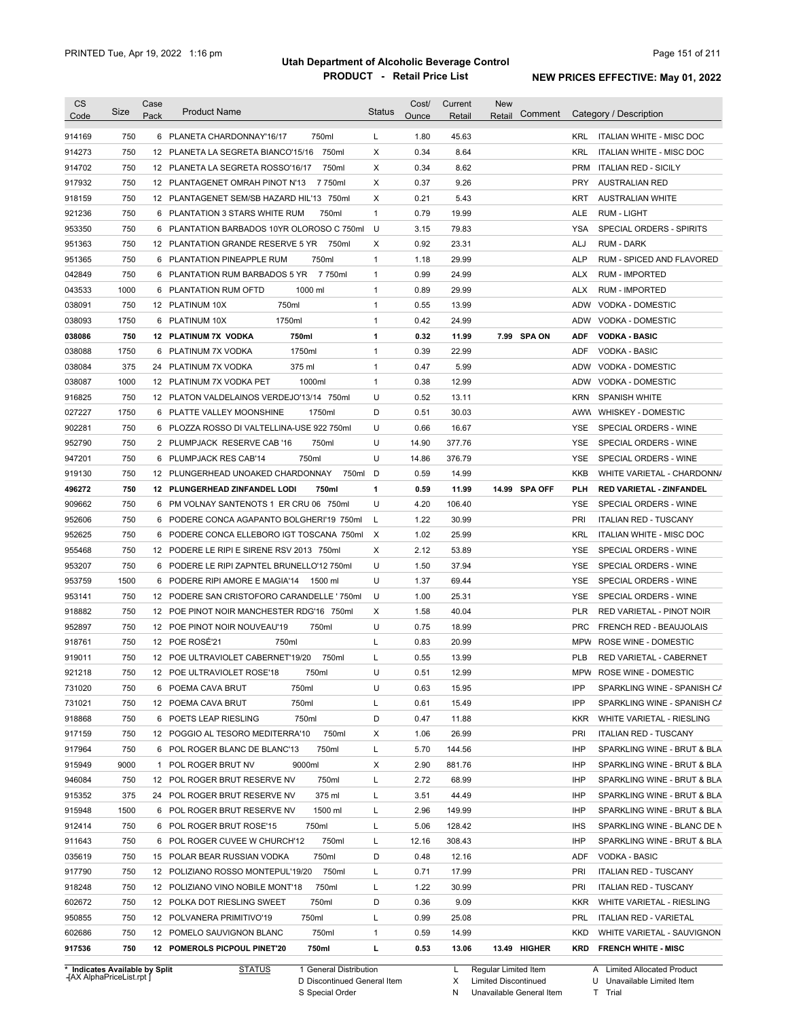| 914169<br>914273<br>914702<br>917932<br>918159 | 750<br>750 |   | 750ml<br>6 PLANETA CHARDONNAY'16/17         |              |       |        |              |               |            |                                 |
|------------------------------------------------|------------|---|---------------------------------------------|--------------|-------|--------|--------------|---------------|------------|---------------------------------|
|                                                |            |   |                                             | L            | 1.80  | 45.63  |              |               |            | KRL ITALIAN WHITE - MISC DOC    |
|                                                |            |   | 12 PLANETA LA SEGRETA BIANCO'15/16<br>750ml | Х            | 0.34  | 8.64   |              |               | <b>KRL</b> | ITALIAN WHITE - MISC DOC        |
|                                                | 750        |   | 12 PLANETA LA SEGRETA ROSSO'16/17<br>750ml  | Χ            | 0.34  | 8.62   |              |               | <b>PRM</b> | <b>ITALIAN RED - SICILY</b>     |
|                                                | 750        |   | 12 PLANTAGENET OMRAH PINOT N'13<br>7 750ml  | Χ            | 0.37  | 9.26   |              |               | <b>PRY</b> | <b>AUSTRALIAN RED</b>           |
|                                                | 750        |   | 12 PLANTAGENET SEM/SB HAZARD HIL'13 750ml   | Χ            | 0.21  | 5.43   |              |               | KRT        | <b>AUSTRALIAN WHITE</b>         |
| 921236                                         | 750        |   | 6 PLANTATION 3 STARS WHITE RUM<br>750ml     | $\mathbf{1}$ | 0.79  | 19.99  |              |               | ALE        | <b>RUM - LIGHT</b>              |
| 953350                                         | 750        |   | 6 PLANTATION BARBADOS 10YR OLOROSO C 750ml  | U            | 3.15  | 79.83  |              |               | YSA        | SPECIAL ORDERS - SPIRITS        |
| 951363                                         | 750        |   | 12 PLANTATION GRANDE RESERVE 5 YR<br>750ml  | X            | 0.92  | 23.31  |              |               | ALJ        | <b>RUM - DARK</b>               |
| 951365                                         | 750        |   | 6 PLANTATION PINEAPPLE RUM<br>750ml         | $\mathbf{1}$ | 1.18  | 29.99  |              |               | <b>ALP</b> | RUM - SPICED AND FLAVORED       |
| 042849                                         | 750        |   | 6 PLANTATION RUM BARBADOS 5 YR<br>7 750ml   | $\mathbf{1}$ | 0.99  | 24.99  |              |               | ALX        | <b>RUM - IMPORTED</b>           |
| 043533                                         | 1000       |   | 6 PLANTATION RUM OFTD<br>1000 ml            | $\mathbf{1}$ | 0.89  | 29.99  |              |               | <b>ALX</b> | <b>RUM - IMPORTED</b>           |
| 038091                                         | 750        |   | 750ml<br>12 PLATINUM 10X                    | $\mathbf{1}$ | 0.55  | 13.99  |              |               | ADW        | VODKA - DOMESTIC                |
| 038093                                         | 1750       |   | 1750ml<br>6 PLATINUM 10X                    | $\mathbf{1}$ | 0.42  | 24.99  |              |               | ADW        | VODKA - DOMESTIC                |
| 038086                                         | 750        |   | 12 PLATINUM 7X VODKA<br>750ml               | 1            | 0.32  | 11.99  |              | 7.99 SPA ON   | <b>ADF</b> | <b>VODKA - BASIC</b>            |
| 038088                                         | 1750       |   | 1750ml<br>6 PLATINUM 7X VODKA               | $\mathbf{1}$ | 0.39  | 22.99  |              |               | ADF        | <b>VODKA - BASIC</b>            |
| 038084                                         | 375        |   | 375 ml<br>24 PLATINUM 7X VODKA              | $\mathbf{1}$ | 0.47  | 5.99   |              |               | ADW        | VODKA - DOMESTIC                |
| 038087                                         | 1000       |   | 1000ml<br>12 PLATINUM 7X VODKA PET          | $\mathbf{1}$ | 0.38  | 12.99  |              |               | ADW        | VODKA - DOMESTIC                |
| 916825                                         | 750        |   | 12 PLATON VALDELAINOS VERDEJO'13/14 750ml   | U            | 0.52  | 13.11  |              |               | <b>KRN</b> | SPANISH WHITE                   |
| 027227                                         | 1750       |   | 6 PLATTE VALLEY MOONSHINE<br>1750ml         | D            | 0.51  | 30.03  |              |               |            | AWW WHISKEY - DOMESTIC          |
| 902281                                         | 750        |   | 6 PLOZZA ROSSO DI VALTELLINA-USE 922 750ml  | U            | 0.66  | 16.67  |              |               | YSE        | SPECIAL ORDERS - WINE           |
| 952790                                         | 750        |   | 750ml<br>2 PLUMPJACK RESERVE CAB '16        | U            | 14.90 | 377.76 |              |               | <b>YSE</b> | SPECIAL ORDERS - WINE           |
| 947201                                         | 750        | 6 | 750ml<br>PLUMPJACK RES CAB'14               | U            | 14.86 | 376.79 |              |               | YSE        | SPECIAL ORDERS - WINE           |
| 919130                                         | 750        |   | 12 PLUNGERHEAD UNOAKED CHARDONNAY<br>750ml  | D            | 0.59  | 14.99  |              |               | KKB        | WHITE VARIETAL - CHARDONN/      |
| 496272                                         | 750        |   | 12 PLUNGERHEAD ZINFANDEL LODI<br>750ml      | 1            | 0.59  | 11.99  |              | 14.99 SPA OFF | PLH        | <b>RED VARIETAL - ZINFANDEL</b> |
| 909662                                         | 750        |   | 6 PM VOLNAY SANTENOTS 1 ER CRU 06 750ml     | U            | 4.20  | 106.40 |              |               | YSE        | SPECIAL ORDERS - WINE           |
| 952606                                         | 750        |   | 6 PODERE CONCA AGAPANTO BOLGHERI'19 750ml   | L            | 1.22  | 30.99  |              |               | PRI        | <b>ITALIAN RED - TUSCANY</b>    |
| 952625                                         | 750        |   | 6 PODERE CONCA ELLEBORO IGT TOSCANA 750ml   | X            | 1.02  | 25.99  |              |               | KRL        | ITALIAN WHITE - MISC DOC        |
| 955468                                         | 750        |   | 12 PODERE LE RIPI E SIRENE RSV 2013 750ml   | X            | 2.12  | 53.89  |              |               | YSE        | SPECIAL ORDERS - WINE           |
| 953207                                         | 750        |   | 6 PODERE LE RIPI ZAPNTEL BRUNELLO'12 750ml  | U            | 1.50  | 37.94  |              |               | <b>YSE</b> | SPECIAL ORDERS - WINE           |
| 953759                                         | 1500       |   | 6 PODERE RIPI AMORE E MAGIA'14<br>1500 ml   | U            | 1.37  | 69.44  |              |               | <b>YSE</b> | SPECIAL ORDERS - WINE           |
| 953141                                         | 750        |   | 12 PODERE SAN CRISTOFORO CARANDELLE ' 750ml | U            | 1.00  | 25.31  |              |               | <b>YSE</b> | SPECIAL ORDERS - WINE           |
| 918882                                         | 750        |   | 12 POE PINOT NOIR MANCHESTER RDG'16 750ml   | Χ            | 1.58  | 40.04  |              |               | <b>PLR</b> | RED VARIETAL - PINOT NOIR       |
| 952897                                         | 750        |   | 12 POE PINOT NOIR NOUVEAU'19<br>750ml       | U            | 0.75  | 18.99  |              |               | <b>PRC</b> | FRENCH RED - BEAUJOLAIS         |
| 918761                                         | 750        |   | 12 POE ROSÉ'21<br>750ml                     | Г            | 0.83  | 20.99  |              |               |            | MPW ROSE WINE - DOMESTIC        |
| 919011                                         | 750        |   | 12 POE ULTRAVIOLET CABERNET'19/20<br>750ml  | Г            | 0.55  | 13.99  |              |               | <b>PLB</b> | RED VARIETAL - CABERNET         |
| 921218                                         | 750        |   | 12 POE ULTRAVIOLET ROSE'18<br>750ml         | U            | 0.51  | 12.99  |              |               |            | MPW ROSE WINE - DOMESTIC        |
| 731020                                         | 750        |   | 6 POEMA CAVA BRUT<br>750ml                  | U            | 0.63  | 15.95  |              |               | IPP        | SPARKLING WINE - SPANISH CA     |
| 731021                                         | 750        |   | 750ml<br>12 POEMA CAVA BRUT                 | L            | 0.61  | 15.49  |              |               | IPP        | SPARKLING WINE - SPANISH CA     |
| 918868                                         | 750        |   | 6 POETS LEAP RIESLING<br>750ml              | D            | 0.47  | 11.88  |              |               | <b>KKR</b> | WHITE VARIETAL - RIESLING       |
| 917159                                         | 750        |   | 750ml<br>12 POGGIO AL TESORO MEDITERRA'10   | х            | 1.06  | 26.99  |              |               | <b>PRI</b> | <b>ITALIAN RED - TUSCANY</b>    |
| 917964                                         | 750        |   | 750ml<br>6 POL ROGER BLANC DE BLANC'13      | L            | 5.70  | 144.56 |              |               | IHP        | SPARKLING WINE - BRUT & BLA     |
| 915949                                         | 9000       |   | 9000ml<br>1 POL ROGER BRUT NV               | Х            | 2.90  | 881.76 |              |               | IHP        | SPARKLING WINE - BRUT & BLA     |
|                                                |            |   |                                             |              |       |        |              |               |            |                                 |
| 946084                                         | 750        |   | 12 POL ROGER BRUT RESERVE NV<br>750ml       | L            | 2.72  | 68.99  |              |               | IHP        | SPARKLING WINE - BRUT & BLA     |
| 915352                                         | 375        |   | 375 ml<br>24 POL ROGER BRUT RESERVE NV      | L            | 3.51  | 44.49  |              |               | IHP        | SPARKLING WINE - BRUT & BLA     |
| 915948                                         | 1500       |   | 1500 ml<br>6 POL ROGER BRUT RESERVE NV      | L            | 2.96  | 149.99 |              |               | IHP        | SPARKLING WINE - BRUT & BLA     |
| 912414                                         | 750        |   | 6 POL ROGER BRUT ROSE'15<br>750ml           | L            | 5.06  | 128.42 |              |               | <b>IHS</b> | SPARKLING WINE - BLANC DE N     |
| 911643                                         | 750        |   | 750ml<br>6 POL ROGER CUVEE W CHURCH'12      | L            | 12.16 | 308.43 |              |               | IHP        | SPARKLING WINE - BRUT & BLA     |
| 035619                                         | 750        |   | 750ml<br>15 POLAR BEAR RUSSIAN VODKA        | D            | 0.48  | 12.16  |              |               | ADF        | VODKA - BASIC                   |
| 917790                                         | 750        |   | 750ml<br>12 POLIZIANO ROSSO MONTEPUL'19/20  | L            | 0.71  | 17.99  |              |               | <b>PRI</b> | <b>ITALIAN RED - TUSCANY</b>    |
| 918248                                         | 750        |   | 750ml<br>12 POLIZIANO VINO NOBILE MONT'18   | L            | 1.22  | 30.99  |              |               | <b>PRI</b> | <b>ITALIAN RED - TUSCANY</b>    |
| 602672                                         | 750        |   | 12 POLKA DOT RIESLING SWEET<br>750ml        | D            | 0.36  | 9.09   |              |               | <b>KKR</b> | WHITE VARIETAL - RIESLING       |
| 950855                                         | 750        |   | 750ml<br>12 POLVANERA PRIMITIVO'19          | L            | 0.99  | 25.08  |              |               | PRL        | <b>ITALIAN RED - VARIETAL</b>   |
| 602686                                         | 750        |   | 750ml<br>12 POMELO SAUVIGNON BLANC          | $\mathbf{1}$ | 0.59  | 14.99  |              |               | KKD        | WHITE VARIETAL - SAUVIGNON      |
| 917536                                         | 750        |   | 12 POMEROLS PICPOUL PINET'20<br>750ml       | L            | 0.53  | 13.06  | 13.49 HIGHER |               | KRD        | <b>FRENCH WHITE - MISC</b>      |

**Case** [AX AlphaPriceList.rpt ]

D Discontinued General Item S Special Order

X Limited Discontinued

N Unavailable General Item

U Unavailable Limited Item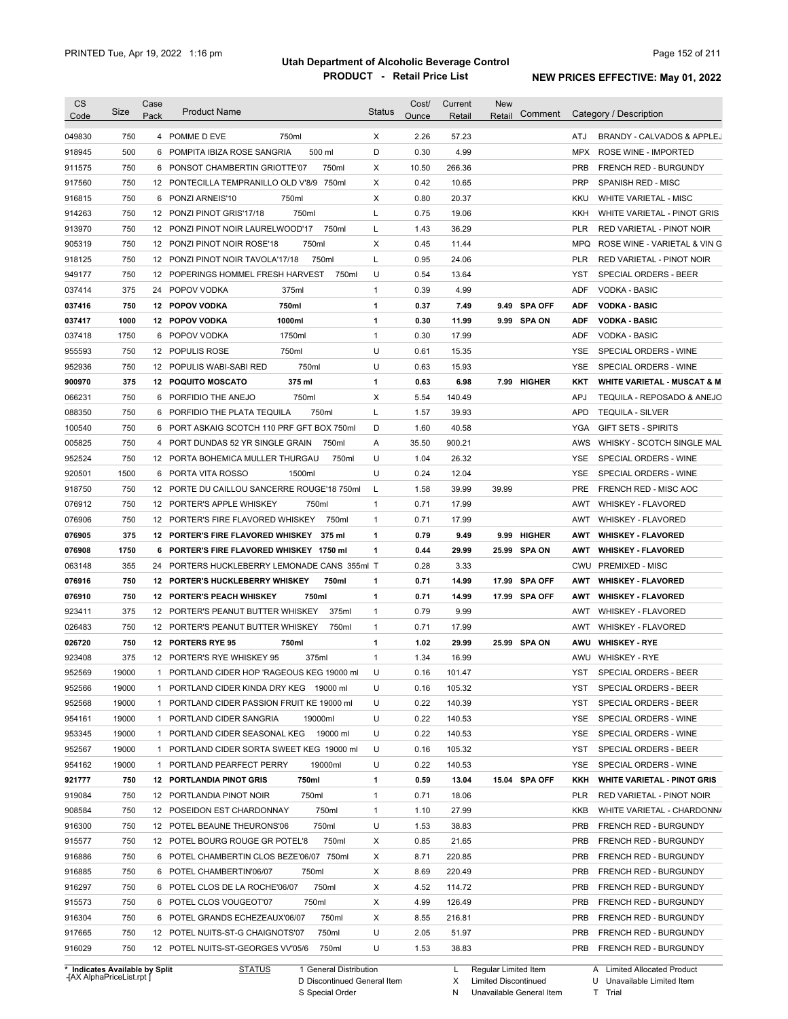| 750<br>4 POMME D EVE<br>750ml<br>X<br>2.26<br>57.23<br>049830<br>ATJ<br>500 ml<br>D<br>4.99<br>500<br>6 POMPITA IBIZA ROSE SANGRIA<br>0.30<br>918945<br>MPX<br>ROSE WINE - IMPORTED<br>750<br>6 PONSOT CHAMBERTIN GRIOTTE'07<br>750ml<br>Χ<br>10.50<br>266.36<br>911575<br><b>PRB</b><br>FRENCH RED - BURGUNDY<br>750<br>Χ<br>0.42<br>10.65<br>917560<br>12 PONTECILLA TEMPRANILLO OLD V'8/9 750ml<br><b>PRP</b><br>SPANISH RED - MISC<br>750<br>6 PONZI ARNEIS'10<br>750ml<br>Χ<br>0.80<br>20.37<br>916815<br>KKU<br>WHITE VARIETAL - MISC<br>914263<br>750<br>750ml<br>L<br>0.75<br>19.06<br>12 PONZI PINOT GRIS'17/18<br>KKH<br>750<br>750ml<br>1.43<br>36.29<br>913970<br>12 PONZI PINOT NOIR LAURELWOOD'17<br>L<br>PLR<br>RED VARIETAL - PINOT NOIR<br>750<br>750ml<br>Χ<br>0.45<br>11.44<br>905319<br>12 PONZI PINOT NOIR ROSE'18<br>MPQ<br>750<br>750ml<br>L<br>0.95<br>24.06<br>918125<br>12 PONZI PINOT NOIR TAVOLA'17/18<br>PLR<br>RED VARIETAL - PINOT NOIR<br>750<br>12 POPERINGS HOMMEL FRESH HARVEST<br>750ml<br>U<br>0.54<br>13.64<br>SPECIAL ORDERS - BEER<br>949177<br>YST<br>375<br>375ml<br>0.39<br>4.99<br>037414<br>24 POPOV VODKA<br>1<br><b>ADF</b><br><b>VODKA - BASIC</b><br>750<br>12 POPOV VODKA<br>750ml<br>$\mathbf{1}$<br>0.37<br><b>SPA OFF</b><br><b>VODKA - BASIC</b><br>037416<br>7.49<br>9.49<br><b>ADF</b><br>1000<br>1<br>0.30<br>037417<br>12 POPOV VODKA<br>1000ml<br>11.99<br>9.99 SPA ON<br><b>ADF</b><br><b>VODKA - BASIC</b><br>1750<br>1750ml<br>0.30<br>17.99<br>037418<br>6 POPOV VODKA<br>$\mathbf{1}$<br><b>ADF</b><br><b>VODKA - BASIC</b><br>U<br>955593<br>750<br>750ml<br>0.61<br>15.35<br>12 POPULIS ROSE<br>YSE<br>SPECIAL ORDERS - WINE<br>U<br>750<br>12 POPULIS WABI-SABI RED<br>750ml<br>0.63<br>15.93<br>952936<br>YSE<br>SPECIAL ORDERS - WINE<br>375<br>375 ml<br>$\mathbf{1}$<br>0.63<br>6.98<br>7.99 HIGHER<br>900970<br><b>12 POQUITO MOSCATO</b><br><b>WHITE VARIETAL - MUSCAT &amp; M</b><br>KKT<br>066231<br>750<br>750ml<br>Х<br>5.54<br>140.49<br>TEQUILA - REPOSADO & ANEJO<br>6<br>PORFIDIO THE ANEJO<br><b>APJ</b><br>088350<br>750<br>750ml<br>L<br>1.57<br>39.93<br>6<br>PORFIDIO THE PLATA TEQUILA<br><b>APD</b><br><b>TEQUILA - SILVER</b><br>750<br>D<br>1.60<br>40.58<br>100540<br>6<br>PORT ASKAIG SCOTCH 110 PRF GFT BOX 750ml<br>YGA<br><b>GIFT SETS - SPIRITS</b><br>005825<br>750<br>Α<br>35.50<br>900.21<br>WHISKY - SCOTCH SINGLE MAL<br>4 PORT DUNDAS 52 YR SINGLE GRAIN<br>750ml<br>AWS<br>952524<br>750<br>U<br>1.04<br>26.32<br>12 PORTA BOHEMICA MULLER THURGAU<br>750ml<br>YSE<br>SPECIAL ORDERS - WINE<br>920501<br>1500<br>1500ml<br>U<br>0.24<br>12.04<br>6<br>PORTA VITA ROSSO<br>YSE<br>SPECIAL ORDERS - WINE<br>750<br>12 PORTE DU CAILLOU SANCERRE ROUGE'18 750ml<br>1.58<br>39.99<br>39.99<br>918750<br>L<br>PRE<br>FRENCH RED - MISC AOC<br>076912<br>750<br>750ml<br>0.71<br>17.99<br>12 PORTER'S APPLE WHISKEY<br>$\mathbf{1}$<br>AWT<br><b>WHISKEY - FLAVORED</b><br>076906<br>750<br>12 PORTER'S FIRE FLAVORED WHISKEY<br>750ml<br>1<br>0.71<br>17.99<br>AWT<br><b>WHISKEY - FLAVORED</b><br>076905<br>375<br>0.79<br><b>HIGHER</b><br>12 PORTER'S FIRE FLAVORED WHISKEY<br>375 ml<br>1<br>9.49<br>9.99<br>AWT<br><b>WHISKEY - FLAVORED</b><br>0.44<br>29.99<br>076908<br>1750<br>6 PORTER'S FIRE FLAVORED WHISKEY 1750 ml<br>1<br>25.99<br><b>SPA ON</b><br><b>WHISKEY - FLAVORED</b><br>AWT<br>063148<br>355<br>24 PORTERS HUCKLEBERRY LEMONADE CANS 355ml T<br>0.28<br>3.33<br>CWU<br><b>PREMIXED - MISC</b><br>076916<br>750<br>12 PORTER'S HUCKLEBERRY WHISKEY<br>750ml<br>1<br>0.71<br>14.99<br>17.99<br><b>SPA OFF</b><br><b>WHISKEY - FLAVORED</b><br>AWT<br>076910<br>750<br>12 PORTER'S PEACH WHISKEY<br>750ml<br>1<br>0.71<br>14.99<br>17.99 SPA OFF<br><b>WHISKEY - FLAVORED</b><br>AWT<br>9.99<br>923411<br>375<br>12 PORTER'S PEANUT BUTTER WHISKEY<br>375ml<br>0.79<br>1<br><b>WHISKEY - FLAVORED</b><br>AWT<br>026483<br>750<br>0.71<br>17.99<br>12 PORTER'S PEANUT BUTTER WHISKEY<br>750ml<br>1<br>AWT<br><b>WHISKEY - FLAVORED</b><br>026720<br>750<br>12 PORTERS RYE 95<br>750ml<br>1.02<br>29.99<br>25.99 SPA ON<br><b>WHISKEY - RYE</b><br>1<br>AWU<br>923408<br>375<br>12 PORTER'S RYE WHISKEY 95<br>375ml<br>1.34<br>16.99<br>AWU WHISKEY - RYE<br>1<br>952569<br>19000<br>PORTLAND CIDER HOP 'RAGEOUS KEG 19000 ml<br>YST<br>SPECIAL ORDERS - BEER<br>U<br>0.16<br>101.47<br>1<br>952566<br>19000<br>U<br>105.32<br>1 PORTLAND CIDER KINDA DRY KEG 19000 ml<br>0.16<br>YST<br>SPECIAL ORDERS - BEER<br>952568<br>19000<br>U<br>0.22<br>140.39<br>SPECIAL ORDERS - BEER<br>1 PORTLAND CIDER PASSION FRUIT KE 19000 ml<br>YST<br>954161<br>19000<br>U<br>0.22<br>140.53<br>SPECIAL ORDERS - WINE<br>1 PORTLAND CIDER SANGRIA<br>19000ml<br>YSE<br>953345<br>19000<br>1 PORTLAND CIDER SEASONAL KEG 19000 ml<br>U<br>0.22<br>140.53<br>SPECIAL ORDERS - WINE<br>YSE<br>105.32<br>952567<br>19000<br>1 PORTLAND CIDER SORTA SWEET KEG 19000 ml<br>U<br>0.16<br>YST<br>SPECIAL ORDERS - BEER<br>U<br>140.53<br>954162<br>19000<br>1 PORTLAND PEARFECT PERRY<br>19000ml<br>0.22<br>YSE<br>SPECIAL ORDERS - WINE<br>921777<br>750ml<br>13.04<br>15.04 SPA OFF<br>750<br><b>12 PORTLANDIA PINOT GRIS</b><br>$\mathbf{1}$<br>0.59<br>KKH<br><b>WHITE VARIETAL - PINOT GRIS</b><br>919084<br>750ml<br>18.06<br>750<br>12 PORTLANDIA PINOT NOIR<br>$\mathbf{1}$<br>0.71<br>PLR<br>RED VARIETAL - PINOT NOIR<br>27.99<br>750<br>750ml<br>908584<br>12 POSEIDON EST CHARDONNAY<br>$\mathbf{1}$<br>1.10<br>KKB<br>WHITE VARIETAL - CHARDONNA<br>916300<br>750<br>750ml<br>U<br>38.83<br>12 POTEL BEAUNE THEURONS'06<br>1.53<br><b>PRB</b><br>FRENCH RED - BURGUNDY<br>750<br>12 POTEL BOURG ROUGE GR POTEL'8<br>750ml<br>21.65<br><b>PRB</b><br>915577<br>Х<br>0.85<br>FRENCH RED - BURGUNDY<br>750<br>6 POTEL CHAMBERTIN CLOS BEZE'06/07 750ml<br>Χ<br>220.85<br>916886<br>8.71<br><b>PRB</b><br>FRENCH RED - BURGUNDY<br>916885<br>750<br>Χ<br>220.49<br>6 POTEL CHAMBERTIN'06/07<br>750ml<br>8.69<br><b>PRB</b><br>FRENCH RED - BURGUNDY<br>916297<br>750<br>750ml<br>Χ<br>114.72<br><b>PRB</b><br>6 POTEL CLOS DE LA ROCHE'06/07<br>4.52<br>FRENCH RED - BURGUNDY<br>750<br>750ml<br>Χ<br>126.49<br>915573<br>6 POTEL CLOS VOUGEOT'07<br>4.99<br><b>PRB</b><br>FRENCH RED - BURGUNDY<br>Χ<br>916304<br>750<br>6 POTEL GRANDS ECHEZEAUX'06/07<br>750ml<br>8.55<br>216.81<br><b>PRB</b><br>FRENCH RED - BURGUNDY<br>U<br>51.97<br>917665<br>750<br>12 POTEL NUITS-ST-G CHAIGNOTS'07<br>750ml<br>2.05<br><b>PRB</b><br>FRENCH RED - BURGUNDY<br>U<br>916029<br>750<br>12 POTEL NUITS-ST-GEORGES VV'05/6<br>750ml<br>1.53<br>38.83<br><b>PRB</b><br>FRENCH RED - BURGUNDY | <b>CS</b><br>Code | Size | Case<br>Pack | <b>Product Name</b> | Status | Cost/<br>Ounce | Current<br>Retail | New<br>Retail | Comment | Category / Description       |
|---------------------------------------------------------------------------------------------------------------------------------------------------------------------------------------------------------------------------------------------------------------------------------------------------------------------------------------------------------------------------------------------------------------------------------------------------------------------------------------------------------------------------------------------------------------------------------------------------------------------------------------------------------------------------------------------------------------------------------------------------------------------------------------------------------------------------------------------------------------------------------------------------------------------------------------------------------------------------------------------------------------------------------------------------------------------------------------------------------------------------------------------------------------------------------------------------------------------------------------------------------------------------------------------------------------------------------------------------------------------------------------------------------------------------------------------------------------------------------------------------------------------------------------------------------------------------------------------------------------------------------------------------------------------------------------------------------------------------------------------------------------------------------------------------------------------------------------------------------------------------------------------------------------------------------------------------------------------------------------------------------------------------------------------------------------------------------------------------------------------------------------------------------------------------------------------------------------------------------------------------------------------------------------------------------------------------------------------------------------------------------------------------------------------------------------------------------------------------------------------------------------------------------------------------------------------------------------------------------------------------------------------------------------------------------------------------------------------------------------------------------------------------------------------------------------------------------------------------------------------------------------------------------------------------------------------------------------------------------------------------------------------------------------------------------------------------------------------------------------------------------------------------------------------------------------------------------------------------------------------------------------------------------------------------------------------------------------------------------------------------------------------------------------------------------------------------------------------------------------------------------------------------------------------------------------------------------------------------------------------------------------------------------------------------------------------------------------------------------------------------------------------------------------------------------------------------------------------------------------------------------------------------------------------------------------------------------------------------------------------------------------------------------------------------------------------------------------------------------------------------------------------------------------------------------------------------------------------------------------------------------------------------------------------------------------------------------------------------------------------------------------------------------------------------------------------------------------------------------------------------------------------------------------------------------------------------------------------------------------------------------------------------------------------------------------------------------------------------------------------------------------------------------------------------------------------------------------------------------------------------------------------------------------------------------------------------------------------------------------------------------------------------------------------------------------------------------------------------------------------------------------------------------------------------------------------------------------------------------------------------------------------------------------------------------------------------------------------------------------------------------------------------------------------------------------------------------------------------------------------------------------------------------------------------------------------------------------------------------------------------------------------------------------------------------------------------------------------------------------------------------------------------------------------------------------------------------------------------------------------------------------------------------------------------------------------------------------------------------------------------------------------------------------------------------------------------------------------------------------------------------------------------------------------------------------------------------------------------------------------------------------------------------------------------------------------------------------------------------------------------------------------------------------------------------------------------------------------------------------------------------------------------------------------------------------------------------------------------------------------------------------------------------------------------------------------|-------------------|------|--------------|---------------------|--------|----------------|-------------------|---------------|---------|------------------------------|
|                                                                                                                                                                                                                                                                                                                                                                                                                                                                                                                                                                                                                                                                                                                                                                                                                                                                                                                                                                                                                                                                                                                                                                                                                                                                                                                                                                                                                                                                                                                                                                                                                                                                                                                                                                                                                                                                                                                                                                                                                                                                                                                                                                                                                                                                                                                                                                                                                                                                                                                                                                                                                                                                                                                                                                                                                                                                                                                                                                                                                                                                                                                                                                                                                                                                                                                                                                                                                                                                                                                                                                                                                                                                                                                                                                                                                                                                                                                                                                                                                                                                                                                                                                                                                                                                                                                                                                                                                                                                                                                                                                                                                                                                                                                                                                                                                                                                                                                                                                                                                                                                                                                                                                                                                                                                                                                                                                                                                                                                                                                                                                                                                                                                                                                                                                                                                                                                                                                                                                                                                                                                                                                                                                                                                                                                                                                                                                                                                                                                                                                                                                                                                                                                                             |                   |      |              |                     |        |                |                   |               |         | BRANDY - CALVADOS & APPLEJ   |
|                                                                                                                                                                                                                                                                                                                                                                                                                                                                                                                                                                                                                                                                                                                                                                                                                                                                                                                                                                                                                                                                                                                                                                                                                                                                                                                                                                                                                                                                                                                                                                                                                                                                                                                                                                                                                                                                                                                                                                                                                                                                                                                                                                                                                                                                                                                                                                                                                                                                                                                                                                                                                                                                                                                                                                                                                                                                                                                                                                                                                                                                                                                                                                                                                                                                                                                                                                                                                                                                                                                                                                                                                                                                                                                                                                                                                                                                                                                                                                                                                                                                                                                                                                                                                                                                                                                                                                                                                                                                                                                                                                                                                                                                                                                                                                                                                                                                                                                                                                                                                                                                                                                                                                                                                                                                                                                                                                                                                                                                                                                                                                                                                                                                                                                                                                                                                                                                                                                                                                                                                                                                                                                                                                                                                                                                                                                                                                                                                                                                                                                                                                                                                                                                                             |                   |      |              |                     |        |                |                   |               |         |                              |
|                                                                                                                                                                                                                                                                                                                                                                                                                                                                                                                                                                                                                                                                                                                                                                                                                                                                                                                                                                                                                                                                                                                                                                                                                                                                                                                                                                                                                                                                                                                                                                                                                                                                                                                                                                                                                                                                                                                                                                                                                                                                                                                                                                                                                                                                                                                                                                                                                                                                                                                                                                                                                                                                                                                                                                                                                                                                                                                                                                                                                                                                                                                                                                                                                                                                                                                                                                                                                                                                                                                                                                                                                                                                                                                                                                                                                                                                                                                                                                                                                                                                                                                                                                                                                                                                                                                                                                                                                                                                                                                                                                                                                                                                                                                                                                                                                                                                                                                                                                                                                                                                                                                                                                                                                                                                                                                                                                                                                                                                                                                                                                                                                                                                                                                                                                                                                                                                                                                                                                                                                                                                                                                                                                                                                                                                                                                                                                                                                                                                                                                                                                                                                                                                                             |                   |      |              |                     |        |                |                   |               |         |                              |
|                                                                                                                                                                                                                                                                                                                                                                                                                                                                                                                                                                                                                                                                                                                                                                                                                                                                                                                                                                                                                                                                                                                                                                                                                                                                                                                                                                                                                                                                                                                                                                                                                                                                                                                                                                                                                                                                                                                                                                                                                                                                                                                                                                                                                                                                                                                                                                                                                                                                                                                                                                                                                                                                                                                                                                                                                                                                                                                                                                                                                                                                                                                                                                                                                                                                                                                                                                                                                                                                                                                                                                                                                                                                                                                                                                                                                                                                                                                                                                                                                                                                                                                                                                                                                                                                                                                                                                                                                                                                                                                                                                                                                                                                                                                                                                                                                                                                                                                                                                                                                                                                                                                                                                                                                                                                                                                                                                                                                                                                                                                                                                                                                                                                                                                                                                                                                                                                                                                                                                                                                                                                                                                                                                                                                                                                                                                                                                                                                                                                                                                                                                                                                                                                                             |                   |      |              |                     |        |                |                   |               |         |                              |
|                                                                                                                                                                                                                                                                                                                                                                                                                                                                                                                                                                                                                                                                                                                                                                                                                                                                                                                                                                                                                                                                                                                                                                                                                                                                                                                                                                                                                                                                                                                                                                                                                                                                                                                                                                                                                                                                                                                                                                                                                                                                                                                                                                                                                                                                                                                                                                                                                                                                                                                                                                                                                                                                                                                                                                                                                                                                                                                                                                                                                                                                                                                                                                                                                                                                                                                                                                                                                                                                                                                                                                                                                                                                                                                                                                                                                                                                                                                                                                                                                                                                                                                                                                                                                                                                                                                                                                                                                                                                                                                                                                                                                                                                                                                                                                                                                                                                                                                                                                                                                                                                                                                                                                                                                                                                                                                                                                                                                                                                                                                                                                                                                                                                                                                                                                                                                                                                                                                                                                                                                                                                                                                                                                                                                                                                                                                                                                                                                                                                                                                                                                                                                                                                                             |                   |      |              |                     |        |                |                   |               |         |                              |
|                                                                                                                                                                                                                                                                                                                                                                                                                                                                                                                                                                                                                                                                                                                                                                                                                                                                                                                                                                                                                                                                                                                                                                                                                                                                                                                                                                                                                                                                                                                                                                                                                                                                                                                                                                                                                                                                                                                                                                                                                                                                                                                                                                                                                                                                                                                                                                                                                                                                                                                                                                                                                                                                                                                                                                                                                                                                                                                                                                                                                                                                                                                                                                                                                                                                                                                                                                                                                                                                                                                                                                                                                                                                                                                                                                                                                                                                                                                                                                                                                                                                                                                                                                                                                                                                                                                                                                                                                                                                                                                                                                                                                                                                                                                                                                                                                                                                                                                                                                                                                                                                                                                                                                                                                                                                                                                                                                                                                                                                                                                                                                                                                                                                                                                                                                                                                                                                                                                                                                                                                                                                                                                                                                                                                                                                                                                                                                                                                                                                                                                                                                                                                                                                                             |                   |      |              |                     |        |                |                   |               |         | WHITE VARIETAL - PINOT GRIS  |
|                                                                                                                                                                                                                                                                                                                                                                                                                                                                                                                                                                                                                                                                                                                                                                                                                                                                                                                                                                                                                                                                                                                                                                                                                                                                                                                                                                                                                                                                                                                                                                                                                                                                                                                                                                                                                                                                                                                                                                                                                                                                                                                                                                                                                                                                                                                                                                                                                                                                                                                                                                                                                                                                                                                                                                                                                                                                                                                                                                                                                                                                                                                                                                                                                                                                                                                                                                                                                                                                                                                                                                                                                                                                                                                                                                                                                                                                                                                                                                                                                                                                                                                                                                                                                                                                                                                                                                                                                                                                                                                                                                                                                                                                                                                                                                                                                                                                                                                                                                                                                                                                                                                                                                                                                                                                                                                                                                                                                                                                                                                                                                                                                                                                                                                                                                                                                                                                                                                                                                                                                                                                                                                                                                                                                                                                                                                                                                                                                                                                                                                                                                                                                                                                                             |                   |      |              |                     |        |                |                   |               |         |                              |
|                                                                                                                                                                                                                                                                                                                                                                                                                                                                                                                                                                                                                                                                                                                                                                                                                                                                                                                                                                                                                                                                                                                                                                                                                                                                                                                                                                                                                                                                                                                                                                                                                                                                                                                                                                                                                                                                                                                                                                                                                                                                                                                                                                                                                                                                                                                                                                                                                                                                                                                                                                                                                                                                                                                                                                                                                                                                                                                                                                                                                                                                                                                                                                                                                                                                                                                                                                                                                                                                                                                                                                                                                                                                                                                                                                                                                                                                                                                                                                                                                                                                                                                                                                                                                                                                                                                                                                                                                                                                                                                                                                                                                                                                                                                                                                                                                                                                                                                                                                                                                                                                                                                                                                                                                                                                                                                                                                                                                                                                                                                                                                                                                                                                                                                                                                                                                                                                                                                                                                                                                                                                                                                                                                                                                                                                                                                                                                                                                                                                                                                                                                                                                                                                                             |                   |      |              |                     |        |                |                   |               |         | ROSE WINE - VARIETAL & VIN G |
|                                                                                                                                                                                                                                                                                                                                                                                                                                                                                                                                                                                                                                                                                                                                                                                                                                                                                                                                                                                                                                                                                                                                                                                                                                                                                                                                                                                                                                                                                                                                                                                                                                                                                                                                                                                                                                                                                                                                                                                                                                                                                                                                                                                                                                                                                                                                                                                                                                                                                                                                                                                                                                                                                                                                                                                                                                                                                                                                                                                                                                                                                                                                                                                                                                                                                                                                                                                                                                                                                                                                                                                                                                                                                                                                                                                                                                                                                                                                                                                                                                                                                                                                                                                                                                                                                                                                                                                                                                                                                                                                                                                                                                                                                                                                                                                                                                                                                                                                                                                                                                                                                                                                                                                                                                                                                                                                                                                                                                                                                                                                                                                                                                                                                                                                                                                                                                                                                                                                                                                                                                                                                                                                                                                                                                                                                                                                                                                                                                                                                                                                                                                                                                                                                             |                   |      |              |                     |        |                |                   |               |         |                              |
|                                                                                                                                                                                                                                                                                                                                                                                                                                                                                                                                                                                                                                                                                                                                                                                                                                                                                                                                                                                                                                                                                                                                                                                                                                                                                                                                                                                                                                                                                                                                                                                                                                                                                                                                                                                                                                                                                                                                                                                                                                                                                                                                                                                                                                                                                                                                                                                                                                                                                                                                                                                                                                                                                                                                                                                                                                                                                                                                                                                                                                                                                                                                                                                                                                                                                                                                                                                                                                                                                                                                                                                                                                                                                                                                                                                                                                                                                                                                                                                                                                                                                                                                                                                                                                                                                                                                                                                                                                                                                                                                                                                                                                                                                                                                                                                                                                                                                                                                                                                                                                                                                                                                                                                                                                                                                                                                                                                                                                                                                                                                                                                                                                                                                                                                                                                                                                                                                                                                                                                                                                                                                                                                                                                                                                                                                                                                                                                                                                                                                                                                                                                                                                                                                             |                   |      |              |                     |        |                |                   |               |         |                              |
|                                                                                                                                                                                                                                                                                                                                                                                                                                                                                                                                                                                                                                                                                                                                                                                                                                                                                                                                                                                                                                                                                                                                                                                                                                                                                                                                                                                                                                                                                                                                                                                                                                                                                                                                                                                                                                                                                                                                                                                                                                                                                                                                                                                                                                                                                                                                                                                                                                                                                                                                                                                                                                                                                                                                                                                                                                                                                                                                                                                                                                                                                                                                                                                                                                                                                                                                                                                                                                                                                                                                                                                                                                                                                                                                                                                                                                                                                                                                                                                                                                                                                                                                                                                                                                                                                                                                                                                                                                                                                                                                                                                                                                                                                                                                                                                                                                                                                                                                                                                                                                                                                                                                                                                                                                                                                                                                                                                                                                                                                                                                                                                                                                                                                                                                                                                                                                                                                                                                                                                                                                                                                                                                                                                                                                                                                                                                                                                                                                                                                                                                                                                                                                                                                             |                   |      |              |                     |        |                |                   |               |         |                              |
|                                                                                                                                                                                                                                                                                                                                                                                                                                                                                                                                                                                                                                                                                                                                                                                                                                                                                                                                                                                                                                                                                                                                                                                                                                                                                                                                                                                                                                                                                                                                                                                                                                                                                                                                                                                                                                                                                                                                                                                                                                                                                                                                                                                                                                                                                                                                                                                                                                                                                                                                                                                                                                                                                                                                                                                                                                                                                                                                                                                                                                                                                                                                                                                                                                                                                                                                                                                                                                                                                                                                                                                                                                                                                                                                                                                                                                                                                                                                                                                                                                                                                                                                                                                                                                                                                                                                                                                                                                                                                                                                                                                                                                                                                                                                                                                                                                                                                                                                                                                                                                                                                                                                                                                                                                                                                                                                                                                                                                                                                                                                                                                                                                                                                                                                                                                                                                                                                                                                                                                                                                                                                                                                                                                                                                                                                                                                                                                                                                                                                                                                                                                                                                                                                             |                   |      |              |                     |        |                |                   |               |         |                              |
|                                                                                                                                                                                                                                                                                                                                                                                                                                                                                                                                                                                                                                                                                                                                                                                                                                                                                                                                                                                                                                                                                                                                                                                                                                                                                                                                                                                                                                                                                                                                                                                                                                                                                                                                                                                                                                                                                                                                                                                                                                                                                                                                                                                                                                                                                                                                                                                                                                                                                                                                                                                                                                                                                                                                                                                                                                                                                                                                                                                                                                                                                                                                                                                                                                                                                                                                                                                                                                                                                                                                                                                                                                                                                                                                                                                                                                                                                                                                                                                                                                                                                                                                                                                                                                                                                                                                                                                                                                                                                                                                                                                                                                                                                                                                                                                                                                                                                                                                                                                                                                                                                                                                                                                                                                                                                                                                                                                                                                                                                                                                                                                                                                                                                                                                                                                                                                                                                                                                                                                                                                                                                                                                                                                                                                                                                                                                                                                                                                                                                                                                                                                                                                                                                             |                   |      |              |                     |        |                |                   |               |         |                              |
|                                                                                                                                                                                                                                                                                                                                                                                                                                                                                                                                                                                                                                                                                                                                                                                                                                                                                                                                                                                                                                                                                                                                                                                                                                                                                                                                                                                                                                                                                                                                                                                                                                                                                                                                                                                                                                                                                                                                                                                                                                                                                                                                                                                                                                                                                                                                                                                                                                                                                                                                                                                                                                                                                                                                                                                                                                                                                                                                                                                                                                                                                                                                                                                                                                                                                                                                                                                                                                                                                                                                                                                                                                                                                                                                                                                                                                                                                                                                                                                                                                                                                                                                                                                                                                                                                                                                                                                                                                                                                                                                                                                                                                                                                                                                                                                                                                                                                                                                                                                                                                                                                                                                                                                                                                                                                                                                                                                                                                                                                                                                                                                                                                                                                                                                                                                                                                                                                                                                                                                                                                                                                                                                                                                                                                                                                                                                                                                                                                                                                                                                                                                                                                                                                             |                   |      |              |                     |        |                |                   |               |         |                              |
|                                                                                                                                                                                                                                                                                                                                                                                                                                                                                                                                                                                                                                                                                                                                                                                                                                                                                                                                                                                                                                                                                                                                                                                                                                                                                                                                                                                                                                                                                                                                                                                                                                                                                                                                                                                                                                                                                                                                                                                                                                                                                                                                                                                                                                                                                                                                                                                                                                                                                                                                                                                                                                                                                                                                                                                                                                                                                                                                                                                                                                                                                                                                                                                                                                                                                                                                                                                                                                                                                                                                                                                                                                                                                                                                                                                                                                                                                                                                                                                                                                                                                                                                                                                                                                                                                                                                                                                                                                                                                                                                                                                                                                                                                                                                                                                                                                                                                                                                                                                                                                                                                                                                                                                                                                                                                                                                                                                                                                                                                                                                                                                                                                                                                                                                                                                                                                                                                                                                                                                                                                                                                                                                                                                                                                                                                                                                                                                                                                                                                                                                                                                                                                                                                             |                   |      |              |                     |        |                |                   |               |         |                              |
|                                                                                                                                                                                                                                                                                                                                                                                                                                                                                                                                                                                                                                                                                                                                                                                                                                                                                                                                                                                                                                                                                                                                                                                                                                                                                                                                                                                                                                                                                                                                                                                                                                                                                                                                                                                                                                                                                                                                                                                                                                                                                                                                                                                                                                                                                                                                                                                                                                                                                                                                                                                                                                                                                                                                                                                                                                                                                                                                                                                                                                                                                                                                                                                                                                                                                                                                                                                                                                                                                                                                                                                                                                                                                                                                                                                                                                                                                                                                                                                                                                                                                                                                                                                                                                                                                                                                                                                                                                                                                                                                                                                                                                                                                                                                                                                                                                                                                                                                                                                                                                                                                                                                                                                                                                                                                                                                                                                                                                                                                                                                                                                                                                                                                                                                                                                                                                                                                                                                                                                                                                                                                                                                                                                                                                                                                                                                                                                                                                                                                                                                                                                                                                                                                             |                   |      |              |                     |        |                |                   |               |         |                              |
|                                                                                                                                                                                                                                                                                                                                                                                                                                                                                                                                                                                                                                                                                                                                                                                                                                                                                                                                                                                                                                                                                                                                                                                                                                                                                                                                                                                                                                                                                                                                                                                                                                                                                                                                                                                                                                                                                                                                                                                                                                                                                                                                                                                                                                                                                                                                                                                                                                                                                                                                                                                                                                                                                                                                                                                                                                                                                                                                                                                                                                                                                                                                                                                                                                                                                                                                                                                                                                                                                                                                                                                                                                                                                                                                                                                                                                                                                                                                                                                                                                                                                                                                                                                                                                                                                                                                                                                                                                                                                                                                                                                                                                                                                                                                                                                                                                                                                                                                                                                                                                                                                                                                                                                                                                                                                                                                                                                                                                                                                                                                                                                                                                                                                                                                                                                                                                                                                                                                                                                                                                                                                                                                                                                                                                                                                                                                                                                                                                                                                                                                                                                                                                                                                             |                   |      |              |                     |        |                |                   |               |         |                              |
|                                                                                                                                                                                                                                                                                                                                                                                                                                                                                                                                                                                                                                                                                                                                                                                                                                                                                                                                                                                                                                                                                                                                                                                                                                                                                                                                                                                                                                                                                                                                                                                                                                                                                                                                                                                                                                                                                                                                                                                                                                                                                                                                                                                                                                                                                                                                                                                                                                                                                                                                                                                                                                                                                                                                                                                                                                                                                                                                                                                                                                                                                                                                                                                                                                                                                                                                                                                                                                                                                                                                                                                                                                                                                                                                                                                                                                                                                                                                                                                                                                                                                                                                                                                                                                                                                                                                                                                                                                                                                                                                                                                                                                                                                                                                                                                                                                                                                                                                                                                                                                                                                                                                                                                                                                                                                                                                                                                                                                                                                                                                                                                                                                                                                                                                                                                                                                                                                                                                                                                                                                                                                                                                                                                                                                                                                                                                                                                                                                                                                                                                                                                                                                                                                             |                   |      |              |                     |        |                |                   |               |         |                              |
|                                                                                                                                                                                                                                                                                                                                                                                                                                                                                                                                                                                                                                                                                                                                                                                                                                                                                                                                                                                                                                                                                                                                                                                                                                                                                                                                                                                                                                                                                                                                                                                                                                                                                                                                                                                                                                                                                                                                                                                                                                                                                                                                                                                                                                                                                                                                                                                                                                                                                                                                                                                                                                                                                                                                                                                                                                                                                                                                                                                                                                                                                                                                                                                                                                                                                                                                                                                                                                                                                                                                                                                                                                                                                                                                                                                                                                                                                                                                                                                                                                                                                                                                                                                                                                                                                                                                                                                                                                                                                                                                                                                                                                                                                                                                                                                                                                                                                                                                                                                                                                                                                                                                                                                                                                                                                                                                                                                                                                                                                                                                                                                                                                                                                                                                                                                                                                                                                                                                                                                                                                                                                                                                                                                                                                                                                                                                                                                                                                                                                                                                                                                                                                                                                             |                   |      |              |                     |        |                |                   |               |         |                              |
|                                                                                                                                                                                                                                                                                                                                                                                                                                                                                                                                                                                                                                                                                                                                                                                                                                                                                                                                                                                                                                                                                                                                                                                                                                                                                                                                                                                                                                                                                                                                                                                                                                                                                                                                                                                                                                                                                                                                                                                                                                                                                                                                                                                                                                                                                                                                                                                                                                                                                                                                                                                                                                                                                                                                                                                                                                                                                                                                                                                                                                                                                                                                                                                                                                                                                                                                                                                                                                                                                                                                                                                                                                                                                                                                                                                                                                                                                                                                                                                                                                                                                                                                                                                                                                                                                                                                                                                                                                                                                                                                                                                                                                                                                                                                                                                                                                                                                                                                                                                                                                                                                                                                                                                                                                                                                                                                                                                                                                                                                                                                                                                                                                                                                                                                                                                                                                                                                                                                                                                                                                                                                                                                                                                                                                                                                                                                                                                                                                                                                                                                                                                                                                                                                             |                   |      |              |                     |        |                |                   |               |         |                              |
|                                                                                                                                                                                                                                                                                                                                                                                                                                                                                                                                                                                                                                                                                                                                                                                                                                                                                                                                                                                                                                                                                                                                                                                                                                                                                                                                                                                                                                                                                                                                                                                                                                                                                                                                                                                                                                                                                                                                                                                                                                                                                                                                                                                                                                                                                                                                                                                                                                                                                                                                                                                                                                                                                                                                                                                                                                                                                                                                                                                                                                                                                                                                                                                                                                                                                                                                                                                                                                                                                                                                                                                                                                                                                                                                                                                                                                                                                                                                                                                                                                                                                                                                                                                                                                                                                                                                                                                                                                                                                                                                                                                                                                                                                                                                                                                                                                                                                                                                                                                                                                                                                                                                                                                                                                                                                                                                                                                                                                                                                                                                                                                                                                                                                                                                                                                                                                                                                                                                                                                                                                                                                                                                                                                                                                                                                                                                                                                                                                                                                                                                                                                                                                                                                             |                   |      |              |                     |        |                |                   |               |         |                              |
|                                                                                                                                                                                                                                                                                                                                                                                                                                                                                                                                                                                                                                                                                                                                                                                                                                                                                                                                                                                                                                                                                                                                                                                                                                                                                                                                                                                                                                                                                                                                                                                                                                                                                                                                                                                                                                                                                                                                                                                                                                                                                                                                                                                                                                                                                                                                                                                                                                                                                                                                                                                                                                                                                                                                                                                                                                                                                                                                                                                                                                                                                                                                                                                                                                                                                                                                                                                                                                                                                                                                                                                                                                                                                                                                                                                                                                                                                                                                                                                                                                                                                                                                                                                                                                                                                                                                                                                                                                                                                                                                                                                                                                                                                                                                                                                                                                                                                                                                                                                                                                                                                                                                                                                                                                                                                                                                                                                                                                                                                                                                                                                                                                                                                                                                                                                                                                                                                                                                                                                                                                                                                                                                                                                                                                                                                                                                                                                                                                                                                                                                                                                                                                                                                             |                   |      |              |                     |        |                |                   |               |         |                              |
|                                                                                                                                                                                                                                                                                                                                                                                                                                                                                                                                                                                                                                                                                                                                                                                                                                                                                                                                                                                                                                                                                                                                                                                                                                                                                                                                                                                                                                                                                                                                                                                                                                                                                                                                                                                                                                                                                                                                                                                                                                                                                                                                                                                                                                                                                                                                                                                                                                                                                                                                                                                                                                                                                                                                                                                                                                                                                                                                                                                                                                                                                                                                                                                                                                                                                                                                                                                                                                                                                                                                                                                                                                                                                                                                                                                                                                                                                                                                                                                                                                                                                                                                                                                                                                                                                                                                                                                                                                                                                                                                                                                                                                                                                                                                                                                                                                                                                                                                                                                                                                                                                                                                                                                                                                                                                                                                                                                                                                                                                                                                                                                                                                                                                                                                                                                                                                                                                                                                                                                                                                                                                                                                                                                                                                                                                                                                                                                                                                                                                                                                                                                                                                                                                             |                   |      |              |                     |        |                |                   |               |         |                              |
|                                                                                                                                                                                                                                                                                                                                                                                                                                                                                                                                                                                                                                                                                                                                                                                                                                                                                                                                                                                                                                                                                                                                                                                                                                                                                                                                                                                                                                                                                                                                                                                                                                                                                                                                                                                                                                                                                                                                                                                                                                                                                                                                                                                                                                                                                                                                                                                                                                                                                                                                                                                                                                                                                                                                                                                                                                                                                                                                                                                                                                                                                                                                                                                                                                                                                                                                                                                                                                                                                                                                                                                                                                                                                                                                                                                                                                                                                                                                                                                                                                                                                                                                                                                                                                                                                                                                                                                                                                                                                                                                                                                                                                                                                                                                                                                                                                                                                                                                                                                                                                                                                                                                                                                                                                                                                                                                                                                                                                                                                                                                                                                                                                                                                                                                                                                                                                                                                                                                                                                                                                                                                                                                                                                                                                                                                                                                                                                                                                                                                                                                                                                                                                                                                             |                   |      |              |                     |        |                |                   |               |         |                              |
|                                                                                                                                                                                                                                                                                                                                                                                                                                                                                                                                                                                                                                                                                                                                                                                                                                                                                                                                                                                                                                                                                                                                                                                                                                                                                                                                                                                                                                                                                                                                                                                                                                                                                                                                                                                                                                                                                                                                                                                                                                                                                                                                                                                                                                                                                                                                                                                                                                                                                                                                                                                                                                                                                                                                                                                                                                                                                                                                                                                                                                                                                                                                                                                                                                                                                                                                                                                                                                                                                                                                                                                                                                                                                                                                                                                                                                                                                                                                                                                                                                                                                                                                                                                                                                                                                                                                                                                                                                                                                                                                                                                                                                                                                                                                                                                                                                                                                                                                                                                                                                                                                                                                                                                                                                                                                                                                                                                                                                                                                                                                                                                                                                                                                                                                                                                                                                                                                                                                                                                                                                                                                                                                                                                                                                                                                                                                                                                                                                                                                                                                                                                                                                                                                             |                   |      |              |                     |        |                |                   |               |         |                              |
|                                                                                                                                                                                                                                                                                                                                                                                                                                                                                                                                                                                                                                                                                                                                                                                                                                                                                                                                                                                                                                                                                                                                                                                                                                                                                                                                                                                                                                                                                                                                                                                                                                                                                                                                                                                                                                                                                                                                                                                                                                                                                                                                                                                                                                                                                                                                                                                                                                                                                                                                                                                                                                                                                                                                                                                                                                                                                                                                                                                                                                                                                                                                                                                                                                                                                                                                                                                                                                                                                                                                                                                                                                                                                                                                                                                                                                                                                                                                                                                                                                                                                                                                                                                                                                                                                                                                                                                                                                                                                                                                                                                                                                                                                                                                                                                                                                                                                                                                                                                                                                                                                                                                                                                                                                                                                                                                                                                                                                                                                                                                                                                                                                                                                                                                                                                                                                                                                                                                                                                                                                                                                                                                                                                                                                                                                                                                                                                                                                                                                                                                                                                                                                                                                             |                   |      |              |                     |        |                |                   |               |         |                              |
|                                                                                                                                                                                                                                                                                                                                                                                                                                                                                                                                                                                                                                                                                                                                                                                                                                                                                                                                                                                                                                                                                                                                                                                                                                                                                                                                                                                                                                                                                                                                                                                                                                                                                                                                                                                                                                                                                                                                                                                                                                                                                                                                                                                                                                                                                                                                                                                                                                                                                                                                                                                                                                                                                                                                                                                                                                                                                                                                                                                                                                                                                                                                                                                                                                                                                                                                                                                                                                                                                                                                                                                                                                                                                                                                                                                                                                                                                                                                                                                                                                                                                                                                                                                                                                                                                                                                                                                                                                                                                                                                                                                                                                                                                                                                                                                                                                                                                                                                                                                                                                                                                                                                                                                                                                                                                                                                                                                                                                                                                                                                                                                                                                                                                                                                                                                                                                                                                                                                                                                                                                                                                                                                                                                                                                                                                                                                                                                                                                                                                                                                                                                                                                                                                             |                   |      |              |                     |        |                |                   |               |         |                              |
|                                                                                                                                                                                                                                                                                                                                                                                                                                                                                                                                                                                                                                                                                                                                                                                                                                                                                                                                                                                                                                                                                                                                                                                                                                                                                                                                                                                                                                                                                                                                                                                                                                                                                                                                                                                                                                                                                                                                                                                                                                                                                                                                                                                                                                                                                                                                                                                                                                                                                                                                                                                                                                                                                                                                                                                                                                                                                                                                                                                                                                                                                                                                                                                                                                                                                                                                                                                                                                                                                                                                                                                                                                                                                                                                                                                                                                                                                                                                                                                                                                                                                                                                                                                                                                                                                                                                                                                                                                                                                                                                                                                                                                                                                                                                                                                                                                                                                                                                                                                                                                                                                                                                                                                                                                                                                                                                                                                                                                                                                                                                                                                                                                                                                                                                                                                                                                                                                                                                                                                                                                                                                                                                                                                                                                                                                                                                                                                                                                                                                                                                                                                                                                                                                             |                   |      |              |                     |        |                |                   |               |         |                              |
|                                                                                                                                                                                                                                                                                                                                                                                                                                                                                                                                                                                                                                                                                                                                                                                                                                                                                                                                                                                                                                                                                                                                                                                                                                                                                                                                                                                                                                                                                                                                                                                                                                                                                                                                                                                                                                                                                                                                                                                                                                                                                                                                                                                                                                                                                                                                                                                                                                                                                                                                                                                                                                                                                                                                                                                                                                                                                                                                                                                                                                                                                                                                                                                                                                                                                                                                                                                                                                                                                                                                                                                                                                                                                                                                                                                                                                                                                                                                                                                                                                                                                                                                                                                                                                                                                                                                                                                                                                                                                                                                                                                                                                                                                                                                                                                                                                                                                                                                                                                                                                                                                                                                                                                                                                                                                                                                                                                                                                                                                                                                                                                                                                                                                                                                                                                                                                                                                                                                                                                                                                                                                                                                                                                                                                                                                                                                                                                                                                                                                                                                                                                                                                                                                             |                   |      |              |                     |        |                |                   |               |         |                              |
|                                                                                                                                                                                                                                                                                                                                                                                                                                                                                                                                                                                                                                                                                                                                                                                                                                                                                                                                                                                                                                                                                                                                                                                                                                                                                                                                                                                                                                                                                                                                                                                                                                                                                                                                                                                                                                                                                                                                                                                                                                                                                                                                                                                                                                                                                                                                                                                                                                                                                                                                                                                                                                                                                                                                                                                                                                                                                                                                                                                                                                                                                                                                                                                                                                                                                                                                                                                                                                                                                                                                                                                                                                                                                                                                                                                                                                                                                                                                                                                                                                                                                                                                                                                                                                                                                                                                                                                                                                                                                                                                                                                                                                                                                                                                                                                                                                                                                                                                                                                                                                                                                                                                                                                                                                                                                                                                                                                                                                                                                                                                                                                                                                                                                                                                                                                                                                                                                                                                                                                                                                                                                                                                                                                                                                                                                                                                                                                                                                                                                                                                                                                                                                                                                             |                   |      |              |                     |        |                |                   |               |         |                              |
|                                                                                                                                                                                                                                                                                                                                                                                                                                                                                                                                                                                                                                                                                                                                                                                                                                                                                                                                                                                                                                                                                                                                                                                                                                                                                                                                                                                                                                                                                                                                                                                                                                                                                                                                                                                                                                                                                                                                                                                                                                                                                                                                                                                                                                                                                                                                                                                                                                                                                                                                                                                                                                                                                                                                                                                                                                                                                                                                                                                                                                                                                                                                                                                                                                                                                                                                                                                                                                                                                                                                                                                                                                                                                                                                                                                                                                                                                                                                                                                                                                                                                                                                                                                                                                                                                                                                                                                                                                                                                                                                                                                                                                                                                                                                                                                                                                                                                                                                                                                                                                                                                                                                                                                                                                                                                                                                                                                                                                                                                                                                                                                                                                                                                                                                                                                                                                                                                                                                                                                                                                                                                                                                                                                                                                                                                                                                                                                                                                                                                                                                                                                                                                                                                             |                   |      |              |                     |        |                |                   |               |         |                              |
|                                                                                                                                                                                                                                                                                                                                                                                                                                                                                                                                                                                                                                                                                                                                                                                                                                                                                                                                                                                                                                                                                                                                                                                                                                                                                                                                                                                                                                                                                                                                                                                                                                                                                                                                                                                                                                                                                                                                                                                                                                                                                                                                                                                                                                                                                                                                                                                                                                                                                                                                                                                                                                                                                                                                                                                                                                                                                                                                                                                                                                                                                                                                                                                                                                                                                                                                                                                                                                                                                                                                                                                                                                                                                                                                                                                                                                                                                                                                                                                                                                                                                                                                                                                                                                                                                                                                                                                                                                                                                                                                                                                                                                                                                                                                                                                                                                                                                                                                                                                                                                                                                                                                                                                                                                                                                                                                                                                                                                                                                                                                                                                                                                                                                                                                                                                                                                                                                                                                                                                                                                                                                                                                                                                                                                                                                                                                                                                                                                                                                                                                                                                                                                                                                             |                   |      |              |                     |        |                |                   |               |         |                              |
|                                                                                                                                                                                                                                                                                                                                                                                                                                                                                                                                                                                                                                                                                                                                                                                                                                                                                                                                                                                                                                                                                                                                                                                                                                                                                                                                                                                                                                                                                                                                                                                                                                                                                                                                                                                                                                                                                                                                                                                                                                                                                                                                                                                                                                                                                                                                                                                                                                                                                                                                                                                                                                                                                                                                                                                                                                                                                                                                                                                                                                                                                                                                                                                                                                                                                                                                                                                                                                                                                                                                                                                                                                                                                                                                                                                                                                                                                                                                                                                                                                                                                                                                                                                                                                                                                                                                                                                                                                                                                                                                                                                                                                                                                                                                                                                                                                                                                                                                                                                                                                                                                                                                                                                                                                                                                                                                                                                                                                                                                                                                                                                                                                                                                                                                                                                                                                                                                                                                                                                                                                                                                                                                                                                                                                                                                                                                                                                                                                                                                                                                                                                                                                                                                             |                   |      |              |                     |        |                |                   |               |         |                              |
|                                                                                                                                                                                                                                                                                                                                                                                                                                                                                                                                                                                                                                                                                                                                                                                                                                                                                                                                                                                                                                                                                                                                                                                                                                                                                                                                                                                                                                                                                                                                                                                                                                                                                                                                                                                                                                                                                                                                                                                                                                                                                                                                                                                                                                                                                                                                                                                                                                                                                                                                                                                                                                                                                                                                                                                                                                                                                                                                                                                                                                                                                                                                                                                                                                                                                                                                                                                                                                                                                                                                                                                                                                                                                                                                                                                                                                                                                                                                                                                                                                                                                                                                                                                                                                                                                                                                                                                                                                                                                                                                                                                                                                                                                                                                                                                                                                                                                                                                                                                                                                                                                                                                                                                                                                                                                                                                                                                                                                                                                                                                                                                                                                                                                                                                                                                                                                                                                                                                                                                                                                                                                                                                                                                                                                                                                                                                                                                                                                                                                                                                                                                                                                                                                             |                   |      |              |                     |        |                |                   |               |         |                              |
|                                                                                                                                                                                                                                                                                                                                                                                                                                                                                                                                                                                                                                                                                                                                                                                                                                                                                                                                                                                                                                                                                                                                                                                                                                                                                                                                                                                                                                                                                                                                                                                                                                                                                                                                                                                                                                                                                                                                                                                                                                                                                                                                                                                                                                                                                                                                                                                                                                                                                                                                                                                                                                                                                                                                                                                                                                                                                                                                                                                                                                                                                                                                                                                                                                                                                                                                                                                                                                                                                                                                                                                                                                                                                                                                                                                                                                                                                                                                                                                                                                                                                                                                                                                                                                                                                                                                                                                                                                                                                                                                                                                                                                                                                                                                                                                                                                                                                                                                                                                                                                                                                                                                                                                                                                                                                                                                                                                                                                                                                                                                                                                                                                                                                                                                                                                                                                                                                                                                                                                                                                                                                                                                                                                                                                                                                                                                                                                                                                                                                                                                                                                                                                                                                             |                   |      |              |                     |        |                |                   |               |         |                              |
|                                                                                                                                                                                                                                                                                                                                                                                                                                                                                                                                                                                                                                                                                                                                                                                                                                                                                                                                                                                                                                                                                                                                                                                                                                                                                                                                                                                                                                                                                                                                                                                                                                                                                                                                                                                                                                                                                                                                                                                                                                                                                                                                                                                                                                                                                                                                                                                                                                                                                                                                                                                                                                                                                                                                                                                                                                                                                                                                                                                                                                                                                                                                                                                                                                                                                                                                                                                                                                                                                                                                                                                                                                                                                                                                                                                                                                                                                                                                                                                                                                                                                                                                                                                                                                                                                                                                                                                                                                                                                                                                                                                                                                                                                                                                                                                                                                                                                                                                                                                                                                                                                                                                                                                                                                                                                                                                                                                                                                                                                                                                                                                                                                                                                                                                                                                                                                                                                                                                                                                                                                                                                                                                                                                                                                                                                                                                                                                                                                                                                                                                                                                                                                                                                             |                   |      |              |                     |        |                |                   |               |         |                              |
|                                                                                                                                                                                                                                                                                                                                                                                                                                                                                                                                                                                                                                                                                                                                                                                                                                                                                                                                                                                                                                                                                                                                                                                                                                                                                                                                                                                                                                                                                                                                                                                                                                                                                                                                                                                                                                                                                                                                                                                                                                                                                                                                                                                                                                                                                                                                                                                                                                                                                                                                                                                                                                                                                                                                                                                                                                                                                                                                                                                                                                                                                                                                                                                                                                                                                                                                                                                                                                                                                                                                                                                                                                                                                                                                                                                                                                                                                                                                                                                                                                                                                                                                                                                                                                                                                                                                                                                                                                                                                                                                                                                                                                                                                                                                                                                                                                                                                                                                                                                                                                                                                                                                                                                                                                                                                                                                                                                                                                                                                                                                                                                                                                                                                                                                                                                                                                                                                                                                                                                                                                                                                                                                                                                                                                                                                                                                                                                                                                                                                                                                                                                                                                                                                             |                   |      |              |                     |        |                |                   |               |         |                              |
|                                                                                                                                                                                                                                                                                                                                                                                                                                                                                                                                                                                                                                                                                                                                                                                                                                                                                                                                                                                                                                                                                                                                                                                                                                                                                                                                                                                                                                                                                                                                                                                                                                                                                                                                                                                                                                                                                                                                                                                                                                                                                                                                                                                                                                                                                                                                                                                                                                                                                                                                                                                                                                                                                                                                                                                                                                                                                                                                                                                                                                                                                                                                                                                                                                                                                                                                                                                                                                                                                                                                                                                                                                                                                                                                                                                                                                                                                                                                                                                                                                                                                                                                                                                                                                                                                                                                                                                                                                                                                                                                                                                                                                                                                                                                                                                                                                                                                                                                                                                                                                                                                                                                                                                                                                                                                                                                                                                                                                                                                                                                                                                                                                                                                                                                                                                                                                                                                                                                                                                                                                                                                                                                                                                                                                                                                                                                                                                                                                                                                                                                                                                                                                                                                             |                   |      |              |                     |        |                |                   |               |         |                              |
|                                                                                                                                                                                                                                                                                                                                                                                                                                                                                                                                                                                                                                                                                                                                                                                                                                                                                                                                                                                                                                                                                                                                                                                                                                                                                                                                                                                                                                                                                                                                                                                                                                                                                                                                                                                                                                                                                                                                                                                                                                                                                                                                                                                                                                                                                                                                                                                                                                                                                                                                                                                                                                                                                                                                                                                                                                                                                                                                                                                                                                                                                                                                                                                                                                                                                                                                                                                                                                                                                                                                                                                                                                                                                                                                                                                                                                                                                                                                                                                                                                                                                                                                                                                                                                                                                                                                                                                                                                                                                                                                                                                                                                                                                                                                                                                                                                                                                                                                                                                                                                                                                                                                                                                                                                                                                                                                                                                                                                                                                                                                                                                                                                                                                                                                                                                                                                                                                                                                                                                                                                                                                                                                                                                                                                                                                                                                                                                                                                                                                                                                                                                                                                                                                             |                   |      |              |                     |        |                |                   |               |         |                              |
|                                                                                                                                                                                                                                                                                                                                                                                                                                                                                                                                                                                                                                                                                                                                                                                                                                                                                                                                                                                                                                                                                                                                                                                                                                                                                                                                                                                                                                                                                                                                                                                                                                                                                                                                                                                                                                                                                                                                                                                                                                                                                                                                                                                                                                                                                                                                                                                                                                                                                                                                                                                                                                                                                                                                                                                                                                                                                                                                                                                                                                                                                                                                                                                                                                                                                                                                                                                                                                                                                                                                                                                                                                                                                                                                                                                                                                                                                                                                                                                                                                                                                                                                                                                                                                                                                                                                                                                                                                                                                                                                                                                                                                                                                                                                                                                                                                                                                                                                                                                                                                                                                                                                                                                                                                                                                                                                                                                                                                                                                                                                                                                                                                                                                                                                                                                                                                                                                                                                                                                                                                                                                                                                                                                                                                                                                                                                                                                                                                                                                                                                                                                                                                                                                             |                   |      |              |                     |        |                |                   |               |         |                              |
|                                                                                                                                                                                                                                                                                                                                                                                                                                                                                                                                                                                                                                                                                                                                                                                                                                                                                                                                                                                                                                                                                                                                                                                                                                                                                                                                                                                                                                                                                                                                                                                                                                                                                                                                                                                                                                                                                                                                                                                                                                                                                                                                                                                                                                                                                                                                                                                                                                                                                                                                                                                                                                                                                                                                                                                                                                                                                                                                                                                                                                                                                                                                                                                                                                                                                                                                                                                                                                                                                                                                                                                                                                                                                                                                                                                                                                                                                                                                                                                                                                                                                                                                                                                                                                                                                                                                                                                                                                                                                                                                                                                                                                                                                                                                                                                                                                                                                                                                                                                                                                                                                                                                                                                                                                                                                                                                                                                                                                                                                                                                                                                                                                                                                                                                                                                                                                                                                                                                                                                                                                                                                                                                                                                                                                                                                                                                                                                                                                                                                                                                                                                                                                                                                             |                   |      |              |                     |        |                |                   |               |         |                              |
|                                                                                                                                                                                                                                                                                                                                                                                                                                                                                                                                                                                                                                                                                                                                                                                                                                                                                                                                                                                                                                                                                                                                                                                                                                                                                                                                                                                                                                                                                                                                                                                                                                                                                                                                                                                                                                                                                                                                                                                                                                                                                                                                                                                                                                                                                                                                                                                                                                                                                                                                                                                                                                                                                                                                                                                                                                                                                                                                                                                                                                                                                                                                                                                                                                                                                                                                                                                                                                                                                                                                                                                                                                                                                                                                                                                                                                                                                                                                                                                                                                                                                                                                                                                                                                                                                                                                                                                                                                                                                                                                                                                                                                                                                                                                                                                                                                                                                                                                                                                                                                                                                                                                                                                                                                                                                                                                                                                                                                                                                                                                                                                                                                                                                                                                                                                                                                                                                                                                                                                                                                                                                                                                                                                                                                                                                                                                                                                                                                                                                                                                                                                                                                                                                             |                   |      |              |                     |        |                |                   |               |         |                              |
|                                                                                                                                                                                                                                                                                                                                                                                                                                                                                                                                                                                                                                                                                                                                                                                                                                                                                                                                                                                                                                                                                                                                                                                                                                                                                                                                                                                                                                                                                                                                                                                                                                                                                                                                                                                                                                                                                                                                                                                                                                                                                                                                                                                                                                                                                                                                                                                                                                                                                                                                                                                                                                                                                                                                                                                                                                                                                                                                                                                                                                                                                                                                                                                                                                                                                                                                                                                                                                                                                                                                                                                                                                                                                                                                                                                                                                                                                                                                                                                                                                                                                                                                                                                                                                                                                                                                                                                                                                                                                                                                                                                                                                                                                                                                                                                                                                                                                                                                                                                                                                                                                                                                                                                                                                                                                                                                                                                                                                                                                                                                                                                                                                                                                                                                                                                                                                                                                                                                                                                                                                                                                                                                                                                                                                                                                                                                                                                                                                                                                                                                                                                                                                                                                             |                   |      |              |                     |        |                |                   |               |         |                              |
|                                                                                                                                                                                                                                                                                                                                                                                                                                                                                                                                                                                                                                                                                                                                                                                                                                                                                                                                                                                                                                                                                                                                                                                                                                                                                                                                                                                                                                                                                                                                                                                                                                                                                                                                                                                                                                                                                                                                                                                                                                                                                                                                                                                                                                                                                                                                                                                                                                                                                                                                                                                                                                                                                                                                                                                                                                                                                                                                                                                                                                                                                                                                                                                                                                                                                                                                                                                                                                                                                                                                                                                                                                                                                                                                                                                                                                                                                                                                                                                                                                                                                                                                                                                                                                                                                                                                                                                                                                                                                                                                                                                                                                                                                                                                                                                                                                                                                                                                                                                                                                                                                                                                                                                                                                                                                                                                                                                                                                                                                                                                                                                                                                                                                                                                                                                                                                                                                                                                                                                                                                                                                                                                                                                                                                                                                                                                                                                                                                                                                                                                                                                                                                                                                             |                   |      |              |                     |        |                |                   |               |         |                              |
|                                                                                                                                                                                                                                                                                                                                                                                                                                                                                                                                                                                                                                                                                                                                                                                                                                                                                                                                                                                                                                                                                                                                                                                                                                                                                                                                                                                                                                                                                                                                                                                                                                                                                                                                                                                                                                                                                                                                                                                                                                                                                                                                                                                                                                                                                                                                                                                                                                                                                                                                                                                                                                                                                                                                                                                                                                                                                                                                                                                                                                                                                                                                                                                                                                                                                                                                                                                                                                                                                                                                                                                                                                                                                                                                                                                                                                                                                                                                                                                                                                                                                                                                                                                                                                                                                                                                                                                                                                                                                                                                                                                                                                                                                                                                                                                                                                                                                                                                                                                                                                                                                                                                                                                                                                                                                                                                                                                                                                                                                                                                                                                                                                                                                                                                                                                                                                                                                                                                                                                                                                                                                                                                                                                                                                                                                                                                                                                                                                                                                                                                                                                                                                                                                             |                   |      |              |                     |        |                |                   |               |         |                              |
|                                                                                                                                                                                                                                                                                                                                                                                                                                                                                                                                                                                                                                                                                                                                                                                                                                                                                                                                                                                                                                                                                                                                                                                                                                                                                                                                                                                                                                                                                                                                                                                                                                                                                                                                                                                                                                                                                                                                                                                                                                                                                                                                                                                                                                                                                                                                                                                                                                                                                                                                                                                                                                                                                                                                                                                                                                                                                                                                                                                                                                                                                                                                                                                                                                                                                                                                                                                                                                                                                                                                                                                                                                                                                                                                                                                                                                                                                                                                                                                                                                                                                                                                                                                                                                                                                                                                                                                                                                                                                                                                                                                                                                                                                                                                                                                                                                                                                                                                                                                                                                                                                                                                                                                                                                                                                                                                                                                                                                                                                                                                                                                                                                                                                                                                                                                                                                                                                                                                                                                                                                                                                                                                                                                                                                                                                                                                                                                                                                                                                                                                                                                                                                                                                             |                   |      |              |                     |        |                |                   |               |         |                              |
|                                                                                                                                                                                                                                                                                                                                                                                                                                                                                                                                                                                                                                                                                                                                                                                                                                                                                                                                                                                                                                                                                                                                                                                                                                                                                                                                                                                                                                                                                                                                                                                                                                                                                                                                                                                                                                                                                                                                                                                                                                                                                                                                                                                                                                                                                                                                                                                                                                                                                                                                                                                                                                                                                                                                                                                                                                                                                                                                                                                                                                                                                                                                                                                                                                                                                                                                                                                                                                                                                                                                                                                                                                                                                                                                                                                                                                                                                                                                                                                                                                                                                                                                                                                                                                                                                                                                                                                                                                                                                                                                                                                                                                                                                                                                                                                                                                                                                                                                                                                                                                                                                                                                                                                                                                                                                                                                                                                                                                                                                                                                                                                                                                                                                                                                                                                                                                                                                                                                                                                                                                                                                                                                                                                                                                                                                                                                                                                                                                                                                                                                                                                                                                                                                             |                   |      |              |                     |        |                |                   |               |         |                              |
|                                                                                                                                                                                                                                                                                                                                                                                                                                                                                                                                                                                                                                                                                                                                                                                                                                                                                                                                                                                                                                                                                                                                                                                                                                                                                                                                                                                                                                                                                                                                                                                                                                                                                                                                                                                                                                                                                                                                                                                                                                                                                                                                                                                                                                                                                                                                                                                                                                                                                                                                                                                                                                                                                                                                                                                                                                                                                                                                                                                                                                                                                                                                                                                                                                                                                                                                                                                                                                                                                                                                                                                                                                                                                                                                                                                                                                                                                                                                                                                                                                                                                                                                                                                                                                                                                                                                                                                                                                                                                                                                                                                                                                                                                                                                                                                                                                                                                                                                                                                                                                                                                                                                                                                                                                                                                                                                                                                                                                                                                                                                                                                                                                                                                                                                                                                                                                                                                                                                                                                                                                                                                                                                                                                                                                                                                                                                                                                                                                                                                                                                                                                                                                                                                             |                   |      |              |                     |        |                |                   |               |         |                              |
|                                                                                                                                                                                                                                                                                                                                                                                                                                                                                                                                                                                                                                                                                                                                                                                                                                                                                                                                                                                                                                                                                                                                                                                                                                                                                                                                                                                                                                                                                                                                                                                                                                                                                                                                                                                                                                                                                                                                                                                                                                                                                                                                                                                                                                                                                                                                                                                                                                                                                                                                                                                                                                                                                                                                                                                                                                                                                                                                                                                                                                                                                                                                                                                                                                                                                                                                                                                                                                                                                                                                                                                                                                                                                                                                                                                                                                                                                                                                                                                                                                                                                                                                                                                                                                                                                                                                                                                                                                                                                                                                                                                                                                                                                                                                                                                                                                                                                                                                                                                                                                                                                                                                                                                                                                                                                                                                                                                                                                                                                                                                                                                                                                                                                                                                                                                                                                                                                                                                                                                                                                                                                                                                                                                                                                                                                                                                                                                                                                                                                                                                                                                                                                                                                             |                   |      |              |                     |        |                |                   |               |         |                              |
|                                                                                                                                                                                                                                                                                                                                                                                                                                                                                                                                                                                                                                                                                                                                                                                                                                                                                                                                                                                                                                                                                                                                                                                                                                                                                                                                                                                                                                                                                                                                                                                                                                                                                                                                                                                                                                                                                                                                                                                                                                                                                                                                                                                                                                                                                                                                                                                                                                                                                                                                                                                                                                                                                                                                                                                                                                                                                                                                                                                                                                                                                                                                                                                                                                                                                                                                                                                                                                                                                                                                                                                                                                                                                                                                                                                                                                                                                                                                                                                                                                                                                                                                                                                                                                                                                                                                                                                                                                                                                                                                                                                                                                                                                                                                                                                                                                                                                                                                                                                                                                                                                                                                                                                                                                                                                                                                                                                                                                                                                                                                                                                                                                                                                                                                                                                                                                                                                                                                                                                                                                                                                                                                                                                                                                                                                                                                                                                                                                                                                                                                                                                                                                                                                             |                   |      |              |                     |        |                |                   |               |         |                              |
|                                                                                                                                                                                                                                                                                                                                                                                                                                                                                                                                                                                                                                                                                                                                                                                                                                                                                                                                                                                                                                                                                                                                                                                                                                                                                                                                                                                                                                                                                                                                                                                                                                                                                                                                                                                                                                                                                                                                                                                                                                                                                                                                                                                                                                                                                                                                                                                                                                                                                                                                                                                                                                                                                                                                                                                                                                                                                                                                                                                                                                                                                                                                                                                                                                                                                                                                                                                                                                                                                                                                                                                                                                                                                                                                                                                                                                                                                                                                                                                                                                                                                                                                                                                                                                                                                                                                                                                                                                                                                                                                                                                                                                                                                                                                                                                                                                                                                                                                                                                                                                                                                                                                                                                                                                                                                                                                                                                                                                                                                                                                                                                                                                                                                                                                                                                                                                                                                                                                                                                                                                                                                                                                                                                                                                                                                                                                                                                                                                                                                                                                                                                                                                                                                             |                   |      |              |                     |        |                |                   |               |         |                              |
|                                                                                                                                                                                                                                                                                                                                                                                                                                                                                                                                                                                                                                                                                                                                                                                                                                                                                                                                                                                                                                                                                                                                                                                                                                                                                                                                                                                                                                                                                                                                                                                                                                                                                                                                                                                                                                                                                                                                                                                                                                                                                                                                                                                                                                                                                                                                                                                                                                                                                                                                                                                                                                                                                                                                                                                                                                                                                                                                                                                                                                                                                                                                                                                                                                                                                                                                                                                                                                                                                                                                                                                                                                                                                                                                                                                                                                                                                                                                                                                                                                                                                                                                                                                                                                                                                                                                                                                                                                                                                                                                                                                                                                                                                                                                                                                                                                                                                                                                                                                                                                                                                                                                                                                                                                                                                                                                                                                                                                                                                                                                                                                                                                                                                                                                                                                                                                                                                                                                                                                                                                                                                                                                                                                                                                                                                                                                                                                                                                                                                                                                                                                                                                                                                             |                   |      |              |                     |        |                |                   |               |         |                              |
|                                                                                                                                                                                                                                                                                                                                                                                                                                                                                                                                                                                                                                                                                                                                                                                                                                                                                                                                                                                                                                                                                                                                                                                                                                                                                                                                                                                                                                                                                                                                                                                                                                                                                                                                                                                                                                                                                                                                                                                                                                                                                                                                                                                                                                                                                                                                                                                                                                                                                                                                                                                                                                                                                                                                                                                                                                                                                                                                                                                                                                                                                                                                                                                                                                                                                                                                                                                                                                                                                                                                                                                                                                                                                                                                                                                                                                                                                                                                                                                                                                                                                                                                                                                                                                                                                                                                                                                                                                                                                                                                                                                                                                                                                                                                                                                                                                                                                                                                                                                                                                                                                                                                                                                                                                                                                                                                                                                                                                                                                                                                                                                                                                                                                                                                                                                                                                                                                                                                                                                                                                                                                                                                                                                                                                                                                                                                                                                                                                                                                                                                                                                                                                                                                             |                   |      |              |                     |        |                |                   |               |         |                              |
|                                                                                                                                                                                                                                                                                                                                                                                                                                                                                                                                                                                                                                                                                                                                                                                                                                                                                                                                                                                                                                                                                                                                                                                                                                                                                                                                                                                                                                                                                                                                                                                                                                                                                                                                                                                                                                                                                                                                                                                                                                                                                                                                                                                                                                                                                                                                                                                                                                                                                                                                                                                                                                                                                                                                                                                                                                                                                                                                                                                                                                                                                                                                                                                                                                                                                                                                                                                                                                                                                                                                                                                                                                                                                                                                                                                                                                                                                                                                                                                                                                                                                                                                                                                                                                                                                                                                                                                                                                                                                                                                                                                                                                                                                                                                                                                                                                                                                                                                                                                                                                                                                                                                                                                                                                                                                                                                                                                                                                                                                                                                                                                                                                                                                                                                                                                                                                                                                                                                                                                                                                                                                                                                                                                                                                                                                                                                                                                                                                                                                                                                                                                                                                                                                             |                   |      |              |                     |        |                |                   |               |         |                              |
|                                                                                                                                                                                                                                                                                                                                                                                                                                                                                                                                                                                                                                                                                                                                                                                                                                                                                                                                                                                                                                                                                                                                                                                                                                                                                                                                                                                                                                                                                                                                                                                                                                                                                                                                                                                                                                                                                                                                                                                                                                                                                                                                                                                                                                                                                                                                                                                                                                                                                                                                                                                                                                                                                                                                                                                                                                                                                                                                                                                                                                                                                                                                                                                                                                                                                                                                                                                                                                                                                                                                                                                                                                                                                                                                                                                                                                                                                                                                                                                                                                                                                                                                                                                                                                                                                                                                                                                                                                                                                                                                                                                                                                                                                                                                                                                                                                                                                                                                                                                                                                                                                                                                                                                                                                                                                                                                                                                                                                                                                                                                                                                                                                                                                                                                                                                                                                                                                                                                                                                                                                                                                                                                                                                                                                                                                                                                                                                                                                                                                                                                                                                                                                                                                             |                   |      |              |                     |        |                |                   |               |         |                              |

**Case** [AX AlphaPriceList.rpt ]

D Discontinued General Item S Special Order

X Limited Discontinued

N Unavailable General Item

U Unavailable Limited Item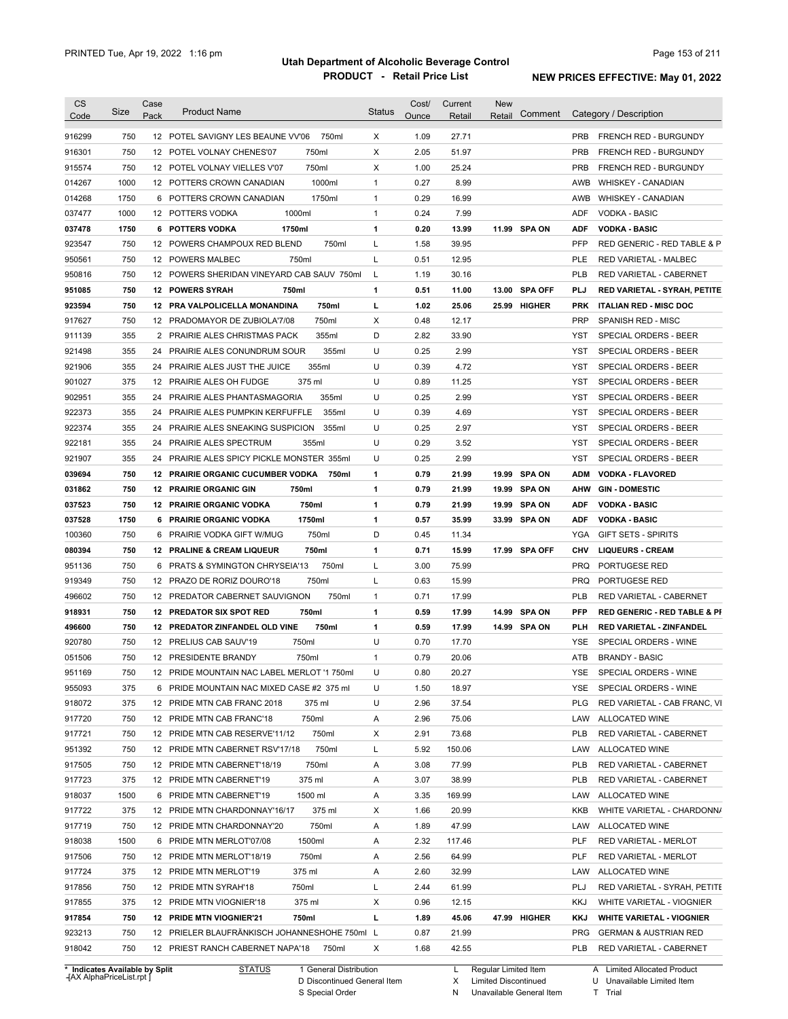| 750<br>1.09<br>916299<br>12 POTEL SAVIGNY LES BEAUNE VV'06<br>750ml<br>X<br>27.71<br><b>PRB</b><br><b>FRENCH RED - BURGUNDY</b><br>X<br>750<br>750ml<br>2.05<br>51.97<br><b>PRB</b><br>916301<br>12 POTEL VOLNAY CHENES'07<br><b>FRENCH RED - BURGUNDY</b><br>750<br>750ml<br>Х<br>1.00<br>25.24<br>12 POTEL VOLNAY VIELLES V'07<br>PRB<br>FRENCH RED - BURGUNDY<br>915574<br>8.99<br>1000<br>1000ml<br>$\mathbf{1}$<br>0.27<br>014267<br>12 POTTERS CROWN CANADIAN<br>AWB<br><b>WHISKEY - CANADIAN</b><br>1750<br>1750ml<br>$\mathbf{1}$<br>0.29<br>16.99<br><b>WHISKEY - CANADIAN</b><br>014268<br>6 POTTERS CROWN CANADIAN<br>AWB<br>1000<br>1000ml<br>$\mathbf{1}$<br>0.24<br>7.99<br>037477<br>12 POTTERS VODKA<br>ADF<br><b>VODKA - BASIC</b><br>1750<br>1750ml<br>1<br>0.20<br>13.99<br>11.99 SPA ON<br><b>VODKA - BASIC</b><br>037478<br><b>6 POTTERS VODKA</b><br>ADF<br>750<br>12 POWERS CHAMPOUX RED BLEND<br>750ml<br>Г<br>1.58<br>39.95<br>923547<br><b>PFP</b><br>RED GENERIC - RED TABLE & P<br>750<br>Г<br>0.51<br>12.95<br><b>PLE</b><br>950561<br>12 POWERS MALBEC<br>750ml<br>RED VARIETAL - MALBEC<br>750<br>12 POWERS SHERIDAN VINEYARD CAB SAUV 750ml<br>L<br>1.19<br>30.16<br><b>PLB</b><br>950816<br><b>RED VARIETAL - CABERNET</b><br>750<br>0.51<br><b>SPA OFF</b><br>951085<br><b>12 POWERS SYRAH</b><br>750ml<br>1<br>11.00<br>13.00<br>PLJ<br>RED VARIETAL - SYRAH, PETITE<br>750<br>750ml<br>г<br>1.02<br>25.06<br>923594<br>12 PRA VALPOLICELLA MONANDINA<br>25.99 HIGHER<br><b>PRK</b><br><b>ITALIAN RED - MISC DOC</b><br>750<br>0.48<br>917627<br>12 PRADOMAYOR DE ZUBIOLA'7/08<br>750ml<br>Х<br>12.17<br><b>PRP</b><br><b>SPANISH RED - MISC</b><br>D<br>355<br>2.82<br>911139<br>2 PRAIRIE ALES CHRISTMAS PACK<br>355ml<br>33.90<br>YST<br>SPECIAL ORDERS - BEER<br>355<br>U<br>0.25<br>2.99<br>921498<br>24<br>PRAIRIE ALES CONUNDRUM SOUR<br>355ml<br>YST<br><b>SPECIAL ORDERS - BEER</b><br>U<br>355<br>355ml<br>0.39<br>4.72<br>921906<br>24<br>PRAIRIE ALES JUST THE JUICE<br>YST<br>SPECIAL ORDERS - BEER<br>U<br>375<br>375 ml<br>0.89<br>11.25<br>901027<br>PRAIRIE ALES OH FUDGE<br>YST<br>SPECIAL ORDERS - BEER<br>12<br>355<br>355ml<br>U<br>0.25<br>2.99<br>902951<br>24 PRAIRIE ALES PHANTASMAGORIA<br>YST<br>SPECIAL ORDERS - BEER<br>355<br>355ml<br>U<br>0.39<br>4.69<br>24 PRAIRIE ALES PUMPKIN KERFUFFLE<br>YST<br>SPECIAL ORDERS - BEER<br>355<br>U<br>0.25<br>2.97<br>24 PRAIRIE ALES SNEAKING SUSPICION<br>355ml<br>YST<br>SPECIAL ORDERS - BEER<br>355<br>U<br>0.29<br>3.52<br>24 PRAIRIE ALES SPECTRUM<br>355ml<br>YST<br>SPECIAL ORDERS - BEER<br>355<br>U<br>0.25<br>2.99<br>921907<br>24 PRAIRIE ALES SPICY PICKLE MONSTER 355ml<br>YST<br>SPECIAL ORDERS - BEER<br>750<br>1<br>0.79<br>21.99<br><b>SPA ON</b><br>12 PRAIRIE ORGANIC CUCUMBER VODKA<br>750ml<br>19.99<br><b>ADM</b><br><b>VODKA - FLAVORED</b><br>750<br>1<br>031862<br><b>12 PRAIRIE ORGANIC GIN</b><br>750ml<br>0.79<br>21.99<br>19.99<br><b>SPA ON</b><br>AHW<br><b>GIN - DOMESTIC</b><br>750<br>750ml<br>1<br>0.79<br>037523<br><b>12 PRAIRIE ORGANIC VODKA</b><br>21.99<br>19.99<br><b>SPA ON</b><br>ADF<br><b>VODKA - BASIC</b><br>1750<br>1<br>35.99<br>037528<br><b>PRAIRIE ORGANIC VODKA</b><br>1750ml<br>0.57<br>33.99<br><b>SPA ON</b><br><b>ADF</b><br><b>VODKA - BASIC</b><br>6<br>750ml<br>D<br>100360<br>750<br>PRAIRIE VODKA GIFT W/MUG<br>0.45<br>11.34<br>YGA<br><b>GIFT SETS - SPIRITS</b><br>6<br>750<br>12 PRALINE & CREAM LIQUEUR<br>750ml<br>1<br>0.71<br>15.99<br>17.99 SPA OFF<br><b>CHV</b><br><b>LIQUEURS - CREAM</b><br>75.99<br>PORTUGESE RED<br>951136<br>750<br>6<br><b>PRATS &amp; SYMINGTON CHRYSEIA'13</b><br>750ml<br>L<br>3.00<br><b>PRQ</b><br>750<br>750ml<br>Г<br>0.63<br>15.99<br><b>PRQ</b><br>PORTUGESE RED<br>12 PRAZO DE RORIZ DOURO'18<br>750<br>750ml<br>17.99<br>12 PREDATOR CABERNET SAUVIGNON<br>$\mathbf{1}$<br>0.71<br>PLB<br>RED VARIETAL - CABERNET<br>750<br>750ml<br>0.59<br><b>PFP</b><br>12 PREDATOR SIX SPOT RED<br>1<br>17.99<br>14.99<br><b>SPA ON</b><br>750<br>14.99 SPA ON<br>496600<br>12 PREDATOR ZINFANDEL OLD VINE<br>750ml<br>1<br>0.59<br>17.99<br>PLH<br><b>RED VARIETAL - ZINFANDEL</b><br>920780<br>750<br>750ml<br>U<br>SPECIAL ORDERS - WINE<br>12 PRELIUS CAB SAUV'19<br>0.70<br>17.70<br>YSE<br>750<br>12 PRESIDENTE BRANDY<br>750ml<br>0.79<br>20.06<br>ATB<br><b>BRANDY - BASIC</b><br>$\mathbf{1}$<br>951169<br>750<br>12 PRIDE MOUNTAIN NAC LABEL MERLOT '1 750ml<br>U<br>0.80<br>20.27<br>YSE<br>SPECIAL ORDERS - WINE<br>955093<br>U<br>18.97<br>SPECIAL ORDERS - WINE<br>375<br>6 PRIDE MOUNTAIN NAC MIXED CASE #2 375 ml<br>1.50<br>YSE<br>375<br>U<br>2.96<br>37.54<br>12 PRIDE MTN CAB FRANC 2018<br>375 ml<br>PLG<br>750ml<br>75.06<br>LAW ALLOCATED WINE<br>750<br>12 PRIDE MTN CAB FRANC'18<br>Α<br>2.96<br>750ml<br>Х<br>2.91<br>73.68<br><b>PLB</b><br>RED VARIETAL - CABERNET<br>750<br>12 PRIDE MTN CAB RESERVE'11/12<br>750ml<br>Г<br>150.06<br>750<br>12 PRIDE MTN CABERNET RSV'17/18<br>5.92<br>LAW<br>ALLOCATED WINE<br>77.99<br>750<br>12 PRIDE MTN CABERNET'18/19<br>750ml<br>Α<br>3.08<br>PLB<br>RED VARIETAL - CABERNET<br>375 ml<br>38.99<br>375<br>12 PRIDE MTN CABERNET'19<br>Α<br>3.07<br>PLB<br>RED VARIETAL - CABERNET<br>169.99<br>1500<br>6 PRIDE MTN CABERNET'19<br>1500 ml<br>Α<br>3.35<br>LAW<br>ALLOCATED WINE<br>375<br>375 ml<br>20.99<br>12 PRIDE MTN CHARDONNAY'16/17<br>х<br>1.66<br>KKB<br>750ml<br>47.99<br>750<br>12 PRIDE MTN CHARDONNAY'20<br>Α<br>1.89<br>LAW<br>ALLOCATED WINE<br>1500<br>1500ml<br>2.32<br>117.46<br><b>PLF</b><br>RED VARIETAL - MERLOT<br>6 PRIDE MTN MERLOT'07/08<br>Α<br>750ml<br>64.99<br>750<br>12 PRIDE MTN MERLOT'18/19<br>Α<br>2.56<br><b>PLF</b><br>RED VARIETAL - MERLOT<br>917724<br>375<br>32.99<br>12 PRIDE MTN MERLOT'19<br>375 ml<br>Α<br>2.60<br>LAW<br>ALLOCATED WINE<br>750ml<br>Г<br>61.99<br>917856<br>750<br>12 PRIDE MTN SYRAH'18<br>2.44<br>PLJ<br>RED VARIETAL - SYRAH, PETITE<br>917855<br>375 ml<br>Х<br>12.15<br>375<br>12 PRIDE MTN VIOGNIER'18<br>0.96<br>KKJ<br>WHITE VARIETAL - VIOGNIER<br>750ml<br>L<br>45.06<br>917854<br>750<br><b>12 PRIDE MTN VIOGNIER'21</b><br>1.89<br>47.99 HIGHER<br>KKJ<br><b>WHITE VARIETAL - VIOGNIER</b><br>21.99<br>923213<br>750<br>12 PRIELER BLAUFRÄNKISCH JOHANNESHOHE 750ml L<br>0.87<br>PRG<br><b>GERMAN &amp; AUSTRIAN RED</b><br>918042<br>750<br>Χ<br>42.55<br>12 PRIEST RANCH CABERNET NAPA'18<br>750ml<br>1.68<br>PLB<br>RED VARIETAL - CABERNET | <b>CS</b><br>Code | Size | Case<br>Pack | <b>Product Name</b> | <b>Status</b> | Cost/<br>Ounce | Current<br>Retail | <b>New</b><br>Retail | Comment | Category / Description                  |
|--------------------------------------------------------------------------------------------------------------------------------------------------------------------------------------------------------------------------------------------------------------------------------------------------------------------------------------------------------------------------------------------------------------------------------------------------------------------------------------------------------------------------------------------------------------------------------------------------------------------------------------------------------------------------------------------------------------------------------------------------------------------------------------------------------------------------------------------------------------------------------------------------------------------------------------------------------------------------------------------------------------------------------------------------------------------------------------------------------------------------------------------------------------------------------------------------------------------------------------------------------------------------------------------------------------------------------------------------------------------------------------------------------------------------------------------------------------------------------------------------------------------------------------------------------------------------------------------------------------------------------------------------------------------------------------------------------------------------------------------------------------------------------------------------------------------------------------------------------------------------------------------------------------------------------------------------------------------------------------------------------------------------------------------------------------------------------------------------------------------------------------------------------------------------------------------------------------------------------------------------------------------------------------------------------------------------------------------------------------------------------------------------------------------------------------------------------------------------------------------------------------------------------------------------------------------------------------------------------------------------------------------------------------------------------------------------------------------------------------------------------------------------------------------------------------------------------------------------------------------------------------------------------------------------------------------------------------------------------------------------------------------------------------------------------------------------------------------------------------------------------------------------------------------------------------------------------------------------------------------------------------------------------------------------------------------------------------------------------------------------------------------------------------------------------------------------------------------------------------------------------------------------------------------------------------------------------------------------------------------------------------------------------------------------------------------------------------------------------------------------------------------------------------------------------------------------------------------------------------------------------------------------------------------------------------------------------------------------------------------------------------------------------------------------------------------------------------------------------------------------------------------------------------------------------------------------------------------------------------------------------------------------------------------------------------------------------------------------------------------------------------------------------------------------------------------------------------------------------------------------------------------------------------------------------------------------------------------------------------------------------------------------------------------------------------------------------------------------------------------------------------------------------------------------------------------------------------------------------------------------------------------------------------------------------------------------------------------------------------------------------------------------------------------------------------------------------------------------------------------------------------------------------------------------------------------------------------------------------------------------------------------------------------------------------------------------------------------------------------------------------------------------------------------------------------------------------------------------------------------------------------------------------------------------------------------------------------------------------------------------------------------------------------------------------------------------------------------------------------------------------------------------------------------------------------------------------------------------------------------------------------------------------------------------------------------------------------------------------------------------------------------------------------------------------------------------------------------------------------------------------------------------------------------------------------------------------------------------------------------------------------------------------------------------------------------------------------------------------------------------------------------------------------------------------------------------------------------------------------------------------|-------------------|------|--------------|---------------------|---------------|----------------|-------------------|----------------------|---------|-----------------------------------------|
|                                                                                                                                                                                                                                                                                                                                                                                                                                                                                                                                                                                                                                                                                                                                                                                                                                                                                                                                                                                                                                                                                                                                                                                                                                                                                                                                                                                                                                                                                                                                                                                                                                                                                                                                                                                                                                                                                                                                                                                                                                                                                                                                                                                                                                                                                                                                                                                                                                                                                                                                                                                                                                                                                                                                                                                                                                                                                                                                                                                                                                                                                                                                                                                                                                                                                                                                                                                                                                                                                                                                                                                                                                                                                                                                                                                                                                                                                                                                                                                                                                                                                                                                                                                                                                                                                                                                                                                                                                                                                                                                                                                                                                                                                                                                                                                                                                                                                                                                                                                                                                                                                                                                                                                                                                                                                                                                                                                                                                                                                                                                                                                                                                                                                                                                                                                                                                                                                                                                                                                                                                                                                                                                                                                                                                                                                                                                                                                                                                                                                                        |                   |      |              |                     |               |                |                   |                      |         |                                         |
|                                                                                                                                                                                                                                                                                                                                                                                                                                                                                                                                                                                                                                                                                                                                                                                                                                                                                                                                                                                                                                                                                                                                                                                                                                                                                                                                                                                                                                                                                                                                                                                                                                                                                                                                                                                                                                                                                                                                                                                                                                                                                                                                                                                                                                                                                                                                                                                                                                                                                                                                                                                                                                                                                                                                                                                                                                                                                                                                                                                                                                                                                                                                                                                                                                                                                                                                                                                                                                                                                                                                                                                                                                                                                                                                                                                                                                                                                                                                                                                                                                                                                                                                                                                                                                                                                                                                                                                                                                                                                                                                                                                                                                                                                                                                                                                                                                                                                                                                                                                                                                                                                                                                                                                                                                                                                                                                                                                                                                                                                                                                                                                                                                                                                                                                                                                                                                                                                                                                                                                                                                                                                                                                                                                                                                                                                                                                                                                                                                                                                                        |                   |      |              |                     |               |                |                   |                      |         |                                         |
|                                                                                                                                                                                                                                                                                                                                                                                                                                                                                                                                                                                                                                                                                                                                                                                                                                                                                                                                                                                                                                                                                                                                                                                                                                                                                                                                                                                                                                                                                                                                                                                                                                                                                                                                                                                                                                                                                                                                                                                                                                                                                                                                                                                                                                                                                                                                                                                                                                                                                                                                                                                                                                                                                                                                                                                                                                                                                                                                                                                                                                                                                                                                                                                                                                                                                                                                                                                                                                                                                                                                                                                                                                                                                                                                                                                                                                                                                                                                                                                                                                                                                                                                                                                                                                                                                                                                                                                                                                                                                                                                                                                                                                                                                                                                                                                                                                                                                                                                                                                                                                                                                                                                                                                                                                                                                                                                                                                                                                                                                                                                                                                                                                                                                                                                                                                                                                                                                                                                                                                                                                                                                                                                                                                                                                                                                                                                                                                                                                                                                                        |                   |      |              |                     |               |                |                   |                      |         |                                         |
|                                                                                                                                                                                                                                                                                                                                                                                                                                                                                                                                                                                                                                                                                                                                                                                                                                                                                                                                                                                                                                                                                                                                                                                                                                                                                                                                                                                                                                                                                                                                                                                                                                                                                                                                                                                                                                                                                                                                                                                                                                                                                                                                                                                                                                                                                                                                                                                                                                                                                                                                                                                                                                                                                                                                                                                                                                                                                                                                                                                                                                                                                                                                                                                                                                                                                                                                                                                                                                                                                                                                                                                                                                                                                                                                                                                                                                                                                                                                                                                                                                                                                                                                                                                                                                                                                                                                                                                                                                                                                                                                                                                                                                                                                                                                                                                                                                                                                                                                                                                                                                                                                                                                                                                                                                                                                                                                                                                                                                                                                                                                                                                                                                                                                                                                                                                                                                                                                                                                                                                                                                                                                                                                                                                                                                                                                                                                                                                                                                                                                                        |                   |      |              |                     |               |                |                   |                      |         |                                         |
|                                                                                                                                                                                                                                                                                                                                                                                                                                                                                                                                                                                                                                                                                                                                                                                                                                                                                                                                                                                                                                                                                                                                                                                                                                                                                                                                                                                                                                                                                                                                                                                                                                                                                                                                                                                                                                                                                                                                                                                                                                                                                                                                                                                                                                                                                                                                                                                                                                                                                                                                                                                                                                                                                                                                                                                                                                                                                                                                                                                                                                                                                                                                                                                                                                                                                                                                                                                                                                                                                                                                                                                                                                                                                                                                                                                                                                                                                                                                                                                                                                                                                                                                                                                                                                                                                                                                                                                                                                                                                                                                                                                                                                                                                                                                                                                                                                                                                                                                                                                                                                                                                                                                                                                                                                                                                                                                                                                                                                                                                                                                                                                                                                                                                                                                                                                                                                                                                                                                                                                                                                                                                                                                                                                                                                                                                                                                                                                                                                                                                                        |                   |      |              |                     |               |                |                   |                      |         |                                         |
|                                                                                                                                                                                                                                                                                                                                                                                                                                                                                                                                                                                                                                                                                                                                                                                                                                                                                                                                                                                                                                                                                                                                                                                                                                                                                                                                                                                                                                                                                                                                                                                                                                                                                                                                                                                                                                                                                                                                                                                                                                                                                                                                                                                                                                                                                                                                                                                                                                                                                                                                                                                                                                                                                                                                                                                                                                                                                                                                                                                                                                                                                                                                                                                                                                                                                                                                                                                                                                                                                                                                                                                                                                                                                                                                                                                                                                                                                                                                                                                                                                                                                                                                                                                                                                                                                                                                                                                                                                                                                                                                                                                                                                                                                                                                                                                                                                                                                                                                                                                                                                                                                                                                                                                                                                                                                                                                                                                                                                                                                                                                                                                                                                                                                                                                                                                                                                                                                                                                                                                                                                                                                                                                                                                                                                                                                                                                                                                                                                                                                                        |                   |      |              |                     |               |                |                   |                      |         |                                         |
|                                                                                                                                                                                                                                                                                                                                                                                                                                                                                                                                                                                                                                                                                                                                                                                                                                                                                                                                                                                                                                                                                                                                                                                                                                                                                                                                                                                                                                                                                                                                                                                                                                                                                                                                                                                                                                                                                                                                                                                                                                                                                                                                                                                                                                                                                                                                                                                                                                                                                                                                                                                                                                                                                                                                                                                                                                                                                                                                                                                                                                                                                                                                                                                                                                                                                                                                                                                                                                                                                                                                                                                                                                                                                                                                                                                                                                                                                                                                                                                                                                                                                                                                                                                                                                                                                                                                                                                                                                                                                                                                                                                                                                                                                                                                                                                                                                                                                                                                                                                                                                                                                                                                                                                                                                                                                                                                                                                                                                                                                                                                                                                                                                                                                                                                                                                                                                                                                                                                                                                                                                                                                                                                                                                                                                                                                                                                                                                                                                                                                                        |                   |      |              |                     |               |                |                   |                      |         |                                         |
|                                                                                                                                                                                                                                                                                                                                                                                                                                                                                                                                                                                                                                                                                                                                                                                                                                                                                                                                                                                                                                                                                                                                                                                                                                                                                                                                                                                                                                                                                                                                                                                                                                                                                                                                                                                                                                                                                                                                                                                                                                                                                                                                                                                                                                                                                                                                                                                                                                                                                                                                                                                                                                                                                                                                                                                                                                                                                                                                                                                                                                                                                                                                                                                                                                                                                                                                                                                                                                                                                                                                                                                                                                                                                                                                                                                                                                                                                                                                                                                                                                                                                                                                                                                                                                                                                                                                                                                                                                                                                                                                                                                                                                                                                                                                                                                                                                                                                                                                                                                                                                                                                                                                                                                                                                                                                                                                                                                                                                                                                                                                                                                                                                                                                                                                                                                                                                                                                                                                                                                                                                                                                                                                                                                                                                                                                                                                                                                                                                                                                                        |                   |      |              |                     |               |                |                   |                      |         |                                         |
|                                                                                                                                                                                                                                                                                                                                                                                                                                                                                                                                                                                                                                                                                                                                                                                                                                                                                                                                                                                                                                                                                                                                                                                                                                                                                                                                                                                                                                                                                                                                                                                                                                                                                                                                                                                                                                                                                                                                                                                                                                                                                                                                                                                                                                                                                                                                                                                                                                                                                                                                                                                                                                                                                                                                                                                                                                                                                                                                                                                                                                                                                                                                                                                                                                                                                                                                                                                                                                                                                                                                                                                                                                                                                                                                                                                                                                                                                                                                                                                                                                                                                                                                                                                                                                                                                                                                                                                                                                                                                                                                                                                                                                                                                                                                                                                                                                                                                                                                                                                                                                                                                                                                                                                                                                                                                                                                                                                                                                                                                                                                                                                                                                                                                                                                                                                                                                                                                                                                                                                                                                                                                                                                                                                                                                                                                                                                                                                                                                                                                                        |                   |      |              |                     |               |                |                   |                      |         |                                         |
|                                                                                                                                                                                                                                                                                                                                                                                                                                                                                                                                                                                                                                                                                                                                                                                                                                                                                                                                                                                                                                                                                                                                                                                                                                                                                                                                                                                                                                                                                                                                                                                                                                                                                                                                                                                                                                                                                                                                                                                                                                                                                                                                                                                                                                                                                                                                                                                                                                                                                                                                                                                                                                                                                                                                                                                                                                                                                                                                                                                                                                                                                                                                                                                                                                                                                                                                                                                                                                                                                                                                                                                                                                                                                                                                                                                                                                                                                                                                                                                                                                                                                                                                                                                                                                                                                                                                                                                                                                                                                                                                                                                                                                                                                                                                                                                                                                                                                                                                                                                                                                                                                                                                                                                                                                                                                                                                                                                                                                                                                                                                                                                                                                                                                                                                                                                                                                                                                                                                                                                                                                                                                                                                                                                                                                                                                                                                                                                                                                                                                                        |                   |      |              |                     |               |                |                   |                      |         |                                         |
|                                                                                                                                                                                                                                                                                                                                                                                                                                                                                                                                                                                                                                                                                                                                                                                                                                                                                                                                                                                                                                                                                                                                                                                                                                                                                                                                                                                                                                                                                                                                                                                                                                                                                                                                                                                                                                                                                                                                                                                                                                                                                                                                                                                                                                                                                                                                                                                                                                                                                                                                                                                                                                                                                                                                                                                                                                                                                                                                                                                                                                                                                                                                                                                                                                                                                                                                                                                                                                                                                                                                                                                                                                                                                                                                                                                                                                                                                                                                                                                                                                                                                                                                                                                                                                                                                                                                                                                                                                                                                                                                                                                                                                                                                                                                                                                                                                                                                                                                                                                                                                                                                                                                                                                                                                                                                                                                                                                                                                                                                                                                                                                                                                                                                                                                                                                                                                                                                                                                                                                                                                                                                                                                                                                                                                                                                                                                                                                                                                                                                                        |                   |      |              |                     |               |                |                   |                      |         |                                         |
|                                                                                                                                                                                                                                                                                                                                                                                                                                                                                                                                                                                                                                                                                                                                                                                                                                                                                                                                                                                                                                                                                                                                                                                                                                                                                                                                                                                                                                                                                                                                                                                                                                                                                                                                                                                                                                                                                                                                                                                                                                                                                                                                                                                                                                                                                                                                                                                                                                                                                                                                                                                                                                                                                                                                                                                                                                                                                                                                                                                                                                                                                                                                                                                                                                                                                                                                                                                                                                                                                                                                                                                                                                                                                                                                                                                                                                                                                                                                                                                                                                                                                                                                                                                                                                                                                                                                                                                                                                                                                                                                                                                                                                                                                                                                                                                                                                                                                                                                                                                                                                                                                                                                                                                                                                                                                                                                                                                                                                                                                                                                                                                                                                                                                                                                                                                                                                                                                                                                                                                                                                                                                                                                                                                                                                                                                                                                                                                                                                                                                                        |                   |      |              |                     |               |                |                   |                      |         |                                         |
|                                                                                                                                                                                                                                                                                                                                                                                                                                                                                                                                                                                                                                                                                                                                                                                                                                                                                                                                                                                                                                                                                                                                                                                                                                                                                                                                                                                                                                                                                                                                                                                                                                                                                                                                                                                                                                                                                                                                                                                                                                                                                                                                                                                                                                                                                                                                                                                                                                                                                                                                                                                                                                                                                                                                                                                                                                                                                                                                                                                                                                                                                                                                                                                                                                                                                                                                                                                                                                                                                                                                                                                                                                                                                                                                                                                                                                                                                                                                                                                                                                                                                                                                                                                                                                                                                                                                                                                                                                                                                                                                                                                                                                                                                                                                                                                                                                                                                                                                                                                                                                                                                                                                                                                                                                                                                                                                                                                                                                                                                                                                                                                                                                                                                                                                                                                                                                                                                                                                                                                                                                                                                                                                                                                                                                                                                                                                                                                                                                                                                                        |                   |      |              |                     |               |                |                   |                      |         |                                         |
|                                                                                                                                                                                                                                                                                                                                                                                                                                                                                                                                                                                                                                                                                                                                                                                                                                                                                                                                                                                                                                                                                                                                                                                                                                                                                                                                                                                                                                                                                                                                                                                                                                                                                                                                                                                                                                                                                                                                                                                                                                                                                                                                                                                                                                                                                                                                                                                                                                                                                                                                                                                                                                                                                                                                                                                                                                                                                                                                                                                                                                                                                                                                                                                                                                                                                                                                                                                                                                                                                                                                                                                                                                                                                                                                                                                                                                                                                                                                                                                                                                                                                                                                                                                                                                                                                                                                                                                                                                                                                                                                                                                                                                                                                                                                                                                                                                                                                                                                                                                                                                                                                                                                                                                                                                                                                                                                                                                                                                                                                                                                                                                                                                                                                                                                                                                                                                                                                                                                                                                                                                                                                                                                                                                                                                                                                                                                                                                                                                                                                                        |                   |      |              |                     |               |                |                   |                      |         |                                         |
|                                                                                                                                                                                                                                                                                                                                                                                                                                                                                                                                                                                                                                                                                                                                                                                                                                                                                                                                                                                                                                                                                                                                                                                                                                                                                                                                                                                                                                                                                                                                                                                                                                                                                                                                                                                                                                                                                                                                                                                                                                                                                                                                                                                                                                                                                                                                                                                                                                                                                                                                                                                                                                                                                                                                                                                                                                                                                                                                                                                                                                                                                                                                                                                                                                                                                                                                                                                                                                                                                                                                                                                                                                                                                                                                                                                                                                                                                                                                                                                                                                                                                                                                                                                                                                                                                                                                                                                                                                                                                                                                                                                                                                                                                                                                                                                                                                                                                                                                                                                                                                                                                                                                                                                                                                                                                                                                                                                                                                                                                                                                                                                                                                                                                                                                                                                                                                                                                                                                                                                                                                                                                                                                                                                                                                                                                                                                                                                                                                                                                                        |                   |      |              |                     |               |                |                   |                      |         |                                         |
|                                                                                                                                                                                                                                                                                                                                                                                                                                                                                                                                                                                                                                                                                                                                                                                                                                                                                                                                                                                                                                                                                                                                                                                                                                                                                                                                                                                                                                                                                                                                                                                                                                                                                                                                                                                                                                                                                                                                                                                                                                                                                                                                                                                                                                                                                                                                                                                                                                                                                                                                                                                                                                                                                                                                                                                                                                                                                                                                                                                                                                                                                                                                                                                                                                                                                                                                                                                                                                                                                                                                                                                                                                                                                                                                                                                                                                                                                                                                                                                                                                                                                                                                                                                                                                                                                                                                                                                                                                                                                                                                                                                                                                                                                                                                                                                                                                                                                                                                                                                                                                                                                                                                                                                                                                                                                                                                                                                                                                                                                                                                                                                                                                                                                                                                                                                                                                                                                                                                                                                                                                                                                                                                                                                                                                                                                                                                                                                                                                                                                                        |                   |      |              |                     |               |                |                   |                      |         |                                         |
|                                                                                                                                                                                                                                                                                                                                                                                                                                                                                                                                                                                                                                                                                                                                                                                                                                                                                                                                                                                                                                                                                                                                                                                                                                                                                                                                                                                                                                                                                                                                                                                                                                                                                                                                                                                                                                                                                                                                                                                                                                                                                                                                                                                                                                                                                                                                                                                                                                                                                                                                                                                                                                                                                                                                                                                                                                                                                                                                                                                                                                                                                                                                                                                                                                                                                                                                                                                                                                                                                                                                                                                                                                                                                                                                                                                                                                                                                                                                                                                                                                                                                                                                                                                                                                                                                                                                                                                                                                                                                                                                                                                                                                                                                                                                                                                                                                                                                                                                                                                                                                                                                                                                                                                                                                                                                                                                                                                                                                                                                                                                                                                                                                                                                                                                                                                                                                                                                                                                                                                                                                                                                                                                                                                                                                                                                                                                                                                                                                                                                                        |                   |      |              |                     |               |                |                   |                      |         |                                         |
|                                                                                                                                                                                                                                                                                                                                                                                                                                                                                                                                                                                                                                                                                                                                                                                                                                                                                                                                                                                                                                                                                                                                                                                                                                                                                                                                                                                                                                                                                                                                                                                                                                                                                                                                                                                                                                                                                                                                                                                                                                                                                                                                                                                                                                                                                                                                                                                                                                                                                                                                                                                                                                                                                                                                                                                                                                                                                                                                                                                                                                                                                                                                                                                                                                                                                                                                                                                                                                                                                                                                                                                                                                                                                                                                                                                                                                                                                                                                                                                                                                                                                                                                                                                                                                                                                                                                                                                                                                                                                                                                                                                                                                                                                                                                                                                                                                                                                                                                                                                                                                                                                                                                                                                                                                                                                                                                                                                                                                                                                                                                                                                                                                                                                                                                                                                                                                                                                                                                                                                                                                                                                                                                                                                                                                                                                                                                                                                                                                                                                                        |                   |      |              |                     |               |                |                   |                      |         |                                         |
|                                                                                                                                                                                                                                                                                                                                                                                                                                                                                                                                                                                                                                                                                                                                                                                                                                                                                                                                                                                                                                                                                                                                                                                                                                                                                                                                                                                                                                                                                                                                                                                                                                                                                                                                                                                                                                                                                                                                                                                                                                                                                                                                                                                                                                                                                                                                                                                                                                                                                                                                                                                                                                                                                                                                                                                                                                                                                                                                                                                                                                                                                                                                                                                                                                                                                                                                                                                                                                                                                                                                                                                                                                                                                                                                                                                                                                                                                                                                                                                                                                                                                                                                                                                                                                                                                                                                                                                                                                                                                                                                                                                                                                                                                                                                                                                                                                                                                                                                                                                                                                                                                                                                                                                                                                                                                                                                                                                                                                                                                                                                                                                                                                                                                                                                                                                                                                                                                                                                                                                                                                                                                                                                                                                                                                                                                                                                                                                                                                                                                                        |                   |      |              |                     |               |                |                   |                      |         |                                         |
|                                                                                                                                                                                                                                                                                                                                                                                                                                                                                                                                                                                                                                                                                                                                                                                                                                                                                                                                                                                                                                                                                                                                                                                                                                                                                                                                                                                                                                                                                                                                                                                                                                                                                                                                                                                                                                                                                                                                                                                                                                                                                                                                                                                                                                                                                                                                                                                                                                                                                                                                                                                                                                                                                                                                                                                                                                                                                                                                                                                                                                                                                                                                                                                                                                                                                                                                                                                                                                                                                                                                                                                                                                                                                                                                                                                                                                                                                                                                                                                                                                                                                                                                                                                                                                                                                                                                                                                                                                                                                                                                                                                                                                                                                                                                                                                                                                                                                                                                                                                                                                                                                                                                                                                                                                                                                                                                                                                                                                                                                                                                                                                                                                                                                                                                                                                                                                                                                                                                                                                                                                                                                                                                                                                                                                                                                                                                                                                                                                                                                                        | 922373            |      |              |                     |               |                |                   |                      |         |                                         |
|                                                                                                                                                                                                                                                                                                                                                                                                                                                                                                                                                                                                                                                                                                                                                                                                                                                                                                                                                                                                                                                                                                                                                                                                                                                                                                                                                                                                                                                                                                                                                                                                                                                                                                                                                                                                                                                                                                                                                                                                                                                                                                                                                                                                                                                                                                                                                                                                                                                                                                                                                                                                                                                                                                                                                                                                                                                                                                                                                                                                                                                                                                                                                                                                                                                                                                                                                                                                                                                                                                                                                                                                                                                                                                                                                                                                                                                                                                                                                                                                                                                                                                                                                                                                                                                                                                                                                                                                                                                                                                                                                                                                                                                                                                                                                                                                                                                                                                                                                                                                                                                                                                                                                                                                                                                                                                                                                                                                                                                                                                                                                                                                                                                                                                                                                                                                                                                                                                                                                                                                                                                                                                                                                                                                                                                                                                                                                                                                                                                                                                        | 922374            |      |              |                     |               |                |                   |                      |         |                                         |
|                                                                                                                                                                                                                                                                                                                                                                                                                                                                                                                                                                                                                                                                                                                                                                                                                                                                                                                                                                                                                                                                                                                                                                                                                                                                                                                                                                                                                                                                                                                                                                                                                                                                                                                                                                                                                                                                                                                                                                                                                                                                                                                                                                                                                                                                                                                                                                                                                                                                                                                                                                                                                                                                                                                                                                                                                                                                                                                                                                                                                                                                                                                                                                                                                                                                                                                                                                                                                                                                                                                                                                                                                                                                                                                                                                                                                                                                                                                                                                                                                                                                                                                                                                                                                                                                                                                                                                                                                                                                                                                                                                                                                                                                                                                                                                                                                                                                                                                                                                                                                                                                                                                                                                                                                                                                                                                                                                                                                                                                                                                                                                                                                                                                                                                                                                                                                                                                                                                                                                                                                                                                                                                                                                                                                                                                                                                                                                                                                                                                                                        | 922181            |      |              |                     |               |                |                   |                      |         |                                         |
|                                                                                                                                                                                                                                                                                                                                                                                                                                                                                                                                                                                                                                                                                                                                                                                                                                                                                                                                                                                                                                                                                                                                                                                                                                                                                                                                                                                                                                                                                                                                                                                                                                                                                                                                                                                                                                                                                                                                                                                                                                                                                                                                                                                                                                                                                                                                                                                                                                                                                                                                                                                                                                                                                                                                                                                                                                                                                                                                                                                                                                                                                                                                                                                                                                                                                                                                                                                                                                                                                                                                                                                                                                                                                                                                                                                                                                                                                                                                                                                                                                                                                                                                                                                                                                                                                                                                                                                                                                                                                                                                                                                                                                                                                                                                                                                                                                                                                                                                                                                                                                                                                                                                                                                                                                                                                                                                                                                                                                                                                                                                                                                                                                                                                                                                                                                                                                                                                                                                                                                                                                                                                                                                                                                                                                                                                                                                                                                                                                                                                                        |                   |      |              |                     |               |                |                   |                      |         |                                         |
|                                                                                                                                                                                                                                                                                                                                                                                                                                                                                                                                                                                                                                                                                                                                                                                                                                                                                                                                                                                                                                                                                                                                                                                                                                                                                                                                                                                                                                                                                                                                                                                                                                                                                                                                                                                                                                                                                                                                                                                                                                                                                                                                                                                                                                                                                                                                                                                                                                                                                                                                                                                                                                                                                                                                                                                                                                                                                                                                                                                                                                                                                                                                                                                                                                                                                                                                                                                                                                                                                                                                                                                                                                                                                                                                                                                                                                                                                                                                                                                                                                                                                                                                                                                                                                                                                                                                                                                                                                                                                                                                                                                                                                                                                                                                                                                                                                                                                                                                                                                                                                                                                                                                                                                                                                                                                                                                                                                                                                                                                                                                                                                                                                                                                                                                                                                                                                                                                                                                                                                                                                                                                                                                                                                                                                                                                                                                                                                                                                                                                                        | 039694            |      |              |                     |               |                |                   |                      |         |                                         |
|                                                                                                                                                                                                                                                                                                                                                                                                                                                                                                                                                                                                                                                                                                                                                                                                                                                                                                                                                                                                                                                                                                                                                                                                                                                                                                                                                                                                                                                                                                                                                                                                                                                                                                                                                                                                                                                                                                                                                                                                                                                                                                                                                                                                                                                                                                                                                                                                                                                                                                                                                                                                                                                                                                                                                                                                                                                                                                                                                                                                                                                                                                                                                                                                                                                                                                                                                                                                                                                                                                                                                                                                                                                                                                                                                                                                                                                                                                                                                                                                                                                                                                                                                                                                                                                                                                                                                                                                                                                                                                                                                                                                                                                                                                                                                                                                                                                                                                                                                                                                                                                                                                                                                                                                                                                                                                                                                                                                                                                                                                                                                                                                                                                                                                                                                                                                                                                                                                                                                                                                                                                                                                                                                                                                                                                                                                                                                                                                                                                                                                        |                   |      |              |                     |               |                |                   |                      |         |                                         |
|                                                                                                                                                                                                                                                                                                                                                                                                                                                                                                                                                                                                                                                                                                                                                                                                                                                                                                                                                                                                                                                                                                                                                                                                                                                                                                                                                                                                                                                                                                                                                                                                                                                                                                                                                                                                                                                                                                                                                                                                                                                                                                                                                                                                                                                                                                                                                                                                                                                                                                                                                                                                                                                                                                                                                                                                                                                                                                                                                                                                                                                                                                                                                                                                                                                                                                                                                                                                                                                                                                                                                                                                                                                                                                                                                                                                                                                                                                                                                                                                                                                                                                                                                                                                                                                                                                                                                                                                                                                                                                                                                                                                                                                                                                                                                                                                                                                                                                                                                                                                                                                                                                                                                                                                                                                                                                                                                                                                                                                                                                                                                                                                                                                                                                                                                                                                                                                                                                                                                                                                                                                                                                                                                                                                                                                                                                                                                                                                                                                                                                        |                   |      |              |                     |               |                |                   |                      |         |                                         |
|                                                                                                                                                                                                                                                                                                                                                                                                                                                                                                                                                                                                                                                                                                                                                                                                                                                                                                                                                                                                                                                                                                                                                                                                                                                                                                                                                                                                                                                                                                                                                                                                                                                                                                                                                                                                                                                                                                                                                                                                                                                                                                                                                                                                                                                                                                                                                                                                                                                                                                                                                                                                                                                                                                                                                                                                                                                                                                                                                                                                                                                                                                                                                                                                                                                                                                                                                                                                                                                                                                                                                                                                                                                                                                                                                                                                                                                                                                                                                                                                                                                                                                                                                                                                                                                                                                                                                                                                                                                                                                                                                                                                                                                                                                                                                                                                                                                                                                                                                                                                                                                                                                                                                                                                                                                                                                                                                                                                                                                                                                                                                                                                                                                                                                                                                                                                                                                                                                                                                                                                                                                                                                                                                                                                                                                                                                                                                                                                                                                                                                        |                   |      |              |                     |               |                |                   |                      |         |                                         |
|                                                                                                                                                                                                                                                                                                                                                                                                                                                                                                                                                                                                                                                                                                                                                                                                                                                                                                                                                                                                                                                                                                                                                                                                                                                                                                                                                                                                                                                                                                                                                                                                                                                                                                                                                                                                                                                                                                                                                                                                                                                                                                                                                                                                                                                                                                                                                                                                                                                                                                                                                                                                                                                                                                                                                                                                                                                                                                                                                                                                                                                                                                                                                                                                                                                                                                                                                                                                                                                                                                                                                                                                                                                                                                                                                                                                                                                                                                                                                                                                                                                                                                                                                                                                                                                                                                                                                                                                                                                                                                                                                                                                                                                                                                                                                                                                                                                                                                                                                                                                                                                                                                                                                                                                                                                                                                                                                                                                                                                                                                                                                                                                                                                                                                                                                                                                                                                                                                                                                                                                                                                                                                                                                                                                                                                                                                                                                                                                                                                                                                        |                   |      |              |                     |               |                |                   |                      |         |                                         |
|                                                                                                                                                                                                                                                                                                                                                                                                                                                                                                                                                                                                                                                                                                                                                                                                                                                                                                                                                                                                                                                                                                                                                                                                                                                                                                                                                                                                                                                                                                                                                                                                                                                                                                                                                                                                                                                                                                                                                                                                                                                                                                                                                                                                                                                                                                                                                                                                                                                                                                                                                                                                                                                                                                                                                                                                                                                                                                                                                                                                                                                                                                                                                                                                                                                                                                                                                                                                                                                                                                                                                                                                                                                                                                                                                                                                                                                                                                                                                                                                                                                                                                                                                                                                                                                                                                                                                                                                                                                                                                                                                                                                                                                                                                                                                                                                                                                                                                                                                                                                                                                                                                                                                                                                                                                                                                                                                                                                                                                                                                                                                                                                                                                                                                                                                                                                                                                                                                                                                                                                                                                                                                                                                                                                                                                                                                                                                                                                                                                                                                        | 080394            |      |              |                     |               |                |                   |                      |         |                                         |
|                                                                                                                                                                                                                                                                                                                                                                                                                                                                                                                                                                                                                                                                                                                                                                                                                                                                                                                                                                                                                                                                                                                                                                                                                                                                                                                                                                                                                                                                                                                                                                                                                                                                                                                                                                                                                                                                                                                                                                                                                                                                                                                                                                                                                                                                                                                                                                                                                                                                                                                                                                                                                                                                                                                                                                                                                                                                                                                                                                                                                                                                                                                                                                                                                                                                                                                                                                                                                                                                                                                                                                                                                                                                                                                                                                                                                                                                                                                                                                                                                                                                                                                                                                                                                                                                                                                                                                                                                                                                                                                                                                                                                                                                                                                                                                                                                                                                                                                                                                                                                                                                                                                                                                                                                                                                                                                                                                                                                                                                                                                                                                                                                                                                                                                                                                                                                                                                                                                                                                                                                                                                                                                                                                                                                                                                                                                                                                                                                                                                                                        |                   |      |              |                     |               |                |                   |                      |         |                                         |
|                                                                                                                                                                                                                                                                                                                                                                                                                                                                                                                                                                                                                                                                                                                                                                                                                                                                                                                                                                                                                                                                                                                                                                                                                                                                                                                                                                                                                                                                                                                                                                                                                                                                                                                                                                                                                                                                                                                                                                                                                                                                                                                                                                                                                                                                                                                                                                                                                                                                                                                                                                                                                                                                                                                                                                                                                                                                                                                                                                                                                                                                                                                                                                                                                                                                                                                                                                                                                                                                                                                                                                                                                                                                                                                                                                                                                                                                                                                                                                                                                                                                                                                                                                                                                                                                                                                                                                                                                                                                                                                                                                                                                                                                                                                                                                                                                                                                                                                                                                                                                                                                                                                                                                                                                                                                                                                                                                                                                                                                                                                                                                                                                                                                                                                                                                                                                                                                                                                                                                                                                                                                                                                                                                                                                                                                                                                                                                                                                                                                                                        | 919349            |      |              |                     |               |                |                   |                      |         |                                         |
|                                                                                                                                                                                                                                                                                                                                                                                                                                                                                                                                                                                                                                                                                                                                                                                                                                                                                                                                                                                                                                                                                                                                                                                                                                                                                                                                                                                                                                                                                                                                                                                                                                                                                                                                                                                                                                                                                                                                                                                                                                                                                                                                                                                                                                                                                                                                                                                                                                                                                                                                                                                                                                                                                                                                                                                                                                                                                                                                                                                                                                                                                                                                                                                                                                                                                                                                                                                                                                                                                                                                                                                                                                                                                                                                                                                                                                                                                                                                                                                                                                                                                                                                                                                                                                                                                                                                                                                                                                                                                                                                                                                                                                                                                                                                                                                                                                                                                                                                                                                                                                                                                                                                                                                                                                                                                                                                                                                                                                                                                                                                                                                                                                                                                                                                                                                                                                                                                                                                                                                                                                                                                                                                                                                                                                                                                                                                                                                                                                                                                                        | 496602            |      |              |                     |               |                |                   |                      |         |                                         |
|                                                                                                                                                                                                                                                                                                                                                                                                                                                                                                                                                                                                                                                                                                                                                                                                                                                                                                                                                                                                                                                                                                                                                                                                                                                                                                                                                                                                                                                                                                                                                                                                                                                                                                                                                                                                                                                                                                                                                                                                                                                                                                                                                                                                                                                                                                                                                                                                                                                                                                                                                                                                                                                                                                                                                                                                                                                                                                                                                                                                                                                                                                                                                                                                                                                                                                                                                                                                                                                                                                                                                                                                                                                                                                                                                                                                                                                                                                                                                                                                                                                                                                                                                                                                                                                                                                                                                                                                                                                                                                                                                                                                                                                                                                                                                                                                                                                                                                                                                                                                                                                                                                                                                                                                                                                                                                                                                                                                                                                                                                                                                                                                                                                                                                                                                                                                                                                                                                                                                                                                                                                                                                                                                                                                                                                                                                                                                                                                                                                                                                        | 918931            |      |              |                     |               |                |                   |                      |         | <b>RED GENERIC - RED TABLE &amp; PI</b> |
|                                                                                                                                                                                                                                                                                                                                                                                                                                                                                                                                                                                                                                                                                                                                                                                                                                                                                                                                                                                                                                                                                                                                                                                                                                                                                                                                                                                                                                                                                                                                                                                                                                                                                                                                                                                                                                                                                                                                                                                                                                                                                                                                                                                                                                                                                                                                                                                                                                                                                                                                                                                                                                                                                                                                                                                                                                                                                                                                                                                                                                                                                                                                                                                                                                                                                                                                                                                                                                                                                                                                                                                                                                                                                                                                                                                                                                                                                                                                                                                                                                                                                                                                                                                                                                                                                                                                                                                                                                                                                                                                                                                                                                                                                                                                                                                                                                                                                                                                                                                                                                                                                                                                                                                                                                                                                                                                                                                                                                                                                                                                                                                                                                                                                                                                                                                                                                                                                                                                                                                                                                                                                                                                                                                                                                                                                                                                                                                                                                                                                                        |                   |      |              |                     |               |                |                   |                      |         |                                         |
|                                                                                                                                                                                                                                                                                                                                                                                                                                                                                                                                                                                                                                                                                                                                                                                                                                                                                                                                                                                                                                                                                                                                                                                                                                                                                                                                                                                                                                                                                                                                                                                                                                                                                                                                                                                                                                                                                                                                                                                                                                                                                                                                                                                                                                                                                                                                                                                                                                                                                                                                                                                                                                                                                                                                                                                                                                                                                                                                                                                                                                                                                                                                                                                                                                                                                                                                                                                                                                                                                                                                                                                                                                                                                                                                                                                                                                                                                                                                                                                                                                                                                                                                                                                                                                                                                                                                                                                                                                                                                                                                                                                                                                                                                                                                                                                                                                                                                                                                                                                                                                                                                                                                                                                                                                                                                                                                                                                                                                                                                                                                                                                                                                                                                                                                                                                                                                                                                                                                                                                                                                                                                                                                                                                                                                                                                                                                                                                                                                                                                                        |                   |      |              |                     |               |                |                   |                      |         |                                         |
|                                                                                                                                                                                                                                                                                                                                                                                                                                                                                                                                                                                                                                                                                                                                                                                                                                                                                                                                                                                                                                                                                                                                                                                                                                                                                                                                                                                                                                                                                                                                                                                                                                                                                                                                                                                                                                                                                                                                                                                                                                                                                                                                                                                                                                                                                                                                                                                                                                                                                                                                                                                                                                                                                                                                                                                                                                                                                                                                                                                                                                                                                                                                                                                                                                                                                                                                                                                                                                                                                                                                                                                                                                                                                                                                                                                                                                                                                                                                                                                                                                                                                                                                                                                                                                                                                                                                                                                                                                                                                                                                                                                                                                                                                                                                                                                                                                                                                                                                                                                                                                                                                                                                                                                                                                                                                                                                                                                                                                                                                                                                                                                                                                                                                                                                                                                                                                                                                                                                                                                                                                                                                                                                                                                                                                                                                                                                                                                                                                                                                                        | 051506            |      |              |                     |               |                |                   |                      |         |                                         |
|                                                                                                                                                                                                                                                                                                                                                                                                                                                                                                                                                                                                                                                                                                                                                                                                                                                                                                                                                                                                                                                                                                                                                                                                                                                                                                                                                                                                                                                                                                                                                                                                                                                                                                                                                                                                                                                                                                                                                                                                                                                                                                                                                                                                                                                                                                                                                                                                                                                                                                                                                                                                                                                                                                                                                                                                                                                                                                                                                                                                                                                                                                                                                                                                                                                                                                                                                                                                                                                                                                                                                                                                                                                                                                                                                                                                                                                                                                                                                                                                                                                                                                                                                                                                                                                                                                                                                                                                                                                                                                                                                                                                                                                                                                                                                                                                                                                                                                                                                                                                                                                                                                                                                                                                                                                                                                                                                                                                                                                                                                                                                                                                                                                                                                                                                                                                                                                                                                                                                                                                                                                                                                                                                                                                                                                                                                                                                                                                                                                                                                        |                   |      |              |                     |               |                |                   |                      |         |                                         |
|                                                                                                                                                                                                                                                                                                                                                                                                                                                                                                                                                                                                                                                                                                                                                                                                                                                                                                                                                                                                                                                                                                                                                                                                                                                                                                                                                                                                                                                                                                                                                                                                                                                                                                                                                                                                                                                                                                                                                                                                                                                                                                                                                                                                                                                                                                                                                                                                                                                                                                                                                                                                                                                                                                                                                                                                                                                                                                                                                                                                                                                                                                                                                                                                                                                                                                                                                                                                                                                                                                                                                                                                                                                                                                                                                                                                                                                                                                                                                                                                                                                                                                                                                                                                                                                                                                                                                                                                                                                                                                                                                                                                                                                                                                                                                                                                                                                                                                                                                                                                                                                                                                                                                                                                                                                                                                                                                                                                                                                                                                                                                                                                                                                                                                                                                                                                                                                                                                                                                                                                                                                                                                                                                                                                                                                                                                                                                                                                                                                                                                        |                   |      |              |                     |               |                |                   |                      |         |                                         |
|                                                                                                                                                                                                                                                                                                                                                                                                                                                                                                                                                                                                                                                                                                                                                                                                                                                                                                                                                                                                                                                                                                                                                                                                                                                                                                                                                                                                                                                                                                                                                                                                                                                                                                                                                                                                                                                                                                                                                                                                                                                                                                                                                                                                                                                                                                                                                                                                                                                                                                                                                                                                                                                                                                                                                                                                                                                                                                                                                                                                                                                                                                                                                                                                                                                                                                                                                                                                                                                                                                                                                                                                                                                                                                                                                                                                                                                                                                                                                                                                                                                                                                                                                                                                                                                                                                                                                                                                                                                                                                                                                                                                                                                                                                                                                                                                                                                                                                                                                                                                                                                                                                                                                                                                                                                                                                                                                                                                                                                                                                                                                                                                                                                                                                                                                                                                                                                                                                                                                                                                                                                                                                                                                                                                                                                                                                                                                                                                                                                                                                        | 918072            |      |              |                     |               |                |                   |                      |         | RED VARIETAL - CAB FRANC, VI            |
|                                                                                                                                                                                                                                                                                                                                                                                                                                                                                                                                                                                                                                                                                                                                                                                                                                                                                                                                                                                                                                                                                                                                                                                                                                                                                                                                                                                                                                                                                                                                                                                                                                                                                                                                                                                                                                                                                                                                                                                                                                                                                                                                                                                                                                                                                                                                                                                                                                                                                                                                                                                                                                                                                                                                                                                                                                                                                                                                                                                                                                                                                                                                                                                                                                                                                                                                                                                                                                                                                                                                                                                                                                                                                                                                                                                                                                                                                                                                                                                                                                                                                                                                                                                                                                                                                                                                                                                                                                                                                                                                                                                                                                                                                                                                                                                                                                                                                                                                                                                                                                                                                                                                                                                                                                                                                                                                                                                                                                                                                                                                                                                                                                                                                                                                                                                                                                                                                                                                                                                                                                                                                                                                                                                                                                                                                                                                                                                                                                                                                                        | 917720            |      |              |                     |               |                |                   |                      |         |                                         |
|                                                                                                                                                                                                                                                                                                                                                                                                                                                                                                                                                                                                                                                                                                                                                                                                                                                                                                                                                                                                                                                                                                                                                                                                                                                                                                                                                                                                                                                                                                                                                                                                                                                                                                                                                                                                                                                                                                                                                                                                                                                                                                                                                                                                                                                                                                                                                                                                                                                                                                                                                                                                                                                                                                                                                                                                                                                                                                                                                                                                                                                                                                                                                                                                                                                                                                                                                                                                                                                                                                                                                                                                                                                                                                                                                                                                                                                                                                                                                                                                                                                                                                                                                                                                                                                                                                                                                                                                                                                                                                                                                                                                                                                                                                                                                                                                                                                                                                                                                                                                                                                                                                                                                                                                                                                                                                                                                                                                                                                                                                                                                                                                                                                                                                                                                                                                                                                                                                                                                                                                                                                                                                                                                                                                                                                                                                                                                                                                                                                                                                        | 917721            |      |              |                     |               |                |                   |                      |         |                                         |
|                                                                                                                                                                                                                                                                                                                                                                                                                                                                                                                                                                                                                                                                                                                                                                                                                                                                                                                                                                                                                                                                                                                                                                                                                                                                                                                                                                                                                                                                                                                                                                                                                                                                                                                                                                                                                                                                                                                                                                                                                                                                                                                                                                                                                                                                                                                                                                                                                                                                                                                                                                                                                                                                                                                                                                                                                                                                                                                                                                                                                                                                                                                                                                                                                                                                                                                                                                                                                                                                                                                                                                                                                                                                                                                                                                                                                                                                                                                                                                                                                                                                                                                                                                                                                                                                                                                                                                                                                                                                                                                                                                                                                                                                                                                                                                                                                                                                                                                                                                                                                                                                                                                                                                                                                                                                                                                                                                                                                                                                                                                                                                                                                                                                                                                                                                                                                                                                                                                                                                                                                                                                                                                                                                                                                                                                                                                                                                                                                                                                                                        | 951392            |      |              |                     |               |                |                   |                      |         |                                         |
|                                                                                                                                                                                                                                                                                                                                                                                                                                                                                                                                                                                                                                                                                                                                                                                                                                                                                                                                                                                                                                                                                                                                                                                                                                                                                                                                                                                                                                                                                                                                                                                                                                                                                                                                                                                                                                                                                                                                                                                                                                                                                                                                                                                                                                                                                                                                                                                                                                                                                                                                                                                                                                                                                                                                                                                                                                                                                                                                                                                                                                                                                                                                                                                                                                                                                                                                                                                                                                                                                                                                                                                                                                                                                                                                                                                                                                                                                                                                                                                                                                                                                                                                                                                                                                                                                                                                                                                                                                                                                                                                                                                                                                                                                                                                                                                                                                                                                                                                                                                                                                                                                                                                                                                                                                                                                                                                                                                                                                                                                                                                                                                                                                                                                                                                                                                                                                                                                                                                                                                                                                                                                                                                                                                                                                                                                                                                                                                                                                                                                                        | 917505            |      |              |                     |               |                |                   |                      |         |                                         |
|                                                                                                                                                                                                                                                                                                                                                                                                                                                                                                                                                                                                                                                                                                                                                                                                                                                                                                                                                                                                                                                                                                                                                                                                                                                                                                                                                                                                                                                                                                                                                                                                                                                                                                                                                                                                                                                                                                                                                                                                                                                                                                                                                                                                                                                                                                                                                                                                                                                                                                                                                                                                                                                                                                                                                                                                                                                                                                                                                                                                                                                                                                                                                                                                                                                                                                                                                                                                                                                                                                                                                                                                                                                                                                                                                                                                                                                                                                                                                                                                                                                                                                                                                                                                                                                                                                                                                                                                                                                                                                                                                                                                                                                                                                                                                                                                                                                                                                                                                                                                                                                                                                                                                                                                                                                                                                                                                                                                                                                                                                                                                                                                                                                                                                                                                                                                                                                                                                                                                                                                                                                                                                                                                                                                                                                                                                                                                                                                                                                                                                        | 917723            |      |              |                     |               |                |                   |                      |         |                                         |
|                                                                                                                                                                                                                                                                                                                                                                                                                                                                                                                                                                                                                                                                                                                                                                                                                                                                                                                                                                                                                                                                                                                                                                                                                                                                                                                                                                                                                                                                                                                                                                                                                                                                                                                                                                                                                                                                                                                                                                                                                                                                                                                                                                                                                                                                                                                                                                                                                                                                                                                                                                                                                                                                                                                                                                                                                                                                                                                                                                                                                                                                                                                                                                                                                                                                                                                                                                                                                                                                                                                                                                                                                                                                                                                                                                                                                                                                                                                                                                                                                                                                                                                                                                                                                                                                                                                                                                                                                                                                                                                                                                                                                                                                                                                                                                                                                                                                                                                                                                                                                                                                                                                                                                                                                                                                                                                                                                                                                                                                                                                                                                                                                                                                                                                                                                                                                                                                                                                                                                                                                                                                                                                                                                                                                                                                                                                                                                                                                                                                                                        | 918037            |      |              |                     |               |                |                   |                      |         |                                         |
|                                                                                                                                                                                                                                                                                                                                                                                                                                                                                                                                                                                                                                                                                                                                                                                                                                                                                                                                                                                                                                                                                                                                                                                                                                                                                                                                                                                                                                                                                                                                                                                                                                                                                                                                                                                                                                                                                                                                                                                                                                                                                                                                                                                                                                                                                                                                                                                                                                                                                                                                                                                                                                                                                                                                                                                                                                                                                                                                                                                                                                                                                                                                                                                                                                                                                                                                                                                                                                                                                                                                                                                                                                                                                                                                                                                                                                                                                                                                                                                                                                                                                                                                                                                                                                                                                                                                                                                                                                                                                                                                                                                                                                                                                                                                                                                                                                                                                                                                                                                                                                                                                                                                                                                                                                                                                                                                                                                                                                                                                                                                                                                                                                                                                                                                                                                                                                                                                                                                                                                                                                                                                                                                                                                                                                                                                                                                                                                                                                                                                                        | 917722            |      |              |                     |               |                |                   |                      |         | WHITE VARIETAL - CHARDONN/              |
|                                                                                                                                                                                                                                                                                                                                                                                                                                                                                                                                                                                                                                                                                                                                                                                                                                                                                                                                                                                                                                                                                                                                                                                                                                                                                                                                                                                                                                                                                                                                                                                                                                                                                                                                                                                                                                                                                                                                                                                                                                                                                                                                                                                                                                                                                                                                                                                                                                                                                                                                                                                                                                                                                                                                                                                                                                                                                                                                                                                                                                                                                                                                                                                                                                                                                                                                                                                                                                                                                                                                                                                                                                                                                                                                                                                                                                                                                                                                                                                                                                                                                                                                                                                                                                                                                                                                                                                                                                                                                                                                                                                                                                                                                                                                                                                                                                                                                                                                                                                                                                                                                                                                                                                                                                                                                                                                                                                                                                                                                                                                                                                                                                                                                                                                                                                                                                                                                                                                                                                                                                                                                                                                                                                                                                                                                                                                                                                                                                                                                                        | 917719            |      |              |                     |               |                |                   |                      |         |                                         |
|                                                                                                                                                                                                                                                                                                                                                                                                                                                                                                                                                                                                                                                                                                                                                                                                                                                                                                                                                                                                                                                                                                                                                                                                                                                                                                                                                                                                                                                                                                                                                                                                                                                                                                                                                                                                                                                                                                                                                                                                                                                                                                                                                                                                                                                                                                                                                                                                                                                                                                                                                                                                                                                                                                                                                                                                                                                                                                                                                                                                                                                                                                                                                                                                                                                                                                                                                                                                                                                                                                                                                                                                                                                                                                                                                                                                                                                                                                                                                                                                                                                                                                                                                                                                                                                                                                                                                                                                                                                                                                                                                                                                                                                                                                                                                                                                                                                                                                                                                                                                                                                                                                                                                                                                                                                                                                                                                                                                                                                                                                                                                                                                                                                                                                                                                                                                                                                                                                                                                                                                                                                                                                                                                                                                                                                                                                                                                                                                                                                                                                        | 918038            |      |              |                     |               |                |                   |                      |         |                                         |
|                                                                                                                                                                                                                                                                                                                                                                                                                                                                                                                                                                                                                                                                                                                                                                                                                                                                                                                                                                                                                                                                                                                                                                                                                                                                                                                                                                                                                                                                                                                                                                                                                                                                                                                                                                                                                                                                                                                                                                                                                                                                                                                                                                                                                                                                                                                                                                                                                                                                                                                                                                                                                                                                                                                                                                                                                                                                                                                                                                                                                                                                                                                                                                                                                                                                                                                                                                                                                                                                                                                                                                                                                                                                                                                                                                                                                                                                                                                                                                                                                                                                                                                                                                                                                                                                                                                                                                                                                                                                                                                                                                                                                                                                                                                                                                                                                                                                                                                                                                                                                                                                                                                                                                                                                                                                                                                                                                                                                                                                                                                                                                                                                                                                                                                                                                                                                                                                                                                                                                                                                                                                                                                                                                                                                                                                                                                                                                                                                                                                                                        | 917506            |      |              |                     |               |                |                   |                      |         |                                         |
|                                                                                                                                                                                                                                                                                                                                                                                                                                                                                                                                                                                                                                                                                                                                                                                                                                                                                                                                                                                                                                                                                                                                                                                                                                                                                                                                                                                                                                                                                                                                                                                                                                                                                                                                                                                                                                                                                                                                                                                                                                                                                                                                                                                                                                                                                                                                                                                                                                                                                                                                                                                                                                                                                                                                                                                                                                                                                                                                                                                                                                                                                                                                                                                                                                                                                                                                                                                                                                                                                                                                                                                                                                                                                                                                                                                                                                                                                                                                                                                                                                                                                                                                                                                                                                                                                                                                                                                                                                                                                                                                                                                                                                                                                                                                                                                                                                                                                                                                                                                                                                                                                                                                                                                                                                                                                                                                                                                                                                                                                                                                                                                                                                                                                                                                                                                                                                                                                                                                                                                                                                                                                                                                                                                                                                                                                                                                                                                                                                                                                                        |                   |      |              |                     |               |                |                   |                      |         |                                         |
|                                                                                                                                                                                                                                                                                                                                                                                                                                                                                                                                                                                                                                                                                                                                                                                                                                                                                                                                                                                                                                                                                                                                                                                                                                                                                                                                                                                                                                                                                                                                                                                                                                                                                                                                                                                                                                                                                                                                                                                                                                                                                                                                                                                                                                                                                                                                                                                                                                                                                                                                                                                                                                                                                                                                                                                                                                                                                                                                                                                                                                                                                                                                                                                                                                                                                                                                                                                                                                                                                                                                                                                                                                                                                                                                                                                                                                                                                                                                                                                                                                                                                                                                                                                                                                                                                                                                                                                                                                                                                                                                                                                                                                                                                                                                                                                                                                                                                                                                                                                                                                                                                                                                                                                                                                                                                                                                                                                                                                                                                                                                                                                                                                                                                                                                                                                                                                                                                                                                                                                                                                                                                                                                                                                                                                                                                                                                                                                                                                                                                                        |                   |      |              |                     |               |                |                   |                      |         |                                         |
|                                                                                                                                                                                                                                                                                                                                                                                                                                                                                                                                                                                                                                                                                                                                                                                                                                                                                                                                                                                                                                                                                                                                                                                                                                                                                                                                                                                                                                                                                                                                                                                                                                                                                                                                                                                                                                                                                                                                                                                                                                                                                                                                                                                                                                                                                                                                                                                                                                                                                                                                                                                                                                                                                                                                                                                                                                                                                                                                                                                                                                                                                                                                                                                                                                                                                                                                                                                                                                                                                                                                                                                                                                                                                                                                                                                                                                                                                                                                                                                                                                                                                                                                                                                                                                                                                                                                                                                                                                                                                                                                                                                                                                                                                                                                                                                                                                                                                                                                                                                                                                                                                                                                                                                                                                                                                                                                                                                                                                                                                                                                                                                                                                                                                                                                                                                                                                                                                                                                                                                                                                                                                                                                                                                                                                                                                                                                                                                                                                                                                                        |                   |      |              |                     |               |                |                   |                      |         |                                         |
|                                                                                                                                                                                                                                                                                                                                                                                                                                                                                                                                                                                                                                                                                                                                                                                                                                                                                                                                                                                                                                                                                                                                                                                                                                                                                                                                                                                                                                                                                                                                                                                                                                                                                                                                                                                                                                                                                                                                                                                                                                                                                                                                                                                                                                                                                                                                                                                                                                                                                                                                                                                                                                                                                                                                                                                                                                                                                                                                                                                                                                                                                                                                                                                                                                                                                                                                                                                                                                                                                                                                                                                                                                                                                                                                                                                                                                                                                                                                                                                                                                                                                                                                                                                                                                                                                                                                                                                                                                                                                                                                                                                                                                                                                                                                                                                                                                                                                                                                                                                                                                                                                                                                                                                                                                                                                                                                                                                                                                                                                                                                                                                                                                                                                                                                                                                                                                                                                                                                                                                                                                                                                                                                                                                                                                                                                                                                                                                                                                                                                                        |                   |      |              |                     |               |                |                   |                      |         |                                         |
|                                                                                                                                                                                                                                                                                                                                                                                                                                                                                                                                                                                                                                                                                                                                                                                                                                                                                                                                                                                                                                                                                                                                                                                                                                                                                                                                                                                                                                                                                                                                                                                                                                                                                                                                                                                                                                                                                                                                                                                                                                                                                                                                                                                                                                                                                                                                                                                                                                                                                                                                                                                                                                                                                                                                                                                                                                                                                                                                                                                                                                                                                                                                                                                                                                                                                                                                                                                                                                                                                                                                                                                                                                                                                                                                                                                                                                                                                                                                                                                                                                                                                                                                                                                                                                                                                                                                                                                                                                                                                                                                                                                                                                                                                                                                                                                                                                                                                                                                                                                                                                                                                                                                                                                                                                                                                                                                                                                                                                                                                                                                                                                                                                                                                                                                                                                                                                                                                                                                                                                                                                                                                                                                                                                                                                                                                                                                                                                                                                                                                                        |                   |      |              |                     |               |                |                   |                      |         |                                         |
|                                                                                                                                                                                                                                                                                                                                                                                                                                                                                                                                                                                                                                                                                                                                                                                                                                                                                                                                                                                                                                                                                                                                                                                                                                                                                                                                                                                                                                                                                                                                                                                                                                                                                                                                                                                                                                                                                                                                                                                                                                                                                                                                                                                                                                                                                                                                                                                                                                                                                                                                                                                                                                                                                                                                                                                                                                                                                                                                                                                                                                                                                                                                                                                                                                                                                                                                                                                                                                                                                                                                                                                                                                                                                                                                                                                                                                                                                                                                                                                                                                                                                                                                                                                                                                                                                                                                                                                                                                                                                                                                                                                                                                                                                                                                                                                                                                                                                                                                                                                                                                                                                                                                                                                                                                                                                                                                                                                                                                                                                                                                                                                                                                                                                                                                                                                                                                                                                                                                                                                                                                                                                                                                                                                                                                                                                                                                                                                                                                                                                                        |                   |      |              |                     |               |                |                   |                      |         |                                         |
|                                                                                                                                                                                                                                                                                                                                                                                                                                                                                                                                                                                                                                                                                                                                                                                                                                                                                                                                                                                                                                                                                                                                                                                                                                                                                                                                                                                                                                                                                                                                                                                                                                                                                                                                                                                                                                                                                                                                                                                                                                                                                                                                                                                                                                                                                                                                                                                                                                                                                                                                                                                                                                                                                                                                                                                                                                                                                                                                                                                                                                                                                                                                                                                                                                                                                                                                                                                                                                                                                                                                                                                                                                                                                                                                                                                                                                                                                                                                                                                                                                                                                                                                                                                                                                                                                                                                                                                                                                                                                                                                                                                                                                                                                                                                                                                                                                                                                                                                                                                                                                                                                                                                                                                                                                                                                                                                                                                                                                                                                                                                                                                                                                                                                                                                                                                                                                                                                                                                                                                                                                                                                                                                                                                                                                                                                                                                                                                                                                                                                                        |                   |      |              |                     |               |                |                   |                      |         |                                         |

**Case** [AX AlphaPriceList.rpt ]

D Discontinued General Item S Special Order

Regular Limited Item

X

Limited Discontinued

N Unavailable General Item

U Unavailable Limited Item T Trial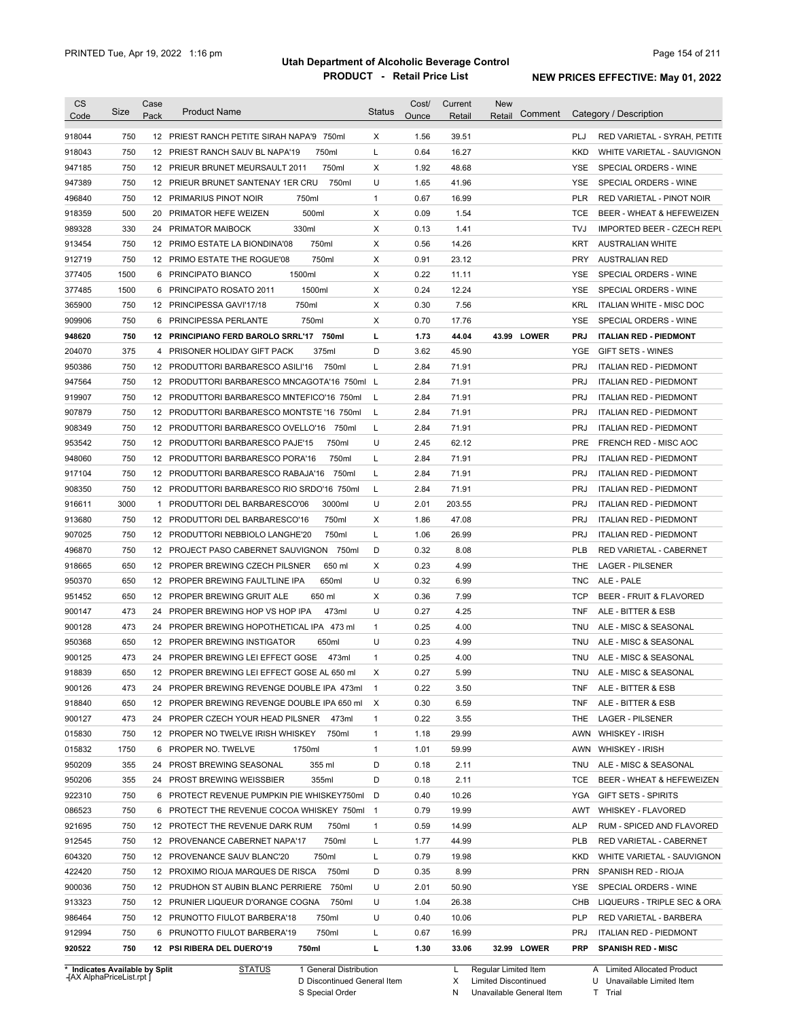| <b>CS</b><br>Code              | Size | Case<br>Pack | <b>Product Name</b>                          | <b>Status</b>  | Cost/<br><b>Ounce</b> | Current<br>Retail | <b>New</b><br>Comment<br>Retail | Category / Description                           |
|--------------------------------|------|--------------|----------------------------------------------|----------------|-----------------------|-------------------|---------------------------------|--------------------------------------------------|
| 918044                         | 750  |              | 12 PRIEST RANCH PETITE SIRAH NAPA'9 750ml    | Χ              | 1.56                  | 39.51             |                                 | PLJ<br>RED VARIETAL - SYRAH, PETITE              |
| 918043                         | 750  |              | 12 PRIEST RANCH SAUV BL NAPA'19<br>750ml     | Г              | 0.64                  | 16.27             |                                 | <b>KKD</b><br>WHITE VARIETAL - SAUVIGNON         |
| 947185                         | 750  |              | 750ml<br>12 PRIEUR BRUNET MEURSAULT 2011     | х              | 1.92                  | 48.68             |                                 | SPECIAL ORDERS - WINE<br>YSE                     |
| 947389                         | 750  |              | 750ml<br>12 PRIEUR BRUNET SANTENAY 1ER CRU   | U              | 1.65                  | 41.96             |                                 | YSE<br>SPECIAL ORDERS - WINE                     |
| 496840                         | 750  |              | 12 PRIMARIUS PINOT NOIR<br>750ml             | $\mathbf{1}$   | 0.67                  | 16.99             |                                 | PLR<br>RED VARIETAL - PINOT NOIR                 |
| 918359                         | 500  |              | 500ml<br>20 PRIMATOR HEFE WEIZEN             | х              | 0.09                  | 1.54              |                                 | <b>TCE</b><br>BEER - WHEAT & HEFEWEIZEN          |
| 989328                         | 330  |              | 330ml<br>24 PRIMATOR MAIBOCK                 | X              | 0.13                  | 1.41              |                                 | TVJ<br><b>IMPORTED BEER - CZECH REPL</b>         |
| 913454                         | 750  |              | 750ml<br>12 PRIMO ESTATE LA BIONDINA'08      | х              | 0.56                  | 14.26             |                                 | KRT<br><b>AUSTRALIAN WHITE</b>                   |
| 912719                         | 750  |              | 750ml<br>12 PRIMO ESTATE THE ROGUE'08        | х              | 0.91                  | 23.12             |                                 | <b>PRY</b><br><b>AUSTRALIAN RED</b>              |
| 377405                         | 1500 |              | 1500ml<br>6 PRINCIPATO BIANCO                | х              | 0.22                  | 11.11             |                                 | YSE<br>SPECIAL ORDERS - WINE                     |
| 377485                         | 1500 |              | 6 PRINCIPATO ROSATO 2011<br>1500ml           | X              | 0.24                  | 12.24             |                                 | YSE<br>SPECIAL ORDERS - WINE                     |
| 365900                         | 750  |              | 750ml<br>12 PRINCIPESSA GAVI'17/18           | X              | 0.30                  | 7.56              |                                 | KRL<br><b>ITALIAN WHITE - MISC DOC</b>           |
| 909906                         | 750  |              | 750ml<br>6 PRINCIPESSA PERLANTE              | X              | 0.70                  | 17.76             |                                 | YSE<br>SPECIAL ORDERS - WINE                     |
| 948620                         | 750  |              | 12 PRINCIPIANO FERD BAROLO SRRL'17 750ml     | L              | 1.73                  | 44.04             | 43.99 LOWER                     | <b>PRJ</b><br><b>ITALIAN RED - PIEDMONT</b>      |
| 204070                         | 375  |              | 375ml<br>4 PRISONER HOLIDAY GIFT PACK        | D              | 3.62                  | 45.90             |                                 | YGE<br>GIFT SETS - WINES                         |
| 950386                         | 750  |              | 12 PRODUTTORI BARBARESCO ASILI'16<br>750ml   | L              | 2.84                  | 71.91             |                                 | <b>PRJ</b><br><b>ITALIAN RED - PIEDMONT</b>      |
| 947564                         | 750  |              | 12 PRODUTTORI BARBARESCO MNCAGOTA'16 750ml L |                | 2.84                  | 71.91             |                                 | <b>PRJ</b><br><b>ITALIAN RED - PIEDMONT</b>      |
| 919907                         | 750  |              | 12 PRODUTTORI BARBARESCO MNTEFICO'16 750ml   | L              | 2.84                  | 71.91             |                                 | <b>PRJ</b><br><b>ITALIAN RED - PIEDMONT</b>      |
| 907879                         | 750  |              | 12 PRODUTTORI BARBARESCO MONTSTE '16 750ml   | L              | 2.84                  | 71.91             |                                 | <b>PRJ</b><br><b>ITALIAN RED - PIEDMONT</b>      |
| 908349                         | 750  |              | 12 PRODUTTORI BARBARESCO OVELLO'16 750ml     | L              | 2.84                  | 71.91             |                                 | <b>PRJ</b><br><b>ITALIAN RED - PIEDMONT</b>      |
| 953542                         | 750  |              | 750ml<br>12 PRODUTTORI BARBARESCO PAJE'15    | U              | 2.45                  | 62.12             |                                 | <b>PRE</b><br>FRENCH RED - MISC AOC              |
| 948060                         | 750  |              | 750ml<br>12 PRODUTTORI BARBARESCO PORA'16    | L              | 2.84                  | 71.91             |                                 | <b>PRJ</b><br><b>ITALIAN RED - PIEDMONT</b>      |
| 917104                         | 750  |              | 12 PRODUTTORI BARBARESCO RABAJA'16<br>750ml  | L              | 2.84                  | 71.91             |                                 | <b>PRJ</b><br><b>ITALIAN RED - PIEDMONT</b>      |
| 908350                         | 750  |              | 12 PRODUTTORI BARBARESCO RIO SRDO'16 750ml   | L              | 2.84                  | 71.91             |                                 | <b>PRJ</b><br><b>ITALIAN RED - PIEDMONT</b>      |
| 916611                         | 3000 |              | 3000ml<br>1 PRODUTTORI DEL BARBARESCO'06     | U              | 2.01                  | 203.55            |                                 | <b>PRJ</b><br><b>ITALIAN RED - PIEDMONT</b>      |
| 913680                         | 750  |              | 12 PRODUTTORI DEL BARBARESCO'16<br>750ml     | X              | 1.86                  | 47.08             |                                 | <b>PRJ</b><br><b>ITALIAN RED - PIEDMONT</b>      |
| 907025                         | 750  |              | 12 PRODUTTORI NEBBIOLO LANGHE'20<br>750ml    | Г              | 1.06                  | 26.99             |                                 | <b>PRJ</b><br><b>ITALIAN RED - PIEDMONT</b>      |
| 496870                         | 750  |              | 12 PROJECT PASO CABERNET SAUVIGNON 750ml     | D              | 0.32                  | 8.08              |                                 | <b>PLB</b><br>RED VARIETAL - CABERNET            |
| 918665                         | 650  |              | 12 PROPER BREWING CZECH PILSNER<br>650 ml    | х              | 0.23                  | 4.99              |                                 | THE<br><b>LAGER - PILSENER</b>                   |
| 950370                         | 650  |              | 650ml<br>12 PROPER BREWING FAULTLINE IPA     | U              | 0.32                  | 6.99              |                                 | <b>TNC</b><br>ALE - PALE                         |
| 951452                         | 650  |              | 650 ml<br>12 PROPER BREWING GRUIT ALE        | X              | 0.36                  | 7.99              |                                 | <b>TCP</b><br><b>BEER - FRUIT &amp; FLAVORED</b> |
| 900147                         | 473  | 24           | PROPER BREWING HOP VS HOP IPA<br>473ml       | U              | 0.27                  | 4.25              |                                 | <b>TNF</b><br>ALE - BITTER & ESB                 |
| 900128                         | 473  |              | 24 PROPER BREWING HOPOTHETICAL IPA 473 ml    | $\mathbf{1}$   | 0.25                  | 4.00              |                                 | <b>TNU</b><br>ALE - MISC & SEASONAL              |
| 950368                         | 650  |              | 650ml<br>12 PROPER BREWING INSTIGATOR        | U              | 0.23                  | 4.99              |                                 | ALE - MISC & SEASONAL<br>TNU                     |
| 900125                         | 473  |              | 24 PROPER BREWING LEI EFFECT GOSE 473ml      | $\mathbf{1}$   | 0.25                  | 4.00              |                                 | TNU<br>ALE - MISC & SEASONAL                     |
| 918839                         | 650  |              | 12 PROPER BREWING LEI EFFECT GOSE AL 650 ml  |                | 0.27                  | 5.99              |                                 | TNU<br>ALE - MISC & SEASONAL                     |
| 900126                         | 473  |              | 24 PROPER BREWING REVENGE DOUBLE IPA 473ml   | $\mathbf{1}$   | 0.22                  | 3.50              |                                 | <b>TNF</b><br>ALE - BITTER & ESB                 |
| 918840                         | 650  |              | 12 PROPER BREWING REVENGE DOUBLE IPA 650 ml  | X              | 0.30                  | 6.59              |                                 | <b>TNF</b><br>ALE - BITTER & ESB                 |
| 900127                         | 473  |              | 24 PROPER CZECH YOUR HEAD PILSNER<br>473ml   | $\mathbf{1}$   | 0.22                  | 3.55              |                                 | THE<br>LAGER - PILSENER                          |
| 015830                         | 750  |              | 12 PROPER NO TWELVE IRISH WHISKEY<br>750ml   | 1              | 1.18                  | 29.99             |                                 | AWN<br><b>WHISKEY - IRISH</b>                    |
| 015832                         | 1750 |              | 6 PROPER NO. TWELVE<br>1750ml                | $\mathbf{1}$   | 1.01                  | 59.99             |                                 | AWN<br><b>WHISKEY - IRISH</b>                    |
| 950209                         | 355  |              | 24 PROST BREWING SEASONAL<br>355 ml          | D              | 0.18                  | 2.11              |                                 | TNU<br>ALE - MISC & SEASONAL                     |
| 950206                         | 355  |              | 24 PROST BREWING WEISSBIER<br>355ml          | D              | 0.18                  | 2.11              |                                 | <b>TCE</b><br>BEER - WHEAT & HEFEWEIZEN          |
| 922310                         | 750  |              | 6 PROTECT REVENUE PUMPKIN PIE WHISKEY750ml   | D              | 0.40                  | 10.26             |                                 | YGA<br><b>GIFT SETS - SPIRITS</b>                |
| 086523                         | 750  |              | 6 PROTECT THE REVENUE COCOA WHISKEY 750ml    | $\overline{1}$ | 0.79                  | 19.99             |                                 | AWT<br><b>WHISKEY - FLAVORED</b>                 |
| 921695                         | 750  |              | 12 PROTECT THE REVENUE DARK RUM<br>750ml     | $\mathbf{1}$   | 0.59                  | 14.99             |                                 | <b>ALP</b><br>RUM - SPICED AND FLAVORED          |
| 912545                         | 750  |              | 12 PROVENANCE CABERNET NAPA'17<br>750ml      | Г              | 1.77                  | 44.99             |                                 | PLB<br>RED VARIETAL - CABERNET                   |
| 604320                         | 750  |              | 750ml<br>12 PROVENANCE SAUV BLANC'20         | L              | 0.79                  | 19.98             |                                 | KKD<br>WHITE VARIETAL - SAUVIGNON                |
| 422420                         | 750  |              | 12 PROXIMO RIOJA MARQUES DE RISCA<br>750ml   | D              | 0.35                  | 8.99              |                                 | <b>PRN</b><br>SPANISH RED - RIOJA                |
| 900036                         | 750  |              | 750ml<br>12 PRUDHON ST AUBIN BLANC PERRIERE  | U              | 2.01                  | 50.90             |                                 | SPECIAL ORDERS - WINE<br>YSE                     |
| 913323                         | 750  |              | 12 PRUNIER LIQUEUR D'ORANGE COGNA<br>750ml   | U              | 1.04                  | 26.38             |                                 | CHB<br>LIQUEURS - TRIPLE SEC & ORA               |
| 986464                         | 750  |              | 750ml<br>12 PRUNOTTO FIULOT BARBERA'18       | U              | 0.40                  | 10.06             |                                 | PLP<br>RED VARIETAL - BARBERA                    |
| 912994                         | 750  |              | 750ml<br>6 PRUNOTTO FIULOT BARBERA'19        | L              | 0.67                  | 16.99             |                                 | PRJ<br><b>ITALIAN RED - PIEDMONT</b>             |
| 920522                         | 750  |              | 12 PSI RIBERA DEL DUERO'19<br>750ml          | г              | 1.30                  | 33.06             | 32.99 LOWER                     | <b>PRP</b><br><b>SPANISH RED - MISC</b>          |
| * Indicates Available by Split |      |              | <b>STATUS</b><br>1 General Distribution      |                |                       | L.                | Regular Limited Item            | A Limited Allocated Product                      |

**Case** [AX AlphaPriceList.rpt ]

D Discontinued General Item S Special Order

N Unavailable General Item

U Unavailable Limited Item

X Limited Discontinued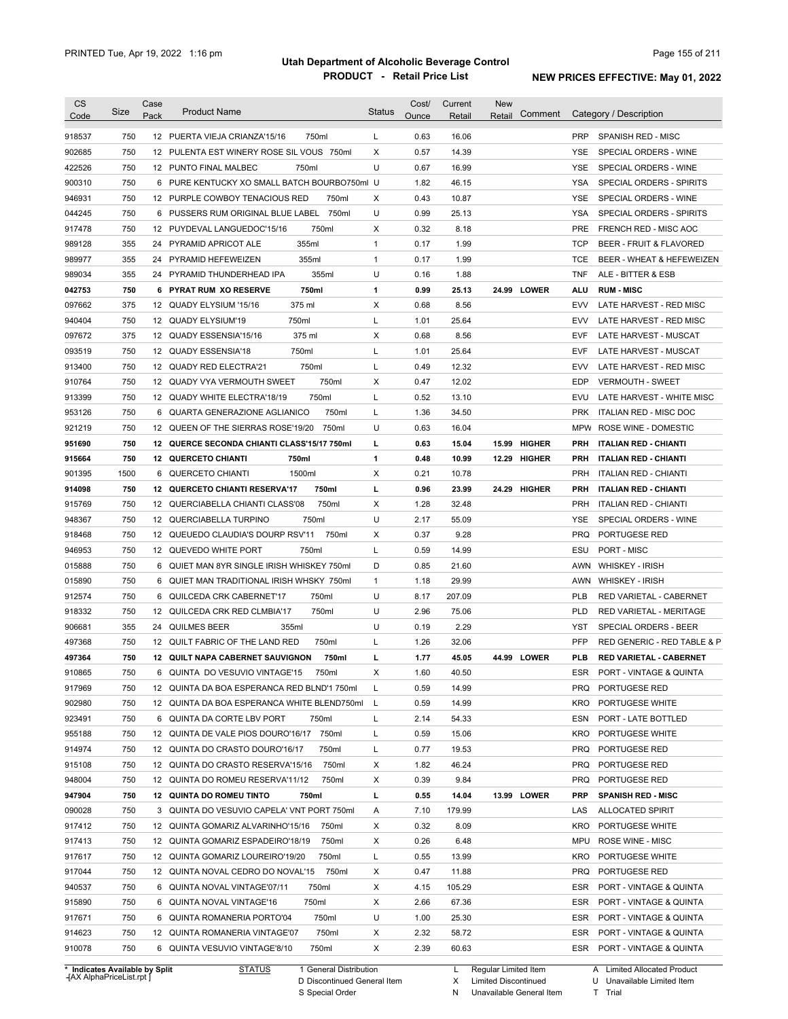| <b>CS</b><br>Code              | Size | Case<br>Pack | <b>Product Name</b>                                          | <b>Status</b> | Cost/<br>Ounce | Current<br>Retail | New<br>Retail        | Comment       |                          | Category / Description                 |
|--------------------------------|------|--------------|--------------------------------------------------------------|---------------|----------------|-------------------|----------------------|---------------|--------------------------|----------------------------------------|
| 918537                         | 750  |              | 12 PUERTA VIEJA CRIANZA'15/16<br>750ml                       | L             | 0.63           | 16.06             |                      |               | <b>PRP</b>               | SPANISH RED - MISC                     |
| 902685                         | 750  |              | 12 PULENTA EST WINERY ROSE SIL VOUS 750ml                    | X             | 0.57           | 14.39             |                      |               | YSE                      | SPECIAL ORDERS - WINE                  |
| 422526                         | 750  |              | 12 PUNTO FINAL MALBEC<br>750ml                               | U             | 0.67           | 16.99             |                      |               | YSE                      | SPECIAL ORDERS - WINE                  |
| 900310                         | 750  |              | 6 PURE KENTUCKY XO SMALL BATCH BOURBO750ml U                 |               | 1.82           | 46.15             |                      |               | YSA                      | SPECIAL ORDERS - SPIRITS               |
| 946931                         | 750  |              | 12 PURPLE COWBOY TENACIOUS RED<br>750ml                      | Х             | 0.43           | 10.87             |                      |               | <b>YSE</b>               | SPECIAL ORDERS - WINE                  |
| 044245                         | 750  |              | 6 PUSSERS RUM ORIGINAL BLUE LABEL 750ml                      | U             | 0.99           | 25.13             |                      |               | YSA                      | SPECIAL ORDERS - SPIRITS               |
| 917478                         | 750  |              | 12 PUYDEVAL LANGUEDOC'15/16<br>750ml                         | X             | 0.32           | 8.18              |                      |               | <b>PRE</b>               | FRENCH RED - MISC AOC                  |
| 989128                         | 355  | 24           | PYRAMID APRICOT ALE<br>355ml                                 | 1             | 0.17           | 1.99              |                      |               | <b>TCP</b>               | BEER - FRUIT & FLAVORED                |
| 989977                         | 355  | 24           | 355ml<br>PYRAMID HEFEWEIZEN                                  | $\mathbf{1}$  | 0.17           | 1.99              |                      |               | <b>TCE</b>               | BEER - WHEAT & HEFEWEIZEN              |
| 989034                         | 355  | 24           | 355ml<br>PYRAMID THUNDERHEAD IPA                             | U             | 0.16           | 1.88              |                      |               | <b>TNF</b>               | ALE - BITTER & ESB                     |
| 042753                         | 750  | 6            | <b>PYRAT RUM XO RESERVE</b><br>750ml                         | 1             | 0.99           | 25.13             |                      | 24.99 LOWER   | ALU                      | <b>RUM - MISC</b>                      |
| 097662                         | 375  | 12           | 375 ml<br>QUADY ELYSIUM '15/16                               | X             | 0.68           | 8.56              |                      |               | <b>EVV</b>               | LATE HARVEST - RED MISC                |
| 940404                         | 750  |              | 750ml<br>12 QUADY ELYSIUM'19                                 | Г             | 1.01           | 25.64             |                      |               | <b>EVV</b>               | LATE HARVEST - RED MISC                |
| 097672                         | 375  | 12           | QUADY ESSENSIA'15/16<br>375 ml                               | X             | 0.68           | 8.56              |                      |               | <b>EVF</b>               | LATE HARVEST - MUSCAT                  |
| 093519                         | 750  |              | 12 QUADY ESSENSIA'18<br>750ml                                | Г             | 1.01           | 25.64             |                      |               | <b>EVF</b>               | LATE HARVEST - MUSCAT                  |
| 913400                         | 750  |              | 750ml<br>12 QUADY RED ELECTRA'21                             | L             | 0.49           | 12.32             |                      |               | <b>EVV</b>               | LATE HARVEST - RED MISC                |
| 910764                         | 750  | 12           | 750ml<br>QUADY VYA VERMOUTH SWEET                            | X             | 0.47           | 12.02             |                      |               | <b>EDP</b>               | <b>VERMOUTH - SWEET</b>                |
| 913399                         | 750  |              | 750ml<br>12 QUADY WHITE ELECTRA'18/19                        | Г             | 0.52           | 13.10             |                      |               | <b>EVU</b>               | LATE HARVEST - WHITE MISC              |
| 953126                         | 750  |              | 750ml<br>6 QUARTA GENERAZIONE AGLIANICO                      | Г             | 1.36           | 34.50             |                      |               | <b>PRK</b>               | ITALIAN RED - MISC DOC                 |
| 921219                         | 750  |              | 12 QUEEN OF THE SIERRAS ROSE'19/20<br>750ml                  | U             | 0.63           | 16.04             |                      |               | MPW                      | ROSE WINE - DOMESTIC                   |
| 951690                         | 750  |              | 12 QUERCE SECONDA CHIANTI CLASS'15/17 750ml                  | г             | 0.63           | 15.04             | 15.99                | <b>HIGHER</b> | <b>PRH</b>               | <b>ITALIAN RED - CHIANTI</b>           |
| 915664                         | 750  |              | 750ml<br><b>12 QUERCETO CHIANTI</b>                          | 1             | 0.48           | 10.99             | 12.29                | <b>HIGHER</b> | <b>PRH</b>               | <b>ITALIAN RED - CHIANTI</b>           |
| 901395                         | 1500 | 6            | 1500ml<br>QUERCETO CHIANTI                                   | X             | 0.21           | 10.78             |                      |               | <b>PRH</b>               | <b>ITALIAN RED - CHIANTI</b>           |
| 914098                         | 750  | 12           | <b>QUERCETO CHIANTI RESERVA'17</b><br>750ml                  | г             | 0.96           | 23.99             |                      | 24.29 HIGHER  | <b>PRH</b>               | <b>ITALIAN RED - CHIANTI</b>           |
|                                | 750  |              | 750ml                                                        | X             | 1.28           |                   |                      |               |                          |                                        |
| 915769                         | 750  | 12           | QUERCIABELLA CHIANTI CLASS'08<br>750ml                       | U             |                | 32.48             |                      |               | <b>PRH</b><br><b>YSE</b> | <b>ITALIAN RED - CHIANTI</b>           |
| 948367                         | 750  |              | 12 QUERCIABELLA TURPINO<br>12 QUEUEDO CLAUDIA'S DOURP RSV'11 |               | 2.17           | 55.09<br>9.28     |                      |               | <b>PRQ</b>               | SPECIAL ORDERS - WINE<br>PORTUGESE RED |
| 918468                         |      |              | 750ml                                                        | х             | 0.37           |                   |                      |               |                          |                                        |
| 946953                         | 750  |              | 12 QUEVEDO WHITE PORT<br>750ml                               | Г             | 0.59           | 14.99             |                      |               | ESU                      | PORT - MISC                            |
| 015888                         | 750  | 6            | QUIET MAN 8YR SINGLE IRISH WHISKEY 750ml                     | D             | 0.85           | 21.60             |                      |               | AWN                      | <b>WHISKEY - IRISH</b>                 |
| 015890                         | 750  | 6            | QUIET MAN TRADITIONAL IRISH WHSKY 750ml                      | $\mathbf{1}$  | 1.18           | 29.99             |                      |               | AWN                      | <b>WHISKEY - IRISH</b>                 |
| 912574                         | 750  | 6            | 750ml<br>QUILCEDA CRK CABERNET'17                            | U             | 8.17           | 207.09            |                      |               | <b>PLB</b>               | RED VARIETAL - CABERNET                |
| 918332                         | 750  | 12           | 750ml<br>QUILCEDA CRK RED CLMBIA'17                          | U             | 2.96           | 75.06             |                      |               | <b>PLD</b>               | <b>RED VARIETAL - MERITAGE</b>         |
| 906681                         | 355  | 24           | <b>QUILMES BEER</b><br>355ml                                 | U             | 0.19           | 2.29              |                      |               | YST                      | SPECIAL ORDERS - BEER                  |
| 497368                         | 750  |              | 12 QUILT FABRIC OF THE LAND RED<br>750ml                     | Г             | 1.26           | 32.06             |                      |               | PFP                      | RED GENERIC - RED TABLE & P            |
| 497364                         | 750  |              | 12 QUILT NAPA CABERNET SAUVIGNON<br>750ml                    | г             | 1.77           | 45.05             |                      | 44.99 LOWER   | <b>PLB</b>               | <b>RED VARIETAL - CABERNET</b>         |
| 910865                         | 750  | 6            | QUINTA DO VESUVIO VINTAGE'15<br>750ml                        | х             | 1.60           | 40.50             |                      |               | <b>ESR</b>               | PORT - VINTAGE & QUINTA                |
| 917969                         | 750  |              | 12 QUINTA DA BOA ESPERANCA RED BLND'1 750ml                  | L             | 0.59           | 14.99             |                      |               | <b>PRQ</b>               | PORTUGESE RED                          |
| 902980                         | 750  |              | 12 QUINTA DA BOA ESPERANCA WHITE BLEND750ml                  | L             | 0.59           | 14.99             |                      |               | KRO                      | PORTUGESE WHITE                        |
| 923491                         | 750  |              | 6 QUINTA DA CORTE LBV PORT<br>750ml                          | L             | 2.14           | 54.33             |                      |               | ESN                      | PORT - LATE BOTTLED                    |
| 955188                         | 750  |              | 750ml<br>12 QUINTA DE VALE PIOS DOURO'16/17                  | L             | 0.59           | 15.06             |                      |               | KRO                      | PORTUGESE WHITE                        |
| 914974                         | 750  |              | 12 QUINTA DO CRASTO DOURO'16/17<br>750ml                     | Г             | 0.77           | 19.53             |                      |               | <b>PRQ</b>               | PORTUGESE RED                          |
| 915108                         | 750  |              | 12 QUINTA DO CRASTO RESERVA'15/16<br>750ml                   | х             | 1.82           | 46.24             |                      |               | <b>PRQ</b>               | PORTUGESE RED                          |
| 948004                         | 750  |              | 750ml<br>12 QUINTA DO ROMEU RESERVA'11/12                    | х             | 0.39           | 9.84              |                      |               | <b>PRQ</b>               | PORTUGESE RED                          |
| 947904                         | 750  |              | 12 QUINTA DO ROMEU TINTO<br>750ml                            | L             | 0.55           | 14.04             |                      | 13.99 LOWER   | <b>PRP</b>               | <b>SPANISH RED - MISC</b>              |
| 090028                         | 750  |              | 3 QUINTA DO VESUVIO CAPELA' VNT PORT 750ml                   | Α             | 7.10           | 179.99            |                      |               | LAS                      | <b>ALLOCATED SPIRIT</b>                |
| 917412                         | 750  |              | 12 QUINTA GOMARIZ ALVARINHO'15/16<br>750ml                   | х             | 0.32           | 8.09              |                      |               | KRO                      | PORTUGESE WHITE                        |
| 917413                         | 750  |              | 750ml<br>12 QUINTA GOMARIZ ESPADEIRO'18/19                   | х             | 0.26           | 6.48              |                      |               | MPU                      | <b>ROSE WINE - MISC</b>                |
| 917617                         | 750  |              | 12 QUINTA GOMARIZ LOUREIRO'19/20<br>750ml                    | L             | 0.55           | 13.99             |                      |               | KRO                      | PORTUGESE WHITE                        |
| 917044                         | 750  |              | 750ml<br>12 QUINTA NOVAL CEDRO DO NOVAL'15                   | х             | 0.47           | 11.88             |                      |               | <b>PRQ</b>               | PORTUGESE RED                          |
| 940537                         | 750  |              | 750ml<br>6 QUINTA NOVAL VINTAGE'07/11                        | х             | 4.15           | 105.29            |                      |               | ESR                      | PORT - VINTAGE & QUINTA                |
| 915890                         | 750  |              | 750ml<br>6 QUINTA NOVAL VINTAGE'16                           | Х             | 2.66           | 67.36             |                      |               | ESR                      | PORT - VINTAGE & QUINTA                |
| 917671                         | 750  |              | 750ml<br>6 QUINTA ROMANERIA PORTO'04                         | U             | 1.00           | 25.30             |                      |               | ESR                      | PORT - VINTAGE & QUINTA                |
| 914623                         | 750  |              | 750ml<br>12 QUINTA ROMANERIA VINTAGE'07                      | х             | 2.32           | 58.72             |                      |               | ESR                      | PORT - VINTAGE & QUINTA                |
| 910078                         | 750  |              | 6 QUINTA VESUVIO VINTAGE'8/10<br>750ml                       | X             | 2.39           | 60.63             |                      |               | ESR                      | PORT - VINTAGE & QUINTA                |
| * Indicates Available by Split |      |              | 1 General Distribution<br><b>STATUS</b>                      |               |                | L                 | Regular Limited Item |               |                          | A Limited Allocated Product            |

**Case** [AX AlphaPriceList.rpt ]

D Discontinued General Item

S Special Order

X Limited Discontinued

N Unavailable General Item

U Unavailable Limited Item T Trial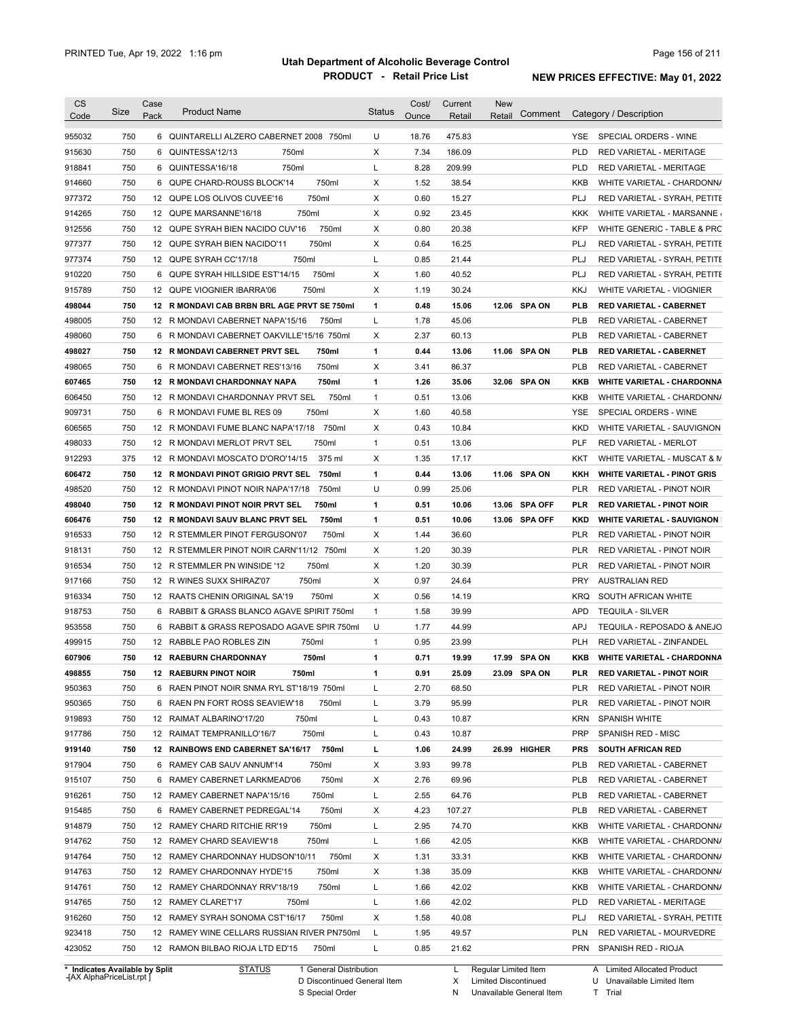| <b>CS</b><br>Code              | Size | Case<br>Pack | <b>Product Name</b>                          | <b>Status</b> | Cost/<br>Ounce | Current<br>Retail | <b>New</b><br>Retail | Comment        |            | Category / Description             |
|--------------------------------|------|--------------|----------------------------------------------|---------------|----------------|-------------------|----------------------|----------------|------------|------------------------------------|
|                                | 750  |              | 6 QUINTARELLI ALZERO CABERNET 2008 750ml     | U             | 18.76          | 475.83            |                      |                | <b>YSE</b> | SPECIAL ORDERS - WINE              |
| 955032                         |      |              |                                              |               |                |                   |                      |                |            |                                    |
| 915630                         | 750  | 6            | 750ml<br>QUINTESSA'12/13                     | X             | 7.34           | 186.09            |                      |                | <b>PLD</b> | RED VARIETAL - MERITAGE            |
| 918841                         | 750  | 6            | 750ml<br>QUINTESSA'16/18                     | Г             | 8.28           | 209.99            |                      |                | <b>PLD</b> | RED VARIETAL - MERITAGE            |
| 914660                         | 750  | 6            | 750ml<br>QUPE CHARD-ROUSS BLOCK'14           | X             | 1.52           | 38.54             |                      |                | KKB        | WHITE VARIETAL - CHARDONN/         |
| 977372                         | 750  |              | 750ml<br>12 QUPE LOS OLIVOS CUVEE'16         | X             | 0.60           | 15.27             |                      |                | PLJ        | RED VARIETAL - SYRAH, PETITE       |
| 914265                         | 750  |              | 750ml<br>12 QUPE MARSANNE'16/18              | X             | 0.92           | 23.45             |                      |                | KKK        | WHITE VARIETAL - MARSANNE          |
| 912556                         | 750  |              | 750ml<br>12 QUPE SYRAH BIEN NACIDO CUV'16    | Х             | 0.80           | 20.38             |                      |                | <b>KFP</b> | WHITE GENERIC - TABLE & PRC        |
| 977377                         | 750  |              | 12 QUPE SYRAH BIEN NACIDO'11<br>750ml        | Χ             | 0.64           | 16.25             |                      |                | PLJ        | RED VARIETAL - SYRAH, PETITE       |
| 977374                         | 750  |              | 750ml<br>12 QUPE SYRAH CC'17/18              | L             | 0.85           | 21.44             |                      |                | <b>PLJ</b> | RED VARIETAL - SYRAH, PETITE       |
| 910220                         | 750  | 6            | 750ml<br>QUPE SYRAH HILLSIDE EST'14/15       | Х             | 1.60           | 40.52             |                      |                | <b>PLJ</b> | RED VARIETAL - SYRAH, PETITE       |
| 915789                         | 750  |              | 750ml<br>12 QUPE VIOGNIER IBARRA'06          | Χ             | 1.19           | 30.24             |                      |                | KKJ        | WHITE VARIETAL - VIOGNIER          |
| 498044                         | 750  |              | 12 R MONDAVI CAB BRBN BRL AGE PRVT SE 750ml  | $\mathbf{1}$  | 0.48           | 15.06             |                      | 12.06 SPA ON   | <b>PLB</b> | <b>RED VARIETAL - CABERNET</b>     |
| 498005                         | 750  |              | 12 R MONDAVI CABERNET NAPA'15/16<br>750ml    | L             | 1.78           | 45.06             |                      |                | <b>PLB</b> | RED VARIETAL - CABERNET            |
| 498060                         | 750  |              | 6 R MONDAVI CABERNET OAKVILLE'15/16 750ml    | X             | 2.37           | 60.13             |                      |                | <b>PLB</b> | RED VARIETAL - CABERNET            |
| 498027                         | 750  |              | 12 R MONDAVI CABERNET PRVT SEL<br>750ml      | 1             | 0.44           | 13.06             |                      | 11.06 SPA ON   | <b>PLB</b> | <b>RED VARIETAL - CABERNET</b>     |
| 498065                         | 750  |              | 750ml<br>6 R MONDAVI CABERNET RES'13/16      | Χ             | 3.41           | 86.37             |                      |                | <b>PLB</b> | RED VARIETAL - CABERNET            |
| 607465                         | 750  |              | 750ml<br>12 R MONDAVI CHARDONNAY NAPA        | 1             | 1.26           | 35.06             |                      | 32.06 SPA ON   | KKB        | <b>WHITE VARIETAL - CHARDONNA</b>  |
| 606450                         | 750  |              | 12 R MONDAVI CHARDONNAY PRVT SEL<br>750ml    | $\mathbf{1}$  | 0.51           | 13.06             |                      |                | KKB        | WHITE VARIETAL - CHARDONN/         |
| 909731                         | 750  | 6            | 750ml<br>R MONDAVI FUME BL RES 09            | Х             | 1.60           | 40.58             |                      |                | YSE        | SPECIAL ORDERS - WINE              |
| 606565                         | 750  |              | 12 R MONDAVI FUME BLANC NAPA'17/18<br>750ml  | X             | 0.43           | 10.84             |                      |                | <b>KKD</b> | WHITE VARIETAL - SAUVIGNON         |
| 498033                         | 750  |              | 750ml<br>12 R MONDAVI MERLOT PRVT SEL        | $\mathbf{1}$  | 0.51           | 13.06             |                      |                | <b>PLF</b> | RED VARIETAL - MERLOT              |
| 912293                         | 375  |              | 12 R MONDAVI MOSCATO D'ORO'14/15<br>375 ml   | Х             | 1.35           | 17.17             |                      |                | KKT        | WHITE VARIETAL - MUSCAT & M        |
| 606472                         | 750  |              | 12 R MONDAVI PINOT GRIGIO PRVT SEL<br>750ml  | 1             | 0.44           | 13.06             |                      | 11.06 SPA ON   | KKH        | <b>WHITE VARIETAL - PINOT GRIS</b> |
| 498520                         | 750  |              | 12 R MONDAVI PINOT NOIR NAPA'17/18<br>750ml  | U             | 0.99           | 25.06             |                      |                | <b>PLR</b> | RED VARIETAL - PINOT NOIR          |
| 498040                         | 750  |              | 12 R MONDAVI PINOT NOIR PRVT SEL<br>750ml    | 1             | 0.51           | 10.06             | 13.06                | <b>SPA OFF</b> | <b>PLR</b> | <b>RED VARIETAL - PINOT NOIR</b>   |
| 606476                         | 750  |              | 12 R MONDAVI SAUV BLANC PRVT SEL<br>750ml    | 1             | 0.51           | 10.06             |                      | 13.06 SPA OFF  | KKD        | <b>WHITE VARIETAL - SAUVIGNON</b>  |
| 916533                         | 750  |              | 12 R STEMMLER PINOT FERGUSON'07<br>750ml     | Χ             | 1.44           | 36.60             |                      |                | <b>PLR</b> | RED VARIETAL - PINOT NOIR          |
| 918131                         | 750  |              | 12 R STEMMLER PINOT NOIR CARN'11/12<br>750ml | Χ             | 1.20           | 30.39             |                      |                | <b>PLR</b> | RED VARIETAL - PINOT NOIR          |
|                                |      |              |                                              |               |                |                   |                      |                |            |                                    |
| 916534                         | 750  |              | 750ml<br>12 R STEMMLER PN WINSIDE '12        | X             | 1.20           | 30.39             |                      |                | <b>PLR</b> | RED VARIETAL - PINOT NOIR          |
| 917166                         | 750  |              | 750ml<br>12 R WINES SUXX SHIRAZ'07           | X             | 0.97           | 24.64             |                      |                | <b>PRY</b> | <b>AUSTRALIAN RED</b>              |
| 916334                         | 750  |              | 750ml<br>12 RAATS CHENIN ORIGINAL SA'19      | X             | 0.56           | 14.19             |                      |                | <b>KRQ</b> | SOUTH AFRICAN WHITE                |
| 918753                         | 750  |              | 6 RABBIT & GRASS BLANCO AGAVE SPIRIT 750ml   | $\mathbf{1}$  | 1.58           | 39.99             |                      |                | <b>APD</b> | <b>TEQUILA - SILVER</b>            |
| 953558                         | 750  |              | 6 RABBIT & GRASS REPOSADO AGAVE SPIR 750ml   | U             | 1.77           | 44.99             |                      |                | <b>APJ</b> | TEQUILA - REPOSADO & ANEJO         |
| 499915                         | 750  |              | 750ml<br>12 RABBLE PAO ROBLES ZIN            | 1             | 0.95           | 23.99             |                      |                | <b>PLH</b> | RED VARIETAL - ZINFANDEL           |
| 607906                         | 750  |              | 12 RAEBURN CHARDONNAY<br>750ml               | 1             | 0.71           | 19.99             |                      | 17.99 SPA ON   | KKB        | <b>WHITE VARIETAL - CHARDONNA</b>  |
| 498855                         | 750  |              | <b>12 RAEBURN PINOT NOIR</b><br>750ml        | 1             | 0.91           | 25.09             | 23.09                | <b>SPA ON</b>  | PLR        | <b>RED VARIETAL - PINOT NOIR</b>   |
| 950363                         | 750  |              | 6 RAEN PINOT NOIR SNMA RYL ST'18/19 750ml    | L             | 2.70           | 68.50             |                      |                | <b>PLR</b> | RED VARIETAL - PINOT NOIR          |
| 950365                         | 750  |              | 6 RAEN PN FORT ROSS SEAVIEW'18<br>750ml      | L             | 3.79           | 95.99             |                      |                | <b>PLR</b> | RED VARIETAL - PINOT NOIR          |
| 919893                         | 750  |              | 12 RAIMAT ALBARINO'17/20<br>750ml            | L             | 0.43           | 10.87             |                      |                | <b>KRN</b> | <b>SPANISH WHITE</b>               |
| 917786                         | 750  |              | 750ml<br>12 RAIMAT TEMPRANILLO'16/7          | L             | 0.43           | 10.87             |                      |                | <b>PRP</b> | SPANISH RED - MISC                 |
| 919140                         | 750  |              | 750ml<br>12 RAINBOWS END CABERNET SA'16/17   | L             | 1.06           | 24.99             |                      | 26.99 HIGHER   | <b>PRS</b> | <b>SOUTH AFRICAN RED</b>           |
| 917904                         | 750  |              | 6 RAMEY CAB SAUV ANNUM'14<br>750ml           | X             | 3.93           | 99.78             |                      |                | <b>PLB</b> | RED VARIETAL - CABERNET            |
| 915107                         | 750  |              | 750ml<br>6 RAMEY CABERNET LARKMEAD'06        | X             | 2.76           | 69.96             |                      |                | <b>PLB</b> | RED VARIETAL - CABERNET            |
| 916261                         | 750  |              | 750ml<br>12 RAMEY CABERNET NAPA'15/16        | L             | 2.55           | 64.76             |                      |                | <b>PLB</b> | RED VARIETAL - CABERNET            |
| 915485                         | 750  |              | 750ml<br>6 RAMEY CABERNET PEDREGAL'14        | Х             | 4.23           | 107.27            |                      |                | <b>PLB</b> | RED VARIETAL - CABERNET            |
| 914879                         | 750  |              | 750ml<br>12 RAMEY CHARD RITCHIE RR'19        | L             | 2.95           | 74.70             |                      |                | KKB        | WHITE VARIETAL - CHARDONN/         |
| 914762                         | 750  |              | 750ml<br>12 RAMEY CHARD SEAVIEW'18           | L             | 1.66           | 42.05             |                      |                | KKB        | WHITE VARIETAL - CHARDONN/         |
| 914764                         | 750  |              | 750ml<br>12 RAMEY CHARDONNAY HUDSON'10/11    | Х             | 1.31           | 33.31             |                      |                | KKB        | WHITE VARIETAL - CHARDONN/         |
| 914763                         | 750  |              | 12 RAMEY CHARDONNAY HYDE'15<br>750ml         | Х             | 1.38           | 35.09             |                      |                | KKB        | WHITE VARIETAL - CHARDONN/         |
| 914761                         | 750  |              | 750ml<br>12 RAMEY CHARDONNAY RRV'18/19       | L             | 1.66           | 42.02             |                      |                | KKB        | WHITE VARIETAL - CHARDONN/         |
| 914765                         | 750  |              | 12 RAMEY CLARET'17<br>750ml                  | L             | 1.66           | 42.02             |                      |                | <b>PLD</b> | RED VARIETAL - MERITAGE            |
| 916260                         | 750  |              | 12 RAMEY SYRAH SONOMA CST16/17<br>750ml      | Х             | 1.58           | 40.08             |                      |                | <b>PLJ</b> | RED VARIETAL - SYRAH, PETITE       |
| 923418                         | 750  |              | 12 RAMEY WINE CELLARS RUSSIAN RIVER PN750ml  | L             | 1.95           | 49.57             |                      |                | <b>PLN</b> | RED VARIETAL - MOURVEDRE           |
| 423052                         | 750  |              | 12 RAMON BILBAO RIOJA LTD ED'15<br>750ml     | L             | 0.85           | 21.62             |                      |                | <b>PRN</b> | SPANISH RED - RIOJA                |
| * Indicates Available by Split |      |              | 1 General Distribution<br><b>STATUS</b>      |               |                | L                 | Regular Limited Item |                |            | A Limited Allocated Product        |

**Case** [AX AlphaPriceList.rpt ]

D Discontinued General Item

S Special Order

X Limited Discontinued

N Unavailable General Item

U Unavailable Limited Item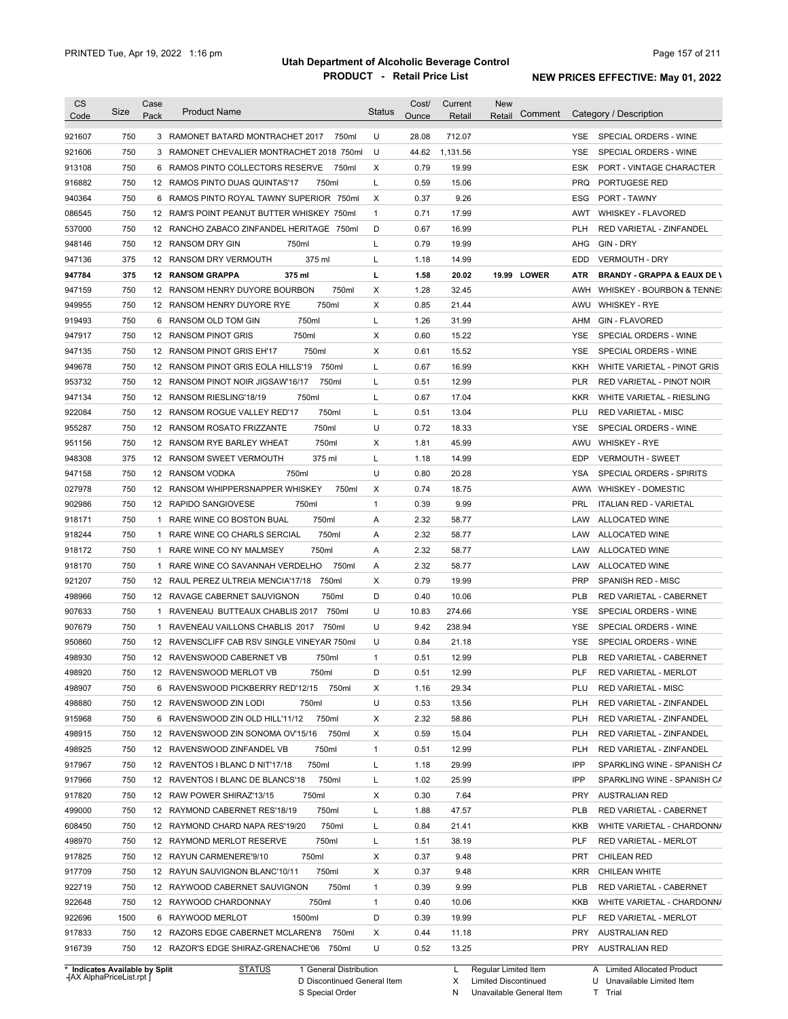| <b>CS</b><br>Code              | Size | Case<br>Pack | <b>Product Name</b>                         | <b>Status</b> | Cost/<br>Ounce | Current<br>Retail | <b>New</b><br>Comment<br>Retail |            | Category / Description                 |
|--------------------------------|------|--------------|---------------------------------------------|---------------|----------------|-------------------|---------------------------------|------------|----------------------------------------|
| 921607                         | 750  |              | 3 RAMONET BATARD MONTRACHET 2017<br>750ml   | U             | 28.08          | 712.07            |                                 | YSE.       | SPECIAL ORDERS - WINE                  |
| 921606                         | 750  |              | 3 RAMONET CHEVALIER MONTRACHET 2018 750ml   | U             | 44.62          | 1,131.56          |                                 | <b>YSE</b> | SPECIAL ORDERS - WINE                  |
| 913108                         | 750  |              | 6 RAMOS PINTO COLLECTORS RESERVE<br>750ml   | х             | 0.79           | 19.99             |                                 | ESK        | PORT - VINTAGE CHARACTER               |
| 916882                         | 750  |              | 12 RAMOS PINTO DUAS QUINTAS'17<br>750ml     | L             | 0.59           | 15.06             |                                 | <b>PRQ</b> | PORTUGESE RED                          |
| 940364                         | 750  |              | 6 RAMOS PINTO ROYAL TAWNY SUPERIOR 750ml    | Х             | 0.37           | 9.26              |                                 | ESG        | PORT - TAWNY                           |
| 086545                         | 750  |              | 12 RAM'S POINT PEANUT BUTTER WHISKEY 750ml  | $\mathbf{1}$  | 0.71           | 17.99             |                                 | AWT        | WHISKEY - FLAVORED                     |
| 537000                         | 750  |              | 12 RANCHO ZABACO ZINFANDEL HERITAGE 750ml   | D             | 0.67           | 16.99             |                                 | PLH        | RED VARIETAL - ZINFANDEL               |
| 948146                         | 750  |              | 750ml<br>12 RANSOM DRY GIN                  | L             | 0.79           | 19.99             |                                 | AHG        | GIN - DRY                              |
| 947136                         | 375  |              | 375 ml<br>12 RANSOM DRY VERMOUTH            | L             | 1.18           | 14.99             |                                 | EDD        | <b>VERMOUTH - DRY</b>                  |
| 947784                         | 375  |              | <b>12 RANSOM GRAPPA</b><br>375 ml           | г             | 1.58           | 20.02             | 19.99 LOWER                     | ATR        | <b>BRANDY - GRAPPA &amp; EAUX DE \</b> |
| 947159                         | 750  |              | 750ml<br>12 RANSOM HENRY DUYORE BOURBON     | Χ             | 1.28           | 32.45             |                                 | AWH        | WHISKEY - BOURBON & TENNE:             |
| 949955                         | 750  |              | 12 RANSOM HENRY DUYORE RYE<br>750ml         | X             | 0.85           | 21.44             |                                 | AWU        | <b>WHISKEY - RYE</b>                   |
| 919493                         | 750  |              | 750ml<br>6 RANSOM OLD TOM GIN               | L             | 1.26           | 31.99             |                                 | AHM        | <b>GIN - FLAVORED</b>                  |
| 947917                         | 750  |              | 750ml<br>12 RANSOM PINOT GRIS               | X             | 0.60           | 15.22             |                                 | <b>YSE</b> | SPECIAL ORDERS - WINE                  |
| 947135                         | 750  |              | 750ml<br>12 RANSOM PINOT GRIS EH'17         | X             | 0.61           | 15.52             |                                 | YSE        | SPECIAL ORDERS - WINE                  |
| 949678                         | 750  |              | 12 RANSOM PINOT GRIS EOLA HILLS'19<br>750ml | Г             | 0.67           | 16.99             |                                 | KKH        | WHITE VARIETAL - PINOT GRIS            |
| 953732                         | 750  |              | 12 RANSOM PINOT NOIR JIGSAW'16/17<br>750ml  | L             | 0.51           | 12.99             |                                 | PLR        | RED VARIETAL - PINOT NOIR              |
| 947134                         | 750  |              | 12 RANSOM RIESLING'18/19<br>750ml           | L             | 0.67           | 17.04             |                                 | <b>KKR</b> | WHITE VARIETAL - RIESLING              |
| 922084                         | 750  |              | 750ml<br>12 RANSOM ROGUE VALLEY RED'17      | L             | 0.51           | 13.04             |                                 | PLU        | <b>RED VARIETAL - MISC</b>             |
| 955287                         | 750  |              | 750ml<br>12 RANSOM ROSATO FRIZZANTE         | U             | 0.72           | 18.33             |                                 | <b>YSE</b> | SPECIAL ORDERS - WINE                  |
| 951156                         | 750  |              | 750ml<br>12 RANSOM RYE BARLEY WHEAT         | X             | 1.81           | 45.99             |                                 | AWU        | <b>WHISKEY - RYE</b>                   |
| 948308                         | 375  |              | 375 ml<br>12 RANSOM SWEET VERMOUTH          | Г             | 1.18           | 14.99             |                                 | EDP        | <b>VERMOUTH - SWEET</b>                |
| 947158                         | 750  |              | 750ml<br>12 RANSOM VODKA                    | U             | 0.80           | 20.28             |                                 | YSA        | SPECIAL ORDERS - SPIRITS               |
| 027978                         | 750  |              | 12 RANSOM WHIPPERSNAPPER WHISKEY<br>750ml   | Х             | 0.74           | 18.75             |                                 |            | AWW WHISKEY - DOMESTIC                 |
| 902986                         | 750  |              | 12 RAPIDO SANGIOVESE<br>750ml               | $\mathbf{1}$  | 0.39           | 9.99              |                                 | <b>PRL</b> | <b>ITALIAN RED - VARIETAL</b>          |
| 918171                         | 750  | 1            | 750ml<br>RARE WINE CO BOSTON BUAL           | Α             | 2.32           | 58.77             |                                 | LAW        | ALLOCATED WINE                         |
|                                | 750  |              | 750ml<br>1 RARE WINE CO CHARLS SERCIAL      | A             | 2.32           | 58.77             |                                 | LAW        | ALLOCATED WINE                         |
| 918244                         |      |              |                                             |               |                |                   |                                 |            |                                        |
| 918172                         | 750  |              | 1 RARE WINE CO NY MALMSEY<br>750ml          | A             | 2.32           | 58.77             |                                 | LAW        | ALLOCATED WINE                         |
| 918170                         | 750  | 1            | 750ml<br>RARE WINE CO SAVANNAH VERDELHO     | Α             | 2.32           | 58.77             |                                 | LAW        | <b>ALLOCATED WINE</b>                  |
| 921207                         | 750  |              | 750ml<br>12 RAUL PEREZ ULTREIA MENCIA'17/18 | X             | 0.79           | 19.99             |                                 | <b>PRP</b> | SPANISH RED - MISC                     |
| 498966                         | 750  |              | 12 RAVAGE CABERNET SAUVIGNON<br>750ml       | D             | 0.40           | 10.06             |                                 | PLB        | <b>RED VARIETAL - CABERNET</b>         |
| 907633                         | 750  | 1            | RAVENEAU BUTTEAUX CHABLIS 2017<br>750ml     | U             | 10.83          | 274.66            |                                 | <b>YSE</b> | SPECIAL ORDERS - WINE                  |
| 907679                         | 750  | 1            | RAVENEAU VAILLONS CHABLIS 2017<br>750ml     | U             | 9.42           | 238.94            |                                 | <b>YSE</b> | SPECIAL ORDERS - WINE                  |
| 950860                         | 750  |              | 12 RAVENSCLIFF CAB RSV SINGLE VINEYAR 750ml | U             | 0.84           | 21.18             |                                 | <b>YSE</b> | SPECIAL ORDERS - WINE                  |
| 498930                         | 750  |              | 12 RAVENSWOOD CABERNET VB<br>750ml          | $\mathbf{1}$  | 0.51           | 12.99             |                                 | <b>PLB</b> | RED VARIETAL - CABERNET                |
| 498920                         | 750  |              | 12 RAVENSWOOD MERLOT VB<br>750ml            | D             | 0.51           | 12.99             |                                 | PLF        | RED VARIETAL - MERLOT                  |
| 498907                         | 750  |              | 6 RAVENSWOOD PICKBERRY RED'12/15<br>750ml   | х             | 1.16           | 29.34             |                                 | PLU        | <b>RED VARIETAL - MISC</b>             |
| 498880                         | 750  |              | 12 RAVENSWOOD ZIN LODI<br>750ml             | U             | 0.53           | 13.56             |                                 | <b>PLH</b> | RED VARIETAL - ZINFANDEL               |
| 915968                         | 750  |              | 6 RAVENSWOOD ZIN OLD HILL'11/12<br>750ml    | х             | 2.32           | 58.86             |                                 | <b>PLH</b> | RED VARIETAL - ZINFANDEL               |
| 498915                         | 750  |              | 12 RAVENSWOOD ZIN SONOMA OV'15/16<br>750ml  | х             | 0.59           | 15.04             |                                 | <b>PLH</b> | RED VARIETAL - ZINFANDEL               |
| 498925                         | 750  |              | 12 RAVENSWOOD ZINFANDEL VB<br>750ml         | $\mathbf{1}$  | 0.51           | 12.99             |                                 | <b>PLH</b> | RED VARIETAL - ZINFANDEL               |
| 917967                         | 750  |              | 12 RAVENTOS I BLANC D NIT'17/18<br>750ml    | Г             | 1.18           | 29.99             |                                 | IPP        | SPARKLING WINE - SPANISH CA            |
| 917966                         | 750  |              | 750ml<br>12 RAVENTOS I BLANC DE BLANCS'18   | L             | 1.02           | 25.99             |                                 | IPP        | SPARKLING WINE - SPANISH CA            |
| 917820                         | 750  |              | 750ml<br>12 RAW POWER SHIRAZ'13/15          | х             | 0.30           | 7.64              |                                 | <b>PRY</b> | <b>AUSTRALIAN RED</b>                  |
| 499000                         | 750  |              | 750ml<br>12 RAYMOND CABERNET RES'18/19      | L             | 1.88           | 47.57             |                                 | PLB        | RED VARIETAL - CABERNET                |
| 608450                         | 750  |              | 750ml<br>12 RAYMOND CHARD NAPA RES'19/20    | Г             | 0.84           | 21.41             |                                 | KKB        | WHITE VARIETAL - CHARDONN/             |
| 498970                         | 750  |              | 750ml<br>12 RAYMOND MERLOT RESERVE          | Г             | 1.51           | 38.19             |                                 | <b>PLF</b> | RED VARIETAL - MERLOT                  |
| 917825                         | 750  |              | 750ml<br>12 RAYUN CARMENERE'9/10            | х             | 0.37           | 9.48              |                                 | PRT        | <b>CHILEAN RED</b>                     |
| 917709                         | 750  |              | 750ml<br>12 RAYUN SAUVIGNON BLANC'10/11     | х             | 0.37           | 9.48              |                                 | <b>KRR</b> | CHILEAN WHITE                          |
| 922719                         | 750  |              | 750ml<br>12 RAYWOOD CABERNET SAUVIGNON      | 1             | 0.39           | 9.99              |                                 | <b>PLB</b> | RED VARIETAL - CABERNET                |
| 922648                         | 750  |              | 750ml<br>12 RAYWOOD CHARDONNAY              | $\mathbf{1}$  | 0.40           | 10.06             |                                 | KKB        | WHITE VARIETAL - CHARDONN/             |
| 922696                         | 1500 |              | 1500ml<br>6 RAYWOOD MERLOT                  | D             | 0.39           | 19.99             |                                 | PLF        | RED VARIETAL - MERLOT                  |
| 917833                         | 750  |              | 12 RAZORS EDGE CABERNET MCLAREN'8<br>750ml  | х             | 0.44           | 11.18             |                                 | PRY        | <b>AUSTRALIAN RED</b>                  |
| 916739                         | 750  |              | 12 RAZOR'S EDGE SHIRAZ-GRENACHE'06 750ml    | U             | 0.52           | 13.25             |                                 | PRY        | <b>AUSTRALIAN RED</b>                  |
| * Indicates Available by Split |      |              | <b>STATUS</b><br>1 General Distribution     |               |                | L.                | Regular Limited Item            |            | A Limited Allocated Product            |

**Case** [AX AlphaPriceList.rpt ]

D Discontinued General Item

S Special Order

L Regular Limited Item

X N Limited Discontinued

U Unavailable Limited Item

Unavailable General Item

T Trial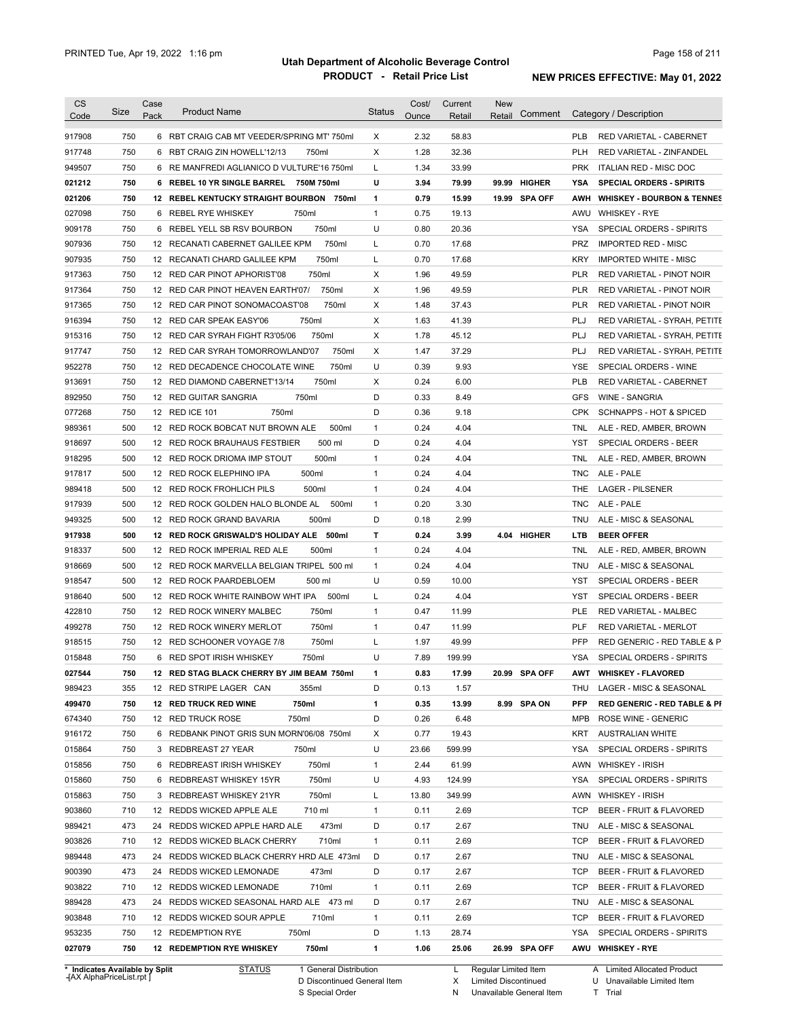| <b>CS</b><br>Code          | Size       | Case<br>Pack | <b>Product Name</b>                                                     | <b>Status</b>     | Cost/<br>Ounce | Current<br>Retail | <b>New</b><br>Retail | Comment                       |                          | Category / Description                        |
|----------------------------|------------|--------------|-------------------------------------------------------------------------|-------------------|----------------|-------------------|----------------------|-------------------------------|--------------------------|-----------------------------------------------|
|                            |            |              |                                                                         |                   |                |                   |                      |                               |                          |                                               |
| 917908                     | 750        |              | 6 RBT CRAIG CAB MT VEEDER/SPRING MT' 750ml                              | X                 | 2.32           | 58.83             |                      |                               | <b>PLB</b>               | <b>RED VARIETAL - CABERNET</b>                |
| 917748                     | 750<br>750 |              | 6 RBT CRAIG ZIN HOWELL'12/13<br>750ml                                   | Χ                 | 1.28<br>1.34   | 32.36<br>33.99    |                      |                               | <b>PLH</b><br><b>PRK</b> | RED VARIETAL - ZINFANDEL                      |
| 949507                     |            |              | 6 RE MANFREDI AGLIANICO D VULTURE'16 750ml                              | L                 |                |                   |                      |                               |                          | ITALIAN RED - MISC DOC                        |
| 021212                     | 750<br>750 |              | 6 REBEL 10 YR SINGLE BARREL 750M 750ml                                  | U<br>$\mathbf{1}$ | 3.94<br>0.79   | 79.99<br>15.99    |                      | 99.99 HIGHER<br>19.99 SPA OFF | YSA                      | <b>SPECIAL ORDERS - SPIRITS</b>               |
| 021206                     |            |              | 12 REBEL KENTUCKY STRAIGHT BOURBON 750ml                                |                   |                |                   |                      |                               |                          | AWH WHISKEY - BOURBON & TENNES                |
| 027098                     | 750<br>750 |              | 6 REBEL RYE WHISKEY<br>750ml<br>750ml                                   | $\mathbf{1}$<br>U | 0.75<br>0.80   | 19.13<br>20.36    |                      |                               | YSA                      | AWU WHISKEY - RYE<br>SPECIAL ORDERS - SPIRITS |
| 909178                     |            | 6            | REBEL YELL SB RSV BOURBON                                               |                   |                |                   |                      |                               |                          |                                               |
| 907936                     | 750        |              | 12 RECANATI CABERNET GALILEE KPM<br>750ml                               | L                 | 0.70           | 17.68             |                      |                               | <b>PRZ</b>               | <b>IMPORTED RED - MISC</b>                    |
| 907935                     | 750        |              | 750ml<br>12 RECANATI CHARD GALILEE KPM                                  | L                 | 0.70           | 17.68             |                      |                               | <b>KRY</b>               | <b>IMPORTED WHITE - MISC</b>                  |
| 917363                     | 750        |              | 750ml<br>12 RED CAR PINOT APHORIST'08                                   | Χ                 | 1.96           | 49.59             |                      |                               | <b>PLR</b>               | <b>RED VARIETAL - PINOT NOIR</b>              |
| 917364                     | 750        |              | 750ml<br>12 RED CAR PINOT HEAVEN EARTH'07/                              | Χ                 | 1.96           | 49.59             |                      |                               | PLR                      | RED VARIETAL - PINOT NOIR                     |
| 917365                     | 750        |              | 12 RED CAR PINOT SONOMACOAST'08<br>750ml                                | Χ                 | 1.48           | 37.43             |                      |                               | <b>PLR</b>               | RED VARIETAL - PINOT NOIR                     |
| 916394                     | 750        |              | 750ml<br>12 RED CAR SPEAK EASY'06                                       | X                 | 1.63           | 41.39             |                      |                               | PLJ                      | RED VARIETAL - SYRAH, PETITE                  |
| 915316                     | 750        |              | 12 RED CAR SYRAH FIGHT R3'05/06<br>750ml                                | Χ                 | 1.78           | 45.12             |                      |                               | PLJ                      | RED VARIETAL - SYRAH, PETITE                  |
| 917747                     | 750        |              | 750ml<br>12 RED CAR SYRAH TOMORROWLAND'07                               | Х                 | 1.47           | 37.29             |                      |                               | PLJ                      | RED VARIETAL - SYRAH, PETITE                  |
| 952278                     | 750        |              | 750ml<br>12 RED DECADENCE CHOCOLATE WINE                                | U                 | 0.39           | 9.93              |                      |                               | YSE                      | SPECIAL ORDERS - WINE                         |
| 913691                     | 750        |              | 750ml<br>12 RED DIAMOND CABERNET'13/14                                  | Х                 | 0.24           | 6.00              |                      |                               | <b>PLB</b>               | RED VARIETAL - CABERNET                       |
| 892950                     | 750        |              | 750ml<br>12 RED GUITAR SANGRIA                                          | D                 | 0.33           | 8.49              |                      |                               | GFS                      | <b>WINE - SANGRIA</b>                         |
| 077268                     | 750        |              | 750ml<br>12 RED ICE 101                                                 | D                 | 0.36           | 9.18              |                      |                               | <b>CPK</b>               | <b>SCHNAPPS - HOT &amp; SPICED</b>            |
| 989361                     | 500        |              | 12 RED ROCK BOBCAT NUT BROWN ALE<br>500ml                               | 1                 | 0.24           | 4.04              |                      |                               | TNL                      | ALE - RED, AMBER, BROWN                       |
| 918697                     | 500        |              | 500 ml<br>12 RED ROCK BRAUHAUS FESTBIER                                 | D                 | 0.24           | 4.04              |                      |                               | YST                      | <b>SPECIAL ORDERS - BEER</b>                  |
| 918295                     | 500        |              | 12 RED ROCK DRIOMA IMP STOUT<br>500ml                                   | 1                 | 0.24           | 4.04              |                      |                               | TNL                      | ALE - RED, AMBER, BROWN                       |
| 917817                     | 500        |              | 500ml<br>12 RED ROCK ELEPHINO IPA                                       | 1                 | 0.24           | 4.04              |                      |                               | TNC.                     | ALE - PALE                                    |
| 989418                     | 500        |              | 12 RED ROCK FROHLICH PILS<br>500ml                                      | 1                 | 0.24           | 4.04              |                      |                               | THE                      | <b>LAGER - PILSENER</b>                       |
| 917939                     | 500        |              | 12 RED ROCK GOLDEN HALO BLONDE AL<br>500ml                              | 1                 | 0.20           | 3.30              |                      |                               | TNC                      | ALE - PALE                                    |
| 949325                     | 500        |              | 12 RED ROCK GRAND BAVARIA<br>500ml                                      | D                 | 0.18           | 2.99              |                      |                               | TNU                      | ALE - MISC & SEASONAL                         |
| 917938                     | 500        |              | 12 RED ROCK GRISWALD'S HOLIDAY ALE<br>500ml                             | т                 | 0.24           | 3.99              |                      | 4.04 HIGHER                   | LTB                      | <b>BEER OFFER</b>                             |
| 918337                     | 500        |              | 500ml<br>12 RED ROCK IMPERIAL RED ALE                                   | 1                 | 0.24           | 4.04              |                      |                               | TNL                      | ALE - RED, AMBER, BROWN                       |
| 918669                     | 500        |              | 12 RED ROCK MARVELLA BELGIAN TRIPEL 500 ml                              | 1                 | 0.24           | 4.04              |                      |                               | <b>TNU</b>               | ALE - MISC & SEASONAL                         |
| 918547                     | 500        |              | 500 ml<br>12 RED ROCK PAARDEBLOEM                                       | U                 | 0.59           | 10.00             |                      |                               | YST                      | <b>SPECIAL ORDERS - BEER</b>                  |
| 918640                     | 500        |              | 12 RED ROCK WHITE RAINBOW WHT IPA<br>500ml                              | L                 | 0.24           | 4.04              |                      |                               | YST                      | SPECIAL ORDERS - BEER                         |
| 422810                     | 750        |              | 750ml<br>12 RED ROCK WINERY MALBEC                                      | 1                 | 0.47           | 11.99             |                      |                               | PLE                      | RED VARIETAL - MALBEC                         |
| 499278                     | 750        |              | 750ml<br>12 RED ROCK WINERY MERLOT                                      | 1                 | 0.47           | 11.99             |                      |                               | PLF                      | RED VARIETAL - MERLOT                         |
| 918515                     | 750        |              | 750ml<br>12 RED SCHOONER VOYAGE 7/8                                     | Г                 | 1.97           | 49.99             |                      |                               | <b>PFP</b>               | RED GENERIC - RED TABLE & P                   |
| 015848                     | 750        |              | 6 RED SPOT IRISH WHISKEY<br>750ml                                       | U                 | 7.89           | 199.99            |                      |                               | YSA                      | SPECIAL ORDERS - SPIRITS                      |
| 027544                     | 750        |              | 12 RED STAG BLACK CHERRY BY JIM BEAM 750ml                              | 1                 | 0.83           | 17.99             |                      | 20.99 SPA OFF                 |                          | AWT WHISKEY - FLAVORED                        |
| 989423                     | 355        |              | 12 RED STRIPE LAGER CAN<br>355ml                                        | D                 | 0.13           | 1.57              |                      |                               | THU                      | LAGER - MISC & SEASONAL                       |
| 499470                     | 750        |              | 750ml<br><b>12 RED TRUCK RED WINE</b>                                   | 1                 | 0.35           | 13.99             |                      | 8.99 SPA ON                   | <b>PFP</b>               | RED GENERIC - RED TABLE & PI                  |
| 674340                     | 750        |              | 750ml<br>12 RED TRUCK ROSE                                              | D                 | 0.26           | 6.48              |                      |                               | MPB                      | ROSE WINE - GENERIC                           |
| 916172                     | 750        |              | 6 REDBANK PINOT GRIS SUN MORN'06/08 750ml                               | Х                 | 0.77           | 19.43             |                      |                               | KRT                      | <b>AUSTRALIAN WHITE</b>                       |
| 015864                     | 750        |              | 3 REDBREAST 27 YEAR<br>750ml                                            | U                 | 23.66          | 599.99            |                      |                               | YSA                      | SPECIAL ORDERS - SPIRITS                      |
| 015856                     | 750        |              | 750ml<br>6 REDBREAST IRISH WHISKEY                                      | $\mathbf{1}$      | 2.44           | 61.99             |                      |                               | AWN                      | <b>WHISKEY - IRISH</b>                        |
| 015860                     | 750        |              | 750ml<br>6 REDBREAST WHISKEY 15YR                                       | U                 | 4.93           | 124.99            |                      |                               | YSA                      | SPECIAL ORDERS - SPIRITS                      |
| 015863                     | 750        |              | 750ml<br>3 REDBREAST WHISKEY 21YR                                       | L                 | 13.80          | 349.99            |                      |                               | AWN                      | <b>WHISKEY - IRISH</b>                        |
| 903860                     | 710        |              | 12 REDDS WICKED APPLE ALE<br>710 ml                                     | 1                 | 0.11           | 2.69              |                      |                               | <b>TCP</b>               | BEER - FRUIT & FLAVORED                       |
| 989421                     | 473        |              | 473ml<br>24 REDDS WICKED APPLE HARD ALE                                 | D                 |                | 2.67              |                      |                               | TNU                      |                                               |
|                            |            |              | 710ml<br>12 REDDS WICKED BLACK CHERRY                                   | $\mathbf{1}$      | 0.17           |                   |                      |                               | <b>TCP</b>               | ALE - MISC & SEASONAL                         |
| 903826                     | 710        |              |                                                                         | D                 | 0.11           | 2.69<br>2.67      |                      |                               | TNU                      | BEER - FRUIT & FLAVORED                       |
| 989448                     | 473        |              | 24 REDDS WICKED BLACK CHERRY HRD ALE 473ml                              |                   | 0.17           |                   |                      |                               |                          | ALE - MISC & SEASONAL                         |
| 900390                     | 473        |              | 24 REDDS WICKED LEMONADE<br>473ml                                       | D                 | 0.17           | 2.67              |                      |                               | <b>TCP</b>               | BEER - FRUIT & FLAVORED                       |
| 903822                     | 710        |              | 12 REDDS WICKED LEMONADE<br>710ml                                       | $\mathbf{1}$      | 0.11           | 2.69              |                      |                               | <b>TCP</b>               | BEER - FRUIT & FLAVORED                       |
| 989428                     | 473        |              | 24 REDDS WICKED SEASONAL HARD ALE 473 ml                                | D                 | 0.17           | 2.67              |                      |                               | TNU                      | ALE - MISC & SEASONAL                         |
|                            |            |              | 12 REDDS WICKED SOUR APPLE<br>710ml                                     | $\mathbf{1}$      | 0.11           | 2.69              |                      |                               | TCP                      | BEER - FRUIT & FLAVORED                       |
|                            | 710        |              |                                                                         |                   |                |                   |                      |                               |                          |                                               |
| 903848<br>953235<br>027079 | 750<br>750 |              | 750ml<br>12 REDEMPTION RYE<br><b>12 REDEMPTION RYE WHISKEY</b><br>750ml | D<br>1            | 1.13<br>1.06   | 28.74<br>25.06    |                      | 26.99 SPA OFF                 | YSA                      | SPECIAL ORDERS - SPIRITS<br>AWU WHISKEY - RYE |

**Case** [AX AlphaPriceList.rpt ]

D Discontinued General Item

S Special Order

X Limited Discontinued

N Unavailable General Item

U Unavailable Limited Item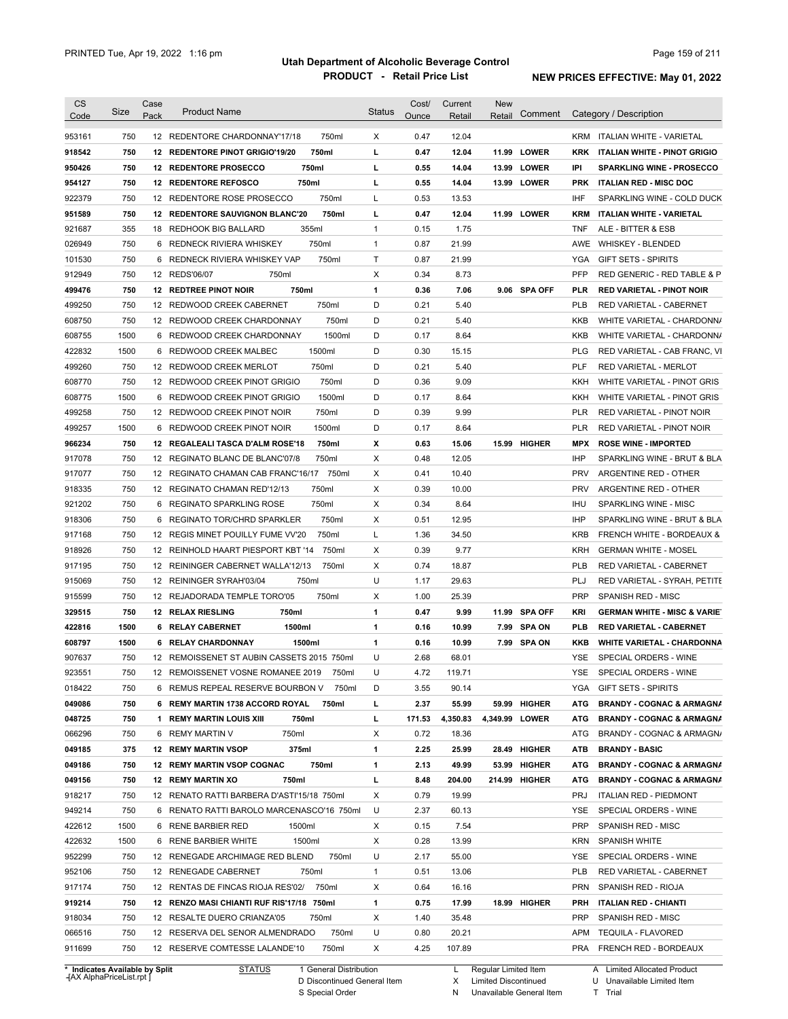| Code                                                                                                                                                                                                                               | Size       | Case<br>Pack | <b>Product Name</b>                                                                 | <b>Status</b> | Cost/<br>Ounce | Current<br>Retail | <b>New</b><br>Retail | Comment        |            | Category / Description                             |
|------------------------------------------------------------------------------------------------------------------------------------------------------------------------------------------------------------------------------------|------------|--------------|-------------------------------------------------------------------------------------|---------------|----------------|-------------------|----------------------|----------------|------------|----------------------------------------------------|
|                                                                                                                                                                                                                                    |            |              |                                                                                     |               |                |                   |                      |                |            |                                                    |
| 953161                                                                                                                                                                                                                             | 750        |              | 750ml<br>12 REDENTORE CHARDONNAY'17/18                                              | X             | 0.47           | 12.04             |                      |                | KRM        | ITALIAN WHITE - VARIETAL                           |
| 918542                                                                                                                                                                                                                             | 750        |              | 12 REDENTORE PINOT GRIGIO'19/20<br>750ml                                            | L             | 0.47           | 12.04             |                      | 11.99 LOWER    | <b>KRK</b> | ITALIAN WHITE - PINOT GRIGIO                       |
| 950426                                                                                                                                                                                                                             | 750        |              | 750ml<br><b>12 REDENTORE PROSECCO</b>                                               | г             | 0.55           | 14.04             |                      | 13.99 LOWER    | IPI        | <b>SPARKLING WINE - PROSECCO</b>                   |
| 954127                                                                                                                                                                                                                             | 750        |              | <b>12 REDENTORE REFOSCO</b><br>750ml                                                | L             | 0.55           | 14.04             |                      | 13.99 LOWER    | <b>PRK</b> | <b>ITALIAN RED - MISC DOC</b>                      |
| 922379                                                                                                                                                                                                                             | 750        |              | 750ml<br>12 REDENTORE ROSE PROSECCO                                                 | L             | 0.53           | 13.53             |                      |                | IHF        | SPARKLING WINE - COLD DUCK                         |
| 951589                                                                                                                                                                                                                             | 750        |              | 12 REDENTORE SAUVIGNON BLANC'20<br>750ml                                            | г             | 0.47           | 12.04             |                      | 11.99 LOWER    | <b>KRM</b> | ITALIAN WHITE VARIETAL                             |
| 921687                                                                                                                                                                                                                             | 355        |              | 355ml<br>18 REDHOOK BIG BALLARD                                                     | $\mathbf{1}$  | 0.15           | 1.75              |                      |                | <b>TNF</b> | ALE - BITTER & ESB                                 |
| 026949                                                                                                                                                                                                                             | 750        |              | 750ml<br>6 REDNECK RIVIERA WHISKEY                                                  | $\mathbf{1}$  | 0.87           | 21.99             |                      |                | <b>AWE</b> | <b>WHISKEY - BLENDED</b>                           |
| 101530                                                                                                                                                                                                                             | 750        | 6            | 750ml<br>REDNECK RIVIERA WHISKEY VAP                                                | Т             | 0.87           | 21.99             |                      |                | YGA        | <b>GIFT SETS - SPIRITS</b>                         |
| 912949                                                                                                                                                                                                                             | 750        |              | 12 REDS'06/07<br>750ml                                                              | Х             | 0.34           | 8.73              |                      |                | PFP        | RED GENERIC - RED TABLE & P                        |
| 499476                                                                                                                                                                                                                             | 750        |              | 750ml<br><b>12 REDTREE PINOT NOIR</b>                                               | $\mathbf{1}$  | 0.36           | 7.06              |                      | 9.06 SPA OFF   | <b>PLR</b> | <b>RED VARIETAL - PINOT NOIR</b>                   |
| 499250                                                                                                                                                                                                                             | 750        |              | 750ml<br>12 REDWOOD CREEK CABERNET                                                  | D             | 0.21           | 5.40              |                      |                | <b>PLB</b> | RED VARIETAL - CABERNET                            |
| 608750                                                                                                                                                                                                                             | 750        |              | 750ml<br>12 REDWOOD CREEK CHARDONNAY                                                | D             | 0.21           | 5.40              |                      |                | KKB        | WHITE VARIETAL - CHARDONN/                         |
| 608755                                                                                                                                                                                                                             | 1500       |              | 6 REDWOOD CREEK CHARDONNAY<br>1500ml                                                | D             | 0.17           | 8.64              |                      |                | KKB        | WHITE VARIETAL - CHARDONN/                         |
| 422832                                                                                                                                                                                                                             | 1500       | 6            | 1500ml<br>REDWOOD CREEK MALBEC                                                      | D             | 0.30           | 15.15             |                      |                | <b>PLG</b> | RED VARIETAL - CAB FRANC, VI                       |
| 499260                                                                                                                                                                                                                             | 750        |              | 750ml<br>12 REDWOOD CREEK MERLOT                                                    | D             | 0.21           | 5.40              |                      |                | <b>PLF</b> | <b>RED VARIETAL - MERLOT</b>                       |
| 608770                                                                                                                                                                                                                             | 750        |              | 750ml<br>12 REDWOOD CREEK PINOT GRIGIO                                              | D             | 0.36           | 9.09              |                      |                | <b>KKH</b> | WHITE VARIETAL - PINOT GRIS                        |
| 608775                                                                                                                                                                                                                             | 1500       | 6            | 1500ml<br>REDWOOD CREEK PINOT GRIGIO                                                | D             | 0.17           | 8.64              |                      |                | <b>KKH</b> | WHITE VARIETAL - PINOT GRIS                        |
| 499258                                                                                                                                                                                                                             | 750        |              | 750ml<br>12 REDWOOD CREEK PINOT NOIR                                                | D             | 0.39           | 9.99              |                      |                | <b>PLR</b> | RED VARIETAL - PINOT NOIR                          |
| 499257                                                                                                                                                                                                                             | 1500       |              | 1500ml<br>6 REDWOOD CREEK PINOT NOIR                                                | D             | 0.17           | 8.64              |                      |                | <b>PLR</b> | RED VARIETAL - PINOT NOIR                          |
| 966234                                                                                                                                                                                                                             | 750        |              | 750ml<br>12 REGALEALI TASCA D'ALM ROSE'18                                           | x             | 0.63           | 15.06             |                      | 15.99 HIGHER   | <b>MPX</b> | <b>ROSE WINE - IMPORTED</b>                        |
| 917078                                                                                                                                                                                                                             | 750        |              | 750ml<br>12 REGINATO BLANC DE BLANC'07/8                                            | Х             | 0.48           | 12.05             |                      |                | IHP        | SPARKLING WINE - BRUT & BLA                        |
| 917077                                                                                                                                                                                                                             | 750        |              | 12 REGINATO CHAMAN CAB FRANC'16/17<br>750ml                                         | Х             | 0.41           | 10.40             |                      |                | <b>PRV</b> | ARGENTINE RED - OTHER                              |
| 918335                                                                                                                                                                                                                             | 750        |              | 750ml<br>12 REGINATO CHAMAN RED'12/13                                               | Х             | 0.39           | 10.00             |                      |                | <b>PRV</b> | ARGENTINE RED - OTHER                              |
| 921202                                                                                                                                                                                                                             | 750        | 6            | 750ml<br>REGINATO SPARKLING ROSE                                                    | Х             | 0.34           | 8.64              |                      |                | <b>IHU</b> | SPARKLING WINE - MISC                              |
| 918306                                                                                                                                                                                                                             | 750        | 6            | REGINATO TOR/CHRD SPARKLER<br>750ml                                                 | Х             | 0.51           | 12.95             |                      |                | <b>IHP</b> | SPARKLING WINE - BRUT & BLA                        |
| 917168                                                                                                                                                                                                                             | 750        |              | 12 REGIS MINET POUILLY FUME VV'20<br>750ml                                          | L             | 1.36           | 34.50             |                      |                | <b>KRB</b> | <b>FRENCH WHITE - BORDEAUX &amp;</b>               |
| 918926                                                                                                                                                                                                                             | 750        |              | 12 REINHOLD HAART PIESPORT KBT '14<br>750ml                                         | Х             | 0.39           | 9.77              |                      |                | <b>KRH</b> | <b>GERMAN WHITE - MOSEL</b>                        |
| 917195                                                                                                                                                                                                                             | 750        |              | 12 REININGER CABERNET WALLA'12/13<br>750ml                                          | Х             | 0.74           | 18.87             |                      |                | <b>PLB</b> | RED VARIETAL - CABERNET                            |
|                                                                                                                                                                                                                                    |            |              |                                                                                     |               |                |                   |                      |                | PLJ        | RED VARIETAL - SYRAH, PETITE                       |
|                                                                                                                                                                                                                                    | 750        |              | 750ml<br>12 REININGER SYRAH'03/04                                                   | U             | 1.17           | 29.63             |                      |                |            |                                                    |
|                                                                                                                                                                                                                                    | 750        |              | 12 REJADORADA TEMPLE TORO'05<br>750ml                                               | Х             | 1.00           | 25.39             |                      |                | PRP        | SPANISH RED - MISC                                 |
|                                                                                                                                                                                                                                    | 750        |              | <b>12 RELAX RIESLING</b><br>750ml                                                   | $\mathbf{1}$  | 0.47           | 9.99              | 11.99                | <b>SPA OFF</b> | <b>KRI</b> | <b>GERMAN WHITE - MISC &amp; VARIE</b>             |
|                                                                                                                                                                                                                                    |            |              | 6 RELAY CABERNET                                                                    |               |                |                   |                      |                | <b>PLB</b> |                                                    |
|                                                                                                                                                                                                                                    | 1500       |              | 1500ml                                                                              | $\mathbf{1}$  | 0.16           | 10.99             | 7.99                 | <b>SPA ON</b>  |            | <b>RED VARIETAL - CABERNET</b>                     |
|                                                                                                                                                                                                                                    | 1500       |              | 1500ml<br>6 RELAY CHARDONNAY                                                        | $\mathbf{1}$  | 0.16           | 10.99             |                      | 7.99 SPA ON    | KKB        | <b>WHITE VARIETAL - CHARDONNA</b>                  |
|                                                                                                                                                                                                                                    | 750        |              | 12 REMOISSENET ST AUBIN CASSETS 2015 750ml                                          | U             | 2.68           | 68.01             |                      |                | <b>YSE</b> | SPECIAL ORDERS - WINE                              |
|                                                                                                                                                                                                                                    | 750        |              | 12 REMOISSENET VOSNE ROMANEE 2019 750ml                                             | U             | 4.72           | 119.71            |                      |                |            | YSE SPECIAL ORDERS - WINE                          |
|                                                                                                                                                                                                                                    | 750        |              | 6 REMUS REPEAL RESERVE BOURBON V<br>750ml                                           | D             | 3.55           | 90.14             |                      |                |            | YGA GIFT SETS - SPIRITS                            |
|                                                                                                                                                                                                                                    | 750        |              | 6 REMY MARTIN 1738 ACCORD ROYAL<br>750ml                                            | г             | 2.37           | 55.99             |                      | 59.99 HIGHER   | <b>ATG</b> | <b>BRANDY - COGNAC &amp; ARMAGNA</b>               |
|                                                                                                                                                                                                                                    | 750        |              | 1 REMY MARTIN LOUIS XIII<br>750ml                                                   | ш             | 171.53         | 4,350.83          | 4,349.99 LOWER       |                | <b>ATG</b> | <b>BRANDY - COGNAC &amp; ARMAGNA</b>               |
|                                                                                                                                                                                                                                    | 750        |              | 6 REMY MARTIN V<br>750ml                                                            | х             | 0.72           | 18.36             |                      |                | ATG        | BRANDY - COGNAC & ARMAGN/                          |
|                                                                                                                                                                                                                                    | 375        |              | 375ml<br><b>12 REMY MARTIN VSOP</b>                                                 | 1             | 2.25           | 25.99             |                      | 28.49 HIGHER   | <b>ATB</b> | <b>BRANDY BASIC</b>                                |
|                                                                                                                                                                                                                                    | 750        |              | 750ml<br><b>12 REMY MARTIN VSOP COGNAC</b>                                          | 1             | 2.13           | 49.99             |                      | 53.99 HIGHER   | <b>ATG</b> | <b>BRANDY - COGNAC &amp; ARMAGNA</b>               |
|                                                                                                                                                                                                                                    | 750        |              | <b>12 REMY MARTIN XO</b><br>750ml                                                   | L             | 8.48           | 204.00            |                      | 214.99 HIGHER  | <b>ATG</b> | <b>BRANDY - COGNAC &amp; ARMAGNA</b>               |
|                                                                                                                                                                                                                                    | 750        |              | 12 RENATO RATTI BARBERA D'ASTI'15/18 750ml                                          | х             | 0.79           | 19.99             |                      |                | <b>PRJ</b> | <b>ITALIAN RED - PIEDMONT</b>                      |
|                                                                                                                                                                                                                                    | 750        |              | 6 RENATO RATTI BAROLO MARCENASCO'16 750ml                                           | U             | 2.37           | 60.13             |                      |                | YSE        | SPECIAL ORDERS - WINE                              |
|                                                                                                                                                                                                                                    | 1500       |              | 6 RENE BARBIER RED<br>1500ml                                                        | Х             | 0.15           | 7.54              |                      |                | <b>PRP</b> | SPANISH RED - MISC                                 |
|                                                                                                                                                                                                                                    | 1500       |              | 6 RENE BARBIER WHITE<br>1500ml                                                      | Х             | 0.28           | 13.99             |                      |                | <b>KRN</b> | <b>SPANISH WHITE</b>                               |
|                                                                                                                                                                                                                                    | 750        |              | 750ml<br>12 RENEGADE ARCHIMAGE RED BLEND                                            | U             | 2.17           | 55.00             |                      |                | YSE        | SPECIAL ORDERS - WINE                              |
|                                                                                                                                                                                                                                    | 750        |              | 12 RENEGADE CABERNET<br>750ml                                                       | $\mathbf{1}$  | 0.51           | 13.06             |                      |                | <b>PLB</b> | RED VARIETAL - CABERNET                            |
|                                                                                                                                                                                                                                    | 750        |              | 12 RENTAS DE FINCAS RIOJA RES'02/<br>750ml                                          | Х             | 0.64           | 16.16             |                      |                | <b>PRN</b> | SPANISH RED - RIOJA                                |
|                                                                                                                                                                                                                                    | 750        |              | 12 RENZO MASI CHIANTI RUF RIS'17/18 750ml                                           | $\mathbf{1}$  | 0.75           | 17.99             |                      | 18.99 HIGHER   | PRH        | <b>ITALIAN RED - CHIANTI</b>                       |
| 915069<br>915599<br>329515<br>422816<br>608797<br>907637<br>923551<br>018422<br>049086<br>048725<br>066296<br>049185<br>049186<br>049156<br>918217<br>949214<br>422612<br>422632<br>952299<br>952106<br>917174<br>919214<br>918034 | 750        |              | 12 RESALTE DUERO CRIANZA'05<br>750ml                                                | Х             | 1.40           | 35.48             |                      |                | <b>PRP</b> | SPANISH RED - MISC                                 |
| 066516<br>911699                                                                                                                                                                                                                   | 750<br>750 |              | 750ml<br>12 RESERVA DEL SENOR ALMENDRADO<br>12 RESERVE COMTESSE LALANDE'10<br>750ml | U<br>Х        | 0.80<br>4.25   | 20.21<br>107.89   |                      |                | APM<br>PRA | <b>TEQUILA - FLAVORED</b><br>FRENCH RED - BORDEAUX |

**Case** [AX AlphaPriceList.rpt ]

D Discontinued General Item

S Special Order

Regular Limited Item

X

Limited Discontinued

N Unavailable General Item

U Unavailable Limited Item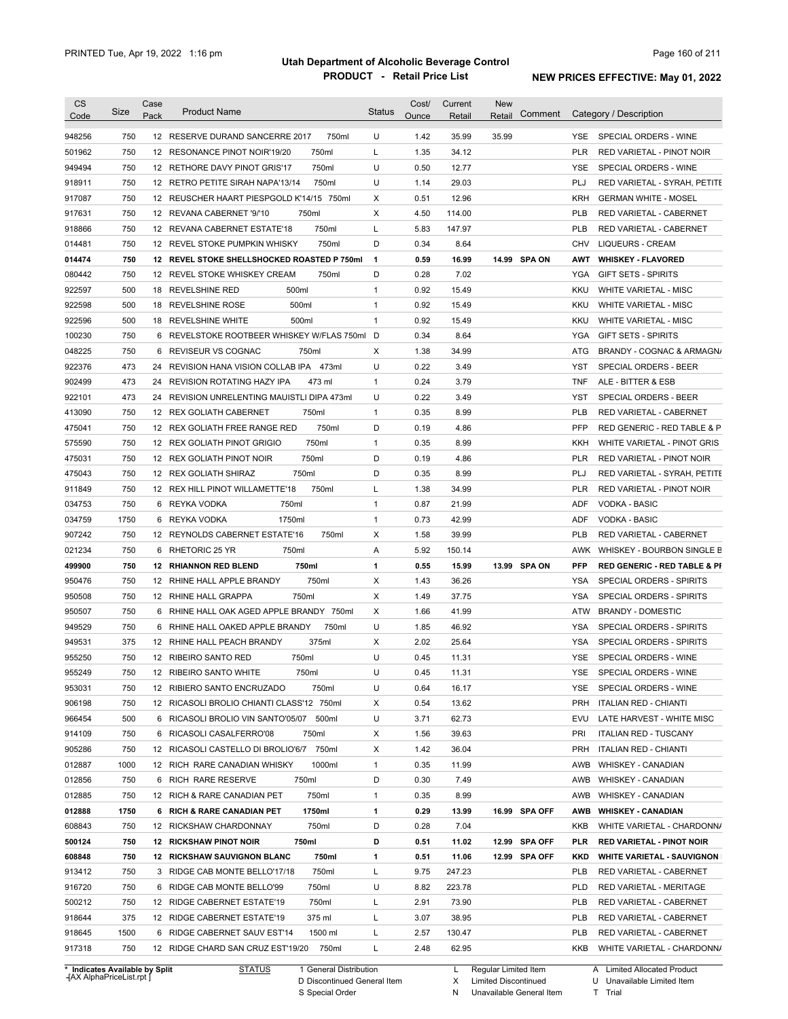| Code                                                     | Size | Case<br>Pack | <b>Product Name</b>                         | <b>Status</b> | Cost/<br>Ounce | Current<br>Retail | <b>New</b><br>Comment<br>Retail | Category / Description                         |
|----------------------------------------------------------|------|--------------|---------------------------------------------|---------------|----------------|-------------------|---------------------------------|------------------------------------------------|
| 948256                                                   | 750  |              | 750ml<br>12 RESERVE DURAND SANCERRE 2017    | U             | 1.42           | 35.99             | 35.99                           | SPECIAL ORDERS - WINE<br>YSE.                  |
| 501962                                                   | 750  |              | 750ml<br>12 RESONANCE PINOT NOIR'19/20      | Г             | 1.35           | 34.12             |                                 | <b>PLR</b><br>RED VARIETAL - PINOT NOIR        |
| 949494                                                   | 750  |              | 750ml<br>12 RETHORE DAVY PINOT GRIS'17      | U             | 0.50           | 12.77             |                                 | <b>YSE</b><br>SPECIAL ORDERS - WINE            |
| 918911                                                   | 750  |              | 750ml<br>12 RETRO PETITE SIRAH NAPA'13/14   | U             | 1.14           | 29.03             |                                 | PLJ<br>RED VARIETAL - SYRAH, PETITE            |
| 917087                                                   | 750  |              | 12 REUSCHER HAART PIESPGOLD K'14/15 750ml   | X             | 0.51           | 12.96             |                                 | <b>KRH</b><br><b>GERMAN WHITE - MOSEL</b>      |
| 917631                                                   | 750  |              | 750ml<br>12 REVANA CABERNET '9/'10          | Χ             | 4.50           | 114.00            |                                 | <b>PLB</b><br>RED VARIETAL - CABERNET          |
| 918866                                                   | 750  |              | 750ml<br>12 REVANA CABERNET ESTATE'18       | L             | 5.83           | 147.97            |                                 | <b>PLB</b><br>RED VARIETAL - CABERNET          |
| 014481                                                   | 750  |              | 750ml<br>12 REVEL STOKE PUMPKIN WHISKY      | D             | 0.34           | 8.64              |                                 | CHV<br><b>LIQUEURS - CREAM</b>                 |
| 014474                                                   | 750  |              | 12 REVEL STOKE SHELLSHOCKED ROASTED P 750ml | $\mathbf{1}$  | 0.59           | 16.99             | 14.99 SPA ON                    | AWT<br><b>WHISKEY - FLAVORED</b>               |
| 080442                                                   | 750  |              | 750ml<br>12 REVEL STOKE WHISKEY CREAM       | D             | 0.28           | 7.02              |                                 | YGA<br><b>GIFT SETS - SPIRITS</b>              |
| 922597                                                   | 500  | 18           | REVELSHINE RED<br>500ml                     | $\mathbf{1}$  | 0.92           | 15.49             |                                 | <b>KKU</b><br><b>WHITE VARIETAL - MISC</b>     |
| 922598                                                   | 500  | 18           | 500ml<br><b>REVELSHINE ROSE</b>             | $\mathbf{1}$  | 0.92           | 15.49             |                                 | KKU<br><b>WHITE VARIETAL - MISC</b>            |
| 922596                                                   | 500  | 18           | <b>REVELSHINE WHITE</b><br>500ml            | $\mathbf{1}$  | 0.92           | 15.49             |                                 | <b>KKU</b><br><b>WHITE VARIETAL - MISC</b>     |
| 100230                                                   | 750  | 6            | REVELSTOKE ROOTBEER WHISKEY W/FLAS 750ml    | D             | 0.34           | 8.64              |                                 | YGA<br><b>GIFT SETS - SPIRITS</b>              |
| 048225                                                   | 750  | 6            | REVISEUR VS COGNAC<br>750ml                 | Χ             | 1.38           | 34.99             |                                 | ATG<br>BRANDY - COGNAC & ARMAGN/               |
| 922376                                                   | 473  | 24           | REVISION HANA VISION COLLAB IPA 473ml       | U             | 0.22           | 3.49              |                                 | <b>YST</b><br>SPECIAL ORDERS - BEER            |
| 902499                                                   | 473  | 24           | REVISION ROTATING HAZY IPA<br>473 ml        | $\mathbf{1}$  | 0.24           | 3.79              |                                 | <b>TNF</b><br>ALE - BITTER & ESB               |
| 922101                                                   | 473  | 24           | REVISION UNRELENTING MAUISTLI DIPA 473ml    | U             | 0.22           | 3.49              |                                 | YST<br>SPECIAL ORDERS - BEER                   |
| 413090                                                   | 750  |              | 750ml<br>12 REX GOLIATH CABERNET            | $\mathbf{1}$  | 0.35           | 8.99              |                                 | <b>PLB</b><br>RED VARIETAL - CABERNET          |
| 475041                                                   | 750  |              | 750ml<br>12 REX GOLIATH FREE RANGE RED      | D             | 0.19           | 4.86              |                                 | <b>PFP</b><br>RED GENERIC - RED TABLE & P      |
| 575590                                                   | 750  |              | 750ml<br>12 REX GOLIATH PINOT GRIGIO        | $\mathbf{1}$  | 0.35           | 8.99              |                                 | KKH<br>WHITE VARIETAL - PINOT GRIS             |
| 475031                                                   | 750  |              | 750ml<br>12 REX GOLIATH PINOT NOIR          | D             | 0.19           | 4.86              |                                 | <b>PLR</b><br>RED VARIETAL - PINOT NOIR        |
| 475043                                                   | 750  |              | 750ml<br>12 REX GOLIATH SHIRAZ              | D             | 0.35           | 8.99              |                                 | PLJ<br>RED VARIETAL - SYRAH, PETITE            |
| 911849                                                   | 750  |              | 750ml<br>12 REX HILL PINOT WILLAMETTE'18    | L             | 1.38           | 34.99             |                                 | <b>PLR</b><br>RED VARIETAL - PINOT NOIR        |
| 034753                                                   | 750  | 6            | 750ml<br>REYKA VODKA                        | $\mathbf{1}$  | 0.87           | 21.99             |                                 | <b>ADF</b><br><b>VODKA - BASIC</b>             |
| 034759                                                   | 1750 | 6            | REYKA VODKA<br>1750ml                       | $\mathbf{1}$  | 0.73           | 42.99             |                                 | ADF<br><b>VODKA - BASIC</b>                    |
| 907242                                                   | 750  |              | 750ml<br>12 REYNOLDS CABERNET ESTATE'16     | Χ             | 1.58           | 39.99             |                                 | <b>PLB</b><br>RED VARIETAL - CABERNET          |
| 021234                                                   | 750  | 6            | 750ml<br>RHETORIC 25 YR                     | Α             | 5.92           | 150.14            |                                 | WHISKEY - BOURBON SINGLE B<br>AWK              |
| 499900                                                   | 750  |              | 750ml<br><b>12 RHIANNON RED BLEND</b>       | 1             | 0.55           | 15.99             | 13.99 SPA ON                    | PFP<br><b>RED GENERIC - RED TABLE &amp; PI</b> |
| 950476                                                   | 750  |              | 750ml<br>12 RHINE HALL APPLE BRANDY         | Χ             | 1.43           | 36.26             |                                 | YSA<br>SPECIAL ORDERS - SPIRITS                |
| 950508                                                   | 750  |              | 750ml<br>12 RHINE HALL GRAPPA               | Χ             | 1.49           | 37.75             |                                 | <b>YSA</b><br>SPECIAL ORDERS - SPIRITS         |
| 950507                                                   | 750  | 6            | RHINE HALL OAK AGED APPLE BRANDY 750ml      | Χ             | 1.66           | 41.99             |                                 | ATW<br><b>BRANDY - DOMESTIC</b>                |
| 949529                                                   | 750  |              |                                             |               |                |                   |                                 |                                                |
| 949531                                                   |      |              | 6 RHINE HALL OAKED APPLE BRANDY<br>750ml    | U             | 1.85           | 46.92             |                                 | <b>YSA</b><br>SPECIAL ORDERS - SPIRITS         |
|                                                          | 375  |              | 12 RHINE HALL PEACH BRANDY<br>375ml         | Χ             | 2.02           | 25.64             |                                 | <b>YSA</b><br>SPECIAL ORDERS - SPIRITS         |
|                                                          | 750  |              | 12 RIBEIRO SANTO RED<br>750ml               | U             | 0.45           | 11.31             |                                 | YSE<br>SPECIAL ORDERS - WINE                   |
|                                                          | 750  |              | 750ml<br>12 RIBEIRO SANTO WHITE             | U             | 0.45           | 11.31             |                                 | <b>YSE</b><br>SPECIAL ORDERS - WINE            |
|                                                          | 750  |              | 12 RIBIERO SANTO ENCRUZADO<br>750ml         | U             | 0.64           | 16.17             |                                 | SPECIAL ORDERS - WINE<br>YSE.                  |
|                                                          | 750  |              | 12 RICASOLI BROLIO CHIANTI CLASS'12 750ml   | Х             | 0.54           | 13.62             |                                 | PRH<br><b>ITALIAN RED - CHIANTI</b>            |
| 955250<br>955249<br>953031<br>906198<br>966454           | 500  |              | 6 RICASOLI BROLIO VIN SANTO'05/07 500ml     | U             | 3.71           | 62.73             |                                 | LATE HARVEST - WHITE MISC<br>EVU               |
|                                                          | 750  |              | 6 RICASOLI CASALFERRO'08<br>750ml           | Х             | 1.56           | 39.63             |                                 | <b>ITALIAN RED - TUSCANY</b><br>PRI            |
|                                                          | 750  |              | 12 RICASOLI CASTELLO DI BROLIO'6/7 750ml    | Х             | 1.42           | 36.04             |                                 | PRH<br><b>ITALIAN RED - CHIANTI</b>            |
|                                                          | 1000 |              | 1000ml<br>12 RICH RARE CANADIAN WHISKY      | $\mathbf{1}$  | 0.35           | 11.99             |                                 | AWB<br><b>WHISKEY - CANADIAN</b>               |
|                                                          | 750  |              | 6 RICH RARE RESERVE<br>750ml                | D             | 0.30           | 7.49              |                                 | AWB<br><b>WHISKEY - CANADIAN</b>               |
|                                                          | 750  |              | 12 RICH & RARE CANADIAN PET<br>750ml        | $\mathbf{1}$  | 0.35           | 8.99              |                                 | AWB<br><b>WHISKEY - CANADIAN</b>               |
| 914109<br>905286<br>012887<br>012856<br>012885<br>012888 | 1750 |              | 6 RICH & RARE CANADIAN PET<br>1750ml        | 1             | 0.29           | 13.99             | 16.99 SPA OFF                   | AWB<br><b>WHISKEY - CANADIAN</b>               |
|                                                          | 750  |              | 750ml<br>12 RICKSHAW CHARDONNAY             | D             | 0.28           | 7.04              |                                 | KKB<br>WHITE VARIETAL - CHARDONN/              |
|                                                          | 750  |              | <b>12 RICKSHAW PINOT NOIR</b><br>750ml      | D             | 0.51           | 11.02             | 12.99 SPA OFF                   | PLR<br><b>RED VARIETAL - PINOT NOIR</b>        |
| 608843<br>500124<br>608848                               | 750  |              | 750ml<br><b>12 RICKSHAW SAUVIGNON BLANC</b> | 1             | 0.51           | 11.06             | 12.99 SPA OFF                   | <b>WHITE VARIETAL - SAUVIGNON</b><br>KKD       |
| 913412                                                   | 750  |              | 750ml<br>3 RIDGE CAB MONTE BELLO'17/18      | L             | 9.75           | 247.23            |                                 | PLB<br>RED VARIETAL - CABERNET                 |
| 916720                                                   | 750  |              | 750ml<br>6 RIDGE CAB MONTE BELLO'99         | U             | 8.82           | 223.78            |                                 | <b>PLD</b><br>RED VARIETAL - MERITAGE          |
| 500212                                                   | 750  |              | 750ml<br>12 RIDGE CABERNET ESTATE'19        | Г             | 2.91           | 73.90             |                                 | <b>PLB</b><br>RED VARIETAL - CABERNET          |
| 918644                                                   | 375  |              | 12 RIDGE CABERNET ESTATE'19<br>375 ml       | L             | 3.07           | 38.95             |                                 | <b>PLB</b><br>RED VARIETAL - CABERNET          |
| 918645                                                   | 1500 |              | 6 RIDGE CABERNET SAUV EST'14<br>1500 ml     | L             | 2.57           | 130.47            |                                 | PLB<br>RED VARIETAL - CABERNET                 |

**Case** [AX AlphaPriceList.rpt ]

D Discontinued General Item S Special Order

X Limited Discontinued

N Unavailable General Item

U Unavailable Limited Item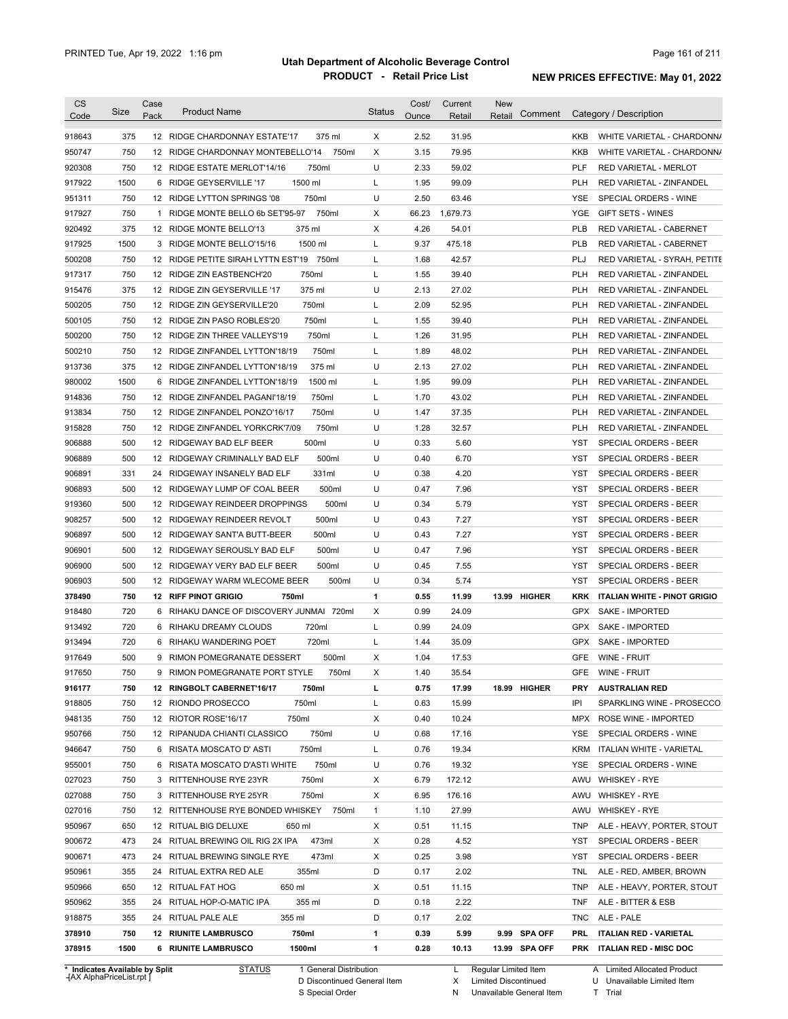| <b>CS</b><br>Code              | Size | Case<br>Pack | <b>Product Name</b>                         | <b>Status</b> | Cost/<br>Ounce | Current<br>Retail | <b>New</b><br>Comment<br>Retail | Category / Description                            |
|--------------------------------|------|--------------|---------------------------------------------|---------------|----------------|-------------------|---------------------------------|---------------------------------------------------|
| 918643                         | 375  |              | 12 RIDGE CHARDONNAY ESTATE'17<br>375 ml     | X             | 2.52           | 31.95             |                                 | WHITE VARIETAL - CHARDONN/<br>KKB                 |
| 950747                         | 750  |              | 12 RIDGE CHARDONNAY MONTEBELLO'14<br>750ml  | Χ             | 3.15           | 79.95             |                                 | <b>KKB</b><br>WHITE VARIETAL - CHARDONN/          |
| 920308                         | 750  |              | 750ml<br>12 RIDGE ESTATE MERLOT'14/16       | U             | 2.33           | 59.02             |                                 | <b>PLF</b><br><b>RED VARIETAL - MERLOT</b>        |
| 917922                         | 1500 |              | 1500 ml<br>6 RIDGE GEYSERVILLE '17          | L             | 1.95           | 99.09             |                                 | <b>PLH</b><br>RED VARIETAL - ZINFANDEL            |
| 951311                         | 750  |              | 750ml<br>12 RIDGE LYTTON SPRINGS '08        | U             | 2.50           | 63.46             |                                 | <b>YSE</b><br>SPECIAL ORDERS - WINE               |
| 917927                         | 750  |              | 750ml<br>1 RIDGE MONTE BELLO 6b SET'95-97   | X             | 66.23          | 1,679.73          |                                 | <b>YGE</b><br><b>GIFT SETS - WINES</b>            |
| 920492                         | 375  |              | 375 ml<br>12 RIDGE MONTE BELLO'13           | X             | 4.26           | 54.01             |                                 | <b>PLB</b><br>RED VARIETAL - CABERNET             |
| 917925                         | 1500 |              | 1500 ml<br>3 RIDGE MONTE BELLO'15/16        | Г             | 9.37           | 475.18            |                                 | <b>PLB</b><br>RED VARIETAL - CABERNET             |
| 500208                         | 750  |              | 12 RIDGE PETITE SIRAH LYTTN EST'19<br>750ml | L             | 1.68           | 42.57             |                                 | <b>PLJ</b><br>RED VARIETAL - SYRAH, PETITE        |
| 917317                         | 750  |              | 750ml<br>12 RIDGE ZIN EASTBENCH'20          | L             | 1.55           | 39.40             |                                 | <b>PLH</b><br><b>RED VARIETAL - ZINFANDEL</b>     |
| 915476                         | 375  |              | 375 ml<br>12 RIDGE ZIN GEYSERVILLE '17      | U             | 2.13           | 27.02             |                                 | <b>PLH</b><br>RED VARIETAL - ZINFANDEL            |
| 500205                         | 750  |              | 750ml<br>12 RIDGE ZIN GEYSERVILLE'20        | L             | 2.09           | 52.95             |                                 | <b>PLH</b><br>RED VARIETAL - ZINFANDEL            |
| 500105                         | 750  |              | 750ml<br>12 RIDGE ZIN PASO ROBLES'20        | Г             | 1.55           | 39.40             |                                 | <b>PLH</b><br>RED VARIETAL - ZINFANDEL            |
| 500200                         | 750  |              | 750ml<br>12 RIDGE ZIN THREE VALLEYS'19      | Г             | 1.26           | 31.95             |                                 | <b>PLH</b><br>RED VARIETAL - ZINFANDEL            |
| 500210                         | 750  |              | 750ml<br>12 RIDGE ZINFANDEL LYTTON'18/19    | Г             | 1.89           | 48.02             |                                 | <b>PLH</b><br>RED VARIETAL - ZINFANDEL            |
| 913736                         | 375  |              | 375 ml<br>12 RIDGE ZINFANDEL LYTTON'18/19   | U             | 2.13           | 27.02             |                                 | <b>PLH</b><br>RED VARIETAL - ZINFANDEL            |
| 980002                         | 1500 | 6            | 1500 ml<br>RIDGE ZINFANDEL LYTTON'18/19     | Г             | 1.95           | 99.09             |                                 | <b>PLH</b><br>RED VARIETAL - ZINFANDEL            |
| 914836                         | 750  | 12           | 750ml<br>RIDGE ZINFANDEL PAGANI'18/19       | Г             | 1.70           | 43.02             |                                 | <b>PLH</b><br><b>RED VARIETAL - ZINFANDEL</b>     |
| 913834                         | 750  | 12           | 750ml<br>RIDGE ZINFANDEL PONZO'16/17        | U             | 1.47           | 37.35             |                                 | <b>PLH</b><br><b>RED VARIETAL - ZINFANDEL</b>     |
| 915828                         | 750  | 12           | 750ml<br>RIDGE ZINFANDEL YORKCRK'7/09       | U             | 1.28           | 32.57             |                                 | PLH<br><b>RED VARIETAL - ZINFANDEL</b>            |
| 906888                         | 500  | 12           | 500ml<br>RIDGEWAY BAD ELF BEER              | U             | 0.33           | 5.60              |                                 | <b>YST</b><br>SPECIAL ORDERS - BEER               |
| 906889                         | 500  | 12           | 500ml<br>RIDGEWAY CRIMINALLY BAD ELF        | U             | 0.40           | 6.70              |                                 | <b>YST</b><br>SPECIAL ORDERS - BEER               |
| 906891                         | 331  | 24           | 331ml<br>RIDGEWAY INSANELY BAD ELF          | U             | 0.38           | 4.20              |                                 | <b>YST</b><br>SPECIAL ORDERS - BEER               |
| 906893                         | 500  | 12           | 500ml<br>RIDGEWAY LUMP OF COAL BEER         | U             | 0.47           | 7.96              |                                 | <b>YST</b><br>SPECIAL ORDERS - BEER               |
| 919360                         | 500  | 12           | 500ml<br>RIDGEWAY REINDEER DROPPINGS        | U             | 0.34           | 5.79              |                                 | <b>YST</b><br>SPECIAL ORDERS - BEER               |
| 908257                         | 500  | 12           | 500ml<br>RIDGEWAY REINDEER REVOLT           | U             | 0.43           | 7.27              |                                 | <b>YST</b><br>SPECIAL ORDERS - BEER               |
| 906897                         | 500  | 12           | 500ml<br>RIDGEWAY SANT'A BUTT-BEER          | U             | 0.43           | 7.27              |                                 | <b>YST</b><br>SPECIAL ORDERS - BEER               |
| 906901                         | 500  | 12           | 500ml<br>RIDGEWAY SEROUSLY BAD ELF          | U             | 0.47           | 7.96              |                                 | <b>YST</b><br>SPECIAL ORDERS - BEER               |
| 906900                         | 500  | 12           | 500ml<br>RIDGEWAY VERY BAD ELF BEER         | U             | 0.45           | 7.55              |                                 | <b>YST</b><br>SPECIAL ORDERS - BEER               |
| 906903                         | 500  | 12           | RIDGEWAY WARM WLECOME BEER<br>500ml         | U             | 0.34           | 5.74              |                                 | <b>YST</b><br>SPECIAL ORDERS - BEER               |
| 378490                         | 750  |              | <b>12 RIFF PINOT GRIGIO</b><br>750ml        | 1             | 0.55           | 11.99             | 13.99 HIGHER                    | <b>KRK</b><br><b>ITALIAN WHITE - PINOT GRIGIO</b> |
| 918480                         | 720  | 6            | RIHAKU DANCE OF DISCOVERY JUNMAI 720ml      | Χ             | 0.99           | 24.09             |                                 | <b>GPX</b><br><b>SAKE - IMPORTED</b>              |
| 913492                         | 720  | 6            | 720ml<br>RIHAKU DREAMY CLOUDS               | L             | 0.99           | 24.09             |                                 | <b>GPX</b><br><b>SAKE - IMPORTED</b>              |
| 913494                         | 720  |              | 720ml<br>6 RIHAKU WANDERING POET            | L             | 1.44           | 35.09             |                                 | <b>GPX</b><br><b>SAKE - IMPORTED</b>              |
| 917649                         | 500  |              | 9 RIMON POMEGRANATE DESSERT<br>500ml        | X             | 1.04           | 17.53             |                                 | GFE<br>WINE - FRUIT                               |
| 917650                         | 750  | 9            | RIMON POMEGRANATE PORT STYLE<br>750ml       | Х             | 1.40           | 35.54             |                                 | GFE WINE - FRUIT                                  |
| 916177                         | 750  |              | 12 RINGBOLT CABERNET'16/17<br>750ml         | L             | 0.75           | 17.99             | 18.99 HIGHER                    | <b>AUSTRALIAN RED</b><br>PRY                      |
| 918805                         | 750  |              | 750ml<br>12 RIONDO PROSECCO                 | Г             | 0.63           | 15.99             |                                 | IPI<br>SPARKLING WINE - PROSECCO                  |
| 948135                         | 750  |              | 750ml<br>12 RIOTOR ROSE'16/17               | X             | 0.40           | 10.24             |                                 | <b>MPX</b><br>ROSE WINE - IMPORTED                |
| 950766                         | 750  |              | 12 RIPANUDA CHIANTI CLASSICO<br>750ml       | U             | 0.68           | 17.16             |                                 | YSE<br>SPECIAL ORDERS - WINE                      |
| 946647                         | 750  |              | 750ml<br>6 RISATA MOSCATO D'ASTI            | Г             | 0.76           | 19.34             |                                 | <b>KRM</b><br>ITALIAN WHITE - VARIETAL            |
| 955001                         | 750  |              | 750ml<br>6 RISATA MOSCATO D'ASTI WHITE      | U             | 0.76           | 19.32             |                                 | YSE<br>SPECIAL ORDERS - WINE                      |
| 027023                         | 750  |              | 750ml<br>3 RITTENHOUSE RYE 23YR             | х             | 6.79           | 172.12            |                                 | AWU WHISKEY - RYE                                 |
| 027088                         | 750  |              | 750ml<br>3 RITTENHOUSE RYE 25YR             | х             | 6.95           | 176.16            |                                 | AWU WHISKEY - RYE                                 |
| 027016                         | 750  |              | 12 RITTENHOUSE RYE BONDED WHISKEY<br>750ml  | $\mathbf{1}$  | 1.10           | 27.99             |                                 | AWU<br><b>WHISKEY - RYE</b>                       |
| 950967                         | 650  |              | 12 RITUAL BIG DELUXE<br>650 ml              | х             | 0.51           | 11.15             |                                 | ALE - HEAVY, PORTER, STOUT<br><b>TNP</b>          |
| 900672                         | 473  |              | 24 RITUAL BREWING OIL RIG 2X IPA<br>473ml   | х             | 0.28           | 4.52              |                                 | SPECIAL ORDERS - BEER<br>YST                      |
| 900671                         | 473  |              | 473ml<br>24 RITUAL BREWING SINGLE RYE       | х             | 0.25           | 3.98              |                                 | YST<br>SPECIAL ORDERS - BEER                      |
| 950961                         | 355  |              | 24 RITUAL EXTRA RED ALE<br>355ml            | D             | 0.17           | 2.02              |                                 | <b>TNL</b><br>ALE - RED, AMBER, BROWN             |
| 950966                         | 650  |              | 12 RITUAL FAT HOG<br>650 ml                 | х             | 0.51           | 11.15             |                                 | <b>TNP</b><br>ALE - HEAVY, PORTER, STOUT          |
| 950962                         | 355  |              | 355 ml<br>24 RITUAL HOP-O-MATIC IPA         | D             | 0.18           | 2.22              |                                 | <b>TNF</b><br>ALE - BITTER & ESB                  |
| 918875                         | 355  |              | 24 RITUAL PALE ALE<br>355 ml                | D             | 0.17           | 2.02              |                                 | <b>TNC</b><br>ALE - PALE                          |
| 378910                         | 750  |              | <b>12 RIUNITE LAMBRUSCO</b><br>750ml        | 1             | 0.39           | 5.99              | 9.99 SPA OFF                    | PRL<br><b>ITALIAN RED - VARIETAL</b>              |
| 378915                         | 1500 |              | <b>6 RIUNITE LAMBRUSCO</b><br>1500ml        | 1             | 0.28           | 10.13             | 13.99 SPA OFF                   | ITALIAN RED - MISC DOC<br><b>PRK</b>              |
| * Indicates Available by Split |      |              | <b>STATUS</b><br>1 General Distribution     |               |                | L.                | Regular Limited Item            | A Limited Allocated Product                       |

**Case** [AX AlphaPriceList.rpt ]

D Discontinued General Item

S Special Order

Regular Limited Item

X

Limited Discontinued

N Unavailable General Item

U Unavailable Limited Item T Trial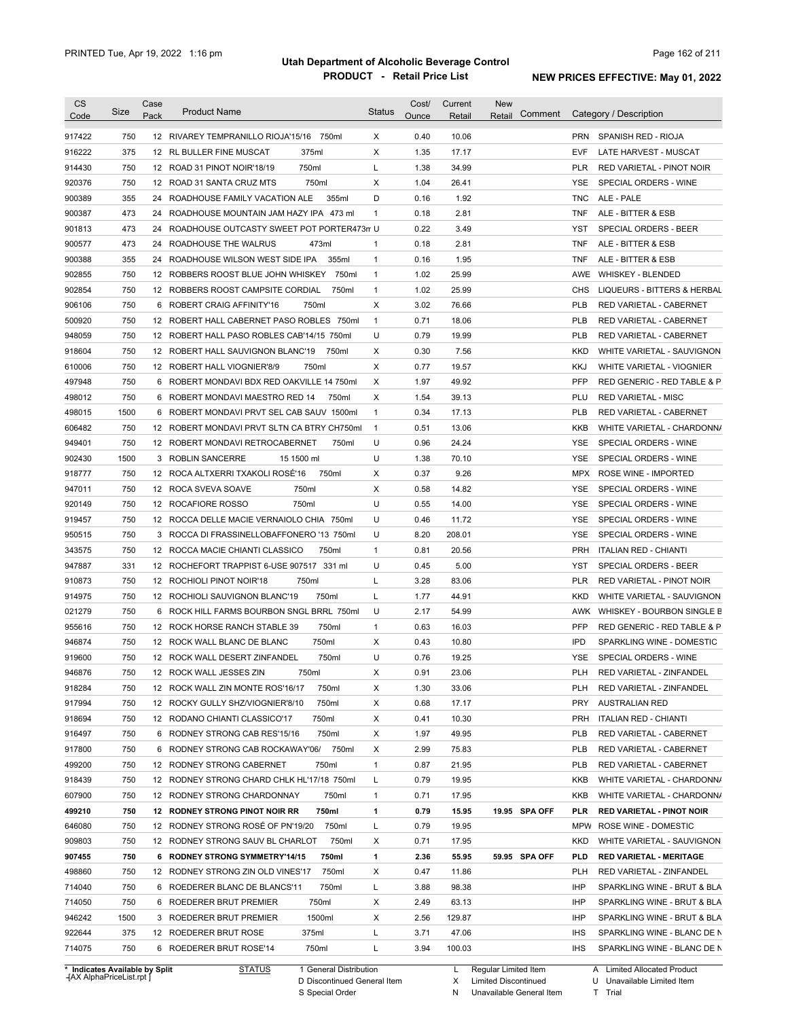| <b>CS</b><br>Code | Size | Case<br>Pack | <b>Product Name</b>                          | <b>Status</b> | Cost/<br>Ounce | Current<br>Retail | New<br>Comment<br>Retail | Category / Description                     |
|-------------------|------|--------------|----------------------------------------------|---------------|----------------|-------------------|--------------------------|--------------------------------------------|
| 917422            | 750  |              | 12 RIVAREY TEMPRANILLO RIOJA'15/16 750ml     | X             | 0.40           | 10.06             |                          | <b>PRN</b><br>SPANISH RED - RIOJA          |
| 916222            | 375  |              | 375ml<br>12 RL BULLER FINE MUSCAT            | Χ             | 1.35           | 17.17             |                          | <b>EVF</b><br>LATE HARVEST - MUSCAT        |
| 914430            | 750  |              | 750ml<br>12 ROAD 31 PINOT NOIR'18/19         | L             | 1.38           | 34.99             |                          | PLR<br>RED VARIETAL - PINOT NOIR           |
| 920376            | 750  |              | 750ml<br>12 ROAD 31 SANTA CRUZ MTS           | Χ             | 1.04           | 26.41             |                          | <b>YSE</b><br>SPECIAL ORDERS - WINE        |
| 900389            | 355  |              | 24 ROADHOUSE FAMILY VACATION ALE<br>355ml    | D             | 0.16           | 1.92              |                          | <b>TNC</b><br>ALE - PALE                   |
| 900387            | 473  |              | 24 ROADHOUSE MOUNTAIN JAM HAZY IPA 473 ml    | $\mathbf{1}$  | 0.18           | 2.81              |                          | <b>TNF</b><br>ALE - BITTER & ESB           |
| 901813            | 473  |              | 24 ROADHOUSE OUTCASTY SWEET POT PORTER473n U |               | 0.22           | 3.49              |                          | YST<br>SPECIAL ORDERS - BEER               |
| 900577            | 473  |              | 24 ROADHOUSE THE WALRUS<br>473ml             | 1             | 0.18           | 2.81              |                          | <b>TNF</b><br>ALE - BITTER & ESB           |
| 900388            | 355  |              | 355ml<br>24 ROADHOUSE WILSON WEST SIDE IPA   | $\mathbf{1}$  | 0.16           | 1.95              |                          | <b>TNF</b><br>ALE - BITTER & ESB           |
| 902855            | 750  |              | 12 ROBBERS ROOST BLUE JOHN WHISKEY<br>750ml  | $\mathbf{1}$  | 1.02           | 25.99             |                          | AWE<br><b>WHISKEY - BLENDED</b>            |
| 902854            | 750  |              | 12 ROBBERS ROOST CAMPSITE CORDIAL<br>750ml   | $\mathbf{1}$  | 1.02           | 25.99             |                          | <b>CHS</b><br>LIQUEURS - BITTERS & HERBAL  |
| 906106            | 750  | 6            | ROBERT CRAIG AFFINITY'16<br>750ml            | X             | 3.02           | 76.66             |                          | <b>PLB</b><br>RED VARIETAL - CABERNET      |
| 500920            | 750  |              | 12 ROBERT HALL CABERNET PASO ROBLES 750ml    | $\mathbf{1}$  | 0.71           | 18.06             |                          | PLB<br>RED VARIETAL - CABERNET             |
| 948059            | 750  |              | 12 ROBERT HALL PASO ROBLES CAB'14/15 750ml   | U             | 0.79           | 19.99             |                          | PLB<br>RED VARIETAL - CABERNET             |
| 918604            | 750  |              | 12 ROBERT HALL SAUVIGNON BLANC'19<br>750ml   | Χ             | 0.30           | 7.56              |                          | <b>KKD</b><br>WHITE VARIETAL - SAUVIGNON   |
| 610006            | 750  |              | 750ml<br>12 ROBERT HALL VIOGNIER'8/9         | X             | 0.77           | 19.57             |                          | <b>KKJ</b><br>WHITE VARIETAL - VIOGNIER    |
| 497948            | 750  | 6            | ROBERT MONDAVI BDX RED OAKVILLE 14 750ml     | Χ             | 1.97           | 49.92             |                          | PFP<br>RED GENERIC - RED TABLE & P         |
| 498012            | 750  | 6            | ROBERT MONDAVI MAESTRO RED 14<br>750ml       | Χ             | 1.54           | 39.13             |                          | PLU<br><b>RED VARIETAL - MISC</b>          |
| 498015            | 1500 | 6            | ROBERT MONDAVI PRVT SEL CAB SAUV 1500ml      | $\mathbf{1}$  | 0.34           | 17.13             |                          | <b>PLB</b><br>RED VARIETAL - CABERNET      |
| 606482            | 750  |              | 12 ROBERT MONDAVI PRVT SLTN CA BTRY CH750ml  | $\mathbf{1}$  | 0.51           | 13.06             |                          | <b>KKB</b><br>WHITE VARIETAL - CHARDONN/   |
| 949401            | 750  |              | 12 ROBERT MONDAVI RETROCABERNET<br>750ml     | U             | 0.96           | 24.24             |                          | <b>YSE</b><br>SPECIAL ORDERS - WINE        |
| 902430            | 1500 | 3            | <b>ROBLIN SANCERRE</b><br>15 1500 ml         | U             | 1.38           | 70.10             |                          | <b>YSE</b><br>SPECIAL ORDERS - WINE        |
| 918777            | 750  |              | 12 ROCA ALTXERRI TXAKOLI ROSÉ'16<br>750ml    | Х             | 0.37           | 9.26              |                          | ROSE WINE - IMPORTED<br>MPX                |
| 947011            | 750  |              | 750ml<br>12 ROCA SVEVA SOAVE                 | Х             | 0.58           | 14.82             |                          | <b>YSE</b><br>SPECIAL ORDERS - WINE        |
| 920149            | 750  |              | 750ml<br>12 ROCAFIORE ROSSO                  | U             | 0.55           | 14.00             |                          | <b>YSE</b><br>SPECIAL ORDERS - WINE        |
| 919457            | 750  |              | 12 ROCCA DELLE MACIE VERNAIOLO CHIA 750ml    | U             | 0.46           | 11.72             |                          | YSE<br>SPECIAL ORDERS - WINE               |
| 950515            | 750  |              | 3 ROCCA DI FRASSINELLOBAFFONERO '13 750ml    | U             | 8.20           | 208.01            |                          | <b>YSE</b><br>SPECIAL ORDERS - WINE        |
| 343575            | 750  |              | 12 ROCCA MACIE CHIANTI CLASSICO<br>750ml     | $\mathbf{1}$  | 0.81           | 20.56             |                          | <b>PRH</b><br><b>ITALIAN RED - CHIANTI</b> |
| 947887            | 331  |              | 12 ROCHEFORT TRAPPIST 6-USE 907517 331 ml    | U             | 0.45           | 5.00              |                          | <b>YST</b><br>SPECIAL ORDERS - BEER        |
| 910873            | 750  |              | 12 ROCHIOLI PINOT NOIR'18<br>750ml           | L             | 3.28           | 83.06             |                          | <b>PLR</b><br>RED VARIETAL - PINOT NOIR    |
| 914975            | 750  |              | 750ml<br>12 ROCHIOLI SAUVIGNON BLANC'19      | L             | 1.77           | 44.91             |                          | <b>KKD</b><br>WHITE VARIETAL - SAUVIGNON   |
| 021279            | 750  |              | 6 ROCK HILL FARMS BOURBON SNGL BRRL 750ml    | U             | 2.17           | 54.99             |                          | WHISKEY - BOURBON SINGLE B<br>AWK          |
| 955616            | 750  |              | 750ml<br>12 ROCK HORSE RANCH STABLE 39       | $\mathbf{1}$  | 0.63           | 16.03             |                          | <b>PFP</b><br>RED GENERIC - RED TABLE & P  |
| 946874            | 750  |              | 750ml<br>12 ROCK WALL BLANC DE BLANC         | X             | 0.43           | 10.80             |                          | <b>IPD</b><br>SPARKLING WINE - DOMESTIC    |
| 919600            | 750  |              | 12 ROCK WALL DESERT ZINFANDEL<br>750ml       | U             | 0.76           | 19.25             |                          | YSE<br>SPECIAL ORDERS - WINE               |
| 946876            | 750  |              | 12 ROCK WALL JESSES ZIN<br>750ml             | х             | 0.91           | 23.06             |                          | <b>PLH</b><br>RED VARIETAL - ZINFANDEL     |
| 918284            | 750  |              | 12 ROCK WALL ZIN MONTE ROS'16/17<br>750ml    | X             | 1.30           | 33.06             |                          | PLH<br>RED VARIETAL - ZINFANDEL            |
| 917994            | 750  |              | 12 ROCKY GULLY SHZ/VIOGNIER'8/10<br>750ml    | X             | 0.68           | 17.17             |                          | PRY<br><b>AUSTRALIAN RED</b>               |
| 918694            | 750  |              | 12 RODANO CHIANTI CLASSICO'17<br>750ml       | X             | 0.41           | 10.30             |                          | PRH<br><b>ITALIAN RED - CHIANTI</b>        |
| 916497            | 750  |              | 750ml<br>6 RODNEY STRONG CAB RES'15/16       | X             | 1.97           | 49.95             |                          | PLB<br>RED VARIETAL - CABERNET             |
| 917800            | 750  |              | 750ml<br>6 RODNEY STRONG CAB ROCKAWAY'06/    | X             | 2.99           | 75.83             |                          | PLB<br>RED VARIETAL - CABERNET             |
| 499200            | 750  |              | 750ml<br>12 RODNEY STRONG CABERNET           | $\mathbf{1}$  | 0.87           | 21.95             |                          | PLB<br>RED VARIETAL - CABERNET             |
| 918439            | 750  |              | 12 RODNEY STRONG CHARD CHLK HL'17/18 750ml   | L             | 0.79           | 19.95             |                          | KKB<br>WHITE VARIETAL - CHARDONN/          |
| 607900            | 750  |              | 12 RODNEY STRONG CHARDONNAY<br>750ml         | $\mathbf{1}$  | 0.71           | 17.95             |                          | KKB<br>WHITE VARIETAL - CHARDONN/          |
| 499210            | 750  |              | 12 RODNEY STRONG PINOT NOIR RR<br>750ml      | 1             | 0.79           | 15.95             | 19.95 SPA OFF            | PLR<br><b>RED VARIETAL - PINOT NOIR</b>    |
| 646080            | 750  |              | 750ml<br>12 RODNEY STRONG ROSÉ OF PN'19/20   | L             | 0.79           | 19.95             |                          | MPW<br>ROSE WINE - DOMESTIC                |
| 909803            | 750  |              | 750ml<br>12 RODNEY STRONG SAUV BL CHARLOT    | X             | 0.71           | 17.95             |                          | KKD<br>WHITE VARIETAL - SAUVIGNON          |
| 907455            | 750  |              | 6 RODNEY STRONG SYMMETRY'14/15<br>750ml      | 1             | 2.36           | 55.95             | 59.95 SPA OFF            | PLD<br><b>RED VARIETAL - MERITAGE</b>      |
| 498860            | 750  |              | 750ml<br>12 RODNEY STRONG ZIN OLD VINES'17   | X             | 0.47           | 11.86             |                          | PLH<br>RED VARIETAL - ZINFANDEL            |
| 714040            | 750  |              | 750ml<br>6 ROEDERER BLANC DE BLANCS'11       | L             | 3.88           | 98.38             |                          | IHP<br>SPARKLING WINE - BRUT & BLA         |
| 714050            | 750  |              | 750ml<br>6 ROEDERER BRUT PREMIER             | X             | 2.49           | 63.13             |                          | IHP<br>SPARKLING WINE - BRUT & BLA         |
|                   |      |              | 1500ml<br>3 ROEDERER BRUT PREMIER            | X             | 2.56           | 129.87            |                          | IHP<br>SPARKLING WINE - BRUT & BLA         |
| 946242            | 1500 |              |                                              |               |                |                   |                          |                                            |
| 922644            | 375  |              | 375ml<br>12 ROEDERER BRUT ROSE               | L             | 3.71           | 47.06             |                          | <b>IHS</b><br>SPARKLING WINE - BLANC DE N  |

**Case** [AX AlphaPriceList.rpt ]

D Discontinued General Item

S Special Order

X Limited Discontinued

N Unavailable General Item

U Unavailable Limited Item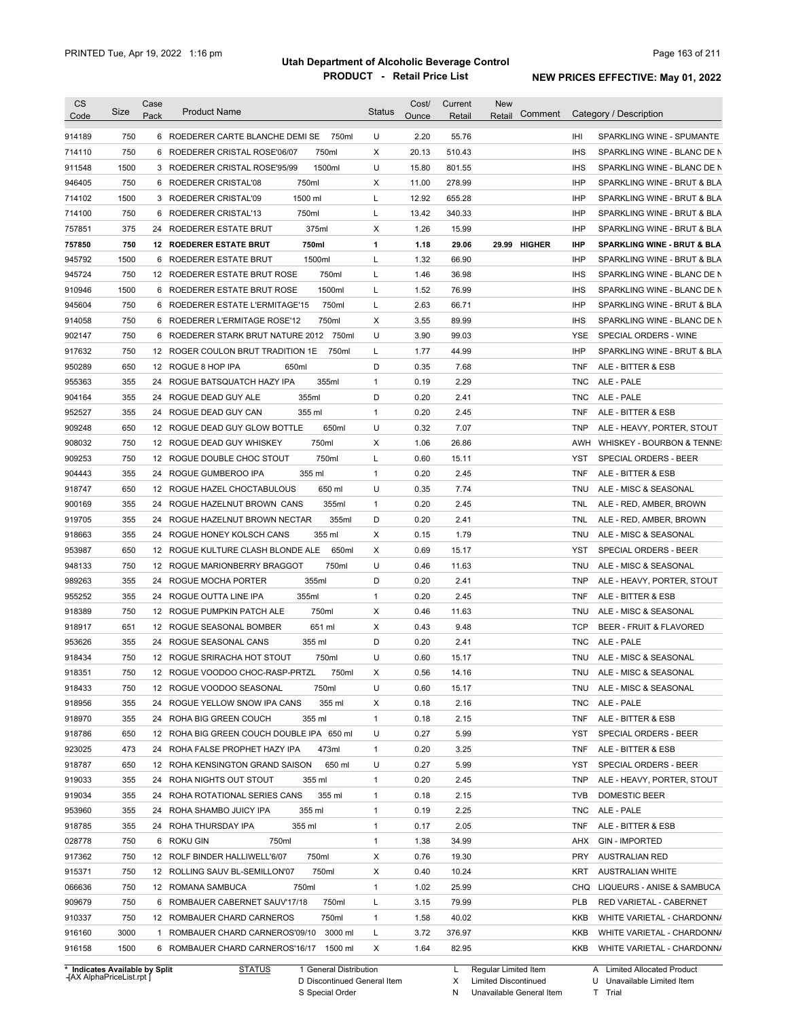| Code<br>750<br>914189<br>750<br>714110<br>1500<br>911548<br>946405<br>750<br>714102<br>1500<br>714100<br>750<br>375<br>757851<br>750<br>757850<br>1500<br>945792<br>750<br>945724<br>1500<br>910946<br>750<br>945604<br>750<br>914058<br>750<br>902147<br>750<br>917632<br>650<br>950289<br>355<br>955363<br>355<br>904164<br>355<br>952527<br>909248<br>650<br>908032<br>750<br>909253<br>750<br>904443<br>355<br>918747<br>650<br>900169<br>355<br>919705<br>355<br>355<br>918663<br>953987<br>650<br>948133<br>750<br>989263<br>355<br>955252<br>355<br>918389<br>750<br>918917<br>651<br>953626<br>355<br>918434<br>750 | Pack<br>6<br>24<br>24<br>24<br>24 | 6 ROEDERER CARTE BLANCHE DEMI SE<br>750ml<br>750ml<br>6 ROEDERER CRISTAL ROSE'06/07<br>1500ml<br>3 ROEDERER CRISTAL ROSE'95/99<br>750ml<br>6 ROEDERER CRISTAL'08<br>1500 ml<br>3 ROEDERER CRISTAL'09<br>750ml<br>6 ROEDERER CRISTAL'13<br>375ml<br>24 ROEDERER ESTATE BRUT<br>750ml<br><b>12 ROEDERER ESTATE BRUT</b><br>1500ml<br>6 ROEDERER ESTATE BRUT<br>750ml<br>12 ROEDERER ESTATE BRUT ROSE<br>1500ml<br>6 ROEDERER ESTATE BRUT ROSE<br>750ml<br>6 ROEDERER ESTATE L'ERMITAGE'15<br>750ml<br>6 ROEDERER L'ERMITAGE ROSE'12<br>ROEDERER STARK BRUT NATURE 2012 750ml<br>12 ROGER COULON BRUT TRADITION 1E<br>750ml<br>650ml<br>12 ROGUE 8 HOP IPA<br>355ml<br>ROGUE BATSQUATCH HAZY IPA<br>355ml<br>ROGUE DEAD GUY ALE<br>355 ml<br>24 ROGUE DEAD GUY CAN<br>650ml<br>12 ROGUE DEAD GUY GLOW BOTTLE<br>750ml<br>12 ROGUE DEAD GUY WHISKEY<br>750ml<br>12 ROGUE DOUBLE CHOC STOUT<br>355 ml<br>ROGUE GUMBEROO IPA<br>650 ml<br>12 ROGUE HAZEL CHOCTABULOUS<br>355ml<br>ROGUE HAZELNUT BROWN CANS | U<br>X<br>U<br>х<br>L<br>Г<br>х<br>1<br>L<br>Г<br>Г<br>L<br>х<br>U<br>L<br>D<br>$\mathbf{1}$<br>D<br>$\mathbf{1}$<br>U<br>х<br>Г<br>$\mathbf{1}$<br>U | Ounce<br>2.20<br>20.13<br>15.80<br>11.00<br>12.92<br>13.42<br>1.26<br>1.18<br>1.32<br>1.46<br>1.52<br>2.63<br>3.55<br>3.90<br>1.77<br>0.35<br>0.19<br>0.20<br>0.20<br>0.32<br>1.06<br>0.60<br>0.20 | Retail<br>55.76<br>510.43<br>801.55<br>278.99<br>655.28<br>340.33<br>15.99<br>29.06<br>66.90<br>36.98<br>76.99<br>66.71<br>89.99<br>99.03<br>44.99<br>7.68<br>2.29<br>2.41<br>2.45<br>7.07<br>26.86<br>15.11 | Retail<br>29.99 HIGHER | IHI<br><b>IHS</b><br><b>IHS</b><br><b>IHP</b><br><b>IHP</b><br><b>IHP</b><br><b>IHP</b><br><b>IHP</b><br><b>IHP</b><br><b>IHS</b><br><b>IHS</b><br><b>IHP</b><br><b>IHS</b><br><b>YSE</b><br><b>IHP</b><br><b>TNF</b><br><b>TNC</b><br><b>TNC</b><br><b>TNF</b><br><b>TNP</b><br>AWH | SPARKLING WINE - SPUMANTE<br>SPARKLING WINE - BLANC DE N<br>SPARKLING WINE - BLANC DE N<br>SPARKLING WINE - BRUT & BLA<br>SPARKLING WINE - BRUT & BLA<br>SPARKLING WINE - BRUT & BLA<br>SPARKLING WINE - BRUT & BLA<br>SPARKLING WINE - BRUT & BLA<br>SPARKLING WINE - BRUT & BLA<br>SPARKLING WINE - BLANC DE N<br>SPARKLING WINE - BLANC DE N<br>SPARKLING WINE - BRUT & BLA<br>SPARKLING WINE - BLANC DE N<br>SPECIAL ORDERS - WINE<br>SPARKLING WINE - BRUT & BLA<br>ALE - BITTER & ESB<br>ALE - PALE<br>ALE - PALE<br>ALE - BITTER & ESB |
|-----------------------------------------------------------------------------------------------------------------------------------------------------------------------------------------------------------------------------------------------------------------------------------------------------------------------------------------------------------------------------------------------------------------------------------------------------------------------------------------------------------------------------------------------------------------------------------------------------------------------------|-----------------------------------|-------------------------------------------------------------------------------------------------------------------------------------------------------------------------------------------------------------------------------------------------------------------------------------------------------------------------------------------------------------------------------------------------------------------------------------------------------------------------------------------------------------------------------------------------------------------------------------------------------------------------------------------------------------------------------------------------------------------------------------------------------------------------------------------------------------------------------------------------------------------------------------------------------------------------------------------------------------------------------------------------------|-------------------------------------------------------------------------------------------------------------------------------------------------------|----------------------------------------------------------------------------------------------------------------------------------------------------------------------------------------------------|--------------------------------------------------------------------------------------------------------------------------------------------------------------------------------------------------------------|------------------------|--------------------------------------------------------------------------------------------------------------------------------------------------------------------------------------------------------------------------------------------------------------------------------------|-----------------------------------------------------------------------------------------------------------------------------------------------------------------------------------------------------------------------------------------------------------------------------------------------------------------------------------------------------------------------------------------------------------------------------------------------------------------------------------------------------------------------------------------------|
|                                                                                                                                                                                                                                                                                                                                                                                                                                                                                                                                                                                                                             |                                   |                                                                                                                                                                                                                                                                                                                                                                                                                                                                                                                                                                                                                                                                                                                                                                                                                                                                                                                                                                                                       |                                                                                                                                                       |                                                                                                                                                                                                    |                                                                                                                                                                                                              |                        |                                                                                                                                                                                                                                                                                      |                                                                                                                                                                                                                                                                                                                                                                                                                                                                                                                                               |
|                                                                                                                                                                                                                                                                                                                                                                                                                                                                                                                                                                                                                             |                                   |                                                                                                                                                                                                                                                                                                                                                                                                                                                                                                                                                                                                                                                                                                                                                                                                                                                                                                                                                                                                       |                                                                                                                                                       |                                                                                                                                                                                                    |                                                                                                                                                                                                              |                        |                                                                                                                                                                                                                                                                                      |                                                                                                                                                                                                                                                                                                                                                                                                                                                                                                                                               |
|                                                                                                                                                                                                                                                                                                                                                                                                                                                                                                                                                                                                                             |                                   |                                                                                                                                                                                                                                                                                                                                                                                                                                                                                                                                                                                                                                                                                                                                                                                                                                                                                                                                                                                                       |                                                                                                                                                       |                                                                                                                                                                                                    |                                                                                                                                                                                                              |                        |                                                                                                                                                                                                                                                                                      |                                                                                                                                                                                                                                                                                                                                                                                                                                                                                                                                               |
|                                                                                                                                                                                                                                                                                                                                                                                                                                                                                                                                                                                                                             |                                   |                                                                                                                                                                                                                                                                                                                                                                                                                                                                                                                                                                                                                                                                                                                                                                                                                                                                                                                                                                                                       |                                                                                                                                                       |                                                                                                                                                                                                    |                                                                                                                                                                                                              |                        |                                                                                                                                                                                                                                                                                      |                                                                                                                                                                                                                                                                                                                                                                                                                                                                                                                                               |
|                                                                                                                                                                                                                                                                                                                                                                                                                                                                                                                                                                                                                             |                                   |                                                                                                                                                                                                                                                                                                                                                                                                                                                                                                                                                                                                                                                                                                                                                                                                                                                                                                                                                                                                       |                                                                                                                                                       |                                                                                                                                                                                                    |                                                                                                                                                                                                              |                        |                                                                                                                                                                                                                                                                                      |                                                                                                                                                                                                                                                                                                                                                                                                                                                                                                                                               |
|                                                                                                                                                                                                                                                                                                                                                                                                                                                                                                                                                                                                                             |                                   |                                                                                                                                                                                                                                                                                                                                                                                                                                                                                                                                                                                                                                                                                                                                                                                                                                                                                                                                                                                                       |                                                                                                                                                       |                                                                                                                                                                                                    |                                                                                                                                                                                                              |                        |                                                                                                                                                                                                                                                                                      |                                                                                                                                                                                                                                                                                                                                                                                                                                                                                                                                               |
|                                                                                                                                                                                                                                                                                                                                                                                                                                                                                                                                                                                                                             |                                   |                                                                                                                                                                                                                                                                                                                                                                                                                                                                                                                                                                                                                                                                                                                                                                                                                                                                                                                                                                                                       |                                                                                                                                                       |                                                                                                                                                                                                    |                                                                                                                                                                                                              |                        |                                                                                                                                                                                                                                                                                      |                                                                                                                                                                                                                                                                                                                                                                                                                                                                                                                                               |
|                                                                                                                                                                                                                                                                                                                                                                                                                                                                                                                                                                                                                             |                                   |                                                                                                                                                                                                                                                                                                                                                                                                                                                                                                                                                                                                                                                                                                                                                                                                                                                                                                                                                                                                       |                                                                                                                                                       |                                                                                                                                                                                                    |                                                                                                                                                                                                              |                        |                                                                                                                                                                                                                                                                                      |                                                                                                                                                                                                                                                                                                                                                                                                                                                                                                                                               |
|                                                                                                                                                                                                                                                                                                                                                                                                                                                                                                                                                                                                                             |                                   |                                                                                                                                                                                                                                                                                                                                                                                                                                                                                                                                                                                                                                                                                                                                                                                                                                                                                                                                                                                                       |                                                                                                                                                       |                                                                                                                                                                                                    |                                                                                                                                                                                                              |                        |                                                                                                                                                                                                                                                                                      |                                                                                                                                                                                                                                                                                                                                                                                                                                                                                                                                               |
|                                                                                                                                                                                                                                                                                                                                                                                                                                                                                                                                                                                                                             |                                   |                                                                                                                                                                                                                                                                                                                                                                                                                                                                                                                                                                                                                                                                                                                                                                                                                                                                                                                                                                                                       |                                                                                                                                                       |                                                                                                                                                                                                    |                                                                                                                                                                                                              |                        |                                                                                                                                                                                                                                                                                      |                                                                                                                                                                                                                                                                                                                                                                                                                                                                                                                                               |
|                                                                                                                                                                                                                                                                                                                                                                                                                                                                                                                                                                                                                             |                                   |                                                                                                                                                                                                                                                                                                                                                                                                                                                                                                                                                                                                                                                                                                                                                                                                                                                                                                                                                                                                       |                                                                                                                                                       |                                                                                                                                                                                                    |                                                                                                                                                                                                              |                        |                                                                                                                                                                                                                                                                                      |                                                                                                                                                                                                                                                                                                                                                                                                                                                                                                                                               |
|                                                                                                                                                                                                                                                                                                                                                                                                                                                                                                                                                                                                                             |                                   |                                                                                                                                                                                                                                                                                                                                                                                                                                                                                                                                                                                                                                                                                                                                                                                                                                                                                                                                                                                                       |                                                                                                                                                       |                                                                                                                                                                                                    |                                                                                                                                                                                                              |                        |                                                                                                                                                                                                                                                                                      |                                                                                                                                                                                                                                                                                                                                                                                                                                                                                                                                               |
|                                                                                                                                                                                                                                                                                                                                                                                                                                                                                                                                                                                                                             |                                   |                                                                                                                                                                                                                                                                                                                                                                                                                                                                                                                                                                                                                                                                                                                                                                                                                                                                                                                                                                                                       |                                                                                                                                                       |                                                                                                                                                                                                    |                                                                                                                                                                                                              |                        |                                                                                                                                                                                                                                                                                      |                                                                                                                                                                                                                                                                                                                                                                                                                                                                                                                                               |
|                                                                                                                                                                                                                                                                                                                                                                                                                                                                                                                                                                                                                             |                                   |                                                                                                                                                                                                                                                                                                                                                                                                                                                                                                                                                                                                                                                                                                                                                                                                                                                                                                                                                                                                       |                                                                                                                                                       |                                                                                                                                                                                                    |                                                                                                                                                                                                              |                        |                                                                                                                                                                                                                                                                                      |                                                                                                                                                                                                                                                                                                                                                                                                                                                                                                                                               |
|                                                                                                                                                                                                                                                                                                                                                                                                                                                                                                                                                                                                                             |                                   |                                                                                                                                                                                                                                                                                                                                                                                                                                                                                                                                                                                                                                                                                                                                                                                                                                                                                                                                                                                                       |                                                                                                                                                       |                                                                                                                                                                                                    |                                                                                                                                                                                                              |                        |                                                                                                                                                                                                                                                                                      |                                                                                                                                                                                                                                                                                                                                                                                                                                                                                                                                               |
|                                                                                                                                                                                                                                                                                                                                                                                                                                                                                                                                                                                                                             |                                   |                                                                                                                                                                                                                                                                                                                                                                                                                                                                                                                                                                                                                                                                                                                                                                                                                                                                                                                                                                                                       |                                                                                                                                                       |                                                                                                                                                                                                    |                                                                                                                                                                                                              |                        |                                                                                                                                                                                                                                                                                      |                                                                                                                                                                                                                                                                                                                                                                                                                                                                                                                                               |
|                                                                                                                                                                                                                                                                                                                                                                                                                                                                                                                                                                                                                             |                                   |                                                                                                                                                                                                                                                                                                                                                                                                                                                                                                                                                                                                                                                                                                                                                                                                                                                                                                                                                                                                       |                                                                                                                                                       |                                                                                                                                                                                                    |                                                                                                                                                                                                              |                        |                                                                                                                                                                                                                                                                                      |                                                                                                                                                                                                                                                                                                                                                                                                                                                                                                                                               |
|                                                                                                                                                                                                                                                                                                                                                                                                                                                                                                                                                                                                                             |                                   |                                                                                                                                                                                                                                                                                                                                                                                                                                                                                                                                                                                                                                                                                                                                                                                                                                                                                                                                                                                                       |                                                                                                                                                       |                                                                                                                                                                                                    |                                                                                                                                                                                                              |                        |                                                                                                                                                                                                                                                                                      |                                                                                                                                                                                                                                                                                                                                                                                                                                                                                                                                               |
|                                                                                                                                                                                                                                                                                                                                                                                                                                                                                                                                                                                                                             |                                   |                                                                                                                                                                                                                                                                                                                                                                                                                                                                                                                                                                                                                                                                                                                                                                                                                                                                                                                                                                                                       |                                                                                                                                                       |                                                                                                                                                                                                    |                                                                                                                                                                                                              |                        |                                                                                                                                                                                                                                                                                      |                                                                                                                                                                                                                                                                                                                                                                                                                                                                                                                                               |
|                                                                                                                                                                                                                                                                                                                                                                                                                                                                                                                                                                                                                             |                                   |                                                                                                                                                                                                                                                                                                                                                                                                                                                                                                                                                                                                                                                                                                                                                                                                                                                                                                                                                                                                       |                                                                                                                                                       |                                                                                                                                                                                                    |                                                                                                                                                                                                              |                        |                                                                                                                                                                                                                                                                                      |                                                                                                                                                                                                                                                                                                                                                                                                                                                                                                                                               |
|                                                                                                                                                                                                                                                                                                                                                                                                                                                                                                                                                                                                                             |                                   |                                                                                                                                                                                                                                                                                                                                                                                                                                                                                                                                                                                                                                                                                                                                                                                                                                                                                                                                                                                                       |                                                                                                                                                       |                                                                                                                                                                                                    |                                                                                                                                                                                                              |                        |                                                                                                                                                                                                                                                                                      | ALE - HEAVY, PORTER, STOUT                                                                                                                                                                                                                                                                                                                                                                                                                                                                                                                    |
|                                                                                                                                                                                                                                                                                                                                                                                                                                                                                                                                                                                                                             |                                   |                                                                                                                                                                                                                                                                                                                                                                                                                                                                                                                                                                                                                                                                                                                                                                                                                                                                                                                                                                                                       |                                                                                                                                                       |                                                                                                                                                                                                    |                                                                                                                                                                                                              |                        |                                                                                                                                                                                                                                                                                      | WHISKEY - BOURBON & TENNE:                                                                                                                                                                                                                                                                                                                                                                                                                                                                                                                    |
|                                                                                                                                                                                                                                                                                                                                                                                                                                                                                                                                                                                                                             |                                   |                                                                                                                                                                                                                                                                                                                                                                                                                                                                                                                                                                                                                                                                                                                                                                                                                                                                                                                                                                                                       |                                                                                                                                                       |                                                                                                                                                                                                    |                                                                                                                                                                                                              |                        | YST                                                                                                                                                                                                                                                                                  | SPECIAL ORDERS - BEER                                                                                                                                                                                                                                                                                                                                                                                                                                                                                                                         |
|                                                                                                                                                                                                                                                                                                                                                                                                                                                                                                                                                                                                                             |                                   |                                                                                                                                                                                                                                                                                                                                                                                                                                                                                                                                                                                                                                                                                                                                                                                                                                                                                                                                                                                                       |                                                                                                                                                       |                                                                                                                                                                                                    | 2.45                                                                                                                                                                                                         |                        | TNF                                                                                                                                                                                                                                                                                  | ALE - BITTER & ESB                                                                                                                                                                                                                                                                                                                                                                                                                                                                                                                            |
|                                                                                                                                                                                                                                                                                                                                                                                                                                                                                                                                                                                                                             |                                   |                                                                                                                                                                                                                                                                                                                                                                                                                                                                                                                                                                                                                                                                                                                                                                                                                                                                                                                                                                                                       |                                                                                                                                                       | 0.35                                                                                                                                                                                               | 7.74                                                                                                                                                                                                         |                        | TNU                                                                                                                                                                                                                                                                                  | ALE - MISC & SEASONAL                                                                                                                                                                                                                                                                                                                                                                                                                                                                                                                         |
|                                                                                                                                                                                                                                                                                                                                                                                                                                                                                                                                                                                                                             |                                   |                                                                                                                                                                                                                                                                                                                                                                                                                                                                                                                                                                                                                                                                                                                                                                                                                                                                                                                                                                                                       | $\mathbf{1}$                                                                                                                                          | 0.20                                                                                                                                                                                               | 2.45                                                                                                                                                                                                         |                        | TNL                                                                                                                                                                                                                                                                                  | ALE - RED, AMBER, BROWN                                                                                                                                                                                                                                                                                                                                                                                                                                                                                                                       |
|                                                                                                                                                                                                                                                                                                                                                                                                                                                                                                                                                                                                                             |                                   | 355ml<br>24 ROGUE HAZELNUT BROWN NECTAR                                                                                                                                                                                                                                                                                                                                                                                                                                                                                                                                                                                                                                                                                                                                                                                                                                                                                                                                                               | D                                                                                                                                                     | 0.20                                                                                                                                                                                               | 2.41                                                                                                                                                                                                         |                        | TNL                                                                                                                                                                                                                                                                                  | ALE - RED, AMBER, BROWN                                                                                                                                                                                                                                                                                                                                                                                                                                                                                                                       |
|                                                                                                                                                                                                                                                                                                                                                                                                                                                                                                                                                                                                                             |                                   | 355 ml<br>24 ROGUE HONEY KOLSCH CANS                                                                                                                                                                                                                                                                                                                                                                                                                                                                                                                                                                                                                                                                                                                                                                                                                                                                                                                                                                  | X                                                                                                                                                     | 0.15                                                                                                                                                                                               | 1.79                                                                                                                                                                                                         |                        | TNU                                                                                                                                                                                                                                                                                  | ALE - MISC & SEASONAL                                                                                                                                                                                                                                                                                                                                                                                                                                                                                                                         |
|                                                                                                                                                                                                                                                                                                                                                                                                                                                                                                                                                                                                                             |                                   | 650ml<br>12 ROGUE KULTURE CLASH BLONDE ALE                                                                                                                                                                                                                                                                                                                                                                                                                                                                                                                                                                                                                                                                                                                                                                                                                                                                                                                                                            | X                                                                                                                                                     | 0.69                                                                                                                                                                                               | 15.17                                                                                                                                                                                                        |                        | YST                                                                                                                                                                                                                                                                                  | SPECIAL ORDERS - BEER                                                                                                                                                                                                                                                                                                                                                                                                                                                                                                                         |
|                                                                                                                                                                                                                                                                                                                                                                                                                                                                                                                                                                                                                             |                                   | 750ml<br>12 ROGUE MARIONBERRY BRAGGOT                                                                                                                                                                                                                                                                                                                                                                                                                                                                                                                                                                                                                                                                                                                                                                                                                                                                                                                                                                 | U                                                                                                                                                     | 0.46                                                                                                                                                                                               | 11.63                                                                                                                                                                                                        |                        | TNU                                                                                                                                                                                                                                                                                  | ALE - MISC & SEASONAL                                                                                                                                                                                                                                                                                                                                                                                                                                                                                                                         |
|                                                                                                                                                                                                                                                                                                                                                                                                                                                                                                                                                                                                                             | 24                                | 355ml<br>ROGUE MOCHA PORTER                                                                                                                                                                                                                                                                                                                                                                                                                                                                                                                                                                                                                                                                                                                                                                                                                                                                                                                                                                           | D                                                                                                                                                     | 0.20                                                                                                                                                                                               | 2.41                                                                                                                                                                                                         |                        | <b>TNP</b>                                                                                                                                                                                                                                                                           | ALE - HEAVY, PORTER, STOUT                                                                                                                                                                                                                                                                                                                                                                                                                                                                                                                    |
|                                                                                                                                                                                                                                                                                                                                                                                                                                                                                                                                                                                                                             | 24                                | ROGUE OUTTA LINE IPA<br>355ml                                                                                                                                                                                                                                                                                                                                                                                                                                                                                                                                                                                                                                                                                                                                                                                                                                                                                                                                                                         | $\mathbf{1}$                                                                                                                                          | 0.20                                                                                                                                                                                               | 2.45                                                                                                                                                                                                         |                        | <b>TNF</b>                                                                                                                                                                                                                                                                           | ALE - BITTER & ESB                                                                                                                                                                                                                                                                                                                                                                                                                                                                                                                            |
|                                                                                                                                                                                                                                                                                                                                                                                                                                                                                                                                                                                                                             |                                   | 750ml<br>12 ROGUE PUMPKIN PATCH ALE                                                                                                                                                                                                                                                                                                                                                                                                                                                                                                                                                                                                                                                                                                                                                                                                                                                                                                                                                                   | X                                                                                                                                                     | 0.46                                                                                                                                                                                               | 11.63                                                                                                                                                                                                        |                        | TNU                                                                                                                                                                                                                                                                                  | ALE - MISC & SEASONAL                                                                                                                                                                                                                                                                                                                                                                                                                                                                                                                         |
|                                                                                                                                                                                                                                                                                                                                                                                                                                                                                                                                                                                                                             |                                   | 651 ml<br>12 ROGUE SEASONAL BOMBER                                                                                                                                                                                                                                                                                                                                                                                                                                                                                                                                                                                                                                                                                                                                                                                                                                                                                                                                                                    | X                                                                                                                                                     | 0.43                                                                                                                                                                                               | 9.48                                                                                                                                                                                                         |                        | <b>TCP</b>                                                                                                                                                                                                                                                                           | BEER - FRUIT & FLAVORED                                                                                                                                                                                                                                                                                                                                                                                                                                                                                                                       |
|                                                                                                                                                                                                                                                                                                                                                                                                                                                                                                                                                                                                                             |                                   | 24 ROGUE SEASONAL CANS<br>355 ml                                                                                                                                                                                                                                                                                                                                                                                                                                                                                                                                                                                                                                                                                                                                                                                                                                                                                                                                                                      | D                                                                                                                                                     | 0.20                                                                                                                                                                                               | 2.41                                                                                                                                                                                                         |                        | <b>TNC</b>                                                                                                                                                                                                                                                                           | ALE - PALE                                                                                                                                                                                                                                                                                                                                                                                                                                                                                                                                    |
|                                                                                                                                                                                                                                                                                                                                                                                                                                                                                                                                                                                                                             |                                   | 12 ROGUE SRIRACHA HOT STOUT<br>750ml                                                                                                                                                                                                                                                                                                                                                                                                                                                                                                                                                                                                                                                                                                                                                                                                                                                                                                                                                                  | U                                                                                                                                                     | 0.60                                                                                                                                                                                               | 15.17                                                                                                                                                                                                        |                        | TNU                                                                                                                                                                                                                                                                                  | ALE - MISC & SEASONAL                                                                                                                                                                                                                                                                                                                                                                                                                                                                                                                         |
| 918351<br>750                                                                                                                                                                                                                                                                                                                                                                                                                                                                                                                                                                                                               |                                   | 12 ROGUE VOODOO CHOC-RASP-PRTZL<br>750ml                                                                                                                                                                                                                                                                                                                                                                                                                                                                                                                                                                                                                                                                                                                                                                                                                                                                                                                                                              | х                                                                                                                                                     | 0.56                                                                                                                                                                                               | 14.16                                                                                                                                                                                                        |                        | <b>TNU</b>                                                                                                                                                                                                                                                                           | ALE - MISC & SEASONAL                                                                                                                                                                                                                                                                                                                                                                                                                                                                                                                         |
| 918433<br>750                                                                                                                                                                                                                                                                                                                                                                                                                                                                                                                                                                                                               |                                   | 12 ROGUE VOODOO SEASONAL<br>750ml                                                                                                                                                                                                                                                                                                                                                                                                                                                                                                                                                                                                                                                                                                                                                                                                                                                                                                                                                                     | U                                                                                                                                                     | 0.60                                                                                                                                                                                               | 15.17                                                                                                                                                                                                        |                        | TNU                                                                                                                                                                                                                                                                                  | ALE - MISC & SEASONAL                                                                                                                                                                                                                                                                                                                                                                                                                                                                                                                         |
| 918956<br>355                                                                                                                                                                                                                                                                                                                                                                                                                                                                                                                                                                                                               |                                   | 355 ml<br>24 ROGUE YELLOW SNOW IPA CANS                                                                                                                                                                                                                                                                                                                                                                                                                                                                                                                                                                                                                                                                                                                                                                                                                                                                                                                                                               | х                                                                                                                                                     | 0.18                                                                                                                                                                                               | 2.16                                                                                                                                                                                                         |                        | TNC                                                                                                                                                                                                                                                                                  | ALE - PALE                                                                                                                                                                                                                                                                                                                                                                                                                                                                                                                                    |
| 918970<br>355                                                                                                                                                                                                                                                                                                                                                                                                                                                                                                                                                                                                               |                                   | 24 ROHA BIG GREEN COUCH<br>355 ml                                                                                                                                                                                                                                                                                                                                                                                                                                                                                                                                                                                                                                                                                                                                                                                                                                                                                                                                                                     | $\mathbf{1}$                                                                                                                                          | 0.18                                                                                                                                                                                               | 2.15                                                                                                                                                                                                         |                        | <b>TNF</b>                                                                                                                                                                                                                                                                           | ALE - BITTER & ESB                                                                                                                                                                                                                                                                                                                                                                                                                                                                                                                            |
| 918786<br>650                                                                                                                                                                                                                                                                                                                                                                                                                                                                                                                                                                                                               |                                   | 12 ROHA BIG GREEN COUCH DOUBLE IPA 650 ml                                                                                                                                                                                                                                                                                                                                                                                                                                                                                                                                                                                                                                                                                                                                                                                                                                                                                                                                                             | U                                                                                                                                                     | 0.27                                                                                                                                                                                               | 5.99                                                                                                                                                                                                         |                        | YST                                                                                                                                                                                                                                                                                  | SPECIAL ORDERS - BEER                                                                                                                                                                                                                                                                                                                                                                                                                                                                                                                         |
| 923025<br>473                                                                                                                                                                                                                                                                                                                                                                                                                                                                                                                                                                                                               |                                   | 24 ROHA FALSE PROPHET HAZY IPA<br>473ml                                                                                                                                                                                                                                                                                                                                                                                                                                                                                                                                                                                                                                                                                                                                                                                                                                                                                                                                                               | $\mathbf{1}$                                                                                                                                          | 0.20                                                                                                                                                                                               | 3.25                                                                                                                                                                                                         |                        | TNF                                                                                                                                                                                                                                                                                  | ALE - BITTER & ESB                                                                                                                                                                                                                                                                                                                                                                                                                                                                                                                            |
| 918787<br>650                                                                                                                                                                                                                                                                                                                                                                                                                                                                                                                                                                                                               |                                   | 12 ROHA KENSINGTON GRAND SAISON<br>650 ml                                                                                                                                                                                                                                                                                                                                                                                                                                                                                                                                                                                                                                                                                                                                                                                                                                                                                                                                                             | U                                                                                                                                                     | 0.27                                                                                                                                                                                               | 5.99                                                                                                                                                                                                         |                        | YST                                                                                                                                                                                                                                                                                  | SPECIAL ORDERS - BEER                                                                                                                                                                                                                                                                                                                                                                                                                                                                                                                         |
| 919033<br>355                                                                                                                                                                                                                                                                                                                                                                                                                                                                                                                                                                                                               |                                   | 24 ROHA NIGHTS OUT STOUT<br>355 ml                                                                                                                                                                                                                                                                                                                                                                                                                                                                                                                                                                                                                                                                                                                                                                                                                                                                                                                                                                    | $\mathbf{1}$                                                                                                                                          | 0.20                                                                                                                                                                                               | 2.45                                                                                                                                                                                                         |                        | <b>TNP</b>                                                                                                                                                                                                                                                                           | ALE - HEAVY, PORTER, STOUT                                                                                                                                                                                                                                                                                                                                                                                                                                                                                                                    |
| 919034<br>355                                                                                                                                                                                                                                                                                                                                                                                                                                                                                                                                                                                                               |                                   | 24 ROHA ROTATIONAL SERIES CANS<br>355 ml                                                                                                                                                                                                                                                                                                                                                                                                                                                                                                                                                                                                                                                                                                                                                                                                                                                                                                                                                              | $\mathbf{1}$                                                                                                                                          | 0.18                                                                                                                                                                                               | 2.15                                                                                                                                                                                                         |                        | <b>TVB</b>                                                                                                                                                                                                                                                                           | DOMESTIC BEER                                                                                                                                                                                                                                                                                                                                                                                                                                                                                                                                 |
| 953960<br>355                                                                                                                                                                                                                                                                                                                                                                                                                                                                                                                                                                                                               |                                   | 24 ROHA SHAMBO JUICY IPA<br>355 ml                                                                                                                                                                                                                                                                                                                                                                                                                                                                                                                                                                                                                                                                                                                                                                                                                                                                                                                                                                    | $\mathbf{1}$                                                                                                                                          | 0.19                                                                                                                                                                                               | 2.25                                                                                                                                                                                                         |                        | <b>TNC</b>                                                                                                                                                                                                                                                                           | ALE - PALE                                                                                                                                                                                                                                                                                                                                                                                                                                                                                                                                    |
| 918785<br>355                                                                                                                                                                                                                                                                                                                                                                                                                                                                                                                                                                                                               |                                   | 355 ml<br>24 ROHA THURSDAY IPA                                                                                                                                                                                                                                                                                                                                                                                                                                                                                                                                                                                                                                                                                                                                                                                                                                                                                                                                                                        | $\mathbf{1}$                                                                                                                                          | 0.17                                                                                                                                                                                               | 2.05                                                                                                                                                                                                         |                        | <b>TNF</b>                                                                                                                                                                                                                                                                           | ALE - BITTER & ESB                                                                                                                                                                                                                                                                                                                                                                                                                                                                                                                            |
| 028778<br>750                                                                                                                                                                                                                                                                                                                                                                                                                                                                                                                                                                                                               |                                   | 6 ROKU GIN<br>750ml                                                                                                                                                                                                                                                                                                                                                                                                                                                                                                                                                                                                                                                                                                                                                                                                                                                                                                                                                                                   | $\mathbf{1}$                                                                                                                                          | 1.38                                                                                                                                                                                               | 34.99                                                                                                                                                                                                        |                        | AHX                                                                                                                                                                                                                                                                                  | <b>GIN - IMPORTED</b>                                                                                                                                                                                                                                                                                                                                                                                                                                                                                                                         |
| 917362<br>750                                                                                                                                                                                                                                                                                                                                                                                                                                                                                                                                                                                                               |                                   | 12 ROLF BINDER HALLIWELL'6/07<br>750ml                                                                                                                                                                                                                                                                                                                                                                                                                                                                                                                                                                                                                                                                                                                                                                                                                                                                                                                                                                | х                                                                                                                                                     | 0.76                                                                                                                                                                                               | 19.30                                                                                                                                                                                                        |                        | PRY                                                                                                                                                                                                                                                                                  | <b>AUSTRALIAN RED</b>                                                                                                                                                                                                                                                                                                                                                                                                                                                                                                                         |
| 915371<br>750                                                                                                                                                                                                                                                                                                                                                                                                                                                                                                                                                                                                               |                                   | 750ml<br>12 ROLLING SAUV BL-SEMILLON'07                                                                                                                                                                                                                                                                                                                                                                                                                                                                                                                                                                                                                                                                                                                                                                                                                                                                                                                                                               | х                                                                                                                                                     | 0.40                                                                                                                                                                                               | 10.24                                                                                                                                                                                                        |                        | KRT                                                                                                                                                                                                                                                                                  | <b>AUSTRALIAN WHITE</b>                                                                                                                                                                                                                                                                                                                                                                                                                                                                                                                       |
| 066636<br>750                                                                                                                                                                                                                                                                                                                                                                                                                                                                                                                                                                                                               |                                   | 750ml<br>12 ROMANA SAMBUCA                                                                                                                                                                                                                                                                                                                                                                                                                                                                                                                                                                                                                                                                                                                                                                                                                                                                                                                                                                            | $\mathbf{1}$                                                                                                                                          | 1.02                                                                                                                                                                                               | 25.99                                                                                                                                                                                                        |                        | CHQ                                                                                                                                                                                                                                                                                  | LIQUEURS - ANISE & SAMBUCA                                                                                                                                                                                                                                                                                                                                                                                                                                                                                                                    |
| 909679<br>750                                                                                                                                                                                                                                                                                                                                                                                                                                                                                                                                                                                                               |                                   | 6 ROMBAUER CABERNET SAUV'17/18<br>750ml                                                                                                                                                                                                                                                                                                                                                                                                                                                                                                                                                                                                                                                                                                                                                                                                                                                                                                                                                               | L                                                                                                                                                     | 3.15                                                                                                                                                                                               | 79.99                                                                                                                                                                                                        |                        | PLB                                                                                                                                                                                                                                                                                  | RED VARIETAL - CABERNET                                                                                                                                                                                                                                                                                                                                                                                                                                                                                                                       |
| 750<br>910337                                                                                                                                                                                                                                                                                                                                                                                                                                                                                                                                                                                                               |                                   | 12 ROMBAUER CHARD CARNEROS<br>750ml                                                                                                                                                                                                                                                                                                                                                                                                                                                                                                                                                                                                                                                                                                                                                                                                                                                                                                                                                                   | $\mathbf{1}$                                                                                                                                          | 1.58                                                                                                                                                                                               | 40.02                                                                                                                                                                                                        |                        | KKB                                                                                                                                                                                                                                                                                  | WHITE VARIETAL - CHARDONN/                                                                                                                                                                                                                                                                                                                                                                                                                                                                                                                    |
| 3000<br>916160                                                                                                                                                                                                                                                                                                                                                                                                                                                                                                                                                                                                              |                                   | 1 ROMBAUER CHARD CARNEROS'09/10<br>3000 ml                                                                                                                                                                                                                                                                                                                                                                                                                                                                                                                                                                                                                                                                                                                                                                                                                                                                                                                                                            | L                                                                                                                                                     | 3.72                                                                                                                                                                                               | 376.97                                                                                                                                                                                                       |                        | KKB                                                                                                                                                                                                                                                                                  | WHITE VARIETAL - CHARDONN/                                                                                                                                                                                                                                                                                                                                                                                                                                                                                                                    |
| 1500<br>916158                                                                                                                                                                                                                                                                                                                                                                                                                                                                                                                                                                                                              |                                   | 6 ROMBAUER CHARD CARNEROS'16/17<br>1500 ml                                                                                                                                                                                                                                                                                                                                                                                                                                                                                                                                                                                                                                                                                                                                                                                                                                                                                                                                                            | х                                                                                                                                                     | 1.64                                                                                                                                                                                               | 82.95                                                                                                                                                                                                        |                        | KKB                                                                                                                                                                                                                                                                                  | WHITE VARIETAL - CHARDONN/                                                                                                                                                                                                                                                                                                                                                                                                                                                                                                                    |

**Case** [AX AlphaPriceList.rpt ]

D Discontinued General Item S Special Order

X

Limited Discontinued

N Unavailable General Item

U Unavailable Limited Item T Trial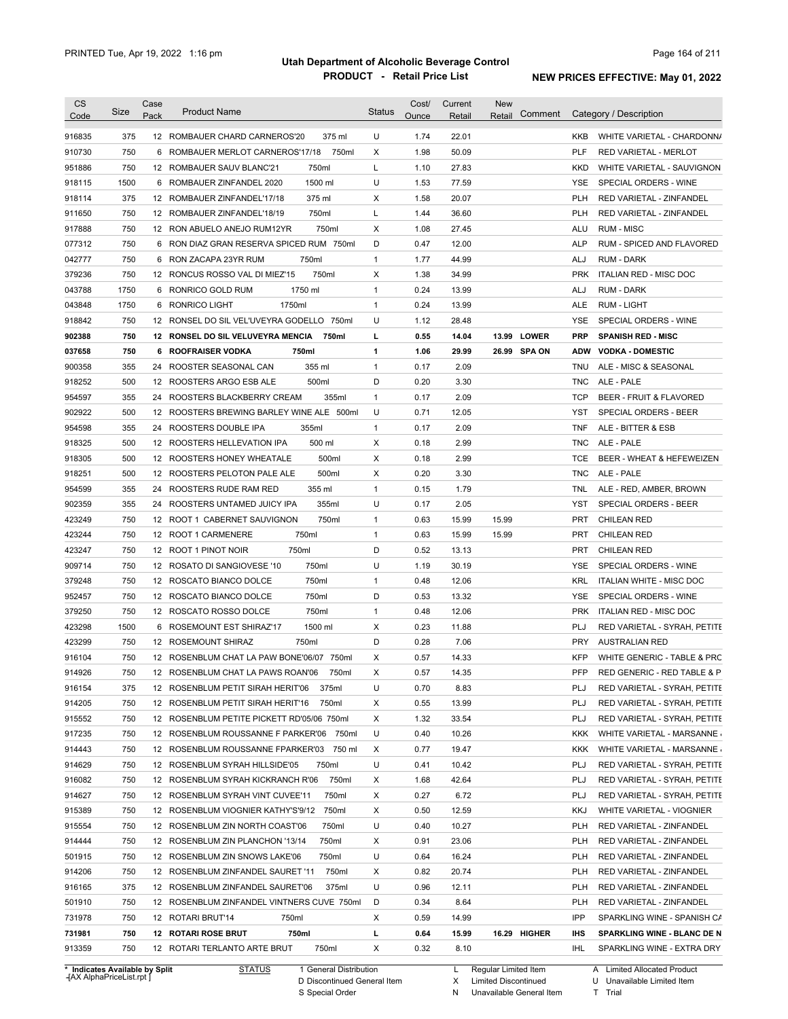| 375<br>U<br>22.01<br>12 ROMBAUER CHARD CARNEROS'20<br>375 ml<br>1.74<br>KKB<br>WHITE VARIETAL - CHARDONN/<br>750<br>Х<br>1.98<br>50.09<br>6<br>ROMBAUER MERLOT CARNEROS'17/18<br>750ml<br><b>PLF</b><br><b>RED VARIETAL - MERLOT</b><br>750<br>L<br>750ml<br>1.10<br>27.83<br>12 ROMBAUER SAUV BLANC'21<br><b>KKD</b><br>WHITE VARIETAL - SAUVIGNON<br>U<br>1500<br>1500 ml<br>1.53<br>77.59<br>ROMBAUER ZINFANDEL 2020<br>YSE<br>SPECIAL ORDERS - WINE<br>6<br>375<br>375 ml<br>Х<br>1.58<br>20.07<br>12 ROMBAUER ZINFANDEL'17/18<br><b>PLH</b><br>RED VARIETAL - ZINFANDEL<br>750<br>750ml<br>L<br>1.44<br>36.60<br><b>PLH</b><br>12 ROMBAUER ZINFANDEL'18/19<br>RED VARIETAL - ZINFANDEL<br>750<br>750ml<br>X<br>1.08<br>27.45<br><b>RUM - MISC</b><br>12 RON ABUELO ANEJO RUM12YR<br>ALU<br>750<br>6 RON DIAZ GRAN RESERVA SPICED RUM 750ml<br>D<br>0.47<br>12.00<br>RUM - SPICED AND FLAVORED<br><b>ALP</b><br>750<br>750ml<br>$\mathbf{1}$<br>1.77<br>44.99<br><b>RUM - DARK</b><br>RON ZACAPA 23YR RUM<br>ALJ<br>6<br>750<br>750ml<br>Χ<br>1.38<br>34.99<br><b>PRK</b><br><b>ITALIAN RED - MISC DOC</b><br>12 RONCUS ROSSO VAL DI MIEZ'15<br>1750<br>1750 ml<br>0.24<br>13.99<br>RONRICO GOLD RUM<br>1<br>ALJ<br><b>RUM - DARK</b><br>6<br>1750<br><b>RONRICO LIGHT</b><br>1750ml<br>$\mathbf{1}$<br>0.24<br>13.99<br>ALE<br><b>RUM - LIGHT</b><br>6<br>750<br>12 RONSEL DO SIL VEL'UVEYRA GODELLO 750ml<br>U<br>1.12<br>28.48<br>SPECIAL ORDERS - WINE<br>YSE<br>750<br>12 RONSEL DO SIL VELUVEYRA MENCIA<br>0.55<br>14.04<br>13.99<br><b>LOWER</b><br><b>SPANISH RED - MISC</b><br>750ml<br>L<br><b>PRP</b><br>750<br>750ml<br>1.06<br>29.99<br>26.99 SPA ON<br><b>VODKA - DOMESTIC</b><br><b>ROOFRAISER VODKA</b><br>1<br><b>ADW</b><br>6<br>355<br>355 ml<br>0.17<br>2.09<br>24<br>ROOSTER SEASONAL CAN<br>1<br><b>TNU</b><br>ALE - MISC & SEASONAL<br>500<br>500ml<br>D<br>0.20<br>3.30<br>ALE - PALE<br>12<br>ROOSTERS ARGO ESB ALE<br><b>TNC</b><br>355<br>0.17<br>2.09<br><b>TCP</b><br>BEER - FRUIT & FLAVORED<br>24<br>ROOSTERS BLACKBERRY CREAM<br>355ml<br>1<br>U<br>0.71<br>500<br>ROOSTERS BREWING BARLEY WINE ALE 500ml<br>12.05<br><b>YST</b><br>12<br>SPECIAL ORDERS - BEER<br>355<br>355ml<br>0.17<br>2.09<br>ALE - BITTER & ESB<br>24<br>ROOSTERS DOUBLE IPA<br>1<br><b>TNF</b><br>500<br>2.99<br>500 ml<br>Х<br>0.18<br>ALE - PALE<br>12<br>ROOSTERS HELLEVATION IPA<br><b>TNC</b><br>500<br>500ml<br>Χ<br>0.18<br>2.99<br>BEER - WHEAT & HEFEWEIZEN<br>12<br>ROOSTERS HONEY WHEATALE<br>TCE<br>500<br>500ml<br>Χ<br>0.20<br>3.30<br><b>TNC</b><br>12<br>ROOSTERS PELOTON PALE ALE<br>ALE - PALE<br>355<br>355 ml<br>1<br>0.15<br>1.79<br>ALE - RED, AMBER, BROWN<br>24<br>ROOSTERS RUDE RAM RED<br>TNL<br>902359<br>355<br>355ml<br>U<br>0.17<br>2.05<br>SPECIAL ORDERS - BEER<br>24<br>ROOSTERS UNTAMED JUICY IPA<br>YST<br>423249<br>750<br>750ml<br>0.63<br>15.99<br>15.99<br><b>CHILEAN RED</b><br>12<br>ROOT 1 CABERNET SAUVIGNON<br>1<br>PRT<br>423244<br>750<br>12 ROOT 1 CARMENERE<br>750ml<br>1<br>0.63<br>15.99<br>15.99<br><b>CHILEAN RED</b><br>PRT<br>423247<br>750<br>750ml<br>D<br>0.52<br><b>CHILEAN RED</b><br>12 ROOT 1 PINOT NOIR<br>13.13<br>PRT<br>909714<br>750<br>750ml<br>U<br>1.19<br>30.19<br>SPECIAL ORDERS - WINE<br>12<br>ROSATO DI SANGIOVESE '10<br>YSE<br>750<br>750ml<br>0.48<br>379248<br>12 ROSCATO BIANCO DOLCE<br>1<br>12.06<br>KRL<br>ITALIAN WHITE - MISC DOC<br>750<br>750ml<br>D<br>0.53<br>952457<br>12 ROSCATO BIANCO DOLCE<br>13.32<br><b>YSE</b><br>SPECIAL ORDERS - WINE<br>379250<br>750<br>750ml<br>0.48<br>12.06<br><b>PRK</b><br><b>ITALIAN RED - MISC DOC</b><br>12 ROSCATO ROSSO DOLCE<br>1<br>423298<br>1500<br>1500 ml<br>Х<br>0.23<br>11.88<br>PLJ<br>ROSEMOUNT EST SHIRAZ'17<br>RED VARIETAL - SYRAH, PETITE<br>6<br>D<br>423299<br>750<br>0.28<br>7.06<br><b>PRY</b><br><b>AUSTRALIAN RED</b><br>12 ROSEMOUNT SHIRAZ<br>750ml<br><b>KFP</b><br>916104<br>750<br>12 ROSENBLUM CHAT LA PAW BONE'06/07 750ml<br>Х<br>0.57<br>14.33<br>WHITE GENERIC - TABLE & PRC<br>750<br>PFP<br>914926<br>X<br>0.57<br>14.35<br>RED GENERIC - RED TABLE & P<br>12 ROSENBLUM CHAT LA PAWS ROAN'06<br>750ml<br>U<br>916154<br>375<br>12 ROSENBLUM PETIT SIRAH HERIT'06<br>375ml<br>0.70<br>8.83<br>PLJ<br>RED VARIETAL - SYRAH, PETITE<br>914205<br>13.99<br><b>PLJ</b><br>RED VARIETAL - SYRAH, PETITE<br>750<br>12 ROSENBLUM PETIT SIRAH HERIT'16<br>750ml<br>х<br>0.55<br>915552<br>Х<br>33.54<br>750<br>12 ROSENBLUM PETITE PICKETT RD'05/06 750ml<br>1.32<br><b>PLJ</b><br>RED VARIETAL - SYRAH, PETITE<br>U<br>0.40<br>10.26<br>WHITE VARIETAL - MARSANNE<br>750<br>12 ROSENBLUM ROUSSANNE F PARKER'06 750ml<br>KKK<br>914443<br>19.47<br>750<br>12 ROSENBLUM ROUSSANNE FPARKER'03 750 ml<br>х<br>0.77<br>KKK<br>WHITE VARIETAL - MARSANNE<br>U<br>10.42<br>750<br>12 ROSENBLUM SYRAH HILLSIDE'05<br>750ml<br>0.41<br><b>PLJ</b><br>RED VARIETAL - SYRAH, PETITE<br>750ml<br>42.64<br>RED VARIETAL - SYRAH, PETITE<br>750<br>12 ROSENBLUM SYRAH KICKRANCH R'06<br>х<br>1.68<br><b>PLJ</b><br>750ml<br>Х<br>0.27<br>6.72<br><b>PLJ</b><br>RED VARIETAL - SYRAH, PETITE<br>750<br>12 ROSENBLUM SYRAH VINT CUVEE'11<br>12.59<br>750<br>12 ROSENBLUM VIOGNIER KATHY'S'9/12<br>750ml<br>Х<br>0.50<br>KKJ<br>WHITE VARIETAL - VIOGNIER<br>U<br>10.27<br>750<br>12 ROSENBLUM ZIN NORTH COAST'06<br>750ml<br>0.40<br><b>PLH</b><br>RED VARIETAL - ZINFANDEL<br>23.06<br>750<br>12 ROSENBLUM ZIN PLANCHON '13/14<br>750ml<br>х<br>0.91<br><b>PLH</b><br>RED VARIETAL - ZINFANDEL<br>U<br>16.24<br>750<br>12 ROSENBLUM ZIN SNOWS LAKE'06<br>750ml<br>0.64<br>PLH<br>RED VARIETAL - ZINFANDEL<br>750<br>750ml<br>20.74<br>12 ROSENBLUM ZINFANDEL SAURET '11<br>X<br>0.82<br><b>PLH</b><br>RED VARIETAL - ZINFANDEL<br>375<br>375ml<br>U<br>0.96<br>12 ROSENBLUM ZINFANDEL SAURET'06<br>12.11<br><b>PLH</b><br>RED VARIETAL - ZINFANDEL<br>D<br>0.34<br>8.64<br>750<br>12 ROSENBLUM ZINFANDEL VINTNERS CUVE 750ml<br>PLH<br>RED VARIETAL - ZINFANDEL<br>750<br>Χ<br>14.99<br>IPP<br>12 ROTARI BRUT'14<br>750ml<br>0.59<br>SPARKLING WINE - SPANISH CA<br>L<br>15.99<br>750<br><b>12 ROTARI ROSE BRUT</b><br>750ml<br>0.64<br>16.29 HIGHER<br>IHS<br>SPARKLING WINE - BLANC DE N<br>750<br>750ml<br>X<br>0.32<br>8.10<br>12 ROTARI TERLANTO ARTE BRUT<br>IHL<br>SPARKLING WINE - EXTRA DRY<br>* Indicates Available by Split<br>1 General Distribution<br>Regular Limited Item | <b>CS</b> | Size | Case | <b>Product Name</b> | <b>Status</b> | Cost/ | Current | <b>New</b>        |                             |
|--------------------------------------------------------------------------------------------------------------------------------------------------------------------------------------------------------------------------------------------------------------------------------------------------------------------------------------------------------------------------------------------------------------------------------------------------------------------------------------------------------------------------------------------------------------------------------------------------------------------------------------------------------------------------------------------------------------------------------------------------------------------------------------------------------------------------------------------------------------------------------------------------------------------------------------------------------------------------------------------------------------------------------------------------------------------------------------------------------------------------------------------------------------------------------------------------------------------------------------------------------------------------------------------------------------------------------------------------------------------------------------------------------------------------------------------------------------------------------------------------------------------------------------------------------------------------------------------------------------------------------------------------------------------------------------------------------------------------------------------------------------------------------------------------------------------------------------------------------------------------------------------------------------------------------------------------------------------------------------------------------------------------------------------------------------------------------------------------------------------------------------------------------------------------------------------------------------------------------------------------------------------------------------------------------------------------------------------------------------------------------------------------------------------------------------------------------------------------------------------------------------------------------------------------------------------------------------------------------------------------------------------------------------------------------------------------------------------------------------------------------------------------------------------------------------------------------------------------------------------------------------------------------------------------------------------------------------------------------------------------------------------------------------------------------------------------------------------------------------------------------------------------------------------------------------------------------------------------------------------------------------------------------------------------------------------------------------------------------------------------------------------------------------------------------------------------------------------------------------------------------------------------------------------------------------------------------------------------------------------------------------------------------------------------------------------------------------------------------------------------------------------------------------------------------------------------------------------------------------------------------------------------------------------------------------------------------------------------------------------------------------------------------------------------------------------------------------------------------------------------------------------------------------------------------------------------------------------------------------------------------------------------------------------------------------------------------------------------------------------------------------------------------------------------------------------------------------------------------------------------------------------------------------------------------------------------------------------------------------------------------------------------------------------------------------------------------------------------------------------------------------------------------------------------------------------------------------------------------------------------------------------------------------------------------------------------------------------------------------------------------------------------------------------------------------------------------------------------------------------------------------------------------------------------------------------------------------------------------------------------------------------------------------------------------------------------------------------------------------------------------------------------------------------------------------------------------------------------------------------------------------------------------------------------------------------------------------------------------------------------------------------------------------------------------------------------------------------------------------------------------------------------------------------------------------------------------------------------------------------------------------------------------------------------------------------------------------------------------------------------------------------------------------------------------------------------------------------------------------------------------------------------------------------------------------------------------------------------------------------------------------------------------------------------------------------------------------------------------------------------------------------------------------------------------------------|-----------|------|------|---------------------|---------------|-------|---------|-------------------|-----------------------------|
|                                                                                                                                                                                                                                                                                                                                                                                                                                                                                                                                                                                                                                                                                                                                                                                                                                                                                                                                                                                                                                                                                                                                                                                                                                                                                                                                                                                                                                                                                                                                                                                                                                                                                                                                                                                                                                                                                                                                                                                                                                                                                                                                                                                                                                                                                                                                                                                                                                                                                                                                                                                                                                                                                                                                                                                                                                                                                                                                                                                                                                                                                                                                                                                                                                                                                                                                                                                                                                                                                                                                                                                                                                                                                                                                                                                                                                                                                                                                                                                                                                                                                                                                                                                                                                                                                                                                                                                                                                                                                                                                                                                                                                                                                                                                                                                                                                                                                                                                                                                                                                                                                                                                                                                                                                                                                                                                                                                                                                                                                                                                                                                                                                                                                                                                                                                                                                                                                                                                                                                                                                                                                                                                                                                                                                                                                                                                                                                                                                            | Code      |      | Pack |                     |               | Ounce | Retail  | Comment<br>Retail | Category / Description      |
|                                                                                                                                                                                                                                                                                                                                                                                                                                                                                                                                                                                                                                                                                                                                                                                                                                                                                                                                                                                                                                                                                                                                                                                                                                                                                                                                                                                                                                                                                                                                                                                                                                                                                                                                                                                                                                                                                                                                                                                                                                                                                                                                                                                                                                                                                                                                                                                                                                                                                                                                                                                                                                                                                                                                                                                                                                                                                                                                                                                                                                                                                                                                                                                                                                                                                                                                                                                                                                                                                                                                                                                                                                                                                                                                                                                                                                                                                                                                                                                                                                                                                                                                                                                                                                                                                                                                                                                                                                                                                                                                                                                                                                                                                                                                                                                                                                                                                                                                                                                                                                                                                                                                                                                                                                                                                                                                                                                                                                                                                                                                                                                                                                                                                                                                                                                                                                                                                                                                                                                                                                                                                                                                                                                                                                                                                                                                                                                                                                            | 916835    |      |      |                     |               |       |         |                   |                             |
|                                                                                                                                                                                                                                                                                                                                                                                                                                                                                                                                                                                                                                                                                                                                                                                                                                                                                                                                                                                                                                                                                                                                                                                                                                                                                                                                                                                                                                                                                                                                                                                                                                                                                                                                                                                                                                                                                                                                                                                                                                                                                                                                                                                                                                                                                                                                                                                                                                                                                                                                                                                                                                                                                                                                                                                                                                                                                                                                                                                                                                                                                                                                                                                                                                                                                                                                                                                                                                                                                                                                                                                                                                                                                                                                                                                                                                                                                                                                                                                                                                                                                                                                                                                                                                                                                                                                                                                                                                                                                                                                                                                                                                                                                                                                                                                                                                                                                                                                                                                                                                                                                                                                                                                                                                                                                                                                                                                                                                                                                                                                                                                                                                                                                                                                                                                                                                                                                                                                                                                                                                                                                                                                                                                                                                                                                                                                                                                                                                            | 910730    |      |      |                     |               |       |         |                   |                             |
|                                                                                                                                                                                                                                                                                                                                                                                                                                                                                                                                                                                                                                                                                                                                                                                                                                                                                                                                                                                                                                                                                                                                                                                                                                                                                                                                                                                                                                                                                                                                                                                                                                                                                                                                                                                                                                                                                                                                                                                                                                                                                                                                                                                                                                                                                                                                                                                                                                                                                                                                                                                                                                                                                                                                                                                                                                                                                                                                                                                                                                                                                                                                                                                                                                                                                                                                                                                                                                                                                                                                                                                                                                                                                                                                                                                                                                                                                                                                                                                                                                                                                                                                                                                                                                                                                                                                                                                                                                                                                                                                                                                                                                                                                                                                                                                                                                                                                                                                                                                                                                                                                                                                                                                                                                                                                                                                                                                                                                                                                                                                                                                                                                                                                                                                                                                                                                                                                                                                                                                                                                                                                                                                                                                                                                                                                                                                                                                                                                            | 951886    |      |      |                     |               |       |         |                   |                             |
|                                                                                                                                                                                                                                                                                                                                                                                                                                                                                                                                                                                                                                                                                                                                                                                                                                                                                                                                                                                                                                                                                                                                                                                                                                                                                                                                                                                                                                                                                                                                                                                                                                                                                                                                                                                                                                                                                                                                                                                                                                                                                                                                                                                                                                                                                                                                                                                                                                                                                                                                                                                                                                                                                                                                                                                                                                                                                                                                                                                                                                                                                                                                                                                                                                                                                                                                                                                                                                                                                                                                                                                                                                                                                                                                                                                                                                                                                                                                                                                                                                                                                                                                                                                                                                                                                                                                                                                                                                                                                                                                                                                                                                                                                                                                                                                                                                                                                                                                                                                                                                                                                                                                                                                                                                                                                                                                                                                                                                                                                                                                                                                                                                                                                                                                                                                                                                                                                                                                                                                                                                                                                                                                                                                                                                                                                                                                                                                                                                            | 918115    |      |      |                     |               |       |         |                   |                             |
|                                                                                                                                                                                                                                                                                                                                                                                                                                                                                                                                                                                                                                                                                                                                                                                                                                                                                                                                                                                                                                                                                                                                                                                                                                                                                                                                                                                                                                                                                                                                                                                                                                                                                                                                                                                                                                                                                                                                                                                                                                                                                                                                                                                                                                                                                                                                                                                                                                                                                                                                                                                                                                                                                                                                                                                                                                                                                                                                                                                                                                                                                                                                                                                                                                                                                                                                                                                                                                                                                                                                                                                                                                                                                                                                                                                                                                                                                                                                                                                                                                                                                                                                                                                                                                                                                                                                                                                                                                                                                                                                                                                                                                                                                                                                                                                                                                                                                                                                                                                                                                                                                                                                                                                                                                                                                                                                                                                                                                                                                                                                                                                                                                                                                                                                                                                                                                                                                                                                                                                                                                                                                                                                                                                                                                                                                                                                                                                                                                            | 918114    |      |      |                     |               |       |         |                   |                             |
|                                                                                                                                                                                                                                                                                                                                                                                                                                                                                                                                                                                                                                                                                                                                                                                                                                                                                                                                                                                                                                                                                                                                                                                                                                                                                                                                                                                                                                                                                                                                                                                                                                                                                                                                                                                                                                                                                                                                                                                                                                                                                                                                                                                                                                                                                                                                                                                                                                                                                                                                                                                                                                                                                                                                                                                                                                                                                                                                                                                                                                                                                                                                                                                                                                                                                                                                                                                                                                                                                                                                                                                                                                                                                                                                                                                                                                                                                                                                                                                                                                                                                                                                                                                                                                                                                                                                                                                                                                                                                                                                                                                                                                                                                                                                                                                                                                                                                                                                                                                                                                                                                                                                                                                                                                                                                                                                                                                                                                                                                                                                                                                                                                                                                                                                                                                                                                                                                                                                                                                                                                                                                                                                                                                                                                                                                                                                                                                                                                            | 911650    |      |      |                     |               |       |         |                   |                             |
|                                                                                                                                                                                                                                                                                                                                                                                                                                                                                                                                                                                                                                                                                                                                                                                                                                                                                                                                                                                                                                                                                                                                                                                                                                                                                                                                                                                                                                                                                                                                                                                                                                                                                                                                                                                                                                                                                                                                                                                                                                                                                                                                                                                                                                                                                                                                                                                                                                                                                                                                                                                                                                                                                                                                                                                                                                                                                                                                                                                                                                                                                                                                                                                                                                                                                                                                                                                                                                                                                                                                                                                                                                                                                                                                                                                                                                                                                                                                                                                                                                                                                                                                                                                                                                                                                                                                                                                                                                                                                                                                                                                                                                                                                                                                                                                                                                                                                                                                                                                                                                                                                                                                                                                                                                                                                                                                                                                                                                                                                                                                                                                                                                                                                                                                                                                                                                                                                                                                                                                                                                                                                                                                                                                                                                                                                                                                                                                                                                            | 917888    |      |      |                     |               |       |         |                   |                             |
|                                                                                                                                                                                                                                                                                                                                                                                                                                                                                                                                                                                                                                                                                                                                                                                                                                                                                                                                                                                                                                                                                                                                                                                                                                                                                                                                                                                                                                                                                                                                                                                                                                                                                                                                                                                                                                                                                                                                                                                                                                                                                                                                                                                                                                                                                                                                                                                                                                                                                                                                                                                                                                                                                                                                                                                                                                                                                                                                                                                                                                                                                                                                                                                                                                                                                                                                                                                                                                                                                                                                                                                                                                                                                                                                                                                                                                                                                                                                                                                                                                                                                                                                                                                                                                                                                                                                                                                                                                                                                                                                                                                                                                                                                                                                                                                                                                                                                                                                                                                                                                                                                                                                                                                                                                                                                                                                                                                                                                                                                                                                                                                                                                                                                                                                                                                                                                                                                                                                                                                                                                                                                                                                                                                                                                                                                                                                                                                                                                            | 077312    |      |      |                     |               |       |         |                   |                             |
|                                                                                                                                                                                                                                                                                                                                                                                                                                                                                                                                                                                                                                                                                                                                                                                                                                                                                                                                                                                                                                                                                                                                                                                                                                                                                                                                                                                                                                                                                                                                                                                                                                                                                                                                                                                                                                                                                                                                                                                                                                                                                                                                                                                                                                                                                                                                                                                                                                                                                                                                                                                                                                                                                                                                                                                                                                                                                                                                                                                                                                                                                                                                                                                                                                                                                                                                                                                                                                                                                                                                                                                                                                                                                                                                                                                                                                                                                                                                                                                                                                                                                                                                                                                                                                                                                                                                                                                                                                                                                                                                                                                                                                                                                                                                                                                                                                                                                                                                                                                                                                                                                                                                                                                                                                                                                                                                                                                                                                                                                                                                                                                                                                                                                                                                                                                                                                                                                                                                                                                                                                                                                                                                                                                                                                                                                                                                                                                                                                            | 042777    |      |      |                     |               |       |         |                   |                             |
|                                                                                                                                                                                                                                                                                                                                                                                                                                                                                                                                                                                                                                                                                                                                                                                                                                                                                                                                                                                                                                                                                                                                                                                                                                                                                                                                                                                                                                                                                                                                                                                                                                                                                                                                                                                                                                                                                                                                                                                                                                                                                                                                                                                                                                                                                                                                                                                                                                                                                                                                                                                                                                                                                                                                                                                                                                                                                                                                                                                                                                                                                                                                                                                                                                                                                                                                                                                                                                                                                                                                                                                                                                                                                                                                                                                                                                                                                                                                                                                                                                                                                                                                                                                                                                                                                                                                                                                                                                                                                                                                                                                                                                                                                                                                                                                                                                                                                                                                                                                                                                                                                                                                                                                                                                                                                                                                                                                                                                                                                                                                                                                                                                                                                                                                                                                                                                                                                                                                                                                                                                                                                                                                                                                                                                                                                                                                                                                                                                            | 379236    |      |      |                     |               |       |         |                   |                             |
|                                                                                                                                                                                                                                                                                                                                                                                                                                                                                                                                                                                                                                                                                                                                                                                                                                                                                                                                                                                                                                                                                                                                                                                                                                                                                                                                                                                                                                                                                                                                                                                                                                                                                                                                                                                                                                                                                                                                                                                                                                                                                                                                                                                                                                                                                                                                                                                                                                                                                                                                                                                                                                                                                                                                                                                                                                                                                                                                                                                                                                                                                                                                                                                                                                                                                                                                                                                                                                                                                                                                                                                                                                                                                                                                                                                                                                                                                                                                                                                                                                                                                                                                                                                                                                                                                                                                                                                                                                                                                                                                                                                                                                                                                                                                                                                                                                                                                                                                                                                                                                                                                                                                                                                                                                                                                                                                                                                                                                                                                                                                                                                                                                                                                                                                                                                                                                                                                                                                                                                                                                                                                                                                                                                                                                                                                                                                                                                                                                            | 043788    |      |      |                     |               |       |         |                   |                             |
|                                                                                                                                                                                                                                                                                                                                                                                                                                                                                                                                                                                                                                                                                                                                                                                                                                                                                                                                                                                                                                                                                                                                                                                                                                                                                                                                                                                                                                                                                                                                                                                                                                                                                                                                                                                                                                                                                                                                                                                                                                                                                                                                                                                                                                                                                                                                                                                                                                                                                                                                                                                                                                                                                                                                                                                                                                                                                                                                                                                                                                                                                                                                                                                                                                                                                                                                                                                                                                                                                                                                                                                                                                                                                                                                                                                                                                                                                                                                                                                                                                                                                                                                                                                                                                                                                                                                                                                                                                                                                                                                                                                                                                                                                                                                                                                                                                                                                                                                                                                                                                                                                                                                                                                                                                                                                                                                                                                                                                                                                                                                                                                                                                                                                                                                                                                                                                                                                                                                                                                                                                                                                                                                                                                                                                                                                                                                                                                                                                            | 043848    |      |      |                     |               |       |         |                   |                             |
|                                                                                                                                                                                                                                                                                                                                                                                                                                                                                                                                                                                                                                                                                                                                                                                                                                                                                                                                                                                                                                                                                                                                                                                                                                                                                                                                                                                                                                                                                                                                                                                                                                                                                                                                                                                                                                                                                                                                                                                                                                                                                                                                                                                                                                                                                                                                                                                                                                                                                                                                                                                                                                                                                                                                                                                                                                                                                                                                                                                                                                                                                                                                                                                                                                                                                                                                                                                                                                                                                                                                                                                                                                                                                                                                                                                                                                                                                                                                                                                                                                                                                                                                                                                                                                                                                                                                                                                                                                                                                                                                                                                                                                                                                                                                                                                                                                                                                                                                                                                                                                                                                                                                                                                                                                                                                                                                                                                                                                                                                                                                                                                                                                                                                                                                                                                                                                                                                                                                                                                                                                                                                                                                                                                                                                                                                                                                                                                                                                            | 918842    |      |      |                     |               |       |         |                   |                             |
|                                                                                                                                                                                                                                                                                                                                                                                                                                                                                                                                                                                                                                                                                                                                                                                                                                                                                                                                                                                                                                                                                                                                                                                                                                                                                                                                                                                                                                                                                                                                                                                                                                                                                                                                                                                                                                                                                                                                                                                                                                                                                                                                                                                                                                                                                                                                                                                                                                                                                                                                                                                                                                                                                                                                                                                                                                                                                                                                                                                                                                                                                                                                                                                                                                                                                                                                                                                                                                                                                                                                                                                                                                                                                                                                                                                                                                                                                                                                                                                                                                                                                                                                                                                                                                                                                                                                                                                                                                                                                                                                                                                                                                                                                                                                                                                                                                                                                                                                                                                                                                                                                                                                                                                                                                                                                                                                                                                                                                                                                                                                                                                                                                                                                                                                                                                                                                                                                                                                                                                                                                                                                                                                                                                                                                                                                                                                                                                                                                            | 902388    |      |      |                     |               |       |         |                   |                             |
|                                                                                                                                                                                                                                                                                                                                                                                                                                                                                                                                                                                                                                                                                                                                                                                                                                                                                                                                                                                                                                                                                                                                                                                                                                                                                                                                                                                                                                                                                                                                                                                                                                                                                                                                                                                                                                                                                                                                                                                                                                                                                                                                                                                                                                                                                                                                                                                                                                                                                                                                                                                                                                                                                                                                                                                                                                                                                                                                                                                                                                                                                                                                                                                                                                                                                                                                                                                                                                                                                                                                                                                                                                                                                                                                                                                                                                                                                                                                                                                                                                                                                                                                                                                                                                                                                                                                                                                                                                                                                                                                                                                                                                                                                                                                                                                                                                                                                                                                                                                                                                                                                                                                                                                                                                                                                                                                                                                                                                                                                                                                                                                                                                                                                                                                                                                                                                                                                                                                                                                                                                                                                                                                                                                                                                                                                                                                                                                                                                            | 037658    |      |      |                     |               |       |         |                   |                             |
|                                                                                                                                                                                                                                                                                                                                                                                                                                                                                                                                                                                                                                                                                                                                                                                                                                                                                                                                                                                                                                                                                                                                                                                                                                                                                                                                                                                                                                                                                                                                                                                                                                                                                                                                                                                                                                                                                                                                                                                                                                                                                                                                                                                                                                                                                                                                                                                                                                                                                                                                                                                                                                                                                                                                                                                                                                                                                                                                                                                                                                                                                                                                                                                                                                                                                                                                                                                                                                                                                                                                                                                                                                                                                                                                                                                                                                                                                                                                                                                                                                                                                                                                                                                                                                                                                                                                                                                                                                                                                                                                                                                                                                                                                                                                                                                                                                                                                                                                                                                                                                                                                                                                                                                                                                                                                                                                                                                                                                                                                                                                                                                                                                                                                                                                                                                                                                                                                                                                                                                                                                                                                                                                                                                                                                                                                                                                                                                                                                            | 900358    |      |      |                     |               |       |         |                   |                             |
|                                                                                                                                                                                                                                                                                                                                                                                                                                                                                                                                                                                                                                                                                                                                                                                                                                                                                                                                                                                                                                                                                                                                                                                                                                                                                                                                                                                                                                                                                                                                                                                                                                                                                                                                                                                                                                                                                                                                                                                                                                                                                                                                                                                                                                                                                                                                                                                                                                                                                                                                                                                                                                                                                                                                                                                                                                                                                                                                                                                                                                                                                                                                                                                                                                                                                                                                                                                                                                                                                                                                                                                                                                                                                                                                                                                                                                                                                                                                                                                                                                                                                                                                                                                                                                                                                                                                                                                                                                                                                                                                                                                                                                                                                                                                                                                                                                                                                                                                                                                                                                                                                                                                                                                                                                                                                                                                                                                                                                                                                                                                                                                                                                                                                                                                                                                                                                                                                                                                                                                                                                                                                                                                                                                                                                                                                                                                                                                                                                            | 918252    |      |      |                     |               |       |         |                   |                             |
|                                                                                                                                                                                                                                                                                                                                                                                                                                                                                                                                                                                                                                                                                                                                                                                                                                                                                                                                                                                                                                                                                                                                                                                                                                                                                                                                                                                                                                                                                                                                                                                                                                                                                                                                                                                                                                                                                                                                                                                                                                                                                                                                                                                                                                                                                                                                                                                                                                                                                                                                                                                                                                                                                                                                                                                                                                                                                                                                                                                                                                                                                                                                                                                                                                                                                                                                                                                                                                                                                                                                                                                                                                                                                                                                                                                                                                                                                                                                                                                                                                                                                                                                                                                                                                                                                                                                                                                                                                                                                                                                                                                                                                                                                                                                                                                                                                                                                                                                                                                                                                                                                                                                                                                                                                                                                                                                                                                                                                                                                                                                                                                                                                                                                                                                                                                                                                                                                                                                                                                                                                                                                                                                                                                                                                                                                                                                                                                                                                            | 954597    |      |      |                     |               |       |         |                   |                             |
|                                                                                                                                                                                                                                                                                                                                                                                                                                                                                                                                                                                                                                                                                                                                                                                                                                                                                                                                                                                                                                                                                                                                                                                                                                                                                                                                                                                                                                                                                                                                                                                                                                                                                                                                                                                                                                                                                                                                                                                                                                                                                                                                                                                                                                                                                                                                                                                                                                                                                                                                                                                                                                                                                                                                                                                                                                                                                                                                                                                                                                                                                                                                                                                                                                                                                                                                                                                                                                                                                                                                                                                                                                                                                                                                                                                                                                                                                                                                                                                                                                                                                                                                                                                                                                                                                                                                                                                                                                                                                                                                                                                                                                                                                                                                                                                                                                                                                                                                                                                                                                                                                                                                                                                                                                                                                                                                                                                                                                                                                                                                                                                                                                                                                                                                                                                                                                                                                                                                                                                                                                                                                                                                                                                                                                                                                                                                                                                                                                            | 902922    |      |      |                     |               |       |         |                   |                             |
|                                                                                                                                                                                                                                                                                                                                                                                                                                                                                                                                                                                                                                                                                                                                                                                                                                                                                                                                                                                                                                                                                                                                                                                                                                                                                                                                                                                                                                                                                                                                                                                                                                                                                                                                                                                                                                                                                                                                                                                                                                                                                                                                                                                                                                                                                                                                                                                                                                                                                                                                                                                                                                                                                                                                                                                                                                                                                                                                                                                                                                                                                                                                                                                                                                                                                                                                                                                                                                                                                                                                                                                                                                                                                                                                                                                                                                                                                                                                                                                                                                                                                                                                                                                                                                                                                                                                                                                                                                                                                                                                                                                                                                                                                                                                                                                                                                                                                                                                                                                                                                                                                                                                                                                                                                                                                                                                                                                                                                                                                                                                                                                                                                                                                                                                                                                                                                                                                                                                                                                                                                                                                                                                                                                                                                                                                                                                                                                                                                            | 954598    |      |      |                     |               |       |         |                   |                             |
|                                                                                                                                                                                                                                                                                                                                                                                                                                                                                                                                                                                                                                                                                                                                                                                                                                                                                                                                                                                                                                                                                                                                                                                                                                                                                                                                                                                                                                                                                                                                                                                                                                                                                                                                                                                                                                                                                                                                                                                                                                                                                                                                                                                                                                                                                                                                                                                                                                                                                                                                                                                                                                                                                                                                                                                                                                                                                                                                                                                                                                                                                                                                                                                                                                                                                                                                                                                                                                                                                                                                                                                                                                                                                                                                                                                                                                                                                                                                                                                                                                                                                                                                                                                                                                                                                                                                                                                                                                                                                                                                                                                                                                                                                                                                                                                                                                                                                                                                                                                                                                                                                                                                                                                                                                                                                                                                                                                                                                                                                                                                                                                                                                                                                                                                                                                                                                                                                                                                                                                                                                                                                                                                                                                                                                                                                                                                                                                                                                            | 918325    |      |      |                     |               |       |         |                   |                             |
|                                                                                                                                                                                                                                                                                                                                                                                                                                                                                                                                                                                                                                                                                                                                                                                                                                                                                                                                                                                                                                                                                                                                                                                                                                                                                                                                                                                                                                                                                                                                                                                                                                                                                                                                                                                                                                                                                                                                                                                                                                                                                                                                                                                                                                                                                                                                                                                                                                                                                                                                                                                                                                                                                                                                                                                                                                                                                                                                                                                                                                                                                                                                                                                                                                                                                                                                                                                                                                                                                                                                                                                                                                                                                                                                                                                                                                                                                                                                                                                                                                                                                                                                                                                                                                                                                                                                                                                                                                                                                                                                                                                                                                                                                                                                                                                                                                                                                                                                                                                                                                                                                                                                                                                                                                                                                                                                                                                                                                                                                                                                                                                                                                                                                                                                                                                                                                                                                                                                                                                                                                                                                                                                                                                                                                                                                                                                                                                                                                            | 918305    |      |      |                     |               |       |         |                   |                             |
|                                                                                                                                                                                                                                                                                                                                                                                                                                                                                                                                                                                                                                                                                                                                                                                                                                                                                                                                                                                                                                                                                                                                                                                                                                                                                                                                                                                                                                                                                                                                                                                                                                                                                                                                                                                                                                                                                                                                                                                                                                                                                                                                                                                                                                                                                                                                                                                                                                                                                                                                                                                                                                                                                                                                                                                                                                                                                                                                                                                                                                                                                                                                                                                                                                                                                                                                                                                                                                                                                                                                                                                                                                                                                                                                                                                                                                                                                                                                                                                                                                                                                                                                                                                                                                                                                                                                                                                                                                                                                                                                                                                                                                                                                                                                                                                                                                                                                                                                                                                                                                                                                                                                                                                                                                                                                                                                                                                                                                                                                                                                                                                                                                                                                                                                                                                                                                                                                                                                                                                                                                                                                                                                                                                                                                                                                                                                                                                                                                            | 918251    |      |      |                     |               |       |         |                   |                             |
|                                                                                                                                                                                                                                                                                                                                                                                                                                                                                                                                                                                                                                                                                                                                                                                                                                                                                                                                                                                                                                                                                                                                                                                                                                                                                                                                                                                                                                                                                                                                                                                                                                                                                                                                                                                                                                                                                                                                                                                                                                                                                                                                                                                                                                                                                                                                                                                                                                                                                                                                                                                                                                                                                                                                                                                                                                                                                                                                                                                                                                                                                                                                                                                                                                                                                                                                                                                                                                                                                                                                                                                                                                                                                                                                                                                                                                                                                                                                                                                                                                                                                                                                                                                                                                                                                                                                                                                                                                                                                                                                                                                                                                                                                                                                                                                                                                                                                                                                                                                                                                                                                                                                                                                                                                                                                                                                                                                                                                                                                                                                                                                                                                                                                                                                                                                                                                                                                                                                                                                                                                                                                                                                                                                                                                                                                                                                                                                                                                            | 954599    |      |      |                     |               |       |         |                   |                             |
|                                                                                                                                                                                                                                                                                                                                                                                                                                                                                                                                                                                                                                                                                                                                                                                                                                                                                                                                                                                                                                                                                                                                                                                                                                                                                                                                                                                                                                                                                                                                                                                                                                                                                                                                                                                                                                                                                                                                                                                                                                                                                                                                                                                                                                                                                                                                                                                                                                                                                                                                                                                                                                                                                                                                                                                                                                                                                                                                                                                                                                                                                                                                                                                                                                                                                                                                                                                                                                                                                                                                                                                                                                                                                                                                                                                                                                                                                                                                                                                                                                                                                                                                                                                                                                                                                                                                                                                                                                                                                                                                                                                                                                                                                                                                                                                                                                                                                                                                                                                                                                                                                                                                                                                                                                                                                                                                                                                                                                                                                                                                                                                                                                                                                                                                                                                                                                                                                                                                                                                                                                                                                                                                                                                                                                                                                                                                                                                                                                            |           |      |      |                     |               |       |         |                   |                             |
|                                                                                                                                                                                                                                                                                                                                                                                                                                                                                                                                                                                                                                                                                                                                                                                                                                                                                                                                                                                                                                                                                                                                                                                                                                                                                                                                                                                                                                                                                                                                                                                                                                                                                                                                                                                                                                                                                                                                                                                                                                                                                                                                                                                                                                                                                                                                                                                                                                                                                                                                                                                                                                                                                                                                                                                                                                                                                                                                                                                                                                                                                                                                                                                                                                                                                                                                                                                                                                                                                                                                                                                                                                                                                                                                                                                                                                                                                                                                                                                                                                                                                                                                                                                                                                                                                                                                                                                                                                                                                                                                                                                                                                                                                                                                                                                                                                                                                                                                                                                                                                                                                                                                                                                                                                                                                                                                                                                                                                                                                                                                                                                                                                                                                                                                                                                                                                                                                                                                                                                                                                                                                                                                                                                                                                                                                                                                                                                                                                            |           |      |      |                     |               |       |         |                   |                             |
|                                                                                                                                                                                                                                                                                                                                                                                                                                                                                                                                                                                                                                                                                                                                                                                                                                                                                                                                                                                                                                                                                                                                                                                                                                                                                                                                                                                                                                                                                                                                                                                                                                                                                                                                                                                                                                                                                                                                                                                                                                                                                                                                                                                                                                                                                                                                                                                                                                                                                                                                                                                                                                                                                                                                                                                                                                                                                                                                                                                                                                                                                                                                                                                                                                                                                                                                                                                                                                                                                                                                                                                                                                                                                                                                                                                                                                                                                                                                                                                                                                                                                                                                                                                                                                                                                                                                                                                                                                                                                                                                                                                                                                                                                                                                                                                                                                                                                                                                                                                                                                                                                                                                                                                                                                                                                                                                                                                                                                                                                                                                                                                                                                                                                                                                                                                                                                                                                                                                                                                                                                                                                                                                                                                                                                                                                                                                                                                                                                            |           |      |      |                     |               |       |         |                   |                             |
|                                                                                                                                                                                                                                                                                                                                                                                                                                                                                                                                                                                                                                                                                                                                                                                                                                                                                                                                                                                                                                                                                                                                                                                                                                                                                                                                                                                                                                                                                                                                                                                                                                                                                                                                                                                                                                                                                                                                                                                                                                                                                                                                                                                                                                                                                                                                                                                                                                                                                                                                                                                                                                                                                                                                                                                                                                                                                                                                                                                                                                                                                                                                                                                                                                                                                                                                                                                                                                                                                                                                                                                                                                                                                                                                                                                                                                                                                                                                                                                                                                                                                                                                                                                                                                                                                                                                                                                                                                                                                                                                                                                                                                                                                                                                                                                                                                                                                                                                                                                                                                                                                                                                                                                                                                                                                                                                                                                                                                                                                                                                                                                                                                                                                                                                                                                                                                                                                                                                                                                                                                                                                                                                                                                                                                                                                                                                                                                                                                            |           |      |      |                     |               |       |         |                   |                             |
|                                                                                                                                                                                                                                                                                                                                                                                                                                                                                                                                                                                                                                                                                                                                                                                                                                                                                                                                                                                                                                                                                                                                                                                                                                                                                                                                                                                                                                                                                                                                                                                                                                                                                                                                                                                                                                                                                                                                                                                                                                                                                                                                                                                                                                                                                                                                                                                                                                                                                                                                                                                                                                                                                                                                                                                                                                                                                                                                                                                                                                                                                                                                                                                                                                                                                                                                                                                                                                                                                                                                                                                                                                                                                                                                                                                                                                                                                                                                                                                                                                                                                                                                                                                                                                                                                                                                                                                                                                                                                                                                                                                                                                                                                                                                                                                                                                                                                                                                                                                                                                                                                                                                                                                                                                                                                                                                                                                                                                                                                                                                                                                                                                                                                                                                                                                                                                                                                                                                                                                                                                                                                                                                                                                                                                                                                                                                                                                                                                            |           |      |      |                     |               |       |         |                   |                             |
|                                                                                                                                                                                                                                                                                                                                                                                                                                                                                                                                                                                                                                                                                                                                                                                                                                                                                                                                                                                                                                                                                                                                                                                                                                                                                                                                                                                                                                                                                                                                                                                                                                                                                                                                                                                                                                                                                                                                                                                                                                                                                                                                                                                                                                                                                                                                                                                                                                                                                                                                                                                                                                                                                                                                                                                                                                                                                                                                                                                                                                                                                                                                                                                                                                                                                                                                                                                                                                                                                                                                                                                                                                                                                                                                                                                                                                                                                                                                                                                                                                                                                                                                                                                                                                                                                                                                                                                                                                                                                                                                                                                                                                                                                                                                                                                                                                                                                                                                                                                                                                                                                                                                                                                                                                                                                                                                                                                                                                                                                                                                                                                                                                                                                                                                                                                                                                                                                                                                                                                                                                                                                                                                                                                                                                                                                                                                                                                                                                            |           |      |      |                     |               |       |         |                   |                             |
|                                                                                                                                                                                                                                                                                                                                                                                                                                                                                                                                                                                                                                                                                                                                                                                                                                                                                                                                                                                                                                                                                                                                                                                                                                                                                                                                                                                                                                                                                                                                                                                                                                                                                                                                                                                                                                                                                                                                                                                                                                                                                                                                                                                                                                                                                                                                                                                                                                                                                                                                                                                                                                                                                                                                                                                                                                                                                                                                                                                                                                                                                                                                                                                                                                                                                                                                                                                                                                                                                                                                                                                                                                                                                                                                                                                                                                                                                                                                                                                                                                                                                                                                                                                                                                                                                                                                                                                                                                                                                                                                                                                                                                                                                                                                                                                                                                                                                                                                                                                                                                                                                                                                                                                                                                                                                                                                                                                                                                                                                                                                                                                                                                                                                                                                                                                                                                                                                                                                                                                                                                                                                                                                                                                                                                                                                                                                                                                                                                            |           |      |      |                     |               |       |         |                   |                             |
|                                                                                                                                                                                                                                                                                                                                                                                                                                                                                                                                                                                                                                                                                                                                                                                                                                                                                                                                                                                                                                                                                                                                                                                                                                                                                                                                                                                                                                                                                                                                                                                                                                                                                                                                                                                                                                                                                                                                                                                                                                                                                                                                                                                                                                                                                                                                                                                                                                                                                                                                                                                                                                                                                                                                                                                                                                                                                                                                                                                                                                                                                                                                                                                                                                                                                                                                                                                                                                                                                                                                                                                                                                                                                                                                                                                                                                                                                                                                                                                                                                                                                                                                                                                                                                                                                                                                                                                                                                                                                                                                                                                                                                                                                                                                                                                                                                                                                                                                                                                                                                                                                                                                                                                                                                                                                                                                                                                                                                                                                                                                                                                                                                                                                                                                                                                                                                                                                                                                                                                                                                                                                                                                                                                                                                                                                                                                                                                                                                            |           |      |      |                     |               |       |         |                   |                             |
|                                                                                                                                                                                                                                                                                                                                                                                                                                                                                                                                                                                                                                                                                                                                                                                                                                                                                                                                                                                                                                                                                                                                                                                                                                                                                                                                                                                                                                                                                                                                                                                                                                                                                                                                                                                                                                                                                                                                                                                                                                                                                                                                                                                                                                                                                                                                                                                                                                                                                                                                                                                                                                                                                                                                                                                                                                                                                                                                                                                                                                                                                                                                                                                                                                                                                                                                                                                                                                                                                                                                                                                                                                                                                                                                                                                                                                                                                                                                                                                                                                                                                                                                                                                                                                                                                                                                                                                                                                                                                                                                                                                                                                                                                                                                                                                                                                                                                                                                                                                                                                                                                                                                                                                                                                                                                                                                                                                                                                                                                                                                                                                                                                                                                                                                                                                                                                                                                                                                                                                                                                                                                                                                                                                                                                                                                                                                                                                                                                            |           |      |      |                     |               |       |         |                   |                             |
|                                                                                                                                                                                                                                                                                                                                                                                                                                                                                                                                                                                                                                                                                                                                                                                                                                                                                                                                                                                                                                                                                                                                                                                                                                                                                                                                                                                                                                                                                                                                                                                                                                                                                                                                                                                                                                                                                                                                                                                                                                                                                                                                                                                                                                                                                                                                                                                                                                                                                                                                                                                                                                                                                                                                                                                                                                                                                                                                                                                                                                                                                                                                                                                                                                                                                                                                                                                                                                                                                                                                                                                                                                                                                                                                                                                                                                                                                                                                                                                                                                                                                                                                                                                                                                                                                                                                                                                                                                                                                                                                                                                                                                                                                                                                                                                                                                                                                                                                                                                                                                                                                                                                                                                                                                                                                                                                                                                                                                                                                                                                                                                                                                                                                                                                                                                                                                                                                                                                                                                                                                                                                                                                                                                                                                                                                                                                                                                                                                            |           |      |      |                     |               |       |         |                   |                             |
|                                                                                                                                                                                                                                                                                                                                                                                                                                                                                                                                                                                                                                                                                                                                                                                                                                                                                                                                                                                                                                                                                                                                                                                                                                                                                                                                                                                                                                                                                                                                                                                                                                                                                                                                                                                                                                                                                                                                                                                                                                                                                                                                                                                                                                                                                                                                                                                                                                                                                                                                                                                                                                                                                                                                                                                                                                                                                                                                                                                                                                                                                                                                                                                                                                                                                                                                                                                                                                                                                                                                                                                                                                                                                                                                                                                                                                                                                                                                                                                                                                                                                                                                                                                                                                                                                                                                                                                                                                                                                                                                                                                                                                                                                                                                                                                                                                                                                                                                                                                                                                                                                                                                                                                                                                                                                                                                                                                                                                                                                                                                                                                                                                                                                                                                                                                                                                                                                                                                                                                                                                                                                                                                                                                                                                                                                                                                                                                                                                            |           |      |      |                     |               |       |         |                   |                             |
|                                                                                                                                                                                                                                                                                                                                                                                                                                                                                                                                                                                                                                                                                                                                                                                                                                                                                                                                                                                                                                                                                                                                                                                                                                                                                                                                                                                                                                                                                                                                                                                                                                                                                                                                                                                                                                                                                                                                                                                                                                                                                                                                                                                                                                                                                                                                                                                                                                                                                                                                                                                                                                                                                                                                                                                                                                                                                                                                                                                                                                                                                                                                                                                                                                                                                                                                                                                                                                                                                                                                                                                                                                                                                                                                                                                                                                                                                                                                                                                                                                                                                                                                                                                                                                                                                                                                                                                                                                                                                                                                                                                                                                                                                                                                                                                                                                                                                                                                                                                                                                                                                                                                                                                                                                                                                                                                                                                                                                                                                                                                                                                                                                                                                                                                                                                                                                                                                                                                                                                                                                                                                                                                                                                                                                                                                                                                                                                                                                            |           |      |      |                     |               |       |         |                   |                             |
|                                                                                                                                                                                                                                                                                                                                                                                                                                                                                                                                                                                                                                                                                                                                                                                                                                                                                                                                                                                                                                                                                                                                                                                                                                                                                                                                                                                                                                                                                                                                                                                                                                                                                                                                                                                                                                                                                                                                                                                                                                                                                                                                                                                                                                                                                                                                                                                                                                                                                                                                                                                                                                                                                                                                                                                                                                                                                                                                                                                                                                                                                                                                                                                                                                                                                                                                                                                                                                                                                                                                                                                                                                                                                                                                                                                                                                                                                                                                                                                                                                                                                                                                                                                                                                                                                                                                                                                                                                                                                                                                                                                                                                                                                                                                                                                                                                                                                                                                                                                                                                                                                                                                                                                                                                                                                                                                                                                                                                                                                                                                                                                                                                                                                                                                                                                                                                                                                                                                                                                                                                                                                                                                                                                                                                                                                                                                                                                                                                            |           |      |      |                     |               |       |         |                   |                             |
|                                                                                                                                                                                                                                                                                                                                                                                                                                                                                                                                                                                                                                                                                                                                                                                                                                                                                                                                                                                                                                                                                                                                                                                                                                                                                                                                                                                                                                                                                                                                                                                                                                                                                                                                                                                                                                                                                                                                                                                                                                                                                                                                                                                                                                                                                                                                                                                                                                                                                                                                                                                                                                                                                                                                                                                                                                                                                                                                                                                                                                                                                                                                                                                                                                                                                                                                                                                                                                                                                                                                                                                                                                                                                                                                                                                                                                                                                                                                                                                                                                                                                                                                                                                                                                                                                                                                                                                                                                                                                                                                                                                                                                                                                                                                                                                                                                                                                                                                                                                                                                                                                                                                                                                                                                                                                                                                                                                                                                                                                                                                                                                                                                                                                                                                                                                                                                                                                                                                                                                                                                                                                                                                                                                                                                                                                                                                                                                                                                            |           |      |      |                     |               |       |         |                   |                             |
|                                                                                                                                                                                                                                                                                                                                                                                                                                                                                                                                                                                                                                                                                                                                                                                                                                                                                                                                                                                                                                                                                                                                                                                                                                                                                                                                                                                                                                                                                                                                                                                                                                                                                                                                                                                                                                                                                                                                                                                                                                                                                                                                                                                                                                                                                                                                                                                                                                                                                                                                                                                                                                                                                                                                                                                                                                                                                                                                                                                                                                                                                                                                                                                                                                                                                                                                                                                                                                                                                                                                                                                                                                                                                                                                                                                                                                                                                                                                                                                                                                                                                                                                                                                                                                                                                                                                                                                                                                                                                                                                                                                                                                                                                                                                                                                                                                                                                                                                                                                                                                                                                                                                                                                                                                                                                                                                                                                                                                                                                                                                                                                                                                                                                                                                                                                                                                                                                                                                                                                                                                                                                                                                                                                                                                                                                                                                                                                                                                            |           |      |      |                     |               |       |         |                   |                             |
|                                                                                                                                                                                                                                                                                                                                                                                                                                                                                                                                                                                                                                                                                                                                                                                                                                                                                                                                                                                                                                                                                                                                                                                                                                                                                                                                                                                                                                                                                                                                                                                                                                                                                                                                                                                                                                                                                                                                                                                                                                                                                                                                                                                                                                                                                                                                                                                                                                                                                                                                                                                                                                                                                                                                                                                                                                                                                                                                                                                                                                                                                                                                                                                                                                                                                                                                                                                                                                                                                                                                                                                                                                                                                                                                                                                                                                                                                                                                                                                                                                                                                                                                                                                                                                                                                                                                                                                                                                                                                                                                                                                                                                                                                                                                                                                                                                                                                                                                                                                                                                                                                                                                                                                                                                                                                                                                                                                                                                                                                                                                                                                                                                                                                                                                                                                                                                                                                                                                                                                                                                                                                                                                                                                                                                                                                                                                                                                                                                            |           |      |      |                     |               |       |         |                   |                             |
|                                                                                                                                                                                                                                                                                                                                                                                                                                                                                                                                                                                                                                                                                                                                                                                                                                                                                                                                                                                                                                                                                                                                                                                                                                                                                                                                                                                                                                                                                                                                                                                                                                                                                                                                                                                                                                                                                                                                                                                                                                                                                                                                                                                                                                                                                                                                                                                                                                                                                                                                                                                                                                                                                                                                                                                                                                                                                                                                                                                                                                                                                                                                                                                                                                                                                                                                                                                                                                                                                                                                                                                                                                                                                                                                                                                                                                                                                                                                                                                                                                                                                                                                                                                                                                                                                                                                                                                                                                                                                                                                                                                                                                                                                                                                                                                                                                                                                                                                                                                                                                                                                                                                                                                                                                                                                                                                                                                                                                                                                                                                                                                                                                                                                                                                                                                                                                                                                                                                                                                                                                                                                                                                                                                                                                                                                                                                                                                                                                            | 917235    |      |      |                     |               |       |         |                   |                             |
|                                                                                                                                                                                                                                                                                                                                                                                                                                                                                                                                                                                                                                                                                                                                                                                                                                                                                                                                                                                                                                                                                                                                                                                                                                                                                                                                                                                                                                                                                                                                                                                                                                                                                                                                                                                                                                                                                                                                                                                                                                                                                                                                                                                                                                                                                                                                                                                                                                                                                                                                                                                                                                                                                                                                                                                                                                                                                                                                                                                                                                                                                                                                                                                                                                                                                                                                                                                                                                                                                                                                                                                                                                                                                                                                                                                                                                                                                                                                                                                                                                                                                                                                                                                                                                                                                                                                                                                                                                                                                                                                                                                                                                                                                                                                                                                                                                                                                                                                                                                                                                                                                                                                                                                                                                                                                                                                                                                                                                                                                                                                                                                                                                                                                                                                                                                                                                                                                                                                                                                                                                                                                                                                                                                                                                                                                                                                                                                                                                            |           |      |      |                     |               |       |         |                   |                             |
|                                                                                                                                                                                                                                                                                                                                                                                                                                                                                                                                                                                                                                                                                                                                                                                                                                                                                                                                                                                                                                                                                                                                                                                                                                                                                                                                                                                                                                                                                                                                                                                                                                                                                                                                                                                                                                                                                                                                                                                                                                                                                                                                                                                                                                                                                                                                                                                                                                                                                                                                                                                                                                                                                                                                                                                                                                                                                                                                                                                                                                                                                                                                                                                                                                                                                                                                                                                                                                                                                                                                                                                                                                                                                                                                                                                                                                                                                                                                                                                                                                                                                                                                                                                                                                                                                                                                                                                                                                                                                                                                                                                                                                                                                                                                                                                                                                                                                                                                                                                                                                                                                                                                                                                                                                                                                                                                                                                                                                                                                                                                                                                                                                                                                                                                                                                                                                                                                                                                                                                                                                                                                                                                                                                                                                                                                                                                                                                                                                            | 914629    |      |      |                     |               |       |         |                   |                             |
|                                                                                                                                                                                                                                                                                                                                                                                                                                                                                                                                                                                                                                                                                                                                                                                                                                                                                                                                                                                                                                                                                                                                                                                                                                                                                                                                                                                                                                                                                                                                                                                                                                                                                                                                                                                                                                                                                                                                                                                                                                                                                                                                                                                                                                                                                                                                                                                                                                                                                                                                                                                                                                                                                                                                                                                                                                                                                                                                                                                                                                                                                                                                                                                                                                                                                                                                                                                                                                                                                                                                                                                                                                                                                                                                                                                                                                                                                                                                                                                                                                                                                                                                                                                                                                                                                                                                                                                                                                                                                                                                                                                                                                                                                                                                                                                                                                                                                                                                                                                                                                                                                                                                                                                                                                                                                                                                                                                                                                                                                                                                                                                                                                                                                                                                                                                                                                                                                                                                                                                                                                                                                                                                                                                                                                                                                                                                                                                                                                            | 916082    |      |      |                     |               |       |         |                   |                             |
|                                                                                                                                                                                                                                                                                                                                                                                                                                                                                                                                                                                                                                                                                                                                                                                                                                                                                                                                                                                                                                                                                                                                                                                                                                                                                                                                                                                                                                                                                                                                                                                                                                                                                                                                                                                                                                                                                                                                                                                                                                                                                                                                                                                                                                                                                                                                                                                                                                                                                                                                                                                                                                                                                                                                                                                                                                                                                                                                                                                                                                                                                                                                                                                                                                                                                                                                                                                                                                                                                                                                                                                                                                                                                                                                                                                                                                                                                                                                                                                                                                                                                                                                                                                                                                                                                                                                                                                                                                                                                                                                                                                                                                                                                                                                                                                                                                                                                                                                                                                                                                                                                                                                                                                                                                                                                                                                                                                                                                                                                                                                                                                                                                                                                                                                                                                                                                                                                                                                                                                                                                                                                                                                                                                                                                                                                                                                                                                                                                            | 914627    |      |      |                     |               |       |         |                   |                             |
|                                                                                                                                                                                                                                                                                                                                                                                                                                                                                                                                                                                                                                                                                                                                                                                                                                                                                                                                                                                                                                                                                                                                                                                                                                                                                                                                                                                                                                                                                                                                                                                                                                                                                                                                                                                                                                                                                                                                                                                                                                                                                                                                                                                                                                                                                                                                                                                                                                                                                                                                                                                                                                                                                                                                                                                                                                                                                                                                                                                                                                                                                                                                                                                                                                                                                                                                                                                                                                                                                                                                                                                                                                                                                                                                                                                                                                                                                                                                                                                                                                                                                                                                                                                                                                                                                                                                                                                                                                                                                                                                                                                                                                                                                                                                                                                                                                                                                                                                                                                                                                                                                                                                                                                                                                                                                                                                                                                                                                                                                                                                                                                                                                                                                                                                                                                                                                                                                                                                                                                                                                                                                                                                                                                                                                                                                                                                                                                                                                            | 915389    |      |      |                     |               |       |         |                   |                             |
|                                                                                                                                                                                                                                                                                                                                                                                                                                                                                                                                                                                                                                                                                                                                                                                                                                                                                                                                                                                                                                                                                                                                                                                                                                                                                                                                                                                                                                                                                                                                                                                                                                                                                                                                                                                                                                                                                                                                                                                                                                                                                                                                                                                                                                                                                                                                                                                                                                                                                                                                                                                                                                                                                                                                                                                                                                                                                                                                                                                                                                                                                                                                                                                                                                                                                                                                                                                                                                                                                                                                                                                                                                                                                                                                                                                                                                                                                                                                                                                                                                                                                                                                                                                                                                                                                                                                                                                                                                                                                                                                                                                                                                                                                                                                                                                                                                                                                                                                                                                                                                                                                                                                                                                                                                                                                                                                                                                                                                                                                                                                                                                                                                                                                                                                                                                                                                                                                                                                                                                                                                                                                                                                                                                                                                                                                                                                                                                                                                            | 915554    |      |      |                     |               |       |         |                   |                             |
|                                                                                                                                                                                                                                                                                                                                                                                                                                                                                                                                                                                                                                                                                                                                                                                                                                                                                                                                                                                                                                                                                                                                                                                                                                                                                                                                                                                                                                                                                                                                                                                                                                                                                                                                                                                                                                                                                                                                                                                                                                                                                                                                                                                                                                                                                                                                                                                                                                                                                                                                                                                                                                                                                                                                                                                                                                                                                                                                                                                                                                                                                                                                                                                                                                                                                                                                                                                                                                                                                                                                                                                                                                                                                                                                                                                                                                                                                                                                                                                                                                                                                                                                                                                                                                                                                                                                                                                                                                                                                                                                                                                                                                                                                                                                                                                                                                                                                                                                                                                                                                                                                                                                                                                                                                                                                                                                                                                                                                                                                                                                                                                                                                                                                                                                                                                                                                                                                                                                                                                                                                                                                                                                                                                                                                                                                                                                                                                                                                            | 914444    |      |      |                     |               |       |         |                   |                             |
|                                                                                                                                                                                                                                                                                                                                                                                                                                                                                                                                                                                                                                                                                                                                                                                                                                                                                                                                                                                                                                                                                                                                                                                                                                                                                                                                                                                                                                                                                                                                                                                                                                                                                                                                                                                                                                                                                                                                                                                                                                                                                                                                                                                                                                                                                                                                                                                                                                                                                                                                                                                                                                                                                                                                                                                                                                                                                                                                                                                                                                                                                                                                                                                                                                                                                                                                                                                                                                                                                                                                                                                                                                                                                                                                                                                                                                                                                                                                                                                                                                                                                                                                                                                                                                                                                                                                                                                                                                                                                                                                                                                                                                                                                                                                                                                                                                                                                                                                                                                                                                                                                                                                                                                                                                                                                                                                                                                                                                                                                                                                                                                                                                                                                                                                                                                                                                                                                                                                                                                                                                                                                                                                                                                                                                                                                                                                                                                                                                            | 501915    |      |      |                     |               |       |         |                   |                             |
|                                                                                                                                                                                                                                                                                                                                                                                                                                                                                                                                                                                                                                                                                                                                                                                                                                                                                                                                                                                                                                                                                                                                                                                                                                                                                                                                                                                                                                                                                                                                                                                                                                                                                                                                                                                                                                                                                                                                                                                                                                                                                                                                                                                                                                                                                                                                                                                                                                                                                                                                                                                                                                                                                                                                                                                                                                                                                                                                                                                                                                                                                                                                                                                                                                                                                                                                                                                                                                                                                                                                                                                                                                                                                                                                                                                                                                                                                                                                                                                                                                                                                                                                                                                                                                                                                                                                                                                                                                                                                                                                                                                                                                                                                                                                                                                                                                                                                                                                                                                                                                                                                                                                                                                                                                                                                                                                                                                                                                                                                                                                                                                                                                                                                                                                                                                                                                                                                                                                                                                                                                                                                                                                                                                                                                                                                                                                                                                                                                            | 914206    |      |      |                     |               |       |         |                   |                             |
|                                                                                                                                                                                                                                                                                                                                                                                                                                                                                                                                                                                                                                                                                                                                                                                                                                                                                                                                                                                                                                                                                                                                                                                                                                                                                                                                                                                                                                                                                                                                                                                                                                                                                                                                                                                                                                                                                                                                                                                                                                                                                                                                                                                                                                                                                                                                                                                                                                                                                                                                                                                                                                                                                                                                                                                                                                                                                                                                                                                                                                                                                                                                                                                                                                                                                                                                                                                                                                                                                                                                                                                                                                                                                                                                                                                                                                                                                                                                                                                                                                                                                                                                                                                                                                                                                                                                                                                                                                                                                                                                                                                                                                                                                                                                                                                                                                                                                                                                                                                                                                                                                                                                                                                                                                                                                                                                                                                                                                                                                                                                                                                                                                                                                                                                                                                                                                                                                                                                                                                                                                                                                                                                                                                                                                                                                                                                                                                                                                            | 916165    |      |      |                     |               |       |         |                   |                             |
|                                                                                                                                                                                                                                                                                                                                                                                                                                                                                                                                                                                                                                                                                                                                                                                                                                                                                                                                                                                                                                                                                                                                                                                                                                                                                                                                                                                                                                                                                                                                                                                                                                                                                                                                                                                                                                                                                                                                                                                                                                                                                                                                                                                                                                                                                                                                                                                                                                                                                                                                                                                                                                                                                                                                                                                                                                                                                                                                                                                                                                                                                                                                                                                                                                                                                                                                                                                                                                                                                                                                                                                                                                                                                                                                                                                                                                                                                                                                                                                                                                                                                                                                                                                                                                                                                                                                                                                                                                                                                                                                                                                                                                                                                                                                                                                                                                                                                                                                                                                                                                                                                                                                                                                                                                                                                                                                                                                                                                                                                                                                                                                                                                                                                                                                                                                                                                                                                                                                                                                                                                                                                                                                                                                                                                                                                                                                                                                                                                            | 501910    |      |      |                     |               |       |         |                   |                             |
|                                                                                                                                                                                                                                                                                                                                                                                                                                                                                                                                                                                                                                                                                                                                                                                                                                                                                                                                                                                                                                                                                                                                                                                                                                                                                                                                                                                                                                                                                                                                                                                                                                                                                                                                                                                                                                                                                                                                                                                                                                                                                                                                                                                                                                                                                                                                                                                                                                                                                                                                                                                                                                                                                                                                                                                                                                                                                                                                                                                                                                                                                                                                                                                                                                                                                                                                                                                                                                                                                                                                                                                                                                                                                                                                                                                                                                                                                                                                                                                                                                                                                                                                                                                                                                                                                                                                                                                                                                                                                                                                                                                                                                                                                                                                                                                                                                                                                                                                                                                                                                                                                                                                                                                                                                                                                                                                                                                                                                                                                                                                                                                                                                                                                                                                                                                                                                                                                                                                                                                                                                                                                                                                                                                                                                                                                                                                                                                                                                            | 731978    |      |      |                     |               |       |         |                   |                             |
|                                                                                                                                                                                                                                                                                                                                                                                                                                                                                                                                                                                                                                                                                                                                                                                                                                                                                                                                                                                                                                                                                                                                                                                                                                                                                                                                                                                                                                                                                                                                                                                                                                                                                                                                                                                                                                                                                                                                                                                                                                                                                                                                                                                                                                                                                                                                                                                                                                                                                                                                                                                                                                                                                                                                                                                                                                                                                                                                                                                                                                                                                                                                                                                                                                                                                                                                                                                                                                                                                                                                                                                                                                                                                                                                                                                                                                                                                                                                                                                                                                                                                                                                                                                                                                                                                                                                                                                                                                                                                                                                                                                                                                                                                                                                                                                                                                                                                                                                                                                                                                                                                                                                                                                                                                                                                                                                                                                                                                                                                                                                                                                                                                                                                                                                                                                                                                                                                                                                                                                                                                                                                                                                                                                                                                                                                                                                                                                                                                            | 731981    |      |      |                     |               |       |         |                   |                             |
|                                                                                                                                                                                                                                                                                                                                                                                                                                                                                                                                                                                                                                                                                                                                                                                                                                                                                                                                                                                                                                                                                                                                                                                                                                                                                                                                                                                                                                                                                                                                                                                                                                                                                                                                                                                                                                                                                                                                                                                                                                                                                                                                                                                                                                                                                                                                                                                                                                                                                                                                                                                                                                                                                                                                                                                                                                                                                                                                                                                                                                                                                                                                                                                                                                                                                                                                                                                                                                                                                                                                                                                                                                                                                                                                                                                                                                                                                                                                                                                                                                                                                                                                                                                                                                                                                                                                                                                                                                                                                                                                                                                                                                                                                                                                                                                                                                                                                                                                                                                                                                                                                                                                                                                                                                                                                                                                                                                                                                                                                                                                                                                                                                                                                                                                                                                                                                                                                                                                                                                                                                                                                                                                                                                                                                                                                                                                                                                                                                            | 913359    |      |      |                     |               |       |         |                   |                             |
|                                                                                                                                                                                                                                                                                                                                                                                                                                                                                                                                                                                                                                                                                                                                                                                                                                                                                                                                                                                                                                                                                                                                                                                                                                                                                                                                                                                                                                                                                                                                                                                                                                                                                                                                                                                                                                                                                                                                                                                                                                                                                                                                                                                                                                                                                                                                                                                                                                                                                                                                                                                                                                                                                                                                                                                                                                                                                                                                                                                                                                                                                                                                                                                                                                                                                                                                                                                                                                                                                                                                                                                                                                                                                                                                                                                                                                                                                                                                                                                                                                                                                                                                                                                                                                                                                                                                                                                                                                                                                                                                                                                                                                                                                                                                                                                                                                                                                                                                                                                                                                                                                                                                                                                                                                                                                                                                                                                                                                                                                                                                                                                                                                                                                                                                                                                                                                                                                                                                                                                                                                                                                                                                                                                                                                                                                                                                                                                                                                            |           |      |      | <b>STATUS</b>       |               |       | L.      |                   | A Limited Allocated Product |

**Case** [AX AlphaPriceList.rpt ]

Discontinued General Item S Special Order D

Regular Limited Item

X N Limited Discontinued

Unavailable General Item

U Unavailable Limited Item

T

A Limited Allocated Product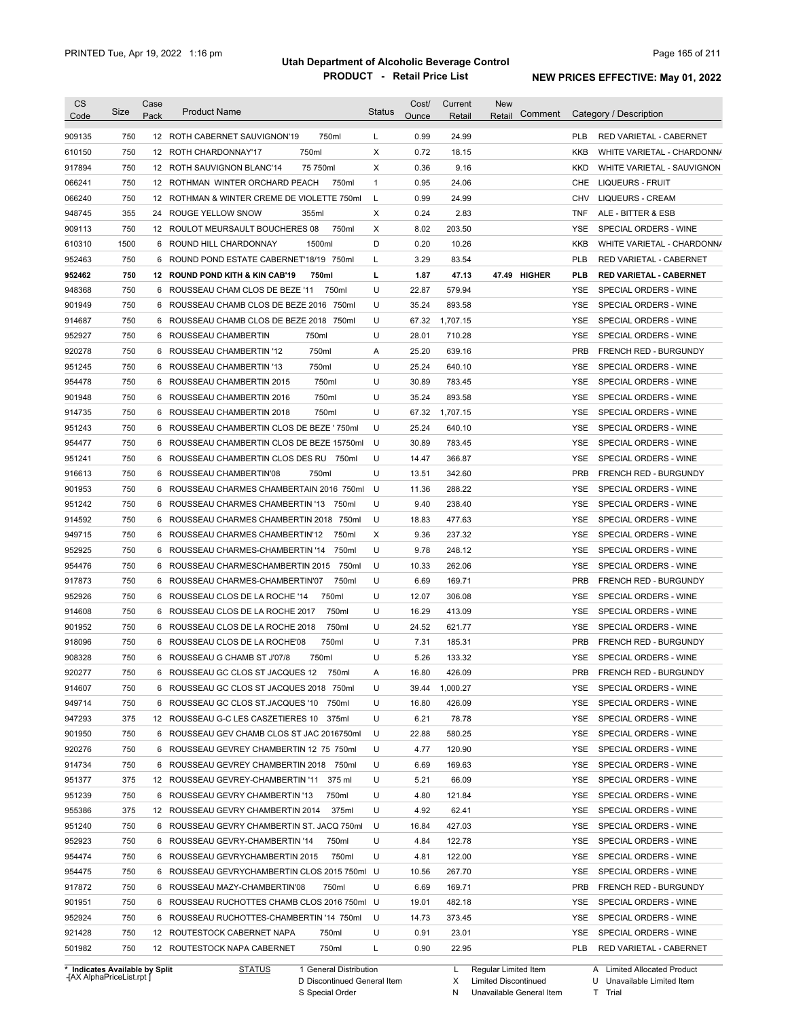| 750<br>0.99<br>24.99<br>12 ROTH CABERNET SAUVIGNON'19<br>750ml<br>L<br><b>PLB</b><br><b>RED VARIETAL - CABERNET</b><br>750<br>750ml<br>Х<br>0.72<br>18.15<br>12 ROTH CHARDONNAY'17<br>KKB<br>WHITE VARIETAL - CHARDONN/<br>750<br>Х<br>0.36<br>9.16<br>12 ROTH SAUVIGNON BLANC'14<br>75 750ml<br>KKD<br>WHITE VARIETAL - SAUVIGNON<br>750<br>$\mathbf{1}$<br>0.95<br>24.06<br>12 ROTHMAN WINTER ORCHARD PEACH<br>750ml<br>CHE<br>LIQUEURS - FRUIT<br>750<br>12 ROTHMAN & WINTER CREME DE VIOLETTE 750ml<br>L<br>0.99<br>24.99<br><b>CHV</b><br><b>LIQUEURS - CREAM</b><br>355<br>Х<br>0.24<br>2.83<br>24 ROUGE YELLOW SNOW<br>355ml<br><b>TNF</b><br>ALE - BITTER & ESB<br>750<br>750ml<br>Х<br>8.02<br>203.50<br>12 ROULOT MEURSAULT BOUCHERES 08<br>YSE<br>SPECIAL ORDERS - WINE<br>1500<br>D<br>0.20<br>10.26<br>6 ROUND HILL CHARDONNAY<br>1500ml<br>KKB<br>WHITE VARIETAL - CHARDONN/<br>750<br>ROUND POND ESTATE CABERNET'18/19 750ml<br>3.29<br>83.54<br><b>PLB</b><br>RED VARIETAL - CABERNET<br>L<br>6<br>750<br>47.13<br>47.49 HIGHER<br><b>RED VARIETAL - CABERNET</b><br>12 ROUND POND KITH & KIN CAB'19<br>750ml<br>г<br>1.87<br>PLB<br>750<br>U<br>22.87<br>579.94<br>ROUSSEAU CHAM CLOS DE BEZE '11<br>750ml<br><b>YSE</b><br>SPECIAL ORDERS - WINE<br>6<br>750<br>U<br>35.24<br>ROUSSEAU CHAMB CLOS DE BEZE 2016 750ml<br>893.58<br><b>YSE</b><br>SPECIAL ORDERS - WINE<br>6<br>750<br>U<br>ROUSSEAU CHAMB CLOS DE BEZE 2018 750ml<br>67.32<br>1,707.15<br><b>YSE</b><br>SPECIAL ORDERS - WINE<br>6<br>750<br>U<br>28.01<br><b>YSE</b><br>ROUSSEAU CHAMBERTIN<br>750ml<br>710.28<br>SPECIAL ORDERS - WINE<br>6<br>750<br>750ml<br>25.20<br>639.16<br><b>PRB</b><br>ROUSSEAU CHAMBERTIN '12<br>Α<br><b>FRENCH RED - BURGUNDY</b><br>6<br>750<br>750ml<br>U<br>25.24<br>640.10<br>ROUSSEAU CHAMBERTIN '13<br>YSE<br>SPECIAL ORDERS - WINE<br>6<br>750<br>750ml<br>U<br>30.89<br><b>YSE</b><br>6 ROUSSEAU CHAMBERTIN 2015<br>783.45<br>SPECIAL ORDERS - WINE<br>750<br>750ml<br>U<br>35.24<br>893.58<br><b>YSE</b><br>6 ROUSSEAU CHAMBERTIN 2016<br>SPECIAL ORDERS - WINE<br>750<br>750ml<br>U<br>1,707.15<br><b>YSE</b><br>914735<br>6 ROUSSEAU CHAMBERTIN 2018<br>67.32<br>SPECIAL ORDERS - WINE<br>750<br>U<br>25.24<br>640.10<br><b>YSE</b><br>6 ROUSSEAU CHAMBERTIN CLOS DE BEZE ' 750ml<br>SPECIAL ORDERS - WINE<br>954477<br>750<br>30.89<br>783.45<br><b>YSE</b><br>SPECIAL ORDERS - WINE<br>6<br>ROUSSEAU CHAMBERTIN CLOS DE BEZE 15750ml<br>U<br>750<br>U<br>366.87<br>951241<br>6 ROUSSEAU CHAMBERTIN CLOS DES RU 750ml<br>14.47<br>YSE<br>SPECIAL ORDERS - WINE<br>750<br>750ml<br>U<br>342.60<br><b>PRB</b><br>916613<br>6<br>ROUSSEAU CHAMBERTIN'08<br>13.51<br>FRENCH RED - BURGUNDY<br>901953<br>750<br>288.22<br>SPECIAL ORDERS - WINE<br>6 ROUSSEAU CHARMES CHAMBERTAIN 2016 750ml<br>U<br>11.36<br>YSE<br>951242<br>750<br>U<br>9.40<br>238.40<br>6 ROUSSEAU CHARMES CHAMBERTIN '13<br>750ml<br>YSE<br>SPECIAL ORDERS - WINE<br>914592<br>U<br><b>YSE</b><br>750<br>6 ROUSSEAU CHARMES CHAMBERTIN 2018 750ml<br>18.83<br>477.63<br>SPECIAL ORDERS - WINE<br>Х<br>949715<br>750<br>6 ROUSSEAU CHARMES CHAMBERTIN'12<br>750ml<br>9.36<br>237.32<br>YSE<br>SPECIAL ORDERS - WINE<br>952925<br>750<br>U<br>248.12<br><b>YSE</b><br>SPECIAL ORDERS - WINE<br>6 ROUSSEAU CHARMES-CHAMBERTIN '14<br>750ml<br>9.78<br>954476<br>750<br>262.06<br><b>YSE</b><br>6 ROUSSEAU CHARMESCHAMBERTIN 2015<br>750ml<br>U<br>10.33<br>SPECIAL ORDERS - WINE<br>PRB<br>917873<br>750<br>U<br>6.69<br>169.71<br>6 ROUSSEAU CHARMES-CHAMBERTIN'07<br>750ml<br><b>FRENCH RED - BURGUNDY</b><br>952926<br>750<br>U<br>12.07<br>306.08<br><b>YSE</b><br>SPECIAL ORDERS - WINE<br>6 ROUSSEAU CLOS DE LA ROCHE '14<br>750ml<br>914608<br>750<br>U<br><b>YSE</b><br>SPECIAL ORDERS - WINE<br>6 ROUSSEAU CLOS DE LA ROCHE 2017<br>750ml<br>16.29<br>413.09<br>901952<br>750<br>U<br>24.52<br>621.77<br><b>YSE</b><br>SPECIAL ORDERS - WINE<br>6 ROUSSEAU CLOS DE LA ROCHE 2018<br>750ml<br>918096<br>750<br>U<br>7.31<br>185.31<br><b>PRB</b><br>6 ROUSSEAU CLOS DE LA ROCHE'08<br>750ml<br><b>FRENCH RED - BURGUNDY</b><br>908328<br>750<br>6 ROUSSEAU G CHAMB ST J'07/8<br>750ml<br>U<br>5.26<br>133.32<br><b>YSE</b><br>SPECIAL ORDERS - WINE<br>920277<br>750<br>6 ROUSSEAU GC CLOS ST JACQUES 12<br>16.80<br>426.09<br><b>PRB</b><br>750ml<br><b>FRENCH RED - BURGUNDY</b><br>Α<br>914607<br>1,000.27<br>750<br>6 ROUSSEAU GC CLOS ST JACQUES 2018 750ml<br>U<br>39.44<br>YSE SPECIAL ORDERS - WINE<br>949714<br>750<br>U<br>426.09<br>SPECIAL ORDERS - WINE<br>6 ROUSSEAU GC CLOS ST.JACQUES '10 750ml<br>16.80<br>YSE<br>947293<br>375<br>U<br>78.78<br>SPECIAL ORDERS - WINE<br>12 ROUSSEAU G-C LES CASZETIERES 10 375ml<br>6.21<br>YSE<br>901950<br>6 ROUSSEAU GEV CHAMB CLOS ST JAC 2016750ml<br>U<br>22.88<br>580.25<br>SPECIAL ORDERS - WINE<br>750<br>YSE<br>920276<br>750<br>6 ROUSSEAU GEVREY CHAMBERTIN 12 75 750ml<br>U<br>4.77<br>120.90<br>YSE<br>SPECIAL ORDERS - WINE<br>914734<br>169.63<br>750<br>6 ROUSSEAU GEVREY CHAMBERTIN 2018 750ml<br>U<br>6.69<br>YSE<br>SPECIAL ORDERS - WINE<br>66.09<br>SPECIAL ORDERS - WINE<br>951377<br>375<br>12 ROUSSEAU GEVREY-CHAMBERTIN '11 375 ml<br>U<br>5.21<br>YSE<br>121.84<br>SPECIAL ORDERS - WINE<br>951239<br>750<br>6 ROUSSEAU GEVRY CHAMBERTIN '13<br>750ml<br>U<br>4.80<br>YSE<br>955386<br>375<br>U<br>62.41<br>SPECIAL ORDERS - WINE<br>12 ROUSSEAU GEVRY CHAMBERTIN 2014<br>375ml<br>4.92<br>YSE<br>951240<br>427.03<br>750<br>6 ROUSSEAU GEVRY CHAMBERTIN ST. JACQ 750ml<br>U<br>16.84<br>YSE<br>SPECIAL ORDERS - WINE<br>952923<br>750<br>122.78<br>SPECIAL ORDERS - WINE<br>6 ROUSSEAU GEVRY-CHAMBERTIN '14<br>750ml<br>U<br>4.84<br>YSE<br>954474<br>750<br>U<br>122.00<br>6 ROUSSEAU GEVRYCHAMBERTIN 2015<br>750ml<br>4.81<br>YSE<br>SPECIAL ORDERS - WINE<br>750<br>267.70<br>954475<br>6 ROUSSEAU GEVRYCHAMBERTIN CLOS 2015 750ml U<br>10.56<br>YSE<br>SPECIAL ORDERS - WINE<br>750<br>U<br>169.71<br>917872<br>6 ROUSSEAU MAZY-CHAMBERTIN'08<br>750ml<br>6.69<br>PRB<br>FRENCH RED - BURGUNDY<br>901951<br>750<br>482.18<br>6 ROUSSEAU RUCHOTTES CHAMB CLOS 2016 750ml U<br>19.01<br>YSE<br>SPECIAL ORDERS - WINE<br>952924<br>750<br>6 ROUSSEAU RUCHOTTES-CHAMBERTIN '14 750ml<br>U<br>14.73<br>373.45<br>YSE<br>SPECIAL ORDERS - WINE<br>U<br>23.01<br>921428<br>750<br>12 ROUTESTOCK CABERNET NAPA<br>750ml<br>0.91<br>YSE<br>SPECIAL ORDERS - WINE<br>501982<br>750<br>22.95<br>12 ROUTESTOCK NAPA CABERNET<br>750ml<br>L<br>0.90<br><b>PLB</b><br>RED VARIETAL - CABERNET<br>* Indicates Available by Split<br><b>STATUS</b><br>1 General Distribution<br>Regular Limited Item<br>A Limited Allocated Product<br>L | <b>CS</b><br>Code | Size | Case<br>Pack | <b>Product Name</b> | <b>Status</b> | Cost/<br>Ounce | Current<br>Retail | <b>New</b><br>Comment<br>Retail | Category / Description |
|-------------------------------------------------------------------------------------------------------------------------------------------------------------------------------------------------------------------------------------------------------------------------------------------------------------------------------------------------------------------------------------------------------------------------------------------------------------------------------------------------------------------------------------------------------------------------------------------------------------------------------------------------------------------------------------------------------------------------------------------------------------------------------------------------------------------------------------------------------------------------------------------------------------------------------------------------------------------------------------------------------------------------------------------------------------------------------------------------------------------------------------------------------------------------------------------------------------------------------------------------------------------------------------------------------------------------------------------------------------------------------------------------------------------------------------------------------------------------------------------------------------------------------------------------------------------------------------------------------------------------------------------------------------------------------------------------------------------------------------------------------------------------------------------------------------------------------------------------------------------------------------------------------------------------------------------------------------------------------------------------------------------------------------------------------------------------------------------------------------------------------------------------------------------------------------------------------------------------------------------------------------------------------------------------------------------------------------------------------------------------------------------------------------------------------------------------------------------------------------------------------------------------------------------------------------------------------------------------------------------------------------------------------------------------------------------------------------------------------------------------------------------------------------------------------------------------------------------------------------------------------------------------------------------------------------------------------------------------------------------------------------------------------------------------------------------------------------------------------------------------------------------------------------------------------------------------------------------------------------------------------------------------------------------------------------------------------------------------------------------------------------------------------------------------------------------------------------------------------------------------------------------------------------------------------------------------------------------------------------------------------------------------------------------------------------------------------------------------------------------------------------------------------------------------------------------------------------------------------------------------------------------------------------------------------------------------------------------------------------------------------------------------------------------------------------------------------------------------------------------------------------------------------------------------------------------------------------------------------------------------------------------------------------------------------------------------------------------------------------------------------------------------------------------------------------------------------------------------------------------------------------------------------------------------------------------------------------------------------------------------------------------------------------------------------------------------------------------------------------------------------------------------------------------------------------------------------------------------------------------------------------------------------------------------------------------------------------------------------------------------------------------------------------------------------------------------------------------------------------------------------------------------------------------------------------------------------------------------------------------------------------------------------------------------------------------------------------------------------------------------------------------------------------------------------------------------------------------------------------------------------------------------------------------------------------------------------------------------------------------------------------------------------------------------------------------------------------------------------------------------------------------------------------------------------------------------------------------------------------------------------------------------------------------------------------------------------------------------------------------------------------------------------------------------------------------------------------------------------------------------------------------------------------------------------------------------------------------------------------------------------------------------------------------------------------------------------------------------------------------------------------------------------------------------------------------------------------------------------------------------------------------------------------------------------------------------------------------------------------------------------------------------------------------------------------------------------------|-------------------|------|--------------|---------------------|---------------|----------------|-------------------|---------------------------------|------------------------|
|                                                                                                                                                                                                                                                                                                                                                                                                                                                                                                                                                                                                                                                                                                                                                                                                                                                                                                                                                                                                                                                                                                                                                                                                                                                                                                                                                                                                                                                                                                                                                                                                                                                                                                                                                                                                                                                                                                                                                                                                                                                                                                                                                                                                                                                                                                                                                                                                                                                                                                                                                                                                                                                                                                                                                                                                                                                                                                                                                                                                                                                                                                                                                                                                                                                                                                                                                                                                                                                                                                                                                                                                                                                                                                                                                                                                                                                                                                                                                                                                                                                                                                                                                                                                                                                                                                                                                                                                                                                                                                                                                                                                                                                                                                                                                                                                                                                                                                                                                                                                                                                                                                                                                                                                                                                                                                                                                                                                                                                                                                                                                                                                                                                                                                                                                                                                                                                                                                                                                                                                                                                                                                                                                                                                                                                                                                                                                                                                                                                                                                                                                                                                                                                                                                             | 909135            |      |              |                     |               |                |                   |                                 |                        |
|                                                                                                                                                                                                                                                                                                                                                                                                                                                                                                                                                                                                                                                                                                                                                                                                                                                                                                                                                                                                                                                                                                                                                                                                                                                                                                                                                                                                                                                                                                                                                                                                                                                                                                                                                                                                                                                                                                                                                                                                                                                                                                                                                                                                                                                                                                                                                                                                                                                                                                                                                                                                                                                                                                                                                                                                                                                                                                                                                                                                                                                                                                                                                                                                                                                                                                                                                                                                                                                                                                                                                                                                                                                                                                                                                                                                                                                                                                                                                                                                                                                                                                                                                                                                                                                                                                                                                                                                                                                                                                                                                                                                                                                                                                                                                                                                                                                                                                                                                                                                                                                                                                                                                                                                                                                                                                                                                                                                                                                                                                                                                                                                                                                                                                                                                                                                                                                                                                                                                                                                                                                                                                                                                                                                                                                                                                                                                                                                                                                                                                                                                                                                                                                                                                             | 610150            |      |              |                     |               |                |                   |                                 |                        |
|                                                                                                                                                                                                                                                                                                                                                                                                                                                                                                                                                                                                                                                                                                                                                                                                                                                                                                                                                                                                                                                                                                                                                                                                                                                                                                                                                                                                                                                                                                                                                                                                                                                                                                                                                                                                                                                                                                                                                                                                                                                                                                                                                                                                                                                                                                                                                                                                                                                                                                                                                                                                                                                                                                                                                                                                                                                                                                                                                                                                                                                                                                                                                                                                                                                                                                                                                                                                                                                                                                                                                                                                                                                                                                                                                                                                                                                                                                                                                                                                                                                                                                                                                                                                                                                                                                                                                                                                                                                                                                                                                                                                                                                                                                                                                                                                                                                                                                                                                                                                                                                                                                                                                                                                                                                                                                                                                                                                                                                                                                                                                                                                                                                                                                                                                                                                                                                                                                                                                                                                                                                                                                                                                                                                                                                                                                                                                                                                                                                                                                                                                                                                                                                                                                             | 917894            |      |              |                     |               |                |                   |                                 |                        |
|                                                                                                                                                                                                                                                                                                                                                                                                                                                                                                                                                                                                                                                                                                                                                                                                                                                                                                                                                                                                                                                                                                                                                                                                                                                                                                                                                                                                                                                                                                                                                                                                                                                                                                                                                                                                                                                                                                                                                                                                                                                                                                                                                                                                                                                                                                                                                                                                                                                                                                                                                                                                                                                                                                                                                                                                                                                                                                                                                                                                                                                                                                                                                                                                                                                                                                                                                                                                                                                                                                                                                                                                                                                                                                                                                                                                                                                                                                                                                                                                                                                                                                                                                                                                                                                                                                                                                                                                                                                                                                                                                                                                                                                                                                                                                                                                                                                                                                                                                                                                                                                                                                                                                                                                                                                                                                                                                                                                                                                                                                                                                                                                                                                                                                                                                                                                                                                                                                                                                                                                                                                                                                                                                                                                                                                                                                                                                                                                                                                                                                                                                                                                                                                                                                             | 066241            |      |              |                     |               |                |                   |                                 |                        |
|                                                                                                                                                                                                                                                                                                                                                                                                                                                                                                                                                                                                                                                                                                                                                                                                                                                                                                                                                                                                                                                                                                                                                                                                                                                                                                                                                                                                                                                                                                                                                                                                                                                                                                                                                                                                                                                                                                                                                                                                                                                                                                                                                                                                                                                                                                                                                                                                                                                                                                                                                                                                                                                                                                                                                                                                                                                                                                                                                                                                                                                                                                                                                                                                                                                                                                                                                                                                                                                                                                                                                                                                                                                                                                                                                                                                                                                                                                                                                                                                                                                                                                                                                                                                                                                                                                                                                                                                                                                                                                                                                                                                                                                                                                                                                                                                                                                                                                                                                                                                                                                                                                                                                                                                                                                                                                                                                                                                                                                                                                                                                                                                                                                                                                                                                                                                                                                                                                                                                                                                                                                                                                                                                                                                                                                                                                                                                                                                                                                                                                                                                                                                                                                                                                             | 066240            |      |              |                     |               |                |                   |                                 |                        |
|                                                                                                                                                                                                                                                                                                                                                                                                                                                                                                                                                                                                                                                                                                                                                                                                                                                                                                                                                                                                                                                                                                                                                                                                                                                                                                                                                                                                                                                                                                                                                                                                                                                                                                                                                                                                                                                                                                                                                                                                                                                                                                                                                                                                                                                                                                                                                                                                                                                                                                                                                                                                                                                                                                                                                                                                                                                                                                                                                                                                                                                                                                                                                                                                                                                                                                                                                                                                                                                                                                                                                                                                                                                                                                                                                                                                                                                                                                                                                                                                                                                                                                                                                                                                                                                                                                                                                                                                                                                                                                                                                                                                                                                                                                                                                                                                                                                                                                                                                                                                                                                                                                                                                                                                                                                                                                                                                                                                                                                                                                                                                                                                                                                                                                                                                                                                                                                                                                                                                                                                                                                                                                                                                                                                                                                                                                                                                                                                                                                                                                                                                                                                                                                                                                             | 948745            |      |              |                     |               |                |                   |                                 |                        |
|                                                                                                                                                                                                                                                                                                                                                                                                                                                                                                                                                                                                                                                                                                                                                                                                                                                                                                                                                                                                                                                                                                                                                                                                                                                                                                                                                                                                                                                                                                                                                                                                                                                                                                                                                                                                                                                                                                                                                                                                                                                                                                                                                                                                                                                                                                                                                                                                                                                                                                                                                                                                                                                                                                                                                                                                                                                                                                                                                                                                                                                                                                                                                                                                                                                                                                                                                                                                                                                                                                                                                                                                                                                                                                                                                                                                                                                                                                                                                                                                                                                                                                                                                                                                                                                                                                                                                                                                                                                                                                                                                                                                                                                                                                                                                                                                                                                                                                                                                                                                                                                                                                                                                                                                                                                                                                                                                                                                                                                                                                                                                                                                                                                                                                                                                                                                                                                                                                                                                                                                                                                                                                                                                                                                                                                                                                                                                                                                                                                                                                                                                                                                                                                                                                             | 909113            |      |              |                     |               |                |                   |                                 |                        |
|                                                                                                                                                                                                                                                                                                                                                                                                                                                                                                                                                                                                                                                                                                                                                                                                                                                                                                                                                                                                                                                                                                                                                                                                                                                                                                                                                                                                                                                                                                                                                                                                                                                                                                                                                                                                                                                                                                                                                                                                                                                                                                                                                                                                                                                                                                                                                                                                                                                                                                                                                                                                                                                                                                                                                                                                                                                                                                                                                                                                                                                                                                                                                                                                                                                                                                                                                                                                                                                                                                                                                                                                                                                                                                                                                                                                                                                                                                                                                                                                                                                                                                                                                                                                                                                                                                                                                                                                                                                                                                                                                                                                                                                                                                                                                                                                                                                                                                                                                                                                                                                                                                                                                                                                                                                                                                                                                                                                                                                                                                                                                                                                                                                                                                                                                                                                                                                                                                                                                                                                                                                                                                                                                                                                                                                                                                                                                                                                                                                                                                                                                                                                                                                                                                             | 610310            |      |              |                     |               |                |                   |                                 |                        |
|                                                                                                                                                                                                                                                                                                                                                                                                                                                                                                                                                                                                                                                                                                                                                                                                                                                                                                                                                                                                                                                                                                                                                                                                                                                                                                                                                                                                                                                                                                                                                                                                                                                                                                                                                                                                                                                                                                                                                                                                                                                                                                                                                                                                                                                                                                                                                                                                                                                                                                                                                                                                                                                                                                                                                                                                                                                                                                                                                                                                                                                                                                                                                                                                                                                                                                                                                                                                                                                                                                                                                                                                                                                                                                                                                                                                                                                                                                                                                                                                                                                                                                                                                                                                                                                                                                                                                                                                                                                                                                                                                                                                                                                                                                                                                                                                                                                                                                                                                                                                                                                                                                                                                                                                                                                                                                                                                                                                                                                                                                                                                                                                                                                                                                                                                                                                                                                                                                                                                                                                                                                                                                                                                                                                                                                                                                                                                                                                                                                                                                                                                                                                                                                                                                             | 952463            |      |              |                     |               |                |                   |                                 |                        |
|                                                                                                                                                                                                                                                                                                                                                                                                                                                                                                                                                                                                                                                                                                                                                                                                                                                                                                                                                                                                                                                                                                                                                                                                                                                                                                                                                                                                                                                                                                                                                                                                                                                                                                                                                                                                                                                                                                                                                                                                                                                                                                                                                                                                                                                                                                                                                                                                                                                                                                                                                                                                                                                                                                                                                                                                                                                                                                                                                                                                                                                                                                                                                                                                                                                                                                                                                                                                                                                                                                                                                                                                                                                                                                                                                                                                                                                                                                                                                                                                                                                                                                                                                                                                                                                                                                                                                                                                                                                                                                                                                                                                                                                                                                                                                                                                                                                                                                                                                                                                                                                                                                                                                                                                                                                                                                                                                                                                                                                                                                                                                                                                                                                                                                                                                                                                                                                                                                                                                                                                                                                                                                                                                                                                                                                                                                                                                                                                                                                                                                                                                                                                                                                                                                             | 952462            |      |              |                     |               |                |                   |                                 |                        |
|                                                                                                                                                                                                                                                                                                                                                                                                                                                                                                                                                                                                                                                                                                                                                                                                                                                                                                                                                                                                                                                                                                                                                                                                                                                                                                                                                                                                                                                                                                                                                                                                                                                                                                                                                                                                                                                                                                                                                                                                                                                                                                                                                                                                                                                                                                                                                                                                                                                                                                                                                                                                                                                                                                                                                                                                                                                                                                                                                                                                                                                                                                                                                                                                                                                                                                                                                                                                                                                                                                                                                                                                                                                                                                                                                                                                                                                                                                                                                                                                                                                                                                                                                                                                                                                                                                                                                                                                                                                                                                                                                                                                                                                                                                                                                                                                                                                                                                                                                                                                                                                                                                                                                                                                                                                                                                                                                                                                                                                                                                                                                                                                                                                                                                                                                                                                                                                                                                                                                                                                                                                                                                                                                                                                                                                                                                                                                                                                                                                                                                                                                                                                                                                                                                             | 948368            |      |              |                     |               |                |                   |                                 |                        |
|                                                                                                                                                                                                                                                                                                                                                                                                                                                                                                                                                                                                                                                                                                                                                                                                                                                                                                                                                                                                                                                                                                                                                                                                                                                                                                                                                                                                                                                                                                                                                                                                                                                                                                                                                                                                                                                                                                                                                                                                                                                                                                                                                                                                                                                                                                                                                                                                                                                                                                                                                                                                                                                                                                                                                                                                                                                                                                                                                                                                                                                                                                                                                                                                                                                                                                                                                                                                                                                                                                                                                                                                                                                                                                                                                                                                                                                                                                                                                                                                                                                                                                                                                                                                                                                                                                                                                                                                                                                                                                                                                                                                                                                                                                                                                                                                                                                                                                                                                                                                                                                                                                                                                                                                                                                                                                                                                                                                                                                                                                                                                                                                                                                                                                                                                                                                                                                                                                                                                                                                                                                                                                                                                                                                                                                                                                                                                                                                                                                                                                                                                                                                                                                                                                             | 901949            |      |              |                     |               |                |                   |                                 |                        |
|                                                                                                                                                                                                                                                                                                                                                                                                                                                                                                                                                                                                                                                                                                                                                                                                                                                                                                                                                                                                                                                                                                                                                                                                                                                                                                                                                                                                                                                                                                                                                                                                                                                                                                                                                                                                                                                                                                                                                                                                                                                                                                                                                                                                                                                                                                                                                                                                                                                                                                                                                                                                                                                                                                                                                                                                                                                                                                                                                                                                                                                                                                                                                                                                                                                                                                                                                                                                                                                                                                                                                                                                                                                                                                                                                                                                                                                                                                                                                                                                                                                                                                                                                                                                                                                                                                                                                                                                                                                                                                                                                                                                                                                                                                                                                                                                                                                                                                                                                                                                                                                                                                                                                                                                                                                                                                                                                                                                                                                                                                                                                                                                                                                                                                                                                                                                                                                                                                                                                                                                                                                                                                                                                                                                                                                                                                                                                                                                                                                                                                                                                                                                                                                                                                             | 914687            |      |              |                     |               |                |                   |                                 |                        |
|                                                                                                                                                                                                                                                                                                                                                                                                                                                                                                                                                                                                                                                                                                                                                                                                                                                                                                                                                                                                                                                                                                                                                                                                                                                                                                                                                                                                                                                                                                                                                                                                                                                                                                                                                                                                                                                                                                                                                                                                                                                                                                                                                                                                                                                                                                                                                                                                                                                                                                                                                                                                                                                                                                                                                                                                                                                                                                                                                                                                                                                                                                                                                                                                                                                                                                                                                                                                                                                                                                                                                                                                                                                                                                                                                                                                                                                                                                                                                                                                                                                                                                                                                                                                                                                                                                                                                                                                                                                                                                                                                                                                                                                                                                                                                                                                                                                                                                                                                                                                                                                                                                                                                                                                                                                                                                                                                                                                                                                                                                                                                                                                                                                                                                                                                                                                                                                                                                                                                                                                                                                                                                                                                                                                                                                                                                                                                                                                                                                                                                                                                                                                                                                                                                             | 952927            |      |              |                     |               |                |                   |                                 |                        |
|                                                                                                                                                                                                                                                                                                                                                                                                                                                                                                                                                                                                                                                                                                                                                                                                                                                                                                                                                                                                                                                                                                                                                                                                                                                                                                                                                                                                                                                                                                                                                                                                                                                                                                                                                                                                                                                                                                                                                                                                                                                                                                                                                                                                                                                                                                                                                                                                                                                                                                                                                                                                                                                                                                                                                                                                                                                                                                                                                                                                                                                                                                                                                                                                                                                                                                                                                                                                                                                                                                                                                                                                                                                                                                                                                                                                                                                                                                                                                                                                                                                                                                                                                                                                                                                                                                                                                                                                                                                                                                                                                                                                                                                                                                                                                                                                                                                                                                                                                                                                                                                                                                                                                                                                                                                                                                                                                                                                                                                                                                                                                                                                                                                                                                                                                                                                                                                                                                                                                                                                                                                                                                                                                                                                                                                                                                                                                                                                                                                                                                                                                                                                                                                                                                             | 920278            |      |              |                     |               |                |                   |                                 |                        |
|                                                                                                                                                                                                                                                                                                                                                                                                                                                                                                                                                                                                                                                                                                                                                                                                                                                                                                                                                                                                                                                                                                                                                                                                                                                                                                                                                                                                                                                                                                                                                                                                                                                                                                                                                                                                                                                                                                                                                                                                                                                                                                                                                                                                                                                                                                                                                                                                                                                                                                                                                                                                                                                                                                                                                                                                                                                                                                                                                                                                                                                                                                                                                                                                                                                                                                                                                                                                                                                                                                                                                                                                                                                                                                                                                                                                                                                                                                                                                                                                                                                                                                                                                                                                                                                                                                                                                                                                                                                                                                                                                                                                                                                                                                                                                                                                                                                                                                                                                                                                                                                                                                                                                                                                                                                                                                                                                                                                                                                                                                                                                                                                                                                                                                                                                                                                                                                                                                                                                                                                                                                                                                                                                                                                                                                                                                                                                                                                                                                                                                                                                                                                                                                                                                             | 951245            |      |              |                     |               |                |                   |                                 |                        |
|                                                                                                                                                                                                                                                                                                                                                                                                                                                                                                                                                                                                                                                                                                                                                                                                                                                                                                                                                                                                                                                                                                                                                                                                                                                                                                                                                                                                                                                                                                                                                                                                                                                                                                                                                                                                                                                                                                                                                                                                                                                                                                                                                                                                                                                                                                                                                                                                                                                                                                                                                                                                                                                                                                                                                                                                                                                                                                                                                                                                                                                                                                                                                                                                                                                                                                                                                                                                                                                                                                                                                                                                                                                                                                                                                                                                                                                                                                                                                                                                                                                                                                                                                                                                                                                                                                                                                                                                                                                                                                                                                                                                                                                                                                                                                                                                                                                                                                                                                                                                                                                                                                                                                                                                                                                                                                                                                                                                                                                                                                                                                                                                                                                                                                                                                                                                                                                                                                                                                                                                                                                                                                                                                                                                                                                                                                                                                                                                                                                                                                                                                                                                                                                                                                             | 954478            |      |              |                     |               |                |                   |                                 |                        |
|                                                                                                                                                                                                                                                                                                                                                                                                                                                                                                                                                                                                                                                                                                                                                                                                                                                                                                                                                                                                                                                                                                                                                                                                                                                                                                                                                                                                                                                                                                                                                                                                                                                                                                                                                                                                                                                                                                                                                                                                                                                                                                                                                                                                                                                                                                                                                                                                                                                                                                                                                                                                                                                                                                                                                                                                                                                                                                                                                                                                                                                                                                                                                                                                                                                                                                                                                                                                                                                                                                                                                                                                                                                                                                                                                                                                                                                                                                                                                                                                                                                                                                                                                                                                                                                                                                                                                                                                                                                                                                                                                                                                                                                                                                                                                                                                                                                                                                                                                                                                                                                                                                                                                                                                                                                                                                                                                                                                                                                                                                                                                                                                                                                                                                                                                                                                                                                                                                                                                                                                                                                                                                                                                                                                                                                                                                                                                                                                                                                                                                                                                                                                                                                                                                             | 901948            |      |              |                     |               |                |                   |                                 |                        |
|                                                                                                                                                                                                                                                                                                                                                                                                                                                                                                                                                                                                                                                                                                                                                                                                                                                                                                                                                                                                                                                                                                                                                                                                                                                                                                                                                                                                                                                                                                                                                                                                                                                                                                                                                                                                                                                                                                                                                                                                                                                                                                                                                                                                                                                                                                                                                                                                                                                                                                                                                                                                                                                                                                                                                                                                                                                                                                                                                                                                                                                                                                                                                                                                                                                                                                                                                                                                                                                                                                                                                                                                                                                                                                                                                                                                                                                                                                                                                                                                                                                                                                                                                                                                                                                                                                                                                                                                                                                                                                                                                                                                                                                                                                                                                                                                                                                                                                                                                                                                                                                                                                                                                                                                                                                                                                                                                                                                                                                                                                                                                                                                                                                                                                                                                                                                                                                                                                                                                                                                                                                                                                                                                                                                                                                                                                                                                                                                                                                                                                                                                                                                                                                                                                             |                   |      |              |                     |               |                |                   |                                 |                        |
|                                                                                                                                                                                                                                                                                                                                                                                                                                                                                                                                                                                                                                                                                                                                                                                                                                                                                                                                                                                                                                                                                                                                                                                                                                                                                                                                                                                                                                                                                                                                                                                                                                                                                                                                                                                                                                                                                                                                                                                                                                                                                                                                                                                                                                                                                                                                                                                                                                                                                                                                                                                                                                                                                                                                                                                                                                                                                                                                                                                                                                                                                                                                                                                                                                                                                                                                                                                                                                                                                                                                                                                                                                                                                                                                                                                                                                                                                                                                                                                                                                                                                                                                                                                                                                                                                                                                                                                                                                                                                                                                                                                                                                                                                                                                                                                                                                                                                                                                                                                                                                                                                                                                                                                                                                                                                                                                                                                                                                                                                                                                                                                                                                                                                                                                                                                                                                                                                                                                                                                                                                                                                                                                                                                                                                                                                                                                                                                                                                                                                                                                                                                                                                                                                                             | 951243            |      |              |                     |               |                |                   |                                 |                        |
|                                                                                                                                                                                                                                                                                                                                                                                                                                                                                                                                                                                                                                                                                                                                                                                                                                                                                                                                                                                                                                                                                                                                                                                                                                                                                                                                                                                                                                                                                                                                                                                                                                                                                                                                                                                                                                                                                                                                                                                                                                                                                                                                                                                                                                                                                                                                                                                                                                                                                                                                                                                                                                                                                                                                                                                                                                                                                                                                                                                                                                                                                                                                                                                                                                                                                                                                                                                                                                                                                                                                                                                                                                                                                                                                                                                                                                                                                                                                                                                                                                                                                                                                                                                                                                                                                                                                                                                                                                                                                                                                                                                                                                                                                                                                                                                                                                                                                                                                                                                                                                                                                                                                                                                                                                                                                                                                                                                                                                                                                                                                                                                                                                                                                                                                                                                                                                                                                                                                                                                                                                                                                                                                                                                                                                                                                                                                                                                                                                                                                                                                                                                                                                                                                                             |                   |      |              |                     |               |                |                   |                                 |                        |
|                                                                                                                                                                                                                                                                                                                                                                                                                                                                                                                                                                                                                                                                                                                                                                                                                                                                                                                                                                                                                                                                                                                                                                                                                                                                                                                                                                                                                                                                                                                                                                                                                                                                                                                                                                                                                                                                                                                                                                                                                                                                                                                                                                                                                                                                                                                                                                                                                                                                                                                                                                                                                                                                                                                                                                                                                                                                                                                                                                                                                                                                                                                                                                                                                                                                                                                                                                                                                                                                                                                                                                                                                                                                                                                                                                                                                                                                                                                                                                                                                                                                                                                                                                                                                                                                                                                                                                                                                                                                                                                                                                                                                                                                                                                                                                                                                                                                                                                                                                                                                                                                                                                                                                                                                                                                                                                                                                                                                                                                                                                                                                                                                                                                                                                                                                                                                                                                                                                                                                                                                                                                                                                                                                                                                                                                                                                                                                                                                                                                                                                                                                                                                                                                                                             |                   |      |              |                     |               |                |                   |                                 |                        |
|                                                                                                                                                                                                                                                                                                                                                                                                                                                                                                                                                                                                                                                                                                                                                                                                                                                                                                                                                                                                                                                                                                                                                                                                                                                                                                                                                                                                                                                                                                                                                                                                                                                                                                                                                                                                                                                                                                                                                                                                                                                                                                                                                                                                                                                                                                                                                                                                                                                                                                                                                                                                                                                                                                                                                                                                                                                                                                                                                                                                                                                                                                                                                                                                                                                                                                                                                                                                                                                                                                                                                                                                                                                                                                                                                                                                                                                                                                                                                                                                                                                                                                                                                                                                                                                                                                                                                                                                                                                                                                                                                                                                                                                                                                                                                                                                                                                                                                                                                                                                                                                                                                                                                                                                                                                                                                                                                                                                                                                                                                                                                                                                                                                                                                                                                                                                                                                                                                                                                                                                                                                                                                                                                                                                                                                                                                                                                                                                                                                                                                                                                                                                                                                                                                             |                   |      |              |                     |               |                |                   |                                 |                        |
|                                                                                                                                                                                                                                                                                                                                                                                                                                                                                                                                                                                                                                                                                                                                                                                                                                                                                                                                                                                                                                                                                                                                                                                                                                                                                                                                                                                                                                                                                                                                                                                                                                                                                                                                                                                                                                                                                                                                                                                                                                                                                                                                                                                                                                                                                                                                                                                                                                                                                                                                                                                                                                                                                                                                                                                                                                                                                                                                                                                                                                                                                                                                                                                                                                                                                                                                                                                                                                                                                                                                                                                                                                                                                                                                                                                                                                                                                                                                                                                                                                                                                                                                                                                                                                                                                                                                                                                                                                                                                                                                                                                                                                                                                                                                                                                                                                                                                                                                                                                                                                                                                                                                                                                                                                                                                                                                                                                                                                                                                                                                                                                                                                                                                                                                                                                                                                                                                                                                                                                                                                                                                                                                                                                                                                                                                                                                                                                                                                                                                                                                                                                                                                                                                                             |                   |      |              |                     |               |                |                   |                                 |                        |
|                                                                                                                                                                                                                                                                                                                                                                                                                                                                                                                                                                                                                                                                                                                                                                                                                                                                                                                                                                                                                                                                                                                                                                                                                                                                                                                                                                                                                                                                                                                                                                                                                                                                                                                                                                                                                                                                                                                                                                                                                                                                                                                                                                                                                                                                                                                                                                                                                                                                                                                                                                                                                                                                                                                                                                                                                                                                                                                                                                                                                                                                                                                                                                                                                                                                                                                                                                                                                                                                                                                                                                                                                                                                                                                                                                                                                                                                                                                                                                                                                                                                                                                                                                                                                                                                                                                                                                                                                                                                                                                                                                                                                                                                                                                                                                                                                                                                                                                                                                                                                                                                                                                                                                                                                                                                                                                                                                                                                                                                                                                                                                                                                                                                                                                                                                                                                                                                                                                                                                                                                                                                                                                                                                                                                                                                                                                                                                                                                                                                                                                                                                                                                                                                                                             |                   |      |              |                     |               |                |                   |                                 |                        |
|                                                                                                                                                                                                                                                                                                                                                                                                                                                                                                                                                                                                                                                                                                                                                                                                                                                                                                                                                                                                                                                                                                                                                                                                                                                                                                                                                                                                                                                                                                                                                                                                                                                                                                                                                                                                                                                                                                                                                                                                                                                                                                                                                                                                                                                                                                                                                                                                                                                                                                                                                                                                                                                                                                                                                                                                                                                                                                                                                                                                                                                                                                                                                                                                                                                                                                                                                                                                                                                                                                                                                                                                                                                                                                                                                                                                                                                                                                                                                                                                                                                                                                                                                                                                                                                                                                                                                                                                                                                                                                                                                                                                                                                                                                                                                                                                                                                                                                                                                                                                                                                                                                                                                                                                                                                                                                                                                                                                                                                                                                                                                                                                                                                                                                                                                                                                                                                                                                                                                                                                                                                                                                                                                                                                                                                                                                                                                                                                                                                                                                                                                                                                                                                                                                             |                   |      |              |                     |               |                |                   |                                 |                        |
|                                                                                                                                                                                                                                                                                                                                                                                                                                                                                                                                                                                                                                                                                                                                                                                                                                                                                                                                                                                                                                                                                                                                                                                                                                                                                                                                                                                                                                                                                                                                                                                                                                                                                                                                                                                                                                                                                                                                                                                                                                                                                                                                                                                                                                                                                                                                                                                                                                                                                                                                                                                                                                                                                                                                                                                                                                                                                                                                                                                                                                                                                                                                                                                                                                                                                                                                                                                                                                                                                                                                                                                                                                                                                                                                                                                                                                                                                                                                                                                                                                                                                                                                                                                                                                                                                                                                                                                                                                                                                                                                                                                                                                                                                                                                                                                                                                                                                                                                                                                                                                                                                                                                                                                                                                                                                                                                                                                                                                                                                                                                                                                                                                                                                                                                                                                                                                                                                                                                                                                                                                                                                                                                                                                                                                                                                                                                                                                                                                                                                                                                                                                                                                                                                                             |                   |      |              |                     |               |                |                   |                                 |                        |
|                                                                                                                                                                                                                                                                                                                                                                                                                                                                                                                                                                                                                                                                                                                                                                                                                                                                                                                                                                                                                                                                                                                                                                                                                                                                                                                                                                                                                                                                                                                                                                                                                                                                                                                                                                                                                                                                                                                                                                                                                                                                                                                                                                                                                                                                                                                                                                                                                                                                                                                                                                                                                                                                                                                                                                                                                                                                                                                                                                                                                                                                                                                                                                                                                                                                                                                                                                                                                                                                                                                                                                                                                                                                                                                                                                                                                                                                                                                                                                                                                                                                                                                                                                                                                                                                                                                                                                                                                                                                                                                                                                                                                                                                                                                                                                                                                                                                                                                                                                                                                                                                                                                                                                                                                                                                                                                                                                                                                                                                                                                                                                                                                                                                                                                                                                                                                                                                                                                                                                                                                                                                                                                                                                                                                                                                                                                                                                                                                                                                                                                                                                                                                                                                                                             |                   |      |              |                     |               |                |                   |                                 |                        |
|                                                                                                                                                                                                                                                                                                                                                                                                                                                                                                                                                                                                                                                                                                                                                                                                                                                                                                                                                                                                                                                                                                                                                                                                                                                                                                                                                                                                                                                                                                                                                                                                                                                                                                                                                                                                                                                                                                                                                                                                                                                                                                                                                                                                                                                                                                                                                                                                                                                                                                                                                                                                                                                                                                                                                                                                                                                                                                                                                                                                                                                                                                                                                                                                                                                                                                                                                                                                                                                                                                                                                                                                                                                                                                                                                                                                                                                                                                                                                                                                                                                                                                                                                                                                                                                                                                                                                                                                                                                                                                                                                                                                                                                                                                                                                                                                                                                                                                                                                                                                                                                                                                                                                                                                                                                                                                                                                                                                                                                                                                                                                                                                                                                                                                                                                                                                                                                                                                                                                                                                                                                                                                                                                                                                                                                                                                                                                                                                                                                                                                                                                                                                                                                                                                             |                   |      |              |                     |               |                |                   |                                 |                        |
|                                                                                                                                                                                                                                                                                                                                                                                                                                                                                                                                                                                                                                                                                                                                                                                                                                                                                                                                                                                                                                                                                                                                                                                                                                                                                                                                                                                                                                                                                                                                                                                                                                                                                                                                                                                                                                                                                                                                                                                                                                                                                                                                                                                                                                                                                                                                                                                                                                                                                                                                                                                                                                                                                                                                                                                                                                                                                                                                                                                                                                                                                                                                                                                                                                                                                                                                                                                                                                                                                                                                                                                                                                                                                                                                                                                                                                                                                                                                                                                                                                                                                                                                                                                                                                                                                                                                                                                                                                                                                                                                                                                                                                                                                                                                                                                                                                                                                                                                                                                                                                                                                                                                                                                                                                                                                                                                                                                                                                                                                                                                                                                                                                                                                                                                                                                                                                                                                                                                                                                                                                                                                                                                                                                                                                                                                                                                                                                                                                                                                                                                                                                                                                                                                                             |                   |      |              |                     |               |                |                   |                                 |                        |
|                                                                                                                                                                                                                                                                                                                                                                                                                                                                                                                                                                                                                                                                                                                                                                                                                                                                                                                                                                                                                                                                                                                                                                                                                                                                                                                                                                                                                                                                                                                                                                                                                                                                                                                                                                                                                                                                                                                                                                                                                                                                                                                                                                                                                                                                                                                                                                                                                                                                                                                                                                                                                                                                                                                                                                                                                                                                                                                                                                                                                                                                                                                                                                                                                                                                                                                                                                                                                                                                                                                                                                                                                                                                                                                                                                                                                                                                                                                                                                                                                                                                                                                                                                                                                                                                                                                                                                                                                                                                                                                                                                                                                                                                                                                                                                                                                                                                                                                                                                                                                                                                                                                                                                                                                                                                                                                                                                                                                                                                                                                                                                                                                                                                                                                                                                                                                                                                                                                                                                                                                                                                                                                                                                                                                                                                                                                                                                                                                                                                                                                                                                                                                                                                                                             |                   |      |              |                     |               |                |                   |                                 |                        |
|                                                                                                                                                                                                                                                                                                                                                                                                                                                                                                                                                                                                                                                                                                                                                                                                                                                                                                                                                                                                                                                                                                                                                                                                                                                                                                                                                                                                                                                                                                                                                                                                                                                                                                                                                                                                                                                                                                                                                                                                                                                                                                                                                                                                                                                                                                                                                                                                                                                                                                                                                                                                                                                                                                                                                                                                                                                                                                                                                                                                                                                                                                                                                                                                                                                                                                                                                                                                                                                                                                                                                                                                                                                                                                                                                                                                                                                                                                                                                                                                                                                                                                                                                                                                                                                                                                                                                                                                                                                                                                                                                                                                                                                                                                                                                                                                                                                                                                                                                                                                                                                                                                                                                                                                                                                                                                                                                                                                                                                                                                                                                                                                                                                                                                                                                                                                                                                                                                                                                                                                                                                                                                                                                                                                                                                                                                                                                                                                                                                                                                                                                                                                                                                                                                             |                   |      |              |                     |               |                |                   |                                 |                        |
|                                                                                                                                                                                                                                                                                                                                                                                                                                                                                                                                                                                                                                                                                                                                                                                                                                                                                                                                                                                                                                                                                                                                                                                                                                                                                                                                                                                                                                                                                                                                                                                                                                                                                                                                                                                                                                                                                                                                                                                                                                                                                                                                                                                                                                                                                                                                                                                                                                                                                                                                                                                                                                                                                                                                                                                                                                                                                                                                                                                                                                                                                                                                                                                                                                                                                                                                                                                                                                                                                                                                                                                                                                                                                                                                                                                                                                                                                                                                                                                                                                                                                                                                                                                                                                                                                                                                                                                                                                                                                                                                                                                                                                                                                                                                                                                                                                                                                                                                                                                                                                                                                                                                                                                                                                                                                                                                                                                                                                                                                                                                                                                                                                                                                                                                                                                                                                                                                                                                                                                                                                                                                                                                                                                                                                                                                                                                                                                                                                                                                                                                                                                                                                                                                                             |                   |      |              |                     |               |                |                   |                                 |                        |
|                                                                                                                                                                                                                                                                                                                                                                                                                                                                                                                                                                                                                                                                                                                                                                                                                                                                                                                                                                                                                                                                                                                                                                                                                                                                                                                                                                                                                                                                                                                                                                                                                                                                                                                                                                                                                                                                                                                                                                                                                                                                                                                                                                                                                                                                                                                                                                                                                                                                                                                                                                                                                                                                                                                                                                                                                                                                                                                                                                                                                                                                                                                                                                                                                                                                                                                                                                                                                                                                                                                                                                                                                                                                                                                                                                                                                                                                                                                                                                                                                                                                                                                                                                                                                                                                                                                                                                                                                                                                                                                                                                                                                                                                                                                                                                                                                                                                                                                                                                                                                                                                                                                                                                                                                                                                                                                                                                                                                                                                                                                                                                                                                                                                                                                                                                                                                                                                                                                                                                                                                                                                                                                                                                                                                                                                                                                                                                                                                                                                                                                                                                                                                                                                                                             |                   |      |              |                     |               |                |                   |                                 |                        |
|                                                                                                                                                                                                                                                                                                                                                                                                                                                                                                                                                                                                                                                                                                                                                                                                                                                                                                                                                                                                                                                                                                                                                                                                                                                                                                                                                                                                                                                                                                                                                                                                                                                                                                                                                                                                                                                                                                                                                                                                                                                                                                                                                                                                                                                                                                                                                                                                                                                                                                                                                                                                                                                                                                                                                                                                                                                                                                                                                                                                                                                                                                                                                                                                                                                                                                                                                                                                                                                                                                                                                                                                                                                                                                                                                                                                                                                                                                                                                                                                                                                                                                                                                                                                                                                                                                                                                                                                                                                                                                                                                                                                                                                                                                                                                                                                                                                                                                                                                                                                                                                                                                                                                                                                                                                                                                                                                                                                                                                                                                                                                                                                                                                                                                                                                                                                                                                                                                                                                                                                                                                                                                                                                                                                                                                                                                                                                                                                                                                                                                                                                                                                                                                                                                             |                   |      |              |                     |               |                |                   |                                 |                        |
|                                                                                                                                                                                                                                                                                                                                                                                                                                                                                                                                                                                                                                                                                                                                                                                                                                                                                                                                                                                                                                                                                                                                                                                                                                                                                                                                                                                                                                                                                                                                                                                                                                                                                                                                                                                                                                                                                                                                                                                                                                                                                                                                                                                                                                                                                                                                                                                                                                                                                                                                                                                                                                                                                                                                                                                                                                                                                                                                                                                                                                                                                                                                                                                                                                                                                                                                                                                                                                                                                                                                                                                                                                                                                                                                                                                                                                                                                                                                                                                                                                                                                                                                                                                                                                                                                                                                                                                                                                                                                                                                                                                                                                                                                                                                                                                                                                                                                                                                                                                                                                                                                                                                                                                                                                                                                                                                                                                                                                                                                                                                                                                                                                                                                                                                                                                                                                                                                                                                                                                                                                                                                                                                                                                                                                                                                                                                                                                                                                                                                                                                                                                                                                                                                                             |                   |      |              |                     |               |                |                   |                                 |                        |
|                                                                                                                                                                                                                                                                                                                                                                                                                                                                                                                                                                                                                                                                                                                                                                                                                                                                                                                                                                                                                                                                                                                                                                                                                                                                                                                                                                                                                                                                                                                                                                                                                                                                                                                                                                                                                                                                                                                                                                                                                                                                                                                                                                                                                                                                                                                                                                                                                                                                                                                                                                                                                                                                                                                                                                                                                                                                                                                                                                                                                                                                                                                                                                                                                                                                                                                                                                                                                                                                                                                                                                                                                                                                                                                                                                                                                                                                                                                                                                                                                                                                                                                                                                                                                                                                                                                                                                                                                                                                                                                                                                                                                                                                                                                                                                                                                                                                                                                                                                                                                                                                                                                                                                                                                                                                                                                                                                                                                                                                                                                                                                                                                                                                                                                                                                                                                                                                                                                                                                                                                                                                                                                                                                                                                                                                                                                                                                                                                                                                                                                                                                                                                                                                                                             |                   |      |              |                     |               |                |                   |                                 |                        |
|                                                                                                                                                                                                                                                                                                                                                                                                                                                                                                                                                                                                                                                                                                                                                                                                                                                                                                                                                                                                                                                                                                                                                                                                                                                                                                                                                                                                                                                                                                                                                                                                                                                                                                                                                                                                                                                                                                                                                                                                                                                                                                                                                                                                                                                                                                                                                                                                                                                                                                                                                                                                                                                                                                                                                                                                                                                                                                                                                                                                                                                                                                                                                                                                                                                                                                                                                                                                                                                                                                                                                                                                                                                                                                                                                                                                                                                                                                                                                                                                                                                                                                                                                                                                                                                                                                                                                                                                                                                                                                                                                                                                                                                                                                                                                                                                                                                                                                                                                                                                                                                                                                                                                                                                                                                                                                                                                                                                                                                                                                                                                                                                                                                                                                                                                                                                                                                                                                                                                                                                                                                                                                                                                                                                                                                                                                                                                                                                                                                                                                                                                                                                                                                                                                             |                   |      |              |                     |               |                |                   |                                 |                        |
|                                                                                                                                                                                                                                                                                                                                                                                                                                                                                                                                                                                                                                                                                                                                                                                                                                                                                                                                                                                                                                                                                                                                                                                                                                                                                                                                                                                                                                                                                                                                                                                                                                                                                                                                                                                                                                                                                                                                                                                                                                                                                                                                                                                                                                                                                                                                                                                                                                                                                                                                                                                                                                                                                                                                                                                                                                                                                                                                                                                                                                                                                                                                                                                                                                                                                                                                                                                                                                                                                                                                                                                                                                                                                                                                                                                                                                                                                                                                                                                                                                                                                                                                                                                                                                                                                                                                                                                                                                                                                                                                                                                                                                                                                                                                                                                                                                                                                                                                                                                                                                                                                                                                                                                                                                                                                                                                                                                                                                                                                                                                                                                                                                                                                                                                                                                                                                                                                                                                                                                                                                                                                                                                                                                                                                                                                                                                                                                                                                                                                                                                                                                                                                                                                                             |                   |      |              |                     |               |                |                   |                                 |                        |
|                                                                                                                                                                                                                                                                                                                                                                                                                                                                                                                                                                                                                                                                                                                                                                                                                                                                                                                                                                                                                                                                                                                                                                                                                                                                                                                                                                                                                                                                                                                                                                                                                                                                                                                                                                                                                                                                                                                                                                                                                                                                                                                                                                                                                                                                                                                                                                                                                                                                                                                                                                                                                                                                                                                                                                                                                                                                                                                                                                                                                                                                                                                                                                                                                                                                                                                                                                                                                                                                                                                                                                                                                                                                                                                                                                                                                                                                                                                                                                                                                                                                                                                                                                                                                                                                                                                                                                                                                                                                                                                                                                                                                                                                                                                                                                                                                                                                                                                                                                                                                                                                                                                                                                                                                                                                                                                                                                                                                                                                                                                                                                                                                                                                                                                                                                                                                                                                                                                                                                                                                                                                                                                                                                                                                                                                                                                                                                                                                                                                                                                                                                                                                                                                                                             |                   |      |              |                     |               |                |                   |                                 |                        |
|                                                                                                                                                                                                                                                                                                                                                                                                                                                                                                                                                                                                                                                                                                                                                                                                                                                                                                                                                                                                                                                                                                                                                                                                                                                                                                                                                                                                                                                                                                                                                                                                                                                                                                                                                                                                                                                                                                                                                                                                                                                                                                                                                                                                                                                                                                                                                                                                                                                                                                                                                                                                                                                                                                                                                                                                                                                                                                                                                                                                                                                                                                                                                                                                                                                                                                                                                                                                                                                                                                                                                                                                                                                                                                                                                                                                                                                                                                                                                                                                                                                                                                                                                                                                                                                                                                                                                                                                                                                                                                                                                                                                                                                                                                                                                                                                                                                                                                                                                                                                                                                                                                                                                                                                                                                                                                                                                                                                                                                                                                                                                                                                                                                                                                                                                                                                                                                                                                                                                                                                                                                                                                                                                                                                                                                                                                                                                                                                                                                                                                                                                                                                                                                                                                             |                   |      |              |                     |               |                |                   |                                 |                        |
|                                                                                                                                                                                                                                                                                                                                                                                                                                                                                                                                                                                                                                                                                                                                                                                                                                                                                                                                                                                                                                                                                                                                                                                                                                                                                                                                                                                                                                                                                                                                                                                                                                                                                                                                                                                                                                                                                                                                                                                                                                                                                                                                                                                                                                                                                                                                                                                                                                                                                                                                                                                                                                                                                                                                                                                                                                                                                                                                                                                                                                                                                                                                                                                                                                                                                                                                                                                                                                                                                                                                                                                                                                                                                                                                                                                                                                                                                                                                                                                                                                                                                                                                                                                                                                                                                                                                                                                                                                                                                                                                                                                                                                                                                                                                                                                                                                                                                                                                                                                                                                                                                                                                                                                                                                                                                                                                                                                                                                                                                                                                                                                                                                                                                                                                                                                                                                                                                                                                                                                                                                                                                                                                                                                                                                                                                                                                                                                                                                                                                                                                                                                                                                                                                                             |                   |      |              |                     |               |                |                   |                                 |                        |
|                                                                                                                                                                                                                                                                                                                                                                                                                                                                                                                                                                                                                                                                                                                                                                                                                                                                                                                                                                                                                                                                                                                                                                                                                                                                                                                                                                                                                                                                                                                                                                                                                                                                                                                                                                                                                                                                                                                                                                                                                                                                                                                                                                                                                                                                                                                                                                                                                                                                                                                                                                                                                                                                                                                                                                                                                                                                                                                                                                                                                                                                                                                                                                                                                                                                                                                                                                                                                                                                                                                                                                                                                                                                                                                                                                                                                                                                                                                                                                                                                                                                                                                                                                                                                                                                                                                                                                                                                                                                                                                                                                                                                                                                                                                                                                                                                                                                                                                                                                                                                                                                                                                                                                                                                                                                                                                                                                                                                                                                                                                                                                                                                                                                                                                                                                                                                                                                                                                                                                                                                                                                                                                                                                                                                                                                                                                                                                                                                                                                                                                                                                                                                                                                                                             |                   |      |              |                     |               |                |                   |                                 |                        |
|                                                                                                                                                                                                                                                                                                                                                                                                                                                                                                                                                                                                                                                                                                                                                                                                                                                                                                                                                                                                                                                                                                                                                                                                                                                                                                                                                                                                                                                                                                                                                                                                                                                                                                                                                                                                                                                                                                                                                                                                                                                                                                                                                                                                                                                                                                                                                                                                                                                                                                                                                                                                                                                                                                                                                                                                                                                                                                                                                                                                                                                                                                                                                                                                                                                                                                                                                                                                                                                                                                                                                                                                                                                                                                                                                                                                                                                                                                                                                                                                                                                                                                                                                                                                                                                                                                                                                                                                                                                                                                                                                                                                                                                                                                                                                                                                                                                                                                                                                                                                                                                                                                                                                                                                                                                                                                                                                                                                                                                                                                                                                                                                                                                                                                                                                                                                                                                                                                                                                                                                                                                                                                                                                                                                                                                                                                                                                                                                                                                                                                                                                                                                                                                                                                             |                   |      |              |                     |               |                |                   |                                 |                        |
|                                                                                                                                                                                                                                                                                                                                                                                                                                                                                                                                                                                                                                                                                                                                                                                                                                                                                                                                                                                                                                                                                                                                                                                                                                                                                                                                                                                                                                                                                                                                                                                                                                                                                                                                                                                                                                                                                                                                                                                                                                                                                                                                                                                                                                                                                                                                                                                                                                                                                                                                                                                                                                                                                                                                                                                                                                                                                                                                                                                                                                                                                                                                                                                                                                                                                                                                                                                                                                                                                                                                                                                                                                                                                                                                                                                                                                                                                                                                                                                                                                                                                                                                                                                                                                                                                                                                                                                                                                                                                                                                                                                                                                                                                                                                                                                                                                                                                                                                                                                                                                                                                                                                                                                                                                                                                                                                                                                                                                                                                                                                                                                                                                                                                                                                                                                                                                                                                                                                                                                                                                                                                                                                                                                                                                                                                                                                                                                                                                                                                                                                                                                                                                                                                                             |                   |      |              |                     |               |                |                   |                                 |                        |
|                                                                                                                                                                                                                                                                                                                                                                                                                                                                                                                                                                                                                                                                                                                                                                                                                                                                                                                                                                                                                                                                                                                                                                                                                                                                                                                                                                                                                                                                                                                                                                                                                                                                                                                                                                                                                                                                                                                                                                                                                                                                                                                                                                                                                                                                                                                                                                                                                                                                                                                                                                                                                                                                                                                                                                                                                                                                                                                                                                                                                                                                                                                                                                                                                                                                                                                                                                                                                                                                                                                                                                                                                                                                                                                                                                                                                                                                                                                                                                                                                                                                                                                                                                                                                                                                                                                                                                                                                                                                                                                                                                                                                                                                                                                                                                                                                                                                                                                                                                                                                                                                                                                                                                                                                                                                                                                                                                                                                                                                                                                                                                                                                                                                                                                                                                                                                                                                                                                                                                                                                                                                                                                                                                                                                                                                                                                                                                                                                                                                                                                                                                                                                                                                                                             |                   |      |              |                     |               |                |                   |                                 |                        |
|                                                                                                                                                                                                                                                                                                                                                                                                                                                                                                                                                                                                                                                                                                                                                                                                                                                                                                                                                                                                                                                                                                                                                                                                                                                                                                                                                                                                                                                                                                                                                                                                                                                                                                                                                                                                                                                                                                                                                                                                                                                                                                                                                                                                                                                                                                                                                                                                                                                                                                                                                                                                                                                                                                                                                                                                                                                                                                                                                                                                                                                                                                                                                                                                                                                                                                                                                                                                                                                                                                                                                                                                                                                                                                                                                                                                                                                                                                                                                                                                                                                                                                                                                                                                                                                                                                                                                                                                                                                                                                                                                                                                                                                                                                                                                                                                                                                                                                                                                                                                                                                                                                                                                                                                                                                                                                                                                                                                                                                                                                                                                                                                                                                                                                                                                                                                                                                                                                                                                                                                                                                                                                                                                                                                                                                                                                                                                                                                                                                                                                                                                                                                                                                                                                             |                   |      |              |                     |               |                |                   |                                 |                        |
|                                                                                                                                                                                                                                                                                                                                                                                                                                                                                                                                                                                                                                                                                                                                                                                                                                                                                                                                                                                                                                                                                                                                                                                                                                                                                                                                                                                                                                                                                                                                                                                                                                                                                                                                                                                                                                                                                                                                                                                                                                                                                                                                                                                                                                                                                                                                                                                                                                                                                                                                                                                                                                                                                                                                                                                                                                                                                                                                                                                                                                                                                                                                                                                                                                                                                                                                                                                                                                                                                                                                                                                                                                                                                                                                                                                                                                                                                                                                                                                                                                                                                                                                                                                                                                                                                                                                                                                                                                                                                                                                                                                                                                                                                                                                                                                                                                                                                                                                                                                                                                                                                                                                                                                                                                                                                                                                                                                                                                                                                                                                                                                                                                                                                                                                                                                                                                                                                                                                                                                                                                                                                                                                                                                                                                                                                                                                                                                                                                                                                                                                                                                                                                                                                                             |                   |      |              |                     |               |                |                   |                                 |                        |
|                                                                                                                                                                                                                                                                                                                                                                                                                                                                                                                                                                                                                                                                                                                                                                                                                                                                                                                                                                                                                                                                                                                                                                                                                                                                                                                                                                                                                                                                                                                                                                                                                                                                                                                                                                                                                                                                                                                                                                                                                                                                                                                                                                                                                                                                                                                                                                                                                                                                                                                                                                                                                                                                                                                                                                                                                                                                                                                                                                                                                                                                                                                                                                                                                                                                                                                                                                                                                                                                                                                                                                                                                                                                                                                                                                                                                                                                                                                                                                                                                                                                                                                                                                                                                                                                                                                                                                                                                                                                                                                                                                                                                                                                                                                                                                                                                                                                                                                                                                                                                                                                                                                                                                                                                                                                                                                                                                                                                                                                                                                                                                                                                                                                                                                                                                                                                                                                                                                                                                                                                                                                                                                                                                                                                                                                                                                                                                                                                                                                                                                                                                                                                                                                                                             |                   |      |              |                     |               |                |                   |                                 |                        |
|                                                                                                                                                                                                                                                                                                                                                                                                                                                                                                                                                                                                                                                                                                                                                                                                                                                                                                                                                                                                                                                                                                                                                                                                                                                                                                                                                                                                                                                                                                                                                                                                                                                                                                                                                                                                                                                                                                                                                                                                                                                                                                                                                                                                                                                                                                                                                                                                                                                                                                                                                                                                                                                                                                                                                                                                                                                                                                                                                                                                                                                                                                                                                                                                                                                                                                                                                                                                                                                                                                                                                                                                                                                                                                                                                                                                                                                                                                                                                                                                                                                                                                                                                                                                                                                                                                                                                                                                                                                                                                                                                                                                                                                                                                                                                                                                                                                                                                                                                                                                                                                                                                                                                                                                                                                                                                                                                                                                                                                                                                                                                                                                                                                                                                                                                                                                                                                                                                                                                                                                                                                                                                                                                                                                                                                                                                                                                                                                                                                                                                                                                                                                                                                                                                             |                   |      |              |                     |               |                |                   |                                 |                        |
|                                                                                                                                                                                                                                                                                                                                                                                                                                                                                                                                                                                                                                                                                                                                                                                                                                                                                                                                                                                                                                                                                                                                                                                                                                                                                                                                                                                                                                                                                                                                                                                                                                                                                                                                                                                                                                                                                                                                                                                                                                                                                                                                                                                                                                                                                                                                                                                                                                                                                                                                                                                                                                                                                                                                                                                                                                                                                                                                                                                                                                                                                                                                                                                                                                                                                                                                                                                                                                                                                                                                                                                                                                                                                                                                                                                                                                                                                                                                                                                                                                                                                                                                                                                                                                                                                                                                                                                                                                                                                                                                                                                                                                                                                                                                                                                                                                                                                                                                                                                                                                                                                                                                                                                                                                                                                                                                                                                                                                                                                                                                                                                                                                                                                                                                                                                                                                                                                                                                                                                                                                                                                                                                                                                                                                                                                                                                                                                                                                                                                                                                                                                                                                                                                                             |                   |      |              |                     |               |                |                   |                                 |                        |
|                                                                                                                                                                                                                                                                                                                                                                                                                                                                                                                                                                                                                                                                                                                                                                                                                                                                                                                                                                                                                                                                                                                                                                                                                                                                                                                                                                                                                                                                                                                                                                                                                                                                                                                                                                                                                                                                                                                                                                                                                                                                                                                                                                                                                                                                                                                                                                                                                                                                                                                                                                                                                                                                                                                                                                                                                                                                                                                                                                                                                                                                                                                                                                                                                                                                                                                                                                                                                                                                                                                                                                                                                                                                                                                                                                                                                                                                                                                                                                                                                                                                                                                                                                                                                                                                                                                                                                                                                                                                                                                                                                                                                                                                                                                                                                                                                                                                                                                                                                                                                                                                                                                                                                                                                                                                                                                                                                                                                                                                                                                                                                                                                                                                                                                                                                                                                                                                                                                                                                                                                                                                                                                                                                                                                                                                                                                                                                                                                                                                                                                                                                                                                                                                                                             |                   |      |              |                     |               |                |                   |                                 |                        |
|                                                                                                                                                                                                                                                                                                                                                                                                                                                                                                                                                                                                                                                                                                                                                                                                                                                                                                                                                                                                                                                                                                                                                                                                                                                                                                                                                                                                                                                                                                                                                                                                                                                                                                                                                                                                                                                                                                                                                                                                                                                                                                                                                                                                                                                                                                                                                                                                                                                                                                                                                                                                                                                                                                                                                                                                                                                                                                                                                                                                                                                                                                                                                                                                                                                                                                                                                                                                                                                                                                                                                                                                                                                                                                                                                                                                                                                                                                                                                                                                                                                                                                                                                                                                                                                                                                                                                                                                                                                                                                                                                                                                                                                                                                                                                                                                                                                                                                                                                                                                                                                                                                                                                                                                                                                                                                                                                                                                                                                                                                                                                                                                                                                                                                                                                                                                                                                                                                                                                                                                                                                                                                                                                                                                                                                                                                                                                                                                                                                                                                                                                                                                                                                                                                             |                   |      |              |                     |               |                |                   |                                 |                        |
|                                                                                                                                                                                                                                                                                                                                                                                                                                                                                                                                                                                                                                                                                                                                                                                                                                                                                                                                                                                                                                                                                                                                                                                                                                                                                                                                                                                                                                                                                                                                                                                                                                                                                                                                                                                                                                                                                                                                                                                                                                                                                                                                                                                                                                                                                                                                                                                                                                                                                                                                                                                                                                                                                                                                                                                                                                                                                                                                                                                                                                                                                                                                                                                                                                                                                                                                                                                                                                                                                                                                                                                                                                                                                                                                                                                                                                                                                                                                                                                                                                                                                                                                                                                                                                                                                                                                                                                                                                                                                                                                                                                                                                                                                                                                                                                                                                                                                                                                                                                                                                                                                                                                                                                                                                                                                                                                                                                                                                                                                                                                                                                                                                                                                                                                                                                                                                                                                                                                                                                                                                                                                                                                                                                                                                                                                                                                                                                                                                                                                                                                                                                                                                                                                                             |                   |      |              |                     |               |                |                   |                                 |                        |
|                                                                                                                                                                                                                                                                                                                                                                                                                                                                                                                                                                                                                                                                                                                                                                                                                                                                                                                                                                                                                                                                                                                                                                                                                                                                                                                                                                                                                                                                                                                                                                                                                                                                                                                                                                                                                                                                                                                                                                                                                                                                                                                                                                                                                                                                                                                                                                                                                                                                                                                                                                                                                                                                                                                                                                                                                                                                                                                                                                                                                                                                                                                                                                                                                                                                                                                                                                                                                                                                                                                                                                                                                                                                                                                                                                                                                                                                                                                                                                                                                                                                                                                                                                                                                                                                                                                                                                                                                                                                                                                                                                                                                                                                                                                                                                                                                                                                                                                                                                                                                                                                                                                                                                                                                                                                                                                                                                                                                                                                                                                                                                                                                                                                                                                                                                                                                                                                                                                                                                                                                                                                                                                                                                                                                                                                                                                                                                                                                                                                                                                                                                                                                                                                                                             |                   |      |              |                     |               |                |                   |                                 |                        |

**Case** [AX AlphaPriceList.rpt ]

D Discontinued General Item

S Special Order

X Limited Discontinued

N Unavailable General Item

U Unavailable Limited Item T Trial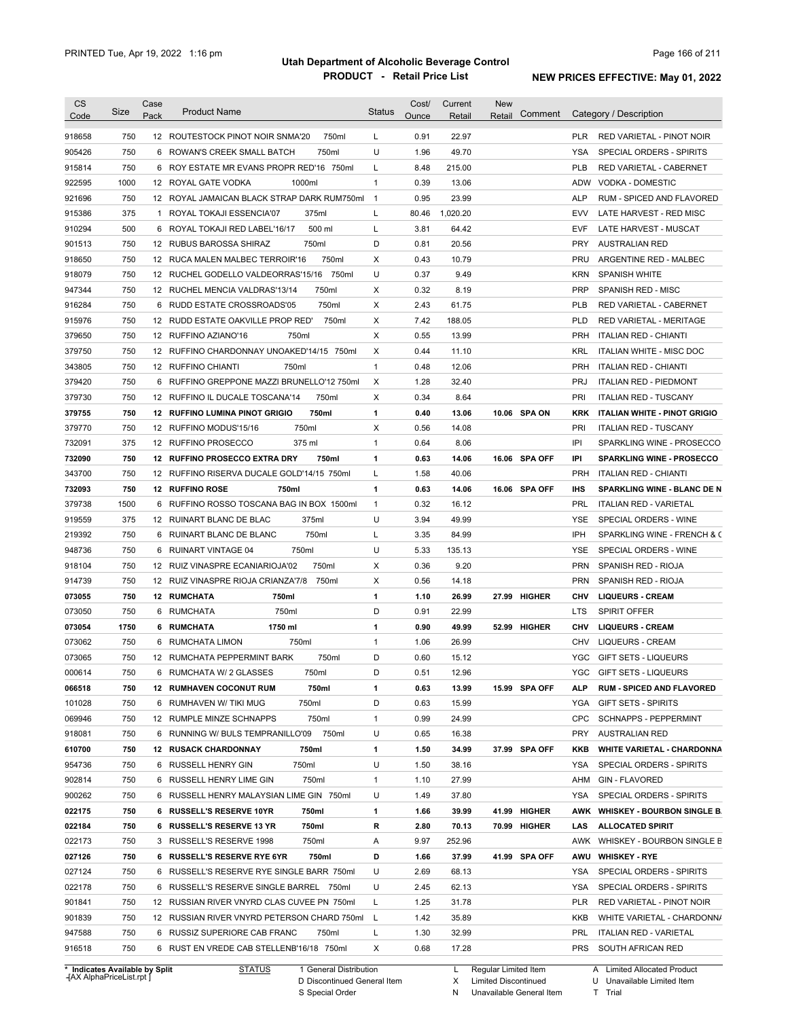| CS<br>Code                                                                                                           | Size       | Case<br>Pack | <b>Product Name</b>                                                      | <b>Status</b>  | Cost/<br>Ounce | Current<br>Retail | <b>New</b><br>Retail | Comment       |                   | Category / Description              |
|----------------------------------------------------------------------------------------------------------------------|------------|--------------|--------------------------------------------------------------------------|----------------|----------------|-------------------|----------------------|---------------|-------------------|-------------------------------------|
|                                                                                                                      | 750        |              | 750ml<br>12 ROUTESTOCK PINOT NOIR SNMA'20                                | L              | 0.91           | 22.97             |                      |               | <b>PLR</b>        | RED VARIETAL - PINOT NOIR           |
| 918658<br>905426                                                                                                     | 750        |              | 750ml<br>6 ROWAN'S CREEK SMALL BATCH                                     | U              | 1.96           | 49.70             |                      |               | <b>YSA</b>        | SPECIAL ORDERS - SPIRITS            |
| 915814                                                                                                               | 750        |              | 6 ROY ESTATE MR EVANS PROPR RED'16 750ml                                 | L              | 8.48           | 215.00            |                      |               | <b>PLB</b>        | <b>RED VARIETAL - CABERNET</b>      |
| 922595                                                                                                               | 1000       |              | 1000ml<br>12 ROYAL GATE VODKA                                            | $\mathbf{1}$   | 0.39           | 13.06             |                      |               | ADW               | <b>VODKA - DOMESTIC</b>             |
| 921696                                                                                                               | 750        |              | 12 ROYAL JAMAICAN BLACK STRAP DARK RUM750ml                              | $\overline{1}$ | 0.95           | 23.99             |                      |               | <b>ALP</b>        | RUM - SPICED AND FLAVORED           |
| 915386                                                                                                               | 375        |              | 375ml<br>1 ROYAL TOKAJI ESSENCIA'07                                      | L              | 80.46          | 1,020.20          |                      |               | <b>EVV</b>        | LATE HARVEST - RED MISC             |
| 910294                                                                                                               | 500        |              | 500 ml<br>6 ROYAL TOKAJI RED LABEL'16/17                                 | L              | 3.81           | 64.42             |                      |               | <b>EVF</b>        | LATE HARVEST - MUSCAT               |
| 901513                                                                                                               | 750        |              | 12 RUBUS BAROSSA SHIRAZ<br>750ml                                         | D              | 0.81           | 20.56             |                      |               | <b>PRY</b>        | <b>AUSTRALIAN RED</b>               |
| 918650                                                                                                               | 750        |              | 12 RUCA MALEN MALBEC TERROIR'16<br>750ml                                 | Χ              | 0.43           | 10.79             |                      |               | PRU               | ARGENTINE RED - MALBEC              |
| 918079                                                                                                               | 750        |              | 12 RUCHEL GODELLO VALDEORRAS'15/16<br>750ml                              | U              | 0.37           | 9.49              |                      |               | <b>KRN</b>        | SPANISH WHITE                       |
| 947344                                                                                                               | 750        |              | 750ml<br>12 RUCHEL MENCIA VALDRAS'13/14                                  | X              | 0.32           | 8.19              |                      |               | <b>PRP</b>        | SPANISH RED - MISC                  |
| 916284                                                                                                               | 750        |              | 750ml<br>6 RUDD ESTATE CROSSROADS'05                                     | X              | 2.43           | 61.75             |                      |               | <b>PLB</b>        | RED VARIETAL - CABERNET             |
| 915976                                                                                                               | 750        |              | 750ml<br>12 RUDD ESTATE OAKVILLE PROP RED'                               | X              | 7.42           | 188.05            |                      |               | <b>PLD</b>        | RED VARIETAL - MERITAGE             |
| 379650                                                                                                               | 750        |              | 750ml<br>12 RUFFINO AZIANO'16                                            | Χ              | 0.55           | 13.99             |                      |               | <b>PRH</b>        | <b>ITALIAN RED - CHIANTI</b>        |
| 379750                                                                                                               | 750        |              | 12 RUFFINO CHARDONNAY UNOAKED'14/15 750ml                                | Χ              | 0.44           | 11.10             |                      |               | <b>KRL</b>        | ITALIAN WHITE - MISC DOC            |
| 343805                                                                                                               | 750        |              | 12 RUFFINO CHIANTI<br>750ml                                              | $\mathbf{1}$   | 0.48           | 12.06             |                      |               | PRH               | <b>ITALIAN RED - CHIANTI</b>        |
|                                                                                                                      | 750        |              | 6 RUFFINO GREPPONE MAZZI BRUNELLO'12 750ml                               | Χ              | 1.28           | 32.40             |                      |               | <b>PRJ</b>        |                                     |
| 379420                                                                                                               | 750        |              | 750ml                                                                    | X              | 0.34           | 8.64              |                      |               | PRI               | <b>ITALIAN RED - PIEDMONT</b>       |
| 379730                                                                                                               |            |              | 12 RUFFINO IL DUCALE TOSCANA'14                                          |                |                |                   |                      |               |                   | <b>ITALIAN RED - TUSCANY</b>        |
| 379755                                                                                                               | 750<br>750 |              | 750ml<br><b>12 RUFFINO LUMINA PINOT GRIGIO</b><br>12 RUFFINO MODUS'15/16 | 1<br>X         | 0.40<br>0.56   | 13.06             |                      | 10.06 SPA ON  | <b>KRK</b><br>PRI | <b>ITALIAN WHITE - PINOT GRIGIO</b> |
| 379770                                                                                                               |            |              | 750ml                                                                    |                |                | 14.08             |                      |               |                   | <b>ITALIAN RED - TUSCANY</b>        |
| 732091                                                                                                               | 375        |              | 12 RUFFINO PROSECCO<br>375 ml                                            | 1              | 0.64           | 8.06              |                      |               | IPI               | SPARKLING WINE - PROSECCO           |
| 732090                                                                                                               | 750        |              | 750ml<br>12 RUFFINO PROSECCO EXTRA DRY                                   | 1              | 0.63           | 14.06             |                      | 16.06 SPA OFF | IPI               | <b>SPARKLING WINE - PROSECCO</b>    |
| 343700                                                                                                               | 750        |              | 12 RUFFINO RISERVA DUCALE GOLD'14/15 750ml                               | L              | 1.58           | 40.06             |                      |               | <b>PRH</b>        | <b>ITALIAN RED - CHIANTI</b>        |
| 732093                                                                                                               | 750        |              | 12 RUFFINO ROSE<br>750ml                                                 | 1              | 0.63           | 14.06             |                      | 16.06 SPA OFF | <b>IHS</b>        | <b>SPARKLING WINE - BLANC DE N</b>  |
| 379738                                                                                                               | 1500       |              | 6 RUFFINO ROSSO TOSCANA BAG IN BOX 1500ml                                | 1              | 0.32           | 16.12             |                      |               | <b>PRL</b>        | <b>ITALIAN RED - VARIETAL</b>       |
| 919559                                                                                                               | 375        |              | 375ml<br>12 RUINART BLANC DE BLAC                                        | U              | 3.94           | 49.99             |                      |               | <b>YSE</b>        | SPECIAL ORDERS - WINE               |
| 219392                                                                                                               | 750        | 6            | 750ml<br>RUINART BLANC DE BLANC                                          | Г              | 3.35           | 84.99             |                      |               | IPH               | SPARKLING WINE - FRENCH & C         |
| 948736                                                                                                               | 750        | 6            | <b>RUINART VINTAGE 04</b><br>750ml                                       | U              | 5.33           | 135.13            |                      |               | <b>YSE</b>        | SPECIAL ORDERS - WINE               |
| 918104                                                                                                               | 750        |              | 750ml<br>12 RUIZ VINASPRE ECANIARIOJA'02                                 | X              | 0.36           | 9.20              |                      |               | <b>PRN</b>        | SPANISH RED - RIOJA                 |
| 914739                                                                                                               | 750        |              | 12 RUIZ VINASPRE RIOJA CRIANZA'7/8<br>750ml                              | X              | 0.56           | 14.18             |                      |               | <b>PRN</b>        | SPANISH RED - RIOJA                 |
| 073055                                                                                                               | 750        |              | 12 RUMCHATA<br>750ml                                                     | 1              | 1.10           | 26.99             |                      | 27.99 HIGHER  | CHV               | <b>LIQUEURS - CREAM</b>             |
| 073050                                                                                                               | 750        |              | 750ml<br>6 RUMCHATA                                                      | D              | 0.91           | 22.99             |                      |               | LTS               | <b>SPIRIT OFFER</b>                 |
| 073054                                                                                                               | 1750       |              | 1750 ml<br>6 RUMCHATA                                                    | 1              | 0.90           | 49.99             |                      | 52.99 HIGHER  | CHV               | <b>LIQUEURS - CREAM</b>             |
| 073062                                                                                                               | 750        |              | 750ml<br>6 RUMCHATA LIMON                                                | 1              | 1.06           | 26.99             |                      |               | CHV               | <b>LIQUEURS - CREAM</b>             |
| 073065                                                                                                               | 750        |              | 12 RUMCHATA PEPPERMINT BARK<br>750ml                                     | D              | 0.60           | 15.12             |                      |               | <b>YGC</b>        | <b>GIFT SETS - LIQUEURS</b>         |
| 000614                                                                                                               | 750        |              | 6 RUMCHATA W/ 2 GLASSES<br>750ml                                         | D              | 0.51           | 12.96             |                      |               |                   | YGC GIFT SETS - LIQUEURS            |
| 066518                                                                                                               | 750        |              | 750ml<br><b>12 RUMHAVEN COCONUT RUM</b>                                  | 1              |                |                   |                      |               |                   | <b>RUM - SPICED AND FLAVORED</b>    |
|                                                                                                                      |            |              |                                                                          |                | 0.63           | 13.99             |                      | 15.99 SPA OFF | ALP               |                                     |
|                                                                                                                      | 750        |              | 750ml<br>6 RUMHAVEN W/ TIKI MUG                                          | D              | 0.63           | 15.99             |                      |               | YGA               | <b>GIFT SETS - SPIRITS</b>          |
|                                                                                                                      | 750        |              | 750ml<br>12 RUMPLE MINZE SCHNAPPS                                        | 1              | 0.99           | 24.99             |                      |               | <b>CPC</b>        | SCHNAPPS - PEPPERMINT               |
|                                                                                                                      | 750        |              | 6 RUNNING W/ BULS TEMPRANILLO'09 750ml                                   | U              | 0.65           | 16.38             |                      |               | <b>PRY</b>        | <b>AUSTRALIAN RED</b>               |
|                                                                                                                      | 750        |              | 750ml<br><b>12 RUSACK CHARDONNAY</b>                                     | 1              | 1.50           | 34.99             |                      | 37.99 SPA OFF | KKB               | <b>WHITE VARIETAL - CHARDONNA</b>   |
|                                                                                                                      | 750        |              | 750ml<br>6 RUSSELL HENRY GIN                                             | U              | 1.50           | 38.16             |                      |               | YSA               | SPECIAL ORDERS - SPIRITS            |
|                                                                                                                      | 750        |              | 750ml<br>6 RUSSELL HENRY LIME GIN                                        | 1              | 1.10           | 27.99             |                      |               | AHM               | <b>GIN - FLAVORED</b>               |
|                                                                                                                      | 750        |              | 6 RUSSELL HENRY MALAYSIAN LIME GIN 750ml                                 | U              | 1.49           | 37.80             |                      |               | YSA               | SPECIAL ORDERS - SPIRITS            |
|                                                                                                                      | 750        |              | 6 RUSSELL'S RESERVE 10YR<br>750ml                                        | 1              | 1.66           | 39.99             |                      | 41.99 HIGHER  |                   | AWK WHISKEY - BOURBON SINGLE B.     |
|                                                                                                                      | 750        |              | 750ml<br>6 RUSSELL'S RESERVE 13 YR                                       | R              | 2.80           | 70.13             |                      | 70.99 HIGHER  | LAS               | <b>ALLOCATED SPIRIT</b>             |
|                                                                                                                      | 750        |              | 750ml<br>3 RUSSELL'S RESERVE 1998                                        | Α              | 9.97           | 252.96            |                      |               | AWK               | WHISKEY - BOURBON SINGLE B          |
|                                                                                                                      | 750        |              | 6 RUSSELL'S RESERVE RYE 6YR<br>750ml                                     | D              | 1.66           | 37.99             |                      | 41.99 SPA OFF | AWU               | <b>WHISKEY - RYE</b>                |
| 101028<br>069946<br>918081<br>610700<br>954736<br>902814<br>900262<br>022175<br>022184<br>022173<br>027126<br>027124 | 750        |              | 6 RUSSELL'S RESERVE RYE SINGLE BARR 750ml                                | U              | 2.69           | 68.13             |                      |               | YSA               | SPECIAL ORDERS - SPIRITS            |
|                                                                                                                      | 750        |              | 6 RUSSELL'S RESERVE SINGLE BARREL 750ml                                  | U              | 2.45           | 62.13             |                      |               | YSA               | SPECIAL ORDERS - SPIRITS            |
|                                                                                                                      | 750        |              | 12 RUSSIAN RIVER VNYRD CLAS CUVEE PN 750ml                               | L              | 1.25           | 31.78             |                      |               | <b>PLR</b>        | RED VARIETAL - PINOT NOIR           |
| 022178<br>901841<br>901839                                                                                           | 750        |              | 12 RUSSIAN RIVER VNYRD PETERSON CHARD 750ml                              | L.             | 1.42           | 35.89             |                      |               | KKB               | WHITE VARIETAL - CHARDONN/          |
| 947588                                                                                                               | 750        |              | 6 RUSSIZ SUPERIORE CAB FRANC<br>750ml                                    | L              | 1.30           | 32.99             |                      |               | PRL               | <b>ITALIAN RED - VARIETAL</b>       |

**Case** [AX AlphaPriceList.rpt ]

D Discontinued General Item

S Special Order

X Limited Discontinued

N Unavailable General Item

U Unavailable Limited Item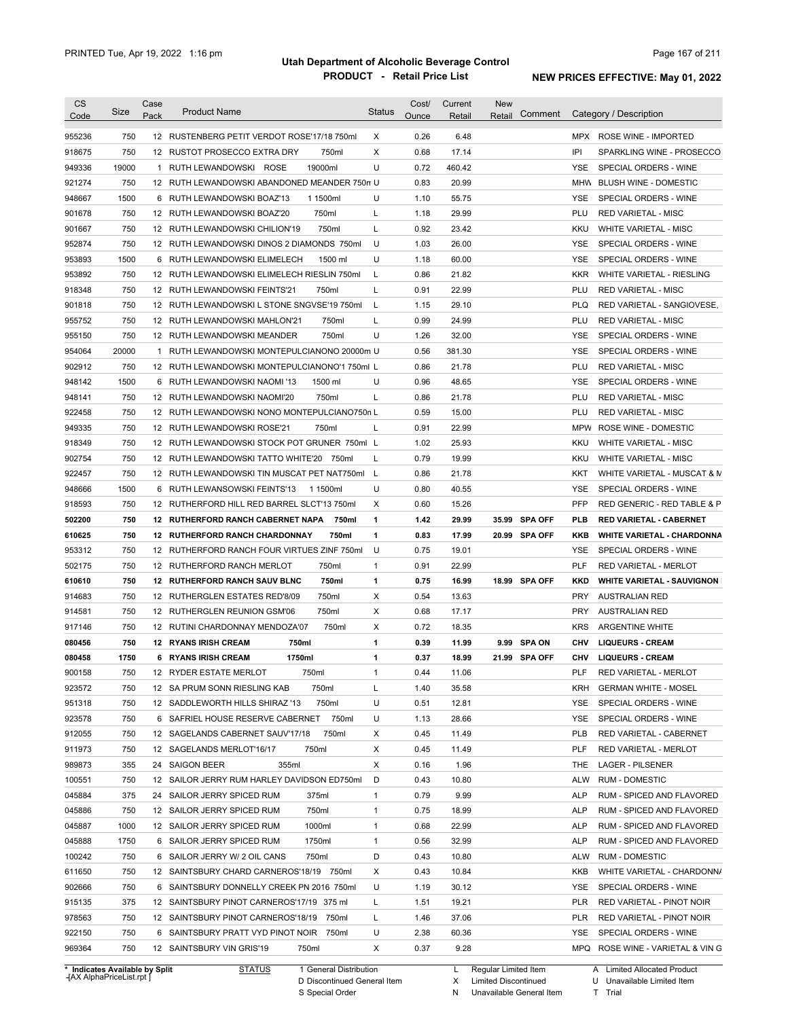| <b>CS</b><br>Code | Size                           | Case<br>Pack | <b>Product Name</b>                                                              | <b>Status</b> | Cost/<br>Ounce | Current<br>Retail | <b>New</b><br>Comment<br>Retail |            | Category / Description            |
|-------------------|--------------------------------|--------------|----------------------------------------------------------------------------------|---------------|----------------|-------------------|---------------------------------|------------|-----------------------------------|
| 955236            | 750                            |              | 12 RUSTENBERG PETIT VERDOT ROSE'17/18 750ml                                      | X             | 0.26           | 6.48              |                                 |            | MPX ROSE WINE - IMPORTED          |
| 918675            | 750                            |              | 12 RUSTOT PROSECCO EXTRA DRY<br>750ml                                            | X             | 0.68           | 17.14             |                                 | IPI        | SPARKLING WINE - PROSECCO         |
| 949336            | 19000                          |              | 19000ml<br>1 RUTH LEWANDOWSKI ROSE                                               | U             | 0.72           | 460.42            |                                 | YSE        | SPECIAL ORDERS - WINE             |
| 921274            | 750                            |              | 12 RUTH LEWANDOWSKI ABANDONED MEANDER 750m U                                     |               | 0.83           | 20.99             |                                 |            | MHW BLUSH WINE - DOMESTIC         |
| 948667            | 1500                           |              | 6 RUTH LEWANDOWSKI BOAZ'13<br>1 1500ml                                           | U             | 1.10           | 55.75             |                                 | <b>YSE</b> | SPECIAL ORDERS - WINE             |
| 901678            | 750                            |              | 750ml<br>12 RUTH LEWANDOWSKI BOAZ'20                                             | L             | 1.18           | 29.99             |                                 | PLU        | <b>RED VARIETAL - MISC</b>        |
| 901667            | 750                            |              | 750ml<br>12 RUTH LEWANDOWSKI CHILION'19                                          | L             | 0.92           | 23.42             |                                 | <b>KKU</b> | <b>WHITE VARIETAL - MISC</b>      |
| 952874            | 750                            |              | 12 RUTH LEWANDOWSKI DINOS 2 DIAMONDS 750ml                                       | U             | 1.03           | 26.00             |                                 | <b>YSE</b> | SPECIAL ORDERS - WINE             |
| 953893            | 1500                           | 6            | RUTH LEWANDOWSKI ELIMELECH<br>1500 ml                                            | U             | 1.18           | 60.00             |                                 | <b>YSE</b> | SPECIAL ORDERS - WINE             |
| 953892            | 750                            |              | 12 RUTH LEWANDOWSKI ELIMELECH RIESLIN 750ml                                      | L             | 0.86           | 21.82             |                                 | <b>KKR</b> | <b>WHITE VARIETAL - RIESLING</b>  |
| 918348            | 750                            |              | 12 RUTH LEWANDOWSKI FEINTS'21<br>750ml                                           | L             | 0.91           | 22.99             |                                 | PLU        | <b>RED VARIETAL - MISC</b>        |
| 901818            | 750                            | 12           | RUTH LEWANDOWSKI L STONE SNGVSE'19 750ml                                         | L             | 1.15           | 29.10             |                                 | <b>PLQ</b> | RED VARIETAL - SANGIOVESE,        |
| 955752            | 750                            |              | 12 RUTH LEWANDOWSKI MAHLON'21<br>750ml                                           | L             | 0.99           | 24.99             |                                 | PLU        | <b>RED VARIETAL - MISC</b>        |
| 955150            | 750                            |              | 750ml<br>12 RUTH LEWANDOWSKI MEANDER                                             | U             | 1.26           | 32.00             |                                 | YSE        | SPECIAL ORDERS - WINE             |
| 954064            | 20000                          | 1            | RUTH LEWANDOWSKI MONTEPULCIANONO 20000m U                                        |               | 0.56           | 381.30            |                                 | <b>YSE</b> | SPECIAL ORDERS - WINE             |
| 902912            | 750                            |              | 12 RUTH LEWANDOWSKI MONTEPULCIANONO'1 750ml L                                    |               | 0.86           | 21.78             |                                 | PLU        |                                   |
|                   | 1500                           |              |                                                                                  | U             | 0.96           | 48.65             |                                 |            | <b>RED VARIETAL - MISC</b>        |
| 948142            | 750                            |              | 6 RUTH LEWANDOWSKI NAOMI '13<br>1500 ml<br>750ml<br>12 RUTH LEWANDOWSKI NAOMI'20 | L             | 0.86           | 21.78             |                                 | YSE<br>PLU | SPECIAL ORDERS - WINE             |
| 948141            |                                |              |                                                                                  |               |                |                   |                                 |            | <b>RED VARIETAL - MISC</b>        |
| 922458            | 750                            |              | 12 RUTH LEWANDOWSKI NONO MONTEPULCIANO750n L                                     |               | 0.59           | 15.00             |                                 | PLU        | <b>RED VARIETAL - MISC</b>        |
| 949335            | 750                            |              | 12 RUTH LEWANDOWSKI ROSE'21<br>750ml                                             | L             | 0.91           | 22.99             |                                 | MPW        | ROSE WINE - DOMESTIC              |
| 918349            | 750                            |              | 12 RUTH LEWANDOWSKI STOCK POT GRUNER 750ml L                                     |               | 1.02           | 25.93             |                                 | <b>KKU</b> | <b>WHITE VARIETAL - MISC</b>      |
| 902754            | 750                            |              | 12 RUTH LEWANDOWSKI TATTO WHITE'20<br>750ml                                      | L             | 0.79           | 19.99             |                                 | <b>KKU</b> | <b>WHITE VARIETAL - MISC</b>      |
| 922457            | 750                            |              | 12 RUTH LEWANDOWSKI TIN MUSCAT PET NAT750ml                                      | L             | 0.86           | 21.78             |                                 | KKT        | WHITE VARIETAL - MUSCAT & M       |
| 948666            | 1500                           | 6            | RUTH LEWANSOWSKI FEINTS'13<br>1 1500ml                                           | U             | 0.80           | 40.55             |                                 | YSE        | SPECIAL ORDERS - WINE             |
| 918593            | 750                            |              | 12 RUTHERFORD HILL RED BARREL SLCT'13 750ml                                      | X             | 0.60           | 15.26             |                                 | <b>PFP</b> | RED GENERIC - RED TABLE & P       |
| 502200            | 750                            |              | 12 RUTHERFORD RANCH CABERNET NAPA<br>750ml                                       | 1             | 1.42           | 29.99             | 35.99<br><b>SPA OFF</b>         | <b>PLB</b> | <b>RED VARIETAL - CABERNET</b>    |
| 610625            | 750                            |              | 750ml<br>12 RUTHERFORD RANCH CHARDONNAY                                          | $\mathbf{1}$  | 0.83           | 17.99             | 20.99<br><b>SPA OFF</b>         | <b>KKB</b> | <b>WHITE VARIETAL - CHARDONNA</b> |
| 953312            | 750                            |              | 12 RUTHERFORD RANCH FOUR VIRTUES ZINF 750ml                                      | U             | 0.75           | 19.01             |                                 | YSE        | SPECIAL ORDERS - WINE             |
| 502175            | 750                            |              | 750ml<br>12 RUTHERFORD RANCH MERLOT                                              | $\mathbf{1}$  | 0.91           | 22.99             |                                 | <b>PLF</b> | RED VARIETAL - MERLOT             |
| 610610            | 750                            |              | 12 RUTHERFORD RANCH SAUV BLNC<br>750ml                                           | 1             | 0.75           | 16.99             | 18.99 SPA OFF                   | <b>KKD</b> | <b>WHITE VARIETAL - SAUVIGNON</b> |
| 914683            | 750                            |              | 750ml<br>12 RUTHERGLEN ESTATES RED'8/09                                          | Х             | 0.54           | 13.63             |                                 | <b>PRY</b> | <b>AUSTRALIAN RED</b>             |
| 914581            | 750                            |              | 750ml<br>12 RUTHERGLEN REUNION GSM'06                                            | Χ             | 0.68           | 17.17             |                                 | <b>PRY</b> | <b>AUSTRALIAN RED</b>             |
| 917146            | 750                            |              | 12 RUTINI CHARDONNAY MENDOZA'07<br>750ml                                         | Χ             | 0.72           | 18.35             |                                 | <b>KRS</b> | <b>ARGENTINE WHITE</b>            |
| 080456            | 750                            |              | 12 RYANS IRISH CREAM<br>750ml                                                    | 1             | 0.39           | 11.99             | 9.99 SPA ON                     | CHV        | <b>LIQUEURS - CREAM</b>           |
| 080458            | 1750                           |              | 6 RYANS IRISH CREAM<br>1750ml                                                    | 1             | 0.37           | 18.99             | 21.99 SPA OFF                   | <b>CHV</b> | <b>LIQUEURS - CREAM</b>           |
| 900158            | 750                            |              | 12 RYDER ESTATE MERLOT<br>750ml                                                  | 1             | 0.44           | 11.06             |                                 | PLF        | RED VARIETAL - MERLOT             |
| 923572            | 750                            |              | 12 SA PRUM SONN RIESLING KAB<br>750ml                                            | L             | 1.40           | 35.58             |                                 | <b>KRH</b> | <b>GERMAN WHITE - MOSEL</b>       |
| 951318            | 750                            |              | 12 SADDLEWORTH HILLS SHIRAZ '13<br>750ml                                         | U             | 0.51           | 12.81             |                                 | YSE        | SPECIAL ORDERS - WINE             |
| 923578            | 750                            |              | 750ml<br>6 SAFRIEL HOUSE RESERVE CABERNET                                        | U             | 1.13           | 28.66             |                                 | YSE        | SPECIAL ORDERS - WINE             |
| 912055            | 750                            |              | 750ml<br>12 SAGELANDS CABERNET SAUV'17/18                                        | X             | 0.45           | 11.49             |                                 | <b>PLB</b> | RED VARIETAL - CABERNET           |
| 911973            | 750                            |              | 750ml<br>12 SAGELANDS MERLOT'16/17                                               | Х             | 0.45           | 11.49             |                                 | <b>PLF</b> | RED VARIETAL - MERLOT             |
| 989873            | 355                            |              | 355ml<br>24 SAIGON BEER                                                          | X             | 0.16           | 1.96              |                                 | THE        | LAGER - PILSENER                  |
| 100551            | 750                            |              | 12 SAILOR JERRY RUM HARLEY DAVIDSON ED750ml                                      | D             | 0.43           | 10.80             |                                 | <b>ALW</b> | RUM - DOMESTIC                    |
| 045884            | 375                            |              | 24 SAILOR JERRY SPICED RUM<br>375ml                                              | $\mathbf{1}$  | 0.79           | 9.99              |                                 | <b>ALP</b> | RUM - SPICED AND FLAVORED         |
| 045886            | 750                            |              | 750ml<br>12 SAILOR JERRY SPICED RUM                                              | $\mathbf{1}$  | 0.75           | 18.99             |                                 | <b>ALP</b> | RUM - SPICED AND FLAVORED         |
| 045887            | 1000                           |              | 1000ml<br>12 SAILOR JERRY SPICED RUM                                             | $\mathbf{1}$  | 0.68           | 22.99             |                                 | <b>ALP</b> | RUM - SPICED AND FLAVORED         |
| 045888            | 1750                           |              | 1750ml<br>6 SAILOR JERRY SPICED RUM                                              | $\mathbf{1}$  | 0.56           | 32.99             |                                 | <b>ALP</b> | RUM - SPICED AND FLAVORED         |
| 100242            | 750                            |              | 6 SAILOR JERRY W/ 2 OIL CANS<br>750ml                                            | D             | 0.43           | 10.80             |                                 | <b>ALW</b> | <b>RUM - DOMESTIC</b>             |
| 611650            | 750                            |              | 12 SAINTSBURY CHARD CARNEROS'18/19 750ml                                         | Х             | 0.43           | 10.84             |                                 | KKB        | WHITE VARIETAL - CHARDONN/        |
| 902666            | 750                            |              | 6 SAINTSBURY DONNELLY CREEK PN 2016 750ml                                        | U             | 1.19           | 30.12             |                                 | YSE        | SPECIAL ORDERS - WINE             |
| 915135            | 375                            |              | 12 SAINTSBURY PINOT CARNEROS'17/19 375 ml                                        | L             | 1.51           | 19.21             |                                 | <b>PLR</b> | RED VARIETAL - PINOT NOIR         |
| 978563            | 750                            |              | 12 SAINTSBURY PINOT CARNEROS'18/19<br>750ml                                      | L             | 1.46           | 37.06             |                                 | <b>PLR</b> | RED VARIETAL - PINOT NOIR         |
| 922150            | 750                            |              | 6 SAINTSBURY PRATT VYD PINOT NOIR 750ml                                          | U             | 2.38           | 60.36             |                                 | YSE        | SPECIAL ORDERS - WINE             |
| 969364            | 750                            |              | 12 SAINTSBURY VIN GRIS'19<br>750ml                                               | Χ             | 0.37           | 9.28              |                                 |            | MPQ ROSE WINE - VARIETAL & VING   |
|                   | * Indicates Available by Split |              | <b>STATUS</b><br>1 General Distribution                                          |               |                |                   | Regular Limited Item            |            | A Limited Allocated Product       |

**Case** [AX AlphaPriceList.rpt ]

D Discontinued General Item

S Special Order

X

Limited Discontinued

N Unavailable General Item

U Unavailable Limited Item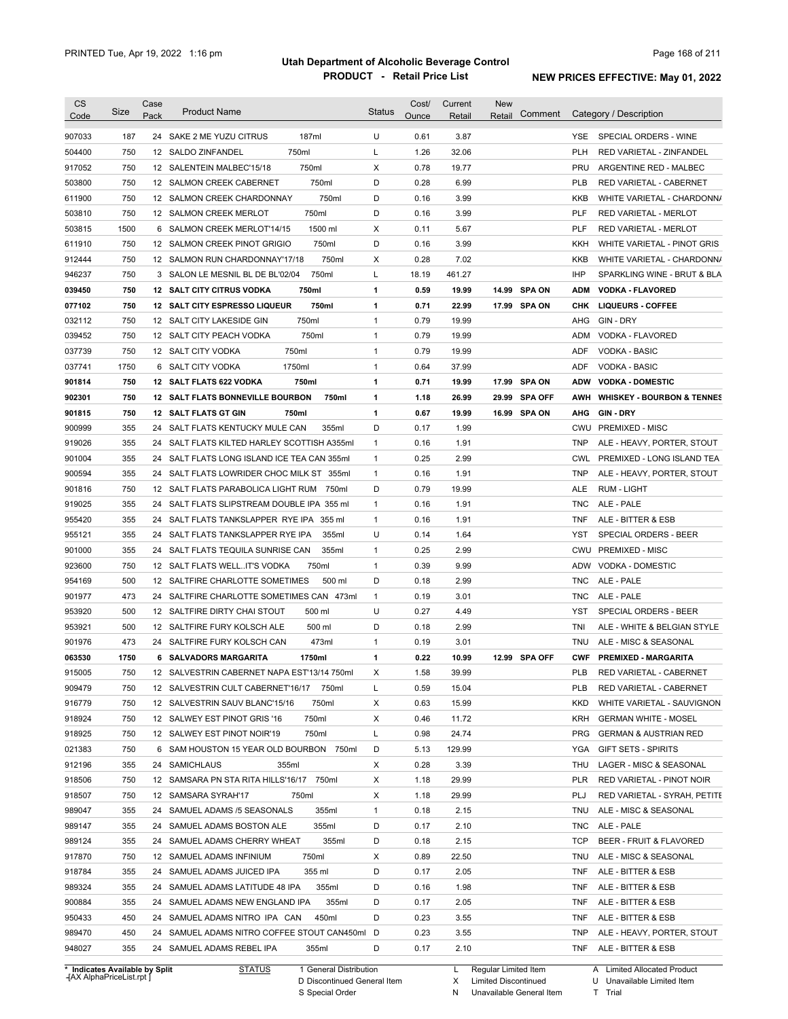| <b>CS</b><br>Code                                        | Size | Case<br>Pack | <b>Product Name</b>                           | <b>Status</b> | Cost/<br>Ounce | Current<br>Retail | <b>New</b><br>Retail | Comment        |            | Category / Description                |
|----------------------------------------------------------|------|--------------|-----------------------------------------------|---------------|----------------|-------------------|----------------------|----------------|------------|---------------------------------------|
| 907033                                                   | 187  |              | 187ml<br>24 SAKE 2 ME YUZU CITRUS             | U             | 0.61           | 3.87              |                      |                | YSE.       | SPECIAL ORDERS - WINE                 |
| 504400                                                   | 750  |              | 750ml<br>12 SALDO ZINFANDEL                   | Г             | 1.26           | 32.06             |                      |                | <b>PLH</b> | RED VARIETAL - ZINFANDEL              |
| 917052                                                   | 750  |              | 750ml<br>12 SALENTEIN MALBEC'15/18            | X             | 0.78           | 19.77             |                      |                | PRU        | ARGENTINE RED - MALBEC                |
| 503800                                                   | 750  |              | 750ml<br>12 SALMON CREEK CABERNET             | D             | 0.28           | 6.99              |                      |                | <b>PLB</b> | RED VARIETAL - CABERNET               |
| 611900                                                   | 750  |              | 750ml<br>12 SALMON CREEK CHARDONNAY           | D             | 0.16           | 3.99              |                      |                | KKB        | WHITE VARIETAL - CHARDONN/            |
| 503810                                                   | 750  |              | 750ml<br>12 SALMON CREEK MERLOT               | D             | 0.16           | 3.99              |                      |                | PLF        | RED VARIETAL - MERLOT                 |
| 503815                                                   | 1500 |              | 1500 ml<br>6 SALMON CREEK MERLOT'14/15        | Χ             | 0.11           | 5.67              |                      |                | PLF        | <b>RED VARIETAL - MERLOT</b>          |
| 611910                                                   | 750  |              | 12 SALMON CREEK PINOT GRIGIO<br>750ml         | D             | 0.16           | 3.99              |                      |                | KKH        | WHITE VARIETAL - PINOT GRIS           |
| 912444                                                   | 750  |              | 12 SALMON RUN CHARDONNAY'17/18<br>750ml       | Х             | 0.28           | 7.02              |                      |                | KKB        | WHITE VARIETAL - CHARDONN/            |
| 946237                                                   | 750  |              | 750ml<br>3 SALON LE MESNIL BL DE BL'02/04     | L             | 18.19          | 461.27            |                      |                | <b>IHP</b> | SPARKLING WINE - BRUT & BLA           |
| 039450                                                   | 750  |              | <b>12 SALT CITY CITRUS VODKA</b><br>750ml     | 1             | 0.59           | 19.99             | 14.99                | <b>SPA ON</b>  | <b>ADM</b> | <b>VODKA - FLAVORED</b>               |
| 077102                                                   | 750  |              | 750ml<br>12 SALT CITY ESPRESSO LIQUEUR        | 1             | 0.71           | 22.99             |                      | 17.99 SPA ON   | <b>CHK</b> | <b>LIQUEURS - COFFEE</b>              |
| 032112                                                   | 750  |              | 750ml<br>12 SALT CITY LAKESIDE GIN            | 1             | 0.79           | 19.99             |                      |                | AHG        | GIN - DRY                             |
|                                                          |      |              |                                               |               |                |                   |                      |                |            |                                       |
| 039452                                                   | 750  |              | 750ml<br>12 SALT CITY PEACH VODKA             | 1             | 0.79           | 19.99             |                      |                | ADM        | VODKA - FLAVORED                      |
| 037739                                                   | 750  |              | 750ml<br>12 SALT CITY VODKA                   | 1             | 0.79           | 19.99             |                      |                | ADF        | VODKA - BASIC                         |
| 037741                                                   | 1750 |              | 1750ml<br>6 SALT CITY VODKA                   | 1             | 0.64           | 37.99             |                      |                | ADF        | <b>VODKA - BASIC</b>                  |
| 901814                                                   | 750  |              | 12 SALT FLATS 622 VODKA<br>750ml              | 1             | 0.71           | 19.99             | 17.99                | <b>SPA ON</b>  | ADW        | <b>VODKA - DOMESTIC</b>               |
| 902301                                                   | 750  |              | 12 SALT FLATS BONNEVILLE BOURBON<br>750ml     | 1             | 1.18           | 26.99             | 29.99                | <b>SPA OFF</b> | AWH        | <b>WHISKEY - BOURBON &amp; TENNES</b> |
| 901815                                                   | 750  |              | 12 SALT FLATS GT GIN<br>750ml                 | 1             | 0.67           | 19.99             |                      | 16.99 SPA ON   | AHG        | <b>GIN-DRY</b>                        |
| 900999                                                   | 355  |              | 24 SALT FLATS KENTUCKY MULE CAN<br>355ml      | D             | 0.17           | 1.99              |                      |                | CWU        | <b>PREMIXED - MISC</b>                |
| 919026                                                   | 355  |              | 24 SALT FLATS KILTED HARLEY SCOTTISH A355ml   | 1             | 0.16           | 1.91              |                      |                | TNP        | ALE - HEAVY, PORTER, STOUT            |
| 901004                                                   | 355  |              | 24 SALT FLATS LONG ISLAND ICE TEA CAN 355ml   | 1             | 0.25           | 2.99              |                      |                | <b>CWL</b> | PREMIXED - LONG ISLAND TEA            |
| 900594                                                   | 355  |              | 24 SALT FLATS LOWRIDER CHOC MILK ST 355ml     | 1             | 0.16           | 1.91              |                      |                | TNP        | ALE - HEAVY, PORTER, STOUT            |
| 901816                                                   | 750  |              | 12 SALT FLATS PARABOLICA LIGHT RUM<br>750ml   | D             | 0.79           | 19.99             |                      |                | ALE        | <b>RUM - LIGHT</b>                    |
| 919025                                                   | 355  | 24           | SALT FLATS SLIPSTREAM DOUBLE IPA 355 ml       | 1             | 0.16           | 1.91              |                      |                | TNC        | ALE - PALE                            |
| 955420                                                   | 355  |              | 24 SALT FLATS TANKSLAPPER RYE IPA 355 ml      | 1             | 0.16           | 1.91              |                      |                | <b>TNF</b> | ALE - BITTER & ESB                    |
| 955121                                                   | 355  | 24           | SALT FLATS TANKSLAPPER RYE IPA<br>355ml       | U             | 0.14           | 1.64              |                      |                | YST        | SPECIAL ORDERS - BEER                 |
| 901000                                                   | 355  |              | 24 SALT FLATS TEQUILA SUNRISE CAN<br>355ml    | 1             | 0.25           | 2.99              |                      |                | CWU        | <b>PREMIXED - MISC</b>                |
| 923600                                                   | 750  |              | 12 SALT FLATS WELLIT'S VODKA<br>750ml         | 1             | 0.39           | 9.99              |                      |                | ADW        | <b>VODKA - DOMESTIC</b>               |
| 954169                                                   | 500  |              | 12 SALTFIRE CHARLOTTE SOMETIMES<br>500 ml     | D             | 0.18           | 2.99              |                      |                | TNC        | ALE - PALE                            |
| 901977                                                   | 473  |              | 24 SALTFIRE CHARLOTTE SOMETIMES CAN 473ml     | $\mathbf{1}$  | 0.19           | 3.01              |                      |                | TNC        | ALE - PALE                            |
| 953920                                                   | 500  |              | 12 SALTFIRE DIRTY CHAI STOUT<br>500 ml        | U             | 0.27           | 4.49              |                      |                | YST        | SPECIAL ORDERS - BEER                 |
| 953921                                                   | 500  |              | 500 ml<br>12 SALTFIRE FURY KOLSCH ALE         | D             | 0.18           | 2.99              |                      |                | tni        | ALE - WHITE & BELGIAN STYLE           |
| 901976                                                   | 473  |              | 473ml<br>24 SALTFIRE FURY KOLSCH CAN          | 1             | 0.19           | 3.01              |                      |                | TNU        | ALE - MISC & SEASONAL                 |
| 063530                                                   | 1750 |              | 6 SALVADORS MARGARITA<br>1750ml               | 1             | 0.22           | 10.99             |                      | 12.99 SPA OFF  | <b>CWF</b> | <b>PREMIXED - MARGARITA</b>           |
| 915005                                                   | 750  |              | 12 SALVESTRIN CABERNET NAPA EST'13/14 750ml   | х             | 1.58           | 39.99             |                      |                | PLB        | RED VARIETAL - CABERNET               |
| 909479                                                   | 750  |              | 12 SALVESTRIN CULT CABERNET'16/17<br>750ml    | L             | 0.59           | 15.04             |                      |                | <b>PLB</b> | RED VARIETAL - CABERNET               |
| 916779                                                   | 750  |              | 12 SALVESTRIN SAUV BLANC'15/16<br>750ml       | X             | 0.63           | 15.99             |                      |                | <b>KKD</b> | WHITE VARIETAL - SAUVIGNON            |
| 918924                                                   | 750  |              | 12 SALWEY EST PINOT GRIS '16<br>750ml         | Х             | 0.46           | 11.72             |                      |                | KRH        | <b>GERMAN WHITE - MOSEL</b>           |
| 918925                                                   | 750  |              | 12 SALWEY EST PINOT NOIR'19<br>750ml          | L             | 0.98           | 24.74             |                      |                | <b>PRG</b> | <b>GERMAN &amp; AUSTRIAN RED</b>      |
| 021383                                                   | 750  |              | 6 SAM HOUSTON 15 YEAR OLD BOURBON 750ml       | D             | 5.13           | 129.99            |                      |                | YGA        | <b>GIFT SETS - SPIRITS</b>            |
|                                                          |      |              |                                               |               |                |                   |                      |                |            | LAGER - MISC & SEASONAL               |
| 912196                                                   | 355  |              | 24 SAMICHLAUS<br>355ml                        | Х             | 0.28           | 3.39              |                      |                | THU        |                                       |
| 918506                                                   | 750  |              | 12 SAMSARA PN STA RITA HILLS'16/17 750ml      | Х             | 1.18           | 29.99             |                      |                | PLR        | RED VARIETAL - PINOT NOIR             |
| 918507                                                   | 750  |              | 12 SAMSARA SYRAH'17<br>750ml                  | Х             | 1.18           | 29.99             |                      |                | PLJ        | RED VARIETAL - SYRAH, PETITE          |
| 989047                                                   | 355  |              | 355ml<br>24 SAMUEL ADAMS /5 SEASONALS         | $\mathbf{1}$  | 0.18           | 2.15              |                      |                | TNU        | ALE - MISC & SEASONAL                 |
|                                                          |      |              | 355ml<br>24 SAMUEL ADAMS BOSTON ALE           | D             | 0.17           | 2.10              |                      |                | <b>TNC</b> | ALE - PALE                            |
|                                                          | 355  |              |                                               | D             | 0.18           | 2.15              |                      |                | <b>TCP</b> | BEER - FRUIT & FLAVORED               |
|                                                          | 355  |              | 355ml<br>24 SAMUEL ADAMS CHERRY WHEAT         |               |                |                   |                      |                |            |                                       |
|                                                          | 750  |              | 750ml<br>12 SAMUEL ADAMS INFINIUM             | Χ             | 0.89           | 22.50             |                      |                | TNU        | ALE - MISC & SEASONAL                 |
|                                                          | 355  |              | 355 ml<br>24 SAMUEL ADAMS JUICED IPA          | D             | 0.17           | 2.05              |                      |                | <b>TNF</b> | ALE - BITTER & ESB                    |
|                                                          | 355  |              | 24 SAMUEL ADAMS LATITUDE 48 IPA<br>355ml      | D             | 0.16           | 1.98              |                      |                | <b>TNF</b> | ALE - BITTER & ESB                    |
| 989147<br>989124<br>917870<br>918784<br>989324<br>900884 | 355  |              | 355ml<br>24 SAMUEL ADAMS NEW ENGLAND IPA      | D             | 0.17           | 2.05              |                      |                | <b>TNF</b> | ALE - BITTER & ESB                    |
|                                                          | 450  |              | 450ml<br>24 SAMUEL ADAMS NITRO IPA CAN        | D             | 0.23           | 3.55              |                      |                | TNF        | ALE - BITTER & ESB                    |
| 950433<br>989470                                         | 450  |              | 24 SAMUEL ADAMS NITRO COFFEE STOUT CAN450ml D |               | 0.23           | 3.55              |                      |                | TNP        | ALE - HEAVY, PORTER, STOUT            |

**Case** [AX AlphaPriceList.rpt ]

D Discontinued General Item

S Special Order

X Limited Discontinued

N Unavailable General Item

U Unavailable Limited Item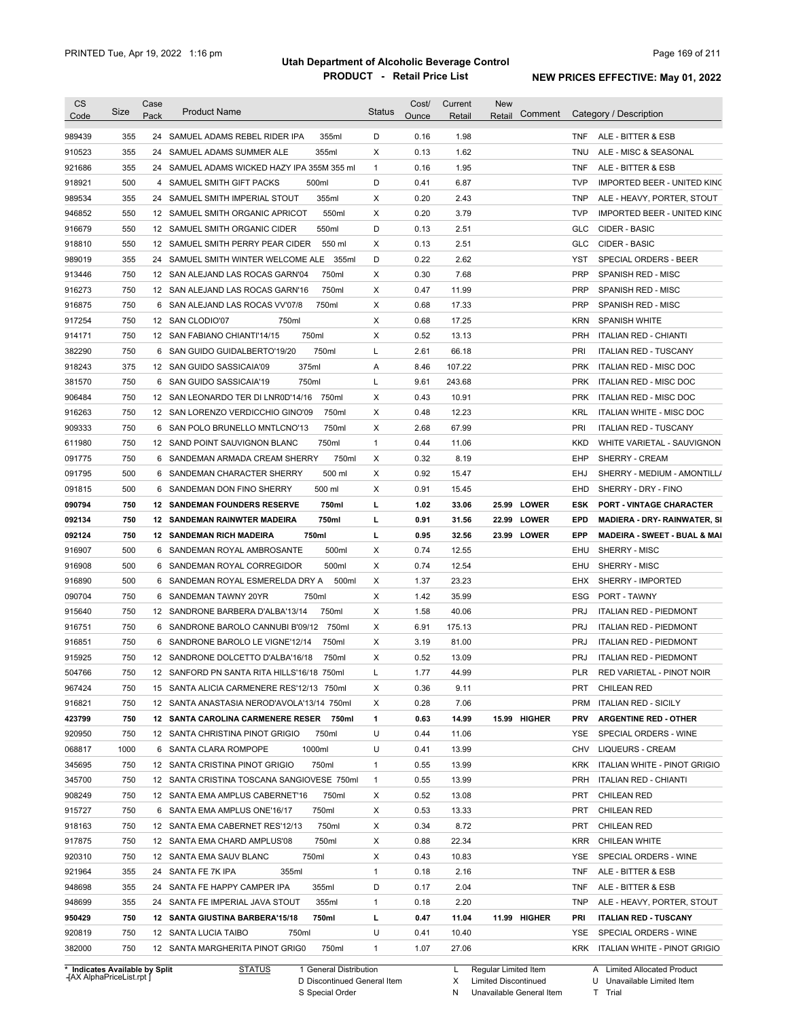| <b>CS</b><br>Code                                                                                                    | Size | Case<br>Pack | <b>Product Name</b>                                            | <b>Status</b> | Cost/<br>Ounce | Current<br>Retail | <b>New</b><br>Comment<br>Retail |            | Category / Description                  |
|----------------------------------------------------------------------------------------------------------------------|------|--------------|----------------------------------------------------------------|---------------|----------------|-------------------|---------------------------------|------------|-----------------------------------------|
| 989439                                                                                                               | 355  |              | 24 SAMUEL ADAMS REBEL RIDER IPA<br>355ml                       | D             | 0.16           | 1.98              |                                 | TNF        | ALE - BITTER & ESB                      |
| 910523                                                                                                               | 355  |              | 355ml<br>24 SAMUEL ADAMS SUMMER ALE                            | х             | 0.13           | 1.62              |                                 | <b>TNU</b> | ALE - MISC & SEASONAL                   |
| 921686                                                                                                               | 355  |              | 24 SAMUEL ADAMS WICKED HAZY IPA 355M 355 ml                    | $\mathbf{1}$  | 0.16           | 1.95              |                                 | <b>TNF</b> | ALE - BITTER & ESB                      |
| 918921                                                                                                               | 500  |              | 4 SAMUEL SMITH GIFT PACKS<br>500ml                             | D             | 0.41           | 6.87              |                                 | <b>TVP</b> | IMPORTED BEER - UNITED KING             |
| 989534                                                                                                               | 355  |              | 355ml<br>24 SAMUEL SMITH IMPERIAL STOUT                        | X             | 0.20           | 2.43              |                                 | <b>TNP</b> | ALE - HEAVY, PORTER, STOUT              |
| 946852                                                                                                               | 550  |              | 550ml<br>12 SAMUEL SMITH ORGANIC APRICOT                       | X             | 0.20           | 3.79              |                                 | <b>TVP</b> | IMPORTED BEER - UNITED KING             |
| 916679                                                                                                               | 550  |              | 550ml<br>12 SAMUEL SMITH ORGANIC CIDER                         | D             | 0.13           | 2.51              |                                 | GLC        | CIDER - BASIC                           |
| 918810                                                                                                               | 550  |              | 550 ml<br>12 SAMUEL SMITH PERRY PEAR CIDER                     | X             | 0.13           | 2.51              |                                 | GLC        | CIDER - BASIC                           |
| 989019                                                                                                               | 355  |              | 24 SAMUEL SMITH WINTER WELCOME ALE 355ml                       | D             | 0.22           | 2.62              |                                 | <b>YST</b> | SPECIAL ORDERS - BEER                   |
| 913446                                                                                                               | 750  |              | 12 SAN ALEJAND LAS ROCAS GARN'04<br>750ml                      | X             | 0.30           | 7.68              |                                 | <b>PRP</b> | SPANISH RED - MISC                      |
| 916273                                                                                                               | 750  |              | 750ml<br>12 SAN ALEJAND LAS ROCAS GARN'16                      | Х             | 0.47           | 11.99             |                                 | <b>PRP</b> | SPANISH RED - MISC                      |
| 916875                                                                                                               | 750  |              | 6 SAN ALEJAND LAS ROCAS VV'07/8<br>750ml                       | X             | 0.68           | 17.33             |                                 | <b>PRP</b> | SPANISH RED - MISC                      |
| 917254                                                                                                               | 750  |              | 12 SAN CLODIO'07<br>750ml                                      | X             | 0.68           | 17.25             |                                 | <b>KRN</b> | <b>SPANISH WHITE</b>                    |
| 914171                                                                                                               | 750  |              | 750ml<br>12 SAN FABIANO CHIANTI'14/15                          | х             | 0.52           | 13.13             |                                 | <b>PRH</b> | <b>ITALIAN RED - CHIANTI</b>            |
| 382290                                                                                                               | 750  |              | 750ml<br>6 SAN GUIDO GUIDALBERTO'19/20                         | L             | 2.61           | 66.18             |                                 | PRI        | <b>ITALIAN RED - TUSCANY</b>            |
|                                                                                                                      |      |              |                                                                |               |                |                   |                                 | <b>PRK</b> |                                         |
| 918243                                                                                                               | 375  |              | 375ml<br>12 SAN GUIDO SASSICAIA'09<br>6 SAN GUIDO SASSICAIA'19 | Α             | 8.46           | 107.22            |                                 |            | ITALIAN RED - MISC DOC                  |
| 381570                                                                                                               | 750  |              | 750ml                                                          | L             | 9.61           | 243.68            |                                 | <b>PRK</b> | <b>ITALIAN RED - MISC DOC</b>           |
| 906484                                                                                                               | 750  |              | 12 SAN LEONARDO TER DI LNR0D'14/16<br>750ml                    | Х             | 0.43           | 10.91             |                                 | <b>PRK</b> | <b>ITALIAN RED - MISC DOC</b>           |
| 916263                                                                                                               | 750  |              | 12 SAN LORENZO VERDICCHIO GINO'09<br>750ml                     | X             | 0.48           | 12.23             |                                 | KRL        | ITALIAN WHITE - MISC DOC                |
| 909333                                                                                                               | 750  |              | 6 SAN POLO BRUNELLO MNTLCNO'13<br>750ml                        | X             | 2.68           | 67.99             |                                 | PRI        | <b>ITALIAN RED - TUSCANY</b>            |
| 611980                                                                                                               | 750  |              | 12 SAND POINT SAUVIGNON BLANC<br>750ml                         | $\mathbf{1}$  | 0.44           | 11.06             |                                 | <b>KKD</b> | WHITE VARIETAL - SAUVIGNON              |
| 091775                                                                                                               | 750  |              | 750ml<br>6 SANDEMAN ARMADA CREAM SHERRY                        | X             | 0.32           | 8.19              |                                 | EHP        | SHERRY - CREAM                          |
| 091795                                                                                                               | 500  | 6            | 500 ml<br>SANDEMAN CHARACTER SHERRY                            | X             | 0.92           | 15.47             |                                 | <b>EHJ</b> | SHERRY - MEDIUM - AMONTILL/             |
| 091815                                                                                                               | 500  | 6            | 500 ml<br>SANDEMAN DON FINO SHERRY                             | X             | 0.91           | 15.45             |                                 | EHD        | SHERRY - DRY - FINO                     |
| 090794                                                                                                               | 750  |              | <b>12 SANDEMAN FOUNDERS RESERVE</b><br>750ml                   | г             | 1.02           | 33.06             | 25.99 LOWER                     | <b>ESK</b> | <b>PORT - VINTAGE CHARACTER</b>         |
| 092134                                                                                                               | 750  |              | 750ml<br><b>12 SANDEMAN RAINWTER MADEIRA</b>                   | L             | 0.91           | 31.56             | 22.99 LOWER                     | EPD        | <b>MADIERA - DRY- RAINWATER, SI</b>     |
| 092124                                                                                                               | 750  |              | 750ml<br><b>12 SANDEMAN RICH MADEIRA</b>                       | L             | 0.95           | 32.56             | 23.99 LOWER                     | EPP        | <b>MADEIRA - SWEET - BUAL &amp; MAI</b> |
| 916907                                                                                                               | 500  |              | 6 SANDEMAN ROYAL AMBROSANTE<br>500ml                           | х             | 0.74           | 12.55             |                                 | EHU        | SHERRY - MISC                           |
| 916908                                                                                                               |      |              |                                                                |               |                |                   |                                 |            |                                         |
|                                                                                                                      | 500  |              | 6 SANDEMAN ROYAL CORREGIDOR<br>500ml                           | х             | 0.74           | 12.54             |                                 | EHU        | SHERRY - MISC                           |
|                                                                                                                      | 500  | 6            | SANDEMAN ROYAL ESMERELDA DRY A<br>500ml                        | Х             | 1.37           | 23.23             |                                 | EHX        | SHERRY - IMPORTED                       |
|                                                                                                                      | 750  | 6            | SANDEMAN TAWNY 20YR<br>750ml                                   | х             | 1.42           | 35.99             |                                 | ESG        | PORT - TAWNY                            |
|                                                                                                                      | 750  |              | 12 SANDRONE BARBERA D'ALBA'13/14<br>750ml                      | х             | 1.58           | 40.06             |                                 | <b>PRJ</b> | <b>ITALIAN RED - PIEDMONT</b>           |
|                                                                                                                      | 750  |              | 6 SANDRONE BAROLO CANNUBI B'09/12<br>750ml                     | Х             | 6.91           | 175.13            |                                 | PRJ        | <b>ITALIAN RED - PIEDMONT</b>           |
|                                                                                                                      | 750  |              | 6 SANDRONE BAROLO LE VIGNE'12/14<br>750ml                      | X             | 3.19           | 81.00             |                                 | <b>PRJ</b> | <b>ITALIAN RED - PIEDMONT</b>           |
|                                                                                                                      | 750  |              | 12 SANDRONE DOLCETTO D'ALBA'16/18<br>750ml                     | X             | 0.52           | 13.09             |                                 | <b>PRJ</b> | <b>ITALIAN RED - PIEDMONT</b>           |
|                                                                                                                      | 750  |              | 12 SANFORD PN SANTA RITA HILLS'16/18 750ml                     |               | 1.77           | 44.99             |                                 | PLR        | RED VARIETAL - PINOT NOIR               |
|                                                                                                                      | 750  |              | 15 SANTA ALICIA CARMENERE RES'12/13 750ml                      | X             | 0.36           | 9.11              |                                 | PRT        | <b>CHILEAN RED</b>                      |
|                                                                                                                      | 750  |              | 12 SANTA ANASTASIA NEROD'AVOLA'13/14 750ml                     | Х             | 0.28           | 7.06              |                                 | PRM        | <b>ITALIAN RED - SICILY</b>             |
|                                                                                                                      | 750  |              | 12 SANTA CAROLINA CARMENERE RESER<br>750ml                     | 1             | 0.63           | 14.99             | 15.99 HIGHER                    | PRV        | <b>ARGENTINE RED - OTHER</b>            |
|                                                                                                                      | 750  |              | 12 SANTA CHRISTINA PINOT GRIGIO<br>750ml                       | U             | 0.44           | 11.06             |                                 | YSE        | SPECIAL ORDERS - WINE                   |
| 916890<br>090704<br>915640<br>916751<br>916851<br>915925<br>504766<br>967424<br>916821<br>423799<br>920950<br>068817 | 1000 |              | 1000ml<br>6 SANTA CLARA ROMPOPE                                | U             | 0.41           | 13.99             |                                 | CHV        | <b>LIQUEURS - CREAM</b>                 |
|                                                                                                                      | 750  |              | 750ml<br>12 SANTA CRISTINA PINOT GRIGIO                        | $\mathbf{1}$  | 0.55           | 13.99             |                                 | KRK        | ITALIAN WHITE - PINOT GRIGIO            |
| 345695<br>345700                                                                                                     | 750  |              | 12 SANTA CRISTINA TOSCANA SANGIOVESE 750ml                     | $\mathbf{1}$  | 0.55           | 13.99             |                                 | <b>PRH</b> | <b>ITALIAN RED - CHIANTI</b>            |
|                                                                                                                      | 750  |              | 12 SANTA EMA AMPLUS CABERNET'16<br>750ml                       | х             | 0.52           | 13.08             |                                 | PRT        | <b>CHILEAN RED</b>                      |
| 908249<br>915727                                                                                                     | 750  |              | 750ml<br>6 SANTA EMA AMPLUS ONE'16/17                          | х             | 0.53           | 13.33             |                                 | PRT        | <b>CHILEAN RED</b>                      |
|                                                                                                                      | 750  |              | 750ml<br>12 SANTA EMA CABERNET RES'12/13                       | х             | 0.34           | 8.72              |                                 | PRT        | <b>CHILEAN RED</b>                      |
| 918163<br>917875                                                                                                     | 750  |              | 750ml<br>12 SANTA EMA CHARD AMPLUS'08                          | х             | 0.88           | 22.34             |                                 | <b>KRR</b> | CHILEAN WHITE                           |
| 920310                                                                                                               | 750  |              | 12 SANTA EMA SAUV BLANC<br>750ml                               | х             | 0.43           | 10.83             |                                 | YSE        | SPECIAL ORDERS - WINE                   |
| 921964                                                                                                               | 355  |              | 24 SANTA FE 7K IPA<br>355ml                                    | $\mathbf{1}$  | 0.18           | 2.16              |                                 | <b>TNF</b> | ALE - BITTER & ESB                      |
| 948698                                                                                                               | 355  |              | 24 SANTA FE HAPPY CAMPER IPA<br>355ml                          | D             | 0.17           | 2.04              |                                 | <b>TNF</b> | ALE - BITTER & ESB                      |
| 948699                                                                                                               | 355  |              | 24 SANTA FE IMPERIAL JAVA STOUT<br>355ml                       | $\mathbf{1}$  | 0.18           | 2.20              |                                 | <b>TNP</b> | ALE - HEAVY, PORTER, STOUT              |
| 950429                                                                                                               | 750  |              | 12 SANTA GIUSTINA BARBERA'15/18<br>750ml                       | L             | 0.47           | 11.04             | 11.99 HIGHER                    | PRI        | <b>ITALIAN RED - TUSCANY</b>            |
| 920819                                                                                                               | 750  |              | 12 SANTA LUCIA TAIBO<br>750ml                                  | U             | 0.41           | 10.40             |                                 | YSE        | SPECIAL ORDERS - WINE                   |
| 382000                                                                                                               | 750  |              | 750ml<br>12 SANTA MARGHERITA PINOT GRIG0                       | $\mathbf{1}$  | 1.07           | 27.06             |                                 |            | KRK ITALIAN WHITE - PINOT GRIGIO        |

**\* Indicates Available by Split Case** [AX AlphaPriceList.rpt ]

STATUS 1 General Distribution

D Discontinued General Item

S Special Order

L Regular Limited Item

X Limited Discontinued

N Unavailable General Item

U Unavailable Limited Item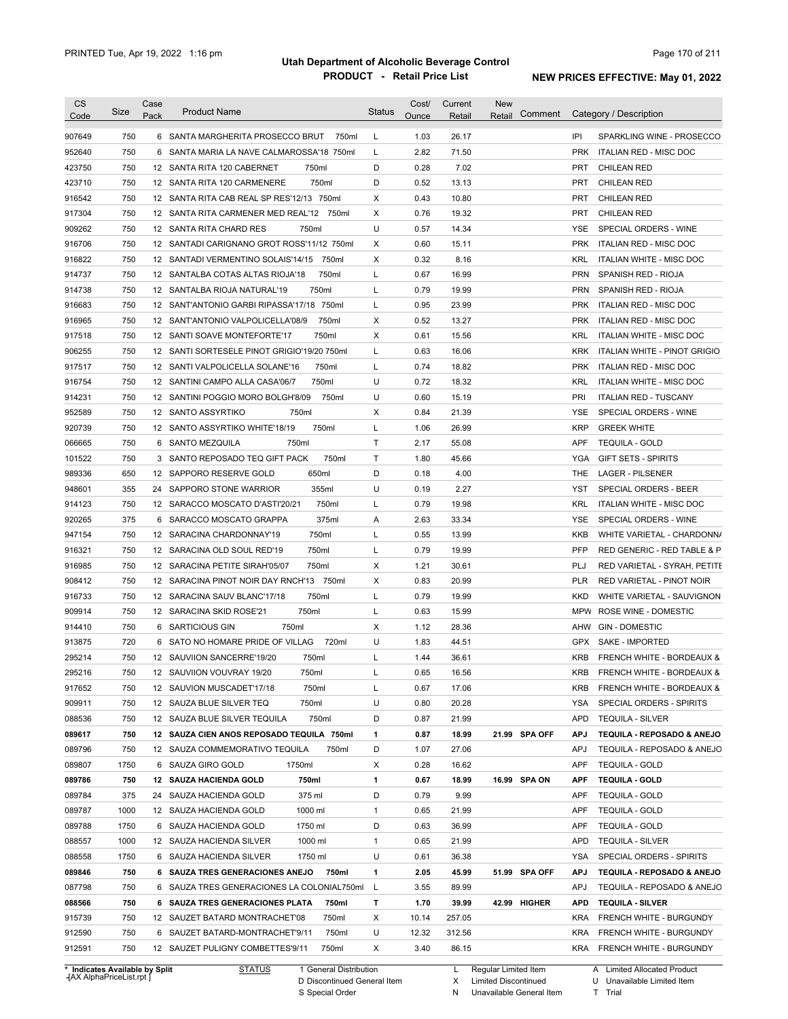| <b>CS</b><br>Code | Size                           | Case<br>Pack | <b>Product Name</b>                         |                        | <b>Status</b> | Cost/<br>Ounce | Current<br>Retail | <b>New</b><br>Retail | Comment | Category / Description                             |
|-------------------|--------------------------------|--------------|---------------------------------------------|------------------------|---------------|----------------|-------------------|----------------------|---------|----------------------------------------------------|
| 907649            | 750                            |              | 6 SANTA MARGHERITA PROSECCO BRUT            | 750ml                  | L             | 1.03           | 26.17             |                      | IPI     | SPARKLING WINE - PROSECCO                          |
| 952640            | 750                            |              | 6 SANTA MARIA LA NAVE CALMAROSSA'18 750ml   |                        | L             | 2.82           | 71.50             |                      |         | <b>PRK</b><br>ITALIAN RED - MISC DOC               |
| 423750            | 750                            |              | 12 SANTA RITA 120 CABERNET<br>750ml         |                        | D             | 0.28           | 7.02              |                      |         | <b>CHILEAN RED</b><br>PRT                          |
| 423710            | 750                            |              | 750ml<br>12 SANTA RITA 120 CARMENERE        |                        | D             | 0.52           | 13.13             |                      |         | <b>PRT</b><br><b>CHILEAN RED</b>                   |
| 916542            | 750                            |              | 12 SANTA RITA CAB REAL SP RES'12/13 750ml   |                        | х             | 0.43           | 10.80             |                      |         | <b>PRT</b><br><b>CHILEAN RED</b>                   |
| 917304            | 750                            |              | 12 SANTA RITA CARMENER MED REAL'12 750ml    |                        | Х             | 0.76           | 19.32             |                      |         | <b>PRT</b><br><b>CHILEAN RED</b>                   |
| 909262            | 750                            |              | 12 SANTA RITA CHARD RES<br>750ml            |                        | U             | 0.57           | 14.34             |                      |         | <b>YSE</b><br>SPECIAL ORDERS - WINE                |
| 916706            | 750                            |              | 12 SANTADI CARIGNANO GROT ROSS'11/12 750ml  |                        | Х             | 0.60           | 15.11             |                      |         | <b>PRK</b><br>ITALIAN RED - MISC DOC               |
| 916822            | 750                            |              | 12 SANTADI VERMENTINO SOLAIS'14/15          | 750ml                  | х             | 0.32           | 8.16              |                      |         | KRL<br><b>ITALIAN WHITE - MISC DOC</b>             |
| 914737            | 750                            |              | 12 SANTALBA COTAS ALTAS RIOJA'18            | 750ml                  | L             | 0.67           | 16.99             |                      |         | <b>PRN</b><br>SPANISH RED - RIOJA                  |
| 914738            | 750                            |              | 750ml<br>12 SANTALBA RIOJA NATURAL'19       |                        | L             | 0.79           | 19.99             |                      |         | <b>PRN</b><br>SPANISH RED - RIOJA                  |
| 916683            | 750                            |              | 12 SANT'ANTONIO GARBI RIPASSA'17/18         | 750ml                  | L             | 0.95           | 23.99             |                      |         | <b>PRK</b><br>ITALIAN RED - MISC DOC               |
| 916965            | 750                            |              | 12 SANT'ANTONIO VALPOLICELLA'08/9           | 750ml                  | Х             | 0.52           | 13.27             |                      |         | <b>PRK</b><br>ITALIAN RED - MISC DOC               |
| 917518            | 750                            |              | 12 SANTI SOAVE MONTEFORTE'17                | 750ml                  | Х             | 0.61           | 15.56             |                      |         | <b>KRL</b><br>ITALIAN WHITE - MISC DOC             |
| 906255            | 750                            |              | 12 SANTI SORTESELE PINOT GRIGIO'19/20 750ml |                        | L             | 0.63           | 16.06             |                      |         | <b>KRK</b><br>ITALIAN WHITE - PINOT GRIGIO         |
| 917517            | 750                            |              | 12 SANTI VALPOLICELLA SOLANE'16             | 750ml                  | L             | 0.74           | 18.82             |                      |         | <b>PRK</b><br>ITALIAN RED - MISC DOC               |
| 916754            | 750                            |              | 750ml<br>12 SANTINI CAMPO ALLA CASA'06/7    |                        | U             | 0.72           | 18.32             |                      |         | ITALIAN WHITE - MISC DOC<br>KRL                    |
| 914231            | 750                            |              | 12 SANTINI POGGIO MORO BOLGH'8/09           | 750ml                  | U             | 0.60           | 15.19             |                      |         | PRI<br><b>ITALIAN RED - TUSCANY</b>                |
| 952589            | 750                            |              | 750ml<br>12 SANTO ASSYRTIKO                 |                        | Х             | 0.84           | 21.39             |                      |         | YSE<br>SPECIAL ORDERS - WINE                       |
| 920739            | 750                            |              | 12 SANTO ASSYRTIKO WHITE'18/19              | 750ml                  | L             | 1.06           | 26.99             |                      |         | <b>GREEK WHITE</b><br><b>KRP</b>                   |
| 066665            | 750                            | 6            | <b>SANTO MEZQUILA</b><br>750ml              |                        | Т             | 2.17           | 55.08             |                      |         | APF<br><b>TEQUILA - GOLD</b>                       |
| 101522            | 750                            |              | 3 SANTO REPOSADO TEQ GIFT PACK              | 750ml                  | Т             | 1.80           | 45.66             |                      |         | YGA<br><b>GIFT SETS - SPIRITS</b>                  |
| 989336            | 650                            |              | 650ml<br>12 SAPPORO RESERVE GOLD            |                        | D             | 0.18           | 4.00              |                      |         | THE<br>LAGER - PILSENER                            |
| 948601            | 355                            | 24           | 355ml<br>SAPPORO STONE WARRIOR              |                        | U             | 0.19           | 2.27              |                      |         | YST<br>SPECIAL ORDERS - BEER                       |
| 914123            | 750                            |              | 12 SARACCO MOSCATO D'ASTI'20/21             | 750ml                  | L             | 0.79           | 19.98             |                      |         | KRL<br>ITALIAN WHITE - MISC DOC                    |
| 920265            | 375                            |              | 6 SARACCO MOSCATO GRAPPA                    | 375ml                  | Α             | 2.63           | 33.34             |                      |         | YSE<br>SPECIAL ORDERS - WINE                       |
| 947154            | 750                            |              | 750ml<br>12 SARACINA CHARDONNAY'19          |                        | L             | 0.55           | 13.99             |                      |         | KKB<br>WHITE VARIETAL - CHARDONN/                  |
| 916321            | 750                            |              | 750ml<br>12 SARACINA OLD SOUL RED'19        |                        | L             | 0.79           | 19.99             |                      |         | PFP<br>RED GENERIC - RED TABLE & P                 |
| 916985            | 750                            |              | 12 SARACINA PETITE SIRAH'05/07<br>750ml     |                        | Χ             | 1.21           | 30.61             |                      |         | PLJ<br>RED VARIETAL - SYRAH, PETITE                |
| 908412            | 750                            |              | 12 SARACINA PINOT NOIR DAY RNCH'13 750ml    |                        | Х             | 0.83           | 20.99             |                      |         | <b>PLR</b><br>RED VARIETAL - PINOT NOIR            |
| 916733            | 750                            |              | 12 SARACINA SAUV BLANC'17/18<br>750ml       |                        | L             | 0.79           | 19.99             |                      |         | WHITE VARIETAL - SAUVIGNON<br><b>KKD</b>           |
| 909914            | 750                            |              | 12 SARACINA SKID ROSE'21<br>750ml           |                        | L             | 0.63           | 15.99             |                      |         | <b>MPW</b><br><b>ROSE WINE - DOMESTIC</b>          |
| 914410            | 750                            |              | 6 SARTICIOUS GIN<br>750ml                   |                        | Х             | 1.12           | 28.36             |                      |         | <b>GIN - DOMESTIC</b><br>AHW                       |
| 913875            | 720                            |              | 6 SATO NO HOMARE PRIDE OF VILLAG            | 720ml                  | U             | 1.83           | 44.51             |                      |         | <b>SAKE - IMPORTED</b><br>GPX                      |
|                   | 750                            |              | 12 SAUVIION SANCERRE'19/20<br>750ml         |                        |               | 1.44           | 36.61             |                      |         | <b>KRB</b><br><b>FRENCH WHITE - BORDEAUX &amp;</b> |
| 295214            |                                |              |                                             |                        | L             |                |                   |                      |         |                                                    |
| 295216            | 750                            |              | 12 SAUVIION VOUVRAY 19/20<br>750ml          |                        |               | 0.65           | 16.56             |                      |         | KRB<br><b>FRENCH WHITE - BORDEAUX &amp;</b>        |
| 917652            | 750                            |              | 12 SAUVION MUSCADET'17/18<br>750ml          |                        | L             | 0.67           | 17.06             |                      |         | <b>KRB</b><br>FRENCH WHITE - BORDEAUX &            |
| 909911            | 750                            |              | 750ml<br>12 SAUZA BLUE SILVER TEQ           |                        | U             | 0.80           | 20.28             |                      |         | YSA<br>SPECIAL ORDERS - SPIRITS                    |
| 088536            | 750                            |              | 750ml<br>12 SAUZA BLUE SILVER TEQUILA       |                        | D             | 0.87           | 21.99             |                      |         | <b>APD</b><br><b>TEQUILA - SILVER</b>              |
| 089617            | 750                            |              | 12 SAUZA CIEN ANOS REPOSADO TEQUILA 750ml   |                        | 1             | 0.87           | 18.99             | 21.99 SPA OFF        |         | <b>APJ</b><br>TEQUILA - REPOSADO & ANEJO           |
| 089796            | 750                            |              | 12 SAUZA COMMEMORATIVO TEQUILA              | 750ml                  | D             | 1.07           | 27.06             |                      |         | APJ<br>TEQUILA - REPOSADO & ANEJO                  |
| 089807            | 1750                           |              | 6 SAUZA GIRO GOLD<br>1750ml                 |                        | Х             | 0.28           | 16.62             |                      |         | APF<br><b>TEQUILA - GOLD</b>                       |
| 089786            | 750                            |              | 12 SAUZA HACIENDA GOLD<br>750ml             |                        | 1             | 0.67           | 18.99             | 16.99 SPA ON         |         | <b>APF</b><br><b>TEQUILA - GOLD</b>                |
| 089784            | 375                            |              | 375 ml<br>24 SAUZA HACIENDA GOLD            |                        | D             | 0.79           | 9.99              |                      |         | APF<br><b>TEQUILA - GOLD</b>                       |
| 089787            | 1000                           |              | 1000 ml<br>12 SAUZA HACIENDA GOLD           |                        | $\mathbf{1}$  | 0.65           | 21.99             |                      |         | <b>TEQUILA - GOLD</b><br>APF                       |
| 089788            | 1750                           |              | 1750 ml<br>6 SAUZA HACIENDA GOLD            |                        | D             | 0.63           | 36.99             |                      |         | APF<br><b>TEQUILA - GOLD</b>                       |
| 088557            | 1000                           |              | 1000 ml<br>12 SAUZA HACIENDA SILVER         |                        | $\mathbf{1}$  | 0.65           | 21.99             |                      |         | <b>APD</b><br><b>TEQUILA - SILVER</b>              |
| 088558            | 1750                           |              | 6 SAUZA HACIENDA SILVER<br>1750 ml          |                        | U             | 0.61           | 36.38             |                      |         | YSA<br>SPECIAL ORDERS - SPIRITS                    |
| 089846            | 750                            |              | 6 SAUZA TRES GENERACIONES ANEJO             | 750ml                  | 1             | 2.05           | 45.99             | 51.99 SPA OFF        |         | <b>APJ</b><br>TEQUILA - REPOSADO & ANEJO           |
| 087798            | 750                            |              | 6 SAUZA TRES GENERACIONES LA COLONIAL750ml  |                        | L             | 3.55           | 89.99             |                      |         | <b>APJ</b><br>TEQUILA - REPOSADO & ANEJO           |
| 088566            | 750                            |              | 6 SAUZA TRES GENERACIONES PLATA             | 750ml                  | т             | 1.70           | 39.99             | 42.99 HIGHER         |         | <b>APD</b><br><b>TEQUILA - SILVER</b>              |
| 915739            | 750                            |              | 12 SAUZET BATARD MONTRACHET'08              | 750ml                  | х             | 10.14          | 257.05            |                      |         | <b>KRA</b><br>FRENCH WHITE - BURGUNDY              |
| 912590            | 750                            |              | 6 SAUZET BATARD-MONTRACHET'9/11             | 750ml                  | U             | 12.32          | 312.56            |                      |         | <b>KRA</b><br>FRENCH WHITE - BURGUNDY              |
| 912591            | 750                            |              | 12 SAUZET PULIGNY COMBETTES'9/11            | 750ml                  | Х             | 3.40           | 86.15             |                      |         | KRA FRENCH WHITE - BURGUNDY                        |
|                   | * Indicates Available by Split |              | <b>STATUS</b>                               | 1 General Distribution |               |                | L                 | Regular Limited Item |         | A Limited Allocated Product                        |

**Case** [AX AlphaPriceList.rpt ]

D Discontinued General Item S Special Order

X

Limited Discontinued

N Unavailable General Item

U Unavailable Limited Item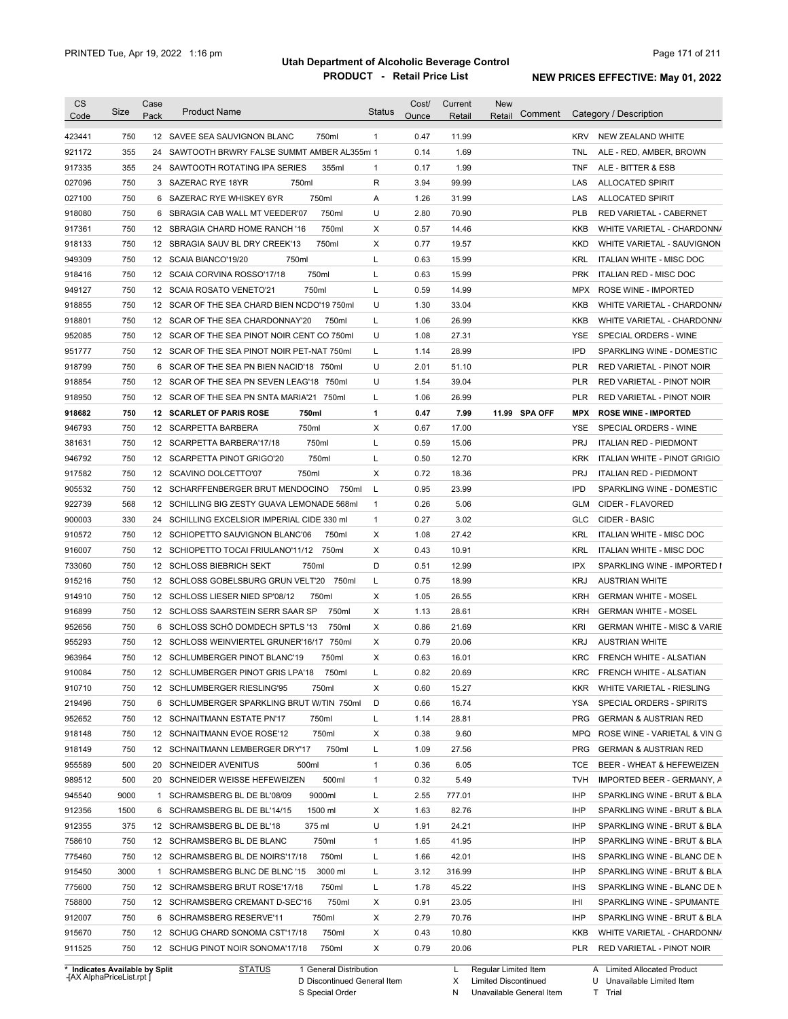| <b>CS</b><br>Code | Size | Case<br>Pack | <b>Product Name</b>                          | <b>Status</b> | Cost/<br>Ounce | Current<br>Retail | <b>New</b><br>Comment<br>Retail | Category / Description                            |
|-------------------|------|--------------|----------------------------------------------|---------------|----------------|-------------------|---------------------------------|---------------------------------------------------|
| 423441            | 750  |              | 12 SAVEE SEA SAUVIGNON BLANC<br>750ml        | $\mathbf{1}$  | 0.47           | 11.99             |                                 | <b>KRV</b><br>NEW ZEALAND WHITE                   |
| 921172            | 355  |              | 24 SAWTOOTH BRWRY FALSE SUMMT AMBER AL355m 1 |               | 0.14           | 1.69              |                                 | <b>TNL</b><br>ALE - RED, AMBER, BROWN             |
| 917335            | 355  |              | 24 SAWTOOTH ROTATING IPA SERIES<br>355ml     | $\mathbf{1}$  | 0.17           | 1.99              |                                 | <b>TNF</b><br>ALE - BITTER & ESB                  |
| 027096            | 750  |              | 750ml<br>3 SAZERAC RYE 18YR                  | R             | 3.94           | 99.99             |                                 | LAS<br>ALLOCATED SPIRIT                           |
| 027100            | 750  |              | 750ml<br>6 SAZERAC RYE WHISKEY 6YR           | Α             | 1.26           | 31.99             |                                 | LAS<br><b>ALLOCATED SPIRIT</b>                    |
| 918080            | 750  |              | 750ml<br>6 SBRAGIA CAB WALL MT VEEDER'07     | U             | 2.80           | 70.90             |                                 | <b>PLB</b><br>RED VARIETAL - CABERNET             |
| 917361            | 750  |              | 750ml<br>12 SBRAGIA CHARD HOME RANCH '16     | X             | 0.57           | 14.46             |                                 | <b>KKB</b><br>WHITE VARIETAL - CHARDONN/          |
| 918133            | 750  |              | 750ml<br>12 SBRAGIA SAUV BL DRY CREEK'13     | X             | 0.77           | 19.57             |                                 | <b>KKD</b><br>WHITE VARIETAL - SAUVIGNON          |
| 949309            | 750  |              | 12 SCAIA BIANCO'19/20<br>750ml               | Г             | 0.63           | 15.99             |                                 | <b>KRL</b><br>ITALIAN WHITE - MISC DOC            |
| 918416            | 750  |              | 750ml<br>12 SCAIA CORVINA ROSSO'17/18        | L             | 0.63           | 15.99             |                                 | <b>PRK</b><br><b>ITALIAN RED - MISC DOC</b>       |
| 949127            | 750  |              | 750ml<br>12 SCAIA ROSATO VENETO'21           | Г             | 0.59           | 14.99             |                                 | <b>MPX</b><br>ROSE WINE - IMPORTED                |
| 918855            | 750  |              | 12 SCAR OF THE SEA CHARD BIEN NCDO'19 750ml  | U             | 1.30           | 33.04             |                                 | <b>KKB</b><br>WHITE VARIETAL - CHARDONN/          |
| 918801            | 750  |              | 12 SCAR OF THE SEA CHARDONNAY'20<br>750ml    | Г             | 1.06           | 26.99             |                                 | <b>KKB</b><br>WHITE VARIETAL - CHARDONN/          |
| 952085            | 750  |              | 12 SCAR OF THE SEA PINOT NOIR CENT CO 750ml  | U             | 1.08           | 27.31             |                                 | <b>YSE</b><br>SPECIAL ORDERS - WINE               |
| 951777            | 750  |              | 12 SCAR OF THE SEA PINOT NOIR PET-NAT 750ml  | L             | 1.14           | 28.99             |                                 | <b>IPD</b><br>SPARKLING WINE - DOMESTIC           |
| 918799            | 750  | 6            | SCAR OF THE SEA PN BIEN NACID'18 750ml       | U             | 2.01           | 51.10             |                                 | <b>PLR</b><br>RED VARIETAL - PINOT NOIR           |
| 918854            | 750  |              | 12 SCAR OF THE SEA PN SEVEN LEAG'18 750ml    | U             | 1.54           | 39.04             |                                 | <b>PLR</b><br>RED VARIETAL - PINOT NOIR           |
| 918950            | 750  |              | 12 SCAR OF THE SEA PN SNTA MARIA'21 750ml    | L             | 1.06           | 26.99             |                                 | <b>PLR</b><br>RED VARIETAL - PINOT NOIR           |
| 918682            | 750  |              | 750ml<br>12 SCARLET OF PARIS ROSE            | 1             | 0.47           | 7.99              | 11.99 SPA OFF                   | <b>MPX</b><br><b>ROSE WINE - IMPORTED</b>         |
| 946793            | 750  |              | 750ml<br>12 SCARPETTA BARBERA                | Х             | 0.67           | 17.00             |                                 | YSE<br>SPECIAL ORDERS - WINE                      |
| 381631            | 750  |              | 750ml<br>12 SCARPETTA BARBERA'17/18          | L             | 0.59           | 15.06             |                                 | <b>PRJ</b><br><b>ITALIAN RED - PIEDMONT</b>       |
| 946792            | 750  |              | 750ml<br>12 SCARPETTA PINOT GRIGO'20         | L             | 0.50           | 12.70             |                                 | <b>KRK</b><br><b>ITALIAN WHITE - PINOT GRIGIO</b> |
| 917582            | 750  |              | 12 SCAVINO DOLCETTO'07<br>750ml              | X             | 0.72           | 18.36             |                                 | <b>PRJ</b><br><b>ITALIAN RED - PIEDMONT</b>       |
| 905532            | 750  |              | 12 SCHARFFENBERGER BRUT MENDOCINO<br>750ml   | L             | 0.95           | 23.99             |                                 | <b>IPD</b><br>SPARKLING WINE - DOMESTIC           |
| 922739            | 568  |              | 12 SCHILLING BIG ZESTY GUAVA LEMONADE 568ml  | $\mathbf{1}$  | 0.26           | 5.06              |                                 | <b>GLM</b><br>CIDER - FLAVORED                    |
| 900003            | 330  | 24           | SCHILLING EXCELSIOR IMPERIAL CIDE 330 ml     | $\mathbf{1}$  | 0.27           | 3.02              |                                 | <b>GLC</b><br>CIDER - BASIC                       |
| 910572            | 750  |              | 12 SCHIOPETTO SAUVIGNON BLANC'06<br>750ml    | X             | 1.08           | 27.42             |                                 | <b>KRL</b><br><b>ITALIAN WHITE - MISC DOC</b>     |
| 916007            | 750  |              | 12 SCHIOPETTO TOCAI FRIULANO'11/12<br>750ml  | X             | 0.43           | 10.91             |                                 | <b>KRL</b><br>ITALIAN WHITE - MISC DOC            |
| 733060            | 750  |              | 750ml<br>12 SCHLOSS BIEBRICH SEKT            | D             | 0.51           | 12.99             |                                 | <b>IPX</b><br>SPARKLING WINE - IMPORTED I         |
| 915216            | 750  |              | 12 SCHLOSS GOBELSBURG GRUN VELT'20<br>750ml  | Г             | 0.75           | 18.99             |                                 | <b>KRJ</b><br><b>AUSTRIAN WHITE</b>               |
| 914910            | 750  |              | 750ml<br>12 SCHLOSS LIESER NIED SP'08/12     | Х             | 1.05           | 26.55             |                                 | <b>KRH</b><br><b>GERMAN WHITE - MOSEL</b>         |
| 916899            | 750  |              | 12 SCHLOSS SAARSTEIN SERR SAAR SP<br>750ml   | Х             | 1.13           | 28.61             |                                 | <b>KRH</b><br><b>GERMAN WHITE - MOSEL</b>         |
| 952656            | 750  |              | 6 SCHLOSS SCHÖ DOMDECH SPTLS '13<br>750ml    | Х             | 0.86           | 21.69             |                                 | KRI<br><b>GERMAN WHITE - MISC &amp; VARIE</b>     |
| 955293            | 750  |              | 12 SCHLOSS WEINVIERTEL GRUNER'16/17 750ml    | Х             | 0.79           | 20.06             |                                 | <b>KRJ</b><br><b>AUSTRIAN WHITE</b>               |
| 963964            | 750  |              | 12 SCHLUMBERGER PINOT BLANC'19<br>750ml      | X             | 0.63           | 16.01             |                                 | <b>KRC</b><br>FRENCH WHITE - ALSATIAN             |
|                   |      |              |                                              |               |                |                   |                                 |                                                   |
| 910084            | 750  |              | 12 SCHLUMBERGER PINOT GRIS LPA'18<br>750ml   | L             | 0.82           | 20.69             |                                 | KRC<br>FRENCH WHITE - ALSATIAN                    |
| 910710            | 750  |              | 12 SCHLUMBERGER RIESLING'95<br>750ml         | X             | 0.60           | 15.27             |                                 | <b>KKR</b><br>WHITE VARIETAL - RIESLING           |
| 219496            | 750  |              | 6 SCHLUMBERGER SPARKLING BRUT W/TIN 750ml    | D             | 0.66           | 16.74             |                                 | YSA<br>SPECIAL ORDERS - SPIRITS                   |
| 952652            | 750  |              | 12 SCHNAITMANN ESTATE PN'17<br>750ml         | L             | 1.14           | 28.81             |                                 | <b>PRG</b><br><b>GERMAN &amp; AUSTRIAN RED</b>    |
| 918148            | 750  |              | 750ml<br>12 SCHNAITMANN EVOE ROSE'12         | Х             | 0.38           | 9.60              |                                 | <b>MPQ</b><br>ROSE WINE - VARIETAL & VIN G        |
| 918149            | 750  |              | 750ml<br>12 SCHNAITMANN LEMBERGER DRY'17     | L             | 1.09           | 27.56             |                                 | <b>PRG</b><br><b>GERMAN &amp; AUSTRIAN RED</b>    |
| 955589            | 500  |              | 20 SCHNEIDER AVENITUS<br>500ml               | $\mathbf{1}$  | 0.36           | 6.05              |                                 | TCE<br>BEER - WHEAT & HEFEWEIZEN                  |
| 989512            | 500  |              | 500ml<br>20 SCHNEIDER WEISSE HEFEWEIZEN      | $\mathbf{1}$  | 0.32           | 5.49              |                                 | <b>TVH</b><br>IMPORTED BEER - GERMANY, A          |
| 945540            | 9000 |              | 9000ml<br>1 SCHRAMSBERG BL DE BL'08/09       | L             | 2.55           | 777.01            |                                 | IHP<br>SPARKLING WINE - BRUT & BLA                |
| 912356            | 1500 |              | 1500 ml<br>6 SCHRAMSBERG BL DE BL'14/15      | Х             | 1.63           | 82.76             |                                 | IHP<br>SPARKLING WINE - BRUT & BLA                |
| 912355            | 375  |              | 375 ml<br>12 SCHRAMSBERG BL DE BL'18         | U             | 1.91           | 24.21             |                                 | IHP<br>SPARKLING WINE - BRUT & BLA                |
| 758610            | 750  |              | 750ml<br>12 SCHRAMSBERG BL DE BLANC          | $\mathbf{1}$  | 1.65           | 41.95             |                                 | IHP<br>SPARKLING WINE - BRUT & BLA                |
| 775460            | 750  |              | 750ml<br>12 SCHRAMSBERG BL DE NOIRS'17/18    | L             | 1.66           | 42.01             |                                 | <b>IHS</b><br>SPARKLING WINE - BLANC DE N         |
| 915450            | 3000 |              | 1 SCHRAMSBERG BLNC DE BLNC '15<br>3000 ml    | L             | 3.12           | 316.99            |                                 | IHP<br>SPARKLING WINE - BRUT & BLA                |
| 775600            | 750  |              | 12 SCHRAMSBERG BRUT ROSE'17/18<br>750ml      | L             | 1.78           | 45.22             |                                 | <b>IHS</b><br>SPARKLING WINE - BLANC DE N         |
| 758800            | 750  |              | 750ml<br>12 SCHRAMSBERG CREMANT D-SEC'16     | Х             | 0.91           | 23.05             |                                 | IHI<br>SPARKLING WINE - SPUMANTE                  |
| 912007            | 750  |              | 6 SCHRAMSBERG RESERVE'11<br>750ml            | Χ             | 2.79           | 70.76             |                                 | IHP<br>SPARKLING WINE - BRUT & BLA                |
|                   | 750  |              | 12 SCHUG CHARD SONOMA CST'17/18<br>750ml     | Χ             | 0.43           | 10.80             |                                 | KKB<br>WHITE VARIETAL - CHARDONN/                 |
| 915670            |      |              |                                              |               |                |                   |                                 |                                                   |

**Case** [AX AlphaPriceList.rpt ]

General Distribution

Discontinued General Item D

S Special Order

Regular Limited Item

X N Limited Discontinued

Unavailable General Item

- U Unavailable Limited Item
	- Trial

T

A Limited Allocated Product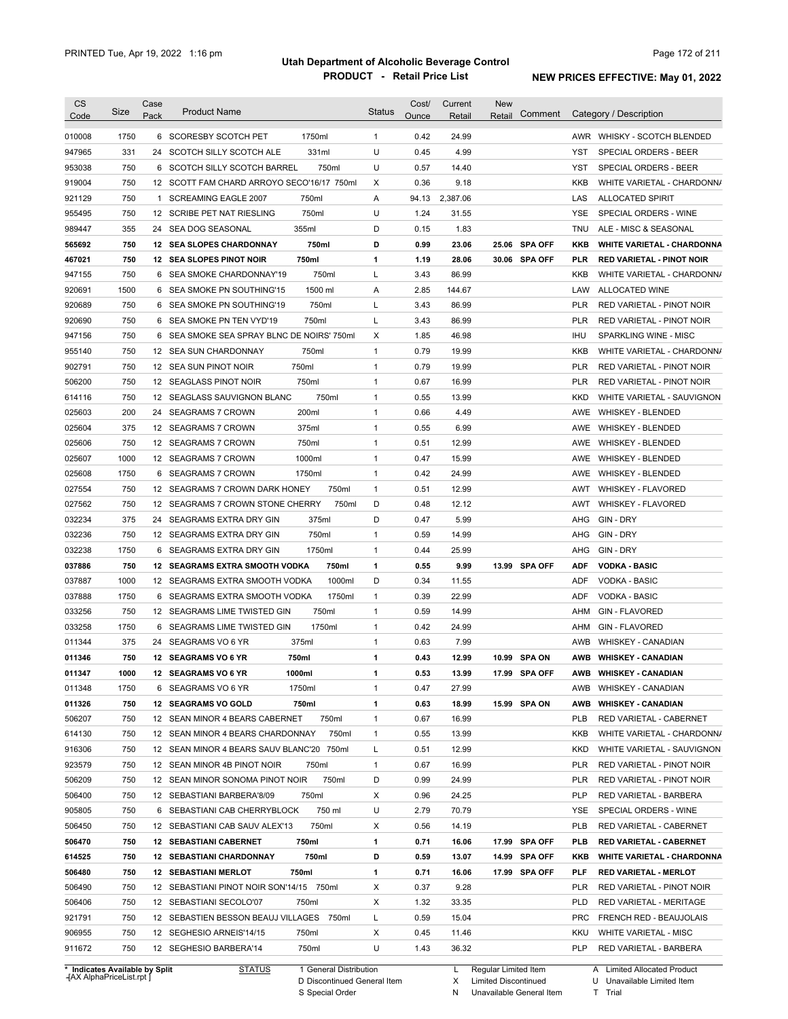| <b>CS</b> | Size                           | Case | <b>Product Name</b>                                              |                        | <b>Status</b> | Cost/        | Current  | <b>New</b>           |               |                   |                                              |
|-----------|--------------------------------|------|------------------------------------------------------------------|------------------------|---------------|--------------|----------|----------------------|---------------|-------------------|----------------------------------------------|
| Code      |                                | Pack |                                                                  |                        |               | Ounce        | Retail   | Retail               | Comment       |                   | Category / Description                       |
| 010008    | 1750                           |      | 6 SCORESBY SCOTCH PET                                            | 1750ml                 | 1             | 0.42         | 24.99    |                      |               |                   | AWR WHISKY - SCOTCH BLENDED                  |
| 947965    | 331                            | 24   | SCOTCH SILLY SCOTCH ALE                                          | 331ml                  | U             | 0.45         | 4.99     |                      |               | YST               | SPECIAL ORDERS - BEER                        |
| 953038    | 750                            |      | 6 SCOTCH SILLY SCOTCH BARREL                                     | 750ml                  | U             | 0.57         | 14.40    |                      |               | YST               | SPECIAL ORDERS - BEER                        |
| 919004    | 750                            |      | 12 SCOTT FAM CHARD ARROYO SECO'16/17 750ml                       |                        | X             | 0.36         | 9.18     |                      |               | KKB               | WHITE VARIETAL - CHARDONN/                   |
| 921129    | 750                            | 1    | SCREAMING EAGLE 2007                                             | 750ml                  | Α             | 94.13        | 2,387.06 |                      |               | LAS               | <b>ALLOCATED SPIRIT</b>                      |
| 955495    | 750                            |      | 12 SCRIBE PET NAT RIESLING                                       | 750ml                  | U             | 1.24         | 31.55    |                      |               | YSE               | SPECIAL ORDERS - WINE                        |
| 989447    | 355                            |      | 24 SEA DOG SEASONAL                                              | 355ml                  | D             | 0.15         | 1.83     |                      |               | TNU               | ALE - MISC & SEASONAL                        |
| 565692    | 750                            |      | <b>12 SEA SLOPES CHARDONNAY</b>                                  | 750ml                  | D             | 0.99         | 23.06    |                      | 25.06 SPA OFF | KKB               | <b>WHITE VARIETAL - CHARDONNA</b>            |
| 467021    | 750                            |      | 12 SEA SLOPES PINOT NOIR                                         | 750ml                  | 1             | 1.19         | 28.06    |                      | 30.06 SPA OFF | <b>PLR</b>        | <b>RED VARIETAL - PINOT NOIR</b>             |
| 947155    | 750                            |      | 6 SEA SMOKE CHARDONNAY'19                                        | 750ml                  | Г             | 3.43         | 86.99    |                      |               | KKB               | WHITE VARIETAL - CHARDONN/                   |
| 920691    | 1500                           | 6    | SEA SMOKE PN SOUTHING'15                                         | 1500 ml                | Α             | 2.85         | 144.67   |                      |               | LAW               | ALLOCATED WINE                               |
| 920689    | 750                            |      | 6 SEA SMOKE PN SOUTHING'19                                       | 750ml                  | L             | 3.43         | 86.99    |                      |               | <b>PLR</b>        | RED VARIETAL - PINOT NOIR                    |
| 920690    | 750                            | 6    | SEA SMOKE PN TEN VYD'19                                          | 750ml                  | Г             | 3.43         | 86.99    |                      |               | <b>PLR</b>        | RED VARIETAL - PINOT NOIR                    |
| 947156    | 750                            | 6    | SEA SMOKE SEA SPRAY BLNC DE NOIRS' 750ml                         |                        | X             | 1.85         | 46.98    |                      |               | IHU               | SPARKLING WINE - MISC                        |
| 955140    | 750                            |      | 12 SEA SUN CHARDONNAY                                            | 750ml                  | 1             | 0.79         | 19.99    |                      |               | KKB               | WHITE VARIETAL - CHARDONN/                   |
| 902791    | 750                            |      | 12 SEA SUN PINOT NOIR                                            | 750ml                  | 1             | 0.79         | 19.99    |                      |               | <b>PLR</b>        | RED VARIETAL - PINOT NOIR                    |
| 506200    | 750                            |      | 12 SEAGLASS PINOT NOIR                                           | 750ml                  | 1             | 0.67         | 16.99    |                      |               | <b>PLR</b>        | RED VARIETAL - PINOT NOIR                    |
| 614116    | 750                            | 12   | SEAGLASS SAUVIGNON BLANC                                         | 750ml                  | $\mathbf{1}$  | 0.55         | 13.99    |                      |               | <b>KKD</b>        | WHITE VARIETAL - SAUVIGNON                   |
| 025603    | 200                            | 24   | <b>SEAGRAMS 7 CROWN</b>                                          | 200ml                  | $\mathbf{1}$  | 0.66         | 4.49     |                      |               | AWE               | <b>WHISKEY - BLENDED</b>                     |
| 025604    | 375                            | 12   | <b>SEAGRAMS 7 CROWN</b>                                          | 375ml                  | 1             | 0.55         | 6.99     |                      |               | AWE               | <b>WHISKEY - BLENDED</b>                     |
| 025606    | 750                            | 12   | <b>SEAGRAMS 7 CROWN</b>                                          | 750ml                  | $\mathbf{1}$  | 0.51         | 12.99    |                      |               | AWE               | <b>WHISKEY - BLENDED</b>                     |
| 025607    | 1000                           |      | 12 SEAGRAMS 7 CROWN                                              | 1000ml                 | $\mathbf{1}$  | 0.47         | 15.99    |                      |               | AWE               | <b>WHISKEY - BLENDED</b>                     |
| 025608    | 1750                           | 6    | <b>SEAGRAMS 7 CROWN</b>                                          | 1750ml                 | $\mathbf{1}$  | 0.42         | 24.99    |                      |               | AWE               | <b>WHISKEY - BLENDED</b>                     |
| 027554    | 750                            |      | 12 SEAGRAMS 7 CROWN DARK HONEY                                   | 750ml                  | $\mathbf{1}$  | 0.51         | 12.99    |                      |               | AWT               | <b>WHISKEY - FLAVORED</b>                    |
| 027562    | 750                            |      | 12 SEAGRAMS 7 CROWN STONE CHERRY                                 | 750ml                  | D             | 0.48         | 12.12    |                      |               | AWT               | <b>WHISKEY - FLAVORED</b>                    |
| 032234    | 375                            | 24   | SEAGRAMS EXTRA DRY GIN                                           | 375ml                  | D             | 0.47         | 5.99     |                      |               | AHG               | GIN - DRY                                    |
| 032236    | 750                            |      | 12 SEAGRAMS EXTRA DRY GIN                                        | 750ml                  | $\mathbf{1}$  | 0.59         | 14.99    |                      |               | AHG               | GIN - DRY                                    |
| 032238    | 1750                           | 6    | SEAGRAMS EXTRA DRY GIN                                           | 1750ml                 | $\mathbf{1}$  | 0.44         | 25.99    |                      |               | AHG               | GIN - DRY                                    |
|           | 750                            |      |                                                                  |                        |               |              | 9.99     |                      |               |                   |                                              |
| 037886    | 1000                           |      | 12 SEAGRAMS EXTRA SMOOTH VODKA<br>12 SEAGRAMS EXTRA SMOOTH VODKA | 750ml<br>1000ml        | 1<br>D        | 0.55<br>0.34 |          |                      | 13.99 SPA OFF | <b>ADF</b><br>ADF | <b>VODKA - BASIC</b><br><b>VODKA - BASIC</b> |
| 037887    |                                |      |                                                                  |                        |               |              | 11.55    |                      |               |                   | <b>VODKA - BASIC</b>                         |
| 037888    | 1750                           | 6    | SEAGRAMS EXTRA SMOOTH VODKA                                      | 1750ml                 | $\mathbf{1}$  | 0.39         | 22.99    |                      |               | ADF               |                                              |
| 033256    | 750                            |      | 12 SEAGRAMS LIME TWISTED GIN                                     | 750ml                  | 1             | 0.59         | 14.99    |                      |               | AHM               | <b>GIN - FLAVORED</b>                        |
| 033258    | 1750                           | 6    | SEAGRAMS LIME TWISTED GIN                                        | 1750ml                 | $\mathbf{1}$  | 0.42         | 24.99    |                      |               | AHM               | <b>GIN - FLAVORED</b>                        |
| 011344    | 375                            |      | 24 SEAGRAMS VO 6 YR                                              | 375ml                  | $\mathbf{1}$  | 0.63         | 7.99     |                      |               | AWB               | WHISKEY - CANADIAN                           |
| 011346    | 750                            |      | 12 SEAGRAMS VO 6 YR                                              | 750ml                  | 1             | 0.43         | 12.99    |                      | 10.99 SPA ON  | AWB               | <b>WHISKEY - CANADIAN</b>                    |
| 011347    | 1000                           |      | 12 SEAGRAMS VO 6 YR                                              | 1000ml                 | 1             | 0.53         | 13.99    |                      | 17.99 SPA OFF |                   | AWB WHISKEY CANADIAN                         |
| 011348    | 1750                           |      | 6 SEAGRAMS VO 6 YR                                               | 1750ml                 | 1             | 0.47         | 27.99    |                      |               | AWB               | WHISKEY - CANADIAN                           |
| 011326    | 750                            |      | 12 SEAGRAMS VO GOLD                                              | 750ml                  | 1             | 0.63         | 18.99    |                      | 15.99 SPA ON  | AWB               | <b>WHISKEY - CANADIAN</b>                    |
| 506207    | 750                            |      | 12 SEAN MINOR 4 BEARS CABERNET                                   | 750ml                  | 1             | 0.67         | 16.99    |                      |               | <b>PLB</b>        | RED VARIETAL - CABERNET                      |
| 614130    | 750                            |      | 12 SEAN MINOR 4 BEARS CHARDONNAY                                 | 750ml                  | 1             | 0.55         | 13.99    |                      |               | KKB               | WHITE VARIETAL - CHARDONN/                   |
| 916306    | 750                            |      | 12 SEAN MINOR 4 BEARS SAUV BLANC'20 750ml                        |                        | L             | 0.51         | 12.99    |                      |               | KKD               | WHITE VARIETAL - SAUVIGNON                   |
| 923579    | 750                            |      | 12 SEAN MINOR 4B PINOT NOIR                                      | 750ml                  | 1             | 0.67         | 16.99    |                      |               | <b>PLR</b>        | RED VARIETAL - PINOT NOIR                    |
| 506209    | 750                            |      | 12 SEAN MINOR SONOMA PINOT NOIR                                  | 750ml                  | D             | 0.99         | 24.99    |                      |               | PLR               | RED VARIETAL - PINOT NOIR                    |
| 506400    | 750                            |      | 12 SEBASTIANI BARBERA'8/09                                       | 750ml                  | х             | 0.96         | 24.25    |                      |               | <b>PLP</b>        | RED VARIETAL - BARBERA                       |
| 905805    | 750                            |      | 6 SEBASTIANI CAB CHERRYBLOCK                                     | 750 ml                 | U             | 2.79         | 70.79    |                      |               | YSE               | SPECIAL ORDERS - WINE                        |
| 506450    | 750                            |      | 12 SEBASTIANI CAB SAUV ALEX'13                                   | 750ml                  | х             | 0.56         | 14.19    |                      |               | <b>PLB</b>        | RED VARIETAL - CABERNET                      |
| 506470    | 750                            |      | <b>12 SEBASTIANI CABERNET</b>                                    | 750ml                  | 1             | 0.71         | 16.06    |                      | 17.99 SPA OFF | <b>PLB</b>        | <b>RED VARIETAL - CABERNET</b>               |
| 614525    | 750                            |      | <b>12 SEBASTIANI CHARDONNAY</b>                                  | 750ml                  | D             | 0.59         | 13.07    |                      | 14.99 SPA OFF | KKB               | <b>WHITE VARIETAL - CHARDONNA</b>            |
| 506480    | 750                            |      | <b>12 SEBASTIANI MERLOT</b>                                      | 750ml                  | 1             | 0.71         | 16.06    |                      | 17.99 SPA OFF | PLF               | <b>RED VARIETAL - MERLOT</b>                 |
| 506490    | 750                            |      | 12 SEBASTIANI PINOT NOIR SON'14/15 750ml                         |                        | х             | 0.37         | 9.28     |                      |               | PLR               | RED VARIETAL - PINOT NOIR                    |
| 506406    | 750                            |      | 12 SEBASTIANI SECOLO'07                                          | 750ml                  | х             | 1.32         | 33.35    |                      |               | <b>PLD</b>        | RED VARIETAL - MERITAGE                      |
| 921791    | 750                            |      | 12 SEBASTIEN BESSON BEAUJ VILLAGES 750ml                         |                        | L             | 0.59         | 15.04    |                      |               | <b>PRC</b>        | <b>FRENCH RED - BEAUJOLAIS</b>               |
| 906955    | 750                            |      | 12 SEGHESIO ARNEIS'14/15                                         | 750ml                  | Х             | 0.45         | 11.46    |                      |               | KKU               | <b>WHITE VARIETAL - MISC</b>                 |
| 911672    | 750                            |      | 12 SEGHESIO BARBERA'14                                           | 750ml                  | U             | 1.43         | 36.32    |                      |               | PLP               | RED VARIETAL - BARBERA                       |
|           | * Indicates Available by Split |      | <b>STATUS</b>                                                    | 1 General Distribution |               |              | L.       | Regular Limited Item |               |                   | A Limited Allocated Product                  |
|           | IAY AlnhaDrical ist rnt        |      |                                                                  |                        |               |              |          |                      |               |                   |                                              |

**Case** [AX AlphaPriceList.rpt ]

D Discontinued General Item

S Special Order

X Limited Discontinued

N Unavailable General Item

U Unavailable Limited Item T Trial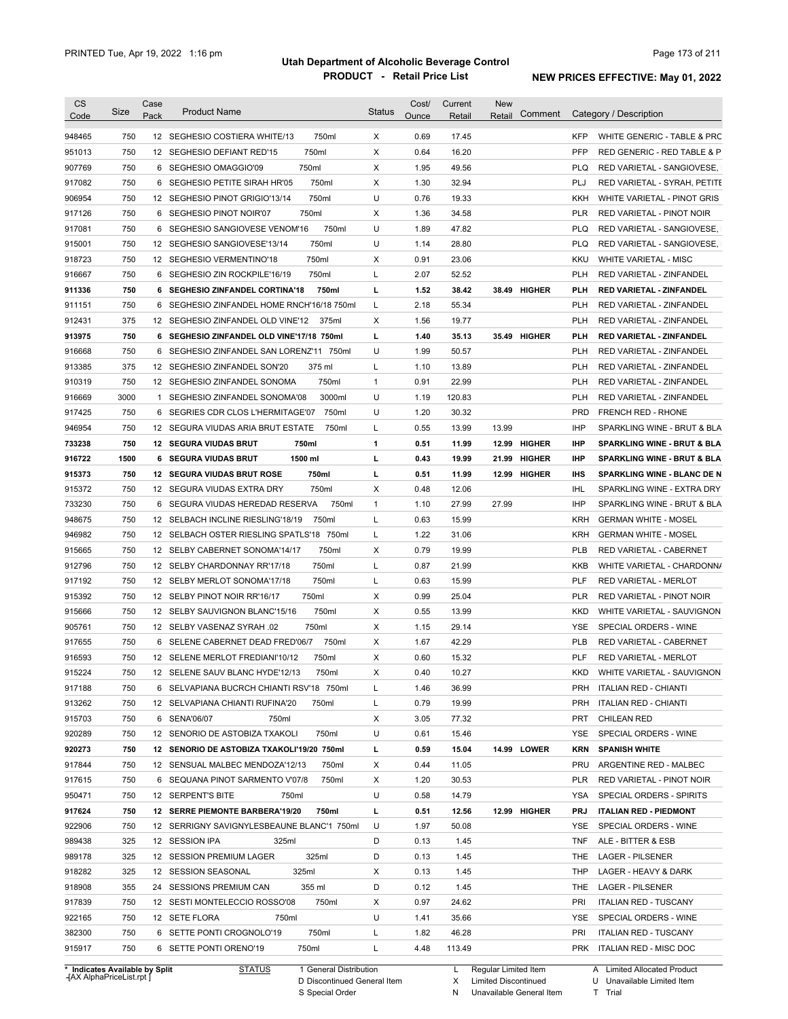| <b>CS</b><br>Code              | Size | Case<br>Pack | <b>Product Name</b>                                                   | <b>Status</b> | Cost/<br>Ounce | Current<br>Retail | New<br>Comment<br>Retail |            | Category / Description                                     |
|--------------------------------|------|--------------|-----------------------------------------------------------------------|---------------|----------------|-------------------|--------------------------|------------|------------------------------------------------------------|
| 948465                         | 750  |              | 750ml<br>12 SEGHESIO COSTIERA WHITE/13                                | Χ             | 0.69           | 17.45             |                          | <b>KFP</b> | WHITE GENERIC - TABLE & PRC                                |
| 951013                         | 750  |              | 750ml<br>12 SEGHESIO DEFIANT RED'15                                   | Х             | 0.64           | 16.20             |                          | <b>PFP</b> | RED GENERIC - RED TABLE & P                                |
| 907769                         | 750  |              | 750ml<br>6 SEGHESIO OMAGGIO'09                                        | Х             | 1.95           | 49.56             |                          | <b>PLQ</b> | RED VARIETAL - SANGIOVESE,                                 |
| 917082                         | 750  |              | 6 SEGHESIO PETITE SIRAH HR'05<br>750ml                                | Χ             | 1.30           | 32.94             |                          | PLJ        | RED VARIETAL - SYRAH, PETITE                               |
| 906954                         | 750  |              | 750ml<br>12 SEGHESIO PINOT GRIGIO'13/14                               | U             | 0.76           | 19.33             |                          | KKH        | WHITE VARIETAL - PINOT GRIS                                |
| 917126                         | 750  |              | 750ml<br>6 SEGHESIO PINOT NOIR'07                                     | Х             | 1.36           | 34.58             |                          | <b>PLR</b> | RED VARIETAL - PINOT NOIR                                  |
| 917081                         | 750  |              | 750ml<br>6 SEGHESIO SANGIOVESE VENOM'16                               | U             | 1.89           | 47.82             |                          | <b>PLQ</b> | RED VARIETAL - SANGIOVESE,                                 |
| 915001                         | 750  |              | 750ml<br>12 SEGHESIO SANGIOVESE'13/14                                 | U             | 1.14           | 28.80             |                          | <b>PLQ</b> | RED VARIETAL - SANGIOVESE,                                 |
| 918723                         | 750  |              | 750ml<br>12 SEGHESIO VERMENTINO'18                                    | Χ             | 0.91           | 23.06             |                          | KKU        | <b>WHITE VARIETAL - MISC</b>                               |
| 916667                         | 750  |              | 750ml<br>6 SEGHESIO ZIN ROCKPILE'16/19                                | Г             | 2.07           | 52.52             |                          | PLH        | RED VARIETAL - ZINFANDEL                                   |
| 911336                         | 750  |              | 6 SEGHESIO ZINFANDEL CORTINA'18<br>750ml                              | г             | 1.52           | 38.42             | 38.49 HIGHER             | PLH        | <b>RED VARIETAL - ZINFANDEL</b>                            |
| 911151                         | 750  |              | 6 SEGHESIO ZINFANDEL HOME RNCH'16/18 750ml                            | Г             | 2.18           | 55.34             |                          | PLH        | RED VARIETAL - ZINFANDEL                                   |
| 912431                         | 375  |              | 12 SEGHESIO ZINFANDEL OLD VINE'12<br>375ml                            | Χ             | 1.56           | 19.77             |                          | PLH        | RED VARIETAL - ZINFANDEL                                   |
| 913975                         | 750  |              | 6 SEGHESIO ZINFANDEL OLD VINE'17/18 750ml                             | L             | 1.40           | 35.13             | 35.49 HIGHER             | PLH        | <b>RED VARIETAL - ZINFANDEL</b>                            |
| 916668                         | 750  |              | 6 SEGHESIO ZINFANDEL SAN LORENZ'11 750ml                              | U             | 1.99           | 50.57             |                          | <b>PLH</b> | RED VARIETAL - ZINFANDEL                                   |
| 913385                         | 375  |              | 12 SEGHESIO ZINFANDEL SON'20<br>375 ml                                | Г             | 1.10           | 13.89             |                          | <b>PLH</b> | RED VARIETAL - ZINFANDEL                                   |
| 910319                         | 750  |              | 750ml<br>12 SEGHESIO ZINFANDEL SONOMA                                 | $\mathbf{1}$  | 0.91           | 22.99             |                          | <b>PLH</b> | <b>RED VARIETAL - ZINFANDEL</b>                            |
| 916669                         | 3000 |              | 1 SEGHESIO ZINFANDEL SONOMA'08<br>3000ml                              | U             | 1.19           | 120.83            |                          | <b>PLH</b> | RED VARIETAL - ZINFANDEL                                   |
| 917425                         | 750  |              | 750ml<br>6 SEGRIES CDR CLOS L'HERMITAGE'07                            | U             | 1.20           | 30.32             |                          | <b>PRD</b> | <b>FRENCH RED - RHONE</b>                                  |
| 946954                         | 750  |              | 12 SEGURA VIUDAS ARIA BRUT ESTATE<br>750ml                            | Г             | 0.55           | 13.99             | 13.99                    | <b>IHP</b> | SPARKLING WINE - BRUT & BLA                                |
| 733238                         | 750  |              | 750ml<br><b>12 SEGURA VIUDAS BRUT</b>                                 | 1             | 0.51           | 11.99             | 12.99 HIGHER             | <b>IHP</b> | <b>SPARKLING WINE - BRUT &amp; BLA</b>                     |
| 916722                         | 1500 |              | 1500 ml<br><b>6 SEGURA VIUDAS BRUT</b>                                | г             | 0.43           | 19.99             | 21.99 HIGHER             | <b>IHP</b> | <b>SPARKLING WINE - BRUT &amp; BLA</b>                     |
| 915373                         | 750  |              | 750ml<br>12 SEGURA VIUDAS BRUT ROSE                                   | г             | 0.51           | 11.99             | 12.99 HIGHER             | IHS        | SPARKLING WINE - BLANC DE N                                |
| 915372                         | 750  |              | 12 SEGURA VIUDAS EXTRA DRY<br>750ml                                   | Х             | 0.48           | 12.06             |                          | IHL        | SPARKLING WINE - EXTRA DRY                                 |
| 733230                         | 750  |              | 750ml<br>6 SEGURA VIUDAS HEREDAD RESERVA                              | 1             | 1.10           | 27.99             | 27.99                    | <b>IHP</b> | SPARKLING WINE - BRUT & BLA                                |
| 948675                         | 750  |              | 750ml<br>12 SELBACH INCLINE RIESLING'18/19                            | Г             | 0.63           | 15.99             |                          | <b>KRH</b> | <b>GERMAN WHITE - MOSEL</b>                                |
| 946982                         | 750  |              | 12 SELBACH OSTER RIESLING SPATLS'18 750ml                             | Г             | 1.22           | 31.06             |                          | <b>KRH</b> | <b>GERMAN WHITE - MOSEL</b>                                |
|                                | 750  |              | 750ml<br>12 SELBY CABERNET SONOMA'14/17                               | Х             | 0.79           | 19.99             |                          | <b>PLB</b> | RED VARIETAL - CABERNET                                    |
| 915665                         | 750  |              | 750ml                                                                 | Г             | 0.87           |                   |                          | <b>KKB</b> |                                                            |
| 912796                         | 750  |              | 12 SELBY CHARDONNAY RR'17/18<br>750ml<br>12 SELBY MERLOT SONOMA'17/18 | Г             | 0.63           | 21.99<br>15.99    |                          | PLF        | WHITE VARIETAL - CHARDONN/<br><b>RED VARIETAL - MERLOT</b> |
| 917192                         | 750  |              | 750ml                                                                 | Х             | 0.99           | 25.04             |                          | <b>PLR</b> |                                                            |
| 915392                         |      |              | 12 SELBY PINOT NOIR RR'16/17                                          |               |                |                   |                          |            | RED VARIETAL - PINOT NOIR                                  |
| 915666                         | 750  |              | 750ml<br>12 SELBY SAUVIGNON BLANC'15/16                               | Х             | 0.55           | 13.99             |                          | <b>KKD</b> | WHITE VARIETAL - SAUVIGNON                                 |
| 905761                         | 750  |              | 750ml<br>12 SELBY VASENAZ SYRAH .02                                   | Х             | 1.15           | 29.14             |                          | YSE        | SPECIAL ORDERS - WINE                                      |
| 917655                         | 750  |              | 750ml<br>6 SELENE CABERNET DEAD FRED'06/7                             | Х             | 1.67           | 42.29             |                          | <b>PLB</b> | RED VARIETAL - CABERNET                                    |
| 916593                         | 750  |              | 12 SELENE MERLOT FREDIANI'10/12<br>750ml                              | Х             | 0.60           | 15.32             |                          | <b>PLF</b> | RED VARIETAL - MERLOT                                      |
| 915224                         | 750  |              | 12 SELENE SAUV BLANC HYDE'12/13<br>750ml                              | х             | 0.40           | 10.27             |                          | KKD        | WHITE VARIETAL - SAUVIGNON                                 |
| 917188                         | 750  |              | 6 SELVAPIANA BUCRCH CHIANTI RSV'18 750ml                              | L             | 1.46           | 36.99             |                          |            | PRH ITALIAN RED - CHIANTI                                  |
| 913262                         | 750  |              | 12 SELVAPIANA CHIANTI RUFINA'20<br>750ml                              | L             | 0.79           | 19.99             |                          | PRH        | <b>ITALIAN RED - CHIANTI</b>                               |
| 915703                         | 750  |              | 6 SENA'06/07<br>750ml                                                 | Х             | 3.05           | 77.32             |                          | PRT        | <b>CHILEAN RED</b>                                         |
| 920289                         | 750  |              | 750ml<br>12 SENORIO DE ASTOBIZA TXAKOLI                               | U             | 0.61           | 15.46             |                          | YSE        | SPECIAL ORDERS - WINE                                      |
| 920273                         | 750  |              | 12 SENORIO DE ASTOBIZA TXAKOLI'19/20 750ml                            | L             | 0.59           | 15.04             | 14.99 LOWER              | KRN        | <b>SPANISH WHITE</b>                                       |
| 917844                         | 750  |              | 12 SENSUAL MALBEC MENDOZA'12/13<br>750ml                              | х             | 0.44           | 11.05             |                          | PRU        | ARGENTINE RED - MALBEC                                     |
| 917615                         | 750  |              | 6 SEQUANA PINOT SARMENTO V'07/8<br>750ml                              | х             | 1.20           | 30.53             |                          | PLR        | RED VARIETAL - PINOT NOIR                                  |
| 950471                         | 750  |              | 12 SERPENT'S BITE<br>750ml                                            | U             | 0.58           | 14.79             |                          | YSA        | SPECIAL ORDERS - SPIRITS                                   |
| 917624                         | 750  |              | 12 SERRE PIEMONTE BARBERA'19/20<br>750ml                              | г             | 0.51           | 12.56             | 12.99 HIGHER             | PRJ        | <b>ITALIAN RED - PIEDMONT</b>                              |
| 922906                         | 750  |              | 12 SERRIGNY SAVIGNYLESBEAUNE BLANC'1 750ml                            | U             | 1.97           | 50.08             |                          | YSE        | SPECIAL ORDERS - WINE                                      |
| 989438                         | 325  |              | 325ml<br>12 SESSION IPA                                               | D             | 0.13           | 1.45              |                          | TNF        | ALE - BITTER & ESB                                         |
| 989178                         | 325  |              | 12 SESSION PREMIUM LAGER<br>325ml                                     | D             | 0.13           | 1.45              |                          | THE        | <b>LAGER - PILSENER</b>                                    |
| 918282                         | 325  |              | 325ml<br>12 SESSION SEASONAL                                          | х             | 0.13           | 1.45              |                          | THP        | LAGER - HEAVY & DARK                                       |
| 918908                         | 355  |              | 24 SESSIONS PREMIUM CAN<br>355 ml                                     | D             | 0.12           | 1.45              |                          | THE        | <b>LAGER - PILSENER</b>                                    |
| 917839                         | 750  |              | 750ml<br>12 SESTI MONTELECCIO ROSSO'08                                | Х             | 0.97           | 24.62             |                          | <b>PRI</b> | <b>ITALIAN RED - TUSCANY</b>                               |
| 922165                         | 750  |              | 12 SETE FLORA<br>750ml                                                | U             | 1.41           | 35.66             |                          | YSE        | SPECIAL ORDERS - WINE                                      |
| 382300                         | 750  |              | 6 SETTE PONTI CROGNOLO'19<br>750ml                                    | Г             | 1.82           | 46.28             |                          | PRI        | <b>ITALIAN RED - TUSCANY</b>                               |
| 915917                         | 750  |              | 750ml<br>6 SETTE PONTI ORENO'19                                       | L             | 4.48           | 113.49            |                          |            | PRK ITALIAN RED - MISC DOC                                 |
| * Indicates Available by Split |      |              | <b>STATUS</b><br>1 General Distribution                               |               |                | L.                | Regular Limited Item     |            | A Limited Allocated Product                                |

**Case** [AX AlphaPriceList.rpt ]

D Discontinued General Item S Special Order

X Limited Discontinued

N Unavailable General Item

U Unavailable Limited Item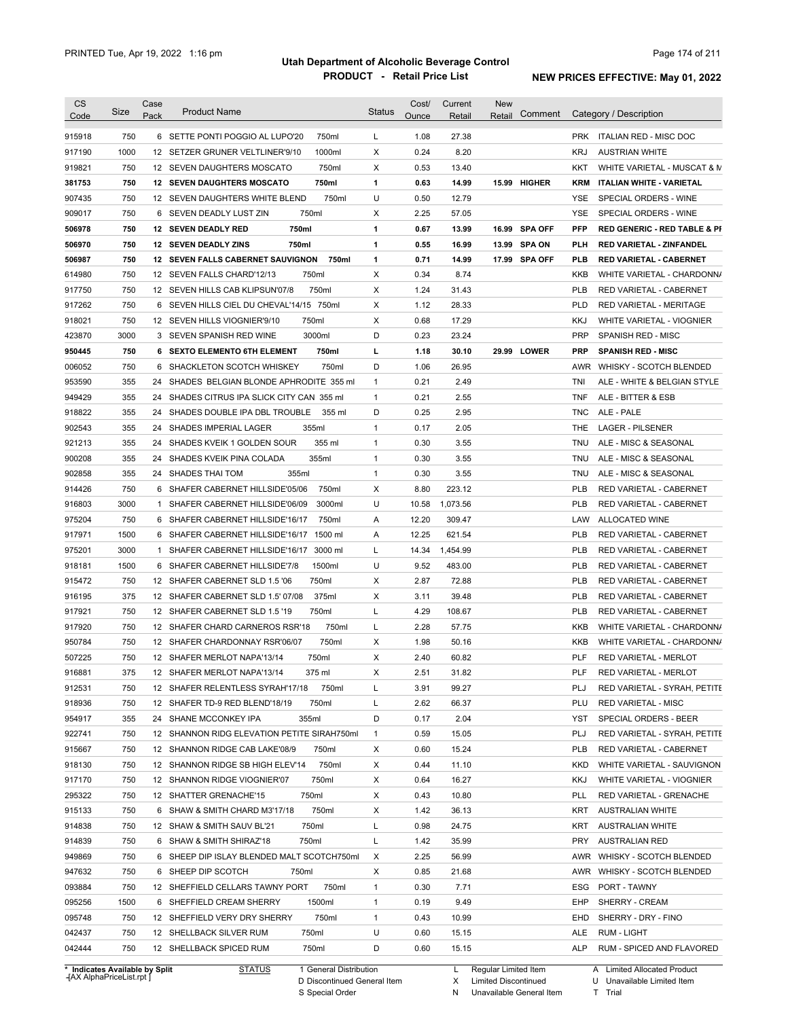| <b>CS</b><br>Code | <b>Size</b> | Case<br>Pack | <b>Product Name</b>                               | <b>Status</b> | Cost/<br>Ounce | Current<br>Retail  | <b>New</b><br>Retail | Comment    | Category / Description                  |
|-------------------|-------------|--------------|---------------------------------------------------|---------------|----------------|--------------------|----------------------|------------|-----------------------------------------|
|                   |             |              |                                                   |               |                |                    |                      |            |                                         |
| 915918            | 750         |              | 6 SETTE PONTI POGGIO AL LUPO'20<br>750ml          | L             | 1.08           | 27.38              |                      |            | PRK ITALIAN RED - MISC DOC              |
| 917190            | 1000        |              | 1000ml<br>12 SETZER GRUNER VELTLINER'9/10         | Χ             | 0.24           | 8.20               |                      | <b>KRJ</b> | <b>AUSTRIAN WHITE</b>                   |
| 919821            | 750         |              | 750ml<br>12 SEVEN DAUGHTERS MOSCATO               | Χ             | 0.53           | 13.40              |                      | KKT        | WHITE VARIETAL - MUSCAT & M             |
| 381753            | 750         |              | 750ml<br><b>12 SEVEN DAUGHTERS MOSCATO</b>        | $\mathbf{1}$  | 0.63           | 14.99              | 15.99 HIGHER         | KRM        | ITALIAN WHITE - VARIETAL                |
| 907435            | 750         |              | 750ml<br>12 SEVEN DAUGHTERS WHITE BLEND           | U             | 0.50           | 12.79              |                      | YSE        | SPECIAL ORDERS - WINE                   |
| 909017            | 750         |              | 750ml<br>6 SEVEN DEADLY LUST ZIN                  | Х             | 2.25           | 57.05              |                      | YSE        | SPECIAL ORDERS - WINE                   |
| 506978            | 750         |              | 750ml<br>12 SEVEN DEADLY RED                      | 1             | 0.67           | 13.99              | 16.99 SPA OFF        | <b>PFP</b> | <b>RED GENERIC - RED TABLE &amp; PI</b> |
| 506970            | 750         |              | 750ml<br><b>12 SEVEN DEADLY ZINS</b>              | 1             | 0.55           | 16.99              | 13.99 SPA ON         | PLH        | <b>RED VARIETAL - ZINFANDEL</b>         |
| 506987            | 750         |              | <b>12 SEVEN FALLS CABERNET SAUVIGNON</b><br>750ml | 1             | 0.71           | 14.99              | 17.99 SPA OFF        | <b>PLB</b> | <b>RED VARIETAL - CABERNET</b>          |
| 614980            | 750         |              | 12 SEVEN FALLS CHARD'12/13<br>750ml               | X             | 0.34           | 8.74               |                      | KKB        | WHITE VARIETAL - CHARDONN/              |
| 917750            | 750         |              | 750ml<br>12 SEVEN HILLS CAB KLIPSUN'07/8          | Χ             | 1.24           | 31.43              |                      | <b>PLB</b> | RED VARIETAL - CABERNET                 |
| 917262            | 750         |              | 6 SEVEN HILLS CIEL DU CHEVAL'14/15 750ml          | Χ             | 1.12           | 28.33              |                      | <b>PLD</b> | RED VARIETAL - MERITAGE                 |
| 918021            | 750         |              | 12 SEVEN HILLS VIOGNIER'9/10<br>750ml             | Χ             | 0.68           | 17.29              |                      | KKJ        | WHITE VARIETAL - VIOGNIER               |
| 423870            | 3000        |              | 3000ml<br>3 SEVEN SPANISH RED WINE                | D             | 0.23           | 23.24              |                      | <b>PRP</b> | SPANISH RED - MISC                      |
| 950445            | 750         |              | 6 SEXTO ELEMENTO 6TH ELEMENT<br>750ml             | L             | 1.18           | 30.10              | 29.99 LOWER          | <b>PRP</b> | <b>SPANISH RED - MISC</b>               |
| 006052            | 750         |              | 750ml<br>6 SHACKLETON SCOTCH WHISKEY              | D             | 1.06           | 26.95              |                      | AWR        | WHISKY - SCOTCH BLENDED                 |
| 953590            | 355         | 24           | SHADES BELGIAN BLONDE APHRODITE 355 ml            | $\mathbf{1}$  | 0.21           | 2.49               |                      | TNI        | ALE - WHITE & BELGIAN STYLE             |
| 949429            | 355         |              | 24 SHADES CITRUS IPA SLICK CITY CAN 355 ml        | $\mathbf{1}$  | 0.21           | 2.55               |                      | <b>TNF</b> | ALE - BITTER & ESB                      |
| 918822            | 355         |              | 24 SHADES DOUBLE IPA DBL TROUBLE<br>355 ml        | D             | 0.25           | 2.95               |                      | <b>TNC</b> | ALE - PALE                              |
| 902543            | 355         |              | 24 SHADES IMPERIAL LAGER<br>355ml                 | $\mathbf{1}$  | 0.17           | 2.05               |                      | THE        | <b>LAGER - PILSENER</b>                 |
| 921213            | 355         |              | 24 SHADES KVEIK 1 GOLDEN SOUR<br>355 ml           | $\mathbf{1}$  | 0.30           | 3.55               |                      | TNU        | ALE - MISC & SEASONAL                   |
| 900208            | 355         | 24           | 355ml<br>SHADES KVEIK PINA COLADA                 | 1             | 0.30           | 3.55               |                      | <b>TNU</b> | ALE - MISC & SEASONAL                   |
| 902858            | 355         |              | 24 SHADES THAI TOM<br>355ml                       | 1             | 0.30           | 3.55               |                      | <b>TNU</b> | ALE - MISC & SEASONAL                   |
| 914426            | 750         |              | 6 SHAFER CABERNET HILLSIDE'05/06<br>750ml         | X             | 8.80           | 223.12             |                      | <b>PLB</b> | RED VARIETAL - CABERNET                 |
| 916803            | 3000        |              | 1 SHAFER CABERNET HILLSIDE'06/09<br>3000ml        | U             | 10.58          |                    |                      | <b>PLB</b> | RED VARIETAL - CABERNET                 |
| 975204            | 750         |              | 6 SHAFER CABERNET HILLSIDE'16/17<br>750ml         | Α             | 12.20          | 1,073.56<br>309.47 |                      | LAW        | ALLOCATED WINE                          |
|                   |             |              |                                                   |               |                |                    |                      |            |                                         |
| 917971            | 1500        |              | 6 SHAFER CABERNET HILLSIDE'16/17<br>1500 ml       | Α             | 12.25          | 621.54             |                      | <b>PLB</b> | RED VARIETAL - CABERNET                 |
| 975201            | 3000        |              | 1 SHAFER CABERNET HILLSIDE'16/17<br>3000 ml       | Г             | 14.34          | 1,454.99           |                      | <b>PLB</b> | RED VARIETAL - CABERNET                 |
| 918181            | 1500        |              | 1500ml<br>6 SHAFER CABERNET HILLSIDE'7/8          | U             | 9.52           | 483.00             |                      | <b>PLB</b> | RED VARIETAL - CABERNET                 |
| 915472            | 750         |              | 750ml<br>12 SHAFER CABERNET SLD 1.5 '06           | Χ             | 2.87           | 72.88              |                      | <b>PLB</b> | RED VARIETAL - CABERNET                 |
| 916195            | 375         |              | 375ml<br>12 SHAFER CABERNET SLD 1.5' 07/08        | Χ             | 3.11           | 39.48              |                      | <b>PLB</b> | <b>RED VARIETAL - CABERNET</b>          |
| 917921            | 750         |              | 750ml<br>12 SHAFER CABERNET SLD 1.5 '19           | L             | 4.29           | 108.67             |                      | <b>PLB</b> | <b>RED VARIETAL - CABERNET</b>          |
| 917920            | 750         |              | 750ml<br>12 SHAFER CHARD CARNEROS RSR'18          | L             | 2.28           | 57.75              |                      | KKB        | WHITE VARIETAL - CHARDONN/              |
| 950784            | 750         |              | 750ml<br>12 SHAFER CHARDONNAY RSR'06/07           | Х             | 1.98           | 50.16              |                      | KKB        | WHITE VARIETAL - CHARDONN/              |
| 507225            | 750         |              | 12 SHAFER MERLOT NAPA'13/14<br>750ml              | Χ             | 2.40           | 60.82              |                      | <b>PLF</b> | RED VARIETAL - MERLOT                   |
| 916881            | 375         |              | 12 SHAFER MERLOT NAPA'13/14<br>375 ml             | х             | 2.51           | 31.82              |                      | PLF        | RED VARIETAL - MERLOT                   |
| 912531            | 750         |              | 12 SHAFER RELENTLESS SYRAH'17/18<br>750ml         | L             | 3.91           | 99.27              |                      | <b>PLJ</b> | RED VARIETAL - SYRAH, PETITE            |
| 918936            | 750         |              | 12 SHAFER TD-9 RED BLEND'18/19<br>750ml           | L             | 2.62           | 66.37              |                      | PLU        | RED VARIETAL - MISC                     |
| 954917            | 355         |              | 24 SHANE MCCONKEY IPA<br>355ml                    | D             | 0.17           | 2.04               |                      | YST        | SPECIAL ORDERS - BEER                   |
| 922741            | 750         |              | 12 SHANNON RIDG ELEVATION PETITE SIRAH750ml       | $\mathbf{1}$  | 0.59           | 15.05              |                      | <b>PLJ</b> | RED VARIETAL - SYRAH, PETITE            |
| 915667            | 750         |              | 12 SHANNON RIDGE CAB LAKE'08/9<br>750ml           | Х             | 0.60           | 15.24              |                      | <b>PLB</b> | RED VARIETAL - CABERNET                 |
| 918130            | 750         |              | 750ml<br>12 SHANNON RIDGE SB HIGH ELEV'14         | Х             | 0.44           | 11.10              |                      | <b>KKD</b> | WHITE VARIETAL - SAUVIGNON              |
| 917170            | 750         |              | 750ml<br>12 SHANNON RIDGE VIOGNIER'07             | Х             | 0.64           | 16.27              |                      | KKJ        | WHITE VARIETAL - VIOGNIER               |
| 295322            | 750         |              | 750ml<br>12 SHATTER GRENACHE'15                   | Х             | 0.43           | 10.80              |                      | <b>PLL</b> | RED VARIETAL - GRENACHE                 |
| 915133            | 750         |              | 750ml<br>6 SHAW & SMITH CHARD M3'17/18            | Х             | 1.42           | 36.13              |                      | KRT        | <b>AUSTRALIAN WHITE</b>                 |
| 914838            | 750         |              | 750ml<br>12 SHAW & SMITH SAUV BL'21               | L             | 0.98           | 24.75              |                      | <b>KRT</b> | <b>AUSTRALIAN WHITE</b>                 |
| 914839            | 750         |              | 750ml<br>6 SHAW & SMITH SHIRAZ'18                 | L             | 1.42           | 35.99              |                      | <b>PRY</b> | <b>AUSTRALIAN RED</b>                   |
| 949869            | 750         |              | 6 SHEEP DIP ISLAY BLENDED MALT SCOTCH750ml        | Х             | 2.25           | 56.99              |                      |            | AWR WHISKY - SCOTCH BLENDED             |
|                   |             |              |                                                   |               |                |                    |                      |            |                                         |
| 947632            | 750         |              | 6 SHEEP DIP SCOTCH<br>750ml                       | Х             | 0.85           | 21.68              |                      |            | AWR WHISKY - SCOTCH BLENDED             |
| 093884            | 750         |              | 750ml<br>12 SHEFFIELD CELLARS TAWNY PORT          | $\mathbf{1}$  | 0.30           | 7.71               |                      | ESG        | PORT - TAWNY                            |
| 095256            | 1500        |              | 1500ml<br>6 SHEFFIELD CREAM SHERRY                | $\mathbf{1}$  | 0.19           | 9.49               |                      | EHP        | SHERRY - CREAM                          |
| 095748            | 750         |              | 750ml<br>12 SHEFFIELD VERY DRY SHERRY             | $\mathbf{1}$  | 0.43           | 10.99              |                      | EHD        | SHERRY - DRY - FINO                     |
| 042437            | 750         |              | 750ml<br>12 SHELLBACK SILVER RUM                  | U             | 0.60           | 15.15              |                      | <b>ALE</b> | RUM - LIGHT                             |
| 042444            | 750         |              | 12 SHELLBACK SPICED RUM<br>750ml                  | D             | 0.60           | 15.15              |                      | <b>ALP</b> | RUM - SPICED AND FLAVORED               |

**Case** [AX AlphaPriceList.rpt ]

D Discontinued General Item

S Special Order

X Limited Discontinued

N Unavailable General Item

U Unavailable Limited Item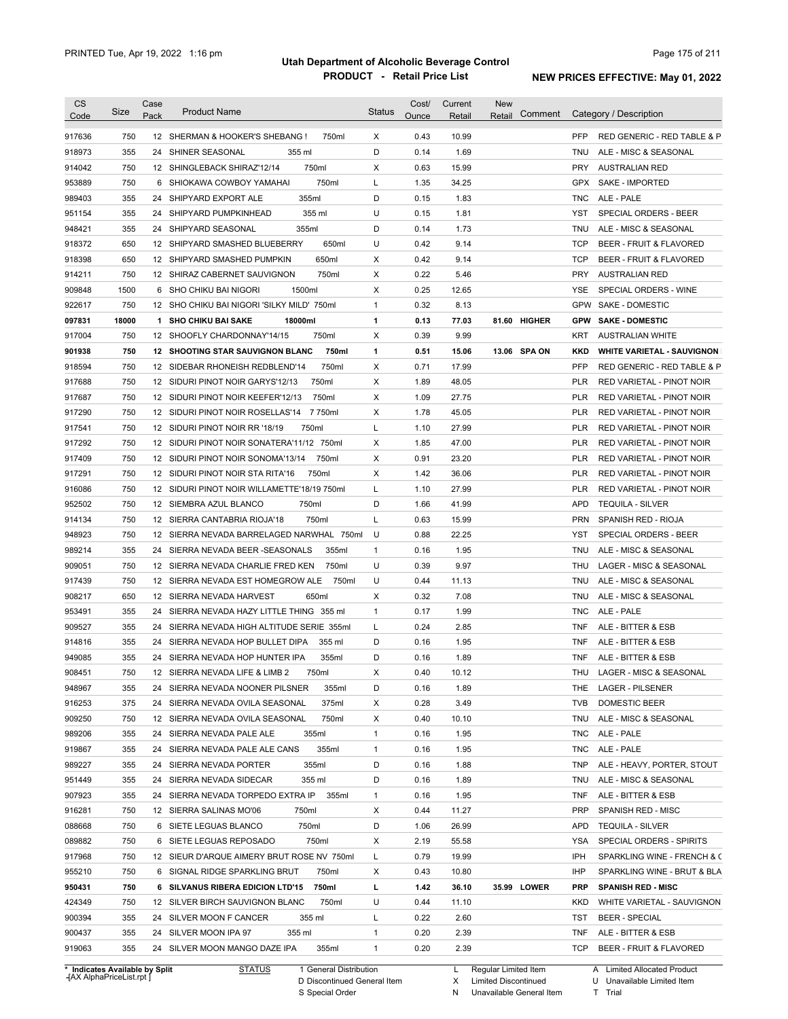| 917636<br>750<br>12 SHERMAN & HOOKER'S SHEBANG !<br>X<br>0.43<br>10.99<br><b>PFP</b><br>RED GENERIC - RED TABLE & P<br>750ml<br>355<br>D<br>0.14<br>1.69<br>918973<br>24 SHINER SEASONAL<br>355 ml<br><b>TNU</b><br>ALE - MISC & SEASONAL<br>750<br>750ml<br>X<br>914042<br>12 SHINGLEBACK SHIRAZ'12/14<br>0.63<br>15.99<br>PRY<br><b>AUSTRALIAN RED</b><br>750<br>750ml<br>953889<br>6 SHIOKAWA COWBOY YAMAHAI<br>L<br>1.35<br>34.25<br><b>GPX</b><br>SAKE - IMPORTED<br>355<br>355ml<br>D<br>ALE - PALE<br>989403<br>24 SHIPYARD EXPORT ALE<br>0.15<br>1.83<br><b>TNC</b><br>355<br>355 ml<br>U<br>951154<br>24 SHIPYARD PUMPKINHEAD<br>0.15<br>1.81<br>YST<br>SPECIAL ORDERS - BEER<br>355<br>D<br>1.73<br>948421<br>24 SHIPYARD SEASONAL<br>355ml<br>0.14<br><b>TNU</b><br>ALE - MISC & SEASONAL<br>650<br>650ml<br>U<br>0.42<br>918372<br>12 SHIPYARD SMASHED BLUEBERRY<br>9.14<br><b>TCP</b><br>BEER - FRUIT & FLAVORED<br>918398<br>650<br>650ml<br>X<br><b>TCP</b><br>12 SHIPYARD SMASHED PUMPKIN<br>0.42<br>9.14<br><b>BEER - FRUIT &amp; FLAVORED</b><br>750<br>750ml<br>Χ<br>0.22<br><b>PRY</b><br>914211<br>12 SHIRAZ CABERNET SAUVIGNON<br>5.46<br><b>AUSTRALIAN RED</b><br>1500<br>1500ml<br>Х<br>0.25<br>12.65<br><b>YSE</b><br>909848<br>6 SHO CHIKU BAI NIGORI<br>SPECIAL ORDERS - WINE<br>750<br>12 SHO CHIKU BAI NIGORI 'SILKY MILD' 750ml<br>$\mathbf{1}$<br>0.32<br>8.13<br>GPW SAKE - DOMESTIC<br>922617<br>18000<br>1<br>0.13<br>77.03<br>81.60 HIGHER<br><b>GPW SAKE DOMESTIC</b><br>097831<br>1 SHO CHIKU BAI SAKE<br>18000ml<br>917004<br>750<br>12 SHOOFLY CHARDONNAY'14/15<br>750ml<br>Х<br>0.39<br>9.99<br>KRT<br><b>AUSTRALIAN WHITE</b><br>750<br>750ml<br>1<br>0.51<br>13.06 SPA ON<br>901938<br><b>12 SHOOTING STAR SAUVIGNON BLANC</b><br>15.06<br>KKD<br><b>WHITE VARIETAL - SAUVIGNON</b><br>750<br>750ml<br>Х<br>0.71<br>17.99<br><b>PFP</b><br>12 SIDEBAR RHONEISH REDBLEND'14<br>RED GENERIC - RED TABLE & P<br>750<br>750ml<br>х<br>1.89<br>48.05<br><b>PLR</b><br>12 SIDURI PINOT NOIR GARYS'12/13<br>RED VARIETAL - PINOT NOIR<br>750<br>750ml<br>X<br>1.09<br>12 SIDURI PINOT NOIR KEEFER'12/13<br>27.75<br>PLR<br>RED VARIETAL - PINOT NOIR<br>750<br>7 750ml<br>X<br>1.78<br>12 SIDURI PINOT NOIR ROSELLAS'14<br>45.05<br>PLR<br>RED VARIETAL - PINOT NOIR<br>750<br>750ml<br>L<br>1.10<br>27.99<br><b>PLR</b><br>12 SIDURI PINOT NOIR RR '18/19<br>RED VARIETAL - PINOT NOIR<br>750<br>1.85<br><b>PLR</b><br>12 SIDURI PINOT NOIR SONATERA'11/12 750ml<br>Х<br>47.00<br>RED VARIETAL - PINOT NOIR<br>750<br>X<br>0.91<br>23.20<br><b>PLR</b><br>12 SIDURI PINOT NOIR SONOMA'13/14<br>750ml<br>RED VARIETAL - PINOT NOIR<br>750<br>X<br>1.42<br>36.06<br><b>PLR</b><br>12 SIDURI PINOT NOIR STA RITA'16<br>750ml<br>RED VARIETAL - PINOT NOIR<br>750<br>L<br>1.10<br>27.99<br><b>PLR</b><br>12 SIDURI PINOT NOIR WILLAMETTE'18/19 750ml<br>RED VARIETAL - PINOT NOIR<br>D<br>750<br>1.66<br>41.99<br><b>APD</b><br>12 SIEMBRA AZUL BLANCO<br>750ml<br><b>TEQUILA - SILVER</b><br>750<br>L<br>0.63<br>15.99<br><b>PRN</b><br>12 SIERRA CANTABRIA RIOJA'18<br>750ml<br>SPANISH RED - RIOJA<br>750<br>U<br>0.88<br>22.25<br>SPECIAL ORDERS - BEER<br>12 SIERRA NEVADA BARRELAGED NARWHAL 750ml<br>YST<br>355<br>$\mathbf{1}$<br>0.16<br>1.95<br>24 SIERRA NEVADA BEER - SEASONALS<br>355ml<br><b>TNU</b><br>ALE - MISC & SEASONAL<br>750<br>U<br>0.39<br>9.97<br>12 SIERRA NEVADA CHARLIE FRED KEN<br>750ml<br>THU<br>LAGER - MISC & SEASONAL<br>750<br>U<br>0.44<br>12 SIERRA NEVADA EST HOMEGROW ALE<br>750ml<br>11.13<br><b>TNU</b><br>ALE - MISC & SEASONAL<br>650<br>650ml<br>Х<br>0.32<br>7.08<br>12 SIERRA NEVADA HARVEST<br>TNU<br>ALE - MISC & SEASONAL<br>355<br>$\mathbf{1}$<br>0.17<br>1.99<br>ALE - PALE<br>24<br>SIERRA NEVADA HAZY LITTLE THING 355 ml<br>TNC<br>0.24<br>ALE - BITTER & ESB<br>355<br>24 SIERRA NEVADA HIGH ALTITUDE SERIE 355ml<br>L<br>2.85<br><b>TNF</b><br>0.16<br>355<br>24 SIERRA NEVADA HOP BULLET DIPA<br>355 ml<br>D<br>1.95<br><b>TNF</b><br>ALE - BITTER & ESB<br>355<br>D<br>0.16<br>ALE - BITTER & ESB<br>24 SIERRA NEVADA HOP HUNTER IPA<br>355ml<br>1.89<br><b>TNF</b><br>750<br>Χ<br>0.40<br>10.12<br>THU<br>LAGER - MISC & SEASONAL<br>12 SIERRA NEVADA LIFE & LIMB 2<br>750ml<br>355ml<br>D<br>LAGER - PILSENER<br>355<br>24 SIERRA NEVADA NOONER PILSNER<br>0.16<br>1.89<br>THE.<br>375ml<br>0.28<br>3.49<br>375<br>24 SIERRA NEVADA OVILA SEASONAL<br>х<br><b>TVB</b><br><b>DOMESTIC BEER</b><br>750ml<br>х<br>0.40<br>ALE - MISC & SEASONAL<br>750<br>12 SIERRA NEVADA OVILA SEASONAL<br>10.10<br>TNU<br>$\mathbf{1}$<br>1.95<br>ALE - PALE<br>355<br>24 SIERRA NEVADA PALE ALE<br>355ml<br>0.16<br><b>TNC</b><br>355ml<br>$\mathbf{1}$<br>0.16<br>1.95<br>ALE - PALE<br>355<br>24 SIERRA NEVADA PALE ALE CANS<br><b>TNC</b><br>355ml<br>D<br>0.16<br>1.88<br>ALE - HEAVY, PORTER, STOUT<br>355<br>24 SIERRA NEVADA PORTER<br><b>TNP</b><br>355 ml<br>D<br>0.16<br>1.89<br>355<br>24 SIERRA NEVADA SIDECAR<br>TNU<br>ALE - MISC & SEASONAL<br>24 SIERRA NEVADA TORPEDO EXTRA IP<br>1.95<br>355<br>355ml<br>$\mathbf{1}$<br>0.16<br><b>TNF</b><br>ALE - BITTER & ESB<br>750<br>х<br>0.44<br>11.27<br>12 SIERRA SALINAS MO'06<br>750ml<br><b>PRP</b><br>SPANISH RED - MISC<br>750<br>750ml<br>D<br>1.06<br>26.99<br>6 SIETE LEGUAS BLANCO<br><b>APD</b><br><b>TEQUILA - SILVER</b><br>750<br>750ml<br>55.58<br>SPECIAL ORDERS - SPIRITS<br>6 SIETE LEGUAS REPOSADO<br>х<br>2.19<br>YSA<br>750<br>12 SIEUR D'ARQUE AIMERY BRUT ROSE NV 750ml<br>0.79<br>19.99<br>L<br>IPH<br>750<br>6 SIGNAL RIDGE SPARKLING BRUT<br>750ml<br>х<br>0.43<br>10.80<br>IHP<br>35.99 LOWER<br>750<br>6 SILVANUS RIBERA EDICION LTD'15<br>750ml<br>L<br>1.42<br>36.10<br><b>PRP</b><br><b>SPANISH RED - MISC</b><br>750<br>U<br>12 SILVER BIRCH SAUVIGNON BLANC<br>750ml<br>0.44<br>11.10<br>KKD<br>WHITE VARIETAL - SAUVIGNON<br>900394<br>0.22<br>2.60<br>355<br>24 SILVER MOON F CANCER<br>355 ml<br>L<br>TST<br><b>BEER - SPECIAL</b><br>900437<br>$\mathbf{1}$<br>0.20<br>2.39<br>355<br>24 SILVER MOON IPA 97<br>355 ml<br><b>TNF</b><br>ALE - BITTER & ESB<br>919063<br>355<br>355ml<br>0.20<br>2.39<br>24 SILVER MOON MANGO DAZE IPA<br>$\mathbf{1}$<br><b>TCP</b><br>BEER - FRUIT & FLAVORED<br>* Indicates Available by Split<br><b>STATUS</b><br>1 General Distribution<br>Regular Limited Item<br>A Limited Allocated Product | <b>CS</b><br>Code | Size | Case<br>Pack | <b>Product Name</b> | <b>Status</b> | Cost/<br>Ounce | Current<br>Retail | <b>New</b><br>Comment<br>Retail | Category / Description      |
|-----------------------------------------------------------------------------------------------------------------------------------------------------------------------------------------------------------------------------------------------------------------------------------------------------------------------------------------------------------------------------------------------------------------------------------------------------------------------------------------------------------------------------------------------------------------------------------------------------------------------------------------------------------------------------------------------------------------------------------------------------------------------------------------------------------------------------------------------------------------------------------------------------------------------------------------------------------------------------------------------------------------------------------------------------------------------------------------------------------------------------------------------------------------------------------------------------------------------------------------------------------------------------------------------------------------------------------------------------------------------------------------------------------------------------------------------------------------------------------------------------------------------------------------------------------------------------------------------------------------------------------------------------------------------------------------------------------------------------------------------------------------------------------------------------------------------------------------------------------------------------------------------------------------------------------------------------------------------------------------------------------------------------------------------------------------------------------------------------------------------------------------------------------------------------------------------------------------------------------------------------------------------------------------------------------------------------------------------------------------------------------------------------------------------------------------------------------------------------------------------------------------------------------------------------------------------------------------------------------------------------------------------------------------------------------------------------------------------------------------------------------------------------------------------------------------------------------------------------------------------------------------------------------------------------------------------------------------------------------------------------------------------------------------------------------------------------------------------------------------------------------------------------------------------------------------------------------------------------------------------------------------------------------------------------------------------------------------------------------------------------------------------------------------------------------------------------------------------------------------------------------------------------------------------------------------------------------------------------------------------------------------------------------------------------------------------------------------------------------------------------------------------------------------------------------------------------------------------------------------------------------------------------------------------------------------------------------------------------------------------------------------------------------------------------------------------------------------------------------------------------------------------------------------------------------------------------------------------------------------------------------------------------------------------------------------------------------------------------------------------------------------------------------------------------------------------------------------------------------------------------------------------------------------------------------------------------------------------------------------------------------------------------------------------------------------------------------------------------------------------------------------------------------------------------------------------------------------------------------------------------------------------------------------------------------------------------------------------------------------------------------------------------------------------------------------------------------------------------------------------------------------------------------------------------------------------------------------------------------------------------------------------------------------------------------------------------------------------------------------------------------------------------------------------------------------------------------------------------------------------------------------------------------------------------------------------------------------------------------------------------------------------------------------------------------------------------------------------------------------------------------------------------------------------------------------------------------------------------------------------------------------------------------------------------------------------------------------------------------------------------------------------------------------------------------------------------------------------------------------------------------------------------------------------------------------------------------------------------------------------------------------------------------------------------------------------------------------------------------------------------------------------------------------|-------------------|------|--------------|---------------------|---------------|----------------|-------------------|---------------------------------|-----------------------------|
|                                                                                                                                                                                                                                                                                                                                                                                                                                                                                                                                                                                                                                                                                                                                                                                                                                                                                                                                                                                                                                                                                                                                                                                                                                                                                                                                                                                                                                                                                                                                                                                                                                                                                                                                                                                                                                                                                                                                                                                                                                                                                                                                                                                                                                                                                                                                                                                                                                                                                                                                                                                                                                                                                                                                                                                                                                                                                                                                                                                                                                                                                                                                                                                                                                                                                                                                                                                                                                                                                                                                                                                                                                                                                                                                                                                                                                                                                                                                                                                                                                                                                                                                                                                                                                                                                                                                                                                                                                                                                                                                                                                                                                                                                                                                                                                                                                                                                                                                                                                                                                                                                                                                                                                                                                                                                                                                                                                                                                                                                                                                                                                                                                                                                                                                                                                                                                                                                                                                                                                                                                                                                                                                                                                                                                                                                                                                                                                                                 |                   |      |              |                     |               |                |                   |                                 |                             |
|                                                                                                                                                                                                                                                                                                                                                                                                                                                                                                                                                                                                                                                                                                                                                                                                                                                                                                                                                                                                                                                                                                                                                                                                                                                                                                                                                                                                                                                                                                                                                                                                                                                                                                                                                                                                                                                                                                                                                                                                                                                                                                                                                                                                                                                                                                                                                                                                                                                                                                                                                                                                                                                                                                                                                                                                                                                                                                                                                                                                                                                                                                                                                                                                                                                                                                                                                                                                                                                                                                                                                                                                                                                                                                                                                                                                                                                                                                                                                                                                                                                                                                                                                                                                                                                                                                                                                                                                                                                                                                                                                                                                                                                                                                                                                                                                                                                                                                                                                                                                                                                                                                                                                                                                                                                                                                                                                                                                                                                                                                                                                                                                                                                                                                                                                                                                                                                                                                                                                                                                                                                                                                                                                                                                                                                                                                                                                                                                                 |                   |      |              |                     |               |                |                   |                                 |                             |
|                                                                                                                                                                                                                                                                                                                                                                                                                                                                                                                                                                                                                                                                                                                                                                                                                                                                                                                                                                                                                                                                                                                                                                                                                                                                                                                                                                                                                                                                                                                                                                                                                                                                                                                                                                                                                                                                                                                                                                                                                                                                                                                                                                                                                                                                                                                                                                                                                                                                                                                                                                                                                                                                                                                                                                                                                                                                                                                                                                                                                                                                                                                                                                                                                                                                                                                                                                                                                                                                                                                                                                                                                                                                                                                                                                                                                                                                                                                                                                                                                                                                                                                                                                                                                                                                                                                                                                                                                                                                                                                                                                                                                                                                                                                                                                                                                                                                                                                                                                                                                                                                                                                                                                                                                                                                                                                                                                                                                                                                                                                                                                                                                                                                                                                                                                                                                                                                                                                                                                                                                                                                                                                                                                                                                                                                                                                                                                                                                 |                   |      |              |                     |               |                |                   |                                 |                             |
|                                                                                                                                                                                                                                                                                                                                                                                                                                                                                                                                                                                                                                                                                                                                                                                                                                                                                                                                                                                                                                                                                                                                                                                                                                                                                                                                                                                                                                                                                                                                                                                                                                                                                                                                                                                                                                                                                                                                                                                                                                                                                                                                                                                                                                                                                                                                                                                                                                                                                                                                                                                                                                                                                                                                                                                                                                                                                                                                                                                                                                                                                                                                                                                                                                                                                                                                                                                                                                                                                                                                                                                                                                                                                                                                                                                                                                                                                                                                                                                                                                                                                                                                                                                                                                                                                                                                                                                                                                                                                                                                                                                                                                                                                                                                                                                                                                                                                                                                                                                                                                                                                                                                                                                                                                                                                                                                                                                                                                                                                                                                                                                                                                                                                                                                                                                                                                                                                                                                                                                                                                                                                                                                                                                                                                                                                                                                                                                                                 |                   |      |              |                     |               |                |                   |                                 |                             |
|                                                                                                                                                                                                                                                                                                                                                                                                                                                                                                                                                                                                                                                                                                                                                                                                                                                                                                                                                                                                                                                                                                                                                                                                                                                                                                                                                                                                                                                                                                                                                                                                                                                                                                                                                                                                                                                                                                                                                                                                                                                                                                                                                                                                                                                                                                                                                                                                                                                                                                                                                                                                                                                                                                                                                                                                                                                                                                                                                                                                                                                                                                                                                                                                                                                                                                                                                                                                                                                                                                                                                                                                                                                                                                                                                                                                                                                                                                                                                                                                                                                                                                                                                                                                                                                                                                                                                                                                                                                                                                                                                                                                                                                                                                                                                                                                                                                                                                                                                                                                                                                                                                                                                                                                                                                                                                                                                                                                                                                                                                                                                                                                                                                                                                                                                                                                                                                                                                                                                                                                                                                                                                                                                                                                                                                                                                                                                                                                                 |                   |      |              |                     |               |                |                   |                                 |                             |
|                                                                                                                                                                                                                                                                                                                                                                                                                                                                                                                                                                                                                                                                                                                                                                                                                                                                                                                                                                                                                                                                                                                                                                                                                                                                                                                                                                                                                                                                                                                                                                                                                                                                                                                                                                                                                                                                                                                                                                                                                                                                                                                                                                                                                                                                                                                                                                                                                                                                                                                                                                                                                                                                                                                                                                                                                                                                                                                                                                                                                                                                                                                                                                                                                                                                                                                                                                                                                                                                                                                                                                                                                                                                                                                                                                                                                                                                                                                                                                                                                                                                                                                                                                                                                                                                                                                                                                                                                                                                                                                                                                                                                                                                                                                                                                                                                                                                                                                                                                                                                                                                                                                                                                                                                                                                                                                                                                                                                                                                                                                                                                                                                                                                                                                                                                                                                                                                                                                                                                                                                                                                                                                                                                                                                                                                                                                                                                                                                 |                   |      |              |                     |               |                |                   |                                 |                             |
|                                                                                                                                                                                                                                                                                                                                                                                                                                                                                                                                                                                                                                                                                                                                                                                                                                                                                                                                                                                                                                                                                                                                                                                                                                                                                                                                                                                                                                                                                                                                                                                                                                                                                                                                                                                                                                                                                                                                                                                                                                                                                                                                                                                                                                                                                                                                                                                                                                                                                                                                                                                                                                                                                                                                                                                                                                                                                                                                                                                                                                                                                                                                                                                                                                                                                                                                                                                                                                                                                                                                                                                                                                                                                                                                                                                                                                                                                                                                                                                                                                                                                                                                                                                                                                                                                                                                                                                                                                                                                                                                                                                                                                                                                                                                                                                                                                                                                                                                                                                                                                                                                                                                                                                                                                                                                                                                                                                                                                                                                                                                                                                                                                                                                                                                                                                                                                                                                                                                                                                                                                                                                                                                                                                                                                                                                                                                                                                                                 |                   |      |              |                     |               |                |                   |                                 |                             |
|                                                                                                                                                                                                                                                                                                                                                                                                                                                                                                                                                                                                                                                                                                                                                                                                                                                                                                                                                                                                                                                                                                                                                                                                                                                                                                                                                                                                                                                                                                                                                                                                                                                                                                                                                                                                                                                                                                                                                                                                                                                                                                                                                                                                                                                                                                                                                                                                                                                                                                                                                                                                                                                                                                                                                                                                                                                                                                                                                                                                                                                                                                                                                                                                                                                                                                                                                                                                                                                                                                                                                                                                                                                                                                                                                                                                                                                                                                                                                                                                                                                                                                                                                                                                                                                                                                                                                                                                                                                                                                                                                                                                                                                                                                                                                                                                                                                                                                                                                                                                                                                                                                                                                                                                                                                                                                                                                                                                                                                                                                                                                                                                                                                                                                                                                                                                                                                                                                                                                                                                                                                                                                                                                                                                                                                                                                                                                                                                                 |                   |      |              |                     |               |                |                   |                                 |                             |
|                                                                                                                                                                                                                                                                                                                                                                                                                                                                                                                                                                                                                                                                                                                                                                                                                                                                                                                                                                                                                                                                                                                                                                                                                                                                                                                                                                                                                                                                                                                                                                                                                                                                                                                                                                                                                                                                                                                                                                                                                                                                                                                                                                                                                                                                                                                                                                                                                                                                                                                                                                                                                                                                                                                                                                                                                                                                                                                                                                                                                                                                                                                                                                                                                                                                                                                                                                                                                                                                                                                                                                                                                                                                                                                                                                                                                                                                                                                                                                                                                                                                                                                                                                                                                                                                                                                                                                                                                                                                                                                                                                                                                                                                                                                                                                                                                                                                                                                                                                                                                                                                                                                                                                                                                                                                                                                                                                                                                                                                                                                                                                                                                                                                                                                                                                                                                                                                                                                                                                                                                                                                                                                                                                                                                                                                                                                                                                                                                 |                   |      |              |                     |               |                |                   |                                 |                             |
|                                                                                                                                                                                                                                                                                                                                                                                                                                                                                                                                                                                                                                                                                                                                                                                                                                                                                                                                                                                                                                                                                                                                                                                                                                                                                                                                                                                                                                                                                                                                                                                                                                                                                                                                                                                                                                                                                                                                                                                                                                                                                                                                                                                                                                                                                                                                                                                                                                                                                                                                                                                                                                                                                                                                                                                                                                                                                                                                                                                                                                                                                                                                                                                                                                                                                                                                                                                                                                                                                                                                                                                                                                                                                                                                                                                                                                                                                                                                                                                                                                                                                                                                                                                                                                                                                                                                                                                                                                                                                                                                                                                                                                                                                                                                                                                                                                                                                                                                                                                                                                                                                                                                                                                                                                                                                                                                                                                                                                                                                                                                                                                                                                                                                                                                                                                                                                                                                                                                                                                                                                                                                                                                                                                                                                                                                                                                                                                                                 |                   |      |              |                     |               |                |                   |                                 |                             |
|                                                                                                                                                                                                                                                                                                                                                                                                                                                                                                                                                                                                                                                                                                                                                                                                                                                                                                                                                                                                                                                                                                                                                                                                                                                                                                                                                                                                                                                                                                                                                                                                                                                                                                                                                                                                                                                                                                                                                                                                                                                                                                                                                                                                                                                                                                                                                                                                                                                                                                                                                                                                                                                                                                                                                                                                                                                                                                                                                                                                                                                                                                                                                                                                                                                                                                                                                                                                                                                                                                                                                                                                                                                                                                                                                                                                                                                                                                                                                                                                                                                                                                                                                                                                                                                                                                                                                                                                                                                                                                                                                                                                                                                                                                                                                                                                                                                                                                                                                                                                                                                                                                                                                                                                                                                                                                                                                                                                                                                                                                                                                                                                                                                                                                                                                                                                                                                                                                                                                                                                                                                                                                                                                                                                                                                                                                                                                                                                                 |                   |      |              |                     |               |                |                   |                                 |                             |
|                                                                                                                                                                                                                                                                                                                                                                                                                                                                                                                                                                                                                                                                                                                                                                                                                                                                                                                                                                                                                                                                                                                                                                                                                                                                                                                                                                                                                                                                                                                                                                                                                                                                                                                                                                                                                                                                                                                                                                                                                                                                                                                                                                                                                                                                                                                                                                                                                                                                                                                                                                                                                                                                                                                                                                                                                                                                                                                                                                                                                                                                                                                                                                                                                                                                                                                                                                                                                                                                                                                                                                                                                                                                                                                                                                                                                                                                                                                                                                                                                                                                                                                                                                                                                                                                                                                                                                                                                                                                                                                                                                                                                                                                                                                                                                                                                                                                                                                                                                                                                                                                                                                                                                                                                                                                                                                                                                                                                                                                                                                                                                                                                                                                                                                                                                                                                                                                                                                                                                                                                                                                                                                                                                                                                                                                                                                                                                                                                 |                   |      |              |                     |               |                |                   |                                 |                             |
|                                                                                                                                                                                                                                                                                                                                                                                                                                                                                                                                                                                                                                                                                                                                                                                                                                                                                                                                                                                                                                                                                                                                                                                                                                                                                                                                                                                                                                                                                                                                                                                                                                                                                                                                                                                                                                                                                                                                                                                                                                                                                                                                                                                                                                                                                                                                                                                                                                                                                                                                                                                                                                                                                                                                                                                                                                                                                                                                                                                                                                                                                                                                                                                                                                                                                                                                                                                                                                                                                                                                                                                                                                                                                                                                                                                                                                                                                                                                                                                                                                                                                                                                                                                                                                                                                                                                                                                                                                                                                                                                                                                                                                                                                                                                                                                                                                                                                                                                                                                                                                                                                                                                                                                                                                                                                                                                                                                                                                                                                                                                                                                                                                                                                                                                                                                                                                                                                                                                                                                                                                                                                                                                                                                                                                                                                                                                                                                                                 |                   |      |              |                     |               |                |                   |                                 |                             |
|                                                                                                                                                                                                                                                                                                                                                                                                                                                                                                                                                                                                                                                                                                                                                                                                                                                                                                                                                                                                                                                                                                                                                                                                                                                                                                                                                                                                                                                                                                                                                                                                                                                                                                                                                                                                                                                                                                                                                                                                                                                                                                                                                                                                                                                                                                                                                                                                                                                                                                                                                                                                                                                                                                                                                                                                                                                                                                                                                                                                                                                                                                                                                                                                                                                                                                                                                                                                                                                                                                                                                                                                                                                                                                                                                                                                                                                                                                                                                                                                                                                                                                                                                                                                                                                                                                                                                                                                                                                                                                                                                                                                                                                                                                                                                                                                                                                                                                                                                                                                                                                                                                                                                                                                                                                                                                                                                                                                                                                                                                                                                                                                                                                                                                                                                                                                                                                                                                                                                                                                                                                                                                                                                                                                                                                                                                                                                                                                                 |                   |      |              |                     |               |                |                   |                                 |                             |
|                                                                                                                                                                                                                                                                                                                                                                                                                                                                                                                                                                                                                                                                                                                                                                                                                                                                                                                                                                                                                                                                                                                                                                                                                                                                                                                                                                                                                                                                                                                                                                                                                                                                                                                                                                                                                                                                                                                                                                                                                                                                                                                                                                                                                                                                                                                                                                                                                                                                                                                                                                                                                                                                                                                                                                                                                                                                                                                                                                                                                                                                                                                                                                                                                                                                                                                                                                                                                                                                                                                                                                                                                                                                                                                                                                                                                                                                                                                                                                                                                                                                                                                                                                                                                                                                                                                                                                                                                                                                                                                                                                                                                                                                                                                                                                                                                                                                                                                                                                                                                                                                                                                                                                                                                                                                                                                                                                                                                                                                                                                                                                                                                                                                                                                                                                                                                                                                                                                                                                                                                                                                                                                                                                                                                                                                                                                                                                                                                 |                   |      |              |                     |               |                |                   |                                 |                             |
|                                                                                                                                                                                                                                                                                                                                                                                                                                                                                                                                                                                                                                                                                                                                                                                                                                                                                                                                                                                                                                                                                                                                                                                                                                                                                                                                                                                                                                                                                                                                                                                                                                                                                                                                                                                                                                                                                                                                                                                                                                                                                                                                                                                                                                                                                                                                                                                                                                                                                                                                                                                                                                                                                                                                                                                                                                                                                                                                                                                                                                                                                                                                                                                                                                                                                                                                                                                                                                                                                                                                                                                                                                                                                                                                                                                                                                                                                                                                                                                                                                                                                                                                                                                                                                                                                                                                                                                                                                                                                                                                                                                                                                                                                                                                                                                                                                                                                                                                                                                                                                                                                                                                                                                                                                                                                                                                                                                                                                                                                                                                                                                                                                                                                                                                                                                                                                                                                                                                                                                                                                                                                                                                                                                                                                                                                                                                                                                                                 |                   |      |              |                     |               |                |                   |                                 |                             |
|                                                                                                                                                                                                                                                                                                                                                                                                                                                                                                                                                                                                                                                                                                                                                                                                                                                                                                                                                                                                                                                                                                                                                                                                                                                                                                                                                                                                                                                                                                                                                                                                                                                                                                                                                                                                                                                                                                                                                                                                                                                                                                                                                                                                                                                                                                                                                                                                                                                                                                                                                                                                                                                                                                                                                                                                                                                                                                                                                                                                                                                                                                                                                                                                                                                                                                                                                                                                                                                                                                                                                                                                                                                                                                                                                                                                                                                                                                                                                                                                                                                                                                                                                                                                                                                                                                                                                                                                                                                                                                                                                                                                                                                                                                                                                                                                                                                                                                                                                                                                                                                                                                                                                                                                                                                                                                                                                                                                                                                                                                                                                                                                                                                                                                                                                                                                                                                                                                                                                                                                                                                                                                                                                                                                                                                                                                                                                                                                                 | 918594            |      |              |                     |               |                |                   |                                 |                             |
|                                                                                                                                                                                                                                                                                                                                                                                                                                                                                                                                                                                                                                                                                                                                                                                                                                                                                                                                                                                                                                                                                                                                                                                                                                                                                                                                                                                                                                                                                                                                                                                                                                                                                                                                                                                                                                                                                                                                                                                                                                                                                                                                                                                                                                                                                                                                                                                                                                                                                                                                                                                                                                                                                                                                                                                                                                                                                                                                                                                                                                                                                                                                                                                                                                                                                                                                                                                                                                                                                                                                                                                                                                                                                                                                                                                                                                                                                                                                                                                                                                                                                                                                                                                                                                                                                                                                                                                                                                                                                                                                                                                                                                                                                                                                                                                                                                                                                                                                                                                                                                                                                                                                                                                                                                                                                                                                                                                                                                                                                                                                                                                                                                                                                                                                                                                                                                                                                                                                                                                                                                                                                                                                                                                                                                                                                                                                                                                                                 | 917688            |      |              |                     |               |                |                   |                                 |                             |
|                                                                                                                                                                                                                                                                                                                                                                                                                                                                                                                                                                                                                                                                                                                                                                                                                                                                                                                                                                                                                                                                                                                                                                                                                                                                                                                                                                                                                                                                                                                                                                                                                                                                                                                                                                                                                                                                                                                                                                                                                                                                                                                                                                                                                                                                                                                                                                                                                                                                                                                                                                                                                                                                                                                                                                                                                                                                                                                                                                                                                                                                                                                                                                                                                                                                                                                                                                                                                                                                                                                                                                                                                                                                                                                                                                                                                                                                                                                                                                                                                                                                                                                                                                                                                                                                                                                                                                                                                                                                                                                                                                                                                                                                                                                                                                                                                                                                                                                                                                                                                                                                                                                                                                                                                                                                                                                                                                                                                                                                                                                                                                                                                                                                                                                                                                                                                                                                                                                                                                                                                                                                                                                                                                                                                                                                                                                                                                                                                 | 917687            |      |              |                     |               |                |                   |                                 |                             |
|                                                                                                                                                                                                                                                                                                                                                                                                                                                                                                                                                                                                                                                                                                                                                                                                                                                                                                                                                                                                                                                                                                                                                                                                                                                                                                                                                                                                                                                                                                                                                                                                                                                                                                                                                                                                                                                                                                                                                                                                                                                                                                                                                                                                                                                                                                                                                                                                                                                                                                                                                                                                                                                                                                                                                                                                                                                                                                                                                                                                                                                                                                                                                                                                                                                                                                                                                                                                                                                                                                                                                                                                                                                                                                                                                                                                                                                                                                                                                                                                                                                                                                                                                                                                                                                                                                                                                                                                                                                                                                                                                                                                                                                                                                                                                                                                                                                                                                                                                                                                                                                                                                                                                                                                                                                                                                                                                                                                                                                                                                                                                                                                                                                                                                                                                                                                                                                                                                                                                                                                                                                                                                                                                                                                                                                                                                                                                                                                                 | 917290            |      |              |                     |               |                |                   |                                 |                             |
|                                                                                                                                                                                                                                                                                                                                                                                                                                                                                                                                                                                                                                                                                                                                                                                                                                                                                                                                                                                                                                                                                                                                                                                                                                                                                                                                                                                                                                                                                                                                                                                                                                                                                                                                                                                                                                                                                                                                                                                                                                                                                                                                                                                                                                                                                                                                                                                                                                                                                                                                                                                                                                                                                                                                                                                                                                                                                                                                                                                                                                                                                                                                                                                                                                                                                                                                                                                                                                                                                                                                                                                                                                                                                                                                                                                                                                                                                                                                                                                                                                                                                                                                                                                                                                                                                                                                                                                                                                                                                                                                                                                                                                                                                                                                                                                                                                                                                                                                                                                                                                                                                                                                                                                                                                                                                                                                                                                                                                                                                                                                                                                                                                                                                                                                                                                                                                                                                                                                                                                                                                                                                                                                                                                                                                                                                                                                                                                                                 | 917541            |      |              |                     |               |                |                   |                                 |                             |
|                                                                                                                                                                                                                                                                                                                                                                                                                                                                                                                                                                                                                                                                                                                                                                                                                                                                                                                                                                                                                                                                                                                                                                                                                                                                                                                                                                                                                                                                                                                                                                                                                                                                                                                                                                                                                                                                                                                                                                                                                                                                                                                                                                                                                                                                                                                                                                                                                                                                                                                                                                                                                                                                                                                                                                                                                                                                                                                                                                                                                                                                                                                                                                                                                                                                                                                                                                                                                                                                                                                                                                                                                                                                                                                                                                                                                                                                                                                                                                                                                                                                                                                                                                                                                                                                                                                                                                                                                                                                                                                                                                                                                                                                                                                                                                                                                                                                                                                                                                                                                                                                                                                                                                                                                                                                                                                                                                                                                                                                                                                                                                                                                                                                                                                                                                                                                                                                                                                                                                                                                                                                                                                                                                                                                                                                                                                                                                                                                 | 917292            |      |              |                     |               |                |                   |                                 |                             |
|                                                                                                                                                                                                                                                                                                                                                                                                                                                                                                                                                                                                                                                                                                                                                                                                                                                                                                                                                                                                                                                                                                                                                                                                                                                                                                                                                                                                                                                                                                                                                                                                                                                                                                                                                                                                                                                                                                                                                                                                                                                                                                                                                                                                                                                                                                                                                                                                                                                                                                                                                                                                                                                                                                                                                                                                                                                                                                                                                                                                                                                                                                                                                                                                                                                                                                                                                                                                                                                                                                                                                                                                                                                                                                                                                                                                                                                                                                                                                                                                                                                                                                                                                                                                                                                                                                                                                                                                                                                                                                                                                                                                                                                                                                                                                                                                                                                                                                                                                                                                                                                                                                                                                                                                                                                                                                                                                                                                                                                                                                                                                                                                                                                                                                                                                                                                                                                                                                                                                                                                                                                                                                                                                                                                                                                                                                                                                                                                                 | 917409            |      |              |                     |               |                |                   |                                 |                             |
|                                                                                                                                                                                                                                                                                                                                                                                                                                                                                                                                                                                                                                                                                                                                                                                                                                                                                                                                                                                                                                                                                                                                                                                                                                                                                                                                                                                                                                                                                                                                                                                                                                                                                                                                                                                                                                                                                                                                                                                                                                                                                                                                                                                                                                                                                                                                                                                                                                                                                                                                                                                                                                                                                                                                                                                                                                                                                                                                                                                                                                                                                                                                                                                                                                                                                                                                                                                                                                                                                                                                                                                                                                                                                                                                                                                                                                                                                                                                                                                                                                                                                                                                                                                                                                                                                                                                                                                                                                                                                                                                                                                                                                                                                                                                                                                                                                                                                                                                                                                                                                                                                                                                                                                                                                                                                                                                                                                                                                                                                                                                                                                                                                                                                                                                                                                                                                                                                                                                                                                                                                                                                                                                                                                                                                                                                                                                                                                                                 | 917291            |      |              |                     |               |                |                   |                                 |                             |
|                                                                                                                                                                                                                                                                                                                                                                                                                                                                                                                                                                                                                                                                                                                                                                                                                                                                                                                                                                                                                                                                                                                                                                                                                                                                                                                                                                                                                                                                                                                                                                                                                                                                                                                                                                                                                                                                                                                                                                                                                                                                                                                                                                                                                                                                                                                                                                                                                                                                                                                                                                                                                                                                                                                                                                                                                                                                                                                                                                                                                                                                                                                                                                                                                                                                                                                                                                                                                                                                                                                                                                                                                                                                                                                                                                                                                                                                                                                                                                                                                                                                                                                                                                                                                                                                                                                                                                                                                                                                                                                                                                                                                                                                                                                                                                                                                                                                                                                                                                                                                                                                                                                                                                                                                                                                                                                                                                                                                                                                                                                                                                                                                                                                                                                                                                                                                                                                                                                                                                                                                                                                                                                                                                                                                                                                                                                                                                                                                 | 916086            |      |              |                     |               |                |                   |                                 |                             |
|                                                                                                                                                                                                                                                                                                                                                                                                                                                                                                                                                                                                                                                                                                                                                                                                                                                                                                                                                                                                                                                                                                                                                                                                                                                                                                                                                                                                                                                                                                                                                                                                                                                                                                                                                                                                                                                                                                                                                                                                                                                                                                                                                                                                                                                                                                                                                                                                                                                                                                                                                                                                                                                                                                                                                                                                                                                                                                                                                                                                                                                                                                                                                                                                                                                                                                                                                                                                                                                                                                                                                                                                                                                                                                                                                                                                                                                                                                                                                                                                                                                                                                                                                                                                                                                                                                                                                                                                                                                                                                                                                                                                                                                                                                                                                                                                                                                                                                                                                                                                                                                                                                                                                                                                                                                                                                                                                                                                                                                                                                                                                                                                                                                                                                                                                                                                                                                                                                                                                                                                                                                                                                                                                                                                                                                                                                                                                                                                                 | 952502            |      |              |                     |               |                |                   |                                 |                             |
|                                                                                                                                                                                                                                                                                                                                                                                                                                                                                                                                                                                                                                                                                                                                                                                                                                                                                                                                                                                                                                                                                                                                                                                                                                                                                                                                                                                                                                                                                                                                                                                                                                                                                                                                                                                                                                                                                                                                                                                                                                                                                                                                                                                                                                                                                                                                                                                                                                                                                                                                                                                                                                                                                                                                                                                                                                                                                                                                                                                                                                                                                                                                                                                                                                                                                                                                                                                                                                                                                                                                                                                                                                                                                                                                                                                                                                                                                                                                                                                                                                                                                                                                                                                                                                                                                                                                                                                                                                                                                                                                                                                                                                                                                                                                                                                                                                                                                                                                                                                                                                                                                                                                                                                                                                                                                                                                                                                                                                                                                                                                                                                                                                                                                                                                                                                                                                                                                                                                                                                                                                                                                                                                                                                                                                                                                                                                                                                                                 | 914134            |      |              |                     |               |                |                   |                                 |                             |
|                                                                                                                                                                                                                                                                                                                                                                                                                                                                                                                                                                                                                                                                                                                                                                                                                                                                                                                                                                                                                                                                                                                                                                                                                                                                                                                                                                                                                                                                                                                                                                                                                                                                                                                                                                                                                                                                                                                                                                                                                                                                                                                                                                                                                                                                                                                                                                                                                                                                                                                                                                                                                                                                                                                                                                                                                                                                                                                                                                                                                                                                                                                                                                                                                                                                                                                                                                                                                                                                                                                                                                                                                                                                                                                                                                                                                                                                                                                                                                                                                                                                                                                                                                                                                                                                                                                                                                                                                                                                                                                                                                                                                                                                                                                                                                                                                                                                                                                                                                                                                                                                                                                                                                                                                                                                                                                                                                                                                                                                                                                                                                                                                                                                                                                                                                                                                                                                                                                                                                                                                                                                                                                                                                                                                                                                                                                                                                                                                 | 948923            |      |              |                     |               |                |                   |                                 |                             |
|                                                                                                                                                                                                                                                                                                                                                                                                                                                                                                                                                                                                                                                                                                                                                                                                                                                                                                                                                                                                                                                                                                                                                                                                                                                                                                                                                                                                                                                                                                                                                                                                                                                                                                                                                                                                                                                                                                                                                                                                                                                                                                                                                                                                                                                                                                                                                                                                                                                                                                                                                                                                                                                                                                                                                                                                                                                                                                                                                                                                                                                                                                                                                                                                                                                                                                                                                                                                                                                                                                                                                                                                                                                                                                                                                                                                                                                                                                                                                                                                                                                                                                                                                                                                                                                                                                                                                                                                                                                                                                                                                                                                                                                                                                                                                                                                                                                                                                                                                                                                                                                                                                                                                                                                                                                                                                                                                                                                                                                                                                                                                                                                                                                                                                                                                                                                                                                                                                                                                                                                                                                                                                                                                                                                                                                                                                                                                                                                                 | 989214            |      |              |                     |               |                |                   |                                 |                             |
|                                                                                                                                                                                                                                                                                                                                                                                                                                                                                                                                                                                                                                                                                                                                                                                                                                                                                                                                                                                                                                                                                                                                                                                                                                                                                                                                                                                                                                                                                                                                                                                                                                                                                                                                                                                                                                                                                                                                                                                                                                                                                                                                                                                                                                                                                                                                                                                                                                                                                                                                                                                                                                                                                                                                                                                                                                                                                                                                                                                                                                                                                                                                                                                                                                                                                                                                                                                                                                                                                                                                                                                                                                                                                                                                                                                                                                                                                                                                                                                                                                                                                                                                                                                                                                                                                                                                                                                                                                                                                                                                                                                                                                                                                                                                                                                                                                                                                                                                                                                                                                                                                                                                                                                                                                                                                                                                                                                                                                                                                                                                                                                                                                                                                                                                                                                                                                                                                                                                                                                                                                                                                                                                                                                                                                                                                                                                                                                                                 | 909051            |      |              |                     |               |                |                   |                                 |                             |
|                                                                                                                                                                                                                                                                                                                                                                                                                                                                                                                                                                                                                                                                                                                                                                                                                                                                                                                                                                                                                                                                                                                                                                                                                                                                                                                                                                                                                                                                                                                                                                                                                                                                                                                                                                                                                                                                                                                                                                                                                                                                                                                                                                                                                                                                                                                                                                                                                                                                                                                                                                                                                                                                                                                                                                                                                                                                                                                                                                                                                                                                                                                                                                                                                                                                                                                                                                                                                                                                                                                                                                                                                                                                                                                                                                                                                                                                                                                                                                                                                                                                                                                                                                                                                                                                                                                                                                                                                                                                                                                                                                                                                                                                                                                                                                                                                                                                                                                                                                                                                                                                                                                                                                                                                                                                                                                                                                                                                                                                                                                                                                                                                                                                                                                                                                                                                                                                                                                                                                                                                                                                                                                                                                                                                                                                                                                                                                                                                 | 917439            |      |              |                     |               |                |                   |                                 |                             |
|                                                                                                                                                                                                                                                                                                                                                                                                                                                                                                                                                                                                                                                                                                                                                                                                                                                                                                                                                                                                                                                                                                                                                                                                                                                                                                                                                                                                                                                                                                                                                                                                                                                                                                                                                                                                                                                                                                                                                                                                                                                                                                                                                                                                                                                                                                                                                                                                                                                                                                                                                                                                                                                                                                                                                                                                                                                                                                                                                                                                                                                                                                                                                                                                                                                                                                                                                                                                                                                                                                                                                                                                                                                                                                                                                                                                                                                                                                                                                                                                                                                                                                                                                                                                                                                                                                                                                                                                                                                                                                                                                                                                                                                                                                                                                                                                                                                                                                                                                                                                                                                                                                                                                                                                                                                                                                                                                                                                                                                                                                                                                                                                                                                                                                                                                                                                                                                                                                                                                                                                                                                                                                                                                                                                                                                                                                                                                                                                                 | 908217            |      |              |                     |               |                |                   |                                 |                             |
|                                                                                                                                                                                                                                                                                                                                                                                                                                                                                                                                                                                                                                                                                                                                                                                                                                                                                                                                                                                                                                                                                                                                                                                                                                                                                                                                                                                                                                                                                                                                                                                                                                                                                                                                                                                                                                                                                                                                                                                                                                                                                                                                                                                                                                                                                                                                                                                                                                                                                                                                                                                                                                                                                                                                                                                                                                                                                                                                                                                                                                                                                                                                                                                                                                                                                                                                                                                                                                                                                                                                                                                                                                                                                                                                                                                                                                                                                                                                                                                                                                                                                                                                                                                                                                                                                                                                                                                                                                                                                                                                                                                                                                                                                                                                                                                                                                                                                                                                                                                                                                                                                                                                                                                                                                                                                                                                                                                                                                                                                                                                                                                                                                                                                                                                                                                                                                                                                                                                                                                                                                                                                                                                                                                                                                                                                                                                                                                                                 | 953491            |      |              |                     |               |                |                   |                                 |                             |
|                                                                                                                                                                                                                                                                                                                                                                                                                                                                                                                                                                                                                                                                                                                                                                                                                                                                                                                                                                                                                                                                                                                                                                                                                                                                                                                                                                                                                                                                                                                                                                                                                                                                                                                                                                                                                                                                                                                                                                                                                                                                                                                                                                                                                                                                                                                                                                                                                                                                                                                                                                                                                                                                                                                                                                                                                                                                                                                                                                                                                                                                                                                                                                                                                                                                                                                                                                                                                                                                                                                                                                                                                                                                                                                                                                                                                                                                                                                                                                                                                                                                                                                                                                                                                                                                                                                                                                                                                                                                                                                                                                                                                                                                                                                                                                                                                                                                                                                                                                                                                                                                                                                                                                                                                                                                                                                                                                                                                                                                                                                                                                                                                                                                                                                                                                                                                                                                                                                                                                                                                                                                                                                                                                                                                                                                                                                                                                                                                 | 909527            |      |              |                     |               |                |                   |                                 |                             |
|                                                                                                                                                                                                                                                                                                                                                                                                                                                                                                                                                                                                                                                                                                                                                                                                                                                                                                                                                                                                                                                                                                                                                                                                                                                                                                                                                                                                                                                                                                                                                                                                                                                                                                                                                                                                                                                                                                                                                                                                                                                                                                                                                                                                                                                                                                                                                                                                                                                                                                                                                                                                                                                                                                                                                                                                                                                                                                                                                                                                                                                                                                                                                                                                                                                                                                                                                                                                                                                                                                                                                                                                                                                                                                                                                                                                                                                                                                                                                                                                                                                                                                                                                                                                                                                                                                                                                                                                                                                                                                                                                                                                                                                                                                                                                                                                                                                                                                                                                                                                                                                                                                                                                                                                                                                                                                                                                                                                                                                                                                                                                                                                                                                                                                                                                                                                                                                                                                                                                                                                                                                                                                                                                                                                                                                                                                                                                                                                                 | 914816            |      |              |                     |               |                |                   |                                 |                             |
|                                                                                                                                                                                                                                                                                                                                                                                                                                                                                                                                                                                                                                                                                                                                                                                                                                                                                                                                                                                                                                                                                                                                                                                                                                                                                                                                                                                                                                                                                                                                                                                                                                                                                                                                                                                                                                                                                                                                                                                                                                                                                                                                                                                                                                                                                                                                                                                                                                                                                                                                                                                                                                                                                                                                                                                                                                                                                                                                                                                                                                                                                                                                                                                                                                                                                                                                                                                                                                                                                                                                                                                                                                                                                                                                                                                                                                                                                                                                                                                                                                                                                                                                                                                                                                                                                                                                                                                                                                                                                                                                                                                                                                                                                                                                                                                                                                                                                                                                                                                                                                                                                                                                                                                                                                                                                                                                                                                                                                                                                                                                                                                                                                                                                                                                                                                                                                                                                                                                                                                                                                                                                                                                                                                                                                                                                                                                                                                                                 | 949085            |      |              |                     |               |                |                   |                                 |                             |
|                                                                                                                                                                                                                                                                                                                                                                                                                                                                                                                                                                                                                                                                                                                                                                                                                                                                                                                                                                                                                                                                                                                                                                                                                                                                                                                                                                                                                                                                                                                                                                                                                                                                                                                                                                                                                                                                                                                                                                                                                                                                                                                                                                                                                                                                                                                                                                                                                                                                                                                                                                                                                                                                                                                                                                                                                                                                                                                                                                                                                                                                                                                                                                                                                                                                                                                                                                                                                                                                                                                                                                                                                                                                                                                                                                                                                                                                                                                                                                                                                                                                                                                                                                                                                                                                                                                                                                                                                                                                                                                                                                                                                                                                                                                                                                                                                                                                                                                                                                                                                                                                                                                                                                                                                                                                                                                                                                                                                                                                                                                                                                                                                                                                                                                                                                                                                                                                                                                                                                                                                                                                                                                                                                                                                                                                                                                                                                                                                 | 908451            |      |              |                     |               |                |                   |                                 |                             |
|                                                                                                                                                                                                                                                                                                                                                                                                                                                                                                                                                                                                                                                                                                                                                                                                                                                                                                                                                                                                                                                                                                                                                                                                                                                                                                                                                                                                                                                                                                                                                                                                                                                                                                                                                                                                                                                                                                                                                                                                                                                                                                                                                                                                                                                                                                                                                                                                                                                                                                                                                                                                                                                                                                                                                                                                                                                                                                                                                                                                                                                                                                                                                                                                                                                                                                                                                                                                                                                                                                                                                                                                                                                                                                                                                                                                                                                                                                                                                                                                                                                                                                                                                                                                                                                                                                                                                                                                                                                                                                                                                                                                                                                                                                                                                                                                                                                                                                                                                                                                                                                                                                                                                                                                                                                                                                                                                                                                                                                                                                                                                                                                                                                                                                                                                                                                                                                                                                                                                                                                                                                                                                                                                                                                                                                                                                                                                                                                                 | 948967            |      |              |                     |               |                |                   |                                 |                             |
|                                                                                                                                                                                                                                                                                                                                                                                                                                                                                                                                                                                                                                                                                                                                                                                                                                                                                                                                                                                                                                                                                                                                                                                                                                                                                                                                                                                                                                                                                                                                                                                                                                                                                                                                                                                                                                                                                                                                                                                                                                                                                                                                                                                                                                                                                                                                                                                                                                                                                                                                                                                                                                                                                                                                                                                                                                                                                                                                                                                                                                                                                                                                                                                                                                                                                                                                                                                                                                                                                                                                                                                                                                                                                                                                                                                                                                                                                                                                                                                                                                                                                                                                                                                                                                                                                                                                                                                                                                                                                                                                                                                                                                                                                                                                                                                                                                                                                                                                                                                                                                                                                                                                                                                                                                                                                                                                                                                                                                                                                                                                                                                                                                                                                                                                                                                                                                                                                                                                                                                                                                                                                                                                                                                                                                                                                                                                                                                                                 | 916253            |      |              |                     |               |                |                   |                                 |                             |
|                                                                                                                                                                                                                                                                                                                                                                                                                                                                                                                                                                                                                                                                                                                                                                                                                                                                                                                                                                                                                                                                                                                                                                                                                                                                                                                                                                                                                                                                                                                                                                                                                                                                                                                                                                                                                                                                                                                                                                                                                                                                                                                                                                                                                                                                                                                                                                                                                                                                                                                                                                                                                                                                                                                                                                                                                                                                                                                                                                                                                                                                                                                                                                                                                                                                                                                                                                                                                                                                                                                                                                                                                                                                                                                                                                                                                                                                                                                                                                                                                                                                                                                                                                                                                                                                                                                                                                                                                                                                                                                                                                                                                                                                                                                                                                                                                                                                                                                                                                                                                                                                                                                                                                                                                                                                                                                                                                                                                                                                                                                                                                                                                                                                                                                                                                                                                                                                                                                                                                                                                                                                                                                                                                                                                                                                                                                                                                                                                 | 909250            |      |              |                     |               |                |                   |                                 |                             |
|                                                                                                                                                                                                                                                                                                                                                                                                                                                                                                                                                                                                                                                                                                                                                                                                                                                                                                                                                                                                                                                                                                                                                                                                                                                                                                                                                                                                                                                                                                                                                                                                                                                                                                                                                                                                                                                                                                                                                                                                                                                                                                                                                                                                                                                                                                                                                                                                                                                                                                                                                                                                                                                                                                                                                                                                                                                                                                                                                                                                                                                                                                                                                                                                                                                                                                                                                                                                                                                                                                                                                                                                                                                                                                                                                                                                                                                                                                                                                                                                                                                                                                                                                                                                                                                                                                                                                                                                                                                                                                                                                                                                                                                                                                                                                                                                                                                                                                                                                                                                                                                                                                                                                                                                                                                                                                                                                                                                                                                                                                                                                                                                                                                                                                                                                                                                                                                                                                                                                                                                                                                                                                                                                                                                                                                                                                                                                                                                                 | 989206            |      |              |                     |               |                |                   |                                 |                             |
|                                                                                                                                                                                                                                                                                                                                                                                                                                                                                                                                                                                                                                                                                                                                                                                                                                                                                                                                                                                                                                                                                                                                                                                                                                                                                                                                                                                                                                                                                                                                                                                                                                                                                                                                                                                                                                                                                                                                                                                                                                                                                                                                                                                                                                                                                                                                                                                                                                                                                                                                                                                                                                                                                                                                                                                                                                                                                                                                                                                                                                                                                                                                                                                                                                                                                                                                                                                                                                                                                                                                                                                                                                                                                                                                                                                                                                                                                                                                                                                                                                                                                                                                                                                                                                                                                                                                                                                                                                                                                                                                                                                                                                                                                                                                                                                                                                                                                                                                                                                                                                                                                                                                                                                                                                                                                                                                                                                                                                                                                                                                                                                                                                                                                                                                                                                                                                                                                                                                                                                                                                                                                                                                                                                                                                                                                                                                                                                                                 | 919867            |      |              |                     |               |                |                   |                                 |                             |
|                                                                                                                                                                                                                                                                                                                                                                                                                                                                                                                                                                                                                                                                                                                                                                                                                                                                                                                                                                                                                                                                                                                                                                                                                                                                                                                                                                                                                                                                                                                                                                                                                                                                                                                                                                                                                                                                                                                                                                                                                                                                                                                                                                                                                                                                                                                                                                                                                                                                                                                                                                                                                                                                                                                                                                                                                                                                                                                                                                                                                                                                                                                                                                                                                                                                                                                                                                                                                                                                                                                                                                                                                                                                                                                                                                                                                                                                                                                                                                                                                                                                                                                                                                                                                                                                                                                                                                                                                                                                                                                                                                                                                                                                                                                                                                                                                                                                                                                                                                                                                                                                                                                                                                                                                                                                                                                                                                                                                                                                                                                                                                                                                                                                                                                                                                                                                                                                                                                                                                                                                                                                                                                                                                                                                                                                                                                                                                                                                 | 989227            |      |              |                     |               |                |                   |                                 |                             |
|                                                                                                                                                                                                                                                                                                                                                                                                                                                                                                                                                                                                                                                                                                                                                                                                                                                                                                                                                                                                                                                                                                                                                                                                                                                                                                                                                                                                                                                                                                                                                                                                                                                                                                                                                                                                                                                                                                                                                                                                                                                                                                                                                                                                                                                                                                                                                                                                                                                                                                                                                                                                                                                                                                                                                                                                                                                                                                                                                                                                                                                                                                                                                                                                                                                                                                                                                                                                                                                                                                                                                                                                                                                                                                                                                                                                                                                                                                                                                                                                                                                                                                                                                                                                                                                                                                                                                                                                                                                                                                                                                                                                                                                                                                                                                                                                                                                                                                                                                                                                                                                                                                                                                                                                                                                                                                                                                                                                                                                                                                                                                                                                                                                                                                                                                                                                                                                                                                                                                                                                                                                                                                                                                                                                                                                                                                                                                                                                                 | 951449            |      |              |                     |               |                |                   |                                 |                             |
|                                                                                                                                                                                                                                                                                                                                                                                                                                                                                                                                                                                                                                                                                                                                                                                                                                                                                                                                                                                                                                                                                                                                                                                                                                                                                                                                                                                                                                                                                                                                                                                                                                                                                                                                                                                                                                                                                                                                                                                                                                                                                                                                                                                                                                                                                                                                                                                                                                                                                                                                                                                                                                                                                                                                                                                                                                                                                                                                                                                                                                                                                                                                                                                                                                                                                                                                                                                                                                                                                                                                                                                                                                                                                                                                                                                                                                                                                                                                                                                                                                                                                                                                                                                                                                                                                                                                                                                                                                                                                                                                                                                                                                                                                                                                                                                                                                                                                                                                                                                                                                                                                                                                                                                                                                                                                                                                                                                                                                                                                                                                                                                                                                                                                                                                                                                                                                                                                                                                                                                                                                                                                                                                                                                                                                                                                                                                                                                                                 | 907923            |      |              |                     |               |                |                   |                                 |                             |
|                                                                                                                                                                                                                                                                                                                                                                                                                                                                                                                                                                                                                                                                                                                                                                                                                                                                                                                                                                                                                                                                                                                                                                                                                                                                                                                                                                                                                                                                                                                                                                                                                                                                                                                                                                                                                                                                                                                                                                                                                                                                                                                                                                                                                                                                                                                                                                                                                                                                                                                                                                                                                                                                                                                                                                                                                                                                                                                                                                                                                                                                                                                                                                                                                                                                                                                                                                                                                                                                                                                                                                                                                                                                                                                                                                                                                                                                                                                                                                                                                                                                                                                                                                                                                                                                                                                                                                                                                                                                                                                                                                                                                                                                                                                                                                                                                                                                                                                                                                                                                                                                                                                                                                                                                                                                                                                                                                                                                                                                                                                                                                                                                                                                                                                                                                                                                                                                                                                                                                                                                                                                                                                                                                                                                                                                                                                                                                                                                 | 916281            |      |              |                     |               |                |                   |                                 |                             |
|                                                                                                                                                                                                                                                                                                                                                                                                                                                                                                                                                                                                                                                                                                                                                                                                                                                                                                                                                                                                                                                                                                                                                                                                                                                                                                                                                                                                                                                                                                                                                                                                                                                                                                                                                                                                                                                                                                                                                                                                                                                                                                                                                                                                                                                                                                                                                                                                                                                                                                                                                                                                                                                                                                                                                                                                                                                                                                                                                                                                                                                                                                                                                                                                                                                                                                                                                                                                                                                                                                                                                                                                                                                                                                                                                                                                                                                                                                                                                                                                                                                                                                                                                                                                                                                                                                                                                                                                                                                                                                                                                                                                                                                                                                                                                                                                                                                                                                                                                                                                                                                                                                                                                                                                                                                                                                                                                                                                                                                                                                                                                                                                                                                                                                                                                                                                                                                                                                                                                                                                                                                                                                                                                                                                                                                                                                                                                                                                                 | 088668            |      |              |                     |               |                |                   |                                 |                             |
|                                                                                                                                                                                                                                                                                                                                                                                                                                                                                                                                                                                                                                                                                                                                                                                                                                                                                                                                                                                                                                                                                                                                                                                                                                                                                                                                                                                                                                                                                                                                                                                                                                                                                                                                                                                                                                                                                                                                                                                                                                                                                                                                                                                                                                                                                                                                                                                                                                                                                                                                                                                                                                                                                                                                                                                                                                                                                                                                                                                                                                                                                                                                                                                                                                                                                                                                                                                                                                                                                                                                                                                                                                                                                                                                                                                                                                                                                                                                                                                                                                                                                                                                                                                                                                                                                                                                                                                                                                                                                                                                                                                                                                                                                                                                                                                                                                                                                                                                                                                                                                                                                                                                                                                                                                                                                                                                                                                                                                                                                                                                                                                                                                                                                                                                                                                                                                                                                                                                                                                                                                                                                                                                                                                                                                                                                                                                                                                                                 | 089882            |      |              |                     |               |                |                   |                                 |                             |
|                                                                                                                                                                                                                                                                                                                                                                                                                                                                                                                                                                                                                                                                                                                                                                                                                                                                                                                                                                                                                                                                                                                                                                                                                                                                                                                                                                                                                                                                                                                                                                                                                                                                                                                                                                                                                                                                                                                                                                                                                                                                                                                                                                                                                                                                                                                                                                                                                                                                                                                                                                                                                                                                                                                                                                                                                                                                                                                                                                                                                                                                                                                                                                                                                                                                                                                                                                                                                                                                                                                                                                                                                                                                                                                                                                                                                                                                                                                                                                                                                                                                                                                                                                                                                                                                                                                                                                                                                                                                                                                                                                                                                                                                                                                                                                                                                                                                                                                                                                                                                                                                                                                                                                                                                                                                                                                                                                                                                                                                                                                                                                                                                                                                                                                                                                                                                                                                                                                                                                                                                                                                                                                                                                                                                                                                                                                                                                                                                 | 917968            |      |              |                     |               |                |                   |                                 | SPARKLING WINE - FRENCH & C |
|                                                                                                                                                                                                                                                                                                                                                                                                                                                                                                                                                                                                                                                                                                                                                                                                                                                                                                                                                                                                                                                                                                                                                                                                                                                                                                                                                                                                                                                                                                                                                                                                                                                                                                                                                                                                                                                                                                                                                                                                                                                                                                                                                                                                                                                                                                                                                                                                                                                                                                                                                                                                                                                                                                                                                                                                                                                                                                                                                                                                                                                                                                                                                                                                                                                                                                                                                                                                                                                                                                                                                                                                                                                                                                                                                                                                                                                                                                                                                                                                                                                                                                                                                                                                                                                                                                                                                                                                                                                                                                                                                                                                                                                                                                                                                                                                                                                                                                                                                                                                                                                                                                                                                                                                                                                                                                                                                                                                                                                                                                                                                                                                                                                                                                                                                                                                                                                                                                                                                                                                                                                                                                                                                                                                                                                                                                                                                                                                                 | 955210            |      |              |                     |               |                |                   |                                 | SPARKLING WINE - BRUT & BLA |
|                                                                                                                                                                                                                                                                                                                                                                                                                                                                                                                                                                                                                                                                                                                                                                                                                                                                                                                                                                                                                                                                                                                                                                                                                                                                                                                                                                                                                                                                                                                                                                                                                                                                                                                                                                                                                                                                                                                                                                                                                                                                                                                                                                                                                                                                                                                                                                                                                                                                                                                                                                                                                                                                                                                                                                                                                                                                                                                                                                                                                                                                                                                                                                                                                                                                                                                                                                                                                                                                                                                                                                                                                                                                                                                                                                                                                                                                                                                                                                                                                                                                                                                                                                                                                                                                                                                                                                                                                                                                                                                                                                                                                                                                                                                                                                                                                                                                                                                                                                                                                                                                                                                                                                                                                                                                                                                                                                                                                                                                                                                                                                                                                                                                                                                                                                                                                                                                                                                                                                                                                                                                                                                                                                                                                                                                                                                                                                                                                 | 950431            |      |              |                     |               |                |                   |                                 |                             |
|                                                                                                                                                                                                                                                                                                                                                                                                                                                                                                                                                                                                                                                                                                                                                                                                                                                                                                                                                                                                                                                                                                                                                                                                                                                                                                                                                                                                                                                                                                                                                                                                                                                                                                                                                                                                                                                                                                                                                                                                                                                                                                                                                                                                                                                                                                                                                                                                                                                                                                                                                                                                                                                                                                                                                                                                                                                                                                                                                                                                                                                                                                                                                                                                                                                                                                                                                                                                                                                                                                                                                                                                                                                                                                                                                                                                                                                                                                                                                                                                                                                                                                                                                                                                                                                                                                                                                                                                                                                                                                                                                                                                                                                                                                                                                                                                                                                                                                                                                                                                                                                                                                                                                                                                                                                                                                                                                                                                                                                                                                                                                                                                                                                                                                                                                                                                                                                                                                                                                                                                                                                                                                                                                                                                                                                                                                                                                                                                                 | 424349            |      |              |                     |               |                |                   |                                 |                             |
|                                                                                                                                                                                                                                                                                                                                                                                                                                                                                                                                                                                                                                                                                                                                                                                                                                                                                                                                                                                                                                                                                                                                                                                                                                                                                                                                                                                                                                                                                                                                                                                                                                                                                                                                                                                                                                                                                                                                                                                                                                                                                                                                                                                                                                                                                                                                                                                                                                                                                                                                                                                                                                                                                                                                                                                                                                                                                                                                                                                                                                                                                                                                                                                                                                                                                                                                                                                                                                                                                                                                                                                                                                                                                                                                                                                                                                                                                                                                                                                                                                                                                                                                                                                                                                                                                                                                                                                                                                                                                                                                                                                                                                                                                                                                                                                                                                                                                                                                                                                                                                                                                                                                                                                                                                                                                                                                                                                                                                                                                                                                                                                                                                                                                                                                                                                                                                                                                                                                                                                                                                                                                                                                                                                                                                                                                                                                                                                                                 |                   |      |              |                     |               |                |                   |                                 |                             |
|                                                                                                                                                                                                                                                                                                                                                                                                                                                                                                                                                                                                                                                                                                                                                                                                                                                                                                                                                                                                                                                                                                                                                                                                                                                                                                                                                                                                                                                                                                                                                                                                                                                                                                                                                                                                                                                                                                                                                                                                                                                                                                                                                                                                                                                                                                                                                                                                                                                                                                                                                                                                                                                                                                                                                                                                                                                                                                                                                                                                                                                                                                                                                                                                                                                                                                                                                                                                                                                                                                                                                                                                                                                                                                                                                                                                                                                                                                                                                                                                                                                                                                                                                                                                                                                                                                                                                                                                                                                                                                                                                                                                                                                                                                                                                                                                                                                                                                                                                                                                                                                                                                                                                                                                                                                                                                                                                                                                                                                                                                                                                                                                                                                                                                                                                                                                                                                                                                                                                                                                                                                                                                                                                                                                                                                                                                                                                                                                                 |                   |      |              |                     |               |                |                   |                                 |                             |
|                                                                                                                                                                                                                                                                                                                                                                                                                                                                                                                                                                                                                                                                                                                                                                                                                                                                                                                                                                                                                                                                                                                                                                                                                                                                                                                                                                                                                                                                                                                                                                                                                                                                                                                                                                                                                                                                                                                                                                                                                                                                                                                                                                                                                                                                                                                                                                                                                                                                                                                                                                                                                                                                                                                                                                                                                                                                                                                                                                                                                                                                                                                                                                                                                                                                                                                                                                                                                                                                                                                                                                                                                                                                                                                                                                                                                                                                                                                                                                                                                                                                                                                                                                                                                                                                                                                                                                                                                                                                                                                                                                                                                                                                                                                                                                                                                                                                                                                                                                                                                                                                                                                                                                                                                                                                                                                                                                                                                                                                                                                                                                                                                                                                                                                                                                                                                                                                                                                                                                                                                                                                                                                                                                                                                                                                                                                                                                                                                 |                   |      |              |                     |               |                |                   |                                 |                             |
|                                                                                                                                                                                                                                                                                                                                                                                                                                                                                                                                                                                                                                                                                                                                                                                                                                                                                                                                                                                                                                                                                                                                                                                                                                                                                                                                                                                                                                                                                                                                                                                                                                                                                                                                                                                                                                                                                                                                                                                                                                                                                                                                                                                                                                                                                                                                                                                                                                                                                                                                                                                                                                                                                                                                                                                                                                                                                                                                                                                                                                                                                                                                                                                                                                                                                                                                                                                                                                                                                                                                                                                                                                                                                                                                                                                                                                                                                                                                                                                                                                                                                                                                                                                                                                                                                                                                                                                                                                                                                                                                                                                                                                                                                                                                                                                                                                                                                                                                                                                                                                                                                                                                                                                                                                                                                                                                                                                                                                                                                                                                                                                                                                                                                                                                                                                                                                                                                                                                                                                                                                                                                                                                                                                                                                                                                                                                                                                                                 |                   |      |              |                     |               |                |                   |                                 |                             |

**Case** [AX AlphaPriceList.rpt ]

D Discontinued General Item

S Special Order

X Limited Discontinued

N Unavailable General Item

U Unavailable Limited Item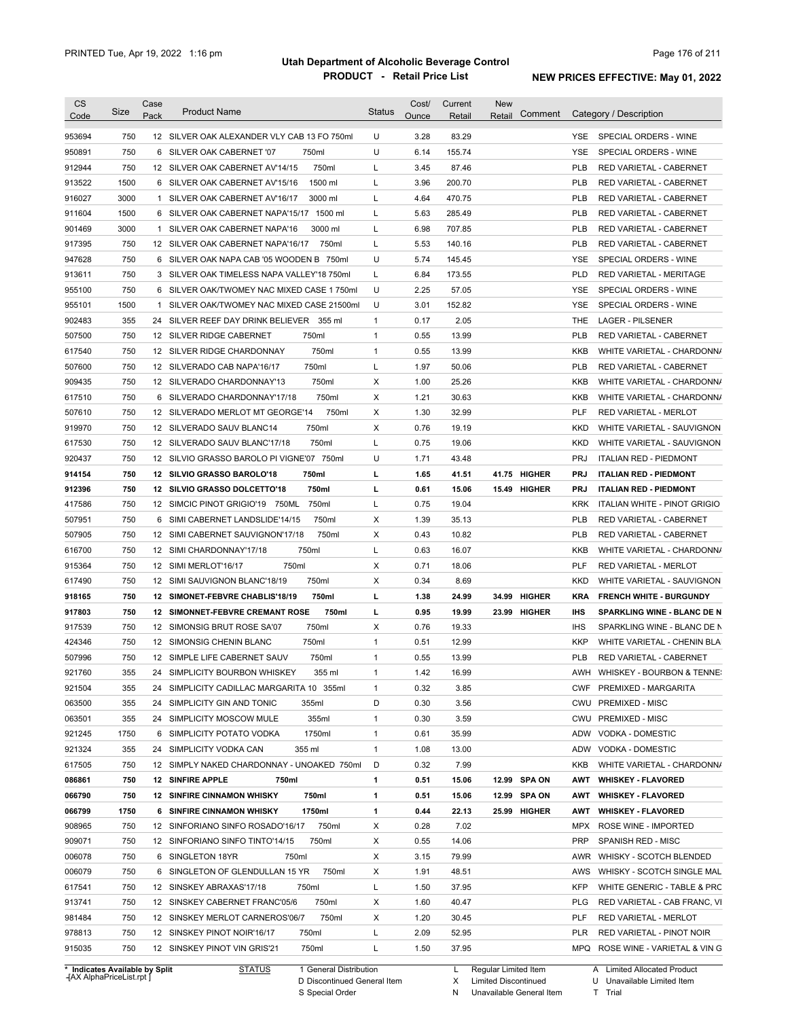| <b>CS</b>                      | Size       | Case | <b>Product Name</b>                             | <b>Status</b> | Cost/ | Current      | <b>New</b>             |            | Category / Description                     |
|--------------------------------|------------|------|-------------------------------------------------|---------------|-------|--------------|------------------------|------------|--------------------------------------------|
| Code                           |            | Pack |                                                 |               | Ounce | Retail       | Comment<br>Retail      |            |                                            |
| 953694                         | 750        |      | 12 SILVER OAK ALEXANDER VLY CAB 13 FO 750ml     | U             | 3.28  | 83.29        |                        | YSE.       | SPECIAL ORDERS - WINE                      |
| 950891                         | 750        |      | 6 SILVER OAK CABERNET '07<br>750ml              | U             | 6.14  | 155.74       |                        | YSE        | SPECIAL ORDERS - WINE                      |
| 912944                         | 750        |      | 750ml<br>12 SILVER OAK CABERNET AV'14/15        | L             | 3.45  | 87.46        |                        | PLB        | RED VARIETAL - CABERNET                    |
| 913522                         | 1500       |      | 1500 ml<br>6 SILVER OAK CABERNET AV'15/16       | Г             | 3.96  | 200.70       |                        | <b>PLB</b> | RED VARIETAL - CABERNET                    |
| 916027                         | 3000       |      | 1 SILVER OAK CABERNET AV'16/17<br>3000 ml       | Г             | 4.64  | 470.75       |                        | PLB        | RED VARIETAL - CABERNET                    |
| 911604                         | 1500       |      | 6 SILVER OAK CABERNET NAPA'15/17 1500 ml        | L             | 5.63  | 285.49       |                        | PLB        | RED VARIETAL - CABERNET                    |
| 901469                         | 3000       |      | 3000 ml<br>1 SILVER OAK CABERNET NAPA'16        | Г             | 6.98  | 707.85       |                        | <b>PLB</b> | RED VARIETAL - CABERNET                    |
| 917395                         | 750        |      | 12 SILVER OAK CABERNET NAPA'16/17<br>750ml      | L             | 5.53  | 140.16       |                        | <b>PLB</b> | RED VARIETAL - CABERNET                    |
| 947628                         | 750        |      | 6 SILVER OAK NAPA CAB '05 WOODEN B 750ml        | U             | 5.74  | 145.45       |                        | <b>YSE</b> | SPECIAL ORDERS - WINE                      |
| 913611                         | 750        |      | 3 SILVER OAK TIMELESS NAPA VALLEY'18 750ml      | L             | 6.84  | 173.55       |                        | <b>PLD</b> | RED VARIETAL - MERITAGE                    |
| 955100                         | 750        |      | 6 SILVER OAK/TWOMEY NAC MIXED CASE 1750ml       | U             | 2.25  | 57.05        |                        | YSE        | SPECIAL ORDERS - WINE                      |
| 955101                         | 1500       |      | 1 SILVER OAK/TWOMEY NAC MIXED CASE 21500ml      | U             | 3.01  | 152.82       |                        | <b>YSE</b> | SPECIAL ORDERS - WINE                      |
| 902483                         | 355        |      | 24 SILVER REEF DAY DRINK BELIEVER 355 ml        | $\mathbf{1}$  | 0.17  | 2.05         |                        | THE        | <b>LAGER - PILSENER</b>                    |
| 507500                         | 750        |      | 750ml<br>12 SILVER RIDGE CABERNET               | $\mathbf{1}$  | 0.55  | 13.99        |                        | <b>PLB</b> | RED VARIETAL - CABERNET                    |
| 617540                         | 750        |      | 750ml<br>12 SILVER RIDGE CHARDONNAY             | $\mathbf{1}$  | 0.55  | 13.99        |                        | KKB        | WHITE VARIETAL - CHARDONN/                 |
| 507600                         | 750        |      | 750ml<br>12 SILVERADO CAB NAPA'16/17            | Г             | 1.97  | 50.06        |                        | <b>PLB</b> | RED VARIETAL - CABERNET                    |
| 909435                         | 750        |      | 750ml<br>12 SILVERADO CHARDONNAY'13             | X             | 1.00  | 25.26        |                        | KKB        | WHITE VARIETAL - CHARDONN/                 |
| 617510                         | 750        |      | 750ml<br>6 SILVERADO CHARDONNAY'17/18           | X             | 1.21  | 30.63        |                        | <b>KKB</b> | WHITE VARIETAL - CHARDONN/                 |
| 507610                         | 750        |      | 750ml<br>12 SILVERADO MERLOT MT GEORGE'14       | X             | 1.30  | 32.99        |                        | <b>PLF</b> | <b>RED VARIETAL - MERLOT</b>               |
| 919970                         | 750        |      | 750ml<br>12 SILVERADO SAUV BLANC14              | X             | 0.76  | 19.19        |                        | <b>KKD</b> | WHITE VARIETAL - SAUVIGNON                 |
| 617530                         | 750        |      | 750ml<br>12 SILVERADO SAUV BLANC'17/18          | Г             | 0.75  | 19.06        |                        | <b>KKD</b> | WHITE VARIETAL - SAUVIGNON                 |
| 920437                         | 750        |      | 12 SILVIO GRASSO BAROLO PI VIGNE'07 750ml       | U             | 1.71  | 43.48        |                        | <b>PRJ</b> | <b>ITALIAN RED - PIEDMONT</b>              |
| 914154                         | 750        |      | 12 SILVIO GRASSO BAROLO'18<br>750ml             | г             | 1.65  | 41.51        | <b>HIGHER</b><br>41.75 | <b>PRJ</b> | <b>ITALIAN RED - PIEDMONT</b>              |
| 912396                         | 750        |      | 750ml<br>12 SILVIO GRASSO DOLCETTO'18           | г             | 0.61  | 15.06        | 15.49 HIGHER           | PRJ        | <b>ITALIAN RED - PIEDMONT</b>              |
| 417586                         | 750        |      | 12 SIMCIC PINOT GRIGIO'19 750ML<br>750ml        | Г             | 0.75  | 19.04        |                        | <b>KRK</b> | ITALIAN WHITE - PINOT GRIGIO               |
| 507951                         | 750        | 6    | 750ml<br>SIMI CABERNET LANDSLIDE'14/15          | X             | 1.39  | 35.13        |                        | <b>PLB</b> | RED VARIETAL - CABERNET                    |
| 507905                         | 750        |      | 750ml<br>12 SIMI CABERNET SAUVIGNON'17/18       | х             | 0.43  | 10.82        |                        | <b>PLB</b> | RED VARIETAL - CABERNET                    |
| 616700                         | 750        |      | 750ml<br>12 SIMI CHARDONNAY'17/18               | Г             | 0.63  | 16.07        |                        | <b>KKB</b> | WHITE VARIETAL - CHARDONN/                 |
| 915364                         | 750        |      | 750ml<br>12 SIMI MERLOT'16/17                   | х             | 0.71  | 18.06        |                        | PLF        | RED VARIETAL - MERLOT                      |
| 617490                         | 750        |      | 12 SIMI SAUVIGNON BLANC'18/19<br>750ml          | X             | 0.34  | 8.69         |                        | <b>KKD</b> | WHITE VARIETAL - SAUVIGNON                 |
| 918165                         | 750        |      | 12 SIMONET-FEBVRE CHABLIS'18/19<br>750ml        | г             | 1.38  | 24.99        | <b>HIGHER</b><br>34.99 | <b>KRA</b> | <b>FRENCH WHITE - BURGUNDY</b>             |
| 917803                         | 750        |      | <b>12 SIMONNET-FEBVRE CREMANT ROSE</b><br>750ml | г             | 0.95  | 19.99        | 23.99<br>HIGHER        | IHS        | <b>SPARKLING WINE - BLANC DE N</b>         |
| 917539                         | 750        |      | 750ml<br>12 SIMONSIG BRUT ROSE SA'07            | X             | 0.76  | 19.33        |                        | <b>IHS</b> | SPARKLING WINE - BLANC DE N                |
| 424346                         | 750        |      | 750ml<br>12 SIMONSIG CHENIN BLANC               | $\mathbf{1}$  | 0.51  | 12.99        |                        | <b>KKP</b> | WHITE VARIETAL - CHENIN BLA                |
| 507996                         | 750        |      | 12 SIMPLE LIFE CABERNET SAUV<br>750ml           | $\mathbf{1}$  | 0.55  | 13.99        |                        | <b>PLB</b> | RED VARIETAL - CABERNET                    |
| 921760                         | 355        |      | 24 SIMPLICITY BOURBON WHISKEY<br>355 ml         | 1             | 1.42  | 16.99        |                        |            | AWH WHISKEY - BOURBON & TENNE:             |
| 921504                         | 355        |      | 24 SIMPLICITY CADILLAC MARGARITA 10 355ml       | $\mathbf{1}$  | 0.32  | 3.85         |                        |            | CWF PREMIXED - MARGARITA                   |
|                                |            |      |                                                 | D             | 0.30  |              |                        |            |                                            |
| 063500<br>063501               | 355<br>355 |      | 24 SIMPLICITY GIN AND TONIC<br>355ml<br>355ml   | $\mathbf{1}$  | 0.30  | 3.56<br>3.59 |                        |            | CWU PREMIXED - MISC<br>CWU PREMIXED - MISC |
|                                |            |      | 24 SIMPLICITY MOSCOW MULE<br>1750ml             |               |       |              |                        |            |                                            |
| 921245                         | 1750       |      | 6 SIMPLICITY POTATO VODKA                       | $\mathbf{1}$  | 0.61  | 35.99        |                        |            | ADW VODKA - DOMESTIC                       |
| 921324                         | 355        |      | 24 SIMPLICITY VODKA CAN<br>355 ml               | $\mathbf{1}$  | 1.08  | 13.00        |                        |            | ADW VODKA - DOMESTIC                       |
| 617505                         | 750        |      | 12 SIMPLY NAKED CHARDONNAY - UNOAKED 750ml      | D             | 0.32  | 7.99         |                        | KKB        | WHITE VARIETAL - CHARDONN/                 |
| 086861                         | 750        |      | 12 SINFIRE APPLE<br>750ml                       | 1             | 0.51  | 15.06        | 12.99 SPA ON           | AWT        | <b>WHISKEY - FLAVORED</b>                  |
| 066790                         | 750        |      | <b>12 SINFIRE CINNAMON WHISKY</b><br>750ml      | 1             | 0.51  | 15.06        | 12.99 SPA ON           | AWT        | <b>WHISKEY - FLAVORED</b>                  |
| 066799                         | 1750       |      | 6 SINFIRE CINNAMON WHISKY<br>1750ml             | 1             | 0.44  | 22.13        | 25.99 HIGHER           | AWT        | <b>WHISKEY - FLAVORED</b>                  |
| 908965                         | 750        |      | 12 SINFORIANO SINFO ROSADO'16/17<br>750ml       | х             | 0.28  | 7.02         |                        | <b>MPX</b> | ROSE WINE - IMPORTED                       |
| 909071                         | 750        |      | 12 SINFORIANO SINFO TINTO'14/15<br>750ml        | X             | 0.55  | 14.06        |                        | <b>PRP</b> | SPANISH RED - MISC                         |
| 006078                         | 750        |      | 6 SINGLETON 18YR<br>750ml                       | X             | 3.15  | 79.99        |                        | AWR        | WHISKY - SCOTCH BLENDED                    |
| 006079                         | 750        |      | 6 SINGLETON OF GLENDULLAN 15 YR<br>750ml        | х             | 1.91  | 48.51        |                        | AWS        | WHISKY - SCOTCH SINGLE MAL                 |
| 617541                         | 750        |      | 12 SINSKEY ABRAXAS'17/18<br>750ml               | L             | 1.50  | 37.95        |                        | KFP        | WHITE GENERIC - TABLE & PRC                |
| 913741                         | 750        |      | 12 SINSKEY CABERNET FRANC'05/6<br>750ml         | X             | 1.60  | 40.47        |                        | <b>PLG</b> | RED VARIETAL - CAB FRANC, VI               |
| 981484                         | 750        |      | 12 SINSKEY MERLOT CARNEROS'06/7<br>750ml        | х             | 1.20  | 30.45        |                        | PLF        | RED VARIETAL - MERLOT                      |
| 978813                         | 750        |      | 12 SINSKEY PINOT NOIR'16/17<br>750ml            | Г             | 2.09  | 52.95        |                        | PLR.       | RED VARIETAL - PINOT NOIR                  |
| 915035                         | 750        |      | 750ml<br>12 SINSKEY PINOT VIN GRIS'21           | L             | 1.50  | 37.95        |                        |            | MPQ ROSE WINE - VARIETAL & VING            |
| * Indicates Available by Split |            |      | <b>STATUS</b><br>1 General Distribution         |               |       |              | L Regular Limited Item |            | A Limited Allocated Product                |

**Case** [AX AlphaPriceList.rpt ]

D Discontinued General Item

S Special Order

X

Limited Discontinued

N Unavailable General Item

U Unavailable Limited Item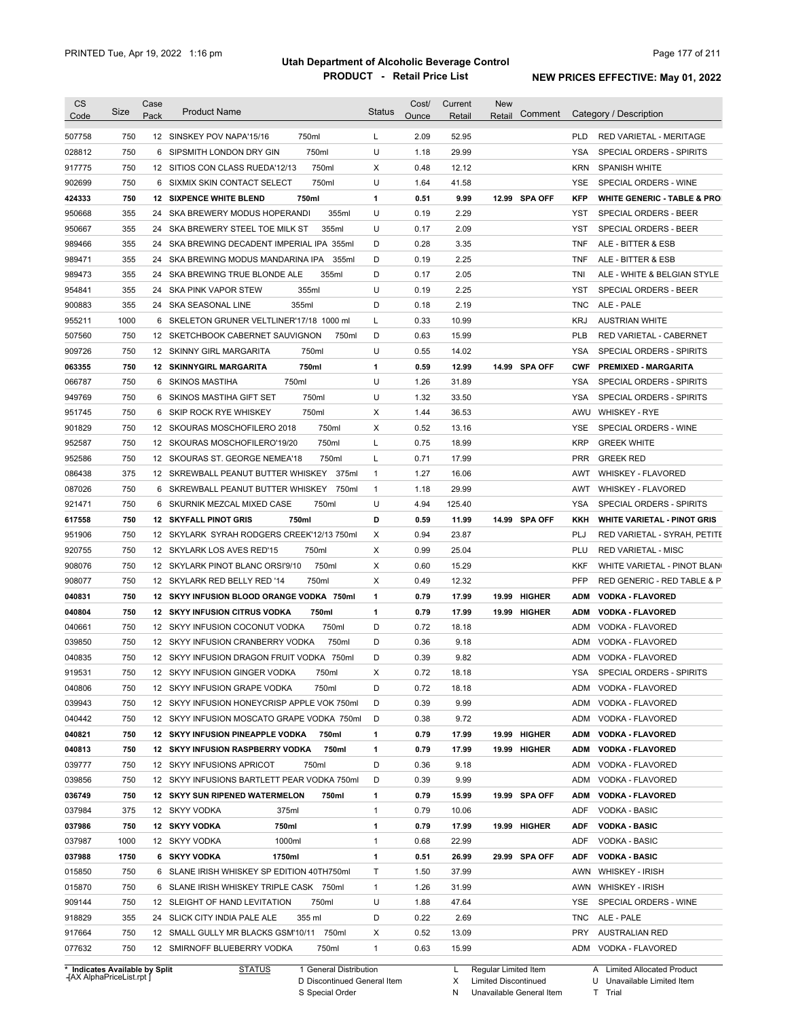| <b>CS</b><br>Code                                  | Size       | Case<br>Pack | <b>Product Name</b>                           | <b>Status</b> | Cost/<br>Ounce | Current<br>Retail | <b>New</b><br>Retail | Comment       |            | Category / Description                              |
|----------------------------------------------------|------------|--------------|-----------------------------------------------|---------------|----------------|-------------------|----------------------|---------------|------------|-----------------------------------------------------|
|                                                    |            |              |                                               |               |                |                   |                      |               |            |                                                     |
| 507758                                             | 750        |              | 750ml<br>12 SINSKEY POV NAPA'15/16            | L             | 2.09           | 52.95             |                      |               | <b>PLD</b> | RED VARIETAL - MERITAGE                             |
| 028812                                             | 750<br>750 |              | 750ml<br>6 SIPSMITH LONDON DRY GIN<br>750ml   | U             | 1.18<br>0.48   | 29.99<br>12.12    |                      |               | YSA        | SPECIAL ORDERS - SPIRITS                            |
| 917775                                             |            |              | 12 SITIOS CON CLASS RUEDA'12/13               | X             |                |                   |                      |               | KRN        | <b>SPANISH WHITE</b>                                |
| 902699                                             | 750        |              | 750ml<br>6 SIXMIX SKIN CONTACT SELECT         | U             | 1.64           | 41.58             |                      |               | YSE        | SPECIAL ORDERS - WINE                               |
| 424333                                             | 750        |              | 750ml<br><b>12 SIXPENCE WHITE BLEND</b>       | 1             | 0.51           | 9.99              |                      | 12.99 SPA OFF | <b>KFP</b> | <b>WHITE GENERIC - TABLE &amp; PRO</b>              |
| 950668                                             | 355        |              | 24 SKA BREWERY MODUS HOPERANDI<br>355ml       | U             | 0.19           | 2.29              |                      |               | YST        | SPECIAL ORDERS - BEER                               |
| 950667                                             | 355        |              | 355ml<br>24 SKA BREWERY STEEL TOE MILK ST     | U             | 0.17           | 2.09              |                      |               | YST        | <b>SPECIAL ORDERS - BEER</b>                        |
| 989466                                             | 355        |              | 24 SKA BREWING DECADENT IMPERIAL IPA 355ml    | D             | 0.28           | 3.35              |                      |               | TNF        | ALE - BITTER & ESB                                  |
| 989471                                             | 355        |              | 24 SKA BREWING MODUS MANDARINA IPA<br>355ml   | D             | 0.19           | 2.25              |                      |               | <b>TNF</b> | ALE - BITTER & ESB                                  |
| 989473                                             | 355        |              | 24 SKA BREWING TRUE BLONDE ALE<br>355ml       | D             | 0.17           | 2.05              |                      |               | TNI        | ALE - WHITE & BELGIAN STYLE                         |
| 954841                                             | 355        | 24           | 355ml<br>SKA PINK VAPOR STEW                  | U             | 0.19           | 2.25              |                      |               | YST        | SPECIAL ORDERS - BEER                               |
| 900883                                             | 355        | 24           | 355ml<br>SKA SEASONAL LINE                    | D             | 0.18           | 2.19              |                      |               | TNC        | ALE - PALE                                          |
| 955211                                             | 1000       | 6            | SKELETON GRUNER VELTLINER'17/18 1000 ml       | L             | 0.33           | 10.99             |                      |               | <b>KRJ</b> | <b>AUSTRIAN WHITE</b>                               |
| 507560                                             | 750        |              | 12 SKETCHBOOK CABERNET SAUVIGNON<br>750ml     | D             | 0.63           | 15.99             |                      |               | <b>PLB</b> | RED VARIETAL - CABERNET                             |
| 909726                                             | 750        |              | 750ml<br>12 SKINNY GIRL MARGARITA             | U             | 0.55           | 14.02             |                      |               | YSA        | SPECIAL ORDERS - SPIRITS                            |
| 063355                                             | 750        |              | 750ml<br><b>12 SKINNYGIRL MARGARITA</b>       | $\mathbf{1}$  | 0.59           | 12.99             |                      | 14.99 SPA OFF | <b>CWF</b> | <b>PREMIXED - MARGARITA</b>                         |
| 066787                                             | 750        |              | 750ml<br>6 SKINOS MASTIHA                     | U             | 1.26           | 31.89             |                      |               | YSA        | SPECIAL ORDERS - SPIRITS                            |
| 949769                                             | 750        | 6            | SKINOS MASTIHA GIFT SET<br>750ml              | U             | 1.32           | 33.50             |                      |               | YSA        | SPECIAL ORDERS - SPIRITS                            |
| 951745                                             | 750        | 6            | 750ml<br>SKIP ROCK RYE WHISKEY                | Х             | 1.44           | 36.53             |                      |               | AWU        | WHISKEY - RYE                                       |
| 901829                                             | 750        |              | 12 SKOURAS MOSCHOFILERO 2018<br>750ml         | Χ             | 0.52           | 13.16             |                      |               | YSE        | SPECIAL ORDERS - WINE                               |
| 952587                                             | 750        |              | 750ml<br>12 SKOURAS MOSCHOFILERO'19/20        | L             | 0.75           | 18.99             |                      |               | <b>KRP</b> | <b>GREEK WHITE</b>                                  |
| 952586                                             | 750        |              | 12 SKOURAS ST. GEORGE NEMEA'18<br>750ml       | L             | 0.71           | 17.99             |                      |               | <b>PRR</b> | <b>GREEK RED</b>                                    |
| 086438                                             | 375        |              | 12 SKREWBALL PEANUT BUTTER WHISKEY<br>375ml   | $\mathbf{1}$  | 1.27           | 16.06             |                      |               | AWT        | <b>WHISKEY - FLAVORED</b>                           |
| 087026                                             | 750        |              | 6 SKREWBALL PEANUT BUTTER WHISKEY<br>750ml    | $\mathbf{1}$  | 1.18           | 29.99             |                      |               | AWT        | WHISKEY - FLAVORED                                  |
| 921471                                             | 750        |              | 6 SKURNIK MEZCAL MIXED CASE<br>750ml          | U             | 4.94           | 125.40            |                      |               | YSA        | SPECIAL ORDERS - SPIRITS                            |
| 617558                                             | 750        |              | 750ml<br><b>12 SKYFALL PINOT GRIS</b>         | D             | 0.59           | 11.99             |                      | 14.99 SPA OFF | KKH        | <b>WHITE VARIETAL - PINOT GRIS</b>                  |
| 951906                                             | 750        |              | 12 SKYLARK SYRAH RODGERS CREEK'12/13 750ml    | X             | 0.94           | 23.87             |                      |               | PLJ        | RED VARIETAL - SYRAH, PETITE                        |
| 920755                                             | 750        |              | 12 SKYLARK LOS AVES RED'15<br>750ml           | Χ             | 0.99           | 25.04             |                      |               | PLU        | <b>RED VARIETAL - MISC</b>                          |
| 908076                                             | 750        |              | 750ml<br>12 SKYLARK PINOT BLANC ORSI'9/10     | Χ             | 0.60           | 15.29             |                      |               | KKF        | WHITE VARIETAL - PINOT BLAN                         |
| 908077                                             | 750        |              | 750ml<br>12 SKYLARK RED BELLY RED '14         | Χ             | 0.49           | 12.32             |                      |               | <b>PFP</b> | RED GENERIC - RED TABLE & P                         |
| 040831                                             | 750        |              | 12 SKYY INFUSION BLOOD ORANGE VODKA 750ml     | 1             | 0.79           | 17.99             | 19.99                | <b>HIGHER</b> | <b>ADM</b> | <b>VODKA FLAVORED</b>                               |
| 040804                                             | 750        |              | 750ml<br><b>12 SKYY INFUSION CITRUS VODKA</b> | 1             | 0.79           | 17.99             |                      | 19.99 HIGHER  | ADM        | <b>VODKA - FLAVORED</b>                             |
| 040661                                             | 750        |              | 750ml<br>12 SKYY INFUSION COCONUT VODKA       | D             | 0.72           | 18.18             |                      |               | ADM        | VODKA - FLAVORED                                    |
| 039850                                             | 750        |              | 750ml<br>12 SKYY INFUSION CRANBERRY VODKA     | D             | 0.36           | 9.18              |                      |               | ADM        | VODKA - FLAVORED                                    |
| 040835                                             | 750        |              | 12 SKYY INFUSION DRAGON FRUIT VODKA 750ml     | D             | 0.39           | 9.82              |                      |               |            | ADM VODKA - FLAVORED                                |
|                                                    |            |              |                                               |               |                |                   |                      |               |            |                                                     |
| 919531                                             | 750        |              | 12 SKYY INFUSION GINGER VODKA<br>750ml        | х             | 0.72           | 18.18             |                      |               | YSA        | SPECIAL ORDERS - SPIRITS                            |
| 040806                                             | 750        |              | 12 SKYY INFUSION GRAPE VODKA<br>750ml         | D             | 0.72           | 18.18             |                      |               |            | ADM VODKA - FLAVORED                                |
| 039943                                             | 750        |              | 12 SKYY INFUSION HONEYCRISP APPLE VOK 750ml   | D             | 0.39           | 9.99              |                      |               | ADM        | VODKA - FLAVORED                                    |
| 040442                                             | 750        |              | 12 SKYY INFUSION MOSCATO GRAPE VODKA 750ml    | D             | 0.38           | 9.72              |                      |               | ADM        | VODKA - FLAVORED                                    |
| 040821                                             | 750        |              | 12 SKYY INFUSION PINEAPPLE VODKA<br>750ml     | 1             | 0.79           | 17.99             |                      | 19.99 HIGHER  | ADM        | <b>VODKA - FLAVORED</b>                             |
| 040813                                             | 750        |              | 12 SKYY INFUSION RASPBERRY VODKA<br>750ml     | 1             | 0.79           | 17.99             |                      | 19.99 HIGHER  | ADM        | <b>VODKA - FLAVORED</b>                             |
| 039777                                             | 750        |              | 12 SKYY INFUSIONS APRICOT<br>750ml            | D             | 0.36           | 9.18              |                      |               | ADM        | VODKA - FLAVORED                                    |
| 039856                                             | 750        |              | 12 SKYY INFUSIONS BARTLETT PEAR VODKA 750ml   | D             | 0.39           | 9.99              |                      |               | ADM        | VODKA - FLAVORED                                    |
| 036749                                             | 750        |              | 12 SKYY SUN RIPENED WATERMELON<br>750ml       | 1             | 0.79           | 15.99             |                      | 19.99 SPA OFF | ADM        | <b>VODKA - FLAVORED</b>                             |
| 037984                                             | 375        |              | 12 SKYY VODKA<br>375ml                        | 1             | 0.79           | 10.06             |                      |               | ADF        | <b>VODKA - BASIC</b>                                |
| 037986                                             | 750        |              | 12 SKYY VODKA<br>750ml                        | 1             | 0.79           | 17.99             |                      | 19.99 HIGHER  | ADF        | <b>VODKA - BASIC</b>                                |
| 037987                                             | 1000       |              | 12 SKYY VODKA<br>1000ml                       | 1             | 0.68           | 22.99             |                      |               | ADF        | <b>VODKA - BASIC</b>                                |
| 037988                                             | 1750       |              | 1750ml<br>6 SKYY VODKA                        | 1             | 0.51           | 26.99             |                      | 29.99 SPA OFF | <b>ADF</b> | <b>VODKA - BASIC</b>                                |
| 015850                                             | 750        |              | 6 SLANE IRISH WHISKEY SP EDITION 40TH750ml    | Τ             | 1.50           | 37.99             |                      |               |            | AWN WHISKEY - IRISH                                 |
| 015870                                             | 750        |              | 6 SLANE IRISH WHISKEY TRIPLE CASK 750ml       | $\mathbf{1}$  | 1.26           | 31.99             |                      |               |            | AWN WHISKEY - IRISH                                 |
| 909144                                             | 750        |              | 750ml<br>12 SLEIGHT OF HAND LEVITATION        | U             | 1.88           | 47.64             |                      |               | YSE        | SPECIAL ORDERS - WINE                               |
| 918829                                             | 355        |              | 24 SLICK CITY INDIA PALE ALE<br>355 ml        | D             | 0.22           | 2.69              |                      |               | TNC        | ALE - PALE                                          |
|                                                    | 750        |              | 12 SMALL GULLY MR BLACKS GSM'10/11 750ml      | Х             | 0.52           | 13.09             |                      |               | PRY        | <b>AUSTRALIAN RED</b>                               |
|                                                    | 750        |              | 12 SMIRNOFF BLUEBERRY VODKA<br>750ml          | 1             | 0.63           | 15.99             |                      |               |            |                                                     |
| 917664<br>077632<br>* Indicates Available by Split |            |              | <b>STATUS</b><br>1 General Distribution       |               |                | L.                | Regular Limited Item |               |            | ADM VODKA - FLAVORED<br>A Limited Allocated Product |

**Case** [AX AlphaPriceList.rpt ]

D Discontinued General Item S Special Order

X Limited Discontinued

N Unavailable General Item

U Unavailable Limited Item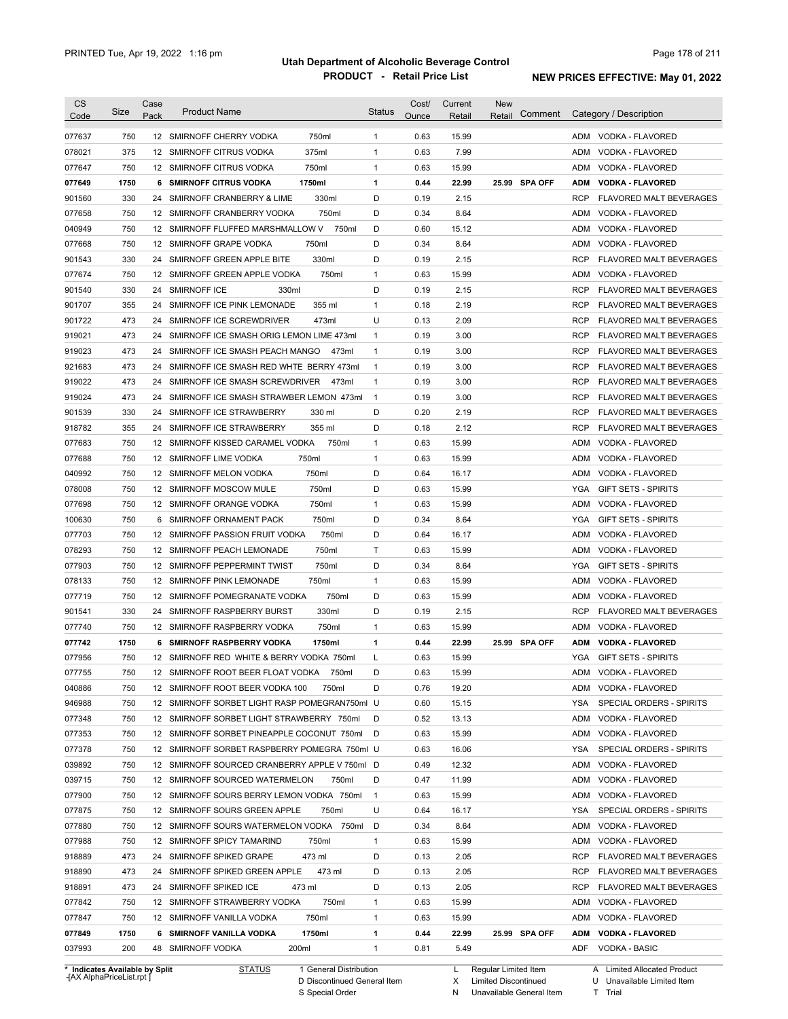| <b>CS</b><br>Code              | Size | Case<br>Pack    | <b>Product Name</b>                           | <b>Status</b> | Cost/<br>Ounce | Current<br>Retail | <b>New</b><br>Comment<br>Retail | Category / Description                       |
|--------------------------------|------|-----------------|-----------------------------------------------|---------------|----------------|-------------------|---------------------------------|----------------------------------------------|
| 077637                         | 750  |                 | 750ml<br>12 SMIRNOFF CHERRY VODKA             | $\mathbf{1}$  | 0.63           | 15.99             |                                 | VODKA - FLAVORED<br>ADM                      |
| 078021                         | 375  |                 | 375ml<br>12 SMIRNOFF CITRUS VODKA             | $\mathbf{1}$  | 0.63           | 7.99              |                                 | ADM<br>VODKA - FLAVORED                      |
| 077647                         | 750  | 12 <sup>2</sup> | 750ml<br>SMIRNOFF CITRUS VODKA                | $\mathbf{1}$  | 0.63           | 15.99             |                                 | ADM<br>VODKA - FLAVORED                      |
| 077649                         | 1750 | 6               | <b>SMIRNOFF CITRUS VODKA</b><br>1750ml        | 1             | 0.44           | 22.99             | 25.99 SPA OFF                   | ADM<br><b>VODKA - FLAVORED</b>               |
| 901560                         | 330  | 24              | SMIRNOFF CRANBERRY & LIME<br>330ml            | D             | 0.19           | 2.15              |                                 | <b>RCP</b><br><b>FLAVORED MALT BEVERAGES</b> |
| 077658                         | 750  |                 | 750ml<br>12 SMIRNOFF CRANBERRY VODKA          | D             | 0.34           | 8.64              |                                 | ADM<br>VODKA - FLAVORED                      |
| 040949                         | 750  |                 | 12 SMIRNOFF FLUFFED MARSHMALLOW V<br>750ml    | D             | 0.60           | 15.12             |                                 | ADM<br>VODKA - FLAVORED                      |
| 077668                         | 750  |                 | 12 SMIRNOFF GRAPE VODKA<br>750ml              | D             | 0.34           | 8.64              |                                 | ADM<br>VODKA - FLAVORED                      |
| 901543                         | 330  | 24              | 330ml<br>SMIRNOFF GREEN APPLE BITE            | D             | 0.19           | 2.15              |                                 | <b>RCP</b><br>FLAVORED MALT BEVERAGES        |
| 077674                         | 750  |                 | 750ml<br>12 SMIRNOFF GREEN APPLE VODKA        | $\mathbf{1}$  | 0.63           | 15.99             |                                 | ADM<br>VODKA - FLAVORED                      |
| 901540                         | 330  | 24              | 330ml<br><b>SMIRNOFF ICE</b>                  | D             | 0.19           | 2.15              |                                 | <b>RCP</b><br>FLAVORED MALT BEVERAGES        |
| 901707                         | 355  | 24              | SMIRNOFF ICE PINK LEMONADE<br>355 ml          | $\mathbf{1}$  | 0.18           | 2.19              |                                 | <b>RCP</b><br>FLAVORED MALT BEVERAGES        |
| 901722                         | 473  | 24              | 473ml<br>SMIRNOFF ICE SCREWDRIVER             | U             | 0.13           | 2.09              |                                 | <b>RCP</b><br>FLAVORED MALT BEVERAGES        |
| 919021                         | 473  | 24              | SMIRNOFF ICE SMASH ORIG LEMON LIME 473ml      | $\mathbf{1}$  | 0.19           | 3.00              |                                 | <b>RCP</b><br>FLAVORED MALT BEVERAGES        |
| 919023                         | 473  | 24              | SMIRNOFF ICE SMASH PEACH MANGO<br>473ml       | 1             | 0.19           | 3.00              |                                 | <b>RCP</b><br><b>FLAVORED MALT BEVERAGES</b> |
| 921683                         | 473  | 24              | SMIRNOFF ICE SMASH RED WHTE BERRY 473ml       | $\mathbf{1}$  | 0.19           | 3.00              |                                 | <b>RCP</b><br>FLAVORED MALT BEVERAGES        |
| 919022                         | 473  | 24              | SMIRNOFF ICE SMASH SCREWDRIVER<br>473ml       | $\mathbf{1}$  | 0.19           | 3.00              |                                 | <b>RCP</b><br><b>FLAVORED MALT BEVERAGES</b> |
| 919024                         | 473  | 24              | SMIRNOFF ICE SMASH STRAWBER LEMON 473ml       | $\mathbf{1}$  | 0.19           | 3.00              |                                 | <b>RCP</b><br><b>FLAVORED MALT BEVERAGES</b> |
| 901539                         | 330  | 24              | SMIRNOFF ICE STRAWBERRY<br>330 ml             | D             | 0.20           | 2.19              |                                 | <b>RCP</b><br><b>FLAVORED MALT BEVERAGES</b> |
| 918782                         | 355  | 24              | SMIRNOFF ICE STRAWBERRY<br>355 ml             | D             | 0.18           | 2.12              |                                 | <b>RCP</b><br>FLAVORED MALT BEVERAGES        |
| 077683                         | 750  | 12              | 750ml<br>SMIRNOFF KISSED CARAMEL VODKA        | 1             | 0.63           | 15.99             |                                 | <b>ADM</b><br>VODKA - FLAVORED               |
| 077688                         | 750  | 12              | 750ml<br>SMIRNOFF LIME VODKA                  | 1             | 0.63           | 15.99             |                                 | <b>ADM</b><br><b>VODKA - FLAVORED</b>        |
| 040992                         | 750  | 12              | 750ml<br>SMIRNOFF MELON VODKA                 | D             | 0.64           | 16.17             |                                 | <b>ADM</b><br>VODKA - FLAVORED               |
| 078008                         | 750  | 12              | 750ml<br>SMIRNOFF MOSCOW MULE                 | D             | 0.63           | 15.99             |                                 | <b>YGA</b><br><b>GIFT SETS - SPIRITS</b>     |
| 077698                         | 750  | 12              | 750ml<br>SMIRNOFF ORANGE VODKA                | 1             | 0.63           | 15.99             |                                 | <b>ADM</b><br>VODKA - FLAVORED               |
| 100630                         | 750  | 6               | 750ml<br>SMIRNOFF ORNAMENT PACK               | D             | 0.34           | 8.64              |                                 | <b>YGA</b><br><b>GIFT SETS - SPIRITS</b>     |
| 077703                         | 750  |                 | 12 SMIRNOFF PASSION FRUIT VODKA<br>750ml      | D             | 0.64           | 16.17             |                                 | ADM<br>VODKA - FLAVORED                      |
| 078293                         | 750  |                 | 12 SMIRNOFF PEACH LEMONADE<br>750ml           | Τ             | 0.63           | 15.99             |                                 | ADM<br>VODKA - FLAVORED                      |
| 077903                         | 750  |                 | 12 SMIRNOFF PEPPERMINT TWIST<br>750ml         | D             | 0.34           | 8.64              |                                 | <b>YGA</b><br><b>GIFT SETS - SPIRITS</b>     |
| 078133                         | 750  |                 | 750ml<br>12 SMIRNOFF PINK LEMONADE            | $\mathbf{1}$  | 0.63           | 15.99             |                                 | ADM<br>VODKA - FLAVORED                      |
| 077719                         | 750  | 12 <sup>2</sup> | 750ml<br>SMIRNOFF POMEGRANATE VODKA           | D             | 0.63           | 15.99             |                                 | ADM<br>VODKA - FLAVORED                      |
| 901541                         | 330  | 24              | 330ml<br>SMIRNOFF RASPBERRY BURST             | D             | 0.19           | 2.15              |                                 | <b>RCP</b><br><b>FLAVORED MALT BEVERAGES</b> |
| 077740                         | 750  |                 | 750ml<br>12 SMIRNOFF RASPBERRY VODKA          | $\mathbf{1}$  | 0.63           | 15.99             |                                 | ADM<br>VODKA - FLAVORED                      |
| 077742                         | 1750 |                 | 6 SMIRNOFF RASPBERRY VODKA<br>1750ml          | 1             | 0.44           | 22.99             | 25.99 SPA OFF                   | <b>ADM</b><br><b>VODKA - FLAVORED</b>        |
| 077956                         | 750  |                 | 12 SMIRNOFF RED WHITE & BERRY VODKA 750ml     | L             | 0.63           | 15.99             |                                 | YGA<br><b>GIFT SETS - SPIRITS</b>            |
| 077755                         | 750  |                 | 12 SMIRNOFF ROOT BEER FLOAT VODKA 750ml       | D             | 0.63           | 15.99             |                                 | ADM VODKA - FLAVORED                         |
| 040886                         | 750  |                 | 12 SMIRNOFF ROOT BEER VODKA 100<br>750ml      | D             | 0.76           | 19.20             |                                 | VODKA - FLAVORED<br>ADM                      |
| 946988                         | 750  |                 | 12 SMIRNOFF SORBET LIGHT RASP POMEGRAN750ml U |               | 0.60           | 15.15             |                                 | <b>YSA</b><br>SPECIAL ORDERS - SPIRITS       |
| 077348                         | 750  |                 | 12 SMIRNOFF SORBET LIGHT STRAWBERRY 750ml     | D             | 0.52           | 13.13             |                                 | ADM<br>VODKA - FLAVORED                      |
| 077353                         | 750  |                 | 12 SMIRNOFF SORBET PINEAPPLE COCONUT 750ml    | D             | 0.63           | 15.99             |                                 | ADM<br>VODKA - FLAVORED                      |
| 077378                         | 750  |                 | 12 SMIRNOFF SORBET RASPBERRY POMEGRA 750ml U  |               | 0.63           | 16.06             |                                 | YSA<br>SPECIAL ORDERS - SPIRITS              |
| 039892                         | 750  |                 | 12 SMIRNOFF SOURCED CRANBERRY APPLE V 750ml D |               | 0.49           | 12.32             |                                 | ADM<br>VODKA - FLAVORED                      |
| 039715                         | 750  |                 | 12 SMIRNOFF SOURCED WATERMELON<br>750ml       | D             | 0.47           | 11.99             |                                 | ADM<br>VODKA - FLAVORED                      |
| 077900                         | 750  |                 | 12 SMIRNOFF SOURS BERRY LEMON VODKA 750ml     | $\mathbf{1}$  | 0.63           | 15.99             |                                 | ADM<br>VODKA - FLAVORED                      |
| 077875                         | 750  |                 | 12 SMIRNOFF SOURS GREEN APPLE<br>750ml        | U             | 0.64           | 16.17             |                                 | YSA<br>SPECIAL ORDERS - SPIRITS              |
| 077880                         | 750  |                 | 12 SMIRNOFF SOURS WATERMELON VODKA 750ml      | D             | 0.34           | 8.64              |                                 | ADM<br>VODKA - FLAVORED                      |
| 077988                         | 750  |                 | 12 SMIRNOFF SPICY TAMARIND<br>750ml           | 1             | 0.63           | 15.99             |                                 | ADM<br>VODKA - FLAVORED                      |
| 918889                         | 473  |                 | 24 SMIRNOFF SPIKED GRAPE<br>473 ml            | D             | 0.13           | 2.05              |                                 | RCP<br>FLAVORED MALT BEVERAGES               |
| 918890                         | 473  |                 | 24 SMIRNOFF SPIKED GREEN APPLE<br>473 ml      | D             | 0.13           | 2.05              |                                 | RCP<br>FLAVORED MALT BEVERAGES               |
| 918891                         | 473  |                 | 24 SMIRNOFF SPIKED ICE<br>473 ml              | D             | 0.13           | 2.05              |                                 | RCP<br>FLAVORED MALT BEVERAGES               |
| 077842                         | 750  |                 | 750ml<br>12 SMIRNOFF STRAWBERRY VODKA         | 1             | 0.63           | 15.99             |                                 | ADM<br>VODKA - FLAVORED                      |
| 077847                         | 750  |                 | 750ml<br>12 SMIRNOFF VANILLA VODKA            | 1             | 0.63           | 15.99             |                                 | ADM<br>VODKA - FLAVORED                      |
| 077849                         | 1750 |                 | 1750ml<br>6 SMIRNOFF VANILLA VODKA            | 1             | 0.44           | 22.99             | 25.99 SPA OFF                   | <b>ADM</b><br><b>VODKA - FLAVORED</b>        |
| 037993                         | 200  |                 | 48 SMIRNOFF VODKA<br>200ml                    | 1             | 0.81           | 5.49              |                                 | ADF<br>VODKA - BASIC                         |
| * Indicates Available by Split |      |                 | <b>STATUS</b><br>1 General Distribution       |               |                | L                 | Regular Limited Item            | A Limited Allocated Product                  |

**Case** [AX AlphaPriceList.rpt ]

D Discontinued General Item

S Special Order

X Limited Discontinued

N Unavailable General Item

U Unavailable Limited Item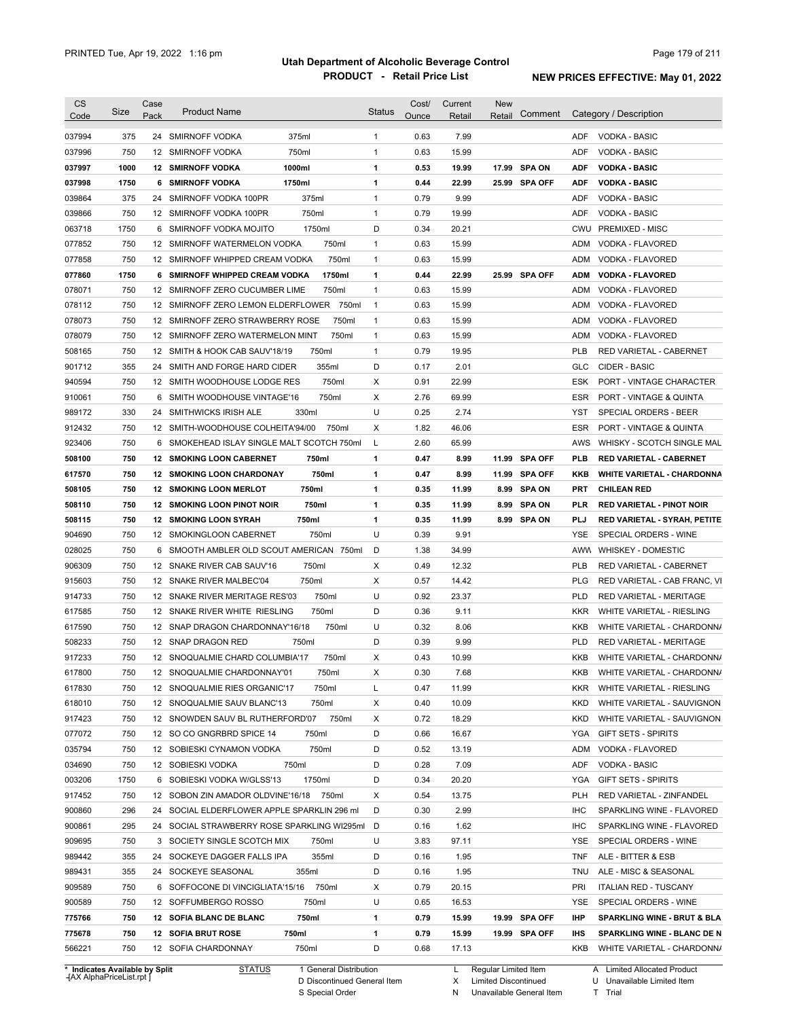| <b>CS</b><br>Code              | Size | Case<br>Pack | <b>Product Name</b>                           | <b>Status</b> | Cost/<br>Ounce | Current<br><b>Retail</b> | <b>New</b><br>Retail | Comment       |            | Category / Description            |
|--------------------------------|------|--------------|-----------------------------------------------|---------------|----------------|--------------------------|----------------------|---------------|------------|-----------------------------------|
| 037994                         | 375  |              | 375ml<br>24 SMIRNOFF VODKA                    | 1             | 0.63           | 7.99                     |                      |               | <b>ADF</b> | <b>VODKA - BASIC</b>              |
| 037996                         | 750  |              | 750ml<br>12 SMIRNOFF VODKA                    | $\mathbf{1}$  | 0.63           | 15.99                    |                      |               | <b>ADF</b> | <b>VODKA - BASIC</b>              |
| 037997                         | 1000 |              | 1000ml<br><b>12 SMIRNOFF VODKA</b>            | 1             | 0.53           | 19.99                    |                      | 17.99 SPA ON  | ADF        | <b>VODKA - BASIC</b>              |
| 037998                         | 1750 |              | 1750ml<br><b>6 SMIRNOFF VODKA</b>             | 1             | 0.44           | 22.99                    |                      | 25.99 SPA OFF | <b>ADF</b> | <b>VODKA - BASIC</b>              |
| 039864                         | 375  |              | 375ml<br>24 SMIRNOFF VODKA 100PR              | 1             | 0.79           | 9.99                     |                      |               | ADF        | <b>VODKA - BASIC</b>              |
| 039866                         | 750  |              | 750ml<br>12 SMIRNOFF VODKA 100PR              | 1             | 0.79           | 19.99                    |                      |               | <b>ADF</b> | <b>VODKA - BASIC</b>              |
| 063718                         | 1750 |              | 6 SMIRNOFF VODKA MOJITO<br>1750ml             | D             | 0.34           | 20.21                    |                      |               | <b>CWU</b> | <b>PREMIXED - MISC</b>            |
| 077852                         | 750  |              | 750ml<br>12 SMIRNOFF WATERMELON VODKA         | 1             | 0.63           | 15.99                    |                      |               | ADM        | VODKA - FLAVORED                  |
| 077858                         | 750  |              | 12 SMIRNOFF WHIPPED CREAM VODKA<br>750ml      | $\mathbf{1}$  | 0.63           | 15.99                    |                      |               | ADM        | VODKA - FLAVORED                  |
| 077860                         | 1750 |              | 6 SMIRNOFF WHIPPED CREAM VODKA<br>1750ml      | 1             | 0.44           | 22.99                    |                      | 25.99 SPA OFF | <b>ADM</b> | <b>VODKA - FLAVORED</b>           |
| 078071                         | 750  |              | 12 SMIRNOFF ZERO CUCUMBER LIME<br>750ml       | $\mathbf{1}$  | 0.63           | 15.99                    |                      |               | ADM        | VODKA - FLAVORED                  |
| 078112                         | 750  |              | 12 SMIRNOFF ZERO LEMON ELDERFLOWER 750ml      | $\mathbf{1}$  | 0.63           | 15.99                    |                      |               | ADM        | VODKA - FLAVORED                  |
| 078073                         | 750  |              | 750ml<br>12 SMIRNOFF ZERO STRAWBERRY ROSE     | 1             | 0.63           | 15.99                    |                      |               | ADM        | VODKA - FLAVORED                  |
| 078079                         | 750  |              | 750ml<br>12 SMIRNOFF ZERO WATERMELON MINT     | 1             | 0.63           | 15.99                    |                      |               | ADM        | VODKA - FLAVORED                  |
| 508165                         | 750  |              | 12 SMITH & HOOK CAB SAUV'18/19<br>750ml       | 1             | 0.79           | 19.95                    |                      |               | <b>PLB</b> | RED VARIETAL - CABERNET           |
| 901712                         | 355  |              | 24 SMITH AND FORGE HARD CIDER<br>355ml        | D             | 0.17           | 2.01                     |                      |               | GLC        | CIDER - BASIC                     |
| 940594                         | 750  |              | 750ml<br>12 SMITH WOODHOUSE LODGE RES         | Х             | 0.91           | 22.99                    |                      |               | ESK        | PORT - VINTAGE CHARACTER          |
| 910061                         | 750  |              | 750ml<br>6 SMITH WOODHOUSE VINTAGE'16         | Х             | 2.76           | 69.99                    |                      |               | <b>ESR</b> | PORT - VINTAGE & QUINTA           |
| 989172                         | 330  |              | 24 SMITHWICKS IRISH ALE<br>330ml              | U             | 0.25           | 2.74                     |                      |               | YST        | SPECIAL ORDERS - BEER             |
| 912432                         | 750  |              | 12 SMITH-WOODHOUSE COLHEITA'94/00<br>750ml    | Х             | 1.82           | 46.06                    |                      |               | <b>ESR</b> | PORT - VINTAGE & QUINTA           |
| 923406                         | 750  |              | 6 SMOKEHEAD ISLAY SINGLE MALT SCOTCH 750ml    | L             | 2.60           | 65.99                    |                      |               | AWS        | WHISKY - SCOTCH SINGLE MAL        |
| 508100                         | 750  |              | 12 SMOKING LOON CABERNET<br>750ml             | 1             | 0.47           | 8.99                     |                      | 11.99 SPA OFF | <b>PLB</b> | <b>RED VARIETAL - CABERNET</b>    |
| 617570                         | 750  |              | 750ml<br>12 SMOKING LOON CHARDONAY            | 1             | 0.47           | 8.99                     |                      | 11.99 SPA OFF | KKB        | <b>WHITE VARIETAL - CHARDONNA</b> |
| 508105                         | 750  |              | 750ml<br><b>12 SMOKING LOON MERLOT</b>        | 1             | 0.35           | 11.99                    |                      | 8.99 SPA ON   | PRT        | <b>CHILEAN RED</b>                |
| 508110                         | 750  |              | 12 SMOKING LOON PINOT NOIR<br>750ml           | 1             | 0.35           | 11.99                    |                      | 8.99 SPA ON   | PLR        | <b>RED VARIETAL - PINOT NOIR</b>  |
| 508115                         | 750  |              | <b>12 SMOKING LOON SYRAH</b><br>750ml         | 1             | 0.35           | 11.99                    |                      | 8.99 SPA ON   | PLJ        | RED VARIETAL - SYRAH, PETITE      |
| 904690                         | 750  |              | 12 SMOKINGLOON CABERNET<br>750ml              | U             | 0.39           | 9.91                     |                      |               | <b>YSE</b> | SPECIAL ORDERS - WINE             |
| 028025                         | 750  |              | 6 SMOOTH AMBLER OLD SCOUT AMERICAN 750ml      | D             | 1.38           | 34.99                    |                      |               |            | AWW WHISKEY - DOMESTIC            |
| 906309                         | 750  |              | 12 SNAKE RIVER CAB SAUV'16<br>750ml           | Х             | 0.49           | 12.32                    |                      |               | <b>PLB</b> | RED VARIETAL - CABERNET           |
| 915603                         | 750  |              | 12 SNAKE RIVER MALBEC'04<br>750ml             | Х             | 0.57           | 14.42                    |                      |               | <b>PLG</b> | RED VARIETAL - CAB FRANC, VI      |
| 914733                         | 750  |              | 12 SNAKE RIVER MERITAGE RES'03<br>750ml       | U             | 0.92           | 23.37                    |                      |               | PLD        | RED VARIETAL - MERITAGE           |
| 617585                         | 750  |              | 750ml<br>12 SNAKE RIVER WHITE RIESLING        | D             | 0.36           | 9.11                     |                      |               | <b>KKR</b> | WHITE VARIETAL - RIESLING         |
| 617590                         | 750  |              | 750ml<br>12 SNAP DRAGON CHARDONNAY'16/18      | U             | 0.32           | 8.06                     |                      |               | KKB        | WHITE VARIETAL - CHARDONN/        |
| 508233                         | 750  |              | 12 SNAP DRAGON RED<br>750ml                   | D             | 0.39           | 9.99                     |                      |               | <b>PLD</b> | RED VARIETAL - MERITAGE           |
| 917233                         | 750  |              | 12 SNOQUALMIE CHARD COLUMBIA'17<br>750ml      | Х             | 0.43           | 10.99                    |                      |               | KKB        | WHITE VARIETAL - CHARDONN/        |
| 617800                         | 750  |              | 12 SNOQUALMIE CHARDONNAY'01<br>750ml          | Х             | 0.30           | 7.68                     |                      |               | KKB        | WHITE VARIETAL - CHARDONNA        |
| 617830                         | 750  |              | 12 SNOQUALMIE RIES ORGANIC'17<br>750ml        | L             | 0.47           | 11.99                    |                      |               |            | KKR WHITE VARIETAL - RIESLING     |
| 618010                         | 750  |              | 750ml<br>12 SNOQUALMIE SAUV BLANC'13          | х             | 0.40           | 10.09                    |                      |               | KKD        | WHITE VARIETAL - SAUVIGNON        |
| 917423                         | 750  |              | 12 SNOWDEN SAUV BL RUTHERFORD'07<br>750ml     | х             | 0.72           | 18.29                    |                      |               | <b>KKD</b> | WHITE VARIETAL - SAUVIGNON        |
| 077072                         | 750  |              | 12 SO CO GNGRBRD SPICE 14<br>750ml            | D             | 0.66           | 16.67                    |                      |               |            | YGA GIFT SETS - SPIRITS           |
| 035794                         | 750  |              | 750ml<br>12 SOBIESKI CYNAMON VODKA            | D             | 0.52           | 13.19                    |                      |               | ADM        | VODKA - FLAVORED                  |
| 034690                         | 750  |              | 12 SOBIESKI VODKA<br>750ml                    | D             | 0.28           | 7.09                     |                      |               | ADF        | VODKA - BASIC                     |
| 003206                         | 1750 |              | 6 SOBIESKI VODKA W/GLSS'13<br>1750ml          | D             | 0.34           | 20.20                    |                      |               | YGA        | <b>GIFT SETS - SPIRITS</b>        |
| 917452                         | 750  |              | 12 SOBON ZIN AMADOR OLDVINE'16/18<br>750ml    | Х             | 0.54           | 13.75                    |                      |               | <b>PLH</b> | RED VARIETAL - ZINFANDEL          |
| 900860                         | 296  |              | 24 SOCIAL ELDERFLOWER APPLE SPARKLIN 296 ml   | D             | 0.30           | 2.99                     |                      |               | <b>IHC</b> | SPARKLING WINE - FLAVORED         |
| 900861                         | 295  |              | 24 SOCIAL STRAWBERRY ROSE SPARKLING WI295ml D |               | 0.16           | 1.62                     |                      |               | <b>IHC</b> | SPARKLING WINE - FLAVORED         |
| 909695                         | 750  |              | 3 SOCIETY SINGLE SCOTCH MIX<br>750ml          | U             | 3.83           | 97.11                    |                      |               | YSE        | SPECIAL ORDERS - WINE             |
| 989442                         | 355  |              | 355ml<br>24 SOCKEYE DAGGER FALLS IPA          | D             | 0.16           | 1.95                     |                      |               | TNF        | ALE - BITTER & ESB                |
| 989431                         | 355  |              | 24 SOCKEYE SEASONAL<br>355ml                  | D             | 0.16           | 1.95                     |                      |               | TNU        | ALE - MISC & SEASONAL             |
| 909589                         | 750  |              | 750ml<br>6 SOFFOCONE DI VINCIGLIATA'15/16     | Х             | 0.79           | 20.15                    |                      |               | PRI        | <b>ITALIAN RED - TUSCANY</b>      |
| 900589                         | 750  |              | 750ml<br>12 SOFFUMBERGO ROSSO                 | U             | 0.65           | 16.53                    |                      |               | YSE        | SPECIAL ORDERS - WINE             |
| 775766                         | 750  |              | 750ml<br>12 SOFIA BLANC DE BLANC              | 1             | 0.79           | 15.99                    |                      | 19.99 SPA OFF | IHP        | SPARKLING WINE - BRUT & BLA       |
| 775678                         | 750  |              | 750ml<br><b>12 SOFIA BRUT ROSE</b>            | 1             | 0.79           | 15.99                    |                      | 19.99 SPA OFF | IHS        | SPARKLING WINE - BLANC DE N       |
| 566221                         | 750  |              | 12 SOFIA CHARDONNAY<br>750ml                  | D             | 0.68           | 17.13                    |                      |               | KKB        | WHITE VARIETAL - CHARDONN/        |
| * Indicates Available by Split |      |              | <b>STATUS</b><br>1 General Distribution       |               |                | L.                       | Regular Limited Item |               |            | A Limited Allocated Product       |

**Case** [AX AlphaPriceList.rpt ]

D Discontinued General Item

S Special Order

L Regular Limited Item

X N Limited Discontinued

Unavailable General Item

A Limited Allocated Product

U Unavailable Limited Item

T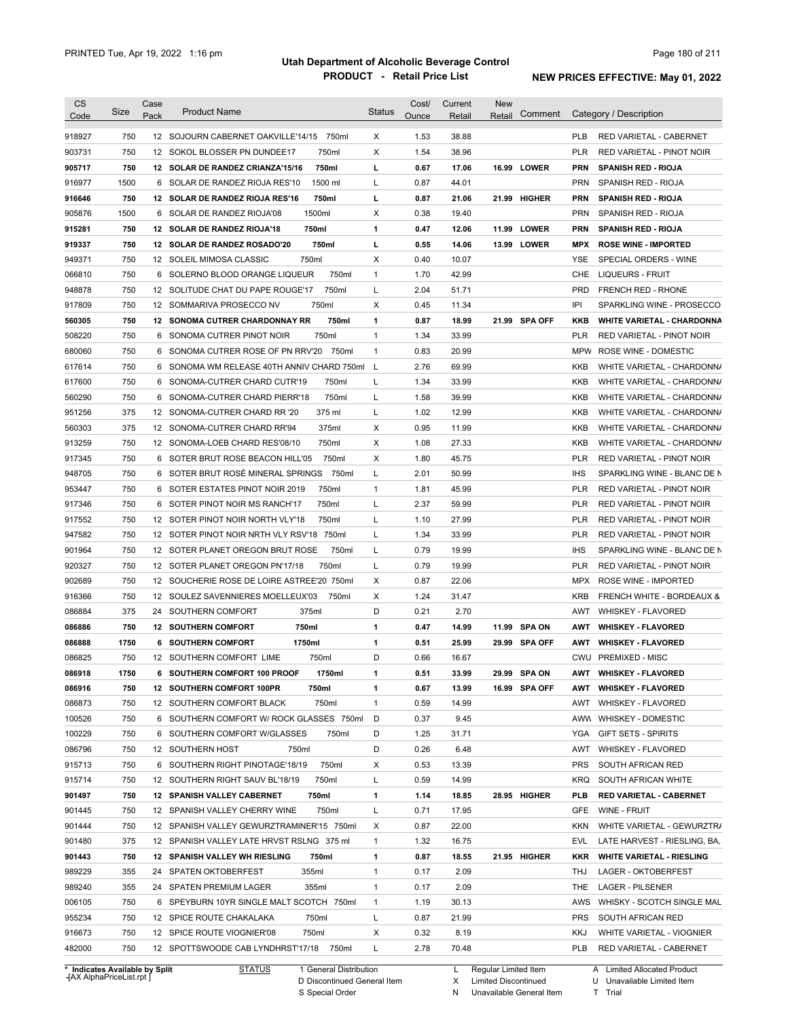|                                                                                                                                                              | <b>Size</b> | Case<br>Pack | <b>Product Name</b>                                                               | <b>Status</b> | Cost/        | Current       | <b>New</b> | Comment       |            | Category / Description                               |
|--------------------------------------------------------------------------------------------------------------------------------------------------------------|-------------|--------------|-----------------------------------------------------------------------------------|---------------|--------------|---------------|------------|---------------|------------|------------------------------------------------------|
| Code                                                                                                                                                         |             |              |                                                                                   |               | Ounce        | Retail        | Retail     |               |            |                                                      |
| 918927                                                                                                                                                       | 750         |              | 12 SOJOURN CABERNET OAKVILLE'14/15<br>750ml                                       | Χ             | 1.53         | 38.88         |            |               | <b>PLB</b> | RED VARIETAL - CABERNET                              |
| 903731                                                                                                                                                       | 750         |              | 750ml<br>12 SOKOL BLOSSER PN DUNDEE17                                             | X             | 1.54         | 38.96         |            |               | <b>PLR</b> | RED VARIETAL - PINOT NOIR                            |
| 905717                                                                                                                                                       | 750         |              | 750ml<br>12 SOLAR DE RANDEZ CRIANZA'15/16                                         | г             | 0.67         | 17.06         |            | 16.99 LOWER   | <b>PRN</b> | <b>SPANISH RED - RIOJA</b>                           |
| 916977                                                                                                                                                       | 1500        |              | 1500 ml<br>6 SOLAR DE RANDEZ RIOJA RES'10                                         | L             | 0.87         | 44.01         |            |               | <b>PRN</b> | SPANISH RED - RIOJA                                  |
| 916646                                                                                                                                                       | 750         |              | 750ml<br>12 SOLAR DE RANDEZ RIOJA RES'16                                          | г             | 0.87         | 21.06         |            | 21.99 HIGHER  | <b>PRN</b> | <b>SPANISH RED - RIOJA</b>                           |
| 905876                                                                                                                                                       | 1500        |              | 1500ml<br>6 SOLAR DE RANDEZ RIOJA'08                                              | Χ             | 0.38         | 19.40         |            |               | <b>PRN</b> | SPANISH RED - RIOJA                                  |
| 915281                                                                                                                                                       | 750         |              | 750ml<br>12 SOLAR DE RANDEZ RIOJA'18                                              | 1             | 0.47         | 12.06         |            | 11.99 LOWER   | <b>PRN</b> | <b>SPANISH RED - RIOJA</b>                           |
| 919337                                                                                                                                                       | 750         |              | 750ml<br>12 SOLAR DE RANDEZ ROSADO'20                                             | г             | 0.55         | 14.06         |            | 13.99 LOWER   | <b>MPX</b> | <b>ROSE WINE - IMPORTED</b>                          |
| 949371                                                                                                                                                       | 750         |              | 750ml<br>12 SOLEIL MIMOSA CLASSIC                                                 | Χ             | 0.40         | 10.07         |            |               | YSE        | SPECIAL ORDERS - WINE                                |
| 066810                                                                                                                                                       | 750         |              | 6 SOLERNO BLOOD ORANGE LIQUEUR<br>750ml                                           | 1             | 1.70         | 42.99         |            |               | <b>CHE</b> | <b>LIQUEURS - FRUIT</b>                              |
| 948878                                                                                                                                                       | 750         |              | 750ml<br>12 SOLITUDE CHAT DU PAPE ROUGE'17                                        | Г             | 2.04         | 51.71         |            |               | <b>PRD</b> | <b>FRENCH RED - RHONE</b>                            |
| 917809                                                                                                                                                       | 750         |              | 12 SOMMARIVA PROSECCO NV<br>750ml                                                 | X             | 0.45         | 11.34         |            |               | IPI        | SPARKLING WINE - PROSECCO                            |
| 560305                                                                                                                                                       | 750         |              | <b>12 SONOMA CUTRER CHARDONNAY RR</b><br>750ml                                    | 1             | 0.87         | 18.99         |            | 21.99 SPA OFF | KKB        | <b>WHITE VARIETAL - CHARDONNA</b>                    |
| 508220                                                                                                                                                       | 750         | 6            | 750ml<br>SONOMA CUTRER PINOT NOIR                                                 | 1             | 1.34         | 33.99         |            |               | <b>PLR</b> | RED VARIETAL - PINOT NOIR                            |
| 680060                                                                                                                                                       | 750         | 6            | SONOMA CUTRER ROSE OF PN RRV'20                                                   | 750ml<br>1    | 0.83         | 20.99         |            |               | <b>MPW</b> | ROSE WINE - DOMESTIC                                 |
| 617614                                                                                                                                                       | 750         | 6            | SONOMA WM RELEASE 40TH ANNIV CHARD 750ml                                          | L             | 2.76         | 69.99         |            |               | <b>KKB</b> | WHITE VARIETAL - CHARDONN/                           |
| 617600                                                                                                                                                       | 750         | 6            | 750ml<br>SONOMA-CUTRER CHARD CUTR'19                                              | L             | 1.34         | 33.99         |            |               | <b>KKB</b> | WHITE VARIETAL - CHARDONN/                           |
| 560290                                                                                                                                                       | 750         | 6            | 750ml<br>SONOMA-CUTRER CHARD PIERR'18                                             | L             | 1.58         | 39.99         |            |               | <b>KKB</b> | WHITE VARIETAL - CHARDONN/                           |
| 951256                                                                                                                                                       | 375         |              | 375 ml<br>12 SONOMA-CUTRER CHARD RR '20                                           | L             | 1.02         | 12.99         |            |               | <b>KKB</b> | WHITE VARIETAL - CHARDONN/                           |
| 560303                                                                                                                                                       | 375         |              | 375ml<br>12 SONOMA-CUTRER CHARD RR'94                                             | Χ             | 0.95         | 11.99         |            |               | <b>KKB</b> | WHITE VARIETAL - CHARDONN/                           |
| 913259                                                                                                                                                       | 750         |              | 750ml<br>12 SONOMA-LOEB CHARD RES'08/10                                           | Χ             | 1.08         | 27.33         |            |               | <b>KKB</b> | WHITE VARIETAL - CHARDONN/                           |
| 917345                                                                                                                                                       | 750         | 6            | 750ml<br>SOTER BRUT ROSE BEACON HILL'05                                           | Χ             | 1.80         | 45.75         |            |               | <b>PLR</b> | RED VARIETAL - PINOT NOIR                            |
| 948705                                                                                                                                                       | 750         | 6            | SOTER BRUT ROSÉ MINERAL SPRINGS                                                   | 750ml<br>L    | 2.01         | 50.99         |            |               | <b>IHS</b> | SPARKLING WINE - BLANC DE N                          |
| 953447                                                                                                                                                       | 750         | 6            | 750ml<br>SOTER ESTATES PINOT NOIR 2019                                            | 1             | 1.81         | 45.99         |            |               | <b>PLR</b> | RED VARIETAL - PINOT NOIR                            |
| 917346                                                                                                                                                       | 750         | 6            | 750ml<br>SOTER PINOT NOIR MS RANCH'17                                             | L             | 2.37         | 59.99         |            |               | <b>PLR</b> | RED VARIETAL - PINOT NOIR                            |
| 917552                                                                                                                                                       | 750         |              | 12 SOTER PINOT NOIR NORTH VLY'18<br>750ml                                         | L             | 1.10         | 27.99         |            |               | <b>PLR</b> | RED VARIETAL - PINOT NOIR                            |
| 947582                                                                                                                                                       | 750         |              | 12 SOTER PINOT NOIR NRTH VLY RSV'18 750ml                                         | L             | 1.34         | 33.99         |            |               | <b>PLR</b> | RED VARIETAL - PINOT NOIR                            |
| 901964                                                                                                                                                       | 750         |              | 12 SOTER PLANET OREGON BRUT ROSE                                                  | Г<br>750ml    | 0.79         | 19.99         |            |               | <b>IHS</b> | SPARKLING WINE - BLANC DE N                          |
| 920327                                                                                                                                                       | 750         |              | 750ml<br>12 SOTER PLANET OREGON PN'17/18                                          | L             | 0.79         | 19.99         |            |               | <b>PLR</b> | RED VARIETAL - PINOT NOIR                            |
| 902689                                                                                                                                                       | 750         |              | 12 SOUCHERIE ROSE DE LOIRE ASTREE'20 750ml                                        | Χ             | 0.87         | 22.06         |            |               | <b>MPX</b> | ROSE WINE - IMPORTED                                 |
| 916366                                                                                                                                                       | 750         |              | 12 SOULEZ SAVENNIERES MOELLEUX'03<br>750ml                                        | Χ             | 1.24         | 31.47         |            |               | <b>KRB</b> | <b>FRENCH WHITE - BORDEAUX &amp;</b>                 |
| 086884                                                                                                                                                       | 375         | 24           | 375ml<br>SOUTHERN COMFORT                                                         | D             | 0.21         | 2.70          |            |               | AWT        | <b>WHISKEY - FLAVORED</b>                            |
| 086886                                                                                                                                                       | 750         |              | 750ml<br><b>12 SOUTHERN COMFORT</b>                                               | 1             | 0.47         | 14.99         |            | 11.99 SPA ON  | <b>AWT</b> | <b>WHISKEY FLAVORED</b>                              |
| 086888                                                                                                                                                       | 1750        |              | <b>6 SOUTHERN COMFORT</b><br>1750ml                                               | 1             | 0.51         | 25.99         |            | 29.99 SPA OFF | AWT        | <b>WHISKEY FLAVORED</b>                              |
| 086825                                                                                                                                                       | 750         |              | 12 SOUTHERN COMFORT LIME<br>750ml                                                 | D             | 0.66         | 16.67         |            |               |            | CWU PREMIXED - MISC                                  |
| 086918                                                                                                                                                       | 1750        |              | 6 SOUTHERN COMFORT 100 PROOF<br>1750ml                                            | 1             | 0.51         |               |            |               |            | AWT WHISKEY FLAVORED                                 |
|                                                                                                                                                              |             |              |                                                                                   |               |              | 33.99         | 29.99      | <b>SPA ON</b> |            |                                                      |
|                                                                                                                                                              | 750         |              | 750ml<br>12 SOUTHERN COMFORT 100PR                                                | 1             | 0.67         | 13.99         |            | 16.99 SPA OFF |            | AWT WHISKEY FLAVORED                                 |
|                                                                                                                                                              | 750         |              | 750ml<br>12 SOUTHERN COMFORT BLACK                                                | $\mathbf{1}$  | 0.59         | 14.99         |            |               | AWT        | <b>WHISKEY - FLAVORED</b>                            |
|                                                                                                                                                              | 750         |              | 6 SOUTHERN COMFORT W/ ROCK GLASSES 750ml                                          | D             | 0.37         | 9.45          |            |               | AWW        | <b>WHISKEY - DOMESTIC</b>                            |
|                                                                                                                                                              | 750         |              | 750ml<br>6 SOUTHERN COMFORT W/GLASSES                                             | D             | 1.25         | 31.71         |            |               | YGA        | <b>GIFT SETS - SPIRITS</b>                           |
|                                                                                                                                                              | 750         |              | 12 SOUTHERN HOST<br>750ml                                                         | D             | 0.26         | 6.48          |            |               | AWT        | WHISKEY - FLAVORED                                   |
|                                                                                                                                                              | 750         |              | 750ml<br>6 SOUTHERN RIGHT PINOTAGE'18/19                                          | Х             | 0.53         | 13.39         |            |               | <b>PRS</b> | SOUTH AFRICAN RED                                    |
|                                                                                                                                                              | 750         |              | 750ml<br>12 SOUTHERN RIGHT SAUV BL'18/19                                          | L             | 0.59         | 14.99         |            |               | <b>KRQ</b> | SOUTH AFRICAN WHITE                                  |
|                                                                                                                                                              | 750         |              | 12 SPANISH VALLEY CABERNET<br>750ml                                               | 1             | 1.14         | 18.85         |            | 28.95 HIGHER  | <b>PLB</b> | <b>RED VARIETAL - CABERNET</b>                       |
|                                                                                                                                                              | 750         |              | 750ml<br>12 SPANISH VALLEY CHERRY WINE                                            | Г             | 0.71         | 17.95         |            |               | <b>GFE</b> | WINE - FRUIT                                         |
|                                                                                                                                                              | 750         |              | 12 SPANISH VALLEY GEWURZTRAMINER'15 750ml                                         | Χ             | 0.87         | 22.00         |            |               | KKN        | WHITE VARIETAL - GEWURZTR/                           |
|                                                                                                                                                              | 375         |              | 12 SPANISH VALLEY LATE HRVST RSLNG 375 ml                                         | $\mathbf{1}$  | 1.32         | 16.75         |            |               | EVL        | LATE HARVEST - RIESLING, BA,                         |
|                                                                                                                                                              | 750         |              | 750ml                                                                             | 1             | 0.87         |               |            |               |            |                                                      |
|                                                                                                                                                              |             |              | 12 SPANISH VALLEY WH RIESLING                                                     |               |              | 18.55         |            | 21.95 HIGHER  | KKR        | <b>WHITE VARIETAL - RIESLING</b>                     |
|                                                                                                                                                              | 355         |              | 355ml<br>24 SPATEN OKTOBERFEST                                                    | 1             | 0.17         | 2.09          |            |               | THJ        | LAGER - OKTOBERFEST                                  |
|                                                                                                                                                              | 355         |              | 355ml<br>24 SPATEN PREMIUM LAGER                                                  | 1             | 0.17         | 2.09          |            |               | THE        | <b>LAGER - PILSENER</b>                              |
|                                                                                                                                                              | 750         |              | 6 SPEYBURN 10YR SINGLE MALT SCOTCH 750ml                                          | $\mathbf{1}$  | 1.19         | 30.13         |            |               | AWS        | WHISKY - SCOTCH SINGLE MAL                           |
| 086916<br>086873<br>100526<br>100229<br>086796<br>915713<br>915714<br>901497<br>901445<br>901444<br>901480<br>901443<br>989229<br>989240<br>006105<br>955234 | 750         |              | 12 SPICE ROUTE CHAKALAKA<br>750ml                                                 | L             | 0.87         | 21.99         |            |               | <b>PRS</b> | SOUTH AFRICAN RED                                    |
| 916673<br>482000                                                                                                                                             | 750<br>750  |              | 12 SPICE ROUTE VIOGNIER'08<br>750ml<br>12 SPOTTSWOODE CAB LYNDHRST'17/18<br>750ml | X<br>L        | 0.32<br>2.78 | 8.19<br>70.48 |            |               | KKJ<br>PLB | WHITE VARIETAL - VIOGNIER<br>RED VARIETAL - CABERNET |

**Case** [AX AlphaPriceList.rpt ]

D Discontinued General Item

S Special Order

X Limited Discontinued

N Unavailable General Item

U Unavailable Limited Item

T Trial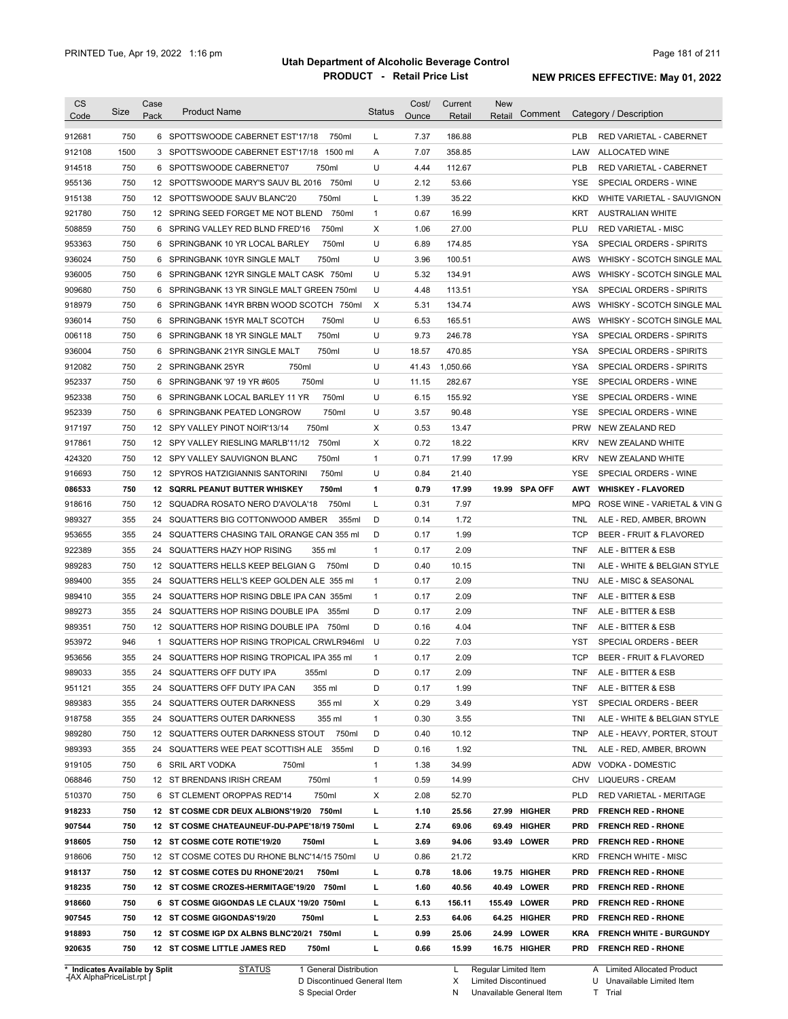| <b>CS</b><br>Code | Size | Case<br>Pack | <b>Product Name</b>                         | <b>Status</b>             | Cost/<br>Ounce | Current<br>Retail | <b>New</b><br>Comment<br>Retail |            | Category / Description             |
|-------------------|------|--------------|---------------------------------------------|---------------------------|----------------|-------------------|---------------------------------|------------|------------------------------------|
| 912681            | 750  |              | 6 SPOTTSWOODE CABERNET EST'17/18<br>750ml   | L                         | 7.37           | 186.88            |                                 | <b>PLB</b> | <b>RED VARIETAL - CABERNET</b>     |
| 912108            | 1500 |              | 3 SPOTTSWOODE CABERNET EST'17/18<br>1500 ml | Α                         | 7.07           | 358.85            |                                 | LAW        | ALLOCATED WINE                     |
| 914518            | 750  |              | 6 SPOTTSWOODE CABERNET'07<br>750ml          | U                         | 4.44           | 112.67            |                                 | <b>PLB</b> | RED VARIETAL - CABERNET            |
| 955136            | 750  |              | 12 SPOTTSWOODE MARY'S SAUV BL 2016 750ml    | U                         | 2.12           | 53.66             |                                 | YSE        | SPECIAL ORDERS - WINE              |
| 915138            | 750  |              | 12 SPOTTSWOODE SAUV BLANC'20<br>750ml       | Г                         | 1.39           | 35.22             |                                 | KKD        | WHITE VARIETAL - SAUVIGNON         |
| 921780            | 750  |              | 12 SPRING SEED FORGET ME NOT BLEND 750ml    | $\mathbf{1}$              | 0.67           | 16.99             |                                 | KRT        | <b>AUSTRALIAN WHITE</b>            |
| 508859            | 750  |              | 750ml<br>6 SPRING VALLEY RED BLND FRED'16   | Χ                         | 1.06           | 27.00             |                                 | PLU        | RED VARIETAL - MISC                |
| 953363            | 750  |              | 750ml<br>6 SPRINGBANK 10 YR LOCAL BARLEY    | U                         | 6.89           | 174.85            |                                 | YSA        | SPECIAL ORDERS - SPIRITS           |
| 936024            | 750  |              | 750ml<br>6 SPRINGBANK 10YR SINGLE MALT      | U                         | 3.96           | 100.51            |                                 | AWS        | WHISKY - SCOTCH SINGLE MAL         |
| 936005            | 750  |              | 6 SPRINGBANK 12YR SINGLE MALT CASK 750ml    | U                         | 5.32           | 134.91            |                                 | AWS        | WHISKY - SCOTCH SINGLE MAL         |
| 909680            | 750  |              | 6 SPRINGBANK 13 YR SINGLE MALT GREEN 750ml  | U                         | 4.48           | 113.51            |                                 | YSA        | SPECIAL ORDERS - SPIRITS           |
| 918979            | 750  |              | 6 SPRINGBANK 14YR BRBN WOOD SCOTCH 750ml    | $\boldsymbol{\mathsf{x}}$ | 5.31           | 134.74            |                                 | AWS        | WHISKY - SCOTCH SINGLE MAL         |
| 936014            | 750  |              | 750ml<br>6 SPRINGBANK 15YR MALT SCOTCH      | U                         | 6.53           | 165.51            |                                 | AWS        | WHISKY - SCOTCH SINGLE MAL         |
| 006118            | 750  |              | 6 SPRINGBANK 18 YR SINGLE MALT<br>750ml     | U                         | 9.73           | 246.78            |                                 | YSA        | SPECIAL ORDERS - SPIRITS           |
| 936004            | 750  | 6            | 750ml<br>SPRINGBANK 21YR SINGLE MALT        | U                         | 18.57          | 470.85            |                                 | <b>YSA</b> | SPECIAL ORDERS - SPIRITS           |
| 912082            | 750  |              | 2 SPRINGBANK 25YR<br>750ml                  | U                         | 41.43          | 1,050.66          |                                 | <b>YSA</b> | SPECIAL ORDERS - SPIRITS           |
| 952337            | 750  | 6            | 750ml<br>SPRINGBANK '97 19 YR #605          | U                         | 11.15          | 282.67            |                                 | <b>YSE</b> | SPECIAL ORDERS - WINE              |
| 952338            | 750  |              | 6 SPRINGBANK LOCAL BARLEY 11 YR<br>750ml    | U                         | 6.15           | 155.92            |                                 | <b>YSE</b> | SPECIAL ORDERS - WINE              |
| 952339            | 750  | 6            | SPRINGBANK PEATED LONGROW<br>750ml          | U                         | 3.57           | 90.48             |                                 | YSE        | SPECIAL ORDERS - WINE              |
|                   | 750  |              | 750ml<br>12 SPY VALLEY PINOT NOIR'13/14     | X                         | 0.53           |                   |                                 | <b>PRW</b> |                                    |
| 917197            |      |              |                                             |                           |                | 13.47             |                                 |            | NEW ZEALAND RED                    |
| 917861            | 750  |              | 750ml<br>12 SPY VALLEY RIESLING MARLB'11/12 | X                         | 0.72           | 18.22             |                                 | <b>KRV</b> | NEW ZEALAND WHITE                  |
| 424320            | 750  |              | 750ml<br>12 SPY VALLEY SAUVIGNON BLANC      | $\mathbf{1}$              | 0.71           | 17.99             | 17.99                           | <b>KRV</b> | NEW ZEALAND WHITE                  |
| 916693            | 750  |              | 750ml<br>12 SPYROS HATZIGIANNIS SANTORINI   | U                         | 0.84           | 21.40             |                                 | YSE        | SPECIAL ORDERS - WINE              |
| 086533            | 750  |              | 750ml<br>12 SQRRL PEANUT BUTTER WHISKEY     | 1                         | 0.79           | 17.99             | 19.99 SPA OFF                   | AWT        | <b>WHISKEY - FLAVORED</b>          |
| 918616            | 750  |              | 12 SQUADRA ROSATO NERO D'AVOLA'18<br>750ml  | L                         | 0.31           | 7.97              |                                 | MPQ        | ROSE WINE - VARIETAL & VIN G       |
| 989327            | 355  | 24           | SQUATTERS BIG COTTONWOOD AMBER<br>355ml     | D                         | 0.14           | 1.72              |                                 | TNL        | ALE - RED, AMBER, BROWN            |
| 953655            | 355  |              | 24 SQUATTERS CHASING TAIL ORANGE CAN 355 ml | D                         | 0.17           | 1.99              |                                 | <b>TCP</b> | BEER - FRUIT & FLAVORED            |
| 922389            | 355  |              | 24 SQUATTERS HAZY HOP RISING<br>355 ml      | 1                         | 0.17           | 2.09              |                                 | <b>TNF</b> | ALE - BITTER & ESB                 |
| 989283            | 750  |              | 12 SQUATTERS HELLS KEEP BELGIAN G<br>750ml  | D                         | 0.40           | 10.15             |                                 | TNI        | ALE - WHITE & BELGIAN STYLE        |
| 989400            | 355  | 24           | SQUATTERS HELL'S KEEP GOLDEN ALE 355 ml     | 1                         | 0.17           | 2.09              |                                 | TNU        | ALE - MISC & SEASONAL              |
| 989410            | 355  | 24           | SQUATTERS HOP RISING DBLE IPA CAN 355ml     | $\mathbf{1}$              | 0.17           | 2.09              |                                 | TNF        | ALE - BITTER & ESB                 |
| 989273            | 355  |              | 24 SQUATTERS HOP RISING DOUBLE IPA<br>355ml | D                         | 0.17           | 2.09              |                                 | TNF        | ALE - BITTER & ESB                 |
| 989351            | 750  |              | 12 SQUATTERS HOP RISING DOUBLE IPA 750ml    | D                         | 0.16           | 4.04              |                                 | <b>TNF</b> | ALE - BITTER & ESB                 |
| 953972            | 946  |              | 1 SQUATTERS HOP RISING TROPICAL CRWLR946ml  | U                         | 0.22           | 7.03              |                                 | <b>YST</b> | SPECIAL ORDERS - BEER              |
| 953656            | 355  |              | 24 SQUATTERS HOP RISING TROPICAL IPA 355 ml | 1                         | 0.17           | 2.09              |                                 | <b>TCP</b> | <b>BEER - FRUIT &amp; FLAVORED</b> |
| 989033            | 355  |              | 24 SQUATTERS OFF DUTY IPA<br>355ml          | D                         | 0.17           | 2.09              |                                 |            | TNF ALE - BITTER & ESB             |
| 951121            | 355  |              | 24 SQUATTERS OFF DUTY IPA CAN<br>355 ml     | D                         | 0.17           | 1.99              |                                 | <b>TNF</b> | ALE - BITTER & ESB                 |
| 989383            | 355  |              | 24 SQUATTERS OUTER DARKNESS<br>355 ml       | х                         | 0.29           | 3.49              |                                 | YST        | SPECIAL ORDERS - BEER              |
| 918758            | 355  |              | 24 SQUATTERS OUTER DARKNESS<br>355 ml       | $\mathbf{1}$              | 0.30           | 3.55              |                                 | TNI        | ALE - WHITE & BELGIAN STYLE        |
| 989280            | 750  |              | 12 SQUATTERS OUTER DARKNESS STOUT 750ml     | D                         | 0.40           | 10.12             |                                 | <b>TNP</b> | ALE - HEAVY, PORTER, STOUT         |
| 989393            | 355  |              | 24 SQUATTERS WEE PEAT SCOTTISH ALE 355ml    | D                         | 0.16           | 1.92              |                                 | TNL        | ALE - RED, AMBER, BROWN            |
| 919105            | 750  |              | 6 SRIL ART VODKA<br>750ml                   | 1                         | 1.38           | 34.99             |                                 |            | ADW VODKA - DOMESTIC               |
| 068846            | 750  |              | 12 ST BRENDANS IRISH CREAM<br>750ml         | $\mathbf{1}$              | 0.59           | 14.99             |                                 |            | CHV LIQUEURS - CREAM               |
| 510370            | 750  |              | 6 ST CLEMENT OROPPAS RED'14<br>750ml        | х                         | 2.08           | 52.70             |                                 | <b>PLD</b> | RED VARIETAL - MERITAGE            |
| 918233            | 750  |              | 12 ST COSME CDR DEUX ALBIONS'19/20 750ml    | г                         | 1.10           | 25.56             | 27.99 HIGHER                    | PRD        | <b>FRENCH RED - RHONE</b>          |
| 907544            | 750  |              | 12 ST COSME CHATEAUNEUF DU-PAPE'18/19 750ml | L                         | 2.74           | 69.06             | 69.49 HIGHER                    | PRD        | <b>FRENCH RED - RHONE</b>          |
| 918605            | 750  |              | 12 ST COSME COTE ROTIE'19/20<br>750ml       | L                         | 3.69           | 94.06             | 93.49 LOWER                     | PRD        | <b>FRENCH RED - RHONE</b>          |
| 918606            | 750  |              | 12 ST COSME COTES DU RHONE BLNC'14/15 750ml | U                         | 0.86           | 21.72             |                                 | KRD        | FRENCH WHITE - MISC                |
| 918137            | 750  |              | 12 ST COSME COTES DU RHONE'20/21 750ml      | L                         | 0.78           | 18.06             | 19.75 HIGHER                    | PRD        | <b>FRENCH RED - RHONE</b>          |
| 918235            | 750  |              | 12 ST COSME CROZES-HERMITAGE'19/20 750ml    | L                         | 1.60           | 40.56             | 40.49 LOWER                     | PRD        | <b>FRENCH RED - RHONE</b>          |
| 918660            | 750  |              | 6 ST COSME GIGONDAS LE CLAUX '19/20 750ml   | L                         | 6.13           | 156.11            | 155.49 LOWER                    | PRD        | <b>FRENCH RED - RHONE</b>          |
| 907545            | 750  |              | 12 ST COSME GIGONDAS'19/20<br>750ml         | L                         | 2.53           | 64.06             | 64.25 HIGHER                    | PRD        | <b>FRENCH RED - RHONE</b>          |
| 918893            | 750  |              | 12 ST COSME IGP DX ALBNS BLNC'20/21 750ml   | L                         | 0.99           | 25.06             | 24.99 LOWER                     | KRA        | <b>FRENCH WHITE - BURGUNDY</b>     |
| 920635            | 750  |              | 12 ST COSME LITTLE JAMES RED<br>750ml       | г                         | 0.66           | 15.99             | 16.75 HIGHER                    |            | PRD FRENCH RED - RHONE             |
|                   |      |              |                                             |                           |                |                   |                                 |            |                                    |

**\* Indicates Available by Split Case** [AX AlphaPriceList.rpt ]

STATUS 1 General Distribution

D Discontinued General Item S Special Order

L Regular Limited Item

X Limited Discontinued

N Unavailable General Item

A Limited Allocated Product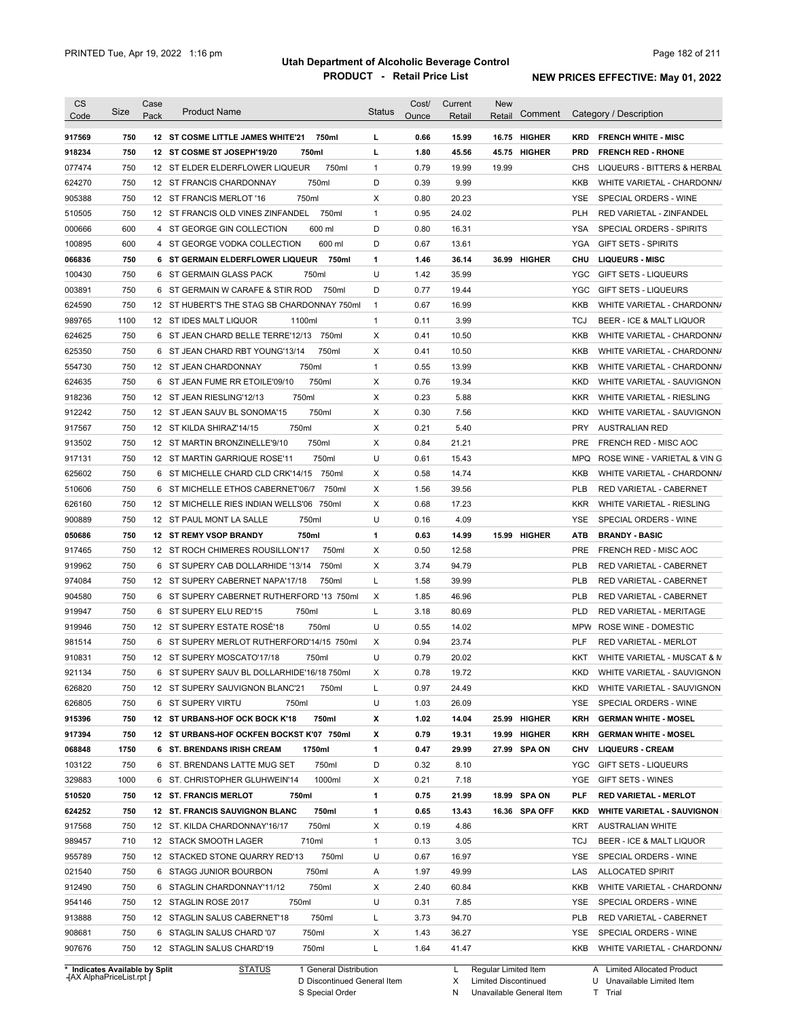| <b>CS</b><br>Code              | Size       | Case<br>Pack | <b>Product Name</b>                                                           | <b>Status</b> | Cost/<br>Ounce | Current<br>Retail | <b>New</b><br>Retail | Comment       |                   | Category / Description                                      |
|--------------------------------|------------|--------------|-------------------------------------------------------------------------------|---------------|----------------|-------------------|----------------------|---------------|-------------------|-------------------------------------------------------------|
|                                | 750        |              | 12 ST COSME LITTLE JAMES WHITE'21<br>750ml                                    | L             | 0.66           | 15.99             |                      | 16.75 HIGHER  | <b>KRD</b>        | <b>FRENCH WHITE - MISC</b>                                  |
| 917569<br>918234               | 750        |              | 12 ST COSME ST JOSEPH'19/20<br>750ml                                          | L             | 1.80           | 45.56             |                      | 45.75 HIGHER  | <b>PRD</b>        | <b>FRENCH RED - RHONE</b>                                   |
| 077474                         | 750        |              | 12 ST ELDER ELDERFLOWER LIQUEUR<br>750ml                                      | $\mathbf{1}$  | 0.79           | 19.99             | 19.99                |               | <b>CHS</b>        | LIQUEURS - BITTERS & HERBAL                                 |
| 624270                         | 750        |              | 12 ST FRANCIS CHARDONNAY<br>750ml                                             | D             | 0.39           | 9.99              |                      |               | KKB               | WHITE VARIETAL - CHARDONN/                                  |
|                                | 750        |              | 750ml                                                                         | Χ             |                |                   |                      |               | <b>YSE</b>        |                                                             |
| 905388                         | 750        |              | 12 ST FRANCIS MERLOT '16<br>750ml                                             | $\mathbf{1}$  | 0.80           | 20.23             |                      |               | <b>PLH</b>        | SPECIAL ORDERS - WINE                                       |
| 510505                         | 600        |              | 12 ST FRANCIS OLD VINES ZINFANDEL                                             | D             | 0.95<br>0.80   | 24.02             |                      |               |                   | RED VARIETAL - ZINFANDEL<br><b>SPECIAL ORDERS - SPIRITS</b> |
| 000666                         |            |              | 4 ST GEORGE GIN COLLECTION<br>600 ml                                          | D             |                | 16.31             |                      |               | YSA               |                                                             |
| 100895                         | 600<br>750 |              | 600 ml<br>4 ST GEORGE VODKA COLLECTION                                        | $\mathbf{1}$  | 0.67           | 13.61             |                      | 36.99 HIGHER  | YGA               | <b>GIFT SETS - SPIRITS</b>                                  |
| 066836                         | 750        |              | 6 ST GERMAIN ELDERFLOWER LIQUEUR<br>750ml<br>750ml<br>6 ST GERMAIN GLASS PACK | U             | 1.46<br>1.42   | 36.14<br>35.99    |                      |               | CHU<br><b>YGC</b> | <b>LIQUEURS - MISC</b><br><b>GIFT SETS - LIQUEURS</b>       |
| 100430<br>003891               | 750        |              | 6 ST GERMAIN W CARAFE & STIR ROD<br>750ml                                     | D             | 0.77           | 19.44             |                      |               | <b>YGC</b>        | <b>GIFT SETS - LIQUEURS</b>                                 |
|                                | 750        |              | 12 ST HUBERT'S THE STAG SB CHARDONNAY 750ml                                   | $\mathbf{1}$  | 0.67           | 16.99             |                      |               | KKB               |                                                             |
| 624590                         |            |              |                                                                               |               |                |                   |                      |               |                   | WHITE VARIETAL - CHARDONN/                                  |
| 989765                         | 1100       |              | 12 ST IDES MALT LIQUOR<br>1100ml                                              | $\mathbf{1}$  | 0.11           | 3.99              |                      |               | <b>TCJ</b>        | BEER - ICE & MALT LIQUOR                                    |
| 624625                         | 750        |              | 6 ST JEAN CHARD BELLE TERRE'12/13 750ml                                       | Χ             | 0.41           | 10.50             |                      |               | KKB               | WHITE VARIETAL - CHARDONN/                                  |
| 625350                         | 750        |              | 750ml<br>6 ST JEAN CHARD RBT YOUNG'13/14                                      | Х             | 0.41           | 10.50             |                      |               | KKB               | WHITE VARIETAL - CHARDONN/                                  |
| 554730                         | 750        |              | 750ml<br>12 ST JEAN CHARDONNAY                                                | $\mathbf{1}$  | 0.55           | 13.99             |                      |               | KKB               | WHITE VARIETAL - CHARDONN/                                  |
| 624635                         | 750        |              | 6 ST JEAN FUME RR ETOILE'09/10<br>750ml                                       | Х             | 0.76           | 19.34             |                      |               | <b>KKD</b>        | WHITE VARIETAL - SAUVIGNON                                  |
| 918236                         | 750        |              | 750ml<br>12 ST JEAN RIESLING'12/13                                            | Χ             | 0.23           | 5.88              |                      |               | <b>KKR</b>        | WHITE VARIETAL - RIESLING                                   |
| 912242                         | 750        |              | 750ml<br>12 ST JEAN SAUV BL SONOMA'15                                         | Χ             | 0.30           | 7.56              |                      |               | <b>KKD</b>        | WHITE VARIETAL - SAUVIGNON                                  |
| 917567                         | 750        |              | 750ml<br>12 ST KILDA SHIRAZ'14/15                                             | Χ             | 0.21           | 5.40              |                      |               | <b>PRY</b>        | <b>AUSTRALIAN RED</b>                                       |
| 913502                         | 750        |              | 750ml<br>12 ST MARTIN BRONZINELLE'9/10                                        | Х             | 0.84           | 21.21             |                      |               | <b>PRE</b>        | FRENCH RED - MISC AOC                                       |
| 917131                         | 750        |              | 750ml<br>12 ST MARTIN GARRIQUE ROSE'11                                        | U             | 0.61           | 15.43             |                      |               | <b>MPQ</b>        | ROSE WINE - VARIETAL & VIN G                                |
| 625602                         | 750        |              | 6 ST MICHELLE CHARD CLD CRK'14/15 750ml                                       | Χ             | 0.58           | 14.74             |                      |               | KKB               | WHITE VARIETAL - CHARDONN/                                  |
| 510606                         | 750        |              | 6 ST MICHELLE ETHOS CABERNET'06/7<br>750ml                                    | Χ             | 1.56           | 39.56             |                      |               | <b>PLB</b>        | RED VARIETAL - CABERNET                                     |
| 626160                         | 750        |              | 12 ST MICHELLE RIES INDIAN WELLS'06 750ml                                     | Χ             | 0.68           | 17.23             |                      |               | <b>KKR</b>        | WHITE VARIETAL - RIESLING                                   |
| 900889                         | 750        |              | 750ml<br>12 ST PAUL MONT LA SALLE                                             | U             | 0.16           | 4.09              |                      |               | YSE               | SPECIAL ORDERS - WINE                                       |
| 050686                         | 750        |              | <b>12 ST REMY VSOP BRANDY</b><br>750ml                                        | $\mathbf{1}$  | 0.63           | 14.99             |                      | 15.99 HIGHER  | <b>ATB</b>        | <b>BRANDY - BASIC</b>                                       |
| 917465                         | 750        |              | 12 ST ROCH CHIMERES ROUSILLON'17<br>750ml                                     | Χ             | 0.50           | 12.58             |                      |               | <b>PRE</b>        | FRENCH RED - MISC AOC                                       |
| 919962                         | 750        |              | 750ml<br>6 ST SUPERY CAB DOLLARHIDE '13/14                                    | Χ             | 3.74           | 94.79             |                      |               | <b>PLB</b>        | RED VARIETAL - CABERNET                                     |
| 974084                         | 750        |              | 12 ST SUPERY CABERNET NAPA'17/18<br>750ml                                     | L             | 1.58           | 39.99             |                      |               | <b>PLB</b>        | RED VARIETAL - CABERNET                                     |
| 904580                         | 750        |              | 6 ST SUPERY CABERNET RUTHERFORD '13 750ml                                     | Χ             | 1.85           | 46.96             |                      |               | <b>PLB</b>        | <b>RED VARIETAL - CABERNET</b>                              |
| 919947                         | 750        |              | 750ml<br>6 ST SUPERY ELU RED'15                                               | L             | 3.18           | 80.69             |                      |               | <b>PLD</b>        | RED VARIETAL - MERITAGE                                     |
| 919946                         | 750        |              | 12 ST SUPERY ESTATE ROSÉ'18<br>750ml                                          | U             | 0.55           | 14.02             |                      |               |                   | MPW ROSE WINE - DOMESTIC                                    |
| 981514                         | 750        |              | 6 ST SUPERY MERLOT RUTHERFORD'14/15 750ml                                     | X             | 0.94           | 23.74             |                      |               | <b>PLF</b>        | RED VARIETAL - MERLOT                                       |
| 910831                         | 750        |              | 12 ST SUPERY MOSCATO'17/18<br>750ml                                           | U             | 0.79           | 20.02             |                      |               | KKT               | WHITE VARIETAL - MUSCAT & M                                 |
| 921134                         | 750        |              | 6 ST SUPERY SAUV BL DOLLARHIDE'16/18 750ml                                    | х             | 0.78           | 19.72             |                      |               | KKD               | WHITE VARIETAL - SAUVIGNON                                  |
| 626820                         | 750        |              | 12 ST SUPERY SAUVIGNON BLANC'21<br>750ml                                      | L             | 0.97           | 24.49             |                      |               | KKD               | WHITE VARIETAL - SAUVIGNON                                  |
| 626805                         | 750        |              | 6 ST SUPERY VIRTU<br>750ml                                                    | U             | 1.03           | 26.09             |                      |               | <b>YSE</b>        | SPECIAL ORDERS - WINE                                       |
| 915396                         | 750        |              | 750ml<br>12 ST URBANS-HOF OCK BOCK K'18                                       | х             | 1.02           | 14.04             |                      | 25.99 HIGHER  | KRH               | <b>GERMAN WHITE - MOSEL</b>                                 |
| 917394                         | 750        |              | 12 ST URBANS-HOF OCKFEN BOCKST K'07 750ml                                     | х             | 0.79           | 19.31             |                      | 19.99 HIGHER  | KRH               | <b>GERMAN WHITE - MOSEL</b>                                 |
| 068848                         | 1750       |              | 6 ST. BRENDANS IRISH CREAM<br>1750ml                                          | $\mathbf{1}$  | 0.47           | 29.99             |                      | 27.99 SPA ON  | <b>CHV</b>        | <b>LIQUEURS - CREAM</b>                                     |
| 103122                         | 750        |              | 6 ST. BRENDANS LATTE MUG SET<br>750ml                                         | D             | 0.32           | 8.10              |                      |               | <b>YGC</b>        | <b>GIFT SETS - LIQUEURS</b>                                 |
| 329883                         | 1000       |              | 1000ml<br>6 ST. CHRISTOPHER GLUHWEIN'14                                       | Х             | 0.21           | 7.18              |                      |               | YGE               | <b>GIFT SETS - WINES</b>                                    |
| 510520                         | 750        |              | <b>12 ST. FRANCIS MERLOT</b><br>750ml                                         | $\mathbf{1}$  | 0.75           | 21.99             |                      | 18.99 SPA ON  | <b>PLF</b>        | <b>RED VARIETAL - MERLOT</b>                                |
| 624252                         | 750        |              | 750ml<br>12 ST. FRANCIS SAUVIGNON BLANC                                       | $\mathbf{1}$  | 0.65           | 13.43             |                      | 16.36 SPA OFF | <b>KKD</b>        | <b>WHITE VARIETAL - SAUVIGNON</b>                           |
| 917568                         | 750        |              | 750ml<br>12 ST. KILDA CHARDONNAY'16/17                                        | X             | 0.19           | 4.86              |                      |               | KRT               | <b>AUSTRALIAN WHITE</b>                                     |
| 989457                         | 710        |              | 710ml<br>12 STACK SMOOTH LAGER                                                | $\mathbf{1}$  | 0.13           | 3.05              |                      |               | TCJ               | BEER - ICE & MALT LIQUOR                                    |
| 955789                         | 750        |              | 750ml<br>12 STACKED STONE QUARRY RED'13                                       | U             | 0.67           | 16.97             |                      |               | YSE               | SPECIAL ORDERS - WINE                                       |
| 021540                         | 750        |              | 6 STAGG JUNIOR BOURBON<br>750ml                                               | Α             | 1.97           | 49.99             |                      |               | LAS               | <b>ALLOCATED SPIRIT</b>                                     |
| 912490                         | 750        |              | 750ml<br>6 STAGLIN CHARDONNAY'11/12                                           | Х             | 2.40           | 60.84             |                      |               | KKB               | WHITE VARIETAL - CHARDONN/                                  |
|                                |            |              |                                                                               | U             |                | 7.85              |                      |               |                   |                                                             |
| 954146                         | 750        |              | 12 STAGLIN ROSE 2017<br>750ml                                                 |               | 0.31           |                   |                      |               | YSE               | SPECIAL ORDERS - WINE                                       |
| 913888                         | 750        |              | 750ml<br>12 STAGLIN SALUS CABERNET'18                                         | L             | 3.73           | 94.70             |                      |               | <b>PLB</b>        | RED VARIETAL - CABERNET                                     |
| 908681                         | 750        |              | 750ml<br>6 STAGLIN SALUS CHARD '07                                            | Х             | 1.43           | 36.27             |                      |               | YSE               | SPECIAL ORDERS - WINE                                       |
| 907676                         | 750        |              | 750ml<br>12 STAGLIN SALUS CHARD'19                                            | L             | 1.64           | 41.47             |                      |               | KKB               | WHITE VARIETAL - CHARDONN/                                  |
| * Indicates Available by Split |            |              | <b>STATUS</b><br>1 General Distribution                                       |               |                | L.                | Regular Limited Item |               |                   | A Limited Allocated Product                                 |

**Case** [AX AlphaPriceList.rpt ]

D Discontinued General Item

S Special Order

X Limited Discontinued

N Unavailable General Item

U Unavailable Limited Item

T Trial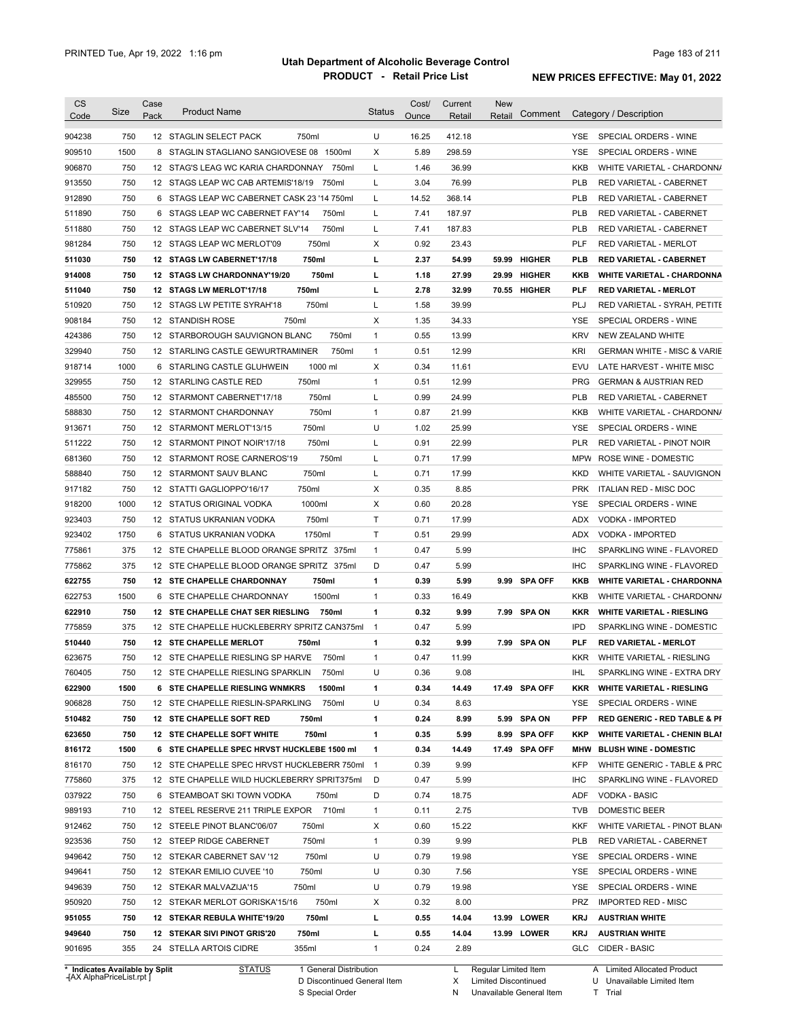| Code<br>904238<br>909510<br>906870<br>913550<br>912890<br>511890<br>511880<br>981284<br>511030<br>914008<br>511040<br>510920<br>908184 | 750<br>1500<br>750<br>750<br>750<br>750<br>750<br>750<br>750<br>750 | Pack<br>8<br>12<br>6<br>6 | 12 STAGLIN SELECT PACK<br>750ml<br>STAGLIN STAGLIANO SANGIOVESE 08 1500ml<br>STAG'S LEAG WC KARIA CHARDONNAY<br>750ml<br>12 STAGS LEAP WC CAB ARTEMIS'18/19<br>750ml<br>STAGS LEAP WC CABERNET CASK 23 '14 750ml<br>STAGS LEAP WC CABERNET FAY'14<br>750ml | U<br>X<br>Г<br>L<br>L<br>L | Ounce<br>16.25<br>5.89<br>1.46<br>3.04<br>14.52 | Retail<br>412.18<br>298.59<br>36.99<br>76.99 | Retail | Comment       | YSE.<br>YSE<br><b>KKB</b><br><b>PLB</b> | Category / Description<br>SPECIAL ORDERS - WINE<br>SPECIAL ORDERS - WINE<br>WHITE VARIETAL - CHARDONN/<br>RED VARIETAL - CABERNET |
|----------------------------------------------------------------------------------------------------------------------------------------|---------------------------------------------------------------------|---------------------------|------------------------------------------------------------------------------------------------------------------------------------------------------------------------------------------------------------------------------------------------------------|----------------------------|-------------------------------------------------|----------------------------------------------|--------|---------------|-----------------------------------------|-----------------------------------------------------------------------------------------------------------------------------------|
|                                                                                                                                        |                                                                     |                           |                                                                                                                                                                                                                                                            |                            |                                                 |                                              |        |               |                                         |                                                                                                                                   |
|                                                                                                                                        |                                                                     |                           |                                                                                                                                                                                                                                                            |                            |                                                 |                                              |        |               |                                         |                                                                                                                                   |
|                                                                                                                                        |                                                                     |                           |                                                                                                                                                                                                                                                            |                            |                                                 |                                              |        |               |                                         |                                                                                                                                   |
|                                                                                                                                        |                                                                     |                           |                                                                                                                                                                                                                                                            |                            |                                                 |                                              |        |               |                                         |                                                                                                                                   |
|                                                                                                                                        |                                                                     |                           |                                                                                                                                                                                                                                                            |                            |                                                 |                                              |        |               |                                         |                                                                                                                                   |
|                                                                                                                                        |                                                                     |                           |                                                                                                                                                                                                                                                            |                            |                                                 | 368.14                                       |        |               | <b>PLB</b>                              | RED VARIETAL - CABERNET                                                                                                           |
|                                                                                                                                        |                                                                     |                           |                                                                                                                                                                                                                                                            |                            | 7.41                                            | 187.97                                       |        |               | <b>PLB</b>                              | RED VARIETAL - CABERNET                                                                                                           |
|                                                                                                                                        |                                                                     |                           | 750ml<br>12 STAGS LEAP WC CABERNET SLV'14                                                                                                                                                                                                                  | L                          | 7.41                                            | 187.83                                       |        |               | <b>PLB</b>                              | RED VARIETAL - CABERNET                                                                                                           |
|                                                                                                                                        |                                                                     |                           | 750ml<br>12 STAGS LEAP WC MERLOT'09                                                                                                                                                                                                                        | Х                          | 0.92                                            | 23.43                                        |        |               | <b>PLF</b>                              | <b>RED VARIETAL - MERLOT</b>                                                                                                      |
|                                                                                                                                        |                                                                     | 12                        | 750ml<br><b>STAGS LW CABERNET'17/18</b>                                                                                                                                                                                                                    | г                          | 2.37                                            | 54.99                                        | 59.99  | <b>HIGHER</b> | <b>PLB</b>                              | <b>RED VARIETAL - CABERNET</b>                                                                                                    |
|                                                                                                                                        |                                                                     | 12                        | 750ml<br><b>STAGS LW CHARDONNAY'19/20</b>                                                                                                                                                                                                                  | г                          | 1.18                                            | 27.99                                        | 29.99  | <b>HIGHER</b> | KKB                                     | <b>WHITE VARIETAL - CHARDONNA</b>                                                                                                 |
|                                                                                                                                        | 750                                                                 | 12                        | 750ml<br><b>STAGS LW MERLOT'17/18</b>                                                                                                                                                                                                                      | г                          | 2.78                                            | 32.99                                        |        | 70.55 HIGHER  | <b>PLF</b>                              | <b>RED VARIETAL - MERLOT</b>                                                                                                      |
|                                                                                                                                        | 750                                                                 |                           | 750ml<br>12 STAGS LW PETITE SYRAH'18                                                                                                                                                                                                                       | Г                          | 1.58                                            | 39.99                                        |        |               | PLJ                                     | RED VARIETAL - SYRAH, PETITE                                                                                                      |
|                                                                                                                                        | 750                                                                 |                           | 750ml<br>12 STANDISH ROSE                                                                                                                                                                                                                                  | Х                          | 1.35                                            | 34.33                                        |        |               | YSE                                     | SPECIAL ORDERS - WINE                                                                                                             |
| 424386                                                                                                                                 | 750                                                                 |                           | 12 STARBOROUGH SAUVIGNON BLANC<br>750ml                                                                                                                                                                                                                    | $\mathbf{1}$               | 0.55                                            | 13.99                                        |        |               | <b>KRV</b>                              | NEW ZEALAND WHITE                                                                                                                 |
| 329940                                                                                                                                 | 750                                                                 |                           | 12 STARLING CASTLE GEWURTRAMINER<br>750ml                                                                                                                                                                                                                  | $\mathbf{1}$               | 0.51                                            | 12.99                                        |        |               | <b>KRI</b>                              | <b>GERMAN WHITE - MISC &amp; VARIE</b>                                                                                            |
| 918714                                                                                                                                 | 1000                                                                |                           | 1000 ml<br>6 STARLING CASTLE GLUHWEIN                                                                                                                                                                                                                      | Х                          | 0.34                                            | 11.61                                        |        |               | EVU                                     | LATE HARVEST - WHITE MISC                                                                                                         |
| 329955                                                                                                                                 | 750                                                                 |                           | 750ml<br>12 STARLING CASTLE RED                                                                                                                                                                                                                            | $\mathbf{1}$               | 0.51                                            | 12.99                                        |        |               | <b>PRG</b>                              | <b>GERMAN &amp; AUSTRIAN RED</b>                                                                                                  |
| 485500                                                                                                                                 | 750                                                                 |                           | 12 STARMONT CABERNET'17/18<br>750ml                                                                                                                                                                                                                        | L                          | 0.99                                            | 24.99                                        |        |               | <b>PLB</b>                              | <b>RED VARIETAL - CABERNET</b>                                                                                                    |
| 588830                                                                                                                                 | 750                                                                 |                           | 750ml<br>12 STARMONT CHARDONNAY                                                                                                                                                                                                                            | $\mathbf{1}$               | 0.87                                            | 21.99                                        |        |               | KKB                                     | WHITE VARIETAL - CHARDONN/                                                                                                        |
| 913671                                                                                                                                 | 750                                                                 |                           | 750ml<br>12 STARMONT MERLOT'13/15                                                                                                                                                                                                                          | U                          | 1.02                                            | 25.99                                        |        |               | <b>YSE</b>                              | SPECIAL ORDERS - WINE                                                                                                             |
| 511222                                                                                                                                 | 750                                                                 |                           | 12 STARMONT PINOT NOIR'17/18<br>750ml                                                                                                                                                                                                                      | L                          | 0.91                                            | 22.99                                        |        |               | <b>PLR</b>                              | RED VARIETAL - PINOT NOIR                                                                                                         |
| 681360                                                                                                                                 | 750                                                                 |                           | 12 STARMONT ROSE CARNEROS'19<br>750ml                                                                                                                                                                                                                      | L                          | 0.71                                            | 17.99                                        |        |               | <b>MPW</b>                              | ROSE WINE - DOMESTIC                                                                                                              |
| 588840                                                                                                                                 | 750                                                                 |                           | 750ml<br>12 STARMONT SAUV BLANC                                                                                                                                                                                                                            | Г                          | 0.71                                            | 17.99                                        |        |               | KKD                                     | WHITE VARIETAL - SAUVIGNON                                                                                                        |
| 917182                                                                                                                                 | 750                                                                 |                           | 750ml<br>12 STATTI GAGLIOPPO'16/17                                                                                                                                                                                                                         | Х                          | 0.35                                            | 8.85                                         |        |               | <b>PRK</b>                              | ITALIAN RED - MISC DOC                                                                                                            |
|                                                                                                                                        | 1000                                                                |                           | 1000ml                                                                                                                                                                                                                                                     | Х                          | 0.60                                            | 20.28                                        |        |               | <b>YSE</b>                              | SPECIAL ORDERS - WINE                                                                                                             |
| 918200<br>923403                                                                                                                       | 750                                                                 |                           | 12 STATUS ORIGINAL VODKA<br>750ml<br>12 STATUS UKRANIAN VODKA                                                                                                                                                                                              | Τ                          | 0.71                                            | 17.99                                        |        |               | <b>ADX</b>                              | VODKA - IMPORTED                                                                                                                  |
| 923402                                                                                                                                 | 1750                                                                |                           | 1750ml<br>6 STATUS UKRANIAN VODKA                                                                                                                                                                                                                          | Τ                          | 0.51                                            | 29.99                                        |        |               | <b>ADX</b>                              | VODKA - IMPORTED                                                                                                                  |
|                                                                                                                                        | 375                                                                 |                           | 12 STE CHAPELLE BLOOD ORANGE SPRITZ 375ml                                                                                                                                                                                                                  | $\mathbf{1}$               | 0.47                                            |                                              |        |               | <b>IHC</b>                              | SPARKLING WINE - FLAVORED                                                                                                         |
| 775861                                                                                                                                 |                                                                     |                           |                                                                                                                                                                                                                                                            |                            |                                                 | 5.99                                         |        |               |                                         |                                                                                                                                   |
| 775862                                                                                                                                 | 375                                                                 |                           | 12 STE CHAPELLE BLOOD ORANGE SPRITZ 375ml                                                                                                                                                                                                                  | D                          | 0.47                                            | 5.99                                         |        |               | <b>IHC</b>                              | SPARKLING WINE - FLAVORED                                                                                                         |
| 622755                                                                                                                                 | 750                                                                 |                           | 750ml<br>12 STE CHAPELLE CHARDONNAY                                                                                                                                                                                                                        | 1                          | 0.39                                            | 5.99                                         |        | 9.99 SPA OFF  | <b>KKB</b>                              | <b>WHITE VARIETAL - CHARDONNA</b><br>WHITE VARIETAL - CHARDONN/                                                                   |
| 622753                                                                                                                                 | 1500                                                                |                           | 1500ml<br>6 STE CHAPELLE CHARDONNAY<br>12 STE CHAPELLE CHAT SER RIESLING                                                                                                                                                                                   | $\mathbf{1}$               | 0.33                                            | 16.49                                        |        |               | KKB                                     |                                                                                                                                   |
| 622910                                                                                                                                 | 750<br>375                                                          |                           | 750ml                                                                                                                                                                                                                                                      | 1<br>$\overline{1}$        | 0.32<br>0.47                                    | 9.99                                         |        | 7.99 SPA ON   | <b>KKR</b><br><b>IPD</b>                | <b>WHITE VARIETAL - RIESLING</b>                                                                                                  |
| 775859                                                                                                                                 |                                                                     |                           | 12 STE CHAPELLE HUCKLEBERRY SPRITZ CAN375ml                                                                                                                                                                                                                |                            |                                                 | 5.99                                         |        |               |                                         | SPARKLING WINE - DOMESTIC                                                                                                         |
| 510440                                                                                                                                 | 750                                                                 |                           | 750ml<br>12 STE CHAPELLE MERLOT                                                                                                                                                                                                                            | 1                          | 0.32                                            | 9.99                                         |        | 7.99 SPA ON   | <b>PLF</b>                              | <b>RED VARIETAL - MERLOT</b>                                                                                                      |
| 623675                                                                                                                                 | 750                                                                 |                           | 12 STE CHAPELLE RIESLING SP HARVE<br>750ml                                                                                                                                                                                                                 | 1                          | 0.47                                            | 11.99                                        |        |               | <b>KKR</b>                              | WHITE VARIETAL - RIESLING                                                                                                         |
| 760405                                                                                                                                 | 750                                                                 |                           | 12 STE CHAPELLE RIESLING SPARKLIN<br>750ml                                                                                                                                                                                                                 | U                          | 0.36                                            | 9.08                                         |        |               | <b>IHL</b>                              | SPARKLING WINE - EXTRA DRY                                                                                                        |
| 622900                                                                                                                                 | 1500                                                                |                           | 6 STE CHAPELLE RIESLING WNMKRS<br>1500ml                                                                                                                                                                                                                   | 1                          | 0.34                                            | 14.49                                        |        | 17.49 SPA OFF | KKR                                     | <b>WHITE VARIETAL - RIESLING</b>                                                                                                  |
| 906828                                                                                                                                 | 750                                                                 |                           | 750ml<br>12 STE CHAPELLE RIESLIN-SPARKLING                                                                                                                                                                                                                 | U                          | 0.34                                            | 8.63                                         |        |               | YSE                                     | SPECIAL ORDERS - WINE                                                                                                             |
| 510482                                                                                                                                 | 750                                                                 |                           | 12 STE CHAPELLE SOFT RED<br>750ml                                                                                                                                                                                                                          | 1                          | 0.24                                            | 8.99                                         |        | 5.99 SPA ON   | <b>PFP</b>                              | <b>RED GENERIC - RED TABLE &amp; PI</b>                                                                                           |
| 623650                                                                                                                                 | 750                                                                 |                           | 12 STE CHAPELLE SOFT WHITE<br>750ml                                                                                                                                                                                                                        | 1                          | 0.35                                            | 5.99                                         |        | 8.99 SPA OFF  | KKP                                     | <b>WHITE VARIETAL - CHENIN BLAI</b>                                                                                               |
| 816172                                                                                                                                 | 1500                                                                |                           | 6 STE CHAPELLE SPEC HRVST HUCKLEBE 1500 ml                                                                                                                                                                                                                 | 1                          | 0.34                                            | 14.49                                        |        | 17.49 SPA OFF | MHW                                     | <b>BLUSH WINE - DOMESTIC</b>                                                                                                      |
| 816170                                                                                                                                 | 750                                                                 |                           | 12 STE CHAPELLE SPEC HRVST HUCKLEBERR 750ml 1                                                                                                                                                                                                              |                            | 0.39                                            | 9.99                                         |        |               | <b>KFP</b>                              | WHITE GENERIC - TABLE & PRC                                                                                                       |
| 775860                                                                                                                                 | 375                                                                 |                           | 12 STE CHAPELLE WILD HUCKLEBERRY SPRIT375ml                                                                                                                                                                                                                | D                          | 0.47                                            | 5.99                                         |        |               | <b>IHC</b>                              | SPARKLING WINE - FLAVORED                                                                                                         |
| 037922                                                                                                                                 | 750                                                                 |                           | 6 STEAMBOAT SKI TOWN VODKA<br>750ml                                                                                                                                                                                                                        | D                          | 0.74                                            | 18.75                                        |        |               | ADF                                     | <b>VODKA - BASIC</b>                                                                                                              |
|                                                                                                                                        | 710                                                                 |                           | 710ml<br>12 STEEL RESERVE 211 TRIPLE EXPOR                                                                                                                                                                                                                 | $\mathbf{1}$               | 0.11                                            | 2.75                                         |        |               | <b>TVB</b>                              | DOMESTIC BEER                                                                                                                     |
|                                                                                                                                        | 750                                                                 |                           | 12 STEELE PINOT BLANC'06/07<br>750ml                                                                                                                                                                                                                       | Х                          | 0.60                                            | 15.22                                        |        |               | <b>KKF</b>                              | WHITE VARIETAL - PINOT BLAN                                                                                                       |
| 989193                                                                                                                                 |                                                                     |                           | 12 STEEP RIDGE CABERNET<br>750ml                                                                                                                                                                                                                           | $\mathbf{1}$               | 0.39                                            | 9.99                                         |        |               | <b>PLB</b>                              | RED VARIETAL - CABERNET                                                                                                           |
|                                                                                                                                        | 750                                                                 |                           | 750ml<br>12 STEKAR CABERNET SAV '12                                                                                                                                                                                                                        | U                          | 0.79                                            | 19.98                                        |        |               | YSE                                     | SPECIAL ORDERS - WINE                                                                                                             |
|                                                                                                                                        | 750                                                                 |                           |                                                                                                                                                                                                                                                            |                            |                                                 | 7.56                                         |        |               | YSE                                     | SPECIAL ORDERS - WINE                                                                                                             |
| 912462<br>923536<br>949642<br>949641                                                                                                   | 750                                                                 |                           | 12 STEKAR EMILIO CUVEE '10<br>750ml                                                                                                                                                                                                                        | U                          | 0.30                                            |                                              |        |               |                                         |                                                                                                                                   |
|                                                                                                                                        | 750                                                                 |                           | 12 STEKAR MALVAZIJA'15<br>750ml                                                                                                                                                                                                                            | U                          | 0.79                                            | 19.98                                        |        |               | YSE                                     | SPECIAL ORDERS - WINE                                                                                                             |
| 949639<br>950920                                                                                                                       | 750                                                                 |                           | 12 STEKAR MERLOT GORISKA'15/16<br>750ml                                                                                                                                                                                                                    | Х                          | 0.32                                            | 8.00                                         |        |               | <b>PRZ</b>                              | <b>IMPORTED RED - MISC</b>                                                                                                        |
| 951055                                                                                                                                 | 750                                                                 |                           | 12 STEKAR REBULA WHITE'19/20<br>750ml                                                                                                                                                                                                                      | г                          | 0.55                                            | 14.04                                        |        | 13.99 LOWER   | KRJ                                     | <b>AUSTRIAN WHITE</b>                                                                                                             |
| 949640                                                                                                                                 | 750                                                                 |                           | 12 STEKAR SIVI PINOT GRIS'20<br>750ml                                                                                                                                                                                                                      | г                          | 0.55                                            | 14.04                                        |        | 13.99 LOWER   | <b>KRJ</b>                              | <b>AUSTRIAN WHITE</b>                                                                                                             |

**Case** [AX AlphaPriceList.rpt ]

D Discontinued General Item

S Special Order

X Limited Discontinued

N Unavailable General Item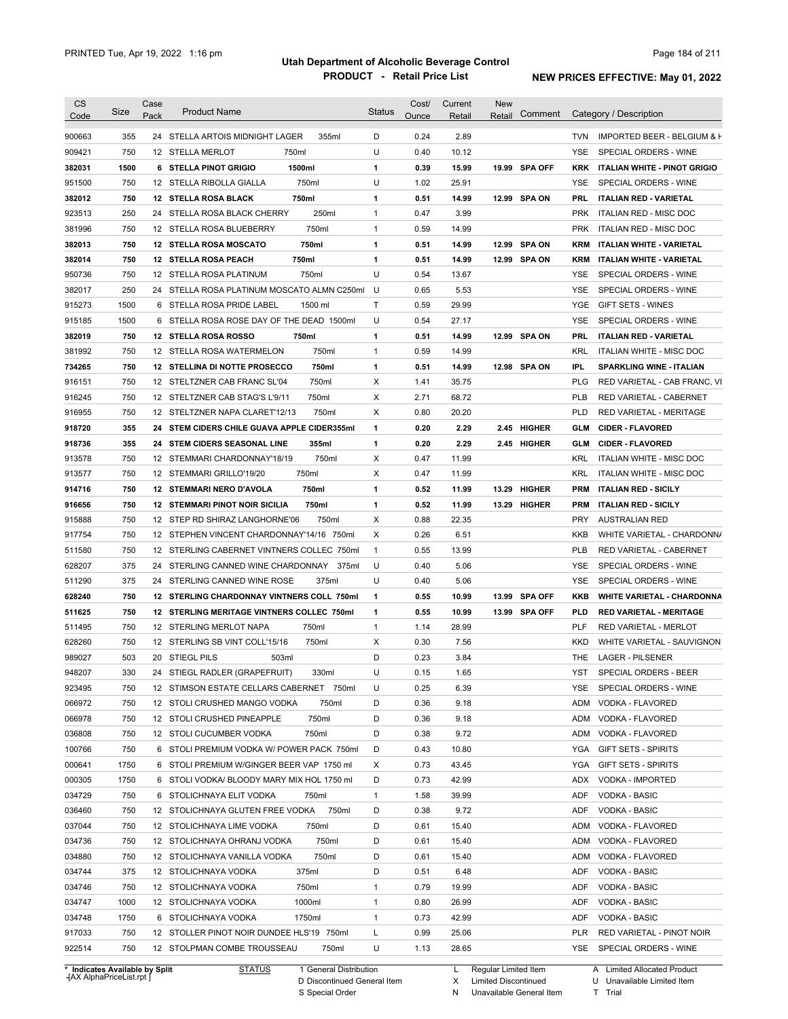| <b>CS</b><br>Code                              | Size | Case<br>Pack | <b>Product Name</b>                            | <b>Status</b> | Cost/<br>Ounce | Current<br>Retail | New<br>Retail | Comment        |            | Category / Description            |
|------------------------------------------------|------|--------------|------------------------------------------------|---------------|----------------|-------------------|---------------|----------------|------------|-----------------------------------|
| 900663                                         | 355  |              | 24 STELLA ARTOIS MIDNIGHT LAGER<br>355ml       | D             | 0.24           | 2.89              |               |                | TVN        | IMPORTED BEER - BELGIUM & F       |
| 909421                                         | 750  |              | 750ml<br>12 STELLA MERLOT                      | U             | 0.40           | 10.12             |               |                | <b>YSE</b> | SPECIAL ORDERS - WINE             |
|                                                | 1500 |              | 1500ml<br>6 STELLA PINOT GRIGIO                |               | 0.39           | 15.99             |               | 19.99 SPA OFF  |            |                                   |
| 382031                                         | 750  |              |                                                | 1<br>U        | 1.02           | 25.91             |               |                | YSE        | KRK ITALIAN WHITE - PINOT GRIGIO  |
| 951500                                         |      |              | 12 STELLA RIBOLLA GIALLA<br>750ml              |               |                |                   |               |                |            | SPECIAL ORDERS - WINE             |
| 382012                                         | 750  |              | 12 STELLA ROSA BLACK<br>750ml                  | 1             | 0.51           | 14.99             |               | 12.99 SPA ON   | PRL        | <b>ITALIAN RED - VARIETAL</b>     |
| 923513                                         | 250  |              | 250ml<br>24 STELLA ROSA BLACK CHERRY           | 1             | 0.47           | 3.99              |               |                | <b>PRK</b> | ITALIAN RED - MISC DOC            |
| 381996                                         | 750  |              | 750ml<br>12 STELLA ROSA BLUEBERRY              | 1             | 0.59           | 14.99             |               |                | PRK        | ITALIAN RED - MISC DOC            |
| 382013                                         | 750  |              | 750ml<br><b>12 STELLA ROSA MOSCATO</b>         | 1             | 0.51           | 14.99             | 12.99         | <b>SPA ON</b>  | KRM        | ITALIAN WHITE - VARIETAL          |
| 382014                                         | 750  |              | 750ml<br><b>12 STELLA ROSA PEACH</b>           | 1             | 0.51           | 14.99             |               | 12.99 SPA ON   | KRM        | ITALIAN WHITE - VARIETAL          |
| 950736                                         | 750  |              | 12 STELLA ROSA PLATINUM<br>750ml               | U             | 0.54           | 13.67             |               |                | <b>YSE</b> | SPECIAL ORDERS - WINE             |
| 382017                                         | 250  |              | 24 STELLA ROSA PLATINUM MOSCATO ALMN C250ml    | U             | 0.65           | 5.53              |               |                | YSE        | SPECIAL ORDERS - WINE             |
| 915273                                         | 1500 |              | 6 STELLA ROSA PRIDE LABEL<br>1500 ml           | Τ             | 0.59           | 29.99             |               |                | YGE        | <b>GIFT SETS - WINES</b>          |
| 915185                                         | 1500 |              | 6 STELLA ROSA ROSE DAY OF THE DEAD 1500ml      | U             | 0.54           | 27.17             |               |                | YSE        | SPECIAL ORDERS - WINE             |
| 382019                                         | 750  |              | 12 STELLA ROSA ROSSO<br>750ml                  | 1             | 0.51           | 14.99             |               | 12.99 SPA ON   | PRL        | <b>ITALIAN RED - VARIETAL</b>     |
| 381992                                         | 750  |              | 750ml<br>12 STELLA ROSA WATERMELON             | $\mathbf{1}$  | 0.59           | 14.99             |               |                | KRL        | <b>ITALIAN WHITE - MISC DOC</b>   |
| 734265                                         | 750  |              | 750ml<br>12 STELLINA DI NOTTE PROSECCO         | 1             | 0.51           | 14.99             |               | 12.98 SPA ON   | IPL.       | <b>SPARKLING WINE - ITALIAN</b>   |
| 916151                                         | 750  |              | 750ml<br>12 STELTZNER CAB FRANC SL'04          | Х             | 1.41           | 35.75             |               |                | <b>PLG</b> | RED VARIETAL - CAB FRANC, VI      |
| 916245                                         | 750  |              | 12 STELTZNER CAB STAG'S L'9/11<br>750ml        | Х             | 2.71           | 68.72             |               |                | PLB        | RED VARIETAL - CABERNET           |
| 916955                                         | 750  |              | 12 STELTZNER NAPA CLARET'12/13<br>750ml        | X             | 0.80           | 20.20             |               |                | <b>PLD</b> | RED VARIETAL - MERITAGE           |
| 918720                                         | 355  |              | 24 STEM CIDERS CHILE GUAVA APPLE CIDER355ml    | 1             | 0.20           | 2.29              |               | 2.45 HIGHER    | GLM        | <b>CIDER - FLAVORED</b>           |
| 918736                                         | 355  |              | 24 STEM CIDERS SEASONAL LINE<br>355ml          | 1             | 0.20           | 2.29              |               | 2.45 HIGHER    | GLM        | <b>CIDER - FLAVORED</b>           |
| 913578                                         | 750  |              | 12 STEMMARI CHARDONNAY'18/19<br>750ml          | X             | 0.47           | 11.99             |               |                | KRL        | <b>ITALIAN WHITE - MISC DOC</b>   |
|                                                | 750  |              | 12 STEMMARI GRILLO'19/20<br>750ml              | X             | 0.47           | 11.99             |               |                | KRL        | ITALIAN WHITE - MISC DOC          |
| 913577                                         |      |              |                                                |               |                |                   |               |                |            |                                   |
| 914716                                         | 750  |              | 12 STEMMARI NERO D'AVOLA<br>750ml              | 1             | 0.52           | 11.99             | 13.29         | HIGHER         | PRM        | <b>ITALIAN RED - SICILY</b>       |
| 916656                                         | 750  |              | <b>12 STEMMARI PINOT NOIR SICILIA</b><br>750ml | 1             | 0.52           | 11.99             |               | 13.29 HIGHER   | PRM        | <b>ITALIAN RED - SICILY</b>       |
| 915888                                         | 750  |              | 12 STEP RD SHIRAZ LANGHORNE'06<br>750ml        | X             | 0.88           | 22.35             |               |                | <b>PRY</b> | <b>AUSTRALIAN RED</b>             |
| 917754                                         | 750  |              | 12 STEPHEN VINCENT CHARDONNAY'14/16 750ml      | X             | 0.26           | 6.51              |               |                | KKB        | WHITE VARIETAL - CHARDONN/        |
| 511580                                         | 750  |              | 12 STERLING CABERNET VINTNERS COLLEC 750ml     | $\mathbf{1}$  | 0.55           | 13.99             |               |                | <b>PLB</b> | RED VARIETAL - CABERNET           |
| 628207                                         | 375  |              | 24 STERLING CANNED WINE CHARDONNAY<br>375ml    | U             | 0.40           | 5.06              |               |                | YSE        | SPECIAL ORDERS - WINE             |
| 511290                                         | 375  |              | 24 STERLING CANNED WINE ROSE<br>375ml          | U             | 0.40           | 5.06              |               |                | <b>YSE</b> | SPECIAL ORDERS - WINE             |
| 628240                                         | 750  |              | 12 STERLING CHARDONNAY VINTNERS COLL 750ml     | 1             | 0.55           | 10.99             | 13.99         | <b>SPA OFF</b> | KKB        | <b>WHITE VARIETAL - CHARDONNA</b> |
| 511625                                         | 750  |              | 12 STERLING MERITAGE VINTNERS COLLEC 750ml     | 1             | 0.55           | 10.99             |               | 13.99 SPA OFF  | PLD        | <b>RED VARIETAL - MERITAGE</b>    |
| 511495                                         | 750  |              | 12 STERLING MERLOT NAPA<br>750ml               | 1             | 1.14           | 28.99             |               |                | PLF        | RED VARIETAL - MERLOT             |
| 628260                                         | 750  |              | 12 STERLING SB VINT COLL'15/16<br>750ml        | Х             | 0.30           | 7.56              |               |                | <b>KKD</b> | WHITE VARIETAL - SAUVIGNON        |
| 989027                                         | 503  |              | 20 STIEGL PILS<br>503ml                        | D             | 0.23           | 3.84              |               |                | THE        | <b>LAGER - PILSENER</b>           |
| 948207                                         | 330  |              | 24 STIEGL RADLER (GRAPEFRUIT)<br>330ml         | U             | 0.15           | 1.65              |               |                | YST        | SPECIAL ORDERS - BEER             |
| 923495                                         | 750  |              | 12 STIMSON ESTATE CELLARS CABERNET 750ml       | U             | 0.25           | 6.39              |               |                | YSE        | SPECIAL ORDERS - WINE             |
| 066972                                         | 750  |              | 12 STOLI CRUSHED MANGO VODKA<br>750ml          | D             | 0.36           | 9.18              |               |                | ADM        | VODKA - FLAVORED                  |
| 066978                                         | 750  |              | 12 STOLI CRUSHED PINEAPPLE<br>750ml            | D             | 0.36           | 9.18              |               |                |            | ADM VODKA - FLAVORED              |
| 036808                                         | 750  |              | 12 STOLI CUCUMBER VODKA<br>750ml               | D             | 0.38           | 9.72              |               |                |            | ADM VODKA - FLAVORED              |
| 100766                                         | 750  |              | 6 STOLI PREMIUM VODKA W/ POWER PACK 750ml      | D             | 0.43           | 10.80             |               |                | YGA        |                                   |
|                                                |      |              |                                                |               |                |                   |               |                |            | <b>GIFT SETS - SPIRITS</b>        |
| 000641                                         | 1750 |              | 6 STOLI PREMIUM W/GINGER BEER VAP 1750 ml      | X             | 0.73           | 43.45             |               |                | YGA        | <b>GIFT SETS - SPIRITS</b>        |
| 000305                                         | 1750 |              | 6 STOLI VODKA/ BLOODY MARY MIX HOL 1750 ml     | D             | 0.73           | 42.99             |               |                | ADX        | VODKA - IMPORTED                  |
| 034729                                         | 750  |              | 6 STOLICHNAYA ELIT VODKA<br>750ml              | 1             | 1.58           | 39.99             |               |                | ADF        | VODKA - BASIC                     |
| 036460                                         | 750  |              | 750ml<br>12 STOLICHNAYA GLUTEN FREE VODKA      | D             | 0.38           | 9.72              |               |                | ADF        | VODKA - BASIC                     |
| 037044                                         | 750  |              | 12 STOLICHNAYA LIME VODKA<br>750ml             | D             | 0.61           | 15.40             |               |                | ADM        | VODKA - FLAVORED                  |
| 034736                                         | 750  |              | 750ml<br>12 STOLICHNAYA OHRANJ VODKA           | D             | 0.61           | 15.40             |               |                | ADM        | VODKA - FLAVORED                  |
| 034880                                         | 750  |              | 750ml<br>12 STOLICHNAYA VANILLA VODKA          | D             | 0.61           | 15.40             |               |                |            | ADM VODKA - FLAVORED              |
|                                                | 375  |              | 375ml<br>12 STOLICHNAYA VODKA                  | D             | 0.51           | 6.48              |               |                | ADF        | <b>VODKA - BASIC</b>              |
|                                                |      |              | 750ml<br>12 STOLICHNAYA VODKA                  | 1             | 0.79           | 19.99             |               |                | ADF        | VODKA - BASIC                     |
|                                                | 750  |              |                                                |               |                |                   |               |                |            |                                   |
|                                                | 1000 |              | 1000ml<br>12 STOLICHNAYA VODKA                 | $\mathbf{1}$  | 0.80           | 26.99             |               |                | ADF        | VODKA - BASIC                     |
|                                                | 1750 |              | 6 STOLICHNAYA VODKA<br>1750ml                  | $\mathbf{1}$  | 0.73           | 42.99             |               |                | ADF        | VODKA - BASIC                     |
| 034744<br>034746<br>034747<br>034748<br>917033 | 750  |              | 12 STOLLER PINOT NOIR DUNDEE HLS'19 750ml      | L             | 0.99           | 25.06             |               |                | <b>PLR</b> | RED VARIETAL - PINOT NOIR         |
| 922514                                         | 750  |              | 12 STOLPMAN COMBE TROUSSEAU<br>750ml           | U             | 1.13           | 28.65             |               |                |            | YSE SPECIAL ORDERS - WINE         |

**Case** [AX AlphaPriceList.rpt ]

D Discontinued General Item

S Special Order

X Limited Discontinued

N Unavailable General Item

U Unavailable Limited Item

T Trial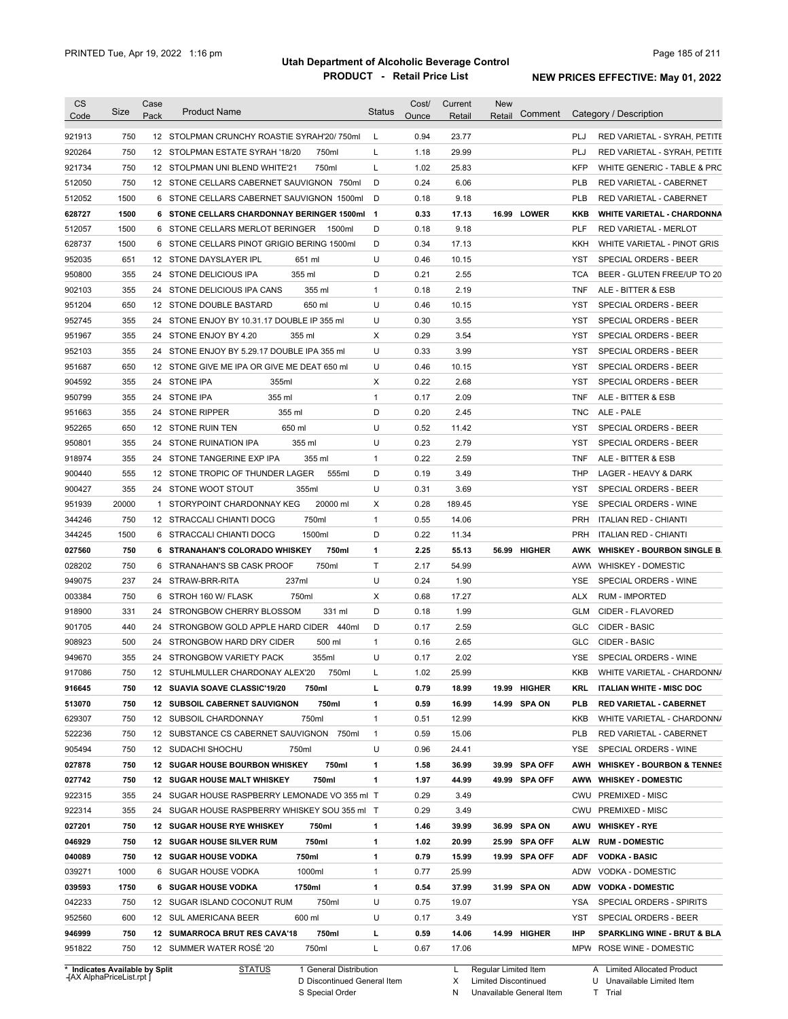| <b>CS</b><br>Code | Size       | Case<br>Pack | <b>Product Name</b>                                                         | <b>Status</b> | Cost/<br>Ounce | Current<br>Retail | <b>New</b><br>Retail | Comment |                   | Category / Description                                  |
|-------------------|------------|--------------|-----------------------------------------------------------------------------|---------------|----------------|-------------------|----------------------|---------|-------------------|---------------------------------------------------------|
| 921913            | 750        |              | 12 STOLPMAN CRUNCHY ROASTIE SYRAH'20/750ml                                  | L             | 0.94           | 23.77             |                      |         | PLJ               | RED VARIETAL - SYRAH, PETITE                            |
| 920264            | 750        |              | 12 STOLPMAN ESTATE SYRAH '18/20<br>750ml                                    | L             | 1.18           | 29.99             |                      |         | PLJ               | RED VARIETAL - SYRAH, PETITE                            |
| 921734            | 750        |              | 750ml<br>12 STOLPMAN UNI BLEND WHITE'21                                     | L             | 1.02           | 25.83             |                      |         | <b>KFP</b>        | WHITE GENERIC - TABLE & PRC                             |
| 512050            | 750        |              | 12 STONE CELLARS CABERNET SAUVIGNON 750ml                                   | D             | 0.24           | 6.06              |                      |         | <b>PLB</b>        | RED VARIETAL - CABERNET                                 |
| 512052            | 1500       |              | 6 STONE CELLARS CABERNET SAUVIGNON 1500ml                                   | D             | 0.18           | 9.18              |                      |         | <b>PLB</b>        | RED VARIETAL - CABERNET                                 |
| 628727            | 1500       |              | 6 STONE CELLARS CHARDONNAY BERINGER 1500ml 1                                |               | 0.33           | 17.13             | 16.99 LOWER          |         | KKB               | <b>WHITE VARIETAL - CHARDONNA</b>                       |
|                   | 1500       |              | 6 STONE CELLARS MERLOT BERINGER<br>1500ml                                   | D             | 0.18           | 9.18              |                      |         | <b>PLF</b>        | <b>RED VARIETAL - MERLOT</b>                            |
| 512057            | 1500       |              | 6 STONE CELLARS PINOT GRIGIO BERING 1500ml                                  | D             | 0.34           | 17.13             |                      |         |                   |                                                         |
| 628737            |            |              | 12 STONE DAYSLAYER IPL                                                      |               |                |                   |                      |         | KKH<br><b>YST</b> | WHITE VARIETAL - PINOT GRIS                             |
| 952035            | 651        |              | 651 ml                                                                      | U             | 0.46           | 10.15             |                      |         |                   | SPECIAL ORDERS - BEER                                   |
| 950800            | 355        |              | 355 ml<br>24 STONE DELICIOUS IPA                                            | D             | 0.21           | 2.55              |                      |         | <b>TCA</b>        | BEER - GLUTEN FREE/UP TO 20                             |
| 902103            | 355        |              | 24 STONE DELICIOUS IPA CANS<br>355 ml                                       | $\mathbf{1}$  | 0.18           | 2.19              |                      |         | TNF               | ALE - BITTER & ESB                                      |
| 951204            | 650        |              | 650 ml<br>12 STONE DOUBLE BASTARD                                           | U             | 0.46           | 10.15             |                      |         | <b>YST</b>        | SPECIAL ORDERS - BEER                                   |
| 952745            | 355        |              | 24 STONE ENJOY BY 10.31.17 DOUBLE IP 355 ml                                 | U             | 0.30           | 3.55              |                      |         | <b>YST</b>        | SPECIAL ORDERS - BEER                                   |
| 951967            | 355        |              | 24 STONE ENJOY BY 4.20<br>355 ml                                            | X             | 0.29           | 3.54              |                      |         | <b>YST</b>        | SPECIAL ORDERS - BEER                                   |
| 952103            | 355        |              | 24 STONE ENJOY BY 5.29.17 DOUBLE IPA 355 ml                                 | U             | 0.33           | 3.99              |                      |         | <b>YST</b>        | SPECIAL ORDERS - BEER                                   |
| 951687            | 650        |              | 12 STONE GIVE ME IPA OR GIVE ME DEAT 650 ml                                 | U             | 0.46           | 10.15             |                      |         | <b>YST</b>        | SPECIAL ORDERS - BEER                                   |
| 904592            | 355        |              | 24 STONE IPA<br>355ml                                                       | х             | 0.22           | 2.68              |                      |         | <b>YST</b>        | SPECIAL ORDERS - BEER                                   |
| 950799            | 355        |              | 355 ml<br>24 STONE IPA                                                      | $\mathbf{1}$  | 0.17           | 2.09              |                      |         | <b>TNF</b>        | ALE - BITTER & ESB                                      |
| 951663            | 355        |              | 355 ml<br>24 STONE RIPPER                                                   | D             | 0.20           | 2.45              |                      |         | <b>TNC</b>        | ALE - PALE                                              |
| 952265            | 650        |              | 650 ml<br>12 STONE RUIN TEN                                                 | U             | 0.52           | 11.42             |                      |         | YST               | SPECIAL ORDERS - BEER                                   |
| 950801            | 355        | 24           | 355 ml<br>STONE RUINATION IPA                                               | U             | 0.23           | 2.79              |                      |         | YST               | SPECIAL ORDERS - BEER                                   |
| 918974            | 355        |              | 24 STONE TANGERINE EXP IPA<br>355 ml                                        | $\mathbf{1}$  | 0.22           | 2.59              |                      |         | <b>TNF</b>        | ALE - BITTER & ESB                                      |
| 900440            | 555        |              | 12 STONE TROPIC OF THUNDER LAGER<br>555ml                                   | D             | 0.19           | 3.49              |                      |         | <b>THP</b>        | LAGER - HEAVY & DARK                                    |
| 900427            | 355        |              | 24 STONE WOOT STOUT<br>355ml                                                | U             | 0.31           | 3.69              |                      |         | YST               | SPECIAL ORDERS - BEER                                   |
| 951939            | 20000      |              | 20000 ml<br>1 STORYPOINT CHARDONNAY KEG                                     | Х             | 0.28           | 189.45            |                      |         | YSE               | SPECIAL ORDERS - WINE                                   |
| 344246            | 750        |              | 750ml<br>12 STRACCALI CHIANTI DOCG                                          | $\mathbf{1}$  | 0.55           | 14.06             |                      |         | <b>PRH</b>        | <b>ITALIAN RED - CHIANTI</b>                            |
| 344245            | 1500       |              | 1500ml<br>6 STRACCALI CHIANTI DOCG                                          | D             | 0.22           | 11.34             |                      |         | <b>PRH</b>        | <b>ITALIAN RED - CHIANTI</b>                            |
| 027560            | 750        |              | 750ml<br>6 STRANAHAN'S COLORADO WHISKEY                                     | 1             | 2.25           | 55.13             | 56.99 HIGHER         |         | AWK               | <b>WHISKEY - BOURBON SINGLE B.</b>                      |
| 028202            | 750        |              | 750ml<br>6 STRANAHAN'S SB CASK PROOF                                        | Τ             | 2.17           | 54.99             |                      |         | AWW               | <b>WHISKEY - DOMESTIC</b>                               |
| 949075            | 237        |              | 237ml<br>24 STRAW-BRR-RITA                                                  | U             | 0.24           | 1.90              |                      |         | YSE               | SPECIAL ORDERS - WINE                                   |
| 003384            | 750        |              | 6 STROH 160 W/ FLASK<br>750ml                                               | X             | 0.68           | 17.27             |                      |         | <b>ALX</b>        | <b>RUM - IMPORTED</b>                                   |
| 918900            | 331        |              | 331 ml<br>24 STRONGBOW CHERRY BLOSSOM                                       | D             | 0.18           | 1.99              |                      |         | <b>GLM</b>        | CIDER - FLAVORED                                        |
| 901705            | 440        |              | 24 STRONGBOW GOLD APPLE HARD CIDER<br>440ml                                 | D             | 0.17           | 2.59              |                      |         | GLC               | <b>CIDER - BASIC</b>                                    |
|                   |            |              |                                                                             |               |                |                   |                      |         |                   |                                                         |
| 908923            | 500        |              | 24 STRONGBOW HARD DRY CIDER<br>500 ml                                       | 1             | 0.16           | 2.65              |                      |         | GLC               | <b>CIDER - BASIC</b>                                    |
| 949670            | 355        |              | 24 STRONGBOW VARIETY PACK<br>355ml                                          | U             | 0.17           | 2.02              |                      |         | <b>YSE</b>        | SPECIAL ORDERS - WINE                                   |
| 917086            | 750        |              | 12 STUHLMULLER CHARDONAY ALEX'20<br>750ml                                   |               | 1.02           | 25.99             |                      |         | KKB               | WHITE VARIETAL - CHARDONN/                              |
| 916645            | 750        |              | 12 SUAVIA SOAVE CLASSIC'19/20<br>750ml                                      | г             | 0.79           | 18.99             | 19.99 HIGHER         |         | KRL               | <b>ITALIAN WHITE - MISC DOC</b>                         |
| 513070            | 750        |              | 750ml<br><b>12 SUBSOIL CABERNET SAUVIGNON</b>                               | 1             | 0.59           | 16.99             | 14.99 SPA ON         |         | PLB               | <b>RED VARIETAL - CABERNET</b>                          |
| 629307            | 750        |              | 12 SUBSOIL CHARDONNAY<br>750ml                                              | 1             | 0.51           | 12.99             |                      |         | KKB               | WHITE VARIETAL - CHARDONN/                              |
| 522236            | 750        |              | 12 SUBSTANCE CS CABERNET SAUVIGNON<br>750ml                                 | $\mathbf{1}$  | 0.59           | 15.06             |                      |         | <b>PLB</b>        | RED VARIETAL - CABERNET                                 |
| 905494            | 750        |              | 12 SUDACHI SHOCHU<br>750ml                                                  | U             | 0.96           | 24.41             |                      |         | YSE               | SPECIAL ORDERS - WINE                                   |
| 027878            | 750        |              | 12 SUGAR HOUSE BOURBON WHISKEY<br>750ml                                     | 1             | 1.58           | 36.99             | 39.99 SPA OFF        |         | AWH               | <b>WHISKEY - BOURBON &amp; TENNES</b>                   |
| 027742            | 750        |              | 12 SUGAR HOUSE MALT WHISKEY<br>750ml                                        | 1             | 1.97           | 44.99             | 49.99 SPA OFF        |         |                   | AWW WHISKEY - DOMESTIC                                  |
| 922315            | 355        |              | 24 SUGAR HOUSE RASPBERRY LEMONADE VO 355 ml T                               |               | 0.29           | 3.49              |                      |         |                   | CWU PREMIXED - MISC                                     |
| 922314            | 355        |              | 24 SUGAR HOUSE RASPBERRY WHISKEY SOU 355 ml T                               |               | 0.29           | 3.49              |                      |         |                   | CWU PREMIXED - MISC                                     |
| 027201            | 750        |              | 12 SUGAR HOUSE RYE WHISKEY<br>750ml                                         | 1             | 1.46           | 39.99             | 36.99 SPA ON         |         | AWU               | <b>WHISKEY - RYE</b>                                    |
| 046929            | 750        |              | 12 SUGAR HOUSE SILVER RUM<br>750ml                                          | 1             | 1.02           | 20.99             | 25.99 SPA OFF        |         | <b>ALW</b>        | <b>RUM - DOMESTIC</b>                                   |
| 040089            | 750        |              | 750ml<br>12 SUGAR HOUSE VODKA                                               | 1             | 0.79           | 15.99             | 19.99 SPA OFF        |         | <b>ADF</b>        | <b>VODKA - BASIC</b>                                    |
| 039271            | 1000       |              | 6 SUGAR HOUSE VODKA<br>1000ml                                               | 1             | 0.77           | 25.99             |                      |         | ADW               | VODKA - DOMESTIC                                        |
| 039593            | 1750       |              | <b>6 SUGAR HOUSE VODKA</b><br>1750ml                                        | 1             | 0.54           | 37.99             | 31.99 SPA ON         |         | ADW               | <b>VODKA - DOMESTIC</b>                                 |
| 042233            | 750        |              | 750ml<br>12 SUGAR ISLAND COCONUT RUM                                        | U             | 0.75           | 19.07             |                      |         | YSA               | SPECIAL ORDERS - SPIRITS                                |
|                   | 600        |              | 600 ml<br>12 SUL AMERICANA BEER                                             | U             | 0.17           | 3.49              |                      |         | YST               | SPECIAL ORDERS - BEER                                   |
|                   |            |              |                                                                             |               |                |                   |                      |         |                   |                                                         |
| 952560            |            |              |                                                                             |               |                |                   |                      |         |                   |                                                         |
| 946999<br>951822  | 750<br>750 |              | 12 SUMARROCA BRUT RES CAVA'18<br>750ml<br>750ml<br>12 SUMMER WATER ROSE '20 | L<br>Г        | 0.59<br>0.67   | 14.06<br>17.06    | 14.99 HIGHER         |         | <b>IHP</b>        | SPARKLING WINE - BRUT & BLA<br>MPW ROSE WINE - DOMESTIC |

**Case** [AX AlphaPriceList.rpt ]

D Discontinued General Item

S Special Order

X Limited Discontinued

N Unavailable General Item

U Unavailable Limited Item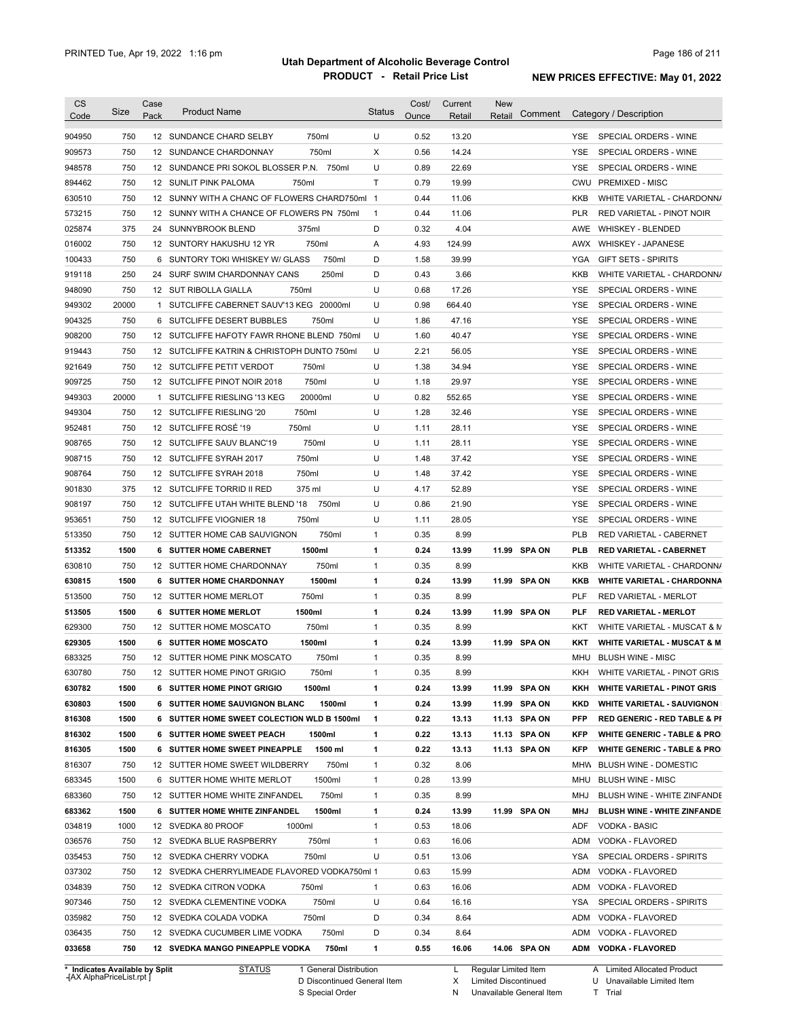| <b>CS</b>                      | Size  | Case | <b>Product Name</b>                           | <b>Status</b>          | Cost/ | Current | <b>New</b>           |                                                       |
|--------------------------------|-------|------|-----------------------------------------------|------------------------|-------|---------|----------------------|-------------------------------------------------------|
| Code                           |       | Pack |                                               |                        | Ounce | Retail  | Comment<br>Retail    | Category / Description                                |
| 904950                         | 750   |      | 750ml<br>12 SUNDANCE CHARD SELBY              | U                      | 0.52  | 13.20   |                      | YSE SPECIAL ORDERS - WINE                             |
| 909573                         | 750   |      | 750ml<br>12 SUNDANCE CHARDONNAY               | Χ                      | 0.56  | 14.24   |                      | <b>YSE</b><br>SPECIAL ORDERS - WINE                   |
| 948578                         | 750   |      | 12 SUNDANCE PRI SOKOL BLOSSER P.N. 750ml      | U                      | 0.89  | 22.69   |                      | YSE<br>SPECIAL ORDERS - WINE                          |
| 894462                         | 750   |      | 12 SUNLIT PINK PALOMA<br>750ml                | $\mathsf{T}$           | 0.79  | 19.99   |                      | CWU PREMIXED - MISC                                   |
| 630510                         | 750   |      | 12 SUNNY WITH A CHANC OF FLOWERS CHARD750ml 1 |                        | 0.44  | 11.06   |                      | KKB<br>WHITE VARIETAL - CHARDONN/                     |
| 573215                         | 750   |      | 12 SUNNY WITH A CHANCE OF FLOWERS PN 750ml    | $\mathbf{1}$           | 0.44  | 11.06   |                      | <b>PLR</b><br>RED VARIETAL - PINOT NOIR               |
| 025874                         | 375   |      | 24 SUNNYBROOK BLEND<br>375ml                  | D                      | 0.32  | 4.04    |                      | AWE WHISKEY - BLENDED                                 |
| 016002                         | 750   |      | 750ml<br>12 SUNTORY HAKUSHU 12 YR             | Α                      | 4.93  | 124.99  |                      | AWX WHISKEY - JAPANESE                                |
| 100433                         | 750   |      | 6 SUNTORY TOKI WHISKEY W/ GLASS               | 750ml<br>D             | 1.58  | 39.99   |                      | YGA<br><b>GIFT SETS - SPIRITS</b>                     |
| 919118                         | 250   |      | 24 SURF SWIM CHARDONNAY CANS                  | 250ml<br>D             | 0.43  | 3.66    |                      | KKB<br>WHITE VARIETAL - CHARDONN/                     |
| 948090                         | 750   |      | 750ml<br>12 SUT RIBOLLA GIALLA                | U                      | 0.68  | 17.26   |                      | YSE<br>SPECIAL ORDERS - WINE                          |
| 949302                         | 20000 |      | 1 SUTCLIFFE CABERNET SAUV'13 KEG 20000ml      | U                      | 0.98  | 664.40  |                      | SPECIAL ORDERS - WINE<br>YSE                          |
| 904325                         | 750   |      | 6 SUTCLIFFE DESERT BUBBLES<br>750ml           | U                      | 1.86  | 47.16   |                      | SPECIAL ORDERS - WINE<br>YSE                          |
| 908200                         | 750   |      | 12 SUTCLIFFE HAFOTY FAWR RHONE BLEND 750ml    | U                      | 1.60  | 40.47   |                      | SPECIAL ORDERS - WINE<br>YSE                          |
| 919443                         | 750   |      | 12 SUTCLIFFE KATRIN & CHRISTOPH DUNTO 750ml   | U                      | 2.21  | 56.05   |                      | <b>YSE</b><br>SPECIAL ORDERS - WINE                   |
| 921649                         | 750   |      | 750ml<br>12 SUTCLIFFE PETIT VERDOT            | U                      | 1.38  | 34.94   |                      | <b>YSE</b><br>SPECIAL ORDERS - WINE                   |
| 909725                         | 750   |      | 750ml<br>12 SUTCLIFFE PINOT NOIR 2018         | U                      | 1.18  | 29.97   |                      | YSE<br>SPECIAL ORDERS - WINE                          |
| 949303                         | 20000 |      | 20000ml<br>1 SUTCLIFFE RIESLING '13 KEG       | U                      | 0.82  | 552.65  |                      | <b>YSE</b><br>SPECIAL ORDERS - WINE                   |
| 949304                         | 750   |      | 750ml<br>12 SUTCLIFFE RIESLING '20            | U                      | 1.28  | 32.46   |                      | <b>YSE</b><br>SPECIAL ORDERS - WINE                   |
| 952481                         | 750   |      | 12 SUTCLIFFE ROSÉ '19<br>750ml                | U                      | 1.11  | 28.11   |                      | <b>YSE</b><br>SPECIAL ORDERS - WINE                   |
| 908765                         | 750   |      | 750ml<br>12 SUTCLIFFE SAUV BLANC'19           | U                      | 1.11  | 28.11   |                      | <b>YSE</b><br>SPECIAL ORDERS - WINE                   |
| 908715                         | 750   |      | 750ml<br>12 SUTCLIFFE SYRAH 2017              | U                      | 1.48  | 37.42   |                      | YSE<br>SPECIAL ORDERS - WINE                          |
| 908764                         | 750   |      | 12 SUTCLIFFE SYRAH 2018<br>750ml              | U                      | 1.48  | 37.42   |                      | SPECIAL ORDERS - WINE<br>YSE                          |
| 901830                         | 375   |      | 375 ml<br>12 SUTCLIFFE TORRID II RED          | U                      | 4.17  | 52.89   |                      | <b>YSE</b><br>SPECIAL ORDERS - WINE                   |
| 908197                         | 750   |      | 750ml<br>12 SUTCLIFFE UTAH WHITE BLEND '18    | U                      | 0.86  | 21.90   |                      | SPECIAL ORDERS - WINE<br><b>YSE</b>                   |
| 953651                         | 750   |      | 750ml<br>12 SUTCLIFFE VIOGNIER 18             | U                      | 1.11  | 28.05   |                      | YSE<br>SPECIAL ORDERS - WINE                          |
| 513350                         | 750   |      | 750ml<br>12 SUTTER HOME CAB SAUVIGNON         | 1                      | 0.35  | 8.99    |                      | <b>PLB</b><br>RED VARIETAL - CABERNET                 |
| 513352                         | 1500  |      | 1500ml<br><b>6 SUTTER HOME CABERNET</b>       | $\mathbf{1}$           | 0.24  | 13.99   | 11.99 SPA ON         | <b>PLB</b><br>RED VARIETAL - CABERNET                 |
| 630810                         | 750   |      | 750ml<br>12 SUTTER HOME CHARDONNAY            | 1                      | 0.35  | 8.99    |                      | KKB<br>WHITE VARIETAL - CHARDONN/                     |
| 630815                         | 1500  |      | 1500ml<br>6 SUTTER HOME CHARDONNAY            | 1                      | 0.24  | 13.99   | 11.99 SPA ON         | KKB<br><b>WHITE VARIETAL - CHARDONNA</b>              |
| 513500                         | 750   |      | 750ml<br>12 SUTTER HOME MERLOT                | 1                      | 0.35  | 8.99    |                      | <b>PLF</b><br>RED VARIETAL - MERLOT                   |
| 513505                         | 1500  |      | <b>6 SUTTER HOME MERLOT</b><br>1500ml         | 1                      | 0.24  | 13.99   | 11.99 SPA ON         | <b>PLF</b><br><b>RED VARIETAL - MERLOT</b>            |
| 629300                         | 750   |      | 750ml<br>12 SUTTER HOME MOSCATO               | $\mathbf{1}$           | 0.35  | 8.99    |                      | KKT<br>WHITE VARIETAL - MUSCAT & M                    |
| 629305                         | 1500  |      | 1500ml<br>6 SUTTER HOME MOSCATO               | 1                      | 0.24  | 13.99   | 11.99 SPA ON         | <b>KKT</b><br><b>WHITE VARIETAL - MUSCAT &amp; M</b>  |
| 683325                         | 750   |      | 12 SUTTER HOME PINK MOSCATO<br>750ml          | 1                      | 0.35  | 8.99    |                      | <b>BLUSH WINE - MISC</b><br>MHU                       |
| 630780                         | 750   |      | 12 SUTTER HOME PINOT GRIGIO<br>750ml          | 1                      | 0.35  | 8.99    |                      | KKH WHITE VARIETAL - PINOT GRIS                       |
| 630782                         | 1500  |      | 6 SUTTER HOME PINOT GRIGIO<br>1500ml          | 1                      | 0.24  | 13.99   | 11.99 SPA ON         | KKH<br><b>WHITE VARIETAL - PINOT GRIS</b>             |
| 630803                         | 1500  |      | <b>6 SUTTER HOME SAUVIGNON BLANC</b>          | 1500ml<br>1            | 0.24  | 13.99   | 11.99 SPA ON         | <b>WHITE VARIETAL - SAUVIGNON</b><br>KKD              |
| 816308                         | 1500  |      | 6 SUTTER HOME SWEET COLECTION WLD B 1500ml    | $\mathbf{1}$           | 0.22  | 13.13   | 11.13 SPA ON         | <b>PFP</b><br><b>RED GENERIC - RED TABLE &amp; PI</b> |
| 816302                         | 1500  |      | <b>6 SUTTER HOME SWEET PEACH</b><br>1500ml    | 1                      | 0.22  | 13.13   | 11.13 SPA ON         | <b>WHITE GENERIC - TABLE &amp; PRO</b><br><b>KFP</b>  |
| 816305                         | 1500  |      | 6 SUTTER HOME SWEET PINEAPPLE<br>1500 ml      | 1                      | 0.22  | 13.13   | 11.13 SPA ON         | <b>KFP</b><br><b>WHITE GENERIC - TABLE &amp; PRO</b>  |
| 816307                         | 750   |      | 12 SUTTER HOME SWEET WILDBERRY                | 750ml<br>$\mathbf{1}$  | 0.32  | 8.06    |                      | MHW BLUSH WINE - DOMESTIC                             |
| 683345                         | 1500  |      | 6 SUTTER HOME WHITE MERLOT<br>1500ml          | $\mathbf{1}$           | 0.28  | 13.99   |                      | <b>BLUSH WINE - MISC</b><br>MHU                       |
| 683360                         | 750   |      | 750ml<br>12 SUTTER HOME WHITE ZINFANDEL       | $\mathbf{1}$           | 0.35  | 8.99    |                      | BLUSH WINE - WHITE ZINFANDE<br>MHJ                    |
| 683362                         | 1500  |      | 6 SUTTER HOME WHITE ZINFANDEL<br>1500ml       | $\mathbf{1}$           | 0.24  | 13.99   | 11.99 SPA ON         | <b>BLUSH WINE - WHITE ZINFANDE</b><br>MHJ             |
| 034819                         | 1000  |      | 12 SVEDKA 80 PROOF<br>1000ml                  | $\mathbf{1}$           | 0.53  | 18.06   |                      | ADF<br>VODKA - BASIC                                  |
| 036576                         | 750   |      | 12 SVEDKA BLUE RASPBERRY<br>750ml             | $\mathbf{1}$           | 0.63  | 16.06   |                      | ADM<br>VODKA - FLAVORED                               |
| 035453                         | 750   |      | 12 SVEDKA CHERRY VODKA<br>750ml               | U                      | 0.51  | 13.06   |                      | YSA<br>SPECIAL ORDERS - SPIRITS                       |
| 037302                         | 750   |      | 12 SVEDKA CHERRYLIMEADE FLAVORED VODKA750ml 1 |                        | 0.63  | 15.99   |                      | ADM<br>VODKA - FLAVORED                               |
| 034839                         | 750   |      | 12 SVEDKA CITRON VODKA<br>750ml               | $\mathbf{1}$           | 0.63  | 16.06   |                      | ADM<br>VODKA - FLAVORED                               |
| 907346                         | 750   |      | 750ml<br>12 SVEDKA CLEMENTINE VODKA           | U                      | 0.64  | 16.16   |                      | YSA<br>SPECIAL ORDERS - SPIRITS                       |
| 035982                         | 750   |      | 750ml<br>12 SVEDKA COLADA VODKA               | D                      | 0.34  | 8.64    |                      | ADM VODKA - FLAVORED                                  |
| 036435                         | 750   |      | 12 SVEDKA CUCUMBER LIME VODKA                 | D<br>750ml             | 0.34  | 8.64    |                      | ADM VODKA - FLAVORED                                  |
| 033658                         | 750   |      | 12 SVEDKA MANGO PINEAPPLE VODKA               | 1<br>750ml             | 0.55  | 16.06   | 14.06 SPA ON         | ADM VODKA - FLAVORED                                  |
|                                |       |      |                                               |                        |       |         |                      |                                                       |
| * Indicates Available by Split |       |      | <b>STATUS</b>                                 | 1 General Distribution |       | L.      | Regular Limited Item | A Limited Allocated Product                           |

**Case** [AX AlphaPriceList.rpt ]

D Discontinued General Item S Special Order

Regular Limited Item

X

Limited Discontinued

N Unavailable General Item

A Limited Allocated Product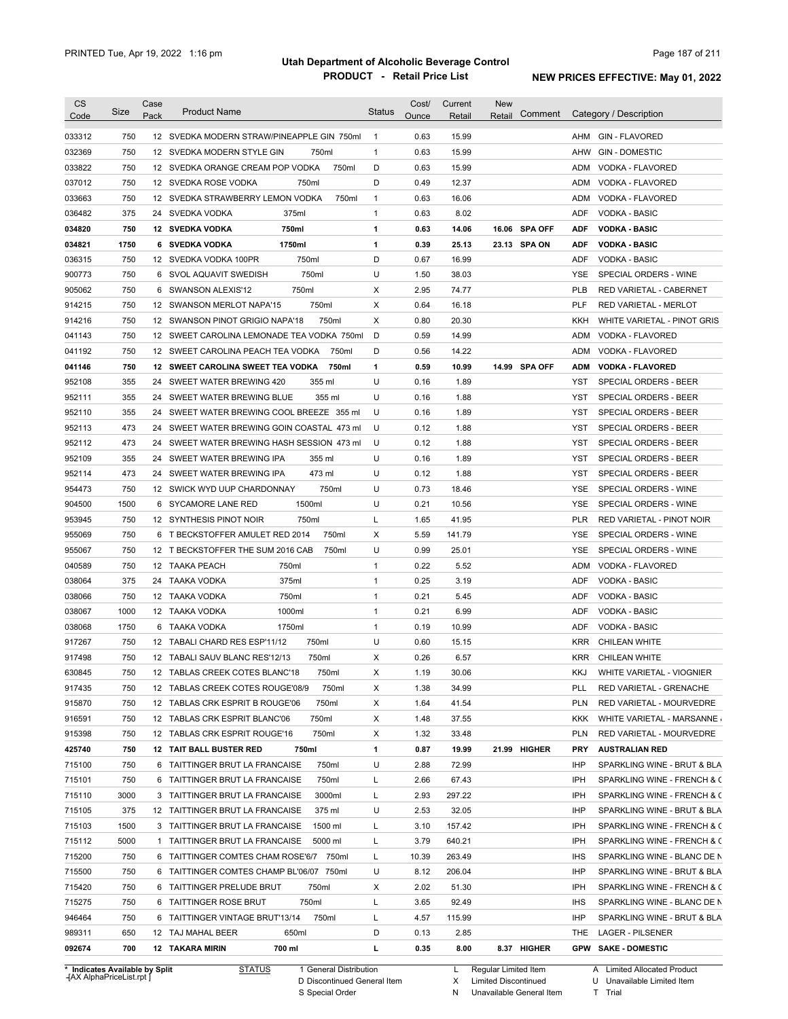| <b>CS</b>        |            | Case |                                                                |               | Cost/ | Current | <b>New</b>        |                                           |
|------------------|------------|------|----------------------------------------------------------------|---------------|-------|---------|-------------------|-------------------------------------------|
| Code             | Size       | Pack | <b>Product Name</b>                                            | <b>Status</b> | Ounce | Retail  | Comment<br>Retail | Category / Description                    |
| 033312           | 750        |      | 12 SVEDKA MODERN STRAW/PINEAPPLE GIN 750ml                     | $\mathbf{1}$  | 0.63  | 15.99   |                   | AHM<br><b>GIN - FLAVORED</b>              |
| 032369           | 750        |      | 12 SVEDKA MODERN STYLE GIN<br>750ml                            | $\mathbf{1}$  | 0.63  | 15.99   |                   | AHW<br><b>GIN - DOMESTIC</b>              |
| 033822           | 750        |      | 750ml<br>12 SVEDKA ORANGE CREAM POP VODKA                      | D             | 0.63  | 15.99   |                   | VODKA - FLAVORED<br>ADM                   |
| 037012           | 750        |      | 12 SVEDKA ROSE VODKA<br>750ml                                  | D             | 0.49  | 12.37   |                   | ADM<br>VODKA - FLAVORED                   |
| 033663           | 750        |      | 12 SVEDKA STRAWBERRY LEMON VODKA<br>750ml                      | $\mathbf{1}$  | 0.63  | 16.06   |                   | ADM<br>VODKA - FLAVORED                   |
| 036482           | 375        |      | 24 SVEDKA VODKA<br>375ml                                       | $\mathbf{1}$  | 0.63  | 8.02    |                   | ADF<br><b>VODKA - BASIC</b>               |
| 034820           | 750        |      | 750ml<br>12 SVEDKA VODKA                                       | 1             | 0.63  | 14.06   | 16.06 SPA OFF     | ADF<br><b>VODKA - BASIC</b>               |
| 034821           | 1750       |      | 1750ml<br>6 SVEDKA VODKA                                       | 1             | 0.39  | 25.13   | 23.13 SPA ON      | ADF<br><b>VODKA - BASIC</b>               |
| 036315           | 750        |      | 750ml<br>12 SVEDKA VODKA 100PR                                 | D             | 0.67  | 16.99   |                   | <b>ADF</b><br>VODKA - BASIC               |
| 900773           | 750        |      | 750ml<br>6 SVOL AQUAVIT SWEDISH                                | U             | 1.50  | 38.03   |                   | YSE<br>SPECIAL ORDERS - WINE              |
| 905062           | 750        |      | 750ml<br>6 SWANSON ALEXIS'12                                   | Х             | 2.95  | 74.77   |                   | <b>PLB</b><br>RED VARIETAL - CABERNET     |
| 914215           | 750        |      | 750ml<br>12 SWANSON MERLOT NAPA'15                             | х             | 0.64  | 16.18   |                   | PLF<br>RED VARIETAL - MERLOT              |
| 914216           | 750        |      | 750ml<br>12 SWANSON PINOT GRIGIO NAPA'18                       | Х             | 0.80  | 20.30   |                   | KKH<br>WHITE VARIETAL - PINOT GRIS        |
| 041143           | 750        |      | 12 SWEET CAROLINA LEMONADE TEA VODKA 750ml                     | D             | 0.59  | 14.99   |                   | <b>ADM</b><br>VODKA - FLAVORED            |
| 041192           | 750        |      | 12 SWEET CAROLINA PEACH TEA VODKA<br>750ml                     | D             | 0.56  | 14.22   |                   | ADM<br>VODKA - FLAVORED                   |
| 041146           | 750        |      | 12 SWEET CAROLINA SWEET TEA VODKA<br>750ml                     | 1             | 0.59  | 10.99   | 14.99 SPA OFF     | <b>VODKA - FLAVORED</b><br><b>ADM</b>     |
| 952108           | 355        | 24   | SWEET WATER BREWING 420<br>355 ml                              | U             | 0.16  | 1.89    |                   | <b>YST</b><br>SPECIAL ORDERS - BEER       |
| 952111           | 355        | 24   | SWEET WATER BREWING BLUE<br>355 ml                             | U             | 0.16  | 1.88    |                   | <b>YST</b><br>SPECIAL ORDERS - BEER       |
| 952110           | 355        | 24   | SWEET WATER BREWING COOL BREEZE 355 ml                         | U             | 0.16  | 1.89    |                   | <b>YST</b><br>SPECIAL ORDERS - BEER       |
| 952113           | 473        | 24   | SWEET WATER BREWING GOIN COASTAL 473 ml                        | U             | 0.12  | 1.88    |                   | <b>YST</b><br>SPECIAL ORDERS - BEER       |
| 952112           | 473        | 24   | SWEET WATER BREWING HASH SESSION 473 ml                        | U             | 0.12  | 1.88    |                   | <b>YST</b><br>SPECIAL ORDERS - BEER       |
| 952109           | 355        |      | 24 SWEET WATER BREWING IPA<br>355 ml                           | U             | 0.16  | 1.89    |                   | YST<br>SPECIAL ORDERS - BEER              |
| 952114           | 473        | 24   | 473 ml<br>SWEET WATER BREWING IPA                              | U             | 0.12  | 1.88    |                   | <b>YST</b><br>SPECIAL ORDERS - BEER       |
| 954473           | 750        |      | 12 SWICK WYD UUP CHARDONNAY<br>750ml                           | U             | 0.73  | 18.46   |                   | <b>YSE</b><br>SPECIAL ORDERS - WINE       |
| 904500           | 1500       | 6    | 1500ml<br>SYCAMORE LANE RED                                    | U             | 0.21  | 10.56   |                   | <b>YSE</b><br>SPECIAL ORDERS - WINE       |
| 953945           | 750        |      | 750ml<br>12 SYNTHESIS PINOT NOIR                               | L             | 1.65  | 41.95   |                   | PLR<br>RED VARIETAL - PINOT NOIR          |
| 955069           | 750        | 6    | 750ml<br>T BECKSTOFFER AMULET RED 2014                         | х             | 5.59  | 141.79  |                   | YSE<br>SPECIAL ORDERS - WINE              |
| 955067           | 750        |      | 12 T BECKSTOFFER THE SUM 2016 CAB<br>750ml                     | U             | 0.99  | 25.01   |                   | YSE<br>SPECIAL ORDERS - WINE              |
| 040589           | 750        |      | 750ml<br>12 TAAKA PEACH                                        | $\mathbf{1}$  | 0.22  | 5.52    |                   | ADM<br>VODKA - FLAVORED                   |
| 038064           | 375        | 24   | 375ml<br>TAAKA VODKA                                           | $\mathbf{1}$  | 0.25  | 3.19    |                   | ADF<br><b>VODKA - BASIC</b>               |
| 038066           | 750        | 12   | 750ml<br>TAAKA VODKA                                           | $\mathbf{1}$  | 0.21  | 5.45    |                   | ADF<br><b>VODKA - BASIC</b>               |
| 038067           | 1000       | 12   | 1000ml<br>TAAKA VODKA                                          | $\mathbf{1}$  | 0.21  | 6.99    |                   | ADF<br><b>VODKA - BASIC</b>               |
| 038068           | 1750       | 6    | 1750ml<br>TAAKA VODKA                                          | $\mathbf{1}$  | 0.19  | 10.99   |                   | ADF<br><b>VODKA - BASIC</b>               |
| 917267           | 750        |      | 750ml<br>12 TABALI CHARD RES ESP'11/12                         | U             | 0.60  | 15.15   |                   | <b>KRR</b><br><b>CHILEAN WHITE</b>        |
| 917498           | 750        |      | 12 TABALI SAUV BLANC RES'12/13<br>750ml                        | Х             | 0.26  | 6.57    |                   | <b>KRR</b><br><b>CHILEAN WHITE</b>        |
| 630845           | 750        |      | 12 TABLAS CREEK COTES BLANC'18<br>750ml                        | X             | 1.19  | 30.06   |                   | KKJ<br>WHITE VARIETAL - VIOGNIER          |
| 917435           | 750        |      | 12 TABLAS CREEK COTES ROUGE'08/9<br>750ml                      | Х             | 1.38  | 34.99   |                   | PLL<br>RED VARIETAL - GRENACHE            |
| 915870           | 750        |      | 12 TABLAS CRK ESPRIT B ROUGE'06<br>750ml                       | х             | 1.64  | 41.54   |                   | <b>PLN</b><br>RED VARIETAL - MOURVEDRE    |
| 916591           | 750        |      | 12 TABLAS CRK ESPRIT BLANC'06<br>750ml                         | Х             | 1.48  | 37.55   |                   | KKK<br>WHITE VARIETAL - MARSANNE          |
| 915398           | 750        |      | 750ml<br>12 TABLAS CRK ESPRIT ROUGE'16                         | х             | 1.32  | 33.48   |                   | <b>PLN</b><br>RED VARIETAL - MOURVEDRE    |
| 425740           | 750        |      | 750ml<br>12 TAIT BALL BUSTER RED                               | 1             | 0.87  | 19.99   | 21.99 HIGHER      | <b>PRY</b><br><b>AUSTRALIAN RED</b>       |
| 715100           | 750        |      | 750ml<br>6 TAITTINGER BRUT LA FRANCAISE                        | U             | 2.88  | 72.99   |                   | IHP<br>SPARKLING WINE - BRUT & BLA        |
| 715101           | 750        |      | 750ml<br>6 TAITTINGER BRUT LA FRANCAISE                        | L             | 2.66  | 67.43   |                   | IPH<br>SPARKLING WINE - FRENCH & C        |
| 715110           | 3000       |      | 3000ml<br>3 TAITTINGER BRUT LA FRANCAISE                       | L             | 2.93  | 297.22  |                   | IPH<br>SPARKLING WINE - FRENCH & C        |
| 715105           | 375        |      | 12 TAITTINGER BRUT LA FRANCAISE<br>375 ml                      | U             | 2.53  | 32.05   |                   | IHP<br>SPARKLING WINE - BRUT & BLA        |
| 715103           | 1500       |      | 3 TAITTINGER BRUT LA FRANCAISE<br>1500 ml                      | L             | 3.10  | 157.42  |                   | IPH<br>SPARKLING WINE - FRENCH & C        |
| 715112           | 5000       |      | 1 TAITTINGER BRUT LA FRANCAISE<br>5000 ml                      | L             | 3.79  | 640.21  |                   | IPH<br>SPARKLING WINE - FRENCH & C        |
| 715200           | 750        |      | 6 TAITTINGER COMTES CHAM ROSE'6/7 750ml                        | L             | 10.39 | 263.49  |                   | <b>IHS</b><br>SPARKLING WINE - BLANC DE N |
| 715500           | 750        |      | 6 TAITTINGER COMTES CHAMP BL'06/07 750ml                       | U             | 8.12  | 206.04  |                   | IHP<br>SPARKLING WINE - BRUT & BLA        |
| 715420           | 750        |      | 6 TAITTINGER PRELUDE BRUT<br>750ml                             | Х             | 2.02  | 51.30   |                   | IPH<br>SPARKLING WINE - FRENCH & C        |
| 715275           | 750        |      | 6 TAITTINGER ROSE BRUT<br>750ml                                | L             | 3.65  | 92.49   |                   | <b>IHS</b><br>SPARKLING WINE - BLANC DE N |
| 946464           | 750        |      | 750ml<br>6 TAITTINGER VINTAGE BRUT'13/14                       | L             | 4.57  | 115.99  |                   | IHP<br>SPARKLING WINE - BRUT & BLA        |
|                  |            |      |                                                                | D             | 0.13  | 2.85    |                   | THE<br>LAGER - PILSENER                   |
|                  |            |      |                                                                |               |       |         |                   |                                           |
| 989311<br>092674 | 650<br>700 |      | 12 TAJ MAHAL BEER<br>650ml<br><b>12 TAKARA MIRIN</b><br>700 ml | г             | 0.35  | 8.00    | 8.37 HIGHER       | <b>GPW SAKE - DOMESTIC</b>                |

**Case** [AX AlphaPriceList.rpt ]

D Discontinued General Item S Special Order

X

N Unavailable General Item

U Unavailable Limited Item

Limited Discontinued T Trial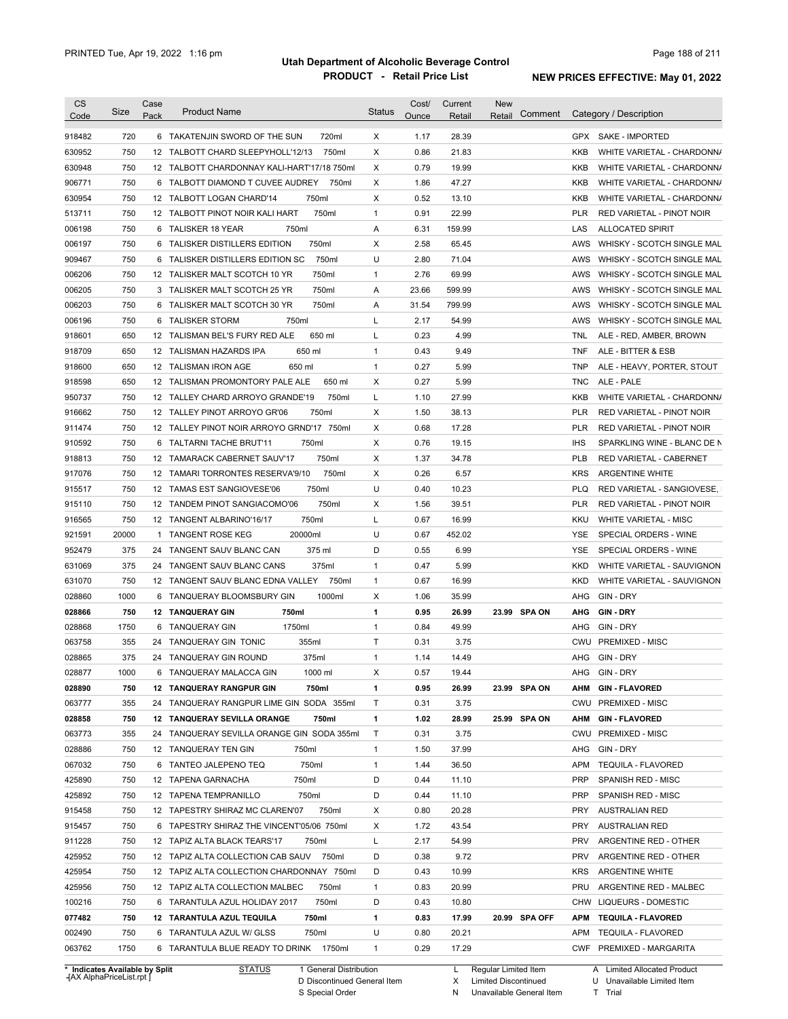| <b>CS</b> |                                | Case |                                              |               | Cost/ | Current | <b>New</b>             |            |                              |
|-----------|--------------------------------|------|----------------------------------------------|---------------|-------|---------|------------------------|------------|------------------------------|
| Code      | Size                           | Pack | <b>Product Name</b>                          | <b>Status</b> | Ounce | Retail  | Comment<br>Retail      |            | Category / Description       |
| 918482    | 720                            |      | 6 TAKATENJIN SWORD OF THE SUN<br>720ml       | X             | 1.17  | 28.39   |                        |            | GPX SAKE - IMPORTED          |
| 630952    | 750                            |      | 12 TALBOTT CHARD SLEEPYHOLL'12/13<br>750ml   | X             | 0.86  | 21.83   |                        | <b>KKB</b> | WHITE VARIETAL - CHARDONN/   |
|           | 750                            |      | 12 TALBOTT CHARDONNAY KALI-HART'17/18 750ml  | X             | 0.79  | 19.99   |                        | KKB        |                              |
| 630948    |                                |      |                                              |               |       |         |                        |            | WHITE VARIETAL - CHARDONN/   |
| 906771    | 750                            |      | 6 TALBOTT DIAMOND T CUVEE AUDREY<br>750ml    | X             | 1.86  | 47.27   |                        | KKB        | WHITE VARIETAL - CHARDONN/   |
| 630954    | 750                            |      | 750ml<br>12 TALBOTT LOGAN CHARD'14           | X             | 0.52  | 13.10   |                        | KKB        | WHITE VARIETAL - CHARDONN/   |
| 513711    | 750                            |      | 750ml<br>12 TALBOTT PINOT NOIR KALI HART     | $\mathbf{1}$  | 0.91  | 22.99   |                        | PLR        | RED VARIETAL - PINOT NOIR    |
| 006198    | 750                            | 6    | 750ml<br>TALISKER 18 YEAR                    | Α             | 6.31  | 159.99  |                        | LAS        | <b>ALLOCATED SPIRIT</b>      |
| 006197    | 750                            | 6    | 750ml<br>TALISKER DISTILLERS EDITION         | Χ             | 2.58  | 65.45   |                        | AWS        | WHISKY - SCOTCH SINGLE MAL   |
| 909467    | 750                            | 6    | 750ml<br>TALISKER DISTILLERS EDITION SC      | U             | 2.80  | 71.04   |                        | AWS        | WHISKY - SCOTCH SINGLE MAL   |
| 006206    | 750                            |      | 750ml<br>12 TALISKER MALT SCOTCH 10 YR       | 1             | 2.76  | 69.99   |                        | AWS        | WHISKY - SCOTCH SINGLE MAL   |
| 006205    | 750                            |      | 750ml<br>3 TALISKER MALT SCOTCH 25 YR        | Α             | 23.66 | 599.99  |                        | AWS        | WHISKY - SCOTCH SINGLE MAL   |
| 006203    | 750                            | 6    | 750ml<br>TALISKER MALT SCOTCH 30 YR          | Α             | 31.54 | 799.99  |                        | AWS        | WHISKY - SCOTCH SINGLE MAL   |
| 006196    | 750                            | 6    | <b>TALISKER STORM</b><br>750ml               | Г             | 2.17  | 54.99   |                        | AWS        | WHISKY - SCOTCH SINGLE MAL   |
| 918601    | 650                            |      | 12 TALISMAN BEL'S FURY RED ALE<br>650 ml     | Г             | 0.23  | 4.99    |                        | TNL        | ALE - RED, AMBER, BROWN      |
| 918709    | 650                            |      | 650 ml<br>12 TALISMAN HAZARDS IPA            | $\mathbf{1}$  | 0.43  | 9.49    |                        | <b>TNF</b> | ALE - BITTER & ESB           |
| 918600    | 650                            |      | 12 TALISMAN IRON AGE<br>650 ml               | 1             | 0.27  | 5.99    |                        | <b>TNP</b> | ALE - HEAVY, PORTER, STOUT   |
| 918598    | 650                            |      | 12 TALISMAN PROMONTORY PALE ALE<br>650 ml    | х             | 0.27  | 5.99    |                        | <b>TNC</b> | ALE - PALE                   |
| 950737    | 750                            |      | 12 TALLEY CHARD ARROYO GRANDE'19<br>750ml    | Г             | 1.10  | 27.99   |                        | KKB        | WHITE VARIETAL - CHARDONN/   |
| 916662    | 750                            |      | 12 TALLEY PINOT ARROYO GR'06<br>750ml        | X             | 1.50  | 38.13   |                        | <b>PLR</b> | RED VARIETAL - PINOT NOIR    |
| 911474    | 750                            |      | 12 TALLEY PINOT NOIR ARROYO GRND'17<br>750ml | X             | 0.68  | 17.28   |                        | <b>PLR</b> | RED VARIETAL - PINOT NOIR    |
| 910592    | 750                            | 6    | 750ml<br>TALTARNI TACHE BRUT'11              | Х             | 0.76  | 19.15   |                        | <b>IHS</b> | SPARKLING WINE - BLANC DE N  |
| 918813    | 750                            |      | 750ml<br>12 TAMARACK CABERNET SAUV'17        | X             | 1.37  | 34.78   |                        | <b>PLB</b> | RED VARIETAL - CABERNET      |
| 917076    | 750                            |      | 750ml<br>12 TAMARI TORRONTES RESERVA'9/10    | Х             | 0.26  | 6.57    |                        | <b>KRS</b> | <b>ARGENTINE WHITE</b>       |
| 915517    | 750                            |      | 750ml<br>12 TAMAS EST SANGIOVESE'06          | U             | 0.40  | 10.23   |                        | <b>PLQ</b> | RED VARIETAL - SANGIOVESE,   |
| 915110    | 750                            |      | 750ml<br>12 TANDEM PINOT SANGIACOMO'06       | Х             | 1.56  | 39.51   |                        | <b>PLR</b> | RED VARIETAL - PINOT NOIR    |
| 916565    | 750                            |      | 750ml<br>12 TANGENT ALBARINO'16/17           | Г             | 0.67  | 16.99   |                        | KKU        | <b>WHITE VARIETAL - MISC</b> |
| 921591    | 20000                          | 1    | 20000ml<br><b>TANGENT ROSE KEG</b>           | U             | 0.67  | 452.02  |                        | YSE        | SPECIAL ORDERS - WINE        |
| 952479    | 375                            | 24   | TANGENT SAUV BLANC CAN<br>375 ml             | D             | 0.55  | 6.99    |                        | YSE        | SPECIAL ORDERS - WINE        |
| 631069    | 375                            | 24   | TANGENT SAUV BLANC CANS<br>375ml             | $\mathbf{1}$  | 0.47  | 5.99    |                        | KKD        | WHITE VARIETAL - SAUVIGNON   |
| 631070    | 750                            |      | 12 TANGENT SAUV BLANC EDNA VALLEY<br>750ml   | 1             | 0.67  | 16.99   |                        | <b>KKD</b> | WHITE VARIETAL - SAUVIGNON   |
| 028860    | 1000                           | 6    | 1000ml<br>TANQUERAY BLOOMSBURY GIN           | X             | 1.06  | 35.99   |                        | AHG        | GIN - DRY                    |
| 028866    | 750                            |      | <b>12 TANQUERAY GIN</b><br>750ml             | 1             | 0.95  | 26.99   | 23.99 SPA ON           | <b>AHG</b> | GIN DRY                      |
| 028868    | 1750                           | 6    | 1750ml<br><b>TANQUERAY GIN</b>               | 1             | 0.84  | 49.99   |                        | AHG        | GIN - DRY                    |
| 063758    | 355                            |      | 24 TANQUERAY GIN TONIC<br>355ml              | Τ             | 0.31  | 3.75    |                        | CWU        | <b>PREMIXED - MISC</b>       |
| 028865    | 375                            |      | 24 TANQUERAY GIN ROUND<br>375ml              | 1             | 1.14  | 14.49   |                        | AHG        | GIN - DRY                    |
|           |                                |      |                                              |               |       |         |                        |            |                              |
| 028877    | 1000                           |      | 1000 ml<br>6 TANQUERAY MALACCA GIN           | X             | 0.57  | 19.44   |                        |            | AHG GIN-DRY                  |
| 028890    | 750                            |      | <b>12 TANQUERAY RANGPUR GIN</b><br>750ml     | 1             | 0.95  | 26.99   | 23.99 SPA ON           | AHM        | <b>GIN - FLAVORED</b>        |
| 063777    | 355                            |      | 24 TANQUERAY RANGPUR LIME GIN SODA 355ml     | Т             | 0.31  | 3.75    |                        |            | CWU PREMIXED - MISC          |
| 028858    | 750                            |      | 12 TANQUERAY SEVILLA ORANGE<br>750ml         | 1             | 1.02  | 28.99   | 25.99 SPA ON           | AHM        | <b>GIN-FLAVORED</b>          |
| 063773    | 355                            |      | 24 TANQUERAY SEVILLA ORANGE GIN SODA 355ml   | T             | 0.31  | 3.75    |                        |            | CWU PREMIXED - MISC          |
| 028886    | 750                            |      | 12 TANQUERAY TEN GIN<br>750ml                | $\mathbf{1}$  | 1.50  | 37.99   |                        |            | AHG GIN-DRY                  |
| 067032    | 750                            |      | 750ml<br>6 TANTEO JALEPENO TEQ               | $\mathbf{1}$  | 1.44  | 36.50   |                        | APM        | <b>TEQUILA - FLAVORED</b>    |
| 425890    | 750                            |      | 750ml<br>12 TAPENA GARNACHA                  | D             | 0.44  | 11.10   |                        | <b>PRP</b> | SPANISH RED - MISC           |
| 425892    | 750                            |      | 12 TAPENA TEMPRANILLO<br>750ml               | D             | 0.44  | 11.10   |                        | <b>PRP</b> | SPANISH RED - MISC           |
| 915458    | 750                            |      | 12 TAPESTRY SHIRAZ MC CLAREN'07<br>750ml     | X             | 0.80  | 20.28   |                        | PRY        | AUSTRALIAN RED               |
| 915457    | 750                            |      | 6 TAPESTRY SHIRAZ THE VINCENT'05/06 750ml    | Х             | 1.72  | 43.54   |                        | PRY        | <b>AUSTRALIAN RED</b>        |
| 911228    | 750                            |      | 12 TAPIZ ALTA BLACK TEARS'17<br>750ml        | L             | 2.17  | 54.99   |                        | <b>PRV</b> | ARGENTINE RED - OTHER        |
| 425952    | 750                            |      | 12 TAPIZ ALTA COLLECTION CAB SAUV 750ml      | D             | 0.38  | 9.72    |                        | <b>PRV</b> | ARGENTINE RED - OTHER        |
| 425954    | 750                            |      | 12 TAPIZ ALTA COLLECTION CHARDONNAY 750ml    | D             | 0.43  | 10.99   |                        | <b>KRS</b> | ARGENTINE WHITE              |
| 425956    | 750                            |      | 12 TAPIZ ALTA COLLECTION MALBEC<br>750ml     | $\mathbf{1}$  | 0.83  | 20.99   |                        |            | PRU ARGENTINE RED - MALBEC   |
| 100216    | 750                            |      | 6 TARANTULA AZUL HOLIDAY 2017<br>750ml       | D             | 0.43  | 10.80   |                        |            | CHW LIQUEURS - DOMESTIC      |
| 077482    | 750                            |      | 12 TARANTULA AZUL TEQUILA<br>750ml           | 1             | 0.83  | 17.99   | 20.99 SPA OFF          |            | APM TEQUILA FLAVORED         |
| 002490    | 750                            |      | 6 TARANTULA AZUL W/ GLSS<br>750ml            | U             | 0.80  | 20.21   |                        |            | APM TEQUILA - FLAVORED       |
| 063762    | 1750                           |      | 6 TARANTULA BLUE READY TO DRINK 1750ml       | 1             | 0.29  | 17.29   |                        |            | CWF PREMIXED - MARGARITA     |
|           |                                |      |                                              |               |       |         |                        |            |                              |
|           | * Indicates Available by Split |      | <u>STATUS</u><br>1 General Distribution      |               |       |         | L Regular Limited Item |            | A Limited Allocated Product  |

**Case** [AX AlphaPriceList.rpt ]

General Distribution 

Discontinued General Item S Special Order D

L X Regular Limited Item

N

Limited Discontinued

Unavailable General Item

A Limited Allocated Product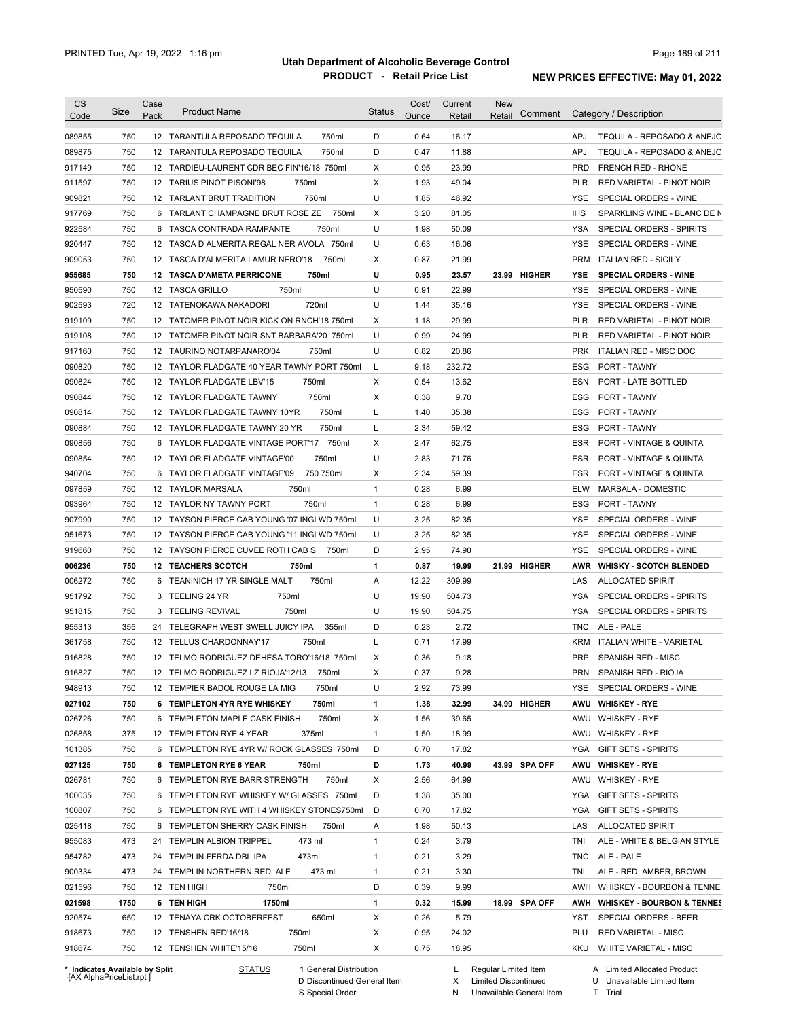| <b>CS</b>                  |      | Case |                                             | <b>Status</b> | Cost/ | Current | <b>New</b> |               |            |                                |
|----------------------------|------|------|---------------------------------------------|---------------|-------|---------|------------|---------------|------------|--------------------------------|
| Code                       | Size | Pack | <b>Product Name</b>                         |               | Ounce | Retail  | Retail     | Comment       |            | Category / Description         |
| 089855                     | 750  |      | 750ml<br>12 TARANTULA REPOSADO TEQUILA      | D             | 0.64  | 16.17   |            |               | APJ        | TEQUILA - REPOSADO & ANEJO     |
| 089875                     | 750  |      | 750ml<br>12 TARANTULA REPOSADO TEQUILA      | D             | 0.47  | 11.88   |            |               | APJ        | TEQUILA - REPOSADO & ANEJO     |
| 917149                     | 750  |      | 12 TARDIEU-LAURENT CDR BEC FIN'16/18 750ml  | X             | 0.95  | 23.99   |            |               | <b>PRD</b> | <b>FRENCH RED - RHONE</b>      |
| 911597                     | 750  |      | 12 TARIUS PINOT PISONI'98<br>750ml          | X             | 1.93  | 49.04   |            |               | PLR        | RED VARIETAL - PINOT NOIR      |
| 909821                     | 750  |      | 750ml<br>12 TARLANT BRUT TRADITION          | U             | 1.85  | 46.92   |            |               | <b>YSE</b> | SPECIAL ORDERS - WINE          |
| 917769                     | 750  |      | 750ml<br>6 TARLANT CHAMPAGNE BRUT ROSE ZE   | X             | 3.20  | 81.05   |            |               | <b>IHS</b> | SPARKLING WINE - BLANC DE N    |
| 922584                     | 750  |      | 750ml<br>6 TASCA CONTRADA RAMPANTE          | U             | 1.98  | 50.09   |            |               | <b>YSA</b> | SPECIAL ORDERS - SPIRITS       |
| 920447                     | 750  |      | 12 TASCA D ALMERITA REGAL NER AVOLA 750ml   | U             | 0.63  | 16.06   |            |               | <b>YSE</b> | SPECIAL ORDERS - WINE          |
| 909053                     | 750  |      | 12 TASCA D'ALMERITA LAMUR NERO'18<br>750ml  | X             | 0.87  | 21.99   |            |               | <b>PRM</b> | <b>ITALIAN RED - SICILY</b>    |
| 955685                     | 750  |      | 750ml<br><b>12 TASCA D'AMETA PERRICONE</b>  | U             | 0.95  | 23.57   |            | 23.99 HIGHER  | YSE        | <b>SPECIAL ORDERS - WINE</b>   |
| 950590                     | 750  |      | 12 TASCA GRILLO<br>750ml                    | U             | 0.91  | 22.99   |            |               | <b>YSE</b> | SPECIAL ORDERS - WINE          |
| 902593                     | 720  |      | 12 TATENOKAWA NAKADORI<br>720ml             | U             | 1.44  | 35.16   |            |               | <b>YSE</b> | SPECIAL ORDERS - WINE          |
| 919109                     | 750  |      | 12 TATOMER PINOT NOIR KICK ON RNCH'18 750ml | х             | 1.18  | 29.99   |            |               | <b>PLR</b> | RED VARIETAL - PINOT NOIR      |
| 919108                     | 750  |      | 12 TATOMER PINOT NOIR SNT BARBARA'20 750ml  | U             | 0.99  | 24.99   |            |               | <b>PLR</b> | RED VARIETAL - PINOT NOIR      |
| 917160                     | 750  |      | 12 TAURINO NOTARPANARO'04<br>750ml          | U             | 0.82  | 20.86   |            |               | <b>PRK</b> | <b>ITALIAN RED - MISC DOC</b>  |
| 090820                     | 750  |      | 12 TAYLOR FLADGATE 40 YEAR TAWNY PORT 750ml | L             | 9.18  | 232.72  |            |               | ESG        | <b>PORT - TAWNY</b>            |
| 090824                     | 750  |      | 750ml<br>12 TAYLOR FLADGATE LBV'15          | X             | 0.54  | 13.62   |            |               | ESN        | PORT - LATE BOTTLED            |
| 090844                     | 750  |      | 750ml<br>12 TAYLOR FLADGATE TAWNY           | X             | 0.38  | 9.70    |            |               | <b>ESG</b> | PORT - TAWNY                   |
| 090814                     | 750  |      | 750ml<br>12 TAYLOR FLADGATE TAWNY 10YR      | L             | 1.40  | 35.38   |            |               | <b>ESG</b> | PORT - TAWNY                   |
| 090884                     | 750  |      | 750ml<br>12 TAYLOR FLADGATE TAWNY 20 YR     | L             | 2.34  | 59.42   |            |               | <b>ESG</b> | PORT - TAWNY                   |
| 090856                     | 750  | 6    | 750ml<br>TAYLOR FLADGATE VINTAGE PORT'17    | X             | 2.47  | 62.75   |            |               | <b>ESR</b> | PORT - VINTAGE & QUINTA        |
| 090854                     | 750  |      | 750ml<br>12 TAYLOR FLADGATE VINTAGE'00      | U             | 2.83  | 71.76   |            |               | <b>ESR</b> | PORT - VINTAGE & QUINTA        |
| 940704                     | 750  |      | 750 750ml<br>6 TAYLOR FLADGATE VINTAGE'09   | X             | 2.34  | 59.39   |            |               | <b>ESR</b> | PORT - VINTAGE & QUINTA        |
| 097859                     | 750  |      | 12 TAYLOR MARSALA<br>750ml                  | $\mathbf{1}$  | 0.28  | 6.99    |            |               | ELW        | MARSALA - DOMESTIC             |
| 093964                     | 750  |      | 12 TAYLOR NY TAWNY PORT<br>750ml            | $\mathbf{1}$  | 0.28  | 6.99    |            |               | ESG        | PORT - TAWNY                   |
| 907990                     | 750  |      | 12 TAYSON PIERCE CAB YOUNG '07 INGLWD 750ml | U             | 3.25  | 82.35   |            |               | YSE        | SPECIAL ORDERS - WINE          |
| 951673                     | 750  |      | 12 TAYSON PIERCE CAB YOUNG '11 INGLWD 750ml | U             | 3.25  | 82.35   |            |               | YSE        | SPECIAL ORDERS - WINE          |
| 919660                     | 750  |      | 12 TAYSON PIERCE CUVEE ROTH CABS<br>750ml   | D             | 2.95  | 74.90   |            |               | YSE        | SPECIAL ORDERS - WINE          |
| 006236                     | 750  |      | 750ml<br>12 TEACHERS SCOTCH                 | 1             | 0.87  | 19.99   |            | 21.99 HIGHER  | AWR        | <b>WHISKY - SCOTCH BLENDED</b> |
| 006272                     | 750  |      | 6 TEANINICH 17 YR SINGLE MALT<br>750ml      | Α             | 12.22 | 309.99  |            |               | LAS        | <b>ALLOCATED SPIRIT</b>        |
| 951792                     | 750  |      | 3 TEELING 24 YR<br>750ml                    | U             | 19.90 | 504.73  |            |               | YSA        | SPECIAL ORDERS - SPIRITS       |
| 951815                     | 750  |      | 750ml<br>3 TEELING REVIVAL                  | U             | 19.90 | 504.75  |            |               | YSA        | SPECIAL ORDERS - SPIRITS       |
| 955313                     | 355  |      | 24 TELEGRAPH WEST SWELL JUICY IPA<br>355ml  | D             | 0.23  | 2.72    |            |               | <b>TNC</b> | ALE - PALE                     |
| 361758                     | 750  |      | 12 TELLUS CHARDONNAY'17<br>750ml            | Г             | 0.71  | 17.99   |            |               | <b>KRM</b> | ITALIAN WHITE - VARIETAL       |
|                            |      |      |                                             |               |       |         |            |               | PRP        | SPANISH RED - MISC             |
| 916828                     | 750  |      | 12 TELMO RODRIGUEZ DEHESA TORO'16/18 750ml  | X             | 0.36  | 9.18    |            |               |            |                                |
| 916827                     | 750  |      | 12 TELMO RODRIGUEZ LZ RIOJA'12/13 750ml     | X             | 0.37  | 9.28    |            |               | PRN        | SPANISH RED - RIOJA            |
| 948913                     | 750  |      | 12 TEMPIER BADOL ROUGE LA MIG<br>750ml      | U             | 2.92  | 73.99   |            |               |            | YSE SPECIAL ORDERS - WINE      |
| 027102                     | 750  |      | 6 TEMPLETON 4YR RYE WHISKEY<br>750ml        | 1             | 1.38  | 32.99   |            | 34.99 HIGHER  | AWU        | <b>WHISKEY - RYE</b>           |
| 026726                     | 750  |      | 750ml<br>6 TEMPLETON MAPLE CASK FINISH      | х             | 1.56  | 39.65   |            |               |            | AWU WHISKEY - RYE              |
| 026858                     | 375  |      | 375ml<br>12 TEMPLETON RYE 4 YEAR            | $\mathbf{1}$  | 1.50  | 18.99   |            |               |            | AWU WHISKEY - RYE              |
| 101385                     | 750  |      | 6 TEMPLETON RYE 4YR W/ ROCK GLASSES 750ml   | D             | 0.70  | 17.82   |            |               | YGA        | <b>GIFT SETS - SPIRITS</b>     |
| 027125                     | 750  |      | 6 TEMPLETON RYE 6 YEAR<br>750ml             | D             | 1.73  | 40.99   |            | 43.99 SPA OFF |            | AWU WHISKEY - RYE              |
| 026781                     | 750  |      | 750ml<br>6 TEMPLETON RYE BARR STRENGTH      | Х             | 2.56  | 64.99   |            |               |            | AWU WHISKEY - RYE              |
| 100035                     | 750  |      | 6 TEMPLETON RYE WHISKEY W/ GLASSES 750ml    | D             | 1.38  | 35.00   |            |               | YGA        | <b>GIFT SETS - SPIRITS</b>     |
| 100807                     | 750  |      | 6 TEMPLETON RYE WITH 4 WHISKEY STONES750ml  | D             | 0.70  | 17.82   |            |               | YGA        | <b>GIFT SETS - SPIRITS</b>     |
|                            |      |      | 6 TEMPLETON SHERRY CASK FINISH<br>750ml     | Α             | 1.98  | 50.13   |            |               | LAS        | ALLOCATED SPIRIT               |
|                            | 750  |      |                                             |               |       |         |            |               | TNI        | ALE - WHITE & BELGIAN STYLE    |
|                            | 473  |      | 24 TEMPLIN ALBION TRIPPEL<br>473 ml         | $\mathbf{1}$  | 0.24  | 3.79    |            |               |            |                                |
| 025418<br>955083<br>954782 | 473  |      | 473ml<br>24 TEMPLIN FERDA DBL IPA           | $\mathbf{1}$  | 0.21  | 3.29    |            |               | <b>TNC</b> | ALE - PALE                     |
| 900334                     | 473  |      | 473 ml<br>24 TEMPLIN NORTHERN RED ALE       | $\mathbf{1}$  | 0.21  | 3.30    |            |               | TNL        | ALE - RED, AMBER, BROWN        |
| 021596                     | 750  |      | 12 TEN HIGH<br>750ml                        | D             | 0.39  | 9.99    |            |               |            | AWH WHISKEY - BOURBON & TENNE  |
| 021598                     | 1750 |      | 6 TEN HIGH<br>1750ml                        | 1             | 0.32  | 15.99   |            | 18.99 SPA OFF |            | AWH WHISKEY - BOURBON & TENNES |
| 920574                     | 650  |      | 650ml<br>12 TENAYA CRK OCTOBERFEST          | х             | 0.26  | 5.79    |            |               | YST        | SPECIAL ORDERS - BEER          |
| 918673                     | 750  |      | 750ml<br>12 TENSHEN RED'16/18               | х             | 0.95  | 24.02   |            |               | PLU        | <b>RED VARIETAL - MISC</b>     |

**Case** [AX AlphaPriceList.rpt ]

D Discontinued General Item

S Special Order

X Limited Discontinued

N Unavailable General Item

U Unavailable Limited Item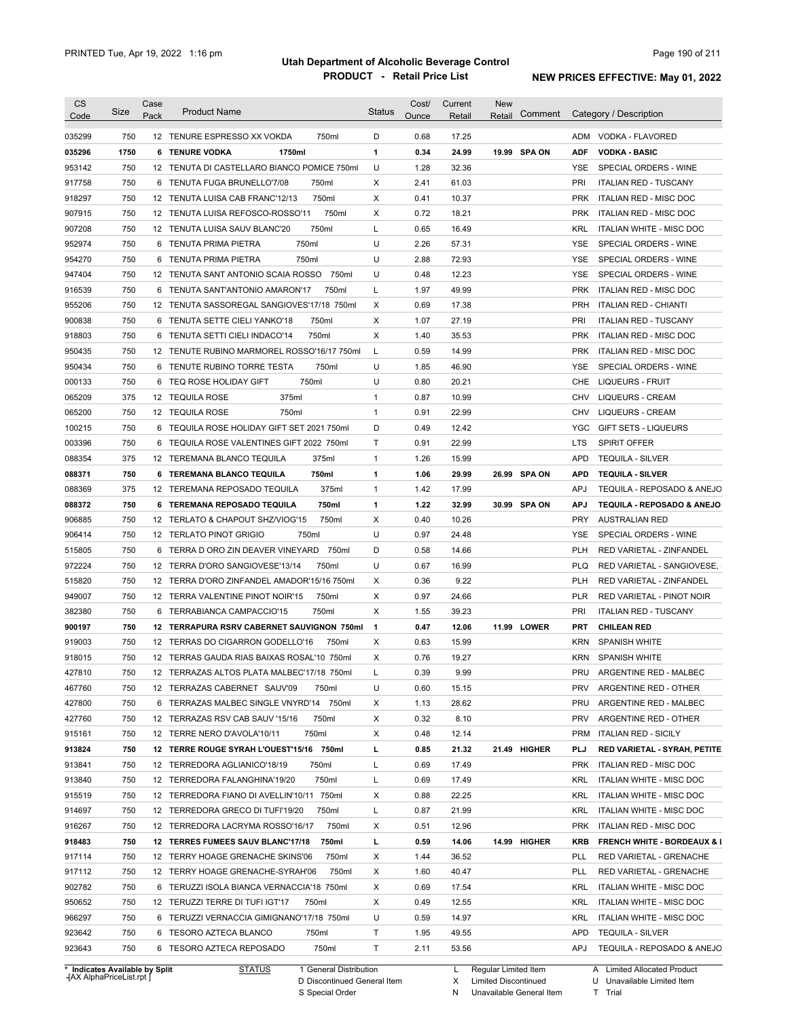| <b>CS</b><br>Code          | Size       | Case<br>Pack | <b>Product Name</b>                                                  | <b>Status</b>  | Cost/<br>Ounce | Current<br>Retail | New<br>Retail | Comment |            | Category / Description                                |
|----------------------------|------------|--------------|----------------------------------------------------------------------|----------------|----------------|-------------------|---------------|---------|------------|-------------------------------------------------------|
| 035299                     | 750        |              | 12 TENURE ESPRESSO XX VOKDA<br>750ml                                 | D              | 0.68           | 17.25             |               |         |            | ADM VODKA - FLAVORED                                  |
| 035296                     | 1750       |              | 6 TENURE VODKA<br>1750ml                                             | 1              | 0.34           | 24.99             | 19.99 SPA ON  |         | <b>ADF</b> | <b>VODKA - BASIC</b>                                  |
| 953142                     | 750        |              | 12 TENUTA DI CASTELLARO BIANCO POMICE 750ml                          | U              | 1.28           | 32.36             |               |         | YSE        | SPECIAL ORDERS - WINE                                 |
| 917758                     | 750        |              | 6 TENUTA FUGA BRUNELLO'7/08<br>750ml                                 | X              | 2.41           | 61.03             |               |         | PRI        | <b>ITALIAN RED - TUSCANY</b>                          |
| 918297                     | 750        |              | 750ml<br>12 TENUTA LUISA CAB FRANC'12/13                             | Χ              | 0.41           | 10.37             |               |         | PRK        | ITALIAN RED - MISC DOC                                |
| 907915                     | 750        |              | 750ml<br>12 TENUTA LUISA REFOSCO-ROSSO'11                            | X              | 0.72           | 18.21             |               |         | <b>PRK</b> | ITALIAN RED - MISC DOC                                |
| 907208                     | 750        |              | 750ml<br>12 TENUTA LUISA SAUV BLANC'20                               | Г              | 0.65           | 16.49             |               |         | <b>KRL</b> | ITALIAN WHITE - MISC DOC                              |
| 952974                     | 750        | 6            | TENUTA PRIMA PIETRA<br>750ml                                         | U              | 2.26           | 57.31             |               |         | YSE        | SPECIAL ORDERS - WINE                                 |
| 954270                     | 750        | 6            | TENUTA PRIMA PIETRA<br>750ml                                         | U              | 2.88           | 72.93             |               |         | <b>YSE</b> | SPECIAL ORDERS - WINE                                 |
| 947404                     | 750        |              | 12 TENUTA SANT ANTONIO SCAIA ROSSO<br>750ml                          | U              | 0.48           | 12.23             |               |         | YSE        | SPECIAL ORDERS - WINE                                 |
| 916539                     | 750        |              | 6 TENUTA SANT'ANTONIO AMARON'17<br>750ml                             | L              | 1.97           | 49.99             |               |         | <b>PRK</b> | ITALIAN RED - MISC DOC                                |
| 955206                     | 750        |              | 12 TENUTA SASSOREGAL SANGIOVES'17/18 750ml                           | Х              | 0.69           | 17.38             |               |         | <b>PRH</b> | <b>ITALIAN RED - CHIANTI</b>                          |
| 900838                     | 750        |              | 6 TENUTA SETTE CIELI YANKO'18<br>750ml                               | X              | 1.07           | 27.19             |               |         | PRI        | <b>ITALIAN RED - TUSCANY</b>                          |
| 918803                     | 750        | 6            | 750ml<br>TENUTA SETTI CIELI INDACO'14                                | Х              | 1.40           | 35.53             |               |         | <b>PRK</b> | ITALIAN RED - MISC DOC                                |
| 950435                     | 750        |              | 12 TENUTE RUBINO MARMOREL ROSSO'16/17 750ml                          | L              | 0.59           | 14.99             |               |         | <b>PRK</b> | ITALIAN RED - MISC DOC                                |
| 950434                     | 750        |              | 750ml<br>6 TENUTE RUBINO TORRE TESTA                                 | U              | 1.85           | 46.90             |               |         | YSE        | SPECIAL ORDERS - WINE                                 |
| 000133                     | 750        | 6            | 750ml<br>TEQ ROSE HOLIDAY GIFT                                       | U              | 0.80           | 20.21             |               |         | <b>CHE</b> | LIQUEURS - FRUIT                                      |
| 065209                     | 375        |              | 375ml<br>12 TEQUILA ROSE                                             | $\mathbf{1}$   | 0.87           | 10.99             |               |         | CHV        | <b>LIQUEURS - CREAM</b>                               |
| 065200                     | 750        |              | 12 TEQUILA ROSE<br>750ml                                             | $\mathbf{1}$   | 0.91           | 22.99             |               |         | CHV        | <b>LIQUEURS - CREAM</b>                               |
| 100215                     | 750        |              | 6 TEQUILA ROSE HOLIDAY GIFT SET 2021 750ml                           | D              | 0.49           | 12.42             |               |         | YGC        | <b>GIFT SETS - LIQUEURS</b>                           |
| 003396                     | 750        | 6            | TEQUILA ROSE VALENTINES GIFT 2022 750ml                              | Τ              | 0.91           | 22.99             |               |         | <b>LTS</b> | <b>SPIRIT OFFER</b>                                   |
| 088354                     | 375        |              | 12 TEREMANA BLANCO TEQUILA<br>375ml                                  | 1              | 1.26           | 15.99             |               |         | <b>APD</b> | <b>TEQUILA - SILVER</b>                               |
| 088371                     | 750        |              | 6 TEREMANA BLANCO TEQUILA<br>750ml                                   | 1              | 1.06           | 29.99             | 26.99 SPA ON  |         | <b>APD</b> | <b>TEQUILA - SILVER</b>                               |
| 088369                     | 375        |              | 12 TEREMANA REPOSADO TEQUILA<br>375ml                                | 1              | 1.42           | 17.99             |               |         | <b>APJ</b> | TEQUILA - REPOSADO & ANEJO                            |
| 088372                     | 750        |              | 750ml<br>6 TEREMANA REPOSADO TEQUILA                                 | 1              | 1.22           | 32.99             | 30.99 SPA ON  |         | <b>APJ</b> | TEQUILA - REPOSADO & ANEJO                            |
| 906885                     | 750        |              | 12 TERLATO & CHAPOUT SHZ/VIOG'15<br>750ml                            | X              | 0.40           | 10.26             |               |         | <b>PRY</b> | AUSTRALIAN RED                                        |
| 906414                     | 750        |              | 750ml<br>12 TERLATO PINOT GRIGIO                                     | U              | 0.97           | 24.48             |               |         | <b>YSE</b> | SPECIAL ORDERS - WINE                                 |
| 515805                     | 750        | 6            | TERRA D ORO ZIN DEAVER VINEYARD<br>750ml                             | D              | 0.58           | 14.66             |               |         | <b>PLH</b> | RED VARIETAL - ZINFANDEL                              |
| 972224                     | 750        |              | 12 TERRA D'ORO SANGIOVESE'13/14<br>750ml                             | U              | 0.67           | 16.99             |               |         | <b>PLQ</b> | RED VARIETAL - SANGIOVESE,                            |
| 515820                     | 750        |              | 12 TERRA D'ORO ZINFANDEL AMADOR'15/16 750ml                          | Χ              | 0.36           | 9.22              |               |         | <b>PLH</b> | RED VARIETAL - ZINFANDEL                              |
| 949007                     | 750        |              | 750ml<br>12 TERRA VALENTINE PINOT NOIR'15                            | X              | 0.97           | 24.66             |               |         | <b>PLR</b> | <b>RED VARIETAL - PINOT NOIR</b>                      |
| 382380                     | 750        |              | 750ml<br>6 TERRABIANCA CAMPACCIO'15                                  | Χ              | 1.55           | 39.23             |               |         | <b>PRI</b> | <b>ITALIAN RED - TUSCANY</b>                          |
| 900197                     | 750        |              | 12 TERRAPURA RSRV CABERNET SAUVIGNON 750ml                           | $\overline{1}$ | 0.47           | 12.06             | 11.99 LOWER   |         | <b>PRT</b> | <b>CHILEAN RED</b>                                    |
| 919003                     | 750        |              | 12 TERRAS DO CIGARRON GODELLO'16<br>750ml                            | Х              | 0.63           | 15.99             |               |         | KRN        | <b>SPANISH WHITE</b>                                  |
| 918015                     | 750        |              | 12 TERRAS GAUDA RIAS BAIXAS ROSAL'10 750ml                           | X              | 0.76           | 19.27             |               |         | <b>KRN</b> | SPANISH WHITE                                         |
| 427810                     | 750        |              | 12 TERRAZAS ALTOS PLATA MALBEC'17/18 750ml                           |                | 0.39           | 9.99              |               |         | PRU        | ARGENTINE RED - MALBEC                                |
| 467760                     | 750        |              | 12 TERRAZAS CABERNET SAUV'09<br>750ml                                | U              | 0.60           | 15.15             |               |         | <b>PRV</b> | ARGENTINE RED - OTHER                                 |
| 427800                     | 750        |              | 6 TERRAZAS MALBEC SINGLE VNYRD'14 750ml                              |                | 1.13           | 28.62             |               |         | PRU        |                                                       |
| 427760                     | 750        |              | 750ml                                                                | х              | 0.32           | 8.10              |               |         | <b>PRV</b> | ARGENTINE RED - MALBEC<br>ARGENTINE RED - OTHER       |
|                            |            |              | 12 TERRAZAS RSV CAB SAUV '15/16                                      | Х              |                |                   |               |         |            |                                                       |
| 915161                     | 750        |              | 12 TERRE NERO D'AVOLA'10/11<br>750ml                                 | х              | 0.48           | 12.14             |               |         | <b>PRM</b> | <b>ITALIAN RED - SICILY</b>                           |
| 913824                     | 750        |              | 12 TERRE ROUGE SYRAH L'OUEST'15/16 750ml                             | г              | 0.85           | 21.32             | 21.49 HIGHER  |         | <b>PLJ</b> | RED VARIETAL - SYRAH, PETITE                          |
| 913841                     | 750        |              | 12 TERREDORA AGLIANICO'18/19<br>750ml                                | L              | 0.69           | 17.49             |               |         | <b>PRK</b> | ITALIAN RED - MISC DOC                                |
| 913840                     | 750        |              | 12 TERREDORA FALANGHINA'19/20<br>750ml                               | L              | 0.69           | 17.49             |               |         | KRL        | ITALIAN WHITE - MISC DOC                              |
| 915519                     | 750        |              | 12 TERREDORA FIANO DI AVELLIN'10/11 750ml                            | Х              | 0.88           | 22.25             |               |         | <b>KRL</b> | ITALIAN WHITE - MISC DOC                              |
| 914697                     | 750        |              | 12 TERREDORA GRECO DI TUFI'19/20<br>750ml                            | L              | 0.87           | 21.99             |               |         | KRL        | ITALIAN WHITE - MISC DOC                              |
| 916267                     | 750        |              | 750ml<br>12 TERREDORA LACRYMA ROSSO'16/17                            | х              | 0.51           | 12.96             |               |         | <b>PRK</b> | ITALIAN RED - MISC DOC                                |
| 918483                     | 750        |              | 12 TERRES FUMEES SAUV BLANC'17/18<br>750ml                           | г              | 0.59           | 14.06             | 14.99 HIGHER  |         | <b>KRB</b> | <b>FRENCH WHITE - BORDEAUX &amp; I</b>                |
| 917114                     | 750        |              | 12 TERRY HOAGE GRENACHE SKINS'06<br>750ml                            | Х              | 1.44           | 36.52             |               |         | PLL        | RED VARIETAL - GRENACHE                               |
| 917112                     | 750        |              | 12 TERRY HOAGE GRENACHE-SYRAH'06<br>750ml                            | Х              | 1.60           | 40.47             |               |         | PLL        | RED VARIETAL - GRENACHE                               |
| 902782                     | 750        |              | 6 TERUZZI ISOLA BIANCA VERNACCIA'18 750ml                            | Х              | 0.69           | 17.54             |               |         | KRL        | ITALIAN WHITE - MISC DOC                              |
| 950652                     | 750        |              | 12 TERUZZI TERRE DI TUFI IGT'17<br>750ml                             | Х              | 0.49           | 12.55             |               |         | KRL        | ITALIAN WHITE - MISC DOC                              |
|                            |            |              | 6 TERUZZI VERNACCIA GIMIGNANO'17/18 750ml                            | U              | 0.59           | 14.97             |               |         | KRL        | ITALIAN WHITE - MISC DOC                              |
|                            | 750        |              |                                                                      |                |                |                   |               |         |            |                                                       |
| 966297<br>923642<br>923643 | 750<br>750 |              | 6 TESORO AZTECA BLANCO<br>750ml<br>6 TESORO AZTECA REPOSADO<br>750ml | Τ<br>Τ         | 1.95<br>2.11   | 49.55<br>53.56    |               |         | APD<br>APJ | <b>TEQUILA - SILVER</b><br>TEQUILA - REPOSADO & ANEJO |

**Case** [AX AlphaPriceList.rpt ]

D Discontinued General Item

S Special Order

X Limited Discontinued

N Unavailable General Item

U Unavailable Limited Item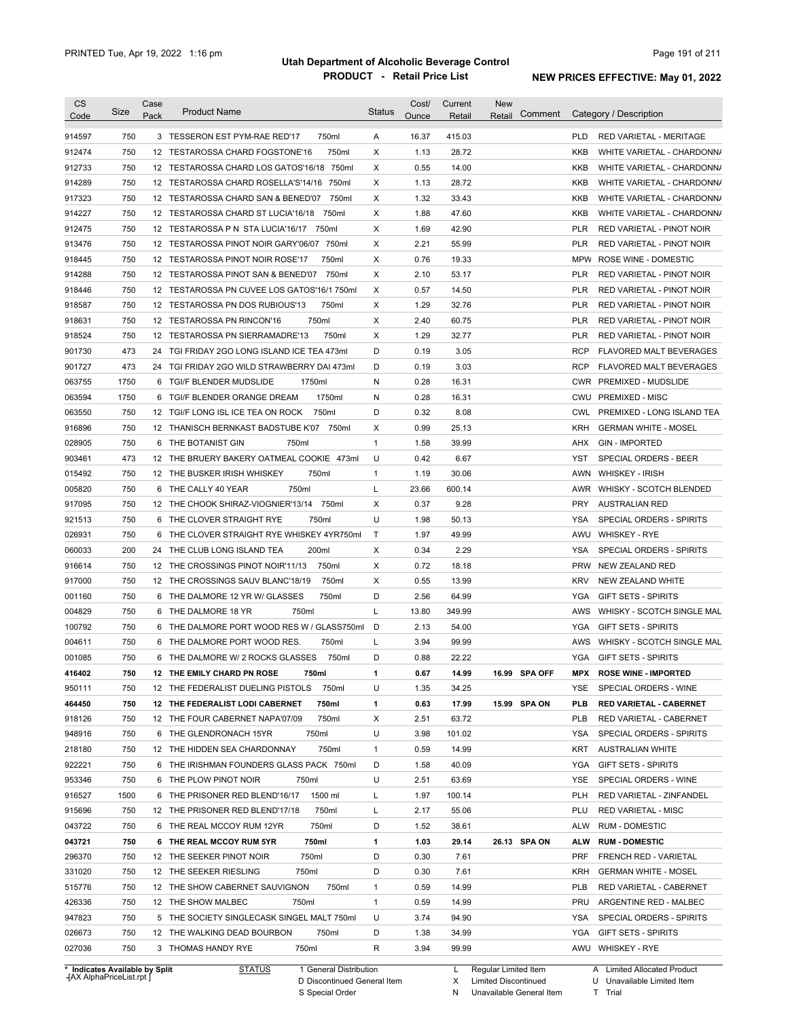| CS<br>Code                     | Size        | Case<br>Pack    | <b>Product Name</b>                                | <b>Status</b> | Cost/<br>Ounce | Current<br>Retail | <b>New</b><br>Comment<br>Retail | Category / Description                       |
|--------------------------------|-------------|-----------------|----------------------------------------------------|---------------|----------------|-------------------|---------------------------------|----------------------------------------------|
| 914597                         | 750         |                 | 3 TESSERON EST PYM-RAE RED'17<br>750ml             | A             | 16.37          | 415.03            |                                 | <b>PLD</b><br>RED VARIETAL - MERITAGE        |
| 912474                         | 750         |                 | 750ml<br>12 TESTAROSSA CHARD FOGSTONE'16           | X             | 1.13           | 28.72             |                                 | <b>KKB</b><br>WHITE VARIETAL - CHARDONNA     |
| 912733                         | 750         |                 | 12 TESTAROSSA CHARD LOS GATOS'16/18 750ml          | X             | 0.55           | 14.00             |                                 | <b>KKB</b><br>WHITE VARIETAL - CHARDONNA     |
| 914289                         | 750         |                 | 12 TESTAROSSA CHARD ROSELLA'S'14/16<br>750ml       | Х             | 1.13           | 28.72             |                                 | KKB<br>WHITE VARIETAL - CHARDONNA            |
| 917323                         | 750         |                 | 750ml<br>12 TESTAROSSA CHARD SAN & BENED'07        | X             | 1.32           | 33.43             |                                 | <b>KKB</b><br>WHITE VARIETAL - CHARDONNA     |
| 914227                         | 750         |                 | 12 TESTAROSSA CHARD ST LUCIA'16/18<br>750ml        | X             | 1.88           | 47.60             |                                 | <b>KKB</b><br>WHITE VARIETAL - CHARDONNA     |
| 912475                         | 750         |                 | 12 TESTAROSSA P N STA LUCIA'16/17 750ml            | X             | 1.69           | 42.90             |                                 | <b>PLR</b><br>RED VARIETAL - PINOT NOIR      |
| 913476                         | 750         |                 | 12 TESTAROSSA PINOT NOIR GARY'06/07 750ml          | Х             | 2.21           | 55.99             |                                 | <b>PLR</b><br>RED VARIETAL - PINOT NOIR      |
| 918445                         | 750         |                 | 750ml<br>12 TESTAROSSA PINOT NOIR ROSE'17          | X             | 0.76           | 19.33             |                                 | MPW ROSE WINE - DOMESTIC                     |
| 914288                         | 750         |                 | 750ml<br>12 TESTAROSSA PINOT SAN & BENED'07        | X             | 2.10           | 53.17             |                                 | <b>PLR</b><br>RED VARIETAL - PINOT NOIR      |
| 918446                         | 750         | 12 <sup>2</sup> | TESTAROSSA PN CUVEE LOS GATOS'16/1 750ml           | X             | 0.57           | 14.50             |                                 | <b>PLR</b><br>RED VARIETAL - PINOT NOIR      |
| 918587                         | 750         | 12              | TESTAROSSA PN DOS RUBIOUS'13<br>750ml              | Х             | 1.29           | 32.76             |                                 | <b>PLR</b><br>RED VARIETAL - PINOT NOIR      |
| 918631                         | 750         | 12              | 750ml<br>TESTAROSSA PN RINCON'16                   | X             | 2.40           | 60.75             |                                 | <b>PLR</b><br>RED VARIETAL - PINOT NOIR      |
| 918524                         | 750         | 12              | TESTAROSSA PN SIERRAMADRE'13<br>750ml              | X             | 1.29           | 32.77             |                                 | <b>PLR</b><br>RED VARIETAL - PINOT NOIR      |
| 901730                         | 473         | 24              | TGI FRIDAY 2GO LONG ISLAND ICE TEA 473ml           | D             | 0.19           | 3.05              |                                 | <b>RCP</b><br><b>FLAVORED MALT BEVERAGES</b> |
| 901727                         | 473         | 24              | TGI FRIDAY 2GO WILD STRAWBERRY DAI 473ml           | D             | 0.19           | 3.03              |                                 | <b>RCP</b><br><b>FLAVORED MALT BEVERAGES</b> |
| 063755                         | 1750        | 6               | TGI/F BLENDER MUDSLIDE<br>1750ml                   | N             | 0.28           | 16.31             |                                 | CWR PREMIXED - MUDSLIDE                      |
| 063594                         | 1750        | 6               | 1750ml<br>TGI/F BLENDER ORANGE DREAM               | N             | 0.28           | 16.31             |                                 | <b>CWU</b><br><b>PREMIXED - MISC</b>         |
| 063550                         | 750         | 12              | 750ml<br>TGI/F LONG ISL ICE TEA ON ROCK            | D             | 0.32           | 8.08              |                                 | <b>CWL</b><br>PREMIXED - LONG ISLAND TEA     |
| 916896                         | 750         | 12              | THANISCH BERNKAST BADSTUBE K'07<br>750ml           | X             | 0.99           | 25.13             |                                 | <b>KRH</b><br><b>GERMAN WHITE - MOSEL</b>    |
| 028905                         | 750         | 6               | 750ml<br>THE BOTANIST GIN                          | 1             | 1.58           | 39.99             |                                 | AHX<br><b>GIN - IMPORTED</b>                 |
| 903461                         | 473         |                 | 12 THE BRUERY BAKERY OATMEAL COOKIE<br>473ml       | U             | 0.42           | 6.67              |                                 | <b>YST</b><br><b>SPECIAL ORDERS - BEER</b>   |
| 015492                         | 750         |                 | 750ml<br>12 THE BUSKER IRISH WHISKEY               | 1             | 1.19           | 30.06             |                                 | <b>AWN</b><br><b>WHISKEY - IRISH</b>         |
| 005820                         | 750         |                 | 750ml<br>6 THE CALLY 40 YEAR                       | Г             | 23.66          | 600.14            |                                 | WHISKY - SCOTCH BLENDED<br>AWR               |
| 917095                         | 750         |                 | 12 THE CHOOK SHIRAZ-VIOGNIER'13/14<br>750ml        | Х             | 0.37           | 9.28              |                                 | <b>PRY</b><br><b>AUSTRALIAN RED</b>          |
| 921513                         | 750         |                 | 750ml<br>6 THE CLOVER STRAIGHT RYE                 | U             | 1.98           | 50.13             |                                 | YSA<br>SPECIAL ORDERS - SPIRITS              |
| 026931                         | 750         | 6               | THE CLOVER STRAIGHT RYE WHISKEY 4YR750ml           | T.            | 1.97           | 49.99             |                                 | <b>WHISKEY - RYE</b><br>AWU                  |
| 060033                         | 200         | 24              | 200ml<br>THE CLUB LONG ISLAND TEA                  | X             | 0.34           | 2.29              |                                 | <b>YSA</b><br>SPECIAL ORDERS - SPIRITS       |
| 916614                         | 750         |                 | 750ml<br>12 THE CROSSINGS PINOT NOIR'11/13         | Х             | 0.72           | 18.18             |                                 | <b>PRW</b><br>NEW ZEALAND RED                |
| 917000                         | 750         |                 | 12 THE CROSSINGS SAUV BLANC'18/19<br>750ml         | X             | 0.55           | 13.99             |                                 | <b>KRV</b><br>NEW ZEALAND WHITE              |
| 001160                         | 750         |                 | 6 THE DALMORE 12 YR W/ GLASSES<br>750ml            | D             | 2.56           | 64.99             |                                 | <b>YGA</b><br><b>GIFT SETS - SPIRITS</b>     |
| 004829                         | 750         |                 | 750ml<br>6 THE DALMORE 18 YR                       | L             | 13.80          | 349.99            |                                 | WHISKY - SCOTCH SINGLE MAL<br>AWS            |
| 100792                         | 750         |                 | 6 THE DALMORE PORT WOOD RES W / GLASS750ml         | D             | 2.13           | 54.00             |                                 | <b>YGA</b><br><b>GIFT SETS - SPIRITS</b>     |
| 004611                         | 750         |                 | 750ml<br>6 THE DALMORE PORT WOOD RES.              | L             | 3.94           | 99.99             |                                 | WHISKY - SCOTCH SINGLE MAL<br>AWS            |
| 001085                         | 750         |                 | 6 THE DALMORE W/ 2 ROCKS GLASSES<br>750ml          | D             | 0.88           | 22.22             |                                 | <b>YGA</b><br><b>GIFT SETS - SPIRITS</b>     |
| 416402                         | 750         |                 | 750ml<br><b>12 THE EMILY CHARD PN ROSE</b>         | 1             | 0.67           | 14.99             | 16.99 SPA OFF                   | MPX<br><b>ROSE WINE - IMPORTED</b>           |
| 950111                         | 750         |                 | 12 THE FEDERALIST DUELING PISTOLS 750ml            | U             | 1.35           | 34.25             |                                 | YSE<br>SPECIAL ORDERS - WINE                 |
| 464450                         | 750         |                 | 12 THE FEDERALIST LODI CABERNET<br>750ml           | 1             | 0.63           | 17.99             | 15.99 SPA ON                    | PLB<br><b>RED VARIETAL - CABERNET</b>        |
| 918126                         | 750         |                 | 750ml<br>12 THE FOUR CABERNET NAPA'07/09           | Х             | 2.51           | 63.72             |                                 | <b>PLB</b><br>RED VARIETAL - CABERNET        |
| 948916                         | 750         |                 | 750ml<br>6 THE GLENDRONACH 15YR                    | U             | 3.98           | 101.02            |                                 | SPECIAL ORDERS - SPIRITS<br>YSA              |
| 218180                         | 750         |                 | 750ml<br>12 THE HIDDEN SEA CHARDONNAY              | 1             | 0.59           | 14.99             |                                 | KRT<br><b>AUSTRALIAN WHITE</b>               |
| 922221                         | 750         |                 | 6 THE IRISHMAN FOUNDERS GLASS PACK 750ml           | D             | 1.58           | 40.09             |                                 | YGA<br><b>GIFT SETS - SPIRITS</b>            |
| 953346                         | 750         |                 | 750ml                                              | U             | 2.51           | 63.69             |                                 | YSE                                          |
|                                |             |                 | 6 THE PLOW PINOT NOIR                              |               |                |                   |                                 | SPECIAL ORDERS - WINE                        |
| 916527                         | 1500<br>750 |                 | 1500 ml<br>6 THE PRISONER RED BLEND'16/17<br>750ml | L             | 1.97           | 100.14            |                                 | RED VARIETAL - ZINFANDEL<br>PLH              |
| 915696                         |             |                 | 12 THE PRISONER RED BLEND'17/18                    | L             | 2.17           | 55.06             |                                 | PLU<br><b>RED VARIETAL - MISC</b>            |
| 043722                         | 750         |                 | 6 THE REAL MCCOY RUM 12YR<br>750ml                 | D             | 1.52           | 38.61             |                                 | ALW<br><b>RUM - DOMESTIC</b>                 |
| 043721<br>296370               | 750<br>750  |                 | 6 THE REAL MCCOY RUM 5YR<br>750ml<br>750ml         | 1<br>D        | 1.03<br>0.30   | 29.14<br>7.61     | 26.13 SPA ON                    | ALW<br><b>RUM - DOMESTIC</b><br><b>PRF</b>   |
|                                |             |                 | 12 THE SEEKER PINOT NOIR                           |               |                |                   |                                 | FRENCH RED - VARIETAL                        |
| 331020                         | 750         |                 | 12 THE SEEKER RIESLING<br>750ml                    | D             | 0.30           | 7.61              |                                 | KRH<br><b>GERMAN WHITE - MOSEL</b>           |
| 515776                         | 750         |                 | 750ml<br>12 THE SHOW CABERNET SAUVIGNON            | 1             | 0.59           | 14.99             |                                 | <b>PLB</b><br>RED VARIETAL - CABERNET        |
| 426336                         | 750         |                 | 12 THE SHOW MALBEC<br>750ml                        | 1             | 0.59           | 14.99             |                                 | PRU<br>ARGENTINE RED - MALBEC                |
| 947823                         | 750         |                 | 5 THE SOCIETY SINGLECASK SINGEL MALT 750ml         | U             | 3.74           | 94.90             |                                 | YSA<br>SPECIAL ORDERS - SPIRITS              |
| 026673                         | 750         |                 | 12 THE WALKING DEAD BOURBON<br>750ml               | D             | 1.38           | 34.99             |                                 | YGA<br><b>GIFT SETS - SPIRITS</b>            |
| 027036                         | 750         |                 | 750ml<br>3 THOMAS HANDY RYE                        | R             | 3.94           | 99.99             |                                 | AWU WHISKEY - RYE                            |
| * Indicates Available by Split |             |                 | <b>STATUS</b><br>1 General Distribution            |               |                | L.                | Regular Limited Item            | A Limited Allocated Product                  |

**Case** [AX AlphaPriceList.rpt ]

D Discontinued General Item S Special Order

X Limited Discontinued N Unavailable General Item

U Unavailable Limited Item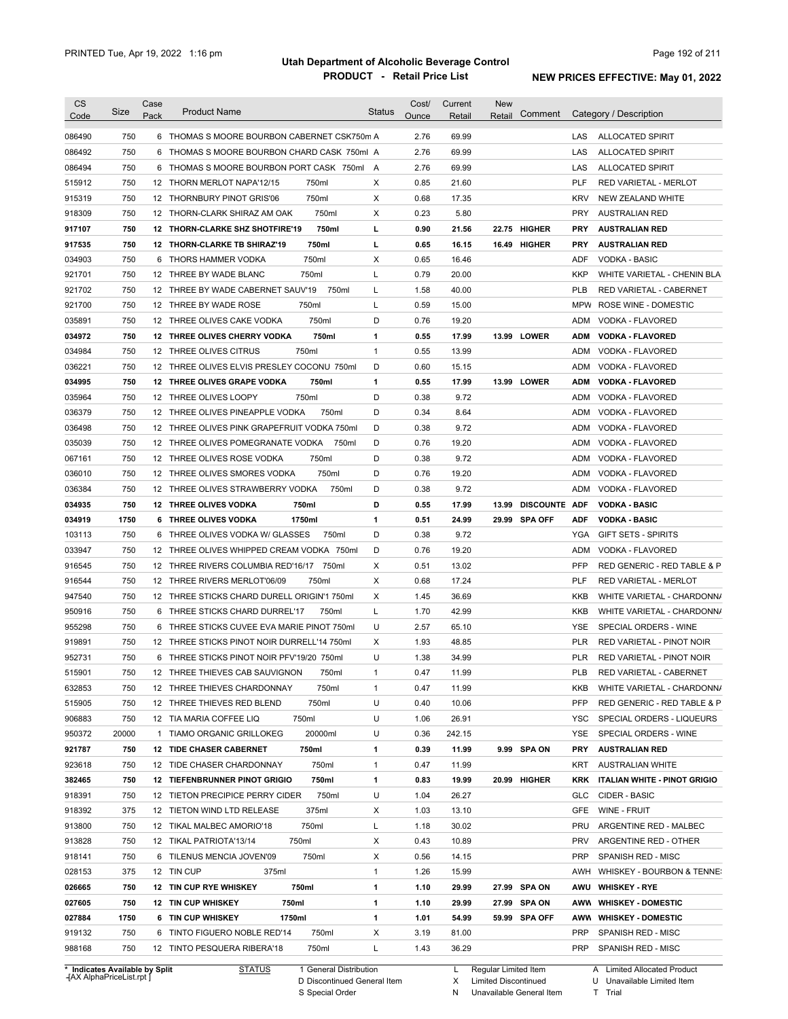| <b>CS</b><br>Code              | Size  | Case<br>Pack | <b>Product Name</b>                         |                        | <b>Status</b> | Cost/<br>Ounce | Current<br>Retail | <b>New</b><br>Retail | Comment       |            | Category / Description              |
|--------------------------------|-------|--------------|---------------------------------------------|------------------------|---------------|----------------|-------------------|----------------------|---------------|------------|-------------------------------------|
| 086490                         | 750   |              | 6 THOMAS S MOORE BOURBON CABERNET CSK750m A |                        |               | 2.76           | 69.99             |                      |               | LAS        | <b>ALLOCATED SPIRIT</b>             |
| 086492                         | 750   |              | 6 THOMAS S MOORE BOURBON CHARD CASK 750ml A |                        |               | 2.76           | 69.99             |                      |               | LAS        | <b>ALLOCATED SPIRIT</b>             |
| 086494                         | 750   |              | 6 THOMAS S MOORE BOURBON PORT CASK 750ml A  |                        |               | 2.76           | 69.99             |                      |               | LAS        | <b>ALLOCATED SPIRIT</b>             |
| 515912                         | 750   |              | 12 THORN MERLOT NAPA'12/15                  | 750ml                  | Х             | 0.85           | 21.60             |                      |               | PLF        | RED VARIETAL - MERLOT               |
| 915319                         | 750   |              | 12 THORNBURY PINOT GRIS'06                  | 750ml                  | Х             | 0.68           | 17.35             |                      |               | <b>KRV</b> | NEW ZEALAND WHITE                   |
| 918309                         | 750   |              | 12 THORN-CLARK SHIRAZ AM OAK                | 750ml                  | Х             | 0.23           | 5.80              |                      |               | <b>PRY</b> | <b>AUSTRALIAN RED</b>               |
| 917107                         | 750   |              | 12 THORN-CLARKE SHZ SHOTFIRE'19             | 750ml                  | г             | 0.90           | 21.56             |                      | 22.75 HIGHER  | <b>PRY</b> | <b>AUSTRALIAN RED</b>               |
| 917535                         | 750   |              | 12 THORN-CLARKE TB SHIRAZ'19                | 750ml                  | L             | 0.65           | 16.15             |                      | 16.49 HIGHER  | <b>PRY</b> | <b>AUSTRALIAN RED</b>               |
| 034903                         | 750   |              | 6 THORS HAMMER VODKA                        | 750ml                  | Х             | 0.65           | 16.46             |                      |               | ADF        | <b>VODKA - BASIC</b>                |
| 921701                         | 750   |              | 12 THREE BY WADE BLANC                      | 750ml                  | L             | 0.79           | 20.00             |                      |               | KKP        | WHITE VARIETAL - CHENIN BLA         |
| 921702                         | 750   |              | 12 THREE BY WADE CABERNET SAUV'19           | 750ml                  | L             | 1.58           | 40.00             |                      |               | PLB        | RED VARIETAL - CABERNET             |
| 921700                         | 750   |              | 12 THREE BY WADE ROSE                       | 750ml                  | L             | 0.59           | 15.00             |                      |               | MPW        | ROSE WINE - DOMESTIC                |
| 035891                         | 750   |              | 12 THREE OLIVES CAKE VODKA                  | 750ml                  | D             | 0.76           | 19.20             |                      |               | ADM        | VODKA - FLAVORED                    |
| 034972                         | 750   |              | 12 THREE OLIVES CHERRY VODKA                | 750ml                  | 1             | 0.55           | 17.99             |                      | 13.99 LOWER   | ADM        | <b>VODKA - FLAVORED</b>             |
| 034984                         | 750   |              | 12 THREE OLIVES CITRUS                      | 750ml                  | $\mathbf{1}$  | 0.55           | 13.99             |                      |               | ADM        | VODKA - FLAVORED                    |
| 036221                         | 750   |              | 12 THREE OLIVES ELVIS PRESLEY COCONU 750ml  |                        | D             | 0.60           | 15.15             |                      |               | ADM        | VODKA - FLAVORED                    |
| 034995                         | 750   |              | 12 THREE OLIVES GRAPE VODKA                 | 750ml                  | 1             | 0.55           | 17.99             |                      | 13.99 LOWER   | ADM        | <b>VODKA - FLAVORED</b>             |
| 035964                         | 750   |              | 12 THREE OLIVES LOOPY                       | 750ml                  | D             | 0.38           | 9.72              |                      |               | ADM        | VODKA - FLAVORED                    |
| 036379                         | 750   |              | 12 THREE OLIVES PINEAPPLE VODKA             | 750ml                  | D             | 0.34           | 8.64              |                      |               | ADM        | VODKA - FLAVORED                    |
| 036498                         | 750   |              | 12 THREE OLIVES PINK GRAPEFRUIT VODKA 750ml |                        | D             | 0.38           | 9.72              |                      |               | ADM        | VODKA - FLAVORED                    |
| 035039                         | 750   |              | 12 THREE OLIVES POMEGRANATE VODKA           | 750ml                  | D             | 0.76           | 19.20             |                      |               | ADM        | VODKA - FLAVORED                    |
| 067161                         | 750   |              | 12 THREE OLIVES ROSE VODKA                  | 750ml                  | D             | 0.38           | 9.72              |                      |               | ADM        | VODKA - FLAVORED                    |
| 036010                         | 750   |              | 12 THREE OLIVES SMORES VODKA                | 750ml                  | D             | 0.76           | 19.20             |                      |               | ADM        | VODKA - FLAVORED                    |
| 036384                         | 750   | 12           | THREE OLIVES STRAWBERRY VODKA               | 750ml                  | D             | 0.38           | 9.72              |                      |               | ADM        | VODKA - FLAVORED                    |
| 034935                         | 750   |              | <b>12 THREE OLIVES VODKA</b>                | 750ml                  | D             | 0.55           | 17.99             | 13.99                | DISCOUNTE ADF |            | <b>VODKA - BASIC</b>                |
| 034919                         | 1750  | 6            | THREE OLIVES VODKA                          | 1750ml                 | 1             | 0.51           | 24.99             |                      | 29.99 SPA OFF | <b>ADF</b> | <b>VODKA - BASIC</b>                |
| 103113                         | 750   | 6            | THREE OLIVES VODKA W/ GLASSES               | 750ml                  | D             | 0.38           | 9.72              |                      |               | YGA        | <b>GIFT SETS - SPIRITS</b>          |
| 033947                         | 750   | 12           | THREE OLIVES WHIPPED CREAM VODKA 750ml      |                        | D             | 0.76           | 19.20             |                      |               | ADM        | VODKA - FLAVORED                    |
| 916545                         | 750   | 12           | THREE RIVERS COLUMBIA RED'16/17             | 750ml                  | Х             | 0.51           | 13.02             |                      |               | <b>PFP</b> | RED GENERIC - RED TABLE & P         |
| 916544                         | 750   |              | 12 THREE RIVERS MERLOT'06/09                | 750ml                  | Х             | 0.68           | 17.24             |                      |               | <b>PLF</b> | RED VARIETAL - MERLOT               |
| 947540                         | 750   |              | 12 THREE STICKS CHARD DURELL ORIGIN'1 750ml |                        | Х             | 1.45           | 36.69             |                      |               | <b>KKB</b> | WHITE VARIETAL - CHARDONN/          |
| 950916                         | 750   | 6            | THREE STICKS CHARD DURREL'17                | 750ml                  | L             | 1.70           | 42.99             |                      |               | <b>KKB</b> | WHITE VARIETAL - CHARDONN/          |
| 955298                         | 750   | 6            | THREE STICKS CUVEE EVA MARIE PINOT 750ml    |                        | U             | 2.57           | 65.10             |                      |               | YSE        | SPECIAL ORDERS - WINE               |
| 919891                         | 750   |              | 12 THREE STICKS PINOT NOIR DURRELL'14 750ml |                        | Х             | 1.93           | 48.85             |                      |               | PLR        | RED VARIETAL - PINOT NOIR           |
| 952731                         | 750   |              | 6 THREE STICKS PINOT NOIR PFV'19/20 750ml   |                        | U             | 1.38           | 34.99             |                      |               | PLR        | RED VARIETAL - PINOT NOIR           |
| 515901                         | 750   |              | 12 THREE THIEVES CAB SAUVIGNON              | 750ml                  |               | 0.47           | 11.99             |                      |               | PLB        |                                     |
|                                | 750   |              |                                             | 750ml                  | 1             |                |                   |                      |               |            | RED VARIETAL - CABERNET             |
| 632853                         |       |              | 12 THREE THIEVES CHARDONNAY                 |                        |               | 0.47           | 11.99             |                      |               | KKB        | WHITE VARIETAL - CHARDONN/          |
| 515905                         | 750   |              | 12 THREE THIEVES RED BLEND                  | 750ml                  | U             | 0.40           | 10.06             |                      |               | <b>PFP</b> | RED GENERIC - RED TABLE & P         |
| 906883                         | 750   |              | 12 TIA MARIA COFFEE LIQ                     | 750ml                  | U             | 1.06           | 26.91             |                      |               | YSC        | SPECIAL ORDERS - LIQUEURS           |
| 950372                         | 20000 |              | 1 TIAMO ORGANIC GRILLOKEG                   | 20000ml                | U             | 0.36           | 242.15            |                      |               | YSE        | SPECIAL ORDERS - WINE               |
| 921787                         | 750   |              | <b>12 TIDE CHASER CABERNET</b>              | 750ml                  | 1             | 0.39           | 11.99             |                      | 9.99 SPA ON   | <b>PRY</b> | <b>AUSTRALIAN RED</b>               |
| 923618                         | 750   |              | 12 TIDE CHASER CHARDONNAY                   | 750ml                  | 1             | 0.47           | 11.99             |                      |               | KRT        | <b>AUSTRALIAN WHITE</b>             |
| 382465                         | 750   |              | <b>12 TIEFENBRUNNER PINOT GRIGIO</b>        | 750ml                  | 1             | 0.83           | 19.99             |                      | 20.99 HIGHER  | <b>KRK</b> | <b>ITALIAN WHITE - PINOT GRIGIO</b> |
| 918391                         | 750   |              | 12 TIETON PRECIPICE PERRY CIDER             | 750ml                  | U             | 1.04           | 26.27             |                      |               | GLC        | CIDER - BASIC                       |
| 918392                         | 375   |              | 12 TIETON WIND LTD RELEASE                  | 375ml                  | х             | 1.03           | 13.10             |                      |               | GFE        | WINE - FRUIT                        |
| 913800                         | 750   |              | 12 TIKAL MALBEC AMORIO'18                   | 750ml                  | L             | 1.18           | 30.02             |                      |               | PRU        | ARGENTINE RED - MALBEC              |
| 913828                         | 750   |              | 12 TIKAL PATRIOTA'13/14                     | 750ml                  | Х             | 0.43           | 10.89             |                      |               | <b>PRV</b> | ARGENTINE RED - OTHER               |
| 918141                         | 750   |              | 6 TILENUS MENCIA JOVEN'09                   | 750ml                  | Х             | 0.56           | 14.15             |                      |               | <b>PRP</b> | SPANISH RED - MISC                  |
| 028153                         | 375   |              | 12 TIN CUP<br>375ml                         |                        | $\mathbf{1}$  | 1.26           | 15.99             |                      |               |            | AWH WHISKEY - BOURBON & TENNE:      |
| 026665                         | 750   |              | 12 TIN CUP RYE WHISKEY                      | 750ml                  | 1             | 1.10           | 29.99             |                      | 27.99 SPA ON  | AWU        | <b>WHISKEY - RYE</b>                |
| 027605                         | 750   |              | 12 TIN CUP WHISKEY<br>750ml                 |                        | 1             | 1.10           | 29.99             |                      | 27.99 SPA ON  |            | AWW WHISKEY - DOMESTIC              |
| 027884                         | 1750  |              | 6 TIN CUP WHISKEY<br>1750ml                 |                        | 1             | 1.01           | 54.99             |                      | 59.99 SPA OFF |            | AWW WHISKEY - DOMESTIC              |
| 919132                         | 750   |              | 6 TINTO FIGUERO NOBLE RED'14                | 750ml                  | х             | 3.19           | 81.00             |                      |               | <b>PRP</b> | SPANISH RED - MISC                  |
| 988168                         | 750   |              | 12 TINTO PESQUERA RIBERA'18                 | 750ml                  | L             | 1.43           | 36.29             |                      |               | PRP        | SPANISH RED - MISC                  |
| * Indicates Available by Split |       |              | <b>STATUS</b>                               | 1 General Distribution |               |                | L.                | Regular Limited Item |               |            | A Limited Allocated Product         |

**Case** [AX AlphaPriceList.rpt ]

D Discontinued General Item

S Special Order

L Regular Limited Item

X N Limited Discontinued U T

Unavailable General Item

Unavailable Limited Item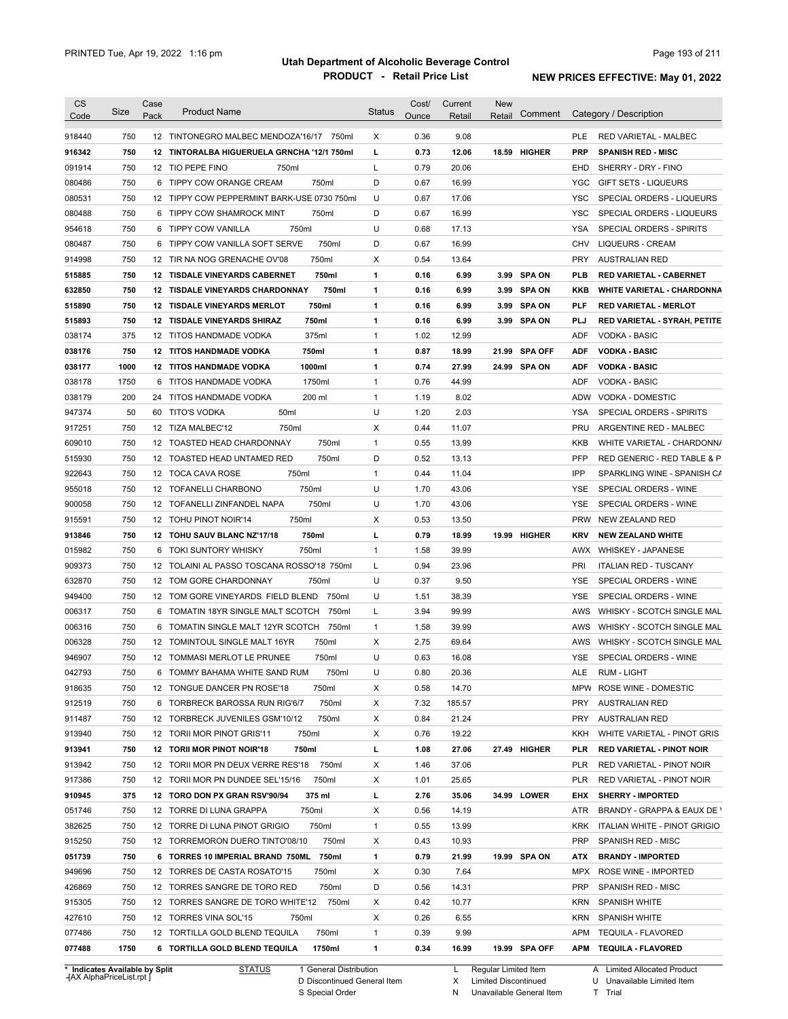| Code<br>918440<br>916342<br>091914 | Size<br>750 | Pack | <b>Product Name</b>                         | Status       | Ounce | Retail | Comment<br>Retail       |            | Category / Description            |
|------------------------------------|-------------|------|---------------------------------------------|--------------|-------|--------|-------------------------|------------|-----------------------------------|
|                                    |             |      |                                             |              |       |        |                         |            |                                   |
|                                    |             |      | 12 TINTONEGRO MALBEC MENDOZA'16/17 750ml    | Χ            | 0.36  | 9.08   |                         | <b>PLE</b> | <b>RED VARIETAL - MALBEC</b>      |
|                                    | 750         |      | 12 TINTORALBA HIGUERUELA GRNCHA '12/1 750ml | г            | 0.73  | 12.06  | 18.59<br>HIGHER         | <b>PRP</b> | <b>SPANISH RED - MISC</b>         |
|                                    | 750         |      | 12 TIO PEPE FINO<br>750ml                   | L            | 0.79  | 20.06  |                         | EHD        | SHERRY - DRY - FINO               |
| 080486                             | 750         |      | 750ml<br>6 TIPPY COW ORANGE CREAM           | D            | 0.67  | 16.99  |                         | YGC        | <b>GIFT SETS - LIQUEURS</b>       |
| 080531                             | 750         |      | 12 TIPPY COW PEPPERMINT BARK-USE 0730 750ml | U            | 0.67  | 17.06  |                         | <b>YSC</b> | SPECIAL ORDERS - LIQUEURS         |
| 080488                             | 750         |      | 6 TIPPY COW SHAMROCK MINT<br>750ml          | D            | 0.67  | 16.99  |                         | <b>YSC</b> | SPECIAL ORDERS - LIQUEURS         |
|                                    | 750         |      | 750ml<br>6 TIPPY COW VANILLA                | U            | 0.68  | 17.13  |                         | <b>YSA</b> |                                   |
| 954618                             |             |      |                                             |              |       |        |                         |            | SPECIAL ORDERS - SPIRITS          |
| 080487                             | 750         |      | 6 TIPPY COW VANILLA SOFT SERVE<br>750ml     | D            | 0.67  | 16.99  |                         | CHV        | <b>LIQUEURS - CREAM</b>           |
| 914998                             | 750         |      | 750ml<br>12 TIR NA NOG GRENACHE OV'08       | Χ            | 0.54  | 13.64  |                         | <b>PRY</b> | AUSTRALIAN RED                    |
| 515885                             | 750         |      | 750ml<br>12 TISDALE VINEYARDS CABERNET      | 1            | 0.16  | 6.99   | 3.99 SPA ON             | PLB        | <b>RED VARIETAL - CABERNET</b>    |
| 632850                             | 750         |      | 12 TISDALE VINEYARDS CHARDONNAY<br>750ml    | 1            | 0.16  | 6.99   | 3.99 SPA ON             | KKB        | <b>WHITE VARIETAL - CHARDONNA</b> |
| 515890                             | 750         |      | 750ml<br>12 TISDALE VINEYARDS MERLOT        | $\mathbf{1}$ | 0.16  | 6.99   | 3.99 SPA ON             | PLF        | <b>RED VARIETAL - MERLOT</b>      |
| 515893                             | 750         |      | 12 TISDALE VINEYARDS SHIRAZ<br>750ml        | 1            | 0.16  | 6.99   | 3.99 SPA ON             | PLJ        | RED VARIETAL - SYRAH, PETITE      |
| 038174                             | 375         |      | 375ml<br>12 TITOS HANDMADE VODKA            | 1            | 1.02  | 12.99  |                         | ADF        | <b>VODKA - BASIC</b>              |
| 038176                             | 750         |      | 750ml<br><b>12 TITOS HANDMADE VODKA</b>     | $\mathbf{1}$ | 0.87  | 18.99  | <b>SPA OFF</b><br>21.99 | <b>ADF</b> | <b>VODKA - BASIC</b>              |
| 038177                             | 1000        |      | 1000ml<br><b>12 TITOS HANDMADE VODKA</b>    | 1            | 0.74  | 27.99  | 24.99 SPA ON            | <b>ADF</b> | <b>VODKA - BASIC</b>              |
| 038178                             | 1750        | 6    | 1750ml<br>TITOS HANDMADE VODKA              | 1            | 0.76  | 44.99  |                         | ADF        | <b>VODKA - BASIC</b>              |
| 038179                             | 200         | 24   | 200 ml<br>TITOS HANDMADE VODKA              | 1            | 1.19  | 8.02   |                         | ADW        | <b>VODKA - DOMESTIC</b>           |
| 947374                             | 50          | 60   | 50ml<br>TITO'S VODKA                        | U            | 1.20  | 2.03   |                         | YSA        | SPECIAL ORDERS - SPIRITS          |
| 917251                             | 750         | 12   | TIZA MALBEC'12<br>750ml                     | Х            | 0.44  | 11.07  |                         | PRU        | ARGENTINE RED - MALBEC            |
| 609010                             | 750         |      | 750ml<br>12 TOASTED HEAD CHARDONNAY         | 1            | 0.55  | 13.99  |                         | KKB        | WHITE VARIETAL - CHARDONN/        |
| 515930                             | 750         |      | 750ml<br>12 TOASTED HEAD UNTAMED RED        | D            | 0.52  | 13.13  |                         | <b>PFP</b> | RED GENERIC - RED TABLE & P       |
| 922643                             | 750         |      | 750ml<br>12 TOCA CAVA ROSE                  | 1            | 0.44  | 11.04  |                         | IPP        | SPARKLING WINE - SPANISH CA       |
| 955018                             | 750         |      | 750ml<br>12 TOFANELLI CHARBONO              | U            | 1.70  | 43.06  |                         | YSE        | SPECIAL ORDERS - WINE             |
| 900058                             | 750         |      | 750ml<br>12 TOFANELLI ZINFANDEL NAPA        | U            | 1.70  | 43.06  |                         | YSE        | SPECIAL ORDERS - WINE             |
| 915591                             | 750         |      | 750ml<br>12 TOHU PINOT NOIR'14              | Х            | 0.53  | 13.50  |                         | PRW        | NEW ZEALAND RED                   |
| 913846                             | 750         |      | 12 TOHU SAUV BLANC NZ'17/18<br>750ml        | г            | 0.79  | 18.99  | 19.99 HIGHER            | KRV        | <b>NEW ZEALAND WHITE</b>          |
| 015982                             | 750         | 6    | 750ml<br>TOKI SUNTORY WHISKY                | 1            | 1.58  | 39.99  |                         | AWX        | <b>WHISKEY - JAPANESE</b>         |
| 909373                             | 750         |      | 12 TOLAINI AL PASSO TOSCANA ROSSO'18 750ml  | L            | 0.94  | 23.96  |                         | <b>PRI</b> | <b>ITALIAN RED - TUSCANY</b>      |
| 632870                             | 750         |      | 12 TOM GORE CHARDONNAY<br>750ml             | U            | 0.37  | 9.50   |                         | YSE        | SPECIAL ORDERS - WINE             |
| 949400                             | 750         |      | 12 TOM GORE VINEYARDS FIELD BLEND<br>750ml  | U            | 1.51  | 38.39  |                         | YSE        | SPECIAL ORDERS - WINE             |
| 006317                             | 750         |      | 6 TOMATIN 18YR SINGLE MALT SCOTCH<br>750ml  | L            | 3.94  | 99.99  |                         | AWS        | WHISKY - SCOTCH SINGLE MAL        |
| 006316                             | 750         |      | 750ml<br>6 TOMATIN SINGLE MALT 12YR SCOTCH  | 1            | 1.58  | 39.99  |                         | AWS        | WHISKY - SCOTCH SINGLE MAL        |
| 006328                             | 750         |      | 750ml<br>12 TOMINTOUL SINGLE MALT 16YR      | Χ            | 2.75  | 69.64  |                         | AWS        | WHISKY - SCOTCH SINGLE MAL        |
| 946907                             | 750         |      | 12 TOMMASI MERLOT LE PRUNEE<br>750ml        | U            | 0.63  | 16.08  |                         | YSE        | SPECIAL ORDERS - WINE             |
| 042793                             | 750         |      | 6 TOMMY BAHAMA WHITE SAND RUM<br>750ml      | U            | 0.80  | 20.36  |                         | ALE        | RUM - LIGHT                       |
| 918635                             | 750         |      | 12 TONGUE DANCER PN ROSE'18<br>750ml        | Х            | 0.58  | 14.70  |                         |            | MPW ROSE WINE - DOMESTIC          |
| 912519                             | 750         |      | 750ml<br>6 TORBRECK BAROSSA RUN RIG'6/7     | Х            | 7.32  | 185.57 |                         | PRY        | <b>AUSTRALIAN RED</b>             |
| 911487                             | 750         |      | 750ml<br>12 TORBRECK JUVENILES GSM'10/12    | Х            | 0.84  | 21.24  |                         | PRY        | <b>AUSTRALIAN RED</b>             |
| 913940                             |             |      | 750ml                                       |              | 0.76  | 19.22  |                         | KKH        | WHITE VARIETAL - PINOT GRIS       |
|                                    | 750         |      | 12 TORII MOR PINOT GRIS'11                  | Х            |       |        |                         |            |                                   |
| 913941                             | 750         |      | 750ml<br>12 TORII MOR PINOT NOIR'18         | г            | 1.08  | 27.06  | 27.49 HIGHER            | PLR        | <b>RED VARIETAL - PINOT NOIR</b>  |
| 913942                             | 750         |      | 12 TORII MOR PN DEUX VERRE RES'18 750ml     | Х            | 1.46  | 37.06  |                         | PLR        | RED VARIETAL - PINOT NOIR         |
| 917386                             | 750         |      | 12 TORII MOR PN DUNDEE SEL'15/16<br>750ml   | X            | 1.01  | 25.65  |                         | <b>PLR</b> | RED VARIETAL - PINOT NOIR         |
| 910945                             | 375         |      | 12 TORO DON PX GRAN RSV'90/94<br>375 ml     | L            | 2.76  | 35.06  | 34.99 LOWER             | <b>EHX</b> | <b>SHERRY - IMPORTED</b>          |
| 051746                             | 750         |      | 12 TORRE DI LUNA GRAPPA<br>750ml            | X            | 0.56  | 14.19  |                         | ATR        | BRANDY - GRAPPA & EAUX DE \       |
| 382625                             | 750         |      | 12 TORRE DI LUNA PINOT GRIGIO<br>750ml      | 1            | 0.55  | 13.99  |                         | KRK        | ITALIAN WHITE - PINOT GRIGIO      |
| 915250                             | 750         |      | 12 TORREMORON DUERO TINTO'08/10<br>750ml    | Х            | 0.43  | 10.93  |                         | PRP        | SPANISH RED - MISC                |
| 051739                             | 750         |      | 6 TORRES 10 IMPERIAL BRAND 750ML 750ml      | 1            | 0.79  | 21.99  | 19.99 SPA ON            | ATX        | <b>BRANDY IMPORTED</b>            |
| 949696                             | 750         |      | 12 TORRES DE CASTA ROSATO'15<br>750ml       | Х            | 0.30  | 7.64   |                         |            | MPX ROSE WINE - IMPORTED          |
| 426869                             | 750         |      | 750ml<br>12 TORRES SANGRE DE TORO RED       | D            | 0.56  | 14.31  |                         | PRP        | SPANISH RED - MISC                |
| 915305                             | 750         |      | 750ml<br>12 TORRES SANGRE DE TORO WHITE'12  | Х            | 0.42  | 10.77  |                         | KRN        | SPANISH WHITE                     |
| 427610                             | 750         |      | 12 TORRES VINA SOL'15<br>750ml              | Х            | 0.26  | 6.55   |                         |            | KRN SPANISH WHITE                 |
| 077486                             | 750         |      | 750ml<br>12 TORTILLA GOLD BLEND TEQUILA     | $\mathbf{1}$ | 0.39  | 9.99   |                         |            | APM TEQUILA - FLAVORED            |
| 077488                             | 1750        |      | 1750ml<br>6 TORTILLA GOLD BLEND TEQUILA     | 1            | 0.34  | 16.99  | 19.99 SPA OFF           |            | APM TEQUILA FLAVORED              |

**Case** [AX AlphaPriceList.rpt ]

D Discontinued General Item S Special Order

X Regular Limited Item

Limited Discontinued

N Unavailable General Item

U Unavailable Limited Item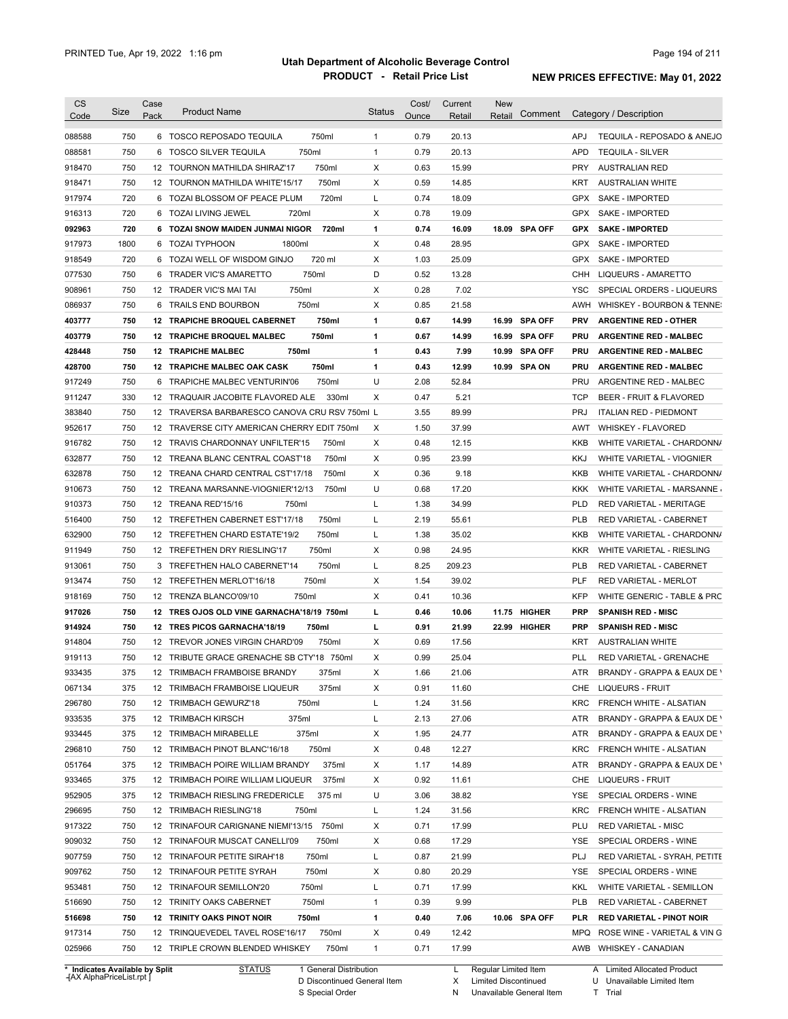| 750<br>750ml<br>0.79<br><b>APJ</b><br>6 TOSCO REPOSADO TEQUILA<br>$\mathbf{1}$<br>20.13<br>750<br>750ml<br>$\mathbf{1}$<br>0.79<br><b>APD</b><br>6 TOSCO SILVER TEQUILA<br>20.13<br><b>TEQUILA - SILVER</b><br>750<br>750ml<br>X<br>0.63<br>15.99<br><b>PRY</b><br><b>AUSTRALIAN RED</b><br>12 TOURNON MATHILDA SHIRAZ'17<br>750<br>750ml<br>X<br>0.59<br>14.85<br>12 TOURNON MATHILDA WHITE'15/17<br>KRT<br><b>AUSTRALIAN WHITE</b><br>720<br>720ml<br>L<br>0.74<br>18.09<br><b>GPX</b><br>6 TOZAI BLOSSOM OF PEACE PLUM<br>SAKE - IMPORTED<br>720<br>X<br>19.09<br>6 TOZAI LIVING JEWEL<br>720ml<br>0.78<br>GPX<br>SAKE - IMPORTED<br>720<br>6 TOZAI SNOW MAIDEN JUNMAI NIGOR<br>720ml<br>1<br>0.74<br>16.09<br>18.09 SPA OFF<br><b>GPX</b><br><b>SAKE - IMPORTED</b><br>1800<br>1800ml<br>X<br>0.48<br>28.95<br>917973<br>6 TOZAI TYPHOON<br><b>GPX</b><br>SAKE - IMPORTED<br>720<br>6 TOZAI WELL OF WISDOM GINJO<br>720 ml<br>X<br>1.03<br>25.09<br>918549<br><b>GPX</b><br>SAKE - IMPORTED<br>750<br>750ml<br>D<br>0.52<br>13.28<br>077530<br>6<br>TRADER VIC'S AMARETTO<br>CHH<br>LIQUEURS - AMARETTO<br>750<br>750ml<br>х<br>0.28<br>7.02<br><b>YSC</b><br>908961<br>12 TRADER VIC'S MAI TAI<br>SPECIAL ORDERS - LIQUEURS<br>750<br>X<br>0.85<br>21.58<br>086937<br>6 TRAILS END BOURBON<br>750ml<br><b>AWH</b><br>WHISKEY - BOURBON & TENNE:<br>750<br>750ml<br>0.67<br><b>SPA OFF</b><br>403777<br>12 TRAPICHE BROQUEL CABERNET<br>1<br>14.99<br>16.99<br><b>PRV</b><br><b>ARGENTINE RED - OTHER</b><br>750<br>0.67<br>403779<br>12 TRAPICHE BROQUEL MALBEC<br>750ml<br>1<br>14.99<br>16.99 SPA OFF<br>PRU<br><b>ARGENTINE RED - MALBEC</b><br>750<br>0.43<br><b>12 TRAPICHE MALBEC</b><br>750ml<br>1<br>7.99<br>10.99 SPA OFF<br>PRU<br><b>ARGENTINE RED - MALBEC</b><br>750<br>750ml<br>0.43<br>12 TRAPICHE MALBEC OAK CASK<br>1<br>12.99<br>10.99 SPA ON<br><b>PRU</b><br><b>ARGENTINE RED - MALBEC</b><br>750<br>U<br>750ml<br>2.08<br>52.84<br><b>PRU</b><br>6<br>TRAPICHE MALBEC VENTURIN'06<br>ARGENTINE RED - MALBEC<br>330<br>330ml<br>X<br>0.47<br>5.21<br><b>TCP</b><br>12 TRAQUAIR JACOBITE FLAVORED ALE<br>BEER - FRUIT & FLAVORED<br>750<br>3.55<br>89.99<br><b>PRJ</b><br>12 TRAVERSA BARBARESCO CANOVA CRU RSV 750ml L<br><b>ITALIAN RED - PIEDMONT</b><br>750<br>х<br>1.50<br>37.99<br>12 TRAVERSE CITY AMERICAN CHERRY EDIT 750ml<br>AWT<br><b>WHISKEY - FLAVORED</b><br>X<br>750<br>0.48<br><b>KKB</b><br>12 TRAVIS CHARDONNAY UNFILTER'15<br>750ml<br>12.15<br>750<br>X<br>0.95<br>12 TREANA BLANC CENTRAL COAST'18<br>750ml<br>23.99<br>KKJ<br>WHITE VARIETAL - VIOGNIER<br>750<br>750ml<br>х<br>0.36<br>9.18<br>12 TREANA CHARD CENTRAL CST'17/18<br>KKB<br>750<br>U<br>0.68<br>12 TREANA MARSANNE-VIOGNIER'12/13<br>750ml<br>17.20<br>KKK<br>750<br>Г<br>1.38<br>34.99<br><b>PLD</b><br>12 TREANA RED'15/16<br>750ml<br>RED VARIETAL - MERITAGE<br>L<br>2.19<br>750<br>12 TREFETHEN CABERNET EST'17/18<br>750ml<br>55.61<br>PLB<br>RED VARIETAL - CABERNET<br>750<br>750ml<br>12 TREFETHEN CHARD ESTATE'19/2<br>L<br>1.38<br>35.02<br>KKB<br>750<br>X<br>0.98<br>12 TREFETHEN DRY RIESLING'17<br>750ml<br>24.95<br>KKR<br>WHITE VARIETAL - RIESLING<br>750<br>750ml<br>8.25<br>209.23<br>3 TREFETHEN HALO CABERNET'14<br>L<br><b>PLB</b><br>RED VARIETAL - CABERNET<br>750<br>750ml<br>X<br>1.54<br>39.02<br>PLF<br>12 TREFETHEN MERLOT'16/18<br><b>RED VARIETAL - MERLOT</b><br>750<br>750ml<br>X<br>0.41<br>10.36<br><b>KFP</b><br>12 TRENZA BLANCO'09/10<br>750<br>0.46<br>11.75 HIGHER<br>12 TRES OJOS OLD VINE GARNACHA'18/19 750ml<br>г<br>10.06<br><b>PRP</b><br><b>SPANISH RED - MISC</b><br>750<br>П<br>0.91<br>12 TRES PICOS GARNACHA'18/19<br>750ml<br>21.99<br>22.99<br>HIGHER<br><b>PRP</b><br><b>SPANISH RED - MISC</b><br>750<br>750ml<br>X<br>0.69<br>12 TREVOR JONES VIRGIN CHARD'09<br>17.56<br>KRT<br><b>AUSTRALIAN WHITE</b><br>750<br>12 TRIBUTE GRACE GRENACHE SB CTY'18 750ml<br>X<br>0.99<br>25.04<br>PLL<br>RED VARIETAL - GRENACHE<br>375<br>12 TRIMBACH FRAMBOISE BRANDY<br>X<br>1.66<br>21.06<br>ATR<br>375ml<br>375<br>12 TRIMBACH FRAMBOISE LIQUEUR<br>375ml<br>х<br>0.91<br>11.60<br>LIQUEURS - FRUIT<br>CHE<br>750<br>31.56<br>12 TRIMBACH GEWURZ'18<br>750ml<br>L<br>1.24<br>KRC<br>FRENCH WHITE - ALSATIAN<br>375<br>375ml<br>27.06<br>12 TRIMBACH KIRSCH<br>L<br>2.13<br>ATR<br>375<br>375ml<br>12 TRIMBACH MIRABELLE<br>х<br>1.95<br>24.77<br>ATR<br>750<br>12 TRIMBACH PINOT BLANC'16/18<br>750ml<br>х<br>0.48<br>12.27<br>KRC<br>FRENCH WHITE - ALSATIAN<br>375<br>12 TRIMBACH POIRE WILLIAM BRANDY<br>375ml<br>х<br>1.17<br>14.89<br>ATR<br>375<br>12 TRIMBACH POIRE WILLIAM LIQUEUR<br>375ml<br>х<br>0.92<br>11.61<br>CHE<br>LIQUEURS - FRUIT<br>375<br>U<br>38.82<br>12 TRIMBACH RIESLING FREDERICLE<br>375 ml<br>3.06<br>YSE<br>SPECIAL ORDERS - WINE<br>31.56<br><b>KRC</b><br>750<br>12 TRIMBACH RIESLING'18<br>750ml<br>L<br>1.24<br>FRENCH WHITE - ALSATIAN<br>12 TRINAFOUR CARIGNANE NIEMI'13/15 750ml<br>17.99<br>750<br>х<br>0.71<br>PLU<br><b>RED VARIETAL - MISC</b><br>750<br>12 TRINAFOUR MUSCAT CANELLI'09<br>750ml<br>х<br>0.68<br>17.29<br>YSE<br>SPECIAL ORDERS - WINE<br>750<br>Г<br>0.87<br>21.99<br>PLJ<br>12 TRINAFOUR PETITE SIRAH'18<br>750ml<br>х<br>20.29<br>750<br>12 TRINAFOUR PETITE SYRAH<br>750ml<br>0.80<br>YSE<br>SPECIAL ORDERS - WINE<br>750ml<br>750<br>12 TRINAFOUR SEMILLON'20<br>L<br>0.71<br>17.99<br>KKL<br>WHITE VARIETAL - SEMILLON<br>750ml<br>1<br>9.99<br>750<br>12 TRINITY OAKS CABERNET<br>0.39<br>PLB<br>RED VARIETAL - CABERNET<br>1<br>750<br><b>12 TRINITY OAKS PINOT NOIR</b><br>750ml<br>0.40<br>7.06<br>10.06 SPA OFF<br>PLR.<br><b>RED VARIETAL - PINOT NOIR</b><br>х<br>750<br>12 TRINQUEVEDEL TAVEL ROSE'16/17<br>750ml<br>0.49<br>12.42<br>MPQ<br>750<br>$\mathbf{1}$<br>12 TRIPLE CROWN BLENDED WHISKEY<br>750ml<br>0.71<br>17.99<br>AWB WHISKEY - CANADIAN | <b>CS</b> | Size | Case | <b>Product Name</b> | <b>Status</b> | Cost/ | Current | <b>New</b> | Comment | Category / Description       |
|------------------------------------------------------------------------------------------------------------------------------------------------------------------------------------------------------------------------------------------------------------------------------------------------------------------------------------------------------------------------------------------------------------------------------------------------------------------------------------------------------------------------------------------------------------------------------------------------------------------------------------------------------------------------------------------------------------------------------------------------------------------------------------------------------------------------------------------------------------------------------------------------------------------------------------------------------------------------------------------------------------------------------------------------------------------------------------------------------------------------------------------------------------------------------------------------------------------------------------------------------------------------------------------------------------------------------------------------------------------------------------------------------------------------------------------------------------------------------------------------------------------------------------------------------------------------------------------------------------------------------------------------------------------------------------------------------------------------------------------------------------------------------------------------------------------------------------------------------------------------------------------------------------------------------------------------------------------------------------------------------------------------------------------------------------------------------------------------------------------------------------------------------------------------------------------------------------------------------------------------------------------------------------------------------------------------------------------------------------------------------------------------------------------------------------------------------------------------------------------------------------------------------------------------------------------------------------------------------------------------------------------------------------------------------------------------------------------------------------------------------------------------------------------------------------------------------------------------------------------------------------------------------------------------------------------------------------------------------------------------------------------------------------------------------------------------------------------------------------------------------------------------------------------------------------------------------------------------------------------------------------------------------------------------------------------------------------------------------------------------------------------------------------------------------------------------------------------------------------------------------------------------------------------------------------------------------------------------------------------------------------------------------------------------------------------------------------------------------------------------------------------------------------------------------------------------------------------------------------------------------------------------------------------------------------------------------------------------------------------------------------------------------------------------------------------------------------------------------------------------------------------------------------------------------------------------------------------------------------------------------------------------------------------------------------------------------------------------------------------------------------------------------------------------------------------------------------------------------------------------------------------------------------------------------------------------------------------------------------------------------------------------------------------------------------------------------------------------------------------------------------------------------------------------------------------------------------------------------------------------------------------------------------------------------------------------------------------------------------------------------------------------------------------------------------------------------------------------------------------------------------------------------------------------------------------------------------------------------------------------------------------------------------------------------------------------------------------------------------------------------------------------------------------------------------------------------------------------------------------------------------------------------------------------------------------------------------------------------------------------------------------------------------------------------------------------------------------------------------------------------------------------------------------------------------------------------------------------------------------------------------------------|-----------|------|------|---------------------|---------------|-------|---------|------------|---------|------------------------------|
|                                                                                                                                                                                                                                                                                                                                                                                                                                                                                                                                                                                                                                                                                                                                                                                                                                                                                                                                                                                                                                                                                                                                                                                                                                                                                                                                                                                                                                                                                                                                                                                                                                                                                                                                                                                                                                                                                                                                                                                                                                                                                                                                                                                                                                                                                                                                                                                                                                                                                                                                                                                                                                                                                                                                                                                                                                                                                                                                                                                                                                                                                                                                                                                                                                                                                                                                                                                                                                                                                                                                                                                                                                                                                                                                                                                                                                                                                                                                                                                                                                                                                                                                                                                                                                                                                                                                                                                                                                                                                                                                                                                                                                                                                                                                                                                                                                                                                                                                                                                                                                                                                                                                                                                                                                                                                                                                                                                                                                                                                                                                                                                                                                                                                                                                                                                                                                                                                                | Code      |      | Pack |                     |               | Ounce | Retail  | Retail     |         |                              |
|                                                                                                                                                                                                                                                                                                                                                                                                                                                                                                                                                                                                                                                                                                                                                                                                                                                                                                                                                                                                                                                                                                                                                                                                                                                                                                                                                                                                                                                                                                                                                                                                                                                                                                                                                                                                                                                                                                                                                                                                                                                                                                                                                                                                                                                                                                                                                                                                                                                                                                                                                                                                                                                                                                                                                                                                                                                                                                                                                                                                                                                                                                                                                                                                                                                                                                                                                                                                                                                                                                                                                                                                                                                                                                                                                                                                                                                                                                                                                                                                                                                                                                                                                                                                                                                                                                                                                                                                                                                                                                                                                                                                                                                                                                                                                                                                                                                                                                                                                                                                                                                                                                                                                                                                                                                                                                                                                                                                                                                                                                                                                                                                                                                                                                                                                                                                                                                                                                | 088588    |      |      |                     |               |       |         |            |         | TEQUILA - REPOSADO & ANEJO   |
|                                                                                                                                                                                                                                                                                                                                                                                                                                                                                                                                                                                                                                                                                                                                                                                                                                                                                                                                                                                                                                                                                                                                                                                                                                                                                                                                                                                                                                                                                                                                                                                                                                                                                                                                                                                                                                                                                                                                                                                                                                                                                                                                                                                                                                                                                                                                                                                                                                                                                                                                                                                                                                                                                                                                                                                                                                                                                                                                                                                                                                                                                                                                                                                                                                                                                                                                                                                                                                                                                                                                                                                                                                                                                                                                                                                                                                                                                                                                                                                                                                                                                                                                                                                                                                                                                                                                                                                                                                                                                                                                                                                                                                                                                                                                                                                                                                                                                                                                                                                                                                                                                                                                                                                                                                                                                                                                                                                                                                                                                                                                                                                                                                                                                                                                                                                                                                                                                                | 088581    |      |      |                     |               |       |         |            |         |                              |
|                                                                                                                                                                                                                                                                                                                                                                                                                                                                                                                                                                                                                                                                                                                                                                                                                                                                                                                                                                                                                                                                                                                                                                                                                                                                                                                                                                                                                                                                                                                                                                                                                                                                                                                                                                                                                                                                                                                                                                                                                                                                                                                                                                                                                                                                                                                                                                                                                                                                                                                                                                                                                                                                                                                                                                                                                                                                                                                                                                                                                                                                                                                                                                                                                                                                                                                                                                                                                                                                                                                                                                                                                                                                                                                                                                                                                                                                                                                                                                                                                                                                                                                                                                                                                                                                                                                                                                                                                                                                                                                                                                                                                                                                                                                                                                                                                                                                                                                                                                                                                                                                                                                                                                                                                                                                                                                                                                                                                                                                                                                                                                                                                                                                                                                                                                                                                                                                                                | 918470    |      |      |                     |               |       |         |            |         |                              |
|                                                                                                                                                                                                                                                                                                                                                                                                                                                                                                                                                                                                                                                                                                                                                                                                                                                                                                                                                                                                                                                                                                                                                                                                                                                                                                                                                                                                                                                                                                                                                                                                                                                                                                                                                                                                                                                                                                                                                                                                                                                                                                                                                                                                                                                                                                                                                                                                                                                                                                                                                                                                                                                                                                                                                                                                                                                                                                                                                                                                                                                                                                                                                                                                                                                                                                                                                                                                                                                                                                                                                                                                                                                                                                                                                                                                                                                                                                                                                                                                                                                                                                                                                                                                                                                                                                                                                                                                                                                                                                                                                                                                                                                                                                                                                                                                                                                                                                                                                                                                                                                                                                                                                                                                                                                                                                                                                                                                                                                                                                                                                                                                                                                                                                                                                                                                                                                                                                | 918471    |      |      |                     |               |       |         |            |         |                              |
|                                                                                                                                                                                                                                                                                                                                                                                                                                                                                                                                                                                                                                                                                                                                                                                                                                                                                                                                                                                                                                                                                                                                                                                                                                                                                                                                                                                                                                                                                                                                                                                                                                                                                                                                                                                                                                                                                                                                                                                                                                                                                                                                                                                                                                                                                                                                                                                                                                                                                                                                                                                                                                                                                                                                                                                                                                                                                                                                                                                                                                                                                                                                                                                                                                                                                                                                                                                                                                                                                                                                                                                                                                                                                                                                                                                                                                                                                                                                                                                                                                                                                                                                                                                                                                                                                                                                                                                                                                                                                                                                                                                                                                                                                                                                                                                                                                                                                                                                                                                                                                                                                                                                                                                                                                                                                                                                                                                                                                                                                                                                                                                                                                                                                                                                                                                                                                                                                                | 917974    |      |      |                     |               |       |         |            |         |                              |
|                                                                                                                                                                                                                                                                                                                                                                                                                                                                                                                                                                                                                                                                                                                                                                                                                                                                                                                                                                                                                                                                                                                                                                                                                                                                                                                                                                                                                                                                                                                                                                                                                                                                                                                                                                                                                                                                                                                                                                                                                                                                                                                                                                                                                                                                                                                                                                                                                                                                                                                                                                                                                                                                                                                                                                                                                                                                                                                                                                                                                                                                                                                                                                                                                                                                                                                                                                                                                                                                                                                                                                                                                                                                                                                                                                                                                                                                                                                                                                                                                                                                                                                                                                                                                                                                                                                                                                                                                                                                                                                                                                                                                                                                                                                                                                                                                                                                                                                                                                                                                                                                                                                                                                                                                                                                                                                                                                                                                                                                                                                                                                                                                                                                                                                                                                                                                                                                                                | 916313    |      |      |                     |               |       |         |            |         |                              |
|                                                                                                                                                                                                                                                                                                                                                                                                                                                                                                                                                                                                                                                                                                                                                                                                                                                                                                                                                                                                                                                                                                                                                                                                                                                                                                                                                                                                                                                                                                                                                                                                                                                                                                                                                                                                                                                                                                                                                                                                                                                                                                                                                                                                                                                                                                                                                                                                                                                                                                                                                                                                                                                                                                                                                                                                                                                                                                                                                                                                                                                                                                                                                                                                                                                                                                                                                                                                                                                                                                                                                                                                                                                                                                                                                                                                                                                                                                                                                                                                                                                                                                                                                                                                                                                                                                                                                                                                                                                                                                                                                                                                                                                                                                                                                                                                                                                                                                                                                                                                                                                                                                                                                                                                                                                                                                                                                                                                                                                                                                                                                                                                                                                                                                                                                                                                                                                                                                | 092963    |      |      |                     |               |       |         |            |         |                              |
|                                                                                                                                                                                                                                                                                                                                                                                                                                                                                                                                                                                                                                                                                                                                                                                                                                                                                                                                                                                                                                                                                                                                                                                                                                                                                                                                                                                                                                                                                                                                                                                                                                                                                                                                                                                                                                                                                                                                                                                                                                                                                                                                                                                                                                                                                                                                                                                                                                                                                                                                                                                                                                                                                                                                                                                                                                                                                                                                                                                                                                                                                                                                                                                                                                                                                                                                                                                                                                                                                                                                                                                                                                                                                                                                                                                                                                                                                                                                                                                                                                                                                                                                                                                                                                                                                                                                                                                                                                                                                                                                                                                                                                                                                                                                                                                                                                                                                                                                                                                                                                                                                                                                                                                                                                                                                                                                                                                                                                                                                                                                                                                                                                                                                                                                                                                                                                                                                                |           |      |      |                     |               |       |         |            |         |                              |
|                                                                                                                                                                                                                                                                                                                                                                                                                                                                                                                                                                                                                                                                                                                                                                                                                                                                                                                                                                                                                                                                                                                                                                                                                                                                                                                                                                                                                                                                                                                                                                                                                                                                                                                                                                                                                                                                                                                                                                                                                                                                                                                                                                                                                                                                                                                                                                                                                                                                                                                                                                                                                                                                                                                                                                                                                                                                                                                                                                                                                                                                                                                                                                                                                                                                                                                                                                                                                                                                                                                                                                                                                                                                                                                                                                                                                                                                                                                                                                                                                                                                                                                                                                                                                                                                                                                                                                                                                                                                                                                                                                                                                                                                                                                                                                                                                                                                                                                                                                                                                                                                                                                                                                                                                                                                                                                                                                                                                                                                                                                                                                                                                                                                                                                                                                                                                                                                                                |           |      |      |                     |               |       |         |            |         |                              |
|                                                                                                                                                                                                                                                                                                                                                                                                                                                                                                                                                                                                                                                                                                                                                                                                                                                                                                                                                                                                                                                                                                                                                                                                                                                                                                                                                                                                                                                                                                                                                                                                                                                                                                                                                                                                                                                                                                                                                                                                                                                                                                                                                                                                                                                                                                                                                                                                                                                                                                                                                                                                                                                                                                                                                                                                                                                                                                                                                                                                                                                                                                                                                                                                                                                                                                                                                                                                                                                                                                                                                                                                                                                                                                                                                                                                                                                                                                                                                                                                                                                                                                                                                                                                                                                                                                                                                                                                                                                                                                                                                                                                                                                                                                                                                                                                                                                                                                                                                                                                                                                                                                                                                                                                                                                                                                                                                                                                                                                                                                                                                                                                                                                                                                                                                                                                                                                                                                |           |      |      |                     |               |       |         |            |         |                              |
|                                                                                                                                                                                                                                                                                                                                                                                                                                                                                                                                                                                                                                                                                                                                                                                                                                                                                                                                                                                                                                                                                                                                                                                                                                                                                                                                                                                                                                                                                                                                                                                                                                                                                                                                                                                                                                                                                                                                                                                                                                                                                                                                                                                                                                                                                                                                                                                                                                                                                                                                                                                                                                                                                                                                                                                                                                                                                                                                                                                                                                                                                                                                                                                                                                                                                                                                                                                                                                                                                                                                                                                                                                                                                                                                                                                                                                                                                                                                                                                                                                                                                                                                                                                                                                                                                                                                                                                                                                                                                                                                                                                                                                                                                                                                                                                                                                                                                                                                                                                                                                                                                                                                                                                                                                                                                                                                                                                                                                                                                                                                                                                                                                                                                                                                                                                                                                                                                                |           |      |      |                     |               |       |         |            |         |                              |
|                                                                                                                                                                                                                                                                                                                                                                                                                                                                                                                                                                                                                                                                                                                                                                                                                                                                                                                                                                                                                                                                                                                                                                                                                                                                                                                                                                                                                                                                                                                                                                                                                                                                                                                                                                                                                                                                                                                                                                                                                                                                                                                                                                                                                                                                                                                                                                                                                                                                                                                                                                                                                                                                                                                                                                                                                                                                                                                                                                                                                                                                                                                                                                                                                                                                                                                                                                                                                                                                                                                                                                                                                                                                                                                                                                                                                                                                                                                                                                                                                                                                                                                                                                                                                                                                                                                                                                                                                                                                                                                                                                                                                                                                                                                                                                                                                                                                                                                                                                                                                                                                                                                                                                                                                                                                                                                                                                                                                                                                                                                                                                                                                                                                                                                                                                                                                                                                                                |           |      |      |                     |               |       |         |            |         |                              |
|                                                                                                                                                                                                                                                                                                                                                                                                                                                                                                                                                                                                                                                                                                                                                                                                                                                                                                                                                                                                                                                                                                                                                                                                                                                                                                                                                                                                                                                                                                                                                                                                                                                                                                                                                                                                                                                                                                                                                                                                                                                                                                                                                                                                                                                                                                                                                                                                                                                                                                                                                                                                                                                                                                                                                                                                                                                                                                                                                                                                                                                                                                                                                                                                                                                                                                                                                                                                                                                                                                                                                                                                                                                                                                                                                                                                                                                                                                                                                                                                                                                                                                                                                                                                                                                                                                                                                                                                                                                                                                                                                                                                                                                                                                                                                                                                                                                                                                                                                                                                                                                                                                                                                                                                                                                                                                                                                                                                                                                                                                                                                                                                                                                                                                                                                                                                                                                                                                |           |      |      |                     |               |       |         |            |         |                              |
|                                                                                                                                                                                                                                                                                                                                                                                                                                                                                                                                                                                                                                                                                                                                                                                                                                                                                                                                                                                                                                                                                                                                                                                                                                                                                                                                                                                                                                                                                                                                                                                                                                                                                                                                                                                                                                                                                                                                                                                                                                                                                                                                                                                                                                                                                                                                                                                                                                                                                                                                                                                                                                                                                                                                                                                                                                                                                                                                                                                                                                                                                                                                                                                                                                                                                                                                                                                                                                                                                                                                                                                                                                                                                                                                                                                                                                                                                                                                                                                                                                                                                                                                                                                                                                                                                                                                                                                                                                                                                                                                                                                                                                                                                                                                                                                                                                                                                                                                                                                                                                                                                                                                                                                                                                                                                                                                                                                                                                                                                                                                                                                                                                                                                                                                                                                                                                                                                                |           |      |      |                     |               |       |         |            |         |                              |
|                                                                                                                                                                                                                                                                                                                                                                                                                                                                                                                                                                                                                                                                                                                                                                                                                                                                                                                                                                                                                                                                                                                                                                                                                                                                                                                                                                                                                                                                                                                                                                                                                                                                                                                                                                                                                                                                                                                                                                                                                                                                                                                                                                                                                                                                                                                                                                                                                                                                                                                                                                                                                                                                                                                                                                                                                                                                                                                                                                                                                                                                                                                                                                                                                                                                                                                                                                                                                                                                                                                                                                                                                                                                                                                                                                                                                                                                                                                                                                                                                                                                                                                                                                                                                                                                                                                                                                                                                                                                                                                                                                                                                                                                                                                                                                                                                                                                                                                                                                                                                                                                                                                                                                                                                                                                                                                                                                                                                                                                                                                                                                                                                                                                                                                                                                                                                                                                                                | 428448    |      |      |                     |               |       |         |            |         |                              |
|                                                                                                                                                                                                                                                                                                                                                                                                                                                                                                                                                                                                                                                                                                                                                                                                                                                                                                                                                                                                                                                                                                                                                                                                                                                                                                                                                                                                                                                                                                                                                                                                                                                                                                                                                                                                                                                                                                                                                                                                                                                                                                                                                                                                                                                                                                                                                                                                                                                                                                                                                                                                                                                                                                                                                                                                                                                                                                                                                                                                                                                                                                                                                                                                                                                                                                                                                                                                                                                                                                                                                                                                                                                                                                                                                                                                                                                                                                                                                                                                                                                                                                                                                                                                                                                                                                                                                                                                                                                                                                                                                                                                                                                                                                                                                                                                                                                                                                                                                                                                                                                                                                                                                                                                                                                                                                                                                                                                                                                                                                                                                                                                                                                                                                                                                                                                                                                                                                | 428700    |      |      |                     |               |       |         |            |         |                              |
|                                                                                                                                                                                                                                                                                                                                                                                                                                                                                                                                                                                                                                                                                                                                                                                                                                                                                                                                                                                                                                                                                                                                                                                                                                                                                                                                                                                                                                                                                                                                                                                                                                                                                                                                                                                                                                                                                                                                                                                                                                                                                                                                                                                                                                                                                                                                                                                                                                                                                                                                                                                                                                                                                                                                                                                                                                                                                                                                                                                                                                                                                                                                                                                                                                                                                                                                                                                                                                                                                                                                                                                                                                                                                                                                                                                                                                                                                                                                                                                                                                                                                                                                                                                                                                                                                                                                                                                                                                                                                                                                                                                                                                                                                                                                                                                                                                                                                                                                                                                                                                                                                                                                                                                                                                                                                                                                                                                                                                                                                                                                                                                                                                                                                                                                                                                                                                                                                                | 917249    |      |      |                     |               |       |         |            |         |                              |
|                                                                                                                                                                                                                                                                                                                                                                                                                                                                                                                                                                                                                                                                                                                                                                                                                                                                                                                                                                                                                                                                                                                                                                                                                                                                                                                                                                                                                                                                                                                                                                                                                                                                                                                                                                                                                                                                                                                                                                                                                                                                                                                                                                                                                                                                                                                                                                                                                                                                                                                                                                                                                                                                                                                                                                                                                                                                                                                                                                                                                                                                                                                                                                                                                                                                                                                                                                                                                                                                                                                                                                                                                                                                                                                                                                                                                                                                                                                                                                                                                                                                                                                                                                                                                                                                                                                                                                                                                                                                                                                                                                                                                                                                                                                                                                                                                                                                                                                                                                                                                                                                                                                                                                                                                                                                                                                                                                                                                                                                                                                                                                                                                                                                                                                                                                                                                                                                                                | 911247    |      |      |                     |               |       |         |            |         |                              |
|                                                                                                                                                                                                                                                                                                                                                                                                                                                                                                                                                                                                                                                                                                                                                                                                                                                                                                                                                                                                                                                                                                                                                                                                                                                                                                                                                                                                                                                                                                                                                                                                                                                                                                                                                                                                                                                                                                                                                                                                                                                                                                                                                                                                                                                                                                                                                                                                                                                                                                                                                                                                                                                                                                                                                                                                                                                                                                                                                                                                                                                                                                                                                                                                                                                                                                                                                                                                                                                                                                                                                                                                                                                                                                                                                                                                                                                                                                                                                                                                                                                                                                                                                                                                                                                                                                                                                                                                                                                                                                                                                                                                                                                                                                                                                                                                                                                                                                                                                                                                                                                                                                                                                                                                                                                                                                                                                                                                                                                                                                                                                                                                                                                                                                                                                                                                                                                                                                | 383840    |      |      |                     |               |       |         |            |         |                              |
|                                                                                                                                                                                                                                                                                                                                                                                                                                                                                                                                                                                                                                                                                                                                                                                                                                                                                                                                                                                                                                                                                                                                                                                                                                                                                                                                                                                                                                                                                                                                                                                                                                                                                                                                                                                                                                                                                                                                                                                                                                                                                                                                                                                                                                                                                                                                                                                                                                                                                                                                                                                                                                                                                                                                                                                                                                                                                                                                                                                                                                                                                                                                                                                                                                                                                                                                                                                                                                                                                                                                                                                                                                                                                                                                                                                                                                                                                                                                                                                                                                                                                                                                                                                                                                                                                                                                                                                                                                                                                                                                                                                                                                                                                                                                                                                                                                                                                                                                                                                                                                                                                                                                                                                                                                                                                                                                                                                                                                                                                                                                                                                                                                                                                                                                                                                                                                                                                                | 952617    |      |      |                     |               |       |         |            |         |                              |
|                                                                                                                                                                                                                                                                                                                                                                                                                                                                                                                                                                                                                                                                                                                                                                                                                                                                                                                                                                                                                                                                                                                                                                                                                                                                                                                                                                                                                                                                                                                                                                                                                                                                                                                                                                                                                                                                                                                                                                                                                                                                                                                                                                                                                                                                                                                                                                                                                                                                                                                                                                                                                                                                                                                                                                                                                                                                                                                                                                                                                                                                                                                                                                                                                                                                                                                                                                                                                                                                                                                                                                                                                                                                                                                                                                                                                                                                                                                                                                                                                                                                                                                                                                                                                                                                                                                                                                                                                                                                                                                                                                                                                                                                                                                                                                                                                                                                                                                                                                                                                                                                                                                                                                                                                                                                                                                                                                                                                                                                                                                                                                                                                                                                                                                                                                                                                                                                                                | 916782    |      |      |                     |               |       |         |            |         | WHITE VARIETAL - CHARDONN/   |
|                                                                                                                                                                                                                                                                                                                                                                                                                                                                                                                                                                                                                                                                                                                                                                                                                                                                                                                                                                                                                                                                                                                                                                                                                                                                                                                                                                                                                                                                                                                                                                                                                                                                                                                                                                                                                                                                                                                                                                                                                                                                                                                                                                                                                                                                                                                                                                                                                                                                                                                                                                                                                                                                                                                                                                                                                                                                                                                                                                                                                                                                                                                                                                                                                                                                                                                                                                                                                                                                                                                                                                                                                                                                                                                                                                                                                                                                                                                                                                                                                                                                                                                                                                                                                                                                                                                                                                                                                                                                                                                                                                                                                                                                                                                                                                                                                                                                                                                                                                                                                                                                                                                                                                                                                                                                                                                                                                                                                                                                                                                                                                                                                                                                                                                                                                                                                                                                                                | 632877    |      |      |                     |               |       |         |            |         |                              |
|                                                                                                                                                                                                                                                                                                                                                                                                                                                                                                                                                                                                                                                                                                                                                                                                                                                                                                                                                                                                                                                                                                                                                                                                                                                                                                                                                                                                                                                                                                                                                                                                                                                                                                                                                                                                                                                                                                                                                                                                                                                                                                                                                                                                                                                                                                                                                                                                                                                                                                                                                                                                                                                                                                                                                                                                                                                                                                                                                                                                                                                                                                                                                                                                                                                                                                                                                                                                                                                                                                                                                                                                                                                                                                                                                                                                                                                                                                                                                                                                                                                                                                                                                                                                                                                                                                                                                                                                                                                                                                                                                                                                                                                                                                                                                                                                                                                                                                                                                                                                                                                                                                                                                                                                                                                                                                                                                                                                                                                                                                                                                                                                                                                                                                                                                                                                                                                                                                | 632878    |      |      |                     |               |       |         |            |         | WHITE VARIETAL - CHARDONN/   |
|                                                                                                                                                                                                                                                                                                                                                                                                                                                                                                                                                                                                                                                                                                                                                                                                                                                                                                                                                                                                                                                                                                                                                                                                                                                                                                                                                                                                                                                                                                                                                                                                                                                                                                                                                                                                                                                                                                                                                                                                                                                                                                                                                                                                                                                                                                                                                                                                                                                                                                                                                                                                                                                                                                                                                                                                                                                                                                                                                                                                                                                                                                                                                                                                                                                                                                                                                                                                                                                                                                                                                                                                                                                                                                                                                                                                                                                                                                                                                                                                                                                                                                                                                                                                                                                                                                                                                                                                                                                                                                                                                                                                                                                                                                                                                                                                                                                                                                                                                                                                                                                                                                                                                                                                                                                                                                                                                                                                                                                                                                                                                                                                                                                                                                                                                                                                                                                                                                | 910673    |      |      |                     |               |       |         |            |         | WHITE VARIETAL - MARSANNE    |
|                                                                                                                                                                                                                                                                                                                                                                                                                                                                                                                                                                                                                                                                                                                                                                                                                                                                                                                                                                                                                                                                                                                                                                                                                                                                                                                                                                                                                                                                                                                                                                                                                                                                                                                                                                                                                                                                                                                                                                                                                                                                                                                                                                                                                                                                                                                                                                                                                                                                                                                                                                                                                                                                                                                                                                                                                                                                                                                                                                                                                                                                                                                                                                                                                                                                                                                                                                                                                                                                                                                                                                                                                                                                                                                                                                                                                                                                                                                                                                                                                                                                                                                                                                                                                                                                                                                                                                                                                                                                                                                                                                                                                                                                                                                                                                                                                                                                                                                                                                                                                                                                                                                                                                                                                                                                                                                                                                                                                                                                                                                                                                                                                                                                                                                                                                                                                                                                                                | 910373    |      |      |                     |               |       |         |            |         |                              |
|                                                                                                                                                                                                                                                                                                                                                                                                                                                                                                                                                                                                                                                                                                                                                                                                                                                                                                                                                                                                                                                                                                                                                                                                                                                                                                                                                                                                                                                                                                                                                                                                                                                                                                                                                                                                                                                                                                                                                                                                                                                                                                                                                                                                                                                                                                                                                                                                                                                                                                                                                                                                                                                                                                                                                                                                                                                                                                                                                                                                                                                                                                                                                                                                                                                                                                                                                                                                                                                                                                                                                                                                                                                                                                                                                                                                                                                                                                                                                                                                                                                                                                                                                                                                                                                                                                                                                                                                                                                                                                                                                                                                                                                                                                                                                                                                                                                                                                                                                                                                                                                                                                                                                                                                                                                                                                                                                                                                                                                                                                                                                                                                                                                                                                                                                                                                                                                                                                | 516400    |      |      |                     |               |       |         |            |         |                              |
|                                                                                                                                                                                                                                                                                                                                                                                                                                                                                                                                                                                                                                                                                                                                                                                                                                                                                                                                                                                                                                                                                                                                                                                                                                                                                                                                                                                                                                                                                                                                                                                                                                                                                                                                                                                                                                                                                                                                                                                                                                                                                                                                                                                                                                                                                                                                                                                                                                                                                                                                                                                                                                                                                                                                                                                                                                                                                                                                                                                                                                                                                                                                                                                                                                                                                                                                                                                                                                                                                                                                                                                                                                                                                                                                                                                                                                                                                                                                                                                                                                                                                                                                                                                                                                                                                                                                                                                                                                                                                                                                                                                                                                                                                                                                                                                                                                                                                                                                                                                                                                                                                                                                                                                                                                                                                                                                                                                                                                                                                                                                                                                                                                                                                                                                                                                                                                                                                                | 632900    |      |      |                     |               |       |         |            |         | WHITE VARIETAL - CHARDONN/   |
|                                                                                                                                                                                                                                                                                                                                                                                                                                                                                                                                                                                                                                                                                                                                                                                                                                                                                                                                                                                                                                                                                                                                                                                                                                                                                                                                                                                                                                                                                                                                                                                                                                                                                                                                                                                                                                                                                                                                                                                                                                                                                                                                                                                                                                                                                                                                                                                                                                                                                                                                                                                                                                                                                                                                                                                                                                                                                                                                                                                                                                                                                                                                                                                                                                                                                                                                                                                                                                                                                                                                                                                                                                                                                                                                                                                                                                                                                                                                                                                                                                                                                                                                                                                                                                                                                                                                                                                                                                                                                                                                                                                                                                                                                                                                                                                                                                                                                                                                                                                                                                                                                                                                                                                                                                                                                                                                                                                                                                                                                                                                                                                                                                                                                                                                                                                                                                                                                                | 911949    |      |      |                     |               |       |         |            |         |                              |
|                                                                                                                                                                                                                                                                                                                                                                                                                                                                                                                                                                                                                                                                                                                                                                                                                                                                                                                                                                                                                                                                                                                                                                                                                                                                                                                                                                                                                                                                                                                                                                                                                                                                                                                                                                                                                                                                                                                                                                                                                                                                                                                                                                                                                                                                                                                                                                                                                                                                                                                                                                                                                                                                                                                                                                                                                                                                                                                                                                                                                                                                                                                                                                                                                                                                                                                                                                                                                                                                                                                                                                                                                                                                                                                                                                                                                                                                                                                                                                                                                                                                                                                                                                                                                                                                                                                                                                                                                                                                                                                                                                                                                                                                                                                                                                                                                                                                                                                                                                                                                                                                                                                                                                                                                                                                                                                                                                                                                                                                                                                                                                                                                                                                                                                                                                                                                                                                                                | 913061    |      |      |                     |               |       |         |            |         |                              |
|                                                                                                                                                                                                                                                                                                                                                                                                                                                                                                                                                                                                                                                                                                                                                                                                                                                                                                                                                                                                                                                                                                                                                                                                                                                                                                                                                                                                                                                                                                                                                                                                                                                                                                                                                                                                                                                                                                                                                                                                                                                                                                                                                                                                                                                                                                                                                                                                                                                                                                                                                                                                                                                                                                                                                                                                                                                                                                                                                                                                                                                                                                                                                                                                                                                                                                                                                                                                                                                                                                                                                                                                                                                                                                                                                                                                                                                                                                                                                                                                                                                                                                                                                                                                                                                                                                                                                                                                                                                                                                                                                                                                                                                                                                                                                                                                                                                                                                                                                                                                                                                                                                                                                                                                                                                                                                                                                                                                                                                                                                                                                                                                                                                                                                                                                                                                                                                                                                | 913474    |      |      |                     |               |       |         |            |         |                              |
|                                                                                                                                                                                                                                                                                                                                                                                                                                                                                                                                                                                                                                                                                                                                                                                                                                                                                                                                                                                                                                                                                                                                                                                                                                                                                                                                                                                                                                                                                                                                                                                                                                                                                                                                                                                                                                                                                                                                                                                                                                                                                                                                                                                                                                                                                                                                                                                                                                                                                                                                                                                                                                                                                                                                                                                                                                                                                                                                                                                                                                                                                                                                                                                                                                                                                                                                                                                                                                                                                                                                                                                                                                                                                                                                                                                                                                                                                                                                                                                                                                                                                                                                                                                                                                                                                                                                                                                                                                                                                                                                                                                                                                                                                                                                                                                                                                                                                                                                                                                                                                                                                                                                                                                                                                                                                                                                                                                                                                                                                                                                                                                                                                                                                                                                                                                                                                                                                                | 918169    |      |      |                     |               |       |         |            |         | WHITE GENERIC - TABLE & PRC  |
|                                                                                                                                                                                                                                                                                                                                                                                                                                                                                                                                                                                                                                                                                                                                                                                                                                                                                                                                                                                                                                                                                                                                                                                                                                                                                                                                                                                                                                                                                                                                                                                                                                                                                                                                                                                                                                                                                                                                                                                                                                                                                                                                                                                                                                                                                                                                                                                                                                                                                                                                                                                                                                                                                                                                                                                                                                                                                                                                                                                                                                                                                                                                                                                                                                                                                                                                                                                                                                                                                                                                                                                                                                                                                                                                                                                                                                                                                                                                                                                                                                                                                                                                                                                                                                                                                                                                                                                                                                                                                                                                                                                                                                                                                                                                                                                                                                                                                                                                                                                                                                                                                                                                                                                                                                                                                                                                                                                                                                                                                                                                                                                                                                                                                                                                                                                                                                                                                                | 917026    |      |      |                     |               |       |         |            |         |                              |
|                                                                                                                                                                                                                                                                                                                                                                                                                                                                                                                                                                                                                                                                                                                                                                                                                                                                                                                                                                                                                                                                                                                                                                                                                                                                                                                                                                                                                                                                                                                                                                                                                                                                                                                                                                                                                                                                                                                                                                                                                                                                                                                                                                                                                                                                                                                                                                                                                                                                                                                                                                                                                                                                                                                                                                                                                                                                                                                                                                                                                                                                                                                                                                                                                                                                                                                                                                                                                                                                                                                                                                                                                                                                                                                                                                                                                                                                                                                                                                                                                                                                                                                                                                                                                                                                                                                                                                                                                                                                                                                                                                                                                                                                                                                                                                                                                                                                                                                                                                                                                                                                                                                                                                                                                                                                                                                                                                                                                                                                                                                                                                                                                                                                                                                                                                                                                                                                                                | 914924    |      |      |                     |               |       |         |            |         |                              |
|                                                                                                                                                                                                                                                                                                                                                                                                                                                                                                                                                                                                                                                                                                                                                                                                                                                                                                                                                                                                                                                                                                                                                                                                                                                                                                                                                                                                                                                                                                                                                                                                                                                                                                                                                                                                                                                                                                                                                                                                                                                                                                                                                                                                                                                                                                                                                                                                                                                                                                                                                                                                                                                                                                                                                                                                                                                                                                                                                                                                                                                                                                                                                                                                                                                                                                                                                                                                                                                                                                                                                                                                                                                                                                                                                                                                                                                                                                                                                                                                                                                                                                                                                                                                                                                                                                                                                                                                                                                                                                                                                                                                                                                                                                                                                                                                                                                                                                                                                                                                                                                                                                                                                                                                                                                                                                                                                                                                                                                                                                                                                                                                                                                                                                                                                                                                                                                                                                | 914804    |      |      |                     |               |       |         |            |         |                              |
|                                                                                                                                                                                                                                                                                                                                                                                                                                                                                                                                                                                                                                                                                                                                                                                                                                                                                                                                                                                                                                                                                                                                                                                                                                                                                                                                                                                                                                                                                                                                                                                                                                                                                                                                                                                                                                                                                                                                                                                                                                                                                                                                                                                                                                                                                                                                                                                                                                                                                                                                                                                                                                                                                                                                                                                                                                                                                                                                                                                                                                                                                                                                                                                                                                                                                                                                                                                                                                                                                                                                                                                                                                                                                                                                                                                                                                                                                                                                                                                                                                                                                                                                                                                                                                                                                                                                                                                                                                                                                                                                                                                                                                                                                                                                                                                                                                                                                                                                                                                                                                                                                                                                                                                                                                                                                                                                                                                                                                                                                                                                                                                                                                                                                                                                                                                                                                                                                                | 919113    |      |      |                     |               |       |         |            |         |                              |
|                                                                                                                                                                                                                                                                                                                                                                                                                                                                                                                                                                                                                                                                                                                                                                                                                                                                                                                                                                                                                                                                                                                                                                                                                                                                                                                                                                                                                                                                                                                                                                                                                                                                                                                                                                                                                                                                                                                                                                                                                                                                                                                                                                                                                                                                                                                                                                                                                                                                                                                                                                                                                                                                                                                                                                                                                                                                                                                                                                                                                                                                                                                                                                                                                                                                                                                                                                                                                                                                                                                                                                                                                                                                                                                                                                                                                                                                                                                                                                                                                                                                                                                                                                                                                                                                                                                                                                                                                                                                                                                                                                                                                                                                                                                                                                                                                                                                                                                                                                                                                                                                                                                                                                                                                                                                                                                                                                                                                                                                                                                                                                                                                                                                                                                                                                                                                                                                                                | 933435    |      |      |                     |               |       |         |            |         | BRANDY - GRAPPA & EAUX DE Y  |
|                                                                                                                                                                                                                                                                                                                                                                                                                                                                                                                                                                                                                                                                                                                                                                                                                                                                                                                                                                                                                                                                                                                                                                                                                                                                                                                                                                                                                                                                                                                                                                                                                                                                                                                                                                                                                                                                                                                                                                                                                                                                                                                                                                                                                                                                                                                                                                                                                                                                                                                                                                                                                                                                                                                                                                                                                                                                                                                                                                                                                                                                                                                                                                                                                                                                                                                                                                                                                                                                                                                                                                                                                                                                                                                                                                                                                                                                                                                                                                                                                                                                                                                                                                                                                                                                                                                                                                                                                                                                                                                                                                                                                                                                                                                                                                                                                                                                                                                                                                                                                                                                                                                                                                                                                                                                                                                                                                                                                                                                                                                                                                                                                                                                                                                                                                                                                                                                                                | 067134    |      |      |                     |               |       |         |            |         |                              |
|                                                                                                                                                                                                                                                                                                                                                                                                                                                                                                                                                                                                                                                                                                                                                                                                                                                                                                                                                                                                                                                                                                                                                                                                                                                                                                                                                                                                                                                                                                                                                                                                                                                                                                                                                                                                                                                                                                                                                                                                                                                                                                                                                                                                                                                                                                                                                                                                                                                                                                                                                                                                                                                                                                                                                                                                                                                                                                                                                                                                                                                                                                                                                                                                                                                                                                                                                                                                                                                                                                                                                                                                                                                                                                                                                                                                                                                                                                                                                                                                                                                                                                                                                                                                                                                                                                                                                                                                                                                                                                                                                                                                                                                                                                                                                                                                                                                                                                                                                                                                                                                                                                                                                                                                                                                                                                                                                                                                                                                                                                                                                                                                                                                                                                                                                                                                                                                                                                | 296780    |      |      |                     |               |       |         |            |         |                              |
|                                                                                                                                                                                                                                                                                                                                                                                                                                                                                                                                                                                                                                                                                                                                                                                                                                                                                                                                                                                                                                                                                                                                                                                                                                                                                                                                                                                                                                                                                                                                                                                                                                                                                                                                                                                                                                                                                                                                                                                                                                                                                                                                                                                                                                                                                                                                                                                                                                                                                                                                                                                                                                                                                                                                                                                                                                                                                                                                                                                                                                                                                                                                                                                                                                                                                                                                                                                                                                                                                                                                                                                                                                                                                                                                                                                                                                                                                                                                                                                                                                                                                                                                                                                                                                                                                                                                                                                                                                                                                                                                                                                                                                                                                                                                                                                                                                                                                                                                                                                                                                                                                                                                                                                                                                                                                                                                                                                                                                                                                                                                                                                                                                                                                                                                                                                                                                                                                                | 933535    |      |      |                     |               |       |         |            |         | BRANDY - GRAPPA & EAUX DE \  |
|                                                                                                                                                                                                                                                                                                                                                                                                                                                                                                                                                                                                                                                                                                                                                                                                                                                                                                                                                                                                                                                                                                                                                                                                                                                                                                                                                                                                                                                                                                                                                                                                                                                                                                                                                                                                                                                                                                                                                                                                                                                                                                                                                                                                                                                                                                                                                                                                                                                                                                                                                                                                                                                                                                                                                                                                                                                                                                                                                                                                                                                                                                                                                                                                                                                                                                                                                                                                                                                                                                                                                                                                                                                                                                                                                                                                                                                                                                                                                                                                                                                                                                                                                                                                                                                                                                                                                                                                                                                                                                                                                                                                                                                                                                                                                                                                                                                                                                                                                                                                                                                                                                                                                                                                                                                                                                                                                                                                                                                                                                                                                                                                                                                                                                                                                                                                                                                                                                | 933445    |      |      |                     |               |       |         |            |         | BRANDY - GRAPPA & EAUX DE \  |
|                                                                                                                                                                                                                                                                                                                                                                                                                                                                                                                                                                                                                                                                                                                                                                                                                                                                                                                                                                                                                                                                                                                                                                                                                                                                                                                                                                                                                                                                                                                                                                                                                                                                                                                                                                                                                                                                                                                                                                                                                                                                                                                                                                                                                                                                                                                                                                                                                                                                                                                                                                                                                                                                                                                                                                                                                                                                                                                                                                                                                                                                                                                                                                                                                                                                                                                                                                                                                                                                                                                                                                                                                                                                                                                                                                                                                                                                                                                                                                                                                                                                                                                                                                                                                                                                                                                                                                                                                                                                                                                                                                                                                                                                                                                                                                                                                                                                                                                                                                                                                                                                                                                                                                                                                                                                                                                                                                                                                                                                                                                                                                                                                                                                                                                                                                                                                                                                                                | 296810    |      |      |                     |               |       |         |            |         |                              |
|                                                                                                                                                                                                                                                                                                                                                                                                                                                                                                                                                                                                                                                                                                                                                                                                                                                                                                                                                                                                                                                                                                                                                                                                                                                                                                                                                                                                                                                                                                                                                                                                                                                                                                                                                                                                                                                                                                                                                                                                                                                                                                                                                                                                                                                                                                                                                                                                                                                                                                                                                                                                                                                                                                                                                                                                                                                                                                                                                                                                                                                                                                                                                                                                                                                                                                                                                                                                                                                                                                                                                                                                                                                                                                                                                                                                                                                                                                                                                                                                                                                                                                                                                                                                                                                                                                                                                                                                                                                                                                                                                                                                                                                                                                                                                                                                                                                                                                                                                                                                                                                                                                                                                                                                                                                                                                                                                                                                                                                                                                                                                                                                                                                                                                                                                                                                                                                                                                | 051764    |      |      |                     |               |       |         |            |         | BRANDY - GRAPPA & EAUX DE \  |
|                                                                                                                                                                                                                                                                                                                                                                                                                                                                                                                                                                                                                                                                                                                                                                                                                                                                                                                                                                                                                                                                                                                                                                                                                                                                                                                                                                                                                                                                                                                                                                                                                                                                                                                                                                                                                                                                                                                                                                                                                                                                                                                                                                                                                                                                                                                                                                                                                                                                                                                                                                                                                                                                                                                                                                                                                                                                                                                                                                                                                                                                                                                                                                                                                                                                                                                                                                                                                                                                                                                                                                                                                                                                                                                                                                                                                                                                                                                                                                                                                                                                                                                                                                                                                                                                                                                                                                                                                                                                                                                                                                                                                                                                                                                                                                                                                                                                                                                                                                                                                                                                                                                                                                                                                                                                                                                                                                                                                                                                                                                                                                                                                                                                                                                                                                                                                                                                                                | 933465    |      |      |                     |               |       |         |            |         |                              |
|                                                                                                                                                                                                                                                                                                                                                                                                                                                                                                                                                                                                                                                                                                                                                                                                                                                                                                                                                                                                                                                                                                                                                                                                                                                                                                                                                                                                                                                                                                                                                                                                                                                                                                                                                                                                                                                                                                                                                                                                                                                                                                                                                                                                                                                                                                                                                                                                                                                                                                                                                                                                                                                                                                                                                                                                                                                                                                                                                                                                                                                                                                                                                                                                                                                                                                                                                                                                                                                                                                                                                                                                                                                                                                                                                                                                                                                                                                                                                                                                                                                                                                                                                                                                                                                                                                                                                                                                                                                                                                                                                                                                                                                                                                                                                                                                                                                                                                                                                                                                                                                                                                                                                                                                                                                                                                                                                                                                                                                                                                                                                                                                                                                                                                                                                                                                                                                                                                | 952905    |      |      |                     |               |       |         |            |         |                              |
|                                                                                                                                                                                                                                                                                                                                                                                                                                                                                                                                                                                                                                                                                                                                                                                                                                                                                                                                                                                                                                                                                                                                                                                                                                                                                                                                                                                                                                                                                                                                                                                                                                                                                                                                                                                                                                                                                                                                                                                                                                                                                                                                                                                                                                                                                                                                                                                                                                                                                                                                                                                                                                                                                                                                                                                                                                                                                                                                                                                                                                                                                                                                                                                                                                                                                                                                                                                                                                                                                                                                                                                                                                                                                                                                                                                                                                                                                                                                                                                                                                                                                                                                                                                                                                                                                                                                                                                                                                                                                                                                                                                                                                                                                                                                                                                                                                                                                                                                                                                                                                                                                                                                                                                                                                                                                                                                                                                                                                                                                                                                                                                                                                                                                                                                                                                                                                                                                                | 296695    |      |      |                     |               |       |         |            |         |                              |
|                                                                                                                                                                                                                                                                                                                                                                                                                                                                                                                                                                                                                                                                                                                                                                                                                                                                                                                                                                                                                                                                                                                                                                                                                                                                                                                                                                                                                                                                                                                                                                                                                                                                                                                                                                                                                                                                                                                                                                                                                                                                                                                                                                                                                                                                                                                                                                                                                                                                                                                                                                                                                                                                                                                                                                                                                                                                                                                                                                                                                                                                                                                                                                                                                                                                                                                                                                                                                                                                                                                                                                                                                                                                                                                                                                                                                                                                                                                                                                                                                                                                                                                                                                                                                                                                                                                                                                                                                                                                                                                                                                                                                                                                                                                                                                                                                                                                                                                                                                                                                                                                                                                                                                                                                                                                                                                                                                                                                                                                                                                                                                                                                                                                                                                                                                                                                                                                                                | 917322    |      |      |                     |               |       |         |            |         |                              |
|                                                                                                                                                                                                                                                                                                                                                                                                                                                                                                                                                                                                                                                                                                                                                                                                                                                                                                                                                                                                                                                                                                                                                                                                                                                                                                                                                                                                                                                                                                                                                                                                                                                                                                                                                                                                                                                                                                                                                                                                                                                                                                                                                                                                                                                                                                                                                                                                                                                                                                                                                                                                                                                                                                                                                                                                                                                                                                                                                                                                                                                                                                                                                                                                                                                                                                                                                                                                                                                                                                                                                                                                                                                                                                                                                                                                                                                                                                                                                                                                                                                                                                                                                                                                                                                                                                                                                                                                                                                                                                                                                                                                                                                                                                                                                                                                                                                                                                                                                                                                                                                                                                                                                                                                                                                                                                                                                                                                                                                                                                                                                                                                                                                                                                                                                                                                                                                                                                | 909032    |      |      |                     |               |       |         |            |         |                              |
|                                                                                                                                                                                                                                                                                                                                                                                                                                                                                                                                                                                                                                                                                                                                                                                                                                                                                                                                                                                                                                                                                                                                                                                                                                                                                                                                                                                                                                                                                                                                                                                                                                                                                                                                                                                                                                                                                                                                                                                                                                                                                                                                                                                                                                                                                                                                                                                                                                                                                                                                                                                                                                                                                                                                                                                                                                                                                                                                                                                                                                                                                                                                                                                                                                                                                                                                                                                                                                                                                                                                                                                                                                                                                                                                                                                                                                                                                                                                                                                                                                                                                                                                                                                                                                                                                                                                                                                                                                                                                                                                                                                                                                                                                                                                                                                                                                                                                                                                                                                                                                                                                                                                                                                                                                                                                                                                                                                                                                                                                                                                                                                                                                                                                                                                                                                                                                                                                                | 907759    |      |      |                     |               |       |         |            |         | RED VARIETAL - SYRAH, PETITE |
|                                                                                                                                                                                                                                                                                                                                                                                                                                                                                                                                                                                                                                                                                                                                                                                                                                                                                                                                                                                                                                                                                                                                                                                                                                                                                                                                                                                                                                                                                                                                                                                                                                                                                                                                                                                                                                                                                                                                                                                                                                                                                                                                                                                                                                                                                                                                                                                                                                                                                                                                                                                                                                                                                                                                                                                                                                                                                                                                                                                                                                                                                                                                                                                                                                                                                                                                                                                                                                                                                                                                                                                                                                                                                                                                                                                                                                                                                                                                                                                                                                                                                                                                                                                                                                                                                                                                                                                                                                                                                                                                                                                                                                                                                                                                                                                                                                                                                                                                                                                                                                                                                                                                                                                                                                                                                                                                                                                                                                                                                                                                                                                                                                                                                                                                                                                                                                                                                                | 909762    |      |      |                     |               |       |         |            |         |                              |
|                                                                                                                                                                                                                                                                                                                                                                                                                                                                                                                                                                                                                                                                                                                                                                                                                                                                                                                                                                                                                                                                                                                                                                                                                                                                                                                                                                                                                                                                                                                                                                                                                                                                                                                                                                                                                                                                                                                                                                                                                                                                                                                                                                                                                                                                                                                                                                                                                                                                                                                                                                                                                                                                                                                                                                                                                                                                                                                                                                                                                                                                                                                                                                                                                                                                                                                                                                                                                                                                                                                                                                                                                                                                                                                                                                                                                                                                                                                                                                                                                                                                                                                                                                                                                                                                                                                                                                                                                                                                                                                                                                                                                                                                                                                                                                                                                                                                                                                                                                                                                                                                                                                                                                                                                                                                                                                                                                                                                                                                                                                                                                                                                                                                                                                                                                                                                                                                                                | 953481    |      |      |                     |               |       |         |            |         |                              |
|                                                                                                                                                                                                                                                                                                                                                                                                                                                                                                                                                                                                                                                                                                                                                                                                                                                                                                                                                                                                                                                                                                                                                                                                                                                                                                                                                                                                                                                                                                                                                                                                                                                                                                                                                                                                                                                                                                                                                                                                                                                                                                                                                                                                                                                                                                                                                                                                                                                                                                                                                                                                                                                                                                                                                                                                                                                                                                                                                                                                                                                                                                                                                                                                                                                                                                                                                                                                                                                                                                                                                                                                                                                                                                                                                                                                                                                                                                                                                                                                                                                                                                                                                                                                                                                                                                                                                                                                                                                                                                                                                                                                                                                                                                                                                                                                                                                                                                                                                                                                                                                                                                                                                                                                                                                                                                                                                                                                                                                                                                                                                                                                                                                                                                                                                                                                                                                                                                | 516690    |      |      |                     |               |       |         |            |         |                              |
|                                                                                                                                                                                                                                                                                                                                                                                                                                                                                                                                                                                                                                                                                                                                                                                                                                                                                                                                                                                                                                                                                                                                                                                                                                                                                                                                                                                                                                                                                                                                                                                                                                                                                                                                                                                                                                                                                                                                                                                                                                                                                                                                                                                                                                                                                                                                                                                                                                                                                                                                                                                                                                                                                                                                                                                                                                                                                                                                                                                                                                                                                                                                                                                                                                                                                                                                                                                                                                                                                                                                                                                                                                                                                                                                                                                                                                                                                                                                                                                                                                                                                                                                                                                                                                                                                                                                                                                                                                                                                                                                                                                                                                                                                                                                                                                                                                                                                                                                                                                                                                                                                                                                                                                                                                                                                                                                                                                                                                                                                                                                                                                                                                                                                                                                                                                                                                                                                                | 516698    |      |      |                     |               |       |         |            |         |                              |
|                                                                                                                                                                                                                                                                                                                                                                                                                                                                                                                                                                                                                                                                                                                                                                                                                                                                                                                                                                                                                                                                                                                                                                                                                                                                                                                                                                                                                                                                                                                                                                                                                                                                                                                                                                                                                                                                                                                                                                                                                                                                                                                                                                                                                                                                                                                                                                                                                                                                                                                                                                                                                                                                                                                                                                                                                                                                                                                                                                                                                                                                                                                                                                                                                                                                                                                                                                                                                                                                                                                                                                                                                                                                                                                                                                                                                                                                                                                                                                                                                                                                                                                                                                                                                                                                                                                                                                                                                                                                                                                                                                                                                                                                                                                                                                                                                                                                                                                                                                                                                                                                                                                                                                                                                                                                                                                                                                                                                                                                                                                                                                                                                                                                                                                                                                                                                                                                                                | 917314    |      |      |                     |               |       |         |            |         | ROSE WINE - VARIETAL & VIN G |
|                                                                                                                                                                                                                                                                                                                                                                                                                                                                                                                                                                                                                                                                                                                                                                                                                                                                                                                                                                                                                                                                                                                                                                                                                                                                                                                                                                                                                                                                                                                                                                                                                                                                                                                                                                                                                                                                                                                                                                                                                                                                                                                                                                                                                                                                                                                                                                                                                                                                                                                                                                                                                                                                                                                                                                                                                                                                                                                                                                                                                                                                                                                                                                                                                                                                                                                                                                                                                                                                                                                                                                                                                                                                                                                                                                                                                                                                                                                                                                                                                                                                                                                                                                                                                                                                                                                                                                                                                                                                                                                                                                                                                                                                                                                                                                                                                                                                                                                                                                                                                                                                                                                                                                                                                                                                                                                                                                                                                                                                                                                                                                                                                                                                                                                                                                                                                                                                                                | 025966    |      |      |                     |               |       |         |            |         |                              |
| * Indicates Available by Split<br>1 General Distribution<br>Regular Limited Item<br>A Limited Allocated Product<br><b>STATUS</b><br>L.                                                                                                                                                                                                                                                                                                                                                                                                                                                                                                                                                                                                                                                                                                                                                                                                                                                                                                                                                                                                                                                                                                                                                                                                                                                                                                                                                                                                                                                                                                                                                                                                                                                                                                                                                                                                                                                                                                                                                                                                                                                                                                                                                                                                                                                                                                                                                                                                                                                                                                                                                                                                                                                                                                                                                                                                                                                                                                                                                                                                                                                                                                                                                                                                                                                                                                                                                                                                                                                                                                                                                                                                                                                                                                                                                                                                                                                                                                                                                                                                                                                                                                                                                                                                                                                                                                                                                                                                                                                                                                                                                                                                                                                                                                                                                                                                                                                                                                                                                                                                                                                                                                                                                                                                                                                                                                                                                                                                                                                                                                                                                                                                                                                                                                                                                         |           |      |      |                     |               |       |         |            |         |                              |

**Case** [AX AlphaPriceList.rpt ]

D Discontinued General Item S Special Order

Regular Limited Item

X

Limited Discontinued

N Unavailable General Item

U Unavailable Limited Item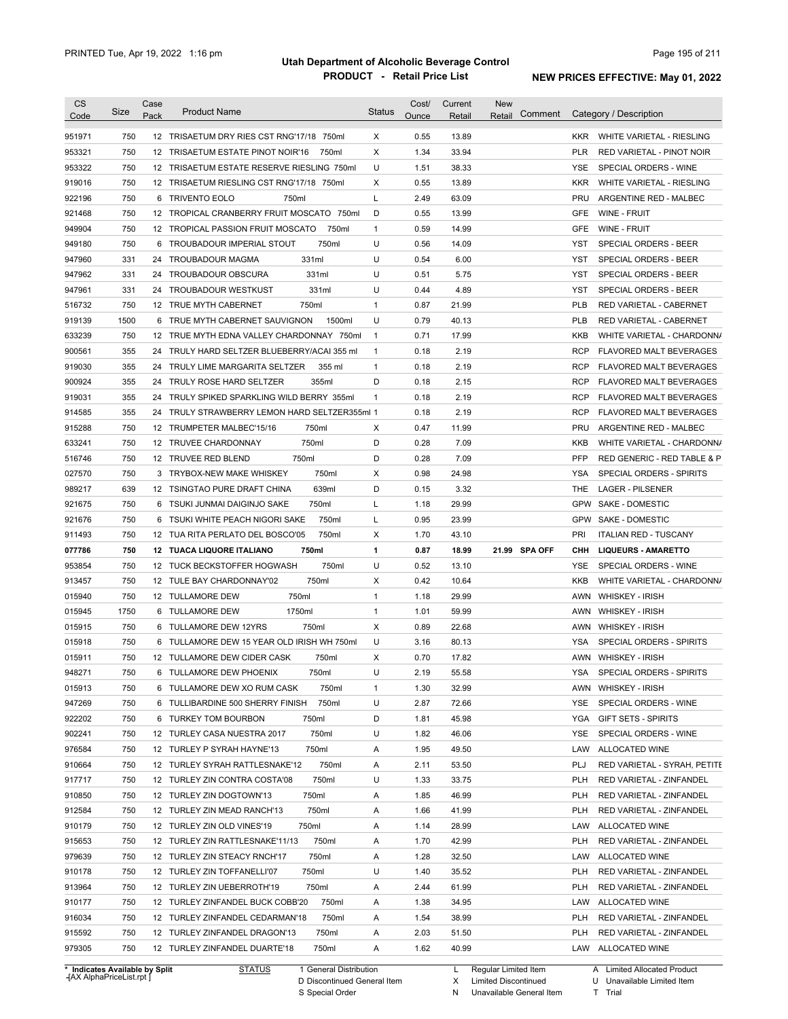| <b>CS</b><br>Code              | Size | Case<br>Pack    | <b>Product Name</b>                           | <b>Status</b> | Cost/<br>Ounce | Current<br>Retail | New<br>Comment<br>Retail |            | Category / Description         |
|--------------------------------|------|-----------------|-----------------------------------------------|---------------|----------------|-------------------|--------------------------|------------|--------------------------------|
| 951971                         | 750  |                 | 12 TRISAETUM DRY RIES CST RNG'17/18 750ml     | X             | 0.55           | 13.89             |                          | <b>KKR</b> | WHITE VARIETAL - RIESLING      |
| 953321                         | 750  |                 | 750ml<br>12 TRISAETUM ESTATE PINOT NOIR'16    | Х             | 1.34           | 33.94             |                          | <b>PLR</b> | RED VARIETAL - PINOT NOIR      |
| 953322                         | 750  |                 | 12 TRISAETUM ESTATE RESERVE RIESLING 750ml    | U             | 1.51           | 38.33             |                          | YSE        | SPECIAL ORDERS - WINE          |
| 919016                         | 750  |                 | 12 TRISAETUM RIESLING CST RNG'17/18 750ml     | Χ             | 0.55           | 13.89             |                          | <b>KKR</b> | WHITE VARIETAL - RIESLING      |
| 922196                         | 750  |                 | 6 TRIVENTO EOLO<br>750ml                      | L             | 2.49           | 63.09             |                          | PRU        | ARGENTINE RED - MALBEC         |
| 921468                         | 750  |                 | 12 TROPICAL CRANBERRY FRUIT MOSCATO 750ml     | D             | 0.55           | 13.99             |                          | GFE        | WINE - FRUIT                   |
| 949904                         | 750  |                 | 12 TROPICAL PASSION FRUIT MOSCATO<br>750ml    | $\mathbf{1}$  | 0.59           | 14.99             |                          | <b>GFE</b> | WINE - FRUIT                   |
| 949180                         | 750  |                 | 750ml<br>6 TROUBADOUR IMPERIAL STOUT          | U             | 0.56           | 14.09             |                          | YST        | SPECIAL ORDERS - BEER          |
| 947960                         | 331  | 24              | 331ml<br>TROUBADOUR MAGMA                     | U             | 0.54           | 6.00              |                          | YST        | SPECIAL ORDERS - BEER          |
| 947962                         | 331  | 24              | 331ml<br>TROUBADOUR OBSCURA                   | U             | 0.51           | 5.75              |                          | YST        | SPECIAL ORDERS - BEER          |
| 947961                         | 331  | 24              | 331ml<br>TROUBADOUR WESTKUST                  | U             | 0.44           | 4.89              |                          | YST        | SPECIAL ORDERS - BEER          |
| 516732                         | 750  |                 | 12 TRUE MYTH CABERNET<br>750ml                | 1             | 0.87           | 21.99             |                          | <b>PLB</b> | RED VARIETAL - CABERNET        |
| 919139                         | 1500 |                 | 6 TRUE MYTH CABERNET SAUVIGNON<br>1500ml      | U             | 0.79           | 40.13             |                          | <b>PLB</b> | RED VARIETAL - CABERNET        |
| 633239                         | 750  |                 | 12 TRUE MYTH EDNA VALLEY CHARDONNAY 750ml     | $\mathbf{1}$  | 0.71           | 17.99             |                          | <b>KKB</b> | WHITE VARIETAL - CHARDONN/     |
| 900561                         | 355  | 24              | TRULY HARD SELTZER BLUEBERRY/ACAI 355 ml      | 1             | 0.18           | 2.19              |                          | <b>RCP</b> | FLAVORED MALT BEVERAGES        |
| 919030                         | 355  | 24              | TRULY LIME MARGARITA SELTZER<br>355 ml        | $\mathbf{1}$  | 0.18           | 2.19              |                          | <b>RCP</b> | <b>FLAVORED MALT BEVERAGES</b> |
| 900924                         | 355  | 24              | 355ml<br>TRULY ROSE HARD SELTZER              | D             | 0.18           | 2.15              |                          | <b>RCP</b> | FLAVORED MALT BEVERAGES        |
| 919031                         | 355  | 24              | TRULY SPIKED SPARKLING WILD BERRY 355ml       | $\mathbf{1}$  | 0.18           | 2.19              |                          | <b>RCP</b> | FLAVORED MALT BEVERAGES        |
| 914585                         | 355  |                 | 24 TRULY STRAWBERRY LEMON HARD SELTZER355ml 1 |               | 0.18           | 2.19              |                          | <b>RCP</b> | FLAVORED MALT BEVERAGES        |
| 915288                         | 750  |                 | 12 TRUMPETER MALBEC'15/16<br>750ml            | X             | 0.47           | 11.99             |                          | <b>PRU</b> | ARGENTINE RED - MALBEC         |
| 633241                         | 750  |                 | 12 TRUVEE CHARDONNAY<br>750ml                 | D             | 0.28           | 7.09              |                          | KKB        | WHITE VARIETAL - CHARDONN/     |
| 516746                         | 750  |                 | 750ml<br>12 TRUVEE RED BLEND                  | D             | 0.28           | 7.09              |                          | PFP        | RED GENERIC - RED TABLE & P    |
| 027570                         | 750  |                 | 750ml<br>3 TRYBOX-NEW MAKE WHISKEY            | X             | 0.98           | 24.98             |                          | YSA        | SPECIAL ORDERS - SPIRITS       |
| 989217                         | 639  | 12 <sup>2</sup> | TSINGTAO PURE DRAFT CHINA<br>639ml            | D             | 0.15           | 3.32              |                          | <b>THE</b> | <b>LAGER - PILSENER</b>        |
| 921675                         | 750  | 6               | 750ml<br>TSUKI JUNMAI DAIGINJO SAKE           | L             | 1.18           | 29.99             |                          | <b>GPW</b> | <b>SAKE - DOMESTIC</b>         |
| 921676                         | 750  | 6               | 750ml<br>TSUKI WHITE PEACH NIGORI SAKE        | Г             | 0.95           | 23.99             |                          | <b>GPW</b> | SAKE - DOMESTIC                |
| 911493                         | 750  |                 | 750ml<br>12 TUA RITA PERLATO DEL BOSCO'05     | х             | 1.70           | 43.10             |                          | PRI        | <b>ITALIAN RED - TUSCANY</b>   |
| 077786                         | 750  |                 | 12 TUACA LIQUORE ITALIANO<br>750ml            | 1             | 0.87           | 18.99             | 21.99 SPA OFF            | <b>CHH</b> | <b>LIQUEURS - AMARETTO</b>     |
| 953854                         | 750  |                 | 750ml<br>12 TUCK BECKSTOFFER HOGWASH          | U             | 0.52           | 13.10             |                          | YSE        | SPECIAL ORDERS - WINE          |
| 913457                         | 750  |                 | 750ml<br>12 TULE BAY CHARDONNAY'02            | X             | 0.42           | 10.64             |                          | KKB        | WHITE VARIETAL - CHARDONN/     |
| 015940                         | 750  |                 | 750ml<br>12 TULLAMORE DEW                     | $\mathbf{1}$  | 1.18           | 29.99             |                          | AWN        | <b>WHISKEY - IRISH</b>         |
| 015945                         | 1750 |                 | 6 TULLAMORE DEW<br>1750ml                     | $\mathbf{1}$  | 1.01           | 59.99             |                          | AWN        | <b>WHISKEY - IRISH</b>         |
| 015915                         | 750  |                 | 750ml<br>6 TULLAMORE DEW 12YRS                | Χ             | 0.89           | 22.68             |                          | AWN        | <b>WHISKEY - IRISH</b>         |
| 015918                         | 750  | 6               | TULLAMORE DEW 15 YEAR OLD IRISH WH 750ml      | U             | 3.16           | 80.13             |                          | YSA        | SPECIAL ORDERS - SPIRITS       |
|                                | 750  |                 |                                               |               | 0.70           | 17.82             |                          |            | AWN WHISKEY - IRISH            |
| 015911                         |      |                 | 12 TULLAMORE DEW CIDER CASK<br>750ml          | Х             |                |                   |                          |            |                                |
| 948271                         | 750  |                 | TULLAMORE DEW PHOENIX<br>750ml                | U             | 2.19           | 55.58             |                          | YSA        | SPECIAL ORDERS - SPIRITS       |
| 015913                         | 750  |                 | 6 TULLAMORE DEW XO RUM CASK<br>750ml          | 1             | 1.30           | 32.99             |                          |            | AWN WHISKEY - IRISH            |
| 947269                         | 750  |                 | 6 TULLIBARDINE 500 SHERRY FINISH<br>750ml     | U             | 2.87           | 72.66             |                          | YSE        | SPECIAL ORDERS - WINE          |
| 922202                         | 750  |                 | 6 TURKEY TOM BOURBON<br>750ml                 | D             | 1.81           | 45.98             |                          | YGA        | <b>GIFT SETS - SPIRITS</b>     |
| 902241                         | 750  |                 | 750ml<br>12 TURLEY CASA NUESTRA 2017          | U             | 1.82           | 46.06             |                          | YSE        | SPECIAL ORDERS - WINE          |
| 976584                         | 750  |                 | 12 TURLEY P SYRAH HAYNE'13<br>750ml           | Α             | 1.95           | 49.50             |                          | LAW        | ALLOCATED WINE                 |
| 910664                         | 750  |                 | 12 TURLEY SYRAH RATTLESNAKE'12<br>750ml       | Α             | 2.11           | 53.50             |                          | PLJ        | RED VARIETAL - SYRAH, PETITE   |
| 917717                         | 750  |                 | 12 TURLEY ZIN CONTRA COSTA'08<br>750ml        | U             | 1.33           | 33.75             |                          | <b>PLH</b> | RED VARIETAL - ZINFANDEL       |
| 910850                         | 750  |                 | 12 TURLEY ZIN DOGTOWN'13<br>750ml             | Α             | 1.85           | 46.99             |                          | <b>PLH</b> | RED VARIETAL - ZINFANDEL       |
| 912584                         | 750  |                 | 750ml<br>12 TURLEY ZIN MEAD RANCH'13          | Α             | 1.66           | 41.99             |                          | <b>PLH</b> | RED VARIETAL - ZINFANDEL       |
| 910179                         | 750  |                 | 750ml<br>12 TURLEY ZIN OLD VINES'19           | Α             | 1.14           | 28.99             |                          | LAW        | ALLOCATED WINE                 |
| 915653                         | 750  |                 | 750ml<br>12 TURLEY ZIN RATTLESNAKE'11/13      | Α             | 1.70           | 42.99             |                          | <b>PLH</b> | RED VARIETAL - ZINFANDEL       |
| 979639                         | 750  |                 | 750ml<br>12 TURLEY ZIN STEACY RNCH'17         | Α             | 1.28           | 32.50             |                          | LAW        | ALLOCATED WINE                 |
| 910178                         | 750  |                 | 750ml<br>12 TURLEY ZIN TOFFANELLI'07          | U             | 1.40           | 35.52             |                          | <b>PLH</b> | RED VARIETAL - ZINFANDEL       |
| 913964                         | 750  |                 | 750ml<br>12 TURLEY ZIN UEBERROTH'19           | Α             | 2.44           | 61.99             |                          | <b>PLH</b> | RED VARIETAL - ZINFANDEL       |
| 910177                         | 750  |                 | 12 TURLEY ZINFANDEL BUCK COBB'20<br>750ml     | Α             | 1.38           | 34.95             |                          | LAW        | ALLOCATED WINE                 |
| 916034                         | 750  |                 | 12 TURLEY ZINFANDEL CEDARMAN'18<br>750ml      | Α             | 1.54           | 38.99             |                          | <b>PLH</b> | RED VARIETAL - ZINFANDEL       |
| 915592                         | 750  |                 | 750ml<br>12 TURLEY ZINFANDEL DRAGON'13        | Α             | 2.03           | 51.50             |                          | <b>PLH</b> | RED VARIETAL - ZINFANDEL       |
| 979305                         | 750  |                 | 750ml<br>12 TURLEY ZINFANDEL DUARTE'18        | Α             | 1.62           | 40.99             |                          |            | LAW ALLOCATED WINE             |
| * Indicates Available by Split |      |                 | <b>STATUS</b><br>1 General Distribution       |               |                | L.                | Regular Limited Item     |            | A Limited Allocated Product    |

**Case** [AX AlphaPriceList.rpt ]

D Discontinued General Item

S Special Order

X

Limited Discontinued

N Unavailable General Item

U Unavailable Limited Item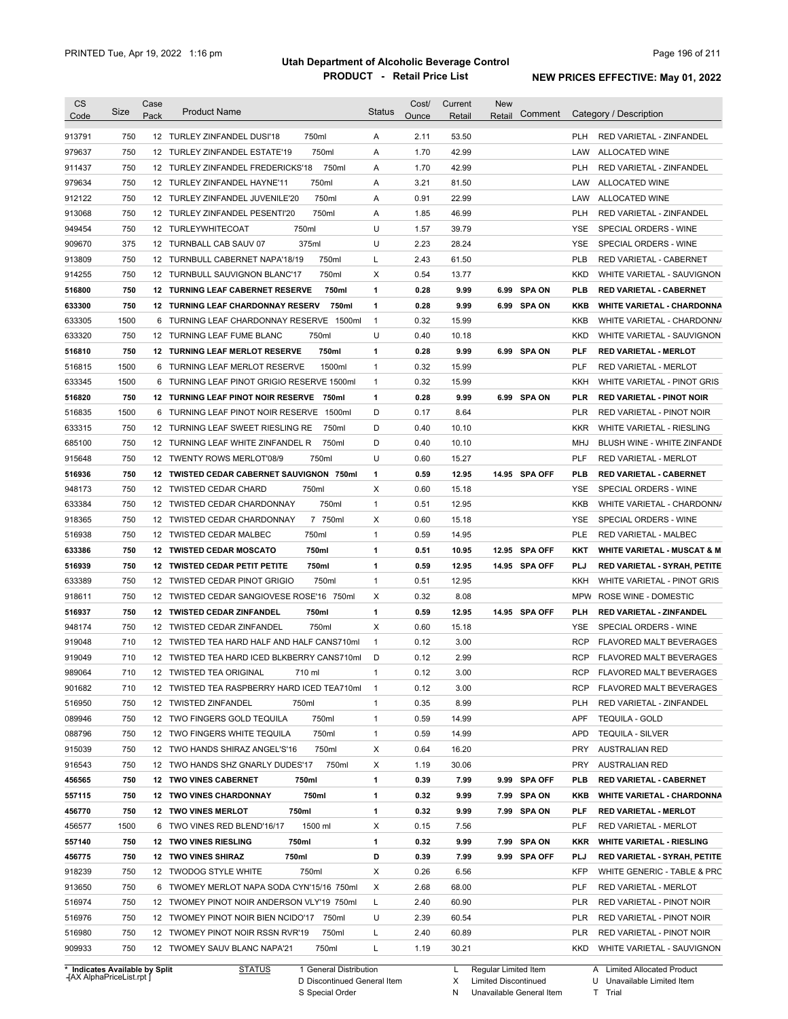| <b>CS</b><br>Code | Size       | Case<br>Pack | <b>Product Name</b>                                                                | <b>Status</b>  | Cost/<br>Ounce | Current<br>Retail | New<br>Retail | Comment       |                          | Category / Description                                  |
|-------------------|------------|--------------|------------------------------------------------------------------------------------|----------------|----------------|-------------------|---------------|---------------|--------------------------|---------------------------------------------------------|
| 913791            | 750        |              | 750ml<br>12 TURLEY ZINFANDEL DUSI'18                                               | Α              | 2.11           | 53.50             |               |               | <b>PLH</b>               | RED VARIETAL - ZINFANDEL                                |
| 979637            | 750        |              | 750ml<br>12 TURLEY ZINFANDEL ESTATE'19                                             | Α              | 1.70           | 42.99             |               |               | LAW                      | ALLOCATED WINE                                          |
| 911437            | 750        |              | 750ml<br>12 TURLEY ZINFANDEL FREDERICKS'18                                         | Α              | 1.70           | 42.99             |               |               | <b>PLH</b>               | RED VARIETAL - ZINFANDEL                                |
| 979634            | 750        |              | 750ml<br>12 TURLEY ZINFANDEL HAYNE'11                                              | Α              | 3.21           | 81.50             |               |               | LAW                      | ALLOCATED WINE                                          |
| 912122            | 750        |              | 750ml<br>12 TURLEY ZINFANDEL JUVENILE'20                                           | Α              | 0.91           | 22.99             |               |               | LAW                      | <b>ALLOCATED WINE</b>                                   |
| 913068            | 750        |              | 750ml<br>12 TURLEY ZINFANDEL PESENTI'20                                            | Α              | 1.85           | 46.99             |               |               | <b>PLH</b>               | RED VARIETAL - ZINFANDEL                                |
| 949454            | 750        |              | 750ml<br>12 TURLEYWHITECOAT                                                        | U              | 1.57           | 39.79             |               |               | <b>YSE</b>               | SPECIAL ORDERS - WINE                                   |
| 909670            | 375        |              | 375ml<br>12 TURNBALL CAB SAUV 07                                                   | U              | 2.23           | 28.24             |               |               | <b>YSE</b>               | SPECIAL ORDERS - WINE                                   |
| 913809            | 750        |              | 12 TURNBULL CABERNET NAPA'18/19<br>750ml                                           | L              | 2.43           | 61.50             |               |               | <b>PLB</b>               | RED VARIETAL - CABERNET                                 |
| 914255            | 750        |              | 12 TURNBULL SAUVIGNON BLANC'17<br>750ml                                            | х              | 0.54           | 13.77             |               |               | <b>KKD</b>               | WHITE VARIETAL - SAUVIGNON                              |
| 516800            | 750        |              | 12 TURNING LEAF CABERNET RESERVE<br>750ml                                          | 1              | 0.28           | 9.99              | 6.99          | <b>SPA ON</b> | <b>PLB</b>               | <b>RED VARIETAL - CABERNET</b>                          |
| 633300            | 750        |              | <b>12 TURNING LEAF CHARDONNAY RESERV</b><br>750ml                                  | 1              | 0.28           | 9.99              |               | 6.99 SPA ON   | <b>KKB</b>               | <b>WHITE VARIETAL - CHARDONNA</b>                       |
| 633305            | 1500       |              | 6 TURNING LEAF CHARDONNAY RESERVE 1500ml                                           | $\mathbf{1}$   | 0.32           | 15.99             |               |               | KKB                      | WHITE VARIETAL - CHARDONN/                              |
| 633320            | 750        |              | 12 TURNING LEAF FUME BLANC<br>750ml                                                | U              | 0.40           | 10.18             |               |               | <b>KKD</b>               | WHITE VARIETAL - SAUVIGNON                              |
| 516810            | 750        |              | <b>12 TURNING LEAF MERLOT RESERVE</b><br>750ml                                     | 1              | 0.28           | 9.99              |               | 6.99 SPA ON   | <b>PLF</b>               | <b>RED VARIETAL MERLOT</b>                              |
| 516815            | 1500       |              | 6 TURNING LEAF MERLOT RESERVE<br>1500ml                                            | $\mathbf{1}$   | 0.32           | 15.99             |               |               | <b>PLF</b>               | <b>RED VARIETAL - MERLOT</b>                            |
| 633345            | 1500       | 6            | TURNING LEAF PINOT GRIGIO RESERVE 1500ml                                           | $\mathbf{1}$   | 0.32           | 15.99             |               |               | <b>KKH</b>               | WHITE VARIETAL - PINOT GRIS                             |
| 516820            | 750        |              | 12 TURNING LEAF PINOT NOIR RESERVE 750ml                                           | 1              | 0.28           | 9.99              |               | 6.99 SPA ON   | <b>PLR</b>               | <b>RED VARIETAL - PINOT NOIR</b>                        |
| 516835            | 1500       | 6            | TURNING LEAF PINOT NOIR RESERVE<br>1500ml                                          | D              | 0.17           | 8.64              |               |               | <b>PLR</b>               | RED VARIETAL - PINOT NOIR                               |
| 633315            | 750        |              | 750ml<br>12 TURNING LEAF SWEET RIESLING RE                                         | D              | 0.40           | 10.10             |               |               | <b>KKR</b>               | WHITE VARIETAL - RIESLING                               |
| 685100            | 750        |              | 12 TURNING LEAF WHITE ZINFANDEL R<br>750ml                                         | D              | 0.40           | 10.10             |               |               | MHJ                      | BLUSH WINE - WHITE ZINFANDE                             |
| 915648            | 750        |              | 12 TWENTY ROWS MERLOT'08/9<br>750ml                                                | U              | 0.60           | 15.27             |               |               | PLF                      | RED VARIETAL - MERLOT                                   |
| 516936            | 750        |              | 12 TWISTED CEDAR CABERNET SAUVIGNON 750ml                                          | $\mathbf{1}$   | 0.59           | 12.95             |               | 14.95 SPA OFF | PLB                      | <b>RED VARIETAL - CABERNET</b>                          |
| 948173            | 750        |              | 12 TWISTED CEDAR CHARD<br>750ml                                                    | Χ              | 0.60           | 15.18             |               |               | YSE                      | SPECIAL ORDERS - WINE                                   |
| 633384            | 750        |              | 12 TWISTED CEDAR CHARDONNAY<br>750ml                                               | 1              | 0.51           | 12.95             |               |               | KKB                      | WHITE VARIETAL - CHARDONN/                              |
| 918365            | 750        |              | 7 750ml<br>12 TWISTED CEDAR CHARDONNAY                                             | X              | 0.60           | 15.18             |               |               | <b>YSE</b>               | SPECIAL ORDERS - WINE                                   |
| 516938            | 750        |              | 750ml<br>12 TWISTED CEDAR MALBEC                                                   | $\mathbf{1}$   | 0.59           | 14.95             |               |               | <b>PLE</b>               | <b>RED VARIETAL - MALBEC</b>                            |
| 633386            | 750        |              | 750ml<br><b>12 TWISTED CEDAR MOSCATO</b>                                           | 1              | 0.51           | 10.95             |               | 12.95 SPA OFF | KKT                      | <b>WHITE VARIETAL - MUSCAT &amp; M</b>                  |
| 516939            | 750        |              | 12 TWISTED CEDAR PETIT PETITE<br>750ml                                             | 1              | 0.59           | 12.95             |               | 14.95 SPA OFF | <b>PLJ</b>               | <b>RED VARIETAL - SYRAH, PETITE</b>                     |
| 633389            | 750        |              | 12 TWISTED CEDAR PINOT GRIGIO<br>750ml                                             | $\mathbf{1}$   | 0.51           | 12.95             |               |               | KKH                      | WHITE VARIETAL - PINOT GRIS                             |
| 918611            | 750        |              | 12 TWISTED CEDAR SANGIOVESE ROSE'16 750ml                                          | X              | 0.32           | 8.08              |               |               | <b>MPW</b>               | ROSE WINE - DOMESTIC                                    |
| 516937            | 750        |              | 750ml<br>12 TWISTED CEDAR ZINFANDEL                                                | 1              | 0.59           | 12.95             |               | 14.95 SPA OFF | PLH                      | RED VARIETAL - ZINFANDEL                                |
| 948174            | 750        |              | 750ml<br>12 TWISTED CEDAR ZINFANDEL                                                | Χ              | 0.60           | 15.18             |               |               | YSE                      | SPECIAL ORDERS - WINE                                   |
| 919048            | 710        |              | 12 TWISTED TEA HARD HALF AND HALF CANS710ml                                        | $\mathbf{1}$   | 0.12           | 3.00              |               |               | <b>RCP</b>               | FLAVORED MALT BEVERAGES                                 |
| 919049            | 710        |              | 12 TWISTED TEA HARD ICED BLKBERRY CANS710ml                                        | D              | 0.12           | 2.99              |               |               | <b>RCP</b>               | FLAVORED MALT BEVERAGES                                 |
| 989064            | 710        |              | 12 TWISTED TEA ORIGINAL<br>710 ml                                                  | 1              | 0.12           | 3.00              |               |               | RCP                      | FLAVORED MALT BEVERAGES                                 |
| 901682            | 710        |              | 12 TWISTED TEA RASPBERRY HARD ICED TEA710ml                                        | $\overline{1}$ | 0.12           | 3.00              |               |               | <b>RCP</b>               | FLAVORED MALT BEVERAGES                                 |
| 516950            | 750        |              | 12 TWISTED ZINFANDEL<br>750ml                                                      | 1              | 0.35           | 8.99              |               |               | <b>PLH</b>               | RED VARIETAL - ZINFANDEL                                |
| 089946            | 750        |              | 750ml<br>12 TWO FINGERS GOLD TEQUILA                                               | 1              | 0.59           | 14.99             |               |               | <b>APF</b>               | <b>TEQUILA - GOLD</b>                                   |
| 088796            | 750        |              | 750ml<br>12 TWO FINGERS WHITE TEQUILA                                              | 1              | 0.59           | 14.99             |               |               | <b>APD</b>               |                                                         |
| 915039            | 750        |              | 750ml<br>12 TWO HANDS SHIRAZ ANGEL'S'16                                            | Х              | 0.64           | 16.20             |               |               | <b>PRY</b>               | <b>TEQUILA - SILVER</b><br><b>AUSTRALIAN RED</b>        |
| 916543            | 750        |              | 750ml<br>12 TWO HANDS SHZ GNARLY DUDES'17                                          | Х              | 1.19           | 30.06             |               |               | <b>PRY</b>               | <b>AUSTRALIAN RED</b>                                   |
|                   |            |              | 12 TWO VINES CABERNET                                                              | 1              |                |                   |               |               |                          | <b>RED VARIETAL - CABERNET</b>                          |
| 456565            | 750        |              | 750ml                                                                              |                | 0.39           | 7.99              |               | 9.99 SPA OFF  | <b>PLB</b>               |                                                         |
| 557115            | 750        |              | 750ml<br><b>12 TWO VINES CHARDONNAY</b>                                            | 1              | 0.32           | 9.99              |               | 7.99 SPA ON   | KKB                      | <b>WHITE VARIETAL - CHARDONNA</b>                       |
| 456770            | 750        |              | 12 TWO VINES MERLOT<br>750ml                                                       | 1              | 0.32           | 9.99              |               | 7.99 SPA ON   | PLF                      | <b>RED VARIETAL - MERLOT</b>                            |
| 456577            | 1500       |              | 1500 ml<br>6 TWO VINES RED BLEND'16/17                                             | Х              | 0.15           | 7.56              |               |               | <b>PLF</b>               | RED VARIETAL - MERLOT                                   |
| 557140            | 750        |              | 750ml<br><b>12 TWO VINES RIESLING</b>                                              | 1              | 0.32           | 9.99              |               | 7.99 SPA ON   | KKR                      | <b>WHITE VARIETAL - RIESLING</b>                        |
| 456775            | 750        |              | 750ml<br>12 TWO VINES SHIRAZ                                                       | D              | 0.39           | 7.99              |               | 9.99 SPA OFF  | <b>PLJ</b>               | RED VARIETAL - SYRAH, PETITE                            |
| 918239            | 750        |              | 750ml<br>12 TWODOG STYLE WHITE                                                     | Х              | 0.26           | 6.56              |               |               | <b>KFP</b>               | WHITE GENERIC - TABLE & PRC                             |
| 913650            | 750        |              | 6 TWOMEY MERLOT NAPA SODA CYN'15/16 750ml                                          | Χ              | 2.68           | 68.00             |               |               | PLF                      | RED VARIETAL - MERLOT                                   |
| 516974            | 750        |              | 12 TWOMEY PINOT NOIR ANDERSON VLY'19 750ml                                         | L              | 2.40           | 60.90             |               |               | <b>PLR</b>               | RED VARIETAL - PINOT NOIR                               |
| 516976            | 750        |              | 12 TWOMEY PINOT NOIR BIEN NCIDO'17 750ml                                           | U              | 2.39           | 60.54             |               |               | <b>PLR</b>               | RED VARIETAL - PINOT NOIR                               |
|                   |            |              |                                                                                    |                |                |                   |               |               |                          |                                                         |
| 516980<br>909933  | 750<br>750 |              | 12 TWOMEY PINOT NOIR RSSN RVR'19<br>750ml<br>12 TWOMEY SAUV BLANC NAPA'21<br>750ml | L<br>L         | 2.40<br>1.19   | 60.89<br>30.21    |               |               | <b>PLR</b><br><b>KKD</b> | RED VARIETAL - PINOT NOIR<br>WHITE VARIETAL - SAUVIGNON |

**Case** [AX AlphaPriceList.rpt ]

D Discontinued General Item

S Special Order

L Regular Limited Item Limited Discontinued

Unavailable General Item

X N U Unavailable Limited Item

Trial

T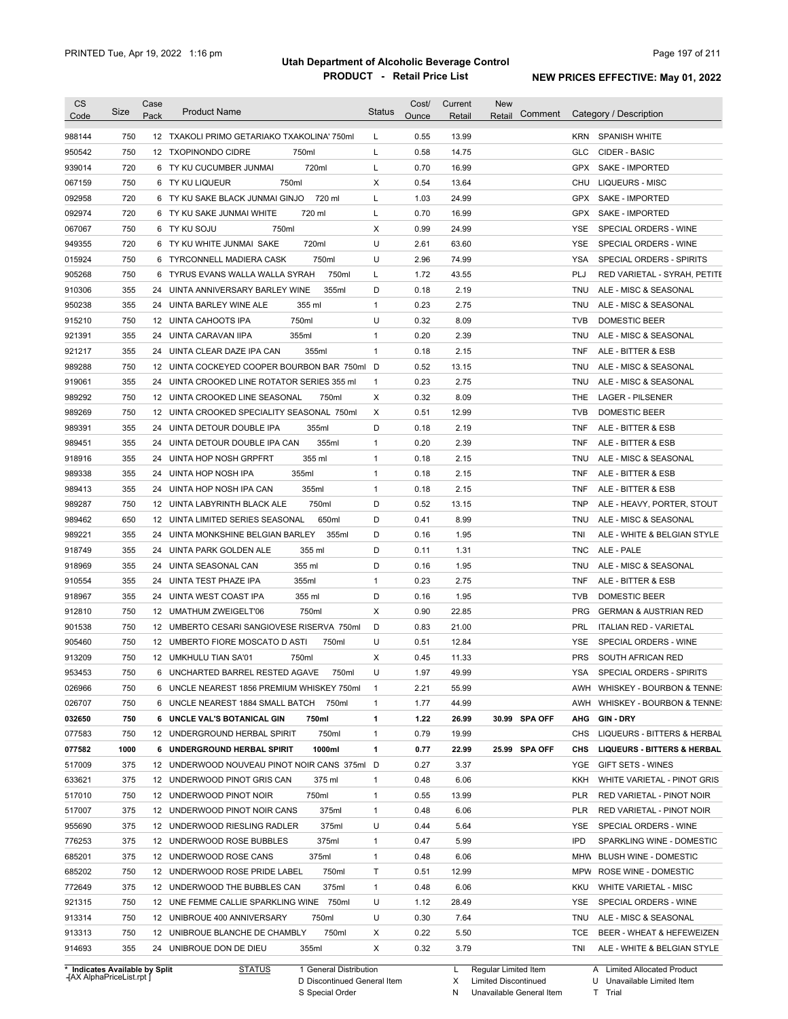| Category / Description<br>Comment<br>Pack<br>Ounce<br>Retail<br>Code<br>Retail<br>750<br>0.55<br>13.99<br>988144<br>12 TXAKOLI PRIMO GETARIAKO TXAKOLINA' 750ml<br>L<br><b>KRN</b><br><b>SPANISH WHITE</b><br>750<br>750ml<br>L<br>0.58<br>14.75<br>950542<br>12 TXOPINONDO CIDRE<br>GLC<br>CIDER - BASIC<br>939014<br>720<br>720ml<br>L<br>0.70<br>16.99<br><b>GPX</b><br>6 TY KU CUCUMBER JUNMAI<br>067159<br>750<br>750ml<br>X<br>0.54<br>13.64<br>6 TY KU LIQUEUR<br>CHU<br>092958<br>720<br>6 TY KU SAKE BLACK JUNMAI GINJO<br>720 ml<br>L<br>1.03<br>24.99<br><b>GPX</b><br>092974<br>720<br>L<br>0.70<br>16.99<br><b>GPX</b><br>6 TY KU SAKE JUNMAI WHITE<br>720 ml<br>067067<br>750<br>6 TY KU SOJU<br>750ml<br>X<br>0.99<br>24.99<br><b>YSE</b><br>U<br>949355<br>720<br>6 TY KU WHITE JUNMAI SAKE<br>720ml<br>2.61<br>63.60<br><b>YSE</b><br>015924<br>750<br>750ml<br>U<br>2.96<br>74.99<br><b>YSA</b><br>6 TYRCONNELL MADIERA CASK<br>905268<br>750<br>750ml<br>L<br>1.72<br>43.55<br>PLJ<br>6 TYRUS EVANS WALLA WALLA SYRAH<br>910306<br>355<br>355ml<br>D<br>0.18<br>2.19<br>24 UINTA ANNIVERSARY BARLEY WINE<br>TNU<br>950238<br>355<br>$\mathbf{1}$<br>0.23<br>2.75<br>24 UINTA BARLEY WINE ALE<br>355 ml<br>TNU<br>750<br>12 UINTA CAHOOTS IPA<br>750ml<br>U<br>0.32<br>8.09<br>915210<br><b>TVB</b><br>355<br>24 UINTA CARAVAN IIPA<br>355ml<br>0.20<br>2.39<br>921391<br>$\mathbf{1}$<br>TNU<br>355<br>355ml<br>$\mathbf{1}$<br>0.18<br>2.15<br><b>TNF</b><br>921217<br>24 UINTA CLEAR DAZE IPA CAN<br>750<br>12 UINTA COCKEYED COOPER BOURBON BAR 750ml<br>0.52<br>989288<br>D<br>13.15<br>TNU<br>355<br>0.23<br>2.75<br>919061<br>24 UINTA CROOKED LINE ROTATOR SERIES 355 ml<br>$\mathbf{1}$<br>TNU<br>0.32<br>8.09<br>989292<br>750<br>X<br>THE<br>12 UINTA CROOKED LINE SEASONAL<br>750ml<br>989269<br>750<br>X<br>0.51<br>12.99<br><b>TVB</b><br>12 UINTA CROOKED SPECIALITY SEASONAL 750ml<br>D<br>989391<br>355<br>24 UINTA DETOUR DOUBLE IPA<br>0.18<br>2.19<br><b>TNF</b><br>355ml<br>355<br>0.20<br>355ml<br>$\mathbf{1}$<br>2.39<br><b>TNF</b><br>989451<br>24<br>UINTA DETOUR DOUBLE IPA CAN<br>355<br>355 ml<br>$\mathbf{1}$<br>0.18<br>2.15<br>918916<br>24 UINTA HOP NOSH GRPFRT<br>TNU<br>989338<br>355<br>24 UINTA HOP NOSH IPA<br>355ml<br>$\mathbf{1}$<br>0.18<br>2.15<br><b>TNF</b><br>989413<br>355<br>24 UINTA HOP NOSH IPA CAN<br>355ml<br>$\mathbf{1}$<br>0.18<br>2.15<br><b>TNF</b><br>989287<br>750<br>750ml<br>D<br>0.52<br>13.15<br><b>TNP</b><br>12 UINTA LABYRINTH BLACK ALE<br>989462<br>650<br>650ml<br>D<br>0.41<br>8.99<br>12 UINTA LIMITED SERIES SEASONAL<br>TNU<br>989221<br>355<br>D<br>0.16<br>1.95<br>24 UINTA MONKSHINE BELGIAN BARLEY<br>355ml<br>tni<br>918749<br>355<br>355 ml<br>D<br>0.11<br>1.31<br>ALE - PALE<br>24<br>UINTA PARK GOLDEN ALE<br>TNC<br>918969<br>355<br>355 ml<br>D<br>0.16<br>1.95<br>24 UINTA SEASONAL CAN<br>TNU<br>910554<br>355ml<br>$\mathbf{1}$<br>0.23<br>355<br>24 UINTA TEST PHAZE IPA<br>2.75<br>TNF<br>918967<br>355<br>24 UINTA WEST COAST IPA<br>355 ml<br>D<br>0.16<br>1.95<br><b>TVB</b><br>912810<br>750<br>750ml<br>X<br>0.90<br>22.85<br><b>PRG</b><br>12 UMATHUM ZWEIGELT'06<br>901538<br>750<br>12 UMBERTO CESARI SANGIOVESE RISERVA 750ml<br>D<br>0.83<br>21.00<br><b>PRL</b><br>U<br>905460<br>750<br>750ml<br>0.51<br>12.84<br>12 UMBERTO FIORE MOSCATO D ASTI<br>YSE<br><b>PRS</b><br>913209<br>750<br>12 UMKHULU TIAN SA'01<br>750ml<br>X<br>0.45<br>11.33<br>6 UNCHARTED BARREL RESTED AGAVE<br>49.99<br><b>YSA</b><br>953453<br>750<br>750ml<br>U<br>1.97<br>026966<br>750<br>6 UNCLE NEAREST 1856 PREMIUM WHISKEY 750ml<br>2.21<br>55.99<br>$\mathbf{1}$<br>026707<br>44.99<br>750<br>6 UNCLE NEAREST 1884 SMALL BATCH 750ml<br>$\mathbf{1}$<br>1.77<br>AWH<br>032650<br>1.22<br>26.99<br>30.99 SPA OFF<br><b>GIN - DRY</b><br>750<br>6 UNCLE VAL'S BOTANICAL GIN<br>750ml<br>1<br>AHG<br>077583<br>750ml<br>19.99<br>750<br>12 UNDERGROUND HERBAL SPIRIT<br>$\mathbf{1}$<br>0.79<br>CHS | SAKE - IMPORTED<br><b>LIQUEURS - MISC</b><br>SAKE - IMPORTED<br>SAKE - IMPORTED<br>SPECIAL ORDERS - WINE<br>SPECIAL ORDERS - WINE<br>SPECIAL ORDERS - SPIRITS<br>RED VARIETAL - SYRAH, PETITE<br>ALE - MISC & SEASONAL |
|-----------------------------------------------------------------------------------------------------------------------------------------------------------------------------------------------------------------------------------------------------------------------------------------------------------------------------------------------------------------------------------------------------------------------------------------------------------------------------------------------------------------------------------------------------------------------------------------------------------------------------------------------------------------------------------------------------------------------------------------------------------------------------------------------------------------------------------------------------------------------------------------------------------------------------------------------------------------------------------------------------------------------------------------------------------------------------------------------------------------------------------------------------------------------------------------------------------------------------------------------------------------------------------------------------------------------------------------------------------------------------------------------------------------------------------------------------------------------------------------------------------------------------------------------------------------------------------------------------------------------------------------------------------------------------------------------------------------------------------------------------------------------------------------------------------------------------------------------------------------------------------------------------------------------------------------------------------------------------------------------------------------------------------------------------------------------------------------------------------------------------------------------------------------------------------------------------------------------------------------------------------------------------------------------------------------------------------------------------------------------------------------------------------------------------------------------------------------------------------------------------------------------------------------------------------------------------------------------------------------------------------------------------------------------------------------------------------------------------------------------------------------------------------------------------------------------------------------------------------------------------------------------------------------------------------------------------------------------------------------------------------------------------------------------------------------------------------------------------------------------------------------------------------------------------------------------------------------------------------------------------------------------------------------------------------------------------------------------------------------------------------------------------------------------------------------------------------------------------------------------------------------------------------------------------------------------------------------------------------------------------------------------------------------------------------------------------------------------------------------------------------------------------------------------------------------------------------------------------------------------------------------------------------------------------------------------------------------------------------------------------------|------------------------------------------------------------------------------------------------------------------------------------------------------------------------------------------------------------------------|
|                                                                                                                                                                                                                                                                                                                                                                                                                                                                                                                                                                                                                                                                                                                                                                                                                                                                                                                                                                                                                                                                                                                                                                                                                                                                                                                                                                                                                                                                                                                                                                                                                                                                                                                                                                                                                                                                                                                                                                                                                                                                                                                                                                                                                                                                                                                                                                                                                                                                                                                                                                                                                                                                                                                                                                                                                                                                                                                                                                                                                                                                                                                                                                                                                                                                                                                                                                                                                                                                                                                                                                                                                                                                                                                                                                                                                                                                                                                                                                                                           |                                                                                                                                                                                                                        |
|                                                                                                                                                                                                                                                                                                                                                                                                                                                                                                                                                                                                                                                                                                                                                                                                                                                                                                                                                                                                                                                                                                                                                                                                                                                                                                                                                                                                                                                                                                                                                                                                                                                                                                                                                                                                                                                                                                                                                                                                                                                                                                                                                                                                                                                                                                                                                                                                                                                                                                                                                                                                                                                                                                                                                                                                                                                                                                                                                                                                                                                                                                                                                                                                                                                                                                                                                                                                                                                                                                                                                                                                                                                                                                                                                                                                                                                                                                                                                                                                           |                                                                                                                                                                                                                        |
|                                                                                                                                                                                                                                                                                                                                                                                                                                                                                                                                                                                                                                                                                                                                                                                                                                                                                                                                                                                                                                                                                                                                                                                                                                                                                                                                                                                                                                                                                                                                                                                                                                                                                                                                                                                                                                                                                                                                                                                                                                                                                                                                                                                                                                                                                                                                                                                                                                                                                                                                                                                                                                                                                                                                                                                                                                                                                                                                                                                                                                                                                                                                                                                                                                                                                                                                                                                                                                                                                                                                                                                                                                                                                                                                                                                                                                                                                                                                                                                                           |                                                                                                                                                                                                                        |
|                                                                                                                                                                                                                                                                                                                                                                                                                                                                                                                                                                                                                                                                                                                                                                                                                                                                                                                                                                                                                                                                                                                                                                                                                                                                                                                                                                                                                                                                                                                                                                                                                                                                                                                                                                                                                                                                                                                                                                                                                                                                                                                                                                                                                                                                                                                                                                                                                                                                                                                                                                                                                                                                                                                                                                                                                                                                                                                                                                                                                                                                                                                                                                                                                                                                                                                                                                                                                                                                                                                                                                                                                                                                                                                                                                                                                                                                                                                                                                                                           |                                                                                                                                                                                                                        |
|                                                                                                                                                                                                                                                                                                                                                                                                                                                                                                                                                                                                                                                                                                                                                                                                                                                                                                                                                                                                                                                                                                                                                                                                                                                                                                                                                                                                                                                                                                                                                                                                                                                                                                                                                                                                                                                                                                                                                                                                                                                                                                                                                                                                                                                                                                                                                                                                                                                                                                                                                                                                                                                                                                                                                                                                                                                                                                                                                                                                                                                                                                                                                                                                                                                                                                                                                                                                                                                                                                                                                                                                                                                                                                                                                                                                                                                                                                                                                                                                           |                                                                                                                                                                                                                        |
|                                                                                                                                                                                                                                                                                                                                                                                                                                                                                                                                                                                                                                                                                                                                                                                                                                                                                                                                                                                                                                                                                                                                                                                                                                                                                                                                                                                                                                                                                                                                                                                                                                                                                                                                                                                                                                                                                                                                                                                                                                                                                                                                                                                                                                                                                                                                                                                                                                                                                                                                                                                                                                                                                                                                                                                                                                                                                                                                                                                                                                                                                                                                                                                                                                                                                                                                                                                                                                                                                                                                                                                                                                                                                                                                                                                                                                                                                                                                                                                                           |                                                                                                                                                                                                                        |
|                                                                                                                                                                                                                                                                                                                                                                                                                                                                                                                                                                                                                                                                                                                                                                                                                                                                                                                                                                                                                                                                                                                                                                                                                                                                                                                                                                                                                                                                                                                                                                                                                                                                                                                                                                                                                                                                                                                                                                                                                                                                                                                                                                                                                                                                                                                                                                                                                                                                                                                                                                                                                                                                                                                                                                                                                                                                                                                                                                                                                                                                                                                                                                                                                                                                                                                                                                                                                                                                                                                                                                                                                                                                                                                                                                                                                                                                                                                                                                                                           |                                                                                                                                                                                                                        |
|                                                                                                                                                                                                                                                                                                                                                                                                                                                                                                                                                                                                                                                                                                                                                                                                                                                                                                                                                                                                                                                                                                                                                                                                                                                                                                                                                                                                                                                                                                                                                                                                                                                                                                                                                                                                                                                                                                                                                                                                                                                                                                                                                                                                                                                                                                                                                                                                                                                                                                                                                                                                                                                                                                                                                                                                                                                                                                                                                                                                                                                                                                                                                                                                                                                                                                                                                                                                                                                                                                                                                                                                                                                                                                                                                                                                                                                                                                                                                                                                           |                                                                                                                                                                                                                        |
|                                                                                                                                                                                                                                                                                                                                                                                                                                                                                                                                                                                                                                                                                                                                                                                                                                                                                                                                                                                                                                                                                                                                                                                                                                                                                                                                                                                                                                                                                                                                                                                                                                                                                                                                                                                                                                                                                                                                                                                                                                                                                                                                                                                                                                                                                                                                                                                                                                                                                                                                                                                                                                                                                                                                                                                                                                                                                                                                                                                                                                                                                                                                                                                                                                                                                                                                                                                                                                                                                                                                                                                                                                                                                                                                                                                                                                                                                                                                                                                                           |                                                                                                                                                                                                                        |
|                                                                                                                                                                                                                                                                                                                                                                                                                                                                                                                                                                                                                                                                                                                                                                                                                                                                                                                                                                                                                                                                                                                                                                                                                                                                                                                                                                                                                                                                                                                                                                                                                                                                                                                                                                                                                                                                                                                                                                                                                                                                                                                                                                                                                                                                                                                                                                                                                                                                                                                                                                                                                                                                                                                                                                                                                                                                                                                                                                                                                                                                                                                                                                                                                                                                                                                                                                                                                                                                                                                                                                                                                                                                                                                                                                                                                                                                                                                                                                                                           |                                                                                                                                                                                                                        |
|                                                                                                                                                                                                                                                                                                                                                                                                                                                                                                                                                                                                                                                                                                                                                                                                                                                                                                                                                                                                                                                                                                                                                                                                                                                                                                                                                                                                                                                                                                                                                                                                                                                                                                                                                                                                                                                                                                                                                                                                                                                                                                                                                                                                                                                                                                                                                                                                                                                                                                                                                                                                                                                                                                                                                                                                                                                                                                                                                                                                                                                                                                                                                                                                                                                                                                                                                                                                                                                                                                                                                                                                                                                                                                                                                                                                                                                                                                                                                                                                           |                                                                                                                                                                                                                        |
|                                                                                                                                                                                                                                                                                                                                                                                                                                                                                                                                                                                                                                                                                                                                                                                                                                                                                                                                                                                                                                                                                                                                                                                                                                                                                                                                                                                                                                                                                                                                                                                                                                                                                                                                                                                                                                                                                                                                                                                                                                                                                                                                                                                                                                                                                                                                                                                                                                                                                                                                                                                                                                                                                                                                                                                                                                                                                                                                                                                                                                                                                                                                                                                                                                                                                                                                                                                                                                                                                                                                                                                                                                                                                                                                                                                                                                                                                                                                                                                                           |                                                                                                                                                                                                                        |
|                                                                                                                                                                                                                                                                                                                                                                                                                                                                                                                                                                                                                                                                                                                                                                                                                                                                                                                                                                                                                                                                                                                                                                                                                                                                                                                                                                                                                                                                                                                                                                                                                                                                                                                                                                                                                                                                                                                                                                                                                                                                                                                                                                                                                                                                                                                                                                                                                                                                                                                                                                                                                                                                                                                                                                                                                                                                                                                                                                                                                                                                                                                                                                                                                                                                                                                                                                                                                                                                                                                                                                                                                                                                                                                                                                                                                                                                                                                                                                                                           | ALE - MISC & SEASONAL                                                                                                                                                                                                  |
|                                                                                                                                                                                                                                                                                                                                                                                                                                                                                                                                                                                                                                                                                                                                                                                                                                                                                                                                                                                                                                                                                                                                                                                                                                                                                                                                                                                                                                                                                                                                                                                                                                                                                                                                                                                                                                                                                                                                                                                                                                                                                                                                                                                                                                                                                                                                                                                                                                                                                                                                                                                                                                                                                                                                                                                                                                                                                                                                                                                                                                                                                                                                                                                                                                                                                                                                                                                                                                                                                                                                                                                                                                                                                                                                                                                                                                                                                                                                                                                                           | <b>DOMESTIC BEER</b>                                                                                                                                                                                                   |
|                                                                                                                                                                                                                                                                                                                                                                                                                                                                                                                                                                                                                                                                                                                                                                                                                                                                                                                                                                                                                                                                                                                                                                                                                                                                                                                                                                                                                                                                                                                                                                                                                                                                                                                                                                                                                                                                                                                                                                                                                                                                                                                                                                                                                                                                                                                                                                                                                                                                                                                                                                                                                                                                                                                                                                                                                                                                                                                                                                                                                                                                                                                                                                                                                                                                                                                                                                                                                                                                                                                                                                                                                                                                                                                                                                                                                                                                                                                                                                                                           | ALE - MISC & SEASONAL                                                                                                                                                                                                  |
|                                                                                                                                                                                                                                                                                                                                                                                                                                                                                                                                                                                                                                                                                                                                                                                                                                                                                                                                                                                                                                                                                                                                                                                                                                                                                                                                                                                                                                                                                                                                                                                                                                                                                                                                                                                                                                                                                                                                                                                                                                                                                                                                                                                                                                                                                                                                                                                                                                                                                                                                                                                                                                                                                                                                                                                                                                                                                                                                                                                                                                                                                                                                                                                                                                                                                                                                                                                                                                                                                                                                                                                                                                                                                                                                                                                                                                                                                                                                                                                                           | ALE - BITTER & ESB                                                                                                                                                                                                     |
|                                                                                                                                                                                                                                                                                                                                                                                                                                                                                                                                                                                                                                                                                                                                                                                                                                                                                                                                                                                                                                                                                                                                                                                                                                                                                                                                                                                                                                                                                                                                                                                                                                                                                                                                                                                                                                                                                                                                                                                                                                                                                                                                                                                                                                                                                                                                                                                                                                                                                                                                                                                                                                                                                                                                                                                                                                                                                                                                                                                                                                                                                                                                                                                                                                                                                                                                                                                                                                                                                                                                                                                                                                                                                                                                                                                                                                                                                                                                                                                                           | ALE - MISC & SEASONAL                                                                                                                                                                                                  |
|                                                                                                                                                                                                                                                                                                                                                                                                                                                                                                                                                                                                                                                                                                                                                                                                                                                                                                                                                                                                                                                                                                                                                                                                                                                                                                                                                                                                                                                                                                                                                                                                                                                                                                                                                                                                                                                                                                                                                                                                                                                                                                                                                                                                                                                                                                                                                                                                                                                                                                                                                                                                                                                                                                                                                                                                                                                                                                                                                                                                                                                                                                                                                                                                                                                                                                                                                                                                                                                                                                                                                                                                                                                                                                                                                                                                                                                                                                                                                                                                           | ALE - MISC & SEASONAL                                                                                                                                                                                                  |
|                                                                                                                                                                                                                                                                                                                                                                                                                                                                                                                                                                                                                                                                                                                                                                                                                                                                                                                                                                                                                                                                                                                                                                                                                                                                                                                                                                                                                                                                                                                                                                                                                                                                                                                                                                                                                                                                                                                                                                                                                                                                                                                                                                                                                                                                                                                                                                                                                                                                                                                                                                                                                                                                                                                                                                                                                                                                                                                                                                                                                                                                                                                                                                                                                                                                                                                                                                                                                                                                                                                                                                                                                                                                                                                                                                                                                                                                                                                                                                                                           | <b>LAGER - PILSENER</b>                                                                                                                                                                                                |
|                                                                                                                                                                                                                                                                                                                                                                                                                                                                                                                                                                                                                                                                                                                                                                                                                                                                                                                                                                                                                                                                                                                                                                                                                                                                                                                                                                                                                                                                                                                                                                                                                                                                                                                                                                                                                                                                                                                                                                                                                                                                                                                                                                                                                                                                                                                                                                                                                                                                                                                                                                                                                                                                                                                                                                                                                                                                                                                                                                                                                                                                                                                                                                                                                                                                                                                                                                                                                                                                                                                                                                                                                                                                                                                                                                                                                                                                                                                                                                                                           | DOMESTIC BEER                                                                                                                                                                                                          |
|                                                                                                                                                                                                                                                                                                                                                                                                                                                                                                                                                                                                                                                                                                                                                                                                                                                                                                                                                                                                                                                                                                                                                                                                                                                                                                                                                                                                                                                                                                                                                                                                                                                                                                                                                                                                                                                                                                                                                                                                                                                                                                                                                                                                                                                                                                                                                                                                                                                                                                                                                                                                                                                                                                                                                                                                                                                                                                                                                                                                                                                                                                                                                                                                                                                                                                                                                                                                                                                                                                                                                                                                                                                                                                                                                                                                                                                                                                                                                                                                           | ALE - BITTER & ESB                                                                                                                                                                                                     |
|                                                                                                                                                                                                                                                                                                                                                                                                                                                                                                                                                                                                                                                                                                                                                                                                                                                                                                                                                                                                                                                                                                                                                                                                                                                                                                                                                                                                                                                                                                                                                                                                                                                                                                                                                                                                                                                                                                                                                                                                                                                                                                                                                                                                                                                                                                                                                                                                                                                                                                                                                                                                                                                                                                                                                                                                                                                                                                                                                                                                                                                                                                                                                                                                                                                                                                                                                                                                                                                                                                                                                                                                                                                                                                                                                                                                                                                                                                                                                                                                           | ALE - BITTER & ESB                                                                                                                                                                                                     |
|                                                                                                                                                                                                                                                                                                                                                                                                                                                                                                                                                                                                                                                                                                                                                                                                                                                                                                                                                                                                                                                                                                                                                                                                                                                                                                                                                                                                                                                                                                                                                                                                                                                                                                                                                                                                                                                                                                                                                                                                                                                                                                                                                                                                                                                                                                                                                                                                                                                                                                                                                                                                                                                                                                                                                                                                                                                                                                                                                                                                                                                                                                                                                                                                                                                                                                                                                                                                                                                                                                                                                                                                                                                                                                                                                                                                                                                                                                                                                                                                           | ALE - MISC & SEASONAL                                                                                                                                                                                                  |
|                                                                                                                                                                                                                                                                                                                                                                                                                                                                                                                                                                                                                                                                                                                                                                                                                                                                                                                                                                                                                                                                                                                                                                                                                                                                                                                                                                                                                                                                                                                                                                                                                                                                                                                                                                                                                                                                                                                                                                                                                                                                                                                                                                                                                                                                                                                                                                                                                                                                                                                                                                                                                                                                                                                                                                                                                                                                                                                                                                                                                                                                                                                                                                                                                                                                                                                                                                                                                                                                                                                                                                                                                                                                                                                                                                                                                                                                                                                                                                                                           | ALE - BITTER & ESB                                                                                                                                                                                                     |
|                                                                                                                                                                                                                                                                                                                                                                                                                                                                                                                                                                                                                                                                                                                                                                                                                                                                                                                                                                                                                                                                                                                                                                                                                                                                                                                                                                                                                                                                                                                                                                                                                                                                                                                                                                                                                                                                                                                                                                                                                                                                                                                                                                                                                                                                                                                                                                                                                                                                                                                                                                                                                                                                                                                                                                                                                                                                                                                                                                                                                                                                                                                                                                                                                                                                                                                                                                                                                                                                                                                                                                                                                                                                                                                                                                                                                                                                                                                                                                                                           | ALE - BITTER & ESB                                                                                                                                                                                                     |
|                                                                                                                                                                                                                                                                                                                                                                                                                                                                                                                                                                                                                                                                                                                                                                                                                                                                                                                                                                                                                                                                                                                                                                                                                                                                                                                                                                                                                                                                                                                                                                                                                                                                                                                                                                                                                                                                                                                                                                                                                                                                                                                                                                                                                                                                                                                                                                                                                                                                                                                                                                                                                                                                                                                                                                                                                                                                                                                                                                                                                                                                                                                                                                                                                                                                                                                                                                                                                                                                                                                                                                                                                                                                                                                                                                                                                                                                                                                                                                                                           | ALE - HEAVY, PORTER, STOUT                                                                                                                                                                                             |
|                                                                                                                                                                                                                                                                                                                                                                                                                                                                                                                                                                                                                                                                                                                                                                                                                                                                                                                                                                                                                                                                                                                                                                                                                                                                                                                                                                                                                                                                                                                                                                                                                                                                                                                                                                                                                                                                                                                                                                                                                                                                                                                                                                                                                                                                                                                                                                                                                                                                                                                                                                                                                                                                                                                                                                                                                                                                                                                                                                                                                                                                                                                                                                                                                                                                                                                                                                                                                                                                                                                                                                                                                                                                                                                                                                                                                                                                                                                                                                                                           | ALE - MISC & SEASONAL                                                                                                                                                                                                  |
|                                                                                                                                                                                                                                                                                                                                                                                                                                                                                                                                                                                                                                                                                                                                                                                                                                                                                                                                                                                                                                                                                                                                                                                                                                                                                                                                                                                                                                                                                                                                                                                                                                                                                                                                                                                                                                                                                                                                                                                                                                                                                                                                                                                                                                                                                                                                                                                                                                                                                                                                                                                                                                                                                                                                                                                                                                                                                                                                                                                                                                                                                                                                                                                                                                                                                                                                                                                                                                                                                                                                                                                                                                                                                                                                                                                                                                                                                                                                                                                                           | ALE - WHITE & BELGIAN STYLE                                                                                                                                                                                            |
|                                                                                                                                                                                                                                                                                                                                                                                                                                                                                                                                                                                                                                                                                                                                                                                                                                                                                                                                                                                                                                                                                                                                                                                                                                                                                                                                                                                                                                                                                                                                                                                                                                                                                                                                                                                                                                                                                                                                                                                                                                                                                                                                                                                                                                                                                                                                                                                                                                                                                                                                                                                                                                                                                                                                                                                                                                                                                                                                                                                                                                                                                                                                                                                                                                                                                                                                                                                                                                                                                                                                                                                                                                                                                                                                                                                                                                                                                                                                                                                                           |                                                                                                                                                                                                                        |
|                                                                                                                                                                                                                                                                                                                                                                                                                                                                                                                                                                                                                                                                                                                                                                                                                                                                                                                                                                                                                                                                                                                                                                                                                                                                                                                                                                                                                                                                                                                                                                                                                                                                                                                                                                                                                                                                                                                                                                                                                                                                                                                                                                                                                                                                                                                                                                                                                                                                                                                                                                                                                                                                                                                                                                                                                                                                                                                                                                                                                                                                                                                                                                                                                                                                                                                                                                                                                                                                                                                                                                                                                                                                                                                                                                                                                                                                                                                                                                                                           | ALE - MISC & SEASONAL                                                                                                                                                                                                  |
|                                                                                                                                                                                                                                                                                                                                                                                                                                                                                                                                                                                                                                                                                                                                                                                                                                                                                                                                                                                                                                                                                                                                                                                                                                                                                                                                                                                                                                                                                                                                                                                                                                                                                                                                                                                                                                                                                                                                                                                                                                                                                                                                                                                                                                                                                                                                                                                                                                                                                                                                                                                                                                                                                                                                                                                                                                                                                                                                                                                                                                                                                                                                                                                                                                                                                                                                                                                                                                                                                                                                                                                                                                                                                                                                                                                                                                                                                                                                                                                                           | ALE - BITTER & ESB                                                                                                                                                                                                     |
|                                                                                                                                                                                                                                                                                                                                                                                                                                                                                                                                                                                                                                                                                                                                                                                                                                                                                                                                                                                                                                                                                                                                                                                                                                                                                                                                                                                                                                                                                                                                                                                                                                                                                                                                                                                                                                                                                                                                                                                                                                                                                                                                                                                                                                                                                                                                                                                                                                                                                                                                                                                                                                                                                                                                                                                                                                                                                                                                                                                                                                                                                                                                                                                                                                                                                                                                                                                                                                                                                                                                                                                                                                                                                                                                                                                                                                                                                                                                                                                                           | <b>DOMESTIC BEER</b>                                                                                                                                                                                                   |
|                                                                                                                                                                                                                                                                                                                                                                                                                                                                                                                                                                                                                                                                                                                                                                                                                                                                                                                                                                                                                                                                                                                                                                                                                                                                                                                                                                                                                                                                                                                                                                                                                                                                                                                                                                                                                                                                                                                                                                                                                                                                                                                                                                                                                                                                                                                                                                                                                                                                                                                                                                                                                                                                                                                                                                                                                                                                                                                                                                                                                                                                                                                                                                                                                                                                                                                                                                                                                                                                                                                                                                                                                                                                                                                                                                                                                                                                                                                                                                                                           | <b>GERMAN &amp; AUSTRIAN RED</b>                                                                                                                                                                                       |
|                                                                                                                                                                                                                                                                                                                                                                                                                                                                                                                                                                                                                                                                                                                                                                                                                                                                                                                                                                                                                                                                                                                                                                                                                                                                                                                                                                                                                                                                                                                                                                                                                                                                                                                                                                                                                                                                                                                                                                                                                                                                                                                                                                                                                                                                                                                                                                                                                                                                                                                                                                                                                                                                                                                                                                                                                                                                                                                                                                                                                                                                                                                                                                                                                                                                                                                                                                                                                                                                                                                                                                                                                                                                                                                                                                                                                                                                                                                                                                                                           | <b>ITALIAN RED - VARIETAL</b>                                                                                                                                                                                          |
|                                                                                                                                                                                                                                                                                                                                                                                                                                                                                                                                                                                                                                                                                                                                                                                                                                                                                                                                                                                                                                                                                                                                                                                                                                                                                                                                                                                                                                                                                                                                                                                                                                                                                                                                                                                                                                                                                                                                                                                                                                                                                                                                                                                                                                                                                                                                                                                                                                                                                                                                                                                                                                                                                                                                                                                                                                                                                                                                                                                                                                                                                                                                                                                                                                                                                                                                                                                                                                                                                                                                                                                                                                                                                                                                                                                                                                                                                                                                                                                                           | SPECIAL ORDERS - WINE                                                                                                                                                                                                  |
|                                                                                                                                                                                                                                                                                                                                                                                                                                                                                                                                                                                                                                                                                                                                                                                                                                                                                                                                                                                                                                                                                                                                                                                                                                                                                                                                                                                                                                                                                                                                                                                                                                                                                                                                                                                                                                                                                                                                                                                                                                                                                                                                                                                                                                                                                                                                                                                                                                                                                                                                                                                                                                                                                                                                                                                                                                                                                                                                                                                                                                                                                                                                                                                                                                                                                                                                                                                                                                                                                                                                                                                                                                                                                                                                                                                                                                                                                                                                                                                                           | SOUTH AFRICAN RED                                                                                                                                                                                                      |
|                                                                                                                                                                                                                                                                                                                                                                                                                                                                                                                                                                                                                                                                                                                                                                                                                                                                                                                                                                                                                                                                                                                                                                                                                                                                                                                                                                                                                                                                                                                                                                                                                                                                                                                                                                                                                                                                                                                                                                                                                                                                                                                                                                                                                                                                                                                                                                                                                                                                                                                                                                                                                                                                                                                                                                                                                                                                                                                                                                                                                                                                                                                                                                                                                                                                                                                                                                                                                                                                                                                                                                                                                                                                                                                                                                                                                                                                                                                                                                                                           | SPECIAL ORDERS - SPIRITS                                                                                                                                                                                               |
|                                                                                                                                                                                                                                                                                                                                                                                                                                                                                                                                                                                                                                                                                                                                                                                                                                                                                                                                                                                                                                                                                                                                                                                                                                                                                                                                                                                                                                                                                                                                                                                                                                                                                                                                                                                                                                                                                                                                                                                                                                                                                                                                                                                                                                                                                                                                                                                                                                                                                                                                                                                                                                                                                                                                                                                                                                                                                                                                                                                                                                                                                                                                                                                                                                                                                                                                                                                                                                                                                                                                                                                                                                                                                                                                                                                                                                                                                                                                                                                                           | AWH WHISKEY - BOURBON & TENNE:                                                                                                                                                                                         |
|                                                                                                                                                                                                                                                                                                                                                                                                                                                                                                                                                                                                                                                                                                                                                                                                                                                                                                                                                                                                                                                                                                                                                                                                                                                                                                                                                                                                                                                                                                                                                                                                                                                                                                                                                                                                                                                                                                                                                                                                                                                                                                                                                                                                                                                                                                                                                                                                                                                                                                                                                                                                                                                                                                                                                                                                                                                                                                                                                                                                                                                                                                                                                                                                                                                                                                                                                                                                                                                                                                                                                                                                                                                                                                                                                                                                                                                                                                                                                                                                           | WHISKEY - BOURBON & TENNE:                                                                                                                                                                                             |
|                                                                                                                                                                                                                                                                                                                                                                                                                                                                                                                                                                                                                                                                                                                                                                                                                                                                                                                                                                                                                                                                                                                                                                                                                                                                                                                                                                                                                                                                                                                                                                                                                                                                                                                                                                                                                                                                                                                                                                                                                                                                                                                                                                                                                                                                                                                                                                                                                                                                                                                                                                                                                                                                                                                                                                                                                                                                                                                                                                                                                                                                                                                                                                                                                                                                                                                                                                                                                                                                                                                                                                                                                                                                                                                                                                                                                                                                                                                                                                                                           |                                                                                                                                                                                                                        |
|                                                                                                                                                                                                                                                                                                                                                                                                                                                                                                                                                                                                                                                                                                                                                                                                                                                                                                                                                                                                                                                                                                                                                                                                                                                                                                                                                                                                                                                                                                                                                                                                                                                                                                                                                                                                                                                                                                                                                                                                                                                                                                                                                                                                                                                                                                                                                                                                                                                                                                                                                                                                                                                                                                                                                                                                                                                                                                                                                                                                                                                                                                                                                                                                                                                                                                                                                                                                                                                                                                                                                                                                                                                                                                                                                                                                                                                                                                                                                                                                           | LIQUEURS - BITTERS & HERBAL                                                                                                                                                                                            |
| 077582<br>1000<br>1000ml<br>22.99<br>25.99 SPA OFF<br>6 UNDERGROUND HERBAL SPIRIT<br>1<br>0.77<br>CHS                                                                                                                                                                                                                                                                                                                                                                                                                                                                                                                                                                                                                                                                                                                                                                                                                                                                                                                                                                                                                                                                                                                                                                                                                                                                                                                                                                                                                                                                                                                                                                                                                                                                                                                                                                                                                                                                                                                                                                                                                                                                                                                                                                                                                                                                                                                                                                                                                                                                                                                                                                                                                                                                                                                                                                                                                                                                                                                                                                                                                                                                                                                                                                                                                                                                                                                                                                                                                                                                                                                                                                                                                                                                                                                                                                                                                                                                                                     | <b>LIQUEURS - BITTERS &amp; HERBAL</b>                                                                                                                                                                                 |
| 517009<br>375<br>12 UNDERWOOD NOUVEAU PINOT NOIR CANS 375ml D<br>0.27<br>3.37<br>YGE                                                                                                                                                                                                                                                                                                                                                                                                                                                                                                                                                                                                                                                                                                                                                                                                                                                                                                                                                                                                                                                                                                                                                                                                                                                                                                                                                                                                                                                                                                                                                                                                                                                                                                                                                                                                                                                                                                                                                                                                                                                                                                                                                                                                                                                                                                                                                                                                                                                                                                                                                                                                                                                                                                                                                                                                                                                                                                                                                                                                                                                                                                                                                                                                                                                                                                                                                                                                                                                                                                                                                                                                                                                                                                                                                                                                                                                                                                                      | GIFT SETS - WINES                                                                                                                                                                                                      |
| 375<br>0.48<br>633621<br>12 UNDERWOOD PINOT GRIS CAN<br>375 ml<br>$\mathbf{1}$<br>6.06<br>KKH                                                                                                                                                                                                                                                                                                                                                                                                                                                                                                                                                                                                                                                                                                                                                                                                                                                                                                                                                                                                                                                                                                                                                                                                                                                                                                                                                                                                                                                                                                                                                                                                                                                                                                                                                                                                                                                                                                                                                                                                                                                                                                                                                                                                                                                                                                                                                                                                                                                                                                                                                                                                                                                                                                                                                                                                                                                                                                                                                                                                                                                                                                                                                                                                                                                                                                                                                                                                                                                                                                                                                                                                                                                                                                                                                                                                                                                                                                             | WHITE VARIETAL - PINOT GRIS                                                                                                                                                                                            |
| 517010<br>12 UNDERWOOD PINOT NOIR<br>0.55<br>13.99<br>750<br>750ml<br>$\mathbf{1}$<br>PLR                                                                                                                                                                                                                                                                                                                                                                                                                                                                                                                                                                                                                                                                                                                                                                                                                                                                                                                                                                                                                                                                                                                                                                                                                                                                                                                                                                                                                                                                                                                                                                                                                                                                                                                                                                                                                                                                                                                                                                                                                                                                                                                                                                                                                                                                                                                                                                                                                                                                                                                                                                                                                                                                                                                                                                                                                                                                                                                                                                                                                                                                                                                                                                                                                                                                                                                                                                                                                                                                                                                                                                                                                                                                                                                                                                                                                                                                                                                 | RED VARIETAL - PINOT NOIR                                                                                                                                                                                              |
| 517007<br>375<br>375ml<br>6.06<br>12 UNDERWOOD PINOT NOIR CANS<br>$\mathbf{1}$<br>0.48<br>PLR                                                                                                                                                                                                                                                                                                                                                                                                                                                                                                                                                                                                                                                                                                                                                                                                                                                                                                                                                                                                                                                                                                                                                                                                                                                                                                                                                                                                                                                                                                                                                                                                                                                                                                                                                                                                                                                                                                                                                                                                                                                                                                                                                                                                                                                                                                                                                                                                                                                                                                                                                                                                                                                                                                                                                                                                                                                                                                                                                                                                                                                                                                                                                                                                                                                                                                                                                                                                                                                                                                                                                                                                                                                                                                                                                                                                                                                                                                             | RED VARIETAL - PINOT NOIR                                                                                                                                                                                              |
| 375ml<br>U<br>5.64<br>955690<br>375<br>12 UNDERWOOD RIESLING RADLER<br>0.44<br>YSE                                                                                                                                                                                                                                                                                                                                                                                                                                                                                                                                                                                                                                                                                                                                                                                                                                                                                                                                                                                                                                                                                                                                                                                                                                                                                                                                                                                                                                                                                                                                                                                                                                                                                                                                                                                                                                                                                                                                                                                                                                                                                                                                                                                                                                                                                                                                                                                                                                                                                                                                                                                                                                                                                                                                                                                                                                                                                                                                                                                                                                                                                                                                                                                                                                                                                                                                                                                                                                                                                                                                                                                                                                                                                                                                                                                                                                                                                                                        | SPECIAL ORDERS - WINE                                                                                                                                                                                                  |
| 375ml<br>5.99<br>776253<br>375<br>12 UNDERWOOD ROSE BUBBLES<br>$\mathbf{1}$<br>0.47<br>IPD                                                                                                                                                                                                                                                                                                                                                                                                                                                                                                                                                                                                                                                                                                                                                                                                                                                                                                                                                                                                                                                                                                                                                                                                                                                                                                                                                                                                                                                                                                                                                                                                                                                                                                                                                                                                                                                                                                                                                                                                                                                                                                                                                                                                                                                                                                                                                                                                                                                                                                                                                                                                                                                                                                                                                                                                                                                                                                                                                                                                                                                                                                                                                                                                                                                                                                                                                                                                                                                                                                                                                                                                                                                                                                                                                                                                                                                                                                                | SPARKLING WINE - DOMESTIC                                                                                                                                                                                              |
| 685201<br>375<br>6.06<br>12 UNDERWOOD ROSE CANS<br>375ml<br>$\mathbf{1}$<br>0.48                                                                                                                                                                                                                                                                                                                                                                                                                                                                                                                                                                                                                                                                                                                                                                                                                                                                                                                                                                                                                                                                                                                                                                                                                                                                                                                                                                                                                                                                                                                                                                                                                                                                                                                                                                                                                                                                                                                                                                                                                                                                                                                                                                                                                                                                                                                                                                                                                                                                                                                                                                                                                                                                                                                                                                                                                                                                                                                                                                                                                                                                                                                                                                                                                                                                                                                                                                                                                                                                                                                                                                                                                                                                                                                                                                                                                                                                                                                          | MHW BLUSH WINE - DOMESTIC                                                                                                                                                                                              |
| 685202<br>Τ<br>12.99<br>750<br>12 UNDERWOOD ROSE PRIDE LABEL<br>750ml<br>0.51<br>MPW                                                                                                                                                                                                                                                                                                                                                                                                                                                                                                                                                                                                                                                                                                                                                                                                                                                                                                                                                                                                                                                                                                                                                                                                                                                                                                                                                                                                                                                                                                                                                                                                                                                                                                                                                                                                                                                                                                                                                                                                                                                                                                                                                                                                                                                                                                                                                                                                                                                                                                                                                                                                                                                                                                                                                                                                                                                                                                                                                                                                                                                                                                                                                                                                                                                                                                                                                                                                                                                                                                                                                                                                                                                                                                                                                                                                                                                                                                                      | ROSE WINE - DOMESTIC                                                                                                                                                                                                   |
| 375<br>6.06<br>772649<br>12 UNDERWOOD THE BUBBLES CAN<br>375ml<br>$\mathbf{1}$<br>0.48<br>KKU                                                                                                                                                                                                                                                                                                                                                                                                                                                                                                                                                                                                                                                                                                                                                                                                                                                                                                                                                                                                                                                                                                                                                                                                                                                                                                                                                                                                                                                                                                                                                                                                                                                                                                                                                                                                                                                                                                                                                                                                                                                                                                                                                                                                                                                                                                                                                                                                                                                                                                                                                                                                                                                                                                                                                                                                                                                                                                                                                                                                                                                                                                                                                                                                                                                                                                                                                                                                                                                                                                                                                                                                                                                                                                                                                                                                                                                                                                             | <b>WHITE VARIETAL - MISC</b>                                                                                                                                                                                           |
| 921315<br>12 UNE FEMME CALLIE SPARKLING WINE 750ml<br>U<br>1.12<br>YSE                                                                                                                                                                                                                                                                                                                                                                                                                                                                                                                                                                                                                                                                                                                                                                                                                                                                                                                                                                                                                                                                                                                                                                                                                                                                                                                                                                                                                                                                                                                                                                                                                                                                                                                                                                                                                                                                                                                                                                                                                                                                                                                                                                                                                                                                                                                                                                                                                                                                                                                                                                                                                                                                                                                                                                                                                                                                                                                                                                                                                                                                                                                                                                                                                                                                                                                                                                                                                                                                                                                                                                                                                                                                                                                                                                                                                                                                                                                                    |                                                                                                                                                                                                                        |
| 750<br>28.49<br>913314<br>750<br>U<br>0.30<br>7.64<br>750ml<br>TNU                                                                                                                                                                                                                                                                                                                                                                                                                                                                                                                                                                                                                                                                                                                                                                                                                                                                                                                                                                                                                                                                                                                                                                                                                                                                                                                                                                                                                                                                                                                                                                                                                                                                                                                                                                                                                                                                                                                                                                                                                                                                                                                                                                                                                                                                                                                                                                                                                                                                                                                                                                                                                                                                                                                                                                                                                                                                                                                                                                                                                                                                                                                                                                                                                                                                                                                                                                                                                                                                                                                                                                                                                                                                                                                                                                                                                                                                                                                                        | SPECIAL ORDERS - WINE                                                                                                                                                                                                  |
| 12 UNIBROUE 400 ANNIVERSARY                                                                                                                                                                                                                                                                                                                                                                                                                                                                                                                                                                                                                                                                                                                                                                                                                                                                                                                                                                                                                                                                                                                                                                                                                                                                                                                                                                                                                                                                                                                                                                                                                                                                                                                                                                                                                                                                                                                                                                                                                                                                                                                                                                                                                                                                                                                                                                                                                                                                                                                                                                                                                                                                                                                                                                                                                                                                                                                                                                                                                                                                                                                                                                                                                                                                                                                                                                                                                                                                                                                                                                                                                                                                                                                                                                                                                                                                                                                                                                               | ALE - MISC & SEASONAL                                                                                                                                                                                                  |
| 913313<br>х<br>0.22<br>5.50<br>750<br>12 UNIBROUE BLANCHE DE CHAMBLY<br>750ml<br><b>TCE</b>                                                                                                                                                                                                                                                                                                                                                                                                                                                                                                                                                                                                                                                                                                                                                                                                                                                                                                                                                                                                                                                                                                                                                                                                                                                                                                                                                                                                                                                                                                                                                                                                                                                                                                                                                                                                                                                                                                                                                                                                                                                                                                                                                                                                                                                                                                                                                                                                                                                                                                                                                                                                                                                                                                                                                                                                                                                                                                                                                                                                                                                                                                                                                                                                                                                                                                                                                                                                                                                                                                                                                                                                                                                                                                                                                                                                                                                                                                               |                                                                                                                                                                                                                        |
| 914693<br>355<br>X<br>0.32<br>24 UNIBROUE DON DE DIEU<br>355ml<br>3.79<br>TNI                                                                                                                                                                                                                                                                                                                                                                                                                                                                                                                                                                                                                                                                                                                                                                                                                                                                                                                                                                                                                                                                                                                                                                                                                                                                                                                                                                                                                                                                                                                                                                                                                                                                                                                                                                                                                                                                                                                                                                                                                                                                                                                                                                                                                                                                                                                                                                                                                                                                                                                                                                                                                                                                                                                                                                                                                                                                                                                                                                                                                                                                                                                                                                                                                                                                                                                                                                                                                                                                                                                                                                                                                                                                                                                                                                                                                                                                                                                             | BEER - WHEAT & HEFEWEIZEN<br>ALE - WHITE & BELGIAN STYLE                                                                                                                                                               |

**Case** [AX AlphaPriceList.rpt ]

D Discontinued General Item

S Special Order

X Limited Discontinued

N Unavailable General Item

U Unavailable Limited Item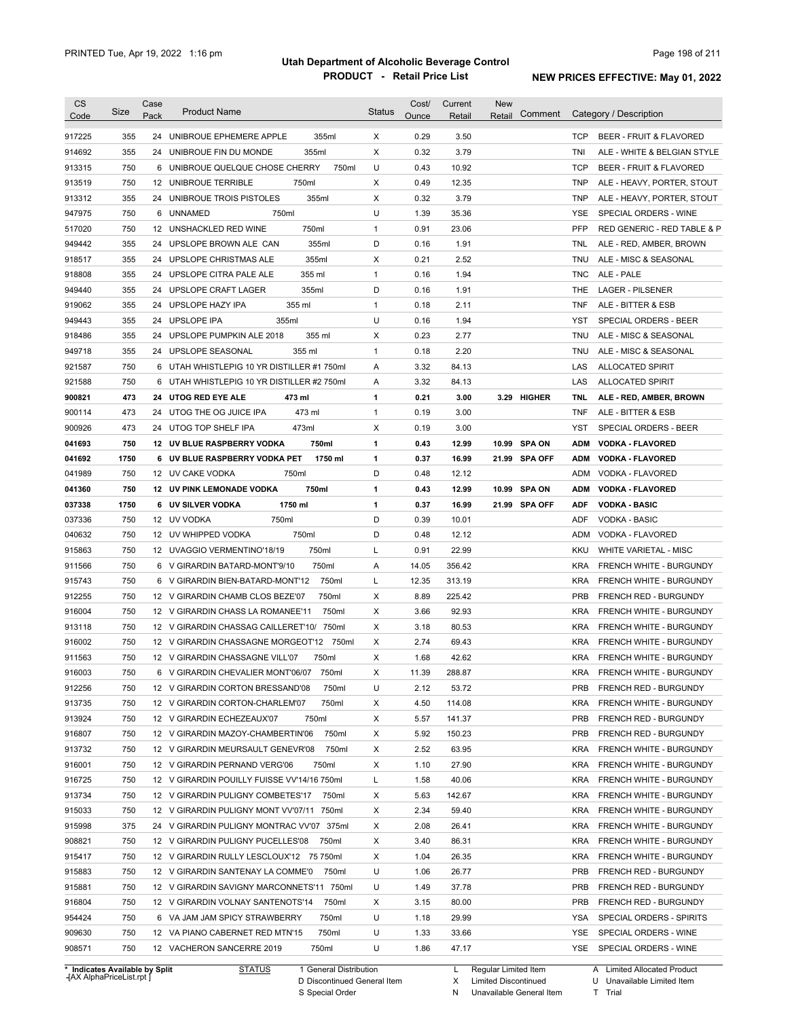| Code                                                                                                                 | Size | Case<br>Pack | <b>Product Name</b>                         |         | <b>Status</b> | Cost/<br>Ounce | Current<br>Retail | <b>New</b><br>Retail | Comment       |            | Category / Description             |
|----------------------------------------------------------------------------------------------------------------------|------|--------------|---------------------------------------------|---------|---------------|----------------|-------------------|----------------------|---------------|------------|------------------------------------|
| 917225                                                                                                               | 355  |              | 24 UNIBROUE EPHEMERE APPLE                  | 355ml   | X             | 0.29           | 3.50              |                      |               | TCP        | <b>BEER - FRUIT &amp; FLAVORED</b> |
| 914692                                                                                                               | 355  |              | 355ml<br>24 UNIBROUE FIN DU MONDE           |         | Х             | 0.32           | 3.79              |                      |               | TNI        | ALE - WHITE & BELGIAN STYLE        |
| 913315                                                                                                               | 750  |              | 6 UNIBROUE QUELQUE CHOSE CHERRY             | 750ml   | U             | 0.43           | 10.92             |                      |               | TCP        | BEER - FRUIT & FLAVORED            |
| 913519                                                                                                               | 750  |              | 12 UNIBROUE TERRIBLE<br>750ml               |         | Х             | 0.49           | 12.35             |                      |               | TNP        | ALE - HEAVY, PORTER, STOUT         |
| 913312                                                                                                               | 355  |              | 355ml<br>24 UNIBROUE TROIS PISTOLES         |         | Х             | 0.32           | 3.79              |                      |               | TNP        | ALE - HEAVY, PORTER, STOUT         |
| 947975                                                                                                               | 750  |              | 750ml<br>6 UNNAMED                          |         | U             | 1.39           | 35.36             |                      |               | YSE        | SPECIAL ORDERS - WINE              |
| 517020                                                                                                               | 750  |              | 12 UNSHACKLED RED WINE<br>750ml             |         | $\mathbf{1}$  | 0.91           | 23.06             |                      |               | <b>PFP</b> | RED GENERIC - RED TABLE & P        |
| 949442                                                                                                               | 355  |              | 24 UPSLOPE BROWN ALE CAN                    | 355ml   | D             | 0.16           | 1.91              |                      |               | TNL        | ALE - RED, AMBER, BROWN            |
| 918517                                                                                                               | 355  |              | 24 UPSLOPE CHRISTMAS ALE<br>355ml           |         | Х             | 0.21           | 2.52              |                      |               | TNU        | ALE - MISC & SEASONAL              |
| 918808                                                                                                               | 355  |              | 355 ml<br>24 UPSLOPE CITRA PALE ALE         |         | $\mathbf{1}$  | 0.16           | 1.94              |                      |               | TNC        | ALE - PALE                         |
| 949440                                                                                                               | 355  |              | 355ml<br>24 UPSLOPE CRAFT LAGER             |         | D             | 0.16           | 1.91              |                      |               | THE        | <b>LAGER - PILSENER</b>            |
| 919062                                                                                                               | 355  |              | 355 ml<br>24 UPSLOPE HAZY IPA               |         | $\mathbf{1}$  | 0.18           | 2.11              |                      |               | TNF        | ALE - BITTER & ESB                 |
| 949443                                                                                                               | 355  |              | 24 UPSLOPE IPA<br>355ml                     |         | U             | 0.16           | 1.94              |                      |               | YST        | <b>SPECIAL ORDERS - BEER</b>       |
| 918486                                                                                                               | 355  |              | 24 UPSLOPE PUMPKIN ALE 2018<br>355 ml       |         | Х             | 0.23           | 2.77              |                      |               | <b>TNU</b> | ALE - MISC & SEASONAL              |
| 949718                                                                                                               | 355  |              | 355 ml<br>24 UPSLOPE SEASONAL               |         | $\mathbf{1}$  | 0.18           | 2.20              |                      |               | TNU        | ALE - MISC & SEASONAL              |
| 921587                                                                                                               | 750  |              | 6 UTAH WHISTLEPIG 10 YR DISTILLER #1 750ml  |         | Α             | 3.32           | 84.13             |                      |               | LAS        | <b>ALLOCATED SPIRIT</b>            |
| 921588                                                                                                               | 750  |              | 6 UTAH WHISTLEPIG 10 YR DISTILLER #2 750ml  |         | Α             | 3.32           | 84.13             |                      |               | LAS        | <b>ALLOCATED SPIRIT</b>            |
| 900821                                                                                                               | 473  |              | 24 UTOG RED EYE ALE<br>473 ml               |         | 1             | 0.21           | 3.00              |                      | 3.29 HIGHER   | TNL        | ALE - RED, AMBER, BROWN            |
| 900114                                                                                                               | 473  |              | 24 UTOG THE OG JUICE IPA<br>473 ml          |         | $\mathbf{1}$  | 0.19           | 3.00              |                      |               | TNF        | ALE - BITTER & ESB                 |
| 900926                                                                                                               | 473  |              | 473ml<br>24 UTOG TOP SHELF IPA              |         | Х             | 0.19           | 3.00              |                      |               | YST        | SPECIAL ORDERS - BEER              |
| 041693                                                                                                               | 750  |              | 12 UV BLUE RASPBERRY VODKA                  | 750ml   | 1             | 0.43           | 12.99             | 10.99                | <b>SPA ON</b> | <b>ADM</b> | <b>VODKA - FLAVORED</b>            |
| 041692                                                                                                               | 1750 |              | 6 UV BLUE RASPBERRY VODKA PET               | 1750 ml | 1             | 0.37           | 16.99             |                      | 21.99 SPA OFF | ADM        | <b>VODKA - FLAVORED</b>            |
| 041989                                                                                                               | 750  |              | 12 UV CAKE VODKA<br>750ml                   |         | D             | 0.48           | 12.12             |                      |               | ADM        | VODKA - FLAVORED                   |
| 041360                                                                                                               | 750  |              | <b>12 UV PINK LEMONADE VODKA</b><br>750ml   |         | 1             | 0.43           | 12.99             | 10.99                | <b>SPA ON</b> | ADM        | <b>VODKA - FLAVORED</b>            |
| 037338                                                                                                               | 1750 |              | <b>6 UV SILVER VODKA</b><br>1750 ml         |         | 1             | 0.37           | 16.99             |                      | 21.99 SPA OFF | <b>ADF</b> | <b>VODKA - BASIC</b>               |
| 037336                                                                                                               | 750  |              | 750ml<br>12 UV VODKA                        |         | D             | 0.39           | 10.01             |                      |               | ADF        | <b>VODKA - BASIC</b>               |
| 040632                                                                                                               | 750  |              | 12 UV WHIPPED VODKA<br>750ml                |         | D             | 0.48           | 12.12             |                      |               | ADM        | VODKA - FLAVORED                   |
| 915863                                                                                                               | 750  |              | 12 UVAGGIO VERMENTINO'18/19                 | 750ml   | Г             | 0.91           | 22.99             |                      |               | KKU        | WHITE VARIETAL - MISC              |
| 911566                                                                                                               | 750  |              | 6 V GIRARDIN BATARD-MONT'9/10               | 750ml   | Α             | 14.05          | 356.42            |                      |               | KRA        | FRENCH WHITE - BURGUNDY            |
| 915743                                                                                                               | 750  |              | 6 V GIRARDIN BIEN-BATARD-MONT'12            | 750ml   | Г             | 12.35          | 313.19            |                      |               | <b>KRA</b> | FRENCH WHITE - BURGUNDY            |
| 912255                                                                                                               | 750  |              | 12 V GIRARDIN CHAMB CLOS BEZE'07            | 750ml   | Х             | 8.89           | 225.42            |                      |               | <b>PRB</b> | <b>FRENCH RED - BURGUNDY</b>       |
| 916004                                                                                                               | 750  |              | 12 V GIRARDIN CHASS LA ROMANEE'11           | 750ml   | X             | 3.66           | 92.93             |                      |               | <b>KRA</b> | FRENCH WHITE - BURGUNDY            |
| 913118                                                                                                               | 750  |              | 12 V GIRARDIN CHASSAG CAILLERET'10/ 750ml   |         | Х             | 3.18           | 80.53             |                      |               | KRA        | FRENCH WHITE - BURGUNDY            |
| 916002                                                                                                               | 750  |              | 12 V GIRARDIN CHASSAGNE MORGEOT'12 750ml    |         | Х             | 2.74           | 69.43             |                      |               | KRA        | <b>FRENCH WHITE - BURGUNDY</b>     |
|                                                                                                                      | 750  |              | 12 V GIRARDIN CHASSAGNE VILL'07             |         | X             | 1.68           | 42.62             |                      |               | <b>KRA</b> | FRENCH WHITE - BURGUNDY            |
| 911563                                                                                                               |      |              |                                             | 750ml   |               |                |                   |                      |               |            |                                    |
| 916003                                                                                                               | 750  |              | 6 V GIRARDIN CHEVALIER MONT'06/07 750ml     |         | х             | 11.39          |                   |                      |               |            | FRENCH WHITE - BURGUNDY            |
| 912256                                                                                                               | 750  |              |                                             |         |               |                | 288.87            |                      |               | KRA        |                                    |
|                                                                                                                      |      |              | 12 V GIRARDIN CORTON BRESSAND'08            | 750ml   | U             | 2.12           | 53.72             |                      |               | <b>PRB</b> | FRENCH RED - BURGUNDY              |
|                                                                                                                      | 750  |              | 12 V GIRARDIN CORTON-CHARLEM'07             | 750ml   | Х             | 4.50           | 114.08            |                      |               | <b>KRA</b> | FRENCH WHITE - BURGUNDY            |
|                                                                                                                      | 750  |              | 750ml<br>12 V GIRARDIN ECHEZEAUX'07         |         | Х             | 5.57           | 141.37            |                      |               | <b>PRB</b> | FRENCH RED - BURGUNDY              |
|                                                                                                                      | 750  |              | 12 V GIRARDIN MAZOY-CHAMBERTIN'06           | 750ml   | Х             | 5.92           | 150.23            |                      |               | PRB        | FRENCH RED - BURGUNDY              |
|                                                                                                                      | 750  |              | 12 V GIRARDIN MEURSAULT GENEVR'08           | 750ml   | Х             | 2.52           | 63.95             |                      |               | <b>KRA</b> | FRENCH WHITE - BURGUNDY            |
|                                                                                                                      | 750  |              | 12 V GIRARDIN PERNAND VERG'06               | 750ml   | Х             | 1.10           | 27.90             |                      |               | <b>KRA</b> | FRENCH WHITE - BURGUNDY            |
|                                                                                                                      | 750  |              | 12 V GIRARDIN POUILLY FUISSE VV'14/16 750ml |         | L             | 1.58           | 40.06             |                      |               | <b>KRA</b> | FRENCH WHITE - BURGUNDY            |
|                                                                                                                      | 750  |              | 12 V GIRARDIN PULIGNY COMBETES'17           | 750ml   | Х             | 5.63           | 142.67            |                      |               | <b>KRA</b> | FRENCH WHITE - BURGUNDY            |
|                                                                                                                      | 750  |              | 12 V GIRARDIN PULIGNY MONT VV'07/11 750ml   |         | Χ             | 2.34           | 59.40             |                      |               | KRA        | FRENCH WHITE - BURGUNDY            |
|                                                                                                                      | 375  |              | 24 V GIRARDIN PULIGNY MONTRAC VV'07 375ml   |         | Х             | 2.08           | 26.41             |                      |               | KRA        | FRENCH WHITE - BURGUNDY            |
|                                                                                                                      | 750  |              | 12 V GIRARDIN PULIGNY PUCELLES'08           | 750ml   | Х             | 3.40           | 86.31             |                      |               | <b>KRA</b> | FRENCH WHITE - BURGUNDY            |
|                                                                                                                      | 750  |              | 12 V GIRARDIN RULLY LESCLOUX'12 75 750ml    |         | Χ             | 1.04           | 26.35             |                      |               | KRA        | FRENCH WHITE - BURGUNDY            |
| 913735<br>913924<br>916807<br>913732<br>916001<br>916725<br>913734<br>915033<br>915998<br>908821<br>915417<br>915883 | 750  |              | 12 V GIRARDIN SANTENAY LA COMME'0           | 750ml   | U             | 1.06           | 26.77             |                      |               | PRB        | FRENCH RED - BURGUNDY              |
| 915881                                                                                                               | 750  |              | 12 V GIRARDIN SAVIGNY MARCONNETS'11 750ml   |         | U             | 1.49           | 37.78             |                      |               | PRB        | FRENCH RED - BURGUNDY              |
| 916804                                                                                                               | 750  |              | 12 V GIRARDIN VOLNAY SANTENOTS'14           | 750ml   | Χ             | 3.15           | 80.00             |                      |               | PRB        | FRENCH RED - BURGUNDY              |
|                                                                                                                      | 750  |              | 6 VA JAM JAM SPICY STRAWBERRY               | 750ml   | U             | 1.18           | 29.99             |                      |               | YSA        | SPECIAL ORDERS - SPIRITS           |
| 954424<br>909630                                                                                                     | 750  |              | 12 VA PIANO CABERNET RED MTN'15             | 750ml   | U             | 1.33           | 33.66             |                      |               | YSE        | SPECIAL ORDERS - WINE              |

**Case** [AX AlphaPriceList.rpt ]

D Discontinued General Item

S Special Order

X Limited Discontinued

N Unavailable General Item

U Unavailable Limited Item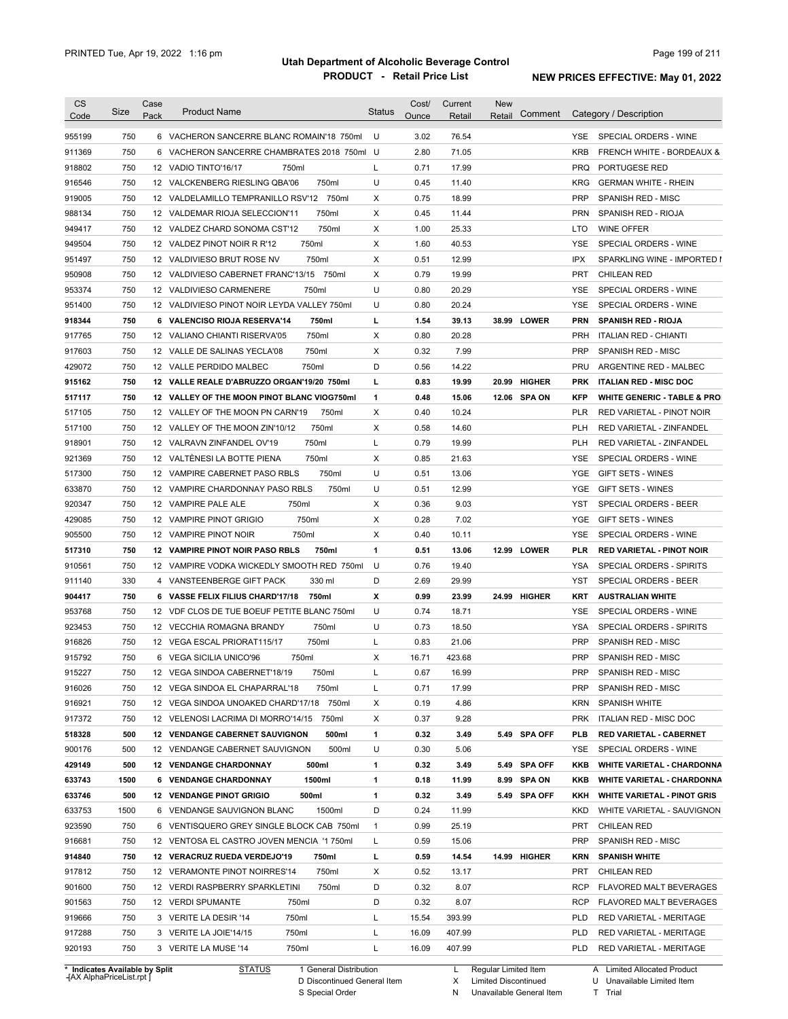|                                                                                                                                                                                            | Size | Case<br>Pack | <b>Product Name</b>                             | <b>Status</b> | Cost/<br>Ounce | Current<br>Retail | <b>New</b><br>Retail | Comment      |            | Category / Description                 |
|--------------------------------------------------------------------------------------------------------------------------------------------------------------------------------------------|------|--------------|-------------------------------------------------|---------------|----------------|-------------------|----------------------|--------------|------------|----------------------------------------|
| 955199                                                                                                                                                                                     | 750  |              | 6 VACHERON SANCERRE BLANC ROMAIN'18 750ml       | U             | 3.02           | 76.54             |                      |              | YSE.       | SPECIAL ORDERS - WINE                  |
| 911369                                                                                                                                                                                     | 750  |              | 6 VACHERON SANCERRE CHAMBRATES 2018 750ml U     |               | 2.80           | 71.05             |                      |              | <b>KRB</b> | <b>FRENCH WHITE - BORDEAUX &amp;</b>   |
| 918802                                                                                                                                                                                     | 750  |              | 12 VADIO TINTO'16/17<br>750ml                   | L             | 0.71           | 17.99             |                      |              | <b>PRQ</b> | PORTUGESE RED                          |
| 916546                                                                                                                                                                                     | 750  |              | 750ml<br>12 VALCKENBERG RIESLING QBA'06         | U             | 0.45           | 11.40             |                      |              | <b>KRG</b> | <b>GERMAN WHITE - RHEIN</b>            |
| 919005                                                                                                                                                                                     | 750  |              | 12 VALDELAMILLO TEMPRANILLO RSV'12 750ml        | х             | 0.75           | 18.99             |                      |              | <b>PRP</b> | SPANISH RED - MISC                     |
| 988134                                                                                                                                                                                     | 750  |              | 750ml<br>12 VALDEMAR RIOJA SELECCION'11         | Х             | 0.45           | 11.44             |                      |              | <b>PRN</b> | SPANISH RED - RIOJA                    |
| 949417                                                                                                                                                                                     | 750  |              | 750ml<br>12 VALDEZ CHARD SONOMA CST'12          | Х             | 1.00           | 25.33             |                      |              | LTO        | <b>WINE OFFER</b>                      |
| 949504                                                                                                                                                                                     | 750  |              | 750ml<br>12 VALDEZ PINOT NOIR R R'12            | Х             | 1.60           | 40.53             |                      |              | <b>YSE</b> | SPECIAL ORDERS - WINE                  |
| 951497                                                                                                                                                                                     | 750  |              | 750ml<br>12 VALDIVIESO BRUT ROSE NV             | Х             | 0.51           | 12.99             |                      |              | <b>IPX</b> | SPARKLING WINE - IMPORTED I            |
| 950908                                                                                                                                                                                     | 750  |              | 12 VALDIVIESO CABERNET FRANC'13/15 750ml        | Х             | 0.79           | 19.99             |                      |              | <b>PRT</b> | <b>CHILEAN RED</b>                     |
| 953374                                                                                                                                                                                     | 750  |              | 12 VALDIVIESO CARMENERE<br>750ml                | U             | 0.80           | 20.29             |                      |              | YSE        | SPECIAL ORDERS - WINE                  |
| 951400                                                                                                                                                                                     | 750  |              | 12 VALDIVIESO PINOT NOIR LEYDA VALLEY 750ml     | U             | 0.80           | 20.24             |                      |              | <b>YSE</b> | SPECIAL ORDERS - WINE                  |
| 918344                                                                                                                                                                                     | 750  |              | 6 VALENCISO RIOJA RESERVA'14<br>750ml           | L             | 1.54           | 39.13             |                      | 38.99 LOWER  | <b>PRN</b> | <b>SPANISH RED - RIOJA</b>             |
| 917765                                                                                                                                                                                     | 750  |              | 750ml<br>12 VALIANO CHIANTI RISERVA'05          | Х             | 0.80           | 20.28             |                      |              | <b>PRH</b> | <b>ITALIAN RED - CHIANTI</b>           |
| 917603                                                                                                                                                                                     | 750  |              | 750ml<br>12 VALLE DE SALINAS YECLA'08           | х             | 0.32           | 7.99              |                      |              | <b>PRP</b> | SPANISH RED - MISC                     |
| 429072                                                                                                                                                                                     | 750  |              | 750ml<br>12 VALLE PERDIDO MALBEC                | D             | 0.56           | 14.22             |                      |              | <b>PRU</b> | ARGENTINE RED - MALBEC                 |
| 915162                                                                                                                                                                                     | 750  |              | 12 VALLE REALE D'ABRUZZO ORGAN'19/20 750ml      | г             | 0.83           | 19.99             |                      | 20.99 HIGHER | <b>PRK</b> | <b>ITALIAN RED - MISC DOC</b>          |
| 517117                                                                                                                                                                                     | 750  |              | 12 VALLEY OF THE MOON PINOT BLANC VIOG750ml     | $\mathbf{1}$  | 0.48           | 15.06             |                      | 12.06 SPA ON | <b>KFP</b> | <b>WHITE GENERIC - TABLE &amp; PRO</b> |
| 517105                                                                                                                                                                                     | 750  |              | 12 VALLEY OF THE MOON PN CARN'19<br>750ml       | Х             | 0.40           | 10.24             |                      |              | <b>PLR</b> | RED VARIETAL - PINOT NOIR              |
| 517100                                                                                                                                                                                     | 750  |              | 750ml<br>12 VALLEY OF THE MOON ZIN'10/12        | Х             | 0.58           | 14.60             |                      |              | <b>PLH</b> | RED VARIETAL - ZINFANDEL               |
| 918901                                                                                                                                                                                     | 750  |              | 750ml<br>12 VALRAVN ZINFANDEL OV'19             | L             | 0.79           | 19.99             |                      |              | <b>PLH</b> | RED VARIETAL - ZINFANDEL               |
| 921369                                                                                                                                                                                     | 750  |              | 12 VALTENESI LA BOTTE PIENA<br>750ml            | Х             | 0.85           | 21.63             |                      |              | YSE        | SPECIAL ORDERS - WINE                  |
|                                                                                                                                                                                            |      |              |                                                 | U             |                |                   |                      |              | YGE        |                                        |
| 517300                                                                                                                                                                                     | 750  |              | 12 VAMPIRE CABERNET PASO RBLS<br>750ml          |               | 0.51           | 13.06             |                      |              |            | <b>GIFT SETS - WINES</b>               |
| 633870                                                                                                                                                                                     | 750  |              | 12 VAMPIRE CHARDONNAY PASO RBLS<br>750ml        | U             | 0.51           | 12.99             |                      |              | YGE        | <b>GIFT SETS - WINES</b>               |
| 920347                                                                                                                                                                                     | 750  |              | 12 VAMPIRE PALE ALE<br>750ml                    | Х             | 0.36           | 9.03              |                      |              | <b>YST</b> | SPECIAL ORDERS - BEER                  |
| 429085                                                                                                                                                                                     | 750  |              | 750ml<br>12 VAMPIRE PINOT GRIGIO                | Χ             | 0.28           | 7.02              |                      |              | YGE        | <b>GIFT SETS - WINES</b>               |
| 905500                                                                                                                                                                                     | 750  |              | 12 VAMPIRE PINOT NOIR<br>750ml                  | Х             | 0.40           | 10.11             |                      |              | YSE        | SPECIAL ORDERS - WINE                  |
| 517310                                                                                                                                                                                     | 750  |              | <b>12 VAMPIRE PINOT NOIR PASO RBLS</b><br>750ml | $\mathbf{1}$  | 0.51           | 13.06             |                      | 12.99 LOWER  | PLR        | <b>RED VARIETAL - PINOT NOIR</b>       |
| 910561                                                                                                                                                                                     | 750  |              | 12 VAMPIRE VODKA WICKEDLY SMOOTH RED 750ml      | U             | 0.76           | 19.40             |                      |              | YSA        | SPECIAL ORDERS - SPIRITS               |
| 911140                                                                                                                                                                                     | 330  |              | 330 ml<br>4 VANSTEENBERGE GIFT PACK             | D             | 2.69           | 29.99             |                      |              | YST        | SPECIAL ORDERS - BEER                  |
| 904417                                                                                                                                                                                     | 750  |              | 6 VASSE FELIX FILIUS CHARD'17/18<br>750ml       | x             | 0.99           | 23.99             |                      | 24.99 HIGHER | <b>KRT</b> | <b>AUSTRALIAN WHITE</b>                |
| 953768                                                                                                                                                                                     | 750  |              | 12 VDF CLOS DE TUE BOEUF PETITE BLANC 750ml     | U             | 0.74           | 18.71             |                      |              | YSE        | SPECIAL ORDERS - WINE                  |
| 923453                                                                                                                                                                                     | 750  |              | 750ml<br>12 VECCHIA ROMAGNA BRANDY              | U             | 0.73           | 18.50             |                      |              | YSA        | <b>SPECIAL ORDERS - SPIRITS</b>        |
| 916826                                                                                                                                                                                     | 750  |              |                                                 | L             | 0.83           | 21.06             |                      |              | <b>PRP</b> | SPANISH RED - MISC                     |
|                                                                                                                                                                                            |      |              | 12 VEGA ESCAL PRIORAT115/17<br>750ml            |               |                |                   |                      |              |            |                                        |
|                                                                                                                                                                                            | 750  |              | 6 VEGA SICILIA UNICO'96<br>750ml                | Х             | 16.71          | 423.68            |                      |              | <b>PRP</b> | SPANISH RED - MISC                     |
|                                                                                                                                                                                            | 750  |              | 750ml<br>12 VEGA SINDOA CABERNET'18/19          | L             | 0.67           | 16.99             |                      |              | <b>PRP</b> | SPANISH RED - MISC                     |
|                                                                                                                                                                                            | 750  |              | 12 VEGA SINDOA EL CHAPARRAL'18<br>750ml         | L             | 0.71           | 17.99             |                      |              | <b>PRP</b> | SPANISH RED - MISC                     |
|                                                                                                                                                                                            | 750  |              | 12 VEGA SINDOA UNOAKED CHARD'17/18 750ml        | Х             | 0.19           | 4.86              |                      |              | <b>KRN</b> | <b>SPANISH WHITE</b>                   |
|                                                                                                                                                                                            | 750  |              | 12 VELENOSI LACRIMA DI MORRO'14/15<br>750ml     | Х             | 0.37           | 9.28              |                      |              | <b>PRK</b> | <b>ITALIAN RED - MISC DOC</b>          |
|                                                                                                                                                                                            | 500  |              | 12 VENDANGE CABERNET SAUVIGNON<br>500ml         | 1             | 0.32           | 3.49              |                      | 5.49 SPA OFF | PLB        | RED VARIETAL - CABERNET                |
|                                                                                                                                                                                            | 500  |              | 500ml<br>12 VENDANGE CABERNET SAUVIGNON         | U             | 0.30           | 5.06              |                      |              | YSE        | SPECIAL ORDERS - WINE                  |
|                                                                                                                                                                                            | 500  |              | <b>12 VENDANGE CHARDONNAY</b><br>500ml          | 1             | 0.32           | 3.49              |                      | 5.49 SPA OFF | KKB        | <b>WHITE VARIETAL - CHARDONNA</b>      |
|                                                                                                                                                                                            | 1500 |              | 6 VENDANGE CHARDONNAY<br>1500ml                 | 1             | 0.18           | 11.99             |                      | 8.99 SPA ON  | KKB        | <b>WHITE VARIETAL - CHARDONNA</b>      |
|                                                                                                                                                                                            | 500  |              | <b>12 VENDANGE PINOT GRIGIO</b><br>500ml        | 1             | 0.32           | 3.49              |                      | 5.49 SPA OFF | KKH        | <b>WHITE VARIETAL - PINOT GRIS</b>     |
|                                                                                                                                                                                            | 1500 |              | 6 VENDANGE SAUVIGNON BLANC<br>1500ml            | D             | 0.24           | 11.99             |                      |              | <b>KKD</b> | WHITE VARIETAL - SAUVIGNON             |
|                                                                                                                                                                                            | 750  |              | 6 VENTISQUERO GREY SINGLE BLOCK CAB 750ml       | $\mathbf{1}$  | 0.99           | 25.19             |                      |              | PRT        | <b>CHILEAN RED</b>                     |
|                                                                                                                                                                                            | 750  |              | 12 VENTOSA EL CASTRO JOVEN MENCIA '1750ml       | L             | 0.59           | 15.06             |                      |              | <b>PRP</b> | SPANISH RED - MISC                     |
|                                                                                                                                                                                            | 750  |              | 12 VERACRUZ RUEDA VERDEJO'19<br>750ml           | L             | 0.59           | 14.54             |                      | 14.99 HIGHER | <b>KRN</b> | <b>SPANISH WHITE</b>                   |
|                                                                                                                                                                                            | 750  |              | 750ml<br>12 VERAMONTE PINOT NOIRRES'14          | X             | 0.52           | 13.17             |                      |              | PRT        | <b>CHILEAN RED</b>                     |
|                                                                                                                                                                                            | 750  |              | 750ml<br>12 VERDI RASPBERRY SPARKLETINI         | D             | 0.32           | 8.07              |                      |              | <b>RCP</b> | FLAVORED MALT BEVERAGES                |
|                                                                                                                                                                                            | 750  |              | 12 VERDI SPUMANTE<br>750ml                      | D             | 0.32           | 8.07              |                      |              | <b>RCP</b> | FLAVORED MALT BEVERAGES                |
|                                                                                                                                                                                            | 750  |              | 3 VERITE LA DESIR '14<br>750ml                  | Г             | 15.54          | 393.99            |                      |              | <b>PLD</b> | RED VARIETAL - MERITAGE                |
| 915792<br>915227<br>916026<br>916921<br>917372<br>518328<br>900176<br>429149<br>633743<br>633746<br>633753<br>923590<br>916681<br>914840<br>917812<br>901600<br>901563<br>919666<br>917288 | 750  |              | 3 VERITE LA JOIE'14/15<br>750ml                 | Г             | 16.09          | 407.99            |                      |              | <b>PLD</b> | RED VARIETAL - MERITAGE                |

**Case** [AX AlphaPriceList.rpt ]

D Discontinued General Item S Special Order

X

Limited Discontinued

N Unavailable General Item

U Unavailable Limited Item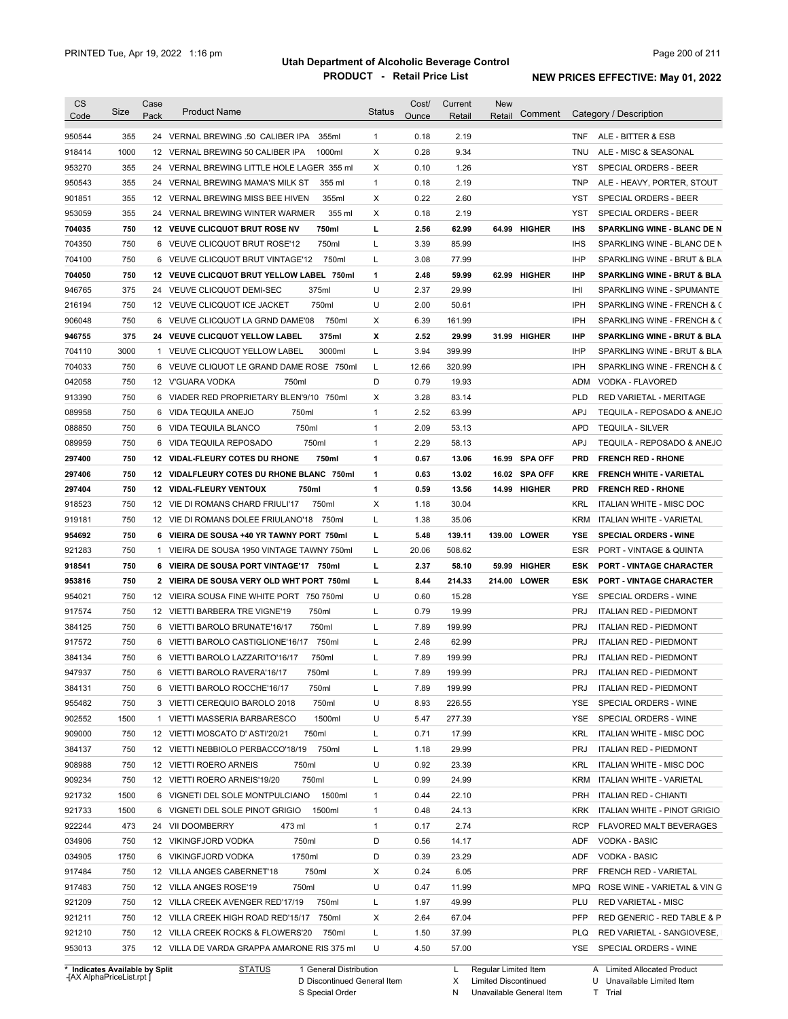|                                                                                                                                                                                            | Size | Case<br>Pack | <b>Product Name</b>                         | <b>Status</b> | Cost/<br>Ounce | Current | <b>New</b><br>Retail | Comment       |            | Category / Description                 |
|--------------------------------------------------------------------------------------------------------------------------------------------------------------------------------------------|------|--------------|---------------------------------------------|---------------|----------------|---------|----------------------|---------------|------------|----------------------------------------|
| Code                                                                                                                                                                                       |      |              |                                             |               |                | Retail  |                      |               |            |                                        |
| 950544                                                                                                                                                                                     | 355  |              | 24 VERNAL BREWING .50 CALIBER IPA<br>355ml  | $\mathbf{1}$  | 0.18           | 2.19    |                      |               | <b>TNF</b> | ALE - BITTER & ESB                     |
| 918414                                                                                                                                                                                     | 1000 |              | 12 VERNAL BREWING 50 CALIBER IPA<br>1000ml  | X             | 0.28           | 9.34    |                      |               | TNU        | ALE - MISC & SEASONAL                  |
| 953270                                                                                                                                                                                     | 355  |              | 24 VERNAL BREWING LITTLE HOLE LAGER 355 ml  | X             | 0.10           | 1.26    |                      |               | <b>YST</b> | SPECIAL ORDERS - BEER                  |
| 950543                                                                                                                                                                                     | 355  |              | 24 VERNAL BREWING MAMA'S MILK ST<br>355 ml  | $\mathbf{1}$  | 0.18           | 2.19    |                      |               | <b>TNP</b> | ALE - HEAVY, PORTER, STOUT             |
| 901851                                                                                                                                                                                     | 355  |              | 12 VERNAL BREWING MISS BEE HIVEN<br>355ml   | X             | 0.22           | 2.60    |                      |               | <b>YST</b> | SPECIAL ORDERS - BEER                  |
| 953059                                                                                                                                                                                     | 355  |              | 355 ml<br>24 VERNAL BREWING WINTER WARMER   | X             | 0.18           | 2.19    |                      |               | YST        | SPECIAL ORDERS - BEER                  |
| 704035                                                                                                                                                                                     | 750  |              | 750ml<br>12 VEUVE CLICQUOT BRUT ROSE NV     | г             | 2.56           | 62.99   |                      | 64.99 HIGHER  | <b>IHS</b> | SPARKLING WINE - BLANC DE N            |
| 704350                                                                                                                                                                                     | 750  |              | 750ml<br>6 VEUVE CLICQUOT BRUT ROSE'12      | L             | 3.39           | 85.99   |                      |               | <b>IHS</b> | SPARKLING WINE - BLANC DE N            |
| 704100                                                                                                                                                                                     | 750  |              | 750ml<br>6 VEUVE CLICQUOT BRUT VINTAGE'12   | L             | 3.08           | 77.99   |                      |               | <b>IHP</b> | SPARKLING WINE - BRUT & BLA            |
| 704050                                                                                                                                                                                     | 750  |              | 12 VEUVE CLICQUOT BRUT YELLOW LABEL 750ml   | 1             | 2.48           | 59.99   | 62.99                | <b>HIGHER</b> | <b>IHP</b> | <b>SPARKLING WINE - BRUT &amp; BLA</b> |
| 946765                                                                                                                                                                                     | 375  |              | 24 VEUVE CLICQUOT DEMI-SEC<br>375ml         | U             | 2.37           | 29.99   |                      |               | IHI        | SPARKLING WINE - SPUMANTE              |
| 216194                                                                                                                                                                                     | 750  |              | 12 VEUVE CLICQUOT ICE JACKET<br>750ml       | U             | 2.00           | 50.61   |                      |               | <b>IPH</b> | SPARKLING WINE - FRENCH & C            |
| 906048                                                                                                                                                                                     | 750  |              | 6 VEUVE CLICQUOT LA GRND DAME'08<br>750ml   | х             | 6.39           | 161.99  |                      |               | IPH        | SPARKLING WINE - FRENCH & C            |
| 946755                                                                                                                                                                                     | 375  |              | 375ml<br>24 VEUVE CLICQUOT YELLOW LABEL     | x             | 2.52           | 29.99   |                      | 31.99 HIGHER  | <b>IHP</b> | <b>SPARKLING WINE - BRUT &amp; BLA</b> |
| 704110                                                                                                                                                                                     | 3000 |              | 3000ml<br>1 VEUVE CLICQUOT YELLOW LABEL     | Г             | 3.94           | 399.99  |                      |               | <b>IHP</b> | SPARKLING WINE - BRUT & BLA            |
| 704033                                                                                                                                                                                     | 750  |              | 6 VEUVE CLIQUOT LE GRAND DAME ROSE 750ml    | L             | 12.66          | 320.99  |                      |               | IPH        | SPARKLING WINE - FRENCH & C            |
| 042058                                                                                                                                                                                     | 750  |              | 750ml<br>12 V'GUARA VODKA                   | D             | 0.79           | 19.93   |                      |               | <b>ADM</b> | VODKA - FLAVORED                       |
| 913390                                                                                                                                                                                     | 750  |              | 6 VIADER RED PROPRIETARY BLEN'9/10<br>750ml | х             | 3.28           | 83.14   |                      |               | <b>PLD</b> | RED VARIETAL - MERITAGE                |
|                                                                                                                                                                                            |      |              |                                             |               |                |         |                      |               |            |                                        |
| 089958                                                                                                                                                                                     | 750  |              | 750ml<br>6 VIDA TEQUILA ANEJO               | $\mathbf{1}$  | 2.52           | 63.99   |                      |               | <b>APJ</b> | TEQUILA - REPOSADO & ANEJO             |
| 088850                                                                                                                                                                                     | 750  | 6            | 750ml<br>VIDA TEQUILA BLANCO                | $\mathbf{1}$  | 2.09           | 53.13   |                      |               | <b>APD</b> | <b>TEQUILA - SILVER</b>                |
| 089959                                                                                                                                                                                     | 750  | 6            | 750ml<br>VIDA TEQUILA REPOSADO              | $\mathbf{1}$  | 2.29           | 58.13   |                      |               | <b>APJ</b> | TEQUILA - REPOSADO & ANEJO             |
| 297400                                                                                                                                                                                     | 750  |              | 12 VIDAL-FLEURY COTES DU RHONE<br>750ml     | 1             | 0.67           | 13.06   |                      | 16.99 SPA OFF | <b>PRD</b> | <b>FRENCH RED - RHONE</b>              |
| 297406                                                                                                                                                                                     | 750  |              | 12 VIDALFLEURY COTES DU RHONE BLANC 750ml   | 1             | 0.63           | 13.02   |                      | 16.02 SPA OFF | <b>KRE</b> | <b>FRENCH WHITE - VARIETAL</b>         |
| 297404                                                                                                                                                                                     | 750  |              | 12 VIDAL-FLEURY VENTOUX<br>750ml            | 1             | 0.59           | 13.56   |                      | 14.99 HIGHER  | <b>PRD</b> | <b>FRENCH RED - RHONE</b>              |
| 918523                                                                                                                                                                                     | 750  |              | 750ml<br>12 VIE DI ROMANS CHARD FRIULI'17   | х             | 1.18           | 30.04   |                      |               | <b>KRL</b> | <b>ITALIAN WHITE - MISC DOC</b>        |
| 919181                                                                                                                                                                                     | 750  |              | 12 VIE DI ROMANS DOLEE FRIULANO'18<br>750ml | L             | 1.38           | 35.06   |                      |               | <b>KRM</b> | <b>ITALIAN WHITE - VARIETAL</b>        |
| 954692                                                                                                                                                                                     | 750  |              | 6 VIEIRA DE SOUSA +40 YR TAWNY PORT 750ml   | г             | 5.48           | 139.11  |                      | 139.00 LOWER  | YSE        | <b>SPECIAL ORDERS - WINE</b>           |
| 921283                                                                                                                                                                                     | 750  |              | 1 VIEIRA DE SOUSA 1950 VINTAGE TAWNY 750ml  | L             | 20.06          | 508.62  |                      |               | ESR        | PORT - VINTAGE & QUINTA                |
| 918541                                                                                                                                                                                     | 750  |              | 6 VIEIRA DE SOUSA PORT VINTAGE'17 750ml     | L             | 2.37           | 58.10   | 59.99                | HIGHER        | <b>ESK</b> | PORT VINTAGE CHARACTER                 |
| 953816                                                                                                                                                                                     | 750  |              | 2 VIEIRA DE SOUSA VERY OLD WHT PORT 750ml   | L             | 8.44           | 214.33  |                      | 214.00 LOWER  | <b>ESK</b> | PORT VINTAGE CHARACTER                 |
| 954021                                                                                                                                                                                     | 750  |              | 12 VIEIRA SOUSA FINE WHITE PORT 750 750ml   | U             | 0.60           | 15.28   |                      |               | YSE        | SPECIAL ORDERS - WINE                  |
| 917574                                                                                                                                                                                     | 750  |              | 750ml<br>12 VIETTI BARBERA TRE VIGNE'19     | Г             | 0.79           | 19.99   |                      |               | <b>PRJ</b> | <b>ITALIAN RED - PIEDMONT</b>          |
| 384125                                                                                                                                                                                     | 750  |              |                                             | L             | 7.89           |         |                      |               | <b>PRJ</b> | <b>ITALIAN RED - PIEDMONT</b>          |
| 917572                                                                                                                                                                                     |      |              | 750ml<br>6 VIETTI BAROLO BRUNATE'16/17      |               |                | 199.99  |                      |               |            | <b>ITALIAN RED - PIEDMONT</b>          |
|                                                                                                                                                                                            | 750  |              | 750ml<br>6 VIETTI BAROLO CASTIGLIONE'16/17  | Г             | 2.48           | 62.99   |                      |               | <b>PRJ</b> |                                        |
|                                                                                                                                                                                            | 750  |              | 6 VIETTI BAROLO LAZZARITO'16/17<br>750ml    | Г             | 7.89           | 199.99  |                      |               | <b>PRJ</b> | <b>ITALIAN RED - PIEDMONT</b>          |
|                                                                                                                                                                                            |      |              |                                             |               |                |         |                      |               |            |                                        |
|                                                                                                                                                                                            | 750  |              | 6 VIETTI BAROLO RAVERA'16/17<br>750ml       |               | 7.89           | 199.99  |                      |               | <b>PRJ</b> | <b>ITALIAN RED - PIEDMONT</b>          |
|                                                                                                                                                                                            | 750  |              | 6 VIETTI BAROLO ROCCHE'16/17<br>750ml       | L             | 7.89           | 199.99  |                      |               | PRJ        | <b>ITALIAN RED - PIEDMONT</b>          |
|                                                                                                                                                                                            | 750  |              | 3 VIETTI CEREQUIO BAROLO 2018<br>750ml      | U             | 8.93           | 226.55  |                      |               | YSE        | SPECIAL ORDERS - WINE                  |
|                                                                                                                                                                                            | 1500 |              | 1500ml<br>1 VIETTI MASSERIA BARBARESCO      | U             | 5.47           | 277.39  |                      |               | YSE        | SPECIAL ORDERS - WINE                  |
|                                                                                                                                                                                            | 750  |              | 12 VIETTI MOSCATO D'ASTI'20/21<br>750ml     | L             | 0.71           | 17.99   |                      |               | KRL        | <b>ITALIAN WHITE - MISC DOC</b>        |
|                                                                                                                                                                                            | 750  |              | 750ml<br>12 VIETTI NEBBIOLO PERBACCO'18/19  | Г             | 1.18           | 29.99   |                      |               | <b>PRJ</b> | <b>ITALIAN RED - PIEDMONT</b>          |
|                                                                                                                                                                                            | 750  |              | 12 VIETTI ROERO ARNEIS<br>750ml             | U             | 0.92           | 23.39   |                      |               | KRL        | <b>ITALIAN WHITE - MISC DOC</b>        |
|                                                                                                                                                                                            | 750  |              | 750ml<br>12 VIETTI ROERO ARNEIS'19/20       | Г             | 0.99           | 24.99   |                      |               | KRM        | ITALIAN WHITE - VARIETAL               |
|                                                                                                                                                                                            | 1500 |              | 1500ml<br>6 VIGNETI DEL SOLE MONTPULCIANO   | 1             | 0.44           | 22.10   |                      |               | <b>PRH</b> | <b>ITALIAN RED - CHIANTI</b>           |
|                                                                                                                                                                                            | 1500 |              | 6 VIGNETI DEL SOLE PINOT GRIGIO<br>1500ml   | $\mathbf{1}$  | 0.48           | 24.13   |                      |               | <b>KRK</b> | ITALIAN WHITE - PINOT GRIGIO           |
|                                                                                                                                                                                            | 473  |              | 24 VII DOOMBERRY<br>473 ml                  | $\mathbf{1}$  | 0.17           | 2.74    |                      |               | RCP        | FLAVORED MALT BEVERAGES                |
|                                                                                                                                                                                            | 750  |              | 12 VIKINGFJORD VODKA<br>750ml               | D             | 0.56           | 14.17   |                      |               | ADF        | VODKA - BASIC                          |
|                                                                                                                                                                                            | 1750 |              | 1750ml<br>6 VIKINGFJORD VODKA               | D             | 0.39           | 23.29   |                      |               | ADF        | VODKA - BASIC                          |
|                                                                                                                                                                                            | 750  |              | 750ml<br>12 VILLA ANGES CABERNET'18         | х             | 0.24           | 6.05    |                      |               | PRF        | FRENCH RED - VARIETAL                  |
|                                                                                                                                                                                            | 750  |              | 750ml<br>12 VILLA ANGES ROSE'19             | U             | 0.47           | 11.99   |                      |               | MPQ        | ROSE WINE - VARIETAL & VIN G           |
|                                                                                                                                                                                            | 750  |              | 750ml<br>12 VILLA CREEK AVENGER RED'17/19   | L             | 1.97           | 49.99   |                      |               | PLU        | <b>RED VARIETAL - MISC</b>             |
|                                                                                                                                                                                            | 750  |              | 12 VILLA CREEK HIGH ROAD RED'15/17 750ml    | х             | 2.64           | 67.04   |                      |               | PFP        | RED GENERIC - RED TABLE & P            |
| 384134<br>947937<br>384131<br>955482<br>902552<br>909000<br>384137<br>908988<br>909234<br>921732<br>921733<br>922244<br>034906<br>034905<br>917484<br>917483<br>921209<br>921211<br>921210 | 750  |              | 12 VILLA CREEK ROCKS & FLOWERS'20<br>750ml  | L             | 1.50           | 37.99   |                      |               | <b>PLQ</b> | RED VARIETAL - SANGIOVESE,             |

**Case** [AX AlphaPriceList.rpt ]

D Discontinued General Item

S Special Order

X

Limited Discontinued

N Unavailable General Item

U Unavailable Limited Item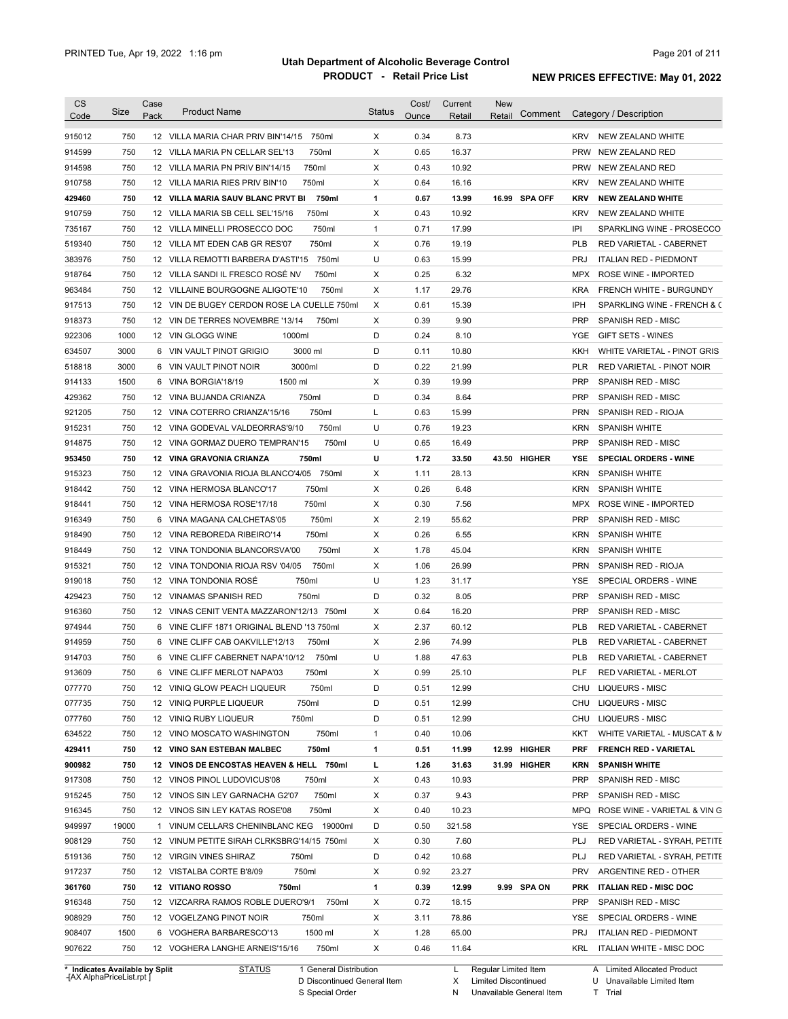| <b>CS</b>                      | Size  | Case | <b>Product Name</b>                         | <b>Status</b> | Cost/ | Current | <b>New</b>           |                                                |
|--------------------------------|-------|------|---------------------------------------------|---------------|-------|---------|----------------------|------------------------------------------------|
| Code                           |       | Pack |                                             |               | Ounce | Retail  | Comment<br>Retail    | Category / Description                         |
| 915012                         | 750   |      | 12 VILLA MARIA CHAR PRIV BIN'14/15<br>750ml | Χ             | 0.34  | 8.73    |                      | <b>KRV</b><br>NEW ZEALAND WHITE                |
| 914599                         | 750   |      | 750ml<br>12 VILLA MARIA PN CELLAR SEL'13    | X             | 0.65  | 16.37   |                      | <b>PRW</b><br>NEW ZEALAND RED                  |
| 914598                         | 750   |      | 750ml<br>12 VILLA MARIA PN PRIV BIN'14/15   | Х             | 0.43  | 10.92   |                      | <b>PRW</b><br>NEW ZEALAND RED                  |
| 910758                         | 750   |      | 750ml<br>12 VILLA MARIA RIES PRIV BIN'10    | X             | 0.64  | 16.16   |                      | <b>KRV</b><br>NEW ZEALAND WHITE                |
| 429460                         | 750   |      | 12 VILLA MARIA SAUV BLANC PRVT BI<br>750ml  | 1             | 0.67  | 13.99   | 16.99 SPA OFF        | <b>KRV</b><br><b>NEW ZEALAND WHITE</b>         |
| 910759                         | 750   |      | 750ml<br>12 VILLA MARIA SB CELL SEL'15/16   | X             | 0.43  | 10.92   |                      | <b>KRV</b><br>NEW ZEALAND WHITE                |
| 735167                         | 750   |      | 750ml<br>12 VILLA MINELLI PROSECCO DOC      | $\mathbf{1}$  | 0.71  | 17.99   |                      | IPI<br>SPARKLING WINE - PROSECCO               |
| 519340                         | 750   |      | 750ml<br>12 VILLA MT EDEN CAB GR RES'07     | Х             | 0.76  | 19.19   |                      | <b>PLB</b><br>RED VARIETAL - CABERNET          |
| 383976                         | 750   |      | 750ml<br>12 VILLA REMOTTI BARBERA D'ASTI'15 | U             | 0.63  | 15.99   |                      | <b>PRJ</b><br><b>ITALIAN RED - PIEDMONT</b>    |
| 918764                         | 750   |      | 12 VILLA SANDI IL FRESCO ROSÉ NV<br>750ml   | Х             | 0.25  | 6.32    |                      | <b>MPX</b><br>ROSE WINE - IMPORTED             |
| 963484                         | 750   |      | 750ml<br>12 VILLAINE BOURGOGNE ALIGOTE'10   | Х             | 1.17  | 29.76   |                      | <b>KRA</b><br>FRENCH WHITE - BURGUNDY          |
| 917513                         | 750   |      | 12 VIN DE BUGEY CERDON ROSE LA CUELLE 750ml | Х             | 0.61  | 15.39   |                      | IPH<br>SPARKLING WINE - FRENCH & C             |
| 918373                         | 750   |      | 12 VIN DE TERRES NOVEMBRE '13/14<br>750ml   | Х             | 0.39  | 9.90    |                      | <b>PRP</b><br>SPANISH RED - MISC               |
| 922306                         | 1000  |      | 12 VIN GLOGG WINE<br>1000ml                 | D             | 0.24  | 8.10    |                      | GIFT SETS - WINES<br>YGE                       |
| 634507                         | 3000  | 6    | 3000 ml<br>VIN VAULT PINOT GRIGIO           | D             | 0.11  | 10.80   |                      | KKH<br>WHITE VARIETAL - PINOT GRIS             |
| 518818                         | 3000  | 6    | VIN VAULT PINOT NOIR<br>3000ml              | D             | 0.22  | 21.99   |                      | <b>PLR</b><br><b>RED VARIETAL - PINOT NOIR</b> |
| 914133                         | 1500  | 6    | VINA BORGIA'18/19<br>1500 ml                | х             | 0.39  | 19.99   |                      | <b>PRP</b><br><b>SPANISH RED - MISC</b>        |
| 429362                         | 750   |      | 750ml<br>12 VINA BUJANDA CRIANZA            | D             | 0.34  | 8.64    |                      | <b>PRP</b><br><b>SPANISH RED - MISC</b>        |
| 921205                         | 750   |      | 750ml<br>12 VINA COTERRO CRIANZA'15/16      | L             | 0.63  | 15.99   |                      | <b>PRN</b><br>SPANISH RED - RIOJA              |
| 915231                         | 750   |      | 750ml<br>12 VINA GODEVAL VALDEORRAS'9/10    | U             | 0.76  | 19.23   |                      | <b>KRN</b><br><b>SPANISH WHITE</b>             |
| 914875                         | 750   |      | 750ml<br>12 VINA GORMAZ DUERO TEMPRAN'15    | U             | 0.65  | 16.49   |                      | <b>PRP</b><br>SPANISH RED - MISC               |
| 953450                         | 750   |      | 750ml<br>12 VINA GRAVONIA CRIANZA           | U             | 1.72  | 33.50   | 43.50 HIGHER         | YSE<br><b>SPECIAL ORDERS - WINE</b>            |
| 915323                         | 750   |      | 12 VINA GRAVONIA RIOJA BLANCO'4/05 750ml    | х             | 1.11  | 28.13   |                      | <b>KRN</b><br>SPANISH WHITE                    |
| 918442                         | 750   |      | 750ml<br>12 VINA HERMOSA BLANCO'17          | х             | 0.26  | 6.48    |                      | <b>KRN</b><br>SPANISH WHITE                    |
| 918441                         | 750   |      | 750ml<br>12 VINA HERMOSA ROSE'17/18         | Х             | 0.30  | 7.56    |                      | <b>MPX</b><br>ROSE WINE - IMPORTED             |
| 916349                         | 750   |      | 750ml<br>6 VINA MAGANA CALCHETAS'05         | Х             | 2.19  | 55.62   |                      | <b>PRP</b><br>SPANISH RED - MISC               |
| 918490                         | 750   |      | 750ml<br>12 VINA REBOREDA RIBEIRO'14        | х             | 0.26  | 6.55    |                      | <b>KRN</b><br><b>SPANISH WHITE</b>             |
| 918449                         | 750   |      | 750ml<br>12 VINA TONDONIA BLANCORSVA'00     | х             | 1.78  | 45.04   |                      | KRN<br><b>SPANISH WHITE</b>                    |
| 915321                         | 750   |      | 750ml<br>12 VINA TONDONIA RIOJA RSV '04/05  | Х             | 1.06  | 26.99   |                      | <b>PRN</b><br>SPANISH RED - RIOJA              |
| 919018                         | 750   |      | 12 VINA TONDONIA ROSE<br>750ml              | U             | 1.23  | 31.17   |                      | YSE<br>SPECIAL ORDERS - WINE                   |
| 429423                         | 750   |      | 12 VINAMAS SPANISH RED<br>750ml             | D             | 0.32  | 8.05    |                      | <b>PRP</b><br>SPANISH RED - MISC               |
| 916360                         | 750   |      | 12 VINAS CENIT VENTA MAZZARON'12/13 750ml   | Х             | 0.64  | 16.20   |                      | <b>PRP</b><br>SPANISH RED - MISC               |
| 974944                         | 750   |      | 6 VINE CLIFF 1871 ORIGINAL BLEND '13 750ml  | Х             | 2.37  | 60.12   |                      | PLB<br><b>RED VARIETAL - CABERNET</b>          |
| 914959                         | 750   |      | 750ml<br>6 VINE CLIFF CAB OAKVILLE'12/13    | Х             | 2.96  | 74.99   |                      | <b>PLB</b><br>RED VARIETAL - CABERNET          |
| 914703                         | 750   |      | 6 VINE CLIFF CABERNET NAPA'10/12<br>750ml   | U             | 1.88  | 47.63   |                      | <b>PLB</b><br>RED VARIETAL - CABERNET          |
| 913609                         | 750   |      | 6 VINE CLIFF MERLOT NAPA'03<br>750ml        | X             | 0.99  | 25.10   |                      | <b>PLF</b><br>RED VARIETAL - MERLOT            |
| 077770                         | 750   |      | 12 VINIQ GLOW PEACH LIQUEUR<br>750ml        | D             | 0.51  | 12.99   |                      | CHU<br>LIQUEURS - MISC                         |
| 077735                         | 750   |      | 12 VINIQ PURPLE LIQUEUR<br>750ml            | D             | 0.51  | 12.99   |                      | LIQUEURS - MISC<br>CHU                         |
| 077760                         | 750   |      | 750ml<br>12 VINIQ RUBY LIQUEUR              | D             | 0.51  | 12.99   |                      | LIQUEURS - MISC<br>CHU                         |
| 634522                         | 750   |      | 750ml<br>12 VINO MOSCATO WASHINGTON         | 1             | 0.40  | 10.06   |                      | KKT<br>WHITE VARIETAL - MUSCAT & M             |
| 429411                         | 750   |      | 750ml<br>12 VINO SAN ESTEBAN MALBEC         | 1             | 0.51  | 11.99   | 12.99 HIGHER         | <b>PRF</b><br><b>FRENCH RED - VARIETAL</b>     |
| 900982                         | 750   |      | 12 VINOS DE ENCOSTAS HEAVEN & HELL 750ml    | L             | 1.26  | 31.63   | 31.99 HIGHER         | <b>KRN</b><br><b>SPANISH WHITE</b>             |
| 917308                         | 750   |      | 12 VINOS PINOL LUDOVICUS'08<br>750ml        | Х             | 0.43  | 10.93   |                      | <b>PRP</b><br>SPANISH RED - MISC               |
| 915245                         | 750   |      | 750ml<br>12 VINOS SIN LEY GARNACHA G2'07    | Х             | 0.37  | 9.43    |                      | <b>PRP</b><br>SPANISH RED - MISC               |
| 916345                         | 750   |      | 750ml<br>12 VINOS SIN LEY KATAS ROSE'08     | Х             | 0.40  | 10.23   |                      | MPQ<br>ROSE WINE - VARIETAL & VIN G            |
| 949997                         | 19000 |      | 1 VINUM CELLARS CHENINBLANC KEG 19000ml     | D             | 0.50  | 321.58  |                      | YSE<br>SPECIAL ORDERS - WINE                   |
| 908129                         | 750   |      | 12 VINUM PETITE SIRAH CLRKSBRG'14/15 750ml  | Х             | 0.30  | 7.60    |                      | PLJ<br>RED VARIETAL - SYRAH, PETITE            |
| 519136                         | 750   |      | 12 VIRGIN VINES SHIRAZ<br>750ml             | D             | 0.42  | 10.68   |                      | PLJ<br>RED VARIETAL - SYRAH, PETITE            |
| 917237                         | 750   |      | 750ml<br>12 VISTALBA CORTE B'8/09           | Х             | 0.92  | 23.27   |                      | <b>PRV</b><br>ARGENTINE RED - OTHER            |
| 361760                         | 750   |      | 12 VITIANO ROSSO<br>750ml                   | 1             | 0.39  | 12.99   | 9.99 SPA ON          | <b>PRK</b><br><b>ITALIAN RED - MISC DOC</b>    |
| 916348                         | 750   |      | 12 VIZCARRA RAMOS ROBLE DUERO'9/1<br>750ml  | Х             | 0.72  | 18.15   |                      | PRP<br>SPANISH RED - MISC                      |
| 908929                         | 750   |      | 12 VOGELZANG PINOT NOIR<br>750ml            | Х             | 3.11  | 78.86   |                      | YSE<br>SPECIAL ORDERS - WINE                   |
| 908407                         | 1500  |      | 1500 ml<br>6 VOGHERA BARBARESCO'13          | Х             | 1.28  | 65.00   |                      | PRJ<br><b>ITALIAN RED - PIEDMONT</b>           |
| 907622                         | 750   |      | 750ml<br>12 VOGHERA LANGHE ARNEIS'15/16     | Х             | 0.46  | 11.64   |                      | KRL<br>ITALIAN WHITE - MISC DOC                |
| * Indicates Available by Split |       |      | STATUS<br>1 General Distribution            |               |       | L.      | Regular Limited Item | A Limited Allocated Product                    |

**Case** [AX AlphaPriceList.rpt ]

D Discontinued General Item S Special Order

Regular Limited Item

X

Limited Discontinued

N Unavailable General Item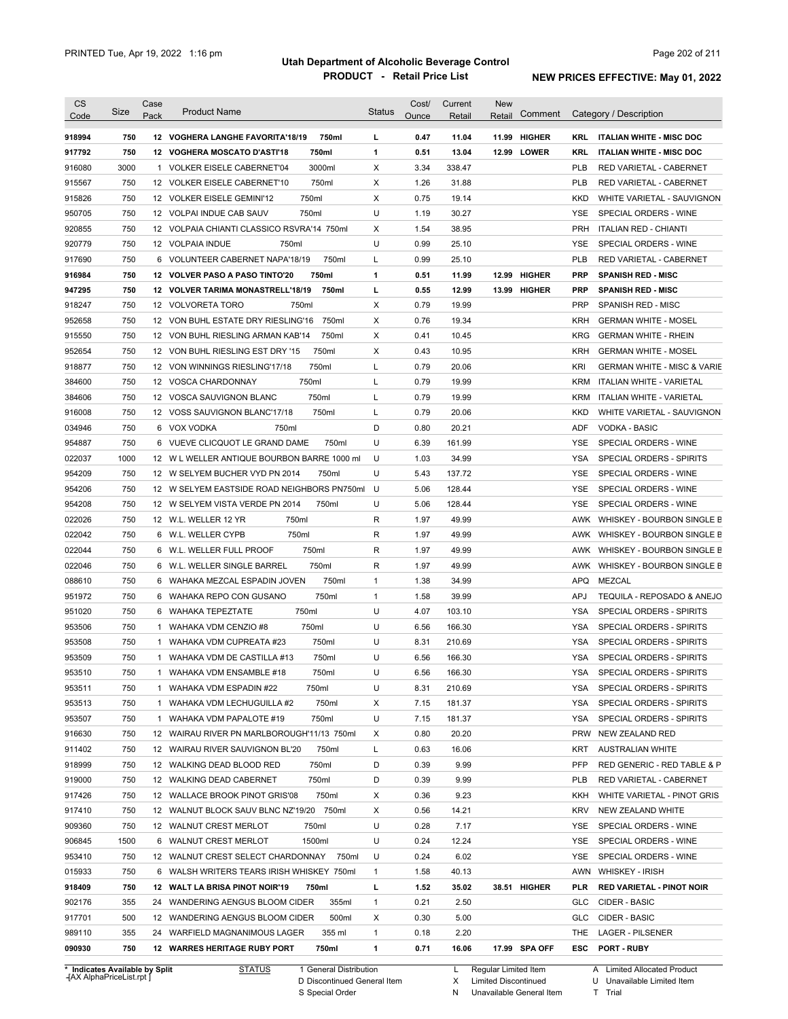| 918994           |      |              |                                             |              | Ounce | Retail | Comment       |            | Category / Description                 |
|------------------|------|--------------|---------------------------------------------|--------------|-------|--------|---------------|------------|----------------------------------------|
|                  | 750  |              | 750ml<br>12 VOGHERA LANGHE FAVORITA'18/19   | L            | 0.47  | 11.04  | 11.99 HIGHER  | KRL        | <b>ITALIAN WHITE - MISC DOC</b>        |
| 917792           | 750  |              | 750ml<br>12 VOGHERA MOSCATO D'ASTI'18       | 1            | 0.51  | 13.04  | 12.99 LOWER   | KRL        | <b>ITALIAN WHITE - MISC DOC</b>        |
| 916080           | 3000 |              | 3000ml<br>1 VOLKER EISELE CABERNET'04       | Χ            | 3.34  | 338.47 |               | <b>PLB</b> | RED VARIETAL - CABERNET                |
| 915567           | 750  |              | 750ml<br>12 VOLKER EISELE CABERNET'10       | Χ            | 1.26  | 31.88  |               | <b>PLB</b> | RED VARIETAL - CABERNET                |
| 915826           | 750  |              | 12 VOLKER EISELE GEMINI'12<br>750ml         | Χ            | 0.75  | 19.14  |               | <b>KKD</b> | WHITE VARIETAL - SAUVIGNON             |
| 950705           | 750  |              | 750ml<br>12 VOLPAI INDUE CAB SAUV           | U            | 1.19  | 30.27  |               | <b>YSE</b> | SPECIAL ORDERS - WINE                  |
| 920855           | 750  |              | 12 VOLPAIA CHIANTI CLASSICO RSVRA'14 750ml  | X            | 1.54  | 38.95  |               | <b>PRH</b> | <b>ITALIAN RED - CHIANTI</b>           |
| 920779           | 750  |              | 12 VOLPAIA INDUE<br>750ml                   | U            | 0.99  | 25.10  |               | <b>YSE</b> | SPECIAL ORDERS - WINE                  |
| 917690           | 750  |              | 750ml<br>6 VOLUNTEER CABERNET NAPA'18/19    | Г            | 0.99  | 25.10  |               | <b>PLB</b> | RED VARIETAL - CABERNET                |
| 916984           | 750  |              | 12 VOLVER PASO A PASO TINTO'20<br>750ml     | 1            | 0.51  | 11.99  | 12.99 HIGHER  | <b>PRP</b> | <b>SPANISH RED - MISC</b>              |
| 947295           | 750  |              | 12 VOLVER TARIMA MONASTRELL'18/19<br>750ml  | L            | 0.55  | 12.99  | 13.99 HIGHER  | <b>PRP</b> | <b>SPANISH RED - MISC</b>              |
| 918247           | 750  |              | 12 VOLVORETA TORO<br>750ml                  | Χ            | 0.79  | 19.99  |               | <b>PRP</b> | SPANISH RED - MISC                     |
| 952658           | 750  |              | 12 VON BUHL ESTATE DRY RIESLING'16<br>750ml | Χ            | 0.76  | 19.34  |               | <b>KRH</b> | <b>GERMAN WHITE - MOSEL</b>            |
| 915550           | 750  |              | 750ml<br>12 VON BUHL RIESLING ARMAN KAB'14  | Χ            | 0.41  | 10.45  |               | <b>KRG</b> | <b>GERMAN WHITE - RHEIN</b>            |
| 952654           | 750  |              | 750ml<br>12 VON BUHL RIESLING EST DRY '15   | Χ            | 0.43  | 10.95  |               | <b>KRH</b> | <b>GERMAN WHITE - MOSEL</b>            |
|                  | 750  |              | 750ml<br>12 VON WINNINGS RIESLING'17/18     | L            | 0.79  | 20.06  |               | KRI        | <b>GERMAN WHITE - MISC &amp; VARIE</b> |
| 918877           | 750  |              | 750ml<br>12 VOSCA CHARDONNAY                |              | 0.79  | 19.99  |               | <b>KRM</b> | <b>ITALIAN WHITE - VARIETAL</b>        |
| 384600<br>384606 | 750  |              | 750ml<br>12 VOSCA SAUVIGNON BLANC           | Г<br>L       | 0.79  | 19.99  |               | <b>KRM</b> | <b>ITALIAN WHITE - VARIETAL</b>        |
| 916008           | 750  |              | 750ml<br>12 VOSS SAUVIGNON BLANC'17/18      | L            | 0.79  | 20.06  |               | <b>KKD</b> | WHITE VARIETAL - SAUVIGNON             |
|                  |      |              |                                             |              |       |        |               |            |                                        |
| 034946           | 750  |              | 6 VOX VODKA<br>750ml                        | D            | 0.80  | 20.21  |               | ADF        | <b>VODKA - BASIC</b>                   |
| 954887           | 750  |              | 750ml<br>6 VUEVE CLICQUOT LE GRAND DAME     | U            | 6.39  | 161.99 |               | <b>YSE</b> | SPECIAL ORDERS - WINE                  |
| 022037           | 1000 |              | 12 W L WELLER ANTIQUE BOURBON BARRE 1000 ml | U            | 1.03  | 34.99  |               | <b>YSA</b> | SPECIAL ORDERS - SPIRITS               |
| 954209           | 750  |              | 12 W SELYEM BUCHER VYD PN 2014<br>750ml     | U            | 5.43  | 137.72 |               | <b>YSE</b> | SPECIAL ORDERS - WINE                  |
| 954206           | 750  |              | 12 W SELYEM EASTSIDE ROAD NEIGHBORS PN750ml | U            | 5.06  | 128.44 |               | <b>YSE</b> | SPECIAL ORDERS - WINE                  |
| 954208           | 750  |              | 12 W SELYEM VISTA VERDE PN 2014<br>750ml    | U            | 5.06  | 128.44 |               | <b>YSE</b> | SPECIAL ORDERS - WINE                  |
| 022026           | 750  |              | 750ml<br>12 W.L. WELLER 12 YR               | R            | 1.97  | 49.99  |               | AWK        | WHISKEY - BOURBON SINGLE B             |
| 022042           | 750  |              | 750ml<br>6 W.L. WELLER CYPB                 | R            | 1.97  | 49.99  |               | AWK        | WHISKEY - BOURBON SINGLE B             |
| 022044           | 750  | 6            | 750ml<br>W.L. WELLER FULL PROOF             | R            | 1.97  | 49.99  |               | AWK        | WHISKEY - BOURBON SINGLE B             |
| 022046           | 750  | 6            | 750ml<br>W.L. WELLER SINGLE BARREL          | R            | 1.97  | 49.99  |               | AWK        | WHISKEY - BOURBON SINGLE B             |
| 088610           | 750  | 6            | WAHAKA MEZCAL ESPADIN JOVEN<br>750ml        | $\mathbf{1}$ | 1.38  | 34.99  |               | <b>APQ</b> | MEZCAL                                 |
| 951972           | 750  | 6            | 750ml<br>WAHAKA REPO CON GUSANO             | $\mathbf{1}$ | 1.58  | 39.99  |               | APJ        | TEQUILA - REPOSADO & ANEJO             |
| 951020           | 750  | 6            | 750ml<br>WAHAKA TEPEZTATE                   | U            | 4.07  | 103.10 |               | YSA        | SPECIAL ORDERS - SPIRITS               |
| 953506           | 750  | $\mathbf{1}$ | 750ml<br>WAHAKA VDM CENZIO #8               | U            | 6.56  | 166.30 |               | YSA        | SPECIAL ORDERS - SPIRITS               |
| 953508           | 750  | $\mathbf{1}$ | 750ml<br>WAHAKA VDM CUPREATA #23            | U            | 8.31  | 210.69 |               | <b>YSA</b> | SPECIAL ORDERS - SPIRITS               |
| 953509           | 750  |              | 750ml<br>1 WAHAKA VDM DE CASTILLA #13       | U            | 6.56  | 166.30 |               | <b>YSA</b> | SPECIAL ORDERS - SPIRITS               |
| 953510           | 750  |              | 750ml<br>1 WAHAKA VDM ENSAMBLE #18          | U            | 6.56  | 166.30 |               | <b>YSA</b> | SPECIAL ORDERS - SPIRITS               |
| 953511           | 750  |              | 750ml<br>1 WAHAKA VDM ESPADIN #22           | U            | 8.31  | 210.69 |               | YSA        | SPECIAL ORDERS - SPIRITS               |
| 953513           | 750  |              | 750ml<br>1 WAHAKA VDM LECHUGUILLA #2        | X            | 7.15  | 181.37 |               | YSA        | SPECIAL ORDERS - SPIRITS               |
| 953507           | 750  |              | 750ml<br>1 WAHAKA VDM PAPALOTE #19          | U            | 7.15  | 181.37 |               | YSA        | SPECIAL ORDERS - SPIRITS               |
| 916630           | 750  |              | 12 WAIRAU RIVER PN MARLBOROUGH'11/13 750ml  | X            | 0.80  | 20.20  |               | <b>PRW</b> | NEW ZEALAND RED                        |
| 911402           | 750  |              | 750ml<br>12 WAIRAU RIVER SAUVIGNON BL'20    | Г            | 0.63  | 16.06  |               | KRT        | <b>AUSTRALIAN WHITE</b>                |
| 918999           | 750  |              | 750ml<br>12 WALKING DEAD BLOOD RED          | D            | 0.39  | 9.99   |               | <b>PFP</b> | RED GENERIC - RED TABLE & P            |
| 919000           | 750  |              | 750ml<br>12 WALKING DEAD CABERNET           | D            | 0.39  | 9.99   |               | <b>PLB</b> | RED VARIETAL - CABERNET                |
| 917426           | 750  |              | 750ml<br>12 WALLACE BROOK PINOT GRIS'08     | Χ            | 0.36  | 9.23   |               | KKH        | WHITE VARIETAL - PINOT GRIS            |
| 917410           | 750  |              | 12 WALNUT BLOCK SAUV BLNC NZ'19/20 750ml    | Х            | 0.56  | 14.21  |               | KRV        | NEW ZEALAND WHITE                      |
| 909360           | 750  |              | 12 WALNUT CREST MERLOT<br>750ml             | U            | 0.28  | 7.17   |               | YSE        | SPECIAL ORDERS - WINE                  |
| 906845           | 1500 |              | 6 WALNUT CREST MERLOT<br>1500ml             | U            | 0.24  | 12.24  |               | YSE        | SPECIAL ORDERS - WINE                  |
| 953410           | 750  |              | 12 WALNUT CREST SELECT CHARDONNAY<br>750ml  | U            | 0.24  | 6.02   |               | YSE        | SPECIAL ORDERS - WINE                  |
| 015933           | 750  |              | 6 WALSH WRITERS TEARS IRISH WHISKEY 750ml   | $\mathbf{1}$ | 1.58  | 40.13  |               | AWN        | <b>WHISKEY - IRISH</b>                 |
| 918409           | 750  |              | 12 WALT LA BRISA PINOT NOIR'19<br>750ml     | L            | 1.52  | 35.02  | 38.51 HIGHER  | PLR        | <b>RED VARIETAL - PINOT NOIR</b>       |
| 902176           | 355  |              | 24 WANDERING AENGUS BLOOM CIDER<br>355ml    | $\mathbf{1}$ | 0.21  | 2.50   |               | <b>GLC</b> | CIDER - BASIC                          |
| 917701           | 500  |              | 500ml<br>12 WANDERING AENGUS BLOOM CIDER    | Х            | 0.30  | 5.00   |               | <b>GLC</b> | CIDER - BASIC                          |
| 989110           | 355  |              | 24 WARFIELD MAGNANIMOUS LAGER<br>355 ml     | $\mathbf{1}$ | 0.18  | 2.20   |               | THE        | LAGER - PILSENER                       |
|                  |      |              | 12 WARRES HERITAGE RUBY PORT<br>750ml       | 1            | 0.71  | 16.06  | 17.99 SPA OFF | <b>ESC</b> | PORT - RUBY                            |

**Case** [AX AlphaPriceList.rpt ]

D Discontinued General Item S Special Order

Regular Limited Item

X

Limited Discontinued

N Unavailable General Item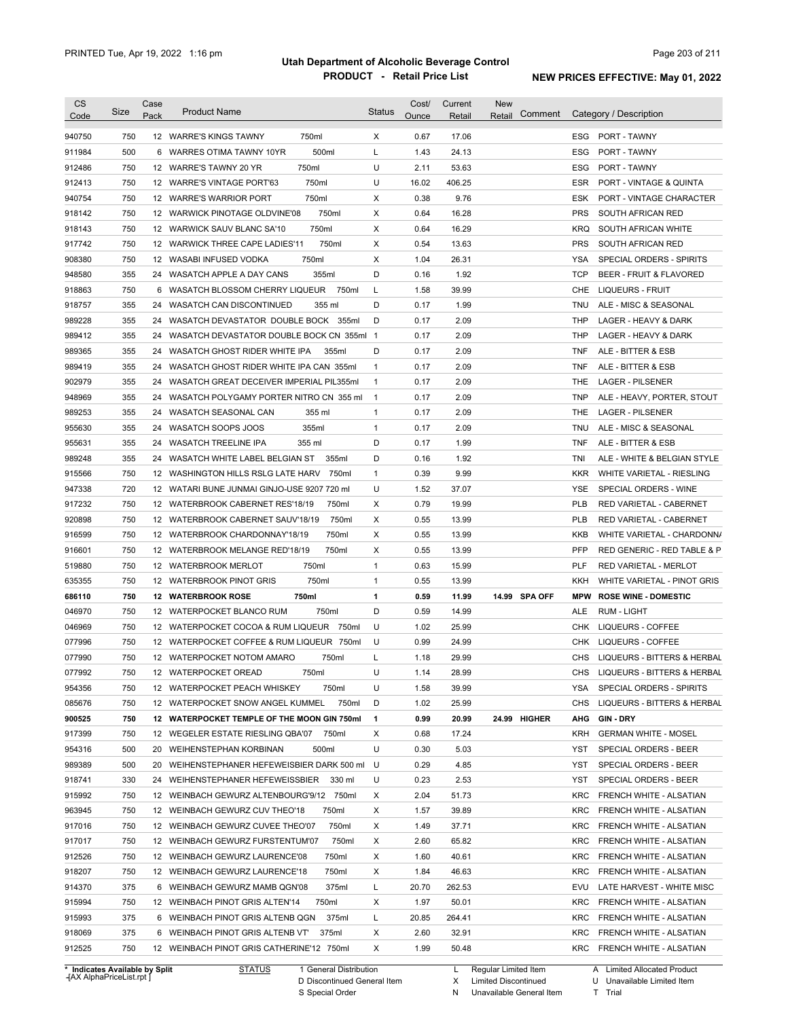| <b>CS</b><br>Code              | Size       | Case<br>Pack | <b>Product Name</b>                                                   |                        | <b>Status</b>                | Cost/<br>Ounce | Current<br><u>Retail</u> | New<br>Comment<br>Retail |                   | Category / Description                  |
|--------------------------------|------------|--------------|-----------------------------------------------------------------------|------------------------|------------------------------|----------------|--------------------------|--------------------------|-------------------|-----------------------------------------|
| 940750                         | 750        |              | 12 WARRE'S KINGS TAWNY                                                | 750ml                  | X                            | 0.67           | 17.06                    |                          |                   | ESG PORT - TAWNY                        |
| 911984                         | 500        |              | 6 WARRES OTIMA TAWNY 10YR                                             | 500ml                  | L                            | 1.43           | 24.13                    |                          | ESG               | PORT - TAWNY                            |
| 912486                         | 750        |              | 12 WARRE'S TAWNY 20 YR                                                | 750ml                  | U                            | 2.11           | 53.63                    |                          | ESG               | PORT - TAWNY                            |
| 912413                         | 750        |              | 12 WARRE'S VINTAGE PORT'63                                            | 750ml                  | U                            | 16.02          | 406.25                   |                          | <b>ESR</b>        | <b>PORT - VINTAGE &amp; QUINTA</b>      |
| 940754                         | 750        |              | 12 WARRE'S WARRIOR PORT                                               | 750ml                  | Χ                            | 0.38           | 9.76                     |                          | ESK               | PORT - VINTAGE CHARACTER                |
| 918142                         | 750        |              | 12 WARWICK PINOTAGE OLDVINE'08                                        | 750ml                  | Х                            | 0.64           | 16.28                    |                          | <b>PRS</b>        | SOUTH AFRICAN RED                       |
| 918143                         | 750        |              | 12 WARWICK SAUV BLANC SA'10                                           | 750ml                  | Χ                            | 0.64           | 16.29                    |                          | KRQ               | SOUTH AFRICAN WHITE                     |
| 917742                         | 750        |              | 12 WARWICK THREE CAPE LADIES'11                                       | 750ml                  | Х                            | 0.54           | 13.63                    |                          | <b>PRS</b>        | SOUTH AFRICAN RED                       |
| 908380                         | 750        |              | 12 WASABI INFUSED VODKA                                               | 750ml                  | Χ                            | 1.04           | 26.31                    |                          | YSA               | SPECIAL ORDERS - SPIRITS                |
| 948580                         | 355        |              | 24 WASATCH APPLE A DAY CANS                                           | 355ml                  | D                            | 0.16           | 1.92                     |                          | TCP               | BEER - FRUIT & FLAVORED                 |
| 918863                         | 750        |              | 6 WASATCH BLOSSOM CHERRY LIQUEUR                                      | 750ml                  | Г                            | 1.58           | 39.99                    |                          | CHE               | LIQUEURS - FRUIT                        |
| 918757                         | 355        |              | 24 WASATCH CAN DISCONTINUED                                           | 355 ml                 | D                            | 0.17           | 1.99                     |                          | TNU               | ALE - MISC & SEASONAL                   |
| 989228                         | 355        |              | 24 WASATCH DEVASTATOR DOUBLE BOCK 355ml                               |                        | D                            | 0.17           | 2.09                     |                          | THP               | LAGER - HEAVY & DARK                    |
| 989412                         | 355        |              | 24 WASATCH DEVASTATOR DOUBLE BOCK CN 355ml 1                          |                        |                              | 0.17           | 2.09                     |                          | THP               | LAGER - HEAVY & DARK                    |
| 989365                         | 355        |              | 24 WASATCH GHOST RIDER WHITE IPA                                      | 355ml                  | D                            | 0.17           | 2.09                     |                          | TNF               | ALE - BITTER & ESB                      |
| 989419                         | 355        |              | 24 WASATCH GHOST RIDER WHITE IPA CAN 355ml                            |                        | $\mathbf{1}$                 | 0.17           | 2.09                     |                          | TNF               | ALE - BITTER & ESB                      |
| 902979                         | 355        |              | 24 WASATCH GREAT DECEIVER IMPERIAL PIL355ml                           |                        | $\mathbf{1}$                 | 0.17           | 2.09                     |                          | THE               | <b>LAGER - PILSENER</b>                 |
| 948969                         | 355        |              | 24 WASATCH POLYGAMY PORTER NITRO CN 355 ml                            |                        | $\overline{1}$               | 0.17           | 2.09                     |                          | <b>TNP</b>        | ALE - HEAVY, PORTER, STOUT              |
| 989253                         | 355        |              | 24 WASATCH SEASONAL CAN                                               | 355 ml                 | $\mathbf{1}$                 | 0.17           | 2.09                     |                          | THE               | <b>LAGER - PILSENER</b>                 |
| 955630                         | 355        |              | 24 WASATCH SOOPS JOOS                                                 | 355ml                  | $\mathbf{1}$                 | 0.17           | 2.09                     |                          | TNU               | ALE - MISC & SEASONAL                   |
| 955631                         | 355        |              | 24 WASATCH TREELINE IPA                                               | 355 ml                 | D                            | 0.17           | 1.99                     |                          | <b>TNF</b>        | ALE - BITTER & ESB                      |
| 989248                         | 355        |              | 24 WASATCH WHITE LABEL BELGIAN ST                                     | 355ml                  | D                            | 0.16           | 1.92                     |                          | TNI               | ALE - WHITE & BELGIAN STYLE             |
| 915566                         | 750        |              | 12 WASHINGTON HILLS RSLG LATE HARV                                    | 750ml                  | $\mathbf{1}$                 | 0.39           | 9.99                     |                          | <b>KKR</b>        | WHITE VARIETAL - RIESLING               |
| 947338                         | 720        |              | 12 WATARI BUNE JUNMAI GINJO-USE 9207 720 ml                           |                        | U                            | 1.52           | 37.07                    |                          | YSE               | SPECIAL ORDERS - WINE                   |
|                                | 750        |              |                                                                       |                        | Х                            | 0.79           |                          |                          | <b>PLB</b>        |                                         |
| 917232                         | 750        |              | 12 WATERBROOK CABERNET RES'18/19<br>12 WATERBROOK CABERNET SAUV'18/19 | 750ml<br>750ml         | Χ                            | 0.55           | 19.99<br>13.99           |                          | <b>PLB</b>        | RED VARIETAL - CABERNET                 |
| 920898                         | 750        |              |                                                                       | 750ml                  |                              | 0.55           |                          |                          |                   | RED VARIETAL - CABERNET                 |
| 916599                         |            |              | 12 WATERBROOK CHARDONNAY'18/19                                        |                        | Х                            |                | 13.99                    |                          | KKB<br><b>PFP</b> | WHITE VARIETAL - CHARDONN/              |
| 916601                         | 750        |              | 12 WATERBROOK MELANGE RED'18/19                                       | 750ml                  | Х                            | 0.55           | 13.99                    |                          |                   | RED GENERIC - RED TABLE & P             |
| 519880                         | 750<br>750 |              | 12 WATERBROOK MERLOT                                                  | 750ml<br>750ml         | $\mathbf{1}$<br>$\mathbf{1}$ | 0.63<br>0.55   | 15.99<br>13.99           |                          | <b>PLF</b><br>KKH | RED VARIETAL - MERLOT                   |
| 635355                         |            |              | 12 WATERBROOK PINOT GRIS                                              |                        |                              |                |                          | 14.99 SPA OFF            |                   | WHITE VARIETAL - PINOT GRIS             |
| 686110                         | 750        |              | 12 WATERBROOK ROSE<br>12 WATERPOCKET BLANCO RUM                       | 750ml                  | 1<br>D                       | 0.59           | 11.99                    |                          | <b>MPW</b>        | <b>ROSE WINE - DOMESTIC</b>             |
| 046970                         | 750        |              | 12 WATERPOCKET COCOA & RUM LIQUEUR                                    | 750ml                  | U                            | 0.59           | 14.99                    |                          | ALE               | RUM - LIGHT<br><b>LIQUEURS - COFFEE</b> |
| 046969                         | 750        |              |                                                                       | 750ml                  |                              | 1.02           | 25.99                    |                          | CHK               |                                         |
| 077996                         | 750        |              | 12 WATERPOCKET COFFEE & RUM LIQUEUR 750ml                             |                        | U                            | 0.99           | 24.99                    |                          | CHK               | LIQUEURS - COFFEE                       |
| 077990                         | 750        |              | 12 WATERPOCKET NOTOM AMARO                                            | 750ml                  | Г                            | 1.18           | 29.99                    |                          | CHS               | LIQUEURS - BITTERS & HERBAL             |
| 077992                         | 750        |              | 12 WATERPOCKET OREAD                                                  | 750ml                  |                              | 1.14           | 28.99                    |                          |                   | CHS LIQUEURS - BITTERS & HERBAL         |
| 954356                         | 750        |              | 12 WATERPOCKET PEACH WHISKEY                                          | 750ml                  | U                            | 1.58           | 39.99                    |                          | YSA               | SPECIAL ORDERS - SPIRITS                |
| 085676                         | 750        |              | 12 WATERPOCKET SNOW ANGEL KUMMEL                                      | 750ml                  | D                            | 1.02           | 25.99                    |                          | CHS               | LIQUEURS - BITTERS & HERBAL             |
| 900525                         | 750        |              | 12 WATERPOCKET TEMPLE OF THE MOON GIN 750ml                           |                        | $\mathbf{1}$                 | 0.99           | 20.99                    | 24.99 HIGHER             | AHG               | <b>GIN - DRY</b>                        |
| 917399                         | 750        |              | 12 WEGELER ESTATE RIESLING QBA'07                                     | 750ml                  | Х                            | 0.68           | 17.24                    |                          | KRH               | <b>GERMAN WHITE - MOSEL</b>             |
| 954316                         | 500        | 20           | WEIHENSTEPHAN KORBINAN                                                | 500ml                  | U                            | 0.30           | 5.03                     |                          | YST               | SPECIAL ORDERS - BEER                   |
| 989389                         | 500        | 20           | WEIHENSTEPHANER HEFEWEISBIER DARK 500 ml                              |                        | U                            | 0.29           | 4.85                     |                          | YST               | SPECIAL ORDERS - BEER                   |
| 918741                         | 330        | 24           | WEIHENSTEPHANER HEFEWEISSBIER                                         | 330 ml                 | U                            | 0.23           | 2.53                     |                          | YST               | SPECIAL ORDERS - BEER                   |
| 915992                         | 750        |              | 12 WEINBACH GEWURZ ALTENBOURG'9/12 750ml                              |                        | Х                            | 2.04           | 51.73                    |                          | KRC               | FRENCH WHITE - ALSATIAN                 |
| 963945                         | 750        |              | 12 WEINBACH GEWURZ CUV THEO'18                                        | 750ml                  | Х                            | 1.57           | 39.89                    |                          | KRC               | FRENCH WHITE - ALSATIAN                 |
| 917016                         | 750        |              | 12 WEINBACH GEWURZ CUVEE THEO'07                                      | 750ml                  | Х                            | 1.49           | 37.71                    |                          | KRC               | FRENCH WHITE - ALSATIAN                 |
| 917017                         | 750        |              | 12 WEINBACH GEWURZ FURSTENTUM'07                                      | 750ml                  | Х                            | 2.60           | 65.82                    |                          | KRC               | FRENCH WHITE - ALSATIAN                 |
| 912526                         | 750        |              | 12 WEINBACH GEWURZ LAURENCE'08                                        | 750ml                  | х                            | 1.60           | 40.61                    |                          | KRC               | FRENCH WHITE - ALSATIAN                 |
| 918207                         | 750        |              | 12 WEINBACH GEWURZ LAURENCE'18                                        | 750ml                  | х                            | 1.84           | 46.63                    |                          | KRC               | FRENCH WHITE - ALSATIAN                 |
| 914370                         | 375        |              | 6 WEINBACH GEWURZ MAMB QGN'08                                         | 375ml                  | Г                            | 20.70          | 262.53                   |                          | EVU               | LATE HARVEST - WHITE MISC               |
| 915994                         | 750        |              | 12 WEINBACH PINOT GRIS ALTEN'14                                       | 750ml                  | х                            | 1.97           | 50.01                    |                          | <b>KRC</b>        | FRENCH WHITE - ALSATIAN                 |
| 915993                         | 375        |              | 6 WEINBACH PINOT GRIS ALTENB QGN                                      | 375ml                  | Г                            | 20.85          | 264.41                   |                          | KRC               | FRENCH WHITE - ALSATIAN                 |
| 918069                         | 375        |              | 6 WEINBACH PINOT GRIS ALTENB VT'                                      | 375ml                  | Х                            | 2.60           | 32.91                    |                          | <b>KRC</b>        | FRENCH WHITE - ALSATIAN                 |
| 912525                         | 750        |              | 12 WEINBACH PINOT GRIS CATHERINE'12 750ml                             |                        | Χ                            | 1.99           | 50.48                    |                          | KRC               | FRENCH WHITE - ALSATIAN                 |
| * Indicates Available by Split |            |              | <b>STATUS</b>                                                         | 1 General Distribution |                              |                | L                        | Regular Limited Item     |                   | A Limited Allocated Product             |

**Case** [AX AlphaPriceList.rpt ]

D Discontinued General Item S Special Order

X

Limited Discontinued

N Unavailable General Item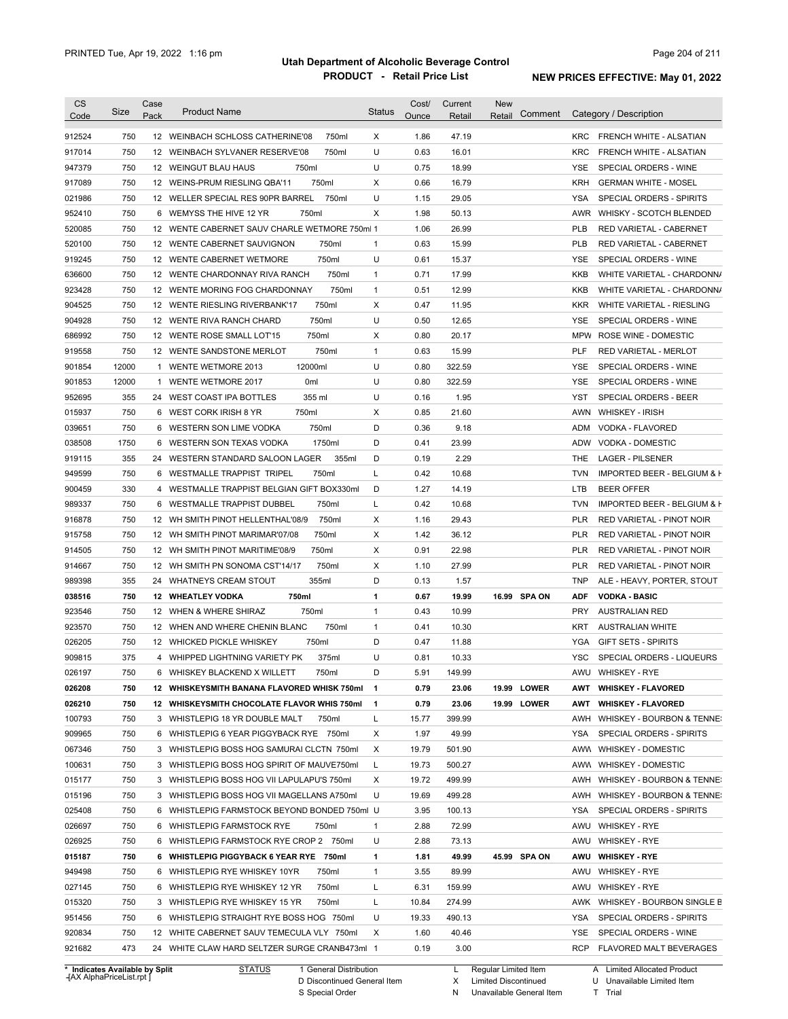| <b>CS</b><br>Code                                                                                                                        | Size  | Case<br>Pack | <b>Product Name</b>                                                     | <b>Status</b> | Cost/<br>Ounce | Current<br>Retail | <b>New</b><br>Comment<br>Retail |                          | Category / Description                                  |
|------------------------------------------------------------------------------------------------------------------------------------------|-------|--------------|-------------------------------------------------------------------------|---------------|----------------|-------------------|---------------------------------|--------------------------|---------------------------------------------------------|
| 912524                                                                                                                                   | 750   |              | 12 WEINBACH SCHLOSS CATHERINE'08<br>750ml                               | X             | 1.86           | 47.19             |                                 | <b>KRC</b>               | FRENCH WHITE - ALSATIAN                                 |
| 917014                                                                                                                                   | 750   |              | 750ml<br>12 WEINBACH SYLVANER RESERVE'08                                | U             | 0.63           | 16.01             |                                 | <b>KRC</b>               | FRENCH WHITE - ALSATIAN                                 |
| 947379                                                                                                                                   | 750   |              | 750ml<br>12 WEINGUT BLAU HAUS                                           | U             | 0.75           | 18.99             |                                 | <b>YSE</b>               | SPECIAL ORDERS - WINE                                   |
| 917089                                                                                                                                   | 750   |              | 750ml<br>12 WEINS-PRUM RIESLING QBA'11                                  | Х             | 0.66           | 16.79             |                                 | <b>KRH</b>               | <b>GERMAN WHITE - MOSEL</b>                             |
| 021986                                                                                                                                   | 750   |              | 12 WELLER SPECIAL RES 90PR BARREL<br>750ml                              | U             | 1.15           | 29.05             |                                 | <b>YSA</b>               | SPECIAL ORDERS - SPIRITS                                |
| 952410                                                                                                                                   | 750   |              | 750ml<br>6 WEMYSS THE HIVE 12 YR                                        | X             | 1.98           | 50.13             |                                 | AWR                      | WHISKY - SCOTCH BLENDED                                 |
| 520085                                                                                                                                   | 750   |              | 12 WENTE CABERNET SAUV CHARLE WETMORE 750ml 1                           |               | 1.06           | 26.99             |                                 | PLB                      | RED VARIETAL - CABERNET                                 |
| 520100                                                                                                                                   | 750   |              | 12 WENTE CABERNET SAUVIGNON<br>750ml                                    | $\mathbf{1}$  | 0.63           | 15.99             |                                 | <b>PLB</b>               | RED VARIETAL - CABERNET                                 |
| 919245                                                                                                                                   | 750   |              | 750ml<br>12 WENTE CABERNET WETMORE                                      | U             | 0.61           | 15.37             |                                 | YSE                      | SPECIAL ORDERS - WINE                                   |
| 636600                                                                                                                                   | 750   |              | 750ml<br>12 WENTE CHARDONNAY RIVA RANCH                                 | 1             | 0.71           | 17.99             |                                 | <b>KKB</b>               | WHITE VARIETAL - CHARDONN/                              |
| 923428                                                                                                                                   | 750   |              | 750ml<br>12 WENTE MORING FOG CHARDONNAY                                 | $\mathbf{1}$  | 0.51           | 12.99             |                                 | KKB                      | WHITE VARIETAL - CHARDONN/                              |
| 904525                                                                                                                                   | 750   |              | 750ml<br>12 WENTE RIESLING RIVERBANK'17                                 | Χ             | 0.47           | 11.95             |                                 | <b>KKR</b>               | WHITE VARIETAL - RIESLING                               |
| 904928                                                                                                                                   | 750   |              | 750ml<br>12 WENTE RIVA RANCH CHARD                                      | U             | 0.50           | 12.65             |                                 | <b>YSE</b>               | SPECIAL ORDERS - WINE                                   |
| 686992                                                                                                                                   | 750   |              | 12 WENTE ROSE SMALL LOT'15<br>750ml                                     | Χ             | 0.80           | 20.17             |                                 | MPW                      | ROSE WINE - DOMESTIC                                    |
| 919558                                                                                                                                   | 750   |              | 750ml<br>12 WENTE SANDSTONE MERLOT                                      | $\mathbf{1}$  | 0.63           | 15.99             |                                 | <b>PLF</b>               | RED VARIETAL - MERLOT                                   |
| 901854                                                                                                                                   | 12000 | 1            | 12000ml<br>WENTE WETMORE 2013                                           | U             | 0.80           | 322.59            |                                 | <b>YSE</b>               | SPECIAL ORDERS - WINE                                   |
| 901853                                                                                                                                   | 12000 | 1            | <b>WENTE WETMORE 2017</b><br>0 <sub>ml</sub>                            | U             | 0.80           | 322.59            |                                 | <b>YSE</b>               | SPECIAL ORDERS - WINE                                   |
| 952695                                                                                                                                   | 355   |              | 355 ml<br>24 WEST COAST IPA BOTTLES                                     | U             | 0.16           | 1.95              |                                 | YST                      | SPECIAL ORDERS - BEER                                   |
| 015937                                                                                                                                   | 750   |              | 750ml<br>6 WEST CORK IRISH 8 YR                                         | X             | 0.85           | 21.60             |                                 | AWN                      | <b>WHISKEY - IRISH</b>                                  |
| 039651                                                                                                                                   | 750   |              | 750ml<br>6 WESTERN SON LIME VODKA                                       | D             | 0.36           | 9.18              |                                 | ADM                      | VODKA - FLAVORED                                        |
| 038508                                                                                                                                   | 1750  |              | 1750ml<br>6 WESTERN SON TEXAS VODKA                                     | D             | 0.41           | 23.99             |                                 | ADW                      | VODKA - DOMESTIC                                        |
| 919115                                                                                                                                   | 355   |              | 355ml<br>24 WESTERN STANDARD SALOON LAGER                               | D             | 0.19           | 2.29              |                                 | THE                      | <b>LAGER - PILSENER</b>                                 |
| 949599                                                                                                                                   | 750   |              | 6 WESTMALLE TRAPPIST TRIPEL<br>750ml                                    | L             | 0.42           | 10.68             |                                 | <b>TVN</b>               | IMPORTED BEER - BELGIUM & F                             |
| 900459                                                                                                                                   | 330   |              | 4 WESTMALLE TRAPPIST BELGIAN GIFT BOX330ml                              | D             | 1.27           | 14.19             |                                 | LTB                      | <b>BEER OFFER</b>                                       |
| 989337                                                                                                                                   | 750   |              | 6 WESTMALLE TRAPPIST DUBBEL<br>750ml                                    | Г             | 0.42           | 10.68             |                                 | <b>TVN</b>               | IMPORTED BEER - BELGIUM & F                             |
| 916878                                                                                                                                   | 750   |              | 750ml<br>12 WH SMITH PINOT HELLENTHAL'08/9                              | Χ             | 1.16           | 29.43             |                                 | <b>PLR</b>               | RED VARIETAL - PINOT NOIR                               |
| 915758                                                                                                                                   | 750   |              | 750ml<br>12 WH SMITH PINOT MARIMAR'07/08                                | Χ             | 1.42           | 36.12             |                                 | <b>PLR</b>               | RED VARIETAL - PINOT NOIR                               |
|                                                                                                                                          | 750   |              | 750ml<br>12 WH SMITH PINOT MARITIME'08/9                                | Χ             | 0.91           | 22.98             |                                 | <b>PLR</b>               | RED VARIETAL - PINOT NOIR                               |
| 914505                                                                                                                                   | 750   |              | 750ml                                                                   | Χ             | 1.10           | 27.99             |                                 | <b>PLR</b>               |                                                         |
| 914667<br>989398                                                                                                                         | 355   | 24           | 12 WH SMITH PN SONOMA CST'14/17<br>355ml<br><b>WHATNEYS CREAM STOUT</b> | D             | 0.13           | 1.57              |                                 | <b>TNP</b>               | RED VARIETAL - PINOT NOIR<br>ALE - HEAVY, PORTER, STOUT |
|                                                                                                                                          | 750   |              | 750ml                                                                   | 1             | 0.67           |                   | 16.99 SPA ON                    |                          | <b>VODKA - BASIC</b>                                    |
| 038516                                                                                                                                   | 750   |              | <b>12 WHEATLEY VODKA</b><br>750ml<br>12 WHEN & WHERE SHIRAZ             | $\mathbf{1}$  | 0.43           | 19.99<br>10.99    |                                 | <b>ADF</b><br><b>PRY</b> | <b>AUSTRALIAN RED</b>                                   |
| 923546                                                                                                                                   | 750   |              | 750ml                                                                   | $\mathbf{1}$  | 0.41           | 10.30             |                                 | <b>KRT</b>               | <b>AUSTRALIAN WHITE</b>                                 |
| 923570                                                                                                                                   |       |              | 12 WHEN AND WHERE CHENIN BLANC                                          |               |                |                   |                                 |                          |                                                         |
| 026205                                                                                                                                   | 750   |              | 750ml<br>12 WHICKED PICKLE WHISKEY                                      | D             | 0.47           | 11.88             |                                 | <b>YGA</b>               | <b>GIFT SETS - SPIRITS</b>                              |
| 909815                                                                                                                                   | 375   |              | 375ml<br>4 WHIPPED LIGHTNING VARIETY PK                                 | U             | 0.81           | 10.33             |                                 | <b>YSC</b>               | SPECIAL ORDERS - LIQUEURS                               |
| 026197                                                                                                                                   | 750   |              | 6 WHISKEY BLACKEND X WILLETT<br>750ml                                   | D             | 5.91           | 149.99            |                                 |                          | AWU WHISKEY - RYE                                       |
| 026208                                                                                                                                   | 750   |              |                                                                         |               |                |                   |                                 |                          | <b>WHISKEY - FLAVORED</b>                               |
|                                                                                                                                          |       |              | 12 WHISKEYSMITH BANANA FLAVORED WHISK 750ml                             | $\mathbf{1}$  | 0.79           | 23.06             | 19.99 LOWER                     | AWT                      |                                                         |
|                                                                                                                                          | 750   |              | 12 WHISKEYSMITH CHOCOLATE FLAVOR WHIS 750ml                             | $\mathbf{1}$  | 0.79           | 23.06             | 19.99 LOWER                     | AWT                      | <b>WHISKEY - FLAVORED</b>                               |
|                                                                                                                                          | 750   |              | 3 WHISTLEPIG 18 YR DOUBLE MALT<br>750ml                                 | Г             | 15.77          | 399.99            |                                 | AWH                      | WHISKEY - BOURBON & TENNE:                              |
|                                                                                                                                          | 750   |              | 6 WHISTLEPIG 6 YEAR PIGGYBACK RYE 750ml                                 | Х             | 1.97           | 49.99             |                                 | YSA                      | SPECIAL ORDERS - SPIRITS                                |
|                                                                                                                                          | 750   |              | 3 WHISTLEPIG BOSS HOG SAMURAI CLCTN 750ml                               | Х             | 19.79          | 501.90            |                                 |                          | AWW WHISKEY - DOMESTIC                                  |
|                                                                                                                                          | 750   |              | 3 WHISTLEPIG BOSS HOG SPIRIT OF MAUVE750ml                              | L             | 19.73          | 500.27            |                                 |                          | AWW WHISKEY - DOMESTIC                                  |
|                                                                                                                                          | 750   |              | 3 WHISTLEPIG BOSS HOG VII LAPULAPU'S 750ml                              | Х             | 19.72          | 499.99            |                                 | AWH                      | WHISKEY - BOURBON & TENNE:                              |
|                                                                                                                                          | 750   |              | 3 WHISTLEPIG BOSS HOG VII MAGELLANS A750ml                              | U             | 19.69          | 499.28            |                                 | AWH                      | WHISKEY - BOURBON & TENNE:                              |
|                                                                                                                                          | 750   |              | 6 WHISTLEPIG FARMSTOCK BEYOND BONDED 750ml U                            |               | 3.95           | 100.13            |                                 | YSA                      | SPECIAL ORDERS - SPIRITS                                |
|                                                                                                                                          | 750   |              | 6 WHISTLEPIG FARMSTOCK RYE<br>750ml                                     | $\mathbf{1}$  | 2.88           | 72.99             |                                 | AWU                      | <b>WHISKEY - RYE</b>                                    |
|                                                                                                                                          | 750   |              | 6 WHISTLEPIG FARMSTOCK RYE CROP 2 750ml                                 | U             | 2.88           | 73.13             |                                 | AWU                      | <b>WHISKEY - RYE</b>                                    |
|                                                                                                                                          | 750   |              | 6 WHISTLEPIG PIGGYBACK 6 YEAR RYE 750ml                                 | 1             | 1.81           | 49.99             | 45.99 SPA ON                    | AWU                      | <b>WHISKEY - RYE</b>                                    |
|                                                                                                                                          | 750   |              | 6 WHISTLEPIG RYE WHISKEY 10YR<br>750ml                                  | $\mathbf{1}$  | 3.55           | 89.99             |                                 | AWU                      | <b>WHISKEY - RYE</b>                                    |
|                                                                                                                                          | 750   |              | 750ml<br>6 WHISTLEPIG RYE WHISKEY 12 YR                                 | Г             | 6.31           | 159.99            |                                 | AWU                      | <b>WHISKEY - RYE</b>                                    |
| 026210<br>100793<br>909965<br>067346<br>100631<br>015177<br>015196<br>025408<br>026697<br>026925<br>015187<br>949498<br>027145<br>015320 | 750   |              | 3 WHISTLEPIG RYE WHISKEY 15 YR<br>750ml                                 | L             | 10.84          | 274.99            |                                 |                          | AWK WHISKEY - BOURBON SINGLE B                          |
| 951456                                                                                                                                   | 750   |              | 6 WHISTLEPIG STRAIGHT RYE BOSS HOG 750ml                                | U             | 19.33          | 490.13            |                                 | YSA                      | SPECIAL ORDERS - SPIRITS                                |
| 920834                                                                                                                                   | 750   |              | 12 WHITE CABERNET SAUV TEMECULA VLY 750ml                               | Χ             | 1.60           | 40.46             |                                 | YSE                      | SPECIAL ORDERS - WINE                                   |

**Case** [AX AlphaPriceList.rpt ]

D Discontinued General Item S Special Order

L Regular Limited Item

X N Limited Discontinued Unavailable General Item A Limited Allocated Product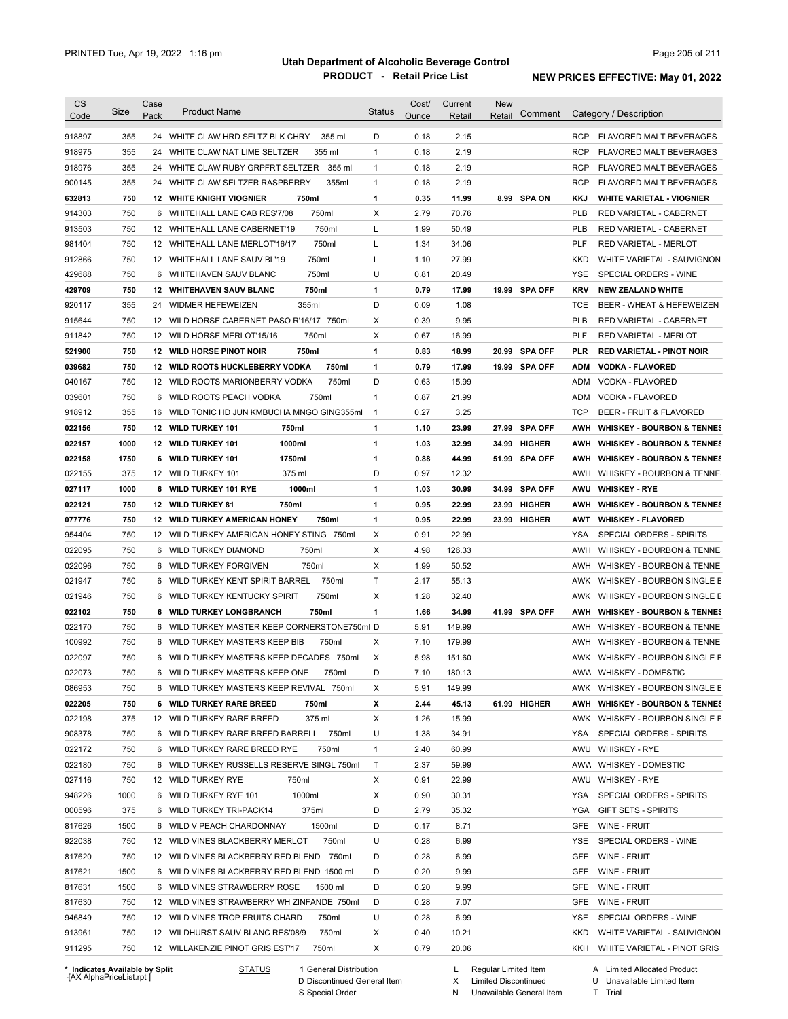| <b>CS</b><br>Code          | Size       | Case<br>Pack | <b>Product Name</b>                                                                    | <b>Status</b> | Cost/<br>Ounce | Current<br>Retail | New<br>Retail | Comment       | Category / Description                                                  |
|----------------------------|------------|--------------|----------------------------------------------------------------------------------------|---------------|----------------|-------------------|---------------|---------------|-------------------------------------------------------------------------|
|                            |            |              |                                                                                        |               |                |                   |               |               |                                                                         |
| 918897                     | 355        |              | 24 WHITE CLAW HRD SELTZ BLK CHRY<br>355 ml                                             | D             | 0.18           | 2.15              |               |               | <b>RCP</b><br><b>FLAVORED MALT BEVERAGES</b>                            |
| 918975                     | 355        |              | 24 WHITE CLAW NAT LIME SELTZER<br>355 ml                                               | $\mathbf{1}$  | 0.18           | 2.19              |               |               | <b>RCP</b><br>FLAVORED MALT BEVERAGES                                   |
| 918976                     | 355        |              | 24 WHITE CLAW RUBY GRPFRT SELTZER<br>355 ml                                            | $\mathbf{1}$  | 0.18           | 2.19              |               |               | RCP<br>FLAVORED MALT BEVERAGES                                          |
| 900145                     | 355        |              | 24 WHITE CLAW SELTZER RASPBERRY<br>355ml                                               | $\mathbf{1}$  | 0.18           | 2.19              |               |               | <b>RCP</b><br>FLAVORED MALT BEVERAGES                                   |
| 632813                     | 750        |              | 750ml<br><b>12 WHITE KNIGHT VIOGNIER</b>                                               | 1             | 0.35           | 11.99             |               | 8.99 SPA ON   | KKJ<br><b>WHITE VARIETAL - VIOGNIER</b>                                 |
| 914303                     | 750        |              | 750ml<br>6 WHITEHALL LANE CAB RES'7/08                                                 | Χ             | 2.79           | 70.76             |               |               | <b>PLB</b><br>RED VARIETAL - CABERNET                                   |
| 913503                     | 750        |              | 750ml<br>12 WHITEHALL LANE CABERNET'19                                                 | L             | 1.99           | 50.49             |               |               | <b>PLB</b><br>RED VARIETAL - CABERNET                                   |
| 981404                     | 750        |              | 750ml<br>12 WHITEHALL LANE MERLOT'16/17                                                | L             | 1.34           | 34.06             |               |               | <b>PLF</b><br><b>RED VARIETAL - MERLOT</b>                              |
| 912866                     | 750        |              | 750ml<br>12 WHITEHALL LANE SAUV BL'19                                                  | L             | 1.10           | 27.99             |               |               | <b>KKD</b><br>WHITE VARIETAL - SAUVIGNON                                |
| 429688                     | 750        |              | 750ml<br>6 WHITEHAVEN SAUV BLANC                                                       | U             | 0.81           | 20.49             |               |               | SPECIAL ORDERS - WINE<br><b>YSE</b>                                     |
| 429709                     | 750        |              | 750ml<br><b>12 WHITEHAVEN SAUV BLANC</b>                                               | 1<br>D        | 0.79           | 17.99             |               | 19.99 SPA OFF | <b>KRV</b><br><b>NEW ZEALAND WHITE</b>                                  |
| 920117                     | 355        |              | 24 WIDMER HEFEWEIZEN<br>355ml                                                          |               | 0.09           | 1.08              |               |               | <b>TCE</b><br>BEER - WHEAT & HEFEWEIZEN                                 |
| 915644                     | 750        |              | 12 WILD HORSE CABERNET PASO R'16/17 750ml                                              | Χ             | 0.39           | 9.95              |               |               | PLB<br>RED VARIETAL - CABERNET                                          |
| 911842                     | 750        |              | 12 WILD HORSE MERLOT'15/16<br>750ml                                                    | Χ             | 0.67           | 16.99             |               |               | PLF<br><b>RED VARIETAL - MERLOT</b>                                     |
| 521900                     | 750        |              | <b>12 WILD HORSE PINOT NOIR</b><br>750ml                                               | 1             | 0.83           | 18.99             |               | 20.99 SPA OFF | PLR<br><b>RED VARIETAL - PINOT NOIR</b>                                 |
| 039682                     | 750        |              | <b>12 WILD ROOTS HUCKLEBERRY VODKA</b><br>750ml                                        | 1             | 0.79           | 17.99             |               | 19.99 SPA OFF | <b>ADM</b><br><b>VODKA - FLAVORED</b>                                   |
| 040167                     | 750        |              | 750ml<br>12 WILD ROOTS MARIONBERRY VODKA                                               | D             | 0.63           | 15.99             |               |               | <b>ADM</b><br>VODKA - FLAVORED                                          |
| 039601                     | 750        |              | 750ml<br>6 WILD ROOTS PEACH VODKA                                                      | $\mathbf{1}$  | 0.87           | 21.99             |               |               | <b>ADM</b><br>VODKA - FLAVORED                                          |
| 918912                     | 355        |              | 16 WILD TONIC HD JUN KMBUCHA MNGO GING355ml                                            | $\mathbf{1}$  | 0.27           | 3.25              |               |               | <b>TCP</b><br>BEER - FRUIT & FLAVORED                                   |
| 022156                     | 750        |              | 12 WILD TURKEY 101<br>750ml                                                            | 1             | 1.10           | 23.99             |               | 27.99 SPA OFF | AWH<br><b>WHISKEY - BOURBON &amp; TENNES</b>                            |
| 022157                     | 1000       |              | 1000ml<br>12 WILD TURKEY 101                                                           | 1             | 1.03           | 32.99             |               | 34.99 HIGHER  | AWH<br><b>WHISKEY - BOURBON &amp; TENNES</b>                            |
| 022158                     | 1750       |              | 1750ml<br>6 WILD TURKEY 101                                                            | 1             | 0.88           | 44.99             |               | 51.99 SPA OFF | AWH<br><b>WHISKEY - BOURBON &amp; TENNES</b>                            |
| 022155                     | 375        |              | 375 ml<br>12 WILD TURKEY 101                                                           | D             | 0.97           | 12.32             |               |               | AWH<br>WHISKEY - BOURBON & TENNE:                                       |
| 027117                     | 1000       | 6            | 1000ml<br><b>WILD TURKEY 101 RYE</b>                                                   | 1             | 1.03           | 30.99             |               | 34.99 SPA OFF | AWU<br><b>WHISKEY - RYE</b>                                             |
| 022121                     | 750        |              | 12 WILD TURKEY 81<br>750ml                                                             | 1             | 0.95           | 22.99             |               | 23.99 HIGHER  | AWH<br><b>WHISKEY - BOURBON &amp; TENNES</b>                            |
| 077776                     | 750        |              | 12 WILD TURKEY AMERICAN HONEY<br>750ml                                                 | 1             | 0.95           | 22.99             |               | 23.99 HIGHER  | AWT<br><b>WHISKEY - FLAVORED</b>                                        |
| 954404                     | 750        |              | 12 WILD TURKEY AMERICAN HONEY STING 750ml                                              | Χ             | 0.91           | 22.99             |               |               | YSA<br>SPECIAL ORDERS - SPIRITS                                         |
| 022095                     | 750        | 6            | WILD TURKEY DIAMOND<br>750ml                                                           | Χ             | 4.98           | 126.33            |               |               | AWH<br>WHISKEY - BOURBON & TENNE:                                       |
| 022096                     | 750        | 6            | WILD TURKEY FORGIVEN<br>750ml                                                          | Χ             | 1.99           | 50.52             |               |               | AWH<br>WHISKEY - BOURBON & TENNE:                                       |
| 021947                     | 750        |              | 6 WILD TURKEY KENT SPIRIT BARREL<br>750ml                                              | Τ             | 2.17           | 55.13             |               |               | AWK<br>WHISKEY - BOURBON SINGLE B                                       |
| 021946                     | 750        |              | 6 WILD TURKEY KENTUCKY SPIRIT<br>750ml                                                 | Χ             | 1.28           | 32.40             |               |               | AWK<br>WHISKEY - BOURBON SINGLE B                                       |
| 022102                     | 750        | 6            | <b>WILD TURKEY LONGBRANCH</b><br>750ml                                                 | 1             | 1.66           | 34.99             |               | 41.99 SPA OFF | AWH<br><b>WHISKEY - BOURBON &amp; TENNES</b>                            |
| 022170                     | 750        |              | 6 WILD TURKEY MASTER KEEP CORNERSTONE750ml D                                           |               | 5.91           | 149.99            |               |               | AWH<br>WHISKEY - BOURBON & TENNE:                                       |
| 100992                     | 750        |              | 6 WILD TURKEY MASTERS KEEP BIB<br>750ml                                                | X             | 7.10           | 179.99            |               |               | AWH<br>WHISKEY - BOURBON & TENNE:                                       |
| 022097                     | 750        |              | 6 WILD TURKEY MASTERS KEEP DECADES 750ml                                               | Χ             | 5.98           | 151.60            |               |               | AWK WHISKEY - BOURBON SINGLE B                                          |
| 022073                     | 750        | 6            | WILD TURKEY MASTERS KEEP ONE<br>750ml                                                  | D             | 7.10           | 180.13            |               |               | AWW WHISKEY - DOMESTIC                                                  |
| 086953                     | 750        |              | 6 WILD TURKEY MASTERS KEEP REVIVAL 750ml                                               | X             | 5.91           | 149.99            |               |               | AWK WHISKEY - BOURBON SINGLE B                                          |
| 022205                     | 750        |              | 6 WILD TURKEY RARE BREED<br>750ml                                                      | x             | 2.44           | 45.13             |               | 61.99 HIGHER  | AWH<br><b>WHISKEY - BOURBON &amp; TENNES</b>                            |
| 022198                     | 375        |              | 12 WILD TURKEY RARE BREED<br>375 ml                                                    | X             | 1.26           | 15.99             |               |               | AWK WHISKEY - BOURBON SINGLE B                                          |
| 908378                     | 750        |              | 6 WILD TURKEY RARE BREED BARRELL 750ml                                                 | U             | 1.38           | 34.91             |               |               | YSA<br>SPECIAL ORDERS - SPIRITS                                         |
| 022172                     | 750        |              | 6 WILD TURKEY RARE BREED RYE<br>750ml                                                  | $\mathbf{1}$  | 2.40           | 60.99             |               |               | AWU<br>WHISKEY - RYE                                                    |
| 022180                     | 750        |              | 6 WILD TURKEY RUSSELLS RESERVE SINGL 750ml                                             | Τ             | 2.37           | 59.99             |               |               | AWW<br><b>WHISKEY - DOMESTIC</b>                                        |
| 027116                     | 750        |              | 12 WILD TURKEY RYE<br>750ml                                                            | X             | 0.91           | 22.99             |               |               | AWU<br><b>WHISKEY - RYE</b>                                             |
| 948226                     | 1000       |              | 6 WILD TURKEY RYE 101<br>1000ml                                                        | X             | 0.90           | 30.31             |               |               | YSA<br>SPECIAL ORDERS - SPIRITS                                         |
| 000596                     | 375        |              | 375ml<br>6 WILD TURKEY TRI-PACK14                                                      | D             | 2.79           | 35.32             |               |               | YGA<br><b>GIFT SETS - SPIRITS</b>                                       |
| 817626                     | 1500       |              | 1500ml<br>6 WILD V PEACH CHARDONNAY                                                    | D             | 0.17           | 8.71              |               |               | GFE<br>WINE - FRUIT                                                     |
| 922038                     | 750        |              | 12 WILD VINES BLACKBERRY MERLOT<br>750ml                                               | U             | 0.28           | 6.99              |               |               | YSE<br>SPECIAL ORDERS - WINE                                            |
| 817620                     | 750        |              | 12 WILD VINES BLACKBERRY RED BLEND 750ml                                               | D             | 0.28           | 6.99              |               |               | GFE<br>WINE - FRUIT                                                     |
| 817621                     | 1500       |              | 6 WILD VINES BLACKBERRY RED BLEND 1500 ml                                              | D             | 0.20           | 9.99              |               |               | GFE<br>WINE - FRUIT                                                     |
|                            | 1500       |              | 6 WILD VINES STRAWBERRY ROSE<br>1500 ml                                                | D             | 0.20           | 9.99              |               |               | GFE<br>WINE - FRUIT                                                     |
|                            |            |              | 12 WILD VINES STRAWBERRY WH ZINFANDE 750ml                                             | D             | 0.28           | 7.07              |               |               | GFE<br>WINE - FRUIT                                                     |
|                            | 750        |              |                                                                                        |               |                |                   |               |               |                                                                         |
|                            |            |              | 750ml                                                                                  | U             |                |                   |               |               | YSE                                                                     |
| 817631<br>817630<br>946849 | 750        |              | 12 WILD VINES TROP FRUITS CHARD                                                        |               | 0.28           | 6.99              |               |               | SPECIAL ORDERS - WINE                                                   |
| 913961<br>911295           | 750<br>750 |              | 750ml<br>12 WILDHURST SAUV BLANC RES'08/9<br>12 WILLAKENZIE PINOT GRIS EST'17<br>750ml | X<br>X        | 0.40<br>0.79   | 10.21<br>20.06    |               |               | KKD<br>WHITE VARIETAL - SAUVIGNON<br>KKH<br>WHITE VARIETAL - PINOT GRIS |

**Case** [AX AlphaPriceList.rpt ]

D Discontinued General Item S Special Order

X Limited Discontinued

N Unavailable General Item

Limited Allocated Product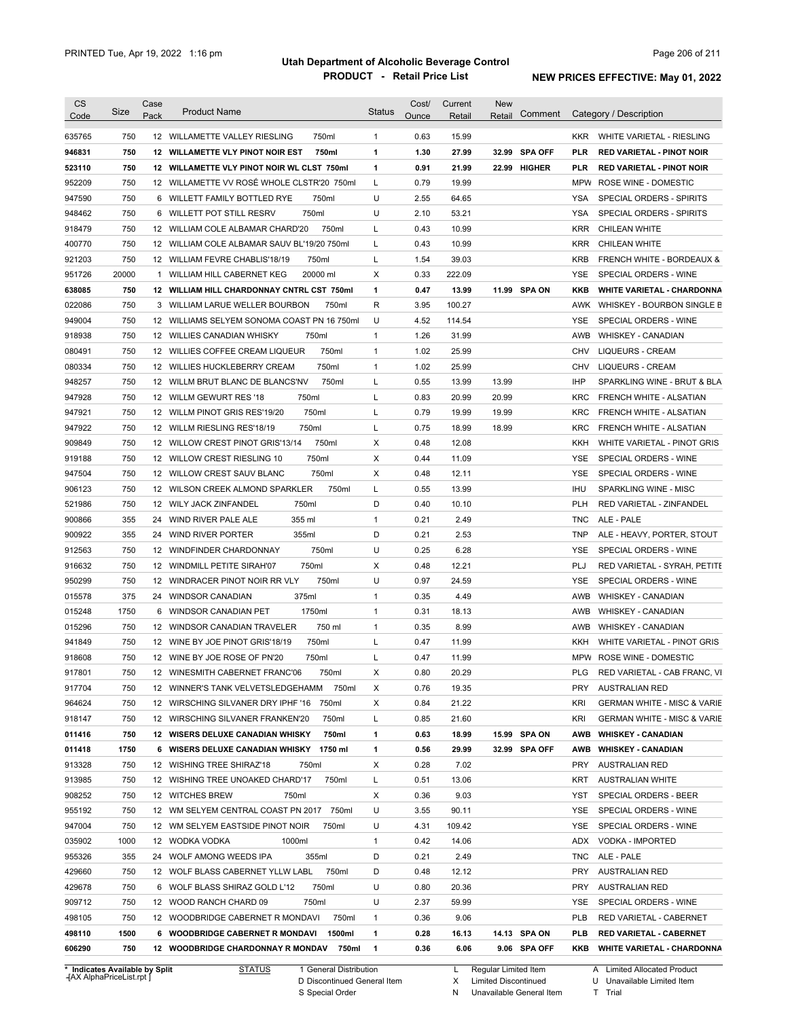| <b>CS</b><br>Code              | Size  | Case<br>Pack | <b>Product Name</b>                          | <b>Status</b> | Cost/<br>Ounce | Current<br>Retail | <b>New</b><br>Retail | Comment       |            | Category / Description                               |
|--------------------------------|-------|--------------|----------------------------------------------|---------------|----------------|-------------------|----------------------|---------------|------------|------------------------------------------------------|
| 635765                         | 750   |              | 12 WILLAMETTE VALLEY RIESLING<br>750ml       | $\mathbf{1}$  | 0.63           | 15.99             |                      |               | <b>KKR</b> | WHITE VARIETAL - RIESLING                            |
| 946831                         | 750   |              | 12 WILLAMETTE VLY PINOT NOIR EST<br>750ml    | 1             | 1.30           | 27.99             |                      | 32.99 SPA OFF | <b>PLR</b> | <b>RED VARIETAL - PINOT NOIR</b>                     |
| 523110                         | 750   |              | 12 WILLAMETTE VLY PINOT NOIR WL CLST 750ml   | 1             | 0.91           | 21.99             |                      | 22.99 HIGHER  | <b>PLR</b> | <b>RED VARIETAL - PINOT NOIR</b>                     |
| 952209                         | 750   |              | 12 WILLAMETTE VV ROSÉ WHOLE CLSTR'20 750ml   | L             | 0.79           | 19.99             |                      |               | <b>MPW</b> | ROSE WINE - DOMESTIC                                 |
| 947590                         | 750   |              | 6 WILLETT FAMILY BOTTLED RYE<br>750ml        | U             | 2.55           | 64.65             |                      |               | <b>YSA</b> | SPECIAL ORDERS - SPIRITS                             |
| 948462                         | 750   |              | 6 WILLETT POT STILL RESRV<br>750ml           | U             | 2.10           | 53.21             |                      |               | <b>YSA</b> | SPECIAL ORDERS - SPIRITS                             |
| 918479                         | 750   |              | 750ml<br>12 WILLIAM COLE ALBAMAR CHARD'20    | L             | 0.43           | 10.99             |                      |               | <b>KRR</b> | CHILEAN WHITE                                        |
| 400770                         | 750   |              | 12 WILLIAM COLE ALBAMAR SAUV BL'19/20 750ml  | L             | 0.43           | 10.99             |                      |               | <b>KRR</b> | CHILEAN WHITE                                        |
| 921203                         | 750   |              | 12 WILLIAM FEVRE CHABLIS'18/19<br>750ml      | L             | 1.54           | 39.03             |                      |               | <b>KRB</b> | FRENCH WHITE - BORDEAUX &                            |
| 951726                         | 20000 |              | 20000 ml<br>1 WILLIAM HILL CABERNET KEG      | X             | 0.33           | 222.09            |                      |               | <b>YSE</b> | SPECIAL ORDERS - WINE                                |
| 638085                         | 750   |              | 12 WILLIAM HILL CHARDONNAY CNTRL CST 750ml   | 1             | 0.47           | 13.99             |                      | 11.99 SPA ON  | KKB        | <b>WHITE VARIETAL - CHARDONNA</b>                    |
| 022086                         | 750   |              | 3 WILLIAM LARUE WELLER BOURBON<br>750ml      | R             | 3.95           | 100.27            |                      |               | AWK        | WHISKEY - BOURBON SINGLE B                           |
| 949004                         | 750   |              | 12 WILLIAMS SELYEM SONOMA COAST PN 16 750ml  | U             | 4.52           | 114.54            |                      |               | YSE        | SPECIAL ORDERS - WINE                                |
|                                | 750   |              |                                              | $\mathbf{1}$  | 1.26           | 31.99             |                      |               |            |                                                      |
| 918938                         | 750   |              | 12 WILLIES CANADIAN WHISKY<br>750ml<br>750ml | $\mathbf{1}$  | 1.02           | 25.99             |                      |               | AWB        | <b>WHISKEY - CANADIAN</b><br><b>LIQUEURS - CREAM</b> |
| 080491                         |       |              | 12 WILLIES COFFEE CREAM LIQUEUR              |               |                |                   |                      |               | CHV        |                                                      |
| 080334                         | 750   |              | 750ml<br>12 WILLIES HUCKLEBERRY CREAM        | $\mathbf{1}$  | 1.02           | 25.99             |                      |               | CHV        | <b>LIQUEURS - CREAM</b>                              |
| 948257                         | 750   |              | 750ml<br>12 WILLM BRUT BLANC DE BLANCS'NV    | L             | 0.55           | 13.99             | 13.99                |               | <b>IHP</b> | SPARKLING WINE - BRUT & BLA                          |
| 947928                         | 750   |              | 750ml<br>12 WILLM GEWURT RES '18             | L             | 0.83           | 20.99             | 20.99                |               | KRC        | FRENCH WHITE - ALSATIAN                              |
| 947921                         | 750   |              | 750ml<br>12 WILLM PINOT GRIS RES'19/20       | L             | 0.79           | 19.99             | 19.99                |               | KRC        | FRENCH WHITE - ALSATIAN                              |
| 947922                         | 750   |              | 750ml<br>12 WILLM RIESLING RES'18/19         | L             | 0.75           | 18.99             | 18.99                |               | <b>KRC</b> | FRENCH WHITE - ALSATIAN                              |
| 909849                         | 750   |              | 750ml<br>12 WILLOW CREST PINOT GRIS'13/14    | Χ             | 0.48           | 12.08             |                      |               | KKH        | WHITE VARIETAL - PINOT GRIS                          |
| 919188                         | 750   |              | 750ml<br>12 WILLOW CREST RIESLING 10         | Χ             | 0.44           | 11.09             |                      |               | <b>YSE</b> | SPECIAL ORDERS - WINE                                |
| 947504                         | 750   |              | 750ml<br>12 WILLOW CREST SAUV BLANC          | Χ             | 0.48           | 12.11             |                      |               | <b>YSE</b> | SPECIAL ORDERS - WINE                                |
| 906123                         | 750   |              | 12 WILSON CREEK ALMOND SPARKLER<br>750ml     | L             | 0.55           | 13.99             |                      |               | <b>IHU</b> | SPARKLING WINE - MISC                                |
| 521986                         | 750   |              | 750ml<br>12 WILY JACK ZINFANDEL              | D             | 0.40           | 10.10             |                      |               | <b>PLH</b> | RED VARIETAL - ZINFANDEL                             |
| 900866                         | 355   |              | 355 ml<br>24 WIND RIVER PALE ALE             | $\mathbf{1}$  | 0.21           | 2.49              |                      |               | <b>TNC</b> | ALE - PALE                                           |
| 900922                         | 355   |              | 24 WIND RIVER PORTER<br>355ml                | D             | 0.21           | 2.53              |                      |               | <b>TNP</b> | ALE - HEAVY, PORTER, STOUT                           |
| 912563                         | 750   |              | 750ml<br>12 WINDFINDER CHARDONNAY            | U             | 0.25           | 6.28              |                      |               | YSE        | SPECIAL ORDERS - WINE                                |
| 916632                         | 750   |              | 750ml<br>12 WINDMILL PETITE SIRAH'07         | Χ             | 0.48           | 12.21             |                      |               | PLJ        | RED VARIETAL - SYRAH, PETITE                         |
| 950299                         | 750   |              | 750ml<br>12 WINDRACER PINOT NOIR RR VLY      | U             | 0.97           | 24.59             |                      |               | <b>YSE</b> | SPECIAL ORDERS - WINE                                |
| 015578                         | 375   |              | 375ml<br>24 WINDSOR CANADIAN                 | $\mathbf{1}$  | 0.35           | 4.49              |                      |               | AWB        | <b>WHISKEY - CANADIAN</b>                            |
| 015248                         | 1750  | 6            | 1750ml<br>WINDSOR CANADIAN PET               | 1             | 0.31           | 18.13             |                      |               | AWB        | <b>WHISKEY - CANADIAN</b>                            |
| 015296                         | 750   |              | 750 ml<br>12 WINDSOR CANADIAN TRAVELER       | $\mathbf{1}$  | 0.35           | 8.99              |                      |               | AWB        | <b>WHISKEY - CANADIAN</b>                            |
| 941849                         | 750   |              | 750ml<br>12 WINE BY JOE PINOT GRIS'18/19     | L             | 0.47           | 11.99             |                      |               | KKH        | WHITE VARIETAL - PINOT GRIS                          |
| 918608                         | 750   |              | 12 WINE BY JOE ROSE OF PN'20<br>750ml        | Г             | 0.47           | 11.99             |                      |               | MPW        | ROSE WINE - DOMESTIC                                 |
| 917801                         | 750   |              | 12 WINESMITH CABERNET FRANC'06<br>750ml      | X             | 0.80           | 20.29             |                      |               | PLG        | RED VARIETAL - CAB FRANC, VI                         |
| 917704                         | 750   |              | 12 WINNER'S TANK VELVETSLEDGEHAMM<br>750ml   | X             | 0.76           | 19.35             |                      |               | PRY        | <b>AUSTRALIAN RED</b>                                |
| 964624                         | 750   |              | 12 WIRSCHING SILVANER DRY IPHF '16 750ml     | Х             | 0.84           | 21.22             |                      |               | KRI        | <b>GERMAN WHITE - MISC &amp; VARIE</b>               |
| 918147                         | 750   |              | 12 WIRSCHING SILVANER FRANKEN'20<br>750ml    | L             | 0.85           | 21.60             |                      |               | KRI        | <b>GERMAN WHITE - MISC &amp; VARIE</b>               |
| 011416                         | 750   |              | 12 WISERS DELUXE CANADIAN WHISKY<br>750ml    | 1             | 0.63           | 18.99             |                      | 15.99 SPA ON  | AWB        | <b>WHISKEY - CANADIAN</b>                            |
| 011418                         | 1750  |              | 6 WISERS DELUXE CANADIAN WHISKY 1750 ml      | 1             | 0.56           | 29.99             |                      | 32.99 SPA OFF | AWB        | <b>WHISKEY - CANADIAN</b>                            |
| 913328                         | 750   |              | 12 WISHING TREE SHIRAZ'18<br>750ml           | Х             | 0.28           | 7.02              |                      |               | PRY        | <b>AUSTRALIAN RED</b>                                |
| 913985                         | 750   |              | 12 WISHING TREE UNOAKED CHARD'17<br>750ml    | L             | 0.51           | 13.06             |                      |               | KRT        | <b>AUSTRALIAN WHITE</b>                              |
| 908252                         | 750   |              | 12 WITCHES BREW<br>750ml                     | Х             | 0.36           | 9.03              |                      |               | YST        | SPECIAL ORDERS - BEER                                |
| 955192                         | 750   |              | 12 WM SELYEM CENTRAL COAST PN 2017 750ml     | U             | 3.55           | 90.11             |                      |               | YSE        | SPECIAL ORDERS - WINE                                |
| 947004                         | 750   |              | 12 WM SELYEM EASTSIDE PINOT NOIR<br>750ml    | U             | 4.31           | 109.42            |                      |               | YSE        | SPECIAL ORDERS - WINE                                |
| 035902                         | 1000  |              | 12 WODKA VODKA<br>1000ml                     | 1             | 0.42           | 14.06             |                      |               | ADX        | VODKA - IMPORTED                                     |
| 955326                         | 355   | 24           | WOLF AMONG WEEDS IPA<br>355ml                | D             | 0.21           | 2.49              |                      |               | TNC        | ALE - PALE                                           |
| 429660                         | 750   |              | 12 WOLF BLASS CABERNET YLLW LABL<br>750ml    | D             | 0.48           | 12.12             |                      |               | <b>PRY</b> | <b>AUSTRALIAN RED</b>                                |
| 429678                         | 750   |              | 750ml<br>6 WOLF BLASS SHIRAZ GOLD L'12       | U             | 0.80           | 20.36             |                      |               | <b>PRY</b> | <b>AUSTRALIAN RED</b>                                |
| 909712                         | 750   |              | 12 WOOD RANCH CHARD 09<br>750ml              | U             | 2.37           | 59.99             |                      |               | YSE        | SPECIAL ORDERS - WINE                                |
| 498105                         | 750   |              | 12 WOODBRIDGE CABERNET R MONDAVI<br>750ml    | $\mathbf{1}$  | 0.36           | 9.06              |                      |               | <b>PLB</b> | RED VARIETAL - CABERNET                              |
| 498110                         | 1500  |              | 6 WOODBRIDGE CABERNET R MONDAVI<br>1500ml    | 1             | 0.28           | 16.13             |                      | 14.13 SPA ON  | PLB        | <b>RED VARIETAL - CABERNET</b>                       |
| 606290                         | 750   |              | 12 WOODBRIDGE CHARDONNAY R MONDAV 750ml      | 1             | 0.36           | 6.06              |                      | 9.06 SPA OFF  | KKB        | <b>WHITE VARIETAL - CHARDONNA</b>                    |
| * Indicates Available by Split |       |              | <b>STATUS</b><br>1 General Distribution      |               |                | L                 | Regular Limited Item |               |            | A Limited Allocated Product                          |

**Case** [AX AlphaPriceList.rpt ]

D Discontinued General Item S Special Order

L Regular Limited Item Limited Discontinued

Unavailable General Item

X N A Limited Allocated Product

U T Unavailable Limited Item

Trial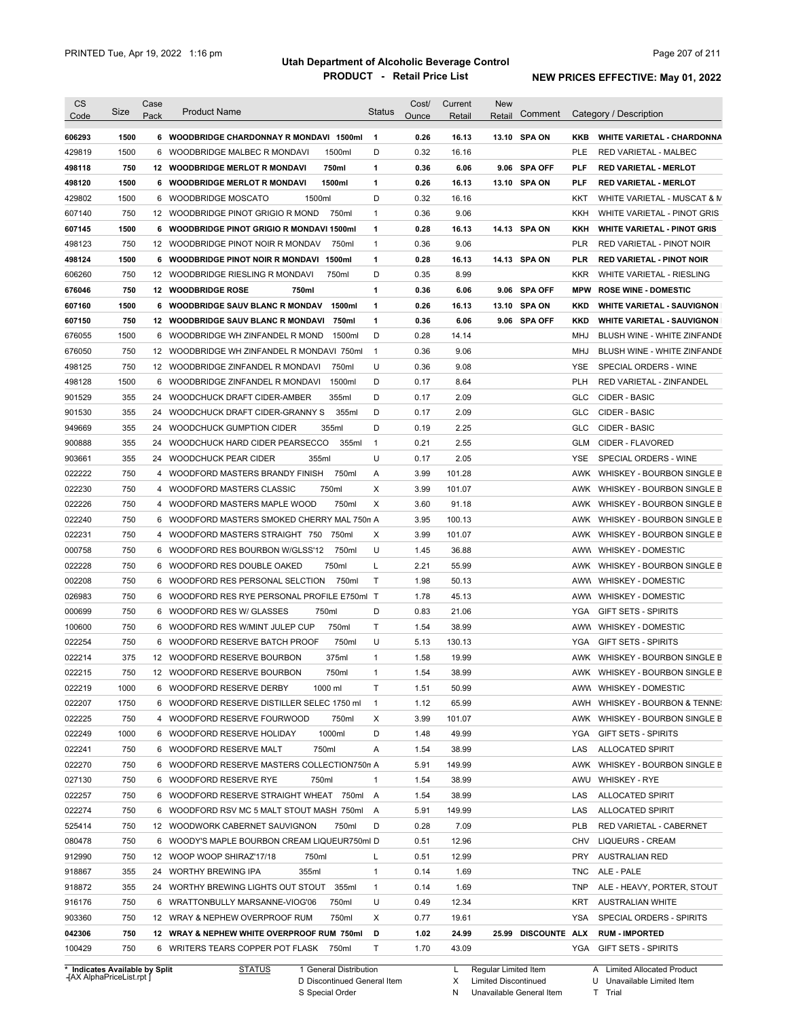| <b>CS</b><br>Code              | Size | Case<br>Pack    | <b>Product Name</b>                                | <b>Status</b> | Cost/<br>Ounce | Current<br>Retail | <b>New</b><br>Comment<br>Retail |            | Category / Description             |
|--------------------------------|------|-----------------|----------------------------------------------------|---------------|----------------|-------------------|---------------------------------|------------|------------------------------------|
| 606293                         | 1500 |                 | 6 WOODBRIDGE CHARDONNAY R MONDAVI 1500ml           | $\mathbf{1}$  | 0.26           | 16.13             | 13.10 SPA ON                    | KKB        | <b>WHITE VARIETAL - CHARDONNA</b>  |
| 429819                         | 1500 | 6               | WOODBRIDGE MALBEC R MONDAVI<br>1500ml              | D             | 0.32           | 16.16             |                                 | <b>PLE</b> | <b>RED VARIETAL - MALBEC</b>       |
| 498118                         | 750  |                 | <b>12 WOODBRIDGE MERLOT R MONDAVI</b><br>750ml     | 1             | 0.36           | 6.06              | 9.06 SPA OFF                    | PLF        | <b>RED VARIETAL - MERLOT</b>       |
|                                | 1500 | 6.              | <b>WOODBRIDGE MERLOT R MONDAVI</b><br>1500ml       | 1             | 0.26           | 16.13             | 13.10 SPA ON                    | PLF        | <b>RED VARIETAL - MERLOT</b>       |
| 498120                         | 1500 |                 | 1500ml<br>6 WOODBRIDGE MOSCATO                     | D             | 0.32           | 16.16             |                                 | KKT        |                                    |
| 429802                         |      |                 |                                                    |               |                |                   |                                 |            | WHITE VARIETAL - MUSCAT & M        |
| 607140                         | 750  |                 | 12 WOODBRIDGE PINOT GRIGIO R MOND<br>750ml         | 1             | 0.36           | 9.06              |                                 | KKH        | WHITE VARIETAL - PINOT GRIS        |
| 607145                         | 1500 |                 | 6 WOODBRIDGE PINOT GRIGIO R MONDAVI 1500ml         | 1             | 0.28           | 16.13             | 14.13 SPA ON                    | KKH        | <b>WHITE VARIETAL - PINOT GRIS</b> |
| 498123                         | 750  |                 | 12 WOODBRIDGE PINOT NOIR R MONDAV<br>750ml         | 1             | 0.36           | 9.06              |                                 | <b>PLR</b> | RED VARIETAL - PINOT NOIR          |
| 498124                         | 1500 |                 | 6 WOODBRIDGE PINOT NOIR R MONDAVI 1500ml           | 1             | 0.28           | 16.13             | 14.13 SPA ON                    | PLR        | <b>RED VARIETAL - PINOT NOIR</b>   |
| 606260                         | 750  |                 | 12 WOODBRIDGE RIESLING R MONDAVI<br>750ml          | D             | 0.35           | 8.99              |                                 | <b>KKR</b> | WHITE VARIETAL - RIESLING          |
| 676046                         | 750  |                 | 12 WOODBRIDGE ROSE<br>750ml                        | 1             | 0.36           | 6.06              | 9.06 SPA OFF                    | <b>MPW</b> | <b>ROSE WINE - DOMESTIC</b>        |
| 607160                         | 1500 |                 | 1500ml<br>6 WOODBRIDGE SAUV BLANC R MONDAV         | 1             | 0.26           | 16.13             | 13.10 SPA ON                    | KKD        | <b>WHITE VARIETAL - SAUVIGNON</b>  |
| 607150                         | 750  |                 | <b>12 WOODBRIDGE SAUV BLANC R MONDAVI</b><br>750ml | 1             | 0.36           | 6.06              | 9.06 SPA OFF                    | KKD        | <b>WHITE VARIETAL - SAUVIGNON</b>  |
| 676055                         | 1500 |                 | 1500ml<br>6 WOODBRIDGE WH ZINFANDEL R MOND         | D             | 0.28           | 14.14             |                                 | MHJ        | BLUSH WINE - WHITE ZINFANDE        |
| 676050                         | 750  | 12 <sup>2</sup> | WOODBRIDGE WH ZINFANDEL R MONDAVI 750ml            | 1             | 0.36           | 9.06              |                                 | MHJ        | BLUSH WINE - WHITE ZINFANDE        |
| 498125                         | 750  |                 | 12 WOODBRIDGE ZINFANDEL R MONDAVI<br>750ml         | U             | 0.36           | 9.08              |                                 | <b>YSE</b> | SPECIAL ORDERS - WINE              |
| 498128                         | 1500 | 6               | WOODBRIDGE ZINFANDEL R MONDAVI<br>1500ml           | D             | 0.17           | 8.64              |                                 | <b>PLH</b> | RED VARIETAL - ZINFANDEL           |
| 901529                         | 355  | 24              | 355ml<br>WOODCHUCK DRAFT CIDER-AMBER               | D             | 0.17           | 2.09              |                                 | <b>GLC</b> | CIDER - BASIC                      |
| 901530                         | 355  | 24              | 355ml<br>WOODCHUCK DRAFT CIDER-GRANNY S            | D             | 0.17           | 2.09              |                                 | <b>GLC</b> | CIDER - BASIC                      |
| 949669                         | 355  | 24              | WOODCHUCK GUMPTION CIDER<br>355ml                  | D             | 0.19           | 2.25              |                                 | <b>GLC</b> | <b>CIDER - BASIC</b>               |
| 900888                         | 355  | 24              | WOODCHUCK HARD CIDER PEARSECCO<br>355ml            | $\mathbf{1}$  | 0.21           | 2.55              |                                 | <b>GLM</b> | CIDER - FLAVORED                   |
| 903661                         | 355  | 24              | 355ml<br><b>WOODCHUCK PEAR CIDER</b>               | U             | 0.17           | 2.05              |                                 | <b>YSE</b> | SPECIAL ORDERS - WINE              |
| 022222                         | 750  | 4               | 750ml<br>WOODFORD MASTERS BRANDY FINISH            | Α             | 3.99           | 101.28            |                                 | AWK        | WHISKEY - BOURBON SINGLE B         |
| 022230                         | 750  | $\overline{4}$  | 750ml<br>WOODFORD MASTERS CLASSIC                  | Χ             | 3.99           | 101.07            |                                 | AWK        | WHISKEY - BOURBON SINGLE B         |
| 022226                         | 750  | $\overline{4}$  | 750ml<br>WOODFORD MASTERS MAPLE WOOD               | X             | 3.60           | 91.18             |                                 | AWK        | WHISKEY - BOURBON SINGLE B         |
| 022240                         | 750  | 6               | WOODFORD MASTERS SMOKED CHERRY MAL 750n A          |               | 3.95           | 100.13            |                                 | AWK        | WHISKEY - BOURBON SINGLE B         |
| 022231                         | 750  | 4               | WOODFORD MASTERS STRAIGHT 750<br>750ml             | Χ             | 3.99           | 101.07            |                                 | AWK        | WHISKEY - BOURBON SINGLE B         |
| 000758                         | 750  | 6               | 750ml<br>WOODFORD RES BOURBON W/GLSS'12            | U             | 1.45           | 36.88             |                                 | AWW        | <b>WHISKEY - DOMESTIC</b>          |
| 022228                         | 750  | 6               | 750ml<br>WOODFORD RES DOUBLE OAKED                 | L             | 2.21           | 55.99             |                                 | AWK        | WHISKEY - BOURBON SINGLE B         |
| 002208                         | 750  | 6               | WOODFORD RES PERSONAL SELCTION<br>750ml            | T             | 1.98           | 50.13             |                                 |            | AWW WHISKEY - DOMESTIC             |
| 026983                         | 750  | 6               | WOODFORD RES RYE PERSONAL PROFILE E750ml T         |               | 1.78           | 45.13             |                                 |            | AWW WHISKEY - DOMESTIC             |
| 000699                         | 750  | 6               | WOODFORD RES W/ GLASSES<br>750ml                   | D             | 0.83           | 21.06             |                                 | YGA        | <b>GIFT SETS - SPIRITS</b>         |
| 100600                         | 750  |                 | 6 WOODFORD RES W/MINT JULEP CUP<br>750ml           | Τ             | 1.54           | 38.99             |                                 | AWW        | <b>WHISKEY - DOMESTIC</b>          |
| 022254                         | 750  |                 | 750ml<br>6 WOODFORD RESERVE BATCH PROOF            | U             | 5.13           | 130.13            |                                 | YGA        | <b>GIFT SETS - SPIRITS</b>         |
| 022214                         | 375  |                 | 12 WOODFORD RESERVE BOURBON<br>375ml               | 1             | 1.58           | 19.99             |                                 |            | AWK WHISKEY - BOURBON SINGLE B     |
|                                |      |                 |                                                    |               |                |                   |                                 |            |                                    |
| 022215                         | 750  |                 | 12 WOODFORD RESERVE BOURBON<br>750ml               | 1             | 1.54           | 38.99             |                                 |            | AWK WHISKEY - BOURBON SINGLE B     |
| 022219                         | 1000 |                 | 6 WOODFORD RESERVE DERBY<br>1000 ml                | Τ             | 1.51           | 50.99             |                                 |            | AWW WHISKEY - DOMESTIC             |
| 022207                         | 1750 |                 | 6 WOODFORD RESERVE DISTILLER SELEC 1750 ml         | $\mathbf{1}$  | 1.12           | 65.99             |                                 | AWH        | WHISKEY - BOURBON & TENNE:         |
| 022225                         | 750  |                 | 4 WOODFORD RESERVE FOURWOOD<br>750ml               | Х             | 3.99           | 101.07            |                                 |            | AWK WHISKEY - BOURBON SINGLE B     |
| 022249                         | 1000 |                 | 6 WOODFORD RESERVE HOLIDAY<br>1000ml               | D             | 1.48           | 49.99             |                                 | YGA        | <b>GIFT SETS - SPIRITS</b>         |
| 022241                         | 750  |                 | 6 WOODFORD RESERVE MALT<br>750ml                   | Α             | 1.54           | 38.99             |                                 | LAS        | <b>ALLOCATED SPIRIT</b>            |
| 022270                         | 750  |                 | 6 WOODFORD RESERVE MASTERS COLLECTION750n A        |               | 5.91           | 149.99            |                                 | AWK        | WHISKEY - BOURBON SINGLE B         |
| 027130                         | 750  |                 | 6 WOODFORD RESERVE RYE<br>750ml                    | 1             | 1.54           | 38.99             |                                 | AWU        | <b>WHISKEY - RYE</b>               |
| 022257                         | 750  |                 | 6 WOODFORD RESERVE STRAIGHT WHEAT 750ml            | A             | 1.54           | 38.99             |                                 | LAS        | <b>ALLOCATED SPIRIT</b>            |
| 022274                         | 750  |                 | 6 WOODFORD RSV MC 5 MALT STOUT MASH 750ml          | A             | 5.91           | 149.99            |                                 | LAS        | <b>ALLOCATED SPIRIT</b>            |
| 525414                         | 750  |                 | 12 WOODWORK CABERNET SAUVIGNON<br>750ml            | D             | 0.28           | 7.09              |                                 | PLB        | RED VARIETAL - CABERNET            |
| 080478                         | 750  |                 | 6 WOODY'S MAPLE BOURBON CREAM LIQUEUR750ml D       |               | 0.51           | 12.96             |                                 | CHV        | LIQUEURS - CREAM                   |
| 912990                         | 750  |                 | 12 WOOP WOOP SHIRAZ'17/18<br>750ml                 | L             | 0.51           | 12.99             |                                 | PRY        | <b>AUSTRALIAN RED</b>              |
| 918867                         | 355  |                 | 24 WORTHY BREWING IPA<br>355ml                     | $\mathbf{1}$  | 0.14           | 1.69              |                                 | TNC        | ALE - PALE                         |
| 918872                         | 355  |                 | 24 WORTHY BREWING LIGHTS OUT STOUT 355ml           | $\mathbf{1}$  | 0.14           | 1.69              |                                 | TNP        | ALE - HEAVY, PORTER, STOUT         |
| 916176                         | 750  |                 | 6 WRATTONBULLY MARSANNE-VIOG'06<br>750ml           | U             | 0.49           | 12.34             |                                 | KRT        | <b>AUSTRALIAN WHITE</b>            |
| 903360                         | 750  |                 | 750ml<br>12 WRAY & NEPHEW OVERPROOF RUM            | Χ             | 0.77           | 19.61             |                                 | YSA        | SPECIAL ORDERS - SPIRITS           |
| 042306                         | 750  |                 | 12 WRAY & NEPHEW WHITE OVERPROOF RUM 750ml         | D             | 1.02           | 24.99             | 25.99 DISCOUNTE ALX             |            | <b>RUM - IMPORTED</b>              |
| 100429                         | 750  |                 | 6 WRITERS TEARS COPPER POT FLASK 750ml             | Τ             | 1.70           | 43.09             |                                 |            | YGA GIFT SETS - SPIRITS            |
| * Indicates Available by Split |      |                 | <b>STATUS</b><br>1 General Distribution            |               |                |                   | L Regular Limited Item          |            | A Limited Allocated Product        |

**Case** [AX AlphaPriceList.rpt ]

D Discontinued General Item

S Special Order

X

Limited Discontinued

N Unavailable General Item

U Unavailable Limited Item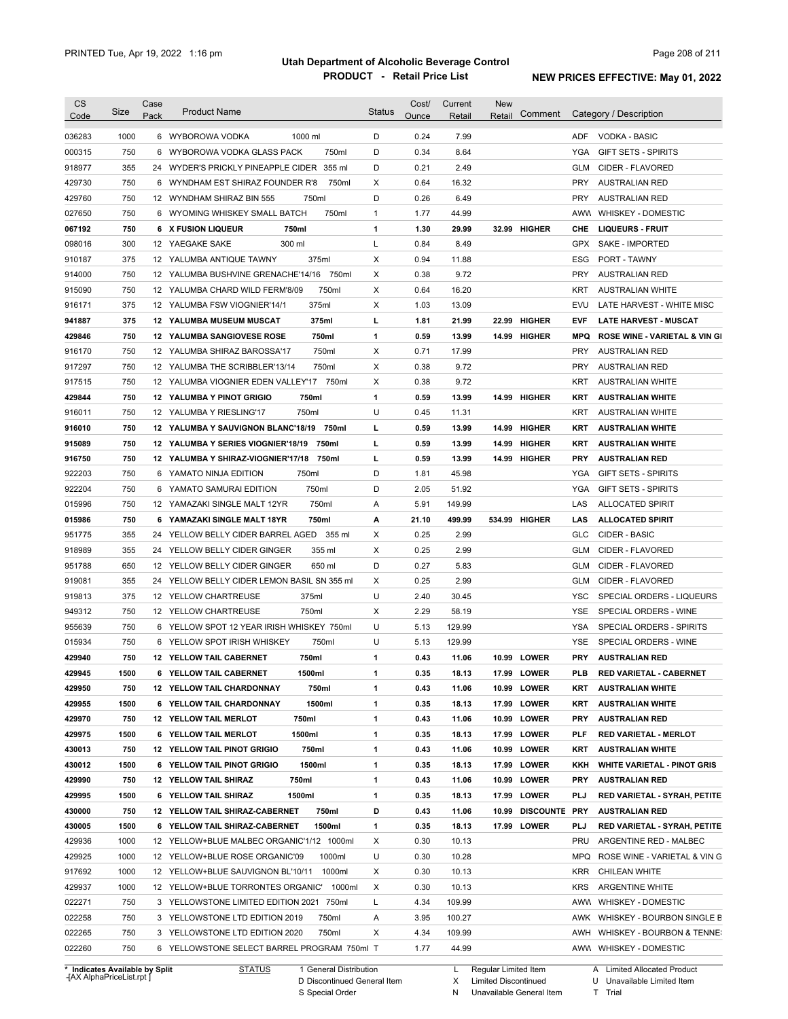| <b>CS</b>        | Size | Case | <b>Product Name</b>                         | Status       | Cost/ | Current | <b>New</b> |                 |            |                                          |
|------------------|------|------|---------------------------------------------|--------------|-------|---------|------------|-----------------|------------|------------------------------------------|
| Code             |      | Pack |                                             |              | Ounce | Retail  | Retail     | Comment         |            | Category / Description                   |
| 036283           | 1000 |      | 6 WYBOROWA VODKA<br>1000 ml                 | D            | 0.24  | 7.99    |            |                 | ADF.       | <b>VODKA - BASIC</b>                     |
| 000315           | 750  | 6    | 750ml<br>WYBOROWA VODKA GLASS PACK          | D            | 0.34  | 8.64    |            |                 | <b>YGA</b> | <b>GIFT SETS - SPIRITS</b>               |
| 918977           | 355  |      | 24 WYDER'S PRICKLY PINEAPPLE CIDER 355 ml   | D            | 0.21  | 2.49    |            |                 | GLM        | CIDER - FLAVORED                         |
| 429730           | 750  |      | 6 WYNDHAM EST SHIRAZ FOUNDER R'8<br>750ml   | X            | 0.64  | 16.32   |            |                 | <b>PRY</b> | <b>AUSTRALIAN RED</b>                    |
| 429760           | 750  |      | 750ml<br>12 WYNDHAM SHIRAZ BIN 555          | D            | 0.26  | 6.49    |            |                 | <b>PRY</b> | <b>AUSTRALIAN RED</b>                    |
| 027650           | 750  |      | 6 WYOMING WHISKEY SMALL BATCH<br>750ml      | $\mathbf{1}$ | 1.77  | 44.99   |            |                 | AWW        | <b>WHISKEY - DOMESTIC</b>                |
| 067192           | 750  |      | 6 X FUSION LIQUEUR<br>750ml                 | 1            | 1.30  | 29.99   |            | 32.99 HIGHER    | CHE        | <b>LIQUEURS - FRUIT</b>                  |
| 098016           | 300  |      | 300 ml<br>12 YAEGAKE SAKE                   | Г            | 0.84  | 8.49    |            |                 | GPX        | SAKE - IMPORTED                          |
| 910187           | 375  |      | 375ml<br>12 YALUMBA ANTIQUE TAWNY           | Χ            | 0.94  | 11.88   |            |                 | ESG        | <b>PORT - TAWNY</b>                      |
| 914000           | 750  |      | 750ml<br>12 YALUMBA BUSHVINE GRENACHE'14/16 | Χ            | 0.38  | 9.72    |            |                 | <b>PRY</b> | <b>AUSTRALIAN RED</b>                    |
| 915090           | 750  |      | 750ml<br>12 YALUMBA CHARD WILD FERM'8/09    | Χ            | 0.64  | 16.20   |            |                 | <b>KRT</b> | <b>AUSTRALIAN WHITE</b>                  |
| 916171           | 375  |      | 375ml<br>12 YALUMBA FSW VIOGNIER'14/1       | Х            | 1.03  | 13.09   |            |                 | EVU        | LATE HARVEST - WHITE MISC                |
| 941887           | 375  |      | <b>12 YALUMBA MUSEUM MUSCAT</b><br>375ml    | г            | 1.81  | 21.99   |            | 22.99 HIGHER    | EVF        | <b>LATE HARVEST - MUSCAT</b>             |
| 429846           | 750  |      | 750ml<br>12 YALUMBA SANGIOVESE ROSE         | 1            | 0.59  | 13.99   |            | 14.99 HIGHER    | <b>MPQ</b> | <b>ROSE WINE - VARIETAL &amp; VIN GI</b> |
| 916170           | 750  |      | 750ml<br>12 YALUMBA SHIRAZ BAROSSA'17       | Χ            | 0.71  | 17.99   |            |                 | <b>PRY</b> | <b>AUSTRALIAN RED</b>                    |
| 917297           | 750  |      | 750ml<br>12 YALUMBA THE SCRIBBLER'13/14     | Χ            | 0.38  | 9.72    |            |                 | <b>PRY</b> | <b>AUSTRALIAN RED</b>                    |
| 917515           | 750  |      | 12 YALUMBA VIOGNIER EDEN VALLEY'17<br>750ml | Χ            | 0.38  | 9.72    |            |                 | <b>KRT</b> | <b>AUSTRALIAN WHITE</b>                  |
| 429844           | 750  |      | <b>12 YALUMBA Y PINOT GRIGIO</b><br>750ml   | 1            | 0.59  | 13.99   |            | 14.99 HIGHER    | KRT        | <b>AUSTRALIAN WHITE</b>                  |
| 916011           | 750  |      | 750ml<br>12 YALUMBA Y RIESLING'17           | U            | 0.45  | 11.31   |            |                 | <b>KRT</b> | <b>AUSTRALIAN WHITE</b>                  |
| 916010           | 750  |      | 750ml<br>12 YALUMBA Y SAUVIGNON BLANC'18/19 | г            | 0.59  | 13.99   |            | 14.99 HIGHER    | KRT        | <b>AUSTRALIAN WHITE</b>                  |
| 915089           | 750  |      | 12 YALUMBA Y SERIES VIOGNIER'18/19<br>750ml | г            | 0.59  | 13.99   |            | 14.99 HIGHER    | KRT        | <b>AUSTRALIAN WHITE</b>                  |
| 916750           | 750  |      | 750ml<br>12 YALUMBA Y SHIRAZ-VIOGNIER'17/18 | г            | 0.59  | 13.99   |            | 14.99 HIGHER    | <b>PRY</b> | <b>AUSTRALIAN RED</b>                    |
| 922203           | 750  | 6    | YAMATO NINJA EDITION<br>750ml               | D            | 1.81  | 45.98   |            |                 | YGA        | GIFT SETS - SPIRITS                      |
| 922204           | 750  | 6    | 750ml<br>YAMATO SAMURAI EDITION             | D            | 2.05  | 51.92   |            |                 | YGA        | <b>GIFT SETS - SPIRITS</b>               |
| 015996           | 750  |      | 750ml<br>12 YAMAZAKI SINGLE MALT 12YR       | Α            | 5.91  | 149.99  |            |                 | LAS        | ALLOCATED SPIRIT                         |
| 015986           | 750  | 6    | YAMAZAKI SINGLE MALT 18YR<br>750ml          | А            | 21.10 | 499.99  |            | 534.99 HIGHER   | LAS        | <b>ALLOCATED SPIRIT</b>                  |
| 951775           | 355  | 24   | YELLOW BELLY CIDER BARREL AGED<br>355 ml    | X            | 0.25  | 2.99    |            |                 | GLC        | CIDER - BASIC                            |
| 918989           | 355  |      | 355 ml<br>24 YELLOW BELLY CIDER GINGER      | Χ            | 0.25  | 2.99    |            |                 | GLM        | CIDER - FLAVORED                         |
| 951788           | 650  |      | 12 YELLOW BELLY CIDER GINGER<br>650 ml      | D            | 0.27  | 5.83    |            |                 | GLM        | CIDER - FLAVORED                         |
| 919081           | 355  |      | 24 YELLOW BELLY CIDER LEMON BASIL SN 355 ml | Χ            | 0.25  | 2.99    |            |                 | GLM        | CIDER - FLAVORED                         |
| 919813           | 375  |      | 375ml<br>12 YELLOW CHARTREUSE               | U            | 2.40  | 30.45   |            |                 | <b>YSC</b> | SPECIAL ORDERS - LIQUEURS                |
| 949312           | 750  |      | 750ml<br>12 YELLOW CHARTREUSE               | Χ            | 2.29  | 58.19   |            |                 | <b>YSE</b> | SPECIAL ORDERS - WINE                    |
| 955639           | 750  |      | 6 YELLOW SPOT 12 YEAR IRISH WHISKEY 750ml   | U            | 5.13  | 129.99  |            |                 | <b>YSA</b> | SPECIAL ORDERS - SPIRITS                 |
| 015934           | 750  |      | 750ml<br>6 YELLOW SPOT IRISH WHISKEY        | U            | 5.13  | 129.99  |            |                 | YSE        | SPECIAL ORDERS - WINE                    |
| 429940           | 750  |      | 750ml<br>12 YELLOW TAIL CABERNET            | 1            | 0.43  | 11.06   |            | 10.99 LOWER     | <b>PRY</b> | <b>AUSTRALIAN RED</b>                    |
| 429945           | 1500 |      | 1500ml<br>6 YELLOW TAIL CABERNET            | 1            | 0.35  | 18.13   |            | 17.99 LOWER     | <b>PLB</b> | RED VARIETAL - CABERNET                  |
|                  |      |      |                                             |              |       |         |            |                 |            |                                          |
| 429950           | 750  |      | 12 YELLOW TAIL CHARDONNAY<br>750ml          | 1            | 0.43  | 11.06   |            | 10.99 LOWER     | KRT        | <b>AUSTRALIAN WHITE</b>                  |
| 429955           | 1500 |      | 1500ml<br>6 YELLOW TAIL CHARDONNAY          | 1            | 0.35  | 18.13   |            | 17.99 LOWER     | KRT        | <b>AUSTRALIAN WHITE</b>                  |
| 429970           | 750  |      | 12 YELLOW TAIL MERLOT<br>750ml              | 1            | 0.43  | 11.06   |            | 10.99 LOWER     | <b>PRY</b> | <b>AUSTRALIAN RED</b>                    |
| 429975           | 1500 |      | 6 YELLOW TAIL MERLOT<br>1500ml              | 1            | 0.35  | 18.13   |            | 17.99 LOWER     | PLF        | <b>RED VARIETAL - MERLOT</b>             |
| 430013           | 750  |      | 12 YELLOW TAIL PINOT GRIGIO<br>750ml        | 1            | 0.43  | 11.06   |            | 10.99 LOWER     | KRT        | <b>AUSTRALIAN WHITE</b>                  |
| 430012           | 1500 |      | 1500ml<br>6 YELLOW TAIL PINOT GRIGIO        | 1            | 0.35  | 18.13   |            | 17.99 LOWER     | KKH        | <b>WHITE VARIETAL - PINOT GRIS</b>       |
| 429990           | 750  |      | 12 YELLOW TAIL SHIRAZ<br>750ml              | 1            | 0.43  | 11.06   |            | 10.99 LOWER     | <b>PRY</b> | <b>AUSTRALIAN RED</b>                    |
| 429995           | 1500 |      | 6 YELLOW TAIL SHIRAZ<br>1500ml              | 1            | 0.35  | 18.13   |            | 17.99 LOWER     | PLJ        | RED VARIETAL - SYRAH, PETITE             |
| 430000           | 750  |      | 12 YELLOW TAIL SHIRAZ-CABERNET<br>750ml     | D            | 0.43  | 11.06   |            | 10.99 DISCOUNTE | PRY        | <b>AUSTRALIAN RED</b>                    |
| 430005           | 1500 |      | 6 YELLOW TAIL SHIRAZ-CABERNET<br>1500ml     | 1            | 0.35  | 18.13   |            | 17.99 LOWER     | PLJ        | RED VARIETAL - SYRAH, PETITE             |
| 429936           | 1000 |      | 12 YELLOW+BLUE MALBEC ORGANIC'1/12 1000ml   | Х            | 0.30  | 10.13   |            |                 | PRU        | ARGENTINE RED - MALBEC                   |
| 429925           | 1000 |      | 12 YELLOW+BLUE ROSE ORGANIC'09<br>1000ml    | U            | 0.30  | 10.28   |            |                 | MPQ        | ROSE WINE - VARIETAL & VIN G             |
| 917692           | 1000 |      | 1000ml<br>12 YELLOW+BLUE SAUVIGNON BL'10/11 | Х            | 0.30  | 10.13   |            |                 | KRR        | CHILEAN WHITE                            |
| 429937           | 1000 |      | 1000ml<br>12 YELLOW+BLUE TORRONTES ORGANIC' | Х            | 0.30  | 10.13   |            |                 | KRS        | ARGENTINE WHITE                          |
| 022271           | 750  |      | 3 YELLOWSTONE LIMITED EDITION 2021 750ml    | Г            | 4.34  | 109.99  |            |                 | AWW        | <b>WHISKEY - DOMESTIC</b>                |
|                  | 750  |      | 3 YELLOWSTONE LTD EDITION 2019<br>750ml     | Α            | 3.95  | 100.27  |            |                 |            | AWK WHISKEY - BOURBON SINGLE B           |
|                  |      |      |                                             |              |       |         |            |                 |            |                                          |
| 022258<br>022265 | 750  |      | 3 YELLOWSTONE LTD EDITION 2020<br>750ml     | Х            | 4.34  | 109.99  |            |                 | AWH        | WHISKEY - BOURBON & TENNE:               |

**Case** [AX AlphaPriceList.rpt ]

D Discontinued General Item

S Special Order

X

N Unavailable General Item Limited Discontinued

U Unavailable Limited Item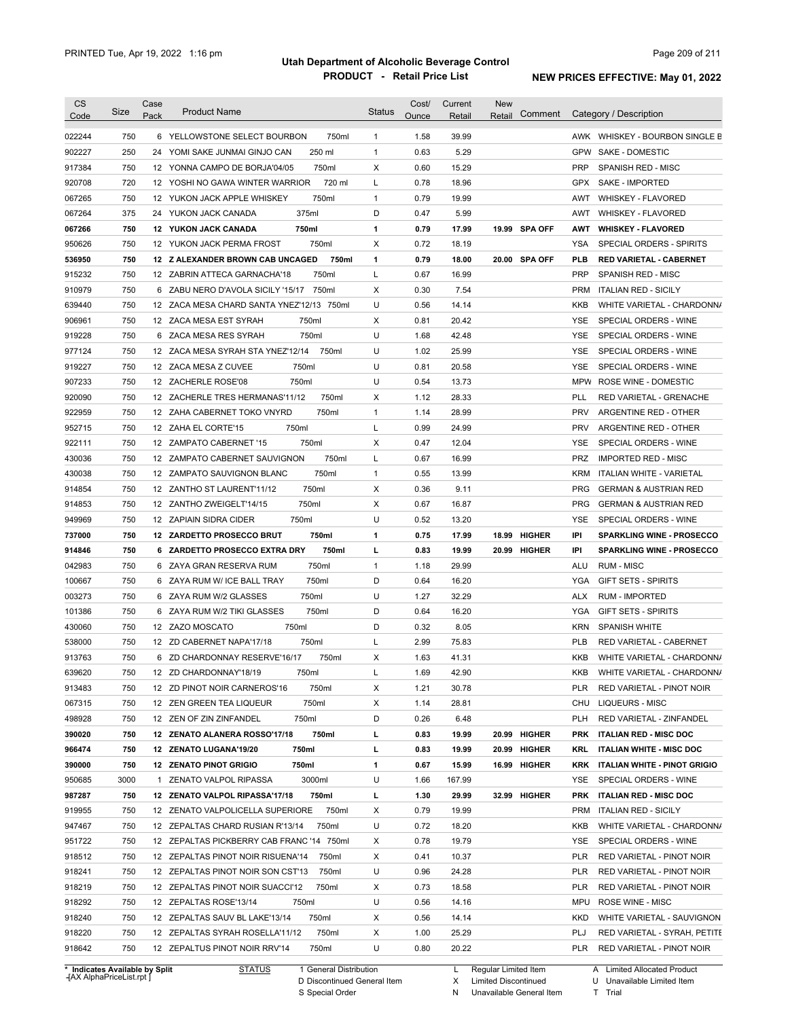| Code                                                                                                                                                                   | Size | Case | <b>Product Name</b>                        | <b>Status</b> | Cost/ | Current | <b>New</b> |               |            |                                     |
|------------------------------------------------------------------------------------------------------------------------------------------------------------------------|------|------|--------------------------------------------|---------------|-------|---------|------------|---------------|------------|-------------------------------------|
|                                                                                                                                                                        |      | Pack |                                            |               | Ounce | Retail  | Retail     | Comment       |            | Category / Description              |
| 022244                                                                                                                                                                 | 750  |      | 6 YELLOWSTONE SELECT BOURBON<br>750ml      | $\mathbf{1}$  | 1.58  | 39.99   |            |               |            | AWK WHISKEY - BOURBON SINGLE B      |
| 902227                                                                                                                                                                 | 250  |      | 250 ml<br>24 YOMI SAKE JUNMAI GINJO CAN    | $\mathbf{1}$  | 0.63  | 5.29    |            |               | GPW        | SAKE - DOMESTIC                     |
| 917384                                                                                                                                                                 | 750  |      | 750ml<br>12 YONNA CAMPO DE BORJA'04/05     | Χ             | 0.60  | 15.29   |            |               | <b>PRP</b> | SPANISH RED - MISC                  |
| 920708                                                                                                                                                                 | 720  |      | 720 ml<br>12 YOSHI NO GAWA WINTER WARRIOR  | L             | 0.78  | 18.96   |            |               | <b>GPX</b> | <b>SAKE - IMPORTED</b>              |
| 067265                                                                                                                                                                 | 750  |      | 750ml<br>12 YUKON JACK APPLE WHISKEY       | $\mathbf{1}$  | 0.79  | 19.99   |            |               | AWT        | <b>WHISKEY - FLAVORED</b>           |
| 067264                                                                                                                                                                 | 375  |      | 375ml<br>24 YUKON JACK CANADA              | D             | 0.47  | 5.99    |            |               | AWT        | <b>WHISKEY - FLAVORED</b>           |
| 067266                                                                                                                                                                 | 750  |      | 750ml<br><b>12 YUKON JACK CANADA</b>       | 1             | 0.79  | 17.99   |            | 19.99 SPA OFF | AWT        | <b>WHISKEY - FLAVORED</b>           |
| 950626                                                                                                                                                                 | 750  |      | 750ml<br>12 YUKON JACK PERMA FROST         | Χ             | 0.72  | 18.19   |            |               | YSA        | SPECIAL ORDERS - SPIRITS            |
| 536950                                                                                                                                                                 | 750  |      | 12 Z ALEXANDER BROWN CAB UNCAGED<br>750ml  | $\mathbf{1}$  | 0.79  | 18.00   |            | 20.00 SPA OFF | PLB        | <b>RED VARIETAL - CABERNET</b>      |
| 915232                                                                                                                                                                 | 750  |      | 750ml<br>12 ZABRIN ATTECA GARNACHA'18      | L             | 0.67  | 16.99   |            |               | <b>PRP</b> | SPANISH RED - MISC                  |
| 910979                                                                                                                                                                 | 750  |      | 750ml<br>6 ZABU NERO D'AVOLA SICILY '15/17 | X             | 0.30  | 7.54    |            |               | PRM        | <b>ITALIAN RED - SICILY</b>         |
| 639440                                                                                                                                                                 | 750  |      | 12 ZACA MESA CHARD SANTA YNEZ'12/13 750ml  | U             | 0.56  | 14.14   |            |               | <b>KKB</b> | WHITE VARIETAL - CHARDONN/          |
| 906961                                                                                                                                                                 | 750  |      | 750ml<br>12 ZACA MESA EST SYRAH            | Х             | 0.81  | 20.42   |            |               | <b>YSE</b> | SPECIAL ORDERS - WINE               |
| 919228                                                                                                                                                                 | 750  |      | 750ml<br>6 ZACA MESA RES SYRAH             | U             | 1.68  | 42.48   |            |               | <b>YSE</b> | SPECIAL ORDERS - WINE               |
| 977124                                                                                                                                                                 | 750  |      | 12 ZACA MESA SYRAH STA YNEZ'12/14<br>750ml | U             | 1.02  | 25.99   |            |               | <b>YSE</b> | SPECIAL ORDERS - WINE               |
| 919227                                                                                                                                                                 | 750  |      | 750ml<br>12 ZACA MESA Z CUVEE              | U             | 0.81  | 20.58   |            |               | <b>YSE</b> | SPECIAL ORDERS - WINE               |
| 907233                                                                                                                                                                 | 750  |      | 750ml<br>12 ZACHERLE ROSE'08               | U             | 0.54  | 13.73   |            |               | <b>MPW</b> | ROSE WINE - DOMESTIC                |
| 920090                                                                                                                                                                 | 750  | 12   | 750ml<br>ZACHERLE TRES HERMANAS'11/12      | Χ             | 1.12  | 28.33   |            |               | PLL        | RED VARIETAL - GRENACHE             |
| 922959                                                                                                                                                                 | 750  |      | 750ml<br>12 ZAHA CABERNET TOKO VNYRD       | $\mathbf{1}$  | 1.14  | 28.99   |            |               | <b>PRV</b> | ARGENTINE RED - OTHER               |
| 952715                                                                                                                                                                 | 750  |      | 750ml<br>12 ZAHA EL CORTE'15               | Г             | 0.99  | 24.99   |            |               | <b>PRV</b> | ARGENTINE RED - OTHER               |
| 922111                                                                                                                                                                 | 750  |      | 750ml<br>12 ZAMPATO CABERNET '15           | Χ             | 0.47  | 12.04   |            |               | <b>YSE</b> | SPECIAL ORDERS - WINE               |
| 430036                                                                                                                                                                 | 750  |      | 750ml<br>12 ZAMPATO CABERNET SAUVIGNON     | L             | 0.67  | 16.99   |            |               | <b>PRZ</b> | <b>IMPORTED RED - MISC</b>          |
| 430038                                                                                                                                                                 | 750  | 12   | 750ml<br>ZAMPATO SAUVIGNON BLANC           | $\mathbf{1}$  | 0.55  | 13.99   |            |               | <b>KRM</b> | ITALIAN WHITE - VARIETAL            |
| 914854                                                                                                                                                                 | 750  | 12   | 750ml                                      | Χ             | 0.36  | 9.11    |            |               | <b>PRG</b> |                                     |
|                                                                                                                                                                        |      |      | ZANTHO ST LAURENT'11/12                    |               |       |         |            |               |            | <b>GERMAN &amp; AUSTRIAN RED</b>    |
| 914853                                                                                                                                                                 | 750  |      | 750ml<br>12 ZANTHO ZWEIGELT'14/15          | Χ             | 0.67  | 16.87   |            |               | <b>PRG</b> | <b>GERMAN &amp; AUSTRIAN RED</b>    |
| 949969                                                                                                                                                                 | 750  |      | 750ml<br>12 ZAPIAIN SIDRA CIDER            | U             | 0.52  | 13.20   |            |               | YSE        | SPECIAL ORDERS - WINE               |
| 737000                                                                                                                                                                 | 750  |      | 750ml<br>12 ZARDETTO PROSECCO BRUT         | 1             | 0.75  | 17.99   |            | 18.99 HIGHER  | IPI        | <b>SPARKLING WINE - PROSECCO</b>    |
| 914846                                                                                                                                                                 | 750  |      | 750ml<br>6 ZARDETTO PROSECCO EXTRA DRY     | г             | 0.83  | 19.99   |            | 20.99 HIGHER  | IPI        | <b>SPARKLING WINE - PROSECCO</b>    |
| 042983                                                                                                                                                                 | 750  | 6    | 750ml<br>ZAYA GRAN RESERVA RUM             | $\mathbf{1}$  | 1.18  | 29.99   |            |               | ALU        | <b>RUM - MISC</b>                   |
| 100667                                                                                                                                                                 | 750  | 6    | 750ml<br>ZAYA RUM W/ ICE BALL TRAY         | D             | 0.64  | 16.20   |            |               | YGA        | <b>GIFT SETS - SPIRITS</b>          |
| 003273                                                                                                                                                                 | 750  |      | 750ml<br>6 ZAYA RUM W/2 GLASSES            | U             | 1.27  | 32.29   |            |               | ALX        | <b>RUM - IMPORTED</b>               |
| 101386                                                                                                                                                                 | 750  | 6    | 750ml<br>ZAYA RUM W/2 TIKI GLASSES         | D             | 0.64  | 16.20   |            |               | <b>YGA</b> | <b>GIFT SETS - SPIRITS</b>          |
| 430060                                                                                                                                                                 | 750  |      | 750ml<br>12 ZAZO MOSCATO                   | D             | 0.32  | 8.05    |            |               | <b>KRN</b> | SPANISH WHITE                       |
| 538000                                                                                                                                                                 | 750  |      | 12 ZD CABERNET NAPA'17/18<br>750ml         | L             | 2.99  | 75.83   |            |               | <b>PLB</b> | RED VARIETAL - CABERNET             |
| 913763                                                                                                                                                                 | 750  |      | 750ml<br>6 ZD CHARDONNAY RESERVE'16/17     | X             | 1.63  | 41.31   |            |               | <b>KKB</b> | WHITE VARIETAL - CHARDONN/          |
| 639620                                                                                                                                                                 | 750  |      | 12 ZD CHARDONNAY'18/19<br>750ml            |               | 1.69  | 42.90   |            |               | KKB        | WHITE VARIETAL - CHARDONN/          |
|                                                                                                                                                                        |      |      |                                            |               |       |         |            |               |            |                                     |
|                                                                                                                                                                        | 750  |      | 12 ZD PINOT NOIR CARNEROS'16<br>750ml      | X             | 1.21  | 30.78   |            |               | PLR        | RED VARIETAL - PINOT NOIR           |
|                                                                                                                                                                        | 750  |      | 750ml<br>12 ZEN GREEN TEA LIQUEUR          | X             | 1.14  | 28.81   |            |               | CHU        | LIQUEURS - MISC                     |
|                                                                                                                                                                        | 750  |      | 750ml<br>12 ZEN OF ZIN ZINFANDEL           | D             | 0.26  | 6.48    |            |               | PLH        | RED VARIETAL - ZINFANDEL            |
|                                                                                                                                                                        | 750  |      | 750ml<br>12 ZENATO ALANERA ROSSO'17/18     | г             | 0.83  | 19.99   |            | 20.99 HIGHER  | <b>PRK</b> | <b>ITALIAN RED - MISC DOC</b>       |
|                                                                                                                                                                        | 750  |      | 750ml<br>12 ZENATO LUGANA'19/20            | г             | 0.83  | 19.99   |            | 20.99 HIGHER  | KRL        | <b>ITALIAN WHITE - MISC DOC</b>     |
|                                                                                                                                                                        | 750  |      | 750ml<br>12 ZENATO PINOT GRIGIO            | 1             | 0.67  | 15.99   |            | 16.99 HIGHER  | KRK        | <b>ITALIAN WHITE - PINOT GRIGIO</b> |
|                                                                                                                                                                        | 3000 |      | 3000ml<br>1 ZENATO VALPOL RIPASSA          | U             | 1.66  | 167.99  |            |               | YSE        | SPECIAL ORDERS - WINE               |
|                                                                                                                                                                        | 750  |      | 750ml<br>12 ZENATO VALPOL RIPASSA'17/18    | L             | 1.30  | 29.99   |            | 32.99 HIGHER  | <b>PRK</b> | <b>ITALIAN RED - MISC DOC</b>       |
|                                                                                                                                                                        | 750  |      | 12 ZENATO VALPOLICELLA SUPERIORE<br>750ml  | X             | 0.79  | 19.99   |            |               | PRM        | <b>ITALIAN RED - SICILY</b>         |
|                                                                                                                                                                        | 750  |      | 12 ZEPALTAS CHARD RUSIAN R'13/14<br>750ml  | U             | 0.72  | 18.20   |            |               | KKB        | WHITE VARIETAL - CHARDONN/          |
|                                                                                                                                                                        | 750  |      | 12 ZEPALTAS PICKBERRY CAB FRANC '14 750ml  | X             | 0.78  | 19.79   |            |               | YSE        | SPECIAL ORDERS - WINE               |
|                                                                                                                                                                        | 750  |      | 12 ZEPALTAS PINOT NOIR RISUENA'14<br>750ml | X             | 0.41  | 10.37   |            |               | PLR        | RED VARIETAL - PINOT NOIR           |
|                                                                                                                                                                        | 750  |      | 750ml<br>12 ZEPALTAS PINOT NOIR SON CST'13 | U             | 0.96  | 24.28   |            |               | PLR        | RED VARIETAL - PINOT NOIR           |
|                                                                                                                                                                        | 750  |      | 12 ZEPALTAS PINOT NOIR SUACCI'12<br>750ml  | X             | 0.73  | 18.58   |            |               | PLR        | RED VARIETAL - PINOT NOIR           |
|                                                                                                                                                                        | 750  |      | 12 ZEPALTAS ROSE'13/14<br>750ml            | U             | 0.56  | 14.16   |            |               | MPU        | ROSE WINE - MISC                    |
|                                                                                                                                                                        | 750  |      | 750ml<br>12 ZEPALTAS SAUV BL LAKE'13/14    | X             | 0.56  | 14.14   |            |               | KKD.       | WHITE VARIETAL - SAUVIGNON          |
| 913483<br>067315<br>498928<br>390020<br>966474<br>390000<br>950685<br>987287<br>919955<br>947467<br>951722<br>918512<br>918241<br>918219<br>918292<br>918240<br>918220 | 750  |      | 750ml<br>12 ZEPALTAS SYRAH ROSELLA'11/12   | X             | 1.00  | 25.29   |            |               | PLJ        | RED VARIETAL - SYRAH, PETITE        |

**Case** [AX AlphaPriceList.rpt ]

D Discontinued General Item

S Special Order

X Limited Discontinued

N Unavailable General Item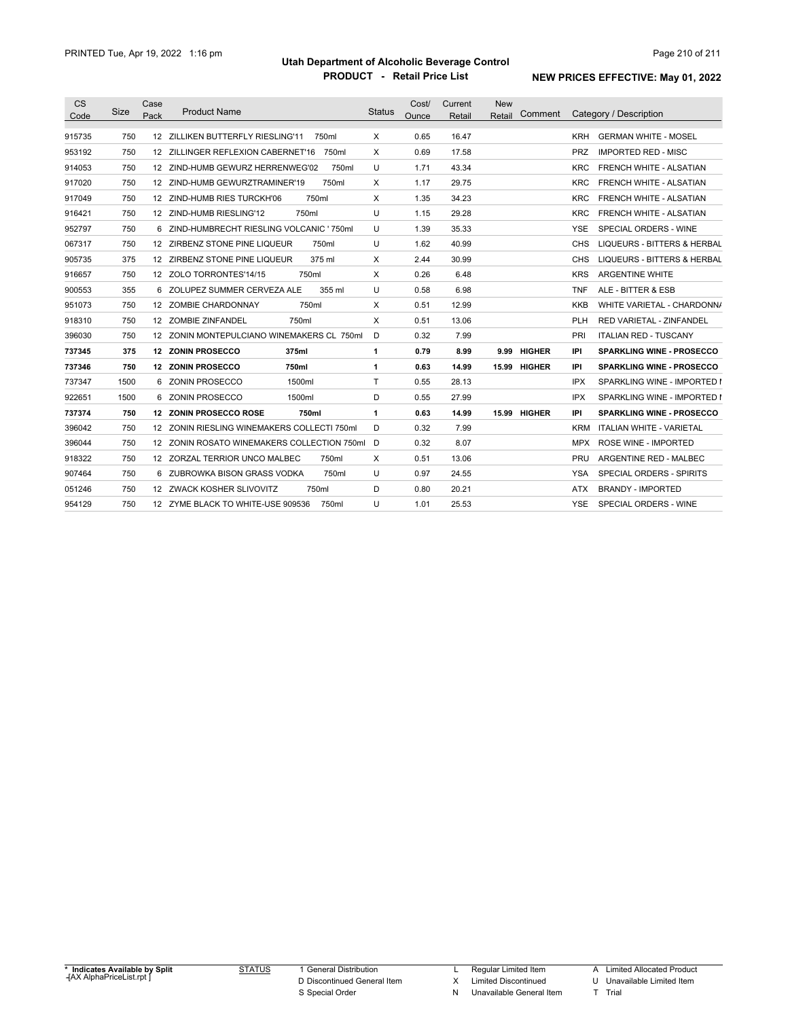| <b>CS</b> |      | Case |                                               |               | Cost/ | Current | <b>New</b>             |                                               |
|-----------|------|------|-----------------------------------------------|---------------|-------|---------|------------------------|-----------------------------------------------|
| Code      | Size | Pack | <b>Product Name</b>                           | <b>Status</b> | Ounce | Retail  | Comment<br>Retail      | Category / Description                        |
| 915735    | 750  |      | 12 ZILLIKEN BUTTERFLY RIESLING'11<br>750ml    | X             | 0.65  | 16.47   |                        | <b>GERMAN WHITE - MOSEL</b><br>KRH            |
| 953192    | 750  |      | 12 ZILLINGER REFLEXION CABERNET'16<br>750ml   | X             | 0.69  | 17.58   |                        | <b>IMPORTED RED - MISC</b><br><b>PRZ</b>      |
| 914053    | 750  |      | 12 ZIND-HUMB GEWURZ HERRENWEG'02<br>750ml     | U             | 1.71  | 43.34   |                        | FRENCH WHITE - ALSATIAN<br><b>KRC</b>         |
| 917020    | 750  |      | 12 ZIND-HUMB GEWURZTRAMINER'19<br>750ml       | X             | 1.17  | 29.75   |                        | <b>KRC</b><br>FRENCH WHITE - ALSATIAN         |
| 917049    | 750  |      | 12 ZIND-HUMB RIES TURCKH'06<br>750ml          | X             | 1.35  | 34.23   |                        | FRENCH WHITE - ALSATIAN<br><b>KRC</b>         |
| 916421    | 750  |      | 12 ZIND-HUMB RIESLING'12<br>750ml             | U             | 1.15  | 29.28   |                        | FRENCH WHITE - ALSATIAN<br><b>KRC</b>         |
| 952797    | 750  |      | 6 ZIND-HUMBRECHT RIESLING VOLCANIC ' 750ml    | U             | 1.39  | 35.33   |                        | SPECIAL ORDERS - WINE<br><b>YSE</b>           |
| 067317    | 750  |      | 12 ZIRBENZ STONE PINE LIQUEUR<br>750ml        | U             | 1.62  | 40.99   |                        | <b>LIQUEURS - BITTERS &amp; HERBAL</b><br>CHS |
| 905735    | 375  |      | 12 ZIRBENZ STONE PINE LIQUEUR<br>375 ml       | X             | 2.44  | 30.99   |                        | <b>LIQUEURS - BITTERS &amp; HERBAL</b><br>CHS |
| 916657    | 750  |      | 12 ZOLO TORRONTES'14/15<br>750ml              | X             | 0.26  | 6.48    |                        | <b>ARGENTINE WHITE</b><br><b>KRS</b>          |
| 900553    | 355  |      | 6 ZOLUPEZ SUMMER CERVEZA ALE<br>355 ml        | U             | 0.58  | 6.98    |                        | ALE - BITTER & ESB<br>TNF                     |
| 951073    | 750  |      | 750ml<br>12 ZOMBIE CHARDONNAY                 | X             | 0.51  | 12.99   |                        | WHITE VARIETAL - CHARDONN/<br>KKB             |
| 918310    | 750  |      | 12 ZOMBIE ZINFANDEL<br>750ml                  | Χ             | 0.51  | 13.06   |                        | RED VARIETAL - ZINFANDEL<br>PLH               |
| 396030    | 750  |      | 12 ZONIN MONTEPULCIANO WINEMAKERS CL 750ml    | D             | 0.32  | 7.99    |                        | PRI<br><b>ITALIAN RED - TUSCANY</b>           |
| 737345    | 375  |      | 12 ZONIN PROSECCO<br>375ml                    | 1             | 0.79  | 8.99    | <b>HIGHER</b><br>9.99  | <b>SPARKLING WINE - PROSECCO</b><br>IPI       |
| 737346    | 750  |      | <b>12 ZONIN PROSECCO</b><br>750ml             | 1             | 0.63  | 14.99   | <b>HIGHER</b><br>15.99 | <b>SPARKLING WINE - PROSECCO</b><br>IPI       |
| 737347    | 1500 |      | 6 ZONIN PROSECCO<br>1500ml                    | T             | 0.55  | 28.13   |                        | SPARKLING WINE - IMPORTED I<br>IPX            |
| 922651    | 1500 |      | 6 ZONIN PROSECCO<br>1500ml                    | D             | 0.55  | 27.99   |                        | <b>IPX</b><br>SPARKLING WINE - IMPORTED I     |
| 737374    | 750  |      | <b>12 ZONIN PROSECCO ROSE</b><br>750ml        | 1             | 0.63  | 14.99   | 15.99 HIGHER           | IPI<br><b>SPARKLING WINE - PROSECCO</b>       |
| 396042    | 750  |      | 12 ZONIN RIESLING WINEMAKERS COLLECTI 750ml   | D             | 0.32  | 7.99    |                        | <b>ITALIAN WHITE - VARIETAL</b><br>KRM        |
| 396044    | 750  |      | 12 ZONIN ROSATO WINEMAKERS COLLECTION 750ml D |               | 0.32  | 8.07    |                        | <b>ROSE WINE - IMPORTED</b><br>MPX            |
| 918322    | 750  |      | 12 ZORZAL TERRIOR UNCO MALBEC<br>750ml        | X             | 0.51  | 13.06   |                        | ARGENTINE RED - MALBEC<br>PRU                 |
| 907464    | 750  | 6.   | ZUBROWKA BISON GRASS VODKA<br>750ml           | U             | 0.97  | 24.55   |                        | <b>SPECIAL ORDERS - SPIRITS</b><br>YSA        |
| 051246    | 750  |      | 12 ZWACK KOSHER SLIVOVITZ<br>750ml            | D             | 0.80  | 20.21   |                        | <b>BRANDY - IMPORTED</b><br>ATX               |
| 954129    | 750  |      | 12 ZYME BLACK TO WHITE-USE 909536<br>750ml    | U             | 1.01  | 25.53   |                        | <b>YSE</b><br>SPECIAL ORDERS - WINE           |

STATUS 1 General Distribution D Discontinued General Item S Special Order

L Regular Limited Item

X Limited Discontinued

N Unavailable General Item

A Limited Allocated Product